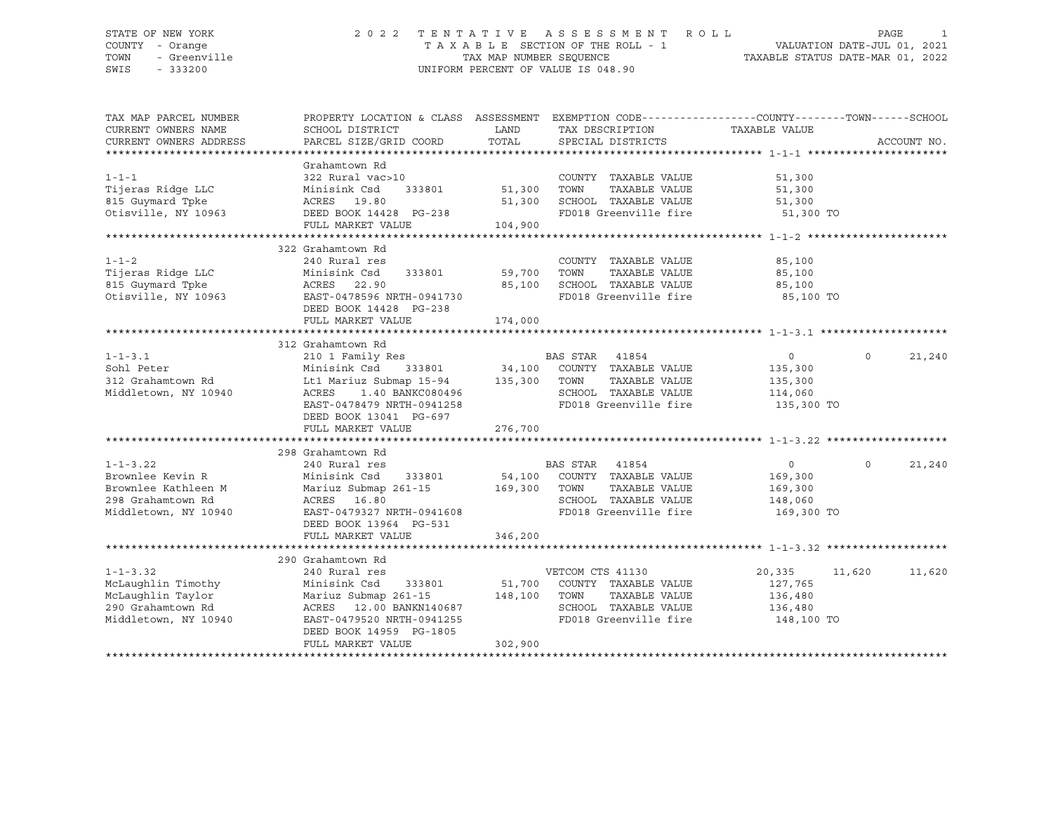#### STATE OF NEW YORK 2 0 2 2 T E N T A T I V E A S S E S S M E N T R O L L PAGE 1 COUNTY - Orange T A X A B L E SECTION OF THE ROLL - 1 VALUATION DATE-JUL 01, 2021 TOWN - Greenville TAX MAP NUMBER SEQUENCE TAXABLE STATUS DATE-MAR 01, 2022 SWIS - 333200 UNIFORM PERCENT OF VALUE IS 048.90

| TAX MAP PARCEL NUMBER                                       |                                                                                                       |             | PROPERTY LOCATION & CLASS ASSESSMENT EXEMPTION CODE----------------COUNTY-------TOWN-----SCHOOL |                |                    |
|-------------------------------------------------------------|-------------------------------------------------------------------------------------------------------|-------------|-------------------------------------------------------------------------------------------------|----------------|--------------------|
| CURRENT OWNERS NAME                                         | SCHOOL DISTRICT                                                                                       | LAND        | TAX DESCRIPTION                                                                                 | TAXABLE VALUE  |                    |
| CURRENT OWNERS ADDRESS                                      | PARCEL SIZE/GRID COORD                                                                                | TOTAL       | SPECIAL DISTRICTS                                                                               |                | ACCOUNT NO.        |
|                                                             |                                                                                                       |             |                                                                                                 |                |                    |
|                                                             | Grahamtown Rd                                                                                         |             |                                                                                                 |                |                    |
| $1 - 1 - 1$                                                 | 322 Rural vac>10                                                                                      |             | COUNTY TAXABLE VALUE                                                                            | 51,300         |                    |
| Tijeras Ridge LLC                                           | Minisink Csd<br>333801                                                                                | 51,300 TOWN | TAXABLE VALUE                                                                                   | 51,300         |                    |
| 815 Guymard Tpke                                            | ACRES 19.80                                                                                           | 51,300      | SCHOOL TAXABLE VALUE                                                                            | 51,300         |                    |
| Otisville, NY 10963                                         | DEED BOOK 14428 PG-238                                                                                |             | FD018 Greenville fire                                                                           | 51,300 TO      |                    |
|                                                             | FULL MARKET VALUE                                                                                     | 104,900     |                                                                                                 |                |                    |
|                                                             |                                                                                                       |             |                                                                                                 |                |                    |
|                                                             | 322 Grahamtown Rd                                                                                     |             |                                                                                                 |                |                    |
| $1 - 1 - 2$                                                 | 240 Rural res                                                                                         |             | COUNTY TAXABLE VALUE                                                                            | 85,100         |                    |
| Tijeras Ridge LLC                                           | 333801<br>Minisink Csd                                                                                | 59,700      | TOWN<br>TAXABLE VALUE                                                                           | 85,100         |                    |
| 815 Guymard Tpke                                            | 22.90<br>ACRES                                                                                        | 85,100      | SCHOOL TAXABLE VALUE                                                                            | 85,100         |                    |
| Otisville, NY 10963                                         | EAST-0478596 NRTH-0941730                                                                             |             | FD018 Greenville fire 35,100 TO                                                                 |                |                    |
|                                                             | DEED BOOK 14428 PG-238                                                                                |             |                                                                                                 |                |                    |
|                                                             |                                                                                                       | 174,000     |                                                                                                 |                |                    |
|                                                             | FULL MARKET VALUE                                                                                     |             |                                                                                                 |                |                    |
|                                                             |                                                                                                       |             |                                                                                                 |                |                    |
|                                                             | 312 Grahamtown Rd                                                                                     |             |                                                                                                 |                |                    |
| $1 - 1 - 3.1$                                               | 210 1 Family Res                                                                                      |             | BAS STAR 41854                                                                                  | $\circ$        | 21,240<br>$\Omega$ |
| Sohl Peter                                                  | Minisink Csd 333801 34,100 COUNTY TAXABLE VALUE<br>Lt1 Mariuz Submap 15-94 135,300 TOWN TAXABLE VALUE |             |                                                                                                 | 135,300        |                    |
| 312 Grahamtown Rd                                           |                                                                                                       |             | TAXABLE VALUE                                                                                   | 135,300        |                    |
| Middletown, NY 10940                                        | 1.40 BANKC080496<br>ACRES                                                                             |             | SCHOOL TAXABLE VALUE 114,060                                                                    |                |                    |
|                                                             | EAST-0478479 NRTH-0941258                                                                             |             | FD018 Greenville fire                                                                           | 135,300 TO     |                    |
|                                                             | DEED BOOK 13041 PG-697                                                                                |             |                                                                                                 |                |                    |
|                                                             | FULL MARKET VALUE                                                                                     | 276,700     |                                                                                                 |                |                    |
|                                                             |                                                                                                       |             |                                                                                                 |                |                    |
|                                                             | 298 Grahamtown Rd                                                                                     |             |                                                                                                 |                |                    |
| $1 - 1 - 3.22$                                              | 240 Rural res                                                                                         |             | BAS STAR 41854                                                                                  | $\overline{0}$ | 21,240<br>$\Omega$ |
| Brownlee Kevin R                                            | Minisink Csd 333801                                                                                   |             | 54,100 COUNTY TAXABLE VALUE                                                                     | 169,300        |                    |
| Brownlee Kathleen M                                         | Mariuz Submap 261-15 169,300                                                                          |             | TOWN<br>TAXABLE VALUE                                                                           | 169,300        |                    |
| 298 Grahamtown Rd                                           | ACRES 16.80                                                                                           |             | SCHOOL TAXABLE VALUE                                                                            | 148,060        |                    |
| Middletown, NY 10940                                        | EAST-0479327 NRTH-0941608                                                                             |             | FD018 Greenville fire                                                                           | 169,300 TO     |                    |
|                                                             | DEED BOOK 13964 PG-531                                                                                |             |                                                                                                 |                |                    |
|                                                             | FULL MARKET VALUE                                                                                     | 346,200     |                                                                                                 |                |                    |
|                                                             |                                                                                                       |             |                                                                                                 |                |                    |
|                                                             | 290 Grahamtown Rd                                                                                     |             |                                                                                                 |                |                    |
| $1 - 1 - 3.32$                                              | 240 Rural res                                                                                         |             | VETCOM CTS 41130                                                                                | 20,335 11,620  | 11,620             |
| McLaughlin Timothy                                          | 333801 51,700<br>Minisink Csd                                                                         |             | COUNTY TAXABLE VALUE                                                                            | 127,765        |                    |
|                                                             | Mariuz Submap 261-15 148,100 TOWN TAXABLE VALUE                                                       |             |                                                                                                 | 136,480        |                    |
| McLaughlin Taylor<br>200 Grahamtown Rd<br>290 Grahamtown Rd | ACRES 12.00 BANKN140687                                                                               |             | SCHOOL TAXABLE VALUE                                                                            | 136,480        |                    |
|                                                             |                                                                                                       |             | FD018 Greenville fire 148,100 TO                                                                |                |                    |
| Middletown, NY 10940                                        | EAST-0479520 NRTH-0941255                                                                             |             |                                                                                                 |                |                    |
|                                                             | DEED BOOK 14959 PG-1805                                                                               |             |                                                                                                 |                |                    |
|                                                             | FULL MARKET VALUE                                                                                     | 302,900     |                                                                                                 |                |                    |
|                                                             |                                                                                                       |             |                                                                                                 |                |                    |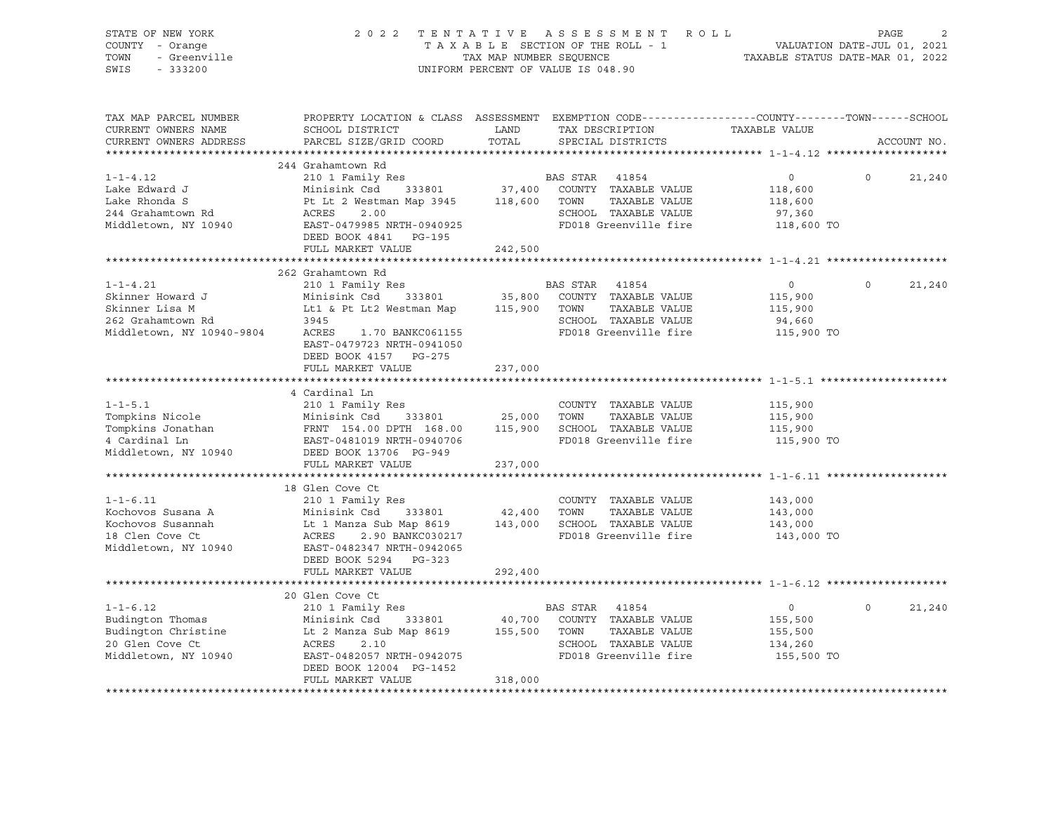| STATE OF NEW YORK<br>COUNTY - Orange<br>TOWN<br>- Greenville           | 2 0 2 2                                                                                               | TENTATIVE<br>TAX MAP NUMBER SEQUENCE | ASSESSMENT ROLL<br>TAXABLE SECTION OF THE ROLL - 1                                                                                      | VALUATION DATE-JUL 01, 2021<br>TAXABLE STATUS DATE-MAR 01, 2022 | PAGE     |             |
|------------------------------------------------------------------------|-------------------------------------------------------------------------------------------------------|--------------------------------------|-----------------------------------------------------------------------------------------------------------------------------------------|-----------------------------------------------------------------|----------|-------------|
| SWIS<br>$-333200$                                                      |                                                                                                       |                                      | UNIFORM PERCENT OF VALUE IS 048.90                                                                                                      |                                                                 |          |             |
| TAX MAP PARCEL NUMBER<br>CURRENT OWNERS NAME<br>CURRENT OWNERS ADDRESS | SCHOOL DISTRICT<br>PARCEL SIZE/GRID COORD                                                             | LAND<br>TOTAL                        | PROPERTY LOCATION & CLASS ASSESSMENT EXEMPTION CODE---------------COUNTY-------TOWN------SCHOOL<br>TAX DESCRIPTION<br>SPECIAL DISTRICTS | TAXABLE VALUE                                                   |          | ACCOUNT NO. |
|                                                                        |                                                                                                       |                                      |                                                                                                                                         |                                                                 |          |             |
|                                                                        | 244 Grahamtown Rd                                                                                     |                                      |                                                                                                                                         |                                                                 |          |             |
| $1 - 1 - 4.12$                                                         | 210 1 Family Res                                                                                      |                                      | BAS STAR 41854                                                                                                                          | $\overline{0}$                                                  | $\circ$  | 21,240      |
| Lake Edward J                                                          | Minisink Csd 333801 37,400 COUNTY TAXABLE VALUE                                                       |                                      |                                                                                                                                         | 118,600                                                         |          |             |
| Lake Rhonda S                                                          | Pt Lt 2 Westman Map 3945 118,600 TOWN                                                                 |                                      | TAXABLE VALUE                                                                                                                           | 118,600                                                         |          |             |
| 244 Grahamtown Rd                                                      | 2.00<br>ACRES                                                                                         |                                      | SCHOOL TAXABLE VALUE                                                                                                                    | 97,360                                                          |          |             |
| Middletown, NY 10940                                                   | EAST-0479985 NRTH-0940925                                                                             |                                      | FD018 Greenville fire                                                                                                                   | 118,600 TO                                                      |          |             |
|                                                                        | DEED BOOK 4841 PG-195                                                                                 |                                      |                                                                                                                                         |                                                                 |          |             |
|                                                                        | FULL MARKET VALUE                                                                                     | 242,500                              |                                                                                                                                         |                                                                 |          |             |
|                                                                        | 262 Grahamtown Rd                                                                                     |                                      |                                                                                                                                         |                                                                 |          |             |
| $1 - 1 - 4.21$                                                         | 210 1 Family Res                                                                                      |                                      | BAS STAR 41854                                                                                                                          | $\overline{0}$                                                  | $\Omega$ | 21,240      |
| Skinner Howard J                                                       | Minisink Csd 333801                                                                                   |                                      | 35,800 COUNTY TAXABLE VALUE                                                                                                             | 115,900                                                         |          |             |
| Skinner Lisa M                                                         | Lt1 & Pt Lt2 Westman Map 115,900 TOWN                                                                 |                                      | TAXABLE VALUE                                                                                                                           | 115,900                                                         |          |             |
| 262 Grahamtown Rd                                                      | 3945                                                                                                  |                                      | SCHOOL TAXABLE VALUE                                                                                                                    | 94,660                                                          |          |             |
| Middletown, NY 10940-9804                                              | ACRES<br>1.70 BANKC061155                                                                             |                                      | FD018 Greenville fire                                                                                                                   | 115,900 TO                                                      |          |             |
|                                                                        | EAST-0479723 NRTH-0941050                                                                             |                                      |                                                                                                                                         |                                                                 |          |             |
|                                                                        | DEED BOOK 4157 PG-275                                                                                 |                                      |                                                                                                                                         |                                                                 |          |             |
|                                                                        | FULL MARKET VALUE                                                                                     | 237,000                              |                                                                                                                                         |                                                                 |          |             |
|                                                                        |                                                                                                       |                                      |                                                                                                                                         |                                                                 |          |             |
|                                                                        | 4 Cardinal Ln                                                                                         |                                      |                                                                                                                                         |                                                                 |          |             |
| $1 - 1 - 5.1$                                                          | 210 1 Family Res                                                                                      |                                      | COUNTY TAXABLE VALUE                                                                                                                    | 115,900                                                         |          |             |
| Tompkins Nicole                                                        | Minisink Csd 333801 25,000 TOWN TAXABLE VALUE<br>FRNT 154.00 DPTH 168.00 115,900 SCHOOL TAXABLE VALUE |                                      |                                                                                                                                         | 115,900                                                         |          |             |
| Tompkins Jonathan<br>4 Cardinal Ln                                     |                                                                                                       |                                      | FD018 Greenville fire                                                                                                                   | 115,900<br>115,900 TO                                           |          |             |
| Middletown, NY 10940                                                   | EAST-0481019 NRTH-0940706<br>DEED BOOK 13706 PG-949                                                   |                                      |                                                                                                                                         |                                                                 |          |             |
|                                                                        | FULL MARKET VALUE                                                                                     | 237,000                              |                                                                                                                                         |                                                                 |          |             |
|                                                                        |                                                                                                       |                                      |                                                                                                                                         |                                                                 |          |             |
|                                                                        | 18 Glen Cove Ct                                                                                       |                                      |                                                                                                                                         |                                                                 |          |             |
| $1 - 1 - 6.11$                                                         | 210 1 Family Res                                                                                      |                                      | COUNTY TAXABLE VALUE                                                                                                                    | 143,000                                                         |          |             |
| Kochovos Susana A                                                      |                                                                                                       |                                      |                                                                                                                                         | 143,000                                                         |          |             |
| Kochovos Susannah                                                      | Minisink Csd 333801 42,400 TOWN TAXABLE VALUE<br>Lt 1 Manza Sub Map 8619 143,000 SCHOOL TAXABLE VALUE |                                      |                                                                                                                                         | 143,000                                                         |          |             |
| 18 Clen Cove Ct                                                        | 2.90 BANKC030217<br>ACRES                                                                             |                                      | FD018 Greenville fire                                                                                                                   | 143,000 TO                                                      |          |             |
| Middletown, NY 10940                                                   | EAST-0482347 NRTH-0942065                                                                             |                                      |                                                                                                                                         |                                                                 |          |             |
|                                                                        | DEED BOOK 5294 PG-323                                                                                 |                                      |                                                                                                                                         |                                                                 |          |             |
|                                                                        | FULL MARKET VALUE                                                                                     | 292,400                              |                                                                                                                                         |                                                                 |          |             |
|                                                                        | *************************                                                                             |                                      |                                                                                                                                         |                                                                 |          |             |
|                                                                        | 20 Glen Cove Ct                                                                                       |                                      |                                                                                                                                         |                                                                 | $\Omega$ |             |
| $1 - 1 - 6.12$                                                         | 210 1 Family Res                                                                                      |                                      | BAS STAR 41854                                                                                                                          | $\overline{0}$                                                  |          | 21,240      |
| Budington Thomas<br>Budington Christine                                | Minisink Csd     333801<br>Lt 2 Manza Sub Map 8619                                                    | 155,500 TOWN                         | 40,700 COUNTY TAXABLE VALUE<br>TAXABLE VALUE                                                                                            | 155,500<br>155,500                                              |          |             |
| 20 Glen Cove Ct                                                        | ACRES<br>2.10                                                                                         |                                      | SCHOOL TAXABLE VALUE                                                                                                                    | 134,260                                                         |          |             |
| Middletown, NY 10940                                                   | EAST-0482057 NRTH-0942075                                                                             |                                      | FD018 Greenville fire                                                                                                                   | 155,500 TO                                                      |          |             |
|                                                                        | DEED BOOK 12004 PG-1452                                                                               |                                      |                                                                                                                                         |                                                                 |          |             |
|                                                                        | FULL MARKET VALUE                                                                                     | 318,000                              |                                                                                                                                         |                                                                 |          |             |
|                                                                        |                                                                                                       |                                      |                                                                                                                                         |                                                                 |          |             |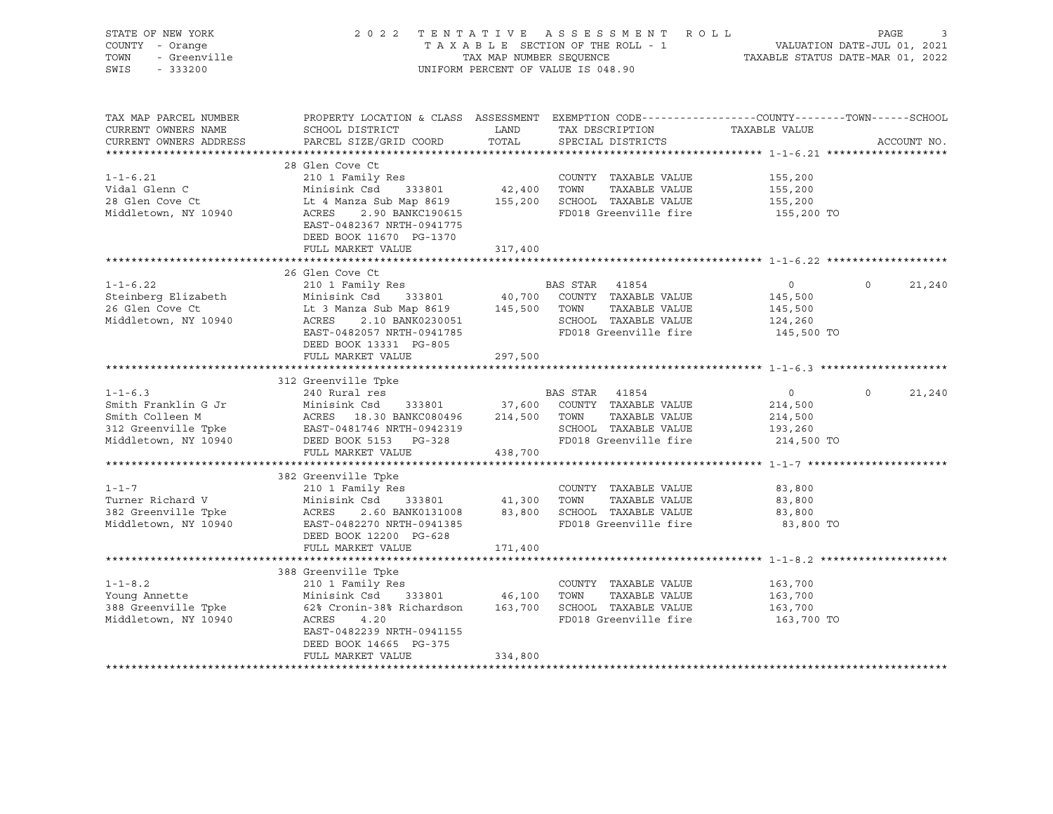| STATE OF NEW YORK      |                                                                                                 |                         | 2022 TENTATIVE ASSESSMENT ROLL     |                                  | PAGE                   |
|------------------------|-------------------------------------------------------------------------------------------------|-------------------------|------------------------------------|----------------------------------|------------------------|
| COUNTY - Orange        |                                                                                                 |                         | TAXABLE SECTION OF THE ROLL - 1    | VALUATION DATE-JUL 01, 2021      |                        |
| TOWN<br>- Greenville   |                                                                                                 | TAX MAP NUMBER SEOUENCE |                                    | TAXABLE STATUS DATE-MAR 01, 2022 |                        |
| $-333200$<br>SWIS      |                                                                                                 |                         | UNIFORM PERCENT OF VALUE IS 048.90 |                                  |                        |
|                        |                                                                                                 |                         |                                    |                                  |                        |
|                        |                                                                                                 |                         |                                    |                                  |                        |
|                        |                                                                                                 |                         |                                    |                                  |                        |
|                        |                                                                                                 |                         |                                    |                                  |                        |
| TAX MAP PARCEL NUMBER  | PROPERTY LOCATION & CLASS ASSESSMENT EXEMPTION CODE---------------COUNTY-------TOWN------SCHOOL |                         |                                    |                                  |                        |
| CURRENT OWNERS NAME    | SCHOOL DISTRICT                                                                                 | LAND                    | TAX DESCRIPTION                    | TAXABLE VALUE                    |                        |
| CURRENT OWNERS ADDRESS | PARCEL SIZE/GRID COORD                                                                          | TOTAL                   | SPECIAL DISTRICTS                  |                                  | ACCOUNT NO.            |
|                        |                                                                                                 |                         |                                    |                                  |                        |
|                        |                                                                                                 |                         |                                    |                                  |                        |
|                        | 28 Glen Cove Ct                                                                                 |                         |                                    |                                  |                        |
| $1 - 1 - 6.21$         | 210 1 Family Res                                                                                |                         | COUNTY TAXABLE VALUE               | 155,200                          |                        |
| Vidal Glenn C          | Minisink Csd<br>333801                                                                          | 42,400 TOWN             | TAXABLE VALUE                      | 155,200                          |                        |
| 28 Glen Cove Ct        | Lt 4 Manza Sub Map 8619                                                                         |                         | 155,200 SCHOOL TAXABLE VALUE       | 155,200                          |                        |
| Middletown, NY 10940   | ACRES<br>2.90 BANKC190615                                                                       |                         | FD018 Greenville fire              | 155,200 TO                       |                        |
|                        |                                                                                                 |                         |                                    |                                  |                        |
|                        | EAST-0482367 NRTH-0941775                                                                       |                         |                                    |                                  |                        |
|                        | DEED BOOK 11670 PG-1370                                                                         |                         |                                    |                                  |                        |
|                        | FULL MARKET VALUE                                                                               | 317,400                 |                                    |                                  |                        |
|                        |                                                                                                 |                         |                                    |                                  |                        |
|                        | 26 Glen Cove Ct                                                                                 |                         |                                    |                                  |                        |
| $1 - 1 - 6.22$         |                                                                                                 |                         | BAS STAR 41854                     | $\circ$                          | $\mathsf{O}$<br>21,240 |
|                        | 210 1 Family Res                                                                                |                         |                                    |                                  |                        |
| Steinberg Elizabeth    | Minisink Csd 333801                                                                             |                         | 40,700 COUNTY TAXABLE VALUE        | 145,500                          |                        |
| 26 Glen Cove Ct        | Lt 3 Manza Sub Map 8619                                                                         |                         | 145,500 TOWN<br>TAXABLE VALUE      | 145,500                          |                        |
| Middletown, NY 10940   | ACRES<br>2.10 BANK0230051                                                                       |                         | SCHOOL TAXABLE VALUE               | 124,260                          |                        |
|                        | EAST-0482057 NRTH-0941785                                                                       |                         | FD018 Greenville fire              | 145,500 TO                       |                        |
|                        | DEED BOOK 13331 PG-805                                                                          |                         |                                    |                                  |                        |
|                        |                                                                                                 |                         |                                    |                                  |                        |
|                        | FULL MARKET VALUE                                                                               | 297,500                 |                                    |                                  |                        |
|                        |                                                                                                 |                         |                                    |                                  |                        |
|                        | 312 Greenville Tpke                                                                             |                         |                                    |                                  |                        |
| $1 - 1 - 6.3$          | 240 Rural res                                                                                   |                         | BAS STAR 41854                     | 0                                | $\circ$<br>21,240      |
| Smith Franklin G Jr    | Minisink Csd<br>333801                                                                          |                         | 37,600 COUNTY TAXABLE VALUE        | 214,500                          |                        |
| Smith Colleen M        | ACRES 18.30 BANKC080496                                                                         |                         | 214,500 TOWN<br>TAXABLE VALUE      | 214,500                          |                        |
|                        | EAST-0481746 NRTH-0942319                                                                       |                         |                                    |                                  |                        |
| 312 Greenville Tpke    |                                                                                                 |                         | SCHOOL TAXABLE VALUE               | 193,260                          |                        |
| Middletown, NY 10940   | DEED BOOK 5153 PG-328                                                                           |                         | FD018 Greenville fire              | 214,500 TO                       |                        |
|                        | FULL MARKET VALUE                                                                               | 438,700                 |                                    |                                  |                        |
|                        |                                                                                                 |                         |                                    |                                  |                        |
|                        | 382 Greenville Tpke                                                                             |                         |                                    |                                  |                        |
| $1 - 1 - 7$            | 210 1 Family Res                                                                                |                         |                                    |                                  |                        |
|                        |                                                                                                 |                         | COUNTY TAXABLE VALUE               | 83,800                           |                        |
| Turner Richard V       | Minisink Csd<br>333801                                                                          |                         | 41,300 TOWN<br>TAXABLE VALUE       | 83,800                           |                        |
| 382 Greenville Tpke    | 2.60 BANK0131008<br>ACRES                                                                       |                         | 83,800 SCHOOL TAXABLE VALUE        | 83,800                           |                        |
| Middletown, NY 10940   | EAST-0482270 NRTH-0941385                                                                       |                         | FD018 Greenville fire              | 83,800 TO                        |                        |
|                        | DEED BOOK 12200 PG-628                                                                          |                         |                                    |                                  |                        |
|                        | FULL MARKET VALUE                                                                               | 171,400                 |                                    |                                  |                        |
|                        |                                                                                                 |                         |                                    |                                  |                        |
|                        |                                                                                                 |                         |                                    |                                  |                        |
|                        | 388 Greenville Tpke                                                                             |                         |                                    |                                  |                        |
| $1 - 1 - 8.2$          | 210 1 Family Res                                                                                |                         | COUNTY TAXABLE VALUE               | 163,700                          |                        |
| Young Annette          | Minisink Csd 333801                                                                             | 46,100 TOWN             | TAXABLE VALUE                      | 163,700                          |                        |
| 388 Greenville Tpke    | 62% Cronin-38% Richardson 163,700 SCHOOL TAXABLE VALUE                                          |                         |                                    | 163,700                          |                        |
| Middletown, NY 10940   | ACRES<br>4.20                                                                                   |                         | FD018 Greenville fire              |                                  |                        |
|                        |                                                                                                 |                         |                                    | 163,700 TO                       |                        |
|                        | EAST-0482239 NRTH-0941155                                                                       |                         |                                    |                                  |                        |
|                        | DEED BOOK 14665 PG-375                                                                          |                         |                                    |                                  |                        |
|                        | FULL MARKET VALUE                                                                               | 334,800                 |                                    |                                  |                        |
|                        | ************************                                                                        |                         |                                    |                                  |                        |
|                        |                                                                                                 |                         |                                    |                                  |                        |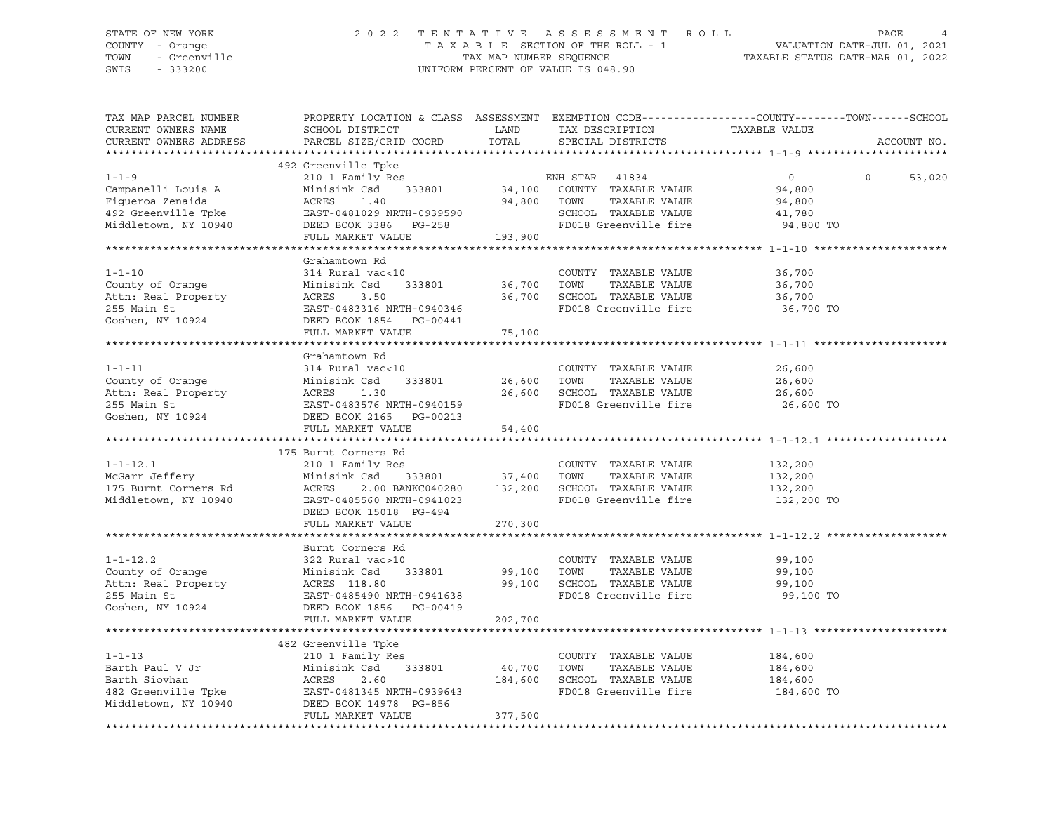#### STATE OF NEW YORK 2 0 2 2 T E N T A T I V E A S S E S S M E N T R O L L PAGE 4 COUNTY - Orange T A X A B L E SECTION OF THE ROLL - 1 VALUATION DATE-JUL 01, 2021 TOWN - Greenville TAX MAP NUMBER SEQUENCE TAXABLE STATUS DATE-MAR 01, 2022 SWIS - 333200 UNIFORM PERCENT OF VALUE IS 048.90

| TAX MAP PARCEL NUMBER<br>CURRENT OWNERS NAME<br>CURRENT OWNERS ADDRESS                                                  | PROPERTY LOCATION & CLASS ASSESSMENT EXEMPTION CODE----------------COUNTY-------TOWN-----SCHOOL<br>SCHOOL DISTRICT<br>PARCEL SIZE/GRID COORD                             | LAND<br>TOTAL                    | TAX DESCRIPTION<br>SPECIAL DISTRICTS                                                                                      | TAXABLE VALUE                                             | ACCOUNT NO.       |
|-------------------------------------------------------------------------------------------------------------------------|--------------------------------------------------------------------------------------------------------------------------------------------------------------------------|----------------------------------|---------------------------------------------------------------------------------------------------------------------------|-----------------------------------------------------------|-------------------|
|                                                                                                                         |                                                                                                                                                                          |                                  |                                                                                                                           |                                                           |                   |
| $1 - 1 - 9$<br>Campanelli Louis A<br>Fiqueroa Zenaida<br>492 Greenville Tpke<br>Middletown, NY 10940                    | 492 Greenville Tpke<br>210 1 Family Res<br>Minisink Csd 333801<br>ACRES<br>1.40<br>EAST-0481029 NRTH-0939590<br>DEED BOOK 3386 PG-258<br>FULL MARKET VALUE               | 94,800<br>193,900                | ENH STAR 41834<br>$34,100$ COUNTY TAXABLE VALUE<br>TOWN<br>TAXABLE VALUE<br>SCHOOL TAXABLE VALUE<br>FD018 Greenville fire | $\overline{0}$<br>94,800<br>94,800<br>41,780<br>94,800 TO | $\circ$<br>53,020 |
|                                                                                                                         | Grahamtown Rd                                                                                                                                                            |                                  |                                                                                                                           |                                                           |                   |
| $1 - 1 - 10$<br>County of Orange<br>Attn: Real Property<br>255 Main St<br>Goshen, NY 10924                              | 314 Rural vac<10<br>333801<br>Minisink Csd<br>ACRES<br>3.50<br>EAST-0483316 NRTH-0940346<br>DEED BOOK 1854 PG-00441                                                      | 36,700<br>36,700                 | COUNTY TAXABLE VALUE<br>TAXABLE VALUE<br>TOWN<br>SCHOOL TAXABLE VALUE<br>FD018 Greenville fire                            | 36,700<br>36,700<br>36,700<br>36,700 TO                   |                   |
|                                                                                                                         | FULL MARKET VALUE                                                                                                                                                        | 75,100                           |                                                                                                                           |                                                           |                   |
|                                                                                                                         |                                                                                                                                                                          |                                  |                                                                                                                           |                                                           |                   |
| $1 - 1 - 11$<br>County of Orange<br>Attn: Real Property<br>255 Main St<br>Goshen, NY 10924                              | Grahamtown Rd<br>314 Rural vac<10<br>Minisink Csd<br>333801<br>ACRES<br>1.30<br>EAST-0483576 NRTH-0940159<br>DEED BOOK 2165 PG-00213                                     | 26,600                           | COUNTY TAXABLE VALUE<br>TOWN<br>TAXABLE VALUE<br>26,600 SCHOOL TAXABLE VALUE<br>FD018 Greenville fire                     | 26,600<br>26,600<br>26,600<br>26,600 TO                   |                   |
|                                                                                                                         | FULL MARKET VALUE                                                                                                                                                        | 54,400                           |                                                                                                                           |                                                           |                   |
|                                                                                                                         |                                                                                                                                                                          |                                  |                                                                                                                           |                                                           |                   |
| $1 - 1 - 12.1$<br>McGarr Jeffery<br>175 Burnt Corners Rd<br>Middletown, NY 10940                                        | 175 Burnt Corners Rd<br>210 1 Family Res<br>Minisink Csd<br>ACRES<br>2.00 BANKC040280<br>EAST-0485560 NRTH-0941023<br>DEED BOOK 15018 PG-494                             | 333801 37,400<br>132,200         | COUNTY TAXABLE VALUE<br>TOWN<br>TAXABLE VALUE<br>SCHOOL TAXABLE VALUE<br>FD018 Greenville fire                            | 132,200<br>132,200<br>132,200<br>132,200 TO               |                   |
|                                                                                                                         | FULL MARKET VALUE                                                                                                                                                        | 270,300                          |                                                                                                                           |                                                           |                   |
|                                                                                                                         |                                                                                                                                                                          |                                  |                                                                                                                           |                                                           |                   |
| $1 - 1 - 12.2$<br>County of Orange<br>Goshen, NY 10924                                                                  | Burnt Corners Rd<br>322 Rural vac>10<br>Minisink Csd<br>333801<br>DEED BOOK 1856 PG-00419<br>FULL MARKET VALUE                                                           | 99,100 TOWN<br>99,100<br>202,700 | COUNTY TAXABLE VALUE<br>TAXABLE VALUE<br>SCHOOL TAXABLE VALUE<br>FD018 Greenville fire                                    | 99,100<br>99,100<br>99,100<br>99,100 TO                   |                   |
|                                                                                                                         |                                                                                                                                                                          |                                  |                                                                                                                           |                                                           |                   |
| $1 - 1 - 13$<br>Barth Paul V Jr<br>Barth Siovhan<br>482 Greenville Tpke<br>Middletown, NY 10940<br>Middletown, NY 10940 | 482 Greenville Tpke<br>210 1 Family Res<br>Minisink Csd<br>333801<br>Minis:<br>ACRES<br>2.60<br>EAST-0481345 NRTH-0939643<br>DEED BOOK 14978 PG-856<br>FULL MARKET VALUE | 40,700<br>184,600<br>377,500     | COUNTY TAXABLE VALUE<br>TOWN<br>TAXABLE VALUE<br>SCHOOL TAXABLE VALUE<br>FD018 Greenville fire                            | 184,600<br>184,600<br>184,600<br>184,600 TO               |                   |
|                                                                                                                         |                                                                                                                                                                          |                                  |                                                                                                                           |                                                           |                   |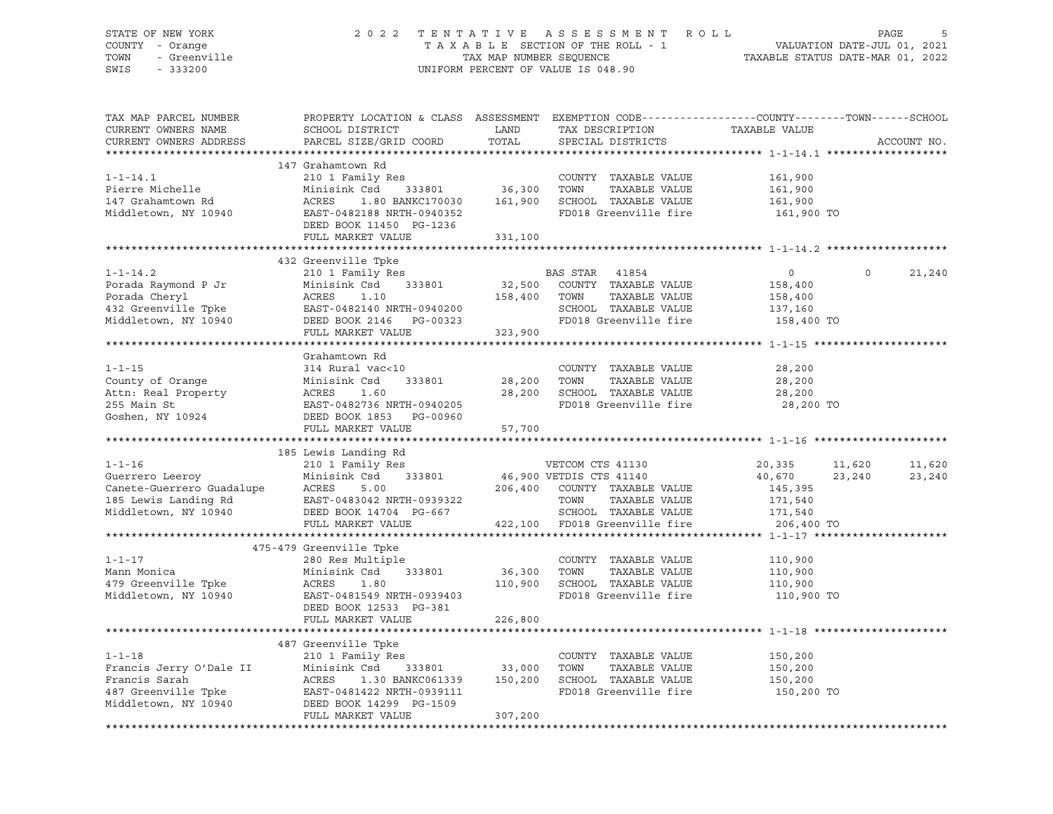#### STATE OF NEW YORK 2 0 2 2 T E N T A T I V E A S S E S S M E N T R O L L PAGE 5 COUNTY - Orange T A X A B L E SECTION OF THE ROLL - 1 VALUATION DATE-JUL 01, 2021 TOWN - Greenville TAX MAP NUMBER SEQUENCE TAXABLE STATUS DATE-MAR 01, 2022 SWIS - 333200 UNIFORM PERCENT OF VALUE IS 048.90

| TAX MAP PARCEL NUMBER                                                                                                                                                                                                                                  | PROPERTY LOCATION & CLASS ASSESSMENT EXEMPTION CODE----------------COUNTY-------TOWN------SCHOOL |         |                                                                                                               |               |          |             |
|--------------------------------------------------------------------------------------------------------------------------------------------------------------------------------------------------------------------------------------------------------|--------------------------------------------------------------------------------------------------|---------|---------------------------------------------------------------------------------------------------------------|---------------|----------|-------------|
| CURRENT OWNERS NAME                                                                                                                                                                                                                                    | SCHOOL DISTRICT                                                                                  | LAND    | TAX DESCRIPTION                                                                                               | TAXABLE VALUE |          |             |
| CURRENT OWNERS ADDRESS                                                                                                                                                                                                                                 | PARCEL SIZE/GRID COORD                                                                           | TOTAL   | SPECIAL DISTRICTS                                                                                             |               |          | ACCOUNT NO. |
|                                                                                                                                                                                                                                                        |                                                                                                  |         |                                                                                                               |               |          |             |
|                                                                                                                                                                                                                                                        | 147 Grahamtown Rd                                                                                |         |                                                                                                               |               |          |             |
| $1 - 1 - 14.1$                                                                                                                                                                                                                                         | 210 1 Family Res                                                                                 |         | COUNTY TAXABLE VALUE                                                                                          | 161,900       |          |             |
| Pierre Michelle                                                                                                                                                                                                                                        | Minisink Csd                                                                                     |         | COONTI TAXABLE VALUE<br>Csd 333801 36,300 TOWN TAXABLE VALUE<br>1.80 BANKC170030 161,900 SCHOOL TAXABLE VALUE | 161,900       |          |             |
| 147 Grahamtown Rd                                                                                                                                                                                                                                      | ACRES                                                                                            |         |                                                                                                               | 161,900       |          |             |
|                                                                                                                                                                                                                                                        |                                                                                                  |         | FD018 Greenville fire                                                                                         |               |          |             |
| Middletown, NY 10940                                                                                                                                                                                                                                   | EAST-0482188 NRTH-0940352                                                                        |         |                                                                                                               | 161,900 TO    |          |             |
|                                                                                                                                                                                                                                                        | DEED BOOK 11450 PG-1236                                                                          |         |                                                                                                               |               |          |             |
|                                                                                                                                                                                                                                                        | FULL MARKET VALUE 331,100                                                                        |         |                                                                                                               |               |          |             |
|                                                                                                                                                                                                                                                        |                                                                                                  |         |                                                                                                               |               |          |             |
|                                                                                                                                                                                                                                                        | 432 Greenville Tpke                                                                              |         |                                                                                                               |               |          |             |
|                                                                                                                                                                                                                                                        |                                                                                                  |         |                                                                                                               |               | $\Omega$ | 21,240      |
| 1-1-14.2<br>Porada Raymond P Jr<br>Porada Cheryl<br>Porada Cheryl<br>Porada Cheryl<br>ACRES 1.10<br>432 Greenville Tpke<br>EAST-0482140 NRTH-0940200<br>Midletown, NY 10940<br>DEED BOOK 2146<br>PEAST-0482140 NRTH-0940200<br>Midletown, NY 10940<br> |                                                                                                  |         |                                                                                                               |               |          |             |
|                                                                                                                                                                                                                                                        |                                                                                                  |         |                                                                                                               |               |          |             |
|                                                                                                                                                                                                                                                        |                                                                                                  |         |                                                                                                               |               |          |             |
|                                                                                                                                                                                                                                                        |                                                                                                  |         |                                                                                                               |               |          |             |
|                                                                                                                                                                                                                                                        | FULL MARKET VALUE 323,900                                                                        |         |                                                                                                               |               |          |             |
|                                                                                                                                                                                                                                                        |                                                                                                  |         |                                                                                                               |               |          |             |
|                                                                                                                                                                                                                                                        | Grahamtown Rd                                                                                    |         |                                                                                                               |               |          |             |
| $1 - 1 - 15$                                                                                                                                                                                                                                           | 314 Rural vac<10                                                                                 |         | COUNTY TAXABLE VALUE                                                                                          | 28,200        |          |             |
|                                                                                                                                                                                                                                                        |                                                                                                  |         |                                                                                                               |               |          |             |
|                                                                                                                                                                                                                                                        |                                                                                                  |         |                                                                                                               |               |          |             |
|                                                                                                                                                                                                                                                        |                                                                                                  |         |                                                                                                               |               |          |             |
| County of Orange Minisink Csd 333801 28,200 TOWN TAXABLE VALUE 28,200<br>Attn: Real Property ACRES 1.60 28,200 SCHOOL TAXABLE VALUE 28,200<br>255 Main St EAST-0482736 NRTH-0940205 FD018 Greenville fire 28,200 TO<br>Goshen, NY 10                   |                                                                                                  |         |                                                                                                               |               |          |             |
|                                                                                                                                                                                                                                                        |                                                                                                  |         |                                                                                                               |               |          |             |
|                                                                                                                                                                                                                                                        | FULL MARKET VALUE                                                                                | 57,700  |                                                                                                               |               |          |             |
|                                                                                                                                                                                                                                                        |                                                                                                  |         |                                                                                                               |               |          |             |
| 1-1-16<br>210 1 Family Res<br>Canete-Guerrero Guadalupe<br>Canete-Guerrero Guadalupe<br>206,400 COUNTY TAXABLE VALUE<br>206,400 COUNTY TAXABLE VALUE<br>206,400 COUNTY TAXABLE VALUE<br>206,400 COUNTY TAXABLE VALUE<br>206,400 COUNTY TAXABLE         | 185 Lewis Landing Rd                                                                             |         |                                                                                                               |               |          |             |
|                                                                                                                                                                                                                                                        |                                                                                                  |         |                                                                                                               | 20,335 11,620 |          | 11,620      |
|                                                                                                                                                                                                                                                        |                                                                                                  |         |                                                                                                               | 40,670 23,240 |          | 23,240      |
|                                                                                                                                                                                                                                                        |                                                                                                  |         |                                                                                                               | 145,395       |          |             |
|                                                                                                                                                                                                                                                        |                                                                                                  |         |                                                                                                               | 171,540       |          |             |
|                                                                                                                                                                                                                                                        |                                                                                                  |         | SCHOOL TAXABLE VALUE                                                                                          | 171,540       |          |             |
|                                                                                                                                                                                                                                                        | FULL MARKET VALUE                                                                                |         | 422,100 FD018 Greenville fire                                                                                 | 206,400 TO    |          |             |
|                                                                                                                                                                                                                                                        |                                                                                                  |         |                                                                                                               |               |          |             |
|                                                                                                                                                                                                                                                        | 475-479 Greenville Tpke                                                                          |         |                                                                                                               |               |          |             |
|                                                                                                                                                                                                                                                        |                                                                                                  |         | COUNTY TAXABLE VALUE                                                                                          | 110,900       |          |             |
|                                                                                                                                                                                                                                                        |                                                                                                  |         | TAXABLE VALUE                                                                                                 | 110,900       |          |             |
|                                                                                                                                                                                                                                                        |                                                                                                  |         | 110,900 SCHOOL TAXABLE VALUE                                                                                  | 110,900       |          |             |
|                                                                                                                                                                                                                                                        |                                                                                                  |         | FD018 Greenville fire 110,900 TO                                                                              |               |          |             |
|                                                                                                                                                                                                                                                        | DEED BOOK 12533 PG-381                                                                           |         |                                                                                                               |               |          |             |
|                                                                                                                                                                                                                                                        |                                                                                                  |         |                                                                                                               |               |          |             |
|                                                                                                                                                                                                                                                        | FULL MARKET VALUE                                                                                | 226,800 |                                                                                                               |               |          |             |
|                                                                                                                                                                                                                                                        |                                                                                                  |         |                                                                                                               |               |          |             |
|                                                                                                                                                                                                                                                        | 487 Greenville Tpke                                                                              |         |                                                                                                               |               |          |             |
|                                                                                                                                                                                                                                                        |                                                                                                  |         |                                                                                                               | 150,200       |          |             |
|                                                                                                                                                                                                                                                        |                                                                                                  |         |                                                                                                               | 150,200       |          |             |
|                                                                                                                                                                                                                                                        |                                                                                                  |         |                                                                                                               | 150,200       |          |             |
|                                                                                                                                                                                                                                                        |                                                                                                  |         | FD018 Greenville fire                                                                                         | 150,200 TO    |          |             |
| 1-1-18<br>Francis Jerry O'Dale II Minisink Csd 333801 33,000 TOWN TAXABLE VALUE<br>Francis Sarah ACRES 1.30 BANKC061339 150,200 SCHOOL TAXABLE VALUE<br>487 Greenville Tpke EAST-0481422 NRTH-0939111 FD018 Greenville fire<br>Middlet                 |                                                                                                  |         |                                                                                                               |               |          |             |
|                                                                                                                                                                                                                                                        | FULL MARKET VALUE                                                                                | 307,200 |                                                                                                               |               |          |             |
|                                                                                                                                                                                                                                                        |                                                                                                  |         |                                                                                                               |               |          |             |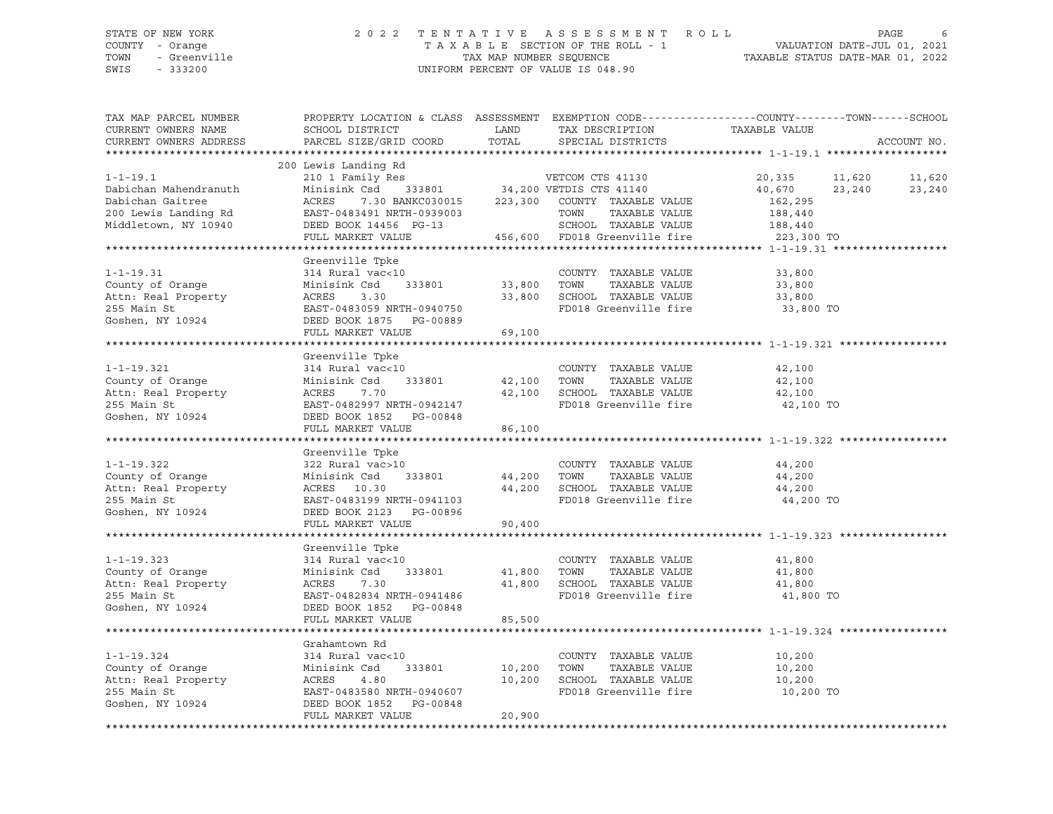#### STATE OF NEW YORK 2 0 2 2 T E N T A T I V E A S S E S S M E N T R O L L PAGE 6 COUNTY - Orange T A X A B L E SECTION OF THE ROLL - 1 VALUATION DATE-JUL 01, 2021 TOWN - Greenville TAX MAP NUMBER SEQUENCE TAXABLE STATUS DATE-MAR 01, 2022 SWIS - 333200 UNIFORM PERCENT OF VALUE IS 048.90

| TAX MAP PARCEL NUMBER<br>CURRENT OWNERS NAME<br>CURRENT OWNERS ADDRESS                                      | SCHOOL DISTRICT<br>PARCEL SIZE/GRID COORD                                                                                                                                                                                                                                                                                                                                               | LAND<br>TOTAL              | TAX DESCRIPTION<br>SPECIAL DISTRICTS                                                                                            | PROPERTY LOCATION & CLASS ASSESSMENT EXEMPTION CODE----------------COUNTY-------TOWN------SCHOOL<br>TAXABLE VALUE | ACCOUNT NO.      |
|-------------------------------------------------------------------------------------------------------------|-----------------------------------------------------------------------------------------------------------------------------------------------------------------------------------------------------------------------------------------------------------------------------------------------------------------------------------------------------------------------------------------|----------------------------|---------------------------------------------------------------------------------------------------------------------------------|-------------------------------------------------------------------------------------------------------------------|------------------|
|                                                                                                             |                                                                                                                                                                                                                                                                                                                                                                                         |                            |                                                                                                                                 |                                                                                                                   |                  |
| $1 - 1 - 19.1$<br>Dabichan Mahendranuth<br>Dabichan Gaitree<br>200 Lewis Landing Rd<br>Middletown, NY 10940 | 200 Lewis Landing Rd<br>$\begin{tabular}{lllllllllll} \textbf{210} & \textbf{Family} & \textbf{Res} & & \textbf{VETCOM} & \textbf{CTS} & \textbf{41130} \\ \textbf{Minisink} & \textbf{Csd} & \textbf{333801} & \textbf{34,200} & \textbf{VETDIS} & \textbf{CTS} & \textbf{41140} \\ \end{tabular}$<br>ACRES<br>EAST-0483491 NRTH-0939003<br>DEED BOOK 14456 PG-13<br>FULL MARKET VALUE |                            | 7.30 BANKC030015 223,300 COUNTY TAXABLE VALUE<br>TOWN<br>TAXABLE VALUE<br>SCHOOL TAXABLE VALUE<br>456,600 FD018 Greenville fire | 11,620<br>20,335<br>40,670<br>23,240<br>162,295<br>188,440<br>188,440<br>223,300 TO                               | 11,620<br>23,240 |
|                                                                                                             |                                                                                                                                                                                                                                                                                                                                                                                         |                            |                                                                                                                                 |                                                                                                                   |                  |
| $1 - 1 - 19.31$<br>County of Orange<br>Attn: Real Property<br>255 Main St<br>Goshen, NY 10924               | Greenville Tpke<br>314 Rural vac<10<br>Minisink Csd<br>333801<br>ACRES<br>3.30<br>EAST-0483059 NRTH-0940750<br>DEED BOOK 1875 PG-00889<br>FULL MARKET VALUE                                                                                                                                                                                                                             | 33,800<br>33,800<br>69,100 | COUNTY TAXABLE VALUE<br>TOWN<br>TAXABLE VALUE<br>SCHOOL TAXABLE VALUE<br>FD018 Greenville fire                                  | 33,800<br>33,800<br>33,800<br>33,800 TO                                                                           |                  |
|                                                                                                             |                                                                                                                                                                                                                                                                                                                                                                                         |                            |                                                                                                                                 |                                                                                                                   |                  |
| $1 - 1 - 19.321$<br>County of Orange<br>Attn: Real Property<br>255 Main St<br>Goshen, NY 10924              | Greenville Tpke<br>314 Rural vac<10<br>Minisink Csd<br>333801<br>ACRES<br>7.70<br>EAST-0482997 NRTH-0942147<br>DEED BOOK 1852 PG-00848<br>FULL MARKET VALUE                                                                                                                                                                                                                             | 42,100<br>86,100           | COUNTY TAXABLE VALUE<br>TOWN<br>TAXABLE VALUE<br>42,100 SCHOOL TAXABLE VALUE<br>FD018 Greenville fire                           | 42,100<br>42,100<br>42,100<br>42,100 TO                                                                           |                  |
|                                                                                                             |                                                                                                                                                                                                                                                                                                                                                                                         |                            |                                                                                                                                 |                                                                                                                   |                  |
| $1 - 1 - 19.322$<br>County of Orange<br>Attn: Real Property<br>255 Main St<br>Goshen, NY 10924              | Greenville Tpke<br>322 Rural vac>10<br>333801<br>Minisink Csd<br>ACRES 10.30<br>EAST-0483199 NRTH-0941103<br>DEED BOOK 2123 PG-00896<br>FULL MARKET VALUE                                                                                                                                                                                                                               | 44,200<br>44,200<br>90,400 | COUNTY TAXABLE VALUE<br>TOWN<br>TAXABLE VALUE<br>SCHOOL TAXABLE VALUE<br>FD018 Greenville fire                                  | 44,200<br>44,200<br>44,200<br>44,200 TO                                                                           |                  |
|                                                                                                             |                                                                                                                                                                                                                                                                                                                                                                                         |                            |                                                                                                                                 |                                                                                                                   |                  |
| $1 - 1 - 19.323$<br>County of Orange<br>Attn: Real Property<br>255 Main St<br>Goshen, NY 10924              | Greenville Tpke<br>314 Rural vac<10<br>Minisink Csd<br>333801<br>ACRES<br>7.30<br>EAST-0482834 NRTH-0941486<br>DEED BOOK 1852 PG-00848<br>FULL MARKET VALUE                                                                                                                                                                                                                             | 41,800<br>41,800<br>85,500 | COUNTY TAXABLE VALUE<br>TOWN<br>TAXABLE VALUE<br>SCHOOL TAXABLE VALUE<br>FD018 Greenville fire                                  | 41,800<br>41,800<br>41,800<br>41,800 TO                                                                           |                  |
|                                                                                                             |                                                                                                                                                                                                                                                                                                                                                                                         |                            |                                                                                                                                 |                                                                                                                   |                  |
| $1 - 1 - 19.324$<br>County of Orange<br>Attn: Real Property<br>255 Main St<br>Goshen, NY 10924              | Grahamtown Rd<br>314 Rural vac<10<br>333801<br>Minisink Csd<br>ACRES<br>4.80<br>EAST-0483580 NRTH-0940607<br>DEED BOOK 1852 PG-00848<br>FULL MARKET VALUE                                                                                                                                                                                                                               | 10,200<br>10,200<br>20,900 | COUNTY TAXABLE VALUE<br>TOWN<br>TAXABLE VALUE<br>SCHOOL TAXABLE VALUE<br>FD018 Greenville fire                                  | 10,200<br>10,200<br>10,200<br>10,200 TO                                                                           |                  |
|                                                                                                             |                                                                                                                                                                                                                                                                                                                                                                                         |                            |                                                                                                                                 |                                                                                                                   |                  |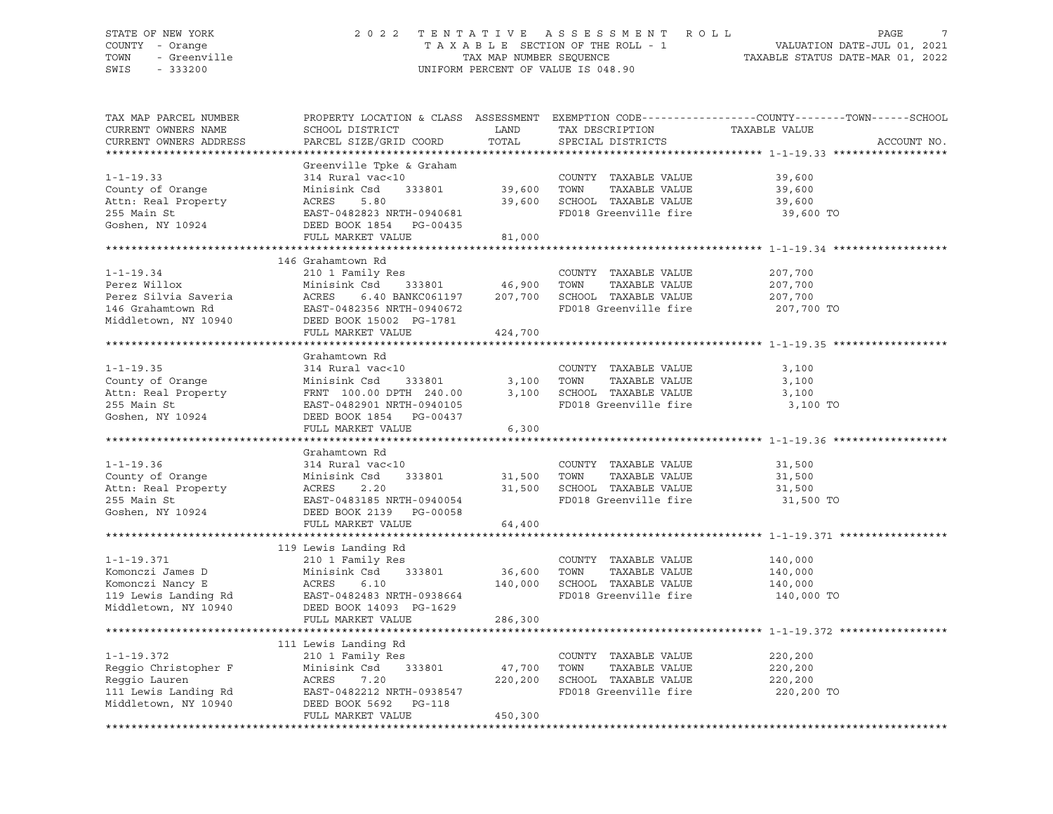#### STATE OF NEW YORK 2 0 2 2 T E N T A T I V E A S S E S S M E N T R O L L PAGE 7 COUNTY - Orange T A X A B L E SECTION OF THE ROLL - 1 VALUATION DATE-JUL 01, 2021 TOWN - Greenville TAX MAP NUMBER SEQUENCE TAXABLE STATUS DATE-MAR 01, 2022<br>TAXABLE STATUS DATE-MAR 01, 2022 UNIFORM PERCENT OF VALUE IS 048.90

TAX MAP PARCEL NUMBER PROPERTY LOCATION & CLASS ASSESSMENT EXEMPTION CODE------------------COUNTY--------TOWN------SCHOOL CURRENT OWNERS NAME SCHOOL DISTRICT LAND TAX DESCRIPTION TAXABLE VALUE PARCEL SIZE/GRID COORD TOTAL SPECIAL DISTRICTS TO ACCOUNT NO. \*\*\*\*\*\*\*\*\*\*\*\*\*\*\*\*\*\*\*\*\*\*\*\*\*\*\*\*\*\*\*\*\*\*\*\*\*\*\*\*\*\*\*\*\*\*\*\*\*\*\*\*\*\*\*\*\*\*\*\*\*\*\*\*\*\*\*\*\*\*\*\*\*\*\*\*\*\*\*\*\*\*\*\*\*\*\*\*\*\*\*\*\*\*\*\*\*\*\*\*\*\*\* 1-1-19.33 \*\*\*\*\*\*\*\*\*\*\*\*\*\*\*\*\*\* Greenville Tpke & Graham 1-1-19.33 314 Rural vac<10 COUNTY TAXABLE VALUE 39,600 County of Orange Minisink Csd 333801 39,600 TOWN TAXABLE VALUE 39,600 Attn: Real Property ACRES 5.80 39,600 SCHOOL TAXABLE VALUE 39,600 255 Main St Christian Christian East-0482823 NRTH-0940681 FD018 Greenville fire 39,600 TO<br>Goshen, NY 10924 DEED BOOK 1854 PG-00435 DEED BOOK 1854 PG-00435 FULL MARKET VALUE 81,000 \*\*\*\*\*\*\*\*\*\*\*\*\*\*\*\*\*\*\*\*\*\*\*\*\*\*\*\*\*\*\*\*\*\*\*\*\*\*\*\*\*\*\*\*\*\*\*\*\*\*\*\*\*\*\*\*\*\*\*\*\*\*\*\*\*\*\*\*\*\*\*\*\*\*\*\*\*\*\*\*\*\*\*\*\*\*\*\*\*\*\*\*\*\*\*\*\*\*\*\*\*\*\* 1-1-19.34 \*\*\*\*\*\*\*\*\*\*\*\*\*\*\*\*\*\* 146 Grahamtown Rd 1-1-19.34 210 1 Family Res COUNTY TAXABLE VALUE 207,700 Perez Willox Minisink Csd 333801 46,900 TOWN TAXABLE VALUE 207,700 Perez Silvia Saveria ACRES 6.40 BANKC061197 207,700 SCHOOL TAXABLE VALUE 207,700 146 Grahamtown Rd EAST-0482356 NRTH-0940672 FD018 Greenville fire 207,700 TO Middletown, NY 10940 DEED BOOK 15002 PG-1781 DEED BOOK 15002 PG-1781<br>FULL MARKET VALUE 424,700 \*\*\*\*\*\*\*\*\*\*\*\*\*\*\*\*\*\*\*\*\*\*\*\*\*\*\*\*\*\*\*\*\*\*\*\*\*\*\*\*\*\*\*\*\*\*\*\*\*\*\*\*\*\*\*\*\*\*\*\*\*\*\*\*\*\*\*\*\*\*\*\*\*\*\*\*\*\*\*\*\*\*\*\*\*\*\*\*\*\*\*\*\*\*\*\*\*\*\*\*\*\*\* 1-1-19.35 \*\*\*\*\*\*\*\*\*\*\*\*\*\*\*\*\*\* Grahamtown Rd 1-1-19.35 314 Rural vac<10 COUNTY TAXABLE VALUE 3,100 County of Orange Minisink Csd 333801 3,100 TOWN TAXABLE VALUE 3,100 Attn: Real Property FRNT 100.00 DPTH 240.00 3,100 SCHOOL TAXABLE VALUE 3,100 255 Main St EAST-0482901 NRTH-0940105 FD018 Greenville fire 3,100 TO Goshen, NY 10924 DEED BOOK 1854 PG-00437 FULL MARKET VALUE 6,300 \*\*\*\*\*\*\*\*\*\*\*\*\*\*\*\*\*\*\*\*\*\*\*\*\*\*\*\*\*\*\*\*\*\*\*\*\*\*\*\*\*\*\*\*\*\*\*\*\*\*\*\*\*\*\*\*\*\*\*\*\*\*\*\*\*\*\*\*\*\*\*\*\*\*\*\*\*\*\*\*\*\*\*\*\*\*\*\*\*\*\*\*\*\*\*\*\*\*\*\*\*\*\* 1-1-19.36 \*\*\*\*\*\*\*\*\*\*\*\*\*\*\*\*\*\* Grahamtown Rd 1-1-19.36 314 Rural vac<10 COUNTY TAXABLE VALUE 31,500 County of Orange Minisink Csd 333801 31,500 TOWN TAXABLE VALUE 31,500 Attn: Real Property ACRES 2.20 31,500 SCHOOL TAXABLE VALUE 31,500 21,300 Main States 2.20 31,500 SCHOOL TAXABLE VALUE 31,500 31,500 SCHOOL TAXABLE VALUE 31,500 31,500 ED018 Greenville fire 31,500 TO<br>255 Main St EAST-0483185 NRTH-0940054 FD018 Greenville fire 31,500 TO Goshen, NY 10924 DEED BOOK 2139 PG-00058 FULL MARKET VALUE 64,400 \*\*\*\*\*\*\*\*\*\*\*\*\*\*\*\*\*\*\*\*\*\*\*\*\*\*\*\*\*\*\*\*\*\*\*\*\*\*\*\*\*\*\*\*\*\*\*\*\*\*\*\*\*\*\*\*\*\*\*\*\*\*\*\*\*\*\*\*\*\*\*\*\*\*\*\*\*\*\*\*\*\*\*\*\*\*\*\*\*\*\*\*\*\*\*\*\*\*\*\*\*\*\* 1-1-19.371 \*\*\*\*\*\*\*\*\*\*\*\*\*\*\*\*\* 119 Lewis Landing Rd 1-1-19.371 210 1 Family Res COUNTY TAXABLE VALUE 140,000 Komonczi James D Minisink Csd 333801 36,600 TOWN TAXABLE VALUE 140,000 Komonczi Nancy E ACRES 6.10 140,000 SCHOOL TAXABLE VALUE 140,000 119 Lewis Landing Rd EAST-0482483 NRTH-0938664 FD018 Greenville fire 140,000 TO Middletown, NY 10940 DEED BOOK 14093 PG-1629 FULL MARKET VALUE 286,300 \*\*\*\*\*\*\*\*\*\*\*\*\*\*\*\*\*\*\*\*\*\*\*\*\*\*\*\*\*\*\*\*\*\*\*\*\*\*\*\*\*\*\*\*\*\*\*\*\*\*\*\*\*\*\*\*\*\*\*\*\*\*\*\*\*\*\*\*\*\*\*\*\*\*\*\*\*\*\*\*\*\*\*\*\*\*\*\*\*\*\*\*\*\*\*\*\*\*\*\*\*\*\* 1-1-19.372 \*\*\*\*\*\*\*\*\*\*\*\*\*\*\*\*\* 111 Lewis Landing Rd 1-1-19.372 210 1 Family Res COUNTY TAXABLE VALUE 220,200 Reggio Christopher F Minisink Csd 333801 47,700 TOWN TAXABLE VALUE 220,200 Reggio Lauren ACRES 7.20 220,200 SCHOOL TAXABLE VALUE 220,200 111 Lewis Landing Rd EAST-0482212 NRTH-0938547 FD018 Greenville fire 220,200 TO Middletown, NY 10940 DEED BOOK 5692 PG-118 FULL MARKET VALUE 450,300 \*\*\*\*\*\*\*\*\*\*\*\*\*\*\*\*\*\*\*\*\*\*\*\*\*\*\*\*\*\*\*\*\*\*\*\*\*\*\*\*\*\*\*\*\*\*\*\*\*\*\*\*\*\*\*\*\*\*\*\*\*\*\*\*\*\*\*\*\*\*\*\*\*\*\*\*\*\*\*\*\*\*\*\*\*\*\*\*\*\*\*\*\*\*\*\*\*\*\*\*\*\*\*\*\*\*\*\*\*\*\*\*\*\*\*\*\*\*\*\*\*\*\*\*\*\*\*\*\*\*\*\*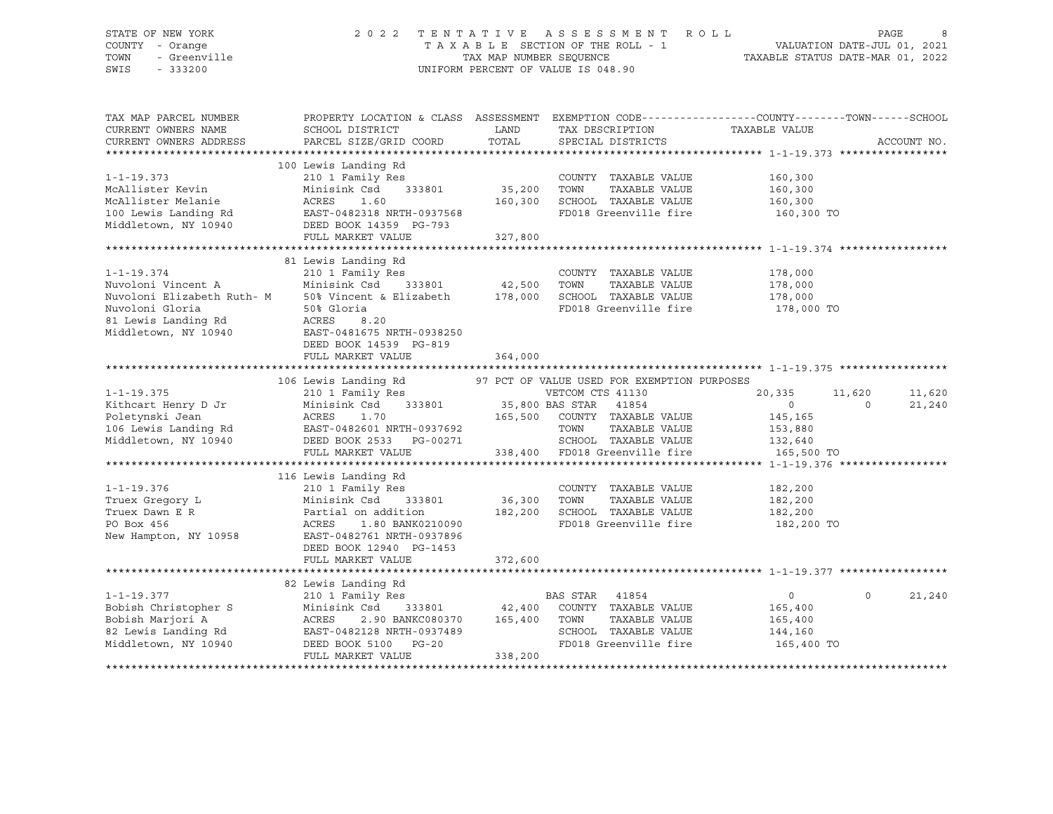#### STATE OF NEW YORK 2 0 2 2 T E N T A T I V E A S S E S S M E N T R O L L PAGE 8 COUNTY - Orange T A X A B L E SECTION OF THE ROLL - 1 VALUATION DATE-JUL 01, 2021 TOWN - Greenville TAX MAP NUMBER SEQUENCE TAXABLE STATUS DATE-MAR 01, 2022 SWIS - 333200 UNIFORM PERCENT OF VALUE IS 048.90

| PROPERTY LOCATION & CLASS ASSESSMENT EXEMPTION CODE----------------COUNTY-------TOWN------SCHOOL<br>TAX MAP PARCEL NUMBER<br>CURRENT OWNERS NAME<br>SCHOOL DISTRICT<br>LAND<br>TAX DESCRIPTION<br>TAXABLE VALUE<br>TOTAL | ACCOUNT NO.        |
|--------------------------------------------------------------------------------------------------------------------------------------------------------------------------------------------------------------------------|--------------------|
| PARCEL SIZE/GRID COORD<br>CURRENT OWNERS ADDRESS<br>SPECIAL DISTRICTS                                                                                                                                                    |                    |
| 100 Lewis Landing Rd                                                                                                                                                                                                     |                    |
| $1 - 1 - 19.373$<br>210 1 Family Res<br>COUNTY TAXABLE VALUE<br>160,300                                                                                                                                                  |                    |
| McAllister Kevin<br>333801<br>35,200<br>TAXABLE VALUE<br>Minisink Csd<br>TOWN<br>160,300                                                                                                                                 |                    |
| McAllister Melanie<br>ACRES<br>1.60<br>160,300<br>SCHOOL TAXABLE VALUE<br>160,300                                                                                                                                        |                    |
| FD018 Greenville fire<br>100 Lewis Landing Rd<br>EAST-0482318 NRTH-0937568<br>160,300 TO                                                                                                                                 |                    |
| Middletown, NY 10940<br>DEED BOOK 14359 PG-793                                                                                                                                                                           |                    |
| FULL MARKET VALUE<br>327,800                                                                                                                                                                                             |                    |
|                                                                                                                                                                                                                          |                    |
| 81 Lewis Landing Rd                                                                                                                                                                                                      |                    |
| $1 - 1 - 19.374$<br>210 1 Family Res<br>COUNTY TAXABLE VALUE<br>178,000                                                                                                                                                  |                    |
| Nuvoloni Vincent A<br>Minisink Csd<br>333801<br>42,500<br>TOWN<br>TAXABLE VALUE<br>178,000                                                                                                                               |                    |
| Nuvoloni Elizabeth Ruth- M 50% Vincent & Elizabeth<br>SCHOOL TAXABLE VALUE<br>178,000<br>178,000                                                                                                                         |                    |
| Nuvoloni Gloria<br>50% Gloria<br>FD018 Greenville fire<br>178,000 TO                                                                                                                                                     |                    |
| 81 Lewis Landing Rd<br>ACRES<br>8.20                                                                                                                                                                                     |                    |
| Middletown, NY 10940<br>EAST-0481675 NRTH-0938250                                                                                                                                                                        |                    |
| DEED BOOK 14539 PG-819                                                                                                                                                                                                   |                    |
| 364,000<br>FULL MARKET VALUE                                                                                                                                                                                             |                    |
|                                                                                                                                                                                                                          |                    |
| 106 Lewis Landing Rd<br>97 PCT OF VALUE USED FOR EXEMPTION PURPOSES                                                                                                                                                      |                    |
| VETCOM CTS 41130<br>$1 - 1 - 19.375$<br>210 1 Family Res<br>20,335                                                                                                                                                       | 11,620<br>11,620   |
| Kithcart Henry D Jr<br>Minisink Csd<br>333801<br>35,800 BAS STAR<br>41854<br>$\circ$                                                                                                                                     | $\Omega$<br>21,240 |
| Poletynski Jean<br>ACRES<br>1.70<br>165,500<br>COUNTY TAXABLE VALUE<br>145,165                                                                                                                                           |                    |
| 106 Lewis Landing Rd<br>EAST-0482601 NRTH-0937692<br>TOWN<br>TAXABLE VALUE<br>153,880                                                                                                                                    |                    |
| Middletown, NY 10940<br>SCHOOL TAXABLE VALUE<br>DEED BOOK 2533 PG-00271<br>132,640                                                                                                                                       |                    |
| 338,400 FD018 Greenville fire<br>FULL MARKET VALUE<br>165,500 TO                                                                                                                                                         |                    |
|                                                                                                                                                                                                                          |                    |
| 116 Lewis Landing Rd                                                                                                                                                                                                     |                    |
| 210 1 Family Res<br>COUNTY TAXABLE VALUE<br>$1 - 1 - 19.376$<br>182,200                                                                                                                                                  |                    |
| Minisink Csd 333801<br>36,300 TOWN<br>TAXABLE VALUE<br>Truex Gregory L<br>182,200                                                                                                                                        |                    |
| Partial on addition<br>182,200 SCHOOL TAXABLE VALUE<br>Truex Dawn E R<br>182,200                                                                                                                                         |                    |
| FD018 Greenville fire<br>ACRES<br>1.80 BANK0210090<br>PO Box 456<br>182,200 TO                                                                                                                                           |                    |
| New Hampton, NY 10958<br>EAST-0482761 NRTH-0937896                                                                                                                                                                       |                    |
| DEED BOOK 12940 PG-1453<br>FULL MARKET VALUE<br>372,600                                                                                                                                                                  |                    |
|                                                                                                                                                                                                                          |                    |
| 82 Lewis Landing Rd                                                                                                                                                                                                      |                    |
| $1 - 1 - 19.377$<br>BAS STAR<br>41854<br>210 1 Family Res<br>$\circ$                                                                                                                                                     | 21,240<br>$\Omega$ |
| Bobish Christopher S<br>333801<br>42,400<br>COUNTY TAXABLE VALUE<br>Minisink Csd<br>165,400                                                                                                                              |                    |
| Bobish Marjori A<br>ACRES<br>165,400<br>TOWN<br>TAXABLE VALUE<br>2.90 BANKC080370<br>165,400                                                                                                                             |                    |
| 82 Lewis Landing Rd<br>SCHOOL TAXABLE VALUE<br>EAST-0482128 NRTH-0937489<br>144,160                                                                                                                                      |                    |
| Middletown, NY 10940<br>FD018 Greenville fire<br>DEED BOOK 5100 PG-20<br>165,400 TO                                                                                                                                      |                    |
| FULL MARKET VALUE<br>338,200                                                                                                                                                                                             |                    |
|                                                                                                                                                                                                                          |                    |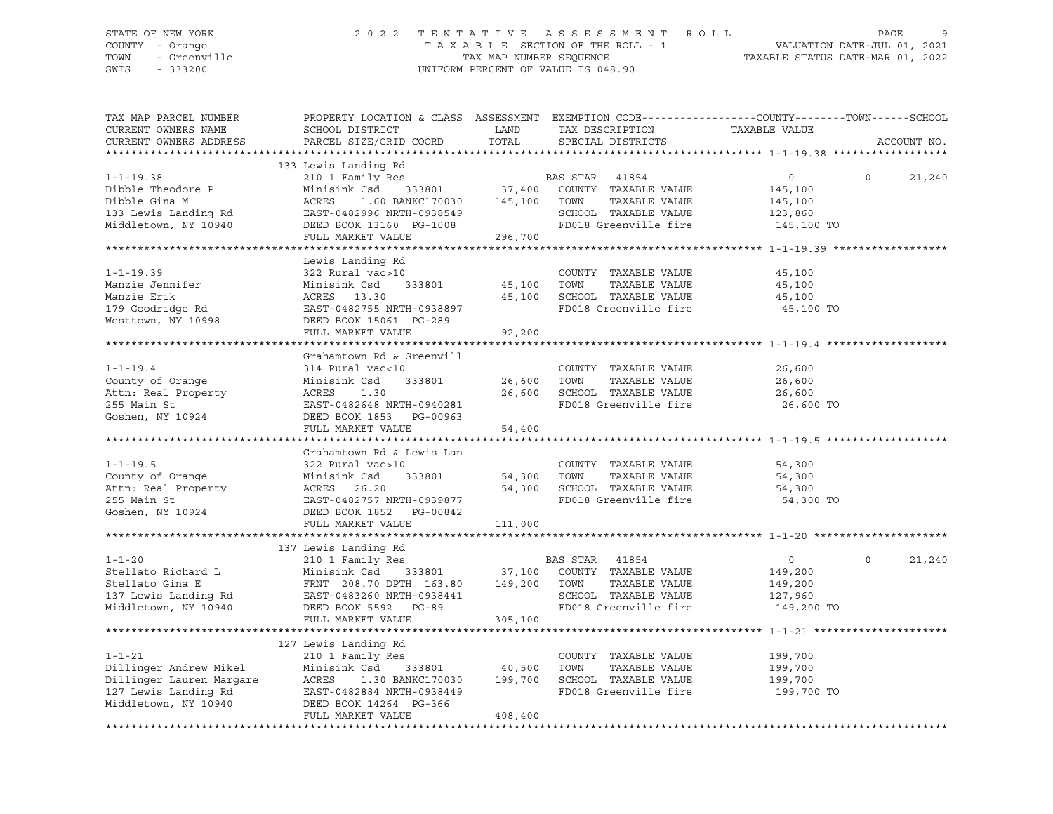## STATE OF NEW YORK 2 0 2 2 T E N T A T I V E A S S E S S M E N T R O L L PAGE 9 COUNTY - Orange T A X A B L E SECTION OF THE ROLL - 1 VALUATION DATE-JUL 01, 2021 TOWN - Greenville TAX MAP NUMBER SEQUENCE TAXABLE STATUS DATE-MAR 01, 2022 SWIS - 333200 UNIFORM PERCENT OF VALUE IS 048.90

| TAX MAP PARCEL NUMBER<br>CURRENT OWNERS NAME<br>CURRENT OWNERS ADDRESS                                                          | PROPERTY LOCATION & CLASS ASSESSMENT EXEMPTION CODE---------------COUNTY-------TOWN------SCHOOL<br>SCHOOL DISTRICT<br>PARCEL SIZE/GRID COORD                                                                       | LAND<br>TOTAL         | TAX DESCRIPTION<br>SPECIAL DISTRICTS                                                                            | TAXABLE VALUE                                                 | ACCOUNT NO.        |
|---------------------------------------------------------------------------------------------------------------------------------|--------------------------------------------------------------------------------------------------------------------------------------------------------------------------------------------------------------------|-----------------------|-----------------------------------------------------------------------------------------------------------------|---------------------------------------------------------------|--------------------|
|                                                                                                                                 |                                                                                                                                                                                                                    |                       |                                                                                                                 |                                                               |                    |
| $1 - 1 - 19.38$<br>Dibble Theodore P<br>Dibble Gina M<br>133 Lewis Landing Rd<br>Middletown, NY 10940                           | 133 Lewis Landing Rd<br>210 1 Family Res<br>Minisink Csd 333801 37,400 COUNTY TAXABLE VALUE<br>1.60 BANKC170030 145,100 TOWN<br>ACRES<br>EAST-0482996 NRTH-0938549<br>DEED BOOK 13160 PG-1008<br>FULL MARKET VALUE | 296,700               | BAS STAR 41854<br>TAXABLE VALUE<br>SCHOOL TAXABLE VALUE<br>FD018 Greenville fire                                | $\overline{0}$<br>145,100<br>145,100<br>123,860<br>145,100 TO | $\Omega$<br>21,240 |
|                                                                                                                                 |                                                                                                                                                                                                                    |                       |                                                                                                                 |                                                               |                    |
| $1 - 1 - 19.39$<br>Manzie Jennifer<br>Manzie Erik<br>179 Goodridge Rd<br>Westtown, NY 10998                                     | Lewis Landing Rd<br>322 Rural vac>10<br>Minisink Csd<br>333801<br>ACRES 13.30<br>EAST-0482755 NRTH-0938897<br>DEED BOOK 15061 PG-289                                                                               | 45,100<br>45,100      | COUNTY TAXABLE VALUE<br>TOWN<br>TAXABLE VALUE<br>SCHOOL TAXABLE VALUE<br>FD018 Greenville fire                  | 45,100<br>45,100<br>45,100<br>45,100 TO                       |                    |
|                                                                                                                                 | FULL MARKET VALUE                                                                                                                                                                                                  | 92,200                |                                                                                                                 |                                                               |                    |
|                                                                                                                                 |                                                                                                                                                                                                                    |                       |                                                                                                                 |                                                               |                    |
| $1 - 1 - 19.4$<br>County of Orange<br>Attn: Real Property<br>255 Main St<br>Goshen, NY 10924                                    | Grahamtown Rd & Greenvill<br>314 Rural vac<10<br>Minisink Csd<br>333801<br>ACRES<br>1.30<br>EAST-0482648 NRTH-0940281<br>DEED BOOK 1853 PG-00963<br>FULL MARKET VALUE                                              | 26,600 TOWN<br>54,400 | COUNTY TAXABLE VALUE<br>TAXABLE VALUE<br>26,600 SCHOOL TAXABLE VALUE<br>FD018 Greenville fire                   | 26,600<br>26,600<br>26,600<br>26,600 TO                       |                    |
|                                                                                                                                 |                                                                                                                                                                                                                    |                       |                                                                                                                 |                                                               |                    |
| $1 - 1 - 19.5$<br>County of Orange<br>Attn: Real Property<br>255 Main St<br>Goshen, NY 10924                                    | Grahamtown Rd & Lewis Lan<br>322 Rural vac>10<br>Minisink Csd<br>333801<br>ACRES 26.20<br>EAST-0482757 NRTH-0939877<br>DEED BOOK 1852 PG-00842<br>FULL MARKET VALUE                                                | 54,300<br>111,000     | COUNTY TAXABLE VALUE<br>TOWN<br>TAXABLE VALUE<br>54,300 SCHOOL TAXABLE VALUE<br>FD018 Greenville fire           | 54,300<br>54,300<br>54,300<br>54,300 TO                       |                    |
|                                                                                                                                 |                                                                                                                                                                                                                    |                       |                                                                                                                 |                                                               |                    |
| $1 - 1 - 20$<br>Stellato Richard L<br>Stellato Gina E<br>137 Lewis Landing Rd EAST-0483260 NRTH-0938441<br>Middletown, NY 10940 | 137 Lewis Landing Rd<br>210 1 Family Res<br>Minisink Csd 333801<br>FRNT 208.70 DPTH 163.80 149,200 TOWN<br>DEED BOOK 5592 PG-89<br>FULL MARKET VALUE                                                               | 305,100               | BAS STAR 41854<br>37,100 COUNTY TAXABLE VALUE<br>TAXABLE VALUE<br>SCHOOL TAXABLE VALUE<br>FD018 Greenville fire | $\overline{0}$<br>149,200<br>149,200<br>127,960<br>149,200 TO | $\Omega$<br>21,240 |
|                                                                                                                                 |                                                                                                                                                                                                                    |                       |                                                                                                                 |                                                               |                    |
| 1-1-21<br>Dillinger Andrew Mikel<br>Dillinger Lauren Margare<br>127 Lewis Landing Rd<br>22 Lewis Landing Rd                     | 127 Lewis Landing Rd<br>210 1 Family Res<br>Minisink Csd<br>333801<br>1.30 BANKC170030 199,700<br>ACRES<br>EAST-0482884 NRTH-0938449<br>DEED BOOK 14264 PG-366<br>FULL MARKET VALUE                                | 40,500<br>408,400     | COUNTY TAXABLE VALUE<br>TOWN<br>TAXABLE VALUE<br>SCHOOL TAXABLE VALUE<br>FD018 Greenville fire                  | 199,700<br>199,700<br>199,700<br>199,700 TO                   |                    |
|                                                                                                                                 |                                                                                                                                                                                                                    |                       |                                                                                                                 |                                                               |                    |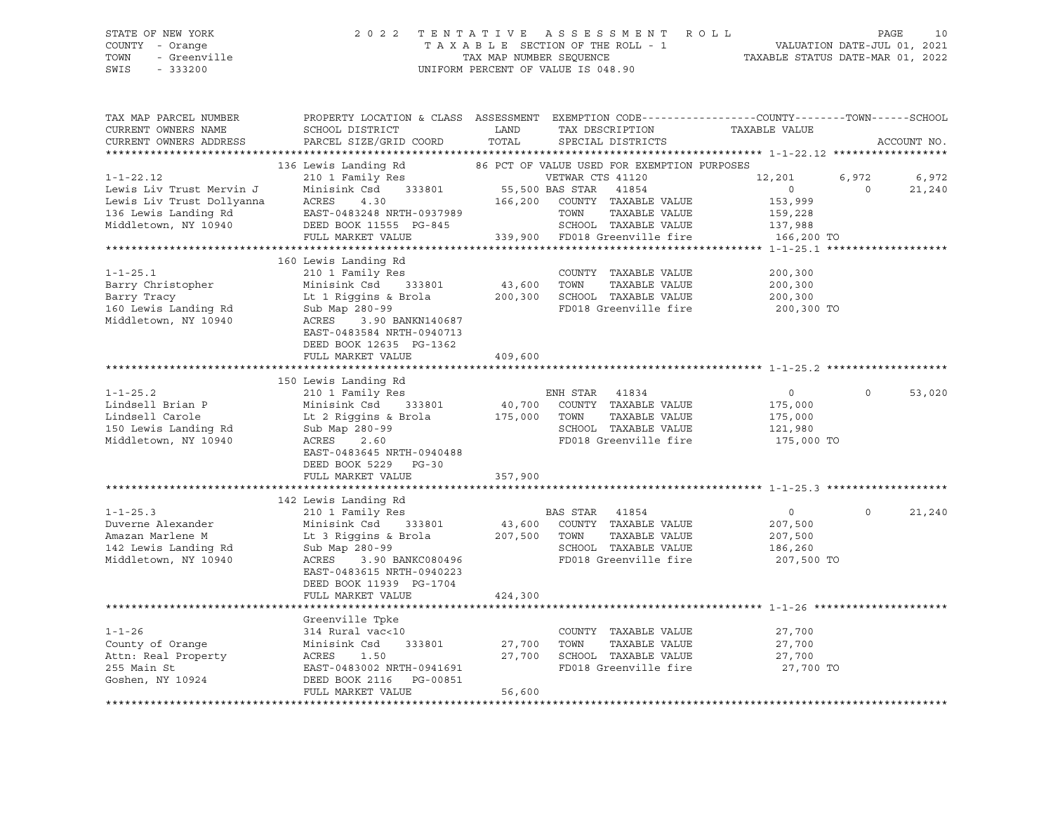## STATE OF NEW YORK 2 0 2 2 T E N T A T I V E A S S E S S M E N T R O L L PAGE 10 COUNTY - Orange T A X A B L E SECTION OF THE ROLL - 1 VALUATION DATE-JUL 01, 2021 TOWN - Greenville TAX MAP NUMBER SEQUENCE TAXABLE STATUS DATE-MAR 01, 2022 SWIS - 333200 UNIFORM PERCENT OF VALUE IS 048.90

| TAX MAP PARCEL NUMBER<br>CURRENT OWNERS NAME<br>CURRENT OWNERS ADDRESS | PROPERTY LOCATION & CLASS ASSESSMENT EXEMPTION CODE----------------COUNTY-------TOWN------SCHOOL<br>SCHOOL DISTRICT<br>PARCEL SIZE/GRID COORD | LAND<br>TOTAL   | TAX DESCRIPTION<br>SPECIAL DISTRICTS        | TAXABLE VALUE  |          | ACCOUNT NO. |
|------------------------------------------------------------------------|-----------------------------------------------------------------------------------------------------------------------------------------------|-----------------|---------------------------------------------|----------------|----------|-------------|
|                                                                        |                                                                                                                                               |                 |                                             |                |          |             |
|                                                                        | 136 Lewis Landing Rd                                                                                                                          |                 | 86 PCT OF VALUE USED FOR EXEMPTION PURPOSES |                |          |             |
| $1 - 1 - 22.12$                                                        | 210 1 Family Res                                                                                                                              |                 | VETWAR CTS 41120                            | 12,201         | 6,972    | 6,972       |
| Lewis Liv Trust Mervin J                                               | 333801<br>Minisink Csd                                                                                                                        | 55,500 BAS STAR | 41854                                       | $\Omega$       | $\Omega$ | 21,240      |
| Lewis Liv Trust Dollyanna                                              | ACRES<br>4.30                                                                                                                                 | 166,200         | COUNTY TAXABLE VALUE                        | 153,999        |          |             |
| 136 Lewis Landing Rd                                                   | EAST-0483248 NRTH-0937989                                                                                                                     |                 | TOWN<br>TAXABLE VALUE                       | 159,228        |          |             |
| Middletown, NY 10940                                                   | DEED BOOK 11555 PG-845                                                                                                                        |                 | SCHOOL TAXABLE VALUE                        | 137,988        |          |             |
|                                                                        | FULL MARKET VALUE                                                                                                                             |                 | 339,900 FD018 Greenville fire               | 166,200 TO     |          |             |
|                                                                        |                                                                                                                                               |                 |                                             |                |          |             |
|                                                                        | 160 Lewis Landing Rd                                                                                                                          |                 |                                             |                |          |             |
| $1 - 1 - 25.1$                                                         | 210 1 Family Res                                                                                                                              |                 | COUNTY TAXABLE VALUE                        | 200,300        |          |             |
| Barry Christopher                                                      | Minisink Csd<br>333801                                                                                                                        | 43,600          | TOWN<br>TAXABLE VALUE                       | 200,300        |          |             |
| Barry Tracy                                                            | Lt 1 Riggins & Brola                                                                                                                          | 200,300         | SCHOOL TAXABLE VALUE                        | 200,300        |          |             |
| 160 Lewis Landing Rd                                                   | Sub Map 280-99                                                                                                                                |                 | FD018 Greenville fire                       | 200,300 TO     |          |             |
| Middletown, NY 10940                                                   | ACRES<br>3.90 BANKN140687                                                                                                                     |                 |                                             |                |          |             |
|                                                                        | EAST-0483584 NRTH-0940713                                                                                                                     |                 |                                             |                |          |             |
|                                                                        | DEED BOOK 12635 PG-1362                                                                                                                       |                 |                                             |                |          |             |
|                                                                        | FULL MARKET VALUE                                                                                                                             | 409,600         |                                             |                |          |             |
|                                                                        |                                                                                                                                               |                 |                                             |                |          |             |
|                                                                        | 150 Lewis Landing Rd                                                                                                                          |                 |                                             |                |          |             |
| $1 - 1 - 25.2$                                                         | 210 1 Family Res                                                                                                                              |                 | ENH STAR<br>41834                           | $\circ$        | $\Omega$ | 53,020      |
| Lindsell Brian P                                                       | Minisink Csd<br>333801                                                                                                                        | 40,700          | COUNTY TAXABLE VALUE                        | 175,000        |          |             |
| Lindsell Carole                                                        | Lt 2 Riggins & Brola                                                                                                                          | 175,000         | TOWN<br>TAXABLE VALUE                       | 175,000        |          |             |
| 150 Lewis Landing Rd                                                   | Sub Map 280-99                                                                                                                                |                 | SCHOOL TAXABLE VALUE                        | 121,980        |          |             |
| Middletown, NY 10940                                                   | 2.60<br>ACRES                                                                                                                                 |                 | FD018 Greenville fire                       | 175,000 TO     |          |             |
|                                                                        | EAST-0483645 NRTH-0940488                                                                                                                     |                 |                                             |                |          |             |
|                                                                        | DEED BOOK 5229 PG-30                                                                                                                          |                 |                                             |                |          |             |
|                                                                        | FULL MARKET VALUE                                                                                                                             | 357,900         |                                             |                |          |             |
|                                                                        |                                                                                                                                               |                 |                                             |                |          |             |
|                                                                        | 142 Lewis Landing Rd                                                                                                                          |                 |                                             |                |          |             |
| $1 - 1 - 25.3$                                                         | 210 1 Family Res                                                                                                                              |                 | <b>BAS STAR</b><br>41854                    | $\overline{0}$ | $\Omega$ | 21,240      |
| Duverne Alexander                                                      | Minisink Csd 333801                                                                                                                           |                 | 43,600 COUNTY TAXABLE VALUE                 | 207,500        |          |             |
| Amazan Marlene M                                                       | Lt 3 Riggins & Brola                                                                                                                          | 207,500         | TAXABLE VALUE<br>TOWN                       | 207,500        |          |             |
| 142 Lewis Landing Rd                                                   | Sub Map 280-99                                                                                                                                |                 | SCHOOL TAXABLE VALUE                        | 186,260        |          |             |
| Middletown, NY 10940                                                   | ACRES<br>3.90 BANKC080496                                                                                                                     |                 | FD018 Greenville fire                       | 207,500 TO     |          |             |
|                                                                        | EAST-0483615 NRTH-0940223                                                                                                                     |                 |                                             |                |          |             |
|                                                                        | DEED BOOK 11939 PG-1704                                                                                                                       |                 |                                             |                |          |             |
|                                                                        | FULL MARKET VALUE                                                                                                                             | 424,300         |                                             |                |          |             |
|                                                                        |                                                                                                                                               |                 |                                             |                |          |             |
|                                                                        | Greenville Tpke                                                                                                                               |                 |                                             |                |          |             |
| $1 - 1 - 26$                                                           | 314 Rural vac<10                                                                                                                              |                 | COUNTY TAXABLE VALUE                        | 27,700         |          |             |
| County of Orange                                                       | Minisink Csd<br>333801                                                                                                                        | 27,700          | TOWN<br>TAXABLE VALUE                       | 27,700         |          |             |
| Attn: Real Property                                                    | ACRES<br>1.50                                                                                                                                 | 27,700          | SCHOOL TAXABLE VALUE                        | 27,700         |          |             |
| 255 Main St                                                            | EAST-0483002 NRTH-0941691                                                                                                                     |                 | FD018 Greenville fire                       | 27,700 TO      |          |             |
| Goshen, NY 10924                                                       | DEED BOOK 2116 PG-00851                                                                                                                       |                 |                                             |                |          |             |
|                                                                        | FULL MARKET VALUE                                                                                                                             | 56,600          |                                             |                |          |             |
|                                                                        |                                                                                                                                               |                 |                                             |                |          |             |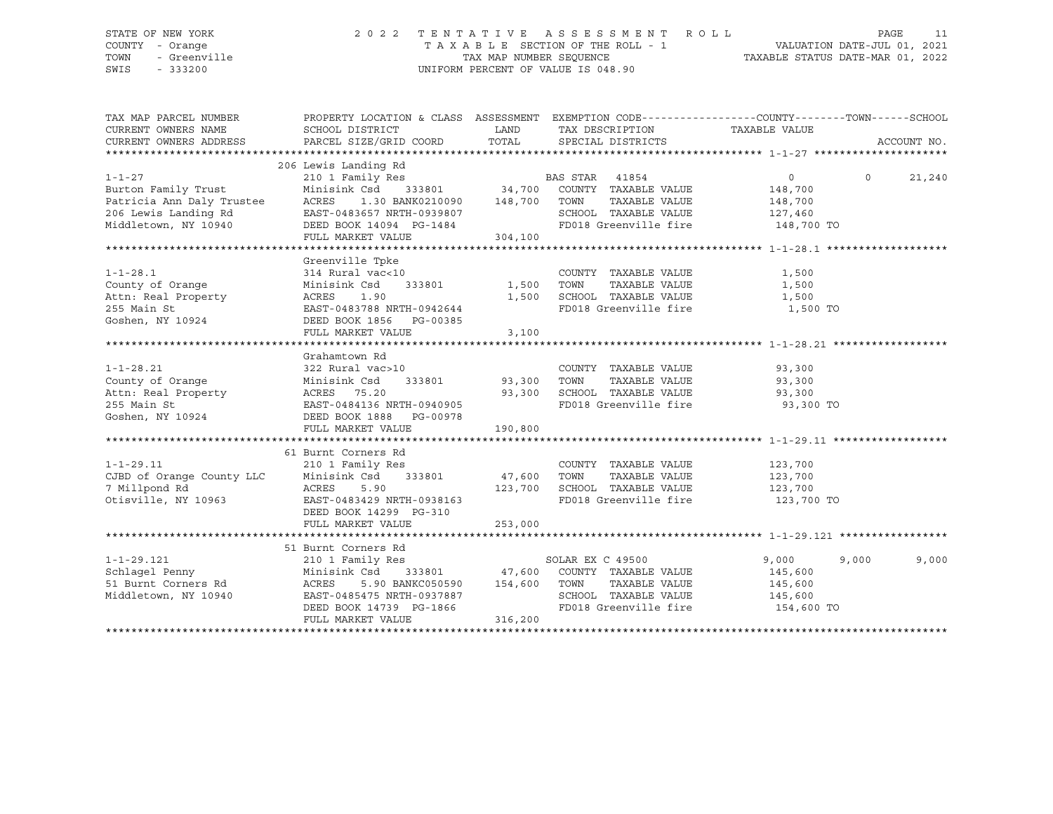## STATE OF NEW YORK 2 0 2 2 T E N T A T I V E A S S E S S M E N T R O L L PAGE 11 COUNTY - Orange T A X A B L E SECTION OF THE ROLL - 1 VALUATION DATE-JUL 01, 2021 TOWN - Greenville TAX MAP NUMBER SEQUENCE TAXABLE STATUS DATE-MAR 01, 2022 SWIS - 333200 UNIFORM PERCENT OF VALUE IS 048.90

| TAX MAP PARCEL NUMBER<br>CURRENT OWNERS NAME<br>CURRENT OWNERS ADDRESS    | PROPERTY LOCATION & CLASS ASSESSMENT<br>SCHOOL DISTRICT<br>PARCEL SIZE/GRID COORD | LAND<br>TOTAL      | EXEMPTION CODE-----------------COUNTY-------TOWN------SCHOOL<br>TAX DESCRIPTION TAXABLE VALUE<br>SPECIAL DISTRICTS |                | ACCOUNT NO.    |
|---------------------------------------------------------------------------|-----------------------------------------------------------------------------------|--------------------|--------------------------------------------------------------------------------------------------------------------|----------------|----------------|
|                                                                           | 206 Lewis Landing Rd                                                              |                    |                                                                                                                    |                |                |
| $1 - 1 - 27$                                                              |                                                                                   |                    | BAS STAR 41854                                                                                                     | $\overline{0}$ | $\Omega$       |
|                                                                           | 210 1 Family Res<br>Minisink Csd 333801 34,700 COUNTY TAXABLE VALUE               |                    |                                                                                                                    |                | 21,240         |
| Burton Family Trust                                                       |                                                                                   |                    |                                                                                                                    | 148,700        |                |
| Patricia Ann Daly Trustee<br>206 Lewis Landing Rd<br>Middletown, NY 10940 | 1.30 BANK0210090 148,700<br>ACRES                                                 |                    | TOWN<br>TAXABLE VALUE                                                                                              | 148,700        |                |
|                                                                           | EAST-0483657 NRTH-0939807                                                         |                    | SCHOOL TAXABLE VALUE                                                                                               | 127,460        |                |
|                                                                           | DEED BOOK 14094 PG-1484                                                           |                    | FD018 Greenville fire                                                                                              | 148,700 TO     |                |
|                                                                           | FULL MARKET VALUE                                                                 | 304,100            |                                                                                                                    |                |                |
|                                                                           |                                                                                   |                    |                                                                                                                    |                |                |
|                                                                           | Greenville Tpke                                                                   |                    |                                                                                                                    |                |                |
| $1 - 1 - 28.1$                                                            | 314 Rural vac<10                                                                  |                    | COUNTY TAXABLE VALUE                                                                                               | 1,500          |                |
| County of Orange                                                          | Minisink Csd<br>333801 1,500                                                      |                    | TAXABLE VALUE<br>TOWN                                                                                              | 1,500          |                |
| Attn: Real Property                                                       | ACRES<br>1.90                                                                     | 1,500              | SCHOOL TAXABLE VALUE                                                                                               | 1,500          |                |
| 255 Main St                                                               | EAST-0483788 NRTH-0942644                                                         |                    | FD018 Greenville fire                                                                                              | 1,500 TO       |                |
| Goshen, NY 10924                                                          | DEED BOOK 1856 PG-00385                                                           |                    |                                                                                                                    |                |                |
|                                                                           | FULL MARKET VALUE                                                                 | 3,100              |                                                                                                                    |                |                |
|                                                                           |                                                                                   |                    |                                                                                                                    |                |                |
|                                                                           | Grahamtown Rd                                                                     |                    |                                                                                                                    |                |                |
| $1 - 1 - 28.21$                                                           | 322 Rural vac>10                                                                  |                    | COUNTY TAXABLE VALUE                                                                                               | 93,300         |                |
| County of Orange                                                          | Minisink Csd                                                                      | 333801 93,300 TOWN | TAXABLE VALUE                                                                                                      | 93,300         |                |
| Attn: Real Property                                                       | ACRES 75.20                                                                       | 93,300             | SCHOOL TAXABLE VALUE                                                                                               | 93,300         |                |
| 255 Main St                                                               | EAST-0484136 NRTH-0940905                                                         |                    | FD018 Greenville fire                                                                                              | 93,300 TO      |                |
| Goshen, NY 10924                                                          | EAST-0484136 NRTH-0940905<br>DEED BOOK 1888 PG-00978                              |                    |                                                                                                                    |                |                |
|                                                                           | FULL MARKET VALUE                                                                 | 190,800            |                                                                                                                    |                |                |
|                                                                           |                                                                                   |                    |                                                                                                                    |                |                |
|                                                                           | 61 Burnt Corners Rd                                                               |                    |                                                                                                                    |                |                |
|                                                                           | 210 1 Family Res                                                                  |                    | COUNTY TAXABLE VALUE                                                                                               | 123,700        |                |
|                                                                           | Minisink Csd 333801                                                               | 47,600             | TOWN<br>TAXABLE VALUE                                                                                              | 123,700        |                |
| 1-1-29.11<br>CJBD of Orange County LLC                                    | ACRES<br>5.90                                                                     |                    |                                                                                                                    | 123,700        |                |
| Otisville, NY 10963                                                       |                                                                                   |                    | 123,700 SCHOOL TAXABLE VALUE<br>FD018 Greenville fire                                                              |                |                |
|                                                                           | EAST-0483429 NRTH-0938163                                                         |                    |                                                                                                                    | 123,700 TO     |                |
|                                                                           | DEED BOOK 14299 PG-310                                                            |                    |                                                                                                                    |                |                |
|                                                                           | FULL MARKET VALUE                                                                 | 253,000            |                                                                                                                    |                |                |
|                                                                           |                                                                                   |                    |                                                                                                                    |                |                |
|                                                                           | 51 Burnt Corners Rd                                                               |                    |                                                                                                                    |                |                |
| $1 - 1 - 29.121$                                                          | 210 1 Family Res                                                                  |                    | Res<br>80LAR EX C 49500<br>333801 47,600 COUNTY TAXABLE VALUE                                                      | 9,000          | 9,000<br>9,000 |
| Schlagel Penny                                                            | Minisink Csd                                                                      |                    |                                                                                                                    | 145,600        |                |
| 51 Burnt Corners Rd                                                       | 5.90 BANKC050590 154,600<br>ACRES                                                 |                    | TOWN<br>TAXABLE VALUE                                                                                              | 145,600        |                |
| Middletown, NY 10940                                                      | EAST-0485475 NRTH-0937887                                                         |                    | SCHOOL TAXABLE VALUE                                                                                               | 145,600        |                |
|                                                                           | DEED BOOK 14739 PG-1866                                                           |                    | FD018 Greenville fire                                                                                              | 154,600 TO     |                |
|                                                                           | FULL MARKET VALUE                                                                 | 316,200            |                                                                                                                    |                |                |
|                                                                           |                                                                                   |                    |                                                                                                                    |                |                |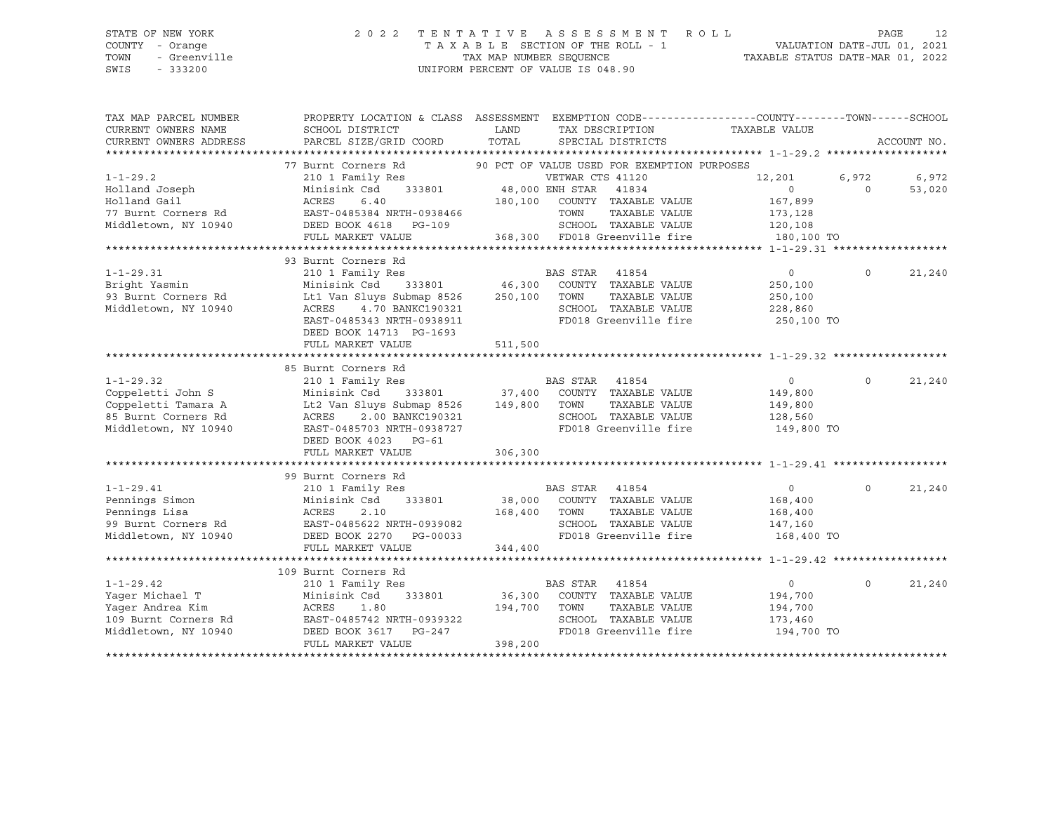## STATE OF NEW YORK 2 0 2 2 T E N T A T I V E A S S E S S M E N T R O L L PAGE 12 COUNTY - Orange T A X A B L E SECTION OF THE ROLL - 1 VALUATION DATE-JUL 01, 2021 TOWN - Greenville TAX MAP NUMBER SEQUENCE TAXABLE STATUS DATE-MAR 01, 2022 SWIS - 333200 UNIFORM PERCENT OF VALUE IS 048.90

| TAX MAP PARCEL NUMBER  | PROPERTY LOCATION & CLASS ASSESSMENT EXEMPTION CODE---------------COUNTY-------TOWN-----SCHOOL |         |                                                          |                |          |             |
|------------------------|------------------------------------------------------------------------------------------------|---------|----------------------------------------------------------|----------------|----------|-------------|
| CURRENT OWNERS NAME    | SCHOOL DISTRICT                                                                                | LAND    | TAX DESCRIPTION                                          | TAXABLE VALUE  |          |             |
| CURRENT OWNERS ADDRESS | PARCEL SIZE/GRID COORD                                                                         | TOTAL   | SPECIAL DISTRICTS                                        |                |          | ACCOUNT NO. |
|                        |                                                                                                |         |                                                          |                |          |             |
|                        | 77 Burnt Corners Rd 90 PCT OF VALUE USED FOR EXEMPTION PURPOSES                                |         |                                                          |                |          |             |
| $1 - 1 - 29.2$         | 210 1 Family Res                                                                               |         | VETWAR CTS 41120                                         | 12,201         | 6,972    | 6,972       |
| Holland Joseph         | 151 WEINAR CI<br>333801 48,000 ENH STAR<br>Minisink Csd                                        |         | 41834                                                    | $\overline{0}$ | $\Omega$ | 53,020      |
| Holland Gail           | ACRES<br>6.40                                                                                  |         | 180,100 COUNTY TAXABLE VALUE                             | 167,899        |          |             |
| 77 Burnt Corners Rd    | EAST-0485384 NRTH-0938466<br>EAST-0485384 NKIH-022030<br>DEED BOOK 4618 PG-109                 |         | TOWN<br>TAXABLE VALUE                                    | 173,128        |          |             |
| Middletown, NY 10940   |                                                                                                |         | SCHOOL TAXABLE VALUE                                     | 120,108        |          |             |
|                        | FULL MARKET VALUE                                                                              |         | 368,300 FD018 Greenville fire                            | 180,100 TO     |          |             |
|                        |                                                                                                |         |                                                          |                |          |             |
|                        | 93 Burnt Corners Rd                                                                            |         |                                                          |                |          |             |
| $1 - 1 - 29.31$        | 210 1 Family Res                                                                               |         | Res BAS STAR 41854<br>333801 46,300 COUNTY TAXABLE VALUE | $\circ$        | $\Omega$ | 21,240      |
| Bright Yasmin          | Minisink Csd                                                                                   |         |                                                          | 250,100        |          |             |
| 93 Burnt Corners Rd    | Lt1 Van Sluys Submap 8526                                                                      | 250,100 | TAXABLE VALUE<br>TOWN                                    | 250,100        |          |             |
| Middletown, NY 10940   | 4.70 BANKC190321<br>ACRES                                                                      |         | SCHOOL TAXABLE VALUE                                     | 228,860        |          |             |
|                        | EAST-0485343 NRTH-0938911                                                                      |         | FD018 Greenville fire                                    | 250,100 TO     |          |             |
|                        | DEED BOOK 14713 PG-1693                                                                        |         |                                                          |                |          |             |
|                        | FULL MARKET VALUE                                                                              | 511,500 |                                                          |                |          |             |
|                        |                                                                                                |         |                                                          |                |          |             |
|                        | 85 Burnt Corners Rd                                                                            |         |                                                          |                |          |             |
| $1 - 1 - 29.32$        | 210 1 Family Res                                                                               |         | BAS STAR 41854                                           | $\overline{0}$ | $\Omega$ | 21,240      |
| Coppeletti John S      | Minisink Csd                                                                                   |         | 333801 37,400 COUNTY TAXABLE VALUE                       | 149,800        |          |             |
| Coppeletti Tamara A    | Lt2 Van Sluys Submap 8526 149,800 TOWN                                                         |         | TAXABLE VALUE                                            | 149,800        |          |             |
| 85 Burnt Corners Rd    | 2.00 BANKC190321<br>ACRES                                                                      |         | SCHOOL TAXABLE VALUE                                     | 128,560        |          |             |
| Middletown, NY 10940   | EAST-0485703 NRTH-0938727                                                                      |         | FD018 Greenville fire 149,800 TO                         |                |          |             |
|                        | DEED BOOK 4023 PG-61                                                                           |         |                                                          |                |          |             |
|                        | FULL MARKET VALUE                                                                              | 306,300 |                                                          |                |          |             |
|                        |                                                                                                |         |                                                          |                |          |             |
|                        | 99 Burnt Corners Rd                                                                            |         |                                                          |                |          |             |
| $1 - 1 - 29.41$        | 210 1 Family Res                                                                               |         | BAS STAR 41854                                           | $\circ$        | $\Omega$ | 21,240      |
| Pennings Simon         | Minisink Csd<br>333801                                                                         |         | 38,000 COUNTY TAXABLE VALUE                              | 168,400        |          |             |
| Pennings Lisa          | ACRES<br>2.10                                                                                  | 168,400 | TOWN<br>TAXABLE VALUE                                    | 168,400        |          |             |
|                        | 99 Burnt Corners Rd BAST-0485622 NRTH-0939082                                                  |         | SCHOOL TAXABLE VALUE                                     | 147,160        |          |             |
|                        | Middletown, NY 10940 DEED BOOK 2270 PG-00033                                                   |         | FD018 Greenville fire                                    | 168,400 TO     |          |             |
|                        | FULL MARKET VALUE                                                                              | 344,400 |                                                          |                |          |             |
|                        |                                                                                                |         |                                                          |                |          |             |
|                        | 109 Burnt Corners Rd                                                                           |         |                                                          |                |          |             |
| $1 - 1 - 29.42$        | 210 1 Family Res                                                                               |         | BAS STAR<br>41854                                        | $\overline{0}$ | $\Omega$ | 21,240      |
| Yager Michael T        | 333801<br>Minisink Csd                                                                         |         | 36,300 COUNTY TAXABLE VALUE                              | 194,700        |          |             |
| Yaqer Andrea Kim       | ACRES<br>1.80                                                                                  | 194,700 | TOWN<br>TAXABLE VALUE                                    | 194,700        |          |             |
| 109 Burnt Corners Rd   | EAST-0485742 NRTH-0939322                                                                      |         | SCHOOL TAXABLE VALUE                                     | 173,460        |          |             |
| Middletown, NY 10940   | DEED BOOK 3617 PG-247                                                                          |         | FD018 Greenville fire                                    | 194,700 TO     |          |             |
|                        | FULL MARKET VALUE                                                                              | 398,200 |                                                          |                |          |             |
|                        |                                                                                                |         |                                                          |                |          |             |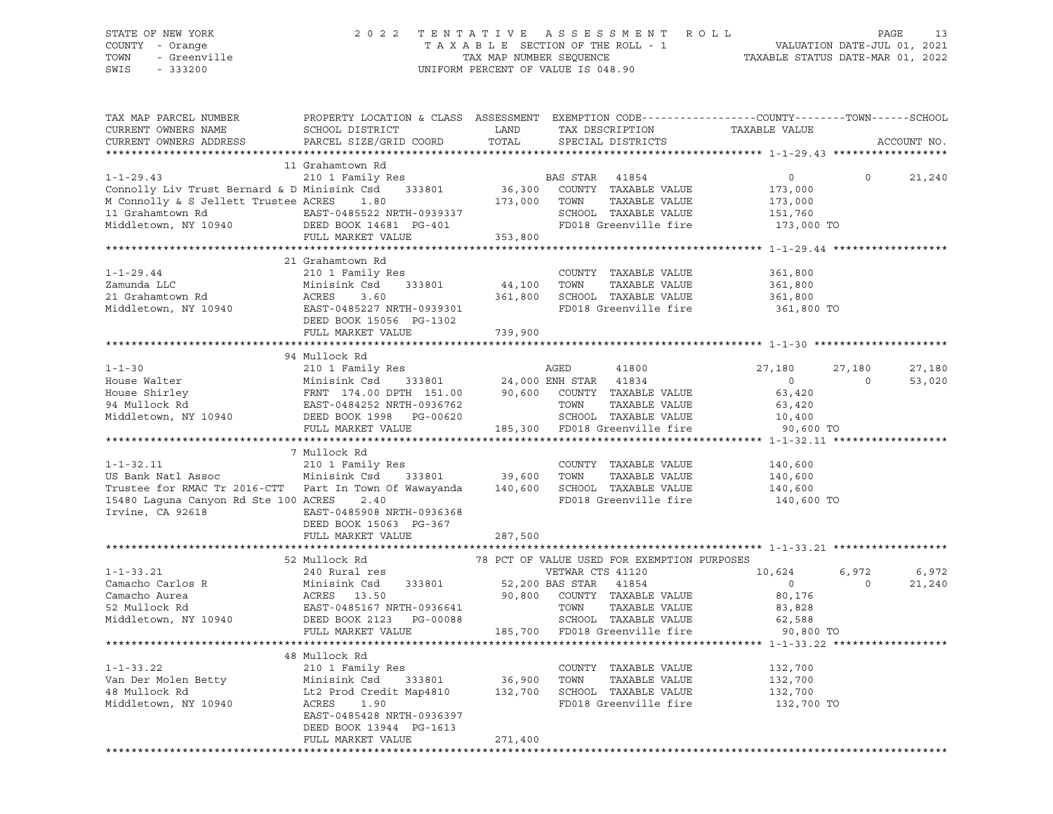## STATE OF NEW YORK 2 0 2 2 T E N T A T I V E A S S E S S M E N T R O L L PAGE 13 COUNTY - Orange T A X A B L E SECTION OF THE ROLL - 1 VALUATION DATE-JUL 01, 2021 TOWN - Greenville TAX MAP NUMBER SEQUENCE TAXABLE STATUS DATE-MAR 01, 2022 SWIS - 333200 UNIFORM PERCENT OF VALUE IS 048.90

| TAX MAP PARCEL NUMBER<br>CURRENT OWNERS NAME<br>CURRENT OWNERS ADDRESS                                                                                                                                                                                                                                                                                                                                                                 | PROPERTY LOCATION & CLASS ASSESSMENT EXEMPTION CODE----------------COUNTY-------TOWN-----SCHOOL<br>SCHOOL DISTRICT<br>PARCEL SIZE/GRID COORD                                                                                                                                        | LAND<br>TOTAL | TAX DESCRIPTION<br>SPECIAL DISTRICTS                                      | TAXABLE VALUE                                             |                          | ACCOUNT NO.           |
|----------------------------------------------------------------------------------------------------------------------------------------------------------------------------------------------------------------------------------------------------------------------------------------------------------------------------------------------------------------------------------------------------------------------------------------|-------------------------------------------------------------------------------------------------------------------------------------------------------------------------------------------------------------------------------------------------------------------------------------|---------------|---------------------------------------------------------------------------|-----------------------------------------------------------|--------------------------|-----------------------|
| ***********************                                                                                                                                                                                                                                                                                                                                                                                                                |                                                                                                                                                                                                                                                                                     |               |                                                                           |                                                           |                          |                       |
| 1-1-29.43<br>Connolly Liv Trust Bernard & D Minisink Csd<br>M Connolly & S Jellett Trustee ACRES<br>1.80<br>10 Grahamtown Rd<br>2.10 1 Family Res<br>2.10 173,000 COUNTY TAXABLE VALUE<br>173,000 TOWN TAXABLE VALUE<br>2.10 173,000 TOWN TAXA                                                                                                                                                                                         | 11 Grahamtown Rd                                                                                                                                                                                                                                                                    |               | SCHOOL TAXABLE VALUE 151,760<br>FD018 Greenville fire 173,000 TO          | $\circ$<br>173,000<br>173,000                             | $\Omega$                 | 21,240                |
|                                                                                                                                                                                                                                                                                                                                                                                                                                        |                                                                                                                                                                                                                                                                                     |               |                                                                           |                                                           |                          |                       |
| $1 - 1 - 29.44$<br>1 1 29:44<br>Zamunda LLC<br>21 Grahamtown Rd<br>21 Grahamtown Rd<br>Middletown, NY 10940<br>EAST-0485227 NRTH-0939301<br>EAST-0485227 NRTH-0939301<br>ERST-0485227 NRTH-0939301<br>FD018 Greenville fire                                                                                                                                                                                                            | 21 Grahamtown Rd<br>210 1 Family Res<br>333801 44,100 TOWN<br>Minisink Csd<br>ACRES 3.60<br>DEED BOOK 15056 PG-1302<br>FULL MARKET VALUE                                                                                                                                            | 739,900       | COUNTY TAXABLE VALUE<br>TAXABLE VALUE<br>FD018 Greenville fire 361,800 TO | 361,800<br>361,800<br>361,800                             |                          |                       |
|                                                                                                                                                                                                                                                                                                                                                                                                                                        |                                                                                                                                                                                                                                                                                     |               |                                                                           |                                                           |                          |                       |
| 1-1-30<br>House Walter<br>House Shirley<br>94 Mullock Rd<br>Middletown, NY 10940                                                                                                                                                                                                                                                                                                                                                       | 94 Mullock Rd<br>210 1 Family Res<br>Minisink Csd 333801 24,000 ENH STAR 41834 0<br>FRNT 174.00 DPTH 151.00 90,600 COUNTY TAXABLE VALUE 63,420<br>EAST-0484252 NRTH-0936762 TOWN TAXABLE VALUE 63,420<br>DEED BOOK 1998 PG-00620 SCHOOL TAXABLE VALUE 1                             |               |                                                                           |                                                           | 27,180<br>$\overline{a}$ | 27,180<br>53,020      |
|                                                                                                                                                                                                                                                                                                                                                                                                                                        |                                                                                                                                                                                                                                                                                     |               |                                                                           | 90,600 TO                                                 |                          |                       |
|                                                                                                                                                                                                                                                                                                                                                                                                                                        | 7 Mullock Rd                                                                                                                                                                                                                                                                        |               |                                                                           |                                                           |                          |                       |
| $1 - 1 - 32.11$<br>US Bank Natl Assoc Minisink Csd<br>Trustee for RMAC Tr 2016-CTT Part In Town Of Wawayanda 140,600 SCHOOL TAXABLE VALUE<br>15480 Laguna Canyon Rd Ste 100 ACRES<br>Irvine, CA 92618<br>DEED BOOK 15063 PG-367                                                                                                                                                                                                        | 210 1 Family Res<br>333801 39,600 TOWN<br>2.40<br>DEED BOOK 15063 PG-367                                                                                                                                                                                                            |               | COUNTY TAXABLE VALUE<br>TAXABLE VALUE<br>FD018 Greenville fire 140,600 TO | 140,600<br>140,600<br>140,600                             |                          |                       |
|                                                                                                                                                                                                                                                                                                                                                                                                                                        | FULL MARKET VALUE                                                                                                                                                                                                                                                                   | 287,500       |                                                                           |                                                           |                          |                       |
|                                                                                                                                                                                                                                                                                                                                                                                                                                        |                                                                                                                                                                                                                                                                                     |               |                                                                           |                                                           |                          |                       |
| $\begin{tabular}{lcccc} 1-1-33.21 & 52 & \texttt{nulllock Rd} & 78 PCT OF VALUE ISBN FOR EXEMPITION PURF \\ \texttt{Camacho Carlos R} & 240 Rural res & 333801 & 52,200 BAS STAR 41854 \\ \texttt{Camacho Aurea} & 240 Rural res & 333801 & 52,200 BAS STAR 41854 \\ \texttt{Camacho Aurea} & 240 Rural res & 333801 & 52,200 BAS STAR 41854 \\ \texttt{Camacho Aurea} & 240 Rural res & 90,800 COUNTY TAXABLE VALUE \\ \texttt{EAST-$ | 52 Mullock Rd<br>DEED BOOK 2123 PG-00088 SCHOOL TAXABLE VALUE 62,588<br>FULL MARKET VALUE 185,700 FD018 Greenville fire 90,800                                                                                                                                                      |               | 78 PCT OF VALUE USED FOR EXEMPTION PURPOSES                               | 10,624<br>$\overline{0}$<br>80,176<br>83,828<br>90,800 TO | $\overline{0}$           | 6,972 6,972<br>21,240 |
|                                                                                                                                                                                                                                                                                                                                                                                                                                        |                                                                                                                                                                                                                                                                                     |               |                                                                           |                                                           |                          |                       |
| $1 - 1 - 33.22$<br>Van Der Molen Betty<br>48 Mullock Rd<br>Middletown, NY 10940                                                                                                                                                                                                                                                                                                                                                        | 48 Mullock Rd<br>210 1 Family Res<br>Minisink Csd 333801 36,900 TOWN TAXABLE VALUE 132,700<br>Lt2 Prod Credit Map4810 132,700 SCHOOL TAXABLE VALUE 132,700<br>ACRES 1.90 FD018 Greenville fire 132,700<br>EAST-0485428 NRTH-0936397<br>DEED BOOK 13944 PG-1613<br>FULL MARKET VALUE | 271,400       | COUNTY TAXABLE VALUE 132,700                                              | 132,700 TO                                                |                          |                       |
|                                                                                                                                                                                                                                                                                                                                                                                                                                        |                                                                                                                                                                                                                                                                                     |               |                                                                           |                                                           |                          |                       |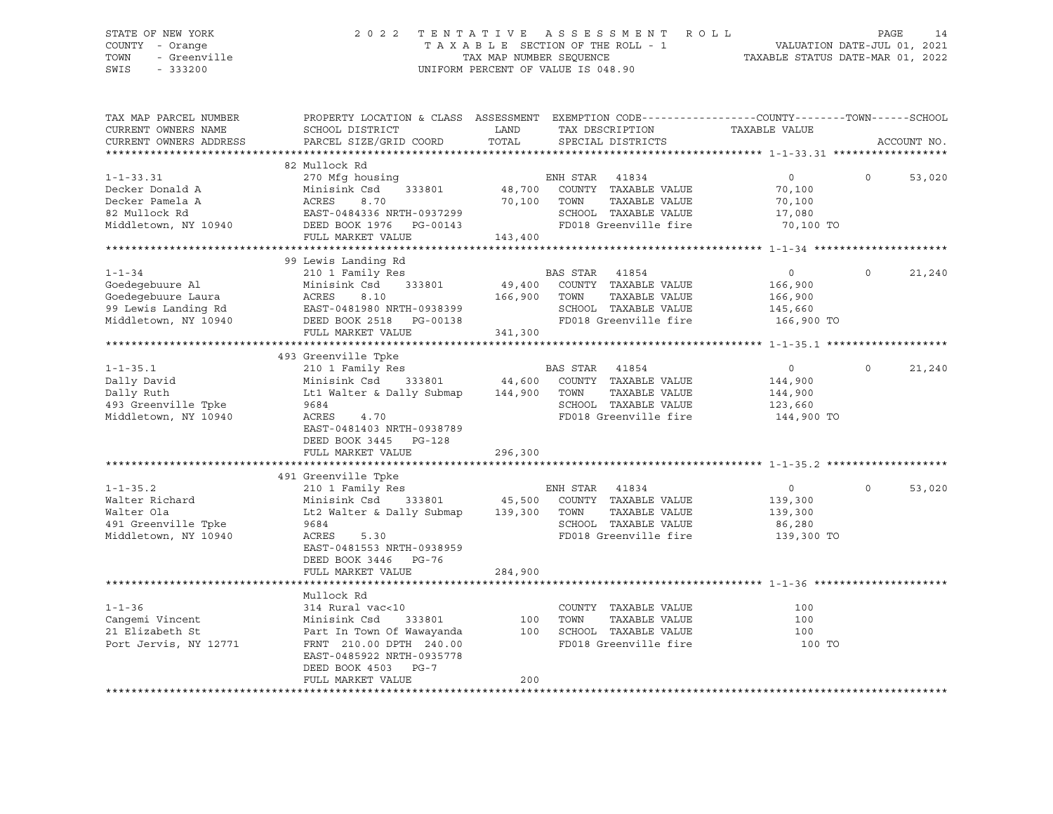## STATE OF NEW YORK 2 0 2 2 T E N T A T I V E A S S E S S M E N T R O L L PAGE 14 COUNTY - Orange T A X A B L E SECTION OF THE ROLL - 1 VALUATION DATE-JUL 01, 2021 TOWN - Greenville TAX MAP NUMBER SEQUENCE TAXABLE STATUS DATE-MAR 01, 2022 SWIS - 333200 UNIFORM PERCENT OF VALUE IS 048.90

| TAX MAP PARCEL NUMBER  | PROPERTY LOCATION & CLASS ASSESSMENT EXEMPTION CODE----------------COUNTY-------TOWN------SCHOOL |              |                                    |                |          |             |
|------------------------|--------------------------------------------------------------------------------------------------|--------------|------------------------------------|----------------|----------|-------------|
| CURRENT OWNERS NAME    | SCHOOL DISTRICT                                                                                  | LAND         | TAX DESCRIPTION                    | TAXABLE VALUE  |          |             |
| CURRENT OWNERS ADDRESS | PARCEL SIZE/GRID COORD                                                                           | TOTAL        | SPECIAL DISTRICTS                  |                |          | ACCOUNT NO. |
|                        |                                                                                                  |              |                                    |                |          |             |
|                        | 82 Mullock Rd                                                                                    |              |                                    |                |          |             |
| $1 - 1 - 33.31$        | 270 Mfg housing                                                                                  |              | ENH STAR 41834                     | $\overline{0}$ | $\Omega$ | 53,020      |
| Decker Donald A        | Minisink Csd<br>333801                                                                           |              | 48,700 COUNTY TAXABLE VALUE        | 70,100         |          |             |
| Decker Pamela A        | 8.70<br>ACRES                                                                                    | 70,100 TOWN  | TAXABLE VALUE                      | 70,100         |          |             |
| 82 Mullock Rd          | EAST-0484336 NRTH-0937299                                                                        |              | SCHOOL TAXABLE VALUE               | 17,080         |          |             |
| Middletown, NY 10940   | DEED BOOK 1976    PG-00143                                                                       |              | FD018 Greenville fire              | 70,100 TO      |          |             |
|                        | FULL MARKET VALUE                                                                                | 143,400      |                                    |                |          |             |
|                        |                                                                                                  |              |                                    |                |          |             |
|                        | 99 Lewis Landing Rd                                                                              |              |                                    |                |          |             |
| $1 - 1 - 34$           | 210 1 Family Res                                                                                 |              | BAS STAR 41854                     | $\overline{0}$ | $\Omega$ | 21,240      |
| Goedegebuure Al        | 333801<br>Minisink Csd                                                                           |              | 49,400 COUNTY TAXABLE VALUE        | 166,900        |          |             |
| Goedegebuure Laura     | ACRES<br>8.10                                                                                    | 166,900 TOWN | TAXABLE VALUE                      | 166,900        |          |             |
| 99 Lewis Landing Rd    | EAST-0481980 NRTH-0938399                                                                        |              | SCHOOL TAXABLE VALUE               | 145,660        |          |             |
| Middletown, NY 10940   | DEED BOOK 2518 PG-00138                                                                          |              | FD018 Greenville fire              | 166,900 TO     |          |             |
|                        | FULL MARKET VALUE                                                                                | 341,300      |                                    |                |          |             |
|                        |                                                                                                  |              |                                    |                |          |             |
|                        | 493 Greenville Tpke                                                                              |              |                                    |                |          |             |
| $1 - 1 - 35.1$         | 210 1 Family Res                                                                                 |              | BAS STAR 41854                     | $\overline{0}$ | $\Omega$ | 21,240      |
| Dally David            | Minisink Csd                                                                                     |              | 333801 44,600 COUNTY TAXABLE VALUE | 144,900        |          |             |
| Dally Ruth             | Lt1 Walter & Dally Submap 144,900 TOWN                                                           |              | TAXABLE VALUE                      | 144,900        |          |             |
|                        | 9684                                                                                             |              | SCHOOL TAXABLE VALUE               |                |          |             |
| 493 Greenville Tpke    |                                                                                                  |              |                                    | 123,660        |          |             |
| Middletown, NY 10940   | ACRES<br>4.70                                                                                    |              | FD018 Greenville fire              | 144,900 TO     |          |             |
|                        | EAST-0481403 NRTH-0938789                                                                        |              |                                    |                |          |             |
|                        | DEED BOOK 3445 PG-128                                                                            |              |                                    |                |          |             |
|                        | FULL MARKET VALUE                                                                                | 296,300      |                                    |                |          |             |
|                        |                                                                                                  |              |                                    |                |          |             |
|                        | 491 Greenville Tpke                                                                              |              |                                    |                |          |             |
| $1 - 1 - 35.2$         | 210 1 Family Res                                                                                 |              | ENH STAR<br>41834                  | $\overline{0}$ | $\Omega$ | 53,020      |
| Walter Richard         | Minisink Csd 333801 45,500 COUNTY TAXABLE VALUE                                                  |              |                                    | 139,300        |          |             |
| Walter Ola             | Lt2 Walter & Dally Submap 139,300 TOWN                                                           |              | TAXABLE VALUE                      | 139,300        |          |             |
| 491 Greenville Tpke    | 9684                                                                                             |              | SCHOOL TAXABLE VALUE               | 86,280         |          |             |
| Middletown, NY 10940   | ACRES<br>5.30                                                                                    |              | FD018 Greenville fire              | 139,300 TO     |          |             |
|                        | EAST-0481553 NRTH-0938959                                                                        |              |                                    |                |          |             |
|                        | DEED BOOK 3446 PG-76                                                                             |              |                                    |                |          |             |
|                        | FULL MARKET VALUE                                                                                | 284,900      |                                    |                |          |             |
|                        |                                                                                                  |              |                                    |                |          |             |
|                        | Mullock Rd                                                                                       |              |                                    |                |          |             |
| $1 - 1 - 36$           | 314 Rural vac<10                                                                                 |              | COUNTY TAXABLE VALUE               | 100            |          |             |
| Cangemi Vincent        | Minisink Csd<br>333801                                                                           | 100          | TOWN<br>TAXABLE VALUE              | 100            |          |             |
| 21 Elizabeth St        | Part In Town Of Wawayanda                                                                        | 100          | SCHOOL TAXABLE VALUE               | 100            |          |             |
| Port Jervis, NY 12771  | FRNT 210.00 DPTH 240.00                                                                          |              | FD018 Greenville fire              | 100 TO         |          |             |
|                        | EAST-0485922 NRTH-0935778                                                                        |              |                                    |                |          |             |
|                        |                                                                                                  |              |                                    |                |          |             |
|                        | DEED BOOK 4503 PG-7                                                                              |              |                                    |                |          |             |
|                        | FULL MARKET VALUE                                                                                | 200          |                                    |                |          |             |
|                        |                                                                                                  |              |                                    |                |          |             |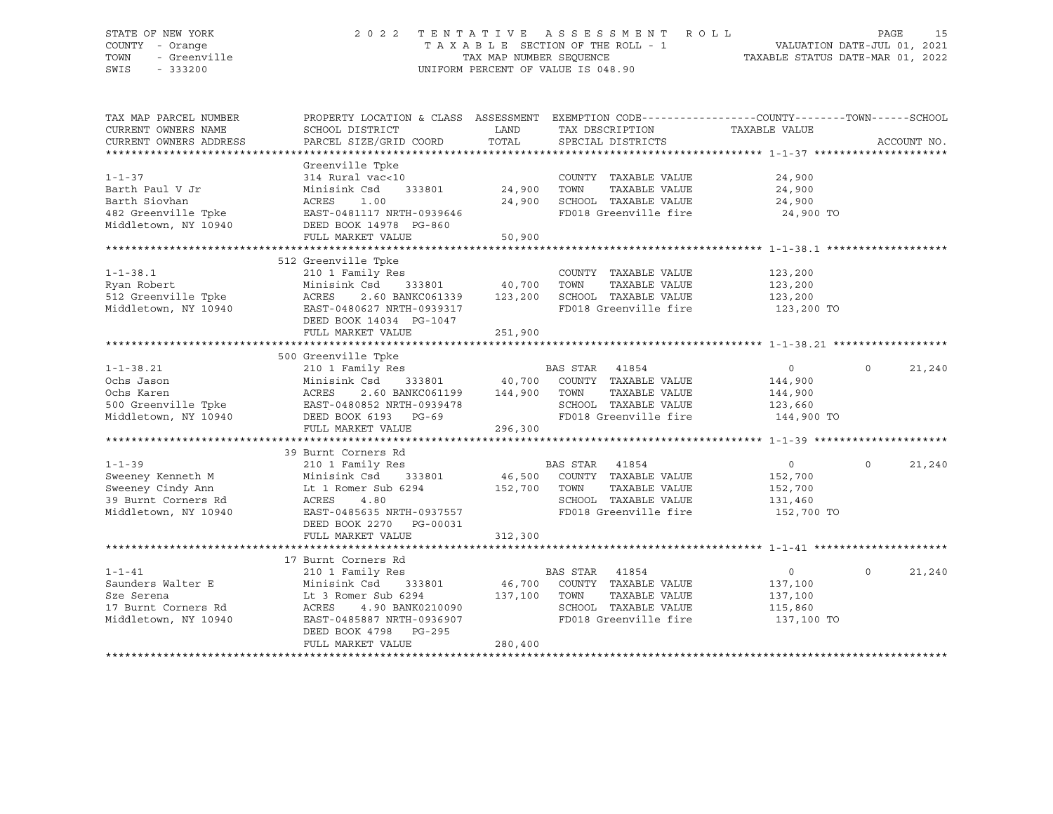## STATE OF NEW YORK 2 0 2 2 T E N T A T I V E A S S E S S M E N T R O L L PAGE 15 COUNTY - Orange T A X A B L E SECTION OF THE ROLL - 1 VALUATION DATE-JUL 01, 2021 TOWN - Greenville TAX MAP NUMBER SEQUENCE TAXABLE STATUS DATE-MAR 01, 2022 SWIS - 333200 UNIFORM PERCENT OF VALUE IS 048.90

| TAX MAP PARCEL NUMBER<br>CURRENT OWNERS NAME<br>CURRENT OWNERS ADDRESS | PROPERTY LOCATION & CLASS ASSESSMENT EXEMPTION CODE---------------COUNTY-------TOWN-----SCHOOL<br>SCHOOL DISTRICT<br>PARCEL SIZE/GRID COORD | LAND<br>TOTAL | TAX DESCRIPTION TAXABLE VALUE<br>SPECIAL DISTRICTS |            | ACCOUNT NO.        |
|------------------------------------------------------------------------|---------------------------------------------------------------------------------------------------------------------------------------------|---------------|----------------------------------------------------|------------|--------------------|
|                                                                        |                                                                                                                                             |               |                                                    |            |                    |
|                                                                        | Greenville Tpke                                                                                                                             |               |                                                    |            |                    |
| $1 - 1 - 37$                                                           | 314 Rural vac<10                                                                                                                            |               | COUNTY TAXABLE VALUE                               | 24,900     |                    |
| Barth Paul V Jr                                                        | Minisink Csd<br>333801                                                                                                                      | 24,900        | TOWN<br>TAXABLE VALUE                              | 24,900     |                    |
| Barth Siovhan                                                          | ACRES<br>1.00                                                                                                                               | 24,900        | SCHOOL TAXABLE VALUE                               | 24,900     |                    |
| 482 Greenville Tpke                                                    | EAST-0481117 NRTH-0939646                                                                                                                   |               | FD018 Greenville fire                              | 24,900 TO  |                    |
| Middletown, NY 10940                                                   | DEED BOOK 14978 PG-860                                                                                                                      |               |                                                    |            |                    |
|                                                                        | FULL MARKET VALUE                                                                                                                           | 50,900        |                                                    |            |                    |
|                                                                        |                                                                                                                                             |               |                                                    |            |                    |
|                                                                        | 512 Greenville Tpke                                                                                                                         |               |                                                    |            |                    |
| $1 - 1 - 38.1$                                                         | 210 1 Family Res                                                                                                                            |               | COUNTY TAXABLE VALUE                               | 123,200    |                    |
| Ryan Robert                                                            | Minisink Csd<br>333801 40,700                                                                                                               |               | TOWN<br>TAXABLE VALUE                              | 123,200    |                    |
| 512 Greenville Tpke                                                    | ACRES<br>2.60 BANKC061339 123,200                                                                                                           |               | SCHOOL TAXABLE VALUE                               | 123,200    |                    |
| Middletown, NY 10940                                                   | EAST-0480627 NRTH-0939317                                                                                                                   |               | FD018 Greenville fire                              | 123,200 TO |                    |
|                                                                        | DEED BOOK 14034 PG-1047                                                                                                                     |               |                                                    |            |                    |
|                                                                        | FULL MARKET VALUE                                                                                                                           | 251,900       |                                                    |            |                    |
|                                                                        |                                                                                                                                             |               |                                                    |            |                    |
|                                                                        | 500 Greenville Tpke                                                                                                                         |               |                                                    |            |                    |
| $1 - 1 - 38.21$                                                        | 210 1 Family Res                                                                                                                            |               | BAS STAR 41854                                     | $\circ$    | 21,240<br>$\Omega$ |
| Ochs Jason                                                             | Minisink Csd                                                                                                                                |               | 333801 40,700 COUNTY TAXABLE VALUE                 | 144,900    |                    |
| Ochs Karen                                                             | ACRES<br>2.60 BANKC061199                                                                                                                   | 144,900       | TOWN<br>TAXABLE VALUE                              | 144,900    |                    |
| 500 Greenville Tpke                                                    | EAST-0480852 NRTH-0939478                                                                                                                   |               | SCHOOL TAXABLE VALUE                               | 123,660    |                    |
| Middletown, NY 10940                                                   | DEED BOOK 6193 PG-69                                                                                                                        |               | FD018 Greenville fire                              | 144,900 TO |                    |
|                                                                        |                                                                                                                                             |               |                                                    |            |                    |
|                                                                        | FULL MARKET VALUE                                                                                                                           | 296,300       |                                                    |            |                    |
|                                                                        |                                                                                                                                             |               |                                                    |            |                    |
|                                                                        | 39 Burnt Corners Rd                                                                                                                         |               |                                                    |            |                    |
| $1 - 1 - 39$                                                           | 210 1 Family Res                                                                                                                            |               | BAS STAR<br>41854                                  | $\circ$    | $\Omega$<br>21,240 |
| Sweeney Kenneth M                                                      | Minisink Csd<br>333801                                                                                                                      |               | 46,500 COUNTY TAXABLE VALUE                        | 152,700    |                    |
| Sweeney Cindy Ann                                                      | Lt 1 Romer Sub 6294                                                                                                                         | 152,700       | TAXABLE VALUE<br>TOWN                              | 152,700    |                    |
| 39 Burnt Corners Rd                                                    | ACRES<br>4.80                                                                                                                               |               | SCHOOL TAXABLE VALUE                               | 131,460    |                    |
| Middletown, NY 10940                                                   | EAST-0485635 NRTH-0937557                                                                                                                   |               | FD018 Greenville fire                              | 152,700 TO |                    |
|                                                                        | DEED BOOK 2270 PG-00031                                                                                                                     |               |                                                    |            |                    |
|                                                                        | FULL MARKET VALUE                                                                                                                           | 312,300       |                                                    |            |                    |
|                                                                        |                                                                                                                                             |               |                                                    |            |                    |
|                                                                        | 17 Burnt Corners Rd                                                                                                                         |               |                                                    |            |                    |
| $1 - 1 - 41$                                                           | 210 1 Family Res                                                                                                                            |               | BAS STAR 41854                                     | $\circ$    | $\Omega$<br>21,240 |
| Saunders Walter E                                                      | Minisink Csd<br>333801                                                                                                                      |               | 46,700 COUNTY TAXABLE VALUE                        | 137,100    |                    |
| Sze Serena                                                             | Lt 3 Romer Sub 6294                                                                                                                         | 137,100       | TOWN<br>TAXABLE VALUE                              | 137,100    |                    |
| 17 Burnt Corners Rd                                                    | ACRES<br>4.90 BANK0210090                                                                                                                   |               | SCHOOL TAXABLE VALUE                               | 115,860    |                    |
| Middletown, NY 10940                                                   | EAST-0485887 NRTH-0936907                                                                                                                   |               | FD018 Greenville fire                              | 137,100 TO |                    |
|                                                                        | DEED BOOK 4798 PG-295                                                                                                                       |               |                                                    |            |                    |
|                                                                        | FULL MARKET VALUE                                                                                                                           | 280,400       |                                                    |            |                    |
|                                                                        |                                                                                                                                             |               |                                                    |            |                    |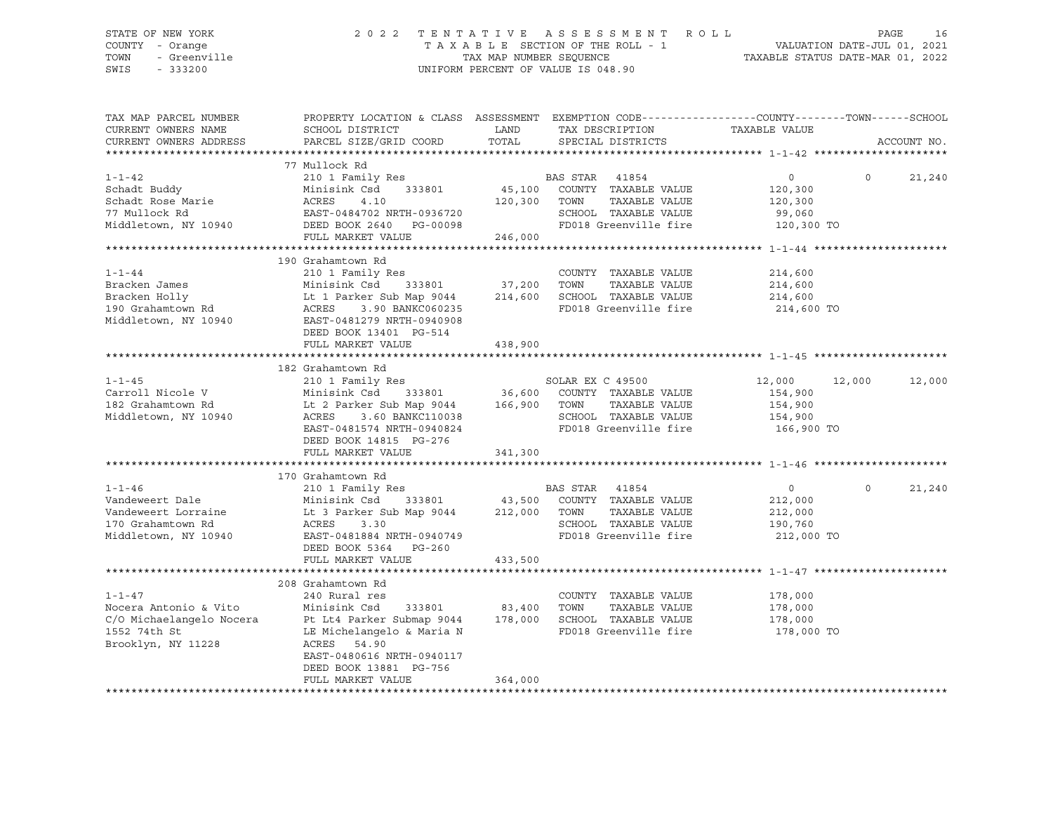## STATE OF NEW YORK 2 0 2 2 T E N T A T I V E A S S E S S M E N T R O L L PAGE 16 COUNTY - Orange T A X A B L E SECTION OF THE ROLL - 1 VALUATION DATE-JUL 01, 2021 TOWN - Greenville TAX MAP NUMBER SEQUENCE TAXABLE STATUS DATE-MAR 01, 2022 SWIS - 333200 UNIFORM PERCENT OF VALUE IS 048.90

| TAX MAP PARCEL NUMBER<br>CURRENT OWNERS NAME | PROPERTY LOCATION & CLASS ASSESSMENT EXEMPTION CODE----------------COUNTY-------TOWN-----SCHOOL<br>SCHOOL DISTRICT | LAND         | TAX DESCRIPTION                  | TAXABLE VALUE        |                   |             |
|----------------------------------------------|--------------------------------------------------------------------------------------------------------------------|--------------|----------------------------------|----------------------|-------------------|-------------|
| CURRENT OWNERS ADDRESS                       | PARCEL SIZE/GRID COORD                                                                                             | TOTAL        | SPECIAL DISTRICTS                |                      |                   | ACCOUNT NO. |
|                                              |                                                                                                                    |              |                                  |                      |                   |             |
| $1 - 1 - 42$                                 | 77 Mullock Rd<br>210 1 Family Res                                                                                  |              | BAS STAR 41854                   | $\overline{0}$       | $0 \qquad \qquad$ | 21,240      |
| Schadt Buddy                                 | 333801<br>Minisink Csd                                                                                             |              | 45,100 COUNTY TAXABLE VALUE      | 120,300              |                   |             |
| Schadt Rose Marie                            | ACRES<br>4.10                                                                                                      | 120,300 TOWN | TAXABLE VALUE                    | 120,300              |                   |             |
| 77 Mullock Rd                                |                                                                                                                    |              | SCHOOL TAXABLE VALUE             |                      |                   |             |
| Middletown, NY 10940                         | EAST-0484702 NRTH-0936720<br>DEED BOOK 2640 PG-00098                                                               |              | FD018 Greenville fire            | 99,060<br>120,300 TO |                   |             |
|                                              | FULL MARKET VALUE                                                                                                  | 246,000      |                                  |                      |                   |             |
|                                              |                                                                                                                    |              |                                  |                      |                   |             |
|                                              | 190 Grahamtown Rd                                                                                                  |              |                                  |                      |                   |             |
| $1 - 1 - 44$                                 | 210 1 Family Res                                                                                                   |              | COUNTY TAXABLE VALUE             | 214,600              |                   |             |
| Bracken James                                | 333801 37,200<br>Minisink Csd                                                                                      |              | TOWN<br>TAXABLE VALUE            | 214,600              |                   |             |
| Bracken Holly                                | Lt 1 Parker Sub Map 9044 214,600 SCHOOL TAXABLE VALUE<br>ACRES 3.90 BANKC060235 FD018 Greenville fire              |              |                                  | 214,600              |                   |             |
| 190 Grahamtown Rd                            | Lt 1 Park<br>ACRES<br>3.90 BANKC060235                                                                             |              | FD018 Greenville fire 214,600 TO |                      |                   |             |
| Middletown, NY 10940                         | EAST-0481279 NRTH-0940908                                                                                          |              |                                  |                      |                   |             |
|                                              | DEED BOOK 13401 PG-514                                                                                             |              |                                  |                      |                   |             |
|                                              | FULL MARKET VALUE                                                                                                  | 438,900      |                                  |                      |                   |             |
|                                              |                                                                                                                    |              |                                  |                      |                   |             |
|                                              | 182 Grahamtown Rd                                                                                                  |              |                                  |                      |                   |             |
| $1 - 1 - 45$                                 | 210 1 Family Res                                                                                                   |              | SOLAR EX C 49500                 | 12,000 12,000        |                   | 12,000      |
| Carroll Nicole V                             |                                                                                                                    |              |                                  | 154,900              |                   |             |
| 182 Grahamtown Rd                            | Minisink Csd 333801 36,600 COUNTY TAXABLE VALUE<br>Lt 2 Parker Sub Map 9044 166,900 TOWN TAXABLE VALUE             |              |                                  | 154,900              |                   |             |
| Middletown, NY 10940                         | ACRES 3.60 BANKC110038                                                                                             |              | SCHOOL TAXABLE VALUE             | 154,900              |                   |             |
|                                              | EAST-0481574 NRTH-0940824                                                                                          |              | FD018 Greenville fire            | 166,900 TO           |                   |             |
|                                              | DEED BOOK 14815 PG-276                                                                                             |              |                                  |                      |                   |             |
|                                              | FULL MARKET VALUE                                                                                                  | 341,300      |                                  |                      |                   |             |
|                                              |                                                                                                                    |              |                                  |                      |                   |             |
|                                              | 170 Grahamtown Rd                                                                                                  |              |                                  |                      |                   |             |
| $1 - 1 - 46$                                 |                                                                                                                    |              |                                  | $\overline{0}$       | $\Omega$          | 21,240      |
| Vandeweert Dale                              | 210 1 Family Res<br>Minisink Csd 333801 43,500 COUNTY TAXABLE VALUE                                                |              |                                  | 212,000              |                   |             |
| Vandeweert Lorraine                          | Lt 3 Parker Sub Map 9044 212,000 TOWN                                                                              |              | TAXABLE VALUE                    | 212,000              |                   |             |
| 170 Grahamtown Rd                            | ACRES 3.30                                                                                                         |              | SCHOOL TAXABLE VALUE             | 190,760              |                   |             |
| Middletown, NY 10940                         | EAST-0481884 NRTH-0940749                                                                                          |              | FD018 Greenville fire            | 212,000 TO           |                   |             |
|                                              | DEED BOOK 5364 PG-260                                                                                              |              |                                  |                      |                   |             |
|                                              | FULL MARKET VALUE                                                                                                  | 433,500      |                                  |                      |                   |             |
|                                              |                                                                                                                    |              |                                  |                      |                   |             |
|                                              | 208 Grahamtown Rd                                                                                                  |              |                                  |                      |                   |             |
| $1 - 1 - 47$                                 | 240 Rural res                                                                                                      |              | COUNTY TAXABLE VALUE             | 178,000              |                   |             |
| Nocera Antonio & Vito                        | Minisink Csd<br>333801                                                                                             | 83,400       | TOWN<br>TAXABLE VALUE            | 178,000              |                   |             |
|                                              | C/O Michaelangelo Nocera Pt Lt4 Parker Submap 9044 178,000                                                         |              | SCHOOL TAXABLE VALUE             | 178,000              |                   |             |
| 1552 74th St                                 | LE Michelangelo & Maria N                                                                                          |              | FD018 Greenville fire            | 178,000 TO           |                   |             |
| Brooklyn, NY 11228                           | ACRES 54.90                                                                                                        |              |                                  |                      |                   |             |
|                                              | EAST-0480616 NRTH-0940117                                                                                          |              |                                  |                      |                   |             |
|                                              | DEED BOOK 13881 PG-756                                                                                             |              |                                  |                      |                   |             |
|                                              | FULL MARKET VALUE                                                                                                  | 364,000      |                                  |                      |                   |             |
|                                              |                                                                                                                    |              |                                  |                      |                   |             |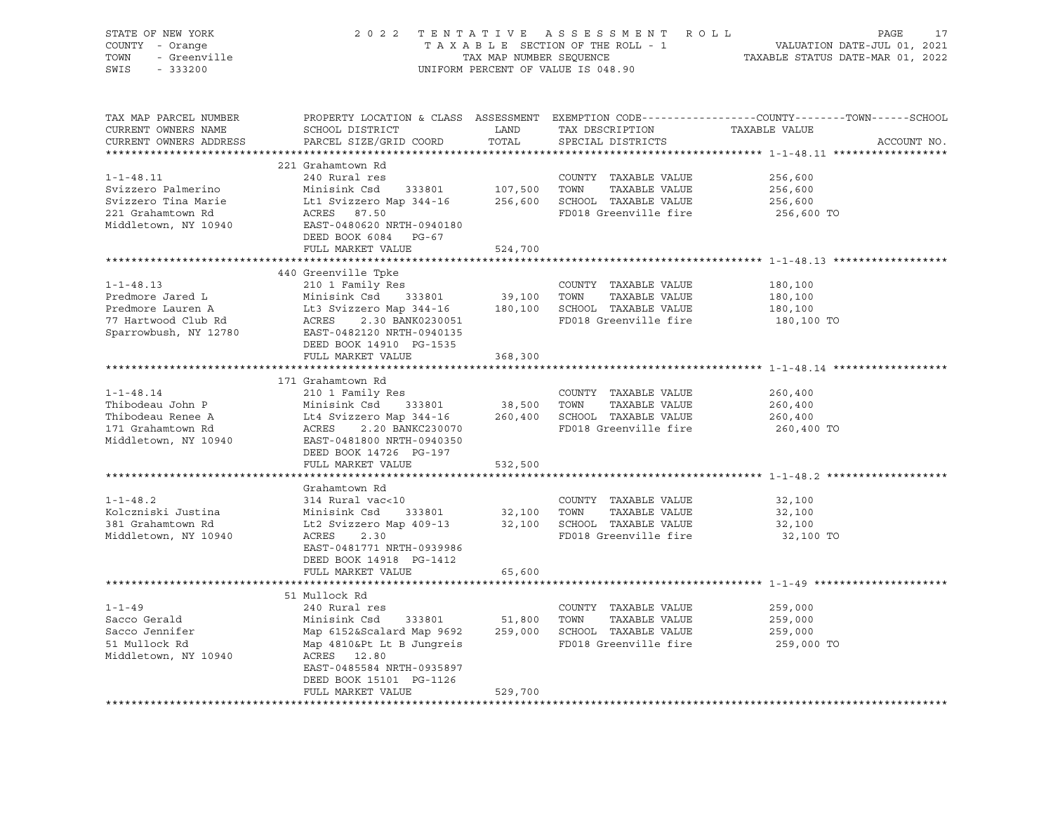| STATE OF NEW YORK<br>COUNTY - Orange<br>- Greenville<br>TOWN<br>SWIS<br>$-333200$ |                                                     | TAX MAP NUMBER SEQUENCE | 2022 TENTATIVE ASSESSMENT ROLL<br>TAXABLE SECTION OF THE ROLL - 1<br>UNIFORM PERCENT OF VALUE IS 048.90 | PAGE<br>17<br>VALUATION DATE-JUL 01, 2021<br>TAXABLE STATUS DATE-MAR 01, 2022                                                   |
|-----------------------------------------------------------------------------------|-----------------------------------------------------|-------------------------|---------------------------------------------------------------------------------------------------------|---------------------------------------------------------------------------------------------------------------------------------|
| TAX MAP PARCEL NUMBER<br>CURRENT OWNERS NAME<br>CURRENT OWNERS ADDRESS            | SCHOOL DISTRICT<br>PARCEL SIZE/GRID COORD           | LAND<br>TOTAL           | TAX DESCRIPTION<br>SPECIAL DISTRICTS                                                                    | PROPERTY LOCATION & CLASS ASSESSMENT EXEMPTION CODE---------------COUNTY-------TOWN------SCHOOL<br>TAXABLE VALUE<br>ACCOUNT NO. |
|                                                                                   |                                                     |                         |                                                                                                         |                                                                                                                                 |
|                                                                                   | 221 Grahamtown Rd                                   |                         |                                                                                                         |                                                                                                                                 |
| $1 - 1 - 48.11$                                                                   | 240 Rural res                                       |                         | COUNTY TAXABLE VALUE                                                                                    | 256,600                                                                                                                         |
| Svizzero Palmerino                                                                | Minisink Csd 333801                                 | 107,500                 | TOWN<br>TAXABLE VALUE                                                                                   | 256,600                                                                                                                         |
| Svizzero Tina Marie                                                               | Lt1 Svizzero Map 344-16                             |                         | 256,600 SCHOOL TAXABLE VALUE                                                                            | 256,600                                                                                                                         |
| 221 Grahamtown Rd                                                                 | ACRES<br>87.50                                      |                         | FD018 Greenville fire                                                                                   | 256,600 TO                                                                                                                      |
| Middletown, NY 10940                                                              | EAST-0480620 NRTH-0940180                           |                         |                                                                                                         |                                                                                                                                 |
|                                                                                   | DEED BOOK 6084 PG-67<br>FULL MARKET VALUE           | 524,700                 |                                                                                                         |                                                                                                                                 |
|                                                                                   |                                                     |                         |                                                                                                         |                                                                                                                                 |
|                                                                                   | 440 Greenville Tpke                                 |                         |                                                                                                         |                                                                                                                                 |
| $1 - 1 - 48.13$                                                                   | 210 1 Family Res                                    |                         | COUNTY TAXABLE VALUE                                                                                    | 180,100                                                                                                                         |
| Predmore Jared L                                                                  | Minisink Csd 333801                                 | 39,100 TOWN             | TAXABLE VALUE                                                                                           | 180,100                                                                                                                         |
| Predmore Lauren A                                                                 | Lt3 Svizzero Map 344-16                             |                         | 180,100 SCHOOL TAXABLE VALUE                                                                            | 180,100                                                                                                                         |
| 77 Hartwood Club Rd                                                               | ACRES<br>2.30 BANK0230051                           |                         | FD018 Greenville fire                                                                                   | 180,100 TO                                                                                                                      |
| Sparrowbush, NY 12780                                                             | EAST-0482120 NRTH-0940135                           |                         |                                                                                                         |                                                                                                                                 |
|                                                                                   | DEED BOOK 14910 PG-1535                             |                         |                                                                                                         |                                                                                                                                 |
|                                                                                   | FULL MARKET VALUE                                   | 368,300                 |                                                                                                         |                                                                                                                                 |
|                                                                                   |                                                     |                         |                                                                                                         |                                                                                                                                 |
|                                                                                   | 171 Grahamtown Rd                                   |                         |                                                                                                         |                                                                                                                                 |
| $1 - 1 - 48.14$                                                                   | 210 1 Family Res                                    |                         | COUNTY TAXABLE VALUE                                                                                    | 260,400                                                                                                                         |
| Thibodeau John P                                                                  | Minisink Csd 333801                                 | 38,500                  | TOWN<br>TAXABLE VALUE                                                                                   | 260,400                                                                                                                         |
| Thibodeau Renee A                                                                 | Lt4 Svizzero Map 344-16                             |                         | 260,400 SCHOOL TAXABLE VALUE                                                                            | 260,400                                                                                                                         |
| 171 Grahamtown Rd                                                                 | ACRES<br>2.20 BANKC230070                           |                         | FD018 Greenville fire                                                                                   | 260,400 TO                                                                                                                      |
| Middletown, NY 10940                                                              | EAST-0481800 NRTH-0940350<br>DEED BOOK 14726 PG-197 |                         |                                                                                                         |                                                                                                                                 |
|                                                                                   | FULL MARKET VALUE                                   | 532,500                 |                                                                                                         |                                                                                                                                 |
|                                                                                   |                                                     |                         |                                                                                                         |                                                                                                                                 |
|                                                                                   | Grahamtown Rd                                       |                         |                                                                                                         |                                                                                                                                 |
| $1 - 1 - 48.2$                                                                    | 314 Rural vac<10                                    |                         | COUNTY TAXABLE VALUE                                                                                    | 32,100                                                                                                                          |
| Kolczniski Justina                                                                | Minisink Csd 333801                                 | 32,100                  | TOWN<br>TAXABLE VALUE                                                                                   | 32,100                                                                                                                          |
| 381 Grahamtown Rd                                                                 | Lt2 Svizzero Map 409-13                             |                         | 32,100 SCHOOL TAXABLE VALUE                                                                             | 32,100                                                                                                                          |
| Middletown, NY 10940                                                              | ACRES<br>2.30                                       |                         | FD018 Greenville fire                                                                                   | 32,100 TO                                                                                                                       |
|                                                                                   | EAST-0481771 NRTH-0939986                           |                         |                                                                                                         |                                                                                                                                 |
|                                                                                   | DEED BOOK 14918 PG-1412                             |                         |                                                                                                         |                                                                                                                                 |
|                                                                                   | FULL MARKET VALUE                                   | 65,600                  |                                                                                                         |                                                                                                                                 |
|                                                                                   |                                                     |                         |                                                                                                         |                                                                                                                                 |
|                                                                                   | 51 Mullock Rd                                       |                         |                                                                                                         |                                                                                                                                 |
| $1 - 1 - 49$                                                                      | 240 Rural res                                       |                         | COUNTY TAXABLE VALUE                                                                                    | 259,000                                                                                                                         |
| Sacco Gerald                                                                      | Minisink Csd<br>333801                              |                         | TAXABLE VALUE<br>51,800 TOWN                                                                            | 259,000                                                                                                                         |
| Sacco Jennifer<br>51 Mullock Rd                                                   | Map 6152&Scalard Map 9692                           |                         | 259,000 SCHOOL TAXABLE VALUE<br>FD018 Greenville fire                                                   | 259,000                                                                                                                         |
| Middletown, NY 10940                                                              | Map 4810&Pt Lt B Jungreis<br>ACRES 12.80            |                         |                                                                                                         | 259,000 TO                                                                                                                      |
|                                                                                   | EAST-0485584 NRTH-0935897                           |                         |                                                                                                         |                                                                                                                                 |
|                                                                                   | DEED BOOK 15101 PG-1126                             |                         |                                                                                                         |                                                                                                                                 |
|                                                                                   | FULL MARKET VALUE                                   | 529,700                 |                                                                                                         |                                                                                                                                 |
|                                                                                   |                                                     |                         |                                                                                                         |                                                                                                                                 |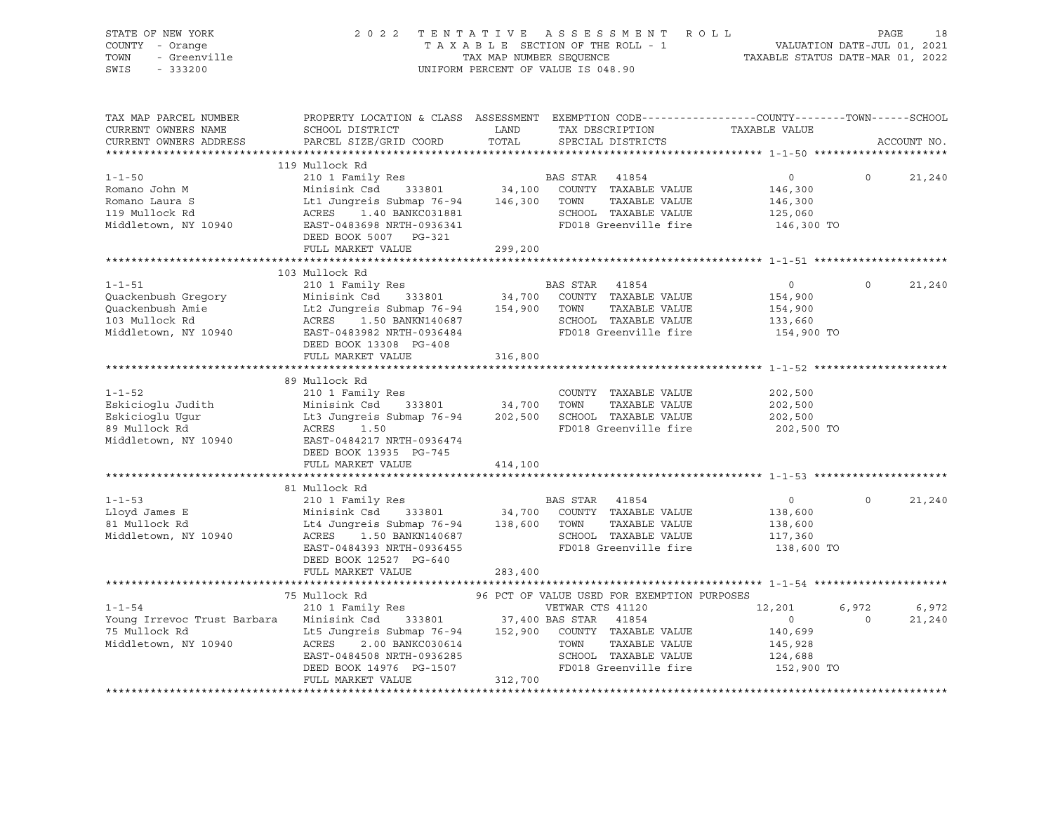| STATE OF NEW YORK<br>COUNTY - Orange<br>TOWN<br>- Greenville<br>SWIS<br>$-333200$                                                                                                                                                                      | 2022 TENTATIVE                                                                                                                                                                                                                                                      |                      | ASSESSMENT ROLL<br>TAXABLE SECTION OF THE ROLL - 1<br>TAXABLE SECTION OF THE ROLL - 1<br>TAXABLE STATUS DATE-MAR 01, 2022<br>UNIFORM PERCENT OF VALUE IS 048.90 |                                                                         | PAGE             | 18              |
|--------------------------------------------------------------------------------------------------------------------------------------------------------------------------------------------------------------------------------------------------------|---------------------------------------------------------------------------------------------------------------------------------------------------------------------------------------------------------------------------------------------------------------------|----------------------|-----------------------------------------------------------------------------------------------------------------------------------------------------------------|-------------------------------------------------------------------------|------------------|-----------------|
| TAX MAP PARCEL NUMBER<br>CURRENT OWNERS NAME<br>CURRENT OWNERS ADDRESS                                                                                                                                                                                 | PROPERTY LOCATION & CLASS ASSESSMENT EXEMPTION CODE----------------COUNTY-------TOWN-----SCHOOL<br>SCHOOL DISTRICT<br>PARCEL SIZE/GRID COORD                                                                                                                        | <b>LAND</b><br>TOTAL | TAX DESCRIPTION TAXABLE VALUE<br>SPECIAL DISTRICTS                                                                                                              |                                                                         |                  | ACCOUNT NO.     |
|                                                                                                                                                                                                                                                        | 119 Mullock Rd                                                                                                                                                                                                                                                      |                      |                                                                                                                                                                 |                                                                         |                  |                 |
| $1 - 1 - 50$<br>1-1-50 210 1 Family Res<br>Romano John M Minisink Csd 333801 34,100 COUNTY TAXABLE VALUE<br>Romano Laura S Lt1 Jungreis Submap 76-94 146,300 TOWN TAXABLE VALUE<br>119 Mullock Rd ACRES 1.40 BANKC031881 SCHOOL TAXABLE VALUE<br>Middl | 210 1 Family Res<br>DEED BOOK 5007 PG-321                                                                                                                                                                                                                           |                      | BAS STAR 41854<br>COUNTY TAXABLE VALUE<br>FD018 Greenville fire                                                                                                 | $\overline{0}$<br>146,300<br>146,300<br>125,060<br>146,300 TO           | $\Omega$         | 21,240          |
|                                                                                                                                                                                                                                                        | FULL MARKET VALUE                                                                                                                                                                                                                                                   | 299,200              |                                                                                                                                                                 |                                                                         |                  |                 |
|                                                                                                                                                                                                                                                        |                                                                                                                                                                                                                                                                     |                      |                                                                                                                                                                 |                                                                         |                  |                 |
| $1 - 1 - 51$                                                                                                                                                                                                                                           | 103 Mullock Rd<br>210 1 Family Res<br>333801 34,700<br>DEED BOOK 13308 PG-408                                                                                                                                                                                       |                      | BAS STAR 41854<br>SCHOOL TAXABLE VALUE<br>FD018 Greenville fire                                                                                                 | $\overline{0}$<br>154,900<br>154,900<br>133,660<br>154,900 TO           | $\Omega$         | 21,240          |
|                                                                                                                                                                                                                                                        | FULL MARKET VALUE                                                                                                                                                                                                                                                   | 316,800              |                                                                                                                                                                 |                                                                         |                  |                 |
|                                                                                                                                                                                                                                                        |                                                                                                                                                                                                                                                                     |                      |                                                                                                                                                                 |                                                                         |                  |                 |
| $1 - 1 - 52$<br>Eskicioglu Judith Minisink Csd 333801 34,700 TOWN TAXABLE VALUE<br>Eskicioglu Ugur Lt3 Jungreis Submap 76-94 202,500 SCHOOL TAXABLE VALUE<br>89 Mullock Rd ACRES 1.50 PD018 Greenville fire<br>Middletown, NY 10940 EAST-0484217 NRT   | 89 Mullock Rd<br>210 1 Family Res<br>DEED BOOK 13935 PG-745                                                                                                                                                                                                         |                      | COUNTY TAXABLE VALUE<br>FD018 Greenville fire                                                                                                                   | 202,500<br>202,500<br>202,500<br>202,500 TO                             |                  |                 |
|                                                                                                                                                                                                                                                        | FULL MARKET VALUE                                                                                                                                                                                                                                                   | 414,100              |                                                                                                                                                                 |                                                                         |                  |                 |
|                                                                                                                                                                                                                                                        |                                                                                                                                                                                                                                                                     |                      |                                                                                                                                                                 |                                                                         |                  |                 |
| $1 - 1 - 53$<br>Lloyd James E<br>81 Mullock Rd<br>Middletown, NY 10940                                                                                                                                                                                 | 81 Mullock Rd<br>210 1 Family Res<br>333801 34,700<br>Minisink Csd 333801 34,700 COUNTY TAXABLE VALUE<br>Lt4 Jungreis Submap 76-94 138,600 TOWN TAXABLE VALUE<br>ACRES 1.50 BANKN140687 SCHOOL TAXABLE VALUE<br>EAST-0484393 NRTH-0936455<br>DEED BOOK 12527 PG-640 |                      | BAS STAR 41854<br>FD018 Greenville fire                                                                                                                         | $\overline{0}$<br>138,600<br>138,600<br>117,360<br>138,600 TO           | $\Omega$         | 21,240          |
|                                                                                                                                                                                                                                                        | FULL MARKET VALUE                                                                                                                                                                                                                                                   | 283,400              |                                                                                                                                                                 |                                                                         |                  |                 |
|                                                                                                                                                                                                                                                        | 75 Mullock Rd                                                                                                                                                                                                                                                       |                      | 96 PCT OF VALUE USED FOR EXEMPTION PURPOSES                                                                                                                     |                                                                         |                  |                 |
| $1 - 1 - 54$<br>1-1-34<br>Young Irrevoc Trust Barbara Minisink Csd 333801 37,400 BAS STAR 41854<br>75 Mullock Rd Lt5 Jungreis Submap 76-94 152,900 COUNTY TAXABLE VALUE<br>Middletown, NY 10940                                                        | 210 1 Family Res<br>ACRES 2.00 BANKC030614<br>ACRES 2.00 BANKC030614<br>EAST-0484508 NRTH-0936285<br>DEED BOOK 14976 PG-1507<br>DEED BOOK 14976 PG-1507<br>FULL MARKET VALUE                                                                                        | 312,700              | VETWAR CTS 41120<br>TOWN<br>TAXABLE VALUE<br>SCHOOL TAXABLE VALUE<br>FD018 Greenville fire                                                                      | 12,201<br>$\overline{0}$<br>140,699<br>145,928<br>124,688<br>152,900 TO | 6,972<br>$\circ$ | 6,972<br>21,240 |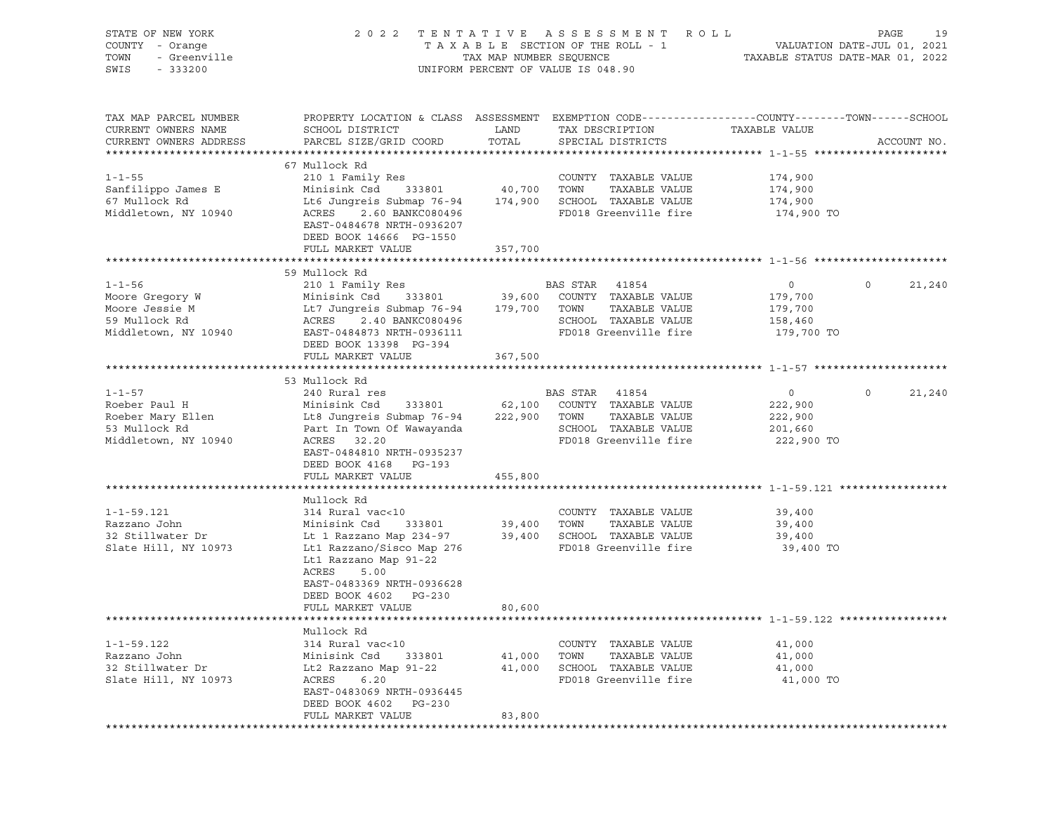| STATE OF NEW YORK<br>COUNTY - Orange<br>- Greenville<br>TOWN<br>SWIS<br>$-333200$           | 2 0 2 2                                                                                                                                                                                                               | TAX MAP NUMBER SEQUENCE      | TENTATIVE ASSESSMENT<br>R O L L<br>TAXABLE SECTION OF THE ROLL - 1<br>UNIFORM PERCENT OF VALUE IS 048.90                                |                                                        | 19<br>PAGE<br>VALUATION DATE-JUL 01, 2021<br>TAXABLE STATUS DATE-MAR 01, 2022 |
|---------------------------------------------------------------------------------------------|-----------------------------------------------------------------------------------------------------------------------------------------------------------------------------------------------------------------------|------------------------------|-----------------------------------------------------------------------------------------------------------------------------------------|--------------------------------------------------------|-------------------------------------------------------------------------------|
| TAX MAP PARCEL NUMBER<br>CURRENT OWNERS NAME<br>CURRENT OWNERS ADDRESS                      | SCHOOL DISTRICT<br>PARCEL SIZE/GRID COORD                                                                                                                                                                             | LAND<br>TOTAL                | PROPERTY LOCATION & CLASS ASSESSMENT EXEMPTION CODE----------------COUNTY-------TOWN-----SCHOOL<br>TAX DESCRIPTION<br>SPECIAL DISTRICTS | TAXABLE VALUE                                          | ACCOUNT NO.                                                                   |
| $1 - 1 - 55$<br>Sanfilippo James E<br>67 Mullock Rd<br>Middletown, NY 10940                 | 67 Mullock Rd<br>210 1 Family Res<br>333801<br>Minisink Csd<br>Lt6 Jungreis Submap 76-94<br>ACRES<br>2.60 BANKC080496<br>EAST-0484678 NRTH-0936207<br>DEED BOOK 14666 PG-1550<br>FULL MARKET VALUE                    | 40,700<br>174,900<br>357,700 | COUNTY TAXABLE VALUE<br>TOWN<br>TAXABLE VALUE<br>SCHOOL TAXABLE VALUE<br>FD018 Greenville fire                                          | 174,900<br>174,900<br>174,900<br>174,900 TO            |                                                                               |
|                                                                                             |                                                                                                                                                                                                                       |                              |                                                                                                                                         |                                                        |                                                                               |
| $1 - 1 - 56$<br>Moore Gregory W<br>Moore Jessie M<br>59 Mullock Rd<br>Middletown, NY 10940  | 59 Mullock Rd<br>210 1 Family Res<br>Minisink Csd<br>333801<br>Lt7 Jungreis Submap 76-94<br>ACRES<br>2.40 BANKC080496<br>EAST-0484873 NRTH-0936111<br>DEED BOOK 13398 PG-394<br>FULL MARKET VALUE                     | 39,600<br>179,700<br>367,500 | BAS STAR<br>41854<br>COUNTY TAXABLE VALUE<br>TOWN<br>TAXABLE VALUE<br>SCHOOL TAXABLE VALUE<br>FD018 Greenville fire                     | $\circ$<br>179,700<br>179,700<br>158,460<br>179,700 TO | $\circ$<br>21,240                                                             |
|                                                                                             | 53 Mullock Rd                                                                                                                                                                                                         |                              |                                                                                                                                         |                                                        |                                                                               |
| $1 - 1 - 57$<br>Roeber Paul H<br>Roeber Mary Ellen<br>53 Mullock Rd<br>Middletown, NY 10940 | 240 Rural res<br>Minisink Csd<br>333801<br>Lt8 Jungreis Submap 76-94<br>Part In Town Of Wawayanda<br>ACRES 32.20<br>EAST-0484810 NRTH-0935237<br>DEED BOOK 4168 PG-193<br>FULL MARKET VALUE                           | 62,100<br>222,900<br>455,800 | BAS STAR 41854<br>COUNTY TAXABLE VALUE<br>TOWN<br>TAXABLE VALUE<br>SCHOOL TAXABLE VALUE<br>FD018 Greenville fire                        | $\circ$<br>222,900<br>222,900<br>201,660<br>222,900 TO | $\mathsf{O}$<br>21,240                                                        |
|                                                                                             |                                                                                                                                                                                                                       |                              |                                                                                                                                         |                                                        |                                                                               |
| $1 - 1 - 59.121$<br>Razzano John<br>32 Stillwater Dr<br>Slate Hill, NY 10973                | Mullock Rd<br>314 Rural vac<10<br>333801<br>Minisink Csd<br>Lt 1 Razzano Map 234-97<br>Lt1 Razzano/Sisco Map 276<br>Lt1 Razzano Map 91-22<br>ACRES<br>5.00<br>EAST-0483369 NRTH-0936628<br>DEED BOOK 4602<br>$PG-230$ | 39,400<br>39,400             | COUNTY TAXABLE VALUE<br>TOWN<br>TAXABLE VALUE<br>SCHOOL TAXABLE VALUE<br>FD018 Greenville fire                                          | 39,400<br>39,400<br>39,400<br>39,400 TO                |                                                                               |
|                                                                                             | FULL MARKET VALUE                                                                                                                                                                                                     | 80,600                       |                                                                                                                                         |                                                        |                                                                               |
|                                                                                             |                                                                                                                                                                                                                       |                              |                                                                                                                                         |                                                        |                                                                               |
| $1 - 1 - 59.122$<br>Razzano John<br>32 Stillwater Dr<br>Slate Hill, NY 10973                | Mullock Rd<br>314 Rural vac<10<br>Minisink Csd<br>333801<br>Lt2 Razzano Map 91-22<br>ACRES<br>6.20<br>EAST-0483069 NRTH-0936445<br>DEED BOOK 4602<br>PG-230                                                           | 41,000<br>41,000             | COUNTY TAXABLE VALUE<br>TAXABLE VALUE<br>TOWN<br>SCHOOL TAXABLE VALUE<br>FD018 Greenville fire                                          | 41,000<br>41,000<br>41,000<br>41,000 TO                |                                                                               |
|                                                                                             | FULL MARKET VALUE                                                                                                                                                                                                     | 83,800                       |                                                                                                                                         |                                                        |                                                                               |
|                                                                                             |                                                                                                                                                                                                                       |                              |                                                                                                                                         |                                                        |                                                                               |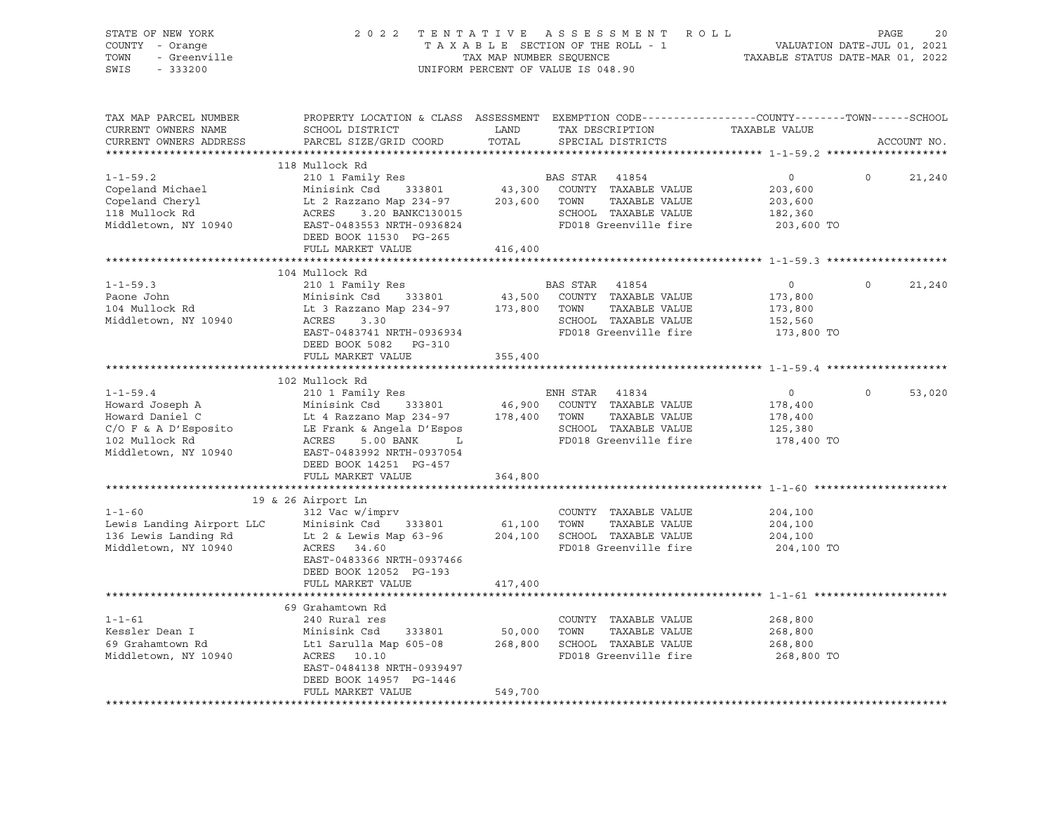| STATE OF NEW YORK<br>COUNTY - Orange<br>- Greenville<br>TOWN<br>SWIS<br>$-333200$ |                                                                                                                                              | TAX MAP NUMBER SEQUENCE | 2022 TENTATIVE ASSESSMENT<br>TAXABLE SECTION OF THE ROLL - 1<br>UNIFORM PERCENT OF VALUE IS 048.90 | ROLL<br>VALUATION DATE-JUL 01, 2021<br>TAXABLE STATUS DATE-MAR 01, 2022 | PAGE     | 20          |
|-----------------------------------------------------------------------------------|----------------------------------------------------------------------------------------------------------------------------------------------|-------------------------|----------------------------------------------------------------------------------------------------|-------------------------------------------------------------------------|----------|-------------|
| TAX MAP PARCEL NUMBER<br>CURRENT OWNERS NAME<br>CURRENT OWNERS ADDRESS            | PROPERTY LOCATION & CLASS ASSESSMENT EXEMPTION CODE----------------COUNTY-------TOWN-----SCHOOL<br>SCHOOL DISTRICT<br>PARCEL SIZE/GRID COORD | LAND<br>TOTAL           | TAX DESCRIPTION<br>SPECIAL DISTRICTS                                                               | TAXABLE VALUE                                                           |          | ACCOUNT NO. |
| ***********************                                                           |                                                                                                                                              |                         |                                                                                                    |                                                                         |          |             |
|                                                                                   | 118 Mullock Rd                                                                                                                               |                         |                                                                                                    |                                                                         |          |             |
| $1 - 1 - 59.2$<br>Copeland Michael                                                | 210 1 Family Res                                                                                                                             | 43,300                  | BAS STAR 41854<br>COUNTY TAXABLE VALUE                                                             | $\circ$<br>203,600                                                      | $\circ$  | 21,240      |
| Copeland Cheryl                                                                   | Minisink Csd 333801<br>Lt 2 Razzano Map 234-97                                                                                               | 203,600                 | TOWN<br>TAXABLE VALUE                                                                              | 203,600                                                                 |          |             |
| 118 Mullock Rd                                                                    | ACRES<br>3.20 BANKC130015                                                                                                                    |                         | SCHOOL TAXABLE VALUE                                                                               | 182,360                                                                 |          |             |
| Middletown, NY 10940                                                              | EAST-0483553 NRTH-0936824                                                                                                                    |                         | FD018 Greenville fire                                                                              | 203,600 TO                                                              |          |             |
|                                                                                   | DEED BOOK 11530 PG-265                                                                                                                       |                         |                                                                                                    |                                                                         |          |             |
|                                                                                   | FULL MARKET VALUE                                                                                                                            | 416,400                 |                                                                                                    |                                                                         |          |             |
|                                                                                   | ***************************                                                                                                                  |                         | ****************************** 1-1-59.3 ******                                                     |                                                                         |          |             |
|                                                                                   | 104 Mullock Rd                                                                                                                               |                         |                                                                                                    |                                                                         |          |             |
| $1 - 1 - 59.3$                                                                    | 210 1 Family Res                                                                                                                             |                         | BAS STAR<br>41854                                                                                  | $\overline{0}$                                                          | $\circ$  | 21,240      |
| Paone John                                                                        | Minisink Csd<br>333801                                                                                                                       | 43,500                  | COUNTY TAXABLE VALUE                                                                               | 173,800                                                                 |          |             |
| 104 Mullock Rd                                                                    | Lt 3 Razzano Map 234-97                                                                                                                      | 173,800                 | TAXABLE VALUE<br>TOWN                                                                              | 173,800                                                                 |          |             |
| Middletown, NY 10940                                                              | ACRES<br>3.30<br>EAST-0483741 NRTH-0936934                                                                                                   |                         | SCHOOL TAXABLE VALUE<br>FD018 Greenville fire                                                      | 152,560                                                                 |          |             |
|                                                                                   | DEED BOOK 5082 PG-310                                                                                                                        |                         |                                                                                                    | 173,800 TO                                                              |          |             |
|                                                                                   | FULL MARKET VALUE                                                                                                                            | 355,400                 |                                                                                                    |                                                                         |          |             |
|                                                                                   | *********************************                                                                                                            | ************            |                                                                                                    |                                                                         |          |             |
|                                                                                   | 102 Mullock Rd                                                                                                                               |                         |                                                                                                    |                                                                         |          |             |
| $1 - 1 - 59.4$                                                                    | 210 1 Family Res                                                                                                                             |                         | ENH STAR<br>41834                                                                                  | $\circ$                                                                 | $\Omega$ | 53,020      |
| Howard Joseph A                                                                   | Minisink Csd 333801                                                                                                                          | 46,900                  | COUNTY TAXABLE VALUE                                                                               | 178,400                                                                 |          |             |
| Howard Daniel C                                                                   | Lt 4 Razzano Map 234-97                                                                                                                      | 178,400                 | TAXABLE VALUE<br>TOWN                                                                              | 178,400                                                                 |          |             |
| C/O F & A D'Esposito                                                              | LE Frank & Angela D'Espos                                                                                                                    |                         | SCHOOL TAXABLE VALUE                                                                               | 125,380                                                                 |          |             |
| 102 Mullock Rd                                                                    | 5.00 BANK<br>ACRES<br>$\mathbf{L}$                                                                                                           |                         | FD018 Greenville fire                                                                              | 178,400 TO                                                              |          |             |
| Middletown, NY 10940                                                              | EAST-0483992 NRTH-0937054                                                                                                                    |                         |                                                                                                    |                                                                         |          |             |
|                                                                                   | DEED BOOK 14251 PG-457<br>FULL MARKET VALUE                                                                                                  |                         |                                                                                                    |                                                                         |          |             |
|                                                                                   | **********************                                                                                                                       | 364,800                 |                                                                                                    |                                                                         |          |             |
|                                                                                   | 19 & 26 Airport Ln                                                                                                                           |                         |                                                                                                    |                                                                         |          |             |
| $1 - 1 - 60$                                                                      | 312 Vac w/imprv                                                                                                                              |                         | COUNTY TAXABLE VALUE                                                                               | 204,100                                                                 |          |             |
| Lewis Landing Airport LLC                                                         | Minisink Csd<br>333801                                                                                                                       | 61,100                  | TOWN<br>TAXABLE VALUE                                                                              | 204,100                                                                 |          |             |
| 136 Lewis Landing Rd                                                              | Lt 2 & Lewis Map 63-96                                                                                                                       |                         | 204,100 SCHOOL TAXABLE VALUE                                                                       | 204,100                                                                 |          |             |
| Middletown, NY 10940                                                              | ACRES 34.60                                                                                                                                  |                         | FD018 Greenville fire                                                                              | 204,100 TO                                                              |          |             |
|                                                                                   | EAST-0483366 NRTH-0937466                                                                                                                    |                         |                                                                                                    |                                                                         |          |             |
|                                                                                   | DEED BOOK 12052 PG-193                                                                                                                       |                         |                                                                                                    |                                                                         |          |             |
|                                                                                   | FULL MARKET VALUE                                                                                                                            | 417,400                 |                                                                                                    |                                                                         |          |             |
|                                                                                   |                                                                                                                                              |                         |                                                                                                    |                                                                         |          |             |
|                                                                                   | 69 Grahamtown Rd                                                                                                                             |                         |                                                                                                    |                                                                         |          |             |
| $1 - 1 - 61$<br>Kessler Dean I                                                    | 240 Rural res<br>Minisink Csd<br>333801                                                                                                      | 50,000                  | COUNTY TAXABLE VALUE<br>TOWN<br>TAXABLE VALUE                                                      | 268,800<br>268,800                                                      |          |             |
| 69 Grahamtown Rd                                                                  | Lt1 Sarulla Map 605-08                                                                                                                       |                         | 268,800 SCHOOL TAXABLE VALUE                                                                       | 268,800                                                                 |          |             |
| Middletown, NY 10940                                                              | ACRES 10.10                                                                                                                                  |                         | FD018 Greenville fire                                                                              | 268,800 TO                                                              |          |             |
|                                                                                   | EAST-0484138 NRTH-0939497                                                                                                                    |                         |                                                                                                    |                                                                         |          |             |
|                                                                                   | DEED BOOK 14957 PG-1446                                                                                                                      |                         |                                                                                                    |                                                                         |          |             |
|                                                                                   | FULL MARKET VALUE                                                                                                                            | 549,700                 |                                                                                                    |                                                                         |          |             |
|                                                                                   |                                                                                                                                              |                         |                                                                                                    |                                                                         |          |             |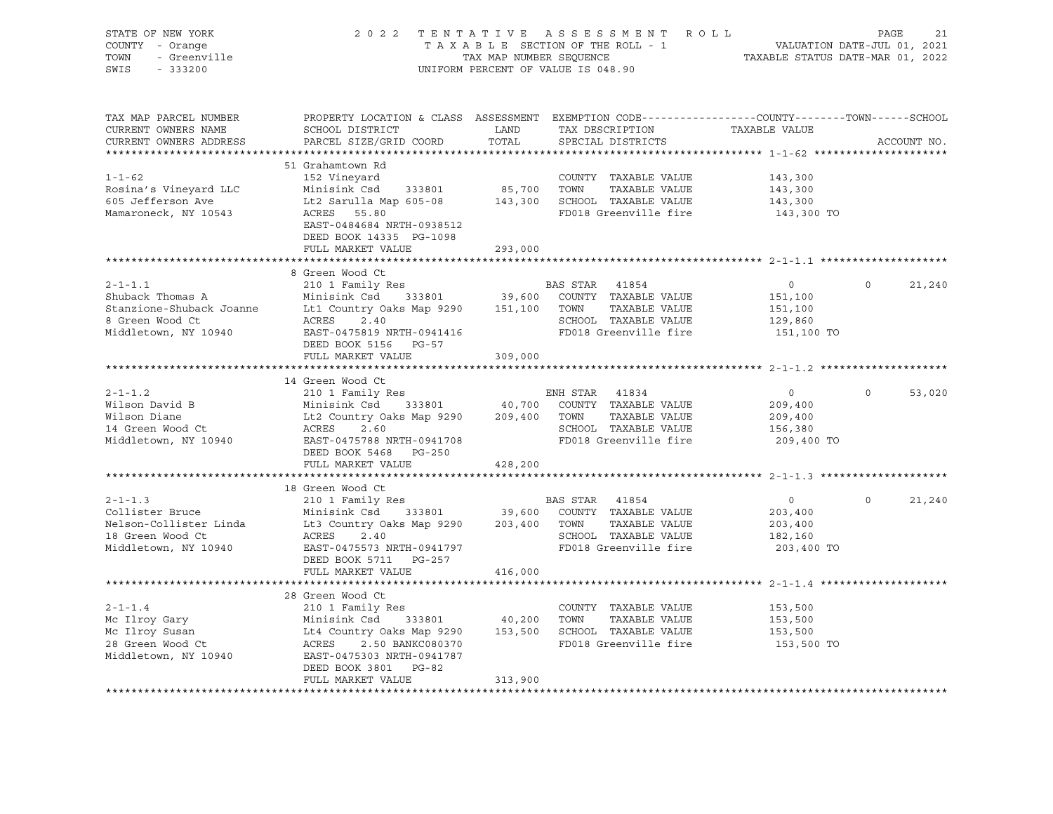|                        |                                                                                                                                                                                   |         |                       | 151,100        |                |        |
|------------------------|-----------------------------------------------------------------------------------------------------------------------------------------------------------------------------------|---------|-----------------------|----------------|----------------|--------|
| 8 Green Wood Ct        | Shuback Thomas A Minisink Csd 333801 39,600 COUNTY TAXABLE VALUE<br>Stanzione-Shuback Joanne Lt1 Country Oaks Map 9290 151,100 TOWN TAXABLE VALUE<br>2.40<br>ACRES                |         | SCHOOL TAXABLE VALUE  | 129,860        |                |        |
| Middletown, NY 10940   | EAST-0475819 NRTH-0941416                                                                                                                                                         |         | FD018 Greenville fire | 151,100 TO     |                |        |
|                        | DEED BOOK 5156 PG-57                                                                                                                                                              |         |                       |                |                |        |
|                        | FULL MARKET VALUE                                                                                                                                                                 | 309,000 |                       |                |                |        |
|                        |                                                                                                                                                                                   |         |                       |                |                |        |
|                        | 14 Green Wood Ct                                                                                                                                                                  |         |                       |                |                |        |
| $2 - 1 - 1.2$          | 210 1 Family Res                                                                                                                                                                  |         | ENH STAR 41834        | $\overline{0}$ | $\overline{0}$ | 53,020 |
| Wilson David B         |                                                                                                                                                                                   |         |                       | 209,400        |                |        |
| Wilson Diane           | Minisink Csd 333801 40,700 COUNTY TAXABLE VALUE<br>Lt2 Country Oaks Map 9290 209,400 TOWN TAXABLE VALUE<br>ACRES 2.60 SCHOOL TAXABLE VALUE                                        |         |                       | 209,400        |                |        |
| 14 Green Wood Ct       | ACRES<br>2.60                                                                                                                                                                     |         | SCHOOL TAXABLE VALUE  | 156,380        |                |        |
|                        | EAST-0475788 NRTH-0941708                                                                                                                                                         |         | FD018 Greenville fire | 209,400 TO     |                |        |
|                        |                                                                                                                                                                                   |         |                       |                |                |        |
| Middletown, NY 10940   |                                                                                                                                                                                   |         |                       |                |                |        |
|                        | DEED BOOK 5468 PG-250<br>FULL MARKET VALUE                                                                                                                                        | 428,200 |                       |                |                |        |
|                        |                                                                                                                                                                                   |         |                       |                |                |        |
|                        | 18 Green Wood Ct                                                                                                                                                                  |         |                       |                |                |        |
| $2 - 1 - 1.3$          | 210 1 Family Res                                                                                                                                                                  |         | BAS STAR 41854        | $\overline{0}$ | $\overline{0}$ | 21,240 |
| Collister Bruce        |                                                                                                                                                                                   |         |                       | 203,400        |                |        |
| Nelson-Collister Linda |                                                                                                                                                                                   |         |                       | 203,400        |                |        |
| 18 Green Wood Ct       | Minisink Csd 333801 39,600 COUNTY TAXABLE VALUE<br>Lt3 Country Oaks Map 9290 203,400 TOWN TAXABLE VALUE<br>ACRES<br>2.40                                                          |         | SCHOOL TAXABLE VALUE  | 182,160        |                |        |
| Middletown, NY 10940   | EAST-0475573 NRTH-0941797                                                                                                                                                         |         | FD018 Greenville fire | 203,400 TO     |                |        |
|                        | DEED BOOK 5711 PG-257                                                                                                                                                             |         |                       |                |                |        |
|                        | FULL MARKET VALUE                                                                                                                                                                 | 416,000 |                       |                |                |        |
|                        |                                                                                                                                                                                   |         |                       |                |                |        |
|                        | 28 Green Wood Ct                                                                                                                                                                  |         |                       |                |                |        |
| $2 - 1 - 1.4$          | 210 1 Family Res                                                                                                                                                                  |         | COUNTY TAXABLE VALUE  | 153,500        |                |        |
| Mc Ilroy Gary          |                                                                                                                                                                                   |         |                       | 153,500        |                |        |
| Mc Ilroy Susan         |                                                                                                                                                                                   |         |                       | 153,500        |                |        |
| 28 Green Wood Ct       | Minisink Csd 333801 40,200 TOWN TAXABLE VALUE<br>Lt4 Country Oaks Map 9290 153,500 SCHOOL TAXABLE VALUE<br>ACRES 2.50 BANKC080370 FD018 Greenville fire<br>ACRES 2.50 BANKC080370 |         | FD018 Greenville fire | 153,500 TO     |                |        |
| Middletown, NY 10940   | EAST-0475303 NRTH-0941787                                                                                                                                                         |         |                       |                |                |        |
|                        | DEED BOOK 3801 PG-82                                                                                                                                                              |         |                       |                |                |        |
|                        | FULL MARKET VALUE                                                                                                                                                                 | 313,900 |                       |                |                |        |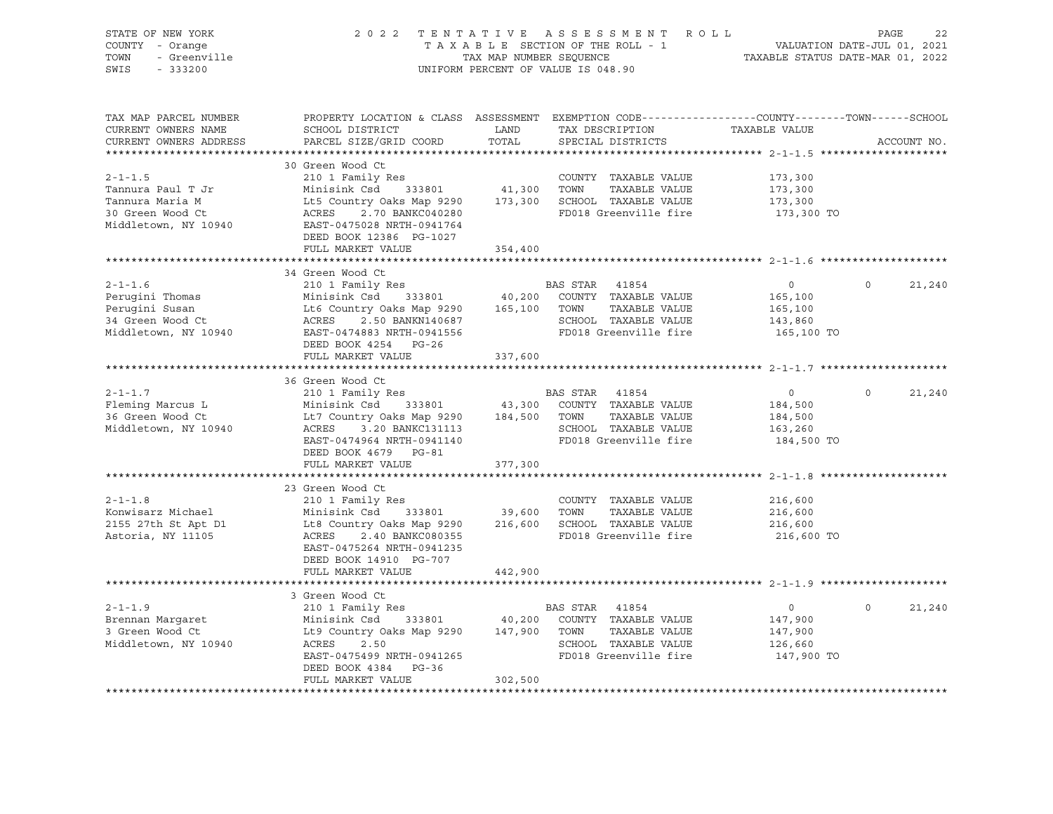| STATE OF NEW YORK<br>COUNTY - Orange<br>TOWN<br>- Greenville<br>SWIS<br>$-333200$                 |                                                                                                                                                                                                                                    | TAX MAP NUMBER SEQUENCE           | 2022 TENTATIVE ASSESSMENT ROLL<br>TAXABLE SECTION OF THE ROLL - 1<br>UNIFORM PERCENT OF VALUE IS 048.90                 | TAXABLE STATUS DATE-MAR 01, 2022                              | PAGE<br>VALUATION DATE-JUL 01, 2021 | 22     |
|---------------------------------------------------------------------------------------------------|------------------------------------------------------------------------------------------------------------------------------------------------------------------------------------------------------------------------------------|-----------------------------------|-------------------------------------------------------------------------------------------------------------------------|---------------------------------------------------------------|-------------------------------------|--------|
| TAX MAP PARCEL NUMBER<br>CURRENT OWNERS NAME<br>CURRENT OWNERS ADDRESS                            | PROPERTY LOCATION & CLASS ASSESSMENT EXEMPTION CODE---------------COUNTY-------TOWN------SCHOOL<br>SCHOOL DISTRICT<br>PARCEL SIZE/GRID COORD                                                                                       | LAND<br>TOTAL                     | TAX DESCRIPTION<br>SPECIAL DISTRICTS                                                                                    | TAXABLE VALUE                                                 | ACCOUNT NO.                         |        |
| $2 - 1 - 1.5$<br>Tannura Paul T Jr<br>Tannura Maria M<br>30 Green Wood Ct<br>Middletown, NY 10940 | 30 Green Wood Ct<br>210 1 Family Res<br>Minisink Csd<br>333801<br>Lt5 Country Oaks Map 9290 173,300 SCHOOL TAXABLE VALUE<br>ACRES<br>2.70 BANKC040280<br>EAST-0475028 NRTH-0941764<br>DEED BOOK 12386 PG-1027<br>FULL MARKET VALUE | 41,300<br>354,400                 | COUNTY TAXABLE VALUE<br>TOWN<br>TAXABLE VALUE<br>FD018 Greenville fire                                                  | 173,300<br>173,300<br>173,300<br>173,300 TO                   |                                     |        |
|                                                                                                   |                                                                                                                                                                                                                                    |                                   |                                                                                                                         |                                                               |                                     |        |
| $2 - 1 - 1.6$<br>Perugini Thomas<br>Perugini Susan<br>34 Green Wood Ct<br>Middletown, NY 10940    | 34 Green Wood Ct<br>210 1 Family Res<br>Minisink Csd 333801<br>Lt6 Country Oaks Map 9290 165,100<br>2.50 BANKN140687<br>ACRES<br>EAST-0474883 NRTH-0941556<br>DEED BOOK 4254 PG-26                                                 |                                   | BAS STAR 41854<br>40,200 COUNTY TAXABLE VALUE<br>TAXABLE VALUE<br>TOWN<br>SCHOOL TAXABLE VALUE<br>FD018 Greenville fire | $\overline{0}$<br>165,100<br>165,100<br>143,860<br>165,100 TO | $\Omega$                            | 21,240 |
|                                                                                                   | FULL MARKET VALUE                                                                                                                                                                                                                  | 337,600                           |                                                                                                                         |                                                               |                                     |        |
|                                                                                                   |                                                                                                                                                                                                                                    |                                   |                                                                                                                         |                                                               |                                     |        |
| $2 - 1 - 1.7$<br>Fleming Marcus L<br>36 Green Wood Ct<br>Middletown, NY 10940                     | 36 Green Wood Ct<br>210 1 Family Res<br>Minisink Csd<br>333801<br>Lt7 Country Oaks Map 9290 184,500<br>ACRES<br>3.20 BANKC131113<br>EAST-0474964 NRTH-0941140<br>DEED BOOK 4679 PG-81                                              |                                   | BAS STAR 41854<br>43,300 COUNTY TAXABLE VALUE<br>TAXABLE VALUE<br>TOWN<br>SCHOOL TAXABLE VALUE<br>FD018 Greenville fire | $\overline{0}$<br>184,500<br>184,500<br>163,260<br>184,500 TO | $\Omega$                            | 21,240 |
|                                                                                                   | FULL MARKET VALUE                                                                                                                                                                                                                  | 377,300                           |                                                                                                                         |                                                               |                                     |        |
| $2 - 1 - 1.8$<br>Konwisarz Michael<br>2155 27th St Apt D1<br>Astoria, NY 11105                    | 23 Green Wood Ct<br>210 1 Family Res<br>Minisink Csd<br>Lt8 Country Oaks Map 9290 216,600 SCHOOL TAXABLE VALUE<br>ACRES<br>2.40 BANKC080355<br>EAST-0475264 NRTH-0941235<br>DEED BOOK 14910 PG-707<br>FULL MARKET VALUE            | 333801 39,600<br>442,900          | COUNTY TAXABLE VALUE<br>TOWN<br>TAXABLE VALUE<br>FD018 Greenville fire                                                  | 216,600<br>216,600<br>216,600<br>216,600 TO                   |                                     |        |
|                                                                                                   |                                                                                                                                                                                                                                    |                                   |                                                                                                                         |                                                               |                                     |        |
| $2 - 1 - 1.9$<br>Brennan Margaret<br>3 Green Wood Ct<br>Middletown, NY 10940                      | 3 Green Wood Ct<br>210 1 Family Res<br>333801<br>Minisink Csd<br>Lt9 Country Oaks Map 9290<br>ACRES<br>2.50<br>EAST-0475499 NRTH-0941265<br>DEED BOOK 4384 PG-36<br>FULL MARKET VALUE                                              | 40,200<br>147,900 TOWN<br>302,500 | BAS STAR 41854<br>COUNTY TAXABLE VALUE<br>TAXABLE VALUE<br>SCHOOL TAXABLE VALUE<br>FD018 Greenville fire                | $\overline{0}$<br>147,900<br>147,900<br>126,660<br>147,900 TO | $\circ$                             | 21,240 |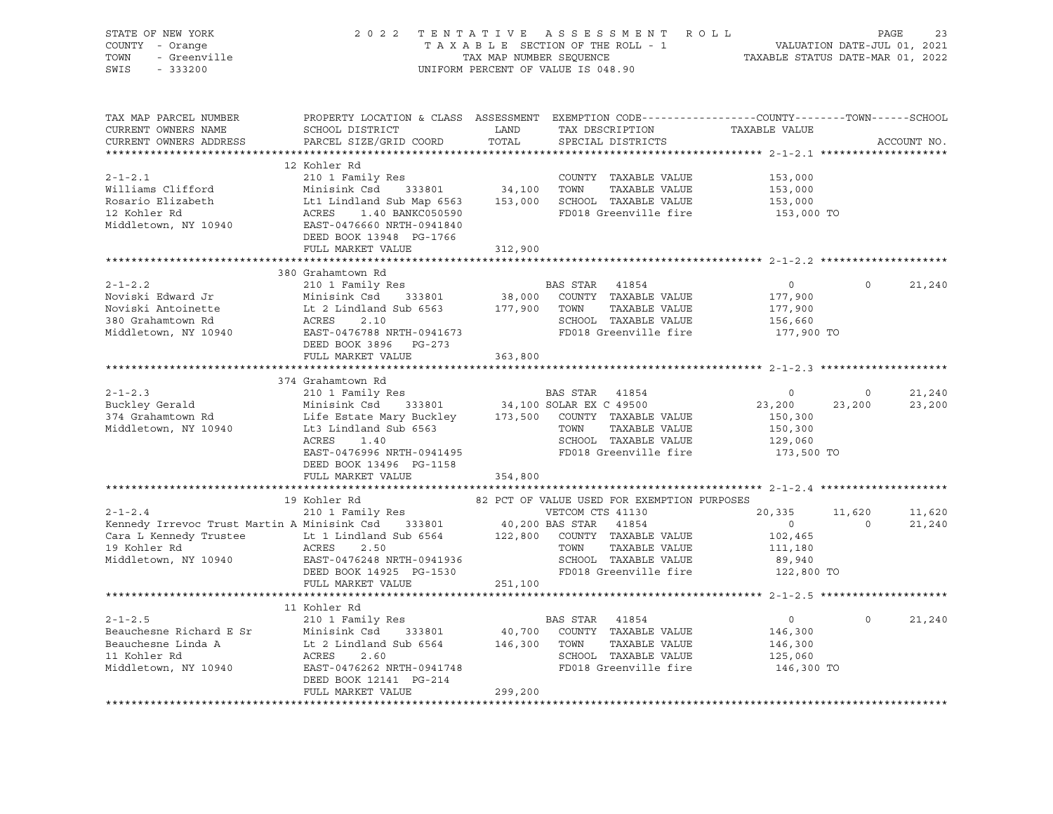| STATE OF NEW YORK<br>COUNTY - Orange<br>TOWN<br>- Greenville<br>SWIS<br>$-333200$ | 2 0 2 2                                                                                                                                       | TENTATIVE<br>TAX MAP NUMBER SEOUENCE | ASSESSMENT ROLL<br>TAXABLE SECTION OF THE ROLL - 1<br>UNIFORM PERCENT OF VALUE IS 048.90 | TAXABLE STATUS DATE-MAR 01, 2022 | VALUATION DATE-JUL 01, 2021 | PAGE<br>23  |
|-----------------------------------------------------------------------------------|-----------------------------------------------------------------------------------------------------------------------------------------------|--------------------------------------|------------------------------------------------------------------------------------------|----------------------------------|-----------------------------|-------------|
| TAX MAP PARCEL NUMBER<br>CURRENT OWNERS NAME<br>CURRENT OWNERS ADDRESS            | PROPERTY LOCATION & CLASS ASSESSMENT EXEMPTION CODE----------------COUNTY-------TOWN------SCHOOL<br>SCHOOL DISTRICT<br>PARCEL SIZE/GRID COORD | LAND<br>TOTAL                        | TAX DESCRIPTION<br>SPECIAL DISTRICTS                                                     | TAXABLE VALUE                    |                             | ACCOUNT NO. |
|                                                                                   |                                                                                                                                               |                                      |                                                                                          |                                  |                             |             |
|                                                                                   | 12 Kohler Rd                                                                                                                                  |                                      |                                                                                          |                                  |                             |             |
| $2 - 1 - 2.1$                                                                     | 210 1 Family Res                                                                                                                              |                                      | COUNTY TAXABLE VALUE                                                                     | 153,000                          |                             |             |
| Williams Clifford                                                                 | Minisink Csd<br>333801                                                                                                                        | 34,100                               | TOWN<br>TAXABLE VALUE                                                                    | 153,000                          |                             |             |
| Rosario Elizabeth                                                                 | Lt1 Lindland Sub Map 6563                                                                                                                     | 153,000                              | SCHOOL TAXABLE VALUE                                                                     | 153,000                          |                             |             |
| 12 Kohler Rd                                                                      | 1.40 BANKC050590<br>ACRES                                                                                                                     |                                      | FD018 Greenville fire                                                                    | 153,000 TO                       |                             |             |
| Middletown, NY 10940                                                              | EAST-0476660 NRTH-0941840<br>DEED BOOK 13948 PG-1766                                                                                          |                                      |                                                                                          |                                  |                             |             |
|                                                                                   | FULL MARKET VALUE                                                                                                                             | 312,900                              |                                                                                          |                                  |                             |             |
|                                                                                   |                                                                                                                                               |                                      |                                                                                          |                                  |                             |             |
|                                                                                   | 380 Grahamtown Rd                                                                                                                             |                                      |                                                                                          |                                  |                             |             |
| $2 - 1 - 2.2$                                                                     | 210 1 Family Res                                                                                                                              |                                      | BAS STAR<br>41854                                                                        | $\circ$                          | $\circ$                     | 21,240      |
| Noviski Edward Jr                                                                 | Minisink Csd<br>333801                                                                                                                        | 38,000                               | COUNTY TAXABLE VALUE                                                                     | 177,900                          |                             |             |
| Noviski Antoinette                                                                | Lt 2 Lindland Sub 6563                                                                                                                        | 177,900                              | TOWN<br>TAXABLE VALUE                                                                    | 177,900                          |                             |             |
| 380 Grahamtown Rd                                                                 | ACRES<br>2.10                                                                                                                                 |                                      | SCHOOL TAXABLE VALUE                                                                     | 156,660                          |                             |             |
| Middletown, NY 10940                                                              | EAST-0476788 NRTH-0941673<br>DEED BOOK 3896 PG-273                                                                                            |                                      | FD018 Greenville fire                                                                    | 177,900 TO                       |                             |             |
|                                                                                   | FULL MARKET VALUE                                                                                                                             | 363,800                              |                                                                                          |                                  |                             |             |
|                                                                                   |                                                                                                                                               |                                      |                                                                                          |                                  |                             |             |
|                                                                                   | 374 Grahamtown Rd                                                                                                                             |                                      |                                                                                          |                                  |                             |             |
| $2 - 1 - 2.3$                                                                     | 210 1 Family Res                                                                                                                              |                                      | BAS STAR 41854                                                                           | $\mathbf{0}$                     | $\circ$                     | 21,240      |
| Buckley Gerald                                                                    | Minisink Csd<br>333801                                                                                                                        |                                      | 34,100 SOLAR EX C 49500                                                                  | 23,200                           | 23,200                      | 23,200      |
| 374 Grahamtown Rd                                                                 | Life Estate Mary Buckley                                                                                                                      | 173,500                              | COUNTY TAXABLE VALUE                                                                     | 150,300                          |                             |             |
| Middletown, NY 10940                                                              | Lt3 Lindland Sub 6563                                                                                                                         |                                      | TOWN<br>TAXABLE VALUE                                                                    | 150,300                          |                             |             |
|                                                                                   | ACRES<br>1.40                                                                                                                                 |                                      | SCHOOL TAXABLE VALUE                                                                     | 129,060                          |                             |             |
|                                                                                   | EAST-0476996 NRTH-0941495                                                                                                                     |                                      | FD018 Greenville fire                                                                    | 173,500 TO                       |                             |             |
|                                                                                   | DEED BOOK 13496 PG-1158                                                                                                                       |                                      |                                                                                          |                                  |                             |             |
|                                                                                   | FULL MARKET VALUE                                                                                                                             | 354,800                              |                                                                                          |                                  |                             |             |
|                                                                                   |                                                                                                                                               |                                      |                                                                                          |                                  |                             |             |
|                                                                                   | 19 Kohler Rd                                                                                                                                  |                                      | 82 PCT OF VALUE USED FOR EXEMPTION PURPOSES                                              |                                  |                             |             |
| $2 - 1 - 2.4$                                                                     | 210 1 Family Res                                                                                                                              |                                      | VETCOM CTS 41130                                                                         | 20,335                           | 11,620                      | 11,620      |
| Kennedy Irrevoc Trust Martin A Minisink Csd                                       | 333801                                                                                                                                        | 40,200 BAS STAR                      | 41854                                                                                    | $\overline{0}$                   | $\Omega$                    | 21,240      |
| Cara L Kennedy Trustee                                                            | Lt 1 Lindland Sub 6564                                                                                                                        | 122,800                              | COUNTY TAXABLE VALUE                                                                     | 102,465                          |                             |             |
| 19 Kohler Rd                                                                      | ACRES<br>2.50                                                                                                                                 |                                      | TAXABLE VALUE<br>TOWN                                                                    | 111,180                          |                             |             |
| Middletown, NY 10940                                                              | EAST-0476248 NRTH-0941936                                                                                                                     |                                      | SCHOOL TAXABLE VALUE                                                                     | 89,940                           |                             |             |
|                                                                                   | DEED BOOK 14925 PG-1530                                                                                                                       |                                      | FD018 Greenville fire                                                                    | 122,800 TO                       |                             |             |
|                                                                                   | FULL MARKET VALUE                                                                                                                             | 251,100                              |                                                                                          |                                  |                             |             |
|                                                                                   |                                                                                                                                               |                                      |                                                                                          |                                  |                             |             |
|                                                                                   | 11 Kohler Rd                                                                                                                                  |                                      |                                                                                          |                                  |                             |             |
| $2 - 1 - 2.5$                                                                     | 210 1 Family Res                                                                                                                              |                                      | BAS STAR<br>41854                                                                        | $\circ$                          | $\Omega$                    | 21,240      |
| Beauchesne Richard E Sr                                                           | Minisink Csd<br>333801                                                                                                                        | 40,700                               | COUNTY TAXABLE VALUE                                                                     | 146,300                          |                             |             |
| Beauchesne Linda A                                                                | Lt 2 Lindland Sub 6564                                                                                                                        | 146,300                              | TOWN<br>TAXABLE VALUE                                                                    | 146,300                          |                             |             |
| 11 Kohler Rd                                                                      | ACRES<br>2.60                                                                                                                                 |                                      | SCHOOL TAXABLE VALUE                                                                     | 125,060                          |                             |             |
| Middletown, NY 10940                                                              | EAST-0476262 NRTH-0941748                                                                                                                     |                                      | FD018 Greenville fire                                                                    | 146,300 TO                       |                             |             |
|                                                                                   | DEED BOOK 12141 PG-214                                                                                                                        |                                      |                                                                                          |                                  |                             |             |
|                                                                                   | FULL MARKET VALUE                                                                                                                             | 299,200                              |                                                                                          |                                  |                             |             |
|                                                                                   |                                                                                                                                               |                                      |                                                                                          |                                  |                             |             |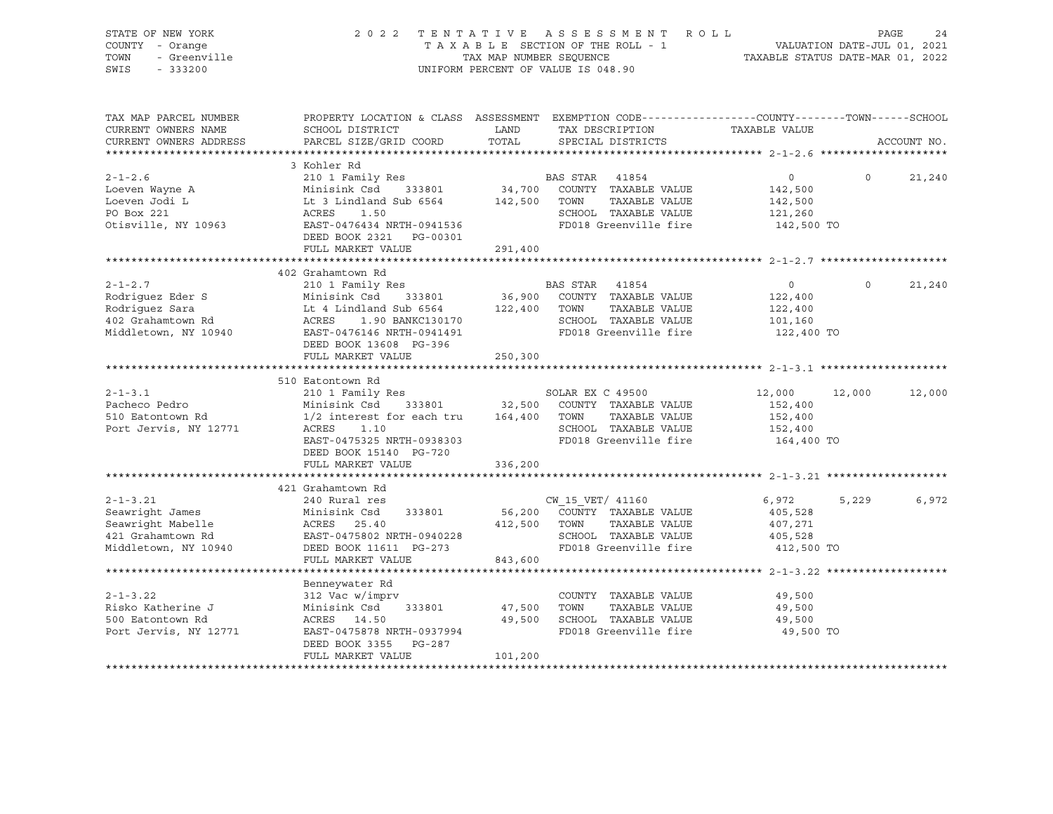| STATE OF NEW YORK<br>COUNTY - Orange<br>TOWN<br>- Greenville<br>SWIS<br>$-333200$                   |                                                                                                                                                              | TAX MAP NUMBER SEQUENCE | 2022 TENTATIVE ASSESSMENT<br>TAXABLE SECTION OF THE ROLL - 1<br>UNIFORM PERCENT OF VALUE IS 048.90                        | R O L L<br>PAGE 24<br>VALUATION DATE-JUL 01, 2021<br>TAXABLE STATIC DATE 11-<br>TAXABLE STATUS DATE-MAR 01, 2022 | PAGE     | 24          |
|-----------------------------------------------------------------------------------------------------|--------------------------------------------------------------------------------------------------------------------------------------------------------------|-------------------------|---------------------------------------------------------------------------------------------------------------------------|------------------------------------------------------------------------------------------------------------------|----------|-------------|
| TAX MAP PARCEL NUMBER<br>CURRENT OWNERS NAME<br>CURRENT OWNERS ADDRESS                              | PROPERTY LOCATION & CLASS ASSESSMENT EXEMPTION CODE---------------COUNTY-------TOWN-----SCHOOL<br>SCHOOL DISTRICT<br>PARCEL SIZE/GRID COORD                  | LAND<br>TOTAL           | TAX DESCRIPTION<br>SPECIAL DISTRICTS                                                                                      | TAXABLE VALUE                                                                                                    |          | ACCOUNT NO. |
|                                                                                                     |                                                                                                                                                              |                         |                                                                                                                           |                                                                                                                  |          |             |
| $2 - 1 - 2.6$                                                                                       | 3 Kohler Rd<br>210 1 Family Res                                                                                                                              |                         | BAS STAR 41854                                                                                                            | $\circ$                                                                                                          | $\Omega$ | 21,240      |
| Loeven Wayne A<br>Loeven Jodi L<br>PO Box 221<br>Otisville, NY 10963                                | Minisink Csd 333801<br>Lt 3 Lindland Sub 6564<br>ACRES<br>1.50<br>EAST-0476434 NRTH-0941536<br>DEED BOOK 2321 PG-00301                                       | 142,500                 | 34,700 COUNTY TAXABLE VALUE<br>TOWN<br>TAXABLE VALUE<br>SCHOOL TAXABLE VALUE<br>FD018 Greenville fire                     | 142,500<br>142,500<br>121,260<br>142,500 TO                                                                      |          |             |
|                                                                                                     | FULL MARKET VALUE                                                                                                                                            | 291,400                 |                                                                                                                           |                                                                                                                  |          |             |
|                                                                                                     | ************************                                                                                                                                     | ************            |                                                                                                                           | ******************** 2-1-2.7 *************                                                                       |          |             |
| $2 - 1 - 2.7$<br>Rodriguez Eder S                                                                   | 402 Grahamtown Rd<br>210 1 Family Res<br>Minisink Csd<br>333801                                                                                              | 36,900                  | BAS STAR 41854<br>COUNTY TAXABLE VALUE                                                                                    | $\circ$<br>122,400                                                                                               | $\Omega$ | 21,240      |
| Rodriquez Sara<br>402 Grahamtown Rd<br>Middletown, NY 10940                                         | Lt 4 Lindland Sub 6564<br>ACRES<br>1.90 BANKC130170<br>EAST-0476146 NRTH-0941491                                                                             | 122,400                 | TOWN<br>TAXABLE VALUE<br>SCHOOL TAXABLE VALUE<br>FD018 Greenville fire                                                    | 122,400<br>101,160<br>122,400 TO                                                                                 |          |             |
|                                                                                                     | DEED BOOK 13608 PG-396<br>FULL MARKET VALUE                                                                                                                  | 250,300                 |                                                                                                                           |                                                                                                                  |          |             |
|                                                                                                     | 510 Eatontown Rd                                                                                                                                             |                         |                                                                                                                           |                                                                                                                  |          |             |
| $2 - 1 - 3.1$<br>Pacheco Pedro<br>510 Eatontown Rd<br>Port Jervis, NY 12771                         | 210 1 Family Res<br>Minisink Csd<br>333801<br>1/2 interest for each tru 164,400 TOWN<br>ACRES<br>1.10<br>EAST-0475325 NRTH-0938303<br>DEED BOOK 15140 PG-720 |                         | SOLAR EX C 49500<br>32,500 COUNTY TAXABLE VALUE<br>TAXABLE VALUE<br>SCHOOL TAXABLE VALUE<br>FD018 Greenville fire         | 12,000<br>152,400<br>152,400<br>152,400<br>164,400 TO                                                            | 12,000   | 12,000      |
|                                                                                                     | FULL MARKET VALUE                                                                                                                                            | 336,200                 |                                                                                                                           |                                                                                                                  |          |             |
|                                                                                                     |                                                                                                                                                              |                         |                                                                                                                           |                                                                                                                  |          |             |
| $2 - 1 - 3.21$<br>Seawright James<br>Seawright Mabelle<br>421 Grahamtown Rd<br>Middletown, NY 10940 | 421 Grahamtown Rd<br>240 Rural res<br>Minisink Csd<br>333801<br>ACRES 25.40<br>EAST-0475802 NRTH-0940228<br>DEED BOOK 11611 PG-273                           | 412,500                 | CW 15 VET/ 41160<br>56,200 COUNTY TAXABLE VALUE<br>TOWN<br>TAXABLE VALUE<br>SCHOOL TAXABLE VALUE<br>FD018 Greenville fire | 6,972<br>405,528<br>407,271<br>405,528<br>412,500 TO                                                             | 5,229    | 6,972       |
|                                                                                                     | FULL MARKET VALUE                                                                                                                                            | 843,600                 |                                                                                                                           |                                                                                                                  |          |             |
|                                                                                                     |                                                                                                                                                              |                         |                                                                                                                           |                                                                                                                  |          |             |
| $2 - 1 - 3.22$<br>Risko Katherine J<br>500 Eatontown Rd<br>Port Jervis, NY 12771                    | Benneywater Rd<br>312 Vac w/imprv<br>Minisink Csd<br>333801<br>ACRES 14.50<br>EAST-0475878 NRTH-0937994                                                      | 47,500<br>49,500        | COUNTY TAXABLE VALUE<br>TOWN<br>TAXABLE VALUE<br>SCHOOL TAXABLE VALUE<br>FD018 Greenville fire                            | 49,500<br>49,500<br>49,500<br>49,500 TO                                                                          |          |             |
|                                                                                                     | DEED BOOK 3355 PG-287<br>FULL MARKET VALUE                                                                                                                   | 101,200                 |                                                                                                                           |                                                                                                                  |          |             |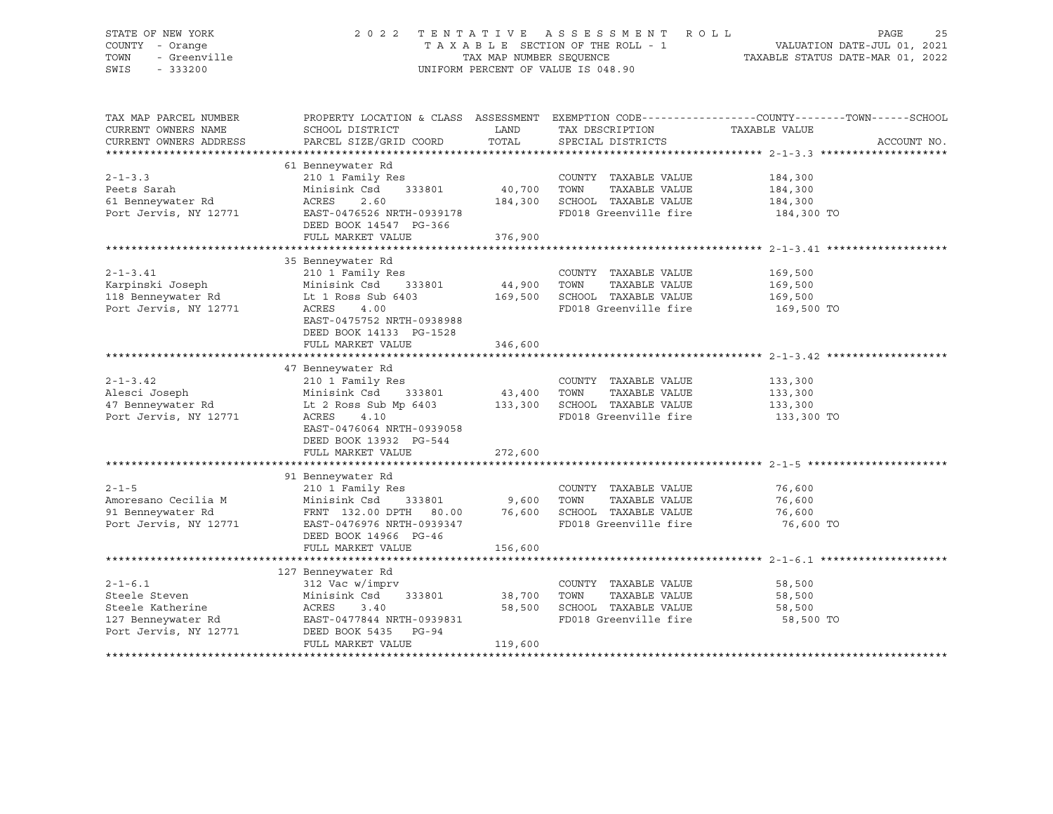## STATE OF NEW YORK 2 0 2 2 T E N T A T I V E A S S E S S M E N T R O L L PAGE 25 COUNTY - Orange T A X A B L E SECTION OF THE ROLL - 1 VALUATION DATE-JUL 01, 2021 TOWN - Greenville TAX MAP NUMBER SEQUENCE TAXABLE STATUS DATE-MAR 01, 2022 SWIS - 333200 UNIFORM PERCENT OF VALUE IS 048.90

| TAX MAP PARCEL NUMBER<br>CURRENT OWNERS NAME<br>CURRENT OWNERS ADDRESS            | SCHOOL DISTRICT<br>PARCEL SIZE/GRID COORD                                                                                                                                                                                                       | LAND<br>TOTAL               | TAX DESCRIPTION<br>SPECIAL DISTRICTS                                                                              | PROPERTY LOCATION & CLASS ASSESSMENT EXEMPTION CODE---------------COUNTY-------TOWN------SCHOOL<br>TAXABLE VALUE<br>ACCOUNT NO. |  |
|-----------------------------------------------------------------------------------|-------------------------------------------------------------------------------------------------------------------------------------------------------------------------------------------------------------------------------------------------|-----------------------------|-------------------------------------------------------------------------------------------------------------------|---------------------------------------------------------------------------------------------------------------------------------|--|
|                                                                                   |                                                                                                                                                                                                                                                 |                             |                                                                                                                   |                                                                                                                                 |  |
| $2 - 1 - 3.3$<br>Peets Sarah<br>61 Benneywater Rd<br>Port Jervis, NY 12771        | 61 Benneywater Rd<br>210 1 Family Res<br>Minisink Csd 333801 40,700 TOWN<br>2.60<br>ACRES<br>EAST-0476526 NRTH-0939178<br>DEED BOOK 14547 PG-366                                                                                                | 184,300                     | COUNTY TAXABLE VALUE<br>TAXABLE VALUE<br>SCHOOL TAXABLE VALUE<br>FD018 Greenville fire 184,300 TO                 | 184,300<br>184,300<br>184,300                                                                                                   |  |
|                                                                                   | FULL MARKET VALUE                                                                                                                                                                                                                               | 376,900                     |                                                                                                                   |                                                                                                                                 |  |
|                                                                                   |                                                                                                                                                                                                                                                 |                             |                                                                                                                   |                                                                                                                                 |  |
| $2 - 1 - 3.41$<br>Karpinski Joseph<br>118 Benneywater Rd<br>Port Jervis, NY 12771 | 35 Benneywater Rd<br>210 1 Family Res<br>Minisink Csd 333801<br>Lt 1 Ross Sub 6403<br>ACRES<br>4.00<br>EAST-0475752 NRTH-0938988<br>DEED BOOK 14133 PG-1528                                                                                     | COUNTY<br>44,900 TOWN       | COUNTY TAXABLE VALUE<br>TAXABLE VALUE<br>169,500 SCHOOL TAXABLE VALUE 169,500<br>FD018 Greenville fire 169,500 TO | 169,500<br>169,500                                                                                                              |  |
|                                                                                   | FULL MARKET VALUE                                                                                                                                                                                                                               | 346,600                     |                                                                                                                   |                                                                                                                                 |  |
|                                                                                   |                                                                                                                                                                                                                                                 |                             |                                                                                                                   |                                                                                                                                 |  |
| $2 - 1 - 3.42$<br>Alesci Joseph<br>Port Jervis, NY 12771                          | 47 Benneywater Rd<br>210 1 Family Res<br>333801 43,400 TOWN<br>Minisink Csd<br>47 Benneywater Rd           Lt 2 Ross Sub Mp 6403         133,300   SCHOOL TAXABLE VALUE<br>ACRES<br>4.10<br>EAST-0476064 NRTH-0939058<br>DEED BOOK 13932 PG-544 |                             | COUNTY TAXABLE VALUE<br>TAXABLE VALUE<br>FD018 Greenville fire                                                    | 133,300<br>133,300<br>133,300<br>133,300 TO                                                                                     |  |
|                                                                                   | FULL MARKET VALUE                                                                                                                                                                                                                               | 272,600                     |                                                                                                                   |                                                                                                                                 |  |
| $2 - 1 - 5$<br>Amoresano Cecilia M<br>91 Benneywater Rd<br>Port Jervis, NY 12771  | 91 Benneywater Rd<br>210 1 Family Res<br>Minisink Csd 333801 9,600<br>FRNT 132.00 DPTH 80.00 76,600<br>EAST-0476976 NRTH-0939347<br>DEED BOOK 14966 PG-46                                                                                       |                             | COUNTY TAXABLE VALUE<br>TOWN<br>TAXABLE VALUE<br>SCHOOL TAXABLE VALUE<br>FD018 Greenville fire                    | 76,600<br>76,600<br>76,600<br>76,600 TO                                                                                         |  |
|                                                                                   | FULL MARKET VALUE                                                                                                                                                                                                                               | 156,600                     |                                                                                                                   |                                                                                                                                 |  |
|                                                                                   |                                                                                                                                                                                                                                                 |                             |                                                                                                                   |                                                                                                                                 |  |
| $2 - 1 - 6.1$<br>Steele Steven<br>Steele Katherine<br>Port Jervis, NY 12771       | 127 Benneywater Rd<br>312 Vac w/imprv<br>333801<br>Minisink Csd<br>ACRES 3.40<br>127 Benneywater Rd EAST-0477844 NRTH-0939831<br>DEED BOOK 5435 PG-94<br>FULL MARKET VALUE                                                                      | 38,700<br>58,500<br>119,600 | COUNTY TAXABLE VALUE<br>TOWN<br>TAXABLE VALUE<br>SCHOOL TAXABLE VALUE<br>FD018 Greenville fire                    | 58,500<br>58,500<br>58,500<br>58,500 TO                                                                                         |  |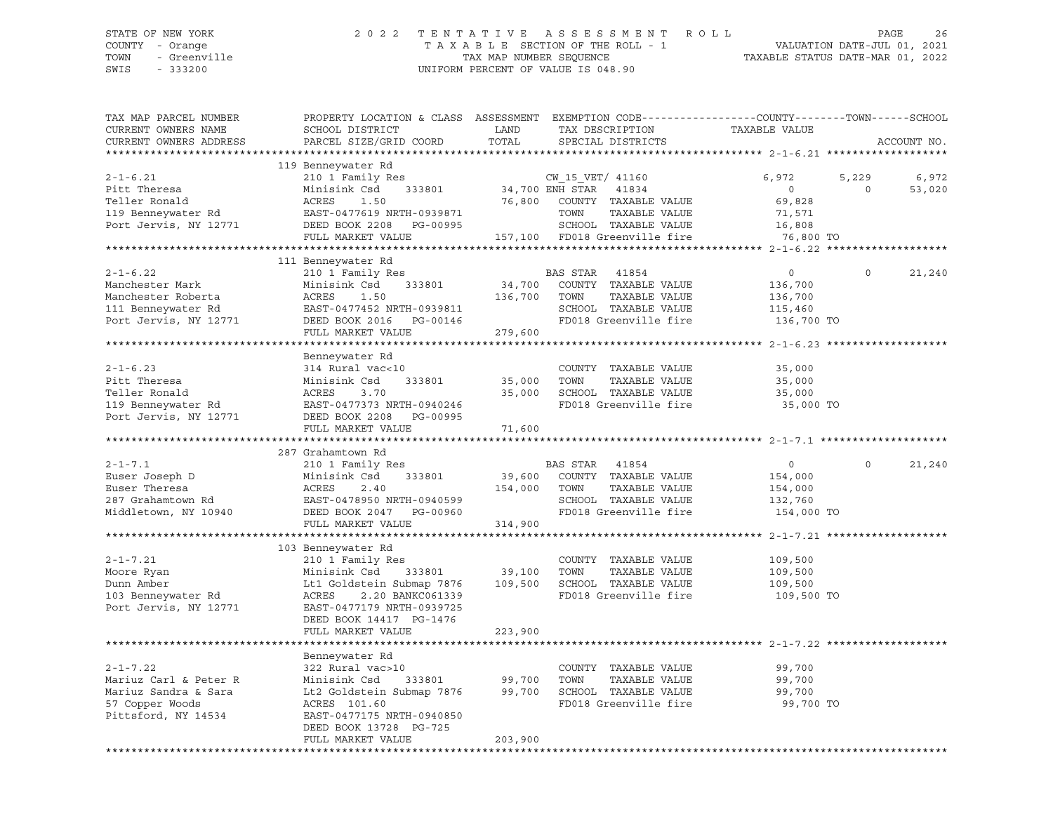SWIS - 333200 UNIFORM PERCENT OF VALUE IS 048.90

# STATE OF NEW YORK 2 0 2 2 T E N T A T I V E A S S E S S M E N T R O L L PAGE 26 COUNTY - Orange T A X A B L E SECTION OF THE ROLL - 1 VALUATION DATE-JUL 01, 2021 TOWN - Greenville TAX MAP NUMBER SEQUENCE TAXABLE STATUS DATE-MAR 01, 2022

| TAX MAP PARCEL NUMBER<br>CURRENT OWNERS NAME                                                              | PROPERTY LOCATION & CLASS ASSESSMENT EXEMPTION CODE---------------COUNTY-------TOWN------SCHOOL<br>SCHOOL DISTRICT                                                                                      | LAND                         | TAX DESCRIPTION                                                                                                                                         | TAXABLE VALUE                                                      |                  |                 |
|-----------------------------------------------------------------------------------------------------------|---------------------------------------------------------------------------------------------------------------------------------------------------------------------------------------------------------|------------------------------|---------------------------------------------------------------------------------------------------------------------------------------------------------|--------------------------------------------------------------------|------------------|-----------------|
| CURRENT OWNERS ADDRESS                                                                                    | PARCEL SIZE/GRID COORD                                                                                                                                                                                  | TOTAL                        | SPECIAL DISTRICTS                                                                                                                                       |                                                                    |                  | ACCOUNT NO.     |
|                                                                                                           | 119 Benneywater Rd                                                                                                                                                                                      |                              |                                                                                                                                                         |                                                                    |                  |                 |
| $2 - 1 - 6.21$<br>Pitt Theresa<br>Teller Ronald<br>119 Benneywater Rd<br>Port Jervis, NY 12771            | 210 1 Family Res<br>,<br>333801<br>Minisink Csd<br>1.50<br>ACRES<br>EAST-0477619 NRTH-0939871<br>DEED BOOK 2208 PG-00995<br>FULL MARKET VALUE                                                           | 76,800                       | CW 15 VET/ 41160<br>$34,700$ ENH STAR $41834$<br>COUNTY TAXABLE VALUE<br>TOWN<br>TAXABLE VALUE<br>SCHOOL TAXABLE VALUE<br>157,100 FD018 Greenville fire | 6,972<br>$\overline{0}$<br>69,828<br>71,571<br>16,808<br>76,800 TO | 5,229<br>$\circ$ | 6,972<br>53,020 |
|                                                                                                           |                                                                                                                                                                                                         |                              |                                                                                                                                                         |                                                                    |                  |                 |
|                                                                                                           | 111 Benneywater Rd                                                                                                                                                                                      |                              |                                                                                                                                                         |                                                                    |                  |                 |
| $2 - 1 - 6.22$<br>Manchester Mark<br>Manchester Roberta<br>111 Benneywater Rd<br>Port Jervis, NY 12771    | 210 1 Family Res<br>Minisink Csd<br>333801<br>ACRES<br>1.50<br>EAST-0477452 NRTH-0939811<br>DEED BOOK 2016    PG-00146                                                                                  | 34,700<br>136,700            | BAS STAR<br>41854<br>COUNTY TAXABLE VALUE<br>TAXABLE VALUE<br>TOWN<br>SCHOOL TAXABLE VALUE<br>FD018 Greenville fire                                     | $\overline{0}$<br>136,700<br>136,700<br>115,460<br>136,700 TO      | $\Omega$         | 21,240          |
|                                                                                                           | FULL MARKET VALUE                                                                                                                                                                                       | 279,600                      |                                                                                                                                                         |                                                                    |                  |                 |
|                                                                                                           |                                                                                                                                                                                                         |                              |                                                                                                                                                         |                                                                    |                  |                 |
| $2 - 1 - 6.23$<br>Pitt Theresa<br>Teller Ronald<br>119 Benneywater Rd<br>Port Jervis, NY 12771            | Benneywater Rd<br>314 Rural vac<10<br>333801<br>Minisink Csd<br>ACRES<br>3.70<br>EAST-0477373 NRTH-0940246<br>DEED BOOK 2208 PG-00995                                                                   | 35,000<br>35,000             | COUNTY TAXABLE VALUE<br>TOWN<br>TAXABLE VALUE<br>SCHOOL TAXABLE VALUE<br>FD018 Greenville fire                                                          | 35,000<br>35,000<br>35,000<br>35,000 TO                            |                  |                 |
|                                                                                                           | FULL MARKET VALUE                                                                                                                                                                                       | 71,600                       |                                                                                                                                                         |                                                                    |                  |                 |
|                                                                                                           | 287 Grahamtown Rd                                                                                                                                                                                       |                              |                                                                                                                                                         |                                                                    |                  |                 |
| $2 - 1 - 7.1$<br>Euser Joseph D<br>Euser Theresa<br>287 Grahamtown Rd<br>Middletown, NY 10940             | 210 1 Family Res<br>Minisink Csd<br>333801<br>ACRES<br>2.40<br>EAST-0478950 NRTH-0940599<br>DEED BOOK 2047 PG-00960                                                                                     | 39,600<br>154,000 TOWN       | BAS STAR 41854<br>COUNTY TAXABLE VALUE<br>TAXABLE VALUE<br>SCHOOL TAXABLE VALUE<br>FD018 Greenville fire                                                | $\circ$<br>154,000<br>154,000<br>132,760<br>154,000 TO             | $\Omega$         | 21,240          |
|                                                                                                           | FULL MARKET VALUE                                                                                                                                                                                       | 314,900                      |                                                                                                                                                         |                                                                    |                  |                 |
|                                                                                                           |                                                                                                                                                                                                         |                              |                                                                                                                                                         |                                                                    |                  |                 |
| $2 - 1 - 7.21$<br>Moore Ryan<br>Dunn Amber<br>103 Benneywater Rd<br>Port Jervis, NY 12771                 | 103 Benneywater Rd<br>210 1 Family Res<br>333801<br>Minisink Csd<br>Lt1 Goldstein Submap 7876<br>2.20 BANKC061339<br>ACRES<br>EAST-0477179 NRTH-0939725<br>DEED BOOK 14417 PG-1476<br>FULL MARKET VALUE | 39,100<br>109,500<br>223,900 | COUNTY TAXABLE VALUE<br>TOWN<br>TAXABLE VALUE<br>SCHOOL TAXABLE VALUE<br>FD018 Greenville fire                                                          | 109,500<br>109,500<br>109,500<br>109,500 TO                        |                  |                 |
|                                                                                                           |                                                                                                                                                                                                         |                              |                                                                                                                                                         |                                                                    |                  |                 |
| $2 - 1 - 7.22$<br>Mariuz Carl & Peter R<br>Mariuz Sandra & Sara<br>57 Copper Woods<br>Pittsford, NY 14534 | Benneywater Rd<br>322 Rural vac>10<br>Minisink Csd<br>333801<br>Lt2 Goldstein Submap 7876<br>ACRES 101.60<br>EAST-0477175 NRTH-0940850<br>DEED BOOK 13728 PG-725<br>FULL MARKET VALUE                   | 99,700<br>99,700<br>203,900  | COUNTY TAXABLE VALUE<br>TOWN<br>TAXABLE VALUE<br>SCHOOL TAXABLE VALUE<br>FD018 Greenville fire                                                          | 99,700<br>99,700<br>99,700<br>99,700 TO                            |                  |                 |
|                                                                                                           |                                                                                                                                                                                                         |                              |                                                                                                                                                         |                                                                    |                  |                 |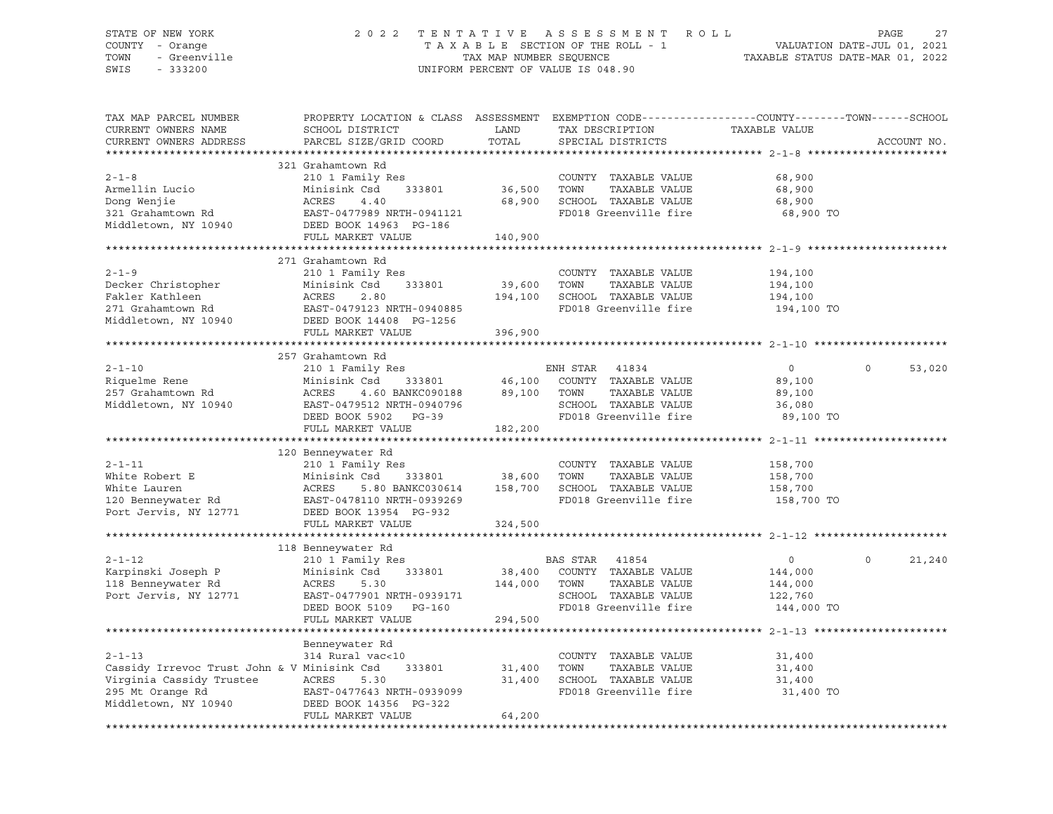## STATE OF NEW YORK 2 0 2 2 T E N T A T I V E A S S E S S M E N T R O L L PAGE 27 COUNTY - Orange T A X A B L E SECTION OF THE ROLL - 1 VALUATION DATE-JUL 01, 2021 TOWN - Greenville TAX MAP NUMBER SEQUENCE TAXABLE STATUS DATE-MAR 01, 2022 SWIS - 333200 UNIFORM PERCENT OF VALUE IS 048.90

| TAX MAP PARCEL NUMBER<br>CURRENT OWNERS NAME<br>CURRENT OWNERS ADDRESS                                                              | PROPERTY LOCATION & CLASS ASSESSMENT EXEMPTION CODE----------------COUNTY--------TOWN------SCHOOL<br>SCHOOL DISTRICT<br>PARCEL SIZE/GRID COORD                | LAND<br>TOTAL                | TAX DESCRIPTION<br>SPECIAL DISTRICTS                                                                                       | TAXABLE VALUE                                          | ACCOUNT NO.        |
|-------------------------------------------------------------------------------------------------------------------------------------|---------------------------------------------------------------------------------------------------------------------------------------------------------------|------------------------------|----------------------------------------------------------------------------------------------------------------------------|--------------------------------------------------------|--------------------|
|                                                                                                                                     |                                                                                                                                                               |                              |                                                                                                                            |                                                        |                    |
| $2 - 1 - 8$<br>Armellin Lucio<br>Dong Wenjie<br>321 Grahamtown Rd<br>Middletown, NY 10940                                           | 321 Grahamtown Rd<br>210 1 Family Res<br>Minisink Csd<br>333801<br>ACRES<br>4.40<br>EAST-0477989 NRTH-0941121<br>DEED BOOK 14963 PG-186<br>FULL MARKET VALUE  | 36,500<br>68,900<br>140,900  | COUNTY TAXABLE VALUE<br>TOWN<br>TAXABLE VALUE<br>SCHOOL TAXABLE VALUE<br>FD018 Greenville fire                             | 68,900<br>68,900<br>68,900<br>68,900 TO                |                    |
|                                                                                                                                     |                                                                                                                                                               |                              |                                                                                                                            |                                                        |                    |
| $2 - 1 - 9$<br>Decker Christopher<br>Fakler Kathleen<br>271 Grahamtown Rd<br>Middletown, NY 10940                                   | 271 Grahamtown Rd<br>210 1 Family Res<br>Minisink Csd<br>333801<br>ACRES<br>2.80<br>EAST-0479123 NRTH-0940885<br>DEED BOOK 14408 PG-1256<br>FULL MARKET VALUE | 39,600<br>194,100<br>396,900 | COUNTY TAXABLE VALUE<br>TOWN<br>TAXABLE VALUE<br>SCHOOL TAXABLE VALUE<br>FD018 Greenville fire                             | 194,100<br>194,100<br>194,100<br>194,100 TO            |                    |
|                                                                                                                                     |                                                                                                                                                               |                              |                                                                                                                            |                                                        |                    |
|                                                                                                                                     | 257 Grahamtown Rd                                                                                                                                             |                              |                                                                                                                            |                                                        |                    |
| $2 - 1 - 10$<br>Riquelme Rene<br>257 Grahamtown Rd<br>Middletown, NY 10940                                                          | 210 1 Family Res<br>Minisink Csd<br>333801<br>ACRES<br>4.60 BANKC090188 89,100<br>EAST-0479512 NRTH-0940796<br>DEED BOOK 5902 PG-39                           | 46,100                       | ENH STAR<br>41834<br>COUNTY TAXABLE VALUE<br>TAXABLE VALUE<br>TOWN<br>SCHOOL TAXABLE VALUE<br>FD018 Greenville fire        | $\circ$<br>89,100<br>89,100<br>36,080<br>89,100 TO     | $\Omega$<br>53,020 |
|                                                                                                                                     | FULL MARKET VALUE                                                                                                                                             | 182,200                      |                                                                                                                            |                                                        |                    |
|                                                                                                                                     |                                                                                                                                                               |                              |                                                                                                                            |                                                        |                    |
| $2 - 1 - 11$<br>White Robert E<br>White Lauren<br>120 Benneywater Rd<br>Port Jervis, NY 12771                                       | 120 Benneywater Rd<br>210 1 Family Res<br>Minisink Csd<br>333801<br>ACRES<br>5.80 BANKC030614<br>EAST-0478110 NRTH-0939269<br>DEED BOOK 13954 PG-932          | 38,600<br>158,700            | COUNTY TAXABLE VALUE<br>TOWN<br>TAXABLE VALUE<br>SCHOOL TAXABLE VALUE<br>FD018 Greenville fire                             | 158,700<br>158,700<br>158,700<br>158,700 TO            |                    |
|                                                                                                                                     | FULL MARKET VALUE                                                                                                                                             | 324,500                      |                                                                                                                            |                                                        |                    |
|                                                                                                                                     | 118 Benneywater Rd                                                                                                                                            |                              |                                                                                                                            |                                                        |                    |
| $2 - 1 - 12$<br>Karpinski Joseph P<br>118 Benneywater Rd<br>Port Jervis, NY 12771                                                   | 210 1 Family Res<br>Minisink Csd<br>333801<br>ACRES<br>5.30<br>EAST-0477901 NRTH-0939171<br>DEED BOOK 5109 PG-160<br>FULL MARKET VALUE                        | 144,000<br>294,500           | BAS STAR<br>41854<br>38,400 COUNTY TAXABLE VALUE<br>TOWN<br>TAXABLE VALUE<br>SCHOOL TAXABLE VALUE<br>FD018 Greenville fire | $\circ$<br>144,000<br>144,000<br>122,760<br>144,000 TO | 21,240<br>$\circ$  |
|                                                                                                                                     |                                                                                                                                                               |                              |                                                                                                                            |                                                        |                    |
| $2 - 1 - 13$<br>Cassidy Irrevoc Trust John & V Minisink Csd<br>Virginia Cassidy Trustee<br>295 Mt Orange Rd<br>Middletown, NY 10940 | Benneywater Rd<br>314 Rural vac<10<br>333801<br>ACRES<br>5.30<br>EAST-0477643 NRTH-0939099<br>DEED BOOK 14356 PG-322<br>FULL MARKET VALUE                     | 31,400<br>31,400<br>64,200   | COUNTY TAXABLE VALUE<br>TAXABLE VALUE<br>TOWN<br>SCHOOL TAXABLE VALUE<br>FD018 Greenville fire                             | 31,400<br>31,400<br>31,400<br>31,400 TO                |                    |
|                                                                                                                                     |                                                                                                                                                               |                              |                                                                                                                            |                                                        |                    |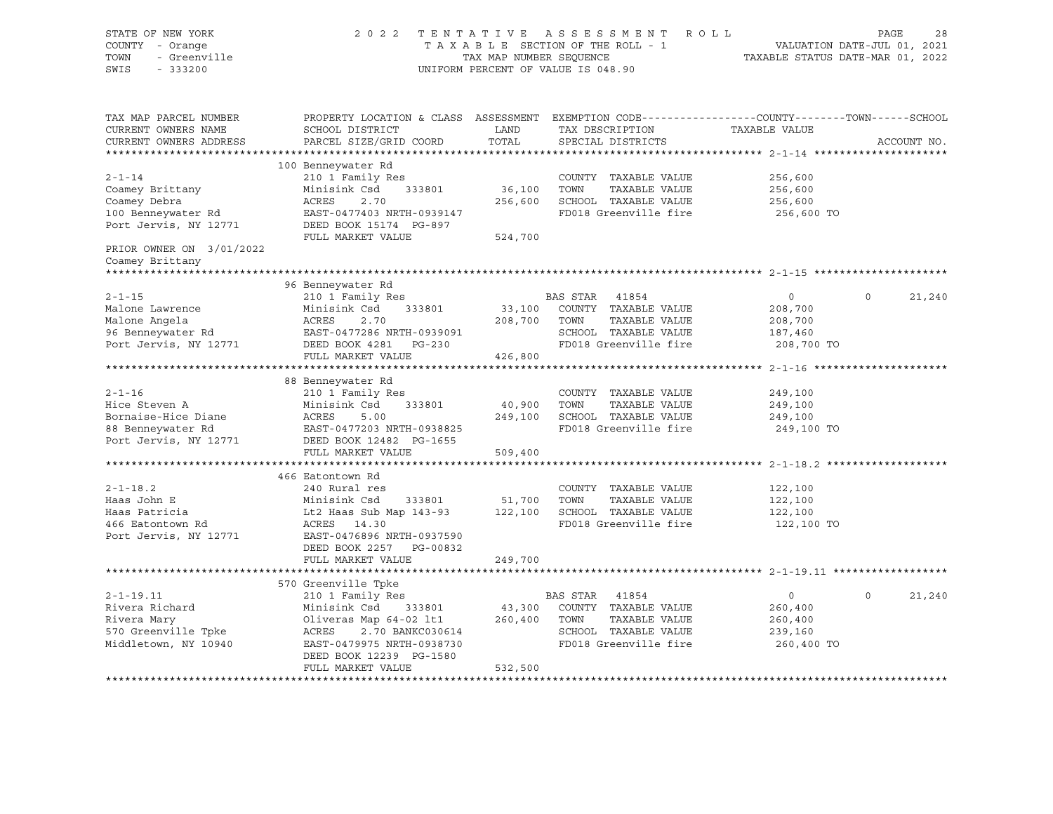| STATE OF NEW YORK<br>COUNTY - Orange<br>TOWN<br>- Greenville<br>SWIS<br>$-333200$                                                             |                                                                                                                                                                                                    | TAX MAP NUMBER SEQUENCE      | 2022 TENTATIVE ASSESSMENT ROLL<br>TAXABLE SECTION OF THE ROLL - 1<br>UNIFORM PERCENT OF VALUE IS 048.90         | PAGE 28<br>VALUATION DATE-JUL 01, 2021<br>TAXABLE STATIIS DATE WILL |                    |
|-----------------------------------------------------------------------------------------------------------------------------------------------|----------------------------------------------------------------------------------------------------------------------------------------------------------------------------------------------------|------------------------------|-----------------------------------------------------------------------------------------------------------------|---------------------------------------------------------------------|--------------------|
| TAX MAP PARCEL NUMBER<br>CURRENT OWNERS NAME<br>CURRENT OWNERS ADDRESS                                                                        | PROPERTY LOCATION & CLASS ASSESSMENT EXEMPTION CODE----------------COUNTY-------TOWN-----SCHOOL<br>SCHOOL DISTRICT<br>PARCEL SIZE/GRID COORD                                                       | LAND<br>TOTAL                | TAX DESCRIPTION TAXABLE VALUE<br>SPECIAL DISTRICTS                                                              |                                                                     | ACCOUNT NO.        |
| $2 - 1 - 14$<br>Coamey Brittany<br>Coamey Debra<br>100 Benneywater Rd<br>Port Jervis, NY 12771<br>PRIOR OWNER ON 3/01/2022<br>Coamey Brittany | 100 Benneywater Rd<br>210 1 Family Res<br>Minisink Csd<br>333801<br>ACRES<br>2.70<br>EAST-0477403 NRTH-0939147<br>FULL MARKET VALUE                                                                | 36,100<br>256,600<br>524,700 | COUNTY TAXABLE VALUE<br>TOWN<br>TAXABLE VALUE<br>SCHOOL TAXABLE VALUE<br>FD018 Greenville fire                  | 256,600<br>256,600<br>256,600<br>256,600 TO                         |                    |
|                                                                                                                                               |                                                                                                                                                                                                    |                              |                                                                                                                 |                                                                     |                    |
| $2 - 1 - 15$                                                                                                                                  | 96 Benneywater Rd<br>210 1 Family Res                                                                                                                                                              |                              | BAS STAR 41854                                                                                                  | $\overline{0}$                                                      | $\Omega$<br>21,240 |
| Malone Lawrence<br>Malone Angela<br>96 Benneywater Rd<br>Port Jervis, NY 12771                                                                | 333801<br>Minisink Csd<br>ACRES<br>2.70<br>EAST-0477286 NRTH-0939091<br>DEED BOOK 4281    PG-230<br>FULL MARKET VALUE                                                                              | 208,700 TOWN<br>426,800      | 33,100 COUNTY TAXABLE VALUE<br>TAXABLE VALUE<br>SCHOOL TAXABLE VALUE<br>FD018 Greenville fire                   | 208,700<br>208,700<br>187,460<br>208,700 TO                         |                    |
|                                                                                                                                               |                                                                                                                                                                                                    |                              |                                                                                                                 |                                                                     |                    |
| $2 - 1 - 16$<br>Hice Steven A<br>Bornaise-Hice Diane<br>88 Benneywater Rd<br>Port Jervis, NY 12771                                            | 88 Benneywater Rd<br>210 1 Family Res<br>Minisink Csd<br>333801<br>ACRES<br>5.00<br>EAST-0477203 NRTH-0938825<br>DEED BOOK 12482 PG-1655                                                           | 40,900                       | COUNTY TAXABLE VALUE<br>TAXABLE VALUE<br>TOWN<br>249,100 SCHOOL TAXABLE VALUE<br>FD018 Greenville fire          | 249,100<br>249,100<br>249,100<br>249,100 TO                         |                    |
|                                                                                                                                               | FULL MARKET VALUE                                                                                                                                                                                  | 509,400                      |                                                                                                                 |                                                                     |                    |
|                                                                                                                                               |                                                                                                                                                                                                    |                              |                                                                                                                 |                                                                     |                    |
| $2 - 1 - 18.2$<br>Haas John E<br>Haas Patricia                                                                                                | 466 Eatontown Rd<br>240 Rural res<br>Minisink Csd<br>333801<br>Lt2 Haas Sub Map 143-93                                                                                                             | 51,700                       | COUNTY TAXABLE VALUE<br>TOWN<br>TAXABLE VALUE<br>122,100 SCHOOL TAXABLE VALUE                                   | 122,100<br>122,100<br>122,100                                       |                    |
| 466 Eatontown Rd<br>Port Jervis, NY 12771                                                                                                     | ACRES 14.30<br>EAST-0476896 NRTH-0937590<br>DEED BOOK 2257 PG-00832<br>FULL MARKET VALUE                                                                                                           | 249,700                      | FD018 Greenville fire                                                                                           | 122,100 TO                                                          |                    |
|                                                                                                                                               |                                                                                                                                                                                                    |                              |                                                                                                                 |                                                                     |                    |
| $2 - 1 - 19.11$<br>Rivera Richard<br>Rivera Mary<br>570 Greenville Tpke<br>Middletown, NY 10940                                               | 570 Greenville Tpke<br>210 1 Family Res<br>Minisink Csd 333801<br>Oliveras Map 64-02 lt1<br>2.70 BANKC030614<br>ACRES<br>EAST-0479975 NRTH-0938730<br>DEED BOOK 12239 PG-1580<br>FULL MARKET VALUE | 260,400 TOWN<br>532,500      | BAS STAR 41854<br>43,300 COUNTY TAXABLE VALUE<br>TAXABLE VALUE<br>SCHOOL TAXABLE VALUE<br>FD018 Greenville fire | $\overline{0}$<br>260,400<br>260,400<br>239,160<br>260,400 TO       | $\circ$<br>21,240  |
|                                                                                                                                               |                                                                                                                                                                                                    |                              |                                                                                                                 |                                                                     |                    |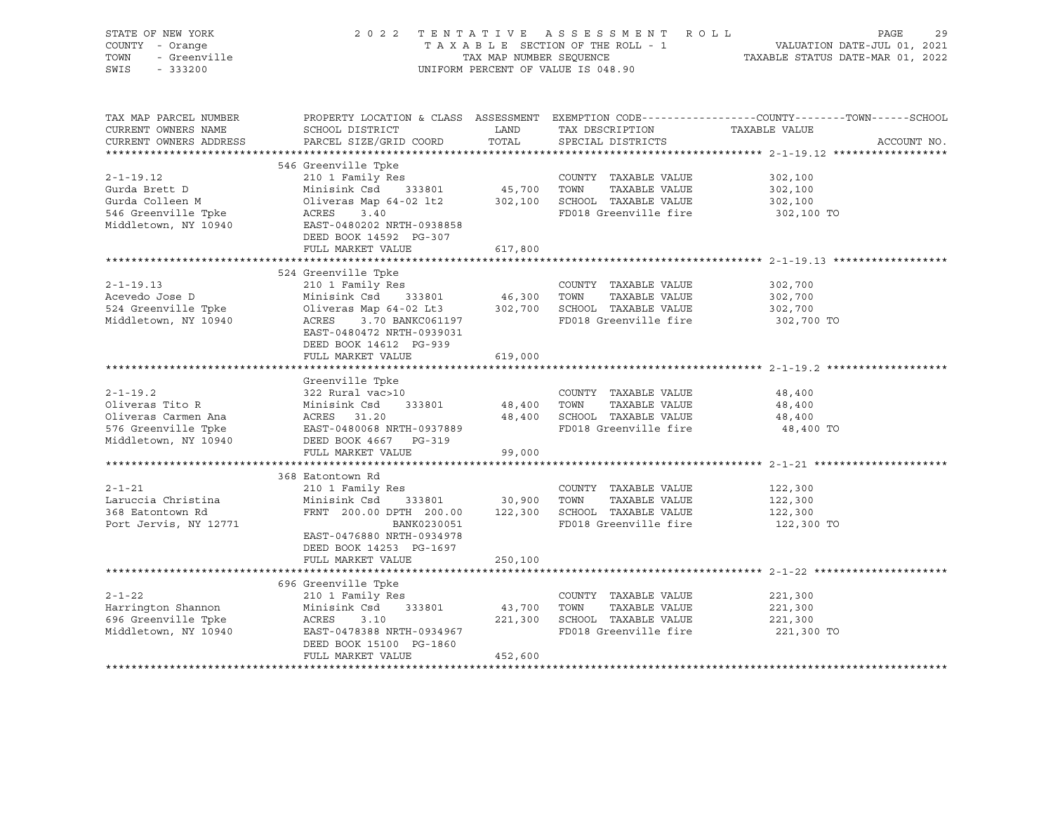| STATE OF NEW YORK<br>COUNTY - Orange<br>- Greenville<br>TOWN<br>SWIS<br>$-333200$ | 2022 TENTATIVE ASSESSMENT ROLL<br>TAXABLE SECTION OF THE ROLL - 1<br>TAX MAP NUMBER SEQUENCE<br>UNIFORM PERCENT OF VALUE IS 048.90       | 29<br>PAGE<br>VALUATION DATE-JUL 01, 2021<br>TAXABLE STATUS DATE-MAR 01, 2022 |                                                      |                                                                                                |
|-----------------------------------------------------------------------------------|------------------------------------------------------------------------------------------------------------------------------------------|-------------------------------------------------------------------------------|------------------------------------------------------|------------------------------------------------------------------------------------------------|
|                                                                                   |                                                                                                                                          |                                                                               |                                                      |                                                                                                |
| TAX MAP PARCEL NUMBER                                                             |                                                                                                                                          |                                                                               |                                                      | PROPERTY LOCATION & CLASS ASSESSMENT EXEMPTION CODE---------------COUNTY-------TOWN-----SCHOOL |
| CURRENT OWNERS NAME                                                               | SCHOOL DISTRICT                                                                                                                          | LAND                                                                          | TAX DESCRIPTION                                      | TAXABLE VALUE                                                                                  |
| CURRENT OWNERS ADDRESS                                                            | PARCEL SIZE/GRID COORD                                                                                                                   | TOTAL                                                                         | SPECIAL DISTRICTS                                    | ACCOUNT NO.                                                                                    |
|                                                                                   | 546 Greenville Tpke                                                                                                                      |                                                                               |                                                      |                                                                                                |
| $2 - 1 - 19.12$                                                                   | 210 1 Family Res                                                                                                                         |                                                                               | COUNTY TAXABLE VALUE                                 | 302,100                                                                                        |
| Gurda Brett D                                                                     | Minisink Csd 333801                                                                                                                      | 45,700 TOWN                                                                   | TAXABLE VALUE                                        | 302,100                                                                                        |
| Gurda Colleen M                                                                   | Oliveras Map 64-02 lt2                                                                                                                   |                                                                               | 302,100 SCHOOL TAXABLE VALUE                         | 302,100                                                                                        |
| 546 Greenville Tpke                                                               | ACRES<br>3.40                                                                                                                            |                                                                               | FD018 Greenville fire                                | 302,100 TO                                                                                     |
| Middletown, NY 10940                                                              | EAST-0480202 NRTH-0938858                                                                                                                |                                                                               |                                                      |                                                                                                |
|                                                                                   | DEED BOOK 14592 PG-307                                                                                                                   |                                                                               |                                                      |                                                                                                |
|                                                                                   | FULL MARKET VALUE                                                                                                                        | 617,800                                                                       |                                                      |                                                                                                |
|                                                                                   |                                                                                                                                          |                                                                               |                                                      |                                                                                                |
| $2 - 1 - 19.13$                                                                   | 524 Greenville Tpke<br>210 1 Family Res                                                                                                  |                                                                               | COUNTY TAXABLE VALUE                                 |                                                                                                |
| Acevedo Jose D                                                                    |                                                                                                                                          |                                                                               |                                                      | 302,700<br>302,700                                                                             |
| 524 Greenville Tpke                                                               | Minisink Csd     333801             46,300   TOWN     TAXABLE VALUE<br>Oliveras Map 64-02 Lt3            302,700   SCHOOL  TAXABLE VALUE |                                                                               |                                                      | 302,700                                                                                        |
| Middletown, NY 10940                                                              | ACRES 3.70 BANKC061197                                                                                                                   |                                                                               | FD018 Greenville fire                                | 302,700 TO                                                                                     |
|                                                                                   | EAST-0480472 NRTH-0939031                                                                                                                |                                                                               |                                                      |                                                                                                |
|                                                                                   | DEED BOOK 14612 PG-939                                                                                                                   |                                                                               |                                                      |                                                                                                |
|                                                                                   | FULL MARKET VALUE                                                                                                                        | 619,000                                                                       |                                                      |                                                                                                |
|                                                                                   |                                                                                                                                          |                                                                               |                                                      |                                                                                                |
|                                                                                   | Greenville Tpke                                                                                                                          |                                                                               |                                                      |                                                                                                |
| $2 - 1 - 19.2$                                                                    | 322 Rural vac>10                                                                                                                         |                                                                               | COUNTY TAXABLE VALUE                                 | 48,400                                                                                         |
| Oliveras Tito R                                                                   | Minisink Csd 333801                                                                                                                      | 48,400 TOWN                                                                   | TAXABLE VALUE                                        | 48,400                                                                                         |
| Oliveras Carmen Ana<br>576 Greenville Tpke                                        | ACRES 31.20<br>EAST-0480068 NRTH-0937889                                                                                                 |                                                                               | 48,400 SCHOOL TAXABLE VALUE<br>FD018 Greenville fire | 48,400<br>48,400 TO                                                                            |
| Middletown, NY 10940                                                              | DEED BOOK 4667 PG-319                                                                                                                    |                                                                               |                                                      |                                                                                                |
|                                                                                   | FULL MARKET VALUE                                                                                                                        | 99,000                                                                        |                                                      |                                                                                                |
|                                                                                   |                                                                                                                                          |                                                                               |                                                      |                                                                                                |
|                                                                                   | 368 Eatontown Rd                                                                                                                         |                                                                               |                                                      |                                                                                                |
| $2 - 1 - 21$                                                                      | 210 1 Family Res                                                                                                                         |                                                                               | COUNTY TAXABLE VALUE                                 | 122,300                                                                                        |
| Laruccia Christina                                                                | Minisink Csd 333801                                                                                                                      | 30,900 TOWN                                                                   | TAXABLE VALUE                                        | 122,300                                                                                        |
| 368 Eatontown Rd                                                                  | FRNT 200.00 DPTH 200.00 122,300 SCHOOL TAXABLE VALUE                                                                                     |                                                                               |                                                      | 122,300                                                                                        |
| Port Jervis, NY 12771                                                             | BANK0230051                                                                                                                              |                                                                               | FD018 Greenville fire                                | 122,300 TO                                                                                     |
|                                                                                   | EAST-0476880 NRTH-0934978                                                                                                                |                                                                               |                                                      |                                                                                                |
|                                                                                   | DEED BOOK 14253 PG-1697                                                                                                                  |                                                                               |                                                      |                                                                                                |
|                                                                                   | FULL MARKET VALUE                                                                                                                        | 250,100                                                                       |                                                      |                                                                                                |
|                                                                                   | 696 Greenville Tpke                                                                                                                      |                                                                               |                                                      |                                                                                                |
| $2 - 1 - 22$                                                                      | 210 1 Family Res                                                                                                                         |                                                                               | COUNTY TAXABLE VALUE                                 | 221,300                                                                                        |
| Harrington Shannon                                                                | Minisink Csd 333801                                                                                                                      | 43,700 TOWN                                                                   | TAXABLE VALUE                                        | 221,300                                                                                        |
| 696 Greenville Tpke                                                               | ACRES<br>3.10                                                                                                                            |                                                                               | 221,300 SCHOOL TAXABLE VALUE                         | 221,300                                                                                        |
| Middletown, NY 10940                                                              | EAST-0478388 NRTH-0934967                                                                                                                |                                                                               | FD018 Greenville fire                                | 221,300 TO                                                                                     |
|                                                                                   | DEED BOOK 15100 PG-1860                                                                                                                  |                                                                               |                                                      |                                                                                                |
|                                                                                   | FULL MARKET VALUE                                                                                                                        | 452,600                                                                       |                                                      |                                                                                                |
|                                                                                   |                                                                                                                                          |                                                                               |                                                      |                                                                                                |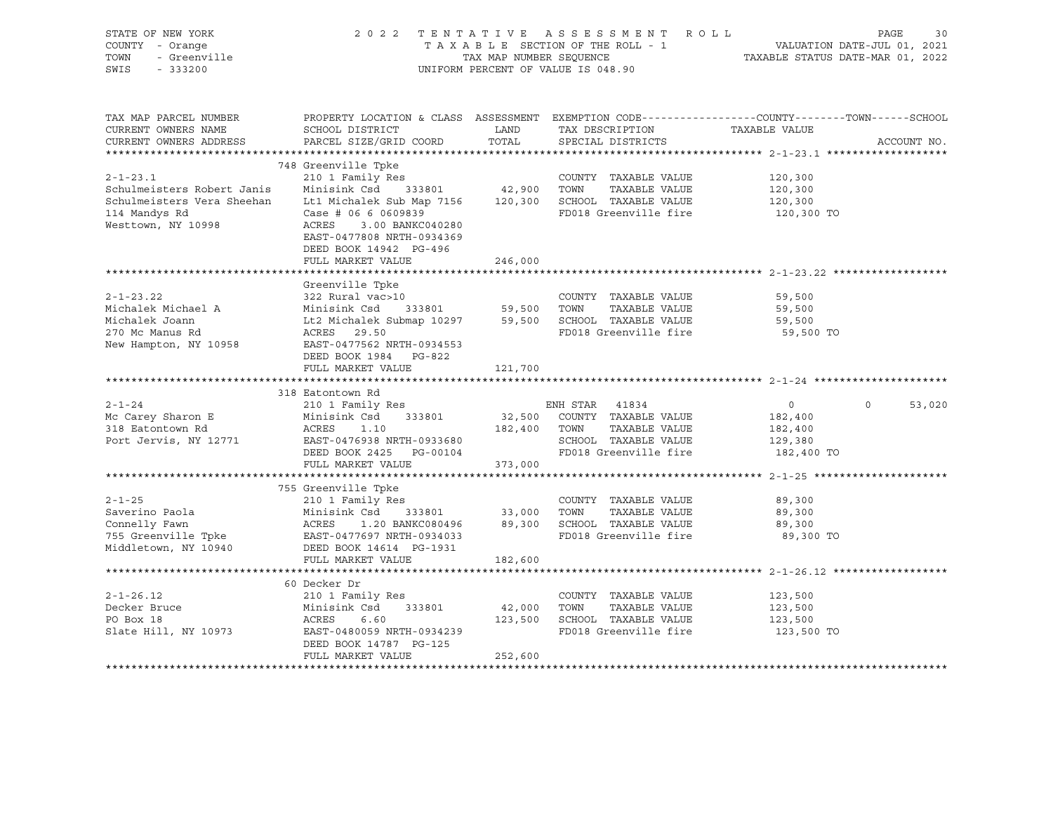| STATE OF NEW YORK<br>COUNTY - Orange<br><i>l -</i> Orange<br>- Greenville<br>TOWN<br>SWIS<br>$-333200$                |                                                                                                                                                        |             | 2022 TENTATIVE ASSESSMENT ROLL<br>UNIFORM PERCENT OF VALUE IS 048.90  | PAGE<br>30<br>TAXABLE SECTION OF THE ROLL - 1<br>TAXABLE SECTION OF THE ROLL - 1<br>TAXABLE STATUS DATE-MAR 01, 2022 |
|-----------------------------------------------------------------------------------------------------------------------|--------------------------------------------------------------------------------------------------------------------------------------------------------|-------------|-----------------------------------------------------------------------|----------------------------------------------------------------------------------------------------------------------|
| TAX MAP PARCEL NUMBER<br>CURRENT OWNERS NAME                                                                          | SCHOOL DISTRICT                                                                                                                                        | LAND        | TAX DESCRIPTION TAXABLE VALUE                                         | PROPERTY LOCATION & CLASS ASSESSMENT EXEMPTION CODE----------------COUNTY-------TOWN------SCHOOL                     |
| CURRENT OWNERS ADDRESS                                                                                                | PARCEL SIZE/GRID COORD                                                                                                                                 | TOTAL       | SPECIAL DISTRICTS                                                     | ACCOUNT NO.                                                                                                          |
|                                                                                                                       |                                                                                                                                                        |             |                                                                       |                                                                                                                      |
|                                                                                                                       | 748 Greenville Tpke                                                                                                                                    |             |                                                                       |                                                                                                                      |
| $2 - 1 - 23.1$                                                                                                        | 210 1 Family Res                                                                                                                                       |             | COUNTY TAXABLE VALUE                                                  | 120,300                                                                                                              |
| Schulmeisters Robert Janis                                                                                            | Minisink Csd 333801                                                                                                                                    | 42,900 TOWN | TAXABLE VALUE                                                         | 120,300                                                                                                              |
| Schulmeisters Vera Sheehan                                                                                            | Lt1 Michalek Sub Map 7156 120,300 SCHOOL TAXABLE VALUE                                                                                                 |             |                                                                       | 120,300                                                                                                              |
| 114 Mandys Rd<br>Westtown, NY 10998                                                                                   | Case # 06 6 0609839<br>ACRES 3.00 BANKC040280                                                                                                          |             | FD018 Greenville fire                                                 | 120,300 TO                                                                                                           |
|                                                                                                                       | EAST-0477808 NRTH-0934369                                                                                                                              |             |                                                                       |                                                                                                                      |
|                                                                                                                       | DEED BOOK 14942 PG-496                                                                                                                                 |             |                                                                       |                                                                                                                      |
|                                                                                                                       | FULL MARKET VALUE                                                                                                                                      | 246,000     |                                                                       |                                                                                                                      |
|                                                                                                                       |                                                                                                                                                        |             |                                                                       |                                                                                                                      |
|                                                                                                                       | Greenville Tpke                                                                                                                                        |             |                                                                       |                                                                                                                      |
| $2 - 1 - 23.22$                                                                                                       | 322 Rural vac>10                                                                                                                                       |             | COUNTY TAXABLE VALUE                                                  | 59,500                                                                                                               |
| Michalek Michael A                                                                                                    | Minisink Csd 333801 59,500 TOWN TAXABLE VALUE<br>Lt2 Michalek Submap 10297 59,500 SCHOOL TAXABLE VALUE                                                 |             |                                                                       | 59,500                                                                                                               |
| Michalek Joann                                                                                                        |                                                                                                                                                        |             |                                                                       | 59,500                                                                                                               |
| 270 Mc Manus Rd                                                                                                       | ACRES 29.50<br>EAST-0477562 NRTH-0934553                                                                                                               |             | FD018 Greenville fire                                                 | 59,500 TO                                                                                                            |
| New Hampton, NY 10958                                                                                                 | DEED BOOK 1984 PG-822                                                                                                                                  |             |                                                                       |                                                                                                                      |
|                                                                                                                       | FULL MARKET VALUE                                                                                                                                      | 121,700     |                                                                       |                                                                                                                      |
|                                                                                                                       |                                                                                                                                                        |             |                                                                       |                                                                                                                      |
|                                                                                                                       | 318 Eatontown Rd                                                                                                                                       |             |                                                                       |                                                                                                                      |
| $2 - 1 - 24$                                                                                                          | 210 1 Family Res                                                                                                                                       |             | ENH STAR 41834                                                        | $\circ$<br>53,020<br>$\overline{0}$                                                                                  |
| Mc Carey Sharon E                                                                                                     | Minisink Csd 333801<br>Minisi<br>ACRES                                                                                                                 |             | 32,500 COUNTY TAXABLE VALUE                                           | 182,400                                                                                                              |
| 318 Eatontown Rd                                                                                                      | 1.10                                                                                                                                                   |             | 182,400 TOWN<br>TAXABLE VALUE                                         | 182,400                                                                                                              |
| Port Jervis, NY 12771                                                                                                 | EAST-0476938 NRTH-0933680<br>DEED BOOK 2425 PG-00104                                                                                                   |             | SCHOOL TAXABLE VALUE                                                  | 129,380                                                                                                              |
|                                                                                                                       |                                                                                                                                                        |             | FD018 Greenville fire 182,400 TO                                      |                                                                                                                      |
|                                                                                                                       | FULL MARKET VALUE                                                                                                                                      | 373,000     |                                                                       |                                                                                                                      |
|                                                                                                                       | 755 Greenville Tpke                                                                                                                                    |             |                                                                       |                                                                                                                      |
| $2 - 1 - 25$                                                                                                          | 210 1 Family Res                                                                                                                                       |             | COUNTY TAXABLE VALUE                                                  | 89,300                                                                                                               |
|                                                                                                                       |                                                                                                                                                        |             |                                                                       | 89,300                                                                                                               |
| Saverino Paola<br>Connelly Fawn                                                                                       |                                                                                                                                                        |             |                                                                       | 89,300                                                                                                               |
| 755 Greenville Tpke               EAST-0477697 NRTH-0934033<br>Middletown, NY 10940           DEED BOOK 14614 PG-1931 | Minisink Csd 333801 33,000 TOWN TAXABLE VALUE<br>ACRES 1.20 BANKC080496 89,300 SCHOOL TAXABLE VALUE<br>EAST-0477697 NRTH-0934033 FD018 Greenville fire |             | FD018 Greenville fire                                                 | 89,300 TO                                                                                                            |
|                                                                                                                       |                                                                                                                                                        |             |                                                                       |                                                                                                                      |
|                                                                                                                       | FULL MARKET VALUE                                                                                                                                      | 182,600     |                                                                       |                                                                                                                      |
|                                                                                                                       |                                                                                                                                                        |             |                                                                       |                                                                                                                      |
|                                                                                                                       | 60 Decker Dr                                                                                                                                           |             |                                                                       |                                                                                                                      |
| $2 - 1 - 26.12$                                                                                                       | 210 1 Family Res                                                                                                                                       |             | COUNTY TAXABLE VALUE                                                  | 123,500                                                                                                              |
| Decker Bruce                                                                                                          |                                                                                                                                                        |             | 42,000    TOWN     TAXABLE VALUE<br>123,500    SCHOOL   TAXABLE VALUE | 123,500                                                                                                              |
| PO Box 18<br>Slate Hill, NY 10973                                                                                     | Minisink Csd 333801 42,000<br>ACRES 6.60 123,500<br>EAST-0480059 NRTH-0934239                                                                          |             | FD018 Greenville fire                                                 | 123,500<br>123,500 TO                                                                                                |
|                                                                                                                       | DEED BOOK 14787 PG-125                                                                                                                                 |             |                                                                       |                                                                                                                      |
|                                                                                                                       | FULL MARKET VALUE                                                                                                                                      | 252,600     |                                                                       |                                                                                                                      |
|                                                                                                                       |                                                                                                                                                        |             |                                                                       |                                                                                                                      |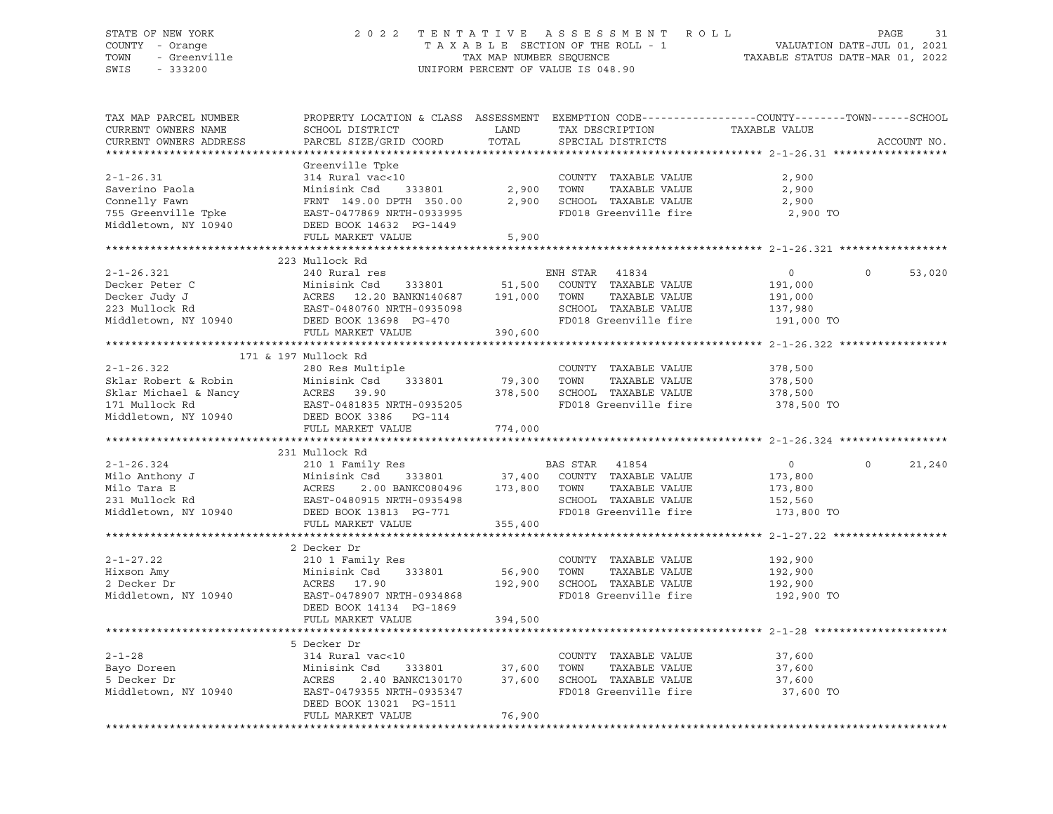## STATE OF NEW YORK 2 0 2 2 T E N T A T I V E A S S E S S M E N T R O L L PAGE 31 COUNTY - Orange T A X A B L E SECTION OF THE ROLL - 1 VALUATION DATE-JUL 01, 2021 TOWN - Greenville TAX MAP NUMBER SEQUENCE TAXABLE STATUS DATE-MAR 01, 2022 SWIS - 333200 UNIFORM PERCENT OF VALUE IS 048.90

| TAX MAP PARCEL NUMBER<br>CURRENT OWNERS NAME<br>CURRENT OWNERS ADDRESS                                         | PROPERTY LOCATION & CLASS ASSESSMENT EXEMPTION CODE----------------COUNTY-------TOWN-----SCHOOL<br>SCHOOL DISTRICT<br>PARCEL SIZE/GRID COORD                                                         | LAND<br>TOTAL                | TAX DESCRIPTION<br>SPECIAL DISTRICTS                                                                             | TAXABLE VALUE                                                 | ACCOUNT NO.        |
|----------------------------------------------------------------------------------------------------------------|------------------------------------------------------------------------------------------------------------------------------------------------------------------------------------------------------|------------------------------|------------------------------------------------------------------------------------------------------------------|---------------------------------------------------------------|--------------------|
|                                                                                                                |                                                                                                                                                                                                      |                              |                                                                                                                  |                                                               |                    |
| $2 - 1 - 26.31$<br>Saverino Paola<br>Connelly Fawn<br>755 Greenville Tpke<br>Middletown, NY 10940              | Greenville Tpke<br>314 Rural vac<10<br>Minisink Csd 333801<br>FRNT 149.00 DPTH 350.00<br>EAST-0477869 NRTH-0933995<br>DEED BOOK 14632 PG-1449                                                        | 2,900                        | COUNTY TAXABLE VALUE<br>TOWN<br>TAXABLE VALUE<br>2,900 SCHOOL TAXABLE VALUE<br>FD018 Greenville fire             | 2,900<br>2,900<br>2,900<br>2,900 TO                           |                    |
|                                                                                                                | FULL MARKET VALUE                                                                                                                                                                                    | 5,900                        |                                                                                                                  |                                                               |                    |
|                                                                                                                |                                                                                                                                                                                                      |                              |                                                                                                                  |                                                               |                    |
|                                                                                                                | 223 Mullock Rd                                                                                                                                                                                       |                              |                                                                                                                  |                                                               |                    |
| $2 - 1 - 26.321$<br>Decker Peter C<br>Decker Judy J<br>Decker Judy J<br>223 Mullock Rd<br>Middletown, NY 10940 | 240 Rural res<br>Minisink Csd 333801 51,500<br>ACRES 12.20 BANKN140687 191,000<br>EAST-0480760 NRTH-0935098<br>DEED BOOK 13698 PG-470<br>FULL MARKET VALUE                                           | 390,600                      | ENH STAR 41834<br>COUNTY TAXABLE VALUE<br>TOWN<br>TAXABLE VALUE<br>SCHOOL TAXABLE VALUE<br>FD018 Greenville fire | $\circ$<br>191,000<br>191,000<br>137,980<br>191,000 TO        | $\Omega$<br>53,020 |
|                                                                                                                |                                                                                                                                                                                                      |                              |                                                                                                                  |                                                               |                    |
|                                                                                                                | 171 & 197 Mullock Rd                                                                                                                                                                                 |                              |                                                                                                                  |                                                               |                    |
| $2 - 1 - 26.322$<br>Middletown, NY 10940 DEED BOOK 3386 PG-114                                                 | 280 Res Multiple<br>FULL MARKET VALUE                                                                                                                                                                | 79,300<br>774,000            | COUNTY TAXABLE VALUE<br>TOWN<br>TAXABLE VALUE<br>378,500 SCHOOL TAXABLE VALUE<br>FD018 Greenville fire           | 378,500<br>378,500<br>378,500<br>378,500 TO                   |                    |
|                                                                                                                |                                                                                                                                                                                                      |                              |                                                                                                                  |                                                               |                    |
|                                                                                                                | 231 Mullock Rd                                                                                                                                                                                       |                              |                                                                                                                  |                                                               |                    |
| $2 - 1 - 26.324$<br>Milo Anthony J<br>milo Anthony J<br>Milo Tara E<br>231 Mullock Rd<br>Middletown, NY 10940  | 210 1 Family Res<br>Minisink Csd 333801 37,400 COUNTY TAXABLE VALUE<br>ACRES 2.00 BANKC080496 173,800 TOWN TAXABLE VALUE<br>EAST-0480915 NRTH-0935498<br>DEED BOOK 13813 PG-771<br>FULL MARKET VALUE | 355,400                      | BAS STAR 41854<br>SCHOOL TAXABLE VALUE<br>FD018 Greenville fire                                                  | $\overline{0}$<br>173,800<br>173,800<br>152,560<br>173,800 TO | $\Omega$<br>21,240 |
|                                                                                                                |                                                                                                                                                                                                      |                              |                                                                                                                  |                                                               |                    |
| $2 - 1 - 27.22$<br>Hixson Amy<br>2 Decker Dr<br>Middletown, NY 10940                                           | 2 Decker Dr<br>210 1 Family Res<br>Minisink Csd<br>333801<br>ACRES 17.90<br>EAST-0478907 NRTH-0934868<br>DEED BOOK 14134 PG-1869<br>FULL MARKET VALUE                                                | 56,900<br>192,900<br>394,500 | COUNTY TAXABLE VALUE<br>TOWN<br>TAXABLE VALUE<br>SCHOOL TAXABLE VALUE<br>FD018 Greenville fire                   | 192,900<br>192,900<br>192,900<br>192,900 TO                   |                    |
|                                                                                                                |                                                                                                                                                                                                      |                              |                                                                                                                  |                                                               |                    |
| $2 - 1 - 28$<br>Bayo Doreen<br>5 Decker Dr<br>Middletown, NY 10940                                             | 5 Decker Dr<br>314 Rural vac<10<br>Minisink Csd<br>333801<br>ACRES<br>2.40 BANKC130170<br>EAST-0479355 NRTH-0935347<br>DEED BOOK 13021 PG-1511<br>FULL MARKET VALUE                                  | 37,600<br>37,600<br>76,900   | COUNTY TAXABLE VALUE<br>TOWN<br>TAXABLE VALUE<br>SCHOOL TAXABLE VALUE<br>FD018 Greenville fire                   | 37,600<br>37,600<br>37,600<br>37,600 TO                       |                    |
|                                                                                                                |                                                                                                                                                                                                      |                              |                                                                                                                  |                                                               |                    |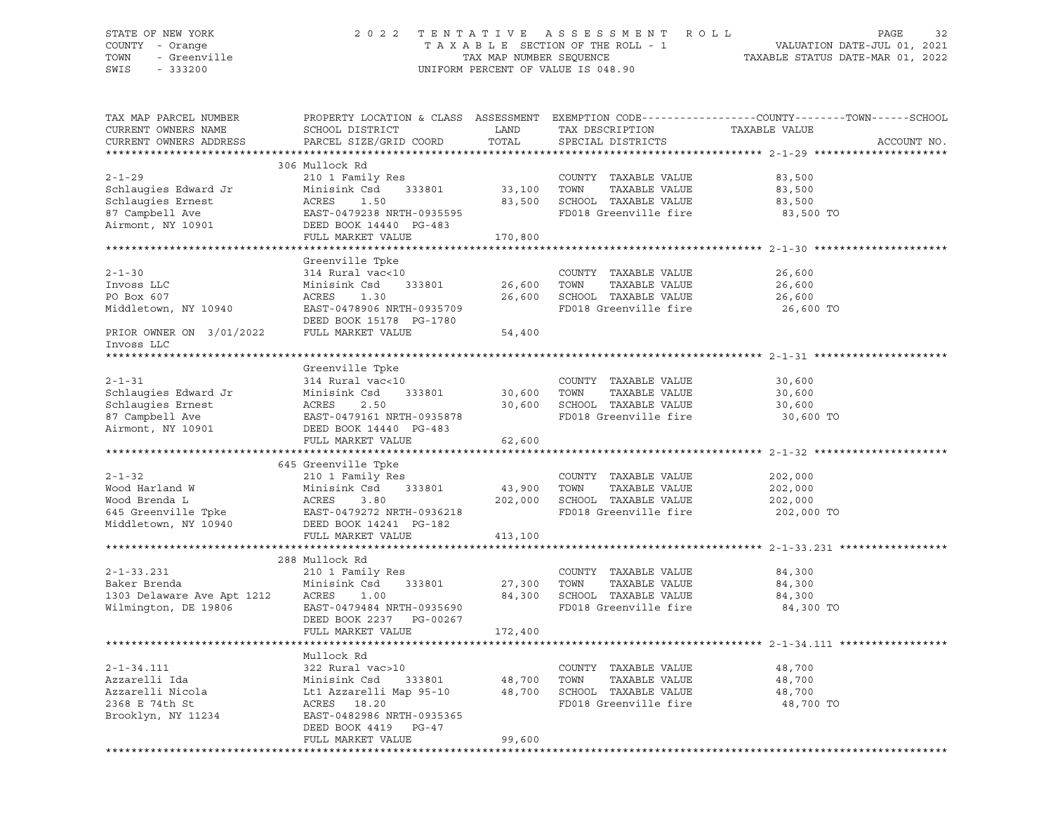## STATE OF NEW YORK 2 0 2 2 T E N T A T I V E A S S E S S M E N T R O L L PAGE 32 COUNTY - Orange T A X A B L E SECTION OF THE ROLL - 1 VALUATION DATE-JUL 01, 2021 TOWN - Greenville TAX MAP NUMBER SEQUENCE TAXABLE STATUS DATE-MAR 01, 2022 SWIS - 333200 UNIFORM PERCENT OF VALUE IS 048.90

| TAX MAP PARCEL NUMBER<br>CURRENT OWNERS NAME<br>CURRENT OWNERS ADDRESS                                                                                                                                            | SCHOOL DISTRICT<br>PARCEL SIZE/GRID COORD                                                                                                                                                                                       | LAND<br>TOTAL          | TAX DESCRIPTION<br>SPECIAL DISTRICTS                                                           | PROPERTY LOCATION & CLASS ASSESSMENT EXEMPTION CODE----------------COUNTY-------TOWN-----SCHOOL<br>TAXABLE VALUE<br>ACCOUNT NO. |
|-------------------------------------------------------------------------------------------------------------------------------------------------------------------------------------------------------------------|---------------------------------------------------------------------------------------------------------------------------------------------------------------------------------------------------------------------------------|------------------------|------------------------------------------------------------------------------------------------|---------------------------------------------------------------------------------------------------------------------------------|
|                                                                                                                                                                                                                   |                                                                                                                                                                                                                                 |                        |                                                                                                |                                                                                                                                 |
| $2 - 1 - 29$<br>Schlaugies Edward Jr Minisi<br>Schlaugies Ernest ACRES<br>87 Campbell Ave EAST-0<br>Airmont, NY 10901 DEED B                                                                                      | 306 Mullock Rd<br>210 1 Family Res<br>Minisink Csd 333801 33,100 TOWN<br>1.50<br>EAST-0479238 NRTH-0935595<br>DEED BOOK 14440 PG-483                                                                                            |                        | COUNTY TAXABLE VALUE<br>TAXABLE VALUE<br>83,500 SCHOOL TAXABLE VALUE<br>FD018 Greenville fire  | 83,500<br>83,500<br>83,500<br>83,500 TO                                                                                         |
|                                                                                                                                                                                                                   | FULL MARKET VALUE                                                                                                                                                                                                               | 170,800                |                                                                                                |                                                                                                                                 |
|                                                                                                                                                                                                                   |                                                                                                                                                                                                                                 |                        |                                                                                                |                                                                                                                                 |
| $2 - 1 - 30$<br>Invoss LLC<br>PO Box 607<br>Middletown, NY 10940<br>$\begin{array}{ccc}\n\text{EAST-0478906 NRFH-0935709}\n\end{array}$                                                                           | Greenville Tpke<br>314 Rural vac<10<br>Minisink Csd<br>ACRES 1.30                                                                                                                                                               | 333801 26,600 TOWN     | COUNTY TAXABLE VALUE<br>TAXABLE VALUE<br>26,600 SCHOOL TAXABLE VALUE<br>FD018 Greenville fire  | 26,600<br>26,600<br>26,600<br>26,600 TO                                                                                         |
| DEED BOOK 15178 PG-1780<br>PRIOR OWNER ON 3/01/2022 FULL MARKET VALUE<br>Invoss LLC                                                                                                                               |                                                                                                                                                                                                                                 | 54,400                 |                                                                                                |                                                                                                                                 |
|                                                                                                                                                                                                                   |                                                                                                                                                                                                                                 |                        |                                                                                                |                                                                                                                                 |
|                                                                                                                                                                                                                   | Greenville Tpke                                                                                                                                                                                                                 |                        |                                                                                                |                                                                                                                                 |
| $2 - 1 - 31$<br>Schlaugies Edward Jr Minisink Csd 333801<br>Schlaugies Ernest ACRES 2.50<br>87 Campbell Ave EAST-0479161 NRTH-0935878<br>Airmont, NY 10901 DEED BOOK 14440 PG-483<br>Airmont, NY 10901            | 314 Rural vac<10                                                                                                                                                                                                                | 30,600 TOWN            | COUNTY TAXABLE VALUE<br>TAXABLE VALUE<br>30,600 SCHOOL TAXABLE VALUE<br>FD018 Greenville fire  | 30,600<br>30,600<br>30,600<br>30,600 TO                                                                                         |
|                                                                                                                                                                                                                   | FULL MARKET VALUE                                                                                                                                                                                                               | 62,600                 |                                                                                                |                                                                                                                                 |
|                                                                                                                                                                                                                   |                                                                                                                                                                                                                                 |                        |                                                                                                |                                                                                                                                 |
|                                                                                                                                                                                                                   | 645 Greenville Tpke                                                                                                                                                                                                             |                        |                                                                                                |                                                                                                                                 |
| $2 - 1 - 32$<br>Wood Harland W Minisink Csd<br>Wood Brenda L ACRES 3.80 202,000<br>645 Greenville Tpke EAST-0479272 NRTH-0936218<br>Middletown, NY 10940 DEED BOOK 14241 PG-182<br>THE MIDDLEY CONSTRAINER PG-182 | 210 1 Family Res                                                                                                                                                                                                                | 43,900 TOWN            | COUNTY TAXABLE VALUE<br>TAXABLE VALUE<br>202,000 SCHOOL TAXABLE VALUE<br>FD018 Greenville fire | 202,000<br>202,000<br>202,000<br>202,000 TO                                                                                     |
|                                                                                                                                                                                                                   | FULL MARKET VALUE                                                                                                                                                                                                               | 413,100                |                                                                                                |                                                                                                                                 |
|                                                                                                                                                                                                                   |                                                                                                                                                                                                                                 |                        |                                                                                                |                                                                                                                                 |
| $2 - 1 - 33.231$<br>Baker Brenda<br>1303 Delaware Ave Apt 1212 ACRES<br>Wilmington, DE 19806                                                                                                                      | 288 Mullock Rd<br>210 1 Family Res<br>Minisink Csd<br>333801<br>1.00<br>EAST-0479484 NRTH-0935690<br>DEED BOOK 2237 PG-00267<br>FULL MARKET VALUE                                                                               | 27,300 TOWN<br>172,400 | COUNTY TAXABLE VALUE<br>TAXABLE VALUE<br>84,300 SCHOOL TAXABLE VALUE<br>FD018 Greenville fire  | 84,300<br>84,300<br>84,300<br>84,300 TO                                                                                         |
|                                                                                                                                                                                                                   |                                                                                                                                                                                                                                 |                        |                                                                                                |                                                                                                                                 |
| $2 - 1 - 34.111$<br>Azzarelli Ida<br>Azzarelli Nicola<br>2368 E 74th St<br>Brooklyn, NY 11234                                                                                                                     | Mullock Rd<br>322 Rural vac>10<br>Minisink Csd 333801 48,700 TOWN TAXABLE VALUE<br>Lt1 Azzarelli Map 95-10 48,700 SCHOOL TAXABLE VALUE<br>ACRES 18.20<br>EAST-0482986 NRTH-0935365<br>DEED BOOK 4419 PG-47<br>FULL MARKET VALUE | 99,600                 | COUNTY TAXABLE VALUE<br>FD018 Greenville fire                                                  | 48,700<br>48,700<br>48,700<br>48,700 TO                                                                                         |
|                                                                                                                                                                                                                   |                                                                                                                                                                                                                                 |                        |                                                                                                |                                                                                                                                 |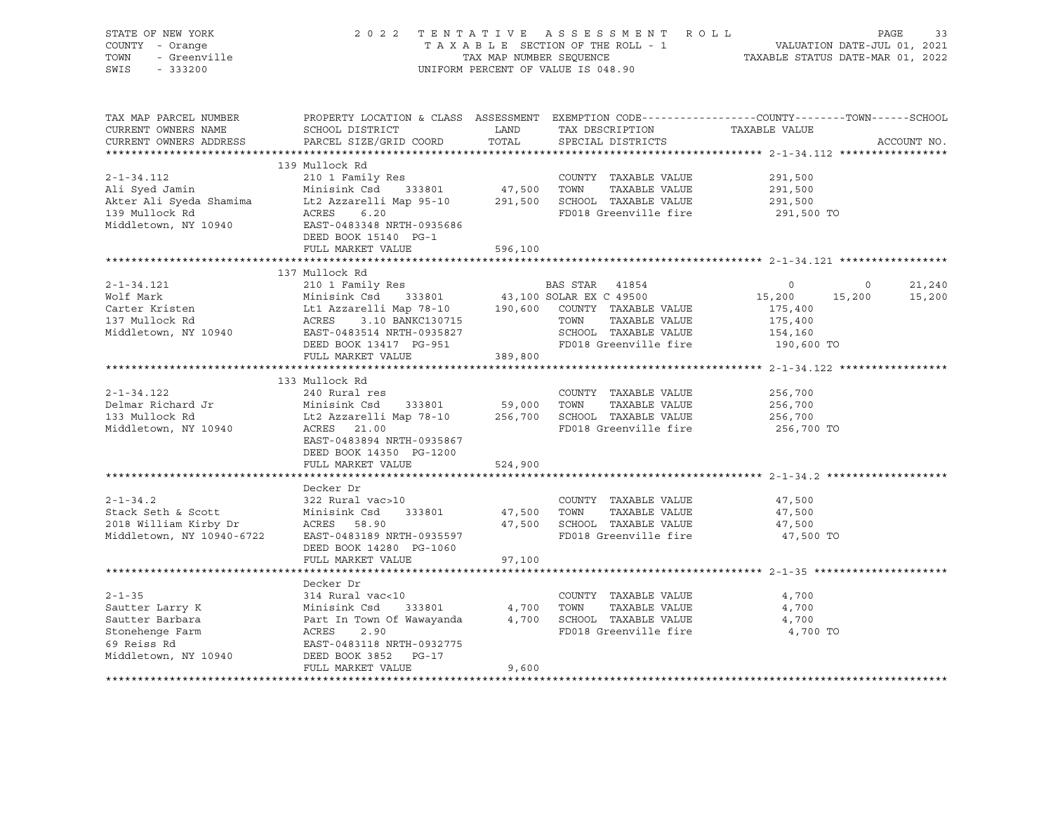| STATE OF NEW YORK<br>COUNTY - Orange<br>- Orange<br>- Greenville<br>TOWN<br>$-333200$<br>SWIS                                                                                                                                                                                                                                                    |                                                                                                                                                                                                                                                                                         |                       | 2022 TENTATIVE ASSESSMENT ROLL<br>TAXABLE SECTION OF THE ROLL - 1 VALUATION DATE-JUL 01, 2021<br>TAX MAP NUMBER SEQUENCE TAXABLE STATUS DATE-MAR 01, 2022<br>UNIFORM PERCENT OF VALUE IS 048.90 |                                             | PAGE                     | 33               |
|--------------------------------------------------------------------------------------------------------------------------------------------------------------------------------------------------------------------------------------------------------------------------------------------------------------------------------------------------|-----------------------------------------------------------------------------------------------------------------------------------------------------------------------------------------------------------------------------------------------------------------------------------------|-----------------------|-------------------------------------------------------------------------------------------------------------------------------------------------------------------------------------------------|---------------------------------------------|--------------------------|------------------|
| TAX MAP PARCEL NUMBER<br>CURRENT OWNERS NAME<br>CURRENT OWNERS ADDRESS                                                                                                                                                                                                                                                                           | PROPERTY LOCATION & CLASS ASSESSMENT EXEMPTION CODE----------------COUNTY-------TOWN-----SCHOOL<br>SCHOOL DISTRICT<br>PARCEL SIZE/GRID COORD                                                                                                                                            | LAND<br>TOTAL         | TAX DESCRIPTION<br>SPECIAL DISTRICTS                                                                                                                                                            | TAXABLE VALUE                               | ACCOUNT NO.              |                  |
| $2 - 1 - 34.112$<br>Middletown, NY 10940 EAST-0483348 NRTH-0935686                                                                                                                                                                                                                                                                               | 139 Mullock Rd<br>210 1 Family Res<br>DEED BOOK 15140 PG-1                                                                                                                                                                                                                              |                       | COUNTY TAXABLE VALUE<br>FD018 Greenville fire                                                                                                                                                   | 291,500<br>291,500<br>291,500<br>291,500 TO |                          |                  |
|                                                                                                                                                                                                                                                                                                                                                  | FULL MARKET VALUE                                                                                                                                                                                                                                                                       | 596,100               |                                                                                                                                                                                                 |                                             |                          |                  |
|                                                                                                                                                                                                                                                                                                                                                  |                                                                                                                                                                                                                                                                                         |                       |                                                                                                                                                                                                 |                                             |                          |                  |
| $2 - 1 - 34.121$<br>Wolf Mark                                                                                                                                                                                                                                                                                                                    | 137 Mullock Rd                                                                                                                                                                                                                                                                          |                       |                                                                                                                                                                                                 | $\circ$<br>15,200                           | $\overline{0}$<br>15,200 | 21,240<br>15,200 |
| Carter Kristen<br>137 Mullock Rd<br>Middletown, NY 10940                                                                                                                                                                                                                                                                                         | EXECUTE 1886 BAS STAR 41854<br>Minisink Csd 333801 43,100 SOLAR EX C 49500<br>Lt1 Azzarelli Map 78-10 190,600 COUNTY TAXABLE VALUE<br>ACRES 3.10 BANKC130715 TOWN TAXABLE VALUE<br>EAST-0483514 NRTH-0935827 SCHOOL TAXABLE VALUE<br>DEE<br>DEED BOOK 13417 PG-951<br>FULL MARKET VALUE | 389,800               | TOWN TAXABLE VALUE<br>SCHOOL TAXABLE VALUE<br>FD018 Greenville fire                                                                                                                             | 175,400<br>175,400<br>154,160<br>190,600 TO |                          |                  |
|                                                                                                                                                                                                                                                                                                                                                  |                                                                                                                                                                                                                                                                                         |                       |                                                                                                                                                                                                 |                                             |                          |                  |
|                                                                                                                                                                                                                                                                                                                                                  |                                                                                                                                                                                                                                                                                         |                       |                                                                                                                                                                                                 |                                             |                          |                  |
| $2 - 1 - 34.122$                                                                                                                                                                                                                                                                                                                                 | 133 Mullock Rd<br>240 Rural res<br>DEED BOOK 14350 PG-1200                                                                                                                                                                                                                              |                       |                                                                                                                                                                                                 | 256,700<br>256,700<br>256,700<br>256,700 TO |                          |                  |
|                                                                                                                                                                                                                                                                                                                                                  | FULL MARKET VALUE                                                                                                                                                                                                                                                                       | 524,900               |                                                                                                                                                                                                 |                                             |                          |                  |
| $2 - 1 - 34.2$<br>Stack Seth & Scott<br>Stack Seth & Scott<br>2018 William Kirby Dr<br>Middletown, NY 10940-6722                                                                                                                                                                                                                                 | Decker Dr<br>322 Rural vac>10<br>Minisink Csd 333801<br>ACRES 58.90<br>EAST-0483189 NRTH-0935597<br>DEED BOOK 14280 PG-1060<br>FULL MARKET VALUE                                                                                                                                        | 47,500 TOWN<br>97,100 | COUNTY TAXABLE VALUE<br>TAXABLE VALUE<br>47,500 SCHOOL TAXABLE VALUE<br>FD018 Greenville fire                                                                                                   | 47,500<br>47,500<br>47,500<br>47,500 TO     |                          |                  |
|                                                                                                                                                                                                                                                                                                                                                  |                                                                                                                                                                                                                                                                                         |                       |                                                                                                                                                                                                 |                                             |                          |                  |
| $2 - 1 - 35$<br>Sautter Larry K<br>Sautter Barbara<br>Stonehenge Farm<br>arm and a control of the season of the season of the season of the season of the season of the season of the s<br>Experimental control of the season of the season of the season of the season of the season of the season of th<br>69 Reiss Rd<br>Middletown, NY 10940 | Decker Dr<br>EAST-0483118 NRTH-0932775<br>DEED BOOK 3852 PG-17                                                                                                                                                                                                                          |                       | FD018 Greenville fire                                                                                                                                                                           | 4,700<br>4,700<br>4,700<br>4,700 TO         |                          |                  |
|                                                                                                                                                                                                                                                                                                                                                  | FULL MARKET VALUE                                                                                                                                                                                                                                                                       | 9,600                 |                                                                                                                                                                                                 |                                             |                          |                  |
|                                                                                                                                                                                                                                                                                                                                                  |                                                                                                                                                                                                                                                                                         |                       |                                                                                                                                                                                                 |                                             |                          |                  |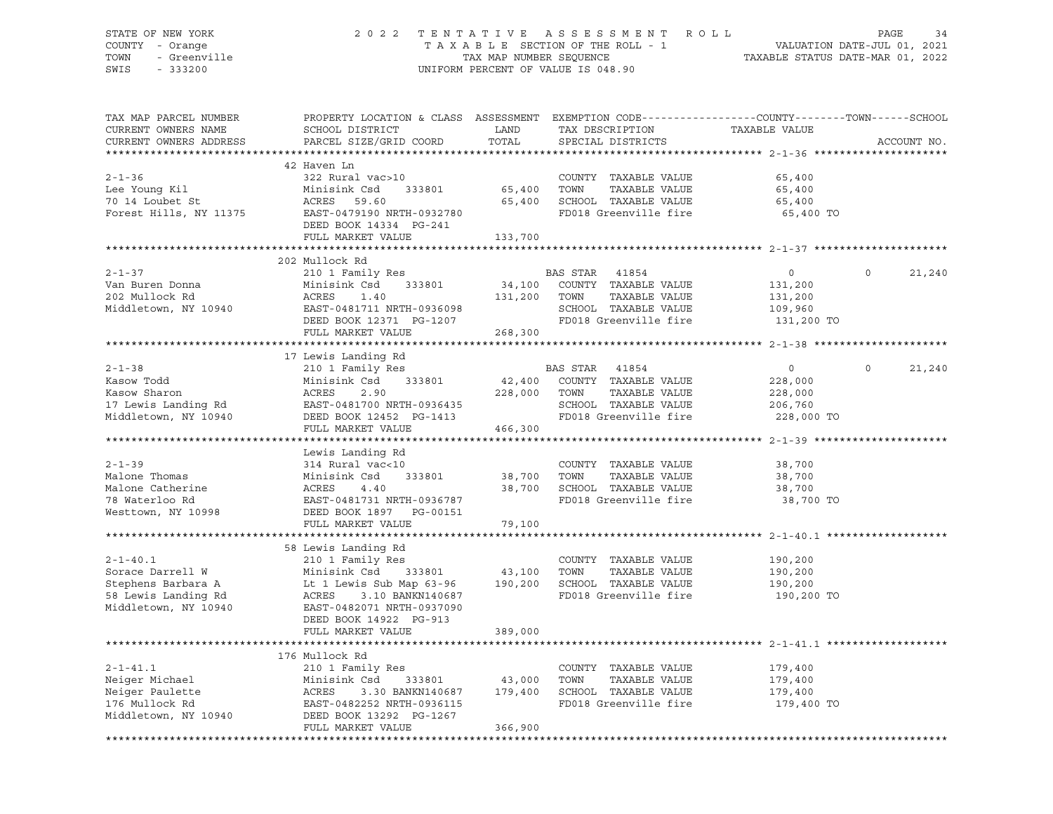## STATE OF NEW YORK 2 0 2 2 T E N T A T I V E A S S E S S M E N T R O L L PAGE 34 COUNTY - Orange T A X A B L E SECTION OF THE ROLL - 1 VALUATION DATE-JUL 01, 2021 TOWN - Greenville TAX MAP NUMBER SEQUENCE TAXABLE STATUS DATE-MAR 01, 2022 SWIS - 333200 UNIFORM PERCENT OF VALUE IS 048.90

| TAX MAP PARCEL NUMBER<br>CURRENT OWNERS NAME<br>CURRENT OWNERS ADDRESS                                  | PROPERTY LOCATION & CLASS ASSESSMENT EXEMPTION CODE----------------COUNTY-------TOWN------SCHOOL<br>SCHOOL DISTRICT<br>PARCEL SIZE/GRID COORD                                                                                                   | LAND<br>TOTAL                           | TAX DESCRIPTION<br>SPECIAL DISTRICTS                                                                            | TAXABLE VALUE                                                 | ACCOUNT NO.        |
|---------------------------------------------------------------------------------------------------------|-------------------------------------------------------------------------------------------------------------------------------------------------------------------------------------------------------------------------------------------------|-----------------------------------------|-----------------------------------------------------------------------------------------------------------------|---------------------------------------------------------------|--------------------|
| $2 - 1 - 36$<br>Lee Young Kil<br>70 14 Loubet St                                                        | 42 Haven Ln<br>322 Rural vac>10<br>Minisink Csd<br>ACRES    59.60<br>Forest Hills, NY 11375 EAST-0479190 NRTH-0932780<br>DEED BOOK 14334 PG-241<br>FULL MARKET VALUE                                                                            | 333801 65,400 TOWN<br>65,400<br>133,700 | COUNTY TAXABLE VALUE<br>TAXABLE VALUE<br>SCHOOL TAXABLE VALUE<br>FD018 Greenville fire                          | 65,400<br>65,400<br>65,400<br>65,400 TO                       |                    |
| $2 - 1 - 37$<br>Van Buren Donna<br>202 Mullock Rd<br>Middletown, NY 10940                               | 202 Mullock Rd<br>210 1 Family Res<br>Minisink Csd<br>333801<br>ACRES<br>1.40<br>EAST-0481711 NRTH-0936098<br>DRED BOOK 12371 PG-1207                                                                                                           | 131,200 TOWN                            | BAS STAR 41854<br>34,100 COUNTY TAXABLE VALUE<br>TAXABLE VALUE<br>SCHOOL TAXABLE VALUE<br>FD018 Greenville fire | $\circ$<br>131,200<br>131,200<br>109,960<br>131,200 TO        | $\Omega$<br>21,240 |
|                                                                                                         | FULL MARKET VALUE                                                                                                                                                                                                                               | 268,300                                 |                                                                                                                 |                                                               |                    |
|                                                                                                         | 17 Lewis Landing Rd                                                                                                                                                                                                                             |                                         |                                                                                                                 |                                                               |                    |
| $2 - 1 - 38$<br>Kasow Todd                                                                              | 210 1 Family Res<br>333801<br>Minisink Csd<br>Example 1990<br>Kasow Sharon Mackets 2.90<br>17 Lewis Landing Rd EAST-0481700 NRTH-0936435<br>Middletown, NY 10940 DEED BOOK 12452 PG-1413<br>FULL MARKET VALUE                                   | 228,000 TOWN<br>466,300                 | BAS STAR 41854<br>42,400 COUNTY TAXABLE VALUE<br>TAXABLE VALUE<br>SCHOOL TAXABLE VALUE<br>FD018 Greenville fire | $\overline{0}$<br>228,000<br>228,000<br>206,760<br>228,000 TO | $\circ$<br>21,240  |
|                                                                                                         |                                                                                                                                                                                                                                                 |                                         |                                                                                                                 |                                                               |                    |
| $2 - 1 - 39$<br>Malone Thomas<br>Malone Catherine<br>78 Waterloo Rd<br>Westtown, NY 10998               | Lewis Landing Rd<br>314 Rural vac<10<br>Minisink Csd<br>Minisi<br>ACRES<br>EAST-C<br>DEED E<br>4.40<br>EAST-0481731 NRTH-0936787<br>DEED BOOK 1897 PG-00151                                                                                     | 333801 38,700<br>38,700                 | COUNTY TAXABLE VALUE<br>TOWN<br>TAXABLE VALUE<br>SCHOOL TAXABLE VALUE<br>FD018 Greenville fire                  | 38,700<br>38,700<br>38,700<br>38,700 TO                       |                    |
|                                                                                                         | FULL MARKET VALUE                                                                                                                                                                                                                               | 79,100                                  |                                                                                                                 |                                                               |                    |
| $2 - 1 - 40.1$<br>Sorace Darrell W<br>Stephens Barbara A<br>58 Lewis Landing Rd<br>Middletown, NY 10940 | 58 Lewis Landing Rd<br>210 1 Family Res<br>333801 43,100 TOWN<br>Minisink Csd<br>Lt 1 Lewis Sub Map 63-96 190,200 SCHOOL TAXABLE VALUE<br>ACRES<br>3.10 BANKN140687<br>EAST-0482071 NRTH-0937090<br>DEED BOOK 14922 PG-913<br>FULL MARKET VALUE | 389,000                                 | COUNTY TAXABLE VALUE<br>TAXABLE VALUE<br>FD018 Greenville fire                                                  | 190,200<br>190,200<br>190,200<br>190,200 TO                   |                    |
|                                                                                                         | 176 Mullock Rd                                                                                                                                                                                                                                  |                                         |                                                                                                                 |                                                               |                    |
| $2 - 1 - 41.1$<br>Neiger Michael<br>Neiger Paulette                                                     | 210 1 Family Res<br>Csd 333801 43,000<br>3.30 BANKN140687 179,400<br>Minisink Csd<br>Minis:<br>ACRES<br>EAST-0482252 NRTH-0936115<br>FULL MARKET VALUE                                                                                          | 366,900                                 | COUNTY TAXABLE VALUE<br>TOWN<br>TAXABLE VALUE<br>SCHOOL TAXABLE VALUE<br>FD018 Greenville fire                  | 179,400<br>179,400<br>179,400<br>179,400 TO                   |                    |
|                                                                                                         |                                                                                                                                                                                                                                                 |                                         |                                                                                                                 |                                                               |                    |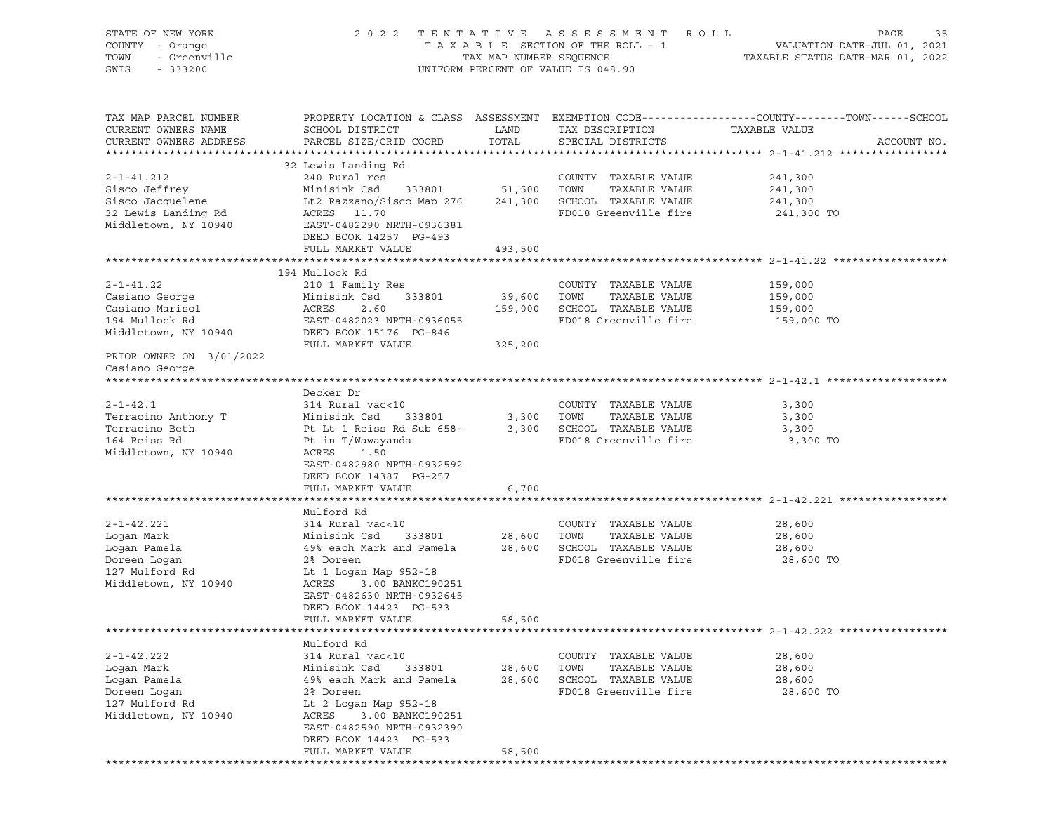| STATE OF NEW YORK<br>COUNTY - Orange<br>TOWN<br>- Greenville<br>SWIS<br>$-333200$ | 2 0 2 2                                                               | TAX MAP NUMBER SEQUENCE | TENTATIVE ASSESSMENT<br>TAXABLE SECTION OF THE ROLL - 1<br>UNIFORM PERCENT OF VALUE IS 048.90 | R O L L<br>PAGE<br>35<br>VALUATION DATE-JUL 01, 2021<br>TAXABLE STATUS DATE-MAR 01, 2022                                         |
|-----------------------------------------------------------------------------------|-----------------------------------------------------------------------|-------------------------|-----------------------------------------------------------------------------------------------|----------------------------------------------------------------------------------------------------------------------------------|
| TAX MAP PARCEL NUMBER<br>CURRENT OWNERS NAME<br>CURRENT OWNERS ADDRESS            | SCHOOL DISTRICT<br>PARCEL SIZE/GRID COORD                             | LAND<br>TOTAL           | TAX DESCRIPTION<br>SPECIAL DISTRICTS                                                          | PROPERTY LOCATION & CLASS ASSESSMENT EXEMPTION CODE----------------COUNTY-------TOWN------SCHOOL<br>TAXABLE VALUE<br>ACCOUNT NO. |
|                                                                                   | 32 Lewis Landing Rd                                                   |                         |                                                                                               |                                                                                                                                  |
| $2 - 1 - 41.212$                                                                  | 240 Rural res                                                         |                         | COUNTY TAXABLE VALUE                                                                          | 241,300                                                                                                                          |
| Sisco Jeffrey                                                                     | Minisink Csd<br>333801                                                | 51,500                  | TOWN<br>TAXABLE VALUE                                                                         | 241,300                                                                                                                          |
| Sisco Jacquelene                                                                  | Lt2 Razzano/Sisco Map 276                                             | 241,300                 | SCHOOL TAXABLE VALUE                                                                          | 241,300                                                                                                                          |
| 32 Lewis Landing Rd<br>Middletown, NY 10940                                       | 11.70<br>ACRES<br>EAST-0482290 NRTH-0936381<br>DEED BOOK 14257 PG-493 |                         | FD018 Greenville fire                                                                         | 241,300 TO                                                                                                                       |
|                                                                                   | FULL MARKET VALUE                                                     | 493,500                 |                                                                                               |                                                                                                                                  |
|                                                                                   |                                                                       |                         |                                                                                               |                                                                                                                                  |
|                                                                                   | 194 Mullock Rd                                                        |                         |                                                                                               |                                                                                                                                  |
| $2 - 1 - 41.22$                                                                   | 210 1 Family Res                                                      |                         | COUNTY TAXABLE VALUE                                                                          | 159,000                                                                                                                          |
| Casiano George                                                                    | Minisink Csd<br>333801                                                | 39,600                  | TOWN<br>TAXABLE VALUE                                                                         | 159,000                                                                                                                          |
| Casiano Marisol                                                                   | 2.60<br>ACRES                                                         | 159,000                 | SCHOOL TAXABLE VALUE                                                                          | 159,000                                                                                                                          |
| 194 Mullock Rd                                                                    | EAST-0482023 NRTH-0936055                                             |                         | FD018 Greenville fire                                                                         | 159,000 TO                                                                                                                       |
| Middletown, NY 10940                                                              | DEED BOOK 15176 PG-846                                                |                         |                                                                                               |                                                                                                                                  |
|                                                                                   | FULL MARKET VALUE                                                     | 325,200                 |                                                                                               |                                                                                                                                  |
| PRIOR OWNER ON 3/01/2022<br>Casiano George                                        |                                                                       |                         |                                                                                               |                                                                                                                                  |
|                                                                                   |                                                                       |                         |                                                                                               |                                                                                                                                  |
|                                                                                   | Decker Dr                                                             |                         |                                                                                               |                                                                                                                                  |
| $2 - 1 - 42.1$                                                                    | 314 Rural vac<10                                                      |                         | COUNTY TAXABLE VALUE                                                                          | 3,300                                                                                                                            |
| Terracino Anthony T                                                               | Minisink Csd<br>333801                                                | 3,300                   | TOWN<br>TAXABLE VALUE                                                                         | 3,300                                                                                                                            |
| Terracino Beth                                                                    | Pt Lt 1 Reiss Rd Sub 658-                                             | 3,300                   | SCHOOL TAXABLE VALUE                                                                          | 3,300                                                                                                                            |
| 164 Reiss Rd<br>Middletown, NY 10940                                              | Pt in T/Wawayanda<br>ACRES<br>1.50                                    |                         | FD018 Greenville fire                                                                         | 3,300 TO                                                                                                                         |
|                                                                                   | EAST-0482980 NRTH-0932592                                             |                         |                                                                                               |                                                                                                                                  |
|                                                                                   | DEED BOOK 14387 PG-257                                                |                         |                                                                                               |                                                                                                                                  |
|                                                                                   | FULL MARKET VALUE                                                     | 6,700                   |                                                                                               |                                                                                                                                  |
|                                                                                   |                                                                       |                         |                                                                                               |                                                                                                                                  |
|                                                                                   | Mulford Rd                                                            |                         |                                                                                               |                                                                                                                                  |
| $2 - 1 - 42.221$                                                                  | 314 Rural vac<10                                                      |                         | COUNTY TAXABLE VALUE                                                                          | 28,600                                                                                                                           |
| Logan Mark                                                                        | Minisink Csd<br>333801                                                | 28,600                  | TOWN<br>TAXABLE VALUE                                                                         | 28,600                                                                                                                           |
| Logan Pamela                                                                      | 49% each Mark and Pamela                                              | 28,600                  | SCHOOL TAXABLE VALUE                                                                          | 28,600                                                                                                                           |
| Doreen Logan                                                                      | 2% Doreen                                                             |                         | FD018 Greenville fire                                                                         | 28,600 TO                                                                                                                        |
| 127 Mulford Rd                                                                    | Lt 1 Logan Map 952-18                                                 |                         |                                                                                               |                                                                                                                                  |
| Middletown, NY 10940                                                              | ACRES<br>3.00 BANKC190251                                             |                         |                                                                                               |                                                                                                                                  |
|                                                                                   | EAST-0482630 NRTH-0932645                                             |                         |                                                                                               |                                                                                                                                  |
|                                                                                   | DEED BOOK 14423 PG-533                                                |                         |                                                                                               |                                                                                                                                  |
|                                                                                   | FULL MARKET VALUE                                                     | 58,500                  |                                                                                               |                                                                                                                                  |
|                                                                                   |                                                                       |                         |                                                                                               |                                                                                                                                  |
|                                                                                   | Mulford Rd                                                            |                         |                                                                                               |                                                                                                                                  |
| $2 - 1 - 42.222$                                                                  | 314 Rural vac<10                                                      |                         | COUNTY TAXABLE VALUE                                                                          | 28,600                                                                                                                           |
| Logan Mark                                                                        | Minisink Csd<br>333801                                                | 28,600                  | TOWN<br>TAXABLE VALUE                                                                         | 28,600                                                                                                                           |
| Logan Pamela                                                                      | 49% each Mark and Pamela                                              | 28,600                  | SCHOOL TAXABLE VALUE                                                                          | 28,600                                                                                                                           |
| Doreen Logan                                                                      | 2% Doreen                                                             |                         | FD018 Greenville fire                                                                         | 28,600 TO                                                                                                                        |
| 127 Mulford Rd                                                                    | Lt 2 Logan Map 952-18                                                 |                         |                                                                                               |                                                                                                                                  |
| Middletown, NY 10940                                                              | ACRES<br>3.00 BANKC190251                                             |                         |                                                                                               |                                                                                                                                  |
|                                                                                   | EAST-0482590 NRTH-0932390                                             |                         |                                                                                               |                                                                                                                                  |
|                                                                                   | DEED BOOK 14423 PG-533                                                |                         |                                                                                               |                                                                                                                                  |
|                                                                                   | FULL MARKET VALUE                                                     | 58,500                  |                                                                                               |                                                                                                                                  |
|                                                                                   |                                                                       |                         |                                                                                               |                                                                                                                                  |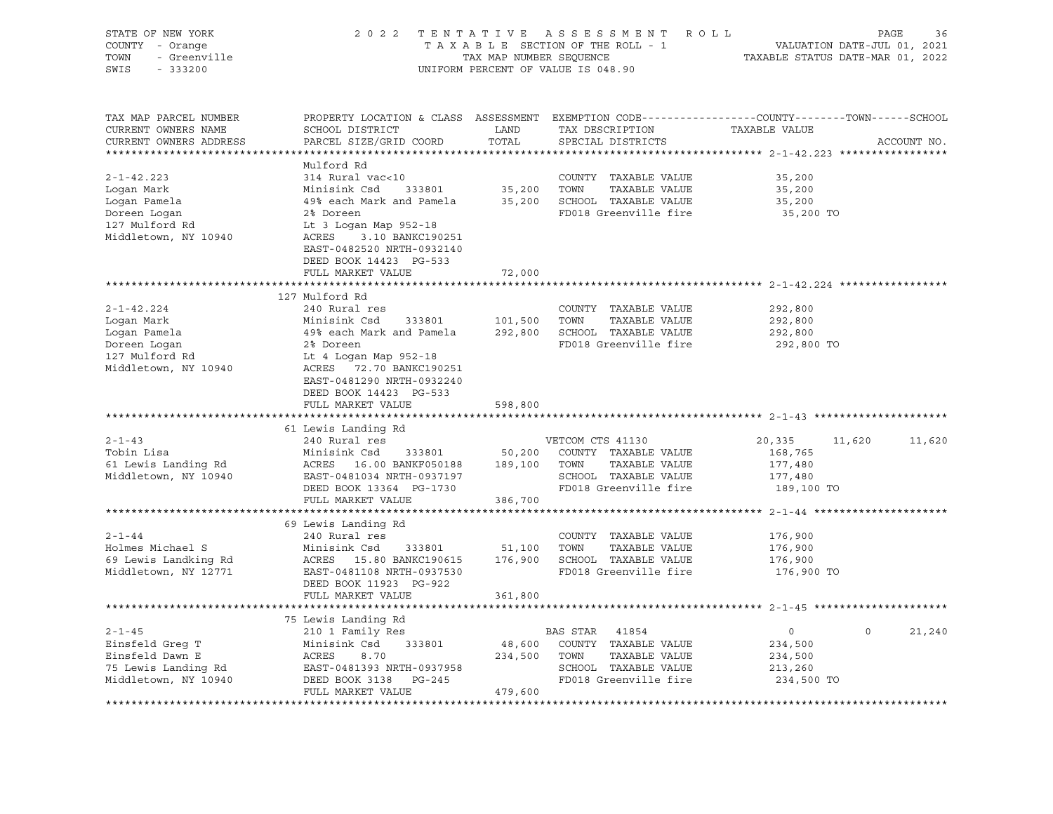| STATE OF NEW YORK<br>COUNTY - Orange<br>- Greenville<br>TOWN<br>SWIS<br>$-333200$ | 2 0 2 2<br>TENTATIVE<br>ASSESSMENT<br>R O L L<br>TAXABLE SECTION OF THE ROLL - 1<br>TAX MAP NUMBER SEQUENCE<br>UNIFORM PERCENT OF VALUE IS 048.90 |                          |                                       | PAGE<br>36<br>VALUATION DATE-JUL 01, 2021<br>TAXABLE STATUS DATE-MAR 01, 2022 |         |             |
|-----------------------------------------------------------------------------------|---------------------------------------------------------------------------------------------------------------------------------------------------|--------------------------|---------------------------------------|-------------------------------------------------------------------------------|---------|-------------|
| TAX MAP PARCEL NUMBER<br>CURRENT OWNERS NAME<br>CURRENT OWNERS ADDRESS            | PROPERTY LOCATION & CLASS ASSESSMENT EXEMPTION CODE----------------COUNTY-------TOWN------SCHOOL<br>SCHOOL DISTRICT<br>PARCEL SIZE/GRID COORD     | LAND<br>TOTAL            | TAX DESCRIPTION<br>SPECIAL DISTRICTS  | TAXABLE VALUE                                                                 |         | ACCOUNT NO. |
|                                                                                   |                                                                                                                                                   |                          |                                       |                                                                               |         |             |
| $2 - 1 - 42.223$                                                                  | Mulford Rd                                                                                                                                        |                          |                                       |                                                                               |         |             |
| Logan Mark                                                                        | 314 Rural vac<10<br>Minisink Csd<br>333801                                                                                                        | 35,200 TOWN              | COUNTY TAXABLE VALUE<br>TAXABLE VALUE | 35,200<br>35,200                                                              |         |             |
| Logan Pamela                                                                      | 49% each Mark and Pamela                                                                                                                          |                          | 35,200 SCHOOL TAXABLE VALUE           | 35,200                                                                        |         |             |
| Doreen Logan                                                                      | 2% Doreen                                                                                                                                         |                          | FD018 Greenville fire                 | 35,200 TO                                                                     |         |             |
| 127 Mulford Rd<br>Middletown, NY 10940                                            | Lt 3 Logan Map 952-18<br>ACRES 3.10 BANKC190251<br>EAST-0482520 NRTH-0932140<br>DEED BOOK 14423 PG-533<br>FULL MARKET VALUE                       | 72,000                   |                                       |                                                                               |         |             |
|                                                                                   |                                                                                                                                                   |                          |                                       |                                                                               |         |             |
|                                                                                   | 127 Mulford Rd                                                                                                                                    |                          |                                       |                                                                               |         |             |
| 2-1-42.224                                                                        | 240 Rural res                                                                                                                                     |                          | COUNTY TAXABLE VALUE                  | 292,800                                                                       |         |             |
| Logan Mark                                                                        | Minisink Csd 333801                                                                                                                               | 101,500                  | TOWN<br>TAXABLE VALUE                 | 292,800                                                                       |         |             |
| Logan Pamela                                                                      | 49% each Mark and Pamela                                                                                                                          |                          | 292,800 SCHOOL TAXABLE VALUE          | 292,800                                                                       |         |             |
| Doreen Logan<br>127 Mulford Rd                                                    | 2% Doreen                                                                                                                                         |                          | FD018 Greenville fire                 | 292,800 TO                                                                    |         |             |
| Middletown, NY 10940                                                              | Lt 4 Logan Map 952-18<br>ACRES 72.70 BANKC190251<br>EAST-0481290 NRTH-0932240<br>DEED BOOK 14423 PG-533<br>FULL MARKET VALUE                      | 598,800                  |                                       |                                                                               |         |             |
|                                                                                   |                                                                                                                                                   |                          |                                       |                                                                               |         |             |
|                                                                                   | 61 Lewis Landing Rd                                                                                                                               |                          |                                       |                                                                               |         |             |
| $2 - 1 - 43$                                                                      | 240 Rural res                                                                                                                                     |                          | VETCOM CTS 41130                      | 20,335                                                                        | 11,620  | 11,620      |
| Tobin Lisa<br>61 Lewis Landing Rd                                                 | Minisink Csd<br>333801<br>ACRES 16.00 BANKF050188                                                                                                 | 50,200<br>189,100 TOWN   | COUNTY TAXABLE VALUE<br>TAXABLE VALUE | 168,765<br>177,480                                                            |         |             |
| Middletown, NY 10940                                                              | EAST-0481034 NRTH-0937197                                                                                                                         |                          | SCHOOL TAXABLE VALUE                  | 177,480                                                                       |         |             |
|                                                                                   | DEED BOOK 13364 PG-1730                                                                                                                           |                          | FD018 Greenville fire                 | 189,100 TO                                                                    |         |             |
|                                                                                   | FULL MARKET VALUE                                                                                                                                 | 386,700                  |                                       |                                                                               |         |             |
| *************************                                                         |                                                                                                                                                   |                          |                                       |                                                                               |         |             |
|                                                                                   | 69 Lewis Landing Rd                                                                                                                               |                          |                                       |                                                                               |         |             |
| $2 - 1 - 44$                                                                      | 240 Rural res                                                                                                                                     |                          | COUNTY TAXABLE VALUE                  | 176,900                                                                       |         |             |
| Holmes Michael S                                                                  | Minisink Csd<br>333801                                                                                                                            | 51,100                   | TOWN<br>TAXABLE VALUE                 | 176,900                                                                       |         |             |
| 69 Lewis Landking Rd                                                              | ACRES 15.80 BANKC190615                                                                                                                           |                          | 176,900 SCHOOL TAXABLE VALUE          | 176,900                                                                       |         |             |
| Middletown, NY 12771                                                              | EAST-0481108 NRTH-0937530<br>DEED BOOK 11923 PG-922                                                                                               |                          | FD018 Greenville fire                 | 176,900 TO                                                                    |         |             |
|                                                                                   | FULL MARKET VALUE<br>***************************                                                                                                  | 361,800<br>************* |                                       |                                                                               |         |             |
|                                                                                   | 75 Lewis Landing Rd                                                                                                                               |                          |                                       |                                                                               |         |             |
| $2 - 1 - 45$                                                                      | 210 1 Family Res                                                                                                                                  |                          | BAS STAR<br>41854                     | $\circ$                                                                       | $\circ$ | 21,240      |
| Einsfeld Greq T                                                                   | Minisink Csd<br>333801                                                                                                                            | 48,600                   | COUNTY TAXABLE VALUE                  | 234,500                                                                       |         |             |
| Einsfeld Dawn E                                                                   | ACRES<br>8.70                                                                                                                                     | 234,500                  | TOWN<br>TAXABLE VALUE                 | 234,500                                                                       |         |             |
| 75 Lewis Landing Rd                                                               | EAST-0481393 NRTH-0937958                                                                                                                         |                          | SCHOOL TAXABLE VALUE                  | 213,260                                                                       |         |             |
| Middletown, NY 10940                                                              | DEED BOOK 3138 PG-245                                                                                                                             |                          | FD018 Greenville fire                 | 234,500 TO                                                                    |         |             |
|                                                                                   | FULL MARKET VALUE                                                                                                                                 | 479,600                  |                                       |                                                                               |         |             |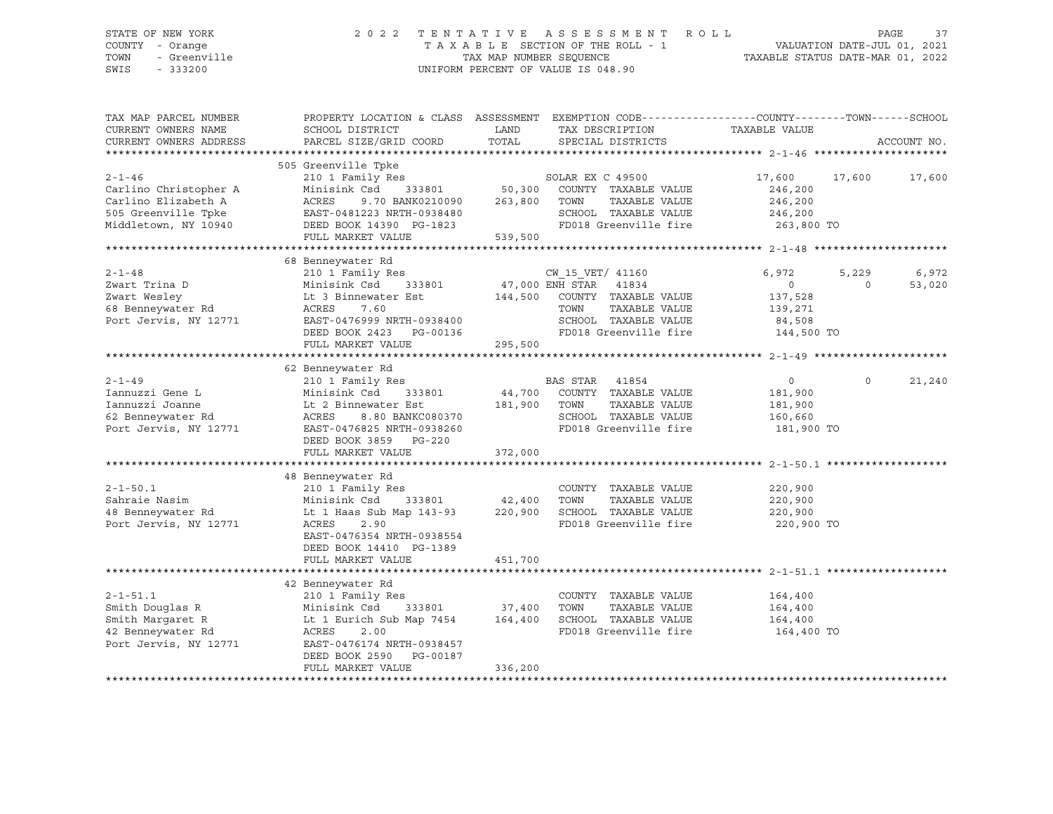### STATE OF NEW YORK 2 0 2 2 T E N T A T I V E A S S E S S M E N T R O L L PAGE 37 COUNTY - Orange T A X A B L E SECTION OF THE ROLL - 1 VALUATION DATE-JUL 01, 2021 TOWN - Greenville TAX MAP NUMBER SEQUENCE TAXABLE STATUS DATE-MAR 01, 2022 SWIS - 333200 UNIFORM PERCENT OF VALUE IS 048.90

| TAX MAP PARCEL NUMBER<br>CURRENT OWNERS NAME<br>CURRENT OWNERS ADDRESS                                      | PROPERTY LOCATION & CLASS ASSESSMENT EXEMPTION CODE----------------COUNTY-------TOWN------SCHOOL<br>SCHOOL DISTRICT<br>PARCEL SIZE/GRID COORD                                                                                      | LAND<br>TOTAL      | TAX DESCRIPTION<br>SPECIAL DISTRICTS                                                                                                | TAXABLE VALUE                                                 |                   | ACCOUNT NO.     |
|-------------------------------------------------------------------------------------------------------------|------------------------------------------------------------------------------------------------------------------------------------------------------------------------------------------------------------------------------------|--------------------|-------------------------------------------------------------------------------------------------------------------------------------|---------------------------------------------------------------|-------------------|-----------------|
| $2 - 1 - 46$<br>Carlino Christopher A<br>Carlino Elizabeth A<br>505 Greenville Tpke<br>Middletown, NY 10940 | 505 Greenville Tpke<br>Greenville ipke<br>210 1 Family Res<br>Minisink Csd<br>9.70 BANK0210090 263,800 TOWN<br>ACRES<br>ACKES > 110 Anii 110<br>EAST-0481223 NRTH-0938480<br>COPP BOOK 14390 PG-1823<br>FULL MARKET VALUE          | 539,500            | SOLAR EX C 49500<br>333801 50,300 COUNTY TAXABLE VALUE<br>TAXABLE VALUE<br>SCHOOL TAXABLE VALUE<br>FD018 Greenville fire 263,800 TO | 17,600 17,600<br>246,200<br>246,200<br>246,200                |                   | 17,600          |
| $2 - 1 - 48$<br>Zwart Trina D<br>Zwart Wesley<br>68 Benneywater Rd<br>Port Jervis, NY 12771                 | 68 Benneywater Rd<br>Minisink Csd<br>Lt 3 Binnewater Est<br>ACRES    7.60<br>ACRES<br>7.60<br>EAST-0476999 NRTH-0938400<br>DEED BOOK 2423 PG-00136<br>FULL MARKET VALUE                                                            | 295,500            | 144,500 COUNTY TAXABLE VALUE<br>TOWN<br>TAXABLE VALUE<br>SCHOOL TAXABLE VALUE<br>FD018 Greenville fire 144,500 TO                   | 6,972<br>$\overline{0}$<br>137,528<br>139,271<br>84,508       | 5,229<br>$\Omega$ | 6,972<br>53,020 |
| $2 - 1 - 49$<br>Iannuzzi Gene L<br>Iannuzzi Joanne<br>62 Benneywater Rd<br>Port Jervis, NY 12771            | 62 Benneywater Rd<br>210 1 Family Res<br>Minisink Csd<br>333801<br>Lt 2 Binnewater Est 181,900 TOWN<br>ACRES 8.80 BANKC080370<br>EAST-0476825 NRTH-0938260<br>DEED BOOK 3859 PG-220<br>FULL MARKET VALUE                           | 372,000            | BAS STAR 41854<br>44,700 COUNTY TAXABLE VALUE<br>TAXABLE VALUE<br>SCHOOL TAXABLE VALUE<br>FD018 Greenville fire                     | $\overline{0}$<br>181,900<br>181,900<br>160,660<br>181,900 TO | $\circ$           | 21,240          |
| $2 - 1 - 50.1$<br>Sahraie Nasim<br>48 Benneywater Rd<br>Port Jervis, NY 12771                               | 48 Benneywater Rd<br>210 1 Family Res<br>333801 42,400 TOWN<br>Minisink Csd<br>Lt 1 Haas Sub Map 143-93 220,900 SCHOOL TAXABLE VALUE<br>ACRES<br>2.90<br>EAST-0476354 NRTH-0938554<br>DEED BOOK 14410 PG-1389<br>FULL MARKET VALUE | 451,700            | COUNTY TAXABLE VALUE<br>TAXABLE VALUE<br>FD018 Greenville fire                                                                      | 220,900<br>220,900<br>220,900<br>220,900 TO                   |                   |                 |
| $2 - 1 - 51.1$<br>Smith Douglas R<br>Smith Margaret R<br>42 Benneywater Rd<br>Port Jervis, NY 12771         | 42 Benneywater Rd<br>210 1 Family Res<br>333801 37,400 TOWN<br>Minisink Csd<br>Lt 1 Eurich Sub Map 7454<br>ACRES<br>2.00<br>EAST-0476174 NRTH-0938457<br>DEED BOOK 2590 PG-00187<br>FULL MARKET VALUE                              | 164,400<br>336,200 | COUNTY TAXABLE VALUE<br>TAXABLE VALUE<br>SCHOOL TAXABLE VALUE<br>FD018 Greenville fire                                              | 164,400<br>164,400<br>164,400<br>164,400 TO                   |                   |                 |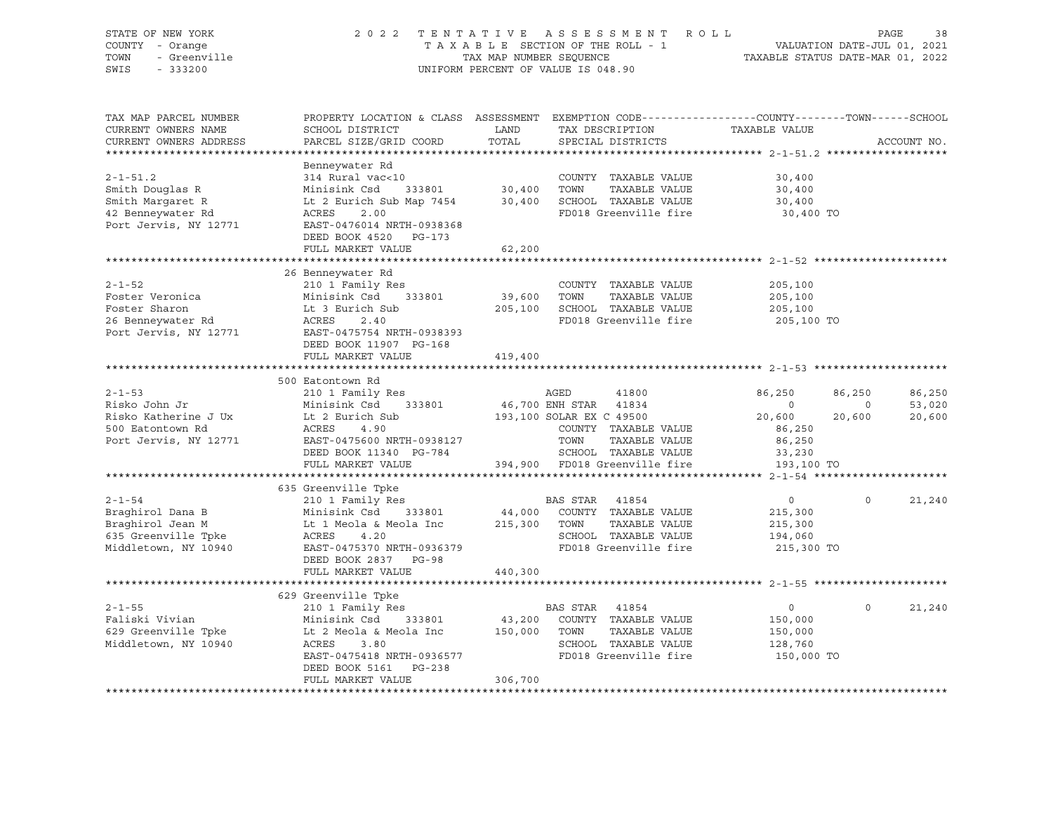| STATE OF NEW YORK<br>COUNTY - Orange<br>TOWN<br>- Greenville<br>SWIS<br>$-333200$                   | 2022                                                                                                                                                           |                              | TENTATIVE ASSESSMENT ROLL<br>T A X A B L E SECTION OF THE ROLL - 1<br>T A X A B L E SECTION OF THE ROLL - 1<br>TAX MAP NUMBER SEQUENCE TAXABLE STATUS DATE-MAR 01, 2022<br>UNIFORM PERCENT OF VALUE IS 048.90 |                                                               | PAGE                        | 38                         |
|-----------------------------------------------------------------------------------------------------|----------------------------------------------------------------------------------------------------------------------------------------------------------------|------------------------------|---------------------------------------------------------------------------------------------------------------------------------------------------------------------------------------------------------------|---------------------------------------------------------------|-----------------------------|----------------------------|
| TAX MAP PARCEL NUMBER<br>CURRENT OWNERS NAME<br>CURRENT OWNERS ADDRESS                              | PROPERTY LOCATION & CLASS ASSESSMENT EXEMPTION CODE----------------COUNTY-------TOWN-----SCHOOL<br>SCHOOL DISTRICT<br>PARCEL SIZE/GRID COORD                   | LAND<br>TOTAL                | TAX DESCRIPTION TAXABLE VALUE<br>SPECIAL DISTRICTS                                                                                                                                                            |                                                               |                             | ACCOUNT NO.                |
|                                                                                                     |                                                                                                                                                                |                              |                                                                                                                                                                                                               |                                                               |                             |                            |
| $2 - 1 - 51.2$<br>Smith Douglas R<br>Smith Margaret R<br>42 Benneywater Rd<br>Port Jervis, NY 12771 | Benneywater Rd<br>314 Rural vac<10<br>Minisink Csd<br>Lt 2 Eurich Sub Map 7454<br>ACRES<br>2.00<br>EAST-0476014 NRTH-0938368<br>DEED BOOK 4520 PG-173          | 333801 30,400<br>30,400      | COUNTY TAXABLE VALUE<br>TOWN<br>TAXABLE VALUE<br>SCHOOL TAXABLE VALUE<br>FD018 Greenville fire                                                                                                                | 30,400<br>30,400<br>30,400<br>30,400 TO                       |                             |                            |
|                                                                                                     | FULL MARKET VALUE                                                                                                                                              | 62,200                       |                                                                                                                                                                                                               |                                                               |                             |                            |
| $2 - 1 - 52$<br>Foster Veronica<br>Foster Sharon<br>26 Benneywater Rd<br>Port Jervis, NY 12771      | 26 Benneywater Rd<br>210 1 Family Res<br>333801<br>Minisink Csd<br>Lt 3 Eurich Sub<br>ACRES 2.40<br>EAST-0475754 NRTH-0938393                                  | 39,600<br>205,100            | COUNTY TAXABLE VALUE<br>TOWN<br>TAXABLE VALUE<br>SCHOOL TAXABLE VALUE<br>FD018 Greenville fire                                                                                                                | 205,100<br>205,100<br>205,100<br>205,100 TO                   |                             |                            |
|                                                                                                     | DEED BOOK 11907 PG-168                                                                                                                                         |                              |                                                                                                                                                                                                               |                                                               |                             |                            |
|                                                                                                     | FULL MARKET VALUE                                                                                                                                              | 419,400                      |                                                                                                                                                                                                               |                                                               |                             |                            |
|                                                                                                     | 500 Eatontown Rd                                                                                                                                               |                              |                                                                                                                                                                                                               |                                                               |                             |                            |
| $2 - 1 - 53$<br>Risko John Jr<br>Risko Katherine J Ux<br>500 Eatontown Rd<br>Port Jervis, NY 12771  | 210 1 Family Res<br>Minisink Csd 333801<br>Lt 2 Eurich Sub<br>ACRES 4.90<br>EAST-0475600 NRTH-0938127<br>DEED BOOK 11340 PG-784                                |                              | AGED<br>41800<br>46,700 ENH STAR 41834<br>193,100 SOLAR EX C 49500<br>COUNTY TAXABLE VALUE<br>TOWN<br>TAXABLE VALUE<br>SCHOOL TAXABLE VALUE                                                                   | 86,250<br>$\circ$<br>20,600<br>86,250<br>86,250<br>33,230     | 86,250<br>$\circ$<br>20,600 | 86,250<br>53,020<br>20,600 |
|                                                                                                     | FULL MARKET VALUE                                                                                                                                              |                              | 394,900 FD018 Greenville fire                                                                                                                                                                                 | 193,100 TO                                                    |                             |                            |
|                                                                                                     |                                                                                                                                                                |                              |                                                                                                                                                                                                               |                                                               |                             |                            |
| $2 - 1 - 54$<br>Braghirol Dana B<br>Braghirol Jean M<br>635 Greenville Tpke<br>Middletown, NY 10940 | 635 Greenville Tpke<br>210 1 Family Res<br>Minisink Csd 333801<br>Lt 1 Meola & Meola Inc<br>ACRES<br>4.20<br>EAST-0475370 NRTH-0936379<br>DEED BOOK 2837 PG-98 | 44,000<br>215,300            | BAS STAR<br>41854<br>COUNTY TAXABLE VALUE<br>TAXABLE VALUE<br>TOWN<br>SCHOOL TAXABLE VALUE<br>FD018 Greenville fire                                                                                           | $\overline{0}$<br>215,300<br>215,300<br>194,060<br>215,300 TO | $\Omega$                    | 21,240                     |
|                                                                                                     | FULL MARKET VALUE                                                                                                                                              | 440,300                      |                                                                                                                                                                                                               |                                                               |                             |                            |
|                                                                                                     | 629 Greenville Tpke                                                                                                                                            |                              |                                                                                                                                                                                                               |                                                               |                             |                            |
| $2 - 1 - 55$<br>Faliski Vivian<br>629 Greenville Tpke<br>Middletown, NY 10940                       | 210 1 Family Res<br>Minisink Csd 333801<br>Lt 2 Meola & Meola Inc<br>ACRES<br>3.80<br>EAST-0475418 NRTH-0936577<br>DEED BOOK 5161 PG-238<br>FULL MARKET VALUE  | 43,200<br>150,000<br>306,700 | BAS STAR 41854<br>COUNTY TAXABLE VALUE<br>TOWN TAXABLE VALUE<br>SCHOOL TAXABLE VALUE<br>FD018 Greenville fire                                                                                                 | $\overline{0}$<br>150,000<br>150,000<br>128,760<br>150,000 TO | $\Omega$                    | 21,240                     |
|                                                                                                     |                                                                                                                                                                |                              |                                                                                                                                                                                                               |                                                               |                             |                            |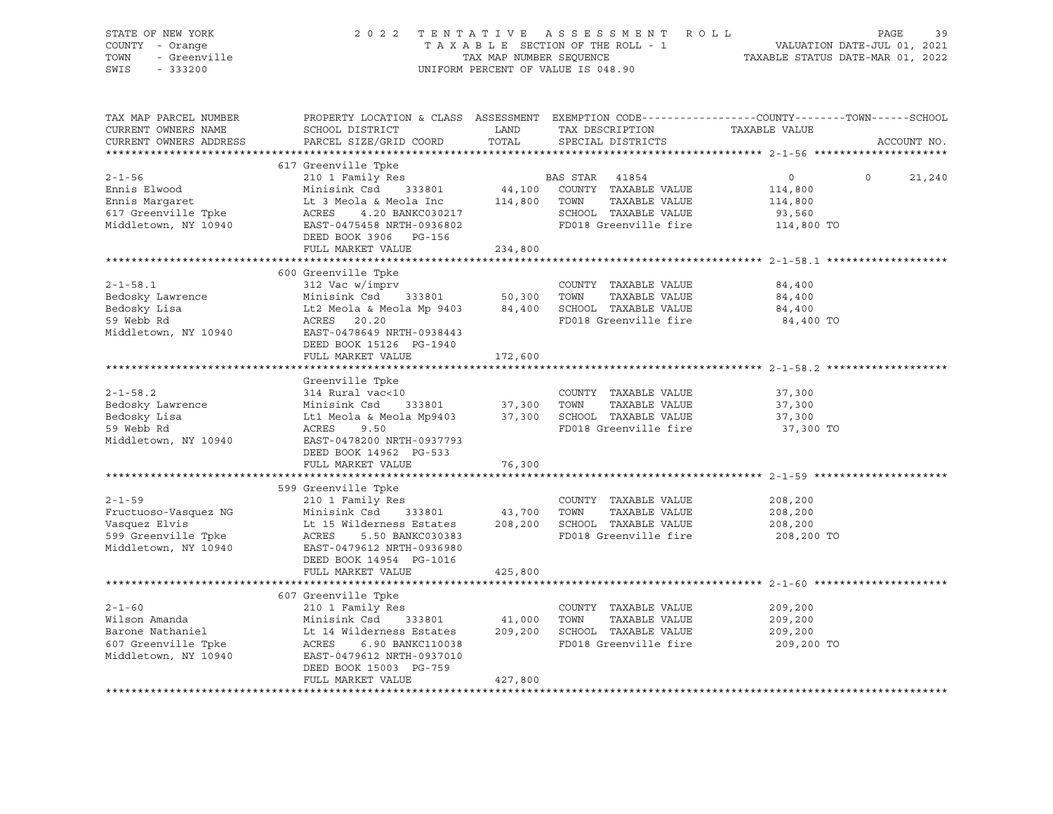| STATE OF NEW YORK<br>COUNTY - Orange<br>TOWN<br>- Greenville<br>SWIS<br>$-333200$                    | 2 0 2 2                                                                                                                                                                                                 | TENTATIVE<br>TAX MAP NUMBER SEQUENCE | ASSESSMENT ROLL<br>TAXABLE SECTION OF THE ROLL - 1<br>UNIFORM PERCENT OF VALUE IS 048.90                         | PAGE<br>39<br>VALUATION DATE-JUL 01, 2021<br>TAXABLE STATUS DATE-MAR 01, 2022                                   |
|------------------------------------------------------------------------------------------------------|---------------------------------------------------------------------------------------------------------------------------------------------------------------------------------------------------------|--------------------------------------|------------------------------------------------------------------------------------------------------------------|-----------------------------------------------------------------------------------------------------------------|
| TAX MAP PARCEL NUMBER<br>CURRENT OWNERS NAME<br>CURRENT OWNERS ADDRESS                               | SCHOOL DISTRICT<br>PARCEL SIZE/GRID COORD                                                                                                                                                               | LAND<br>TOTAL                        | TAX DESCRIPTION TAXABLE VALUE<br>SPECIAL DISTRICTS                                                               | PROPERTY LOCATION & CLASS ASSESSMENT EXEMPTION CODE----------------COUNTY-------TOWN------SCHOOL<br>ACCOUNT NO. |
|                                                                                                      | 617 Greenville Tpke                                                                                                                                                                                     |                                      |                                                                                                                  |                                                                                                                 |
| $2 - 1 - 56$<br>Ennis Elwood<br>Ennis Margaret<br>617 Greenville Tpke<br>Middletown, NY 10940        | 210 1 Family Res<br>Minisink Csd 333801<br>Lt 3 Meola & Meola Inc<br>4.20 BANKC030217<br>ACRES<br>EAST-0475458 NRTH-0936802                                                                             | 44,100<br>114,800                    | BAS STAR 41854<br>COUNTY TAXABLE VALUE<br>TAXABLE VALUE<br>TOWN<br>SCHOOL TAXABLE VALUE<br>FD018 Greenville fire | $0 \qquad \qquad$<br>$\Omega$<br>21,240<br>114,800<br>114,800<br>93,560<br>114,800 TO                           |
|                                                                                                      | DEED BOOK 3906 PG-156                                                                                                                                                                                   |                                      |                                                                                                                  |                                                                                                                 |
|                                                                                                      | FULL MARKET VALUE                                                                                                                                                                                       | 234,800                              |                                                                                                                  |                                                                                                                 |
| $2 - 1 - 58.1$<br>Bedosky Lawrence<br>Bedosky Lisa<br>59 Webb Rd<br>Middletown, NY 10940             | 600 Greenville Tpke<br>312 Vac w/imprv<br>Minisink Csd<br>Lt2 Meola & Meola Mp 9403 84,400<br>ACRES 20.20<br>EAST-0478649 NRTH-0938443<br>DEED BOOK 15126 PG-1940                                       | 333801 50,300                        | COUNTY TAXABLE VALUE<br>TOWN<br>TAXABLE VALUE<br>SCHOOL TAXABLE VALUE<br>FD018 Greenville fire                   | 84,400<br>84,400<br>84,400<br>84,400 TO                                                                         |
|                                                                                                      | FULL MARKET VALUE                                                                                                                                                                                       | 172,600                              |                                                                                                                  |                                                                                                                 |
|                                                                                                      |                                                                                                                                                                                                         |                                      |                                                                                                                  |                                                                                                                 |
| $2 - 1 - 58.2$<br>Bedosky Lawrence<br>Bedosky Lisa<br>59 Webb Rd<br>Middletown, NY 10940             | Greenville Tpke<br>314 Rural vac<10<br>Minisink Csd<br>Lt1 Meola & Meola Mp9403<br>ACRES<br>9.50<br>EAST-0478200 NRTH-0937793<br>DEED BOOK 14962 PG-533                                                 | 333801 37,300<br>37,300              | COUNTY TAXABLE VALUE<br>TOWN<br>TAXABLE VALUE<br>SCHOOL TAXABLE VALUE<br>FD018 Greenville fire                   | 37,300<br>37,300<br>37,300<br>37,300 TO                                                                         |
|                                                                                                      | FULL MARKET VALUE                                                                                                                                                                                       | 76,300                               |                                                                                                                  |                                                                                                                 |
| $2 - 1 - 59$<br>Fructuoso-Vasquez NG<br>Vasquez Elvis<br>599 Greenville Tpke<br>Middletown, NY 10940 | 599 Greenville Tpke<br>210 1 Family Res<br>Minisink Csd<br>333801<br>Lt 15 Wilderness Estates<br>ACRES<br>5.50 BANKC030383<br>EAST-0479612 NRTH-0936980<br>DEED BOOK 14954 PG-1016<br>FULL MARKET VALUE | 43,700<br>208,200<br>425,800         | COUNTY TAXABLE VALUE<br>TOWN<br>TAXABLE VALUE<br>SCHOOL TAXABLE VALUE<br>FD018 Greenville fire                   | 208,200<br>208,200<br>208,200<br>208,200 TO                                                                     |
|                                                                                                      |                                                                                                                                                                                                         |                                      |                                                                                                                  |                                                                                                                 |
| $2 - 1 - 60$<br>Wilson Amanda<br>Barone Nathaniel<br>607 Greenville Tpke<br>Middletown, NY 10940     | 607 Greenville Tpke<br>210 1 Family Res<br>Minisink Csd<br>333801<br>Lt 14 Wilderness Estates<br>ACRES<br>6.90 BANKC110038<br>EAST-0479612 NRTH-0937010<br>DEED BOOK 15003 PG-759<br>FULL MARKET VALUE  | 41,000<br>209,200<br>427,800         | COUNTY TAXABLE VALUE<br>TOWN<br>TAXABLE VALUE<br>SCHOOL TAXABLE VALUE<br>FD018 Greenville fire                   | 209,200<br>209,200<br>209,200<br>209,200 TO                                                                     |
|                                                                                                      |                                                                                                                                                                                                         |                                      |                                                                                                                  |                                                                                                                 |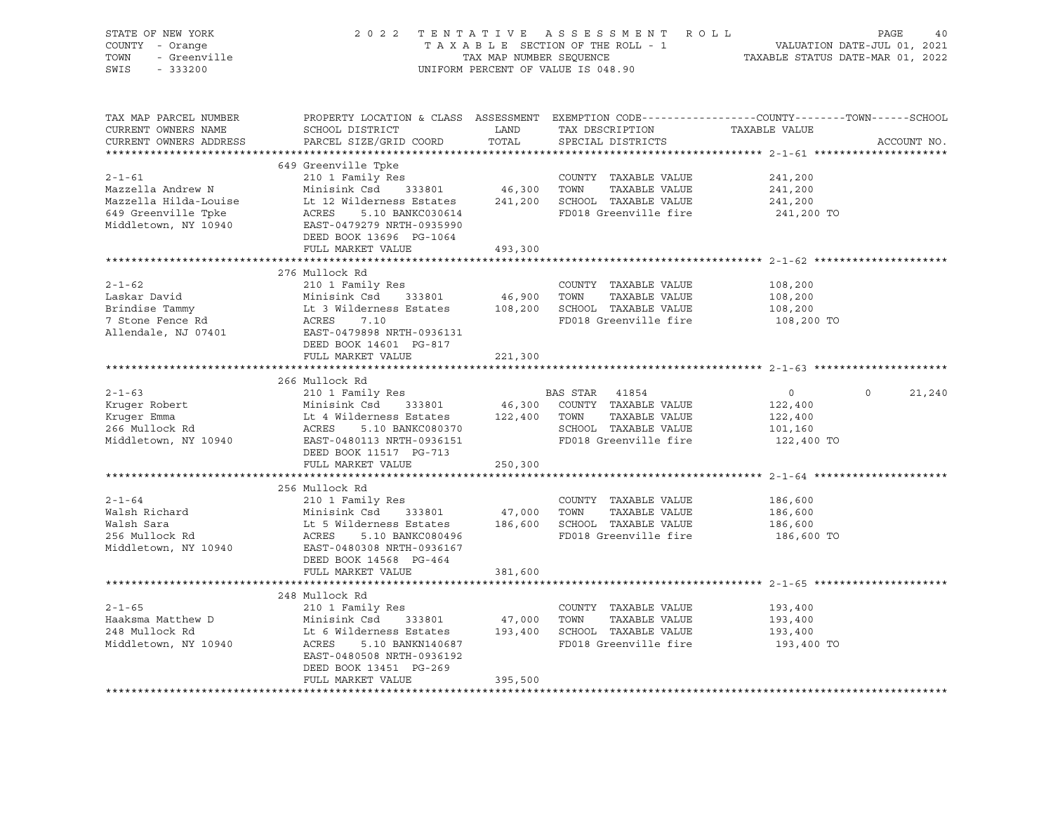| STATE OF NEW YORK<br>Ur NEW TORR<br>! - Orange<br>- Greenville<br>COUNTY - Orange<br>TOWN<br>SWIS - 333200                                                                                                                                               |                                                                                                                |                      | UNIFORM PERCENT OF VALUE IS 048.90                                        | 2022 TENTATIVE ASSESSMENT ROLL PAGE 40<br>TAXABLE SECTION OF THE ROLL - 1 VALUATION DATE-JUL 01, 2021<br>TAXABLE STATUS DATE-MAR 01, 2022 |
|----------------------------------------------------------------------------------------------------------------------------------------------------------------------------------------------------------------------------------------------------------|----------------------------------------------------------------------------------------------------------------|----------------------|---------------------------------------------------------------------------|-------------------------------------------------------------------------------------------------------------------------------------------|
| TAX MAP PARCEL NUMBER<br>CURRENT OWNERS NAME<br>CURRENT OWNERS ADDRESS                                                                                                                                                                                   | SCHOOL DISTRICT<br>PARCEL SIZE/GRID COORD                                                                      | <b>LAND</b><br>TOTAL | TAX DESCRIPTION TAXABLE VALUE SPECIAL DISTRICTS<br>SPECIAL DISTRICTS      | PROPERTY LOCATION & CLASS ASSESSMENT EXEMPTION CODE----------------COUNTY-------TOWN------SCHOOL<br>ACCOUNT NO.                           |
|                                                                                                                                                                                                                                                          |                                                                                                                |                      |                                                                           |                                                                                                                                           |
| 2-1-61<br>Mazzella Andrew N<br>Mazzella Hilda-Louise (10 Minisink Csd 333801 / 46,300 TOWN TAXABLE VALUE<br>Mazzella Hilda-Louise (12 Wilderness Estates 241,200 SCHOOL TAXABLE VALUE<br>Middletown, NY 10940 (EAST-0479279 NRTH-09359                   |                                                                                                                |                      | FD018 Greenville fire                                                     | 241,200<br>241,200<br>241,200<br>241,200 TO                                                                                               |
|                                                                                                                                                                                                                                                          | FULL MARKET VALUE                                                                                              | 493,300              |                                                                           |                                                                                                                                           |
| 2-1-62<br>210 1 Family Res<br>Laskar David Minisink Csd 333801<br>210 1 Family Res<br>210 1 Family Res<br>210 1 Family Res<br>210 1 Family Res<br>210 1 Family Res<br>210 1 Family Res<br>210 200 70WN TAXABLE VALUE<br>210 200 70WN TAXABLE VALUE       |                                                                                                                |                      |                                                                           | 108,200<br>108,200<br>108,200                                                                                                             |
|                                                                                                                                                                                                                                                          | FULL MARKET VALUE                                                                                              | 221,300              | FD018 Greenville fire                                                     | 108,200 TO                                                                                                                                |
|                                                                                                                                                                                                                                                          |                                                                                                                |                      |                                                                           |                                                                                                                                           |
| 266 Mullock Rd 210 1 Family Res 210 1 Family Res 210 1 Family Res 210 1 Family Res 210 1 Family Res 210 1 Family Res 212,400<br>266 Mullock Rd 210 1 Family Res 212,400<br>266 Mullock Rd 266 Mullock Rd 266 Mullock Rd 22,400<br>26                     | 266 Mullock Rd<br>DEED BOOK 11517 PG-713<br>FULL MARKET VALUE                                                  | 250,300              |                                                                           | $\Omega$<br>21,240                                                                                                                        |
|                                                                                                                                                                                                                                                          |                                                                                                                |                      |                                                                           |                                                                                                                                           |
| $2 - 1 - 64$<br>Walsh Richard<br>Walsh Sara<br>Minisink Csd 333801 47,000 TOWN TAXABLE VALUE<br>Minisink Csd 333801 47,000 TOWN TAXABLE VALUE<br>256 Mullock Rd ACRES 5.10 BANKC080496 FD018 Greenville fire<br>Middletown, NY 10940 EAST-0480308 NRTH-0 | 256 Mullock Rd<br>210 1 Family Res<br>DEED BOOK 14568 PG-464<br>FULL MARKET VALUE                              | 381,600              | COUNTY TAXABLE VALUE<br>TAXABLE VALUE<br>FD018 Greenville fire            | 186,600<br>186,600<br>186,600<br>186,600 TO                                                                                               |
|                                                                                                                                                                                                                                                          |                                                                                                                |                      |                                                                           |                                                                                                                                           |
| $2 - 1 - 65$                                                                                                                                                                                                                                             | 248 Mullock Rd<br>210 1 Family Res<br>EAST-0480508 NRTH-0936192<br>DEED BOOK 13451 PG-269<br>FULL MARKET VALUE | 395,500              | COUNTY TAXABLE VALUE<br>TAXABLE VALUE<br>FD018 Greenville fire 193,400 TO | 193,400<br>193,400<br>193,400                                                                                                             |
|                                                                                                                                                                                                                                                          |                                                                                                                |                      |                                                                           |                                                                                                                                           |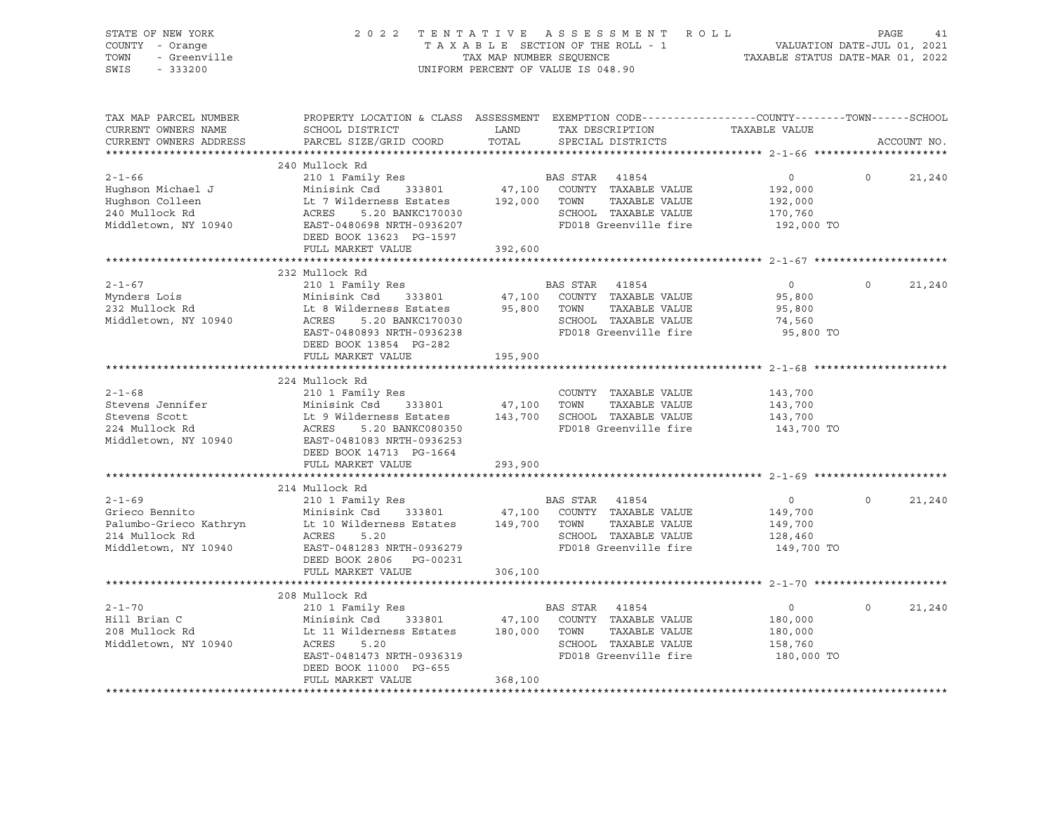| STATE OF NEW YORK<br>COUNTY - Orange<br>TOWN<br>- Greenville<br>SWIS<br>$-333200$                  | 2 0 2 2                                                                                                                                                              | TAX MAP NUMBER SEQUENCE      | TENTATIVE ASSESSMENT ROLL<br>TAXABLE SECTION OF THE ROLL - 1<br>UNIFORM PERCENT OF VALUE IS 048.90                                     | VALUATION DATE-JUL 01, 2021<br>TAXABLE STATUS DATE-MAR 01, 2022 | PAGE     | 41          |
|----------------------------------------------------------------------------------------------------|----------------------------------------------------------------------------------------------------------------------------------------------------------------------|------------------------------|----------------------------------------------------------------------------------------------------------------------------------------|-----------------------------------------------------------------|----------|-------------|
| TAX MAP PARCEL NUMBER<br>CURRENT OWNERS NAME<br>CURRENT OWNERS ADDRESS                             | SCHOOL DISTRICT<br>PARCEL SIZE/GRID COORD                                                                                                                            | LAND<br>TOTAL                | PROPERTY LOCATION & CLASS ASSESSMENT EXEMPTION CODE---------------COUNTY-------TOWN-----SCHOOL<br>TAX DESCRIPTION<br>SPECIAL DISTRICTS | TAXABLE VALUE                                                   |          | ACCOUNT NO. |
|                                                                                                    |                                                                                                                                                                      |                              |                                                                                                                                        |                                                                 |          |             |
| $2 - 1 - 66$<br>Hughson Michael J<br>Hughson Colleen<br>240 Mullock Rd<br>Middletown, NY 10940     | 240 Mullock Rd<br>210 1 Family Res<br>Minisink Csd<br>333801<br>Lt 7 Wilderness Estates<br>5.20 BANKC170030<br>ACRES<br>EAST-0480698 NRTH-0936207                    | 47,100<br>192,000            | BAS STAR 41854<br>COUNTY TAXABLE VALUE<br>TOWN<br>TAXABLE VALUE<br>SCHOOL TAXABLE VALUE<br>FD018 Greenville fire                       | $\circ$<br>192,000<br>192,000<br>170,760<br>192,000 TO          | $\Omega$ | 21,240      |
|                                                                                                    | DEED BOOK 13623 PG-1597<br>FULL MARKET VALUE                                                                                                                         | 392,600                      |                                                                                                                                        |                                                                 |          |             |
|                                                                                                    |                                                                                                                                                                      |                              |                                                                                                                                        |                                                                 |          |             |
|                                                                                                    | 232 Mullock Rd                                                                                                                                                       |                              |                                                                                                                                        |                                                                 |          |             |
| $2 - 1 - 67$<br>Mynders Lois<br>232 Mullock Rd<br>Middletown, NY 10940                             | 210 1 Family Res<br>Minisink Csd<br>333801<br>Lt 8 Wilderness Estates<br>5.20 BANKC170030<br>ACRES<br>EAST-0480893 NRTH-0936238                                      | 47,100<br>95,800             | BAS STAR 41854<br>COUNTY TAXABLE VALUE<br>TOWN<br>TAXABLE VALUE<br>SCHOOL TAXABLE VALUE<br>FD018 Greenville fire                       | $\overline{0}$<br>95,800<br>95,800<br>74,560<br>95,800 TO       | $\Omega$ | 21,240      |
|                                                                                                    | DEED BOOK 13854 PG-282<br>FULL MARKET VALUE                                                                                                                          | 195,900                      |                                                                                                                                        |                                                                 |          |             |
|                                                                                                    |                                                                                                                                                                      |                              |                                                                                                                                        |                                                                 |          |             |
|                                                                                                    | 224 Mullock Rd                                                                                                                                                       |                              |                                                                                                                                        |                                                                 |          |             |
| $2 - 1 - 68$<br>Stevens Jennifer<br>Stevens Scott<br>224 Mullock Rd<br>Middletown, NY 10940        | 210 1 Family Res<br>Minisink Csd<br>333801<br>Lt 9 Wilderness Estates<br>5.20 BANKC080350<br>ACRES<br>EAST-0481083 NRTH-0936253                                      | 47,100<br>143,700            | COUNTY TAXABLE VALUE<br>TOWN<br>TAXABLE VALUE<br>SCHOOL TAXABLE VALUE<br>FD018 Greenville fire                                         | 143,700<br>143,700<br>143,700<br>143,700 TO                     |          |             |
|                                                                                                    | DEED BOOK 14713 PG-1664<br>FULL MARKET VALUE                                                                                                                         | 293,900                      |                                                                                                                                        |                                                                 |          |             |
|                                                                                                    |                                                                                                                                                                      |                              |                                                                                                                                        |                                                                 |          |             |
|                                                                                                    | 214 Mullock Rd                                                                                                                                                       |                              |                                                                                                                                        |                                                                 |          |             |
| $2 - 1 - 69$<br>Grieco Bennito<br>Palumbo-Grieco Kathryn<br>214 Mullock Rd<br>Middletown, NY 10940 | 210 1 Family Res<br>Minisink Csd<br>333801<br>Lt 10 Wilderness Estates<br>ACRES<br>5.20<br>EAST-0481283 NRTH-0936279<br>DEED BOOK 2806 PG-00231<br>FULL MARKET VALUE | 47,100<br>149,700<br>306,100 | BAS STAR 41854<br>COUNTY TAXABLE VALUE<br>TAXABLE VALUE<br>TOWN<br>SCHOOL TAXABLE VALUE<br>FD018 Greenville fire                       | $\circ$<br>149,700<br>149,700<br>128,460<br>149,700 TO          | $\Omega$ | 21,240      |
|                                                                                                    |                                                                                                                                                                      |                              |                                                                                                                                        |                                                                 |          |             |
|                                                                                                    | 208 Mullock Rd                                                                                                                                                       |                              |                                                                                                                                        |                                                                 |          |             |
| $2 - 1 - 70$<br>Hill Brian C<br>208 Mullock Rd<br>Middletown, NY 10940                             | 210 1 Family Res<br>Minisink Csd<br>333801<br>Lt 11 Wilderness Estates<br>ACRES<br>5.20<br>EAST-0481473 NRTH-0936319<br>DEED BOOK 11000 PG-655<br>FULL MARKET VALUE  | 47,100<br>180,000<br>368,100 | BAS STAR 41854<br>COUNTY TAXABLE VALUE<br>TOWN<br>TAXABLE VALUE<br>SCHOOL TAXABLE VALUE<br>FD018 Greenville fire                       | $\circ$<br>180,000<br>180,000<br>158,760<br>180,000 TO          | $\Omega$ | 21,240      |
|                                                                                                    |                                                                                                                                                                      |                              |                                                                                                                                        |                                                                 |          |             |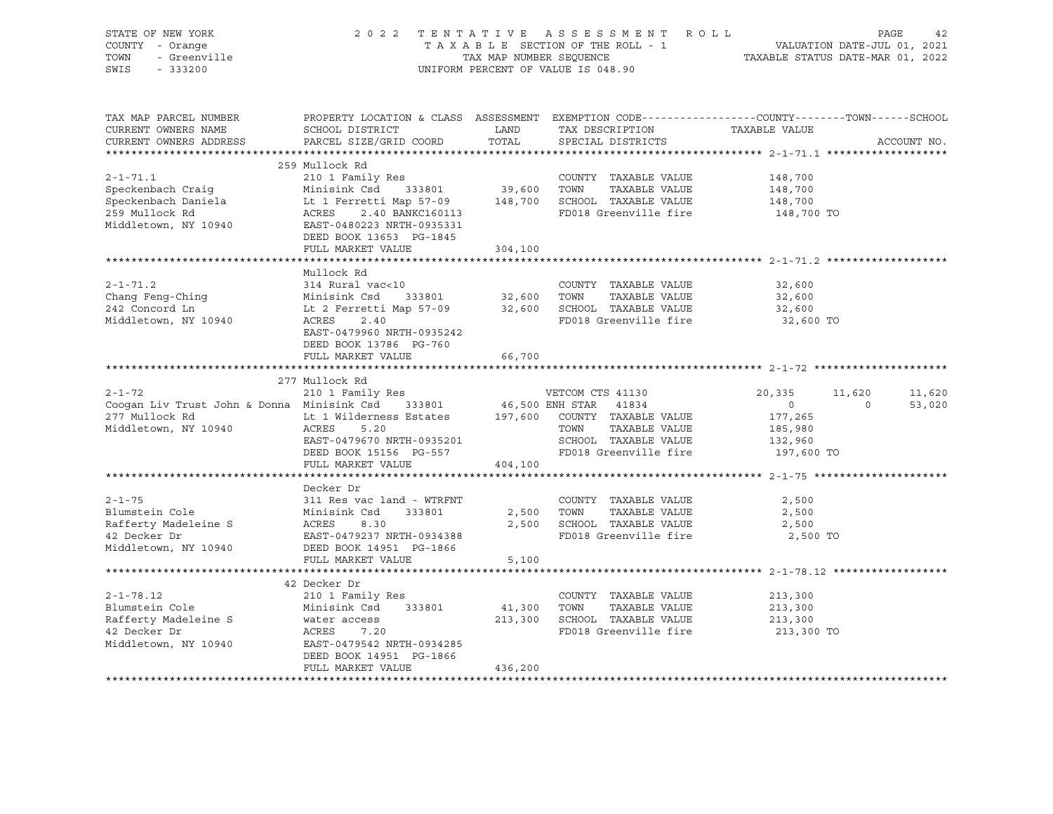| STATE OF NEW YORK<br>COUNTY - Orange<br>TOWN<br>- Greenville<br>SWIS<br>$-333200$ | 2 0 2 2                                              | TAX MAP NUMBER SEQUENCE | TENTATIVE ASSESSMENT ROLL<br>T A X A B L E SECTION OF THE ROLL - 1 VALUATION DATE-JUL 01, 2021<br>UNIFORM PERCENT OF VALUE IS 048.90 | TAXABLE STATUS DATE-MAR 01, 2022 | PAGE           | 42          |
|-----------------------------------------------------------------------------------|------------------------------------------------------|-------------------------|--------------------------------------------------------------------------------------------------------------------------------------|----------------------------------|----------------|-------------|
| TAX MAP PARCEL NUMBER                                                             |                                                      |                         | PROPERTY LOCATION & CLASS ASSESSMENT EXEMPTION CODE---------------COUNTY-------TOWN------SCHOOL                                      |                                  |                |             |
| CURRENT OWNERS NAME<br>CURRENT OWNERS ADDRESS                                     | SCHOOL DISTRICT<br>PARCEL SIZE/GRID COORD            | LAND<br>TOTAL           | TAX DESCRIPTION<br>SPECIAL DISTRICTS                                                                                                 | TAXABLE VALUE                    |                | ACCOUNT NO. |
|                                                                                   |                                                      |                         |                                                                                                                                      |                                  |                |             |
|                                                                                   | 259 Mullock Rd                                       |                         |                                                                                                                                      |                                  |                |             |
| $2 - 1 - 71.1$                                                                    | 210 1 Family Res                                     |                         | COUNTY TAXABLE VALUE                                                                                                                 | 148,700                          |                |             |
| Speckenbach Craig                                                                 | Minisink Csd 333801                                  | 39,600                  | TOWN TAXABLE VALUE                                                                                                                   | 148,700                          |                |             |
| Speckenbach Daniela                                                               | Lt 1 Ferretti Map 57-09 148,700                      |                         | SCHOOL TAXABLE VALUE                                                                                                                 | 148,700                          |                |             |
| 259 Mullock Rd                                                                    | 2.40 BANKC160113<br>ACRES                            |                         | FD018 Greenville fire                                                                                                                | 148,700 TO                       |                |             |
| Middletown, NY 10940                                                              | EAST-0480223 NRTH-0935331<br>DEED BOOK 13653 PG-1845 |                         |                                                                                                                                      |                                  |                |             |
|                                                                                   | FULL MARKET VALUE                                    | 304,100                 |                                                                                                                                      |                                  |                |             |
|                                                                                   |                                                      |                         |                                                                                                                                      |                                  |                |             |
|                                                                                   | Mullock Rd                                           |                         |                                                                                                                                      |                                  |                |             |
| $2 - 1 - 71.2$                                                                    | 314 Rural vac<10                                     |                         | COUNTY TAXABLE VALUE                                                                                                                 | 32,600                           |                |             |
| Chang Feng-Ching                                                                  | Minisink Csd 333801                                  | 32,600                  | TOWN<br>TAXABLE VALUE                                                                                                                | 32,600                           |                |             |
| 242 Concord Ln                                                                    | Lt 2 Ferretti Map 57-09 32,600                       |                         | SCHOOL TAXABLE VALUE                                                                                                                 | 32,600                           |                |             |
| Middletown, NY 10940                                                              | ACRES<br>2.40<br>EAST-0479960 NRTH-0935242           |                         | FD018 Greenville fire                                                                                                                | 32,600 TO                        |                |             |
|                                                                                   | DEED BOOK 13786 PG-760                               |                         |                                                                                                                                      |                                  |                |             |
|                                                                                   | FULL MARKET VALUE                                    | 66,700                  |                                                                                                                                      |                                  |                |             |
|                                                                                   |                                                      |                         |                                                                                                                                      |                                  |                |             |
|                                                                                   | 277 Mullock Rd                                       |                         |                                                                                                                                      |                                  |                |             |
| $2 - 1 - 72$                                                                      | 210 1 Family Res                                     |                         | VETCOM CTS 41130                                                                                                                     | 20,335                           | 11,620         | 11,620      |
| Cooqan Liv Trust John & Donna Minisink Csd 333801<br>277 Mullock Rd               | Lt 1 Wilderness Estates 197,600 COUNTY TAXABLE VALUE |                         | 46,500 ENH STAR 41834                                                                                                                | $\overline{0}$                   | $\overline{0}$ | 53,020      |
| Middletown, NY 10940                                                              | ACRES<br>5.20                                        |                         | TOWN TAXABLE VALUE                                                                                                                   | 177,265<br>185,980               |                |             |
|                                                                                   | EAST-0479670 NRTH-0935201                            |                         | SCHOOL TAXABLE VALUE                                                                                                                 | 132,960                          |                |             |
|                                                                                   | DEED BOOK 15156 PG-557                               |                         | FD018 Greenville fire                                                                                                                | 197,600 TO                       |                |             |
|                                                                                   | FULL MARKET VALUE                                    | 404,100                 |                                                                                                                                      |                                  |                |             |
|                                                                                   |                                                      |                         |                                                                                                                                      |                                  |                |             |
|                                                                                   | Decker Dr                                            |                         |                                                                                                                                      |                                  |                |             |
| $2 - 1 - 75$                                                                      | 311 Res vac land - WTRFNT                            |                         | COUNTY TAXABLE VALUE                                                                                                                 | 2,500                            |                |             |
| Blumstein Cole<br>Rafferty Madeleine S                                            | Minisink Csd<br>333801<br>ACRES<br>8.30              | 2,500<br>2,500          | TAXABLE VALUE<br>TOWN<br>SCHOOL TAXABLE VALUE                                                                                        | 2,500<br>2,500                   |                |             |
| 42 Decker Dr                                                                      | EAST-0479237 NRTH-0934388                            |                         | FD018 Greenville fire                                                                                                                | 2,500 TO                         |                |             |
| Middletown, NY 10940                                                              | DEED BOOK 14951 PG-1866                              |                         |                                                                                                                                      |                                  |                |             |
|                                                                                   | FULL MARKET VALUE                                    | 5,100                   |                                                                                                                                      |                                  |                |             |
|                                                                                   |                                                      |                         |                                                                                                                                      |                                  |                |             |
|                                                                                   | 42 Decker Dr                                         |                         |                                                                                                                                      |                                  |                |             |
| $2 - 1 - 78.12$                                                                   | 210 1 Family Res                                     |                         | COUNTY TAXABLE VALUE                                                                                                                 | 213,300                          |                |             |
| Blumstein Cole<br>Rafferty Madeleine S                                            | Minisink Csd<br>333801                               | 41,300<br>213,300       | TOWN<br>TAXABLE VALUE<br>SCHOOL TAXABLE VALUE                                                                                        | 213,300<br>213,300               |                |             |
| 42 Decker Dr                                                                      | water access<br>ACRES 7.20                           |                         | FD018 Greenville fire                                                                                                                | 213,300 TO                       |                |             |
| Middletown, NY 10940                                                              | EAST-0479542 NRTH-0934285                            |                         |                                                                                                                                      |                                  |                |             |
|                                                                                   | DEED BOOK 14951 PG-1866                              |                         |                                                                                                                                      |                                  |                |             |
|                                                                                   | FULL MARKET VALUE                                    | 436,200                 |                                                                                                                                      |                                  |                |             |
|                                                                                   |                                                      |                         |                                                                                                                                      |                                  |                |             |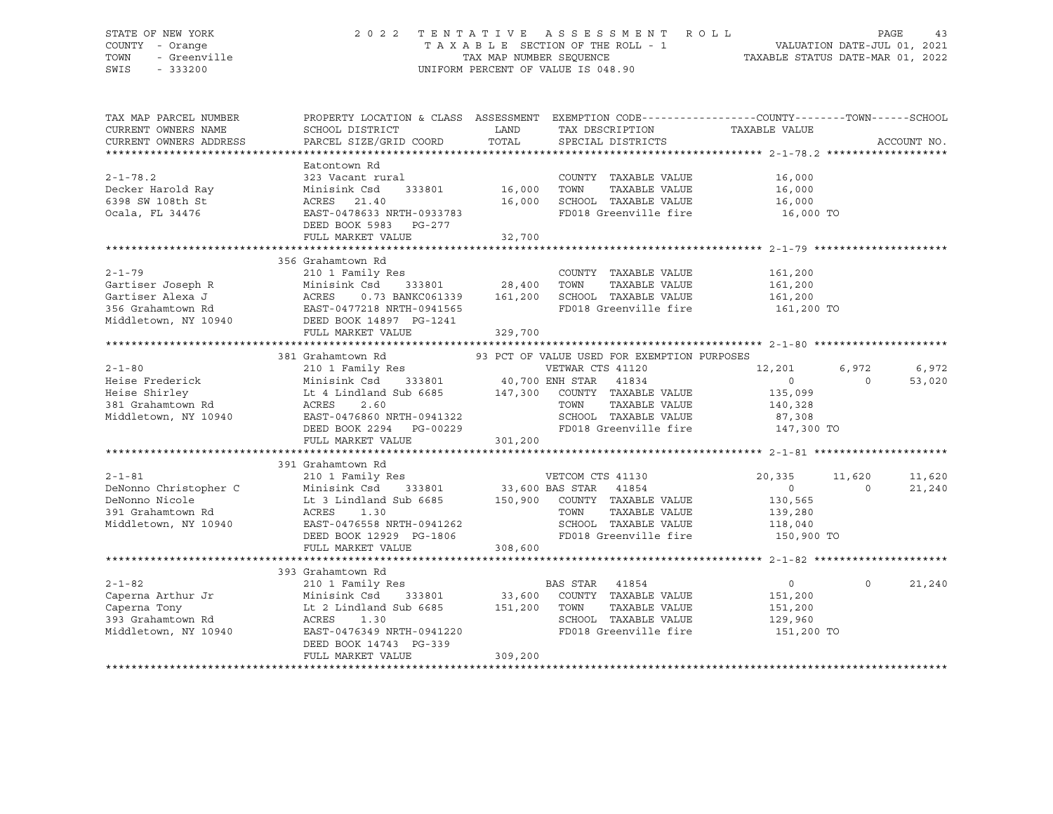### STATE OF NEW YORK 2 0 2 2 T E N T A T I V E A S S E S S M E N T R O L L PAGE 43 COUNTY - Orange T A X A B L E SECTION OF THE ROLL - 1 VALUATION DATE-JUL 01, 2021 TOWN - Greenville TAX MAP NUMBER SEQUENCE TAXABLE STATUS DATE-MAR 01, 2022 SWIS - 333200 UNIFORM PERCENT OF VALUE IS 048.90

| TAX MAP PARCEL NUMBER<br>CURRENT OWNERS NAME<br>CURRENT OWNERS ADDRESS                                                     | PROPERTY LOCATION & CLASS ASSESSMENT<br>SCHOOL DISTRICT<br>PARCEL SIZE/GRID COORD                                                                                                                                                       | LAND<br>TOTAL            | EXEMPTION CODE-----------------COUNTY-------TOWN------SCHOOL<br>TAX DESCRIPTION<br>SPECIAL DISTRICTS                                                       | TAXABLE VALUE                                                           | ACCOUNT NO.                            |
|----------------------------------------------------------------------------------------------------------------------------|-----------------------------------------------------------------------------------------------------------------------------------------------------------------------------------------------------------------------------------------|--------------------------|------------------------------------------------------------------------------------------------------------------------------------------------------------|-------------------------------------------------------------------------|----------------------------------------|
| $2 - 1 - 78.2$<br>Decker Harold Ray<br>6398 SW 108th St<br>Ocala, FL 34476                                                 | Eatontown Rd<br>323 Vacant rural<br>Minisink Csd<br>333801<br>ACRES<br>21.40<br>EAST-0478633 NRTH-0933783                                                                                                                               | 16,000<br>16,000         | COUNTY TAXABLE VALUE<br>TOWN<br>TAXABLE VALUE<br>SCHOOL TAXABLE VALUE<br>FD018 Greenville fire                                                             | 16,000<br>16,000<br>16,000<br>16,000 TO                                 |                                        |
|                                                                                                                            | DEED BOOK 5983 PG-277<br>FULL MARKET VALUE                                                                                                                                                                                              | 32,700                   |                                                                                                                                                            |                                                                         |                                        |
| $2 - 1 - 79$<br>Gartiser Joseph R<br>Gartiser Alexa J<br>356 Grahamtown Rd<br>Middletown, NY 10940 DEED BOOK 14897 PG-1241 | 356 Grahamtown Rd<br>210 1 Family Res<br>Minisink Csd<br>0.73 BANKC061339 161,200<br>ACRES 0.73 BANKC061339<br>EAST-0477218 NRTH-0941565<br>FULL MARKET VALUE                                                                           | 333801 28,400<br>329,700 | COUNTY TAXABLE VALUE<br>TOWN<br>TAXABLE VALUE<br>SCHOOL TAXABLE VALUE<br>FD018 Greenville fire                                                             | 161,200<br>161,200<br>161,200<br>161,200 TO                             |                                        |
|                                                                                                                            |                                                                                                                                                                                                                                         |                          |                                                                                                                                                            |                                                                         |                                        |
| $2 - 1 - 80$<br>Heise Frederick<br>Heise Shirley<br>381 Grahamtown Rd<br>Middletown, NY 10940                              | 381 Grahamtown Rd<br>210 1 Family Res<br>Minisink Csd 333801 40,700 ENH STAR 41834<br>Lt 4 Lindland Sub 6685 147,300 COUNTY TAXABLE VALUE<br>ACRES<br>2.60<br>EAST-0476860 NRTH-0941322<br>DEED BOOK 2294 PG-00229<br>FULL MARKET VALUE | 301,200                  | 93 PCT OF VALUE USED FOR EXEMPTION PURPOSES<br>VETWAR CTS 41120<br>TOWN<br>TAXABLE VALUE<br>SCHOOL TAXABLE VALUE<br>FD018 Greenville fire                  | 12,201<br>$\overline{0}$<br>135,099<br>140,328<br>87,308<br>147,300 TO  | 6,972<br>6,972<br>$\Omega$<br>53,020   |
| $2 - 1 - 81$<br>DeNonno Christopher C<br>DeNonno Nicole<br>391 Grahamtown Rd<br>Middletown, NY 10940                       | 391 Grahamtown Rd<br>210 1 Family Res<br>Minisink Csd<br>Lt 3 Lindland Sub 6685<br>ACRES<br>1.30<br>EAST-0476558 NRTH-0941262<br>DEED BOOK 12929 PG-1806<br>FULL MARKET VALUE                                                           | 308,600                  | VETCOM CTS 41130<br>333801 33,600 BAS STAR 41854<br>150,900 COUNTY TAXABLE VALUE<br>TOWN<br>TAXABLE VALUE<br>SCHOOL TAXABLE VALUE<br>FD018 Greenville fire | 20,335<br>$\overline{0}$<br>130,565<br>139,280<br>118,040<br>150,900 TO | 11,620<br>11,620<br>$\Omega$<br>21,240 |
|                                                                                                                            | 393 Grahamtown Rd                                                                                                                                                                                                                       |                          |                                                                                                                                                            |                                                                         |                                        |
| $2 - 1 - 82$<br>Caperna Arthur Jr<br>Caperna Tony<br>393 Grahamtown Rd<br>Middletown, NY 10940                             | 210 1 Family Res<br>Minisink Csd<br>333801<br>Lt 2 Lindland Sub 6685 151,200<br>ACRES<br>1.30<br>EAST-0476349 NRTH-0941220<br>DEED BOOK 14743 PG-339<br>FULL MARKET VALUE                                                               | 309,200                  | BAS STAR 41854<br>33,600 COUNTY TAXABLE VALUE<br>TOWN<br>TAXABLE VALUE<br>SCHOOL TAXABLE VALUE<br>FD018 Greenville fire                                    | $0 \qquad \qquad$<br>151,200<br>151,200<br>129,960<br>151,200 TO        | $\circ$<br>21,240                      |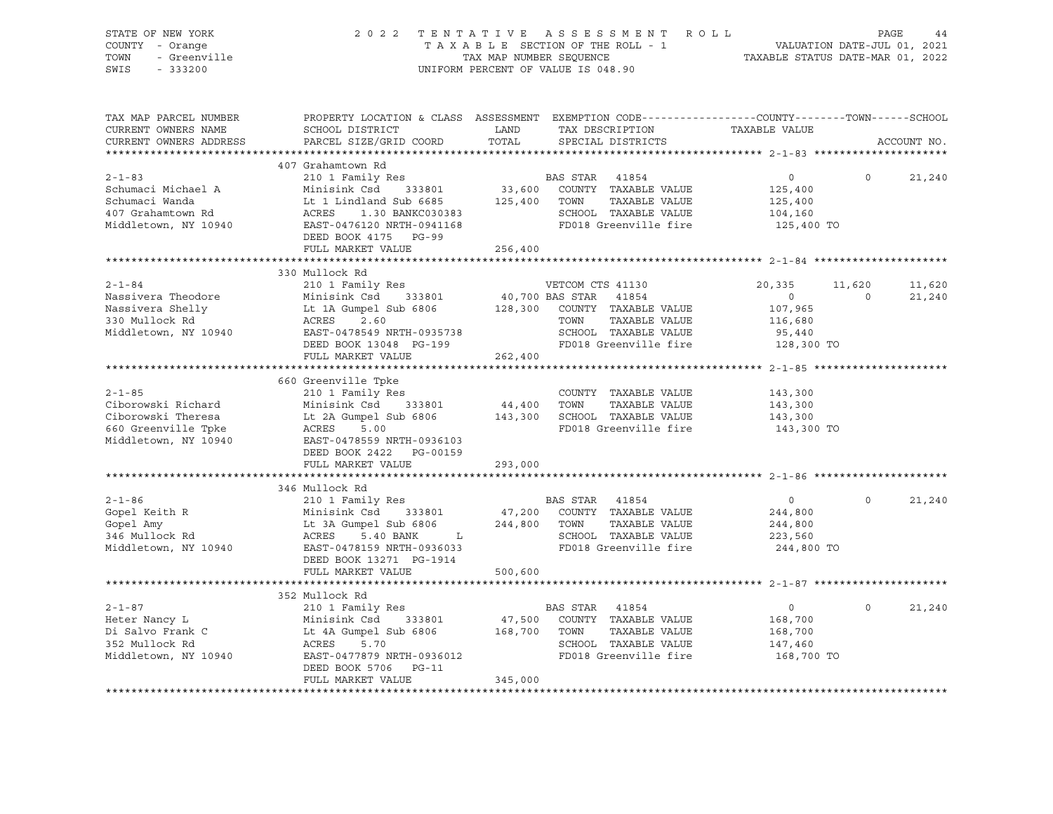| STATE OF NEW YORK<br>COUNTY - Orange<br>TOWN<br>- Greenville<br>SWIS<br>$-333200$                                                    | 2 0 2 2                                                                                                                                                                                                   |                              | TENTATIVE ASSESSMENT ROLL<br>TENTATIVE ASSESSMENT AVVIL<br>TAXABLE SECTION OF THE ROLL - 1 VALUATION DATE-JUL 01, 2021<br>TAXABLE STATUS DATE-MAR 01, 2022<br>UNIFORM PERCENT OF VALUE IS 048.90 |                                                                        | PAGE              | 44               |
|--------------------------------------------------------------------------------------------------------------------------------------|-----------------------------------------------------------------------------------------------------------------------------------------------------------------------------------------------------------|------------------------------|--------------------------------------------------------------------------------------------------------------------------------------------------------------------------------------------------|------------------------------------------------------------------------|-------------------|------------------|
| TAX MAP PARCEL NUMBER<br>CURRENT OWNERS NAME<br>CURRENT OWNERS ADDRESS                                                               | SCHOOL DISTRICT<br>PARCEL SIZE/GRID COORD                                                                                                                                                                 | LAND<br>TOTAL                | PROPERTY LOCATION & CLASS ASSESSMENT EXEMPTION CODE----------------COUNTY-------TOWN------SCHOOL<br>TAX DESCRIPTION TAXABLE VALUE<br>SPECIAL DISTRICTS                                           |                                                                        |                   | ACCOUNT NO.      |
| $2 - 1 - 83$<br>Schumaci Michael A                                                                                                   | 407 Grahamtown Rd<br>210 1 Family Res<br>Minisink Csd 333801<br>DEED BOOK 4175 PG-99<br>FULL MARKET VALUE                                                                                                 | 125,400<br>256,400           | BAS STAR 41854<br>33,600 COUNTY TAXABLE VALUE<br>TOWN TAXABLE VALUE<br>SCHOOL TAXABLE VALUE<br>FD018 Greenville fire                                                                             | 0<br>125,400<br>125,400<br>104,160<br>125,400 TO                       | $\Omega$          | 21,240           |
|                                                                                                                                      |                                                                                                                                                                                                           |                              |                                                                                                                                                                                                  |                                                                        |                   |                  |
| $2 - 1 - 84$<br>Nassivera Theodore<br>Nassivera Shelly<br>330 Mullock Rd<br>Middletown, NY 10940 EAST-0478549 NRTH-0935738           | 330 Mullock Rd<br>210 1 Family Res<br>Minisink Csa<br>Lt 1A Gumpel Sub 6806<br>ACRES 2.60<br>2170549 NRTH-0935738<br>333801<br>DEED BOOK 13048 PG-199<br>FULL MARKET VALUE                                | 40,700 BAS STAR<br>262,400   | VETCOM CTS 41130<br>41854<br>128,300 COUNTY TAXABLE VALUE<br>TOWN<br>TAXABLE VALUE<br>SCHOOL TAXABLE VALUE<br>FD018 Greenville fire                                                              | 20,335<br>$\overline{0}$<br>107,965<br>116,680<br>95,440<br>128,300 TO | 11,620<br>$\circ$ | 11,620<br>21,240 |
|                                                                                                                                      |                                                                                                                                                                                                           |                              |                                                                                                                                                                                                  |                                                                        |                   |                  |
| $2 - 1 - 85$<br>Ciborowski Richard<br>Ciborowski Theresa<br>660 Greenville Tpke<br>Middletown, NY 10940<br>EAST-0478559 NRTH-0936103 | 660 Greenville Tpke<br>210 1 Family Res<br>Minisink Csd 333801<br>EAST-0478559 NRTH-0936103<br>DEED BOOK 2422 PG-00159                                                                                    | 44,400<br>143,300            | COUNTY TAXABLE VALUE<br>TOWN<br>TAXABLE VALUE<br>SCHOOL TAXABLE VALUE<br>FD018 Greenville fire                                                                                                   | 143,300<br>143,300<br>143,300<br>143,300 TO                            |                   |                  |
|                                                                                                                                      | FULL MARKET VALUE                                                                                                                                                                                         | 293,000                      |                                                                                                                                                                                                  |                                                                        |                   |                  |
| $2 - 1 - 86$<br>Gopel Keith R<br>Gopel Amy<br>346 Mullock Rd<br>Middletown, NY 10940                                                 | 346 Mullock Rd<br>210 1 Family Res<br>Minisink Csd 333801<br>Lt 3A Gumpel Sub 6806<br>ACRES 5.40 BANK L<br>ACRES 5.40 BANK L<br>EAST-0478159 NRTH-0936033<br>DEED BOOK 13271 PG-1914<br>FULL MARKET VALUE | 47,200<br>244,800<br>500,600 | BAS STAR 41854<br>COUNTY TAXABLE VALUE<br>TOWN<br>TAXABLE VALUE<br>SCHOOL TAXABLE VALUE<br>FD018 Greenville fire                                                                                 | $\overline{0}$<br>244,800<br>244,800<br>223,560<br>244,800 TO          | $\Omega$          | 21,240           |
|                                                                                                                                      |                                                                                                                                                                                                           |                              |                                                                                                                                                                                                  |                                                                        |                   |                  |
| $2 - 1 - 87$<br>Heter Nancy L<br>Di Salvo Frank C<br>352 Mullock Rd<br>Middletown, NY 10940                                          | 352 Mullock Rd<br>210 1 Family Res<br>Minisink Csd 333801<br>Lt 4A Gumpel Sub 6806<br>333801<br>ACRES 5.70<br>EAST-0477879 NRTH-0936012<br>DEED BOOK 5706 PG-11<br>FULL MARKET VALUE                      | 47,500<br>168,700<br>345,000 | BAS STAR 41854<br>COUNTY TAXABLE VALUE<br>TOWN<br>TAXABLE VALUE<br>SCHOOL TAXABLE VALUE<br>FD018 Greenville fire                                                                                 | $\overline{0}$<br>168,700<br>168,700<br>147,460<br>168,700 TO          | $\Omega$          | 21,240           |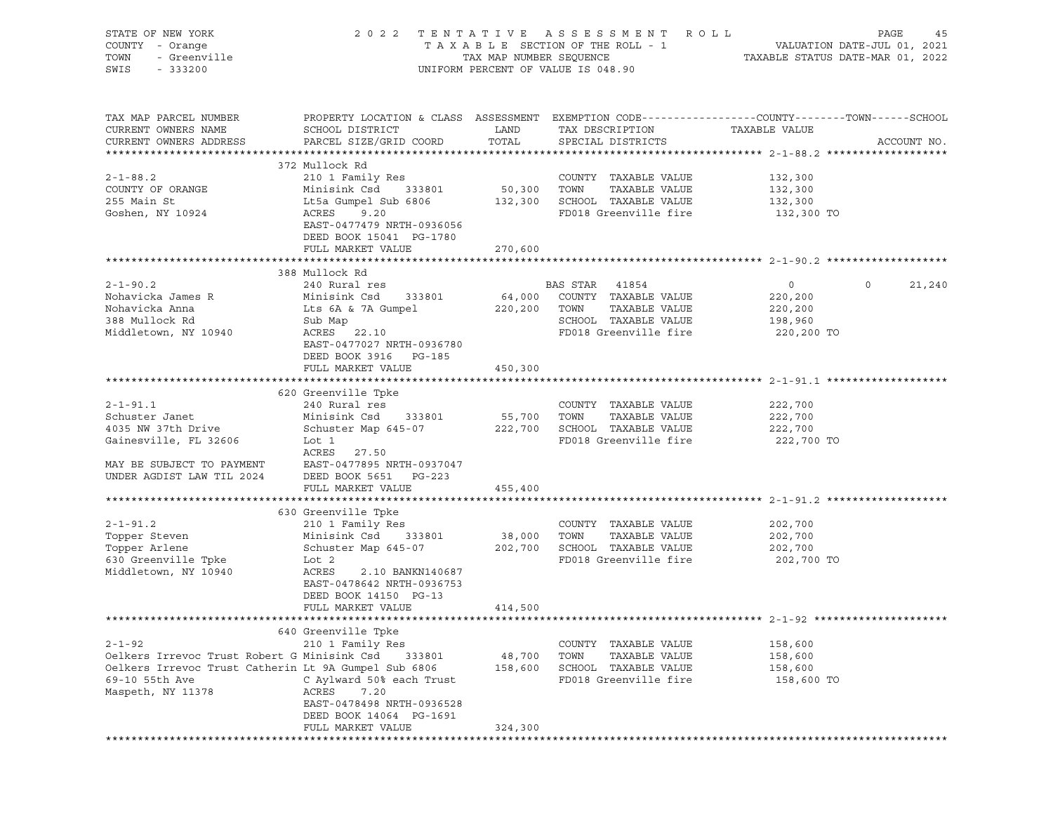| STATE OF NEW YORK<br>OF NEW YORK<br>I - Orange<br>- Greenville<br>- 20000<br>COUNTY - Orange<br>TOWN<br>SWIS                                               |                                                                                                                                                                                                                                     |                              | 2022 TENTATIVE ASSESSMENT ROLL<br>TAXABLE SECTION OF THE ROLL - 1<br>TAXABLE STATUS DATE-JUL 01, 2021<br>TAXABLE STATUS DATE-MAR 01, 2022<br>UNIFORM PERCENT OF VALUE IS 048.90 |                                                                          | PAGE<br>45  |
|------------------------------------------------------------------------------------------------------------------------------------------------------------|-------------------------------------------------------------------------------------------------------------------------------------------------------------------------------------------------------------------------------------|------------------------------|---------------------------------------------------------------------------------------------------------------------------------------------------------------------------------|--------------------------------------------------------------------------|-------------|
| TAX MAP PARCEL NUMBER<br>CURRENT OWNERS NAME<br>CURRENT OWNERS ADDRESS                                                                                     | PROPERTY LOCATION & CLASS ASSESSMENT EXEMPTION CODE----------------COUNTY-------TOWN------SCHOOL<br>SCHOOL DISTRICT<br>PARCEL SIZE/GRID COORD                                                                                       | LAND<br>TOTAL                | TAX DESCRIPTION<br>SPECIAL DISTRICTS                                                                                                                                            | TAXABLE VALUE                                                            | ACCOUNT NO. |
| $2 - 1 - 88.2$<br>COUNTY OF ORANGE<br>255 Main St<br>Goshen, NY 10924                                                                                      | 372 Mullock Rd<br>210 1 Family Res<br>333801 50,300 TOWN<br>Minisink Csd<br>Lt5a Gumpel Sub 6806<br>ACRES<br>9.20<br>EAST-0477479 NRTH-0936056<br>DEED BOOK 15041 PG-1780<br>FULL MARKET VALUE                                      | 270,600                      | COUNTY TAXABLE VALUE<br>TAXABLE VALUE<br>132,300 SCHOOL TAXABLE VALUE<br>FD018 Greenville fire 132,300 TO                                                                       | 132,300<br>132,300<br>132,300                                            |             |
|                                                                                                                                                            |                                                                                                                                                                                                                                     |                              |                                                                                                                                                                                 |                                                                          |             |
| $2 - 1 - 90.2$<br>Nohavicka James R<br>Nohavicka Anna<br>388 Mullock Rd<br>Middletown, NY 10940                                                            | 388 Mullock Rd<br>240 Rural res<br>Minisink Csd 333801<br>Lts 6A & 7A Gumpel 220,200 TOWN<br>Sub Map<br>ACRES 22.10<br>EAST-0477027 NRTH-0936780<br>DEED BOOK 3916 PG-185                                                           |                              | BAS STAR 41854<br>64,000 COUNTY TAXABLE VALUE<br>TAXABLE VALUE<br>SCHOOL TAXABLE VALUE<br>FD018 Greenville fire                                                                 | $\overline{0}$<br>$\circ$<br>220,200<br>220,200<br>198,960<br>220,200 TO | 21,240      |
|                                                                                                                                                            | FULL MARKET VALUE                                                                                                                                                                                                                   | 450,300                      |                                                                                                                                                                                 |                                                                          |             |
|                                                                                                                                                            |                                                                                                                                                                                                                                     |                              |                                                                                                                                                                                 |                                                                          |             |
| $2 - 1 - 91.1$<br>Schuster Janet<br>4035 NW 37th Drive<br>Gainesville, FL 32606<br>MAY BE SUBJECT TO PAYMENT<br>UNDER AGDIST LAW TIL 2024                  | 620 Greenville Tpke<br>240 Rural res<br>Minisink Csd 333801 55,700 TOWN<br>Schuster Map 645-07 222,700 SCHOOL TAXABLE VALUE<br>Lot 1<br>ACRES 27.50<br>EAST-0477895 NRTH-0937047<br>DEED BOOK 5651 PG-223                           |                              | COUNTY TAXABLE VALUE<br>TAXABLE VALUE<br>FD018 Greenville fire                                                                                                                  | 222,700<br>222,700<br>222,700<br>222,700 TO                              |             |
|                                                                                                                                                            | FULL MARKET VALUE                                                                                                                                                                                                                   | 455,400                      |                                                                                                                                                                                 |                                                                          |             |
| $2 - 1 - 91.2$<br>Topper Steven<br>Topper Arlene<br>630 Greenville Tpke<br>Middletown, NY 10940                                                            | 630 Greenville Tpke<br>210 1 Family Res<br>Minisink Csd 333801<br>Schuster Map 645-07 202,700 SCHOOL TAXABLE VALUE<br>Lot 2<br>ACRES<br>2.10 BANKN140687<br>EAST-0478642 NRTH-0936753<br>DEED BOOK 14150 PG-13<br>FULL MARKET VALUE | 38,000 TOWN<br>414,500       | COUNTY TAXABLE VALUE<br>TAXABLE VALUE<br>FD018 Greenville fire                                                                                                                  | 202,700<br>202,700<br>202,700<br>202,700 TO                              |             |
|                                                                                                                                                            |                                                                                                                                                                                                                                     |                              |                                                                                                                                                                                 |                                                                          |             |
| $2 - 1 - 92$<br>Oelkers Irrevoc Trust Robert G Minisink Csd<br>Oelkers Irrevoc Trust Catherin Lt 9A Gumpel Sub 6806<br>69-10 55th Ave<br>Maspeth, NY 11378 | 640 Greenville Tpke<br>210 1 Family Res<br>333801<br>C Aylward 50% each Trust<br>ACRES<br>7.20<br>EAST-0478498 NRTH-0936528<br>DEED BOOK 14064 PG-1691<br>FULL MARKET VALUE                                                         | 48,700<br>158,600<br>324,300 | COUNTY TAXABLE VALUE<br>TAXABLE VALUE<br>TOWN<br>SCHOOL TAXABLE VALUE<br>FD018 Greenville fire                                                                                  | 158,600<br>158,600<br>158,600<br>158,600 TO                              |             |
|                                                                                                                                                            |                                                                                                                                                                                                                                     |                              |                                                                                                                                                                                 |                                                                          |             |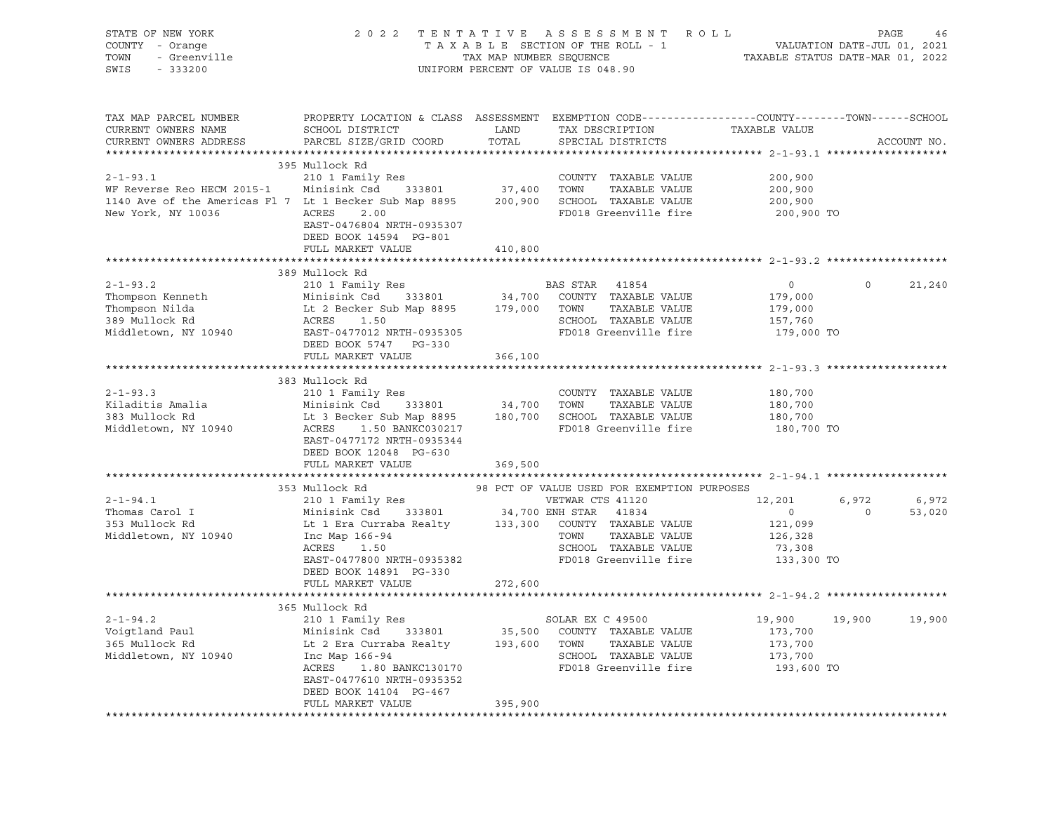| STATE OF NEW YORK<br>COUNTY - Orange<br>OF NEW YORK<br>' - Orange<br>- Greenville<br>TOWN |                                                                                                                                     |                  | TENTATIVE ASSESSMENT ROLL PAGE 46<br>TAXABLE SECTION OF THE ROLL - 1 VALUATION DATE-JUL 01, 2021<br>TAX MAP NUMBER SEQUENCE TAXABLE STATUS DATE-MAR 01, 2022<br>INIEORM PERCENT OF VALUE TO 049 00<br>2022 TENTATIVE ASSESSMENT ROLL |                                                         |                   |
|-------------------------------------------------------------------------------------------|-------------------------------------------------------------------------------------------------------------------------------------|------------------|--------------------------------------------------------------------------------------------------------------------------------------------------------------------------------------------------------------------------------------|---------------------------------------------------------|-------------------|
| SWIS                                                                                      |                                                                                                                                     |                  | UNIFORM PERCENT OF VALUE IS 048.90                                                                                                                                                                                                   |                                                         |                   |
| TAX MAP PARCEL NUMBER                                                                     | PROPERTY LOCATION & CLASS ASSESSMENT EXEMPTION CODE---------------COUNTY-------TOWN------SCHOOL                                     |                  |                                                                                                                                                                                                                                      |                                                         |                   |
| CURRENT OWNERS NAME                                                                       | SCHOOL DISTRICT                                                                                                                     | LAND             | TAX DESCRIPTION                                                                                                                                                                                                                      | TAXABLE VALUE                                           |                   |
| CURRENT OWNERS ADDRESS                                                                    | PARCEL SIZE/GRID COORD                                                                                                              | TOTAL            | SPECIAL DISTRICTS                                                                                                                                                                                                                    |                                                         | ACCOUNT NO.       |
|                                                                                           |                                                                                                                                     |                  |                                                                                                                                                                                                                                      |                                                         |                   |
| $2 - 1 - 93.1$                                                                            | 395 Mullock Rd<br>210 1 Family Res                                                                                                  |                  | COUNTY TAXABLE VALUE                                                                                                                                                                                                                 | 200,900                                                 |                   |
| WF Reverse Reo HECM 2015-1 Minisink Csd 333801 37,400 TOWN                                |                                                                                                                                     |                  | TAXABLE VALUE                                                                                                                                                                                                                        | 200,900                                                 |                   |
| 1140 Ave of the Americas F1 7 Lt 1 Becker Sub Map 8895                                    |                                                                                                                                     |                  | 200,900 SCHOOL TAXABLE VALUE                                                                                                                                                                                                         | 200,900                                                 |                   |
| New York, NY 10036                                                                        | ACRES 2.00                                                                                                                          |                  | FD018 Greenville fire                                                                                                                                                                                                                | 200,900 TO                                              |                   |
|                                                                                           | EAST-0476804 NRTH-0935307<br>DEED BOOK 14594 PG-801                                                                                 |                  |                                                                                                                                                                                                                                      |                                                         |                   |
|                                                                                           | FULL MARKET VALUE                                                                                                                   | 410,800          |                                                                                                                                                                                                                                      |                                                         |                   |
|                                                                                           |                                                                                                                                     | **************** |                                                                                                                                                                                                                                      | **************************** 2-1-93.2 ***************** |                   |
|                                                                                           | 389 Mullock Rd                                                                                                                      |                  |                                                                                                                                                                                                                                      |                                                         |                   |
| $2 - 1 - 93.2$                                                                            | BAS STAR<br>Minisink Csd 333801 34,700 COUNTY<br>Lt 2 Becker Sub Map 8895 179,000 TOWN<br>ACRES 1.50<br>TIMES                       |                  | BAS STAR 41854                                                                                                                                                                                                                       | $\overline{0}$                                          | $\circ$<br>21,240 |
| Thompson Kenneth                                                                          |                                                                                                                                     |                  | 34,700 COUNTY TAXABLE VALUE                                                                                                                                                                                                          | 179,000                                                 |                   |
| Thompson Nilda<br>389 Mullock Rd                                                          |                                                                                                                                     |                  | TAXABLE VALUE<br>SCHOOL TAXABLE VALUE                                                                                                                                                                                                | 179,000<br>157,760                                      |                   |
| Middletown, NY 10940                                                                      | EAST-0477012 NRTH-0935305                                                                                                           |                  | FD018 Greenville fire                                                                                                                                                                                                                | 179,000 TO                                              |                   |
|                                                                                           | DEED BOOK 5747 PG-330                                                                                                               |                  |                                                                                                                                                                                                                                      |                                                         |                   |
|                                                                                           | FULL MARKET VALUE                                                                                                                   | 366,100          |                                                                                                                                                                                                                                      |                                                         |                   |
|                                                                                           |                                                                                                                                     |                  |                                                                                                                                                                                                                                      |                                                         |                   |
|                                                                                           | 383 Mullock Rd                                                                                                                      |                  |                                                                                                                                                                                                                                      |                                                         |                   |
| $2 - 1 - 93.3$                                                                            | 210 1 Family Res                                                                                                                    |                  | COUNTY TAXABLE VALUE                                                                                                                                                                                                                 | 180,700                                                 |                   |
| Kiladitis Amalia                                                                          | Minisink Csd 333801                                                                                                                 | 34,700 TOWN      | TAXABLE VALUE                                                                                                                                                                                                                        | 180,700                                                 |                   |
| 383 Mullock Rd                                                                            | Exercise of the set of the set of the SCHOOL TAXABLE VALUE<br>ACRES 1.50 BANKC030217 FD018 Greenville fire                          |                  |                                                                                                                                                                                                                                      | 180,700                                                 |                   |
| Middletown, NY 10940                                                                      |                                                                                                                                     |                  | FD018 Greenville fire                                                                                                                                                                                                                | 180,700 TO                                              |                   |
|                                                                                           | EAST-0477172 NRTH-0935344<br>DEED BOOK 12048 PG-630                                                                                 |                  |                                                                                                                                                                                                                                      |                                                         |                   |
|                                                                                           | FULL MARKET VALUE                                                                                                                   | 369,500          |                                                                                                                                                                                                                                      |                                                         |                   |
|                                                                                           |                                                                                                                                     |                  |                                                                                                                                                                                                                                      |                                                         |                   |
|                                                                                           | 353 Mullock Rd                                                                                                                      |                  | 98 PCT OF VALUE USED FOR EXEMPTION PURPOSES                                                                                                                                                                                          |                                                         |                   |
| $2 - 1 - 94.1$                                                                            | 210 1 Family Res                                                                                                                    |                  | VETWAR CTS 41120                                                                                                                                                                                                                     | 12,201                                                  | 6,972<br>6,972    |
| Thomas Carol I<br>353 Mullock Rd                                                          | Minisink Csd      333801                34,700 ENH STAR    41834<br>Lt 1 Era Curraba Realty         133,300   COUNTY  TAXABLE VALUE |                  |                                                                                                                                                                                                                                      | $\overline{0}$                                          | $\circ$<br>53,020 |
|                                                                                           |                                                                                                                                     |                  |                                                                                                                                                                                                                                      | 121,099                                                 |                   |
| Middletown, NY 10940                                                                      | Inc Map 166-94<br>ACRES 1.50                                                                                                        |                  | TAXABLE VALUE<br>TOWN                                                                                                                                                                                                                | 126,328                                                 |                   |
|                                                                                           |                                                                                                                                     |                  | SCHOOL TAXABLE VALUE                                                                                                                                                                                                                 | 73,308                                                  |                   |
|                                                                                           | EAST-0477800 NRTH-0935382                                                                                                           |                  | FD018 Greenville fire                                                                                                                                                                                                                | 133,300 TO                                              |                   |
|                                                                                           | DEED BOOK 14891 PG-330                                                                                                              |                  |                                                                                                                                                                                                                                      |                                                         |                   |
|                                                                                           | FULL MARKET VALUE                                                                                                                   | 272,600          |                                                                                                                                                                                                                                      |                                                         |                   |
|                                                                                           | 365 Mullock Rd                                                                                                                      |                  |                                                                                                                                                                                                                                      |                                                         |                   |
| $2 - 1 - 94.2$                                                                            | 210 1 Family Res                                                                                                                    |                  | SOLAR EX C 49500                                                                                                                                                                                                                     | 19,900                                                  | 19,900<br>19,900  |
|                                                                                           | Minisink Csd 333801                                                                                                                 |                  |                                                                                                                                                                                                                                      | 173,700                                                 |                   |
| Voigtland Paul<br>365 Mullock Rd                                                          | Lt 2 Era Curraba Realty                                                                                                             |                  | 35,500 COUNTY TAXABLE VALUE<br>193,600 TOWN TAXABLE VALUE<br>TAXABLE VALUE                                                                                                                                                           | 173,700                                                 |                   |
| Middletown, NY 10940                                                                      | Inc Map 166-94                                                                                                                      |                  | SCHOOL TAXABLE VALUE                                                                                                                                                                                                                 | 173,700                                                 |                   |
|                                                                                           | ACRES 1.80 BANKC130170                                                                                                              |                  | FD018 Greenville fire                                                                                                                                                                                                                | 193,600 TO                                              |                   |
|                                                                                           | EAST-0477610 NRTH-0935352                                                                                                           |                  |                                                                                                                                                                                                                                      |                                                         |                   |
|                                                                                           | DEED BOOK 14104 PG-467                                                                                                              |                  |                                                                                                                                                                                                                                      |                                                         |                   |
|                                                                                           | FULL MARKET VALUE                                                                                                                   | 395,900          |                                                                                                                                                                                                                                      |                                                         |                   |
|                                                                                           |                                                                                                                                     |                  |                                                                                                                                                                                                                                      |                                                         |                   |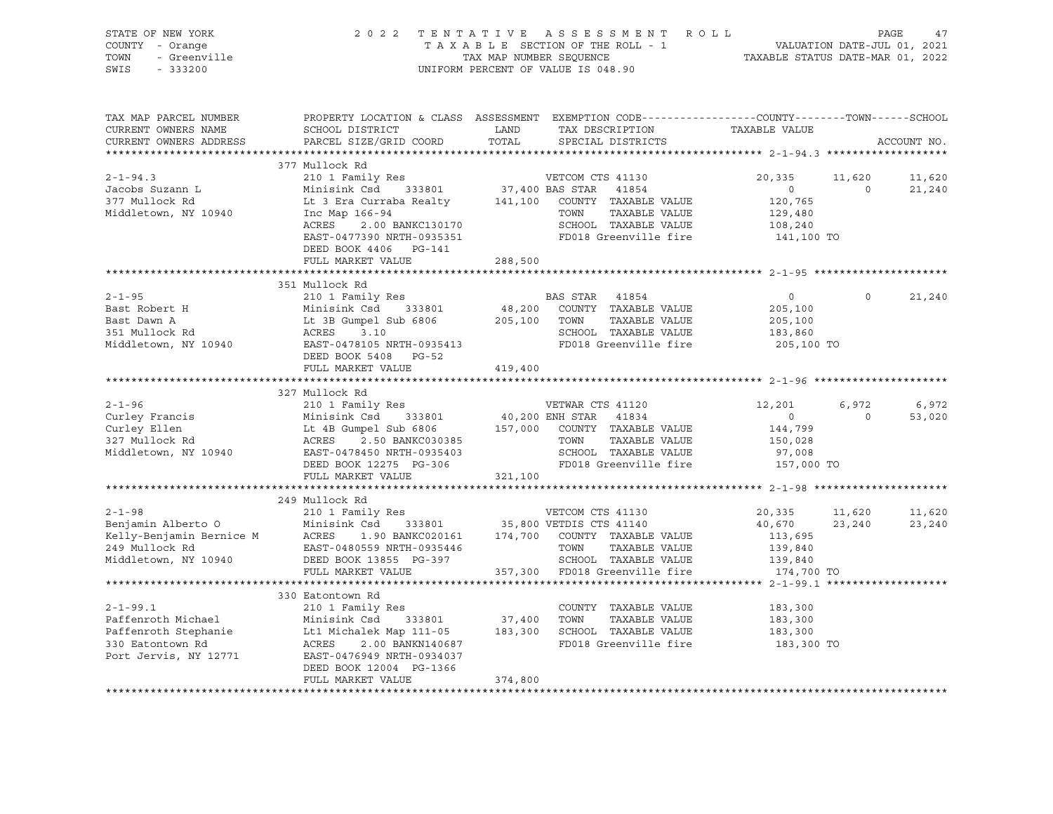| STATE OF NEW YORK<br>COUNTY - Orange<br>- Greenville<br>TOWN<br>SWIS<br>$-333200$ | 2 0 2 2<br>TENTATIVE ASSESSMENT ROLL<br>TAXABLE SECTION OF THE ROLL - 1<br>TAX MAP NUMBER SEQUENCE<br>UNIFORM PERCENT OF VALUE IS 048.90                                              | PAGE<br>47<br>VALUATION DATE-JUL 01, 2021<br>TAXABLE STATUS DATE-MAR 01, 2022                                                                            |                                |                |             |
|-----------------------------------------------------------------------------------|---------------------------------------------------------------------------------------------------------------------------------------------------------------------------------------|----------------------------------------------------------------------------------------------------------------------------------------------------------|--------------------------------|----------------|-------------|
| TAX MAP PARCEL NUMBER<br>CURRENT OWNERS NAME<br>CURRENT OWNERS ADDRESS            | SCHOOL DISTRICT<br>PARCEL SIZE/GRID COORD                                                                                                                                             | PROPERTY LOCATION & CLASS ASSESSMENT EXEMPTION CODE----------------COUNTY-------TOWN-----SCHOOL<br>TAX DESCRIPTION<br>LAND<br>TOTAL<br>SPECIAL DISTRICTS | TAXABLE VALUE                  |                | ACCOUNT NO. |
|                                                                                   |                                                                                                                                                                                       |                                                                                                                                                          |                                |                |             |
| $2 - 1 - 94.3$                                                                    | 377 Mullock Rd<br>210 1 Family Res                                                                                                                                                    | VETCOM CTS 41130                                                                                                                                         | 20,335                         | 11,620         | 11,620      |
| Jacobs Suzann L                                                                   | Minisink Csd 333801                                                                                                                                                                   | 37,400 BAS STAR<br>41854                                                                                                                                 | $\circ$                        | $\overline{0}$ | 21,240      |
| 377 Mullock Rd                                                                    |                                                                                                                                                                                       | Lt 3 Era Curraba Realty 141,100 COUNTY TAXABLE VALUE                                                                                                     | 120,765                        |                |             |
| Middletown, NY 10940                                                              | Inc Map 166-94                                                                                                                                                                        | TOWN<br>TAXABLE VALUE                                                                                                                                    | 129,480                        |                |             |
|                                                                                   | 2.00 BANKC130170<br>390 מדיימות המספר<br>ACRES                                                                                                                                        | SCHOOL TAXABLE VALUE                                                                                                                                     | 108,240                        |                |             |
|                                                                                   | EAST-0477390 NRTH-0935351                                                                                                                                                             | FD018 Greenville fire                                                                                                                                    | 141,100 TO                     |                |             |
|                                                                                   | DEED BOOK 4406 PG-141                                                                                                                                                                 |                                                                                                                                                          |                                |                |             |
|                                                                                   | FULL MARKET VALUE                                                                                                                                                                     | 288,500                                                                                                                                                  |                                |                |             |
|                                                                                   |                                                                                                                                                                                       |                                                                                                                                                          |                                |                |             |
|                                                                                   | 351 Mullock Rd                                                                                                                                                                        |                                                                                                                                                          |                                | $\Omega$       |             |
| $2 - 1 - 95$                                                                      | 210 1 Family Res                                                                                                                                                                      | BAS STAR 41854<br>48,200<br>COUNTY TAXABLE VALUE                                                                                                         | $\circ$                        |                | 21,240      |
| Bast Robert H<br>Bast Dawn A                                                      | Minisink Csd<br>333801                                                                                                                                                                | 205,100 TOWN<br>TAXABLE VALUE                                                                                                                            | 205,100<br>205,100             |                |             |
| 351 Mullock Rd                                                                    | Minisink Csd      333801<br>Lt 3B Gumpel Sub 6806<br>ACRES      3.10                                                                                                                  | SCHOOL TAXABLE VALUE                                                                                                                                     | 183,860                        |                |             |
|                                                                                   | Middletown, NY 10940 EAST-0478105 NRTH-0935413                                                                                                                                        | FD018 Greenville fire                                                                                                                                    | 205,100 TO                     |                |             |
|                                                                                   | DEED BOOK 5408 PG-52                                                                                                                                                                  |                                                                                                                                                          |                                |                |             |
|                                                                                   | FULL MARKET VALUE                                                                                                                                                                     | 419,400                                                                                                                                                  |                                |                |             |
|                                                                                   |                                                                                                                                                                                       |                                                                                                                                                          |                                |                |             |
|                                                                                   | 327 Mullock Rd                                                                                                                                                                        |                                                                                                                                                          |                                |                |             |
| $2 - 1 - 96$                                                                      | 210 1 Family Res                                                                                                                                                                      | VETWAR CTS 41120                                                                                                                                         | 12,201                         | 6,972          | 6,972       |
| Curley Francis                                                                    |                                                                                                                                                                                       | 40,200 ENH STAR 41834                                                                                                                                    | $\overline{0}$                 | $\Omega$       | 53,020      |
| Curley Ellen<br>327 Mullock Rd                                                    | mpel Sur vood<br>2.50 BANKC030385<br>0450 NRTH-0935403                                                                                                                                | 157,000 COUNTY TAXABLE VALUE<br>TOWN<br>TAXABLE VALUE                                                                                                    | 144,799                        |                |             |
| Middletown, NY 10940                                                              |                                                                                                                                                                                       | SCHOOL TAXABLE VALUE                                                                                                                                     | 150,028<br>97,008              |                |             |
|                                                                                   | Minisink Csa<br>Lt 4B Gumpel Sub 6806<br>ACRES 2.50 BANKC030385<br>EAST-0478450 NRTH-0935403                                                                                          | FD018 Greenville fire                                                                                                                                    | 157,000 TO                     |                |             |
|                                                                                   | FULL MARKET VALUE                                                                                                                                                                     | 321,100                                                                                                                                                  |                                |                |             |
|                                                                                   |                                                                                                                                                                                       |                                                                                                                                                          |                                |                |             |
|                                                                                   | 249 Mullock Rd                                                                                                                                                                        |                                                                                                                                                          |                                |                |             |
| $2 - 1 - 98$                                                                      | 210 1 Family Res                                                                                                                                                                      | VETCOM CTS 41130                                                                                                                                         | 20,335                         | 11,620         | 11,620      |
| Benjamin Alberto O<br>Kelly-Benjamin Bernice M<br>249 Mullock Pd                  | Minisink Csd                                                                                                                                                                          | 333801 35,800 VETDIS CTS 41140                                                                                                                           | 40,670                         | 23,240         | 23,240      |
|                                                                                   | ACRES<br>1.90 BANKC020161                                                                                                                                                             | 174,700 COUNTY TAXABLE VALUE                                                                                                                             | 113,695                        |                |             |
| 249 Mullock Rd                                                                    | AURES<br>EAST-0480559 NRTH-0935446<br>Contract DC 397                                                                                                                                 | TOWN<br>TAXABLE VALUE                                                                                                                                    | 139,840                        |                |             |
| Middletown, NY 10940                                                              | DEED BOOK 13855 PG-397                                                                                                                                                                | SCHOOL TAXABLE VALUE                                                                                                                                     | 139,840                        |                |             |
|                                                                                   | FULL MARKET VALUE<br>**************************                                                                                                                                       | 357,300<br>FD018 Greenville fire                                                                                                                         | 174,700 TO                     |                |             |
|                                                                                   |                                                                                                                                                                                       |                                                                                                                                                          | ************** 2-1-99.1 ****** |                |             |
| $2 - 1 - 99.1$                                                                    | 330 Eatontown Rd<br>210 1 Family Res                                                                                                                                                  | COUNTY TAXABLE VALUE                                                                                                                                     | 183,300                        |                |             |
| Paffenroth Michael                                                                | $\begin{tabular}{l} \hline \text{Minisink} & -1 & \text{new} \\ \text{It1 is in the left and left} & 333801 \\ \text{It1 is in the right and right} & 333801 \\ \hline \end{tabular}$ |                                                                                                                                                          | 183,300                        |                |             |
| Paffenroth Stephanie                                                              |                                                                                                                                                                                       | 37,400 TOWN TAXABLE VALUE<br>183,300 SCHOOL TAXABLE VALUE                                                                                                | 183,300                        |                |             |
| 330 Eatontown Rd                                                                  | ACRES<br>2.00 BANKN140687                                                                                                                                                             | FD018 Greenville fire                                                                                                                                    | 183,300 TO                     |                |             |
| Port Jervis, NY 12771                                                             | EAST-0476949 NRTH-0934037                                                                                                                                                             |                                                                                                                                                          |                                |                |             |
|                                                                                   | DEED BOOK 12004 PG-1366                                                                                                                                                               |                                                                                                                                                          |                                |                |             |
|                                                                                   | FULL MARKET VALUE                                                                                                                                                                     | 374,800                                                                                                                                                  |                                |                |             |
|                                                                                   |                                                                                                                                                                                       |                                                                                                                                                          |                                |                |             |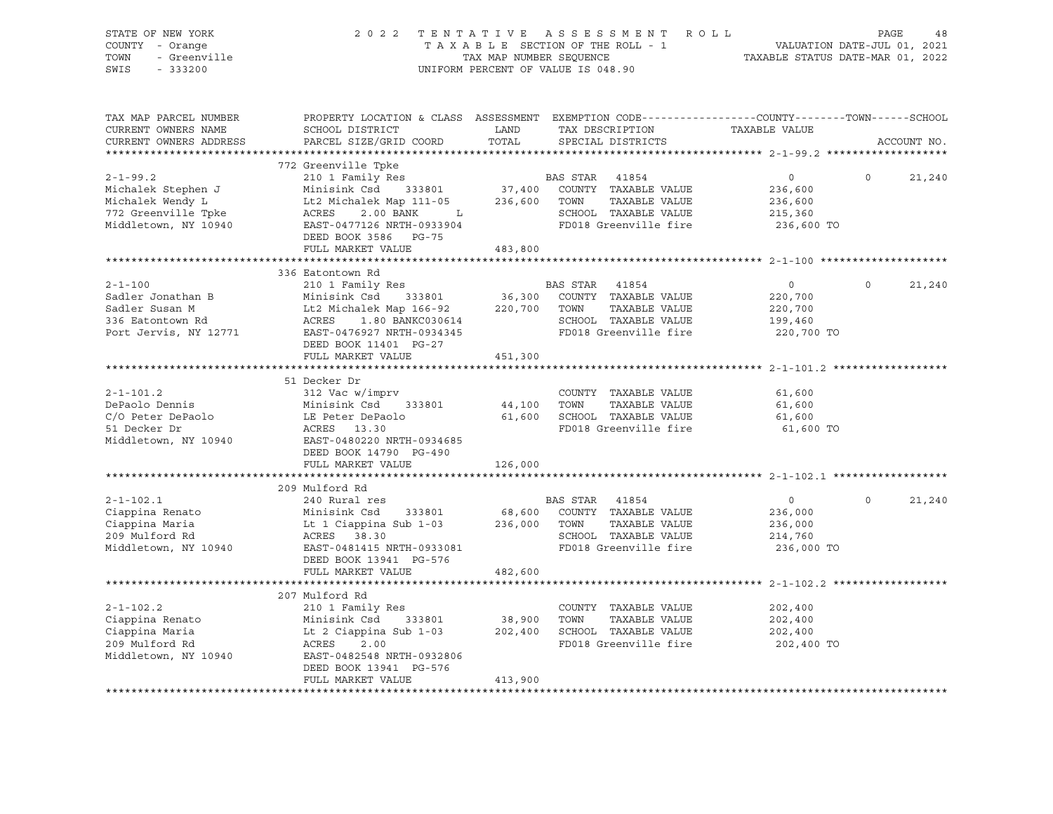| STATE OF NEW YORK<br>COUNTY - Orange<br>TOWN<br>- Greenville<br>SWIS<br>$-333200$                       |                                                                                                                                                                                                                                    | TAX MAP NUMBER SEQUENCE | 2022 TENTATIVE ASSESSMENT ROLL<br>TAXABLE SECTION OF THE ROLL - 1<br>UNIFORM PERCENT OF VALUE IS 048.90                    | VALUATION DATE-JUL 01, 2021<br>TAXABLE STATUS DATE-MAR 01, 2022 | PAGE        | 48     |
|---------------------------------------------------------------------------------------------------------|------------------------------------------------------------------------------------------------------------------------------------------------------------------------------------------------------------------------------------|-------------------------|----------------------------------------------------------------------------------------------------------------------------|-----------------------------------------------------------------|-------------|--------|
| TAX MAP PARCEL NUMBER<br>CURRENT OWNERS NAME<br>CURRENT OWNERS ADDRESS                                  | PROPERTY LOCATION & CLASS ASSESSMENT EXEMPTION CODE----------------COUNTY-------TOWN------SCHOOL<br>SCHOOL DISTRICT<br>PARCEL SIZE/GRID COORD                                                                                      | LAND<br>TOTAL           | TAX DESCRIPTION<br>SPECIAL DISTRICTS                                                                                       | TAXABLE VALUE                                                   | ACCOUNT NO. |        |
|                                                                                                         | 772 Greenville Tpke                                                                                                                                                                                                                |                         |                                                                                                                            |                                                                 |             |        |
| $2 - 1 - 99.2$<br>Michalek Stephen J<br>Michalek Wendy L<br>772 Greenville Tpke<br>Middletown, NY 10940 | 210 1 Family Res<br>Minisink Csd 333801<br>Lt2 Michalek Map 111-05 236,600 TOWN<br>2.00 BANK<br>ACRES<br>$\mathbf{L}$<br>EAST-0477126 NRTH-0933904<br>DEED BOOK 3586 PG-75                                                         |                         | BAS STAR 41854<br>37,400 COUNTY TAXABLE VALUE<br>TAXABLE VALUE<br>SCHOOL TAXABLE VALUE<br>FD018 Greenville fire            | $\overline{0}$<br>236,600<br>236,600<br>215,360<br>236,600 TO   | $\circ$     | 21,240 |
|                                                                                                         | FULL MARKET VALUE                                                                                                                                                                                                                  | 483,800                 |                                                                                                                            |                                                                 |             |        |
| $2 - 1 - 100$<br>Sadler Jonathan B<br>Sadler Susan M<br>336 Eatontown Rd<br>Port Jervis, NY 12771       | 336 Eatontown Rd<br>210 1 Family Res<br>Minisink Com<br>Lt2 Michalek Map 166-92<br>ACRES 1.80 BANKC030614<br>The 2476927 NRTH-0934345<br>Lt2 Michalek Map $166-92$ 220,700 TOWN<br>DEED BOOK 11401 PG-27                           |                         | BAS STAR 41854<br>36,300 COUNTY TAXABLE VALUE<br>TAXABLE VALUE<br>SCHOOL TAXABLE VALUE<br>FD018 Greenville fire            | $\overline{0}$<br>220,700<br>220,700<br>199,460<br>220,700 TO   | $\Omega$    | 21,240 |
|                                                                                                         | FULL MARKET VALUE                                                                                                                                                                                                                  | 451,300                 |                                                                                                                            |                                                                 |             |        |
| $2 - 1 - 101.2$<br>DePaolo Dennis<br>C/O Peter DePaolo<br>51 Decker Dr<br>Middletown, NY 10940          | 51 Decker Dr<br>312 Vac w/imprv<br>Minisink Csd 333801<br>LE Peter DePaolo<br>ACRES 13.30<br>EAST-0480220 NRTH-0934685<br>DEED BOOK 14790 PG-490                                                                                   |                         | COUNTY TAXABLE VALUE<br>44,100 TOWN TAXABLE VALUE<br>61,600 SCHOOL TAXABLE VALUE<br>FD018 Greenville fire                  | 61,600<br>61,600<br>61,600<br>61,600 TO                         |             |        |
|                                                                                                         | FULL MARKET VALUE                                                                                                                                                                                                                  | 126,000                 |                                                                                                                            |                                                                 |             |        |
|                                                                                                         |                                                                                                                                                                                                                                    |                         |                                                                                                                            |                                                                 |             |        |
| $2 - 1 - 102.1$<br>Ciappina Renato<br>Ciappina Maria<br>209 Mulford Rd<br>Middletown, NY 10940          | 209 Mulford Rd<br>240 Rural res<br>Minisink Csd 333801 68,600 COUNTY TAXABLE VALUE<br>Lt 1 Ciappina Sub 1-03 236,000 TOWN TAXABLE VALUE<br>ACRES 38.30<br>EAST-0481415 NRTH-0933081<br>DEED BOOK 13941 PG-576<br>FULL MARKET VALUE | 482,600                 | BAS STAR 41854<br>TAXABLE VALUE<br>SCHOOL TAXABLE VALUE<br>FD018 Greenville fire                                           | $\overline{0}$<br>236,000<br>236,000<br>214,760<br>236,000 TO   | $\circ$     | 21,240 |
|                                                                                                         |                                                                                                                                                                                                                                    |                         | ********************************** 2-1-102.2 **                                                                            |                                                                 |             |        |
| $2 - 1 - 102.2$<br>Ciappina Renato<br>Ciappina Maria<br>209 Mulford Rd<br>Middletown, NY 10940          | 207 Mulford Rd<br>210 1 Family Res<br>Minisink Csd 333801<br>Lt 2 Ciappina Sub 1-03<br>ACRES 2 20<br>ACRES<br>2.00<br>EAST-0482548 NRTH-0932806<br>DEED BOOK 13941 PG-576<br>FULL MARKET VALUE                                     | 413,900                 | COUNTY TAXABLE VALUE<br>38,900    TOWN       TAXABLE  VALUE<br>202,400    SCHOOL   TAXABLE  VALUE<br>FD018 Greenville fire | 202,400<br>202,400<br>202,400<br>202,400 TO                     |             |        |
|                                                                                                         |                                                                                                                                                                                                                                    |                         |                                                                                                                            |                                                                 |             |        |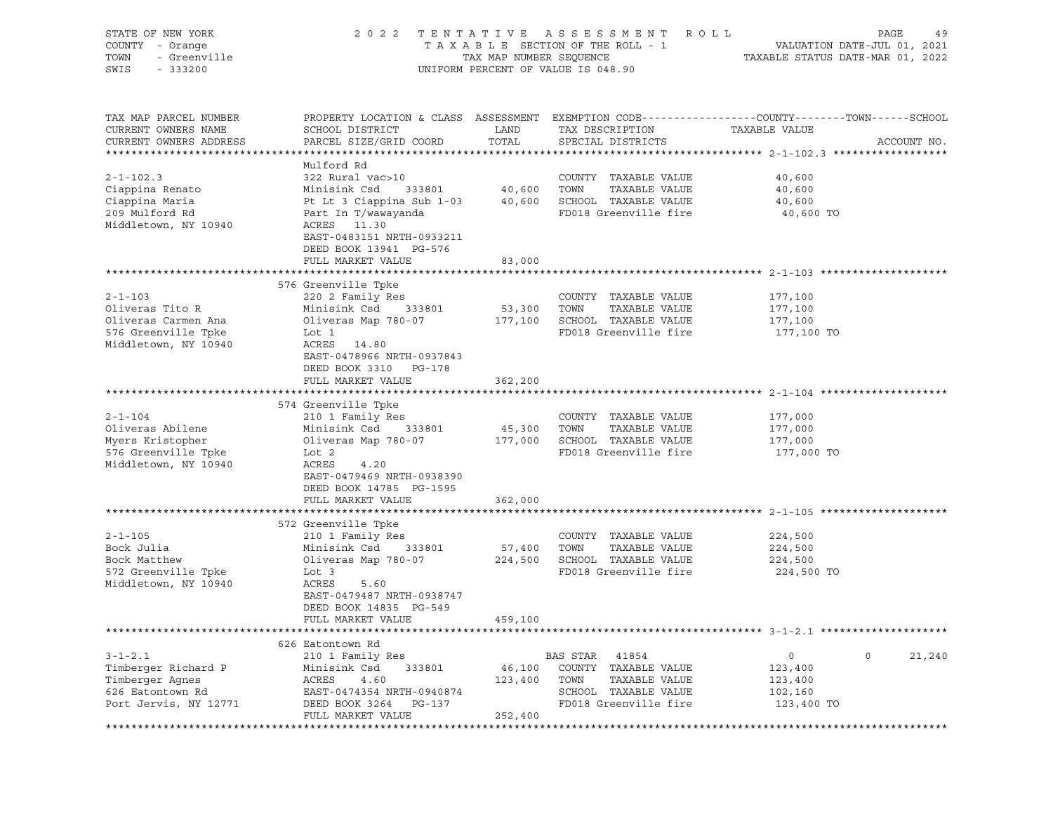| STATE OF NEW YORK<br>COUNTY - Orange<br>- Greenville<br>TOWN<br>SWIS<br>$-333200$                      | 2 0 2 2                                                                                                                                                                                                 | TENTATIVE<br>TAX MAP NUMBER SEQUENCE | ASSESSMENT ROLL<br>TAXABLE SECTION OF THE ROLL - 1<br>UNIFORM PERCENT OF VALUE IS 048.90               | TAXABLE STATUS DATE-MAR 01, 2022            | PAGE<br>49<br>VALUATION DATE-JUL 01, 2021 |
|--------------------------------------------------------------------------------------------------------|---------------------------------------------------------------------------------------------------------------------------------------------------------------------------------------------------------|--------------------------------------|--------------------------------------------------------------------------------------------------------|---------------------------------------------|-------------------------------------------|
| TAX MAP PARCEL NUMBER<br>CURRENT OWNERS NAME<br>CURRENT OWNERS ADDRESS                                 | PROPERTY LOCATION & CLASS ASSESSMENT EXEMPTION CODE----------------COUNTY-------TOWN-----SCHOOL<br>SCHOOL DISTRICT<br>PARCEL SIZE/GRID COORD                                                            | LAND<br>TOTAL                        | TAX DESCRIPTION<br>SPECIAL DISTRICTS                                                                   | TAXABLE VALUE                               | ACCOUNT NO.                               |
| $2 - 1 - 102.3$<br>Ciappina Renato<br>Ciappina Maria<br>209 Mulford Rd<br>Middletown, NY 10940         | Mulford Rd<br>322 Rural vac>10<br>Minisink Csd<br>333801<br>Pt Lt 3 Ciappina Sub 1-03<br>Part In T/wawayanda<br>ACRES 11.30<br>EAST-0483151 NRTH-0933211<br>DEED BOOK 13941 PG-576<br>FULL MARKET VALUE | 40,600<br>83,000                     | COUNTY TAXABLE VALUE<br>TOWN<br>TAXABLE VALUE<br>40,600 SCHOOL TAXABLE VALUE<br>FD018 Greenville fire  | 40,600<br>40,600<br>40,600<br>40,600 TO     |                                           |
|                                                                                                        |                                                                                                                                                                                                         |                                      |                                                                                                        |                                             |                                           |
| $2 - 1 - 103$<br>Oliveras Tito R<br>Oliveras Carmen Ana<br>576 Greenville Tpke<br>Middletown, NY 10940 | 576 Greenville Tpke<br>220 2 Family Res<br>Minisink Csd<br>333801<br>Oliveras Map 780-07<br>Lot 1<br>ACRES<br>14.80<br>EAST-0478966 NRTH-0937843<br>DEED BOOK 3310 PG-178<br>FULL MARKET VALUE          | 53,300<br>362,200                    | COUNTY TAXABLE VALUE<br>TOWN<br>TAXABLE VALUE<br>177,100 SCHOOL TAXABLE VALUE<br>FD018 Greenville fire | 177,100<br>177,100<br>177,100<br>177,100 TO |                                           |
|                                                                                                        |                                                                                                                                                                                                         |                                      |                                                                                                        |                                             |                                           |
| $2 - 1 - 104$<br>Oliveras Abilene<br>Myers Kristopher<br>576 Greenville Tpke<br>Middletown, NY 10940   | 574 Greenville Tpke<br>210 1 Family Res<br>Minisink Csd<br>333801<br>Oliveras Map 780-07<br>Lot 2<br>ACRES<br>4.20<br>EAST-0479469 NRTH-0938390<br>DEED BOOK 14785 PG-1595<br>FULL MARKET VALUE         | 45,300 TOWN<br>362,000               | COUNTY TAXABLE VALUE<br>TAXABLE VALUE<br>177,000 SCHOOL TAXABLE VALUE<br>FD018 Greenville fire         | 177,000<br>177,000<br>177,000<br>177,000 TO |                                           |
|                                                                                                        |                                                                                                                                                                                                         |                                      |                                                                                                        |                                             |                                           |
| $2 - 1 - 105$<br>Bock Julia<br>Bock Matthew<br>572 Greenville Tpke<br>Middletown, NY 10940             | 572 Greenville Tpke<br>210 1 Family Res<br>Minisink Csd<br>333801<br>Oliveras Map 780-07<br>Lot 3<br>ACRES<br>5.60<br>EAST-0479487 NRTH-0938747<br>DEED BOOK 14835 PG-549<br>FULL MARKET VALUE          | 57,400<br>224,500<br>459,100         | COUNTY TAXABLE VALUE<br>TOWN<br>TAXABLE VALUE<br>SCHOOL TAXABLE VALUE<br>FD018 Greenville fire         | 224,500<br>224,500<br>224,500<br>224,500 TO |                                           |
|                                                                                                        |                                                                                                                                                                                                         |                                      |                                                                                                        |                                             |                                           |
| $3 - 1 - 2.1$                                                                                          | 626 Eatontown Rd<br>210 1 Family Res                                                                                                                                                                    |                                      | BAS STAR<br>41854                                                                                      | 0                                           | $\circ$<br>21,240                         |
| Timberger Richard P<br>Timberger Agnes<br>626 Eatontown Rd<br>Port Jervis, NY 12771                    | Minisink Csd<br>333801<br>ACRES<br>4.60<br>EAST-0474354 NRTH-0940874<br>DEED BOOK 3264<br>PG-137<br>FULL MARKET VALUE                                                                                   | 46,100<br>123,400<br>252,400         | TAXABLE VALUE<br>COUNTY<br>TOWN<br>TAXABLE VALUE<br>SCHOOL TAXABLE VALUE<br>FD018 Greenville fire      | 123,400<br>123,400<br>102,160<br>123,400 TO |                                           |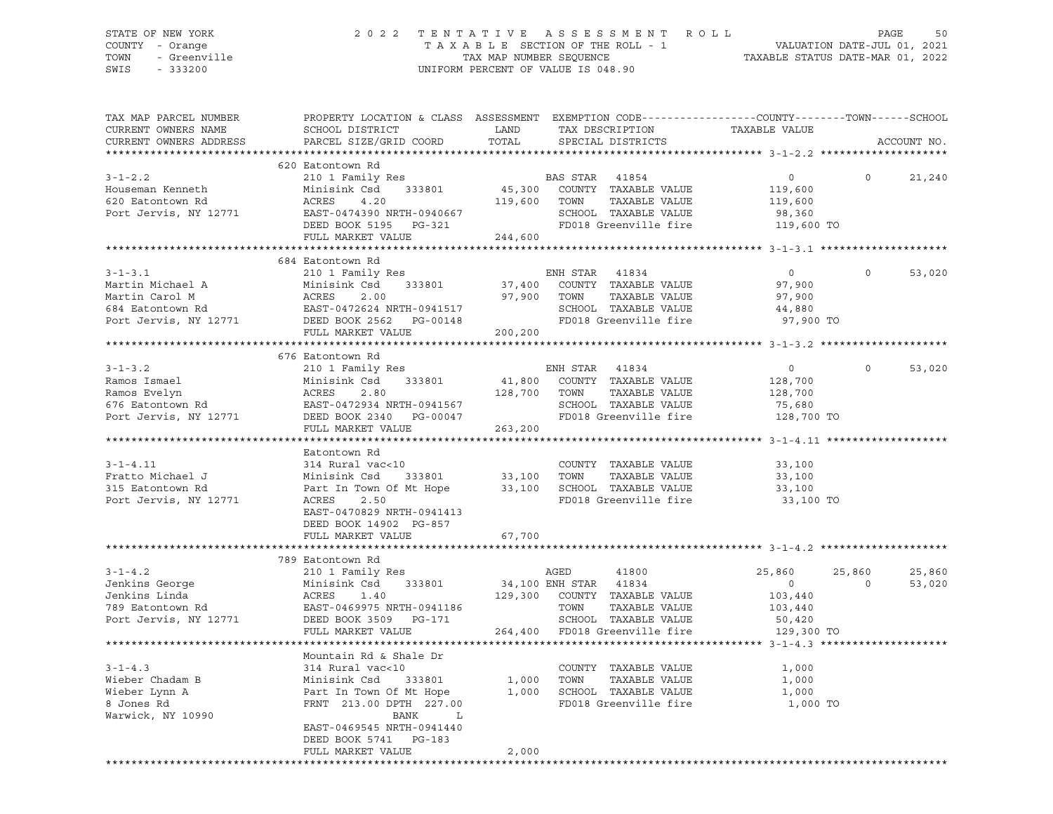### STATE OF NEW YORK 2 0 2 2 T E N T A T I V E A S S E S S M E N T R O L L PAGE 50 COUNTY - Orange T A X A B L E SECTION OF THE ROLL - 1 VALUATION DATE-JUL 01, 2021 TOWN - Greenville TAX MAP NUMBER SEQUENCE TAXABLE STATUS DATE-MAR 01, 2022 SWIS - 333200 UNIFORM PERCENT OF VALUE IS 048.90

| TAX MAP PARCEL NUMBER<br>CURRENT OWNERS NAME                                                                                                                                                                                                       | PROPERTY LOCATION & CLASS ASSESSMENT EXEMPTION CODE----------------COUNTY-------TOWN------SCHOOL<br>SCHOOL DISTRICT                                                                                                                    | LAND    | TAX DESCRIPTION                                           | TAXABLE VALUE        |                    |
|----------------------------------------------------------------------------------------------------------------------------------------------------------------------------------------------------------------------------------------------------|----------------------------------------------------------------------------------------------------------------------------------------------------------------------------------------------------------------------------------------|---------|-----------------------------------------------------------|----------------------|--------------------|
| CURRENT OWNERS ADDRESS<br>**********************                                                                                                                                                                                                   | PARCEL SIZE/GRID COORD                                                                                                                                                                                                                 | TOTAL   | SPECIAL DISTRICTS                                         |                      | ACCOUNT NO.        |
|                                                                                                                                                                                                                                                    |                                                                                                                                                                                                                                        |         |                                                           |                      |                    |
|                                                                                                                                                                                                                                                    | 620 Eatontown Rd                                                                                                                                                                                                                       |         |                                                           |                      |                    |
| $3 - 1 - 2.2$                                                                                                                                                                                                                                      | 210 1 Family Res                                                                                                                                                                                                                       |         | BAS STAR 41854                                            | $\circ$              | 21,240             |
| Houseman Kenneth                                                                                                                                                                                                                                   | Minisink Csd 333801                                                                                                                                                                                                                    |         | 45,300 COUNTY TAXABLE VALUE<br>119,600 TOWN TAXABLE VALUE | 119,600              |                    |
| 620 Eatontown Rd                                                                                                                                                                                                                                   | 4.20<br>ACRES                                                                                                                                                                                                                          |         |                                                           | 119,600              |                    |
| Port Jervis, NY 12771                                                                                                                                                                                                                              | EAST-0474390 NRTH-0940667<br>DEED BOOK 5195 PG-321<br>THE FOO18 Greenville fire                                                                                                                                                        |         |                                                           | 98,360               |                    |
|                                                                                                                                                                                                                                                    |                                                                                                                                                                                                                                        |         | FD018 Greenville fire 119,600 TO                          |                      |                    |
|                                                                                                                                                                                                                                                    | FULL MARKET VALUE                                                                                                                                                                                                                      | 244,600 |                                                           |                      |                    |
|                                                                                                                                                                                                                                                    |                                                                                                                                                                                                                                        |         |                                                           |                      |                    |
|                                                                                                                                                                                                                                                    | 684 Eatontown Rd                                                                                                                                                                                                                       |         |                                                           |                      | $\Omega$           |
| $3 - 1 - 3$ . 1                                                                                                                                                                                                                                    | 210 1 Family Res                                                                                                                                                                                                                       |         | ENH STAR 41834                                            | $\overline{0}$       | 53,020             |
| Martin Michael A                                                                                                                                                                                                                                   |                                                                                                                                                                                                                                        |         |                                                           |                      |                    |
|                                                                                                                                                                                                                                                    |                                                                                                                                                                                                                                        |         |                                                           |                      |                    |
|                                                                                                                                                                                                                                                    |                                                                                                                                                                                                                                        |         |                                                           |                      |                    |
| Martin Films Atenah Martin Carol M<br>684 Eatontown Rd<br>FAST-0472624 NRTH-0941517<br>Port Jervis, NY 12771 DEED BOOK 2562 PG-00148                                                                                                               |                                                                                                                                                                                                                                        |         |                                                           |                      |                    |
|                                                                                                                                                                                                                                                    | XOO 1 FAMILY RES<br>Minisink Csd 333801 37,400 COUNTY TAXABLE VALUE<br>ACRES 2.00 97,900 TOWN TAXABLE VALUE 97,900<br>EAST-0472624 NRTH-0941517 SCHOOL TAXABLE VALUE 97,900<br>DEED BOOK 2562 PG-00148 FD018 Greenville fire 97,900 TO |         |                                                           |                      |                    |
|                                                                                                                                                                                                                                                    |                                                                                                                                                                                                                                        |         |                                                           |                      |                    |
|                                                                                                                                                                                                                                                    | 676 Eatontown Rd                                                                                                                                                                                                                       |         |                                                           |                      |                    |
| $3 - 1 - 3$ . 2                                                                                                                                                                                                                                    | 210 1 Family Res                                                                                                                                                                                                                       |         | ENH STAR 41834                                            | $\overline{0}$       | $\circ$<br>53,020  |
|                                                                                                                                                                                                                                                    |                                                                                                                                                                                                                                        |         |                                                           |                      |                    |
|                                                                                                                                                                                                                                                    |                                                                                                                                                                                                                                        |         |                                                           |                      |                    |
|                                                                                                                                                                                                                                                    |                                                                                                                                                                                                                                        |         |                                                           |                      |                    |
| Ramos Ismael<br>Ramos Evelyn<br>Ramos Evelyn<br>EAST-0472934 NRTH-0941567<br>Port Jervis, NY 12771<br>CHOOL TAXABLE VALUE<br>Port Jervis, NY 12771<br>CHOOL TAXABLE VALUE<br>Port Jervis, NY 12771<br>CHOOL TAXABLE VALUE<br>Port Jervis, NY 12771 |                                                                                                                                                                                                                                        |         |                                                           |                      |                    |
|                                                                                                                                                                                                                                                    | FULL MARKET VALUE                                                                                                                                                                                                                      | 263,200 |                                                           |                      |                    |
|                                                                                                                                                                                                                                                    |                                                                                                                                                                                                                                        |         |                                                           |                      |                    |
|                                                                                                                                                                                                                                                    | Eatontown Rd<br>314 Rural vac<10                                                                                                                                                                                                       |         |                                                           |                      |                    |
| $3 - 1 - 4.11$                                                                                                                                                                                                                                     |                                                                                                                                                                                                                                        |         | COUNTY TAXABLE VALUE 33,100<br>33,100 TOWN TAXABLE VALUE  |                      |                    |
| Fratto Michael J                                                                                                                                                                                                                                   | 314 Kuiai vaccio<br>Minisink Csd 333801<br>Part In Town Of Mt Hope                                                                                                                                                                     |         |                                                           | 33,100               |                    |
| 315 Eatontown Rd                                                                                                                                                                                                                                   | Part In Town Of Mt Hope 33,100 SCHOOL TAXABLE VALUE<br>ACRES 2.50 FD018 Greenville fire                                                                                                                                                |         |                                                           | 33,100               |                    |
| Port Jervis, NY 12771                                                                                                                                                                                                                              |                                                                                                                                                                                                                                        |         |                                                           | 33,100 TO            |                    |
|                                                                                                                                                                                                                                                    | EAST-0470829 NRTH-0941413                                                                                                                                                                                                              |         |                                                           |                      |                    |
|                                                                                                                                                                                                                                                    | DEED BOOK 14902 PG-857                                                                                                                                                                                                                 |         |                                                           |                      |                    |
|                                                                                                                                                                                                                                                    | FULL MARKET VALUE                                                                                                                                                                                                                      | 67,700  |                                                           |                      |                    |
|                                                                                                                                                                                                                                                    | 789 Eatontown Rd                                                                                                                                                                                                                       |         |                                                           |                      |                    |
| $3 - 1 - 4.2$                                                                                                                                                                                                                                      | 210 1 Family Res                                                                                                                                                                                                                       |         | AGED<br>41800                                             | 25,860               | 25,860<br>25,860   |
|                                                                                                                                                                                                                                                    |                                                                                                                                                                                                                                        |         |                                                           | $\overline{0}$       | $\Omega$<br>53,020 |
|                                                                                                                                                                                                                                                    | $\begin{array}{lllllllll} \text{Minisink Csd} & 333801 & 34,100 \text{ ENH STAR} & 41834 \\ \text{ACRES} & 1.40 & 129,300 & \text{COUNTY} & \text{TAXABLE VALUE} \end{array}$                                                          |         |                                                           |                      |                    |
|                                                                                                                                                                                                                                                    |                                                                                                                                                                                                                                        |         | TOWN                                                      | 103,440              |                    |
|                                                                                                                                                                                                                                                    |                                                                                                                                                                                                                                        |         | TAXABLE VALUE<br>SCHOOL TAXABLE VALUE                     | 103,440              |                    |
|                                                                                                                                                                                                                                                    |                                                                                                                                                                                                                                        |         | 264,400 FD018 Greenville fire                             | 50,420<br>129,300 TO |                    |
|                                                                                                                                                                                                                                                    | FULL MARKET VALUE                                                                                                                                                                                                                      |         |                                                           |                      |                    |
|                                                                                                                                                                                                                                                    | Mountain Rd & Shale Dr                                                                                                                                                                                                                 |         |                                                           |                      |                    |
|                                                                                                                                                                                                                                                    |                                                                                                                                                                                                                                        |         |                                                           | 1,000                |                    |
|                                                                                                                                                                                                                                                    |                                                                                                                                                                                                                                        |         |                                                           | 1,000                |                    |
|                                                                                                                                                                                                                                                    |                                                                                                                                                                                                                                        |         |                                                           | 1,000                |                    |
| Vieber Chadam B Minisink Csd 333801 (COUNTY TAXABLE VALUE Wieber Lynn A Part In Town Of Mt Hope 1,000 TOWN TAXABLE VALUE Wieber Lynn A Part In Town Of Mt Hope 1,000 SCHOOL TAXABLE VALUE Naturick, NY 10990 BANK L                                |                                                                                                                                                                                                                                        |         |                                                           | 1,000 TO             |                    |
|                                                                                                                                                                                                                                                    |                                                                                                                                                                                                                                        |         |                                                           |                      |                    |
|                                                                                                                                                                                                                                                    | EAST-0469545 NRTH-0941440                                                                                                                                                                                                              |         |                                                           |                      |                    |
|                                                                                                                                                                                                                                                    | DEED BOOK 5741 PG-183                                                                                                                                                                                                                  |         |                                                           |                      |                    |
|                                                                                                                                                                                                                                                    | FULL MARKET VALUE                                                                                                                                                                                                                      | 2,000   |                                                           |                      |                    |
|                                                                                                                                                                                                                                                    |                                                                                                                                                                                                                                        |         | ************************                                  |                      |                    |
|                                                                                                                                                                                                                                                    |                                                                                                                                                                                                                                        |         |                                                           |                      |                    |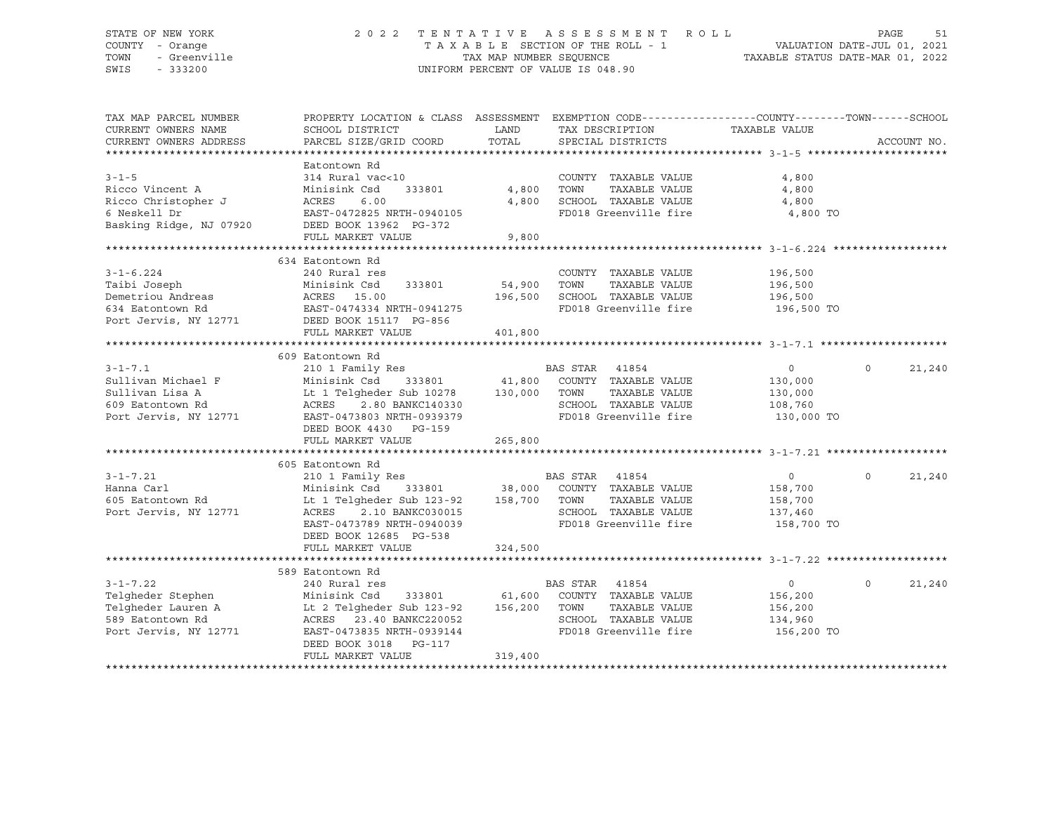### STATE OF NEW YORK 2 0 2 2 T E N T A T I V E A S S E S S M E N T R O L L PAGE 51 COUNTY - Orange T A X A B L E SECTION OF THE ROLL - 1 VALUATION DATE-JUL 01, 2021 TOWN - Greenville TAX MAP NUMBER SEQUENCE TAXABLE STATUS DATE-MAR 01, 2022 SWIS - 333200 UNIFORM PERCENT OF VALUE IS 048.90

| TAX MAP PARCEL NUMBER   | PROPERTY LOCATION & CLASS ASSESSMENT EXEMPTION CODE---------------COUNTY-------TOWN------SCHOOL |               |                                    |                |                    |
|-------------------------|-------------------------------------------------------------------------------------------------|---------------|------------------------------------|----------------|--------------------|
| CURRENT OWNERS NAME     | SCHOOL DISTRICT                                                                                 | LAND          | TAX DESCRIPTION                    | TAXABLE VALUE  |                    |
| CURRENT OWNERS ADDRESS  | PARCEL SIZE/GRID COORD                                                                          | TOTAL         | SPECIAL DISTRICTS                  |                | ACCOUNT NO.        |
|                         |                                                                                                 |               |                                    |                |                    |
|                         | Eatontown Rd                                                                                    |               |                                    |                |                    |
| $3 - 1 - 5$             | 314 Rural vac<10                                                                                |               | COUNTY TAXABLE VALUE               | 4,800          |                    |
| Ricco Vincent A         | 333801<br>Minisink Csd                                                                          | 4,800         | TOWN<br>TAXABLE VALUE              | 4,800          |                    |
| Ricco Christopher J     | ACRES<br>6.00                                                                                   | 4,800         | SCHOOL TAXABLE VALUE               | 4,800          |                    |
| 6 Neskell Dr            | EAST-0472825 NRTH-0940105                                                                       |               | FD018 Greenville fire              | 4,800 TO       |                    |
| Basking Ridge, NJ 07920 | DEED BOOK 13962 PG-372                                                                          |               |                                    |                |                    |
|                         | FULL MARKET VALUE                                                                               | 9,800         |                                    |                |                    |
|                         |                                                                                                 |               |                                    |                |                    |
|                         | 634 Eatontown Rd                                                                                |               |                                    |                |                    |
| $3 - 1 - 6.224$         | 240 Rural res                                                                                   |               | COUNTY TAXABLE VALUE               | 196,500        |                    |
| Taibi Joseph            | Minisink Csd<br>333801                                                                          | 54,900        | TOWN<br>TAXABLE VALUE              | 196,500        |                    |
| Demetriou Andreas       | ACRES 15.00                                                                                     | 196,500       | SCHOOL TAXABLE VALUE               | 196,500        |                    |
| 634 Eatontown Rd        | EAST-0474334 NRTH-0941275                                                                       |               | FD018 Greenville fire              | 196,500 TO     |                    |
| Port Jervis, NY 12771   | DEED BOOK 15117 PG-856                                                                          |               |                                    |                |                    |
|                         | FULL MARKET VALUE                                                                               | 401,800       |                                    |                |                    |
|                         |                                                                                                 |               |                                    |                |                    |
|                         | 609 Eatontown Rd                                                                                |               |                                    |                |                    |
| $3 - 1 - 7.1$           | 210 1 Family Res                                                                                |               | BAS STAR<br>41854                  | $\circ$        | $\Omega$<br>21,240 |
| Sullivan Michael F      | Minisink Csd                                                                                    |               | 333801 41,800 COUNTY TAXABLE VALUE | 130,000        |                    |
| Sullivan Lisa A         | Lt 1 Telgheder Sub 10278                                                                        | 130,000       | TOWN<br>TAXABLE VALUE              | 130,000        |                    |
| 609 Eatontown Rd        | 2.80 BANKC140330<br>ACRES                                                                       |               | SCHOOL TAXABLE VALUE               | 108,760        |                    |
| Port Jervis, NY 12771   | EAST-0473803 NRTH-0939379                                                                       |               | FD018 Greenville fire              | 130,000 TO     |                    |
|                         | DEED BOOK 4430 PG-159                                                                           |               |                                    |                |                    |
|                         | FULL MARKET VALUE                                                                               | 265,800       |                                    |                |                    |
|                         |                                                                                                 |               |                                    |                |                    |
|                         | 605 Eatontown Rd                                                                                |               |                                    |                |                    |
| $3 - 1 - 7.21$          | 210 1 Family Res                                                                                |               | BAS STAR 41854                     | $\overline{0}$ | $\Omega$<br>21,240 |
| Hanna Carl              | Minisink Csd                                                                                    | 333801 38,000 | COUNTY TAXABLE VALUE               | 158,700        |                    |
| 605 Eatontown Rd        | Lt 1 Telgheder Sub 123-92 158,700 TOWN                                                          |               | TAXABLE VALUE                      | 158,700        |                    |
| Port Jervis, NY 12771   | 2.10 BANKC030015<br>ACRES                                                                       |               | SCHOOL TAXABLE VALUE               | 137,460        |                    |
|                         | EAST-0473789 NRTH-0940039                                                                       |               | FD018 Greenville fire              | 158,700 TO     |                    |
|                         | DEED BOOK 12685 PG-538                                                                          |               |                                    |                |                    |
|                         | FULL MARKET VALUE                                                                               | 324,500       |                                    |                |                    |
|                         |                                                                                                 |               |                                    |                |                    |
|                         | 589 Eatontown Rd                                                                                |               |                                    |                |                    |
| $3 - 1 - 7.22$          | 240 Rural res                                                                                   |               | BAS STAR 41854                     | $\circ$        | 21,240<br>$\circ$  |
| Telgheder Stephen       | Minisink Csd<br>333801                                                                          | 61,600        | COUNTY TAXABLE VALUE               | 156,200        |                    |
| Telgheder Lauren A      | Lt 2 Telgheder Sub 123-92                                                                       | 156,200       | TOWN<br>TAXABLE VALUE              | 156,200        |                    |
| 589 Eatontown Rd        | ACRES 23.40 BANKC220052                                                                         |               | SCHOOL TAXABLE VALUE               | 134,960        |                    |
| Port Jervis, NY 12771   | EAST-0473835 NRTH-0939144                                                                       |               | FD018 Greenville fire              | 156,200 TO     |                    |
|                         | DEED BOOK 3018 PG-117                                                                           |               |                                    |                |                    |
|                         | FULL MARKET VALUE                                                                               | 319,400       |                                    |                |                    |
|                         |                                                                                                 |               |                                    |                |                    |
|                         |                                                                                                 |               |                                    |                |                    |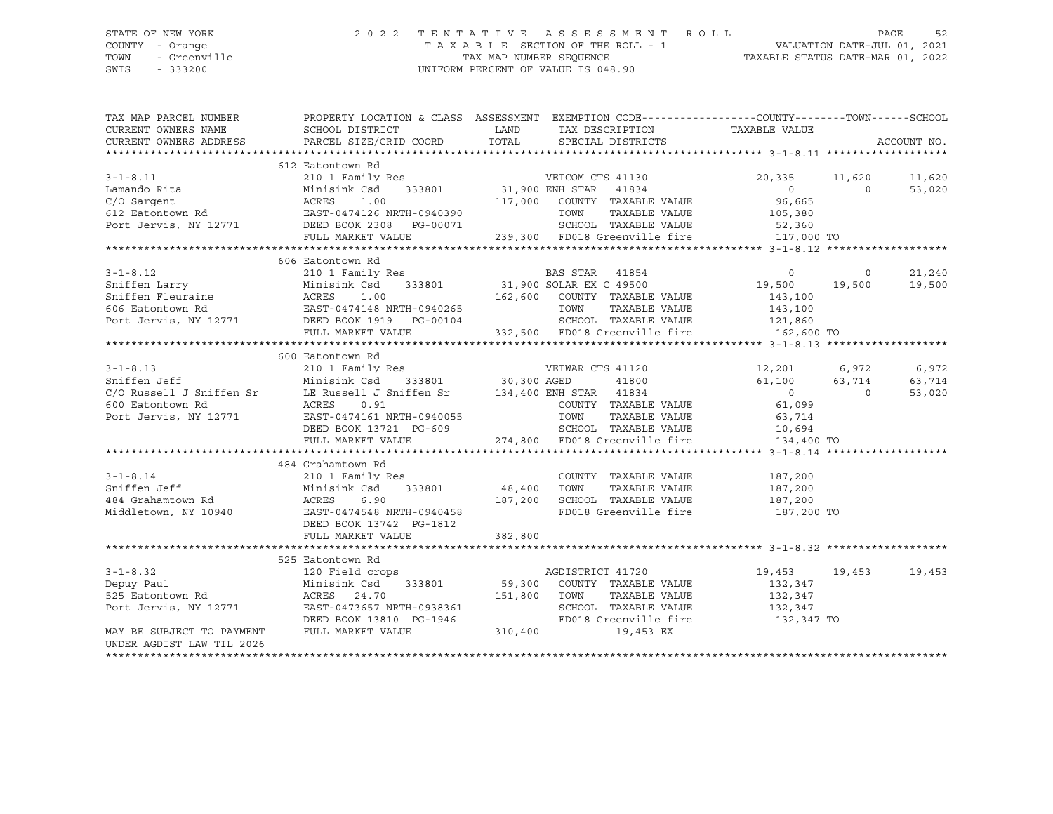SWIS - 333200 UNIFORM PERCENT OF VALUE IS 048.90

### STATE OF NEW YORK 2 0 2 2 T E N T A T I V E A S S E S S M E N T R O L L PAGE 52 COUNTY - Orange T A X A B L E SECTION OF THE ROLL - 1 VALUATION DATE-JUL 01, 2021 TOWN - Greenville TAX MAP NUMBER SEQUENCE TAXABLE STATUS DATE-MAR 01, 2022

| TAX MAP PARCEL NUMBER<br>CURRENT OWNERS NAME                                                                                                                                                                      | SCHOOL DISTRICT           | LAND<br>TAX DESCRIPTION                                                                                     | PROPERTY LOCATION & CLASS ASSESSMENT EXEMPTION CODE---------------COUNTY-------TOWN------SCHOOL<br>TAXABLE VALUE |  |
|-------------------------------------------------------------------------------------------------------------------------------------------------------------------------------------------------------------------|---------------------------|-------------------------------------------------------------------------------------------------------------|------------------------------------------------------------------------------------------------------------------|--|
| CURRENT OWNERS ADDRESS                                                                                                                                                                                            | PARCEL SIZE/GRID COORD    | TOTAL<br>SPECIAL DISTRICTS                                                                                  | ACCOUNT NO.                                                                                                      |  |
|                                                                                                                                                                                                                   |                           |                                                                                                             |                                                                                                                  |  |
|                                                                                                                                                                                                                   | 612 Eatontown Rd          |                                                                                                             |                                                                                                                  |  |
| $3 - 1 - 8.11$                                                                                                                                                                                                    | 210 1 Family Res          | Res VETCOM CTS 41130<br>333801 31,900 ENH STAR 41834<br>117.000 COUNTY TAXABLE                              | 20,335<br>11,620<br>11,620                                                                                       |  |
| Lamando Rita                                                                                                                                                                                                      | Minisink Csd              |                                                                                                             | $\overline{0}$<br>53,020<br>$\Omega$                                                                             |  |
|                                                                                                                                                                                                                   |                           | 117,000 COUNTY TAXABLE VALUE                                                                                | 96,665                                                                                                           |  |
|                                                                                                                                                                                                                   |                           | TOWN                                                                                                        | TAXABLE VALUE<br>105,380                                                                                         |  |
|                                                                                                                                                                                                                   |                           |                                                                                                             |                                                                                                                  |  |
|                                                                                                                                                                                                                   |                           |                                                                                                             |                                                                                                                  |  |
|                                                                                                                                                                                                                   |                           |                                                                                                             |                                                                                                                  |  |
|                                                                                                                                                                                                                   | 606 Eatontown Rd          |                                                                                                             |                                                                                                                  |  |
| $3 - 1 - 8.12$<br>3-1-8.12 210 1 Family Res E<br>Sniffen Larry Minisink Csd 333801 31,900 S<br>Sniffen Fleuraine ACRES 1.00 162,600<br>FAST-0474148 NRTH-0940265<br>Port Jervis, NY 12771 DEED BOOK 1919 PG-00104 |                           |                                                                                                             | 21,240<br>$\overline{0}$<br>$\circ$                                                                              |  |
|                                                                                                                                                                                                                   |                           |                                                                                                             | 19,500<br>19,500<br>19,500                                                                                       |  |
|                                                                                                                                                                                                                   |                           | 162,600 COUNTY TAXABLE VALUE                                                                                | 143,100                                                                                                          |  |
|                                                                                                                                                                                                                   |                           | TOWN                                                                                                        | TAXABLE VALUE<br>143,100<br>121,860                                                                              |  |
|                                                                                                                                                                                                                   |                           | SCHOOL TAXABLE VALUE                                                                                        |                                                                                                                  |  |
|                                                                                                                                                                                                                   | FULL MARKET VALUE         | 332,500 FD018 Greenville fire 162,600 TO                                                                    |                                                                                                                  |  |
|                                                                                                                                                                                                                   |                           |                                                                                                             |                                                                                                                  |  |
|                                                                                                                                                                                                                   | 600 Eatontown Rd          |                                                                                                             |                                                                                                                  |  |
| $3 - 1 - 8.13$                                                                                                                                                                                                    |                           |                                                                                                             | 12,201 6,972<br>6,972                                                                                            |  |
| Sniffen Jeff                                                                                                                                                                                                      |                           |                                                                                                             | 61,100<br>63,714<br>63,714                                                                                       |  |
| C/O Russell J Sniffen Sr                                                                                                                                                                                          |                           | 210 1 Family Res<br>Minisink Csd 333801 30,300 AGED 41800<br>LE Russell J Sniffen Sr 134,400 ENH STAR 41834 | $\overline{0}$<br>53,020<br>$\Omega$                                                                             |  |
| 600 Eatontown Rd                                                                                                                                                                                                  |                           | COUNTY TAXABLE VALUE                                                                                        | 61,099                                                                                                           |  |
| Port Jervis, NY 12771                                                                                                                                                                                             |                           | TOWN<br>TAXABLE VALUE                                                                                       | 63,714                                                                                                           |  |
|                                                                                                                                                                                                                   |                           | DEED BOOK 13721 PG-609 SCHOOL TAXABLE VALUE<br>FULL MARKET VALUE 274,800 FD018 Greenville fire              |                                                                                                                  |  |
|                                                                                                                                                                                                                   |                           |                                                                                                             | TOWN TAAADDE VADUL<br>SCHOOL TAXABLE VALUE 10,694<br>EDA10 Greenville fire 134,400 TO                            |  |
|                                                                                                                                                                                                                   |                           |                                                                                                             |                                                                                                                  |  |
|                                                                                                                                                                                                                   | 484 Grahamtown Rd         |                                                                                                             |                                                                                                                  |  |
| $3 - 1 - 8.14$                                                                                                                                                                                                    | 210 1 Family Res          | COUNTY TAXABLE VALUE                                                                                        | 187,200                                                                                                          |  |
| Sniffen Jeff                                                                                                                                                                                                      | Minisink Csd              | 333801 48,400<br>TOWN                                                                                       | TAXABLE VALUE<br>187,200                                                                                         |  |
|                                                                                                                                                                                                                   |                           | SCHOOL TAXABLE VALUE<br>187,200                                                                             | 187,200                                                                                                          |  |
|                                                                                                                                                                                                                   |                           | FD018 Greenville fire                                                                                       | 187,200 TO                                                                                                       |  |
|                                                                                                                                                                                                                   | DEED BOOK 13742 PG-1812   |                                                                                                             |                                                                                                                  |  |
|                                                                                                                                                                                                                   | FULL MARKET VALUE         | 382,800                                                                                                     |                                                                                                                  |  |
|                                                                                                                                                                                                                   |                           |                                                                                                             |                                                                                                                  |  |
|                                                                                                                                                                                                                   | 525 Eatontown Rd          |                                                                                                             |                                                                                                                  |  |
| $3 - 1 - 8.32$                                                                                                                                                                                                    | 120 Field crops           | AGDISTRICT 41720                                                                                            | 19,453 19,453<br>19,453                                                                                          |  |
| Depuy Paul                                                                                                                                                                                                        | Minisink Csd              | 333801 59,300 COUNTY TAXABLE VALUE                                                                          | 132,347                                                                                                          |  |
|                                                                                                                                                                                                                   | ACRES 24.70               | 151,800 TOWN                                                                                                |                                                                                                                  |  |
| 525 Eatontown Rd<br>Port Jervis, NY 12771                                                                                                                                                                         | EAST-0473657 NRTH-0938361 | TOWN      TAXABLE VALUE<br>SCHOOL   TAXABLE VALUE                                                           | 132,347<br>132,347                                                                                               |  |
|                                                                                                                                                                                                                   | DEED BOOK 13810 PG-1946   |                                                                                                             | FD018 Greenville fire 132,347 TO                                                                                 |  |
| MAY BE SUBJECT TO PAYMENT                                                                                                                                                                                         | FULL MARKET VALUE         | 310,400<br>19,453 EX                                                                                        |                                                                                                                  |  |
| UNDER AGDIST LAW TIL 2026                                                                                                                                                                                         |                           |                                                                                                             |                                                                                                                  |  |
|                                                                                                                                                                                                                   |                           |                                                                                                             |                                                                                                                  |  |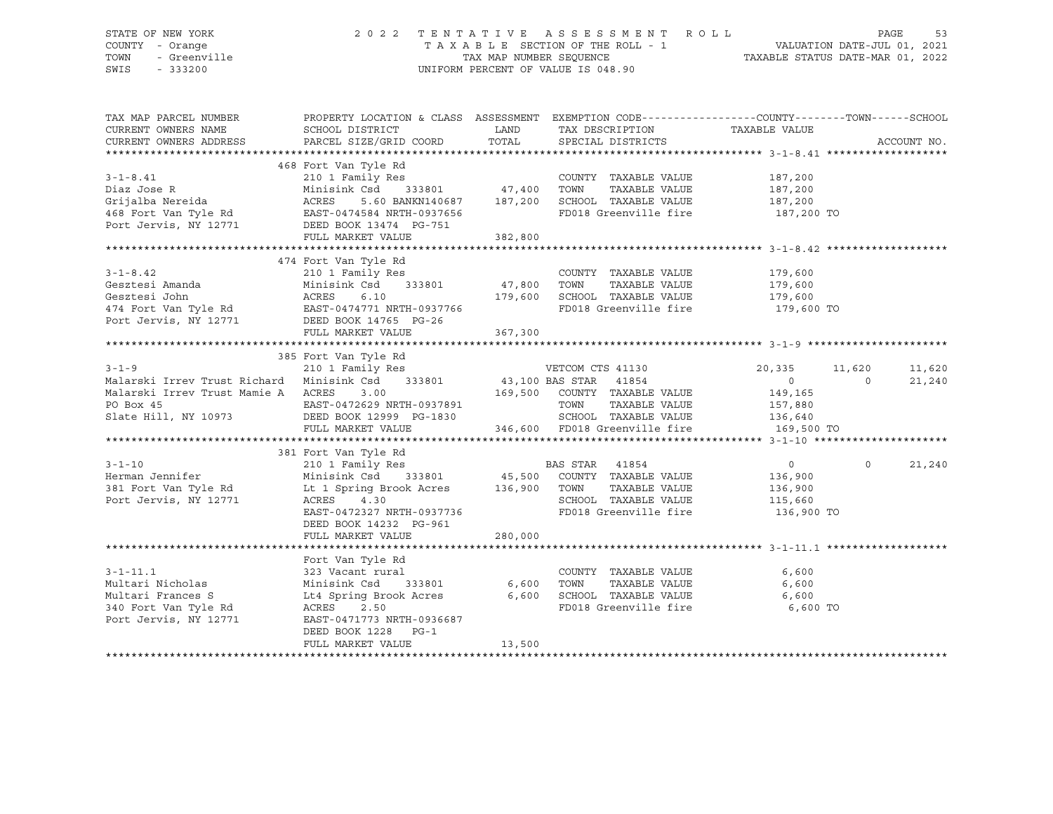## STATE OF NEW YORK 2022 TENTATIVE ASSESSMENT ROLL PAGE 53<br>2021 - VALUATION DATE -JUL 01, 2021 TENTATION REPORTION OF THE ROLL 2021 COUNTY - Orange T A X A B L E SECTION OF THE ROLL - 1 VALUATION DATE-JUL 01, 2021 TOWN - Greenville TAX ON TAX MAP NUMBER SEQUENCE TAXABLE STATUS DATE-MAR 01, 2022<br>TAXABLE STATUS DATE-MAR 01, 2022 UNIFORM PERCENT OF VALUE IS 048.90

TAX MAP PARCEL NUMBER PROPERTY LOCATION & CLASS ASSESSMENT EXEMPTION CODE------------------COUNTY--------TOWN------SCHOOL CURRENT OWNERS NAME SCHOOL DISTRICT TAX DESCRIPTION TAXABLE VALUE CURRENT OWNERS ADDRESS PARCEL SIZE/GRID COORD TOTAL SPECIAL DISTRICTS ACCOUNT NO. \*\*\*\*\*\*\*\*\*\*\*\*\*\*\*\*\*\*\*\*\*\*\*\*\*\*\*\*\*\*\*\*\*\*\*\*\*\*\*\*\*\*\*\*\*\*\*\*\*\*\*\*\*\*\*\*\*\*\*\*\*\*\*\*\*\*\*\*\*\*\*\*\*\*\*\*\*\*\*\*\*\*\*\*\*\*\*\*\*\*\*\*\*\*\*\*\*\*\*\*\*\*\* 3-1-8.41 \*\*\*\*\*\*\*\*\*\*\*\*\*\*\*\*\*\*\* 468 Fort Van Tyle Rd 3-1-8.41 210 1 Family Res COUNTY TAXABLE VALUE 187,200 Diaz Jose R Minisink Csd 333801 47,400 TOWN TAXABLE VALUE 187,200 Grijalba Nereida ACRES 5.60 BANKN140687 187,200 SCHOOL TAXABLE VALUE 187,200 468 Fort Van Tyle Rd EAST-0474584 NRTH-0937656 FD018 Greenville fire 187,200 TO Port Jervis, NY 12771 DEED BOOK 13474 PG-751 FULL MARKET VALUE 382,800 \*\*\*\*\*\*\*\*\*\*\*\*\*\*\*\*\*\*\*\*\*\*\*\*\*\*\*\*\*\*\*\*\*\*\*\*\*\*\*\*\*\*\*\*\*\*\*\*\*\*\*\*\*\*\*\*\*\*\*\*\*\*\*\*\*\*\*\*\*\*\*\*\*\*\*\*\*\*\*\*\*\*\*\*\*\*\*\*\*\*\*\*\*\*\*\*\*\*\*\*\*\*\* 3-1-8.42 \*\*\*\*\*\*\*\*\*\*\*\*\*\*\*\*\*\*\* 474 Fort Van Tyle Rd 3-1-8.42 210 1 Family Res COUNTY TAXABLE VALUE 179,600 Gesztesi Amanda Minisink Csd 333801 47,800 TOWN TAXABLE VALUE 179,600 Gesztesi John ACRES 6.10 179,600 SCHOOL TAXABLE VALUE 179,600 474 Fort Van Tyle Rd EAST-0474771 NRTH-0937766 FD018 Greenville fire 179,600 TO Port Jervis, NY 12771 DEED BOOK 14765 PG-26 FULL MARKET VALUE 367,300 \*\*\*\*\*\*\*\*\*\*\*\*\*\*\*\*\*\*\*\*\*\*\*\*\*\*\*\*\*\*\*\*\*\*\*\*\*\*\*\*\*\*\*\*\*\*\*\*\*\*\*\*\*\*\*\*\*\*\*\*\*\*\*\*\*\*\*\*\*\*\*\*\*\*\*\*\*\*\*\*\*\*\*\*\*\*\*\*\*\*\*\*\*\*\*\*\*\*\*\*\*\*\* 3-1-9 \*\*\*\*\*\*\*\*\*\*\*\*\*\*\*\*\*\*\*\*\*\* 385 Fort Van Tyle Rd 3-1-9 210 1 Family Res VETCOM CTS 41130 20,335 11,620 11,620 Malarski Irrev Trust Richard Minisink Csd 333801 43,100 BAS STAR 41854 0 0 21,240 Malarski Irrev Trust Mamie A ACRES 3.00 169,500 COUNTY TAXABLE VALUE 149,165 PO Box 45 EAST-0472629 NRTH-0937891 TOWN TAXABLE VALUE 157,880 Slate Hill, NY 10973 DEED BOOK 12999 PG-1830 SCHOOL TAXABLE VALUE 136,640 FULL MARKET VALUE 346,600 FD018 Greenville fire 169,500 TO \*\*\*\*\*\*\*\*\*\*\*\*\*\*\*\*\*\*\*\*\*\*\*\*\*\*\*\*\*\*\*\*\*\*\*\*\*\*\*\*\*\*\*\*\*\*\*\*\*\*\*\*\*\*\*\*\*\*\*\*\*\*\*\*\*\*\*\*\*\*\*\*\*\*\*\*\*\*\*\*\*\*\*\*\*\*\*\*\*\*\*\*\*\*\*\*\*\*\*\*\*\*\* 3-1-10 \*\*\*\*\*\*\*\*\*\*\*\*\*\*\*\*\*\*\*\*\* 381 Fort Van Tyle Rd 3-1-10 210 1 Family Res BAS STAR 41854 0 0 21,240 Herman Jennifer Minisink Csd 333801 45,500 COUNTY TAXABLE VALUE 136,900 381 Fort Van Tyle Rd Lt 1 Spring Brook Acres 136,900 TOWN TAXABLE VALUE 136,900 Port Jervis, NY 12771 ACRES 4.30 SCHOOL TAXABLE VALUE 115,660 EAST-0472327 NRTH-0937736 FD018 Greenville fire 136,900 TO DEED BOOK 14232 PG-961 FULL MARKET VALUE 280,000 \*\*\*\*\*\*\*\*\*\*\*\*\*\*\*\*\*\*\*\*\*\*\*\*\*\*\*\*\*\*\*\*\*\*\*\*\*\*\*\*\*\*\*\*\*\*\*\*\*\*\*\*\*\*\*\*\*\*\*\*\*\*\*\*\*\*\*\*\*\*\*\*\*\*\*\*\*\*\*\*\*\*\*\*\*\*\*\*\*\*\*\*\*\*\*\*\*\*\*\*\*\*\* 3-1-11.1 \*\*\*\*\*\*\*\*\*\*\*\*\*\*\*\*\*\*\* Fort Van Tyle Rd 3-1-11.1 323 Vacant rural COUNTY TAXABLE VALUE 6,600 Multari Nicholas Minisink Csd 333801 6,600 TOWN TAXABLE VALUE 6,600 Multari Frances S Lt4 Spring Brook Acres 6,600 SCHOOL TAXABLE VALUE 6,600 340 Fort Van Tyle Rd ACRES 2.50 FD018 Greenville fire 6,600 TO Port Jervis, NY 12771 EAST-0471773 NRTH-0936687 DEED BOOK 1228 PG-1 FULL MARKET VALUE 13,500 \*\*\*\*\*\*\*\*\*\*\*\*\*\*\*\*\*\*\*\*\*\*\*\*\*\*\*\*\*\*\*\*\*\*\*\*\*\*\*\*\*\*\*\*\*\*\*\*\*\*\*\*\*\*\*\*\*\*\*\*\*\*\*\*\*\*\*\*\*\*\*\*\*\*\*\*\*\*\*\*\*\*\*\*\*\*\*\*\*\*\*\*\*\*\*\*\*\*\*\*\*\*\*\*\*\*\*\*\*\*\*\*\*\*\*\*\*\*\*\*\*\*\*\*\*\*\*\*\*\*\*\*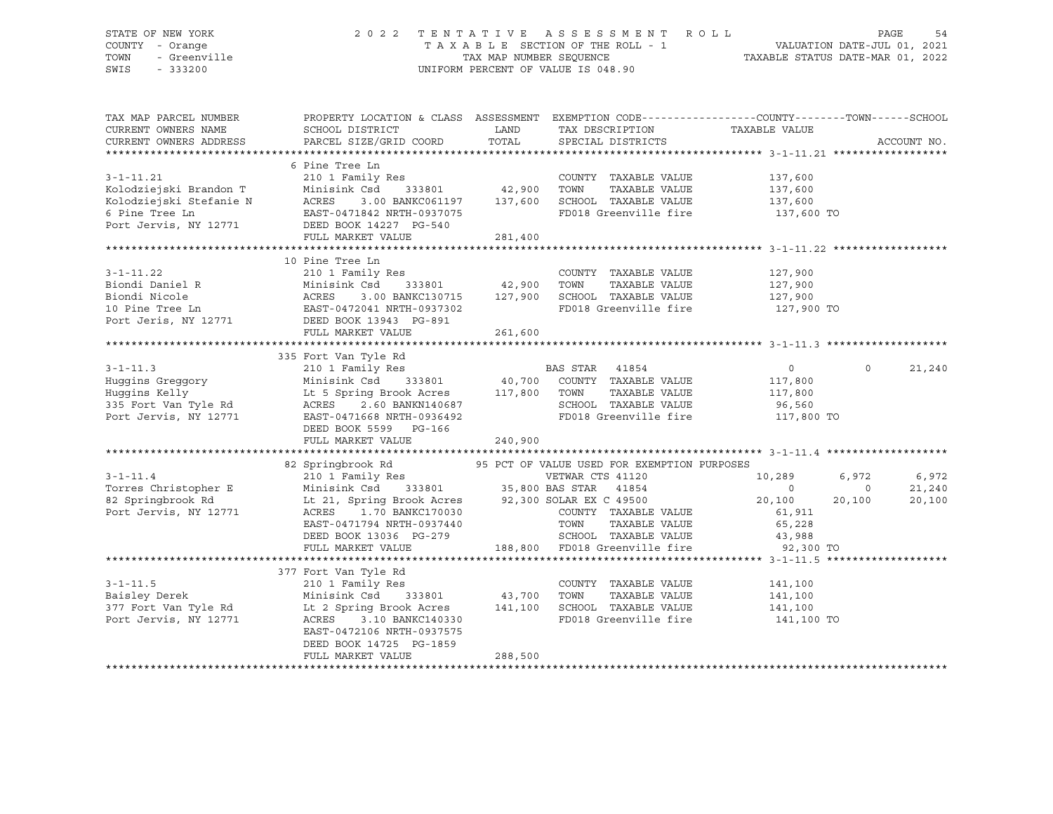### STATE OF NEW YORK 2 0 2 2 T E N T A T I V E A S S E S S M E N T R O L L PAGE 54 COUNTY - Orange T A X A B L E SECTION OF THE ROLL - 1 VALUATION DATE-JUL 01, 2021 TOWN - Greenville TAX MAP NUMBER SEQUENCE TAXABLE STATUS DATE-MAR 01, 2022 SWIS - 333200 UNIFORM PERCENT OF VALUE IS 048.90

| TAX MAP PARCEL NUMBER<br>CURRENT OWNERS NAME | SCHOOL DISTRICT                                                                                                           | LAND                   | TAX DESCRIPTION                             | PROPERTY LOCATION & CLASS ASSESSMENT EXEMPTION CODE----------------COUNTY-------TOWN-----SCHOOL<br>TAXABLE VALUE |             |
|----------------------------------------------|---------------------------------------------------------------------------------------------------------------------------|------------------------|---------------------------------------------|------------------------------------------------------------------------------------------------------------------|-------------|
| CURRENT OWNERS ADDRESS                       | PARCEL SIZE/GRID COORD                                                                                                    | TOTAL                  | SPECIAL DISTRICTS                           |                                                                                                                  | ACCOUNT NO. |
|                                              |                                                                                                                           |                        |                                             |                                                                                                                  |             |
|                                              | 6 Pine Tree Ln                                                                                                            |                        |                                             | $\frac{137,600}{137}$                                                                                            |             |
| $3 - 1 - 11.21$                              | Res<br>333801 42,900<br>210 1 Family Res                                                                                  |                        | COUNTY TAXABLE VALUE                        |                                                                                                                  |             |
| Kolodziejski Brandon T                       | Minisink Csd                                                                                                              |                        | TOWN<br>TAXABLE VALUE                       |                                                                                                                  |             |
| Kolodziejski Stefanie N                      | ACRES<br>EAST-0<br>3.00 BANKC061197 137,600                                                                               |                        | SCHOOL TAXABLE VALUE                        | 137,600                                                                                                          |             |
| 6 Pine Tree Ln                               | EAST-0471842 NRTH-0937075                                                                                                 |                        | FD018 Greenville fire                       | 137,600 TO                                                                                                       |             |
| Port Jervis, NY 12771 DEED BOOK 14227 PG-540 |                                                                                                                           |                        |                                             |                                                                                                                  |             |
|                                              | FULL MARKET VALUE                                                                                                         | 281,400                |                                             |                                                                                                                  |             |
|                                              |                                                                                                                           |                        |                                             |                                                                                                                  |             |
|                                              | 10 Pine Tree Ln                                                                                                           |                        |                                             |                                                                                                                  |             |
| $3 - 1 - 11.22$                              | 210 1 Family Res                                                                                                          |                        | COUNTY TAXABLE VALUE                        | 127,900                                                                                                          |             |
| Biondi Daniel R                              | 333801 42,900                                                                                                             |                        | TOWN<br>TAXABLE VALUE                       | 127,900                                                                                                          |             |
| Biondi Nicole                                | 3.00 BANKC130715 127,900                                                                                                  |                        | SCHOOL TAXABLE VALUE                        | 127,900                                                                                                          |             |
| 10 Pine Tree Ln                              | Minisink Csd 333801<br>ACRES 3.00 BANKC130715<br>EAST-0472041 NRTH-0937302                                                |                        | FD018 Greenville fire                       | 127,900 TO                                                                                                       |             |
| Port Jeris, NY 12771 DEED BOOK 13943 PG-891  |                                                                                                                           |                        |                                             |                                                                                                                  |             |
|                                              | FULL MARKET VALUE                                                                                                         | 261,600                |                                             |                                                                                                                  |             |
|                                              |                                                                                                                           |                        |                                             |                                                                                                                  |             |
|                                              | 335 Fort Van Tyle Rd                                                                                                      |                        |                                             |                                                                                                                  |             |
| $3 - 1 - 11.3$                               |                                                                                                                           |                        |                                             | $\Omega$<br>$\overline{0}$                                                                                       | 21,240      |
| Huggins Greggory                             |                                                                                                                           |                        |                                             | 117,800                                                                                                          |             |
| Huqqins Kelly                                | 210 1 Family Res<br>Minisink Csd 333801 40,700 COUNTY TAXABLE VALUE<br>Lt 5 Spring Brook Acres 117,800 TOWN TAXABLE VALUE |                        |                                             | 117,800                                                                                                          |             |
| 335 Fort Van Tyle Rd                         | 2.60 BANKN140687<br>ACRES                                                                                                 |                        | SCHOOL TAXABLE VALUE 96,560                 |                                                                                                                  |             |
| Port Jervis, NY 12771                        | EAST-0471668 NRTH-0936492                                                                                                 |                        | FD018 Greenville fire                       | 117,800 TO                                                                                                       |             |
|                                              | DEED BOOK 5599 PG-166                                                                                                     |                        |                                             |                                                                                                                  |             |
|                                              | FULL MARKET VALUE                                                                                                         | 240,900                |                                             |                                                                                                                  |             |
|                                              |                                                                                                                           |                        |                                             |                                                                                                                  |             |
|                                              |                                                                                                                           |                        | 95 PCT OF VALUE USED FOR EXEMPTION PURPOSES |                                                                                                                  |             |
| $3 - 1 - 11.4$                               | 82 Springbrook Rd 95 PCT 210 1 Family Res                                                                                 |                        | VETWAR CTS 41120                            | 6,972<br>10,289                                                                                                  | 6,972       |
| Torres Christopher E                         | Minisink Csd                                                                                                              | 333801 35,800 BAS STAR | 41854                                       | $\circ$<br>$\Omega$                                                                                              | 21,240      |
| 82 Springbrook Rd                            | Lt 21, Spring Brook Acres 92,300 SOLAR EX C 49500                                                                         |                        |                                             | 20,100<br>20,100                                                                                                 | 20,100      |
| Port Jervis, NY 12771                        | ACRES<br>1.70 BANKC170030                                                                                                 |                        | COUNTY TAXABLE VALUE                        | 61,911                                                                                                           |             |
|                                              | EAST-0471794 NRTH-0937440                                                                                                 |                        | TOWN<br>TAXABLE VALUE                       | 65,228                                                                                                           |             |
|                                              | DEED BOOK 13036 PG-279                                                                                                    |                        |                                             |                                                                                                                  |             |
|                                              | FULL MARKET VALUE                                                                                                         |                        |                                             |                                                                                                                  |             |
|                                              |                                                                                                                           |                        |                                             |                                                                                                                  |             |
|                                              | 377 Fort Van Tyle Rd                                                                                                      |                        |                                             |                                                                                                                  |             |
| $3 - 1 - 11.5$                               | 210 1 Family Res                                                                                                          |                        | COUNTY TAXABLE VALUE                        | 141,100                                                                                                          |             |
| Baisley Derek                                | 333801 43,700<br>Minisink Csd                                                                                             |                        | TAXABLE VALUE<br>TOWN                       | 141,100                                                                                                          |             |
| 377 Fort Van Tyle Rd                         | Lt 2 Spring Brook Acres 141,100                                                                                           |                        | SCHOOL TAXABLE VALUE 141,100                |                                                                                                                  |             |
| Port Jervis, NY 12771                        | ACRES<br>3.10 BANKC140330                                                                                                 |                        | FD018 Greenville fire                       | 141,100 TO                                                                                                       |             |
|                                              | EAST-0472106 NRTH-0937575                                                                                                 |                        |                                             |                                                                                                                  |             |
|                                              | DEED BOOK 14725 PG-1859                                                                                                   |                        |                                             |                                                                                                                  |             |
|                                              | FULL MARKET VALUE                                                                                                         | 288,500                |                                             |                                                                                                                  |             |
|                                              |                                                                                                                           |                        |                                             |                                                                                                                  |             |
|                                              |                                                                                                                           |                        |                                             |                                                                                                                  |             |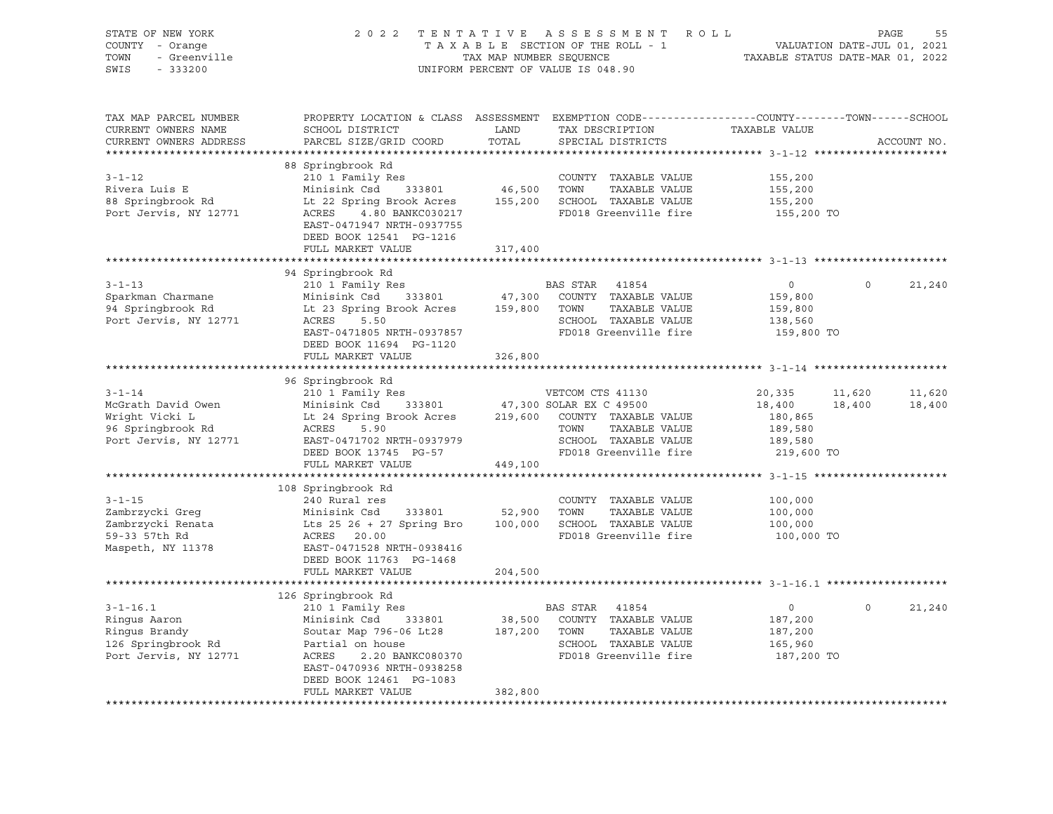| STATE OF NEW YORK<br>COUNTY - Orange | 2 0 2 2                                    | TENTATIVE                        | ROLL<br>A S S E S S M E N T<br>TAXABLE SECTION OF THE ROLL - 1                                   |                           |          | PAGE<br>55<br>VALUATION DATE-JUL 01, 2021 |
|--------------------------------------|--------------------------------------------|----------------------------------|--------------------------------------------------------------------------------------------------|---------------------------|----------|-------------------------------------------|
| - Greenville<br>TOWN                 | TAX MAP NUMBER SEQUENCE                    | TAXABLE STATUS DATE-MAR 01, 2022 |                                                                                                  |                           |          |                                           |
| SWIS<br>$-333200$                    |                                            |                                  | UNIFORM PERCENT OF VALUE IS 048.90                                                               |                           |          |                                           |
|                                      |                                            |                                  |                                                                                                  |                           |          |                                           |
| TAX MAP PARCEL NUMBER                |                                            |                                  | PROPERTY LOCATION & CLASS ASSESSMENT EXEMPTION CODE----------------COUNTY-------TOWN------SCHOOL |                           |          |                                           |
| CURRENT OWNERS NAME                  | SCHOOL DISTRICT                            | LAND                             | TAX DESCRIPTION                                                                                  | TAXABLE VALUE             |          |                                           |
| CURRENT OWNERS ADDRESS               | PARCEL SIZE/GRID COORD                     | TOTAL                            | SPECIAL DISTRICTS                                                                                |                           |          | ACCOUNT NO.                               |
|                                      |                                            |                                  |                                                                                                  |                           |          |                                           |
|                                      | 88 Springbrook Rd                          |                                  |                                                                                                  |                           |          |                                           |
| $3 - 1 - 12$                         | 210 1 Family Res                           |                                  | COUNTY TAXABLE VALUE                                                                             | 155,200                   |          |                                           |
| Rivera Luis E                        | Minisink Csd<br>333801                     | 46,500                           | TOWN<br>TAXABLE VALUE                                                                            | 155,200                   |          |                                           |
| 88 Springbrook Rd                    | Lt 22 Spring Brook Acres                   | 155,200                          | SCHOOL TAXABLE VALUE                                                                             | 155,200                   |          |                                           |
| Port Jervis, NY 12771                | 4.80 BANKC030217<br>ACRES                  |                                  | FD018 Greenville fire                                                                            | 155,200 TO                |          |                                           |
|                                      | EAST-0471947 NRTH-0937755                  |                                  |                                                                                                  |                           |          |                                           |
|                                      | DEED BOOK 12541 PG-1216                    |                                  |                                                                                                  |                           |          |                                           |
|                                      | FULL MARKET VALUE                          | 317,400                          |                                                                                                  |                           |          |                                           |
|                                      |                                            | ************                     |                                                                                                  |                           |          |                                           |
|                                      | 94 Springbrook Rd                          |                                  |                                                                                                  |                           |          |                                           |
| $3 - 1 - 13$                         | 210 1 Family Res                           |                                  | BAS STAR<br>41854                                                                                | $\mathsf{O}$              | $\Omega$ | 21,240                                    |
| Sparkman Charmane                    | Minisink Csd<br>333801                     | 47,300                           | COUNTY TAXABLE VALUE                                                                             | 159,800                   |          |                                           |
| 94 Springbrook Rd                    | Lt 23 Spring Brook Acres                   | 159,800                          | TOWN<br>TAXABLE VALUE                                                                            | 159,800                   |          |                                           |
| Port Jervis, NY 12771                | 5.50<br>ACRES                              |                                  | SCHOOL TAXABLE VALUE                                                                             | 138,560                   |          |                                           |
|                                      | EAST-0471805 NRTH-0937857                  |                                  | FD018 Greenville fire                                                                            | 159,800 TO                |          |                                           |
|                                      | DEED BOOK 11694 PG-1120                    |                                  |                                                                                                  |                           |          |                                           |
|                                      | FULL MARKET VALUE                          | 326,800                          |                                                                                                  |                           |          |                                           |
|                                      |                                            |                                  |                                                                                                  | ********** 3-1-14 ******* |          |                                           |
|                                      | 96 Springbrook Rd                          |                                  |                                                                                                  |                           |          |                                           |
| $3 - 1 - 14$                         | 210 1 Family Res                           |                                  | VETCOM CTS 41130                                                                                 | 20,335                    | 11,620   | 11,620                                    |
| McGrath David Owen                   | Minisink Csd<br>333801                     |                                  | 47,300 SOLAR EX C 49500                                                                          | 18,400                    | 18,400   | 18,400                                    |
| Wright Vicki L                       | Lt 24 Spring Brook Acres                   | 219,600                          | COUNTY TAXABLE VALUE                                                                             | 180,865                   |          |                                           |
| 96 Springbrook Rd                    | ACRES<br>5.90                              |                                  | TOWN<br>TAXABLE VALUE                                                                            | 189,580                   |          |                                           |
| Port Jervis, NY 12771                | EAST-0471702 NRTH-0937979                  |                                  | SCHOOL TAXABLE VALUE                                                                             | 189,580                   |          |                                           |
|                                      | DEED BOOK 13745 PG-57                      |                                  | FD018 Greenville fire                                                                            | 219,600 TO                |          |                                           |
|                                      | FULL MARKET VALUE                          | 449,100                          |                                                                                                  |                           |          |                                           |
|                                      |                                            |                                  |                                                                                                  |                           |          |                                           |
|                                      | 108 Springbrook Rd                         |                                  |                                                                                                  |                           |          |                                           |
| $3 - 1 - 15$                         | 240 Rural res                              |                                  | COUNTY TAXABLE VALUE                                                                             | 100,000                   |          |                                           |
| Zambrzycki Greg                      | Minisink Csd<br>333801                     | 52,900                           | TOWN<br>TAXABLE VALUE                                                                            | 100,000                   |          |                                           |
| Zambrzycki Renata                    | Lts $25$ $26 + 27$ Spring Bro              | 100,000                          | SCHOOL TAXABLE VALUE                                                                             | 100,000                   |          |                                           |
| 59-33 57th Rd                        | ACRES 20.00                                |                                  | FD018 Greenville fire                                                                            | 100,000 TO                |          |                                           |
| Maspeth, NY 11378                    | EAST-0471528 NRTH-0938416                  |                                  |                                                                                                  |                           |          |                                           |
|                                      | DEED BOOK 11763 PG-1468                    |                                  |                                                                                                  |                           |          |                                           |
|                                      | FULL MARKET VALUE                          | 204,500                          |                                                                                                  |                           |          |                                           |
|                                      |                                            |                                  |                                                                                                  |                           |          |                                           |
|                                      | 126 Springbrook Rd                         |                                  |                                                                                                  |                           | $\Omega$ |                                           |
| $3 - 1 - 16.1$                       | 210 1 Family Res<br>Minisink Csd<br>333801 | 38,500                           | BAS STAR<br>41854<br>COUNTY TAXABLE VALUE                                                        | $\circ$<br>187,200        |          | 21,240                                    |
| Ringus Aaron<br>Ringus Brandy        | Soutar Map 796-06 Lt28                     | 187,200                          | TOWN<br>TAXABLE VALUE                                                                            | 187,200                   |          |                                           |
| 126 Springbrook Rd                   | Partial on house                           |                                  | SCHOOL TAXABLE VALUE                                                                             | 165,960                   |          |                                           |
| Port Jervis, NY 12771                | ACRES<br>2.20 BANKC080370                  |                                  | FD018 Greenville fire                                                                            | 187,200 TO                |          |                                           |
|                                      | EAST-0470936 NRTH-0938258                  |                                  |                                                                                                  |                           |          |                                           |
|                                      | DEED BOOK 12461 PG-1083                    |                                  |                                                                                                  |                           |          |                                           |
|                                      | FULL MARKET VALUE                          | 382,800                          |                                                                                                  |                           |          |                                           |
| **************************           |                                            |                                  |                                                                                                  |                           |          |                                           |
|                                      |                                            |                                  |                                                                                                  |                           |          |                                           |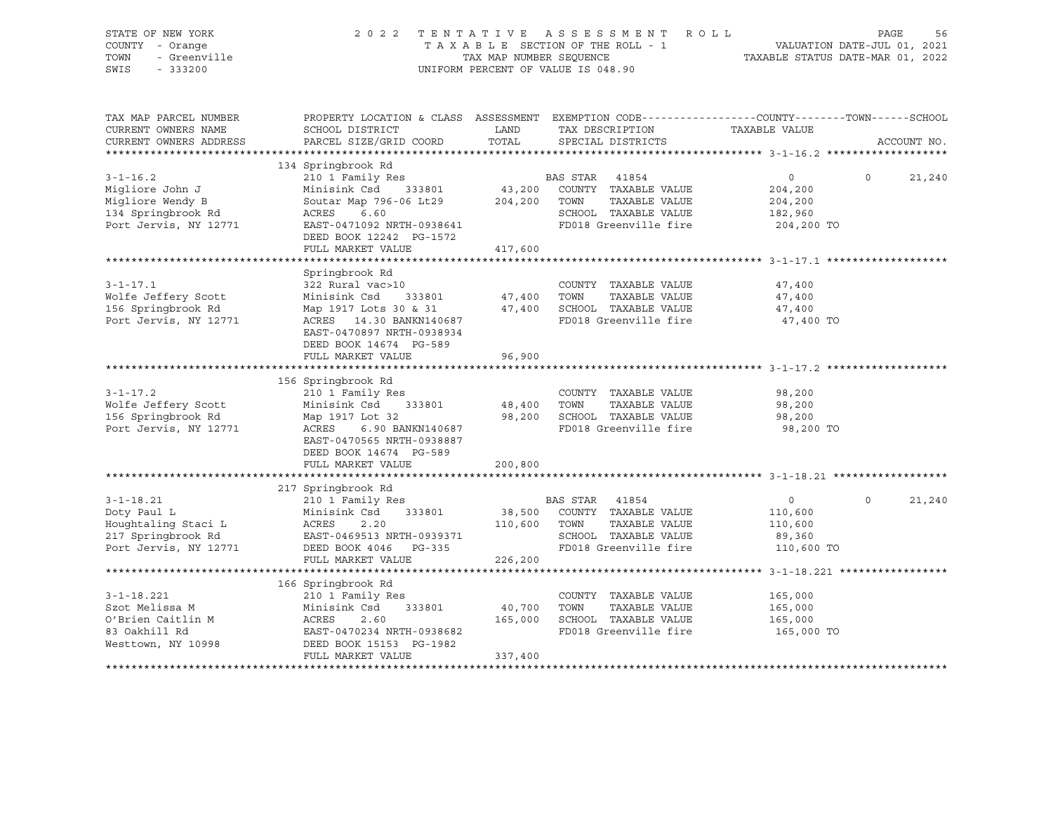| 2022                                                                                                                                                                   |                                                                                                                            | ASSESSMENT ROLL                                                                                                     |                                                                                                                           | PAGE<br>56                                                                                                                                                                                     |
|------------------------------------------------------------------------------------------------------------------------------------------------------------------------|----------------------------------------------------------------------------------------------------------------------------|---------------------------------------------------------------------------------------------------------------------|---------------------------------------------------------------------------------------------------------------------------|------------------------------------------------------------------------------------------------------------------------------------------------------------------------------------------------|
| SCHOOL DISTRICT<br>PARCEL SIZE/GRID COORD                                                                                                                              | LAND<br>TOTAL                                                                                                              | TAX DESCRIPTION<br>SPECIAL DISTRICTS                                                                                |                                                                                                                           | ACCOUNT NO.                                                                                                                                                                                    |
|                                                                                                                                                                        |                                                                                                                            |                                                                                                                     |                                                                                                                           |                                                                                                                                                                                                |
| 210 1 Family Res<br>Minisink Csd<br>333801                                                                                                                             | 43,200                                                                                                                     | BAS STAR 41854<br>COUNTY TAXABLE VALUE                                                                              | $\circ$<br>$\Omega$<br>204,200                                                                                            | 21,240                                                                                                                                                                                         |
| ACRES<br>6.60<br>EAST-0471092 NRTH-0938641                                                                                                                             |                                                                                                                            | SCHOOL TAXABLE VALUE<br>FD018 Greenville fire                                                                       | 182,960<br>204,200 TO                                                                                                     |                                                                                                                                                                                                |
| FULL MARKET VALUE                                                                                                                                                      | 417,600                                                                                                                    |                                                                                                                     |                                                                                                                           |                                                                                                                                                                                                |
|                                                                                                                                                                        |                                                                                                                            |                                                                                                                     |                                                                                                                           |                                                                                                                                                                                                |
| Springbrook Rd<br>322 Rural vac>10<br>Minisink Csd<br>333801<br>Map 1917 Lots 30 & 31<br>ACRES 14.30 BANKN140687                                                       | 47,400<br>47,400                                                                                                           | COUNTY TAXABLE VALUE<br>TOWN<br>TAXABLE VALUE<br>SCHOOL TAXABLE VALUE<br>FD018 Greenville fire                      | 47,400<br>47,400<br>47,400<br>47,400 TO                                                                                   |                                                                                                                                                                                                |
| DEED BOOK 14674 PG-589<br>FULL MARKET VALUE                                                                                                                            | 96,900                                                                                                                     |                                                                                                                     |                                                                                                                           |                                                                                                                                                                                                |
| 156 Springbrook Rd                                                                                                                                                     |                                                                                                                            |                                                                                                                     |                                                                                                                           |                                                                                                                                                                                                |
| 210 1 Family Res<br>Minisink Csd<br>333801<br>Map 1917 Lot 32<br>ACRES<br>6.90 BANKN140687<br>EAST-0470565 NRTH-0938887<br>DEED BOOK 14674 PG-589<br>FULL MARKET VALUE | 48,400<br>98,200<br>200,800                                                                                                | COUNTY TAXABLE VALUE<br>TOWN<br>TAXABLE VALUE<br>SCHOOL TAXABLE VALUE<br>FD018 Greenville fire                      | 98,200<br>98,200<br>98,200<br>98,200 TO                                                                                   |                                                                                                                                                                                                |
|                                                                                                                                                                        |                                                                                                                            |                                                                                                                     |                                                                                                                           |                                                                                                                                                                                                |
| 210 1 Family Res<br>Minisink Csd<br>333801<br>ACRES<br>2.20<br>EAST-0469513 NRTH-0939371<br>DEED BOOK 4046<br>PG-335                                                   | 38,500<br>110,600                                                                                                          | BAS STAR<br>41854<br>COUNTY TAXABLE VALUE<br>TOWN<br>TAXABLE VALUE<br>SCHOOL TAXABLE VALUE<br>FD018 Greenville fire | $\overline{0}$<br>$\Omega$<br>110,600<br>110,600<br>89,360<br>110,600 TO                                                  | 21,240                                                                                                                                                                                         |
| FULL MARKET VALUE                                                                                                                                                      | 226,200                                                                                                                    |                                                                                                                     |                                                                                                                           |                                                                                                                                                                                                |
| 166 Springbrook Rd                                                                                                                                                     |                                                                                                                            |                                                                                                                     |                                                                                                                           |                                                                                                                                                                                                |
| 210 1 Family Res<br>Minisink Csd<br>333801<br>ACRES<br>2.60<br>EAST-0470234 NRTH-0938682<br>DEED BOOK 15153 PG-1982<br>FULL MARKET VALUE                               | 40,700<br>165,000<br>337,400                                                                                               | COUNTY TAXABLE VALUE<br>TOWN<br>TAXABLE VALUE<br>SCHOOL TAXABLE VALUE<br>FD018 Greenville fire                      | 165,000<br>165,000<br>165,000<br>165,000 TO                                                                               |                                                                                                                                                                                                |
|                                                                                                                                                                        | 134 Springbrook Rd<br>Soutar Map 796-06 Lt29<br>DEED BOOK 12242 PG-1572<br>EAST-0470897 NRTH-0938934<br>217 Springbrook Rd | TENTATIVE<br>204,200                                                                                                | TAXABLE SECTION OF THE ROLL - 1<br>TAX MAP NUMBER SEOUENCE<br>UNIFORM PERCENT OF VALUE IS 048.90<br>TOWN<br>TAXABLE VALUE | VALUATION DATE-JUL 01, 2021<br>TAXABLE STATUS DATE-MAR 01, 2022<br>PROPERTY LOCATION & CLASS ASSESSMENT EXEMPTION CODE----------------COUNTY-------TOWN-----SCHOOL<br>TAXABLE VALUE<br>204,200 |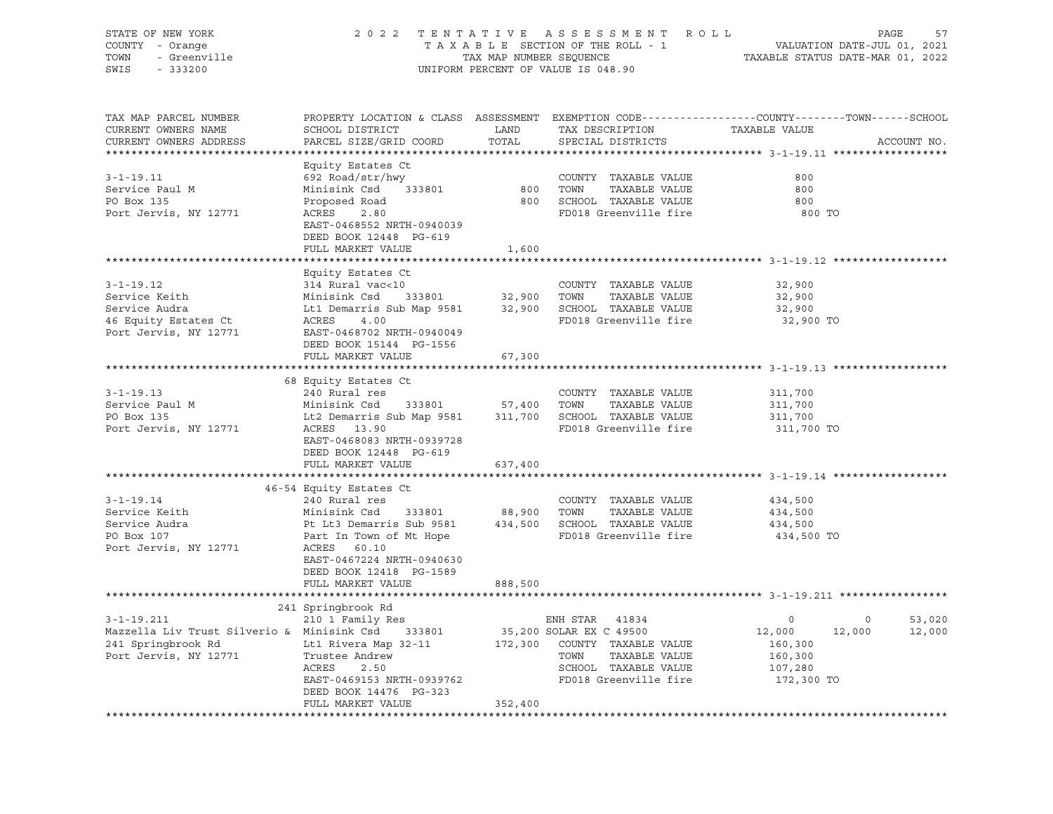| STATE OF NEW YORK<br>COUNTY - Orange<br>- Orange<br>- Greenville<br>TOWN<br>$-333200$<br>SWIS      |                                                                                                                                             |                    | 2022 TENTATIVE ASSESSMENT ROLL<br>TAXABLE SECTION OF THE ROLL - 1<br>TAXABLE SECTION OF THE ROLL - 1<br>TAXABLE STATUS DATE-MAR 01, 2022<br>UNIFORM PERCENT OF VALUE IS 048.90 |                                                               | PAGE<br>57  |
|----------------------------------------------------------------------------------------------------|---------------------------------------------------------------------------------------------------------------------------------------------|--------------------|--------------------------------------------------------------------------------------------------------------------------------------------------------------------------------|---------------------------------------------------------------|-------------|
| TAX MAP PARCEL NUMBER<br>CURRENT OWNERS NAME<br>CURRENT OWNERS ADDRESS<br>************************ | PROPERTY LOCATION & CLASS ASSESSMENT EXEMPTION CODE---------------COUNTY-------TOWN-----SCHOOL<br>SCHOOL DISTRICT<br>PARCEL SIZE/GRID COORD | LAND<br>TOTAL      | TAX DESCRIPTION<br>SPECIAL DISTRICTS                                                                                                                                           | TAXABLE VALUE                                                 | ACCOUNT NO. |
|                                                                                                    | Equity Estates Ct                                                                                                                           |                    |                                                                                                                                                                                |                                                               |             |
| $3 - 1 - 19.11$                                                                                    | 692 Road/str/hwy                                                                                                                            |                    | COUNTY TAXABLE VALUE                                                                                                                                                           | 800                                                           |             |
| Service Paul M                                                                                     | Minisink Csd<br>333801                                                                                                                      |                    | TAXABLE VALUE                                                                                                                                                                  | 800                                                           |             |
| PO Box 135                                                                                         | Proposed Road                                                                                                                               |                    | 800 SCHOOL TAXABLE VALUE                                                                                                                                                       | 800                                                           |             |
| Port Jervis, NY 12771                                                                              | ACRES<br>2.80<br>EAST-0468552 NRTH-0940039<br>DEED BOOK 12448 PG-619                                                                        |                    | FD018 Greenville fire                                                                                                                                                          | 800 TO                                                        |             |
|                                                                                                    | FULL MARKET VALUE                                                                                                                           | 1,600              |                                                                                                                                                                                |                                                               |             |
|                                                                                                    |                                                                                                                                             |                    |                                                                                                                                                                                | ********************************* 3-1-19.12 ***************** |             |
|                                                                                                    | Equity Estates Ct                                                                                                                           |                    |                                                                                                                                                                                |                                                               |             |
| $3 - 1 - 19.12$                                                                                    | 314 Rural vac<10                                                                                                                            |                    | COUNTY TAXABLE VALUE                                                                                                                                                           | 32,900                                                        |             |
| Service Keith                                                                                      | Minisink Csd 333801 32,900 TOWN TAXABLE VALUE<br>Lt1 Demarris Sub Map 9581 32,900 SCHOOL TAXABLE VALUE<br>ACRES 4.00                        |                    |                                                                                                                                                                                | 32,900                                                        |             |
| Service Audra                                                                                      |                                                                                                                                             |                    |                                                                                                                                                                                | 32,900                                                        |             |
| 46 Equity Estates Ct<br>Port Jervis, NY 12771                                                      | EAST-0468702 NRTH-0940049                                                                                                                   |                    | FD018 Greenville fire                                                                                                                                                          | 32,900 TO                                                     |             |
|                                                                                                    | DEED BOOK 15144 PG-1556                                                                                                                     |                    |                                                                                                                                                                                |                                                               |             |
|                                                                                                    | FULL MARKET VALUE                                                                                                                           | 67,300             |                                                                                                                                                                                |                                                               |             |
|                                                                                                    |                                                                                                                                             |                    |                                                                                                                                                                                |                                                               |             |
|                                                                                                    | 68 Equity Estates Ct                                                                                                                        |                    |                                                                                                                                                                                |                                                               |             |
| $3 - 1 - 19.13$                                                                                    | 240 Rural res                                                                                                                               |                    | COUNTY TAXABLE VALUE                                                                                                                                                           | 311,700                                                       |             |
| Service Paul M                                                                                     | Minisink Csd<br>333801                                                                                                                      | 57,400 TOWN        | TAXABLE VALUE                                                                                                                                                                  | 311,700                                                       |             |
| PO Box 135                                                                                         | Lt2 Demarris Sub Map 9581                                                                                                                   |                    | 311,700 SCHOOL TAXABLE VALUE                                                                                                                                                   | 311,700                                                       |             |
| Port Jervis, NY 12771                                                                              | ACRES 13.90<br>EAST-0468083 NRTH-0939728<br>DEED BOOK 12448 PG-619                                                                          |                    | FD018 Greenville fire                                                                                                                                                          | 311,700 TO                                                    |             |
|                                                                                                    | FULL MARKET VALUE                                                                                                                           | 637,400            |                                                                                                                                                                                |                                                               |             |
|                                                                                                    | 46-54 Equity Estates Ct                                                                                                                     |                    |                                                                                                                                                                                |                                                               |             |
| $3 - 1 - 19.14$                                                                                    | 240 Rural res                                                                                                                               |                    | COUNTY TAXABLE VALUE                                                                                                                                                           | 434,500                                                       |             |
| Service Keith                                                                                      | Minisink Csd                                                                                                                                | 333801 88,900 TOWN | TAXABLE VALUE                                                                                                                                                                  | 434,500                                                       |             |
| Service Audra                                                                                      | Pt Lt3 Demarris Sub 9581 434,500 SCHOOL TAXABLE VALUE                                                                                       |                    |                                                                                                                                                                                | 434,500                                                       |             |
| PO Box 107                                                                                         | Part In Town of Mt Hope                                                                                                                     |                    | FD018 Greenville fire                                                                                                                                                          | 434,500 TO                                                    |             |
| Port Jervis, NY 12771                                                                              | ACRES 60.10                                                                                                                                 |                    |                                                                                                                                                                                |                                                               |             |
|                                                                                                    | EAST-0467224 NRTH-0940630                                                                                                                   |                    |                                                                                                                                                                                |                                                               |             |
|                                                                                                    | DEED BOOK 12418 PG-1589                                                                                                                     |                    |                                                                                                                                                                                |                                                               |             |
|                                                                                                    | FULL MARKET VALUE                                                                                                                           | 888,500            |                                                                                                                                                                                |                                                               |             |
|                                                                                                    |                                                                                                                                             |                    |                                                                                                                                                                                |                                                               |             |
| $3 - 1 - 19.211$                                                                                   | 241 Springbrook Rd<br>210 1 Family Res                                                                                                      |                    | ENH STAR 41834                                                                                                                                                                 | $\overline{0}$<br>$\circ$                                     | 53,020      |
| Mazzella Liv Trust Silverio & Minisink Csd 333801                                                  |                                                                                                                                             |                    | 35,200 SOLAR EX C 49500                                                                                                                                                        | 12,000<br>12,000                                              | 12,000      |
| 241 Springbrook Rd Lt1 Rivera Map 32-11 172,300 COUNTY TAXABLE VALUE                               |                                                                                                                                             |                    |                                                                                                                                                                                | 160,300                                                       |             |
| Port Jervis, NY 12771                                                                              | Trustee Andrew                                                                                                                              |                    | TOWN<br>TAXABLE VALUE                                                                                                                                                          | 160,300                                                       |             |
|                                                                                                    | ACRES<br>2.50                                                                                                                               |                    | SCHOOL TAXABLE VALUE                                                                                                                                                           | 107,280                                                       |             |
|                                                                                                    | EAST-0469153 NRTH-0939762                                                                                                                   |                    | FD018 Greenville fire                                                                                                                                                          | 172,300 TO                                                    |             |
|                                                                                                    | DEED BOOK 14476 PG-323                                                                                                                      |                    |                                                                                                                                                                                |                                                               |             |
|                                                                                                    | FULL MARKET VALUE                                                                                                                           | 352,400            |                                                                                                                                                                                |                                                               |             |
|                                                                                                    |                                                                                                                                             |                    |                                                                                                                                                                                |                                                               |             |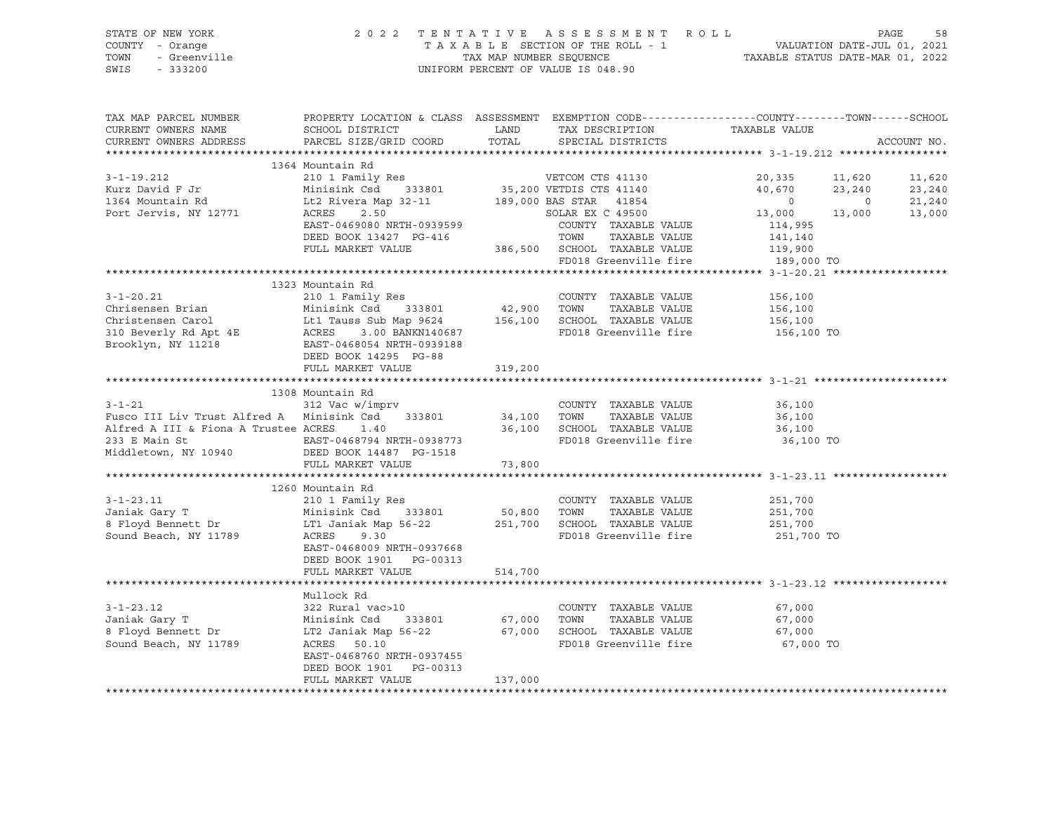| SIAIL UI NLW IUKN<br>$Y - 0$ and $Y - 202$<br>$Y - 0$ ange<br>$-$ Greenville<br>$- 333200$<br>COUNTY - Orange<br>TOWN<br>SWIS                                                                                                                     | TAXABLE SECTION OF THE ROLL - 1<br>TAXABLE SECTION OF THE ROLL - 1<br>TAXABLE STATUS DATE-JUL 01, 2021<br>UNIFORM PERCENT OF VALUE IS 048.90                                              |               |                                                                                                  |                                                 |        |                                      |
|---------------------------------------------------------------------------------------------------------------------------------------------------------------------------------------------------------------------------------------------------|-------------------------------------------------------------------------------------------------------------------------------------------------------------------------------------------|---------------|--------------------------------------------------------------------------------------------------|-------------------------------------------------|--------|--------------------------------------|
| TAX MAP PARCEL NUMBER<br>CURRENT OWNERS NAME<br>CURRENT OWNERS ADDRESS                                                                                                                                                                            | PROPERTY LOCATION & CLASS ASSESSMENT EXEMPTION CODE---------------COUNTY-------TOWN-----SCHOOL<br>SCHOOL DISTRICT<br>PARCEL SIZE/GRID COORD                                               | LAND<br>TOTAL |                                                                                                  |                                                 |        | ACCOUNT NO.                          |
|                                                                                                                                                                                                                                                   | 1364 Mountain Rd                                                                                                                                                                          |               |                                                                                                  |                                                 |        |                                      |
| $3 - 1 - 19.212$<br>Kurz David F Jr<br>1364 Mountain Rd<br>Port Jervis, NY 12771                                                                                                                                                                  | 64 Mountain Rd<br>210 1 Family Res<br>Minisink Csd<br>333801<br>55,200 VETDIS CTS 41130<br>189,000 BAS STAR<br>41854<br>50LAR EX C 49500<br>50LAR EX C 49500<br>EAST-0469080 NRTH-0939599 |               | COUNTY TAXABLE VALUE<br>TOWN TAXABLE VALUE<br>TOWN TAXABLE VALUE<br>386,500 SCHOOL TAXABLE VALUE | $20,335$ 11,620<br>40,670<br>114,995<br>141,140 | 23,240 | 11,620<br>23,240<br>21,240<br>13,000 |
|                                                                                                                                                                                                                                                   | FULL MARKET VALUE                                                                                                                                                                         |               |                                                                                                  | ---,---<br>119,900                              |        |                                      |
|                                                                                                                                                                                                                                                   |                                                                                                                                                                                           |               | FD018 Greenville fire 189,000 TO                                                                 |                                                 |        |                                      |
|                                                                                                                                                                                                                                                   |                                                                                                                                                                                           |               |                                                                                                  |                                                 |        |                                      |
| 3-1-20.21<br>Chrisensen Brian Minisink Csd 333801 42,900 TOWN TAXABLE VALUE<br>Christensen Carol Lt1 Tauss Sub Map 9624 156,100 SCHOOL TAXABLE VALUE<br>310 Beverly Rd Apt 4E ACRES 3.00 BANKN140687 FD018 Greenville fire<br>Brooklyn            | 1323 Mountain Rd<br>DEED BOOK 14295 PG-88                                                                                                                                                 |               |                                                                                                  | 156,100<br>156,100<br>156,100<br>156,100 TO     |        |                                      |
|                                                                                                                                                                                                                                                   | FULL MARKET VALUE                                                                                                                                                                         | 319,200       |                                                                                                  |                                                 |        |                                      |
|                                                                                                                                                                                                                                                   |                                                                                                                                                                                           |               |                                                                                                  |                                                 |        |                                      |
|                                                                                                                                                                                                                                                   | 1308 Mountain Rd                                                                                                                                                                          |               |                                                                                                  |                                                 |        |                                      |
| $3 - 1 - 21$<br>Fusco III Liv Trust Alfred A Minisink Csd 333801 34,100 TOWN<br>Alfred A III & Fiona A Trustee ACRES<br>233 E Main St                       EAST-0468794 NRTH-0938773               FD018 Greenville fire<br>Middletown, NY 10940 | 312 Vac w/imprv<br>1.40<br>DEED BOOK 14487 PG-1518                                                                                                                                        |               | COUNTY TAXABLE VALUE<br>TAXABLE VALUE<br>36,100 SCHOOL TAXABLE VALUE                             | 36,100<br>36,100<br>36,100<br>36,100 TO         |        |                                      |
|                                                                                                                                                                                                                                                   | FULL MARKET VALUE                                                                                                                                                                         | 73,800        |                                                                                                  |                                                 |        |                                      |
| $3 - 1 - 23.11$<br>Janiak Gary T<br>8 Floyd Bennett Dr<br>8 Floyd Bennett Dr<br>1 LT1 Janiak Map 56-22<br>251,700 SCHOOL TAXABLE VALUE<br>Sound Beach, NY 11789                                                                                   | 1260 Mountain Rd<br>210 1 Family Res<br>Minisink Csd 333801 50,800 TOWN<br>ACRES<br>9.30<br>EAST-0468009 NRTH-0937668<br>DEED BOOK 1901 PG-00313                                          |               | COUNTY TAXABLE VALUE<br>FD018 Greenville fire                                                    | 251,700<br>251,700<br>251,700<br>251,700 TO     |        |                                      |
|                                                                                                                                                                                                                                                   | FULL MARKET VALUE                                                                                                                                                                         | 514,700       |                                                                                                  |                                                 |        |                                      |
|                                                                                                                                                                                                                                                   |                                                                                                                                                                                           |               |                                                                                                  |                                                 |        |                                      |
| $3 - 1 - 23.12$<br>Janiak Gary T<br>8 Floyd Bennett Dr<br>Sound Beach, NY 11789                                                                                                                                                                   | Mullock Rd<br>322 Rural vac>10<br>LT2 Janiak Map 56-22<br>ACRES   50.10<br>ACRES 50.10<br>EAST-0468760 NRTH-0937455<br>DEED BOOK 1901 PG-00313                                            |               | COUNTY TAXABLE VALUE<br>TAXABLE VALUE<br>67,000 SCHOOL TAXABLE VALUE<br>FD018 Greenville fire    | 67,000<br>67,000<br>67,000<br>67,000 TO         |        |                                      |
|                                                                                                                                                                                                                                                   | FULL MARKET VALUE                                                                                                                                                                         | 137,000       |                                                                                                  |                                                 |        |                                      |

\*\*\*\*\*\*\*\*\*\*\*\*\*\*\*\*\*\*\*\*\*\*\*\*\*\*\*\*\*\*\*\*\*\*\*\*\*\*\*\*\*\*\*\*\*\*\*\*\*\*\*\*\*\*\*\*\*\*\*\*\*\*\*\*\*\*\*\*\*\*\*\*\*\*\*\*\*\*\*\*\*\*\*\*\*\*\*\*\*\*\*\*\*\*\*\*\*\*\*\*\*\*\*\*\*\*\*\*\*\*\*\*\*\*\*\*\*\*\*\*\*\*\*\*\*\*\*\*\*\*\*\*

# STATE OF NEW YORK 2 0 2 2 T E N T A T I V E A S S E S S M E N T R O L L PAGE 58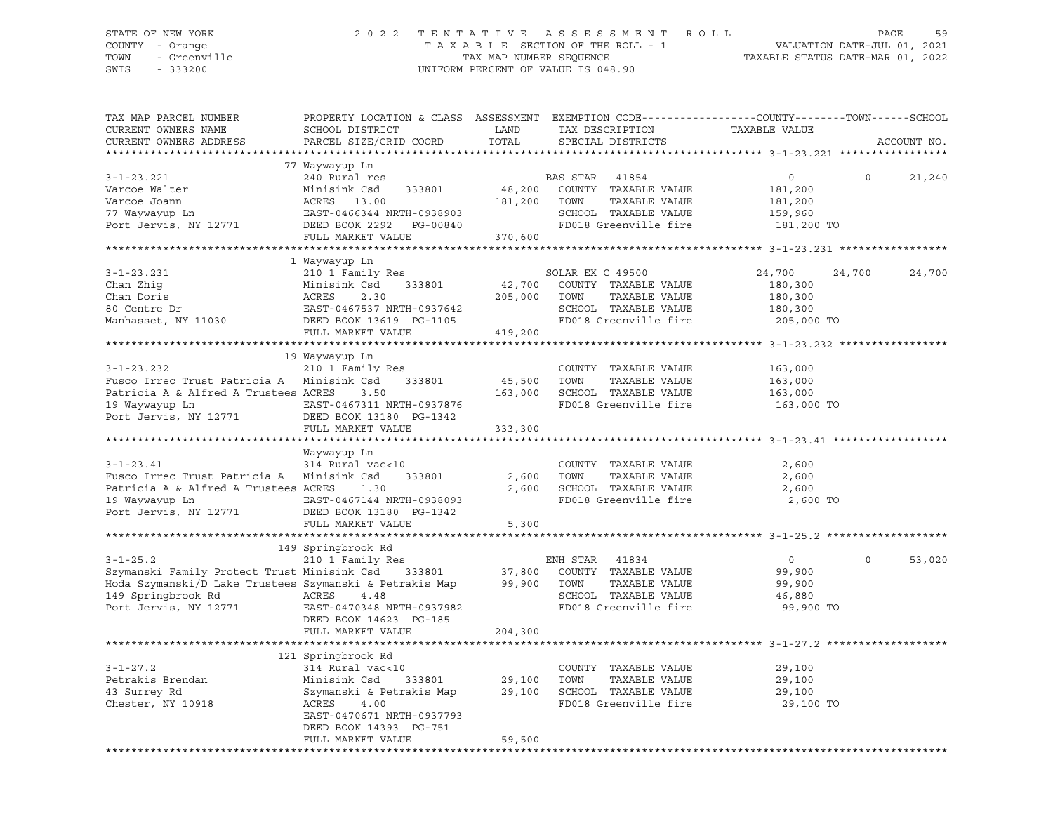### STATE OF NEW YORK 2 0 2 2 T E N T A T I V E A S S E S S M E N T R O L L PAGE 59 COUNTY - Orange T A X A B L E SECTION OF THE ROLL - 1 VALUATION DATE-JUL 01, 2021 TOWN - Greenville TAX MAP NUMBER SEQUENCE TAXABLE STATUS DATE-MAR 01, 2022 SWIS - 333200 UNIFORM PERCENT OF VALUE IS 048.90

| TAX MAP PARCEL NUMBER<br>CURRENT OWNERS NAME<br>CURRENT OWNERS ADDRESS                                                                                                                                                   | PROPERTY LOCATION & CLASS ASSESSMENT EXEMPTION CODE----------------COUNTY-------TOWN-----SCHOOL<br>SCHOOL DISTRICT<br>PARCEL SIZE/GRID COORD                                              | LAND<br>TOTAL                | TAX DESCRIPTION<br>SPECIAL DISTRICTS                                                                                | TAXABLE VALUE                                                |          | ACCOUNT NO. |
|--------------------------------------------------------------------------------------------------------------------------------------------------------------------------------------------------------------------------|-------------------------------------------------------------------------------------------------------------------------------------------------------------------------------------------|------------------------------|---------------------------------------------------------------------------------------------------------------------|--------------------------------------------------------------|----------|-------------|
| ***********************                                                                                                                                                                                                  |                                                                                                                                                                                           |                              |                                                                                                                     |                                                              |          |             |
| $3 - 1 - 23.221$<br>Varcoe Walter<br>Varcoe Joann<br>77 Waywayup Ln                                                                                                                                                      | 77 Waywayup Ln<br>240 Rural res<br>Minisink Csd<br>333801<br>ACRES 13.00<br>EAST-0466344 NRTH-0938903<br>FULL MARKET VALUE                                                                | 48,200<br>181,200<br>370,600 | BAS STAR 41854<br>COUNTY TAXABLE VALUE<br>TOWN<br>TAXABLE VALUE<br>SCHOOL TAXABLE VALUE<br>FD018 Greenville fire    | $\circ$<br>181,200<br>181,200<br>159,960<br>181,200 TO       | $\Omega$ | 21,240      |
|                                                                                                                                                                                                                          |                                                                                                                                                                                           |                              |                                                                                                                     |                                                              |          |             |
| $3 - 1 - 23.231$<br>Chan Zhig<br>Chan Doris<br>Chan Doris<br>205,000<br>80 Centre Dr<br>Manhasset, NY 11030<br>205,000<br>DEED BOOK 13619<br>PG-1105                                                                     | 1 Waywayup Ln<br>210 1 Family Res<br>FULL MARKET VALUE                                                                                                                                    | 205,000 TOWN<br>419,200      | SOLAR EX C 49500<br>42,700 COUNTY TAXABLE VALUE<br>TAXABLE VALUE<br>SCHOOL TAXABLE VALUE<br>FD018 Greenville fire   | 24,700<br>180,300<br>180,300<br>180,300<br>205,000 TO        | 24,700   | 24,700      |
|                                                                                                                                                                                                                          |                                                                                                                                                                                           |                              |                                                                                                                     |                                                              |          |             |
| $3 - 1 - 23.232$<br>Fusco Irrec Trust Patricia A Minisink Csd<br>Patricia A & Alfred A Trustees ACRES<br>19 Waywayup Ln<br>$\sim$<br>Port Jervis, NY 12771                                                               | 19 Waywayup Ln<br>210 1 Family Res<br>333801<br>3.50<br>EAST-0467311 NRTH-0937876<br>DEED BOOK 13180 PG-1342                                                                              | 45,500<br>163,000            | COUNTY TAXABLE VALUE<br>TOWN<br>TAXABLE VALUE<br>SCHOOL TAXABLE VALUE<br>FD018 Greenville fire                      | 163,000<br>163,000<br>163,000<br>163,000 TO                  |          |             |
|                                                                                                                                                                                                                          | FULL MARKET VALUE                                                                                                                                                                         | 333,300                      |                                                                                                                     |                                                              |          |             |
|                                                                                                                                                                                                                          | Waywayup Ln                                                                                                                                                                               |                              |                                                                                                                     |                                                              |          |             |
| $3 - 1 - 23.41$<br>Fusco Irrec Trust Patricia A Minisink Csd<br>Patricia A & Alfred A Trustees ACRES<br>19 Waywayup Ln<br>Port Jervis, NY 12771                                                                          | 314 Rural vac<10<br>333801<br>1.30<br>EAST-0467144 NRTH-0938093<br>DEED BOOK 13180 PG-1342<br>FULL MARKET VALUE                                                                           | 2,600<br>2,600<br>5,300      | COUNTY TAXABLE VALUE<br>TAXABLE VALUE<br>TOWN<br>SCHOOL TAXABLE VALUE<br>FD018 Greenville fire                      | 2,600<br>2,600<br>2,600<br>2,600 TO                          |          |             |
|                                                                                                                                                                                                                          |                                                                                                                                                                                           |                              |                                                                                                                     |                                                              |          |             |
| $3 - 1 - 25.2$<br>3-1-25.2 210 1 Family Res<br>Szymanski Family Protect Trust Minisink Csd 333801 37,800<br>Hoda Szymanski/D Lake Trustees Szymanski & Petrakis Map<br>149 Springbrook Rd ACRES<br>Port Jervis, NY 12771 | 149 Springbrook Rd<br>210 1 Family Res<br>4.48<br>EAST-0470348 NRTH-0937982<br>DEED BOOK 14623 PG-185<br>FULL MARKET VALUE                                                                | 99,900<br>204,300            | ENH STAR<br>41834<br>COUNTY TAXABLE VALUE<br>TOWN<br>TAXABLE VALUE<br>SCHOOL TAXABLE VALUE<br>FD018 Greenville fire | $0 \qquad \qquad$<br>99,900<br>99,900<br>46,880<br>99,900 TO | $\Omega$ | 53,020      |
|                                                                                                                                                                                                                          |                                                                                                                                                                                           |                              |                                                                                                                     |                                                              |          |             |
| $3 - 1 - 27.2$<br>Petrakis Brendan<br>43 Surrey Rd<br>Chester, NY 10918                                                                                                                                                  | 121 Springbrook Rd<br>314 Rural vac<10<br>Minisink Csd<br>333801<br>Szymanski & Petrakis Map<br>ACRES<br>4.00<br>EAST-0470671 NRTH-0937793<br>DEED BOOK 14393 PG-751<br>FULL MARKET VALUE | 29,100<br>59,500             | COUNTY TAXABLE VALUE<br>TOWN<br>TAXABLE VALUE<br>29,100 SCHOOL TAXABLE VALUE<br>FD018 Greenville fire               | 29,100<br>29,100<br>29,100<br>29,100 TO                      |          |             |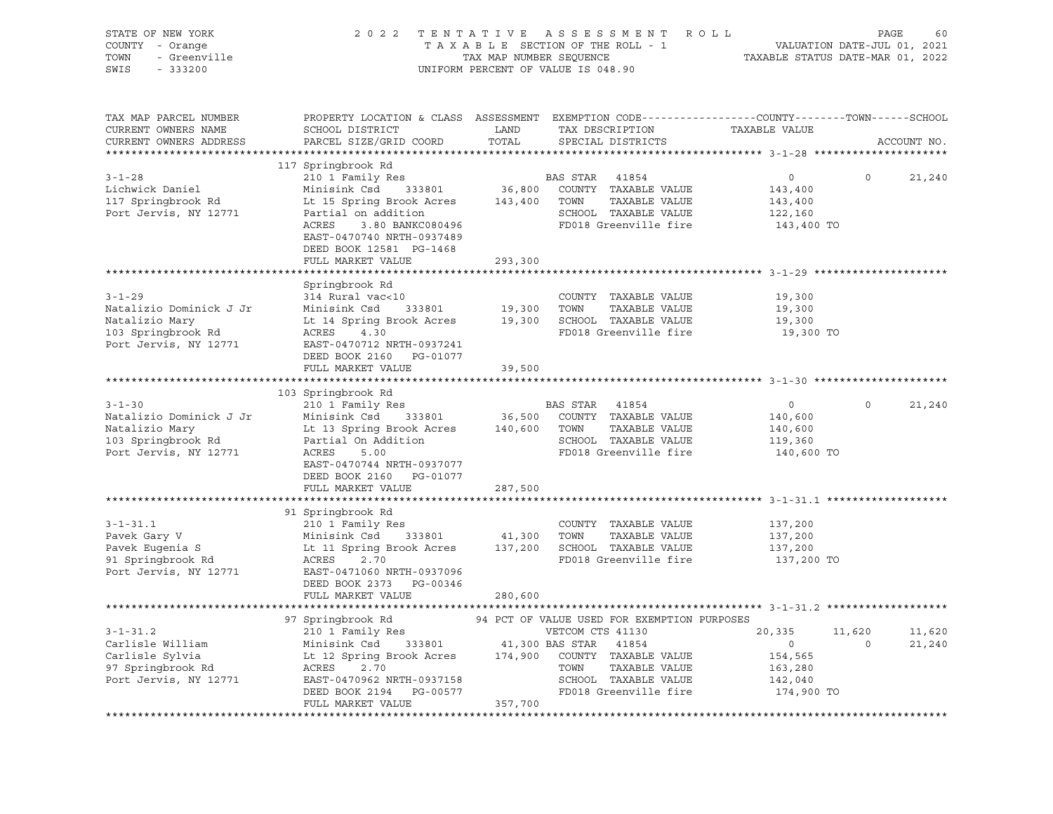| STATE OF NEW YORK<br>COUNTY - Orange<br>- Greenville<br>TOWN<br>SWIS<br>$-333200$                        | 2 0 2 2<br>TENTATIVE ASSESSMENT ROLL<br>TAXABLE SECTION OF THE ROLL - 1<br>TAX MAP NUMBER SEQUENCE<br>UNIFORM PERCENT OF VALUE IS 048.90                                                                                   |                                   |                                                                                                                                                                                                    | PAGE<br>VALUATION DATE-JUL 01, 2021<br>TAXABLE STATUS DATE-MAR 01, 2022 |                   |                  |
|----------------------------------------------------------------------------------------------------------|----------------------------------------------------------------------------------------------------------------------------------------------------------------------------------------------------------------------------|-----------------------------------|----------------------------------------------------------------------------------------------------------------------------------------------------------------------------------------------------|-------------------------------------------------------------------------|-------------------|------------------|
| TAX MAP PARCEL NUMBER<br>CURRENT OWNERS NAME<br>CURRENT OWNERS ADDRESS<br>************************       | PROPERTY LOCATION & CLASS ASSESSMENT EXEMPTION CODE----------------COUNTY-------TOWN-----SCHOOL<br>SCHOOL DISTRICT<br>PARCEL SIZE/GRID COORD                                                                               | LAND<br>TOTAL                     | TAX DESCRIPTION<br>SPECIAL DISTRICTS                                                                                                                                                               | TAXABLE VALUE                                                           |                   | ACCOUNT NO.      |
| $3 - 1 - 28$<br>Lichwick Daniel<br>117 Springbrook Rd<br>Port Jervis, NY 12771                           | 117 Springbrook Rd<br>210 1 Family Res<br>Minisink Csd 333801<br>Lt 15 Spring Brook Acres<br>Partial on addition<br>3.80 BANKC080496<br>ACRES<br>EAST-0470740 NRTH-0937489<br>DEED BOOK 12581 PG-1468<br>FULL MARKET VALUE | 36,800<br>143,400 TOWN<br>293,300 | BAS STAR<br>41854<br>COUNTY TAXABLE VALUE<br>TAXABLE VALUE<br>SCHOOL TAXABLE VALUE<br>FD018 Greenville fire                                                                                        | $\circ$<br>143,400<br>143,400<br>122,160<br>143,400 TO                  | $\Omega$          | 21,240           |
|                                                                                                          |                                                                                                                                                                                                                            |                                   |                                                                                                                                                                                                    |                                                                         |                   |                  |
| $3 - 1 - 29$<br>Natalizio Dominick J Jr<br>Natalizio Mary<br>103 Springbrook Rd<br>Port Jervis, NY 12771 | Springbrook Rd<br>314 Rural vac<10<br>Minisink Csd<br>333801<br>Lt 14 Spring Brook Acres<br>ACRES 4.30<br>EAST-0470712 NRTH-0937241                                                                                        |                                   | COUNTY TAXABLE VALUE<br>19,300 TOWN TAXABLE VALUE<br>19,300 SCHOOL TAXABLE VALUE<br>FD018 Greenville fire                                                                                          | 19,300<br>19,300<br>19,300<br>19,300 TO                                 |                   |                  |
|                                                                                                          | DEED BOOK 2160 PG-01077<br>FULL MARKET VALUE                                                                                                                                                                               | 39,500                            |                                                                                                                                                                                                    |                                                                         |                   |                  |
|                                                                                                          |                                                                                                                                                                                                                            |                                   |                                                                                                                                                                                                    |                                                                         |                   |                  |
| $3 - 1 - 30$<br>Natalizio Dominick J Jr<br>Natalizio Mary<br>103 Springbrook Rd<br>Port Jervis, NY 12771 | 103 Springbrook Rd<br>210 1 Family Res<br>Minisink Csd 333801<br>Lt 13 Spring Brook Acres<br>Partial On Addition<br>ACRES<br>5.00<br>EAST-0470744 NRTH-0937077<br>DEED BOOK 2160 PG-01077                                  |                                   | BAS STAR 41854<br>36,500 COUNTY TAXABLE VALUE<br>140,600 TOWN<br>TAXABLE VALUE<br>SCHOOL TAXABLE VALUE<br>FD018 Greenville fire                                                                    | $\overline{0}$<br>140,600<br>140,600<br>119,360<br>140,600 TO           | $\circ$           | 21,240           |
|                                                                                                          | FULL MARKET VALUE                                                                                                                                                                                                          | 287,500                           |                                                                                                                                                                                                    |                                                                         |                   |                  |
| $3 - 1 - 31.1$<br>Pavek Gary V<br>Pavek Eugenia S<br>91 Springbrook Rd<br>Port Jervis, NY 12771          | 91 Springbrook Rd<br>210 1 Family Res<br>Minisink Csd 333801<br>Lt 11 Spring Brook Acres<br>ACRES<br>2.70<br>EAST-0471060 NRTH-0937096<br>DEED BOOK 2373 PG-00346<br>FULL MARKET VALUE                                     | 280,600                           | COUNTY TAXABLE VALUE<br>41,300 TOWN<br>TAXABLE VALUE<br>137,200 SCHOOL TAXABLE VALUE<br>FD018 Greenville fire                                                                                      | 137,200<br>137,200<br>137,200<br>137,200 TO                             |                   |                  |
|                                                                                                          |                                                                                                                                                                                                                            |                                   |                                                                                                                                                                                                    |                                                                         |                   |                  |
| $3 - 1 - 31.2$<br>Carlisle William<br>Carlisle Sylvia<br>97 Springbrook Rd<br>Port Jervis, NY 12771      | 97 Springbrook Rd<br>210 1 Family Res<br>Minisink Csd 333801<br>Lt 12 Spring Brook Acres<br>ACRES<br>2.70<br>EAST-0470962 NRTH-0937158<br>DEED BOOK 2194 PG-00577                                                          |                                   | 94 PCT OF VALUE USED FOR EXEMPTION PURPOSES<br>VETCOM CTS 41130<br>41,300 BAS STAR 41854<br>174,900 COUNTY TAXABLE VALUE<br>TOWN<br>TAXABLE VALUE<br>SCHOOL TAXABLE VALUE<br>FD018 Greenville fire | 20,335<br>$\overline{0}$<br>154,565<br>163,280<br>142,040<br>174,900 TO | 11,620<br>$\circ$ | 11,620<br>21,240 |
|                                                                                                          | FULL MARKET VALUE                                                                                                                                                                                                          | 357,700                           |                                                                                                                                                                                                    |                                                                         |                   |                  |
|                                                                                                          |                                                                                                                                                                                                                            |                                   |                                                                                                                                                                                                    |                                                                         |                   |                  |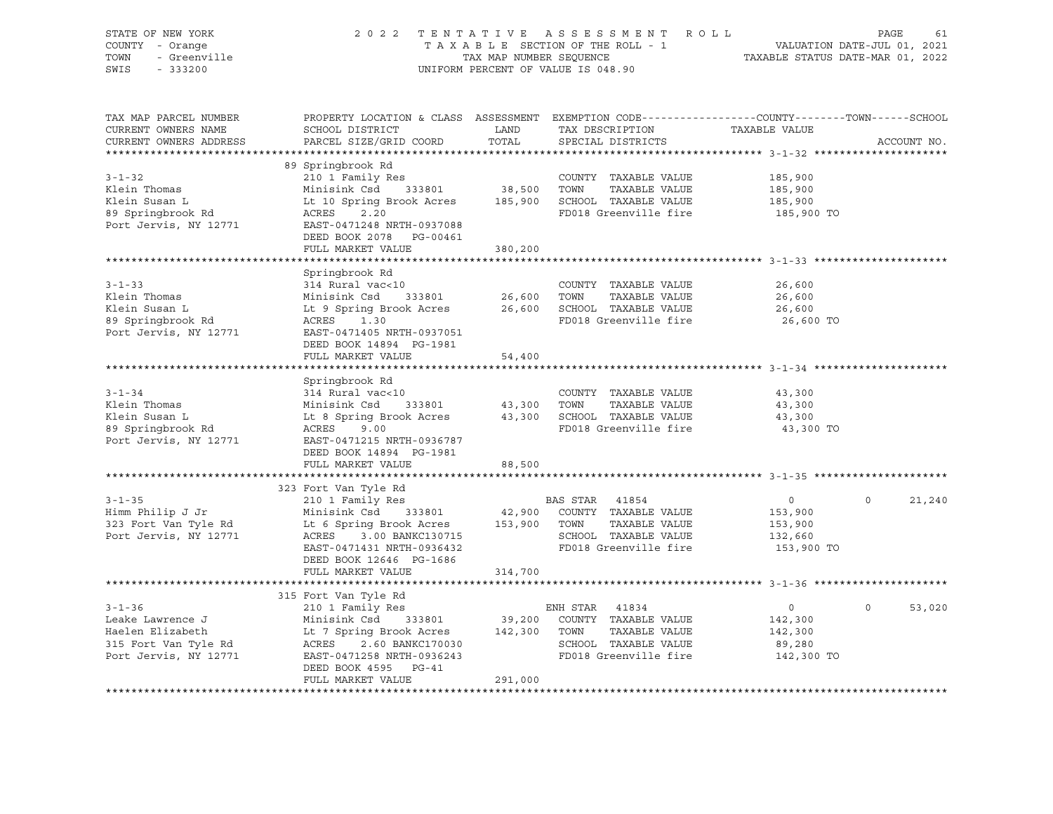| STATE OF NEW YORK<br>COUNTY - Orange<br>TOWN<br>- Greenville<br>SWIS<br>$-333200$                     |                                                                                                                                                                                                                                 |                              | 2022 TENTATIVE ASSESSMENT ROLL<br>TAXABLE SECTION OF THE ROLL - 1<br>TAXABLE SECTION OF THE ROLL - 1<br>TAXABLE STATUS DATE-MAR 01, 2022<br>UNIFORM PERCENT OF VALUE IS 048.90 |                                                               | PAGE<br>61         |
|-------------------------------------------------------------------------------------------------------|---------------------------------------------------------------------------------------------------------------------------------------------------------------------------------------------------------------------------------|------------------------------|--------------------------------------------------------------------------------------------------------------------------------------------------------------------------------|---------------------------------------------------------------|--------------------|
| TAX MAP PARCEL NUMBER<br>CURRENT OWNERS NAME<br>CURRENT OWNERS ADDRESS                                | PROPERTY LOCATION & CLASS ASSESSMENT EXEMPTION CODE----------------COUNTY-------TOWN------SCHOOL<br>SCHOOL DISTRICT<br>PARCEL SIZE/GRID COORD                                                                                   | LAND<br>TOTAL                | TAX DESCRIPTION TAXABLE VALUE<br>SPECIAL DISTRICTS                                                                                                                             |                                                               | ACCOUNT NO.        |
| $3 - 1 - 32$<br>Klein Thomas<br>Klein Susan L<br>89 Springbrook Rd<br>Port Jervis, NY 12771           | 89 Springbrook Rd<br>210 1 Family Res<br>333801 38,500<br>Minisink Csd<br>Lt 10 Spring Brook Acres 185,900<br>ACRES 2.20<br>EAST-0471248 NRTH-0937088                                                                           |                              | COUNTY TAXABLE VALUE<br>TOWN<br>TAXABLE VALUE<br>SCHOOL TAXABLE VALUE<br>FD018 Greenville fire                                                                                 | 185,900<br>185,900<br>185,900<br>185,900 TO                   |                    |
|                                                                                                       | DEED BOOK 2078 PG-00461<br>FULL MARKET VALUE                                                                                                                                                                                    | 380,200                      |                                                                                                                                                                                |                                                               |                    |
| $3 - 1 - 33$<br>Klein Thomas<br>Klein Susan L<br>89 Springbrook Rd<br>Port Jervis, NY 12771           | Springbrook Rd<br>314 Rural vac<10<br>Minisink Csd<br>333801<br>Lt 9 Spring Brook Acres<br>ACRES 1.30<br>EAST-0471405 NRTH-0937051<br>DEED BOOK 14894 PG-1981                                                                   | 26,600<br>26,600             | COUNTY TAXABLE VALUE<br>TOWN<br>TAXABLE VALUE<br>SCHOOL TAXABLE VALUE<br>FD018 Greenville fire                                                                                 | 26,600<br>26,600<br>26,600<br>26,600 TO                       |                    |
|                                                                                                       | FULL MARKET VALUE                                                                                                                                                                                                               | 54,400                       |                                                                                                                                                                                |                                                               |                    |
| $3 - 1 - 34$<br>Klein Thomas<br>Klein Susan L<br>89 Springbrook Rd<br>Port Jervis, NY 12771           | Springbrook Rd<br>314 Rural vac<10<br>Minisink Csd 333801<br>Lt 8 Spring Brook Acres<br>ACRES 9.00<br>EAST-0471215 NRTH-0936787<br>DEED BOOK 14894 PG-1981                                                                      | 333801 43,300<br>43,300      | COUNTY TAXABLE VALUE<br>TOWN<br>TAXABLE VALUE<br>SCHOOL TAXABLE VALUE<br>FD018 Greenville fire                                                                                 | 43,300<br>43,300<br>43,300<br>43,300 TO                       |                    |
|                                                                                                       | FULL MARKET VALUE                                                                                                                                                                                                               | 88,500                       |                                                                                                                                                                                |                                                               |                    |
| $3 - 1 - 35$<br>Himm Philip J Jr<br>323 Fort Van Tyle Rd<br>Port Jervis, NY 12771                     | 323 Fort Van Tyle Rd<br>210 1 Family Res<br>333801<br>Minisink Csd<br>Lt 6 Spring Brook Acres<br>ACRES 3.00 BANKC130715<br>EAST-0471431 NRTH-0936432<br>DEED BOOK 12646 PG-1686<br>FULL MARKET VALUE                            | 42,900<br>153,900<br>314,700 | BAS STAR 41854<br>COUNTY TAXABLE VALUE<br>TAXABLE VALUE<br>TOWN<br>SCHOOL TAXABLE VALUE<br>FD018 Greenville fire                                                               | $\overline{0}$<br>153,900<br>153,900<br>132,660<br>153,900 TO | $\Omega$<br>21,240 |
|                                                                                                       |                                                                                                                                                                                                                                 |                              |                                                                                                                                                                                |                                                               |                    |
| $3 - 1 - 36$<br>Leake Lawrence J<br>Haelen Elizabeth<br>315 Fort Van Tyle Rd<br>Port Jervis, NY 12771 | 315 Fort Van Tyle Rd<br>210 1 Family Res<br>Minisink Csd<br>333801<br>Le Journal 333801<br>Le 7 Spring Brook Acres<br>ACRES<br>ACRES 2.60 BANKC170030<br>EAST-0471258 NRTH-0936243<br>DEED BOOK 4595 PG-41<br>FULL MARKET VALUE | 39,200<br>142,300<br>291,000 | ENH STAR 41834<br>COUNTY TAXABLE VALUE<br>TOWN<br>TAXABLE VALUE<br>SCHOOL TAXABLE VALUE<br>FD018 Greenville fire                                                               | $\overline{0}$<br>142,300<br>142,300<br>89,280<br>142,300 TO  | $\Omega$<br>53,020 |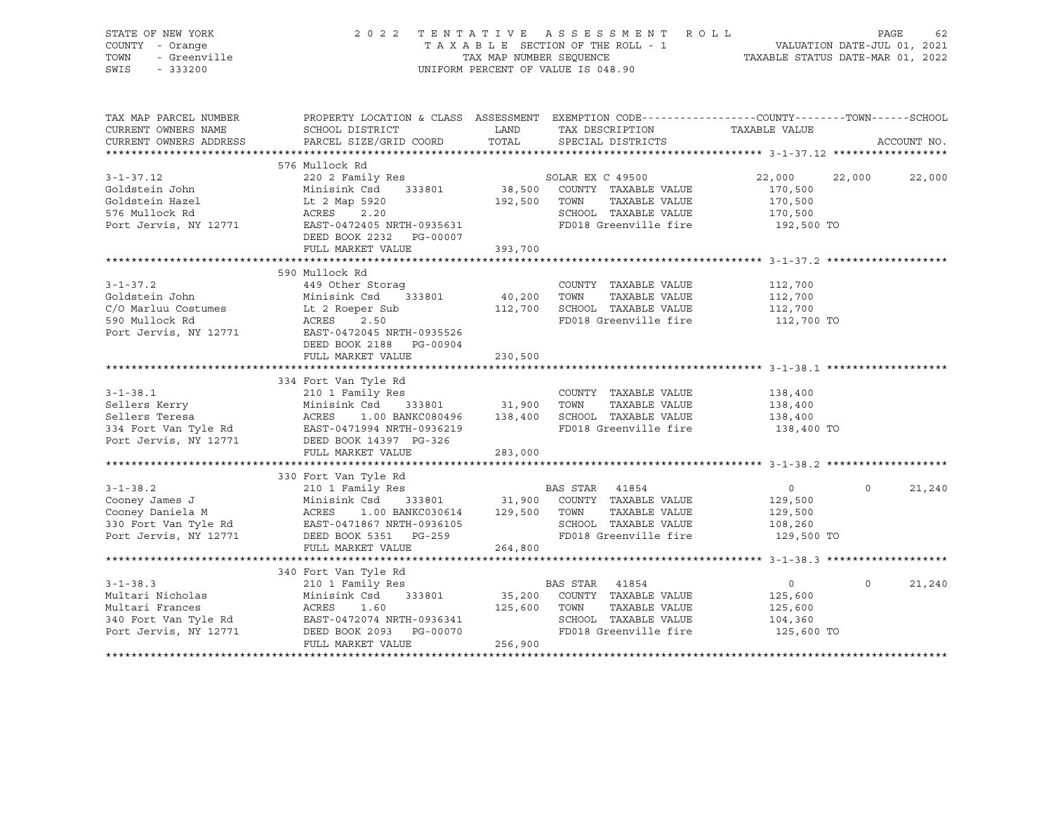| STATE OF NEW YORK<br>COUNTY<br>- Orange<br>- Greenville<br>TOWN<br>SWIS<br>$-333200$ |                 |                                      | 2022 TENTATIVE ASSESSMENT ROLL<br>TAXABLE SECTION OF THE ROLL - 1<br>TAX MAP NUMBER SEQUENCE<br>UNIFORM PERCENT OF VALUE IS 048.90 |                                                              | 62<br>PAGE<br>VALUATION DATE-JUL 01, 2021<br>TAXABLE STATUS DATE-MAR 01, 2022 |
|--------------------------------------------------------------------------------------|-----------------|--------------------------------------|------------------------------------------------------------------------------------------------------------------------------------|--------------------------------------------------------------|-------------------------------------------------------------------------------|
| TAX MAP PARCEL NUMBER                                                                |                 | PROPERTY LOCATION & CLASS ASSESSMENT |                                                                                                                                    | EXEMPTION CODE-----------------COUNTY-------TOWN------SCHOOL |                                                                               |
| CURRENT OWNERS NAME<br>CURRENT OWNERS ADDRESS                                        | SCHOOL DISTRICT | LAND<br>PARCEL SIZE/GRID COORD TOTAL | TAX DESCRIPTION<br>SPECIAL DISTRICTS                                                                                               | TAXABLE VALUE                                                | ACCOUNT NO.                                                                   |
|                                                                                      | 576 Mullock Rd  |                                      |                                                                                                                                    |                                                              |                                                                               |

| $3 - 1 - 37.12$ | 220 2 Family Res<br>COLASTER UNIVERSIDE VALUE<br>Goldstein Hazel Line Minisink Csd 333801 38,500 COUNTY TAXABLE VALUE<br>S76 Mullock Rd ACRES 2.20 20 SCHOOL TAXABLE VALUE<br>Port Jervis, NY 12771 EAST-0472405 NRTH-0935631 FD018 Greenville fire<br>DEED BOOK 2232    PG-00007 |         | SOLAR EX C 49500<br>TAXABLE VALUE<br>SCHOOL TAXABLE VALUE<br>FD018 Greenville fire | 22,000 22,000<br>170,500<br>170,500<br>170,500<br>192,500 TO | 22,000             |
|-----------------|-----------------------------------------------------------------------------------------------------------------------------------------------------------------------------------------------------------------------------------------------------------------------------------|---------|------------------------------------------------------------------------------------|--------------------------------------------------------------|--------------------|
|                 | 393,700<br>FULL MARKET VALUE                                                                                                                                                                                                                                                      |         |                                                                                    |                                                              |                    |
|                 |                                                                                                                                                                                                                                                                                   |         |                                                                                    |                                                              |                    |
|                 | 590 Mullock Rd                                                                                                                                                                                                                                                                    |         |                                                                                    |                                                              |                    |
|                 |                                                                                                                                                                                                                                                                                   |         | COUNTY TAXABLE VALUE                                                               | 112,700                                                      |                    |
|                 |                                                                                                                                                                                                                                                                                   |         | TAXABLE VALUE 112,700                                                              |                                                              |                    |
|                 |                                                                                                                                                                                                                                                                                   |         |                                                                                    |                                                              |                    |
|                 |                                                                                                                                                                                                                                                                                   |         | FD018 Greenville fire 112,700 TO                                                   |                                                              |                    |
|                 | C/O Marluu Costumes<br>Communication in the ACRES<br>Section in the COM CHOOL TAXABLE VALUE<br>FD018 Greenville fire<br>Port Jervis, NY 12771<br>EAST-0472045 NRTH-0935526<br>FD018 Greenville fire<br>FD018 Greenville fire<br>112,700                                           |         |                                                                                    |                                                              |                    |
|                 | DEED BOOK 2188 PG-00904                                                                                                                                                                                                                                                           |         |                                                                                    |                                                              |                    |
|                 | FULL MARKET VALUE 230,500                                                                                                                                                                                                                                                         |         |                                                                                    |                                                              |                    |
|                 |                                                                                                                                                                                                                                                                                   |         |                                                                                    |                                                              |                    |
|                 | 334 Fort Van Tyle Rd                                                                                                                                                                                                                                                              |         |                                                                                    |                                                              |                    |
|                 |                                                                                                                                                                                                                                                                                   |         |                                                                                    |                                                              |                    |
|                 |                                                                                                                                                                                                                                                                                   |         |                                                                                    |                                                              |                    |
|                 |                                                                                                                                                                                                                                                                                   |         |                                                                                    |                                                              |                    |
|                 | 3-1-38.1 210 1 Family Res<br>Sellers Kerry Minisink Csd 333801 31,900 TOWN TAXABLE VALUE 138,400<br>Sellers Teresa acres 1.00 BANKC080496 138,400 SCHOOL TAXABLE VALUE 138,400<br>334 Fort Van Tyle Rd EAST-0471994 NRTH-0936219 FD0                                              |         |                                                                                    |                                                              |                    |
|                 |                                                                                                                                                                                                                                                                                   |         |                                                                                    |                                                              |                    |
|                 | FULL MARKET VALUE<br>283,000                                                                                                                                                                                                                                                      |         |                                                                                    |                                                              |                    |
|                 |                                                                                                                                                                                                                                                                                   |         |                                                                                    |                                                              |                    |
|                 | 330 Fort Van Tyle Rd                                                                                                                                                                                                                                                              |         |                                                                                    |                                                              |                    |
| $3 - 1 - 38.2$  | 210 1 Family Res                                                                                                                                                                                                                                                                  |         | BAS STAR 41854                                                                     | $\overline{0}$                                               | $\Omega$<br>21,240 |
|                 | Cooney James J                       Minisink Csd    333801           31,900   COUNTY TAXABLE VALUE                  129,500                                                                                                                                                      |         |                                                                                    |                                                              |                    |
|                 | Cooney Daniela M (ACRES 1.00 BANKC030614 129,500 TOWN                                                                                                                                                                                                                             |         | TAXABLE VALUE 129,500                                                              |                                                              |                    |
|                 | 330 Fort Van Tyle Rd<br>Port Jervis, NY 12771 DEED BOOK 5351 PG-259                                                                                                                                                                                                               |         | SCHOOL TAXABLE VALUE 108,260                                                       |                                                              |                    |
|                 |                                                                                                                                                                                                                                                                                   |         | FD018 Greenville fire 129,500 TO                                                   |                                                              |                    |
|                 | FULL MARKET VALUE                                                                                                                                                                                                                                                                 | 264,800 |                                                                                    |                                                              |                    |
|                 |                                                                                                                                                                                                                                                                                   |         |                                                                                    |                                                              |                    |
|                 | 340 Fort Van Tyle Rd                                                                                                                                                                                                                                                              |         |                                                                                    |                                                              |                    |
| $3 - 1 - 38.3$  | 210 1 Family Res                                                                                                                                                                                                                                                                  |         | BAS STAR 41854                                                                     | $\overline{0}$                                               | 21,240<br>$\Omega$ |
|                 |                                                                                                                                                                                                                                                                                   |         |                                                                                    | 125,600                                                      |                    |
|                 |                                                                                                                                                                                                                                                                                   |         |                                                                                    | 125,600<br>104,360                                           |                    |
|                 | Multari Nicholas Minisink Csd 333801 35,200 COUNTY TAXABLE VALUE<br>Multari Frances ACRES 1.60 125,600 TOWN TAXABLE VALUE<br>340 Fort Van Tyle Rd EAST-0472074 NRTH-0936341 SCHOOL TAXABLE VALUE<br>Port Jervis, NY 12771 DEED BOOK                                               |         |                                                                                    |                                                              |                    |
|                 |                                                                                                                                                                                                                                                                                   |         | FD018 Greenville fire 125,600 TO                                                   |                                                              |                    |
|                 | FULL MARKET VALUE                                                                                                                                                                                                                                                                 | 256,900 |                                                                                    |                                                              |                    |
|                 |                                                                                                                                                                                                                                                                                   |         |                                                                                    |                                                              |                    |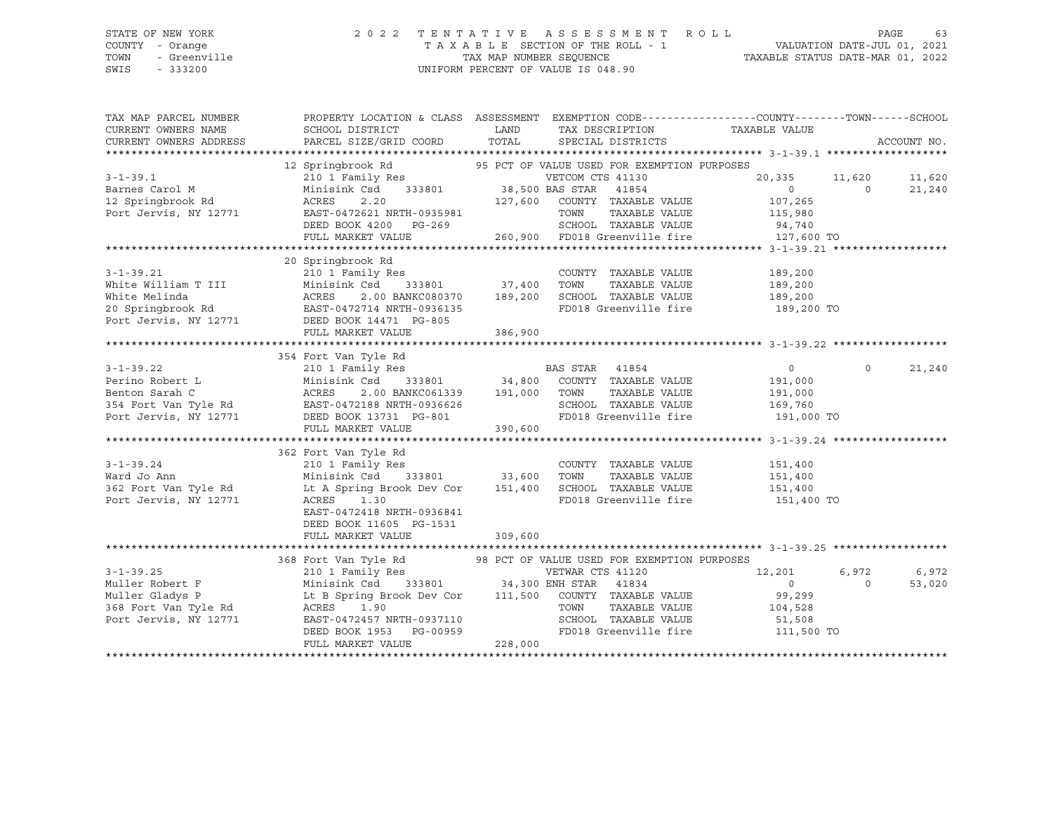### STATE OF NEW YORK 2 0 2 2 T E N T A T I V E A S S E S S M E N T R O L L PAGE 63 COUNTY - Orange T A X A B L E SECTION OF THE ROLL - 1 VALUATION DATE-JUL 01, 2021 TOWN - Greenville TAX MAP NUMBER SEQUENCE TAXABLE STATUS DATE-MAR 01, 2022 SWIS - 333200 UNIFORM PERCENT OF VALUE IS 048.90

| TAX MAP PARCEL NUMBER<br>CURRENT OWNERS NAME<br>CURRENT OWNERS ADDRESS                                                                                                                                                                                             | PROPERTY LOCATION & CLASS ASSESSMENT EXEMPTION CODE----------------COUNTY-------TOWN------SCHOOL<br>SCHOOL DISTRICT<br>PARCEL SIZE/GRID COORD | <b>LAND</b><br>TOTAL | TAX DESCRIPTION<br>SPECIAL DISTRICTS                             | TAXABLE VALUE                                   | ACCOUNT NO.          |        |
|--------------------------------------------------------------------------------------------------------------------------------------------------------------------------------------------------------------------------------------------------------------------|-----------------------------------------------------------------------------------------------------------------------------------------------|----------------------|------------------------------------------------------------------|-------------------------------------------------|----------------------|--------|
|                                                                                                                                                                                                                                                                    |                                                                                                                                               |                      |                                                                  |                                                 |                      |        |
|                                                                                                                                                                                                                                                                    | 12 Springbrook Rd 95 PCT OF VALUE USED FOR EXEMPTION PURPOSES                                                                                 |                      |                                                                  |                                                 | 20,335 11,620 11,620 |        |
| 3-1-39.1<br>210 1 Family Res<br>Barnes Carol M<br>Minisink Csd 333801<br>20,335 11<br>20,335 11<br>20,335 11<br>20,335 11<br>20,335 11<br>20,335 11<br>20,335 11<br>20,335 11<br>20,335 11<br>20,335 11<br>20,335 11<br>20,335 11<br>20,335 11<br>20,335 11<br>20, |                                                                                                                                               |                      |                                                                  | $\begin{array}{ccc} & & 0 & \hline \end{array}$ |                      | 21,240 |
|                                                                                                                                                                                                                                                                    |                                                                                                                                               |                      |                                                                  |                                                 |                      |        |
|                                                                                                                                                                                                                                                                    |                                                                                                                                               |                      |                                                                  |                                                 |                      |        |
|                                                                                                                                                                                                                                                                    |                                                                                                                                               |                      |                                                                  |                                                 |                      |        |
|                                                                                                                                                                                                                                                                    | 20 Springbrook Rd                                                                                                                             |                      |                                                                  |                                                 |                      |        |
|                                                                                                                                                                                                                                                                    |                                                                                                                                               |                      | COUNTY TAXABLE VALUE                                             | 189,200                                         |                      |        |
|                                                                                                                                                                                                                                                                    |                                                                                                                                               |                      | TAXABLE VALUE                                                    | 189,200                                         |                      |        |
|                                                                                                                                                                                                                                                                    |                                                                                                                                               |                      | 2.00 BANKC080370 189,200 SCHOOL TAXABLE VALUE 189,200            |                                                 |                      |        |
|                                                                                                                                                                                                                                                                    |                                                                                                                                               |                      | FD018 Greenville fire 189,200 TO                                 |                                                 |                      |        |
| 3-1-39.21 210 1 Family Res<br>White William T III Minisink Csd 333801 37,400 TOWN<br>White Melinda ACRES 2.00 BANKC080370 189,200 SCHOOL<br>20 Springbrook Rd EAST-0472714 NRTH-0936135 FD018<br>Port Jervis, NY 12771 DEED BOOK 14471                             | FULL MARKET VALUE                                                                                                                             | 386,900              |                                                                  |                                                 |                      |        |
|                                                                                                                                                                                                                                                                    |                                                                                                                                               |                      |                                                                  |                                                 |                      |        |
|                                                                                                                                                                                                                                                                    |                                                                                                                                               |                      |                                                                  |                                                 |                      |        |
|                                                                                                                                                                                                                                                                    |                                                                                                                                               |                      |                                                                  | $\overline{0}$                                  | $\circ$              | 21,240 |
|                                                                                                                                                                                                                                                                    |                                                                                                                                               |                      |                                                                  | 191,000                                         |                      |        |
|                                                                                                                                                                                                                                                                    |                                                                                                                                               |                      | TAXABLE VALUE                                                    | 191,000                                         |                      |        |
|                                                                                                                                                                                                                                                                    |                                                                                                                                               |                      |                                                                  |                                                 |                      |        |
|                                                                                                                                                                                                                                                                    |                                                                                                                                               |                      | SCHOOL TAXABLE VALUE 169,760<br>FD018 Greenville fire 191,000 TO |                                                 |                      |        |
|                                                                                                                                                                                                                                                                    | FULL MARKET VALUE                                                                                                                             | 390,600              |                                                                  |                                                 |                      |        |
|                                                                                                                                                                                                                                                                    |                                                                                                                                               |                      |                                                                  |                                                 |                      |        |
|                                                                                                                                                                                                                                                                    | 362 Fort Van Tyle Rd                                                                                                                          |                      |                                                                  |                                                 |                      |        |
|                                                                                                                                                                                                                                                                    |                                                                                                                                               |                      | COUNTY TAXABLE VALUE                                             | 151,400                                         |                      |        |
|                                                                                                                                                                                                                                                                    |                                                                                                                                               |                      |                                                                  |                                                 |                      |        |
|                                                                                                                                                                                                                                                                    |                                                                                                                                               |                      |                                                                  |                                                 |                      |        |
| Port Jervis, NY 12771                                                                                                                                                                                                                                              | ACRES 1.30                                                                                                                                    |                      | FD018 Greenville fire 151,400 TO                                 |                                                 |                      |        |
|                                                                                                                                                                                                                                                                    | EAST-0472418 NRTH-0936841                                                                                                                     |                      |                                                                  |                                                 |                      |        |
|                                                                                                                                                                                                                                                                    | DEED BOOK 11605 PG-1531                                                                                                                       |                      |                                                                  |                                                 |                      |        |
|                                                                                                                                                                                                                                                                    | FULL MARKET VALUE                                                                                                                             | 309,600              |                                                                  |                                                 |                      |        |
|                                                                                                                                                                                                                                                                    |                                                                                                                                               |                      |                                                                  |                                                 |                      |        |
|                                                                                                                                                                                                                                                                    | 368 Fort Van Tyle Rd<br>210 1 Family Res<br>210 1 Family Res<br>210 1 Family Res                                                              |                      |                                                                  |                                                 |                      |        |
| $3 - 1 - 39.25$                                                                                                                                                                                                                                                    | 210 1 Family Res                                                                                                                              |                      | VETWAR CTS 41120                                                 | 12,201                                          | 6,972                | 6,972  |
| Muller Robert F                                                                                                                                                                                                                                                    | 333801 34,300 ENH STAR<br>Minisink Csd                                                                                                        |                      | 41834                                                            | $\overline{0}$                                  | $\Omega$             | 53,020 |
|                                                                                                                                                                                                                                                                    |                                                                                                                                               |                      |                                                                  | 99,299                                          |                      |        |
|                                                                                                                                                                                                                                                                    |                                                                                                                                               |                      |                                                                  | 104,528                                         |                      |        |
| Port Jervis, NY 12771                                                                                                                                                                                                                                              | EAST-0472457 NRTH-0937110                                                                                                                     |                      | SCHOOL TAXABLE VALUE 51,508                                      |                                                 |                      |        |
|                                                                                                                                                                                                                                                                    | DEED BOOK 1953 PG-00959                                                                                                                       |                      | FD018 Greenville fire 111,500 TO                                 |                                                 |                      |        |
|                                                                                                                                                                                                                                                                    | FULL MARKET VALUE                                                                                                                             | 228,000              |                                                                  |                                                 |                      |        |
|                                                                                                                                                                                                                                                                    |                                                                                                                                               |                      |                                                                  |                                                 |                      |        |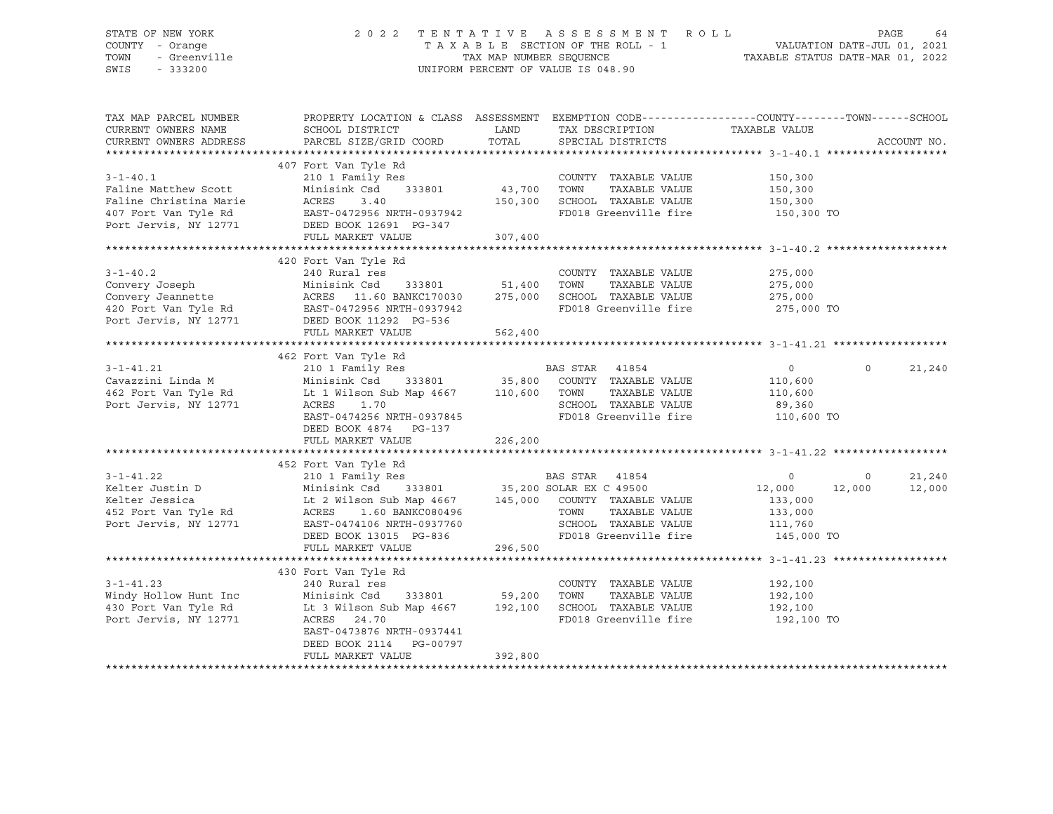### STATE OF NEW YORK 2 0 2 2 T E N T A T I V E A S S E S S M E N T R O L L PAGE 64 COUNTY - Orange T A X A B L E SECTION OF THE ROLL - 1 VALUATION DATE-JUL 01, 2021 TOWN - Greenville TAX MAP NUMBER SEQUENCE TAXABLE STATUS DATE-MAR 01, 2022 SWIS - 333200 UNIFORM PERCENT OF VALUE IS 048.90

| TAX MAP PARCEL NUMBER<br>CURRENT OWNERS NAME<br>CURRENT OWNERS ADDRESS                                 | PROPERTY LOCATION & CLASS ASSESSMENT EXEMPTION CODE---------------COUNTY-------TOWN-----SCHOOL<br>SCHOOL DISTRICT<br>PARCEL SIZE/GRID COORD                                                                                                                                                                                                                                       | LAND                | TAX DESCRIPTION TAXABLE VALUE<br>TOTAL SPECIAL DISTRICTS                                                       |                                  | ACCOUNT NO.       |
|--------------------------------------------------------------------------------------------------------|-----------------------------------------------------------------------------------------------------------------------------------------------------------------------------------------------------------------------------------------------------------------------------------------------------------------------------------------------------------------------------------|---------------------|----------------------------------------------------------------------------------------------------------------|----------------------------------|-------------------|
| $3 - 1 - 40.1$<br>Faline Matthew Scott                                                                 | 407 Fort Van Tyle Rd<br>210 1 Family Res COUNTY<br>Minisink Csd 333801 43,700 TOWN<br>Faline Christina Marie<br>407 Fort Van Tyle Rd<br>2007 Fort Van Tyle Rd<br>2007 Een BAST-0472956 NRTH-0937942<br>2007 DEED BOOK 12691 PG-347<br>FULL MARKET VALUE                                                                                                                           | 150, 300<br>307,400 | COUNTY TAXABLE VALUE<br>TAXABLE VALUE<br>SCHOOL TAXABLE VALUE 150,300<br>FD018 Greenville fire 150,300 TO      | 150,300<br>150,300               |                   |
|                                                                                                        |                                                                                                                                                                                                                                                                                                                                                                                   |                     |                                                                                                                |                                  |                   |
| $3 - 1 - 40.2$                                                                                         | 420 Fort Van Tyle Rd<br>240 Rural res<br>3-1-40.2<br>Convery Joseph Minisink Csd 333801 51,400<br>Convery Jeannette ACRES 11.60 BANKC170030 275,000<br>420 Fort Van Tyle Rd EAST-0472956 NRTH-0937942<br>Port Jervis, NY 12771 DEED BOOK 11292 PG-536<br>Minisink Csd 333801 51,400 TOWN<br>FULL MARKET VALUE                                                                     | 562,400             | COUNTY TAXABLE VALUE<br>TAXABLE VALUE 275,000<br>SCHOOL TAXABLE VALUE 275,000<br>FD018 Greenville fire 275,000 | 275,000<br>275,000 TO            |                   |
|                                                                                                        |                                                                                                                                                                                                                                                                                                                                                                                   |                     |                                                                                                                |                                  |                   |
| Port Jervis, NY 12771                                                                                  | 462 Fort Van Tyle Rd<br>210 1 Family Res<br>Cavazzini Linda M Minisink Csd 333801 35,800 COUNTY TAXABLE VALUE 110,600<br>462 Fort Van Tyle Rd Lt 1 Wilson Sub Map 4667 110,600 TOWN TAXABLE VALUE 110,600<br>39,360 SCHOOL TAXABLE VAL<br>ACRES<br>1.70<br>EAST-0474256 NRTH-0937845<br>DEED BOOK 4874 PG-137<br>FULL MARKET VALUE                                                | 226,200             | SCHOOL TAXABLE VALUE 69,360<br>FD018 Greenville fire 110,600 TO                                                | $\overline{0}$                   | $\circ$<br>21,240 |
|                                                                                                        |                                                                                                                                                                                                                                                                                                                                                                                   |                     |                                                                                                                |                                  |                   |
|                                                                                                        | 452 Fort Van Tyle Rd<br>210 1 Family Res<br>210 1 Family Res<br>210 1 Family Res<br>210 1 Family Res<br>210 1 Family Res<br>210 1 Family Res<br>210 1 Family Res<br>210 35,200 SOLAR EX C 49500<br>22,000<br>22,000<br>22,000<br>22,000<br>23,000<br>23,00<br>Port Jervis, NY 12771 EAST-0474106 NRTH-0937760<br>ROOK 13015 PG-836<br>DEED BOOK 13015 PG-836<br>FULL MARKET VALUE | 296,500             | SCHOOL TAXABLE VALUE 111,760<br>FD018 Greenville fire 145,000 TO                                               |                                  | 21,240<br>12,000  |
|                                                                                                        |                                                                                                                                                                                                                                                                                                                                                                                   |                     |                                                                                                                |                                  |                   |
| $3 - 1 - 41.23$<br>Windy Hollow Hunt Inc Minisink Csd<br>430 Fort Van Tyle Rd<br>Port Jervis, NY 12771 | 430 Fort Van Tyle Rd<br>240 Rural res<br>333801 59,200 TOWN<br>Lt 3 Wilson Sub Map 4667 192,100 SCHOOL TAXABLE VALUE 192,100<br>ACRES 24.70<br>EAST-0473876 NRTH-0937441<br>DEED BOOK 2114 PG-00797<br>FULL MARKET VALUE                                                                                                                                                          | 392,800             | COUNTY TAXABLE VALUE<br>TAXABLE VALUE<br>FD018 Greenville fire                                                 | 192,100<br>192,100<br>192,100 TO |                   |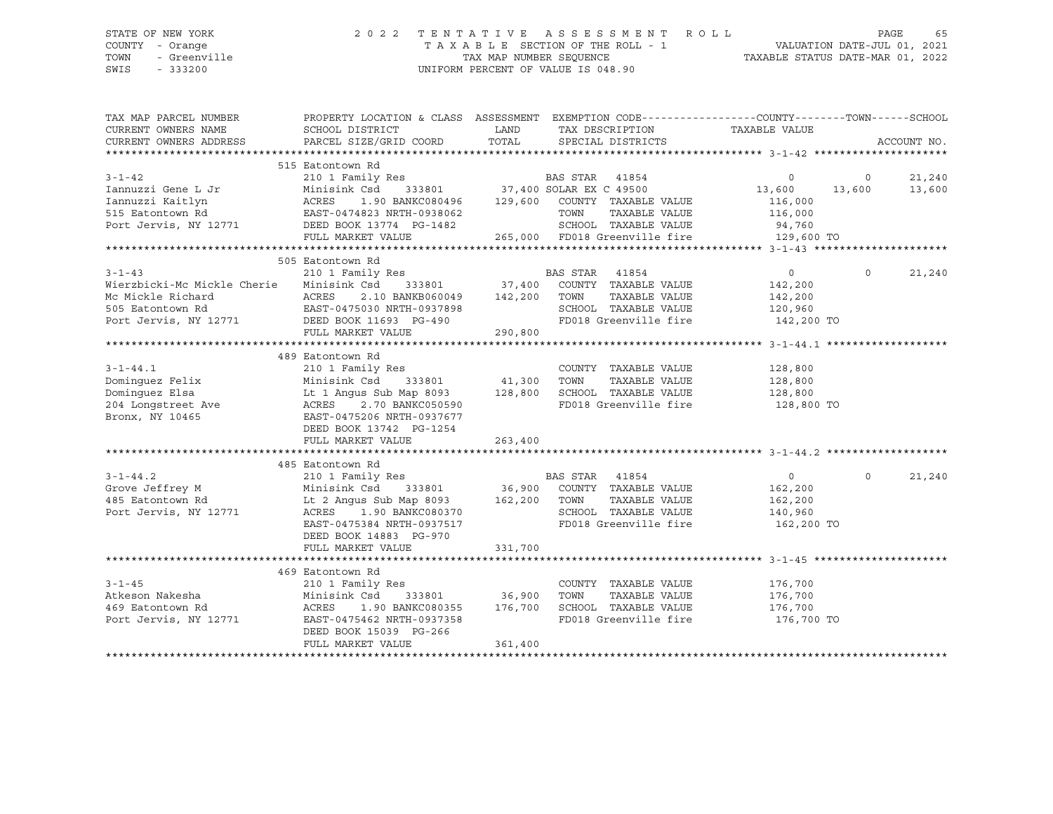SWIS - 333200 UNIFORM PERCENT OF VALUE IS 048.90

## STATE OF NEW YORK 2 0 2 2 T E N T A T I V E A S S E S S M E N T R O L L PAGE 65 COUNTY - Orange T A X A B L E SECTION OF THE ROLL - 1 VALUATION DATE-JUL 01, 2021 TOWN - Greenville TAX MAP NUMBER SEQUENCE TAXABLE STATUS DATE-MAR 01, 2022

| TAX MAP PARCEL NUMBER<br>CURRENT OWNERS NAME<br>CURRENT OWNERS ADDRESS | PROPERTY LOCATION & CLASS ASSESSMENT EXEMPTION CODE----------------COUNTY-------TOWN------SCHOOL<br>SCHOOL DISTRICT<br>PARCEL SIZE/GRID COORD | LAND<br>TOTAL | TAX DESCRIPTION<br>SPECIAL DISTRICTS                                                | TAXABLE VALUE  |                | ACCOUNT NO. |
|------------------------------------------------------------------------|-----------------------------------------------------------------------------------------------------------------------------------------------|---------------|-------------------------------------------------------------------------------------|----------------|----------------|-------------|
|                                                                        |                                                                                                                                               |               |                                                                                     |                |                |             |
|                                                                        | 515 Eatontown Rd                                                                                                                              |               |                                                                                     |                |                |             |
| $3 - 1 - 42$                                                           | 210 1 Family Res                                                                                                                              |               | BAS STAR 41854                                                                      | $\circ$        | $\overline{0}$ | 21,240      |
| Iannuzzi Gene L Jr                                                     | Minisink Csd                                                                                                                                  |               | Csd 333801 37,400 SOLAR EX C 49500<br>1.90 BANKC080496 129,600 COUNTY TAXABLE VALUE | 13,600         | 13,600         | 13,600      |
| Iannuzzi Kaitlyn                                                       | ACRES                                                                                                                                         |               |                                                                                     | 116,000        |                |             |
| 515 Eatontown Rd                                                       | EAST-0474823 NRTH-0938062                                                                                                                     |               | TOWN<br>TAXABLE VALUE                                                               | 116,000        |                |             |
| Port Jervis, NY 12771 DEED BOOK 13774 PG-1482                          |                                                                                                                                               |               | SCHOOL TAXABLE VALUE                                                                | 94,760         |                |             |
|                                                                        | FULL MARKET VALUE                                                                                                                             |               | 265,000 FD018 Greenville fire 129,600 TO                                            |                |                |             |
|                                                                        |                                                                                                                                               |               |                                                                                     |                |                |             |
|                                                                        | 505 Eatontown Rd                                                                                                                              |               |                                                                                     |                |                |             |
| $3 - 1 - 43$                                                           | 210 1 Family Res                                                                                                                              |               | BAS STAR<br>41854                                                                   | $\overline{0}$ | $\Omega$       | 21,240      |
| Wierzbicki-Mc Mickle Cherie                                            | Minisink Csd 333801 37,400 COUNTY TAXABLE VALUE                                                                                               |               |                                                                                     | 142,200        |                |             |
|                                                                        | 2.10 BANKB060049 142,200 TOWN                                                                                                                 |               | TAXABLE VALUE                                                                       | 142,200        |                |             |
|                                                                        |                                                                                                                                               |               | SCHOOL TAXABLE VALUE                                                                | 120,960        |                |             |
|                                                                        |                                                                                                                                               |               | FD018 Greenville fire                                                               | 142,200 TO     |                |             |
|                                                                        | FULL MARKET VALUE                                                                                                                             | 290,800       |                                                                                     |                |                |             |
|                                                                        |                                                                                                                                               |               |                                                                                     |                |                |             |
|                                                                        | 489 Eatontown Rd                                                                                                                              |               |                                                                                     |                |                |             |
| $3 - 1 - 44.1$                                                         | 210 1 Family Res                                                                                                                              |               | COUNTY TAXABLE VALUE                                                                | 128,800        |                |             |
| Dominquez Felix                                                        | Minisink Csd<br>333801                                                                                                                        | 41,300        | TAXABLE VALUE<br>TOWN                                                               | 128,800        |                |             |
| Dominquez Elsa                                                         | Lt 1 Angus Sub Map 8093 128,800                                                                                                               |               | SCHOOL TAXABLE VALUE                                                                | 128,800        |                |             |
| 204 Longstreet Ave                                                     | ACRES<br>2.70 BANKC050590                                                                                                                     |               | FD018 Greenville fire 128,800 TO                                                    |                |                |             |
| Bronx, NY 10465                                                        | EAST-0475206 NRTH-0937677                                                                                                                     |               |                                                                                     |                |                |             |
|                                                                        | DEED BOOK 13742 PG-1254                                                                                                                       |               |                                                                                     |                |                |             |
|                                                                        | FULL MARKET VALUE                                                                                                                             | 263,400       |                                                                                     |                |                |             |
|                                                                        |                                                                                                                                               |               |                                                                                     |                |                |             |
|                                                                        | 485 Eatontown Rd                                                                                                                              |               |                                                                                     |                |                |             |
| $3 - 1 - 44.2$                                                         | 210 1 Family Res                                                                                                                              |               | BAS STAR 41854                                                                      | $\circ$        | $\Omega$       | 21,240      |
| Grove Jeffrey M                                                        | Minisink Csd 333801 36,900                                                                                                                    |               | COUNTY TAXABLE VALUE                                                                | 162,200        |                |             |
| 485 Eatontown Rd                                                       | Lt 2 Angus Sub Map 8093 162,200                                                                                                               |               | TOWN<br>TAXABLE VALUE                                                               | 162,200        |                |             |
| Port Jervis, NY 12771                                                  | ACRES 1.90 BANKC080370                                                                                                                        |               | SCHOOL TAXABLE VALUE                                                                | 140,960        |                |             |
|                                                                        | EAST-0475384 NRTH-0937517                                                                                                                     |               | FD018 Greenville fire 162,200 TO                                                    |                |                |             |
|                                                                        | DEED BOOK 14883 PG-970                                                                                                                        |               |                                                                                     |                |                |             |
|                                                                        | FULL MARKET VALUE                                                                                                                             | 331,700       |                                                                                     |                |                |             |
|                                                                        |                                                                                                                                               |               |                                                                                     |                |                |             |
|                                                                        | 469 Eatontown Rd                                                                                                                              |               |                                                                                     |                |                |             |
| $3 - 1 - 45$                                                           | 210 1 Family Res                                                                                                                              |               | COUNTY TAXABLE VALUE                                                                | 176,700        |                |             |
| Atkeson Nakesha                                                        | Minisink Csd 333801 36,900<br>ACRES 1.90 BANKC080355 176,700                                                                                  |               | TOWN<br>TAXABLE VALUE                                                               | 176,700        |                |             |
| 469 Eatontown Rd                                                       |                                                                                                                                               |               | SCHOOL TAXABLE VALUE                                                                | 176,700        |                |             |
| Port Jervis, NY 12771                                                  | EAST-0475462 NRTH-0937358                                                                                                                     |               | FD018 Greenville fire 176,700 TO                                                    |                |                |             |
|                                                                        | DEED BOOK 15039 PG-266                                                                                                                        |               |                                                                                     |                |                |             |
|                                                                        | FULL MARKET VALUE                                                                                                                             | 361,400       |                                                                                     |                |                |             |
|                                                                        |                                                                                                                                               |               |                                                                                     |                |                |             |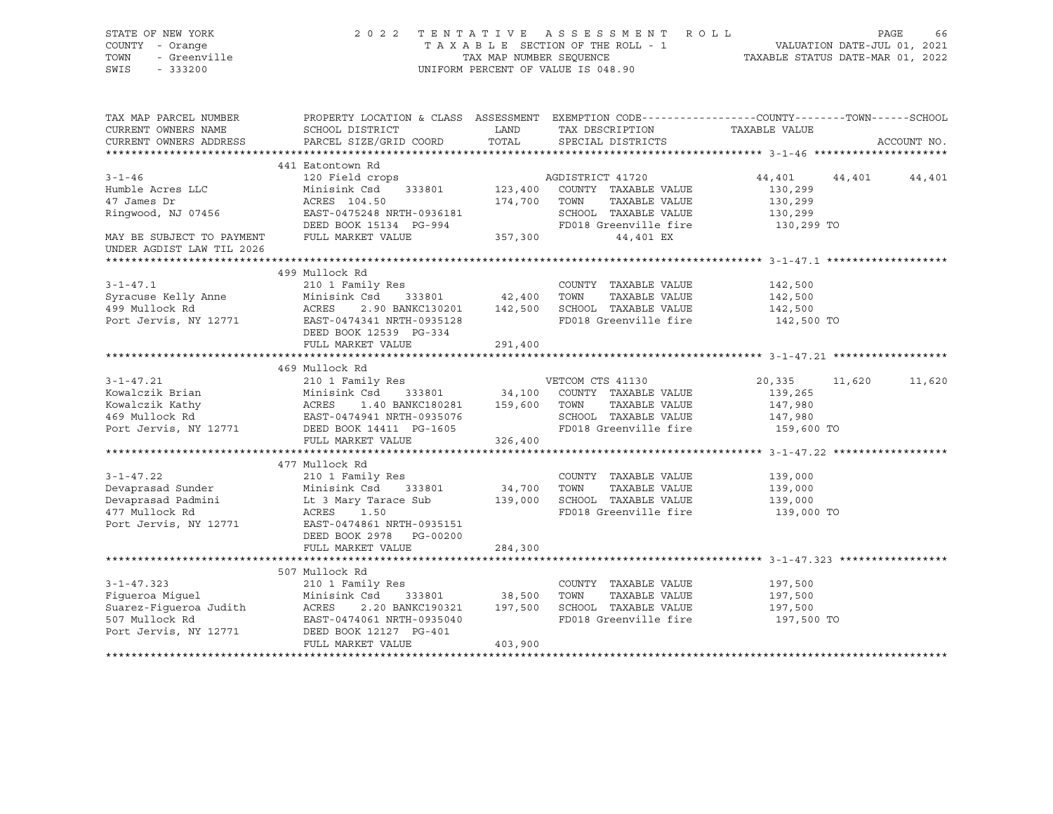| STATE OF NEW YORK<br>COUNTY - Orange<br>OF NEW YORK<br>TOWN<br>SWIS<br>$-333200$ |                                                                                                                                                                                                                                                    |             | TENTATIVE ASSESSMENT ROLL PAGE 66<br>TAXABLE SECTION OF THE ROLL - 1 VALUATION DATE-JUL 01, 2021<br>TAX MAP NUMBER SEQUENCE TAXABLE STATUS DATE-MAR 01, 2022<br>2022 TENTATIVE ASSESSMENT ROLL<br>UNIFORM PERCENT OF VALUE IS 048.90 |                               |                  |
|----------------------------------------------------------------------------------|----------------------------------------------------------------------------------------------------------------------------------------------------------------------------------------------------------------------------------------------------|-------------|--------------------------------------------------------------------------------------------------------------------------------------------------------------------------------------------------------------------------------------|-------------------------------|------------------|
| TAX MAP PARCEL NUMBER<br>CURRENT OWNERS NAME                                     | SCHOOL DISTRICT<br>PARCEL SIZE/GRID COORD                                                                                                                                                                                                          | <b>LAND</b> | PROPERTY LOCATION & CLASS ASSESSMENT EXEMPTION CODE----------------COUNTY-------TOWN------SCHOOL<br>TAX DESCRIPTION                                                                                                                  | TAXABLE VALUE                 |                  |
| CURRENT OWNERS ADDRESS                                                           |                                                                                                                                                                                                                                                    | TOTAL       | SPECIAL DISTRICTS                                                                                                                                                                                                                    |                               | ACCOUNT NO.      |
|                                                                                  | 441 Eatontown Rd                                                                                                                                                                                                                                   |             |                                                                                                                                                                                                                                      |                               |                  |
| $3 - 1 - 46$                                                                     | 120 Field crops                                                                                                                                                                                                                                    |             | AGDISTRICT 41720                                                                                                                                                                                                                     | 44,401                        | 44,401 44,401    |
| Humble Acres LLC                                                                 | Minisink Csd 333801 123,400 COUNTY TAXABLE VALUE                                                                                                                                                                                                   |             |                                                                                                                                                                                                                                      |                               |                  |
| 47 James Dr                                                                      | ACRES 104.50<br>ACRES 104.50<br>EAST-04350                                                                                                                                                                                                         |             | TAXABLE VALUE                                                                                                                                                                                                                        | 130,299<br>130,299            |                  |
| Ringwood, NJ 07456                                                               |                                                                                                                                                                                                                                                    |             | SCHOOL TAXABLE VALUE                                                                                                                                                                                                                 | 130,299                       |                  |
|                                                                                  |                                                                                                                                                                                                                                                    |             | FD018 Greenville fire                                                                                                                                                                                                                | 130,299 TO                    |                  |
| MAY BE SUBJECT TO PAYMENT<br>UNDER AGDIST LAW TIL 2026                           | ACRES 104.50 174,700 TOWN TAXABLE VALUE<br>EAST-0475248 NRTH-0936181 SCHOOL TAXABLE VALUE<br>DEED BOOK 15134 PG-994 FD018 Greenville fi<br>FULL MARKET VALUE 357,300 44,401 EX                                                                     |             |                                                                                                                                                                                                                                      |                               |                  |
|                                                                                  |                                                                                                                                                                                                                                                    |             |                                                                                                                                                                                                                                      |                               |                  |
|                                                                                  | 499 Mullock Rd                                                                                                                                                                                                                                     |             |                                                                                                                                                                                                                                      |                               |                  |
| $3 - 1 - 47.1$                                                                   | 210 1 Family Res                                                                                                                                                                                                                                   |             | COUNTY TAXABLE VALUE 142,500                                                                                                                                                                                                         |                               |                  |
|                                                                                  | Minisink Csd 333801 42,400 TOWN                                                                                                                                                                                                                    |             | TAXABLE VALUE                                                                                                                                                                                                                        | 142,500                       |                  |
|                                                                                  | Syracuse Kelly Anne Minisink Csd 333801<br>499 Mullock Rd ACRES 2.90 BANKC130201<br>Port Jervis, NY 12771 EAST-0474341 NRTH-0935128                                                                                                                |             | 2.90 BANKC130201 142,500 SCHOOL TAXABLE VALUE                                                                                                                                                                                        | 142,500                       |                  |
|                                                                                  |                                                                                                                                                                                                                                                    |             | FD018 Greenville fire                                                                                                                                                                                                                | 142,500 TO                    |                  |
|                                                                                  | DEED BOOK 12539 PG-334                                                                                                                                                                                                                             |             |                                                                                                                                                                                                                                      |                               |                  |
|                                                                                  | FULL MARKET VALUE                                                                                                                                                                                                                                  | 291,400     |                                                                                                                                                                                                                                      |                               |                  |
|                                                                                  | 469 Mullock Rd                                                                                                                                                                                                                                     |             |                                                                                                                                                                                                                                      |                               |                  |
| $3 - 1 - 47.21$                                                                  | 210 1 Family Res                                                                                                                                                                                                                                   |             | VETCOM CTS 41130                                                                                                                                                                                                                     | 20,335                        | 11,620<br>11,620 |
|                                                                                  | 3-1-47.21 210 1 Family Res<br>Kowalczik Brian Minisink Csd 333801 34,100 COUNTY TAXABLE VALUE<br>Kowalczik Kathy ACRES 1.40 BANKC180281 159,600 TOWN TAXABLE VALUE<br>469 Mullock Rd EAST-0474941 NRTH-0935076 SCHOOL TAXABLE VALUE<br>            |             |                                                                                                                                                                                                                                      | 139,265                       |                  |
|                                                                                  |                                                                                                                                                                                                                                                    |             |                                                                                                                                                                                                                                      | 147,980                       |                  |
|                                                                                  |                                                                                                                                                                                                                                                    |             |                                                                                                                                                                                                                                      |                               |                  |
|                                                                                  |                                                                                                                                                                                                                                                    |             | SCHOOL TAXABLE VALUE 147,980<br>FD018 Greenville fire 159,600 TO                                                                                                                                                                     |                               |                  |
|                                                                                  | FULL MARKET VALUE 326,400                                                                                                                                                                                                                          |             |                                                                                                                                                                                                                                      |                               |                  |
|                                                                                  |                                                                                                                                                                                                                                                    |             |                                                                                                                                                                                                                                      |                               |                  |
|                                                                                  | 477 Mullock Rd                                                                                                                                                                                                                                     |             |                                                                                                                                                                                                                                      |                               |                  |
| $3 - 1 - 47.22$                                                                  | 210 1 Family Res                                                                                                                                                                                                                                   |             | COUNTY TAXABLE VALUE                                                                                                                                                                                                                 |                               |                  |
|                                                                                  |                                                                                                                                                                                                                                                    |             | TAXABLE VALUE                                                                                                                                                                                                                        |                               |                  |
|                                                                                  |                                                                                                                                                                                                                                                    |             | 139,000 SCHOOL TAXABLE VALUE                                                                                                                                                                                                         | 139,000<br>139,000<br>139,000 |                  |
|                                                                                  |                                                                                                                                                                                                                                                    |             | FD018 Greenville fire 139,000 TO                                                                                                                                                                                                     |                               |                  |
|                                                                                  | 3-1-47.22<br>Devaprasad Sunder<br>Devaprasad Padmini<br>Devaprasad Padmini<br>139,000 SCHOOL<br>139,000 SCHOOL<br>139,000 SCHOOL<br>139,000 SCHOOL<br>139,000 SCHOOL<br>139,000 SCHOOL<br>FD018 Grad Port Jervis, NY 12771 EAST-0474861 NRTH-09351 |             |                                                                                                                                                                                                                                      |                               |                  |
|                                                                                  | DEED BOOK 2978 PG-00200                                                                                                                                                                                                                            |             |                                                                                                                                                                                                                                      |                               |                  |
|                                                                                  | FULL MARKET VALUE                                                                                                                                                                                                                                  | 284,300     |                                                                                                                                                                                                                                      |                               |                  |
|                                                                                  |                                                                                                                                                                                                                                                    |             |                                                                                                                                                                                                                                      |                               |                  |
|                                                                                  | 507 Mullock Rd                                                                                                                                                                                                                                     |             |                                                                                                                                                                                                                                      |                               |                  |
|                                                                                  |                                                                                                                                                                                                                                                    |             |                                                                                                                                                                                                                                      | 197,500                       |                  |
|                                                                                  |                                                                                                                                                                                                                                                    |             |                                                                                                                                                                                                                                      | 197,500                       |                  |
|                                                                                  |                                                                                                                                                                                                                                                    |             |                                                                                                                                                                                                                                      | 197,500                       |                  |
|                                                                                  |                                                                                                                                                                                                                                                    |             | FD018 Greenville fire                                                                                                                                                                                                                | 197,500 TO                    |                  |
|                                                                                  | 3-1-47.323<br>Figueroa Miguel 210 1 Family Res<br>Figueroa Miguel Minisink Csd 333801 38,500 TOWN TAXABLE VALUE<br>Suarez-Figueroa Judith ACRES 2.20 BANKC190321 197,500 SCHOOL TAXABLE VALUE<br>507 Mullock Rd EAST-0474061 NRTH-0935             |             |                                                                                                                                                                                                                                      |                               |                  |
|                                                                                  | FULL MARKET VALUE                                                                                                                                                                                                                                  | 403,900     |                                                                                                                                                                                                                                      |                               |                  |
|                                                                                  |                                                                                                                                                                                                                                                    |             |                                                                                                                                                                                                                                      |                               |                  |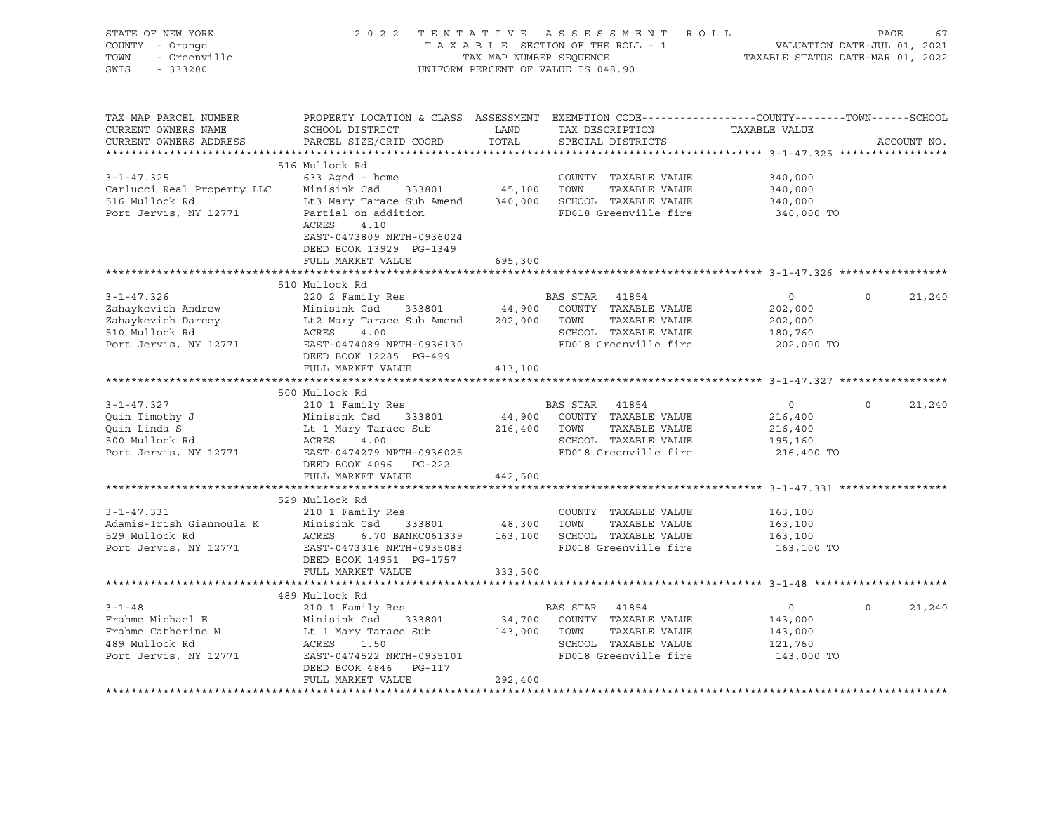| STATE OF NEW YORK<br>COUNTY - Orange<br>- Greenville<br>TOWN<br>SWIS<br>$-333200$                                                                       |                                                                                                                                                                                                                                                        |                         | 2022 TENTATIVE ASSESSMENT ROLL<br>T A X A B L E SECTION OF THE ROLL - 1<br>T A X A B L E SECTION OF THE ROLL - 1<br>TAX MAP NUMBER SEQUENCE TAXABLE STATUS DATE-MAR 01, 2022<br>UNIFORM PERCENT OF VALUE IS 048.90 |                                                               | PAGE     | 67          |
|---------------------------------------------------------------------------------------------------------------------------------------------------------|--------------------------------------------------------------------------------------------------------------------------------------------------------------------------------------------------------------------------------------------------------|-------------------------|--------------------------------------------------------------------------------------------------------------------------------------------------------------------------------------------------------------------|---------------------------------------------------------------|----------|-------------|
| TAX MAP PARCEL NUMBER<br>CURRENT OWNERS NAME<br>CURRENT OWNERS ADDRESS<br>********************                                                          | PROPERTY LOCATION & CLASS ASSESSMENT EXEMPTION CODE----------------COUNTY-------TOWN------SCHOOL<br>SCHOOL DISTRICT<br>PARCEL SIZE/GRID COORD                                                                                                          | LAND<br>TOTAL           | TAX DESCRIPTION<br>SPECIAL DISTRICTS                                                                                                                                                                               | TAXABLE VALUE                                                 |          | ACCOUNT NO. |
| $3 - 1 - 47.325$<br>Carlucci Real Property LLC<br>516 Mullock Rd<br>Port Jervis, NY 12771                                                               | 516 Mullock Rd<br>633 Aged - home<br>333801 45,100 TOWN<br>Minisink Csd<br>Lt3 Mary Tarace Sub Amend 340,000 SCHOOL TAXABLE VALUE<br>Partial on addition<br>ACRES<br>4.10<br>EAST-0473809 NRTH-0936024<br>DEED BOOK 13929 PG-1349<br>FULL MARKET VALUE | 695,300                 | COUNTY TAXABLE VALUE<br>TAXABLE VALUE<br>FD018 Greenville fire                                                                                                                                                     | 340,000<br>340,000<br>340,000<br>340,000 TO                   |          |             |
|                                                                                                                                                         |                                                                                                                                                                                                                                                        |                         |                                                                                                                                                                                                                    |                                                               |          |             |
| $3 - 1 - 47.326$<br>Zahaykevich Andrew                                                                                                                  | 510 Mullock Rd<br>220 2 Family Res                                                                                                                                                                                                                     |                         | BAS STAR 41854                                                                                                                                                                                                     | $\overline{0}$<br>202,000                                     | $\circ$  | 21,240      |
| Zahaykevich Darcey<br>510 Mullock Rd<br>Port Jervis, NY 12771                                                                                           | Minisin<br>Lt2 Mary Tarace<br>ACRES 4.00<br>EAST-0474089 NRTH-0936130<br>PEED BOOK 12285 PG-499<br>PEED BOOK 12285 PG-499<br>Lt2 Mary Tarace Sub Amend                                                                                                 | 413,100                 | 202,000 TOWN<br>TAXABLE VALUE<br>SCHOOL TAXABLE VALUE<br>SCHOOD Innumers<br>FD018 Greenville fire                                                                                                                  | 202,000<br>180,760<br>202,000 TO                              |          |             |
|                                                                                                                                                         |                                                                                                                                                                                                                                                        |                         |                                                                                                                                                                                                                    |                                                               |          |             |
| $3 - 1 - 47.327$<br>Quin Timothy J<br>Quin Linda S<br>500 Mullock Rd<br>Port Jervis, NY 12771                                                           | 500 Mullock Rd<br>210 1 Family Res<br>Minisink Csd 333801<br>Lt 1 Mary Tarace Sub<br>ACRES 4.00<br>EAST-0474279 NRTH-0936025<br>DEED BOOK 4096 PG-222                                                                                                  | 216,400 TOWN            | BAS STAR 41854<br>44,900 COUNTY TAXABLE VALUE<br>TAXABLE VALUE<br>SCHOOL TAXABLE VALUE<br>SCHOOL TAXABLE VALUE<br>FD018 Greenville fire                                                                            | $\overline{0}$<br>216,400<br>216,400<br>195,160<br>216,400 TO | $\Omega$ | 21,240      |
|                                                                                                                                                         | FULL MARKET VALUE                                                                                                                                                                                                                                      | 442,500                 |                                                                                                                                                                                                                    |                                                               |          |             |
|                                                                                                                                                         |                                                                                                                                                                                                                                                        |                         |                                                                                                                                                                                                                    |                                                               |          |             |
| $3 - 1 - 47.331$<br>Adamis-Irish Giannoula K Minisink Csd 333801<br>529 Mullock Pd (30 RCPFS) 20 BANKC061339<br>529 Mullock Rd<br>Port Jervis, NY 12771 | 529 Mullock Rd<br>210 1 Family Res<br>ACRES 6.70 BANKC061339 163,100 SCHOOL TAXABLE VALUE<br>EAST-0473316 NRTH-0935083<br>DEED BOOK 14951 PG-1757                                                                                                      | 48,300 TOWN             | COUNTY TAXABLE VALUE<br>TAXABLE VALUE<br>FD018 Greenville fire                                                                                                                                                     | 163,100<br>163,100<br>163,100<br>163,100 TO                   |          |             |
|                                                                                                                                                         | FULL MARKET VALUE                                                                                                                                                                                                                                      | 333,500                 |                                                                                                                                                                                                                    |                                                               |          |             |
|                                                                                                                                                         | 489 Mullock Rd                                                                                                                                                                                                                                         |                         |                                                                                                                                                                                                                    |                                                               |          |             |
| $3 - 1 - 48$<br>Frahme Michael E<br>Frahme Catherine M<br>489 Mullock Rd<br>Port Jervis, NY 12771                                                       | 210 1 Family Res<br>Minisink Csd 33380<br>Lt 1 Mary Tarace Sub<br>333801<br>ACRES 1.50<br>EAST-0474522 NRTH-0935101<br>DEED BOOK 4846 PG-117<br>FULL MARKET VALUE                                                                                      | 143,000 TOWN<br>292,400 | BAS STAR 41854<br>34,700 COUNTY TAXABLE VALUE<br>TAXABLE VALUE<br>SCHOOL TAXABLE VALUE<br>FD018 Greenville fire                                                                                                    | $\overline{0}$<br>143,000<br>143,000<br>121,760<br>143,000 TO | $\Omega$ | 21,240      |
|                                                                                                                                                         |                                                                                                                                                                                                                                                        |                         |                                                                                                                                                                                                                    |                                                               |          |             |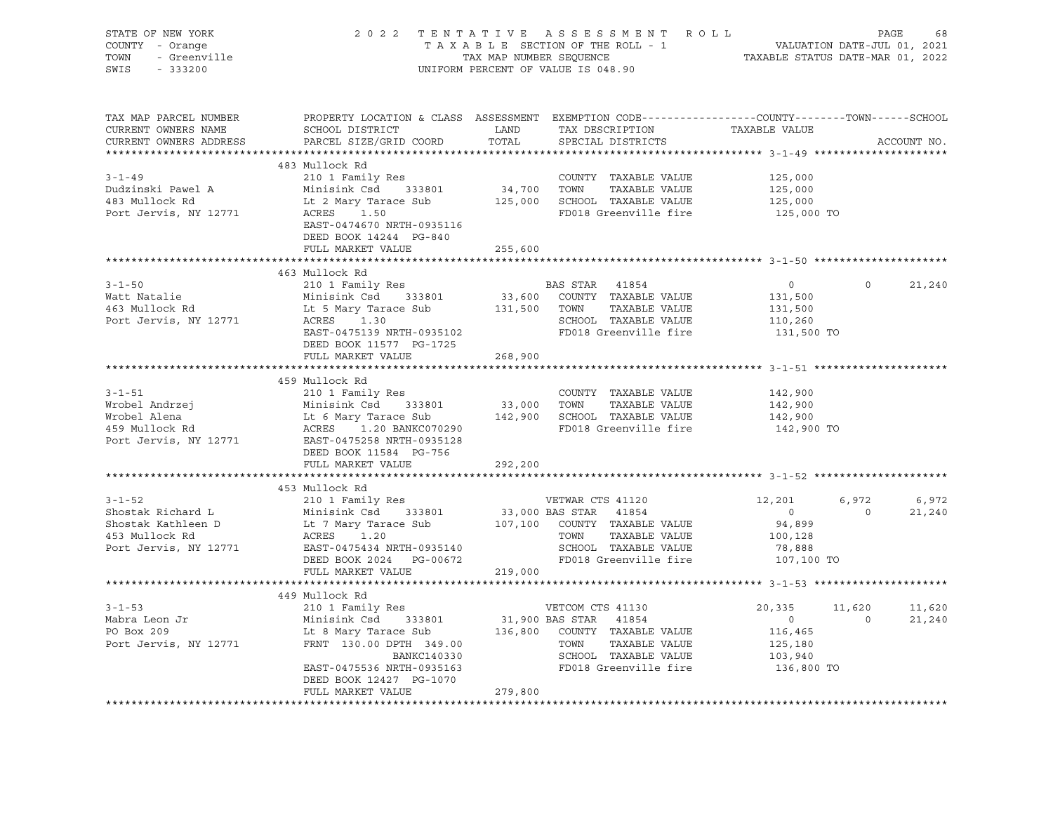| STATE OF NEW YORK<br>OF NEW YORK<br>- Orange<br>- Greenville<br>- Coope<br>COUNTY - Orange<br>TOWN<br>SWIS |                                                                                                                                                                              |                         | $\begin{tabular}{lllllllllllllllll} \hline 2&0&2&2&\text{T} & \text{E} & \text{N} & \text{T} & \text{A} & \text{T} & \text{A} & \text{E} & \text{S} & \text{E} & \text{S} & \text{E} & \text{S} & \text{E} & \text{S} & \text{E} & \text{E} & \text{E} & \text{E} & \text{E} & \text{E} & \text{E} & \text{E} & \text{E} & \text{E} & \text{E} & \text{E} & \text{E} & \text{E} & \text{E} & \text{E} & \text{E} & \text{$ |                       |                |             |
|------------------------------------------------------------------------------------------------------------|------------------------------------------------------------------------------------------------------------------------------------------------------------------------------|-------------------------|----------------------------------------------------------------------------------------------------------------------------------------------------------------------------------------------------------------------------------------------------------------------------------------------------------------------------------------------------------------------------------------------------------------------------|-----------------------|----------------|-------------|
| TAX MAP PARCEL NUMBER<br>CURRENT OWNERS NAME<br>CURRENT OWNERS ADDRESS                                     | PROPERTY LOCATION & CLASS ASSESSMENT EXEMPTION CODE----------------COUNTY-------TOWN------SCHOOL<br>SCHOOL DISTRICT<br>PARCEL SIZE/GRID COORD                                | <b>LAND</b><br>TOTAL    | TAX DESCRIPTION TAXABLE VALUE<br>SPECIAL DISTRICTS                                                                                                                                                                                                                                                                                                                                                                         |                       |                | ACCOUNT NO. |
|                                                                                                            | 483 Mullock Rd                                                                                                                                                               |                         |                                                                                                                                                                                                                                                                                                                                                                                                                            |                       |                |             |
| $3 - 1 - 49$                                                                                               | 210 1 Family Res                                                                                                                                                             |                         | COUNTY TAXABLE VALUE 125,000                                                                                                                                                                                                                                                                                                                                                                                               |                       |                |             |
| Dudzinski Pawel A                                                                                          | Minisink Csd 333801                                                                                                                                                          | $34,700$ TOWN           | TAXABLE VALUE                                                                                                                                                                                                                                                                                                                                                                                                              | 125,000               |                |             |
| 483 Mullock Rd                                                                                             | Lt 2 Mary Tarace Sub                                                                                                                                                         |                         | 125,000 SCHOOL TAXABLE VALUE                                                                                                                                                                                                                                                                                                                                                                                               | 125,000               |                |             |
| Port Jervis, NY 12771                                                                                      | ACRES 1.50<br>EAST-0474670 NRTH-0935116<br>DEED BOOK 14244 PG-840                                                                                                            |                         | FD018 Greenville fire 125,000 TO                                                                                                                                                                                                                                                                                                                                                                                           |                       |                |             |
|                                                                                                            | FULL MARKET VALUE                                                                                                                                                            | 255,600                 |                                                                                                                                                                                                                                                                                                                                                                                                                            |                       |                |             |
|                                                                                                            |                                                                                                                                                                              |                         |                                                                                                                                                                                                                                                                                                                                                                                                                            |                       |                |             |
|                                                                                                            | 463 Mullock Rd                                                                                                                                                               |                         |                                                                                                                                                                                                                                                                                                                                                                                                                            |                       |                |             |
| 3-1-50<br>Watt Natalie                                                                                     | 210 1 Family Res                                                                                                                                                             |                         | BAS STAR 41854                                                                                                                                                                                                                                                                                                                                                                                                             | $\overline{0}$        | $\circ$        | 21,240      |
|                                                                                                            | Watt Natalie<br>463 Mullock Rd<br>2011 12771 2008 11:5 Mary Tarace Sub<br>2012 130<br>2012 2013 1.30                                                                         |                         | 33,600 COUNTY TAXABLE VALUE                                                                                                                                                                                                                                                                                                                                                                                                | 131,500               |                |             |
|                                                                                                            |                                                                                                                                                                              | 131,500 TOWN            | TAXABLE VALUE<br>SCHOOL TAXABLE VALUE                                                                                                                                                                                                                                                                                                                                                                                      | 131,500               |                |             |
|                                                                                                            | ACRES 1.30 SCHOOL TAXABLE VALUE<br>EAST-0475139 NRTH-0935102 FD018 Greenville fire                                                                                           |                         |                                                                                                                                                                                                                                                                                                                                                                                                                            | 110,260<br>131,500 TO |                |             |
|                                                                                                            | DEED BOOK 11577 PG-1725                                                                                                                                                      |                         |                                                                                                                                                                                                                                                                                                                                                                                                                            |                       |                |             |
|                                                                                                            | FULL MARKET VALUE                                                                                                                                                            | 268,900                 |                                                                                                                                                                                                                                                                                                                                                                                                                            |                       |                |             |
|                                                                                                            |                                                                                                                                                                              |                         |                                                                                                                                                                                                                                                                                                                                                                                                                            |                       |                |             |
|                                                                                                            | 459 Mullock Rd                                                                                                                                                               |                         |                                                                                                                                                                                                                                                                                                                                                                                                                            |                       |                |             |
| $3 - 1 - 51$                                                                                               | 210 1 Family Res                                                                                                                                                             |                         | COUNTY TAXABLE VALUE                                                                                                                                                                                                                                                                                                                                                                                                       | 142,900               |                |             |
|                                                                                                            |                                                                                                                                                                              | 33,000 TOWN             | TAXABLE VALUE                                                                                                                                                                                                                                                                                                                                                                                                              | 142,900               |                |             |
|                                                                                                            |                                                                                                                                                                              |                         | 142,900 SCHOOL TAXABLE VALUE                                                                                                                                                                                                                                                                                                                                                                                               | 142,900               |                |             |
|                                                                                                            | Valley Reserved Andrzej Minisink Csd 333801<br>Wrobel Alena Lt 6 Mary Tarace Sub<br>459 Mullock Rd ACRES 1.20 BANKC070290<br>Port Jervis, NY 12771 EAST-0475258 NRTH-0935128 |                         | FD018 Greenville fire                                                                                                                                                                                                                                                                                                                                                                                                      | 142,900 TO            |                |             |
|                                                                                                            |                                                                                                                                                                              |                         |                                                                                                                                                                                                                                                                                                                                                                                                                            |                       |                |             |
|                                                                                                            | DEED BOOK 11584 PG-756                                                                                                                                                       |                         |                                                                                                                                                                                                                                                                                                                                                                                                                            |                       |                |             |
|                                                                                                            | FULL MARKET VALUE                                                                                                                                                            | 292,200<br>************ |                                                                                                                                                                                                                                                                                                                                                                                                                            |                       |                |             |
|                                                                                                            | 453 Mullock Rd                                                                                                                                                               |                         |                                                                                                                                                                                                                                                                                                                                                                                                                            |                       |                |             |
| $3 - 1 - 52$                                                                                               | 210 1 Family Res                                                                                                                                                             |                         | VETWAR CTS 41120                                                                                                                                                                                                                                                                                                                                                                                                           | 12,201                | 6,972          | 6,972       |
| Shostak Richard L                                                                                          |                                                                                                                                                                              |                         |                                                                                                                                                                                                                                                                                                                                                                                                                            | $\overline{0}$        | $\overline{0}$ | 21,240      |
| Shostak Kathleen D                                                                                         |                                                                                                                                                                              |                         | 33,000 BAS STAR 41854<br>107,100 COUNTY TAXABLE VALUE                                                                                                                                                                                                                                                                                                                                                                      | 94,899                |                |             |
| 453 Mullock Rd                                                                                             |                                                                                                                                                                              |                         | TOWN<br>TAXABLE VALUE                                                                                                                                                                                                                                                                                                                                                                                                      | 100,128               |                |             |
| Port Jervis, NY 12771                                                                                      | EAST-0475434 NRTH-0935140                                                                                                                                                    |                         | SCHOOL TAXABLE VALUE                                                                                                                                                                                                                                                                                                                                                                                                       | 78,888                |                |             |
|                                                                                                            | DEED BOOK 2024 PG-00672                                                                                                                                                      |                         | FD018 Greenville fire                                                                                                                                                                                                                                                                                                                                                                                                      | 107,100 TO            |                |             |
|                                                                                                            | FULL MARKET VALUE                                                                                                                                                            | 219,000                 |                                                                                                                                                                                                                                                                                                                                                                                                                            |                       |                |             |
|                                                                                                            |                                                                                                                                                                              |                         |                                                                                                                                                                                                                                                                                                                                                                                                                            |                       |                |             |
|                                                                                                            | 449 Mullock Rd                                                                                                                                                               |                         |                                                                                                                                                                                                                                                                                                                                                                                                                            |                       |                |             |
| $3 - 1 - 53$                                                                                               |                                                                                                                                                                              |                         |                                                                                                                                                                                                                                                                                                                                                                                                                            | 20,335                | 11,620         | 11,620      |
| Mabra Leon Jr<br>PO Box 209                                                                                |                                                                                                                                                                              |                         |                                                                                                                                                                                                                                                                                                                                                                                                                            | $\sim$ 0<br>116,465   | $\overline{0}$ | 21,240      |
| Port Jervis, NY 12771                                                                                      | VETCOM CTS 41130<br>Minisink Csd 333801 31,900 BAS STAR 41854<br>Lt 8 Mary Tarace Sub 136,800 COUNTY TAXABLE VALUE<br>FRNT 130.00 DPTH 349.00                                |                         |                                                                                                                                                                                                                                                                                                                                                                                                                            | 125,180               |                |             |
|                                                                                                            | FRNT 130.00 DPTH 349.00<br>BANKC140330                                                                                                                                       |                         |                                                                                                                                                                                                                                                                                                                                                                                                                            | 103,940               |                |             |
|                                                                                                            | EAST-0475536 NRTH-0935163                                                                                                                                                    |                         | SCHOOL TAXABLE VALUE<br>SCHOOL TAXABLE VALUE<br>FD018 Greenwood<br>FD018 Greenville fire 136,800 TO                                                                                                                                                                                                                                                                                                                        |                       |                |             |
|                                                                                                            | DEED BOOK 12427 PG-1070                                                                                                                                                      |                         |                                                                                                                                                                                                                                                                                                                                                                                                                            |                       |                |             |
|                                                                                                            | FULL MARKET VALUE                                                                                                                                                            | 279,800                 |                                                                                                                                                                                                                                                                                                                                                                                                                            |                       |                |             |
|                                                                                                            |                                                                                                                                                                              |                         |                                                                                                                                                                                                                                                                                                                                                                                                                            |                       |                |             |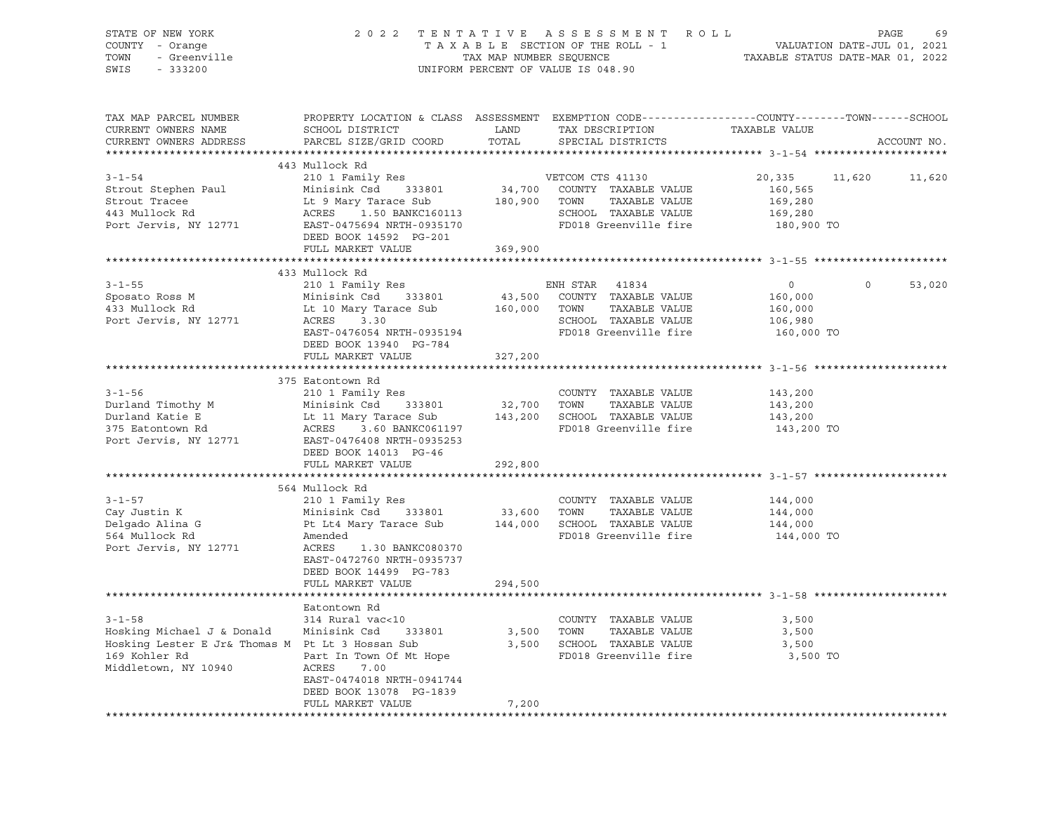| STATE OF NEW YORK<br>- Orange<br>COUNTY<br>- Greenville<br>TOWN<br>SWIS<br>$-333200$ | 2022 TENTATIVE                                                                                                                                                            | TAX MAP NUMBER SEOUENCE | ASSESSMENT ROLL<br>T A X A B L E SECTION OF THE ROLL - 1 WALUATION DATE-JUL 01, 2021<br>UNIFORM PERCENT OF VALUE IS 048.90 | TAXABLE STATUS DATE-MAR 01, 2022 | PAGE    | 69          |
|--------------------------------------------------------------------------------------|---------------------------------------------------------------------------------------------------------------------------------------------------------------------------|-------------------------|----------------------------------------------------------------------------------------------------------------------------|----------------------------------|---------|-------------|
| TAX MAP PARCEL NUMBER<br>CURRENT OWNERS NAME                                         | PROPERTY LOCATION & CLASS ASSESSMENT EXEMPTION CODE---------------COUNTY-------TOWN------SCHOOL<br>SCHOOL DISTRICT<br>CURRENT OWNERS ADDRESS PARCEL SIZE/GRID COORD TOTAL | LAND                    | TAX DESCRIPTION TAXABLE VALUE<br>SPECIAL DISTRICTS                                                                         |                                  |         | ACCOUNT NO. |
|                                                                                      | 443 Mullock Rd                                                                                                                                                            |                         |                                                                                                                            |                                  |         |             |
| $3 - 1 - 54$                                                                         | 210 1 Family Res                                                                                                                                                          |                         | VETCOM CTS 41130                                                                                                           | 20,335 11,620                    |         | 11,620      |
| Strout Stephen Paul                                                                  | Minisink Csd 333801 34,700                                                                                                                                                |                         | COUNTY TAXABLE VALUE                                                                                                       | 160,565                          |         |             |
| Strout Tracee                                                                        | Lt 9 Mary Tarace Sub 180,900                                                                                                                                              |                         | TOWN<br>TAXABLE VALUE                                                                                                      | 169,280                          |         |             |
| 443 Mullock Rd                                                                       | ACRES<br>1.50 BANKC160113                                                                                                                                                 |                         | SCHOOL TAXABLE VALUE                                                                                                       | 169,280                          |         |             |
| Port Jervis, NY 12771                                                                | EAST-0475694 NRTH-0935170                                                                                                                                                 |                         | FD018 Greenville fire                                                                                                      | 180,900 TO                       |         |             |
|                                                                                      | DEED BOOK 14592 PG-201                                                                                                                                                    |                         |                                                                                                                            |                                  |         |             |
|                                                                                      | FULL MARKET VALUE                                                                                                                                                         | 369,900                 |                                                                                                                            |                                  |         |             |
|                                                                                      |                                                                                                                                                                           |                         |                                                                                                                            |                                  |         |             |
|                                                                                      | 433 Mullock Rd                                                                                                                                                            |                         |                                                                                                                            |                                  |         |             |
| $3 - 1 - 55$                                                                         | 210 1 Family Res                                                                                                                                                          |                         | ENH STAR<br>41834                                                                                                          | $\circ$                          | $\circ$ | 53,020      |
| Sposato Ross M                                                                       | Minisink Csd 333801 43,500                                                                                                                                                |                         | COUNTY TAXABLE VALUE                                                                                                       | 160,000                          |         |             |
| 433 Mullock Rd                                                                       | Lt 10 Mary Tarace Sub                                                                                                                                                     | 160,000                 | TOWN<br>TAXABLE VALUE                                                                                                      | 160,000                          |         |             |
| Port Jervis, NY 12771                                                                | ACRES 3.30                                                                                                                                                                |                         | TAXABLE VALUE<br>SCHOOL                                                                                                    | 106,980                          |         |             |
|                                                                                      | EAST-0476054 NRTH-0935194                                                                                                                                                 |                         | FD018 Greenville fire                                                                                                      | 160,000 TO                       |         |             |
|                                                                                      | DEED BOOK 13940 PG-784                                                                                                                                                    |                         |                                                                                                                            |                                  |         |             |
|                                                                                      | FULL MARKET VALUE                                                                                                                                                         | 327,200                 |                                                                                                                            |                                  |         |             |

|                                                      | 375 Eatontown Rd               |         |      |                                  |            |
|------------------------------------------------------|--------------------------------|---------|------|----------------------------------|------------|
| $3 - 1 - 56$                                         | 210 1 Family Res               |         |      | COUNTY TAXABLE VALUE             | 143,200    |
| Durland Timothy M                                    | Minisink Csd 333801 32,700     |         | TOWN | TAXABLE VALUE                    | 143,200    |
| Durland Katie E                                      | Lt 11 Mary Tarace Sub 143,200  |         |      | SCHOOL TAXABLE VALUE             | 143,200    |
| <b>ACRES</b><br>375 Eatontown Rd                     | 3.60 BANKC061197               |         |      | FD018 Greenville fire            | 143,200 TO |
| Port Jervis, NY 12771 EAST-0476408 NRTH-0935253      |                                |         |      |                                  |            |
|                                                      | DEED BOOK 14013 PG-46          |         |      |                                  |            |
|                                                      | FULL MARKET VALUE              | 292,800 |      |                                  |            |
|                                                      |                                |         |      |                                  |            |
|                                                      | 564 Mullock Rd                 |         |      |                                  |            |
| $3 - 1 - 57$                                         | 210 1 Family Res               |         |      | COUNTY TAXABLE VALUE             | 144,000    |
| Cay Justin K                                         | Minisink Csd 333801 33,600     |         | TOWN | TAXABLE VALUE                    | 144,000    |
| Delgado Alina G                                      | Pt Lt4 Mary Tarace Sub 144,000 |         |      | SCHOOL TAXABLE VALUE             | 144,000    |
| 564 Mullock Rd                                       | Amended                        |         |      | FD018 Greenville fire 144,000 TO |            |
| Port Jervis, NY 12771                                | ACRES 1.30 BANKC080370         |         |      |                                  |            |
|                                                      | EAST-0472760 NRTH-0935737      |         |      |                                  |            |
|                                                      | DEED BOOK 14499 PG-783         |         |      |                                  |            |
|                                                      | FULL MARKET VALUE              | 294,500 |      |                                  |            |
|                                                      |                                |         |      |                                  |            |
|                                                      | Eatontown Rd                   |         |      |                                  |            |
| $3 - 1 - 58$                                         | 314 Rural vac<10               |         |      | COUNTY TAXABLE VALUE             | 3,500      |
| Hosking Michael J & Donald Minisink Csd 333801 3,500 |                                |         | TOWN | TAXABLE VALUE                    | 3,500      |
| Hosking Lester E Jr& Thomas M Pt Lt 3 Hossan Sub     |                                | 3,500   |      | SCHOOL TAXABLE VALUE             | 3,500      |
| 169 Kohler Rd                                        | Part In Town Of Mt Hope        |         |      | FD018 Greenville fire            | 3,500 TO   |
| Middletown, NY 10940                                 | 7.00<br>ACRES                  |         |      |                                  |            |
|                                                      | EAST-0474018 NRTH-0941744      |         |      |                                  |            |
|                                                      | DEED BOOK 13078 PG-1839        |         |      |                                  |            |
|                                                      | FULL MARKET VALUE              | 7,200   |      |                                  |            |
|                                                      |                                |         |      |                                  |            |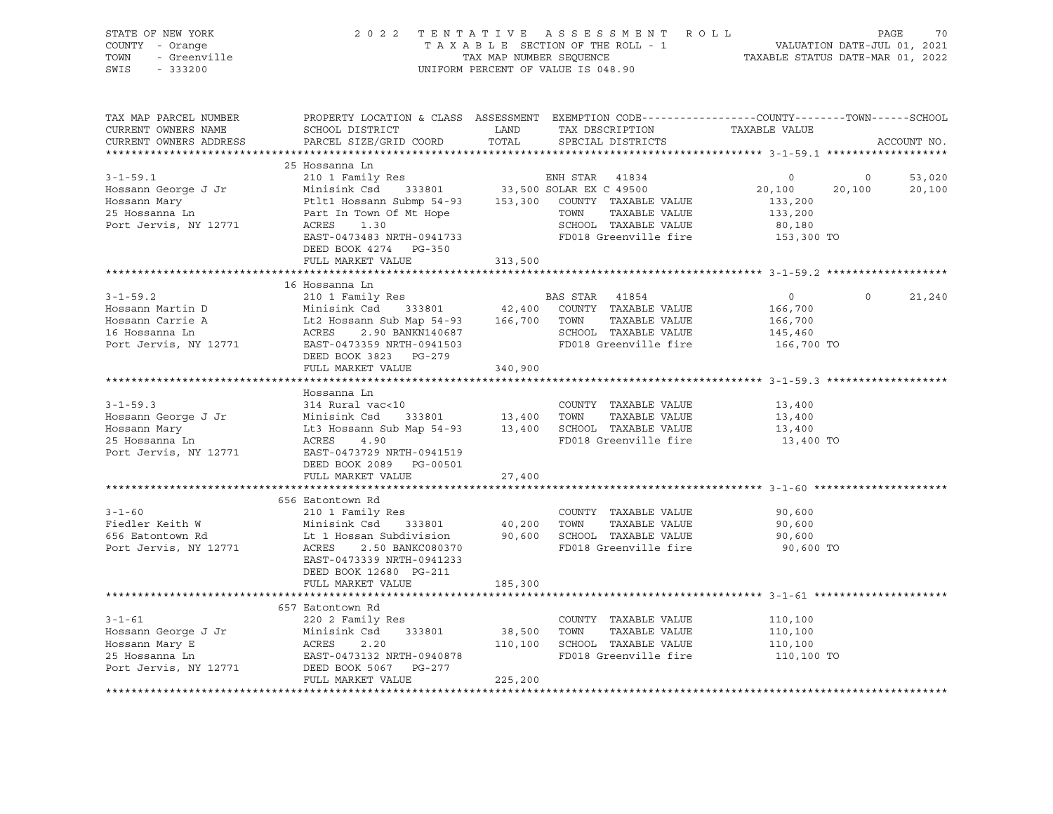| STATE OF NEW YORK<br>Ur NEW IORA<br>I - Orange<br>- Greenville<br>COUNTY - Orange<br>TOWN<br>SWIS - 333200 |                                                                                                                                                                                                           |             | UNIFORM PERCENT OF VALUE IS 048.90                      |                               |                             |
|------------------------------------------------------------------------------------------------------------|-----------------------------------------------------------------------------------------------------------------------------------------------------------------------------------------------------------|-------------|---------------------------------------------------------|-------------------------------|-----------------------------|
| TAX MAP PARCEL NUMBER<br>CURRENT OWNERS NAME<br>CURRENT OWNERS ADDRESS                                     | PROPERTY LOCATION & CLASS ASSESSMENT EXEMPTION CODE---------------COUNTY-------TOWN-----SCHOOL<br>SCHOOL DISTRICT<br>PARCEL SIZE/GRID COORD                                                               | TOTAL       | LAND TAX DESCRIPTION TAXABLE VALUE<br>SPECIAL DISTRICTS |                               | ACCOUNT NO.                 |
|                                                                                                            | 25 Hossanna Ln                                                                                                                                                                                            |             |                                                         |                               |                             |
| $3 - 1 - 59.1$                                                                                             | 210 1 Family Res                                                                                                                                                                                          |             | ENH STAR 41834                                          | $\overline{0}$                | $\overline{0}$<br>53,020    |
| Hossann George J Jr                                                                                        | ENH STAR 41834<br>Minisink Csd 333801 33,500 SOLAR EX C 49500<br>Ptlt1 Hossann Submp 54-93 153,300 COUNTY TAXABLE VALUE<br>Part In Town Of Mt Hope TOWN TAXABLE VALUE<br>ACRES 1.30                       |             |                                                         | 20,100                        | 20,100<br>20,100            |
| Hossann Mary                                                                                               |                                                                                                                                                                                                           |             |                                                         | 133,200                       |                             |
| 25 Hossanna Ln                                                                                             |                                                                                                                                                                                                           |             |                                                         | 133,200                       |                             |
| Port Jervis, NY 12771                                                                                      | ACRES<br>1.30                                                                                                                                                                                             |             | SCHOOL TAXABLE VALUE                                    | 80,180                        |                             |
|                                                                                                            | EAST-0473483 NRTH-0941733                                                                                                                                                                                 |             | FD018 Greenville fire                                   | 153,300 TO                    |                             |
|                                                                                                            | DEED BOOK 4274 PG-350<br>FULL MARKET VALUE                                                                                                                                                                | 313,500     |                                                         |                               |                             |
|                                                                                                            |                                                                                                                                                                                                           |             |                                                         |                               |                             |
|                                                                                                            | 16 Hossanna Ln                                                                                                                                                                                            |             |                                                         |                               |                             |
| $3 - 1 - 59.2$                                                                                             |                                                                                                                                                                                                           |             |                                                         | $\overline{0}$                | $0 \qquad \qquad$<br>21,240 |
| Hossann Martin D                                                                                           |                                                                                                                                                                                                           |             |                                                         |                               |                             |
|                                                                                                            |                                                                                                                                                                                                           |             |                                                         | 166,700<br>166,700<br>145,460 |                             |
| Albudani Carrie A<br>16 Hossanna Ln<br>Port I                                                              |                                                                                                                                                                                                           |             |                                                         |                               |                             |
| Port Jervis, NY 12771                                                                                      | Minisink Csd 333801 42,400 COUNIT IMANDED VIEWS<br>Lt2 Hossann Sub Map 54-93 166,700 TOWN TAXABLE VALUE<br>ACRES 2.90 BANKN140687 SCHOOL TAXABLE VALUE<br>EAST-0473359 NRTH-0941503 FD018 Greenville fire |             |                                                         | 166,700 TO                    |                             |
|                                                                                                            |                                                                                                                                                                                                           | 340,900     |                                                         |                               |                             |
|                                                                                                            | FULL MARKET VALUE                                                                                                                                                                                         |             |                                                         |                               |                             |
|                                                                                                            | Hossanna Ln                                                                                                                                                                                               |             |                                                         |                               |                             |
| $3 - 1 - 59.3$                                                                                             |                                                                                                                                                                                                           |             | COUNTY TAXABLE VALUE                                    | 13,400                        |                             |
| Hossann George J Jr                                                                                        |                                                                                                                                                                                                           |             |                                                         | 13,400                        |                             |
|                                                                                                            |                                                                                                                                                                                                           |             |                                                         | 13,400                        |                             |
| Hossann Mary<br>25 Hossanna Ln                                                                             | 314 Rural vac<10<br>Minisink Csd 333801 13,400 TOWN TAXABLE VALUE<br>Lt3 Hossann Sub Map 54-93 13,400 SCHOOL TAXABLE VALUE<br>ACRES 4.90 13,400 SCHOOL TAXABLE VALUE                                      |             | FD018 Greenville fire                                   | 13,400 TO                     |                             |
| Port Jervis, NY 12771                                                                                      | EAST-0473729 NRTH-0941519                                                                                                                                                                                 |             |                                                         |                               |                             |
|                                                                                                            | DEED BOOK 2089 PG-00501                                                                                                                                                                                   |             |                                                         |                               |                             |
|                                                                                                            | FULL MARKET VALUE                                                                                                                                                                                         | 27,400      |                                                         |                               |                             |
|                                                                                                            | 656 Eatontown Rd                                                                                                                                                                                          |             |                                                         |                               |                             |
| $3 - 1 - 60$                                                                                               |                                                                                                                                                                                                           |             | COUNTY TAXABLE VALUE                                    | 90,600                        |                             |
| Fiedler Keith W                                                                                            |                                                                                                                                                                                                           |             |                                                         | 90,600                        |                             |
| 656 Eatontown Rd                                                                                           |                                                                                                                                                                                                           |             |                                                         | 90,600                        |                             |
| Port Jervis, NY 12771                                                                                      | Lt 1 Hossan Subdivision 90,600 SCHOOL TAXABLE VALUE<br>ACRES 2.50 BANKC080370 FD018 Greenville fire                                                                                                       |             | FD018 Greenville fire                                   | 90,600 TO                     |                             |
|                                                                                                            | EAST-0473339 NRTH-0941233                                                                                                                                                                                 |             |                                                         |                               |                             |
|                                                                                                            | DEED BOOK 12680 PG-211                                                                                                                                                                                    |             |                                                         |                               |                             |
|                                                                                                            | FULL MARKET VALUE                                                                                                                                                                                         | 185,300     |                                                         |                               |                             |
|                                                                                                            |                                                                                                                                                                                                           |             |                                                         |                               |                             |
|                                                                                                            |                                                                                                                                                                                                           |             | COUNTY TAXABLE VALUE                                    | 110,100                       |                             |
|                                                                                                            |                                                                                                                                                                                                           | 38,500 TOWN | TAXABLE VALUE                                           | 110,100                       |                             |
|                                                                                                            |                                                                                                                                                                                                           |             | 110,100 SCHOOL TAXABLE VALUE                            | 110,100                       |                             |
|                                                                                                            | 3-1-61<br>Hossann George J Jr Minisink Come<br>Minisink Come<br>ACRES 2.20<br>EAST-0473132 NRTH-0940878<br>Prep BOOK 5067 PG-277                                                                          |             | FD018 Greenville fire                                   | 110,100 TO                    |                             |
|                                                                                                            |                                                                                                                                                                                                           |             |                                                         |                               |                             |
|                                                                                                            | FULL MARKET VALUE                                                                                                                                                                                         | 225,200     |                                                         |                               |                             |
|                                                                                                            |                                                                                                                                                                                                           |             |                                                         |                               |                             |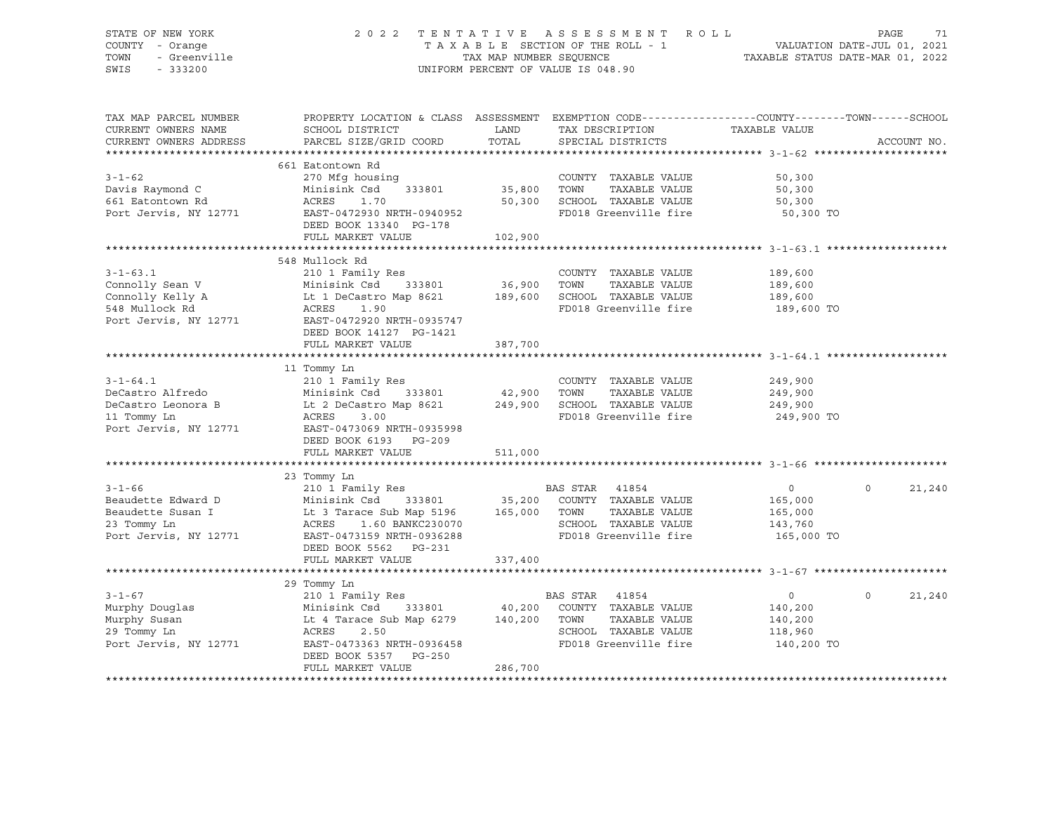#### STATE OF NEW YORK 2 0 2 2 T E N T A T I V E A S S E S S M E N T R O L L PAGE 71 COUNTY - Orange T A X A B L E SECTION OF THE ROLL - 1 VALUATION DATE-JUL 01, 2021 TOWN - Greenville TAX MAP NUMBER SEQUENCE TAXABLE STATUS DATE-MAR 01, 2022<br>TAXABLE STATUS DATE-MAR 01, 2022 UNIFORM PERCENT OF VALUE IS 048.90

TAX MAP PARCEL NUMBER PROPERTY LOCATION & CLASS ASSESSMENT EXEMPTION CODE------------------COUNTY--------TOWN------SCHOOL CURRENT OWNERS NAME SCHOOL DISTRICT LAND TAX DESCRIPTION TAXABLE VALUE CURRENT OWNERS ADDRESS PARCEL SIZE/GRID COORD TOTAL SPECIAL DISTRICTS ACCOUNT NO. \*\*\*\*\*\*\*\*\*\*\*\*\*\*\*\*\*\*\*\*\*\*\*\*\*\*\*\*\*\*\*\*\*\*\*\*\*\*\*\*\*\*\*\*\*\*\*\*\*\*\*\*\*\*\*\*\*\*\*\*\*\*\*\*\*\*\*\*\*\*\*\*\*\*\*\*\*\*\*\*\*\*\*\*\*\*\*\*\*\*\*\*\*\*\*\*\*\*\*\*\*\*\* 3-1-62 \*\*\*\*\*\*\*\*\*\*\*\*\*\*\*\*\*\*\*\*\* 661 Eatontown Rd 3-1-62 270 Mfg housing COUNTY TAXABLE VALUE 50,300 Davis Raymond C Minisink Csd 333801 35,800 TOWN TAXABLE VALUE 50,300 661 Eatontown Rd ACRES 1.70 50,300 SCHOOL TAXABLE VALUE 50,300 Port Jervis, NY 12771 EAST-0472930 NRTH-0940952 FD018 Greenville fire 50,300 TO DEED BOOK 13340 PG-178 FULL MARKET VALUE 102,900 \*\*\*\*\*\*\*\*\*\*\*\*\*\*\*\*\*\*\*\*\*\*\*\*\*\*\*\*\*\*\*\*\*\*\*\*\*\*\*\*\*\*\*\*\*\*\*\*\*\*\*\*\*\*\*\*\*\*\*\*\*\*\*\*\*\*\*\*\*\*\*\*\*\*\*\*\*\*\*\*\*\*\*\*\*\*\*\*\*\*\*\*\*\*\*\*\*\*\*\*\*\*\* 3-1-63.1 \*\*\*\*\*\*\*\*\*\*\*\*\*\*\*\*\*\*\* 548 Mullock Rd 3-1-63.1 210 1 Family Res COUNTY TAXABLE VALUE 189,600 Connolly Sean V Minisink Csd 333801 36,900 TOWN TAXABLE VALUE 189,600 Connolly Kelly A Lt 1 DeCastro Map 8621 189,600 SCHOOL TAXABLE VALUE 189,600 548 Mullock Rd ACRES 1.90 FD018 Greenville fire 189,600 TO Port Jervis, NY 12771 EAST-0472920 NRTH-0935747 DEED BOOK 14127 PG-1421 FULL MARKET VALUE 387,700 \*\*\*\*\*\*\*\*\*\*\*\*\*\*\*\*\*\*\*\*\*\*\*\*\*\*\*\*\*\*\*\*\*\*\*\*\*\*\*\*\*\*\*\*\*\*\*\*\*\*\*\*\*\*\*\*\*\*\*\*\*\*\*\*\*\*\*\*\*\*\*\*\*\*\*\*\*\*\*\*\*\*\*\*\*\*\*\*\*\*\*\*\*\*\*\*\*\*\*\*\*\*\* 3-1-64.1 \*\*\*\*\*\*\*\*\*\*\*\*\*\*\*\*\*\*\* 11 Tommy Ln 3-1-64.1 210 1 Family Res COUNTY TAXABLE VALUE 249,900 DeCastro Alfredo Minisink Csd 333801 42,900 TOWN TAXABLE VALUE 249,900 DeCastro Leonora B Lt 2 DeCastro Map 8621 249,900 SCHOOL TAXABLE VALUE 249,900 11 Tommy Ln ACRES 3.00 FD018 Greenville fire 249,900 TO Port Jervis, NY 12771 EAST-0473069 NRTH-0935998 DEED BOOK 6193 PG-209 FULL MARKET VALUE 511,000 \*\*\*\*\*\*\*\*\*\*\*\*\*\*\*\*\*\*\*\*\*\*\*\*\*\*\*\*\*\*\*\*\*\*\*\*\*\*\*\*\*\*\*\*\*\*\*\*\*\*\*\*\*\*\*\*\*\*\*\*\*\*\*\*\*\*\*\*\*\*\*\*\*\*\*\*\*\*\*\*\*\*\*\*\*\*\*\*\*\*\*\*\*\*\*\*\*\*\*\*\*\*\* 3-1-66 \*\*\*\*\*\*\*\*\*\*\*\*\*\*\*\*\*\*\*\*\* 23 Tommy Ln 3-1-66 210 1 Family Res BAS STAR 41854 0 0 21,240 Beaudette Edward D Minisink Csd 333801 35,200 COUNTY TAXABLE VALUE 165,000 Beaudette Susan I Lt 3 Tarace Sub Map 5196 165,000 TOWN TAXABLE VALUE 165,000 23 Tommy Ln ACRES 1.60 BANKC230070 SCHOOL TAXABLE VALUE 143,760 PD018 Greenville fire 165,000 TO DEED BOOK 5562 PG-231 FULL MARKET VALUE 337,400 \*\*\*\*\*\*\*\*\*\*\*\*\*\*\*\*\*\*\*\*\*\*\*\*\*\*\*\*\*\*\*\*\*\*\*\*\*\*\*\*\*\*\*\*\*\*\*\*\*\*\*\*\*\*\*\*\*\*\*\*\*\*\*\*\*\*\*\*\*\*\*\*\*\*\*\*\*\*\*\*\*\*\*\*\*\*\*\*\*\*\*\*\*\*\*\*\*\*\*\*\*\*\* 3-1-67 \*\*\*\*\*\*\*\*\*\*\*\*\*\*\*\*\*\*\*\*\* 29 Tommy Ln 3-1-67 210 1 Family Res BAS STAR 41854 0 0 21,240 Murphy Douglas Minisink Csd 333801 40,200 COUNTY TAXABLE VALUE 140,200 Murphy Susan Lt 4 Tarace Sub Map 6279 140,200 TOWN TAXABLE VALUE 140,200 29 Tommy Ln Acres 2.50 Map 6279 140,200 TOWN TAXABLE VALUE 140,200<br>29 Tommy Ln ACRES 2.50 SCHOOL TAXABLE VALUE 118,960 Port Jervis, NY 12771 EAST-0473363 NRTH-0936458 FD018 Greenville fire 140,200 TO DEED BOOK 5357 PG-250 FULL MARKET VALUE 286,700 \*\*\*\*\*\*\*\*\*\*\*\*\*\*\*\*\*\*\*\*\*\*\*\*\*\*\*\*\*\*\*\*\*\*\*\*\*\*\*\*\*\*\*\*\*\*\*\*\*\*\*\*\*\*\*\*\*\*\*\*\*\*\*\*\*\*\*\*\*\*\*\*\*\*\*\*\*\*\*\*\*\*\*\*\*\*\*\*\*\*\*\*\*\*\*\*\*\*\*\*\*\*\*\*\*\*\*\*\*\*\*\*\*\*\*\*\*\*\*\*\*\*\*\*\*\*\*\*\*\*\*\*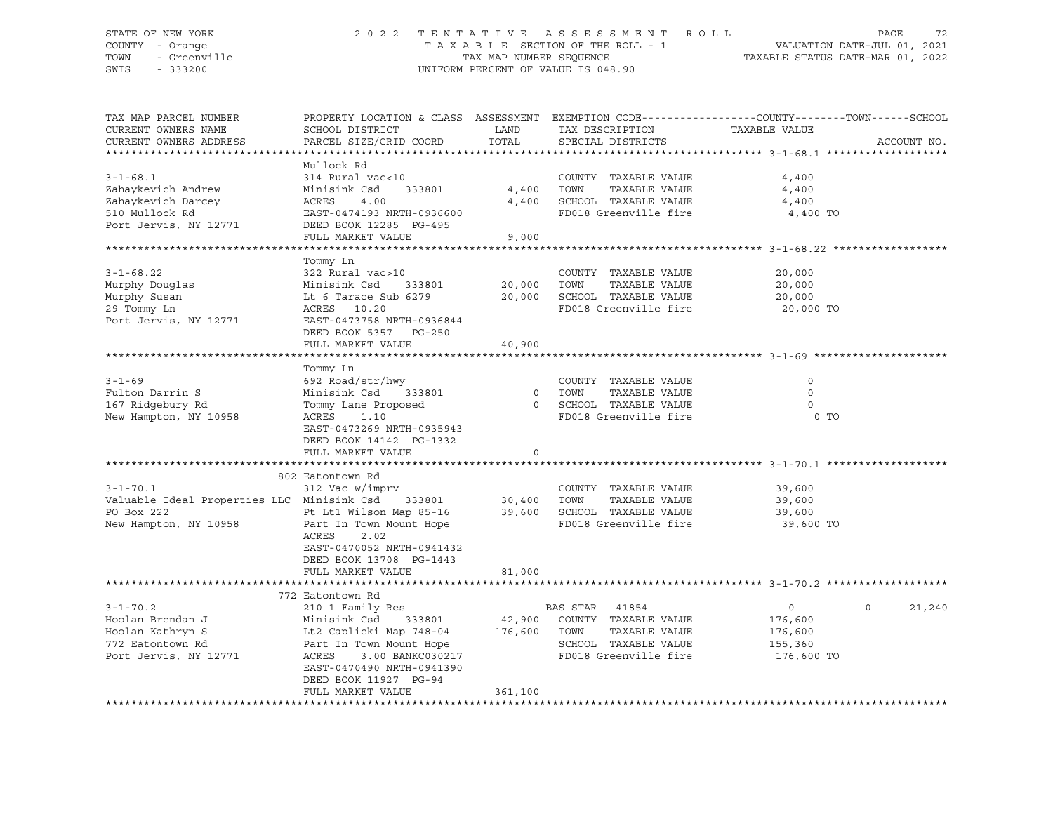### STATE OF NEW YORK 2 0 2 2 T E N T A T I V E A S S E S S M E N T R O L L PAGE 72 COUNTY - Orange T A X A B L E SECTION OF THE ROLL - 1 VALUATION DATE-JUL 01, 2021 TOWN - Greenville TAX MAP NUMBER SEQUENCE TAXABLE STATUS DATE-MAR 01, 2022<br>TAXABLE STATUS DATE-MAR 01, 2022 UNIFORM PERCENT OF VALUE IS 048.90

TAX MAP PARCEL NUMBER PROPERTY LOCATION & CLASS ASSESSMENT EXEMPTION CODE----------------COUNTY-------TOWN-----SCHOOL CURRENT OWNERS NAME SCHOOL DISTRICT LAND TAX DESCRIPTION TAXABLE VALUE CURRENT OWNERS ADDRESS PARCEL SIZE/GRID COORD TOTAL SPECIAL DISTRICTS ACCOUNT NO. \*\*\*\*\*\*\*\*\*\*\*\*\*\*\*\*\*\*\*\*\*\*\*\*\*\*\*\*\*\*\*\*\*\*\*\*\*\*\*\*\*\*\*\*\*\*\*\*\*\*\*\*\*\*\*\*\*\*\*\*\*\*\*\*\*\*\*\*\*\*\*\*\*\*\*\*\*\*\*\*\*\*\*\*\*\*\*\*\*\*\*\*\*\*\*\*\*\*\*\*\*\*\* 3-1-68.1 \*\*\*\*\*\*\*\*\*\*\*\*\*\*\*\*\*\*\* Mullock Rd 3-1-68.1 314 Rural vac<10 COUNTY TAXABLE VALUE 4,400 Zahaykevich Andrew Minisink Csd 333801 4,400 TOWN TAXABLE VALUE 4,400 Zahaykevich Darcey ACRES 4.00 4,400 SCHOOL TAXABLE VALUE 4,400 510 Mullock Rd EAST-0474193 NRTH-0936600 FD018 Greenville fire 4,400 TO Port Jervis, NY 12771 DEED BOOK 12285 PG-495 FULL MARKET VALUE 9,000 \*\*\*\*\*\*\*\*\*\*\*\*\*\*\*\*\*\*\*\*\*\*\*\*\*\*\*\*\*\*\*\*\*\*\*\*\*\*\*\*\*\*\*\*\*\*\*\*\*\*\*\*\*\*\*\*\*\*\*\*\*\*\*\*\*\*\*\*\*\*\*\*\*\*\*\*\*\*\*\*\*\*\*\*\*\*\*\*\*\*\*\*\*\*\*\*\*\*\*\*\*\*\* 3-1-68.22 \*\*\*\*\*\*\*\*\*\*\*\*\*\*\*\*\*\* Tommy Ln 3-1-68.22 322 Rural vac>10 COUNTY TAXABLE VALUE 20,000 Murphy Douglas Minisink Csd 333801 20,000 TOWN TAXABLE VALUE 20,000 Murphy Susan Lt 6 Tarace Sub 6279 20,000 SCHOOL TAXABLE VALUE 20,000 29 Tommy Ln ACRES 10.20 FD018 Greenville fire 20,000 TO Port Jervis, NY 12771 EAST-0473758 NRTH-0936844 DEED BOOK 5357 PG-250 FULL MARKET VALUE 40,900 \*\*\*\*\*\*\*\*\*\*\*\*\*\*\*\*\*\*\*\*\*\*\*\*\*\*\*\*\*\*\*\*\*\*\*\*\*\*\*\*\*\*\*\*\*\*\*\*\*\*\*\*\*\*\*\*\*\*\*\*\*\*\*\*\*\*\*\*\*\*\*\*\*\*\*\*\*\*\*\*\*\*\*\*\*\*\*\*\*\*\*\*\*\*\*\*\*\*\*\*\*\*\* 3-1-69 \*\*\*\*\*\*\*\*\*\*\*\*\*\*\*\*\*\*\*\*\* Tommy Ln 3-1-69 692 Road/str/hwy COUNTY TAXABLE VALUE 0 Fulton Darrin S Minisink Csd 333801 0 TOWN TAXABLE VALUE 0 167 Ridgebury Rd Tommy Lane Proposed 0 SCHOOL TAXABLE VALUE 0 New Hampton, NY 10958 ACRES 1.10 FD018 Greenville fire 0 TO EAST-0473269 NRTH-0935943 DEED BOOK 14142 PG-1332 FULL MARKET VALUE 0 \*\*\*\*\*\*\*\*\*\*\*\*\*\*\*\*\*\*\*\*\*\*\*\*\*\*\*\*\*\*\*\*\*\*\*\*\*\*\*\*\*\*\*\*\*\*\*\*\*\*\*\*\*\*\*\*\*\*\*\*\*\*\*\*\*\*\*\*\*\*\*\*\*\*\*\*\*\*\*\*\*\*\*\*\*\*\*\*\*\*\*\*\*\*\*\*\*\*\*\*\*\*\* 3-1-70.1 \*\*\*\*\*\*\*\*\*\*\*\*\*\*\*\*\*\*\* 802 Eatontown Rd 3-1-70.1 312 Vac w/imprv COUNTY TAXABLE VALUE 39,600 Valuable Ideal Properties LLC Minisink Csd 333801 30,400 TOWN TAXABLE VALUE 39,600 PO Box 222 Pt Lt1 Wilson Map 85-16 39,600 SCHOOL TAXABLE VALUE 39,600 New Hampton, NY 10958 Part In Town Mount Hope FD018 Greenville fire 39,600 TO ACRES 2.02 EAST-0470052 NRTH-0941432 DEED BOOK 13708 PG-1443 FULL MARKET VALUE 81,000 \*\*\*\*\*\*\*\*\*\*\*\*\*\*\*\*\*\*\*\*\*\*\*\*\*\*\*\*\*\*\*\*\*\*\*\*\*\*\*\*\*\*\*\*\*\*\*\*\*\*\*\*\*\*\*\*\*\*\*\*\*\*\*\*\*\*\*\*\*\*\*\*\*\*\*\*\*\*\*\*\*\*\*\*\*\*\*\*\*\*\*\*\*\*\*\*\*\*\*\*\*\*\* 3-1-70.2 \*\*\*\*\*\*\*\*\*\*\*\*\*\*\*\*\*\*\* 772 Eatontown Rd 3-1-70.2 210 1 Family Res BAS STAR 41854 0 0 21,240 Hoolan Brendan J Minisink Csd 333801 42,900 COUNTY TAXABLE VALUE 176,600 Hoolan Kathryn S Lt2 Caplicki Map 748-04 176,600 TOWN TAXABLE VALUE 176,600 772 Eatontown Rd Part In Town Mount Hope SCHOOL TAXABLE VALUE 155,360 Port In Town Mount Hope (1990) Acres 1990 March 176,600 March 176,600 March 176,600 March 176,600 March 1990 M<br>Port Jervis, NY 12771 (1990) ACRES 1990 MARKC030217 (1990) FD018 Greenville fire 176,600 TO EAST-0470490 NRTH-0941390 DEED BOOK 11927 PG-94 FULL MARKET VALUE 361,100 \*\*\*\*\*\*\*\*\*\*\*\*\*\*\*\*\*\*\*\*\*\*\*\*\*\*\*\*\*\*\*\*\*\*\*\*\*\*\*\*\*\*\*\*\*\*\*\*\*\*\*\*\*\*\*\*\*\*\*\*\*\*\*\*\*\*\*\*\*\*\*\*\*\*\*\*\*\*\*\*\*\*\*\*\*\*\*\*\*\*\*\*\*\*\*\*\*\*\*\*\*\*\*\*\*\*\*\*\*\*\*\*\*\*\*\*\*\*\*\*\*\*\*\*\*\*\*\*\*\*\*\*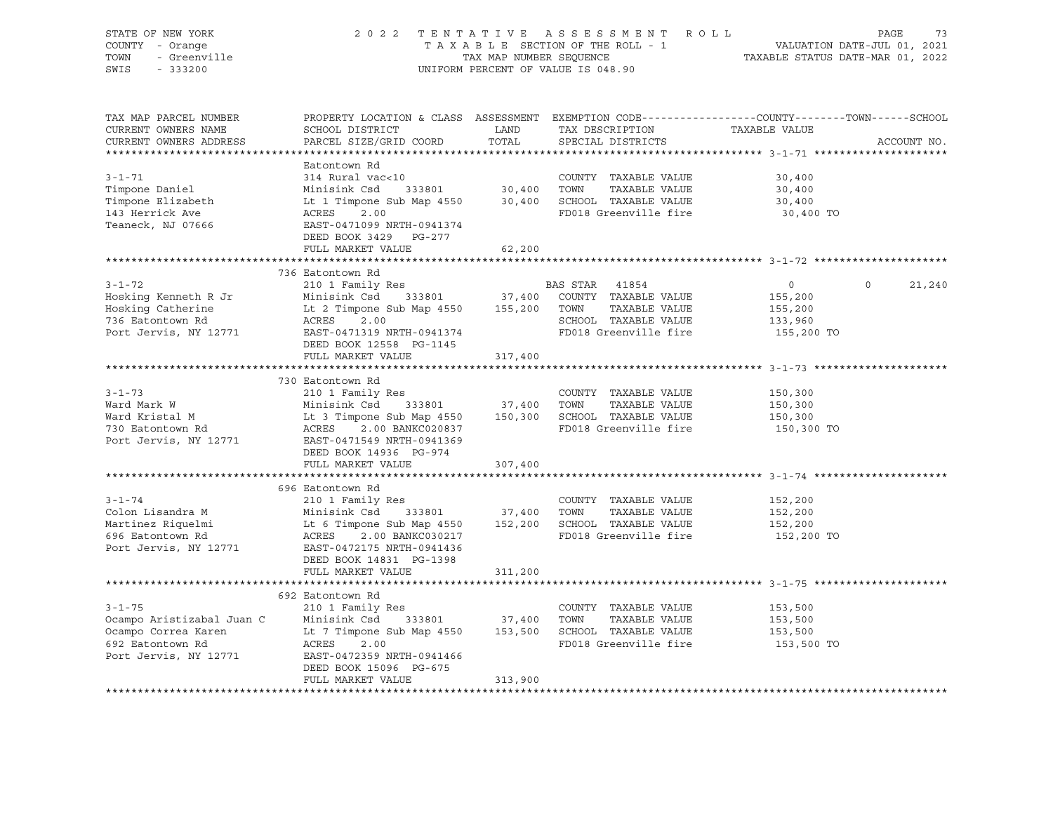| STATE OF NEW YORK<br>COUNTY - Orange<br>TOWN<br>- Greenville<br>SWIS<br>$-333200$                                                       |                                                                                                                                                                                                                                                                                                        |                      | 2022 TENTATIVE ASSESSMENT ROLL<br>UNIFORM PERCENT OF VALUE IS 048.90                    | TAXABLE SECTION OF THE ROLL - 1<br>TAXABLE SECTION OF THE ROLL - 1<br>TAXABLE STATUS DATE-MAR 01, 2022 | PAGE<br>73  |
|-----------------------------------------------------------------------------------------------------------------------------------------|--------------------------------------------------------------------------------------------------------------------------------------------------------------------------------------------------------------------------------------------------------------------------------------------------------|----------------------|-----------------------------------------------------------------------------------------|--------------------------------------------------------------------------------------------------------|-------------|
| TAX MAP PARCEL NUMBER<br>CURRENT OWNERS NAME<br>CURRENT OWNERS ADDRESS                                                                  | PROPERTY LOCATION & CLASS ASSESSMENT EXEMPTION CODE---------------COUNTY-------TOWN-----SCHOOL<br>SCHOOL DISTRICT<br>PARCEL SIZE/GRID COORD                                                                                                                                                            | <b>LAND</b><br>TOTAL | TAX DESCRIPTION TAXABLE VALUE<br>SPECIAL DISTRICTS                                      |                                                                                                        | ACCOUNT NO. |
| $3 - 1 - 71$<br>Timpone Daniel<br>Timpone Elizabeth<br>143 Herrick Ave<br>Teaneck, NJ 07666                                             | Eatontown Rd<br>314 Rural vac<10<br>Minisink Csd 333801 30,400 TOWN TAXABLE VALUE<br>Lt 1 Timpone Sub Map 4550 30,400 SCHOOL TAXABLE VALUE<br>ACRES 2.00 RD018 Greenwills fine<br>EAST-0471099 NRTH-0941374<br>DEED BOOK 3429 PG-277<br>FULL MARKET VALUE                                              | 62,200               | COUNTY TAXABLE VALUE<br>FD018 Greenville fire                                           | 30,400<br>30,400<br>30,400<br>30,400 TO                                                                |             |
|                                                                                                                                         |                                                                                                                                                                                                                                                                                                        |                      |                                                                                         |                                                                                                        |             |
| $3 - 1 - 72$<br>Hosking Kenneth R Jr<br>Hosking Catherine<br>736 Eatontown Rd<br>Port Jervis, NY 12771 EAST-0471319 NRTH-0941374        | 736 Eatontown Rd<br>210 1 Family Res<br>$333801$ $37,400$<br>Minisink Csd<br>Lt 2 Timpone Sub Map 4550 155,200 TOWN TAXABLE VALUE<br>ACRES 2.00<br>DEED BOOK 12558 PG-1145                                                                                                                             |                      | BAS STAR 41854<br>COUNTY TAXABLE VALUE<br>SCHOOL TAXABLE VALUE<br>FD018 Greenville fire | $\overline{0}$<br>$\bigcirc$<br>155,200<br>155,200<br>133,960<br>155,200 TO                            | 21,240      |
|                                                                                                                                         | FULL MARKET VALUE                                                                                                                                                                                                                                                                                      | 317,400              |                                                                                         |                                                                                                        |             |
| $3 - 1 - 73$<br>Ward Mark W<br>ward <i>nain</i> "<br>Ward Kristal M<br>730 Eatontown Rd<br>Port Jervis, NY 12771                        | 730 Eatontown Rd<br>210 1 Family Res<br>Minisink Csd 333801 37,400 TOWN TAXABLE VALUE<br>Lt 3 Timpone Sub Map 4550 150,300 SCHOOL TAXABLE VALUE<br>ACRES 2.00 BANKC020837 FD018 Greenwills fire<br>EAST-0471549 NRTH-0941369<br>DEED BOOK 14936 PG-974                                                 |                      | COUNTY TAXABLE VALUE<br>FD018 Greenville fire                                           | 150,300<br>150,300<br>150,300<br>150,300 TO                                                            |             |
|                                                                                                                                         | FULL MARKET VALUE                                                                                                                                                                                                                                                                                      | 307,400              |                                                                                         |                                                                                                        |             |
| $3 - 1 - 74$<br>Colon Lisandra M<br>Martinez Riquelmi<br>696 Eatontown Rd<br>Port Jervis, NY 12771                                      | 696 Eatontown Rd<br>210 1 Family Res<br>Minisink Csd 333801 37,400 TOWN TAXABLE VALUE<br>Lt 6 Timpone Sub Map 4550 152,200 SCHOOL TAXABLE VALUE<br>ACRES 2.00 BANKC030217 FD018 Greenville fire<br>ACRES 2.00 BANKC030217<br>EAST-0472175 NRTH-0941436<br>DEED BOOK 14831 PG-1398<br>FULL MARKET VALUE | 311,200              | COUNTY TAXABLE VALUE                                                                    | 152,200<br>152,200<br>152,200<br>152,200 TO                                                            |             |
|                                                                                                                                         |                                                                                                                                                                                                                                                                                                        |                      |                                                                                         |                                                                                                        |             |
| $3 - 1 - 75$<br>Ocampo Aristizabal Juan C<br>Ocampo Correa Karen<br>692 Eatontown Rd<br>Port Jervis, NY 12771 EAST-0472359 NRTH-0941466 | 692 Eatontown Rd<br>210 1 Family Res<br>Minisink Csd 333801 37,400 TOWN TAXABLE VALUE<br>Lt 7 Timpone Sub Map 4550 153,500 SCHOOL TAXABLE VALUE<br>ACRES 2.00<br>DEED BOOK 15096 PG-675<br>FULL MARKET VALUE                                                                                           | 313,900              | COUNTY TAXABLE VALUE<br>FD018 Greenville fire                                           | 153,500<br>153,500<br>153,500<br>153,500 TO                                                            |             |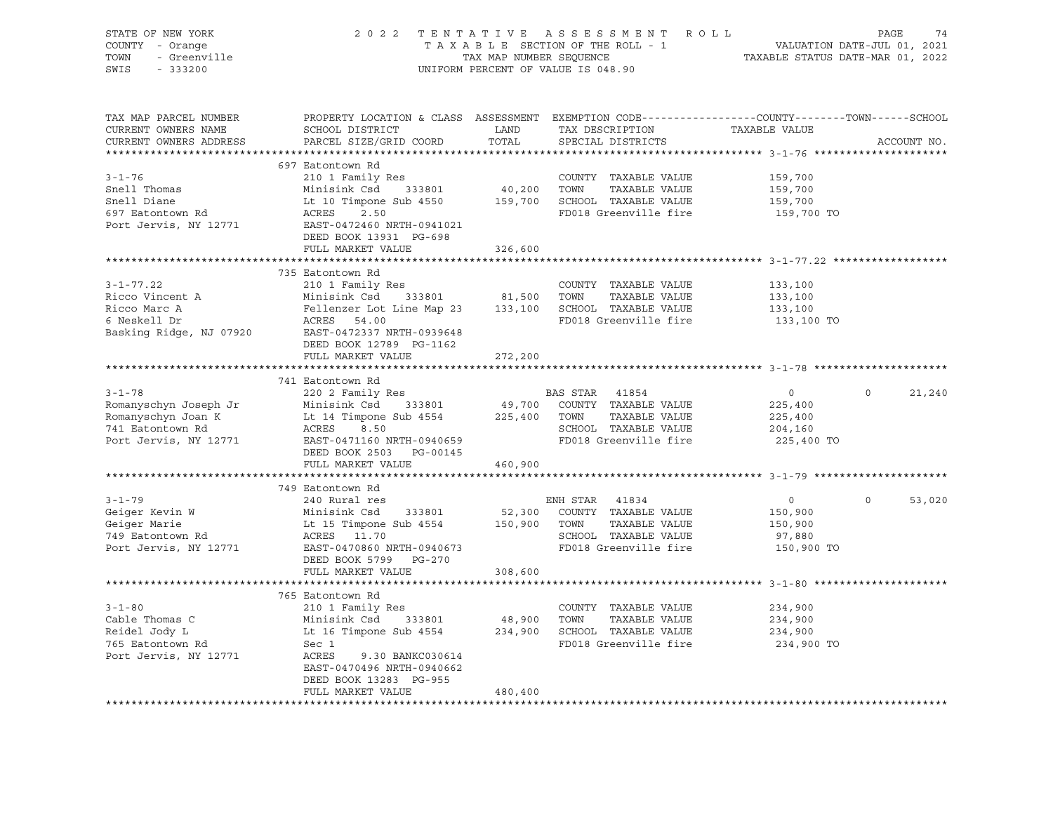| STATE OF NEW YORK<br>COUNTY - Orange<br>TOWN<br>- Greenville<br>SWIS<br>$-333200$                        |                                                                                                                                                                                                            | TAX MAP NUMBER SEQUENCE      | 2022 TENTATIVE ASSESSMENT ROLL<br>TAXABLE SECTION OF THE ROLL - 1<br>UNIFORM PERCENT OF VALUE IS 048.90             | VALUATION DATE-JUL 01, 2021<br>TAXABLE STATUS DATE-MAR 01, 2022 | PAGE<br>74         |
|----------------------------------------------------------------------------------------------------------|------------------------------------------------------------------------------------------------------------------------------------------------------------------------------------------------------------|------------------------------|---------------------------------------------------------------------------------------------------------------------|-----------------------------------------------------------------|--------------------|
| TAX MAP PARCEL NUMBER<br>CURRENT OWNERS NAME<br>CURRENT OWNERS ADDRESS                                   | PROPERTY LOCATION & CLASS ASSESSMENT EXEMPTION CODE----------------COUNTY-------TOWN-----SCHOOL<br>SCHOOL DISTRICT<br>PARCEL SIZE/GRID COORD                                                               | LAND<br>TOTAL                | TAX DESCRIPTION<br>SPECIAL DISTRICTS                                                                                | TAXABLE VALUE                                                   | ACCOUNT NO.        |
| $3 - 1 - 76$<br>Snell Thomas<br>Snell Diane<br>697 Eatontown Rd<br>Port Jervis, NY 12771                 | 697 Eatontown Rd<br>210 1 Family Res<br>Minisink Csd<br>333801<br>Lt 10 Timpone Sub 4550<br>2.50<br>ACRES<br>EAST-0472460 NRTH-0941021<br>DEED BOOK 13931 PG-698<br>FULL MARKET VALUE                      | 40,200<br>326,600            | COUNTY TAXABLE VALUE<br>TOWN<br>TAXABLE VALUE<br>159,700 SCHOOL TAXABLE VALUE<br>FD018 Greenville fire              | 159,700<br>159,700<br>159,700<br>159,700 TO                     |                    |
|                                                                                                          |                                                                                                                                                                                                            |                              |                                                                                                                     |                                                                 |                    |
| $3 - 1 - 77.22$<br>Ricco Vincent A<br>Ricco Marc A<br>6 Neskell Dr<br>Basking Ridge, NJ 07920            | 735 Eatontown Rd<br>210 1 Family Res<br>Minisink Csd<br>333801<br>Fellenzer Lot Line Map 23<br>ACRES 54.00<br>EAST-0472337 NRTH-0939648<br>DEED BOOK 12789 PG-1162                                         | 81,500                       | COUNTY TAXABLE VALUE<br>TOWN<br>TAXABLE VALUE<br>133,100 SCHOOL TAXABLE VALUE<br>FD018 Greenville fire              | 133,100<br>133,100<br>133,100<br>133,100 TO                     |                    |
|                                                                                                          | FULL MARKET VALUE                                                                                                                                                                                          | 272,200                      |                                                                                                                     |                                                                 |                    |
|                                                                                                          |                                                                                                                                                                                                            |                              |                                                                                                                     |                                                                 |                    |
| $3 - 1 - 78$<br>Romanyschyn Joseph Jr<br>Romanyschyn Joan K<br>741 Eatontown Rd<br>Port Jervis, NY 12771 | 741 Eatontown Rd<br>220 2 Family Res<br>Minisink Csd<br>333801<br>Lt 14 Timpone Sub 4554<br>ACRES<br>8.50<br>EAST-0471160 NRTH-0940659<br>DEED BOOK 2503 PG-00145<br>FULL MARKET VALUE                     | 49,700<br>225,400<br>460,900 | BAS STAR<br>41854<br>COUNTY TAXABLE VALUE<br>TOWN<br>TAXABLE VALUE<br>SCHOOL TAXABLE VALUE<br>FD018 Greenville fire | $\circ$<br>225,400<br>225,400<br>204,160<br>225,400 TO          | $\Omega$<br>21,240 |
|                                                                                                          |                                                                                                                                                                                                            |                              |                                                                                                                     |                                                                 |                    |
| $3 - 1 - 79$<br>Geiger Kevin W<br>Geiger Marie<br>749 Eatontown Rd<br>Port Jervis, NY 12771              | 749 Eatontown Rd<br>240 Rural res<br>Minisink Csd<br>333801<br>Lt 15 Timpone Sub 4554<br>ACRES 11.70<br>EAST-0470860 NRTH-0940673<br>DEED BOOK 5799 PG-270<br>FULL MARKET VALUE                            | 52,300<br>150,900<br>308,600 | ENH STAR 41834<br>COUNTY TAXABLE VALUE<br>TOWN<br>TAXABLE VALUE<br>SCHOOL TAXABLE VALUE<br>FD018 Greenville fire    | $\circ$<br>150,900<br>150,900<br>97,880<br>150,900 TO           | $\Omega$<br>53,020 |
|                                                                                                          |                                                                                                                                                                                                            |                              |                                                                                                                     |                                                                 |                    |
| $3 - 1 - 80$<br>Cable Thomas C<br>Reidel Jody L<br>765 Eatontown Rd<br>Port Jervis, NY 12771             | 765 Eatontown Rd<br>210 1 Family Res<br>Minisink Csd<br>333801<br>Lt 16 Timpone Sub 4554<br>Sec 1<br>ACRES<br>9.30 BANKC030614<br>EAST-0470496 NRTH-0940662<br>DEED BOOK 13283 PG-955<br>FULL MARKET VALUE | 48,900<br>480,400            | COUNTY TAXABLE VALUE<br>TOWN<br>TAXABLE VALUE<br>234,900 SCHOOL TAXABLE VALUE<br>FD018 Greenville fire              | 234,900<br>234,900<br>234,900<br>234,900 TO                     |                    |
|                                                                                                          |                                                                                                                                                                                                            |                              |                                                                                                                     |                                                                 |                    |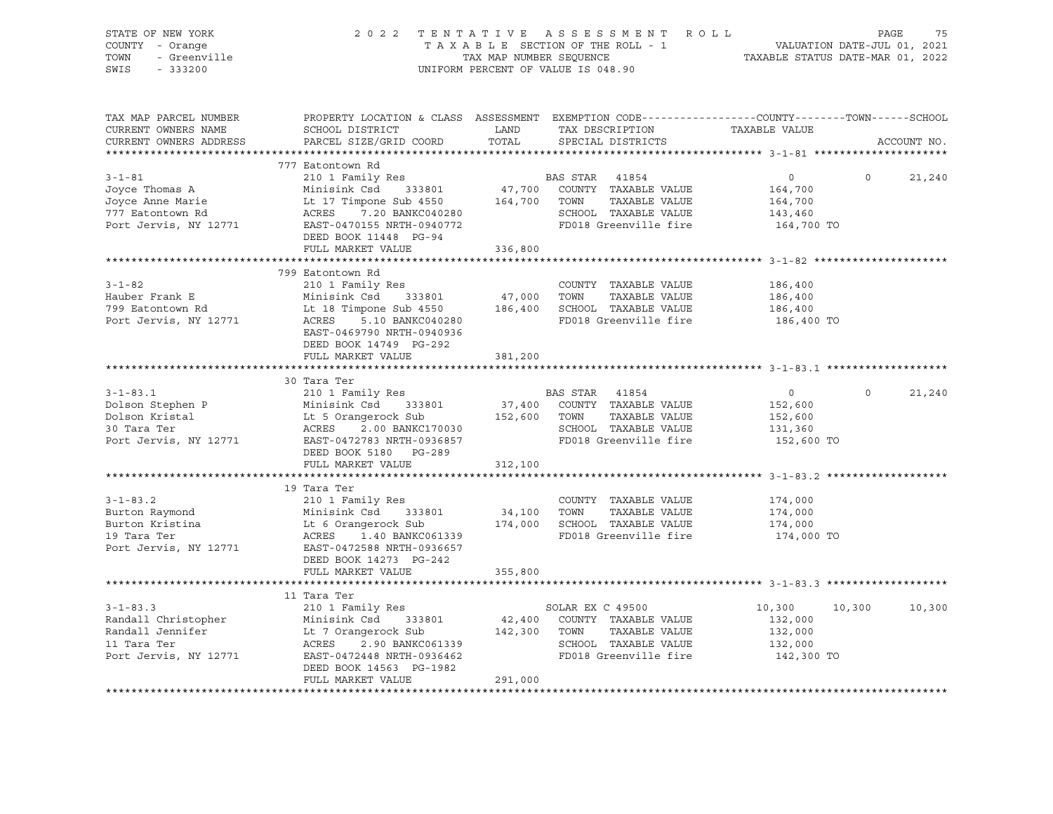| STATE OF NEW YORK<br>COUNTY - Orange<br>OF NEW TO<br>- Orange<br>- Greenville |                                                                                                                                                                                                                                                                               |         | 2022 TENTATIVE ASSESSMENT ROLL PAGE 75<br>TAXABLE SECTION OF THE ROLL - 1 VALUATION DATE-JUL 01, 2021<br>TAX MAP NUMBER SEQUENCE TAXABLE STATUS DATE-MAR 01, 2022<br>UNIFORM PERCENT OF VALUE IS 048.90 |                    |                |             |
|-------------------------------------------------------------------------------|-------------------------------------------------------------------------------------------------------------------------------------------------------------------------------------------------------------------------------------------------------------------------------|---------|---------------------------------------------------------------------------------------------------------------------------------------------------------------------------------------------------------|--------------------|----------------|-------------|
| TOWN                                                                          |                                                                                                                                                                                                                                                                               |         |                                                                                                                                                                                                         |                    |                |             |
| SWIS                                                                          |                                                                                                                                                                                                                                                                               |         |                                                                                                                                                                                                         |                    |                |             |
|                                                                               |                                                                                                                                                                                                                                                                               |         |                                                                                                                                                                                                         |                    |                |             |
| TAX MAP PARCEL NUMBER                                                         | PROPERTY LOCATION & CLASS ASSESSMENT EXEMPTION CODE----------------COUNTY-------TOWN------SCHOOL                                                                                                                                                                              |         |                                                                                                                                                                                                         |                    |                |             |
| CURRENT OWNERS NAME                                                           |                                                                                                                                                                                                                                                                               |         |                                                                                                                                                                                                         |                    |                |             |
| CURRENT OWNERS ADDRESS                                                        |                                                                                                                                                                                                                                                                               |         |                                                                                                                                                                                                         |                    |                | ACCOUNT NO. |
|                                                                               |                                                                                                                                                                                                                                                                               |         |                                                                                                                                                                                                         |                    |                |             |
|                                                                               | 777 Eatontown Rd                                                                                                                                                                                                                                                              |         |                                                                                                                                                                                                         |                    |                |             |
|                                                                               |                                                                                                                                                                                                                                                                               |         |                                                                                                                                                                                                         | $\overline{0}$ 0   |                | 21,240      |
|                                                                               |                                                                                                                                                                                                                                                                               |         |                                                                                                                                                                                                         |                    |                |             |
|                                                                               | 3-1-81<br>Joyce Thomas A 210 1 Family Res<br>Joyce Anne Marie Lt 17 Timpone Sub 4550<br>The Sand COUNTY TAXABLE VALUE 164,700<br>TAXABLE VALUE 164,700<br>TAXABLE VALUE 164,700<br>TAXABLE VALUE 164,700<br>TAXABLE VALUE 164,700<br>TAXABLE                                  |         |                                                                                                                                                                                                         |                    |                |             |
|                                                                               |                                                                                                                                                                                                                                                                               |         |                                                                                                                                                                                                         |                    |                |             |
|                                                                               | DEED BOOK 11448 PG-94                                                                                                                                                                                                                                                         |         |                                                                                                                                                                                                         |                    |                |             |
|                                                                               | FULL MARKET VALUE                                                                                                                                                                                                                                                             | 336,800 |                                                                                                                                                                                                         |                    |                |             |
|                                                                               |                                                                                                                                                                                                                                                                               |         |                                                                                                                                                                                                         |                    |                |             |
|                                                                               | 799 Eatontown Rd                                                                                                                                                                                                                                                              |         |                                                                                                                                                                                                         |                    |                |             |
|                                                                               |                                                                                                                                                                                                                                                                               |         |                                                                                                                                                                                                         | 186,400            |                |             |
|                                                                               |                                                                                                                                                                                                                                                                               |         |                                                                                                                                                                                                         | 186,400            |                |             |
|                                                                               |                                                                                                                                                                                                                                                                               |         |                                                                                                                                                                                                         | 186,400            |                |             |
|                                                                               | 3-1-82<br>Hauber Frank E<br>Minisink Csd 333801<br>799 Eatontown Rd Lt 18 Timpone Sub 4550<br>799 Eatontown Rd Lt 18 Timpone Sub 4550<br>799 Eatontown Rd Lt 18 Timpone Sub 4550<br>799 Eatontown Rd Lt 18 Timpone Sub 4550<br>799 Eatontown                                  |         |                                                                                                                                                                                                         | 186,400 TO         |                |             |
|                                                                               | EAST-0469790 NRTH-0940936                                                                                                                                                                                                                                                     |         |                                                                                                                                                                                                         |                    |                |             |
|                                                                               | DEED BOOK 14749 PG-292                                                                                                                                                                                                                                                        |         |                                                                                                                                                                                                         |                    |                |             |
|                                                                               | FULL MARKET VALUE                                                                                                                                                                                                                                                             | 381,200 |                                                                                                                                                                                                         |                    |                |             |
|                                                                               |                                                                                                                                                                                                                                                                               |         |                                                                                                                                                                                                         |                    |                |             |
|                                                                               |                                                                                                                                                                                                                                                                               |         |                                                                                                                                                                                                         |                    |                |             |
|                                                                               | 30 Tara Ter                                                                                                                                                                                                                                                                   |         |                                                                                                                                                                                                         |                    |                |             |
|                                                                               |                                                                                                                                                                                                                                                                               |         |                                                                                                                                                                                                         |                    | $\overline{0}$ | 21,240      |
|                                                                               |                                                                                                                                                                                                                                                                               |         |                                                                                                                                                                                                         |                    |                |             |
|                                                                               |                                                                                                                                                                                                                                                                               |         |                                                                                                                                                                                                         |                    |                |             |
|                                                                               |                                                                                                                                                                                                                                                                               |         |                                                                                                                                                                                                         |                    |                |             |
|                                                                               | 30 Tara Ter<br>210 1 Family Res<br>210 1 Family Res<br>210 1 Family Res<br>210 1 Family Res<br>210 1 Family Res<br>210 1 Family Res<br>210 1 Family Res<br>37,400 COUNTY TAXABLE VALUE<br>37,400 COUNTY TAXABLE VALUE<br>23,600<br>230 Tara Ter<br>2.0                        |         |                                                                                                                                                                                                         |                    |                |             |
|                                                                               | DEED BOOK 5180 PG-289<br>FULL MARKET VALUE                                                                                                                                                                                                                                    |         |                                                                                                                                                                                                         |                    |                |             |
|                                                                               |                                                                                                                                                                                                                                                                               | 312,100 |                                                                                                                                                                                                         |                    |                |             |
|                                                                               | 19 Tara Ter                                                                                                                                                                                                                                                                   |         |                                                                                                                                                                                                         |                    |                |             |
| $3 - 1 - 83.2$                                                                |                                                                                                                                                                                                                                                                               |         | COUNTY TAXABLE VALUE                                                                                                                                                                                    | 174,000            |                |             |
|                                                                               | 210 1 Family Res                                                                                                                                                                                                                                                              |         |                                                                                                                                                                                                         |                    |                |             |
|                                                                               |                                                                                                                                                                                                                                                                               |         |                                                                                                                                                                                                         | 174,000<br>174,000 |                |             |
|                                                                               |                                                                                                                                                                                                                                                                               |         | FD018 Greenville fire                                                                                                                                                                                   | 174,000 TO         |                |             |
|                                                                               | 3-1-83.2 210 1 Family Res<br>Burton Raymond Minisink Csd 333801 34,100 TOWN TAXABLE VALUE<br>Burton Kristina Lt 6 Orangerock Sub 174,000 SCHOOL TAXABLE VALUE<br>19 Tara Ter (ACRES 1.40 BANKC061339 FD018 Greenville fire<br>Port Jervis, NY 12771 EAST-0472588 NRTH-0936657 |         |                                                                                                                                                                                                         |                    |                |             |
|                                                                               | DEED BOOK 14273 PG-242                                                                                                                                                                                                                                                        |         |                                                                                                                                                                                                         |                    |                |             |
|                                                                               | FULL MARKET VALUE                                                                                                                                                                                                                                                             | 355,800 |                                                                                                                                                                                                         |                    |                |             |
|                                                                               |                                                                                                                                                                                                                                                                               |         |                                                                                                                                                                                                         |                    |                |             |
|                                                                               | 11 Tara Ter                                                                                                                                                                                                                                                                   |         |                                                                                                                                                                                                         |                    |                |             |
| $3 - 1 - 83.3$                                                                | 210 1 Family Res                                                                                                                                                                                                                                                              |         | SOLAR EX C 49500                                                                                                                                                                                        | 10,300             | 10,300         | 10,300      |
|                                                                               |                                                                                                                                                                                                                                                                               |         |                                                                                                                                                                                                         |                    |                |             |
|                                                                               |                                                                                                                                                                                                                                                                               |         |                                                                                                                                                                                                         |                    |                |             |
|                                                                               |                                                                                                                                                                                                                                                                               |         |                                                                                                                                                                                                         |                    |                |             |
|                                                                               | 3-1-83.3<br>Randall Christopher Minisink Csd 333801 42,400 COUNTY TAXABLE VALUE<br>Randall Jennifer Lt 7 Orangerock Sub 142,300 TOWN TAXABLE VALUE 132,000<br>11 Tara Ter ACRES 2.90 BANKC061339 SCHOOL TAXABLE VALUE 132,000<br>Port                                         |         |                                                                                                                                                                                                         |                    |                |             |
|                                                                               | DEED BOOK 14563 PG-1982<br>FULL MARKET VALUE                                                                                                                                                                                                                                  | 291,000 |                                                                                                                                                                                                         |                    |                |             |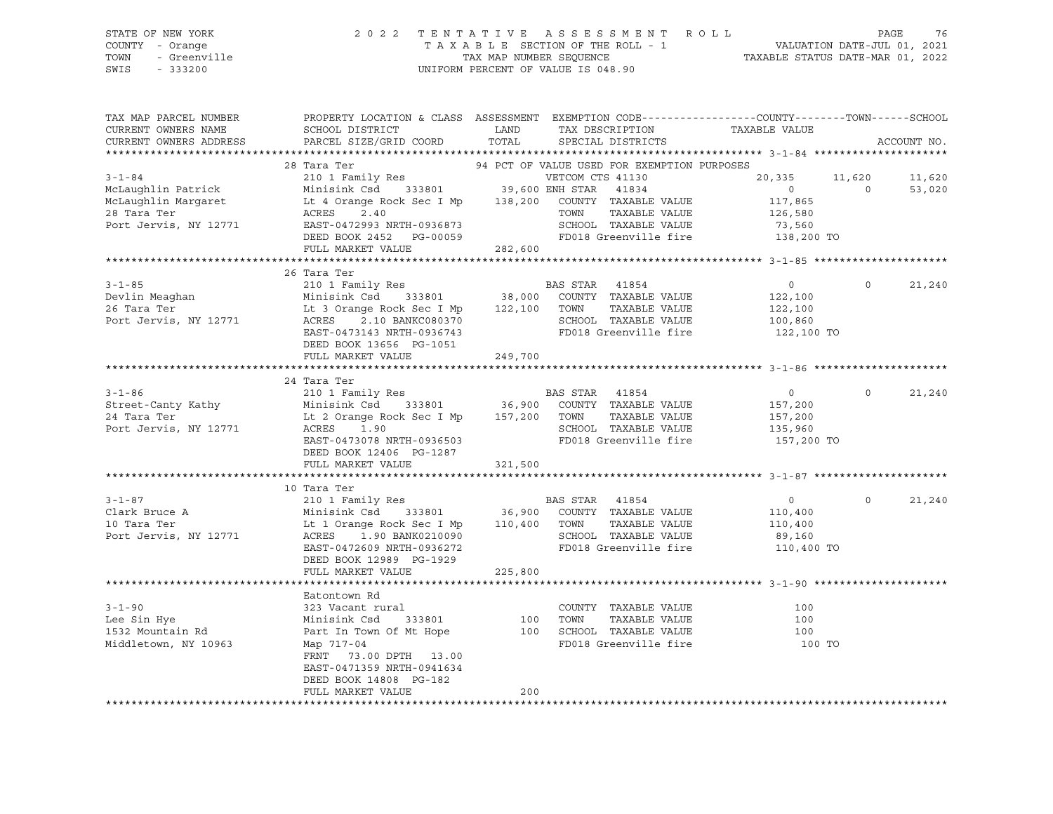| STATE OF NEW YORK<br>COUNTY - Orange<br>- Greenville<br>TOWN<br>SWIS<br>$-333200$ |                                                                                                                                                                 | 2022 TENTATIVE ASSESSMENT ROLL<br>TAXABLE SECTION OF THE ROLL - 1 VALUATION DATE-JUL 01, 2021<br>TAX MAP NUMBER SEQUENCE TAXABLE STATUS DATE-MAR 01, 2022<br>UNIFORM PERCENT OF VALUE IS 048.90                                                                |                                                        | 76<br>PAGE       |
|-----------------------------------------------------------------------------------|-----------------------------------------------------------------------------------------------------------------------------------------------------------------|----------------------------------------------------------------------------------------------------------------------------------------------------------------------------------------------------------------------------------------------------------------|--------------------------------------------------------|------------------|
| CURRENT OWNERS NAME                                                               | SCHOOL DISTRICT                                                                                                                                                 | TAX MAP PARCEL NUMBER THE PROPERTY LOCATION & CLASS ASSESSMENT EXEMPTION CODE--------------COUNTY-------TOWN------SCHOOL<br><b>EXAMPLE TO A LAND</b><br>TAX DESCRIPTION TAXABLE VALUE<br>CURRENT OWNERS ADDRESS BARCEL SIZE/GRID COORD TOTAL SPECIAL DISTRICTS |                                                        | ACCOUNT NO.      |
|                                                                                   |                                                                                                                                                                 | 28 Tara Ter<br>94 PCT OF VALUE USED FOR EXEMPTION PURPOSES                                                                                                                                                                                                     |                                                        |                  |
|                                                                                   | Port Jervis, NY 12771 EAST-0472993 NRTH-0936873<br>DEED BOOK 2452 PG-00059<br>FULL MARKET VALUE                                                                 | 3-1-84 VETCOM CTS 41130<br>McLaughlin Patrick Minisink Csd 333801 39,600 ENH STAR 41834<br>ACLAUGHLIN MINISING Minisink Csd 333801 39,600 ENH STAR 41834<br>SCHOOL TAXABLE VALUE 73,560<br>FD018 Greenville fire 138,200 TO<br>282,600                         | 20,335 11,620                                          | 11,620<br>53,020 |
| 26 Tara Ter<br>Port Jervis, NY 12771                                              | 26 Tara Ter<br>Lt 3 Orange Rock Sec I Mp 122,100 TOWN<br>ACRES<br>2.10 BANKC080370<br>EAST-0473143 NRTH-0936743<br>DEED BOOK 13656 PG-1051<br>FULL MARKET VALUE | TAXABLE VALUE 122,100<br>SCHOOL TAXABLE VALUE<br>FD018 Greenville fire 122,100 TO<br>249,700                                                                                                                                                                   | $\overline{0}$<br>$\overline{0}$<br>122,100<br>100,860 | 21,240           |
| 24 Tara Ter                                                                       | 24 Tara Ter<br>Lt 2 Orange Rock Sec I Mp 157,200 TOWN                                                                                                           | TAXABLE VALUE<br>Port Jervis. NY 12771            ACRES     1.90                                SCHOOL   TAXABLE VALUE                                                                                                                                         | $\circ$<br>157,200<br>135,960                          | 21,240           |

 EAST-0473078 NRTH-0936503 FD018 Greenville fire 157,200 TO DEED BOOK 12406 PG-1287 FULL MARKET VALUE 321,500 \*\*\*\*\*\*\*\*\*\*\*\*\*\*\*\*\*\*\*\*\*\*\*\*\*\*\*\*\*\*\*\*\*\*\*\*\*\*\*\*\*\*\*\*\*\*\*\*\*\*\*\*\*\*\*\*\*\*\*\*\*\*\*\*\*\*\*\*\*\*\*\*\*\*\*\*\*\*\*\*\*\*\*\*\*\*\*\*\*\*\*\*\*\*\*\*\*\*\*\*\*\*\* 3-1-87 \*\*\*\*\*\*\*\*\*\*\*\*\*\*\*\*\*\*\*\*\* 10 Tara Ter 3-1-87 210 1 Family Res BAS STAR 41854 0 0 21,240 Clark Bruce A Minisink Csd 333801 36,900 COUNTY TAXABLE VALUE 110,400 10 Tara Ter 10 Tara Ter 110,400 Lt 1 Orange Rock Sec I Mp 110,400 TOWN TAXABLE VALUE 110,400<br>Port Jervis, NY 12771 200 ACRES 1.90 BANK0210090 2CHOOL TAXABLE VALUE 189.160 Port Jervis, NY 12771 ACRES 1.90 BANK0210090 SCHOOL TAXABLE VALUE 89,160 EAST-0472609 NRTH-0936272 FD018 Greenville fire 110,400 TO DEED BOOK 12989 PG-1929 FULL MARKET VALUE 225,800 \*\*\*\*\*\*\*\*\*\*\*\*\*\*\*\*\*\*\*\*\*\*\*\*\*\*\*\*\*\*\*\*\*\*\*\*\*\*\*\*\*\*\*\*\*\*\*\*\*\*\*\*\*\*\*\*\*\*\*\*\*\*\*\*\*\*\*\*\*\*\*\*\*\*\*\*\*\*\*\*\*\*\*\*\*\*\*\*\*\*\*\*\*\*\*\*\*\*\*\*\*\*\* 3-1-90 \*\*\*\*\*\*\*\*\*\*\*\*\*\*\*\*\*\*\*\*\* Eatontown Rd 3-1-90 323 Vacant rural COUNTY TAXABLE VALUE 100 Lee Sin Hye Minisink Csd 333801 100 TOWN TAXABLE VALUE 100 1532 Mountain Rd Part In Town Of Mt Hope 100 SCHOOL TAXABLE VALUE 100 Middletown, NY 10963 Map 717-04 Map 717-04 FD018 Greenville fire 100 TO FRNT 73.00 DPTH 13.00 EAST-0471359 NRTH-0941634 DEED BOOK 14808 PG-182 FULL MARKET VALUE 200 \*\*\*\*\*\*\*\*\*\*\*\*\*\*\*\*\*\*\*\*\*\*\*\*\*\*\*\*\*\*\*\*\*\*\*\*\*\*\*\*\*\*\*\*\*\*\*\*\*\*\*\*\*\*\*\*\*\*\*\*\*\*\*\*\*\*\*\*\*\*\*\*\*\*\*\*\*\*\*\*\*\*\*\*\*\*\*\*\*\*\*\*\*\*\*\*\*\*\*\*\*\*\*\*\*\*\*\*\*\*\*\*\*\*\*\*\*\*\*\*\*\*\*\*\*\*\*\*\*\*\*\*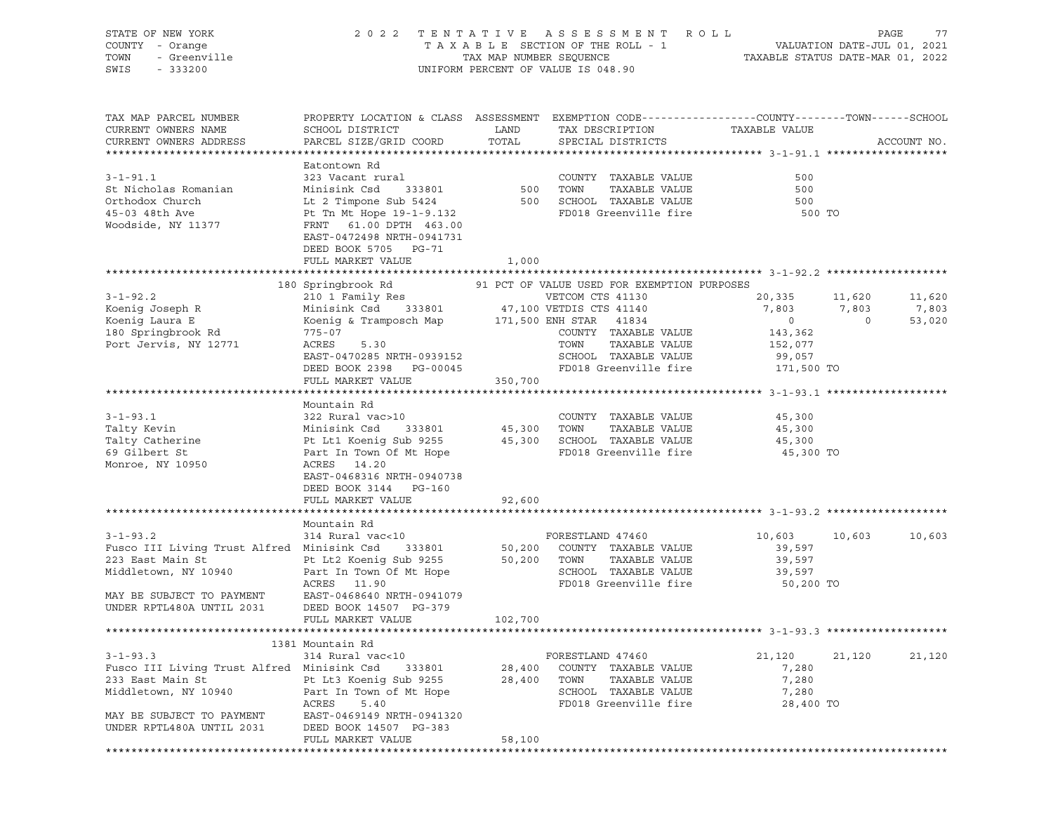| STATE OF NEW YORK<br>COUNTY - Orange<br>TOWN<br>- Greenville<br>SWIS<br>$-333200$                                                                                  |                                                                                                                                                                                                                               | TAX MAP NUMBER SEQUENCE     | 2022 TENTATIVE ASSESSMENT ROLL<br>T A X A B L E SECTION OF THE ROLL - 1<br>UNIFORM PERCENT OF VALUE IS 048.90                                                     | TAXABLE STATUS DATE-MAR 01, 2022                                                |                                   | PAGE<br>77<br>VALUATION DATE-JUL 01, 2021 |
|--------------------------------------------------------------------------------------------------------------------------------------------------------------------|-------------------------------------------------------------------------------------------------------------------------------------------------------------------------------------------------------------------------------|-----------------------------|-------------------------------------------------------------------------------------------------------------------------------------------------------------------|---------------------------------------------------------------------------------|-----------------------------------|-------------------------------------------|
| TAX MAP PARCEL NUMBER<br>CURRENT OWNERS NAME<br>CURRENT OWNERS ADDRESS                                                                                             | PROPERTY LOCATION & CLASS ASSESSMENT EXEMPTION CODE----------------COUNTY-------TOWN------SCHOOL<br>SCHOOL DISTRICT<br>PARCEL SIZE/GRID COORD                                                                                 | LAND<br>TOTAL               | TAX DESCRIPTION<br>SPECIAL DISTRICTS                                                                                                                              | TAXABLE VALUE                                                                   |                                   | ACCOUNT NO.                               |
| $3 - 1 - 91.1$<br>St Nicholas Romanian<br>Orthodox Church<br>45-03 48th Ave<br>Woodside, NY 11377                                                                  | Eatontown Rd<br>323 Vacant rural<br>Minisink Csd<br>333801<br>Lt 2 Timpone Sub 5424<br>Pt Tn Mt Hope 19-1-9.132<br>FRNT 61.00 DPTH 463.00<br>EAST-0472498 NRTH-0941731<br>DEED BOOK 5705 PG-71<br>FULL MARKET VALUE           | 500 TOWN<br>1,000           | COUNTY TAXABLE VALUE<br>TAXABLE VALUE<br>500 SCHOOL TAXABLE VALUE<br>FD018 Greenville fire                                                                        | 500<br>500<br>500<br>500 TO                                                     |                                   |                                           |
|                                                                                                                                                                    |                                                                                                                                                                                                                               |                             |                                                                                                                                                                   |                                                                                 |                                   |                                           |
| $3 - 1 - 92.2$<br>Koenig Joseph R<br>Koenig Laura E<br>180 Springbrook Rd<br>Port Jervis, NY 12771                                                                 | 180 Springbrook Rd<br>210 1 Family Res<br>Minisink Csd 333801 47,100 VETDIS CTS 41140<br>Koenig & Tramposch Map 171,500 ENH STAR 41834<br>$775 - 07$<br>ACRES<br>5.30<br>EAST-0470285 NRTH-0939152<br>DEED BOOK 2398 PG-00045 |                             | 91 PCT OF VALUE USED FOR EXEMPTION PURPOSES<br>VETCOM CTS 41130<br>COUNTY TAXABLE VALUE<br>TOWN<br>TAXABLE VALUE<br>SCHOOL TAXABLE VALUE<br>FD018 Greenville fire | 20,335<br>7,803<br>$\overline{0}$<br>143,362<br>152,077<br>99,057<br>171,500 TO | 11,620<br>7,803<br>$\overline{0}$ | 11,620<br>7,803<br>53,020                 |
|                                                                                                                                                                    | FULL MARKET VALUE                                                                                                                                                                                                             | 350,700                     |                                                                                                                                                                   |                                                                                 |                                   |                                           |
| $3 - 1 - 93.1$<br>Talty Kevin<br>Talty Catherine<br>69 Gilbert St<br>Monroe, NY 10950                                                                              | Mountain Rd<br>322 Rural vac>10<br>333801<br>Minisink Csd<br>Pt Lt1 Koenig Sub 9255<br>Part In Town Of Mt Hope<br>ACRES 14.20<br>EAST-0468316 NRTH-0940738<br>DEED BOOK 3144 PG-160<br>FULL MARKET VALUE                      | 45,300 TOWN<br>92,600       | COUNTY TAXABLE VALUE<br>TAXABLE VALUE<br>45,300 SCHOOL TAXABLE VALUE<br>FD018 Greenville fire                                                                     | 45,300<br>45,300<br>45,300<br>45,300 TO                                         |                                   |                                           |
|                                                                                                                                                                    |                                                                                                                                                                                                                               |                             |                                                                                                                                                                   |                                                                                 |                                   |                                           |
| $3 - 1 - 93.2$<br>Fusco III Living Trust Alfred Minisink Csd<br>223 East Main St<br>Middletown, NY 10940<br>MAY BE SUBJECT TO PAYMENT<br>UNDER RPTL480A UNTIL 2031 | Mountain Rd<br>314 Rural vac<10<br>333801<br>Pt Lt2 Koenig Sub 9255<br>Part In Town Of Mt Hope<br>ACRES 11.90<br>EAST-0468640 NRTH-0941079<br>DEED BOOK 14507 PG-379<br>FULL MARKET VALUE                                     | 50,200<br>50,200<br>102,700 | FORESTLAND 47460<br>COUNTY TAXABLE VALUE<br>TOWN<br>TAXABLE VALUE<br>SCHOOL TAXABLE VALUE<br>FD018 Greenville fire                                                | 10,603<br>39,597<br>39,597<br>39,597<br>50,200 TO                               | 10,603                            | 10,603                                    |
|                                                                                                                                                                    |                                                                                                                                                                                                                               |                             |                                                                                                                                                                   |                                                                                 |                                   |                                           |
|                                                                                                                                                                    | 1381 Mountain Rd                                                                                                                                                                                                              |                             |                                                                                                                                                                   |                                                                                 |                                   |                                           |
| $3 - 1 - 93.3$<br>Fusco III Living Trust Alfred Minisink Csd<br>233 East Main St<br>Middletown, NY 10940<br>MAY BE SUBJECT TO PAYMENT                              | 314 Rural vac<10<br>333801<br>Pt Lt3 Koenig Sub 9255<br>Part In Town of Mt Hope<br>ACRES<br>5.40<br>EAST-0469149 NRTH-0941320                                                                                                 | 28,400<br>28,400            | FORESTLAND 47460<br>COUNTY TAXABLE VALUE<br>TOWN<br>TAXABLE VALUE<br>SCHOOL TAXABLE VALUE<br>FD018 Greenville fire                                                | 21,120<br>7,280<br>7,280<br>7,280<br>28,400 TO                                  | 21,120                            | 21,120                                    |
| UNDER RPTL480A UNTIL 2031                                                                                                                                          | DEED BOOK 14507 PG-383<br>FULL MARKET VALUE                                                                                                                                                                                   | 58,100                      |                                                                                                                                                                   |                                                                                 |                                   |                                           |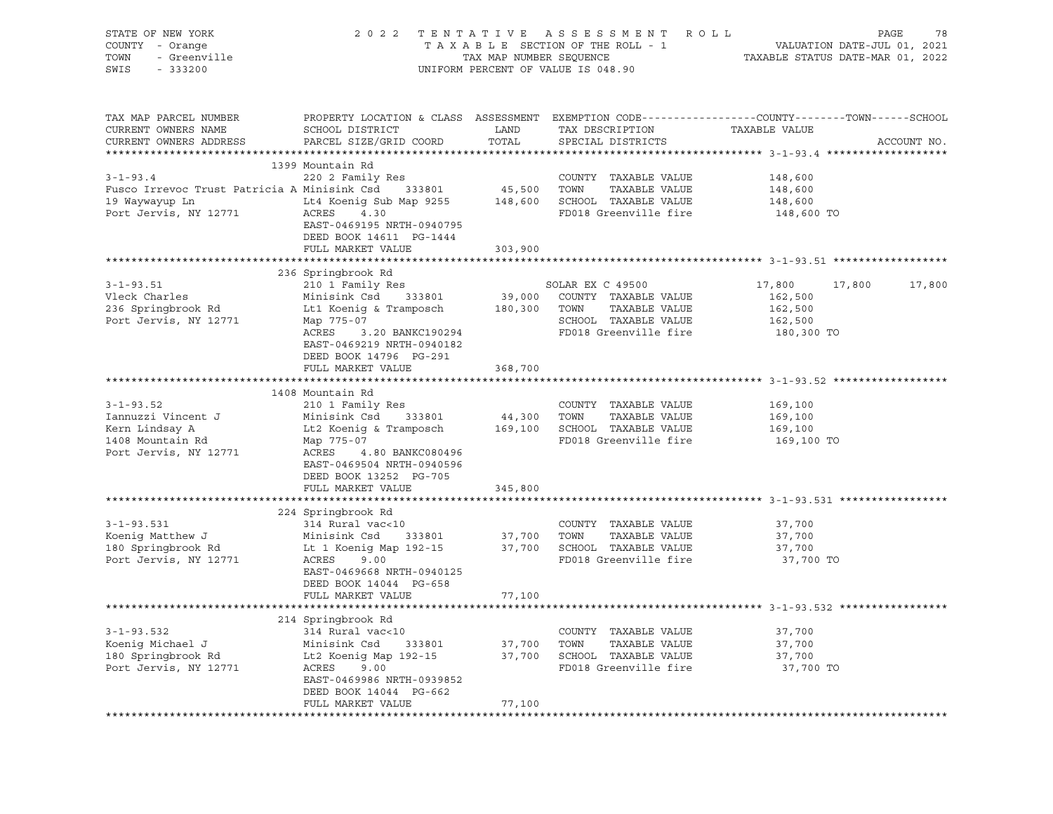| OF NEW YORK<br>Y - Orange<br>- Greenville<br>STATE OF NEW YORK<br>COUNTY - Orange<br>TOWN<br>SWIS - 333200                                                                                                                                                     |                                                                                                                                                                                                                                      |         | UNIFORM PERCENT OF VALUE IS 048.90   | 2022 TENTATIVE ASSESSMENT ROLL PAGE 78<br>TAXABLE SECTION OF THE ROLL - 1 VALUATION DATE-JUL 01, 2021<br>TAX MAP NUMBER SEQUENCE TAXABLE STATUS DATE-MAR 01, 2022 |
|----------------------------------------------------------------------------------------------------------------------------------------------------------------------------------------------------------------------------------------------------------------|--------------------------------------------------------------------------------------------------------------------------------------------------------------------------------------------------------------------------------------|---------|--------------------------------------|-------------------------------------------------------------------------------------------------------------------------------------------------------------------|
| TAX MAP PARCEL NUMBER<br>CURRENT OWNERS NAME<br>CURRENT OWNERS ADDRESS                                                                                                                                                                                         | SCHOOL DISTRICT LAND<br>PARCEL SIZE/GRID COORD TOTAL                                                                                                                                                                                 | TOTAL   | TAX DESCRIPTION<br>SPECIAL DISTRICTS | PROPERTY LOCATION & CLASS ASSESSMENT EXEMPTION CODE----------------COUNTY-------TOWN------SCHOOL<br>TAXABLE VALUE<br>ACCOUNT NO.                                  |
|                                                                                                                                                                                                                                                                | 1399 Mountain Rd                                                                                                                                                                                                                     |         |                                      |                                                                                                                                                                   |
|                                                                                                                                                                                                                                                                |                                                                                                                                                                                                                                      |         | COUNTY TAXABLE VALUE                 | 148,600                                                                                                                                                           |
| 3-1-93.4 COUNTY TAXABLE VALUE<br>Fusco Irrevoc Trust Patricia A Minisink Csd 333801 45,500 TOWN TAXABLE VALUE                                                                                                                                                  |                                                                                                                                                                                                                                      |         |                                      | 148,600                                                                                                                                                           |
|                                                                                                                                                                                                                                                                |                                                                                                                                                                                                                                      |         |                                      | 148,600                                                                                                                                                           |
| 19 Waywayup Ln<br>Port Jervis, NY 12771 19 ACRES 4.30<br>Port Jervis, NY 12771 2002 ACRES 4.30                                                                                                                                                                 | EAST-0469195 NRTH-0940795<br>DEED BOOK 14611 PG-1444                                                                                                                                                                                 |         | FD018 Greenville fire 148,600 TO     |                                                                                                                                                                   |
|                                                                                                                                                                                                                                                                | FULL MARKET VALUE                                                                                                                                                                                                                    | 303,900 |                                      |                                                                                                                                                                   |
|                                                                                                                                                                                                                                                                |                                                                                                                                                                                                                                      |         |                                      |                                                                                                                                                                   |
| $3 - 1 - 93.51$                                                                                                                                                                                                                                                | 236 Springbrook Rd<br>210 1 Family Res                                                                                                                                                                                               |         | SOLAR EX C 49500                     | 17,800<br>17,800<br>17,800                                                                                                                                        |
| Vleck Charles                                                                                                                                                                                                                                                  | And the south that the south that the south of the south that the south that the south that the south that the<br>It is the same south that the south the south that the south the south that the south that the south that the<br>I |         |                                      | 162,500                                                                                                                                                           |
| 236 Springbrook Rd                                                                                                                                                                                                                                             |                                                                                                                                                                                                                                      |         |                                      | 162,500                                                                                                                                                           |
| Port Jervis, NY 12771                                                                                                                                                                                                                                          |                                                                                                                                                                                                                                      |         |                                      | 162,500                                                                                                                                                           |
|                                                                                                                                                                                                                                                                | Map 775-07<br>ACRES 3.20 BANKC190294 FD018 Greenville fire<br>EAST-0469219 NRTH-0940182<br>DEED BOOK 14796 PG-291                                                                                                                    |         |                                      | 180,300 TO                                                                                                                                                        |
|                                                                                                                                                                                                                                                                | FULL MARKET VALUE                                                                                                                                                                                                                    | 368,700 |                                      |                                                                                                                                                                   |
|                                                                                                                                                                                                                                                                | 1408 Mountain Rd                                                                                                                                                                                                                     |         |                                      |                                                                                                                                                                   |
| 3-1-93.52<br>Iannuzzi Vincent J<br>Xern Lindsay A<br>Xern Lindsay A<br>Xern Lindsay A<br>Xern Lindsay A<br>Xern Lindsay A<br>Map 775-07<br>Map 775-07<br>Map 775-07<br>Map 775-07<br>Map 775-07<br>Map 775-07<br>Map 775-07<br>Map 775-07<br>Map 775-07<br>Map |                                                                                                                                                                                                                                      |         |                                      | 169,100                                                                                                                                                           |
|                                                                                                                                                                                                                                                                |                                                                                                                                                                                                                                      |         |                                      |                                                                                                                                                                   |
|                                                                                                                                                                                                                                                                |                                                                                                                                                                                                                                      |         |                                      | 169,100<br>169,100                                                                                                                                                |
|                                                                                                                                                                                                                                                                |                                                                                                                                                                                                                                      |         |                                      | 169,100 TO                                                                                                                                                        |
| Port Jervis, NY 12771                                                                                                                                                                                                                                          | ACRES 4.80 BANKC080496<br>EAST-0469504 NRTH-0940596<br>DEED BOOK 13252 PG-705<br>FULL MARKET VALUE                                                                                                                                   | 345,800 |                                      |                                                                                                                                                                   |
|                                                                                                                                                                                                                                                                |                                                                                                                                                                                                                                      |         |                                      |                                                                                                                                                                   |
|                                                                                                                                                                                                                                                                | 224 Springbrook Rd                                                                                                                                                                                                                   |         |                                      |                                                                                                                                                                   |
|                                                                                                                                                                                                                                                                |                                                                                                                                                                                                                                      |         |                                      | 37,700                                                                                                                                                            |
|                                                                                                                                                                                                                                                                |                                                                                                                                                                                                                                      |         |                                      | 37,700                                                                                                                                                            |
|                                                                                                                                                                                                                                                                |                                                                                                                                                                                                                                      |         |                                      | 37,700                                                                                                                                                            |
| 3-1-93.531<br>Xoenig Matthew J<br>Xoenig Matthew J<br>Minisink Csd 333801 37,700 TOWN TAXABLE VALUE<br>180 Springbrook Rd Lt 1 Koenig Map 192-15 37,700 SCHOOL TAXABLE VALUE<br>Port Jervis, NY 12771 ACRES 9.00 PD018 Greenville fire                         | EAST-0469668 NRTH-0940125<br>DEED BOOK 14044 PG-658                                                                                                                                                                                  |         |                                      | 37,700 TO                                                                                                                                                         |
|                                                                                                                                                                                                                                                                | FULL MARKET VALUE                                                                                                                                                                                                                    | 77,100  |                                      |                                                                                                                                                                   |
|                                                                                                                                                                                                                                                                |                                                                                                                                                                                                                                      |         |                                      |                                                                                                                                                                   |
|                                                                                                                                                                                                                                                                | 214 Springbrook Rd                                                                                                                                                                                                                   |         |                                      |                                                                                                                                                                   |
|                                                                                                                                                                                                                                                                |                                                                                                                                                                                                                                      |         |                                      | 37,700                                                                                                                                                            |
|                                                                                                                                                                                                                                                                |                                                                                                                                                                                                                                      |         |                                      | 37,700                                                                                                                                                            |
|                                                                                                                                                                                                                                                                |                                                                                                                                                                                                                                      |         |                                      | 37,700                                                                                                                                                            |
|                                                                                                                                                                                                                                                                | EAST-0469986 NRTH-0939852<br>DEED BOOK 14044 PG-662                                                                                                                                                                                  |         | FD018 Greenville fire 37,700 TO      |                                                                                                                                                                   |
|                                                                                                                                                                                                                                                                | FULL MARKET VALUE                                                                                                                                                                                                                    | 77,100  |                                      |                                                                                                                                                                   |
|                                                                                                                                                                                                                                                                |                                                                                                                                                                                                                                      |         |                                      |                                                                                                                                                                   |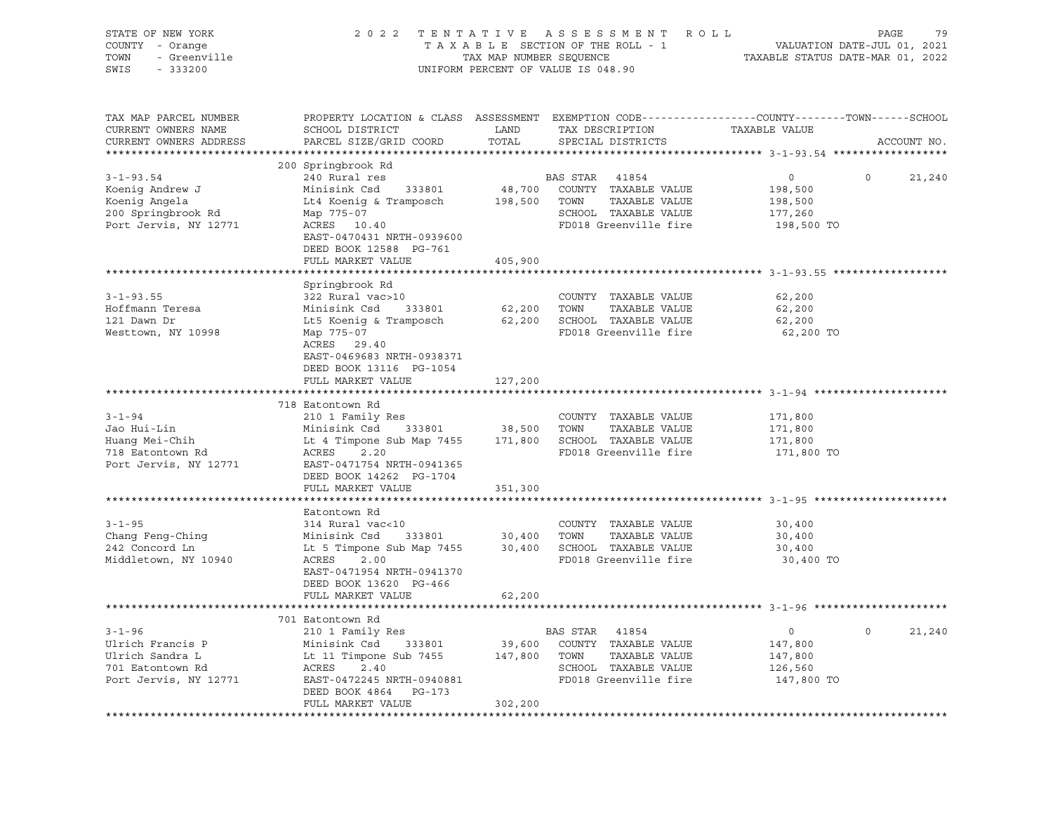| STATE OF NEW YORK<br>COUNTY - Orange | 2 0 2 2                                                                                          | TENTATIVE               | A S S E S S M E N T R O L L<br>TAXABLE SECTION OF THE ROLL - 1       | VALUATION DATE-JUL 01, 2021      | PAGE<br>79         |
|--------------------------------------|--------------------------------------------------------------------------------------------------|-------------------------|----------------------------------------------------------------------|----------------------------------|--------------------|
| TOWN<br>- Greenville                 |                                                                                                  | TAX MAP NUMBER SEQUENCE |                                                                      | TAXABLE STATUS DATE-MAR 01, 2022 |                    |
| SWIS<br>$-333200$                    |                                                                                                  |                         | UNIFORM PERCENT OF VALUE IS 048.90                                   |                                  |                    |
|                                      |                                                                                                  |                         |                                                                      |                                  |                    |
| TAX MAP PARCEL NUMBER                | PROPERTY LOCATION & CLASS ASSESSMENT EXEMPTION CODE----------------COUNTY-------TOWN------SCHOOL |                         |                                                                      |                                  |                    |
| CURRENT OWNERS NAME                  | SCHOOL DISTRICT                                                                                  | LAND                    | TAX DESCRIPTION                                                      | TAXABLE VALUE                    |                    |
| CURRENT OWNERS ADDRESS               | PARCEL SIZE/GRID COORD                                                                           | TOTAL                   | SPECIAL DISTRICTS                                                    |                                  | ACCOUNT NO.        |
|                                      |                                                                                                  |                         |                                                                      |                                  |                    |
|                                      | 200 Springbrook Rd                                                                               |                         |                                                                      |                                  |                    |
| $3 - 1 - 93.54$                      | 240 Rural res                                                                                    |                         | BAS STAR 41854                                                       | $\circ$                          | $\Omega$<br>21,240 |
| Koenig Andrew J                      | Minisink Csd 333801                                                                              |                         | 48,700 COUNTY TAXABLE VALUE                                          | 198,500                          |                    |
| Koenig Angela                        | Lt4 Koenig & Tramposch                                                                           | 198,500 TOWN            | TAXABLE VALUE                                                        | 198,500                          |                    |
| 200 Springbrook Rd                   | Map 775-07                                                                                       |                         | SCHOOL TAXABLE VALUE                                                 | 177,260                          |                    |
| Port Jervis, NY 12771                | ACRES 10.40                                                                                      |                         | FD018 Greenville fire                                                | 198,500 TO                       |                    |
|                                      | EAST-0470431 NRTH-0939600                                                                        |                         |                                                                      |                                  |                    |
|                                      | DEED BOOK 12588 PG-761                                                                           |                         |                                                                      |                                  |                    |
|                                      | FULL MARKET VALUE                                                                                | 405,900                 |                                                                      |                                  |                    |
|                                      |                                                                                                  |                         |                                                                      |                                  |                    |
|                                      | Springbrook Rd                                                                                   |                         |                                                                      |                                  |                    |
| $3 - 1 - 93.55$                      | 322 Rural vac>10                                                                                 |                         | COUNTY TAXABLE VALUE                                                 | 62,200                           |                    |
| Hoffmann Teresa                      | Minisink Csd 333801                                                                              |                         | 62,200    TOWN     TAXABLE VALUE<br>62,200    SCHOOL   TAXABLE VALUE | 62,200                           |                    |
| 121 Dawn Dr                          | Lt5 Koenig & Tramposch                                                                           |                         |                                                                      | 62,200                           |                    |
| Westtown, NY 10998                   | Map 775-07                                                                                       |                         | FD018 Greenville fire                                                | 62,200 TO                        |                    |
|                                      | ACRES 29.40                                                                                      |                         |                                                                      |                                  |                    |
|                                      | EAST-0469683 NRTH-0938371                                                                        |                         |                                                                      |                                  |                    |
|                                      | DEED BOOK 13116 PG-1054                                                                          |                         |                                                                      |                                  |                    |
|                                      | FULL MARKET VALUE                                                                                | 127,200                 |                                                                      |                                  |                    |
|                                      | 718 Eatontown Rd                                                                                 |                         |                                                                      |                                  |                    |
| $3 - 1 - 94$                         | 210 1 Family Res                                                                                 |                         | COUNTY TAXABLE VALUE                                                 | 171,800                          |                    |
| Jao Hui-Lin                          |                                                                                                  |                         | TOWN<br>TAXABLE VALUE                                                | 171,800                          |                    |
| Huang Mei-Chih                       | Minisink Csd 333801 38,500<br>Lt 4 Timpone Sub Map 7455 171,800                                  |                         | 171,800 SCHOOL TAXABLE VALUE                                         | 171,800                          |                    |
| 718 Eatontown Rd                     | ACRES 2.20                                                                                       |                         | FD018 Greenville fire                                                | 171,800 TO                       |                    |
| Port Jervis, NY 12771                | EAST-0471754 NRTH-0941365                                                                        |                         |                                                                      |                                  |                    |
|                                      | DEED BOOK 14262 PG-1704                                                                          |                         |                                                                      |                                  |                    |
|                                      | FULL MARKET VALUE                                                                                | 351,300                 |                                                                      |                                  |                    |
|                                      |                                                                                                  |                         |                                                                      |                                  |                    |
|                                      | Eatontown Rd                                                                                     |                         |                                                                      |                                  |                    |
| $3 - 1 - 95$                         | 314 Rural vac<10                                                                                 |                         | COUNTY TAXABLE VALUE                                                 | 30,400                           |                    |
| Chang Feng-Ching                     | Minisink Csd 333801                                                                              | 30,400 TOWN             | TAXABLE VALUE                                                        | 30,400                           |                    |
| 242 Concord Ln                       | Lt 5 Timpone Sub Map 7455 30,400 SCHOOL TAXABLE VALUE                                            |                         |                                                                      | 30,400                           |                    |
| Middletown, NY 10940                 | 2.00<br>ACRES                                                                                    |                         | FD018 Greenville fire                                                | 30,400 TO                        |                    |
|                                      | EAST-0471954 NRTH-0941370                                                                        |                         |                                                                      |                                  |                    |
|                                      | DEED BOOK 13620 PG-466                                                                           |                         |                                                                      |                                  |                    |
|                                      | FULL MARKET VALUE                                                                                | 62,200                  |                                                                      |                                  |                    |
|                                      |                                                                                                  |                         |                                                                      |                                  |                    |
|                                      | 701 Eatontown Rd                                                                                 |                         |                                                                      |                                  |                    |
| $3 - 1 - 96$                         | 210 1 Family Res                                                                                 |                         | BAS STAR<br>41854                                                    | $\overline{0}$                   | $\circ$<br>21,240  |
| Ulrich Francis P                     | Minisink Csd      333801                                                                         |                         | 39,600 COUNTY TAXABLE VALUE                                          | 147,800                          |                    |
| Ulrich Sandra L                      | Lt 11 Timpone Sub 7455                                                                           | 147,800 TOWN            | TAXABLE VALUE                                                        | 147,800                          |                    |
| 701 Eatontown Rd                     | ACRES<br>2.40                                                                                    |                         | SCHOOL TAXABLE VALUE                                                 | 126,560                          |                    |
| Port Jervis, NY 12771                | EAST-0472245 NRTH-0940881                                                                        |                         | FD018 Greenville fire                                                | 147,800 TO                       |                    |
|                                      | DEED BOOK 4864<br>PG-173<br>FULL MARKET VALUE                                                    | 302,200                 |                                                                      |                                  |                    |
|                                      |                                                                                                  |                         |                                                                      |                                  |                    |
|                                      |                                                                                                  |                         |                                                                      |                                  |                    |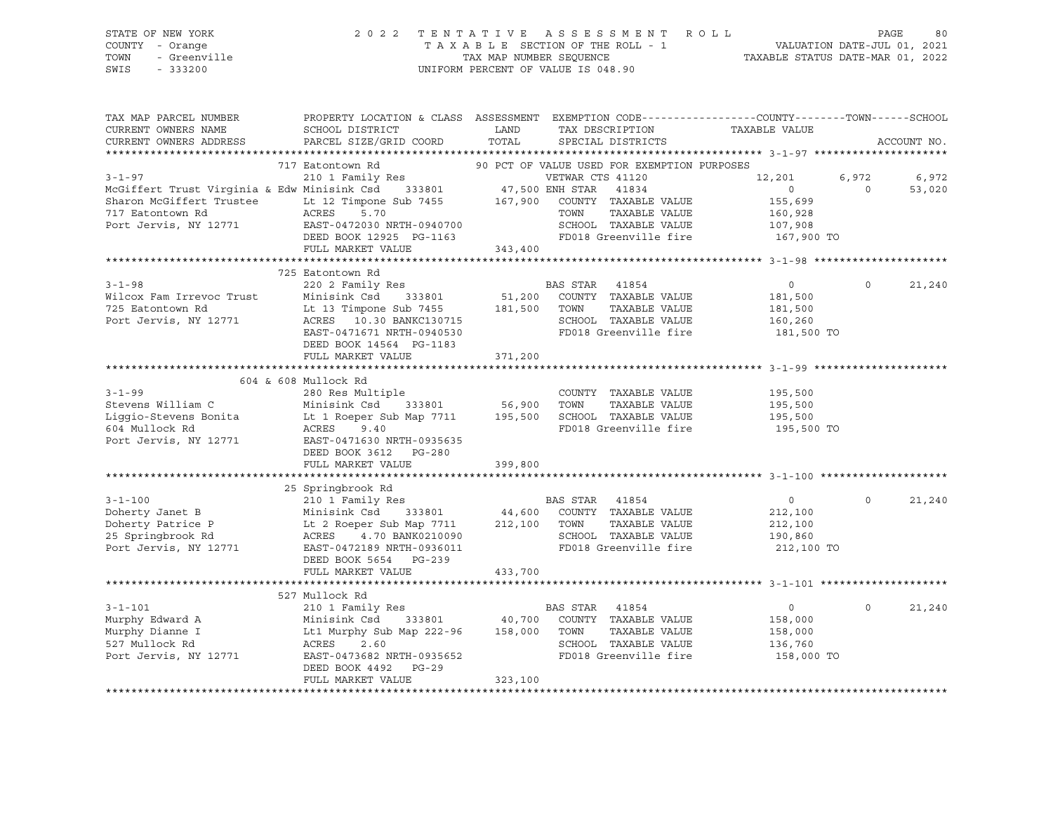| STATE OF NEW YORK                                                                                                                                                                                                                                   |                                                                                                                                            |         |                |                       |                                                                                                                                                                                                         |                   |             |
|-----------------------------------------------------------------------------------------------------------------------------------------------------------------------------------------------------------------------------------------------------|--------------------------------------------------------------------------------------------------------------------------------------------|---------|----------------|-----------------------|---------------------------------------------------------------------------------------------------------------------------------------------------------------------------------------------------------|-------------------|-------------|
| COUNTY - Orange                                                                                                                                                                                                                                     |                                                                                                                                            |         |                |                       |                                                                                                                                                                                                         |                   |             |
| TOWN                                                                                                                                                                                                                                                |                                                                                                                                            |         |                |                       |                                                                                                                                                                                                         |                   |             |
| OF NEW TOOL<br>- Orange<br>- Greenville<br>SWIS                                                                                                                                                                                                     |                                                                                                                                            |         |                |                       | 2022 TENTATIVE ASSESSMENT ROLL PAGE 80<br>TAXABLE SECTION OF THE ROLL - 1 VALUATION DATE-JUL 01, 2021<br>TAX MAP NUMBER SEQUENCE TAXABLE STATUS DATE-MAR 01, 2022<br>UNIFORM PERCENT OF VALUE IS 048.90 |                   |             |
|                                                                                                                                                                                                                                                     |                                                                                                                                            |         |                |                       |                                                                                                                                                                                                         |                   |             |
|                                                                                                                                                                                                                                                     |                                                                                                                                            |         |                |                       |                                                                                                                                                                                                         |                   |             |
|                                                                                                                                                                                                                                                     |                                                                                                                                            |         |                |                       |                                                                                                                                                                                                         |                   |             |
| TAX MAP PARCEL NUMBER                                                                                                                                                                                                                               | PROPERTY LOCATION & CLASS ASSESSMENT EXEMPTION CODE---------------COUNTY-------TOWN-----SCHOOL                                             |         |                |                       |                                                                                                                                                                                                         |                   |             |
| CURRENT OWNERS NAME                                                                                                                                                                                                                                 | SCHOOL DISTRICT                                                                                                                            | LAND    |                |                       | TAX DESCRIPTION TAXABLE VALUE                                                                                                                                                                           |                   |             |
| CURRENT OWNERS ADDRESS                                                                                                                                                                                                                              | PARCEL SIZE/GRID COORD                                                                                                                     | TOTAL   |                | SPECIAL DISTRICTS     |                                                                                                                                                                                                         |                   | ACCOUNT NO. |
|                                                                                                                                                                                                                                                     |                                                                                                                                            |         |                |                       |                                                                                                                                                                                                         |                   |             |
| 117 Eatontown Rd 2017 EAST-0472030 NRTH-0940700<br>2018 EAST-0472030 NRTH-0940700<br>2018 EAST-0472030 NRTH-0940700<br>2018 EAST-0472030 NRTH-0940700<br>2018 EAST-0472030 NRTH-0940700<br>2018 Greenville fire<br>2018 Greenville Fire<br>2        |                                                                                                                                            |         |                |                       |                                                                                                                                                                                                         |                   |             |
|                                                                                                                                                                                                                                                     |                                                                                                                                            |         |                |                       | 12,201                                                                                                                                                                                                  | 6,972             | 6,972       |
|                                                                                                                                                                                                                                                     |                                                                                                                                            |         |                |                       | $\overline{0}$                                                                                                                                                                                          | $0 \qquad \qquad$ | 53,020      |
|                                                                                                                                                                                                                                                     |                                                                                                                                            |         |                |                       |                                                                                                                                                                                                         |                   |             |
|                                                                                                                                                                                                                                                     |                                                                                                                                            |         |                |                       | 155,699                                                                                                                                                                                                 |                   |             |
|                                                                                                                                                                                                                                                     |                                                                                                                                            |         |                |                       | 160,928                                                                                                                                                                                                 |                   |             |
|                                                                                                                                                                                                                                                     |                                                                                                                                            |         |                |                       | 107,908                                                                                                                                                                                                 |                   |             |
|                                                                                                                                                                                                                                                     |                                                                                                                                            |         |                |                       | 167,900 TO                                                                                                                                                                                              |                   |             |
|                                                                                                                                                                                                                                                     | FULL MARKET VALUE                                                                                                                          | 343,400 |                |                       |                                                                                                                                                                                                         |                   |             |
|                                                                                                                                                                                                                                                     |                                                                                                                                            |         |                |                       |                                                                                                                                                                                                         |                   |             |
|                                                                                                                                                                                                                                                     | 725 Eatontown Rd                                                                                                                           |         |                |                       |                                                                                                                                                                                                         |                   |             |
|                                                                                                                                                                                                                                                     |                                                                                                                                            |         |                |                       | $0 \qquad \qquad$                                                                                                                                                                                       | $\circ$           | 21,240      |
|                                                                                                                                                                                                                                                     |                                                                                                                                            |         |                |                       | 181,500                                                                                                                                                                                                 |                   |             |
|                                                                                                                                                                                                                                                     |                                                                                                                                            |         |                |                       | 181,500                                                                                                                                                                                                 |                   |             |
|                                                                                                                                                                                                                                                     |                                                                                                                                            |         |                | SCHOOL TAXABLE VALUE  | 160,260<br>181,500 TO                                                                                                                                                                                   |                   |             |
|                                                                                                                                                                                                                                                     |                                                                                                                                            |         |                | FD018 Greenville fire |                                                                                                                                                                                                         |                   |             |
|                                                                                                                                                                                                                                                     | DEED BOOK 14564 PG-1183                                                                                                                    |         |                |                       |                                                                                                                                                                                                         |                   |             |
|                                                                                                                                                                                                                                                     | FULL MARKET VALUE                                                                                                                          | 371,200 |                |                       |                                                                                                                                                                                                         |                   |             |
|                                                                                                                                                                                                                                                     |                                                                                                                                            |         |                |                       |                                                                                                                                                                                                         |                   |             |
|                                                                                                                                                                                                                                                     | 604 & 608 Mullock Rd                                                                                                                       |         |                |                       |                                                                                                                                                                                                         |                   |             |
| $3 - 1 - 99$                                                                                                                                                                                                                                        | 280 Res Multiple                                                                                                                           |         |                | COUNTY TAXABLE VALUE  |                                                                                                                                                                                                         |                   |             |
|                                                                                                                                                                                                                                                     |                                                                                                                                            |         |                |                       | 195,500<br>195,500                                                                                                                                                                                      |                   |             |
| Stevens William C Minisink Csd 33801 56,900 TOWN TAXABLE VALUE 195,500<br>Liggio-Stevens Bonita Lt 1 Roeper Sub Map 7711 195,500 SCHOOL TAXABLE VALUE 195,500<br>195,500 SCHOOL TAXABLE VALUE 195,500                                               |                                                                                                                                            |         |                |                       |                                                                                                                                                                                                         |                   |             |
|                                                                                                                                                                                                                                                     |                                                                                                                                            |         |                | FD018 Greenville fire | 195,500 TO                                                                                                                                                                                              |                   |             |
|                                                                                                                                                                                                                                                     |                                                                                                                                            |         |                |                       |                                                                                                                                                                                                         |                   |             |
|                                                                                                                                                                                                                                                     |                                                                                                                                            |         |                |                       |                                                                                                                                                                                                         |                   |             |
| out Mullock Rd<br>Port Jervis, NY 12771<br>DEED BOOK 3612 PC-280                                                                                                                                                                                    |                                                                                                                                            |         |                |                       |                                                                                                                                                                                                         |                   |             |
|                                                                                                                                                                                                                                                     | FULL MARKET VALUE                                                                                                                          | 399,800 |                |                       |                                                                                                                                                                                                         |                   |             |
|                                                                                                                                                                                                                                                     |                                                                                                                                            |         |                |                       |                                                                                                                                                                                                         |                   |             |
|                                                                                                                                                                                                                                                     | 25 Springbrook Rd                                                                                                                          |         |                |                       |                                                                                                                                                                                                         |                   |             |
| $3 - 1 - 100$                                                                                                                                                                                                                                       | 210 1 Family Res                                                                                                                           |         | BAS STAR 41854 |                       | $\overline{0}$                                                                                                                                                                                          | $\Omega$          | 21,240      |
|                                                                                                                                                                                                                                                     |                                                                                                                                            |         |                |                       | 212,100                                                                                                                                                                                                 |                   |             |
|                                                                                                                                                                                                                                                     |                                                                                                                                            |         |                |                       | 212,100                                                                                                                                                                                                 |                   |             |
| Doherty Janet B<br>Doherty Patrice P<br>25 Springbrook Rd<br>25 Springbrook Rd<br>26 Springbrook Rd<br>26 Springbrook Rd<br>26 Springbrook Rd<br>26 Springbrook Rd<br>26 Springbrook Rd<br>26 Springbrook Rd<br>26 Springbrook Rd<br>26 Springbrook |                                                                                                                                            |         |                |                       | 190,860                                                                                                                                                                                                 |                   |             |
|                                                                                                                                                                                                                                                     |                                                                                                                                            |         |                |                       | FD018 Greenville fire 212,100 TO                                                                                                                                                                        |                   |             |
|                                                                                                                                                                                                                                                     | DEED BOOK 5654 PG-239                                                                                                                      |         |                |                       |                                                                                                                                                                                                         |                   |             |
|                                                                                                                                                                                                                                                     | FULL MARKET VALUE                                                                                                                          | 433,700 |                |                       |                                                                                                                                                                                                         |                   |             |
|                                                                                                                                                                                                                                                     |                                                                                                                                            |         |                |                       |                                                                                                                                                                                                         |                   |             |
|                                                                                                                                                                                                                                                     | 527 Mullock Rd                                                                                                                             |         |                |                       |                                                                                                                                                                                                         |                   |             |
| $3 - 1 - 101$                                                                                                                                                                                                                                       | 210 1 Family Res                                                                                                                           |         | BAS STAR 41854 |                       | $\overline{0}$                                                                                                                                                                                          | $\Omega$          | 21,240      |
| Murphy Edward A                                                                                                                                                                                                                                     | Minisink Csd 333801 40,700 COUNTY TAXABLE VALUE<br>Lt1 Murphy Sub Map 222-96 158,000 TOWN TAXABLE VALUE<br>ACRES 2.60 SCHOOL TAXABLE VALUE |         |                |                       | 158,000                                                                                                                                                                                                 |                   |             |
| Murphy Dianne I                                                                                                                                                                                                                                     |                                                                                                                                            |         |                |                       | 158,000                                                                                                                                                                                                 |                   |             |
| 527 Mullock Rd                                                                                                                                                                                                                                      |                                                                                                                                            |         |                | SCHOOL TAXABLE VALUE  | 136,760                                                                                                                                                                                                 |                   |             |
|                                                                                                                                                                                                                                                     | EAST-0473682 NRTH-0935652                                                                                                                  |         |                | FD018 Greenville fire | 158,000 TO                                                                                                                                                                                              |                   |             |
| Port Jervis, NY 12771                                                                                                                                                                                                                               |                                                                                                                                            |         |                |                       |                                                                                                                                                                                                         |                   |             |
|                                                                                                                                                                                                                                                     | DEED BOOK 4492 PG-29                                                                                                                       |         |                |                       |                                                                                                                                                                                                         |                   |             |
|                                                                                                                                                                                                                                                     | FULL MARKET VALUE                                                                                                                          | 323,100 |                |                       |                                                                                                                                                                                                         |                   |             |

\*\*\*\*\*\*\*\*\*\*\*\*\*\*\*\*\*\*\*\*\*\*\*\*\*\*\*\*\*\*\*\*\*\*\*\*\*\*\*\*\*\*\*\*\*\*\*\*\*\*\*\*\*\*\*\*\*\*\*\*\*\*\*\*\*\*\*\*\*\*\*\*\*\*\*\*\*\*\*\*\*\*\*\*\*\*\*\*\*\*\*\*\*\*\*\*\*\*\*\*\*\*\*\*\*\*\*\*\*\*\*\*\*\*\*\*\*\*\*\*\*\*\*\*\*\*\*\*\*\*\*\*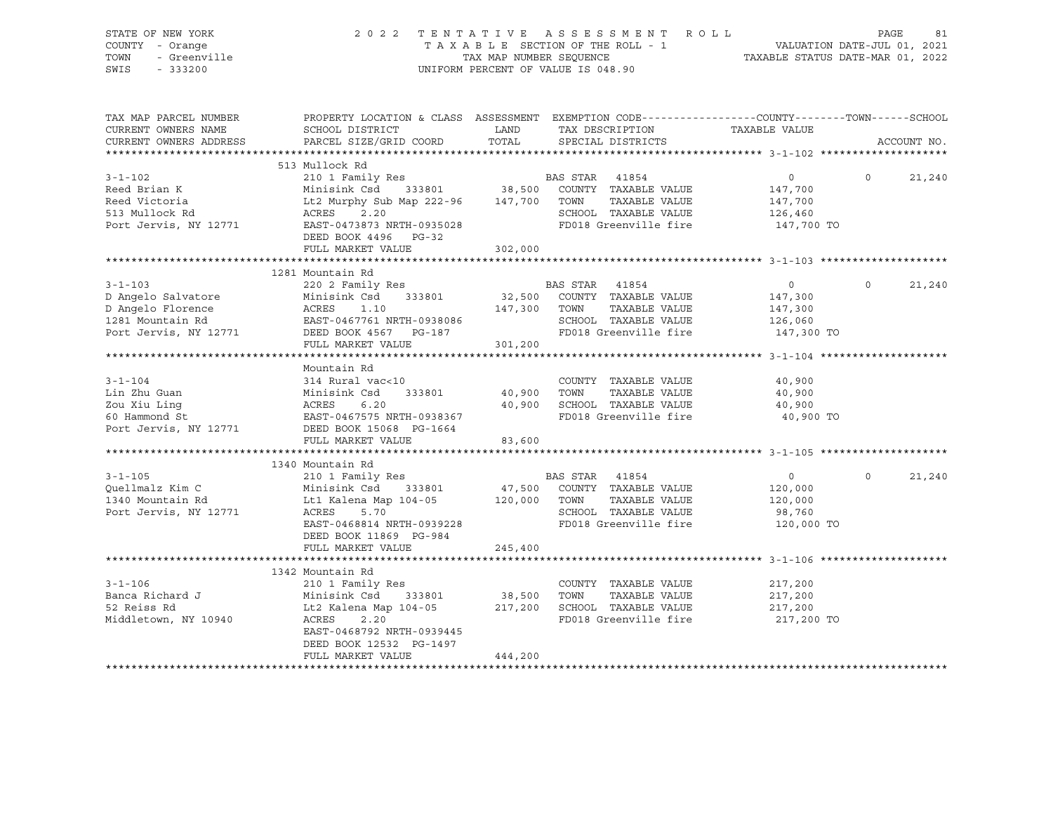| STATE OF NEW YORK<br>COUNTY - Orange<br>- Orange<br>- Greenville<br>- 333200<br>TOWN<br>SWIS<br>$-333200$ |                                                                                                                                                                               |                  | 2022 TENTATIVE ASSESSMENT ROLL<br>TAXABLE SECTION OF THE ROLL - 1<br>TAXABLE SECTION OF THE ROLL - 1<br>TAXABLE STATUS DATE-MAR 01, 2022<br>UNIFORM PERCENT OF VALUE IS 048.90 |                                                              | PAGE     | 81          |
|-----------------------------------------------------------------------------------------------------------|-------------------------------------------------------------------------------------------------------------------------------------------------------------------------------|------------------|--------------------------------------------------------------------------------------------------------------------------------------------------------------------------------|--------------------------------------------------------------|----------|-------------|
| TAX MAP PARCEL NUMBER<br>CURRENT OWNERS NAME<br>CURRENT OWNERS ADDRESS                                    | SCHOOL DISTRICT<br>PARCEL SIZE/GRID COORD                                                                                                                                     | LAND<br>TOTAL    | PROPERTY LOCATION & CLASS ASSESSMENT EXEMPTION CODE----------------COUNTY-------TOWN------SCHOOL<br>TAX DESCRIPTION<br>SPECIAL DISTRICTS                                       | TAXABLE VALUE                                                |          | ACCOUNT NO. |
|                                                                                                           |                                                                                                                                                                               |                  |                                                                                                                                                                                |                                                              |          |             |
| $3 - 1 - 102$<br>Reed Brian K<br>Reed Victoria<br>513 Mullock Rd<br>Port Jervis, NY 12771                 | 513 Mullock Rd<br>210 1 Family Res<br>Minisink Csd 333801 38,500 COUNTY TAXABLE VALUE<br>Lt2 Murphy Sub Map 222-96 147,700 TOWN<br>ACRES<br>2.20<br>EAST-0473873 NRTH-0935028 |                  | BAS STAR 41854<br>TAXABLE VALUE<br>SCHOOL TAXABLE VALUE<br>FD018 Greenville fire                                                                                               | $\circ$<br>147,700<br>147,700<br>126,460<br>147,700 TO       | $\Omega$ | 21,240      |
|                                                                                                           | DEED BOOK 4496 PG-32                                                                                                                                                          |                  |                                                                                                                                                                                |                                                              |          |             |
|                                                                                                           | FULL MARKET VALUE                                                                                                                                                             | 302,000          |                                                                                                                                                                                |                                                              |          |             |
|                                                                                                           |                                                                                                                                                                               |                  |                                                                                                                                                                                |                                                              |          |             |
| $3 - 1 - 103$<br>D Angelo Salvatore<br>D Angelo Florence                                                  | 1281 Mountain Rd<br>220 2 Family Res<br>333801<br>Minisink Csd<br>ACRES<br>1.10                                                                                               |                  | BAS STAR 41854<br>32,500 COUNTY TAXABLE VALUE<br>TAXABLE VALUE<br>147,300 TOWN                                                                                                 | $\overline{0}$<br>147,300<br>147,300                         | $\Omega$ | 21,240      |
| 1281 Mountain Rd<br>Port Jervis, NY 12771                                                                 | EAST-0467761 NRTH-0938086<br>DEED BOOK 4567 PG-187<br>FULL MARKET VALUE                                                                                                       | 301,200          | SCHOOL TAXABLE VALUE<br>FD018 Greenville fire                                                                                                                                  | 126,060<br>147,300 TO                                        |          |             |
|                                                                                                           |                                                                                                                                                                               |                  |                                                                                                                                                                                |                                                              |          |             |
| $3 - 1 - 104$<br>Lin Zhu Guan<br>Zou Xiu Ling<br>60 Hammond St                                            | Mountain Rd<br>314 Rural vac<10<br>Minisink Csd<br>333801<br>Minisi<br>ACRES<br>6.20<br>EAST-0467575 NRTH-0938367                                                             | 40,900<br>40,900 | COUNTY TAXABLE VALUE<br>TOWN<br>TAXABLE VALUE<br>SCHOOL TAXABLE VALUE<br>FD018 Greenville fire                                                                                 | 40,900<br>40,900<br>40,900<br>40,900 TO                      |          |             |
| Port Jervis, NY 12771                                                                                     | DEED BOOK 15068 PG-1664                                                                                                                                                       |                  |                                                                                                                                                                                |                                                              |          |             |
|                                                                                                           | FULL MARKET VALUE                                                                                                                                                             | 83,600           |                                                                                                                                                                                |                                                              |          |             |
|                                                                                                           | 1340 Mountain Rd                                                                                                                                                              |                  |                                                                                                                                                                                |                                                              |          |             |
| $3 - 1 - 105$<br>Quellmalz Kim C<br>1340 Mountain Rd<br>Port Jervis, NY 12771                             | 210 1 Family Res<br>Minisink Csd<br>333801<br>Lt1 Kalena Map 104-05<br>5.70<br>ACRES<br>EAST-0468814 NRTH-0939228<br>DEED BOOK 11869 PG-984                                   | 120,000 TOWN     | BAS STAR 41854<br>47,500 COUNTY TAXABLE VALUE<br>TAXABLE VALUE<br>SCHOOL TAXABLE VALUE<br>FD018 Greenville fire                                                                | $\overline{0}$<br>120,000<br>120,000<br>98,760<br>120,000 TO | $\Omega$ | 21,240      |
|                                                                                                           | FULL MARKET VALUE                                                                                                                                                             | 245,400          |                                                                                                                                                                                |                                                              |          |             |
|                                                                                                           |                                                                                                                                                                               |                  |                                                                                                                                                                                |                                                              |          |             |
|                                                                                                           | 1342 Mountain Rd                                                                                                                                                              |                  |                                                                                                                                                                                |                                                              |          |             |
| $3 - 1 - 106$<br>Banca Richard J<br>52 Reiss Rd<br>Middletown, NY 10940                                   | 210 1 Family Res<br>Minisink Csd<br>333801<br>Lt2 Kalena Map 104-05<br>ACRES<br>2.20<br>EAST-0468792 NRTH-0939445<br>DEED BOOK 12532 PG-1497                                  | 38,500           | COUNTY TAXABLE VALUE<br>TOWN<br>TAXABLE VALUE<br>217,200 SCHOOL TAXABLE VALUE<br>FD018 Greenville fire                                                                         | 217,200<br>217,200<br>217,200<br>217,200 TO                  |          |             |
|                                                                                                           | FULL MARKET VALUE                                                                                                                                                             | 444,200          |                                                                                                                                                                                |                                                              |          |             |

\*\*\*\*\*\*\*\*\*\*\*\*\*\*\*\*\*\*\*\*\*\*\*\*\*\*\*\*\*\*\*\*\*\*\*\*\*\*\*\*\*\*\*\*\*\*\*\*\*\*\*\*\*\*\*\*\*\*\*\*\*\*\*\*\*\*\*\*\*\*\*\*\*\*\*\*\*\*\*\*\*\*\*\*\*\*\*\*\*\*\*\*\*\*\*\*\*\*\*\*\*\*\*\*\*\*\*\*\*\*\*\*\*\*\*\*\*\*\*\*\*\*\*\*\*\*\*\*\*\*\*\*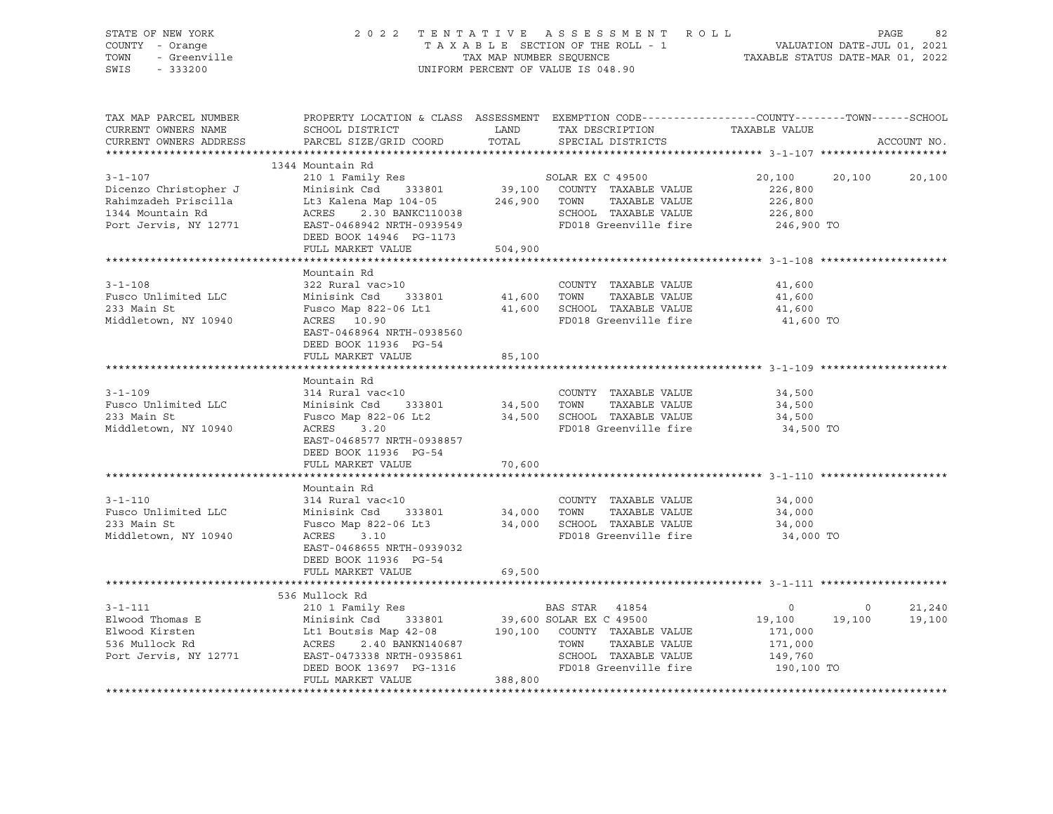| STATE OF NEW YORK<br>COUNTY - Orange<br>- Greenville<br>TOWN<br>SWIS<br>$-333200$ |                                                                                                                     | TAX MAP NUMBER SEQUENCE | 2022 TENTATIVE ASSESSMENT ROLL<br>TAXABLE SECTION OF THE ROLL - 1<br>UNIFORM PERCENT OF VALUE IS 048.90 | VALUATION DATE-JUL 01, 2021<br>TAXABLE STATUS DATE-MAR 01, 2022 |         | PAGE<br>82       |
|-----------------------------------------------------------------------------------|---------------------------------------------------------------------------------------------------------------------|-------------------------|---------------------------------------------------------------------------------------------------------|-----------------------------------------------------------------|---------|------------------|
| TAX MAP PARCEL NUMBER<br>CURRENT OWNERS NAME                                      | PROPERTY LOCATION & CLASS ASSESSMENT EXEMPTION CODE----------------COUNTY-------TOWN------SCHOOL<br>SCHOOL DISTRICT | LAND                    | TAX DESCRIPTION                                                                                         | TAXABLE VALUE                                                   |         |                  |
| CURRENT OWNERS ADDRESS                                                            | PARCEL SIZE/GRID COORD                                                                                              | TOTAL                   | SPECIAL DISTRICTS                                                                                       |                                                                 |         | ACCOUNT NO.      |
|                                                                                   |                                                                                                                     |                         |                                                                                                         |                                                                 |         |                  |
|                                                                                   | 1344 Mountain Rd                                                                                                    |                         |                                                                                                         |                                                                 |         |                  |
| $3 - 1 - 107$                                                                     | 210 1 Family Res                                                                                                    |                         | SOLAR EX C 49500                                                                                        | 20,100                                                          | 20,100  | 20,100           |
| Dicenzo Christopher J                                                             | Minisink Csd<br>333801                                                                                              |                         | 39,100 COUNTY TAXABLE VALUE                                                                             | 226,800                                                         |         |                  |
| Rahimzadeh Priscilla                                                              | Lt3 Kalena Map 104-05                                                                                               |                         | TAXABLE VALUE<br>246,900 TOWN                                                                           | 226,800                                                         |         |                  |
| 1344 Mountain Rd                                                                  | ACRES<br>2.30 BANKC110038                                                                                           |                         | SCHOOL TAXABLE VALUE                                                                                    | 226,800                                                         |         |                  |
| Port Jervis, NY 12771                                                             | EAST-0468942 NRTH-0939549                                                                                           |                         | FD018 Greenville fire                                                                                   | 246,900 TO                                                      |         |                  |
|                                                                                   | DEED BOOK 14946 PG-1173                                                                                             |                         |                                                                                                         |                                                                 |         |                  |
|                                                                                   | FULL MARKET VALUE                                                                                                   | 504,900                 |                                                                                                         |                                                                 |         |                  |
|                                                                                   |                                                                                                                     |                         |                                                                                                         |                                                                 |         |                  |
|                                                                                   | Mountain Rd                                                                                                         |                         |                                                                                                         |                                                                 |         |                  |
| $3 - 1 - 108$                                                                     | 322 Rural vac>10                                                                                                    |                         | COUNTY TAXABLE VALUE                                                                                    | 41,600                                                          |         |                  |
| Fusco Unlimited LLC                                                               | Minisink Csd<br>333801                                                                                              | 41,600 TOWN             | TAXABLE VALUE                                                                                           | 41,600                                                          |         |                  |
| 233 Main St                                                                       | Fusco Map 822-06 Lt1                                                                                                |                         | 41,600 SCHOOL TAXABLE VALUE                                                                             | 41,600                                                          |         |                  |
| Middletown, NY 10940                                                              | ACRES 10.90                                                                                                         |                         | FD018 Greenville fire                                                                                   | 41,600 TO                                                       |         |                  |
|                                                                                   | EAST-0468964 NRTH-0938560                                                                                           |                         |                                                                                                         |                                                                 |         |                  |
|                                                                                   | DEED BOOK 11936 PG-54<br>FULL MARKET VALUE                                                                          |                         |                                                                                                         |                                                                 |         |                  |
|                                                                                   |                                                                                                                     | 85,100                  |                                                                                                         |                                                                 |         |                  |
|                                                                                   | Mountain Rd                                                                                                         |                         |                                                                                                         |                                                                 |         |                  |
| $3 - 1 - 109$                                                                     | 314 Rural vac<10                                                                                                    |                         | COUNTY TAXABLE VALUE                                                                                    | 34,500                                                          |         |                  |
| Fusco Unlimited LLC                                                               | 333801 34,500 TOWN<br>Minisink Csd                                                                                  |                         | TAXABLE VALUE                                                                                           | 34,500                                                          |         |                  |
| 233 Main St                                                                       | Fusco Map 822-06 Lt2                                                                                                |                         | 34,500 SCHOOL TAXABLE VALUE                                                                             | 34,500                                                          |         |                  |
| Middletown, NY 10940                                                              | ACRES<br>3.20                                                                                                       |                         | FD018 Greenville fire                                                                                   | 34,500 TO                                                       |         |                  |
|                                                                                   | EAST-0468577 NRTH-0938857                                                                                           |                         |                                                                                                         |                                                                 |         |                  |
|                                                                                   | DEED BOOK 11936 PG-54                                                                                               |                         |                                                                                                         |                                                                 |         |                  |
|                                                                                   | FULL MARKET VALUE                                                                                                   | 70,600                  |                                                                                                         |                                                                 |         |                  |
|                                                                                   |                                                                                                                     |                         |                                                                                                         |                                                                 |         |                  |
|                                                                                   | Mountain Rd                                                                                                         |                         |                                                                                                         |                                                                 |         |                  |
| $3 - 1 - 110$                                                                     | 314 Rural vac<10                                                                                                    |                         | COUNTY TAXABLE VALUE                                                                                    | 34,000                                                          |         |                  |
| Fusco Unlimited LLC                                                               | Minisink Csd<br>333801                                                                                              | 34,000 TOWN             | TAXABLE VALUE                                                                                           | 34,000                                                          |         |                  |
| 233 Main St                                                                       | Fusco Map 822-06 Lt3                                                                                                |                         | 34,000 SCHOOL TAXABLE VALUE                                                                             | 34,000                                                          |         |                  |
| Middletown, NY 10940                                                              | ACRES<br>3.10                                                                                                       |                         | FD018 Greenville fire                                                                                   | 34,000 TO                                                       |         |                  |
|                                                                                   | EAST-0468655 NRTH-0939032                                                                                           |                         |                                                                                                         |                                                                 |         |                  |
|                                                                                   | DEED BOOK 11936 PG-54                                                                                               |                         |                                                                                                         |                                                                 |         |                  |
|                                                                                   | FULL MARKET VALUE                                                                                                   | 69,500                  |                                                                                                         |                                                                 |         |                  |
|                                                                                   |                                                                                                                     |                         |                                                                                                         |                                                                 |         |                  |
| $3 - 1 - 111$                                                                     | 536 Mullock Rd                                                                                                      |                         | BAS STAR 41854                                                                                          | $\circ$                                                         | $\circ$ |                  |
| Elwood Thomas E                                                                   | 210 1 Family Res<br>Minisink Csd<br>333801                                                                          |                         | 39,600 SOLAR EX C 49500                                                                                 | 19,100                                                          | 19,100  | 21,240<br>19,100 |
| Elwood Kirsten                                                                    | Lt1 Boutsis Map 42-08                                                                                               |                         | 190,100 COUNTY TAXABLE VALUE                                                                            | 171,000                                                         |         |                  |
| 536 Mullock Rd                                                                    | 2.40 BANKN140687<br>ACRES                                                                                           |                         | TOWN<br>TAXABLE VALUE                                                                                   | 171,000                                                         |         |                  |
|                                                                                   |                                                                                                                     |                         |                                                                                                         |                                                                 |         |                  |

DEED BOOK 13697 PG-1316<br>FULL MARKET VALUE 388,800 \*\*\*\*\*\*\*\*\*\*\*\*\*\*\*\*\*\*\*\*\*\*\*\*\*\*\*\*\*\*\*\*\*\*\*\*\*\*\*\*\*\*\*\*\*\*\*\*\*\*\*\*\*\*\*\*\*\*\*\*\*\*\*\*\*\*\*\*\*\*\*\*\*\*\*\*\*\*\*\*\*\*\*\*\*\*\*\*\*\*\*\*\*\*\*\*\*\*\*\*\*\*\*\*\*\*\*\*\*\*\*\*\*\*\*\*\*\*\*\*\*\*\*\*\*\*\*\*\*\*\*\*

Port Jervis, NY 12771 EAST-0473338 NRTH-0935861 SCHOOL TAXABLE VALUE 149,760 DEED BOOK 13697 PG-1316 FD018 Greenville fire 190,100 TO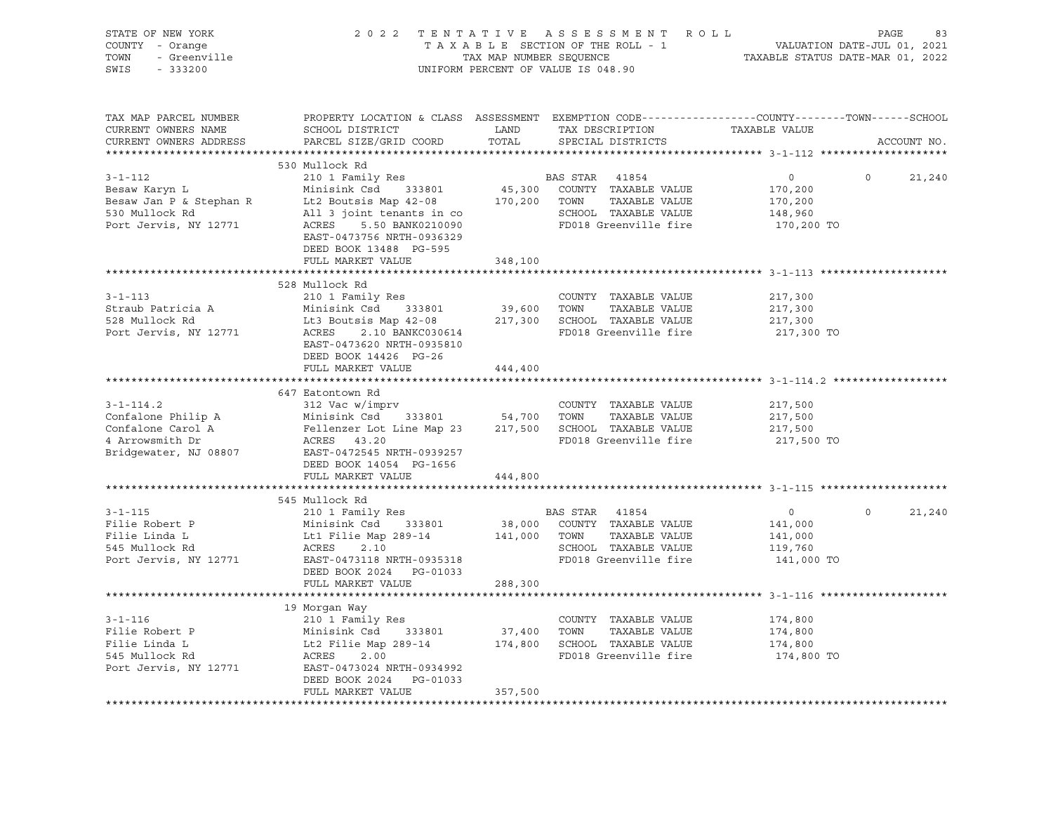| STATE OF NEW YORK<br>COUNTY - Orange<br>OF NEW YORK<br>I - Orange<br>- Greenville<br>- Creas<br>TOWN<br>SWIS                            | 2022 TENTATIVE ASSESSMENT ROLL<br>TAXABLE SECTION OF THE ROLL - 1<br>TAX MAP NUMBER SEQUENCE<br>TAXABLE STATUS DATE-MAR 01, 2022<br>UNIFORM PERCENT OF VALUE IS 048.90                                                                                                                                                                 |         |                                                                                                           | PAGE<br>83                                                    |                             |  |
|-----------------------------------------------------------------------------------------------------------------------------------------|----------------------------------------------------------------------------------------------------------------------------------------------------------------------------------------------------------------------------------------------------------------------------------------------------------------------------------------|---------|-----------------------------------------------------------------------------------------------------------|---------------------------------------------------------------|-----------------------------|--|
| TAX MAP PARCEL NUMBER<br>CURRENT OWNERS NAME<br>CURRENT OWNERS ADDRESS                                                                  | PROPERTY LOCATION & CLASS ASSESSMENT EXEMPTION CODE-----------------COUNTY-------TOWN------SCHOOL<br>SCHOOL DISTRICT LAND<br>PARCEL SIZE/GRID COORD TOTAL                                                                                                                                                                              |         | TAX DESCRIPTION TAXABLE VALUE<br>SPECIAL DISTRICTS                                                        |                                                               | ACCOUNT NO.                 |  |
|                                                                                                                                         | 530 Mullock Rd                                                                                                                                                                                                                                                                                                                         |         |                                                                                                           |                                                               |                             |  |
| $3 - 1 - 112$<br>Besaw Karyn L<br>Besaw Karyn L<br>Besaw Jan P & Stephan R<br>530 Mullock Pd<br>530 Mullock Rd<br>Port Jervis, NY 12771 | <br>210 1 Family Res<br>Minisink Csd 333801<br>Exercise of the Countries of the MINISIAN CONTRABLE VALUE<br>All 3 joint tenants in contract the SCHOOL TAXABLE VALUE<br>ACRES 5.50 BANK0210090 FD018 Greenville fire<br>All 3 JOINT Lenancs In CO<br>ACRES 5.50 BANK0210090<br>EAST-0473756 NRTH-0936329<br>DEED BOOK 13488 PG-595     |         | BAS STAR 41854<br>45,300 COUNTY TAXABLE VALUE                                                             | $\overline{0}$<br>170,200<br>170,200<br>148,960<br>170,200 TO | $\circ$<br>21,240           |  |
|                                                                                                                                         | FULL MARKET VALUE                                                                                                                                                                                                                                                                                                                      | 348,100 |                                                                                                           |                                                               |                             |  |
| $3 - 1 - 113$                                                                                                                           | 528 Mullock Rd<br>210 1 Family Res<br>3-1-113<br>Straub Patricia A Minisink Csd 333801 39,600 TOWN TAXABLE VALUE<br>528 Mullock Rd Lt3 Boutsis Map 42-08 217,300 SCHOOL TAXABLE VALUE<br>Port Jervis, NY 12771 ACRES 2.10 BANKC030614 FD018 Greenville fire<br>EAST-0473620 NRTH-0935810<br>DEED BOOK 14426 PG-26<br>FULL MARKET VALUE | 444,400 | COUNTY TAXABLE VALUE                                                                                      | 217,300<br>217,300<br>217,300<br>217,300 TO                   |                             |  |
|                                                                                                                                         | 647 Eatontown Rd                                                                                                                                                                                                                                                                                                                       |         |                                                                                                           |                                                               |                             |  |
|                                                                                                                                         | 3-1-114.2<br>Country TAXABLE VALUE<br>Confalone Philip A<br>Confalone Carol A<br>Tellenzer Lot Line Map 23<br>4 Arrowsmith Dr<br>ACRES 43.20<br>Philip ACRES 43.20<br>Philip ACRES 43.20<br>Philip ACRES 43.20<br>Philip ACRES 43.20<br>Philip FD018<br>DEED BOOK 14054 PG-1656                                                        |         | COUNTY TAXABLE VALUE 217,500<br>FD018 Greenville fire 217,500 TO                                          | 217,500<br>217,500                                            |                             |  |
|                                                                                                                                         | FULL MARKET VALUE                                                                                                                                                                                                                                                                                                                      | 444,800 |                                                                                                           |                                                               |                             |  |
|                                                                                                                                         | 545 Mullock Rd<br>3-1-115<br>Filie Robert P<br>Filie Robert P<br>Minisink Csd 333801 38,000 COUNTY TAXABLE VALUE<br>Filie Linda L<br>141,000 TOWN TAXABLE VALUE<br>545 Mullock Rd<br>2.10<br>Port Jervis, NY 12771 EAST-0473118 NRTH-0935318<br>EAST-0473118 NRTH-<br>DEED BOOK 2024 PG-01033                                          |         |                                                                                                           | $\overline{0}$<br>141,000<br>141,000<br>119,760<br>141,000 TO | $0 \qquad \qquad$<br>21,240 |  |
|                                                                                                                                         | FULL MARKET VALUE                                                                                                                                                                                                                                                                                                                      | 288,300 |                                                                                                           |                                                               |                             |  |
|                                                                                                                                         |                                                                                                                                                                                                                                                                                                                                        |         |                                                                                                           |                                                               |                             |  |
|                                                                                                                                         | 19 Morgan Way<br>3-1-116 210 1 Family Res COUNTY<br>Filie Robert P Minisink Csd 333801 37,400 TOWN<br>Filie Linda L Lt2 Filie Map 289-14 174,800 SCHOOL<br>545 Mullock Rd ACRES 2.00 FD018 G1<br>Port Jervis, NY 12771 EAST-0473024 NRTH-0934992<br>DEED BOOK 2024 PG-01033<br>FULL MARKET VALUE                                       | 357,500 | COUNTY TAXABLE VALUE<br>TAXABLE VALUE<br>174,800 SCHOOL TAXABLE VALUE<br>FD018 Greenville fire 174,800 TO | 174,800<br>174,800<br>174,800                                 |                             |  |
|                                                                                                                                         |                                                                                                                                                                                                                                                                                                                                        |         |                                                                                                           |                                                               |                             |  |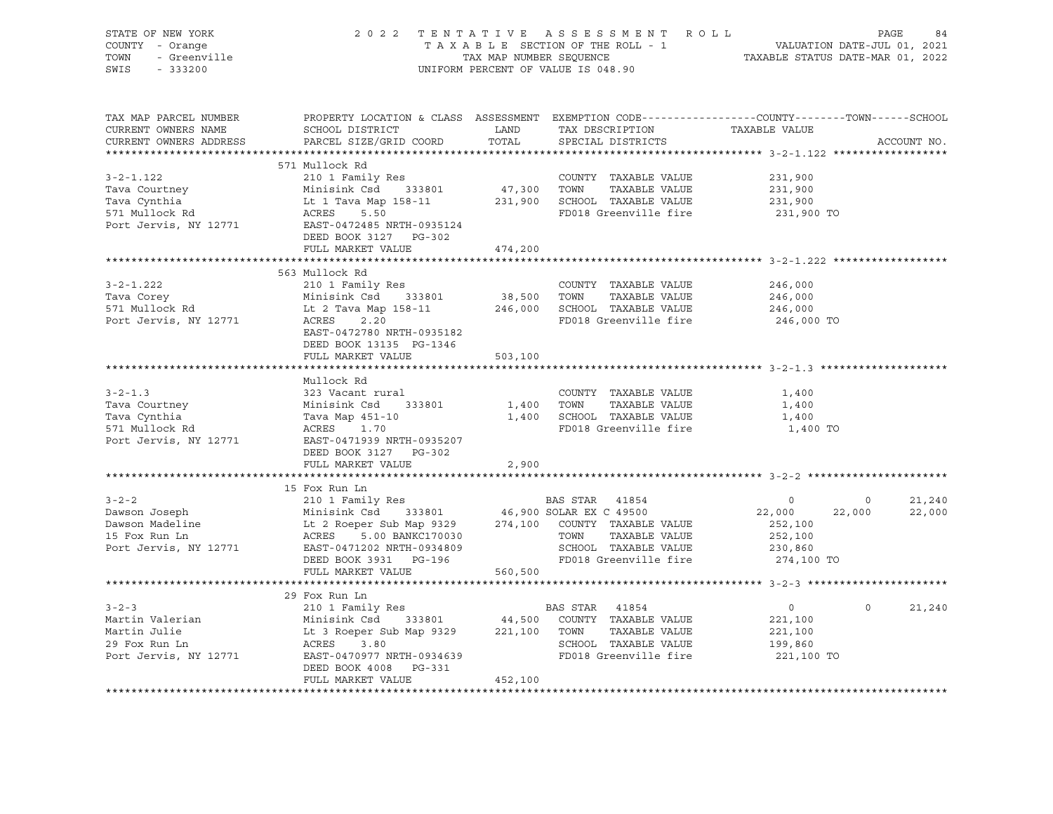| STATE OF NEW YORK<br>OF NEW YORK<br>I - Orange<br>- Greenville<br>COUNTY - Orange<br>TOWN<br>SWIS - 333200                                                                                                                                                                                                                                                                                                               |                                                                                                                                             |         | 2022 TENTATIVE ASSESSMENT ROLL PAGE 84<br>TAXABLE SECTION OF THE ROLL - 1 VALUATION DATE-JUL 01, 2021<br>TAX MAP NUMBER SEQUENCE TAXABLE STATUS DATE-MAR 01, 2022<br>UNIFORM PERCENT OF VALUE IS 048.90 |                                                                                                                                                                                                                                                                                                                                    |                |             |
|--------------------------------------------------------------------------------------------------------------------------------------------------------------------------------------------------------------------------------------------------------------------------------------------------------------------------------------------------------------------------------------------------------------------------|---------------------------------------------------------------------------------------------------------------------------------------------|---------|---------------------------------------------------------------------------------------------------------------------------------------------------------------------------------------------------------|------------------------------------------------------------------------------------------------------------------------------------------------------------------------------------------------------------------------------------------------------------------------------------------------------------------------------------|----------------|-------------|
| TAX MAP PARCEL NUMBER<br>CURRENT OWNERS NAME<br>CURRENT OWNERS ADDRESS                                                                                                                                                                                                                                                                                                                                                   | PROPERTY LOCATION & CLASS ASSESSMENT EXEMPTION CODE---------------COUNTY-------TOWN-----SCHOOL<br>SCHOOL DISTRICT<br>PARCEL SIZE/GRID COORD |         | LAND TAX DESCRIPTION TAXABLE VALUE COORD TOTAL SPECIAL DISTRICTS                                                                                                                                        |                                                                                                                                                                                                                                                                                                                                    |                | ACCOUNT NO. |
|                                                                                                                                                                                                                                                                                                                                                                                                                          | 571 Mullock Rd                                                                                                                              |         |                                                                                                                                                                                                         |                                                                                                                                                                                                                                                                                                                                    |                |             |
|                                                                                                                                                                                                                                                                                                                                                                                                                          |                                                                                                                                             |         |                                                                                                                                                                                                         | 231,900                                                                                                                                                                                                                                                                                                                            |                |             |
|                                                                                                                                                                                                                                                                                                                                                                                                                          |                                                                                                                                             |         |                                                                                                                                                                                                         |                                                                                                                                                                                                                                                                                                                                    |                |             |
|                                                                                                                                                                                                                                                                                                                                                                                                                          |                                                                                                                                             |         |                                                                                                                                                                                                         | 231,900<br>231,900                                                                                                                                                                                                                                                                                                                 |                |             |
| 3-2-1.122<br>Tava Courtney<br>Tava Courtney<br>Tava Cynthia<br>Tava Cynthia<br>Tava Cynthia<br>It 1 Tava Map 158-11<br>S71 Mullock Rd<br>ACRES<br>Port Jervis, NY 12771<br>Example 158-11<br>Example 158-11<br>231,900<br>EXABLE VALUE<br>231,900<br>ED018 G                                                                                                                                                             | DEED BOOK 3127 PG-302                                                                                                                       |         |                                                                                                                                                                                                         | 231,900 TO                                                                                                                                                                                                                                                                                                                         |                |             |
|                                                                                                                                                                                                                                                                                                                                                                                                                          | FULL MARKET VALUE                                                                                                                           | 474,200 |                                                                                                                                                                                                         |                                                                                                                                                                                                                                                                                                                                    |                |             |
|                                                                                                                                                                                                                                                                                                                                                                                                                          |                                                                                                                                             |         |                                                                                                                                                                                                         |                                                                                                                                                                                                                                                                                                                                    |                |             |
| 3-2-1.222<br>Tava Corey<br>Tava Corey<br>Tava Corey<br>Minisink Csd 333801<br>S71 Mullock Rd Lt 2 Tava Map 158-11<br>Port Jervis, NY 12771<br>ACRES 2.20<br>Tava Map 158-11<br>Port Jervis, NY 12771<br>ACRES 2.20<br>Tava Corey<br>PD018 Greenville f                                                                                                                                                                   |                                                                                                                                             |         |                                                                                                                                                                                                         |                                                                                                                                                                                                                                                                                                                                    |                |             |
|                                                                                                                                                                                                                                                                                                                                                                                                                          |                                                                                                                                             |         |                                                                                                                                                                                                         |                                                                                                                                                                                                                                                                                                                                    |                |             |
|                                                                                                                                                                                                                                                                                                                                                                                                                          | EAST-0472780 NRTH-0935182<br>DEED BOOK 13135 PG-1346                                                                                        |         |                                                                                                                                                                                                         | 246,000 TO                                                                                                                                                                                                                                                                                                                         |                |             |
|                                                                                                                                                                                                                                                                                                                                                                                                                          | FULL MARKET VALUE                                                                                                                           | 503,100 |                                                                                                                                                                                                         |                                                                                                                                                                                                                                                                                                                                    |                |             |
|                                                                                                                                                                                                                                                                                                                                                                                                                          |                                                                                                                                             |         |                                                                                                                                                                                                         |                                                                                                                                                                                                                                                                                                                                    |                |             |
| $3 - 2 - 1.3$                                                                                                                                                                                                                                                                                                                                                                                                            | Mullock Rd<br>323 Vacant rural                                                                                                              |         | COUNTY TAXABLE VALUE                                                                                                                                                                                    | 1,400                                                                                                                                                                                                                                                                                                                              |                |             |
|                                                                                                                                                                                                                                                                                                                                                                                                                          |                                                                                                                                             |         |                                                                                                                                                                                                         | 1,400                                                                                                                                                                                                                                                                                                                              |                |             |
|                                                                                                                                                                                                                                                                                                                                                                                                                          |                                                                                                                                             |         |                                                                                                                                                                                                         | 1,400                                                                                                                                                                                                                                                                                                                              |                |             |
|                                                                                                                                                                                                                                                                                                                                                                                                                          |                                                                                                                                             |         | 1,400 TOWN TAXABLE VALUE<br>1,400 SCHOOL TAXABLE VALUE<br>FD018 Greenville fire<br>FD018 Greenville fire                                                                                                | 1,400 TO                                                                                                                                                                                                                                                                                                                           |                |             |
| 3-2-1.3<br>Tava Courtney<br>Tava Cynthia<br>Tava Cynthia<br>571 Mullock Rd<br>Port Jervis, NY 12771<br>Ram Port Sam Port Sam Port Sam Port Sam Port Sam Port Sam Port Sam Port Sam Port Sam Port Sam Port Sam Port S<br>Port Sam Port Port S                                                                                                                                                                             | DEED BOOK 3127 PG-302<br>FULL MARKET VALUE                                                                                                  | 2,900   |                                                                                                                                                                                                         |                                                                                                                                                                                                                                                                                                                                    |                |             |
|                                                                                                                                                                                                                                                                                                                                                                                                                          |                                                                                                                                             |         |                                                                                                                                                                                                         |                                                                                                                                                                                                                                                                                                                                    |                |             |
| $\begin{tabular}{lllllllllllllllllll} \hline 3-2-2 & 210 & 1 Family Res & \textbf{BAS STAR} & 41854 & 0 \\ \textbf{Dawson Joseph} & \textbf{Minisink Csd} & 333801 & 46,900 SOLAR EX C 49500 & 22,000 & 22 \\ \textbf{Dawson Madeline} & \text{Lt 2 Roger Sub Map 9329} & 274,100 & \textbf{COUNTY TAXABLE VALUE} & 252,100 \\ \textbf{15 Fox Run Ln} & \textbf{ACRES} & 5.00 BANKC170030 & \textbf{TCWN} & \textbf{TAX$ | 15 Fox Run Ln                                                                                                                               |         |                                                                                                                                                                                                         |                                                                                                                                                                                                                                                                                                                                    |                |             |
|                                                                                                                                                                                                                                                                                                                                                                                                                          |                                                                                                                                             |         |                                                                                                                                                                                                         |                                                                                                                                                                                                                                                                                                                                    | $\overline{0}$ | 21,240      |
|                                                                                                                                                                                                                                                                                                                                                                                                                          |                                                                                                                                             |         |                                                                                                                                                                                                         | 22,000 22,000                                                                                                                                                                                                                                                                                                                      |                | 22,000      |
|                                                                                                                                                                                                                                                                                                                                                                                                                          |                                                                                                                                             |         |                                                                                                                                                                                                         |                                                                                                                                                                                                                                                                                                                                    |                |             |
|                                                                                                                                                                                                                                                                                                                                                                                                                          |                                                                                                                                             |         |                                                                                                                                                                                                         |                                                                                                                                                                                                                                                                                                                                    |                |             |
|                                                                                                                                                                                                                                                                                                                                                                                                                          |                                                                                                                                             |         |                                                                                                                                                                                                         |                                                                                                                                                                                                                                                                                                                                    |                |             |
|                                                                                                                                                                                                                                                                                                                                                                                                                          |                                                                                                                                             |         |                                                                                                                                                                                                         |                                                                                                                                                                                                                                                                                                                                    |                |             |
|                                                                                                                                                                                                                                                                                                                                                                                                                          | FULL MARKET VALUE 560,500                                                                                                                   |         |                                                                                                                                                                                                         |                                                                                                                                                                                                                                                                                                                                    |                |             |
|                                                                                                                                                                                                                                                                                                                                                                                                                          | 29 Fox Run Ln                                                                                                                               |         |                                                                                                                                                                                                         |                                                                                                                                                                                                                                                                                                                                    |                |             |
| $3 - 2 - 3$                                                                                                                                                                                                                                                                                                                                                                                                              | 210 1 Family Res                                                                                                                            |         | BAS STAR 41854                                                                                                                                                                                          | $\overline{0}$ and $\overline{0}$ and $\overline{0}$ and $\overline{0}$ and $\overline{0}$ and $\overline{0}$ and $\overline{0}$ and $\overline{0}$ and $\overline{0}$ and $\overline{0}$ and $\overline{0}$ and $\overline{0}$ and $\overline{0}$ and $\overline{0}$ and $\overline{0}$ and $\overline{0}$ and $\overline{0}$ and | $\overline{0}$ | 21,240      |
|                                                                                                                                                                                                                                                                                                                                                                                                                          |                                                                                                                                             |         |                                                                                                                                                                                                         |                                                                                                                                                                                                                                                                                                                                    |                |             |
|                                                                                                                                                                                                                                                                                                                                                                                                                          |                                                                                                                                             |         |                                                                                                                                                                                                         |                                                                                                                                                                                                                                                                                                                                    |                |             |
|                                                                                                                                                                                                                                                                                                                                                                                                                          |                                                                                                                                             |         |                                                                                                                                                                                                         |                                                                                                                                                                                                                                                                                                                                    |                |             |
|                                                                                                                                                                                                                                                                                                                                                                                                                          |                                                                                                                                             |         |                                                                                                                                                                                                         |                                                                                                                                                                                                                                                                                                                                    |                |             |
|                                                                                                                                                                                                                                                                                                                                                                                                                          | DEED BOOK 4008 PG-331                                                                                                                       |         |                                                                                                                                                                                                         |                                                                                                                                                                                                                                                                                                                                    |                |             |
|                                                                                                                                                                                                                                                                                                                                                                                                                          | FULL MARKET VALUE                                                                                                                           | 452,100 |                                                                                                                                                                                                         |                                                                                                                                                                                                                                                                                                                                    |                |             |
|                                                                                                                                                                                                                                                                                                                                                                                                                          |                                                                                                                                             |         |                                                                                                                                                                                                         |                                                                                                                                                                                                                                                                                                                                    |                |             |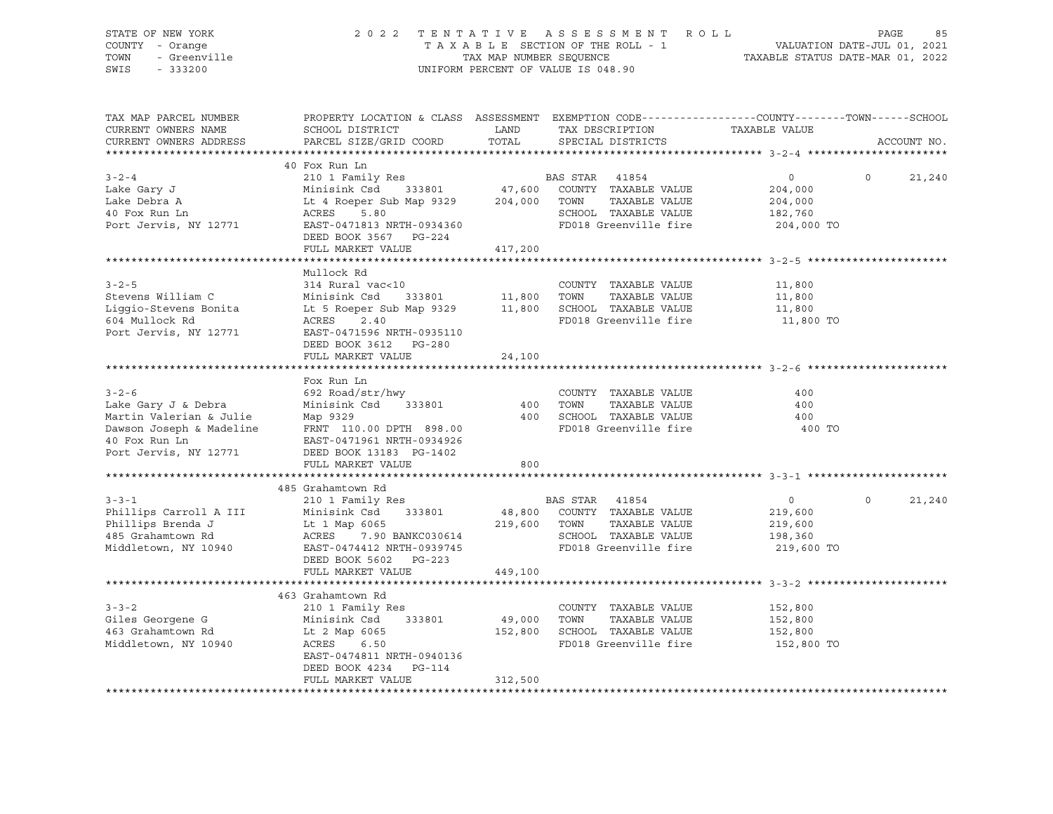| STATE OF NEW YORK<br>y<br>- Orange<br>- Greenville<br>COUNTY - Orange<br>TOWN<br>SWIS<br>$-333200$                                                                                                                                                                                |                                                                                                                                                                                                       |                      | TENTATIVE ASSESSMENT ROLL PAGE 85<br>TAXABLE SECTION OF THE ROLL - 1 VALUATION DATE-JUL 01, 2021<br>TAX MAP NUMBER SEQUENCE TAXABLE STATUS DATE-MAR 01, 2022<br>2022 TENTATIVE ASSESSMENT ROLL<br>UNIFORM PERCENT OF VALUE IS 048.90 |                                                               |          |             |
|-----------------------------------------------------------------------------------------------------------------------------------------------------------------------------------------------------------------------------------------------------------------------------------|-------------------------------------------------------------------------------------------------------------------------------------------------------------------------------------------------------|----------------------|--------------------------------------------------------------------------------------------------------------------------------------------------------------------------------------------------------------------------------------|---------------------------------------------------------------|----------|-------------|
| TAX MAP PARCEL NUMBER<br>CURRENT OWNERS NAME<br>CURRENT OWNERS ADDRESS                                                                                                                                                                                                            | PROPERTY LOCATION & CLASS ASSESSMENT EXEMPTION CODE----------------COUNTY-------TOWN------SCHOOL<br>SCHOOL DISTRICT<br>PARCEL SIZE/GRID COORD                                                         | <b>LAND</b><br>TOTAL | TAX DESCRIPTION TAXABLE VALUE<br>SPECIAL DISTRICTS                                                                                                                                                                                   |                                                               |          | ACCOUNT NO. |
| $3 - 2 - 4$<br>Lake Gary J<br>Lake Debra A<br>ות השום והוא ביז עם SCHOOL TAXABLE VALUE<br>Port Jervis, NY 12771 EAST-0471813 NRTH-0934360 FD018 Greenville fire<br>המרכז המרכז המרכז היא המרכז המרכז המרכז המרכז המרכז המרכז המרכז המרכז המרכז המרכז המרכז המרכז המרכז המרכז המרכ | 40 Fox Run Ln<br>EAS STAR 41854<br>Minisink Csd 333801 47,600 COUNTY TAXABLE VALUE<br>Lt 4 Roeper Sub Map 9329 204,000 TOWN TAXABLE VALUE<br>ACRES 5.80<br>DEED BOOK 3567 PG-224<br>FULL MARKET VALUE | 417,200              |                                                                                                                                                                                                                                      | $\overline{0}$<br>204,000<br>204,000<br>182,760<br>204,000 TO | $\Omega$ | 21,240      |
|                                                                                                                                                                                                                                                                                   |                                                                                                                                                                                                       |                      |                                                                                                                                                                                                                                      |                                                               |          |             |
| $3 - 2 - 5$<br>Stevens William C<br>Liggio-Stevens Bonita<br>Liggio-Stevens Bonita<br>Liggio-Stevens Bonita<br>Liggio-Stevens Bonita<br>Liggio-Stevens Bonita<br>Liggio-Stevens Bonita<br>604 Mullock Rd<br>Port Jervis, NY 12771                                                 | Mullock Rd<br>314 Rural vac<10<br>ACRES 2.40<br>EAST-0471596 NRTH-0935110<br>DEED BOOK 3612 PG-280                                                                                                    |                      | COUNTY TAXABLE VALUE<br>333801 11,800 TOWN TAXABLE VALUE<br>15 Map 9329 11,800 SCHOOL TAXABLE VALUE<br>TAXABLE VALUE<br>FD018 Greenville fire                                                                                        | 11,800<br>11,800<br>11,800<br>11,800 TO                       |          |             |
|                                                                                                                                                                                                                                                                                   | FULL MARKET VALUE                                                                                                                                                                                     | 24,100               |                                                                                                                                                                                                                                      |                                                               |          |             |
|                                                                                                                                                                                                                                                                                   |                                                                                                                                                                                                       |                      |                                                                                                                                                                                                                                      |                                                               |          |             |
| $3 - 2 - 6$<br>Lake Gary J & Debra<br>Martin Valerian & Julie Map 9329<br>Dawson Joseph & Madeline FRNT 110.00 DPTH 898.00<br>40 Fox Run Ln EAST-0471961 NRTH-0934926<br>Port Jervis, NY 12771                                                                                    | Fox Run Ln<br>692 Road/str/hwy<br>$\frac{352 \text{ head}}{233801}$<br>-- -<br>DEED BOOK 13183 PG-1402                                                                                                |                      | COUNTY TAXABLE VALUE<br>400 TOWN<br>TAXABLE VALUE<br>400 SCHOOL TAXABLE VALUE<br>FD018 Greenville fire                                                                                                                               | 400<br>400<br>400<br>400 TO                                   |          |             |
|                                                                                                                                                                                                                                                                                   | FULL MARKET VALUE                                                                                                                                                                                     | 800                  |                                                                                                                                                                                                                                      |                                                               |          |             |
|                                                                                                                                                                                                                                                                                   |                                                                                                                                                                                                       |                      |                                                                                                                                                                                                                                      |                                                               |          |             |
| $3 - 3 - 1$<br>Phillips Carroll A III (1994)<br>Phillips Brenda J (1994)<br>Minisink Csd 333801 (1996)<br>219,600 COUNTY TAXABLE VALUE<br>219,600 TOWN TAXABLE VALUE<br>219,600 TOWN TAXABLE VALUE<br>219,600 TOWN TAXABLE VALUE<br>219,600 TOWN TAXABLE VA                       | 485 Grahamtown Rd<br>210 1 Family Res<br>DEED BOOK 5602 PG-223                                                                                                                                        |                      | BAS STAR 41854                                                                                                                                                                                                                       | $\overline{0}$<br>219,600<br>219,600<br>198,360<br>219,600 TO | $\Omega$ | 21,240      |
|                                                                                                                                                                                                                                                                                   | FULL MARKET VALUE                                                                                                                                                                                     | 449,100              |                                                                                                                                                                                                                                      |                                                               |          |             |
|                                                                                                                                                                                                                                                                                   |                                                                                                                                                                                                       |                      |                                                                                                                                                                                                                                      |                                                               |          |             |
| $3 - 3 - 2$<br>S-S-2<br>Giles Georgene G Minisink Csd<br>463 Grahamtown Rd Lt 2 Map 6065<br>Middletown, NY 10940 ACRES 6.50                                                                                                                                                       | 463 Grahamtown Rd<br>210 1 Family Res<br>EAST-0474811 NRTH-0940136<br>DEED BOOK 4234 PG-114<br>FULL MARKET VALUE                                                                                      | 312,500              | COUNTY TAXABLE VALUE<br>333801 49,000 TOWN TAXABLE VALUE<br>152,800 SCHOOL TAXABLE VALUE<br>FD018 Greenville fire 152,800 TO                                                                                                         | 152,800<br>152,800<br>152,800                                 |          |             |
|                                                                                                                                                                                                                                                                                   |                                                                                                                                                                                                       |                      |                                                                                                                                                                                                                                      |                                                               |          |             |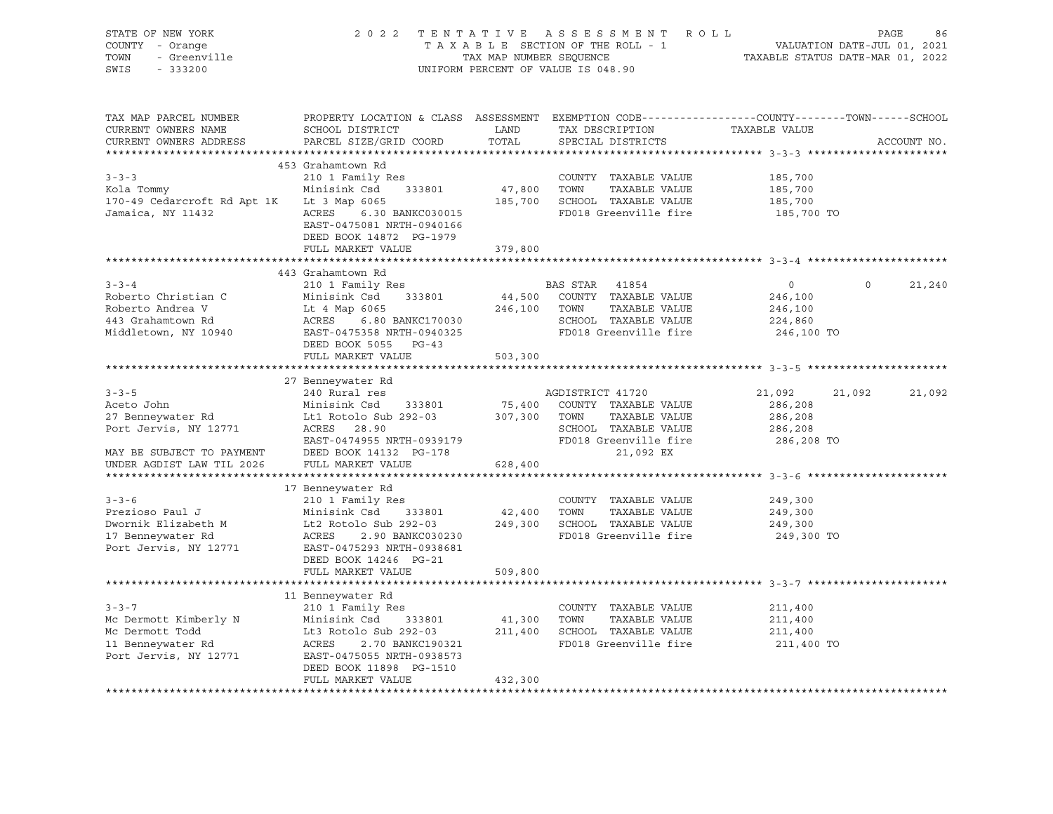| STATE OF NEW YORK<br>COUNTY - Orange<br>- Crange<br>- Greenville<br>TOWN<br>SWIS<br>$-333200$                                     |                                                                                                                                                                                                                                                                        | TAX MAP NUMBER SEQUENCE | 2022 TENTATIVE ASSESSMENT ROLL<br>TAXABLE SECTION OF THE ROLL - 1<br>UNIFORM PERCENT OF VALUE IS 048.90         | VALUATION DATE-JUL 01, 2021<br>TAXABLE STATUS DATE-MAR 01, 2022 | PAGE     | 86          |
|-----------------------------------------------------------------------------------------------------------------------------------|------------------------------------------------------------------------------------------------------------------------------------------------------------------------------------------------------------------------------------------------------------------------|-------------------------|-----------------------------------------------------------------------------------------------------------------|-----------------------------------------------------------------|----------|-------------|
| TAX MAP PARCEL NUMBER<br>CURRENT OWNERS NAME<br>CURRENT OWNERS ADDRESS                                                            | PROPERTY LOCATION & CLASS ASSESSMENT EXEMPTION CODE---------------COUNTY-------TOWN------SCHOOL<br>SCHOOL DISTRICT<br>PARCEL SIZE/GRID COORD                                                                                                                           | LAND<br>TOTAL           | TAX DESCRIPTION<br>SPECIAL DISTRICTS                                                                            | TAXABLE VALUE                                                   |          | ACCOUNT NO. |
| $3 - 3 - 3$<br>Kola Tommy<br>170-49 Cedarcroft Rd Apt 1K Lt 3 Map 6065<br>Jamaica, NY 11432                                       | 453 Grahamtown Rd<br>210 1 Family Res<br>333801<br>Minisink Csd<br>ACRES 6.30 BANKC030015<br>EAST-0475081 NRTH-0940166<br>DEED BOOK 14872 PG-1979<br>FULL MARKET VALUE                                                                                                 | 379,800                 | COUNTY TAXABLE VALUE<br>47,800 TOWN TAXABLE VALUE<br>185,700 SCHOOL TAXABLE VALUE<br>FD018 Greenville fire      | 185,700<br>185,700<br>185,700<br>185,700 TO                     |          |             |
|                                                                                                                                   |                                                                                                                                                                                                                                                                        |                         |                                                                                                                 |                                                                 |          |             |
| $3 - 3 - 4$<br>Roberto Christian C<br>Roberto Andrea V<br>443 Grahamtown Rd<br>Middletown, NY 10940 EAST-0475358 NRTH-0940325     | 443 Grahamtown Rd<br>210 1 Family Res<br>Minisink Csd 333801<br>Minisium Code<br>It 4 Map 6065 240, 100<br>ACRES 6.80 BANKC170030 240, 100<br>DEED BOOK 5055 PG-43                                                                                                     | 246,100 TOWN            | BAS STAR 41854<br>44,500 COUNTY TAXABLE VALUE<br>TAXABLE VALUE<br>SCHOOL TAXABLE VALUE<br>FD018 Greenville fire | $\overline{0}$<br>246,100<br>246,100<br>224,860<br>246,100 TO   | $\Omega$ | 21,240      |
|                                                                                                                                   | FULL MARKET VALUE                                                                                                                                                                                                                                                      | 503,300                 |                                                                                                                 |                                                                 |          |             |
|                                                                                                                                   |                                                                                                                                                                                                                                                                        |                         |                                                                                                                 |                                                                 |          |             |
| $3 - 3 - 5$<br>Aceto John<br>27 Benneywater Rd<br>Port Jervis, NY 12771<br>MAY BE SUBJECT TO PAYMENT<br>UNDER AGDIST LAW TIL 2026 | 27 Benneywater Rd<br>240 Rural res<br>Minisink Csd 333801 75,400 COUNTY TAXABLE VALUE<br>Lt1 Rotolo Sub 292-03 307,300 TOWN TAXABLE VALUE<br>ACRES 28.90<br>EAST-0474955 NRTH-0939179<br>DEED BOOK 14132 PG-178<br>DEED BOOK 14132 PG-178<br>FULL MARKET VALUE         | 628,400                 | AGDISTRICT 41720<br>TAXABLE VALUE<br>21,092 EX                                                                  | 21,092<br>286,208<br>286,208<br>286,208<br>286,208 TO           | 21,092   | 21,092      |
|                                                                                                                                   |                                                                                                                                                                                                                                                                        |                         |                                                                                                                 |                                                                 |          |             |
| $3 - 3 - 6$<br>Prezioso Paul J<br>Dwornik Elizabeth M<br>17 Benneywater Rd<br>Port Jervis, NY 12771 EAST-0475293 NRTH-0938681     | 17 Benneywater Rd<br>210 1 Family Res<br>VOUNTY TAXABLE VALUE<br>Minisink Csd 333801 42,400 TOWN TAXABLE VALUE<br>Lt2 Rotolo Sub 292-03 249,300 SCHOOL TAXABLE VALUE<br>ACRES 2.90 BANKC030230<br>ACRES 2.90 BANKC030230<br>DEED BOOK 14246 PG-21                      |                         | COUNTY TAXABLE VALUE<br>FD018 Greenville fire                                                                   | 249,300<br>249,300<br>249,300<br>249,300 TO                     |          |             |
|                                                                                                                                   | FULL MARKET VALUE                                                                                                                                                                                                                                                      | 509,800                 |                                                                                                                 |                                                                 |          |             |
| $3 - 3 - 7$<br>Mc Dermott Kimberly N<br>Mc Dermott Todd<br>11 Benneywater Rd<br>Port Jervis, NY 12771 EAST-0475055 NRTH-0938573   | 11 Benneywater Rd<br>210 1 Family Res<br>Minisink Csd 333801 41,300 TOWN TAXABLE VALUE<br>Lt3 Rotolo Sub 292-03 211,400 SCHOOL TAXABLE VALUE<br>ACRES 2.70 BANKC190321 FD018 Greenville fire<br>ACRES 2.70 BANKC190321<br>DEED BOOK 11898 PG-1510<br>FULL MARKET VALUE | 432,300                 | COUNTY TAXABLE VALUE<br>TAXABLE VALUE<br>FD018 Greenville fire                                                  | 211,400<br>211,400<br>211,400<br>211,400 TO                     |          |             |
|                                                                                                                                   |                                                                                                                                                                                                                                                                        |                         |                                                                                                                 |                                                                 |          |             |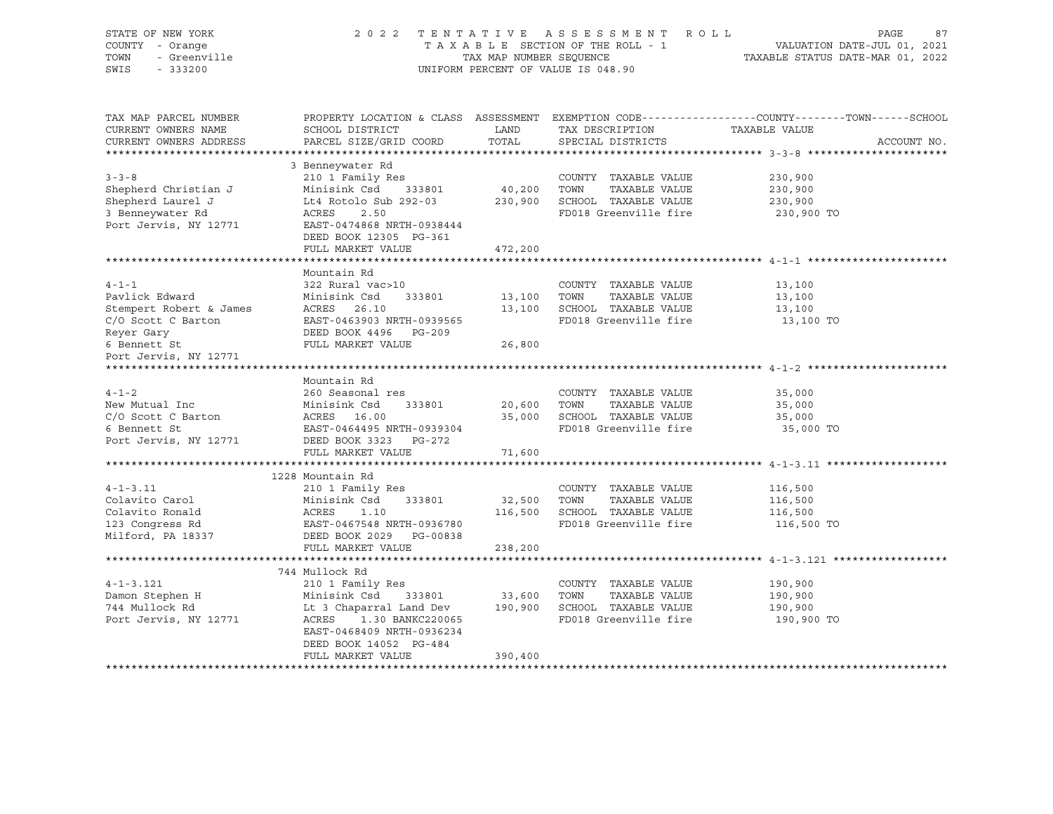| STATE OF NEW YORK<br>COUNTY - Orange<br>- Greenville<br>TOWN<br>SWIS<br>$-333200$                     |                                                                                                                                    |                        | 2022 TENTATIVE ASSESSMENT ROLL<br>UNIFORM PERCENT OF VALUE IS 048.90                           | PAGE<br>87<br>T A X A B L E SECTION OF THE ROLL - 1<br>T A X A B L E SECTION OF THE ROLL - 1<br>TAX MAP NUMBER SEQUENCE TAXABLE STATUS DATE-MAR 01, 2022 |
|-------------------------------------------------------------------------------------------------------|------------------------------------------------------------------------------------------------------------------------------------|------------------------|------------------------------------------------------------------------------------------------|----------------------------------------------------------------------------------------------------------------------------------------------------------|
| TAX MAP PARCEL NUMBER<br>CURRENT OWNERS NAME<br>CURRENT OWNERS ADDRESS                                | SCHOOL DISTRICT<br>PARCEL SIZE/GRID COORD                                                                                          | LAND<br>TOTAL          | TAX DESCRIPTION<br>SPECIAL DISTRICTS                                                           | PROPERTY LOCATION & CLASS ASSESSMENT EXEMPTION CODE---------------COUNTY-------TOWN-----SCHOOL<br>TAXABLE VALUE<br>ACCOUNT NO.                           |
|                                                                                                       |                                                                                                                                    |                        |                                                                                                |                                                                                                                                                          |
| $3 - 3 - 8$<br>Shepherd Christian J<br>Shepherd Laurel J<br>3 Benneywater Rd<br>Port Jervis, NY 12771 | 3 Benneywater Rd<br>210 1 Family Res<br>Minisink Csd 333801<br>Lt4 Rotolo Sub 292-03<br>ACRES<br>2.50<br>EAST-0474868 NRTH-0938444 | 40,200 TOWN            | COUNTY TAXABLE VALUE<br>TAXABLE VALUE<br>230,900 SCHOOL TAXABLE VALUE<br>FD018 Greenville fire | 230,900<br>230,900<br>230,900<br>230,900 TO                                                                                                              |
|                                                                                                       | DEED BOOK 12305 PG-361                                                                                                             |                        |                                                                                                |                                                                                                                                                          |
|                                                                                                       | FULL MARKET VALUE<br>***********************                                                                                       | 472,200<br>*********** |                                                                                                | .******************************* 4-1-1 ********                                                                                                          |
| $4 - 1 - 1$<br>Pavlick Edward                                                                         | Mountain Rd<br>322 Rural vac>10<br>Minisink Csd<br>333801                                                                          | 13,100                 | COUNTY TAXABLE VALUE<br>TAXABLE VALUE<br>TOWN                                                  | 13,100<br>13,100                                                                                                                                         |
| Stempert Robert & James<br>C/O Scott C Barton<br>Reyer Gary                                           | ACRES 26.10<br>EAST-0463903 NRTH-0939565<br>DEED BOOK 4496 PG-209                                                                  | 13,100                 | SCHOOL TAXABLE VALUE<br>FD018 Greenville fire                                                  | 13,100<br>13,100 TO                                                                                                                                      |
| 6 Bennett St<br>Port Jervis, NY 12771                                                                 | FULL MARKET VALUE                                                                                                                  | 26,800                 |                                                                                                |                                                                                                                                                          |
|                                                                                                       | Mountain Rd                                                                                                                        |                        |                                                                                                |                                                                                                                                                          |
| $4 - 1 - 2$                                                                                           | 260 Seasonal res                                                                                                                   |                        | COUNTY TAXABLE VALUE                                                                           | 35,000                                                                                                                                                   |
| New Mutual Inc                                                                                        | Minisink Csd<br>ACRES 16.00<br>PRET 2161105.1<br>Minisink Csd<br>333801                                                            | 20,600                 | TOWN<br>TAXABLE VALUE                                                                          | 35,000                                                                                                                                                   |
| C/O Scott C Barton                                                                                    |                                                                                                                                    |                        | 35,000 SCHOOL TAXABLE VALUE                                                                    | 35,000                                                                                                                                                   |
| 6 Bennett St                                                                                          | EAST-0464495 NRTH-0939304                                                                                                          |                        | FD018 Greenville fire                                                                          | 35,000 TO                                                                                                                                                |
| Port Jervis, NY 12771                                                                                 | DEED BOOK 3323 PG-272                                                                                                              |                        |                                                                                                |                                                                                                                                                          |
|                                                                                                       | FULL MARKET VALUE                                                                                                                  | 71,600                 |                                                                                                |                                                                                                                                                          |
|                                                                                                       |                                                                                                                                    |                        |                                                                                                |                                                                                                                                                          |
|                                                                                                       | 1228 Mountain Rd                                                                                                                   |                        |                                                                                                |                                                                                                                                                          |
| $4 - 1 - 3.11$<br>Colavito Carol                                                                      | 210 1 Family Res                                                                                                                   |                        | COUNTY TAXABLE VALUE<br>TAXABLE VALUE                                                          | 116,500                                                                                                                                                  |
| Colavito Ronald                                                                                       | Minisink Csd 333801<br>ACRES 1.10<br>EAST-0467548 NRTH-0936780                                                                     | 32,500 TOWN            | 116,500 SCHOOL TAXABLE VALUE                                                                   | 116,500<br>116,500                                                                                                                                       |
| 123 Congress Rd                                                                                       |                                                                                                                                    |                        | FD018 Greenville fire                                                                          | 116,500 TO                                                                                                                                               |
| Milford, PA 18337                                                                                     | DEED BOOK 2029 PG-00838                                                                                                            |                        |                                                                                                |                                                                                                                                                          |
|                                                                                                       | FULL MARKET VALUE                                                                                                                  | 238,200                |                                                                                                |                                                                                                                                                          |
|                                                                                                       |                                                                                                                                    |                        | *********************************** 4-1-3.121                                                  |                                                                                                                                                          |
|                                                                                                       | 744 Mullock Rd                                                                                                                     |                        |                                                                                                |                                                                                                                                                          |
| $4 - 1 - 3.121$                                                                                       | 210 1 Family Res                                                                                                                   |                        | COUNTY TAXABLE VALUE                                                                           | 190,900                                                                                                                                                  |
| 4-1-3.121<br>Damon Stephen H                                                                          | Minisink Csd 333801                                                                                                                | 33,600 TOWN            | TAXABLE VALUE                                                                                  | 190,900                                                                                                                                                  |
|                                                                                                       | Lt 3 Chaparral Land Dev 190,900 SCHOOL TAXABLE VALUE                                                                               |                        |                                                                                                | 190,900                                                                                                                                                  |
| Port Jervis, NY 12771                                                                                 | ACRES 1.30 BANKC220065<br>EAST-0468409 NRTH-0936234<br>DEED BOOK 14052 PG-484                                                      |                        | FD018 Greenville fire                                                                          | 190,900 TO                                                                                                                                               |
|                                                                                                       | FULL MARKET VALUE                                                                                                                  | 390,400                |                                                                                                |                                                                                                                                                          |
|                                                                                                       |                                                                                                                                    |                        |                                                                                                |                                                                                                                                                          |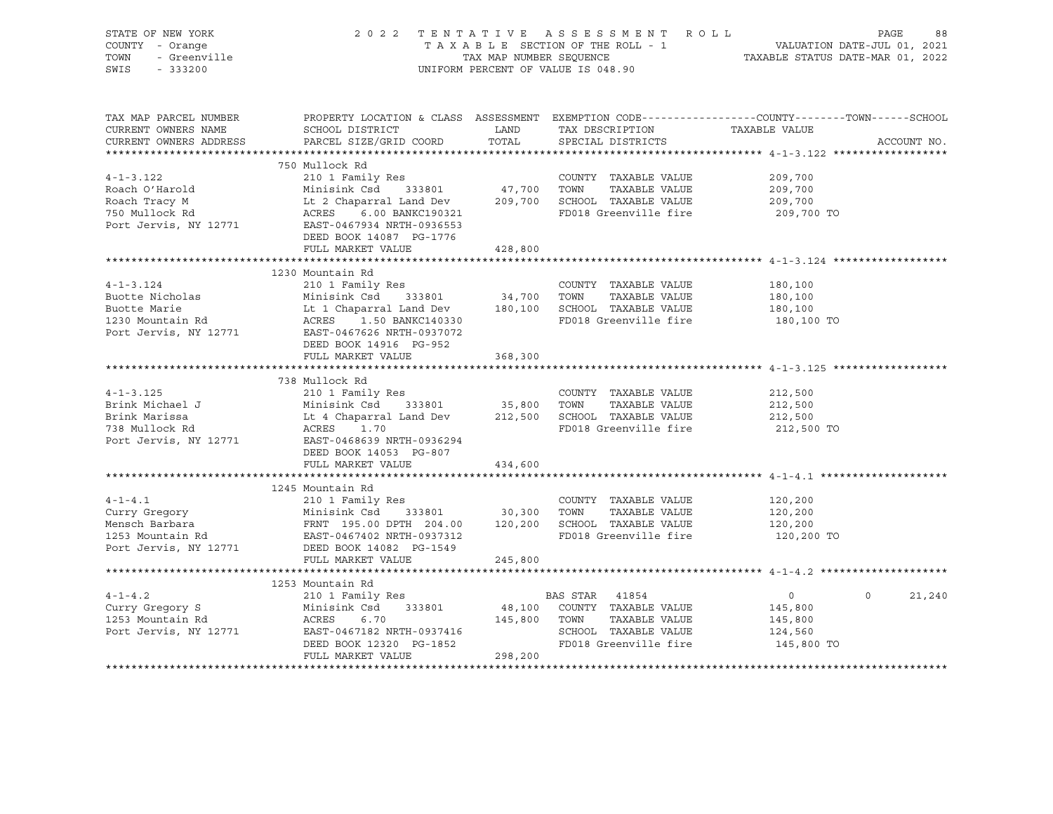| STATE OF NEW YORK<br>COUNTY - Orange         |                                                                                                                                                                                                                                       |              | 2022 TENTATIVE ASSESSMENT ROLL     | PAGE<br>88                                                                                       |
|----------------------------------------------|---------------------------------------------------------------------------------------------------------------------------------------------------------------------------------------------------------------------------------------|--------------|------------------------------------|--------------------------------------------------------------------------------------------------|
| - Orange<br>- Greenville<br>- 222200<br>TOWN |                                                                                                                                                                                                                                       |              |                                    |                                                                                                  |
| SWIS<br>$-333200$                            |                                                                                                                                                                                                                                       |              | UNIFORM PERCENT OF VALUE IS 048.90 |                                                                                                  |
|                                              |                                                                                                                                                                                                                                       |              |                                    |                                                                                                  |
|                                              |                                                                                                                                                                                                                                       |              |                                    |                                                                                                  |
| TAX MAP PARCEL NUMBER                        |                                                                                                                                                                                                                                       |              |                                    | PROPERTY LOCATION & CLASS ASSESSMENT EXEMPTION CODE----------------COUNTY-------TOWN------SCHOOL |
| CURRENT OWNERS NAME                          | SCHOOL DISTRICT                                                                                                                                                                                                                       | <b>LAND</b>  | TAX DESCRIPTION TAXABLE VALUE      |                                                                                                  |
| CURRENT OWNERS ADDRESS                       | PARCEL SIZE/GRID COORD                                                                                                                                                                                                                | TOTAL        | SPECIAL DISTRICTS                  | ACCOUNT NO.                                                                                      |
|                                              |                                                                                                                                                                                                                                       |              |                                    |                                                                                                  |
|                                              | 750 Mullock Rd                                                                                                                                                                                                                        |              |                                    |                                                                                                  |
| $4 - 1 - 3.122$                              | 210 1 Family Res                                                                                                                                                                                                                      |              | COUNTY TAXABLE VALUE               | 209,700                                                                                          |
| Roach O'Harold                               |                                                                                                                                                                                                                                       |              |                                    | 209,700                                                                                          |
| Roach Tracy M                                |                                                                                                                                                                                                                                       |              |                                    | 209,700                                                                                          |
| 750 Mullock Rd                               |                                                                                                                                                                                                                                       |              | FD018 Greenville fire 209,700 TO   |                                                                                                  |
| Port Jervis, NY 12771                        | Minisink Csd 333801 47,700 TOWN TAXABLE VALUE<br>Lt 2 Chaparral Land Dev 209,700 SCHOOL TAXABLE VALUE<br>ACRES 6.00 BANKC190321 FD018 Greenville fire<br>EAST-0467934 NRTH-0936553                                                    |              |                                    |                                                                                                  |
|                                              | DEED BOOK 14087 PG-1776                                                                                                                                                                                                               |              |                                    |                                                                                                  |
|                                              | FULL MARKET VALUE                                                                                                                                                                                                                     | 428,800      |                                    |                                                                                                  |
|                                              |                                                                                                                                                                                                                                       |              |                                    |                                                                                                  |
|                                              | 1230 Mountain Rd                                                                                                                                                                                                                      |              |                                    |                                                                                                  |
| $4 - 1 - 3$ . 124                            | 210 1 Family Res                                                                                                                                                                                                                      |              | COUNTY TAXABLE VALUE               | 180,100                                                                                          |
|                                              |                                                                                                                                                                                                                                       |              |                                    | 180,100                                                                                          |
|                                              |                                                                                                                                                                                                                                       |              |                                    | 180, 100                                                                                         |
|                                              |                                                                                                                                                                                                                                       |              | FD018 Greenville fire              | 180,100 TO                                                                                       |
|                                              | Buotte Nicholas<br>Buotte Marie Marie 180,100 FOWN TAXABLE VALUE<br>1890 Nountain Rd ACRES 1.50 BANKC140330<br>230 Mountain Rd ACRES 1.50 BANKC140330<br>230 Mountain Rd ACRES 1.50 BANKC140330<br>251-0467626 NRTH-0937072           |              |                                    |                                                                                                  |
|                                              | DEED BOOK 14916 PG-952                                                                                                                                                                                                                |              |                                    |                                                                                                  |
|                                              | FULL MARKET VALUE                                                                                                                                                                                                                     | 368,300      |                                    |                                                                                                  |
|                                              |                                                                                                                                                                                                                                       |              |                                    |                                                                                                  |
|                                              | 738 Mullock Rd                                                                                                                                                                                                                        |              |                                    |                                                                                                  |
| $4 - 1 - 3.125$                              | 210 1 Family Res                                                                                                                                                                                                                      |              | COUNTY TAXABLE VALUE               | 212,500                                                                                          |
| Brink Michael J                              |                                                                                                                                                                                                                                       |              |                                    | 212,500                                                                                          |
| Brink Marissa                                |                                                                                                                                                                                                                                       |              |                                    | 212,500                                                                                          |
| 738 Mullock Rd                               | 210 1 Family Res<br>Minisink Csd 333801 35,800 TOWN TAXABLE VALUE<br>Lt 4 Chaparral Land Dev 212,500 SCHOOL TAXABLE VALUE<br>ACRES 1.70 FD018 Greenville fire                                                                         |              | FD018 Greenville fire              | 212,500 TO                                                                                       |
| Port Jervis, NY 12771                        | EAST-0468639 NRTH-0936294                                                                                                                                                                                                             |              |                                    |                                                                                                  |
|                                              | DEED BOOK 14053 PG-807                                                                                                                                                                                                                |              |                                    |                                                                                                  |
|                                              | FULL MARKET VALUE                                                                                                                                                                                                                     | 434,600      |                                    |                                                                                                  |
|                                              |                                                                                                                                                                                                                                       |              |                                    |                                                                                                  |
|                                              | 1245 Mountain Rd                                                                                                                                                                                                                      |              |                                    |                                                                                                  |
|                                              |                                                                                                                                                                                                                                       |              |                                    | 120,200                                                                                          |
|                                              |                                                                                                                                                                                                                                       |              |                                    | 120,200<br>120,200                                                                               |
|                                              |                                                                                                                                                                                                                                       |              |                                    |                                                                                                  |
|                                              |                                                                                                                                                                                                                                       |              | FD018 Greenville fire              | 120,200 TO                                                                                       |
|                                              | 4-1-4.1<br>Curry Gregory Minisink Csd 333801 30,300 TOWN TAXABLE VALUE<br>Mensch Barbara FRNT 195.00 DPTH 204.00 120,200 SCHOOL TAXABLE VALUE<br>Mensch Barbara FRNT 195.00 DPTH 204.00 120,200 SCHOOL TAXABLE VALUE<br>1253 Mountain |              |                                    |                                                                                                  |
|                                              | FULL MARKET VALUE                                                                                                                                                                                                                     | 245,800      |                                    |                                                                                                  |
|                                              |                                                                                                                                                                                                                                       |              |                                    |                                                                                                  |
|                                              | 1253 Mountain Rd                                                                                                                                                                                                                      |              |                                    |                                                                                                  |
| $4 - 1 - 4$ . 2                              | 210 1 Family Res                                                                                                                                                                                                                      |              | <b>BAS STAR</b> 41854              | $\Omega$<br>$\overline{0}$<br>21,240                                                             |
|                                              |                                                                                                                                                                                                                                       |              | 48,100 COUNTY TAXABLE VALUE        | 145,800                                                                                          |
|                                              |                                                                                                                                                                                                                                       | 145,800 TOWN | TAXABLE VALUE                      | 145,800                                                                                          |
|                                              | Curry Gregory S<br>1253 Mountain Rd<br>Port Jervis, NY 12771 EAST-0467182 NRTH-0937416<br>EAST-0467182 NRTH-0937416<br>DEED BOOK 12320 PG-1852                                                                                        |              | SCHOOL TAXABLE VALUE               | 124,560                                                                                          |
|                                              |                                                                                                                                                                                                                                       |              | FD018 Greenville fire              | 145,800 TO                                                                                       |
|                                              | FULL MARKET VALUE                                                                                                                                                                                                                     | 298,200      |                                    |                                                                                                  |
|                                              |                                                                                                                                                                                                                                       |              |                                    |                                                                                                  |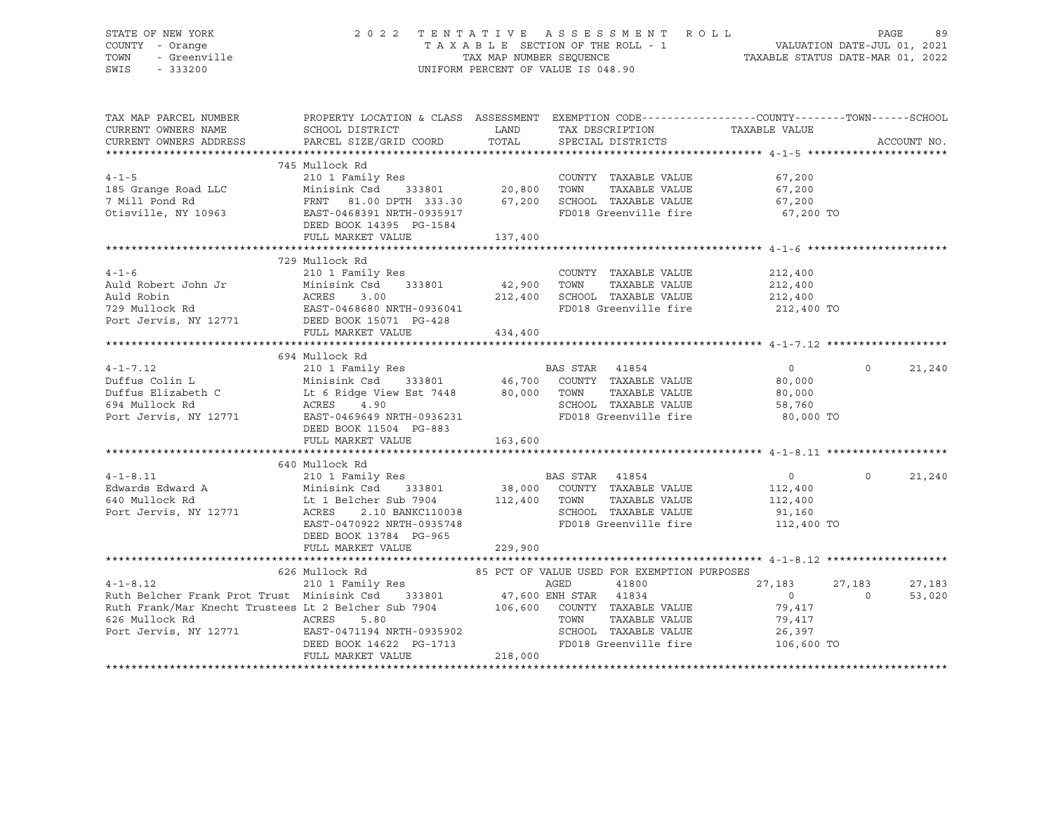# STATE OF NEW YORK 2 0 2 2 T E N T A T I V E A S S E S S M E N T R O L L PAGE 89 COUNTY - Orange T A X A B L E SECTION OF THE ROLL - 1 VALUATION DATE-JUL 01, 2021 TOWN - Greenville TAX MAP NUMBER SEQUENCE TAXABLE STATUS DATE-MAR 01, 2022 SWIS - 333200 UNIFORM PERCENT OF VALUE IS 048.90

| TAX MAP PARCEL NUMBER<br>PROPERTY LOCATION & CLASS ASSESSMENT EXEMPTION CODE---------------COUNTY-------TOWN-----SCHOOL<br>CURRENT OWNERS NAME<br>CURRENT OWNERS ADDRESS<br>ACCOUNT NO.<br>745 Mullock Rd<br>210 1 Family Res<br>185 Grange Road LLC Minisink Csd 333801 20,800 TOWN TAXABLE VALUE 67,200<br>7 Mill Pond Rd FRNT 81.00 DPTH 333.30 67,200 SCHOOL TAXABLE VALUE 67,200<br>0tisville, NY 10963 EAST-0468391 NRTH-0935917 FD018 Gree<br>FD018 Greenville fire 67,200 TO<br>DEED BOOK 14395 PG-1584<br>FULL MARKET VALUE<br>137,400<br>729 Mullock Rd<br>COUNTY TAXABLE VALUE<br>TOWN     TAXABLE VALUE<br>212,400<br>212,400<br>212,400 SCHOOL TAXABLE VALUE 212,400<br>FD018 Greenville fire<br>212,400 TO<br>FULL MARKET VALUE<br>434,400<br>694 Mullock Rd<br>$\overline{0}$<br>$\Omega$<br>21,240<br>DEED BOOK 11504 PG-883<br>163,600<br>FULL MARKET VALUE<br>640 Mullock Rd<br>640 Mullock Rd<br>210 1 Family Res<br>Edwards Edward A Minisink Csd 333801 38,000 COUNTY TAXABLE VALUE<br>640 Mullock Rd Lt 1 Belcher Sub 7904 112,400 TOWN TAXABLE VALUE 112,400<br>Port Jervis, NY 12771 ACRES 2.10 BANKC110038 SCHO<br>$\Omega$<br>21,240<br>FD018 Greenville fire 112,400 TO<br>EAST-0470922 NRTH-0935748<br>DEED BOOK 13784 PG-965<br>229,900<br>FULL MARKET VALUE<br>626 Mullock Rd                 85 PCT OF VALUE USED FOR EXEMPTION PURPOSES<br>$4-1-8.12$ 210 1 Family Res AGED 41800<br>Ruth Belcher Frank Prot Trust Minisink Csd 333801 47,600 ENH STAR 41834<br>27,183<br>27,183<br>27,183<br>$\overline{0}$<br>$\sim$ 0<br>53,020<br>Ruth Frank/Mar Knecht Trustees Lt 2 Belcher Sub 7904 106,600 COUNTY TAXABLE VALUE 79,417<br>EAST-04/1133 MARR VIELE<br>DEED BOOK 14622 PG-1713<br>""'' MADKET VALUE 218,000<br>FD018 Greenville fire 106,600 TO |  |  |  |  |
|---------------------------------------------------------------------------------------------------------------------------------------------------------------------------------------------------------------------------------------------------------------------------------------------------------------------------------------------------------------------------------------------------------------------------------------------------------------------------------------------------------------------------------------------------------------------------------------------------------------------------------------------------------------------------------------------------------------------------------------------------------------------------------------------------------------------------------------------------------------------------------------------------------------------------------------------------------------------------------------------------------------------------------------------------------------------------------------------------------------------------------------------------------------------------------------------------------------------------------------------------------------------------------------------------------------------------------------------------------------------------------------------------------------------------------------------------------------------------------------------------------------------------------------------------------------------------------------------------------------------------------------------------------------------------------------------------------------------------------------------------------------------------------------|--|--|--|--|
|                                                                                                                                                                                                                                                                                                                                                                                                                                                                                                                                                                                                                                                                                                                                                                                                                                                                                                                                                                                                                                                                                                                                                                                                                                                                                                                                                                                                                                                                                                                                                                                                                                                                                                                                                                                       |  |  |  |  |
|                                                                                                                                                                                                                                                                                                                                                                                                                                                                                                                                                                                                                                                                                                                                                                                                                                                                                                                                                                                                                                                                                                                                                                                                                                                                                                                                                                                                                                                                                                                                                                                                                                                                                                                                                                                       |  |  |  |  |
|                                                                                                                                                                                                                                                                                                                                                                                                                                                                                                                                                                                                                                                                                                                                                                                                                                                                                                                                                                                                                                                                                                                                                                                                                                                                                                                                                                                                                                                                                                                                                                                                                                                                                                                                                                                       |  |  |  |  |
|                                                                                                                                                                                                                                                                                                                                                                                                                                                                                                                                                                                                                                                                                                                                                                                                                                                                                                                                                                                                                                                                                                                                                                                                                                                                                                                                                                                                                                                                                                                                                                                                                                                                                                                                                                                       |  |  |  |  |
|                                                                                                                                                                                                                                                                                                                                                                                                                                                                                                                                                                                                                                                                                                                                                                                                                                                                                                                                                                                                                                                                                                                                                                                                                                                                                                                                                                                                                                                                                                                                                                                                                                                                                                                                                                                       |  |  |  |  |
|                                                                                                                                                                                                                                                                                                                                                                                                                                                                                                                                                                                                                                                                                                                                                                                                                                                                                                                                                                                                                                                                                                                                                                                                                                                                                                                                                                                                                                                                                                                                                                                                                                                                                                                                                                                       |  |  |  |  |
|                                                                                                                                                                                                                                                                                                                                                                                                                                                                                                                                                                                                                                                                                                                                                                                                                                                                                                                                                                                                                                                                                                                                                                                                                                                                                                                                                                                                                                                                                                                                                                                                                                                                                                                                                                                       |  |  |  |  |
|                                                                                                                                                                                                                                                                                                                                                                                                                                                                                                                                                                                                                                                                                                                                                                                                                                                                                                                                                                                                                                                                                                                                                                                                                                                                                                                                                                                                                                                                                                                                                                                                                                                                                                                                                                                       |  |  |  |  |
|                                                                                                                                                                                                                                                                                                                                                                                                                                                                                                                                                                                                                                                                                                                                                                                                                                                                                                                                                                                                                                                                                                                                                                                                                                                                                                                                                                                                                                                                                                                                                                                                                                                                                                                                                                                       |  |  |  |  |
|                                                                                                                                                                                                                                                                                                                                                                                                                                                                                                                                                                                                                                                                                                                                                                                                                                                                                                                                                                                                                                                                                                                                                                                                                                                                                                                                                                                                                                                                                                                                                                                                                                                                                                                                                                                       |  |  |  |  |
|                                                                                                                                                                                                                                                                                                                                                                                                                                                                                                                                                                                                                                                                                                                                                                                                                                                                                                                                                                                                                                                                                                                                                                                                                                                                                                                                                                                                                                                                                                                                                                                                                                                                                                                                                                                       |  |  |  |  |
|                                                                                                                                                                                                                                                                                                                                                                                                                                                                                                                                                                                                                                                                                                                                                                                                                                                                                                                                                                                                                                                                                                                                                                                                                                                                                                                                                                                                                                                                                                                                                                                                                                                                                                                                                                                       |  |  |  |  |
|                                                                                                                                                                                                                                                                                                                                                                                                                                                                                                                                                                                                                                                                                                                                                                                                                                                                                                                                                                                                                                                                                                                                                                                                                                                                                                                                                                                                                                                                                                                                                                                                                                                                                                                                                                                       |  |  |  |  |
|                                                                                                                                                                                                                                                                                                                                                                                                                                                                                                                                                                                                                                                                                                                                                                                                                                                                                                                                                                                                                                                                                                                                                                                                                                                                                                                                                                                                                                                                                                                                                                                                                                                                                                                                                                                       |  |  |  |  |
|                                                                                                                                                                                                                                                                                                                                                                                                                                                                                                                                                                                                                                                                                                                                                                                                                                                                                                                                                                                                                                                                                                                                                                                                                                                                                                                                                                                                                                                                                                                                                                                                                                                                                                                                                                                       |  |  |  |  |
|                                                                                                                                                                                                                                                                                                                                                                                                                                                                                                                                                                                                                                                                                                                                                                                                                                                                                                                                                                                                                                                                                                                                                                                                                                                                                                                                                                                                                                                                                                                                                                                                                                                                                                                                                                                       |  |  |  |  |
|                                                                                                                                                                                                                                                                                                                                                                                                                                                                                                                                                                                                                                                                                                                                                                                                                                                                                                                                                                                                                                                                                                                                                                                                                                                                                                                                                                                                                                                                                                                                                                                                                                                                                                                                                                                       |  |  |  |  |
|                                                                                                                                                                                                                                                                                                                                                                                                                                                                                                                                                                                                                                                                                                                                                                                                                                                                                                                                                                                                                                                                                                                                                                                                                                                                                                                                                                                                                                                                                                                                                                                                                                                                                                                                                                                       |  |  |  |  |
|                                                                                                                                                                                                                                                                                                                                                                                                                                                                                                                                                                                                                                                                                                                                                                                                                                                                                                                                                                                                                                                                                                                                                                                                                                                                                                                                                                                                                                                                                                                                                                                                                                                                                                                                                                                       |  |  |  |  |
|                                                                                                                                                                                                                                                                                                                                                                                                                                                                                                                                                                                                                                                                                                                                                                                                                                                                                                                                                                                                                                                                                                                                                                                                                                                                                                                                                                                                                                                                                                                                                                                                                                                                                                                                                                                       |  |  |  |  |
|                                                                                                                                                                                                                                                                                                                                                                                                                                                                                                                                                                                                                                                                                                                                                                                                                                                                                                                                                                                                                                                                                                                                                                                                                                                                                                                                                                                                                                                                                                                                                                                                                                                                                                                                                                                       |  |  |  |  |
|                                                                                                                                                                                                                                                                                                                                                                                                                                                                                                                                                                                                                                                                                                                                                                                                                                                                                                                                                                                                                                                                                                                                                                                                                                                                                                                                                                                                                                                                                                                                                                                                                                                                                                                                                                                       |  |  |  |  |
|                                                                                                                                                                                                                                                                                                                                                                                                                                                                                                                                                                                                                                                                                                                                                                                                                                                                                                                                                                                                                                                                                                                                                                                                                                                                                                                                                                                                                                                                                                                                                                                                                                                                                                                                                                                       |  |  |  |  |
|                                                                                                                                                                                                                                                                                                                                                                                                                                                                                                                                                                                                                                                                                                                                                                                                                                                                                                                                                                                                                                                                                                                                                                                                                                                                                                                                                                                                                                                                                                                                                                                                                                                                                                                                                                                       |  |  |  |  |
|                                                                                                                                                                                                                                                                                                                                                                                                                                                                                                                                                                                                                                                                                                                                                                                                                                                                                                                                                                                                                                                                                                                                                                                                                                                                                                                                                                                                                                                                                                                                                                                                                                                                                                                                                                                       |  |  |  |  |
|                                                                                                                                                                                                                                                                                                                                                                                                                                                                                                                                                                                                                                                                                                                                                                                                                                                                                                                                                                                                                                                                                                                                                                                                                                                                                                                                                                                                                                                                                                                                                                                                                                                                                                                                                                                       |  |  |  |  |
|                                                                                                                                                                                                                                                                                                                                                                                                                                                                                                                                                                                                                                                                                                                                                                                                                                                                                                                                                                                                                                                                                                                                                                                                                                                                                                                                                                                                                                                                                                                                                                                                                                                                                                                                                                                       |  |  |  |  |
|                                                                                                                                                                                                                                                                                                                                                                                                                                                                                                                                                                                                                                                                                                                                                                                                                                                                                                                                                                                                                                                                                                                                                                                                                                                                                                                                                                                                                                                                                                                                                                                                                                                                                                                                                                                       |  |  |  |  |
|                                                                                                                                                                                                                                                                                                                                                                                                                                                                                                                                                                                                                                                                                                                                                                                                                                                                                                                                                                                                                                                                                                                                                                                                                                                                                                                                                                                                                                                                                                                                                                                                                                                                                                                                                                                       |  |  |  |  |
|                                                                                                                                                                                                                                                                                                                                                                                                                                                                                                                                                                                                                                                                                                                                                                                                                                                                                                                                                                                                                                                                                                                                                                                                                                                                                                                                                                                                                                                                                                                                                                                                                                                                                                                                                                                       |  |  |  |  |
|                                                                                                                                                                                                                                                                                                                                                                                                                                                                                                                                                                                                                                                                                                                                                                                                                                                                                                                                                                                                                                                                                                                                                                                                                                                                                                                                                                                                                                                                                                                                                                                                                                                                                                                                                                                       |  |  |  |  |
|                                                                                                                                                                                                                                                                                                                                                                                                                                                                                                                                                                                                                                                                                                                                                                                                                                                                                                                                                                                                                                                                                                                                                                                                                                                                                                                                                                                                                                                                                                                                                                                                                                                                                                                                                                                       |  |  |  |  |
|                                                                                                                                                                                                                                                                                                                                                                                                                                                                                                                                                                                                                                                                                                                                                                                                                                                                                                                                                                                                                                                                                                                                                                                                                                                                                                                                                                                                                                                                                                                                                                                                                                                                                                                                                                                       |  |  |  |  |
|                                                                                                                                                                                                                                                                                                                                                                                                                                                                                                                                                                                                                                                                                                                                                                                                                                                                                                                                                                                                                                                                                                                                                                                                                                                                                                                                                                                                                                                                                                                                                                                                                                                                                                                                                                                       |  |  |  |  |
|                                                                                                                                                                                                                                                                                                                                                                                                                                                                                                                                                                                                                                                                                                                                                                                                                                                                                                                                                                                                                                                                                                                                                                                                                                                                                                                                                                                                                                                                                                                                                                                                                                                                                                                                                                                       |  |  |  |  |
|                                                                                                                                                                                                                                                                                                                                                                                                                                                                                                                                                                                                                                                                                                                                                                                                                                                                                                                                                                                                                                                                                                                                                                                                                                                                                                                                                                                                                                                                                                                                                                                                                                                                                                                                                                                       |  |  |  |  |
|                                                                                                                                                                                                                                                                                                                                                                                                                                                                                                                                                                                                                                                                                                                                                                                                                                                                                                                                                                                                                                                                                                                                                                                                                                                                                                                                                                                                                                                                                                                                                                                                                                                                                                                                                                                       |  |  |  |  |
|                                                                                                                                                                                                                                                                                                                                                                                                                                                                                                                                                                                                                                                                                                                                                                                                                                                                                                                                                                                                                                                                                                                                                                                                                                                                                                                                                                                                                                                                                                                                                                                                                                                                                                                                                                                       |  |  |  |  |
|                                                                                                                                                                                                                                                                                                                                                                                                                                                                                                                                                                                                                                                                                                                                                                                                                                                                                                                                                                                                                                                                                                                                                                                                                                                                                                                                                                                                                                                                                                                                                                                                                                                                                                                                                                                       |  |  |  |  |
|                                                                                                                                                                                                                                                                                                                                                                                                                                                                                                                                                                                                                                                                                                                                                                                                                                                                                                                                                                                                                                                                                                                                                                                                                                                                                                                                                                                                                                                                                                                                                                                                                                                                                                                                                                                       |  |  |  |  |
|                                                                                                                                                                                                                                                                                                                                                                                                                                                                                                                                                                                                                                                                                                                                                                                                                                                                                                                                                                                                                                                                                                                                                                                                                                                                                                                                                                                                                                                                                                                                                                                                                                                                                                                                                                                       |  |  |  |  |
|                                                                                                                                                                                                                                                                                                                                                                                                                                                                                                                                                                                                                                                                                                                                                                                                                                                                                                                                                                                                                                                                                                                                                                                                                                                                                                                                                                                                                                                                                                                                                                                                                                                                                                                                                                                       |  |  |  |  |
|                                                                                                                                                                                                                                                                                                                                                                                                                                                                                                                                                                                                                                                                                                                                                                                                                                                                                                                                                                                                                                                                                                                                                                                                                                                                                                                                                                                                                                                                                                                                                                                                                                                                                                                                                                                       |  |  |  |  |
|                                                                                                                                                                                                                                                                                                                                                                                                                                                                                                                                                                                                                                                                                                                                                                                                                                                                                                                                                                                                                                                                                                                                                                                                                                                                                                                                                                                                                                                                                                                                                                                                                                                                                                                                                                                       |  |  |  |  |
|                                                                                                                                                                                                                                                                                                                                                                                                                                                                                                                                                                                                                                                                                                                                                                                                                                                                                                                                                                                                                                                                                                                                                                                                                                                                                                                                                                                                                                                                                                                                                                                                                                                                                                                                                                                       |  |  |  |  |
|                                                                                                                                                                                                                                                                                                                                                                                                                                                                                                                                                                                                                                                                                                                                                                                                                                                                                                                                                                                                                                                                                                                                                                                                                                                                                                                                                                                                                                                                                                                                                                                                                                                                                                                                                                                       |  |  |  |  |
|                                                                                                                                                                                                                                                                                                                                                                                                                                                                                                                                                                                                                                                                                                                                                                                                                                                                                                                                                                                                                                                                                                                                                                                                                                                                                                                                                                                                                                                                                                                                                                                                                                                                                                                                                                                       |  |  |  |  |
|                                                                                                                                                                                                                                                                                                                                                                                                                                                                                                                                                                                                                                                                                                                                                                                                                                                                                                                                                                                                                                                                                                                                                                                                                                                                                                                                                                                                                                                                                                                                                                                                                                                                                                                                                                                       |  |  |  |  |
|                                                                                                                                                                                                                                                                                                                                                                                                                                                                                                                                                                                                                                                                                                                                                                                                                                                                                                                                                                                                                                                                                                                                                                                                                                                                                                                                                                                                                                                                                                                                                                                                                                                                                                                                                                                       |  |  |  |  |
|                                                                                                                                                                                                                                                                                                                                                                                                                                                                                                                                                                                                                                                                                                                                                                                                                                                                                                                                                                                                                                                                                                                                                                                                                                                                                                                                                                                                                                                                                                                                                                                                                                                                                                                                                                                       |  |  |  |  |
|                                                                                                                                                                                                                                                                                                                                                                                                                                                                                                                                                                                                                                                                                                                                                                                                                                                                                                                                                                                                                                                                                                                                                                                                                                                                                                                                                                                                                                                                                                                                                                                                                                                                                                                                                                                       |  |  |  |  |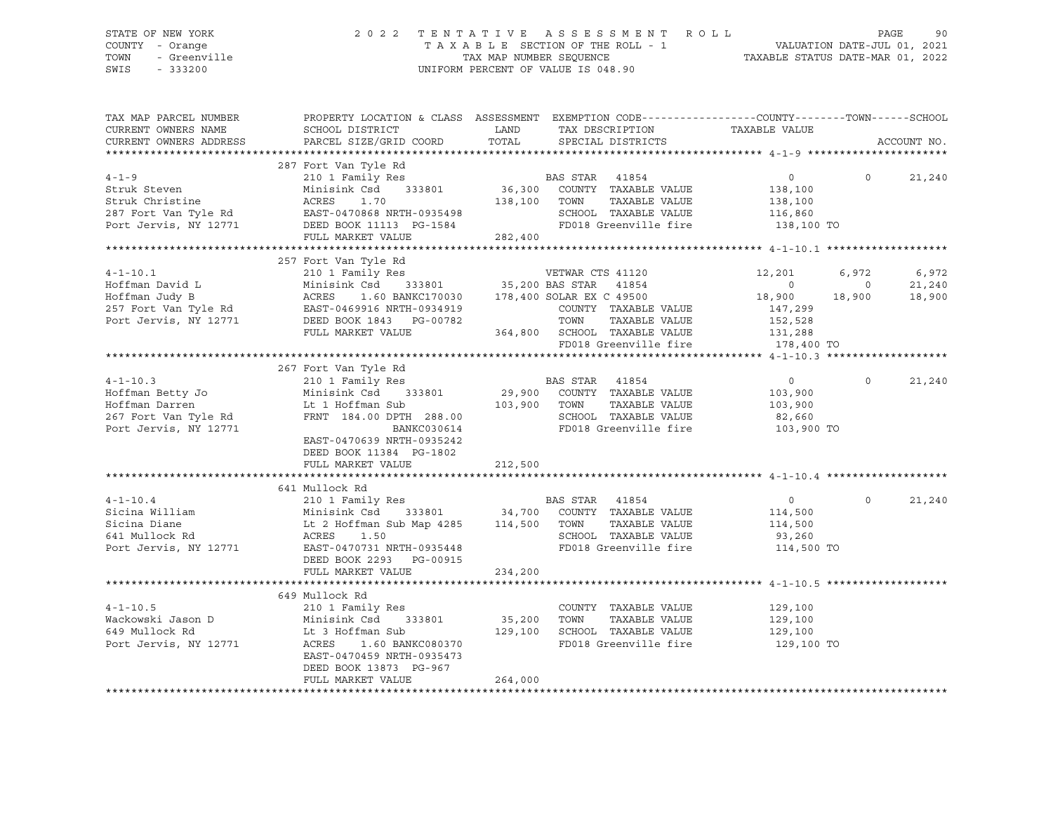# STATE OF NEW YORK 2 0 2 2 T E N T A T I V E A S S E S S M E N T R O L L PAGE 90 COUNTY - Orange T A X A B L E SECTION OF THE ROLL - 1 VALUATION DATE-JUL 01, 2021 TOWN - Greenville TAX MAP NUMBER SEQUENCE TAXABLE STATUS DATE-MAR 01, 2022 SWIS - 333200 UNIFORM PERCENT OF VALUE IS 048.90

| TAX MAP PARCEL NUMBER<br>CURRENT OWNERS NAME | SCHOOL DISTRICT                                                                                                                                                                                                             | PROPERTY LOCATION & CLASS ASSESSMENT EXEMPTION CODE----------------COUNTY-------TOWN------SCHOOL                                                                                                                                                       | TAXABLE VALUE                                                                   |                             |  |
|----------------------------------------------|-----------------------------------------------------------------------------------------------------------------------------------------------------------------------------------------------------------------------------|--------------------------------------------------------------------------------------------------------------------------------------------------------------------------------------------------------------------------------------------------------|---------------------------------------------------------------------------------|-----------------------------|--|
| CURRENT OWNERS ADDRESS                       | PARCEL SIZE/GRID COORD                                                                                                                                                                                                      | LAND         TAX DESCRIPTION<br>TOTAL        SPECIAL DISTRICTS                                                                                                                                                                                         |                                                                                 | ACCOUNT NO.                 |  |
|                                              |                                                                                                                                                                                                                             |                                                                                                                                                                                                                                                        |                                                                                 |                             |  |
|                                              | 287 Fort Van Tyle Rd                                                                                                                                                                                                        |                                                                                                                                                                                                                                                        |                                                                                 |                             |  |
| $4 - 1 - 9$                                  |                                                                                                                                                                                                                             |                                                                                                                                                                                                                                                        |                                                                                 | $0 \qquad \qquad$<br>21,240 |  |
|                                              |                                                                                                                                                                                                                             |                                                                                                                                                                                                                                                        |                                                                                 |                             |  |
|                                              |                                                                                                                                                                                                                             |                                                                                                                                                                                                                                                        |                                                                                 |                             |  |
|                                              |                                                                                                                                                                                                                             |                                                                                                                                                                                                                                                        |                                                                                 |                             |  |
|                                              |                                                                                                                                                                                                                             | Struk Steven Minisink Csd 333801 36,300 COUNTY TAXABLE VALUE 138,100<br>Struk Christine ACRES 1.70 138,100 TOWN TAXABLE VALUE 138,100<br>287 Fort Van Tyle Rd EAST-0470868 NRTH-0935498 SCHOOL TAXABLE VALUE 116,860<br>Port Jervis,                   |                                                                                 |                             |  |
|                                              | FULL MARKET VALUE                                                                                                                                                                                                           | 282,400                                                                                                                                                                                                                                                |                                                                                 |                             |  |
|                                              |                                                                                                                                                                                                                             | 4-1-10.1<br>4-1-10.1<br>Hoffman Juvid L Minisink Csd 333801<br>257 Fort Van Tyle Rd Minisink Csd 333801 35,200 BAS STAR 41854 0<br>257 Fort Van Tyle Rd ACRES 1.60 BANKC170030 178,400 SOLAR EX C 49500 18,900<br>257 Fort Van Tyle R                  |                                                                                 |                             |  |
|                                              |                                                                                                                                                                                                                             |                                                                                                                                                                                                                                                        |                                                                                 |                             |  |
|                                              |                                                                                                                                                                                                                             |                                                                                                                                                                                                                                                        | 12,201 6,972                                                                    | 6,972                       |  |
|                                              |                                                                                                                                                                                                                             |                                                                                                                                                                                                                                                        | $\begin{matrix} & & & 0 & & & 0 \ & 18\,,900 & & & 18\,,900 & & & \end{matrix}$ | 21,240                      |  |
|                                              |                                                                                                                                                                                                                             |                                                                                                                                                                                                                                                        |                                                                                 | 18,900                      |  |
|                                              |                                                                                                                                                                                                                             |                                                                                                                                                                                                                                                        |                                                                                 |                             |  |
|                                              |                                                                                                                                                                                                                             |                                                                                                                                                                                                                                                        |                                                                                 |                             |  |
|                                              |                                                                                                                                                                                                                             |                                                                                                                                                                                                                                                        |                                                                                 |                             |  |
|                                              |                                                                                                                                                                                                                             |                                                                                                                                                                                                                                                        | FD018 Greenville fire 178,400 TO                                                |                             |  |
|                                              |                                                                                                                                                                                                                             |                                                                                                                                                                                                                                                        |                                                                                 |                             |  |
|                                              | 267 Fort Van Tyle Rd<br>And the Hoffman Betty John States (1990)<br>Hoffman Betty John States (1990)<br>Hoffman Darren (1990)<br>267 Fort Van Tyle Rd (1991)<br>267 Fort Van Tyle Rd (1991)<br>288.00 Port Jervis, NY 12771 |                                                                                                                                                                                                                                                        |                                                                                 |                             |  |
|                                              |                                                                                                                                                                                                                             |                                                                                                                                                                                                                                                        | $\overline{0}$                                                                  | $\circ$<br>21,240           |  |
|                                              |                                                                                                                                                                                                                             |                                                                                                                                                                                                                                                        | 103,900                                                                         |                             |  |
|                                              |                                                                                                                                                                                                                             | TAXABLE VALUE                                                                                                                                                                                                                                          | 103,900                                                                         |                             |  |
|                                              |                                                                                                                                                                                                                             |                                                                                                                                                                                                                                                        |                                                                                 |                             |  |
|                                              |                                                                                                                                                                                                                             | Fort van Tyle Rd<br>210 1 Family Res<br>Minisink Csd 333801 29,900 COUNTY TAXABLE VALUE<br>Lt 1 Hoffman Sub<br>FRNT 184.00 DPTH 288.00 3CHOOL TAXABLE VALUE<br>BANKC030614 FD018 Greenville fire                                                       |                                                                                 |                             |  |
|                                              | EAST-0470639 NRTH-0935242                                                                                                                                                                                                   |                                                                                                                                                                                                                                                        |                                                                                 |                             |  |
|                                              | DEED BOOK 11384 PG-1802                                                                                                                                                                                                     |                                                                                                                                                                                                                                                        |                                                                                 |                             |  |
|                                              | FULL MARKET VALUE                                                                                                                                                                                                           | 212,500                                                                                                                                                                                                                                                |                                                                                 |                             |  |
|                                              |                                                                                                                                                                                                                             |                                                                                                                                                                                                                                                        |                                                                                 |                             |  |
|                                              | 641 Mullock Rd                                                                                                                                                                                                              |                                                                                                                                                                                                                                                        |                                                                                 |                             |  |
|                                              |                                                                                                                                                                                                                             |                                                                                                                                                                                                                                                        |                                                                                 | $\Omega$<br>21,240          |  |
|                                              |                                                                                                                                                                                                                             |                                                                                                                                                                                                                                                        |                                                                                 |                             |  |
|                                              |                                                                                                                                                                                                                             |                                                                                                                                                                                                                                                        |                                                                                 |                             |  |
|                                              |                                                                                                                                                                                                                             |                                                                                                                                                                                                                                                        |                                                                                 |                             |  |
|                                              |                                                                                                                                                                                                                             | 4-1-10.4 0<br>310 1 Family Res<br>210 1 Family Res<br>210 1 Family Res<br>210 1 Family Res<br>210 1 Family Res<br>210 1 Family Res<br>34,700 COUNTY TAXABLE VALUE<br>34,700 COUNTY TAXABLE VALUE<br>2 Hoffman Sub Map 4285<br>2 Hoffman Sub Map 42     | 114,500 TO                                                                      |                             |  |
|                                              | DEED BOOK 2293 PG-00915                                                                                                                                                                                                     |                                                                                                                                                                                                                                                        |                                                                                 |                             |  |
|                                              | FULL MARKET VALUE                                                                                                                                                                                                           | 234,200                                                                                                                                                                                                                                                |                                                                                 |                             |  |
|                                              |                                                                                                                                                                                                                             |                                                                                                                                                                                                                                                        |                                                                                 |                             |  |
|                                              |                                                                                                                                                                                                                             |                                                                                                                                                                                                                                                        |                                                                                 |                             |  |
|                                              |                                                                                                                                                                                                                             |                                                                                                                                                                                                                                                        |                                                                                 |                             |  |
|                                              |                                                                                                                                                                                                                             |                                                                                                                                                                                                                                                        |                                                                                 |                             |  |
|                                              |                                                                                                                                                                                                                             |                                                                                                                                                                                                                                                        |                                                                                 |                             |  |
|                                              |                                                                                                                                                                                                                             | 4-1-10.5<br>Wackowski Jason D<br>Minisink Csd 333801<br>Minisink Csd 333801<br>129,100<br>Port Jervis, NY 12771<br>ACRES 1.60 BANKC080370<br>TD018 Greenwille fire<br>FD018 Greenwille fire<br>FD018 Greenwille fire<br>TAXABLE VALUE<br>129,100<br>12 | FD018 Greenville fire 129,100 TO                                                |                             |  |
|                                              | EAST-0470459 NRTH-0935473                                                                                                                                                                                                   |                                                                                                                                                                                                                                                        |                                                                                 |                             |  |
|                                              | DEED BOOK 13873 PG-967                                                                                                                                                                                                      |                                                                                                                                                                                                                                                        |                                                                                 |                             |  |
|                                              | FULL MARKET VALUE                                                                                                                                                                                                           | 264,000                                                                                                                                                                                                                                                |                                                                                 |                             |  |
|                                              |                                                                                                                                                                                                                             |                                                                                                                                                                                                                                                        |                                                                                 |                             |  |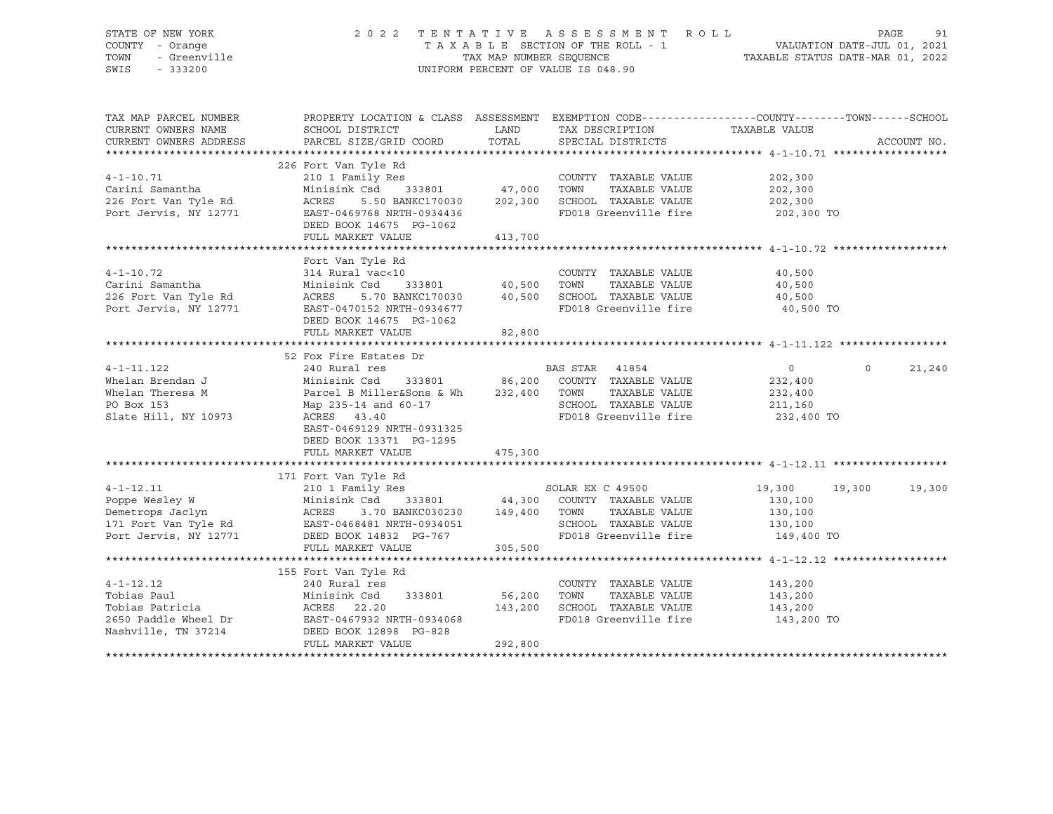# STATE OF NEW YORK 2 0 2 2 T E N T A T I V E A S S E S S M E N T R O L L PAGE 91 COUNTY - Orange T A X A B L E SECTION OF THE ROLL - 1 VALUATION DATE-JUL 01, 2021 TOWN - Greenville TAX MAP NUMBER SEQUENCE TAXABLE STATUS DATE-MAR 01, 2022 SWIS - 333200 UNIFORM PERCENT OF VALUE IS 048.90

| TAX MAP PARCEL NUMBER<br>CURRENT OWNERS NAME<br>CURRENT OWNERS ADDRESS                                                                                                                             | PROPERTY LOCATION & CLASS ASSESSMENT EXEMPTION CODE---------------COUNTY-------TOWN-----SCHOOL<br>SCHOOL DISTRICT<br>PARCEL SIZE/GRID COORD                                                                                                                                         | LAND<br>TOTAL                | TAX DESCRIPTION TAXABLE VALUE<br>SPECIAL DISTRICTS                                                                                          |                                                         | ACCOUNT NO. |
|----------------------------------------------------------------------------------------------------------------------------------------------------------------------------------------------------|-------------------------------------------------------------------------------------------------------------------------------------------------------------------------------------------------------------------------------------------------------------------------------------|------------------------------|---------------------------------------------------------------------------------------------------------------------------------------------|---------------------------------------------------------|-------------|
| $4 - 1 - 10.71$<br>Carini Samantha<br>Carini Samantha<br>226 Fort Van Tyle Rd<br>Port Jervis, NY 12771                                                                                             | 226 Fort Van Tyle Rd<br>210 1 Family Res<br>Minisink Csd 333801 47,000<br>ACRES 5.50 BANKC170030 202,300<br>EAST-0469768 NRTH-0934436<br>DEED BOOK 14675 PG-1062<br>FULL MARKET VALUE                                                                                               | 413,700                      | COUNTY TAXABLE VALUE<br>TOWN<br>TAXABLE VALUE<br>SCHOOL TAXABLE VALUE<br>FD018 Greenville fire 202,300 TO                                   | 202,300<br>202,300<br>202,300                           |             |
| $4 - 1 - 10.72$<br>Carini Samantha<br>226 Fort Van Tyle Rd<br>Port Jervis, NY 12771                                                                                                                | Fort Van Tyle Rd<br>314 Rural vac<10 133801 10,500 TOWNTY TAXABLE VALUE<br>Minisink Csd 133801 10,500 TOWN TAXABLE VALUE<br>ACRES 5.70 BANKC170030 10,500 SCHOOL TAXABLE VALUE<br>EAST-0470152 NRTH-0934677<br>DEED BOOK 14675 PG-1062<br>FULL MARKET VALUE                         | 82,800                       | FD018 Greenville fire 40,500 TO                                                                                                             | 40,500<br>40,500<br>40,500                              |             |
| $4 - 1 - 11.122$<br>Whelan Brendan J<br>Whelan Theresa M<br>PO Box 153<br>Slate Hill, NY 10973                                                                                                     | 52 Fox Fire Estates Dr<br>240 Rural res<br>Minisink Csd       333801              86,200    COUNTY   TAXABLE VALUE<br>Parcel B Miller&Sons & Wh       232,400    TOWN     TAXABLE VALUE<br>ACRES 43.40<br>EAST-0469129 NRTH-0931325<br>DEED BOOK 13371 PG-1295<br>FULL MARKET VALUE | 475,300                      | BAS STAR 41854<br>SCHOOL TAXABLE VALUE 211,160<br>FD018 Greenville fire                                                                     | $\circ$<br>$\Omega$<br>232,400<br>232,400<br>232,400 TO | 21,240      |
|                                                                                                                                                                                                    |                                                                                                                                                                                                                                                                                     |                              |                                                                                                                                             |                                                         |             |
| $4 - 1 - 12.11$<br>Poppe Wesley W Minisink Csd 333801<br>Demetrops Jaclyn ACRES 3.70 BANKC030230<br>171 Fort Van Tyle Rd EAST-0468481 NRTH-0934051<br>Port Jervis, NY 12771 DEED BOOK 14832 PG-767 | 171 Fort Van Tyle Rd<br>210 1 Family Res<br>3.70 BANKC030230 149,400 TOWN<br>FULL MARKET VALUE                                                                                                                                                                                      | 305,500                      | SOLAR EX C 49500<br>333801 44,300 COUNTY TAXABLE VALUE<br>TAXABLE VALUE<br>SCHOOL TAXABLE VALUE 130,100<br>FD018 Greenville fire 149,400 TO | 19,300<br>19,300<br>130,100<br>130,100                  | 19,300      |
|                                                                                                                                                                                                    |                                                                                                                                                                                                                                                                                     |                              |                                                                                                                                             |                                                         |             |
| $4 - 1 - 12.12$<br>Tobias Paul<br>Tobias Patricia<br>2650 Paddle Wheel Dr EAST-0467932 NRTH-0934068<br>Nashville, TN 37214 DEED BOOK 12898 PG-828                                                  | 155 Fort Van Tyle Rd<br>240 Rural res<br>Minisink Csd 333801<br>Minisink Csd<br>ACRES 22.20<br>FULL MARKET VALUE                                                                                                                                                                    | 56,200<br>143,200<br>292,800 | COUNTY TAXABLE VALUE 143,200<br>TOWN<br>SCHOOL TAXABLE VALUE<br>FD018 Greenville fire 143,200 TO                                            | TAXABLE VALUE 143,200<br>143,200                        |             |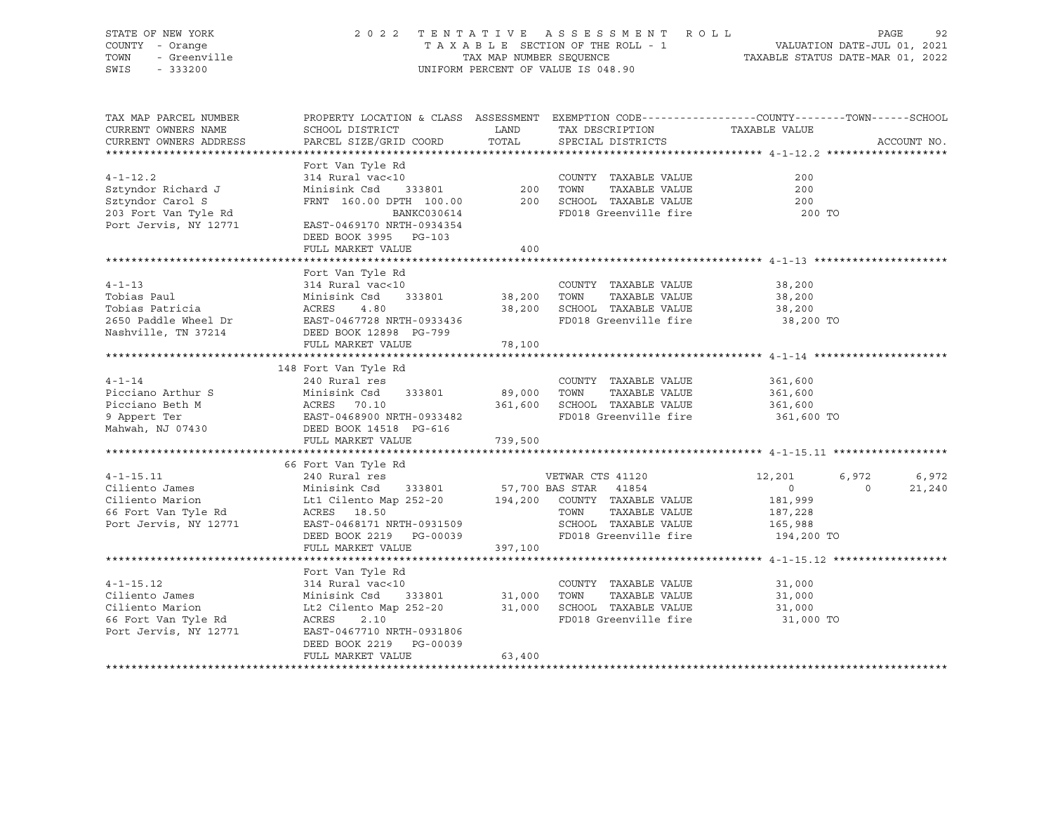| SWIS | STATE OF NEW YORK<br>COUNTY - Orange<br>TOWN - Greenville<br>$-333200$ |                                                                                                  | 2022 TENTATIVE ASSESSMENT ROLL<br>TAXABLE SECTION OF THE ROLL - 1<br>TAX MAP NUMBER SEOUENCE<br>UNIFORM PERCENT OF VALUE IS 048.90 |  | VALUATION DATE-JUL 01, 2021<br>TAXABLE STATUS DATE-MAR 01, 2022 | PAGE | -92 |
|------|------------------------------------------------------------------------|--------------------------------------------------------------------------------------------------|------------------------------------------------------------------------------------------------------------------------------------|--|-----------------------------------------------------------------|------|-----|
|      | TAX MAP PARCEL NUMBER                                                  | PROPERTY LOCATION & CLASS ASSESSMENT EXEMPTION CODE----------------COUNTY-------TOWN------SCHOOL |                                                                                                                                    |  |                                                                 |      |     |

| CURRENT OWNERS NAME                                                                                                                                                                                                                    | SCHOOL DISTRICT                                                                                                    | LAND    | TAX DESCRIPTION                               | TAXABLE VALUE       |                    |
|----------------------------------------------------------------------------------------------------------------------------------------------------------------------------------------------------------------------------------------|--------------------------------------------------------------------------------------------------------------------|---------|-----------------------------------------------|---------------------|--------------------|
| CURRENT OWNERS ADDRESS                                                                                                                                                                                                                 | PARCEL SIZE/GRID COORD                                                                                             | TOTAL   | SPECIAL DISTRICTS                             |                     | ACCOUNT NO.        |
|                                                                                                                                                                                                                                        |                                                                                                                    |         |                                               |                     |                    |
|                                                                                                                                                                                                                                        | Fort Van Tyle Rd                                                                                                   |         |                                               |                     |                    |
| $4 - 1 - 12.2$                                                                                                                                                                                                                         | 314 Rural vac<10<br>Minisink Csd 333801 200 TOWN TAXABLE VALUE<br>FRNT 160.00 DPTH 100.00 200 SCHOOL TAXABLE VALUE |         |                                               | 200                 |                    |
| Sztyndor Richard J                                                                                                                                                                                                                     |                                                                                                                    |         |                                               | 200                 |                    |
| Sztyndor Carol S                                                                                                                                                                                                                       |                                                                                                                    |         |                                               | 200                 |                    |
| 203 Fort Van Tyle Rd                                                                                                                                                                                                                   | BANKC030614                                                                                                        |         | FD018 Greenville fire                         | 200 TO              |                    |
| Port Jervis, NY 12771                                                                                                                                                                                                                  | EAST-0469170 NRTH-0934354                                                                                          |         |                                               |                     |                    |
|                                                                                                                                                                                                                                        | DEED BOOK 3995 PG-103                                                                                              |         |                                               |                     |                    |
|                                                                                                                                                                                                                                        | FULL MARKET VALUE                                                                                                  | 400     |                                               |                     |                    |
|                                                                                                                                                                                                                                        |                                                                                                                    |         |                                               |                     |                    |
|                                                                                                                                                                                                                                        | Fort Van Tyle Rd                                                                                                   |         |                                               |                     |                    |
| $4 - 1 - 13$                                                                                                                                                                                                                           | 314 Rural vac<10                                                                                                   |         | COUNTY TAXABLE VALUE                          | 38,200              |                    |
| Tobias Paul                                                                                                                                                                                                                            | Minisink Csd 333801 38,200                                                                                         |         | TOWN<br>TAXABLE VALUE                         | 38,200              |                    |
|                                                                                                                                                                                                                                        |                                                                                                                    | 38,200  | SCHOOL TAXABLE VALUE                          | 38,200              |                    |
|                                                                                                                                                                                                                                        |                                                                                                                    |         | FD018 Greenville fire                         | $38,200$ TO         |                    |
|                                                                                                                                                                                                                                        |                                                                                                                    |         |                                               |                     |                    |
|                                                                                                                                                                                                                                        | FULL MARKET VALUE                                                                                                  | 78,100  |                                               |                     |                    |
|                                                                                                                                                                                                                                        |                                                                                                                    |         |                                               |                     |                    |
|                                                                                                                                                                                                                                        |                                                                                                                    |         |                                               |                     |                    |
|                                                                                                                                                                                                                                        | 148 Fort Van Tyle Rd                                                                                               |         |                                               |                     |                    |
| $4 - 1 - 14$<br>Picciano Arthur S Minisink Csd 333801 89,000 TOWN TAXABLE VALUE                                                                                                                                                        | 240 Rural res                                                                                                      |         | COUNTY TAXABLE VALUE                          | 361,600<br>361,600  |                    |
|                                                                                                                                                                                                                                        |                                                                                                                    |         |                                               |                     |                    |
|                                                                                                                                                                                                                                        |                                                                                                                    |         | 361,600 SCHOOL TAXABLE VALUE 361,600          |                     |                    |
|                                                                                                                                                                                                                                        |                                                                                                                    |         | FD018 Greenville fire                         | 361,600 TO          |                    |
|                                                                                                                                                                                                                                        |                                                                                                                    |         |                                               |                     |                    |
|                                                                                                                                                                                                                                        | FULL MARKET VALUE                                                                                                  | 739,500 |                                               |                     |                    |
|                                                                                                                                                                                                                                        |                                                                                                                    |         |                                               |                     |                    |
|                                                                                                                                                                                                                                        | 66 Fort Van Tyle Rd                                                                                                |         |                                               |                     |                    |
|                                                                                                                                                                                                                                        |                                                                                                                    |         |                                               | 12,201<br>6,972     | 6,972              |
|                                                                                                                                                                                                                                        |                                                                                                                    |         |                                               | $\overline{0}$      | 21,240<br>$\Omega$ |
|                                                                                                                                                                                                                                        |                                                                                                                    |         |                                               | 181,999             |                    |
|                                                                                                                                                                                                                                        |                                                                                                                    |         |                                               | 187,228             |                    |
| 4-1-15.11 240 Rural res<br>Ciliento James Minisink Csd 333801 57,700 BAS STAR 41854<br>Ciliento Marion Lt1 Cilento Map 252-20 194,200 COUNTY TAXABLE VALUE<br>Fort Van Tyle Rd ACRES 18.50 TOWN TAXABLE VALUE<br>Port Jervis, NY 12771 |                                                                                                                    |         |                                               | 165,988             |                    |
|                                                                                                                                                                                                                                        | DEED BOOK 2219 PG-00039                                                                                            |         | FD018 Greenville fire 194,200 TO              |                     |                    |
|                                                                                                                                                                                                                                        | FULL MARKET VALUE                                                                                                  | 397,100 |                                               |                     |                    |
|                                                                                                                                                                                                                                        |                                                                                                                    |         |                                               |                     |                    |
|                                                                                                                                                                                                                                        | Fort Van Tyle Rd                                                                                                   |         |                                               |                     |                    |
| $4 - 1 - 15.12$                                                                                                                                                                                                                        | 314 Rural vac<10                                                                                                   |         | COUNTY TAXABLE VALUE                          | 31,000              |                    |
| Ciliento James                                                                                                                                                                                                                         | Minisink Csd<br>333801 31,000                                                                                      |         | TOWN<br>TAXABLE VALUE                         | 31,000              |                    |
| Ciliento Marion                                                                                                                                                                                                                        | 11,000 Lt2 Cilento Map 252-20 31,000<br>ACRES 2 10                                                                 |         | SCHOOL TAXABLE VALUE<br>FD018 Greenville fire | 31,000<br>31,000 TO |                    |
| 66 Fort Van Tyle Rd                                                                                                                                                                                                                    |                                                                                                                    |         |                                               |                     |                    |
| Port Jervis, NY 12771                                                                                                                                                                                                                  | EAST-0467710 NRTH-0931806                                                                                          |         |                                               |                     |                    |
|                                                                                                                                                                                                                                        | DEED BOOK 2219 PG-00039                                                                                            |         |                                               |                     |                    |
|                                                                                                                                                                                                                                        | FULL MARKET VALUE                                                                                                  | 63,400  |                                               |                     |                    |
|                                                                                                                                                                                                                                        |                                                                                                                    |         |                                               |                     |                    |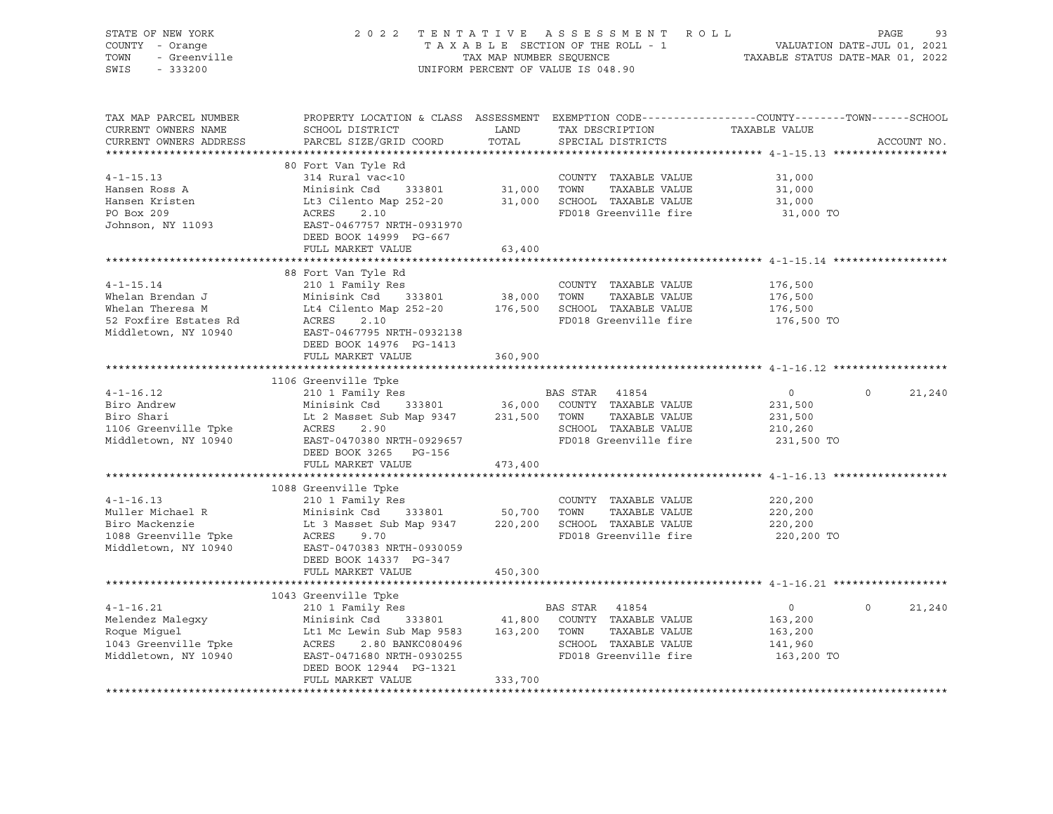| COUNTY - Orange                              |                                                                                                                                                                                                                                                             |                       | 2022 TENTATIVE ASSESSMENT ROLL     |                            | PAGE<br>93               |
|----------------------------------------------|-------------------------------------------------------------------------------------------------------------------------------------------------------------------------------------------------------------------------------------------------------------|-----------------------|------------------------------------|----------------------------|--------------------------|
| - Greenville<br>TOWN                         |                                                                                                                                                                                                                                                             |                       |                                    |                            |                          |
| SWIS<br>$-333200$                            |                                                                                                                                                                                                                                                             |                       | UNIFORM PERCENT OF VALUE IS 048.90 |                            |                          |
|                                              |                                                                                                                                                                                                                                                             |                       |                                    |                            |                          |
|                                              |                                                                                                                                                                                                                                                             |                       |                                    |                            |                          |
| TAX MAP PARCEL NUMBER                        | PROPERTY LOCATION & CLASS ASSESSMENT EXEMPTION CODE----------------COUNTY-------TOWN-----SCHOOL                                                                                                                                                             |                       |                                    |                            |                          |
| CURRENT OWNERS NAME                          |                                                                                                                                                                                                                                                             |                       | TAX DESCRIPTION                    | TAXABLE VALUE              |                          |
| CURRENT OWNERS ADDRESS                       |                                                                                                                                                                                                                                                             |                       | SPECIAL DISTRICTS                  |                            | ACCOUNT NO.              |
|                                              |                                                                                                                                                                                                                                                             |                       |                                    |                            |                          |
|                                              | 80 Fort Van Tyle Rd                                                                                                                                                                                                                                         |                       |                                    |                            |                          |
| $4 - 1 - 15.13$                              | 314 Rural vac<10                                                                                                                                                                                                                                            |                       | COUNTY TAXABLE VALUE               | 31,000                     |                          |
| Hansen Ross A                                | Minisink Csd 333801                                                                                                                                                                                                                                         | COUNTY<br>31,000 TOWN | TAXABLE VALUE                      | 31,000                     |                          |
| Hansen Kristen                               |                                                                                                                                                                                                                                                             |                       |                                    | 31,000                     |                          |
| PO Box 209                                   |                                                                                                                                                                                                                                                             |                       |                                    | 31,000 TO                  |                          |
| Johnson, NY 11093                            | MINISINK CSQ 333801 31,000 TOWN TAXABLE VALUE<br>Lt3 Cilento Map 252-20 31,000 SCHOOL TAXABLE VALUE<br>ACRES 2.10 FD018 Greenville fire<br>EAST-0467757 NRTH-0931970                                                                                        |                       |                                    |                            |                          |
|                                              | DEED BOOK 14999 PG-667                                                                                                                                                                                                                                      |                       |                                    |                            |                          |
|                                              | FULL MARKET VALUE                                                                                                                                                                                                                                           | 63,400                |                                    |                            |                          |
|                                              |                                                                                                                                                                                                                                                             |                       |                                    |                            |                          |
|                                              | 88 Fort Van Tyle Rd                                                                                                                                                                                                                                         |                       |                                    |                            |                          |
| $4 - 1 - 15.14$                              | $210$ 1 Family Res                                                                                                                                                                                                                                          |                       | COUNTY TAXABLE VALUE               | 176,500                    |                          |
| Whelan Brendan J                             | Minisink Csd 333801                                                                                                                                                                                                                                         | 38,000 TOWN           | TAXABLE VALUE                      | 176,500                    |                          |
| Whelan Theresa M                             |                                                                                                                                                                                                                                                             |                       |                                    | 176,500                    |                          |
| 52 Foxfire Estates Rd                        | ACRES<br>2.10                                                                                                                                                                                                                                               |                       | FD018 Greenville fire              | 176,500 TO                 |                          |
| Middletown, NY 10940                         | EAST-0467795 NRTH-0932138                                                                                                                                                                                                                                   |                       |                                    |                            |                          |
|                                              | DEED BOOK 14976 PG-1413                                                                                                                                                                                                                                     |                       |                                    |                            |                          |
|                                              | FULL MARKET VALUE                                                                                                                                                                                                                                           | 360,900               |                                    |                            |                          |
|                                              |                                                                                                                                                                                                                                                             |                       |                                    |                            |                          |
|                                              | 1106 Greenville Tpke                                                                                                                                                                                                                                        |                       |                                    |                            |                          |
| $4 - 1 - 16.12$                              |                                                                                                                                                                                                                                                             |                       |                                    | $\overline{0}$             | $\overline{0}$<br>21,240 |
|                                              |                                                                                                                                                                                                                                                             |                       |                                    | 231,500                    |                          |
| Biro Andrew                                  |                                                                                                                                                                                                                                                             |                       |                                    |                            |                          |
| Biro Shari                                   |                                                                                                                                                                                                                                                             |                       | TAXABLE VALUE                      |                            |                          |
|                                              |                                                                                                                                                                                                                                                             |                       | SCHOOL TAXABLE VALUE               | 231,500<br>210,260         |                          |
| 1106 Greenville Tpke                         | Minisink Csd 333801 36,000 COUNTY TAXABLE VALUE<br>Lt 2 Masset Sub Map 9347 231,500 TOWN TAXABLE VALUE<br>ACRES 2.90 SCHOOL TAXABLE VALUE<br>EAST-0470380 NRTH-0929657                                                                                      |                       | FD018 Greenville fire              | 231,500 TO                 |                          |
| Middletown, NY 10940                         | DEED BOOK 3265 PG-156                                                                                                                                                                                                                                       |                       |                                    |                            |                          |
|                                              | FULL MARKET VALUE                                                                                                                                                                                                                                           | 473,400               |                                    |                            |                          |
|                                              |                                                                                                                                                                                                                                                             |                       |                                    |                            |                          |
|                                              | 1088 Greenville Tpke                                                                                                                                                                                                                                        |                       |                                    |                            |                          |
| $4 - 1 - 16.13$                              | 210 1 Family Res                                                                                                                                                                                                                                            |                       | COUNTY TAXABLE VALUE               | 220,200                    |                          |
| Muller Michael R                             |                                                                                                                                                                                                                                                             |                       |                                    |                            |                          |
| Biro Mackenzie                               |                                                                                                                                                                                                                                                             |                       |                                    | 220,200<br>220,200         |                          |
|                                              | ACRES<br>9.70                                                                                                                                                                                                                                               |                       | FD018 Greenville fire              | 220,200 TO                 |                          |
| 1088 Greenville Tpke<br>Middletown, NY 10940 | EAST-0470383 NRTH-0930059                                                                                                                                                                                                                                   |                       |                                    |                            |                          |
|                                              | DEED BOOK 14337 PG-347                                                                                                                                                                                                                                      |                       |                                    |                            |                          |
|                                              | FULL MARKET VALUE                                                                                                                                                                                                                                           | 450,300               |                                    |                            |                          |
|                                              |                                                                                                                                                                                                                                                             |                       |                                    |                            |                          |
|                                              |                                                                                                                                                                                                                                                             |                       |                                    |                            |                          |
|                                              | 1043 Greenville Tpke                                                                                                                                                                                                                                        |                       |                                    | $\overline{0}$<br>$\Omega$ | 21,240                   |
|                                              |                                                                                                                                                                                                                                                             |                       |                                    |                            |                          |
|                                              |                                                                                                                                                                                                                                                             |                       |                                    | 163,200<br>163,200         |                          |
|                                              |                                                                                                                                                                                                                                                             |                       |                                    | 141,960                    |                          |
|                                              |                                                                                                                                                                                                                                                             |                       | FD018 Greenville fire              | 163,200 TO                 |                          |
|                                              |                                                                                                                                                                                                                                                             |                       |                                    |                            |                          |
|                                              | BAS STAR 41854<br>Roque Miguel Lt1 Mc Lewin Sub Map 9583 41,800 COUNTY TAXABLE VALUE<br>1043 Greenville Tpke ACRES 2.80 BANKC080496 SCHOOL TAXABLE VALUE<br>Middletown, NY 10940 EAST-0471680 NRTH-0930255 FD018 Greenville five<br>DE<br>FULL MARKET VALUE | 333,700               |                                    |                            |                          |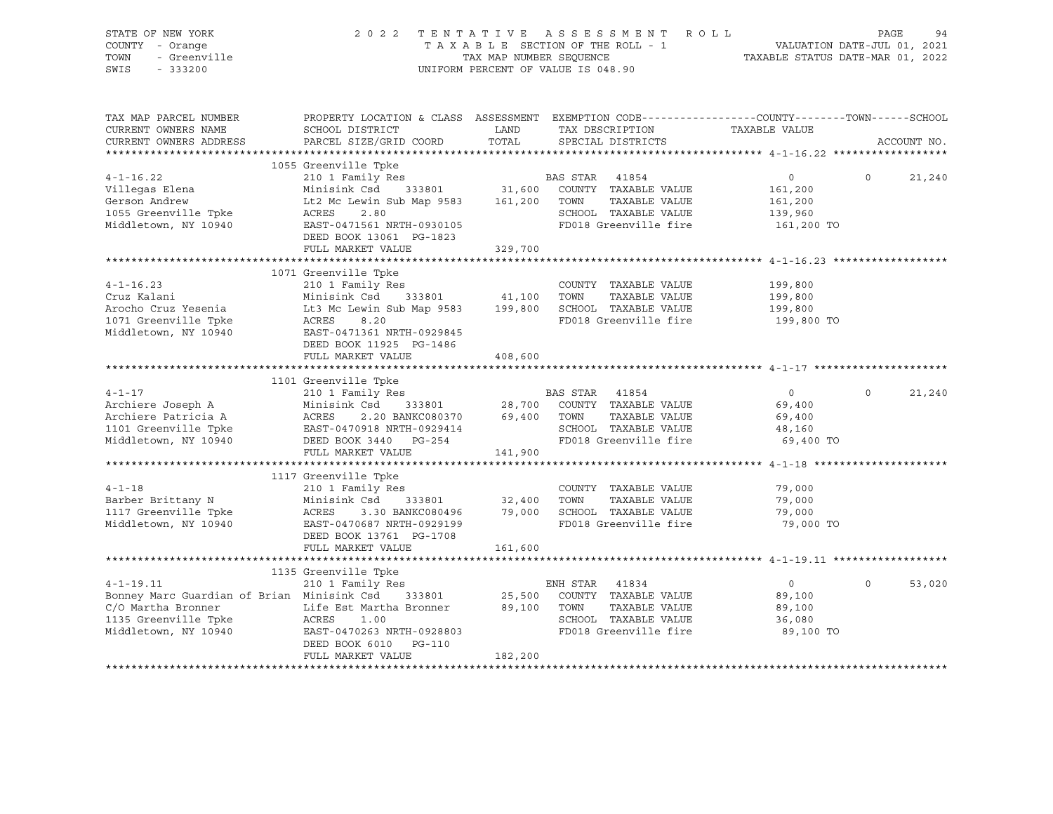| STATE OF NEW YORK<br>COUNTY - Orange<br>TOWN<br>- Greenville<br>SWIS<br>$-333200$ | 2 0 2 2                                                                                                            | TENTATIVE | ASSESSMENT ROLL<br>T A X A B L E SECTION OF THE ROLL - 1<br>T A X A B L E SECTION OF THE ROLL - 1<br>TAXABLE STATUS DATE-MAR 01, 2022<br>UNIFORM PERCENT OF VALUE IS 048.90 |                   | PAGE     | 94          |
|-----------------------------------------------------------------------------------|--------------------------------------------------------------------------------------------------------------------|-----------|-----------------------------------------------------------------------------------------------------------------------------------------------------------------------------|-------------------|----------|-------------|
| TAX MAP PARCEL NUMBER<br>CURRENT OWNERS NAME                                      | PROPERTY LOCATION & CLASS ASSESSMENT EXEMPTION CODE----------------COUNTY-------TOWN-----SCHOOL<br>SCHOOL DISTRICT |           | LAND TAX DESCRIPTION                                                                                                                                                        | TAXABLE VALUE     |          |             |
| CURRENT OWNERS ADDRESS                                                            | PARCEL SIZE/GRID COORD                                                                                             | TOTAL     | SPECIAL DISTRICTS                                                                                                                                                           |                   |          | ACCOUNT NO. |
|                                                                                   | 1055 Greenville Tpke                                                                                               |           |                                                                                                                                                                             |                   |          |             |
| $4 - 1 - 16.22$                                                                   | 210 1 Family Res                                                                                                   |           | BAS STAR 41854                                                                                                                                                              | $\circ$           | $\Omega$ | 21,240      |
| Villegas Elena                                                                    | Minisink Csd 333801                                                                                                | 31,600    | COUNTY TAXABLE VALUE                                                                                                                                                        | 161,200           |          |             |
| Gerson Andrew                                                                     | Lt2 Mc Lewin Sub Map 9583                                                                                          | 161,200   | TOWN<br>TAXABLE VALUE                                                                                                                                                       | 161,200           |          |             |
| 1055 Greenville Tpke                                                              | ACRES<br>2.80                                                                                                      |           | SCHOOL TAXABLE VALUE                                                                                                                                                        | 139,960           |          |             |
| Middletown, NY 10940                                                              | EAST-0471561 NRTH-0930105                                                                                          |           | FD018 Greenville fire                                                                                                                                                       | 161,200 TO        |          |             |
|                                                                                   | DEED BOOK 13061 PG-1823                                                                                            |           |                                                                                                                                                                             |                   |          |             |
|                                                                                   | FULL MARKET VALUE                                                                                                  | 329,700   |                                                                                                                                                                             |                   |          |             |
|                                                                                   | 1071 Greenville Tpke                                                                                               |           |                                                                                                                                                                             |                   |          |             |
| $4 - 1 - 16.23$                                                                   | 210 1 Family Res                                                                                                   |           | COUNTY TAXABLE VALUE                                                                                                                                                        | 199,800           |          |             |
| Cruz Kalani                                                                       | Minisink Csd 333801                                                                                                | 41,100    | TOWN<br>TAXABLE VALUE                                                                                                                                                       | 199,800           |          |             |
| Arocho Cruz Yesenia                                                               | Lt3 Mc Lewin Sub Map 9583                                                                                          | 199,800   | SCHOOL TAXABLE VALUE                                                                                                                                                        | 199,800           |          |             |
| 1071 Greenville Tpke                                                              | ACRES<br>8.20                                                                                                      |           | FD018 Greenville fire                                                                                                                                                       | 199,800 TO        |          |             |
| Middletown, NY 10940                                                              | EAST-0471361 NRTH-0929845                                                                                          |           |                                                                                                                                                                             |                   |          |             |
|                                                                                   | DEED BOOK 11925 PG-1486                                                                                            |           |                                                                                                                                                                             |                   |          |             |
|                                                                                   | FULL MARKET VALUE                                                                                                  | 408,600   |                                                                                                                                                                             |                   |          |             |
|                                                                                   |                                                                                                                    |           |                                                                                                                                                                             |                   |          |             |
| $4 - 1 - 17$                                                                      | 1101 Greenville Tpke<br>210 1 Family Res                                                                           |           |                                                                                                                                                                             | $0 \qquad \qquad$ | $\Omega$ | 21,240      |
| Archiere Joseph A                                                                 | Minisink Csd 333801                                                                                                | 28,700    | BAS STAR 41854<br>COUNTY TAXABLE VALUE                                                                                                                                      | 69,400            |          |             |
| Archiere Patricia A                                                               | 2.20 BANKC080370 69,400<br>ACRES                                                                                   |           | TOWN<br>TAXABLE VALUE                                                                                                                                                       | 69,400            |          |             |
| 1101 Greenville Tpke                                                              | EAST-0470918 NRTH-0929414                                                                                          |           | SCHOOL TAXABLE VALUE                                                                                                                                                        | 48,160            |          |             |
| Middletown, NY 10940                                                              | DEED BOOK 3440 PG-254                                                                                              |           | FD018 Greenville fire                                                                                                                                                       | 69,400 TO         |          |             |
|                                                                                   | FULL MARKET VALUE                                                                                                  | 141,900   |                                                                                                                                                                             |                   |          |             |
|                                                                                   |                                                                                                                    |           |                                                                                                                                                                             |                   |          |             |
|                                                                                   | 1117 Greenville Tpke                                                                                               |           |                                                                                                                                                                             |                   |          |             |
| $4 - 1 - 18$                                                                      | 210 1 Family Res                                                                                                   |           | COUNTY TAXABLE VALUE                                                                                                                                                        | 79,000            |          |             |
| Barber Brittany N                                                                 | Minisink Csd<br>333801                                                                                             | 32,400    | TAXABLE VALUE<br>TOWN                                                                                                                                                       | 79,000            |          |             |
| 1117 Greenville Tpke                                                              | 3.30 BANKC080496<br>ACRES                                                                                          | 79,000    | SCHOOL TAXABLE VALUE                                                                                                                                                        | 79,000            |          |             |
| Middletown, NY 10940                                                              | EAST-0470687 NRTH-0929199<br>DEED BOOK 13761 PG-1708                                                               |           | FD018 Greenville fire                                                                                                                                                       | 79,000 TO         |          |             |
|                                                                                   | FULL MARKET VALUE                                                                                                  | 161,600   |                                                                                                                                                                             |                   |          |             |
|                                                                                   |                                                                                                                    |           |                                                                                                                                                                             |                   |          |             |
|                                                                                   | 1135 Greenville Tpke                                                                                               |           |                                                                                                                                                                             |                   |          |             |
| $4 - 1 - 19.11$                                                                   | $210$ 1 Family Res                                                                                                 |           | ENH STAR 41834                                                                                                                                                              | $\overline{0}$    | $\circ$  | 53,020      |
| Bonney Marc Guardian of Brian Minisink Csd 333801                                 |                                                                                                                    | 25,500    | COUNTY TAXABLE VALUE                                                                                                                                                        | 89,100            |          |             |
| C/O Martha Bronner                                                                | Life Est Martha Bronner                                                                                            | 89,100    | TOWN<br>TAXABLE VALUE                                                                                                                                                       | 89,100            |          |             |
| 1135 Greenville Tpke                                                              | ACRES<br>1.00                                                                                                      |           | SCHOOL TAXABLE VALUE                                                                                                                                                        | 36,080            |          |             |
| Middletown, NY 10940                                                              | EAST-0470263 NRTH-0928803                                                                                          |           | FD018 Greenville fire                                                                                                                                                       | 89,100 TO         |          |             |
|                                                                                   | DEED BOOK 6010 PG-110<br>FULL MARKET VALUE                                                                         |           |                                                                                                                                                                             |                   |          |             |
|                                                                                   |                                                                                                                    | 182,200   |                                                                                                                                                                             |                   |          |             |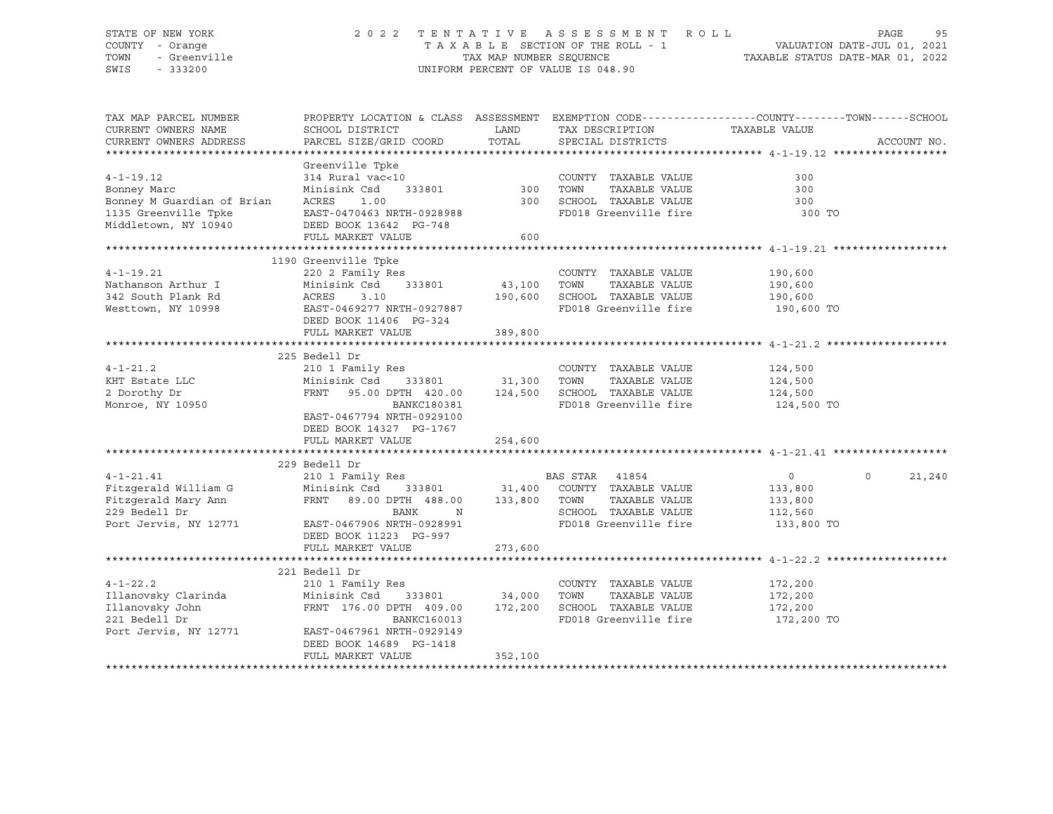## STATE OF NEW YORK 2 0 2 2 T E N T A T I V E A S S E S S M E N T R O L L PAGE 95 COUNTY - Orange T A X A B L E SECTION OF THE ROLL - 1 VALUATION DATE-JUL 01, 2021 TOWN - Greenville TAX MAP NUMBER SEQUENCE TAXABLE STATUS DATE-MAR 01, 2022<br>TAXABLE STATUS DATE-MAR 01, 2022<br>SWIS - 333200 UNIFORM PERCENT OF VALUE IS 048.90

TAX MAP PARCEL NUMBER PROPERTY LOCATION & CLASS ASSESSMENT EXEMPTION CODE------------------COUNTY--------TOWN------SCHOOL CURRENT OWNERS NAME SCHOOL DISTRICT TAXIBLE LAND TAXIBESCRIPTION TAXABLE VALUE CURRENT OWNERS ADDRESS PARCEL SIZE/GRID COORD TOTAL SPECIAL DISTRICTS ACCOUNT NO. \*\*\*\*\*\*\*\*\*\*\*\*\*\*\*\*\*\*\*\*\*\*\*\*\*\*\*\*\*\*\*\*\*\*\*\*\*\*\*\*\*\*\*\*\*\*\*\*\*\*\*\*\*\*\*\*\*\*\*\*\*\*\*\*\*\*\*\*\*\*\*\*\*\*\*\*\*\*\*\*\*\*\*\*\*\*\*\*\*\*\*\*\*\*\*\*\*\*\*\*\*\*\* 4-1-19.12 \*\*\*\*\*\*\*\*\*\*\*\*\*\*\*\*\*\* Greenville Tpke 4-1-19.12 314 Rural vac<10 COUNTY TAXABLE VALUE 300 Bonney Marc Minisink Csd 333801 300 TOWN TAXABLE VALUE 300 Bonney M Guardian of Brian ACRES 1.00 300 SCHOOL TAXABLE VALUE 300 1135 Greenville Tpke EAST-0470463 NRTH-0928988 FD018 Greenville fire 300 TO Middletown, NY 10940 DEED BOOK 13642 PG-748 FULL MARKET VALUE 600 \*\*\*\*\*\*\*\*\*\*\*\*\*\*\*\*\*\*\*\*\*\*\*\*\*\*\*\*\*\*\*\*\*\*\*\*\*\*\*\*\*\*\*\*\*\*\*\*\*\*\*\*\*\*\*\*\*\*\*\*\*\*\*\*\*\*\*\*\*\*\*\*\*\*\*\*\*\*\*\*\*\*\*\*\*\*\*\*\*\*\*\*\*\*\*\*\*\*\*\*\*\*\* 4-1-19.21 \*\*\*\*\*\*\*\*\*\*\*\*\*\*\*\*\*\* 1190 Greenville Tpke 4-1-19.21 220 2 Family Res COUNTY TAXABLE VALUE 190,600 Nathanson Arthur I Minisink Csd 333801 43,100 TOWN TAXABLE VALUE 190,600 342 South Plank Rd ACRES 3.10 190,600 SCHOOL TAXABLE VALUE 190,600 US DOWN: ISSUE IN THE SOLUTION OF THE SOLUTION OF THE SOLUTION OF THE SOLUTION OF THE SEAST-0469277 NRTH-0927887<br>Westtown, NY 10998 TO BAST-0469277 NRTH-0927887 DEED BOOK 11406 PG-324 FULL MARKET VALUE 389,800 \*\*\*\*\*\*\*\*\*\*\*\*\*\*\*\*\*\*\*\*\*\*\*\*\*\*\*\*\*\*\*\*\*\*\*\*\*\*\*\*\*\*\*\*\*\*\*\*\*\*\*\*\*\*\*\*\*\*\*\*\*\*\*\*\*\*\*\*\*\*\*\*\*\*\*\*\*\*\*\*\*\*\*\*\*\*\*\*\*\*\*\*\*\*\*\*\*\*\*\*\*\*\* 4-1-21.2 \*\*\*\*\*\*\*\*\*\*\*\*\*\*\*\*\*\*\* 225 Bedell Dr 4-1-21.2 210 1 Family Res COUNTY TAXABLE VALUE 124,500 KHT Estate LLC Minisink Csd 333801 31,300 TOWN TAXABLE VALUE 124,500 2 Dorothy Dr FRNT 95.00 DPTH 420.00 124,500 SCHOOL TAXABLE VALUE 124,500 Monroe, NY 10950 BANKC180381 FD018 Greenville fire 124,500 TO EAST-0467794 NRTH-0929100 DEED BOOK 14327 PG-1767 FULL MARKET VALUE 254,600 \*\*\*\*\*\*\*\*\*\*\*\*\*\*\*\*\*\*\*\*\*\*\*\*\*\*\*\*\*\*\*\*\*\*\*\*\*\*\*\*\*\*\*\*\*\*\*\*\*\*\*\*\*\*\*\*\*\*\*\*\*\*\*\*\*\*\*\*\*\*\*\*\*\*\*\*\*\*\*\*\*\*\*\*\*\*\*\*\*\*\*\*\*\*\*\*\*\*\*\*\*\*\* 4-1-21.41 \*\*\*\*\*\*\*\*\*\*\*\*\*\*\*\*\*\* 229 Bedell Dr 4-1-21.41 210 1 Family Res BAS STAR 41854 0 0 21,240 Fitzgerald William G Minisink Csd 333801 31,400 COUNTY TAXABLE VALUE 133,800 Fitzgerald Mary Ann FRNT 89.00 DPTH 488.00 133,800 TOWN TAXABLE VALUE 133,800 229 Bedell Dr BANK N SCHOOL TAXABLE VALUE 112,560 Port Jervis, NY 12771 EAST-0467906 NRTH-0928991 SCHOOL TAXABLE VALUE 112,560<br>Port Jervis, NY 12771 EAST-0467906 NRTH-0928991 FD018 Greenville fire 133,800 TO DEED BOOK 11223 PG-997 FULL MARKET VALUE 273,600 \*\*\*\*\*\*\*\*\*\*\*\*\*\*\*\*\*\*\*\*\*\*\*\*\*\*\*\*\*\*\*\*\*\*\*\*\*\*\*\*\*\*\*\*\*\*\*\*\*\*\*\*\*\*\*\*\*\*\*\*\*\*\*\*\*\*\*\*\*\*\*\*\*\*\*\*\*\*\*\*\*\*\*\*\*\*\*\*\*\*\*\*\*\*\*\*\*\*\*\*\*\*\* 4-1-22.2 \*\*\*\*\*\*\*\*\*\*\*\*\*\*\*\*\*\*\* 221 Bedell Dr 4-1-22.2 210 1 Family Res COUNTY TAXABLE VALUE 172,200 Illanovsky Clarinda Minisink Csd 333801 34,000 TOWN TAXABLE VALUE 172,200 Illanovsky John FRNT 176.00 DPTH 409.00 172,200 SCHOOL TAXABLE VALUE 172,200 221 Bedell Dr BANKC160013 FD018 Greenville fire 172,200 TO Port Jervis, NY 12771 EAST-0467961 NRTH-0929149 DEED BOOK 14689 PG-1418 FULL MARKET VALUE 352,100 \*\*\*\*\*\*\*\*\*\*\*\*\*\*\*\*\*\*\*\*\*\*\*\*\*\*\*\*\*\*\*\*\*\*\*\*\*\*\*\*\*\*\*\*\*\*\*\*\*\*\*\*\*\*\*\*\*\*\*\*\*\*\*\*\*\*\*\*\*\*\*\*\*\*\*\*\*\*\*\*\*\*\*\*\*\*\*\*\*\*\*\*\*\*\*\*\*\*\*\*\*\*\*\*\*\*\*\*\*\*\*\*\*\*\*\*\*\*\*\*\*\*\*\*\*\*\*\*\*\*\*\*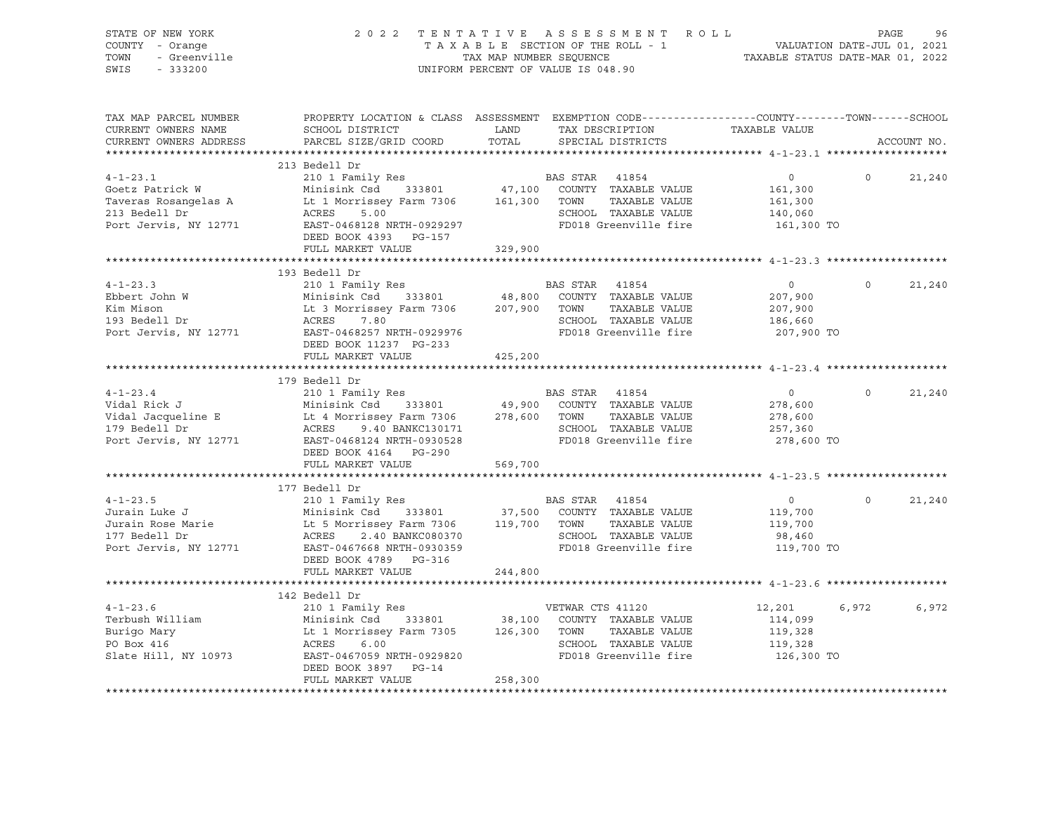| VALUATION DATE-JUL 01, 2021<br>TAXABLE STATUS DATE-MAR 01, 2022<br>COUNTY - Orange<br>TAXABLE SECTION OF THE ROLL - 1<br>- Greenville<br>TOWN<br>TAX MAP NUMBER SEQUENCE<br>UNIFORM PERCENT OF VALUE IS 048.90<br>SWIS<br>$-333200$<br>PROPERTY LOCATION & CLASS ASSESSMENT EXEMPTION CODE---------------COUNTY-------TOWN-----SCHOOL<br>TAX MAP PARCEL NUMBER<br>TAX DESCRIPTION<br>CURRENT OWNERS NAME<br>SCHOOL DISTRICT<br>LAND<br>TAXABLE VALUE<br>PARCEL SIZE/GRID COORD TOTAL<br>CURRENT OWNERS ADDRESS<br>SPECIAL DISTRICTS<br>ACCOUNT NO.<br>213 Bedell Dr<br>$4 - 1 - 23.1$<br>$\overline{0}$<br>$\overline{0}$<br>21,240<br>161,300<br>Goetz Patrick W Minisink Csd 333801 47,100 COUNTY<br>Taveras Rosangelas A Lt 1 Morrissey Farm 7306 161,300 TOWN<br>TAXABLE VALUE<br>161,300<br>213 Bedell Dr<br>ACRES<br>140,060<br>Port Jervis, NY 12771<br>161,300 TO<br>DEED BOOK 4393 PG-157<br>FULL MARKET VALUE<br>329,900<br>210 1 Family Res<br>210 1 Family Res<br>Minisink Csd 333801 48,800 COUNTY TAXABLE VALUE<br>Lt 3 Morrissey Farm 7306 207,900 TOWN TAXABLE VALUE<br>ACRES 7.80 301 SCHOOL TAYABLE VALUE<br>$4 - 1 - 23.3$<br>21,240<br>$\overline{0}$<br>$\overline{0}$<br>207,900<br>Ebbert John W<br>Kim Mison<br>193 Bedell Dr<br>207,900<br>186,660<br>Port Jervis, NY 12771<br>207,900 TO<br>DEED BOOK 11237 PG-233<br>FULL MARKET VALUE<br>425,200<br>$\begin{tabular}{lllllllllll} \multicolumn{3}{c}{\mbox{4--1--23.4}} & \multicolumn{3}{c}{\mbox{179} Bedell Dr} & \multicolumn{3}{c}{\mbox{BAS STR}} & \multicolumn{3}{c}{\mbox{41854}} \\ \multicolumn{3}{c}{\mbox{Vidal Rick J}} & \multicolumn{3}{c}{\mbox{Minisink Csd}} & \multicolumn{3}{c}{\mbox{333801}} & \multicolumn{3}{c}{\mbox{49,900} C}\nonTNT TAXABLE VALUE \\ \multicolumn{3}{c}{\mbox{Vidal Jacqueline E}} & \multicolumn{3}{c}{\mbox$<br>21,240<br>$\overline{0}$<br>$\overline{0}$<br>278,600<br>278,600<br>257,360<br>278,600 TO<br>DEED BOOK 4164 PG-290<br>FULL MARKET VALUE<br>569,700<br>177 Bedell Dr<br>$\Omega$<br>21,240<br>$\overline{0}$<br>119,700<br>119,700<br>ACRES 2.40 BANKC080370 SCHOOL TAXABLE VALUE<br>Port Jervis, NY 12771 EAST-0467668 NRTH-0930359 FD018 Greenville fire<br>DOCK 4790 DO DO DO 125<br>98,460<br>119,700 TO<br>DEED BOOK 4789 PG-316<br>FULL MARKET VALUE<br>244,800<br>142 Bedell Dr<br>VETWAR CTS 41120<br>$4 - 1 - 23.6$<br>12,201<br>6,972<br>6,972<br>210 1 Family Res<br>Minisink Csd 333801 38,100 COUNTY TAXABLE VALUE<br>Lt 1 Morrissey Farm 7305 126,300 TOWN TAXABLE VALUE<br>ACRES 6.00 SCHOOL TAXABLE VALUE<br>Terbush William<br>114,099<br>Burigo Mary<br>DO Boy 416<br>119,328<br>DEED BOOK 3897 PG-14<br>FULL MARKET VALUE<br>258,300 | STATE OF NEW YORK | 2022 TENTATIVE ASSESSMENT ROLL | PAGE<br>96 |
|---------------------------------------------------------------------------------------------------------------------------------------------------------------------------------------------------------------------------------------------------------------------------------------------------------------------------------------------------------------------------------------------------------------------------------------------------------------------------------------------------------------------------------------------------------------------------------------------------------------------------------------------------------------------------------------------------------------------------------------------------------------------------------------------------------------------------------------------------------------------------------------------------------------------------------------------------------------------------------------------------------------------------------------------------------------------------------------------------------------------------------------------------------------------------------------------------------------------------------------------------------------------------------------------------------------------------------------------------------------------------------------------------------------------------------------------------------------------------------------------------------------------------------------------------------------------------------------------------------------------------------------------------------------------------------------------------------------------------------------------------------------------------------------------------------------------------------------------------------------------------------------------------------------------------------------------------------------------------------------------------------------------------------------------------------------------------------------------------------------------------------------------------------------------------------------------------------------------------------------------------------------------------------------------------------------------------------------------------------------------------------------------------------------------------------------------------------------------------------------------------------------------------------------------------------------------------------------------------------------------------------------------------------------------------------------------------|-------------------|--------------------------------|------------|
|                                                                                                                                                                                                                                                                                                                                                                                                                                                                                                                                                                                                                                                                                                                                                                                                                                                                                                                                                                                                                                                                                                                                                                                                                                                                                                                                                                                                                                                                                                                                                                                                                                                                                                                                                                                                                                                                                                                                                                                                                                                                                                                                                                                                                                                                                                                                                                                                                                                                                                                                                                                                                                                                                                   |                   |                                |            |
|                                                                                                                                                                                                                                                                                                                                                                                                                                                                                                                                                                                                                                                                                                                                                                                                                                                                                                                                                                                                                                                                                                                                                                                                                                                                                                                                                                                                                                                                                                                                                                                                                                                                                                                                                                                                                                                                                                                                                                                                                                                                                                                                                                                                                                                                                                                                                                                                                                                                                                                                                                                                                                                                                                   |                   |                                |            |
|                                                                                                                                                                                                                                                                                                                                                                                                                                                                                                                                                                                                                                                                                                                                                                                                                                                                                                                                                                                                                                                                                                                                                                                                                                                                                                                                                                                                                                                                                                                                                                                                                                                                                                                                                                                                                                                                                                                                                                                                                                                                                                                                                                                                                                                                                                                                                                                                                                                                                                                                                                                                                                                                                                   |                   |                                |            |
|                                                                                                                                                                                                                                                                                                                                                                                                                                                                                                                                                                                                                                                                                                                                                                                                                                                                                                                                                                                                                                                                                                                                                                                                                                                                                                                                                                                                                                                                                                                                                                                                                                                                                                                                                                                                                                                                                                                                                                                                                                                                                                                                                                                                                                                                                                                                                                                                                                                                                                                                                                                                                                                                                                   |                   |                                |            |
|                                                                                                                                                                                                                                                                                                                                                                                                                                                                                                                                                                                                                                                                                                                                                                                                                                                                                                                                                                                                                                                                                                                                                                                                                                                                                                                                                                                                                                                                                                                                                                                                                                                                                                                                                                                                                                                                                                                                                                                                                                                                                                                                                                                                                                                                                                                                                                                                                                                                                                                                                                                                                                                                                                   |                   |                                |            |
|                                                                                                                                                                                                                                                                                                                                                                                                                                                                                                                                                                                                                                                                                                                                                                                                                                                                                                                                                                                                                                                                                                                                                                                                                                                                                                                                                                                                                                                                                                                                                                                                                                                                                                                                                                                                                                                                                                                                                                                                                                                                                                                                                                                                                                                                                                                                                                                                                                                                                                                                                                                                                                                                                                   |                   |                                |            |
|                                                                                                                                                                                                                                                                                                                                                                                                                                                                                                                                                                                                                                                                                                                                                                                                                                                                                                                                                                                                                                                                                                                                                                                                                                                                                                                                                                                                                                                                                                                                                                                                                                                                                                                                                                                                                                                                                                                                                                                                                                                                                                                                                                                                                                                                                                                                                                                                                                                                                                                                                                                                                                                                                                   |                   |                                |            |
|                                                                                                                                                                                                                                                                                                                                                                                                                                                                                                                                                                                                                                                                                                                                                                                                                                                                                                                                                                                                                                                                                                                                                                                                                                                                                                                                                                                                                                                                                                                                                                                                                                                                                                                                                                                                                                                                                                                                                                                                                                                                                                                                                                                                                                                                                                                                                                                                                                                                                                                                                                                                                                                                                                   |                   |                                |            |
|                                                                                                                                                                                                                                                                                                                                                                                                                                                                                                                                                                                                                                                                                                                                                                                                                                                                                                                                                                                                                                                                                                                                                                                                                                                                                                                                                                                                                                                                                                                                                                                                                                                                                                                                                                                                                                                                                                                                                                                                                                                                                                                                                                                                                                                                                                                                                                                                                                                                                                                                                                                                                                                                                                   |                   |                                |            |
|                                                                                                                                                                                                                                                                                                                                                                                                                                                                                                                                                                                                                                                                                                                                                                                                                                                                                                                                                                                                                                                                                                                                                                                                                                                                                                                                                                                                                                                                                                                                                                                                                                                                                                                                                                                                                                                                                                                                                                                                                                                                                                                                                                                                                                                                                                                                                                                                                                                                                                                                                                                                                                                                                                   |                   |                                |            |
|                                                                                                                                                                                                                                                                                                                                                                                                                                                                                                                                                                                                                                                                                                                                                                                                                                                                                                                                                                                                                                                                                                                                                                                                                                                                                                                                                                                                                                                                                                                                                                                                                                                                                                                                                                                                                                                                                                                                                                                                                                                                                                                                                                                                                                                                                                                                                                                                                                                                                                                                                                                                                                                                                                   |                   |                                |            |
|                                                                                                                                                                                                                                                                                                                                                                                                                                                                                                                                                                                                                                                                                                                                                                                                                                                                                                                                                                                                                                                                                                                                                                                                                                                                                                                                                                                                                                                                                                                                                                                                                                                                                                                                                                                                                                                                                                                                                                                                                                                                                                                                                                                                                                                                                                                                                                                                                                                                                                                                                                                                                                                                                                   |                   |                                |            |
|                                                                                                                                                                                                                                                                                                                                                                                                                                                                                                                                                                                                                                                                                                                                                                                                                                                                                                                                                                                                                                                                                                                                                                                                                                                                                                                                                                                                                                                                                                                                                                                                                                                                                                                                                                                                                                                                                                                                                                                                                                                                                                                                                                                                                                                                                                                                                                                                                                                                                                                                                                                                                                                                                                   |                   |                                |            |
|                                                                                                                                                                                                                                                                                                                                                                                                                                                                                                                                                                                                                                                                                                                                                                                                                                                                                                                                                                                                                                                                                                                                                                                                                                                                                                                                                                                                                                                                                                                                                                                                                                                                                                                                                                                                                                                                                                                                                                                                                                                                                                                                                                                                                                                                                                                                                                                                                                                                                                                                                                                                                                                                                                   |                   |                                |            |
|                                                                                                                                                                                                                                                                                                                                                                                                                                                                                                                                                                                                                                                                                                                                                                                                                                                                                                                                                                                                                                                                                                                                                                                                                                                                                                                                                                                                                                                                                                                                                                                                                                                                                                                                                                                                                                                                                                                                                                                                                                                                                                                                                                                                                                                                                                                                                                                                                                                                                                                                                                                                                                                                                                   |                   |                                |            |
|                                                                                                                                                                                                                                                                                                                                                                                                                                                                                                                                                                                                                                                                                                                                                                                                                                                                                                                                                                                                                                                                                                                                                                                                                                                                                                                                                                                                                                                                                                                                                                                                                                                                                                                                                                                                                                                                                                                                                                                                                                                                                                                                                                                                                                                                                                                                                                                                                                                                                                                                                                                                                                                                                                   |                   |                                |            |
|                                                                                                                                                                                                                                                                                                                                                                                                                                                                                                                                                                                                                                                                                                                                                                                                                                                                                                                                                                                                                                                                                                                                                                                                                                                                                                                                                                                                                                                                                                                                                                                                                                                                                                                                                                                                                                                                                                                                                                                                                                                                                                                                                                                                                                                                                                                                                                                                                                                                                                                                                                                                                                                                                                   |                   |                                |            |
|                                                                                                                                                                                                                                                                                                                                                                                                                                                                                                                                                                                                                                                                                                                                                                                                                                                                                                                                                                                                                                                                                                                                                                                                                                                                                                                                                                                                                                                                                                                                                                                                                                                                                                                                                                                                                                                                                                                                                                                                                                                                                                                                                                                                                                                                                                                                                                                                                                                                                                                                                                                                                                                                                                   |                   |                                |            |
|                                                                                                                                                                                                                                                                                                                                                                                                                                                                                                                                                                                                                                                                                                                                                                                                                                                                                                                                                                                                                                                                                                                                                                                                                                                                                                                                                                                                                                                                                                                                                                                                                                                                                                                                                                                                                                                                                                                                                                                                                                                                                                                                                                                                                                                                                                                                                                                                                                                                                                                                                                                                                                                                                                   |                   |                                |            |
|                                                                                                                                                                                                                                                                                                                                                                                                                                                                                                                                                                                                                                                                                                                                                                                                                                                                                                                                                                                                                                                                                                                                                                                                                                                                                                                                                                                                                                                                                                                                                                                                                                                                                                                                                                                                                                                                                                                                                                                                                                                                                                                                                                                                                                                                                                                                                                                                                                                                                                                                                                                                                                                                                                   |                   |                                |            |
|                                                                                                                                                                                                                                                                                                                                                                                                                                                                                                                                                                                                                                                                                                                                                                                                                                                                                                                                                                                                                                                                                                                                                                                                                                                                                                                                                                                                                                                                                                                                                                                                                                                                                                                                                                                                                                                                                                                                                                                                                                                                                                                                                                                                                                                                                                                                                                                                                                                                                                                                                                                                                                                                                                   |                   |                                |            |
|                                                                                                                                                                                                                                                                                                                                                                                                                                                                                                                                                                                                                                                                                                                                                                                                                                                                                                                                                                                                                                                                                                                                                                                                                                                                                                                                                                                                                                                                                                                                                                                                                                                                                                                                                                                                                                                                                                                                                                                                                                                                                                                                                                                                                                                                                                                                                                                                                                                                                                                                                                                                                                                                                                   |                   |                                |            |
|                                                                                                                                                                                                                                                                                                                                                                                                                                                                                                                                                                                                                                                                                                                                                                                                                                                                                                                                                                                                                                                                                                                                                                                                                                                                                                                                                                                                                                                                                                                                                                                                                                                                                                                                                                                                                                                                                                                                                                                                                                                                                                                                                                                                                                                                                                                                                                                                                                                                                                                                                                                                                                                                                                   |                   |                                |            |
|                                                                                                                                                                                                                                                                                                                                                                                                                                                                                                                                                                                                                                                                                                                                                                                                                                                                                                                                                                                                                                                                                                                                                                                                                                                                                                                                                                                                                                                                                                                                                                                                                                                                                                                                                                                                                                                                                                                                                                                                                                                                                                                                                                                                                                                                                                                                                                                                                                                                                                                                                                                                                                                                                                   |                   |                                |            |
|                                                                                                                                                                                                                                                                                                                                                                                                                                                                                                                                                                                                                                                                                                                                                                                                                                                                                                                                                                                                                                                                                                                                                                                                                                                                                                                                                                                                                                                                                                                                                                                                                                                                                                                                                                                                                                                                                                                                                                                                                                                                                                                                                                                                                                                                                                                                                                                                                                                                                                                                                                                                                                                                                                   |                   |                                |            |
|                                                                                                                                                                                                                                                                                                                                                                                                                                                                                                                                                                                                                                                                                                                                                                                                                                                                                                                                                                                                                                                                                                                                                                                                                                                                                                                                                                                                                                                                                                                                                                                                                                                                                                                                                                                                                                                                                                                                                                                                                                                                                                                                                                                                                                                                                                                                                                                                                                                                                                                                                                                                                                                                                                   |                   |                                |            |
|                                                                                                                                                                                                                                                                                                                                                                                                                                                                                                                                                                                                                                                                                                                                                                                                                                                                                                                                                                                                                                                                                                                                                                                                                                                                                                                                                                                                                                                                                                                                                                                                                                                                                                                                                                                                                                                                                                                                                                                                                                                                                                                                                                                                                                                                                                                                                                                                                                                                                                                                                                                                                                                                                                   |                   |                                |            |
|                                                                                                                                                                                                                                                                                                                                                                                                                                                                                                                                                                                                                                                                                                                                                                                                                                                                                                                                                                                                                                                                                                                                                                                                                                                                                                                                                                                                                                                                                                                                                                                                                                                                                                                                                                                                                                                                                                                                                                                                                                                                                                                                                                                                                                                                                                                                                                                                                                                                                                                                                                                                                                                                                                   |                   |                                |            |
|                                                                                                                                                                                                                                                                                                                                                                                                                                                                                                                                                                                                                                                                                                                                                                                                                                                                                                                                                                                                                                                                                                                                                                                                                                                                                                                                                                                                                                                                                                                                                                                                                                                                                                                                                                                                                                                                                                                                                                                                                                                                                                                                                                                                                                                                                                                                                                                                                                                                                                                                                                                                                                                                                                   |                   |                                |            |
|                                                                                                                                                                                                                                                                                                                                                                                                                                                                                                                                                                                                                                                                                                                                                                                                                                                                                                                                                                                                                                                                                                                                                                                                                                                                                                                                                                                                                                                                                                                                                                                                                                                                                                                                                                                                                                                                                                                                                                                                                                                                                                                                                                                                                                                                                                                                                                                                                                                                                                                                                                                                                                                                                                   |                   |                                |            |
|                                                                                                                                                                                                                                                                                                                                                                                                                                                                                                                                                                                                                                                                                                                                                                                                                                                                                                                                                                                                                                                                                                                                                                                                                                                                                                                                                                                                                                                                                                                                                                                                                                                                                                                                                                                                                                                                                                                                                                                                                                                                                                                                                                                                                                                                                                                                                                                                                                                                                                                                                                                                                                                                                                   |                   |                                |            |
|                                                                                                                                                                                                                                                                                                                                                                                                                                                                                                                                                                                                                                                                                                                                                                                                                                                                                                                                                                                                                                                                                                                                                                                                                                                                                                                                                                                                                                                                                                                                                                                                                                                                                                                                                                                                                                                                                                                                                                                                                                                                                                                                                                                                                                                                                                                                                                                                                                                                                                                                                                                                                                                                                                   |                   |                                |            |
|                                                                                                                                                                                                                                                                                                                                                                                                                                                                                                                                                                                                                                                                                                                                                                                                                                                                                                                                                                                                                                                                                                                                                                                                                                                                                                                                                                                                                                                                                                                                                                                                                                                                                                                                                                                                                                                                                                                                                                                                                                                                                                                                                                                                                                                                                                                                                                                                                                                                                                                                                                                                                                                                                                   |                   |                                |            |
|                                                                                                                                                                                                                                                                                                                                                                                                                                                                                                                                                                                                                                                                                                                                                                                                                                                                                                                                                                                                                                                                                                                                                                                                                                                                                                                                                                                                                                                                                                                                                                                                                                                                                                                                                                                                                                                                                                                                                                                                                                                                                                                                                                                                                                                                                                                                                                                                                                                                                                                                                                                                                                                                                                   |                   |                                |            |
|                                                                                                                                                                                                                                                                                                                                                                                                                                                                                                                                                                                                                                                                                                                                                                                                                                                                                                                                                                                                                                                                                                                                                                                                                                                                                                                                                                                                                                                                                                                                                                                                                                                                                                                                                                                                                                                                                                                                                                                                                                                                                                                                                                                                                                                                                                                                                                                                                                                                                                                                                                                                                                                                                                   |                   |                                |            |
|                                                                                                                                                                                                                                                                                                                                                                                                                                                                                                                                                                                                                                                                                                                                                                                                                                                                                                                                                                                                                                                                                                                                                                                                                                                                                                                                                                                                                                                                                                                                                                                                                                                                                                                                                                                                                                                                                                                                                                                                                                                                                                                                                                                                                                                                                                                                                                                                                                                                                                                                                                                                                                                                                                   |                   |                                |            |
|                                                                                                                                                                                                                                                                                                                                                                                                                                                                                                                                                                                                                                                                                                                                                                                                                                                                                                                                                                                                                                                                                                                                                                                                                                                                                                                                                                                                                                                                                                                                                                                                                                                                                                                                                                                                                                                                                                                                                                                                                                                                                                                                                                                                                                                                                                                                                                                                                                                                                                                                                                                                                                                                                                   |                   |                                |            |
|                                                                                                                                                                                                                                                                                                                                                                                                                                                                                                                                                                                                                                                                                                                                                                                                                                                                                                                                                                                                                                                                                                                                                                                                                                                                                                                                                                                                                                                                                                                                                                                                                                                                                                                                                                                                                                                                                                                                                                                                                                                                                                                                                                                                                                                                                                                                                                                                                                                                                                                                                                                                                                                                                                   |                   |                                |            |
|                                                                                                                                                                                                                                                                                                                                                                                                                                                                                                                                                                                                                                                                                                                                                                                                                                                                                                                                                                                                                                                                                                                                                                                                                                                                                                                                                                                                                                                                                                                                                                                                                                                                                                                                                                                                                                                                                                                                                                                                                                                                                                                                                                                                                                                                                                                                                                                                                                                                                                                                                                                                                                                                                                   |                   |                                |            |
|                                                                                                                                                                                                                                                                                                                                                                                                                                                                                                                                                                                                                                                                                                                                                                                                                                                                                                                                                                                                                                                                                                                                                                                                                                                                                                                                                                                                                                                                                                                                                                                                                                                                                                                                                                                                                                                                                                                                                                                                                                                                                                                                                                                                                                                                                                                                                                                                                                                                                                                                                                                                                                                                                                   |                   |                                |            |
|                                                                                                                                                                                                                                                                                                                                                                                                                                                                                                                                                                                                                                                                                                                                                                                                                                                                                                                                                                                                                                                                                                                                                                                                                                                                                                                                                                                                                                                                                                                                                                                                                                                                                                                                                                                                                                                                                                                                                                                                                                                                                                                                                                                                                                                                                                                                                                                                                                                                                                                                                                                                                                                                                                   |                   |                                |            |
|                                                                                                                                                                                                                                                                                                                                                                                                                                                                                                                                                                                                                                                                                                                                                                                                                                                                                                                                                                                                                                                                                                                                                                                                                                                                                                                                                                                                                                                                                                                                                                                                                                                                                                                                                                                                                                                                                                                                                                                                                                                                                                                                                                                                                                                                                                                                                                                                                                                                                                                                                                                                                                                                                                   |                   |                                |            |
|                                                                                                                                                                                                                                                                                                                                                                                                                                                                                                                                                                                                                                                                                                                                                                                                                                                                                                                                                                                                                                                                                                                                                                                                                                                                                                                                                                                                                                                                                                                                                                                                                                                                                                                                                                                                                                                                                                                                                                                                                                                                                                                                                                                                                                                                                                                                                                                                                                                                                                                                                                                                                                                                                                   |                   |                                |            |
|                                                                                                                                                                                                                                                                                                                                                                                                                                                                                                                                                                                                                                                                                                                                                                                                                                                                                                                                                                                                                                                                                                                                                                                                                                                                                                                                                                                                                                                                                                                                                                                                                                                                                                                                                                                                                                                                                                                                                                                                                                                                                                                                                                                                                                                                                                                                                                                                                                                                                                                                                                                                                                                                                                   |                   |                                |            |
|                                                                                                                                                                                                                                                                                                                                                                                                                                                                                                                                                                                                                                                                                                                                                                                                                                                                                                                                                                                                                                                                                                                                                                                                                                                                                                                                                                                                                                                                                                                                                                                                                                                                                                                                                                                                                                                                                                                                                                                                                                                                                                                                                                                                                                                                                                                                                                                                                                                                                                                                                                                                                                                                                                   |                   |                                |            |
|                                                                                                                                                                                                                                                                                                                                                                                                                                                                                                                                                                                                                                                                                                                                                                                                                                                                                                                                                                                                                                                                                                                                                                                                                                                                                                                                                                                                                                                                                                                                                                                                                                                                                                                                                                                                                                                                                                                                                                                                                                                                                                                                                                                                                                                                                                                                                                                                                                                                                                                                                                                                                                                                                                   |                   |                                |            |
|                                                                                                                                                                                                                                                                                                                                                                                                                                                                                                                                                                                                                                                                                                                                                                                                                                                                                                                                                                                                                                                                                                                                                                                                                                                                                                                                                                                                                                                                                                                                                                                                                                                                                                                                                                                                                                                                                                                                                                                                                                                                                                                                                                                                                                                                                                                                                                                                                                                                                                                                                                                                                                                                                                   |                   |                                |            |
|                                                                                                                                                                                                                                                                                                                                                                                                                                                                                                                                                                                                                                                                                                                                                                                                                                                                                                                                                                                                                                                                                                                                                                                                                                                                                                                                                                                                                                                                                                                                                                                                                                                                                                                                                                                                                                                                                                                                                                                                                                                                                                                                                                                                                                                                                                                                                                                                                                                                                                                                                                                                                                                                                                   |                   |                                |            |
|                                                                                                                                                                                                                                                                                                                                                                                                                                                                                                                                                                                                                                                                                                                                                                                                                                                                                                                                                                                                                                                                                                                                                                                                                                                                                                                                                                                                                                                                                                                                                                                                                                                                                                                                                                                                                                                                                                                                                                                                                                                                                                                                                                                                                                                                                                                                                                                                                                                                                                                                                                                                                                                                                                   |                   |                                |            |
|                                                                                                                                                                                                                                                                                                                                                                                                                                                                                                                                                                                                                                                                                                                                                                                                                                                                                                                                                                                                                                                                                                                                                                                                                                                                                                                                                                                                                                                                                                                                                                                                                                                                                                                                                                                                                                                                                                                                                                                                                                                                                                                                                                                                                                                                                                                                                                                                                                                                                                                                                                                                                                                                                                   |                   |                                |            |
|                                                                                                                                                                                                                                                                                                                                                                                                                                                                                                                                                                                                                                                                                                                                                                                                                                                                                                                                                                                                                                                                                                                                                                                                                                                                                                                                                                                                                                                                                                                                                                                                                                                                                                                                                                                                                                                                                                                                                                                                                                                                                                                                                                                                                                                                                                                                                                                                                                                                                                                                                                                                                                                                                                   |                   |                                |            |
|                                                                                                                                                                                                                                                                                                                                                                                                                                                                                                                                                                                                                                                                                                                                                                                                                                                                                                                                                                                                                                                                                                                                                                                                                                                                                                                                                                                                                                                                                                                                                                                                                                                                                                                                                                                                                                                                                                                                                                                                                                                                                                                                                                                                                                                                                                                                                                                                                                                                                                                                                                                                                                                                                                   |                   |                                |            |
|                                                                                                                                                                                                                                                                                                                                                                                                                                                                                                                                                                                                                                                                                                                                                                                                                                                                                                                                                                                                                                                                                                                                                                                                                                                                                                                                                                                                                                                                                                                                                                                                                                                                                                                                                                                                                                                                                                                                                                                                                                                                                                                                                                                                                                                                                                                                                                                                                                                                                                                                                                                                                                                                                                   |                   |                                |            |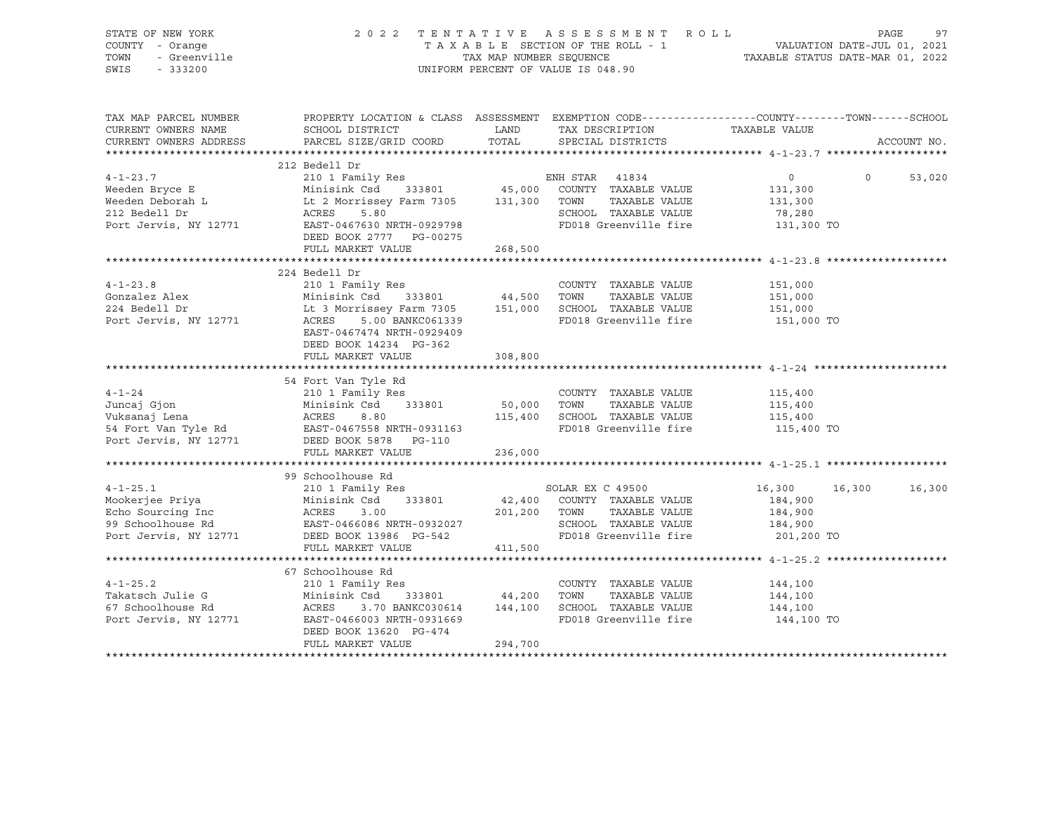| STATE OF NEW YORK<br>COUNTY - Orange<br>TOWN<br>- Greenville<br>SWIS<br>$-333200$              |                                                                                                                                                                                                            |                                            | 2022 TENTATIVE ASSESSMENT ROLL<br>UNIFORM PERCENT OF VALUE IS 048.90                                                   | $\begin{array}{cccccccccccccc} \text{I}' & \text{E} & \text{N} & \text{T} & \text{A} & \text{T} & \text{A} & \text{B} & \text{A} & \text{B} & \text{B} & \text{B} & \text{C} & \text{C} & \text{A} & \text{B} & \text{C} & \text{A} & \text{C} & \text{A} & \text{C} & \text{A} & \text{C} & \text{A} & \text{C} & \text{A} & \text{C} & \text{A} & \text{D} & \text{A} & \text{D} & \text{A} & \text{D} & \text{A} & \text{D} & \text$ | PAGE<br>97    |
|------------------------------------------------------------------------------------------------|------------------------------------------------------------------------------------------------------------------------------------------------------------------------------------------------------------|--------------------------------------------|------------------------------------------------------------------------------------------------------------------------|-----------------------------------------------------------------------------------------------------------------------------------------------------------------------------------------------------------------------------------------------------------------------------------------------------------------------------------------------------------------------------------------------------------------------------------------|---------------|
| TAX MAP PARCEL NUMBER<br>CURRENT OWNERS NAME<br>CURRENT OWNERS ADDRESS                         | SCHOOL DISTRICT<br>PARCEL SIZE/GRID COORD                                                                                                                                                                  | <b>EXAMPLE THE STATE OF STATE</b><br>TOTAL | TAX DESCRIPTION TAXABLE VALUE<br>SPECIAL DISTRICTS                                                                     | PROPERTY LOCATION & CLASS ASSESSMENT EXEMPTION CODE----------------COUNTY-------TOWN-----SCHOOL                                                                                                                                                                                                                                                                                                                                         | ACCOUNT NO.   |
| $4 - 1 - 23.7$<br>Weeden Bryce E<br>Weeden Deborah L<br>^^^ Podell Dr<br>Port Jervis, NY 12771 | 212 Bedell Dr<br>210 1 Family Res<br>Minisink Csd 333801 45,000<br>Minisink Csd 333801 45,000<br>Lt 2 Morrissey Farm 7305 131,300<br>ACRES<br>5.80<br>EAST-0467630 NRTH-0929798<br>DEED BOOK 2777 PG-00275 |                                            | ENH STAR 41834<br>COUNTY TAXABLE VALUE<br>TOWN<br>TAXABLE VALUE<br>SCHOOL TAXABLE VALUE<br>FD018 Greenville fire       | $\circ$<br>$\Omega$<br>131,300<br>131,300<br>78,280<br>131,300 TO                                                                                                                                                                                                                                                                                                                                                                       | 53,020        |
|                                                                                                | FULL MARKET VALUE                                                                                                                                                                                          | 268,500                                    |                                                                                                                        |                                                                                                                                                                                                                                                                                                                                                                                                                                         |               |
| $4 - 1 - 23.8$<br>Gonzalez Alex<br>224 Bedell Dr<br>Port Jervis, NY 12771                      | 224 Bedell Dr<br>210 1 Family Res<br>Minisink Csd 333801 44,500<br>Lt 3 Morrissey Farm 7305 151,000<br>ACRES 5.00 BANKC061339<br>EAST-0467474 NRTH-0929409<br>DEED BOOK 14234 PG-362                       |                                            | COUNTY TAXABLE VALUE<br>TOWN<br>TAXABLE VALUE<br>SCHOOL TAXABLE VALUE<br>FD018 Greenville fire                         | 151,000<br>151,000<br>151,000<br>151,000 TO                                                                                                                                                                                                                                                                                                                                                                                             |               |
|                                                                                                | FULL MARKET VALUE                                                                                                                                                                                          | 308,800                                    |                                                                                                                        |                                                                                                                                                                                                                                                                                                                                                                                                                                         |               |
| $4 - 1 - 24$<br>Juncaj Gjon                                                                    | 54 Fort Van Tyle Rd<br>210 1 Family Res<br>333801                                                                                                                                                          | 50,000                                     | COUNTY TAXABLE VALUE<br>TOWN<br>TAXABLE VALUE                                                                          | 115,400<br>115,400                                                                                                                                                                                                                                                                                                                                                                                                                      |               |
| Port Jervis, NY 12771                                                                          | Minisink Csd<br>ACRES 8.80<br>Vuksanaj Lena<br>Vuksanaj Lena<br>54 Fort Van Tyle Rd<br>EAST-0467558 NRTH-0931163<br>DEED BOOK 5878 PG-110<br>FULL MARKET VALUE                                             | 115,400<br>236,000                         | SCHOOL TAXABLE VALUE<br>FD018 Greenville fire                                                                          | 115,400<br>115,400 TO                                                                                                                                                                                                                                                                                                                                                                                                                   |               |
|                                                                                                |                                                                                                                                                                                                            |                                            |                                                                                                                        |                                                                                                                                                                                                                                                                                                                                                                                                                                         |               |
| $4 - 1 - 25.1$                                                                                 | 99 Schoolhouse Rd<br>210 1 Family Res<br>99 SChoolnouse Rd<br>Port Jervis, NY 12771 DEED BOOK 13986 PG-542<br>FULL MARKET VALUE                                                                            | 201,200<br>411,500                         | SOLAR EX C 49500<br>42,400 COUNTY TAXABLE VALUE<br>TOWN TAXABLE VALUE<br>SCHOOL TAXABLE VALUE<br>FD018 Greenville fire | 16,300<br>184,900<br>184,900<br>184,900<br>201,200 TO                                                                                                                                                                                                                                                                                                                                                                                   | 16,300 16,300 |
| $4 - 1 - 25.2$<br>Takatsch Julie G<br>67 Schoolhouse Rd<br>Port Jervis, NY 12771               | 67 Schoolhouse Rd<br>210 1 Family Res<br>333801 44,200<br>Minisink Csa<br>ACRES 3.70 BANKC030614 144,100<br>DEED BOOK 13620 PG-474<br>FULL MARKET VALUE                                                    | 294,700                                    | COUNTY TAXABLE VALUE<br>TOWN<br>TAXABLE VALUE<br>SCHOOL TAXABLE VALUE<br>FD018 Greenville fire                         | 144,100<br>144,100<br>144,100<br>144,100 TO                                                                                                                                                                                                                                                                                                                                                                                             |               |
|                                                                                                |                                                                                                                                                                                                            |                                            |                                                                                                                        |                                                                                                                                                                                                                                                                                                                                                                                                                                         |               |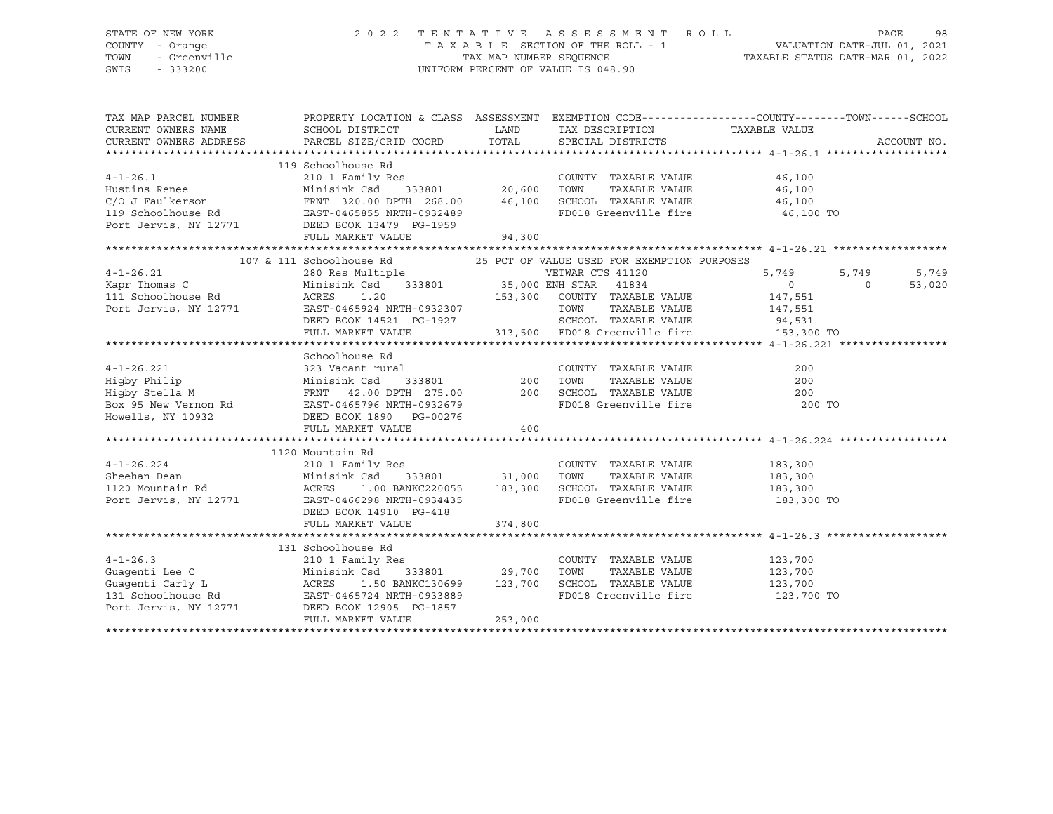# STATE OF NEW YORK 2 0 2 2 T E N T A T I V E A S S E S S M E N T R O L L PAGE 98 COUNTY - Orange T A X A B L E SECTION OF THE ROLL - 1 VALUATION DATE-JUL 01, 2021 TOWN - Greenville TAX MAP NUMBER SEQUENCE TAXABLE STATUS DATE-MAR 01, 2022 SWIS - 333200 UNIFORM PERCENT OF VALUE IS 048.90

| TAX MAP PARCEL NUMBER<br>CURRENT OWNERS NAME<br>CURRENT OWNERS ADDRESS                                                                                                                              | PROPERTY LOCATION & CLASS ASSESSMENT EXEMPTION CODE----------------COUNTY-------TOWN------SCHOOL<br>SCHOOL DISTRICT<br>PARCEL SIZE/GRID COORD | LAND                     | TAX DESCRIPTION TAXABLE VALUE<br>TOTAL SPECIAL DISTRICTS                                                                   |                                                                       | ACCOUNT NO.                          |
|-----------------------------------------------------------------------------------------------------------------------------------------------------------------------------------------------------|-----------------------------------------------------------------------------------------------------------------------------------------------|--------------------------|----------------------------------------------------------------------------------------------------------------------------|-----------------------------------------------------------------------|--------------------------------------|
| $4 - 1 - 26.1$<br>Hustins Renee<br>C/O J Faulkerson<br>TRNT 320.00 DPTH 268.00 46,100<br>119 Schoolhouse Rd EAST-0465855 NRTH-0932489<br>Port Jervis, NY 12771 DEED BOOK 13479 PG-1959              | 119 Schoolhouse Rd<br>210 1 Family Res<br>Res<br>333801 20,600<br>Minisink Csd<br>FULL MARKET VALUE                                           | 94,300                   | COUNTY TAXABLE VALUE<br>TAXABLE VALUE<br>TOWN<br>SCHOOL TAXABLE VALUE<br>FD018 Greenville fire 46,100 TO                   | 46,100<br>46,100<br>46,100                                            |                                      |
|                                                                                                                                                                                                     |                                                                                                                                               |                          |                                                                                                                            |                                                                       |                                      |
| $4 - 1 - 26.21$<br>Exapr Thomas C Minisink Csd 333801 35,000 ENH STAR 41834<br>111 Schoolhouse Rd ACRES 1.20 153,300 COUNTY TAXABLE<br>Port Jervis, NY 12771 EAST-0465924 NRTH-0932307 TOWN TAXABLE | 107 & 111 Schoolhouse Rd 25 PCT OF VALUE USED FOR EXEMPTION PURPOSES<br>280 Res Multiple<br>DEED BOOK 14521 PG-1927<br>FULL MARKET VALUE      |                          | VETWAR CTS 41120<br>153,300 COUNTY TAXABLE VALUE<br>TAXABLE VALUE<br>SCHOOL TAXABLE VALUE<br>313,500 FD018 Greenville fire | 5,749<br>$\overline{0}$<br>147,551<br>147,551<br>94,531<br>153,300 TO | 5,749<br>5,749<br>$\Omega$<br>53,020 |
|                                                                                                                                                                                                     |                                                                                                                                               |                          |                                                                                                                            |                                                                       |                                      |
| $4 - 1 - 26.221$<br>Higby Philip<br>Higby Stella M                                                                                                                                                  | Schoolhouse Rd<br>FULL MARKET VALUE                                                                                                           | 400                      | FD018 Greenville fire                                                                                                      | 200<br>200<br>200<br>200 TO                                           |                                      |
|                                                                                                                                                                                                     |                                                                                                                                               |                          |                                                                                                                            |                                                                       |                                      |
| $4 - 1 - 26.224$<br>Sheehan Dean<br>1120 Mountain Rd<br>Port Jervis, NY 12771 EAST-0466298 NRTH-0934435                                                                                             | 1120 Mountain Rd<br>210 1 Family Res<br>Minisink Csd<br>ACRES 1.00 BANKC220055 183,300<br>DEED BOOK 14910 PG-418<br>FULL MARKET VALUE         | 333801 31,000<br>374,800 | COUNTY TAXABLE VALUE<br>TOWN<br>TAXABLE VALUE<br>SCHOOL TAXABLE VALUE<br>FD018 Greenville fire                             | 183,300<br>183,300<br>183,300<br>183,300 TO                           |                                      |
|                                                                                                                                                                                                     |                                                                                                                                               |                          |                                                                                                                            |                                                                       |                                      |
| $4 - 1 - 26.3$<br>Guagenti Lee C<br>Guagenti Carly L ACRES<br>131 Schoolhouse Rd<br>Port Jervis, NY 12771 DEED BOOK 12905 PG-1857                                                                   | 131 Schoolhouse Rd<br>Res<br>333801 29,700<br>210 1 Family Res<br>Minisink Csd<br>1.50 BANKC130699 123,700<br>FULL MARKET VALUE               | 253,000                  | COUNTY TAXABLE VALUE<br>TOWN<br>TAXABLE VALUE<br>SCHOOL TAXABLE VALUE 123,700<br>FD018 Greenville fire 123,700 TO          | 123,700<br>123,700                                                    |                                      |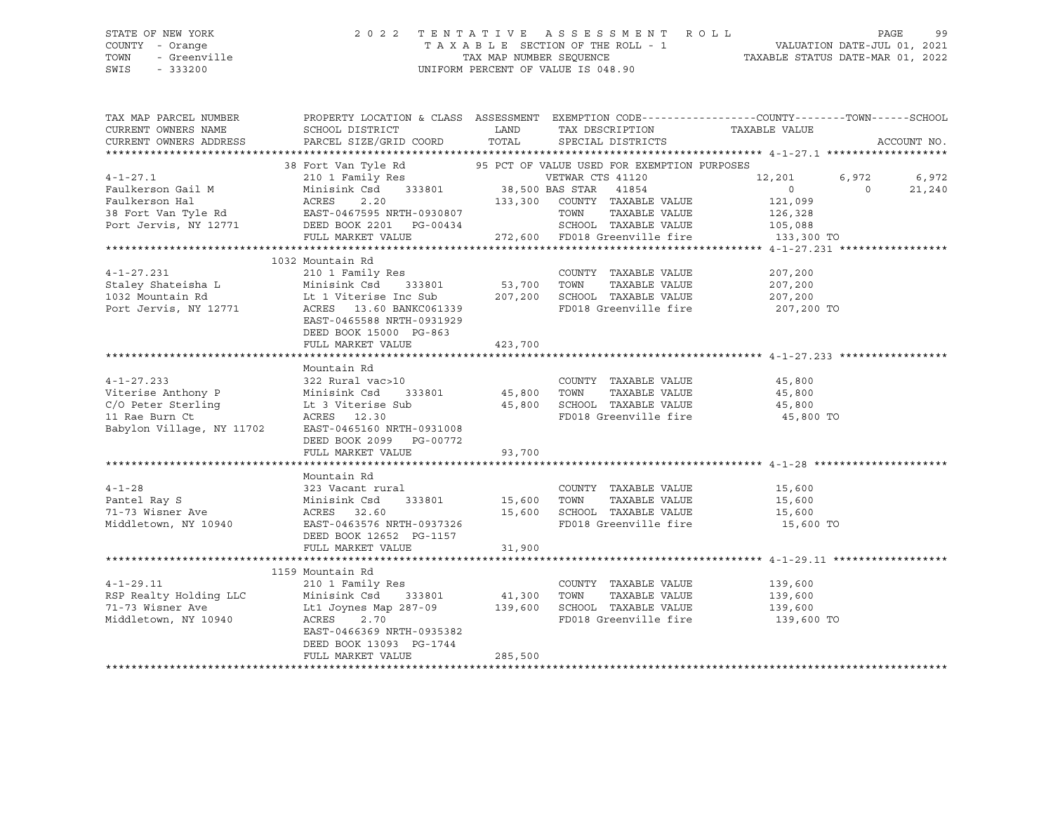# STATE OF NEW YORK 2 0 2 2 T E N T A T I V E A S S E S S M E N T R O L L PAGE 99 COUNTY - Orange T A X A B L E SECTION OF THE ROLL - 1 VALUATION DATE-JUL 01, 2021 TOWN - Greenville TAX MAP NUMBER SEQUENCE TAXABLE STATUS DATE-MAR 01, 2022 SWIS - 333200 UNIFORM PERCENT OF VALUE IS 048.90

| TAX MAP PARCEL NUMBER              | PROPERTY LOCATION & CLASS ASSESSMENT EXEMPTION CODE---------------COUNTY-------TOWN------SCHOOL |             |                                                                       |                    |          |             |
|------------------------------------|-------------------------------------------------------------------------------------------------|-------------|-----------------------------------------------------------------------|--------------------|----------|-------------|
| CURRENT OWNERS NAME                | SCHOOL DISTRICT                                                                                 | LAND        | TAX DESCRIPTION                                                       | TAXABLE VALUE      |          |             |
| CURRENT OWNERS ADDRESS             | PARCEL SIZE/GRID COORD                                                                          | TOTAL       | SPECIAL DISTRICTS                                                     |                    |          | ACCOUNT NO. |
|                                    |                                                                                                 |             |                                                                       |                    |          |             |
|                                    | 38 Fort Van Tyle Rd 595 PCT OF VALUE USED FOR EXEMPTION PURPOSES                                |             |                                                                       |                    |          |             |
| $4 - 1 - 27.1$                     |                                                                                                 |             | VETWAR CTS 41120                                                      | 12,201             | 6,972    | 6,972       |
| Faulkerson Gail M                  | Minisink Csd                                                                                    |             | 41854                                                                 | $\overline{0}$     | $\Omega$ | 21,240      |
|                                    |                                                                                                 |             |                                                                       | 121,099            |          |             |
|                                    |                                                                                                 |             |                                                                       | 126,328            |          |             |
|                                    |                                                                                                 |             | SCHOOL TAXABLE VALUE 105,088                                          |                    |          |             |
|                                    | FULL MARKET VALUE $272,600$ FD018 Greenville fire $133,300$ TO                                  |             |                                                                       |                    |          |             |
|                                    |                                                                                                 |             |                                                                       |                    |          |             |
|                                    | 1032 Mountain Rd                                                                                |             |                                                                       |                    |          |             |
| $4-1-27.231$<br>Staley Shateisha L | 210 1 Family Res                                                                                |             | COUNTY TAXABLE VALUE                                                  | 207,200            |          |             |
|                                    | 333801 53,700<br>Minisink Csd                                                                   |             | TOWN<br>TAXABLE VALUE                                                 | 207,200            |          |             |
|                                    | Lt 1 Viterise Inc Sub                                                                           | 207,200     | SCHOOL TAXABLE VALUE                                                  | 207,200            |          |             |
| Port Jervis, NY 12771              | ACRES 13.60 BANKC061339                                                                         |             | FD018 Greenville fire                                                 | 207,200 TO         |          |             |
|                                    | EAST-0465588 NRTH-0931929                                                                       |             |                                                                       |                    |          |             |
|                                    | DEED BOOK 15000 PG-863                                                                          |             |                                                                       |                    |          |             |
|                                    | FULL MARKET VALUE                                                                               | 423,700     |                                                                       |                    |          |             |
|                                    |                                                                                                 |             |                                                                       |                    |          |             |
|                                    | Mountain Rd                                                                                     |             |                                                                       |                    |          |             |
| $4 - 1 - 27.233$                   | 322 Rural vac>10                                                                                |             | COUNTY TAXABLE VALUE                                                  | 45,800             |          |             |
| Viterise Anthony P                 | 322 Rurai vac<br>Minisink Csd                                                                   |             | TAXABLE VALUE                                                         | 45,800             |          |             |
| C/O Peter Sterling                 |                                                                                                 |             |                                                                       |                    |          |             |
| 11 Rae Burn Ct                     | Lt 3 Viterise Sub<br>ACRES 12.30<br>ACRES 12.30                                                 |             | 45,800 SCHOOL TAXABLE VALUE 45,800<br>FD018 Greenville fire 35,800 TO |                    |          |             |
| Babylon Village, NY 11702          | EAST-0465160 NRTH-0931008                                                                       |             |                                                                       |                    |          |             |
|                                    | DEED BOOK 2099 PG-00772                                                                         |             |                                                                       |                    |          |             |
|                                    | FULL MARKET VALUE                                                                               | 93,700      |                                                                       |                    |          |             |
|                                    |                                                                                                 |             |                                                                       |                    |          |             |
|                                    | Mountain Rd                                                                                     |             |                                                                       |                    |          |             |
| $4 - 1 - 28$                       | 323 Vacant rural                                                                                |             | COUNTY TAXABLE VALUE 15,600                                           |                    |          |             |
| Pantel Ray S                       | Minisink Csd<br>333801                                                                          | 15,600 TOWN | TAXABLE VALUE                                                         | 15,600             |          |             |
| 71-73 Wisner Ave                   | ACRES 32.60                                                                                     | 15,600      | SCHOOL TAXABLE VALUE                                                  | 15,600             |          |             |
| Middletown, NY 10940               | EAST-0463576 NRTH-0937326                                                                       |             | FD018 Greenville fire 15,600 TO                                       |                    |          |             |
|                                    | DEED BOOK 12652 PG-1157                                                                         |             |                                                                       |                    |          |             |
|                                    | FULL MARKET VALUE                                                                               | 31,900      |                                                                       |                    |          |             |
|                                    |                                                                                                 |             |                                                                       |                    |          |             |
|                                    | 1159 Mountain Rd                                                                                |             |                                                                       |                    |          |             |
| $4 - 1 - 29.11$                    | 210 1 Family Res                                                                                |             | COUNTY TAXABLE VALUE                                                  |                    |          |             |
| RSP Realty Holding LLC             | 333801 41,300 TOWN<br>Minisink Csd                                                              |             | TAXABLE VALUE                                                         | 139,600<br>139,600 |          |             |
| 71-73 Wisner Ave                   | Lt1 Joynes Map 287-09 139,600                                                                   |             | SCHOOL TAXABLE VALUE 139,600                                          |                    |          |             |
| Middletown, NY 10940               | ACRES<br>2.70                                                                                   |             | FD018 Greenville fire                                                 | 139,600 TO         |          |             |
|                                    | EAST-0466369 NRTH-0935382                                                                       |             |                                                                       |                    |          |             |
|                                    | DEED BOOK 13093 PG-1744                                                                         |             |                                                                       |                    |          |             |
|                                    | FULL MARKET VALUE                                                                               | 285,500     |                                                                       |                    |          |             |
|                                    |                                                                                                 |             |                                                                       |                    |          |             |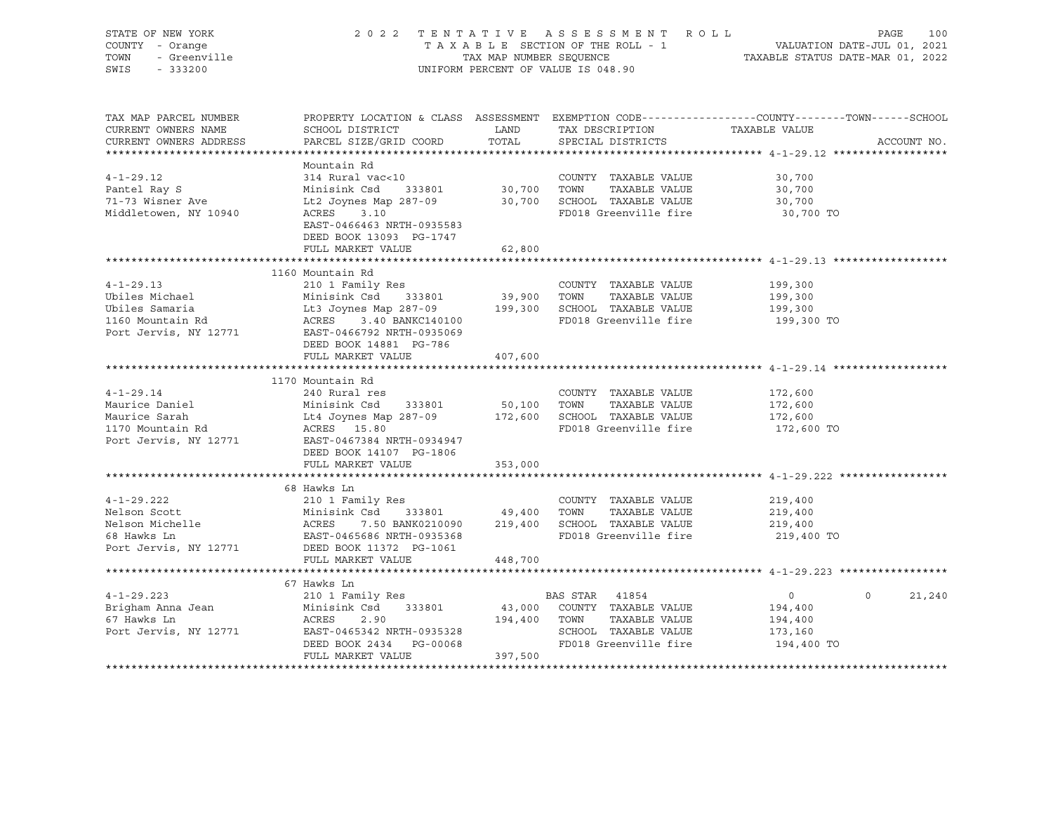| STATE OF NEW YORK<br>COUNTY - Orange<br>TOWN<br>- Greenville<br>SWIS<br>$-333200$ |                                                                                                          | TAX MAP NUMBER SEQUENCE | 2022 TENTATIVE ASSESSMENT ROLL<br>TAXABLE SECTION OF THE ROLL - 1<br>UNIFORM PERCENT OF VALUE IS 048.90 | PAGE<br>VALUATION DATE-JUL 01, 2021<br>TAXABLE STATUS DATE-MAR 01, 2022                        | 100    |
|-----------------------------------------------------------------------------------|----------------------------------------------------------------------------------------------------------|-------------------------|---------------------------------------------------------------------------------------------------------|------------------------------------------------------------------------------------------------|--------|
|                                                                                   |                                                                                                          |                         |                                                                                                         |                                                                                                |        |
| TAX MAP PARCEL NUMBER                                                             |                                                                                                          |                         |                                                                                                         | PROPERTY LOCATION & CLASS ASSESSMENT EXEMPTION CODE---------------COUNTY-------TOWN-----SCHOOL |        |
| CURRENT OWNERS NAME                                                               | SCHOOL DISTRICT                                                                                          | LAND                    | TAX DESCRIPTION                                                                                         | TAXABLE VALUE                                                                                  |        |
| CURRENT OWNERS ADDRESS                                                            | PARCEL SIZE/GRID COORD                                                                                   | TOTAL                   | SPECIAL DISTRICTS                                                                                       | ACCOUNT NO.                                                                                    |        |
|                                                                                   | Mountain Rd                                                                                              |                         |                                                                                                         |                                                                                                |        |
| $4 - 1 - 29.12$                                                                   | 314 Rural vac<10                                                                                         |                         | COUNTY TAXABLE VALUE                                                                                    | 30,700                                                                                         |        |
| Pantel Ray S                                                                      | Minisink Csd<br>333801                                                                                   | 30,700 TOWN             | TAXABLE VALUE                                                                                           | 30,700                                                                                         |        |
| 71-73 Wisner Ave                                                                  | Lt2 Joynes Map 287-09                                                                                    |                         | 30,700 SCHOOL TAXABLE VALUE                                                                             | 30,700                                                                                         |        |
| Middletowen, NY 10940                                                             | ACRES<br>3.10                                                                                            |                         | FD018 Greenville fire                                                                                   | 30,700 TO                                                                                      |        |
|                                                                                   | EAST-0466463 NRTH-0935583                                                                                |                         |                                                                                                         |                                                                                                |        |
|                                                                                   | DEED BOOK 13093 PG-1747                                                                                  |                         |                                                                                                         |                                                                                                |        |
|                                                                                   | FULL MARKET VALUE                                                                                        | 62,800                  |                                                                                                         |                                                                                                |        |
|                                                                                   |                                                                                                          |                         |                                                                                                         |                                                                                                |        |
|                                                                                   | 1160 Mountain Rd                                                                                         |                         |                                                                                                         |                                                                                                |        |
| $4 - 1 - 29.13$                                                                   | 210 1 Family Res                                                                                         |                         | COUNTY TAXABLE VALUE                                                                                    | 199,300                                                                                        |        |
| Ubiles Michael<br>Ubiles Samaria                                                  | Minisink Csd 333801                                                                                      |                         | 39,900   TOWN    TAXABLE VALUE<br>199,300   SCHOOL  TAXABLE VALUE                                       | 199,300<br>199,300                                                                             |        |
| 1160 Mountain Rd                                                                  | Minisink Csd     333801<br>Lt3 Joynes Map 287-09<br>ACRES     3.40 BANKC140100<br>ACRES 3.40 BANKC140100 |                         | FD018 Greenville fire                                                                                   | 199,300 TO                                                                                     |        |
| Port Jervis, NY 12771                                                             | EAST-0466792 NRTH-0935069                                                                                |                         |                                                                                                         |                                                                                                |        |
|                                                                                   | DEED BOOK 14881 PG-786                                                                                   |                         |                                                                                                         |                                                                                                |        |
|                                                                                   | FULL MARKET VALUE                                                                                        | 407,600                 |                                                                                                         |                                                                                                |        |
|                                                                                   |                                                                                                          |                         |                                                                                                         |                                                                                                |        |
|                                                                                   | 1170 Mountain Rd                                                                                         |                         |                                                                                                         |                                                                                                |        |
| $4 - 1 - 29.14$                                                                   | 240 Rural res                                                                                            |                         | COUNTY TAXABLE VALUE                                                                                    | 172,600                                                                                        |        |
| Maurice Daniel                                                                    |                                                                                                          | 50,100 TOWN             | TAXABLE VALUE                                                                                           | 172,600                                                                                        |        |
| Maurice Sarah<br>1170 Mountain Rd                                                 |                                                                                                          |                         | 172,600 SCHOOL TAXABLE VALUE<br>FD018 Greenville fire                                                   | 172,600<br>172,600 TO                                                                          |        |
| Port Jervis, NY 12771                                                             | Minisink Csa<br>Lt4 Joynes Map 287-09<br>ACRES 15.80<br>--- 2457384 NRTH-0934947                         |                         |                                                                                                         |                                                                                                |        |
|                                                                                   | DEED BOOK 14107 PG-1806                                                                                  |                         |                                                                                                         |                                                                                                |        |
|                                                                                   | FULL MARKET VALUE                                                                                        | 353,000                 |                                                                                                         |                                                                                                |        |
|                                                                                   |                                                                                                          |                         |                                                                                                         |                                                                                                |        |
|                                                                                   | 68 Hawks Ln                                                                                              |                         |                                                                                                         |                                                                                                |        |
| $4 - 1 - 29.222$                                                                  | 210 1 Family Res                                                                                         |                         | COUNTY TAXABLE VALUE                                                                                    | 219,400                                                                                        |        |
| Nelson Scott                                                                      | Minisink Csd 333801 49,400 TOWN TAXABLE VALUE<br>ACRES 7.50 BANK0210090 219,400 SCHOOL TAXABLE VALUE     |                         |                                                                                                         | 219,400                                                                                        |        |
| Nelson Michelle                                                                   |                                                                                                          |                         |                                                                                                         | 219,400                                                                                        |        |
| 68 Hawks Ln                                                                       | EAST-0465686 NRTH-0935368                                                                                |                         | FD018 Greenville fire                                                                                   | 219,400 TO                                                                                     |        |
| Port Jervis, NY 12771                                                             | DEED BOOK 11372 PG-1061<br>FULL MARKET VALUE                                                             | 448,700                 |                                                                                                         |                                                                                                |        |
|                                                                                   |                                                                                                          |                         |                                                                                                         |                                                                                                |        |
|                                                                                   | 67 Hawks Ln                                                                                              |                         |                                                                                                         |                                                                                                |        |
| $4 - 1 - 29.223$                                                                  | 210 1 Family Res                                                                                         |                         | BAS STAR 41854                                                                                          | $\circ$<br>$\Omega$                                                                            | 21,240 |
| Brigham Anna Jean                                                                 | Minisink Csd 333801                                                                                      |                         | 43,000 COUNTY TAXABLE VALUE                                                                             | 194,400                                                                                        |        |
| 67 Hawks Ln                                                                       | ACRES<br>2.90                                                                                            | 194,400 TOWN            | TAXABLE VALUE                                                                                           | 194,400                                                                                        |        |
| Port Jervis, NY 12771                                                             | ACRES 2.50<br>EAST-0465342 NRTH-0935328                                                                  |                         | SCHOOL TAXABLE VALUE                                                                                    | 173,160                                                                                        |        |
|                                                                                   | DEED BOOK 2434 PG-00068                                                                                  |                         | FD018 Greenville fire                                                                                   | 194,400 TO                                                                                     |        |
|                                                                                   | FULL MARKET VALUE                                                                                        | 397,500                 |                                                                                                         |                                                                                                |        |
|                                                                                   |                                                                                                          |                         |                                                                                                         |                                                                                                |        |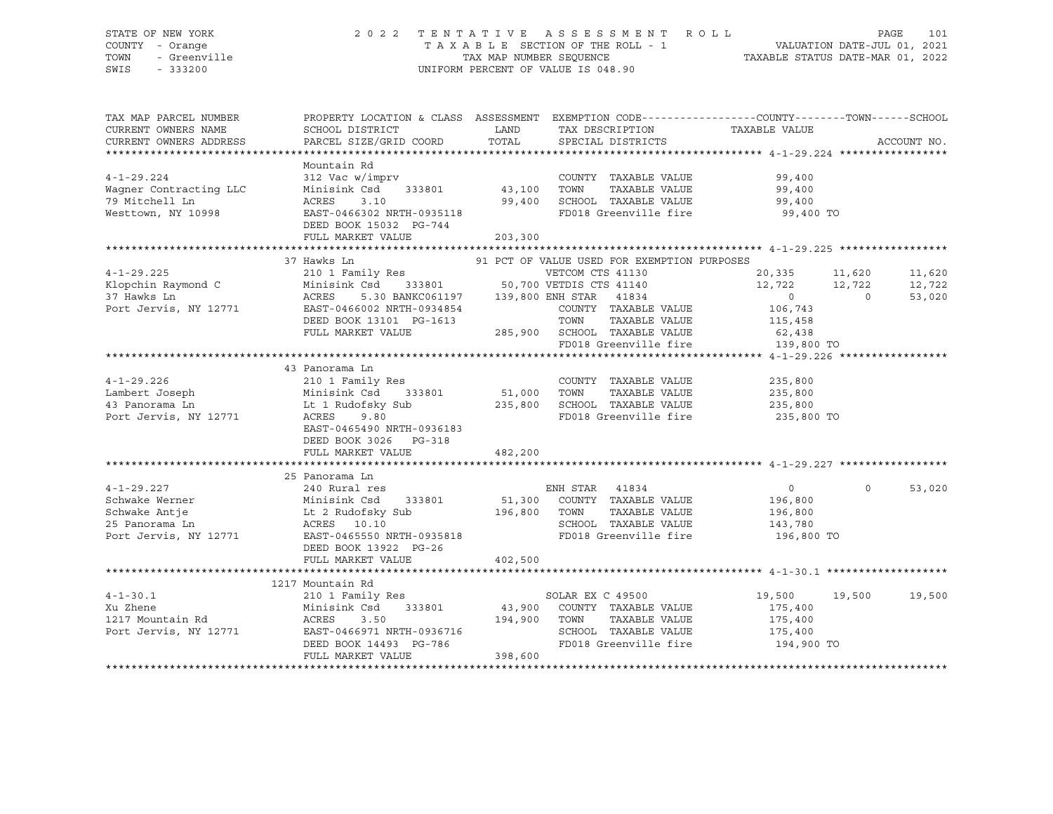# STATE OF NEW YORK 2 0 2 2 T E N T A T I V E A S S E S S M E N T R O L L PAGE 101 COUNTY - Orange T A X A B L E SECTION OF THE ROLL - 1 VALUATION DATE-JUL 01, 2021 TOWN - Greenville TAX MAP NUMBER SEQUENCE TAXABLE STATUS DATE-MAR 01, 2022 SWIS - 333200 UNIFORM PERCENT OF VALUE IS 048.90

| TAX MAP PARCEL NUMBER                   |                                                                                                                                                                                 |              |                                                               | PROPERTY LOCATION & CLASS ASSESSMENT EXEMPTION CODE----------------COUNTY-------TOWN------SCHOOL             |             |
|-----------------------------------------|---------------------------------------------------------------------------------------------------------------------------------------------------------------------------------|--------------|---------------------------------------------------------------|--------------------------------------------------------------------------------------------------------------|-------------|
| CURRENT OWNERS NAME                     | SCHOOL DISTRICT                                                                                                                                                                 | LAND         | TAX DESCRIPTION                                               | TAXABLE VALUE                                                                                                |             |
| CURRENT OWNERS ADDRESS                  | PARCEL SIZE/GRID COORD                                                                                                                                                          | TOTAL        | SPECIAL DISTRICTS                                             |                                                                                                              | ACCOUNT NO. |
|                                         |                                                                                                                                                                                 |              |                                                               |                                                                                                              |             |
|                                         | Mountain Rd                                                                                                                                                                     |              |                                                               |                                                                                                              |             |
| $4 - 1 - 29.224$                        | nomination:<br>312 Vac w/imprv<br>Minisink Csd 333801 43,100 TOWN                                                                                                               |              | COUNTY TAXABLE VALUE                                          | 99,400<br>99,400                                                                                             |             |
| Waqner Contracting LLC                  |                                                                                                                                                                                 |              | TAXABLE VALUE                                                 |                                                                                                              |             |
| 79 Mitchell Ln                          | ACRES 3.10 99,400 SCHOOL TAXABLE VALUE<br>EAST-0466302 NRTH-0935118 FD018 Greenville fire                                                                                       |              |                                                               | 99,400                                                                                                       |             |
| Westtown, NY 10998                      |                                                                                                                                                                                 |              |                                                               | 99,400 TO                                                                                                    |             |
|                                         | DEED BOOK 15032 PG-744                                                                                                                                                          |              |                                                               |                                                                                                              |             |
|                                         | FULL MARKET VALUE                                                                                                                                                               | 203,300      |                                                               |                                                                                                              |             |
|                                         | 37 Hawks Ln                                                                                                                                                                     |              | 91 PCT OF VALUE USED FOR EXEMPTION PURPOSES                   |                                                                                                              |             |
| $4 - 1 - 29.225$                        |                                                                                                                                                                                 |              |                                                               |                                                                                                              |             |
|                                         |                                                                                                                                                                                 |              |                                                               |                                                                                                              | 11,620      |
| Klopchin Raymond C<br>37 Hawks Ln       |                                                                                                                                                                                 |              |                                                               | 210 1 Family Res<br>Minisink Csd 333801 50,700 VETDIS CTS 41140 12,722 12,722<br>12,722 12,722 12,722 12,722 | 12,722      |
| Port Jervis, NY 12771                   |                                                                                                                                                                                 |              | COUNTY TAXABLE VALUE 106,743                                  |                                                                                                              | 53,020      |
|                                         | EAST-0466002 NRTH-0934854                                                                                                                                                       |              |                                                               |                                                                                                              |             |
|                                         |                                                                                                                                                                                 |              |                                                               | 115,458<br>62,438                                                                                            |             |
|                                         |                                                                                                                                                                                 |              | FD018 Greenville fire 139,800 TO                              |                                                                                                              |             |
|                                         |                                                                                                                                                                                 |              |                                                               |                                                                                                              |             |
|                                         | 43 Panorama Ln                                                                                                                                                                  |              |                                                               |                                                                                                              |             |
|                                         |                                                                                                                                                                                 |              | COUNTY TAXABLE VALUE                                          | 235,800                                                                                                      |             |
|                                         |                                                                                                                                                                                 |              | TAXABLE VALUE                                                 | 235,800                                                                                                      |             |
|                                         |                                                                                                                                                                                 |              |                                                               |                                                                                                              |             |
|                                         | 4-1-29.226 210 1 Family Res COUNT<br>Lambert Joseph Minisink Csd 333801 51,000 TOWN<br>43 Panorama Ln Lt 1 Rudofsky Sub 235,800 SCHOC<br>Port Jervis, NY 12771 ACRES 9.80 PD018 |              | 235,800 SCHOOL TAXABLE VALUE 235,800<br>FD018 Greenville fire | 235,800 TO                                                                                                   |             |
|                                         | EAST-0465490 NRTH-0936183                                                                                                                                                       |              |                                                               |                                                                                                              |             |
|                                         | DEED BOOK 3026 PG-318                                                                                                                                                           |              |                                                               |                                                                                                              |             |
|                                         | FULL MARKET VALUE                                                                                                                                                               | 482,200      |                                                               |                                                                                                              |             |
|                                         |                                                                                                                                                                                 |              |                                                               |                                                                                                              |             |
|                                         | 25 Panorama Ln                                                                                                                                                                  |              |                                                               |                                                                                                              |             |
| $4 - 1 - 29.227$                        | 240 Rural res                                                                                                                                                                   |              | ENH STAR 41834                                                | $\overline{0}$<br>$\Omega$                                                                                   | 53,020      |
|                                         |                                                                                                                                                                                 |              | 51,300 COUNTY TAXABLE VALUE                                   | 196,800                                                                                                      |             |
| Schwake Werner<br>Schwake Antje         |                                                                                                                                                                                 |              | TAXABLE VALUE                                                 | 196,800                                                                                                      |             |
|                                         |                                                                                                                                                                                 |              | SCHOOL TAXABLE VALUE                                          | 143,780                                                                                                      |             |
| 25 Panorama Ln<br>Port Jervis, NY 12771 | Minisink Csd 333801 51,300 COUNTY<br>Lt 2 Rudofsky Sub 196,800 TOWN<br>ACRES 10.10 SCHOOI<br>EAST-0465550 NRTH-0935818 FD018                                                    |              | FD018 Greenville fire                                         | 196,800 TO                                                                                                   |             |
|                                         | DEED BOOK 13922 PG-26                                                                                                                                                           |              |                                                               |                                                                                                              |             |
|                                         | FULL MARKET VALUE                                                                                                                                                               | 402,500      |                                                               |                                                                                                              |             |
|                                         |                                                                                                                                                                                 |              |                                                               |                                                                                                              |             |
|                                         | 1217 Mountain Rd                                                                                                                                                                |              |                                                               |                                                                                                              |             |
| $4 - 1 - 30.1$                          | 210 1 Family Res                                                                                                                                                                |              | SOLAR EX C 49500                                              | 19,500 19,500                                                                                                | 19,500      |
| Xu Zhene                                | Minisink Csd<br>333801                                                                                                                                                          |              | 43,900 COUNTY TAXABLE VALUE                                   | 175,400                                                                                                      |             |
| 1217 Mountain Rd                        | ACRES<br>3.50                                                                                                                                                                   | 194,900 TOWN | TAXABLE VALUE                                                 | 175,400                                                                                                      |             |
| Port Jervis, NY 12771                   |                                                                                                                                                                                 |              | SCHOOL TAXABLE VALUE                                          | 175,400                                                                                                      |             |
|                                         | EAST-0466971 NRTH-0936716<br>DEED BOOK 14493 PG-786                                                                                                                             |              | FD018 Greenville fire 194,900 TO                              |                                                                                                              |             |
|                                         | FULL MARKET VALUE                                                                                                                                                               | 398,600      |                                                               |                                                                                                              |             |
|                                         |                                                                                                                                                                                 |              |                                                               |                                                                                                              |             |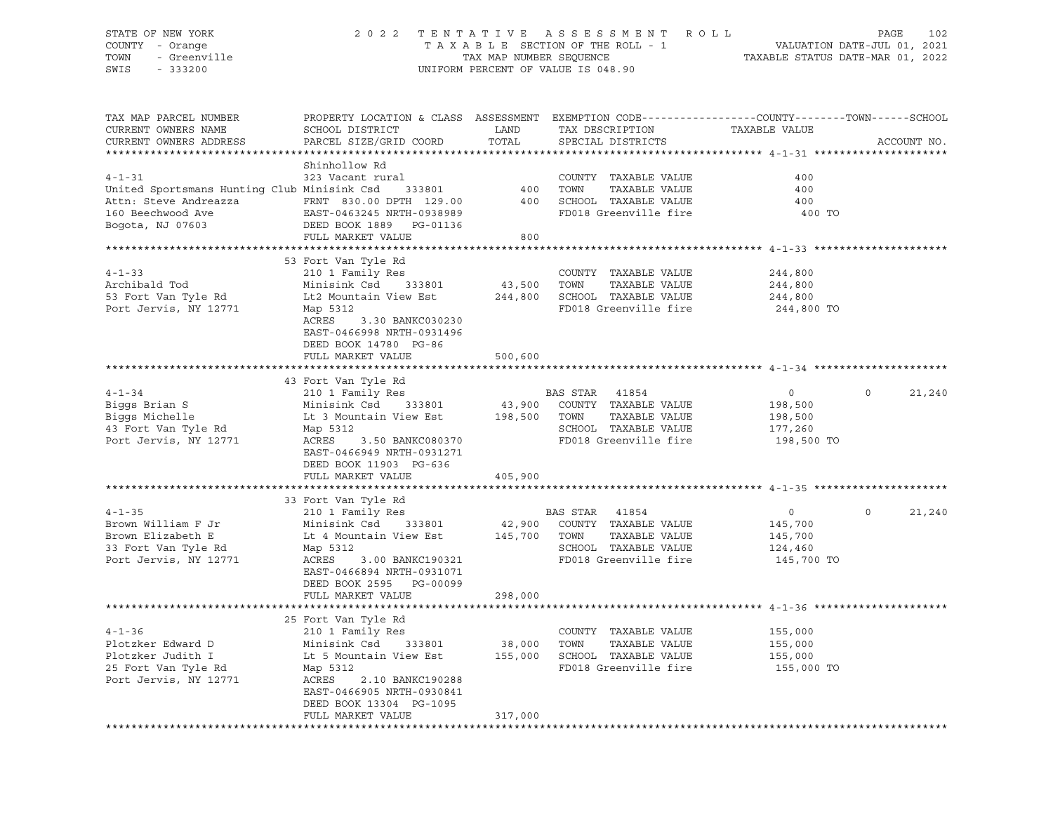# STATE OF NEW YORK 2 0 2 2 T E N T A T I V E A S S E S S M E N T R O L L PAGE 102 COUNTY - Orange T A X A B L E SECTION OF THE ROLL - 1 VALUATION DATE-JUL 01, 2021 TOWN - Greenville TAX MAP NUMBER SEQUENCE TAXABLE STATUS DATE-MAR 01, 2022 SWIS - 333200 UNIFORM PERCENT OF VALUE IS 048.90

| TAX MAP PARCEL NUMBER                                         | PROPERTY LOCATION & CLASS ASSESSMENT EXEMPTION CODE----------------COUNTY-------TOWN-----SCHOOL |              |                                                                       |                |          |             |
|---------------------------------------------------------------|-------------------------------------------------------------------------------------------------|--------------|-----------------------------------------------------------------------|----------------|----------|-------------|
| CURRENT OWNERS NAME                                           | SCHOOL DISTRICT                                                                                 | LAND         | TAX DESCRIPTION                                                       | TAXABLE VALUE  |          |             |
| CURRENT OWNERS ADDRESS                                        | PARCEL SIZE/GRID COORD                                                                          | TOTAL        | SPECIAL DISTRICTS                                                     |                |          | ACCOUNT NO. |
|                                                               |                                                                                                 |              |                                                                       |                |          |             |
|                                                               | Shinhollow Rd                                                                                   |              |                                                                       |                |          |             |
| $4 - 1 - 31$                                                  | 323 Vacant rural                                                                                |              | COUNTY TAXABLE VALUE                                                  | 400            |          |             |
| United Sportsmans Hunting Club Minisink Csd                   | 333801                                                                                          | 400          | TAXABLE VALUE<br>TOWN                                                 | 400            |          |             |
| Attn: Steve Andreazza             FRNT   830.00 DPTH   129.00 |                                                                                                 | 400          | SCHOOL TAXABLE VALUE                                                  | 400            |          |             |
| 160 Beechwood Ave                                             | EAST-0463245 NRTH-0938989                                                                       |              | FD018 Greenville fire                                                 | 400 TO         |          |             |
| Bogota, NJ 07603                                              | DEED BOOK 1889    PG-01136                                                                      |              |                                                                       |                |          |             |
|                                                               | FULL MARKET VALUE                                                                               | 800          |                                                                       |                |          |             |
|                                                               |                                                                                                 |              |                                                                       |                |          |             |
|                                                               | 53 Fort Van Tyle Rd                                                                             |              |                                                                       |                |          |             |
| $4 - 1 - 33$                                                  | 210 1 Family Res                                                                                |              | COUNTY TAXABLE VALUE                                                  | 244,800        |          |             |
| Archibald Tod                                                 | Minisink Csd 333801                                                                             | 43,500 TOWN  | TAXABLE VALUE                                                         | 244,800        |          |             |
| 53 Fort Van Tyle Rd                                           | Lt2 Mountain View Est                                                                           |              | 244,800 SCHOOL TAXABLE VALUE                                          | 244,800        |          |             |
| Port Jervis, NY 12771                                         | Map 5312                                                                                        |              | FD018 Greenville fire                                                 | 244,800 TO     |          |             |
|                                                               | ACRES<br>3.30 BANKC030230                                                                       |              |                                                                       |                |          |             |
|                                                               | EAST-0466998 NRTH-0931496                                                                       |              |                                                                       |                |          |             |
|                                                               | DEED BOOK 14780 PG-86                                                                           |              |                                                                       |                |          |             |
|                                                               | FULL MARKET VALUE                                                                               | 500,600      |                                                                       |                |          |             |
|                                                               |                                                                                                 |              |                                                                       |                |          |             |
|                                                               | 43 Fort Van Tyle Rd                                                                             |              |                                                                       |                |          |             |
| $4 - 1 - 34$                                                  | 210 1 Family Res                                                                                |              | BAS STAR 41854                                                        | $\overline{0}$ | $\Omega$ | 21,240      |
| Biggs Brian S                                                 | Minisink Csd 333801                                                                             |              | 43,900 COUNTY TAXABLE VALUE                                           | 198,500        |          |             |
| Biggs Michelle                                                | Lt 3 Mountain View Est                                                                          | 198,500 TOWN | TAXABLE VALUE                                                         | 198,500        |          |             |
| 43 Fort Van Tyle Rd                                           | Map 5312                                                                                        |              | SCHOOL TAXABLE VALUE                                                  | 177,260        |          |             |
| Port Jervis, NY 12771                                         | ACRES 3.50 BANKC080370                                                                          |              | FD018 Greenville fire                                                 | 198,500 TO     |          |             |
|                                                               | EAST-0466949 NRTH-0931271                                                                       |              |                                                                       |                |          |             |
|                                                               | DEED BOOK 11903 PG-636                                                                          |              |                                                                       |                |          |             |
|                                                               | FULL MARKET VALUE                                                                               | 405,900      |                                                                       |                |          |             |
|                                                               |                                                                                                 |              |                                                                       |                |          |             |
|                                                               | 33 Fort Van Tyle Rd                                                                             |              |                                                                       |                |          |             |
| $4 - 1 - 35$                                                  | 210 1 Family Res                                                                                |              | BAS STAR 41854                                                        | $\overline{0}$ | $\Omega$ | 21,240      |
| Brown William F Jr                                            | Minisink Csd 333801                                                                             |              | 42,900 COUNTY TAXABLE VALUE                                           | 145,700        |          |             |
| Brown Elizabeth E                                             | Lt 4 Mountain View Est 145,700 TOWN                                                             |              | TAXABLE VALUE                                                         | 145,700        |          |             |
| 33 Fort Van Tyle Rd                                           | Map 5312                                                                                        |              | SCHOOL TAXABLE VALUE                                                  | 124,460        |          |             |
| Port Jervis, NY 12771                                         | ACRES<br>3.00 BANKC190321                                                                       |              | FD018 Greenville fire                                                 | 145,700 TO     |          |             |
|                                                               | EAST-0466894 NRTH-0931071                                                                       |              |                                                                       |                |          |             |
|                                                               | DEED BOOK 2595 PG-00099                                                                         |              |                                                                       |                |          |             |
|                                                               | FULL MARKET VALUE                                                                               | 298,000      |                                                                       |                |          |             |
|                                                               |                                                                                                 |              |                                                                       |                |          |             |
|                                                               | 25 Fort Van Tyle Rd                                                                             |              |                                                                       |                |          |             |
| $4 - 1 - 36$                                                  | 210 1 Family Res                                                                                |              | COUNTY TAXABLE VALUE                                                  | 155,000        |          |             |
| Plotzker Edward D                                             | Minisink Csd<br>333801                                                                          |              | 38,000    TOWN     TAXABLE VALUE<br>155,000    SCHOOL   TAXABLE VALUE | 155,000        |          |             |
| Plotzker Judith I                                             | Lt 5 Mountain View Est                                                                          |              |                                                                       | 155,000        |          |             |
| 25 Fort Van Tyle Rd                                           | Map 5312                                                                                        |              | FD018 Greenville fire 155,000 TO                                      |                |          |             |
| Port Jervis, NY 12771                                         | ACRES<br>2.10 BANKC190288                                                                       |              |                                                                       |                |          |             |
|                                                               | EAST-0466905 NRTH-0930841                                                                       |              |                                                                       |                |          |             |
|                                                               | DEED BOOK 13304 PG-1095                                                                         |              |                                                                       |                |          |             |
|                                                               | FULL MARKET VALUE                                                                               | 317,000      |                                                                       |                |          |             |
|                                                               |                                                                                                 |              |                                                                       |                |          |             |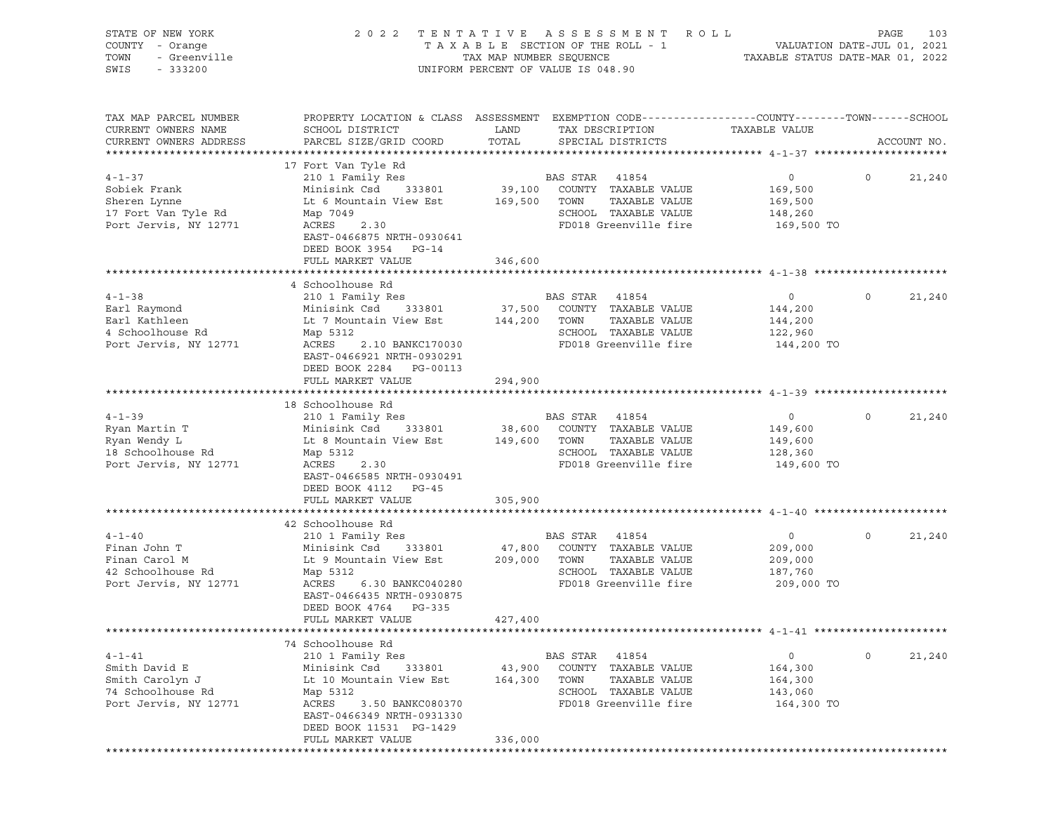| STATE OF NEW YORK<br>COUNTY - Orange<br>- Greenville<br>TOWN<br>SWIS<br>$-333200$              | 2 0 2 2                                                                                                                                                                                                              | TAX MAP NUMBER SEQUENCE      | TENTATIVE ASSESSMENT<br>R O L L<br>TAXABLE SECTION OF THE ROLL - 1<br>UNIFORM PERCENT OF VALUE IS 048.90                | VALUATION DATE-JUL 01, 2021<br>TAXABLE STATUS DATE-MAR 01, 2022 |         | 103<br>PAGE |
|------------------------------------------------------------------------------------------------|----------------------------------------------------------------------------------------------------------------------------------------------------------------------------------------------------------------------|------------------------------|-------------------------------------------------------------------------------------------------------------------------|-----------------------------------------------------------------|---------|-------------|
| TAX MAP PARCEL NUMBER<br>CURRENT OWNERS NAME<br>CURRENT OWNERS ADDRESS                         | PROPERTY LOCATION & CLASS ASSESSMENT EXEMPTION CODE----------------COUNTY-------TOWN------SCHOOL<br>SCHOOL DISTRICT<br>PARCEL SIZE/GRID COORD                                                                        | LAND<br>TOTAL                | TAX DESCRIPTION<br>SPECIAL DISTRICTS                                                                                    | TAXABLE VALUE                                                   |         | ACCOUNT NO. |
| $4 - 1 - 37$<br>Sobiek Frank<br>Sheren Lynne<br>17 Fort Van Tyle Rd<br>Port Jervis, NY 12771   | 17 Fort Van Tyle Rd<br>210 1 Family Res<br>333801<br>Minisink Csd<br>Lt 6 Mountain View Est<br>Map 7049<br>ACRES<br>2.30<br>EAST-0466875 NRTH-0930641<br>DEED BOOK 3954 PG-14<br>FULL MARKET VALUE                   | 169,500 TOWN<br>346,600      | BAS STAR<br>41854<br>39,100 COUNTY TAXABLE VALUE<br>TAXABLE VALUE<br>SCHOOL TAXABLE VALUE<br>FD018 Greenville fire      | $\circ$<br>169,500<br>169,500<br>148,260<br>169,500 TO          | $\circ$ | 21,240      |
| $4 - 1 - 38$<br>Earl Raymond<br>Earl Kathleen<br>4 Schoolhouse Rd<br>Port Jervis, NY 12771     | 4 Schoolhouse Rd<br>210 1 Family Res<br>Minisink Csd<br>333801<br>Lt 7 Mountain View Est<br>Map 5312<br>ACRES<br>2.10 BANKC170030<br>EAST-0466921 NRTH-0930291<br>DEED BOOK 2284 PG-00113<br>FULL MARKET VALUE       | 37,500<br>144,200<br>294,900 | BAS STAR<br>41854<br>COUNTY TAXABLE VALUE<br>TAXABLE VALUE<br>TOWN<br>SCHOOL TAXABLE VALUE<br>FD018 Greenville fire     | $\circ$<br>144,200<br>144,200<br>122,960<br>144,200 TO          | $\circ$ | 21,240      |
| $4 - 1 - 39$<br>Ryan Martin T<br>Ryan Wendy L<br>18 Schoolhouse Rd<br>Port Jervis, NY 12771    | 18 Schoolhouse Rd<br>210 1 Family Res<br>333801<br>Minisink Csd<br>Lt 8 Mountain View Est<br>Map 5312<br>ACRES<br>2.30<br>EAST-0466585 NRTH-0930491<br>DEED BOOK 4112 PG-45<br>FULL MARKET VALUE                     | 149,600<br>305,900           | BAS STAR 41854<br>38,600 COUNTY TAXABLE VALUE<br>TAXABLE VALUE<br>TOWN<br>SCHOOL TAXABLE VALUE<br>FD018 Greenville fire | $\circ$<br>149,600<br>149,600<br>128,360<br>149,600 TO          | $\circ$ | 21,240      |
|                                                                                                |                                                                                                                                                                                                                      |                              |                                                                                                                         |                                                                 |         |             |
| $4 - 1 - 40$<br>Finan John T<br>Finan Carol M<br>42 Schoolhouse Rd<br>Port Jervis, NY 12771    | 42 Schoolhouse Rd<br>210 1 Family Res<br>Minisink Csd<br>333801<br>Lt 9 Mountain View Est<br>Map 5312<br>ACRES<br>6.30 BANKC040280<br>EAST-0466435 NRTH-0930875<br>DEED BOOK 4764<br>$PG - 335$<br>FULL MARKET VALUE | 47,800<br>209,000<br>427,400 | BAS STAR<br>41854<br>COUNTY TAXABLE VALUE<br>TOWN<br>TAXABLE VALUE<br>SCHOOL TAXABLE VALUE<br>FD018 Greenville fire     | $\circ$<br>209,000<br>209,000<br>187,760<br>209,000 TO          | $\circ$ | 21,240      |
|                                                                                                |                                                                                                                                                                                                                      |                              |                                                                                                                         |                                                                 |         |             |
| $4 - 1 - 41$<br>Smith David E<br>Smith Carolyn J<br>74 Schoolhouse Rd<br>Port Jervis, NY 12771 | 74 Schoolhouse Rd<br>210 1 Family Res<br>Minisink Csd<br>333801<br>Lt 10 Mountain View Est<br>Map 5312<br>ACRES<br>3.50 BANKC080370<br>EAST-0466349 NRTH-0931330<br>DEED BOOK 11531 PG-1429<br>FULL MARKET VALUE     | 43,900<br>164,300<br>336,000 | BAS STAR<br>41854<br>COUNTY TAXABLE VALUE<br>TOWN<br>TAXABLE VALUE<br>SCHOOL TAXABLE VALUE<br>FD018 Greenville fire     | 0<br>164,300<br>164,300<br>143,060<br>164,300 TO                | $\circ$ | 21,240      |
|                                                                                                |                                                                                                                                                                                                                      |                              |                                                                                                                         |                                                                 |         |             |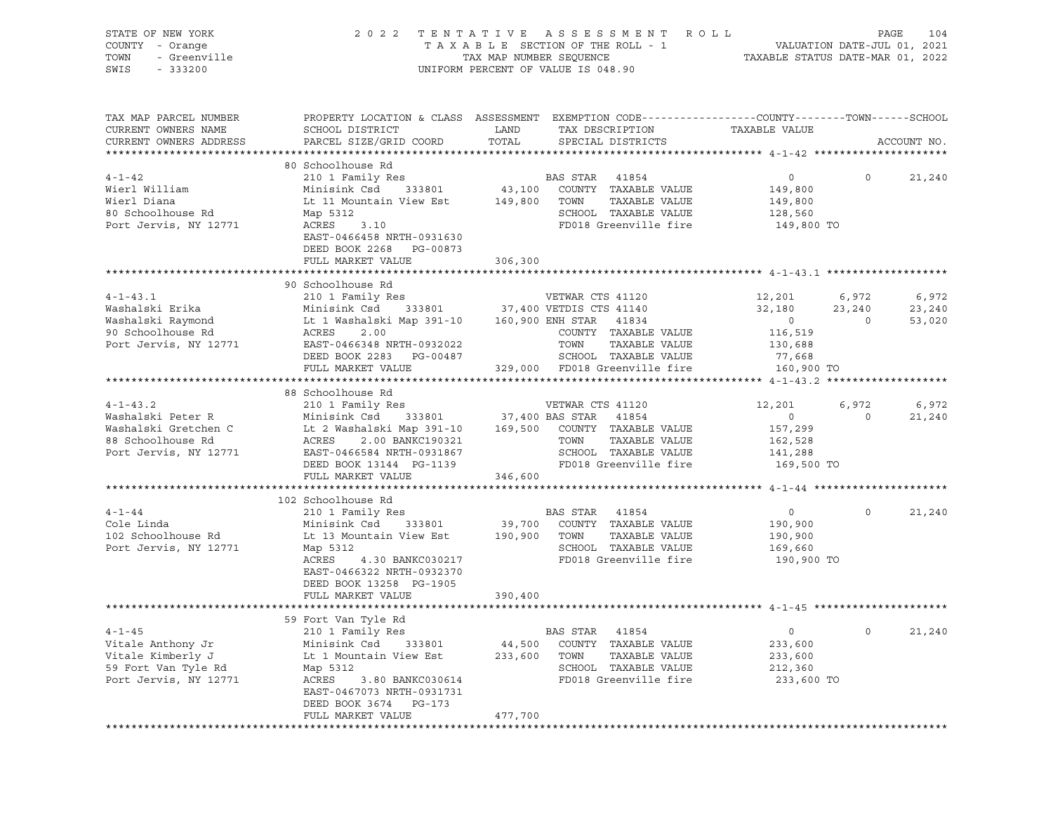| STATE OF NEW YORK<br>COUNTY - Orange<br>TOWN<br>- Greenville<br>SWIS<br>$-333200$                         | 2 0 2 2                                                                                                                                                                                                | TENTATIVE ASSESSMENT<br>TAXABLE SECTION OF THE ROLL - 1<br>TAX MAP NUMBER SEQUENCE<br>UNIFORM PERCENT OF VALUE IS 048.90                                                        | R O L L<br>TAXABLE STATUS DATE-MAR 01, 2022                                         | 104<br>PAGE<br>VALUATION DATE-JUL 01, 2021    |
|-----------------------------------------------------------------------------------------------------------|--------------------------------------------------------------------------------------------------------------------------------------------------------------------------------------------------------|---------------------------------------------------------------------------------------------------------------------------------------------------------------------------------|-------------------------------------------------------------------------------------|-----------------------------------------------|
| TAX MAP PARCEL NUMBER<br>CURRENT OWNERS NAME<br>CURRENT OWNERS ADDRESS                                    | SCHOOL DISTRICT<br>PARCEL SIZE/GRID COORD                                                                                                                                                              | PROPERTY LOCATION & CLASS ASSESSMENT EXEMPTION CODE---------------COUNTY-------TOWN-----SCHOOL<br>LAND<br>TAX DESCRIPTION<br>TOTAL<br>SPECIAL DISTRICTS                         | TAXABLE VALUE                                                                       | ACCOUNT NO.                                   |
|                                                                                                           |                                                                                                                                                                                                        |                                                                                                                                                                                 |                                                                                     |                                               |
| $4 - 1 - 42$<br>Wierl William<br>Wierl Diana<br>80 Schoolhouse Rd<br>Port Jervis, NY 12771                | 80 Schoolhouse Rd<br>210 1 Family Res<br>333801<br>Minisink Csd<br>Lt 11 Mountain View Est<br>Map 5312<br>ACRES<br>3.10<br>EAST-0466458 NRTH-0931630<br>DEED BOOK 2268<br>PG-00873                     | BAS STAR<br>41854<br>43,100 COUNTY TAXABLE VALUE<br>149,800 TOWN<br>TAXABLE VALUE<br>SCHOOL TAXABLE VALUE<br>FD018 Greenville fire                                              | $\circ$<br>149,800<br>149,800<br>128,560<br>149,800 TO                              | $\circ$<br>21,240                             |
|                                                                                                           | FULL MARKET VALUE                                                                                                                                                                                      | 306,300                                                                                                                                                                         |                                                                                     |                                               |
| $4 - 1 - 43.1$<br>Washalski Erika<br>Washalski Raymond<br>90 Schoolhouse Rd<br>Port Jervis, NY 12771      | 90 Schoolhouse Rd<br>210 1 Family Res<br>Minisink Csd<br>333801<br>Lt 1 Washalski Map 391-10<br>ACRES<br>2.00<br>EAST-0466348 NRTH-0932022<br>DEED BOOK 2283 PG-00487<br>FULL MARKET VALUE             | VETWAR CTS 41120<br>37,400 VETDIS CTS 41140<br>160,900 ENH STAR 41834<br>COUNTY TAXABLE VALUE<br>TOWN<br>TAXABLE VALUE<br>SCHOOL TAXABLE VALUE<br>329,000 FD018 Greenville fire | 12,201<br>32,180<br>23,240<br>$\circ$<br>116,519<br>130,688<br>77,668<br>160,900 TO | 6,972<br>6,972<br>23,240<br>53,020<br>$\circ$ |
|                                                                                                           |                                                                                                                                                                                                        |                                                                                                                                                                                 |                                                                                     |                                               |
| $4 - 1 - 43.2$<br>Washalski Peter R<br>Washalski Gretchen C<br>88 Schoolhouse Rd<br>Port Jervis, NY 12771 | 88 Schoolhouse Rd<br>210 1 Family Res<br>Minisink Csd<br>333801<br>Lt 2 Washalski Map 391-10<br>ACRES<br>2.00 BANKC190321<br>EAST-0466584 NRTH-0931867<br>DEED BOOK 13144 PG-1139<br>FULL MARKET VALUE | VETWAR CTS 41120<br>37,400 BAS STAR<br>41854<br>169,500 COUNTY TAXABLE VALUE<br>TOWN<br>TAXABLE VALUE<br>SCHOOL TAXABLE VALUE<br>FD018 Greenville fire<br>346,600               | 12,201<br>$\mathsf{O}$<br>157,299<br>162,528<br>141,288<br>169,500 TO               | 6,972<br>6,972<br>$\circ$<br>21,240           |
|                                                                                                           | 102 Schoolhouse Rd                                                                                                                                                                                     |                                                                                                                                                                                 |                                                                                     |                                               |
| $4 - 1 - 44$<br>Cole Linda<br>102 Schoolhouse Rd<br>Port Jervis, NY 12771                                 | 210 1 Family Res<br>333801<br>Minisink Csd<br>Lt 13 Mountain View Est<br>Map 5312<br>ACRES<br>4.30 BANKC030217<br>EAST-0466322 NRTH-0932370<br>DEED BOOK 13258 PG-1905                                 | BAS STAR<br>41854<br>39,700 COUNTY TAXABLE VALUE<br>190,900 TOWN<br>TAXABLE VALUE<br>SCHOOL TAXABLE VALUE<br>FD018 Greenville fire                                              | 0<br>190,900<br>190,900<br>169,660<br>190,900 TO                                    | $\circ$<br>21,240                             |
|                                                                                                           | FULL MARKET VALUE                                                                                                                                                                                      | 390,400                                                                                                                                                                         |                                                                                     |                                               |
| $4 - 1 - 45$<br>Vitale Anthony Jr<br>Vitale Kimberly J<br>59 Fort Van Tyle Rd<br>Port Jervis, NY 12771    | 59 Fort Van Tyle Rd<br>210 1 Family Res<br>Minisink Csd<br>333801<br>Lt 1 Mountain View Est<br>Map 5312<br>ACRES<br>3.80 BANKC030614<br>EAST-0467073 NRTH-0931731<br>DEED BOOK 3674<br>PG-173          | BAS STAR<br>41854<br>44,500<br>COUNTY<br>TAXABLE VALUE<br>233,600<br>TOWN<br>TAXABLE VALUE<br>SCHOOL<br>TAXABLE VALUE<br>FD018 Greenville fire                                  | 0<br>233,600<br>233,600<br>212,360<br>233,600 TO                                    | $\circ$<br>21,240                             |
|                                                                                                           | FULL MARKET VALUE                                                                                                                                                                                      | 477,700                                                                                                                                                                         |                                                                                     |                                               |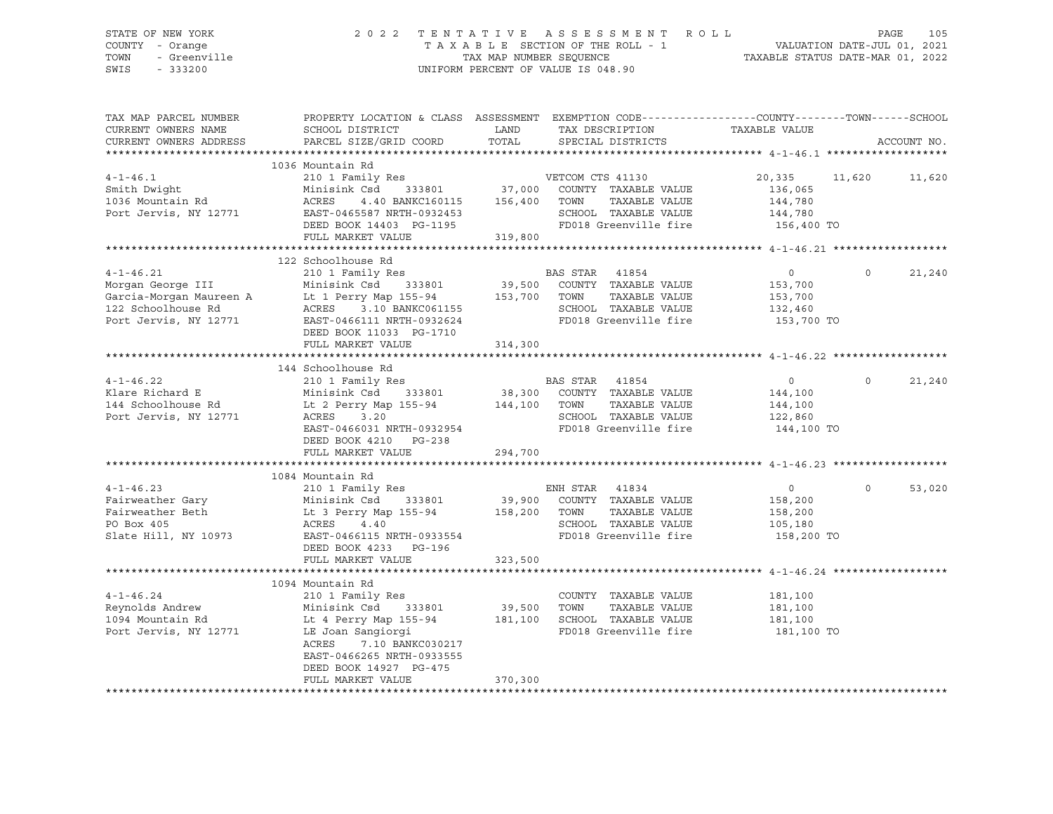# STATE OF NEW YORK 2 0 2 2 T E N T A T I V E A S S E S S M E N T R O L L PAGE 105 COUNTY - Orange T A X A B L E SECTION OF THE ROLL - 1 VALUATION DATE-JUL 01, 2021 TOWN - Greenville TAX MAP NUMBER SEQUENCE TAXABLE STATUS DATE-MAR 01, 2022 SWIS - 333200 UNIFORM PERCENT OF VALUE IS 048.90

| TAX MAP PARCEL NUMBER<br>CURRENT OWNERS NAME                                    | PROPERTY LOCATION & CLASS ASSESSMENT EXEMPTION CODE---------------COUNTY-------TOWN------SCHOOL<br>SCHOOL DISTRICT                                                                                                                                           | LAND                              | TAX DESCRIPTION                                                                                                              | TAXABLE VALUE                                                 |          |             |
|---------------------------------------------------------------------------------|--------------------------------------------------------------------------------------------------------------------------------------------------------------------------------------------------------------------------------------------------------------|-----------------------------------|------------------------------------------------------------------------------------------------------------------------------|---------------------------------------------------------------|----------|-------------|
| CURRENT OWNERS ADDRESS                                                          | PARCEL SIZE/GRID COORD                                                                                                                                                                                                                                       | TOTAL                             | SPECIAL DISTRICTS                                                                                                            |                                                               |          | ACCOUNT NO. |
|                                                                                 |                                                                                                                                                                                                                                                              |                                   |                                                                                                                              |                                                               |          |             |
| $4 - 1 - 46.1$<br>Smith Dwight<br>1036 Mountain Rd                              | 1036 Mountain Rd<br>210 1 Family Res WETCOM CTS 41130<br>Minisink Csd<br>ACRES                                                                                                                                                                               |                                   | TAXABLE VALUE<br>SCHOOL TAXABLE VALUE                                                                                        | 20,335 11,620 11,620<br>136,065<br>144,780<br>144,780         |          |             |
|                                                                                 | Port Jervis, NY 12771 EAST-0465587 NRTH-0932453 SCHOOL TAXABLE VALUE<br>DEED BOOK 14403 PG-1195 FD018 Greenville fire<br>FULL MARKET VALUE                                                                                                                   | 319,800                           |                                                                                                                              | 156,400 TO                                                    |          |             |
|                                                                                 |                                                                                                                                                                                                                                                              |                                   |                                                                                                                              |                                                               |          |             |
|                                                                                 | 122 Schoolhouse Rd                                                                                                                                                                                                                                           |                                   |                                                                                                                              |                                                               |          |             |
| $4 - 1 - 46.21$                                                                 | Morgan George III Minisink Csd 333801 39,500 COUNTY<br>Garcia-Morgan Maureen A Lt 1 Perry Map 155-94 153,700 TOWN<br>122 Schoolhouse Rd ACRES 3.10 BANKC061155 SCHOOL<br>Port Jervis, NY 12771 EAST-0466111 NRTH-0932624 FD018 Gr<br>DEED BOOK 11033 PG-1710 |                                   | TAXABLE VALUE<br>SCHOOL TAXABLE VALUE 132,460<br>FD018 Greenville fire                                                       | $\overline{0}$<br>153,700<br>153,700<br>153,700 TO            | $\Omega$ | 21,240      |
|                                                                                 | FULL MARKET VALUE                                                                                                                                                                                                                                            | 314,300                           |                                                                                                                              |                                                               |          |             |
|                                                                                 |                                                                                                                                                                                                                                                              |                                   |                                                                                                                              |                                                               |          |             |
| $4 - 1 - 46.22$<br>Port Jervis, NY 12771                                        | 144 Schoolhouse Rd<br>210 1 Family Res<br>Klare Richard E Minisink Csd 333801<br>144 Schoolhouse Rd Lt 2 Perry Map 155-94<br>ACRES 3.20<br>EAST-0466031 NRTH-0932954<br>DEED BOOK 4210 PG-238<br>FULL MARKET VALUE                                           | 294,700                           | BAS STAR 41854<br>38,300 COUNTY TAXABLE VALUE<br>144,100 TOWN TAXABLE VALUE<br>SCHOOL TAXABLE VALUE<br>FD018 Greenville fire | $\overline{0}$<br>144,100<br>144,100<br>122,860<br>144,100 TO | $\circ$  | 21,240      |
|                                                                                 | 1084 Mountain Rd                                                                                                                                                                                                                                             |                                   |                                                                                                                              |                                                               |          |             |
| PO Box 405<br>Slate Hill, NY 10973                                              | 4-1-46.23 ENH STA<br>Fairweather Gary and Minisink Csd 333801 39,900 COUNT:<br>Fairweather Beth Lt 3 Perry Map 155-94 158,200 TOWN<br>PO Box 405<br>ACRES 4.40<br>EAST-0466115 NRTH-0933554<br>DEED BOOK 4233 PG-196<br>FULL MARKET VALUE                    | 323,500                           | TAXABLE VALUE<br>SCHOOL TAXABLE VALUE<br>FD018 Greenville fire                                                               | $\overline{0}$<br>158,200<br>158,200<br>105,180<br>158,200 TO | $\Omega$ | 53,020      |
|                                                                                 |                                                                                                                                                                                                                                                              |                                   |                                                                                                                              |                                                               |          |             |
| $4 - 1 - 46.24$<br>Reynolds Andrew<br>1094 Mountain Rd<br>Port Jervis, NY 12771 | 1094 Mountain Rd<br>210 1 Family Res<br>Minisink Csd 333801<br>Lt 4 Perry Map 155-94<br>LE Joan Sangiorgi<br>ACRES<br>7.10 BANKC030217<br>EAST-0466265 NRTH-0933555<br>DEED BOOK 14927 PG-475<br>FULL MARKET VALUE                                           | 39,500 TOWN<br>181,100<br>370,300 | COUNTY TAXABLE VALUE<br>TAXABLE VALUE<br>SCHOOL TAXABLE VALUE<br>FD018 Greenville fire                                       | 181,100<br>181,100<br>181,100<br>181,100 TO                   |          |             |
|                                                                                 |                                                                                                                                                                                                                                                              |                                   |                                                                                                                              |                                                               |          |             |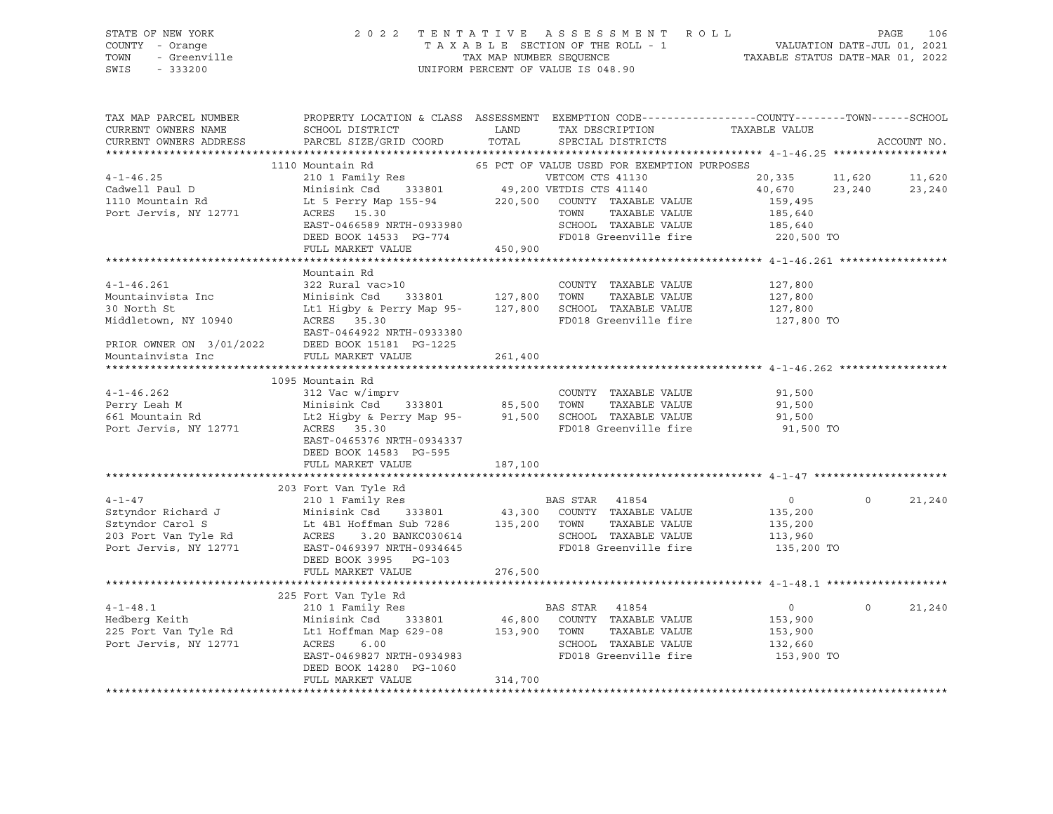| STATE OF NEW YORK<br>COUNTY<br>- Orange<br>- Greenville<br>TOWN<br>SWIS<br>$-333200$ |                                                              | 2022 TENTATIVE ASSESSMENT ROLL<br>TAXABLE SECTION OF THE ROLL - 1 VALUATION DATE-JUL 01, 2021<br>TAX MAP NUMBER SEQUENCE TAXABLE STATUS DATE-MAR 01, 2022<br>UNIFORM PERCENT OF VALUE IS 048.90 |                       | PAGE<br>106          |
|--------------------------------------------------------------------------------------|--------------------------------------------------------------|-------------------------------------------------------------------------------------------------------------------------------------------------------------------------------------------------|-----------------------|----------------------|
| TAX MAP PARCEL NUMBER PROPERTY LOCATION & CLASS ASSESSMENT                           |                                                              | EXEMPTION CODE-----------------COUNTY-------TOWN------SCHOOL                                                                                                                                    |                       |                      |
| CURRENT OWNERS NAME SCHOOL DISTRICT LAND                                             |                                                              | TAX DESCRIPTION TAXABLE VALUE                                                                                                                                                                   |                       |                      |
| CURRENT OWNERS ADDRESS PARCEL SIZE/GRID COORD TOTAL SPECIAL DISTRICTS                |                                                              |                                                                                                                                                                                                 |                       | ACCOUNT NO.          |
|                                                                                      |                                                              |                                                                                                                                                                                                 |                       |                      |
|                                                                                      | 1110 Mountain Rd 65 PCT OF VALUE USED FOR EXEMPTION PURPOSES |                                                                                                                                                                                                 |                       |                      |
| $4 - 1 - 46.25$                                                                      | 210 1 Family Res                                             | VETCOM CTS 41130                                                                                                                                                                                |                       | 20,335 11,620 11,620 |
| Cadwell Paul D Minisink Csd 333801 49,200 VETDIS CTS 41140                           |                                                              |                                                                                                                                                                                                 | 40,670                | 23,240<br>23,240     |
| 1110 Mountain Rd Lt 5 Perry Map 155-94 220,500 COUNTY TAXABLE VALUE 159,495          |                                                              |                                                                                                                                                                                                 |                       |                      |
| Port Jervis, NY 12771 ACRES 15.30                                                    |                                                              | TOWN                                                                                                                                                                                            | TAXABLE VALUE 185,640 |                      |
|                                                                                      | EAST-0466589 NRTH-0933980                                    | SCHOOL TAXABLE VALUE 185,640                                                                                                                                                                    |                       |                      |
|                                                                                      | DEED BOOK 14533 PG-774                                       | FD018 Greenville fire 220,500 TO                                                                                                                                                                |                       |                      |
|                                                                                      | FULL MARKET VALUE 450,900                                    |                                                                                                                                                                                                 |                       |                      |
|                                                                                      |                                                              |                                                                                                                                                                                                 |                       |                      |
|                                                                                      | Mountain Rd                                                  |                                                                                                                                                                                                 |                       |                      |
| $4 - 1 - 46.261$                                                                     | 322 Rural vac>10                                             | COUNTY TAXABLE VALUE                                                                                                                                                                            | 127,800               |                      |
| Mountainvista Inc 50 Minisink Csd 333801 127,800                                     |                                                              | TOWN<br>TAXABLE VALUE                                                                                                                                                                           | 127,800               |                      |
| 30 North St                                                                          | Lt1 Higby & Perry Map 95- 127,800                            | SCHOOL TAXABLE VALUE                                                                                                                                                                            | 127,800               |                      |
| Middletown, NY 10940                                                                 | ACRES 35.30                                                  | FD018 Greenville fire 127,800 TO                                                                                                                                                                |                       |                      |
|                                                                                      | EAST-0464922 NRTH-0933380                                    |                                                                                                                                                                                                 |                       |                      |

\*\*\*\*\*\*\*\*\*\*\*\*\*\*\*\*\*\*\*\*\*\*\*\*\*\*\*\*\*\*\*\*\*\*\*\*\*\*\*\*\*\*\*\*\*\*\*\*\*\*\*\*\*\*\*\*\*\*\*\*\*\*\*\*\*\*\*\*\*\*\*\*\*\*\*\*\*\*\*\*\*\*\*\*\*\*\*\*\*\*\*\*\*\*\*\*\*\*\*\*\*\*\* 4-1-46.262 \*\*\*\*\*\*\*\*\*\*\*\*\*\*\*\*\*

 1095 Mountain Rd 4-1-46.262 312 Vac w/imprv COUNTY TAXABLE VALUE 91,500 Perry Leah M Minisink Csd 333801 85,500 TOWN TAXABLE VALUE 91,500 661 Mountain Rd Lt2 Higby & Perry Map 95- 91,500 SCHOOL TAXABLE VALUE 91,500 Port Jervis, NY 12771 ACRES 35.30 FD018 Greenville fire 91,500 TO EAST-0465376 NRTH-0934337 DEED BOOK 14583 PG-595 FULL MARKET VALUE 187,100 \*\*\*\*\*\*\*\*\*\*\*\*\*\*\*\*\*\*\*\*\*\*\*\*\*\*\*\*\*\*\*\*\*\*\*\*\*\*\*\*\*\*\*\*\*\*\*\*\*\*\*\*\*\*\*\*\*\*\*\*\*\*\*\*\*\*\*\*\*\*\*\*\*\*\*\*\*\*\*\*\*\*\*\*\*\*\*\*\*\*\*\*\*\*\*\*\*\*\*\*\*\*\* 4-1-47 \*\*\*\*\*\*\*\*\*\*\*\*\*\*\*\*\*\*\*\*\* 203 Fort Van Tyle Rd 4-1-47 210 1 Family Res BAS STAR 41854 0 0 21,240 Sztyndor Richard J Minisink Csd 333801 43,300 COUNTY TAXABLE VALUE 135,200 Sztyndor Carol S Lt 4B1 Hoffman Sub 7286 135,200 TOWN TAXABLE VALUE 135,200 203 Fort Van Tyle Rd ACRES 3.20 BANKC030614 SCHOOL TAXABLE VALUE 113,960 Port Jervis, NY 12771 EAST-0469397 NRTH-0934645 FD018 Greenville fire 135,200 TO DEED BOOK 3995 PG-103 FULL MARKET VALUE 276,500 \*\*\*\*\*\*\*\*\*\*\*\*\*\*\*\*\*\*\*\*\*\*\*\*\*\*\*\*\*\*\*\*\*\*\*\*\*\*\*\*\*\*\*\*\*\*\*\*\*\*\*\*\*\*\*\*\*\*\*\*\*\*\*\*\*\*\*\*\*\*\*\*\*\*\*\*\*\*\*\*\*\*\*\*\*\*\*\*\*\*\*\*\*\*\*\*\*\*\*\*\*\*\* 4-1-48.1 \*\*\*\*\*\*\*\*\*\*\*\*\*\*\*\*\*\*\* 225 Fort Van Tyle Rd 4-1-48.1 210 1 Family Res BAS STAR 41854 0 0 21,240 Hedberg Keith Minisink Csd 333801 46,800 COUNTY TAXABLE VALUE 153,900 225 Fort Van Tyle Rd Lt1 Hoffman Map 629-08 153,900 TOWN TAXABLE VALUE 153,900 Port Jervis, NY 12771 ACRES 6.00 SCHOOL TAXABLE VALUE 132,660

PRIOR OWNER ON 3/01/2022 DEED BOOK 15181 PG-1225

Mountainvista Inc FULL MARKET VALUE 261,400

DEED BOOK 14280 PG-1060

FULL MARKET VALUE 314,700 \*\*\*\*\*\*\*\*\*\*\*\*\*\*\*\*\*\*\*\*\*\*\*\*\*\*\*\*\*\*\*\*\*\*\*\*\*\*\*\*\*\*\*\*\*\*\*\*\*\*\*\*\*\*\*\*\*\*\*\*\*\*\*\*\*\*\*\*\*\*\*\*\*\*\*\*\*\*\*\*\*\*\*\*\*\*\*\*\*\*\*\*\*\*\*\*\*\*\*\*\*\*\*\*\*\*\*\*\*\*\*\*\*\*\*\*\*\*\*\*\*\*\*\*\*\*\*\*\*\*\*\*

EAST-0469827 NRTH-0934983 FD018 Greenville fire 153,900 TO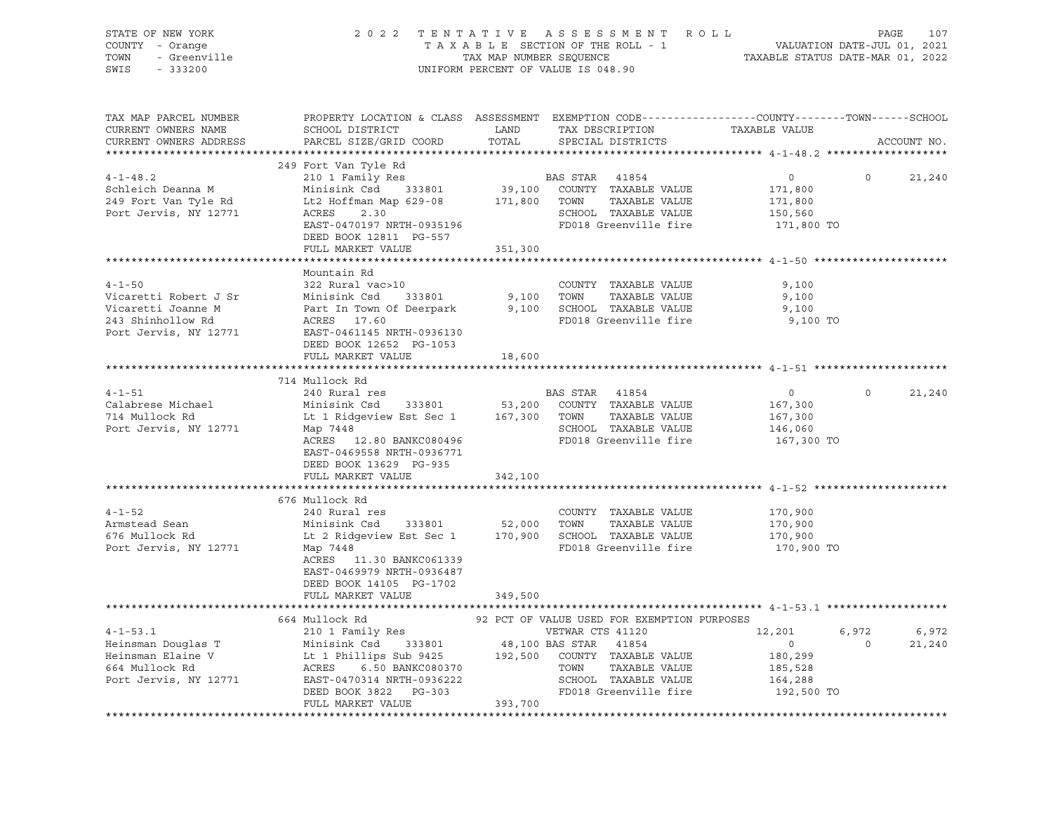| STATE OF NEW YORK<br>OF NEW YORK<br>Y - Orange<br>- Greenville<br>222200<br>COUNTY - Orange<br>TOWN<br>SWIS | PAGE 107 7 2 2 3 TENTATIVE ASSESSMENT ROLL PAGE 107<br>TAXABLE SECTION OF THE ROLL - 1 VALUATION DATE-JUL 01, 2021<br>TAX MAP NUMBER SEQUENCE TAXABLE STATUS DATE-MAR 01, 2022                                                                                                                                   |         | TAX MAP NUMBER SEQUENCE<br>UNIFORM PERCENT OF VALUE IS 048.90          |                                                                         |                                         |
|-------------------------------------------------------------------------------------------------------------|------------------------------------------------------------------------------------------------------------------------------------------------------------------------------------------------------------------------------------------------------------------------------------------------------------------|---------|------------------------------------------------------------------------|-------------------------------------------------------------------------|-----------------------------------------|
| CURRENT OWNERS NAME<br>CURRENT OWNERS ADDRESS                                                               | TAX MAP PARCEL NUMBER THE PROPERTY LOCATION & CLASS ASSESSMENT EXEMPTION CODE--------------COUNTY--------TOWN------SCHOOL<br>SCHOOL DISTRICT LAND<br>PARCEL SIZE/GRID COORD                                                                                                                                      | TOTAL   | TAX DESCRIPTION TAXABLE VALUE SPECIAL DISTRICTS                        |                                                                         | ACCOUNT NO.                             |
|                                                                                                             |                                                                                                                                                                                                                                                                                                                  |         |                                                                        |                                                                         |                                         |
|                                                                                                             | 249 Fort Van Tyle Rd                                                                                                                                                                                                                                                                                             |         |                                                                        |                                                                         |                                         |
| $4 - 1 - 48.2$<br>Schleich Deanna M<br>249 Fort Van Tyle Rd<br>Port Jervis, NY 12771                        | 249 Fort Van Tyle Kd<br>210 1 Family Res<br>Minisink Csd<br>333801 39,100 COUNTY TAXABLE VALUE<br>171,800<br>171,800<br>171,800<br>2012 171,800<br>2013 171,800<br>2013 6CHOOL TAXABLE VALUE<br>2013 GCHOOL TAXABLE VALUE<br>2013 6CHOOL TAXABLE VAL<br>DEED BOOK 12811 PG-557<br>FULL MARKET VALUE              | 351,300 |                                                                        |                                                                         | $\Omega$<br>21,240                      |
|                                                                                                             |                                                                                                                                                                                                                                                                                                                  |         |                                                                        |                                                                         |                                         |
| $4 - 1 - 50$<br>Vicaretti Robert J Sr<br>Port Jervis, NY 12771                                              | Mountain Rd<br>322 Rural vac>10<br>Minisink Csd 333801<br>EAST-0461145 NRTH-0936130<br>DEED BOOK 12652 PG-1053                                                                                                                                                                                                   |         | COUNTY TAXABLE VALUE<br>9,100 TOWN TAXABLE VALUE                       | 9,100<br>9,100<br>9,100<br>9,100 TO                                     |                                         |
|                                                                                                             | FULL MARKET VALUE                                                                                                                                                                                                                                                                                                | 18,600  |                                                                        |                                                                         |                                         |
|                                                                                                             |                                                                                                                                                                                                                                                                                                                  |         |                                                                        |                                                                         |                                         |
|                                                                                                             | 714 Mullock Rd                                                                                                                                                                                                                                                                                                   |         |                                                                        |                                                                         |                                         |
| $4 - 1 - 51$<br>Calabrese Michael<br>714 Mullock Rd<br>Port Jervis, NY 12771 Map 7448                       | 240 Rural res<br>EXECUTE BAS SIAR 41654<br>Minisink Csd 333801 53,200 COUNTY TAXABLE VALUE<br>Lt 1 Ridgeview Est Sec 1 167,300 TOWN TAXABLE VALUE<br>Map 7448<br>ACRES 12.80 BANKC080496<br>EAST-0469558 NRTH-0936771<br>DEED BOOK 13629 PG-935                                                                  |         | <b>BAS STAR</b> 41854<br>SCHOOL TAXABLE VALUE<br>FD018 Greenville fire | $\overline{0}$<br>167,300<br>167,300<br>146,060<br>167,300 TO           | 21,240<br>$\Omega$                      |
|                                                                                                             | FULL MARKET VALUE                                                                                                                                                                                                                                                                                                | 342,100 |                                                                        |                                                                         |                                         |
|                                                                                                             |                                                                                                                                                                                                                                                                                                                  |         |                                                                        |                                                                         |                                         |
| $4 - 1 - 52$<br>Armstead Sean<br>676 Mullock Rd<br>Port Jervis, NY 12771                                    | 676 Mullock Rd<br>240 Rural res<br>COUNTY TAXABLE VALUE<br>Minisink Csd 333801 52,000 TOWN TAXABLE VALUE<br>Lt 2 Ridgeview Fet Sec 1 1 150 000 1000 1000<br>Lt 2 Ridgeview Est Sec 1 170,900 SCHOOL TAXABLE VALUE<br>Map 7448<br>ACRES 11.30 BANKC061339<br>EAST-0469979 NRTH-0936487<br>DEED BOOK 14105 PG-1702 |         | COUNTY TAXABLE VALUE<br>FD018 Greenville fire                          | 170,900<br>170,900<br>170,900<br>170,900 TO                             |                                         |
|                                                                                                             | FULL MARKET VALUE                                                                                                                                                                                                                                                                                                | 349,500 |                                                                        |                                                                         |                                         |
|                                                                                                             |                                                                                                                                                                                                                                                                                                                  |         | 92 PCT OF VALUE USED FOR EXEMPTION PURPOSES                            |                                                                         |                                         |
|                                                                                                             | 664 Mullock Rd<br>4-1-53.1 000glas T<br>Heinsman Douglas T<br>Heinsman Elaine V<br>Eliant Csd 333801 48,100 BAS STAR 41254<br>Heinsman Elaine V<br>54 Mullock Rd<br>664 Mullock Rd<br>2011 EAST-0470314 NRTH-0936222<br>Port Jervis, NY 12771 EAST-0470314 NRTH-                                                 |         |                                                                        | 12,201<br>$\overline{0}$<br>180,299<br>185,528<br>164,288<br>192,500 TO | 6,972 6,972<br>$\overline{0}$<br>21,240 |
|                                                                                                             | FULL MARKET VALUE                                                                                                                                                                                                                                                                                                | 393,700 |                                                                        |                                                                         |                                         |
|                                                                                                             |                                                                                                                                                                                                                                                                                                                  |         |                                                                        |                                                                         |                                         |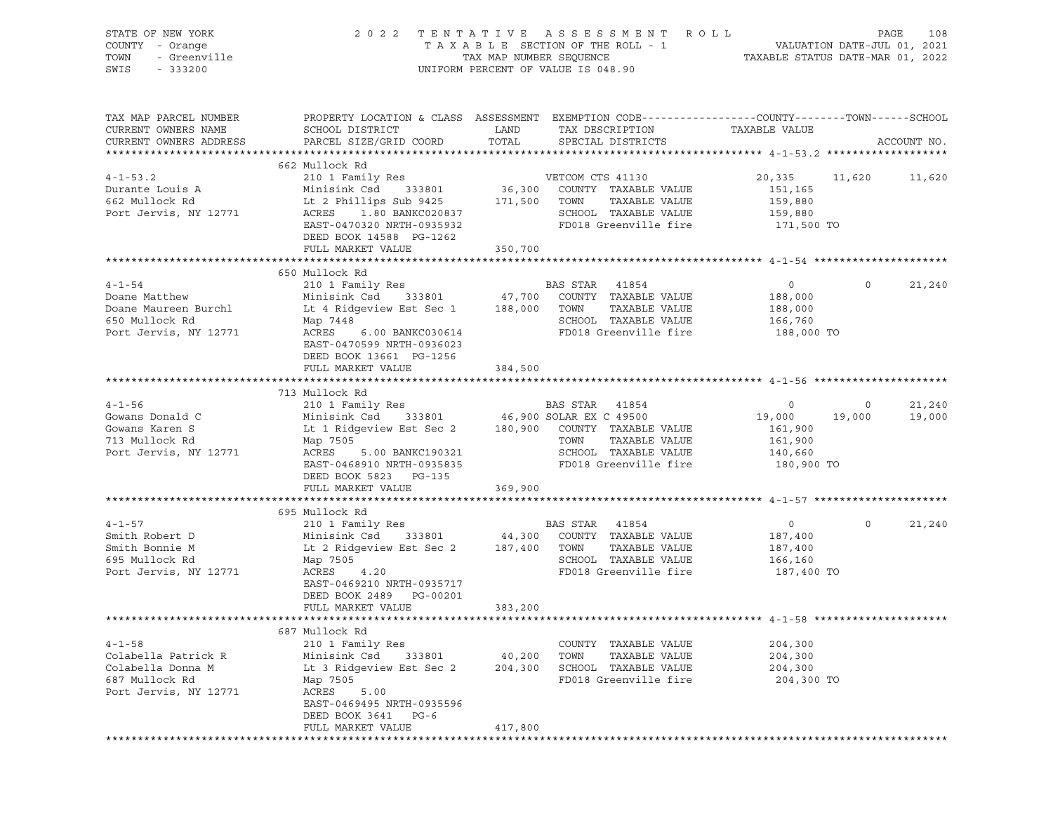| STATE OF NEW YORK                       |                                                                                                      |                         | 2022 TENTATIVE ASSESSMENT ROLL                |                                                                 |                | PAGE<br>108 |
|-----------------------------------------|------------------------------------------------------------------------------------------------------|-------------------------|-----------------------------------------------|-----------------------------------------------------------------|----------------|-------------|
| COUNTY - Orange<br>TOWN<br>- Greenville |                                                                                                      | TAX MAP NUMBER SEQUENCE | TAXABLE SECTION OF THE ROLL - 1               | VALUATION DATE-JUL 01, 2021<br>TAXABLE STATUS DATE-MAR 01, 2022 |                |             |
| SWIS - 333200                           |                                                                                                      |                         | UNIFORM PERCENT OF VALUE IS 048.90            |                                                                 |                |             |
|                                         |                                                                                                      |                         |                                               |                                                                 |                |             |
| TAX MAP PARCEL NUMBER                   | PROPERTY LOCATION & CLASS ASSESSMENT EXEMPTION CODE---------------COUNTY-------TOWN------SCHOOL      |                         |                                               |                                                                 |                |             |
| CURRENT OWNERS NAME                     | SCHOOL DISTRICT                                                                                      | LAND                    | TAX DESCRIPTION                               | TAXABLE VALUE                                                   |                |             |
| CURRENT OWNERS ADDRESS                  | PARCEL SIZE/GRID COORD TOTAL                                                                         |                         | SPECIAL DISTRICTS                             |                                                                 |                | ACCOUNT NO. |
|                                         | 662 Mullock Rd                                                                                       |                         |                                               |                                                                 |                |             |
| $4 - 1 - 53.2$                          | 210 1 Family Res WETCOM CTS 41130                                                                    |                         |                                               | 20,335 11,620 11,620                                            |                |             |
| Durante Louis A                         |                                                                                                      |                         |                                               | 151,165                                                         |                |             |
| 662 Mullock Rd                          | Minisink Csd 333801 36,300 COUNTY TAXABLE VALUE<br>Lt 2 Phillips Sub 9425 171,500 TOWN TAXABLE VALUE |                         |                                               | 159,880                                                         |                |             |
| Port Jervis, NY 12771                   | Lt 2 Phillips public 2<br>ACRES 1.80 BANKC020837                                                     |                         | SCHOOL TAXABLE VALUE                          | 159,880                                                         |                |             |
|                                         | EAST-0470320 NRTH-0935932                                                                            |                         | FD018 Greenville fire                         | 171,500 TO                                                      |                |             |
|                                         | DEED BOOK 14588 PG-1262                                                                              |                         |                                               |                                                                 |                |             |
|                                         | FULL MARKET VALUE                                                                                    | 350,700                 |                                               |                                                                 |                |             |
|                                         |                                                                                                      |                         |                                               |                                                                 |                |             |
|                                         | 650 Mullock Rd                                                                                       |                         |                                               |                                                                 |                |             |
| $4 - 1 - 54$                            | 210 1 Family Res                                                                                     |                         |                                               | $\overline{0}$                                                  | $\circ$        | 21,240      |
| Doane Matthew                           |                                                                                                      |                         |                                               | 188,000                                                         |                |             |
| Doane Maureen Burchl                    | Lt 4 Ridgeview Est Sec 1 188,000 TOWN                                                                |                         | TAXABLE VALUE<br>SCHOOL TAXABLE VALUE         | 188,000                                                         |                |             |
| 650 Mullock Rd<br>Port Jervis, NY 12771 | Map 7448<br>ACRES<br>6.00 BANKC030614                                                                |                         | FD018 Greenville fire 188,000 TO              | 166,760                                                         |                |             |
|                                         | EAST-0470599 NRTH-0936023                                                                            |                         |                                               |                                                                 |                |             |
|                                         | DEED BOOK 13661 PG-1256                                                                              |                         |                                               |                                                                 |                |             |
|                                         | FULL MARKET VALUE                                                                                    | 384,500                 |                                               |                                                                 |                |             |
|                                         |                                                                                                      |                         |                                               |                                                                 |                |             |
|                                         | 713 Mullock Rd                                                                                       |                         |                                               |                                                                 |                |             |
| $4 - 1 - 56$                            | 210 1 Family Res                                                                                     |                         | BAS STAR 41854                                | $\overline{0}$                                                  | $\overline{0}$ | 21,240      |
| Gowans Donald C                         |                                                                                                      |                         |                                               | 19,000                                                          | 19,000         | 19,000      |
| Gowans Karen S                          | Lt 1 Ridgeview Est Sec 2 180,900 COUNTY TAXABLE VALUE                                                |                         |                                               | 161,900                                                         |                |             |
| 713 Mullock Rd                          | Map 7505                                                                                             |                         | TOWN<br>TAXABLE VALUE                         | 161,900                                                         |                |             |
| Port Jervis, NY 12771                   | ACRES<br>5.00 BANKC190321                                                                            |                         | SCHOOL TAXABLE VALUE                          | 140,660                                                         |                |             |
|                                         | EAST-0468910 NRTH-0935835                                                                            |                         | FD018 Greenville fire                         | 180,900 TO                                                      |                |             |
|                                         | DEED BOOK 5823 PG-135<br>FULL MARKET VALUE                                                           | 369,900                 |                                               |                                                                 |                |             |
|                                         |                                                                                                      |                         |                                               |                                                                 |                |             |
|                                         | 695 Mullock Rd                                                                                       |                         |                                               |                                                                 |                |             |
| $4 - 1 - 57$                            |                                                                                                      |                         |                                               | $\overline{0}$                                                  | $\circ$        | 21,240      |
| Smith Robert D                          | 210 1 Family Res<br>Minisink Csd 333801 44,300 COUNTY TAXABLE VALUE                                  |                         |                                               | 187,400                                                         |                |             |
| Smith Bonnie M                          | Lt 2 Ridgeview Est Sec 2 187,400 TOWN                                                                |                         | TAXABLE VALUE                                 | 187,400                                                         |                |             |
| 695 Mullock Rd                          | Map 7505                                                                                             |                         | SCHOOL TAXABLE VALUE                          | 166,160                                                         |                |             |
| Port Jervis, NY 12771                   | ACRES<br>4.20                                                                                        |                         | FD018 Greenville fire 187,400 TO              |                                                                 |                |             |
|                                         | EAST-0469210 NRTH-0935717                                                                            |                         |                                               |                                                                 |                |             |
|                                         | DEED BOOK 2489 PG-00201                                                                              |                         |                                               |                                                                 |                |             |
|                                         | FULL MARKET VALUE                                                                                    | 383,200                 |                                               |                                                                 |                |             |
|                                         |                                                                                                      |                         |                                               |                                                                 |                |             |
|                                         | 687 Mullock Rd                                                                                       |                         |                                               | 204,300                                                         |                |             |
| $4 - 1 - 58$<br>Colabella Patrick R     | 210 1 Family Res<br>Minisink Csd<br>333801                                                           | 40,200                  | COUNTY TAXABLE VALUE<br>TOWN<br>TAXABLE VALUE | 204,300                                                         |                |             |
| Colabella Donna M                       | Lt 3 Ridgeview Est Sec 2                                                                             | 204,300                 | SCHOOL TAXABLE VALUE                          | 204,300                                                         |                |             |
| 687 Mullock Rd                          | Map 7505                                                                                             |                         | FD018 Greenville fire                         | 204,300 TO                                                      |                |             |
| Port Jervis, NY 12771                   | ACRES<br>5.00                                                                                        |                         |                                               |                                                                 |                |             |
|                                         | EAST-0469495 NRTH-0935596                                                                            |                         |                                               |                                                                 |                |             |
|                                         | DEED BOOK 3641<br>$PG-6$                                                                             |                         |                                               |                                                                 |                |             |
|                                         | FULL MARKET VALUE                                                                                    | 417,800                 |                                               |                                                                 |                |             |
|                                         | **************************                                                                           |                         |                                               |                                                                 |                |             |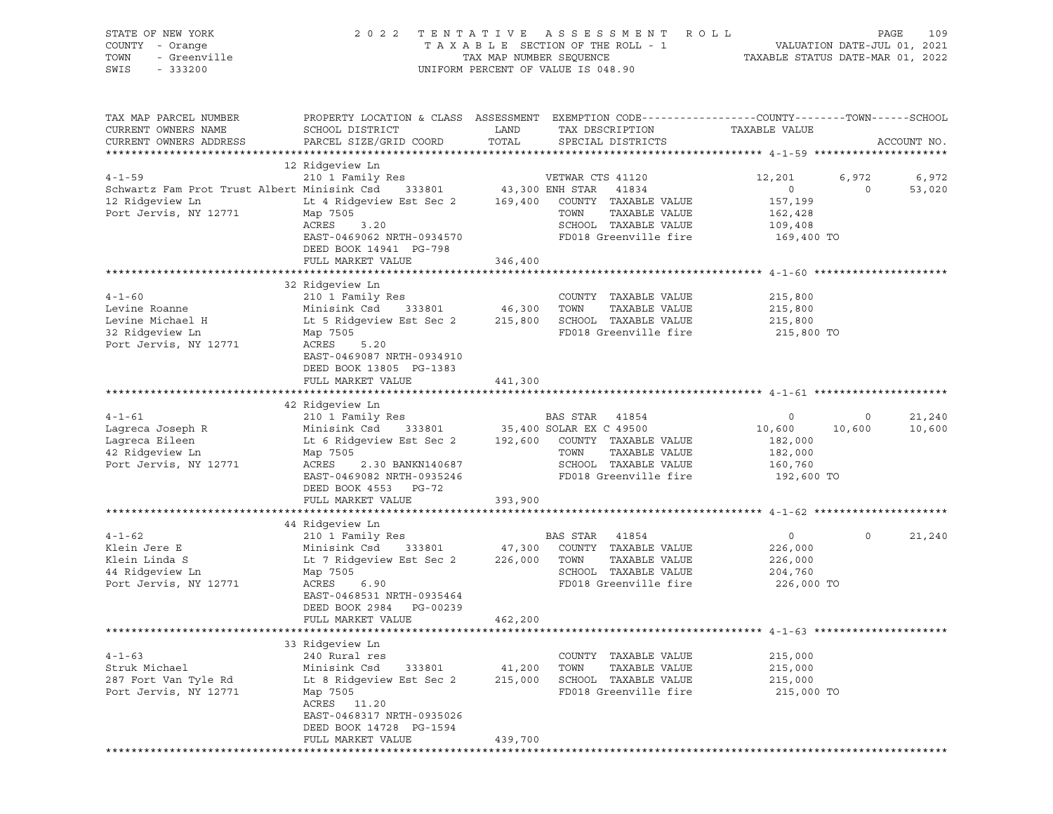| STATE OF NEW YORK<br>COUNTY - Orange<br>- Greenville<br>TOWN<br>SWIS<br>$-333200$              | 2 0 2 2                                                                                                                                                                                 | TENTATIVE<br>TAX MAP NUMBER SEQUENCE | A S S E S S M E N T<br>TAXABLE SECTION OF THE ROLL - 1<br>UNIFORM PERCENT OF VALUE IS 048.90                                                   | R O L L<br>TAXABLE STATUS DATE-MAR 01, 2022                | VALUATION DATE-JUL 01, 2021 | 109<br>PAGE      |
|------------------------------------------------------------------------------------------------|-----------------------------------------------------------------------------------------------------------------------------------------------------------------------------------------|--------------------------------------|------------------------------------------------------------------------------------------------------------------------------------------------|------------------------------------------------------------|-----------------------------|------------------|
| TAX MAP PARCEL NUMBER<br>CURRENT OWNERS NAME<br>CURRENT OWNERS ADDRESS                         | PROPERTY LOCATION & CLASS ASSESSMENT<br>SCHOOL DISTRICT<br>PARCEL SIZE/GRID COORD                                                                                                       | LAND<br>TOTAL                        | EXEMPTION CODE-----------------COUNTY-------TOWN------SCHOOL<br>TAX DESCRIPTION<br>SPECIAL DISTRICTS                                           | TAXABLE VALUE                                              |                             | ACCOUNT NO.      |
|                                                                                                | 12 Ridgeview Ln                                                                                                                                                                         |                                      |                                                                                                                                                |                                                            |                             |                  |
| $4 - 1 - 59$                                                                                   | 210 1 Family Res                                                                                                                                                                        |                                      | VETWAR CTS 41120                                                                                                                               | 12,201                                                     | 6,972                       | 6,972            |
| Schwartz Fam Prot Trust Albert Minisink Csd<br>12 Ridgeview Ln<br>Port Jervis, NY 12771        | 333801<br>Lt 4 Ridgeview Est Sec 2<br>Map 7505<br>ACRES<br>3.20<br>EAST-0469062 NRTH-0934570<br>DEED BOOK 14941 PG-798                                                                  | 169,400                              | 43,300 ENH STAR<br>41834<br>COUNTY TAXABLE VALUE<br>TAXABLE VALUE<br>TOWN<br>SCHOOL TAXABLE VALUE<br>FD018 Greenville fire                     | $\circ$<br>157,199<br>162,428<br>109,408<br>169,400 TO     | 0                           | 53,020           |
|                                                                                                | FULL MARKET VALUE                                                                                                                                                                       | 346,400                              |                                                                                                                                                |                                                            |                             |                  |
| $4 - 1 - 60$<br>Levine Roanne<br>Levine Michael H<br>32 Ridgeview Ln<br>Port Jervis, NY 12771  | 32 Ridgeview Ln<br>210 1 Family Res<br>Minisink Csd<br>333801<br>Lt 5 Ridgeview Est Sec 2<br>Map 7505<br>ACRES<br>5.20<br>EAST-0469087 NRTH-0934910<br>DEED BOOK 13805 PG-1383          | 46,300<br>215,800                    | COUNTY TAXABLE VALUE<br>TAXABLE VALUE<br>TOWN<br>SCHOOL TAXABLE VALUE<br>FD018 Greenville fire                                                 | 215,800<br>215,800<br>215,800<br>215,800 TO                |                             |                  |
|                                                                                                | FULL MARKET VALUE                                                                                                                                                                       | 441,300                              |                                                                                                                                                |                                                            |                             |                  |
|                                                                                                |                                                                                                                                                                                         |                                      |                                                                                                                                                |                                                            |                             |                  |
| $4 - 1 - 61$<br>Lagreca Joseph R<br>Lagreca Eileen<br>42 Ridgeview Ln<br>Port Jervis, NY 12771 | 42 Ridgeview Ln<br>210 1 Family Res<br>Minisink Csd<br>333801<br>Lt 6 Ridgeview Est Sec 2<br>Map 7505<br>ACRES<br>2.30 BANKN140687<br>EAST-0469082 NRTH-0935246<br>DEED BOOK 4553 PG-72 | 192,600                              | BAS STAR<br>41854<br>35,400 SOLAR EX C 49500<br>COUNTY TAXABLE VALUE<br>TAXABLE VALUE<br>TOWN<br>SCHOOL TAXABLE VALUE<br>FD018 Greenville fire | 0<br>10,600<br>182,000<br>182,000<br>160,760<br>192,600 TO | $\circ$<br>10,600           | 21,240<br>10,600 |
|                                                                                                | FULL MARKET VALUE                                                                                                                                                                       | 393,900                              |                                                                                                                                                |                                                            |                             |                  |
| $4 - 1 - 62$                                                                                   | 44 Ridgeview Ln<br>210 1 Family Res                                                                                                                                                     |                                      | BAS STAR<br>41854                                                                                                                              | $\circ$                                                    | $\mathbf 0$                 | 21,240           |
| Klein Jere E<br>Klein Linda S<br>44 Ridgeview Ln<br>Port Jervis, NY 12771                      | Minisink Csd<br>333801<br>Lt 7 Ridgeview Est Sec 2<br>Map 7505<br>ACRES<br>6.90<br>EAST-0468531 NRTH-0935464<br>DEED BOOK 2984<br>PG-00239<br>FULL MARKET VALUE                         | 47,300<br>226,000<br>462,200         | COUNTY TAXABLE VALUE<br>TOWN<br>TAXABLE VALUE<br>SCHOOL TAXABLE VALUE<br>FD018 Greenville fire                                                 | 226,000<br>226,000<br>204,760<br>226,000 TO                |                             |                  |
|                                                                                                |                                                                                                                                                                                         |                                      |                                                                                                                                                |                                                            |                             |                  |
| $4 - 1 - 63$<br>Struk Michael<br>287 Fort Van Tyle Rd<br>Port Jervis, NY 12771                 | 33 Ridgeview Ln<br>240 Rural res<br>Minisink Csd<br>333801<br>Lt 8 Ridgeview Est Sec 2<br>Map 7505<br>ACRES 11.20<br>EAST-0468317 NRTH-0935026                                          | 41,200<br>215,000                    | COUNTY TAXABLE VALUE<br>TOWN<br>TAXABLE VALUE<br>SCHOOL TAXABLE VALUE<br>FD018 Greenville fire                                                 | 215,000<br>215,000<br>215,000<br>215,000 TO                |                             |                  |
|                                                                                                | DEED BOOK 14728 PG-1594<br>FULL MARKET VALUE                                                                                                                                            | 439,700                              |                                                                                                                                                |                                                            |                             |                  |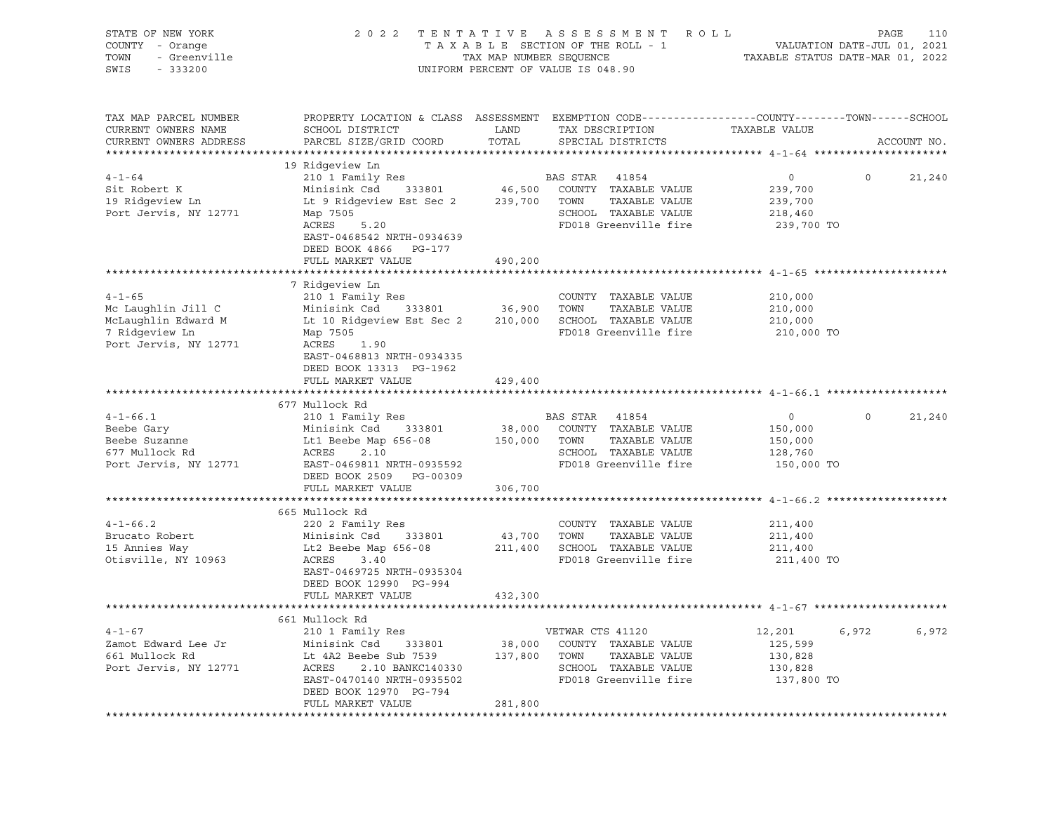| STATE OF NEW YORK<br>COUNTY - Orange<br>- Greenville<br>TOWN<br>SWIS<br>$-333200$                                                                                       |                                                                                                                                                                                                                                                                                                                                           | TAX MAP NUMBER SEQUENCE                          | 2022 TENTATIVE ASSESSMENT ROLL<br>TAXABLE SECTION OF THE ROLL - 1<br>UNIFORM PERCENT OF VALUE IS 048.90                                                      | TAXABLE STATUS DATE-MAR 01, 2022                                             | PAGE<br>110<br>VALUATION DATE-JUL 01, 2021 |
|-------------------------------------------------------------------------------------------------------------------------------------------------------------------------|-------------------------------------------------------------------------------------------------------------------------------------------------------------------------------------------------------------------------------------------------------------------------------------------------------------------------------------------|--------------------------------------------------|--------------------------------------------------------------------------------------------------------------------------------------------------------------|------------------------------------------------------------------------------|--------------------------------------------|
| TAX MAP PARCEL NUMBER<br>CURRENT OWNERS NAME<br>CURRENT OWNERS ADDRESS                                                                                                  | PROPERTY LOCATION & CLASS ASSESSMENT EXEMPTION CODE---------------COUNTY-------TOWN-----SCHOOL<br>SCHOOL DISTRICT<br>PARCEL SIZE/GRID COORD                                                                                                                                                                                               | LAND<br>TOTAL                                    | TAX DESCRIPTION<br>SPECIAL DISTRICTS                                                                                                                         | TAXABLE VALUE                                                                | ACCOUNT NO.                                |
|                                                                                                                                                                         | 19 Ridgeview Ln                                                                                                                                                                                                                                                                                                                           |                                                  |                                                                                                                                                              |                                                                              |                                            |
| $4 - 1 - 64$<br>Sit Robert K<br>19 Ridgeview Ln<br>Port Jervis, NY 12771                                                                                                | 210 1 Family Res<br>Minisink Csd 333801<br>Lt 9 Ridgeview Est Sec 2<br>Map 7505<br>ACRES<br>5.20<br>EAST-0468542 NRTH-0934639<br>DEED BOOK 4866 PG-177                                                                                                                                                                                    | 239,700                                          | BAS STAR<br>41854<br>46,500 COUNTY TAXABLE VALUE<br>TOWN<br>TAXABLE VALUE<br>SCHOOL TAXABLE VALUE<br>FD018 Greenville fire                                   | $\circ$<br>239,700<br>239,700<br>218,460<br>239,700 TO                       | $\circ$<br>21,240                          |
|                                                                                                                                                                         | FULL MARKET VALUE                                                                                                                                                                                                                                                                                                                         | 490,200                                          |                                                                                                                                                              |                                                                              |                                            |
| $4 - 1 - 65$<br>Mc Laughlin Jill C<br>McLaughlin Edward M<br>7 Ridgeview Ln<br>Port Jervis, NY 12771<br>$4 - 1 - 66.1$<br>Beebe Gary<br>Beebe Suzanne<br>677 Mullock Rd | 7 Ridgeview Ln<br>210 1 Family Res<br>Minisink Csd<br>333801<br>Lt 10 Ridgeview Est Sec 2<br>Map 7505<br>ACRES 1.90<br>EAST-0468813 NRTH-0934335<br>DEED BOOK 13313 PG-1962<br>FULL MARKET VALUE<br>**********************************<br>677 Mullock Rd<br>210 1 Family Res<br>Minisink Csd<br>333801<br>Lt1 Beebe Map $656-08$<br>ACRES | 36,900 TOWN<br>429,400<br>38,000<br>150,000 TOWN | COUNTY TAXABLE VALUE<br>TAXABLE VALUE<br>210,000 SCHOOL TAXABLE VALUE<br>FD018 Greenville fire<br>BAS STAR<br>41854<br>COUNTY TAXABLE VALUE<br>TAXABLE VALUE | 210,000<br>210,000<br>210,000<br>210,000 TO<br>$\circ$<br>150,000<br>150,000 | $\Omega$<br>21,240                         |
| Port Jervis, NY 12771                                                                                                                                                   | 2.10<br>EAST-0469811 NRTH-0935592<br>DEED BOOK 2509 PG-00309<br>FULL MARKET VALUE                                                                                                                                                                                                                                                         | 306,700                                          | SCHOOL TAXABLE VALUE<br>FD018 Greenville fire                                                                                                                | 128,760<br>150,000 TO                                                        |                                            |
|                                                                                                                                                                         | 665 Mullock Rd                                                                                                                                                                                                                                                                                                                            |                                                  |                                                                                                                                                              |                                                                              |                                            |
| $4 - 1 - 66.2$<br>Brucato Robert<br>15 Annies Way<br>Otisville, NY 10963                                                                                                | 220 2 Family Res<br>Minisink Csd 333801<br>Lt2 Beebe Map 656-08<br>3.40<br>ACRES<br>EAST-0469725 NRTH-0935304<br>DEED BOOK 12990 PG-994                                                                                                                                                                                                   | 43,700 TOWN                                      | COUNTY TAXABLE VALUE<br>TAXABLE VALUE<br>211,400 SCHOOL TAXABLE VALUE<br>FD018 Greenville fire                                                               | 211,400<br>211,400<br>211,400<br>211,400 TO                                  |                                            |
|                                                                                                                                                                         | FULL MARKET VALUE                                                                                                                                                                                                                                                                                                                         | 432,300                                          |                                                                                                                                                              |                                                                              |                                            |
|                                                                                                                                                                         | 661 Mullock Rd                                                                                                                                                                                                                                                                                                                            |                                                  |                                                                                                                                                              |                                                                              |                                            |
| $4 - 1 - 67$<br>Zamot Edward Lee Jr<br>661 Mullock Rd<br>Port Jervis, NY 12771                                                                                          | 210 1 Family Res<br>Minisink Csd<br>333801<br>Lt 4A2 Beebe Sub 7539<br>ACRES<br>2.10 BANKC140330<br>EAST-0470140 NRTH-0935502<br>DEED BOOK 12970 PG-794<br>FULL MARKET VALUE                                                                                                                                                              | 137,800 TOWN<br>281,800                          | VETWAR CTS 41120<br>38,000 COUNTY TAXABLE VALUE<br>TAXABLE VALUE<br>SCHOOL TAXABLE VALUE<br>FD018 Greenville fire                                            | 12,201<br>6,972<br>125,599<br>130,828<br>130,828<br>137,800 TO               | 6,972                                      |
|                                                                                                                                                                         | **************************************                                                                                                                                                                                                                                                                                                    |                                                  |                                                                                                                                                              |                                                                              |                                            |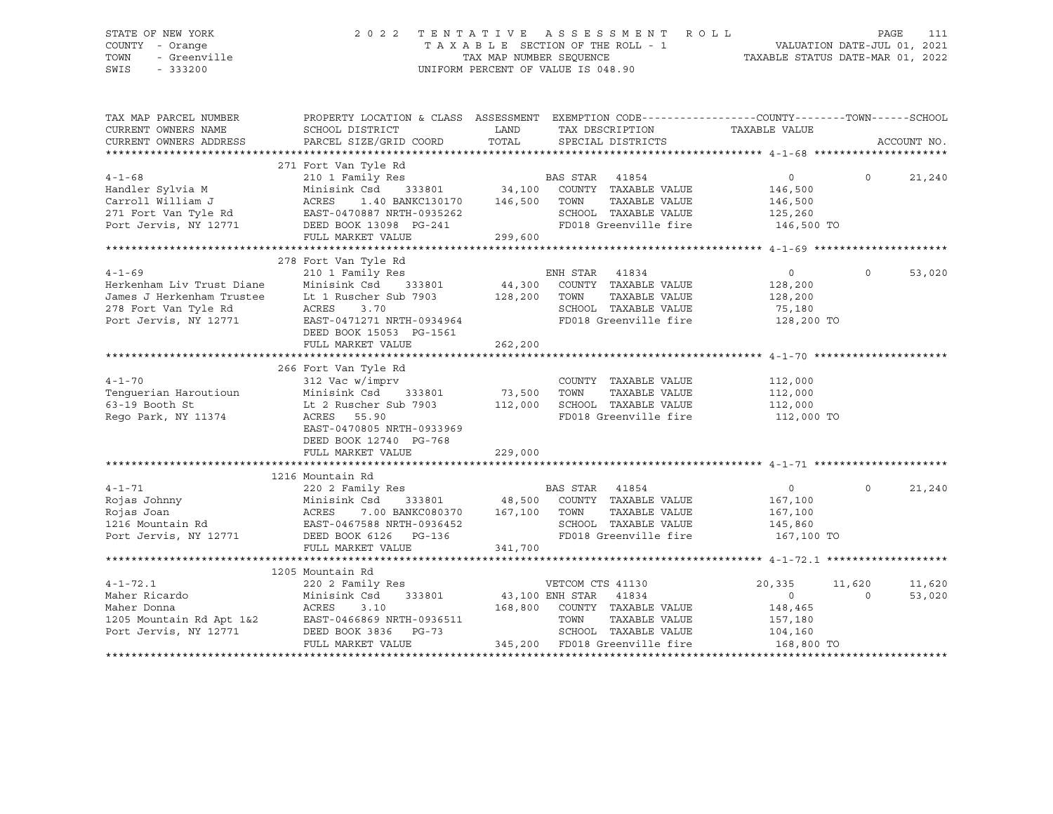# STATE OF NEW YORK 2 0 2 2 T E N T A T I V E A S S E S S M E N T R O L L PAGE 111 COUNTY - Orange T A X A B L E SECTION OF THE ROLL - 1 VALUATION DATE-JUL 01, 2021 TOWN - Greenville TAX MAP NUMBER SEQUENCE TAXABLE STATUS DATE-MAR 01, 2022 SWIS - 333200 UNIFORM PERCENT OF VALUE IS 048.90

| TAX MAP PARCEL NUMBER<br>CURRENT OWNERS NAME<br>CURRENT OWNERS ADDRESS                                                  | PROPERTY LOCATION & CLASS ASSESSMENT EXEMPTION CODE---------------COUNTY-------TOWN------SCHOOL<br>SCHOOL DISTRICT<br>PARCEL SIZE/GRID COORD                                                                                                                        | LAND<br>TOTAL                 | TAX DESCRIPTION<br>SPECIAL DISTRICTS                                                                                                                                                                    | TAXABLE VALUE                                                | ACCOUNT NO.                           |
|-------------------------------------------------------------------------------------------------------------------------|---------------------------------------------------------------------------------------------------------------------------------------------------------------------------------------------------------------------------------------------------------------------|-------------------------------|---------------------------------------------------------------------------------------------------------------------------------------------------------------------------------------------------------|--------------------------------------------------------------|---------------------------------------|
|                                                                                                                         |                                                                                                                                                                                                                                                                     |                               |                                                                                                                                                                                                         |                                                              |                                       |
| $4 - 1 - 68$                                                                                                            | 271 Fort Van Tyle Rd<br>210 1 Family Res                                                                                                                                                                                                                            |                               | BAS STAR 41854                                                                                                                                                                                          | 0<br>146,500<br>146,500                                      | $\Omega$<br>21,240                    |
|                                                                                                                         | Handler Sylvia M<br>Carroll William J<br>271 Fort Van Tyle Rd<br>271 Fort Van Tyle Rd<br>271 Fort Van Tyle Rd<br>271 Exast-0470887 NRTH-0935262<br>271 Exast-0470887 NRTH-0935262<br>271 Exast-0470887 NRTH-0935262<br>271 ED018 Greenville fi<br>FULL MARKET VALUE | 299,600                       | SCHOOL TAXABLE VALUE 125,260<br>FD018 Greenville fire                                                                                                                                                   | 146,500 TO                                                   |                                       |
|                                                                                                                         |                                                                                                                                                                                                                                                                     |                               |                                                                                                                                                                                                         |                                                              |                                       |
| $4 - 1 - 69$<br>Herkenham Liv Trust Diane<br>James J Herkenham Trustee<br>278 Fort Van Tyle Rd<br>Port Jervis, NY 12771 | 278 Fort Van Tyle Rd<br>Lt 1 Ruscher Sub 7903 128,200 TOWN<br>ACRES<br>3.70<br>EAST-0471271 NRTH-0934964<br>DEED BOOK 15053 PG-1561<br>FULL MARKET VALUE                                                                                                            | 262,200                       | TAXABLE VALUE<br>SCHOOL TAXABLE VALUE<br>FD018 Greenville fire                                                                                                                                          | $\overline{0}$<br>128,200<br>128,200<br>75,180<br>128,200 TO | $\Omega$<br>53,020                    |
|                                                                                                                         |                                                                                                                                                                                                                                                                     |                               |                                                                                                                                                                                                         |                                                              |                                       |
| $4 - 1 - 70$<br>Tenquerian Haroutioun<br>63-19 Booth St<br>Rego Park, NY 11374                                          | 266 Fort Van Tyle Rd<br>312 Vac w/imprv<br>Minisink Csd<br>Lt 2 Ruscher Sub 7903 112,000 SCHOOL TAXABLE VALUE 112,000<br>ACRES<br>55.90<br>EAST-0470805 NRTH-0933969<br>DEED BOOK 12740 PG-768<br>FULL MARKET VALUE                                                 | 333801 73,500 TOWN<br>229,000 | COUNTY TAXABLE VALUE<br>TAXABLE VALUE<br>FD018 Greenville fire                                                                                                                                          | 112,000<br>112,000<br>112,000 TO                             |                                       |
|                                                                                                                         |                                                                                                                                                                                                                                                                     |                               |                                                                                                                                                                                                         |                                                              |                                       |
|                                                                                                                         | 1216 Mountain Rd<br>220 2 Family Res<br>Port Jervis, NY 12771 DEED BOOK 6126 PG-136<br>FULL MARKET VALUE                                                                                                                                                            | 341,700                       | BAS STAR 41854<br>Csd 333801 48,500 COUNTY TAXABLE VALUE<br>7.00 BANKC080370 167,100 TOWN TAXABLE VALUE<br>SCHOOL TAXABLE VALUE 145,860<br>FD018 Greenville fire                                        | $\overline{0}$<br>167,100<br>167,100<br>167,100 TO           | $\Omega$<br>21,240                    |
|                                                                                                                         |                                                                                                                                                                                                                                                                     |                               |                                                                                                                                                                                                         |                                                              |                                       |
| $4 - 1 - 72.1$<br>Maher Ricardo<br>Maher Donna                                                                          | 1205 Mountain Rd<br>220 2 Family Res<br>333801<br>Minisink Csd<br>ACRES<br>3.10<br>1205 Mountain Rd Apt $1\&2$<br>Port Jervis, NY 12771 DEED BOOK 3836 PG-73<br>FULL MARKET VALUE                                                                                   |                               | VETCOM CTS 41130<br>43,100 ENH STAR 41834<br>168,800 COUNTY TAXABLE VALUE<br>TOWN<br>TAXABLE VALUE<br>SCHOOL TAXABLE VALUE 104,160<br>FD018 Greenville fire 168,800 TO<br>345,200 FD018 Greenville fire | 20,335<br>$\overline{0}$<br>148,465<br>157,180               | 11,620<br>11,620<br>53,020<br>$\circ$ |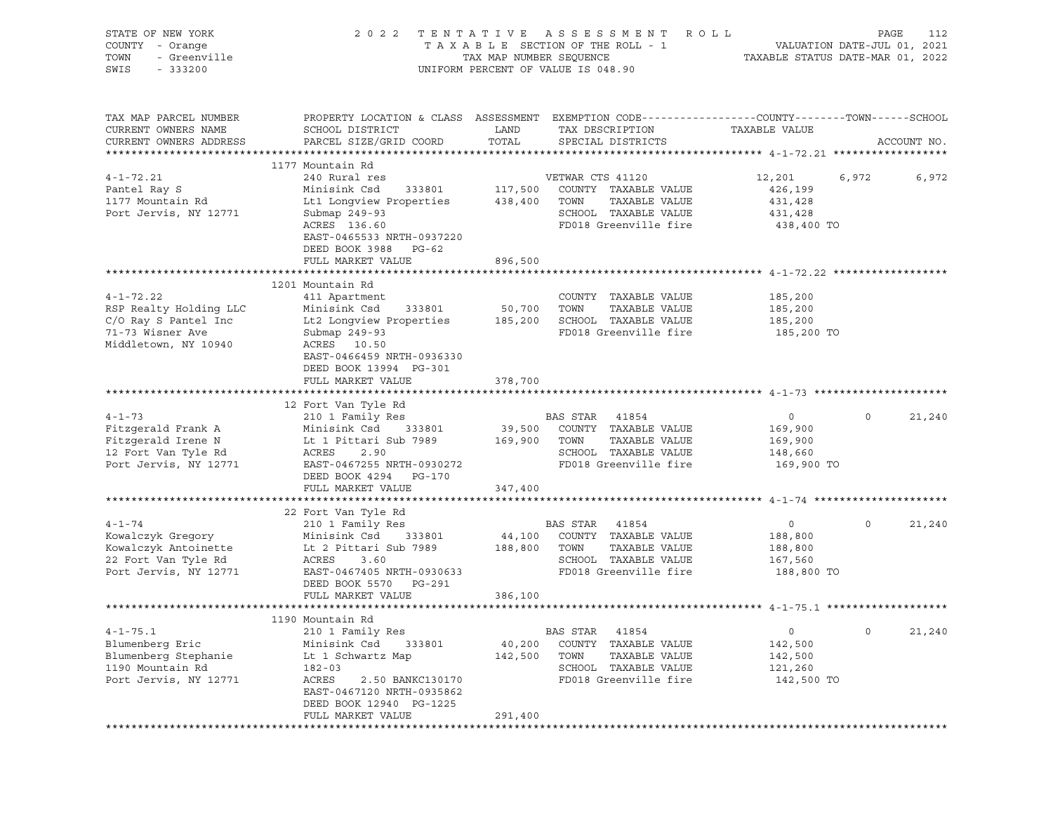| STATE OF NEW YORK<br>COUNTY - Orange<br>TOWN<br>- Greenville<br>SWIS<br>$-333200$                             |                                                                                                                                                                                                    | 2022 TENTATIVE ASSESSMENT ROLL<br>TAXABLE SECTION OF THE ROLL - 1<br>TAX MAP NUMBER SEQUENCE<br>UNIFORM PERCENT OF VALUE IS 048.90                       | PAGE<br>112<br>VALUATION DATE-JUL 01, 2021<br>TAXABLE STATUS DATE-MAR 01, 2022 |
|---------------------------------------------------------------------------------------------------------------|----------------------------------------------------------------------------------------------------------------------------------------------------------------------------------------------------|----------------------------------------------------------------------------------------------------------------------------------------------------------|--------------------------------------------------------------------------------|
| TAX MAP PARCEL NUMBER<br>CURRENT OWNERS NAME<br>CURRENT OWNERS ADDRESS                                        | SCHOOL DISTRICT<br>PARCEL SIZE/GRID COORD                                                                                                                                                          | PROPERTY LOCATION & CLASS ASSESSMENT EXEMPTION CODE----------------COUNTY-------TOWN-----SCHOOL<br>LAND<br>TAX DESCRIPTION<br>TOTAL<br>SPECIAL DISTRICTS | TAXABLE VALUE<br>ACCOUNT NO.                                                   |
|                                                                                                               | 1177 Mountain Rd                                                                                                                                                                                   |                                                                                                                                                          |                                                                                |
| $4 - 1 - 72.21$<br>Pantel Ray S<br>1177 Mountain Rd<br>Port Jervis, NY 12771                                  | 240 Rural res<br>Minisink Csd<br>333801<br>Lt1 Longview Properties<br>Submap 249-93<br>ACRES 136.60<br>EAST-0465533 NRTH-0937220<br>DEED BOOK 3988 PG-62                                           | VETWAR CTS 41120<br>117,500<br>COUNTY TAXABLE VALUE<br>TAXABLE VALUE<br>438,400<br>TOWN<br>SCHOOL TAXABLE VALUE<br>FD018 Greenville fire                 | 12,201<br>6,972<br>6,972<br>426,199<br>431,428<br>431,428<br>438,400 TO        |
|                                                                                                               | FULL MARKET VALUE                                                                                                                                                                                  | 896,500                                                                                                                                                  |                                                                                |
| $4 - 1 - 72.22$<br>RSP Realty Holding LLC<br>C/O Ray S Pantel Inc<br>71-73 Wisner Ave<br>Middletown, NY 10940 | 1201 Mountain Rd<br>411 Apartment<br>333801<br>Minisink Csd<br>Lt2 Longview Properties<br>Submap 249-93<br>ACRES 10.50<br>EAST-0466459 NRTH-0936330<br>DEED BOOK 13994 PG-301<br>FULL MARKET VALUE | COUNTY TAXABLE VALUE<br>50,700<br>TOWN<br>TAXABLE VALUE<br>SCHOOL TAXABLE VALUE<br>185,200<br>FD018 Greenville fire<br>378,700                           | 185,200<br>185,200<br>185,200<br>185,200 TO                                    |
|                                                                                                               |                                                                                                                                                                                                    |                                                                                                                                                          |                                                                                |
| $4 - 1 - 73$<br>Fitzgerald Frank A<br>Fitzgerald Irene N<br>12 Fort Van Tyle Rd<br>Port Jervis, NY 12771      | 12 Fort Van Tyle Rd<br>210 1 Family Res<br>333801<br>Minisink Csd<br>Lt 1 Pittari Sub 7989<br>ACRES<br>2.90<br>EAST-0467255 NRTH-0930272<br>DEED BOOK 4294 PG-170                                  | BAS STAR 41854<br>39,500 COUNTY TAXABLE VALUE<br>169,900 TOWN<br>TAXABLE VALUE<br>SCHOOL TAXABLE VALUE<br>FD018 Greenville fire                          | $\circ$<br>21,240<br>$\circ$<br>169,900<br>169,900<br>148,660<br>169,900 TO    |
|                                                                                                               | FULL MARKET VALUE                                                                                                                                                                                  | 347,400                                                                                                                                                  |                                                                                |
| $4 - 1 - 74$<br>Kowalczyk Gregory<br>Kowalczyk Antoinette<br>22 Fort Van Tyle Rd<br>Port Jervis, NY 12771     | 22 Fort Van Tyle Rd<br>210 1 Family Res<br>Minisink Csd 333801<br>Lt 2 Pittari Sub 7989<br>ACRES<br>3.60<br>EAST-0467405 NRTH-0930633<br>DEED BOOK 5570 PG-291                                     | BAS STAR 41854<br>44,100 COUNTY TAXABLE VALUE<br>188,800 TOWN<br>TAXABLE VALUE<br>SCHOOL TAXABLE VALUE<br>FD018 Greenville fire                          | $\circ$<br>21,240<br>$\circ$<br>188,800<br>188,800<br>167,560<br>188,800 TO    |
|                                                                                                               | FULL MARKET VALUE                                                                                                                                                                                  | 386,100                                                                                                                                                  |                                                                                |
|                                                                                                               |                                                                                                                                                                                                    |                                                                                                                                                          |                                                                                |
| $4 - 1 - 75.1$<br>Blumenberg Eric<br>Blumenberg Stephanie<br>1190 Mountain Rd<br>Port Jervis, NY 12771        | 1190 Mountain Rd<br>210 1 Family Res<br>Minisink Csd<br>333801<br>Lt 1 Schwartz Map<br>$182 - 03$<br>ACRES<br>2.50 BANKC130170<br>EAST-0467120 NRTH-0935862<br>DEED BOOK 12940 PG-1225             | BAS STAR<br>41854<br>40,200<br>COUNTY<br>TAXABLE VALUE<br>TOWN<br>TAXABLE VALUE<br>142,500<br>SCHOOL<br>TAXABLE VALUE<br>FD018 Greenville fire           | $\mathsf{O}$<br>0<br>21,240<br>142,500<br>142,500<br>121,260<br>142,500 TO     |
|                                                                                                               | FULL MARKET VALUE                                                                                                                                                                                  | 291,400                                                                                                                                                  |                                                                                |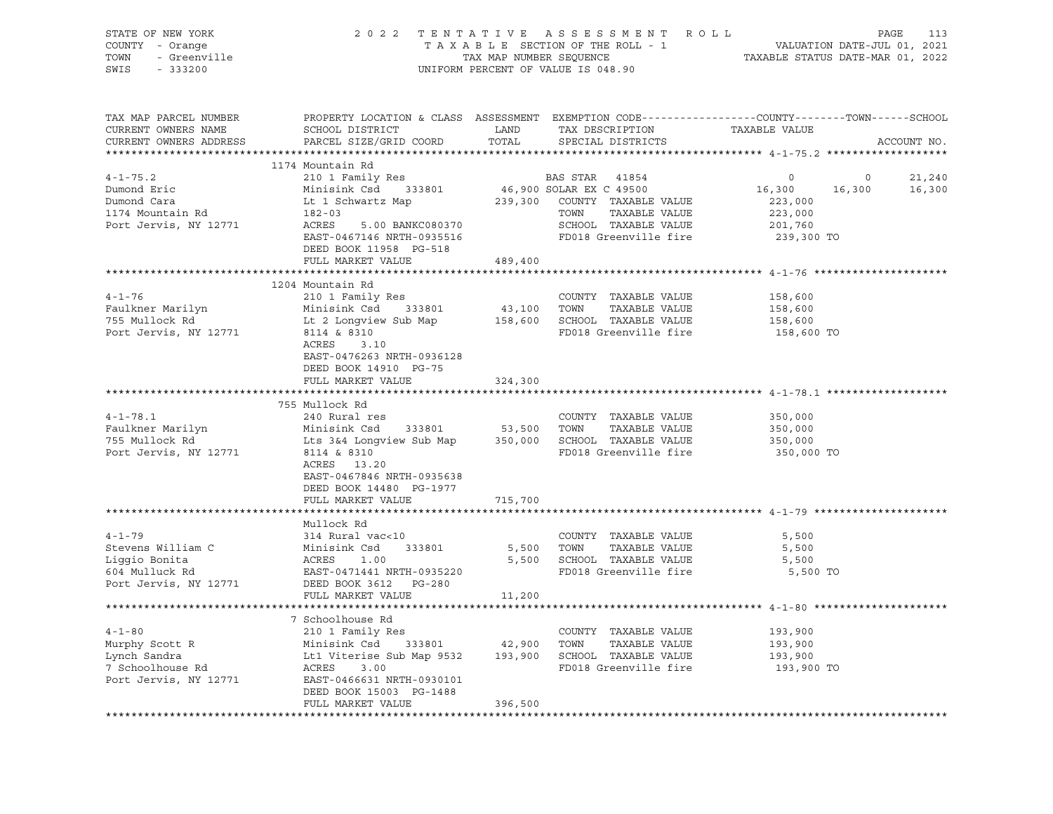| STATE OF NEW YORK<br>COUNTY - Orange<br>TOWN<br>SWIS - 333200                                                                                                                                                                                              |                                                      |         | OF NEW YORK<br>Y - Orange 2022 TENTATIVE ASSESSMENT ROLL<br>TAXABLE SECTION OF THE ROLL - 1<br>TAXMAP NUMBER SEQUENCE<br>TAXABLE STATUS DATE-MAR 01, 2022<br>- 333200<br>UNIFORM PERCENT OF VALUE IS 048.90 |                                        |                             |
|------------------------------------------------------------------------------------------------------------------------------------------------------------------------------------------------------------------------------------------------------------|------------------------------------------------------|---------|-------------------------------------------------------------------------------------------------------------------------------------------------------------------------------------------------------------|----------------------------------------|-----------------------------|
| TAX MAP PARCEL NUMBER<br>CURRENT OWNERS NAME<br>CURRENT OWNERS ADDRESS                                                                                                                                                                                     |                                                      |         | PROPERTY LOCATION & CLASS ASSESSMENT EXEMPTION CODE---------------COUNTY-------TOWN-----SCHOOL                                                                                                              | TAXABLE VALUE                          | ACCOUNT NO.                 |
|                                                                                                                                                                                                                                                            | 1174 Mountain Rd                                     |         |                                                                                                                                                                                                             |                                        |                             |
| 4-1-75.2<br>Dumond Eric 210 1 Family Res BAS STAR 41854<br>Dumond Eric Minisink Csd 333801 46,900 SOLAR EX C 49500<br>Dumond Cara Lt 1 Schwartz Map 239,300 COUNTY TAXABLE VALUE<br>174 Mountain Rd 182-03 TOWN TAXABLE VALUE<br>Port Je                   |                                                      |         |                                                                                                                                                                                                             | $\overline{0}$                         |                             |
|                                                                                                                                                                                                                                                            |                                                      |         |                                                                                                                                                                                                             | $\begin{array}{c}0\\16,300\end{array}$ | $0$ 21,240<br>16,300 16,300 |
|                                                                                                                                                                                                                                                            |                                                      |         |                                                                                                                                                                                                             | 223,000                                |                             |
|                                                                                                                                                                                                                                                            |                                                      |         |                                                                                                                                                                                                             |                                        |                             |
|                                                                                                                                                                                                                                                            |                                                      |         |                                                                                                                                                                                                             |                                        |                             |
|                                                                                                                                                                                                                                                            | EAST-0467146 NRTH-0935516<br>DEED BOOK 11958 PG-518  |         |                                                                                                                                                                                                             |                                        |                             |
|                                                                                                                                                                                                                                                            | FULL MARKET VALUE 489,400                            |         |                                                                                                                                                                                                             |                                        |                             |
|                                                                                                                                                                                                                                                            | 1204 Mountain Rd                                     |         |                                                                                                                                                                                                             |                                        |                             |
| $4 - 1 - 76$                                                                                                                                                                                                                                               | 210 1 Family Res                                     |         | COUNTY TAXABLE VALUE                                                                                                                                                                                        | 158,600                                |                             |
|                                                                                                                                                                                                                                                            |                                                      |         |                                                                                                                                                                                                             | 158,600                                |                             |
|                                                                                                                                                                                                                                                            |                                                      |         |                                                                                                                                                                                                             | 158,600                                |                             |
| Port Jervis, NY 12771 8114 & 8310                                                                                                                                                                                                                          |                                                      |         | FD018 Greenville fire 158,600 TO                                                                                                                                                                            |                                        |                             |
|                                                                                                                                                                                                                                                            | 310<br>3.10<br>ACRES<br>EAST-0476263 NRTH-0936128    |         |                                                                                                                                                                                                             |                                        |                             |
|                                                                                                                                                                                                                                                            | DEED BOOK 14910 PG-75<br>FULL MARKET VALUE           | 324,300 |                                                                                                                                                                                                             |                                        |                             |
|                                                                                                                                                                                                                                                            |                                                      |         |                                                                                                                                                                                                             |                                        |                             |
|                                                                                                                                                                                                                                                            | 755 Mullock Rd                                       |         |                                                                                                                                                                                                             |                                        |                             |
|                                                                                                                                                                                                                                                            |                                                      |         |                                                                                                                                                                                                             |                                        |                             |
|                                                                                                                                                                                                                                                            |                                                      |         |                                                                                                                                                                                                             |                                        |                             |
|                                                                                                                                                                                                                                                            |                                                      |         |                                                                                                                                                                                                             | 350,000<br>350,000<br>350,000          |                             |
| Port Jervis, NY 12771                                                                                                                                                                                                                                      | 8114 & 8310<br>ACRES 13.20                           |         | FD018 Greenville fire                                                                                                                                                                                       | 350,000 TO                             |                             |
|                                                                                                                                                                                                                                                            | EAST-0467846 NRTH-0935638<br>DEED BOOK 14480 PG-1977 |         |                                                                                                                                                                                                             |                                        |                             |
|                                                                                                                                                                                                                                                            | FULL MARKET VALUE                                    | 715,700 |                                                                                                                                                                                                             |                                        |                             |
|                                                                                                                                                                                                                                                            | Mullock Rd                                           |         |                                                                                                                                                                                                             |                                        |                             |
| $4 - 1 - 79$                                                                                                                                                                                                                                               | 314 Rural vac<10                                     |         | COUNTY TAXABLE VALUE                                                                                                                                                                                        | 5,500                                  |                             |
|                                                                                                                                                                                                                                                            |                                                      |         | 5,500 TOWN TAXABLE VALUE                                                                                                                                                                                    | 5,500                                  |                             |
|                                                                                                                                                                                                                                                            |                                                      |         | 5,500 SCHOOL TAXABLE VALUE                                                                                                                                                                                  | 5,500                                  |                             |
| 4-1-79<br>Stevens William C<br>Liggio Bonita<br>East 1.00<br>604 Mulluck Rd<br>Port Jervis, NY 12771<br>2771<br>2771<br>278D DEBSD BOOK 3612<br>285T-0471441 NRTH-0935220<br>285D BOOK 3612<br>285T-0471441 NRTH-0935220<br>285D BOOK 3612<br>2771<br>2771 |                                                      |         | FD018 Greenville fire                                                                                                                                                                                       | 5,500 TO                               |                             |
|                                                                                                                                                                                                                                                            |                                                      |         |                                                                                                                                                                                                             |                                        |                             |
|                                                                                                                                                                                                                                                            | FULL MARKET VALUE                                    | 11,200  |                                                                                                                                                                                                             |                                        |                             |
|                                                                                                                                                                                                                                                            |                                                      |         |                                                                                                                                                                                                             |                                        |                             |
|                                                                                                                                                                                                                                                            | 7 Schoolhouse Rd                                     |         |                                                                                                                                                                                                             |                                        |                             |
|                                                                                                                                                                                                                                                            |                                                      |         |                                                                                                                                                                                                             | 193,900<br>193,900                     |                             |
|                                                                                                                                                                                                                                                            |                                                      |         |                                                                                                                                                                                                             |                                        |                             |
|                                                                                                                                                                                                                                                            |                                                      |         |                                                                                                                                                                                                             | 193,900                                |                             |
| 4-1-80 210 1 Family Res<br>Murphy Scott R Minisink Csd 333801 42,900 TOWN TAXABLE VALUE<br>Lynch Sandra Lt1 Viterise Sub Map 9532 193,900 SCHOOL TAXABLE VALUE<br>7 Schoolhouse Rd ACRES 3.00 FD018 Greenville fire<br>Port Jervis, NY                     |                                                      |         | FD018 Greenville fire 193,900 TO                                                                                                                                                                            |                                        |                             |
|                                                                                                                                                                                                                                                            | DEED BOOK 15003 PG-1488                              |         |                                                                                                                                                                                                             |                                        |                             |
|                                                                                                                                                                                                                                                            | FULL MARKET VALUE                                    | 396,500 |                                                                                                                                                                                                             |                                        |                             |
|                                                                                                                                                                                                                                                            |                                                      |         |                                                                                                                                                                                                             |                                        |                             |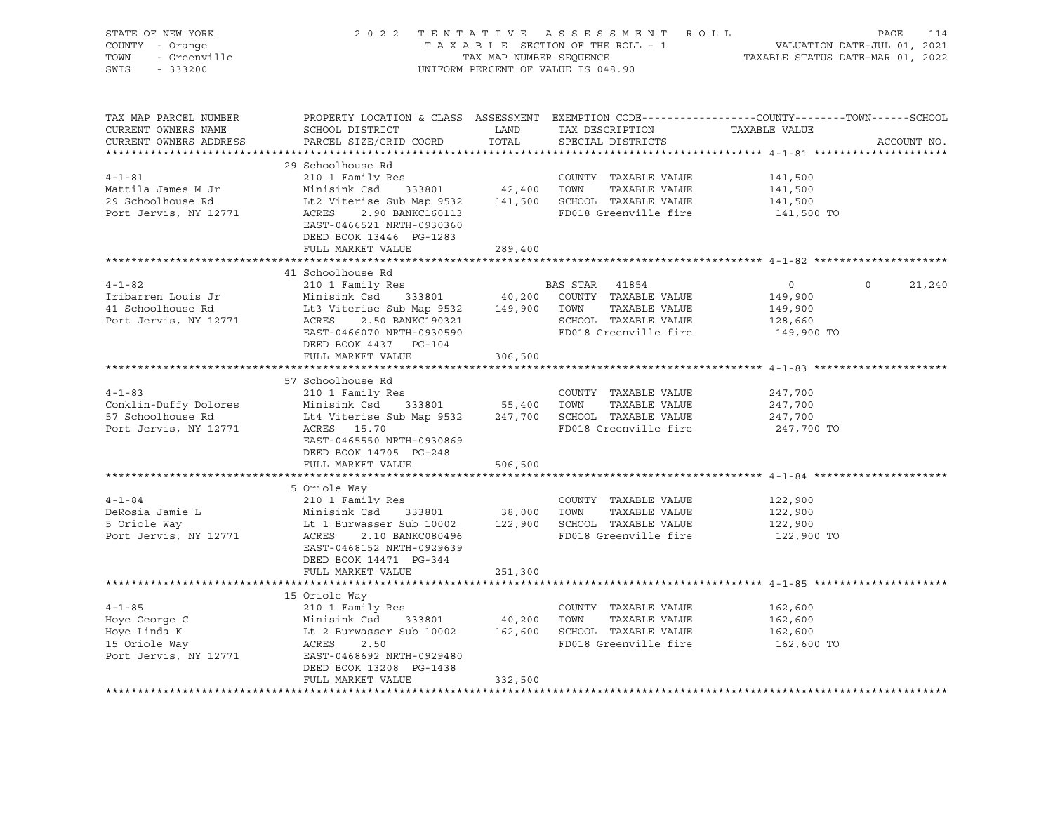| STATE OF NEW YORK<br>COUNTY - Orange<br>OF NEW TODAY<br>- Orange<br>- Greenville<br>TOWN | 2022 TENTATIVE ASSESSMENT ROLL                                                                                                                                                                                                                     |         | TAXABLE SECTION OF THE ROLL - 1<br>TAX MAP NUMBER SEQUENCE TAXABLE STATUS DATE-MAR 01, 2022<br>UNIFORM PERCENT OF VALUE IS 048.90 |                       | PAGE<br>114   |
|------------------------------------------------------------------------------------------|----------------------------------------------------------------------------------------------------------------------------------------------------------------------------------------------------------------------------------------------------|---------|-----------------------------------------------------------------------------------------------------------------------------------|-----------------------|---------------|
| SWIS                                                                                     |                                                                                                                                                                                                                                                    |         |                                                                                                                                   |                       |               |
| TAX MAP PARCEL NUMBER<br>CURRENT OWNERS NAME<br>CURRENT OWNERS ADDRESS                   | PROPERTY LOCATION & CLASS ASSESSMENT EXEMPTION CODE----------------COUNTY-------TOWN------SCHOOL                                                                                                                                                   |         |                                                                                                                                   | TAXABLE VALUE         | ACCOUNT NO.   |
|                                                                                          |                                                                                                                                                                                                                                                    |         |                                                                                                                                   |                       |               |
| $4 - 1 - 81$                                                                             | 29 Schoolhouse Rd                                                                                                                                                                                                                                  |         |                                                                                                                                   |                       |               |
| Mattila James M Jr                                                                       | 210 1 Family Res<br>210 1 Family Res<br>Minisink Csd 333801 42,400 TOWN TAXABLE VALUE                                                                                                                                                              |         | COUNTY TAXABLE VALUE 141,500                                                                                                      | 141,500               |               |
| 29 Schoolhouse Rd                                                                        |                                                                                                                                                                                                                                                    |         |                                                                                                                                   |                       |               |
| Port Jervis, NY 12771                                                                    | Minisink Csd 333801 42,400 TOWN TAXABLE VALUE<br>Lt2 Viterise Sub Map 9532 141,500 SCHOOL TAXABLE VALUE<br>ACRES 2.90 BANKC160113 FD018 Greenville fire<br>EAST-0466521 NRTH-0930360<br>DEED BOOK 13446 PG-1283                                    |         |                                                                                                                                   | 141,500<br>141,500 TO |               |
|                                                                                          | FULL MARKET VALUE                                                                                                                                                                                                                                  | 289,400 |                                                                                                                                   |                       |               |
|                                                                                          |                                                                                                                                                                                                                                                    |         |                                                                                                                                   |                       |               |
|                                                                                          | 41 Schoolhouse Rd<br>41 Schoolhouse Rd<br>41 Schoolhouse Rd<br>41 Schoolhouse Rd<br>41 Schoolhouse Rd<br>41 Schoolhouse Rd<br>41 Schoolhouse Rd<br>42 2.50 BANKC190321<br>49,900 TOWN TAXABLE VALUE<br>49,900 TOWN TAXABLE VALUE<br>49,900 TOWN TA |         |                                                                                                                                   |                       | $0 \t 21,240$ |
|                                                                                          |                                                                                                                                                                                                                                                    |         |                                                                                                                                   | $\overline{0}$        |               |
|                                                                                          |                                                                                                                                                                                                                                                    |         |                                                                                                                                   | 149,900<br>149,900    |               |
|                                                                                          |                                                                                                                                                                                                                                                    |         |                                                                                                                                   | 128,660               |               |
|                                                                                          |                                                                                                                                                                                                                                                    |         |                                                                                                                                   | 149,900 TO            |               |
|                                                                                          | DEED BOOK 4437 PG-104                                                                                                                                                                                                                              |         |                                                                                                                                   |                       |               |
|                                                                                          | FULL MARKET VALUE                                                                                                                                                                                                                                  | 306,500 |                                                                                                                                   |                       |               |
|                                                                                          |                                                                                                                                                                                                                                                    |         |                                                                                                                                   |                       |               |
| $4 - 1 - 83$                                                                             | 57 Schoolhouse Rd<br>7 Schoolhouse Rd<br>210 1 Family Res                                                                                                                                                                                          |         |                                                                                                                                   |                       |               |
|                                                                                          |                                                                                                                                                                                                                                                    |         | COUNTY TAXABLE VALUE                                                                                                              | 247,700               |               |
|                                                                                          | Conklin-Duffy Dolores<br>Thin Sink Csd 333801<br>Society 1999 1247,700<br>SCHOOL TAXABLE VALUE<br>247,700<br>247,700<br>247,700                                                                                                                    |         |                                                                                                                                   |                       |               |
| Port Jervis, NY 12771                                                                    | ACRES 15.70                                                                                                                                                                                                                                        |         | FD018 Greenville fire                                                                                                             | 247,700 TO            |               |
|                                                                                          | EAST-0465550 NRTH-0930869                                                                                                                                                                                                                          |         |                                                                                                                                   |                       |               |
|                                                                                          | DEED BOOK 14705 PG-248                                                                                                                                                                                                                             |         |                                                                                                                                   |                       |               |
|                                                                                          | FULL MARKET VALUE                                                                                                                                                                                                                                  | 506,500 |                                                                                                                                   |                       |               |
|                                                                                          |                                                                                                                                                                                                                                                    |         |                                                                                                                                   |                       |               |
|                                                                                          |                                                                                                                                                                                                                                                    |         |                                                                                                                                   |                       |               |
| $4 - 1 - 84$                                                                             |                                                                                                                                                                                                                                                    |         |                                                                                                                                   | 122,900               |               |
| DeRosia Jamie L<br>5 Oriole Way                                                          |                                                                                                                                                                                                                                                    |         |                                                                                                                                   | 122,900<br>122,900    |               |
| Port Jervis, NY 12771                                                                    | 210 1 Family Res<br>Minisink Csd 333801 38,000 TOWN TAXABLE VALUE<br>Lt 1 Burwasser Sub 10002 122,900 SCHOOL TAXABLE VALUE<br>ACRES 2.10 BANKC080496 RD018 CHOOL TAXABLE VALUE                                                                     |         | FD018 Greenville fire                                                                                                             | 122,900 TO            |               |
|                                                                                          | EAST-0468152 NRTH-0929639                                                                                                                                                                                                                          |         |                                                                                                                                   |                       |               |
|                                                                                          | DEED BOOK 14471 PG-344                                                                                                                                                                                                                             |         |                                                                                                                                   |                       |               |
|                                                                                          | FULL MARKET VALUE                                                                                                                                                                                                                                  | 251,300 |                                                                                                                                   |                       |               |
|                                                                                          |                                                                                                                                                                                                                                                    |         |                                                                                                                                   |                       |               |
|                                                                                          | 15 Oriole Way                                                                                                                                                                                                                                      |         |                                                                                                                                   |                       |               |
|                                                                                          |                                                                                                                                                                                                                                                    |         |                                                                                                                                   | 162,600               |               |
|                                                                                          |                                                                                                                                                                                                                                                    |         | TAXABLE VALUE 162,600<br>TAXABLE VALUE 162,600                                                                                    |                       |               |
|                                                                                          |                                                                                                                                                                                                                                                    |         | FD018 Greenville fire 162,600 TO                                                                                                  |                       |               |
|                                                                                          | Port Jervis, NY 12771 EAST-0468692 NRTH-0929480                                                                                                                                                                                                    |         |                                                                                                                                   |                       |               |
|                                                                                          | DEED BOOK 13208 PG-1438                                                                                                                                                                                                                            |         |                                                                                                                                   |                       |               |
|                                                                                          | FULL MARKET VALUE                                                                                                                                                                                                                                  | 332,500 |                                                                                                                                   |                       |               |
|                                                                                          |                                                                                                                                                                                                                                                    |         |                                                                                                                                   |                       |               |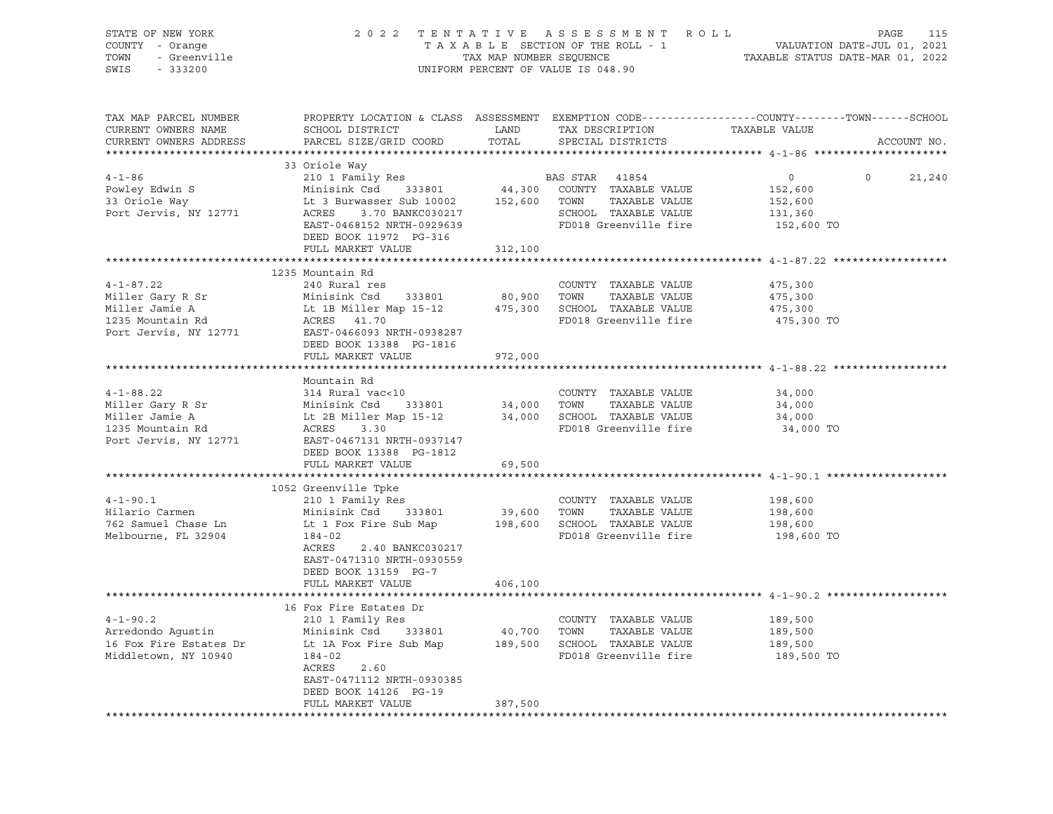| STATE OF NEW YORK<br>COUNTY - Orange<br>TOWN - Greenville<br>222200    | 2022 TENTATIVE ASSESSMENT ROLL                                              |               | UNIFORM PERCENT OF VALUE IS 048.90                        | PAGE<br>115<br>TAXABLE SECTION OF THE ROLL - 1 VALUATION DATE-JUL 01, 2021<br>TAX MAP NUMBER SEQUENCE TAXABLE STATUS DATE-MAR 01, 2022 |  |  |
|------------------------------------------------------------------------|-----------------------------------------------------------------------------|---------------|-----------------------------------------------------------|----------------------------------------------------------------------------------------------------------------------------------------|--|--|
| TAX MAP PARCEL NUMBER<br>CURRENT OWNERS NAME<br>CURRENT OWNERS ADDRESS | SCHOOL DISTRICT<br>PARCEL SIZE/GRID COORD                                   | LAND<br>TOTAL | TAX DESCRIPTION<br>SPECIAL DISTRICTS                      | PROPERTY LOCATION & CLASS ASSESSMENT EXEMPTION CODE---------------COUNTY-------TOWN-----SCHOOL<br>TAXABLE VALUE<br>ACCOUNT NO.         |  |  |
|                                                                        |                                                                             |               |                                                           |                                                                                                                                        |  |  |
|                                                                        | 33 Oriole Way                                                               |               |                                                           |                                                                                                                                        |  |  |
| $4 - 1 - 86$                                                           | 210 1 Family Res                                                            |               | BAS STAR 41854                                            | $\circ$<br>$\circ$<br>21,240                                                                                                           |  |  |
| Powley Edwin S<br>33 Oriole Way                                        | Minisink Csd 333801                                                         |               | 44,300 COUNTY TAXABLE VALUE                               | 152,600                                                                                                                                |  |  |
| Port Jervis, NY 12771                                                  | Lt 3 Burwasser Sub 10002<br>ACRES 3.70 BANKC030217                          |               | 152,600 TOWN TAXABLE VALUE<br>SCHOOL TAXABLE VALUE        | 152,600<br>131,360                                                                                                                     |  |  |
|                                                                        | EAST-0468152 NRTH-0929639<br>DEED BOOK 11972 PG-316                         |               | FD018 Greenville fire                                     | 152,600 TO                                                                                                                             |  |  |
|                                                                        | FULL MARKET VALUE                                                           | 312,100       |                                                           |                                                                                                                                        |  |  |
|                                                                        |                                                                             |               |                                                           |                                                                                                                                        |  |  |
| $4 - 1 - 87.22$                                                        | 1235 Mountain Rd<br>240 Rural res                                           |               | COUNTY TAXABLE VALUE                                      | 475,300                                                                                                                                |  |  |
|                                                                        |                                                                             |               |                                                           | 475,300                                                                                                                                |  |  |
|                                                                        |                                                                             |               |                                                           | 475,300                                                                                                                                |  |  |
|                                                                        |                                                                             |               |                                                           | 475,300 TO                                                                                                                             |  |  |
| Port Jervis, NY 12771                                                  | EAST-0466093 NRTH-0938287                                                   |               |                                                           |                                                                                                                                        |  |  |
|                                                                        | DEED BOOK 13388 PG-1816                                                     |               |                                                           |                                                                                                                                        |  |  |
|                                                                        | FULL MARKET VALUE                                                           | 972,000       |                                                           |                                                                                                                                        |  |  |
|                                                                        |                                                                             |               |                                                           |                                                                                                                                        |  |  |
|                                                                        | Mountain Rd                                                                 |               |                                                           |                                                                                                                                        |  |  |
| $4 - 1 - 88.22$<br>Miller Gary R Sr                                    | 314 Rural vac<10                                                            |               | COUNTY TAXABLE VALUE<br>34,000 TOWN TAXABLE VALUE         | 34,000<br>34,000                                                                                                                       |  |  |
| Miller Jamie A                                                         | 314 Ruial Vaccio<br>Minisink Csd 333801<br>Lt 2B Miller Map 15-12           |               | 34,000 SCHOOL TAXABLE VALUE                               | 34,000                                                                                                                                 |  |  |
| 1235 Mountain Rd                                                       | ACRES 3.30                                                                  |               | FD018 Greenville fire                                     | 34,000 TO                                                                                                                              |  |  |
| Port Jervis, NY 12771                                                  | EAST-0467131 NRTH-0937147<br>DEED BOOK 13388 PG-1812                        |               |                                                           |                                                                                                                                        |  |  |
|                                                                        | FULL MARKET VALUE                                                           | 69,500        |                                                           |                                                                                                                                        |  |  |
|                                                                        |                                                                             |               |                                                           |                                                                                                                                        |  |  |
| $4 - 1 - 90.1$                                                         | 1052 Greenville Tpke<br>210 1 Family Res                                    |               | COUNTY TAXABLE VALUE                                      | 198,600                                                                                                                                |  |  |
| Hilario Carmen                                                         | Minisink Csd 333801                                                         | 39,600 TOWN   | TAXABLE VALUE                                             | 198,600                                                                                                                                |  |  |
| 762 Samuel Chase Ln                                                    | Lt 1 Fox Fire Sub Map                                                       |               | 198,600 SCHOOL TAXABLE VALUE                              | 198,600                                                                                                                                |  |  |
| Melbourne, FL 32904                                                    | $184 - 02$                                                                  |               | FD018 Greenville fire                                     | 198,600 TO                                                                                                                             |  |  |
|                                                                        | ACRES 2.40 BANKC030217<br>EAST-0471310 NRTH-0930559<br>DEED BOOK 13159 PG-7 | 406,100       |                                                           |                                                                                                                                        |  |  |
|                                                                        | FULL MARKET VALUE                                                           |               |                                                           |                                                                                                                                        |  |  |
|                                                                        | 16 Fox Fire Estates Dr                                                      |               |                                                           |                                                                                                                                        |  |  |
| $4 - 1 - 90.2$                                                         | 210 1 Family Res                                                            |               | COUNTY TAXABLE VALUE                                      | 189,500                                                                                                                                |  |  |
|                                                                        |                                                                             |               |                                                           | 189,500                                                                                                                                |  |  |
|                                                                        |                                                                             |               | 40,700 TOWN TAXABLE VALUE<br>189,500 SCHOOL TAXABLE VALUE | 189,500                                                                                                                                |  |  |
| Middletown, NY 10940                                                   | 184-02                                                                      |               | FD018 Greenville fire                                     | 189,500 TO                                                                                                                             |  |  |
|                                                                        | ACRES 2.60                                                                  |               |                                                           |                                                                                                                                        |  |  |
|                                                                        | EAST-0471112 NRTH-0930385                                                   |               |                                                           |                                                                                                                                        |  |  |
|                                                                        | DEED BOOK 14126 PG-19<br>FULL MARKET VALUE                                  | 387,500       |                                                           |                                                                                                                                        |  |  |
|                                                                        |                                                                             |               |                                                           |                                                                                                                                        |  |  |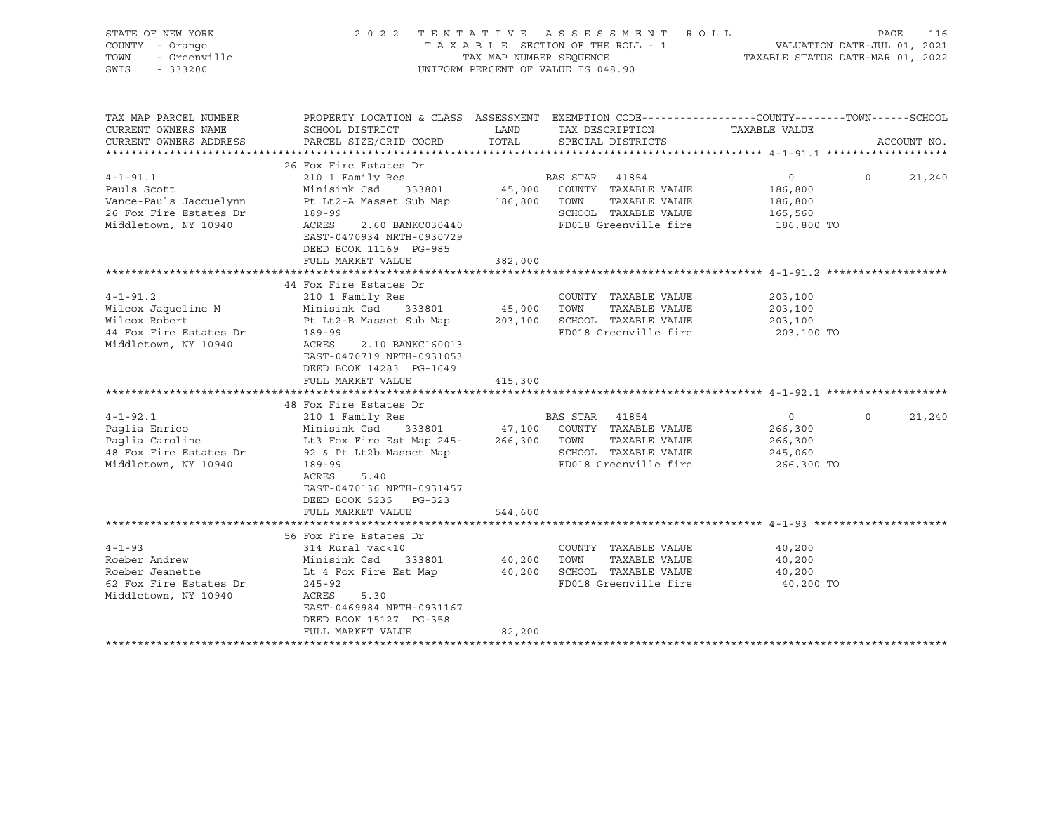| STATE OF NEW YORK<br>COUNTY - Orange<br>TOWN<br>- Greenville<br>SWIS<br>$-333200$                         |                                                                                                                                                                                                                                                        | 2022 TENTATIVE ASSESSMENT ROLL<br>UNIFORM PERCENT OF VALUE IS 048.90                                                                                            | PAGE<br>116<br>T A X A B L E SECTION OF THE ROLL - 1 VALUATION DATE-JUL 01, 2021 TAX MAP NUMBER SEQUENCE - 1 TAXABLE STATUS DATE-MAR 01, 2022 |
|-----------------------------------------------------------------------------------------------------------|--------------------------------------------------------------------------------------------------------------------------------------------------------------------------------------------------------------------------------------------------------|-----------------------------------------------------------------------------------------------------------------------------------------------------------------|-----------------------------------------------------------------------------------------------------------------------------------------------|
| TAX MAP PARCEL NUMBER<br>CURRENT OWNERS NAME<br>CURRENT OWNERS ADDRESS                                    | SCHOOL DISTRICT<br>PARCEL SIZE/GRID COORD                                                                                                                                                                                                              | LAND<br>TAX DESCRIPTION<br>TOTAL<br>SPECIAL DISTRICTS                                                                                                           | PROPERTY LOCATION & CLASS ASSESSMENT EXEMPTION CODE---------------COUNTY-------TOWN-----SCHOOL<br>TAXABLE VALUE<br>ACCOUNT NO.                |
| $4 - 1 - 91.1$<br>Pauls Scott<br>Vance-Pauls Jacquelynn<br>26 Fox Fire Estates Dr<br>Middletown, NY 10940 | 26 Fox Fire Estates Dr<br>210 1 Family Res<br>Minisink Csd 333801<br>189-99<br>ACRES<br>2.60 BANKC030440<br>EAST-0470934 NRTH-0930729<br>DEED BOOK 11169 PG-985<br>FULL MARKET VALUE                                                                   | BAS STAR 41854<br>45,000 COUNTY TAXABLE VALUE<br>Pt Lt2-A Masset Sub Map 186,800 TOWN TAXABLE VALUE<br>SCHOOL TAXABLE VALUE<br>FD018 Greenville fire<br>382,000 | $\overline{0}$<br>$\Omega$<br>21,240<br>186,800<br>186,800<br>165,560<br>186,800 TO                                                           |
| $4 - 1 - 91.2$<br>Wilcox Jaqueline M<br>Wilcox Robert<br>44 Fox Fire Estates Dr<br>Middletown, NY 10940   | 44 Fox Fire Estates Dr<br>210 1 Family Res<br>Minisink Csd 333801<br>189-99<br>ACRES<br>2.10 BANKC160013<br>EAST-0470719 NRTH-0931053<br>DEED BOOK 14283 PG-1649<br>FULL MARKET VALUE                                                                  | COUNTY TAXABLE VALUE<br>45,000 TOWN<br>TAXABLE VALUE<br>Pt Lt2-B Masset Sub Map 203,100 SCHOOL TAXABLE VALUE<br>FD018 Greenville fire<br>415,300                | 203,100<br>203,100<br>203,100<br>203,100 TO                                                                                                   |
| $4 - 1 - 92.1$<br>Paglia Enrico<br>Paglia Caroline<br>48 Fox Fire Estates Dr<br>Middletown, NY 10940      | 48 Fox Fire Estates Dr<br>210 1 Family Res<br>Minisink Csd 333801<br>Lt3 Fox Fire Est Map 245- 266,300 TOWN<br>SCHOOL<br>92 & Pt Lt2b Masset Map<br>189-99<br>ACRES<br>5.40<br>EAST-0470136 NRTH-0931457<br>DEED BOOK 5235 PG-323<br>FULL MARKET VALUE | BAS STAR 41854<br>333801 47,100 COUNTY TAXABLE VALUE<br>TAXABLE VALUE<br>SCHOOL TAXABLE VALUE<br>FD018 Greenville fire<br>544,600                               | $\Omega$<br>$\overline{0}$<br>21,240<br>266,300<br>266,300<br>245,060<br>266,300 TO                                                           |
| $4 - 1 - 93$<br>Roeber Andrew<br>Roeber Jeanette<br>62 Fox Fire Estates Dr<br>Middletown, NY 10940        | 56 Fox Fire Estates Dr<br>314 Rural vac<10<br>Minisink Csd 333801<br>Lt 4 Fox Fire Est Map<br>$245 - 92$<br>ACRES<br>5.30<br>EAST-0469984 NRTH-0931167<br>DEED BOOK 15127 PG-358<br>FULL MARKET VALUE                                                  | COUNTY TAXABLE VALUE<br>40,200 TOWN TAXABLE VALUE<br>40,200 SCHOOL TAXABLE VALUE<br>FD018 Greenville fire<br>82,200<br>******************************           | 40,200<br>40,200<br>40,200<br>40,200 TO                                                                                                       |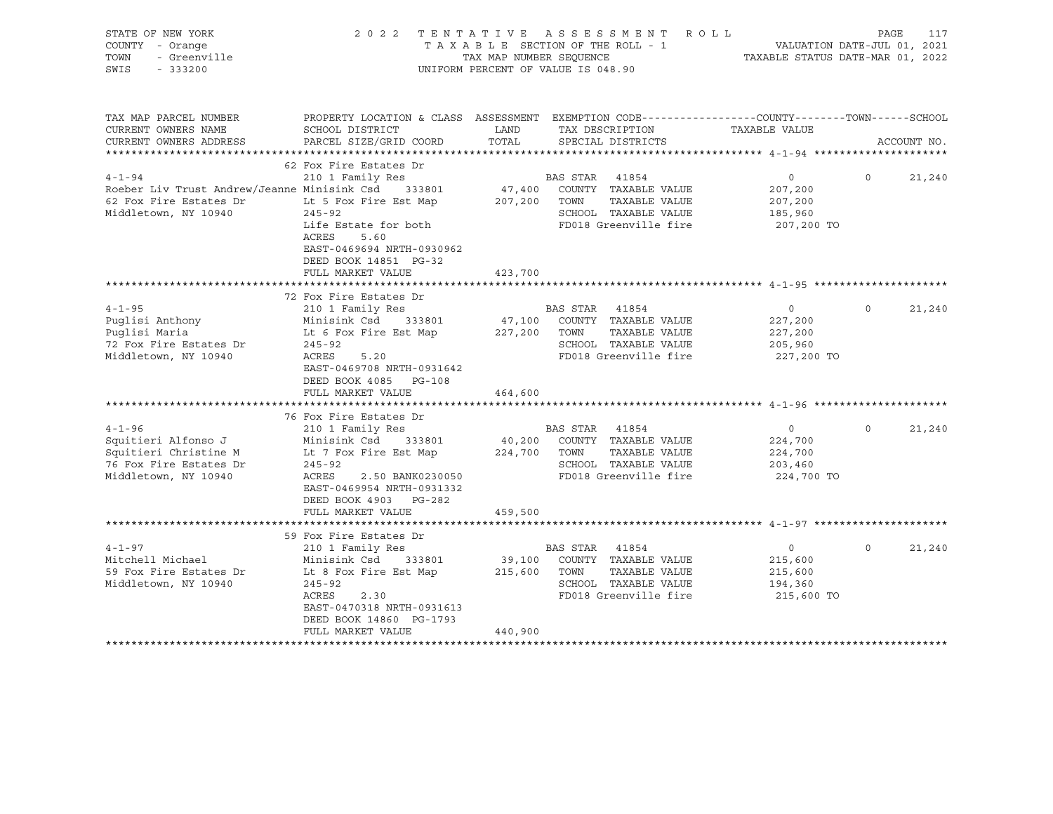| STATE OF NEW YORK<br>COUNTY - Orange<br>TOWN<br>- Greenville<br>SWIS<br>$-333200$                                    | 2022 TENTATIVE ASSESSMENT                                                                                                                                                                        | TAXABLE SECTION OF THE ROLL - 1<br>TAX MAP NUMBER SEOUENCE<br>UNIFORM PERCENT OF VALUE IS 048.90 |                        | ROLL ROLL                                                                                              | VALUATION DATE-JUL 01, 2021<br>TAXABLE STATUS DATE-MAR 01, 2022 | PAGE     | 117         |
|----------------------------------------------------------------------------------------------------------------------|--------------------------------------------------------------------------------------------------------------------------------------------------------------------------------------------------|--------------------------------------------------------------------------------------------------|------------------------|--------------------------------------------------------------------------------------------------------|-----------------------------------------------------------------|----------|-------------|
| TAX MAP PARCEL NUMBER<br>CURRENT OWNERS NAME<br>CURRENT OWNERS ADDRESS                                               | PROPERTY LOCATION & CLASS ASSESSMENT EXEMPTION CODE----------------COUNTY-------TOWN------SCHOOL<br>SCHOOL DISTRICT<br>PARCEL SIZE/GRID COORD                                                    | LAND<br>TOTAL                                                                                    |                        | TAX DESCRIPTION<br>SPECIAL DISTRICTS                                                                   | TAXABLE VALUE                                                   |          | ACCOUNT NO. |
|                                                                                                                      |                                                                                                                                                                                                  |                                                                                                  |                        |                                                                                                        |                                                                 |          |             |
| $4 - 1 - 94$<br>Roeber Liv Trust Andrew/Jeanne Minisink Csd 333801<br>62 Fox Fire Estates Dr<br>Middletown, NY 10940 | 62 Fox Fire Estates Dr<br>210 1 Family Res<br>Lt 5 Fox Fire Est Map<br>$245 - 92$<br>Life Estate for both<br>ACRES<br>5.60<br>EAST-0469694 NRTH-0930962                                          | 47,400<br>207,200                                                                                | BAS STAR 41854<br>TOWN | COUNTY TAXABLE VALUE<br>TAXABLE VALUE<br>SCHOOL TAXABLE VALUE<br>FD018 Greenville fire                 | $\circ$<br>207,200<br>207,200<br>185,960<br>207,200 TO          | $\circ$  | 21,240      |
|                                                                                                                      | DEED BOOK 14851 PG-32<br>FULL MARKET VALUE                                                                                                                                                       | 423,700                                                                                          |                        |                                                                                                        |                                                                 |          |             |
|                                                                                                                      | 72 Fox Fire Estates Dr                                                                                                                                                                           |                                                                                                  |                        |                                                                                                        |                                                                 |          |             |
| $4 - 1 - 95$<br>Puglisi Anthony<br>Puglisi Maria<br>72 Fox Fire Estates Dr<br>Middletown, NY 10940                   | 210 1 Family Res<br>Minisink Csd 333801<br>Lt 6 Fox Fire Est Map<br>$245 - 92$<br>ACRES<br>5.20<br>EAST-0469708 NRTH-0931642<br>DEED BOOK 4085<br>PG-108<br>FULL MARKET VALUE                    | 47,100<br>227,200 TOWN<br>464,600                                                                | BAS STAR 41854         | COUNTY TAXABLE VALUE<br>TAXABLE VALUE<br>SCHOOL TAXABLE VALUE<br>FD018 Greenville fire                 | $\circ$<br>227,200<br>227,200<br>205,960<br>227,200 TO          | $\circ$  | 21,240      |
|                                                                                                                      |                                                                                                                                                                                                  |                                                                                                  |                        |                                                                                                        |                                                                 |          |             |
| $4 - 1 - 96$<br>Squitieri Alfonso J<br>Squitieri Christine M<br>76 Fox Fire Estates Dr<br>Middletown, NY 10940       | 76 Fox Fire Estates Dr<br>210 1 Family Res<br>Minisink Csd      333801<br>Lt 7 Fox Fire Est Map<br>$245 - 92$<br>ACRES<br>2.50 BANK0230050<br>EAST-0469954 NRTH-0931332<br>DEED BOOK 4903 PG-282 | 224,700 TOWN                                                                                     | BAS STAR               | 41854<br>40,200 COUNTY TAXABLE VALUE<br>TAXABLE VALUE<br>SCHOOL TAXABLE VALUE<br>FD018 Greenville fire | $\overline{0}$<br>224,700<br>224,700<br>203,460<br>224,700 TO   | $\Omega$ | 21,240      |
|                                                                                                                      | FULL MARKET VALUE                                                                                                                                                                                | 459,500                                                                                          |                        |                                                                                                        |                                                                 |          |             |
|                                                                                                                      | 59 Fox Fire Estates Dr                                                                                                                                                                           |                                                                                                  |                        |                                                                                                        |                                                                 |          |             |
| $4 - 1 - 97$<br>Mitchell Michael<br>59 Fox Fire Estates Dr<br>Middletown, NY 10940                                   | 210 1 Family Res<br>Minisink Csd 333801<br>Lt 8 Fox Fire Est Map<br>$245 - 92$<br>ACRES<br>2.30<br>EAST-0470318 NRTH-0931613<br>DEED BOOK 14860 PG-1793<br>FULL MARKET VALUE                     | 215,600 TOWN<br>440,900                                                                          | BAS STAR 41854         | 39,100 COUNTY TAXABLE VALUE<br>TAXABLE VALUE<br>SCHOOL TAXABLE VALUE<br>FD018 Greenville fire          | $\overline{0}$<br>215,600<br>215,600<br>194,360<br>215,600 TO   | $\Omega$ | 21,240      |
|                                                                                                                      |                                                                                                                                                                                                  |                                                                                                  |                        |                                                                                                        |                                                                 |          |             |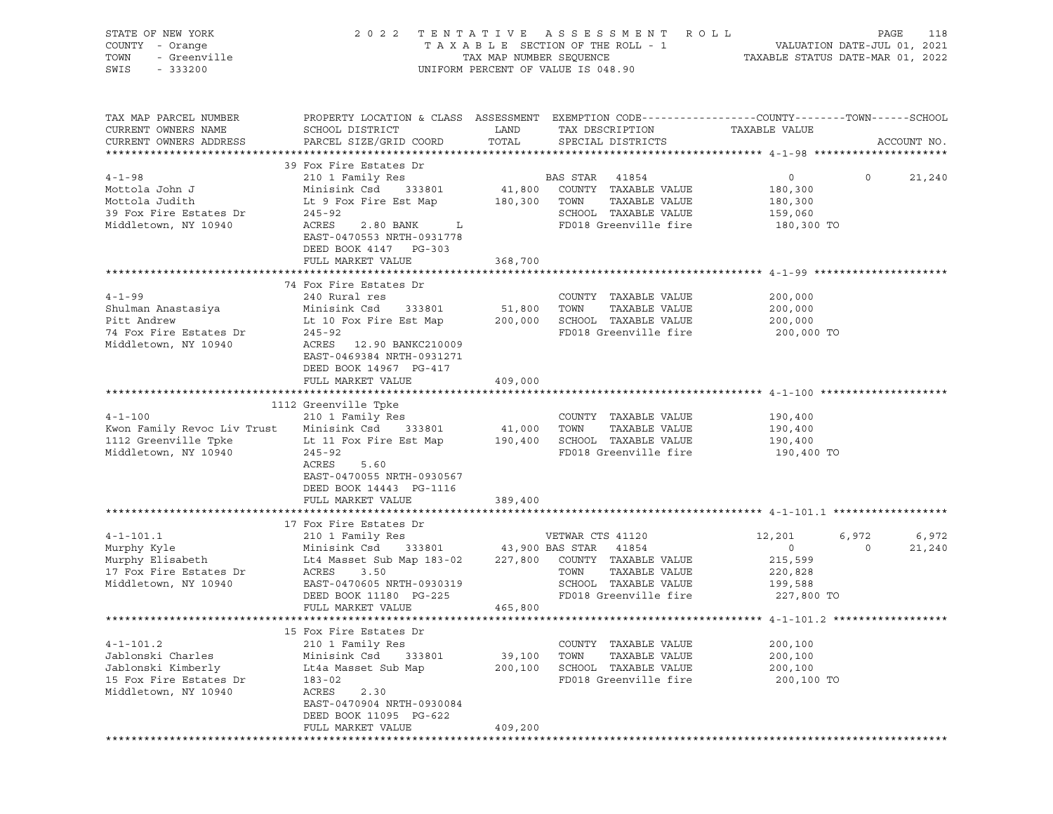| STATE OF NEW YORK<br>OF NEW YORK<br>! - Orange<br>- Greenville<br><br>COUNTY - Orange<br>TOWN<br>SWIS                                                                                                                                                         |                                                                                                                                                                                                                     |                   | 2022 TENTATIVE ASSESSMENT ROLL<br>TAXABLE SECTION OF THE ROLL - 1<br>TAXABLE STATUS DATE-JUL 01, 2021<br>TAXABLE STATUS DATE-MAR 01, 2022<br>UNIFORM PERCENT OF VALUE IS 048.90 |                                                               | PAGE<br>118                         |
|---------------------------------------------------------------------------------------------------------------------------------------------------------------------------------------------------------------------------------------------------------------|---------------------------------------------------------------------------------------------------------------------------------------------------------------------------------------------------------------------|-------------------|---------------------------------------------------------------------------------------------------------------------------------------------------------------------------------|---------------------------------------------------------------|-------------------------------------|
| TAX MAP PARCEL NUMBER<br>CURRENT OWNERS NAME<br>CURRENT OWNERS ADDRESS                                                                                                                                                                                        | PROPERTY LOCATION & CLASS ASSESSMENT EXEMPTION CODE-----------------COUNTY-------TOWN------SCHOOL<br>SCHOOL DISTRICT<br>PARCEL SIZE/GRID COORD TOTAL                                                                | LAND              | TAX DESCRIPTION<br>SPECIAL DISTRICTS                                                                                                                                            | TAXABLE VALUE                                                 | ACCOUNT NO.                         |
| $4 - 1 - 98$<br>Mottola John J<br>Mottola Judith<br>39 Fox Fire Estates Dr 245-92<br>Middletown, NY 10940                                                                                                                                                     | 39 Fox Fire Estates Dr<br>210 1 Family Res<br>Minisink Csd 333801 41,800 COUNTY TAXABLE VALUE<br>Lt 9 Fox Fire Est Map<br>2.80 BANK L<br>ACRES<br>EAST-0470553 NRTH-0931778<br>DEED BOOK 4147 PG-303                |                   | <b>BAS STAR</b> 41854<br>180,300 TOWN TAXABLE VALUE<br>SCHOOL TAXABLE VALUE<br>FD018 Greenville fire                                                                            | $\overline{0}$<br>180,300<br>180,300<br>159,060<br>180,300 TO | $\overline{0}$<br>21,240            |
| $4 - 1 - 99$<br>Pitt Andrew<br>74 Fox Fire Estates Dr<br>Middletown, NY 10940                                                                                                                                                                                 | FULL MARKET VALUE<br>74 Fox Fire Estates Dr<br>240 Rural res<br>Lt 10 Fox Fire Est Map 200,000 SCHOOL TAXABLE VALUE<br>$245 - 92$<br>ACRES 12.90 BANKC210009<br>EAST-0469384 NRTH-0931271<br>DEED BOOK 14967 PG-417 | 368,700           | COUNTY TAXABLE VALUE<br>TAXABLE VALUE<br>FD018 Greenville fire                                                                                                                  | 200,000<br>200,000<br>200,000<br>200,000 TO                   |                                     |
| $4 - 1 - 100$<br>Kwon Family Revoc Liv Trust Minisink Csd 333801 41,000 TOWN<br>1112 Greenville Tpke<br>Middletown, NY 10940                                                                                                                                  | FULL MARKET VALUE<br>1112 Greenville Tpke<br>210 1 Family Res<br>Lt 11 Fox Fire Est Map<br>$245 - 92$<br>ACRES<br>5.60<br>EAST-0470055 NRTH-0930567<br>DEED BOOK 14443 PG-1116                                      | 409,000           | COUNTY TAXABLE VALUE<br>TAXABLE VALUE<br>190,400 SCHOOL TAXABLE VALUE<br>FD018 Greenville fire                                                                                  | 190,400<br>190,400<br>190,400<br>190,400 TO                   |                                     |
|                                                                                                                                                                                                                                                               | FULL MARKET VALUE                                                                                                                                                                                                   | 389,400           |                                                                                                                                                                                 |                                                               |                                     |
| 4-1-101.1 210 1 Family Res<br>Murphy Kyle Minisink Csd 333801 43,900 BAS STAR 41854<br>Murphy Elisabeth Lt4 Masset Sub Map 183-02 227,800 COUNTY TAXABLE VALUE<br>17 Fox Fire Estates Dr ACRES 3.50<br>Middletown, NY 10940 PMAT PATE<br>Middletown, NY 10940 | EAST-0470605 NRTH-0930319<br>DEED BOOK 11180 PG-225<br>FULL MARKET VALUE<br>FULL MARKET VALUE                                                                                                                       | 465,800           | SCHOOL TAXABLE VALUE 199,588<br>FD018 Greenville fire 227,800 TO                                                                                                                | 12,201<br>$\overline{0}$<br>215,599<br>220,828                | 6,972<br>6,972<br>$\circ$<br>21,240 |
|                                                                                                                                                                                                                                                               |                                                                                                                                                                                                                     |                   |                                                                                                                                                                                 |                                                               |                                     |
| $4 - 1 - 101.2$<br>Jablonski Charles<br>Jablonski Kimberly<br>15 Fox Fire Estates Dr<br>Middletown, NY 10940                                                                                                                                                  | 15 Fox Fire Estates Dr<br>210 1 Family Res<br>Minisink Csd<br>333801<br>Lt4a Masset Sub Map<br>$183 - 02$<br>ACRES<br>2.30<br>EAST-0470904 NRTH-0930084<br>DEED BOOK 11095 PG-622                                   | 39,100<br>200,100 | COUNTY TAXABLE VALUE<br>TAXABLE VALUE<br>TOWN<br>SCHOOL TAXABLE VALUE<br>FD018 Greenville fire                                                                                  | 200,100<br>200,100<br>200,100<br>200,100 TO                   |                                     |
|                                                                                                                                                                                                                                                               | FULL MARKET VALUE                                                                                                                                                                                                   | 409,200           |                                                                                                                                                                                 |                                                               |                                     |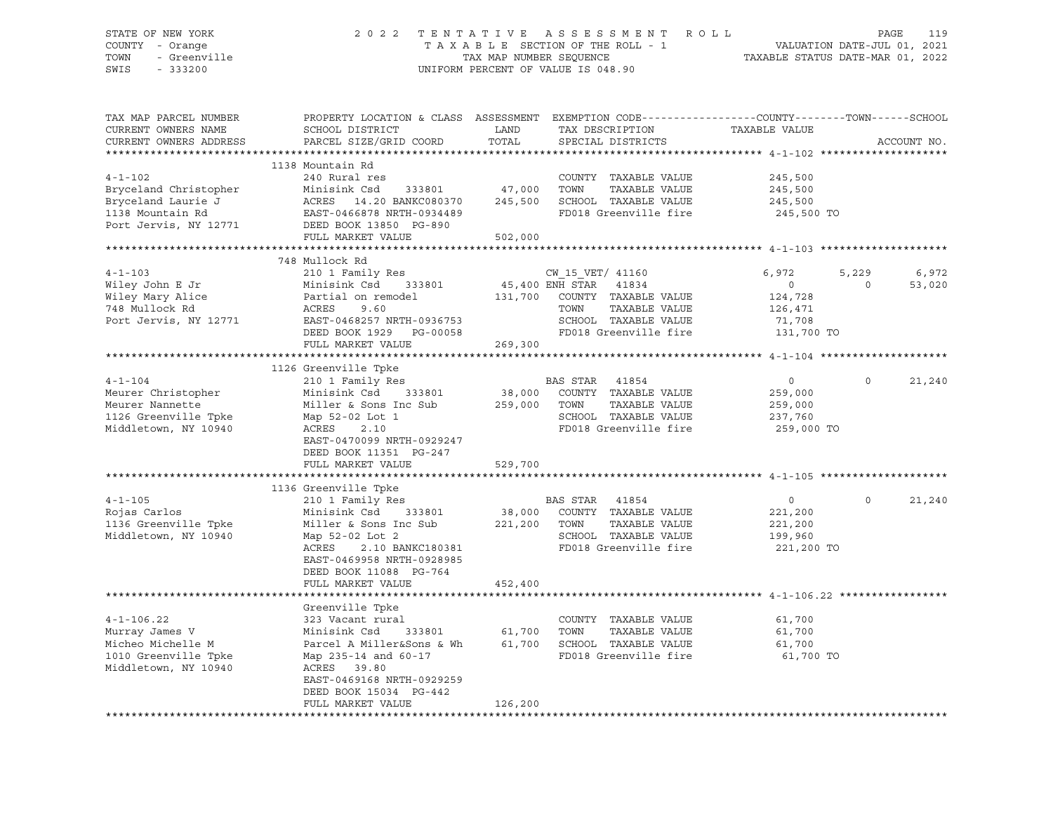# STATE OF NEW YORK 2 0 2 2 T E N T A T I V E A S S E S S M E N T R O L L PAGE 119 COUNTY - Orange T A X A B L E SECTION OF THE ROLL - 1 VALUATION DATE-JUL 01, 2021 TOWN - Greenville TAX MAP NUMBER SEQUENCE TAXABLE STATUS DATE-MAR 01, 2022 SWIS - 333200 UNIFORM PERCENT OF VALUE IS 048.90

| TAX MAP PARCEL NUMBER                        | PROPERTY LOCATION & CLASS ASSESSMENT EXEMPTION CODE---------------COUNTY-------TOWN------SCHOOL |                           |                  |                              |                                  |          |             |
|----------------------------------------------|-------------------------------------------------------------------------------------------------|---------------------------|------------------|------------------------------|----------------------------------|----------|-------------|
| CURRENT OWNERS NAME                          | SCHOOL DISTRICT                                                                                 | LAND                      |                  | TAX DESCRIPTION              | TAXABLE VALUE                    |          |             |
| CURRENT OWNERS ADDRESS                       | PARCEL SIZE/GRID COORD                                                                          | TOTAL                     |                  | SPECIAL DISTRICTS            |                                  |          | ACCOUNT NO. |
|                                              |                                                                                                 |                           |                  |                              |                                  |          |             |
|                                              | 1138 Mountain Rd                                                                                |                           |                  |                              |                                  |          |             |
| $4 - 1 - 102$                                | 240 Rural res                                                                                   |                           |                  | COUNTY TAXABLE VALUE         | 245,500                          |          |             |
| Bryceland Christopher                        | Minisink Csd<br>333801                                                                          | 47,000                    | TOWN             | TAXABLE VALUE                | 245,500                          |          |             |
| Bryceland Laurie J                           |                                                                                                 | 245,500                   |                  | SCHOOL TAXABLE VALUE         | 245,500                          |          |             |
| 1138 Mountain Rd                             | ACRES 14.20 BANKC080370<br>EAST-0466878 NRTH-0934489                                            |                           |                  | FD018 Greenville fire        | 245,500 TO                       |          |             |
| Port Jervis, NY 12771 DEED BOOK 13850 PG-890 |                                                                                                 |                           |                  |                              |                                  |          |             |
|                                              | FULL MARKET VALUE                                                                               | 502,000                   |                  |                              |                                  |          |             |
|                                              |                                                                                                 |                           |                  |                              |                                  |          |             |
|                                              | 748 Mullock Rd                                                                                  |                           |                  |                              |                                  |          |             |
| $4 - 1 - 103$                                | 210 1 Family Res                                                                                |                           | CW 15 VET/ 41160 |                              | 6,972                            | 5,229    | 6,972       |
| Wiley John E Jr                              | Minisink Csd 333801                                                                             | $45,400$ ENH STAR $41834$ |                  |                              | $\overline{0}$                   | $\Omega$ | 53,020      |
| Wiley Mary Alice                             | Partial on remodel                                                                              |                           |                  | 131,700 COUNTY TAXABLE VALUE | 124,728                          |          |             |
| 748 Mullock Rd                               | 9.60<br>EAST-0468257 NRTH-0936753<br>DEED BOOK 1930 53                                          |                           | TOWN             | TAXABLE VALUE                | 126,471                          |          |             |
| Port Jervis, NY 12771                        |                                                                                                 |                           |                  | SCHOOL TAXABLE VALUE         | 71,708                           |          |             |
|                                              | DEED BOOK 1929    PG-00058                                                                      |                           |                  |                              | FD018 Greenville fire 131,700 TO |          |             |
|                                              | FULL MARKET VALUE                                                                               | 269,300                   |                  |                              |                                  |          |             |
|                                              |                                                                                                 |                           |                  |                              |                                  |          |             |
|                                              | 1126 Greenville Tpke                                                                            |                           |                  |                              |                                  |          |             |
| $4 - 1 - 104$                                | 210 1 Family Res                                                                                |                           | BAS STAR 41854   |                              | $\overline{0}$                   | $\Omega$ | 21,240      |
| Meurer Christopher                           | Minisink Csd 333801                                                                             |                           |                  | 38,000 COUNTY TAXABLE VALUE  | 259,000                          |          |             |
| Meurer Nannette                              | Miller & Sons Inc Sub 259,000 TOWN                                                              |                           |                  | TAXABLE VALUE                | 259,000                          |          |             |
| 1126 Greenville Tpke                         | Map 52-02 Lot 1                                                                                 |                           |                  | SCHOOL TAXABLE VALUE         | 237,760                          |          |             |
| Middletown, NY 10940                         | ACRES 2.10                                                                                      |                           |                  | FD018 Greenville fire        | 259,000 TO                       |          |             |
|                                              | EAST-0470099 NRTH-0929247                                                                       |                           |                  |                              |                                  |          |             |
|                                              | DEED BOOK 11351 PG-247                                                                          |                           |                  |                              |                                  |          |             |
|                                              | FULL MARKET VALUE                                                                               | 529,700                   |                  |                              |                                  |          |             |
|                                              |                                                                                                 |                           |                  |                              |                                  |          |             |
|                                              | 1136 Greenville Tpke                                                                            |                           |                  |                              |                                  |          |             |
| $4 - 1 - 105$                                | 210 1 Family Res                                                                                |                           | BAS STAR 41854   |                              | $\circ$                          | $\circ$  | 21,240      |
| Rojas Carlos                                 | Minisink Csd 333801                                                                             |                           |                  | 38,000 COUNTY TAXABLE VALUE  | 221,200                          |          |             |
| 1136 Greenville Tpke                         | Miller & Sons Inc Sub                                                                           | 221,200 TOWN              |                  | TAXABLE VALUE                |                                  |          |             |
| Middletown, NY 10940                         | Map 52-02 Lot 2                                                                                 |                           |                  | SCHOOL TAXABLE VALUE         | 221,200<br>199,960               |          |             |
|                                              |                                                                                                 |                           |                  |                              |                                  |          |             |
|                                              | 2.10 BANKC180381<br>ACRES                                                                       |                           |                  | FD018 Greenville fire        | 221,200 TO                       |          |             |
|                                              | EAST-0469958 NRTH-0928985                                                                       |                           |                  |                              |                                  |          |             |
|                                              | DEED BOOK 11088 PG-764                                                                          |                           |                  |                              |                                  |          |             |
|                                              | FULL MARKET VALUE                                                                               | 452,400                   |                  |                              |                                  |          |             |
|                                              |                                                                                                 |                           |                  |                              |                                  |          |             |
|                                              | Greenville Tpke                                                                                 |                           |                  |                              |                                  |          |             |
| $4 - 1 - 106.22$                             | 323 Vacant rural                                                                                |                           |                  | COUNTY TAXABLE VALUE         | 61,700                           |          |             |
| Murray James V                               | Minisink Csd 333801 61,700 TOWN                                                                 |                           |                  | TAXABLE VALUE                | 61,700                           |          |             |
| Micheo Michelle M                            | Parcel A Miller&Sons & Wh 61,700 SCHOOL TAXABLE VALUE                                           |                           |                  |                              | 61,700                           |          |             |
| 1010 Greenville Tpke                         | Map 235-14 and 60-17                                                                            |                           |                  | FD018 Greenville fire        | 61,700 TO                        |          |             |
| Middletown, NY 10940                         | ACRES 39.80                                                                                     |                           |                  |                              |                                  |          |             |
|                                              | EAST-0469168 NRTH-0929259                                                                       |                           |                  |                              |                                  |          |             |
|                                              | DEED BOOK 15034 PG-442                                                                          |                           |                  |                              |                                  |          |             |
|                                              | FULL MARKET VALUE                                                                               | 126,200                   |                  |                              |                                  |          |             |
|                                              |                                                                                                 |                           |                  |                              |                                  |          |             |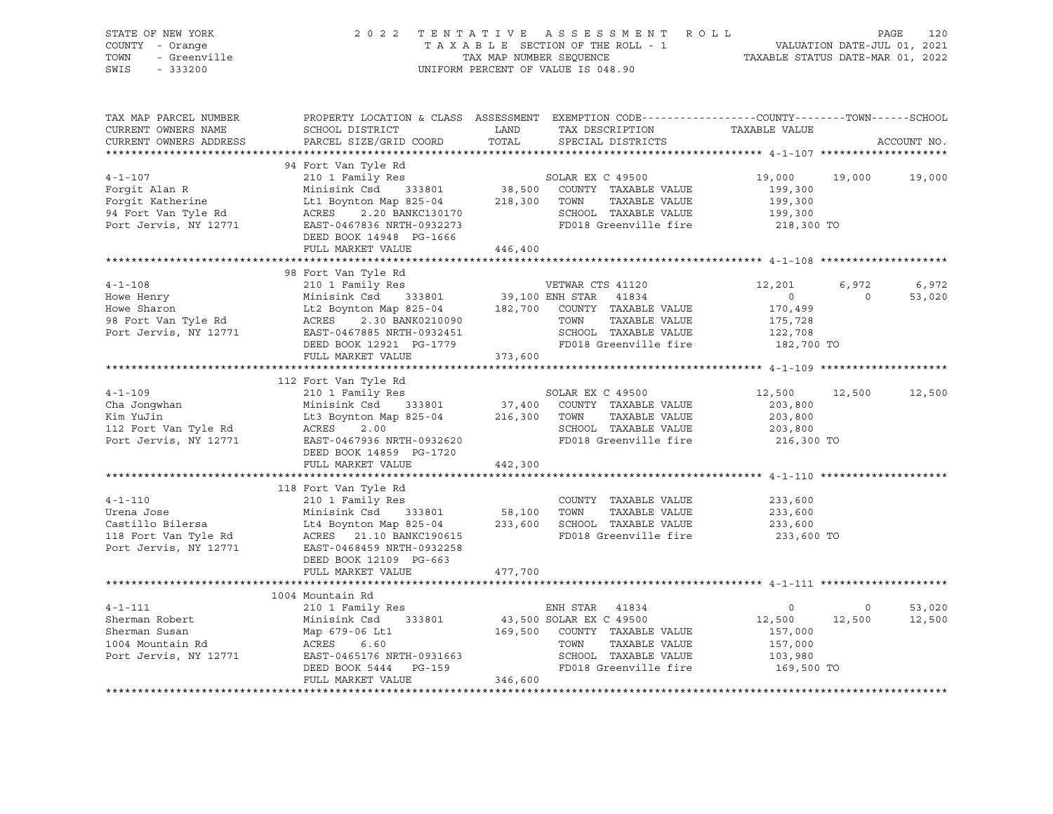| STATE OF NEW YORK<br>STATE OF NEW IVAN<br>COUNTY - Orange<br>TOWN - Greenville                                                                                                                                                                                 |                                                                                         |         | 2022 TENTATIVE ASSESSMENT ROLL PAGE 120<br>TAXABLE SECTION OF THE ROLL - 1 VALUATION DATE-JUL 01, 2021<br>TAX MAP NUMBER SEQUENCE TAXABLE STATUS DATE-MAR 01, 2022<br>UNIFORM PERCENT OF VALUE IS 048.90 |                          |                |                  |
|----------------------------------------------------------------------------------------------------------------------------------------------------------------------------------------------------------------------------------------------------------------|-----------------------------------------------------------------------------------------|---------|----------------------------------------------------------------------------------------------------------------------------------------------------------------------------------------------------------|--------------------------|----------------|------------------|
| TAX MAP PARCEL NUMBER<br>CURRENT OWNERS NAME<br>CURRENT OWNERS ADDRESS                                                                                                                                                                                         | SCHOOL DISTRICT<br>PARCEL SIZE/GRID COORD TOTAL SPECIAL DISTRICTS                       |         | PROPERTY LOCATION & CLASS ASSESSMENT EXEMPTION CODE----------------COUNTY-------TOWN------SCHOOL<br>LAND TAX DESCRIPTION TAXABLE VALUE                                                                   |                          |                | ACCOUNT NO.      |
| 94 Fort Van Tyle Rd<br>Porgit Alan R Minisink Csd 333801 38,500 COUNTY TAXABLE VALUE<br>Forgit Katherine Lt1 Boynton Map 825-04 218,300 TOWN TAXABLE VALUE<br>94 Fort Van Tyle Rd ACRES 2.0 BANKC130170 SCHOOL TAXABLE VALUE<br>Port J                         | 94 Fort Van Tyle Rd                                                                     |         |                                                                                                                                                                                                          | 19,000 19,000 19,000     |                |                  |
|                                                                                                                                                                                                                                                                | DEED BOOK 14948 PG-1666<br>FULL MARKET VALUE 446,400                                    |         |                                                                                                                                                                                                          |                          |                |                  |
|                                                                                                                                                                                                                                                                |                                                                                         |         |                                                                                                                                                                                                          |                          |                |                  |
|                                                                                                                                                                                                                                                                |                                                                                         |         |                                                                                                                                                                                                          | 12,201 6,972             | $\overline{0}$ | 6,972<br>53,020  |
|                                                                                                                                                                                                                                                                |                                                                                         |         |                                                                                                                                                                                                          |                          |                |                  |
|                                                                                                                                                                                                                                                                |                                                                                         |         |                                                                                                                                                                                                          |                          |                |                  |
| 112 Fort Van Tyle Rd<br>210 1 Family Res<br>210 1 Family Res<br>216 1 2011 Minisink Csd<br>216 333801<br>216,300 COUNTY TAXABLE VALUE<br>203,800<br>203,800<br>203,800<br>203,800<br>203,800<br>203,800<br>203,800<br>203,800<br>203,800<br>203,800<br>203,800 | DEED BOOK 14859 PG-1720                                                                 |         |                                                                                                                                                                                                          | 12,500 12,500 12,500     |                |                  |
|                                                                                                                                                                                                                                                                | FULL MARKET VALUE                                                                       | 442,300 |                                                                                                                                                                                                          |                          |                |                  |
| 4-1-110 210 1 Family Res<br>Urena Jose Minisink Csd 333801 58,100 TOWN TAXABLE VALUE<br>Castillo Bilersa Lt4 Boynton Map 825-04 233,600 SCHOOL TAXABLE VALUE<br>118 Fort Van Tyle Rd ACRES 21.10 BANKC190615 FD018 Greenville fire<br>                         | 118 Fort Van Tyle Rd<br>210 1 Family Res<br>DEED BOOK 12109 PG-663<br>FULL MARKET VALUE | 477,700 | TAXABLE VALUE<br>TAXABLE VALUE 233,600<br>TAXABLE VALUE 233,600<br>FD018 Greenville fire 233,600 TO                                                                                                      | 233,600                  |                |                  |
|                                                                                                                                                                                                                                                                |                                                                                         |         |                                                                                                                                                                                                          |                          |                |                  |
| 4-1-111<br>Sherman Robert 210 1 Family Res ENH STAR 41834 0<br>Sherman Susan Map 679-06 Lt1 169,500 SOLAR EX C 49500 12<br>169,500 COUNTY TAXABLE VALUE 157,000<br>2104 Mountain Rd ACRES 6.60 TOWN TAXABLE VALUE 157,000<br>Port Jervi                        | 1004 Mountain Rd<br>FULL MARKET VALUE                                                   | 346,600 |                                                                                                                                                                                                          | 12,500 12,500<br>157,000 | $\sim$ 0       | 53,020<br>12,500 |
|                                                                                                                                                                                                                                                                |                                                                                         |         |                                                                                                                                                                                                          |                          |                |                  |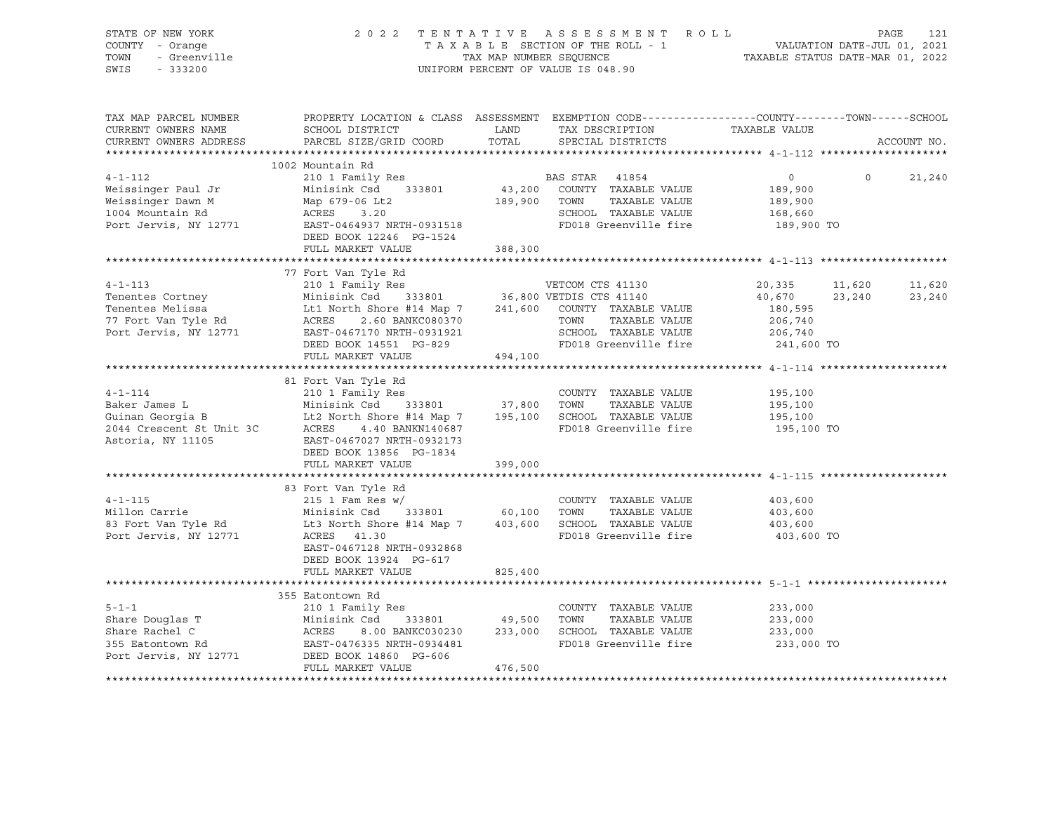| STATE OF NEW YORK<br>STATE OF NEW YORK<br>COUNTY - Orange<br>TOWN - Greenville<br>SWIS - 333200 | 2022 TENTATIVE ASSESSMENT ROLL<br>TAXABLE SECTION OF THE ROLL - 1 VALUATION DATE-JUL 01, 2021<br>TAX ABLE SECTION OF THE ROLL - 1 VALUATION DATE-JUL 01, 2021<br>TAXABLE STATUS DATE-MAR 01, 2022                                                                                                                                                                                                                                                              |         | UNIFORM PERCENT OF VALUE IS 048.90                               |                                             |                   |             |
|-------------------------------------------------------------------------------------------------|----------------------------------------------------------------------------------------------------------------------------------------------------------------------------------------------------------------------------------------------------------------------------------------------------------------------------------------------------------------------------------------------------------------------------------------------------------------|---------|------------------------------------------------------------------|---------------------------------------------|-------------------|-------------|
| TAX MAP PARCEL NUMBER<br>CURRENT OWNERS NAME                                                    | PROPERTY LOCATION & CLASS ASSESSMENT EXEMPTION CODE-----------------COUNTY-------TOWN------SCHOOL<br>SCHOOL DISTRICT                        LAND         TAX DESCRIPTION                   TAXABLE VALUE<br>CURRENT OWNERS ADDRESS PARCEL SIZE/GRID COORD TOTAL SPECIAL DISTRICTS                                                                                                                                                                              |         |                                                                  |                                             |                   | ACCOUNT NO. |
|                                                                                                 |                                                                                                                                                                                                                                                                                                                                                                                                                                                                |         |                                                                  |                                             |                   |             |
|                                                                                                 | 1002 Mountain Rd<br>4-1-112<br>Weissinger Paul Jr 210 1 Family Res<br>Weissinger Dawn M Map 679-06 Lt2<br>1004 Mountain Rd ACRES 3.20<br>200 ROUNTY TAXABLE VALUE 189,900<br>200 POWN TAXABLE VALUE 189,900<br>200 RAXABLE VALUE 189,900<br>200 SCHOOL TAXABLE V<br>DEED BOOK 12246 PG-1524                                                                                                                                                                    |         | SCHOOL TAXABLE VALUE 168,660<br>FD018 Greenville fire 189,900 TO | $\overline{0}$                              | $0 \qquad \qquad$ | 21,240      |
|                                                                                                 | FULL MARKET VALUE                                                                                                                                                                                                                                                                                                                                                                                                                                              | 388,300 |                                                                  |                                             |                   |             |
|                                                                                                 |                                                                                                                                                                                                                                                                                                                                                                                                                                                                |         |                                                                  |                                             |                   |             |
|                                                                                                 | 77 Fort Van Tyle Rd<br>$\begin{tabular}{lcccc} 4-1-113 & 77 Fort Van Type Rd & 20,335 & 11 \\ 210 1 Family Res & 36,800 VETDIS CTS 41130 & 20,335 & 11 \\ 210 1 Family Res & 36,800 VETDIS CTS 41140 & 40,670 & 23 \\ 333801 & 36,800 VETDIS CTS 41140 & 40,670 & 23 \\ 37 Fort Van Type Rd & 26,740 & 26,740 \\ 77 Fort Van Type Rd & 206,740 & 206,740 \\ 8000 K1$                                                                                           |         |                                                                  | 20,335 11,620 11,620<br>40,670 23,240       |                   | 23,240      |
|                                                                                                 | FULL MARKET VALUE                                                                                                                                                                                                                                                                                                                                                                                                                                              | 494,100 |                                                                  |                                             |                   |             |
|                                                                                                 |                                                                                                                                                                                                                                                                                                                                                                                                                                                                |         |                                                                  |                                             |                   |             |
|                                                                                                 | $\begin{tabular}{lllllllllll} \multicolumn{3}{c }{\textbf{a}} & \multicolumn{3}{c }{\textbf{a}} & \multicolumn{3}{c }{\textbf{a}} & \multicolumn{3}{c }{\textbf{a}} & \multicolumn{3}{c }{\textbf{a}} & \multicolumn{3}{c }{\textbf{a}} & \multicolumn{3}{c }{\textbf{a}} & \multicolumn{3}{c }{\textbf{a}} & \multicolumn{3}{c }{\textbf{a}} & \multicolumn{3}{c }{\textbf{a}} & \multicolumn{3}{c }{\textbf{a}} & \multicolumn{3}{c }{\textbf{a}} & \multic$ |         |                                                                  | 195,100 TO                                  |                   |             |
|                                                                                                 | FULL MARKET VALUE                                                                                                                                                                                                                                                                                                                                                                                                                                              | 399,000 |                                                                  |                                             |                   |             |
|                                                                                                 | EAST-0467128 NRTH-0932868<br>DEED BOOK 13924 PG-617                                                                                                                                                                                                                                                                                                                                                                                                            |         | FD018 Greenville fire                                            | 403,600<br>403,600<br>403,600<br>403,600 TO |                   |             |
|                                                                                                 | FULL MARKET VALUE                                                                                                                                                                                                                                                                                                                                                                                                                                              | 825,400 |                                                                  |                                             |                   |             |
|                                                                                                 |                                                                                                                                                                                                                                                                                                                                                                                                                                                                |         |                                                                  |                                             |                   |             |
|                                                                                                 | 355 Eatontown Rd<br>5-1-1 210 1 Family Res<br>Share Douglas T<br>Share Rachel C<br>Share Rachel C<br>355 Eatontown Rd<br>255 Eatontown Rd<br>26.00 BANKC030230 233,000 SCHOOL TAXABLE VALUE<br>255 Eatontown Rd<br>26.00 BANKC030230 233,000 SCHOOL TAXABLE VALUE<br><br>FULL MARKET VALUE                                                                                                                                                                     | 476,500 | FD018 Greenville fire 233,000 TO                                 | 233,000<br>TAXABLE VALUE 233,000<br>233,000 |                   |             |
|                                                                                                 |                                                                                                                                                                                                                                                                                                                                                                                                                                                                |         |                                                                  |                                             |                   |             |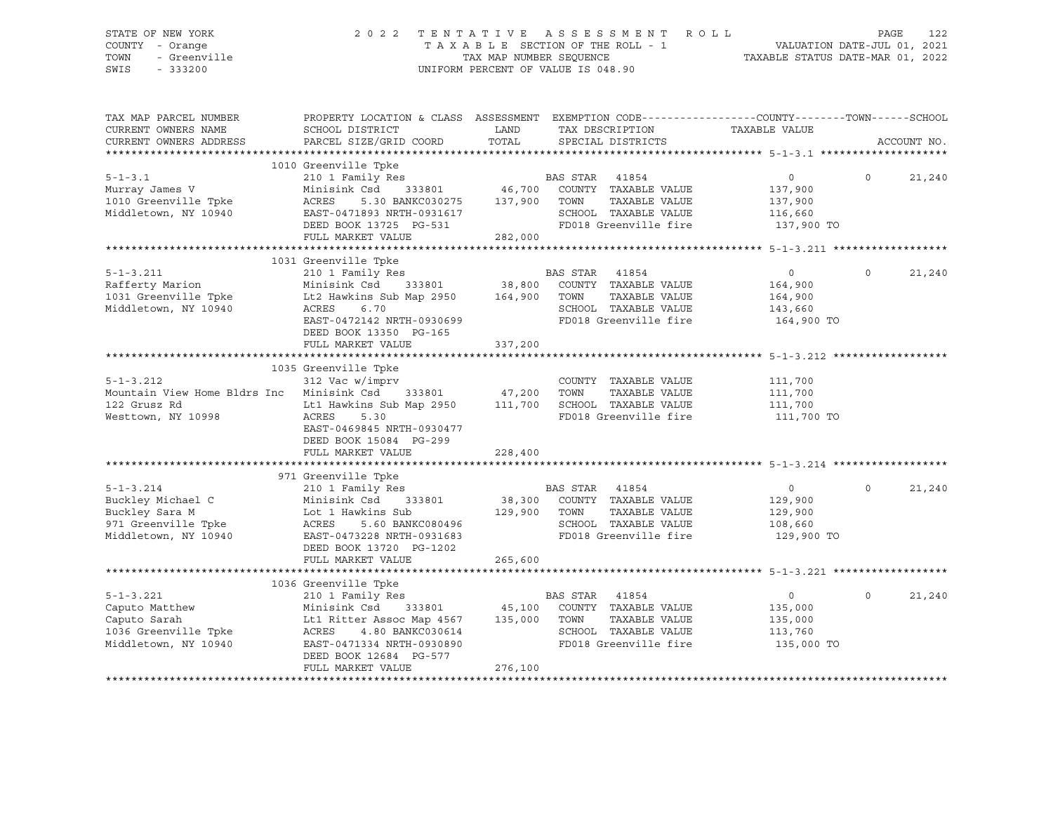# STATE OF NEW YORK 2 0 2 2 T E N T A T I V E A S S E S S M E N T R O L L PAGE 122 COUNTY - Orange T A X A B L E SECTION OF THE ROLL - 1 VALUATION DATE-JUL 01, 2021 TOWN - Greenville TAX MAP NUMBER SEQUENCE TAXABLE STATUS DATE-MAR 01, 2022 SWIS - 333200 UNIFORM PERCENT OF VALUE IS 048.90

| TAX MAP PARCEL NUMBER<br>CURRENT OWNERS NAME<br>CURRENT OWNERS ADDRESS                                        | PROPERTY LOCATION & CLASS ASSESSMENT EXEMPTION CODE----------------COUNTY-------TOWN-----SCHOOL<br>SCHOOL DISTRICT<br>PARCEL SIZE/GRID COORD                                                                                                                  | LAND<br>TOTAL           | TAX DESCRIPTION<br>SPECIAL DISTRICTS                                                                                                   | TAXABLE VALUE                                                 | ACCOUNT NO.        |
|---------------------------------------------------------------------------------------------------------------|---------------------------------------------------------------------------------------------------------------------------------------------------------------------------------------------------------------------------------------------------------------|-------------------------|----------------------------------------------------------------------------------------------------------------------------------------|---------------------------------------------------------------|--------------------|
| $5 - 1 - 3.1$<br>Murray James V<br>1010 Greenville Tpke<br>Middletown, NY 10940                               | 1010 Greenville Tpke<br>210 1 Family Res<br>Minisink Csd<br>5.30 BANKC030275 137,900 TOWN<br>ACRES<br>EAST-0471893 NRTH-0931617<br>DEED BOOK 13725 PG-531<br>FULL MARKET VALUE                                                                                | 282,000                 | s<br>BAS STAR 41854<br>333801 46,700 COUNTY TAXABLE VALUE<br>TAXABLE VALUE<br>SCHOOL TAXABLE VALUE<br>FD018 Greenville fire 137,900 TO | $\overline{0}$<br>137,900<br>137,900<br>116,660               | $\Omega$<br>21,240 |
| $5 - 1 - 3.211$<br>Rafferty Marion<br>1031 Greenville Tpke<br>Middletown, NY 10940                            | 1031 Greenville Tpke<br>210 1 Family Res BP<br>Minisink Csd 333801 38,800<br>Lt2 Hawkins Sub Map 2950 164,900 TOWN<br>ACRES<br>6.70<br>EAST-0472142 NRTH-0930699<br>DEED BOOK 13350 PG-165<br>FULL MARKET VALUE                                               | 337,200                 | BAS STAR 41854<br>COUNTY TAXABLE VALUE<br>TAXABLE VALUE<br>SCHOOL TAXABLE VALUE<br>FD018 Greenville fire                               | $\circ$<br>164,900<br>164,900<br>143,660<br>164,900 TO        | 21,240<br>$\Omega$ |
| $5 - 1 - 3.212$<br>122 Grusz Rd<br>Westtown, NY 10998                                                         | 1035 Greenville Tpke<br>312 Vac w/imprv<br>Mountain View Home Bldrs Inc Minisink Csd 333801 47,200 TOWN<br>Lt1 Hawkins Sub Map 2950 111,700 SCHOOL TAXABLE VALUE<br>ACRES<br>5.30<br>EAST-0469845 NRTH-0930477<br>DEED BOOK 15084 PG-299<br>FULL MARKET VALUE | 228,400                 | COUNTY TAXABLE VALUE<br>TAXABLE VALUE<br>FD018 Greenville fire                                                                         | 111,700<br>111,700<br>111,700<br>111,700 TO                   |                    |
| $5 - 1 - 3.214$<br>Buckley Michael C<br>Buckley Sara M<br>971 Greenville Tpke<br>Middletown, NY 10940         | 971 Greenville Tpke<br>210 1 Family Res<br>Minisink Csd 333801<br>Lot 1 Hawkins Sub<br>ACRES 5.60 BANKC080496<br>EAST-0473228 NRTH-0931683<br>DEED BOOK 13720 PG-1202<br>FULL MARKET VALUE                                                                    | 129,900 TOWN<br>265,600 | BAS STAR 41854<br>38,300 COUNTY TAXABLE VALUE<br>TAXABLE VALUE<br>SCHOOL TAXABLE VALUE<br>FD018 Greenville fire                        | $\overline{0}$<br>129,900<br>129,900<br>108,660<br>129,900 TO | 21,240<br>$\Omega$ |
| $5 - 1 - 3.221$<br>S-1 S.L.<br>Caputo Matthew<br>Caputo Sarah<br>1036 Greenville Tpke<br>Middletown, NY 10940 | 1036 Greenville Tpke<br>210 1 Family Res<br>Minisink Csd 333801 45,100 COUNTY TAXABLE VALUE<br>Lt1 Ritter Assoc Map 4567 135,000 TOWN<br>ACRES 4.80 BANKC030614<br>EAST-0471334 NRTH-0930890<br>DEED BOOK 12684 PG-577<br>FULL MARKET VALUE                   | 276,100                 | BAS STAR 41854<br>TAXABLE VALUE<br>SCHOOL TAXABLE VALUE<br>FD018 Greenville fire                                                       | $\circ$<br>135,000<br>135,000<br>113,760<br>135,000 TO        | $\Omega$<br>21,240 |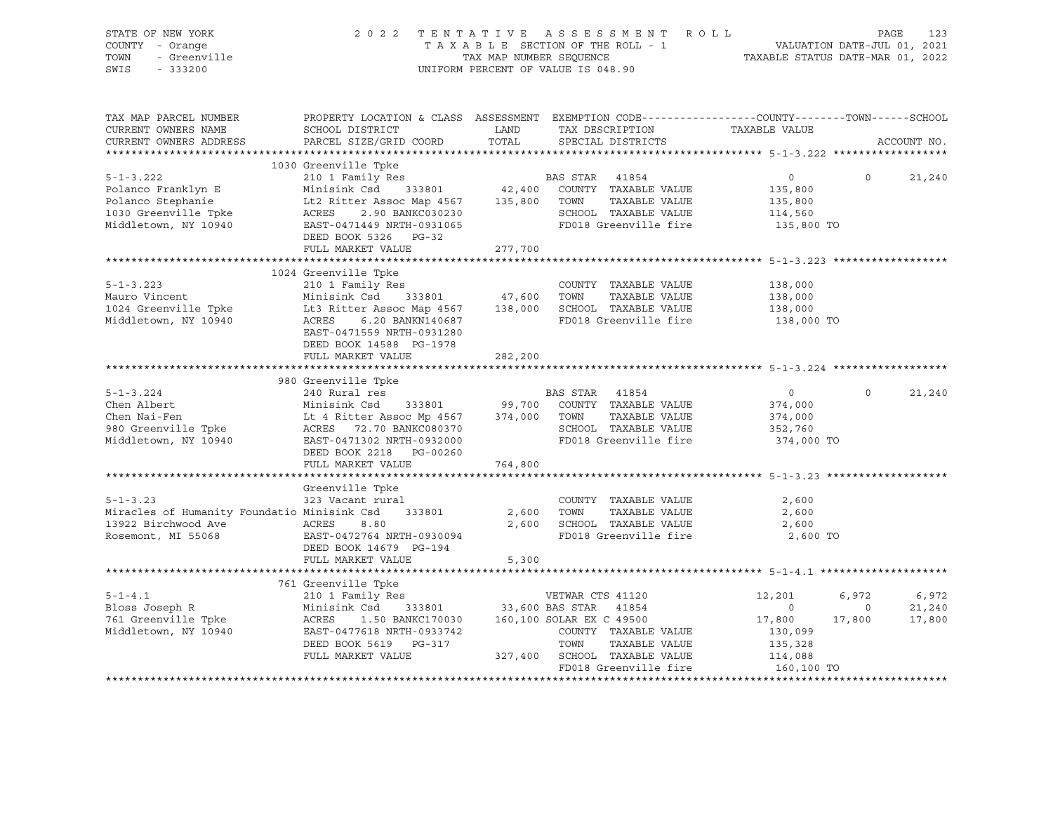| STATE OF NEW YORK<br>COUNTY - Orange<br>TOWN<br>- Greenville<br>SWIS<br>$-333200$                          | 2 0 2 2                                                                                                                                                                                                                                                                             | TAXABLE SECTION OF THE ROLL - 1<br>TAX MAP NUMBER SEQUENCE<br>UNIFORM PERCENT OF VALUE IS 048.90 |                                  | TENTATIVE ASSESSMENT ROLL                                                                      | VALUATION DATE-JUL 01, 2021<br>TAXABLE STATUS DATE-MAR 01, 2022            |                                   | PAGE<br>123               |
|------------------------------------------------------------------------------------------------------------|-------------------------------------------------------------------------------------------------------------------------------------------------------------------------------------------------------------------------------------------------------------------------------------|--------------------------------------------------------------------------------------------------|----------------------------------|------------------------------------------------------------------------------------------------|----------------------------------------------------------------------------|-----------------------------------|---------------------------|
| TAX MAP PARCEL NUMBER<br>CURRENT OWNERS NAME<br>CURRENT OWNERS ADDRESS                                     | PROPERTY LOCATION & CLASS ASSESSMENT EXEMPTION CODE----------------COUNTY-------TOWN-----SCHOOL<br>SCHOOL DISTRICT<br>PARCEL SIZE/GRID COORD                                                                                                                                        | LAND                                                                                             |                                  | TAX DESCRIPTION<br>TOTAL SPECIAL DISTRICTS                                                     | TAXABLE VALUE                                                              |                                   | ACCOUNT NO.               |
|                                                                                                            | 1030 Greenville Tpke                                                                                                                                                                                                                                                                |                                                                                                  |                                  |                                                                                                |                                                                            |                                   |                           |
| $5 - 1 - 3.222$<br>Polanco Franklyn E<br>Polanco Stephanie<br>1030 Greenville Tpke<br>Middletown, NY 10940 | 210 1 Family Res<br>Minisink Csd 333801 42,400 COUNTY TAXABLE VALUE<br>Lt2 Ritter Assoc Map 4567 135,800 TOWN TAXABLE VALUE<br>ACRES 2.90 BANKC030230 2000 COUNTY TAXABLE VALUE<br>ACRES 2.90 BANKC030230<br>EAST-0471449 NRTH-0931065<br>DEED BOOK 5326 PG-32<br>FULL MARKET VALUE | <b>BAS STAR 41854</b><br>277,700                                                                 |                                  | SCHOOL TAXABLE VALUE<br>FD018 Greenville fire                                                  | $\overline{0}$<br>135,800<br>135,800<br>114,560<br>135,800 TO              | $\Omega$                          | 21,240                    |
|                                                                                                            |                                                                                                                                                                                                                                                                                     |                                                                                                  |                                  |                                                                                                |                                                                            |                                   |                           |
| $5 - 1 - 3.223$<br>Mauro Vincent<br>1024 Greenville Tpke<br>Middletown, NY 10940                           | 1024 Greenville Tpke<br>210 1 Family Res<br>333801 47,600 TOWN<br>Minisink Csd<br>Lt3 Ritter Assoc Map 4567 138,000 SCHOOL TAXABLE VALUE<br>ACRES 6.20 BANKN140687 FD018 Greenville fire<br>EAST-0471559 NRTH-0931280<br>DEED BOOK 14588 PG-1978                                    |                                                                                                  |                                  | COUNTY TAXABLE VALUE<br>TAXABLE VALUE<br>FD018 Greenville fire                                 | 138,000<br>138,000<br>138,000<br>138,000 TO                                |                                   |                           |
|                                                                                                            | FULL MARKET VALUE                                                                                                                                                                                                                                                                   | 282,200                                                                                          |                                  |                                                                                                |                                                                            |                                   |                           |
|                                                                                                            |                                                                                                                                                                                                                                                                                     |                                                                                                  |                                  |                                                                                                |                                                                            |                                   |                           |
|                                                                                                            | 980 Greenville Tpke                                                                                                                                                                                                                                                                 |                                                                                                  |                                  |                                                                                                |                                                                            |                                   |                           |
| $5 - 1 - 3.224$<br>Chen Albert<br>Chen Nai-Fen<br>980 Greenville Tpke<br>Middletown, NY 10940              | 240 Rural res<br>Minisink Csd 333801<br>EAST-0471302 NRTH-0932000<br>DEED BOOK 2218 PG-00260                                                                                                                                                                                        |                                                                                                  | BAS STAR 41854                   | 99,700 COUNTY TAXABLE VALUE<br>TAXABLE VALUE<br>SCHOOL TAXABLE VALUE<br>FD018 Greenville fire  | $\overline{0}$<br>374,000<br>374,000<br>352,760<br>374,000 TO              | $\Omega$                          | 21,240                    |
|                                                                                                            | FULL MARKET VALUE                                                                                                                                                                                                                                                                   | 764,800                                                                                          |                                  |                                                                                                |                                                                            |                                   |                           |
| $5 - 1 - 3.23$<br>Miracles of Humanity Foundatio Minisink Csd<br>13922 Birchwood Ave<br>Rosemont, MI 55068 | Greenville Tpke<br>323 Vacant rural<br>333801<br>ACRES<br>8.80<br>EAST-0472764 NRTH-0930094<br>DEED BOOK 14679 PG-194<br>FULL MARKET VALUE                                                                                                                                          | 5,300                                                                                            | 2,600 TOWN                       | COUNTY TAXABLE VALUE<br>TAXABLE VALUE<br>2,600 SCHOOL TAXABLE VALUE<br>FD018 Greenville fire   | 2,600<br>2,600<br>2,600<br>2,600 TO                                        |                                   |                           |
|                                                                                                            |                                                                                                                                                                                                                                                                                     |                                                                                                  |                                  |                                                                                                |                                                                            |                                   |                           |
|                                                                                                            | 761 Greenville Tpke                                                                                                                                                                                                                                                                 |                                                                                                  |                                  |                                                                                                |                                                                            |                                   |                           |
| $5 - 1 - 4.1$<br>Bloss Joseph R<br>761 Greenville Tpke<br>Middletown, NY 10940                             | Greenville Tpke<br>210 1 Family Res<br>210 1 City Res<br>233,600 BAS STAR 41854<br>1.50 BANKC170030<br>ACRES<br>EAST-0477618 NRTH-0933742<br>DEED BOOK 5619 PG-317<br>FULL MARKET VALUE                                                                                             |                                                                                                  | 160,100 SOLAR EX C 49500<br>TOWN | COUNTY TAXABLE VALUE<br>TAXABLE VALUE<br>327,400 SCHOOL TAXABLE VALUE<br>FD018 Greenville fire | 12,201<br>$\circ$<br>17,800<br>130,099<br>135,328<br>114,088<br>160,100 TO | 6,972<br>$\overline{0}$<br>17,800 | 6,972<br>21,240<br>17,800 |
|                                                                                                            |                                                                                                                                                                                                                                                                                     |                                                                                                  |                                  |                                                                                                |                                                                            |                                   |                           |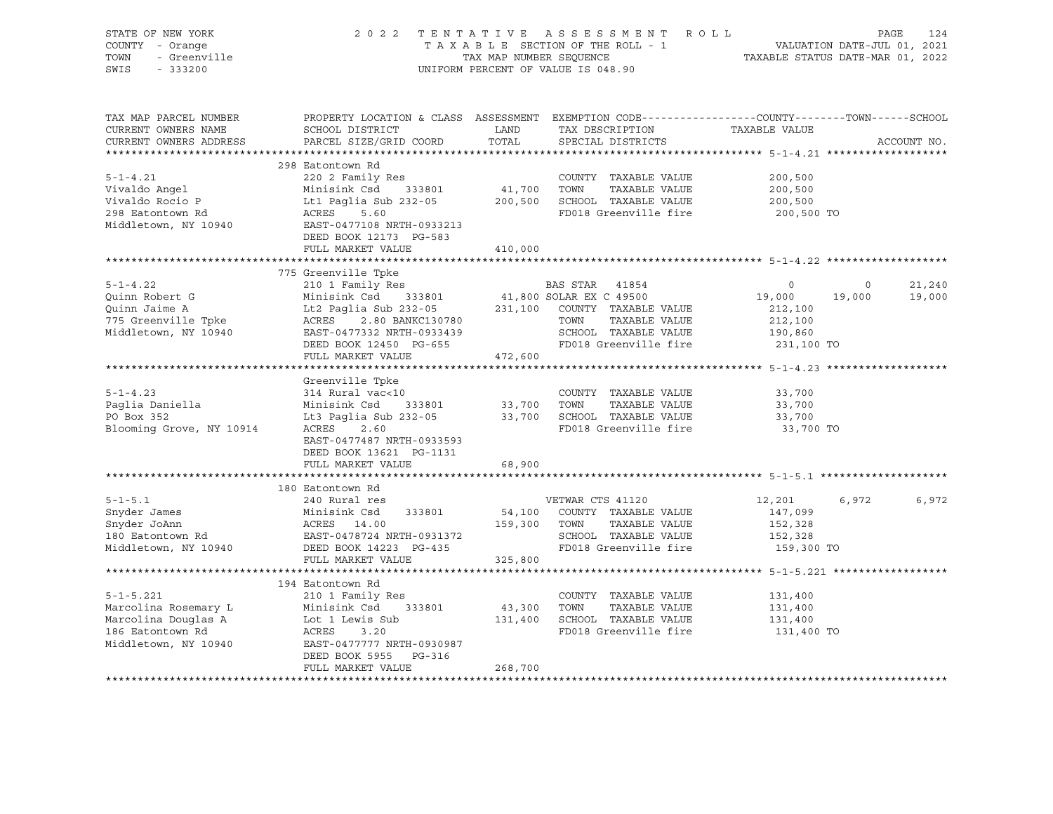| STATE OF NEW YORK<br>COUNTY - Orange<br>- Greenville<br>TOWN<br>SWIS<br>$-333200$                          |                                                                                                                                                                                          | TAX MAP NUMBER SEQUENCE | 2022 TENTATIVE ASSESSMENT ROLL<br>TAXABLE SECTION OF THE ROLL - 1<br>UNIFORM PERCENT OF VALUE IS 048.90                      | VALUATION DATE-JUL 01, 2021<br>TAXABLE STATUS DATE-MAR 01, 2022 |                   | PAGE<br>124      |
|------------------------------------------------------------------------------------------------------------|------------------------------------------------------------------------------------------------------------------------------------------------------------------------------------------|-------------------------|------------------------------------------------------------------------------------------------------------------------------|-----------------------------------------------------------------|-------------------|------------------|
| TAX MAP PARCEL NUMBER<br>CURRENT OWNERS NAME<br>CURRENT OWNERS ADDRESS                                     | PROPERTY LOCATION & CLASS ASSESSMENT EXEMPTION CODE----------------COUNTY-------TOWN------SCHOOL<br>SCHOOL DISTRICT<br>PARCEL SIZE/GRID COORD                                            | LAND<br>TOTAL           | TAX DESCRIPTION TAXABLE VALUE<br>SPECIAL DISTRICTS                                                                           |                                                                 |                   | ACCOUNT NO.      |
|                                                                                                            | 298 Eatontown Rd                                                                                                                                                                         |                         |                                                                                                                              |                                                                 |                   |                  |
| $5 - 1 - 4.21$<br>Vivaldo Angel<br>Vivaldo Rocio P<br>298 Eatontown Rd<br>Middletown, NY 10940             | 220 2 Family Res<br>333801 41,700 TOWN<br>Minisink Csd<br>Lt1 Paglia Sub 232-05<br>ACRES 5.60<br>EAST-0477108 NRTH-0933213                                                               |                         | COUNTY TAXABLE VALUE<br>TAXABLE VALUE<br>200,500 SCHOOL TAXABLE VALUE<br>FD018 Greenville fire                               | 200,500<br>200,500<br>200,500<br>200,500 TO                     |                   |                  |
|                                                                                                            | DEED BOOK 12173 PG-583<br>FULL MARKET VALUE                                                                                                                                              | 410,000                 |                                                                                                                              |                                                                 |                   |                  |
|                                                                                                            |                                                                                                                                                                                          |                         |                                                                                                                              |                                                                 |                   |                  |
|                                                                                                            | 775 Greenville Tpke                                                                                                                                                                      |                         |                                                                                                                              |                                                                 |                   |                  |
| $5 - 1 - 4.22$<br>Quinn Robert G<br>Quinn Jaime A<br>775 Greenville Tpke<br>Middletown, NY 10940           | 210 1 Family Res<br>Minisink Csd 333801<br>Lt2 Paglia Sub 232-05 231,100 COUNTY TAXABLE VALUE<br>ACRES 2.80 BANKC130780<br>EAST-0477332 NRTH-0933439                                     |                         | BAS STAR 41854<br>41,800 SOLAR EX C 49500<br>TOWN<br>TAXABLE VALUE<br>SCHOOL TAXABLE VALUE                                   | $\circ$<br>19,000<br>212,100<br>212,100<br>190,860              | $\circ$<br>19,000 | 21,240<br>19,000 |
|                                                                                                            | DEED BOOK 12450 PG-655                                                                                                                                                                   |                         | FD018 Greenville fire                                                                                                        | 231,100 TO                                                      |                   |                  |
|                                                                                                            | FULL MARKET VALUE                                                                                                                                                                        | 472,600                 |                                                                                                                              |                                                                 |                   |                  |
|                                                                                                            |                                                                                                                                                                                          |                         |                                                                                                                              |                                                                 |                   |                  |
| $5 - 1 - 4.23$<br>Paglia Daniella<br>PO Box 352<br>Blooming Grove, NY 10914                                | Greenville Tpke<br>314 Rural vac<10<br>Minisink Csd 333801<br>Lt3 Paglia Sub 232-05 33,700 SCHOOL TAXABLE VALUE<br>2.60<br>ACRES<br>EAST-0477487 NRTH-0933593<br>DEED BOOK 13621 PG-1131 | 33,700 TOWN             | COUNTY TAXABLE VALUE<br>TAXABLE VALUE<br>FD018 Greenville fire                                                               | 33,700<br>33,700<br>33,700<br>33,700 TO                         |                   |                  |
|                                                                                                            | FULL MARKET VALUE                                                                                                                                                                        | 68,900                  |                                                                                                                              |                                                                 |                   |                  |
|                                                                                                            |                                                                                                                                                                                          |                         |                                                                                                                              |                                                                 |                   |                  |
|                                                                                                            | 180 Eatontown Rd                                                                                                                                                                         |                         |                                                                                                                              |                                                                 |                   |                  |
| $5 - 1 - 5.1$<br>Snyder James<br>Snyder JoAnn<br>180 Eatontown Rd<br>Middletown, NY 10940                  | 240 Rural res<br>Minisink Csd<br>333801<br>MINISINK CSG<br>ACRES 14.00<br>12011<br>EAST-0478724 NRTH-0931372<br>DEED POOK 14223 PG-435<br>DEED BOOK 14223 PG-435<br>FULL MARKET VALUE    | 159,300 TOWN<br>325,800 | VETWAR CTS 41120<br>54,100 COUNTY TAXABLE VALUE<br>TAXABLE VALUE<br>SCHOOL TAXABLE VALUE<br>FD018 Greenville fire 159,300 TO | 12,201<br>147,099<br>152,328<br>152,328                         | 6,972             | 6,972            |
|                                                                                                            |                                                                                                                                                                                          |                         |                                                                                                                              |                                                                 |                   |                  |
| $5 - 1 - 5.221$<br>Marcolina Rosemary L<br>Marcolina Douglas A<br>186 Eatontown Rd<br>Middletown, NY 10940 | 194 Eatontown Rd<br>210 1 Family Res<br>333801<br>Minisink Csd<br>Lot 1 Lewis Sub<br>ACRES<br>3.20<br>EAST-0477777 NRTH-0930987<br>DEED BOOK 5955 PG-316                                 | 43,300 TOWN             | COUNTY TAXABLE VALUE<br>TAXABLE VALUE<br>131,400 SCHOOL TAXABLE VALUE<br>FD018 Greenville fire                               | 131,400<br>131,400<br>131,400<br>131,400 TO                     |                   |                  |
|                                                                                                            | FULL MARKET VALUE                                                                                                                                                                        | 268,700                 |                                                                                                                              |                                                                 |                   |                  |
|                                                                                                            |                                                                                                                                                                                          |                         |                                                                                                                              |                                                                 |                   |                  |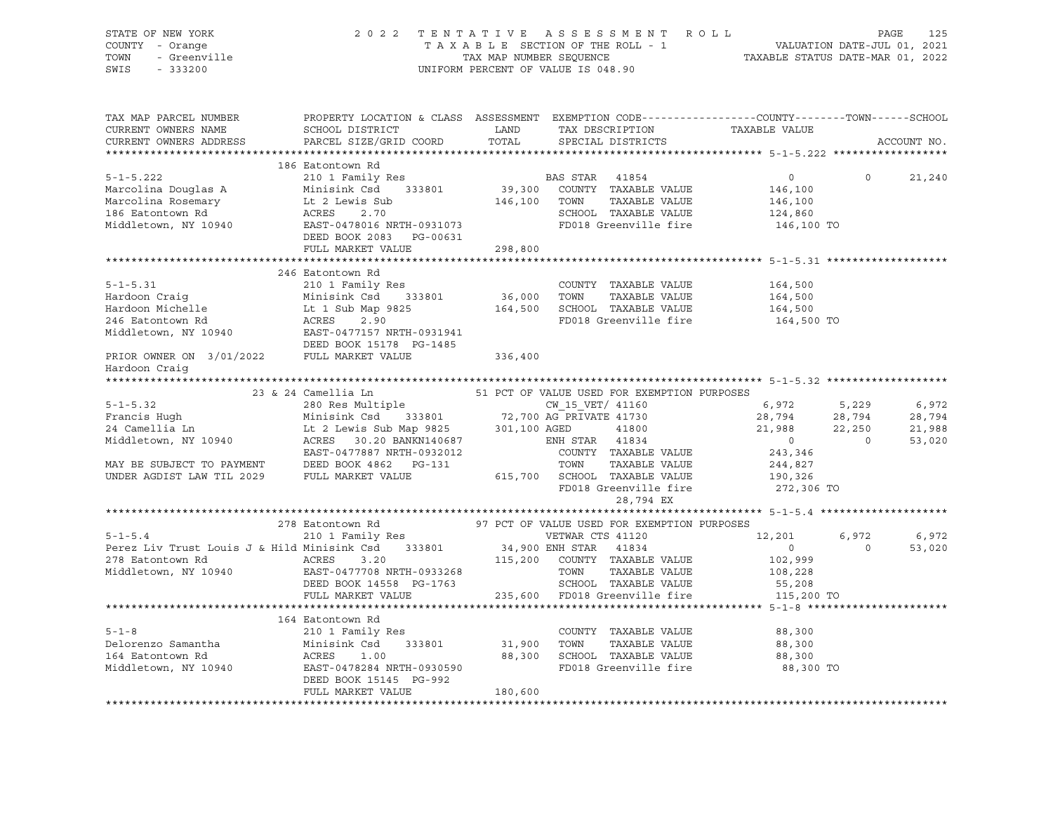| STATE OF NEW YORK<br>Criman Form<br>7 - Orange<br>- Greenville<br>COUNTY - Orange<br>TOWN<br>SWIS<br>$-333200$                                                                                                                                                                                                                              |                                                                                                                                                                                       |         | 2022 TENTATIVE ASSESSMENT ROLL PAGE 125<br>TAXABLE SECTION OF THE ROLL - 1<br>TAX MAP NUMBER SEQUENCE TAXABLE STATUS DATE-MAR 01, 2021<br>TAXABLE STATUS DATE-MAR 01, 2022<br>UNIFORM PERCENT OF VALUE IS 048.90                                                                                                                                                                                                                                                                                                                    |                                                               |                |             |
|---------------------------------------------------------------------------------------------------------------------------------------------------------------------------------------------------------------------------------------------------------------------------------------------------------------------------------------------|---------------------------------------------------------------------------------------------------------------------------------------------------------------------------------------|---------|-------------------------------------------------------------------------------------------------------------------------------------------------------------------------------------------------------------------------------------------------------------------------------------------------------------------------------------------------------------------------------------------------------------------------------------------------------------------------------------------------------------------------------------|---------------------------------------------------------------|----------------|-------------|
| TAX MAP PARCEL NUMBER<br>CURRENT OWNERS NAME<br>CURRENT OWNERS ADDRESS                                                                                                                                                                                                                                                                      | PROPERTY LOCATION & CLASS ASSESSMENT EXEMPTION CODE----------------COUNTY-------TOWN------SCHOOL<br>SCHOOL DISTRICT<br>PARCEL SIZE/GRID COORD                                         |         | LAND TAX DESCRIPTION TAXABLE VALUE<br>TOTAI. SPECIAL DISTRICTS TOTAI.                                                                                                                                                                                                                                                                                                                                                                                                                                                               |                                                               |                | ACCOUNT NO. |
|                                                                                                                                                                                                                                                                                                                                             | 186 Eatontown Rd                                                                                                                                                                      |         |                                                                                                                                                                                                                                                                                                                                                                                                                                                                                                                                     |                                                               |                |             |
| $5 - 1 - 5.222$<br>Marcolina Douglas A<br>Marcolina Rosemary<br>186 Eatontown Rd<br>Middletown, NY 10940                                                                                                                                                                                                                                    | 210 1 Family Res<br>Minisink Csd<br>333801<br>ramily R<br>Minisink Csd<br>Lt 2 Lewis Sub<br>ACRES 2.70<br>EAST<br>EAST-0478016 NRTH-0931073<br>DEED BOOK 2083 PG-00631                | 146,100 | BAS STAR 41854<br>39,300 COUNTY TAXABLE VALUE<br>TAXABLE VALUE<br>TOWN<br>SCHOOL TAXABLE VALUE<br>FD018 Greenville fire                                                                                                                                                                                                                                                                                                                                                                                                             | $\overline{0}$<br>146,100<br>146,100<br>124,860<br>146,100 TO | $\overline{0}$ | 21,240      |
|                                                                                                                                                                                                                                                                                                                                             | FULL MARKET VALUE                                                                                                                                                                     | 298,800 |                                                                                                                                                                                                                                                                                                                                                                                                                                                                                                                                     |                                                               |                |             |
|                                                                                                                                                                                                                                                                                                                                             |                                                                                                                                                                                       |         |                                                                                                                                                                                                                                                                                                                                                                                                                                                                                                                                     |                                                               |                |             |
| $5 - 1 - 5.31$<br>Hardoon Craiq<br>Hardoon Michelle<br>246 Eatontown Rd<br>Middletown, NY 10940                                                                                                                                                                                                                                             | 246 Eatontown Rd<br>210 1 Family Res<br>Minisink Csd 333801<br>Lt 1 Sub Map 9825<br>ACRES 2.90<br>ACRES<br>2.90<br>ACRES 2.90<br>EAST-0477157 NRTH-0931941<br>DEED BOOK 15178 PG-1485 | 36,000  | COUNTY TAXABLE VALUE<br>TOWN<br>TAXABLE VALUE<br>164,500 SCHOOL TAXABLE VALUE<br>FD018 Greenville fire                                                                                                                                                                                                                                                                                                                                                                                                                              | 164,500<br>164,500<br>164,500<br>164,500 TO                   |                |             |
| PRIOR OWNER ON 3/01/2022 FULL MARKET VALUE                                                                                                                                                                                                                                                                                                  |                                                                                                                                                                                       | 336,400 |                                                                                                                                                                                                                                                                                                                                                                                                                                                                                                                                     |                                                               |                |             |
| Hardoon Craiq                                                                                                                                                                                                                                                                                                                               |                                                                                                                                                                                       |         |                                                                                                                                                                                                                                                                                                                                                                                                                                                                                                                                     |                                                               |                |             |
|                                                                                                                                                                                                                                                                                                                                             |                                                                                                                                                                                       |         |                                                                                                                                                                                                                                                                                                                                                                                                                                                                                                                                     |                                                               |                |             |
|                                                                                                                                                                                                                                                                                                                                             | 23 & 24 Camellia Ln                                                                                                                                                                   |         | 51 PCT OF VALUE USED FOR EXEMPTION PURPOSES                                                                                                                                                                                                                                                                                                                                                                                                                                                                                         |                                                               |                |             |
|                                                                                                                                                                                                                                                                                                                                             |                                                                                                                                                                                       |         |                                                                                                                                                                                                                                                                                                                                                                                                                                                                                                                                     | 6,972 5,229                                                   |                | 6,972       |
|                                                                                                                                                                                                                                                                                                                                             |                                                                                                                                                                                       |         |                                                                                                                                                                                                                                                                                                                                                                                                                                                                                                                                     | $28,794$<br>21,988                                            | 28,794         | 28,794      |
|                                                                                                                                                                                                                                                                                                                                             |                                                                                                                                                                                       |         |                                                                                                                                                                                                                                                                                                                                                                                                                                                                                                                                     |                                                               | 22,250         | 21,988      |
| 5-1-5.32<br>Francis Hugh Minisink Csd 333801 72,700 AG PRIVATE 41730<br>24 Camellia Ln Lt 2 Lewis Sub Map 9825 301,100 AGED 41800<br>24 Minisink Csd 333801 72,700 AG PRIVATE 41730<br>24 Minisink Csd 333801 72,700 AG PRIVATE 41730<br><br>MAY BE SUBJECT TO PAYMENT DEED BOOK 4862 PG-131<br>UNDER AGDIST LAW TIL 2029 FULL MARKET VALUE | EAST-0477887 NRTH-0932012                                                                                                                                                             |         | $\begin{array}{c}\n 2.1300 \\  \text{ENH} \quad \text{STAR} \quad 41834 \\  \text{G2} \quad \text{G2} \quad \text{G2} \quad \text{G2} \quad \text{G2} \quad \text{G2} \quad \text{G2} \quad \text{G2} \quad \text{G2} \quad \text{G2} \quad \text{G2} \quad \text{G2} \quad \text{G2} \quad \text{G2} \quad \text{G2} \quad \text{G2} \quad \text{G2} \quad \text{G2} \quad \text{G2} \quad \text{G2} \quad \text{G2} \quad \text{G2} \quad \text{G2$<br>COUNTY TAXABLE VALUE<br>TOWN TAXABLE VALUE<br>615,700 SCHOOL TAXABLE VALUE | $\overline{0}$<br>243,346<br>244,827<br>190,326               | $\sim$ 0       | 53,020      |
|                                                                                                                                                                                                                                                                                                                                             |                                                                                                                                                                                       |         | FD018 Greenville fire<br>28,794 EX                                                                                                                                                                                                                                                                                                                                                                                                                                                                                                  | 272,306 TO                                                    |                |             |
|                                                                                                                                                                                                                                                                                                                                             |                                                                                                                                                                                       |         |                                                                                                                                                                                                                                                                                                                                                                                                                                                                                                                                     |                                                               |                |             |
| $5 - 1 - 5.4$                                                                                                                                                                                                                                                                                                                               | $278\,$ Eatontown Rd $$\sf 97$ PCT OF VALUE USED FOR EXEMPTION PURPOSES $$\sf 210$$ 1 Family Res $$\sf VETWAR}$ CTS $41120$                                                           |         |                                                                                                                                                                                                                                                                                                                                                                                                                                                                                                                                     | 12,201                                                        | 6,972          | 6,972       |
| Perez Liv Trust Louis J & Hild Minisink Csd 333801 34,900 ENH STAR 41834                                                                                                                                                                                                                                                                    |                                                                                                                                                                                       |         |                                                                                                                                                                                                                                                                                                                                                                                                                                                                                                                                     | $\overline{0}$                                                | $\overline{0}$ | 53,020      |
| 278 Eatontown Rd ACRES                                                                                                                                                                                                                                                                                                                      | 3.20                                                                                                                                                                                  |         | 115,200 COUNTY TAXABLE VALUE                                                                                                                                                                                                                                                                                                                                                                                                                                                                                                        | 102,999                                                       |                |             |
| Middletown, NY 10940                                                                                                                                                                                                                                                                                                                        | EAST-0477708 NRTH-0933268 TOWN TAXABLE VALUE<br>DEED BOOK 14558 PG-1763 SCHOOL TAXABLE VALUE<br>FULL MARKET VALUE 235,600 FD018 Greenville fire                                       |         | TAXABLE VALUE                                                                                                                                                                                                                                                                                                                                                                                                                                                                                                                       | 108,228                                                       |                |             |
|                                                                                                                                                                                                                                                                                                                                             |                                                                                                                                                                                       |         |                                                                                                                                                                                                                                                                                                                                                                                                                                                                                                                                     | 55,208                                                        |                |             |
|                                                                                                                                                                                                                                                                                                                                             |                                                                                                                                                                                       |         |                                                                                                                                                                                                                                                                                                                                                                                                                                                                                                                                     | 115,200 TO                                                    |                |             |
|                                                                                                                                                                                                                                                                                                                                             |                                                                                                                                                                                       |         |                                                                                                                                                                                                                                                                                                                                                                                                                                                                                                                                     |                                                               |                |             |
| $5 - 1 - 8$                                                                                                                                                                                                                                                                                                                                 | 164 Eatontown Rd                                                                                                                                                                      |         |                                                                                                                                                                                                                                                                                                                                                                                                                                                                                                                                     |                                                               |                |             |
| Delorenzo Samantha                                                                                                                                                                                                                                                                                                                          | Eatontown ku<br>210 1 Family Res<br>Minisink Csd 333801 - 200 200                                                                                                                     |         | COUNTY TAXABLE VALUE<br>TOWN<br>TAXABLE VALUE                                                                                                                                                                                                                                                                                                                                                                                                                                                                                       | 88,300<br>88,300                                              |                |             |
| 164 Eatontown Rd                                                                                                                                                                                                                                                                                                                            | ACRES<br>1.00                                                                                                                                                                         |         | SCHOOL TAXABLE VALUE                                                                                                                                                                                                                                                                                                                                                                                                                                                                                                                | 88,300                                                        |                |             |
| Middletown, NY 10940                                                                                                                                                                                                                                                                                                                        | ACRES       1.00<br>EAST-0478284  NRTH-0930590                                                                                                                                        | 88,300  | FD018 Greenville fire                                                                                                                                                                                                                                                                                                                                                                                                                                                                                                               | 88,300 TO                                                     |                |             |
|                                                                                                                                                                                                                                                                                                                                             | DEED BOOK 15145 PG-992                                                                                                                                                                |         |                                                                                                                                                                                                                                                                                                                                                                                                                                                                                                                                     |                                                               |                |             |
|                                                                                                                                                                                                                                                                                                                                             | FULL MARKET VALUE                                                                                                                                                                     | 180,600 |                                                                                                                                                                                                                                                                                                                                                                                                                                                                                                                                     |                                                               |                |             |
|                                                                                                                                                                                                                                                                                                                                             |                                                                                                                                                                                       |         |                                                                                                                                                                                                                                                                                                                                                                                                                                                                                                                                     |                                                               |                |             |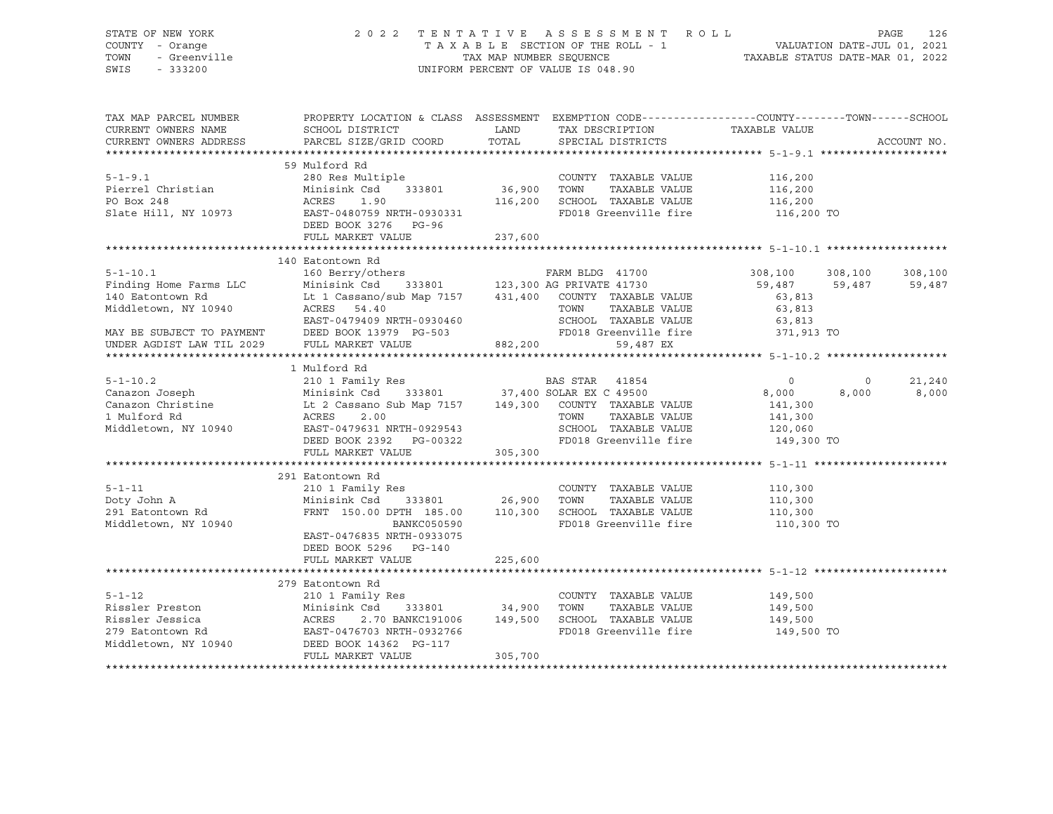# STATE OF NEW YORK 2 0 2 2 T E N T A T I V E A S S E S S M E N T R O L L PAGE 126 COUNTY - Orange T A X A B L E SECTION OF THE ROLL - 1 VALUATION DATE-JUL 01, 2021 TOWN - Greenville TAX MAP NUMBER SEQUENCE TAXABLE STATUS DATE-MAR 01, 2022 SWIS - 333200 UNIFORM PERCENT OF VALUE IS 048.90

| TAX MAP PARCEL NUMBER  | PROPERTY LOCATION & CLASS ASSESSMENT EXEMPTION CODE----------------COUNTY-------TOWN------SCHOOL                         |               |                                                                        |               |         |             |
|------------------------|--------------------------------------------------------------------------------------------------------------------------|---------------|------------------------------------------------------------------------|---------------|---------|-------------|
| CURRENT OWNERS NAME    | SCHOOL DISTRICT                                                                                                          | LAND          | TAX DESCRIPTION                                                        | TAXABLE VALUE |         |             |
| CURRENT OWNERS ADDRESS | PARCEL SIZE/GRID COORD                                                                                                   | TOTAL         | SPECIAL DISTRICTS                                                      |               |         | ACCOUNT NO. |
|                        |                                                                                                                          |               |                                                                        |               |         |             |
|                        | 59 Mulford Rd                                                                                                            |               |                                                                        |               |         |             |
| $5 - 1 - 9.1$          | 280 Res Multiple                                                                                                         |               | COUNTY TAXABLE VALUE                                                   | 116,200       |         |             |
| Pierrel Christian      | Minisink Csd                                                                                                             |               | TOWN<br>TAXABLE VALUE                                                  | 116,200       |         |             |
| PO Box 248             | ACRES<br>1.90                                                                                                            | 116,200       | SCHOOL TAXABLE VALUE                                                   | 116,200       |         |             |
| Slate Hill, NY 10973   | EAST-0480759 NRTH-0930331                                                                                                |               | FD018 Greenville fire                                                  | 116,200 TO    |         |             |
|                        | DEED BOOK 3276 PG-96                                                                                                     |               |                                                                        |               |         |             |
|                        | FULL MARKET VALUE                                                                                                        | 237,600       |                                                                        |               |         |             |
|                        |                                                                                                                          |               |                                                                        |               |         |             |
|                        | 140 Eatontown Rd                                                                                                         |               |                                                                        |               |         |             |
| $5 - 1 - 10.1$         | 160 Berry/others                                                                                                         |               | FARM BLDG 41700                                                        | 308,100       | 308,100 | 308,100     |
| Finding Home Farms LLC | Minisink Csd                                                                                                             |               | 333801 123,300 AG PRIVATE 41730                                        | 59,487 59,487 |         | 59,487      |
| 140 Eatontown Rd       | Lt 1 Cassano/sub Map 7157 431,400 COUNTY TAXABLE VALUE                                                                   |               |                                                                        | 63,813        |         |             |
| Middletown, NY 10940   | ACRES 54.40                                                                                                              |               | TOWN<br>TAXABLE VALUE                                                  | 63,813        |         |             |
|                        | EAST-0479409 NRTH-0930460 SCHOOL TAXABLE VALUE<br>MAY BE SUBJECT TO PAYMENT DEED BOOK 13979 PG-503 FD018 Greenville fire |               |                                                                        | 63,813        |         |             |
|                        |                                                                                                                          |               |                                                                        | 371,913 TO    |         |             |
|                        | UNDER AGDIST LAW TIL 2029 FULL MARKET VALUE 882,200                                                                      |               | 59,487 EX                                                              |               |         |             |
|                        |                                                                                                                          |               |                                                                        |               |         |             |
|                        | 1 Mulford Rd                                                                                                             |               |                                                                        |               |         |             |
| $5 - 1 - 10.2$         | 210 1 Family Res<br>210 1 Family<br>Minisink Csd                                                                         |               | Res BAS STAR 41854<br>333801 37,400 SOLAR EX C 49500<br>BAS STAR 41854 | $\circ$       | $\circ$ | 21,240      |
| Canazon Joseph         |                                                                                                                          |               |                                                                        | 8,000         | 8,000   | 8,000       |
|                        |                                                                                                                          |               |                                                                        | 141,300       |         |             |
|                        | ACRES                                                                                                                    |               | TAXABLE VALUE                                                          | 141,300       |         |             |
| Middletown, NY 10940   | EAST-0479631 NRTH-0929543                                                                                                |               | SCHOOL TAXABLE VALUE 120,060                                           |               |         |             |
|                        | DEED BOOK 2392    PG-00322                                                                                               |               | FD018 Greenville fire                                                  | 149,300 TO    |         |             |
|                        | FULL MARKET VALUE                                                                                                        | 305,300       |                                                                        |               |         |             |
|                        |                                                                                                                          |               |                                                                        |               |         |             |
|                        | 291 Eatontown Rd                                                                                                         |               |                                                                        |               |         |             |
| $5 - 1 - 11$           | 210 1 Family Res                                                                                                         |               | COUNTY TAXABLE VALUE                                                   | 110,300       |         |             |
| Doty John A            | Minisink Csd 333801 26,900 TOWN                                                                                          |               | TAXABLE VALUE                                                          | 110,300       |         |             |
| 291 Eatontown Rd       | FRNT 150.00 DPTH 185.00 110,300                                                                                          |               | SCHOOL TAXABLE VALUE                                                   | 110,300       |         |             |
| Middletown, NY 10940   | <b>BANKC050590</b>                                                                                                       |               | FD018 Greenville fire 110,300 TO                                       |               |         |             |
|                        | EAST-0476835 NRTH-0933075                                                                                                |               |                                                                        |               |         |             |
|                        | DEED BOOK 5296 PG-140                                                                                                    |               |                                                                        |               |         |             |
|                        | FULL MARKET VALUE                                                                                                        | 225,600       |                                                                        |               |         |             |
|                        |                                                                                                                          |               |                                                                        |               |         |             |
|                        | 279 Eatontown Rd                                                                                                         |               |                                                                        |               |         |             |
| $5 - 1 - 12$           | 210 1 Family Res                                                                                                         |               | COUNTY TAXABLE VALUE                                                   | 149,500       |         |             |
| Rissler Preston        | Minisink Csd 333801<br>ACRES 2.70 BANKC191006<br>EAST-0476703 NRTH-0932766                                               | 333801 34,900 | TOWN<br>TAXABLE VALUE                                                  | 149,500       |         |             |
| Rissler Jessica        | 2.70 BANKC191006 149,500                                                                                                 |               | SCHOOL TAXABLE VALUE                                                   | 149,500       |         |             |
| 279 Eatontown Rd       |                                                                                                                          |               | FD018 Greenville fire 149,500 TO                                       |               |         |             |
| Middletown, NY 10940   | DEED BOOK 14362 PG-117                                                                                                   |               |                                                                        |               |         |             |
|                        | FULL MARKET VALUE                                                                                                        | 305,700       |                                                                        |               |         |             |
|                        |                                                                                                                          |               |                                                                        |               |         |             |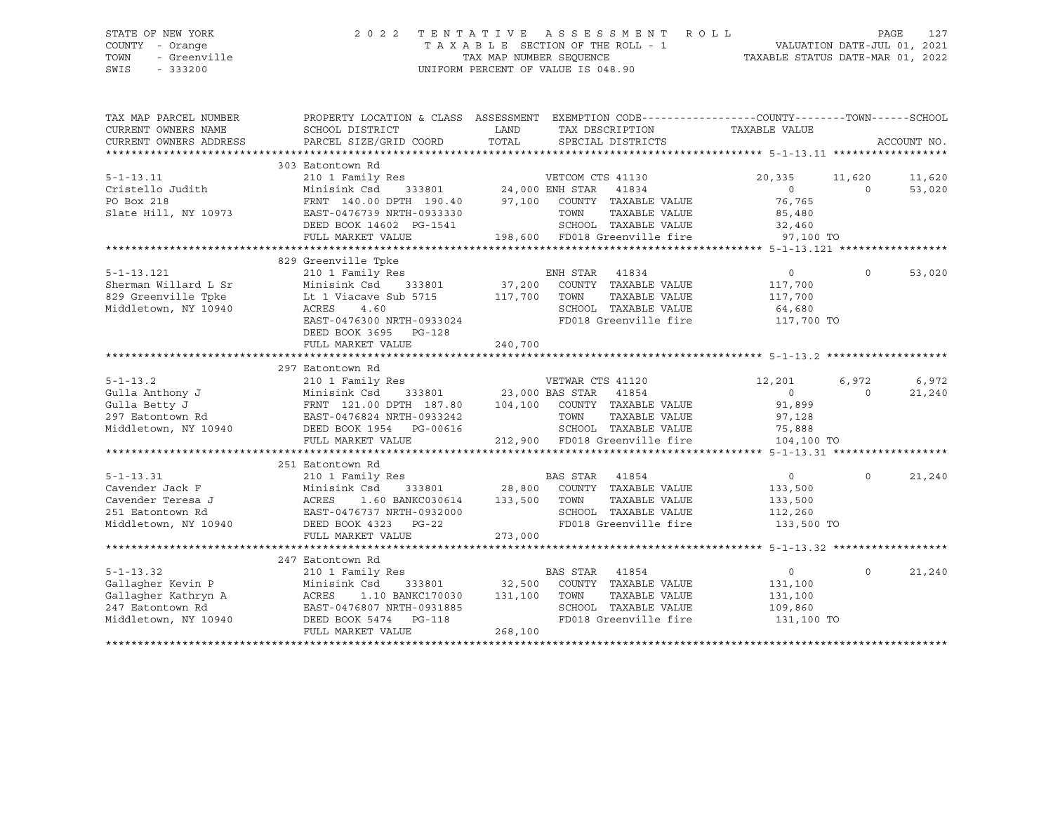# STATE OF NEW YORK 2 0 2 2 T E N T A T I V E A S S E S S M E N T R O L L PAGE 127 COUNTY - Orange T A X A B L E SECTION OF THE ROLL - 1 VALUATION DATE-JUL 01, 2021 TOWN - Greenville TAX MAP NUMBER SEQUENCE TAXABLE STATUS DATE-MAR 01, 2022 SWIS - 333200 UNIFORM PERCENT OF VALUE IS 048.90

| TAX MAP PARCEL NUMBER  |                                                                                                                                                                                                                                                               |                                                                                                                      | PROPERTY LOCATION & CLASS ASSESSMENT EXEMPTION CODE----------------COUNTY-------TOWN------SCHOOL |
|------------------------|---------------------------------------------------------------------------------------------------------------------------------------------------------------------------------------------------------------------------------------------------------------|----------------------------------------------------------------------------------------------------------------------|--------------------------------------------------------------------------------------------------|
| CURRENT OWNERS NAME    | SCHOOL DISTRICT                                                                                                                                                                                                                                               | <b>EXAMPLE TO A LAND THE EXAMPLE TO A LAND</b><br>TAX DESCRIPTION                                                    | TAXABLE VALUE                                                                                    |
| CURRENT OWNERS ADDRESS | PARCEL SIZE/GRID COORD                                                                                                                                                                                                                                        | TOTAL SPECIAL DISTRICTS                                                                                              | ACCOUNT NO.                                                                                      |
|                        |                                                                                                                                                                                                                                                               |                                                                                                                      |                                                                                                  |
|                        | 303 Eatontown Rd                                                                                                                                                                                                                                              |                                                                                                                      |                                                                                                  |
| $5 - 1 - 13.11$        |                                                                                                                                                                                                                                                               | 210 1 Family Res<br>Minisink Csd 333801 24,000 ENH STAR 41834<br>FRNT 140.00 DPTH 190.40 97,100 COUNTY TAXABLE VALUE | 11,620<br>20,335 11,620                                                                          |
| Cristello Judith       |                                                                                                                                                                                                                                                               |                                                                                                                      | $\begin{array}{c} 0 \\ 76,765 \end{array}$<br>$\Omega$<br>53,020                                 |
| PO Box 218             |                                                                                                                                                                                                                                                               |                                                                                                                      |                                                                                                  |
| Slate Hill, NY 10973   | EAST-0476739 NRTH-0933330                                                                                                                                                                                                                                     | TOWN<br>TAXABLE VALUE                                                                                                | 85,480                                                                                           |
|                        | DEED BOOK 14602 PG-1541                                                                                                                                                                                                                                       | 11 SCHOOL TAXABLE VALUE 32,460<br>198,600 FD018 Greenville fire 97,100 TO                                            |                                                                                                  |
|                        | FULL MARKET VALUE                                                                                                                                                                                                                                             |                                                                                                                      |                                                                                                  |
|                        |                                                                                                                                                                                                                                                               |                                                                                                                      |                                                                                                  |
|                        | 829 Greenville Tpke                                                                                                                                                                                                                                           |                                                                                                                      |                                                                                                  |
| $5 - 1 - 13.121$       | 210 1 Family Res                                                                                                                                                                                                                                              | ENH STAR 41834                                                                                                       | 53,020<br>$\overline{0}$<br>$\Omega$                                                             |
| Sherman Willard L Sr   |                                                                                                                                                                                                                                                               |                                                                                                                      | 117,700                                                                                          |
| 829 Greenville Tpke    | Lt 1 Viacave Sub 5715 117,700 TOWN                                                                                                                                                                                                                            | TAXABLE VALUE                                                                                                        | 117,700                                                                                          |
| Middletown, NY 10940   | ACRES<br>4.60                                                                                                                                                                                                                                                 | SCHOOL TAXABLE VALUE                                                                                                 | 64,680                                                                                           |
|                        | EAST-0476300 NRTH-0933024                                                                                                                                                                                                                                     | FD018 Greenville fire 117,700 TO                                                                                     |                                                                                                  |
|                        | DEED BOOK 3695 PG-128                                                                                                                                                                                                                                         |                                                                                                                      |                                                                                                  |
|                        | FULL MARKET VALUE                                                                                                                                                                                                                                             | 240,700                                                                                                              |                                                                                                  |
|                        |                                                                                                                                                                                                                                                               |                                                                                                                      |                                                                                                  |
|                        | 297 Eatontown Rd                                                                                                                                                                                                                                              |                                                                                                                      |                                                                                                  |
| $5 - 1 - 13.2$         | 210 1 Family Res                                                                                                                                                                                                                                              | VETWAR CTS 41120                                                                                                     | 6,972<br>12,201<br>6,972                                                                         |
| Gulla Anthony J        | Minisink Csd                                                                                                                                                                                                                                                  | $333801$ 23,000 BAS STAR 41854                                                                                       | $\overline{0}$<br>21,240<br>$\Omega$                                                             |
| Gulla Betty J          |                                                                                                                                                                                                                                                               |                                                                                                                      | 91,899                                                                                           |
| 297 Eatontown Rd       |                                                                                                                                                                                                                                                               |                                                                                                                      | 97,128                                                                                           |
|                        | Middletown, NY 10940 DEED BOOK 1954 PG-00616                                                                                                                                                                                                                  | SCHOOL TAXABLE VALUE                                                                                                 | 75,888                                                                                           |
|                        | FULL MARKET VALUE                                                                                                                                                                                                                                             | 212,900 FD018 Greenville fire 104,100 TO                                                                             |                                                                                                  |
|                        |                                                                                                                                                                                                                                                               |                                                                                                                      |                                                                                                  |
|                        | 251 Eatontown Rd                                                                                                                                                                                                                                              |                                                                                                                      |                                                                                                  |
| $5 - 1 - 13.31$        | 210 1 Family Res                                                                                                                                                                                                                                              | <b>BAS STAR 41854</b>                                                                                                | $\overline{0}$<br>$\Omega$<br>21,240                                                             |
|                        |                                                                                                                                                                                                                                                               | 333801 28,800 COUNTY TAXABLE VALUE                                                                                   | 133,500                                                                                          |
|                        | Cavender Jack F<br>Cavender Teresa J<br>$\begin{array}{ccc}\n & & \text{ACRES} & 1.60 \text{ BANACUSUS} \\ \hline\n & \text{CAVender} & \text{PPA} & & \text{EAST-0476737 NRTH-0932000} \\  & \text{EAST-0476737 NRTH-0932000} & & \text{DG-22}\n\end{array}$ | 1.60 BANKC030614 133,500 TOWN<br>TAXABLE VALUE                                                                       | 133,500                                                                                          |
|                        |                                                                                                                                                                                                                                                               | SCHOOL TAXABLE VALUE                                                                                                 | 112,260                                                                                          |
|                        | Middletown, NY 10940 DEED BOOK 4323 PG-22                                                                                                                                                                                                                     | FD018 Greenville fire                                                                                                | 133,500 TO                                                                                       |
|                        | FULL MARKET VALUE                                                                                                                                                                                                                                             | 273,000                                                                                                              |                                                                                                  |
|                        |                                                                                                                                                                                                                                                               |                                                                                                                      |                                                                                                  |
|                        | 247 Eatontown Rd                                                                                                                                                                                                                                              |                                                                                                                      |                                                                                                  |
| $5 - 1 - 13.32$        | 210 1 Family Res                                                                                                                                                                                                                                              | BAS STAR<br>41854                                                                                                    | 21,240<br>$\overline{0}$<br>$\circ$                                                              |
| Gallagher Kevin P      |                                                                                                                                                                                                                                                               | Minisink Csd 333801 32,500 COUNTY TAXABLE VALUE                                                                      | 131,100                                                                                          |
| Gallagher Kathryn A    | ACRES 1.10 BANKC170030 131,100 TOWN                                                                                                                                                                                                                           | TAXABLE VALUE                                                                                                        | 131,100                                                                                          |
| 247 Eatontown Rd       | EAST-0476807 NRTH-0931885                                                                                                                                                                                                                                     | SCHOOL TAXABLE VALUE                                                                                                 | 109,860                                                                                          |
| Middletown, NY 10940   | DEED BOOK 5474 PG-118                                                                                                                                                                                                                                         | FD018 Greenville fire                                                                                                | 131,100 TO                                                                                       |
|                        | FULL MARKET VALUE                                                                                                                                                                                                                                             | 268,100                                                                                                              |                                                                                                  |
|                        |                                                                                                                                                                                                                                                               |                                                                                                                      |                                                                                                  |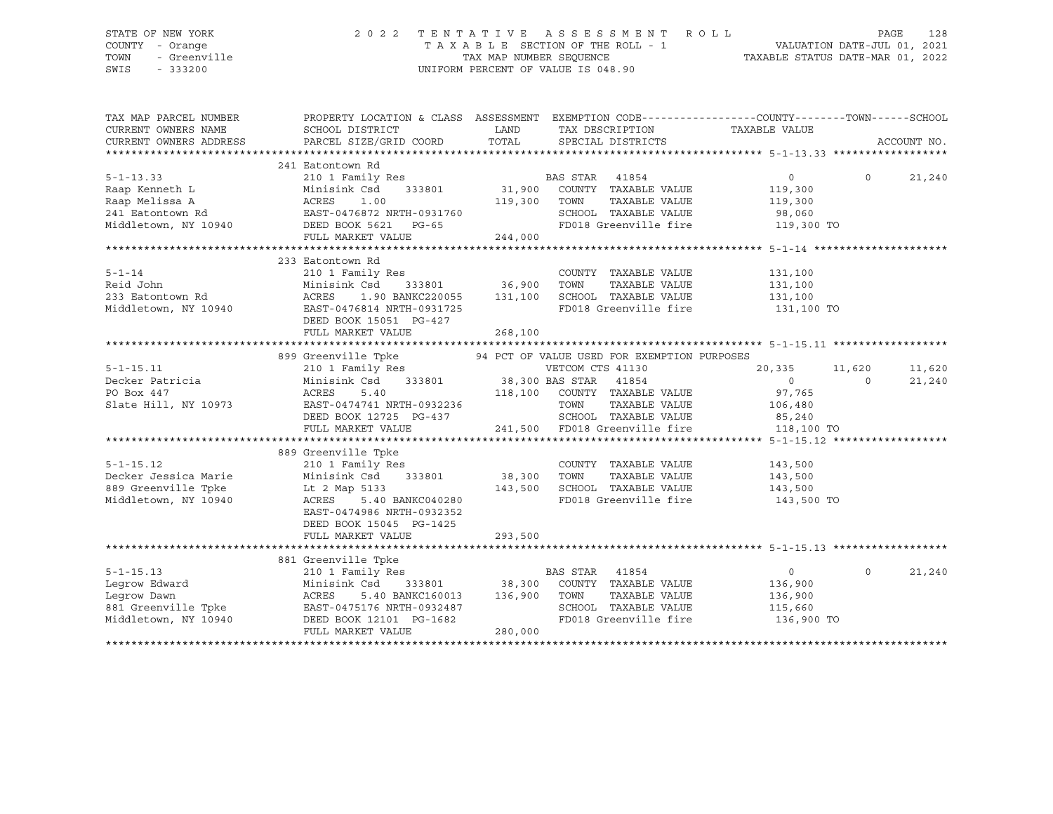# STATE OF NEW YORK 2 0 2 2 T E N T A T I V E A S S E S S M E N T R O L L PAGE 128 COUNTY - Orange T A X A B L E SECTION OF THE ROLL - 1 VALUATION DATE-JUL 01, 2021 TOWN - Greenville TAX MAP NUMBER SEQUENCE TAXABLE STATUS DATE-MAR 01, 2022 SWIS - 333200 UNIFORM PERCENT OF VALUE IS 048.90

| TAX MAP PARCEL NUMBER<br>CURRENT OWNERS NAME<br>CURRENT OWNERS ADDRESS | SCHOOL DISTRICT<br>PARCEL SIZE/GRID COORD | LAND<br>TOTAL | TAX DESCRIPTION<br>SPECIAL DISTRICTS        | PROPERTY LOCATION & CLASS ASSESSMENT EXEMPTION CODE---------------COUNTY-------TOWN------SCHOOL<br>TAXABLE VALUE | ACCOUNT NO. |
|------------------------------------------------------------------------|-------------------------------------------|---------------|---------------------------------------------|------------------------------------------------------------------------------------------------------------------|-------------|
|                                                                        |                                           |               |                                             |                                                                                                                  |             |
| $5 - 1 - 13.33$                                                        | 241 Eatontown Rd<br>210 1 Family Res      |               | BAS STAR<br>41854                           | $\circ$<br>$\Omega$                                                                                              | 21,240      |
| Raap Kenneth L                                                         | Minisink Csd<br>333801                    | 31,900        | COUNTY TAXABLE VALUE                        | 119,300                                                                                                          |             |
| Raap Melissa A                                                         | ACRES<br>1.00                             | 119,300       | TAXABLE VALUE<br>TOWN                       | 119,300                                                                                                          |             |
| 241 Eatontown Rd                                                       | EAST-0476872 NRTH-0931760                 |               | SCHOOL TAXABLE VALUE                        | 98,060                                                                                                           |             |
| Middletown, NY 10940                                                   | DEED BOOK 5621 PG-65                      |               | FD018 Greenville fire                       | 119,300 TO                                                                                                       |             |
|                                                                        | FULL MARKET VALUE                         | 244,000       |                                             |                                                                                                                  |             |
|                                                                        |                                           |               |                                             |                                                                                                                  |             |
|                                                                        | 233 Eatontown Rd                          |               |                                             |                                                                                                                  |             |
| $5 - 1 - 14$                                                           | 210 1 Family Res                          |               | COUNTY TAXABLE VALUE                        | 131,100                                                                                                          |             |
| Reid John                                                              | Minisink Csd                              | 333801 36,900 | TOWN<br>TAXABLE VALUE                       | 131,100                                                                                                          |             |
| 233 Eatontown Rd                                                       | 1.90 BANKC220055 131,100<br>ACRES         |               | SCHOOL TAXABLE VALUE                        | 131,100                                                                                                          |             |
| Middletown, NY 10940                                                   | EAST-0476814 NRTH-0931725                 |               | FD018 Greenville fire                       | 131,100 TO                                                                                                       |             |
|                                                                        | DEED BOOK 15051 PG-427                    |               |                                             |                                                                                                                  |             |
|                                                                        | FULL MARKET VALUE                         | 268,100       |                                             |                                                                                                                  |             |
|                                                                        |                                           |               |                                             |                                                                                                                  |             |
|                                                                        | 899 Greenville Tpke                       |               | 94 PCT OF VALUE USED FOR EXEMPTION PURPOSES |                                                                                                                  |             |
| $5 - 1 - 15.11$                                                        | 210 1 Family Res                          |               | VETCOM CTS 41130                            | 20,335<br>11,620                                                                                                 | 11,620      |
| Decker Patricia                                                        | Minisink Csd                              |               |                                             | $\Omega$<br>$\Omega$                                                                                             | 21,240      |
| PO Box 447                                                             | 5.40<br>ACRES                             |               | 118,100 COUNTY TAXABLE VALUE                | 97,765                                                                                                           |             |
| Slate Hill, NY 10973                                                   | EAST-0474741 NRTH-0932236                 |               | TOWN<br>TAXABLE VALUE                       | 106,480                                                                                                          |             |
|                                                                        | DEED BOOK 12725 PG-437                    |               | SCHOOL TAXABLE VALUE                        | 85,240                                                                                                           |             |
|                                                                        | FULL MARKET VALUE                         |               | 241,500 FD018 Greenville fire 118,100 TO    |                                                                                                                  |             |
|                                                                        |                                           |               |                                             |                                                                                                                  |             |
|                                                                        | 889 Greenville Tpke                       |               |                                             |                                                                                                                  |             |
| $5 - 1 - 15.12$                                                        | 210 1 Family Res                          |               | COUNTY TAXABLE VALUE                        | 143,500                                                                                                          |             |
| Decker Jessica Marie                                                   | Minisink Csd 333801                       | 38,300 TOWN   | TAXABLE VALUE                               | 143,500                                                                                                          |             |
| 889 Greenville Tpke                                                    | Lt 2 Map 5133                             | 143,500       | SCHOOL TAXABLE VALUE                        | 143,500                                                                                                          |             |
| Middletown, NY 10940                                                   | ACRES<br>5.40 BANKC040280                 |               | FD018 Greenville fire                       | 143,500 TO                                                                                                       |             |
|                                                                        | EAST-0474986 NRTH-0932352                 |               |                                             |                                                                                                                  |             |
|                                                                        | DEED BOOK 15045 PG-1425                   |               |                                             |                                                                                                                  |             |
|                                                                        | FULL MARKET VALUE                         | 293,500       |                                             |                                                                                                                  |             |
|                                                                        |                                           |               |                                             |                                                                                                                  |             |
|                                                                        | 881 Greenville Tpke                       |               |                                             |                                                                                                                  |             |
| $5 - 1 - 15.13$                                                        | 210 1 Family Res                          |               | BAS STAR<br>41854                           | $\Omega$<br>$\circ$                                                                                              | 21,240      |
| Legrow Edward                                                          | Minisink Csd 333801                       |               | 38,300 COUNTY TAXABLE VALUE                 | 136,900                                                                                                          |             |
| Legrow Dawn                                                            | ACRES<br>5.40 BANKC160013                 | 136,900       | TOWN<br>TAXABLE VALUE                       | 136,900                                                                                                          |             |
| 881 Greenville Tpke                                                    | EAST-0475176 NRTH-0932487                 |               | SCHOOL TAXABLE VALUE                        | 115,660                                                                                                          |             |
| Middletown, NY 10940                                                   | DEED BOOK 12101 PG-1682                   |               | FD018 Greenville fire                       | 136,900 TO                                                                                                       |             |
|                                                                        | FULL MARKET VALUE                         | 280,000       |                                             |                                                                                                                  |             |
|                                                                        |                                           |               |                                             |                                                                                                                  |             |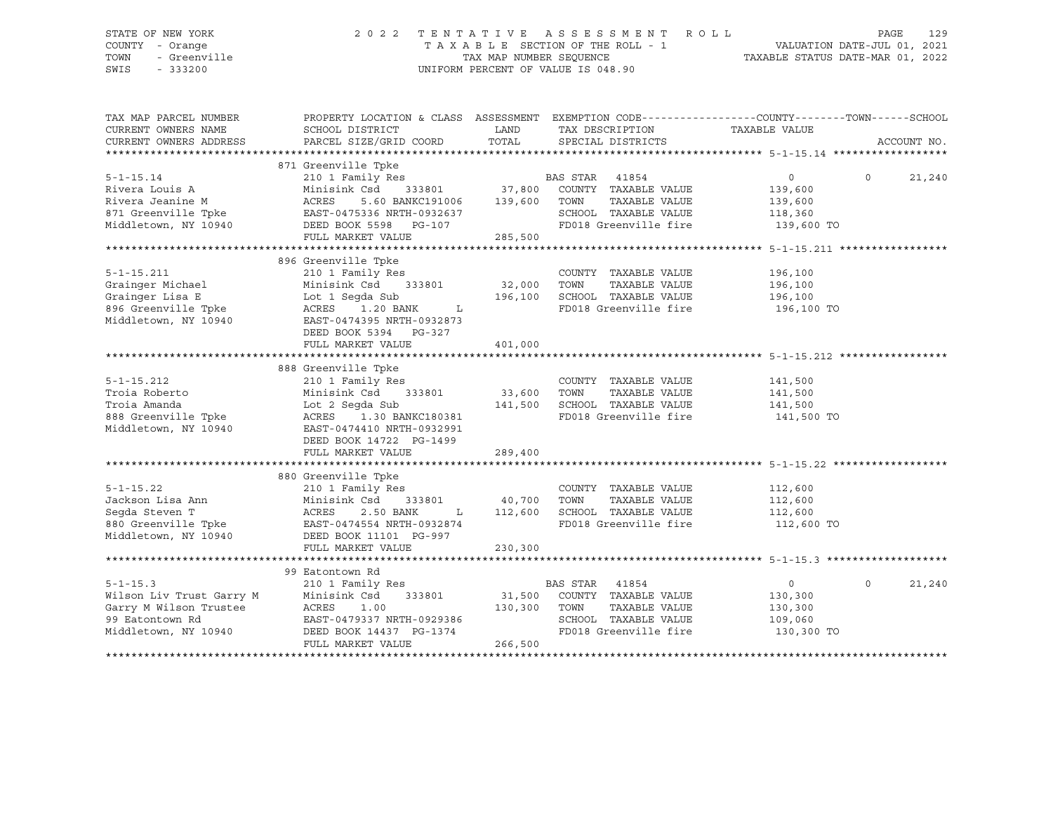# STATE OF NEW YORK 2 0 2 2 T E N T A T I V E A S S E S S M E N T R O L L PAGE 129 COUNTY - Orange T A X A B L E SECTION OF THE ROLL - 1 VALUATION DATE-JUL 01, 2021 TOWN - Greenville TAX MAP NUMBER SEQUENCE TAXABLE STATUS DATE-MAR 01, 2022 SWIS - 333200 UNIFORM PERCENT OF VALUE IS 048.90

| TAX MAP PARCEL NUMBER<br>CURRENT OWNERS NAME<br>CURRENT OWNERS ADDRESS | PROPERTY LOCATION & CLASS ASSESSMENT EXEMPTION CODE---------------COUNTY-------TOWN------SCHOOL<br>SCHOOL DISTRICT<br>PARCEL SIZE/GRID COORD | LAND<br>TOTAL | TAX DESCRIPTION<br>SPECIAL DISTRICTS | TAXABLE VALUE  | ACCOUNT NO.        |
|------------------------------------------------------------------------|----------------------------------------------------------------------------------------------------------------------------------------------|---------------|--------------------------------------|----------------|--------------------|
|                                                                        |                                                                                                                                              |               |                                      |                |                    |
|                                                                        | 871 Greenville Tpke                                                                                                                          |               |                                      |                |                    |
| $5 - 1 - 15.14$                                                        | 210 1 Family Res                                                                                                                             |               | BAS STAR 41854                       | $\circ$        | $\Omega$<br>21,240 |
| Rivera Louis A                                                         |                                                                                                                                              |               |                                      | 139,600        |                    |
| Rivera Jeanine M                                                       |                                                                                                                                              |               | TAXABLE VALUE                        | 139,600        |                    |
| 871 Greenville Tpke EAST-0475336 NRTH-0932637                          |                                                                                                                                              |               | SCHOOL TAXABLE VALUE                 | 118,360        |                    |
| Middletown, NY 10940                                                   | DEED BOOK 5598 PG-107                                                                                                                        |               | FD018 Greenville fire                | 139,600 TO     |                    |
|                                                                        | FULL MARKET VALUE                                                                                                                            | 285,500       |                                      |                |                    |
|                                                                        |                                                                                                                                              |               |                                      |                |                    |
|                                                                        | 896 Greenville Tpke                                                                                                                          |               |                                      |                |                    |
| $5 - 1 - 15.211$                                                       | 210 1 Family Res                                                                                                                             |               | COUNTY TAXABLE VALUE                 | 196,100        |                    |
| Grainger Michael                                                       | Minisink Csd 333801                                                                                                                          | 32,000        | TOWN<br>TAXABLE VALUE                | 196,100        |                    |
| Grainger Lisa E                                                        | Lot 1 Seqda Sub                                                                                                                              | 196,100       | SCHOOL TAXABLE VALUE                 | 196,100        |                    |
| 896 Greenville Tpke                                                    | ACRES 1.20 BANK L                                                                                                                            |               | FD018 Greenville fire 196,100 TO     |                |                    |
| Middletown, NY 10940                                                   | EAST-0474395 NRTH-0932873                                                                                                                    |               |                                      |                |                    |
|                                                                        | DEED BOOK 5394 PG-327                                                                                                                        |               |                                      |                |                    |
|                                                                        | FULL MARKET VALUE                                                                                                                            | 401,000       |                                      |                |                    |
|                                                                        |                                                                                                                                              |               |                                      |                |                    |
|                                                                        | 888 Greenville Tpke                                                                                                                          |               |                                      |                |                    |
| $5 - 1 - 15.212$                                                       | 210 1 Family Res                                                                                                                             |               | COUNTY TAXABLE VALUE                 | 141,500        |                    |
| Troia Roberto                                                          | Minisink Csd<br>333801                                                                                                                       | 33,600        | TOWN<br>TAXABLE VALUE                | 141,500        |                    |
| Troia Amanda                                                           | Lot 2 Seqda Sub                                                                                                                              | 141,500       | SCHOOL TAXABLE VALUE                 | 141,500        |                    |
| 888 Greenville Tpke                                                    | ACRES 1.30 BANKC180381                                                                                                                       |               | FD018 Greenville fire                | 141,500 TO     |                    |
| Middletown, NY 10940                                                   | EAST-0474410 NRTH-0932991                                                                                                                    |               |                                      |                |                    |
|                                                                        | DEED BOOK 14722 PG-1499                                                                                                                      |               |                                      |                |                    |
|                                                                        | FULL MARKET VALUE                                                                                                                            | 289,400       |                                      |                |                    |
|                                                                        |                                                                                                                                              |               |                                      |                |                    |
|                                                                        | 880 Greenville Tpke                                                                                                                          |               |                                      |                |                    |
| $5 - 1 - 15.22$                                                        | 210 1 Family Res                                                                                                                             |               | COUNTY TAXABLE VALUE                 | 112,600        |                    |
| Jackson Lisa Ann                                                       | Minisink Csd<br>333801                                                                                                                       | 40,700        | TOWN<br>TAXABLE VALUE                | 112,600        |                    |
| Seqda Steven T                                                         | ACRES<br>2.50 BANK<br>$\mathbf{L}$                                                                                                           | 112,600       | SCHOOL TAXABLE VALUE                 | 112,600        |                    |
| 880 Greenville Tpke EAST-0474554 NRTH-0932874                          |                                                                                                                                              |               | FD018 Greenville fire                | 112,600 TO     |                    |
| Middletown, NY 10940                                                   | DEED BOOK 11101 PG-997                                                                                                                       |               |                                      |                |                    |
|                                                                        | FULL MARKET VALUE                                                                                                                            | 230,300       |                                      |                |                    |
|                                                                        |                                                                                                                                              |               |                                      |                |                    |
|                                                                        | 99 Eatontown Rd                                                                                                                              |               |                                      |                |                    |
| $5 - 1 - 15.3$                                                         | 210 1 Family Res                                                                                                                             |               | BAS STAR<br>41854                    | $\overline{0}$ | $\circ$<br>21,240  |
| Wilson Liv Trust Garry M<br>Garry M Wilson Trustee                     | 333801<br>Minisink Csd                                                                                                                       |               | 31,500 COUNTY TAXABLE VALUE          | 130,300        |                    |
|                                                                        | ACRES<br>1.00                                                                                                                                | 130,300 TOWN  | TAXABLE VALUE                        | 130,300        |                    |
| 99 Eatontown Rd                                                        | EAST-0479337 NRTH-0929386                                                                                                                    |               | SCHOOL TAXABLE VALUE                 | 109,060        |                    |
| Middletown, NY 10940                                                   | DEED BOOK 14437 PG-1374                                                                                                                      |               | FD018 Greenville fire                | 130,300 TO     |                    |
|                                                                        | FULL MARKET VALUE                                                                                                                            | 266,500       |                                      |                |                    |
|                                                                        |                                                                                                                                              |               |                                      |                |                    |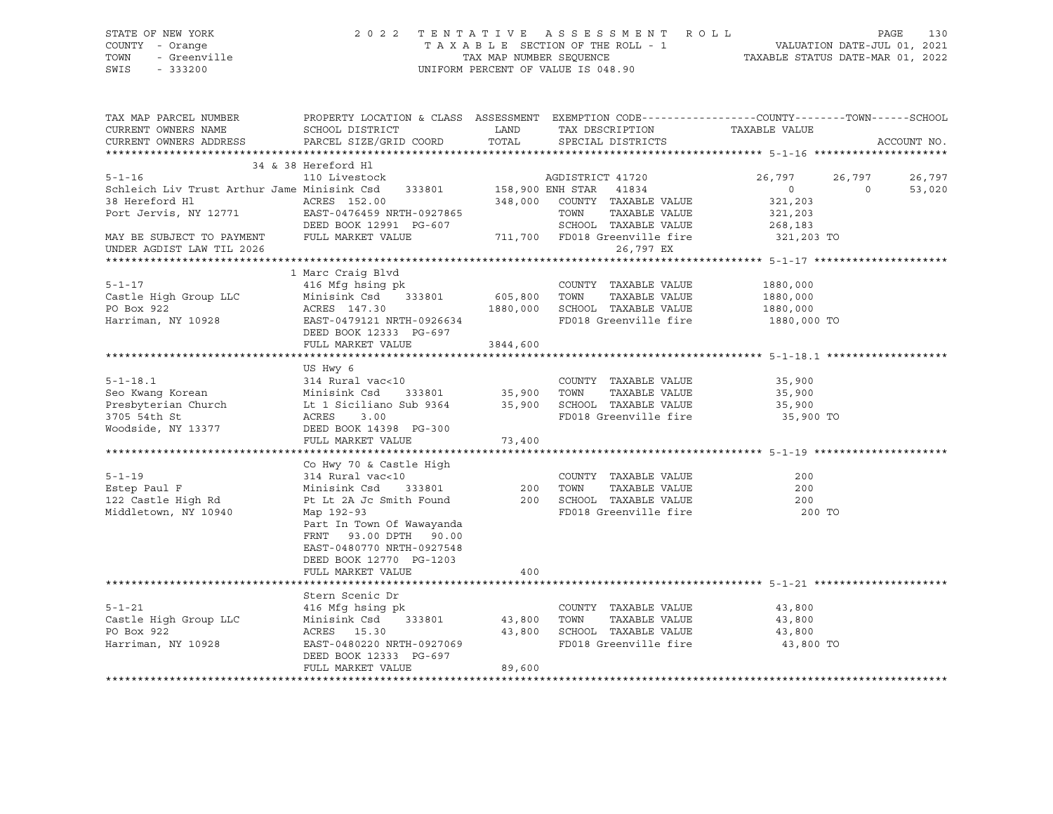# STATE OF NEW YORK 2 0 2 2 T E N T A T I V E A S S E S S M E N T R O L L PAGE 130 COUNTY - Orange T A X A B L E SECTION OF THE ROLL - 1 VALUATION DATE-JUL 01, 2021 TOWN - Greenville TAX MAP NUMBER SEQUENCE TAXABLE STATUS DATE-MAR 01, 2022 SWIS - 333200 UNIFORM PERCENT OF VALUE IS 048.90

| TAX MAP PARCEL NUMBER<br>CURRENT OWNERS NAME<br>CURRENT OWNERS ADDRESS                                                                                                                                                                                                                                                                                                                                         | PROPERTY LOCATION & CLASS ASSESSMENT EXEMPTION CODE----------------COUNTY-------TOWN------SCHOOL<br>SCHOOL DISTRICT<br>PARCEL SIZE/GRID COORD                                                                                                                              | <b>EXAMPLE DESCRIPTION OF STREET AND STREET AND STREET AND STREET AND STREET AND STREET AND STREET AND STREET AND</b><br>TOTAL | TAX DESCRIPTION<br>SPECIAL DISTRICTS                                                               | TAXABLE VALUE                   |                | ACCOUNT NO.      |
|----------------------------------------------------------------------------------------------------------------------------------------------------------------------------------------------------------------------------------------------------------------------------------------------------------------------------------------------------------------------------------------------------------------|----------------------------------------------------------------------------------------------------------------------------------------------------------------------------------------------------------------------------------------------------------------------------|--------------------------------------------------------------------------------------------------------------------------------|----------------------------------------------------------------------------------------------------|---------------------------------|----------------|------------------|
|                                                                                                                                                                                                                                                                                                                                                                                                                |                                                                                                                                                                                                                                                                            |                                                                                                                                |                                                                                                    |                                 |                |                  |
| 34 & 38 Hereford H1<br>5-1-16 110 Livestock AGDISTRICT 41720<br>Schleich Liv Trust Arthur Jame Minisink Csd 333801 158,900 ENH STAR 41834<br>38 Hereford H1 (ACRES 152.00 (COUNTY TAXABLE VALUE 321,203<br>Port Jervis, NY 12771 (EAST-0476459 NRTH-0927865 TOWN TAXABLE VALUE 321,203<br>DEED BOOK 12991 PG-607 (SCHOOL TAXABLE VALUE 268,183<br>TRANS CHOOL TAXABLE VALUE 268,1<br>UNDER AGDIST LAW TIL 2026 | 34 & 38 Hereford Hl                                                                                                                                                                                                                                                        |                                                                                                                                | 26,797 EX                                                                                          | 26,797 26,797<br>$\overline{0}$ | $\overline{0}$ | 26,797<br>53,020 |
| 1 Marc Craig Blvd<br>21 Marc Craig Blvd<br>216 Mfg hsing pk<br>216 Minisink Csd 333801 605,800 TOWN TAXABLE VALUE<br>21880,000 1880,000 1880,000 1880,000 1880,000 1880,000 1880,000 1880,000 EAST-0479121 NRTH-0926634<br>22 EAST-04791                                                                                                                                                                       | 1 Marc Craig Blvd<br>DEED BOOK 12333 PG-697<br>FULL MARKET VALUE 3844,600                                                                                                                                                                                                  |                                                                                                                                |                                                                                                    |                                 |                |                  |
|                                                                                                                                                                                                                                                                                                                                                                                                                | US Hwy 6                                                                                                                                                                                                                                                                   |                                                                                                                                |                                                                                                    | 35,900 TO                       |                |                  |
| $5 - 1 - 19$<br>Estep Paul F<br>122 Castle High Rd<br>Middletown, NY 10940                                                                                                                                                                                                                                                                                                                                     | Co Hwy 70 & Castle High<br>astle High<br><10<br>333801 200<br>314 Rural vac<10<br>Minisink Csd<br>Pt Lt 2A Jc Smith Found<br>Map 192-93<br>Part In Town Of Wawayanda<br>FRNT 93.00 DPTH 90.00<br>EAST-0480770 NRTH-0927548<br>DEED BOOK 12770 PG-1203<br>FULL MARKET VALUE | 400                                                                                                                            | COUNTY TAXABLE VALUE<br>TOWN<br>TAXABLE VALUE<br>200 SCHOOL TAXABLE VALUE<br>FD018 Greenville fire | 200<br>200<br>200<br>200 TO     |                |                  |
| 5-1-21<br>Castle High Group LLC<br>Harriman, NY 10928                                                                                                                                                                                                                                                                                                                                                          | Stern Scenic Dr<br>416 Mfg hsing pk<br>Minisink Csd 333801 43,800<br>ACRES 15.30 43,800<br>EAST-0480220 NRTH-0927069<br>DEED BOOK 12333 PG-697<br>FULL MARKET VALUE                                                                                                        | 89,600                                                                                                                         | COUNTY TAXABLE VALUE<br>TOWN<br>SCHOOL TAXABLE VALUE 43,800<br>FD018 Greenville fire 43,800 TO     | 43,800<br>TAXABLE VALUE 43,800  |                |                  |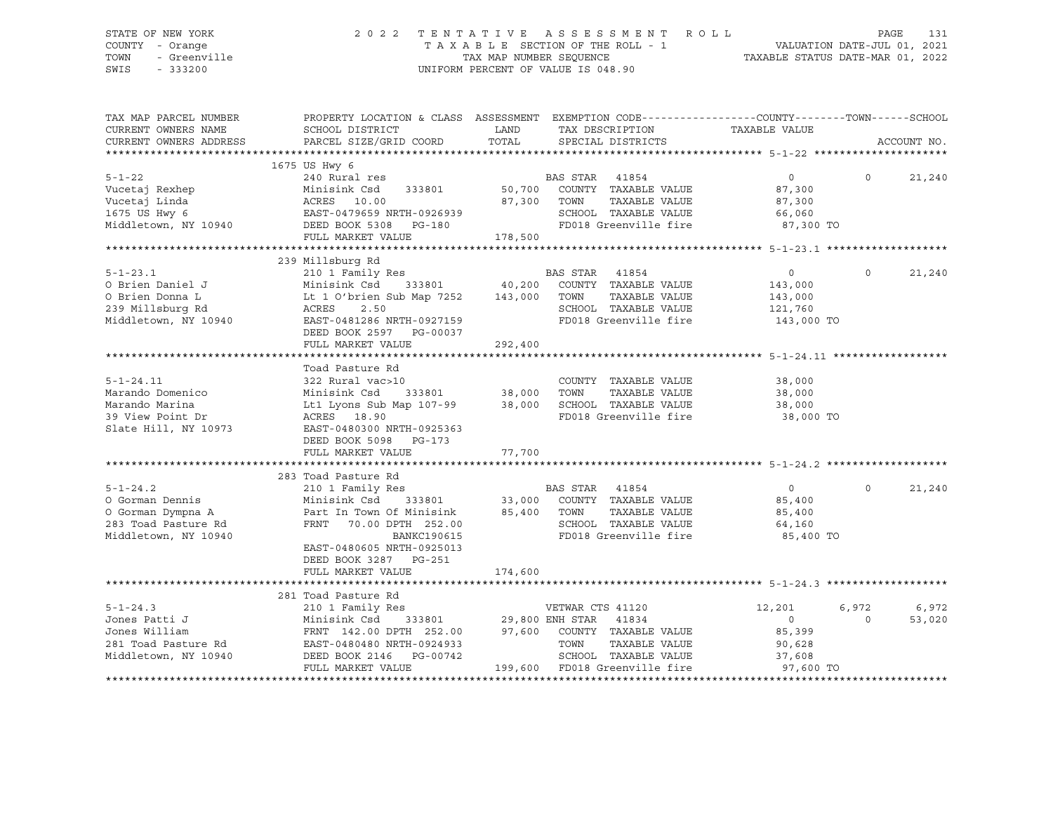# STATE OF NEW YORK 2 0 2 2 T E N T A T I V E A S S E S S M E N T R O L L PAGE 131 COUNTY - Orange T A X A B L E SECTION OF THE ROLL - 1 VALUATION DATE-JUL 01, 2021 TOWN - Greenville TAX MAP NUMBER SEQUENCE TAXABLE STATUS DATE-MAR 01, 2022 SWIS - 333200 UNIFORM PERCENT OF VALUE IS 048.90

| TAX MAP PARCEL NUMBER<br>CURRENT OWNERS NAME<br>CURRENT OWNERS ADDRESS                                | PROPERTY LOCATION & CLASS ASSESSMENT EXEMPTION CODE----------------COUNTY-------TOWN------SCHOOL<br>SCHOOL DISTRICT<br>PARCEL SIZE/GRID COORD                                                                                                                                                                                                                                                                                                                                  | TOTAL   | LAND TAX DESCRIPTION<br>SPECIAL DISTRICTS                                                                                  | TAXABLE VALUE                                                          | ACCOUNT NO.                          |
|-------------------------------------------------------------------------------------------------------|--------------------------------------------------------------------------------------------------------------------------------------------------------------------------------------------------------------------------------------------------------------------------------------------------------------------------------------------------------------------------------------------------------------------------------------------------------------------------------|---------|----------------------------------------------------------------------------------------------------------------------------|------------------------------------------------------------------------|--------------------------------------|
|                                                                                                       |                                                                                                                                                                                                                                                                                                                                                                                                                                                                                |         |                                                                                                                            |                                                                        |                                      |
| $5 - 1 - 22$<br>Vucetaj Rexhep<br>Vucetaj Linda<br>1675 US Hwy 6                                      | 1675 US Hwy 6<br>240 Rural res<br>Minisink Csd 333801 50,700 COUNTY TAXABLE VALUE<br>$\begin{tabular}{lcccc} \multicolumn{2}{c}{ACRES} & 10.00 & 87,300 & TOWN \\ \multicolumn{2}{c}{EAST-0479659 NRTH-0926939} & S7,300 & TOWN \\ DEED BOOK 5308 & PG-180 & FD018 G1 \\ \multicolumn{2}{c}{FULL MARKET VALUE} & 178,500 \\ \end{tabular}$<br>Middletown, NY 10940 DEED BOOK 5308 PG-180                                                                                       |         | BAS STAR 41854<br>TOWN      TAXABLE VALUE<br>SCHOOL   TAXABLE VALUE<br>FD018 Greenville fire 87,300 TO                     | $\begin{array}{ccc} 0 & & 0 \end{array}$<br>87,300<br>87,300<br>66,060 | 21,240                               |
|                                                                                                       |                                                                                                                                                                                                                                                                                                                                                                                                                                                                                |         |                                                                                                                            |                                                                        |                                      |
|                                                                                                       |                                                                                                                                                                                                                                                                                                                                                                                                                                                                                |         |                                                                                                                            |                                                                        |                                      |
|                                                                                                       | FULL MARKET VALUE                                                                                                                                                                                                                                                                                                                                                                                                                                                              | 292,400 | TAXABLE VALUE                                                                                                              | $\overline{0}$<br>143,000<br>143,000                                   | 21,240<br>$\Omega$                   |
|                                                                                                       |                                                                                                                                                                                                                                                                                                                                                                                                                                                                                |         |                                                                                                                            |                                                                        |                                      |
|                                                                                                       | Marando Domenico<br>Marando Domenico<br>Marando Marina 19973<br>Marando Marina 19973<br>Marando Marina 19973<br>Marando Marina 19973<br>Marando Marina 19973<br>Marando Marina 19973<br>Marando Marina 19973<br>Marando Marina 19973<br>Marando Ma<br>DEED BOOK 5098 PG-173                                                                                                                                                                                                    |         | FD018 Greenville fire 38,000 TO                                                                                            |                                                                        |                                      |
|                                                                                                       | 283 Toad Pasture Rd                                                                                                                                                                                                                                                                                                                                                                                                                                                            |         |                                                                                                                            |                                                                        |                                      |
| $5 - 1 - 24.2$<br>O Gorman Dennis<br>O Gorman Dympna A<br>283 Toad Pasture Rd<br>Middletown, NY 10940 | 210 1 Family Res<br>Minisink Csd 333801 33,000 COUNTY TAXABLE VALUE<br>Part In Town Of Minisink 85,400 TOWN TAXABLE VALUE<br>FRNT 70.00 DPTH 252.00<br>BANKC190615<br>EAST-0480605 NRTH-0925013<br>DEED BOOK 3287 PG-251<br>FULL MARKET VALUE                                                                                                                                                                                                                                  | 174,600 | TAXABLE VALUE<br>SCHOOL TAXABLE VALUE<br>FD018 Greenville fire                                                             | $\overline{0}$<br>85,400<br>85,400<br>64,160<br>85,400 TO              | $\circ$<br>21,240                    |
|                                                                                                       |                                                                                                                                                                                                                                                                                                                                                                                                                                                                                |         |                                                                                                                            |                                                                        |                                      |
| $5 - 1 - 24.3$<br>Jones Patti J                                                                       | 281 Toad Pasture Rd<br>210 1 Family Res<br>Minisink Csd<br>$\begin{tabular}{l c c c c c} \hline \texttt{FRNT} & 142.00 & \texttt{DPTH} & 252.00 & 97,600 & \texttt{COUNTY} & \texttt{TAXABLE VALUE} \\ \hline \texttt{EAST-0480480 NRTH-0924933} & \texttt{TOWN} & \texttt{TAXABLE VALUE} \\ \hline \texttt{DEED BOOK 2146} & \texttt{PG-00742} & \texttt{SCHOOL} & \texttt{TAXABLE VALUE} \end{tabular}$<br>Middletown, NY 10940 DEED BOOK 2146 PG-00742<br>FULL MARKET VALUE |         | VETWAR CTS 41120<br>333801 29,800 ENH STAR 41834<br>TAXABLE VALUE<br>SCHOOL TAXABLE VALUE<br>199,600 FD018 Greenville fire | 12,201<br>$\overline{0}$<br>85,399<br>90,628<br>37,608<br>97,600 TO    | 6,972<br>6,972<br>$\Omega$<br>53,020 |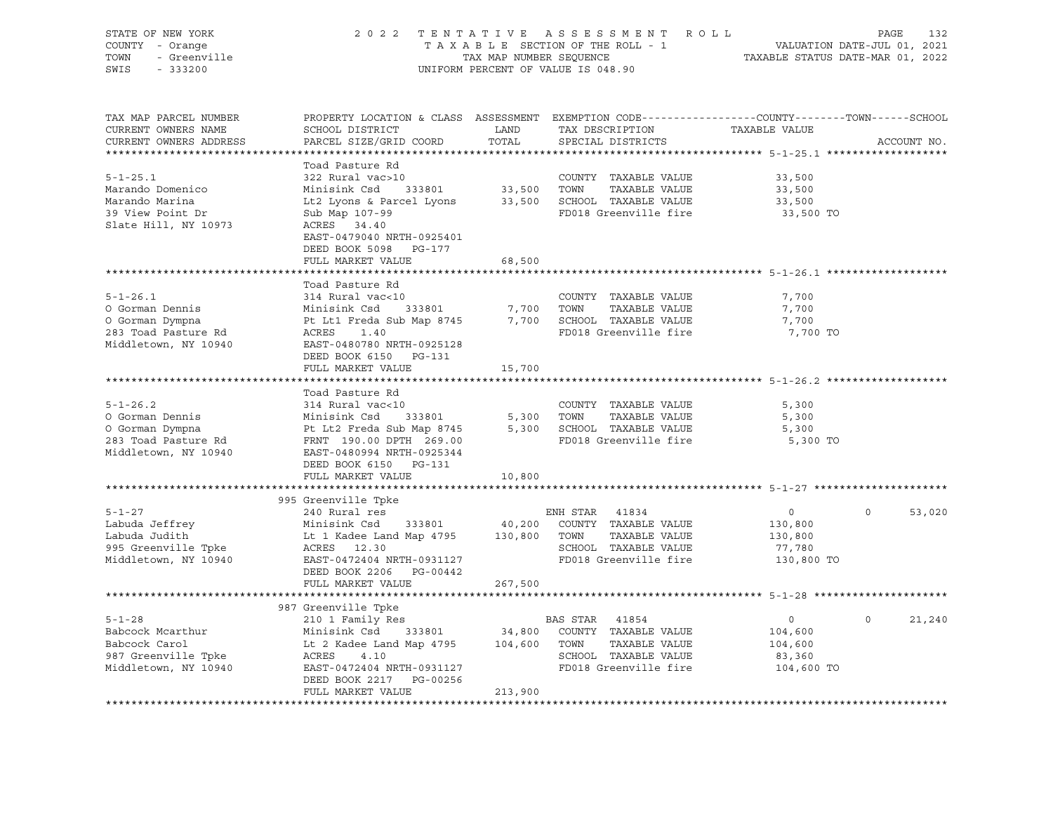| STATE OF NEW YORK<br>COUNTY - Orange<br>- Greenville<br>TOWN<br>SWIS<br>$-333200$ | 2 0 2 2<br>TENTATIVE ASSESSMENT ROLL<br>TAXABLE SECTION OF THE ROLL - 1<br>TAX MAP NUMBER SEQUENCE<br>UNIFORM PERCENT OF VALUE IS 048.90     |               |                                       |                   | PAGE<br>132<br>VALUATION DATE-JUL 01, 2021<br>TAXABLE STATUS DATE-MAR 01, 2022 |  |  |
|-----------------------------------------------------------------------------------|----------------------------------------------------------------------------------------------------------------------------------------------|---------------|---------------------------------------|-------------------|--------------------------------------------------------------------------------|--|--|
| TAX MAP PARCEL NUMBER<br>CURRENT OWNERS NAME<br>CURRENT OWNERS ADDRESS            | PROPERTY LOCATION & CLASS ASSESSMENT EXEMPTION CODE----------------COUNTY-------TOWN-----SCHOOL<br>SCHOOL DISTRICT<br>PARCEL SIZE/GRID COORD | LAND<br>TOTAL | TAX DESCRIPTION<br>SPECIAL DISTRICTS  | TAXABLE VALUE     | ACCOUNT NO.                                                                    |  |  |
|                                                                                   | Toad Pasture Rd                                                                                                                              |               |                                       |                   |                                                                                |  |  |
| $5 - 1 - 25.1$                                                                    | 322 Rural vac>10                                                                                                                             |               | COUNTY TAXABLE VALUE                  | 33,500            |                                                                                |  |  |
| Marando Domenico                                                                  | Minisink Csd<br>333801                                                                                                                       | 33,500 TOWN   | TAXABLE VALUE                         | 33,500            |                                                                                |  |  |
| Marando Marina                                                                    | Lt2 Lyons & Parcel Lyons                                                                                                                     |               | 33,500 SCHOOL TAXABLE VALUE           | 33,500            |                                                                                |  |  |
| 39 View Point Dr<br>Slate Hill, NY 10973                                          | Sub Map 107-99<br>ACRES 34.40<br>EAST-0479040 NRTH-0925401                                                                                   |               | FD018 Greenville fire                 | 33,500 TO         |                                                                                |  |  |
|                                                                                   | DEED BOOK 5098 PG-177                                                                                                                        |               |                                       |                   |                                                                                |  |  |
|                                                                                   | FULL MARKET VALUE                                                                                                                            | 68,500        |                                       |                   |                                                                                |  |  |
|                                                                                   |                                                                                                                                              |               |                                       |                   |                                                                                |  |  |
| $5 - 1 - 26.1$                                                                    | Toad Pasture Rd<br>314 Rural vac<10                                                                                                          |               | COUNTY TAXABLE VALUE                  |                   |                                                                                |  |  |
| O Gorman Dennis                                                                   | Minisink Csd<br>333801                                                                                                                       |               | 7,700 TOWN<br>TAXABLE VALUE           | 7,700<br>7,700    |                                                                                |  |  |
| O Gorman Dympna                                                                   | Pt Lt1 Freda Sub Map 8745                                                                                                                    |               | 7,700 SCHOOL TAXABLE VALUE            | 7,700             |                                                                                |  |  |
| 283 Toad Pasture Rd                                                               | ACRES<br>1.40                                                                                                                                |               | FD018 Greenville fire                 | 7,700 TO          |                                                                                |  |  |
| Middletown, NY 10940                                                              | EAST-0480780 NRTH-0925128                                                                                                                    |               |                                       |                   |                                                                                |  |  |
|                                                                                   | DEED BOOK 6150 PG-131                                                                                                                        |               |                                       |                   |                                                                                |  |  |
|                                                                                   | FULL MARKET VALUE                                                                                                                            | 15,700        |                                       |                   |                                                                                |  |  |
|                                                                                   | Toad Pasture Rd                                                                                                                              |               |                                       |                   |                                                                                |  |  |
| $5 - 1 - 26.2$                                                                    | 314 Rural vac<10                                                                                                                             |               | COUNTY TAXABLE VALUE                  | 5,300             |                                                                                |  |  |
| O Gorman Dennis                                                                   | Minisink Csd<br>333801                                                                                                                       |               | 5,300 TOWN<br>TAXABLE VALUE           | 5,300             |                                                                                |  |  |
| O Gorman Dympna                                                                   | Pt Lt2 Freda Sub Map 8745                                                                                                                    |               | 5,300 SCHOOL TAXABLE VALUE            | 5,300             |                                                                                |  |  |
| 283 Toad Pasture Rd<br>Middletown, NY 10940                                       | FRNT 190.00 DPTH 269.00<br>EAST-0480994 NRTH-0925344                                                                                         |               | FD018 Greenville fire                 | 5,300 TO          |                                                                                |  |  |
|                                                                                   | DEED BOOK 6150 PG-131                                                                                                                        |               |                                       |                   |                                                                                |  |  |
|                                                                                   | FULL MARKET VALUE                                                                                                                            | 10,800        |                                       |                   |                                                                                |  |  |
|                                                                                   |                                                                                                                                              |               |                                       |                   |                                                                                |  |  |
|                                                                                   | 995 Greenville Tpke                                                                                                                          |               |                                       |                   |                                                                                |  |  |
| $5 - 1 - 27$                                                                      | 240 Rural res                                                                                                                                |               | ENH STAR 41834                        | $\overline{0}$    | $\Omega$<br>53,020                                                             |  |  |
| Labuda Jeffrey                                                                    | Minisink Csd<br>333801                                                                                                                       | 40,200        | COUNTY TAXABLE VALUE                  | 130,800           |                                                                                |  |  |
| Labuda Judith<br>995 Greenville Tpke                                              | Lt 1 Kadee Land Map 4795<br>ACRES 12.30                                                                                                      | 130,800 TOWN  | TAXABLE VALUE<br>SCHOOL TAXABLE VALUE | 130,800<br>77,780 |                                                                                |  |  |
| Middletown, NY 10940                                                              | EAST-0472404 NRTH-0931127                                                                                                                    |               | FD018 Greenville fire                 | 130,800 TO        |                                                                                |  |  |
|                                                                                   | DEED BOOK 2206 PG-00442                                                                                                                      |               |                                       |                   |                                                                                |  |  |
|                                                                                   | FULL MARKET VALUE                                                                                                                            | 267,500       |                                       |                   |                                                                                |  |  |
|                                                                                   |                                                                                                                                              |               |                                       |                   |                                                                                |  |  |
| $5 - 1 - 28$                                                                      | 987 Greenville Tpke<br>210 1 Family Res                                                                                                      |               | BAS STAR 41854                        | $\overline{0}$    | $\Omega$<br>21,240                                                             |  |  |
| Babcock Mcarthur                                                                  | Minisink Csd<br>333801                                                                                                                       |               | 34,800 COUNTY TAXABLE VALUE           | 104,600           |                                                                                |  |  |
| Babcock Carol                                                                     | Lt 2 Kadee Land Map 4795                                                                                                                     | 104,600 TOWN  | TAXABLE VALUE                         | 104,600           |                                                                                |  |  |
| 987 Greenville Tpke                                                               | ACRES<br>4.10                                                                                                                                |               | SCHOOL TAXABLE VALUE                  | 83,360            |                                                                                |  |  |
| Middletown, NY 10940                                                              | EAST-0472404 NRTH-0931127                                                                                                                    |               | FD018 Greenville fire                 | 104,600 TO        |                                                                                |  |  |
|                                                                                   | DEED BOOK 2217 PG-00256                                                                                                                      |               |                                       |                   |                                                                                |  |  |
|                                                                                   | FULL MARKET VALUE                                                                                                                            | 213,900       |                                       |                   |                                                                                |  |  |
|                                                                                   |                                                                                                                                              |               |                                       |                   |                                                                                |  |  |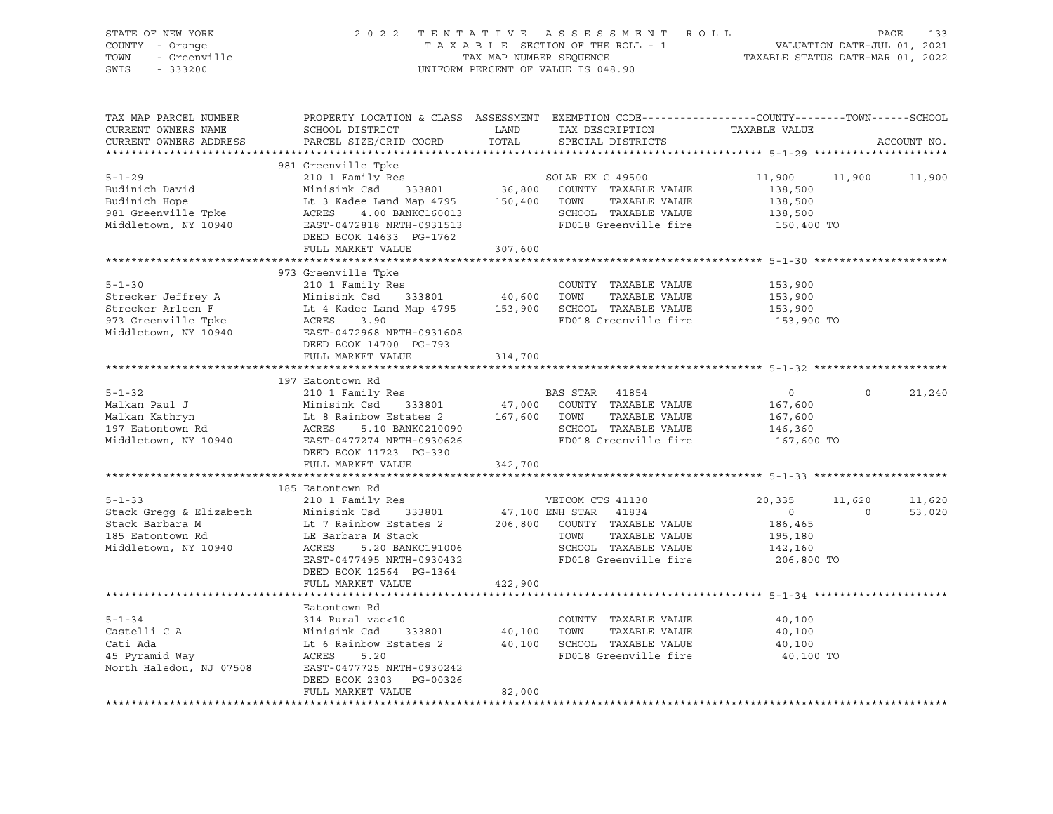| STATE OF NEW YORK<br>COUNTY - Orange<br>- Greenville<br>- Greenville<br>TOWN<br>SWIS<br>$-333200$      |                                                                                                                                                                                                |               | 2022 TENTATIVE ASSESSMENT ROLL<br>TAXABLE SECTION OF THE ROLL - 1<br>TAXABLE SECTION OF THE ROLL - 1<br>TAXABLE STATUS DATE-MAR 01, 2022<br>UNIFORM PERCENT OF VALUE IS 048.90 |                                                                         | PAGE                     | 133              |
|--------------------------------------------------------------------------------------------------------|------------------------------------------------------------------------------------------------------------------------------------------------------------------------------------------------|---------------|--------------------------------------------------------------------------------------------------------------------------------------------------------------------------------|-------------------------------------------------------------------------|--------------------------|------------------|
| TAX MAP PARCEL NUMBER<br>CURRENT OWNERS NAME<br>CURRENT OWNERS ADDRESS                                 | PROPERTY LOCATION & CLASS ASSESSMENT EXEMPTION CODE----------------COUNTY-------TOWN------SCHOOL<br>SCHOOL DISTRICT<br>PARCEL SIZE/GRID COORD                                                  | LAND<br>TOTAL | TAX DESCRIPTION TAXABLE VALUE<br>SPECIAL DISTRICTS                                                                                                                             |                                                                         |                          | ACCOUNT NO.      |
| $5 - 1 - 29$                                                                                           | 981 Greenville Tpke<br>210 1 Family Res                                                                                                                                                        |               | SOLAR EX C 49500                                                                                                                                                               | 11,900                                                                  | 11,900                   | 11,900           |
| Budinich David<br>Budinich Hope<br>981 Greenville Tpke<br>Middletown, NY 10940                         | Minisink Csd 333801<br>Lt 3 Kadee Land Map 4795 150,400<br>ACRES 4.00 BANKC160013<br>EAST-0472818 NRTH-0931513<br>DEED BOOK 14633 PG-1762                                                      |               | 36,800 COUNTY TAXABLE VALUE<br>TOWN TAXABLE VALUE<br>SCHOOL TAXABLE VALUE<br>FD018 Greenville fire                                                                             | 138,500<br>138,500<br>138,500<br>150,400 TO                             |                          |                  |
|                                                                                                        | FULL MARKET VALUE                                                                                                                                                                              | 307,600       |                                                                                                                                                                                |                                                                         |                          |                  |
| $5 - 1 - 30$<br>Strecker Jeffrey A<br>Strecker Arleen F<br>973 Greenville Tpke<br>Middletown, NY 10940 | 973 Greenville Tpke<br>210 1 $Family$ Res<br>Minisink Csd 333801 40,600<br>Lt 4 Kadee Land Map 4795 153,900<br>ACRES<br>3.90<br>EAST-0472968 NRTH-0931608<br>DEED BOOK 14700 PG-793            |               | ******************************** 5-1-30 **********************<br>COUNTY TAXABLE VALUE<br>TOWN<br>TAXABLE VALUE<br>SCHOOL TAXABLE VALUE<br>FD018 Greenville fire               | 153,900<br>153,900<br>153,900<br>153,900 TO                             |                          |                  |
|                                                                                                        | FULL MARKET VALUE                                                                                                                                                                              | 314,700       |                                                                                                                                                                                |                                                                         |                          |                  |
|                                                                                                        | 197 Eatontown Rd                                                                                                                                                                               |               |                                                                                                                                                                                |                                                                         |                          |                  |
| $5 - 1 - 32$<br>Malkan Paul J<br>Malkan Kathryn<br>197 Eatontown Rd<br>Middletown, NY 10940            | 210 1 Family Res<br>Minisink Csd<br>333801<br>Let 8 Rainbow Estates 2<br>ACRES 5.10 BANK0210090<br>ACRES 5.10 BANK0210090<br>EAST-0477274 NRTH-0930626<br>DEED BOOK 11723 PG-330               | 167,600       | BAS STAR 41854<br>47,000 COUNTY TAXABLE VALUE<br>TOWN<br>TAXABLE VALUE<br>SCHOOL TAXABLE VALUE<br>FD018 Greenville fire                                                        | 0<br>167,600<br>167,600<br>146,360<br>167,600 TO                        | $\circ$                  | 21,240           |
|                                                                                                        | FULL MARKET VALUE                                                                                                                                                                              | 342,700       |                                                                                                                                                                                |                                                                         |                          |                  |
|                                                                                                        | 185 Eatontown Rd                                                                                                                                                                               |               |                                                                                                                                                                                |                                                                         |                          |                  |
| $5 - 1 - 33$<br>Stack Gregg & Elizabeth<br>Stack Barbara M<br>185 Eatontown Rd<br>Middletown, NY 10940 | 210 1 Family Res<br>Minisink Csd 333801<br>Lt 7 Rainbow Estates 2<br>LE Barbara M Stack<br>ACRES 5.20 BANKC191006<br>EAST-0477495 NRTH-0930432<br>DEED BOOK 12564 PG-1364<br>FULL MARKET VALUE | 422,900       | VETCOM CTS 41130<br>47,100 ENH STAR 41834<br>206,800 COUNTY TAXABLE VALUE<br>TAXABLE VALUE<br>TOWN<br>SCHOOL TAXABLE VALUE<br>FD018 Greenville fire                            | 20,335<br>$\overline{0}$<br>186,465<br>195,180<br>142,160<br>206,800 TO | 11,620<br>$\overline{0}$ | 11,620<br>53,020 |
|                                                                                                        |                                                                                                                                                                                                |               | ********************************* 5-1-34 *********************                                                                                                                 |                                                                         |                          |                  |
| $5 - 1 - 34$<br>Castelli C A<br>Cati Ada<br>45 Pyramid Way<br>North II<br>North Haledon, NJ 07508      | Eatontown Rd<br>314 Rural vac<10<br>Minisink Csd 333801<br>Lt 6 Rainbow Estates 2 40,100<br>ACRES<br>5.20<br>EAST-0477725 NRTH-0930242<br>DEED BOOK 2303 PG-00326                              | 40,100        | COUNTY TAXABLE VALUE<br>TOWN<br>TAXABLE VALUE<br>SCHOOL TAXABLE VALUE<br>FD018 Greenville fire                                                                                 | 40,100<br>40,100<br>40,100<br>40,100 TO                                 |                          |                  |
|                                                                                                        | FULL MARKET VALUE                                                                                                                                                                              | 82,000        |                                                                                                                                                                                |                                                                         |                          |                  |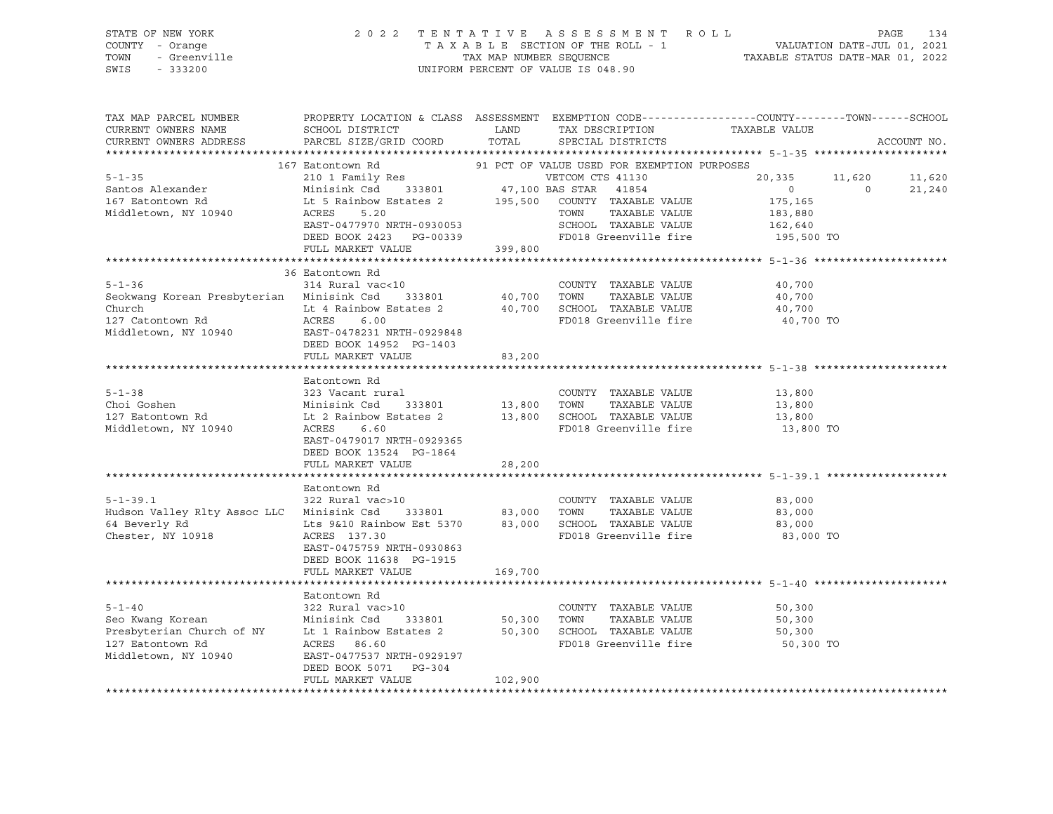| STATE OF NEW YORK<br>rent mande<br>1 - Orange<br>- Greenville<br>COUNTY - Orange<br>TOWN<br>SWIS<br>$-333200$                                                                                                                                                              |                                                                                                                                                                    |                               | 2022 TENTATIVE ASSESSMENT ROLL<br>UNIFORM PERCENT OF VALUE IS 048.90                                                                                                 | TENTATIVE ASSESSMENT ROLL PAGE 134<br>TAXABLE SECTION OF THE ROLL - 1 VALUATION DATE-JUL 01, 2021<br>TAX MAP NUMBER SEQUENCE TAXABLE STATUS DATE-MAR 01, 2022 |                  |
|----------------------------------------------------------------------------------------------------------------------------------------------------------------------------------------------------------------------------------------------------------------------------|--------------------------------------------------------------------------------------------------------------------------------------------------------------------|-------------------------------|----------------------------------------------------------------------------------------------------------------------------------------------------------------------|---------------------------------------------------------------------------------------------------------------------------------------------------------------|------------------|
| TAX MAP PARCEL NUMBER<br>CURRENT OWNERS NAME<br>CURRENT OWNERS ADDRESS                                                                                                                                                                                                     | SCHOOL DISTRICT<br>PARCEL SIZE/GRID COORD                                                                                                                          | LAND<br>TOTAL                 | TAX DESCRIPTION TAXABLE VALUE<br>SPECIAL DISTRICTS                                                                                                                   | PROPERTY LOCATION & CLASS ASSESSMENT EXEMPTION CODE---------------COUNTY-------TOWN-----SCHOOL                                                                | ACCOUNT NO.      |
| Middletown, NY 10940                                                                                                                                                                                                                                                       | FULL MARKET VALUE 399,800                                                                                                                                          |                               |                                                                                                                                                                      | 11,620<br>20,335<br>$\overline{0}$<br>$\overline{0}$<br>175,165<br>183,880<br>162,640<br>195,500 TO                                                           | 11,620<br>21,240 |
| $5 - 1 - 36$<br>Seokwang Korean Presbyterian Minisink Csd<br>Church<br>127 Catontown Rd<br>127 Catontown Rd<br>127 Catontown Rd<br>10940<br>2007 - 20178231 NRTH-0929848<br>2007 - 2018<br>2007 - 2018<br>2018                                                             | 36 Eatontown Rd<br>314 Rural vac<10                                                                                                                                |                               | COUNTY TAXABLE VALUE<br>333801 40,700 TOWN TAXABLE VALUE<br>Estates 2 40,700 SCHOOL TAXABLE VALUE<br>FD018 Greenville fire<br>TAXABLE VALUE<br>FD018 Greenville fire | 40,700<br>40,700<br>40,700<br>40,700 TO                                                                                                                       |                  |
| $5 - 1 - 38$                                                                                                                                                                                                                                                               | DEED BOOK 14952 PG-1403<br>FULL MARKET VALUE<br>Eatontown Rd                                                                                                       | 83,200                        |                                                                                                                                                                      |                                                                                                                                                               |                  |
| Choi Goshen<br>127 Eatontown Rd<br>Middletown, NY 10940                                                                                                                                                                                                                    | 323 Vacant rural<br>323 Vacant rural<br>Minisink Csd     333801<br>Lt 2 Rainbow Estates 2<br>ACRES<br>6.60<br>EAST-0479017 NRTH-0929365<br>DEED BOOK 13524 PG-1864 |                               | COUNTY TAXABLE VALUE<br>333801 13,800 TOWN TAXABLE VALUE<br>tates 2 13,800 SCHOOL TAXABLE VALUE<br>TAXABLE VALUE<br>FD018 Greenville fire                            | 13,800<br>13,800<br>13,800<br>13,800 TO                                                                                                                       |                  |
|                                                                                                                                                                                                                                                                            | FULL MARKET VALUE                                                                                                                                                  | 28,200                        |                                                                                                                                                                      |                                                                                                                                                               |                  |
| $5 - 1 - 39.1$<br>Hudson Valley Rlty Assoc LLC Minisink Csd<br>64 Beverly Rd<br>Chester, NY 10918                                                                                                                                                                          | Eatontown Rd<br>322 Rural vac>10<br>Lts 9&10 Rainbow Est 5370 83,000 SCHOOL TAXABLE VALUE<br>ACRES 137.30<br>EAST-0475759 NRTH-0930863<br>DEED BOOK 11638 PG-1915  | 333801 83,000 TOWN            | COUNTY TAXABLE VALUE<br>TAXABLE VALUE<br>FD018 Greenville fire                                                                                                       | 83,000<br>83,000<br>83,000<br>83,000 TO                                                                                                                       |                  |
|                                                                                                                                                                                                                                                                            | FULL MARKET VALUE                                                                                                                                                  | 169,700                       |                                                                                                                                                                      |                                                                                                                                                               |                  |
| Contract Management Control Control Control Control Control Control Control Control Control Control Control Control Control Control Control Control Control Control Control Control Control Control Control Control Control Co<br>127 Eatontown Rd<br>Middletown, NY 10940 | Eatontown Rd<br>EAST-0477537 NRTH-0929197<br>DEED BOOK 5071 PG-304<br>FULL MARKET VALUE                                                                            | 333801 50,300 TOWN<br>102,900 | COUNTY TAXABLE VALUE<br>TAXABLE VALUE<br>50,300 SCHOOL TAXABLE VALUE<br>FD018 Greenville fire                                                                        | 50,300<br>50,300<br>50,300<br>50,300 TO                                                                                                                       |                  |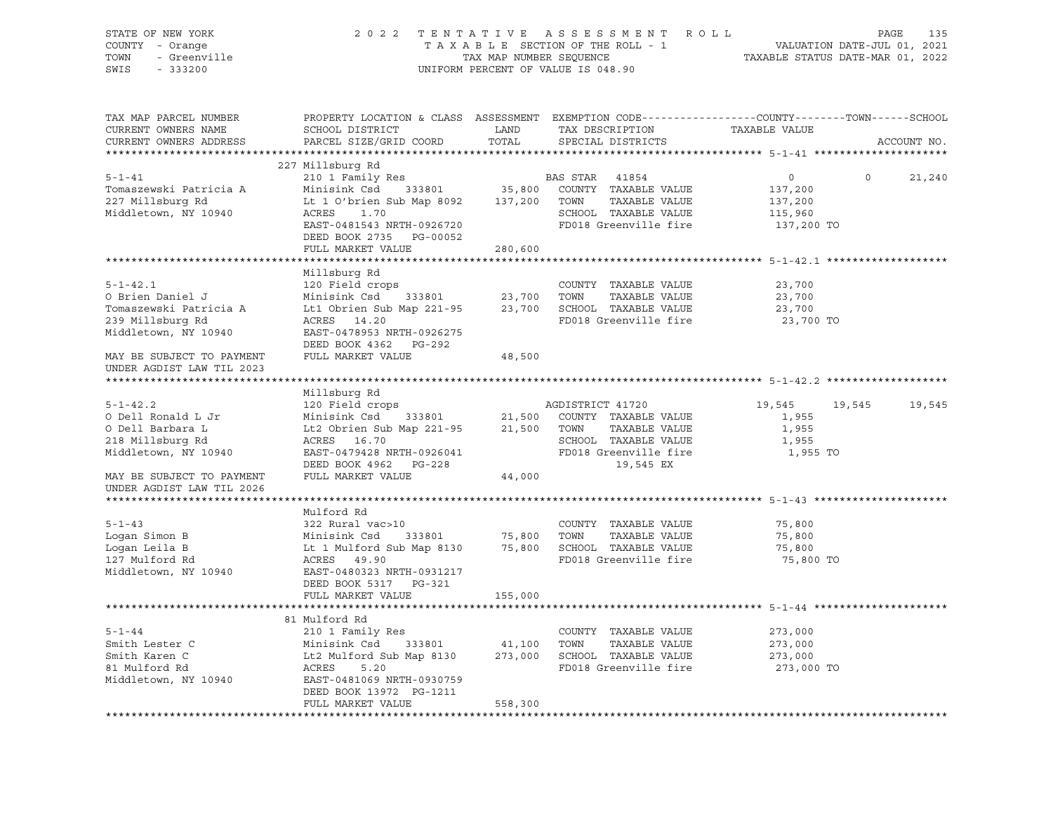| STATE OF NEW YORK<br>COUNTY - Orange<br>- Greenville<br>- Greenville<br>TOWN<br>SWIS<br>$-333200$ |                                                                                                                                                 |         | 2022 TENTATIVE ASSESSMENT ROLL<br>UNIFORM PERCENT OF VALUE IS 048.90 | T A X A B L E SECTION OF THE ROLL - 1 THE ROLL - 1 VALUATION DATE-JUL 01, 2021<br>TAX MAP NUMBER SEQUENCE TAXABLE STATUS DATE-MAR 01, 2022 | PAGE<br>135   |
|---------------------------------------------------------------------------------------------------|-------------------------------------------------------------------------------------------------------------------------------------------------|---------|----------------------------------------------------------------------|--------------------------------------------------------------------------------------------------------------------------------------------|---------------|
| TAX MAP PARCEL NUMBER<br>CURRENT OWNERS NAME<br>CURRENT OWNERS ADDRESS                            | SCHOOL DISTRICT<br>PARCEL SIZE/GRID COORD                                                                                                       |         |                                                                      | PROPERTY LOCATION & CLASS ASSESSMENT EXEMPTION CODE----------------COUNTY-------TOWN-----SCHOOL                                            | ACCOUNT NO.   |
|                                                                                                   |                                                                                                                                                 |         |                                                                      |                                                                                                                                            |               |
|                                                                                                   | 227 Millsburg Rd                                                                                                                                |         |                                                                      |                                                                                                                                            |               |
| $5 - 1 - 41$                                                                                      | 210 1 Family Res                                                                                                                                |         | BAS STAR 41854                                                       | $0 \qquad \qquad$<br>$\circ$                                                                                                               | 21,240        |
| Tomaszewski Patricia A                                                                            | Minisink Csd 333801                                                                                                                             |         | 35,800 COUNTY TAXABLE VALUE                                          | 137,200                                                                                                                                    |               |
| 227 Millsburg Rd                                                                                  | Lt 1 O'brien Sub Map 8092 137,200 TOWN TAXABLE VALUE                                                                                            |         |                                                                      | 137,200                                                                                                                                    |               |
| Middletown, NY 10940                                                                              | ACRES<br>1.70                                                                                                                                   |         | SCHOOL TAXABLE VALUE                                                 | 115,960                                                                                                                                    |               |
|                                                                                                   | EAST-0481543 NRTH-0926720                                                                                                                       |         | FD018 Greenville fire                                                | 137,200 TO                                                                                                                                 |               |
|                                                                                                   | DEED BOOK 2735 PG-00052                                                                                                                         |         |                                                                      |                                                                                                                                            |               |
|                                                                                                   | FULL MARKET VALUE                                                                                                                               | 280,600 |                                                                      |                                                                                                                                            |               |
|                                                                                                   | Millsburg Rd                                                                                                                                    |         |                                                                      |                                                                                                                                            |               |
| $5 - 1 - 42.1$                                                                                    | 120 Field crops                                                                                                                                 |         | COUNTY TAXABLE VALUE                                                 | 23,700                                                                                                                                     |               |
| O Brien Daniel J                                                                                  |                                                                                                                                                 |         |                                                                      | 23,700                                                                                                                                     |               |
| Tomaszewski Patricia A                                                                            | Minisink Csd 333801 23,700 TOWN TAXABLE VALUE<br>Lt1 Obrien Sub Map 221-95 23,700 SCHOOL TAXABLE VALUE                                          |         |                                                                      | 23,700                                                                                                                                     |               |
| 239 Millsburg Rd                                                                                  | ACRES 14.20                                                                                                                                     |         | FD018 Greenville fire                                                | 23,700 TO                                                                                                                                  |               |
| Middletown, NY 10940                                                                              | EAST-0478953 NRTH-0926275                                                                                                                       |         |                                                                      |                                                                                                                                            |               |
|                                                                                                   | DEED BOOK 4362 PG-292                                                                                                                           |         |                                                                      |                                                                                                                                            |               |
| MAY BE SUBJECT TO PAYMENT                                                                         | FULL MARKET VALUE                                                                                                                               | 48,500  |                                                                      |                                                                                                                                            |               |
| UNDER AGDIST LAW TIL 2023                                                                         |                                                                                                                                                 |         |                                                                      |                                                                                                                                            |               |
|                                                                                                   |                                                                                                                                                 |         |                                                                      |                                                                                                                                            |               |
|                                                                                                   | Millsburg Rd                                                                                                                                    |         |                                                                      |                                                                                                                                            |               |
| $5 - 1 - 42.2$                                                                                    | 120 Field crops                                                                                                                                 |         | AGDISTRICT 41720                                                     | 19,545                                                                                                                                     | 19,545 19,545 |
| O Dell Ronald L Jr                                                                                | Minisink Csd 333801 21,500 COUNTY TAXABLE VALUE<br>Lt2 Obrien Sub Map 221-95 21,500 TOWN TAXABLE VALUE                                          |         |                                                                      | 1,955                                                                                                                                      |               |
| O Dell Barbara L                                                                                  |                                                                                                                                                 |         |                                                                      | 1,955                                                                                                                                      |               |
| 218 Millsburg Rd                                                                                  | ACRES 16.70                                                                                                                                     |         | SCHOOL TAXABLE VALUE                                                 | 1,955                                                                                                                                      |               |
| Middletown, NY 10940                                                                              | EAST-0479428 NRTH-0926041                                                                                                                       |         | FD018 Greenville fire                                                | 1,955 TO                                                                                                                                   |               |
|                                                                                                   | DEED BOOK 4962 PG-228                                                                                                                           |         | 19,545 EX                                                            |                                                                                                                                            |               |
| MAY BE SUBJECT TO PAYMENT                                                                         | FULL MARKET VALUE                                                                                                                               | 44,000  |                                                                      |                                                                                                                                            |               |
| UNDER AGDIST LAW TIL 2026                                                                         |                                                                                                                                                 |         |                                                                      |                                                                                                                                            |               |
|                                                                                                   |                                                                                                                                                 |         |                                                                      |                                                                                                                                            |               |
|                                                                                                   | Mulford Rd                                                                                                                                      |         |                                                                      |                                                                                                                                            |               |
| $5 - 1 - 43$<br>Loqan Simon B                                                                     | 322 Rural vac>10                                                                                                                                |         | COUNTY TAXABLE VALUE                                                 | 75,800<br>75,800                                                                                                                           |               |
| Logan Leila B                                                                                     | Minisink Csd 333801 75,800 TOWN TAXABLE VALUE<br>Lt 1 Mulford Sub Map 8130 75,800 SCHOOL TAXABLE VALUE                                          |         |                                                                      | 75,800                                                                                                                                     |               |
| 127 Mulford Rd                                                                                    | ACRES 49.90                                                                                                                                     |         | FD018 Greenville fire                                                | 75,800 TO                                                                                                                                  |               |
| Middletown, NY 10940                                                                              | EAST-0480323 NRTH-0931217                                                                                                                       |         |                                                                      |                                                                                                                                            |               |
|                                                                                                   | DEED BOOK 5317 PG-321                                                                                                                           |         |                                                                      |                                                                                                                                            |               |
|                                                                                                   | FULL MARKET VALUE                                                                                                                               | 155,000 |                                                                      |                                                                                                                                            |               |
|                                                                                                   |                                                                                                                                                 |         |                                                                      |                                                                                                                                            |               |
|                                                                                                   | 81 Mulford Rd                                                                                                                                   |         |                                                                      |                                                                                                                                            |               |
| $5 - 1 - 44$                                                                                      | 210 1 Family Res                                                                                                                                |         | COUNTY TAXABLE VALUE                                                 | 273,000                                                                                                                                    |               |
| Smith Lester C                                                                                    | X10 I Family Res COONIT TAXABLE VALUE<br>Minisink Csd 333801 41,100 TOWN TAXABLE VALUE<br>Lt2 Mulford Sub Map 8130 273,000 SCHOOL TAXABLE VALUE |         |                                                                      | 273,000                                                                                                                                    |               |
| Smith Karen C                                                                                     |                                                                                                                                                 |         |                                                                      | 273,000                                                                                                                                    |               |
| 81 Mulford Rd                                                                                     | ACRES<br>5.20                                                                                                                                   |         | FD018 Greenville fire                                                | 273,000 TO                                                                                                                                 |               |
| Middletown, NY 10940                                                                              | EAST-0481069 NRTH-0930759                                                                                                                       |         |                                                                      |                                                                                                                                            |               |
|                                                                                                   | DEED BOOK 13972 PG-1211                                                                                                                         |         |                                                                      |                                                                                                                                            |               |
|                                                                                                   | FULL MARKET VALUE                                                                                                                               | 558,300 |                                                                      |                                                                                                                                            |               |
|                                                                                                   |                                                                                                                                                 |         |                                                                      |                                                                                                                                            |               |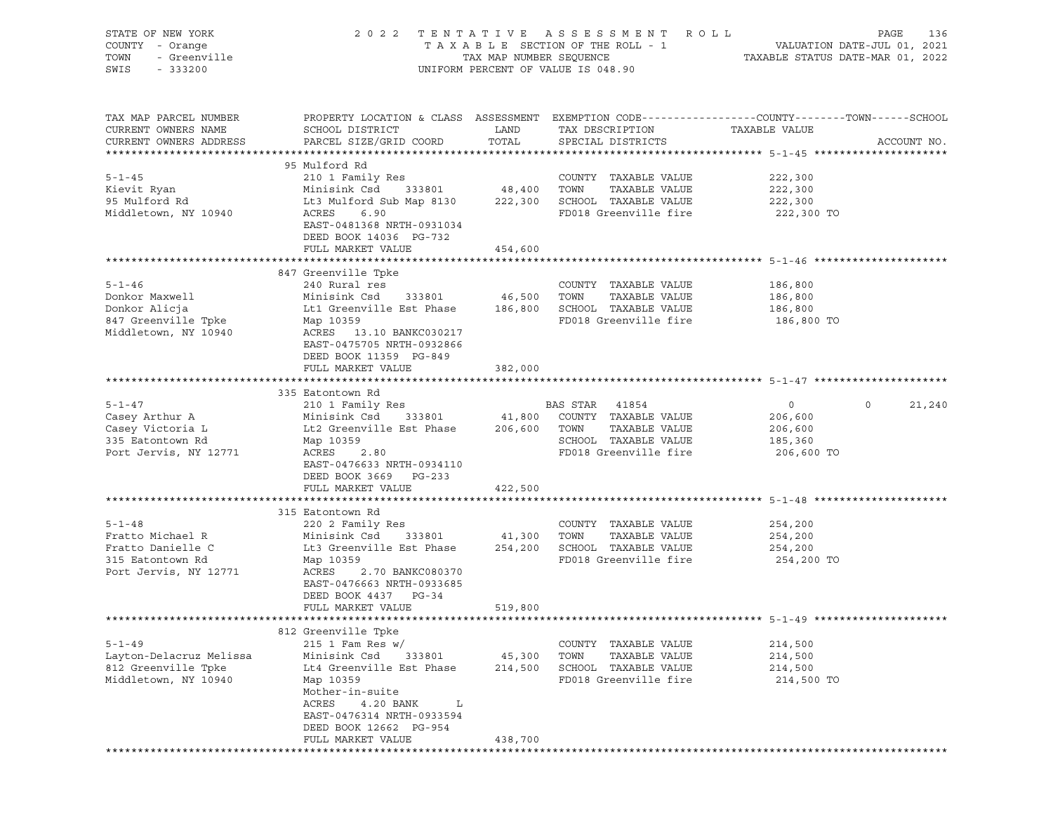| STATE OF NEW YORK<br>COUNTY - Orange<br>TOWN<br>- Greenville<br>SWIS<br>$-333200$ |                                                                                             |                    | 2022 TENTATIVE ASSESSMENT ROLL<br>UNIFORM PERCENT OF VALUE IS 048.90 | PAGE<br>T A X A B L E SECTION OF THE ROLL - 1 VALUATION DATE-JUL 01, 2021<br>TAX MAP NUMBER SEQUENCE TAXABLE STATUS DATE-MAR 01, 2022 | 136 |
|-----------------------------------------------------------------------------------|---------------------------------------------------------------------------------------------|--------------------|----------------------------------------------------------------------|---------------------------------------------------------------------------------------------------------------------------------------|-----|
| TAX MAP PARCEL NUMBER<br>CURRENT OWNERS NAME<br>CURRENT OWNERS ADDRESS            | SCHOOL DISTRICT<br>PARCEL SIZE/GRID COORD                                                   | LAND<br>TOTAL      | TAX DESCRIPTION<br>SPECIAL DISTRICTS                                 | PROPERTY LOCATION & CLASS ASSESSMENT EXEMPTION CODE----------------COUNTY-------TOWN------SCHOOL<br>TAXABLE VALUE<br>ACCOUNT NO.      |     |
|                                                                                   | 95 Mulford Rd                                                                               |                    |                                                                      |                                                                                                                                       |     |
| $5 - 1 - 45$                                                                      | 210 1 Family Res                                                                            |                    | COUNTY TAXABLE VALUE                                                 | 222,300                                                                                                                               |     |
| Kievit Ryan                                                                       | Minisink Csd                                                                                | 333801 48,400 TOWN | TAXABLE VALUE                                                        | 222,300                                                                                                                               |     |
| 95 Mulford Rd                                                                     | Lt3 Mulford Sub Map 8130                                                                    |                    | 222,300 SCHOOL TAXABLE VALUE                                         | 222,300                                                                                                                               |     |
| Middletown, NY 10940                                                              | ACRES<br>6.90<br>EAST-0481368 NRTH-0931034<br>DEED BOOK 14036 PG-732                        |                    | FD018 Greenville fire                                                | 222,300 TO                                                                                                                            |     |
|                                                                                   | FULL MARKET VALUE                                                                           | 454,600            |                                                                      |                                                                                                                                       |     |
|                                                                                   |                                                                                             |                    |                                                                      |                                                                                                                                       |     |
|                                                                                   | 847 Greenville Tpke                                                                         |                    |                                                                      |                                                                                                                                       |     |
| $5 - 1 - 46$                                                                      | 240 Rural res                                                                               |                    | COUNTY TAXABLE VALUE                                                 | 186,800                                                                                                                               |     |
| Donkor Maxwell                                                                    | Minisink Csd 333801 46,500 TOWN                                                             |                    | TAXABLE VALUE                                                        | 186,800                                                                                                                               |     |
| Donkor Alicja                                                                     | Lt1 Greenville Est Phase 186,800 SCHOOL TAXABLE VALUE                                       |                    |                                                                      | 186,800                                                                                                                               |     |
| 847 Greenville Tpke<br>Middletown, NY 10940                                       | Map 10359<br>ACRES 13.10 BANKC030217<br>EAST-0475705 NRTH-0932866<br>DEED BOOK 11359 PG-849 |                    | FD018 Greenville fire                                                | 186,800 TO                                                                                                                            |     |
|                                                                                   | FULL MARKET VALUE                                                                           | 382,000            |                                                                      |                                                                                                                                       |     |
|                                                                                   |                                                                                             |                    |                                                                      |                                                                                                                                       |     |
|                                                                                   | 335 Eatontown Rd                                                                            |                    |                                                                      |                                                                                                                                       |     |
| $5 - 1 - 47$                                                                      | 210 1 Family Res                                                                            |                    | BAS STAR 41854                                                       | $\circ$<br>$\circ$<br>21,240                                                                                                          |     |
| Casey Arthur A                                                                    | Minisink Csd                                                                                |                    | 333801 41,800 COUNTY TAXABLE VALUE                                   | 206,600                                                                                                                               |     |
| Casey Victoria L                                                                  | Lt2 Greenville Est Phase 206,600 TOWN                                                       |                    | TAXABLE VALUE                                                        | 206,600                                                                                                                               |     |
| 335 Eatontown Rd                                                                  | Map 10359                                                                                   |                    | SCHOOL TAXABLE VALUE                                                 | 185,360                                                                                                                               |     |
| Port Jervis, NY 12771                                                             | ACRES<br>2.80<br>EAST-0476633 NRTH-0934110<br>DEED BOOK 3669 PG-233                         |                    | FD018 Greenville fire                                                | 206,600 TO                                                                                                                            |     |
|                                                                                   | FULL MARKET VALUE                                                                           | 422,500            |                                                                      |                                                                                                                                       |     |
|                                                                                   | 315 Eatontown Rd                                                                            |                    |                                                                      |                                                                                                                                       |     |
| $5 - 1 - 48$                                                                      | 220 2 Family Res                                                                            |                    | COUNTY TAXABLE VALUE                                                 | 254,200                                                                                                                               |     |
| Fratto Michael R                                                                  | 333801<br>Minisink Csd                                                                      |                    | 41,300 TOWN<br>TAXABLE VALUE                                         | 254,200                                                                                                                               |     |
| Fratto Danielle C                                                                 | Lt3 Greenville Est Phase                                                                    |                    | 254,200 SCHOOL TAXABLE VALUE                                         | 254,200                                                                                                                               |     |
| 315 Eatontown Rd<br>Port Jervis, NY 12771                                         | Map 10359<br>ACRES<br>2.70 BANKC080370                                                      |                    | FD018 Greenville fire                                                | 254,200 TO                                                                                                                            |     |
|                                                                                   | EAST-0476663 NRTH-0933685<br>DEED BOOK 4437 PG-34                                           |                    |                                                                      |                                                                                                                                       |     |
|                                                                                   | FULL MARKET VALUE                                                                           | 519,800            |                                                                      | ********************************* 5-1-49 *********************                                                                        |     |
|                                                                                   | 812 Greenville Tpke                                                                         |                    |                                                                      |                                                                                                                                       |     |
| $5 - 1 - 49$                                                                      | $215$ 1 Fam Res w/                                                                          |                    | COUNTY<br>TAXABLE VALUE                                              | 214,500                                                                                                                               |     |
| Layton-Delacruz Melissa                                                           | Minisink Csd<br>333801                                                                      | 45,300             | TOWN<br>TAXABLE VALUE                                                | 214,500                                                                                                                               |     |
| 812 Greenville Tpke                                                               | Lt4 Greenville Est Phase                                                                    | 214,500            | SCHOOL TAXABLE VALUE                                                 | 214,500                                                                                                                               |     |
| Middletown, NY 10940                                                              | Map 10359<br>Mother-in-suite                                                                |                    | FD018 Greenville fire                                                | 214,500 TO                                                                                                                            |     |
|                                                                                   | ACRES<br>4.20 BANK<br>L<br>EAST-0476314 NRTH-0933594<br>DEED BOOK 12662 PG-954              |                    |                                                                      |                                                                                                                                       |     |
|                                                                                   | FULL MARKET VALUE                                                                           | 438,700            |                                                                      |                                                                                                                                       |     |
|                                                                                   |                                                                                             |                    |                                                                      |                                                                                                                                       |     |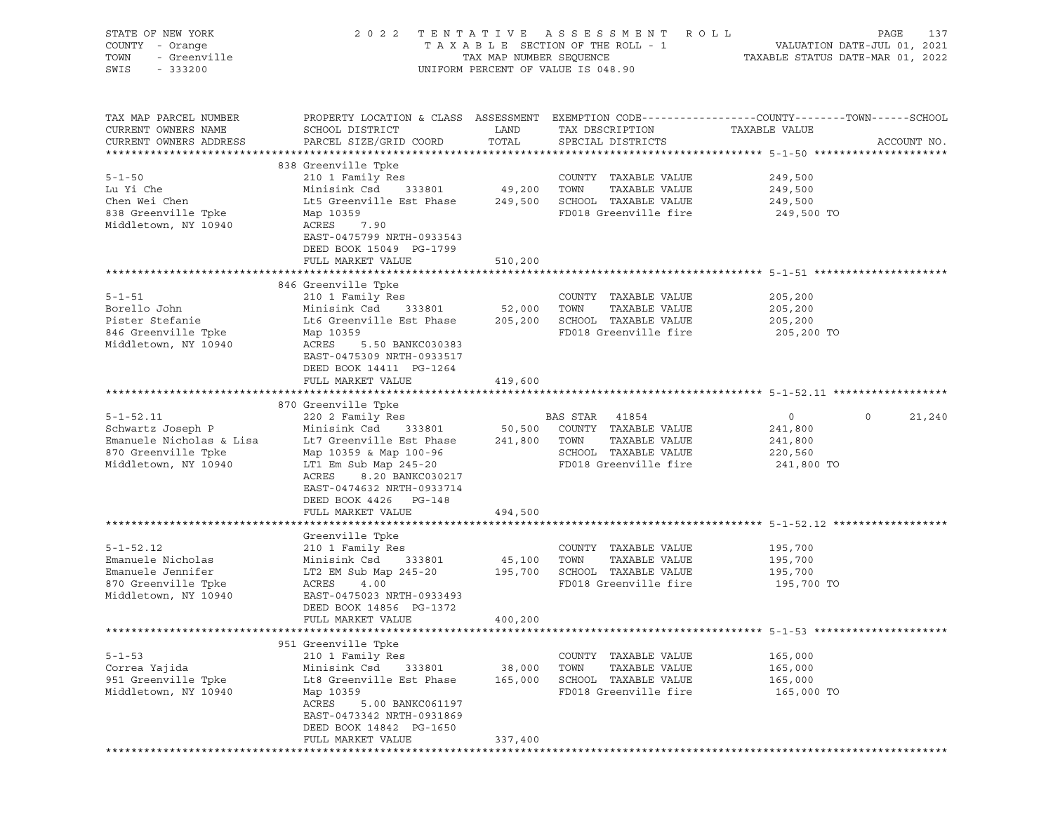| STATE OF NEW YORK<br>COUNTY - Orange<br>r - Orange<br>- Greenville<br>- 333200<br>TOWN<br>SWIS<br>$-333200$ |                                                                                                                                                                                                                                                                                                                         |                              | 2022 TENTATIVE ASSESSMENT ROLL<br>UNIFORM PERCENT OF VALUE IS 048.90                           | PAGE<br>137                                                                                                    |
|-------------------------------------------------------------------------------------------------------------|-------------------------------------------------------------------------------------------------------------------------------------------------------------------------------------------------------------------------------------------------------------------------------------------------------------------------|------------------------------|------------------------------------------------------------------------------------------------|----------------------------------------------------------------------------------------------------------------|
| TAX MAP PARCEL NUMBER<br>CURRENT OWNERS NAME<br>CURRENT OWNERS ADDRESS                                      | SCHOOL DISTRICT<br>PARCEL SIZE/GRID COORD                                                                                                                                                                                                                                                                               | LAND<br>TOTAL                | TAX DESCRIPTION TAXABLE VALUE<br>SPECIAL DISTRICTS                                             | PROPERTY LOCATION & CLASS ASSESSMENT EXEMPTION CODE----------------COUNTY-------TOWN-----SCHOOL<br>ACCOUNT NO. |
| $5 - 1 - 50$<br>Lu Yi Che<br>Chen Wei Chen<br>838 Greenville Tpke<br>Middletown, NY 10940                   | 838 Greenville Tpke<br>210 1 Family Res<br>Minisink Csd 333801 49,200 TOWN<br>Lt5 Greenville Est Phase 249,500 SCHOOL TAXABLE VALUE 249,500<br>Map 10359<br>ACRES<br>7.90<br>EAST-0475799 NRTH-0933543<br>DEED BOOK 15049 PG-1799<br>FULL MARKET VALUE                                                                  | 510,200                      | COUNTY TAXABLE VALUE<br>TAXABLE VALUE<br>FD018 Greenville fire                                 | 249,500<br>249,500<br>249,500 TO                                                                               |
|                                                                                                             |                                                                                                                                                                                                                                                                                                                         |                              |                                                                                                |                                                                                                                |
| $5 - 1 - 51$<br>Borello John<br>Pister Stefanie<br>846 Greenville Tpke<br>Middletown, NY 10940              | 846 Greenville Tpke<br>Map 10359<br>ACRES<br>5.50 BANKC030383<br>EAST-0475309 NRTH-0933517<br>DEED BOOK 14411 PG-1264                                                                                                                                                                                                   |                              | COUNTY TAXABLE VALUE<br>TAXABLE VALUE<br>FD018 Greenville fire                                 | 205,200<br>205,200<br>205,200 TO                                                                               |
|                                                                                                             | FULL MARKET VALUE                                                                                                                                                                                                                                                                                                       | 419,600                      |                                                                                                |                                                                                                                |
|                                                                                                             |                                                                                                                                                                                                                                                                                                                         |                              |                                                                                                |                                                                                                                |
| Middletown, NY 10940                                                                                        | 870 Greenville Tpke<br>5-1-52.11              220 2 Family Res             BAS STAR   41854<br>Schwartz Joseph P         Minisink Csd   333801      50,500   COUNTY TAXABLE VALUE<br>Map 10359 & Map 100-96<br>LT1 Em Sub Map 245-20<br>ACRES<br>8.20 BANKC030217<br>EAST-0474632 NRTH-0933714<br>DEED BOOK 4426 PG-148 |                              | SCHOOL TAXABLE VALUE<br>FD018 Greenville fire<br>FD018 Greenville fire 241,800 TO              | $\overline{0}$<br>21,240<br>$\circ$<br>241,800<br>241,800<br>220,560                                           |
|                                                                                                             | FULL MARKET VALUE                                                                                                                                                                                                                                                                                                       | 494,500                      |                                                                                                |                                                                                                                |
| $5 - 1 - 52.12$<br>Emanuele Nicholas<br>Emanuele Jennifer<br>870 Greenville Tpke<br>Middletown, NY 10940    | Greenville Tpke<br>210 1 Family Res<br>210 1 Family Res<br>Minisink Csd 333801 45,100 TOWN TAXABLE VALUE<br>LT2 EM Sub Map 245-20 195,700 SCHOOL TAXABLE VALUE<br>ACRES 4.00 FD018 Greenville fire<br>EAST-0475023 NRTH-0933493<br>DEED BOOK 14856 PG-1372                                                              |                              | COUNTY TAXABLE VALUE<br>TAXABLE VALUE<br>FD018 Greenville fire 195,700 TO                      | 195,700<br>195,700<br>195,700                                                                                  |
|                                                                                                             | FULL MARKET VALUE                                                                                                                                                                                                                                                                                                       | 400,200                      |                                                                                                |                                                                                                                |
| $5 - 1 - 53$<br>Correa Yajida<br>951 Greenville Tpke<br>Middletown, NY 10940                                | 951 Greenville Tpke<br>210 1 Family Res<br>Minisink Csd<br>333801<br>Lt8 Greenville Est Phase<br>Map 10359<br>ACRES<br>5.00 BANKC061197<br>EAST-0473342 NRTH-0931869<br>DEED BOOK 14842 PG-1650<br>FULL MARKET VALUE                                                                                                    | 38,000<br>165,000<br>337,400 | COUNTY TAXABLE VALUE<br>TAXABLE VALUE<br>TOWN<br>SCHOOL TAXABLE VALUE<br>FD018 Greenville fire | 165,000<br>165,000<br>165,000<br>165,000 TO                                                                    |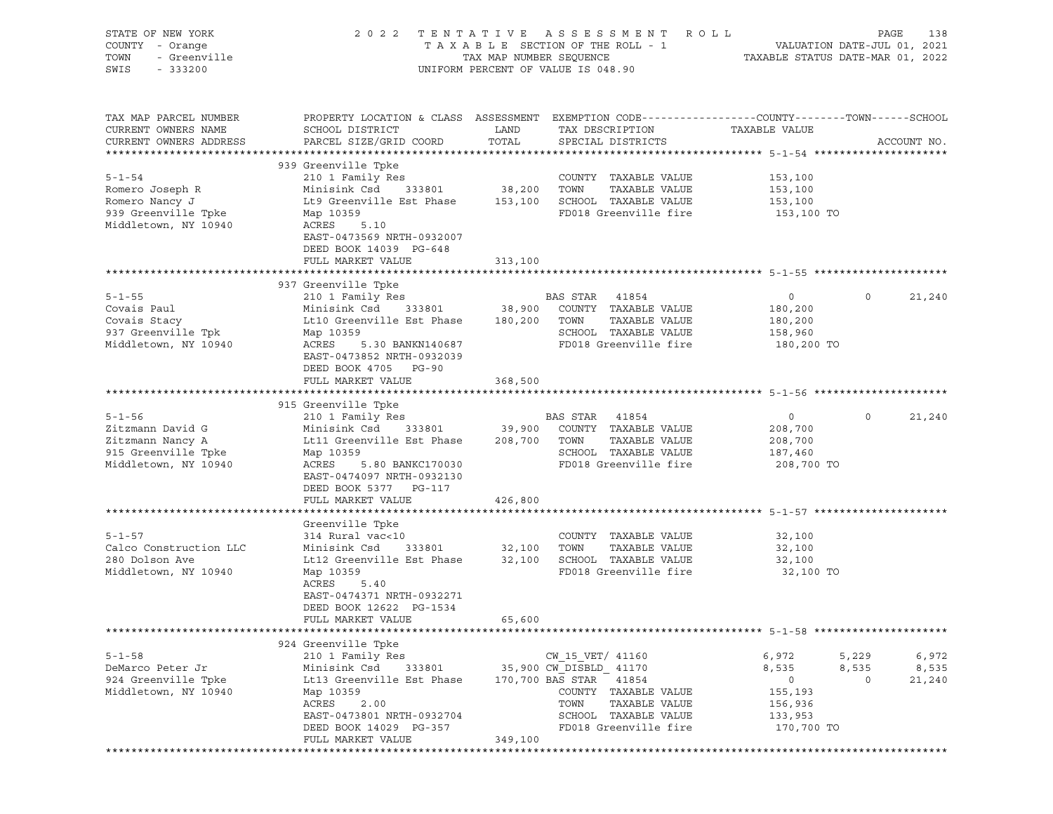| STATE OF NEW YORK<br>COUNTY - Orange<br>Y - Orange<br>- Greenville<br>- 333200<br>TOWN<br>SWIS - 333200 |                                                                                                                                                                                                                                                                                      |         | 2022 TENTATIVE ASSESSMENT ROLL<br>T A X A B L E SECTION OF THE ROLL - 1<br>TA X A B L E SECTION OF THE ROLL - 1<br>TAXABLE STATUS DATE-MAR 01, 2022<br>UNIFORM PERCENT OF VALUE IS 048.90 |                                                                                 | PAGE<br>138                                           |
|---------------------------------------------------------------------------------------------------------|--------------------------------------------------------------------------------------------------------------------------------------------------------------------------------------------------------------------------------------------------------------------------------------|---------|-------------------------------------------------------------------------------------------------------------------------------------------------------------------------------------------|---------------------------------------------------------------------------------|-------------------------------------------------------|
| TAX MAP PARCEL NUMBER<br>CURRENT OWNERS NAME<br>CURRENT OWNERS ADDRESS                                  | PROPERTY LOCATION & CLASS ASSESSMENT EXEMPTION CODE----------------COUNTY-------TOWN-----SCHOOL<br>SCHOOL DISTRICT<br>PARCEL SIZE/GRID COORD TOTAL                                                                                                                                   | LAND    | TAX DESCRIPTION TAXABLE VALUE<br>SPECIAL DISTRICTS                                                                                                                                        |                                                                                 | ACCOUNT NO.                                           |
| $5 - 1 - 54$<br>Romero Joseph R<br>Romero Nancy J<br>939 Greenville Tpke<br>Middletown, NY 10940        | 939 Greenville Tpke<br>210 1 Family Res<br>XIO I Fallily Res<br>Minisink Csd 333801 38,200 TOWN TAXABLE VALUE<br>Lt9 Greenville Est Phase 153,100 SCHOOL TAXABLE VALUE<br>Map 10359<br>ACRES 5.10<br>EAST-0473569 NRTH-0932007<br>DEED BOOK 14039 PG-648<br>FULL MARKET VALUE        | 313,100 | COUNTY TAXABLE VALUE<br>FD018 Greenville fire                                                                                                                                             | 153,100<br>153,100<br>153,100<br>153,100 TO                                     |                                                       |
|                                                                                                         |                                                                                                                                                                                                                                                                                      |         |                                                                                                                                                                                           |                                                                                 |                                                       |
| $5 - 1 - 55$<br>Covais Paul<br>Covais Stacy<br>937 Greenville Tpk<br>Middletown, NY 10940               | 937 Greenville Tpke<br>Lt10 Greenville Est Phase 180,200 TOWN TAXABLE VALUE<br>Map 10359<br>ACRES<br>5.30 BANKN140687<br>EAST-0473852 NRTH-0932039<br>DEED BOOK 4705 PG-90                                                                                                           |         | SCHOOL TAXABLE VALUE<br>FD018 Greenville fire 180,200 TO                                                                                                                                  | $\overline{0}$<br>180,200<br>180,200<br>158,960                                 | 21,240<br>$\circ$                                     |
|                                                                                                         | FULL MARKET VALUE                                                                                                                                                                                                                                                                    | 368,500 |                                                                                                                                                                                           |                                                                                 |                                                       |
| $5 - 1 - 56$<br>Zitzmann David G<br>Zitzmann Nancy A<br>915 Greenville Tpke<br>Middletown, NY 10940     | 915 Greenville Tpke<br>210 1 Family Res<br>210 1 Family Res<br>Minisink Csd 333801 39,900 COUNTY TAXABLE VALUE<br>Lt11 Greenville Est Phase 208,700 TOWN TAXABLE VALUE<br>Map 10359<br>ACRES<br>5.80 BANKC170030<br>EAST-0474097 NRTH-0932130<br>DEED BOOK 5377 PG-117               |         | BAS STAR 41854<br>SCHOOL TAXABLE VALUE<br>FD018 Greenville fire 208,700 TO                                                                                                                | $\overline{0}$<br>208,700<br>208,700<br>187,460                                 | 21,240<br>$\circ$                                     |
|                                                                                                         | FULL MARKET VALUE                                                                                                                                                                                                                                                                    | 426,800 |                                                                                                                                                                                           |                                                                                 |                                                       |
| $5 - 1 - 57$<br>Calco Construction LLC<br>280 Dolson Ave<br>Middletown, NY 10940                        | Greenville Tpke<br>314 Rural vac<10<br>$314 \text{ Rural vac} < 10$ $314 \text{ Rural vac} < 10$ $32,100$ $70WN$<br>Lt12 Greenville Est Phase 32,100 SCHOOL TAXABLE VALUE<br>Map 10359<br>ACRES<br>5.40<br>EAST-0474371 NRTH-0932271<br>DEED BOOK 12622 PG-1534<br>FULL MARKET VALUE | 65,600  | COUNTY TAXABLE VALUE<br>TAXABLE VALUE<br>FD018 Greenville fire                                                                                                                            | 32,100<br>32,100<br>32,100<br>32,100 TO                                         |                                                       |
|                                                                                                         |                                                                                                                                                                                                                                                                                      |         |                                                                                                                                                                                           |                                                                                 |                                                       |
| $5 - 1 - 58$<br>DeMarco Peter Jr<br>924 Greenville Tpke<br>Middletown, NY 10940                         | 924 Greenville Tpke<br>210 1 Family Res<br>Minisink Csd<br>333801<br>Lt13 Greenville Est Phase<br>Map 10359<br>ACRES<br>2.00<br>EAST-0473801 NRTH-0932704<br>DEED BOOK 14029 PG-357<br>FULL MARKET VALUE                                                                             | 349,100 | CW 15 VET/ 41160<br>35,900 CW DISBLD 41170<br>170,700 BAS STAR 41854<br>COUNTY TAXABLE VALUE<br>TOWN<br>TAXABLE VALUE<br>SCHOOL TAXABLE VALUE<br>FD018 Greenville fire                    | 6,972<br>8,535<br>$\overline{0}$<br>155,193<br>156,936<br>133,953<br>170,700 TO | 5,229<br>6,972<br>8,535<br>8,535<br>$\circ$<br>21,240 |
|                                                                                                         |                                                                                                                                                                                                                                                                                      |         |                                                                                                                                                                                           |                                                                                 |                                                       |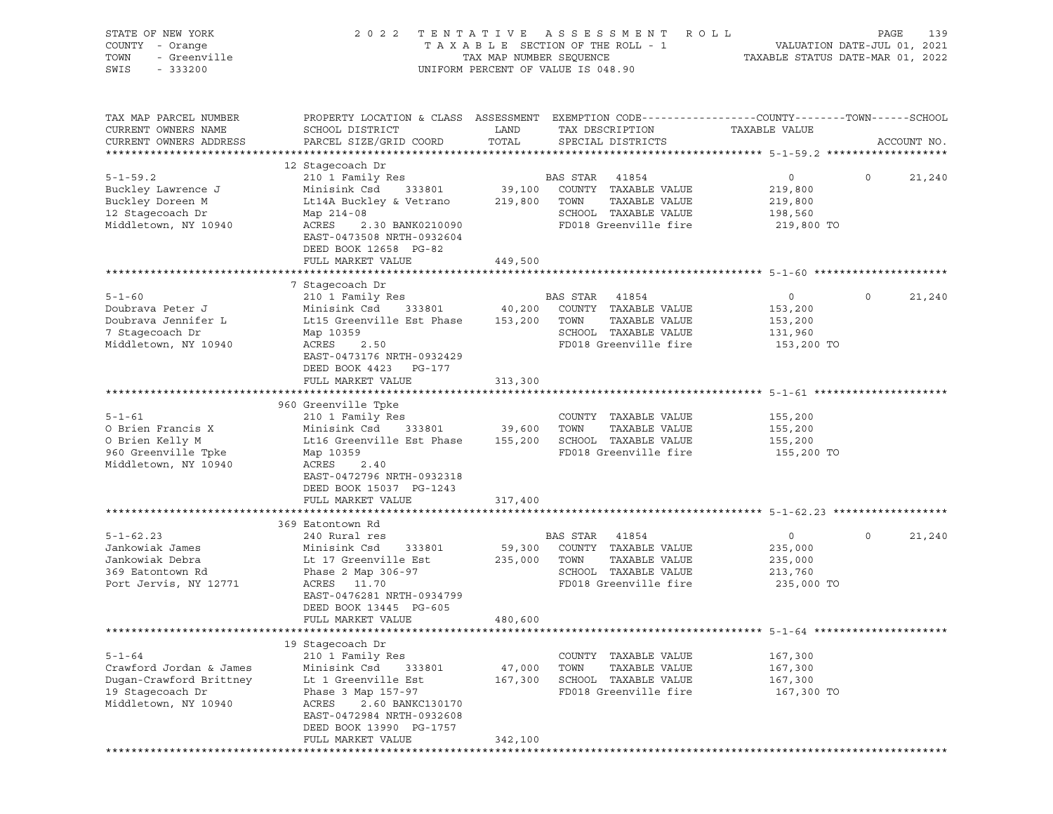| STATE OF NEW YORK<br>COUNTY - Orange<br>TOWN<br>- Greenville<br>SWIS<br>$-333200$ | 2 0 2 2                                                                                                           | TENTATIVE<br>TAX MAP NUMBER SEQUENCE | ASSESSMENT<br>R O L L<br>TAXABLE SECTION OF THE ROLL - 1<br>UNIFORM PERCENT OF VALUE IS 048.90 | VALUATION DATE-JUL 01, 2021<br>TAXABLE STATUS DATE-MAR 01, 2022 | PAGE    | 139         |
|-----------------------------------------------------------------------------------|-------------------------------------------------------------------------------------------------------------------|--------------------------------------|------------------------------------------------------------------------------------------------|-----------------------------------------------------------------|---------|-------------|
| TAX MAP PARCEL NUMBER<br>CURRENT OWNERS NAME                                      | PROPERTY LOCATION & CLASS ASSESSMENT EXEMPTION CODE---------------COUNTY-------TOWN-----SCHOOL<br>SCHOOL DISTRICT | LAND                                 | TAX DESCRIPTION                                                                                | TAXABLE VALUE                                                   |         |             |
| CURRENT OWNERS ADDRESS                                                            | PARCEL SIZE/GRID COORD                                                                                            | TOTAL                                | SPECIAL DISTRICTS                                                                              |                                                                 |         | ACCOUNT NO. |
|                                                                                   | 12 Stagecoach Dr                                                                                                  |                                      |                                                                                                |                                                                 |         |             |
| $5 - 1 - 59.2$                                                                    | 210 1 Family Res                                                                                                  |                                      | BAS STAR 41854                                                                                 | $\circ$                                                         | $\circ$ | 21,240      |
| Buckley Lawrence J                                                                | 333801<br>Minisink Csd                                                                                            | 39,100                               | COUNTY TAXABLE VALUE                                                                           | 219,800                                                         |         |             |
| Buckley Doreen M                                                                  | Lt14A Buckley & Vetrano                                                                                           | 219,800 TOWN                         | TAXABLE VALUE                                                                                  | 219,800                                                         |         |             |
| 12 Stagecoach Dr                                                                  | Map 214-08                                                                                                        |                                      | SCHOOL TAXABLE VALUE                                                                           | 198,560                                                         |         |             |
| Middletown, NY 10940                                                              | ACRES<br>2.30 BANK0210090<br>EAST-0473508 NRTH-0932604<br>DEED BOOK 12658 PG-82                                   |                                      | FD018 Greenville fire                                                                          | 219,800 TO                                                      |         |             |
|                                                                                   | FULL MARKET VALUE                                                                                                 | 449,500                              |                                                                                                |                                                                 |         |             |
|                                                                                   |                                                                                                                   |                                      |                                                                                                |                                                                 |         |             |
| $5 - 1 - 60$                                                                      | 7 Stagecoach Dr<br>210 1 Family Res                                                                               |                                      | BAS STAR<br>41854                                                                              | $\circ$                                                         | $\circ$ | 21,240      |
| Doubrava Peter J                                                                  | Minisink Csd<br>333801                                                                                            | 40,200                               | COUNTY TAXABLE VALUE                                                                           | 153,200                                                         |         |             |
| Doubrava Jennifer L                                                               | Lt15 Greenville Est Phase                                                                                         | 153,200                              | TOWN<br>TAXABLE VALUE                                                                          | 153,200                                                         |         |             |
| 7 Stagecoach Dr                                                                   | Map 10359                                                                                                         |                                      | SCHOOL TAXABLE VALUE                                                                           | 131,960                                                         |         |             |
| Middletown, NY 10940                                                              | ACRES<br>2.50                                                                                                     |                                      | FD018 Greenville fire                                                                          | 153,200 TO                                                      |         |             |
|                                                                                   | EAST-0473176 NRTH-0932429<br>DEED BOOK 4423 PG-177                                                                |                                      |                                                                                                |                                                                 |         |             |
|                                                                                   | FULL MARKET VALUE                                                                                                 | 313,300                              |                                                                                                |                                                                 |         |             |
|                                                                                   | 960 Greenville Tpke                                                                                               |                                      |                                                                                                |                                                                 |         |             |
| $5 - 1 - 61$                                                                      | 210 1 Family Res                                                                                                  |                                      | COUNTY TAXABLE VALUE                                                                           | 155,200                                                         |         |             |
| O Brien Francis X                                                                 | Minisink Csd<br>333801                                                                                            | 39,600                               | TOWN<br>TAXABLE VALUE                                                                          | 155,200                                                         |         |             |
| O Brien Kelly M                                                                   | Lt16 Greenville Est Phase                                                                                         |                                      | 155,200 SCHOOL TAXABLE VALUE                                                                   | 155,200                                                         |         |             |
| 960 Greenville Tpke                                                               | Map 10359                                                                                                         |                                      | FD018 Greenville fire                                                                          | 155,200 TO                                                      |         |             |
| Middletown, NY 10940                                                              | ACRES<br>2.40                                                                                                     |                                      |                                                                                                |                                                                 |         |             |
|                                                                                   | EAST-0472796 NRTH-0932318                                                                                         |                                      |                                                                                                |                                                                 |         |             |
|                                                                                   | DEED BOOK 15037 PG-1243                                                                                           |                                      |                                                                                                |                                                                 |         |             |
|                                                                                   | FULL MARKET VALUE                                                                                                 | 317,400                              |                                                                                                |                                                                 |         |             |
|                                                                                   | 369 Eatontown Rd                                                                                                  |                                      |                                                                                                |                                                                 |         |             |
| $5 - 1 - 62.23$                                                                   | 240 Rural res                                                                                                     |                                      | BAS STAR<br>41854                                                                              | 0                                                               | $\circ$ | 21,240      |
| Jankowiak James                                                                   | Minisink Csd<br>333801                                                                                            | 59,300                               | COUNTY TAXABLE VALUE                                                                           | 235,000                                                         |         |             |
| Jankowiak Debra                                                                   | Lt 17 Greenville Est                                                                                              | 235,000                              | TOWN<br>TAXABLE VALUE                                                                          | 235,000                                                         |         |             |
| 369 Eatontown Rd                                                                  | Phase 2 Map 306-97                                                                                                |                                      | SCHOOL TAXABLE VALUE                                                                           | 213,760                                                         |         |             |
| Port Jervis, NY 12771                                                             | ACRES<br>11.70                                                                                                    |                                      | FD018 Greenville fire                                                                          | 235,000 TO                                                      |         |             |
|                                                                                   | EAST-0476281 NRTH-0934799                                                                                         |                                      |                                                                                                |                                                                 |         |             |
|                                                                                   | DEED BOOK 13445 PG-605                                                                                            | 480,600                              |                                                                                                |                                                                 |         |             |
|                                                                                   | FULL MARKET VALUE                                                                                                 |                                      |                                                                                                |                                                                 |         |             |
|                                                                                   | 19 Stagecoach Dr                                                                                                  |                                      |                                                                                                |                                                                 |         |             |
| $5 - 1 - 64$                                                                      | 210 1 Family Res                                                                                                  |                                      | COUNTY<br>TAXABLE VALUE                                                                        | 167,300                                                         |         |             |
| Crawford Jordan & James                                                           | Minisink Csd<br>333801                                                                                            | 47,000                               | TOWN<br>TAXABLE VALUE                                                                          | 167,300                                                         |         |             |
| Dugan-Crawford Brittney                                                           | Lt 1 Greenville Est                                                                                               | 167,300                              | SCHOOL<br>TAXABLE VALUE                                                                        | 167,300                                                         |         |             |
| 19 Stagecoach Dr                                                                  | Phase 3 Map 157-97                                                                                                |                                      | FD018 Greenville fire                                                                          | 167,300 TO                                                      |         |             |
| Middletown, NY 10940                                                              | ACRES<br>2.60 BANKC130170                                                                                         |                                      |                                                                                                |                                                                 |         |             |
|                                                                                   | EAST-0472984 NRTH-0932608                                                                                         |                                      |                                                                                                |                                                                 |         |             |
|                                                                                   | DEED BOOK 13990 PG-1757<br>FULL MARKET VALUE                                                                      | 342,100                              |                                                                                                |                                                                 |         |             |
|                                                                                   |                                                                                                                   |                                      |                                                                                                |                                                                 |         |             |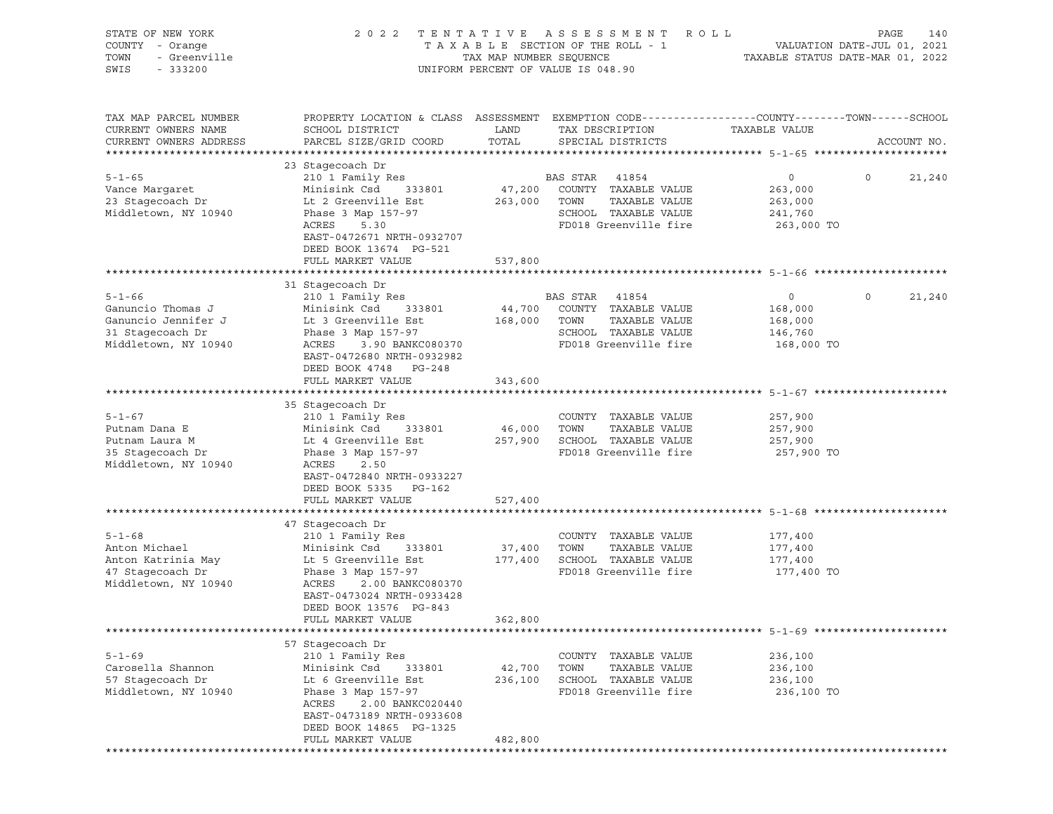| STATE OF NEW YORK<br>COUNTY - Orange<br>TOWN<br>- Greenville<br>SWIS<br>$-333200$ | 2022 TENTATIVE                                                                                                     | TAX MAP NUMBER SEQUENCE | ASSESSMENT<br>R O L L<br>TAXABLE SECTION OF THE ROLL - 1<br>UNIFORM PERCENT OF VALUE IS 048.90 |               | PAGE<br>140<br>VALUATION DATE-JUL 01, 2021<br>TAXABLE STATUS DATE-MAR 01, 2022 |
|-----------------------------------------------------------------------------------|--------------------------------------------------------------------------------------------------------------------|-------------------------|------------------------------------------------------------------------------------------------|---------------|--------------------------------------------------------------------------------|
| TAX MAP PARCEL NUMBER<br>CURRENT OWNERS NAME                                      | PROPERTY LOCATION & CLASS ASSESSMENT EXEMPTION CODE----------------COUNTY-------TOWN-----SCHOOL<br>SCHOOL DISTRICT | LAND                    | TAX DESCRIPTION                                                                                | TAXABLE VALUE |                                                                                |
| CURRENT OWNERS ADDRESS                                                            | PARCEL SIZE/GRID COORD                                                                                             | TOTAL                   | SPECIAL DISTRICTS                                                                              |               | ACCOUNT NO.                                                                    |
|                                                                                   | 23 Stagecoach Dr                                                                                                   |                         |                                                                                                |               |                                                                                |
| $5 - 1 - 65$                                                                      | 210 1 Family Res                                                                                                   |                         | BAS STAR 41854                                                                                 | $\circ$       | $\circ$<br>21,240                                                              |
| Vance Margaret                                                                    | Minisink Csd<br>333801                                                                                             | 47,200                  | COUNTY TAXABLE VALUE                                                                           | 263,000       |                                                                                |
| 23 Stagecoach Dr                                                                  | Lt 2 Greenville Est                                                                                                | 263,000                 | TOWN<br>TAXABLE VALUE                                                                          | 263,000       |                                                                                |
| Middletown, NY 10940                                                              | Phase 3 Map 157-97                                                                                                 |                         | SCHOOL TAXABLE VALUE                                                                           | 241,760       |                                                                                |
|                                                                                   | ACRES<br>5.30<br>EAST-0472671 NRTH-0932707<br>DEED BOOK 13674 PG-521                                               |                         | FD018 Greenville fire                                                                          | 263,000 TO    |                                                                                |
|                                                                                   | FULL MARKET VALUE                                                                                                  | 537,800                 |                                                                                                |               |                                                                                |
|                                                                                   |                                                                                                                    |                         |                                                                                                |               |                                                                                |
| $5 - 1 - 66$                                                                      | 31 Stagecoach Dr<br>210 1 Family Res                                                                               |                         | BAS STAR 41854                                                                                 | $\circ$       | $\circ$<br>21,240                                                              |
| Ganuncio Thomas J                                                                 | Minisink Csd<br>333801                                                                                             | 44,700                  | COUNTY TAXABLE VALUE                                                                           | 168,000       |                                                                                |
| Ganuncio Jennifer J                                                               | Lt 3 Greenville Est                                                                                                | 168,000                 | TOWN<br>TAXABLE VALUE                                                                          | 168,000       |                                                                                |
| 31 Stagecoach Dr                                                                  | Phase 3 Map 157-97                                                                                                 |                         | SCHOOL TAXABLE VALUE                                                                           | 146,760       |                                                                                |
| Middletown, NY 10940                                                              | ACRES<br>3.90 BANKC080370<br>EAST-0472680 NRTH-0932982<br>DEED BOOK 4748 PG-248                                    |                         | FD018 Greenville fire                                                                          | 168,000 TO    |                                                                                |
|                                                                                   | FULL MARKET VALUE                                                                                                  | 343,600                 |                                                                                                |               |                                                                                |
|                                                                                   | 35 Stagecoach Dr                                                                                                   |                         |                                                                                                |               |                                                                                |
| $5 - 1 - 67$                                                                      | 210 1 Family Res                                                                                                   |                         | COUNTY TAXABLE VALUE                                                                           | 257,900       |                                                                                |
| Putnam Dana E                                                                     | Minisink Csd<br>333801                                                                                             | 46,000                  | TOWN<br>TAXABLE VALUE                                                                          | 257,900       |                                                                                |
| Putnam Laura M                                                                    | Lt 4 Greenville Est                                                                                                |                         | 257,900 SCHOOL TAXABLE VALUE                                                                   | 257,900       |                                                                                |
| 35 Stagecoach Dr                                                                  | Phase 3 Map 157-97                                                                                                 |                         | FD018 Greenville fire                                                                          | 257,900 TO    |                                                                                |
| Middletown, NY 10940                                                              | ACRES<br>2.50                                                                                                      |                         |                                                                                                |               |                                                                                |
|                                                                                   | EAST-0472840 NRTH-0933227                                                                                          |                         |                                                                                                |               |                                                                                |
|                                                                                   | DEED BOOK 5335 PG-162<br>FULL MARKET VALUE                                                                         | 527,400                 |                                                                                                |               |                                                                                |
|                                                                                   |                                                                                                                    |                         |                                                                                                |               |                                                                                |
|                                                                                   | 47 Stagecoach Dr                                                                                                   |                         |                                                                                                |               |                                                                                |
| $5 - 1 - 68$                                                                      | 210 1 Family Res                                                                                                   |                         | COUNTY TAXABLE VALUE                                                                           | 177,400       |                                                                                |
| Anton Michael                                                                     | Minisink Csd<br>333801                                                                                             | 37,400                  | TOWN<br>TAXABLE VALUE                                                                          | 177,400       |                                                                                |
| Anton Katrinia May                                                                | Lt 5 Greenville Est                                                                                                | 177,400                 | SCHOOL TAXABLE VALUE                                                                           | 177,400       |                                                                                |
| 47 Stagecoach Dr                                                                  | Phase 3 Map 157-97                                                                                                 |                         | FD018 Greenville fire                                                                          | 177,400 TO    |                                                                                |
| Middletown, NY 10940                                                              | ACRES<br>2.00 BANKC080370                                                                                          |                         |                                                                                                |               |                                                                                |
|                                                                                   | EAST-0473024 NRTH-0933428<br>DEED BOOK 13576 PG-843                                                                |                         |                                                                                                |               |                                                                                |
|                                                                                   | FULL MARKET VALUE                                                                                                  | 362,800                 |                                                                                                |               |                                                                                |
|                                                                                   |                                                                                                                    |                         |                                                                                                |               |                                                                                |
|                                                                                   | 57 Stagecoach Dr                                                                                                   |                         |                                                                                                |               |                                                                                |
| $5 - 1 - 69$                                                                      | 210 1 Family Res                                                                                                   |                         | COUNTY TAXABLE VALUE                                                                           | 236,100       |                                                                                |
| Carosella Shannon                                                                 | Minisink Csd<br>333801                                                                                             | 42,700                  | TOWN<br>TAXABLE VALUE                                                                          | 236,100       |                                                                                |
| 57 Stagecoach Dr                                                                  | Lt 6 Greenville Est                                                                                                | 236,100                 | SCHOOL TAXABLE VALUE<br>FD018 Greenville fire                                                  | 236,100       |                                                                                |
| Middletown, NY 10940                                                              | Phase 3 Map 157-97<br>ACRES<br>2.00 BANKC020440                                                                    |                         |                                                                                                | 236,100 TO    |                                                                                |
|                                                                                   | EAST-0473189 NRTH-0933608                                                                                          |                         |                                                                                                |               |                                                                                |
|                                                                                   | DEED BOOK 14865 PG-1325                                                                                            |                         |                                                                                                |               |                                                                                |
|                                                                                   | FULL MARKET VALUE                                                                                                  | 482,800                 |                                                                                                |               |                                                                                |
|                                                                                   |                                                                                                                    |                         |                                                                                                |               |                                                                                |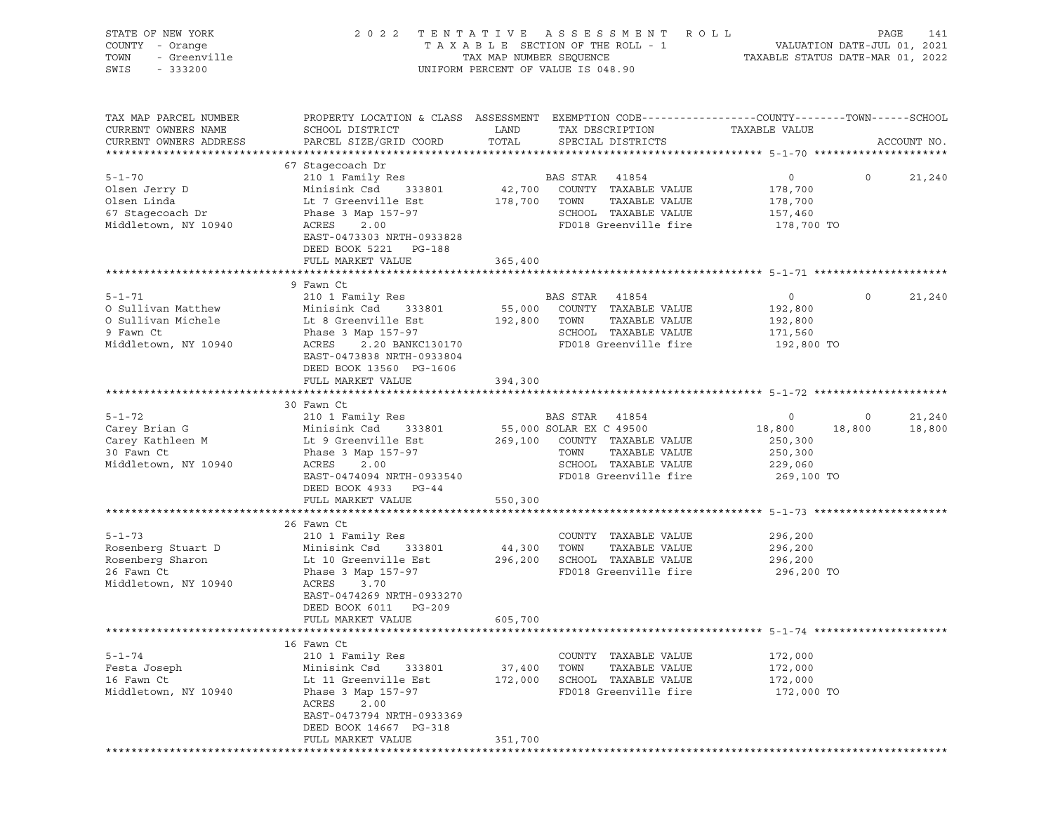| STATE OF NEW YORK<br>COUNTY - Orange<br>- Greenville<br>TOWN<br>SWIS<br>$-333200$ | 2022 TENTATIVE ASSESSMENT ROLL<br>TAXABLE SECTION OF THE ROLL - 1<br>TAX MAP NUMBER SEQUENCE<br>UNIFORM PERCENT OF VALUE IS 048.90 |              |                                           | VALUATION DATE-JUL 01, 2021<br>TAXABLE STATUS DATE-MAR 01, 2022 |          | PAGE<br>141      |
|-----------------------------------------------------------------------------------|------------------------------------------------------------------------------------------------------------------------------------|--------------|-------------------------------------------|-----------------------------------------------------------------|----------|------------------|
| TAX MAP PARCEL NUMBER<br>CURRENT OWNERS NAME                                      | PROPERTY LOCATION & CLASS ASSESSMENT EXEMPTION CODE---------------COUNTY-------TOWN-----SCHOOL<br>SCHOOL DISTRICT                  | LAND         | TAX DESCRIPTION                           | TAXABLE VALUE                                                   |          |                  |
| CURRENT OWNERS ADDRESS                                                            | PARCEL SIZE/GRID COORD                                                                                                             | TOTAL        | SPECIAL DISTRICTS                         |                                                                 |          | ACCOUNT NO.      |
|                                                                                   | 67 Stagecoach Dr                                                                                                                   |              |                                           |                                                                 |          |                  |
| $5 - 1 - 70$                                                                      | 210 1 Family Res                                                                                                                   |              | BAS STAR 41854                            | $\overline{0}$                                                  | $\Omega$ | 21,240           |
| Olsen Jerry D                                                                     | Minisink Csd<br>333801                                                                                                             |              | 42,700 COUNTY TAXABLE VALUE               | 178,700                                                         |          |                  |
| Olsen Linda                                                                       | Lt 7 Greenville Est                                                                                                                | 178,700 TOWN | TAXABLE VALUE                             | 178,700                                                         |          |                  |
| 67 Stagecoach Dr                                                                  | Phase 3 Map 157-97                                                                                                                 |              | SCHOOL TAXABLE VALUE                      | 157,460                                                         |          |                  |
| Middletown, NY 10940                                                              | ACRES<br>2.00<br>EAST-0473303 NRTH-0933828<br>DEED BOOK 5221 PG-188                                                                |              | FD018 Greenville fire                     | 178,700 TO                                                      |          |                  |
|                                                                                   | FULL MARKET VALUE                                                                                                                  | 365,400      |                                           |                                                                 |          |                  |
|                                                                                   |                                                                                                                                    |              |                                           |                                                                 |          |                  |
| $5 - 1 - 71$                                                                      | 9 Fawn Ct<br>210 1 Family Res                                                                                                      |              | BAS STAR 41854                            | $\circ$                                                         | $\circ$  | 21,240           |
| O Sullivan Matthew                                                                | Minisink Csd<br>333801                                                                                                             | 55,000       | COUNTY TAXABLE VALUE                      | 192,800                                                         |          |                  |
| O Sullivan Michele                                                                | Lt 8 Greenville Est                                                                                                                | 192,800 TOWN | TAXABLE VALUE                             | 192,800                                                         |          |                  |
| 9 Fawn Ct                                                                         | Phase 3 Map 157-97                                                                                                                 |              | SCHOOL TAXABLE VALUE                      | 171,560                                                         |          |                  |
| Middletown, NY 10940                                                              | ACRES<br>2.20 BANKC130170<br>EAST-0473838 NRTH-0933804<br>DEED BOOK 13560 PG-1606                                                  |              | FD018 Greenville fire                     | 192,800 TO                                                      |          |                  |
|                                                                                   | FULL MARKET VALUE                                                                                                                  | 394,300      |                                           |                                                                 |          |                  |
|                                                                                   |                                                                                                                                    |              |                                           |                                                                 |          |                  |
| $5 - 1 - 72$                                                                      | 30 Fawn Ct                                                                                                                         |              |                                           |                                                                 | $\circ$  |                  |
| Carey Brian G                                                                     | 210 1 Family Res<br>Minisink Csd<br>333801                                                                                         |              | BAS STAR 41854<br>55,000 SOLAR EX C 49500 | $\circ$<br>18,800 18,800                                        |          | 21,240<br>18,800 |
| Carey Kathleen M                                                                  | Lt 9 Greenville Est                                                                                                                |              | 269,100 COUNTY TAXABLE VALUE              | 250,300                                                         |          |                  |
| 30 Fawn Ct                                                                        | Phase 3 Map 157-97                                                                                                                 |              | TOWN<br>TAXABLE VALUE                     | 250,300                                                         |          |                  |
| Middletown, NY 10940                                                              | ACRES<br>2.00                                                                                                                      |              | SCHOOL TAXABLE VALUE                      | 229,060                                                         |          |                  |
|                                                                                   | EAST-0474094 NRTH-0933540<br>DEED BOOK 4933 PG-44                                                                                  |              | FD018 Greenville fire                     | 269,100 TO                                                      |          |                  |
|                                                                                   | FULL MARKET VALUE                                                                                                                  | 550,300      |                                           |                                                                 |          |                  |
|                                                                                   | 26 Fawn Ct                                                                                                                         |              |                                           |                                                                 |          |                  |
| $5 - 1 - 73$                                                                      | 210 1 Family Res                                                                                                                   |              | COUNTY TAXABLE VALUE                      | 296,200                                                         |          |                  |
| Rosenberg Stuart D                                                                | Minisink Csd<br>333801                                                                                                             | 44,300       | TOWN<br>TAXABLE VALUE                     | 296,200                                                         |          |                  |
| Rosenberg Sharon                                                                  | Lt 10 Greenville Est                                                                                                               | 296,200      | SCHOOL TAXABLE VALUE                      | 296,200                                                         |          |                  |
| 26 Fawn Ct                                                                        | Phase 3 Map 157-97                                                                                                                 |              | FD018 Greenville fire                     | 296,200 TO                                                      |          |                  |
| Middletown, NY 10940                                                              | ACRES<br>3.70<br>EAST-0474269 NRTH-0933270                                                                                         |              |                                           |                                                                 |          |                  |
|                                                                                   | DEED BOOK 6011 PG-209                                                                                                              |              |                                           |                                                                 |          |                  |
|                                                                                   | FULL MARKET VALUE                                                                                                                  | 605,700      |                                           |                                                                 |          |                  |
|                                                                                   | 16 Fawn Ct                                                                                                                         |              |                                           |                                                                 |          |                  |
| $5 - 1 - 74$                                                                      | 210 1 Family Res                                                                                                                   |              | COUNTY TAXABLE VALUE                      | 172,000                                                         |          |                  |
| Festa Joseph                                                                      | Minisink Csd<br>333801                                                                                                             | 37,400       | TOWN<br>TAXABLE VALUE                     | 172,000                                                         |          |                  |
| 16 Fawn Ct                                                                        | Lt 11 Greenville Est                                                                                                               | 172,000      | SCHOOL TAXABLE VALUE                      | 172,000                                                         |          |                  |
| Middletown, NY 10940                                                              | Phase 3 Map 157-97                                                                                                                 |              | FD018 Greenville fire                     | 172,000 TO                                                      |          |                  |
|                                                                                   | ACRES<br>2.00                                                                                                                      |              |                                           |                                                                 |          |                  |
|                                                                                   | EAST-0473794 NRTH-0933369                                                                                                          |              |                                           |                                                                 |          |                  |
|                                                                                   | DEED BOOK 14667 PG-318                                                                                                             |              |                                           |                                                                 |          |                  |
|                                                                                   | FULL MARKET VALUE                                                                                                                  | 351,700      |                                           |                                                                 |          |                  |
|                                                                                   |                                                                                                                                    |              |                                           |                                                                 |          |                  |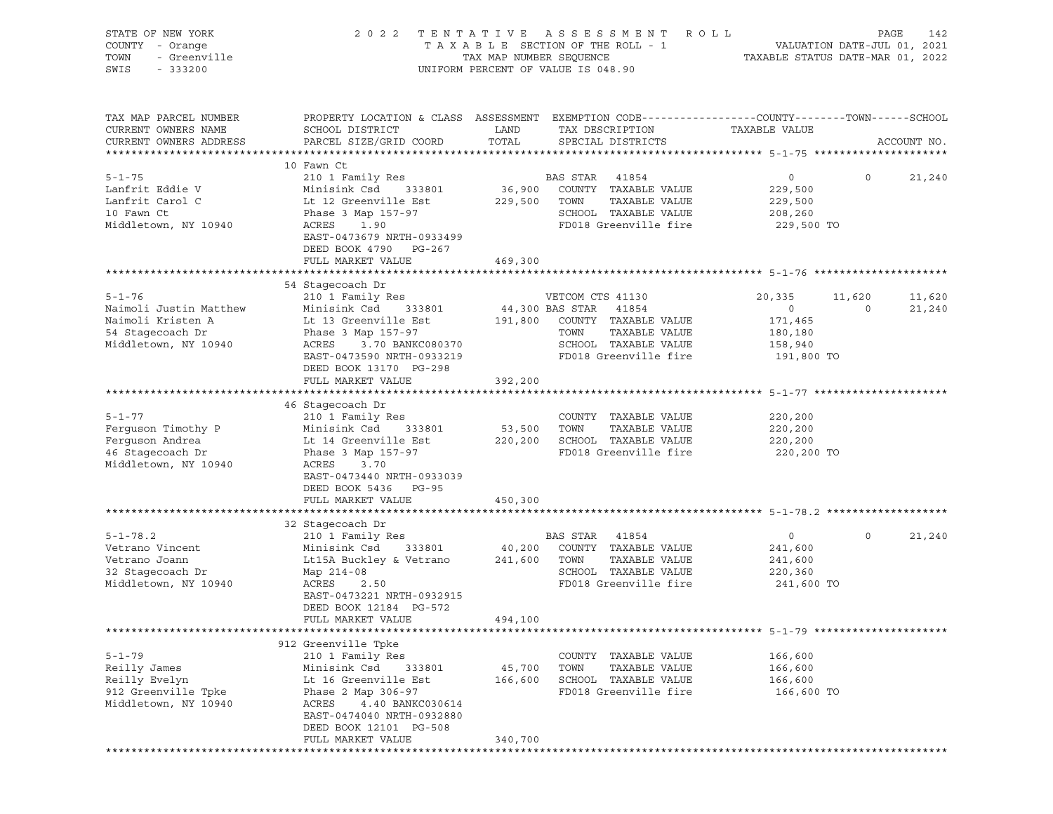| STATE OF NEW YORK<br>COUNTY - Orange<br>- Greenville<br>TOWN<br>SWIS<br>$-333200$ | 2022 TENTATIVE                                                                                                     | TAX MAP NUMBER SEQUENCE | A S S E S S M E N T<br>R O L L<br>TAXABLE SECTION OF THE ROLL - 1<br>UNIFORM PERCENT OF VALUE IS 048.90 | TAXABLE STATUS DATE-MAR 01, 2022 | VALUATION DATE-JUL 01, 2021 | PAGE<br>142 |
|-----------------------------------------------------------------------------------|--------------------------------------------------------------------------------------------------------------------|-------------------------|---------------------------------------------------------------------------------------------------------|----------------------------------|-----------------------------|-------------|
| TAX MAP PARCEL NUMBER<br>CURRENT OWNERS NAME                                      | PROPERTY LOCATION & CLASS ASSESSMENT EXEMPTION CODE----------------COUNTY-------TOWN-----SCHOOL<br>SCHOOL DISTRICT | LAND                    | TAX DESCRIPTION                                                                                         | TAXABLE VALUE                    |                             |             |
| CURRENT OWNERS ADDRESS                                                            | PARCEL SIZE/GRID COORD                                                                                             | TOTAL                   | SPECIAL DISTRICTS                                                                                       |                                  |                             | ACCOUNT NO. |
|                                                                                   | 10 Fawn Ct                                                                                                         |                         |                                                                                                         |                                  |                             |             |
| $5 - 1 - 75$                                                                      | 210 1 Family Res                                                                                                   |                         | BAS STAR 41854                                                                                          | $\overline{0}$                   | $\circ$                     | 21,240      |
| Lanfrit Eddie V                                                                   | Minisink Csd<br>333801                                                                                             | 36,900                  | COUNTY TAXABLE VALUE                                                                                    | 229,500                          |                             |             |
| Lanfrit Carol C                                                                   | Lt 12 Greenville Est                                                                                               | 229,500                 | TOWN<br>TAXABLE VALUE                                                                                   | 229,500                          |                             |             |
| 10 Fawn Ct                                                                        | Phase 3 Map 157-97                                                                                                 |                         | SCHOOL TAXABLE VALUE                                                                                    | 208,260                          |                             |             |
| Middletown, NY 10940                                                              | ACRES<br>1.90<br>EAST-0473679 NRTH-0933499<br>DEED BOOK 4790 PG-267                                                |                         | FD018 Greenville fire                                                                                   | 229,500 TO                       |                             |             |
|                                                                                   | FULL MARKET VALUE                                                                                                  | 469,300                 |                                                                                                         |                                  |                             |             |
|                                                                                   |                                                                                                                    |                         |                                                                                                         |                                  |                             |             |
| $5 - 1 - 76$                                                                      | 54 Stagecoach Dr<br>210 1 Family Res                                                                               |                         | VETCOM CTS 41130                                                                                        | 20,335                           | 11,620                      | 11,620      |
| Naimoli Justin Matthew                                                            | Minisink Csd<br>333801                                                                                             |                         | 44,300 BAS STAR 41854                                                                                   | $\overline{0}$                   | $\circ$                     | 21,240      |
| Naimoli Kristen A                                                                 | Lt 13 Greenville Est                                                                                               | 191,800                 | COUNTY TAXABLE VALUE                                                                                    | 171,465                          |                             |             |
| 54 Stagecoach Dr                                                                  | Phase 3 Map 157-97                                                                                                 |                         | TOWN<br>TAXABLE VALUE                                                                                   | 180,180                          |                             |             |
| Middletown, NY 10940                                                              | ACRES<br>3.70 BANKC080370                                                                                          |                         | SCHOOL TAXABLE VALUE                                                                                    | 158,940                          |                             |             |
|                                                                                   | EAST-0473590 NRTH-0933219<br>DEED BOOK 13170 PG-298                                                                |                         | FD018 Greenville fire                                                                                   | 191,800 TO                       |                             |             |
|                                                                                   | FULL MARKET VALUE                                                                                                  | 392,200                 |                                                                                                         |                                  |                             |             |
|                                                                                   |                                                                                                                    |                         |                                                                                                         |                                  |                             |             |
|                                                                                   | 46 Stagecoach Dr                                                                                                   |                         |                                                                                                         |                                  |                             |             |
| $5 - 1 - 77$                                                                      | 210 1 Family Res                                                                                                   |                         | COUNTY TAXABLE VALUE                                                                                    | 220,200                          |                             |             |
| Ferguson Timothy P                                                                | Minisink Csd<br>333801                                                                                             | 53,500                  | TOWN<br>TAXABLE VALUE                                                                                   | 220,200                          |                             |             |
| Ferguson Andrea                                                                   | Lt 14 Greenville Est                                                                                               |                         | 220,200 SCHOOL TAXABLE VALUE                                                                            | 220,200                          |                             |             |
| 46 Stagecoach Dr<br>Middletown, NY 10940                                          | Phase 3 Map 157-97<br>ACRES<br>3.70                                                                                |                         | FD018 Greenville fire                                                                                   | 220,200 TO                       |                             |             |
|                                                                                   | EAST-0473440 NRTH-0933039                                                                                          |                         |                                                                                                         |                                  |                             |             |
|                                                                                   | DEED BOOK 5436 PG-95<br>FULL MARKET VALUE                                                                          | 450,300                 |                                                                                                         |                                  |                             |             |
|                                                                                   |                                                                                                                    |                         |                                                                                                         |                                  |                             |             |
|                                                                                   | 32 Stagecoach Dr                                                                                                   |                         |                                                                                                         |                                  |                             |             |
| $5 - 1 - 78.2$                                                                    | 210 1 Family Res                                                                                                   |                         | BAS STAR 41854                                                                                          | $\circ$                          | $\circ$                     | 21,240      |
| Vetrano Vincent                                                                   | Minisink Csd<br>333801                                                                                             | 40,200                  | COUNTY TAXABLE VALUE                                                                                    | 241,600                          |                             |             |
| Vetrano Joann                                                                     | Lt15A Buckley & Vetrano                                                                                            | 241,600                 | TOWN<br>TAXABLE VALUE                                                                                   | 241,600                          |                             |             |
| 32 Stagecoach Dr                                                                  | Map 214-08                                                                                                         |                         | SCHOOL TAXABLE VALUE                                                                                    | 220,360                          |                             |             |
| Middletown, NY 10940                                                              | ACRES<br>2.50                                                                                                      |                         | FD018 Greenville fire                                                                                   | 241,600 TO                       |                             |             |
|                                                                                   | EAST-0473221 NRTH-0932915<br>DEED BOOK 12184 PG-572                                                                |                         |                                                                                                         |                                  |                             |             |
|                                                                                   | FULL MARKET VALUE                                                                                                  | 494,100                 |                                                                                                         |                                  |                             |             |
|                                                                                   |                                                                                                                    |                         |                                                                                                         |                                  |                             |             |
|                                                                                   | 912 Greenville Tpke                                                                                                |                         |                                                                                                         |                                  |                             |             |
| $5 - 1 - 79$                                                                      | 210 1 Family Res                                                                                                   |                         | COUNTY TAXABLE VALUE                                                                                    | 166,600                          |                             |             |
| Reilly James                                                                      | Minisink Csd<br>333801                                                                                             | 45,700                  | TOWN<br>TAXABLE VALUE                                                                                   | 166,600                          |                             |             |
| Reilly Evelyn                                                                     | Lt 16 Greenville Est                                                                                               | 166,600                 | SCHOOL TAXABLE VALUE                                                                                    | 166,600                          |                             |             |
| 912 Greenville Tpke                                                               | Phase 2 Map 306-97                                                                                                 |                         | FD018 Greenville fire                                                                                   | 166,600 TO                       |                             |             |
| Middletown, NY 10940                                                              | ACRES<br>4.40 BANKC030614<br>EAST-0474040 NRTH-0932880                                                             |                         |                                                                                                         |                                  |                             |             |
|                                                                                   | DEED BOOK 12101 PG-508                                                                                             |                         |                                                                                                         |                                  |                             |             |
|                                                                                   | FULL MARKET VALUE                                                                                                  | 340,700                 |                                                                                                         |                                  |                             |             |
|                                                                                   |                                                                                                                    |                         |                                                                                                         |                                  |                             |             |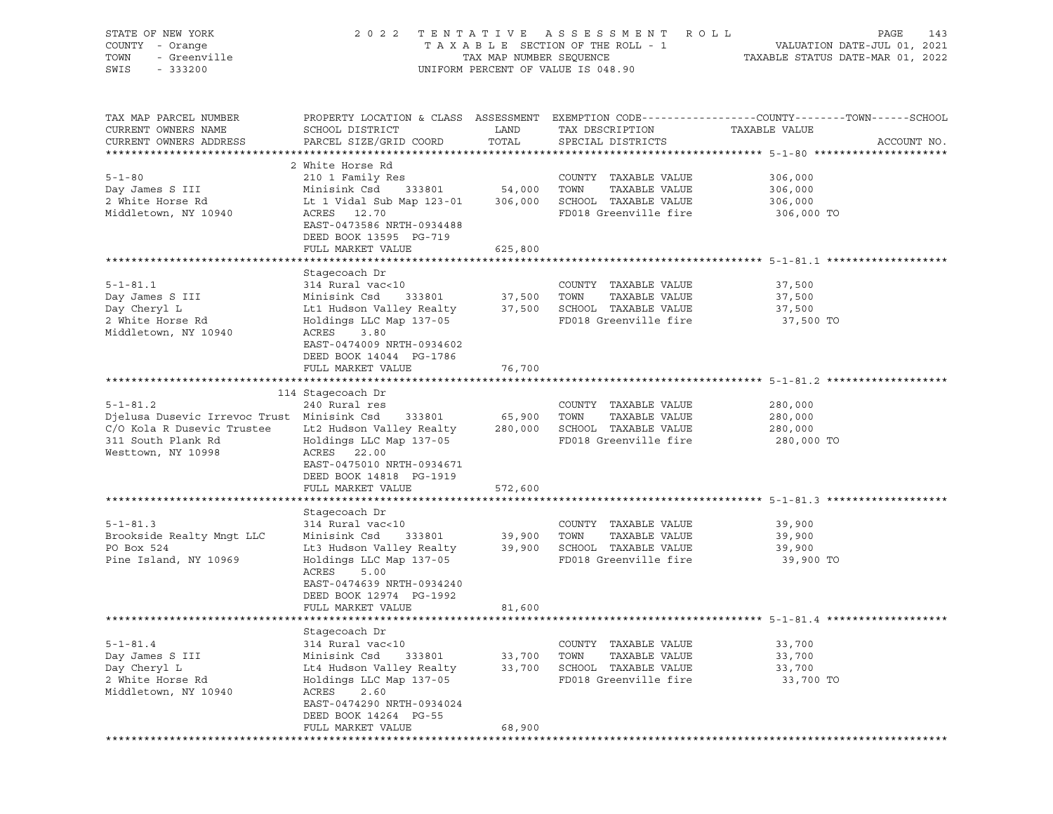| STATE OF NEW YORK                          |                                                       |                    | 2022 TENTATIVE ASSESSMENT ROLL     | PAGE<br>143                                                                                     |
|--------------------------------------------|-------------------------------------------------------|--------------------|------------------------------------|-------------------------------------------------------------------------------------------------|
| COUNTY - Orange                            |                                                       |                    | TAXABLE SECTION OF THE ROLL - 1    | VALUATION DATE-JUL 01, 2021<br>TAXABLE STATUS DATE-MAR 01, 2022                                 |
| - Greenville<br>TOWN                       | TAX MAP NUMBER SEQUENCE                               |                    |                                    |                                                                                                 |
| SWIS<br>$-333200$                          |                                                       |                    | UNIFORM PERCENT OF VALUE IS 048.90 |                                                                                                 |
|                                            |                                                       |                    |                                    |                                                                                                 |
|                                            |                                                       |                    |                                    |                                                                                                 |
| TAX MAP PARCEL NUMBER                      |                                                       |                    |                                    | PROPERTY LOCATION & CLASS ASSESSMENT EXEMPTION CODE----------------COUNTY-------TOWN-----SCHOOL |
| CURRENT OWNERS NAME                        | SCHOOL DISTRICT                                       | LAND               | TAX DESCRIPTION                    | TAXABLE VALUE                                                                                   |
| CURRENT OWNERS ADDRESS                     | PARCEL SIZE/GRID COORD                                | TOTAL              | SPECIAL DISTRICTS                  | ACCOUNT NO.                                                                                     |
|                                            |                                                       |                    |                                    |                                                                                                 |
|                                            | 2 White Horse Rd                                      |                    |                                    |                                                                                                 |
| $5 - 1 - 80$                               | 210 1 Family Res                                      |                    | COUNTY TAXABLE VALUE               | 306,000                                                                                         |
|                                            |                                                       |                    |                                    |                                                                                                 |
| Day James S III                            | Minisink Csd                                          | 333801 54,000 TOWN | TAXABLE VALUE                      | 306,000                                                                                         |
| 2 White Horse Rd                           | Lt 1 Vidal Sub Map 123-01                             |                    | 306,000 SCHOOL TAXABLE VALUE       | 306,000                                                                                         |
| Middletown, NY 10940                       | ACRES 12.70                                           |                    | FD018 Greenville fire              | 306,000 TO                                                                                      |
|                                            | EAST-0473586 NRTH-0934488                             |                    |                                    |                                                                                                 |
|                                            | DEED BOOK 13595 PG-719                                |                    |                                    |                                                                                                 |
|                                            | FULL MARKET VALUE                                     | 625,800            |                                    |                                                                                                 |
|                                            |                                                       |                    |                                    |                                                                                                 |
|                                            | Stagecoach Dr                                         |                    |                                    |                                                                                                 |
| $5 - 1 - 81.1$                             | 314 Rural vac<10                                      |                    | COUNTY TAXABLE VALUE               | 37,500                                                                                          |
| Day James S III                            | Minisink Csd<br>333801                                | 37,500 TOWN        | TAXABLE VALUE                      | 37,500                                                                                          |
| Day Cheryl L                               | Lt1 Hudson Valley Realty 37,500 SCHOOL TAXABLE VALUE  |                    |                                    | 37,500                                                                                          |
| 2 White Horse Rd                           | Holdings LLC Map 137-05                               |                    | FD018 Greenville fire              | 37,500 TO                                                                                       |
| Middletown, NY 10940                       | ACRES<br>3.80                                         |                    |                                    |                                                                                                 |
|                                            | EAST-0474009 NRTH-0934602                             |                    |                                    |                                                                                                 |
|                                            | DEED BOOK 14044 PG-1786                               |                    |                                    |                                                                                                 |
|                                            | FULL MARKET VALUE                                     | 76,700             |                                    |                                                                                                 |
|                                            |                                                       |                    |                                    |                                                                                                 |
|                                            |                                                       |                    |                                    |                                                                                                 |
|                                            | 114 Stagecoach Dr                                     |                    |                                    |                                                                                                 |
| $5 - 1 - 81.2$                             | 240 Rural res                                         |                    | COUNTY TAXABLE VALUE               | 280,000                                                                                         |
| Djelusa Dusevic Irrevoc Trust Minisink Csd | 333801                                                | 65,900 TOWN        | TAXABLE VALUE                      | 280,000                                                                                         |
| C/O Kola R Dusevic Trustee                 | Lt2 Hudson Valley Realty 280,000 SCHOOL TAXABLE VALUE |                    |                                    | 280,000                                                                                         |
| 311 South Plank Rd                         | Holdings LLC Map 137-05                               |                    | FD018 Greenville fire              | 280,000 TO                                                                                      |
| Westtown, NY 10998                         | ACRES 22.00                                           |                    |                                    |                                                                                                 |
|                                            | EAST-0475010 NRTH-0934671                             |                    |                                    |                                                                                                 |
|                                            | DEED BOOK 14818 PG-1919                               |                    |                                    |                                                                                                 |
|                                            | FULL MARKET VALUE                                     | 572,600            |                                    |                                                                                                 |
| ******************************             |                                                       |                    |                                    |                                                                                                 |
|                                            | Stagecoach Dr                                         |                    |                                    |                                                                                                 |
| $5 - 1 - 81.3$                             | 314 Rural vac<10                                      |                    | COUNTY TAXABLE VALUE               | 39,900                                                                                          |
| Brookside Realty Mngt LLC                  | Minisink Csd<br>333801                                | 39,900 TOWN        | TAXABLE VALUE                      | 39,900                                                                                          |
| PO Box 524                                 | Lt3 Hudson Valley Realty 39,900 SCHOOL TAXABLE VALUE  |                    |                                    | 39,900                                                                                          |
| Pine Island, NY 10969                      | Holdings LLC Map 137-05                               |                    | FD018 Greenville fire              | 39,900 TO                                                                                       |
|                                            | ACRES<br>5.00                                         |                    |                                    |                                                                                                 |
|                                            | EAST-0474639 NRTH-0934240                             |                    |                                    |                                                                                                 |
|                                            | DEED BOOK 12974 PG-1992                               |                    |                                    |                                                                                                 |
|                                            | FULL MARKET VALUE                                     |                    |                                    |                                                                                                 |
|                                            |                                                       | 81,600             |                                    |                                                                                                 |
|                                            |                                                       |                    |                                    |                                                                                                 |
|                                            | Stagecoach Dr                                         |                    |                                    |                                                                                                 |
| $5 - 1 - 81.4$                             | 314 Rural vac<10                                      |                    | COUNTY TAXABLE VALUE               | 33,700                                                                                          |
| Day James S III                            | Minisink Csd<br>333801                                | 33,700             | TOWN<br>TAXABLE VALUE              | 33,700                                                                                          |
| Day Cheryl L                               | Lt4 Hudson Valley Realty                              | 33,700             | SCHOOL TAXABLE VALUE               | 33,700                                                                                          |
| 2 White Horse Rd                           | Holdings LLC Map 137-05                               |                    | FD018 Greenville fire              | 33,700 TO                                                                                       |
| Middletown, NY 10940                       | ACRES<br>2.60                                         |                    |                                    |                                                                                                 |
|                                            | EAST-0474290 NRTH-0934024                             |                    |                                    |                                                                                                 |
|                                            | DEED BOOK 14264 PG-55                                 |                    |                                    |                                                                                                 |
|                                            | FULL MARKET VALUE                                     | 68,900             |                                    |                                                                                                 |
|                                            |                                                       |                    |                                    |                                                                                                 |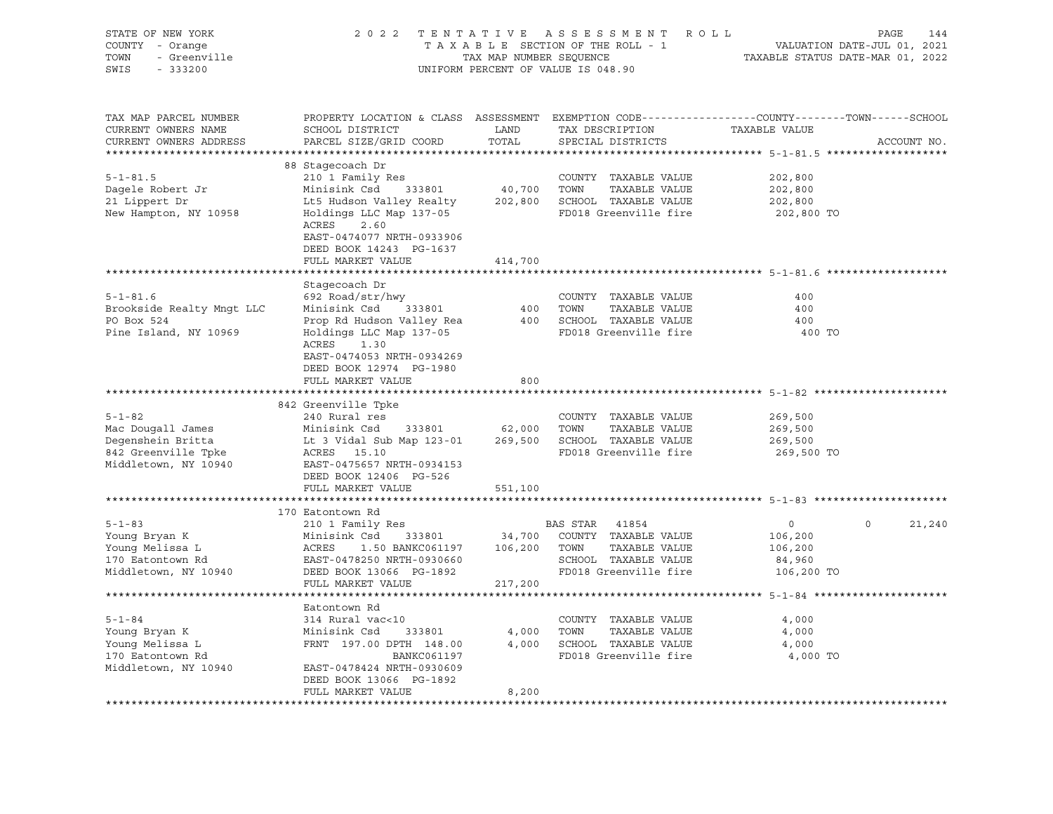| STATE OF NEW YORK<br>COUNTY - Orange<br>- Greenville<br>TOWN<br>SWIS<br>$-333200$ |                                                                                                                                              |               | 2022 TENTATIVE ASSESSMENT ROLL<br>T A X A B L E SECTION OF THE ROLL - 1<br>T A X A B L E SECTION OF THE ROLL - 1<br>TAXABLE STATUS DATE-MAR 01, 2022<br>UNIFORM PERCENT OF VALUE IS 048.90 |                                                  | PAGE<br>144        |
|-----------------------------------------------------------------------------------|----------------------------------------------------------------------------------------------------------------------------------------------|---------------|--------------------------------------------------------------------------------------------------------------------------------------------------------------------------------------------|--------------------------------------------------|--------------------|
| TAX MAP PARCEL NUMBER<br>CURRENT OWNERS NAME<br>CURRENT OWNERS ADDRESS            | PROPERTY LOCATION & CLASS ASSESSMENT EXEMPTION CODE---------------COUNTY-------TOWN------SCHOOL<br>SCHOOL DISTRICT<br>PARCEL SIZE/GRID COORD | LAND<br>TOTAL | TAX DESCRIPTION<br>SPECIAL DISTRICTS                                                                                                                                                       | TAXABLE VALUE                                    | ACCOUNT NO.        |
|                                                                                   | 88 Stagecoach Dr                                                                                                                             |               |                                                                                                                                                                                            |                                                  |                    |
| $5 - 1 - 81.5$                                                                    | 210 1 Family Res                                                                                                                             |               | COUNTY TAXABLE VALUE                                                                                                                                                                       | 202,800                                          |                    |
| Dagele Robert Jr                                                                  | Minisink Csd<br>333801                                                                                                                       | 40,700 TOWN   | TAXABLE VALUE                                                                                                                                                                              | 202,800                                          |                    |
| 21 Lippert Dr                                                                     | Lt5 Hudson Valley Realty                                                                                                                     |               | 202,800 SCHOOL TAXABLE VALUE                                                                                                                                                               | 202,800                                          |                    |
| New Hampton, NY 10958                                                             | Holdings LLC Map 137-05<br>ACRES<br>2.60<br>EAST-0474077 NRTH-0933906<br>DEED BOOK 14243 PG-1637                                             |               | FD018 Greenville fire                                                                                                                                                                      | 202,800 TO                                       |                    |
|                                                                                   | FULL MARKET VALUE                                                                                                                            | 414,700       |                                                                                                                                                                                            |                                                  |                    |
|                                                                                   | ********************                                                                                                                         | ************* |                                                                                                                                                                                            | ***************************** 5-1-81.6 ********* |                    |
|                                                                                   | Stagecoach Dr                                                                                                                                |               |                                                                                                                                                                                            |                                                  |                    |
| $5 - 1 - 81.6$                                                                    | 692 Road/str/hwy                                                                                                                             |               | COUNTY TAXABLE VALUE                                                                                                                                                                       | 400                                              |                    |
| Brookside Realty Mngt LLC                                                         | Minisink Csd<br>333801                                                                                                                       | 400           | TOWN<br>TAXABLE VALUE                                                                                                                                                                      | 400                                              |                    |
| PO Box 524                                                                        | Prop Rd Hudson Valley Rea                                                                                                                    |               | 400 SCHOOL TAXABLE VALUE                                                                                                                                                                   | 400                                              |                    |
| Pine Island, NY 10969                                                             | Holdings LLC Map 137-05<br>ACRES 1.30<br>EAST-0474053 NRTH-0934269<br>DEED BOOK 12974 PG-1980                                                |               | FD018 Greenville fire                                                                                                                                                                      | 400 TO                                           |                    |
|                                                                                   | FULL MARKET VALUE                                                                                                                            | 800           |                                                                                                                                                                                            |                                                  |                    |
|                                                                                   |                                                                                                                                              |               |                                                                                                                                                                                            |                                                  |                    |
|                                                                                   | 842 Greenville Tpke                                                                                                                          |               |                                                                                                                                                                                            |                                                  |                    |
| $5 - 1 - 82$                                                                      | 240 Rural res                                                                                                                                |               | COUNTY TAXABLE VALUE                                                                                                                                                                       | 269,500                                          |                    |
| Mac Dougall James                                                                 | Minisink Csd                                                                                                                                 | 333801 62,000 | TOWN<br>TAXABLE VALUE                                                                                                                                                                      | 269,500                                          |                    |
| Degenshein Britta                                                                 | Lt 3 Vidal Sub Map 123-01                                                                                                                    |               | 269,500 SCHOOL TAXABLE VALUE                                                                                                                                                               | 269,500                                          |                    |
| 842 Greenville Tpke                                                               | ACRES 15.10                                                                                                                                  |               | FD018 Greenville fire                                                                                                                                                                      | 269,500 TO                                       |                    |
| Middletown, NY 10940                                                              | EAST-0475657 NRTH-0934153<br>DEED BOOK 12406 PG-526                                                                                          |               |                                                                                                                                                                                            |                                                  |                    |
|                                                                                   | FULL MARKET VALUE                                                                                                                            | 551,100       |                                                                                                                                                                                            |                                                  |                    |
|                                                                                   |                                                                                                                                              |               |                                                                                                                                                                                            |                                                  |                    |
|                                                                                   | 170 Eatontown Rd                                                                                                                             |               |                                                                                                                                                                                            |                                                  |                    |
| $5 - 1 - 83$                                                                      | 210 1 Family Res                                                                                                                             |               | BAS STAR 41854                                                                                                                                                                             | $\overline{0}$                                   | $\Omega$<br>21,240 |
| Young Bryan K                                                                     | Minisink Csd<br>333801                                                                                                                       | 34,700        | COUNTY TAXABLE VALUE                                                                                                                                                                       | 106,200                                          |                    |
|                                                                                   | 1.50 BANKC061197<br>ACRES                                                                                                                    | 106,200       | TAXABLE VALUE<br>TOWN                                                                                                                                                                      | 106,200                                          |                    |
| roung Melissa L<br>170 Eatontown Rd<br>Middlets                                   | EAST-0478250 NRTH-0930660                                                                                                                    |               | SCHOOL TAXABLE VALUE                                                                                                                                                                       | 84,960                                           |                    |
| Middletown, NY 10940                                                              | DEED BOOK 13066 PG-1892                                                                                                                      |               | FD018 Greenville fire                                                                                                                                                                      | 106,200 TO                                       |                    |
|                                                                                   | FULL MARKET VALUE                                                                                                                            | 217,200       |                                                                                                                                                                                            |                                                  |                    |
|                                                                                   |                                                                                                                                              |               |                                                                                                                                                                                            |                                                  |                    |
| $5 - 1 - 84$                                                                      | Eatontown Rd<br>314 Rural vac<10                                                                                                             |               | COUNTY TAXABLE VALUE                                                                                                                                                                       | 4,000                                            |                    |
| Young Bryan K                                                                     | Minisink Csd<br>333801                                                                                                                       | 4,000         | TOWN<br>TAXABLE VALUE                                                                                                                                                                      | 4,000                                            |                    |
| Young Melissa L                                                                   | FRNT 197.00 DPTH 148.00                                                                                                                      |               | 4,000 SCHOOL TAXABLE VALUE                                                                                                                                                                 | 4,000                                            |                    |
| 170 Eatontown Rd                                                                  | BANKC061197                                                                                                                                  |               | FD018 Greenville fire                                                                                                                                                                      | 4,000 TO                                         |                    |
| Middletown, NY 10940                                                              | EAST-0478424 NRTH-0930609                                                                                                                    |               |                                                                                                                                                                                            |                                                  |                    |
|                                                                                   | DEED BOOK 13066 PG-1892                                                                                                                      |               |                                                                                                                                                                                            |                                                  |                    |
|                                                                                   | FULL MARKET VALUE                                                                                                                            | 8,200         |                                                                                                                                                                                            |                                                  |                    |
|                                                                                   |                                                                                                                                              |               |                                                                                                                                                                                            |                                                  |                    |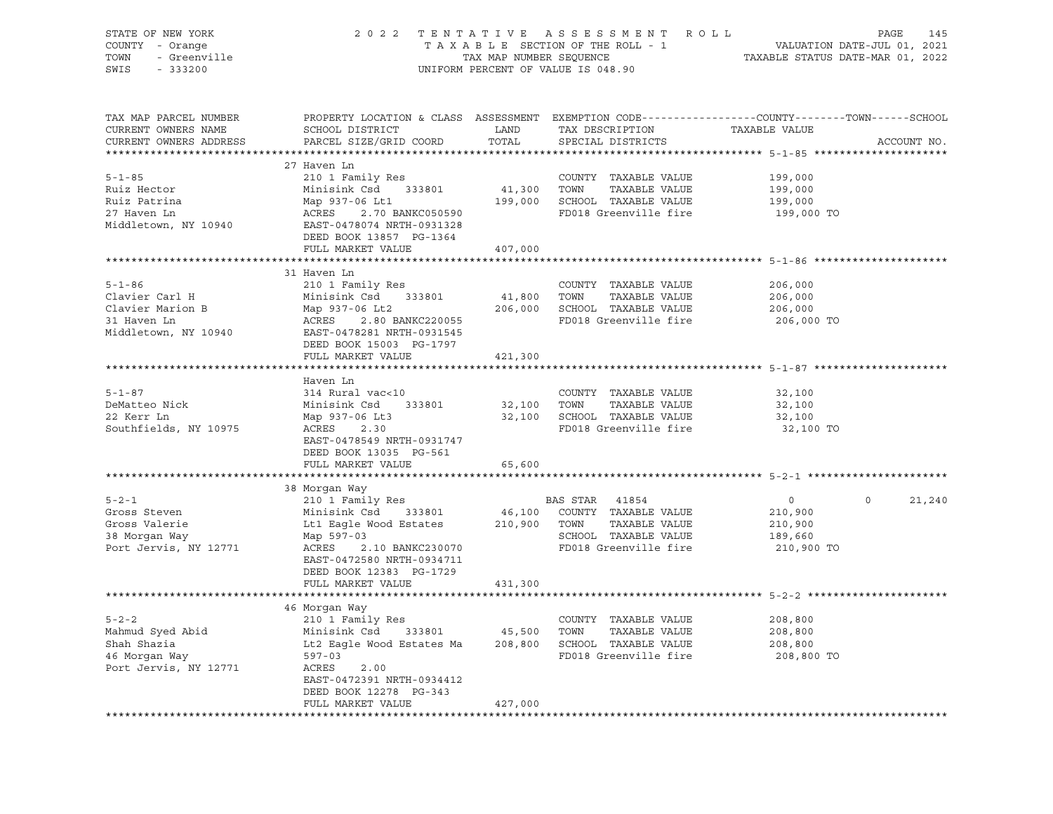| STATE OF NEW YORK<br>COUNTY - Orange<br>U.<br>' - Orange<br>- Greenville<br>TOWN |                                                                                                                   | TAX MAP NUMBER SEQUENCE | 2022 TENTATIVE ASSESSMENT ROLL<br>TAXABLE SECTION OF THE ROLL - 1 | VALUATION DATE-JUL 01, 2021<br>TAXABLE STATUS DATE-MAR 01, 2022 | PAGE<br>145        |
|----------------------------------------------------------------------------------|-------------------------------------------------------------------------------------------------------------------|-------------------------|-------------------------------------------------------------------|-----------------------------------------------------------------|--------------------|
| SWIS<br>$-333200$                                                                |                                                                                                                   |                         | UNIFORM PERCENT OF VALUE IS 048.90                                |                                                                 |                    |
| TAX MAP PARCEL NUMBER<br>CURRENT OWNERS NAME                                     | PROPERTY LOCATION & CLASS ASSESSMENT EXEMPTION CODE---------------COUNTY-------TOWN-----SCHOOL<br>SCHOOL DISTRICT | LAND                    | TAX DESCRIPTION                                                   | TAXABLE VALUE                                                   |                    |
| CURRENT OWNERS ADDRESS                                                           | PARCEL SIZE/GRID COORD                                                                                            | TOTAL                   | SPECIAL DISTRICTS                                                 |                                                                 | ACCOUNT NO.        |
|                                                                                  |                                                                                                                   |                         |                                                                   |                                                                 |                    |
| $5 - 1 - 85$                                                                     | 27 Haven Ln                                                                                                       |                         | COUNTY TAXABLE VALUE                                              | 199,000                                                         |                    |
| Ruiz Hector                                                                      | 210 1 Family Res<br>Minisink Csd 333801                                                                           | 41,300 TOWN             | TAXABLE VALUE                                                     | 199,000                                                         |                    |
| Ruiz Patrina                                                                     | Map 937-06 Lt1                                                                                                    |                         | 199,000 SCHOOL TAXABLE VALUE                                      | 199,000                                                         |                    |
| 27 Haven Ln                                                                      | ACRES 2.70 BANKC050590                                                                                            |                         | FD018 Greenville fire                                             | 199,000 TO                                                      |                    |
| Middletown, NY 10940                                                             | EAST-0478074 NRTH-0931328<br>DEED BOOK 13857 PG-1364                                                              |                         |                                                                   |                                                                 |                    |
|                                                                                  | FULL MARKET VALUE                                                                                                 | 407,000                 |                                                                   |                                                                 |                    |
|                                                                                  |                                                                                                                   |                         |                                                                   |                                                                 |                    |
|                                                                                  | 31 Haven Ln                                                                                                       |                         |                                                                   |                                                                 |                    |
| $5 - 1 - 86$                                                                     | 210 1 Family Res                                                                                                  |                         | COUNTY TAXABLE VALUE                                              | 206,000                                                         |                    |
| Clavier Carl H                                                                   | Minisink Csd 333801<br>Map 937-06 Lt2                                                                             | 41,800 TOWN             | TAXABLE VALUE                                                     | 206,000                                                         |                    |
| Clavier Marion B<br>31 Haven Ln                                                  | ACRES 2.80 BANKC220055                                                                                            |                         | 206,000 SCHOOL TAXABLE VALUE<br>FD018 Greenville fire             | 206,000<br>206,000 TO                                           |                    |
| Middletown, NY 10940                                                             | EAST-0478281 NRTH-0931545                                                                                         |                         |                                                                   |                                                                 |                    |
|                                                                                  | DEED BOOK 15003 PG-1797                                                                                           |                         |                                                                   |                                                                 |                    |
|                                                                                  | FULL MARKET VALUE                                                                                                 | 421,300                 |                                                                   |                                                                 |                    |
|                                                                                  |                                                                                                                   |                         |                                                                   |                                                                 |                    |
|                                                                                  | Haven Ln                                                                                                          |                         |                                                                   |                                                                 |                    |
| $5 - 1 - 87$                                                                     | 314 Rural vac<10                                                                                                  |                         | COUNTY TAXABLE VALUE                                              | 32,100                                                          |                    |
| DeMatteo Nick                                                                    | Minisink Csd 333801                                                                                               |                         | 32,100 TOWN<br>TAXABLE VALUE                                      | 32,100                                                          |                    |
| 22 Kerr Ln                                                                       | Map 937-06 Lt3<br>ACRES 2.30                                                                                      |                         | 32,100 SCHOOL TAXABLE VALUE                                       | 32,100                                                          |                    |
| Southfields, NY 10975                                                            | EAST-0478549 NRTH-0931747<br>DEED BOOK 13035 PG-561                                                               |                         | FD018 Greenville fire                                             | 32,100 TO                                                       |                    |
|                                                                                  | FULL MARKET VALUE                                                                                                 | 65,600                  |                                                                   |                                                                 |                    |
|                                                                                  |                                                                                                                   |                         |                                                                   |                                                                 |                    |
|                                                                                  | 38 Morgan Way                                                                                                     |                         |                                                                   |                                                                 |                    |
| $5 - 2 - 1$                                                                      | 210 1 Family Res                                                                                                  |                         | BAS STAR 41854                                                    | $0 \qquad \qquad$                                               | $\Omega$<br>21,240 |
| Gross Steven                                                                     | Minisink Csd      333801<br>Lt1 Eagle Wood Estates                                                                |                         | 46,100 COUNTY TAXABLE VALUE                                       | 210,900                                                         |                    |
| Gross Valerie                                                                    |                                                                                                                   | 210,900 TOWN            | TAXABLE VALUE                                                     | 210,900                                                         |                    |
| 38 Morgan Way<br>Port Jervis, NY 12771                                           | Map 597-03<br>ACRES<br>2.10 BANKC230070                                                                           |                         | SCHOOL TAXABLE VALUE<br>FD018 Greenville fire                     | 189,660<br>210,900 TO                                           |                    |
|                                                                                  | EAST-0472580 NRTH-0934711                                                                                         |                         |                                                                   |                                                                 |                    |
|                                                                                  | DEED BOOK 12383 PG-1729                                                                                           |                         |                                                                   |                                                                 |                    |
|                                                                                  | FULL MARKET VALUE                                                                                                 | 431,300                 |                                                                   |                                                                 |                    |
|                                                                                  |                                                                                                                   |                         |                                                                   |                                                                 |                    |
|                                                                                  | 46 Morgan Way                                                                                                     |                         |                                                                   |                                                                 |                    |
| $5 - 2 - 2$                                                                      | 210 1 Family Res                                                                                                  |                         | COUNTY TAXABLE VALUE                                              | 208,800                                                         |                    |
| Mahmud Syed Abid                                                                 |                                                                                                                   |                         | TAXABLE VALUE                                                     | 208,800                                                         |                    |
| Shah Shazia                                                                      |                                                                                                                   |                         | 208,800 SCHOOL TAXABLE VALUE                                      | 208,800                                                         |                    |
| 46 Morgan Way                                                                    | 597-03                                                                                                            |                         | FD018 Greenville fire                                             | 208,800 TO                                                      |                    |
| Port Jervis, NY 12771                                                            | ACRES<br>2.00<br>EAST-0472391 NRTH-0934412                                                                        |                         |                                                                   |                                                                 |                    |
|                                                                                  | DEED BOOK 12278 PG-343                                                                                            |                         |                                                                   |                                                                 |                    |
|                                                                                  | FULL MARKET VALUE                                                                                                 | 427,000                 |                                                                   |                                                                 |                    |
|                                                                                  |                                                                                                                   |                         |                                                                   |                                                                 |                    |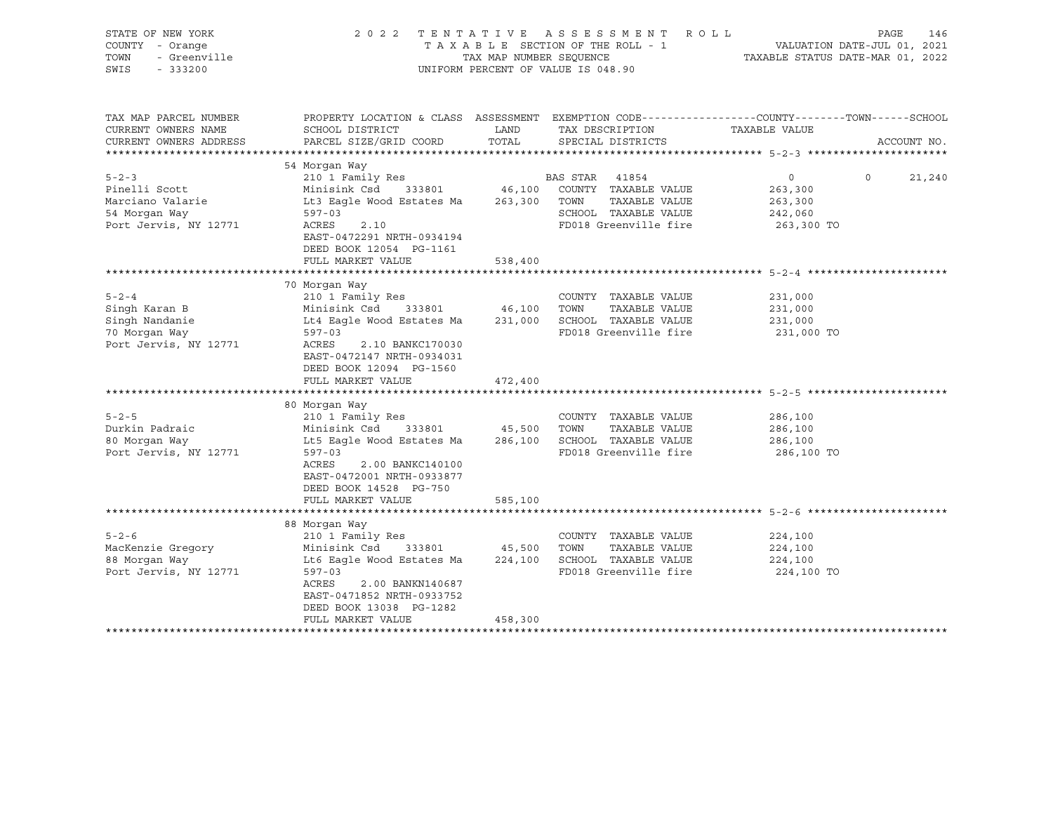| STATE OF NEW YORK<br>COUNTY - Orange<br>TOWN<br>- Greenville<br>SWIS<br>$-333200$ |                                                                                                        | TAX MAP NUMBER SEQUENCE | 2022 TENTATIVE ASSESSMENT<br>ROLL<br>TAXABLE SECTION OF THE ROLL - 1<br>UNIFORM PERCENT OF VALUE IS 048.90 | PAGE<br>146<br>VALUATION DATE-JUL 01, 2021<br>TAXABLE STATUS DATE-MAR 01, 2022                                  |
|-----------------------------------------------------------------------------------|--------------------------------------------------------------------------------------------------------|-------------------------|------------------------------------------------------------------------------------------------------------|-----------------------------------------------------------------------------------------------------------------|
| TAX MAP PARCEL NUMBER<br>CURRENT OWNERS NAME                                      | SCHOOL DISTRICT                                                                                        | LAND                    | TAX DESCRIPTION                                                                                            | PROPERTY LOCATION & CLASS ASSESSMENT EXEMPTION CODE---------------COUNTY-------TOWN-----SCHOOL<br>TAXABLE VALUE |
| CURRENT OWNERS ADDRESS                                                            | PARCEL SIZE/GRID COORD                                                                                 | TOTAL                   | SPECIAL DISTRICTS                                                                                          | ACCOUNT NO.                                                                                                     |
|                                                                                   |                                                                                                        |                         |                                                                                                            |                                                                                                                 |
|                                                                                   | 54 Morqan Way                                                                                          |                         |                                                                                                            |                                                                                                                 |
| $5 - 2 - 3$                                                                       | 210 1 Family Res                                                                                       |                         | BAS STAR 41854                                                                                             | $0 \qquad \qquad$<br>$\Omega$<br>21,240                                                                         |
| Pinelli Scott                                                                     | Minisink Csd 333801 46,100 COUNTY TAXABLE VALUE                                                        |                         |                                                                                                            | 263,300                                                                                                         |
| Marciano Valarie                                                                  | Lt3 Eagle Wood Estates Ma                                                                              |                         | 263,300 TOWN<br>TAXABLE VALUE                                                                              | 263,300                                                                                                         |
| 54 Morgan Way                                                                     | $597 - 03$<br>ACRES                                                                                    |                         | SCHOOL TAXABLE VALUE<br>FD018 Greenville fire                                                              | 242,060                                                                                                         |
| Port Jervis, NY 12771                                                             | 2.10<br>EAST-0472291 NRTH-0934194                                                                      |                         |                                                                                                            | 263,300 TO                                                                                                      |
|                                                                                   | DEED BOOK 12054 PG-1161                                                                                |                         |                                                                                                            |                                                                                                                 |
|                                                                                   | FULL MARKET VALUE                                                                                      | 538,400                 |                                                                                                            |                                                                                                                 |
|                                                                                   | 70 Morgan Way                                                                                          |                         |                                                                                                            |                                                                                                                 |
| $5 - 2 - 4$                                                                       | 210 1 Family Res                                                                                       |                         | COUNTY TAXABLE VALUE                                                                                       | 231,000                                                                                                         |
| Singh Karan B                                                                     | Minisink Csd<br>333801                                                                                 | 46,100 TOWN             | TAXABLE VALUE                                                                                              | 231,000                                                                                                         |
| Singh Nandanie                                                                    | Lt4 Eagle Wood Estates Ma                                                                              |                         | 231,000 SCHOOL TAXABLE VALUE                                                                               | 231,000                                                                                                         |
| 70 Morgan Way                                                                     | $597 - 03$                                                                                             |                         | FD018 Greenville fire                                                                                      | 231,000 TO                                                                                                      |
| Port Jervis, NY 12771                                                             | ACRES<br>2.10 BANKC170030<br>EAST-0472147 NRTH-0934031<br>DEED BOOK 12094 PG-1560                      |                         |                                                                                                            |                                                                                                                 |
|                                                                                   | FULL MARKET VALUE                                                                                      | 472,400                 |                                                                                                            |                                                                                                                 |
|                                                                                   | 80 Morgan Way                                                                                          |                         |                                                                                                            |                                                                                                                 |
| $5 - 2 - 5$                                                                       | 210 1 Family Res                                                                                       |                         | COUNTY TAXABLE VALUE                                                                                       | 286,100                                                                                                         |
| Durkin Padraic                                                                    | 333801 45,500<br>Minisink Csd                                                                          |                         | TOWN<br>TAXABLE VALUE                                                                                      | 286,100                                                                                                         |
| 80 Morgan Way                                                                     | Lt5 Eagle Wood Estates Ma                                                                              |                         | 286,100 SCHOOL TAXABLE VALUE                                                                               | 286,100                                                                                                         |
| Port Jervis, NY 12771                                                             | $597 - 03$<br>ACRES<br>2.00 BANKC140100<br>EAST-0472001 NRTH-0933877<br>DEED BOOK 14528 PG-750         |                         | FD018 Greenville fire                                                                                      | 286,100 TO                                                                                                      |
|                                                                                   | FULL MARKET VALUE                                                                                      | 585,100                 |                                                                                                            |                                                                                                                 |
|                                                                                   |                                                                                                        |                         |                                                                                                            |                                                                                                                 |
| $5 - 2 - 6$                                                                       | 88 Morgan Way<br>210 1 Family Res                                                                      |                         | COUNTY TAXABLE VALUE                                                                                       | 224,100                                                                                                         |
| MacKenzie Gregory                                                                 | Minisink Csd 333801                                                                                    | 45,500 TOWN             | TAXABLE VALUE                                                                                              | 224,100                                                                                                         |
| 88 Morgan Way                                                                     | Lt6 Eagle Wood Estates Ma                                                                              |                         | 224,100 SCHOOL TAXABLE VALUE                                                                               | 224,100                                                                                                         |
| Port Jervis, NY 12771                                                             | $597 - 03$                                                                                             |                         | FD018 Greenville fire                                                                                      | 224,100 TO                                                                                                      |
|                                                                                   | ACRES<br>2.00 BANKN140687<br>EAST-0471852 NRTH-0933752<br>DEED BOOK 13038 PG-1282<br>FULL MARKET VALUE | 458,300                 |                                                                                                            |                                                                                                                 |
|                                                                                   |                                                                                                        |                         |                                                                                                            |                                                                                                                 |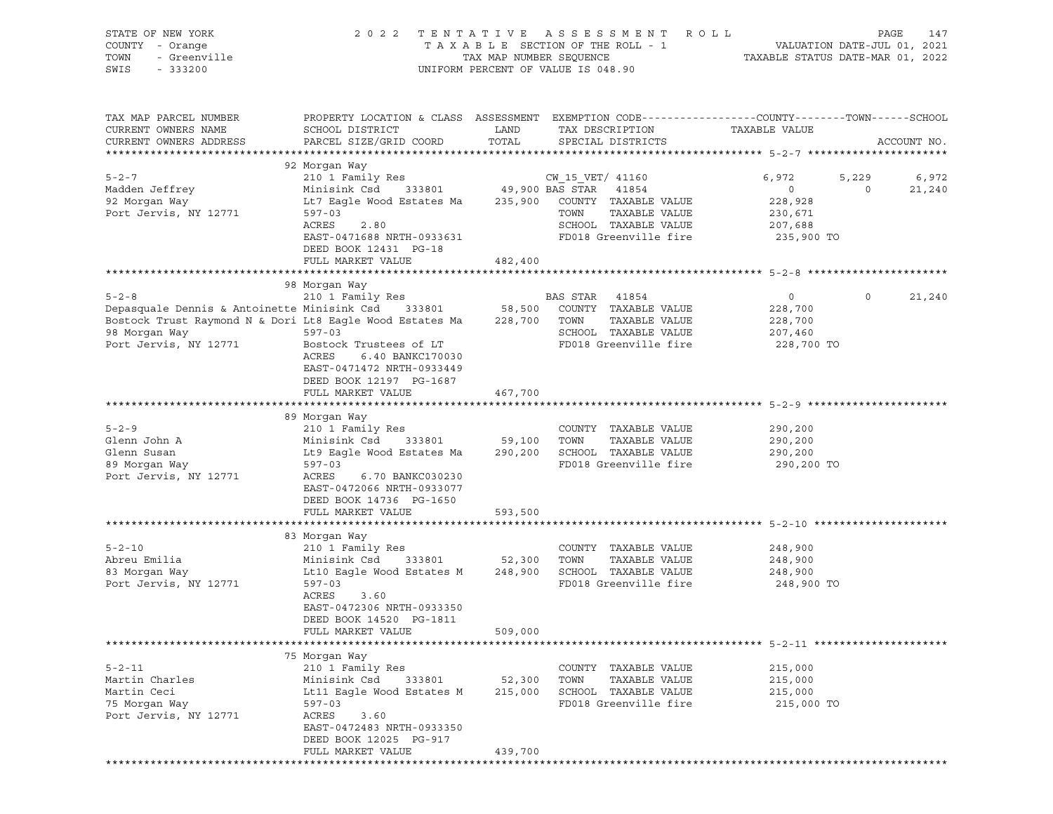| STATE OF NEW YORK<br>COUNTY - Orange<br>Cur Nam 10000<br>- Greenville<br>- 333200<br>TOWN<br>SWIS |                                                                                                                                                              |               | 2022 TENTATIVE ASSESSMENT ROLL<br>UNIFORM PERCENT OF VALUE IS 048.90 |                                                        | PAGE<br>147              |
|---------------------------------------------------------------------------------------------------|--------------------------------------------------------------------------------------------------------------------------------------------------------------|---------------|----------------------------------------------------------------------|--------------------------------------------------------|--------------------------|
| TAX MAP PARCEL NUMBER<br>CURRENT OWNERS NAME<br>CURRENT OWNERS ADDRESS                            | PROPERTY LOCATION & CLASS ASSESSMENT EXEMPTION CODE----------------COUNTY-------TOWN------SCHOOL<br>SCHOOL DISTRICT<br><b>LAND</b><br>PARCEL SIZE/GRID COORD | TOTAL         | TAX DESCRIPTION<br>SPECIAL DISTRICTS                                 | TAXABLE VALUE                                          | ACCOUNT NO.              |
|                                                                                                   |                                                                                                                                                              |               |                                                                      |                                                        |                          |
|                                                                                                   | 92 Morgan Way                                                                                                                                                |               |                                                                      |                                                        |                          |
| $5 - 2 - 7$                                                                                       |                                                                                                                                                              |               |                                                                      | 6,972                                                  | 5,229<br>6,972           |
| Madden Jeffrey                                                                                    |                                                                                                                                                              |               |                                                                      | $\overline{0}$<br>228,928                              | $\overline{0}$<br>21,240 |
| 92 Morgan Way<br>Port Jervis, NY 12771                                                            | Lt7 Eagle Wood Estates Ma      235,900   COUNTY  TAXABLE VALUE<br>597-03                                                                                     |               | TOWN<br>TAXABLE VALUE                                                |                                                        |                          |
|                                                                                                   | ACRES<br>2.80                                                                                                                                                |               | SCHOOL TAXABLE VALUE                                                 | 230,671<br>207,688                                     |                          |
|                                                                                                   | EAST-0471688 NRTH-0933631                                                                                                                                    |               | FD018 Greenville fire 235,900 TO                                     |                                                        |                          |
|                                                                                                   | DEED BOOK 12431 PG-18                                                                                                                                        |               |                                                                      |                                                        |                          |
|                                                                                                   | FULL MARKET VALUE                                                                                                                                            | 482,400       |                                                                      |                                                        |                          |
|                                                                                                   |                                                                                                                                                              |               |                                                                      |                                                        |                          |
| $5 - 2 - 8$                                                                                       | 98 Morgan Way<br>210 1 Family Res                                                                                                                            |               | BAS STAR 41854                                                       | $\overline{0}$                                         | $\circ$<br>21,240        |
| Depasquale Dennis & Antoinette Minisink Csd 333801 58,500 COUNTY TAXABLE VALUE                    |                                                                                                                                                              |               |                                                                      |                                                        |                          |
| Bostock Trust Raymond N & Dori Lt8 Eagle Wood Estates Ma 228,700 TOWN                             |                                                                                                                                                              |               | TAXABLE VALUE                                                        | 228,700<br>228,700                                     |                          |
|                                                                                                   |                                                                                                                                                              |               | SCHOOL TAXABLE VALUE                                                 | 207,460                                                |                          |
| 98 Morgan Way 597-03<br>Port Jervis, NY 12771 Bostoc<br>Port Jervis, NY 12771                     | Bostock Trustees of LT                                                                                                                                       |               | FD018 Greenville fire                                                | 228,700 TO                                             |                          |
|                                                                                                   | ACRES<br>6.40 BANKC170030<br>EAST-0471472 NRTH-0933449<br>DEED BOOK 12197 PG-1687                                                                            |               |                                                                      |                                                        |                          |
|                                                                                                   | FULL MARKET VALUE                                                                                                                                            | 467,700       |                                                                      |                                                        |                          |
|                                                                                                   |                                                                                                                                                              |               |                                                                      |                                                        |                          |
| $5 - 2 - 9$                                                                                       | 89 Morgan Way                                                                                                                                                |               | COUNTY TAXABLE VALUE                                                 | 290,200                                                |                          |
| Glenn John A                                                                                      |                                                                                                                                                              |               | TAXABLE VALUE                                                        | 290,200                                                |                          |
| Glenn Susan                                                                                       | Lt9 Eagle Wood Estates Ma 290,200 SCHOOL TAXABLE VALUE 290,200                                                                                               |               |                                                                      |                                                        |                          |
| sich susan<br>89 Morgan Way                                                                       | $597 - 03$                                                                                                                                                   |               | FD018 Greenville fire                                                | 290,200 TO                                             |                          |
| Port Jervis, NY 12771                                                                             | ACRES<br>6.70 BANKC030230<br>EAST-0472066 NRTH-0933077<br>DEED BOOK 14736 PG-1650                                                                            |               |                                                                      |                                                        |                          |
|                                                                                                   | FULL MARKET VALUE                                                                                                                                            | 593,500       |                                                                      |                                                        |                          |
|                                                                                                   |                                                                                                                                                              |               |                                                                      |                                                        |                          |
| $5 - 2 - 10$                                                                                      | 83 Morgan Way                                                                                                                                                |               | COUNTY TAXABLE VALUE                                                 |                                                        |                          |
| Abreu Emilia                                                                                      |                                                                                                                                                              |               | TAXABLE VALUE                                                        | 248,900<br>248,900                                     |                          |
| 83 Morgan Way                                                                                     | Lt10 Eagle Wood Estates M 248,900 SCHOOL TAXABLE VALUE 248,900                                                                                               |               |                                                                      |                                                        |                          |
| Port Jervis, NY 12771                                                                             | $597 - 03$                                                                                                                                                   |               | FD018 Greenville fire                                                | 248,900 TO                                             |                          |
|                                                                                                   | ACRES<br>3.60                                                                                                                                                |               |                                                                      |                                                        |                          |
|                                                                                                   | EAST-0472306 NRTH-0933350                                                                                                                                    |               |                                                                      |                                                        |                          |
|                                                                                                   | DEED BOOK 14520 PG-1811                                                                                                                                      |               |                                                                      |                                                        |                          |
|                                                                                                   | FULL MARKET VALUE                                                                                                                                            | 509,000       |                                                                      | ************************ 5-2-11 ********************** |                          |
|                                                                                                   | 75 Morgan Way                                                                                                                                                |               |                                                                      |                                                        |                          |
| $5 - 2 - 11$                                                                                      | 210 1 Family Res                                                                                                                                             |               | COUNTY TAXABLE VALUE                                                 | 215,000                                                |                          |
| Martin Charles                                                                                    | Minisink Csd<br>333801                                                                                                                                       | 52,300        | TOWN<br>TAXABLE VALUE                                                | 215,000                                                |                          |
| Martin Ceci                                                                                       | Lt11 Eagle Wood Estates M                                                                                                                                    | 215,000       | SCHOOL TAXABLE VALUE                                                 | 215,000                                                |                          |
| 75 Morgan Way                                                                                     | $597 - 03$                                                                                                                                                   |               | FD018 Greenville fire                                                | 215,000 TO                                             |                          |
| Port Jervis, NY 12771                                                                             | ACRES<br>3.60<br>EAST-0472483 NRTH-0933350<br>DEED BOOK 12025 PG-917                                                                                         |               |                                                                      |                                                        |                          |
|                                                                                                   | FULL MARKET VALUE                                                                                                                                            | 439,700       |                                                                      |                                                        |                          |
|                                                                                                   | ***********************                                                                                                                                      | ************* |                                                                      |                                                        |                          |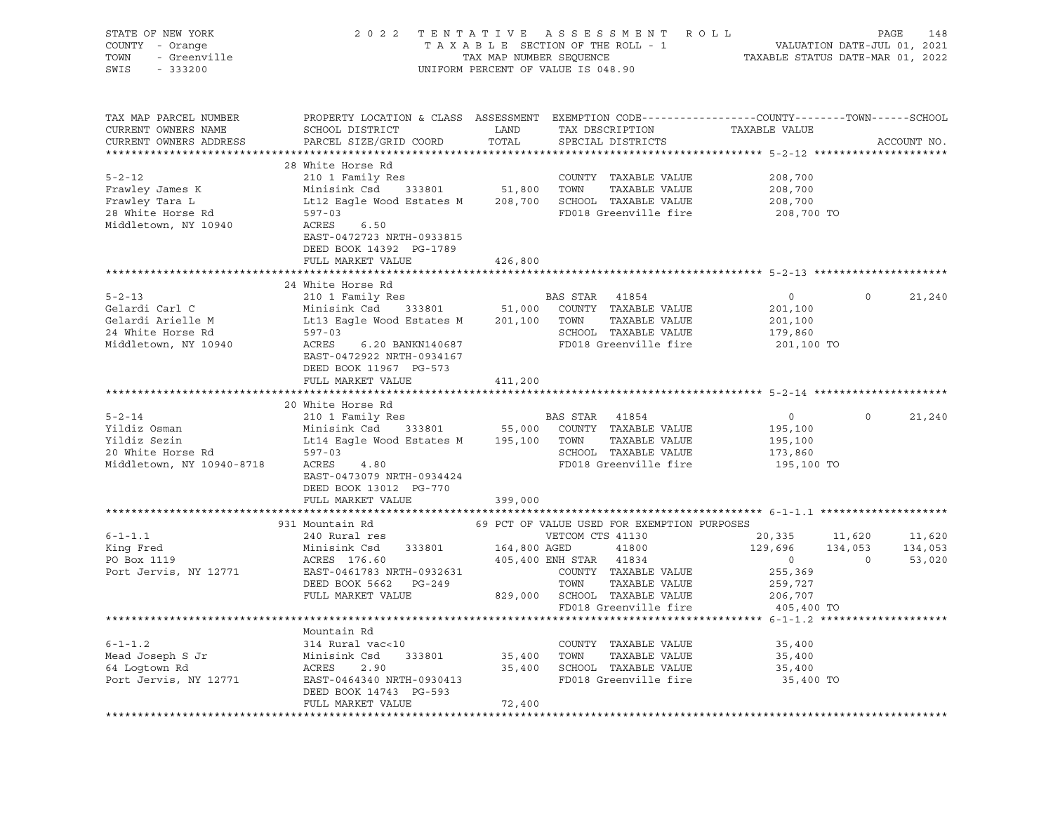| STATE OF NEW YORK<br>COUNTY - Orange<br>TOWN<br>- Greenville<br>SWIS<br>$-333200$                |                                                                                                                                                                                                                                                         |                       | 2022 TENTATIVE ASSESSMENT ROLL<br>TAXABLE SECTION OF THE ROLL - 1<br>TAXABLE SECTION OF THE ROLL - 1<br>TAXABLE STATUS DATE-MAR 01, 2022<br>UNIFORM PERCENT OF VALUE IS 048.90 |                                                                      | PAGE<br>148                                                        |
|--------------------------------------------------------------------------------------------------|---------------------------------------------------------------------------------------------------------------------------------------------------------------------------------------------------------------------------------------------------------|-----------------------|--------------------------------------------------------------------------------------------------------------------------------------------------------------------------------|----------------------------------------------------------------------|--------------------------------------------------------------------|
| TAX MAP PARCEL NUMBER<br>CURRENT OWNERS NAME<br>CURRENT OWNERS ADDRESS                           | PROPERTY LOCATION & CLASS ASSESSMENT EXEMPTION CODE----------------COUNTY-------TOWN-----SCHOOL<br>SCHOOL DISTRICT<br>PARCEL SIZE/GRID COORD                                                                                                            | LAND<br>TOTAL         | TAX DESCRIPTION<br>SPECIAL DISTRICTS                                                                                                                                           | TAXABLE VALUE                                                        | ACCOUNT NO.                                                        |
|                                                                                                  |                                                                                                                                                                                                                                                         |                       |                                                                                                                                                                                |                                                                      |                                                                    |
| $5 - 2 - 12$<br>Frawley James K<br>Frawley Tara L<br>28 White Horse Rd<br>Middletown, NY 10940   | 28 White Horse Rd<br>210 1 Family Res<br>Minisink Csd 333801<br>Lt12 Eagle Wood Estates M 208,700 SCHOOL TAXABLE VALUE<br>597-03<br>ACRES<br>6.50<br>EAST-0472723 NRTH-0933815                                                                          |                       | COUNTY TAXABLE VALUE<br>51,800 TOWN TAXABLE VALUE<br>FD018 Greenville fire                                                                                                     | 208,700<br>208,700<br>208,700<br>208,700 TO                          |                                                                    |
|                                                                                                  | DEED BOOK 14392 PG-1789                                                                                                                                                                                                                                 |                       |                                                                                                                                                                                |                                                                      |                                                                    |
|                                                                                                  | FULL MARKET VALUE                                                                                                                                                                                                                                       | 426,800               |                                                                                                                                                                                |                                                                      |                                                                    |
|                                                                                                  |                                                                                                                                                                                                                                                         |                       |                                                                                                                                                                                |                                                                      |                                                                    |
| $5 - 2 - 13$<br>Gelardi Carl C<br>Gelardi Arielle M<br>24 White Horse Rd<br>Middletown, NY 10940 | 24 White Horse Rd<br>210 1 Family Res<br>Minisink Csd 333801 51,000 COUNTY TAXABLE VALUE<br>Lt13 Eagle Wood Estates M 201,100 TOWN TAXABLE VALUE<br>$597 - 03$<br>ACRES<br>6.20 BANKN140687                                                             |                       | BAS STAR 41854<br>SCHOOL TAXABLE VALUE<br>FD018 Greenville fire                                                                                                                | $\overline{0}$<br>201,100<br>201,100<br>179,860<br>201,100 TO        | $\mathsf{O}$<br>21,240                                             |
|                                                                                                  | EAST-0472922 NRTH-0934167<br>DEED BOOK 11967 PG-573<br>FULL MARKET VALUE                                                                                                                                                                                | 411,200               |                                                                                                                                                                                |                                                                      |                                                                    |
|                                                                                                  | 20 White Horse Rd                                                                                                                                                                                                                                       |                       |                                                                                                                                                                                |                                                                      |                                                                    |
| $5 - 2 - 14$<br>Middletown, NY 10940-8718                                                        | 210 1 Family Res<br>Minisink Csd 333801 55,000 COUNTY TAXABLE VALUE<br>Yildiz Sezin Munisink Csd 333801 55,000 COUNTY<br>20 White Horse Rd 597-03<br>Middletown NV 10011 597-03<br>ACRES<br>4.80<br>EAST-0473079 NRTH-0934424<br>DEED BOOK 13012 PG-770 |                       | BAS STAR 41854<br>TAXABLE VALUE<br>SCHOOL TAXABLE VALUE<br>FD018 Greenville fire<br>FD018 Greenville fire                                                                      | $\overline{0}$<br>195,100<br>195,100<br>173,860<br>195,100 TO        | $\Omega$<br>21,240                                                 |
|                                                                                                  | FULL MARKET VALUE                                                                                                                                                                                                                                       | 399,000               |                                                                                                                                                                                |                                                                      |                                                                    |
|                                                                                                  |                                                                                                                                                                                                                                                         |                       |                                                                                                                                                                                |                                                                      |                                                                    |
|                                                                                                  | 931 Mountain Rd                                                                                                                                                                                                                                         |                       | 69 PCT OF VALUE USED FOR EXEMPTION PURPOSES                                                                                                                                    |                                                                      |                                                                    |
| $6 - 1 - 1.1$<br>King Fred<br>PO Box 1119<br>Port Jervis, NY 12771                               | 240 Rural res<br>Minisink Csd 333801 164,800 AGED<br>ACRES 176.60<br>EAST-0461783 NRTH-0932631<br>DEED BOOK 5662 PG-249<br>PEED BOOK 5662 PG-249 829,000 SCHOOL TAXABLE VALUE<br>FIILL MARKET VALUE 329,000 SCHOOL TAXABLE VALUE                        |                       | VETCOM CTS 41130<br>41800<br>405,400 ENH STAR 41834<br>COUNTY TAXABLE VALUE                                                                                                    | 20,335<br>129,696<br>$\overline{0}$<br>255,369<br>259,727<br>206,707 | 11,620<br>11,620<br>134,053<br>134,053<br>53,020<br>$\overline{0}$ |
|                                                                                                  |                                                                                                                                                                                                                                                         |                       | FD018 Greenville fire                                                                                                                                                          | 405,400 TO                                                           |                                                                    |
|                                                                                                  |                                                                                                                                                                                                                                                         |                       |                                                                                                                                                                                |                                                                      |                                                                    |
| $6 - 1 - 1.2$<br>Mead Joseph S Jr<br>64 Logtown Rd<br>Port Jervis, NY 12771                      | Mountain Rd<br>314 Rural vac<10<br>Minisink Csd 333801<br>ACRES<br>2.90<br>EAST-0464340 NRTH-0930413<br>DEED BOOK 14743 PG-593<br>FULL MARKET VALUE                                                                                                     | 35,400 TOWN<br>72,400 | COUNTY TAXABLE VALUE<br>TAXABLE VALUE<br>35,400 SCHOOL TAXABLE VALUE<br>FD018 Greenville fire                                                                                  | 35,400<br>35,400<br>35,400<br>35,400 TO                              |                                                                    |
|                                                                                                  |                                                                                                                                                                                                                                                         |                       |                                                                                                                                                                                |                                                                      |                                                                    |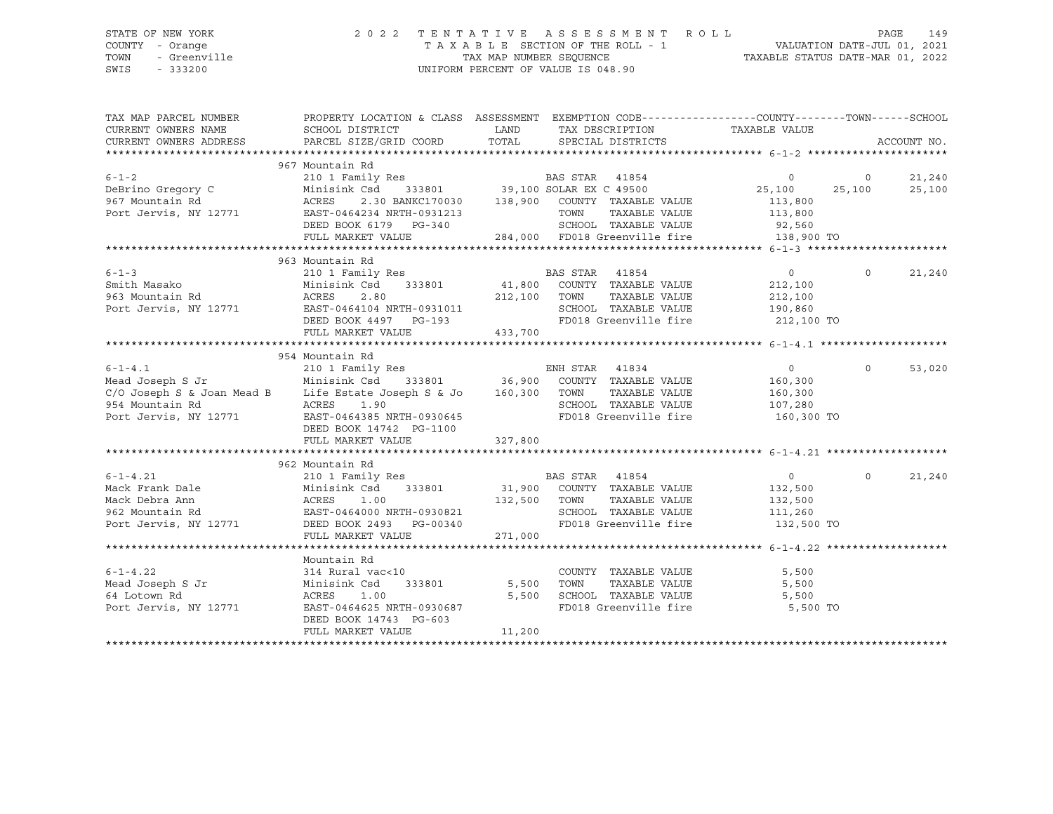SWIS - 333200 UNIFORM PERCENT OF VALUE IS 048.90

# STATE OF NEW YORK 2 0 2 2 T E N T A T I V E A S S E S S M E N T R O L L PAGE 149 COUNTY - Orange T A X A B L E SECTION OF THE ROLL - 1 VALUATION DATE-JUL 01, 2021 TOWN - Greenville TAX MAP NUMBER SEQUENCE TAXABLE STATUS DATE-MAR 01, 2022

| TAX MAP PARCEL NUMBER<br>CURRENT OWNERS NAME<br>CURRENT OWNERS ADDRESS                                                                                                                                                                                                   | PROPERTY LOCATION & CLASS ASSESSMENT EXEMPTION CODE---------------COUNTY-------TOWN-----SCHOOL<br>SCHOOL DISTRICT<br>PARCEL SIZE/GRID COORD TOTAL SPECIAL DISTRICTS |         | LAND TAX DESCRIPTION TAXABLE VALUE |                       |          | ACCOUNT NO. |
|--------------------------------------------------------------------------------------------------------------------------------------------------------------------------------------------------------------------------------------------------------------------------|---------------------------------------------------------------------------------------------------------------------------------------------------------------------|---------|------------------------------------|-----------------------|----------|-------------|
|                                                                                                                                                                                                                                                                          |                                                                                                                                                                     |         |                                    |                       |          |             |
|                                                                                                                                                                                                                                                                          | 967 Mountain Rd                                                                                                                                                     |         |                                    |                       |          |             |
|                                                                                                                                                                                                                                                                          |                                                                                                                                                                     |         |                                    |                       |          | 21,240      |
|                                                                                                                                                                                                                                                                          |                                                                                                                                                                     |         |                                    |                       |          | 25,100      |
|                                                                                                                                                                                                                                                                          |                                                                                                                                                                     |         |                                    |                       |          |             |
|                                                                                                                                                                                                                                                                          |                                                                                                                                                                     |         |                                    |                       |          |             |
|                                                                                                                                                                                                                                                                          |                                                                                                                                                                     |         |                                    |                       |          |             |
|                                                                                                                                                                                                                                                                          |                                                                                                                                                                     |         |                                    |                       |          |             |
|                                                                                                                                                                                                                                                                          |                                                                                                                                                                     |         |                                    |                       |          |             |
| 963 Mountain Rd<br>210 1 Family Res<br>210 1 Family Res<br>212,100<br>212,100<br>212,100<br>212,100<br>212,100<br>212,100<br>212,100<br>212,100<br>212,100<br>212,100<br>212,100<br>212,100<br>212,100<br>212,100<br>212,100<br>212,100<br>212,100<br>212,100<br>212,100 | 963 Mountain Rd                                                                                                                                                     |         |                                    |                       |          |             |
|                                                                                                                                                                                                                                                                          |                                                                                                                                                                     |         |                                    | $0 \t 0 \t 21,240$    |          |             |
|                                                                                                                                                                                                                                                                          |                                                                                                                                                                     |         |                                    |                       |          |             |
|                                                                                                                                                                                                                                                                          |                                                                                                                                                                     |         |                                    |                       |          |             |
|                                                                                                                                                                                                                                                                          |                                                                                                                                                                     |         |                                    |                       |          |             |
|                                                                                                                                                                                                                                                                          |                                                                                                                                                                     |         |                                    |                       |          |             |
|                                                                                                                                                                                                                                                                          | FULL MARKET VALUE 433,700                                                                                                                                           |         |                                    |                       |          |             |
|                                                                                                                                                                                                                                                                          |                                                                                                                                                                     |         |                                    |                       |          |             |
|                                                                                                                                                                                                                                                                          | 954 Mountain Rd                                                                                                                                                     |         |                                    |                       |          |             |
|                                                                                                                                                                                                                                                                          |                                                                                                                                                                     |         |                                    | $\overline{0}$        | $\circ$  | 53,020      |
|                                                                                                                                                                                                                                                                          |                                                                                                                                                                     |         |                                    | 160,300               |          |             |
| $C/O$ Joseph S & Joan Mead B Life Estate Joseph S & Jo $160,300$ TOWN                                                                                                                                                                                                    |                                                                                                                                                                     |         |                                    | TAXABLE VALUE 160,300 |          |             |
|                                                                                                                                                                                                                                                                          |                                                                                                                                                                     |         |                                    |                       |          |             |
|                                                                                                                                                                                                                                                                          |                                                                                                                                                                     |         |                                    |                       |          |             |
|                                                                                                                                                                                                                                                                          | DEED BOOK 14742 PG-1100                                                                                                                                             |         |                                    |                       |          |             |
|                                                                                                                                                                                                                                                                          | FULL MARKET VALUE                                                                                                                                                   | 327,800 |                                    |                       |          |             |
|                                                                                                                                                                                                                                                                          |                                                                                                                                                                     |         |                                    |                       |          |             |
|                                                                                                                                                                                                                                                                          |                                                                                                                                                                     |         |                                    |                       |          |             |
|                                                                                                                                                                                                                                                                          |                                                                                                                                                                     |         |                                    | $\overline{0}$        | $\Omega$ | 21,240      |
|                                                                                                                                                                                                                                                                          |                                                                                                                                                                     |         |                                    |                       |          |             |
|                                                                                                                                                                                                                                                                          |                                                                                                                                                                     |         |                                    |                       |          |             |
|                                                                                                                                                                                                                                                                          |                                                                                                                                                                     |         |                                    |                       |          |             |
| 962 Mountain Rd<br>962 Mountain Rd<br>962 Mountain Rd<br>962 Mountain Rd<br>962 Mountain Rd<br>962 Mountain Rd<br>962 Mountain Rd<br>962 Mountain Rd<br>962 Mountain Rd<br>962 Mountain Rd<br>962 Mountain Rd<br>962 Mountain Rd<br>962 Mo                               |                                                                                                                                                                     |         |                                    |                       |          |             |
|                                                                                                                                                                                                                                                                          | FULL MARKET VALUE                                                                                                                                                   | 271,000 |                                    |                       |          |             |
|                                                                                                                                                                                                                                                                          |                                                                                                                                                                     |         |                                    |                       |          |             |
|                                                                                                                                                                                                                                                                          | Mountain Rd                                                                                                                                                         |         |                                    |                       |          |             |
|                                                                                                                                                                                                                                                                          |                                                                                                                                                                     |         | COUNTY TAXABLE VALUE 5,500         |                       |          |             |
|                                                                                                                                                                                                                                                                          |                                                                                                                                                                     |         |                                    |                       |          |             |
|                                                                                                                                                                                                                                                                          |                                                                                                                                                                     |         |                                    |                       |          |             |
| 6-1-4.22 COUNTY<br>Mead Joseph S Jr 314 Rural vac<10 COUNTY<br>64 Lotown Rd ACRES 1.00 5,500 SCHOOL<br>Port Jervis, NY 12771 EAST-0464625 NRTH-0930687 FD018 Gr                                                                                                          |                                                                                                                                                                     |         | FD018 Greenville fire 5,500 TO     |                       |          |             |
|                                                                                                                                                                                                                                                                          | DEED BOOK 14743 PG-603                                                                                                                                              |         |                                    |                       |          |             |
|                                                                                                                                                                                                                                                                          | FULL MARKET VALUE                                                                                                                                                   | 11,200  |                                    |                       |          |             |
|                                                                                                                                                                                                                                                                          |                                                                                                                                                                     |         |                                    |                       |          |             |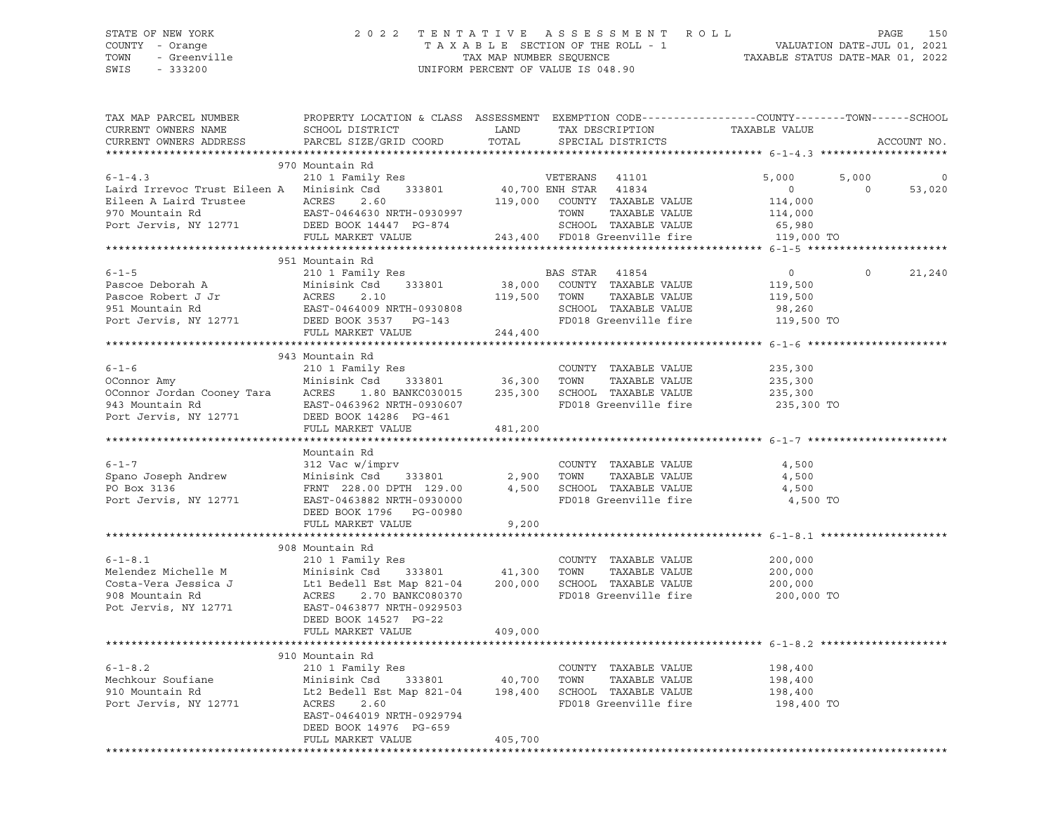SWIS - 333200 UNIFORM PERCENT OF VALUE IS 048.90

## STATE OF NEW YORK 2 0 2 2 T E N T A T I V E A S S E S S M E N T R O L L PAGE 150 COUNTY - Orange T A X A B L E SECTION OF THE ROLL - 1 VALUATION DATE-JUL 01, 2021 TOWN - Greenville TAX MAP NUMBER SEQUENCE TAXABLE STATUS DATE-MAR 01, 2022

| TAX MAP PARCEL NUMBER<br>CURRENT OWNERS NAME<br>CURRENT OWNERS ADDRESS                                                                                                | PROPERTY LOCATION & CLASS ASSESSMENT EXEMPTION CODE----------------COUNTY-------TOWN-----SCHOOL<br>SCHOOL DISTRICT<br>PARCEL SIZE/GRID COORD                                                                                                                                                                   | LAND<br>TOTAL | TAX DESCRIPTION<br>SPECIAL DISTRICTS                                                                                               | TAXABLE VALUE                                                         | ACCOUNT NO.                             |
|-----------------------------------------------------------------------------------------------------------------------------------------------------------------------|----------------------------------------------------------------------------------------------------------------------------------------------------------------------------------------------------------------------------------------------------------------------------------------------------------------|---------------|------------------------------------------------------------------------------------------------------------------------------------|-----------------------------------------------------------------------|-----------------------------------------|
|                                                                                                                                                                       |                                                                                                                                                                                                                                                                                                                |               |                                                                                                                                    |                                                                       |                                         |
| $6 - 1 - 4.3$                                                                                                                                                         | 970 Mountain Rd<br>210 1 Family Res<br>Laird Irrevoc Trust Eileen A Minisink Csd 333801 40,700 ENH STAR 41834<br>Eileen A Laird Trustee (EACRES 2.60 119,000<br>970 Mountain Rd (EAST-0464630 NRTH-0930997<br>Port Jervis, NY 12771 (DEED BOOK 14447 PG-874<br>FULL MARKET VALUE 243,400 FD018 Greenville fire |               | VETERANS 41101<br>119,000 COUNTY TAXABLE VALUE<br>TOWN<br>TAXABLE VALUE<br>SCHOOL TAXABLE VALUE                                    | 5,000<br>$\overline{0}$<br>114,000<br>114,000<br>65,980<br>119,000 TO | 5,000<br>$\Omega$<br>$\Omega$<br>53,020 |
|                                                                                                                                                                       |                                                                                                                                                                                                                                                                                                                |               |                                                                                                                                    |                                                                       |                                         |
| $6 - 1 - 5$<br>Pascoe Deborah A<br>Pascoe Robert J Jr Minisink Csd 333801<br>951 Mountain Rd EAST-0464009 NRTH-0930808<br>Port Jervis, NY 12771 DEED BOOK 3537 PG-143 | 951 Mountain Rd<br>210 1 Family Res                                                                                                                                                                                                                                                                            |               | BAS STAR<br>41854<br>38,000 COUNTY TAXABLE VALUE<br>TAXABLE VALUE<br>119,500 TOWN<br>SCHOOL TAXABLE VALUE<br>FD018 Greenville fire | $0 \qquad \qquad$<br>119,500<br>119,500<br>98,260<br>119,500 TO       | $\Omega$<br>21,240                      |
|                                                                                                                                                                       | FULL MARKET VALUE                                                                                                                                                                                                                                                                                              | 244,400       |                                                                                                                                    |                                                                       |                                         |
| $6 - 1 - 6$<br>OConnor Amy<br>OConnor Jordan Cooney Tara<br>943 Mountain Rd<br>Port Jervis, NY 12771                                                                  | 943 Mountain Rd<br>210 1 Family Res<br>333801 36,300 TOWN<br>Minisink Csd<br>ACRES<br>1.80 BANKC030015<br>EAST-0463962 NRTH-0930607<br>DEED BOOK 14286 PG-461                                                                                                                                                  | 235,300       | COUNTY TAXABLE VALUE<br>TAXABLE VALUE<br>SCHOOL TAXABLE VALUE<br>FD018 Greenville fire                                             | 235,300<br>235,300<br>235,300<br>235,300 TO                           |                                         |
|                                                                                                                                                                       | FULL MARKET VALUE                                                                                                                                                                                                                                                                                              | 481,200       |                                                                                                                                    |                                                                       |                                         |
| $6 - 1 - 7$<br>Spano Joseph Andrew<br>PO Box 3136<br>Port Jervis, NY 12771 EAST-0463882 NRTH-0930000                                                                  | Mountain Rd<br>312 Vac w/imprv<br>Minisink Csd 333801 2,900 TOWN<br>DEED BOOK 1796 PG-00980<br>FULL MARKET VALUE                                                                                                                                                                                               | 9,200         | COUNTY TAXABLE VALUE<br>TAXABLE VALUE<br>4,500 SCHOOL TAXABLE VALUE<br>FD018 Greenville fire                                       | 4,500<br>4,500<br>4,500<br>4,500 TO                                   |                                         |
|                                                                                                                                                                       |                                                                                                                                                                                                                                                                                                                |               |                                                                                                                                    |                                                                       |                                         |
| $6 - 1 - 8.1$<br>Melendez Michelle M<br>Costa-Vera Jessica J<br>908 Mountain Rd<br>Pot Jervis, NY 12771                                                               | 908 Mountain Rd<br>210 1 Family Res<br>Minisink Csd 333801 41,300<br>Lt1 Bedell Est Map 821-04<br>ACRES<br>2.70 BANKC080370<br>EAST-0463877 NRTH-0929503<br>DEED BOOK 14527 PG-22                                                                                                                              |               | COUNTY TAXABLE VALUE<br>TAXABLE VALUE<br>TOWN<br>200,000 SCHOOL TAXABLE VALUE<br>FD018 Greenville fire                             | 200,000<br>200,000<br>200,000<br>200,000 TO                           |                                         |
|                                                                                                                                                                       | FULL MARKET VALUE                                                                                                                                                                                                                                                                                              | 409,000       |                                                                                                                                    |                                                                       |                                         |
| $6 - 1 - 8.2$<br>Mechkour Soufiane<br>910 Mountain Rd<br>Port Jervis, NY 12771                                                                                        | 910 Mountain Rd<br>210 1 Family Res<br>Minisink Csd 333801 40,700<br>Lt2 Bedell Est Map 821-04<br>ACRES 2.60<br>EAST-0464019 NRTH-0929794<br>DEED BOOK 14976 PG-659<br>FULL MARKET VALUE                                                                                                                       | 405,700       | COUNTY TAXABLE VALUE<br>TOWN<br>TAXABLE VALUE<br>198,400 SCHOOL TAXABLE VALUE<br>FD018 Greenville fire                             | 198,400<br>198,400<br>198,400<br>198,400 TO                           |                                         |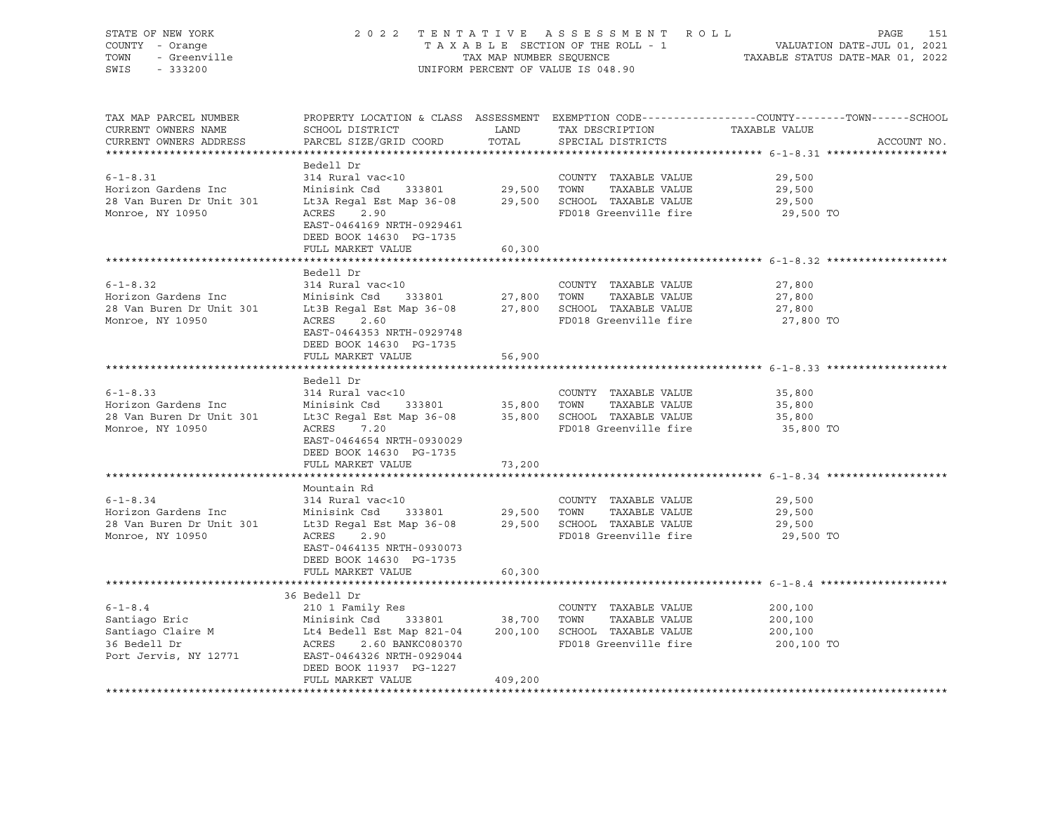| STATE OF NEW YORK<br>STATE OF NEW 10000<br>COUNTY - Orange<br>TOWN - Greenville<br>SWIS - 333200                                                                                                                                                                                     |                                                                                                                                                     |         | UNIFORM PERCENT OF VALUE IS 048.90            | 2022 TENTATIVE ASSESSMENT ROLL PAGE 151<br>TAXABLE SECTION OF THE ROLL - 1 VALUATION DATE-JUL 01, 2021<br>TAX MAP NUMBER SEQUENCE TAXABLE STATUS DATE-MAR 01, 2022 |
|--------------------------------------------------------------------------------------------------------------------------------------------------------------------------------------------------------------------------------------------------------------------------------------|-----------------------------------------------------------------------------------------------------------------------------------------------------|---------|-----------------------------------------------|--------------------------------------------------------------------------------------------------------------------------------------------------------------------|
| TAX MAP PARCEL NUMBER<br>CURRENT OWNERS NAME<br>CURRENT OWNERS ADDRESS                                                                                                                                                                                                               | ${\tt SCHOOL\ DISTRICT} \hspace{20mm} {\tt LAND} \hspace{20mm} {\tt TAX\ DESCRIPTION} \hspace{20mm} {\tt TAXABLE\ VALUE}$<br>PARCEL SIZE/GRID COORD | TOTAL   | SPECIAL DISTRICTS                             | PROPERTY LOCATION & CLASS ASSESSMENT EXEMPTION CODE---------------COUNTY-------TOWN-----SCHOOL<br>ACCOUNT NO.                                                      |
| 6-1-8.31 314 Rural vac<10<br>Horizon Gardens Inc Minisink Csd 333801 29,500 TOWN TAXABLE VALUE<br>28 Van Buren Dr Unit 301 Lt3A Regal Est Map 36-08 29,500 SCHOOL TAXABLE VALUE<br>29,500 SCHOOL TAXABLE VALUE<br>29,500 SCHOOL TAXABL                                               | Bedell Dr<br>EAST-0464169 NRTH-0929461<br>DEED BOOK 14630 PG-1735<br>FULL MARKET VALUE                                                              | 60,300  |                                               | 29,500<br>29,500<br>29,500<br>29,500 TO                                                                                                                            |
|                                                                                                                                                                                                                                                                                      |                                                                                                                                                     |         |                                               |                                                                                                                                                                    |
| $6 - 1 - 8.32$<br>6-1-8.32<br>Horizon Gardens Inc Minisink Csd 333801 27,800 TOWN TAXABLE VALUE<br>28 Van Buren Dr Unit 301 Lt3B Regal Est Map 36-08 27,800 SCHOOL TAXABLE VALUE<br>28 Van Buren Dr Unit 301 Lt3B Regal Est Map 36-08 27,800 SCHOOL TA                               | Bedell Dr<br>314 Rural vac<10<br>EAST-0464353 NRTH-0929748<br>DEED BOOK 14630 PG-1735                                                               |         | COUNTY TAXABLE VALUE<br>FD018 Greenville fire | 27,800<br>27,800<br>27,800<br>27,800 TO                                                                                                                            |
|                                                                                                                                                                                                                                                                                      | FULL MARKET VALUE                                                                                                                                   | 56,900  |                                               |                                                                                                                                                                    |
|                                                                                                                                                                                                                                                                                      |                                                                                                                                                     |         |                                               |                                                                                                                                                                    |
| $6 - 1 - 8.33$<br>Horizon Gardens Inc<br>28 Van Buren Dr Unit 301 Lt3C Regal Est Map 36-08 35,800 SCHOOL TAXABLE VALUE<br>Monroe NY 10950 ACRES 7 20<br>Monroe, NY 10950                                                                                                             | Bedell Dr<br>314 Rural vac<10<br>ACRES 7.20<br>EAST-0464654 NRTH-0930029<br>DEED BOOK 14630 PG-1735                                                 |         | COUNTY TAXABLE VALUE<br>FD018 Greenville fire | 35,800<br>35,800<br>35,800<br>35,800 TO                                                                                                                            |
|                                                                                                                                                                                                                                                                                      | FULL MARKET VALUE                                                                                                                                   | 73,200  |                                               |                                                                                                                                                                    |
|                                                                                                                                                                                                                                                                                      | Mountain Rd                                                                                                                                         |         |                                               |                                                                                                                                                                    |
| $6 - 1 - 8.34$<br>Figure 12.1 and the main of the contract of the contract of the contract of the contract of the contract of the contract of the contract of the contract of the contract of the Monroe NY 10950 across 2.90 across 2.90 contra<br>Monroe, NY 10950                 | 314 Rural vac<10<br>ACRES 2.90<br>EAST-0464135 NRTH-0930073<br>DEED BOOK 14630 PG-1735                                                              |         | COUNTY TAXABLE VALUE<br>FD018 Greenville fire | 29,500<br>29,500<br>29,500<br>29,500 TO                                                                                                                            |
|                                                                                                                                                                                                                                                                                      | FULL MARKET VALUE                                                                                                                                   | 60,300  |                                               |                                                                                                                                                                    |
| $6 - 1 - 8.4$<br>Santiago Eric<br>Santiago Claire M<br>Santiago Claire M<br>Santiago Claire M<br>Santiago Claire M<br>Lt4 Bedell Est Map 821-04<br>200,100 SCHOOL TAXABLE VALUE<br>FD018 Greenville fire<br>FD018 Greenville fire<br>Port Jervis, NY 12771 EAST-0464326 NRTH-0929044 | 36 Bedell Dr<br>210 1 Family Res<br>DEED BOOK 11937 PG-1227<br>FULL MARKET VALUE                                                                    | 409,200 | COUNTY TAXABLE VALUE<br>FD018 Greenville fire | 200,100<br>200,100<br>200,100<br>200,100 TO                                                                                                                        |
|                                                                                                                                                                                                                                                                                      |                                                                                                                                                     |         |                                               |                                                                                                                                                                    |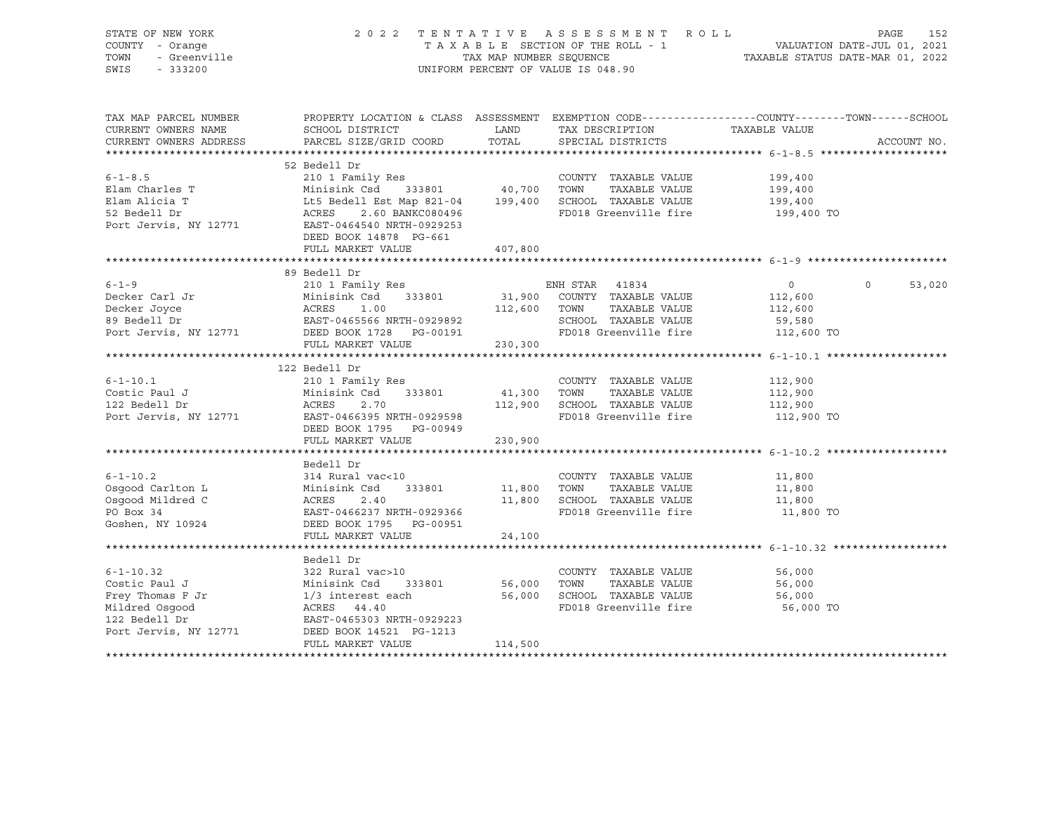| STATE OF NEW YORK<br>COUNTY - Orange<br>TOWN<br>- Greenville<br>SWIS<br>$-333200$                                |                                                                                                                                                                                                                                                                                                                                                                                                                                                                                                                                                            | 2022 TENTATIVE ASSESSMENT ROLL<br>TAXABLE SECTION OF THE ROLL - 1<br>TAX MAP NUMBER SEQUENCE<br>UNIFORM PERCENT OF VALUE IS 048.90 |                                                                                                                              |                                                              | PAGE<br>152<br>1 VALUATION DATE-JUL 01, 2021<br>TAXABLE STATUS DATE-MAR 01, 2022 |             |  |
|------------------------------------------------------------------------------------------------------------------|------------------------------------------------------------------------------------------------------------------------------------------------------------------------------------------------------------------------------------------------------------------------------------------------------------------------------------------------------------------------------------------------------------------------------------------------------------------------------------------------------------------------------------------------------------|------------------------------------------------------------------------------------------------------------------------------------|------------------------------------------------------------------------------------------------------------------------------|--------------------------------------------------------------|----------------------------------------------------------------------------------|-------------|--|
| TAX MAP PARCEL NUMBER<br>CURRENT OWNERS NAME<br>CURRENT OWNERS ADDRESS                                           | PROPERTY LOCATION & CLASS ASSESSMENT EXEMPTION CODE---------------COUNTY-------TOWN-----SCHOOL<br>SCHOOL DISTRICT<br>PARCEL SIZE/GRID COORD                                                                                                                                                                                                                                                                                                                                                                                                                | LAND<br>TOTAL                                                                                                                      | TAX DESCRIPTION<br>SPECIAL DISTRICTS                                                                                         | TAXABLE VALUE                                                |                                                                                  | ACCOUNT NO. |  |
|                                                                                                                  |                                                                                                                                                                                                                                                                                                                                                                                                                                                                                                                                                            |                                                                                                                                    |                                                                                                                              |                                                              |                                                                                  |             |  |
| $6 - 1 - 8.5$<br>Elam Charles T<br>Elam Alicia T<br>52 Bedell Dr<br>Port Jervis, NY 12771                        | 52 Bedell Dr<br>210 1 Family Res<br>COUNTY TAXABLE VALUE<br>Minisink Csd 333801 40,700 TOWN TAXABLE VALUE<br>Lt5 Bedell Est Map 821-04 199,400 SCHOOL TAXABLE VALUE<br>ACRES 2.60 BANKC080496<br>EAST-0464540 NRTH-0929253<br>DEED BOOK 14878 PG-661                                                                                                                                                                                                                                                                                                       |                                                                                                                                    | FD018 Greenville fire                                                                                                        | 199,400<br>199,400<br>199,400<br>199,400 TO                  |                                                                                  |             |  |
|                                                                                                                  | FULL MARKET VALUE                                                                                                                                                                                                                                                                                                                                                                                                                                                                                                                                          | 407,800                                                                                                                            |                                                                                                                              |                                                              |                                                                                  |             |  |
|                                                                                                                  |                                                                                                                                                                                                                                                                                                                                                                                                                                                                                                                                                            |                                                                                                                                    |                                                                                                                              |                                                              |                                                                                  |             |  |
| $6 - 1 - 9$<br>Decker Carl Jr<br>Decker Joyce<br>89 Bedell Dr<br>Port Jervis, NY 12771 DEED BOOK 1728 PG-00191   | 89 Bedell Dr<br>210 1 Family Res<br>Minisink Csd 333801<br>ACRES 1.00<br>EAST-0465566 NRTH-0929892<br>FULL MARKET VALUE                                                                                                                                                                                                                                                                                                                                                                                                                                    | 230,300                                                                                                                            | ENH STAR 41834<br>31,900 COUNTY TAXABLE VALUE<br>112,600 TOWN TAXABLE VALUE<br>SCHOOL TAXABLE VALUE<br>FD018 Greenville fire | $\overline{0}$<br>112,600<br>112,600<br>59,580<br>112,600 TO | $\circ$                                                                          | 53,020      |  |
|                                                                                                                  |                                                                                                                                                                                                                                                                                                                                                                                                                                                                                                                                                            |                                                                                                                                    |                                                                                                                              |                                                              |                                                                                  |             |  |
| $6 - 1 - 10.1$<br>Costic Paul J<br>122 Bedell Dr<br>Port Jervis, NY 12771                                        | 122 Bedell Dr<br>$\begin{tabular}{lllllllllll} \multicolumn{2}{c}{\textbf{minup Res}} & \multicolumn{2}{c}{\textbf{loss}} & \multicolumn{2}{c}{\textbf{N}} & \multicolumn{2}{c}{\textbf{N}} & \multicolumn{2}{c}{\textbf{N}} & \multicolumn{2}{c}{\textbf{N}} & \multicolumn{2}{c}{\textbf{N}} & \multicolumn{2}{c}{\textbf{N}} & \multicolumn{2}{c}{\textbf{N}} & \multicolumn{2}{c}{\textbf{N}} & \multicolumn{2}{c}{\textbf{N}} & \multicolumn{2}{c}{\textbf{N}} & \multicolumn{2}{c}{\textbf{$<br>EAST-0466395 NRTH-0929598<br>DEED BOOK 1795 PG-00949 | 41,300 TOWN                                                                                                                        | COUNTY TAXABLE VALUE<br>TAXABLE VALUE<br>112,900 SCHOOL TAXABLE VALUE<br>FD018 Greenville fire                               | 112,900<br>112,900<br>112,900<br>112,900 TO                  |                                                                                  |             |  |
|                                                                                                                  | FULL MARKET VALUE                                                                                                                                                                                                                                                                                                                                                                                                                                                                                                                                          | 230,900                                                                                                                            |                                                                                                                              |                                                              |                                                                                  |             |  |
| $6 - 1 - 10.2$<br>Osqood Carlton L<br>Osqood Mildred C<br>PO Box 34<br>Goshen, NY 10924                          | Bedell Dr<br>314 Rural vac<10<br>333801<br>Minisink Csd<br>ACRES<br>2.40<br>EAST-0466237 NRTH-0929366<br>DEED BOOK 1795 PG-00951<br>FULL MARKET VALUE                                                                                                                                                                                                                                                                                                                                                                                                      | 11,800 TOWN<br>24,100                                                                                                              | COUNTY TAXABLE VALUE<br>TAXABLE VALUE<br>11,800 SCHOOL TAXABLE VALUE<br>FD018 Greenville fire                                | 11,800<br>11,800<br>11,800<br>11,800 TO                      |                                                                                  |             |  |
|                                                                                                                  |                                                                                                                                                                                                                                                                                                                                                                                                                                                                                                                                                            |                                                                                                                                    |                                                                                                                              |                                                              |                                                                                  |             |  |
| $6 - 1 - 10.32$<br>Costic Paul J<br>Frey Thomas F Jr<br>Mildred Osqood<br>122 Bedell Dr<br>Port Jervis, NY 12771 | Bedell Dr<br>322 Rural vac>10<br>Minisink Csd 333801<br>1/3 interest each<br>ACRES 44.40<br>EAST-0465303 NRTH-0929223<br>DEED BOOK 14521 PG-1213<br>FULL MARKET VALUE                                                                                                                                                                                                                                                                                                                                                                                      | 114,500                                                                                                                            | COUNTY TAXABLE VALUE 56,000<br>56,000 TOWN<br>TAXABLE VALUE<br>56,000 SCHOOL TAXABLE VALUE<br>FD018 Greenville fire          | 56,000<br>56,000<br>56,000 TO                                |                                                                                  |             |  |
|                                                                                                                  |                                                                                                                                                                                                                                                                                                                                                                                                                                                                                                                                                            |                                                                                                                                    |                                                                                                                              |                                                              |                                                                                  |             |  |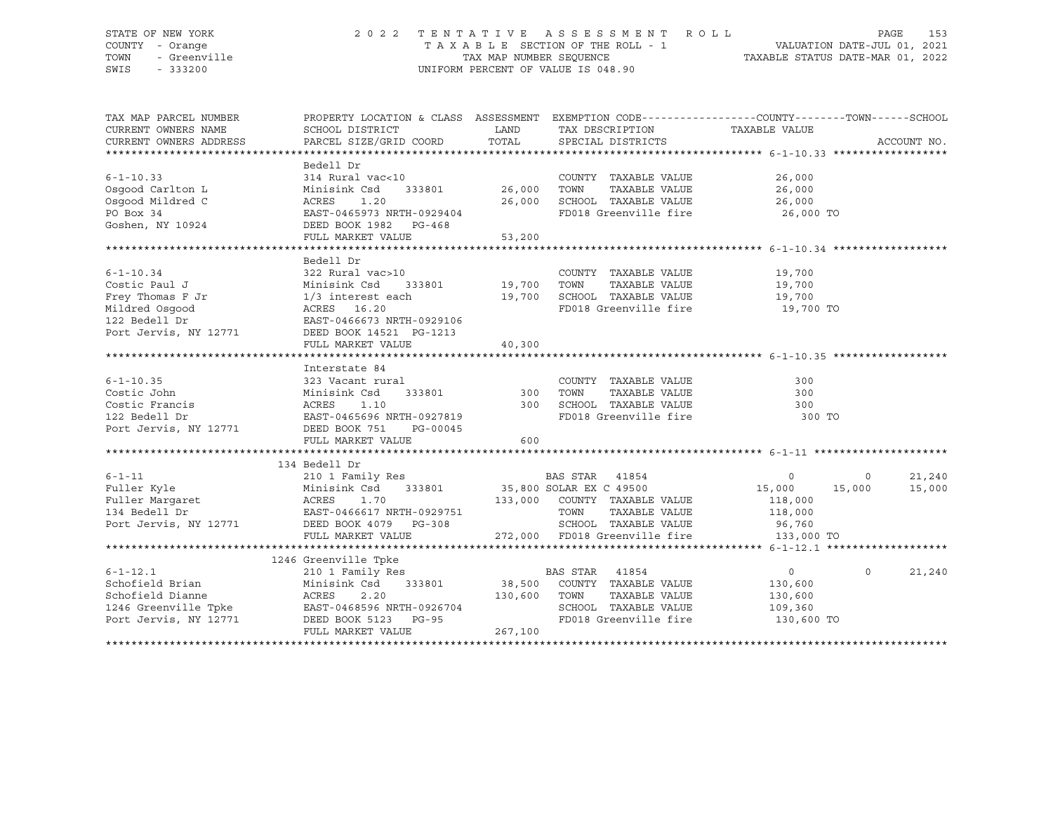### STATE OF NEW YORK 2 0 2 2 T E N T A T I V E A S S E S S M E N T R O L L PAGE 153 COUNTY - Orange T A X A B L E SECTION OF THE ROLL - 1 VALUATION DATE-JUL 01, 2021 TOWN - Greenville TAX MAP NUMBER SEQUENCE TAXABLE STATUS DATE-MAR 01, 2022 SWIS - 333200 UNIFORM PERCENT OF VALUE IS 048.90

| TAX MAP PARCEL NUMBER  | PROPERTY LOCATION & CLASS ASSESSMENT EXEMPTION CODE---------------COUNTY-------TOWN------SCHOOL                                                                                                                                              |              |                                                                                                                     |                      |                   |
|------------------------|----------------------------------------------------------------------------------------------------------------------------------------------------------------------------------------------------------------------------------------------|--------------|---------------------------------------------------------------------------------------------------------------------|----------------------|-------------------|
| CURRENT OWNERS NAME    | SCHOOL DISTRICT                                                                                                                                                                                                                              |              | LAND TAX DESCRIPTION                                                                                                | TAXABLE VALUE        |                   |
| CURRENT OWNERS ADDRESS | PARCEL SIZE/GRID COORD                                                                                                                                                                                                                       |              | TOTAL SPECIAL DISTRICTS                                                                                             |                      | ACCOUNT NO.       |
|                        |                                                                                                                                                                                                                                              |              |                                                                                                                     |                      |                   |
|                        | Bedell Dr                                                                                                                                                                                                                                    |              |                                                                                                                     |                      |                   |
| $6 - 1 - 10.33$        | 314 Rural vac<10                                                                                                                                                                                                                             |              | COUNTY TAXABLE VALUE                                                                                                | 26,000               |                   |
| Osgood Carlton L       | Minisink Csd                                                                                                                                                                                                                                 |              | TOWN TAXABLE VALUE<br>SCHOOL TAXABLE VALUE                                                                          | 26,000               |                   |
| Osgood Mildred C       | 1.20<br>ACRES                                                                                                                                                                                                                                | 26,000       |                                                                                                                     | 26,000               |                   |
| PO Box 34              | EAST-0465973 NRTH-0929404                                                                                                                                                                                                                    |              | FD018 Greenville fire 26,000 TO                                                                                     |                      |                   |
| Goshen, NY 10924       | DEED BOOK 1982 PG-468                                                                                                                                                                                                                        |              |                                                                                                                     |                      |                   |
|                        | FULL MARKET VALUE                                                                                                                                                                                                                            | 53,200       |                                                                                                                     |                      |                   |
|                        | Bedell Dr                                                                                                                                                                                                                                    |              |                                                                                                                     |                      |                   |
| $6 - 1 - 10.34$        | 322 Rural vac>10                                                                                                                                                                                                                             |              | COUNTY TAXABLE VALUE 19,700                                                                                         |                      |                   |
|                        |                                                                                                                                                                                                                                              |              |                                                                                                                     |                      |                   |
|                        |                                                                                                                                                                                                                                              |              |                                                                                                                     | TAXABLE VALUE 19,700 |                   |
|                        | Costic Paul J<br>Frey Thomas F Jr Minisink Csd 333801 19,700 TOWN<br>Minisink Csd 333801 19,700 TOWN<br>Mildred Osgood<br>122 Bedell Dr EAST-0466673 NRTH-0929106<br>Port Jervis, NY 12771 DEED BOOK 14521 PG-1213<br>PUIS DEED DR PHIT MA   |              | 19,700 SCHOOL TAXABLE VALUE 19,700<br>FD018 Greenville fire 19,700 TO                                               |                      |                   |
|                        |                                                                                                                                                                                                                                              |              |                                                                                                                     |                      |                   |
|                        |                                                                                                                                                                                                                                              |              |                                                                                                                     |                      |                   |
|                        | FULL MARKET VALUE                                                                                                                                                                                                                            | 40,300       |                                                                                                                     |                      |                   |
|                        |                                                                                                                                                                                                                                              |              |                                                                                                                     |                      |                   |
|                        | Interstate 84                                                                                                                                                                                                                                |              |                                                                                                                     |                      |                   |
|                        |                                                                                                                                                                                                                                              |              | COUNTY TAXABLE VALUE                                                                                                | 300                  |                   |
|                        | 333801 300                                                                                                                                                                                                                                   |              | TOWN<br>TAXABLE VALUE                                                                                               | 300                  |                   |
|                        |                                                                                                                                                                                                                                              |              |                                                                                                                     | 300                  |                   |
|                        |                                                                                                                                                                                                                                              |              | 300 SCHOOL TAXABLE VALUE<br>FD018 Greenville fire                                                                   | 300 TO               |                   |
|                        | 6-1-10.35<br>Costic John 323 Vacant rural<br>Costic Francis<br>Costic Francis<br>22 Bedell Dr EAST-0465696 NRTH-0927819<br>Port Jervis, NY 12771 DEED BOOK 751 PG-00045<br>THE MOOK 751 PG-00045                                             |              |                                                                                                                     |                      |                   |
|                        | FULL MARKET VALUE                                                                                                                                                                                                                            | 600          |                                                                                                                     |                      |                   |
|                        |                                                                                                                                                                                                                                              |              |                                                                                                                     |                      |                   |
|                        | 134 Bedell Dr                                                                                                                                                                                                                                |              |                                                                                                                     |                      |                   |
|                        |                                                                                                                                                                                                                                              |              |                                                                                                                     |                      | 21,240            |
|                        |                                                                                                                                                                                                                                              |              |                                                                                                                     |                      | 15,000            |
|                        | 9-1-11<br>Puller Kyle Minisink Csd 333801<br>Puller Margaret ACRES 1.70<br>2001 Family Res 133801<br>2011 Family Res 135,800 SOLAR EX C 49500<br>35,800 SOLAR EX C 49500<br>25,800 SOLAR EX C 49500<br>25,800 SOLAR EX C 49500<br>25,800 SOL |              |                                                                                                                     |                      |                   |
|                        |                                                                                                                                                                                                                                              |              |                                                                                                                     |                      |                   |
|                        |                                                                                                                                                                                                                                              |              | 9929751 TOWN TAXABLE VALUE 118,000<br>3-308 SCHOOL TAXABLE VALUE 96,760<br>272,000 FD018 Greenville fire 133,000 TO |                      |                   |
|                        | FULL MARKET VALUE                                                                                                                                                                                                                            |              |                                                                                                                     |                      |                   |
|                        |                                                                                                                                                                                                                                              |              |                                                                                                                     |                      |                   |
|                        | 1246 Greenville Tpke                                                                                                                                                                                                                         |              |                                                                                                                     |                      |                   |
|                        |                                                                                                                                                                                                                                              |              |                                                                                                                     | $\overline{0}$       | 21,240<br>$\circ$ |
|                        |                                                                                                                                                                                                                                              |              |                                                                                                                     | 130,600              |                   |
|                        |                                                                                                                                                                                                                                              | 130,600 TOWN | TAXABLE VALUE                                                                                                       | 130,600              |                   |
|                        |                                                                                                                                                                                                                                              |              | SCHOOL TAXABLE VALUE 109,360                                                                                        |                      |                   |
|                        |                                                                                                                                                                                                                                              |              | FD018 Greenville fire                                                                                               | 130,600 TO           |                   |
|                        | FULL MARKET VALUE                                                                                                                                                                                                                            | 267,100      |                                                                                                                     |                      |                   |
|                        |                                                                                                                                                                                                                                              |              |                                                                                                                     |                      |                   |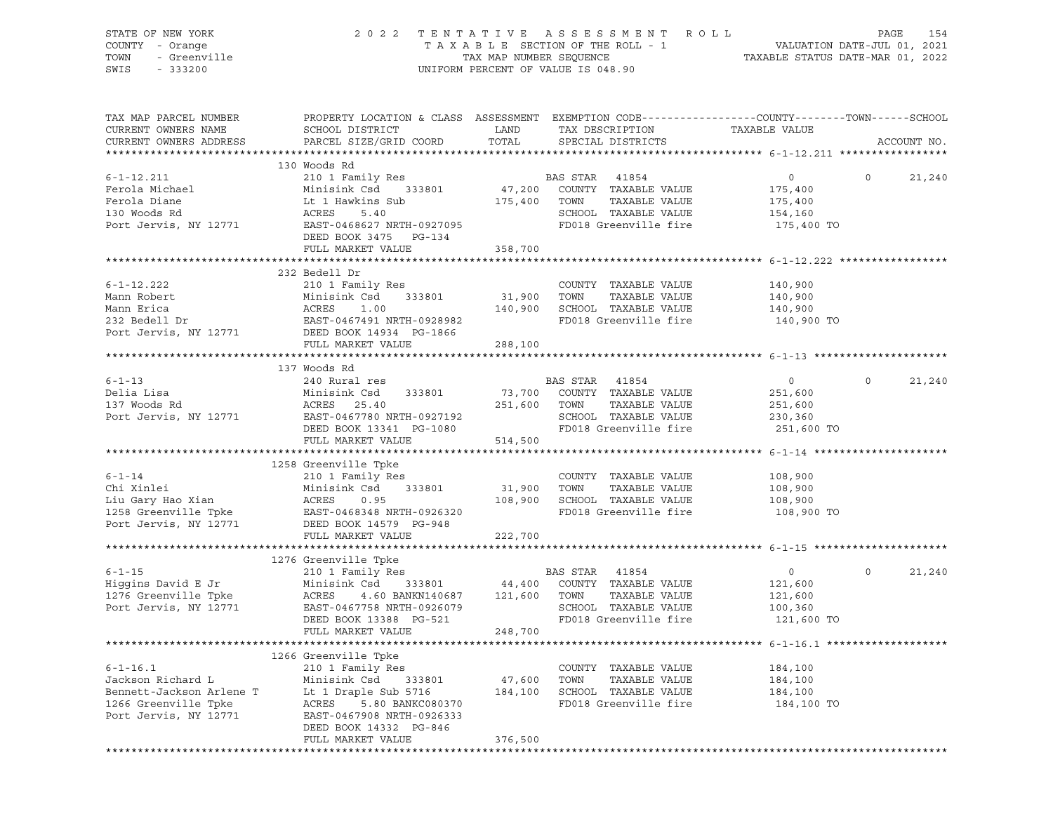| TOWN<br>SWIS | STATE OF NEW YORK<br>COUNTY - Orange<br>- Greenville<br>$-333200$ |                                                         |      | 2022 TENTATIVE ASSESSMENT ROLL<br>TAXABLE SECTION OF THE ROLL - 1<br>TAX MAP NUMBER SEOUENCE<br>UNIFORM PERCENT OF VALUE IS 048.90 | VALUATION DATE-JUL 01, 2021<br>TAXABLE STATUS DATE-MAR 01, 2022 | PAGE | 154 |
|--------------|-------------------------------------------------------------------|---------------------------------------------------------|------|------------------------------------------------------------------------------------------------------------------------------------|-----------------------------------------------------------------|------|-----|
|              | TAX MAP PARCEL NUMBER<br>CURRENT OWNERS NAME                      | PROPERTY LOCATION & CLASS ASSESSMENT<br>SCHOOL DISTRICT | LAND | EXEMPTION CODE-----------------COUNTY--------TOWN------SCHOOL<br>TAX DESCRIPTION                                                   | TAXABLE VALUE                                                   |      |     |

| CURRENT OWNERS ADDRESS                                                                                                                                                                                                                                     | PARCEL SIZE/GRID COORD                              | TOTAL         |                | SPECIAL DISTRICTS                  |                                  |          | ACCOUNT NO. |
|------------------------------------------------------------------------------------------------------------------------------------------------------------------------------------------------------------------------------------------------------------|-----------------------------------------------------|---------------|----------------|------------------------------------|----------------------------------|----------|-------------|
|                                                                                                                                                                                                                                                            |                                                     |               |                |                                    |                                  |          |             |
|                                                                                                                                                                                                                                                            | 130 Woods Rd                                        |               |                |                                    |                                  |          |             |
| $6 - 1 - 12.211$                                                                                                                                                                                                                                           | 210 1 Family Res                                    |               | BAS STAR 41854 |                                    | $\overline{0}$                   | $\Omega$ | 21,240      |
| Ferola Michael Minisink Csd 333801<br>Ferola Diane Lt 1 Hawkins Sub<br>130 Woods Rd ACRES 5.40<br>Port Jervis, NY 12771 EAST-0468627 NRTH-0927095                                                                                                          |                                                     |               |                | 333801 47,200 COUNTY TAXABLE VALUE | 175,400                          |          |             |
|                                                                                                                                                                                                                                                            |                                                     | 175,400 TOWN  |                | TAXABLE VALUE                      | 175,400                          |          |             |
|                                                                                                                                                                                                                                                            |                                                     |               |                | SCHOOL TAXABLE VALUE 154,160       |                                  |          |             |
|                                                                                                                                                                                                                                                            |                                                     |               |                | FD018 Greenville fire              | 175,400 TO                       |          |             |
|                                                                                                                                                                                                                                                            | DEED BOOK 3475 PG-134                               |               |                |                                    |                                  |          |             |
|                                                                                                                                                                                                                                                            | FULL MARKET VALUE                                   | 358,700       |                |                                    |                                  |          |             |
|                                                                                                                                                                                                                                                            |                                                     |               |                |                                    |                                  |          |             |
|                                                                                                                                                                                                                                                            | 232 Bedell Dr                                       |               |                |                                    |                                  |          |             |
| $6 - 1 - 12.222$                                                                                                                                                                                                                                           | 210 1 Family Res                                    |               |                | COUNTY TAXABLE VALUE               |                                  |          |             |
|                                                                                                                                                                                                                                                            |                                                     | $31,900$ TOWN |                | TAXABLE VALUE                      | 140,900<br>140,900               |          |             |
| Mann Robert<br>Mann Erica (ACRES 1.00<br>232 Bedell Dr (BAST-0467491 NRTH-0928982<br>Port Jervis, NY 12771 (BEED BOOK 14934 PG-1866                                                                                                                        |                                                     |               |                | 140,900 SCHOOL TAXABLE VALUE       |                                  |          |             |
|                                                                                                                                                                                                                                                            |                                                     |               |                | FD018 Greenville fire              | 140,900<br>140,900 TO            |          |             |
|                                                                                                                                                                                                                                                            |                                                     |               |                |                                    |                                  |          |             |
|                                                                                                                                                                                                                                                            | FULL MARKET VALUE                                   | 288,100       |                |                                    |                                  |          |             |
|                                                                                                                                                                                                                                                            |                                                     |               |                |                                    |                                  |          |             |
|                                                                                                                                                                                                                                                            | 137 Woods Rd                                        |               |                |                                    |                                  |          |             |
| $6 - 1 - 13$                                                                                                                                                                                                                                               | 240 Rural res                                       |               | BAS STAR 41854 |                                    | $\overline{0}$                   | $\Omega$ | 21,240      |
| Delia Lisa                                                                                                                                                                                                                                                 | Minisink Csd 333801                                 |               |                | 73,700 COUNTY TAXABLE VALUE        | 251,600                          |          |             |
|                                                                                                                                                                                                                                                            |                                                     |               | 251,600 TOWN   | TAXABLE VALUE                      |                                  |          |             |
| 20137 Woods Rd<br>Port Jervis, NY 12771 EAST-0467780 NRTH-0927192<br>Port Jervis, NY 12771 PORT BOOK 13341 PG-1080                                                                                                                                         |                                                     |               |                | SCHOOL TAXABLE VALUE 230,360       | 251,600                          |          |             |
|                                                                                                                                                                                                                                                            |                                                     |               |                |                                    |                                  |          |             |
|                                                                                                                                                                                                                                                            | DEED BOOK 13341 PG-1080                             | 514,500       |                | FD018 Greenville fire              | 251,600 TO                       |          |             |
|                                                                                                                                                                                                                                                            | FULL MARKET VALUE                                   |               |                |                                    |                                  |          |             |
|                                                                                                                                                                                                                                                            |                                                     |               |                |                                    |                                  |          |             |
|                                                                                                                                                                                                                                                            | 1258 Greenville Tpke                                |               |                |                                    |                                  |          |             |
|                                                                                                                                                                                                                                                            |                                                     |               |                | COUNTY TAXABLE VALUE               | 108,900                          |          |             |
|                                                                                                                                                                                                                                                            |                                                     |               |                | TAXABLE VALUE                      | 108,900<br>108,900               |          |             |
| 6-1-14 210 1 Family Res COUNT<br>Chi Xinlei Minisink Csd 333801 31,900 TOWN<br>Liu Gary Hao Xian ACRES 0.95 108,900 SCHOO<br>1258 Greenville Tpke EAST-0468348 NRTH-0926320 FD018<br>Port Jervis, NY 12771 DEED BOOK 14579 PG-948                          |                                                     |               |                | 108,900 SCHOOL TAXABLE VALUE       |                                  |          |             |
|                                                                                                                                                                                                                                                            |                                                     |               |                |                                    | FD018 Greenville fire 108,900 TO |          |             |
|                                                                                                                                                                                                                                                            |                                                     |               |                |                                    |                                  |          |             |
|                                                                                                                                                                                                                                                            | FULL MARKET VALUE                                   | 222,700       |                |                                    |                                  |          |             |
|                                                                                                                                                                                                                                                            |                                                     |               |                |                                    |                                  |          |             |
| 1991 - 210 1 Family Res<br>210 1 Family Res<br>210 1 Family Res<br>210 1 Family Res<br>210 333801<br>216 Greenville Tpke<br>216 Greenville Tpke<br>216 ACRES<br>216 Greenville Tpke<br>216 ACRES<br>216 ACRES<br>216 ACRES<br>216 ACRES<br>216 ACRES<br>21 |                                                     |               |                |                                    |                                  |          |             |
|                                                                                                                                                                                                                                                            |                                                     |               |                |                                    | $\overline{0}$                   | $\circ$  | 21,240      |
|                                                                                                                                                                                                                                                            |                                                     |               |                |                                    | 121,600                          |          |             |
|                                                                                                                                                                                                                                                            |                                                     |               |                |                                    | 121,600                          |          |             |
|                                                                                                                                                                                                                                                            | EAST-0467758 NRTH-0926079<br>DEED BOOK 13388 PG-521 |               |                | SCHOOL TAXABLE VALUE               | 100,360                          |          |             |
|                                                                                                                                                                                                                                                            |                                                     |               |                |                                    | FD018 Greenville fire 121,600 TO |          |             |
|                                                                                                                                                                                                                                                            | FULL MARKET VALUE                                   | 248,700       |                |                                    |                                  |          |             |
|                                                                                                                                                                                                                                                            |                                                     |               |                |                                    |                                  |          |             |
|                                                                                                                                                                                                                                                            | 1266 Greenville Tpke                                |               |                |                                    |                                  |          |             |
| $6 - 1 - 16.1$                                                                                                                                                                                                                                             | 210 1 Family Res                                    |               |                | COUNTY TAXABLE VALUE               | 184,100                          |          |             |
| 6-1-16.1 210 1 Family Res<br>Jackson Richard L Minisink Csd 333801 47,600 TOWN TAXABLE VALUE 184,100<br>Bennett-Jackson Arlene T Lt 1 Draple Sub 5716 184,100 SCHOOL TAXABLE VALUE 184,100<br>184,100 SCHOOL TAXABLE VALUE 184,100<br>                     |                                                     |               |                |                                    |                                  |          |             |
|                                                                                                                                                                                                                                                            |                                                     |               |                |                                    |                                  |          |             |
|                                                                                                                                                                                                                                                            |                                                     |               |                |                                    | 184,100 TO                       |          |             |
|                                                                                                                                                                                                                                                            |                                                     |               |                |                                    |                                  |          |             |
|                                                                                                                                                                                                                                                            | DEED BOOK 14332 PG-846                              |               |                |                                    |                                  |          |             |
|                                                                                                                                                                                                                                                            | FULL MARKET VALUE                                   | 376,500       |                |                                    |                                  |          |             |

\*\*\*\*\*\*\*\*\*\*\*\*\*\*\*\*\*\*\*\*\*\*\*\*\*\*\*\*\*\*\*\*\*\*\*\*\*\*\*\*\*\*\*\*\*\*\*\*\*\*\*\*\*\*\*\*\*\*\*\*\*\*\*\*\*\*\*\*\*\*\*\*\*\*\*\*\*\*\*\*\*\*\*\*\*\*\*\*\*\*\*\*\*\*\*\*\*\*\*\*\*\*\*\*\*\*\*\*\*\*\*\*\*\*\*\*\*\*\*\*\*\*\*\*\*\*\*\*\*\*\*\*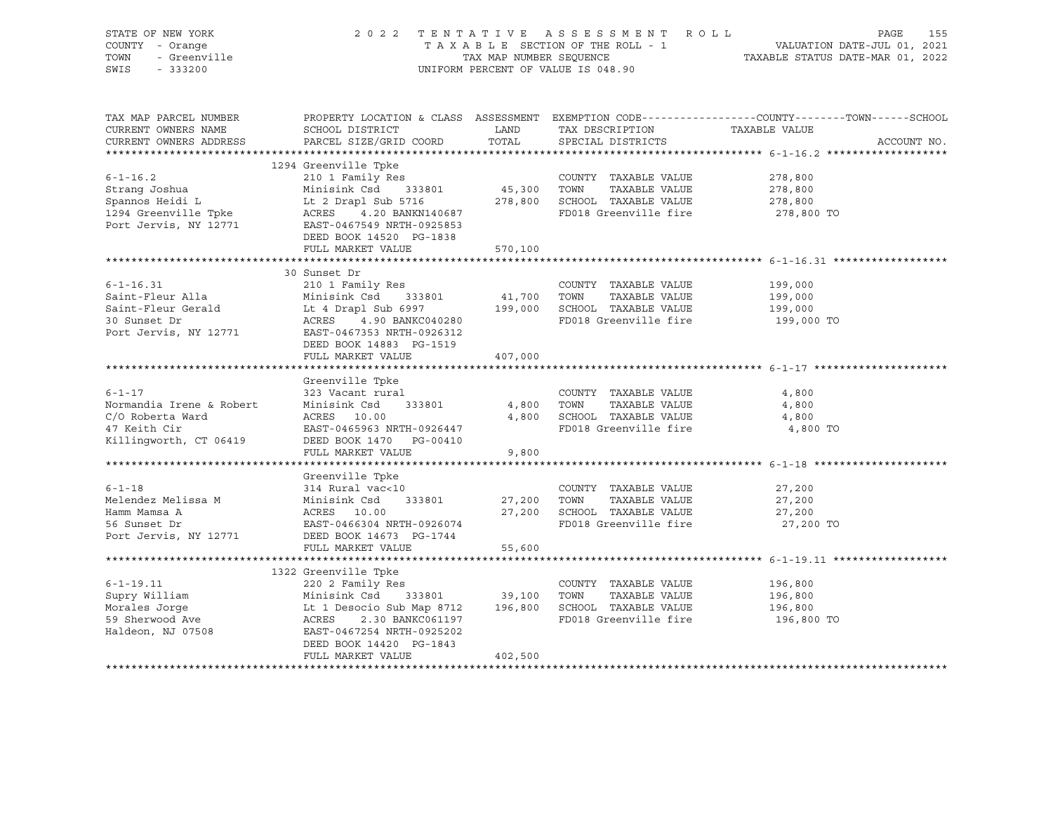| STATE OF NEW YORK<br>COUNTY - Orange<br>or<br>- Orange<br>- Greenville<br>TOWN<br>SWIS - 333200 | 2022 TENTATIVE ASSESSMENT ROLL PAGE 155<br>TAXABLE SECTION OF THE ROLL - 1 VALUATION DATE-JUL 01, 2021<br>TAX MAP NUMBER SEQUENCE TAXABLE STATUS DATE-MAR 01, 2022<br>UNIFORM PERCENT OF VALUE IS 048.90 |         |                                                                        |                                                                                                  |  |
|-------------------------------------------------------------------------------------------------|----------------------------------------------------------------------------------------------------------------------------------------------------------------------------------------------------------|---------|------------------------------------------------------------------------|--------------------------------------------------------------------------------------------------|--|
| TAX MAP PARCEL NUMBER<br>CURRENT OWNERS NAME                                                    | SCHOOL DISTRICT                                                                                                                                                                                          |         | LAND TAX DESCRIPTION TAXABLE VALUE                                     | PROPERTY LOCATION & CLASS ASSESSMENT EXEMPTION CODE----------------COUNTY-------TOWN------SCHOOL |  |
| CURRENT OWNERS ADDRESS                                                                          | PARCEL SIZE/GRID COORD                                                                                                                                                                                   | TOTAL   | SPECIAL DISTRICTS                                                      | ACCOUNT NO.                                                                                      |  |
|                                                                                                 | 1294 Greenville Tpke                                                                                                                                                                                     |         |                                                                        |                                                                                                  |  |
| $6 - 1 - 16.2$                                                                                  | 210 1 Family Res                                                                                                                                                                                         |         | COUNTY TAXABLE VALUE                                                   | 278,800                                                                                          |  |
|                                                                                                 |                                                                                                                                                                                                          |         |                                                                        | 278,800                                                                                          |  |
|                                                                                                 |                                                                                                                                                                                                          |         |                                                                        | 278,800                                                                                          |  |
|                                                                                                 |                                                                                                                                                                                                          |         |                                                                        | 278,800 TO                                                                                       |  |
| Port Jervis, NY 12771                                                                           |                                                                                                                                                                                                          |         |                                                                        |                                                                                                  |  |
|                                                                                                 | DEED BOOK 14520 PG-1838                                                                                                                                                                                  |         |                                                                        |                                                                                                  |  |
|                                                                                                 | FULL MARKET VALUE                                                                                                                                                                                        | 570,100 |                                                                        |                                                                                                  |  |
|                                                                                                 |                                                                                                                                                                                                          |         |                                                                        |                                                                                                  |  |
| $6 - 1 - 16.31$                                                                                 | 30 Sunset Dr<br>210 1 Family Res                                                                                                                                                                         |         | COUNTY TAXABLE VALUE                                                   | 199,000                                                                                          |  |
|                                                                                                 |                                                                                                                                                                                                          |         | TAXABLE VALUE                                                          |                                                                                                  |  |
|                                                                                                 |                                                                                                                                                                                                          |         | 41,700    TOWN      TAXABLE VALUE<br>199,000    SCHOOL   TAXABLE VALUE | 199,000<br>199,000                                                                               |  |
|                                                                                                 |                                                                                                                                                                                                          |         | FD018 Greenville fire                                                  | 199,000 TO                                                                                       |  |
|                                                                                                 | Saint-Fleur Alla<br>Saint-Fleur Gerald<br>30 Sunset Dr<br>20 Sunset Dr<br>20 Sunset Dr<br>20 ACRES<br>21 -0467353 NRTH-0926312<br>21 -0467353 NRTH-0926312                                               |         |                                                                        |                                                                                                  |  |
|                                                                                                 | DEED BOOK 14883 PG-1519                                                                                                                                                                                  |         |                                                                        |                                                                                                  |  |
|                                                                                                 | FULL MARKET VALUE                                                                                                                                                                                        | 407,000 |                                                                        |                                                                                                  |  |
|                                                                                                 |                                                                                                                                                                                                          |         |                                                                        |                                                                                                  |  |
|                                                                                                 | Greenville Tpke<br>323 Vacant rural                                                                                                                                                                      |         |                                                                        |                                                                                                  |  |
| $6 - 1 - 17$                                                                                    | Minisink Csd 333801                                                                                                                                                                                      |         | COUNTY TAXABLE VALUE<br>4,800 TOWN TAXABLE VALUE                       | 4,800<br>4,800                                                                                   |  |
| Normandia Irene & Robert<br>C/O Roberta Ward                                                    | ACRES 10.00                                                                                                                                                                                              |         | 4,800 SCHOOL TAXABLE VALUE                                             | 4,800                                                                                            |  |
| 47 Keith Cir                                                                                    | EAST-0465963 NRTH-0926447                                                                                                                                                                                |         | FD018 Greenville fire                                                  | 4,800 TO                                                                                         |  |
| Killingworth, CT 06419                                                                          | DEED BOOK 1470 PG-00410                                                                                                                                                                                  |         |                                                                        |                                                                                                  |  |
|                                                                                                 | FULL MARKET VALUE                                                                                                                                                                                        | 9,800   |                                                                        |                                                                                                  |  |
|                                                                                                 |                                                                                                                                                                                                          |         |                                                                        |                                                                                                  |  |
|                                                                                                 | Greenville Tpke                                                                                                                                                                                          |         |                                                                        |                                                                                                  |  |
| $6 - 1 - 18$                                                                                    | 314 Rural vac<10                                                                                                                                                                                         |         | COUNTY TAXABLE VALUE                                                   | 27,200                                                                                           |  |
| Melendez Melissa M                                                                              | Minisink Csd 333801                                                                                                                                                                                      |         | 27,200 TOWN<br>TAXABLE VALUE                                           | 27,200                                                                                           |  |
| Hamm Mamsa A                                                                                    |                                                                                                                                                                                                          |         | 27,200 SCHOOL TAXABLE VALUE                                            | 27,200                                                                                           |  |
| 56 Sunset Dr                                                                                    | EAST-0466304 NRTH-0926074                                                                                                                                                                                |         | FD018 Greenville fire                                                  | 27,200 TO                                                                                        |  |
| Port Jervis, NY 12771                                                                           | DEED BOOK 14673 PG-1744<br>FULL MARKET VALUE                                                                                                                                                             | 55,600  |                                                                        |                                                                                                  |  |
|                                                                                                 |                                                                                                                                                                                                          |         |                                                                        |                                                                                                  |  |
|                                                                                                 | 1322 Greenville Tpke                                                                                                                                                                                     |         |                                                                        |                                                                                                  |  |
| $6 - 1 - 19.11$                                                                                 | SECONVILLE IPRE<br>220 2 Family Res                                                                                                                                                                      |         | COUNTY TAXABLE VALUE 196,800                                           |                                                                                                  |  |
|                                                                                                 |                                                                                                                                                                                                          |         |                                                                        | 196,800                                                                                          |  |
|                                                                                                 |                                                                                                                                                                                                          |         |                                                                        | 196,800                                                                                          |  |
| 59 Sherwood Ave<br>Haldeon, NJ 07508                                                            | Supry William Minisink Csd 333801 39,100 TOWN TAXABLE VALUE<br>Morales Jorge Lt 1 Desocio Sub Map 8712 196,800 SCHOOL TAXABLE VALUE<br>59 Sherwood Ave ACRES 2.30 BANKC061197 FD018 Greenville fire      |         |                                                                        | 196,800 TO                                                                                       |  |
|                                                                                                 | EAST-0467254 NRTH-0925202                                                                                                                                                                                |         |                                                                        |                                                                                                  |  |
|                                                                                                 | DEED BOOK 14420 PG-1843                                                                                                                                                                                  |         |                                                                        |                                                                                                  |  |
|                                                                                                 | FULL MARKET VALUE                                                                                                                                                                                        | 402,500 |                                                                        |                                                                                                  |  |
|                                                                                                 |                                                                                                                                                                                                          |         |                                                                        |                                                                                                  |  |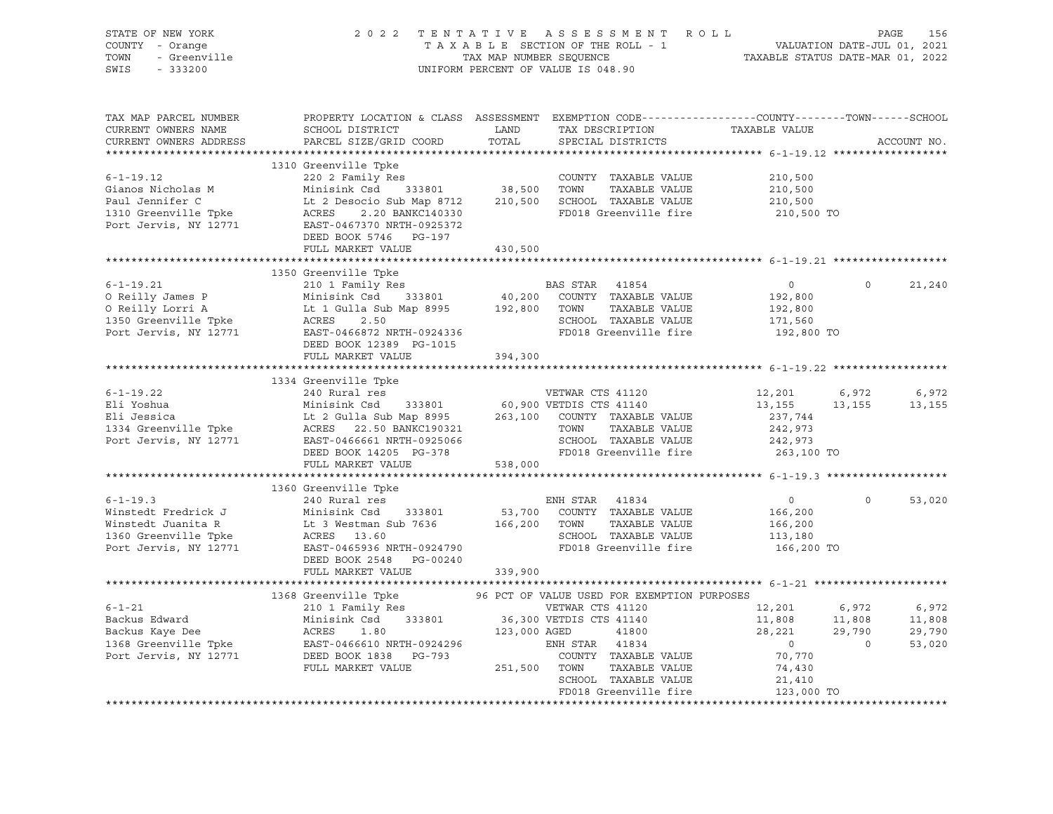| STATE OF NEW YORK<br>OF NEW YORK<br>! - Orange<br>- Greenville<br>- Channo<br>COUNTY - Orange<br>TOWN<br>SWIS - 333200                                                                                                                                   | 2022 TENTATIVE ASSESSMENT ROLL PAGE 156<br>TAXABLE SECTION OF THE ROLL - 1 VALUATION DATE-JUL 01, 2021<br>TAX MAP NUMBER SEQUENCE TAXABLE STATUS DATE-MAR 01, 2022<br>UNIFORM PERCENT OF VALUE IS 048.90 |                      |                                                                                        |                         |         |             |
|----------------------------------------------------------------------------------------------------------------------------------------------------------------------------------------------------------------------------------------------------------|----------------------------------------------------------------------------------------------------------------------------------------------------------------------------------------------------------|----------------------|----------------------------------------------------------------------------------------|-------------------------|---------|-------------|
| TAX MAP PARCEL NUMBER<br>CURRENT OWNERS NAME<br>CURRENT OWNERS ADDRESS                                                                                                                                                                                   | PROPERTY LOCATION & CLASS ASSESSMENT EXEMPTION CODE----------------COUNTY-------TOWN------SCHOOL<br>SCHOOL DISTRICT<br>PARCEL SIZE/GRID COORD                                                            | <b>LAND</b><br>TOTAL | TAX DESCRIPTION<br>SERCIAL DISTRICTS<br>SPECIAL DISTRICTS                              |                         |         | ACCOUNT NO. |
|                                                                                                                                                                                                                                                          | 1310 Greenville Tpke                                                                                                                                                                                     |                      |                                                                                        |                         |         |             |
|                                                                                                                                                                                                                                                          |                                                                                                                                                                                                          |                      |                                                                                        |                         |         |             |
|                                                                                                                                                                                                                                                          |                                                                                                                                                                                                          |                      |                                                                                        |                         |         |             |
|                                                                                                                                                                                                                                                          |                                                                                                                                                                                                          |                      |                                                                                        |                         |         |             |
| 38,500 TOWNTY TAXABLE VALUE<br>COUNTY TAXABLE VALUE<br>210,500 210,500 Minisink Csd 333801 38,500 TOWN TAXABLE VALUE<br>210,500 210,500 Paul Jennifer C Lt 2 Desocio Sub Map 8712 210,500 SCHOOL TAXABLE VALUE<br>210,500 210,500 POTT                   |                                                                                                                                                                                                          |                      |                                                                                        |                         |         |             |
|                                                                                                                                                                                                                                                          |                                                                                                                                                                                                          |                      |                                                                                        |                         |         |             |
|                                                                                                                                                                                                                                                          | DEED BOOK 5746 PG-197                                                                                                                                                                                    |                      |                                                                                        |                         |         |             |
|                                                                                                                                                                                                                                                          | FULL MARKET VALUE                                                                                                                                                                                        | 430,500              |                                                                                        |                         |         |             |
|                                                                                                                                                                                                                                                          | 1350 Greenville Tpke                                                                                                                                                                                     |                      |                                                                                        |                         |         |             |
| 1350 Greenville Tpke<br>210 1 Family Res<br>210 1 Family Res<br>210 1 Family Res<br>210 1 Family Res<br>210 1 Family Res<br>210 1 Family Res<br>210 1 Family Res<br>210 200 COUNTY TAXABLE VALUE<br>2192,800<br>2192,800<br>2192,800<br>2192,800<br>2192 |                                                                                                                                                                                                          |                      |                                                                                        |                         | $\circ$ | 21,240      |
|                                                                                                                                                                                                                                                          |                                                                                                                                                                                                          |                      |                                                                                        |                         |         |             |
|                                                                                                                                                                                                                                                          |                                                                                                                                                                                                          |                      |                                                                                        |                         |         |             |
|                                                                                                                                                                                                                                                          |                                                                                                                                                                                                          |                      |                                                                                        |                         |         |             |
|                                                                                                                                                                                                                                                          |                                                                                                                                                                                                          |                      |                                                                                        | 192,800 TO              |         |             |
|                                                                                                                                                                                                                                                          | DEED BOOK 12389 PG-1015                                                                                                                                                                                  |                      |                                                                                        |                         |         |             |
|                                                                                                                                                                                                                                                          | FULL MARKET VALUE                                                                                                                                                                                        | 394,300              |                                                                                        |                         |         |             |
|                                                                                                                                                                                                                                                          |                                                                                                                                                                                                          |                      |                                                                                        |                         |         |             |
|                                                                                                                                                                                                                                                          | 1334 Greenville Tpke                                                                                                                                                                                     |                      |                                                                                        | 12,201                  | 6,972   | 6,972       |
|                                                                                                                                                                                                                                                          |                                                                                                                                                                                                          |                      |                                                                                        | 13, 155 13, 155 13, 155 |         |             |
|                                                                                                                                                                                                                                                          |                                                                                                                                                                                                          |                      |                                                                                        | 237,744                 |         |             |
|                                                                                                                                                                                                                                                          |                                                                                                                                                                                                          |                      |                                                                                        | 242,973                 |         |             |
|                                                                                                                                                                                                                                                          |                                                                                                                                                                                                          |                      |                                                                                        | 242,973<br>263,100 TO   |         |             |
| 1334 Greenville Tpke<br>Eli Yoshua Minisink Csd 333801 60,900 VETWAR CTS 41120<br>Eli Jessica Lt 2 Gulla Sub Map 8995 263,100 COUNTY TAXABLE VALUE<br>1334 Greenville Tpke ACRES 22.50 BANKC190321 TOWN TAXABLE VALUE<br>Port Jervis,                    |                                                                                                                                                                                                          |                      |                                                                                        |                         |         |             |
|                                                                                                                                                                                                                                                          | FULL MARKET VALUE                                                                                                                                                                                        | 538,000              |                                                                                        |                         |         |             |
|                                                                                                                                                                                                                                                          |                                                                                                                                                                                                          |                      |                                                                                        |                         |         |             |
| $6 - 1 - 19.3$                                                                                                                                                                                                                                           | 1360 Greenville Tpke<br>240 Rural res                                                                                                                                                                    |                      | ENH STAR 41834                                                                         | $\overline{0}$          | $\circ$ | 53,020      |
|                                                                                                                                                                                                                                                          |                                                                                                                                                                                                          |                      |                                                                                        |                         |         |             |
|                                                                                                                                                                                                                                                          |                                                                                                                                                                                                          |                      | TAXABLE VALUE                                                                          | 166,200<br>166,200      |         |             |
|                                                                                                                                                                                                                                                          |                                                                                                                                                                                                          |                      |                                                                                        | 113,180                 |         |             |
| Winstedt Fredrick J<br>Winstedt Juanita R Lt 3 Westman Sub 7636 53,700 COUNTY TAXABLE VALUE<br>1360 Greenville Tpke ACRES 13.60 SCHOOL TAXABLE VALUE<br>Port Jervis, NY 12771 EAT-0465936 NRTH-0924790 FD018 Greenville fire<br>2007 T                   |                                                                                                                                                                                                          |                      | FD018 Greenville fire 166,200 TO                                                       |                         |         |             |
|                                                                                                                                                                                                                                                          | DEED BOOK 2548 PG-00240                                                                                                                                                                                  |                      |                                                                                        |                         |         |             |
|                                                                                                                                                                                                                                                          | FULL MARKET VALUE                                                                                                                                                                                        | 339,900              |                                                                                        |                         |         |             |
|                                                                                                                                                                                                                                                          |                                                                                                                                                                                                          |                      |                                                                                        |                         |         |             |
|                                                                                                                                                                                                                                                          |                                                                                                                                                                                                          |                      |                                                                                        |                         |         | 6,972       |
|                                                                                                                                                                                                                                                          |                                                                                                                                                                                                          |                      |                                                                                        |                         |         | 11,808      |
|                                                                                                                                                                                                                                                          |                                                                                                                                                                                                          |                      |                                                                                        |                         |         | 29,790      |
| 1368 Greenville The ackus Edward Minisink Csd 333801 and Minisiph and Minisiph Content of Minisiph Content of Minisiph Content of Minisiph Content of Minisiph Content of Minisiph Content of Minisiph Content of Minisiph Con                           |                                                                                                                                                                                                          |                      | VETWAR CTS 41120<br>VETDIS CTS 41140<br>AGED 41800<br>AGED 41800<br>ENH STAR 41834 0 0 |                         |         | 53,020      |
|                                                                                                                                                                                                                                                          |                                                                                                                                                                                                          |                      |                                                                                        | 70,770                  |         |             |
|                                                                                                                                                                                                                                                          |                                                                                                                                                                                                          |                      |                                                                                        | 74,430                  |         |             |
|                                                                                                                                                                                                                                                          |                                                                                                                                                                                                          |                      | SCHOOL TAXABLE VALUE                                                                   | 21,410                  |         |             |
|                                                                                                                                                                                                                                                          |                                                                                                                                                                                                          |                      | FD018 Greenville fire                                                                  | 123,000 TO              |         |             |
|                                                                                                                                                                                                                                                          |                                                                                                                                                                                                          |                      |                                                                                        |                         |         |             |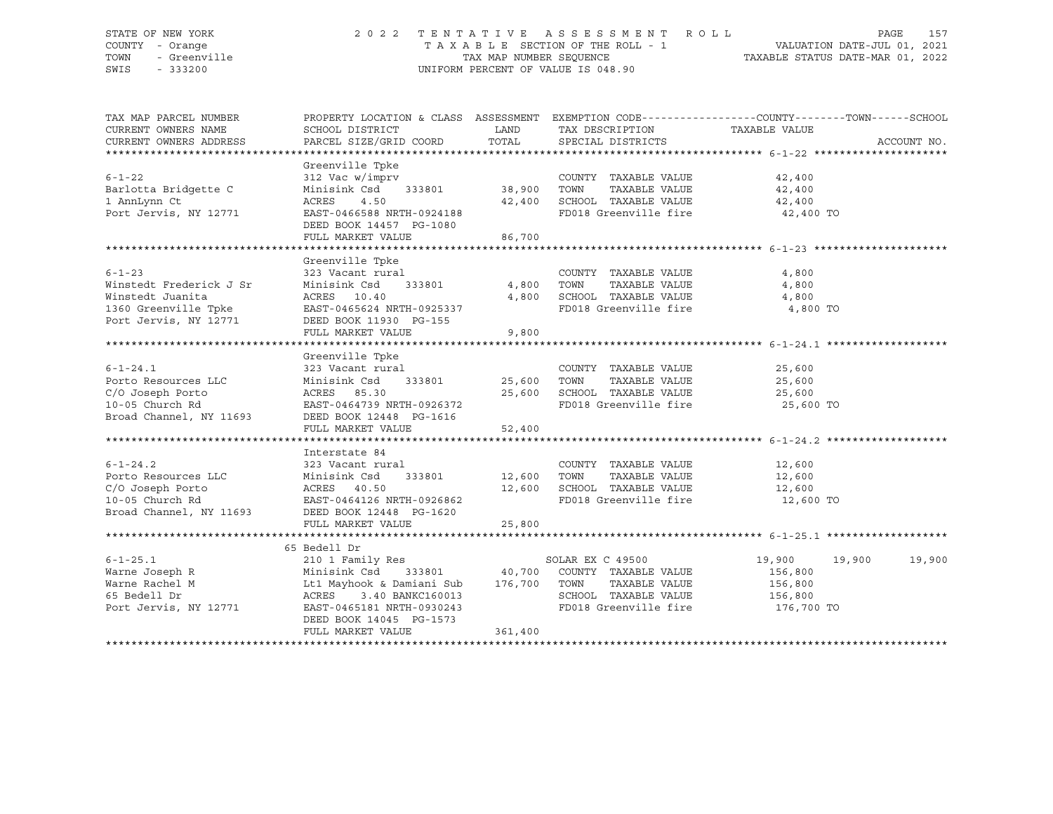### STATE OF NEW YORK 2 0 2 2 T E N T A T I V E A S S E S S M E N T R O L L PAGE 157 COUNTY - Orange T A X A B L E SECTION OF THE ROLL - 1 VALUATION DATE-JUL 01, 2021 TOWN - Greenville TAX MAP NUMBER SEQUENCE TAXABLE STATUS DATE-MAR 01, 2022 SWIS - 333200 UNIFORM PERCENT OF VALUE IS 048.90

| TAX MAP PARCEL NUMBER<br>CURRENT OWNERS NAME<br>CURRENT OWNERS ADDRESS                                                          | PROPERTY LOCATION & CLASS ASSESSMENT EXEMPTION CODE---------------COUNTY-------TOWN------SCHOOL<br>SCHOOL DISTRICT<br>PARCEL SIZE/GRID COORD                                                                                                                                    | LAND<br>TOTAL           | TAX DESCRIPTION<br>SPECIAL DISTRICTS                                                                     | TAXABLE VALUE                           | ACCOUNT NO. |
|---------------------------------------------------------------------------------------------------------------------------------|---------------------------------------------------------------------------------------------------------------------------------------------------------------------------------------------------------------------------------------------------------------------------------|-------------------------|----------------------------------------------------------------------------------------------------------|-----------------------------------------|-------------|
|                                                                                                                                 |                                                                                                                                                                                                                                                                                 |                         |                                                                                                          |                                         |             |
| $6 - 1 - 22$<br>Barlotta Bridgette C<br>1 AnnLynn Ct<br>Port Jervis, NY 12771                                                   | Greenville Tpke<br>312 Vac w/imprv<br>Minisink Csd 333801 38,900<br>ACRES<br>4.50<br>EAST-0466588 NRTH-0924188<br>DEED BOOK 14457 PG-1080<br>FULL MARKET VALUE                                                                                                                  | 42,400<br>86,700        | COUNTY TAXABLE VALUE<br>TOWN<br>TAXABLE VALUE<br>SCHOOL TAXABLE VALUE<br>FD018 Greenville fire 42,400 TO | 42,400<br>42,400<br>42,400              |             |
|                                                                                                                                 |                                                                                                                                                                                                                                                                                 |                         |                                                                                                          |                                         |             |
| $6 - 1 - 23$<br>Winstedt Frederick J Sr<br>Winstedt Juanita<br>1360 Greenville Tpke<br>Port Jervis, NY 12771                    | Greenville Tpke<br>323 Vacant rural<br>333801<br>Minisink Csd<br>ACRES 10.40<br>EAST-0465624 NRTH-0925337<br>DEED BOOK 11930 PG-155<br>FULL MARKET VALUE                                                                                                                        | 4,800<br>4,800<br>9,800 | COUNTY TAXABLE VALUE<br>TOWN<br>TAXABLE VALUE<br>SCHOOL TAXABLE VALUE<br>FD018 Greenville fire           | 4,800<br>4,800<br>4,800<br>4,800 TO     |             |
|                                                                                                                                 |                                                                                                                                                                                                                                                                                 |                         |                                                                                                          |                                         |             |
| $6 - 1 - 24.1$<br>Porto Resources LLC<br>C/O Joseph Porto<br>10-05 Church Rd<br>Broad Channel, NY 11693                         | Greenville Tpke<br>ACRES 85.30<br>EAST-0464739 NRTH-0926372<br>DEED BOOK 12448 PG-1616<br>FULL MARKET VALUE                                                                                                                                                                     | 25,600<br>52,400        | COUNTY TAXABLE VALUE<br>TOWN     TAXABLE VALUE<br>SCHOOL TAXABLE VALUE<br>FD018 Greenville fire          | 25,600<br>25,600<br>25,600<br>25,600 TO |             |
|                                                                                                                                 | Interstate 84                                                                                                                                                                                                                                                                   |                         |                                                                                                          |                                         |             |
| $6 - 1 - 24.2$<br>Porto Resources LLC<br>C/O Joseph Porto<br>10-05 Church Rd<br>Broad Channel, NY 11693 DEED BOOK 12448 PG-1620 | 323 Vacant rural<br>333801 12,600<br>Minisink Csd<br>ACRES    40.50<br>FULL MARKET VALUE                                                                                                                                                                                        | 12,600<br>25,800        | COUNTY TAXABLE VALUE<br>TAXABLE VALUE<br>TOWN<br>SCHOOL TAXABLE VALUE<br>FD018 Greenville fire 12,600 TO | 12,600<br>12,600<br>12,600              |             |
|                                                                                                                                 |                                                                                                                                                                                                                                                                                 |                         |                                                                                                          |                                         |             |
| $6 - 1 - 25.1$<br>Warne Joseph R<br>Warne Rachel M<br>65 Bedell Dr<br>Port Jervis, NY 12771                                     | 65 Bedell Dr<br>210 1 Family Res<br>Minisink Csd     333801           40,700   COUNTY TAXABLE VALUE<br>Lt1 Mayhook & Damiani Sub     176,700   TOWN     TAXABLE VALUE<br>3.40 BANKC160013<br>ACRES<br>EAST-0465181 NRTH-0930243<br>DEED BOOK 14045 PG-1573<br>FULL MARKET VALUE | 361,400                 | SOLAR EX C 49500<br>SCHOOL TAXABLE VALUE 156,800<br>FD018 Greenville fire 176,700 TO                     | 19,900<br>19,900<br>156,800<br>156,800  | 19,900      |
|                                                                                                                                 |                                                                                                                                                                                                                                                                                 |                         |                                                                                                          |                                         |             |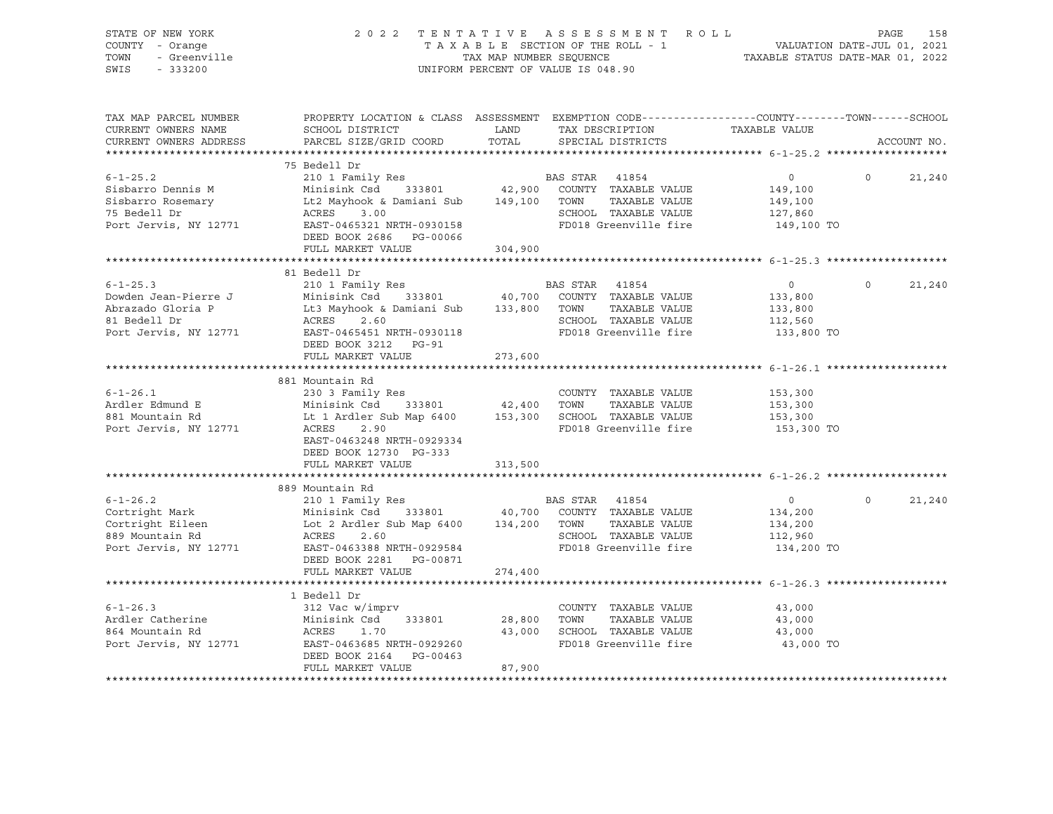| STATE OF NEW YORK<br>COUNTY - Orange<br>TOWN<br>- Greenville<br>SWIS<br>$-333200$                                                       | 2022 TENTATIVE ASSESSMENT ROLL                                                                                                             |         | UNIFORM PERCENT OF VALUE IS 048.90 |                             | TENTATIVE ASSESSMENT NOLLE<br>TAXABLE SECTION OF THE ROLL - 1<br>TAXABLE STATUS DATE-MAR 01, 2022<br>TAXABLE STATUS DATE-MAR 01, 2022 | PAGE     | 158         |
|-----------------------------------------------------------------------------------------------------------------------------------------|--------------------------------------------------------------------------------------------------------------------------------------------|---------|------------------------------------|-----------------------------|---------------------------------------------------------------------------------------------------------------------------------------|----------|-------------|
| TAX MAP PARCEL NUMBER                                                                                                                   | PROPERTY LOCATION & CLASS ASSESSMENT EXEMPTION CODE----------------COUNTY-------TOWN------SCHOOL                                           |         |                                    |                             |                                                                                                                                       |          |             |
| CURRENT OWNERS NAME                                                                                                                     | SCHOOL DISTRICT                                                                                                                            | LAND    |                                    |                             | TAX DESCRIPTION TAXABLE VALUE                                                                                                         |          |             |
| CURRENT OWNERS ADDRESS                                                                                                                  | PARCEL SIZE/GRID COORD                                                                                                                     | TOTAL   |                                    | SPECIAL DISTRICTS           |                                                                                                                                       |          | ACCOUNT NO. |
|                                                                                                                                         | 75 Bedell Dr                                                                                                                               |         |                                    |                             |                                                                                                                                       |          |             |
| $6 - 1 - 25.2$                                                                                                                          | 210 1 Family Res                                                                                                                           |         | BAS STAR 41854                     |                             | $0 \qquad \qquad$                                                                                                                     | $\Omega$ | 21,240      |
| Sisbarro Dennis M                                                                                                                       | Minisink Csd 333801 42,900 COUNTY TAXABLE VALUE<br>Lt2 Mayhook & Damiani Sub 149,100 TOWN TAXABLE VALUE<br>ACRES 3.00 SCHOOL TAXABLE VALUE |         |                                    |                             | 149,100                                                                                                                               |          |             |
| Sisbarro Rosemary                                                                                                                       |                                                                                                                                            |         |                                    |                             | 149,100                                                                                                                               |          |             |
| 75 Bedell Dr                                                                                                                            |                                                                                                                                            |         |                                    |                             | 127,860                                                                                                                               |          |             |
| Port Jervis, NY 12771                                                                                                                   | EAST-0465321 NRTH-0930158<br>DEED BOOK 2686 PG-00066                                                                                       |         |                                    | FD018 Greenville fire       | 149,100 TO                                                                                                                            |          |             |
|                                                                                                                                         | FULL MARKET VALUE                                                                                                                          | 304,900 |                                    |                             |                                                                                                                                       |          |             |
|                                                                                                                                         |                                                                                                                                            |         |                                    |                             |                                                                                                                                       |          |             |
|                                                                                                                                         | 81 Bedell Dr                                                                                                                               |         |                                    |                             | 0                                                                                                                                     |          |             |
| $6 - 1 - 25.3$<br>Dowden Jean-Pierre J                                                                                                  | 210 1 Family Res                                                                                                                           |         | BAS STAR 41854                     |                             | 133,800                                                                                                                               | $\circ$  | 21,240      |
| Abrazado Gloria P                                                                                                                       | Minisink Csd 333801 40,700 COUNTY TAXABLE VALUE<br>Lt3 Mayhook & Damiani Sub 133,800 TOWN TAXABLE VALUE<br>ACRES 2.60                      |         |                                    |                             | 133,800                                                                                                                               |          |             |
| 81 Bedell Dr                                                                                                                            | ACRES 2.60                                                                                                                                 |         |                                    | SCHOOL TAXABLE VALUE        | 112,560                                                                                                                               |          |             |
| Port Jervis, NY 12771                                                                                                                   | EAST-0465451 NRTH-0930118                                                                                                                  |         |                                    | FD018 Greenville fire       | 133,800 TO                                                                                                                            |          |             |
|                                                                                                                                         | DEED BOOK 3212 PG-91                                                                                                                       |         |                                    |                             |                                                                                                                                       |          |             |
|                                                                                                                                         | FULL MARKET VALUE                                                                                                                          | 273,600 |                                    |                             |                                                                                                                                       |          |             |
|                                                                                                                                         | 881 Mountain Rd                                                                                                                            |         |                                    |                             |                                                                                                                                       |          |             |
| $6 - 1 - 26.1$                                                                                                                          | 230 3 Family Res                                                                                                                           |         |                                    | COUNTY TAXABLE VALUE        | 153,300                                                                                                                               |          |             |
| Ardler Edmund E                                                                                                                         |                                                                                                                                            |         |                                    |                             | 153,300                                                                                                                               |          |             |
| 881 Mountain Rd                                                                                                                         | Minisink Csd     333801            42,400   TOWN     TAXABLE VALUE<br>Lt 1 Ardler Sub Map 6400       153,300   SCHOOL  TAXABLE VALUE       |         |                                    |                             | 153,300                                                                                                                               |          |             |
| Port Jervis, NY 12771                                                                                                                   | 2.90<br>ACRES                                                                                                                              |         |                                    | FD018 Greenville fire       | 153,300 TO                                                                                                                            |          |             |
|                                                                                                                                         | EAST-0463248 NRTH-0929334<br>DEED BOOK 12730 PG-333                                                                                        |         |                                    |                             |                                                                                                                                       |          |             |
|                                                                                                                                         | FULL MARKET VALUE                                                                                                                          | 313,500 |                                    |                             |                                                                                                                                       |          |             |
|                                                                                                                                         |                                                                                                                                            |         |                                    |                             |                                                                                                                                       |          |             |
|                                                                                                                                         | 889 Mountain Rd                                                                                                                            |         |                                    |                             |                                                                                                                                       |          |             |
| $6 - 1 - 26.2$                                                                                                                          | 210 1 Family Res                                                                                                                           |         | BAS STAR 41854                     |                             | $\overline{0}$                                                                                                                        | $\circ$  | 21,240      |
| Cortright Mark Minisink Csd 333801 40,700 COUNTY TAXABLE VALUE<br>Cortright Eileen Lot 2 Ardler Sub Map 6400 134,200 TOWN TAXABLE VALUE |                                                                                                                                            |         |                                    |                             | 134,200                                                                                                                               |          |             |
|                                                                                                                                         |                                                                                                                                            |         |                                    |                             | 134,200                                                                                                                               |          |             |
| 889 Mountain Rd                                                                                                                         | ACRES<br>2.60                                                                                                                              |         |                                    | SCHOOL TAXABLE VALUE        | 112,960                                                                                                                               |          |             |
| Port Jervis, NY 12771                                                                                                                   | EAST-0463388 NRTH-0929584                                                                                                                  |         |                                    | FD018 Greenville fire       | 134,200 TO                                                                                                                            |          |             |
|                                                                                                                                         | DEED BOOK 2281 PG-00871                                                                                                                    |         |                                    |                             |                                                                                                                                       |          |             |
|                                                                                                                                         | FULL MARKET VALUE<br>***************************                                                                                           | 274,400 |                                    |                             |                                                                                                                                       |          |             |
|                                                                                                                                         | 1 Bedell Dr                                                                                                                                |         |                                    |                             |                                                                                                                                       |          |             |
| $6 - 1 - 26.3$                                                                                                                          | 312 Vac w/imprv                                                                                                                            |         |                                    | COUNTY TAXABLE VALUE        | 43,000                                                                                                                                |          |             |
|                                                                                                                                         | Minisink Csd 333801                                                                                                                        | 28,800  | TOWN                               | TAXABLE VALUE               | 43,000                                                                                                                                |          |             |
| Ardler Catherine<br>864 Mountain Rd                                                                                                     | ACRES<br>1.70                                                                                                                              |         |                                    | 43,000 SCHOOL TAXABLE VALUE | 43,000                                                                                                                                |          |             |
| Port Jervis, NY 12771                                                                                                                   | EAST-0463685 NRTH-0929260                                                                                                                  |         |                                    | FD018 Greenville fire       | 43,000 TO                                                                                                                             |          |             |
|                                                                                                                                         | DEED BOOK 2164 PG-00463                                                                                                                    |         |                                    |                             |                                                                                                                                       |          |             |
|                                                                                                                                         | FULL MARKET VALUE                                                                                                                          | 87,900  |                                    |                             |                                                                                                                                       |          |             |
|                                                                                                                                         |                                                                                                                                            |         |                                    |                             |                                                                                                                                       |          |             |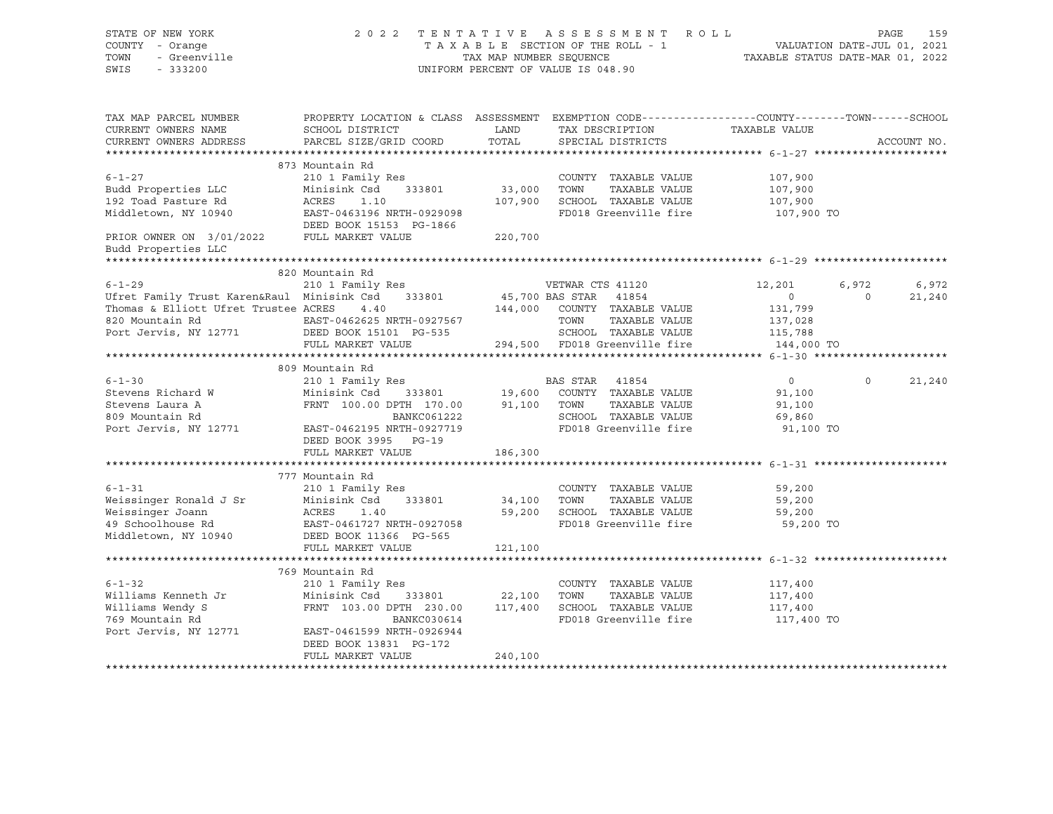| STATE OF NEW YORK<br>COUNTY - Orange<br>TOWN<br>- Greenville<br>SWIS<br>$-333200$                                                                                                                                                 |                                                                                                  |             | 2022 TENTATIVE ASSESSMENT ROLL<br>UNIFORM PERCENT OF VALUE IS 048.90                   |                           | PAGE           | 159         |
|-----------------------------------------------------------------------------------------------------------------------------------------------------------------------------------------------------------------------------------|--------------------------------------------------------------------------------------------------|-------------|----------------------------------------------------------------------------------------|---------------------------|----------------|-------------|
|                                                                                                                                                                                                                                   |                                                                                                  |             |                                                                                        |                           |                |             |
| TAX MAP PARCEL NUMBER                                                                                                                                                                                                             | PROPERTY LOCATION & CLASS ASSESSMENT EXEMPTION CODE----------------COUNTY-------TOWN------SCHOOL |             |                                                                                        |                           |                |             |
| CURRENT OWNERS NAME                                                                                                                                                                                                               | SCHOOL DISTRICT                                                                                  | <b>LAND</b> | TAX DESCRIPTION TAXABLE VALUE                                                          |                           |                |             |
| CURRENT OWNERS ADDRESS                                                                                                                                                                                                            | PARCEL SIZE/GRID COORD                                                                           | TOTAL       | SPECIAL DISTRICTS                                                                      |                           |                | ACCOUNT NO. |
|                                                                                                                                                                                                                                   | 873 Mountain Rd                                                                                  |             |                                                                                        |                           |                |             |
| $6 - 1 - 27$                                                                                                                                                                                                                      | 210 1 Family Res                                                                                 |             | COUNTY TAXABLE VALUE                                                                   | 107,900                   |                |             |
| Budd Properties LLC                                                                                                                                                                                                               | Minisink Csd 333801                                                                              | 33,000 TOWN | TAXABLE VALUE                                                                          | 107,900                   |                |             |
| 192 Toad Pasture Rd                                                                                                                                                                                                               | ACRES 1.10                                                                                       |             | 107,900 SCHOOL TAXABLE VALUE                                                           | 107,900                   |                |             |
| Middletown, NY 10940                                                                                                                                                                                                              | EAST-0463196 NRTH-0929098                                                                        |             | FD018 Greenville fire 107,900 TO                                                       |                           |                |             |
|                                                                                                                                                                                                                                   | DEED BOOK 15153 PG-1866                                                                          |             |                                                                                        |                           |                |             |
| PRIOR OWNER ON 3/01/2022 FULL MARKET VALUE<br>Budd Properties LLC                                                                                                                                                                 |                                                                                                  | 220,700     |                                                                                        |                           |                |             |
|                                                                                                                                                                                                                                   |                                                                                                  |             |                                                                                        |                           |                |             |
|                                                                                                                                                                                                                                   | 820 Mountain Rd                                                                                  |             |                                                                                        |                           |                |             |
| $6 - 1 - 29$                                                                                                                                                                                                                      | 210 1 Family Res                                                                                 |             | VETWAR CTS 41120                                                                       | 12,201                    | 6,972          | 6,972       |
|                                                                                                                                                                                                                                   |                                                                                                  |             |                                                                                        | $\overline{0}$<br>131,799 | $\overline{0}$ | 21,240      |
|                                                                                                                                                                                                                                   |                                                                                                  |             |                                                                                        | 137,028                   |                |             |
|                                                                                                                                                                                                                                   |                                                                                                  |             |                                                                                        |                           |                |             |
| USING The East of the Minisiph CSA CONTROLLER CONTROLLER Family Trust Karen&Raul Minisink CsA 333801 45,700 BAS STAR 41854<br>Thomas & Elliott Ufret Trustee ACRES 4.40<br>S20 Mountain Rd EAST-0462625 NRTH-0927567 TOWN TAXABLE |                                                                                                  |             | TOWN TAAADDE VADUE<br>SCHOOL TAXABLE VALUE 115,788<br>EDALA Greenville fire 144,000 TO |                           |                |             |
|                                                                                                                                                                                                                                   |                                                                                                  |             |                                                                                        |                           |                |             |
|                                                                                                                                                                                                                                   | 809 Mountain Rd                                                                                  |             |                                                                                        |                           |                |             |
| $6 - 1 - 30$                                                                                                                                                                                                                      | 210 1 Family Res                                                                                 |             | BAS STAR 41854                                                                         | $\overline{0}$            | $\Omega$       | 21,240      |
| Stevens Richard W                                                                                                                                                                                                                 |                                                                                                  |             |                                                                                        | 91,100                    |                |             |
| Stevens Laura A                                                                                                                                                                                                                   |                                                                                                  |             |                                                                                        | 91,100                    |                |             |
| 809 Mountain Rd                                                                                                                                                                                                                   | BANKC061222                                                                                      |             | SCHOOL TAXABLE VALUE                                                                   | 69,860                    |                |             |
| Port Jervis, NY 12771                                                                                                                                                                                                             | EAST-0462195 NRTH-0927719<br>DEED BOOK 3995 PG-19                                                |             | FD018 Greenville fire                                                                  | 91,100 TO                 |                |             |
|                                                                                                                                                                                                                                   | FULL MARKET VALUE                                                                                | 186,300     |                                                                                        |                           |                |             |
|                                                                                                                                                                                                                                   |                                                                                                  |             |                                                                                        |                           |                |             |
|                                                                                                                                                                                                                                   | 777 Mountain Rd                                                                                  |             |                                                                                        |                           |                |             |
| $6 - 1 - 31$                                                                                                                                                                                                                      | 210 1 Family Res                                                                                 |             | COUNTY TAXABLE VALUE                                                                   | 59,200                    |                |             |
|                                                                                                                                                                                                                                   |                                                                                                  | 34,100 TOWN | TAXABLE VALUE                                                                          | 59,200                    |                |             |
| Weissinger Ronald J Sr Minisink Csd 333801<br>Weissinger Joann MCRES 1.40<br>49 Schoolhouse Rd EAST-0461727 NRTH-0927058                                                                                                          |                                                                                                  |             | 59,200 SCHOOL TAXABLE VALUE                                                            | 59,200                    |                |             |
|                                                                                                                                                                                                                                   |                                                                                                  |             | FD018 Greenville fire                                                                  | 59,200 TO                 |                |             |
| Middletown, NY 10940                                                                                                                                                                                                              | DEED BOOK 11366 PG-565                                                                           |             |                                                                                        |                           |                |             |
|                                                                                                                                                                                                                                   | FULL MARKET VALUE                                                                                | 121,100     |                                                                                        |                           |                |             |
|                                                                                                                                                                                                                                   | 769 Mountain Rd                                                                                  |             |                                                                                        |                           |                |             |
| $6 - 1 - 32$                                                                                                                                                                                                                      | 210 1 Family Res                                                                                 |             | COUNTY TAXABLE VALUE                                                                   | 117,400                   |                |             |
| Williams Kenneth Jr                                                                                                                                                                                                               | Minisink Csd 333801 22,100 TOWN                                                                  |             | TAXABLE VALUE                                                                          | 117,400                   |                |             |
| Williams Wendy S                                                                                                                                                                                                                  | FRNT 103.00 DPTH 230.00 117,400 SCHOOL TAXABLE VALUE                                             |             |                                                                                        | 117,400                   |                |             |
| 769 Mountain Rd                                                                                                                                                                                                                   | BANKC030614                                                                                      |             | FD018 Greenville fire                                                                  | 117,400 TO                |                |             |
| Port Jervis, NY 12771                                                                                                                                                                                                             | EAST-0461599 NRTH-0926944                                                                        |             |                                                                                        |                           |                |             |
|                                                                                                                                                                                                                                   | DEED BOOK 13831 PG-172                                                                           |             |                                                                                        |                           |                |             |
|                                                                                                                                                                                                                                   | FULL MARKET VALUE                                                                                | 240,100     |                                                                                        |                           |                |             |
|                                                                                                                                                                                                                                   |                                                                                                  |             |                                                                                        |                           |                |             |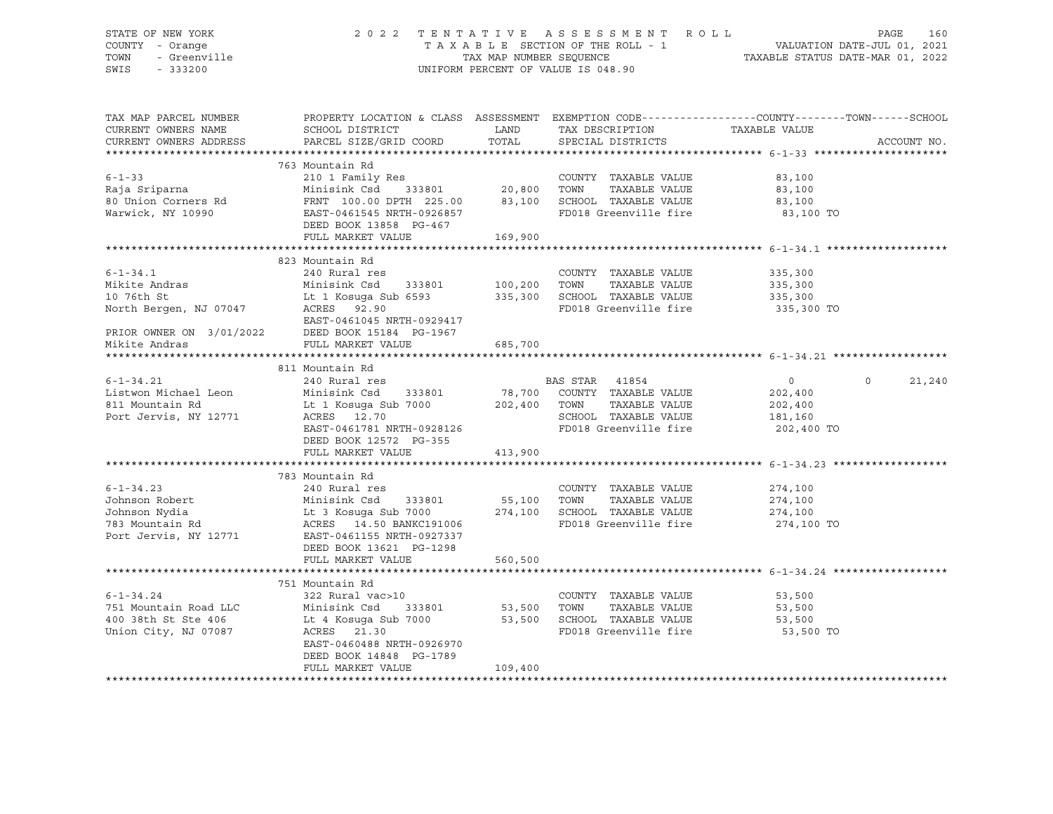# STATE OF NEW YORK 2 0 2 2 T E N T A T I V E A S S E S S M E N T R O L L PAGE 160 COUNTY - Orange T A X A B L E SECTION OF THE ROLL - 1 VALUATION OF THE ROLL - 1 VALUATION DATE:<br>TOWN - Greenville County of the SECULATION DATE-JUL 1 TOWN - Greenville TAX ON TAX MAP NUMBER SEQUENCE TAXABLE STATUS DATE-MAR 01, 2022<br>TAXABLE STATUS DATE-MAR 01, 2022 UNIFORM PERCENT OF VALUE IS 048.90

TAX MAP PARCEL NUMBER PROPERTY LOCATION & CLASS ASSESSMENT EXEMPTION CODE------------------COUNTY--------TOWN------SCHOOL CURRENT OWNERS NAME SCHOOL DISTRICT TAX DAND TAX DESCRIPTION TAXABLE VALUE CURRENT OWNERS ADDRESS PARCEL SIZE/GRID COORD TOTAL SPECIAL DISTRICTS ACCOUNT NO. \*\*\*\*\*\*\*\*\*\*\*\*\*\*\*\*\*\*\*\*\*\*\*\*\*\*\*\*\*\*\*\*\*\*\*\*\*\*\*\*\*\*\*\*\*\*\*\*\*\*\*\*\*\*\*\*\*\*\*\*\*\*\*\*\*\*\*\*\*\*\*\*\*\*\*\*\*\*\*\*\*\*\*\*\*\*\*\*\*\*\*\*\*\*\*\*\*\*\*\*\*\*\* 6-1-33 \*\*\*\*\*\*\*\*\*\*\*\*\*\*\*\*\*\*\*\*\* 763 Mountain Rd 6-1-33 210 1 Family Res COUNTY TAXABLE VALUE 83,100 Raja Sriparna Minisink Csd 333801 20,800 TOWN TAXABLE VALUE 83,100 80 Union Corners Rd FRNT 100.00 DPTH 225.00 83,100 SCHOOL TAXABLE VALUE 83,100 Warwick, NY 10990 EAST-0461545 NRTH-0926857 FD018 Greenville fire 83,100 TO DEED BOOK 13858 PG-467 FULL MARKET VALUE 169,900 \*\*\*\*\*\*\*\*\*\*\*\*\*\*\*\*\*\*\*\*\*\*\*\*\*\*\*\*\*\*\*\*\*\*\*\*\*\*\*\*\*\*\*\*\*\*\*\*\*\*\*\*\*\*\*\*\*\*\*\*\*\*\*\*\*\*\*\*\*\*\*\*\*\*\*\*\*\*\*\*\*\*\*\*\*\*\*\*\*\*\*\*\*\*\*\*\*\*\*\*\*\*\* 6-1-34.1 \*\*\*\*\*\*\*\*\*\*\*\*\*\*\*\*\*\*\* 823 Mountain Rd 6-1-34.1 240 Rural res COUNTY TAXABLE VALUE 335,300 Mikite Andras Minisink Csd 333801 100,200 TOWN TAXABLE VALUE 335,300 Lt 1 Kosuga Sub 6593 335,300 SCHOOL TAXABLE VALUE North Bergen, NJ 07047 ACRES 92.90 FD018 Greenville fire 335,300 TO EAST-0461045 NRTH-0929417 PRIOR OWNER ON 3/01/2022 DEED BOOK 15184 PG-1967 Mikite Andras FULL MARKET VALUE 685,700 \*\*\*\*\*\*\*\*\*\*\*\*\*\*\*\*\*\*\*\*\*\*\*\*\*\*\*\*\*\*\*\*\*\*\*\*\*\*\*\*\*\*\*\*\*\*\*\*\*\*\*\*\*\*\*\*\*\*\*\*\*\*\*\*\*\*\*\*\*\*\*\*\*\*\*\*\*\*\*\*\*\*\*\*\*\*\*\*\*\*\*\*\*\*\*\*\*\*\*\*\*\*\* 6-1-34.21 \*\*\*\*\*\*\*\*\*\*\*\*\*\*\*\*\*\* 811 Mountain Rd 6-1-34.21 240 Rural res BAS STAR 41854 0 0 21,240 Listwon Michael Leon Minisink Csd 333801 78,700 COUNTY TAXABLE VALUE 202,400 811 Mountain Rd Lt 1 Kosuga Sub 7000 202,400 TOWN TAXABLE VALUE 202,400 Port Jervis, NY 12771 ACRES 12.70 SCHOOL TAXABLE VALUE 181,160 EAST-0461781 NRTH-0928126 FD018 Greenville fire 202,400 TO DEED BOOK 12572 PG-355 FULL MARKET VALUE 413,900 \*\*\*\*\*\*\*\*\*\*\*\*\*\*\*\*\*\*\*\*\*\*\*\*\*\*\*\*\*\*\*\*\*\*\*\*\*\*\*\*\*\*\*\*\*\*\*\*\*\*\*\*\*\*\*\*\*\*\*\*\*\*\*\*\*\*\*\*\*\*\*\*\*\*\*\*\*\*\*\*\*\*\*\*\*\*\*\*\*\*\*\*\*\*\*\*\*\*\*\*\*\*\* 6-1-34.23 \*\*\*\*\*\*\*\*\*\*\*\*\*\*\*\*\*\* 783 Mountain Rd 6-1-34.23 240 Rural res COUNTY TAXABLE VALUE 274,100 Johnson Robert Minisink Csd 333801 55,100 TOWN TAXABLE VALUE 274,100 Johnson Nydia Lt 3 Kosuga Sub 7000 274,100 SCHOOL TAXABLE VALUE 274,100 783 Mountain Rd ACRES 14.50 BANKC191006 FD018 Greenville fire 274,100 TO EAST-0461155 NRTH-0927337 DEED BOOK 13621 PG-1298 FULL MARKET VALUE 560,500 \*\*\*\*\*\*\*\*\*\*\*\*\*\*\*\*\*\*\*\*\*\*\*\*\*\*\*\*\*\*\*\*\*\*\*\*\*\*\*\*\*\*\*\*\*\*\*\*\*\*\*\*\*\*\*\*\*\*\*\*\*\*\*\*\*\*\*\*\*\*\*\*\*\*\*\*\*\*\*\*\*\*\*\*\*\*\*\*\*\*\*\*\*\*\*\*\*\*\*\*\*\*\* 6-1-34.24 \*\*\*\*\*\*\*\*\*\*\*\*\*\*\*\*\*\* 751 Mountain Rd 6-1-34.24 322 Rural vac>10 COUNTY TAXABLE VALUE 53,500 751 Mountain Road LLC Minisink Csd 333801 53,500 TOWN TAXABLE VALUE 53,500 400 38th St Ste 406 Lt 4 Kosuga Sub 7000 53,500 SCHOOL TAXABLE VALUE 53,500 Union City, NJ 07087 ACRES 21.30 FD018 Greenville fire 53,500 TO EAST-0460488 NRTH-0926970 DEED BOOK 14848 PG-1789 FULL MARKET VALUE 109,400 \*\*\*\*\*\*\*\*\*\*\*\*\*\*\*\*\*\*\*\*\*\*\*\*\*\*\*\*\*\*\*\*\*\*\*\*\*\*\*\*\*\*\*\*\*\*\*\*\*\*\*\*\*\*\*\*\*\*\*\*\*\*\*\*\*\*\*\*\*\*\*\*\*\*\*\*\*\*\*\*\*\*\*\*\*\*\*\*\*\*\*\*\*\*\*\*\*\*\*\*\*\*\*\*\*\*\*\*\*\*\*\*\*\*\*\*\*\*\*\*\*\*\*\*\*\*\*\*\*\*\*\*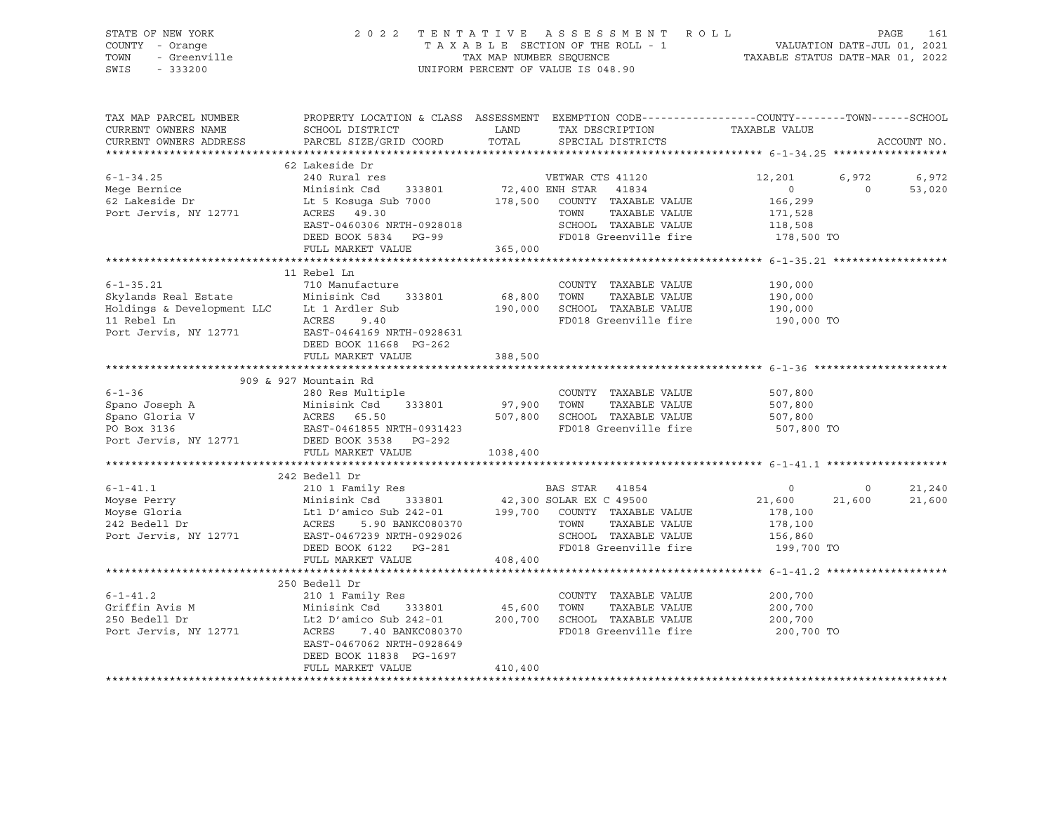| TAX MAP PARCEL NUMBER PROPERTY LOCATION & CLASS ASSESSMENT EXEMPTION CODE---------------COUNTY-------TOWN------SCHOOL<br>CURRENT OWNERS NAME<br>CURRENT OWNERS ADDRESS PARCEL SIZE/GRID COORD TOTAL SPECIAL DISTRICTS                        | SCHOOL DISTRICT                       LAND        TAX DESCRIPTION                 TAXABLE VALUE                                                                    |         |            |                             | ACCOUNT NO. |
|----------------------------------------------------------------------------------------------------------------------------------------------------------------------------------------------------------------------------------------------|--------------------------------------------------------------------------------------------------------------------------------------------------------------------|---------|------------|-----------------------------|-------------|
|                                                                                                                                                                                                                                              |                                                                                                                                                                    |         |            |                             |             |
| 6-1-34.25<br>Mege Bernice and Sale Rural res<br>Mege Bernice Minisink Csd 333801<br>Exerce Minisink Csd 333801<br>Exerce 2 Lakeside Dr Lt 5 Kosuga Sub 7000<br>Port Jervis, NY 12771 ACRES 49.30<br>Port Jervis, NY 12771 ACRES 49.30<br>Por | 62 Lakeside Dr<br>240 Rural res<br>EXERES 49.30<br>EAST-0460306 NRTH-0928018 SCHOOL TAXABLE VALUE 171,528<br>DEED BOOK 5834 PG-99 FD018 Greenville fire 178,500 TO |         | 12,201     | $6,972$ $6,972$<br>0 53,020 |             |
|                                                                                                                                                                                                                                              | FULL MARKET VALUE 365,000                                                                                                                                          |         |            |                             |             |
|                                                                                                                                                                                                                                              |                                                                                                                                                                    |         |            |                             |             |
|                                                                                                                                                                                                                                              | 11 Rebel Ln                                                                                                                                                        |         |            |                             |             |
|                                                                                                                                                                                                                                              | FULL MARKET VALUE                                                                                                                                                  | 388,500 |            |                             |             |
|                                                                                                                                                                                                                                              |                                                                                                                                                                    |         |            |                             |             |
|                                                                                                                                                                                                                                              |                                                                                                                                                                    |         |            |                             |             |
| 6-1-36<br>Spano Joseph A Minisink Csd 333801<br>Spano Gloria V ACRES 65.50<br>PO Box 3136<br>Port Jervis, NY 12771 DEED BOOK 3538 PG-292<br>FUIL MADVET VALUE PO BOR SCHOOL TAXABLE VALUE 507,800<br>PO BOR ST-0461855 NRTH-0931423<br>P     |                                                                                                                                                                    |         | 507,800 TO |                             |             |
|                                                                                                                                                                                                                                              | FULL MARKET VALUE 1038,400                                                                                                                                         |         |            |                             |             |
|                                                                                                                                                                                                                                              |                                                                                                                                                                    |         |            |                             |             |
|                                                                                                                                                                                                                                              | 242 Bedell Dr                                                                                                                                                      |         |            |                             |             |
|                                                                                                                                                                                                                                              |                                                                                                                                                                    |         |            |                             |             |
| 250 Bedell Dr<br>6-1-41.2 210 1 Family Res<br>Griffin Avis M Minisink Csd 333801 45,600 TOWN TAXABLE VALUE 200,700<br>250 Bedell Dr Lt2 D'amico Sub 242-01 200,700 SCHOOL TAXABLE VALUE 200,700<br>Port Jervis, NY 12771 ACRES 7.40 BA       | DEED BOOK 11838 PG-1697<br>FULL MARKET VALUE                                                                                                                       | 410,400 | 200,700 TO |                             |             |
|                                                                                                                                                                                                                                              |                                                                                                                                                                    |         |            |                             |             |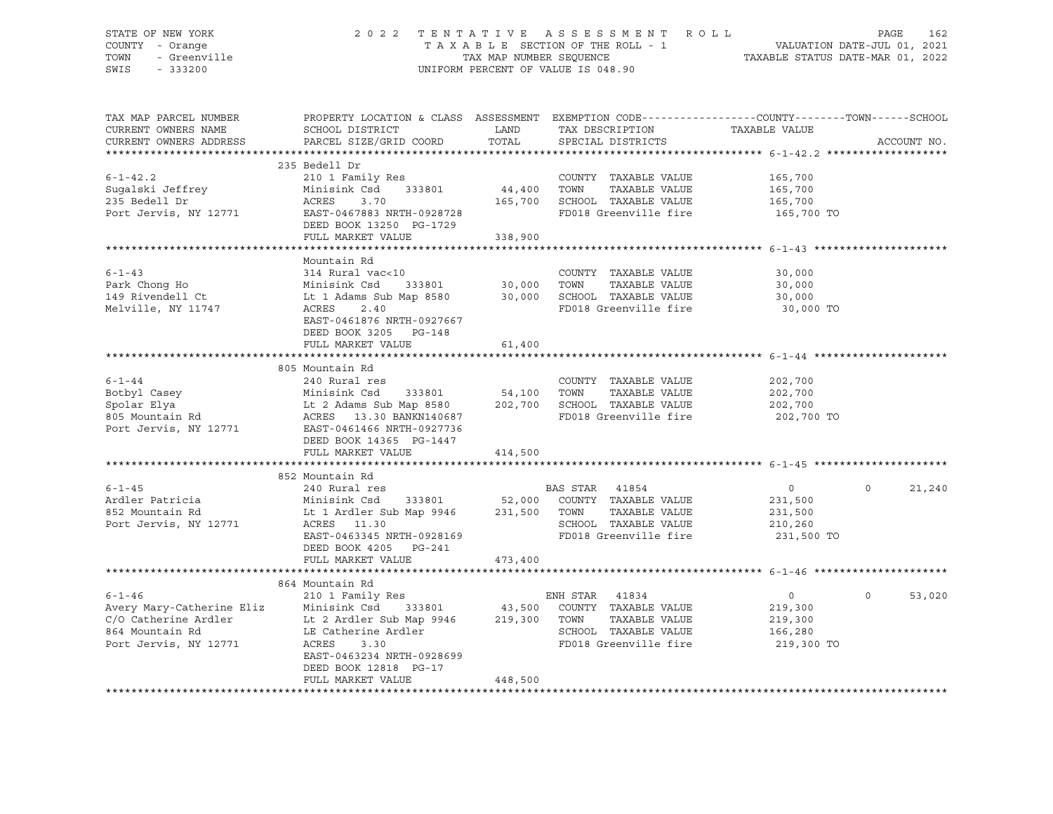### STATE OF NEW YORK 2 0 2 2 T E N T A T I V E A S S E S S M E N T R O L L PAGE 162 COUNTY - Orange T A X A B L E SECTION OF THE ROLL - 1 VALUATION DATE-JUL 01, 2021 TOWN - Greenville TAX MAP NUMBER SEQUENCE TAXABLE STATUS DATE-MAR 01, 2022 SWIS - 333200 UNIFORM PERCENT OF VALUE IS 048.90

| TAX MAP PARCEL NUMBER     |                                                      |             | PROPERTY LOCATION & CLASS ASSESSMENT EXEMPTION CODE---------------COUNTY-------TOWN------SCHOOL |                |                    |
|---------------------------|------------------------------------------------------|-------------|-------------------------------------------------------------------------------------------------|----------------|--------------------|
| CURRENT OWNERS NAME       | SCHOOL DISTRICT                                      | LAND        | TAX DESCRIPTION                                                                                 | TAXABLE VALUE  |                    |
| CURRENT OWNERS ADDRESS    | PARCEL SIZE/GRID COORD                               | TOTAL       | SPECIAL DISTRICTS                                                                               |                | ACCOUNT NO.        |
|                           |                                                      |             |                                                                                                 |                |                    |
|                           | 235 Bedell Dr                                        |             |                                                                                                 |                |                    |
| $6 - 1 - 42.2$            | 210 1 Family Res                                     |             | COUNTY TAXABLE VALUE 165,700                                                                    |                |                    |
| Sugalski Jeffrey          | Minisink Csd<br>333801                               | 44,400      | TOWN<br>TAXABLE VALUE                                                                           | 165,700        |                    |
| 235 Bedell Dr             | 3.70<br>ACRES                                        |             | 165,700 SCHOOL TAXABLE VALUE                                                                    | 165,700        |                    |
| Port Jervis, NY 12771     | EAST-0467883 NRTH-0928728<br>DEED BOOK 13250 PG-1729 |             | FD018 Greenville fire 165,700 TO                                                                |                |                    |
|                           | FULL MARKET VALUE                                    | 338,900     |                                                                                                 |                |                    |
|                           |                                                      |             |                                                                                                 |                |                    |
|                           | Mountain Rd                                          |             |                                                                                                 |                |                    |
| $6 - 1 - 43$              | 314 Rural vac<10                                     |             | COUNTY TAXABLE VALUE                                                                            | 30,000         |                    |
| Park Chong Ho             | Minisink Csd<br>333801                               | 30,000      | TAXABLE VALUE<br>TOWN                                                                           | 30,000         |                    |
| 149 Rivendell Ct          | Lt 1 Adams Sub Map 8580                              |             | 30,000 SCHOOL TAXABLE VALUE                                                                     | 30,000         |                    |
| Melville, NY 11747        | 2.40<br>ACRES<br>EAST-0461876 NRTH-0927667           |             | FD018 Greenville fire                                                                           | 30,000 TO      |                    |
|                           | DEED BOOK 3205 PG-148                                |             |                                                                                                 |                |                    |
|                           | FULL MARKET VALUE                                    | 61,400      |                                                                                                 |                |                    |
|                           |                                                      |             |                                                                                                 |                |                    |
|                           | 805 Mountain Rd                                      |             |                                                                                                 |                |                    |
| $6 - 1 - 44$              | 240 Rural res                                        |             | COUNTY TAXABLE VALUE                                                                            | 202,700        |                    |
| Botbyl Casey              | Minisink Csd<br>333801                               | 54,100 TOWN | TAXABLE VALUE<br>202,700 SCHOOL TAXABLE VALUE                                                   | 202,700        |                    |
| Spolar Elya               | Lt 2 Adams Sub Map 8580                              |             |                                                                                                 | 202,700        |                    |
| 805 Mountain Rd           | ACRES 13.30 BANKN140687                              |             | FD018 Greenville fire                                                                           | 202,700 TO     |                    |
| Port Jervis, NY 12771     | EAST-0461466 NRTH-0927736                            |             |                                                                                                 |                |                    |
|                           | DEED BOOK 14365 PG-1447                              |             |                                                                                                 |                |                    |
|                           | FULL MARKET VALUE                                    | 414,500     |                                                                                                 |                |                    |
|                           |                                                      |             |                                                                                                 |                |                    |
|                           | 852 Mountain Rd                                      |             |                                                                                                 |                |                    |
| $6 - 1 - 45$              | 240 Rural res                                        |             | BAS STAR 41854                                                                                  | $\overline{0}$ | $\Omega$<br>21,240 |
| Ardler Patricia           | Minisink Csd 333801                                  |             | 52,000 COUNTY TAXABLE VALUE                                                                     | 231,500        |                    |
| 852 Mountain Rd           | Lt 1 Ardler Sub Map 9946 231,500 TOWN                |             | TAXABLE VALUE                                                                                   | 231,500        |                    |
| Port Jervis, NY 12771     | ACRES 11.30                                          |             | SCHOOL TAXABLE VALUE                                                                            | 210,260        |                    |
|                           | EAST-0463345 NRTH-0928169                            |             | FD018 Greenville fire                                                                           | 231,500 TO     |                    |
|                           | DEED BOOK 4205 PG-241                                |             |                                                                                                 |                |                    |
|                           | FULL MARKET VALUE                                    | 473,400     |                                                                                                 |                |                    |
|                           |                                                      |             |                                                                                                 |                |                    |
|                           | 864 Mountain Rd                                      |             |                                                                                                 |                |                    |
| $6 - 1 - 46$              | 210 1 Family Res                                     |             | ENH STAR 41834                                                                                  | $\overline{0}$ | $\Omega$<br>53,020 |
| Avery Mary-Catherine Eliz | Minisink Csd<br>333801                               | 43,500      | COUNTY TAXABLE VALUE                                                                            | 219,300        |                    |
| C/O Catherine Ardler      | Lt 2 Ardler Sub Map 9946                             | 219,300     | TOWN<br>TAXABLE VALUE                                                                           | 219,300        |                    |
| 864 Mountain Rd           | LE Catherine Ardler                                  |             | SCHOOL TAXABLE VALUE                                                                            | 166,280        |                    |
| Port Jervis, NY 12771     | ACRES<br>3.30                                        |             | FD018 Greenville fire                                                                           | 219,300 TO     |                    |
|                           | EAST-0463234 NRTH-0928699                            |             |                                                                                                 |                |                    |
|                           | DEED BOOK 12818 PG-17                                |             |                                                                                                 |                |                    |
|                           | FULL MARKET VALUE                                    | 448,500     |                                                                                                 |                |                    |
|                           |                                                      |             |                                                                                                 |                |                    |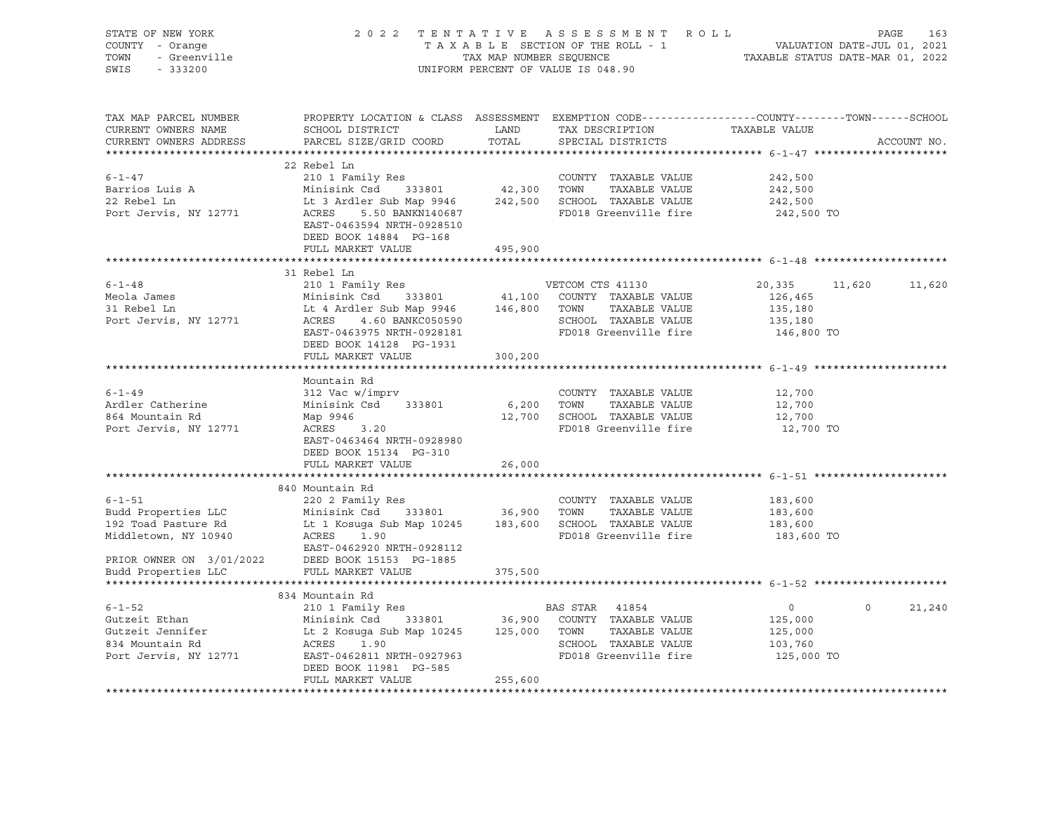| STATE OF NEW YORK<br>STATE OF NEW YORK<br>COUNTY - Orange<br>TOWN - Greenville                                                                                                                                                                                                                                                                                |                                                                                                                                                                                                                                                                                                                                                                                    |         | TENTATIVE ASSESSMENT ROLL<br>TAXABLE SECTION OF THE ROLL - 1 VALUATION DATE-JUL 01, 2021<br>TAX MAP NUMBER SEQUENCE TAXABLE STATUS DATE-MAR 01, 2022<br>2022 TENTATIVE ASSESSMENT ROLL<br>UNIFORM PERCENT OF VALUE IS 048.90 |                                         |                      |
|---------------------------------------------------------------------------------------------------------------------------------------------------------------------------------------------------------------------------------------------------------------------------------------------------------------------------------------------------------------|------------------------------------------------------------------------------------------------------------------------------------------------------------------------------------------------------------------------------------------------------------------------------------------------------------------------------------------------------------------------------------|---------|------------------------------------------------------------------------------------------------------------------------------------------------------------------------------------------------------------------------------|-----------------------------------------|----------------------|
| TAX MAP PARCEL NUMBER<br>CURRENT OWNERS NAME<br>CURRENT OWNERS ADDRESS                                                                                                                                                                                                                                                                                        | PROPERTY LOCATION & CLASS ASSESSMENT EXEMPTION CODE---------------COUNTY-------TOWN-----SCHOOL<br>EXECUTE IN THE SERVER THE TRANSFER OF THE TRANSPORT OF THE VALUE SCHOOL DISTRICT MANUS AND TRANSPORT TRANSPORT TRANSPORT TRANSPORT OF THE TRANSPORT OF THE TRANSPORT OF THE TRANSPORT OF THE TRANSPORT OF THE TRANSPORT OF THE<br>PARCEL SIZE/GRID COORD TOTAL SPECIAL DISTRICTS |         |                                                                                                                                                                                                                              |                                         | ACCOUNT NO.          |
| $6 - 1 - 47$<br>Barrios Luis A<br>22 Rebel Ln<br>Port Jervis, NY 12771                                                                                                                                                                                                                                                                                        | 22 Rebel Ln<br>210 1 Family Res<br>210 1 Family Res 242, 300<br>Minisink Csd 333801 42, 300 TOWN TAXABLE VALUE 242, 500<br>Lt 3 Ardler Sub Map 9946 242, 500 SCHOOL TAXABLE VALUE 242, 500<br>ACRES 5.50 BANKN140687 FD018 Greenville fire 242, 500<br>EAST-0463594 NRTH-0928510<br>DEED BOOK 14884 PG-168<br>FULL MARKET VALUE 495,900                                            |         | COUNTY TAXABLE VALUE<br>FD018 Greenville fire 242,500 TO                                                                                                                                                                     | 242,500                                 |                      |
|                                                                                                                                                                                                                                                                                                                                                               |                                                                                                                                                                                                                                                                                                                                                                                    |         |                                                                                                                                                                                                                              |                                         |                      |
| 51 Nebel and Country TAXABLE VALUE<br>Meola James<br>Minisink Csd 333801<br>20,335 11<br>Minisink Csd 333801<br>20,335 11<br>Minisink Csd 333801<br>20,335 11<br>20,335 11<br>20,335 11<br>20,335 11<br>20,335 11<br>20,335 11<br>20,335 11<br>20,335 11<br>                                                                                                  | 31 Rebel Ln<br>DEED BOOK 14128 PG-1931                                                                                                                                                                                                                                                                                                                                             |         |                                                                                                                                                                                                                              |                                         | 20,335 11,620 11,620 |
|                                                                                                                                                                                                                                                                                                                                                               | FULL MARKET VALUE 300,200                                                                                                                                                                                                                                                                                                                                                          |         |                                                                                                                                                                                                                              |                                         |                      |
| $6 - 1 - 49$<br>6-1-49<br>Ardler Catherine Minisink Csd 333801 6,200 TOWN TAXABLE VALUE<br>864 Mountain Rd Map 9946 12,700 SCHOOL TAXABLE VALUE<br>Port Jervis, NY 12771 ACRES 3.20 FD018 Greenville fire                                                                                                                                                     | Mountain Rd<br>312 Vac w/imprv<br>EAST-0463464 NRTH-0928980<br>DEED BOOK 15134 PG-310                                                                                                                                                                                                                                                                                              |         | COUNTY TAXABLE VALUE                                                                                                                                                                                                         | 12,700<br>12,700<br>12,700<br>12,700 TO |                      |
|                                                                                                                                                                                                                                                                                                                                                               | FULL MARKET VALUE                                                                                                                                                                                                                                                                                                                                                                  | 26,000  |                                                                                                                                                                                                                              |                                         |                      |
|                                                                                                                                                                                                                                                                                                                                                               |                                                                                                                                                                                                                                                                                                                                                                                    |         |                                                                                                                                                                                                                              |                                         |                      |
| EXECUINTY TAXABLE VALUE<br>Budd Properties LLC Minisink Csd 333801 36,900 TOWN TAXABLE VALUE 183,600<br>192 Toad Pasture Rd Lt 1 Kosuga Sub Map 10245 183,600 SCHOOL TAXABLE VALUE 183,600<br>Middletown, NY 10940 ACRES 1.90 FD018<br>EAST-0462920 NRTH-0928112<br>PRIOR OWNER ON 3/01/2022 DEED BOOK 15153 PG-1885<br>Budd Properties LLC FULL MARKET VALUE | 840 Mountain Rd<br>FULL MARKET VALUE                                                                                                                                                                                                                                                                                                                                               | 375,500 | FD018 Greenville fire 183,600 TO                                                                                                                                                                                             |                                         |                      |
| *********************                                                                                                                                                                                                                                                                                                                                         |                                                                                                                                                                                                                                                                                                                                                                                    |         |                                                                                                                                                                                                                              |                                         |                      |
| $6 - 1 - 52$<br>6-1-52 210 1 Family Res 88 STAR 41854 0<br>Gutzeit Ethan Minisink Csd 333801 36,900 COUNTY TAXABLE VALUE 125,000<br>34 Mountain Rd ACRES 1.90 SCHOOL TAXABLE VALUE 125,000<br>Port Jervis, NY 12771 EART-0462811 NRTH-0927963 FD018                                                                                                           | 834 Mountain Rd<br>210 1 Family Res<br>DEED BOOK 11981 PG-585<br>FULL MARKET VALUE                                                                                                                                                                                                                                                                                                 | 255,600 | <b>BAS STAR</b> 41854                                                                                                                                                                                                        | $\overline{0}$                          | $0 \t 21,240$        |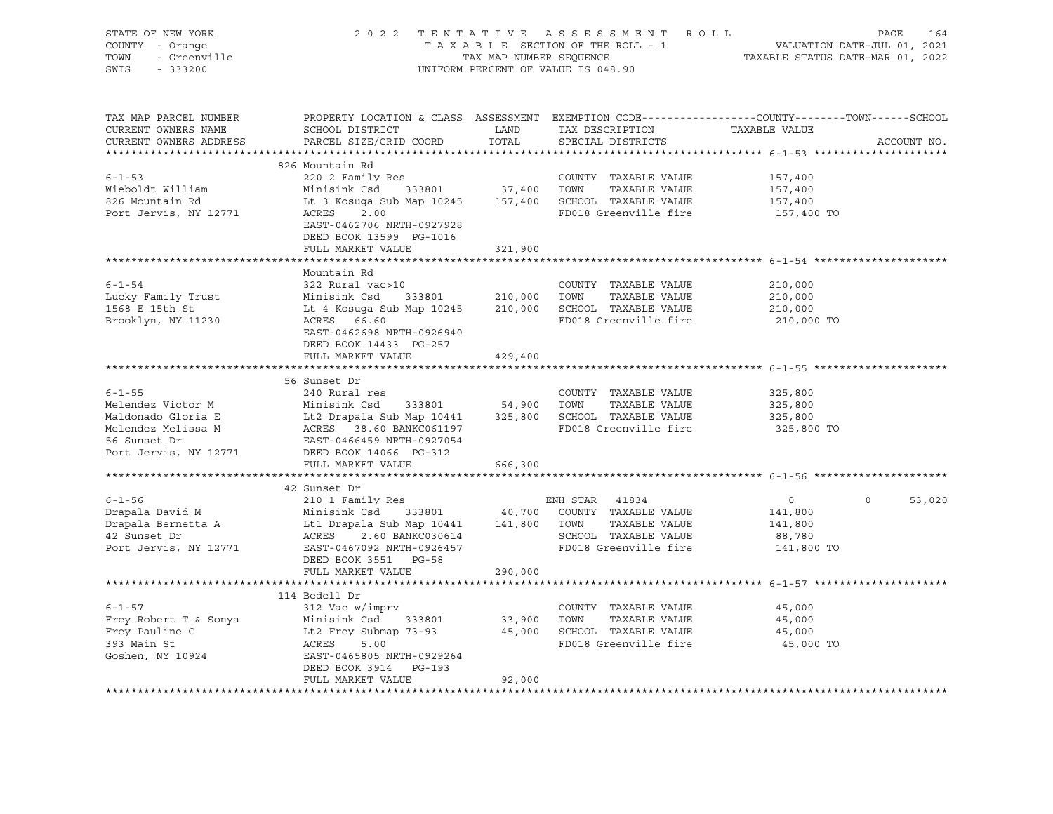| STATE OF NEW YORK<br>STATE OF NEW YORK<br>COUNTY - Orange<br>TOWN - Greenville                                                                                                                                                                               | 2022 TENTATIVE ASSESSMENT ROLL PAGE 164<br>TAXABLE SECTION OF THE ROLL - 1 VALUATION DATE-JUL 01, 2021<br>TAX MAP NUMBER SEQUENCE TAXABLE STATUS DATE-MAR 01, 2022                                        |         | UNIFORM PERCENT OF VALUE IS 048.90                                                                                  |                       |                    |
|--------------------------------------------------------------------------------------------------------------------------------------------------------------------------------------------------------------------------------------------------------------|-----------------------------------------------------------------------------------------------------------------------------------------------------------------------------------------------------------|---------|---------------------------------------------------------------------------------------------------------------------|-----------------------|--------------------|
| TAX MAP PARCEL NUMBER<br>CURRENT OWNERS NAME<br>CURRENT OWNERS ADDRESS                                                                                                                                                                                       | PROPERTY LOCATION & CLASS ASSESSMENT EXEMPTION CODE----------------COUNTY-------TOWN------SCHOOL<br>PARCEL SIZE/GRID COORD                                                                                |         | TOTAL SPECIAL DISTRICTS                                                                                             |                       | ACCOUNT NO.        |
|                                                                                                                                                                                                                                                              | 826 Mountain Rd                                                                                                                                                                                           |         |                                                                                                                     |                       |                    |
| $6 - 1 - 53$<br>Wieboldt William<br>826 Mountain Rd<br>Port Jervis, NY 12771                                                                                                                                                                                 | COUNTY TAXABLE VALUE 157,400<br>Minisink Csd 333801 37,400 TOWN TAXABLE VALUE 157,400<br>Lt 3 Kosuga Sub Map 10245 157,400 SCHOOL TAXABLE VALUE 157,400<br>ACRES 2.00 RD018 Greenwills fire<br>ACRES 2.00 |         |                                                                                                                     | 157,400 TO            |                    |
|                                                                                                                                                                                                                                                              | EAST-0462706 NRTH-0927928<br>DEED BOOK 13599 PG-1016<br>FULL MARKET VALUE                                                                                                                                 | 321,900 |                                                                                                                     |                       |                    |
|                                                                                                                                                                                                                                                              |                                                                                                                                                                                                           |         | ******************************** 6-1-54 *********************                                                       |                       |                    |
| $6 - 1 - 54$<br>1997 - 1997 - 1998 - 1999 - 1999 - 1999 - 1999 - 1999 - 1999 - 1999 - 1999 - 1999 - 1999 - 1999 - 1999 - 1999 - 1999 - 1999 - 1999 - 1999 - 1999 - 1999 - 1999 - 1999 - 1999 - 1999 - 1999 - 1999 - 1999 - 1999 - 1999 - 1999                | Mountain Rd<br>322 Rural vac>10<br>EAST-0462698 NRTH-0926940                                                                                                                                              |         | COUNTY TAXABLE VALUE<br>FD018 Greenville fire 210,000 TO                                                            | 210,000               |                    |
|                                                                                                                                                                                                                                                              | DEED BOOK 14433 PG-257<br>FULL MARKET VALUE                                                                                                                                                               | 429,400 |                                                                                                                     |                       |                    |
|                                                                                                                                                                                                                                                              |                                                                                                                                                                                                           |         |                                                                                                                     |                       |                    |
| $6 - 1 - 55$<br>Melendez Victor M<br>Minisink Csd 333801 54,900 TOWN TAXABLE VALUE 325,800<br>Maldonado Gloria E Lt2 Drapala Sub Map 10441 325,800 SCHOOL TAXABLE VALUE 325,800<br>Melendez Melissa M ACRES 38.60 BANKC061197 FD018 Greenville fire          | 56 Sunset Dr<br>240 Rural res                                                                                                                                                                             |         | COUNTY TAXABLE VALUE                                                                                                | 325,800<br>325,800 TO |                    |
|                                                                                                                                                                                                                                                              | FULL MARKET VALUE                                                                                                                                                                                         | 666,300 |                                                                                                                     |                       |                    |
|                                                                                                                                                                                                                                                              |                                                                                                                                                                                                           |         |                                                                                                                     |                       |                    |
| 912 Sunser Bin Homain Restricts and Minisink Csd 33801 and 40,700 COUNTY TAXABLE VALUE 141,800<br>912 Sunset Drapala Bernetta A Lt1 Drapala Sub Map 10441 141,800 TOWN TAXABLE VALUE 141,800<br>98,780 Port Jervis, NY 12771 EAST-                           | 42 Sunset Dr<br>DEED BOOK 3551 PG-58<br>FULL MARKET VALUE                                                                                                                                                 | 290,000 |                                                                                                                     |                       | $\Omega$<br>53,020 |
|                                                                                                                                                                                                                                                              |                                                                                                                                                                                                           |         |                                                                                                                     |                       |                    |
| $6 - 1 - 57$<br>Frey Robert T & Sonya<br>Frey Robert T & Sonya<br>Frey Pauline C Lt2 Frey Submap 73-93<br>33,900 TOWN TAXABLE VALUE<br>Frey Pauline C Lt2 Frey Submap 73-93<br>393 Main St ACRES 5.00<br>45,000 SCHOOL TAXABLE VALUE<br>FD018 Greenville fir | 114 Bedell Dr<br>312 Vac w/imprv<br>DEED BOOK 3914 PG-193<br>FULL MARKET VALUE                                                                                                                            | 92,000  | COUNTY TAXABLE VALUE<br>TOWN TAXABLE VALUE 45,000<br>SCHOOL TAXABLE VALUE 45,000<br>FD018 Greenville fire 45,000 TO | 45,000                |                    |
|                                                                                                                                                                                                                                                              |                                                                                                                                                                                                           |         |                                                                                                                     |                       |                    |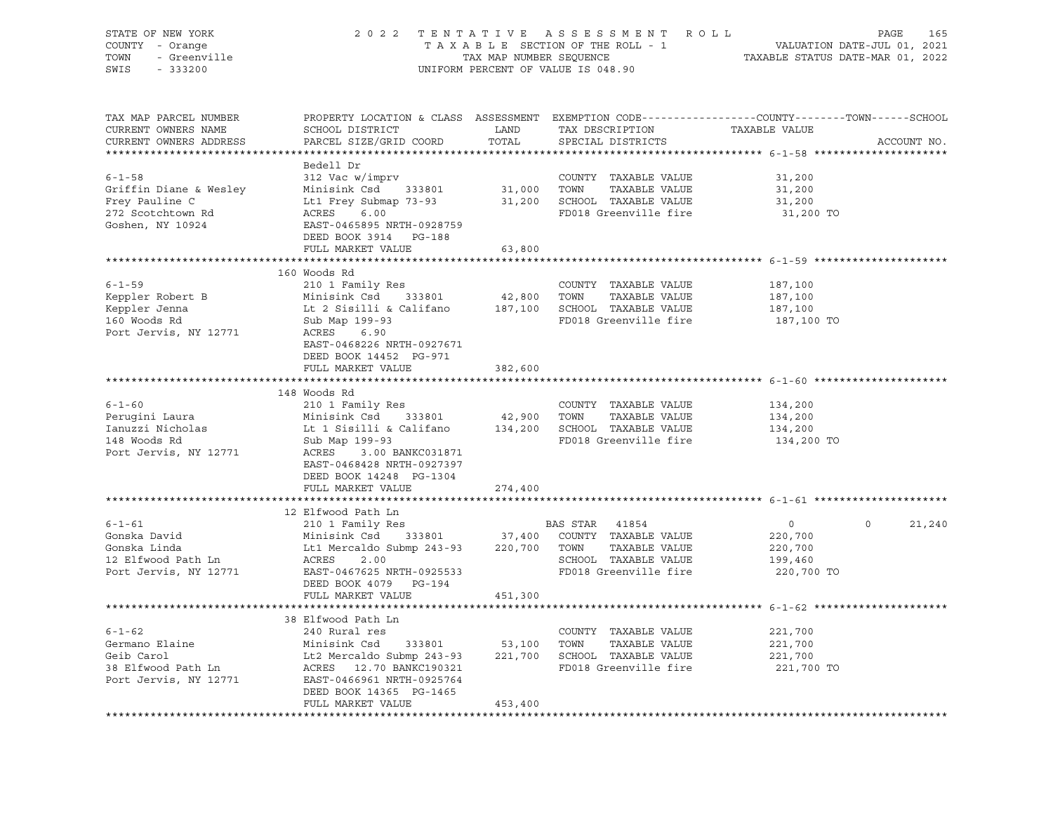| STATE OF NEW YORK<br>COUNTY - Orange<br>TOWN<br>SWIS                                                                   | 2022 TENTATIVE ASSESSMENT ROLL PAGE 165<br>TAXABLE SECTION OF THE ROLL - 1 VALUATION DATE-JUL 01, 2021<br>TAX MAP NUMBER SEQUENCE TAXABLE STATUS DATE-MAR 01, 2022<br>OF NEW YORK<br>I - Orange<br>- Greenville<br>- Casse<br>UNIFORM PERCENT OF VALUE IS 048.90 |               |                                                           |                                                     |                   |  |  |  |
|------------------------------------------------------------------------------------------------------------------------|------------------------------------------------------------------------------------------------------------------------------------------------------------------------------------------------------------------------------------------------------------------|---------------|-----------------------------------------------------------|-----------------------------------------------------|-------------------|--|--|--|
| TAX MAP PARCEL NUMBER<br>CURRENT OWNERS NAME<br>CURRENT OWNERS ADDRESS                                                 | PROPERTY LOCATION & CLASS ASSESSMENT EXEMPTION CODE----------------COUNTY-------TOWN------SCHOOL<br>SCHOOL DISTRICT<br>PARCEL SIZE/GRID COORD                                                                                                                    | LAND<br>TOTAL | TAX DESCRIPTION<br>SPECIAL DISTRICTS                      | TAXABLE VALUE                                       | ACCOUNT NO.       |  |  |  |
|                                                                                                                        |                                                                                                                                                                                                                                                                  |               |                                                           |                                                     |                   |  |  |  |
| $6 - 1 - 58$                                                                                                           | Bedell Dr                                                                                                                                                                                                                                                        |               | COUNTY TAXABLE VALUE                                      | 31,200                                              |                   |  |  |  |
| Griffin Diane & Wesley                                                                                                 | 312 Vac w/imprv<br>Minisink Csd 333801 31,000 TOWN                                                                                                                                                                                                               |               | TAXABLE VALUE                                             | 31,200                                              |                   |  |  |  |
| Frey Pauline C                                                                                                         | Minising Code<br>Lt1 Frey Submap 73-93                                                                                                                                                                                                                           |               | 31,200 SCHOOL TAXABLE VALUE                               | 31,200                                              |                   |  |  |  |
| 272 Scotchtown Rd                                                                                                      | ACRES 6.00                                                                                                                                                                                                                                                       |               | FD018 Greenville fire                                     | 31,200 TO                                           |                   |  |  |  |
| Goshen, NY 10924                                                                                                       | EAST-0465895 NRTH-0928759<br>DEED BOOK 3914 PG-188                                                                                                                                                                                                               |               |                                                           |                                                     |                   |  |  |  |
|                                                                                                                        | FULL MARKET VALUE                                                                                                                                                                                                                                                | 63,800        |                                                           |                                                     |                   |  |  |  |
|                                                                                                                        |                                                                                                                                                                                                                                                                  | ************  |                                                           | ************************ 6-1-59 ******************* |                   |  |  |  |
| $6 - 1 - 59$                                                                                                           | 160 Woods Rd                                                                                                                                                                                                                                                     |               |                                                           |                                                     |                   |  |  |  |
| Keppler Robert B                                                                                                       | 210 1 Family Res                                                                                                                                                                                                                                                 |               | COUNTY TAXABLE VALUE                                      | 187,100<br>187,100                                  |                   |  |  |  |
|                                                                                                                        | Minisink Csd 333801 42,800 TOWN TAXABLE VALUE<br>Lt 2 Sisilli & Califano 187,100 SCHOOL TAXABLE VALUE                                                                                                                                                            |               |                                                           | 187,100                                             |                   |  |  |  |
| Keppler Jenna<br>160 Woods Rd                                                                                          | Sub Map 199-93                                                                                                                                                                                                                                                   |               | FD018 Greenville fire                                     | 187,100 TO                                          |                   |  |  |  |
| Port Jervis, NY 12771                                                                                                  | ACRES 6.90                                                                                                                                                                                                                                                       |               |                                                           |                                                     |                   |  |  |  |
|                                                                                                                        | EAST-0468226 NRTH-0927671                                                                                                                                                                                                                                        |               |                                                           |                                                     |                   |  |  |  |
|                                                                                                                        | DEED BOOK 14452 PG-971                                                                                                                                                                                                                                           |               |                                                           |                                                     |                   |  |  |  |
|                                                                                                                        | FULL MARKET VALUE                                                                                                                                                                                                                                                | 382,600       |                                                           |                                                     |                   |  |  |  |
|                                                                                                                        |                                                                                                                                                                                                                                                                  |               |                                                           |                                                     |                   |  |  |  |
|                                                                                                                        | 148 Woods Rd                                                                                                                                                                                                                                                     |               |                                                           |                                                     |                   |  |  |  |
| $6 - 1 - 60$                                                                                                           | 210 1 Family Res                                                                                                                                                                                                                                                 |               | COUNTY TAXABLE VALUE                                      | 134,200                                             |                   |  |  |  |
| Perugini Laura                                                                                                         | Minisink Csd 333801 42,900 TOWN TAXABLE VALUE<br>Lt 1 Sisilli & Califano 134,200 SCHOOL TAXABLE VALUE                                                                                                                                                            |               |                                                           | 134,200                                             |                   |  |  |  |
| Ianuzzi Nicholas<br>148 Woods Rd                                                                                       |                                                                                                                                                                                                                                                                  |               |                                                           | 134,200                                             |                   |  |  |  |
|                                                                                                                        | Sub Map 199-93                                                                                                                                                                                                                                                   |               | FD018 Greenville fire                                     | 134,200 TO                                          |                   |  |  |  |
| Port Jervis, NY 12771                                                                                                  | ACRES 3.00 BANKC031871<br>EAST-0468428 NRTH-0927397                                                                                                                                                                                                              |               |                                                           |                                                     |                   |  |  |  |
|                                                                                                                        | DEED BOOK 14248 PG-1304                                                                                                                                                                                                                                          |               |                                                           |                                                     |                   |  |  |  |
|                                                                                                                        | FULL MARKET VALUE                                                                                                                                                                                                                                                | 274,400       |                                                           |                                                     |                   |  |  |  |
|                                                                                                                        |                                                                                                                                                                                                                                                                  |               |                                                           |                                                     |                   |  |  |  |
|                                                                                                                        | 12 Elfwood Path Ln                                                                                                                                                                                                                                               |               |                                                           |                                                     |                   |  |  |  |
| $6 - 1 - 61$                                                                                                           | 210 1 Family Res<br>Minisink Csd 333801 37,400 COUNTY TAXABLE VALUE<br>Lt1 Mercaldo Submp 243-93 220,700 TOWN TAXABLE VALUE<br>ACRES 2.00 SCHOOL TAXABLE VALUE                                                                                                   |               |                                                           | $\overline{0}$                                      | $\circ$<br>21,240 |  |  |  |
|                                                                                                                        |                                                                                                                                                                                                                                                                  |               |                                                           | 220,700                                             |                   |  |  |  |
| Gonska David<br>Gonska Linda<br>12 Elfwood Path Ln                                                                     |                                                                                                                                                                                                                                                                  |               |                                                           | 220,700                                             |                   |  |  |  |
|                                                                                                                        |                                                                                                                                                                                                                                                                  |               | SCHOOL TAXABLE VALUE<br>SCHOOL TAXABLE VALUE<br>EDO10 CHI | 199,460                                             |                   |  |  |  |
| Port Jervis, NY 12771                                                                                                  | EAST-0467625 NRTH-0925533                                                                                                                                                                                                                                        |               | FD018 Greenville fire                                     | 220,700 TO                                          |                   |  |  |  |
|                                                                                                                        | DEED BOOK 4079 PG-194                                                                                                                                                                                                                                            |               |                                                           |                                                     |                   |  |  |  |
|                                                                                                                        | FULL MARKET VALUE                                                                                                                                                                                                                                                | 451,300       |                                                           |                                                     |                   |  |  |  |
|                                                                                                                        |                                                                                                                                                                                                                                                                  |               |                                                           |                                                     |                   |  |  |  |
|                                                                                                                        | 38 Elfwood Path Ln                                                                                                                                                                                                                                               |               |                                                           |                                                     |                   |  |  |  |
| $6 - 1 - 62$                                                                                                           | 240 Rural res                                                                                                                                                                                                                                                    |               | COUNTY TAXABLE VALUE                                      | 221,700                                             |                   |  |  |  |
| Germano Elaine<br>Geib Carol George Contract Contract Contract Contract Contract Contract Contract Contract Contract C | Minisink Csd 333801 53,100 TOWN TAXABLE VALUE<br>Lt2 Mercaldo Submp 243-93 221,700 SCHOOL TAXABLE VALUE<br>ACRES 12.70 BANKC190321 FD018 Greenville fire                                                                                                         |               |                                                           | 221,700                                             |                   |  |  |  |
| 38 Elfwood Path Ln                                                                                                     |                                                                                                                                                                                                                                                                  |               | FD018 Greenville fire 221,700 TO                          | 221,700                                             |                   |  |  |  |
| Port Jervis, NY 12771                                                                                                  | EAST-0466961 NRTH-0925764                                                                                                                                                                                                                                        |               |                                                           |                                                     |                   |  |  |  |
|                                                                                                                        | DEED BOOK 14365 PG-1465                                                                                                                                                                                                                                          |               |                                                           |                                                     |                   |  |  |  |
|                                                                                                                        | FULL MARKET VALUE                                                                                                                                                                                                                                                | 453,400       |                                                           |                                                     |                   |  |  |  |
|                                                                                                                        |                                                                                                                                                                                                                                                                  |               |                                                           |                                                     |                   |  |  |  |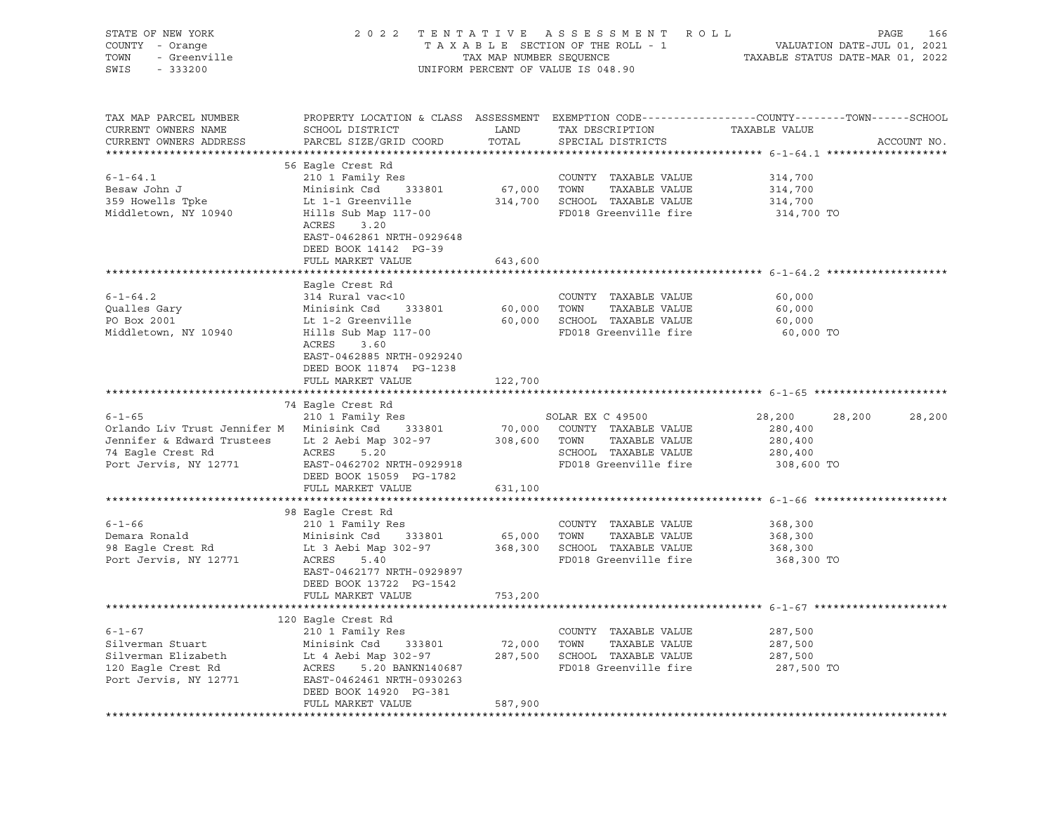| STATE OF NEW YORK<br>COUNTY - Orange<br>TOWN - Greenville<br>SWIS - 333200                                                                                                                                                           |                                                                                                      |         | 2022 TENTATIVE ASSESSMENT ROLL<br>TAXABLE SECTION OF THE ROLL - 1 VALUATION DATE-JUL 01, 2021<br>TAX MAP NUMBER SEQUENCE TAXABLE STATUS DATE-MAR 01, 2022<br>UNIFORM PERCENT OF VALUE IS 048.90 |                    |             |
|--------------------------------------------------------------------------------------------------------------------------------------------------------------------------------------------------------------------------------------|------------------------------------------------------------------------------------------------------|---------|-------------------------------------------------------------------------------------------------------------------------------------------------------------------------------------------------|--------------------|-------------|
| TAX MAP PARCEL NUMBER<br>CURRENT OWNERS NAME<br>CURRENT OWNERS ADDRESS                                                                                                                                                               | PROPERTY LOCATION & CLASS ASSESSMENT EXEMPTION CODE----------------COUNTY-------TOWN------SCHOOL     |         |                                                                                                                                                                                                 | TAXABLE VALUE      | ACCOUNT NO. |
|                                                                                                                                                                                                                                      |                                                                                                      |         |                                                                                                                                                                                                 |                    |             |
| $6 - 1 - 64.1$                                                                                                                                                                                                                       | 56 Eagle Crest Rd<br>210 1 Family Res                                                                |         |                                                                                                                                                                                                 |                    |             |
|                                                                                                                                                                                                                                      |                                                                                                      |         | COUNTY TAXABLE VALUE<br>67,000 TOWN TAXABLE VALUE<br>COUNTY TAXABLE VALUE 314,700                                                                                                               | 314,700            |             |
|                                                                                                                                                                                                                                      |                                                                                                      |         | 314,700 SCHOOL TAXABLE VALUE                                                                                                                                                                    | 314,700            |             |
|                                                                                                                                                                                                                                      |                                                                                                      |         | FD018 Greenville fire 314,700 TO                                                                                                                                                                |                    |             |
|                                                                                                                                                                                                                                      | ACRES 3.20                                                                                           |         |                                                                                                                                                                                                 |                    |             |
|                                                                                                                                                                                                                                      | EAST-0462861 NRTH-0929648                                                                            |         |                                                                                                                                                                                                 |                    |             |
|                                                                                                                                                                                                                                      | DEED BOOK 14142 PG-39                                                                                |         |                                                                                                                                                                                                 |                    |             |
|                                                                                                                                                                                                                                      | FULL MARKET VALUE                                                                                    | 643,600 |                                                                                                                                                                                                 |                    |             |
|                                                                                                                                                                                                                                      |                                                                                                      |         |                                                                                                                                                                                                 |                    |             |
|                                                                                                                                                                                                                                      | Eagle Crest Rd                                                                                       |         |                                                                                                                                                                                                 |                    |             |
| $6 - 1 - 64.2$                                                                                                                                                                                                                       | 314 Rural vac<10                                                                                     |         | COUNTY TAXABLE VALUE                                                                                                                                                                            | 60,000             |             |
| $Quallest Gary\n20 \text{ Poy } 2001$                                                                                                                                                                                                |                                                                                                      |         |                                                                                                                                                                                                 | 60,000             |             |
|                                                                                                                                                                                                                                      |                                                                                                      |         | 60,000 TOWN TAXABLE VALUE<br>60,000 SCHOOL TAXABLE VALUE<br>FD018 Greenville fire                                                                                                               | 60,000             |             |
| Middletown, NY 10940                                                                                                                                                                                                                 |                                                                                                      |         |                                                                                                                                                                                                 | 60,000 TO          |             |
|                                                                                                                                                                                                                                      | Minisink Csd<br>Lt 1-2 Greenville<br>Hills Sub Map 117-00<br>ACRES 3.60<br>EAST-0462885 NRTH-0929240 |         |                                                                                                                                                                                                 |                    |             |
|                                                                                                                                                                                                                                      | DEED BOOK 11874 PG-1238                                                                              |         |                                                                                                                                                                                                 |                    |             |
|                                                                                                                                                                                                                                      | FULL MARKET VALUE                                                                                    | 122,700 |                                                                                                                                                                                                 |                    |             |
|                                                                                                                                                                                                                                      |                                                                                                      |         |                                                                                                                                                                                                 |                    |             |
|                                                                                                                                                                                                                                      | 74 Eagle Crest Rd                                                                                    |         |                                                                                                                                                                                                 |                    |             |
| $6-1-65$<br>210 1 Family Res<br>210 1 Family Res<br>210 1 Family Res<br>210 200 200MTY TAXABLE VALUE<br>200 200MTY TAXABLE VALUE                                                                                                     |                                                                                                      |         |                                                                                                                                                                                                 | 28,200<br>28,200   | 28,200      |
|                                                                                                                                                                                                                                      |                                                                                                      |         |                                                                                                                                                                                                 | 280,400            |             |
|                                                                                                                                                                                                                                      |                                                                                                      |         |                                                                                                                                                                                                 | 280,400            |             |
|                                                                                                                                                                                                                                      |                                                                                                      |         |                                                                                                                                                                                                 | 280,400            |             |
| Jennifer & Edward Trustees<br>74 Eagle Crest Rd 2 ACRES 5.20 5000 TOWN 7AXABLE VALUE<br>74 Eagle Crest Rd 2 ACRES 5.20 5000 SCHOOL TAXABLE VALUE<br>74 Eagle Crest Rd 2 ACRES 5.20 50018 50018 5001<br>FD018 Greenville fire 8       |                                                                                                      |         | FD018 Greenville fire 308,600 TO                                                                                                                                                                |                    |             |
|                                                                                                                                                                                                                                      | DEED BOOK 15059 PG-1782                                                                              |         |                                                                                                                                                                                                 |                    |             |
|                                                                                                                                                                                                                                      | FULL MARKET VALUE                                                                                    | 631,100 |                                                                                                                                                                                                 |                    |             |
|                                                                                                                                                                                                                                      |                                                                                                      |         |                                                                                                                                                                                                 |                    |             |
|                                                                                                                                                                                                                                      | 98 Eagle Crest Rd                                                                                    |         |                                                                                                                                                                                                 |                    |             |
|                                                                                                                                                                                                                                      |                                                                                                      |         |                                                                                                                                                                                                 | 368,300            |             |
| 6-1-66 210 1 Family Res COUNTY TAXABLE VALUE<br>Demara Ronald Minisink Csd 333801 65,000 TOWN TAXABLE VALUE<br>98 Eagle Crest Rd Lt 3 Aebi Map 302-97 368,300 SCHOOL TAXABLE VALUE<br>Port Jervis, NY 12771 ACRES 5.40 FD018 Greenvi |                                                                                                      |         |                                                                                                                                                                                                 | 368,300<br>368,300 |             |
|                                                                                                                                                                                                                                      |                                                                                                      |         |                                                                                                                                                                                                 | 368,300 TO         |             |
|                                                                                                                                                                                                                                      | EAST-0462177 NRTH-0929897                                                                            |         |                                                                                                                                                                                                 |                    |             |
|                                                                                                                                                                                                                                      | DEED BOOK 13722 PG-1542                                                                              |         |                                                                                                                                                                                                 |                    |             |
|                                                                                                                                                                                                                                      | FULL MARKET VALUE                                                                                    | 753,200 |                                                                                                                                                                                                 |                    |             |
|                                                                                                                                                                                                                                      |                                                                                                      |         |                                                                                                                                                                                                 |                    |             |
|                                                                                                                                                                                                                                      | 120 Eagle Crest Rd                                                                                   |         |                                                                                                                                                                                                 |                    |             |
| 0-1-0/<br>Silverman Stuart Minisink Csd 333801 72,000 TOWN TAXABLE VALUE<br>Silverman Elizabeth Lt 4 Aebi Map 302-97 287,500 SCHOOL TAXABLE VALUE 287,500<br>120 Eagle Crest Rd ACRES 5.20 BANKN140687 FD018 Greenville fire 287,500 |                                                                                                      |         |                                                                                                                                                                                                 |                    |             |
|                                                                                                                                                                                                                                      |                                                                                                      |         |                                                                                                                                                                                                 |                    |             |
|                                                                                                                                                                                                                                      |                                                                                                      |         |                                                                                                                                                                                                 |                    |             |
|                                                                                                                                                                                                                                      |                                                                                                      |         |                                                                                                                                                                                                 |                    |             |
|                                                                                                                                                                                                                                      |                                                                                                      |         |                                                                                                                                                                                                 |                    |             |
|                                                                                                                                                                                                                                      | DEED BOOK 14920 PG-381                                                                               |         |                                                                                                                                                                                                 |                    |             |
|                                                                                                                                                                                                                                      | FULL MARKET VALUE                                                                                    | 587,900 |                                                                                                                                                                                                 |                    |             |
|                                                                                                                                                                                                                                      |                                                                                                      |         |                                                                                                                                                                                                 |                    |             |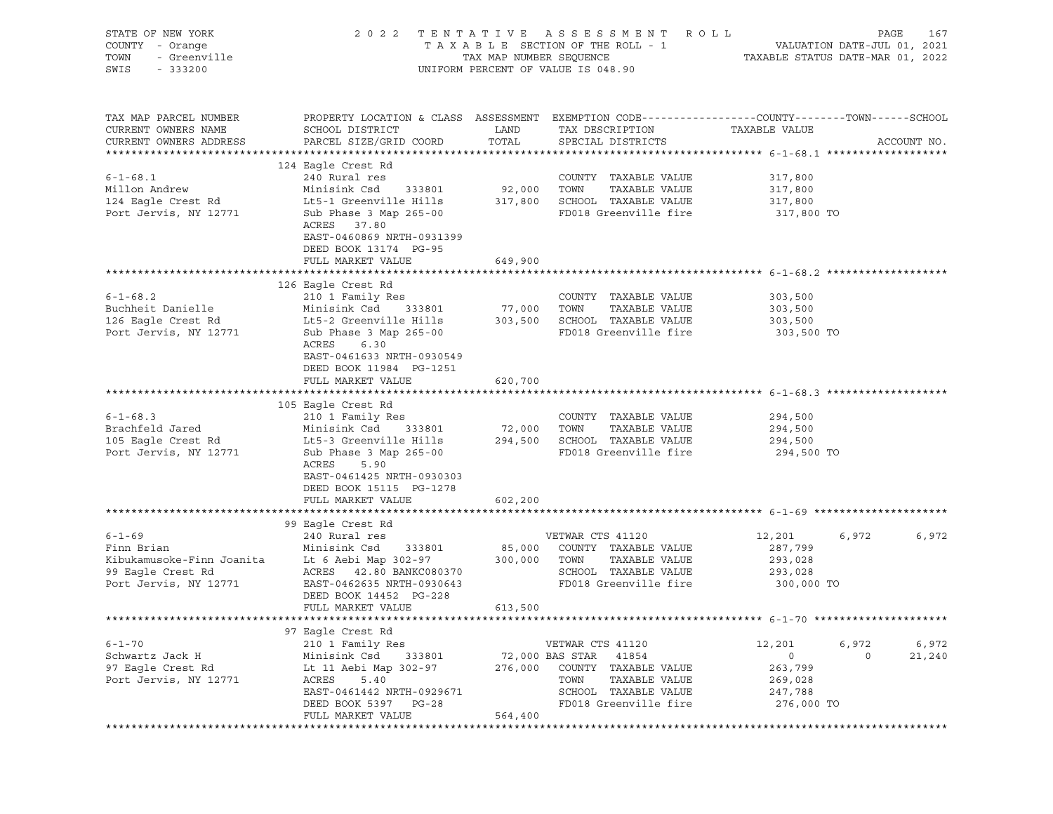| STATE OF NEW YORK<br>COUNTY - Orange<br>/ - Orange<br>- Greenville<br>- 333200<br>TOWN<br>SWIS<br>$-333200$ | 2 0 2 2                                                                                                                                                                                                                                                                                                                                                                              |               | TENTATIVE ASSESSMENT ROLL<br>UNIFORM PERCENT OF VALUE IS 048.90 |                    | PAGE    | 167         |
|-------------------------------------------------------------------------------------------------------------|--------------------------------------------------------------------------------------------------------------------------------------------------------------------------------------------------------------------------------------------------------------------------------------------------------------------------------------------------------------------------------------|---------------|-----------------------------------------------------------------|--------------------|---------|-------------|
| TAX MAP PARCEL NUMBER<br>CURRENT OWNERS NAME<br>CURRENT OWNERS ADDRESS                                      | PROPERTY LOCATION & CLASS ASSESSMENT EXEMPTION CODE---------------COUNTY-------TOWN------SCHOOL<br>SCHOOL DISTRICT<br>PARCEL SIZE/GRID COORD                                                                                                                                                                                                                                         | LAND<br>TOTAL | TAX DESCRIPTION<br>SPECIAL DISTRICTS                            | TAXABLE VALUE      |         | ACCOUNT NO. |
|                                                                                                             |                                                                                                                                                                                                                                                                                                                                                                                      |               |                                                                 |                    |         |             |
|                                                                                                             | 124 Eagle Crest Rd                                                                                                                                                                                                                                                                                                                                                                   |               |                                                                 |                    |         |             |
| $6 - 1 - 68.1$<br>Millon Andrew                                                                             | 240 Rural res<br>Minisink Csd 333801                                                                                                                                                                                                                                                                                                                                                 |               | COUNTY TAXABLE VALUE<br>92,000 TOWN TAXABLE VALUE               | 317,800<br>317,800 |         |             |
| 124 Eagle Crest Rd                                                                                          | Lt5-1 Greenville Hills 317,800 SCHOOL TAXABLE VALUE                                                                                                                                                                                                                                                                                                                                  |               |                                                                 | 317,800            |         |             |
| Port Jervis, NY 12771                                                                                       | Sub Phase 3 Map 265-00<br>ACRES 37.80<br>EAST-0460869 NRTH-0931399<br>DEED BOOK 13174 PG-95                                                                                                                                                                                                                                                                                          |               | FD018 Greenville fire                                           | 317,800 TO         |         |             |
|                                                                                                             | FULL MARKET VALUE                                                                                                                                                                                                                                                                                                                                                                    | 649,900       |                                                                 |                    |         |             |
|                                                                                                             | 126 Eagle Crest Rd                                                                                                                                                                                                                                                                                                                                                                   |               |                                                                 |                    |         |             |
| $6 - 1 - 68.2$                                                                                              | 210 1 Family Res                                                                                                                                                                                                                                                                                                                                                                     |               | COUNTY TAXABLE VALUE                                            | 303,500            |         |             |
| Buchheit Danielle                                                                                           | Minisink Csd 333801                                                                                                                                                                                                                                                                                                                                                                  |               | TAXABLE VALUE                                                   | 303,500            |         |             |
| 126 Eagle Crest Rd                                                                                          | Lt5-2 Greenville Hills 303,500 SCHOOL TAXABLE VALUE                                                                                                                                                                                                                                                                                                                                  |               |                                                                 | 303,500            |         |             |
| Port Jervis, NY 12771                                                                                       | Sub Phase 3 Map 265-00<br>ACRES<br>6.30<br>EAST-0461633 NRTH-0930549<br>DEED BOOK 11984 PG-1251                                                                                                                                                                                                                                                                                      |               | FD018 Greenville fire                                           | 303,500 TO         |         |             |
|                                                                                                             | FULL MARKET VALUE                                                                                                                                                                                                                                                                                                                                                                    | 620,700       |                                                                 |                    |         |             |
|                                                                                                             | 105 Eagle Crest Rd                                                                                                                                                                                                                                                                                                                                                                   |               |                                                                 |                    |         |             |
| $6 - 1 - 68.3$                                                                                              | 210 1 Family Res                                                                                                                                                                                                                                                                                                                                                                     |               | COUNTY TAXABLE VALUE                                            | 294,500            |         |             |
| Brachfeld Jared                                                                                             | $\overline{M}$ $\overline{M}$ $\overline{M}$ $\overline{M}$ $\overline{M}$ $\overline{M}$ $\overline{M}$ $\overline{M}$ $\overline{M}$ $\overline{M}$ $\overline{M}$ $\overline{M}$ $\overline{M}$ $\overline{M}$ $\overline{M}$ $\overline{M}$ $\overline{M}$ $\overline{M}$ $\overline{M}$ $\overline{M}$ $\overline{M}$ $\overline{M}$ $\overline{M}$ $\overline{M}$ $\overline{$ | 72,000 TOWN   | TAXABLE VALUE                                                   | 294,500            |         |             |
| 105 Eagle Crest Rd                                                                                          | Lt5-3 Greenville Hills 394,500 SCHOOL TAXABLE VALUE                                                                                                                                                                                                                                                                                                                                  |               |                                                                 | 294,500            |         |             |
| Port Jervis, NY 12771                                                                                       | Sub Phase 3 Map 265-00<br>5.90<br>ACRES<br>EAST-0461425 NRTH-0930303<br>DEED BOOK 15115 PG-1278<br>FULL MARKET VALUE                                                                                                                                                                                                                                                                 | 602,200       | FD018 Greenville fire                                           | 294,500 TO         |         |             |
|                                                                                                             |                                                                                                                                                                                                                                                                                                                                                                                      |               |                                                                 |                    |         |             |
|                                                                                                             | 99 Eagle Crest Rd                                                                                                                                                                                                                                                                                                                                                                    |               |                                                                 |                    |         |             |
| $6 - 1 - 69$                                                                                                | 240 Rural res                                                                                                                                                                                                                                                                                                                                                                        |               | VETWAR CTS 41120                                                | 12,201             | 6,972   | 6,972       |
| Finn Brian                                                                                                  | Minisink Csd 333801                                                                                                                                                                                                                                                                                                                                                                  |               | 85,000 COUNTY TAXABLE VALUE                                     | 287,799            |         |             |
|                                                                                                             |                                                                                                                                                                                                                                                                                                                                                                                      |               |                                                                 | 293,028            |         |             |
| Port Jervis, NY 12771                                                                                       | EAST-0462635 NRTH-0930643                                                                                                                                                                                                                                                                                                                                                            |               | SCHOOL TAXABLE VALUE<br>FD018 Greenville fire 300,000 TO        | 293,028            |         |             |
|                                                                                                             | DEED BOOK 14452 PG-228                                                                                                                                                                                                                                                                                                                                                               |               |                                                                 |                    |         |             |
|                                                                                                             | FULL MARKET VALUE                                                                                                                                                                                                                                                                                                                                                                    | 613,500       |                                                                 |                    |         |             |
|                                                                                                             |                                                                                                                                                                                                                                                                                                                                                                                      |               |                                                                 |                    |         |             |
|                                                                                                             | 97 Eagle Crest Rd                                                                                                                                                                                                                                                                                                                                                                    |               |                                                                 |                    |         |             |
| $6 - 1 - 70$                                                                                                | 210 1 Family Res                                                                                                                                                                                                                                                                                                                                                                     |               | VETWAR CTS 41120                                                | 12,201             | 6,972   | 6,972       |
| Schwartz Jack H                                                                                             | Minisink Csd<br>333801                                                                                                                                                                                                                                                                                                                                                               |               | 72,000 BAS STAR<br>41854                                        | $\circ$            | $\circ$ | 21,240      |
| 97 Eagle Crest Rd                                                                                           | Lt 11 Aebi Map 302-97                                                                                                                                                                                                                                                                                                                                                                | 276,000       | COUNTY<br>TAXABLE VALUE                                         | 263,799            |         |             |
| Port Jervis, NY 12771                                                                                       | ACRES<br>5.40                                                                                                                                                                                                                                                                                                                                                                        |               | TOWN<br>TAXABLE VALUE<br>SCHOOL TAXABLE VALUE                   | 269,028<br>247,788 |         |             |
|                                                                                                             | EAST-0461442 NRTH-0929671<br>DEED BOOK 5397<br>PG-28                                                                                                                                                                                                                                                                                                                                 |               | FD018 Greenville fire                                           | 276,000 TO         |         |             |
|                                                                                                             | FULL MARKET VALUE                                                                                                                                                                                                                                                                                                                                                                    | 564,400       |                                                                 |                    |         |             |
|                                                                                                             | *********************                                                                                                                                                                                                                                                                                                                                                                | ***********   |                                                                 |                    |         |             |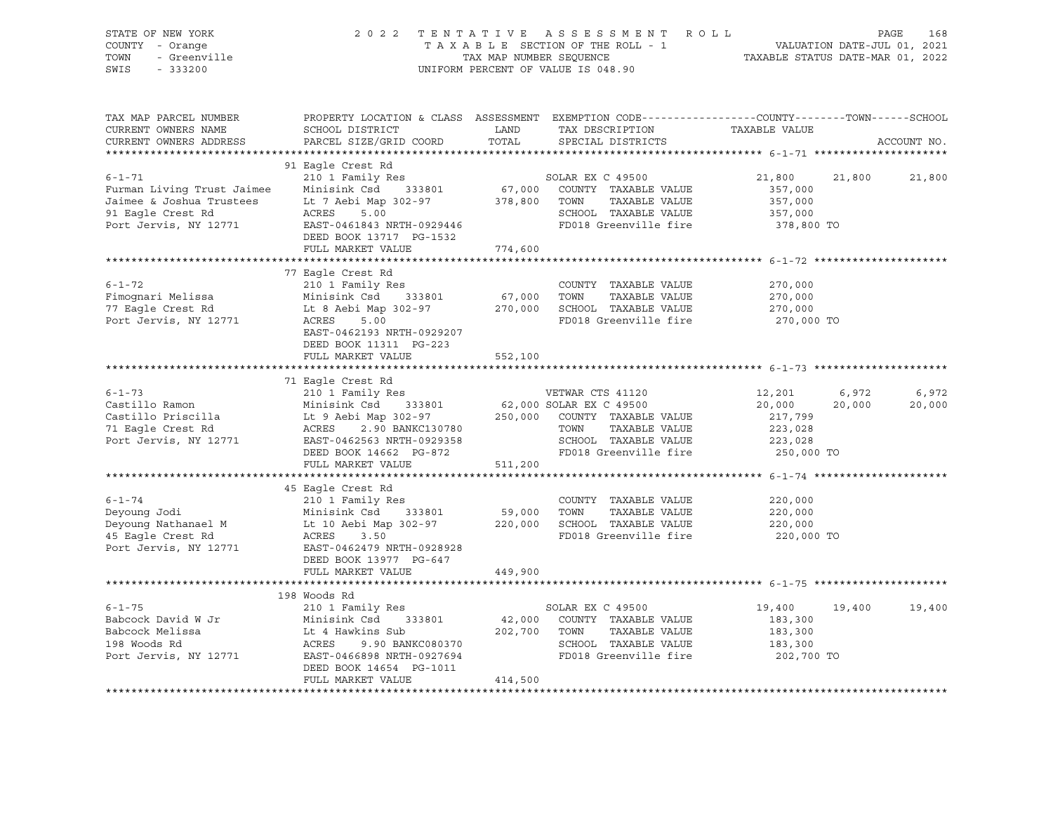| OF NEW YORK<br>I - Orange<br>- Greenville |                                                                                                       |                                                                                     |                                                                                                       | PAGE                                                                                                                                                                                                                                                                                                                                                                                                                                                                                                                                                                                                                                                                                                                                                                                                                                                                                                                                                                                                                                                 | 168                                                                                                                                                                                                                                                                                                                                                                                                                                                                                                                                                                                                                                                                                                                                                                                                                                                                                                                                                                                    |
|-------------------------------------------|-------------------------------------------------------------------------------------------------------|-------------------------------------------------------------------------------------|-------------------------------------------------------------------------------------------------------|------------------------------------------------------------------------------------------------------------------------------------------------------------------------------------------------------------------------------------------------------------------------------------------------------------------------------------------------------------------------------------------------------------------------------------------------------------------------------------------------------------------------------------------------------------------------------------------------------------------------------------------------------------------------------------------------------------------------------------------------------------------------------------------------------------------------------------------------------------------------------------------------------------------------------------------------------------------------------------------------------------------------------------------------------|----------------------------------------------------------------------------------------------------------------------------------------------------------------------------------------------------------------------------------------------------------------------------------------------------------------------------------------------------------------------------------------------------------------------------------------------------------------------------------------------------------------------------------------------------------------------------------------------------------------------------------------------------------------------------------------------------------------------------------------------------------------------------------------------------------------------------------------------------------------------------------------------------------------------------------------------------------------------------------------|
| TAX MAP PARCEL NUMBER<br>SCHOOL DISTRICT  |                                                                                                       | SPECIAL DISTRICTS                                                                   |                                                                                                       |                                                                                                                                                                                                                                                                                                                                                                                                                                                                                                                                                                                                                                                                                                                                                                                                                                                                                                                                                                                                                                                      | ACCOUNT NO.                                                                                                                                                                                                                                                                                                                                                                                                                                                                                                                                                                                                                                                                                                                                                                                                                                                                                                                                                                            |
| 91 Eagle Crest Rd<br>FULL MARKET VALUE    |                                                                                                       |                                                                                     |                                                                                                       | 21,800 21,800                                                                                                                                                                                                                                                                                                                                                                                                                                                                                                                                                                                                                                                                                                                                                                                                                                                                                                                                                                                                                                        |                                                                                                                                                                                                                                                                                                                                                                                                                                                                                                                                                                                                                                                                                                                                                                                                                                                                                                                                                                                        |
|                                           |                                                                                                       |                                                                                     |                                                                                                       |                                                                                                                                                                                                                                                                                                                                                                                                                                                                                                                                                                                                                                                                                                                                                                                                                                                                                                                                                                                                                                                      |                                                                                                                                                                                                                                                                                                                                                                                                                                                                                                                                                                                                                                                                                                                                                                                                                                                                                                                                                                                        |
| 77 Eagle Crest Rd<br>210 1 Family Res     |                                                                                                       | COUNTY TAXABLE VALUE                                                                | 270,000<br>270,000<br>270,000                                                                         |                                                                                                                                                                                                                                                                                                                                                                                                                                                                                                                                                                                                                                                                                                                                                                                                                                                                                                                                                                                                                                                      |                                                                                                                                                                                                                                                                                                                                                                                                                                                                                                                                                                                                                                                                                                                                                                                                                                                                                                                                                                                        |
|                                           |                                                                                                       |                                                                                     |                                                                                                       |                                                                                                                                                                                                                                                                                                                                                                                                                                                                                                                                                                                                                                                                                                                                                                                                                                                                                                                                                                                                                                                      |                                                                                                                                                                                                                                                                                                                                                                                                                                                                                                                                                                                                                                                                                                                                                                                                                                                                                                                                                                                        |
|                                           |                                                                                                       |                                                                                     |                                                                                                       |                                                                                                                                                                                                                                                                                                                                                                                                                                                                                                                                                                                                                                                                                                                                                                                                                                                                                                                                                                                                                                                      |                                                                                                                                                                                                                                                                                                                                                                                                                                                                                                                                                                                                                                                                                                                                                                                                                                                                                                                                                                                        |
| 71 Eagle Crest Rd                         |                                                                                                       |                                                                                     |                                                                                                       | 20,000 20,000                                                                                                                                                                                                                                                                                                                                                                                                                                                                                                                                                                                                                                                                                                                                                                                                                                                                                                                                                                                                                                        | 6,972                                                                                                                                                                                                                                                                                                                                                                                                                                                                                                                                                                                                                                                                                                                                                                                                                                                                                                                                                                                  |
|                                           |                                                                                                       |                                                                                     |                                                                                                       |                                                                                                                                                                                                                                                                                                                                                                                                                                                                                                                                                                                                                                                                                                                                                                                                                                                                                                                                                                                                                                                      |                                                                                                                                                                                                                                                                                                                                                                                                                                                                                                                                                                                                                                                                                                                                                                                                                                                                                                                                                                                        |
| DEED BOOK 13977 PG-647                    |                                                                                                       |                                                                                     | 220,000                                                                                               |                                                                                                                                                                                                                                                                                                                                                                                                                                                                                                                                                                                                                                                                                                                                                                                                                                                                                                                                                                                                                                                      |                                                                                                                                                                                                                                                                                                                                                                                                                                                                                                                                                                                                                                                                                                                                                                                                                                                                                                                                                                                        |
|                                           |                                                                                                       |                                                                                     |                                                                                                       |                                                                                                                                                                                                                                                                                                                                                                                                                                                                                                                                                                                                                                                                                                                                                                                                                                                                                                                                                                                                                                                      |                                                                                                                                                                                                                                                                                                                                                                                                                                                                                                                                                                                                                                                                                                                                                                                                                                                                                                                                                                                        |
|                                           |                                                                                                       |                                                                                     |                                                                                                       |                                                                                                                                                                                                                                                                                                                                                                                                                                                                                                                                                                                                                                                                                                                                                                                                                                                                                                                                                                                                                                                      |                                                                                                                                                                                                                                                                                                                                                                                                                                                                                                                                                                                                                                                                                                                                                                                                                                                                                                                                                                                        |
| 210 1 Family Res<br>FULL MARKET VALUE     | 414,500                                                                                               |                                                                                     | 19,400                                                                                                | 19,400 19,400                                                                                                                                                                                                                                                                                                                                                                                                                                                                                                                                                                                                                                                                                                                                                                                                                                                                                                                                                                                                                                        |                                                                                                                                                                                                                                                                                                                                                                                                                                                                                                                                                                                                                                                                                                                                                                                                                                                                                                                                                                                        |
|                                           | DEED BOOK 11311 PG-223<br>FULL MARKET VALUE<br>45 Eagle Crest Rd<br>FULL MARKET VALUE<br>198 Woods Rd | DEED BOOK 13717 PG-1532<br>774,600<br>552,100<br>449,900<br>DEED BOOK 14654 PG-1011 | UNIFORM PERCENT OF VALUE IS 048.90<br><b>LAND</b><br>PARCEL SIZE/GRID COORD TOTAL<br>SOLAR EX C 49500 | 2022 TENTATIVE ASSESSMENT ROLL<br>TAX DESCRIPTION TAXABLE VALUE<br>Fimognari Melissa Minisink Csd 333801 67,000 TOWN TAXABLE VALUE<br>77 Eagle Crest Rd Lt 8 Aebi Map 302-97 270,000 SCHOOL TAXABLE VALUE<br>Port Jervis, NY 12771 ACRES 5.00<br>EAST-0462193 NRTH-0929207<br>FD018 Greenville fire<br>FD018 Greenville fire<br>$\begin{tabular}{lllllllllllll} \multicolumn{3}{l}{{\small 6-1-73}} & & & & & & & & \\ \multicolumn{3}{l}{{\small 6-1-73}} & & & & & & & & \\ & & & & & & & & & & & \\ \multicolumn{3}{l}{{\small 6-1-73}} & & & & & & & & \\ \multicolumn{3}{l}{{\small 6-1-73}} & & & & & & & & \\ \multicolumn{3}{l}{{\small 6-1-73}} & & & & & & & & \\ \multicolumn{3}{l}{{\small 6-1-73}} & & & & & & & & \\ \multicolumn{3}{l}{{\small 6-1-73}}$<br>6-1-74<br>Deyoung Jodi 210 1 Family Res<br>Deyoung Nathanael M<br>16 Minisink Csd 333801<br>16 Minisink Csd 333801<br>16 Minisink Csd 333801<br>16 Minisink Csd 333801<br>16 Minisink Csd 333801<br>220,000 SCHOOL TAXABLE VALUE<br>220,000 SCHO<br>FD018 Greenville fire | TAXABLE SECTION OF THE ROLL - 1<br>TAXABLE SECTION OF THE ROLL - 1<br>TAXABLE STATUS DATE-MAR 01, 2022<br>PROPERTY LOCATION & CLASS ASSESSMENT EXEMPTION CODE-----------------COUNTY-------TOWN------SCHOOL<br>91 Eagle Crest Rd<br>Purman Living Trust Jaimee<br>Furman Living Trust Jaimee<br>Minisink Csd<br>Minisink Csd<br>333801<br>57,000 COUNTY TAXABLE VALUE<br>357,000<br>91 Eagle Crest Rd<br>Port Jervis, NY 12771<br>EAST-0461843 NRTH-0929446<br>Port<br>270,000 TO<br>VETWAR CTS 41120<br>COLAR EX C 49500<br>COUNTY TAXABLE VALUE<br>TOWN TAXABLE VALUE<br>TOWN TAXABLE VALUE<br>COUNTY TAXABLE VALUE<br>223,028<br>SCHOOL TAXABLE VALUE<br>223,028<br>FD018 Greenville fire<br>250,000 TO<br>220,000<br>220,000<br>220,000 TO<br>6-1-75 210 1 Family Res SOLAR EX C 49500 19<br>Babcock David W Jr Minisink Csd 333801 42,000 COUNTY TAXABLE VALUE 183,300<br>Babcock Melissa Lt 4 Hawkins Sub 202,700 TOWN TAXABLE VALUE 183,300<br>198 Woods Rd ACRES 9.90 BANKC080 |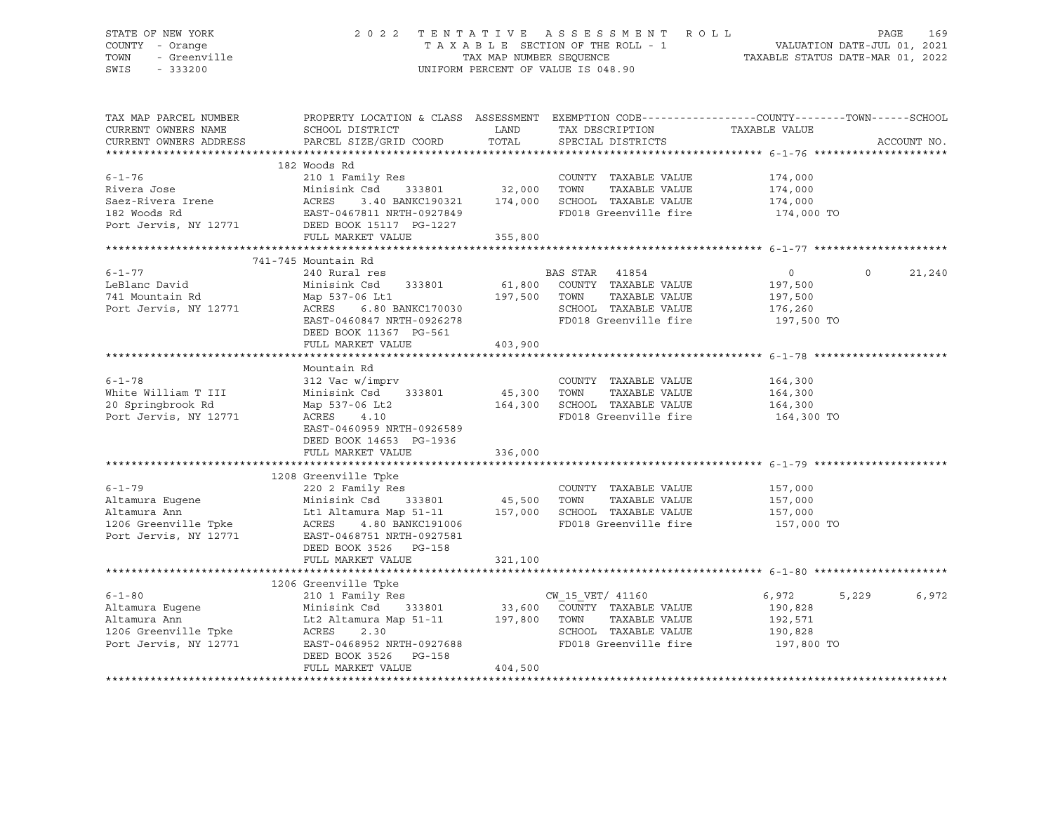### STATE OF NEW YORK 2 0 2 2 T E N T A T I V E A S S E S S M E N T R O L L PAGE 169 COUNTY - Orange T A X A B L E SECTION OF THE ROLL - 1 VALUATION DATE-JUL 01, 2021 TOWN - Greenville TAX MAP NUMBER SEQUENCE TAXABLE STATUS DATE-MAR 01, 2022 SWIS - 333200 UNIFORM PERCENT OF VALUE IS 048.90

| TAX MAP PARCEL NUMBER<br>CURRENT OWNERS NAME<br>CURRENT OWNERS ADDRESS                                                               | PROPERTY LOCATION & CLASS ASSESSMENT<br>SCHOOL DISTRICT<br>PARCEL SIZE/GRID COORD                                        | LAND<br>TOTAL                       | TAX DESCRIPTION<br>SPECIAL DISTRICTS                  | EXEMPTION CODE-----------------COUNTY-------TOWN------SCHOOL<br>TAXABLE VALUE | ACCOUNT NO.        |
|--------------------------------------------------------------------------------------------------------------------------------------|--------------------------------------------------------------------------------------------------------------------------|-------------------------------------|-------------------------------------------------------|-------------------------------------------------------------------------------|--------------------|
|                                                                                                                                      |                                                                                                                          |                                     |                                                       |                                                                               |                    |
| $6 - 1 - 76$                                                                                                                         | 182 Woods Rd<br>210 1 Family Res<br>Minisink Csd 333801 32,000                                                           |                                     | COUNTY TAXABLE VALUE                                  | 174,000<br>174,000                                                            |                    |
| Rivera Jose                                                                                                                          |                                                                                                                          |                                     | TOWN<br>TAXABLE VALUE                                 |                                                                               |                    |
|                                                                                                                                      | 3.40 BANKC190321 174,000                                                                                                 |                                     | SCHOOL TAXABLE VALUE 174,000                          |                                                                               |                    |
|                                                                                                                                      |                                                                                                                          |                                     | FD018 Greenville fire                                 | 174,000 TO                                                                    |                    |
| Saez-Rivera Irene MacRES 3.40 BANKC190321<br>182 Woods Rd EAST-0467811 NRTH-0927849<br>Port Jervis, NY 12771 DEED BOOK 15117 PG-1227 |                                                                                                                          |                                     |                                                       |                                                                               |                    |
|                                                                                                                                      | FULL MARKET VALUE                                                                                                        | 355,800                             |                                                       |                                                                               |                    |
|                                                                                                                                      |                                                                                                                          |                                     |                                                       |                                                                               |                    |
|                                                                                                                                      | 741-745 Mountain Rd                                                                                                      |                                     |                                                       |                                                                               |                    |
| $6 - 1 - 77$                                                                                                                         | 240 Rural res                                                                                                            |                                     | BAS STAR<br>41854                                     | $\circ$                                                                       | $\Omega$<br>21,240 |
| LeBlanc David                                                                                                                        | Minisink Csd<br>333801                                                                                                   |                                     | COUNTY TAXABLE VALUE                                  | 197,500                                                                       |                    |
| 741 Mountain Rd                                                                                                                      | Map 537-06 Lt1                                                                                                           | 61,800    COUNTY<br>197,500    TOWN | TAXABLE VALUE                                         | 197,500                                                                       |                    |
| Port Jervis, NY 12771                                                                                                                | Map 537-06 DLL<br>ACRES 6.80 BANKC170030                                                                                 |                                     |                                                       |                                                                               |                    |
|                                                                                                                                      | EAST-0460847 NRTH-0926278                                                                                                |                                     | SCHOOL TAXABLE VALUE 176,260<br>FD018 Greenville fire | 197,500 TO                                                                    |                    |
|                                                                                                                                      |                                                                                                                          |                                     |                                                       |                                                                               |                    |
|                                                                                                                                      | DEED BOOK 11367 PG-561                                                                                                   |                                     |                                                       |                                                                               |                    |
|                                                                                                                                      | FULL MARKET VALUE                                                                                                        | 403,900                             |                                                       |                                                                               |                    |
|                                                                                                                                      |                                                                                                                          |                                     |                                                       |                                                                               |                    |
|                                                                                                                                      | Mountain Rd                                                                                                              |                                     |                                                       |                                                                               |                    |
| $6 - 1 - 78$                                                                                                                         | 312 Vac w/imprv                                                                                                          |                                     | COUNTY TAXABLE VALUE                                  | 164,300                                                                       |                    |
| White William T III                                                                                                                  | Minisink Csd 333801                                                                                                      | COUNT<br>45,300 TOWN<br>164,300     | TAXABLE VALUE                                         | 164,300                                                                       |                    |
| 20 Springbrook Rd                                                                                                                    | Map 537-06 Lt2                                                                                                           | 164,300                             | SCHOOL TAXABLE VALUE                                  | 164,300                                                                       |                    |
| Port Jervis, NY 12771                                                                                                                | ACRES 4.10                                                                                                               |                                     | FD018 Greenville fire 164,300 TO                      |                                                                               |                    |
|                                                                                                                                      | EAST-0460959 NRTH-0926589                                                                                                |                                     |                                                       |                                                                               |                    |
|                                                                                                                                      | DEED BOOK 14653 PG-1936                                                                                                  |                                     |                                                       |                                                                               |                    |
|                                                                                                                                      | FULL MARKET VALUE                                                                                                        | 336,000                             |                                                       |                                                                               |                    |
|                                                                                                                                      |                                                                                                                          |                                     |                                                       |                                                                               |                    |
|                                                                                                                                      | 1208 Greenville Tpke                                                                                                     |                                     |                                                       |                                                                               |                    |
| $6 - 1 - 79$                                                                                                                         | 220 2 Family Res                                                                                                         |                                     | COUNTY TAXABLE VALUE                                  | 157,000                                                                       |                    |
| Altamura Eugene<br><u>Altamura</u> Ann                                                                                               |                                                                                                                          |                                     | TOWN<br>TAXABLE VALUE                                 | 157,000                                                                       |                    |
| Altamura Ann                                                                                                                         | Minisink Csd 333801 45,500<br>Lt1 Altamura Map 51-11 157,000                                                             |                                     | SCHOOL TAXABLE VALUE                                  | 157,000                                                                       |                    |
| 1206 Greenville Tpke<br>Paut January 19771                                                                                           | ACRES 4.80 BANKC191006                                                                                                   |                                     | FD018 Greenville fire 157,000 TO                      |                                                                               |                    |
| Port Jervis, NY 12771                                                                                                                | EAST-0468751 NRTH-0927581                                                                                                |                                     |                                                       |                                                                               |                    |
|                                                                                                                                      | DEED BOOK 3526 PG-158                                                                                                    |                                     |                                                       |                                                                               |                    |
|                                                                                                                                      | FULL MARKET VALUE                                                                                                        | 321,100                             |                                                       |                                                                               |                    |
|                                                                                                                                      |                                                                                                                          |                                     |                                                       |                                                                               |                    |
|                                                                                                                                      | 1206 Greenville Tpke                                                                                                     |                                     |                                                       |                                                                               |                    |
| $6 - 1 - 80$                                                                                                                         |                                                                                                                          |                                     |                                                       | 6,972<br>5,229                                                                | 6,972              |
|                                                                                                                                      | 210 1 Family Res<br>Minisink Csd 333801 33,600 COUNTY TAXABLE VALUE<br>Lt2 Altamura Map 51-11 197,800 TOWN TAXABLE VALUE |                                     |                                                       | 190,828                                                                       |                    |
| Altamura Eugene<br>Altamura Ann<br>Altamura Ann                                                                                      |                                                                                                                          |                                     | TAXABLE VALUE                                         | 192,571                                                                       |                    |
| 1206 Greenville Tpke                                                                                                                 | ACRES<br>2.30                                                                                                            |                                     |                                                       |                                                                               |                    |
| Port Jervis, NY 12771                                                                                                                | EAST-0468952 NRTH-0927688                                                                                                |                                     | SCHOOL TAXABLE VALUE<br>FD018 Greenville fire         | 190,828<br>197,800 TO                                                         |                    |
|                                                                                                                                      |                                                                                                                          |                                     |                                                       |                                                                               |                    |
|                                                                                                                                      | DEED BOOK 3526 PG-158                                                                                                    | 404,500                             |                                                       |                                                                               |                    |
|                                                                                                                                      | FULL MARKET VALUE                                                                                                        |                                     |                                                       |                                                                               |                    |
|                                                                                                                                      |                                                                                                                          |                                     |                                                       |                                                                               |                    |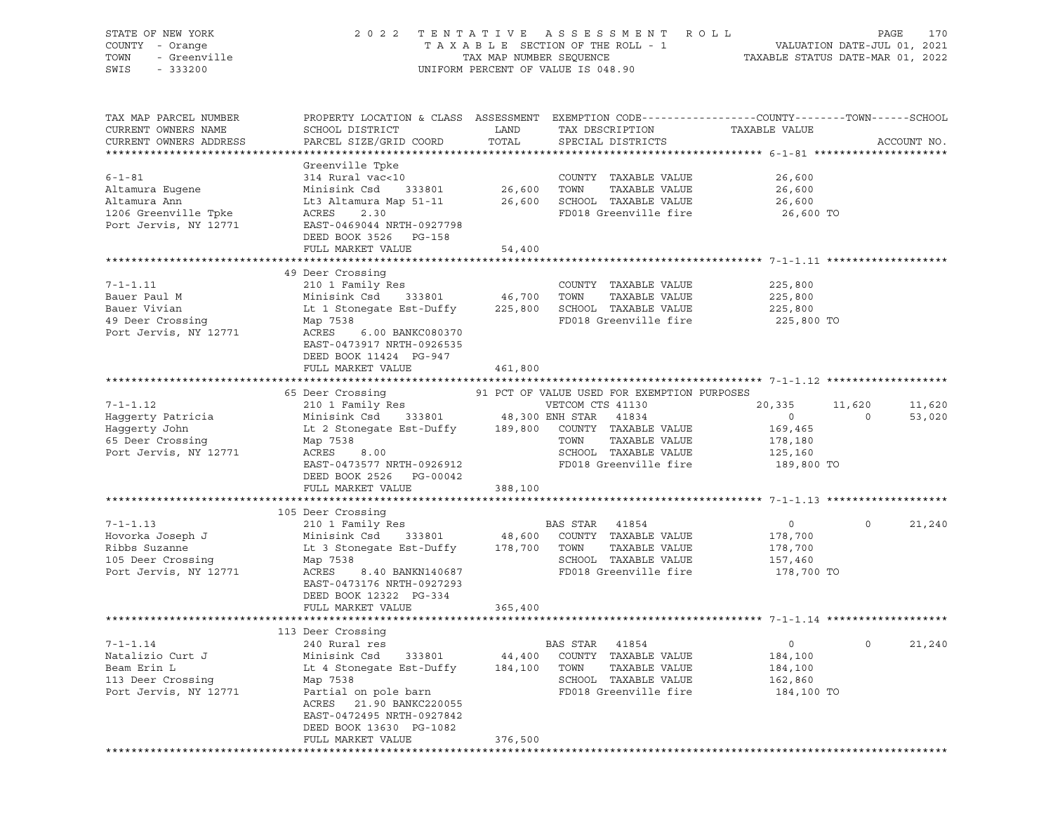| STATE OF NEW YORK                       | 2 0 2 2                                                                                         |                         | TENTATIVE ASSESSMENT<br>TAXABLE SECTION OF THE ROLL - 1 | R O L L        | 170<br>PAGE                                                     |
|-----------------------------------------|-------------------------------------------------------------------------------------------------|-------------------------|---------------------------------------------------------|----------------|-----------------------------------------------------------------|
| COUNTY - Orange<br>TOWN<br>- Greenville |                                                                                                 | TAX MAP NUMBER SEQUENCE |                                                         |                | VALUATION DATE-JUL 01, 2021<br>TAXABLE STATUS DATE-MAR 01, 2022 |
| SWIS<br>$-333200$                       |                                                                                                 |                         | UNIFORM PERCENT OF VALUE IS 048.90                      |                |                                                                 |
|                                         |                                                                                                 |                         |                                                         |                |                                                                 |
|                                         |                                                                                                 |                         |                                                         |                |                                                                 |
| TAX MAP PARCEL NUMBER                   | PROPERTY LOCATION & CLASS ASSESSMENT EXEMPTION CODE----------------COUNTY-------TOWN-----SCHOOL |                         |                                                         |                |                                                                 |
| CURRENT OWNERS NAME                     | SCHOOL DISTRICT                                                                                 | LAND                    | TAX DESCRIPTION                                         | TAXABLE VALUE  |                                                                 |
| CURRENT OWNERS ADDRESS                  | PARCEL SIZE/GRID COORD                                                                          | TOTAL                   | SPECIAL DISTRICTS                                       |                | ACCOUNT NO.                                                     |
|                                         |                                                                                                 |                         |                                                         |                |                                                                 |
|                                         | Greenville Tpke                                                                                 |                         |                                                         |                |                                                                 |
| $6 - 1 - 81$                            | 314 Rural vac<10                                                                                |                         | COUNTY TAXABLE VALUE                                    | 26,600         |                                                                 |
| Altamura Eugene                         | Minisink Csd<br>333801                                                                          | 26,600                  | TOWN<br>TAXABLE VALUE                                   | 26,600         |                                                                 |
| Altamura Ann                            | Lt3 Altamura Map 51-11                                                                          |                         | 26,600 SCHOOL TAXABLE VALUE                             | 26,600         |                                                                 |
| 1206 Greenville Tpke                    | ACRES<br>2.30                                                                                   |                         | FD018 Greenville fire                                   | 26,600 TO      |                                                                 |
| Port Jervis, NY 12771                   | EAST-0469044 NRTH-0927798                                                                       |                         |                                                         |                |                                                                 |
|                                         | DEED BOOK 3526 PG-158                                                                           |                         |                                                         |                |                                                                 |
|                                         | FULL MARKET VALUE                                                                               | 54,400                  |                                                         |                |                                                                 |
|                                         |                                                                                                 |                         |                                                         |                |                                                                 |
|                                         | 49 Deer Crossing                                                                                |                         |                                                         |                |                                                                 |
| $7 - 1 - 1.11$                          | 210 1 Family Res                                                                                |                         | COUNTY TAXABLE VALUE                                    | 225,800        |                                                                 |
| Bauer Paul M                            | Minisink Csd<br>333801                                                                          | 46,700                  | TOWN<br>TAXABLE VALUE                                   | 225,800        |                                                                 |
| Bauer Vivian                            | Lt 1 Stonegate Est-Duffy                                                                        | 225,800                 | SCHOOL TAXABLE VALUE                                    | 225,800        |                                                                 |
| 49 Deer Crossing                        | Map 7538                                                                                        |                         | FD018 Greenville fire                                   | 225,800 TO     |                                                                 |
| Port Jervis, NY 12771                   | ACRES<br>6.00 BANKC080370                                                                       |                         |                                                         |                |                                                                 |
|                                         | EAST-0473917 NRTH-0926535                                                                       |                         |                                                         |                |                                                                 |
|                                         | DEED BOOK 11424 PG-947                                                                          |                         |                                                         |                |                                                                 |
|                                         | FULL MARKET VALUE                                                                               | 461,800                 |                                                         |                |                                                                 |
|                                         |                                                                                                 |                         |                                                         |                |                                                                 |
|                                         | 65 Deer Crossing                                                                                |                         | 91 PCT OF VALUE USED FOR EXEMPTION PURPOSES             |                |                                                                 |
| $7 - 1 - 1.12$                          | 210 1 Family Res                                                                                |                         | VETCOM CTS 41130                                        | 20,335         | 11,620<br>11,620                                                |
| Haggerty Patricia                       | Minisink Csd                                                                                    | 333801 48,300 ENH STAR  | 41834                                                   | $\overline{0}$ | 53,020<br>$\circ$                                               |
| Haggerty John                           | Lt 2 Stonegate Est-Duffy                                                                        |                         | 189,800 COUNTY TAXABLE VALUE                            | 169,465        |                                                                 |
| 65 Deer Crossing                        | Map 7538                                                                                        |                         | TOWN<br>TAXABLE VALUE                                   | 178,180        |                                                                 |
| Port Jervis, NY 12771                   | ACRES<br>8.00                                                                                   |                         | SCHOOL TAXABLE VALUE                                    | 125,160        |                                                                 |
|                                         | EAST-0473577 NRTH-0926912                                                                       |                         | FD018 Greenville fire                                   | 189,800 TO     |                                                                 |
|                                         | DEED BOOK 2526 PG-00042                                                                         |                         |                                                         |                |                                                                 |
|                                         | FULL MARKET VALUE                                                                               | 388,100                 |                                                         |                |                                                                 |
|                                         | 105 Deer Crossing                                                                               |                         |                                                         |                |                                                                 |
| $7 - 1 - 1.13$                          | 210 1 Family Res                                                                                |                         | BAS STAR<br>41854                                       | $\circ$        | 21,240<br>$\circ$                                               |
| Hovorka Joseph J                        | 333801<br>Minisink Csd                                                                          | 48,600                  | COUNTY TAXABLE VALUE                                    | 178,700        |                                                                 |
| Ribbs Suzanne                           | Lt 3 Stonegate Est-Duffy                                                                        | 178,700                 | TOWN<br>TAXABLE VALUE                                   | 178,700        |                                                                 |
| 105 Deer Crossing                       | Map 7538                                                                                        |                         | SCHOOL TAXABLE VALUE                                    | 157,460        |                                                                 |
| Port Jervis, NY 12771                   | ACRES<br>8.40 BANKN140687                                                                       |                         | FD018 Greenville fire                                   | 178,700 TO     |                                                                 |
|                                         | EAST-0473176 NRTH-0927293                                                                       |                         |                                                         |                |                                                                 |
|                                         | DEED BOOK 12322 PG-334                                                                          |                         |                                                         |                |                                                                 |
|                                         | FULL MARKET VALUE                                                                               | 365,400                 |                                                         |                |                                                                 |
|                                         |                                                                                                 |                         |                                                         |                |                                                                 |
|                                         | 113 Deer Crossing                                                                               |                         |                                                         |                |                                                                 |
| $7 - 1 - 1.14$                          | 240 Rural res                                                                                   |                         | BAS STAR<br>41854                                       | $\circ$        | 0<br>21,240                                                     |
| Natalizio Curt J                        | Minisink Csd<br>333801                                                                          | 44,400                  | COUNTY<br>TAXABLE VALUE                                 | 184,100        |                                                                 |
| Beam Erin L                             | Lt 4 Stonegate Est-Duffy                                                                        | 184,100                 | TOWN<br>TAXABLE VALUE                                   | 184,100        |                                                                 |
| 113 Deer Crossing                       | Map 7538                                                                                        |                         | SCHOOL TAXABLE VALUE                                    | 162,860        |                                                                 |
| Port Jervis, NY 12771                   | Partial on pole barn                                                                            |                         | FD018 Greenville fire                                   | 184,100 TO     |                                                                 |
|                                         | ACRES<br>21.90 BANKC220055                                                                      |                         |                                                         |                |                                                                 |
|                                         | EAST-0472495 NRTH-0927842                                                                       |                         |                                                         |                |                                                                 |
|                                         | DEED BOOK 13630 PG-1082                                                                         |                         |                                                         |                |                                                                 |
|                                         | FULL MARKET VALUE                                                                               | 376,500                 |                                                         |                |                                                                 |
|                                         |                                                                                                 |                         |                                                         |                |                                                                 |
|                                         |                                                                                                 |                         |                                                         |                |                                                                 |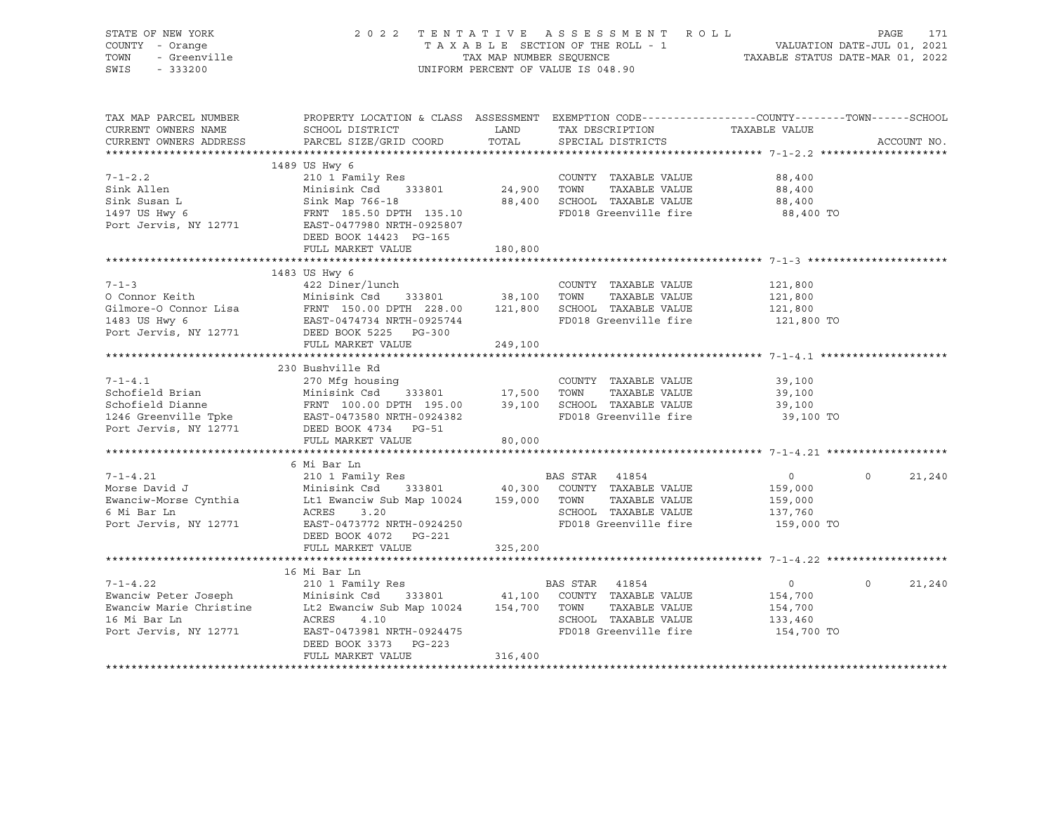| STATE OF NEW YORK<br>COUNTY - Orange<br>OF NEW YORK<br>- Orange<br>- Greenville<br>- Conna<br>TOWN<br>SWIS - 333200 | 2022 TENTATIVE ASSESSMENT ROLL                                                                                                                                                                                                                                                                       |         | TAXABLE SECTION OF THE ROLL - 1 VALUATION DATE-JUL 01, 2021<br>TAX MAP NUMBER SEQUENCE TAXABLE STATUS DATE-MAR 01, 2022<br>UNIFORM PERCENT OF VALUE IS 048.90 |                                                               | PAGE     | 171         |
|---------------------------------------------------------------------------------------------------------------------|------------------------------------------------------------------------------------------------------------------------------------------------------------------------------------------------------------------------------------------------------------------------------------------------------|---------|---------------------------------------------------------------------------------------------------------------------------------------------------------------|---------------------------------------------------------------|----------|-------------|
| TAX MAP PARCEL NUMBER<br>CURRENT OWNERS NAME<br>CURRENT OWNERS ADDRESS                                              | PROPERTY LOCATION & CLASS ASSESSMENT EXEMPTION CODE---------------COUNTY-------TOWN-----SCHOOL<br>SCHOOL DISTRICT<br>PARCEL SIZE/GRID COORD                                                                                                                                                          | TOTAL   | LAND TAX DESCRIPTION TAXABLE VALUE<br>SPECIAL DISTRICTS                                                                                                       |                                                               |          | ACCOUNT NO. |
|                                                                                                                     |                                                                                                                                                                                                                                                                                                      |         |                                                                                                                                                               |                                                               |          |             |
|                                                                                                                     | 1489 US Hwy 6                                                                                                                                                                                                                                                                                        |         |                                                                                                                                                               |                                                               |          |             |
| 7-1-2.2<br>Sink Allen                                                                                               | 7-1-2.2<br>Sink Allen 210 1 Family Res COUNTY TAXABLE VALUE 88,400<br>Sink Susan L<br>Sink Map 766-18<br>Sink Map 766-18<br>Sink Map 766-18<br>Sink Map 766-18<br>Sink Map 766-18<br>Sink Map 766-18<br>B8,400<br>FRNT 185.50 DPTH 135.10<br>PO18 Gr                                                 |         |                                                                                                                                                               |                                                               |          |             |
|                                                                                                                     | DEED BOOK 14423 PG-165<br>FULL MARKET VALUE                                                                                                                                                                                                                                                          | 180,800 |                                                                                                                                                               |                                                               |          |             |
|                                                                                                                     |                                                                                                                                                                                                                                                                                                      |         |                                                                                                                                                               |                                                               |          |             |
|                                                                                                                     | 1483 US Hwy 6                                                                                                                                                                                                                                                                                        |         |                                                                                                                                                               |                                                               |          |             |
|                                                                                                                     |                                                                                                                                                                                                                                                                                                      |         |                                                                                                                                                               | 121,800<br>121,800<br>121,800<br>121,800 TO                   |          |             |
|                                                                                                                     |                                                                                                                                                                                                                                                                                                      |         |                                                                                                                                                               |                                                               |          |             |
|                                                                                                                     | FULL MARKET VALUE                                                                                                                                                                                                                                                                                    | 249,100 |                                                                                                                                                               |                                                               |          |             |
|                                                                                                                     |                                                                                                                                                                                                                                                                                                      |         |                                                                                                                                                               |                                                               |          |             |
|                                                                                                                     |                                                                                                                                                                                                                                                                                                      |         | TAXABLE VALUE<br>FD018 Greenville fire                                                                                                                        | 39,100<br>39,100<br>39,100<br>39,100 TO                       |          |             |
|                                                                                                                     |                                                                                                                                                                                                                                                                                                      |         |                                                                                                                                                               |                                                               |          |             |
|                                                                                                                     | 6 Mi Bar Ln<br>7-1-4.21 (210 1 Family Res BAS STAR 41854<br>Morse David J Minisink Csd 333801 40,300 COUNTY TAXABLE VALUE<br>Ewanciw-Morse Cynthia Lt1 Ewanciw Sub Map 10024 159,000 TOWN TAXABLE VALUE<br>6 Mi Bar Ln ACRES 3.20 SCHOOL TAXABLE VA<br>DEED BOOK 4072    PG-221<br>FULL MARKET VALUE | 325,200 |                                                                                                                                                               | $\overline{0}$<br>159,000<br>159,000<br>137,760<br>159,000 TO | $\circ$  | 21,240      |
|                                                                                                                     |                                                                                                                                                                                                                                                                                                      |         |                                                                                                                                                               |                                                               |          |             |
| 16 Mi Bar Ln<br>Port Jervis, NY 12771                                                                               | 16 Mi Bar Ln<br>1-1-4.22<br>210 1 Family Res<br>Ewanciw Peter Joseph Minisink Csd 333801 41,100 COUNTY TAXABLE VALUE<br>Ewanciw Marie Christine Lt2 Ewanciw Sub Map 10024 154,700 TOWN TAXABLE VALUE<br>16 Mi Bar Ln acres 4 10<br>ACRES 4.10<br>DEED BOOK 3373 PG-223<br>FULL MARKET VALUE          | 316,400 |                                                                                                                                                               | $\overline{0}$<br>154,700<br>154,700                          | $\Omega$ | 21,240      |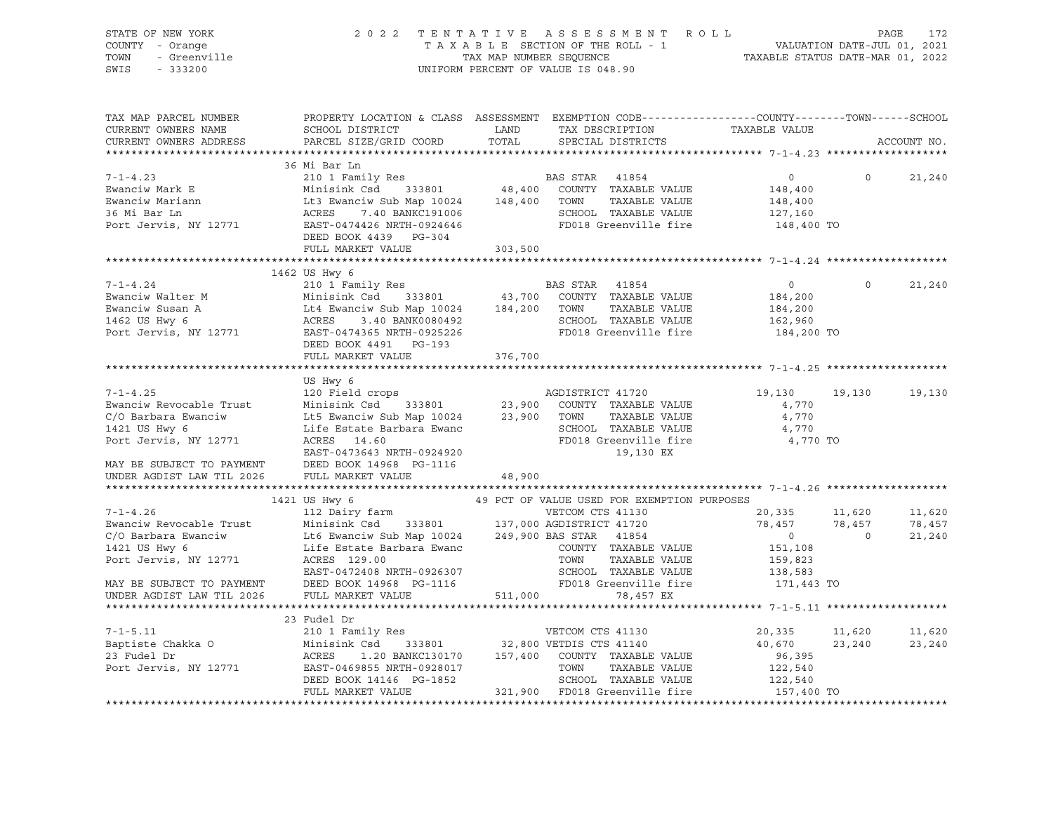| STATE OF NEW YORK<br>COUNTY - Orange<br>TOWN<br>- Greenville<br>SWIS<br>$-333200$                                                                                                                                                                                                                                                                                                                                                         | 2022 TENTATIVE ASSESSMENT ROLL                                                                                                                                                        |         | TAXABLE SECTION OF THE ROLL - 1<br>TAXABLE SECTION OF THE ROLL - 1<br>TAXABLE STATUS DATE-MAR 01, 2022<br>UNIFORM PERCENT OF VALUE IS 048.90 |                                       | PAGE           | 172         |
|-------------------------------------------------------------------------------------------------------------------------------------------------------------------------------------------------------------------------------------------------------------------------------------------------------------------------------------------------------------------------------------------------------------------------------------------|---------------------------------------------------------------------------------------------------------------------------------------------------------------------------------------|---------|----------------------------------------------------------------------------------------------------------------------------------------------|---------------------------------------|----------------|-------------|
| TAX MAP PARCEL NUMBER<br>CURRENT OWNERS NAME<br>CURRENT OWNERS ADDRESS                                                                                                                                                                                                                                                                                                                                                                    | PROPERTY LOCATION & CLASS ASSESSMENT EXEMPTION CODE---------------COUNTY-------TOWN------SCHOOL<br>SCHOOL DISTRICT<br>PARCEL SIZE/GRID COORD                                          |         | TOTAL SPECIAL DISTRICTS                                                                                                                      |                                       |                | ACCOUNT NO. |
|                                                                                                                                                                                                                                                                                                                                                                                                                                           |                                                                                                                                                                                       |         |                                                                                                                                              |                                       |                |             |
| $\begin{tabular}{lllllllllllllllllllll} \hline\text{7-1-4.23} & 36 \text{ M1}\text{ Bar}\text{ in} \\ \text{Ewanciw Mark E} & \text{Minisink Csd} & 333801 & 48,400 & \text{COUTY} & \text{TAXABLE VALUE} \\ \text{Ewanciw Martin} & \text{Lt3 & \text{Wanisink Csd} & 333801 & 48,400 & \text{COUTY} & \text{TAXABLE VALUE} \\ \text{36 Mi Bar In} & \text{ACES} & 7.40\text{ BANKC191006} & \text{SCHOLI TAXABLE VALUE} & \text{RALUE}$ | 36 Mi Bar Ln                                                                                                                                                                          |         |                                                                                                                                              |                                       |                |             |
|                                                                                                                                                                                                                                                                                                                                                                                                                                           |                                                                                                                                                                                       |         |                                                                                                                                              | $\overline{0}$                        | $\bigcirc$     | 21,240      |
|                                                                                                                                                                                                                                                                                                                                                                                                                                           |                                                                                                                                                                                       |         |                                                                                                                                              | 148,400<br>148,400                    |                |             |
|                                                                                                                                                                                                                                                                                                                                                                                                                                           |                                                                                                                                                                                       |         |                                                                                                                                              | 127,160                               |                |             |
|                                                                                                                                                                                                                                                                                                                                                                                                                                           |                                                                                                                                                                                       |         | FD018 Greenville fire                                                                                                                        | 148,400 TO                            |                |             |
|                                                                                                                                                                                                                                                                                                                                                                                                                                           | DEED BOOK 4439 PG-304                                                                                                                                                                 |         |                                                                                                                                              |                                       |                |             |
|                                                                                                                                                                                                                                                                                                                                                                                                                                           | FULL MARKET VALUE                                                                                                                                                                     | 303,500 |                                                                                                                                              |                                       |                |             |
|                                                                                                                                                                                                                                                                                                                                                                                                                                           |                                                                                                                                                                                       |         |                                                                                                                                              |                                       |                |             |
|                                                                                                                                                                                                                                                                                                                                                                                                                                           | 1462 US Hwy 6                                                                                                                                                                         |         |                                                                                                                                              |                                       |                |             |
| The computer of the computer of the computer of the computer of the computer of the computer of the computer of the computer of the computer of the computer of the computer of the computer of the computer of the computer o                                                                                                                                                                                                            |                                                                                                                                                                                       |         |                                                                                                                                              | $\overline{0}$                        | $\overline{0}$ | 21,240      |
|                                                                                                                                                                                                                                                                                                                                                                                                                                           |                                                                                                                                                                                       |         |                                                                                                                                              | 184,200                               |                |             |
|                                                                                                                                                                                                                                                                                                                                                                                                                                           |                                                                                                                                                                                       |         |                                                                                                                                              | 184,200                               |                |             |
|                                                                                                                                                                                                                                                                                                                                                                                                                                           |                                                                                                                                                                                       |         | SCHOOL TAXABLE VALUE                                                                                                                         | 162,960                               |                |             |
|                                                                                                                                                                                                                                                                                                                                                                                                                                           |                                                                                                                                                                                       |         | FD018 Greenville fire                                                                                                                        | 184,200 TO                            |                |             |
|                                                                                                                                                                                                                                                                                                                                                                                                                                           | DEED BOOK 4491 PG-193                                                                                                                                                                 |         |                                                                                                                                              |                                       |                |             |
|                                                                                                                                                                                                                                                                                                                                                                                                                                           | FULL MARKET VALUE                                                                                                                                                                     | 376,700 |                                                                                                                                              |                                       |                |             |
|                                                                                                                                                                                                                                                                                                                                                                                                                                           |                                                                                                                                                                                       |         |                                                                                                                                              |                                       |                |             |
|                                                                                                                                                                                                                                                                                                                                                                                                                                           | US Hwy 6                                                                                                                                                                              |         |                                                                                                                                              |                                       |                |             |
|                                                                                                                                                                                                                                                                                                                                                                                                                                           |                                                                                                                                                                                       |         |                                                                                                                                              | 19,130 19,130<br>4,770                |                | 19,130      |
|                                                                                                                                                                                                                                                                                                                                                                                                                                           |                                                                                                                                                                                       |         |                                                                                                                                              | 4,770                                 |                |             |
|                                                                                                                                                                                                                                                                                                                                                                                                                                           |                                                                                                                                                                                       |         |                                                                                                                                              | 4,770                                 |                |             |
| 7-1-4.25<br>Ewanciw Revocable Trust<br>C/O Barbara Ewanciw<br>C/O Barbara Ewanciw<br>C/O Barbara Ewanciw<br>Lt5 Ewanciw Sub Map 10024<br>Lt5 Ewanciw Sub Map 10024<br>Lt5 Ewanciw Sub Map 10024<br>23,900 COUNTY TAXABLE VALUE<br>23,900 COUNTY                                                                                                                                                                                           |                                                                                                                                                                                       |         | SCHOOL TAXABLE VALUE<br>FD018 Greenville fire                                                                                                | 4,770 TO                              |                |             |
|                                                                                                                                                                                                                                                                                                                                                                                                                                           | EAST-0473643 NRTH-0924920                                                                                                                                                             |         | 19,130 EX                                                                                                                                    |                                       |                |             |
|                                                                                                                                                                                                                                                                                                                                                                                                                                           |                                                                                                                                                                                       |         |                                                                                                                                              |                                       |                |             |
| MAY BE SUBJECT TO PAYMENT DEED BOOK 14968 PG-1116<br>UNDER AGDIST LAW TIL 2026 FULL MARKET VALUE                                                                                                                                                                                                                                                                                                                                          |                                                                                                                                                                                       | 48,900  |                                                                                                                                              |                                       |                |             |
|                                                                                                                                                                                                                                                                                                                                                                                                                                           |                                                                                                                                                                                       |         |                                                                                                                                              |                                       |                |             |
|                                                                                                                                                                                                                                                                                                                                                                                                                                           | 1421 US Hwy 6                                                                                                                                                                         |         | 49 PCT OF VALUE USED FOR EXEMPTION PURPOSES                                                                                                  |                                       |                |             |
| $7 - 1 - 4.26$                                                                                                                                                                                                                                                                                                                                                                                                                            | 112 Dairy farm                                                                                                                                                                        |         | VETCOM CTS 41130                                                                                                                             |                                       |                | 11,620      |
| Ewanciw Revocable Trust                                                                                                                                                                                                                                                                                                                                                                                                                   |                                                                                                                                                                                       |         |                                                                                                                                              | 20,335 11,620<br>78,457 78,457<br>0 0 |                | 78,457      |
| C/O Barbara Ewanciw                                                                                                                                                                                                                                                                                                                                                                                                                       | Minisink Csd 333801 137,000 AGDISTRICT 41720<br>Lt6 Ewanciw Sub Map 10024 249,900 BAS STAR 41854<br>Life Estate Barbara Ewanc COUNTY TAXABLE VALUE<br>ACRES 129.00 TOWN TAXABLE VALUE |         |                                                                                                                                              |                                       |                | 21,240      |
| 1421 US Hwy 6                                                                                                                                                                                                                                                                                                                                                                                                                             |                                                                                                                                                                                       |         |                                                                                                                                              | 151,108                               |                |             |
| Port Jervis, NY 12771                                                                                                                                                                                                                                                                                                                                                                                                                     |                                                                                                                                                                                       |         |                                                                                                                                              | 159,823                               |                |             |
|                                                                                                                                                                                                                                                                                                                                                                                                                                           | EAST-0472408 NRTH-0926307                                                                                                                                                             |         | SCHOOL TAXABLE VALUE<br>FD018 Greenville fire                                                                                                | 138,583                               |                |             |
| MAY BE SUBJECT TO PAYMENT<br>UNDER AGDIST LAW TIL 2026                                                                                                                                                                                                                                                                                                                                                                                    | DEED BOOK 14968 PG-1116                                                                                                                                                               |         |                                                                                                                                              | 171,443 TO                            |                |             |
|                                                                                                                                                                                                                                                                                                                                                                                                                                           | FULL MARKET VALUE                                                                                                                                                                     |         | 511,000 78,457 EX                                                                                                                            |                                       |                |             |
|                                                                                                                                                                                                                                                                                                                                                                                                                                           |                                                                                                                                                                                       |         |                                                                                                                                              |                                       |                |             |
|                                                                                                                                                                                                                                                                                                                                                                                                                                           |                                                                                                                                                                                       |         | VETCOM CTS 41130                                                                                                                             |                                       |                |             |
|                                                                                                                                                                                                                                                                                                                                                                                                                                           |                                                                                                                                                                                       |         |                                                                                                                                              | 20,335 11,620 11,620<br>40,670        | 23,240         | 23,240      |
|                                                                                                                                                                                                                                                                                                                                                                                                                                           | 1.20 BANKC130170   157,400   COUNTY   TAXABLE VALUE                                                                                                                                   |         |                                                                                                                                              | 96,395                                |                |             |
|                                                                                                                                                                                                                                                                                                                                                                                                                                           |                                                                                                                                                                                       |         | TAXABLE VALUE                                                                                                                                | 122,540                               |                |             |
|                                                                                                                                                                                                                                                                                                                                                                                                                                           |                                                                                                                                                                                       |         | SCHOOL TAXABLE VALUE                                                                                                                         | 122,540                               |                |             |
|                                                                                                                                                                                                                                                                                                                                                                                                                                           | FULL MARKET VALUE                                                                                                                                                                     |         | 321,900 FD018 Greenville fire                                                                                                                | 157,400 TO                            |                |             |
|                                                                                                                                                                                                                                                                                                                                                                                                                                           |                                                                                                                                                                                       |         |                                                                                                                                              |                                       |                |             |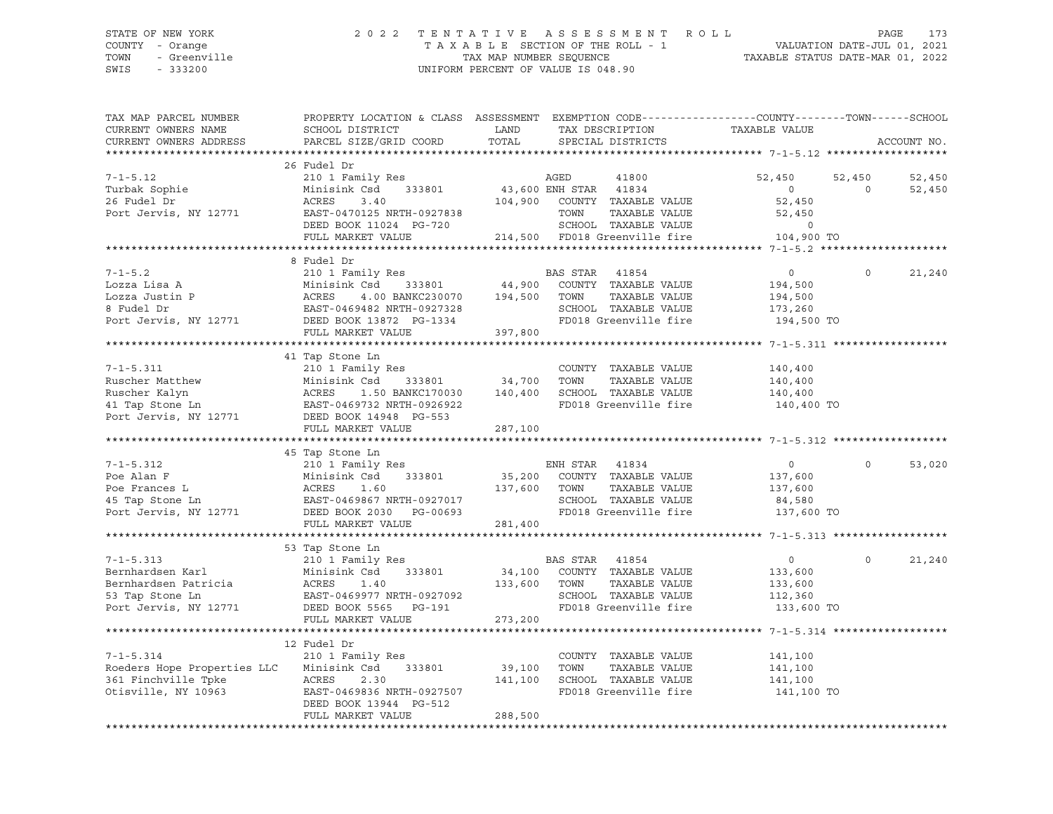SWIS - 333200 UNIFORM PERCENT OF VALUE IS 048.90

### STATE OF NEW YORK 2 0 2 2 T E N T A T I V E A S S E S S M E N T R O L L PAGE 173 COUNTY - Orange T A X A B L E SECTION OF THE ROLL - 1 VALUATION DATE-JUL 01, 2021 TOWN - Greenville TAX MAP NUMBER SEQUENCE TAXABLE STATUS DATE-MAR 01, 2022

| TAX MAP PARCEL NUMBER<br>CURRENT OWNERS NAME<br>CURRENT OWNERS ADDRESS                                  | PROPERTY LOCATION & CLASS ASSESSMENT<br>SCHOOL DISTRICT<br>PARCEL SIZE/GRID COORD                                                                                      | LAND<br>TOTAL                | EXEMPTION CODE-----------------COUNTY--------TOWN------SCHOOL<br>TAX DESCRIPTION<br>SPECIAL DISTRICTS                                            | TAXABLE VALUE                                                  |                    | ACCOUNT NO.      |
|---------------------------------------------------------------------------------------------------------|------------------------------------------------------------------------------------------------------------------------------------------------------------------------|------------------------------|--------------------------------------------------------------------------------------------------------------------------------------------------|----------------------------------------------------------------|--------------------|------------------|
|                                                                                                         |                                                                                                                                                                        |                              |                                                                                                                                                  |                                                                |                    |                  |
| $7 - 1 - 5.12$<br>Turbak Sophie<br>26 Fudel Dr<br>Port Jervis, NY 12771                                 | 26 Fudel Dr<br>210 1 Family Res<br>Minisink Csd<br>333801<br>ACRES<br>3.40<br>EAST-0470125 NRTH-0927838<br>DEED BOOK 11024 PG-720<br>FULL MARKET VALUE                 | 104,900                      | AGED<br>41800<br>43,600 ENH STAR 41834<br>COUNTY TAXABLE VALUE<br>TOWN<br>TAXABLE VALUE<br>SCHOOL TAXABLE VALUE<br>214,500 FD018 Greenville fire | 52,450<br>$\circ$<br>52,450<br>52,450<br>$\circ$<br>104,900 TO | 52,450<br>$\Omega$ | 52,450<br>52,450 |
|                                                                                                         | 8 Fudel Dr                                                                                                                                                             |                              |                                                                                                                                                  |                                                                |                    |                  |
| $7 - 1 - 5.2$<br>Lozza Lisa A<br>Lozza Justin P<br>8 Fudel Dr<br>Port Jervis, NY 12771                  | 210 1 Family Res<br>Minisink Csd<br>333801<br>ACRES<br>4.00 BANKC230070<br>EAST-0469482 NRTH-0927328<br>DEED BOOK 13872 PG-1334<br>FULL MARKET VALUE                   | 44,900<br>194,500<br>397,800 | BAS STAR<br>41854<br>COUNTY TAXABLE VALUE<br>TOWN<br>TAXABLE VALUE<br>SCHOOL TAXABLE VALUE<br>FD018 Greenville fire                              | $\circ$<br>194,500<br>194,500<br>173,260<br>194,500 TO         | $\circ$            | 21,240           |
|                                                                                                         |                                                                                                                                                                        |                              |                                                                                                                                                  |                                                                |                    |                  |
| $7 - 1 - 5.311$<br>Ruscher Matthew<br>Ruscher Kalyn<br>41 Tap Stone Ln<br>Port Jervis, NY 12771         | 41 Tap Stone Ln<br>210 1 Family Res<br>Minisink Csd<br>333801<br>1.50 BANKC170030<br>ACRES<br>EAST-0469732 NRTH-0926922<br>DEED BOOK 14948 PG-553<br>FULL MARKET VALUE | 34,700<br>140,400<br>287,100 | COUNTY TAXABLE VALUE<br>TOWN<br>TAXABLE VALUE<br>SCHOOL TAXABLE VALUE<br>FD018 Greenville fire                                                   | 140,400<br>140,400<br>140,400<br>140,400 TO                    |                    |                  |
|                                                                                                         |                                                                                                                                                                        |                              |                                                                                                                                                  |                                                                |                    |                  |
| $7 - 1 - 5.312$<br>Poe Alan F<br>Poe Frances L<br>45 Tap Stone Ln<br>Port Jervis, NY 12771              | 45 Tap Stone Ln<br>210 1 Family Res<br>333801<br>Minisink Csd<br>ACRES<br>1.60<br>EAST-0469867 NRTH-0927017<br>DEED BOOK 2030 PG-00693<br>FULL MARKET VALUE            | 35,200<br>137,600<br>281,400 | ENH STAR 41834<br>COUNTY TAXABLE VALUE<br>TOWN<br>TAXABLE VALUE<br>SCHOOL TAXABLE VALUE<br>FD018 Greenville fire                                 | $\circ$<br>137,600<br>137,600<br>84,580<br>137,600 TO          | $\Omega$           | 53,020           |
|                                                                                                         |                                                                                                                                                                        |                              |                                                                                                                                                  |                                                                |                    |                  |
| $7 - 1 - 5.313$<br>Bernhardsen Karl<br>Bernhardsen Patricia<br>53 Tap Stone Ln<br>Port Jervis, NY 12771 | 53 Tap Stone Ln<br>210 1 Family Res<br>Minisink Csd<br>333801<br>ACRES<br>1.40<br>EAST-0469977 NRTH-0927092<br>DEED BOOK 5565 PG-191<br>FULL MARKET VALUE              | 34,100<br>133,600<br>273,200 | BAS STAR<br>41854<br>COUNTY TAXABLE VALUE<br>TAXABLE VALUE<br>TOWN<br>SCHOOL TAXABLE VALUE<br>FD018 Greenville fire                              | $\circ$<br>133,600<br>133,600<br>112,360<br>133,600 TO         | $\Omega$           | 21,240           |
|                                                                                                         |                                                                                                                                                                        |                              |                                                                                                                                                  |                                                                |                    |                  |
| $7 - 1 - 5.314$<br>Roeders Hope Properties LLC<br>361 Finchville Tpke<br>Otisville, NY 10963            | 12 Fudel Dr<br>210 1 Family Res<br>Minisink Csd<br>333801<br>ACRES<br>2.30<br>EAST-0469836 NRTH-0927507<br>DEED BOOK 13944 PG-512<br>FULL MARKET VALUE                 | 39,100<br>141,100<br>288,500 | COUNTY TAXABLE VALUE<br>TAXABLE VALUE<br>TOWN<br>SCHOOL TAXABLE VALUE<br>FD018 Greenville fire                                                   | 141,100<br>141,100<br>141,100<br>141,100 TO                    |                    |                  |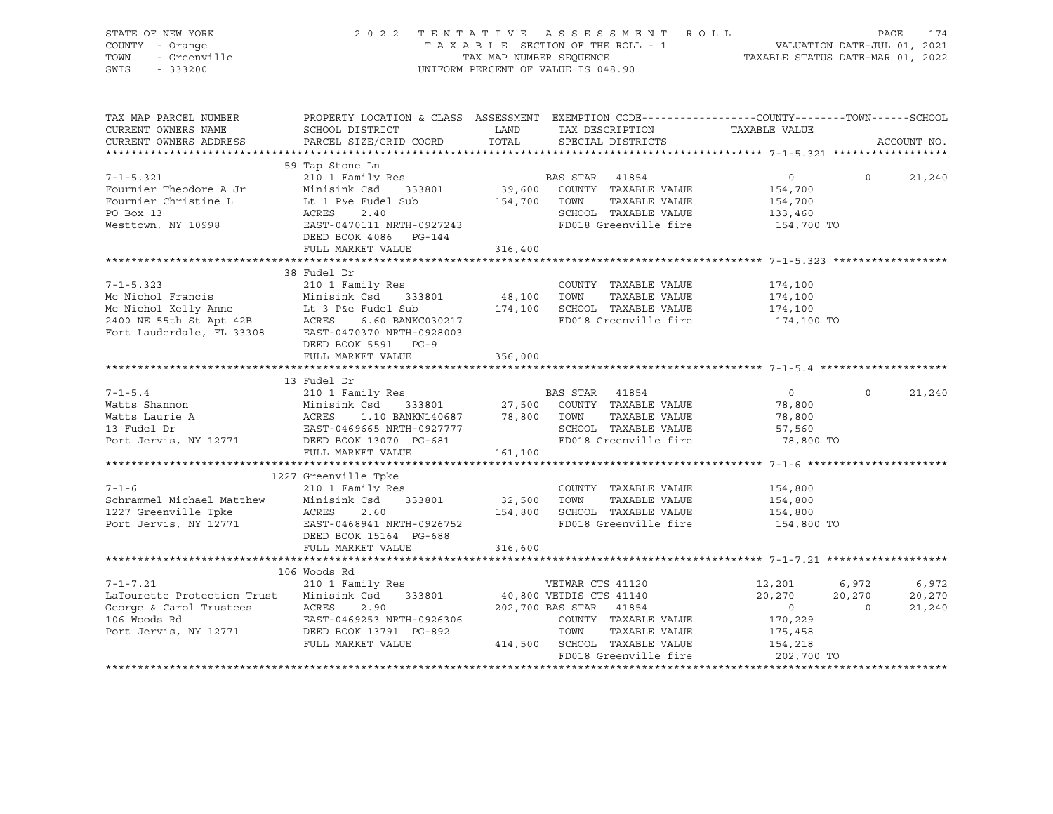| STATE OF NEW YORK<br><i>I -</i> Orange<br>- Greenville<br>- 333200<br>COUNTY - Orange<br>TOWN<br>SWIS                                                                                                                                                                                             |                                                                                                                                                                                                                                                                         |         | 2022 TENTATIVE ASSESSMENT ROLL<br>TAXABLE SECTION OF THE ROLL - 1<br>TAXABLE SECTION OF THE ROLL - 1<br>TAXABLE STATUS DATE-MAR 01, 2022<br>UNIFORM PERCENT OF VALUE IS 048.90                                                               |                                                                                   |                        | PAGE<br>174               |
|---------------------------------------------------------------------------------------------------------------------------------------------------------------------------------------------------------------------------------------------------------------------------------------------------|-------------------------------------------------------------------------------------------------------------------------------------------------------------------------------------------------------------------------------------------------------------------------|---------|----------------------------------------------------------------------------------------------------------------------------------------------------------------------------------------------------------------------------------------------|-----------------------------------------------------------------------------------|------------------------|---------------------------|
| TAX MAP PARCEL NUMBER<br>CURRENT OWNERS NAME<br>CURRENT OWNERS ADDRESS                                                                                                                                                                                                                            | PROPERTY LOCATION & CLASS ASSESSMENT EXEMPTION CODE----------------COUNTY-------TOWN------SCHOOL<br>SCHOOL DISTRICT<br><b>EXAMPLE SERVICE SERVICE SERVICE SERVICE SERVICE SERVICE SERVICE SERVICE SERVICE SERVICE SERVICE SERVICE SERVICE</b><br>PARCEL SIZE/GRID COORD | TOTAL   | TAX DESCRIPTION<br>SPECIAL DISTRICTS                                                                                                                                                                                                         | TAXABLE VALUE                                                                     |                        | ACCOUNT NO.               |
|                                                                                                                                                                                                                                                                                                   |                                                                                                                                                                                                                                                                         |         |                                                                                                                                                                                                                                              |                                                                                   |                        |                           |
| $7 - 1 - 5.321$<br>Fournier Theodore A Jr<br>Fournier Christine L<br>Fournier Christine L<br>210 1998<br>210 1998<br>210 1998<br>210 1998<br>210 1998<br>210 1998<br>210 333801<br>233801<br>39,600 COUNTY TAXABLE VALUE<br>2340<br>210 1998<br>210 1998<br>2240<br>227243<br>2240<br>            | 59 Tap Stone Ln<br>210 1 Family Res                                                                                                                                                                                                                                     |         | BAS STAR 41854                                                                                                                                                                                                                               | $\overline{0}$<br>154,700<br>154,700<br>133,460                                   | $\Omega$               | 21,240                    |
|                                                                                                                                                                                                                                                                                                   | DEED BOOK 4086 PG-144<br>FULL MARKET VALUE                                                                                                                                                                                                                              | 316,400 | FD018 Greenville fire 154,700 TO                                                                                                                                                                                                             |                                                                                   |                        |                           |
|                                                                                                                                                                                                                                                                                                   |                                                                                                                                                                                                                                                                         |         |                                                                                                                                                                                                                                              |                                                                                   |                        |                           |
| $7 - 1 - 5.323$<br>Mc Nichol Francis<br>Mc Nichol Kelly Anne<br>Mc Nichol Kelly Anne<br>2400 NE 55th St Apt 42B<br>2400 NE 55th St Apt 42B<br>2400 NE 55th St Apt 42B<br>2400 NE 55th St Apt 42B<br>2400 NE 55th St Apt 42B<br>2400 NE 55th St Apt 42B<br>2400 NE 4                               | 38 Fudel Dr<br>210 1 Family Res<br>DEED BOOK 5591 PG-9                                                                                                                                                                                                                  |         | COUNTY TAXABLE VALUE<br>TAXABLE VALUE<br>174,100 SCHOOL TAXABLE VALUE<br>FD018 Greenville fire 174,100 TO                                                                                                                                    | 174,100<br>174,100<br>174,100                                                     |                        |                           |
|                                                                                                                                                                                                                                                                                                   | FULL MARKET VALUE                                                                                                                                                                                                                                                       | 356,000 |                                                                                                                                                                                                                                              |                                                                                   |                        |                           |
|                                                                                                                                                                                                                                                                                                   | 13 Fudel Dr                                                                                                                                                                                                                                                             |         |                                                                                                                                                                                                                                              |                                                                                   |                        |                           |
| $7 - 1 - 5.4$<br>Port Jervis, NY 12771 DEED BOOK 13070 PG-681                                                                                                                                                                                                                                     | Fudel Dr<br>210 1 Family Res<br>Minisink Csd 333801 27,500 COUNTY TAXABLE VALUE<br>ACRES 1.10 BANKN140687 78,800 TOWN TAXABLE VALUE<br>EAST-0469665 NRTH-0927777 SCHOOL TAXABLE VALUE<br>PERDIS Greenville fire<br>PERDIS Greenville fire                               |         | TAXABLE VALUE<br>FD018 Greenville fire                                                                                                                                                                                                       | $\overline{0}$<br>78,800<br>78,800<br>57,560<br>57,560<br>78,800 TO               | $\Omega$               | 21,240                    |
|                                                                                                                                                                                                                                                                                                   | FULL MARKET VALUE                                                                                                                                                                                                                                                       | 161,100 |                                                                                                                                                                                                                                              |                                                                                   |                        |                           |
| $7 - 1 - 6$<br>Schrammel Michael Matthew Minisink Csd 333801 32,500<br>1227 Greenville Tpke ACRES 2.60 154,800<br>Port Jervis, NY 12771 EAST-0468941 NRTH-0926752                                                                                                                                 | 1227 Greenville Tpke<br>210 1 Family Res<br>DEED BOOK 15164 PG-688<br>FULL MARKET VALUE                                                                                                                                                                                 | 316,600 | COUNTY TAXABLE VALUE<br>$333801 \qquad \qquad 32,500 \qquad \qquad {\small TOWN} \qquad {\small TAXABLE\,\,\,} \label{eq:333801}$ $154,800 \qquad {\small SCH OOL} \qquad {\small TAXABLE\,\,\,} \label{eq:333801}$<br>FD018 Greenville fire | 154,800<br>154,800<br>154,800<br>154,800 TO                                       |                        |                           |
|                                                                                                                                                                                                                                                                                                   |                                                                                                                                                                                                                                                                         |         |                                                                                                                                                                                                                                              |                                                                                   |                        |                           |
| $7 - 1 - 7.21$<br>LaTourette Protection Trust Minisink Csd<br>Earour Course to Markets (2.90 and 202,700 BAS STAK 41854<br>George & Carol Trustees (2.90 and 202,700 BAS STAK 41854<br>106 Woods Rd EAST-0469253 NRTH-0926306 (2000 COUNTY TAXABLE VALUE<br>Port Jervis, NY 12771 bEED BOOK 13791 | 106 Woods Rd<br>210 1 Family Res<br>333801                                                                                                                                                                                                                              |         | VETWAR CTS 41120<br>40,800 VETDIS CTS 41140<br>202,700 BAS STAR 41854<br>COUNTY TAXABLE VALUE<br>TAXABLE VALUE                                                                                                                               | 12,201<br>20,270<br>$\overline{0}$<br>170,229<br>175,458<br>154,218<br>202,700 TO | 6,972<br>$20,270$<br>0 | 6,972<br>20,270<br>21,240 |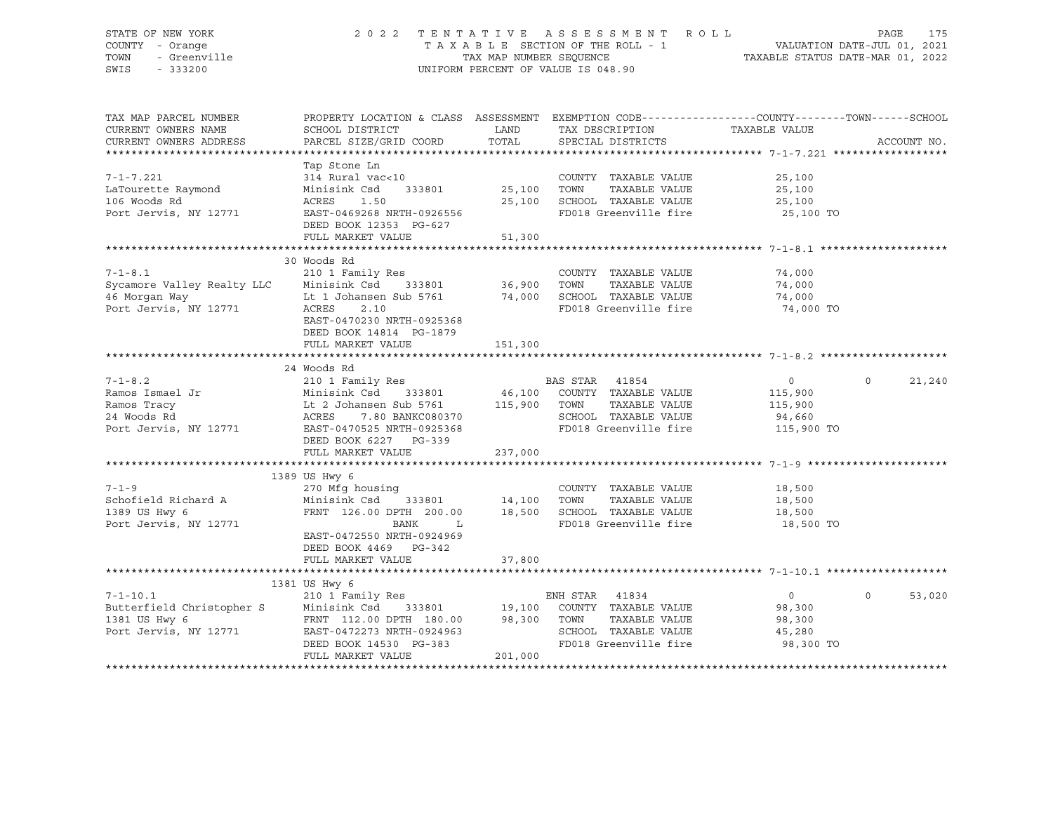### STATE OF NEW YORK 2 0 2 2 T E N T A T I V E A S S E S S M E N T R O L L PAGE 175 COUNTY - Orange T A X A B L E SECTION OF THE ROLL - 1 VALUATION DATE-JUL 01, 2021 TOWN - Greenville TAX MAP NUMBER SEQUENCE TAXABLE STATUS DATE-MAR 01, 2022 SWIS - 333200 UNIFORM PERCENT OF VALUE IS 048.90

| TAX MAP PARCEL NUMBER                         | PROPERTY LOCATION & CLASS ASSESSMENT EXEMPTION CODE----------------COUNTY-------TOWN------SCHOOL                           |                    |                                      |                            |             |
|-----------------------------------------------|----------------------------------------------------------------------------------------------------------------------------|--------------------|--------------------------------------|----------------------------|-------------|
| CURRENT OWNERS NAME<br>CURRENT OWNERS ADDRESS | SCHOOL DISTRICT<br>PARCEL SIZE/GRID COORD                                                                                  | LAND<br>TOTAL      | TAX DESCRIPTION<br>SPECIAL DISTRICTS | TAXABLE VALUE              | ACCOUNT NO. |
|                                               |                                                                                                                            |                    |                                      |                            |             |
|                                               | Tap Stone Ln                                                                                                               |                    |                                      |                            |             |
| 7-1-7.221                                     | 314 Rural vac<10                                                                                                           |                    | COUNTY TAXABLE VALUE                 | 25,100                     |             |
| LaTourette Raymond                            | Minisink Csd                                                                                                               | 333801 25,100 TOWN | TAXABLE VALUE                        | 25,100                     |             |
| 106 Woods Rd                                  | ACRES<br>1.50                                                                                                              |                    | 25,100 SCHOOL TAXABLE VALUE          | 25,100                     |             |
| Port Jervis, NY 12771                         | EAST-0469268 NRTH-0926556                                                                                                  |                    | FD018 Greenville fire                | 25,100 TO                  |             |
|                                               | DEED BOOK 12353 PG-627                                                                                                     |                    |                                      |                            |             |
|                                               | FULL MARKET VALUE                                                                                                          | 51,300             |                                      |                            |             |
|                                               |                                                                                                                            |                    |                                      |                            |             |
|                                               | 30 Woods Rd                                                                                                                |                    |                                      |                            |             |
| $7 - 1 - 8.1$                                 | 210 1 Family Res                                                                                                           |                    | COUNTY TAXABLE VALUE                 | 74,000                     |             |
|                                               | 333801 36,900                                                                                                              |                    | TOWN<br>TAXABLE VALUE                | 74,000                     |             |
|                                               |                                                                                                                            | 74,000             | SCHOOL TAXABLE VALUE                 | 74,000                     |             |
|                                               | Sycamore Valley Realty LLC Minisink Csd 333801<br>46 Morgan Way Lt 1 Johansen Sub 5761<br>Port Jervis, NY 12771 ACRES 2.10 |                    | FD018 Greenville fire                | 74,000 TO                  |             |
|                                               | EAST-0470230 NRTH-0925368                                                                                                  |                    |                                      |                            |             |
|                                               | DEED BOOK 14814 PG-1879                                                                                                    |                    |                                      |                            |             |
|                                               | FULL MARKET VALUE                                                                                                          | 151,300            |                                      |                            |             |
|                                               |                                                                                                                            |                    |                                      |                            |             |
|                                               | 24 Woods Rd                                                                                                                |                    |                                      |                            |             |
|                                               |                                                                                                                            |                    |                                      | $\overline{0}$<br>$\circ$  | 21,240      |
|                                               |                                                                                                                            |                    |                                      | 115,900                    |             |
| Ramos Tracy                                   | Lt 2 Johansen Sub 5761 115,900 TOWN<br>ACRES 7.80 BANKC080370 SCHOC                                                        |                    | TAXABLE VALUE                        | 115,900                    |             |
| 24 Woods Rd                                   |                                                                                                                            |                    | SCHOOL TAXABLE VALUE                 | 94,660                     |             |
| Port Jervis, NY 12771                         | EAST-0470525 NRTH-0925368                                                                                                  |                    | FD018 Greenville fire                | 115,900 TO                 |             |
|                                               | DEED BOOK 6227 PG-339                                                                                                      |                    |                                      |                            |             |
|                                               | FULL MARKET VALUE                                                                                                          | 237,000            |                                      |                            |             |
|                                               |                                                                                                                            |                    |                                      |                            |             |
| $7 - 1 - 9$                                   | 1389 US Hwy 6<br>270 Mfg housing                                                                                           |                    | COUNTY TAXABLE VALUE                 | 18,500                     |             |
| Schofield Richard A                           | Minisink Csd 333801 14,100 TOWN                                                                                            |                    | TAXABLE VALUE                        | 18,500                     |             |
| 1389 US Hwy 6                                 | FRNT 126.00 DPTH 200.00                                                                                                    |                    | 18,500 SCHOOL TAXABLE VALUE          | 18,500                     |             |
| Port Jervis, NY 12771                         | BANK<br>$-L$                                                                                                               |                    | FD018 Greenville fire                | 18,500 TO                  |             |
|                                               | EAST-0472550 NRTH-0924969                                                                                                  |                    |                                      |                            |             |
|                                               | DEED BOOK 4469 PG-342                                                                                                      |                    |                                      |                            |             |
|                                               | FULL MARKET VALUE                                                                                                          | 37,800             |                                      |                            |             |
|                                               |                                                                                                                            |                    |                                      |                            |             |
|                                               | 1381 US Hwy 6                                                                                                              |                    |                                      |                            |             |
| $7 - 1 - 10.1$                                | 210 1 Family Res                                                                                                           |                    | ENH STAR 41834                       | $\overline{0}$<br>$\Omega$ | 53,020      |
| Butterfield Christopher S                     | Minisink Csd                                                                                                               |                    | 333801 19,100 COUNTY TAXABLE VALUE   | 98,300                     |             |
| 1381 US Hwy 6                                 | FRNT 112.00 DPTH 180.00 98,300 TOWN                                                                                        |                    | TAXABLE VALUE                        | 98,300                     |             |
| Port Jervis, NY 12771                         | EAST-0472273 NRTH-0924963                                                                                                  |                    | SCHOOL TAXABLE VALUE                 | 45,280                     |             |
|                                               | DEED BOOK 14530 PG-383                                                                                                     |                    | FD018 Greenville fire                | 98,300 TO                  |             |
|                                               | FULL MARKET VALUE                                                                                                          | 201,000            |                                      |                            |             |
|                                               |                                                                                                                            |                    |                                      |                            |             |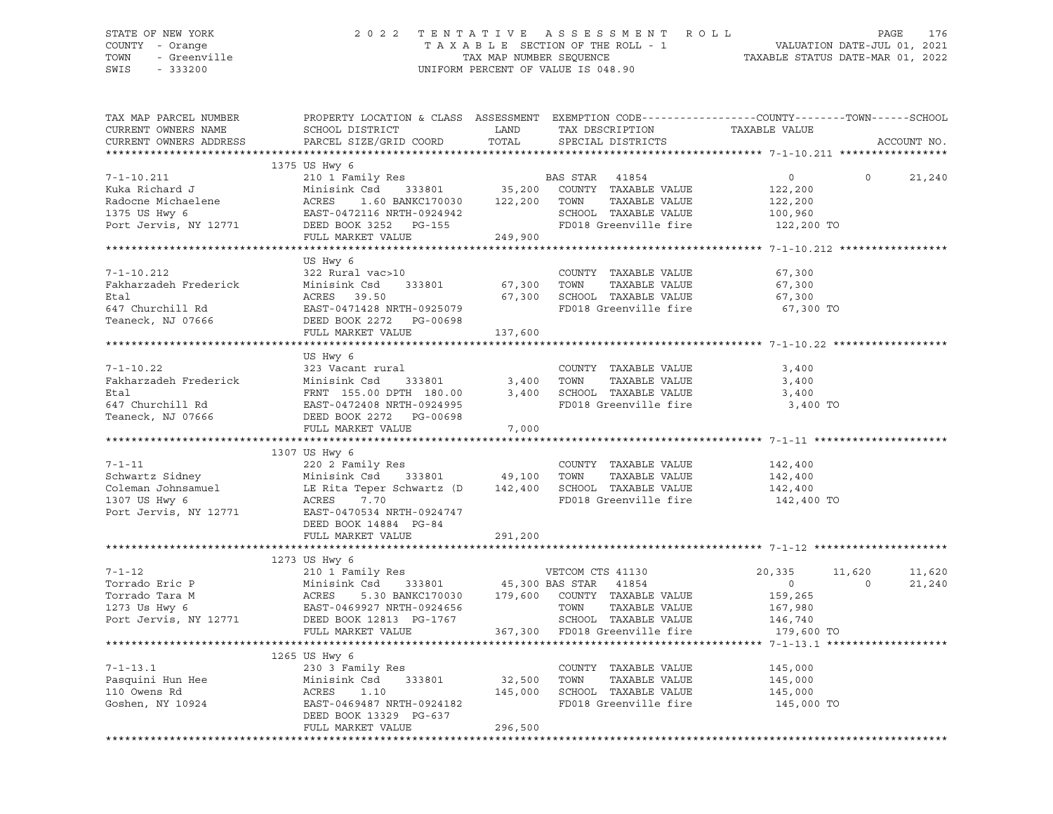### STATE OF NEW YORK 2 0 2 2 T E N T A T I V E A S S E S S M E N T R O L L PAGE 176 COUNTY - Orange T A X A B L E SECTION OF THE ROLL - 1 VALUATION DATE-JUL 01, 2021 TOWN - Greenville TAX MAP NUMBER SEQUENCE TAXABLE STATUS DATE-MAR 01, 2022 SWIS - 333200 UNIFORM PERCENT OF VALUE IS 048.90

| TAX MAP PARCEL NUMBER<br>CURRENT OWNERS NAME<br>CURRENT OWNERS ADDRESS                             | SCHOOL DISTRICT<br>PARCEL SIZE/GRID COORD                                                                                                                                                                                                                                  | LAND<br>TOTAL           | TAX DESCRIPTION<br>SPECIAL DISTRICTS                                                                  | PROPERTY LOCATION & CLASS ASSESSMENT EXEMPTION CODE----------------COUNTY-------TOWN-----SCHOOL<br>TAXABLE VALUE | ACCOUNT NO.      |
|----------------------------------------------------------------------------------------------------|----------------------------------------------------------------------------------------------------------------------------------------------------------------------------------------------------------------------------------------------------------------------------|-------------------------|-------------------------------------------------------------------------------------------------------|------------------------------------------------------------------------------------------------------------------|------------------|
|                                                                                                    |                                                                                                                                                                                                                                                                            |                         |                                                                                                       |                                                                                                                  |                  |
| $7 - 1 - 10.211$<br>Kuka Richard J<br>Radocne Michaelene<br>1375 US Hwy 6<br>Port Jervis, NY 12771 | 1375 US Hwy 6<br>Minisink<br>ne<br>ACRES 1.60 BANKC170000<br>EAST-0472116 NRTH-0924942<br>PEED BOOK 3252 PG-155<br>FILL MARKET VALUE<br>FILL MARKET VALUE<br>1.60 BANKC170030                                                                                              | 122,200 TOWN<br>249,900 | TAXABLE VALUE<br>SCHOOL TAXABLE VALUE<br>FD018 Greenville fire                                        | $\circ$<br>$\Omega$<br>122,200<br>122,200<br>100,960<br>122,200 TO                                               | 21,240           |
|                                                                                                    |                                                                                                                                                                                                                                                                            |                         |                                                                                                       |                                                                                                                  |                  |
| $7 - 1 - 10.212$<br>Fakharzadeh Frederick<br>Etal<br>647 Churchill Rd<br>Teaneck, NJ 07666         | US Hwy 6<br>322 Rural vac>10<br>333801<br>Minisink Csd<br>ACRES 39.50<br>EAST-0471428 NRTH-0925079<br>DEED BOOK 2272 PG-00698<br>FULL MARKET VALUE                                                                                                                         | 67,300<br>137,600       | COUNTY TAXABLE VALUE<br>TAXABLE VALUE<br>TOWN<br>67,300 SCHOOL TAXABLE VALUE<br>FD018 Greenville fire | 67,300<br>67,300<br>67,300<br>67,300 TO                                                                          |                  |
|                                                                                                    |                                                                                                                                                                                                                                                                            |                         |                                                                                                       |                                                                                                                  |                  |
| $7 - 1 - 10.22$                                                                                    | US Hwy 6<br>323 Vacant rural<br>Etal  Minisink Csd 333801<br>ERNT 155.00 DPTH 180.00<br>FRNT 155.00 DPTH 180.00<br>Teaneck, NJ 07666<br>DEED BOOK 2272                                                                                                                     | 3,400<br>7,000          | COUNTY TAXABLE VALUE<br>TOWN<br>TAXABLE VALUE<br>3,400 SCHOOL TAXABLE VALUE<br>FD018 Greenville fire  | 3,400<br>3,400<br>3,400<br>3,400 TO                                                                              |                  |
|                                                                                                    |                                                                                                                                                                                                                                                                            |                         |                                                                                                       |                                                                                                                  |                  |
| $7 - 1 - 11$<br>Port Jervis, NY 12771                                                              | 1307 US Hwy 6<br>220 2 Family Res<br>333801 49,100 TOWN<br>EAST-0470534 NRTH-0924747<br>DEED BOOK 14884 PG-84<br>FULL MARKET VALUE                                                                                                                                         | 291,200                 | COUNTY TAXABLE VALUE<br>TAXABLE VALUE<br>142,400 SCHOOL TAXABLE VALUE<br>FD018 Greenville fire        | 142,400<br>142,400<br>142,400<br>142,400 TO                                                                      |                  |
|                                                                                                    | 1273 US Hwy 6                                                                                                                                                                                                                                                              |                         |                                                                                                       |                                                                                                                  |                  |
| $7 - 1 - 12$                                                                                       | 210 1 Family Res<br>Minisink Csd 333801 45,300 BAS STAR 41854<br>ACRES 5.30 BANKC170030 179,600 COUNTY TAXABLE VALUE<br>Torrado Eric P<br>Torrado Tara M<br>Torrado Tara M<br>273 Us Hwy 6<br>273 Us Hwy 6<br>274 EAST-0469927 NRTH-0924656<br>274 DEED BOOK 12813 PG-1767 |                         | VETCOM CTS 41130<br>TAXABLE VALUE<br>TOWN<br>SCHOOL TAXABLE VALUE                                     | 20,335<br>11,620<br>$\overline{0}$<br>$\Omega$<br>159,265<br>167,980<br>146,740                                  | 11,620<br>21,240 |
|                                                                                                    | FULL MARKET VALUE                                                                                                                                                                                                                                                          |                         | 367,300 FD018 Greenville fire                                                                         | 179,600 TO                                                                                                       |                  |
| $7 - 1 - 13.1$<br>Pasquini Hun Hee<br>110 Owens Rd                                                 | 1265 US Hwy 6<br>230 3 Family Res<br>Minisink Csd<br>333801<br>ACRES<br>1.10                                                                                                                                                                                               | 32,500 TOWN<br>145,000  | COUNTY TAXABLE VALUE<br>TAXABLE VALUE<br>SCHOOL TAXABLE VALUE                                         | 145,000<br>145,000<br>145,000                                                                                    |                  |
| Goshen, NY 10924                                                                                   | EAST-0469487 NRTH-0924182<br>DEED BOOK 13329 PG-637<br>FULL MARKET VALUE                                                                                                                                                                                                   | 296,500                 | FD018 Greenville fire                                                                                 | 145,000 TO                                                                                                       |                  |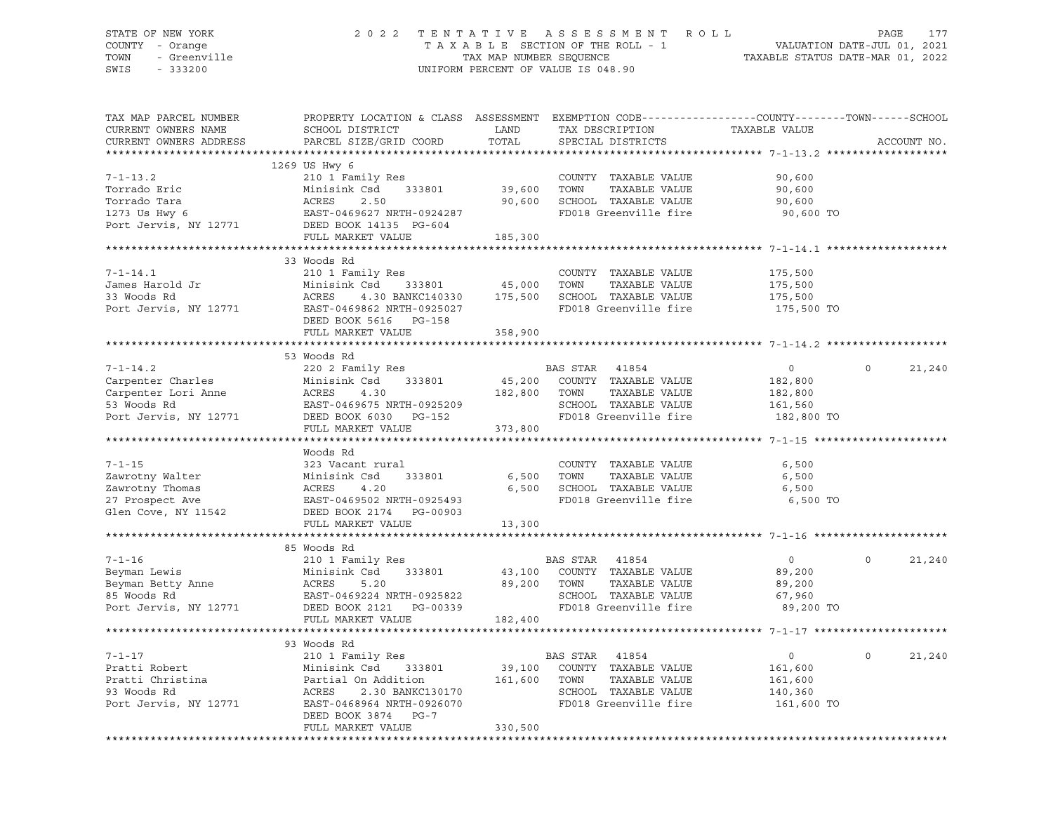### STATE OF NEW YORK 2 0 2 2 T E N T A T I V E A S S E S S M E N T R O L L PAGE 177 COUNTY - Orange T A X A B L E SECTION OF THE ROLL - 1 VALUATION DATE-JUL 01, 2021 TOWN - Greenville TAX MAP NUMBER SEQUENCE TAXABLE STATUS DATE-MAR 01, 2022 SWIS - 333200 UNIFORM PERCENT OF VALUE IS 048.90

| TAX MAP PARCEL NUMBER<br>CURRENT OWNERS NAME<br>CURRENT OWNERS ADDRESS                                       | PROPERTY LOCATION & CLASS ASSESSMENT EXEMPTION CODE----------------COUNTY-------TOWN------SCHOOL<br>SCHOOL DISTRICT<br>PARCEL SIZE/GRID COORD                                   | LAND<br>TOTAL            | TAX DESCRIPTION<br>SPECIAL DISTRICTS                                                                            | TAXABLE VALUE                                                 | ACCOUNT NO.        |
|--------------------------------------------------------------------------------------------------------------|---------------------------------------------------------------------------------------------------------------------------------------------------------------------------------|--------------------------|-----------------------------------------------------------------------------------------------------------------|---------------------------------------------------------------|--------------------|
|                                                                                                              |                                                                                                                                                                                 |                          |                                                                                                                 |                                                               |                    |
| $7 - 1 - 13.2$<br>Torrado Eric<br>Torrado Tara<br>1273 Us Hwy 6                                              | 1269 US Hwy 6<br>210 1 Family Res<br>Minisink Csd 333801<br>ACRES<br>2.50<br>EAST-0469627 NRTH-0924287                                                                          | 39,600<br>90,600         | COUNTY TAXABLE VALUE<br>TOWN<br>TAXABLE VALUE<br>SCHOOL TAXABLE VALUE<br>FD018 Greenville fire                  | 90,600<br>90,600<br>90,600<br>90,600 TO                       |                    |
| Port Jervis, NY 12771                                                                                        | DEED BOOK 14135 PG-604<br>FULL MARKET VALUE                                                                                                                                     | 185,300                  |                                                                                                                 |                                                               |                    |
|                                                                                                              |                                                                                                                                                                                 |                          |                                                                                                                 |                                                               |                    |
|                                                                                                              | 33 Woods Rd                                                                                                                                                                     |                          |                                                                                                                 |                                                               |                    |
| $7 - 1 - 14.1$<br>James Harold Jr<br><sup>33 Moods</sup> Rd<br>Port Jervis, NY 12771                         | 210 1 Family Res<br>Minisink Csd 333801 45,000 TOWN<br>ACRES 4.30 BANKC140330 175,500 SCHOOL<br>EAST-0469862 NRTH-0925027 FD018 G:<br>DEED BOOK 5616 PG-158                     |                          | COUNTY TAXABLE VALUE<br>TAXABLE VALUE<br>4.30 BANKC140330 175,500 SCHOOL TAXABLE VALUE<br>FD018 Greenville fire | 175,500<br>175,500<br>175,500<br>175,500 TO                   |                    |
|                                                                                                              | FULL MARKET VALUE                                                                                                                                                               | 358,900                  |                                                                                                                 |                                                               |                    |
|                                                                                                              |                                                                                                                                                                                 |                          |                                                                                                                 |                                                               |                    |
| $7 - 1 - 14.2$<br>Carpenter Charles<br>Carpenter Lori Anne<br>53 Woods Rd<br>Port Jervis, NY 12771<br>DEED B | 53 Woods Rd<br>220 2 Family Res<br>Minisink Csd<br>333801<br>4.30<br>EAST-0469675 NRTH-0925209<br>EAST-0469675 NRTH-0925209<br>DEED BOOK 6030 PG-152                            | 182,800 TOWN             | BAS STAR 41854<br>45,200 COUNTY TAXABLE VALUE<br>TAXABLE VALUE<br>SCHOOL TAXABLE VALUE<br>FD018 Greenville fire | $\overline{0}$<br>182,800<br>182,800<br>161,560<br>182,800 TO | $\Omega$<br>21,240 |
|                                                                                                              | FULL MARKET VALUE                                                                                                                                                               | 373,800                  |                                                                                                                 |                                                               |                    |
|                                                                                                              |                                                                                                                                                                                 |                          |                                                                                                                 |                                                               |                    |
| $7 - 1 - 15$<br>Zawrotny Walter<br>Zawrotny Thomas<br>27 Prospect Ave<br>Glen Cove, NY 11542                 | Woods Rd<br>323 Vacant rural<br>333801<br>Minisink Csd<br>ACRES<br>4.20<br>EAST-0469502 NRTH-0925493<br>DEED BOOK 2174    PG-00903<br>FULL MARKET VALUE                         | 6,500<br>6,500<br>13,300 | COUNTY TAXABLE VALUE<br>TOWN<br>TAXABLE VALUE<br>SCHOOL TAXABLE VALUE<br>FD018 Greenville fire                  | 6,500<br>6,500<br>6,500<br>6,500 TO                           |                    |
|                                                                                                              |                                                                                                                                                                                 |                          |                                                                                                                 |                                                               |                    |
| $7 - 1 - 16$<br>7-1-16<br>Beyman Lewis<br>Beyman Betty Anne<br>85 Woods Rd<br>85 Woods Rd<br>BAST-0          | 85 Woods Rd<br>210 1 Family Res<br>Minisink Csd 333801                                                                                                                          |                          | BAS STAR 41854<br>43,100 COUNTY TAXABLE VALUE                                                                   | $\overline{0}$<br>89,200<br>89,200<br>67,960                  | $\Omega$<br>21,240 |
| Port Jervis, NY 12771                                                                                        | FULL MARKET VALUE                                                                                                                                                               | 182,400                  | FD018 Greenville fire                                                                                           | 89,200 TO                                                     |                    |
|                                                                                                              |                                                                                                                                                                                 |                          |                                                                                                                 |                                                               |                    |
|                                                                                                              | 93 Woods Rd                                                                                                                                                                     |                          |                                                                                                                 |                                                               |                    |
| $7 - 1 - 17$<br>Pratti Robert<br>Pratti Christina<br>93 Woods Rd<br>Port Jervis, NY 12771                    | 210 1 Family Res<br>Minisink Csd 333801 39,100 COUNTY TAXABLE VALUE<br>Partial On Addition 161,600 TOWN TAXABLE VALUE<br>2.30 BANKC130170<br>ACRES<br>EAST-0468964 NRTH-0926070 |                          | BAS STAR 41854<br>SCHOOL TAXABLE VALUE<br>FD018 Greenville fire                                                 | $\circ$<br>161,600<br>161,600<br>140,360<br>161,600 TO        | $\circ$<br>21,240  |
|                                                                                                              | DEED BOOK 3874 PG-7<br>FULL MARKET VALUE                                                                                                                                        | 330,500                  |                                                                                                                 |                                                               |                    |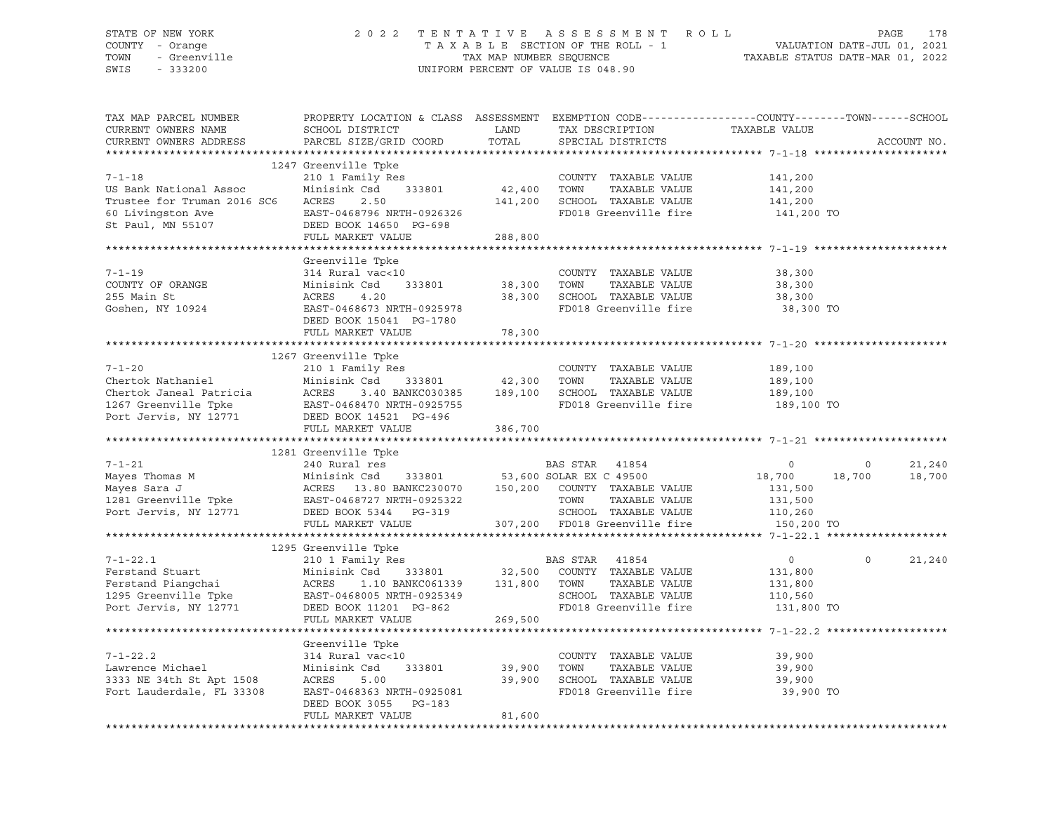#### STATE OF NEW YORK 2 0 2 2 T E N T A T I V E A S S E S S M E N T R O L L PAGE 178 COUNTY - Orange T A X A B L E SECTION OF THE ROLL - 1 VALUATION DATE-JUL 01, 2021 TOWN - Greenville TAX MAP NUMBER SEQUENCE TAXABLE STATUS DATE-MAR 01, 2022<br>TAXABLE STATUS DATE-MAR 01, 2022 UNIFORM PERCENT OF VALUE IS 048.90

TAX MAP PARCEL NUMBER PROPERTY LOCATION & CLASS ASSESSMENT EXEMPTION CODE------------------COUNTY--------TOWN------SCHOOL CURRENT OWNERS NAME SCHOOL DISTRICT SAND TAX DESCRIPTION TAXABLE VALUE CURRENT OWNERS ADDRESS PARCEL SIZE/GRID COORD TOTAL SPECIAL DISTRICTS ACCOUNT NO. \*\*\*\*\*\*\*\*\*\*\*\*\*\*\*\*\*\*\*\*\*\*\*\*\*\*\*\*\*\*\*\*\*\*\*\*\*\*\*\*\*\*\*\*\*\*\*\*\*\*\*\*\*\*\*\*\*\*\*\*\*\*\*\*\*\*\*\*\*\*\*\*\*\*\*\*\*\*\*\*\*\*\*\*\*\*\*\*\*\*\*\*\*\*\*\*\*\*\*\*\*\*\* 7-1-18 \*\*\*\*\*\*\*\*\*\*\*\*\*\*\*\*\*\*\*\*\* 1247 Greenville Tpke 7-1-18 210 1 Family Res COUNTY TAXABLE VALUE 141,200 US Bank National Assoc Minisink Csd 333801 42,400 TOWN TAXABLE VALUE 141,200 Trustee for Truman 2016 SC6 ACRES 2.50 141,200 SCHOOL TAXABLE VALUE 141,200 60 Livingston Ave EAST-0468796 NRTH-0926326 FD018 Greenville fire 141,200 TO St Paul, MN 55107 DEED BOOK 14650 PG-698 FULL MARKET VALUE 288,800 \*\*\*\*\*\*\*\*\*\*\*\*\*\*\*\*\*\*\*\*\*\*\*\*\*\*\*\*\*\*\*\*\*\*\*\*\*\*\*\*\*\*\*\*\*\*\*\*\*\*\*\*\*\*\*\*\*\*\*\*\*\*\*\*\*\*\*\*\*\*\*\*\*\*\*\*\*\*\*\*\*\*\*\*\*\*\*\*\*\*\*\*\*\*\*\*\*\*\*\*\*\*\* 7-1-19 \*\*\*\*\*\*\*\*\*\*\*\*\*\*\*\*\*\*\*\*\* Greenville Tpke 7-1-19 314 Rural vac<10 COUNTY TAXABLE VALUE 38,300 COUNTY OF ORANGE Minisink Csd 333801 38,300 TOWN TAXABLE VALUE 38,300 255 Main St ACRES 4.20 38,300 SCHOOL TAXABLE VALUE 38,300 Goshen, NY 10924 EAST-0468673 NRTH-0925978 FD018 Greenville fire 38,300 TO DEED BOOK 15041 PG-1780 FULL MARKET VALUE 78,300 \*\*\*\*\*\*\*\*\*\*\*\*\*\*\*\*\*\*\*\*\*\*\*\*\*\*\*\*\*\*\*\*\*\*\*\*\*\*\*\*\*\*\*\*\*\*\*\*\*\*\*\*\*\*\*\*\*\*\*\*\*\*\*\*\*\*\*\*\*\*\*\*\*\*\*\*\*\*\*\*\*\*\*\*\*\*\*\*\*\*\*\*\*\*\*\*\*\*\*\*\*\*\* 7-1-20 \*\*\*\*\*\*\*\*\*\*\*\*\*\*\*\*\*\*\*\*\* 1267 Greenville Tpke 7-1-20 210 1 Family Res COUNTY TAXABLE VALUE 189,100 Chertok Nathaniel Minisink Csd 333801 42,300 TOWN TAXABLE VALUE 189,100 Chertok Janeal Patricia ACRES 3.40 BANKC030385 189,100 SCHOOL TAXABLE VALUE 189,100 1267 Greenville Tpke EAST-0468470 NRTH-0925755 FD018 Greenville fire 189,100 TO Port Jervis, NY 12771 DEED BOOK 14521 PG-496 FULL MARKET VALUE 386,700 \*\*\*\*\*\*\*\*\*\*\*\*\*\*\*\*\*\*\*\*\*\*\*\*\*\*\*\*\*\*\*\*\*\*\*\*\*\*\*\*\*\*\*\*\*\*\*\*\*\*\*\*\*\*\*\*\*\*\*\*\*\*\*\*\*\*\*\*\*\*\*\*\*\*\*\*\*\*\*\*\*\*\*\*\*\*\*\*\*\*\*\*\*\*\*\*\*\*\*\*\*\*\* 7-1-21 \*\*\*\*\*\*\*\*\*\*\*\*\*\*\*\*\*\*\*\*\* 1281 Greenville Tpke 7-1-21 240 Rural res BAS STAR 41854 0 0 21,240 Mayes Thomas M Minisink Csd 333801 53,600 SOLAR EX C 49500 18,700 18,700 18,700 Mayes Sara J ACRES 13.80 BANKC230070 150,200 COUNTY TAXABLE VALUE 131,500 1281 Greenville Tpke EAST-0468727 NRTH-0925322 TOWN TAXABLE VALUE 131,500 Port Jervis, NY 12771 DEED BOOK 5344 PG-319 SCHOOL TAXABLE VALUE 110,260 FULL MARKET VALUE 307,200 FD018 Greenville fire 150,200 TO \*\*\*\*\*\*\*\*\*\*\*\*\*\*\*\*\*\*\*\*\*\*\*\*\*\*\*\*\*\*\*\*\*\*\*\*\*\*\*\*\*\*\*\*\*\*\*\*\*\*\*\*\*\*\*\*\*\*\*\*\*\*\*\*\*\*\*\*\*\*\*\*\*\*\*\*\*\*\*\*\*\*\*\*\*\*\*\*\*\*\*\*\*\*\*\*\*\*\*\*\*\*\* 7-1-22.1 \*\*\*\*\*\*\*\*\*\*\*\*\*\*\*\*\*\*\* 1295 Greenville Tpke 7-1-22.1 210 1 Family Res BAS STAR 41854 0 0 21,240 Ferstand Stuart Minisink Csd 333801 32,500 COUNTY TAXABLE VALUE 131,800 Ferstand Piangchai ACRES 1.10 BANKC061339 131,800 TOWN TAXABLE VALUE 131,800 1295 Greenville Tpke EAST-0468005 NRTH-0925349 SCHOOL TAXABLE VALUE 110,560 Port Jervis, NY 12771 DEED BOOK 11201 PG-862 FD018 Greenville fire 131,800 TO FULL MARKET VALUE 269,500 \*\*\*\*\*\*\*\*\*\*\*\*\*\*\*\*\*\*\*\*\*\*\*\*\*\*\*\*\*\*\*\*\*\*\*\*\*\*\*\*\*\*\*\*\*\*\*\*\*\*\*\*\*\*\*\*\*\*\*\*\*\*\*\*\*\*\*\*\*\*\*\*\*\*\*\*\*\*\*\*\*\*\*\*\*\*\*\*\*\*\*\*\*\*\*\*\*\*\*\*\*\*\* 7-1-22.2 \*\*\*\*\*\*\*\*\*\*\*\*\*\*\*\*\*\*\* Greenville Tpke 7-1-22.2 314 Rural vac<10 COUNTY TAXABLE VALUE 39,900 Lawrence Michael Minisink Csd 333801 39,900 TOWN TAXABLE VALUE 39,900 3333 NE 34th St Apt 1508 ACRES 5.00 39,900 SCHOOL TAXABLE VALUE 39,900 Fort Lauderdale, FL 33308 EAST-0468363 NRTH-0925081 FD018 Greenville fire 39,900 TO DEED BOOK 3055 PG-183 FULL MARKET VALUE 81,600 \*\*\*\*\*\*\*\*\*\*\*\*\*\*\*\*\*\*\*\*\*\*\*\*\*\*\*\*\*\*\*\*\*\*\*\*\*\*\*\*\*\*\*\*\*\*\*\*\*\*\*\*\*\*\*\*\*\*\*\*\*\*\*\*\*\*\*\*\*\*\*\*\*\*\*\*\*\*\*\*\*\*\*\*\*\*\*\*\*\*\*\*\*\*\*\*\*\*\*\*\*\*\*\*\*\*\*\*\*\*\*\*\*\*\*\*\*\*\*\*\*\*\*\*\*\*\*\*\*\*\*\*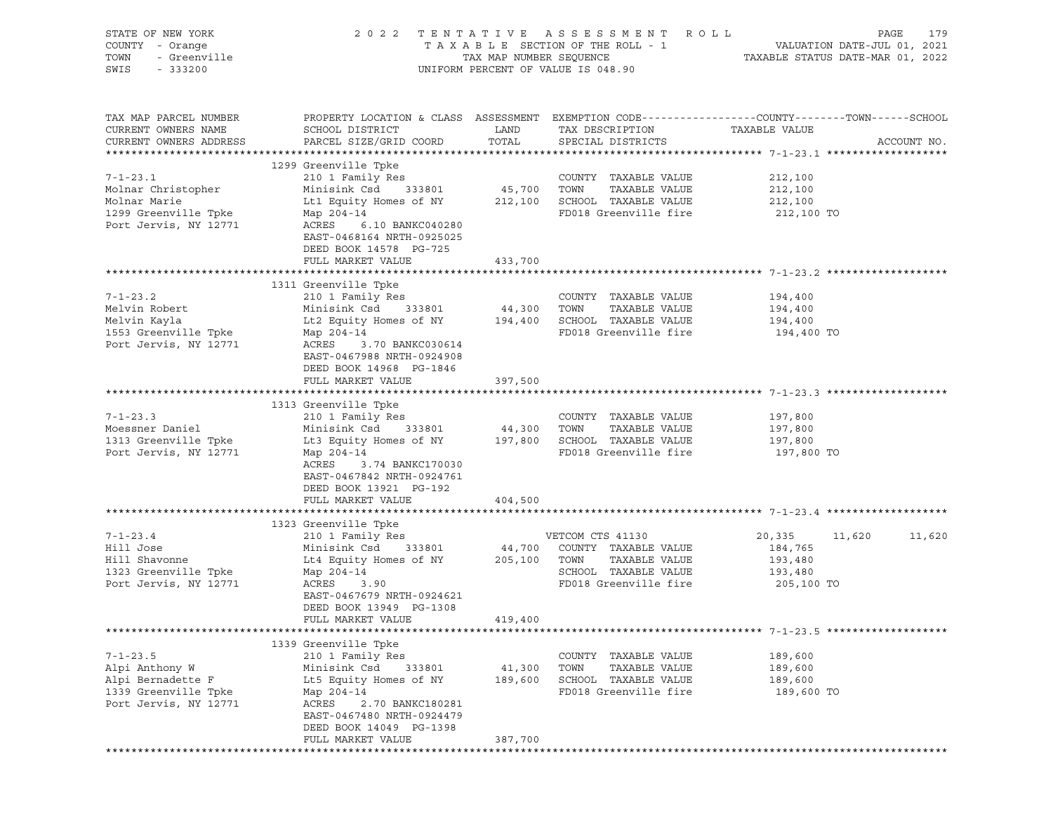| STATE OF NEW YORK<br>COUNTY - Orange<br><i>Y</i> - Orange<br>- Greenville<br>- 333200<br>TOWN<br>SWIS - 333200 |                                                                                                                                                                                                                                                                                                                                                                       |                              | 2022 TENTATIVE ASSESSMENT ROLL<br>UNIFORM PERCENT OF VALUE IS 048.90                           | TAXABLE SECTION OF THE ROLL - 1<br>TAXABLE STATUS DATE-JUL 01, 2021<br>TAXABLE STATUS DATE-MAR 01, 2022 | PAGE<br>179 |
|----------------------------------------------------------------------------------------------------------------|-----------------------------------------------------------------------------------------------------------------------------------------------------------------------------------------------------------------------------------------------------------------------------------------------------------------------------------------------------------------------|------------------------------|------------------------------------------------------------------------------------------------|---------------------------------------------------------------------------------------------------------|-------------|
| TAX MAP PARCEL NUMBER<br>CURRENT OWNERS NAME<br>CURRENT OWNERS ADDRESS                                         | PROPERTY LOCATION & CLASS ASSESSMENT EXEMPTION CODE----------------COUNTY-------TOWN------SCHOOL                                                                                                                                                                                                                                                                      |                              | TAX DESCRIPTION                                                                                | TAXABLE VALUE                                                                                           | ACCOUNT NO. |
|                                                                                                                | 1299 Greenville Tpke                                                                                                                                                                                                                                                                                                                                                  |                              |                                                                                                |                                                                                                         |             |
| $7 - 1 - 23.1$<br>Molnar Christopher                                                                           | Molnar Marie 12,100 Ltd Equity Homes of NY 212,100 SCHOOL TAXABLE VALUE 212,100 212,100<br>1299 Greenville Tpke Map 204-14 FD018 Greenville fire 212,100<br>Port Jervis, NY 12771 ACRES 6.10 BANKC040280<br>EAST-0468164 NRTH-0925025<br>DEED BOOK 14578 PG-725                                                                                                       |                              | COUNTY TAXABLE VALUE                                                                           | 212,100<br>212,100<br>212,100 TO                                                                        |             |
|                                                                                                                | FULL MARKET VALUE                                                                                                                                                                                                                                                                                                                                                     | 433,700                      |                                                                                                |                                                                                                         |             |
| $7 - 1 - 23.2$<br>Melvin Robert                                                                                | 1311 Greenville Tpke<br>210 1 Family Res<br>Minisink Csd 333801 44,300 TOWN TAXABLE VALUE 194,400<br>194,400 Lt2 Equity Homes of NY 194,400 SCHOOL TAXABLE VALUE 194,400<br>Map 204-14 FD018 Greenville fire 194.400                                                                                                                                                  |                              |                                                                                                |                                                                                                         |             |
| Melvin Kayla<br>1553 Greenville Tpke<br>Port Jervis, NY 12771                                                  | ACRES 3.70 BANKC030614<br>EAST-0467988 NRTH-0924908<br>DEED BOOK 14968 PG-1846                                                                                                                                                                                                                                                                                        |                              |                                                                                                | 194,400 TO                                                                                              |             |
|                                                                                                                | FULL MARKET VALUE                                                                                                                                                                                                                                                                                                                                                     | 397,500                      |                                                                                                |                                                                                                         |             |
|                                                                                                                | 1313 Greenville Tpke                                                                                                                                                                                                                                                                                                                                                  |                              |                                                                                                |                                                                                                         |             |
| $7 - 1 - 23.3$                                                                                                 | 210 1 Family Res                                                                                                                                                                                                                                                                                                                                                      |                              |                                                                                                |                                                                                                         |             |
|                                                                                                                | V-1-23.3 COUNTINUM AND AND AND TO A COUNTRY AND MORE SERVICE OF A MINISING CSC 333801 AND MORE TOWN A MARGARET<br>More Daniel Minisink Csc 333801 44,300 TOWN                                                                                                                                                                                                         |                              | COUNTY TAXABLE VALUE 197,800<br>TOWN TAXABLE VALUE 197,800                                     |                                                                                                         |             |
| Port Jervis, NY 12771                                                                                          | 1313 Greenville Tpke Lt3 Equity Homes of NY 197,800 SCHOOL TAXABLE VALUE 197,800<br>Map 204-14<br>ACRES 3.74 BANKC170030<br>EAST-0467842 NRTH-0924761<br>DEED BOOK 13921 PG-192                                                                                                                                                                                       |                              | FD018 Greenville fire                                                                          | 197,800 TO                                                                                              |             |
|                                                                                                                | FULL MARKET VALUE                                                                                                                                                                                                                                                                                                                                                     | 404,500                      |                                                                                                |                                                                                                         |             |
|                                                                                                                | 1323 Greenville Tpke                                                                                                                                                                                                                                                                                                                                                  |                              |                                                                                                |                                                                                                         |             |
| Port Jervis, NY 12771                                                                                          | 210 1 Family Res<br>210 1 Family Res<br>Minisink Csd 333801 44,700 COUNTY TAXABLE VALUE<br>V-1-23.4 210 1 Family Res<br>Hill Jose Minisink Csd 333801 44,700 COUNTY<br>Hill Shavonne Lt4 Equity Homes of NY 205,100 TOWN<br>1323 Greenville Tpke Map 204-14 SCHOOL<br>ACRES 3.90<br>EAST-0467679 NRTH-0924621<br>DEED BOOK 13949 PG-1308<br>FULL MARKET VALUE 419,400 |                              | VETCOM CTS 41130<br>SCHOOL TAXABLE VALUE<br>FD018 Greenville fire 205,100 TO                   | 20,335 11,620<br>184,765<br>TAXABLE VALUE 193,480<br>TAXABLE VALUE 193,480                              | 11,620      |
|                                                                                                                |                                                                                                                                                                                                                                                                                                                                                                       |                              |                                                                                                |                                                                                                         |             |
|                                                                                                                | 1339 Greenville Tpke                                                                                                                                                                                                                                                                                                                                                  |                              |                                                                                                |                                                                                                         |             |
| $7 - 1 - 23.5$<br>Alpi Anthony W<br>Alpi Bernadette F<br>1339 Greenville Tpke<br>Port Jervis, NY 12771         | 210 1 Family Res<br>Minisink Csd<br>333801<br>Lt5 Equity Homes of NY<br>Map 204-14<br>ACRES<br>2.70 BANKC180281<br>EAST-0467480 NRTH-0924479<br>DEED BOOK 14049 PG-1398<br>FULL MARKET VALUE                                                                                                                                                                          | 41,300<br>189,600<br>387,700 | COUNTY TAXABLE VALUE<br>TOWN<br>TAXABLE VALUE<br>SCHOOL TAXABLE VALUE<br>FD018 Greenville fire | 189,600<br>189,600<br>189,600<br>189,600 TO                                                             |             |
|                                                                                                                |                                                                                                                                                                                                                                                                                                                                                                       |                              |                                                                                                |                                                                                                         |             |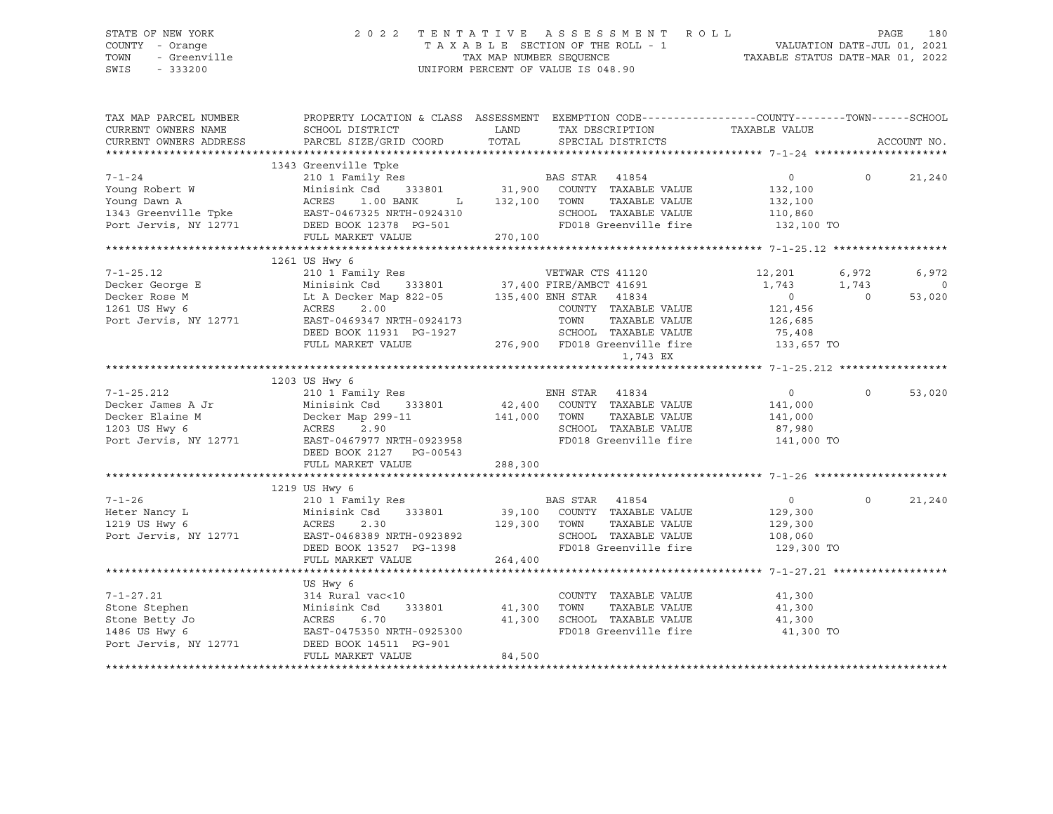### STATE OF NEW YORK 2 0 2 2 T E N T A T I V E A S S E S S M E N T R O L L PAGE 180 COUNTY - Orange T A X A B L E SECTION OF THE ROLL - 1 VALUATION DATE-JUL 01, 2021 TOWN - Greenville TAX MAP NUMBER SEQUENCE TAXABLE STATUS DATE-MAR 01, 2022 SWIS - 333200 UNIFORM PERCENT OF VALUE IS 048.90

| TAX MAP PARCEL NUMBER<br>CURRENT OWNERS NAME<br>CURRENT OWNERS ADDRESS | PROPERTY LOCATION & CLASS ASSESSMENT EXEMPTION CODE----------------COUNTY-------TOWN-----SCHOOL<br>SCHOOL DISTRICT<br>PARCEL SIZE/GRID COORD                            | LAND<br>TOTAL  | TAX DESCRIPTION<br>SPECIAL DISTRICTS                                    | TAXABLE VALUE                   |                | ACCOUNT NO.       |
|------------------------------------------------------------------------|-------------------------------------------------------------------------------------------------------------------------------------------------------------------------|----------------|-------------------------------------------------------------------------|---------------------------------|----------------|-------------------|
|                                                                        |                                                                                                                                                                         |                |                                                                         |                                 |                |                   |
| $7 - 1 - 24$                                                           | 1343 Greenville Tpke                                                                                                                                                    |                |                                                                         | $\overline{0}$                  | $\Omega$       | 21,240            |
| Young Robert W                                                         | Voung Dawn A<br>132,100<br>1343 Greenville Tpke<br>Port Jervis, NY 12771<br>DEED BOOK 12378 PG-501                                                                      | L 132,100 TOWN | TAXABLE VALUE<br>SCHOOL TAXABLE VALUE                                   | 132,100<br>132,100<br>110,860   |                |                   |
|                                                                        | FULL MARKET VALUE                                                                                                                                                       | 270,100        | FD018 Greenville fire 132,100 TO                                        |                                 |                |                   |
|                                                                        |                                                                                                                                                                         |                |                                                                         |                                 |                |                   |
|                                                                        | 1261 US Hwy 6                                                                                                                                                           |                |                                                                         |                                 |                |                   |
|                                                                        |                                                                                                                                                                         |                |                                                                         | 12,201<br>1,743                 | 6,972<br>1,743 | 6,972<br>$\Omega$ |
|                                                                        | 210 1 Family Res<br>Decker George E Minisink Csd 333801 37,400 FIRE/AMBCT 41691<br>Decker Rose M Lt A Decker Map 822-05 135,400 ENH STAR 41834<br>1261 US Hwy 6<br>2.00 |                |                                                                         | $\overline{0}$<br>121,456       | $\bigcirc$     | 53,020            |
| Port Jervis, NY 12771                                                  | EAST-0469347 NRTH-0924173<br>DEED BOOK 11931 PG-1927<br>FULL MARKET VALUE                                                                                               |                | TOWN<br>SCHOOL TAXABLE VALUE<br>276,900 FD018 Greenville fire 33,657 TO | TAXABLE VALUE 126,685<br>75,408 |                |                   |
|                                                                        |                                                                                                                                                                         |                | 1,743 EX                                                                |                                 |                |                   |
|                                                                        |                                                                                                                                                                         |                |                                                                         |                                 |                |                   |
|                                                                        | 1203 US Hwy 6                                                                                                                                                           |                |                                                                         |                                 |                |                   |
| $7 - 1 - 25.212$                                                       | 210 1 Family Res                                                                                                                                                        |                | ENH STAR 41834                                                          | $\overline{0}$                  | $\Omega$       | 53,020            |
| The Library<br>Decker Elaine M<br>1203 US Hwy 6                        | Minisink Csd                                                                                                                                                            | 141,000 TOWN   | 333801 42,400 COUNTY TAXABLE VALUE<br>TAXABLE VALUE                     | 141,000                         |                |                   |
|                                                                        | Decker Map 299-11<br>ACRES 2.90<br>2.90<br>ACRES                                                                                                                        |                | SCHOOL TAXABLE VALUE 87,980                                             | 141,000                         |                |                   |
| Port Jervis, NY 12771                                                  | ACRES 2.90<br>EAST-0467977 NRTH-0923958<br>DEED BOOK 2127 PG-00543<br>FULL MARKET VALUE                                                                                 | 288,300        | FD018 Greenville fire 141,000 TO                                        |                                 |                |                   |
|                                                                        |                                                                                                                                                                         |                |                                                                         |                                 |                |                   |
| $7 - 1 - 26$                                                           | 1219 US Hwy 6                                                                                                                                                           |                |                                                                         | $\overline{0}$                  | $\Omega$       | 21,240            |
| Heter Nancy L                                                          | 210 1 Family Res<br>Minisink Csd 333801 39,100 COUNTY TAXABLE VALUE<br>ACRES 2.30 129,300 TOWN TAXABLE VALUE<br>EAST-0468389 NRTH-0923892 SCHOOL TAXABLE VALUE          |                |                                                                         | 129,300                         |                |                   |
|                                                                        |                                                                                                                                                                         |                |                                                                         | 129,300                         |                |                   |
| 1219 US Hwy 6<br>Port Jervis, NY 12771                                 |                                                                                                                                                                         |                |                                                                         | 108,060                         |                |                   |
|                                                                        | DEED BOOK 13527 PG-1398<br>FULL MARKET VALUE                                                                                                                            | 264,400        | FD018 Greenville fire 129,300 TO                                        |                                 |                |                   |
|                                                                        |                                                                                                                                                                         |                |                                                                         |                                 |                |                   |
|                                                                        | US Hwy 6                                                                                                                                                                |                |                                                                         |                                 |                |                   |
| $7 - 1 - 27.21$                                                        | 314 Rural vac<10                                                                                                                                                        |                | COUNTY TAXABLE VALUE                                                    | 41,300                          |                |                   |
| Stone Stephen                                                          | Minisink Csd 333801<br>ACRES 6.70<br>EAST-0475350 NRTH-0925300                                                                                                          | 333801 41,300  | TOWN<br>TAXABLE VALUE                                                   | 41,300                          |                |                   |
| Stone Betty Jo                                                         |                                                                                                                                                                         | 41,300         | SCHOOL TAXABLE VALUE 41,300<br>FD018 Greenville fire 41,300 TO          |                                 |                |                   |
| 1486 US Hwy 6                                                          | Port Jervis, NY 12771 DEED BOOK 14511 PG-901<br>FULL MARKET VALUE                                                                                                       | 84,500         |                                                                         |                                 |                |                   |
|                                                                        |                                                                                                                                                                         |                |                                                                         |                                 |                |                   |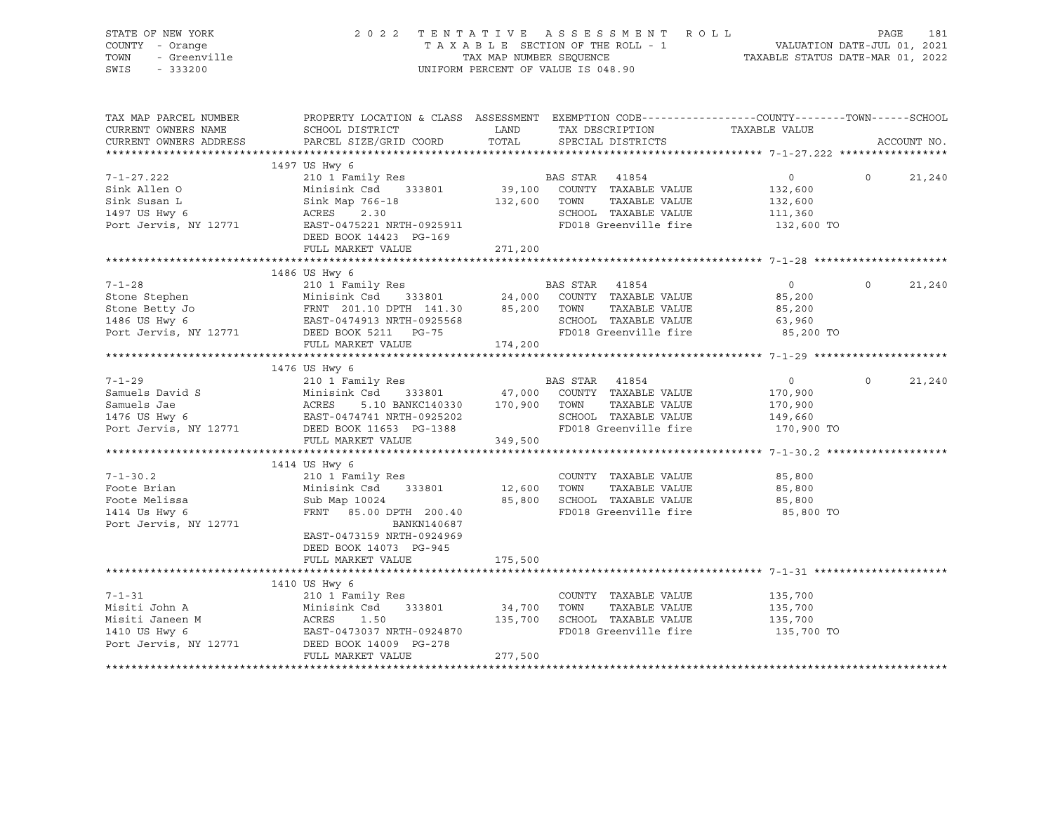| STATE OF NEW YORK<br>JF NEW YORK<br>- Orange<br>- Greenville<br>- Creation<br>COUNTY - Orange<br>TOWN<br>SWIS                                                                                                                                           | 2022                                                 |                      | TENTATIVE ASSESSMENT ROLL<br>TAXABLE SECTION OF THE ROLL - 1<br>TAXABLE SECTION OF THE ROLL - 1<br>TAXABLE STATUS DATE-MAR 01, 2022<br>UNIFORM PERCENT OF VALUE IS 048.90 |                       | PAGE     | 181         |
|---------------------------------------------------------------------------------------------------------------------------------------------------------------------------------------------------------------------------------------------------------|------------------------------------------------------|----------------------|---------------------------------------------------------------------------------------------------------------------------------------------------------------------------|-----------------------|----------|-------------|
| TAX MAP PARCEL NUMBER THE PROPERTY LOCATION & CLASS ASSESSMENT EXEMPTION CODE--------------COUNTY-------TOWN------SCHOOL<br>CURRENT OWNERS NAME<br>CURRENT OWNERS ADDRESS                                                                               | SCHOOL DISTRICT<br>PARCEL SIZE/GRID COORD            | <b>LAND</b><br>TOTAL | TAX DESCRIPTION<br>SPECIAL DISTRICTS                                                                                                                                      | TAXABLE VALUE         |          | ACCOUNT NO. |
|                                                                                                                                                                                                                                                         |                                                      |                      |                                                                                                                                                                           |                       |          |             |
|                                                                                                                                                                                                                                                         | 1497 US Hwy 6                                        |                      |                                                                                                                                                                           |                       |          |             |
| $7 - 1 - 27.222$                                                                                                                                                                                                                                        | 210 1 Family Res                                     |                      | BAS STAR 41854                                                                                                                                                            | $\overline{0}$        | $\Omega$ | 21,240      |
| Sink Allen O                                                                                                                                                                                                                                            | Minisink Csd 333801                                  |                      | 39,100 COUNTY TAXABLE VALUE                                                                                                                                               | 132,600               |          |             |
| Sink Susan L                                                                                                                                                                                                                                            | MINISING CSC 333801<br>Sink Map 766-18<br>ACRES 2.30 | 132,600 TOWN         | TAXABLE VALUE                                                                                                                                                             | 132,600               |          |             |
| 1497 US Hwy 6<br>Port Jervis, NY 12771                                                                                                                                                                                                                  | EAST-0475221 NRTH-0925911                            |                      | SCHOOL TAXABLE VALUE<br>FD018 Greenville fire                                                                                                                             | 111,360<br>132,600 TO |          |             |
|                                                                                                                                                                                                                                                         | DEED BOOK 14423 PG-169                               |                      |                                                                                                                                                                           |                       |          |             |
|                                                                                                                                                                                                                                                         | FULL MARKET VALUE                                    | 271,200              |                                                                                                                                                                           |                       |          |             |
|                                                                                                                                                                                                                                                         |                                                      |                      |                                                                                                                                                                           |                       |          |             |
|                                                                                                                                                                                                                                                         | 1486 US Hwy 6                                        |                      |                                                                                                                                                                           |                       |          |             |
| $7 - 1 - 28$                                                                                                                                                                                                                                            | 210 1 Family Res                                     |                      | BAS STAR 41854                                                                                                                                                            | $\overline{0}$        | $\circ$  | 21,240      |
|                                                                                                                                                                                                                                                         |                                                      |                      |                                                                                                                                                                           | 85,200                |          |             |
|                                                                                                                                                                                                                                                         |                                                      |                      |                                                                                                                                                                           | 85,200                |          |             |
| Stone Stephen<br>Stone Betty Jo<br>Stone Betty Jo<br>Stone Betty Jo<br>TAXABLE VALUE<br>TAXABLE VALUE<br>TAXABLE VALUE<br>TAXABLE VALUE<br>TAXABLE VALUE<br>TAXABLE VALUE<br>TAXABLE VALUE<br>TAXABLE VALUE<br>POTT Jets BOOK 5211 PG-75<br>TOM TAXABLE |                                                      |                      | SCHOOL TAXABLE VALUE                                                                                                                                                      | 63,960                |          |             |
|                                                                                                                                                                                                                                                         | FULL MARKET VALUE                                    | 174,200              | FD018 Greenville fire                                                                                                                                                     | 85,200 TO             |          |             |
|                                                                                                                                                                                                                                                         |                                                      |                      |                                                                                                                                                                           |                       |          |             |
|                                                                                                                                                                                                                                                         | 1476 US Hwy 6                                        |                      |                                                                                                                                                                           |                       |          |             |
| $7 - 1 - 29$                                                                                                                                                                                                                                            | 210 1 Family Res                                     |                      | BAS STAR 41854                                                                                                                                                            | $\overline{0}$        | $\Omega$ | 21,240      |
|                                                                                                                                                                                                                                                         |                                                      |                      | COUNTY TAXABLE VALUE                                                                                                                                                      | 170,900               |          |             |
|                                                                                                                                                                                                                                                         |                                                      |                      | TAXABLE VALUE<br>TOWN                                                                                                                                                     | 170,900               |          |             |
| Samuels David S<br>Samuels Jae Minisink Csd 333801 47,000<br>1476 US Hwy 6 EAST-0474741 NRTH-0925202<br>Port Jervis, NY 12771 DEED BOOK 11653 PG-1388                                                                                                   |                                                      |                      | SCHOOL TAXABLE VALUE                                                                                                                                                      | 149,660               |          |             |
|                                                                                                                                                                                                                                                         |                                                      |                      | FD018 Greenville fire                                                                                                                                                     | 170,900 TO            |          |             |
|                                                                                                                                                                                                                                                         | FULL MARKET VALUE                                    | 349,500              |                                                                                                                                                                           |                       |          |             |
|                                                                                                                                                                                                                                                         | 1414 US Hwy 6                                        |                      |                                                                                                                                                                           |                       |          |             |
| $7 - 1 - 30.2$                                                                                                                                                                                                                                          | 210 1 Family Res                                     |                      | COUNTY TAXABLE VALUE                                                                                                                                                      | 85,800                |          |             |
| Foote Brian                                                                                                                                                                                                                                             | Minisink Csd 333801                                  | 12,600               | TAXABLE VALUE<br>TOWN                                                                                                                                                     | 85,800                |          |             |
| Foote Melissa                                                                                                                                                                                                                                           | Sub Map 10024                                        | 85,800               | SCHOOL TAXABLE VALUE                                                                                                                                                      | 85,800                |          |             |
| 1414 Us Hwy 6                                                                                                                                                                                                                                           |                                                      |                      |                                                                                                                                                                           |                       |          |             |
| Port Jervis, NY 12771                                                                                                                                                                                                                                   | FRNT 85.00 DPTH 200.40                               |                      | FD018 Greenville fire                                                                                                                                                     | 85,800 TO             |          |             |
|                                                                                                                                                                                                                                                         | BANKN140687                                          |                      |                                                                                                                                                                           |                       |          |             |
|                                                                                                                                                                                                                                                         | EAST-0473159 NRTH-0924969                            |                      |                                                                                                                                                                           |                       |          |             |
|                                                                                                                                                                                                                                                         | DEED BOOK 14073 PG-945                               |                      |                                                                                                                                                                           |                       |          |             |
|                                                                                                                                                                                                                                                         | FULL MARKET VALUE                                    | 175,500              |                                                                                                                                                                           |                       |          |             |
|                                                                                                                                                                                                                                                         |                                                      | ******************   |                                                                                                                                                                           |                       |          |             |
|                                                                                                                                                                                                                                                         | 1410 US Hwy 6                                        |                      |                                                                                                                                                                           |                       |          |             |
| $7 - 1 - 31$                                                                                                                                                                                                                                            | 210 1 Family Res                                     |                      | COUNTY TAXABLE VALUE                                                                                                                                                      | 135,700               |          |             |
| Misiti John A<br>Misiti Janeen M                                                                                                                                                                                                                        |                                                      |                      | TOWN<br>TAXABLE VALUE<br>SCHOOL TAXABLE VALUE                                                                                                                             | 135,700<br>135,700    |          |             |
| 1410 US Hwy 6                                                                                                                                                                                                                                           | Minisink Csd 333801 34,700<br>ACRES 1.50 135,700     |                      | FD018 Greenville fire                                                                                                                                                     | 135,700 TO            |          |             |
| M<br>Port Jervis, NY 12771                                                                                                                                                                                                                              | EAST-0473037 NRTH-0924870                            |                      |                                                                                                                                                                           |                       |          |             |
|                                                                                                                                                                                                                                                         | EAST-0473037 NAMEL<br>DEED BOOK 14009 PG-278         | 277,500              |                                                                                                                                                                           |                       |          |             |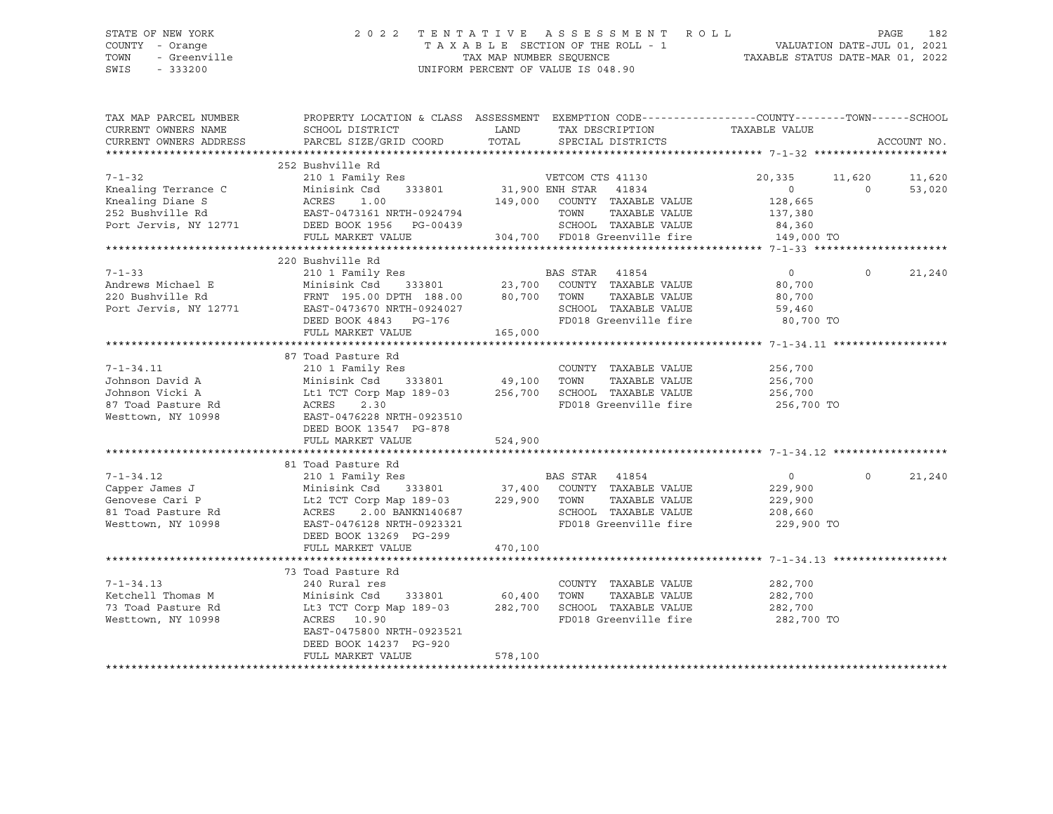## STATE OF NEW YORK 2 0 2 2 T E N T A T I V E A S S E S S M E N T R O L L PAGE 182 COUNTY - Orange T A X A B L E SECTION OF THE ROLL - 1 VALUATION DATE-JUL 01, 2021 TOWN - Greenville TAX MAP NUMBER SEQUENCE TAXABLE STATUS DATE-MAR 01, 2022 SWIS - 333200 UNIFORM PERCENT OF VALUE IS 048.90

| TAX MAP PARCEL NUMBER<br>CURRENT OWNERS NAME<br>CURRENT OWNERS ADDRESS                                                                                                                                                                                                                                                                                                                                                                                                                                         | PROPERTY LOCATION & CLASS ASSESSMENT EXEMPTION CODE----------------COUNTY-------TOWN------SCHOOL<br>SCHOOL DISTRICT<br>PARCEL SIZE/GRID COORD |         | LAND TAX DESCRIPTION TAXABLE VALUE<br>TOTAL SPECIAL DISTRICTS |                       |          | ACCOUNT NO. |
|----------------------------------------------------------------------------------------------------------------------------------------------------------------------------------------------------------------------------------------------------------------------------------------------------------------------------------------------------------------------------------------------------------------------------------------------------------------------------------------------------------------|-----------------------------------------------------------------------------------------------------------------------------------------------|---------|---------------------------------------------------------------|-----------------------|----------|-------------|
|                                                                                                                                                                                                                                                                                                                                                                                                                                                                                                                |                                                                                                                                               |         |                                                               |                       |          |             |
|                                                                                                                                                                                                                                                                                                                                                                                                                                                                                                                | 252 Bushville Rd                                                                                                                              |         |                                                               |                       |          |             |
| 7-1-32<br>20,335<br>20,335<br>20,335<br>20,335<br>20,335<br>20,335<br>20,335<br>20,335<br>20,335<br>20,335<br>20,335<br>20,335<br>20,335<br>20,335<br>20,335<br>20,335<br>20,335<br>20,335<br>20,335<br>20,335<br>20,880<br>20,880<br>20,880<br>20,880<br>20,885<br>20,885<br>20,885                                                                                                                                                                                                                           |                                                                                                                                               |         |                                                               | 20,335 11,620         |          | 11,620      |
|                                                                                                                                                                                                                                                                                                                                                                                                                                                                                                                |                                                                                                                                               |         |                                                               |                       | $\Omega$ | 53,020      |
|                                                                                                                                                                                                                                                                                                                                                                                                                                                                                                                |                                                                                                                                               |         |                                                               |                       |          |             |
|                                                                                                                                                                                                                                                                                                                                                                                                                                                                                                                |                                                                                                                                               |         |                                                               |                       |          |             |
|                                                                                                                                                                                                                                                                                                                                                                                                                                                                                                                |                                                                                                                                               |         |                                                               |                       |          |             |
|                                                                                                                                                                                                                                                                                                                                                                                                                                                                                                                | FULL MARKET VALUE                                                                                                                             |         | 304,700 FD018 Greenville fire 149,000 TO                      |                       |          |             |
|                                                                                                                                                                                                                                                                                                                                                                                                                                                                                                                |                                                                                                                                               |         |                                                               |                       |          |             |
|                                                                                                                                                                                                                                                                                                                                                                                                                                                                                                                | 220 Bushville Rd                                                                                                                              |         |                                                               |                       |          |             |
| $7 - 1 - 33$                                                                                                                                                                                                                                                                                                                                                                                                                                                                                                   |                                                                                                                                               |         |                                                               | $\overline{0}$        | $\circ$  | 21,240      |
| Andrews Michael E                                                                                                                                                                                                                                                                                                                                                                                                                                                                                              |                                                                                                                                               |         |                                                               | 80,700                |          |             |
| 220 Bushville Rd<br>Port Jervis, NY 12771                                                                                                                                                                                                                                                                                                                                                                                                                                                                      | FRNT 195.00 DPTH 188.00 80,700 TOWN                                                                                                           |         | TAXABLE VALUE                                                 | 80,700                |          |             |
|                                                                                                                                                                                                                                                                                                                                                                                                                                                                                                                | EAST-0473670 NRTH-0924027                                                                                                                     |         | SCHOOL TAXABLE VALUE                                          | 59,460                |          |             |
|                                                                                                                                                                                                                                                                                                                                                                                                                                                                                                                | DEED BOOK 4843 PG-176                                                                                                                         |         | FD018 Greenville fire 80,700 TO                               |                       |          |             |
|                                                                                                                                                                                                                                                                                                                                                                                                                                                                                                                | FULL MARKET VALUE                                                                                                                             | 165,000 |                                                               |                       |          |             |
|                                                                                                                                                                                                                                                                                                                                                                                                                                                                                                                |                                                                                                                                               |         |                                                               |                       |          |             |
|                                                                                                                                                                                                                                                                                                                                                                                                                                                                                                                |                                                                                                                                               |         |                                                               |                       |          |             |
|                                                                                                                                                                                                                                                                                                                                                                                                                                                                                                                |                                                                                                                                               |         | COUNTY TAXABLE VALUE 256,700                                  |                       |          |             |
|                                                                                                                                                                                                                                                                                                                                                                                                                                                                                                                |                                                                                                                                               |         |                                                               | TAXABLE VALUE 256,700 |          |             |
|                                                                                                                                                                                                                                                                                                                                                                                                                                                                                                                |                                                                                                                                               |         | FD018 Greenville fire 256,700 TO                              | 256,700               |          |             |
| $\begin{tabular}{lllllllllll} \multicolumn{3}{c}{\begin{tabular}{l} \multicolumn{3}{c}{\begin{tabular}{l} \multicolumn{3}{c}{\begin{tabular}{l} \multicolumn{3}{c}{\begin{tabular}{l} \multicolumn{3}{c}{\begin{tabular}{l} \multicolumn{3}{c}{\begin{tabular}{l} \multicolumn{3}{c}{\begin{tabular}{l} \multicolumn{3}{c}{\begin{tabular}{l} \multicolumn{3}{c}{\begin{tabular}{l} \multicolumn{3}{c}{\begin{tabular}{l} \multicolumn{3}{c}{\begin{tabular}{l} \multicolumn{3}{c}{\begin{tabular}{l} \multic$ |                                                                                                                                               |         |                                                               |                       |          |             |
|                                                                                                                                                                                                                                                                                                                                                                                                                                                                                                                |                                                                                                                                               |         |                                                               |                       |          |             |
|                                                                                                                                                                                                                                                                                                                                                                                                                                                                                                                |                                                                                                                                               |         |                                                               |                       |          |             |
|                                                                                                                                                                                                                                                                                                                                                                                                                                                                                                                | FULL MARKET VALUE                                                                                                                             | 524,900 |                                                               |                       |          |             |
|                                                                                                                                                                                                                                                                                                                                                                                                                                                                                                                |                                                                                                                                               |         |                                                               |                       |          |             |
|                                                                                                                                                                                                                                                                                                                                                                                                                                                                                                                |                                                                                                                                               |         |                                                               |                       | $\Omega$ | 21,240      |
|                                                                                                                                                                                                                                                                                                                                                                                                                                                                                                                |                                                                                                                                               |         |                                                               |                       |          |             |
|                                                                                                                                                                                                                                                                                                                                                                                                                                                                                                                |                                                                                                                                               |         |                                                               |                       |          |             |
|                                                                                                                                                                                                                                                                                                                                                                                                                                                                                                                |                                                                                                                                               |         |                                                               |                       |          |             |
| Westtown, NY 10998 EAST-0476128 NRTH-0923321                                                                                                                                                                                                                                                                                                                                                                                                                                                                   |                                                                                                                                               |         | FD018 Greenville fire 229,900 TO                              |                       |          |             |
|                                                                                                                                                                                                                                                                                                                                                                                                                                                                                                                | DEED BOOK 13269 PG-299                                                                                                                        |         |                                                               |                       |          |             |
|                                                                                                                                                                                                                                                                                                                                                                                                                                                                                                                | FULL MARKET VALUE                                                                                                                             | 470,100 |                                                               |                       |          |             |
|                                                                                                                                                                                                                                                                                                                                                                                                                                                                                                                |                                                                                                                                               |         |                                                               |                       |          |             |
|                                                                                                                                                                                                                                                                                                                                                                                                                                                                                                                | 73 Toad Pasture Rd                                                                                                                            |         |                                                               |                       |          |             |
| $7 - 1 - 34.13$                                                                                                                                                                                                                                                                                                                                                                                                                                                                                                | 240 Rural res                                                                                                                                 |         | COUNTY TAXABLE VALUE                                          | 282,700               |          |             |
| Ketchell Thomas M                                                                                                                                                                                                                                                                                                                                                                                                                                                                                              | Minisink Csd 333801 60,400 TOWN                                                                                                               |         | TAXABLE VALUE                                                 | 282,700               |          |             |
| 73 Toad Pasture Rd                                                                                                                                                                                                                                                                                                                                                                                                                                                                                             | Lt3 TCT Corp Map 189-03 282,700 SCHOOL TAXABLE VALUE 282,700                                                                                  |         |                                                               |                       |          |             |
| Westtown, NY 10998                                                                                                                                                                                                                                                                                                                                                                                                                                                                                             | ACRES 10.90                                                                                                                                   |         | FD018 Greenville fire                                         | 282,700 TO            |          |             |
|                                                                                                                                                                                                                                                                                                                                                                                                                                                                                                                | EAST-0475800 NRTH-0923521                                                                                                                     |         |                                                               |                       |          |             |
|                                                                                                                                                                                                                                                                                                                                                                                                                                                                                                                | DEED BOOK 14237 PG-920                                                                                                                        |         |                                                               |                       |          |             |
|                                                                                                                                                                                                                                                                                                                                                                                                                                                                                                                | FULL MARKET VALUE                                                                                                                             | 578,100 |                                                               |                       |          |             |
|                                                                                                                                                                                                                                                                                                                                                                                                                                                                                                                |                                                                                                                                               |         |                                                               |                       |          |             |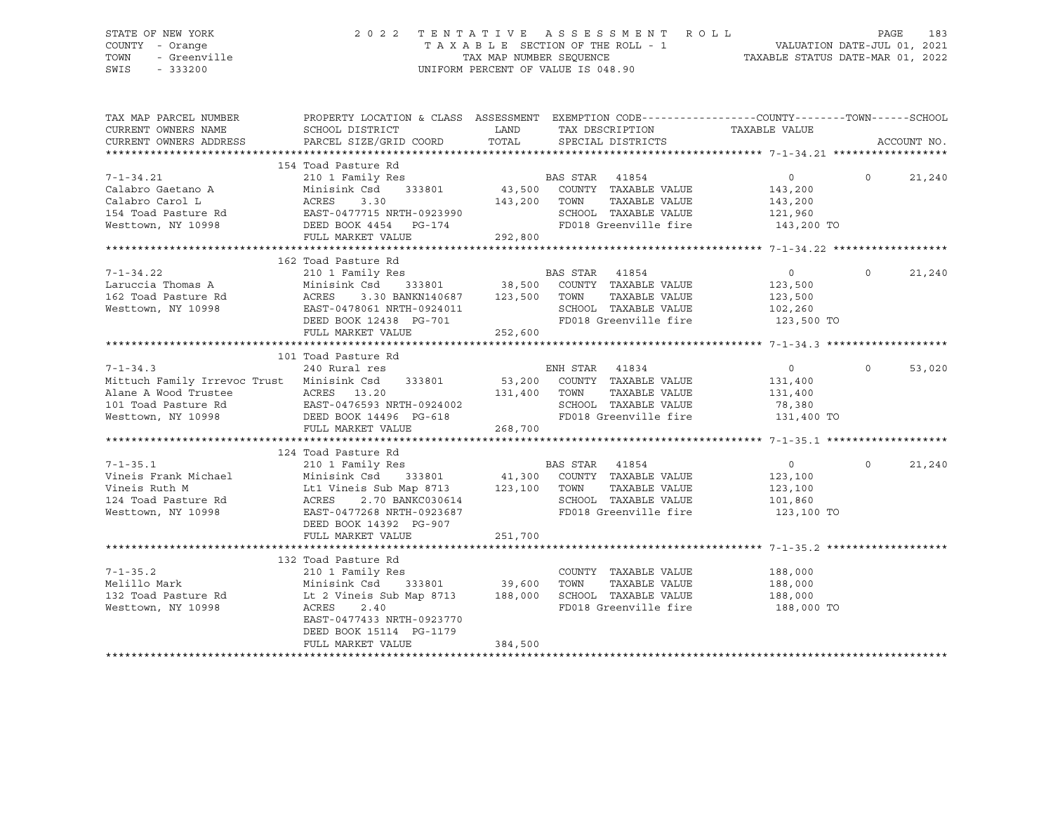## STATE OF NEW YORK 2 0 2 2 T E N T A T I V E A S S E S S M E N T R O L L PAGE 183 COUNTY - Orange T A X A B L E SECTION OF THE ROLL - 1 VALUATION DATE-JUL 01, 2021 TOWN - Greenville TAX MAP NUMBER SEQUENCE TAXABLE STATUS DATE-MAR 01, 2022 SWIS - 333200 UNIFORM PERCENT OF VALUE IS 048.90

| TAX MAP PARCEL NUMBER<br>CURRENT OWNERS NAME<br>CURRENT OWNERS ADDRESS                                                                                                                                                               | PROPERTY LOCATION & CLASS ASSESSMENT EXEMPTION CODE---------------COUNTY-------TOWN------SCHOOL<br>SCHOOL DISTRICT<br>PARCEL SIZE/GRID COORD | LAND TAX DESCRIPTION | TOTAL SPECIAL DISTRICTS | TAXABLE VALUE                                                    |          | ACCOUNT NO. |
|--------------------------------------------------------------------------------------------------------------------------------------------------------------------------------------------------------------------------------------|----------------------------------------------------------------------------------------------------------------------------------------------|----------------------|-------------------------|------------------------------------------------------------------|----------|-------------|
|                                                                                                                                                                                                                                      |                                                                                                                                              |                      |                         |                                                                  |          |             |
|                                                                                                                                                                                                                                      |                                                                                                                                              |                      |                         |                                                                  |          |             |
|                                                                                                                                                                                                                                      |                                                                                                                                              |                      |                         | $\overline{0}$                                                   | $\Omega$ | 21,240      |
|                                                                                                                                                                                                                                      |                                                                                                                                              |                      |                         | 143,200                                                          |          |             |
|                                                                                                                                                                                                                                      |                                                                                                                                              |                      |                         | TAXABLE VALUE 143,200                                            |          |             |
|                                                                                                                                                                                                                                      |                                                                                                                                              |                      |                         |                                                                  |          |             |
|                                                                                                                                                                                                                                      |                                                                                                                                              |                      |                         | SCHOOL TAXABLE VALUE 121,960<br>FD018 Greenville fire 143,200 TO |          |             |
|                                                                                                                                                                                                                                      |                                                                                                                                              |                      |                         |                                                                  |          |             |
|                                                                                                                                                                                                                                      |                                                                                                                                              |                      |                         |                                                                  |          |             |
|                                                                                                                                                                                                                                      | 162 Toad Pasture Rd                                                                                                                          |                      |                         |                                                                  |          |             |
|                                                                                                                                                                                                                                      |                                                                                                                                              |                      |                         |                                                                  | $\circ$  | 21,240      |
|                                                                                                                                                                                                                                      |                                                                                                                                              |                      |                         |                                                                  |          |             |
|                                                                                                                                                                                                                                      |                                                                                                                                              |                      |                         |                                                                  |          |             |
|                                                                                                                                                                                                                                      |                                                                                                                                              |                      |                         |                                                                  |          |             |
|                                                                                                                                                                                                                                      |                                                                                                                                              |                      |                         |                                                                  |          |             |
|                                                                                                                                                                                                                                      | FULL MARKET VALUE                                                                                                                            | 252,600              |                         |                                                                  |          |             |
|                                                                                                                                                                                                                                      |                                                                                                                                              |                      |                         |                                                                  |          |             |
|                                                                                                                                                                                                                                      | 101 Toad Pasture Rd                                                                                                                          |                      |                         |                                                                  |          |             |
|                                                                                                                                                                                                                                      |                                                                                                                                              |                      |                         | $\overline{0}$                                                   | $\Omega$ | 53,020      |
|                                                                                                                                                                                                                                      |                                                                                                                                              |                      |                         | 131,400                                                          |          |             |
|                                                                                                                                                                                                                                      |                                                                                                                                              | 131,400 TOWN         | TAXABLE VALUE           | 131,400                                                          |          |             |
|                                                                                                                                                                                                                                      |                                                                                                                                              |                      |                         |                                                                  |          |             |
| Alane A Wood Trustee ACRES 13.20 131,400<br>101 Toad Pasture Rd EAST-0476593 NRTH-0924002<br>Westtown, NY 10998 DEED BOOK 14496 PG-618<br>FULL MARKET VALUE 268,700                                                                  |                                                                                                                                              |                      |                         | SCHOOL TAXABLE VALUE 78,380<br>FD018 Greenville fire 131,400 TO  |          |             |
|                                                                                                                                                                                                                                      | FULL MARKET VALUE                                                                                                                            | 268,700              |                         |                                                                  |          |             |
|                                                                                                                                                                                                                                      |                                                                                                                                              |                      |                         |                                                                  |          |             |
|                                                                                                                                                                                                                                      | 124 Toad Pasture Rd                                                                                                                          |                      |                         |                                                                  |          |             |
|                                                                                                                                                                                                                                      |                                                                                                                                              |                      |                         | $\overline{0}$                                                   | $\Omega$ | 21,240      |
|                                                                                                                                                                                                                                      |                                                                                                                                              |                      |                         | 123,100                                                          |          |             |
|                                                                                                                                                                                                                                      |                                                                                                                                              |                      |                         | TAXABLE VALUE 123,100                                            |          |             |
|                                                                                                                                                                                                                                      |                                                                                                                                              |                      |                         | SCHOOL TAXABLE VALUE 101,860<br>FD018 Greenville fire 123,100    |          |             |
| 7-1-35.1 210 1 Family Res<br>Vineis Frank Michael Minisink Csd 333801 41,300 COUNTY TAXABLE VALUE<br>Vineis Ruth M Lt1 Vineis Sub Map 8713 123,100 TOWN TAXABLE VALUE<br>124 Toad Pasture Rd ACRES 2.70 BANKC030614 SCHOOL TAXABLE V |                                                                                                                                              |                      |                         | 123,100 TO                                                       |          |             |
|                                                                                                                                                                                                                                      | DEED BOOK 14392 PG-907                                                                                                                       |                      |                         |                                                                  |          |             |
|                                                                                                                                                                                                                                      | FULL MARKET VALUE                                                                                                                            | 251,700              |                         |                                                                  |          |             |
|                                                                                                                                                                                                                                      |                                                                                                                                              |                      |                         |                                                                  |          |             |
|                                                                                                                                                                                                                                      | 132 Toad Pasture Rd                                                                                                                          |                      |                         |                                                                  |          |             |
| $7 - 1 - 35.2$                                                                                                                                                                                                                       | 210 1 Family Res                                                                                                                             |                      |                         | COUNTY TAXABLE VALUE 188,000                                     |          |             |
| Minisink Csd<br>Melillo Mark                                                                                                                                                                                                         | 333801 39,600 TOWN                                                                                                                           |                      |                         | TAXABLE VALUE 188,000                                            |          |             |
|                                                                                                                                                                                                                                      |                                                                                                                                              |                      |                         |                                                                  |          |             |
| Westtown, NY 10998                                                                                                                                                                                                                   | ACRES<br>2.40                                                                                                                                |                      | FD018 Greenville fire   | 188,000 TO                                                       |          |             |
|                                                                                                                                                                                                                                      | EAST-0477433 NRTH-0923770                                                                                                                    |                      |                         |                                                                  |          |             |
|                                                                                                                                                                                                                                      | DEED BOOK 15114 PG-1179                                                                                                                      |                      |                         |                                                                  |          |             |
|                                                                                                                                                                                                                                      | FULL MARKET VALUE                                                                                                                            | 384,500              |                         |                                                                  |          |             |
|                                                                                                                                                                                                                                      |                                                                                                                                              |                      |                         |                                                                  |          |             |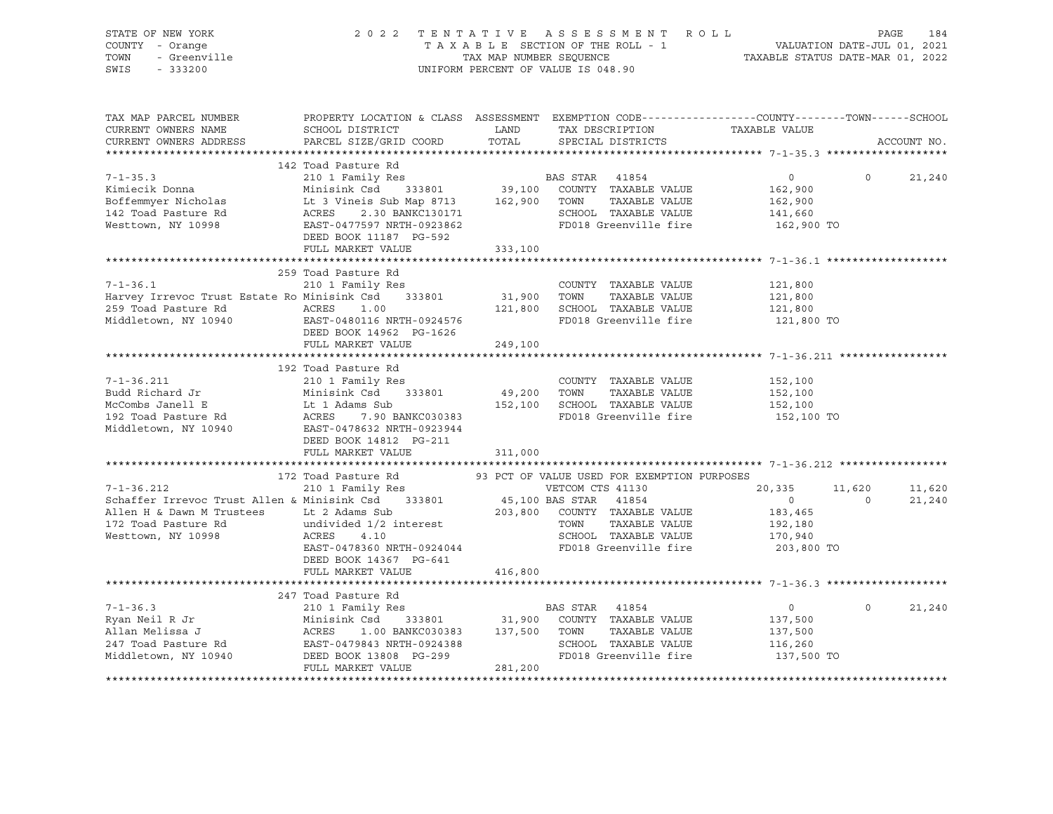| STATE OF NEW YORK<br>COUNTY - Orange<br>TOWN<br>- Greenville<br>SWIS<br>$-333200$                                                                                                                             | 2022 TENTATIVE ASSESSMENT ROLL                                                                                                                                                                                                                        | TAX MAP NUMBER SEQUENCE<br>UNIFORM PERCENT OF VALUE IS 048.90 |                                                   | TAXABLE SECTION OF THE ROLL - 1                                                                                                               | 184<br>PAGE<br>VALUATION DATE-JUL 01, 2021<br>TAXABLE STATUS DATE-MAR 01, 2022 |                          |                  |
|---------------------------------------------------------------------------------------------------------------------------------------------------------------------------------------------------------------|-------------------------------------------------------------------------------------------------------------------------------------------------------------------------------------------------------------------------------------------------------|---------------------------------------------------------------|---------------------------------------------------|-----------------------------------------------------------------------------------------------------------------------------------------------|--------------------------------------------------------------------------------|--------------------------|------------------|
| TAX MAP PARCEL NUMBER<br>CURRENT OWNERS NAME<br>CURRENT OWNERS ADDRESS                                                                                                                                        | PROPERTY LOCATION & CLASS ASSESSMENT EXEMPTION CODE---------------COUNTY-------TOWN-----SCHOOL<br>SCHOOL DISTRICT<br>PARCEL SIZE/GRID COORD                                                                                                           | LAND<br>TOTAL                                                 |                                                   | TAX DESCRIPTION<br>SPECIAL DISTRICTS                                                                                                          | TAXABLE VALUE                                                                  |                          | ACCOUNT NO.      |
|                                                                                                                                                                                                               | 142 Toad Pasture Rd                                                                                                                                                                                                                                   |                                                               |                                                   |                                                                                                                                               |                                                                                |                          |                  |
| $7 - 1 - 35.3$<br>Kimiecik Donna<br>Boffemmyer Nicholas<br>142 Toad Pasture Rd<br>Westtown, NY 10998                                                                                                          | BAS STAR 41854<br>Minisink Csd 333801 39,100 COUNTY TAXABLE VALUE<br>Lt 3 Vineis Sub Map 8713 162,900 TOWN TAXABLE VALUE<br>ACRES 2.30 BANKC130171 SCHOOL TAXABLE VALUE<br>EAST-0477592 NEWSLE COOL SCHOOL TAXABLE VALUE<br>EAST-0477597 NRTH-0923862 |                                                               |                                                   | FD018 Greenville fire                                                                                                                         | $\overline{0}$<br>162,900<br>162,900<br>141,660<br>162,900 TO                  | $\circ$                  | 21,240           |
|                                                                                                                                                                                                               | DEED BOOK 11187 PG-592                                                                                                                                                                                                                                |                                                               |                                                   |                                                                                                                                               |                                                                                |                          |                  |
|                                                                                                                                                                                                               | FULL MARKET VALUE<br>259 Toad Pasture Rd                                                                                                                                                                                                              | 333,100                                                       |                                                   |                                                                                                                                               |                                                                                |                          |                  |
| $7 - 1 - 36.1$<br>Harvey Irrevoc Trust Estate Ro Minisink Csd<br>259 Toad Pasture Rd<br>Middletown, NY 10940                                                                                                  | 210 1 Family Res<br>333801<br>ACRES<br>1.00<br>EAST-0480116 NRTH-0924576<br>DEED BOOK 14962 PG-1626                                                                                                                                                   | 31,900 TOWN                                                   |                                                   | COUNTY TAXABLE VALUE<br>TAXABLE VALUE<br>121,800 SCHOOL TAXABLE VALUE<br>FD018 Greenville fire                                                | 121,800<br>121,800<br>121,800<br>121,800 TO                                    |                          |                  |
|                                                                                                                                                                                                               | FULL MARKET VALUE                                                                                                                                                                                                                                     | 249,100                                                       |                                                   |                                                                                                                                               |                                                                                |                          |                  |
|                                                                                                                                                                                                               |                                                                                                                                                                                                                                                       |                                                               |                                                   |                                                                                                                                               |                                                                                |                          |                  |
| $7 - 1 - 36.211$<br>Budd Richard Jr<br>McCombs Janell E<br>192 Toad Pasture Rd<br>Middletown, NY 10940                                                                                                        | 192 Toad Pasture Rd<br>210 1 Family Res<br>Minisink Csd 333801<br>Lt 1 Adams Sub<br>ACRES 7.90 BANACUSUS<br>EAST-0478632 NRTH-0923944<br>EAST-0478632 NRTH-0923944<br>DEED BOOK 14812 PG-211<br>FULL MARKET VALUE                                     | 49,200 TOWN<br>311,000                                        |                                                   | COUNTY TAXABLE VALUE<br>TAXABLE VALUE<br>152,100 SCHOOL TAXABLE VALUE<br>FD018 Greenville fire                                                | 152,100<br>152,100<br>152,100<br>152,100 TO                                    |                          |                  |
|                                                                                                                                                                                                               |                                                                                                                                                                                                                                                       |                                                               |                                                   |                                                                                                                                               |                                                                                |                          |                  |
| $7 - 1 - 36.212$<br>Schaffer Irrevoc Trust Allen & Minisink Csd 333801<br>Allen H & Dawn M Trustees Lt 2 Adams Sub<br>173 Tood Dagture Pd undivided 1/2 interest<br>172 Toad Pasture Rd<br>Westtown, NY 10998 | 172 Toad Pasture Rd<br>210 1 Family Res<br>undivided 1/2 interest<br>ACRES<br>4.10<br>EAST-0478360 NRTH-0924044<br>DEED BOOK 14367 PG-641                                                                                                             |                                                               | VETCOM CTS 41130<br>45,100 BAS STAR 41854<br>TOWN | 93 PCT OF VALUE USED FOR EXEMPTION PURPOSES<br>203,800 COUNTY TAXABLE VALUE<br>TAXABLE VALUE<br>SCHOOL TAXABLE VALUE<br>FD018 Greenville fire | 20,335<br>$\overline{0}$<br>183,465<br>192,180<br>170,940<br>203,800 TO        | 11,620<br>$\overline{0}$ | 11,620<br>21,240 |
|                                                                                                                                                                                                               | FULL MARKET VALUE                                                                                                                                                                                                                                     | 416,800                                                       |                                                   |                                                                                                                                               |                                                                                |                          |                  |
|                                                                                                                                                                                                               |                                                                                                                                                                                                                                                       |                                                               |                                                   |                                                                                                                                               |                                                                                |                          |                  |
| $7 - 1 - 36.3$<br>Ryan Neil R Jr<br>Allan Melissa J<br>247 Toad Pasture Rd<br>Middletown, NY 10940                                                                                                            | 247 Toad Pasture Rd<br>210 1 Family Res<br>Minisink Csd<br>ACRES<br>1.00 BANKC030383 137,500 TOWN<br>ACRES 1.00 211.1.1.<br>EAST-0479843 NRTH-0924388<br>DEED BOOK 13808 PG-299<br>FULL MARKET VALUE                                                  | 281,200                                                       | BAS STAR                                          | 41854<br>333801 31,900 COUNTY TAXABLE VALUE<br>TAXABLE VALUE<br>SCHOOL TAXABLE VALUE<br>FD018 Greenville fire                                 | $0 \qquad \qquad$<br>137,500<br>137,500<br>116,260<br>137,500 TO               | $\Omega$                 | 21,240           |
|                                                                                                                                                                                                               |                                                                                                                                                                                                                                                       |                                                               |                                                   |                                                                                                                                               |                                                                                |                          |                  |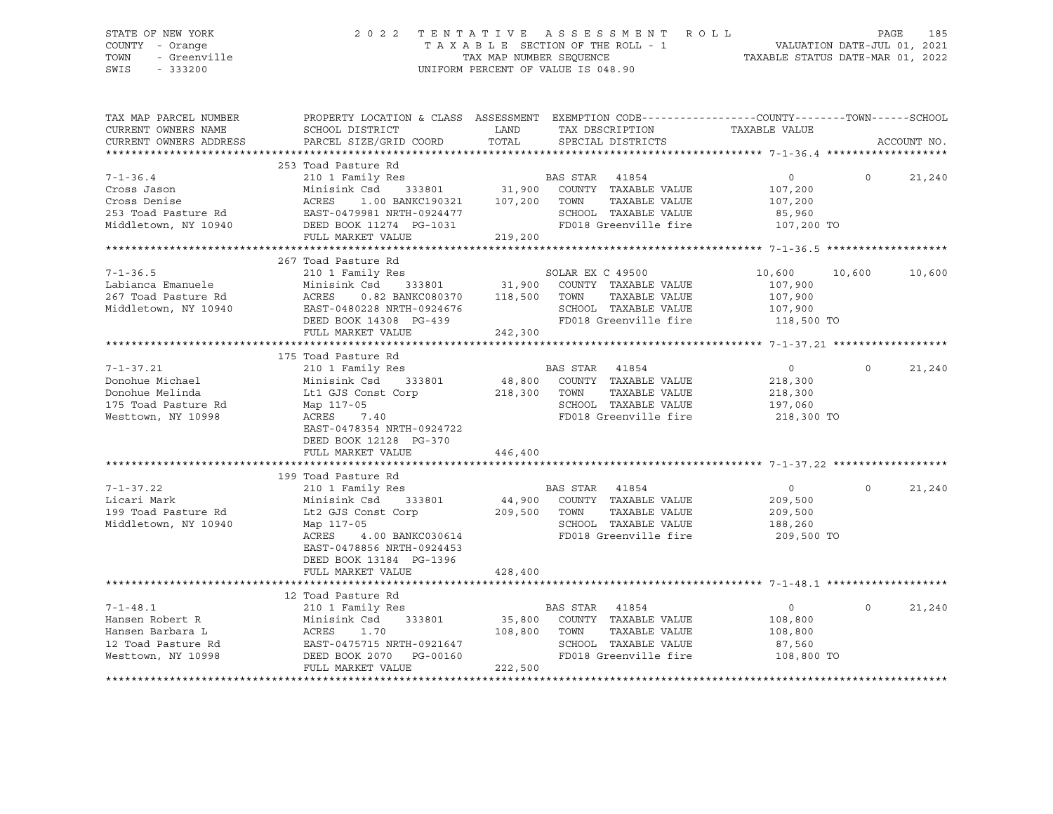## STATE OF NEW YORK 2 0 2 2 T E N T A T I V E A S S E S S M E N T R O L L PAGE 185 COUNTY - Orange T A X A B L E SECTION OF THE ROLL - 1 VALUATION DATE-JUL 01, 2021 TOWN - Greenville TAX MAP NUMBER SEQUENCE TAXABLE STATUS DATE-MAR 01, 2022 SWIS - 333200 UNIFORM PERCENT OF VALUE IS 048.90

| TAX MAP PARCEL NUMBER<br>CURRENT OWNERS NAME<br>CURRENT OWNERS ADDRESS                             | SCHOOL DISTRICT<br>PARCEL SIZE/GRID COORD                                                                                                                                                                                 | PROPERTY LOCATION & CLASS ASSESSMENT EXEMPTION CODE---------------COUNTY-------TOWN-----SCHOOL<br>LAND<br>TAX DESCRIPTION<br>TOTAL<br>SPECIAL DISTRICTS                                                                                                                                                               | TAXABLE VALUE<br>ACCOUNT NO.                                                        |
|----------------------------------------------------------------------------------------------------|---------------------------------------------------------------------------------------------------------------------------------------------------------------------------------------------------------------------------|-----------------------------------------------------------------------------------------------------------------------------------------------------------------------------------------------------------------------------------------------------------------------------------------------------------------------|-------------------------------------------------------------------------------------|
| $7 - 1 - 36.4$<br>Cross Jason<br>Cross Denise                                                      | 253 Toad Pasture Rd<br>210 1 Family Res<br>ACRES 1.00 BANKC190321 107,200 TOWN<br>FULL MARKET VALUE                                                                                                                       | <b>BAS STAR</b> 41854<br>Minisink Csd 333801 31,900 COUNTY TAXABLE VALUE<br>TAXABLE VALUE<br>253 Toad Pasture Rd<br>253 Toad Pasture Rd<br>253 Toad Pasture Rd<br>253 Toad Pasture Rd<br>253 Toad Pasture Rd<br>253 Toad Pasture Rd<br>253 Toad Pasture Rd<br>254 ED 200 IN RD 200 IN SCHOOL<br>267,200 TO<br>219,200 | $\Omega$<br>21,240<br>$\overline{0}$<br>107,200<br>107,200                          |
| $7 - 1 - 36.5$<br>Labianca Emanuele<br>267 Toad Pasture Rd<br>Middletown, NY 10940                 | 267 Toad Pasture Rd<br>ACRES<br>EAST-0480228 NRTH-0924676<br>DEED BOOK 14308 PG-439<br>FULL MARKET VALUE                                                                                                                  | 0.82 BANKC080370 118,500 TOWN<br>TAXABLE VALUE<br>SCHOOL TAXABLE VALUE 107,900<br>FD018 Greenville fire 118,500 TO<br>242,300                                                                                                                                                                                         | 10,600 10,600<br>10,600<br>107,900<br>107,900                                       |
| $7 - 1 - 37.21$<br>Donohue Michael<br>Donohue Melinda<br>175 Toad Pasture Rd<br>Westtown, NY 10998 | 175 Toad Pasture Rd<br>210 1 Family Res<br>Minisink Csd<br>333801<br>Lt1 GJS Const Corp<br>Map 117-05<br>ACRES 7.40<br>EAST-0478354 NRTH-0924722<br>DEED BOOK 12128 PG-370<br>FULL MARKET VALUE                           | BAS STAR 41854<br>48,800 COUNTY TAXABLE VALUE<br>218,300 TOWN<br>TAXABLE VALUE<br>SCHOOL TAXABLE VALUE<br>FD018 Greenville fire<br>446,400                                                                                                                                                                            | $\overline{0}$<br>$\circ$<br>21,240<br>218,300<br>218,300<br>197,060<br>218,300 TO  |
| $7 - 1 - 37.22$<br>Licari Mark<br>199 Toad Pasture Rd<br>Middletown, NY 10940                      | 199 Toad Pasture Rd<br>210 1 Family Res<br>Minisink Csd 333801<br>Lt2 GJS Const Corp 209,500 TOWN<br>Map 117-05<br>4.00 BANKC030614<br>ACRES<br>EAST-0478856 NRTH-0924453<br>DEED BOOK 13184 PG-1396<br>FULL MARKET VALUE | BAS STAR 41854<br>44,900 COUNTY TAXABLE VALUE<br>TAXABLE VALUE<br>SCHOOL TAXABLE VALUE<br>FD018 Greenville fire<br>428,400                                                                                                                                                                                            | $\overline{0}$<br>$\Omega$<br>21,240<br>209,500<br>209,500<br>188,260<br>209,500 TO |
| $7 - 1 - 48.1$<br>Hansen Robert R<br>Hansen Barbara L<br>12 Toad Pasture Rd<br>Westtown, NY 10998  | 12 Toad Pasture Rd<br>210 1 Family Res<br>Minisink Csd 333801<br>ACRES 1.70 108,800 TOWN<br>EAST-0475715 NRTH-0921647 SCHOOL<br>TIME DOOK 20170 PG-00160 FD018 G:<br>FULL MARKET VALUE                                    | <b>BAS STAR</b> 41854<br>Minisink Csd 333801 35,800 COUNTY TAXABLE VALUE<br>TAXABLE VALUE<br>SCHOOL TAXABLE VALUE<br>FD018 Greenville fire 108,800 TO<br>222,500                                                                                                                                                      | $\Omega$<br>$\overline{0}$<br>21,240<br>108,800<br>108,800<br>87,560                |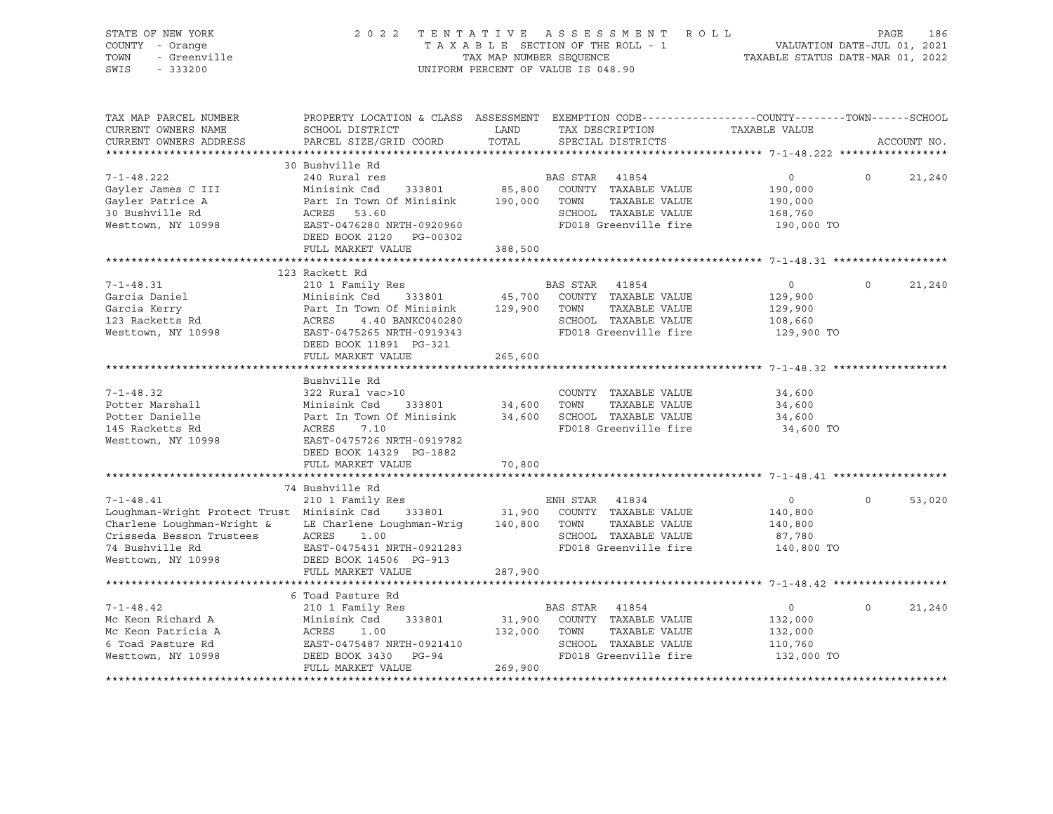| STATE OF NEW YORK<br>COUNTY - Orange<br>TOWN<br>- Greenville<br>SWIS<br>$-333200$ | 2022 TENTATIVE ASSESSMENT ROLL                                                                                                               | TAXABLE SECTION OF THE ROLL - 1<br>TAX MAP NUMBER SEQUENCE<br>UNIFORM PERCENT OF VALUE IS 048.90 |                |                                              | VALUATION DATE-JUL 01, 2021<br>TAXABLE STATUS DATE-MAR 01, 2022 | PAGE     | 186         |
|-----------------------------------------------------------------------------------|----------------------------------------------------------------------------------------------------------------------------------------------|--------------------------------------------------------------------------------------------------|----------------|----------------------------------------------|-----------------------------------------------------------------|----------|-------------|
| TAX MAP PARCEL NUMBER<br>CURRENT OWNERS NAME<br>CURRENT OWNERS ADDRESS            | PROPERTY LOCATION & CLASS ASSESSMENT EXEMPTION CODE----------------COUNTY-------TOWN-----SCHOOL<br>SCHOOL DISTRICT<br>PARCEL SIZE/GRID COORD | LAND<br>TOTAL                                                                                    |                | TAX DESCRIPTION<br>SPECIAL DISTRICTS         | TAXABLE VALUE                                                   |          | ACCOUNT NO. |
|                                                                                   | 30 Bushville Rd                                                                                                                              |                                                                                                  |                |                                              |                                                                 |          |             |
| $7 - 1 - 48.222$                                                                  | 240 Rural res                                                                                                                                |                                                                                                  | BAS STAR       | 41854                                        | $\circ$                                                         | $\circ$  | 21,240      |
| Gayler James C III                                                                | Minisink Csd<br>333801                                                                                                                       | 85,800                                                                                           |                | COUNTY TAXABLE VALUE                         | 190,000                                                         |          |             |
| Gayler Patrice A                                                                  | Part In Town Of Minisink                                                                                                                     | 190,000 TOWN                                                                                     |                | TAXABLE VALUE                                | 190,000                                                         |          |             |
| 30 Bushville Rd                                                                   | ACRES 53.60                                                                                                                                  |                                                                                                  |                | SCHOOL TAXABLE VALUE                         | 168,760                                                         |          |             |
| Westtown, NY 10998                                                                | EAST-0476280 NRTH-0920960<br>DEED BOOK 2120 PG-00302                                                                                         |                                                                                                  |                | FD018 Greenville fire                        | 190,000 TO                                                      |          |             |
|                                                                                   | FULL MARKET VALUE                                                                                                                            | 388,500                                                                                          |                |                                              |                                                                 |          |             |
|                                                                                   |                                                                                                                                              |                                                                                                  |                |                                              |                                                                 |          |             |
|                                                                                   | 123 Rackett Rd                                                                                                                               |                                                                                                  |                |                                              |                                                                 |          |             |
| $7 - 1 - 48.31$<br>Garcia Daniel                                                  | 210 1 Family Res<br>Minisink Csd                                                                                                             |                                                                                                  | BAS STAR 41854 |                                              | $\circ$                                                         | $\Omega$ | 21,240      |
| Garcia Kerry                                                                      | 333801<br>Part In Town Of Minisink 129,900 TOWN                                                                                              |                                                                                                  |                | 45,700 COUNTY TAXABLE VALUE<br>TAXABLE VALUE | 129,900<br>129,900                                              |          |             |
| 123 Racketts Rd                                                                   | ACRES<br>4.40 BANKC040280                                                                                                                    |                                                                                                  |                | SCHOOL TAXABLE VALUE                         | 108,660                                                         |          |             |
| Westtown, NY 10998                                                                | EAST-0475265 NRTH-0919343                                                                                                                    |                                                                                                  |                | FD018 Greenville fire                        | 129,900 TO                                                      |          |             |
|                                                                                   | DEED BOOK 11891 PG-321                                                                                                                       |                                                                                                  |                |                                              |                                                                 |          |             |
|                                                                                   | FULL MARKET VALUE                                                                                                                            | 265,600                                                                                          |                |                                              |                                                                 |          |             |
|                                                                                   |                                                                                                                                              |                                                                                                  |                |                                              |                                                                 |          |             |
|                                                                                   | Bushville Rd                                                                                                                                 |                                                                                                  |                |                                              |                                                                 |          |             |
| $7 - 1 - 48.32$                                                                   | 322 Rural vac>10                                                                                                                             |                                                                                                  |                | COUNTY TAXABLE VALUE                         | 34,600                                                          |          |             |
| Potter Marshall                                                                   | Minisink Csd<br>333801                                                                                                                       | 34,600 TOWN                                                                                      |                | TAXABLE VALUE                                | 34,600                                                          |          |             |
| Potter Danielle                                                                   | Part In Town Of Minisink                                                                                                                     |                                                                                                  |                | 34,600 SCHOOL TAXABLE VALUE                  | 34,600                                                          |          |             |
| 145 Racketts Rd                                                                   | ACRES<br>7.10                                                                                                                                |                                                                                                  |                | FD018 Greenville fire                        | 34,600 TO                                                       |          |             |
| Westtown, NY 10998                                                                | EAST-0475726 NRTH-0919782                                                                                                                    |                                                                                                  |                |                                              |                                                                 |          |             |
|                                                                                   | DEED BOOK 14329 PG-1882                                                                                                                      |                                                                                                  |                |                                              |                                                                 |          |             |
|                                                                                   | FULL MARKET VALUE                                                                                                                            | 70,800                                                                                           |                |                                              |                                                                 |          |             |
|                                                                                   |                                                                                                                                              |                                                                                                  |                |                                              |                                                                 |          |             |
|                                                                                   | 74 Bushville Rd                                                                                                                              |                                                                                                  |                |                                              |                                                                 |          |             |
| $7 - 1 - 48.41$                                                                   | 210 1 Family Res                                                                                                                             |                                                                                                  | ENH STAR 41834 |                                              | $\overline{0}$                                                  | $\Omega$ | 53,020      |
| Loughman-Wright Protect Trust Minisink Csd                                        | 333801                                                                                                                                       |                                                                                                  |                | 31,900 COUNTY TAXABLE VALUE                  | 140,800                                                         |          |             |
| Charlene Loughman-Wright &                                                        | LE Charlene Loughman-Wrig                                                                                                                    | 140,800 TOWN                                                                                     |                | TAXABLE VALUE                                | 140,800                                                         |          |             |
| Crisseda Besson Trustees                                                          | ACRES<br>1.00                                                                                                                                |                                                                                                  |                | SCHOOL TAXABLE VALUE                         | 87,780                                                          |          |             |
| 74 Bushville Rd                                                                   | EAST-0475431 NRTH-0921283                                                                                                                    |                                                                                                  |                | FD018 Greenville fire                        | 140,800 TO                                                      |          |             |
| Westtown, NY 10998                                                                | DEED BOOK 14506 PG-913                                                                                                                       |                                                                                                  |                |                                              |                                                                 |          |             |
|                                                                                   | FULL MARKET VALUE                                                                                                                            | 287,900                                                                                          |                |                                              |                                                                 |          |             |
|                                                                                   | 6 Toad Pasture Rd                                                                                                                            |                                                                                                  |                |                                              |                                                                 |          |             |
| $7 - 1 - 48.42$                                                                   | 210 1 Family Res                                                                                                                             |                                                                                                  | BAS STAR       | 41854                                        | $\circ$                                                         | $\Omega$ | 21,240      |
| Mc Keon Richard A                                                                 | Minisink Csd<br>333801                                                                                                                       | 31,900                                                                                           |                | COUNTY TAXABLE VALUE                         | 132,000                                                         |          |             |
| Mc Keon Patricia A                                                                | ACRES<br>1.00                                                                                                                                | 132,000                                                                                          | TOWN           | TAXABLE VALUE                                | 132,000                                                         |          |             |
| 6 Toad Pasture Rd                                                                 | EAST-0475487 NRTH-0921410                                                                                                                    |                                                                                                  |                | SCHOOL TAXABLE VALUE                         | 110,760                                                         |          |             |
| Westtown, NY 10998                                                                | DEED BOOK 3430<br>PG-94                                                                                                                      |                                                                                                  |                | FD018 Greenville fire                        | 132,000 TO                                                      |          |             |
|                                                                                   | FULL MARKET VALUE                                                                                                                            | 269,900                                                                                          |                |                                              |                                                                 |          |             |
|                                                                                   |                                                                                                                                              |                                                                                                  |                |                                              |                                                                 |          |             |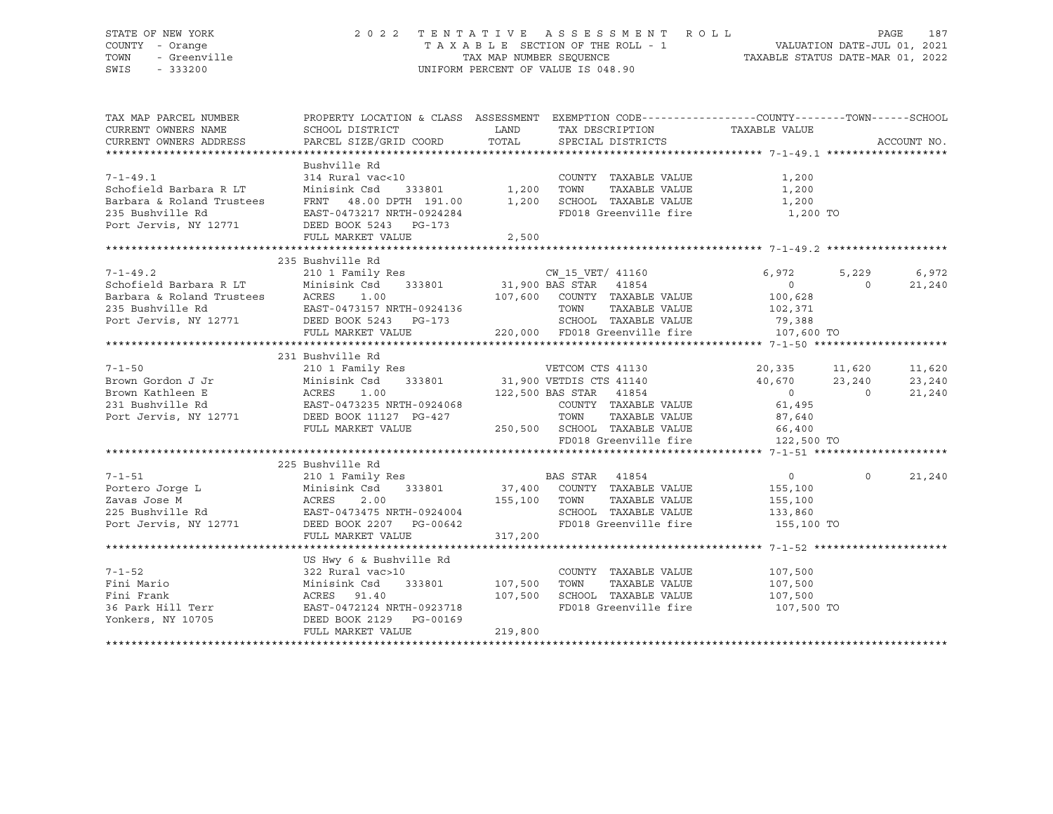## STATE OF NEW YORK 2 0 2 2 T E N T A T I V E A S S E S S M E N T R O L L PAGE 187 COUNTY - Orange T A X A B L E SECTION OF THE ROLL - 1 VALUATION DATE-JUL 01, 2021 TOWN - Greenville TAX MAP NUMBER SEQUENCE TAXABLE STATUS DATE-MAR 01, 2022 SWIS - 333200 UNIFORM PERCENT OF VALUE IS 048.90

| TAX MAP PARCEL NUMBER<br>CURRENT OWNERS NAME | PROPERTY LOCATION & CLASS ASSESSMENT EXEMPTION CODE---------------COUNTY-------TOWN-----SCHOOL<br>SCHOOL DISTRICT                                                                                                                                                                                                                                                                                                                                                                      |         | LAND TAX DESCRIPTION TAXABLE VALUE                                                             |         |                                 |             |
|----------------------------------------------|----------------------------------------------------------------------------------------------------------------------------------------------------------------------------------------------------------------------------------------------------------------------------------------------------------------------------------------------------------------------------------------------------------------------------------------------------------------------------------------|---------|------------------------------------------------------------------------------------------------|---------|---------------------------------|-------------|
| CURRENT OWNERS ADDRESS                       | PARCEL SIZE/GRID COORD                                                                                                                                                                                                                                                                                                                                                                                                                                                                 |         | TOTAL SPECIAL DISTRICTS                                                                        |         |                                 | ACCOUNT NO. |
|                                              |                                                                                                                                                                                                                                                                                                                                                                                                                                                                                        |         |                                                                                                |         |                                 |             |
|                                              | Bushville Rd                                                                                                                                                                                                                                                                                                                                                                                                                                                                           |         | COUNTY TAXABLE VALUE                                                                           | 1,200   |                                 |             |
|                                              |                                                                                                                                                                                                                                                                                                                                                                                                                                                                                        |         | TOWN      TAXABLE VALUE<br>SCHOOL   TAXABLE VALUE<br>TOWN                                      | 1,200   |                                 |             |
|                                              |                                                                                                                                                                                                                                                                                                                                                                                                                                                                                        |         |                                                                                                | 1,200   |                                 |             |
|                                              | 314 Rural vac<10<br>Schofield Barbara R LT Minisink Csd 333801 1,200<br>Barbara & Roland Trustees FRNT 48.00 DPTH 191.00 1,200<br>235 Bushville Rd EAST-0473217 NRTH-0924284<br>Port Jervis, NY 12771 DEED BOOK 5243 PG-173<br>FULL MAPK                                                                                                                                                                                                                                               |         | FD018 Greenville fire 1,200 TO                                                                 |         |                                 |             |
|                                              |                                                                                                                                                                                                                                                                                                                                                                                                                                                                                        |         |                                                                                                |         |                                 |             |
|                                              | 235 Bushville Rd                                                                                                                                                                                                                                                                                                                                                                                                                                                                       |         |                                                                                                |         |                                 |             |
|                                              | $\begin{array}{cccccccc} 7-1-49.2 & 235 \text{ Bushville Rd} & 2101 \text{ Family Res} & 218 & 218 & 2101 \text{ Family Res} & 6,972 & 5,229 & 6,972 \text{ 5,1201} & 6,972 & 5,229 & 6,972 \text{ 5,22101} & 6,972 & 5,229 & 6,972 \text{ 5,2321} & 6,972 & 5,229 & 6,972 \text{ 5,2401} & 21,900 \text{ BAS } \text{STAR} & 333801 & $                                                                                                                                               |         |                                                                                                |         |                                 |             |
|                                              |                                                                                                                                                                                                                                                                                                                                                                                                                                                                                        |         |                                                                                                |         |                                 |             |
|                                              |                                                                                                                                                                                                                                                                                                                                                                                                                                                                                        |         |                                                                                                |         |                                 |             |
|                                              |                                                                                                                                                                                                                                                                                                                                                                                                                                                                                        |         |                                                                                                |         |                                 |             |
|                                              |                                                                                                                                                                                                                                                                                                                                                                                                                                                                                        |         |                                                                                                |         |                                 |             |
|                                              |                                                                                                                                                                                                                                                                                                                                                                                                                                                                                        |         |                                                                                                |         |                                 |             |
|                                              |                                                                                                                                                                                                                                                                                                                                                                                                                                                                                        |         |                                                                                                |         |                                 |             |
|                                              | 231 Bushville Rd                                                                                                                                                                                                                                                                                                                                                                                                                                                                       |         |                                                                                                |         |                                 |             |
|                                              |                                                                                                                                                                                                                                                                                                                                                                                                                                                                                        |         |                                                                                                |         |                                 | 11,620      |
|                                              |                                                                                                                                                                                                                                                                                                                                                                                                                                                                                        |         |                                                                                                |         |                                 | 23,240      |
|                                              |                                                                                                                                                                                                                                                                                                                                                                                                                                                                                        |         |                                                                                                |         |                                 | 21,240      |
|                                              |                                                                                                                                                                                                                                                                                                                                                                                                                                                                                        |         |                                                                                                |         |                                 |             |
|                                              |                                                                                                                                                                                                                                                                                                                                                                                                                                                                                        |         |                                                                                                |         |                                 |             |
|                                              |                                                                                                                                                                                                                                                                                                                                                                                                                                                                                        |         |                                                                                                |         |                                 |             |
|                                              | $\begin{tabular}{lllllllllllll} \hline \text{7-1-50} & \text{251 BUNVITE A} \\ \hline \text{Brown Gordon J Jr} & \text{2101 Family Res} & \text{VETCOM CTS 41130} & \text{20,335} & \text{11,620} \\ \text{Brown Kathleen E} & \text{Minsink Csd} & \text{333801} & \text{31,900 VETDIS CTS 41140} & \text{40,670} & \text{23,240} \\ \text{Brown Kathleen E} & \text{ACRES} & \text{1.00} & \text{122,500 BAS STAR 4185$                                                              |         |                                                                                                |         |                                 |             |
|                                              |                                                                                                                                                                                                                                                                                                                                                                                                                                                                                        |         |                                                                                                |         |                                 |             |
|                                              | $\begin{tabular}{lllllllllllllllllllllll} \begin{tabular}{lcccc} \multicolumn{4}{c}{} & \multicolumn{4}{c}{} & \multicolumn{4}{c}{} & \multicolumn{4}{c}{} & \multicolumn{4}{c}{} & \multicolumn{4}{c}{} & \multicolumn{4}{c}{} & \multicolumn{4}{c}{} & \multicolumn{4}{c}{} & \multicolumn{4}{c}{} & \multicolumn{4}{c}{} & \multicolumn{4}{c}{} & \multicolumn{4}{c}{} & \multicolumn{4}{c}{} & \multicolumn{4}{c}{} & \multicolumn{4}{c}{} & \multicolumn{4}{c}{} & \multicolumn{$ |         |                                                                                                |         |                                 |             |
|                                              |                                                                                                                                                                                                                                                                                                                                                                                                                                                                                        |         |                                                                                                |         | $\begin{matrix}0&0\end{matrix}$ | 21,240      |
|                                              |                                                                                                                                                                                                                                                                                                                                                                                                                                                                                        |         |                                                                                                | 155,100 |                                 |             |
|                                              |                                                                                                                                                                                                                                                                                                                                                                                                                                                                                        |         | TOWN TAXABLE VALUE 155,100<br>SCHOOL TAXABLE VALUE 133,860<br>FD018 Greenville fire 155,100 TO |         |                                 |             |
|                                              |                                                                                                                                                                                                                                                                                                                                                                                                                                                                                        |         |                                                                                                |         |                                 |             |
|                                              |                                                                                                                                                                                                                                                                                                                                                                                                                                                                                        |         |                                                                                                |         |                                 |             |
|                                              |                                                                                                                                                                                                                                                                                                                                                                                                                                                                                        |         |                                                                                                |         |                                 |             |
|                                              |                                                                                                                                                                                                                                                                                                                                                                                                                                                                                        |         |                                                                                                |         |                                 |             |
|                                              | US Hwy 6 & Bushville Rd                                                                                                                                                                                                                                                                                                                                                                                                                                                                |         |                                                                                                |         |                                 |             |
|                                              |                                                                                                                                                                                                                                                                                                                                                                                                                                                                                        |         | COUNTY TAXABLE VALUE 107,500                                                                   |         |                                 |             |
|                                              |                                                                                                                                                                                                                                                                                                                                                                                                                                                                                        |         |                                                                                                |         |                                 |             |
|                                              |                                                                                                                                                                                                                                                                                                                                                                                                                                                                                        | 107,500 |                                                                                                |         |                                 |             |
|                                              |                                                                                                                                                                                                                                                                                                                                                                                                                                                                                        |         | FD018 Greenville fire 107,500 TO                                                               |         |                                 |             |
|                                              |                                                                                                                                                                                                                                                                                                                                                                                                                                                                                        |         |                                                                                                |         |                                 |             |
|                                              | Fini Mario (107,500)<br>Fini Frank (107,500)<br>So Park Hill Terr (108)<br>The EAST-0472124 NRTH-0923718<br>Tonkers, NY 10705 (DEED BOOK 2129 PG-00169)<br>FULL MARKET WATHER (108)                                                                                                                                                                                                                                                                                                    |         |                                                                                                |         |                                 |             |
|                                              |                                                                                                                                                                                                                                                                                                                                                                                                                                                                                        |         |                                                                                                |         |                                 |             |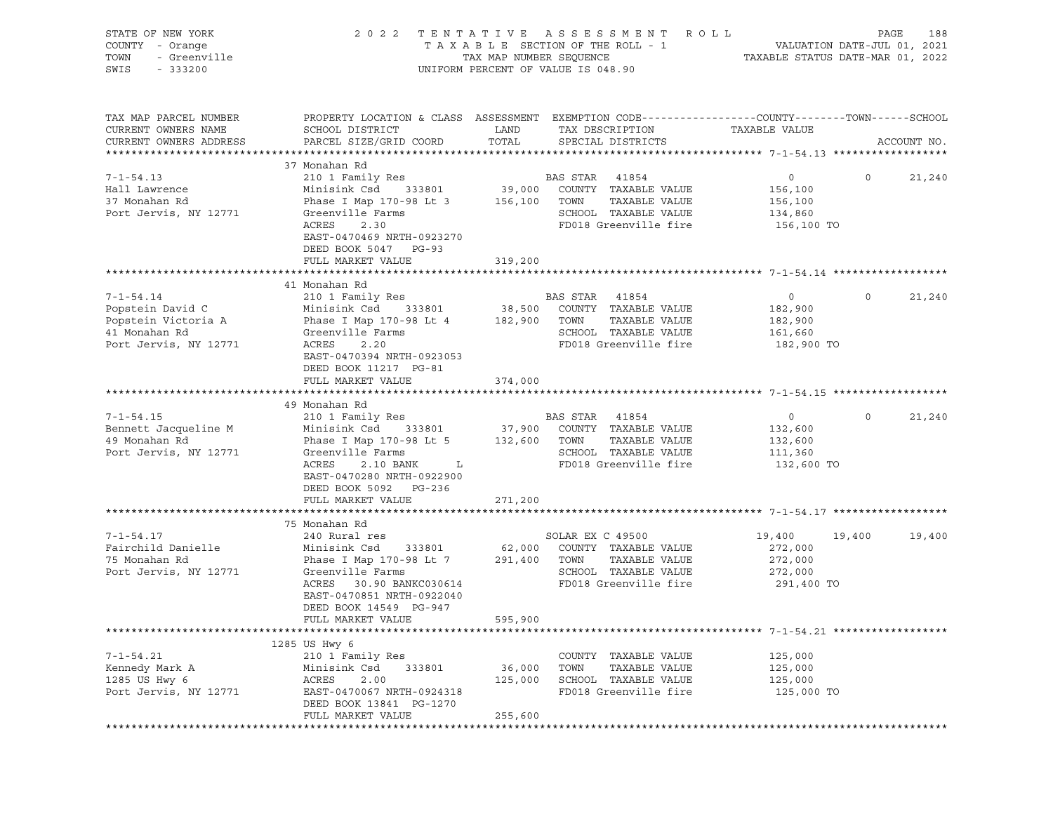| STATE OF NEW YORK<br>COUNTY - Orange<br>- Greenville<br>- 333200<br>TOWN<br>SWIS<br>$-333200$        | 2022 TENTATIVE ASSESSMENT ROLL                                                                                                                                                                                                               |                              | UNIFORM PERCENT OF VALUE IS 048.90                                                                    |               |                                                               | PAGE     | 188         |
|------------------------------------------------------------------------------------------------------|----------------------------------------------------------------------------------------------------------------------------------------------------------------------------------------------------------------------------------------------|------------------------------|-------------------------------------------------------------------------------------------------------|---------------|---------------------------------------------------------------|----------|-------------|
| TAX MAP PARCEL NUMBER<br>CURRENT OWNERS NAME<br>CURRENT OWNERS ADDRESS                               | PROPERTY LOCATION & CLASS ASSESSMENT EXEMPTION CODE---------------COUNTY-------TOWN-----SCHOOL<br>SCHOOL DISTRICT<br>PARCEL SIZE/GRID COORD                                                                                                  | LAND<br>TOTAL                | TAX DESCRIPTION<br>SPECIAL DISTRICTS                                                                  |               | TAXABLE VALUE                                                 |          | ACCOUNT NO. |
| $7 - 1 - 54.13$<br>Hall Lawrence<br>37 Monahan Rd<br>Port Jervis, NY 12771                           | 37 Monahan Rd<br>210 1 Family Res<br>Minisink Csd<br>Phase I Map 170-98 Lt 3 156,100 TOWN<br>Greenville Farms<br>ACRES<br>2.30<br>EAST-0470469 NRTH-0923270<br>DEED BOOK 5047 PG-93<br>FULL MARKET VALUE                                     | 319,200                      | BAS STAR 41854<br>333801 39,000 COUNTY TAXABLE VALUE<br>SCHOOL TAXABLE VALUE<br>FD018 Greenville fire | TAXABLE VALUE | $\overline{0}$<br>156,100<br>156,100<br>134,860<br>156,100 TO | $\circ$  | 21,240      |
|                                                                                                      |                                                                                                                                                                                                                                              |                              |                                                                                                       |               |                                                               |          |             |
| $7 - 1 - 54.14$<br>Popstein David C<br>Popstein Victoria A<br>41 Monahan Rd<br>Port Jervis, NY 12771 | 41 Monahan Rd<br>210 1 Family Res<br>Minisink Csd 333801 38,500 COUNTY TAXABLE VALUE<br>Phase I Map 170-98 Lt 4 182,900 TOWN<br>Greenville Farms<br>ACRES<br>2.20<br>EAST-0470394 NRTH-0923053<br>DEED BOOK 11217 PG-81<br>FULL MARKET VALUE | 374,000                      | BAS STAR 41854<br>SCHOOL TAXABLE VALUE<br>FD018 Greenville fire                                       | TAXABLE VALUE | $\overline{0}$<br>182,900<br>182,900<br>161,660<br>182,900 TO | $\circ$  | 21,240      |
|                                                                                                      |                                                                                                                                                                                                                                              |                              |                                                                                                       |               |                                                               |          |             |
| $7 - 1 - 54.15$<br>Bennett Jacqueline M<br>49 Monahan Rd<br>Port Jervis, NY 12771                    | 49 Monahan Rd<br>210 1 Family Res<br>Minisink Csd<br>Phase I Map 170-98 Lt 5<br>Greenville Farms<br>ACRES<br>2.10 BANK L<br>EAST-0470280 NRTH-0922900<br>DEED BOOK 5092 PG-236<br>FULL MARKET VALUE                                          | 132,600 TOWN<br>271,200      | BAS STAR 41854<br>333801 37,900 COUNTY TAXABLE VALUE<br>SCHOOL TAXABLE VALUE<br>FD018 Greenville fire | TAXABLE VALUE | $\overline{0}$<br>132,600<br>132,600<br>111,360<br>132,600 TO | $\Omega$ | 21,240      |
|                                                                                                      | 75 Monahan Rd                                                                                                                                                                                                                                |                              |                                                                                                       |               |                                                               |          |             |
| $7 - 1 - 54.17$<br>Fairchild Danielle<br>75 Monahan Rd<br>Port Jervis, NY 12771                      | 240 Rural res<br>Minisink Csd 333801<br>Phase I Map 170-98 Lt 7<br>Greenville Farms<br>ACRES 30.90 BANKC030614<br>EAST-0470851 NRTH-0922040<br>DEED BOOK 14549 PG-947<br>FULL MARKET VALUE                                                   | 291,400 TOWN<br>595,900      | SOLAR EX C 49500<br>62,000 COUNTY TAXABLE VALUE<br>SCHOOL TAXABLE VALUE<br>FD018 Greenville fire      | TAXABLE VALUE | 19,400<br>272,000<br>272,000<br>272,000<br>291,400 TO         | 19,400   | 19,400      |
|                                                                                                      |                                                                                                                                                                                                                                              |                              |                                                                                                       |               |                                                               |          |             |
| $7 - 1 - 54.21$<br>Kennedy Mark A<br>1285 US Hwy 6<br>Port Jervis, NY 12771                          | 1285 US Hwy 6<br>210 1 Family Res<br>Minisink Csd<br>333801<br>ACRES<br>2.00<br>EAST-0470067 NRTH-0924318<br>DEED BOOK 13841 PG-1270<br>FULL MARKET VALUE                                                                                    | 36,000<br>125,000<br>255,600 | COUNTY TAXABLE VALUE<br>TOWN<br>SCHOOL TAXABLE VALUE<br>FD018 Greenville fire                         | TAXABLE VALUE | 125,000<br>125,000<br>125,000<br>125,000 TO                   |          |             |
|                                                                                                      |                                                                                                                                                                                                                                              |                              |                                                                                                       |               |                                                               |          |             |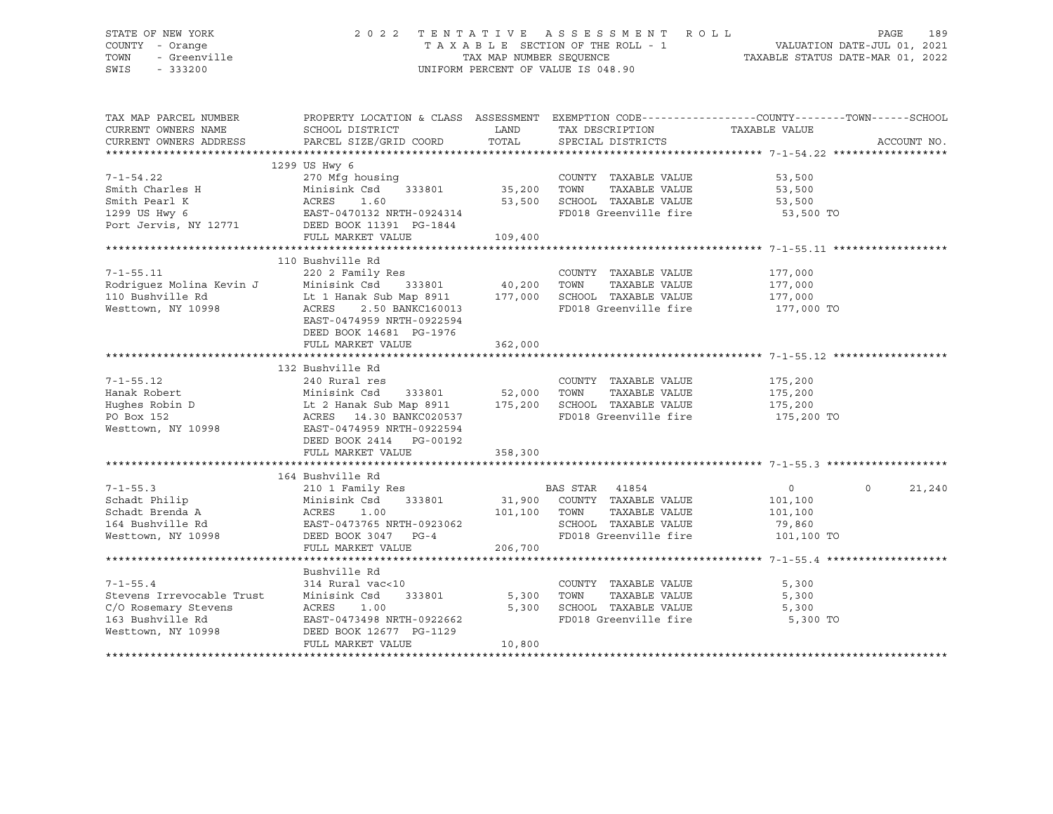## STATE OF NEW YORK 2 0 2 2 T E N T A T I V E A S S E S S M E N T R O L L PAGE 189 COUNTY - Orange T A X A B L E SECTION OF THE ROLL - 1 VALUATION DATE-JUL 01, 2021 TOWN - Greenville TAX MAP NUMBER SEQUENCE TAXABLE STATUS DATE-MAR 01, 2022 SWIS - 333200 UNIFORM PERCENT OF VALUE IS 048.90

| TAX MAP PARCEL NUMBER<br>CURRENT OWNERS NAME<br>CURRENT OWNERS ADDRESS                                                                | PROPERTY LOCATION & CLASS ASSESSMENT EXEMPTION CODE----------------COUNTY-------TOWN------SCHOOL<br>SCHOOL DISTRICT<br>PARCEL SIZE/GRID COORD                                                                                                          | LAND<br>TOTAL               | TAX DESCRIPTION TAXABLE VALUE<br>SPECIAL DISTRICTS                                                                              |                                                                   | ACCOUNT NO. |
|---------------------------------------------------------------------------------------------------------------------------------------|--------------------------------------------------------------------------------------------------------------------------------------------------------------------------------------------------------------------------------------------------------|-----------------------------|---------------------------------------------------------------------------------------------------------------------------------|-------------------------------------------------------------------|-------------|
| $7 - 1 - 54.22$<br>Smith Charles H<br>Smith Pearl K<br>1299 US Hwy 6<br>Port Jervis, NY 12771                                         | 1299 US Hwy 6<br>270 Mfg housing<br>Minisink Csd<br>333801<br>ACRES<br>1.60<br>EAST-0470132 NRTH-0924314<br>DEED BOOK 11391 PG-1844<br>FULL MARKET VALUE                                                                                               | 35,200<br>53,500<br>109,400 | COUNTY TAXABLE VALUE<br>TAXABLE VALUE<br>TOWN<br>SCHOOL TAXABLE VALUE<br>FD018 Greenville fire                                  | 53,500<br>53,500<br>53,500<br>53,500 TO                           |             |
| $7 - 1 - 55.11$<br>Rodriguez Molina Kevin J<br>110 Bushville Rd<br>Westtown, NY 10998                                                 | 110 Bushville Rd<br>220 2 Family Res<br>Minisink Csd 333801<br>Lt 1 Hanak Sub Map 8911 177,000<br>ACRES<br>2.50 BANKC160013<br>EAST-0474959 NRTH-0922594<br>DEED BOOK 14681 PG-1976<br>FULL MARKET VALUE                                               | 40,200<br>362,000           | COUNTY TAXABLE VALUE<br>TOWN<br>TAXABLE VALUE<br>SCHOOL TAXABLE VALUE<br>FD018 Greenville fire 177,000 TO                       | 177,000<br>177,000<br>177,000                                     |             |
| $7 - 1 - 55.12$<br>Hanak Robert<br>PO Box 152<br>Westtown, NY 10998                                                                   | 132 Bushville Rd<br>240 Rural res<br>333801 52,000 TOWN<br>Minisink Csd<br>Hughes Robin D Lt 2 Hanak Sub Map 8911 175,200 SCHOOL TAXABLE VALUE<br>ACRES 14.30 BANKC020537<br>EAST-0474959 NRTH-0922594<br>DEED BOOK 2414 PG-00192<br>FULL MARKET VALUE | 358,300                     | COUNTY TAXABLE VALUE<br>TAXABLE VALUE<br>FD018 Greenville fire                                                                  | 175,200<br>175,200<br>175,200<br>175,200 TO                       |             |
|                                                                                                                                       |                                                                                                                                                                                                                                                        |                             |                                                                                                                                 |                                                                   |             |
| $7 - 1 - 55.3$<br>Schadt Philip<br>Schadt Brenda A<br>164 Bushville Rd<br>Westtown, NY 10998                                          | 164 Bushville Rd<br>210 1 Family Res<br>Minisink Csd<br>333801<br>ACRES<br>1.00<br>EAST-0473765 NRTH-0923062<br>DEED BOOK 3047 PG-4<br>FULL MARKET VALUE                                                                                               | 101,100<br>206,700          | BAS STAR 41854<br>31,900 COUNTY TAXABLE VALUE<br>TOWN<br>TAXABLE VALUE<br>SCHOOL TAXABLE VALUE<br>FD018 Greenville fire         | $\Omega$<br>$\circ$<br>101,100<br>101,100<br>79,860<br>101,100 TO | 21,240      |
|                                                                                                                                       |                                                                                                                                                                                                                                                        |                             |                                                                                                                                 |                                                                   |             |
| $7 - 1 - 55.4$<br>Stevens Irrevocable Trust<br>C/O Rosemary Stevens<br>C/O Rosemary Stevens<br>163 Bushville Rd<br>Westtown, NY 10998 | Bushville Rd<br>314 Rural vac<10<br>333801<br>Minisink Csd<br>ACRES<br>1.00<br>EAST-0473498 NRTH-0922662<br>DEED BOOK 12677 PG-1129<br>FULL MARKET VALUE                                                                                               | 5,300<br>5,300<br>10,800    | COUNTY TAXABLE VALUE<br>TOWN<br>TAXABLE VALUE<br>TOWN       TAXABLE  VALUE<br>SCHOOL    TAXABLE  VALUE<br>FD018 Greenville fire | 5,300<br>5,300<br>5,300<br>5,300 TO                               |             |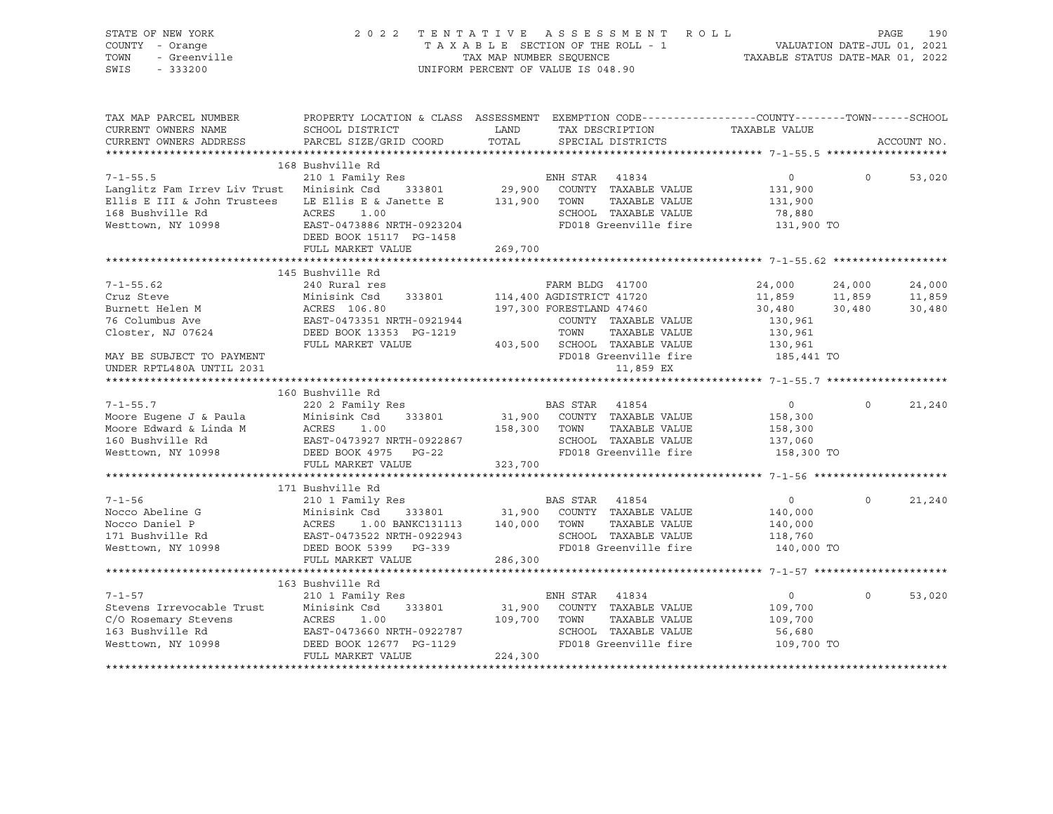| STATE OF NEW YORK<br>COUNTY - Orange<br>TOWN<br>- Greenville<br>SWIS<br>$-333200$ |                                                                                                                                             |               | 2022 TENTATIVE ASSESSMENT ROLL<br>T A X A B L E SECTION OF THE ROLL - 1<br>T A X A B L E SECTION OF THE ROLL - 1<br>TAXABLE STATUS DATE-MAR 01, 2022<br>UNIFORM PERCENT OF VALUE IS 048.90 |                       |          | PAGE<br>190 |
|-----------------------------------------------------------------------------------|---------------------------------------------------------------------------------------------------------------------------------------------|---------------|--------------------------------------------------------------------------------------------------------------------------------------------------------------------------------------------|-----------------------|----------|-------------|
| TAX MAP PARCEL NUMBER<br>CURRENT OWNERS NAME<br>CURRENT OWNERS ADDRESS            | PROPERTY LOCATION & CLASS ASSESSMENT EXEMPTION CODE---------------COUNTY-------TOWN-----SCHOOL<br>SCHOOL DISTRICT<br>PARCEL SIZE/GRID COORD | LAND<br>TOTAL | TAX DESCRIPTION<br>SPECIAL DISTRICTS                                                                                                                                                       | TAXABLE VALUE         |          | ACCOUNT NO. |
|                                                                                   |                                                                                                                                             |               |                                                                                                                                                                                            |                       |          |             |
|                                                                                   | 168 Bushville Rd                                                                                                                            |               |                                                                                                                                                                                            |                       |          |             |
| $7 - 1 - 55.5$                                                                    | 210 1 Family Res                                                                                                                            |               | ENH STAR 41834                                                                                                                                                                             | $\circ$               | $\Omega$ | 53,020      |
| Langlitz Fam Irrev Liv Trust Minisink Csd 333801                                  |                                                                                                                                             | 29,900        | COUNTY TAXABLE VALUE                                                                                                                                                                       | 131,900               |          |             |
| Ellis E III & John Trustees                                                       | LE Ellis E & Janette E                                                                                                                      | 131,900       | TOWN<br>TAXABLE VALUE                                                                                                                                                                      | 131,900               |          |             |
| 168 Bushville Rd                                                                  | ACRES<br>1.00                                                                                                                               |               | SCHOOL TAXABLE VALUE                                                                                                                                                                       | 78,880                |          |             |
| Westtown, NY 10998                                                                | EAST-0473886 NRTH-0923204                                                                                                                   |               | FD018 Greenville fire                                                                                                                                                                      | 131,900 TO            |          |             |
|                                                                                   | DEED BOOK 15117 PG-1458                                                                                                                     |               |                                                                                                                                                                                            |                       |          |             |
|                                                                                   | FULL MARKET VALUE                                                                                                                           | 269,700       |                                                                                                                                                                                            |                       |          |             |
|                                                                                   | 145 Bushville Rd                                                                                                                            |               |                                                                                                                                                                                            |                       |          |             |
| $7 - 1 - 55.62$                                                                   | 240 Rural res                                                                                                                               |               | FARM BLDG 41700                                                                                                                                                                            | 24,000                | 24,000   | 24,000      |
| Cruz Steve                                                                        | Minisink Csd<br>333801                                                                                                                      |               | 114,400 AGDISTRICT 41720                                                                                                                                                                   | 11,859                | 11,859   | 11,859      |
| Burnett Helen M                                                                   | ACRES 106.80                                                                                                                                |               | 197,300 FORESTLAND 47460                                                                                                                                                                   | 30,480                | 30,480   | 30,480      |
| 76 Columbus Ave                                                                   | EAST-0473351 NRTH-0921944                                                                                                                   |               | COUNTY TAXABLE VALUE                                                                                                                                                                       | 130,961               |          |             |
| Closter, NJ 07624                                                                 | DEED BOOK 13353 PG-1219                                                                                                                     |               | TOWN<br>TAXABLE VALUE                                                                                                                                                                      | 130,961               |          |             |
|                                                                                   | FULL MARKET VALUE                                                                                                                           |               | 403,500 SCHOOL TAXABLE VALUE                                                                                                                                                               | 130,961               |          |             |
| MAY BE SUBJECT TO PAYMENT                                                         |                                                                                                                                             |               | FD018 Greenville fire                                                                                                                                                                      | 185,441 TO            |          |             |
| UNDER RPTL480A UNTIL 2031                                                         |                                                                                                                                             |               | 11,859 EX                                                                                                                                                                                  |                       |          |             |
|                                                                                   |                                                                                                                                             |               |                                                                                                                                                                                            |                       |          |             |
| $7 - 1 - 55.7$                                                                    | 160 Bushville Rd<br>220 2 Family Res                                                                                                        |               | BAS STAR 41854                                                                                                                                                                             | $\circ$               | $\Omega$ | 21,240      |
| Moore Eugene J & Paula                                                            | Minisink Csd<br>333801                                                                                                                      | 31,900        | COUNTY TAXABLE VALUE                                                                                                                                                                       | 158,300               |          |             |
| Moore Edward & Linda M                                                            | ACRES<br>1.00                                                                                                                               | 158,300       | TOWN<br>TAXABLE VALUE                                                                                                                                                                      | 158,300               |          |             |
| 160 Bushville Rd                                                                  | EAST-0473927 NRTH-0922867                                                                                                                   |               | SCHOOL TAXABLE VALUE                                                                                                                                                                       | 137,060               |          |             |
| Westtown, NY 10998                                                                | DEED BOOK 4975 PG-22                                                                                                                        |               | FD018 Greenville fire                                                                                                                                                                      | 158,300 TO            |          |             |
|                                                                                   | FULL MARKET VALUE                                                                                                                           | 323,700       |                                                                                                                                                                                            |                       |          |             |
|                                                                                   |                                                                                                                                             |               |                                                                                                                                                                                            |                       |          |             |
|                                                                                   | 171 Bushville Rd                                                                                                                            |               |                                                                                                                                                                                            |                       |          |             |
| $7 - 1 - 56$                                                                      | 210 1 Family Res                                                                                                                            |               | BAS STAR 41854                                                                                                                                                                             | $\overline{0}$        | $\Omega$ | 21,240      |
| Nocco Abeline G                                                                   | Minisink Csd<br>333801                                                                                                                      | 31,900        | COUNTY TAXABLE VALUE                                                                                                                                                                       | 140,000               |          |             |
| Nocco Daniel P                                                                    | ACRES 1.00 BANKC131113                                                                                                                      | 140,000       | TOWN<br>TAXABLE VALUE<br>SCHOOL TAXABLE VALUE                                                                                                                                              | 140,000               |          |             |
| 171 Bushville Rd<br>Westtown, NY 10998                                            | EAST-0473522 NRTH-0922943<br>DEED BOOK 5399 PG-339                                                                                          |               | FD018 Greenville fire                                                                                                                                                                      | 118,760<br>140,000 TO |          |             |
|                                                                                   | FULL MARKET VALUE                                                                                                                           | 286,300       |                                                                                                                                                                                            |                       |          |             |
|                                                                                   | *****************************                                                                                                               |               |                                                                                                                                                                                            |                       |          |             |
|                                                                                   | 163 Bushville Rd                                                                                                                            |               |                                                                                                                                                                                            |                       |          |             |
| $7 - 1 - 57$                                                                      | 210 1 Family Res                                                                                                                            |               | ENH STAR 41834                                                                                                                                                                             | $\overline{0}$        | $\Omega$ | 53,020      |
| Stevens Irrevocable Trust<br>C/O Rosemary Stevens<br>163 Bushville Rd             | Minisink Csd<br>333801                                                                                                                      | 31,900        | COUNTY TAXABLE VALUE                                                                                                                                                                       | 109,700               |          |             |
|                                                                                   | ACRES<br>1.00                                                                                                                               | 109,700       | TOWN<br>TAXABLE VALUE                                                                                                                                                                      | 109,700               |          |             |
|                                                                                   | EAST-0473660 NRTH-0922787                                                                                                                   |               | SCHOOL TAXABLE VALUE                                                                                                                                                                       | 56,680                |          |             |
| Westtown, NY 10998                                                                | DEED BOOK 12677 PG-1129                                                                                                                     |               | FD018 Greenville fire                                                                                                                                                                      | 109,700 TO            |          |             |
|                                                                                   | FULL MARKET VALUE                                                                                                                           | 224,300       |                                                                                                                                                                                            |                       |          |             |
|                                                                                   |                                                                                                                                             |               |                                                                                                                                                                                            |                       |          |             |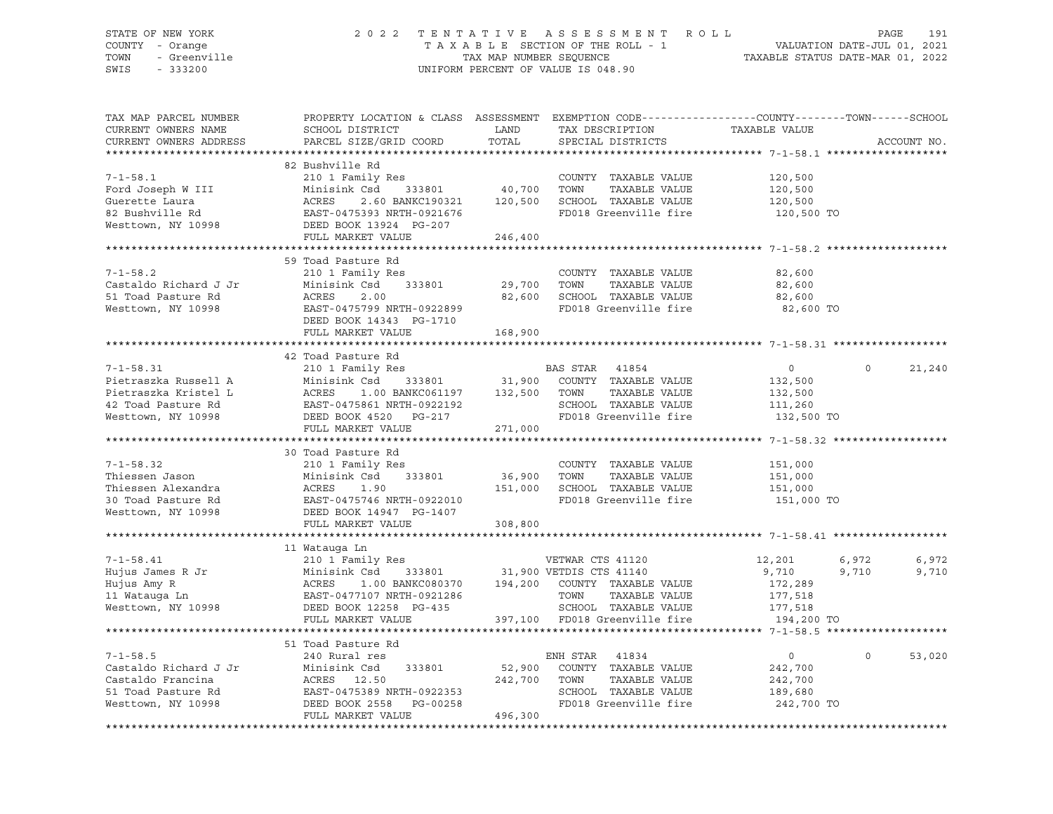## STATE OF NEW YORK 2 0 2 2 T E N T A T I V E A S S E S S M E N T R O L L PAGE 191 COUNTY - Orange T A X A B L E SECTION OF THE ROLL - 1 VALUATION DATE-JUL 01, 2021 TOWN - Greenville TAX MAP NUMBER SEQUENCE TAXABLE STATUS DATE-MAR 01, 2022 SWIS - 333200 UNIFORM PERCENT OF VALUE IS 048.90

| TAX MAP PARCEL NUMBER<br>CURRENT OWNERS NAME<br>CURRENT OWNERS ADDRESS | PROPERTY LOCATION & CLASS ASSESSMENT EXEMPTION CODE----------------COUNTY-------TOWN-----SCHOOL<br>SCHOOL DISTRICT<br>PARCEL SIZE/GRID COORD | LAND<br>TOTAL | TAX DESCRIPTION<br>SPECIAL DISTRICTS        | TAXABLE VALUE  |              | ACCOUNT NO. |
|------------------------------------------------------------------------|----------------------------------------------------------------------------------------------------------------------------------------------|---------------|---------------------------------------------|----------------|--------------|-------------|
|                                                                        |                                                                                                                                              |               |                                             |                |              |             |
|                                                                        | 82 Bushville Rd                                                                                                                              |               |                                             |                |              |             |
| $7 - 1 - 58.1$                                                         | 210 1 Family Res                                                                                                                             |               | COUNTY TAXABLE VALUE                        | 120,500        |              |             |
| Ford Joseph W III                                                      | Minisink Csd<br>333801                                                                                                                       | 40,700        | TOWN<br>TAXABLE VALUE                       | 120,500        |              |             |
| Guerette Laura                                                         | 2.60 BANKC190321                                                                                                                             | 120,500       | SCHOOL TAXABLE VALUE                        | 120,500        |              |             |
| 82 Bushville Rd                                                        | ACRES 2.60 BANKC190321<br>EAST-0475393 NRTH-0921676                                                                                          |               | FD018 Greenville fire                       | 120,500 TO     |              |             |
| Westtown, NY 10998                                                     | DEED BOOK 13924 PG-207                                                                                                                       |               |                                             |                |              |             |
|                                                                        | FULL MARKET VALUE                                                                                                                            | 246,400       |                                             |                |              |             |
|                                                                        |                                                                                                                                              |               |                                             |                |              |             |
|                                                                        | 59 Toad Pasture Rd                                                                                                                           |               |                                             |                |              |             |
| $7 - 1 - 58.2$                                                         | 210 1 Family Res                                                                                                                             |               | COUNTY TAXABLE VALUE                        | 82,600         |              |             |
| Castaldo Richard J Jr                                                  | Minisink Csd<br>333801                                                                                                                       | 29,700        | TOWN<br>TAXABLE VALUE                       | 82,600         |              |             |
| 51 Toad Pasture Rd                                                     | ACRES<br>2.00                                                                                                                                | 82,600        | SCHOOL TAXABLE VALUE                        | 82,600         |              |             |
| Westtown, NY 10998                                                     | EAST-0475799 NRTH-0922899                                                                                                                    |               | FD018 Greenville fire                       | 82,600 TO      |              |             |
|                                                                        | DEED BOOK 14343 PG-1710                                                                                                                      |               |                                             |                |              |             |
|                                                                        | FULL MARKET VALUE                                                                                                                            | 168,900       |                                             |                |              |             |
|                                                                        |                                                                                                                                              |               |                                             |                |              |             |
|                                                                        | 42 Toad Pasture Rd                                                                                                                           |               |                                             |                |              |             |
| $7 - 1 - 58.31$                                                        | 210 1 Family Res                                                                                                                             |               | BAS STAR 41854                              | $\circ$        | $\Omega$     | 21,240      |
| Pietraszka Russell A                                                   | Minisink Csd                                                                                                                                 |               | es<br>333801 31,900 COUNTY TAXABLE VALUE    | 132,500        |              |             |
| Pietraszka Kristel L                                                   |                                                                                                                                              |               | TAXABLE VALUE                               | 132,500        |              |             |
| 42 Toad Pasture Rd                                                     |                                                                                                                                              |               | SCHOOL TAXABLE VALUE                        | 111,260        |              |             |
| Westtown, NY 10998                                                     | ACRES 1.00 BANKC061197 132,500 TOWN<br>EAST-0475861 NRTH-0922192 SCHOOL<br>DEED BOOK 4520 PG-217 FD018 G                                     |               | FD018 Greenville fire 132,500 TO            |                |              |             |
|                                                                        | FULL MARKET VALUE                                                                                                                            | 271,000       |                                             |                |              |             |
|                                                                        |                                                                                                                                              |               |                                             |                |              |             |
|                                                                        | 30 Toad Pasture Rd                                                                                                                           |               |                                             |                |              |             |
| $7 - 1 - 58.32$                                                        | 210 1 Family Res                                                                                                                             |               | COUNTY TAXABLE VALUE                        | 151,000        |              |             |
| Thiessen Jason                                                         | 333801<br>Minisink Csd                                                                                                                       | 36,900        | TOWN<br>TAXABLE VALUE                       | 151,000        |              |             |
| Thiessen Alexandra                                                     | ACRES<br>1.90                                                                                                                                | 151,000       | SCHOOL TAXABLE VALUE                        | 151,000        |              |             |
| 30 Toad Pasture Rd                                                     | EAST-0475746 NRTH-0922010                                                                                                                    |               | FD018 Greenville fire                       | 151,000 TO     |              |             |
| Westtown, NY 10998                                                     | DEED BOOK 14947 PG-1407                                                                                                                      |               |                                             |                |              |             |
|                                                                        | FULL MARKET VALUE                                                                                                                            | 308,800       |                                             |                |              |             |
|                                                                        |                                                                                                                                              |               |                                             |                |              |             |
|                                                                        | 11 Watauqa Ln                                                                                                                                |               |                                             |                |              |             |
| $7 - 1 - 58.41$                                                        |                                                                                                                                              |               |                                             | 12,201         | 6,972        | 6,972       |
| Hujus James R Jr                                                       | 210 1 Family Res<br>Minisink Csd 333801                                                                                                      |               | VETWAR CTS 41120<br>31,900 VETDIS CTS 41140 | 9,710          | 9,710        | 9,710       |
| Hujus Amy R                                                            | 1.00 BANKC080370                                                                                                                             |               | 194,200 COUNTY TAXABLE VALUE                | 172,289        |              |             |
| 11 Watauga Ln                                                          |                                                                                                                                              |               | TOWN<br>TAXABLE VALUE                       | 177,518        |              |             |
| Westtown, NY 10998                                                     | DEED BOOK 12258 PG-435                                                                                                                       |               | SCHOOL TAXABLE VALUE                        | 177,518        |              |             |
|                                                                        | FULL MARKET VALUE                                                                                                                            |               | 397,100 FD018 Greenville fire               | 194,200 TO     |              |             |
|                                                                        |                                                                                                                                              |               |                                             |                |              |             |
|                                                                        | 51 Toad Pasture Rd                                                                                                                           |               |                                             |                |              |             |
| $7 - 1 - 58.5$                                                         | 240 Rural res                                                                                                                                |               | ENH STAR 41834                              | $\overline{0}$ | $\mathsf{O}$ | 53,020      |
| Castaldo Richard J Jr                                                  | 333801                                                                                                                                       | 52,900        | COUNTY TAXABLE VALUE                        | 242,700        |              |             |
| Castaldo Francina                                                      | Jr Minisink Csd<br>ACRES 12.50<br>EAST-0475389 1<br>DEED BOOK 2558                                                                           | 242,700       | TOWN<br>TAXABLE VALUE                       | 242,700        |              |             |
| 51 Toad Pasture Rd                                                     | EAST-0475389 NRTH-0922353<br>בספר פחים ה-DG-00258                                                                                            |               | SCHOOL TAXABLE VALUE                        | 189,680        |              |             |
| Westtown, NY 10998                                                     | DEED BOOK 2558 PG-00258                                                                                                                      |               | FD018 Greenville fire                       | 242,700 TO     |              |             |
|                                                                        | FULL MARKET VALUE                                                                                                                            | 496,300       |                                             |                |              |             |
|                                                                        |                                                                                                                                              |               |                                             |                |              |             |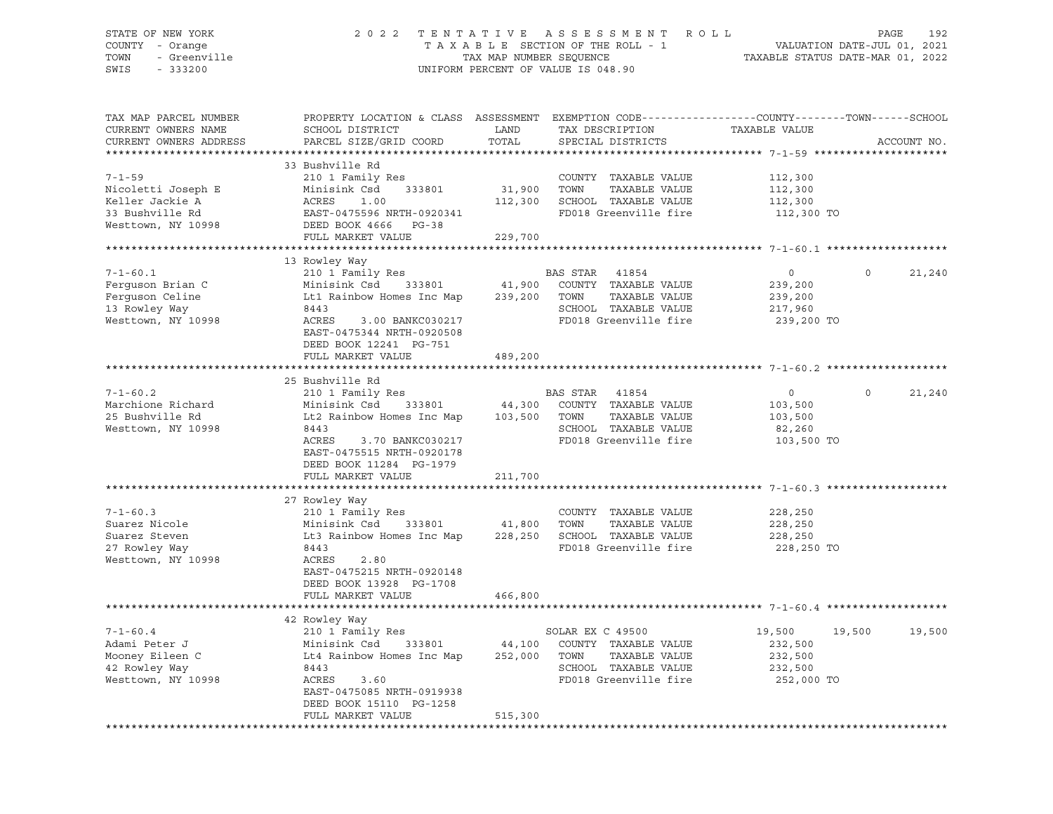## STATE OF NEW YORK 2 0 2 2 T E N T A T I V E A S S E S S M E N T R O L L PAGE 192 COUNTY - Orange T A X A B L E SECTION OF THE ROLL - 1 VALUATION DATE-JUL 01, 2021 TOWN - Greenville TAX MAP NUMBER SEQUENCE TAXABLE STATUS DATE-MAR 01, 2022 SWIS - 333200 UNIFORM PERCENT OF VALUE IS 048.90

| TAX MAP PARCEL NUMBER<br>CURRENT OWNERS NAME<br>CURRENT OWNERS ADDRESS                         | PROPERTY LOCATION & CLASS ASSESSMENT EXEMPTION CODE----------------COUNTY-------TOWN-----SCHOOL<br>SCHOOL DISTRICT<br>PARCEL SIZE/GRID COORD                                              | LAND<br>TOTAL                | TAX DESCRIPTION<br>SPECIAL DISTRICTS                                                                                | TAXABLE VALUE                                                   | ACCOUNT NO.        |
|------------------------------------------------------------------------------------------------|-------------------------------------------------------------------------------------------------------------------------------------------------------------------------------------------|------------------------------|---------------------------------------------------------------------------------------------------------------------|-----------------------------------------------------------------|--------------------|
|                                                                                                |                                                                                                                                                                                           |                              |                                                                                                                     |                                                                 |                    |
| $7 - 1 - 59$<br>Nicoletti Joseph E<br>Keller Jackie A<br>33 Bushville Rd<br>Westtown, NY 10998 | 33 Bushville Rd<br>210 1 Family Res<br>Minisink Csd<br>333801<br>ACRES<br>1.00<br>EAST-0475596 NRTH-0920341<br>DEED BOOK 4666 PG-38<br>FULL MARKET VALUE                                  | 31,900<br>112,300<br>229,700 | COUNTY TAXABLE VALUE<br>TOWN<br>TAXABLE VALUE<br>SCHOOL TAXABLE VALUE<br>FD018 Greenville fire                      | 112,300<br>112,300<br>112,300<br>112,300 TO                     |                    |
|                                                                                                |                                                                                                                                                                                           |                              |                                                                                                                     |                                                                 |                    |
|                                                                                                | 13 Rowley Way                                                                                                                                                                             |                              |                                                                                                                     |                                                                 |                    |
| $7 - 1 - 60.1$<br>Ferquson Brian C<br>Ferguson Celine<br>13 Rowley Way<br>Westtown, NY 10998   | 210 1 Family Res<br>Minisink Csd<br>333801<br>Lt1 Rainbow Homes Inc Map<br>8443<br>ACRES<br>3.00 BANKC030217<br>EAST-0475344 NRTH-0920508<br>DEED BOOK 12241 PG-751                       | 41,900<br>239,200            | BAS STAR 41854<br>COUNTY TAXABLE VALUE<br>TOWN<br>TAXABLE VALUE<br>SCHOOL TAXABLE VALUE<br>FD018 Greenville fire    | $\circ$<br>239,200<br>239,200<br>217,960<br>239,200 TO          | $\Omega$<br>21,240 |
|                                                                                                | FULL MARKET VALUE                                                                                                                                                                         | 489,200                      |                                                                                                                     |                                                                 |                    |
|                                                                                                |                                                                                                                                                                                           |                              |                                                                                                                     |                                                                 |                    |
|                                                                                                | 25 Bushville Rd                                                                                                                                                                           |                              |                                                                                                                     |                                                                 |                    |
| $7 - 1 - 60.2$<br>Marchione Richard<br>25 Bushville Rd<br>Westtown, NY 10998                   | 210 1 Family Res<br>Minisink Csd<br>333801<br>Lt2 Rainbow Homes Inc Map<br>8443<br>ACRES<br>3.70 BANKC030217<br>EAST-0475515 NRTH-0920178<br>DEED BOOK 11284 PG-1979<br>FULL MARKET VALUE | 44,300<br>103,500<br>211,700 | BAS STAR<br>41854<br>COUNTY TAXABLE VALUE<br>TAXABLE VALUE<br>TOWN<br>SCHOOL TAXABLE VALUE<br>FD018 Greenville fire | $\circ$<br>103,500<br>103,500<br>82,260<br>103,500 TO           | $\circ$<br>21,240  |
|                                                                                                |                                                                                                                                                                                           |                              |                                                                                                                     |                                                                 |                    |
| $7 - 1 - 60.3$<br>Suarez Nicole<br>Suarez Steven<br>27 Rowley Way<br>Westtown, NY 10998        | 27 Rowley Way<br>210 1 Family Res<br>Minisink Csd 333801<br>Lt3 Rainbow Homes Inc Map<br>8443<br>ACRES<br>2.80<br>EAST-0475215 NRTH-0920148                                               | 41,800 TOWN                  | COUNTY TAXABLE VALUE<br>TAXABLE VALUE<br>228,250 SCHOOL TAXABLE VALUE<br>FD018 Greenville fire                      | 228,250<br>228,250<br>228,250<br>228,250 TO                     |                    |
|                                                                                                | DEED BOOK 13928 PG-1708                                                                                                                                                                   |                              |                                                                                                                     |                                                                 |                    |
|                                                                                                | FULL MARKET VALUE                                                                                                                                                                         | 466,800                      |                                                                                                                     |                                                                 |                    |
|                                                                                                | 42 Rowley Way                                                                                                                                                                             |                              |                                                                                                                     |                                                                 |                    |
| $7 - 1 - 60.4$<br>Adami Peter J<br>Mooney Eileen C<br>42 Rowley Way<br>Westtown, NY 10998      | 210 1 Family Res<br>Minisink Csd<br>333801<br>Lt4 Rainbow Homes Inc Map<br>8443<br>ACRES<br>3.60<br>EAST-0475085 NRTH-0919938<br>DEED BOOK 15110 PG-1258<br>FULL MARKET VALUE             | 44,100<br>252,000<br>515,300 | SOLAR EX C 49500<br>COUNTY TAXABLE VALUE<br>TAXABLE VALUE<br>TOWN<br>SCHOOL TAXABLE VALUE<br>FD018 Greenville fire  | 19,500<br>19,500<br>232,500<br>232,500<br>232,500<br>252,000 TO | 19,500             |
|                                                                                                |                                                                                                                                                                                           |                              |                                                                                                                     |                                                                 |                    |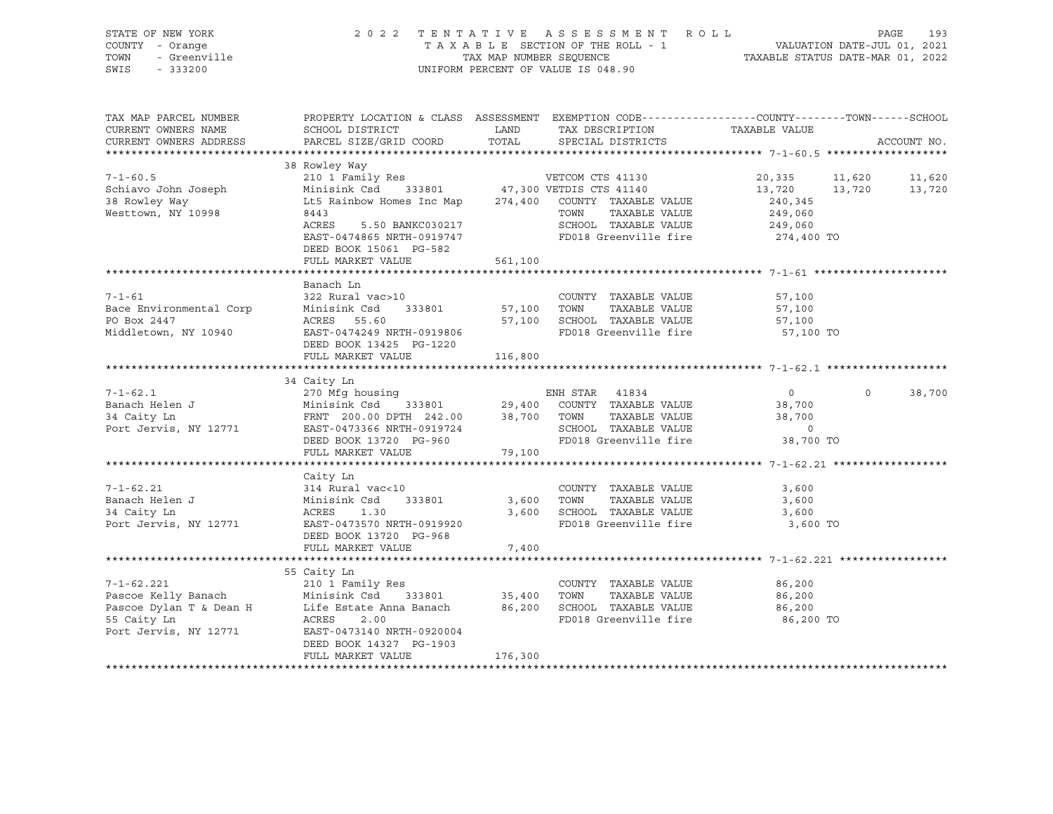SWIS - 333200 UNIFORM PERCENT OF VALUE IS 048.90

# STATE OF NEW YORK 2 0 2 2 T E N T A T I V E A S S E S S M E N T R O L L PAGE 193 COUNTY - Orange T A X A B L E SECTION OF THE ROLL - 1 VALUATION DATE-JUL 01, 2021 TOWN - Greenville TAX MAP NUMBER SEQUENCE TAXABLE STATUS DATE-MAR 01, 2022

| 38 Rowley Way<br>210 1 Family Res<br>Minisink Csd 333801 47,300 VETDIS CTS 41140<br>$7 - 1 - 60.5$<br>20,335<br>11,620<br>11,620<br>Schiavo John Joseph<br>13,720<br>13,720<br>13,720<br>Lt5 Rainbow Homes Inc Map 274,400<br>38 Rowley Way<br>COUNTY TAXABLE VALUE<br>240,345<br>Westtown, NY 10998<br>TOWN<br>TAXABLE VALUE<br>249,060<br>8443<br>249,060<br>SCHOOL TAXABLE VALUE<br>ACRES<br>5.50 BANKC030217<br>FD018 Greenville fire 274,400 TO<br>EAST-0474865 NRTH-0919747<br>DEED BOOK 15061 PG-582<br>561,100<br>FULL MARKET VALUE<br>Banach Ln<br>$7 - 1 - 61$<br>322 Rural vac>10<br>COUNTY TAXABLE VALUE<br>57,100<br>Bace Environmental Corp<br>333801<br>57,100 TOWN<br>TAXABLE VALUE<br>Minisink Csd<br>57,100<br>57,100<br>PO Box 2447<br>ACRES<br>55.60<br>SCHOOL TAXABLE VALUE<br>57,100<br>FD018 Greenville fire<br>Middletown, NY 10940<br>EAST-0474249 NRTH-0919806<br>57,100 TO<br>DEED BOOK 13425 PG-1220<br>FULL MARKET VALUE<br>116,800<br>34 Caity Ln<br>$7 - 1 - 62.1$<br>270 Mfg housing<br>ENH STAR 41834<br>$\circ$<br>38,700<br>$\circ$<br>333801 29,400<br>Banach Helen J<br>Minisink Csd<br>COUNTY TAXABLE VALUE<br>38,700<br>34 Caity Ln<br>FRNT 200.00 DPTH 242.00 38,700<br>TOWN<br>TAXABLE VALUE<br>38,700<br>SCHOOL TAXABLE VALUE<br>Port Jervis, NY 12771<br>EAST-0473366 NRTH-0919724<br>$\circ$<br>FD018 Greenville fire<br>DEED BOOK 13720 PG-960<br>38,700 TO<br>FULL MARKET VALUE<br>79,100<br>Caity Ln<br>$7 - 1 - 62.21$<br>314 Rural vac<10<br>COUNTY TAXABLE VALUE<br>3,600<br>Banach Helen J<br>Minisink Csd<br>333801<br>3,600<br>TOWN<br>TAXABLE VALUE<br>3,600<br>34 Caity Ln<br>1.30<br>3,600<br>SCHOOL TAXABLE VALUE<br>ACRES<br>3,600<br>Port Jervis, NY 12771<br>FD018 Greenville fire<br>EAST-0473570 NRTH-0919920<br>3,600 TO<br>DEED BOOK 13720 PG-968<br>FULL MARKET VALUE<br>7,400<br>55 Caity Ln<br>$7 - 1 - 62.221$<br>210 1 Family Res<br>COUNTY TAXABLE VALUE<br>86,200<br>35,400<br>Pascoe Kelly Banach<br>Minisink Csd<br>333801<br>TOWN<br>TAXABLE VALUE<br>86,200<br>Life Estate Anna Banach 86,200<br>Pascoe Dylan T & Dean H<br>SCHOOL TAXABLE VALUE<br>86,200<br>55 Caity Ln<br>ACRES<br>FD018 Greenville fire<br>2.00<br>86,200 TO<br>Port Jervis, NY 12771<br>EAST-0473140 NRTH-0920004<br>DEED BOOK 14327 PG-1903<br>176,300<br>FULL MARKET VALUE | TAX MAP PARCEL NUMBER<br>CURRENT OWNERS NAME<br>CURRENT OWNERS ADDRESS | PROPERTY LOCATION & CLASS ASSESSMENT EXEMPTION CODE----------------COUNTY-------TOWN------SCHOOL<br>SCHOOL DISTRICT<br>PARCEL SIZE/GRID COORD | LAND<br>TOTAL | TAX DESCRIPTION<br>SPECIAL DISTRICTS | TAXABLE VALUE | ACCOUNT NO. |
|------------------------------------------------------------------------------------------------------------------------------------------------------------------------------------------------------------------------------------------------------------------------------------------------------------------------------------------------------------------------------------------------------------------------------------------------------------------------------------------------------------------------------------------------------------------------------------------------------------------------------------------------------------------------------------------------------------------------------------------------------------------------------------------------------------------------------------------------------------------------------------------------------------------------------------------------------------------------------------------------------------------------------------------------------------------------------------------------------------------------------------------------------------------------------------------------------------------------------------------------------------------------------------------------------------------------------------------------------------------------------------------------------------------------------------------------------------------------------------------------------------------------------------------------------------------------------------------------------------------------------------------------------------------------------------------------------------------------------------------------------------------------------------------------------------------------------------------------------------------------------------------------------------------------------------------------------------------------------------------------------------------------------------------------------------------------------------------------------------------------------------------------------------------------------------------------------------------------------------------------------------------------------------------------------------------------------|------------------------------------------------------------------------|-----------------------------------------------------------------------------------------------------------------------------------------------|---------------|--------------------------------------|---------------|-------------|
|                                                                                                                                                                                                                                                                                                                                                                                                                                                                                                                                                                                                                                                                                                                                                                                                                                                                                                                                                                                                                                                                                                                                                                                                                                                                                                                                                                                                                                                                                                                                                                                                                                                                                                                                                                                                                                                                                                                                                                                                                                                                                                                                                                                                                                                                                                                              |                                                                        |                                                                                                                                               |               |                                      |               |             |
|                                                                                                                                                                                                                                                                                                                                                                                                                                                                                                                                                                                                                                                                                                                                                                                                                                                                                                                                                                                                                                                                                                                                                                                                                                                                                                                                                                                                                                                                                                                                                                                                                                                                                                                                                                                                                                                                                                                                                                                                                                                                                                                                                                                                                                                                                                                              |                                                                        |                                                                                                                                               |               |                                      |               |             |
|                                                                                                                                                                                                                                                                                                                                                                                                                                                                                                                                                                                                                                                                                                                                                                                                                                                                                                                                                                                                                                                                                                                                                                                                                                                                                                                                                                                                                                                                                                                                                                                                                                                                                                                                                                                                                                                                                                                                                                                                                                                                                                                                                                                                                                                                                                                              |                                                                        |                                                                                                                                               |               |                                      |               |             |
|                                                                                                                                                                                                                                                                                                                                                                                                                                                                                                                                                                                                                                                                                                                                                                                                                                                                                                                                                                                                                                                                                                                                                                                                                                                                                                                                                                                                                                                                                                                                                                                                                                                                                                                                                                                                                                                                                                                                                                                                                                                                                                                                                                                                                                                                                                                              |                                                                        |                                                                                                                                               |               |                                      |               |             |
|                                                                                                                                                                                                                                                                                                                                                                                                                                                                                                                                                                                                                                                                                                                                                                                                                                                                                                                                                                                                                                                                                                                                                                                                                                                                                                                                                                                                                                                                                                                                                                                                                                                                                                                                                                                                                                                                                                                                                                                                                                                                                                                                                                                                                                                                                                                              |                                                                        |                                                                                                                                               |               |                                      |               |             |
|                                                                                                                                                                                                                                                                                                                                                                                                                                                                                                                                                                                                                                                                                                                                                                                                                                                                                                                                                                                                                                                                                                                                                                                                                                                                                                                                                                                                                                                                                                                                                                                                                                                                                                                                                                                                                                                                                                                                                                                                                                                                                                                                                                                                                                                                                                                              |                                                                        |                                                                                                                                               |               |                                      |               |             |
|                                                                                                                                                                                                                                                                                                                                                                                                                                                                                                                                                                                                                                                                                                                                                                                                                                                                                                                                                                                                                                                                                                                                                                                                                                                                                                                                                                                                                                                                                                                                                                                                                                                                                                                                                                                                                                                                                                                                                                                                                                                                                                                                                                                                                                                                                                                              |                                                                        |                                                                                                                                               |               |                                      |               |             |
|                                                                                                                                                                                                                                                                                                                                                                                                                                                                                                                                                                                                                                                                                                                                                                                                                                                                                                                                                                                                                                                                                                                                                                                                                                                                                                                                                                                                                                                                                                                                                                                                                                                                                                                                                                                                                                                                                                                                                                                                                                                                                                                                                                                                                                                                                                                              |                                                                        |                                                                                                                                               |               |                                      |               |             |
|                                                                                                                                                                                                                                                                                                                                                                                                                                                                                                                                                                                                                                                                                                                                                                                                                                                                                                                                                                                                                                                                                                                                                                                                                                                                                                                                                                                                                                                                                                                                                                                                                                                                                                                                                                                                                                                                                                                                                                                                                                                                                                                                                                                                                                                                                                                              |                                                                        |                                                                                                                                               |               |                                      |               |             |
|                                                                                                                                                                                                                                                                                                                                                                                                                                                                                                                                                                                                                                                                                                                                                                                                                                                                                                                                                                                                                                                                                                                                                                                                                                                                                                                                                                                                                                                                                                                                                                                                                                                                                                                                                                                                                                                                                                                                                                                                                                                                                                                                                                                                                                                                                                                              |                                                                        |                                                                                                                                               |               |                                      |               |             |
|                                                                                                                                                                                                                                                                                                                                                                                                                                                                                                                                                                                                                                                                                                                                                                                                                                                                                                                                                                                                                                                                                                                                                                                                                                                                                                                                                                                                                                                                                                                                                                                                                                                                                                                                                                                                                                                                                                                                                                                                                                                                                                                                                                                                                                                                                                                              |                                                                        |                                                                                                                                               |               |                                      |               |             |
|                                                                                                                                                                                                                                                                                                                                                                                                                                                                                                                                                                                                                                                                                                                                                                                                                                                                                                                                                                                                                                                                                                                                                                                                                                                                                                                                                                                                                                                                                                                                                                                                                                                                                                                                                                                                                                                                                                                                                                                                                                                                                                                                                                                                                                                                                                                              |                                                                        |                                                                                                                                               |               |                                      |               |             |
|                                                                                                                                                                                                                                                                                                                                                                                                                                                                                                                                                                                                                                                                                                                                                                                                                                                                                                                                                                                                                                                                                                                                                                                                                                                                                                                                                                                                                                                                                                                                                                                                                                                                                                                                                                                                                                                                                                                                                                                                                                                                                                                                                                                                                                                                                                                              |                                                                        |                                                                                                                                               |               |                                      |               |             |
|                                                                                                                                                                                                                                                                                                                                                                                                                                                                                                                                                                                                                                                                                                                                                                                                                                                                                                                                                                                                                                                                                                                                                                                                                                                                                                                                                                                                                                                                                                                                                                                                                                                                                                                                                                                                                                                                                                                                                                                                                                                                                                                                                                                                                                                                                                                              |                                                                        |                                                                                                                                               |               |                                      |               |             |
|                                                                                                                                                                                                                                                                                                                                                                                                                                                                                                                                                                                                                                                                                                                                                                                                                                                                                                                                                                                                                                                                                                                                                                                                                                                                                                                                                                                                                                                                                                                                                                                                                                                                                                                                                                                                                                                                                                                                                                                                                                                                                                                                                                                                                                                                                                                              |                                                                        |                                                                                                                                               |               |                                      |               |             |
|                                                                                                                                                                                                                                                                                                                                                                                                                                                                                                                                                                                                                                                                                                                                                                                                                                                                                                                                                                                                                                                                                                                                                                                                                                                                                                                                                                                                                                                                                                                                                                                                                                                                                                                                                                                                                                                                                                                                                                                                                                                                                                                                                                                                                                                                                                                              |                                                                        |                                                                                                                                               |               |                                      |               |             |
|                                                                                                                                                                                                                                                                                                                                                                                                                                                                                                                                                                                                                                                                                                                                                                                                                                                                                                                                                                                                                                                                                                                                                                                                                                                                                                                                                                                                                                                                                                                                                                                                                                                                                                                                                                                                                                                                                                                                                                                                                                                                                                                                                                                                                                                                                                                              |                                                                        |                                                                                                                                               |               |                                      |               |             |
|                                                                                                                                                                                                                                                                                                                                                                                                                                                                                                                                                                                                                                                                                                                                                                                                                                                                                                                                                                                                                                                                                                                                                                                                                                                                                                                                                                                                                                                                                                                                                                                                                                                                                                                                                                                                                                                                                                                                                                                                                                                                                                                                                                                                                                                                                                                              |                                                                        |                                                                                                                                               |               |                                      |               |             |
|                                                                                                                                                                                                                                                                                                                                                                                                                                                                                                                                                                                                                                                                                                                                                                                                                                                                                                                                                                                                                                                                                                                                                                                                                                                                                                                                                                                                                                                                                                                                                                                                                                                                                                                                                                                                                                                                                                                                                                                                                                                                                                                                                                                                                                                                                                                              |                                                                        |                                                                                                                                               |               |                                      |               |             |
|                                                                                                                                                                                                                                                                                                                                                                                                                                                                                                                                                                                                                                                                                                                                                                                                                                                                                                                                                                                                                                                                                                                                                                                                                                                                                                                                                                                                                                                                                                                                                                                                                                                                                                                                                                                                                                                                                                                                                                                                                                                                                                                                                                                                                                                                                                                              |                                                                        |                                                                                                                                               |               |                                      |               |             |
|                                                                                                                                                                                                                                                                                                                                                                                                                                                                                                                                                                                                                                                                                                                                                                                                                                                                                                                                                                                                                                                                                                                                                                                                                                                                                                                                                                                                                                                                                                                                                                                                                                                                                                                                                                                                                                                                                                                                                                                                                                                                                                                                                                                                                                                                                                                              |                                                                        |                                                                                                                                               |               |                                      |               |             |
|                                                                                                                                                                                                                                                                                                                                                                                                                                                                                                                                                                                                                                                                                                                                                                                                                                                                                                                                                                                                                                                                                                                                                                                                                                                                                                                                                                                                                                                                                                                                                                                                                                                                                                                                                                                                                                                                                                                                                                                                                                                                                                                                                                                                                                                                                                                              |                                                                        |                                                                                                                                               |               |                                      |               |             |
|                                                                                                                                                                                                                                                                                                                                                                                                                                                                                                                                                                                                                                                                                                                                                                                                                                                                                                                                                                                                                                                                                                                                                                                                                                                                                                                                                                                                                                                                                                                                                                                                                                                                                                                                                                                                                                                                                                                                                                                                                                                                                                                                                                                                                                                                                                                              |                                                                        |                                                                                                                                               |               |                                      |               |             |
|                                                                                                                                                                                                                                                                                                                                                                                                                                                                                                                                                                                                                                                                                                                                                                                                                                                                                                                                                                                                                                                                                                                                                                                                                                                                                                                                                                                                                                                                                                                                                                                                                                                                                                                                                                                                                                                                                                                                                                                                                                                                                                                                                                                                                                                                                                                              |                                                                        |                                                                                                                                               |               |                                      |               |             |
|                                                                                                                                                                                                                                                                                                                                                                                                                                                                                                                                                                                                                                                                                                                                                                                                                                                                                                                                                                                                                                                                                                                                                                                                                                                                                                                                                                                                                                                                                                                                                                                                                                                                                                                                                                                                                                                                                                                                                                                                                                                                                                                                                                                                                                                                                                                              |                                                                        |                                                                                                                                               |               |                                      |               |             |
|                                                                                                                                                                                                                                                                                                                                                                                                                                                                                                                                                                                                                                                                                                                                                                                                                                                                                                                                                                                                                                                                                                                                                                                                                                                                                                                                                                                                                                                                                                                                                                                                                                                                                                                                                                                                                                                                                                                                                                                                                                                                                                                                                                                                                                                                                                                              |                                                                        |                                                                                                                                               |               |                                      |               |             |
|                                                                                                                                                                                                                                                                                                                                                                                                                                                                                                                                                                                                                                                                                                                                                                                                                                                                                                                                                                                                                                                                                                                                                                                                                                                                                                                                                                                                                                                                                                                                                                                                                                                                                                                                                                                                                                                                                                                                                                                                                                                                                                                                                                                                                                                                                                                              |                                                                        |                                                                                                                                               |               |                                      |               |             |
|                                                                                                                                                                                                                                                                                                                                                                                                                                                                                                                                                                                                                                                                                                                                                                                                                                                                                                                                                                                                                                                                                                                                                                                                                                                                                                                                                                                                                                                                                                                                                                                                                                                                                                                                                                                                                                                                                                                                                                                                                                                                                                                                                                                                                                                                                                                              |                                                                        |                                                                                                                                               |               |                                      |               |             |
|                                                                                                                                                                                                                                                                                                                                                                                                                                                                                                                                                                                                                                                                                                                                                                                                                                                                                                                                                                                                                                                                                                                                                                                                                                                                                                                                                                                                                                                                                                                                                                                                                                                                                                                                                                                                                                                                                                                                                                                                                                                                                                                                                                                                                                                                                                                              |                                                                        |                                                                                                                                               |               |                                      |               |             |
|                                                                                                                                                                                                                                                                                                                                                                                                                                                                                                                                                                                                                                                                                                                                                                                                                                                                                                                                                                                                                                                                                                                                                                                                                                                                                                                                                                                                                                                                                                                                                                                                                                                                                                                                                                                                                                                                                                                                                                                                                                                                                                                                                                                                                                                                                                                              |                                                                        |                                                                                                                                               |               |                                      |               |             |
|                                                                                                                                                                                                                                                                                                                                                                                                                                                                                                                                                                                                                                                                                                                                                                                                                                                                                                                                                                                                                                                                                                                                                                                                                                                                                                                                                                                                                                                                                                                                                                                                                                                                                                                                                                                                                                                                                                                                                                                                                                                                                                                                                                                                                                                                                                                              |                                                                        |                                                                                                                                               |               |                                      |               |             |
|                                                                                                                                                                                                                                                                                                                                                                                                                                                                                                                                                                                                                                                                                                                                                                                                                                                                                                                                                                                                                                                                                                                                                                                                                                                                                                                                                                                                                                                                                                                                                                                                                                                                                                                                                                                                                                                                                                                                                                                                                                                                                                                                                                                                                                                                                                                              |                                                                        |                                                                                                                                               |               |                                      |               |             |
|                                                                                                                                                                                                                                                                                                                                                                                                                                                                                                                                                                                                                                                                                                                                                                                                                                                                                                                                                                                                                                                                                                                                                                                                                                                                                                                                                                                                                                                                                                                                                                                                                                                                                                                                                                                                                                                                                                                                                                                                                                                                                                                                                                                                                                                                                                                              |                                                                        |                                                                                                                                               |               |                                      |               |             |
|                                                                                                                                                                                                                                                                                                                                                                                                                                                                                                                                                                                                                                                                                                                                                                                                                                                                                                                                                                                                                                                                                                                                                                                                                                                                                                                                                                                                                                                                                                                                                                                                                                                                                                                                                                                                                                                                                                                                                                                                                                                                                                                                                                                                                                                                                                                              |                                                                        |                                                                                                                                               |               |                                      |               |             |
|                                                                                                                                                                                                                                                                                                                                                                                                                                                                                                                                                                                                                                                                                                                                                                                                                                                                                                                                                                                                                                                                                                                                                                                                                                                                                                                                                                                                                                                                                                                                                                                                                                                                                                                                                                                                                                                                                                                                                                                                                                                                                                                                                                                                                                                                                                                              |                                                                        |                                                                                                                                               |               |                                      |               |             |
|                                                                                                                                                                                                                                                                                                                                                                                                                                                                                                                                                                                                                                                                                                                                                                                                                                                                                                                                                                                                                                                                                                                                                                                                                                                                                                                                                                                                                                                                                                                                                                                                                                                                                                                                                                                                                                                                                                                                                                                                                                                                                                                                                                                                                                                                                                                              |                                                                        |                                                                                                                                               |               |                                      |               |             |
|                                                                                                                                                                                                                                                                                                                                                                                                                                                                                                                                                                                                                                                                                                                                                                                                                                                                                                                                                                                                                                                                                                                                                                                                                                                                                                                                                                                                                                                                                                                                                                                                                                                                                                                                                                                                                                                                                                                                                                                                                                                                                                                                                                                                                                                                                                                              |                                                                        |                                                                                                                                               |               |                                      |               |             |
|                                                                                                                                                                                                                                                                                                                                                                                                                                                                                                                                                                                                                                                                                                                                                                                                                                                                                                                                                                                                                                                                                                                                                                                                                                                                                                                                                                                                                                                                                                                                                                                                                                                                                                                                                                                                                                                                                                                                                                                                                                                                                                                                                                                                                                                                                                                              |                                                                        |                                                                                                                                               |               |                                      |               |             |
|                                                                                                                                                                                                                                                                                                                                                                                                                                                                                                                                                                                                                                                                                                                                                                                                                                                                                                                                                                                                                                                                                                                                                                                                                                                                                                                                                                                                                                                                                                                                                                                                                                                                                                                                                                                                                                                                                                                                                                                                                                                                                                                                                                                                                                                                                                                              |                                                                        |                                                                                                                                               |               |                                      |               |             |
|                                                                                                                                                                                                                                                                                                                                                                                                                                                                                                                                                                                                                                                                                                                                                                                                                                                                                                                                                                                                                                                                                                                                                                                                                                                                                                                                                                                                                                                                                                                                                                                                                                                                                                                                                                                                                                                                                                                                                                                                                                                                                                                                                                                                                                                                                                                              |                                                                        |                                                                                                                                               |               |                                      |               |             |
|                                                                                                                                                                                                                                                                                                                                                                                                                                                                                                                                                                                                                                                                                                                                                                                                                                                                                                                                                                                                                                                                                                                                                                                                                                                                                                                                                                                                                                                                                                                                                                                                                                                                                                                                                                                                                                                                                                                                                                                                                                                                                                                                                                                                                                                                                                                              |                                                                        |                                                                                                                                               |               |                                      |               |             |
|                                                                                                                                                                                                                                                                                                                                                                                                                                                                                                                                                                                                                                                                                                                                                                                                                                                                                                                                                                                                                                                                                                                                                                                                                                                                                                                                                                                                                                                                                                                                                                                                                                                                                                                                                                                                                                                                                                                                                                                                                                                                                                                                                                                                                                                                                                                              |                                                                        |                                                                                                                                               |               |                                      |               |             |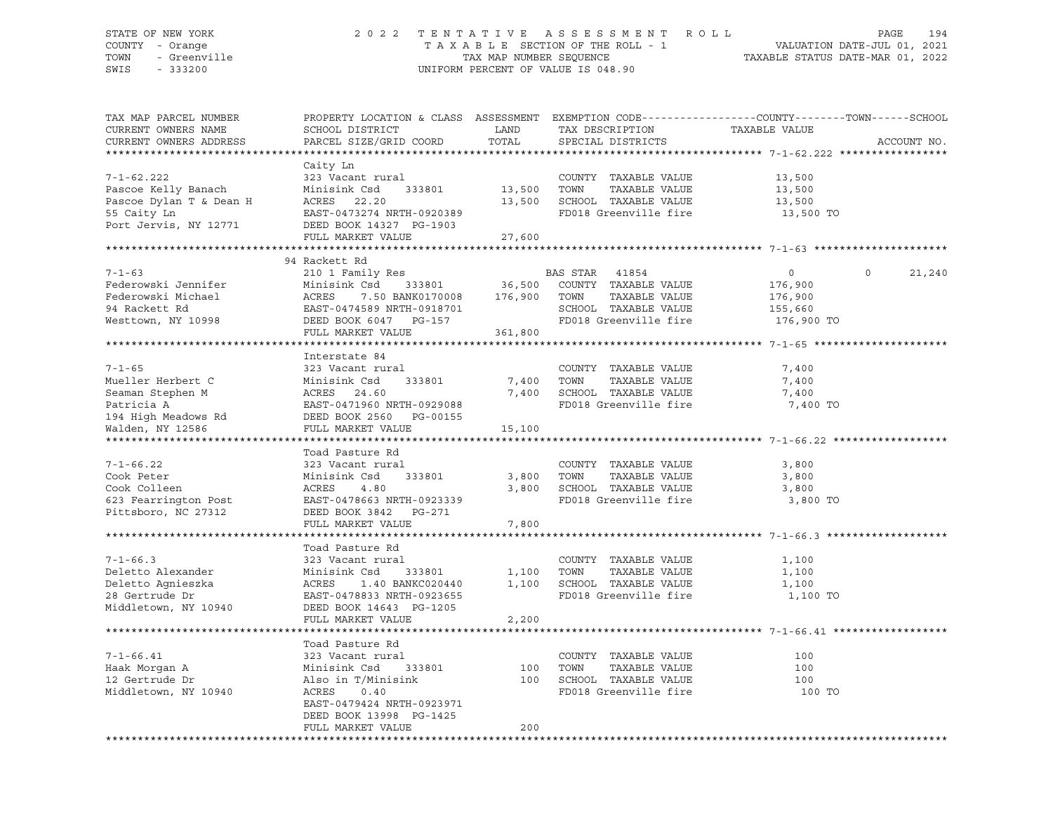## STATE OF NEW YORK 2 0 2 2 T E N T A T I V E A S S E S S M E N T R O L L PAGE 194 COUNTY - Orange T A X A B L E SECTION OF THE ROLL - 1 VALUATION DATE-JUL 01, 2021 TOWN - Greenville TAX MAP NUMBER SEQUENCE TAXABLE STATUS DATE-MAR 01, 2022 SWIS - 333200 UNIFORM PERCENT OF VALUE IS 048.90

| PARCEL SIZE/GRID COORD<br>TOTAL<br>CURRENT OWNERS ADDRESS<br>SPECIAL DISTRICTS<br>ACCOUNT NO.<br>Caity Ln<br>$7 - 1 - 62.222$<br>323 Vacant rural<br>COUNTY TAXABLE VALUE<br>13,500<br>TAXABLE VALUE<br>Pascoe Kelly Banach<br>13,500<br>TOWN<br>Minisink Csd<br>333801<br>13,500<br>Pascoe Dylan T & Dean H<br>13,500<br>SCHOOL TAXABLE VALUE<br>ACRES 22.20<br>13,500<br>FD018 Greenville fire<br>55 Caity Ln<br>EAST-0473274 NRTH-0920389<br>13,500 TO<br>Port Jervis, NY 12771<br>DEED BOOK 14327 PG-1903<br>FULL MARKET VALUE<br>27,600<br>94 Rackett Rd<br>$7 - 1 - 63$<br>210 1 Family Res<br>BAS STAR 41854<br>$\overline{0}$<br>$\Omega$<br>21,240<br>$36,500$ COUNTY TAXABLE VALUE<br>333801<br>Federowski Jennifer<br>Minisink Csd<br>176,900<br>7.50 BANK0170008 176,900 TOWN<br>ACRES 7.50 BANK0170008<br>EAST-0474589 NRTH-0918701<br>Federowski Michael<br>TAXABLE VALUE<br>176,900<br>SCHOOL TAXABLE VALUE<br>94 Rackett Rd<br>155,660<br>FD018 Greenville fire<br>Westtown, NY 10998<br>DEED BOOK 6047 PG-157<br>176,900 TO<br>FULL MARKET VALUE<br>361,800<br>Interstate 84<br>$7 - 1 - 65$<br>COUNTY TAXABLE VALUE<br>7,400<br>323 Vacant rural<br>Mueller Herbert C<br>Minisink Csd<br>333801<br>7,400 TOWN<br>TAXABLE VALUE<br>7,400<br>ATHISTIK CBC 955601<br>ACRES 24.60<br>EAST-0471960 NRTH-0929088<br>7,400 SCHOOL TAXABLE VALUE<br>Seaman Stephen M<br>7,400<br>FD018 Greenville fire<br>Patricia A<br>7,400 TO<br>194 High Meadows Rd CDEED BOOK 2560 PG-00155<br>Walden, NY 12586<br>FULL MARKET VALUE<br>15,100<br>Toad Pasture Rd<br>$7 - 1 - 66.22$<br>COUNTY TAXABLE VALUE<br>323 Vacant rural<br>3,800<br>TOWN<br>TAXABLE VALUE<br>Cook Peter<br>Minisink Csd<br>333801<br>3,800<br>3,800<br>Cook Colleen<br>3,800<br>SCHOOL TAXABLE VALUE<br>3,800<br>ACRES<br>4.80<br>FD018 Greenville fire<br>623 Fearrington Post<br>EAST-0478663 NRTH-0923339<br>3,800 TO<br>Pittsboro, NC 27312<br>DEED BOOK 3842 PG-271<br>FULL MARKET VALUE<br>7,800<br>Toad Pasture Rd<br>$7 - 1 - 66.3$<br>323 Vacant rural<br>COUNTY TAXABLE VALUE<br>1,100<br>absure<br>323 Vacant ru<br>Minisink Csd<br>ACRES<br>T<br>Deletto Alexander<br>1,100 TOWN<br>TAXABLE VALUE<br>1,100<br>333801<br>Deletto Agnieszka<br>1,100 SCHOOL TAXABLE VALUE<br>ACRES 1.40 BANKC020440<br>1,100<br>FD018 Greenville fire<br>28 Gertrude Dr<br>EAST-0478833 NRTH-0923655<br>1,100 TO<br>Middletown, NY 10940<br>DEED BOOK 14643 PG-1205<br>FULL MARKET VALUE<br>2,200<br>Toad Pasture Rd<br>$7 - 1 - 66.41$<br>323 Vacant rural<br>COUNTY TAXABLE VALUE<br>100<br>Haak Morgan A<br>Minisink Csd<br>333801<br>100<br>TOWN<br>TAXABLE VALUE<br>100<br>12 Gertrude Dr<br>Also in T/Minisink<br>100 SCHOOL TAXABLE VALUE<br>100<br>Middletown, NY 10940<br>ACRES<br>FD018 Greenville fire<br>0.40<br>100 TO<br>EAST-0479424 NRTH-0923971<br>DEED BOOK 13998 PG-1425<br>200<br>FULL MARKET VALUE | TAX MAP PARCEL NUMBER<br>CURRENT OWNERS NAME | PROPERTY LOCATION & CLASS ASSESSMENT EXEMPTION CODE---------------COUNTY-------TOWN------SCHOOL<br>SCHOOL DISTRICT | LAND | TAX DESCRIPTION | TAXABLE VALUE |  |
|-------------------------------------------------------------------------------------------------------------------------------------------------------------------------------------------------------------------------------------------------------------------------------------------------------------------------------------------------------------------------------------------------------------------------------------------------------------------------------------------------------------------------------------------------------------------------------------------------------------------------------------------------------------------------------------------------------------------------------------------------------------------------------------------------------------------------------------------------------------------------------------------------------------------------------------------------------------------------------------------------------------------------------------------------------------------------------------------------------------------------------------------------------------------------------------------------------------------------------------------------------------------------------------------------------------------------------------------------------------------------------------------------------------------------------------------------------------------------------------------------------------------------------------------------------------------------------------------------------------------------------------------------------------------------------------------------------------------------------------------------------------------------------------------------------------------------------------------------------------------------------------------------------------------------------------------------------------------------------------------------------------------------------------------------------------------------------------------------------------------------------------------------------------------------------------------------------------------------------------------------------------------------------------------------------------------------------------------------------------------------------------------------------------------------------------------------------------------------------------------------------------------------------------------------------------------------------------------------------------------------------------------------------------------------------------------------------------------------------------------------------------------------------------------------------------------------------------------------------------------------------------------|----------------------------------------------|--------------------------------------------------------------------------------------------------------------------|------|-----------------|---------------|--|
|                                                                                                                                                                                                                                                                                                                                                                                                                                                                                                                                                                                                                                                                                                                                                                                                                                                                                                                                                                                                                                                                                                                                                                                                                                                                                                                                                                                                                                                                                                                                                                                                                                                                                                                                                                                                                                                                                                                                                                                                                                                                                                                                                                                                                                                                                                                                                                                                                                                                                                                                                                                                                                                                                                                                                                                                                                                                                           |                                              |                                                                                                                    |      |                 |               |  |
|                                                                                                                                                                                                                                                                                                                                                                                                                                                                                                                                                                                                                                                                                                                                                                                                                                                                                                                                                                                                                                                                                                                                                                                                                                                                                                                                                                                                                                                                                                                                                                                                                                                                                                                                                                                                                                                                                                                                                                                                                                                                                                                                                                                                                                                                                                                                                                                                                                                                                                                                                                                                                                                                                                                                                                                                                                                                                           |                                              |                                                                                                                    |      |                 |               |  |
|                                                                                                                                                                                                                                                                                                                                                                                                                                                                                                                                                                                                                                                                                                                                                                                                                                                                                                                                                                                                                                                                                                                                                                                                                                                                                                                                                                                                                                                                                                                                                                                                                                                                                                                                                                                                                                                                                                                                                                                                                                                                                                                                                                                                                                                                                                                                                                                                                                                                                                                                                                                                                                                                                                                                                                                                                                                                                           |                                              |                                                                                                                    |      |                 |               |  |
|                                                                                                                                                                                                                                                                                                                                                                                                                                                                                                                                                                                                                                                                                                                                                                                                                                                                                                                                                                                                                                                                                                                                                                                                                                                                                                                                                                                                                                                                                                                                                                                                                                                                                                                                                                                                                                                                                                                                                                                                                                                                                                                                                                                                                                                                                                                                                                                                                                                                                                                                                                                                                                                                                                                                                                                                                                                                                           |                                              |                                                                                                                    |      |                 |               |  |
|                                                                                                                                                                                                                                                                                                                                                                                                                                                                                                                                                                                                                                                                                                                                                                                                                                                                                                                                                                                                                                                                                                                                                                                                                                                                                                                                                                                                                                                                                                                                                                                                                                                                                                                                                                                                                                                                                                                                                                                                                                                                                                                                                                                                                                                                                                                                                                                                                                                                                                                                                                                                                                                                                                                                                                                                                                                                                           |                                              |                                                                                                                    |      |                 |               |  |
|                                                                                                                                                                                                                                                                                                                                                                                                                                                                                                                                                                                                                                                                                                                                                                                                                                                                                                                                                                                                                                                                                                                                                                                                                                                                                                                                                                                                                                                                                                                                                                                                                                                                                                                                                                                                                                                                                                                                                                                                                                                                                                                                                                                                                                                                                                                                                                                                                                                                                                                                                                                                                                                                                                                                                                                                                                                                                           |                                              |                                                                                                                    |      |                 |               |  |
|                                                                                                                                                                                                                                                                                                                                                                                                                                                                                                                                                                                                                                                                                                                                                                                                                                                                                                                                                                                                                                                                                                                                                                                                                                                                                                                                                                                                                                                                                                                                                                                                                                                                                                                                                                                                                                                                                                                                                                                                                                                                                                                                                                                                                                                                                                                                                                                                                                                                                                                                                                                                                                                                                                                                                                                                                                                                                           |                                              |                                                                                                                    |      |                 |               |  |
|                                                                                                                                                                                                                                                                                                                                                                                                                                                                                                                                                                                                                                                                                                                                                                                                                                                                                                                                                                                                                                                                                                                                                                                                                                                                                                                                                                                                                                                                                                                                                                                                                                                                                                                                                                                                                                                                                                                                                                                                                                                                                                                                                                                                                                                                                                                                                                                                                                                                                                                                                                                                                                                                                                                                                                                                                                                                                           |                                              |                                                                                                                    |      |                 |               |  |
|                                                                                                                                                                                                                                                                                                                                                                                                                                                                                                                                                                                                                                                                                                                                                                                                                                                                                                                                                                                                                                                                                                                                                                                                                                                                                                                                                                                                                                                                                                                                                                                                                                                                                                                                                                                                                                                                                                                                                                                                                                                                                                                                                                                                                                                                                                                                                                                                                                                                                                                                                                                                                                                                                                                                                                                                                                                                                           |                                              |                                                                                                                    |      |                 |               |  |
|                                                                                                                                                                                                                                                                                                                                                                                                                                                                                                                                                                                                                                                                                                                                                                                                                                                                                                                                                                                                                                                                                                                                                                                                                                                                                                                                                                                                                                                                                                                                                                                                                                                                                                                                                                                                                                                                                                                                                                                                                                                                                                                                                                                                                                                                                                                                                                                                                                                                                                                                                                                                                                                                                                                                                                                                                                                                                           |                                              |                                                                                                                    |      |                 |               |  |
|                                                                                                                                                                                                                                                                                                                                                                                                                                                                                                                                                                                                                                                                                                                                                                                                                                                                                                                                                                                                                                                                                                                                                                                                                                                                                                                                                                                                                                                                                                                                                                                                                                                                                                                                                                                                                                                                                                                                                                                                                                                                                                                                                                                                                                                                                                                                                                                                                                                                                                                                                                                                                                                                                                                                                                                                                                                                                           |                                              |                                                                                                                    |      |                 |               |  |
|                                                                                                                                                                                                                                                                                                                                                                                                                                                                                                                                                                                                                                                                                                                                                                                                                                                                                                                                                                                                                                                                                                                                                                                                                                                                                                                                                                                                                                                                                                                                                                                                                                                                                                                                                                                                                                                                                                                                                                                                                                                                                                                                                                                                                                                                                                                                                                                                                                                                                                                                                                                                                                                                                                                                                                                                                                                                                           |                                              |                                                                                                                    |      |                 |               |  |
|                                                                                                                                                                                                                                                                                                                                                                                                                                                                                                                                                                                                                                                                                                                                                                                                                                                                                                                                                                                                                                                                                                                                                                                                                                                                                                                                                                                                                                                                                                                                                                                                                                                                                                                                                                                                                                                                                                                                                                                                                                                                                                                                                                                                                                                                                                                                                                                                                                                                                                                                                                                                                                                                                                                                                                                                                                                                                           |                                              |                                                                                                                    |      |                 |               |  |
|                                                                                                                                                                                                                                                                                                                                                                                                                                                                                                                                                                                                                                                                                                                                                                                                                                                                                                                                                                                                                                                                                                                                                                                                                                                                                                                                                                                                                                                                                                                                                                                                                                                                                                                                                                                                                                                                                                                                                                                                                                                                                                                                                                                                                                                                                                                                                                                                                                                                                                                                                                                                                                                                                                                                                                                                                                                                                           |                                              |                                                                                                                    |      |                 |               |  |
|                                                                                                                                                                                                                                                                                                                                                                                                                                                                                                                                                                                                                                                                                                                                                                                                                                                                                                                                                                                                                                                                                                                                                                                                                                                                                                                                                                                                                                                                                                                                                                                                                                                                                                                                                                                                                                                                                                                                                                                                                                                                                                                                                                                                                                                                                                                                                                                                                                                                                                                                                                                                                                                                                                                                                                                                                                                                                           |                                              |                                                                                                                    |      |                 |               |  |
|                                                                                                                                                                                                                                                                                                                                                                                                                                                                                                                                                                                                                                                                                                                                                                                                                                                                                                                                                                                                                                                                                                                                                                                                                                                                                                                                                                                                                                                                                                                                                                                                                                                                                                                                                                                                                                                                                                                                                                                                                                                                                                                                                                                                                                                                                                                                                                                                                                                                                                                                                                                                                                                                                                                                                                                                                                                                                           |                                              |                                                                                                                    |      |                 |               |  |
|                                                                                                                                                                                                                                                                                                                                                                                                                                                                                                                                                                                                                                                                                                                                                                                                                                                                                                                                                                                                                                                                                                                                                                                                                                                                                                                                                                                                                                                                                                                                                                                                                                                                                                                                                                                                                                                                                                                                                                                                                                                                                                                                                                                                                                                                                                                                                                                                                                                                                                                                                                                                                                                                                                                                                                                                                                                                                           |                                              |                                                                                                                    |      |                 |               |  |
|                                                                                                                                                                                                                                                                                                                                                                                                                                                                                                                                                                                                                                                                                                                                                                                                                                                                                                                                                                                                                                                                                                                                                                                                                                                                                                                                                                                                                                                                                                                                                                                                                                                                                                                                                                                                                                                                                                                                                                                                                                                                                                                                                                                                                                                                                                                                                                                                                                                                                                                                                                                                                                                                                                                                                                                                                                                                                           |                                              |                                                                                                                    |      |                 |               |  |
|                                                                                                                                                                                                                                                                                                                                                                                                                                                                                                                                                                                                                                                                                                                                                                                                                                                                                                                                                                                                                                                                                                                                                                                                                                                                                                                                                                                                                                                                                                                                                                                                                                                                                                                                                                                                                                                                                                                                                                                                                                                                                                                                                                                                                                                                                                                                                                                                                                                                                                                                                                                                                                                                                                                                                                                                                                                                                           |                                              |                                                                                                                    |      |                 |               |  |
|                                                                                                                                                                                                                                                                                                                                                                                                                                                                                                                                                                                                                                                                                                                                                                                                                                                                                                                                                                                                                                                                                                                                                                                                                                                                                                                                                                                                                                                                                                                                                                                                                                                                                                                                                                                                                                                                                                                                                                                                                                                                                                                                                                                                                                                                                                                                                                                                                                                                                                                                                                                                                                                                                                                                                                                                                                                                                           |                                              |                                                                                                                    |      |                 |               |  |
|                                                                                                                                                                                                                                                                                                                                                                                                                                                                                                                                                                                                                                                                                                                                                                                                                                                                                                                                                                                                                                                                                                                                                                                                                                                                                                                                                                                                                                                                                                                                                                                                                                                                                                                                                                                                                                                                                                                                                                                                                                                                                                                                                                                                                                                                                                                                                                                                                                                                                                                                                                                                                                                                                                                                                                                                                                                                                           |                                              |                                                                                                                    |      |                 |               |  |
|                                                                                                                                                                                                                                                                                                                                                                                                                                                                                                                                                                                                                                                                                                                                                                                                                                                                                                                                                                                                                                                                                                                                                                                                                                                                                                                                                                                                                                                                                                                                                                                                                                                                                                                                                                                                                                                                                                                                                                                                                                                                                                                                                                                                                                                                                                                                                                                                                                                                                                                                                                                                                                                                                                                                                                                                                                                                                           |                                              |                                                                                                                    |      |                 |               |  |
|                                                                                                                                                                                                                                                                                                                                                                                                                                                                                                                                                                                                                                                                                                                                                                                                                                                                                                                                                                                                                                                                                                                                                                                                                                                                                                                                                                                                                                                                                                                                                                                                                                                                                                                                                                                                                                                                                                                                                                                                                                                                                                                                                                                                                                                                                                                                                                                                                                                                                                                                                                                                                                                                                                                                                                                                                                                                                           |                                              |                                                                                                                    |      |                 |               |  |
|                                                                                                                                                                                                                                                                                                                                                                                                                                                                                                                                                                                                                                                                                                                                                                                                                                                                                                                                                                                                                                                                                                                                                                                                                                                                                                                                                                                                                                                                                                                                                                                                                                                                                                                                                                                                                                                                                                                                                                                                                                                                                                                                                                                                                                                                                                                                                                                                                                                                                                                                                                                                                                                                                                                                                                                                                                                                                           |                                              |                                                                                                                    |      |                 |               |  |
|                                                                                                                                                                                                                                                                                                                                                                                                                                                                                                                                                                                                                                                                                                                                                                                                                                                                                                                                                                                                                                                                                                                                                                                                                                                                                                                                                                                                                                                                                                                                                                                                                                                                                                                                                                                                                                                                                                                                                                                                                                                                                                                                                                                                                                                                                                                                                                                                                                                                                                                                                                                                                                                                                                                                                                                                                                                                                           |                                              |                                                                                                                    |      |                 |               |  |
|                                                                                                                                                                                                                                                                                                                                                                                                                                                                                                                                                                                                                                                                                                                                                                                                                                                                                                                                                                                                                                                                                                                                                                                                                                                                                                                                                                                                                                                                                                                                                                                                                                                                                                                                                                                                                                                                                                                                                                                                                                                                                                                                                                                                                                                                                                                                                                                                                                                                                                                                                                                                                                                                                                                                                                                                                                                                                           |                                              |                                                                                                                    |      |                 |               |  |
|                                                                                                                                                                                                                                                                                                                                                                                                                                                                                                                                                                                                                                                                                                                                                                                                                                                                                                                                                                                                                                                                                                                                                                                                                                                                                                                                                                                                                                                                                                                                                                                                                                                                                                                                                                                                                                                                                                                                                                                                                                                                                                                                                                                                                                                                                                                                                                                                                                                                                                                                                                                                                                                                                                                                                                                                                                                                                           |                                              |                                                                                                                    |      |                 |               |  |
|                                                                                                                                                                                                                                                                                                                                                                                                                                                                                                                                                                                                                                                                                                                                                                                                                                                                                                                                                                                                                                                                                                                                                                                                                                                                                                                                                                                                                                                                                                                                                                                                                                                                                                                                                                                                                                                                                                                                                                                                                                                                                                                                                                                                                                                                                                                                                                                                                                                                                                                                                                                                                                                                                                                                                                                                                                                                                           |                                              |                                                                                                                    |      |                 |               |  |
|                                                                                                                                                                                                                                                                                                                                                                                                                                                                                                                                                                                                                                                                                                                                                                                                                                                                                                                                                                                                                                                                                                                                                                                                                                                                                                                                                                                                                                                                                                                                                                                                                                                                                                                                                                                                                                                                                                                                                                                                                                                                                                                                                                                                                                                                                                                                                                                                                                                                                                                                                                                                                                                                                                                                                                                                                                                                                           |                                              |                                                                                                                    |      |                 |               |  |
|                                                                                                                                                                                                                                                                                                                                                                                                                                                                                                                                                                                                                                                                                                                                                                                                                                                                                                                                                                                                                                                                                                                                                                                                                                                                                                                                                                                                                                                                                                                                                                                                                                                                                                                                                                                                                                                                                                                                                                                                                                                                                                                                                                                                                                                                                                                                                                                                                                                                                                                                                                                                                                                                                                                                                                                                                                                                                           |                                              |                                                                                                                    |      |                 |               |  |
|                                                                                                                                                                                                                                                                                                                                                                                                                                                                                                                                                                                                                                                                                                                                                                                                                                                                                                                                                                                                                                                                                                                                                                                                                                                                                                                                                                                                                                                                                                                                                                                                                                                                                                                                                                                                                                                                                                                                                                                                                                                                                                                                                                                                                                                                                                                                                                                                                                                                                                                                                                                                                                                                                                                                                                                                                                                                                           |                                              |                                                                                                                    |      |                 |               |  |
|                                                                                                                                                                                                                                                                                                                                                                                                                                                                                                                                                                                                                                                                                                                                                                                                                                                                                                                                                                                                                                                                                                                                                                                                                                                                                                                                                                                                                                                                                                                                                                                                                                                                                                                                                                                                                                                                                                                                                                                                                                                                                                                                                                                                                                                                                                                                                                                                                                                                                                                                                                                                                                                                                                                                                                                                                                                                                           |                                              |                                                                                                                    |      |                 |               |  |
|                                                                                                                                                                                                                                                                                                                                                                                                                                                                                                                                                                                                                                                                                                                                                                                                                                                                                                                                                                                                                                                                                                                                                                                                                                                                                                                                                                                                                                                                                                                                                                                                                                                                                                                                                                                                                                                                                                                                                                                                                                                                                                                                                                                                                                                                                                                                                                                                                                                                                                                                                                                                                                                                                                                                                                                                                                                                                           |                                              |                                                                                                                    |      |                 |               |  |
|                                                                                                                                                                                                                                                                                                                                                                                                                                                                                                                                                                                                                                                                                                                                                                                                                                                                                                                                                                                                                                                                                                                                                                                                                                                                                                                                                                                                                                                                                                                                                                                                                                                                                                                                                                                                                                                                                                                                                                                                                                                                                                                                                                                                                                                                                                                                                                                                                                                                                                                                                                                                                                                                                                                                                                                                                                                                                           |                                              |                                                                                                                    |      |                 |               |  |
|                                                                                                                                                                                                                                                                                                                                                                                                                                                                                                                                                                                                                                                                                                                                                                                                                                                                                                                                                                                                                                                                                                                                                                                                                                                                                                                                                                                                                                                                                                                                                                                                                                                                                                                                                                                                                                                                                                                                                                                                                                                                                                                                                                                                                                                                                                                                                                                                                                                                                                                                                                                                                                                                                                                                                                                                                                                                                           |                                              |                                                                                                                    |      |                 |               |  |
|                                                                                                                                                                                                                                                                                                                                                                                                                                                                                                                                                                                                                                                                                                                                                                                                                                                                                                                                                                                                                                                                                                                                                                                                                                                                                                                                                                                                                                                                                                                                                                                                                                                                                                                                                                                                                                                                                                                                                                                                                                                                                                                                                                                                                                                                                                                                                                                                                                                                                                                                                                                                                                                                                                                                                                                                                                                                                           |                                              |                                                                                                                    |      |                 |               |  |
|                                                                                                                                                                                                                                                                                                                                                                                                                                                                                                                                                                                                                                                                                                                                                                                                                                                                                                                                                                                                                                                                                                                                                                                                                                                                                                                                                                                                                                                                                                                                                                                                                                                                                                                                                                                                                                                                                                                                                                                                                                                                                                                                                                                                                                                                                                                                                                                                                                                                                                                                                                                                                                                                                                                                                                                                                                                                                           |                                              |                                                                                                                    |      |                 |               |  |
|                                                                                                                                                                                                                                                                                                                                                                                                                                                                                                                                                                                                                                                                                                                                                                                                                                                                                                                                                                                                                                                                                                                                                                                                                                                                                                                                                                                                                                                                                                                                                                                                                                                                                                                                                                                                                                                                                                                                                                                                                                                                                                                                                                                                                                                                                                                                                                                                                                                                                                                                                                                                                                                                                                                                                                                                                                                                                           |                                              |                                                                                                                    |      |                 |               |  |
|                                                                                                                                                                                                                                                                                                                                                                                                                                                                                                                                                                                                                                                                                                                                                                                                                                                                                                                                                                                                                                                                                                                                                                                                                                                                                                                                                                                                                                                                                                                                                                                                                                                                                                                                                                                                                                                                                                                                                                                                                                                                                                                                                                                                                                                                                                                                                                                                                                                                                                                                                                                                                                                                                                                                                                                                                                                                                           |                                              |                                                                                                                    |      |                 |               |  |
|                                                                                                                                                                                                                                                                                                                                                                                                                                                                                                                                                                                                                                                                                                                                                                                                                                                                                                                                                                                                                                                                                                                                                                                                                                                                                                                                                                                                                                                                                                                                                                                                                                                                                                                                                                                                                                                                                                                                                                                                                                                                                                                                                                                                                                                                                                                                                                                                                                                                                                                                                                                                                                                                                                                                                                                                                                                                                           |                                              |                                                                                                                    |      |                 |               |  |
|                                                                                                                                                                                                                                                                                                                                                                                                                                                                                                                                                                                                                                                                                                                                                                                                                                                                                                                                                                                                                                                                                                                                                                                                                                                                                                                                                                                                                                                                                                                                                                                                                                                                                                                                                                                                                                                                                                                                                                                                                                                                                                                                                                                                                                                                                                                                                                                                                                                                                                                                                                                                                                                                                                                                                                                                                                                                                           |                                              |                                                                                                                    |      |                 |               |  |
|                                                                                                                                                                                                                                                                                                                                                                                                                                                                                                                                                                                                                                                                                                                                                                                                                                                                                                                                                                                                                                                                                                                                                                                                                                                                                                                                                                                                                                                                                                                                                                                                                                                                                                                                                                                                                                                                                                                                                                                                                                                                                                                                                                                                                                                                                                                                                                                                                                                                                                                                                                                                                                                                                                                                                                                                                                                                                           |                                              |                                                                                                                    |      |                 |               |  |
|                                                                                                                                                                                                                                                                                                                                                                                                                                                                                                                                                                                                                                                                                                                                                                                                                                                                                                                                                                                                                                                                                                                                                                                                                                                                                                                                                                                                                                                                                                                                                                                                                                                                                                                                                                                                                                                                                                                                                                                                                                                                                                                                                                                                                                                                                                                                                                                                                                                                                                                                                                                                                                                                                                                                                                                                                                                                                           |                                              |                                                                                                                    |      |                 |               |  |
|                                                                                                                                                                                                                                                                                                                                                                                                                                                                                                                                                                                                                                                                                                                                                                                                                                                                                                                                                                                                                                                                                                                                                                                                                                                                                                                                                                                                                                                                                                                                                                                                                                                                                                                                                                                                                                                                                                                                                                                                                                                                                                                                                                                                                                                                                                                                                                                                                                                                                                                                                                                                                                                                                                                                                                                                                                                                                           |                                              |                                                                                                                    |      |                 |               |  |
|                                                                                                                                                                                                                                                                                                                                                                                                                                                                                                                                                                                                                                                                                                                                                                                                                                                                                                                                                                                                                                                                                                                                                                                                                                                                                                                                                                                                                                                                                                                                                                                                                                                                                                                                                                                                                                                                                                                                                                                                                                                                                                                                                                                                                                                                                                                                                                                                                                                                                                                                                                                                                                                                                                                                                                                                                                                                                           |                                              |                                                                                                                    |      |                 |               |  |
|                                                                                                                                                                                                                                                                                                                                                                                                                                                                                                                                                                                                                                                                                                                                                                                                                                                                                                                                                                                                                                                                                                                                                                                                                                                                                                                                                                                                                                                                                                                                                                                                                                                                                                                                                                                                                                                                                                                                                                                                                                                                                                                                                                                                                                                                                                                                                                                                                                                                                                                                                                                                                                                                                                                                                                                                                                                                                           |                                              |                                                                                                                    |      |                 |               |  |
|                                                                                                                                                                                                                                                                                                                                                                                                                                                                                                                                                                                                                                                                                                                                                                                                                                                                                                                                                                                                                                                                                                                                                                                                                                                                                                                                                                                                                                                                                                                                                                                                                                                                                                                                                                                                                                                                                                                                                                                                                                                                                                                                                                                                                                                                                                                                                                                                                                                                                                                                                                                                                                                                                                                                                                                                                                                                                           |                                              |                                                                                                                    |      |                 |               |  |
|                                                                                                                                                                                                                                                                                                                                                                                                                                                                                                                                                                                                                                                                                                                                                                                                                                                                                                                                                                                                                                                                                                                                                                                                                                                                                                                                                                                                                                                                                                                                                                                                                                                                                                                                                                                                                                                                                                                                                                                                                                                                                                                                                                                                                                                                                                                                                                                                                                                                                                                                                                                                                                                                                                                                                                                                                                                                                           |                                              |                                                                                                                    |      |                 |               |  |
|                                                                                                                                                                                                                                                                                                                                                                                                                                                                                                                                                                                                                                                                                                                                                                                                                                                                                                                                                                                                                                                                                                                                                                                                                                                                                                                                                                                                                                                                                                                                                                                                                                                                                                                                                                                                                                                                                                                                                                                                                                                                                                                                                                                                                                                                                                                                                                                                                                                                                                                                                                                                                                                                                                                                                                                                                                                                                           |                                              |                                                                                                                    |      |                 |               |  |
|                                                                                                                                                                                                                                                                                                                                                                                                                                                                                                                                                                                                                                                                                                                                                                                                                                                                                                                                                                                                                                                                                                                                                                                                                                                                                                                                                                                                                                                                                                                                                                                                                                                                                                                                                                                                                                                                                                                                                                                                                                                                                                                                                                                                                                                                                                                                                                                                                                                                                                                                                                                                                                                                                                                                                                                                                                                                                           |                                              |                                                                                                                    |      |                 |               |  |
|                                                                                                                                                                                                                                                                                                                                                                                                                                                                                                                                                                                                                                                                                                                                                                                                                                                                                                                                                                                                                                                                                                                                                                                                                                                                                                                                                                                                                                                                                                                                                                                                                                                                                                                                                                                                                                                                                                                                                                                                                                                                                                                                                                                                                                                                                                                                                                                                                                                                                                                                                                                                                                                                                                                                                                                                                                                                                           |                                              |                                                                                                                    |      |                 |               |  |
|                                                                                                                                                                                                                                                                                                                                                                                                                                                                                                                                                                                                                                                                                                                                                                                                                                                                                                                                                                                                                                                                                                                                                                                                                                                                                                                                                                                                                                                                                                                                                                                                                                                                                                                                                                                                                                                                                                                                                                                                                                                                                                                                                                                                                                                                                                                                                                                                                                                                                                                                                                                                                                                                                                                                                                                                                                                                                           |                                              |                                                                                                                    |      |                 |               |  |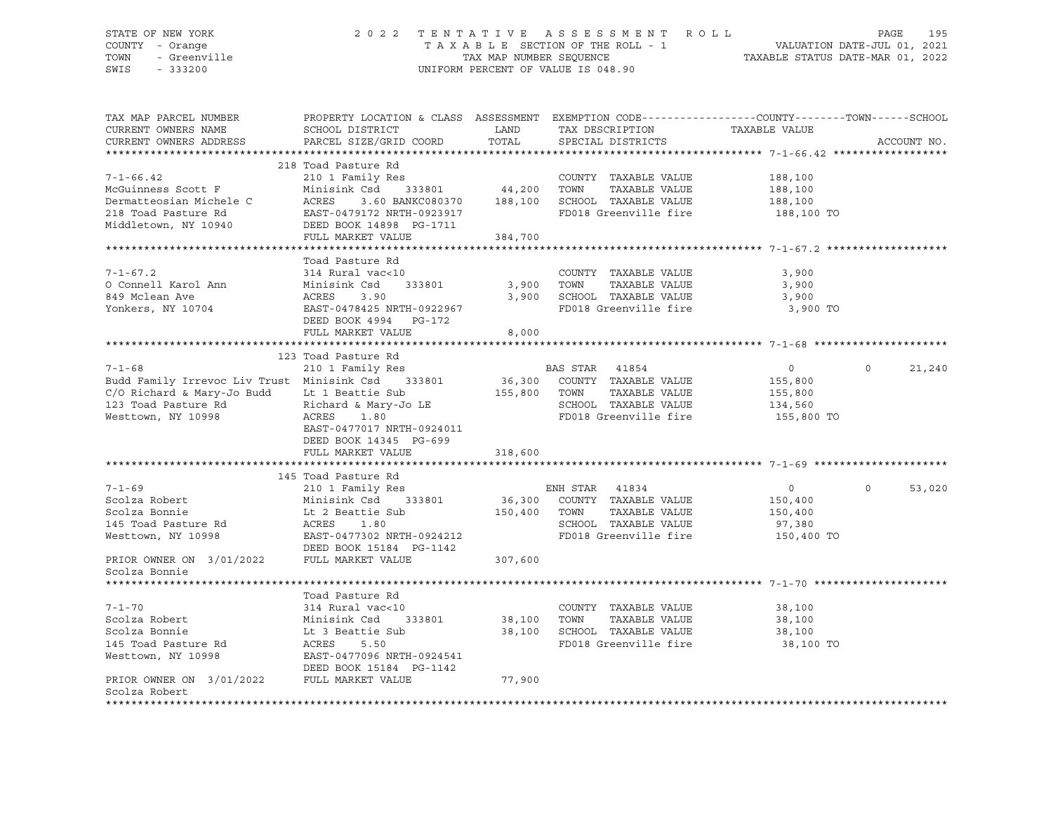## STATE OF NEW YORK 2 0 2 2 T E N T A T I V E A S S E S S M E N T R O L L PAGE 195 COUNTY - Orange T A X A B L E SECTION OF THE ROLL - 1 VALUATION DATE-JUL 01, 2021 TOWN - Greenville TAX MAP NUMBER SEQUENCE TAXABLE STATUS DATE-MAR 01, 2022 SWIS - 333200 UNIFORM PERCENT OF VALUE IS 048.90

| TAX MAP PARCEL NUMBER<br>CURRENT OWNERS NAME<br>CURRENT OWNERS ADDRESS                                                                | PROPERTY LOCATION & CLASS ASSESSMENT<br>SCHOOL DISTRICT<br>PARCEL SIZE/GRID COORD                                                                                                          | LAND<br>TOTAL                | EXEMPTION CODE-----------------COUNTY-------TOWN------SCHOOL<br>TAX DESCRIPTION<br>SPECIAL DISTRICTS                    | TAXABLE VALUE                                          | ACCOUNT NO.           |
|---------------------------------------------------------------------------------------------------------------------------------------|--------------------------------------------------------------------------------------------------------------------------------------------------------------------------------------------|------------------------------|-------------------------------------------------------------------------------------------------------------------------|--------------------------------------------------------|-----------------------|
|                                                                                                                                       |                                                                                                                                                                                            |                              |                                                                                                                         |                                                        |                       |
| $7 - 1 - 66.42$<br>McGuinness Scott F<br>Dermatteosian Michele C<br>218 Toad Pasture Rd<br>Middletown, NY 10940                       | 218 Toad Pasture Rd<br>210 1 Family Res<br>Minisink Csd<br>333801<br>ACRES<br>3.60 BANKC080370<br>EAST-0479172 NRTH-0923917<br>DEED BOOK 14898 PG-1711<br>FULL MARKET VALUE                | 44,200<br>188,100<br>384,700 | COUNTY TAXABLE VALUE<br>TOWN<br>TAXABLE VALUE<br>SCHOOL TAXABLE VALUE<br>FD018 Greenville fire                          | 188,100<br>188,100<br>188,100<br>188,100 TO            |                       |
|                                                                                                                                       |                                                                                                                                                                                            |                              |                                                                                                                         |                                                        |                       |
| $7 - 1 - 67.2$<br>O Connell Karol Ann<br>849 Mclean Ave<br>Yonkers, NY 10704                                                          | Toad Pasture Rd<br>314 Rural vac<10<br>333801<br>Minisink Csd<br>ACRES<br>3.90<br>EAST-0478425 NRTH-0922967<br>DEED BOOK 4994 PG-172<br>FULL MARKET VALUE                                  | 3,900<br>3,900<br>8,000      | COUNTY TAXABLE VALUE<br>TOWN<br>TAXABLE VALUE<br>SCHOOL TAXABLE VALUE<br>FD018 Greenville fire                          | 3,900<br>3,900<br>3,900<br>3,900 TO                    |                       |
|                                                                                                                                       |                                                                                                                                                                                            |                              |                                                                                                                         |                                                        |                       |
| $7 - 1 - 68$<br>Budd Family Irrevoc Liv Trust Minisink Csd<br>C/O Richard & Mary-Jo Budd<br>123 Toad Pasture Rd<br>Westtown, NY 10998 | 123 Toad Pasture Rd<br>210 1 Family Res<br>333801<br>Lt 1 Beattie Sub<br>Richard & Mary-Jo LE<br>ACRES<br>1.80<br>EAST-0477017 NRTH-0924011<br>DEED BOOK 14345 PG-699<br>FULL MARKET VALUE | 155,800<br>318,600           | BAS STAR 41854<br>36,300 COUNTY TAXABLE VALUE<br>TAXABLE VALUE<br>TOWN<br>SCHOOL TAXABLE VALUE<br>FD018 Greenville fire | $\circ$<br>155,800<br>155,800<br>134,560<br>155,800 TO | $\Omega$<br>21,240    |
|                                                                                                                                       |                                                                                                                                                                                            |                              |                                                                                                                         |                                                        |                       |
| $7 - 1 - 69$<br>Scolza Robert<br>Scolza Bonnie<br>145 Toad Pasture Rd<br>Westtown, NY 10998                                           | 145 Toad Pasture Rd<br>210 1 Family Res<br>Minisink Csd<br>333801<br>Lt 2 Beattie Sub<br>ACRES<br>1.80<br>EAST-0477302 NRTH-0924212<br>DEED BOOK 15184 PG-1142                             | 36,300<br>150,400            | ENH STAR 41834<br>COUNTY TAXABLE VALUE<br>TOWN<br>TAXABLE VALUE<br>SCHOOL TAXABLE VALUE<br>FD018 Greenville fire        | $\circ$<br>150,400<br>150,400<br>97,380<br>150,400 TO  | $\mathbf 0$<br>53,020 |
| PRIOR OWNER ON 3/01/2022                                                                                                              | FULL MARKET VALUE                                                                                                                                                                          | 307,600                      |                                                                                                                         |                                                        |                       |
| Scolza Bonnie                                                                                                                         |                                                                                                                                                                                            |                              |                                                                                                                         |                                                        |                       |
|                                                                                                                                       |                                                                                                                                                                                            |                              |                                                                                                                         |                                                        |                       |
| $7 - 1 - 70$<br>Scolza Robert<br>Scolza Bonnie<br>145 Toad Pasture Rd<br>Westtown, NY 10998                                           | Toad Pasture Rd<br>314 Rural vac<10<br>Minisink Csd<br>333801<br>Lt 3 Beattie Sub<br>ACRES<br>5.50<br>EAST-0477096 NRTH-0924541<br>DEED BOOK 15184 PG-1142                                 | 38,100<br>38,100             | COUNTY TAXABLE VALUE<br>TOWN<br>TAXABLE VALUE<br>SCHOOL TAXABLE VALUE<br>FD018 Greenville fire                          | 38,100<br>38,100<br>38,100<br>38,100 TO                |                       |
| PRIOR OWNER ON 3/01/2022<br>Scolza Robert<br>****************                                                                         | FULL MARKET VALUE                                                                                                                                                                          | 77,900                       |                                                                                                                         |                                                        |                       |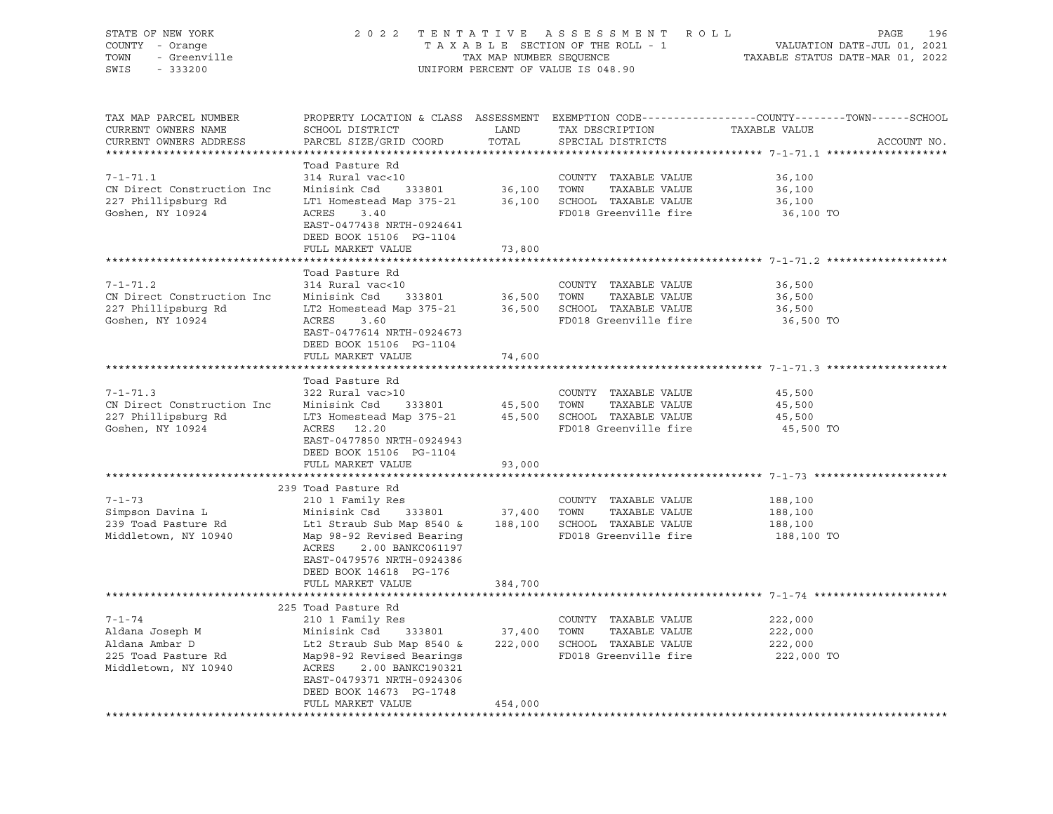| COUNTY<br>TOWN<br>SWIS | STATE OF NEW YORK<br>- Orange<br>- Greenville<br>$-333200$ |                                                         | TAX MAP NUMBER SEOUENCE | 2022 TENTATIVE ASSESSMENT ROLL<br>T A X A B L E SECTION OF THE ROLL - 1<br>UNIFORM PERCENT OF VALUE IS 048.90 | VALUATION DATE-JUL 01, 2021<br>TAXABLE STATUS DATE-MAR 01, 2022 | PAGE | 196 |
|------------------------|------------------------------------------------------------|---------------------------------------------------------|-------------------------|---------------------------------------------------------------------------------------------------------------|-----------------------------------------------------------------|------|-----|
|                        | TAX MAP PARCEL NUMBER<br>CURRENT OWNERS NAME               | PROPERTY LOCATION & CLASS ASSESSMENT<br>SCHOOL DISTRICT | LAND                    | EXEMPTION CODE-----------------COUNTY--------TOWN------SCHOOL<br>TAX DESCRIPTION                              | TAXABLE VALUE                                                   |      |     |

| CURRENT OWNERS ADDRESS     | PARCEL SIZE/GRID COORD    | TOTAL       | SPECIAL DISTRICTS            | ACCOUNT NO.                                     |
|----------------------------|---------------------------|-------------|------------------------------|-------------------------------------------------|
|                            | ************************  |             |                              | ***************** 7-1-71.1 ******************** |
|                            | Toad Pasture Rd           |             |                              |                                                 |
| $7 - 1 - 71.1$             | 314 Rural vac<10          |             | COUNTY TAXABLE VALUE         | 36,100                                          |
| CN Direct Construction Inc | Minisink Csd<br>333801    | 36,100 TOWN | TAXABLE VALUE                | 36,100                                          |
| 227 Phillipsburg Rd        | LT1 Homestead Map 375-21  |             | 36,100 SCHOOL TAXABLE VALUE  | 36,100                                          |
| Goshen, NY 10924           | ACRES<br>3.40             |             | FD018 Greenville fire        | 36,100 TO                                       |
|                            | EAST-0477438 NRTH-0924641 |             |                              |                                                 |
|                            | DEED BOOK 15106 PG-1104   |             |                              |                                                 |
|                            | FULL MARKET VALUE         | 73,800      |                              |                                                 |
|                            |                           |             |                              |                                                 |
|                            | Toad Pasture Rd           |             |                              |                                                 |
| $7 - 1 - 71.2$             | 314 Rural vac<10          |             | COUNTY TAXABLE VALUE         | 36,500                                          |
| CN Direct Construction Inc | 333801<br>Minisink Csd    | 36,500      | TOWN<br>TAXABLE VALUE        | 36,500                                          |
| 227 Phillipsburg Rd        | LT2 Homestead Map 375-21  |             | 36,500 SCHOOL TAXABLE VALUE  | 36,500                                          |
|                            |                           |             |                              |                                                 |
| Goshen, NY 10924           | 3.60<br>ACRES             |             | FD018 Greenville fire        | 36,500 TO                                       |
|                            | EAST-0477614 NRTH-0924673 |             |                              |                                                 |
|                            | DEED BOOK 15106 PG-1104   |             |                              |                                                 |
|                            | FULL MARKET VALUE         | 74,600      |                              |                                                 |
|                            |                           |             |                              |                                                 |
|                            | Toad Pasture Rd           |             |                              |                                                 |
| $7 - 1 - 71.3$             | 322 Rural vac>10          |             | COUNTY TAXABLE VALUE         | 45,500                                          |
| CN Direct Construction Inc | Minisink Csd<br>333801    | 45,500      | TOWN<br>TAXABLE VALUE        | 45,500                                          |
| 227 Phillipsburg Rd        | LT3 Homestead Map 375-21  |             | 45,500 SCHOOL TAXABLE VALUE  | 45,500                                          |
| Goshen, NY 10924           | ACRES 12.20               |             | FD018 Greenville fire        | 45,500 TO                                       |
|                            | EAST-0477850 NRTH-0924943 |             |                              |                                                 |
|                            | DEED BOOK 15106 PG-1104   |             |                              |                                                 |
|                            | FULL MARKET VALUE         | 93,000      |                              |                                                 |
|                            |                           |             |                              |                                                 |
|                            | 239 Toad Pasture Rd       |             |                              |                                                 |
| $7 - 1 - 73$               | 210 1 Family Res          |             | COUNTY TAXABLE VALUE         | 188,100                                         |
| Simpson Davina L           | 333801<br>Minisink Csd    | 37,400      | TOWN<br>TAXABLE VALUE        | 188,100                                         |
| 239 Toad Pasture Rd        | Lt1 Straub Sub Map 8540 & |             | 188,100 SCHOOL TAXABLE VALUE | 188,100                                         |
| Middletown, NY 10940       | Map 98-92 Revised Bearing |             | FD018 Greenville fire        | 188,100 TO                                      |
|                            | ACRES<br>2.00 BANKC061197 |             |                              |                                                 |
|                            | EAST-0479576 NRTH-0924386 |             |                              |                                                 |
|                            | DEED BOOK 14618 PG-176    |             |                              |                                                 |
|                            |                           |             |                              |                                                 |
|                            | FULL MARKET VALUE         | 384,700     |                              |                                                 |
|                            |                           |             |                              |                                                 |
|                            | 225 Toad Pasture Rd       |             |                              |                                                 |
| $7 - 1 - 74$               | 210 1 Family Res          |             | COUNTY TAXABLE VALUE         | 222,000                                         |
| Aldana Joseph M            | Minisink Csd<br>333801    | 37,400      | TAXABLE VALUE<br>TOWN        | 222,000                                         |
| Aldana Ambar D             | Lt2 Straub Sub Map 8540 & | 222,000     | SCHOOL TAXABLE VALUE         | 222,000                                         |
| 225 Toad Pasture Rd        | Map98-92 Revised Bearings |             | FD018 Greenville fire        | 222,000 TO                                      |
| Middletown, NY 10940       | ACRES<br>2.00 BANKC190321 |             |                              |                                                 |
|                            | EAST-0479371 NRTH-0924306 |             |                              |                                                 |
|                            | DEED BOOK 14673 PG-1748   |             |                              |                                                 |
|                            | FULL MARKET VALUE         | 454,000     |                              |                                                 |
|                            |                           |             |                              |                                                 |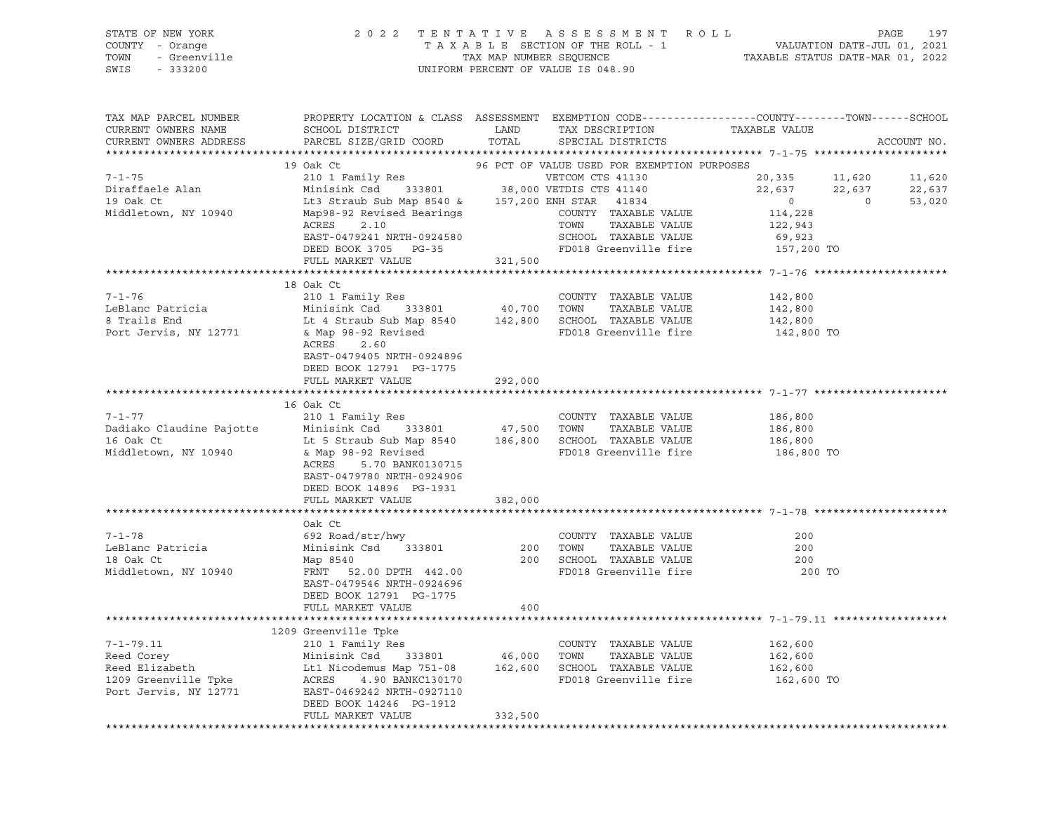|                 | STATE OF NEW YORK |                                    | 2022 TENTATIVE ASSESSMENT ROLL  |                                  |  | PAGE 197 |
|-----------------|-------------------|------------------------------------|---------------------------------|----------------------------------|--|----------|
| COUNTY - Orange |                   |                                    | TAXABLE SECTION OF THE ROLL - 1 | VALUATION DATE-JUL 01, 2021      |  |          |
|                 | TOWN - Greenville | TAX MAP NUMBER SEOUENCE            |                                 | TAXABLE STATUS DATE-MAR 01, 2022 |  |          |
| SWIS - 333200   |                   | UNIFORM PERCENT OF VALUE IS 048.90 |                                 |                                  |  |          |
|                 |                   |                                    |                                 |                                  |  |          |
|                 |                   |                                    |                                 |                                  |  |          |

| TAX MAP PARCEL NUMBER<br>CURRENT OWNERS NAME | PROPERTY LOCATION & CLASS ASSESSMENT EXEMPTION CODE----------------COUNTY-------TOWN------SCHOOL<br>SCHOOL DISTRICT                                                                                                                      | LAND     | TAX DESCRIPTION                             | TAXABLE VALUE        |                |             |
|----------------------------------------------|------------------------------------------------------------------------------------------------------------------------------------------------------------------------------------------------------------------------------------------|----------|---------------------------------------------|----------------------|----------------|-------------|
| CURRENT OWNERS ADDRESS                       | PARCEL SIZE/GRID COORD                                                                                                                                                                                                                   | TOTAL    | SPECIAL DISTRICTS                           |                      |                | ACCOUNT NO. |
|                                              |                                                                                                                                                                                                                                          |          |                                             |                      |                |             |
|                                              | 19 Oak Ct                                                                                                                                                                                                                                |          | 96 PCT OF VALUE USED FOR EXEMPTION PURPOSES |                      |                |             |
| $7 - 1 - 75$                                 |                                                                                                                                                                                                                                          |          |                                             | 20,335 11,620        |                | 11,620      |
| Diraffaele Alan                              |                                                                                                                                                                                                                                          |          |                                             | 22,637 22,637        |                | 22,637      |
| 19 Oak Ct                                    | Lt3 Straub Sub Map 8540 & 157,200 ENH STAR 41834                                                                                                                                                                                         |          |                                             | $\sim$ 0             | $\overline{0}$ | 53,020      |
| Middletown, NY 10940                         | Map98-92 Revised Bearings                                                                                                                                                                                                                |          | COUNTY TAXABLE VALUE                        | 114,228              |                |             |
|                                              | ACRES<br>2.10                                                                                                                                                                                                                            |          | TOWN<br>TAXABLE VALUE                       | 122,943              |                |             |
|                                              | EAST-0479241 NRTH-0924580                                                                                                                                                                                                                |          | SCHOOL TAXABLE VALUE                        |                      |                |             |
|                                              | DEED BOOK 3705 PG-35                                                                                                                                                                                                                     |          | سەسە يوماممىلەر FD018 Greenville fire       | 69,923<br>157,200 TO |                |             |
|                                              | FULL MARKET VALUE                                                                                                                                                                                                                        | 321,500  |                                             |                      |                |             |
|                                              |                                                                                                                                                                                                                                          |          |                                             |                      |                |             |
|                                              | 18 Oak Ct                                                                                                                                                                                                                                |          |                                             |                      |                |             |
| $7 - 1 - 76$                                 |                                                                                                                                                                                                                                          |          | COUNTY TAXABLE VALUE                        | 142,800              |                |             |
|                                              |                                                                                                                                                                                                                                          |          | TAXABLE VALUE                               | 142,800              |                |             |
| LeBlanc Patricia                             |                                                                                                                                                                                                                                          |          |                                             | 142,800              |                |             |
| Port Jervis, NY 12771                        | & Map 98-92 Revised                                                                                                                                                                                                                      |          |                                             | 142,800 TO           |                |             |
|                                              | ACRES 2.60                                                                                                                                                                                                                               |          |                                             |                      |                |             |
|                                              | EAST-0479405 NRTH-0924896                                                                                                                                                                                                                |          |                                             |                      |                |             |
|                                              | DEED BOOK 12791 PG-1775                                                                                                                                                                                                                  |          |                                             |                      |                |             |
|                                              | FULL MARKET VALUE                                                                                                                                                                                                                        | 292,000  |                                             |                      |                |             |
|                                              |                                                                                                                                                                                                                                          |          |                                             |                      |                |             |
|                                              | 16 Oak Ct                                                                                                                                                                                                                                |          |                                             |                      |                |             |
| $7 - 1 - 77$                                 |                                                                                                                                                                                                                                          |          |                                             | 186,800              |                |             |
| Dadiako Claudine Pajotte                     |                                                                                                                                                                                                                                          |          |                                             | 186,800<br>186,800   |                |             |
| 16 Oak Ct                                    |                                                                                                                                                                                                                                          |          |                                             |                      |                |             |
| Middletown, NY 10940                         | COUNTY TAXABLE VALUE<br>Minisink Csd 333801 47,500 TOWN TAXABLE VALUE<br>Lt 5 Straub Sub Map 8540 186,800 SCHOOL TAXABLE VALUE<br>& Map 98-92 Revised                                                                                    |          | FD018 Greenville fire 186,800 TO            |                      |                |             |
|                                              | ACRES 5.70 BANK0130715                                                                                                                                                                                                                   |          |                                             |                      |                |             |
|                                              | EAST-0479780 NRTH-0924906                                                                                                                                                                                                                |          |                                             |                      |                |             |
|                                              | DEED BOOK 14896 PG-1931                                                                                                                                                                                                                  |          |                                             |                      |                |             |
|                                              | FULL MARKET VALUE 382,000                                                                                                                                                                                                                |          |                                             |                      |                |             |
|                                              |                                                                                                                                                                                                                                          |          |                                             |                      |                |             |
|                                              | Oak Ct                                                                                                                                                                                                                                   |          |                                             |                      |                |             |
| $7 - 1 - 78$                                 | 692 Road/str/hwy<br>Minisink Csd  333801                                                                                                                                                                                                 |          | COUNTY TAXABLE VALUE                        | 200                  |                |             |
| LeBlanc Patricia                             |                                                                                                                                                                                                                                          | 200 TOWN | TAXABLE VALUE                               | 200                  |                |             |
| 18 Oak Ct                                    | Map 8540<br>FRNT  52.00 DPTH 442.00                                                                                                                                                                                                      |          | 200 IVWA ----<br>200 SCHOOL TAXABLE VALUE   | 200                  |                |             |
| Middletown, NY 10940                         |                                                                                                                                                                                                                                          |          | FD018 Greenville fire                       | 200 TO               |                |             |
|                                              | EAST-0479546 NRTH-0924696                                                                                                                                                                                                                |          |                                             |                      |                |             |
|                                              | DEED BOOK 12791 PG-1775                                                                                                                                                                                                                  |          |                                             |                      |                |             |
|                                              | FULL MARKET VALUE                                                                                                                                                                                                                        | 400      |                                             |                      |                |             |
|                                              |                                                                                                                                                                                                                                          |          |                                             |                      |                |             |
|                                              |                                                                                                                                                                                                                                          |          |                                             |                      |                |             |
|                                              |                                                                                                                                                                                                                                          |          |                                             |                      |                |             |
|                                              |                                                                                                                                                                                                                                          |          |                                             |                      |                |             |
|                                              | 7-1-79.11 210 1 Family Res<br>Reed Corey Minisink Csd 333801 46,000 TOWNY TAXABLE VALUE<br>Reed Elizabeth It1 Nicodemus Map 751-08 162,600 SCHOOL TAXABLE VALUE<br>162,600 IOWN TAXABLE VALUE<br>162,600 IOWN TAXABLE VALUE<br>162,600 I |          |                                             |                      |                |             |
|                                              |                                                                                                                                                                                                                                          |          |                                             |                      |                |             |
|                                              |                                                                                                                                                                                                                                          |          |                                             |                      |                |             |
|                                              | DEED BOOK 14246 PG-1912                                                                                                                                                                                                                  |          |                                             |                      |                |             |
|                                              | FULL MARKET VALUE                                                                                                                                                                                                                        | 332,500  |                                             |                      |                |             |
|                                              |                                                                                                                                                                                                                                          |          |                                             |                      |                |             |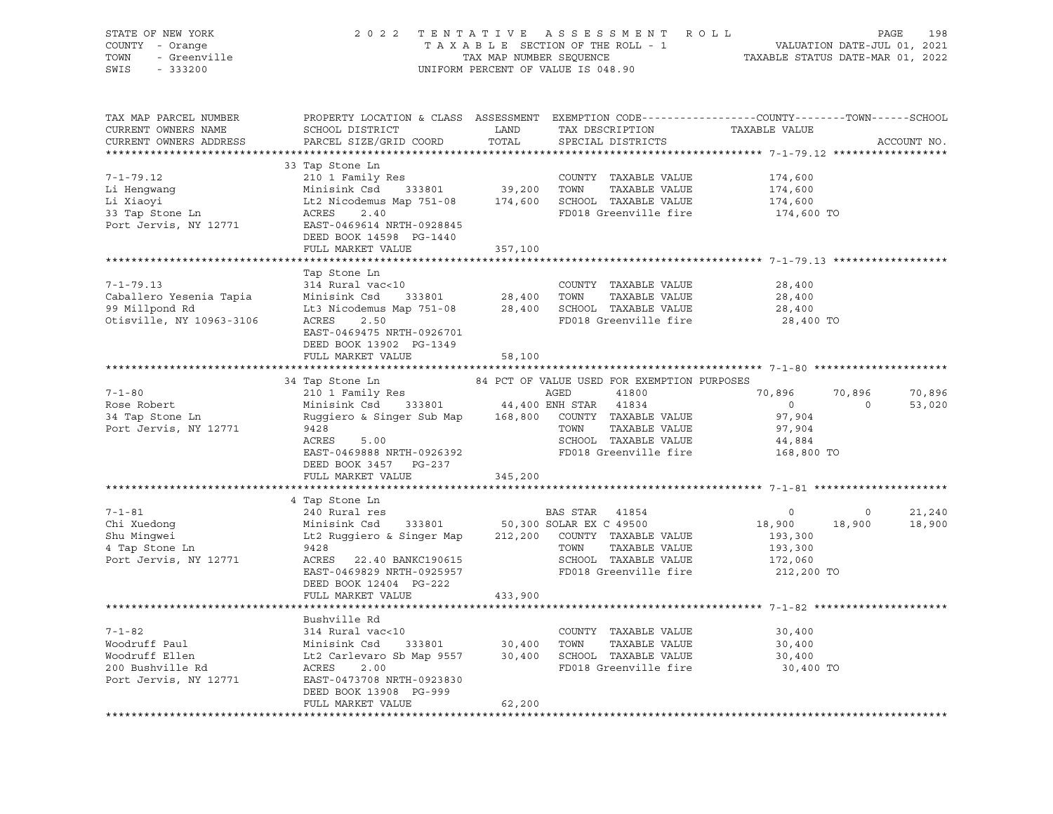| STATE OF NEW YORK<br>COUNTY - Orange<br>TOWN<br>SWIS                                                                                                                                                                                                                                                                                                                                                                       | OF NEW YORK A SO 2 2 TENTATIVE ASSESSMENT ROLL PAGE 198<br>Y - Orange TAXABLE SECTION OF THE ROLL - 1 VALUATION DATE-JUL 01, 2021<br>TAXABLE SECTION OF THE ROLL - 1 VALUATION DATE-JUL 01, 2021<br>TAXABLE STATUS DATE-MAR 01, 2022                                             |         |                                                                                                                    |                                                                      |                          |                             |
|----------------------------------------------------------------------------------------------------------------------------------------------------------------------------------------------------------------------------------------------------------------------------------------------------------------------------------------------------------------------------------------------------------------------------|----------------------------------------------------------------------------------------------------------------------------------------------------------------------------------------------------------------------------------------------------------------------------------|---------|--------------------------------------------------------------------------------------------------------------------|----------------------------------------------------------------------|--------------------------|-----------------------------|
| TAX MAP PARCEL NUMBER THE PROPERTY LOCATION & CLASS ASSESSMENT EXEMPTION CODE---------------COUNTY--------TOWN------SCHOOL<br>CURRENT OWNERS NAME<br>CURRENT OWNERS ADDRESS                                                                                                                                                                                                                                                | SCHOOL DISTRICT LAND<br>PARCEL SIZE/GRID COORD                                                                                                                                                                                                                                   | TOTAL   | TAX DESCRIPTION<br>SPECIAL DISTRICTS                                                                               | TAXABLE VALUE                                                        |                          | ACCOUNT NO.                 |
|                                                                                                                                                                                                                                                                                                                                                                                                                            | 33 Tap Stone Ln<br>DEED BOOK 14598 PG-1440<br>FULL MARKET VALUE                                                                                                                                                                                                                  | 357,100 | TAXABLE VALUE<br>FD018 Greenville fire                                                                             | 174,600<br>174,600<br>174,600<br>174,600 TO                          |                          |                             |
| $7 - 1 - 79.13$<br>Caballero Yesenia Tapia (1997) --> 1999 Minisink Csd (1998) 33801 (28,400 TOWN TAXABLE VALUE 99 Millpond Rd (1996)<br>1999 Millpond Rd (19963-3106 (1997) 11:3 Nicodemus Map 751-08 (28,400 SCHOOL TAXABLE VALUE (1997) 2.50 (199                                                                                                                                                                       | Tap Stone Ln<br>314 Rural vac<10<br>EAST-0469475 NRTH-0926701<br>DEED BOOK 13902 PG-1349                                                                                                                                                                                         |         | COUNTY TAXABLE VALUE                                                                                               | 28,400<br>28,400<br>28,400<br>28,400 TO                              |                          |                             |
|                                                                                                                                                                                                                                                                                                                                                                                                                            | FULL MARKET VALUE                                                                                                                                                                                                                                                                | 58,100  |                                                                                                                    |                                                                      |                          |                             |
| $7 - 1 - 80$<br>Rose Robert<br>34 Tap Stone Ln<br>Port Jervis, NY 12771                                                                                                                                                                                                                                                                                                                                                    | 34 Tap Stone Ln<br>210 1 Family Res<br>Minisink Csd 333801 44,400 ENH STAR 41834<br>Ruggiero & Singer Sub Map 168,800 COUNTY TAXABLE VALUE<br>9428<br>9428<br>5.00<br>ACRES<br>EAST-0469888 NRTH-0926392<br>DEED BOOK 3457 PG-237                                                |         | 84 PCT OF VALUE USED FOR EXEMPTION PURPOSES<br>TOWN TAXABLE VALUE<br>SCHOOL TAXABLE VALUE<br>FD018 Greenville fire | 70,896<br>$\overline{0}$<br>97,904<br>97,904<br>44,884<br>168,800 TO | 70,896<br>$\overline{0}$ | 70,896<br>53,020            |
|                                                                                                                                                                                                                                                                                                                                                                                                                            | FULL MARKET VALUE                                                                                                                                                                                                                                                                | 345,200 |                                                                                                                    |                                                                      |                          |                             |
| $7 - 1 - 81$<br>Chi Xuedong<br>Chi Xuedong<br>Shu Mingwei<br>4 Tap Stone Ln<br>Port Jervis, NY 12771                                                                                                                                                                                                                                                                                                                       | 4 Tap Stone Ln<br>240 Nural res<br>240 Rural res<br>Minisink Csd 333801 50,300 SOLAR EX C 49500<br>Lt2 Ruggiero & Singer Map 212,200 COUNTY TAXABLE VALUE<br>2428<br>9428<br>ACRES 22.40 BANKC190615<br>EAST-0469829 NRTH-0925957<br>DEED BOOK 12404 PG-222<br>FULL MARKET VALUE | 433,900 | TOWN TAXABLE VALUE 193,300<br>SCHOOL TAXABLE VALUE 172,060<br>FD018 Greenville fire 212,200 TO                     | $\begin{smallmatrix}&&&0\18,900\193,300\end{smallmatrix}$            |                          | $0$ 21,240<br>18,900 18,900 |
|                                                                                                                                                                                                                                                                                                                                                                                                                            |                                                                                                                                                                                                                                                                                  |         |                                                                                                                    |                                                                      |                          |                             |
| $\begin{tabular}{lllllllllll} \hline\text{7--1-82} & \text{2--2--1} & \text{2--314 Rural vac<10} & \text{COUNITY} & \text{TAABLE VALUE} & \text{3--314 Rural vac<10} & \text{2--314 Rural vac<10} & \text{2--314 Rural vac<10} & \text{2--314 Rural vac<10} & \text{2--314 Rural vac<10} & \text{2--314 Rural vac<10} & \text{2--314 Rural vac<10} & \text{2--314 Rural vac<10} & \text{2--314 Rural vac<10} & \text{2--3$ | Bushville Rd<br>DEED BOOK 13908 PG-999<br>FULL MARKET VALUE                                                                                                                                                                                                                      |         |                                                                                                                    |                                                                      |                          |                             |
|                                                                                                                                                                                                                                                                                                                                                                                                                            |                                                                                                                                                                                                                                                                                  | 62,200  |                                                                                                                    |                                                                      |                          |                             |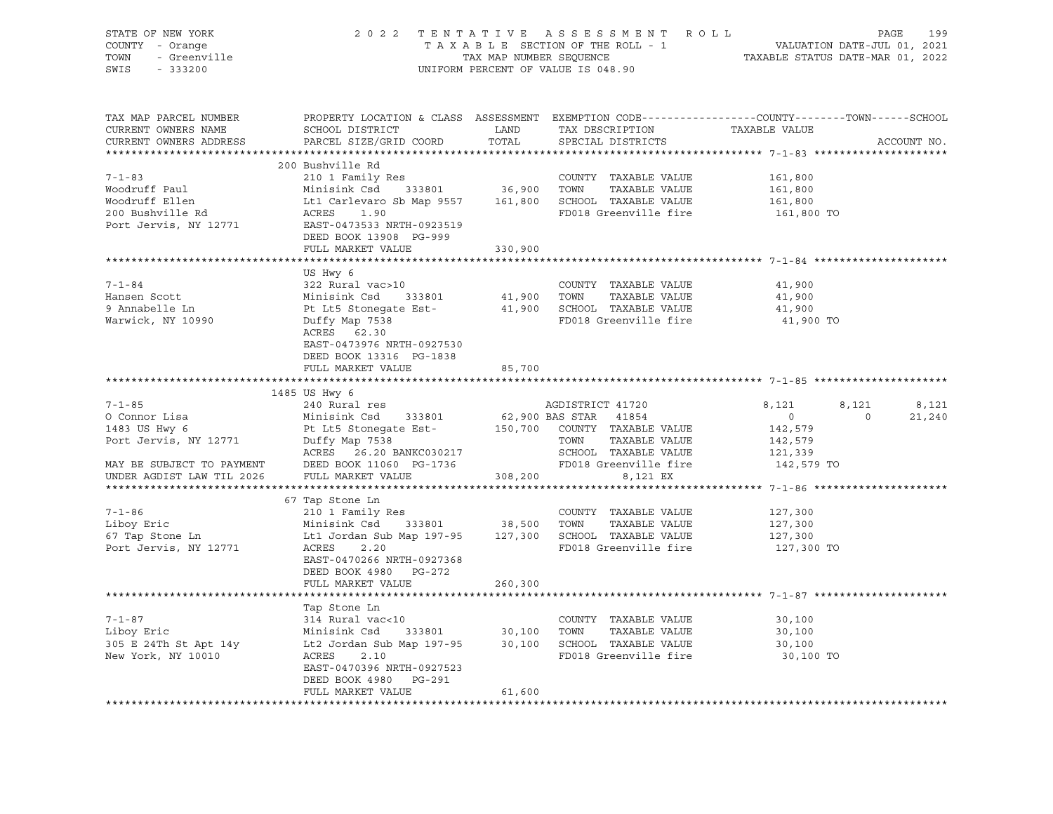| STATE OF NEW YORK<br>COUNTY - Orange<br>- Orange<br>- Greenville<br>TOWN<br>SWIS<br>$-333200$ |                                                                                                                                                            |                       | 2022 TENTATIVE ASSESSMENT ROLL<br>TAXABLE SECTION OF THE ROLL - 1<br>TAXABLE SECTION OF THE ROLL - 1<br>TAXABLE STATUS DATE-JUL 01, 2021<br>TAXABLE STATUS DATE-MAR 01, 2022<br>UNIFORM PERCENT OF VALUE IS 048.90 |                                  | PAGE<br>199 |
|-----------------------------------------------------------------------------------------------|------------------------------------------------------------------------------------------------------------------------------------------------------------|-----------------------|--------------------------------------------------------------------------------------------------------------------------------------------------------------------------------------------------------------------|----------------------------------|-------------|
| TAX MAP PARCEL NUMBER<br>CURRENT OWNERS NAME<br>CURRENT OWNERS ADDRESS                        | PROPERTY LOCATION & CLASS ASSESSMENT EXEMPTION CODE---------------COUNTY-------TOWN-----SCHOOL<br>SCHOOL DISTRICT<br>PARCEL SIZE/GRID COORD TOTAL          | <b>LAND</b>           | TAX DESCRIPTION<br>SPECIAL DISTRICTS                                                                                                                                                                               | TAXABLE VALUE                    | ACCOUNT NO. |
|                                                                                               | 200 Bushville Rd                                                                                                                                           |                       |                                                                                                                                                                                                                    |                                  |             |
| $7 - 1 - 83$                                                                                  |                                                                                                                                                            |                       | COUNTY TAXABLE VALUE 161,800                                                                                                                                                                                       |                                  |             |
| Woodruff Paul                                                                                 | 210 1 Family Res<br>Minisink Csd 333801 36,900 TOWN TAXABLE VALUE                                                                                          |                       |                                                                                                                                                                                                                    | 161,800                          |             |
| Woodruff Ellen                                                                                | Lt1 Carlevaro Sb Map 9557 161,800 SCHOOL TAXABLE VALUE                                                                                                     |                       |                                                                                                                                                                                                                    | 161,800                          |             |
| 200 Bushville Rd                                                                              | ACRES<br>1.90                                                                                                                                              |                       | FD018 Greenville fire                                                                                                                                                                                              | 161,800 TO                       |             |
| Port Jervis, NY 12771                                                                         | EAST-0473533 NRTH-0923519                                                                                                                                  |                       |                                                                                                                                                                                                                    |                                  |             |
|                                                                                               | DEED BOOK 13908 PG-999                                                                                                                                     |                       |                                                                                                                                                                                                                    |                                  |             |
|                                                                                               | FULL MARKET VALUE                                                                                                                                          | 330,900               |                                                                                                                                                                                                                    |                                  |             |
|                                                                                               |                                                                                                                                                            |                       |                                                                                                                                                                                                                    |                                  |             |
| 7-1-84                                                                                        | US Hwy 6<br>322 Rural vac>10                                                                                                                               |                       | COUNTY TAXABLE VALUE                                                                                                                                                                                               | 41,900                           |             |
| Hansen Scott                                                                                  |                                                                                                                                                            | COONII<br>41,900 TOWN | TAXABLE VALUE                                                                                                                                                                                                      | 41,900                           |             |
| 9 Annabelle Ln                                                                                | Minisink Csd 333801<br>Pt Lt5 Stonegate Est-                                                                                                               |                       | 41,900 SCHOOL TAXABLE VALUE                                                                                                                                                                                        | 41,900                           |             |
| Warwick, NY 10990                                                                             | Duffy Map 7538                                                                                                                                             |                       | FD018 Greenville fire                                                                                                                                                                                              | 41,900 TO                        |             |
|                                                                                               | ACRES 62.30                                                                                                                                                |                       |                                                                                                                                                                                                                    |                                  |             |
|                                                                                               | EAST-0473976 NRTH-0927530                                                                                                                                  |                       |                                                                                                                                                                                                                    |                                  |             |
|                                                                                               | DEED BOOK 13316 PG-1838                                                                                                                                    |                       |                                                                                                                                                                                                                    |                                  |             |
|                                                                                               | FULL MARKET VALUE                                                                                                                                          | 85,700                |                                                                                                                                                                                                                    |                                  |             |
|                                                                                               |                                                                                                                                                            |                       |                                                                                                                                                                                                                    |                                  |             |
| $7 - 1 - 85$                                                                                  | 1485 US Hwy 6<br>240 Rural res                                                                                                                             |                       | AGDISTRICT 41720                                                                                                                                                                                                   | 8,121<br>8,121                   | 8,121       |
| O Connor Lisa                                                                                 | Minisink Csd 333801                                                                                                                                        |                       | 62,900 BAS STAR 41854                                                                                                                                                                                              | $\overline{0}$<br>$\overline{0}$ | 21,240      |
|                                                                                               |                                                                                                                                                            |                       | 150,700 COUNTY TAXABLE VALUE                                                                                                                                                                                       | 142,579                          |             |
|                                                                                               |                                                                                                                                                            |                       | TOWN<br>TAXABLE VALUE                                                                                                                                                                                              | 142,579                          |             |
|                                                                                               | ACRES 26.20 BANKC030217                                                                                                                                    |                       |                                                                                                                                                                                                                    | 121,339                          |             |
| MAY BE SUBJECT TO PAYMENT<br>UNDER AGDIST LAW TIL 2026                                        | DEED BOOK 11060 PG-1736                                                                                                                                    |                       | SCHOOL TAXABLE VALUE<br>SCHOOL TAXABLE VALUE<br>FD018 Greenville fire                                                                                                                                              | 142,579 TO                       |             |
| UNDER AGDIST LAW TIL 2026                                                                     | FULL MARKET VALUE                                                                                                                                          | 308,200               | 8,121 EX                                                                                                                                                                                                           |                                  |             |
|                                                                                               |                                                                                                                                                            |                       |                                                                                                                                                                                                                    |                                  |             |
|                                                                                               | 67 Tap Stone Ln                                                                                                                                            |                       |                                                                                                                                                                                                                    |                                  |             |
| $7 - 1 - 86$<br>Liboy Eric                                                                    | 210 1 Family Res<br>Minisink Csd 333801 38,500 TOWN                                                                                                        |                       | COUNTY TAXABLE VALUE                                                                                                                                                                                               | 127,300                          |             |
| 67 Tap Stone Ln                                                                               | Lt1 Jordan Sub Map 197-95 127,300 SCHOOL TAXABLE VALUE                                                                                                     |                       | TAXABLE VALUE                                                                                                                                                                                                      | 127,300<br>127,300               |             |
| Port Jervis, NY 12771                                                                         | ACRES<br>2.20                                                                                                                                              |                       | FD018 Greenville fire                                                                                                                                                                                              | 127,300 TO                       |             |
|                                                                                               | EAST-0470266 NRTH-0927368                                                                                                                                  |                       |                                                                                                                                                                                                                    |                                  |             |
|                                                                                               | DEED BOOK 4980 PG-272                                                                                                                                      |                       |                                                                                                                                                                                                                    |                                  |             |
|                                                                                               | FULL MARKET VALUE                                                                                                                                          | 260,300               |                                                                                                                                                                                                                    |                                  |             |
|                                                                                               |                                                                                                                                                            |                       |                                                                                                                                                                                                                    |                                  |             |
|                                                                                               | Tap Stone Ln                                                                                                                                               |                       |                                                                                                                                                                                                                    |                                  |             |
| $7 - 1 - 87$                                                                                  | 314 Rural vac<10                                                                                                                                           |                       | COUNTY TAXABLE VALUE                                                                                                                                                                                               | 30,100                           |             |
| Liboy Eric<br>Liboy ETIC<br>305 E 24Th St Apt 14y<br>20010 - 20010                            | Minisink Csd<br>Minisink Csd 333801 30,100 TOWN TAXABLE VALUE<br>Lt2 Jordan Sub Map 197-95 30,100 SCHOOL TAXABLE VALUE<br>ACRES 2.10 RD018 Greenville fire |                       | TAXABLE VALUE                                                                                                                                                                                                      | 30,100                           |             |
|                                                                                               |                                                                                                                                                            |                       |                                                                                                                                                                                                                    | 30,100                           |             |
| New York, NY 10010                                                                            | ACRES 2.10                                                                                                                                                 |                       | FD018 Greenville fire                                                                                                                                                                                              | 30,100 TO                        |             |
|                                                                                               | EAST-0470396 NRTH-0927523<br>DEED BOOK 4980 PG-291                                                                                                         |                       |                                                                                                                                                                                                                    |                                  |             |
|                                                                                               | FULL MARKET VALUE                                                                                                                                          | 61,600                |                                                                                                                                                                                                                    |                                  |             |
|                                                                                               |                                                                                                                                                            |                       |                                                                                                                                                                                                                    |                                  |             |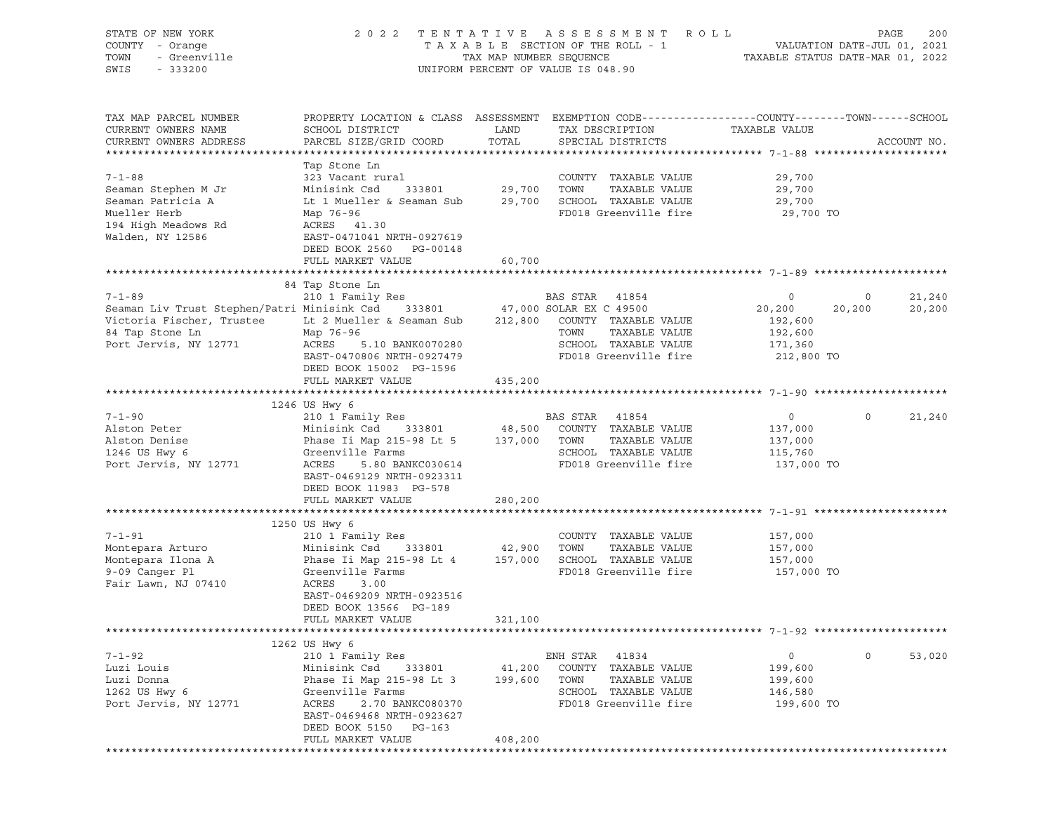| STATE OF NEW YORK<br>COUNTY - Orange<br>TOWN<br>- Greenville<br>SWIS<br>$-333200$ |                                                                                                                     | TAX MAP NUMBER SEQUENCE | 2022 TENTATIVE ASSESSMENT ROLL<br>TAXABLE SECTION OF THE ROLL - 1<br>UNIFORM PERCENT OF VALUE IS 048.90 | TAXABLE STATUS DATE-MAR 01, 2022 | PAGE<br>VALUATION DATE-JUL 01, 2021 | 200         |
|-----------------------------------------------------------------------------------|---------------------------------------------------------------------------------------------------------------------|-------------------------|---------------------------------------------------------------------------------------------------------|----------------------------------|-------------------------------------|-------------|
|                                                                                   |                                                                                                                     |                         |                                                                                                         |                                  |                                     |             |
| TAX MAP PARCEL NUMBER<br>CURRENT OWNERS NAME                                      | PROPERTY LOCATION & CLASS ASSESSMENT EXEMPTION CODE----------------COUNTY-------TOWN------SCHOOL<br>SCHOOL DISTRICT | LAND                    | TAX DESCRIPTION                                                                                         | TAXABLE VALUE                    |                                     |             |
| CURRENT OWNERS ADDRESS                                                            | PARCEL SIZE/GRID COORD                                                                                              | TOTAL                   | SPECIAL DISTRICTS                                                                                       |                                  |                                     | ACCOUNT NO. |
|                                                                                   | Tap Stone Ln                                                                                                        |                         |                                                                                                         |                                  |                                     |             |
| $7 - 1 - 88$                                                                      | 323 Vacant rural                                                                                                    |                         | COUNTY TAXABLE VALUE                                                                                    | 29,700                           |                                     |             |
| Seaman Stephen M Jr                                                               | 333801<br>Minisink Csd                                                                                              | 29,700                  | TOWN<br>TAXABLE VALUE                                                                                   | 29,700                           |                                     |             |
| Seaman Patricia A                                                                 | Lt 1 Mueller & Seaman Sub                                                                                           | 29,700                  | SCHOOL TAXABLE VALUE                                                                                    | 29,700                           |                                     |             |
| Mueller Herb                                                                      | Map 76-96                                                                                                           |                         | FD018 Greenville fire                                                                                   | 29,700 TO                        |                                     |             |
| 194 High Meadows Rd                                                               | ACRES 41.30                                                                                                         |                         |                                                                                                         |                                  |                                     |             |
| Walden, NY 12586                                                                  | EAST-0471041 NRTH-0927619                                                                                           |                         |                                                                                                         |                                  |                                     |             |
|                                                                                   | DEED BOOK 2560 PG-00148<br>FULL MARKET VALUE                                                                        | 60,700                  |                                                                                                         |                                  |                                     |             |
|                                                                                   |                                                                                                                     |                         |                                                                                                         |                                  |                                     |             |
|                                                                                   | 84 Tap Stone Ln                                                                                                     |                         |                                                                                                         |                                  |                                     |             |
| $7 - 1 - 89$                                                                      | 210 1 Family Res                                                                                                    |                         | BAS STAR 41854                                                                                          | 0                                | 0                                   | 21,240      |
| Seaman Liv Trust Stephen/Patri Minisink Csd                                       | 333801                                                                                                              |                         | 47,000 SOLAR EX C 49500                                                                                 | 20,200                           | 20,200                              | 20,200      |
| Victoria Fischer, Trustee                                                         | Lt 2 Mueller & Seaman Sub                                                                                           | 212,800                 | COUNTY TAXABLE VALUE                                                                                    | 192,600                          |                                     |             |
| 84 Tap Stone Ln                                                                   | Map 76-96                                                                                                           |                         | TAXABLE VALUE<br>TOWN                                                                                   | 192,600                          |                                     |             |
| Port Jervis, NY 12771                                                             | ACRES<br>5.10 BANK0070280<br>EAST-0470806 NRTH-0927479                                                              |                         | SCHOOL TAXABLE VALUE                                                                                    | 171,360                          |                                     |             |
|                                                                                   | DEED BOOK 15002 PG-1596                                                                                             |                         | FD018 Greenville fire                                                                                   | 212,800 TO                       |                                     |             |
|                                                                                   | FULL MARKET VALUE                                                                                                   | 435,200                 |                                                                                                         |                                  |                                     |             |
|                                                                                   |                                                                                                                     |                         |                                                                                                         |                                  |                                     |             |
|                                                                                   | 1246 US Hwy 6                                                                                                       |                         |                                                                                                         |                                  |                                     |             |
| $7 - 1 - 90$                                                                      | 210 1 Family Res                                                                                                    |                         | BAS STAR 41854                                                                                          | $\overline{0}$                   | $\Omega$                            | 21,240      |
| Alston Peter                                                                      | 333801<br>Minisink Csd                                                                                              | 48,500                  | COUNTY TAXABLE VALUE                                                                                    | 137,000                          |                                     |             |
| Alston Denise                                                                     | Phase Ii Map 215-98 Lt 5 137,000 TOWN                                                                               |                         | TAXABLE VALUE                                                                                           | 137,000                          |                                     |             |
| 1246 US Hwy 6<br>Port Jervis, NY 12771                                            | Greenville Farms<br>ACRES<br>5.80 BANKC030614                                                                       |                         | SCHOOL TAXABLE VALUE<br>FD018 Greenville fire                                                           | 115,760<br>137,000 TO            |                                     |             |
|                                                                                   | EAST-0469129 NRTH-0923311                                                                                           |                         |                                                                                                         |                                  |                                     |             |
|                                                                                   | DEED BOOK 11983 PG-578                                                                                              |                         |                                                                                                         |                                  |                                     |             |
|                                                                                   | FULL MARKET VALUE                                                                                                   | 280,200                 |                                                                                                         |                                  |                                     |             |
|                                                                                   |                                                                                                                     |                         |                                                                                                         |                                  |                                     |             |
|                                                                                   | 1250 US Hwy 6                                                                                                       |                         |                                                                                                         |                                  |                                     |             |
| $7 - 1 - 91$<br>Montepara Arturo                                                  | 210 1 Family Res                                                                                                    |                         | COUNTY TAXABLE VALUE<br>TOWN<br>TAXABLE VALUE                                                           | 157,000                          |                                     |             |
| Montepara Ilona A                                                                 | Minisink Csd 333801<br>Phase Ii Map 215-98 Lt 4                                                                     | 42,900<br>157,000       | SCHOOL TAXABLE VALUE                                                                                    | 157,000<br>157,000               |                                     |             |
| 9-09 Canger Pl                                                                    | Greenville Farms                                                                                                    |                         | FD018 Greenville fire                                                                                   | 157,000 TO                       |                                     |             |
| Fair Lawn, NJ 07410                                                               | ACRES<br>3.00                                                                                                       |                         |                                                                                                         |                                  |                                     |             |
|                                                                                   | EAST-0469209 NRTH-0923516                                                                                           |                         |                                                                                                         |                                  |                                     |             |
|                                                                                   | DEED BOOK 13566 PG-189                                                                                              |                         |                                                                                                         |                                  |                                     |             |
|                                                                                   | FULL MARKET VALUE                                                                                                   | 321,100                 |                                                                                                         |                                  |                                     |             |
|                                                                                   | 1262 US Hwy 6                                                                                                       |                         |                                                                                                         |                                  |                                     |             |
| $7 - 1 - 92$                                                                      | 210 1 Family Res                                                                                                    |                         | ENH STAR<br>41834                                                                                       | $\circ$                          | $\circ$                             | 53,020      |
| Luzi Louis                                                                        | Minisink Csd<br>333801                                                                                              | 41,200                  | COUNTY TAXABLE VALUE                                                                                    | 199,600                          |                                     |             |
| Luzi Donna                                                                        | Phase Ii Map 215-98 Lt 3                                                                                            | 199,600                 | TOWN<br>TAXABLE VALUE                                                                                   | 199,600                          |                                     |             |
| 1262 US Hwy 6                                                                     | Greenville Farms                                                                                                    |                         | SCHOOL TAXABLE VALUE                                                                                    | 146,580                          |                                     |             |
| Port Jervis, NY 12771                                                             | ACRES<br>2.70 BANKC080370                                                                                           |                         | FD018 Greenville fire                                                                                   | 199,600 TO                       |                                     |             |
|                                                                                   | EAST-0469468 NRTH-0923627                                                                                           |                         |                                                                                                         |                                  |                                     |             |
|                                                                                   | DEED BOOK 5150 PG-163<br>FULL MARKET VALUE                                                                          | 408,200                 |                                                                                                         |                                  |                                     |             |
|                                                                                   |                                                                                                                     |                         |                                                                                                         |                                  |                                     |             |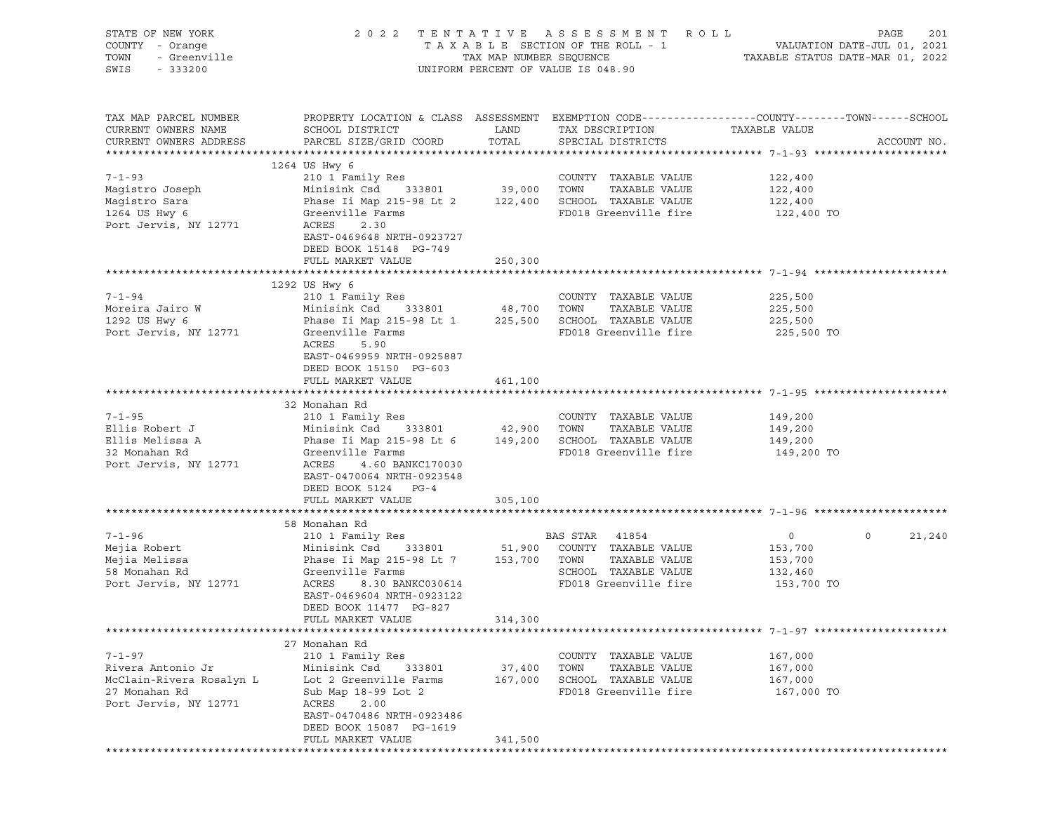| STATE OF NEW YORK<br>COUNTY - Orange<br>- Grange<br>- Greenville<br>TOWN<br>SWIS<br>$-333200$           | 2 0 2 2                                                                                                                                                                                                                                   |                          | TENTATIVE ASSESSMENT ROLL<br>UNIFORM PERCENT OF VALUE IS 048.90                                | PAGE                                                                                                             | 201         |
|---------------------------------------------------------------------------------------------------------|-------------------------------------------------------------------------------------------------------------------------------------------------------------------------------------------------------------------------------------------|--------------------------|------------------------------------------------------------------------------------------------|------------------------------------------------------------------------------------------------------------------|-------------|
| TAX MAP PARCEL NUMBER<br>CURRENT OWNERS NAME<br>CURRENT OWNERS ADDRESS                                  | SCHOOL DISTRICT<br>PARCEL SIZE/GRID COORD TOTAL                                                                                                                                                                                           | <b>EXAMPLE TO A LAND</b> | TAX DESCRIPTION<br>SPECIAL DISTRICTS                                                           | PROPERTY LOCATION & CLASS ASSESSMENT EXEMPTION CODE---------------COUNTY-------TOWN------SCHOOL<br>TAXABLE VALUE | ACCOUNT NO. |
|                                                                                                         | 1264 US Hwy 6                                                                                                                                                                                                                             |                          |                                                                                                |                                                                                                                  |             |
| $7 - 1 - 93$<br>Maqistro Joseph<br>Magistro Sara<br>1264 US Hwy 6<br>Port Jervis, NY 12771              | 210 1 Family Res<br>Minisink Csd 333801 39,000 TOWN<br>Phase Ii Map 215-98 Lt 2 $122,400$ SCHOOL TAXABLE VALUE<br>Greenville Farms<br>ACRES<br>2.30<br>EAST-0469648 NRTH-0923727                                                          |                          | COUNTY TAXABLE VALUE<br>TAXABLE VALUE<br>FD018 Greenville fire                                 | 122,400<br>122,400<br>122,400<br>122,400 TO                                                                      |             |
|                                                                                                         | DEED BOOK 15148 PG-749                                                                                                                                                                                                                    |                          |                                                                                                |                                                                                                                  |             |
|                                                                                                         | FULL MARKET VALUE                                                                                                                                                                                                                         | 250,300                  |                                                                                                |                                                                                                                  |             |
|                                                                                                         |                                                                                                                                                                                                                                           |                          |                                                                                                |                                                                                                                  |             |
| $7 - 1 - 94$<br>Moreira Jairo W<br>1292 US Hwy 6<br>Port Jervis, NY 12771                               | 1292 US Hwy 6<br>210 1 Family Res<br>Phase Ii Map 215-98 Lt 1 225,500 SCHOOL TAXABLE VALUE<br>Greenville Farms<br>ACRES<br>5.90<br>EAST-0469959 NRTH-0925887                                                                              |                          | COUNTY TAXABLE VALUE<br>TAXABLE VALUE<br>FD018 Greenville fire                                 | 225,500<br>225,500<br>225,500<br>225,500 TO                                                                      |             |
|                                                                                                         | DEED BOOK 15150 PG-603                                                                                                                                                                                                                    |                          |                                                                                                |                                                                                                                  |             |
|                                                                                                         | FULL MARKET VALUE                                                                                                                                                                                                                         | 461,100                  |                                                                                                |                                                                                                                  |             |
|                                                                                                         | 32 Monahan Rd                                                                                                                                                                                                                             |                          |                                                                                                |                                                                                                                  |             |
| $7 - 1 - 95$                                                                                            | 210 1 Family Res                                                                                                                                                                                                                          |                          | COUNTY TAXABLE VALUE                                                                           | 149,200                                                                                                          |             |
| Ellis Robert J                                                                                          | Minisink Csd 333801 42,900 TOWN                                                                                                                                                                                                           |                          | TAXABLE VALUE                                                                                  | 149,200                                                                                                          |             |
| Ellis Melissa A<br>32 Monahan Rd<br>Port Jervis, NY 12771                                               | Phase Ii Map 215-98 Lt 6 149,200 SCHOOL TAXABLE VALUE<br>Greenville Farms<br>ACRES<br>4.60 BANKC170030<br>EAST-0470064 NRTH-0923548                                                                                                       |                          | FD018 Greenville fire                                                                          | 149,200<br>149,200 TO                                                                                            |             |
|                                                                                                         | DEED BOOK 5124 PG-4                                                                                                                                                                                                                       |                          |                                                                                                |                                                                                                                  |             |
|                                                                                                         | FULL MARKET VALUE                                                                                                                                                                                                                         | 305,100                  |                                                                                                |                                                                                                                  |             |
|                                                                                                         | 58 Monahan Rd                                                                                                                                                                                                                             |                          |                                                                                                |                                                                                                                  |             |
| $7 - 1 - 96$<br>Mejia Robert<br>Mejia Melissa<br>58 Monahan Rd<br>Port Jervis, NY 12771                 | 210 1 Family Res<br>Minisink Csd 333801 51,900 COUNTY TAXABLE VALUE<br>Phase Ii Map 215-98 Lt 7 153,700 TOWN<br>Greenville Farms<br>ACRES<br>8.30 BANKC030614<br>EAST-0469604 NRTH-0923122<br>DEED BOOK 11477 PG-827<br>FULL MARKET VALUE | 314,300                  | BAS STAR 41854<br>TAXABLE VALUE<br>SCHOOL TAXABLE VALUE<br>FD018 Greenville fire 153,700 TO    | $\overline{0}$<br>$\circ$<br>153,700<br>153,700<br>132,460                                                       | 21,240      |
|                                                                                                         |                                                                                                                                                                                                                                           |                          |                                                                                                |                                                                                                                  |             |
|                                                                                                         | 27 Monahan Rd                                                                                                                                                                                                                             |                          |                                                                                                |                                                                                                                  |             |
| $7 - 1 - 97$<br>Rivera Antonio Jr<br>McClain-Rivera Rosalyn L<br>27 Monahan Rd<br>Port Jervis, NY 12771 | 210 1 Family Res<br>Minisink Csd<br>333801<br>Lot 2 Greenville Farms<br>Sub Map 18-99 Lot 2<br>ACRES<br>2.00<br>EAST-0470486 NRTH-0923486<br>DEED BOOK 15087 PG-1619                                                                      | 37,400<br>167,000        | COUNTY TAXABLE VALUE<br>TAXABLE VALUE<br>TOWN<br>SCHOOL TAXABLE VALUE<br>FD018 Greenville fire | 167,000<br>167,000<br>167,000<br>167,000 TO                                                                      |             |
|                                                                                                         | FULL MARKET VALUE                                                                                                                                                                                                                         | 341,500                  |                                                                                                |                                                                                                                  |             |
|                                                                                                         |                                                                                                                                                                                                                                           |                          |                                                                                                |                                                                                                                  |             |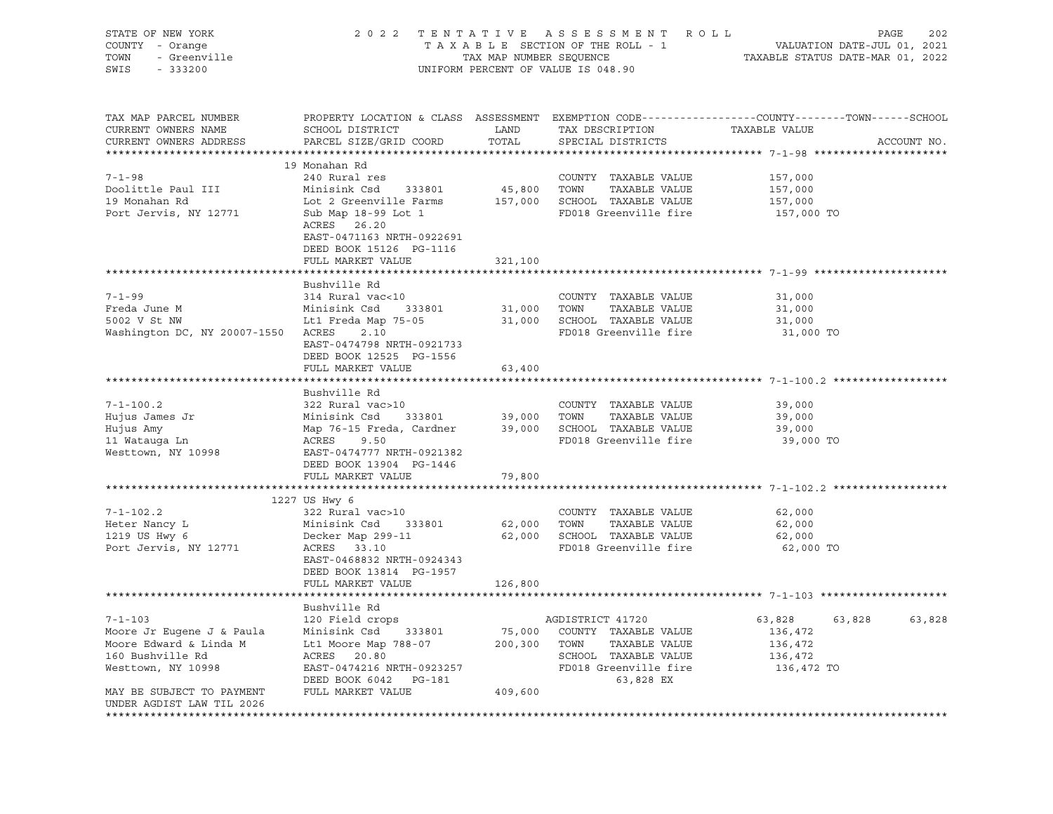| PROPERTY LOCATION & CLASS ASSESSMENT EXEMPTION CODE---------------COUNTY-------TOWN-----SCHOOL<br>TAX MAP PARCEL NUMBER<br>CURRENT OWNERS NAME<br>SCHOOL DISTRICT<br>LAND<br>TAX DESCRIPTION<br>TAXABLE VALUE<br>PARCEL SIZE/GRID COORD<br>TOTAL<br>CURRENT OWNERS ADDRESS<br>SPECIAL DISTRICTS<br>ACCOUNT NO.<br>19 Monahan Rd<br>$7 - 1 - 98$<br>240 Rural res<br>COUNTY TAXABLE VALUE<br>157,000<br>Doolittle Paul III<br>45,800 TOWN<br>TAXABLE VALUE<br>Minisink Csd<br>333801<br>157,000<br>19 Monahan Rd<br>157,000 SCHOOL TAXABLE VALUE<br>Lot 2 Greenville Farms<br>157,000<br>Port Jervis, NY 12771<br>Sub Map 18-99 Lot 1<br>FD018 Greenville fire<br>157,000 TO<br>ACRES 26.20<br>EAST-0471163 NRTH-0922691<br>DEED BOOK 15126 PG-1116<br>FULL MARKET VALUE<br>321,100<br>Bushville Rd<br>$7 - 1 - 99$<br>314 Rural vac<10<br>COUNTY TAXABLE VALUE<br>31,000<br>Freda June M<br>Minisink Csd<br>333801<br>31,000 TOWN<br>TAXABLE VALUE<br>31,000<br>31,000 SCHOOL TAXABLE VALUE<br>31,000<br>5002 V St NW<br>Lt1 Freda Map 75-05<br>Washington DC, NY 20007-1550 ACRES 2.10<br>FD018 Greenville fire<br>31,000 TO<br>EAST-0474798 NRTH-0921733<br>DEED BOOK 12525 PG-1556<br>FULL MARKET VALUE<br>63,400<br>Bushville Rd<br>$7 - 1 - 100.2$<br>322 Rural vac>10<br>COUNTY TAXABLE VALUE<br>39,000<br>Minisink Csd      333801<br>Map 76-15 Freda, Cardner<br>ACRES      9.50<br>39,000 TOWN<br>Hujus James Jr<br>TAXABLE VALUE<br>39,000<br>39,000 SCHOOL TAXABLE VALUE<br>Hujus Amy<br>39,000<br>11 Watauga Ln<br>FD018 Greenville fire<br>39,000 TO<br>Westtown, NY 10998<br>EAST-0474777 NRTH-0921382<br>DEED BOOK 13904 PG-1446<br>FULL MARKET VALUE<br>79,800<br>1227 US Hwy 6<br>$7 - 1 - 102.2$<br>322 Rural vac>10<br>COUNTY TAXABLE VALUE<br>62,000<br>Heter Nancy L<br>Minisink Csd 333801<br>62,000 TOWN<br>TAXABLE VALUE<br>62,000<br>1219 US Hwy 6<br>Decker Map 299-11<br>62,000 SCHOOL TAXABLE VALUE<br>62,000<br>FD018 Greenville fire<br>Port Jervis, NY 12771<br>ACRES 33.10<br>62,000 TO<br>EAST-0468832 NRTH-0924343<br>DEED BOOK 13814 PG-1957<br>FULL MARKET VALUE<br>126,800<br>Bushville Rd<br>$7 - 1 - 103$<br>120 Field crops<br>AGDISTRICT 41720<br>63,828<br>63,828<br>63,828<br>Minisink Csd 333801<br>75,000<br>COUNTY TAXABLE VALUE<br>Moore Jr Eugene J & Paula<br>136,472<br>Moore Edward & Linda M<br>Lt1 Moore Map 788-07<br>200,300<br>TOWN<br>TAXABLE VALUE<br>136,472<br>SCHOOL TAXABLE VALUE<br>160 Bushville Rd<br>ACRES 20.80<br>136,472<br>FD018 Greenville fire<br>Westtown, NY 10998<br>EAST-0474216 NRTH-0923257<br>136,472 TO<br>DEED BOOK 6042 PG-181<br>63,828 EX<br>FULL MARKET VALUE<br>409,600<br>MAY BE SUBJECT TO PAYMENT<br>UNDER AGDIST LAW TIL 2026 | STATE OF NEW YORK<br>COUNTY - Orange<br>TOWN<br>- Greenville<br>SWIS<br>$-333200$ |                        | TAX MAP NUMBER SEQUENCE | 2022 TENTATIVE ASSESSMENT ROLL<br>TAXABLE SECTION OF THE ROLL - 1<br>UNIFORM PERCENT OF VALUE IS 048.90 | VALUATION DATE-JUL 01, 2021<br>TAXABLE STATUS DATE-MAR 01, 2022 | 202<br>PAGE |
|-------------------------------------------------------------------------------------------------------------------------------------------------------------------------------------------------------------------------------------------------------------------------------------------------------------------------------------------------------------------------------------------------------------------------------------------------------------------------------------------------------------------------------------------------------------------------------------------------------------------------------------------------------------------------------------------------------------------------------------------------------------------------------------------------------------------------------------------------------------------------------------------------------------------------------------------------------------------------------------------------------------------------------------------------------------------------------------------------------------------------------------------------------------------------------------------------------------------------------------------------------------------------------------------------------------------------------------------------------------------------------------------------------------------------------------------------------------------------------------------------------------------------------------------------------------------------------------------------------------------------------------------------------------------------------------------------------------------------------------------------------------------------------------------------------------------------------------------------------------------------------------------------------------------------------------------------------------------------------------------------------------------------------------------------------------------------------------------------------------------------------------------------------------------------------------------------------------------------------------------------------------------------------------------------------------------------------------------------------------------------------------------------------------------------------------------------------------------------------------------------------------------------------------------------------------------------------------------------------------------------------------------------------------------------------------------------------------------------|-----------------------------------------------------------------------------------|------------------------|-------------------------|---------------------------------------------------------------------------------------------------------|-----------------------------------------------------------------|-------------|
|                                                                                                                                                                                                                                                                                                                                                                                                                                                                                                                                                                                                                                                                                                                                                                                                                                                                                                                                                                                                                                                                                                                                                                                                                                                                                                                                                                                                                                                                                                                                                                                                                                                                                                                                                                                                                                                                                                                                                                                                                                                                                                                                                                                                                                                                                                                                                                                                                                                                                                                                                                                                                                                                                                                         |                                                                                   |                        |                         |                                                                                                         |                                                                 |             |
|                                                                                                                                                                                                                                                                                                                                                                                                                                                                                                                                                                                                                                                                                                                                                                                                                                                                                                                                                                                                                                                                                                                                                                                                                                                                                                                                                                                                                                                                                                                                                                                                                                                                                                                                                                                                                                                                                                                                                                                                                                                                                                                                                                                                                                                                                                                                                                                                                                                                                                                                                                                                                                                                                                                         |                                                                                   |                        |                         |                                                                                                         |                                                                 |             |
|                                                                                                                                                                                                                                                                                                                                                                                                                                                                                                                                                                                                                                                                                                                                                                                                                                                                                                                                                                                                                                                                                                                                                                                                                                                                                                                                                                                                                                                                                                                                                                                                                                                                                                                                                                                                                                                                                                                                                                                                                                                                                                                                                                                                                                                                                                                                                                                                                                                                                                                                                                                                                                                                                                                         |                                                                                   |                        |                         |                                                                                                         |                                                                 |             |
|                                                                                                                                                                                                                                                                                                                                                                                                                                                                                                                                                                                                                                                                                                                                                                                                                                                                                                                                                                                                                                                                                                                                                                                                                                                                                                                                                                                                                                                                                                                                                                                                                                                                                                                                                                                                                                                                                                                                                                                                                                                                                                                                                                                                                                                                                                                                                                                                                                                                                                                                                                                                                                                                                                                         |                                                                                   |                        |                         |                                                                                                         |                                                                 |             |
|                                                                                                                                                                                                                                                                                                                                                                                                                                                                                                                                                                                                                                                                                                                                                                                                                                                                                                                                                                                                                                                                                                                                                                                                                                                                                                                                                                                                                                                                                                                                                                                                                                                                                                                                                                                                                                                                                                                                                                                                                                                                                                                                                                                                                                                                                                                                                                                                                                                                                                                                                                                                                                                                                                                         |                                                                                   |                        |                         |                                                                                                         |                                                                 |             |
|                                                                                                                                                                                                                                                                                                                                                                                                                                                                                                                                                                                                                                                                                                                                                                                                                                                                                                                                                                                                                                                                                                                                                                                                                                                                                                                                                                                                                                                                                                                                                                                                                                                                                                                                                                                                                                                                                                                                                                                                                                                                                                                                                                                                                                                                                                                                                                                                                                                                                                                                                                                                                                                                                                                         |                                                                                   |                        |                         |                                                                                                         |                                                                 |             |
|                                                                                                                                                                                                                                                                                                                                                                                                                                                                                                                                                                                                                                                                                                                                                                                                                                                                                                                                                                                                                                                                                                                                                                                                                                                                                                                                                                                                                                                                                                                                                                                                                                                                                                                                                                                                                                                                                                                                                                                                                                                                                                                                                                                                                                                                                                                                                                                                                                                                                                                                                                                                                                                                                                                         |                                                                                   |                        |                         |                                                                                                         |                                                                 |             |
|                                                                                                                                                                                                                                                                                                                                                                                                                                                                                                                                                                                                                                                                                                                                                                                                                                                                                                                                                                                                                                                                                                                                                                                                                                                                                                                                                                                                                                                                                                                                                                                                                                                                                                                                                                                                                                                                                                                                                                                                                                                                                                                                                                                                                                                                                                                                                                                                                                                                                                                                                                                                                                                                                                                         |                                                                                   |                        |                         |                                                                                                         |                                                                 |             |
|                                                                                                                                                                                                                                                                                                                                                                                                                                                                                                                                                                                                                                                                                                                                                                                                                                                                                                                                                                                                                                                                                                                                                                                                                                                                                                                                                                                                                                                                                                                                                                                                                                                                                                                                                                                                                                                                                                                                                                                                                                                                                                                                                                                                                                                                                                                                                                                                                                                                                                                                                                                                                                                                                                                         |                                                                                   |                        |                         |                                                                                                         |                                                                 |             |
|                                                                                                                                                                                                                                                                                                                                                                                                                                                                                                                                                                                                                                                                                                                                                                                                                                                                                                                                                                                                                                                                                                                                                                                                                                                                                                                                                                                                                                                                                                                                                                                                                                                                                                                                                                                                                                                                                                                                                                                                                                                                                                                                                                                                                                                                                                                                                                                                                                                                                                                                                                                                                                                                                                                         |                                                                                   |                        |                         |                                                                                                         |                                                                 |             |
|                                                                                                                                                                                                                                                                                                                                                                                                                                                                                                                                                                                                                                                                                                                                                                                                                                                                                                                                                                                                                                                                                                                                                                                                                                                                                                                                                                                                                                                                                                                                                                                                                                                                                                                                                                                                                                                                                                                                                                                                                                                                                                                                                                                                                                                                                                                                                                                                                                                                                                                                                                                                                                                                                                                         |                                                                                   |                        |                         |                                                                                                         |                                                                 |             |
|                                                                                                                                                                                                                                                                                                                                                                                                                                                                                                                                                                                                                                                                                                                                                                                                                                                                                                                                                                                                                                                                                                                                                                                                                                                                                                                                                                                                                                                                                                                                                                                                                                                                                                                                                                                                                                                                                                                                                                                                                                                                                                                                                                                                                                                                                                                                                                                                                                                                                                                                                                                                                                                                                                                         |                                                                                   |                        |                         |                                                                                                         |                                                                 |             |
|                                                                                                                                                                                                                                                                                                                                                                                                                                                                                                                                                                                                                                                                                                                                                                                                                                                                                                                                                                                                                                                                                                                                                                                                                                                                                                                                                                                                                                                                                                                                                                                                                                                                                                                                                                                                                                                                                                                                                                                                                                                                                                                                                                                                                                                                                                                                                                                                                                                                                                                                                                                                                                                                                                                         |                                                                                   |                        |                         |                                                                                                         |                                                                 |             |
|                                                                                                                                                                                                                                                                                                                                                                                                                                                                                                                                                                                                                                                                                                                                                                                                                                                                                                                                                                                                                                                                                                                                                                                                                                                                                                                                                                                                                                                                                                                                                                                                                                                                                                                                                                                                                                                                                                                                                                                                                                                                                                                                                                                                                                                                                                                                                                                                                                                                                                                                                                                                                                                                                                                         |                                                                                   |                        |                         |                                                                                                         |                                                                 |             |
|                                                                                                                                                                                                                                                                                                                                                                                                                                                                                                                                                                                                                                                                                                                                                                                                                                                                                                                                                                                                                                                                                                                                                                                                                                                                                                                                                                                                                                                                                                                                                                                                                                                                                                                                                                                                                                                                                                                                                                                                                                                                                                                                                                                                                                                                                                                                                                                                                                                                                                                                                                                                                                                                                                                         |                                                                                   |                        |                         |                                                                                                         |                                                                 |             |
|                                                                                                                                                                                                                                                                                                                                                                                                                                                                                                                                                                                                                                                                                                                                                                                                                                                                                                                                                                                                                                                                                                                                                                                                                                                                                                                                                                                                                                                                                                                                                                                                                                                                                                                                                                                                                                                                                                                                                                                                                                                                                                                                                                                                                                                                                                                                                                                                                                                                                                                                                                                                                                                                                                                         |                                                                                   |                        |                         |                                                                                                         |                                                                 |             |
|                                                                                                                                                                                                                                                                                                                                                                                                                                                                                                                                                                                                                                                                                                                                                                                                                                                                                                                                                                                                                                                                                                                                                                                                                                                                                                                                                                                                                                                                                                                                                                                                                                                                                                                                                                                                                                                                                                                                                                                                                                                                                                                                                                                                                                                                                                                                                                                                                                                                                                                                                                                                                                                                                                                         |                                                                                   |                        |                         |                                                                                                         |                                                                 |             |
|                                                                                                                                                                                                                                                                                                                                                                                                                                                                                                                                                                                                                                                                                                                                                                                                                                                                                                                                                                                                                                                                                                                                                                                                                                                                                                                                                                                                                                                                                                                                                                                                                                                                                                                                                                                                                                                                                                                                                                                                                                                                                                                                                                                                                                                                                                                                                                                                                                                                                                                                                                                                                                                                                                                         |                                                                                   |                        |                         |                                                                                                         |                                                                 |             |
|                                                                                                                                                                                                                                                                                                                                                                                                                                                                                                                                                                                                                                                                                                                                                                                                                                                                                                                                                                                                                                                                                                                                                                                                                                                                                                                                                                                                                                                                                                                                                                                                                                                                                                                                                                                                                                                                                                                                                                                                                                                                                                                                                                                                                                                                                                                                                                                                                                                                                                                                                                                                                                                                                                                         |                                                                                   |                        |                         |                                                                                                         |                                                                 |             |
|                                                                                                                                                                                                                                                                                                                                                                                                                                                                                                                                                                                                                                                                                                                                                                                                                                                                                                                                                                                                                                                                                                                                                                                                                                                                                                                                                                                                                                                                                                                                                                                                                                                                                                                                                                                                                                                                                                                                                                                                                                                                                                                                                                                                                                                                                                                                                                                                                                                                                                                                                                                                                                                                                                                         |                                                                                   |                        |                         |                                                                                                         |                                                                 |             |
|                                                                                                                                                                                                                                                                                                                                                                                                                                                                                                                                                                                                                                                                                                                                                                                                                                                                                                                                                                                                                                                                                                                                                                                                                                                                                                                                                                                                                                                                                                                                                                                                                                                                                                                                                                                                                                                                                                                                                                                                                                                                                                                                                                                                                                                                                                                                                                                                                                                                                                                                                                                                                                                                                                                         |                                                                                   |                        |                         |                                                                                                         |                                                                 |             |
|                                                                                                                                                                                                                                                                                                                                                                                                                                                                                                                                                                                                                                                                                                                                                                                                                                                                                                                                                                                                                                                                                                                                                                                                                                                                                                                                                                                                                                                                                                                                                                                                                                                                                                                                                                                                                                                                                                                                                                                                                                                                                                                                                                                                                                                                                                                                                                                                                                                                                                                                                                                                                                                                                                                         |                                                                                   |                        |                         |                                                                                                         |                                                                 |             |
|                                                                                                                                                                                                                                                                                                                                                                                                                                                                                                                                                                                                                                                                                                                                                                                                                                                                                                                                                                                                                                                                                                                                                                                                                                                                                                                                                                                                                                                                                                                                                                                                                                                                                                                                                                                                                                                                                                                                                                                                                                                                                                                                                                                                                                                                                                                                                                                                                                                                                                                                                                                                                                                                                                                         |                                                                                   |                        |                         |                                                                                                         |                                                                 |             |
|                                                                                                                                                                                                                                                                                                                                                                                                                                                                                                                                                                                                                                                                                                                                                                                                                                                                                                                                                                                                                                                                                                                                                                                                                                                                                                                                                                                                                                                                                                                                                                                                                                                                                                                                                                                                                                                                                                                                                                                                                                                                                                                                                                                                                                                                                                                                                                                                                                                                                                                                                                                                                                                                                                                         |                                                                                   |                        |                         |                                                                                                         |                                                                 |             |
|                                                                                                                                                                                                                                                                                                                                                                                                                                                                                                                                                                                                                                                                                                                                                                                                                                                                                                                                                                                                                                                                                                                                                                                                                                                                                                                                                                                                                                                                                                                                                                                                                                                                                                                                                                                                                                                                                                                                                                                                                                                                                                                                                                                                                                                                                                                                                                                                                                                                                                                                                                                                                                                                                                                         |                                                                                   |                        |                         |                                                                                                         |                                                                 |             |
|                                                                                                                                                                                                                                                                                                                                                                                                                                                                                                                                                                                                                                                                                                                                                                                                                                                                                                                                                                                                                                                                                                                                                                                                                                                                                                                                                                                                                                                                                                                                                                                                                                                                                                                                                                                                                                                                                                                                                                                                                                                                                                                                                                                                                                                                                                                                                                                                                                                                                                                                                                                                                                                                                                                         |                                                                                   |                        |                         |                                                                                                         |                                                                 |             |
|                                                                                                                                                                                                                                                                                                                                                                                                                                                                                                                                                                                                                                                                                                                                                                                                                                                                                                                                                                                                                                                                                                                                                                                                                                                                                                                                                                                                                                                                                                                                                                                                                                                                                                                                                                                                                                                                                                                                                                                                                                                                                                                                                                                                                                                                                                                                                                                                                                                                                                                                                                                                                                                                                                                         |                                                                                   |                        |                         |                                                                                                         |                                                                 |             |
|                                                                                                                                                                                                                                                                                                                                                                                                                                                                                                                                                                                                                                                                                                                                                                                                                                                                                                                                                                                                                                                                                                                                                                                                                                                                                                                                                                                                                                                                                                                                                                                                                                                                                                                                                                                                                                                                                                                                                                                                                                                                                                                                                                                                                                                                                                                                                                                                                                                                                                                                                                                                                                                                                                                         |                                                                                   |                        |                         |                                                                                                         |                                                                 |             |
|                                                                                                                                                                                                                                                                                                                                                                                                                                                                                                                                                                                                                                                                                                                                                                                                                                                                                                                                                                                                                                                                                                                                                                                                                                                                                                                                                                                                                                                                                                                                                                                                                                                                                                                                                                                                                                                                                                                                                                                                                                                                                                                                                                                                                                                                                                                                                                                                                                                                                                                                                                                                                                                                                                                         |                                                                                   |                        |                         |                                                                                                         |                                                                 |             |
|                                                                                                                                                                                                                                                                                                                                                                                                                                                                                                                                                                                                                                                                                                                                                                                                                                                                                                                                                                                                                                                                                                                                                                                                                                                                                                                                                                                                                                                                                                                                                                                                                                                                                                                                                                                                                                                                                                                                                                                                                                                                                                                                                                                                                                                                                                                                                                                                                                                                                                                                                                                                                                                                                                                         |                                                                                   |                        |                         |                                                                                                         |                                                                 |             |
|                                                                                                                                                                                                                                                                                                                                                                                                                                                                                                                                                                                                                                                                                                                                                                                                                                                                                                                                                                                                                                                                                                                                                                                                                                                                                                                                                                                                                                                                                                                                                                                                                                                                                                                                                                                                                                                                                                                                                                                                                                                                                                                                                                                                                                                                                                                                                                                                                                                                                                                                                                                                                                                                                                                         |                                                                                   |                        |                         |                                                                                                         |                                                                 |             |
|                                                                                                                                                                                                                                                                                                                                                                                                                                                                                                                                                                                                                                                                                                                                                                                                                                                                                                                                                                                                                                                                                                                                                                                                                                                                                                                                                                                                                                                                                                                                                                                                                                                                                                                                                                                                                                                                                                                                                                                                                                                                                                                                                                                                                                                                                                                                                                                                                                                                                                                                                                                                                                                                                                                         |                                                                                   |                        |                         |                                                                                                         |                                                                 |             |
|                                                                                                                                                                                                                                                                                                                                                                                                                                                                                                                                                                                                                                                                                                                                                                                                                                                                                                                                                                                                                                                                                                                                                                                                                                                                                                                                                                                                                                                                                                                                                                                                                                                                                                                                                                                                                                                                                                                                                                                                                                                                                                                                                                                                                                                                                                                                                                                                                                                                                                                                                                                                                                                                                                                         |                                                                                   |                        |                         |                                                                                                         |                                                                 |             |
|                                                                                                                                                                                                                                                                                                                                                                                                                                                                                                                                                                                                                                                                                                                                                                                                                                                                                                                                                                                                                                                                                                                                                                                                                                                                                                                                                                                                                                                                                                                                                                                                                                                                                                                                                                                                                                                                                                                                                                                                                                                                                                                                                                                                                                                                                                                                                                                                                                                                                                                                                                                                                                                                                                                         |                                                                                   | ********************** |                         |                                                                                                         |                                                                 |             |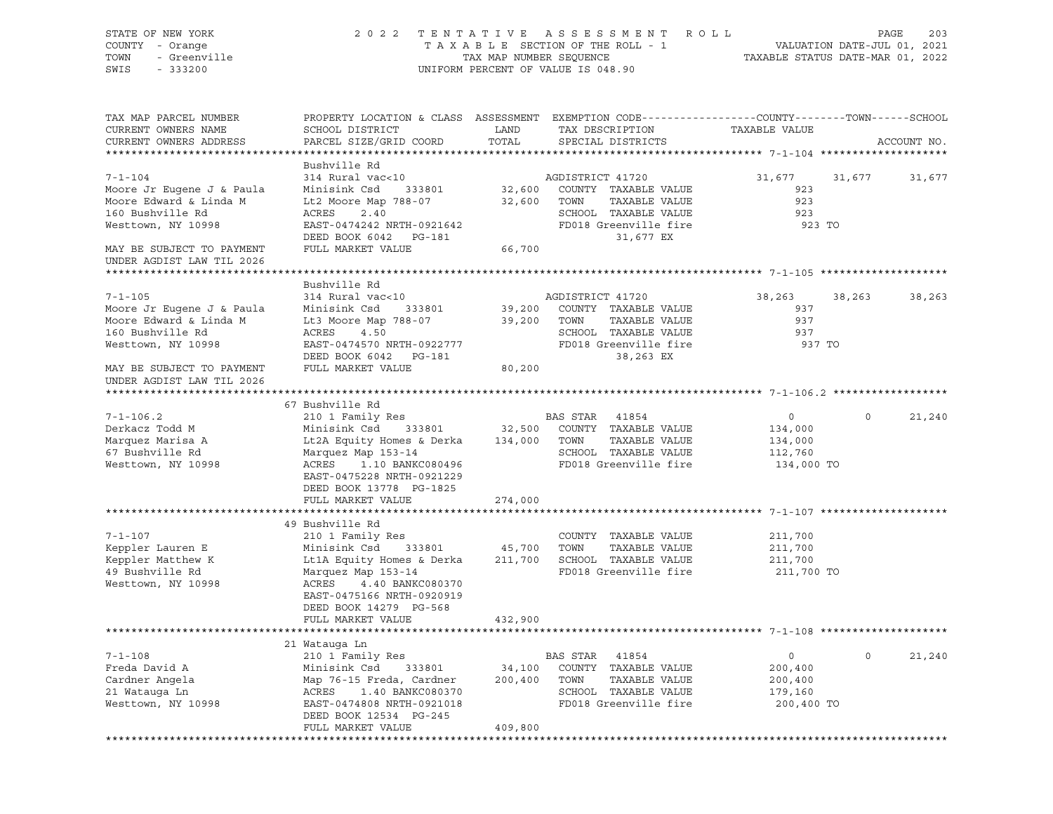| STATE OF NEW YORK<br>COUNTY - Orange<br>TOWN<br>- Greenville | 2 0 2 2                                                | TAX MAP NUMBER SEQUENCE | TENTATIVE ASSESSMENT<br>R O L L<br>TAXABLE SECTION OF THE ROLL - 1                              | VALUATION DATE-JUL 01, 2021<br>TAXABLE STATUS DATE-MAR 01, 2022 | 203<br>PAGE            |
|--------------------------------------------------------------|--------------------------------------------------------|-------------------------|-------------------------------------------------------------------------------------------------|-----------------------------------------------------------------|------------------------|
| SWIS<br>$-333200$                                            |                                                        |                         | UNIFORM PERCENT OF VALUE IS 048.90                                                              |                                                                 |                        |
| TAX MAP PARCEL NUMBER                                        |                                                        |                         | PROPERTY LOCATION & CLASS ASSESSMENT EXEMPTION CODE----------------COUNTY-------TOWN-----SCHOOL |                                                                 |                        |
| CURRENT OWNERS NAME                                          | SCHOOL DISTRICT                                        | LAND                    | TAX DESCRIPTION                                                                                 | TAXABLE VALUE                                                   |                        |
| CURRENT OWNERS ADDRESS                                       | PARCEL SIZE/GRID COORD                                 | TOTAL                   | SPECIAL DISTRICTS                                                                               |                                                                 | ACCOUNT NO.            |
|                                                              | Bushville Rd                                           |                         |                                                                                                 |                                                                 |                        |
| $7 - 1 - 104$                                                | 314 Rural vac<10                                       |                         | AGDISTRICT 41720                                                                                | 31,677<br>31,677                                                | 31,677                 |
| Moore Jr Eugene J & Paula                                    | Minisink Csd<br>333801                                 |                         | 32,600 COUNTY TAXABLE VALUE                                                                     | 923                                                             |                        |
| Moore Edward & Linda M                                       | Lt2 Moore Map 788-07                                   | 32,600 TOWN             | TAXABLE VALUE                                                                                   | 923                                                             |                        |
| 160 Bushville Rd                                             | ACRES<br>2.40                                          |                         | SCHOOL TAXABLE VALUE                                                                            | 923                                                             |                        |
| Westtown, NY 10998                                           | EAST-0474242 NRTH-0921642                              |                         | FD018 Greenville fire                                                                           | 923 TO                                                          |                        |
|                                                              | DEED BOOK 6042 PG-181                                  |                         | 31,677 EX                                                                                       |                                                                 |                        |
| MAY BE SUBJECT TO PAYMENT<br>UNDER AGDIST LAW TIL 2026       | FULL MARKET VALUE                                      | 66,700                  |                                                                                                 |                                                                 |                        |
|                                                              |                                                        |                         |                                                                                                 |                                                                 |                        |
| $7 - 1 - 105$                                                | Bushville Rd<br>314 Rural vac<10                       |                         |                                                                                                 |                                                                 |                        |
| Moore Jr Eugene J & Paula                                    | Minisink Csd<br>333801                                 | 39,200                  | AGDISTRICT 41720<br>COUNTY TAXABLE VALUE                                                        | 38,263<br>38,263<br>937                                         | 38,263                 |
| Moore Edward & Linda M                                       | Lt3 Moore Map 788-07                                   | 39,200                  | TOWN<br>TAXABLE VALUE                                                                           | 937                                                             |                        |
| 160 Bushville Rd                                             | ACRES<br>4.50                                          |                         | SCHOOL TAXABLE VALUE                                                                            | 937                                                             |                        |
| Westtown, NY 10998                                           | EAST-0474570 NRTH-0922777                              |                         | FD018 Greenville fire                                                                           | 937 TO                                                          |                        |
|                                                              | DEED BOOK 6042 PG-181                                  |                         | 38,263 EX                                                                                       |                                                                 |                        |
| MAY BE SUBJECT TO PAYMENT<br>UNDER AGDIST LAW TIL 2026       | FULL MARKET VALUE                                      | 80,200                  |                                                                                                 |                                                                 |                        |
|                                                              |                                                        |                         |                                                                                                 |                                                                 |                        |
|                                                              | 67 Bushville Rd                                        |                         |                                                                                                 |                                                                 |                        |
| $7 - 1 - 106.2$                                              | 210 1 Family Res                                       |                         | BAS STAR<br>41854                                                                               | $\circ$                                                         | 21,240<br>$\circ$      |
| Derkacz Todd M                                               | 333801<br>Minisink Csd                                 | 32,500                  | COUNTY TAXABLE VALUE                                                                            | 134,000                                                         |                        |
| Marquez Marisa A                                             | Lt2A Equity Homes & Derka                              | 134,000 TOWN            | TAXABLE VALUE                                                                                   | 134,000                                                         |                        |
| 67 Bushville Rd                                              | Marquez Map 153-14                                     |                         | SCHOOL TAXABLE VALUE                                                                            | 112,760                                                         |                        |
| Westtown, NY 10998                                           | ACRES<br>1.10 BANKC080496<br>EAST-0475228 NRTH-0921229 |                         | FD018 Greenville fire                                                                           | 134,000 TO                                                      |                        |
|                                                              | DEED BOOK 13778 PG-1825                                |                         |                                                                                                 |                                                                 |                        |
|                                                              | FULL MARKET VALUE                                      | 274,000                 |                                                                                                 |                                                                 |                        |
|                                                              | 49 Bushville Rd                                        |                         |                                                                                                 |                                                                 |                        |
| $7 - 1 - 107$                                                | 210 1 Family Res                                       |                         | COUNTY TAXABLE VALUE                                                                            | 211,700                                                         |                        |
| Keppler Lauren E                                             | Minisink Csd<br>333801                                 | 45,700                  | TOWN<br>TAXABLE VALUE                                                                           | 211,700                                                         |                        |
| Keppler Matthew K                                            | Lt1A Equity Homes & Derka                              | 211,700                 | SCHOOL TAXABLE VALUE                                                                            | 211,700                                                         |                        |
| 49 Bushville Rd                                              | Marquez Map 153-14                                     |                         | FD018 Greenville fire                                                                           | 211,700 TO                                                      |                        |
| Westtown, NY 10998                                           | ACRES<br>4.40 BANKC080370                              |                         |                                                                                                 |                                                                 |                        |
|                                                              | EAST-0475166 NRTH-0920919                              |                         |                                                                                                 |                                                                 |                        |
|                                                              | DEED BOOK 14279 PG-568                                 |                         |                                                                                                 |                                                                 |                        |
|                                                              | FULL MARKET VALUE                                      | 432,900                 |                                                                                                 |                                                                 |                        |
|                                                              |                                                        |                         |                                                                                                 |                                                                 |                        |
|                                                              | 21 Watauga Ln                                          |                         |                                                                                                 |                                                                 |                        |
| $7 - 1 - 108$                                                | 210 1 Family Res                                       |                         | <b>BAS STAR</b><br>41854                                                                        | 0                                                               | $\mathsf{O}$<br>21,240 |
| Freda David A                                                | Minisink Csd<br>333801                                 | 34,100                  | COUNTY<br>TAXABLE VALUE                                                                         | 200,400                                                         |                        |
| Cardner Angela                                               | Map 76-15 Freda, Cardner                               | 200,400                 | TOWN<br>TAXABLE VALUE                                                                           | 200,400                                                         |                        |
| 21 Watauga Ln                                                | ACRES<br>1.40 BANKC080370                              |                         | SCHOOL TAXABLE VALUE                                                                            | 179,160                                                         |                        |
| Westtown, NY 10998                                           | EAST-0474808 NRTH-0921018                              |                         | FD018 Greenville fire                                                                           | 200,400 TO                                                      |                        |
|                                                              | DEED BOOK 12534 PG-245                                 |                         |                                                                                                 |                                                                 |                        |
|                                                              | FULL MARKET VALUE                                      | 409,800                 |                                                                                                 |                                                                 |                        |
|                                                              |                                                        |                         |                                                                                                 |                                                                 |                        |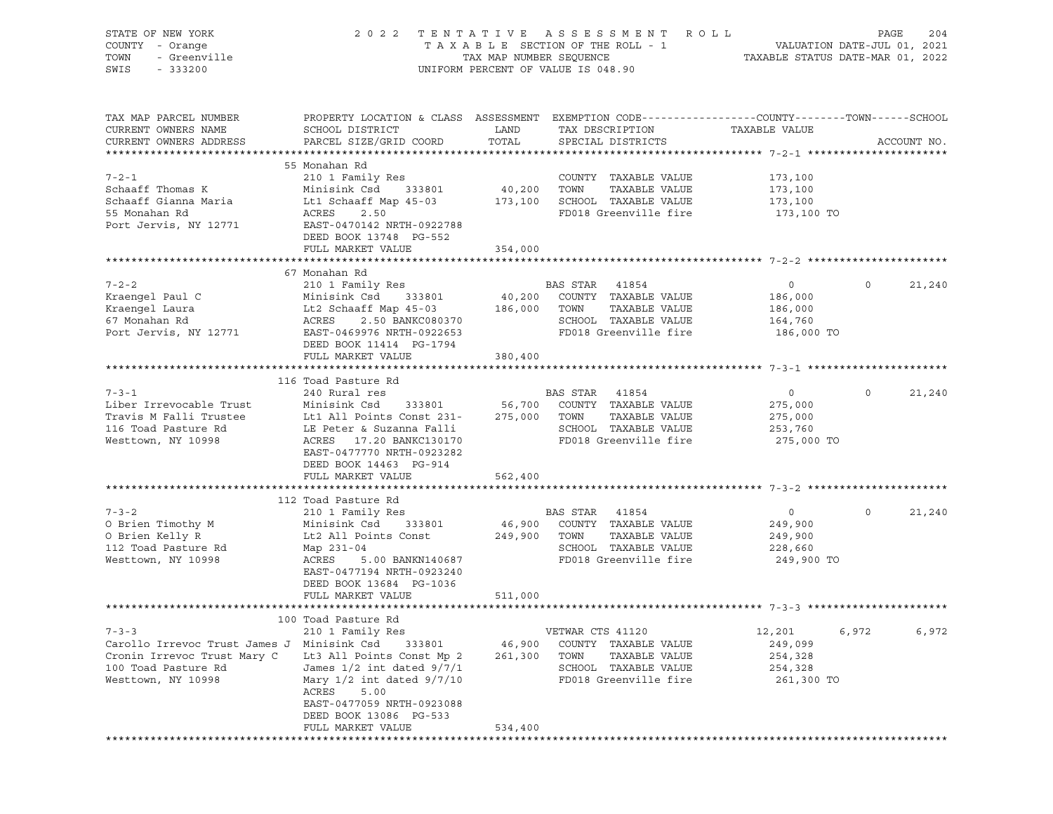| STATE OF NEW YORK<br>COUNTY - Orange<br>- Greenville<br>TOWN<br>SWIS<br>$-333200$                                        | 2 0 2 2                                                                                                                                                                                                                              | TENTATIVE<br>TAX MAP NUMBER SEQUENCE | A S S E S S M E N T<br>TAXABLE SECTION OF THE ROLL - 1<br>UNIFORM PERCENT OF VALUE IS 048.90                            | R O L L<br>VALUATION DATE-JUL 01, 2021<br>TAXABLE STATUS DATE-MAR 01, 2022 |              | 204<br>PAGE |
|--------------------------------------------------------------------------------------------------------------------------|--------------------------------------------------------------------------------------------------------------------------------------------------------------------------------------------------------------------------------------|--------------------------------------|-------------------------------------------------------------------------------------------------------------------------|----------------------------------------------------------------------------|--------------|-------------|
| TAX MAP PARCEL NUMBER<br>CURRENT OWNERS NAME<br>CURRENT OWNERS ADDRESS                                                   | PROPERTY LOCATION & CLASS ASSESSMENT EXEMPTION CODE---------------COUNTY-------TOWN-----SCHOOL<br>SCHOOL DISTRICT<br>PARCEL SIZE/GRID COORD                                                                                          | LAND<br>TOTAL                        | TAX DESCRIPTION<br>SPECIAL DISTRICTS                                                                                    | TAXABLE VALUE                                                              |              | ACCOUNT NO. |
| $7 - 2 - 1$<br>Schaaff Thomas K<br>Schaaff Gianna Maria<br>55 Monahan Rd<br>Port Jervis, NY 12771                        | 55 Monahan Rd<br>210 1 Family Res<br>Minisink Csd<br>333801<br>Lt1 Schaaff Map 45-03<br>ACRES<br>2.50<br>EAST-0470142 NRTH-0922788<br>DEED BOOK 13748 PG-552<br>FULL MARKET VALUE                                                    | 40,200<br>173,100<br>354,000         | COUNTY TAXABLE VALUE<br>TOWN<br>TAXABLE VALUE<br>SCHOOL TAXABLE VALUE<br>FD018 Greenville fire                          | 173,100<br>173,100<br>173,100<br>173,100 TO                                |              |             |
|                                                                                                                          |                                                                                                                                                                                                                                      |                                      |                                                                                                                         |                                                                            |              |             |
| $7 - 2 - 2$<br>Kraengel Paul C<br>Kraengel Laura<br>67 Monahan Rd<br>Port Jervis, NY 12771                               | 67 Monahan Rd<br>210 1 Family Res<br>Minisink Csd<br>333801<br>Lt2 Schaaff Map 45-03<br>ACRES<br>2.50 BANKC080370<br>EAST-0469976 NRTH-0922653<br>DEED BOOK 11414 PG-1794<br>FULL MARKET VALUE                                       | 40,200<br>186,000<br>380,400         | BAS STAR<br>41854<br>COUNTY TAXABLE VALUE<br>TOWN<br>TAXABLE VALUE<br>SCHOOL TAXABLE VALUE<br>FD018 Greenville fire     | $\circ$<br>186,000<br>186,000<br>164,760<br>186,000 TO                     | $\circ$      | 21,240      |
|                                                                                                                          |                                                                                                                                                                                                                                      |                                      |                                                                                                                         |                                                                            |              |             |
| $7 - 3 - 1$<br>Liber Irrevocable Trust<br>Travis M Falli Trustee<br>116 Toad Pasture Rd<br>Westtown, NY 10998            | 116 Toad Pasture Rd<br>240 Rural res<br>Minisink Csd<br>333801<br>Lt1 All Points Const 231-<br>LE Peter & Suzanna Falli<br>ACRES 17.20 BANKC130170<br>EAST-0477770 NRTH-0923282<br>DEED BOOK 14463 PG-914                            | 56,700<br>275,000                    | BAS STAR 41854<br>COUNTY TAXABLE VALUE<br>TOWN<br>TAXABLE VALUE<br>SCHOOL TAXABLE VALUE<br>FD018 Greenville fire        | $\circ$<br>275,000<br>275,000<br>253,760<br>275,000 TO                     | $\mathbf 0$  | 21,240      |
|                                                                                                                          | FULL MARKET VALUE                                                                                                                                                                                                                    | 562,400                              |                                                                                                                         |                                                                            |              |             |
| $7 - 3 - 2$<br>O Brien Timothy M<br>O Brien Kelly R<br>112 Toad Pasture Rd<br>Westtown, NY 10998                         | 112 Toad Pasture Rd<br>210 1 Family Res<br>333801<br>Minisink Csd<br>Lt2 All Points Const<br>Map 231-04<br>ACRES<br>5.00 BANKN140687<br>EAST-0477194 NRTH-0923240<br>DEED BOOK 13684 PG-1036                                         | 249,900                              | BAS STAR 41854<br>46,900 COUNTY TAXABLE VALUE<br>TOWN<br>TAXABLE VALUE<br>SCHOOL TAXABLE VALUE<br>FD018 Greenville fire | $\circ$<br>249,900<br>249,900<br>228,660<br>249,900 TO                     | $\mathsf{O}$ | 21,240      |
|                                                                                                                          | FULL MARKET VALUE                                                                                                                                                                                                                    | 511,000                              |                                                                                                                         |                                                                            |              |             |
| $7 - 3 - 3$<br>Carollo Irrevoc Trust James J<br>Cronin Irrevoc Trust Mary C<br>100 Toad Pasture Rd<br>Westtown, NY 10998 | 100 Toad Pasture Rd<br>210 1 Family Res<br>Minisink Csd<br>333801<br>Lt3 All Points Const Mp 2<br>James 1/2 int dated 9/7/1<br>Mary $1/2$ int dated $9/7/10$<br>ACRES<br>5.00<br>EAST-0477059 NRTH-0923088<br>DEED BOOK 13086 PG-533 | 46,900<br>261,300                    | VETWAR CTS 41120<br>COUNTY TAXABLE VALUE<br>TAXABLE VALUE<br>TOWN<br>SCHOOL TAXABLE VALUE<br>FD018 Greenville fire      | 12,201<br>249,099<br>254,328<br>254,328<br>261,300 TO                      | 6,972        | 6,972       |
|                                                                                                                          | FULL MARKET VALUE                                                                                                                                                                                                                    | 534,400                              |                                                                                                                         |                                                                            |              |             |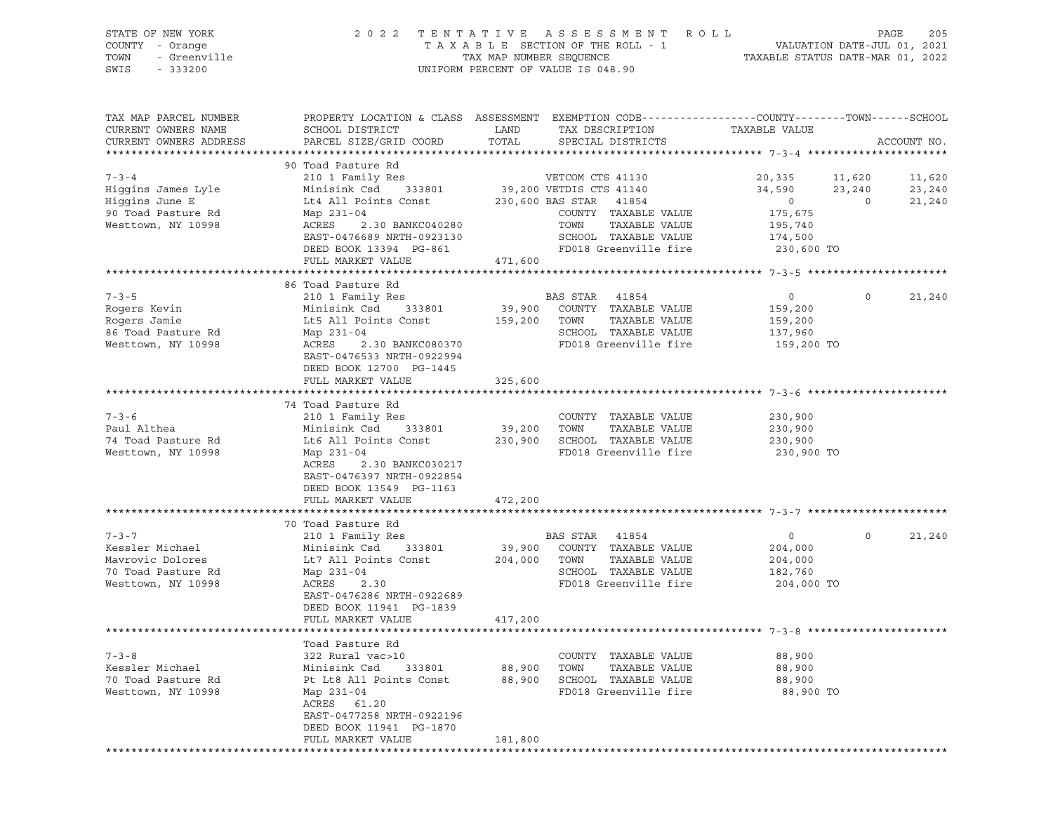## STATE OF NEW YORK 2 0 2 2 T E N T A T I V E A S S E S S M E N T R O L L PAGE 205 COUNTY - Orange T A X A B L E SECTION OF THE ROLL - 1 VALUATION DATE-JUL 01, 2021 TOWN - Greenville TAX MAP NUMBER SEQUENCE TAXABLE STATUS DATE-MAR 01, 2022 SWIS - 333200 UNIFORM PERCENT OF VALUE IS 048.90

| TAX MAP PARCEL NUMBER<br>CURRENT OWNERS NAME | PROPERTY LOCATION & CLASS ASSESSMENT EXEMPTION CODE----------------COUNTY-------TOWN------SCHOOL<br>SCHOOL DISTRICT | LAND        | TAX DESCRIPTION              | TAXABLE VALUE  |                |             |
|----------------------------------------------|---------------------------------------------------------------------------------------------------------------------|-------------|------------------------------|----------------|----------------|-------------|
| CURRENT OWNERS ADDRESS                       | PARCEL SIZE/GRID COORD                                                                                              | TOTAL       | SPECIAL DISTRICTS            |                |                | ACCOUNT NO. |
| ***************************                  |                                                                                                                     |             |                              |                |                |             |
|                                              | 90 Toad Pasture Rd                                                                                                  |             |                              |                |                |             |
| $7 - 3 - 4$                                  | 210 1 Family Res                                                                                                    |             | VETCOM CTS 41130             | 20,335         | 11,620         | 11,620      |
| Higgins James Lyle                           | Minisink Csd 333801                                                                                                 |             | 39,200 VETDIS CTS 41140      | 34,590         | 23,240         | 23,240      |
| Higgins June E                               | Lt4 All Points Const                                                                                                |             | 230,600 BAS STAR 41854       | $\overline{0}$ | $\overline{0}$ | 21,240      |
| 90 Toad Pasture Rd                           | Map 231-04                                                                                                          |             | COUNTY TAXABLE VALUE         | 175,675        |                |             |
| Westtown, NY 10998                           | ACRES<br>2.30 BANKC040280                                                                                           |             | TOWN TAXABLE VALUE           | 195,740        |                |             |
|                                              | EAST-0476689 NRTH-0923130                                                                                           |             | SCHOOL TAXABLE VALUE         | 174,500        |                |             |
|                                              | DEED BOOK 13394 PG-861                                                                                              |             | FD018 Greenville fire        | 230,600 TO     |                |             |
|                                              | FULL MARKET VALUE                                                                                                   | 471,600     |                              |                |                |             |
|                                              | ******************************                                                                                      |             |                              |                |                |             |
|                                              | 86 Toad Pasture Rd                                                                                                  |             |                              |                |                |             |
| $7 - 3 - 5$                                  | 210 1 Family Res                                                                                                    |             | BAS STAR 41854               | $\circ$        | $\Omega$       | 21,240      |
| Rogers Kevin                                 | Minisink Csd 333801                                                                                                 |             | 39,900 COUNTY TAXABLE VALUE  | 159,200        |                |             |
| Rogers Jamie                                 | Lt5 All Points Const                                                                                                |             | 159,200 TOWN TAXABLE VALUE   | 159,200        |                |             |
| 86 Toad Pasture Rd                           | Map 231-04                                                                                                          |             | SCHOOL TAXABLE VALUE         | 137,960        |                |             |
| Westtown, NY 10998                           | ACRES<br>2.30 BANKC080370                                                                                           |             | FD018 Greenville fire        | 159,200 TO     |                |             |
|                                              | EAST-0476533 NRTH-0922994                                                                                           |             |                              |                |                |             |
|                                              | DEED BOOK 12700 PG-1445                                                                                             |             |                              |                |                |             |
|                                              | FULL MARKET VALUE                                                                                                   | 325,600     |                              |                |                |             |
|                                              |                                                                                                                     |             |                              |                |                |             |
|                                              | 74 Toad Pasture Rd                                                                                                  |             |                              |                |                |             |
| $7 - 3 - 6$                                  | 210 1 Family Res                                                                                                    |             | COUNTY TAXABLE VALUE         | 230,900        |                |             |
| Paul Althea                                  | Minisink Csd 333801                                                                                                 | 39,200 TOWN | TAXABLE VALUE                | 230,900        |                |             |
| 74 Toad Pasture Rd                           | Lt6 All Points Const                                                                                                |             | 230,900 SCHOOL TAXABLE VALUE | 230,900        |                |             |
| Westtown, NY 10998                           | Map 231-04                                                                                                          |             | FD018 Greenville fire        | 230,900 TO     |                |             |
|                                              | ACRES<br>2.30 BANKC030217                                                                                           |             |                              |                |                |             |
|                                              | EAST-0476397 NRTH-0922854                                                                                           |             |                              |                |                |             |
|                                              | DEED BOOK 13549 PG-1163                                                                                             |             |                              |                |                |             |
|                                              | FULL MARKET VALUE                                                                                                   | 472,200     |                              |                |                |             |
|                                              |                                                                                                                     |             |                              |                |                |             |
|                                              | 70 Toad Pasture Rd                                                                                                  |             |                              |                |                |             |
| $7 - 3 - 7$                                  | 210 1 Family Res                                                                                                    |             | BAS STAR 41854               | $\circ$        | $\circ$        | 21,240      |
| Kessler Michael                              | Minisink Csd 333801                                                                                                 |             | 39,900 COUNTY TAXABLE VALUE  | 204,000        |                |             |
| Mavrovic Dolores                             | Lt7 All Points Const 204,000 TOWN TAXABLE VALUE                                                                     |             |                              | 204,000        |                |             |
| 70 Toad Pasture Rd                           | Map 231-04                                                                                                          |             | SCHOOL TAXABLE VALUE         | 182,760        |                |             |
| Westtown, NY 10998                           | ACRES 2.30                                                                                                          |             | FD018 Greenville fire        | 204,000 TO     |                |             |
|                                              | EAST-0476286 NRTH-0922689                                                                                           |             |                              |                |                |             |
|                                              | DEED BOOK 11941 PG-1839                                                                                             |             |                              |                |                |             |
|                                              | FULL MARKET VALUE                                                                                                   | 417,200     |                              |                |                |             |
|                                              |                                                                                                                     |             |                              |                |                |             |
|                                              | Toad Pasture Rd                                                                                                     |             |                              |                |                |             |
| $7 - 3 - 8$                                  | 322 Rural vac>10                                                                                                    |             | COUNTY TAXABLE VALUE         | 88,900         |                |             |
| Kessler Michael                              | Minisink Csd<br>333801                                                                                              | 88,900 TOWN | TAXABLE VALUE                | 88,900         |                |             |
| 70 Toad Pasture Rd                           | Pt Lt8 All Points Const                                                                                             |             | 88,900 SCHOOL TAXABLE VALUE  | 88,900         |                |             |
| Westtown, NY 10998                           | Map 231-04                                                                                                          |             | FD018 Greenville fire        | 88,900 TO      |                |             |
|                                              | ACRES 61.20                                                                                                         |             |                              |                |                |             |
|                                              | EAST-0477258 NRTH-0922196                                                                                           |             |                              |                |                |             |
|                                              | DEED BOOK 11941 PG-1870                                                                                             |             |                              |                |                |             |
|                                              | FULL MARKET VALUE                                                                                                   | 181,800     |                              |                |                |             |
|                                              |                                                                                                                     |             |                              |                |                |             |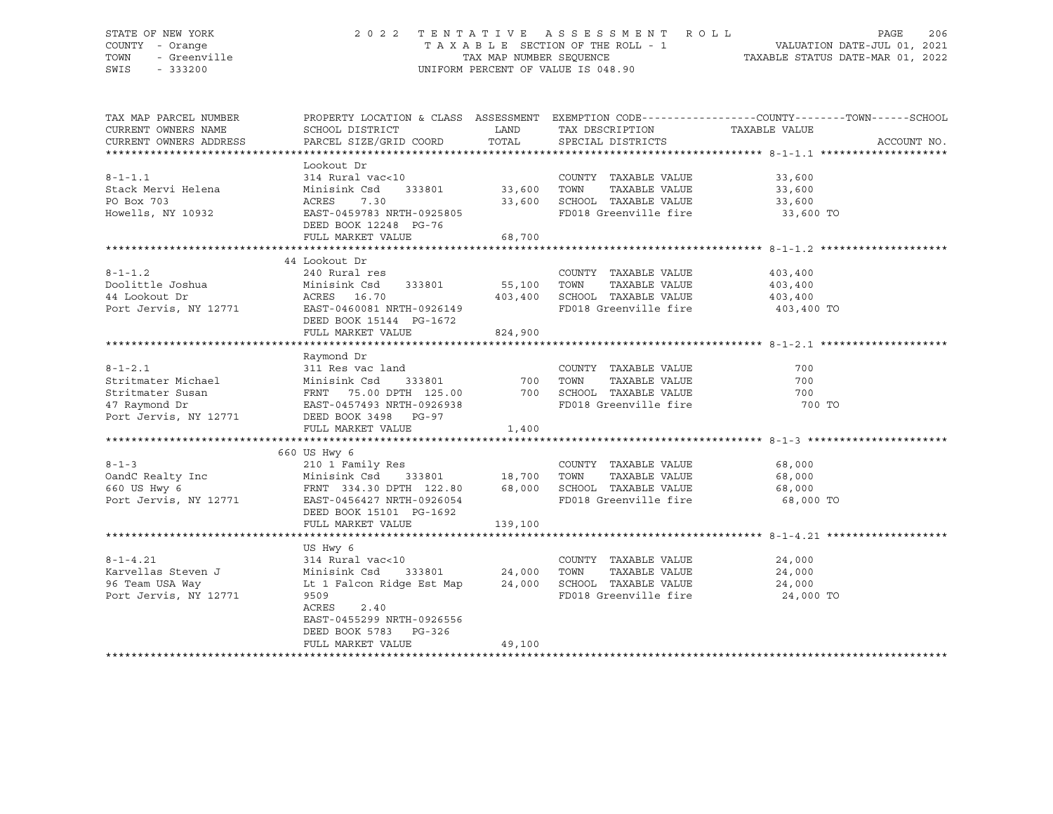#### STATE OF NEW YORK 2 0 2 2 T E N T A T I V E A S S E S S M E N T R O L L PAGE 206 COUNTY - Orange T A X A B L E SECTION OF THE ROLL - 1 VALUATION DATE-JUL 01, 2021 TOWN - Greenville TAX MAP NUMBER SEQUENCE TAXABLE STATUS DATE-MAR 01, 2022<br>TAXABLE STATUS DATE-MAR 01, 2022<br>SWIS - 333200 UNIFORM PERCENT OF VALUE IS 048.90

TAX MAP PARCEL NUMBER PROPERTY LOCATION & CLASS ASSESSMENT EXEMPTION CODE------------------COUNTY--------TOWN------SCHOOL CURRENT OWNERS NAME SCHOOL DISTRICT TAX DESCRIPTION TAXABLE VALUE CURRENT OWNERS ADDRESS PARCEL SIZE/GRID COORD TOTAL SPECIAL DISTRICTS ACCOUNT NO. \*\*\*\*\*\*\*\*\*\*\*\*\*\*\*\*\*\*\*\*\*\*\*\*\*\*\*\*\*\*\*\*\*\*\*\*\*\*\*\*\*\*\*\*\*\*\*\*\*\*\*\*\*\*\*\*\*\*\*\*\*\*\*\*\*\*\*\*\*\*\*\*\*\*\*\*\*\*\*\*\*\*\*\*\*\*\*\*\*\*\*\*\*\*\*\*\*\*\*\*\*\*\* 8-1-1.1 \*\*\*\*\*\*\*\*\*\*\*\*\*\*\*\*\*\*\*\*

|                       | Lookout Dr                    |         |                       |            |
|-----------------------|-------------------------------|---------|-----------------------|------------|
| $8 - 1 - 1.1$         | 314 Rural vac<10              |         | COUNTY TAXABLE VALUE  | 33,600     |
| Stack Mervi Helena    | Minisink Csd<br>333801        | 33,600  | TOWN<br>TAXABLE VALUE | 33,600     |
| PO Box 703            | 7.30<br>ACRES                 | 33,600  | SCHOOL TAXABLE VALUE  | 33,600     |
| Howells, NY 10932     | EAST-0459783 NRTH-0925805     |         | FD018 Greenville fire | 33,600 TO  |
|                       | DEED BOOK 12248 PG-76         |         |                       |            |
|                       | FULL MARKET VALUE             | 68,700  |                       |            |
|                       |                               |         |                       |            |
|                       | 44 Lookout Dr                 |         |                       |            |
| $8 - 1 - 1.2$         | 240 Rural res                 |         | COUNTY TAXABLE VALUE  | 403,400    |
| Doolittle Joshua      | Minisink Csd 333801           | 55,100  | TOWN<br>TAXABLE VALUE | 403,400    |
| 44 Lookout Dr         | ACRES 16.70                   | 403,400 | SCHOOL TAXABLE VALUE  | 403,400    |
| Port Jervis, NY 12771 | EAST-0460081 NRTH-0926149     |         | FD018 Greenville fire | 403,400 TO |
|                       | DEED BOOK 15144 PG-1672       |         |                       |            |
|                       | FULL MARKET VALUE             | 824,900 |                       |            |
|                       |                               |         |                       |            |
|                       | Raymond Dr                    |         |                       |            |
| $8 - 1 - 2.1$         | 311 Res vac land              |         | COUNTY TAXABLE VALUE  | 700        |
| Stritmater Michael    | 333801<br>Minisink Csd        | 700     | TOWN<br>TAXABLE VALUE | 700        |
| Stritmater Susan      | FRNT 75.00 DPTH 125.00        | 700     | SCHOOL TAXABLE VALUE  | 700        |
| 47 Raymond Dr         | EAST-0457493 NRTH-0926938     |         | FD018 Greenville fire | 700 TO     |
| Port Jervis, NY 12771 | DEED BOOK 3498 PG-97          |         |                       |            |
|                       | FULL MARKET VALUE             | 1,400   |                       |            |
|                       |                               |         |                       |            |
|                       | 660 US Hwy 6                  |         |                       |            |
| $8 - 1 - 3$           | 210 1 Family Res              |         | COUNTY TAXABLE VALUE  | 68,000     |
| OandC Realty Inc      | 333801 18,700<br>Minisink Csd |         | TOWN<br>TAXABLE VALUE | 68,000     |
| 660 US Hwy 6          | FRNT 334.30 DPTH 122.80       | 68,000  | SCHOOL TAXABLE VALUE  | 68,000     |
| Port Jervis, NY 12771 | EAST-0456427 NRTH-0926054     |         | FD018 Greenville fire | 68,000 TO  |
|                       | DEED BOOK 15101 PG-1692       |         |                       |            |
|                       | FULL MARKET VALUE             | 139,100 |                       |            |
|                       |                               |         |                       |            |
|                       | US Hwy 6                      |         |                       |            |
| $8 - 1 - 4.21$        | 314 Rural vac<10              |         | COUNTY TAXABLE VALUE  | 24,000     |
| Karvellas Steven J    | 333801<br>Minisink Csd        | 24,000  | TOWN<br>TAXABLE VALUE | 24,000     |
| 96 Team USA Way       | Lt 1 Falcon Ridge Est Map     | 24,000  | SCHOOL TAXABLE VALUE  | 24,000     |
| Port Jervis, NY 12771 | 9509                          |         | FD018 Greenville fire | 24,000 TO  |
|                       | ACRES<br>2.40                 |         |                       |            |
|                       | EAST-0455299 NRTH-0926556     |         |                       |            |
|                       | DEED BOOK 5783 PG-326         |         |                       |            |
|                       | FULL MARKET VALUE             | 49,100  |                       |            |
|                       |                               |         |                       |            |
|                       |                               |         |                       |            |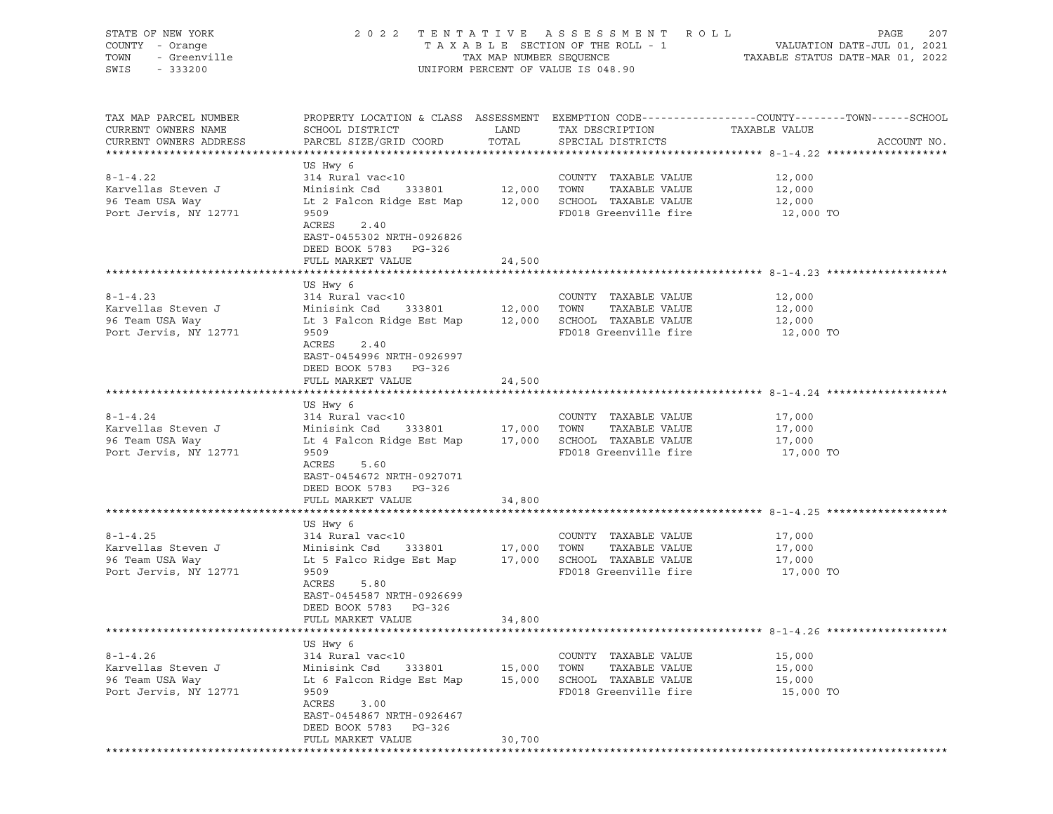| STATE OF NEW YORK<br>COUNTY - Orange<br>TOWN<br>- Greenville | 2 0 2 2                                                                                          | TAX MAP NUMBER SEQUENCE | TENTATIVE ASSESSMENT<br>R O L L<br>TAXABLE SECTION OF THE ROLL - 1 |                                  | 207<br>PAGE<br>VALUATION DATE-JUL 01, 2021 |
|--------------------------------------------------------------|--------------------------------------------------------------------------------------------------|-------------------------|--------------------------------------------------------------------|----------------------------------|--------------------------------------------|
| SWIS<br>$-333200$                                            |                                                                                                  |                         | UNIFORM PERCENT OF VALUE IS 048.90                                 | TAXABLE STATUS DATE-MAR 01, 2022 |                                            |
| TAX MAP PARCEL NUMBER                                        | PROPERTY LOCATION & CLASS ASSESSMENT EXEMPTION CODE----------------COUNTY-------TOWN------SCHOOL |                         |                                                                    |                                  |                                            |
| CURRENT OWNERS NAME                                          | SCHOOL DISTRICT                                                                                  | LAND                    | TAX DESCRIPTION                                                    | TAXABLE VALUE                    |                                            |
| CURRENT OWNERS ADDRESS                                       | PARCEL SIZE/GRID COORD                                                                           | TOTAL                   | SPECIAL DISTRICTS                                                  |                                  | ACCOUNT NO.                                |
|                                                              | US Hwy 6                                                                                         |                         |                                                                    |                                  |                                            |
| $8 - 1 - 4.22$                                               | 314 Rural vac<10                                                                                 |                         | COUNTY TAXABLE VALUE                                               | 12,000                           |                                            |
| Karvellas Steven J                                           | Minisink Csd<br>333801                                                                           | 12,000 TOWN             | TAXABLE VALUE                                                      | 12,000                           |                                            |
| 96 Team USA Way                                              | Lt 2 Falcon Ridge Est Map                                                                        |                         | 12,000 SCHOOL TAXABLE VALUE                                        | 12,000                           |                                            |
| Port Jervis, NY 12771                                        | 9509<br>ACRES<br>2.40                                                                            |                         | FD018 Greenville fire                                              | 12,000 TO                        |                                            |
|                                                              | EAST-0455302 NRTH-0926826<br>DEED BOOK 5783 PG-326                                               |                         |                                                                    |                                  |                                            |
|                                                              | FULL MARKET VALUE                                                                                | 24,500                  |                                                                    |                                  |                                            |
|                                                              |                                                                                                  |                         |                                                                    |                                  |                                            |
|                                                              | US Hwy 6                                                                                         |                         |                                                                    |                                  |                                            |
| $8 - 1 - 4.23$<br>Karvellas Steven J                         | 314 Rural vac<10<br>Minisink Csd<br>333801                                                       | 12,000                  | COUNTY TAXABLE VALUE<br>TOWN<br>TAXABLE VALUE                      | 12,000                           |                                            |
| 96 Team USA Way                                              | Lt 3 Falcon Ridge Est Map                                                                        |                         | 12,000 SCHOOL TAXABLE VALUE                                        | 12,000<br>12,000                 |                                            |
| Port Jervis, NY 12771                                        | 9509                                                                                             |                         | FD018 Greenville fire                                              | 12,000 TO                        |                                            |
|                                                              | ACRES<br>2.40<br>EAST-0454996 NRTH-0926997<br>DEED BOOK 5783 PG-326                              |                         |                                                                    |                                  |                                            |
|                                                              | FULL MARKET VALUE                                                                                | 24,500                  |                                                                    |                                  |                                            |
|                                                              |                                                                                                  |                         |                                                                    |                                  |                                            |
| $8 - 1 - 4.24$                                               | US Hwy 6<br>314 Rural vac<10                                                                     |                         | COUNTY TAXABLE VALUE                                               | 17,000                           |                                            |
| Karvellas Steven J                                           | Minisink Csd<br>333801                                                                           | 17,000 TOWN             | TAXABLE VALUE                                                      | 17,000                           |                                            |
| 96 Team USA Way                                              | Lt 4 Falcon Ridge Est Map                                                                        |                         | 17,000 SCHOOL TAXABLE VALUE                                        | 17,000                           |                                            |
| Port Jervis, NY 12771                                        | 9509                                                                                             |                         | FD018 Greenville fire                                              | 17,000 TO                        |                                            |
|                                                              | ACRES<br>5.60                                                                                    |                         |                                                                    |                                  |                                            |
|                                                              | EAST-0454672 NRTH-0927071                                                                        |                         |                                                                    |                                  |                                            |
|                                                              | DEED BOOK 5783 PG-326<br>FULL MARKET VALUE                                                       | 34,800                  |                                                                    |                                  |                                            |
|                                                              |                                                                                                  |                         |                                                                    |                                  |                                            |
|                                                              | US Hwy 6                                                                                         |                         |                                                                    |                                  |                                            |
| $8 - 1 - 4.25$                                               | 314 Rural vac<10                                                                                 |                         | COUNTY TAXABLE VALUE                                               | 17,000                           |                                            |
| Karvellas Steven J                                           | Minisink Csd<br>333801                                                                           | 17,000                  | TOWN<br>TAXABLE VALUE                                              | 17,000                           |                                            |
| 96 Team USA Way                                              | Lt 5 Falco Ridge Est Map                                                                         |                         | 17,000 SCHOOL TAXABLE VALUE                                        | 17,000                           |                                            |
| Port Jervis, NY 12771                                        | 9509<br>ACRES                                                                                    |                         | FD018 Greenville fire                                              | 17,000 TO                        |                                            |
|                                                              | 5.80<br>EAST-0454587 NRTH-0926699                                                                |                         |                                                                    |                                  |                                            |
|                                                              | DEED BOOK 5783<br>PG-326                                                                         |                         |                                                                    |                                  |                                            |
|                                                              | FULL MARKET VALUE                                                                                | 34,800                  |                                                                    |                                  |                                            |
|                                                              |                                                                                                  |                         |                                                                    |                                  |                                            |
|                                                              | US Hwy 6                                                                                         |                         |                                                                    |                                  |                                            |
| $8 - 1 - 4.26$<br>Karvellas Steven J                         | 314 Rural vac<10<br>333801                                                                       |                         | COUNTY TAXABLE VALUE                                               | 15,000                           |                                            |
| 96 Team USA Way                                              | Minisink Csd<br>Lt 6 Falcon Ridge Est Map                                                        | 15,000<br>15,000        | TOWN<br>TAXABLE VALUE<br>SCHOOL TAXABLE VALUE                      | 15,000<br>15,000                 |                                            |
| Port Jervis, NY 12771                                        | 9509                                                                                             |                         | FD018 Greenville fire                                              | 15,000 TO                        |                                            |
|                                                              | ACRES<br>3.00                                                                                    |                         |                                                                    |                                  |                                            |
|                                                              | EAST-0454867 NRTH-0926467                                                                        |                         |                                                                    |                                  |                                            |
|                                                              | DEED BOOK 5783<br>PG-326                                                                         |                         |                                                                    |                                  |                                            |
|                                                              | FULL MARKET VALUE                                                                                | 30,700                  |                                                                    |                                  |                                            |
|                                                              |                                                                                                  |                         |                                                                    |                                  |                                            |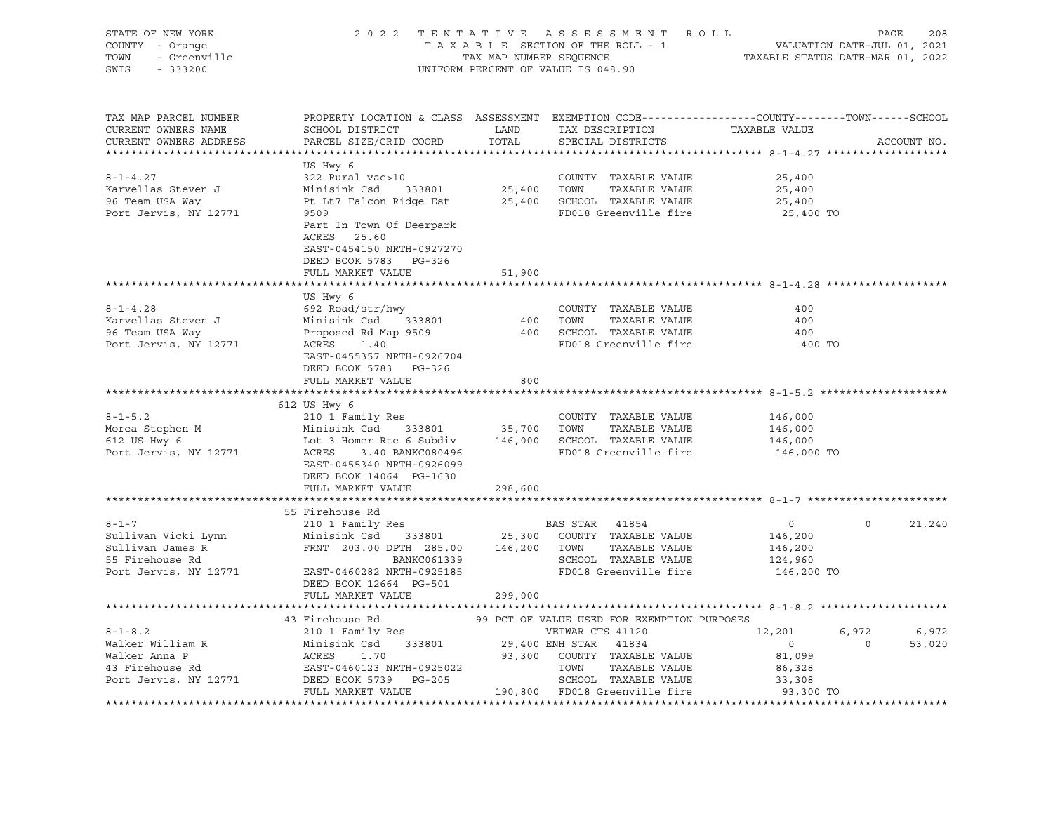| STATE OF NEW YORK                                          |                                                                                                                                                                         |                                    |                                           |                                             |                               |                   |             |
|------------------------------------------------------------|-------------------------------------------------------------------------------------------------------------------------------------------------------------------------|------------------------------------|-------------------------------------------|---------------------------------------------|-------------------------------|-------------------|-------------|
| COUNTY - Orange                                            | PAGE 208 7 ENTATIVE ASSESSMENT ROLL PAGE 208<br>TAXABLE SECTION OF THE ROLL - 1 VALUATION DATE-JUL 01, 2021<br>TAX MAP NUMBER SEQUENCE TAXABLE STATUS DATE-MAR 01, 2022 |                                    |                                           |                                             |                               |                   |             |
| TOWN                                                       |                                                                                                                                                                         |                                    |                                           |                                             |                               |                   |             |
| OF NEW TOWN<br>Y - Orange<br>- Greenville<br>20000<br>SWIS |                                                                                                                                                                         | UNIFORM PERCENT OF VALUE IS 048.90 |                                           |                                             |                               |                   |             |
|                                                            |                                                                                                                                                                         |                                    |                                           |                                             |                               |                   |             |
|                                                            |                                                                                                                                                                         |                                    |                                           |                                             |                               |                   |             |
|                                                            |                                                                                                                                                                         |                                    |                                           |                                             |                               |                   |             |
| TAX MAP PARCEL NUMBER                                      | PROPERTY LOCATION & CLASS ASSESSMENT EXEMPTION CODE---------------COUNTY-------TOWN------SCHOOL                                                                         |                                    |                                           |                                             |                               |                   |             |
| CURRENT OWNERS NAME                                        | SCHOOL DISTRICT                                                                                                                                                         | LAND                               |                                           |                                             | TAX DESCRIPTION TAXABLE VALUE |                   |             |
| CURRENT OWNERS ADDRESS                                     | PARCEL SIZE/GRID COORD                                                                                                                                                  | TOTAL                              |                                           | SPECIAL DISTRICTS                           |                               |                   | ACCOUNT NO. |
|                                                            |                                                                                                                                                                         |                                    |                                           |                                             |                               |                   |             |
|                                                            | US Hwy 6                                                                                                                                                                |                                    |                                           |                                             |                               |                   |             |
| $8 - 1 - 4.27$                                             |                                                                                                                                                                         |                                    |                                           |                                             | 25,400                        |                   |             |
| Karvellas Steven J                                         |                                                                                                                                                                         |                                    |                                           |                                             | 25,400                        |                   |             |
| 96 Team USA Way                                            | Pt Lt7 Falcon Ridge Est 25,400 SCHOOL TAXABLE VALUE                                                                                                                     |                                    |                                           |                                             | 25,400                        |                   |             |
| Port Jervis, NY 12771                                      | 9509                                                                                                                                                                    |                                    |                                           | FD018 Greenville fire                       | 25,400 TO                     |                   |             |
|                                                            | Part In Town Of Deerpark                                                                                                                                                |                                    |                                           |                                             |                               |                   |             |
|                                                            | ACRES 25.60                                                                                                                                                             |                                    |                                           |                                             |                               |                   |             |
|                                                            | EAST-0454150 NRTH-0927270                                                                                                                                               |                                    |                                           |                                             |                               |                   |             |
|                                                            | DEED BOOK 5783 PG-326                                                                                                                                                   |                                    |                                           |                                             |                               |                   |             |
|                                                            | FULL MARKET VALUE                                                                                                                                                       | 51,900                             |                                           |                                             |                               |                   |             |
|                                                            |                                                                                                                                                                         |                                    |                                           |                                             |                               |                   |             |
|                                                            | US Hwy 6                                                                                                                                                                |                                    |                                           |                                             |                               |                   |             |
| $8 - 1 - 4.28$                                             | 692 Road/str/hwy                                                                                                                                                        |                                    |                                           | COUNTY TAXABLE VALUE                        | 400                           |                   |             |
| Karvellas Steven J                                         |                                                                                                                                                                         |                                    |                                           |                                             | 400                           |                   |             |
| 96 Team USA Way                                            | Minisink Csd 333801 400 TOWN TAXABLE VALUE<br>Proposed Rd Map 9509 400 SCROOL TAXABLE VALUE                                                                             |                                    |                                           |                                             | 400                           |                   |             |
| Port Jervis, NY 12771                                      | ACRES 1.40                                                                                                                                                              |                                    |                                           | FD018 Greenville fire                       | 400 TO                        |                   |             |
|                                                            | EAST-0455357 NRTH-0926704                                                                                                                                               |                                    |                                           |                                             |                               |                   |             |
|                                                            | DEED BOOK 5783 PG-326                                                                                                                                                   |                                    |                                           |                                             |                               |                   |             |
|                                                            | FULL MARKET VALUE                                                                                                                                                       | 800                                |                                           |                                             |                               |                   |             |
|                                                            |                                                                                                                                                                         |                                    |                                           |                                             |                               |                   |             |
|                                                            | 612 US Hwy 6                                                                                                                                                            |                                    |                                           |                                             |                               |                   |             |
|                                                            |                                                                                                                                                                         |                                    |                                           | COUNTY TAXABLE VALUE                        | 146,000                       |                   |             |
|                                                            |                                                                                                                                                                         |                                    |                                           |                                             | 146,000                       |                   |             |
|                                                            |                                                                                                                                                                         |                                    |                                           |                                             | 146,000                       |                   |             |
| Port Jervis, NY 12771                                      | <b>ACRES</b><br>3.40 BANKC080496                                                                                                                                        |                                    |                                           | FD018 Greenville fire                       | 146,000 TO                    |                   |             |
|                                                            | EAST-0455340 NRTH-0926099                                                                                                                                               |                                    |                                           |                                             |                               |                   |             |
|                                                            | DEED BOOK 14064 PG-1630                                                                                                                                                 |                                    |                                           |                                             |                               |                   |             |
|                                                            |                                                                                                                                                                         |                                    |                                           |                                             |                               |                   |             |
|                                                            | FULL MARKET VALUE                                                                                                                                                       | 298,600                            |                                           |                                             |                               |                   |             |
|                                                            |                                                                                                                                                                         |                                    |                                           |                                             |                               |                   |             |
|                                                            | 55 Firehouse Rd<br>210 1 Family Res                                                                                                                                     |                                    |                                           |                                             |                               |                   |             |
| $8 - 1 - 7$                                                |                                                                                                                                                                         |                                    | BAS STAR 41854                            |                                             | $\overline{0}$                | $0 \qquad \qquad$ | 21,240      |
| Sullivan Vicki Lynn                                        | Minisink Csd 333801                                                                                                                                                     |                                    |                                           | 25,300 COUNTY TAXABLE VALUE                 | 146,200                       |                   |             |
| Sullivan James R<br>55 Firehouse Rd                        | FRNT 203.00 DPTH 285.00 146,200 TOWN TAXABLE VALUE<br>BANKC061339 SCHOOL TAXABLE VALUE<br>EAST-0460282 NRTH-0925185 FD018 Greenville fire                               |                                    |                                           |                                             | 146,200                       |                   |             |
|                                                            |                                                                                                                                                                         |                                    |                                           |                                             | 124,960                       |                   |             |
| Port Jervis, NY 12771                                      |                                                                                                                                                                         |                                    |                                           |                                             | 146,200 TO                    |                   |             |
|                                                            | DEED BOOK 12664 PG-501                                                                                                                                                  |                                    |                                           |                                             |                               |                   |             |
|                                                            | FULL MARKET VALUE                                                                                                                                                       | 299,000                            |                                           |                                             |                               |                   |             |
|                                                            |                                                                                                                                                                         |                                    |                                           |                                             |                               |                   |             |
|                                                            | 43 Firehouse Rd                                                                                                                                                         |                                    |                                           | 99 PCT OF VALUE USED FOR EXEMPTION PURPOSES |                               |                   |             |
| $8 - 1 - 8.2$                                              | 210 1 Family Res                                                                                                                                                        |                                    | VETWAR CTS 41120<br>29,400 ENH STAR 41834 | VETWAR CTS 41120                            | 12,201                        |                   | 6,972 6,972 |
|                                                            |                                                                                                                                                                         |                                    |                                           |                                             | $\overline{0}$                | $0 \t 53,020$     |             |
|                                                            |                                                                                                                                                                         |                                    |                                           |                                             | 81,099                        |                   |             |
| Walker William R<br>Walker Anna P<br>43 Firehouse Rd       |                                                                                                                                                                         |                                    |                                           |                                             | 86,328                        |                   |             |
| Port Jervis, NY 12771                                      |                                                                                                                                                                         |                                    |                                           |                                             | 33,308                        |                   |             |
|                                                            |                                                                                                                                                                         |                                    |                                           |                                             | 93,300 TO                     |                   |             |
|                                                            |                                                                                                                                                                         |                                    |                                           |                                             |                               |                   |             |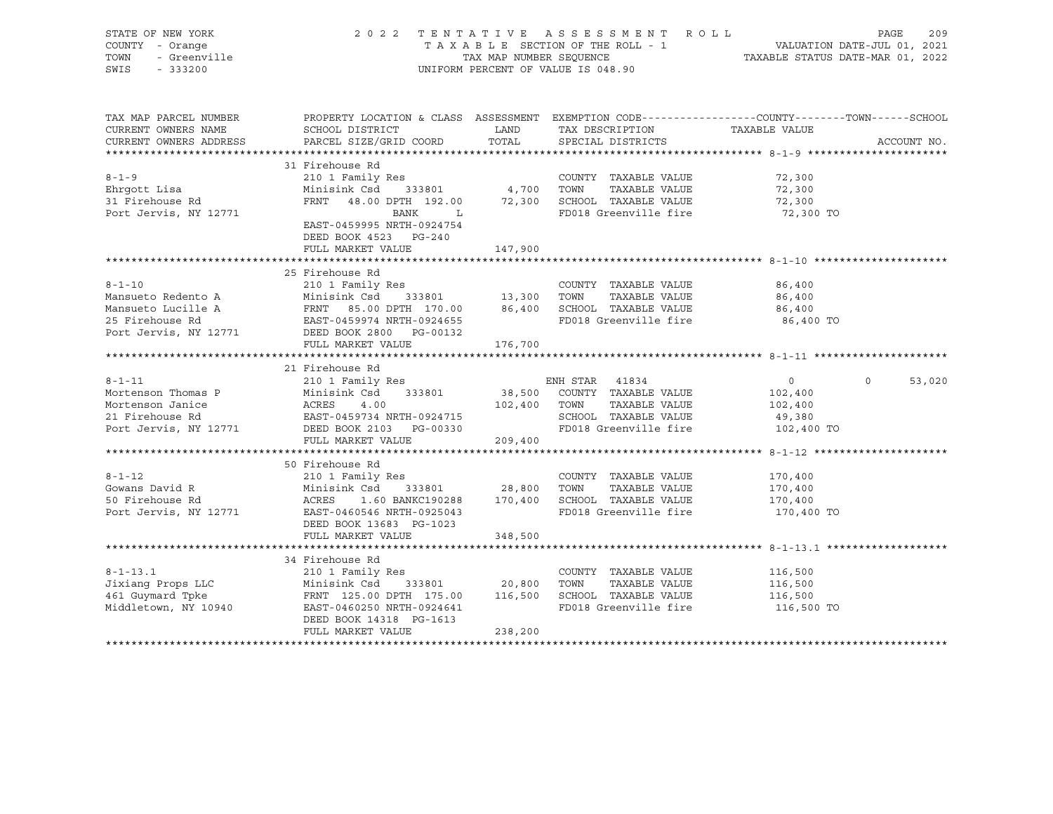| STATE OF NEW YORK<br>COUNTY - Orange<br>TOWN<br>- Greenville<br>SWIS<br>$-333200$                    | 2 0 2 2                                                                                                                                                                                               | TAX MAP NUMBER SEQUENCE             | TENTATIVE ASSESSMENT ROLL<br>TAXABLE SECTION OF THE ROLL - 1<br>UNIFORM PERCENT OF VALUE IS 048.90                              | PAGE<br>VALUATION DATE-JUL 01, 2021<br>TAXABLE STATUS DATE-MAR 01, 2022                                         | 209         |
|------------------------------------------------------------------------------------------------------|-------------------------------------------------------------------------------------------------------------------------------------------------------------------------------------------------------|-------------------------------------|---------------------------------------------------------------------------------------------------------------------------------|-----------------------------------------------------------------------------------------------------------------|-------------|
| TAX MAP PARCEL NUMBER<br>CURRENT OWNERS NAME<br>CURRENT OWNERS ADDRESS                               | SCHOOL DISTRICT<br>PARCEL SIZE/GRID COORD                                                                                                                                                             | LAND<br>TOTAL                       | TAX DESCRIPTION<br>SPECIAL DISTRICTS                                                                                            | PROPERTY LOCATION & CLASS ASSESSMENT EXEMPTION CODE---------------COUNTY-------TOWN-----SCHOOL<br>TAXABLE VALUE | ACCOUNT NO. |
|                                                                                                      | 31 Firehouse Rd                                                                                                                                                                                       |                                     |                                                                                                                                 |                                                                                                                 |             |
| $8 - 1 - 9$<br>Ehrqott Lisa<br>31 Firehouse Rd<br>Port Jervis, NY 12771                              | 210 1 Family Res<br>Minisink Csd<br>333801<br>FRNT 48.00 DPTH 192.00<br>BANK<br>$-L$<br>EAST-0459995 NRTH-0924754<br>DEED BOOK 4523 PG-240                                                            | 4,700                               | COUNTY TAXABLE VALUE<br>TOWN<br>TAXABLE VALUE<br>72,300 SCHOOL TAXABLE VALUE<br>FD018 Greenville fire                           | 72,300<br>72,300<br>72,300<br>72,300 TO                                                                         |             |
|                                                                                                      | FULL MARKET VALUE                                                                                                                                                                                     | 147,900                             |                                                                                                                                 |                                                                                                                 |             |
|                                                                                                      |                                                                                                                                                                                                       |                                     |                                                                                                                                 |                                                                                                                 |             |
| $8 - 1 - 10$<br>Mansueto Redento A<br>Mansueto Lucille A<br>25 Firehouse Rd<br>Port Jervis, NY 12771 | 25 Firehouse Rd<br>210 1 Family Res<br>Minisink Csd<br>FRNT 85.00 DPTH 170.00 86,400 SCHOOL TAXABLE VALUE<br>FRNT 85.00 21.11<br>EAST-0459974 NRTH-0924655<br>Case 2000 PG-00132<br>FULL MARKET VALUE | 333801 13,300<br>176,700            | COUNTY TAXABLE VALUE<br>TOWN<br>TAXABLE VALUE<br>FD018 Greenville fire                                                          | 86,400<br>86,400<br>86,400<br>86,400 TO                                                                         |             |
|                                                                                                      |                                                                                                                                                                                                       |                                     |                                                                                                                                 |                                                                                                                 |             |
| $8 - 1 - 11$<br>Mortenson Thomas P<br>Mortenson Janice<br>21 Firehouse Rd<br>Port Jervis, NY 12771   | 21 Firehouse Rd<br>210 1 Family Res<br>Minisink Csd<br>333801<br>Minisi<br>ACRES<br>FASE<br>4.00<br>EAST-0459734 NRTH-0924715<br>DEED BOOK 2103 PG-00330<br>FULL MARKET VALUE                         | 209,400                             | ENH STAR 41834<br>38,500 COUNTY TAXABLE VALUE<br>102,400 TOWN<br>TAXABLE VALUE<br>SCHOOL TAXABLE VALUE<br>FD018 Greenville fire | $\Omega$<br>$\overline{0}$<br>102,400<br>102,400<br>49,380<br>102,400 TO                                        | 53,020      |
|                                                                                                      |                                                                                                                                                                                                       |                                     |                                                                                                                                 |                                                                                                                 |             |
| $8 - 1 - 12$<br>Gowans David R<br>50 Firehouse Rd<br>Port Jervis, NY 12771                           | 50 Firehouse Rd<br>210 1 Family Res<br>Minisink Csd<br>ACRES<br>1.60 BANKC190288<br>EAST-0460546 NRTH-0925043<br>DEED BOOK 13683 PG-1023<br>FULL MARKET VALUE                                         | 333801 28,800<br>170,400<br>348,500 | COUNTY TAXABLE VALUE<br>TOWN<br>TAXABLE VALUE<br>SCHOOL TAXABLE VALUE<br>FD018 Greenville fire                                  | 170,400<br>170,400<br>170,400<br>170,400 TO                                                                     |             |
|                                                                                                      |                                                                                                                                                                                                       |                                     |                                                                                                                                 |                                                                                                                 |             |
| $8 - 1 - 13.1$<br>Jixiang Props LLC<br>461 Guymard Tpke<br>Middletown, NY 10940                      | 34 Firehouse Rd<br>210 1 Family Res<br>Minisink Csd<br>333801<br>FRNT 125.00 DPTH 175.00<br>EAST-0460250 NRTH-0924641<br>DEED BOOK 14318 PG-1613<br>FULL MARKET VALUE                                 | 20,800<br>116,500<br>238,200        | COUNTY TAXABLE VALUE<br>TAXABLE VALUE<br>TOWN<br>SCHOOL TAXABLE VALUE<br>FD018 Greenville fire                                  | 116,500<br>116,500<br>116,500<br>116,500 TO                                                                     |             |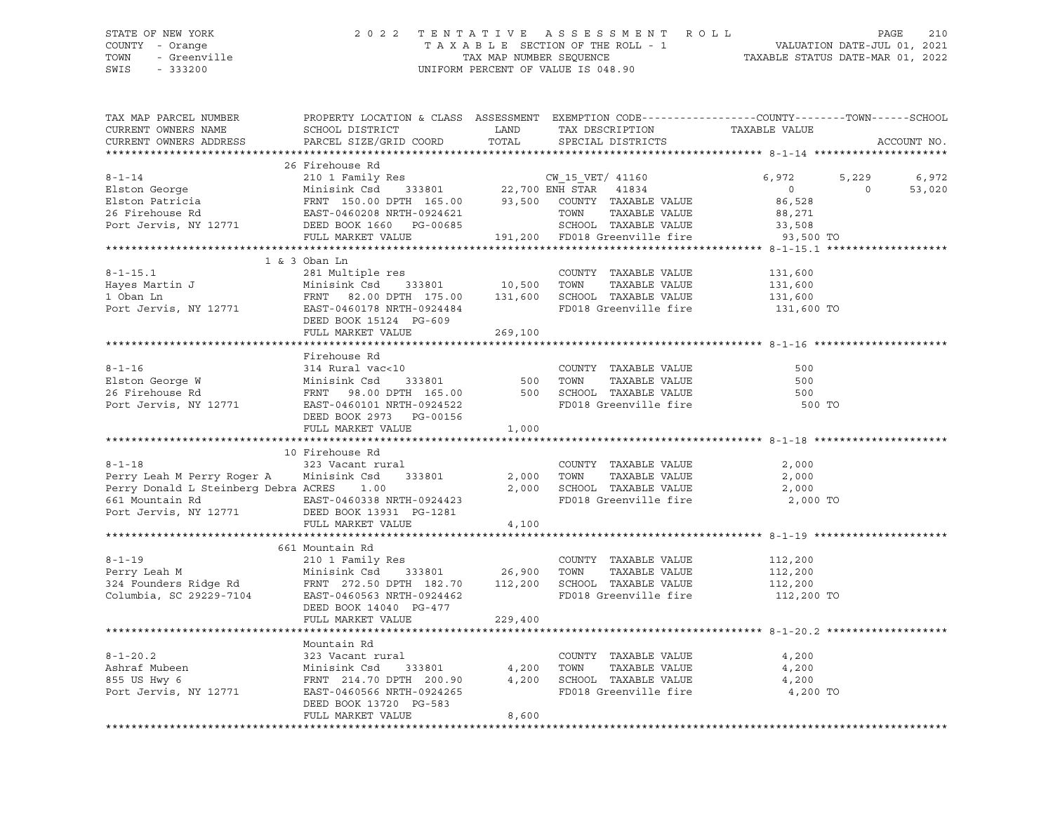## STATE OF NEW YORK 2 0 2 2 T E N T A T I V E A S S E S S M E N T R O L L PAGE 210 COUNTY - Orange T A X A B L E SECTION OF THE ROLL - 1 VALUATION DATE-JUL 01, 2021 TRIE OF NEW YORK A SERISM ENGLE THE NOT A SUBSERIES OF NEW YORK PAGE 210<br>
TAX A B L E SECTION OF THE ROLL - 1 WALUATION DATE-JUL 01, 2021<br>
TOWN - Greenville TAX MAP NUMBER SEQUENCE TAXABLE STATUS DATE-MAR 01, 2022<br>
SWIS - UNIFORM PERCENT OF VALUE IS 048.90

TAX MAP PARCEL NUMBER PROPERTY LOCATION & CLASS ASSESSMENT EXEMPTION CODE------------------COUNTY--------TOWN------SCHOOL CURRENT OWNERS NAME SCHOOL DISTRICT LAND TAX DESCRIPTION TAXABLE VALUE CURRENT OWNERS ADDRESS PARCEL SIZE/GRID COORD TOTAL SPECIAL DISTRICTS ACCOUNT NO. \*\*\*\*\*\*\*\*\*\*\*\*\*\*\*\*\*\*\*\*\*\*\*\*\*\*\*\*\*\*\*\*\*\*\*\*\*\*\*\*\*\*\*\*\*\*\*\*\*\*\*\*\*\*\*\*\*\*\*\*\*\*\*\*\*\*\*\*\*\*\*\*\*\*\*\*\*\*\*\*\*\*\*\*\*\*\*\*\*\*\*\*\*\*\*\*\*\*\*\*\*\*\* 8-1-14 \*\*\*\*\*\*\*\*\*\*\*\*\*\*\*\*\*\*\*\*\* 26 Firehouse Rd 8-1-14 210 1 Family Res CW\_15\_VET/ 41160 6,972 5,229 6,972 Elston George Minisink Csd 333801 22,700 ENH STAR 41834 0 0 53,020 Elston Patricia FRNT 150.00 DPTH 165.00 93,500 COUNTY TAXABLE VALUE 86,528 26 Firehouse Rd EAST-0460208 NRTH-0924621 TOWN TAXABLE VALUE 88,271 Port Jervis, NY 12771 DEED BOOK 1660 PG-00685 SCHOOL TAXABLE VALUE 33,508 FULL MARKET VALUE 191,200 FD018 Greenville fire 93,500 TO \*\*\*\*\*\*\*\*\*\*\*\*\*\*\*\*\*\*\*\*\*\*\*\*\*\*\*\*\*\*\*\*\*\*\*\*\*\*\*\*\*\*\*\*\*\*\*\*\*\*\*\*\*\*\*\*\*\*\*\*\*\*\*\*\*\*\*\*\*\*\*\*\*\*\*\*\*\*\*\*\*\*\*\*\*\*\*\*\*\*\*\*\*\*\*\*\*\*\*\*\*\*\* 8-1-15.1 \*\*\*\*\*\*\*\*\*\*\*\*\*\*\*\*\*\*\* 1 & 3 Oban Ln 8-1-15.1 281 Multiple res COUNTY TAXABLE VALUE 131,600 Hayes Martin J Minisink Csd 333801 10,500 TOWN TAXABLE VALUE 131,600 1 Oban Ln FRNT 82.00 DPTH 175.00 131,600 SCHOOL TAXABLE VALUE 131,600 Port Jervis, NY 12771 EAST-0460178 NRTH-0924484 FD018 Greenville fire 131,600 TO DEED BOOK 15124 PG-609 FULL MARKET VALUE 269,100 \*\*\*\*\*\*\*\*\*\*\*\*\*\*\*\*\*\*\*\*\*\*\*\*\*\*\*\*\*\*\*\*\*\*\*\*\*\*\*\*\*\*\*\*\*\*\*\*\*\*\*\*\*\*\*\*\*\*\*\*\*\*\*\*\*\*\*\*\*\*\*\*\*\*\*\*\*\*\*\*\*\*\*\*\*\*\*\*\*\*\*\*\*\*\*\*\*\*\*\*\*\*\* 8-1-16 \*\*\*\*\*\*\*\*\*\*\*\*\*\*\*\*\*\*\*\*\* Firehouse Rd 8-1-16 314 Rural vac<10 COUNTY TAXABLE VALUE 500 Elston George W Minisink Csd 333801 500 TOWN TAXABLE VALUE 500 26 Firehouse Rd FRNT 98.00 DPTH 165.00 500 SCHOOL TAXABLE VALUE 500 Port Jervis, NY 12771 EAST-0460101 NRTH-0924522 FD018 Greenville fire 500 TO DEED BOOK 2973 PG-00156 FULL MARKET VALUE 1,000 \*\*\*\*\*\*\*\*\*\*\*\*\*\*\*\*\*\*\*\*\*\*\*\*\*\*\*\*\*\*\*\*\*\*\*\*\*\*\*\*\*\*\*\*\*\*\*\*\*\*\*\*\*\*\*\*\*\*\*\*\*\*\*\*\*\*\*\*\*\*\*\*\*\*\*\*\*\*\*\*\*\*\*\*\*\*\*\*\*\*\*\*\*\*\*\*\*\*\*\*\*\*\* 8-1-18 \*\*\*\*\*\*\*\*\*\*\*\*\*\*\*\*\*\*\*\*\* 10 Firehouse Rd 8-1-18 323 Vacant rural COUNTY TAXABLE VALUE 2,000 Perry Leah M Perry Roger A Minisink Csd 333801 2,000 TOWN TAXABLE VALUE 2,000 Perry Donald L Steinberg Debra ACRES 1.00 2,000 SCHOOL TAXABLE VALUE 2,000 661 Mountain Rd EAST-0460338 NRTH-0924423 FD018 Greenville fire 2,000 TO Port Jervis, NY 12771 DEED BOOK 13931 PG-1281 FULL MARKET VALUE 4,100 \*\*\*\*\*\*\*\*\*\*\*\*\*\*\*\*\*\*\*\*\*\*\*\*\*\*\*\*\*\*\*\*\*\*\*\*\*\*\*\*\*\*\*\*\*\*\*\*\*\*\*\*\*\*\*\*\*\*\*\*\*\*\*\*\*\*\*\*\*\*\*\*\*\*\*\*\*\*\*\*\*\*\*\*\*\*\*\*\*\*\*\*\*\*\*\*\*\*\*\*\*\*\* 8-1-19 \*\*\*\*\*\*\*\*\*\*\*\*\*\*\*\*\*\*\*\*\* 661 Mountain Rd 8-1-19 210 1 Family Res COUNTY TAXABLE VALUE 112,200 Perry Leah M Minisink Csd 333801 26,900 TOWN TAXABLE VALUE 112,200 324 Founders Ridge Rd FRNT 272.50 DPTH 182.70 112,200 SCHOOL TAXABLE VALUE 112,200 Columbia, SC 29229-7104 EAST-0460563 NRTH-0924462 FD018 Greenville fire 112,200 TO DEED BOOK 14040 PG-477 FULL MARKET VALUE 229,400 \*\*\*\*\*\*\*\*\*\*\*\*\*\*\*\*\*\*\*\*\*\*\*\*\*\*\*\*\*\*\*\*\*\*\*\*\*\*\*\*\*\*\*\*\*\*\*\*\*\*\*\*\*\*\*\*\*\*\*\*\*\*\*\*\*\*\*\*\*\*\*\*\*\*\*\*\*\*\*\*\*\*\*\*\*\*\*\*\*\*\*\*\*\*\*\*\*\*\*\*\*\*\* 8-1-20.2 \*\*\*\*\*\*\*\*\*\*\*\*\*\*\*\*\*\*\* Mountain Rd 8-1-20.2 323 Vacant rural COUNTY TAXABLE VALUE 4,200 Ashraf Mubeen Minisink Csd 333801 4,200 TOWN TAXABLE VALUE 4,200 855 US Hwy 6 FRNT 214.70 DPTH 200.90 4,200 SCHOOL TAXABLE VALUE 4,200 Port Jervis, NY 12771 EAST-0460566 NRTH-0924265 FD018 Greenville fire 4,200 TO DEED BOOK 13720 PG-583 FULL MARKET VALUE 8,600 \*\*\*\*\*\*\*\*\*\*\*\*\*\*\*\*\*\*\*\*\*\*\*\*\*\*\*\*\*\*\*\*\*\*\*\*\*\*\*\*\*\*\*\*\*\*\*\*\*\*\*\*\*\*\*\*\*\*\*\*\*\*\*\*\*\*\*\*\*\*\*\*\*\*\*\*\*\*\*\*\*\*\*\*\*\*\*\*\*\*\*\*\*\*\*\*\*\*\*\*\*\*\*\*\*\*\*\*\*\*\*\*\*\*\*\*\*\*\*\*\*\*\*\*\*\*\*\*\*\*\*\*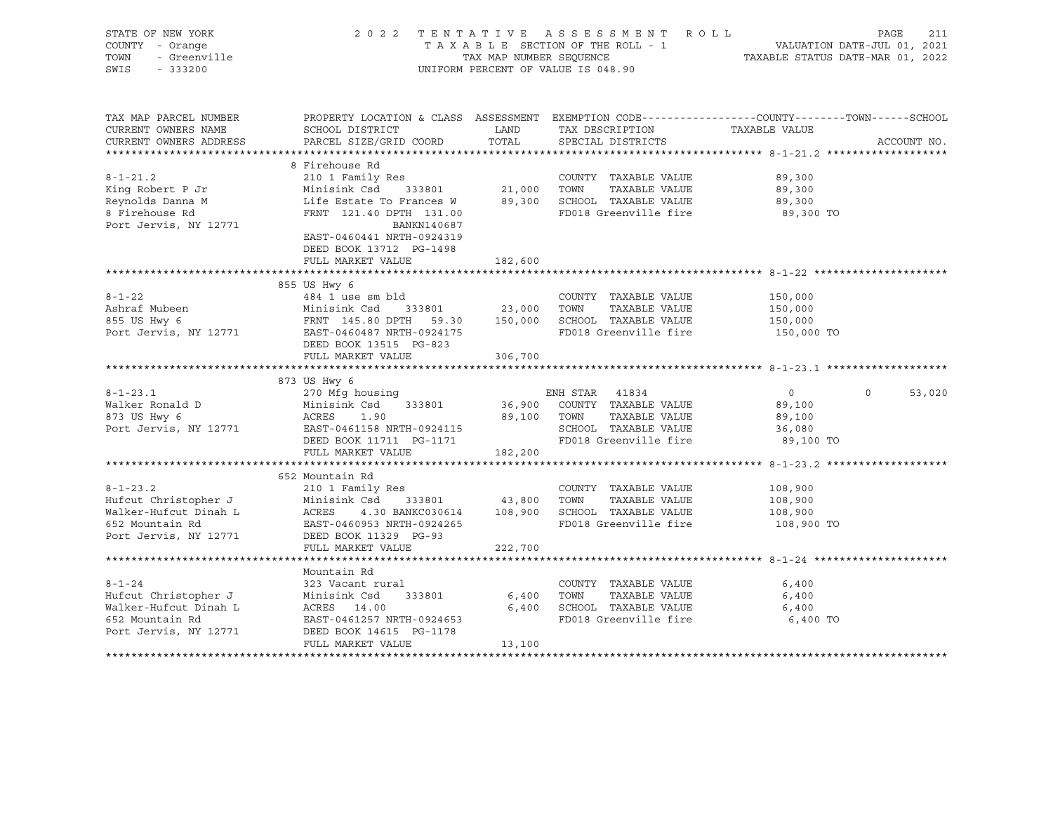| STATE OF NEW YORK<br>COUNTY - Orange<br>TOWN<br>- Greenville<br>SWIS<br>$-333200$ |                                                                                                                                              | TAX MAP NUMBER SEQUENCE | 2022 TENTATIVE ASSESSMENT ROLL<br>TAXABLE SECTION OF THE ROLL - 1<br>UNIFORM PERCENT OF VALUE IS 048.90 | PAGE 211<br>VALUATION DATE-JUL 01, 2021<br>TAXABLE STATUS DATE 100 10000 |                    |
|-----------------------------------------------------------------------------------|----------------------------------------------------------------------------------------------------------------------------------------------|-------------------------|---------------------------------------------------------------------------------------------------------|--------------------------------------------------------------------------|--------------------|
| TAX MAP PARCEL NUMBER<br>CURRENT OWNERS NAME<br>CURRENT OWNERS ADDRESS            | PROPERTY LOCATION & CLASS ASSESSMENT EXEMPTION CODE---------------COUNTY-------TOWN------SCHOOL<br>SCHOOL DISTRICT<br>PARCEL SIZE/GRID COORD | LAND<br>TOTAL           | TAX DESCRIPTION<br>SPECIAL DISTRICTS                                                                    | TAXABLE VALUE                                                            | ACCOUNT NO.        |
|                                                                                   |                                                                                                                                              |                         |                                                                                                         |                                                                          |                    |
|                                                                                   | 8 Firehouse Rd                                                                                                                               |                         |                                                                                                         |                                                                          |                    |
| $8 - 1 - 21.2$                                                                    | 210 1 Family Res                                                                                                                             |                         | COUNTY TAXABLE VALUE                                                                                    | 89,300                                                                   |                    |
| King Robert P Jr                                                                  | Minisink Csd<br>333801                                                                                                                       | 21,000                  | TOWN<br>TAXABLE VALUE                                                                                   | 89,300                                                                   |                    |
| Reynolds Danna M                                                                  | Life Estate To Frances W                                                                                                                     |                         | 89,300 SCHOOL TAXABLE VALUE                                                                             | 89,300                                                                   |                    |
| 8 Firehouse Rd                                                                    | FRNT 121.40 DPTH 131.00                                                                                                                      |                         | FD018 Greenville fire                                                                                   | 89,300 TO                                                                |                    |
| Port Jervis, NY 12771                                                             | BANKN140687<br>EAST-0460441 NRTH-0924319                                                                                                     |                         |                                                                                                         |                                                                          |                    |
|                                                                                   | DEED BOOK 13712 PG-1498                                                                                                                      |                         |                                                                                                         |                                                                          |                    |
|                                                                                   | FULL MARKET VALUE                                                                                                                            | 182,600                 |                                                                                                         |                                                                          |                    |
|                                                                                   |                                                                                                                                              |                         |                                                                                                         |                                                                          |                    |
| $8 - 1 - 22$                                                                      | 855 US Hwy 6<br>484 1 use sm bld                                                                                                             |                         | COUNTY TAXABLE VALUE                                                                                    | 150,000                                                                  |                    |
| Ashraf Mubeen                                                                     |                                                                                                                                              |                         |                                                                                                         | 150,000                                                                  |                    |
| 855 US Hwy 6                                                                      | Minisink Csd 333801 23,000 TOWN TAXABLE VALUE<br>FRNT 145.80 DPTH 59.30 150,000 SCHOOL TAXABLE VALUE                                         |                         |                                                                                                         | 150,000                                                                  |                    |
| Port Jervis, NY 12771                                                             | EAST-0460487 NRTH-0924175                                                                                                                    |                         | FD018 Greenville fire                                                                                   | 150,000 TO                                                               |                    |
|                                                                                   | DEED BOOK 13515 PG-823                                                                                                                       |                         |                                                                                                         |                                                                          |                    |
|                                                                                   | FULL MARKET VALUE                                                                                                                            | 306,700                 |                                                                                                         |                                                                          |                    |
|                                                                                   |                                                                                                                                              |                         |                                                                                                         |                                                                          |                    |
|                                                                                   | 873 US Hwy 6                                                                                                                                 |                         |                                                                                                         |                                                                          |                    |
| $8 - 1 - 23.1$                                                                    | 270 Mfg housing                                                                                                                              |                         | ENH STAR 41834                                                                                          | $\overline{0}$                                                           | $\Omega$<br>53,020 |
| Walker Ronald D                                                                   | Minisink Csd<br>333801                                                                                                                       |                         | 36,900 COUNTY TAXABLE VALUE                                                                             | 89,100                                                                   |                    |
| 873 US Hwy 6                                                                      | ACRES<br>1.90                                                                                                                                |                         | 89,100 TOWN<br>TAXABLE VALUE                                                                            | 89,100                                                                   |                    |
| Port Jervis, NY 12771                                                             | EAST-0461158 NRTH-0924115                                                                                                                    |                         | SCHOOL TAXABLE VALUE                                                                                    | 36,080                                                                   |                    |
|                                                                                   | DEED BOOK 11711 PG-1171                                                                                                                      |                         | FD018 Greenville fire                                                                                   | 89,100 TO                                                                |                    |
|                                                                                   | FULL MARKET VALUE                                                                                                                            | 182,200                 |                                                                                                         |                                                                          |                    |
|                                                                                   |                                                                                                                                              |                         |                                                                                                         |                                                                          |                    |
|                                                                                   | 652 Mountain Rd                                                                                                                              |                         |                                                                                                         |                                                                          |                    |
| $8 - 1 - 23.2$                                                                    | 210 1 Family Res                                                                                                                             |                         | COUNTY TAXABLE VALUE<br>TOWN<br>TAXABLE VALUE                                                           | 108,900                                                                  |                    |
| Hufcut Christopher J<br>Walker-Hufcut Dinah L                                     | Minisink Csd 333801<br>ACRES<br>4.30 BANKC030614                                                                                             | 43,800                  | 108,900 SCHOOL TAXABLE VALUE                                                                            | 108,900<br>108,900                                                       |                    |
| 652 Mountain Rd                                                                   | EAST-0460953 NRTH-0924265                                                                                                                    |                         | FD018 Greenville fire                                                                                   | 108,900 TO                                                               |                    |
| Port Jervis, NY 12771                                                             | DEED BOOK 11329 PG-93                                                                                                                        |                         |                                                                                                         |                                                                          |                    |
|                                                                                   | FULL MARKET VALUE                                                                                                                            | 222,700                 |                                                                                                         |                                                                          |                    |
|                                                                                   |                                                                                                                                              |                         |                                                                                                         |                                                                          |                    |
|                                                                                   | Mountain Rd                                                                                                                                  |                         |                                                                                                         |                                                                          |                    |
| $8 - 1 - 24$                                                                      | 323 Vacant rural                                                                                                                             |                         | COUNTY TAXABLE VALUE                                                                                    | 6,400                                                                    |                    |
| Hufcut Christopher J                                                              | Minisink Csd<br>333801                                                                                                                       | 6,400                   | TOWN<br>TAXABLE VALUE                                                                                   | 6,400                                                                    |                    |
| Walker-Hufcut Dinah L                                                             | ACRES 14.00                                                                                                                                  | 6,400                   | SCHOOL TAXABLE VALUE                                                                                    | 6,400                                                                    |                    |
| 652 Mountain Rd                                                                   | EAST-0461257 NRTH-0924653                                                                                                                    |                         | FD018 Greenville fire                                                                                   | 6,400 TO                                                                 |                    |
| Port Jervis, NY 12771                                                             | DEED BOOK 14615 PG-1178                                                                                                                      |                         |                                                                                                         |                                                                          |                    |
|                                                                                   | FULL MARKET VALUE                                                                                                                            | 13,100                  |                                                                                                         |                                                                          |                    |
|                                                                                   |                                                                                                                                              |                         |                                                                                                         |                                                                          |                    |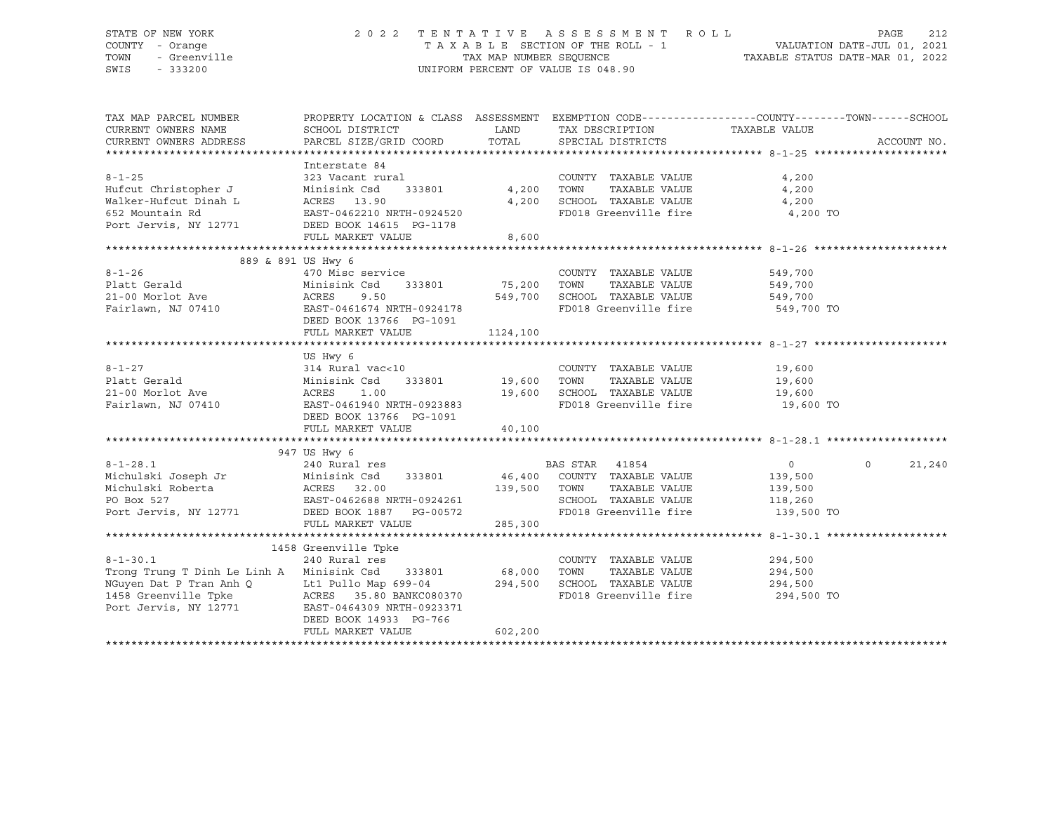## STATE OF NEW YORK 2 0 2 2 T E N T A T I V E A S S E S S M E N T R O L L PAGE 212 COUNTY - Orange T A X A B L E SECTION OF THE ROLL - 1 VALUATION DATE-JUL 01, 2021 TOWN - Greenville TAX MAP NUMBER SEQUENCE TAXABLE STATUS DATE-MAR 01, 2022 SWIS - 333200 UNIFORM PERCENT OF VALUE IS 048.90

| TAX MAP PARCEL NUMBER<br>CURRENT OWNERS NAME<br>CURRENT OWNERS ADDRESS | PROPERTY LOCATION & CLASS ASSESSMENT EXEMPTION CODE---------------COUNTY-------TOWN------SCHOOL<br>SCHOOL DISTRICT<br>PARCEL SIZE/GRID COORD | LAND<br>TOTAL      | TAX DESCRIPTION TAXABLE VALUE<br>SPECIAL DISTRICTS    |                            | ACCOUNT NO. |
|------------------------------------------------------------------------|----------------------------------------------------------------------------------------------------------------------------------------------|--------------------|-------------------------------------------------------|----------------------------|-------------|
|                                                                        |                                                                                                                                              |                    |                                                       |                            |             |
|                                                                        | Interstate 84                                                                                                                                |                    |                                                       |                            |             |
| $8 - 1 - 25$                                                           | 323 Vacant rural                                                                                                                             |                    | COUNTY TAXABLE VALUE                                  | 4,200                      |             |
| Hufcut Christopher J                                                   | 333801 4,200<br>Minisink Csd                                                                                                                 |                    | TOWN<br>TAXABLE VALUE                                 | 4,200                      |             |
| Walker-Hufcut Dinah L                                                  |                                                                                                                                              | 4,200              | SCHOOL TAXABLE VALUE                                  | 4,200                      |             |
| 652 Mountain Rd                                                        | ACRES 13.90<br>EAST-0462210 NRTH-0924520                                                                                                     |                    | FD018 Greenville fire                                 | 4,200 TO                   |             |
| Port Jervis, NY 12771 DEED BOOK 14615 PG-1178                          |                                                                                                                                              |                    |                                                       |                            |             |
|                                                                        | FULL MARKET VALUE                                                                                                                            | 8,600              |                                                       |                            |             |
|                                                                        |                                                                                                                                              |                    |                                                       |                            |             |
| 889 & 891 US Hwy 6                                                     |                                                                                                                                              |                    |                                                       |                            |             |
| $8 - 1 - 26$                                                           | 470 Misc service                                                                                                                             |                    | COUNTY TAXABLE VALUE                                  | 549,700                    |             |
| Platt Gerald                                                           | Minisink Csd                                                                                                                                 | 333801 75,200 TOWN | TAXABLE VALUE 549,700                                 |                            |             |
|                                                                        |                                                                                                                                              | 549,700            | SCHOOL TAXABLE VALUE 549,700                          |                            |             |
|                                                                        |                                                                                                                                              |                    | FD018 Greenville fire                                 | 549,700 TO                 |             |
|                                                                        | DEED BOOK 13766 PG-1091<br>FULL MARKET VALUE                                                                                                 | 1124, 100          |                                                       |                            |             |
|                                                                        |                                                                                                                                              |                    |                                                       |                            |             |
|                                                                        | US Hwy 6                                                                                                                                     |                    |                                                       |                            |             |
|                                                                        | 314 Rural vac<10                                                                                                                             |                    | COUNTY TAXABLE VALUE                                  | 19,600                     |             |
|                                                                        | Minisink Csd                                                                                                                                 |                    | TOWN<br>TAXABLE VALUE                                 | 19,600                     |             |
|                                                                        | ACRES<br>1.00                                                                                                                                | 19,600             | SCHOOL TAXABLE VALUE 19,600                           |                            |             |
|                                                                        | EAST-0461940 NRTH-0923883                                                                                                                    |                    | FD018 Greenville fire                                 | 19,600 TO                  |             |
|                                                                        | DEED BOOK 13766 PG-1091                                                                                                                      |                    |                                                       |                            |             |
|                                                                        | FULL MARKET VALUE                                                                                                                            | 40,100             |                                                       |                            |             |
|                                                                        |                                                                                                                                              |                    |                                                       |                            |             |
|                                                                        | 947 US Hwy 6                                                                                                                                 |                    |                                                       |                            |             |
| $8 - 1 - 28.1$                                                         | 240 Rural res                                                                                                                                |                    | BAS STAR 41854                                        | $\overline{0}$<br>$\Omega$ | 21,240      |
|                                                                        | Minisink Csd 333801 46,400 COUNTY TAXABLE VALUE                                                                                              |                    |                                                       | 139,500                    |             |
|                                                                        |                                                                                                                                              | 139,500 TOWN       | TAXABLE VALUE                                         | 139,500                    |             |
|                                                                        |                                                                                                                                              |                    | SCHOOL TAXABLE VALUE 118,260<br>FD018 Greenville fire | 139,500 TO                 |             |
| Port Jervis, NY 12771 DEED BOOK 1887 PG-00572                          | FULL MARKET VALUE                                                                                                                            | 285,300            |                                                       |                            |             |
|                                                                        |                                                                                                                                              |                    |                                                       |                            |             |
|                                                                        | 1458 Greenville Tpke                                                                                                                         |                    |                                                       |                            |             |
| $8 - 1 - 30.1$                                                         | 240 Rural res                                                                                                                                |                    | COUNTY TAXABLE VALUE                                  | 294,500                    |             |
| Trong Trung T Dinh Le Linh A Minisink Csd                              | 333801 68,000                                                                                                                                |                    | TOWN<br>TAXABLE VALUE                                 | 294,500                    |             |
|                                                                        | Lt1 Pullo Map 699-04 294,500                                                                                                                 |                    | SCHOOL TAXABLE VALUE                                  | 294,500                    |             |
| NGuyen Dat P Tran Anh Q<br>1458 Greenville Tpke                        | ACRES 35.80 BANKC080370                                                                                                                      |                    | FD018 Greenville fire                                 | 294,500 TO                 |             |
| Port Jervis, NY 12771 EAST-0464309 NRTH-0923371                        |                                                                                                                                              |                    |                                                       |                            |             |
|                                                                        | DEED BOOK 14933 PG-766                                                                                                                       |                    |                                                       |                            |             |
|                                                                        | FULL MARKET VALUE                                                                                                                            | 602,200            |                                                       |                            |             |
|                                                                        |                                                                                                                                              |                    |                                                       |                            |             |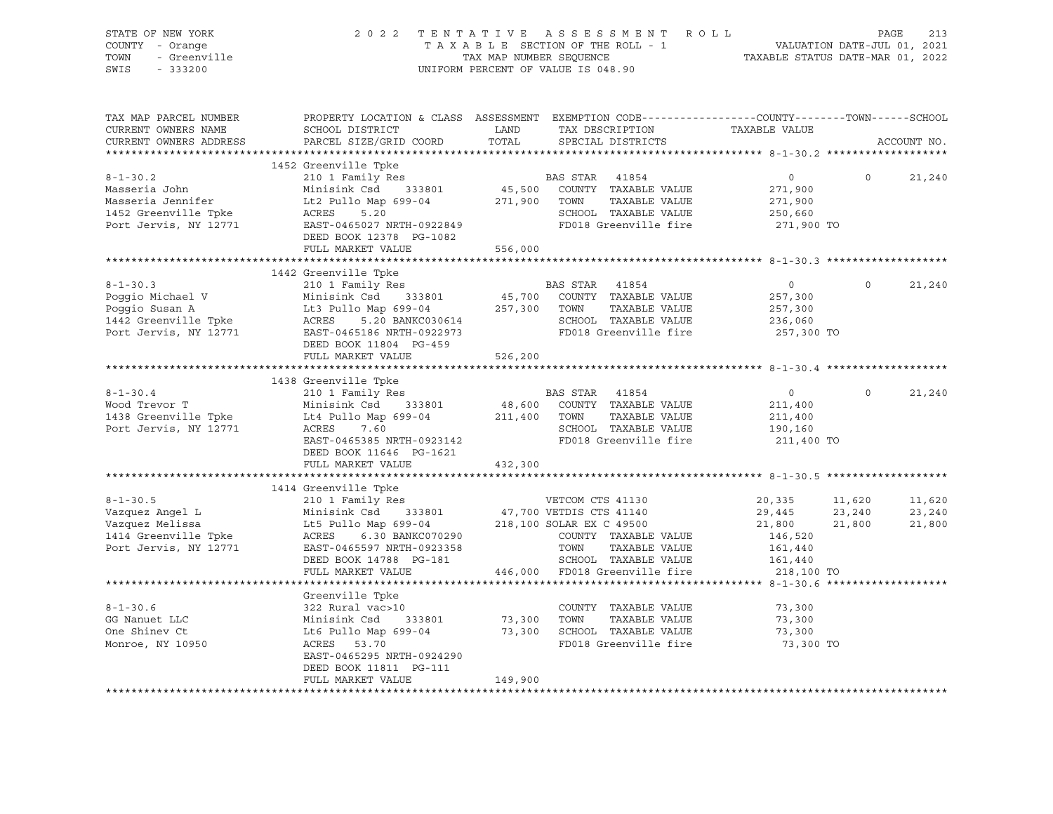| STATE OF NEW YORK<br>COUNTY - Orange<br>Or New 100<br>- Orange<br>- Greenville<br>TOWN<br>SWIS                                                                                                                                       |                                                                                                                                                                                                                                                                        |         | 2022 TENTATIVE ASSESSMENT ROLL<br>T A X A B L E SECTION OF THE ROLL - 1 VALUATION DATE-JUL 01, 2021<br>TAX MAP NUMBER SEQUENCE TAXABLE STATUS DATE-MAR 01, 2022<br>UNIFORM PERCENT OF VALUE IS 048.90 |                                                               |                | 213<br>PAGE                |
|--------------------------------------------------------------------------------------------------------------------------------------------------------------------------------------------------------------------------------------|------------------------------------------------------------------------------------------------------------------------------------------------------------------------------------------------------------------------------------------------------------------------|---------|-------------------------------------------------------------------------------------------------------------------------------------------------------------------------------------------------------|---------------------------------------------------------------|----------------|----------------------------|
| TAX MAP PARCEL NUMBER<br>CURRENT OWNERS NAME<br>CURRENT OWNERS ADDRESS                                                                                                                                                               | PROPERTY LOCATION & CLASS ASSESSMENT EXEMPTION CODE----------------COUNTY-------TOWN------SCHOOL                                                                                                                                                                       |         |                                                                                                                                                                                                       |                                                               |                | ACCOUNT NO.                |
|                                                                                                                                                                                                                                      | 1452 Greenville Tpke                                                                                                                                                                                                                                                   |         |                                                                                                                                                                                                       |                                                               |                |                            |
| $8 - 1 - 30.2$                                                                                                                                                                                                                       | Masseria John Minisink Csd 333801 45,500 COUNTY<br>Masseria Jennifer Lt2 Pullo Map 699-04 271,900 TOWN<br>1452 Greenville Tpke ACRES 5.20 SCHOOL<br>Port Jervis, NY 12771 EAST-0465027 NRTH-0922849 FD018 G1<br>DEED BOOK 12378 PG-1082                                |         | TAXABLE VALUE                                                                                                                                                                                         | 271,900<br>271,900<br>250,660<br>271,900 TO                   |                | 21,240                     |
|                                                                                                                                                                                                                                      | FULL MARKET VALUE                                                                                                                                                                                                                                                      | 556,000 |                                                                                                                                                                                                       |                                                               |                |                            |
|                                                                                                                                                                                                                                      | 1442 Greenville Tpke<br>210 1 Family Res<br>Poggio Michael V Minismik Csd 333801<br>Poggio Susan A Lt3 Dullo Map 699-04<br>257,300 TOWN TAXABLE VALUE<br>257,300 TOWN TAXABLE VALUE<br>257,300 TOWN TAXABLE VALUE<br>257,300 TOWN TAXABLE VA<br>DEED BOOK 11804 PG-459 |         |                                                                                                                                                                                                       | $\overline{0}$<br>257,300<br>257,300<br>236,060<br>257,300 TO | $\overline{0}$ | 21,240                     |
|                                                                                                                                                                                                                                      | FULL MARKET VALUE                                                                                                                                                                                                                                                      | 526,200 |                                                                                                                                                                                                       |                                                               |                |                            |
|                                                                                                                                                                                                                                      |                                                                                                                                                                                                                                                                        |         |                                                                                                                                                                                                       |                                                               |                |                            |
| Port Jervis, NY 12771                                                                                                                                                                                                                | ACRES 7.60<br>ACRES 7.60<br>EAST-0465385 NRTH-0923142<br>FD018 Greenville fire<br>DEED BOOK 11646 PG-1621<br>FULL MARKET VALUE 432,300                                                                                                                                 |         |                                                                                                                                                                                                       | $\overline{0}$<br>211,400<br>211,400<br>190,160<br>211,400 TO | $\Omega$       | 21,240                     |
|                                                                                                                                                                                                                                      |                                                                                                                                                                                                                                                                        |         |                                                                                                                                                                                                       |                                                               |                |                            |
| 1414 Greenville The Minisink Csd 33801 (17,700 VETCOM CTS 41130 20,335 11<br>1414 Greenville The Winters (17,700 VETDIS CTS 41140 29,445 23<br>1414 Greenville The LtS Pullo Map 699-04 218,100 SOLAR EX C 49500 21,800 21<br>1414 G |                                                                                                                                                                                                                                                                        |         |                                                                                                                                                                                                       | 20,335 11,620<br>29,445 23,240<br>21,800 21,800               |                | 11,620<br>23,240<br>21,800 |
|                                                                                                                                                                                                                                      |                                                                                                                                                                                                                                                                        |         |                                                                                                                                                                                                       |                                                               |                |                            |
| $8 - 1 - 30.6$<br>GG Nanuet LLC<br>One Shinev Ct<br>Monroe, NY 10950                                                                                                                                                                 | Greenville Tpke<br>322 Rural vac>10<br>Minisink Csd 333801 73,300 TOWN TAXABLE VALUE<br>Lt6 Pullo Map 699-04 73,300 SCHOOL TAXABLE VALUE<br>ACRES 53.70 FD018 Greenville fire<br>EAST-0465295 NRTH-0924290<br>DEED BOOK 11811 PG-111<br>FULL MARKET VALUE              | 149,900 | COUNTY TAXABLE VALUE<br>FD018 Greenville fire                                                                                                                                                         | 73,300<br>73,300<br>73,300<br>73,300 TO                       |                |                            |
|                                                                                                                                                                                                                                      |                                                                                                                                                                                                                                                                        |         |                                                                                                                                                                                                       |                                                               |                |                            |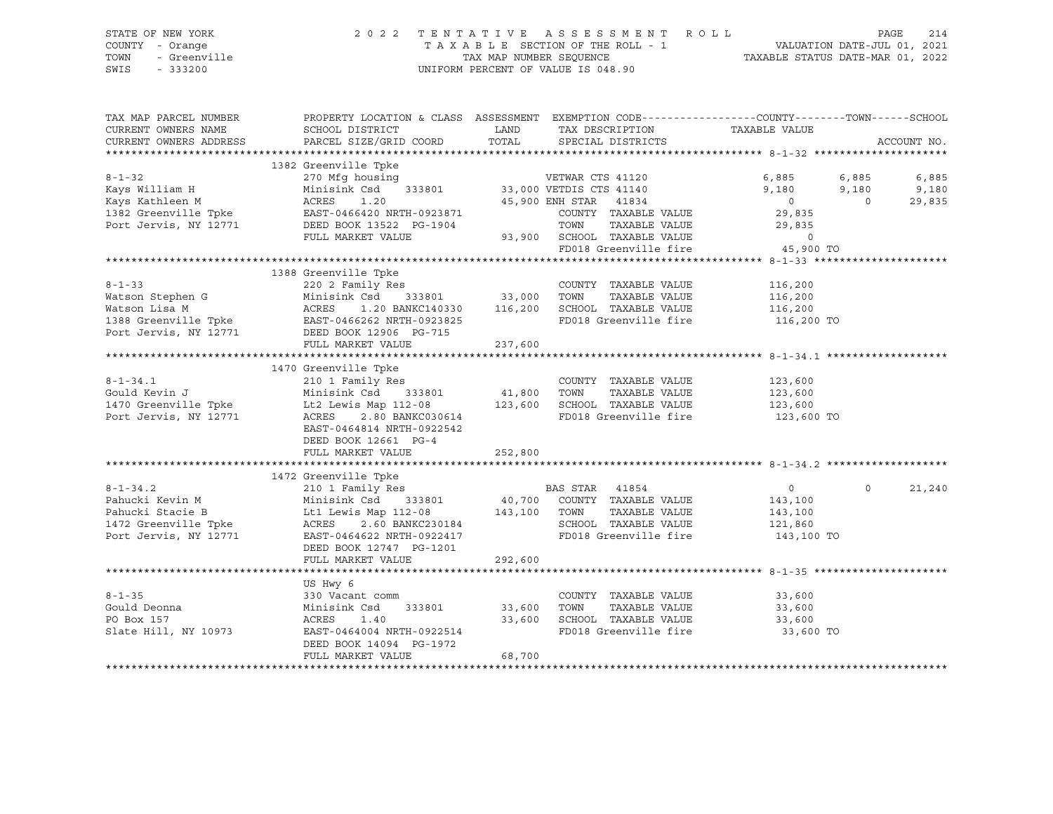#### STATE OF NEW YORK 2 0 2 2 T E N T A T I V E A S S E S S M E N T R O L L PAGE 214 COUNTY - Orange T A X A B L E SECTION OF THE ROLL - 1 VALUATION DATE-JUL 01, 2021 TOWN - Greenville TAX MAP NUMBER SEQUENCE TAXABLE STATUS DATE-MAR 01, 2022<br>TAXABLE STATUS DATE-MAR 01, 2022<br>SWIS - 333200 UNIFORM PERCENT OF VALUE IS 048.90

TAX MAP PARCEL NUMBER PROPERTY LOCATION & CLASS ASSESSMENT EXEMPTION CODE------------------COUNTY--------TOWN------SCHOOL CURRENT OWNERS NAME SCHOOL DISTRICT LAND TAX DESCRIPTION TAXABLE VALUE CURRENT OWNERS ADDRESS PARCEL SIZE/GRID COORD TOTAL SPECIAL DISTRICTS ACCOUNT NO. \*\*\*\*\*\*\*\*\*\*\*\*\*\*\*\*\*\*\*\*\*\*\*\*\*\*\*\*\*\*\*\*\*\*\*\*\*\*\*\*\*\*\*\*\*\*\*\*\*\*\*\*\*\*\*\*\*\*\*\*\*\*\*\*\*\*\*\*\*\*\*\*\*\*\*\*\*\*\*\*\*\*\*\*\*\*\*\*\*\*\*\*\*\*\*\*\*\*\*\*\*\*\* 8-1-32 \*\*\*\*\*\*\*\*\*\*\*\*\*\*\*\*\*\*\*\*\* 1382 Greenville Tpke 8-1-32 270 Mfg housing VETWAR CTS 41120 6,885 6,885 6,885 Kays William H Minisink Csd 333801 33,000 VETDIS CTS 41140 9,180 9,180 9,180 Kays Kathleen M ACRES 1.20 45,900 ENH STAR 41834 0 0 29,835 1382 Greenville Tpke EAST-0466420 NRTH-0923871 COUNTY TAXABLE VALUE 29,835 Port Jervis, NY 12771 DEED BOOK 13522 PG-1904 TOWN TAXABLE VALUE 29,835 FULL MARKET VALUE 93,900 SCHOOL TAXABLE VALUE 0 FD018 Greenville fire 315,900 TO 45,900 TO \*\*\*\*\*\*\*\*\*\*\*\*\*\*\*\*\*\*\*\*\*\*\*\*\*\*\*\*\*\*\*\*\*\*\*\*\*\*\*\*\*\*\*\*\*\*\*\*\*\*\*\*\*\*\*\*\*\*\*\*\*\*\*\*\*\*\*\*\*\*\*\*\*\*\*\*\*\*\*\*\*\*\*\*\*\*\*\*\*\*\*\*\*\*\*\*\*\*\*\*\*\*\* 8-1-33 \*\*\*\*\*\*\*\*\*\*\*\*\*\*\*\*\*\*\*\*\* 1388 Greenville Tpke 8-1-33 220 2 Family Res COUNTY TAXABLE VALUE 116,200 Watson Stephen G Minisink Csd 333801 33,000 TOWN TAXABLE VALUE 116,200 Watson Lisa M ACRES 1.20 BANKC140330 116,200 SCHOOL TAXABLE VALUE 116,200 1388 Greenville Tpke EAST-0466262 NRTH-0923825 FD018 Greenville fire 116,200 TO Port Jervis, NY 12771 DEED BOOK 12906 PG-715 FULL MARKET VALUE 237,600 \*\*\*\*\*\*\*\*\*\*\*\*\*\*\*\*\*\*\*\*\*\*\*\*\*\*\*\*\*\*\*\*\*\*\*\*\*\*\*\*\*\*\*\*\*\*\*\*\*\*\*\*\*\*\*\*\*\*\*\*\*\*\*\*\*\*\*\*\*\*\*\*\*\*\*\*\*\*\*\*\*\*\*\*\*\*\*\*\*\*\*\*\*\*\*\*\*\*\*\*\*\*\* 8-1-34.1 \*\*\*\*\*\*\*\*\*\*\*\*\*\*\*\*\*\*\* 1470 Greenville Tpke<br>8-1-34.1 210 1 Family Res 8-1-34.1 210 1 Family Res COUNTY TAXABLE VALUE 123,600 Gould Kevin J Minisink Csd 333801 41,800 TOWN TAXABLE VALUE 123,600 1470 Greenville Tpke Lt2 Lewis Map 112-08 123,600 SCHOOL TAXABLE VALUE 123,600 Port Jervis, NY 12771 ACRES 2.80 BANKC030614 FD018 Greenville fire 123,600 TO EAST-0464814 NRTH-0922542 DEED BOOK 12661 PG-4 FULL MARKET VALUE 252,800 \*\*\*\*\*\*\*\*\*\*\*\*\*\*\*\*\*\*\*\*\*\*\*\*\*\*\*\*\*\*\*\*\*\*\*\*\*\*\*\*\*\*\*\*\*\*\*\*\*\*\*\*\*\*\*\*\*\*\*\*\*\*\*\*\*\*\*\*\*\*\*\*\*\*\*\*\*\*\*\*\*\*\*\*\*\*\*\*\*\*\*\*\*\*\*\*\*\*\*\*\*\*\* 8-1-34.2 \*\*\*\*\*\*\*\*\*\*\*\*\*\*\*\*\*\*\* 1472 Greenville Tpke 8-1-34.2 210 1 Family Res BAS STAR 41854 0 0 21,240 Pahucki Kevin M Minisink Csd 333801 40,700 COUNTY TAXABLE VALUE 143,100 Pahucki Stacie B Lt1 Lewis Map 112-08 143,100 TOWN TAXABLE VALUE 143,100 1472 Greenville Tpke ACRES 2.60 BANKC230184 SCHOOL TAXABLE VALUE 121,860 Port Jervis, NY 12771 EAST-0464622 NRTH-0922417 FD018 Greenville fire 143,100 TO DEED BOOK 12747 PG-1201 FULL MARKET VALUE 292,600 \*\*\*\*\*\*\*\*\*\*\*\*\*\*\*\*\*\*\*\*\*\*\*\*\*\*\*\*\*\*\*\*\*\*\*\*\*\*\*\*\*\*\*\*\*\*\*\*\*\*\*\*\*\*\*\*\*\*\*\*\*\*\*\*\*\*\*\*\*\*\*\*\*\*\*\*\*\*\*\*\*\*\*\*\*\*\*\*\*\*\*\*\*\*\*\*\*\*\*\*\*\*\* 8-1-35 \*\*\*\*\*\*\*\*\*\*\*\*\*\*\*\*\*\*\*\*\* US Hwy 6 8-1-35 330 Vacant comm COUNTY TAXABLE VALUE 33,600 Gould Deonna Minisink Csd 333801 33,600 TOWN TAXABLE VALUE 33,600 PO Box 157 ACRES 1.40 33,600 SCHOOL TAXABLE VALUE 33,600 Slate Hill, NY 10973 EAST-0464004 NRTH-0922514 FD018 Greenville fire 33,600 TO DEED BOOK 14094 PG-1972 FULL MARKET VALUE 68,700 \*\*\*\*\*\*\*\*\*\*\*\*\*\*\*\*\*\*\*\*\*\*\*\*\*\*\*\*\*\*\*\*\*\*\*\*\*\*\*\*\*\*\*\*\*\*\*\*\*\*\*\*\*\*\*\*\*\*\*\*\*\*\*\*\*\*\*\*\*\*\*\*\*\*\*\*\*\*\*\*\*\*\*\*\*\*\*\*\*\*\*\*\*\*\*\*\*\*\*\*\*\*\*\*\*\*\*\*\*\*\*\*\*\*\*\*\*\*\*\*\*\*\*\*\*\*\*\*\*\*\*\*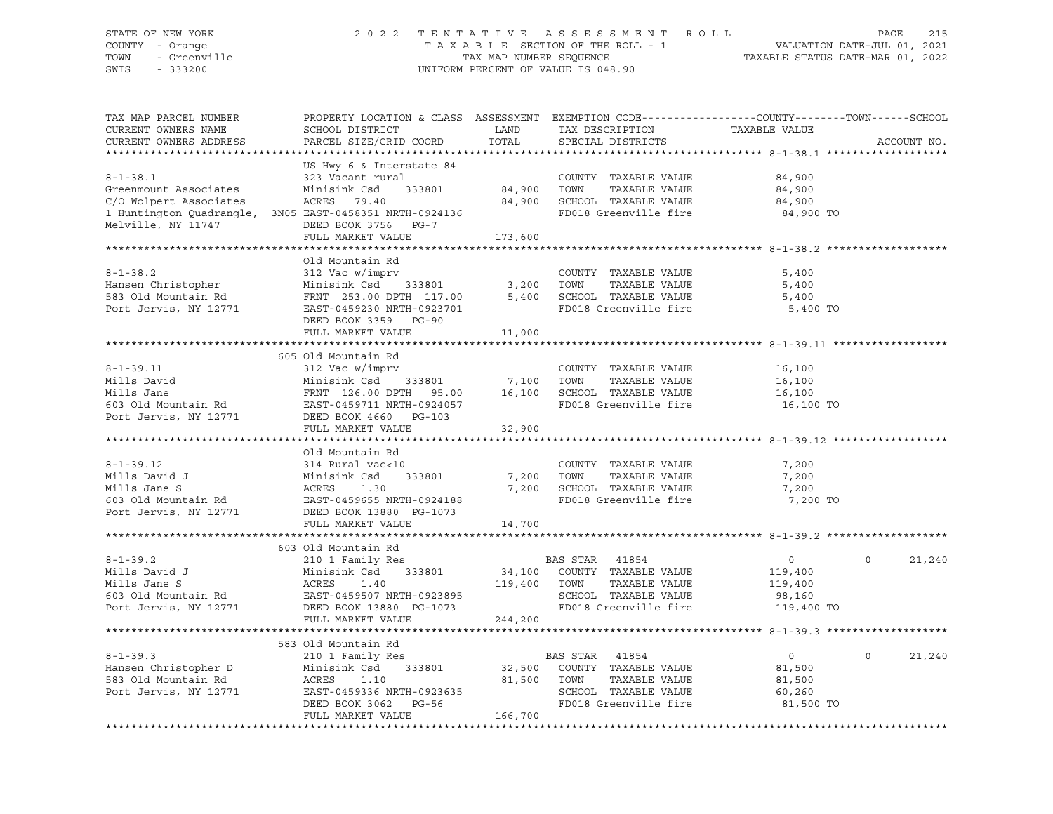## STATE OF NEW YORK 2 0 2 2 T E N T A T I V E A S S E S S M E N T R O L L PAGE 215 COUNTY - Orange T A X A B L E SECTION OF THE ROLL - 1 VALUATION DATE-JUL 01, 2021 TOWN - Greenville TAX MAP NUMBER SEQUENCE TAXABLE STATUS DATE-MAR 01, 2022 SWIS - 333200 UNIFORM PERCENT OF VALUE IS 048.90

| TAX MAP PARCEL NUMBER<br>CURRENT OWNERS NAME<br>CURRENT OWNERS ADDRESS                  | PROPERTY LOCATION & CLASS ASSESSMENT EXEMPTION CODE----------------COUNTY-------TOWN------SCHOOL<br>SCHOOL DISTRICT<br>PARCEL SIZE/GRID COORD                                                                                                                                                           | LAND<br>TOTAL               | TAX DESCRIPTION<br>SPECIAL DISTRICTS                                                                            | TAXABLE VALUE                                                | ACCOUNT NO.        |
|-----------------------------------------------------------------------------------------|---------------------------------------------------------------------------------------------------------------------------------------------------------------------------------------------------------------------------------------------------------------------------------------------------------|-----------------------------|-----------------------------------------------------------------------------------------------------------------|--------------------------------------------------------------|--------------------|
|                                                                                         |                                                                                                                                                                                                                                                                                                         |                             |                                                                                                                 |                                                              |                    |
| $8 - 1 - 38.1$<br>Greenmount Associates<br>C/O Wolpert Associates<br>Melville, NY 11747 | US Hwy 6 & Interstate 84<br>323 Vacant rural<br>Minisink Csd 333801<br>ACRES 79.40<br>1 Huntington Quadrangle, 3N05 EAST-0458351 NRTH-0924136<br>DEED BOOK 3756 PG-7                                                                                                                                    | COUNTY<br>84,900       TOWN | COUNTY TAXABLE VALUE<br>TAXABLE VALUE<br>84,900 SCHOOL TAXABLE VALUE<br>FD018 Greenville fire                   | 84,900<br>84,900<br>84,900<br>84,900 TO                      |                    |
|                                                                                         | FULL MARKET VALUE                                                                                                                                                                                                                                                                                       | 173,600                     |                                                                                                                 |                                                              |                    |
|                                                                                         |                                                                                                                                                                                                                                                                                                         |                             |                                                                                                                 |                                                              |                    |
| $8 - 1 - 38.2$                                                                          | Old Mountain Rd<br>312 Vac w/imprv<br>Hansen Christopher Minisink Csd 333801 3,200 TOWN TAXABLE VALUE<br>583 Old Mountain Rd FRNT 253.00 DPTH 117.00 5,400 SCHOOL TAXABLE VALUE<br>Port Jervis, NY 12771 EAST-0459230 NRTH-0923701 FD018 Greenville fire<br>DEED BOOK 3359 PG-90                        |                             | COUNTY TAXABLE VALUE<br>FD018 Greenville fire                                                                   | 5,400<br>5,400<br>5,400<br>5,400 TO                          |                    |
|                                                                                         | FULL MARKET VALUE                                                                                                                                                                                                                                                                                       | 11,000                      |                                                                                                                 |                                                              |                    |
|                                                                                         |                                                                                                                                                                                                                                                                                                         |                             |                                                                                                                 |                                                              |                    |
| $8 - 1 - 39.11$                                                                         | 605 Old Mountain Rd<br>312 Vac w/imprv<br>Mills David<br>Minisink Csd 333801 7,100 TOWN TAXABLE VALUE<br>Minisink Csd 333801 7,100 TOWN TAXABLE VALUE<br>FRNT 126.00 DPTH 95.00 16,100 SCHOOL TAXABLE VALUE<br>FO18 Greenville fire<br>Port Jervis, NY 12771 DEED BOOK 4660 PG-103<br>FULL MARKET VALUE | 32,900                      | COUNTY TAXABLE VALUE                                                                                            | 16,100<br>16,100<br>16,100<br>16,100 TO                      |                    |
|                                                                                         |                                                                                                                                                                                                                                                                                                         |                             |                                                                                                                 |                                                              |                    |
| $8-1-39.12$<br>Mills David J                                                            | Old Mountain Rd<br>314 Rural vac<10<br>Mills David J<br>Minisink Csd 333801<br>Minisink Csd 333801<br>Minisink Csd 333801<br>Minisink Csd 333801<br>Minisink Csd 333801<br>Minisink Csd 333801<br>DEED BOOK 13880 PG-1073                                                                               | 7,200 TOWN                  | COUNTY TAXABLE VALUE<br>TAXABLE VALUE<br>7,200 SCHOOL TAXABLE VALUE<br>FD018 Greenville fire                    | 7,200<br>7,200<br>7,200<br>7,200 TO                          |                    |
|                                                                                         | FULL MARKET VALUE                                                                                                                                                                                                                                                                                       | 14,700                      |                                                                                                                 |                                                              |                    |
|                                                                                         |                                                                                                                                                                                                                                                                                                         |                             |                                                                                                                 |                                                              |                    |
| $8 - 1 - 39.2$<br>Port Jervis, NY 12771                                                 | 603 Old Mountain Rd<br>210 1 Family Res<br>Minisink Csd 333801<br>8-1-39.2<br>Mills David J<br>Minisink Csd 333801<br>Minisink Csd 333801<br>Minisink Csd 333801<br>Minisink Csd 333801<br>Minisink Csd 333801<br>EAST-0459507 NRTH-0923895<br>DEED BOOK 13880 PG-1073<br>FULL MARKET VALUE             | 119,400 TOWN<br>244,200     | BAS STAR 41854<br>34,100 COUNTY TAXABLE VALUE<br>TAXABLE VALUE<br>SCHOOL TAXABLE VALUE<br>FD018 Greenville fire | $\overline{0}$<br>119,400<br>119,400<br>98,160<br>119,400 TO | 21,240<br>$\Omega$ |
|                                                                                         |                                                                                                                                                                                                                                                                                                         |                             |                                                                                                                 |                                                              |                    |
|                                                                                         | 583 Old Mountain Rd<br>Examples 11 Ramily Res<br>Hansen Christopher D<br>583 Old Mountain Rd<br>70 Ramily Res<br>710 Rort Jervis, NY 12771<br>828T-0459336 NRTH-0923635<br>1.10 1.10<br>EAST-0459336 NRTH-0923635<br>DEED BOOK 3062 PG-56 FD018 Gr<br>FULL MARKET VALUE                                 |                             | BAS STAR 41854<br>32,500 COUNTY TAXABLE VALUE<br>TAXABLE VALUE<br>SCHOOL TAXABLE VALUE<br>FD018 Greenville fire | $\overline{0}$<br>81,500<br>81,500<br>60,260<br>81,500 TO    | $\Omega$<br>21,240 |
|                                                                                         |                                                                                                                                                                                                                                                                                                         |                             |                                                                                                                 |                                                              |                    |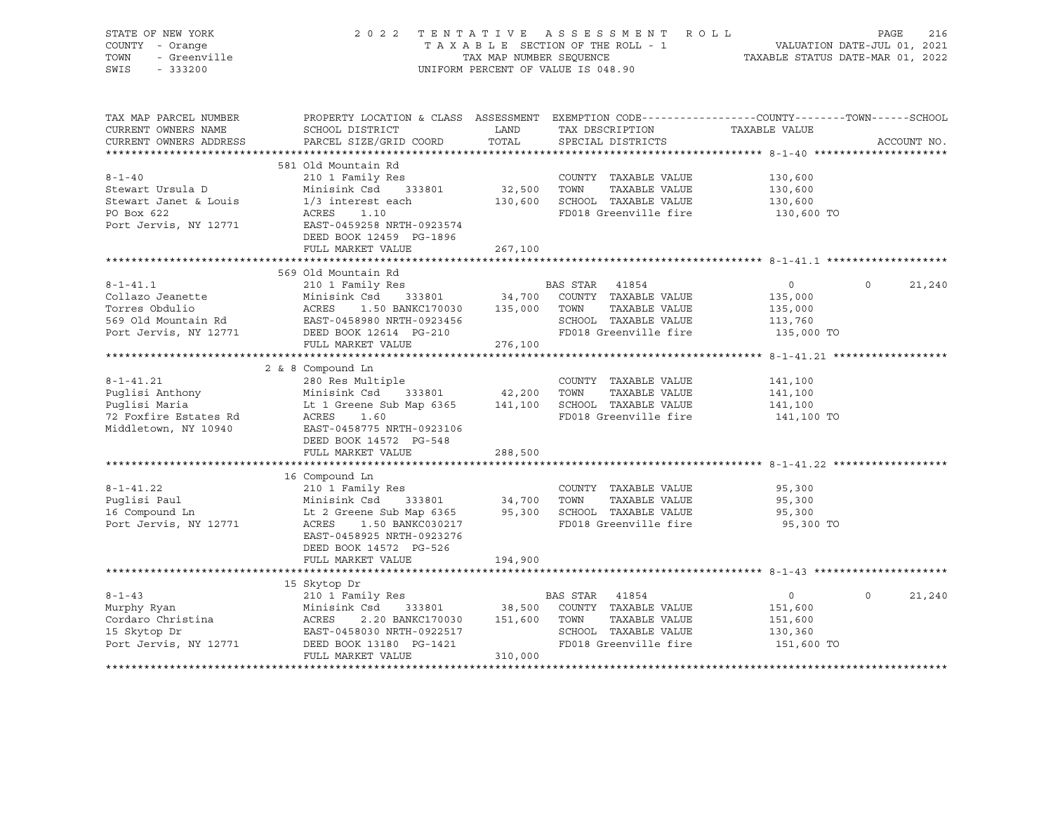| STATE OF NEW YORK                | 2 0 2 2                                                                                          |                         | TENTATIVE ASSESSMENT ROLL          |                                                                 | PAGE     | 216         |
|----------------------------------|--------------------------------------------------------------------------------------------------|-------------------------|------------------------------------|-----------------------------------------------------------------|----------|-------------|
| COUNTY - Orange                  |                                                                                                  |                         | TAXABLE SECTION OF THE ROLL - 1    | VALUATION DATE-JUL 01, 2021<br>TAXABLE STATUS DATE-MAR 01, 2022 |          |             |
| - Greenville<br>TOWN             |                                                                                                  | TAX MAP NUMBER SEOUENCE |                                    |                                                                 |          |             |
| SWIS<br>$-333200$                |                                                                                                  |                         | UNIFORM PERCENT OF VALUE IS 048.90 |                                                                 |          |             |
|                                  |                                                                                                  |                         |                                    |                                                                 |          |             |
|                                  |                                                                                                  |                         |                                    |                                                                 |          |             |
| TAX MAP PARCEL NUMBER            | PROPERTY LOCATION & CLASS ASSESSMENT EXEMPTION CODE----------------COUNTY-------TOWN------SCHOOL |                         |                                    |                                                                 |          |             |
| CURRENT OWNERS NAME              | SCHOOL DISTRICT                                                                                  | LAND                    | TAX DESCRIPTION                    | TAXABLE VALUE                                                   |          |             |
| CURRENT OWNERS ADDRESS           | PARCEL SIZE/GRID COORD                                                                           | TOTAL                   | SPECIAL DISTRICTS                  |                                                                 |          | ACCOUNT NO. |
|                                  |                                                                                                  |                         |                                    |                                                                 |          |             |
|                                  | 581 Old Mountain Rd                                                                              |                         |                                    |                                                                 |          |             |
| $8 - 1 - 40$                     | 210 1 Family Res                                                                                 |                         | COUNTY TAXABLE VALUE               | 130,600                                                         |          |             |
| Stewart Ursula D                 | Minisink Csd<br>333801                                                                           | 32,500 TOWN             | TAXABLE VALUE                      | 130,600                                                         |          |             |
| Stewart Janet & Louis            | $1/3$ interest each                                                                              |                         | 130,600 SCHOOL TAXABLE VALUE       | 130,600                                                         |          |             |
| PO Box 622                       | ACRES<br>1.10                                                                                    |                         | FD018 Greenville fire              | 130,600 TO                                                      |          |             |
| Port Jervis, NY 12771            | EAST-0459258 NRTH-0923574                                                                        |                         |                                    |                                                                 |          |             |
|                                  | DEED BOOK 12459 PG-1896                                                                          |                         |                                    |                                                                 |          |             |
|                                  | FULL MARKET VALUE                                                                                | 267,100                 |                                    |                                                                 |          |             |
|                                  |                                                                                                  |                         |                                    |                                                                 |          |             |
|                                  | 569 Old Mountain Rd                                                                              |                         |                                    |                                                                 |          |             |
| $8 - 1 - 41.1$                   | 210 1 Family Res                                                                                 |                         | BAS STAR 41854                     | $\overline{0}$                                                  | $\circ$  | 21,240      |
| Collazo Jeanette                 |                                                                                                  |                         |                                    | 135,000                                                         |          |             |
| Torres Obdulio                   |                                                                                                  |                         | TAXABLE VALUE                      | 135,000                                                         |          |             |
|                                  | EAST-0458980 NRTH-0923456                                                                        |                         | SCHOOL TAXABLE VALUE               | 113,760                                                         |          |             |
|                                  | 569 Old Mountain Rd<br>Port Jervis, NY 12771 DEED BOOK 12614 PG-210                              |                         | FD018 Greenville fire 135,000 TO   |                                                                 |          |             |
|                                  | FULL MARKET VALUE                                                                                | 276,100                 |                                    |                                                                 |          |             |
|                                  |                                                                                                  |                         |                                    |                                                                 |          |             |
|                                  | 2 & 8 Compound Ln                                                                                |                         |                                    |                                                                 |          |             |
| $8 - 1 - 41.21$                  | 280 Res Multiple                                                                                 |                         | COUNTY TAXABLE VALUE               | 141,100                                                         |          |             |
|                                  | Minisink Csd<br>$333801$ $42,200$                                                                |                         | TOWN<br>TAXABLE VALUE              | 141,100                                                         |          |             |
| Puglisi Anthony<br>Puglisi Maria | Lt 1 Greene Sub Map 6365 141,100 SCHOOL TAXABLE VALUE                                            |                         |                                    | 141,100                                                         |          |             |
| 72 Foxfire Estates Rd            | ACRES<br>1.60                                                                                    |                         | FD018 Greenville fire              | 141,100 TO                                                      |          |             |
| Middletown, NY 10940             | EAST-0458775 NRTH-0923106                                                                        |                         |                                    |                                                                 |          |             |
|                                  | DEED BOOK 14572 PG-548                                                                           |                         |                                    |                                                                 |          |             |
|                                  | FULL MARKET VALUE                                                                                | 288,500                 |                                    |                                                                 |          |             |
|                                  |                                                                                                  |                         |                                    |                                                                 |          |             |
|                                  | 16 Compound Ln                                                                                   |                         |                                    |                                                                 |          |             |
| $8 - 1 - 41.22$                  |                                                                                                  |                         | COUNTY TAXABLE VALUE               | 95,300                                                          |          |             |
| Puglisi Paul                     | 210 1 Family Res<br>Minisink Csd     333801                                                      | 34,700 TOWN             | TAXABLE VALUE                      | 95,300                                                          |          |             |
| 16 Compound Ln                   |                                                                                                  |                         | 95,300 SCHOOL TAXABLE VALUE        | 95,300                                                          |          |             |
| Port Jervis, NY 12771            | 1.50 BANKC030217<br>ACRES                                                                        |                         | FD018 Greenville fire              | 95,300 TO                                                       |          |             |
|                                  | EAST-0458925 NRTH-0923276                                                                        |                         |                                    |                                                                 |          |             |
|                                  | DEED BOOK 14572 PG-526                                                                           |                         |                                    |                                                                 |          |             |
|                                  | FULL MARKET VALUE                                                                                | 194,900                 |                                    |                                                                 |          |             |
|                                  |                                                                                                  |                         |                                    |                                                                 |          |             |
|                                  | 15 Skytop Dr                                                                                     |                         |                                    |                                                                 |          |             |
| $8 - 1 - 43$                     | 210 1 Family Res                                                                                 |                         | BAS STAR 41854                     | $\overline{0}$                                                  | $\Omega$ | 21,240      |
| Murphy Ryan                      | 333801 38,500<br>Minisink Csd                                                                    |                         | COUNTY TAXABLE VALUE               | 151,600                                                         |          |             |
| Cordaro Christina                | Minisi<br>ACRES<br>2.20 BANKC170030 151,600                                                      |                         | TOWN<br>TAXABLE VALUE              | 151,600                                                         |          |             |
| 15 Skytop Dr                     | EAST-0458030 NRTH-0922517                                                                        |                         | SCHOOL TAXABLE VALUE               | 130,360                                                         |          |             |
| Port Jervis, NY 12771            | DEED BOOK 13180 PG-1421                                                                          |                         | FD018 Greenville fire              | 151,600 TO                                                      |          |             |
|                                  | FULL MARKET VALUE                                                                                | 310,000                 |                                    |                                                                 |          |             |
|                                  |                                                                                                  |                         |                                    |                                                                 |          |             |
|                                  |                                                                                                  |                         |                                    |                                                                 |          |             |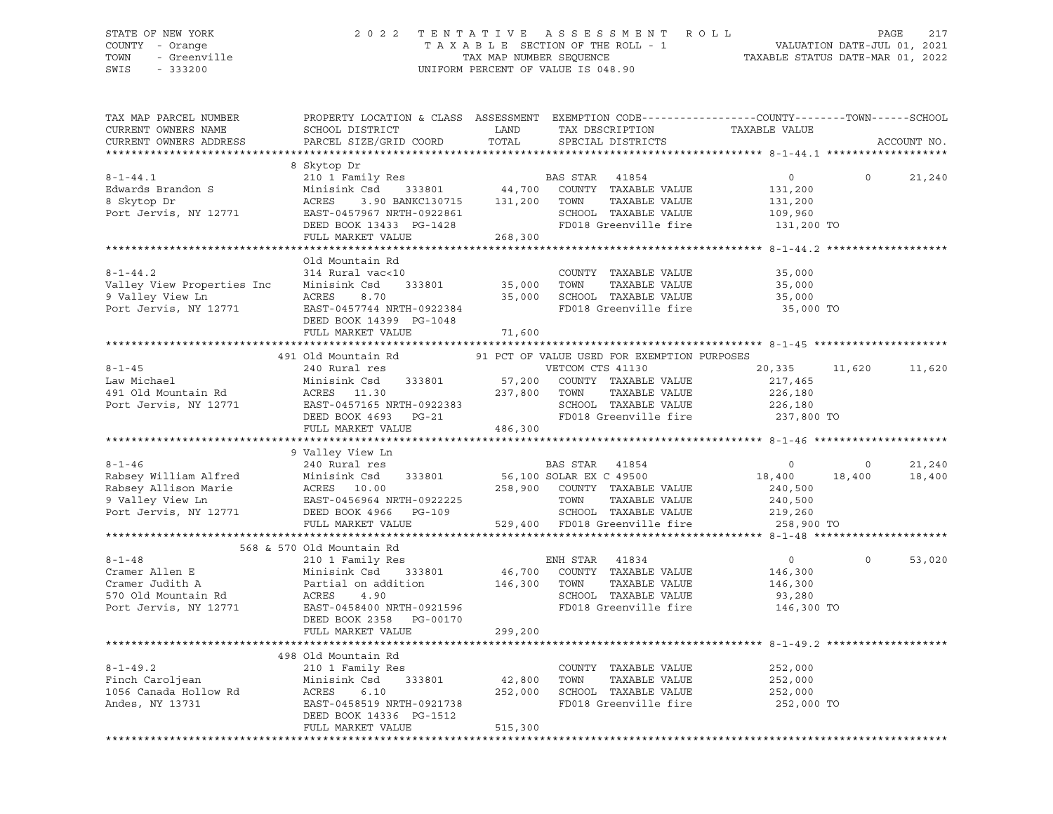### STATE OF NEW YORK 2 0 2 2 T E N T A T I V E A S S E S S M E N T R O L L PAGE 217 COUNTY - Orange T A X A B L E SECTION OF THE ROLL - 1 VALUATION DATE-JUL 01, 2021 TOWN - Greenville TAX MAP NUMBER SEQUENCE TAXABLE STATUS DATE-MAR 01, 2022 SWIS - 333200 UNIFORM PERCENT OF VALUE IS 048.90

| TAX MAP PARCEL NUMBER<br>CURRENT OWNERS NAME<br>CURRENT OWNERS ADDRESS                                                            | PROPERTY LOCATION & CLASS ASSESSMENT EXEMPTION CODE----------------COUNTY-------TOWN------SCHOOL<br>SCHOOL DISTRICT<br>PARCEL SIZE/GRID COORD                    | LAND<br>TOTAL     | TAX DESCRIPTION<br>SPECIAL DISTRICTS                                                                                                    | TAXABLE VALUE                                                 |                   | ACCOUNT NO.      |
|-----------------------------------------------------------------------------------------------------------------------------------|------------------------------------------------------------------------------------------------------------------------------------------------------------------|-------------------|-----------------------------------------------------------------------------------------------------------------------------------------|---------------------------------------------------------------|-------------------|------------------|
| *************************                                                                                                         |                                                                                                                                                                  |                   |                                                                                                                                         |                                                               |                   |                  |
| $8 - 1 - 44.1$<br>Edwards Brandon S<br>8 Skytop Dr<br>Port Jervis, NY 12771                                                       | 8 Skytop Dr<br>210 1 Family Res<br>Minisink Csd 333801<br>ACRES<br>3.90 BANKC130715<br>EAST-0457967 NRTH-0922861<br>DEED BOOK 13433 PG-1428<br>FULL MARKET VALUE | 268,300           | BAS STAR    41854<br>44,700    COUNTY   TAXABLE VALUE<br>131,200 TOWN<br>TAXABLE VALUE<br>SCHOOL TAXABLE VALUE<br>FD018 Greenville fire | $\overline{0}$<br>131,200<br>131,200<br>109,960<br>131,200 TO | $\circ$           | 21,240           |
|                                                                                                                                   |                                                                                                                                                                  |                   |                                                                                                                                         |                                                               |                   |                  |
| $8 - 1 - 44.2$<br>Valley View Properties Inc<br>9 Valley View Ln<br>Port Jervis, NY 12771                                         | Old Mountain Rd<br>314 Rural vac<10<br>Minisink Csd<br>333801<br>ACRES<br>8.70<br>EAST-0457744 NRTH-0922384<br>DEED BOOK 14399 PG-1048                           | 35,000 TOWN       | COUNTY TAXABLE VALUE<br>TAXABLE VALUE<br>35,000 SCHOOL TAXABLE VALUE<br>FD018 Greenville fire                                           | 35,000<br>35,000<br>35,000<br>35,000 TO                       |                   |                  |
|                                                                                                                                   | FULL MARKET VALUE                                                                                                                                                | 71,600            |                                                                                                                                         |                                                               |                   |                  |
|                                                                                                                                   |                                                                                                                                                                  |                   |                                                                                                                                         |                                                               |                   |                  |
| $8 - 1 - 45$<br>Law Michael                                                                                                       | 491 Old Mountain Rd<br>240 Rural res<br>Minisink Csd<br>333801                                                                                                   |                   | 91 PCT OF VALUE USED FOR EXEMPTION PURPOSES<br>VETCOM CTS 41130                                                                         | 20,335 11,620<br>217,465                                      |                   | 11,620           |
| 491 Old Mountain Rd<br>Port Issued<br>Port Jervis, NY 12771                                                                       | ACRES 11.30<br>EAST-0457165 NRTH-0922383<br>DEED BOOK 4693 PG-21<br>FULL MARKET VALUE                                                                            | 486,300           | 57,200   COUNTY  TAXABLE VALUE<br>237,800   TOWN     TAXABLE VALUE<br>SCHOOL TAXABLE VALUE<br>FD018 Greenville fire 237,800 TO          | 226,180<br>226,180                                            |                   |                  |
|                                                                                                                                   |                                                                                                                                                                  |                   |                                                                                                                                         |                                                               |                   |                  |
|                                                                                                                                   | 9 Valley View Ln                                                                                                                                                 |                   |                                                                                                                                         |                                                               |                   |                  |
| $8 - 1 - 46$<br>Rabsey William Alfred<br>Rabsey Allison Marie<br>9 Valley View Ln<br>Port Jervis, NY 12771                        | 240 Rural res<br>Minisink Csd<br>ACRES 10.00<br>Minisink Csd<br>333801<br>EAST-0456964 NRTH-0922225<br>DEED BOOK 4966 PG-109                                     |                   | BAS STAR 41854<br>56,100 SOLAR EX C 49500<br>258,900 COUNTY TAXABLE VALUE<br>TOWN<br>TAXABLE VALUE<br>SCHOOL TAXABLE VALUE              | $\circ$<br>18,400<br>240,500<br>240,500<br>219,260            | $\circ$<br>18,400 | 21,240<br>18,400 |
|                                                                                                                                   | FULL MARKET VALUE                                                                                                                                                |                   | 529,400 FD018 Greenville fire                                                                                                           | 258,900 TO                                                    |                   |                  |
|                                                                                                                                   | 568 & 570 Old Mountain Rd                                                                                                                                        |                   |                                                                                                                                         |                                                               |                   |                  |
| $8 - 1 - 48$<br>Cramer Allen E<br>Cramer Judith A<br>Cramer Judich A Partia<br>570 Old Mountain Rd ACRES<br>Port Jervis, NY 12771 | 210 1 Family Res<br>333801<br>Minisink Csd<br>Partial on addition<br>4.90<br>EAST-0458400 NRTH-0921596<br>DEED BOOK 2358 PG-00170                                | 146,300 TOWN      | ENH STAR 41834<br>46,700 COUNTY TAXABLE VALUE<br>TAXABLE VALUE<br>SCHOOL TAXABLE VALUE<br>FD018 Greenville fire                         | $\overline{0}$<br>146,300<br>146,300<br>93,280<br>146,300 TO  | $\Omega$          | 53,020           |
|                                                                                                                                   | FULL MARKET VALUE                                                                                                                                                | 299,200           |                                                                                                                                         |                                                               |                   |                  |
|                                                                                                                                   |                                                                                                                                                                  |                   |                                                                                                                                         |                                                               |                   |                  |
| $8 - 1 - 49.2$<br>Finch Caroljean<br>1056 Canada Hollow Rd<br>Andes, NY 13731                                                     | 498 Old Mountain Rd<br>210 1 Family Res<br>Minisink Csd<br>333801<br>ACRES<br>6.10<br>EAST-0458519 NRTH-0921738                                                  | 42,800<br>252,000 | COUNTY TAXABLE VALUE<br>TOWN<br>TAXABLE VALUE<br>SCHOOL TAXABLE VALUE<br>FD018 Greenville fire                                          | 252,000<br>252,000<br>252,000<br>252,000 TO                   |                   |                  |
|                                                                                                                                   | DEED BOOK 14336 PG-1512<br>FULL MARKET VALUE                                                                                                                     | 515,300           |                                                                                                                                         |                                                               |                   |                  |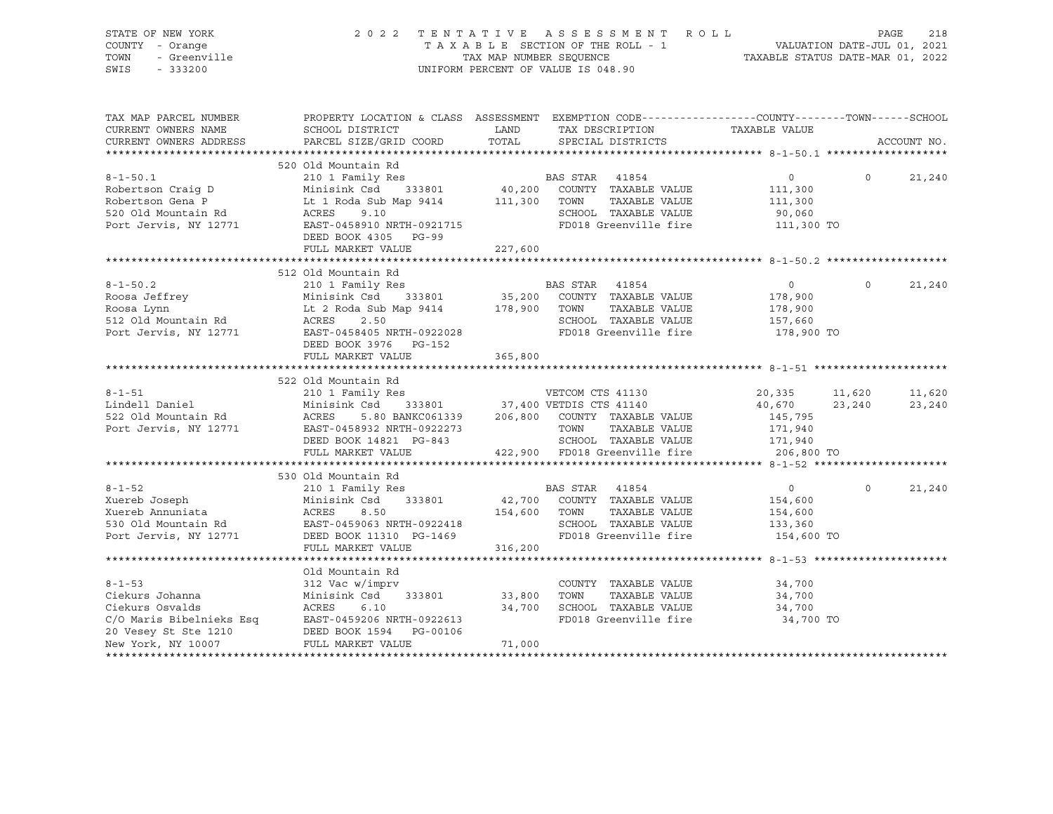| STATE OF NEW YORK<br>COUNTY - Orange<br>TOWN<br>- Greenville<br>SWIS<br>$-333200$ | 2 0 2 2                                                                                                                                                                                                                                 | TAX MAP NUMBER SEQUENCE | TENTATIVE ASSESSMENT ROLL<br>TAXABLE SECTION OF THE ROLL - 1<br>UNIFORM PERCENT OF VALUE IS 048.90 | LL - 1<br>VALUATION DATE-JUL 01, 2021<br>TAXABLE STATUS DATE-MAR 01, 2022 |          | 218<br>PAGE |
|-----------------------------------------------------------------------------------|-----------------------------------------------------------------------------------------------------------------------------------------------------------------------------------------------------------------------------------------|-------------------------|----------------------------------------------------------------------------------------------------|---------------------------------------------------------------------------|----------|-------------|
| TAX MAP PARCEL NUMBER<br>CURRENT OWNERS NAME                                      | PROPERTY LOCATION & CLASS ASSESSMENT EXEMPTION CODE-----------------COUNTY-------TOWN------SCHOOL<br>SCHOOL DISTRICT<br><b>EXAMPLE TO A LAND</b>                                                                                        |                         | TAX DESCRIPTION                                                                                    | TAXABLE VALUE                                                             |          |             |
| CURRENT OWNERS ADDRESS                                                            | PARCEL SIZE/GRID COORD                                                                                                                                                                                                                  | TOTAL                   | SPECIAL DISTRICTS                                                                                  |                                                                           |          | ACCOUNT NO. |
|                                                                                   |                                                                                                                                                                                                                                         |                         |                                                                                                    |                                                                           |          |             |
|                                                                                   | 520 Old Mountain Rd                                                                                                                                                                                                                     |                         |                                                                                                    |                                                                           |          |             |
| $8 - 1 - 50.1$                                                                    | 210 1 Family Res                                                                                                                                                                                                                        |                         | BAS STAR 41854                                                                                     | $\overline{0}$                                                            | $\Omega$ | 21,240      |
|                                                                                   |                                                                                                                                                                                                                                         |                         | 40,200 COUNTY TAXABLE VALUE                                                                        | 111,300                                                                   |          |             |
|                                                                                   | Robertson Craig D Minisink Csd 333801 40,200 COUNTY<br>Robertson Gena P Lt 1 Roda Sub Map 9414 111,300 TOWN<br>520 Old Mountain Rd ACRES 9.10 SCHOOL                                                                                    |                         | TAXABLE VALUE                                                                                      | 111,300                                                                   |          |             |
|                                                                                   | 520 Old Mountain Rd<br>Port Jervis, NY 12771<br>EAST-0458910 NRTH-0921715                                                                                                                                                               |                         | SCHOOL TAXABLE VALUE<br>FD018 Greenville fire 111,300 TO                                           | 90,060                                                                    |          |             |
|                                                                                   | DEED BOOK 4305 PG-99                                                                                                                                                                                                                    |                         |                                                                                                    |                                                                           |          |             |
|                                                                                   | FULL MARKET VALUE                                                                                                                                                                                                                       | 227,600                 |                                                                                                    |                                                                           |          |             |
|                                                                                   |                                                                                                                                                                                                                                         |                         |                                                                                                    |                                                                           |          |             |
|                                                                                   | 512 Old Mountain Rd                                                                                                                                                                                                                     |                         |                                                                                                    |                                                                           |          |             |
| $8 - 1 - 50.2$                                                                    | 210 1 Family Res                                                                                                                                                                                                                        |                         | BAS STAR 41854<br>35,200 COUNTY TAXABLE VALUE                                                      | $\overline{0}$                                                            | $\circ$  | 21,240      |
|                                                                                   |                                                                                                                                                                                                                                         |                         |                                                                                                    | 178,900                                                                   |          |             |
|                                                                                   | 8-1-50.2<br>Roosa Jeffrey Minisink Csd 333801 35,200 COUNTY TAXABLE VALUE<br>Roosa Lynn Lt 2 Roda Sub Map 9414 178,900 TOWN TAXABLE VALUE<br>512 Old Mountain Rd ACRES 2.50 SCHOOL TAXABLE VALUE                                        |                         |                                                                                                    | 178,900<br>157,660                                                        |          |             |
| Port Jervis, NY 12771                                                             |                                                                                                                                                                                                                                         |                         | SCHOOL TAXABLE VALUE                                                                               | 178,900 TO                                                                |          |             |
|                                                                                   | DEED BOOK 3976 PG-152                                                                                                                                                                                                                   |                         |                                                                                                    |                                                                           |          |             |
|                                                                                   | FULL MARKET VALUE                                                                                                                                                                                                                       | 365,800                 |                                                                                                    |                                                                           |          |             |
|                                                                                   |                                                                                                                                                                                                                                         |                         |                                                                                                    |                                                                           |          |             |
|                                                                                   | 522 Old Mountain Rd                                                                                                                                                                                                                     |                         |                                                                                                    |                                                                           |          |             |
| $8 - 1 - 51$                                                                      |                                                                                                                                                                                                                                         |                         |                                                                                                    | 20,335 11,620<br>40,670 23,240                                            |          | 11,620      |
|                                                                                   |                                                                                                                                                                                                                                         |                         |                                                                                                    |                                                                           |          | 23,240      |
|                                                                                   |                                                                                                                                                                                                                                         |                         |                                                                                                    | 145,795                                                                   |          |             |
|                                                                                   |                                                                                                                                                                                                                                         |                         |                                                                                                    | 171,940<br>171,940                                                        |          |             |
|                                                                                   | FULL MARKET VALUE                                                                                                                                                                                                                       |                         | 422,900 FD018 Greenville fire                                                                      | 206,800 TO                                                                |          |             |
|                                                                                   |                                                                                                                                                                                                                                         |                         |                                                                                                    |                                                                           |          |             |
|                                                                                   | 530 Old Mountain Rd                                                                                                                                                                                                                     |                         |                                                                                                    |                                                                           |          |             |
| $8 - 1 - 52$                                                                      | 210 1 Family Res                                                                                                                                                                                                                        |                         | BAS STAR 41854                                                                                     | $\overline{0}$                                                            | $\Omega$ | 21,240      |
| Xuereb Joseph                                                                     |                                                                                                                                                                                                                                         |                         | 42,700 COUNTY TAXABLE VALUE                                                                        | 154,600                                                                   |          |             |
| Xuereb Annuniata                                                                  | Minisink Csd 333801<br>ACRES 8.50<br>EAST-0459063 NRTH-0922418                                                                                                                                                                          | 154,600 TOWN            | TAXABLE VALUE                                                                                      | 154,600                                                                   |          |             |
| 530 Old Mountain Rd                                                               |                                                                                                                                                                                                                                         |                         | SCHOOL TAXABLE VALUE                                                                               | 133,360                                                                   |          |             |
| Port Jervis, NY 12771                                                             | DEED BOOK 11310 PG-1469                                                                                                                                                                                                                 |                         | FD018 Greenville fire                                                                              | 154,600 TO                                                                |          |             |
|                                                                                   | FULL MARKET VALUE                                                                                                                                                                                                                       | 316,200                 |                                                                                                    |                                                                           |          |             |
|                                                                                   | Old Mountain Rd                                                                                                                                                                                                                         |                         |                                                                                                    |                                                                           |          |             |
| $8 - 1 - 53$                                                                      | 312 Vac w/imprv                                                                                                                                                                                                                         |                         | COUNTY TAXABLE VALUE                                                                               | 34,700                                                                    |          |             |
|                                                                                   | Ciekurs Johanna Minisink Csd 333801 33,800 TOWN TAXABLE VALUE<br>Ciekurs Osvalds ACRES 6.10 34,700 SCHOOL TAXABLE VALUE<br>C/O Maris Bibelnieks Esq EAST-0459206 NRTH-0922613 FD018 Greenville fire<br>20 Vesey St Ste 1210 DEED BOOK 1 |                         |                                                                                                    |                                                                           |          |             |
|                                                                                   |                                                                                                                                                                                                                                         |                         |                                                                                                    | 34,700<br>34,700                                                          |          |             |
|                                                                                   |                                                                                                                                                                                                                                         |                         | FD018 Greenville fire                                                                              | 34,700 TO                                                                 |          |             |
|                                                                                   |                                                                                                                                                                                                                                         |                         |                                                                                                    |                                                                           |          |             |
| New York, NY 10007                                                                |                                                                                                                                                                                                                                         | 71,000                  |                                                                                                    |                                                                           |          |             |
|                                                                                   |                                                                                                                                                                                                                                         |                         |                                                                                                    |                                                                           |          |             |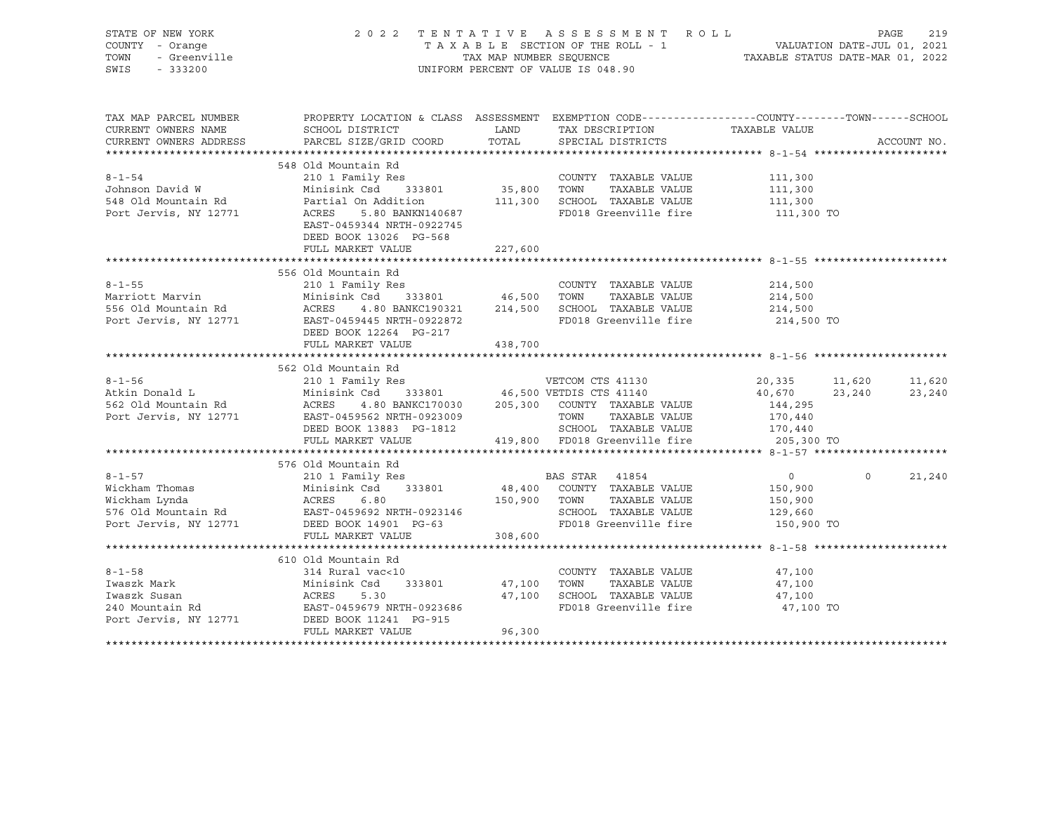| STATE OF NEW YORK<br>COUNTY - Orange<br>TOWN<br>- Greenville<br>SWIS<br>$-333200$       |                                                                                                                                                                                                  | TAX MAP NUMBER SEQUENCE       | 2022 TENTATIVE ASSESSMENT ROLL<br>TAXABLE SECTION OF THE ROLL - 1<br>UNIFORM PERCENT OF VALUE IS 048.90                         | VALUATION DATE-JUL 01, 2021<br>TAXABLE STATUS DATE-MAR 01, 2022        |          | PAGE<br>219      |
|-----------------------------------------------------------------------------------------|--------------------------------------------------------------------------------------------------------------------------------------------------------------------------------------------------|-------------------------------|---------------------------------------------------------------------------------------------------------------------------------|------------------------------------------------------------------------|----------|------------------|
| TAX MAP PARCEL NUMBER<br>CURRENT OWNERS NAME<br>CURRENT OWNERS ADDRESS                  | PROPERTY LOCATION & CLASS ASSESSMENT EXEMPTION CODE----------------COUNTY-------TOWN------SCHOOL<br>SCHOOL DISTRICT<br>PARCEL SIZE/GRID COORD                                                    | TOTAL                         | LAND TAX DESCRIPTION<br>SPECIAL DISTRICTS                                                                                       | TAXABLE VALUE                                                          |          | ACCOUNT NO.      |
|                                                                                         |                                                                                                                                                                                                  |                               |                                                                                                                                 |                                                                        |          |                  |
| $8 - 1 - 54$<br>Johnson David W<br>548 Old Mountain Rd<br>Port Jervis, NY 12771         | 548 Old Mountain Rd<br>210 1 Family Res<br>Minisink Csd<br>333801<br>Partial On Addition<br>ACRES<br>5.80 BANKN140687<br>EAST-0459344 NRTH-0922745<br>DEED BOOK 13026 PG-568                     | 35,800                        | COUNTY TAXABLE VALUE<br>TOWN<br>TAXABLE VALUE<br>111,300 SCHOOL TAXABLE VALUE<br>FD018 Greenville fire                          | 111,300<br>111,300<br>111,300<br>111,300 TO                            |          |                  |
|                                                                                         | FULL MARKET VALUE                                                                                                                                                                                | 227,600                       |                                                                                                                                 |                                                                        |          |                  |
| $8 - 1 - 55$<br>Marriott Marvin<br>556 Old Mountain Rd<br>Port Jervis, NY 12771         | 556 Old Mountain Rd<br>210 1 Family Res<br>Minisink Csd<br>ACRES 4.80 BANKC190321 214,500 SCHOOL TAXABLE VALUE<br>EAST-0459445 NRTH-0922872<br>DEED BOOK 12264 PG-217<br>FULL MARKET VALUE       | 333801 46,500 TOWN<br>438,700 | COUNTY TAXABLE VALUE<br>TAXABLE VALUE<br>FD018 Greenville fire                                                                  | 214,500<br>214,500<br>214,500<br>214,500 TO                            |          |                  |
|                                                                                         |                                                                                                                                                                                                  |                               |                                                                                                                                 |                                                                        |          |                  |
| $8 - 1 - 56$<br>Atkin Donald L<br>562 Old Mountain Rd<br>Port Jervis, NY 12771          | 562 Old Mountain Rd<br>210 1 Family Res<br>210 1 Family Res<br>Minisink Csd 333801 46,500 VETDIS CTS 41140<br>ACRES<br>EAST-0459562 NRTH-0923009<br>DEED BOOK 13883 PG-1812<br>FULL MARKET VALUE |                               | 4.80 BANKC170030 205,300 COUNTY TAXABLE VALUE<br>TOWN<br>TAXABLE VALUE<br>SCHOOL TAXABLE VALUE<br>419,800 FD018 Greenville fire | 20,335 11,620<br>40,670<br>144,295<br>170,440<br>170,440<br>205,300 TO | 23,240   | 11,620<br>23,240 |
|                                                                                         | 576 Old Mountain Rd                                                                                                                                                                              |                               |                                                                                                                                 |                                                                        |          |                  |
| $8 - 1 - 57$<br>Wickham Thomas<br>Wickham Lynda<br>Port Jervis, NY 12771                | 210 1 Family Res<br>Minisink Csd 333801<br>ACRES<br>6.80<br>576 Old Mountain Rd EAST-0459692 NRTH-0923146<br>DEED BOOK 14901 PG-63<br>FULL MARKET VALUE                                          | 150,900                       | BAS STAR 41854<br>48,400 COUNTY TAXABLE VALUE<br>TOWN<br>TAXABLE VALUE<br>SCHOOL TAXABLE VALUE<br>FD018 Greenville fire         | $\circ$<br>150,900<br>150,900<br>129,660<br>150,900 TO                 | $\Omega$ | 21,240           |
|                                                                                         |                                                                                                                                                                                                  | 308,600                       |                                                                                                                                 |                                                                        |          |                  |
| $8 - 1 - 58$<br>Iwaszk Mark<br>Iwaszk Susan<br>240 Mountain Rd<br>Port Jervis, NY 12771 | 610 Old Mountain Rd<br>314 Rural vac<10<br>Minisink Csd<br>333801<br>ACRES<br>5.30<br>EAST-0459679 NRTH-0923686<br>DEED BOOK 11241 PG-915<br>FULL MARKET VALUE                                   | 47,100<br>96,300              | COUNTY TAXABLE VALUE<br>TAXABLE VALUE<br>TOWN<br>47,100 SCHOOL TAXABLE VALUE<br>FD018 Greenville fire                           | 47,100<br>47,100<br>47,100<br>47,100 TO                                |          |                  |
|                                                                                         |                                                                                                                                                                                                  |                               |                                                                                                                                 |                                                                        |          |                  |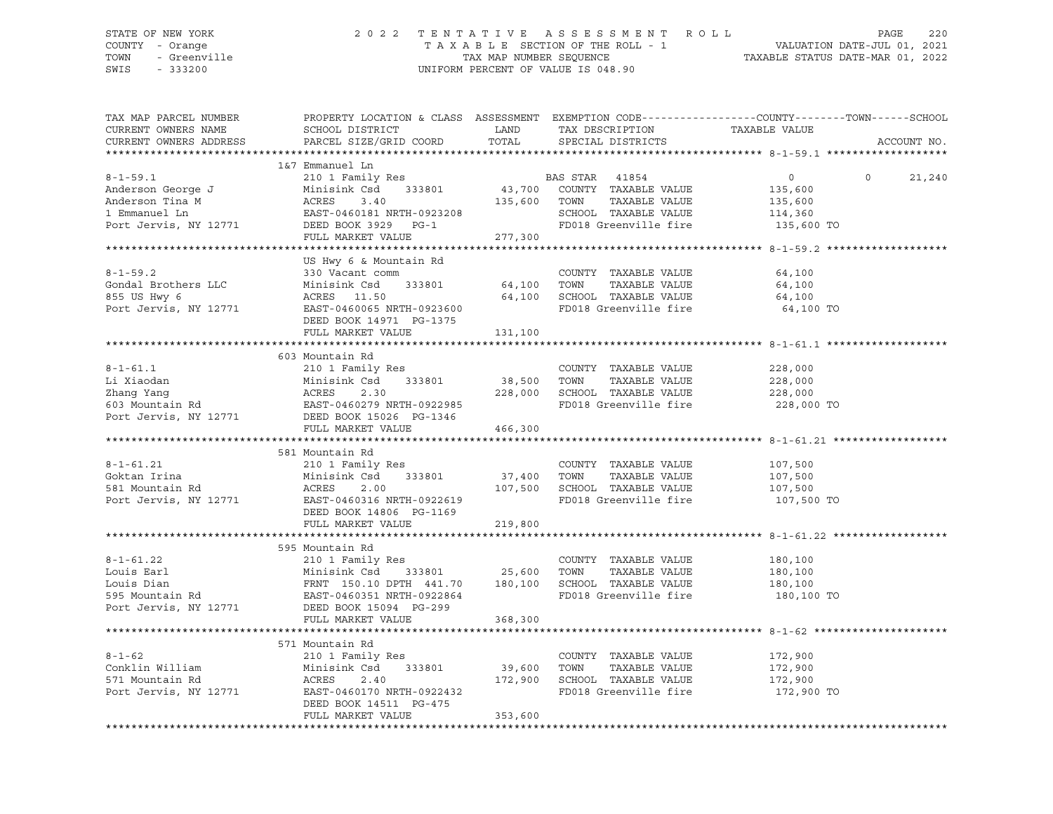SWIS - 333200 UNIFORM PERCENT OF VALUE IS 048.90

## STATE OF NEW YORK 2 0 2 2 T E N T A T I V E A S S E S S M E N T R O L L PAGE 220 COUNTY - Orange T A X A B L E SECTION OF THE ROLL - 1 VALUATION DATE-JUL 01, 2021 TOWN - Greenville TAX MAP NUMBER SEQUENCE TAXABLE STATUS DATE-MAR 01, 2022

| TAX MAP PARCEL NUMBER<br>CURRENT OWNERS NAME<br>CURRENT OWNERS ADDRESS                                                                                                                | SCHOOL DISTRICT<br>PARCEL SIZE/GRID COORD                                                                                                                                 | LAND<br>TOTAL                | TAX DESCRIPTION<br>SPECIAL DISTRICTS                                                                            | PROPERTY LOCATION & CLASS ASSESSMENT EXEMPTION CODE----------------COUNTY-------TOWN-----SCHOOL<br>TAXABLE VALUE | ACCOUNT NO. |
|---------------------------------------------------------------------------------------------------------------------------------------------------------------------------------------|---------------------------------------------------------------------------------------------------------------------------------------------------------------------------|------------------------------|-----------------------------------------------------------------------------------------------------------------|------------------------------------------------------------------------------------------------------------------|-------------|
|                                                                                                                                                                                       |                                                                                                                                                                           |                              |                                                                                                                 |                                                                                                                  |             |
| $8 - 1 - 59.1$<br>8-1-59.1<br>Anderson George J<br>Anderson Tina M<br>Port Jervis, NY 12771                                                                                           | 1&7 Emmanuel Ln<br>210 1 Family Res<br>Minisink Csd 333801<br>ACRES 3.40<br>EAST-0460181 NRTH-0923208<br>DEED BOOK 3929 PG-1<br>FULL MARKET VALUE                         | 135,600 TOWN<br>277,300      | BAS STAR 41854<br>43,700 COUNTY TAXABLE VALUE<br>TAXABLE VALUE<br>SCHOOL TAXABLE VALUE<br>FD018 Greenville fire | $\overline{0}$<br>$\Omega$<br>135,600<br>135,600<br>114,360<br>135,600 TO                                        | 21,240      |
|                                                                                                                                                                                       |                                                                                                                                                                           |                              |                                                                                                                 |                                                                                                                  |             |
| $8 - 1 - 59.2$<br>Gondal Brothers LLC Minisink Csd<br>855 US Hwy 6<br>Port Jervis, NY 12771                                                                                           | US Hwy 6 & Mountain Rd<br>330 Vacant comm<br>333801<br>ACRES 11.50<br>EAST-0460065 NRTH-0923600<br>DEED BOOK 14971 PG-1375                                                | 64,100<br>64,100             | COUNTY TAXABLE VALUE<br>TOWN<br>TAXABLE VALUE<br>SCHOOL TAXABLE VALUE<br>FD018 Greenville fire                  | 64,100<br>64,100<br>64,100<br>64,100 TO                                                                          |             |
|                                                                                                                                                                                       | FULL MARKET VALUE 131,100                                                                                                                                                 |                              |                                                                                                                 |                                                                                                                  |             |
|                                                                                                                                                                                       |                                                                                                                                                                           |                              |                                                                                                                 |                                                                                                                  |             |
| $8 - 1 - 61.1$<br>Li Xiaodan<br>2hang Yang Minisink Csd 333801<br>2hang Yang ACRES 2.30<br>603 Mountain Rd EAST-0460279 NRTH-0922985<br>Port Jervis, NY 12771 DEED BOOK 15026 PG-1346 | 603 Mountain Rd<br>210 1 Family Res<br>FULL MARKET VALUE                                                                                                                  | 38,500 TOWN<br>466,300       | COUNTY TAXABLE VALUE<br>TAXABLE VALUE<br>2.30 228,000 SCHOOL TAXABLE VALUE<br>FD018 Greenville fire             | 228,000<br>228,000<br>228,000<br>228,000 TO                                                                      |             |
|                                                                                                                                                                                       |                                                                                                                                                                           |                              |                                                                                                                 |                                                                                                                  |             |
| $8 - 1 - 61.21$<br>Goktan Irina<br>581 Mountain Rd<br>Port Jervis, NY 12771                                                                                                           | 581 Mountain Rd<br>210 1 Family Res<br>333801<br>Minisink Csd<br>2.00<br>ACRES<br>EAST-0460316 NRTH-0922619<br>DEED BOOK 14806 PG-1169                                    |                              | COUNTY TAXABLE VALUE<br>37,400 TOWN TAXABLE VALUE<br>107,500 SCHOOL TAXABLE VALUE<br>FD018 Greenville fire      | 107,500<br>107,500<br>107,500<br>107,500 TO                                                                      |             |
|                                                                                                                                                                                       | FULL MARKET VALUE                                                                                                                                                         | 219,800                      |                                                                                                                 |                                                                                                                  |             |
|                                                                                                                                                                                       |                                                                                                                                                                           |                              |                                                                                                                 |                                                                                                                  |             |
| $8 - 1 - 61.22$<br>Louis Earl<br>Louis Dian<br>100115 Dian<br>595 Mountain Rd<br>Port Jervis, NY 12771                                                                                | 595 Mountain Rd<br>FRNT 150.10 DPTH 441.70 180,100 SCHOOL TAXABLE VALUE<br>EAST-0460351 NRTH-0922864 FD018 Greenville fire<br>DEED BOOK 15094 PG-299<br>FULL MARKET VALUE | 368,300                      | COUNTY TAXABLE VALUE<br>TAXABLE VALUE                                                                           | 180,100<br>180,100<br>180,100<br>180,100 TO                                                                      |             |
|                                                                                                                                                                                       |                                                                                                                                                                           |                              |                                                                                                                 |                                                                                                                  |             |
| $8 - 1 - 62$<br>Conklin William<br>571 Mountain Rd<br>Port Jervis, NY 12771                                                                                                           | 571 Mountain Rd<br>210 1 Family Res<br>333801<br>Minisink Csd<br>ACRES<br>2.40<br>EAST-0460170 NRTH-0922432<br>DEED BOOK 14511 PG-475<br>FULL MARKET VALUE                | 39,600<br>172,900<br>353,600 | COUNTY TAXABLE VALUE<br>TAXABLE VALUE<br>TOWN<br>SCHOOL TAXABLE VALUE<br>FD018 Greenville fire                  | 172,900<br>172,900<br>172,900<br>172,900 TO                                                                      |             |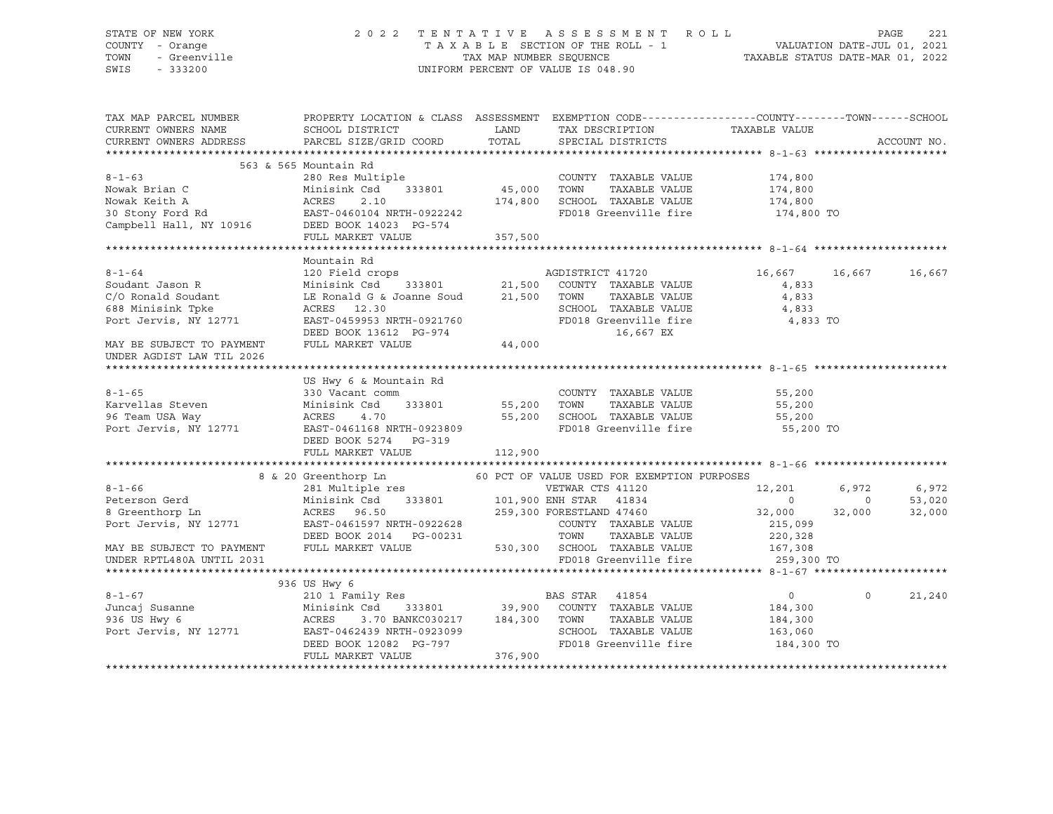| STATE OF NEW YORK<br>OF NEW YORK<br>- Orange<br>- Greenville<br>- 333200<br>COUNTY - Orange<br>TOWN<br>SWIS                                                                                                                                          |                        |         | 2022 TENTATIVE ASSESSMENT ROLL<br>TAXABLE SECTION OF THE ROLL - 1<br>TAXABLE SECTION OF THE ROLL - 1<br>TAXABLE STATUS DATE-JUL 01, 2021<br>TAXABLE STATUS DATE-MAR 01, 2022<br>UNIFORM PERCENT OF VALUE IS 048.90 |                     |                         | PAGE<br>221 |
|------------------------------------------------------------------------------------------------------------------------------------------------------------------------------------------------------------------------------------------------------|------------------------|---------|--------------------------------------------------------------------------------------------------------------------------------------------------------------------------------------------------------------------|---------------------|-------------------------|-------------|
| TAX MAP PARCEL NUMBER     PROPERTY LOCATION & CLASS ASSESSMENT EXEMPTION CODE---------------COUNTY-------TOWN------SCHOOL<br>CURRENT OWNERS NAME     SCHOOL DISTRICT       LAND   TAX DESCRIPTION     TAXARLE VALUE                                  |                        |         | LAND TAX DESCRIPTION<br>COORD TOTAL SPECIAL DISTRICTS                                                                                                                                                              |                     |                         | ACCOUNT NO. |
|                                                                                                                                                                                                                                                      |                        |         |                                                                                                                                                                                                                    |                     |                         |             |
|                                                                                                                                                                                                                                                      | 563 & 565 Mountain Rd  |         |                                                                                                                                                                                                                    |                     |                         |             |
| $8 - 1 - 63$                                                                                                                                                                                                                                         | 280 Res Multiple       |         | COUNTY TAXABLE VALUE                                                                                                                                                                                               | 174,800             |                         |             |
|                                                                                                                                                                                                                                                      |                        |         |                                                                                                                                                                                                                    | 174,800             |                         |             |
|                                                                                                                                                                                                                                                      |                        |         |                                                                                                                                                                                                                    | 174,800             |                         |             |
|                                                                                                                                                                                                                                                      |                        |         |                                                                                                                                                                                                                    | 174,800 TO          |                         |             |
| Nowak Brian C<br>Nowak Keith A<br>30 Stony Ford Rd<br>2.10<br>2.10<br>2.10<br>2.10<br>2.174,800 SCHOOL TAXABLE VALUE<br>2.174,800 SCHOOL TAXABLE VALUE<br>2.174,800 SCHOOL TAXABLE VALUE<br>2.174,800 SCHOOL TAXABLE VALUE<br>2.175,800 FD018 Greenv | FULL MARKET VALUE      | 357,500 |                                                                                                                                                                                                                    |                     |                         |             |
|                                                                                                                                                                                                                                                      |                        |         |                                                                                                                                                                                                                    |                     |                         |             |
|                                                                                                                                                                                                                                                      | Mountain Rd            |         |                                                                                                                                                                                                                    |                     |                         |             |
|                                                                                                                                                                                                                                                      |                        |         |                                                                                                                                                                                                                    | 16,667 16,667       |                         | 16,667      |
|                                                                                                                                                                                                                                                      |                        |         |                                                                                                                                                                                                                    | 4,833               |                         |             |
|                                                                                                                                                                                                                                                      |                        |         |                                                                                                                                                                                                                    | 4,833               |                         |             |
|                                                                                                                                                                                                                                                      |                        |         |                                                                                                                                                                                                                    | 4,833               |                         |             |
|                                                                                                                                                                                                                                                      |                        |         |                                                                                                                                                                                                                    | 4,833 TO            |                         |             |
| Mountain Rd<br>Mountain Rd<br>21,500 COUNTY TAXABLE VALUE<br>C/O Ronald Soudant<br>CO Ronald Soudant<br>LE Ronald G & Joanne Soud<br>LE Ronald G & Joanne Soud<br>21,500 COUNTY TAXABLE VALUE<br>21,500 TOWN TAXABLE VALUE<br>21,500 TOWN TAXABL     |                        |         |                                                                                                                                                                                                                    |                     |                         |             |
| MAY BE SUBJECT TO PAYMENT<br>INDER AGDIST LAW TIL 2026<br>UNDER AGDIST LAW TIL 2026                                                                                                                                                                  |                        |         |                                                                                                                                                                                                                    |                     |                         |             |
|                                                                                                                                                                                                                                                      |                        |         |                                                                                                                                                                                                                    |                     |                         |             |
|                                                                                                                                                                                                                                                      | US Hwy 6 & Mountain Rd |         |                                                                                                                                                                                                                    |                     |                         |             |
|                                                                                                                                                                                                                                                      |                        |         | COUNTY TAXABLE VALUE 55,200                                                                                                                                                                                        |                     |                         |             |
|                                                                                                                                                                                                                                                      |                        |         |                                                                                                                                                                                                                    | 55,200              |                         |             |
|                                                                                                                                                                                                                                                      |                        |         |                                                                                                                                                                                                                    | 55,200<br>55,200 TO |                         |             |
| 8-1-65<br>Examples Steven<br>Minisink Csd 333801<br>96 Team USA Way ACRES 4.70<br>Port Jervis, NY 12771<br>EXAMPLE VALUE<br>Port Jervis, NY 12771<br>EXAMPLE PORT AGAILS NRTH-0923809<br>NEW PORT AGAILS NRTH-0923809<br>NEW PORT AGAILS NRTH-09     |                        |         |                                                                                                                                                                                                                    |                     |                         |             |
|                                                                                                                                                                                                                                                      |                        |         |                                                                                                                                                                                                                    |                     |                         |             |
|                                                                                                                                                                                                                                                      | FULL MARKET VALUE      | 112,900 |                                                                                                                                                                                                                    |                     |                         |             |
|                                                                                                                                                                                                                                                      |                        |         |                                                                                                                                                                                                                    |                     |                         |             |
|                                                                                                                                                                                                                                                      |                        |         |                                                                                                                                                                                                                    |                     |                         |             |
|                                                                                                                                                                                                                                                      |                        |         |                                                                                                                                                                                                                    |                     | 6,972 6,972<br>0 53,020 |             |
|                                                                                                                                                                                                                                                      |                        |         |                                                                                                                                                                                                                    | 32,000 32,000       |                         | 32,000      |
|                                                                                                                                                                                                                                                      |                        |         |                                                                                                                                                                                                                    |                     |                         |             |
|                                                                                                                                                                                                                                                      |                        |         |                                                                                                                                                                                                                    |                     |                         |             |
|                                                                                                                                                                                                                                                      |                        |         |                                                                                                                                                                                                                    |                     |                         |             |
|                                                                                                                                                                                                                                                      |                        |         |                                                                                                                                                                                                                    |                     |                         |             |
|                                                                                                                                                                                                                                                      | 936 US Hwy 6           |         |                                                                                                                                                                                                                    |                     |                         |             |
|                                                                                                                                                                                                                                                      |                        |         |                                                                                                                                                                                                                    |                     | $\circ$                 | 21,240      |
|                                                                                                                                                                                                                                                      |                        |         |                                                                                                                                                                                                                    |                     |                         |             |
|                                                                                                                                                                                                                                                      |                        |         |                                                                                                                                                                                                                    |                     |                         |             |
|                                                                                                                                                                                                                                                      |                        |         |                                                                                                                                                                                                                    |                     |                         |             |
| 8-1-67<br>Juncaj Susanne 210 1 Family Res<br>33801 Minisink Csd 333801 39,900 COUNTY TAXABLE VALUE 184,300<br>936 US Hwy 6 ACRES 3.70 BANKC030217 184,300 TOWN TAXABLE VALUE 184,300<br>Port Jervis, NY 12771 EAST-0462439 NRTH-092309               |                        |         | SCHOOL TAXABLE VALUE 163,060<br>FD018 Greenville fire 184,300 TO                                                                                                                                                   |                     |                         |             |
|                                                                                                                                                                                                                                                      | FULL MARKET VALUE      | 376,900 |                                                                                                                                                                                                                    |                     |                         |             |
|                                                                                                                                                                                                                                                      |                        |         |                                                                                                                                                                                                                    |                     |                         |             |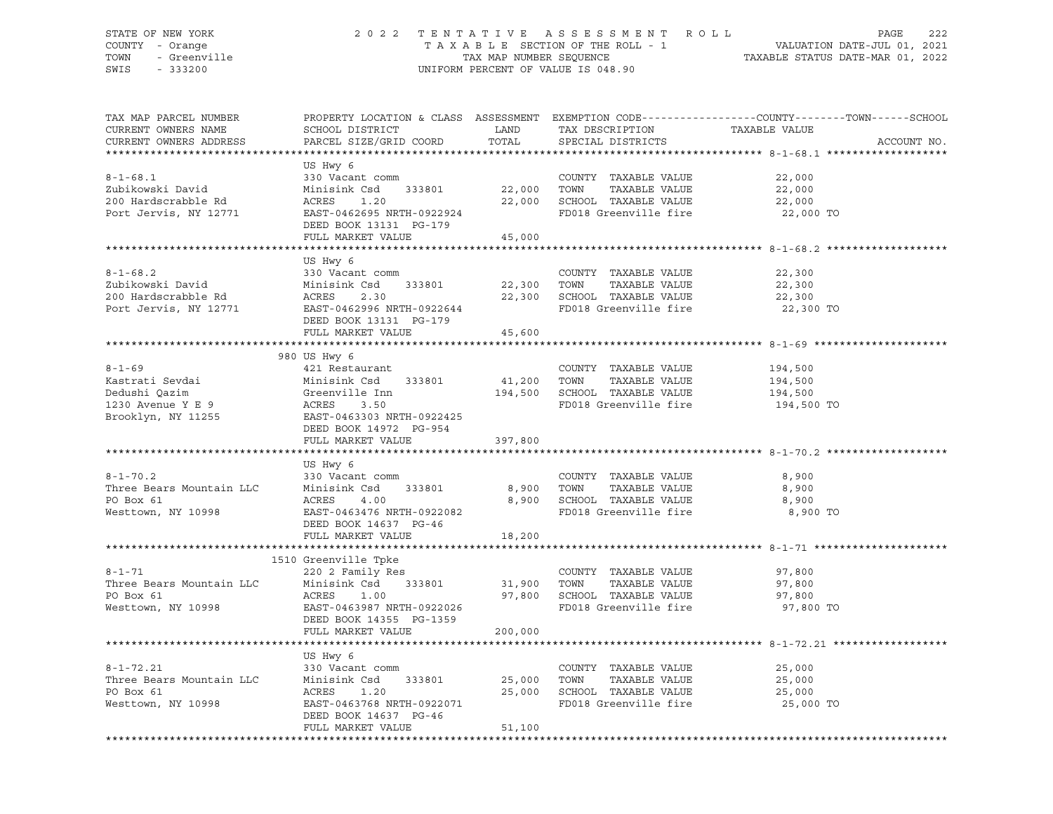### STATE OF NEW YORK 2 0 2 2 T E N T A T I V E A S S E S S M E N T R O L L PAGE 222 COUNTY - Orange T A X A B L E SECTION OF THE ROLL - 1 VALUATION DATE-JUL 01, 2021 TOWN - Greenville TAX MAP NUMBER SEQUENCE TAXABLE STATUS DATE-MAR 01, 2022 SWIS - 333200 UNIFORM PERCENT OF VALUE IS 048.90

| TAX MAP PARCEL NUMBER<br>CURRENT OWNERS NAME<br>CURRENT OWNERS ADDRESS                      | SCHOOL DISTRICT<br>PARCEL SIZE/GRID COORD                                                                                                                       | LAND<br>TOTAL          | TAX DESCRIPTION<br>SPECIAL DISTRICTS                                                                         | PROPERTY LOCATION & CLASS ASSESSMENT EXEMPTION CODE---------------COUNTY-------TOWN------SCHOOL<br>TAXABLE VALUE<br>ACCOUNT NO. |
|---------------------------------------------------------------------------------------------|-----------------------------------------------------------------------------------------------------------------------------------------------------------------|------------------------|--------------------------------------------------------------------------------------------------------------|---------------------------------------------------------------------------------------------------------------------------------|
| ***********************                                                                     |                                                                                                                                                                 |                        |                                                                                                              |                                                                                                                                 |
| $8 - 1 - 68.1$<br>Zubikowski David<br>200 Hardscrabble Rd<br>Port Jervis, NY 12771          | US Hwy 6<br>330 Vacant comm<br>Minisink Csd<br>333801<br>ACRES<br>1.20<br>EAST-0462695 NRTH-0922924<br>DEED BOOK 13131 PG-179<br>FULL MARKET VALUE              | 22,000 TOWN<br>45,000  | COUNTY TAXABLE VALUE<br>TAXABLE VALUE<br>22,000 SCHOOL TAXABLE VALUE<br>FD018 Greenville fire                | 22,000<br>22,000<br>22,000<br>22,000 TO                                                                                         |
|                                                                                             |                                                                                                                                                                 |                        |                                                                                                              |                                                                                                                                 |
| $8 - 1 - 68.2$<br>Zubikowski David<br>200 Hardscrabble Rd<br>Port Jervis, NY 12771          | US Hwy 6<br>330 Vacant comm<br>Minisink Csd<br>333801<br>ACRES<br>2.30<br>EAST-0462996 NRTH-0922644<br>DEED BOOK 13131 PG-179                                   |                        | COUNTY TAXABLE VALUE<br>22,300 TOWN<br>TAXABLE VALUE<br>22,300 SCHOOL TAXABLE VALUE<br>FD018 Greenville fire | 22,300<br>22,300<br>22,300<br>22,300 TO                                                                                         |
|                                                                                             | FULL MARKET VALUE                                                                                                                                               | 45,600                 |                                                                                                              |                                                                                                                                 |
|                                                                                             |                                                                                                                                                                 |                        |                                                                                                              |                                                                                                                                 |
| $8 - 1 - 69$<br>Kastrati Sevdai<br>Dedushi Qazim<br>1230 Avenue Y E 9                       | 980 US Hwy 6<br>421 Restaurant<br>Minisink Csd 333801<br>Greenville Inn<br>ACRES 3.50<br>Brooklyn, NY 11255 EAST-0463303 NRTH-0922425<br>DEED BOOK 14972 PG-954 | 41,200 TOWN            | COUNTY TAXABLE VALUE<br>TAXABLE VALUE<br>194,500 SCHOOL TAXABLE VALUE<br>FD018 Greenville fire               | 194,500<br>194,500<br>194,500<br>194,500 TO                                                                                     |
|                                                                                             | FULL MARKET VALUE                                                                                                                                               | 397,800                |                                                                                                              |                                                                                                                                 |
|                                                                                             |                                                                                                                                                                 |                        |                                                                                                              |                                                                                                                                 |
| $8 - 1 - 70.2$<br>Three Bears Mountain LLC<br>PO Box 61<br>Westtown, NY 10998               | US Hwy 6<br>330 Vacant comm<br>Minisink Csd<br>333801<br>ACRES<br>4.00<br>EAST-0463476 NRTH-0922082<br>DEED BOOK 14637 PG-46<br>FULL MARKET VALUE               | 8,900 TOWN<br>18,200   | COUNTY TAXABLE VALUE<br>TAXABLE VALUE<br>8,900 SCHOOL TAXABLE VALUE<br>FD018 Greenville fire                 | 8,900<br>8,900<br>8,900<br>8,900 TO                                                                                             |
|                                                                                             |                                                                                                                                                                 |                        |                                                                                                              |                                                                                                                                 |
| $8 - 1 - 71$<br>Three Bears Mountain LLC<br>PO Box 61<br>Westtown, NY 10998                 | 1510 Greenville Tpke<br>220 2 Family Res<br>Minisink Csd 333801<br>ACRES<br>1.00<br>EAST-0463987 NRTH-0922026<br>DEED BOOK 14355 PG-1359<br>FULL MARKET VALUE   | 31,900 TOWN<br>200,000 | COUNTY TAXABLE VALUE<br>TAXABLE VALUE<br>97,800 SCHOOL TAXABLE VALUE<br>FD018 Greenville fire                | 97,800<br>97,800<br>97,800<br>97,800 TO                                                                                         |
|                                                                                             | US Hwy 6                                                                                                                                                        |                        |                                                                                                              |                                                                                                                                 |
| $8 - 1 - 72.21$<br>Three Bears Mountain LLC Minisink Csd<br>PO Box 61<br>Westtown, NY 10998 | 330 Vacant comm<br>333801<br>ACRES<br>1.20<br>EAST-0463768 NRTH-0922071<br>DEED BOOK 14637 PG-46<br>FULL MARKET VALUE                                           | 25,000<br>51,100       | COUNTY TAXABLE VALUE<br>TOWN<br>TAXABLE VALUE<br>25,000 SCHOOL TAXABLE VALUE<br>FD018 Greenville fire        | 25,000<br>25,000<br>25,000<br>25,000 TO                                                                                         |
|                                                                                             |                                                                                                                                                                 |                        |                                                                                                              |                                                                                                                                 |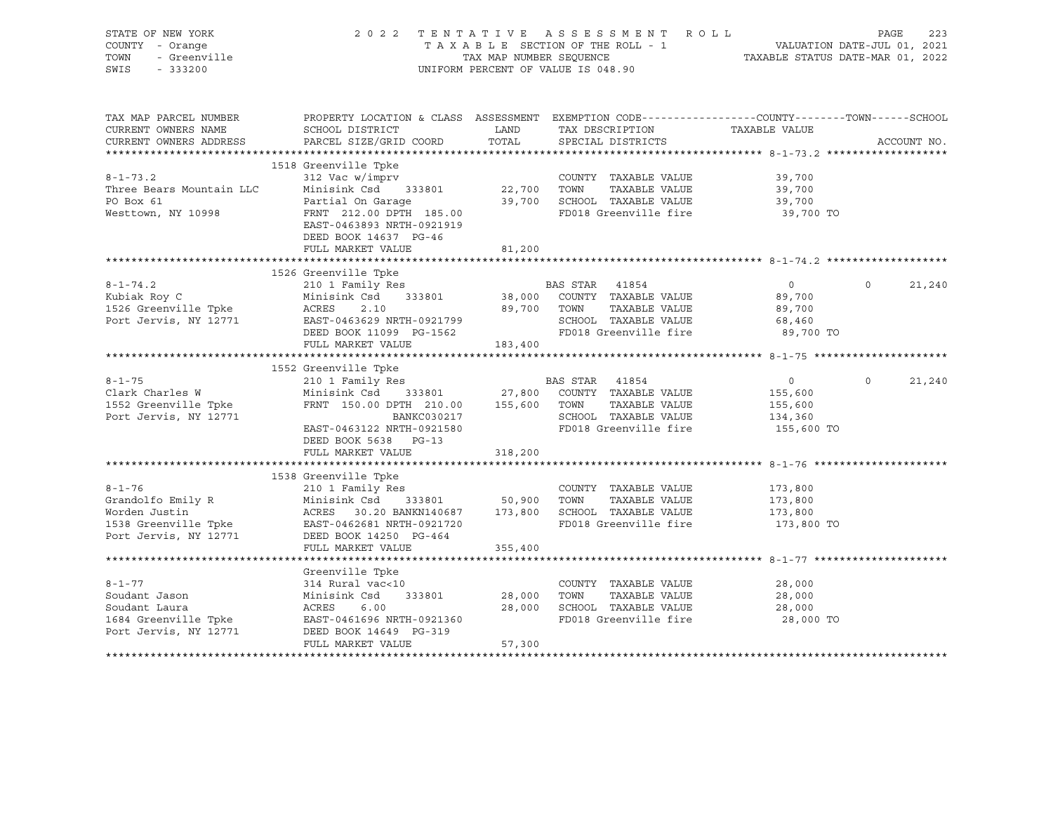| STATE OF NEW YORK<br>COUNTY - Orange<br>TOWN<br>- Greenville<br>SWIS<br>$-333200$                                                                                                                                                    |                                                                                                                                                                                                                  | TAX MAP NUMBER SEQUENCE            | 2022 TENTATIVE ASSESSMENT ROLL<br>TAXABLE SECTION OF THE ROLL - 1<br>UNIFORM PERCENT OF VALUE IS 048.90 | 1<br>1202 VALUATION DATE-JUL 01, 2021<br>TAXABLE STATUS DATE-MAR 01, 2022 | PAGE        | 223    |
|--------------------------------------------------------------------------------------------------------------------------------------------------------------------------------------------------------------------------------------|------------------------------------------------------------------------------------------------------------------------------------------------------------------------------------------------------------------|------------------------------------|---------------------------------------------------------------------------------------------------------|---------------------------------------------------------------------------|-------------|--------|
| TAX MAP PARCEL NUMBER<br>CURRENT OWNERS NAME                                                                                                                                                                                         | PROPERTY LOCATION & CLASS ASSESSMENT EXEMPTION CODE-----------------COUNTY-------TOWN------SCHOOL<br>SCHOOL DISTRICT                                                                                             | LAND                               | TAX DESCRIPTION                                                                                         | TAXABLE VALUE                                                             |             |        |
| CURRENT OWNERS ADDRESS                                                                                                                                                                                                               | PARCEL SIZE/GRID COORD                                                                                                                                                                                           | TOTAL                              | SPECIAL DISTRICTS                                                                                       |                                                                           | ACCOUNT NO. |        |
|                                                                                                                                                                                                                                      | 1518 Greenville Tpke                                                                                                                                                                                             |                                    |                                                                                                         |                                                                           |             |        |
| $8 - 1 - 73.2$                                                                                                                                                                                                                       | 312 Vac w/imprv                                                                                                                                                                                                  |                                    | COUNTY TAXABLE VALUE                                                                                    | 39,700                                                                    |             |        |
|                                                                                                                                                                                                                                      |                                                                                                                                                                                                                  |                                    | TAXABLE VALUE                                                                                           | 39,700                                                                    |             |        |
| Three Bears Mountain LLC<br>DO Bay 61<br>PO Box 61                                                                                                                                                                                   |                                                                                                                                                                                                                  | 22,700    TOWN<br>39,700    SCHOOL | 39,700 SCHOOL TAXABLE VALUE                                                                             | 39,700                                                                    |             |        |
| Westtown, NY 10998                                                                                                                                                                                                                   | Partial On Garage<br>Partial On Garage<br>FRNT - 212 00 BBC<br>FRNT 212.00 DPTH 185.00<br>EAST-0463893 NRTH-0921919<br>DEED BOOK 14637 PG-46                                                                     |                                    | FD018 Greenville fire                                                                                   | 39,700 TO                                                                 |             |        |
|                                                                                                                                                                                                                                      | FULL MARKET VALUE                                                                                                                                                                                                | 81,200                             |                                                                                                         |                                                                           |             |        |
|                                                                                                                                                                                                                                      |                                                                                                                                                                                                                  |                                    |                                                                                                         |                                                                           |             |        |
|                                                                                                                                                                                                                                      | 1526 Greenville Tpke<br>210 1 Family Res                                                                                                                                                                         |                                    |                                                                                                         | $\overline{0}$                                                            | $\Omega$    | 21,240 |
|                                                                                                                                                                                                                                      |                                                                                                                                                                                                                  |                                    | BAS STAR 41854<br>38,000 COUNTY TAXABLE VALUE                                                           | 89,700                                                                    |             |        |
|                                                                                                                                                                                                                                      |                                                                                                                                                                                                                  |                                    | 89,700 TOWN<br>TAXABLE VALUE                                                                            | 89,700                                                                    |             |        |
|                                                                                                                                                                                                                                      |                                                                                                                                                                                                                  |                                    | SCHOOL TAXABLE VALUE                                                                                    | 68,460                                                                    |             |        |
|                                                                                                                                                                                                                                      | DEED BOOK 11099 PG-1562                                                                                                                                                                                          |                                    | FD018 Greenville fire                                                                                   | 89,700 TO                                                                 |             |        |
|                                                                                                                                                                                                                                      | FULL MARKET VALUE                                                                                                                                                                                                | 183,400                            |                                                                                                         |                                                                           |             |        |
|                                                                                                                                                                                                                                      |                                                                                                                                                                                                                  |                                    |                                                                                                         |                                                                           |             |        |
|                                                                                                                                                                                                                                      | 1552 Greenville Tpke                                                                                                                                                                                             |                                    |                                                                                                         |                                                                           |             |        |
| $8 - 1 - 75$                                                                                                                                                                                                                         | 210 1 Family Res                                                                                                                                                                                                 |                                    | BAS STAR 41854                                                                                          | $\overline{0}$                                                            | $\circ$     | 21,240 |
| Clark Charles W                                                                                                                                                                                                                      | $\begin{array}{lllllllll} \text{Minisink Cs} & 333801 & 27,800 & \text{COUNTY} & \text{TAXABLE VALUE} \\ \text{FRNT} & 150.00 & \text{DPTH} & 210.00 & 155,600 & \text{TOWN} & \text{TAXABLE VALUE} \end{array}$ |                                    |                                                                                                         | 155,600                                                                   |             |        |
| 1552 Greenville Tpke                                                                                                                                                                                                                 |                                                                                                                                                                                                                  |                                    |                                                                                                         | 155,600                                                                   |             |        |
| Port Jervis, NY 12771                                                                                                                                                                                                                | BANKC030217                                                                                                                                                                                                      |                                    | SCHOOL TAXABLE VALUE                                                                                    | 134,360                                                                   |             |        |
|                                                                                                                                                                                                                                      | EAST-0463122 NRTH-0921580                                                                                                                                                                                        |                                    | FD018 Greenville fire                                                                                   | 155,600 TO                                                                |             |        |
|                                                                                                                                                                                                                                      | DEED BOOK 5638 PG-13<br>FULL MARKET VALUE                                                                                                                                                                        | 318,200                            |                                                                                                         |                                                                           |             |        |
|                                                                                                                                                                                                                                      |                                                                                                                                                                                                                  |                                    |                                                                                                         |                                                                           |             |        |
|                                                                                                                                                                                                                                      | 1538 Greenville Tpke                                                                                                                                                                                             |                                    |                                                                                                         |                                                                           |             |        |
| $8 - 1 - 76$                                                                                                                                                                                                                         | 210 1 Family Res                                                                                                                                                                                                 |                                    | COUNTY TAXABLE VALUE                                                                                    | 173,800                                                                   |             |        |
|                                                                                                                                                                                                                                      |                                                                                                                                                                                                                  |                                    |                                                                                                         | 173,800                                                                   |             |        |
|                                                                                                                                                                                                                                      |                                                                                                                                                                                                                  |                                    |                                                                                                         | 173,800                                                                   |             |        |
|                                                                                                                                                                                                                                      |                                                                                                                                                                                                                  |                                    |                                                                                                         | 173,800 TO                                                                |             |        |
| 8-1-76 210 1 Family Res COUNTY TAXABLE VALUE<br>Grandolfo Emily R Minisink Csd 333801 50,900 TOWN TAXABLE VALUE<br>Worden Justin ACRES 30.20 BANKN140687 173,800 SCHOOL TAXABLE VALUE<br>1538 Greenville Tpke EAST-0462681 NRTH-0921 |                                                                                                                                                                                                                  |                                    |                                                                                                         |                                                                           |             |        |
|                                                                                                                                                                                                                                      | FULL MARKET VALUE                                                                                                                                                                                                | 355,400                            |                                                                                                         |                                                                           |             |        |
|                                                                                                                                                                                                                                      |                                                                                                                                                                                                                  |                                    |                                                                                                         |                                                                           |             |        |
|                                                                                                                                                                                                                                      | Greenville Tpke                                                                                                                                                                                                  |                                    |                                                                                                         |                                                                           |             |        |
| $8 - 1 - 77$                                                                                                                                                                                                                         | 314 Rural vac<10                                                                                                                                                                                                 |                                    | COUNTY TAXABLE VALUE                                                                                    | 28,000                                                                    |             |        |
| Soudant Jason                                                                                                                                                                                                                        | Minisink Csd<br>333801                                                                                                                                                                                           | 28,000                             | TOWN<br>TAXABLE VALUE                                                                                   | 28,000                                                                    |             |        |
| Soudant Laura                                                                                                                                                                                                                        | ACRES<br>6.00                                                                                                                                                                                                    |                                    | 28,000 SCHOOL TAXABLE VALUE                                                                             | 28,000                                                                    |             |        |
| 1684 Greenville Tpke<br>Dort Jornia NV 19771<br>Port Jervis, NY 12771                                                                                                                                                                | EAST-0461696 NRTH-0921360<br>DEED BOOK 14649 PG-319                                                                                                                                                              |                                    | FD018 Greenville fire                                                                                   | 28,000 TO                                                                 |             |        |
|                                                                                                                                                                                                                                      | FULL MARKET VALUE                                                                                                                                                                                                | 57,300                             |                                                                                                         |                                                                           |             |        |
|                                                                                                                                                                                                                                      |                                                                                                                                                                                                                  |                                    |                                                                                                         |                                                                           |             |        |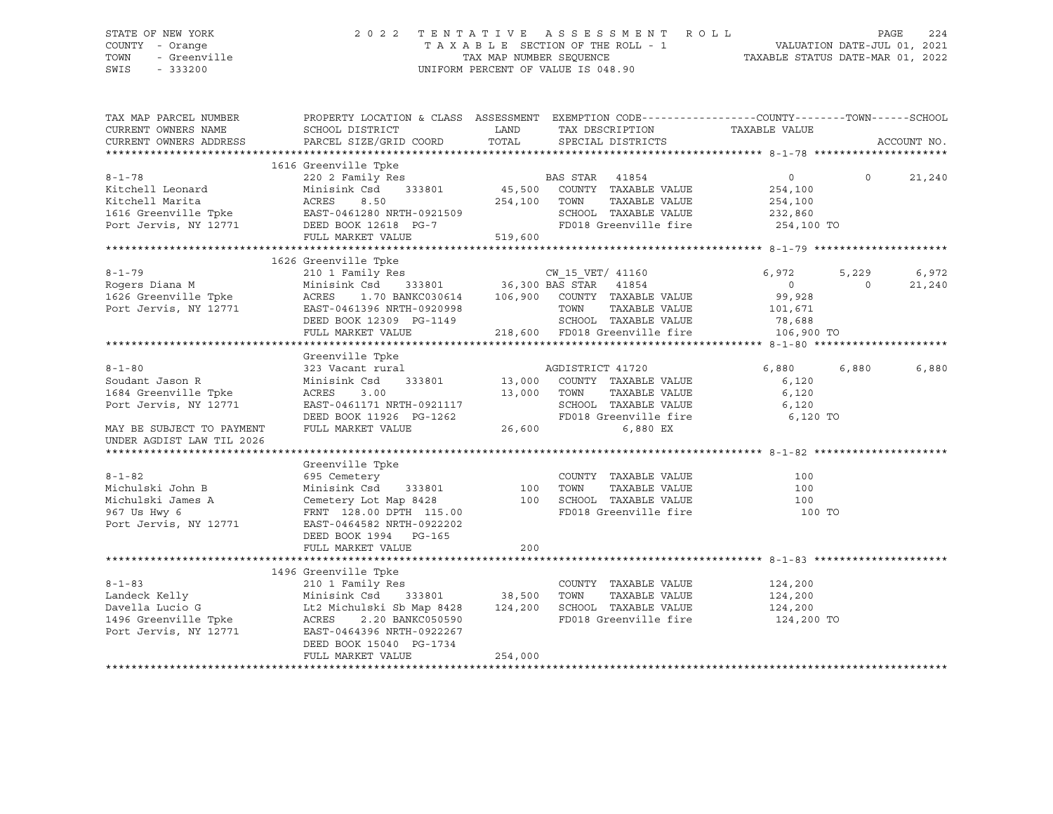### STATE OF NEW YORK 2 0 2 2 T E N T A T I V E A S S E S S M E N T R O L L PAGE 224 COUNTY - Orange T A X A B L E SECTION OF THE ROLL - 1 VALUATION DATE-JUL 01, 2021 TOWN - Greenville TAX MAP NUMBER SEQUENCE TAXABLE STATUS DATE-MAR 01, 2022 SWIS - 333200 UNIFORM PERCENT OF VALUE IS 048.90

| TAX MAP PARCEL NUMBER                                                                                                                                                                                                                      | PROPERTY LOCATION & CLASS ASSESSMENT EXEMPTION CODE----------------COUNTY-------TOWN------SCHOOL                                                                                                                                            |         |                      |               |                    |        |
|--------------------------------------------------------------------------------------------------------------------------------------------------------------------------------------------------------------------------------------------|---------------------------------------------------------------------------------------------------------------------------------------------------------------------------------------------------------------------------------------------|---------|----------------------|---------------|--------------------|--------|
| CURRENT OWNERS NAME                                                                                                                                                                                                                        | SCHOOL DISTRICT                                                                                                                                                                                                                             |         | LAND TAX DESCRIPTION | TAXABLE VALUE |                    |        |
| CURRENT OWNERS ADDRESS                                                                                                                                                                                                                     | PARCEL SIZE/GRID COORD TOTAL SPECIAL DISTRICTS                                                                                                                                                                                              |         |                      |               | ACCOUNT NO.        |        |
|                                                                                                                                                                                                                                            |                                                                                                                                                                                                                                             |         |                      |               |                    |        |
|                                                                                                                                                                                                                                            |                                                                                                                                                                                                                                             |         |                      |               |                    |        |
| $8 - 1 - 78$                                                                                                                                                                                                                               |                                                                                                                                                                                                                                             |         |                      |               | $0 \t 0 \t 21,240$ |        |
|                                                                                                                                                                                                                                            |                                                                                                                                                                                                                                             |         |                      |               |                    |        |
|                                                                                                                                                                                                                                            |                                                                                                                                                                                                                                             |         |                      |               |                    |        |
|                                                                                                                                                                                                                                            |                                                                                                                                                                                                                                             |         |                      |               |                    |        |
|                                                                                                                                                                                                                                            |                                                                                                                                                                                                                                             |         |                      |               |                    |        |
|                                                                                                                                                                                                                                            |                                                                                                                                                                                                                                             |         |                      |               |                    |        |
| XAMIN'S CONSULTER THE SAME CONSULTER TO THE THE RELATION OF THE MINISTER DESCRIPTION ON THE MINIST CONSULTER TO A THANG THE PARKET VALUE TO THE TO THE TO THE THE TO THE TO THE TO THE TO THE TO THE TO THE TO THE TO THE TO T             |                                                                                                                                                                                                                                             |         |                      |               |                    |        |
|                                                                                                                                                                                                                                            |                                                                                                                                                                                                                                             |         |                      |               |                    |        |
|                                                                                                                                                                                                                                            |                                                                                                                                                                                                                                             |         |                      |               | 5,229              | 6,972  |
|                                                                                                                                                                                                                                            |                                                                                                                                                                                                                                             |         |                      |               | $\overline{0}$     | 21,240 |
|                                                                                                                                                                                                                                            |                                                                                                                                                                                                                                             |         |                      |               |                    |        |
|                                                                                                                                                                                                                                            |                                                                                                                                                                                                                                             |         |                      |               |                    |        |
|                                                                                                                                                                                                                                            |                                                                                                                                                                                                                                             |         |                      |               |                    |        |
|                                                                                                                                                                                                                                            |                                                                                                                                                                                                                                             |         |                      |               |                    |        |
|                                                                                                                                                                                                                                            |                                                                                                                                                                                                                                             |         |                      |               |                    |        |
|                                                                                                                                                                                                                                            |                                                                                                                                                                                                                                             |         |                      |               |                    |        |
| $8 - 1 - 80$                                                                                                                                                                                                                               |                                                                                                                                                                                                                                             |         |                      |               |                    | 6,880  |
| Soudant Jason R                                                                                                                                                                                                                            |                                                                                                                                                                                                                                             |         |                      |               |                    |        |
| 1684 Greenville Tpke                                                                                                                                                                                                                       |                                                                                                                                                                                                                                             |         |                      |               |                    |        |
| Port Jervis, NY 12771                                                                                                                                                                                                                      |                                                                                                                                                                                                                                             |         |                      |               |                    |        |
|                                                                                                                                                                                                                                            |                                                                                                                                                                                                                                             |         |                      |               |                    |        |
| MAY BE SUBJECT TO PAYMENT                                                                                                                                                                                                                  | 9123 Vacant rural<br>323 Vacant rural<br>323 Vacant rural<br>323 Vacant rural<br>333801 13,000 COUNTY TAXABLE VALUE 6,120<br>42 ACRES 3.00 13,000 TOWN TAXABLE VALUE 6,120<br>42 EAST-0461171 NRTH-0921117 SCHOOL TAXABLE VALUE 6,120<br>52 |         |                      |               |                    |        |
| UNDER AGDIST LAW TIL 2026                                                                                                                                                                                                                  |                                                                                                                                                                                                                                             |         |                      |               |                    |        |
|                                                                                                                                                                                                                                            |                                                                                                                                                                                                                                             |         |                      |               |                    |        |
| 9-1-82<br>Michulski John B Minisink Csd 333801<br>Michulski John B Minisink Csd 333801<br>Michulski James A Cemetery Lot Map 8428<br>967 Us Hwy 6 FRNT 128.00 DPTH 115.00<br>TOO SCHOOL TAXABLE VALUE<br>967 Us Hwy 6 FRNT 128.00 DPTH 115 |                                                                                                                                                                                                                                             |         |                      |               |                    |        |
|                                                                                                                                                                                                                                            |                                                                                                                                                                                                                                             |         |                      |               |                    |        |
|                                                                                                                                                                                                                                            |                                                                                                                                                                                                                                             |         |                      |               |                    |        |
|                                                                                                                                                                                                                                            |                                                                                                                                                                                                                                             |         |                      |               |                    |        |
|                                                                                                                                                                                                                                            |                                                                                                                                                                                                                                             |         |                      |               |                    |        |
| Port Jervis, NY 12771                                                                                                                                                                                                                      | EAST-0464582 NRTH-0922202                                                                                                                                                                                                                   |         |                      |               |                    |        |
|                                                                                                                                                                                                                                            | DEED BOOK 1994 PG-165                                                                                                                                                                                                                       |         |                      |               |                    |        |
|                                                                                                                                                                                                                                            | FULL MARKET VALUE                                                                                                                                                                                                                           | 200     |                      |               |                    |        |
|                                                                                                                                                                                                                                            |                                                                                                                                                                                                                                             |         |                      |               |                    |        |
|                                                                                                                                                                                                                                            | 1496 Greenville Tpke                                                                                                                                                                                                                        |         |                      |               |                    |        |
|                                                                                                                                                                                                                                            |                                                                                                                                                                                                                                             |         |                      |               |                    |        |
|                                                                                                                                                                                                                                            |                                                                                                                                                                                                                                             |         |                      |               |                    |        |
|                                                                                                                                                                                                                                            |                                                                                                                                                                                                                                             |         |                      |               |                    |        |
|                                                                                                                                                                                                                                            |                                                                                                                                                                                                                                             |         |                      | 124,200 TO    |                    |        |
|                                                                                                                                                                                                                                            |                                                                                                                                                                                                                                             |         |                      |               |                    |        |
|                                                                                                                                                                                                                                            | DEED BOOK 15040 PG-1734                                                                                                                                                                                                                     |         |                      |               |                    |        |
|                                                                                                                                                                                                                                            | FULL MARKET VALUE                                                                                                                                                                                                                           | 254,000 |                      |               |                    |        |
|                                                                                                                                                                                                                                            |                                                                                                                                                                                                                                             |         |                      |               |                    |        |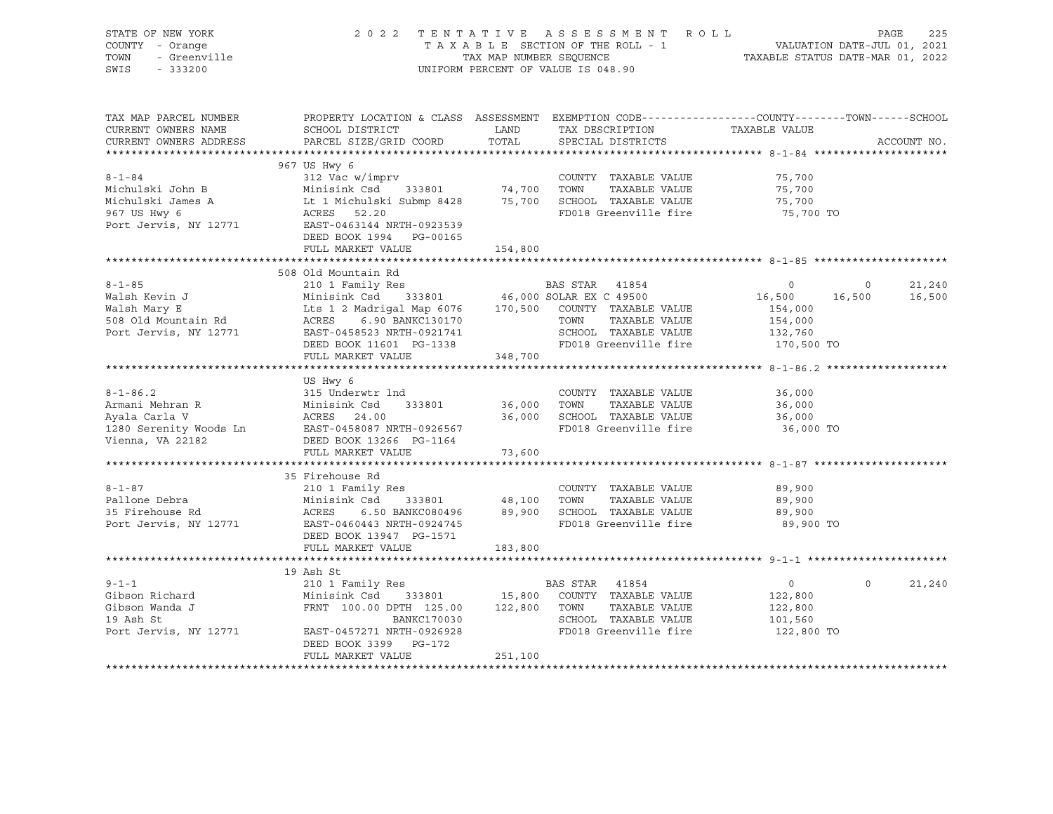| STATE OF NEW YORK<br>COUNTY - Orange<br><i>I -</i> Orange<br>- Greenville<br>- 333200<br>TOWN<br>SWIS - 333200 |                                                                                                                                                                                                                                                        |         | 2022 TENTATIVE ASSESSMENT ROLL<br>T A X A B L E SECTION OF THE ROLL - 1 VALUATION DATE-JUL 01, 2021<br>TAX MAP NUMBER SEQUENCE TAXABLE STATUS DATE-MAR 01, 2022<br>UNIFORM PERCENT OF VALUE IS 048.90 |                                         | PAGE<br>225                 |
|----------------------------------------------------------------------------------------------------------------|--------------------------------------------------------------------------------------------------------------------------------------------------------------------------------------------------------------------------------------------------------|---------|-------------------------------------------------------------------------------------------------------------------------------------------------------------------------------------------------------|-----------------------------------------|-----------------------------|
| TAX MAP PARCEL NUMBER<br>CURRENT OWNERS NAME<br>CURRENT OWNERS ADDRESS                                         | PROPERTY LOCATION & CLASS ASSESSMENT EXEMPTION CODE-----------------COUNTY-------TOWN------SCHOOL<br>SCHOOL DISTRICT<br>PARCEL SIZE/GRID COORD                                                                                                         | TOTAL   | LAND TAX DESCRIPTION TAXABLE VALUE<br>SPECIAL DISTRICTS                                                                                                                                               |                                         | ACCOUNT NO.                 |
|                                                                                                                | 967 US Hwy 6                                                                                                                                                                                                                                           |         |                                                                                                                                                                                                       |                                         |                             |
|                                                                                                                | DEED BOOK 1994 PG-00165                                                                                                                                                                                                                                |         |                                                                                                                                                                                                       |                                         |                             |
|                                                                                                                | FULL MARKET VALUE                                                                                                                                                                                                                                      | 154,800 |                                                                                                                                                                                                       |                                         |                             |
|                                                                                                                |                                                                                                                                                                                                                                                        |         |                                                                                                                                                                                                       |                                         |                             |
|                                                                                                                | 508 Old Mountain Rd                                                                                                                                                                                                                                    |         |                                                                                                                                                                                                       |                                         |                             |
|                                                                                                                | 8-1-85<br>Walsh Kevin J<br>Walsh Kevin J<br>Walsh Mary E<br>Minisink Csd 333801<br>Minisink Csd 333801<br>Lts 1 2 Madrigal Map 6076<br>170,500 COUNTY TAXABLE VALUE<br>TOWN TAXABLE VALUE<br>TOWN TAXABLE VALUE<br>TOWN TAXABLE VALUE<br>154,000<br>15 |         |                                                                                                                                                                                                       | 16,500 16,500                           | 21,240<br>$\circ$<br>16,500 |
|                                                                                                                | FULL MARKET VALUE                                                                                                                                                                                                                                      | 348,700 |                                                                                                                                                                                                       |                                         |                             |
|                                                                                                                |                                                                                                                                                                                                                                                        |         |                                                                                                                                                                                                       |                                         |                             |
|                                                                                                                | US Hwy 6<br>DEED BOOK 13266 PG-1164                                                                                                                                                                                                                    |         |                                                                                                                                                                                                       |                                         |                             |
| Vienna, VA 22182                                                                                               | FULL MARKET VALUE                                                                                                                                                                                                                                      | 73,600  |                                                                                                                                                                                                       |                                         |                             |
|                                                                                                                |                                                                                                                                                                                                                                                        |         |                                                                                                                                                                                                       |                                         |                             |
| $8 - 1 - 87$<br>Pallone Debra<br>Pallone Depra<br>35 Firehouse Rd<br>Port Jervis, NY 12771                     | 35 Firehouse Rd<br>DEED BOOK 13947 PG-1571                                                                                                                                                                                                             |         | COUNTY TAXABLE VALUE<br>FD018 Greenville fire                                                                                                                                                         | 89,900<br>89,900<br>89,900<br>89,900 TO |                             |
|                                                                                                                | FULL MARKET VALUE                                                                                                                                                                                                                                      | 183,800 |                                                                                                                                                                                                       |                                         |                             |
|                                                                                                                | 19 Ash St                                                                                                                                                                                                                                              |         |                                                                                                                                                                                                       |                                         |                             |
|                                                                                                                | DEED BOOK 3399 PG-172<br>FULL MARKET VALUE                                                                                                                                                                                                             | 251,100 |                                                                                                                                                                                                       | $\overline{0}$<br>122,800<br>122,800    | $\Omega$<br>21,240          |
|                                                                                                                |                                                                                                                                                                                                                                                        |         |                                                                                                                                                                                                       |                                         |                             |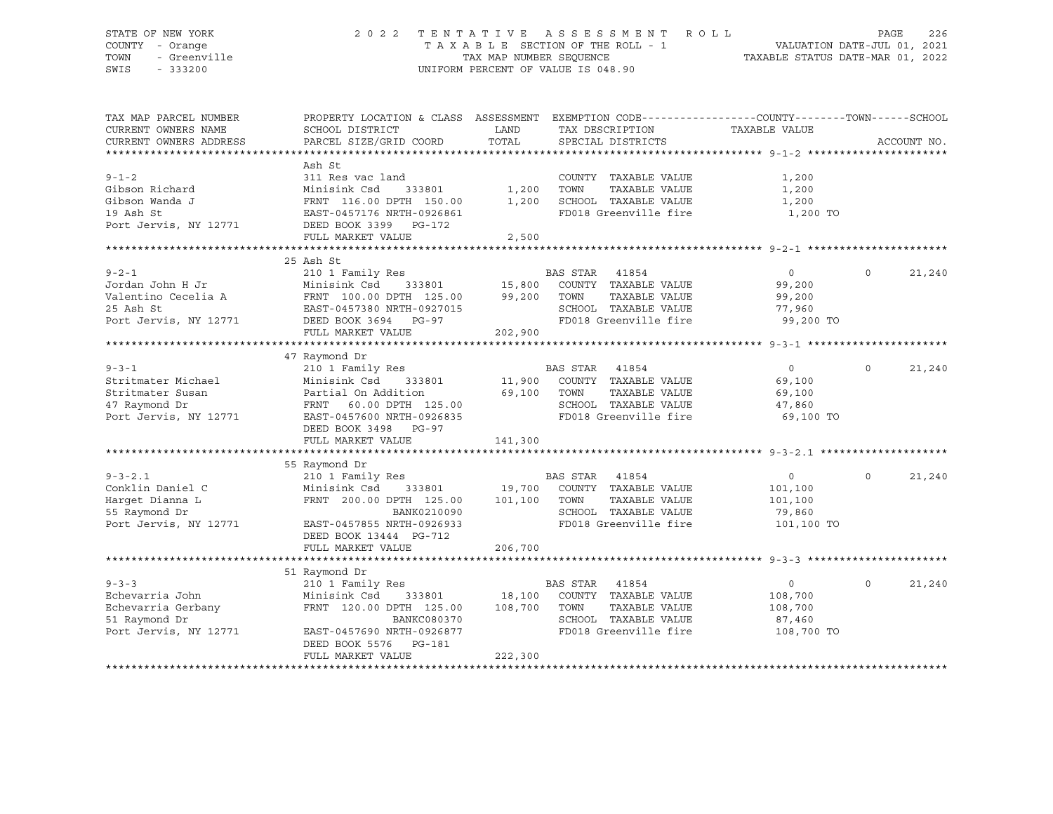### STATE OF NEW YORK 2 0 2 2 T E N T A T I V E A S S E S S M E N T R O L L PAGE 226 COUNTY - Orange T A X A B L E SECTION OF THE ROLL - 1 VALUATION DATE-JUL 01, 2021 TOWN - Greenville TAX MAP NUMBER SEQUENCE TAXABLE STATUS DATE-MAR 01, 2022 SWIS - 333200 UNIFORM PERCENT OF VALUE IS 048.90

| TAX MAP PARCEL NUMBER<br>CURRENT OWNERS NAME<br>CURRENT OWNERS ADDRESS | PROPERTY LOCATION & CLASS ASSESSMENT<br>SCHOOL DISTRICT<br>PARCEL SIZE/GRID COORD | LAND<br>TOTAL | EXEMPTION CODE-----------------COUNTY--------TOWN------SCHOOL<br>TAX DESCRIPTION<br>SPECIAL DISTRICTS | TAXABLE VALUE  | ACCOUNT NO.        |
|------------------------------------------------------------------------|-----------------------------------------------------------------------------------|---------------|-------------------------------------------------------------------------------------------------------|----------------|--------------------|
|                                                                        |                                                                                   |               |                                                                                                       |                |                    |
|                                                                        | Ash St                                                                            |               |                                                                                                       |                |                    |
| $9 - 1 - 2$                                                            | 311 Res vac land                                                                  |               | COUNTY TAXABLE VALUE                                                                                  | 1,200          |                    |
| Gibson Richard                                                         | Minisink Csd<br>333801                                                            | 1,200         | TOWN<br>TAXABLE VALUE                                                                                 | 1,200          |                    |
| Gibson Wanda J                                                         | FRNT 116.00 DPTH 150.00                                                           | 1,200         | SCHOOL TAXABLE VALUE                                                                                  | 1,200          |                    |
|                                                                        |                                                                                   |               | FD018 Greenville fire                                                                                 |                |                    |
| 19 Ash St                                                              | EAST-0457176 NRTH-0926861                                                         |               |                                                                                                       | 1,200 TO       |                    |
| Port Jervis, NY 12771                                                  | DEED BOOK 3399 PG-172                                                             |               |                                                                                                       |                |                    |
|                                                                        | FULL MARKET VALUE                                                                 | 2,500         |                                                                                                       |                |                    |
|                                                                        |                                                                                   |               |                                                                                                       |                |                    |
| $9 - 2 - 1$                                                            | 25 Ash St                                                                         |               |                                                                                                       |                | $\Omega$           |
|                                                                        | 210 1 Family Res<br>333801 15,800                                                 |               | BAS STAR 41854                                                                                        | $\circ$        | 21,240             |
| Jordan John H Jr                                                       | Minisink Csd                                                                      |               | COUNTY TAXABLE VALUE                                                                                  | 99,200         |                    |
| Valentino Cecelia A                                                    | FRNT 100.00 DPTH 125.00                                                           | 99,200        | TAXABLE VALUE<br>TOWN                                                                                 | 99,200         |                    |
| 25 Ash St                                                              | EAST-0457380 NRTH-0927015                                                         |               | SCHOOL TAXABLE VALUE                                                                                  | 77,960         |                    |
| Port Jervis, NY 12771                                                  | DEED BOOK 3694 PG-97                                                              |               | FD018 Greenville fire                                                                                 | 99,200 TO      |                    |
|                                                                        | FULL MARKET VALUE                                                                 | 202,900       |                                                                                                       |                |                    |
|                                                                        |                                                                                   |               |                                                                                                       |                |                    |
|                                                                        | 47 Raymond Dr                                                                     |               |                                                                                                       |                |                    |
| $9 - 3 - 1$                                                            | 210 1 Family Res                                                                  |               | BAS STAR<br>41854                                                                                     | $\overline{0}$ | $\Omega$<br>21,240 |
| Stritmater Michael                                                     | 333801<br>Minisink Csd                                                            |               | 11,900 COUNTY TAXABLE VALUE                                                                           | 69,100         |                    |
| Stritmater Susan                                                       | Partial On Addition                                                               | 69,100        | TOWN<br>TAXABLE VALUE                                                                                 | 69,100         |                    |
| 47 Raymond Dr                                                          | 60.00 DPTH 125.00<br>FRNT                                                         |               | SCHOOL TAXABLE VALUE                                                                                  | 47,860         |                    |
| Port Jervis, NY 12771                                                  | EAST-0457600 NRTH-0926835                                                         |               | FD018 Greenville fire                                                                                 | 69,100 TO      |                    |
|                                                                        | DEED BOOK 3498<br>PG-97                                                           |               |                                                                                                       |                |                    |
|                                                                        | FULL MARKET VALUE                                                                 | 141,300       |                                                                                                       |                |                    |
|                                                                        |                                                                                   |               |                                                                                                       |                |                    |
|                                                                        | 55 Raymond Dr                                                                     |               |                                                                                                       |                |                    |
| $9 - 3 - 2.1$                                                          | 210 1 Family Res                                                                  |               | BAS STAR 41854                                                                                        | 0              | $\Omega$<br>21,240 |
| Conklin Daniel C                                                       | Minisink Csd                                                                      | 333801 19,700 | COUNTY TAXABLE VALUE                                                                                  | 101,100        |                    |
| Harget Dianna L                                                        | FRNT 200.00 DPTH 125.00 101,100                                                   |               | TOWN<br>TAXABLE VALUE                                                                                 | 101,100        |                    |
| 55 Raymond Dr                                                          | BANK0210090                                                                       |               | SCHOOL TAXABLE VALUE                                                                                  | 79,860         |                    |
| Port Jervis, NY 12771                                                  | EAST-0457855 NRTH-0926933                                                         |               | FD018 Greenville fire                                                                                 | 101,100 TO     |                    |
|                                                                        | DEED BOOK 13444 PG-712                                                            |               |                                                                                                       |                |                    |
|                                                                        | FULL MARKET VALUE                                                                 | 206,700       |                                                                                                       |                |                    |
|                                                                        |                                                                                   |               |                                                                                                       |                |                    |
|                                                                        | 51 Raymond Dr                                                                     |               |                                                                                                       |                |                    |
| $9 - 3 - 3$                                                            | 210 1 Family Res                                                                  |               | BAS STAR 41854                                                                                        | $\overline{0}$ | 21,240<br>$\circ$  |
| Echevarria John                                                        | Minisink Csd<br>333801                                                            | 18,100        | COUNTY TAXABLE VALUE                                                                                  | 108,700        |                    |
| Echevarria Gerbany                                                     | FRNT 120.00 DPTH 125.00                                                           | 108,700       | TOWN<br>TAXABLE VALUE                                                                                 | 108,700        |                    |
| 51 Raymond Dr                                                          | BANKC080370                                                                       |               | SCHOOL TAXABLE VALUE                                                                                  | 87,460         |                    |
| Port Jervis, NY 12771                                                  | EAST-0457690 NRTH-0926877                                                         |               | FD018 Greenville fire                                                                                 | 108,700 TO     |                    |
|                                                                        | DEED BOOK 5576 PG-181                                                             |               |                                                                                                       |                |                    |
|                                                                        | FULL MARKET VALUE                                                                 | 222,300       |                                                                                                       |                |                    |
|                                                                        |                                                                                   |               |                                                                                                       |                |                    |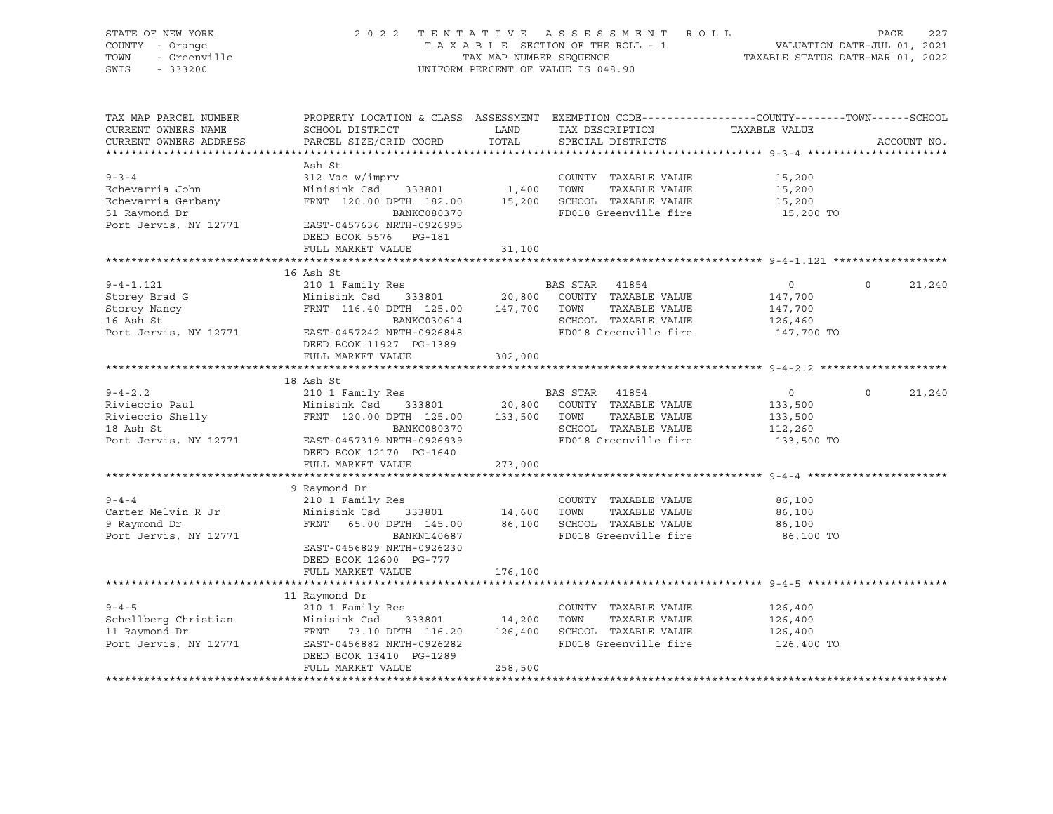| - Greenville<br>- 333200                                                                |                                                                          |                                                                                                                                                                                                                                                       |                                                               |                                                                                                                                                                                                                                                                                                                                                                                                                                                                                                                                                                                                                                                                                                                                                                                                                                                                                                                                                                                                                                                                                                                                                                                                                                                                                                                                                                                                                                                                                                                        |
|-----------------------------------------------------------------------------------------|--------------------------------------------------------------------------|-------------------------------------------------------------------------------------------------------------------------------------------------------------------------------------------------------------------------------------------------------|---------------------------------------------------------------|------------------------------------------------------------------------------------------------------------------------------------------------------------------------------------------------------------------------------------------------------------------------------------------------------------------------------------------------------------------------------------------------------------------------------------------------------------------------------------------------------------------------------------------------------------------------------------------------------------------------------------------------------------------------------------------------------------------------------------------------------------------------------------------------------------------------------------------------------------------------------------------------------------------------------------------------------------------------------------------------------------------------------------------------------------------------------------------------------------------------------------------------------------------------------------------------------------------------------------------------------------------------------------------------------------------------------------------------------------------------------------------------------------------------------------------------------------------------------------------------------------------------|
| SCHOOL DISTRICT<br>PARCEL SIZE/GRID COORD                                               |                                                                          | SPECIAL DISTRICTS                                                                                                                                                                                                                                     | TAXABLE VALUE                                                 | ACCOUNT NO.                                                                                                                                                                                                                                                                                                                                                                                                                                                                                                                                                                                                                                                                                                                                                                                                                                                                                                                                                                                                                                                                                                                                                                                                                                                                                                                                                                                                                                                                                                            |
| Ash St<br>DEED BOOK 5576 PG-181                                                         |                                                                          |                                                                                                                                                                                                                                                       | 15,200<br>15,200<br>15,200<br>15,200 TO                       |                                                                                                                                                                                                                                                                                                                                                                                                                                                                                                                                                                                                                                                                                                                                                                                                                                                                                                                                                                                                                                                                                                                                                                                                                                                                                                                                                                                                                                                                                                                        |
|                                                                                         |                                                                          |                                                                                                                                                                                                                                                       |                                                               |                                                                                                                                                                                                                                                                                                                                                                                                                                                                                                                                                                                                                                                                                                                                                                                                                                                                                                                                                                                                                                                                                                                                                                                                                                                                                                                                                                                                                                                                                                                        |
| 16 Ash St<br>DEED BOOK 11927 PG-1389                                                    |                                                                          |                                                                                                                                                                                                                                                       | $\overline{0}$<br>147,700<br>147,700<br>126,460<br>147,700 TO | $\circ$<br>21,240                                                                                                                                                                                                                                                                                                                                                                                                                                                                                                                                                                                                                                                                                                                                                                                                                                                                                                                                                                                                                                                                                                                                                                                                                                                                                                                                                                                                                                                                                                      |
|                                                                                         |                                                                          |                                                                                                                                                                                                                                                       |                                                               |                                                                                                                                                                                                                                                                                                                                                                                                                                                                                                                                                                                                                                                                                                                                                                                                                                                                                                                                                                                                                                                                                                                                                                                                                                                                                                                                                                                                                                                                                                                        |
|                                                                                         |                                                                          |                                                                                                                                                                                                                                                       |                                                               |                                                                                                                                                                                                                                                                                                                                                                                                                                                                                                                                                                                                                                                                                                                                                                                                                                                                                                                                                                                                                                                                                                                                                                                                                                                                                                                                                                                                                                                                                                                        |
| DEED BOOK 12170 PG-1640                                                                 |                                                                          |                                                                                                                                                                                                                                                       | $\sim$ 0<br>133,500<br>133,500<br>112,260                     | $\circ$<br>21,240                                                                                                                                                                                                                                                                                                                                                                                                                                                                                                                                                                                                                                                                                                                                                                                                                                                                                                                                                                                                                                                                                                                                                                                                                                                                                                                                                                                                                                                                                                      |
|                                                                                         |                                                                          |                                                                                                                                                                                                                                                       |                                                               |                                                                                                                                                                                                                                                                                                                                                                                                                                                                                                                                                                                                                                                                                                                                                                                                                                                                                                                                                                                                                                                                                                                                                                                                                                                                                                                                                                                                                                                                                                                        |
| 9 Raymond Dr<br>210 1 Family Res<br>EAST-0456829 NRTH-0926230<br>DEED BOOK 12600 PG-777 |                                                                          |                                                                                                                                                                                                                                                       | 86,100<br>86,100<br>86,100<br>86,100 TO                       |                                                                                                                                                                                                                                                                                                                                                                                                                                                                                                                                                                                                                                                                                                                                                                                                                                                                                                                                                                                                                                                                                                                                                                                                                                                                                                                                                                                                                                                                                                                        |
| FULL MARKET VALUE                                                                       | 176,100                                                                  |                                                                                                                                                                                                                                                       |                                                               |                                                                                                                                                                                                                                                                                                                                                                                                                                                                                                                                                                                                                                                                                                                                                                                                                                                                                                                                                                                                                                                                                                                                                                                                                                                                                                                                                                                                                                                                                                                        |
| 11 Raymond Dr<br>FULL MARKET VALUE                                                      | 258,500                                                                  |                                                                                                                                                                                                                                                       | 126,400<br>126,400<br>126,400                                 |                                                                                                                                                                                                                                                                                                                                                                                                                                                                                                                                                                                                                                                                                                                                                                                                                                                                                                                                                                                                                                                                                                                                                                                                                                                                                                                                                                                                                                                                                                                        |
|                                                                                         | FULL MARKET VALUE<br>FULL MARKET VALUE<br>18 Ash St<br>FULL MARKET VALUE | Port Jervis, NY 12771 EAST-0457636 NRTH-0926995<br>31,100<br>302,000<br><b>BANKC080370</b><br>Port Jervis, NY 12771 EAST-0457319 NRTH-0926939<br>273,000<br>BANKN140687<br>Port Jervis, NY 12771 EAST-0456882 NRTH-0926282<br>DEED BOOK 13410 PG-1289 | LAND<br>TOTAL                                                 | 2022 TENTATIVE ASSESSMENT ROLL<br>TAXABLE SECTION OF THE ROLL - 1 VALUATION DATE-JUL 01, 2021<br>TAX MAP NUMBER SEQUENCE TAXABLE STATUS DATE-MAR 01, 2022<br>UNIFORM PERCENT OF VALUE IS 048.90<br>PROPERTY LOCATION & CLASS ASSESSMENT EXEMPTION CODE---------------COUNTY-------TOWN-----SCHOOL<br>TAX DESCRIPTION<br>2000 COUNTY TAXABLE VALUE<br>212 Vac w/imprv<br>Minisink Csd 333801 1,400 TOWN TAXABLE VALUE<br>FRNT 120.00 DPTH 182.00 15,200 SCHOOL TAXABLE VALUE<br>BANKC080370 FD018 Greenville fire<br>FD018 Greenville fire<br>16 Ash St $\begin{tabular}{lcccc} 16 Ash St & & & & & & & & \mbox{\sc And\sc{10}} & I Family Res & & & & & \mbox{\sc And\sc{10}} & I Family Res & & & & \mbox{\sc And\sc{10}} & 333801 & & 20,800 & \mbox{\sc CountTY} & TAXABLE VALUE & & \\ \mbox{\sc FRNT} & 116.40 DPTH & 125.00 & 147,700 & \mbox{\sc TOWN} & TAXABLE VALUE & \\ & & & & \mbox{\sc BANKC030614} & & & \mbox{\sc CHOOL} & TAXABLE VALUE & \\ \hline \end{tabular}$<br>SCHOOL TAXABLE VALUE<br>FD018 Greenville fire<br>SCHOOL TAXABLE VALUE 112,260<br>FD018 Greenville fire 133,500 TO<br>210 1 Family Res<br>Minisink Csd 333801 14,600 TOWN TAXABLE VALUE<br>FRNT 65.00 DPTH 145.00 86,100 SCHOOL TAXABLE VALUE<br>FD018 Greenville fire<br>9-4-5<br>210 1 Family Res<br>210 1 Family Res<br>210 1 Family Res<br>210 1 Family Res<br>210 1 Family Res<br>2133801<br>214,200 TOWN TAXABLE VALUE<br>216,400 SCHOOL TAXABLE VALUE<br>216,400 SCHOOL TAXABLE VALUE<br>FD018 Greenville fire 126,400 TO |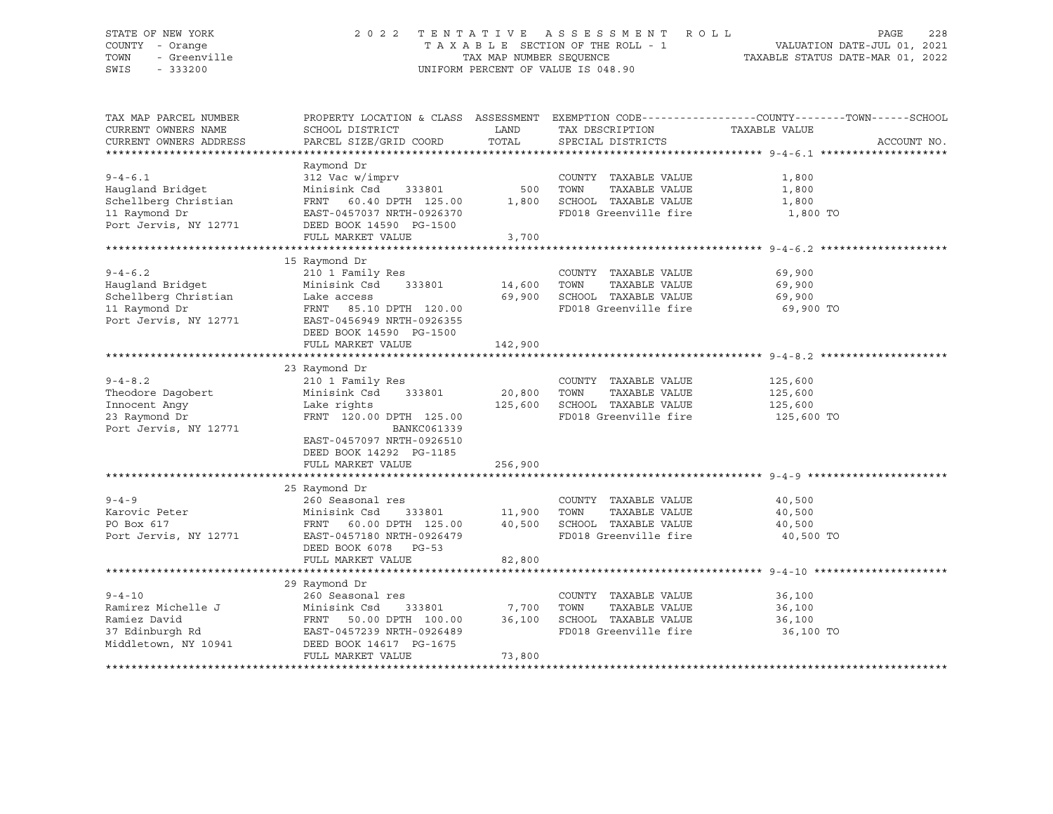### STATE OF NEW YORK 2 0 2 2 T E N T A T I V E A S S E S S M E N T R O L L PAGE 228 COUNTY - Orange T A X A B L E SECTION OF THE ROLL - 1 VALUATION DATE-JUL 01, 2021 TOWN - Greenville TAX MAP NUMBER SEQUENCE TAXABLE STATUS DATE-MAR 01, 2022 SWIS - 333200 UNIFORM PERCENT OF VALUE IS 048.90

| TAX MAP PARCEL NUMBER  | PROPERTY LOCATION & CLASS ASSESSMENT EXEMPTION CODE----------------COUNTY-------TOWN------SCHOOL |               |                                 |               |             |
|------------------------|--------------------------------------------------------------------------------------------------|---------------|---------------------------------|---------------|-------------|
| CURRENT OWNERS NAME    | SCHOOL DISTRICT                                                                                  | LAND          | TAX DESCRIPTION                 | TAXABLE VALUE |             |
| CURRENT OWNERS ADDRESS | PARCEL SIZE/GRID COORD                                                                           | TOTAL         | SPECIAL DISTRICTS               |               | ACCOUNT NO. |
|                        |                                                                                                  |               |                                 |               |             |
|                        | Raymond Dr                                                                                       |               |                                 |               |             |
| $9 - 4 - 6.1$          | 312 Vac w/imprv                                                                                  |               | COUNTY TAXABLE VALUE            | 1,800         |             |
| Haugland Bridget       | 333801<br>Minisink Csd                                                                           | 500           | TOWN<br>TAXABLE VALUE           | 1,800         |             |
| Schellberg Christian   | FRNT 60.40 DPTH 125.00 1,800                                                                     |               | SCHOOL TAXABLE VALUE            | 1,800         |             |
| 11 Raymond Dr          | EAST-0457037 NRTH-0926370                                                                        |               | FD018 Greenville fire           | 1,800 TO      |             |
| Port Jervis, NY 12771  | DEED BOOK 14590 PG-1500                                                                          |               |                                 |               |             |
|                        | FULL MARKET VALUE                                                                                | 3,700         |                                 |               |             |
|                        |                                                                                                  |               |                                 |               |             |
|                        | 15 Raymond Dr                                                                                    |               |                                 |               |             |
| $9 - 4 - 6.2$          | 210 1 Family Res                                                                                 |               | COUNTY TAXABLE VALUE            | 69,900        |             |
| Haugland Bridget       | Minisink Csd                                                                                     | 333801 14,600 | TOWN<br>TAXABLE VALUE           | 69,900        |             |
| Schellberg Christian   | Lake access                                                                                      | 69,900        | SCHOOL TAXABLE VALUE            | 69,900        |             |
| 11 Raymond Dr          | FRNT 85.10 DPTH 120.00                                                                           |               | FD018 Greenville fire 69,900 TO |               |             |
| Port Jervis, NY 12771  | EAST-0456949 NRTH-0926355                                                                        |               |                                 |               |             |
|                        | DEED BOOK 14590 PG-1500                                                                          |               |                                 |               |             |
|                        | FULL MARKET VALUE                                                                                | 142,900       |                                 |               |             |
|                        |                                                                                                  |               |                                 |               |             |
|                        | 23 Raymond Dr                                                                                    |               |                                 |               |             |
| $9 - 4 - 8.2$          | 210 1 Family Res                                                                                 |               | COUNTY TAXABLE VALUE            | 125,600       |             |
| Theodore Daqobert      | Minisink Csd 333801                                                                              | 20,800        | TOWN<br>TAXABLE VALUE           | 125,600       |             |
| Innocent Angy          | Lake rights                                                                                      | 125,600       | SCHOOL TAXABLE VALUE            | 125,600       |             |
| 23 Raymond Dr          | FRNT 120.00 DPTH 125.00                                                                          |               | FD018 Greenville fire           | 125,600 TO    |             |
| Port Jervis, NY 12771  | BANKC061339                                                                                      |               |                                 |               |             |
|                        | EAST-0457097 NRTH-0926510                                                                        |               |                                 |               |             |
|                        | DEED BOOK 14292 PG-1185                                                                          |               |                                 |               |             |
|                        | FULL MARKET VALUE                                                                                | 256,900       |                                 |               |             |
|                        |                                                                                                  |               |                                 |               |             |
|                        | 25 Raymond Dr                                                                                    |               |                                 |               |             |
| $9 - 4 - 9$            | 260 Seasonal res                                                                                 |               | COUNTY TAXABLE VALUE            | 40,500        |             |
| Karovic Peter          | Minisink Csd                                                                                     | 333801 11,900 | TOWN<br>TAXABLE VALUE           | 40,500        |             |
| PO Box 617             | FRNT 60.00 DPTH 125.00                                                                           | 40,500        | SCHOOL TAXABLE VALUE            | 40,500        |             |
| Port Jervis, NY 12771  | EAST-0457180 NRTH-0926479                                                                        |               | FD018 Greenville fire           | 40,500 TO     |             |
|                        | DEED BOOK 6078 PG-53                                                                             |               |                                 |               |             |
|                        | FULL MARKET VALUE                                                                                | 82,800        |                                 |               |             |
|                        |                                                                                                  |               |                                 |               |             |
|                        | 29 Raymond Dr                                                                                    |               |                                 |               |             |
| $9 - 4 - 10$           | 260 Seasonal res                                                                                 |               | COUNTY TAXABLE VALUE            | 36,100        |             |
| Ramirez Michelle J     |                                                                                                  |               | TOWN<br>TAXABLE VALUE           | 36,100        |             |
| Ramiez David           | Minisink Csd 333801 7,700<br>FRNT 50.00 DPTH 100.00 36,100                                       |               | SCHOOL TAXABLE VALUE            | 36,100        |             |
| 37 Edinburgh Rd        | EAST-0457239 NRTH-0926489                                                                        |               | FD018 Greenville fire           | 36,100 TO     |             |
| Middletown, NY 10941   | DEED BOOK 14617 PG-1675                                                                          |               |                                 |               |             |
|                        | FULL MARKET VALUE                                                                                | 73,800        |                                 |               |             |
|                        |                                                                                                  |               |                                 |               |             |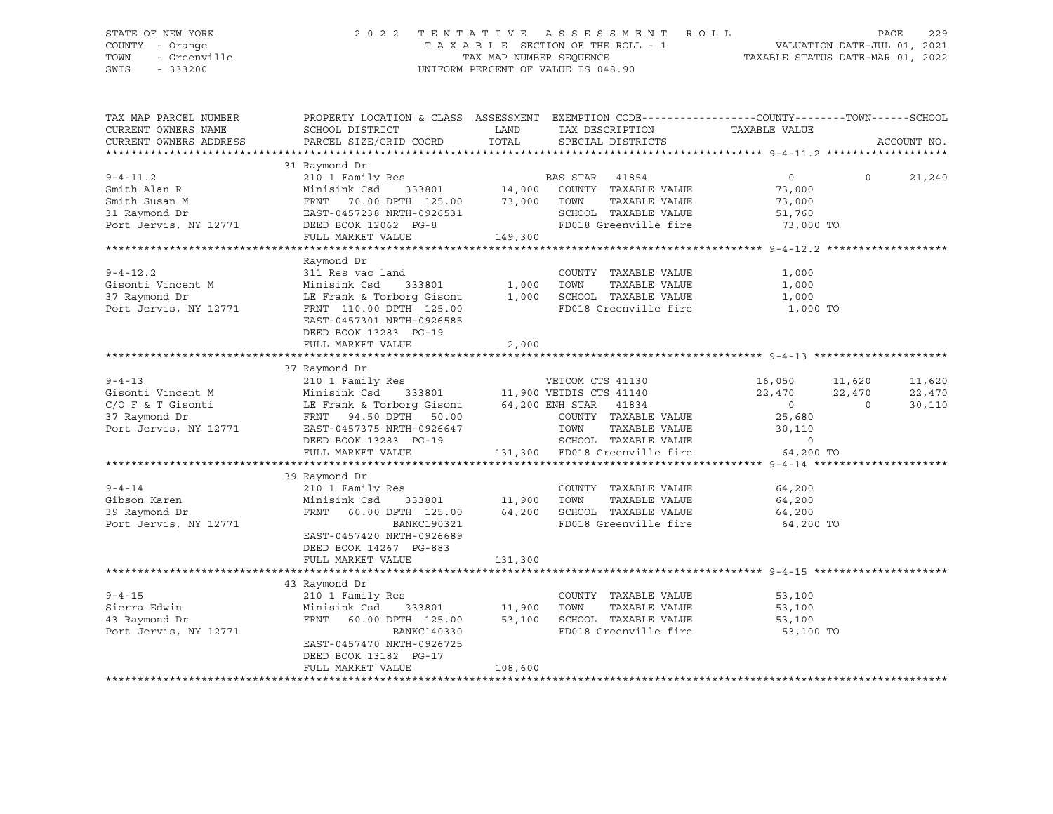### STATE OF NEW YORK 2 0 2 2 T E N T A T I V E A S S E S S M E N T R O L L PAGE 229 COUNTY - Orange T A X A B L E SECTION OF THE ROLL - 1 VALUATION DATE-JUL 01, 2021 TOWN - Greenville TAX MAP NUMBER SEQUENCE TAXABLE STATUS DATE-MAR 01, 2022 SWIS - 333200 UNIFORM PERCENT OF VALUE IS 048.90

| TAX MAP PARCEL NUMBER<br>CURRENT OWNERS NAME<br>CURRENT OWNERS ADDRESS                                         | PROPERTY LOCATION & CLASS ASSESSMENT EXEMPTION CODE----------------COUNTY-------TOWN------SCHOOL<br>SCHOOL DISTRICT<br>PARCEL SIZE/GRID COORD                                                                                                                                                                                                    | LAND<br>TOTAL     | TAX DESCRIPTION<br>SPECIAL DISTRICTS                                                                        | TAXABLE VALUE                                                         | ACCOUNT NO.                                            |
|----------------------------------------------------------------------------------------------------------------|--------------------------------------------------------------------------------------------------------------------------------------------------------------------------------------------------------------------------------------------------------------------------------------------------------------------------------------------------|-------------------|-------------------------------------------------------------------------------------------------------------|-----------------------------------------------------------------------|--------------------------------------------------------|
| $9 - 4 - 11.2$<br>Smith Alan R<br>Smith Susan M<br>31 Raymond Dr<br>Port Jervis, NY 12771 DEED BOOK 12062 PG-8 | 31 Raymond Dr<br>Raymond Dr<br>210 1 Family Res<br>Minisink Csd 333801 14,000 COUNTY TAXABLE VALUE<br>2000 COUNTY TAXABLE VALUE<br>Minisink Csd 333801 14,000 COOLINERAT 70.00 DPTH 125.00 73,000 TOWN<br>FRNT 70.00 DPTH 125.00 73,000 TOWN<br>EAST-0457238 NRTH-0926531 SCHOOL<br>DEED BOOK 12062 PG-8 FD018 C<br>FINT.I. MARKET VALUE 149,300 |                   | TAXABLE VALUE<br>TOWN        TAXABLE  VALUE<br>SCHOOL    TAXABLE  VALUE<br>FD018 Greenville fire 73,000 TO  | $\overline{0}$<br>73,000<br>73,000<br>51,760                          | $\Omega$<br>21,240                                     |
| $9 - 4 - 12.2$<br>Gisonti Vincent M<br>37 Raymond Dr<br>Port Jervis, NY 12771                                  | Raymond Dr<br>311 Res vac land<br>Minisink Csd 333801 1,000 TOWN<br>LE Frank & Torborg Gisont 1,000 SCHOC<br>FRNT 110.00 DPTH 125.00<br>EAST-0457301 NRTH-0926585<br>DEED BOOK 13283 PG-19<br>FULL MARKET VALUE                                                                                                                                  | 2,000             | COUNTY TAXABLE VALUE<br>TAXABLE VALUE<br>SCHOOL TAXABLE VALUE 1,000<br>FD018 Greenville fire                | 1,000<br>1,000<br>1,000 TO                                            |                                                        |
|                                                                                                                | 37 Raymond Dr<br>DEED BOOK 13283 PG-19<br>FULL MARKET VALUE                                                                                                                                                                                                                                                                                      |                   | TOWN TAXABLE VALUE<br>TOWN TAXABLE VALUE<br>SCHOOL TAXABLE VALUE<br>131,300 FD018 Greenville fire 64,200 TO | 16,050 11,620<br>22,470<br>$\begin{array}{c} 0 \\ 25,680 \end{array}$ | 11,620<br>22,470<br>22,470<br>$\overline{0}$<br>30,110 |
| $9 - 4 - 14$<br>Gibson Karen<br>39 Raymond Dr<br>Port Jervis, NY 12771                                         | 39 Raymond Dr<br>COUNT 7 COUNT 210 1 Family Res<br>Minisink Csd 333801 11,900 TOWN<br>FRNT 60.00 DPTH 125.00 64,200<br>BANKC190321<br>EAST-0457420 NRTH-0926689<br>DEED BOOK 14267 PG-883<br>FULL MARKET VALUE                                                                                                                                   | 131,300           | COUNTY TAXABLE VALUE<br>TAXABLE VALUE<br>SCHOOL TAXABLE VALUE 64,200<br>FD018 Greenville fire 64,200 TO     | 64,200<br>64,200                                                      |                                                        |
| $9 - 4 - 15$<br>Sierra Edwin<br>43 Raymond Dr<br>Port Jervis, NY 12771                                         | 43 Raymond Dr<br>210 1 Family Res<br>Minisink Csd 333801 11,900<br>FRNT 60.00 DPTH 125.00<br>BANKC140330<br>EAST-0457470 NRTH-0926725<br>DEED BOOK 13182 PG-17<br>FULL MARKET VALUE                                                                                                                                                              | 53,100<br>108,600 | COUNTY TAXABLE VALUE<br>TAXABLE VALUE<br>TOWN<br>SCHOOL TAXABLE VALUE<br>FD018 Greenville fire 53,100 TO    | 53,100<br>53,100<br>53,100                                            |                                                        |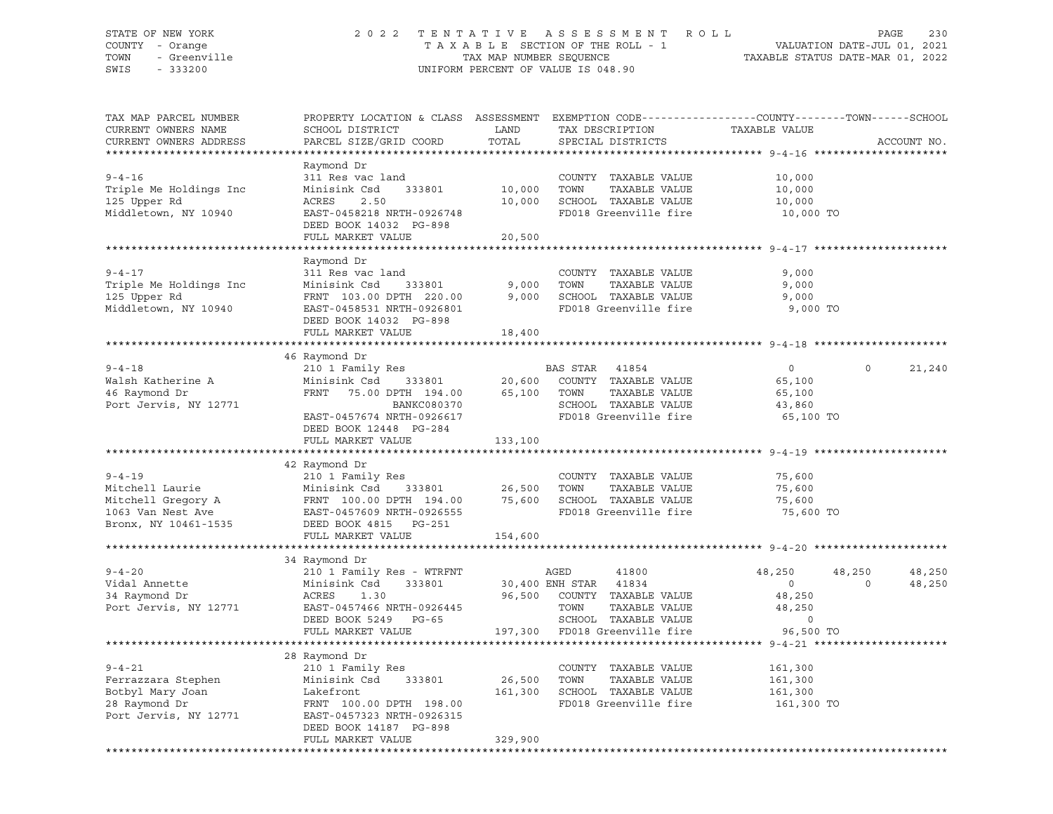### STATE OF NEW YORK 2 0 2 2 T E N T A T I V E A S S E S S M E N T R O L L PAGE 230 COUNTY - Orange T A X A B L E SECTION OF THE ROLL - 1 VALUATION DATE-JUL 01, 2021 TOWN - Greenville TAX MAP NUMBER SEQUENCE TAXABLE STATUS DATE-MAR 01, 2022 SWIS - 333200 UNIFORM PERCENT OF VALUE IS 048.90

| TAX MAP PARCEL NUMBER<br>CURRENT OWNERS NAME<br>CURRENT OWNERS ADDRESS<br>********************** | PROPERTY LOCATION & CLASS ASSESSMENT EXEMPTION CODE----------------COUNTY-------TOWN-----SCHOOL<br>SCHOOL DISTRICT<br>PARCEL SIZE/GRID COORD                                      | LAND<br>TOTAL              | TAX DESCRIPTION<br>SPECIAL DISTRICTS                                                                                                                                             | TAXABLE VALUE                                                               |                          | ACCOUNT NO.      |
|--------------------------------------------------------------------------------------------------|-----------------------------------------------------------------------------------------------------------------------------------------------------------------------------------|----------------------------|----------------------------------------------------------------------------------------------------------------------------------------------------------------------------------|-----------------------------------------------------------------------------|--------------------------|------------------|
| $9 - 4 - 16$<br>Triple Me Holdings Inc<br>125 Upper Rd<br>Middletown, NY 10940                   | Raymond Dr<br>311 Res vac land<br>Minisink Csd<br>333801<br>ACRES<br>2.50<br>EAST-0458218 NRTH-0926748<br>DEED BOOK 14032 PG-898<br>FULL MARKET VALUE                             | 10,000<br>10,000<br>20,500 | COUNTY TAXABLE VALUE<br>TOWN<br>TAXABLE VALUE<br>SCHOOL TAXABLE VALUE<br>FD018 Greenville fire                                                                                   | 10,000<br>10,000<br>10,000<br>10,000 TO                                     |                          |                  |
| $9 - 4 - 17$<br>Triple Me Holdings Inc<br>125 Upper Rd<br>Middletown, NY 10940                   | Raymond Dr<br>311 Res vac land<br>Minisink Csd<br>FRNT 103.00 DPTH 220.00<br>EAST-0458531 NRTH-0926801<br>DEED BOOK 14032 PG-898<br>FULL MARKET VALUE                             | 333801 9,000<br>18,400     | COUNTY TAXABLE VALUE<br>TOWN<br>TAXABLE VALUE<br>$9,000$ SCHOOL TAXABLE VALUE<br>FD018 Greenville fire                                                                           | 9,000<br>9,000<br>9,000<br>9,000 TO                                         |                          |                  |
|                                                                                                  |                                                                                                                                                                                   |                            |                                                                                                                                                                                  |                                                                             |                          |                  |
| $9 - 4 - 18$<br>Walsh Katherine A<br>46 Raymond Dr<br>Port Jervis, NY 12771                      | 46 Raymond Dr<br>210 1 Family Res<br>FRNT 75.00 DPTH 194.00 65,100 TOWN<br>)PTH 123.1.<br>BANKC080370<br>EAST-0457674 NRTH-0926617<br>DEED BOOK 12448 PG-284<br>FULL MARKET VALUE | 133,100                    | BAS STAR 41854<br>TAXABLE VALUE<br>SCHOOL TAXABLE VALUE<br>FD018 Greenville fire                                                                                                 | $\overline{0}$<br>65,100<br>65,100<br>43,860<br>65,100 TO                   | $\circ$                  | 21,240           |
|                                                                                                  |                                                                                                                                                                                   |                            |                                                                                                                                                                                  |                                                                             |                          |                  |
| $9 - 4 - 19$<br>Mitchell Laurie<br>Bronx, NY 10461-1535                                          | 42 Raymond Dr<br>210 1 Family Res<br>Minisink Csd 333801 26,500 TOWN<br>DEED BOOK 4815 PG-251<br>FULL MARKET VALUE                                                                |                            | COUNTY TAXABLE VALUE<br>TAXABLE VALUE<br>FD018 Greenville fire                                                                                                                   | 75,600<br>75,600<br>75,600<br>75,600 TO                                     |                          |                  |
|                                                                                                  |                                                                                                                                                                                   | 154,600                    |                                                                                                                                                                                  |                                                                             |                          |                  |
| $9 - 4 - 20$<br>Vidal Annette<br>34 Raymond Dr<br>Port Jervis, NY 12771                          | 34 Raymond Dr<br>210 1 Family Res - WTRFNT<br>Minisink Csd<br>333801<br>ACRES<br>1.30<br>EAST-0457466 NRTH-0926445<br>DEED BOOK 5249 PG-65<br>FULL MARKET VALUE                   |                            | AGED<br>41800<br>30,400 ENH STAR 41834<br>96,500 COUNTY TAXABLE VALUE<br>TOWN TAXABLE VALUE<br>SCHOOL TAXABLE VALUE<br>-65 SCHOOL TAXABLE VALUE<br>197,300 FD018 Greenville fire | 48,250<br>$\overline{0}$<br>48,250<br>48,250<br>$\overline{0}$<br>96,500 TO | 48,250<br>$\overline{0}$ | 48,250<br>48,250 |
|                                                                                                  |                                                                                                                                                                                   |                            |                                                                                                                                                                                  |                                                                             |                          |                  |
| $9 - 4 - 21$<br>Ferrazzara Stephen<br>Botbyl Mary Joan<br>28 Raymond Dr<br>Port Jervis, NY 12771 | 28 Raymond Dr<br>210 1 Family Res<br>333801<br>Minisink Csd<br>Lakefront<br>FRNT 100.00 DPTH 198.00<br>EAST-0457323 NRTH-0926315<br>DEED BOOK 14187 PG-898<br>FULL MARKET VALUE   | 26,500 TOWN<br>329,900     | COUNTY TAXABLE VALUE<br>TAXABLE VALUE<br>161,300 SCHOOL TAXABLE VALUE<br>FD018 Greenville fire                                                                                   | 161,300<br>161,300<br>161,300<br>161,300 TO                                 |                          |                  |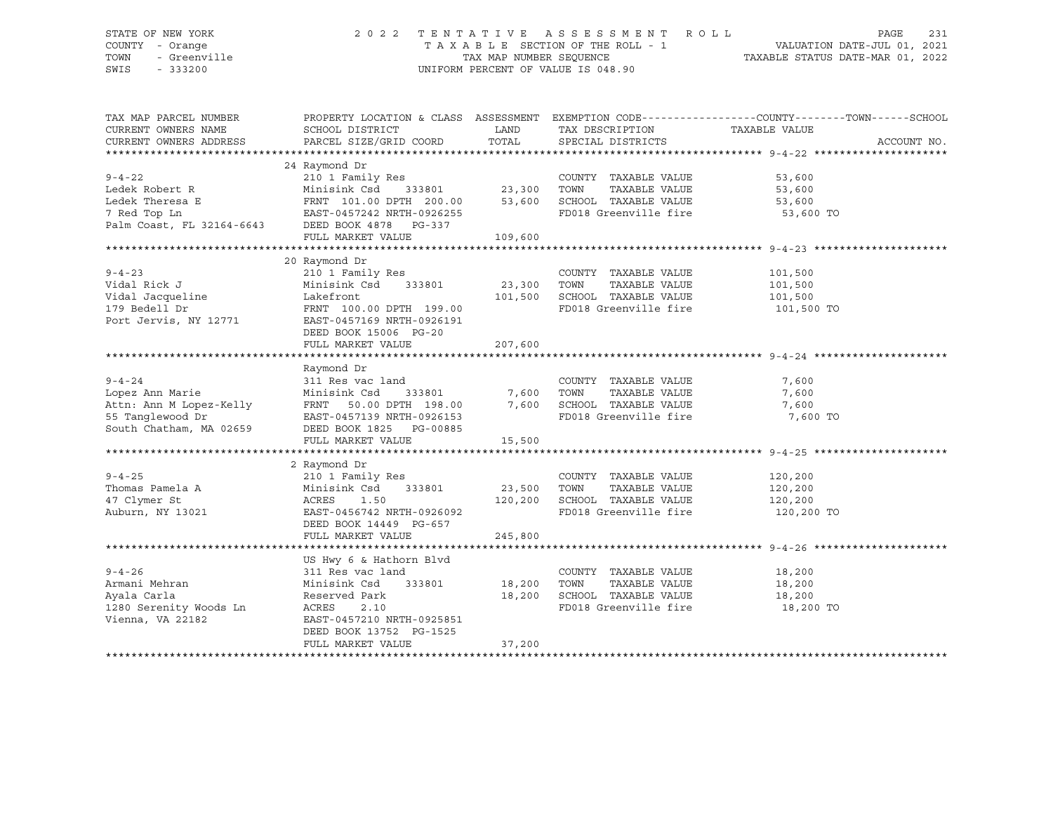### STATE OF NEW YORK 2 0 2 2 T E N T A T I V E A S S E S S M E N T R O L L PAGE 231 COUNTY - Orange T A X A B L E SECTION OF THE ROLL - 1 VALUATION DATE-JUL 01, 2021 TOWN - Greenville TAX MAP NUMBER SEQUENCE TAXABLE STATUS DATE-MAR 01, 2022 SWIS - 333200 UNIFORM PERCENT OF VALUE IS 048.90

| TAX MAP PARCEL NUMBER<br>CURRENT OWNERS NAME<br>CURRENT OWNERS ADDRESS | SCHOOL DISTRICT<br>PARCEL SIZE/GRID COORD |                    | LAND TAX DESCRIPTION<br>TOTAL SPECIAL DISTRICTS                                                           | PROPERTY LOCATION & CLASS ASSESSMENT EXEMPTION CODE----------------COUNTY-------TOWN-----SCHOOL<br>TAXABLE VALUE<br>ACCOUNT NO. |
|------------------------------------------------------------------------|-------------------------------------------|--------------------|-----------------------------------------------------------------------------------------------------------|---------------------------------------------------------------------------------------------------------------------------------|
|                                                                        |                                           |                    |                                                                                                           |                                                                                                                                 |
|                                                                        | 24 Raymond Dr                             |                    |                                                                                                           |                                                                                                                                 |
| $9 - 4 - 22$                                                           |                                           |                    | COUNTY TAXABLE VALUE                                                                                      | 53,600                                                                                                                          |
| Ledek Robert R                                                         |                                           |                    | TAXABLE VALUE                                                                                             | 53,600                                                                                                                          |
| Ledek Theresa E                                                        |                                           |                    | SCHOOL TAXABLE VALUE                                                                                      | 53,600                                                                                                                          |
|                                                                        |                                           |                    | FD018 Greenville fire 53,600 TO                                                                           |                                                                                                                                 |
|                                                                        |                                           |                    |                                                                                                           |                                                                                                                                 |
|                                                                        | FULL MARKET VALUE                         | 109,600            |                                                                                                           |                                                                                                                                 |
|                                                                        |                                           |                    |                                                                                                           |                                                                                                                                 |
|                                                                        | 20 Raymond Dr                             |                    |                                                                                                           |                                                                                                                                 |
| $9 - 4 - 23$                                                           | 210 1 Family Res                          |                    | COUNTY TAXABLE VALUE                                                                                      | 101,500                                                                                                                         |
| Vidal Rick J                                                           | Minisink Csd 333801 23,300 TOWN           |                    | TAXABLE VALUE                                                                                             | 101,500                                                                                                                         |
| Vidal Jacqueline Makefront                                             |                                           |                    |                                                                                                           |                                                                                                                                 |
| 179 Bedell Dr                                                          | FRNT 100.00 DPTH 199.00                   |                    | 101,500 SCHOOL TAXABLE VALUE 101,500<br>FD018 Greenville fire 101,500<br>FD018 Greenville fire 101,500 TO |                                                                                                                                 |
| Port Jervis, NY 12771                                                  | EAST-0457169 NRTH-0926191                 |                    |                                                                                                           |                                                                                                                                 |
|                                                                        | DEED BOOK 15006 PG-20                     |                    |                                                                                                           |                                                                                                                                 |
|                                                                        | FULL MARKET VALUE                         | 207,600            |                                                                                                           |                                                                                                                                 |
|                                                                        |                                           |                    |                                                                                                           |                                                                                                                                 |
|                                                                        | Raymond Dr                                |                    |                                                                                                           |                                                                                                                                 |
| $9 - 4 - 24$                                                           | 311 Res vac land                          |                    | COUNTY TAXABLE VALUE                                                                                      | 7,600                                                                                                                           |
| Lopez Ann Marie                                                        | Minisink Csd                              | 333801 7,600 TOWN  | TAXABLE VALUE                                                                                             | 7,600                                                                                                                           |
|                                                                        |                                           |                    |                                                                                                           | 7,600                                                                                                                           |
|                                                                        |                                           |                    |                                                                                                           | 7,600 TO                                                                                                                        |
| South Chatham, MA 02659                                                | DEED BOOK 1825 PG-00885                   |                    |                                                                                                           |                                                                                                                                 |
|                                                                        | FULL MARKET VALUE                         | 15,500             |                                                                                                           |                                                                                                                                 |
|                                                                        |                                           |                    |                                                                                                           |                                                                                                                                 |
| $9 - 4 - 25$                                                           | 2 Raymond Dr<br>210 1 Family Res          |                    | COUNTY TAXABLE VALUE                                                                                      | 120,200                                                                                                                         |
| Thomas Pamela A                                                        | Minisink Csd                              | 333801 23,500 TOWN | TAXABLE VALUE                                                                                             | 120,200                                                                                                                         |
| 47 Clymer St                                                           | ACRES<br>1.50                             | 120,200            | SCHOOL TAXABLE VALUE                                                                                      | 120,200                                                                                                                         |
| Auburn, NY 13021                                                       | EAST-0456742 NRTH-0926092                 |                    | FD018 Greenville fire                                                                                     | 120,200 TO                                                                                                                      |
|                                                                        | DEED BOOK 14449 PG-657                    |                    |                                                                                                           |                                                                                                                                 |
|                                                                        | FULL MARKET VALUE                         | 245,800            |                                                                                                           |                                                                                                                                 |
|                                                                        |                                           |                    |                                                                                                           |                                                                                                                                 |
|                                                                        | US Hwy 6 & Hathorn Blvd                   |                    |                                                                                                           |                                                                                                                                 |
| $9 - 4 - 26$                                                           | 311 Res vac land                          |                    | COUNTY TAXABLE VALUE                                                                                      | 18,200                                                                                                                          |
| Armani Mehran                                                          | Minisink Csd<br>333801 18,200 TOWN        |                    | TAXABLE VALUE                                                                                             | 18,200                                                                                                                          |
| Ayala Carla                                                            | Reserved Park                             |                    | 18,200 SCHOOL TAXABLE VALUE                                                                               | 18,200                                                                                                                          |
| 1280 Serenity Woods Ln                                                 | ACRES<br>2.10                             |                    | FD018 Greenville fire                                                                                     | 18,200 TO                                                                                                                       |
| Vienna, VA 22182                                                       | EAST-0457210 NRTH-0925851                 |                    |                                                                                                           |                                                                                                                                 |
|                                                                        | DEED BOOK 13752 PG-1525                   |                    |                                                                                                           |                                                                                                                                 |
|                                                                        | FULL MARKET VALUE                         | 37,200             |                                                                                                           |                                                                                                                                 |
|                                                                        |                                           |                    |                                                                                                           |                                                                                                                                 |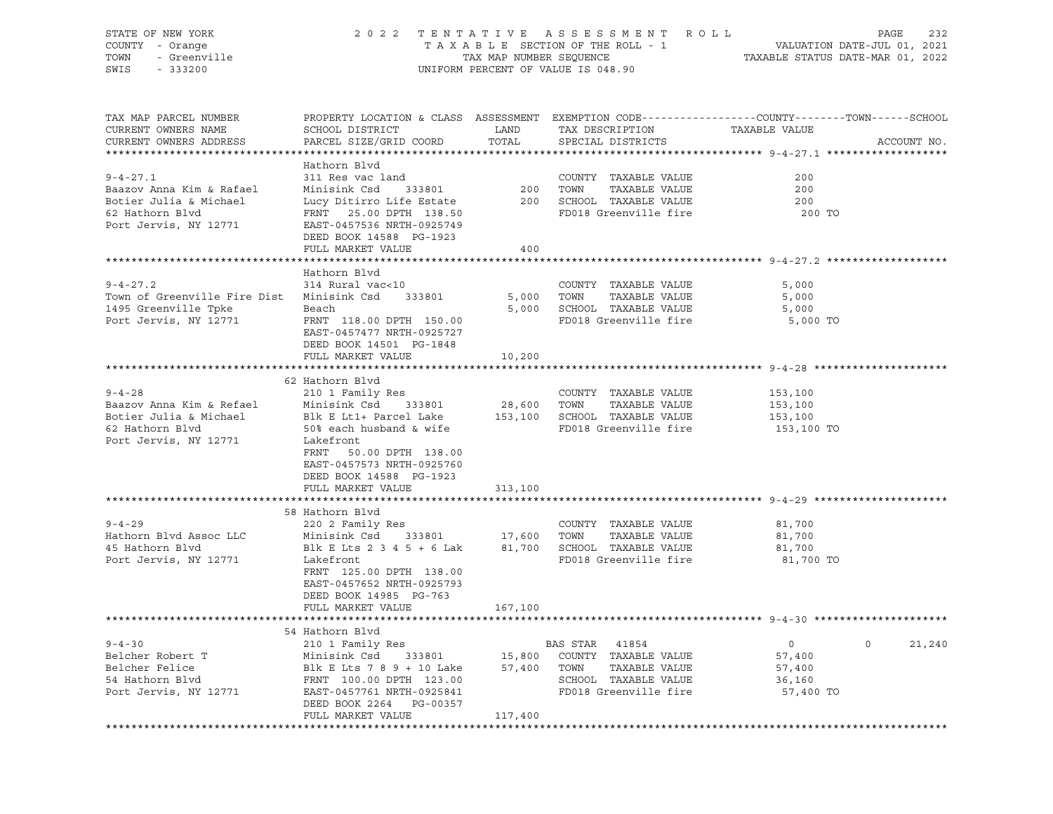| STATE OF NEW YORK<br>COUNTY - Orange<br>TOWN<br>- Greenville<br>SWIS<br>$-333200$                                   |                                                                                                                                                                                     |                 | 2022 TENTATIVE ASSESSMENT ROLL<br>UNIFORM PERCENT OF VALUE IS 048.90                                       | PAGE<br>232<br>T A X A B L E SECTION OF THE ROLL - 1 VALUATION DATE-JUL 01, 2021<br>TAX MAP NUMBER SEQUENCE TAXABLE STATUS DATE-MAR 01, 2022 |
|---------------------------------------------------------------------------------------------------------------------|-------------------------------------------------------------------------------------------------------------------------------------------------------------------------------------|-----------------|------------------------------------------------------------------------------------------------------------|----------------------------------------------------------------------------------------------------------------------------------------------|
| TAX MAP PARCEL NUMBER<br>CURRENT OWNERS NAME<br>CURRENT OWNERS ADDRESS                                              | SCHOOL DISTRICT<br>PARCEL SIZE/GRID COORD                                                                                                                                           | LAND<br>TOTAL   | TAX DESCRIPTION<br>SPECIAL DISTRICTS                                                                       | PROPERTY LOCATION & CLASS ASSESSMENT EXEMPTION CODE----------------COUNTY-------TOWN------SCHOOL<br>TAXABLE VALUE<br>ACCOUNT NO.             |
| $9 - 4 - 27.1$<br>Baazov Anna Kim & Rafael<br>Botier Julia & Michael<br>62 Hathorn Blvd<br>Port Jervis, NY 12771    | Hathorn Blvd<br>311 Res vac land<br>Minisink Csd<br>Lucy Ditirro Life Estate<br>FRNT 25.00 DPTH 138.50<br>EAST-0457536 NRTH-0925749                                                 | 333801 200 TOWN | COUNTY TAXABLE VALUE<br>TAXABLE VALUE<br>200 SCHOOL TAXABLE VALUE<br>FD018 Greenville fire                 | 200<br>200<br>200<br>при последници по 200 то                                                                                                |
|                                                                                                                     | DEED BOOK 14588 PG-1923<br>FULL MARKET VALUE                                                                                                                                        | 400             |                                                                                                            |                                                                                                                                              |
|                                                                                                                     |                                                                                                                                                                                     |                 |                                                                                                            |                                                                                                                                              |
| $9 - 4 - 27.2$<br>Town of Greenville Fire Dist Minisink Csd 333801<br>1495 Greenville Tpke<br>Port Jervis, NY 12771 | Hathorn Blvd<br>314 Rural vac<10<br>Beach<br>FRNT 118.00 DPTH 150.00<br>EAST-0457477 NRTH-0925727<br>DEED BOOK 14501 PG-1848                                                        |                 | COUNTY TAXABLE VALUE<br>5,000 TOWN<br>TAXABLE VALUE<br>5,000 SCHOOL TAXABLE VALUE<br>FD018 Greenville fire | 5,000<br>5,000<br>5,000<br>5,000 TO                                                                                                          |
|                                                                                                                     | FULL MARKET VALUE                                                                                                                                                                   | 10,200          |                                                                                                            |                                                                                                                                              |
|                                                                                                                     | 62 Hathorn Blvd                                                                                                                                                                     |                 |                                                                                                            |                                                                                                                                              |
| $9 - 4 - 28$<br>Baazov Anna Kim & Refael<br>Botier Julia & Michael<br>62 Hathorn Blvd<br>Port Jervis, NY 12771      | 210 1 Family Res<br>Minisink Csd 333801 28,600 TOWN<br>Blk E Lt1+ Parcel Lake<br>50% each husband & wife<br>Lakefront<br>FRNT<br>50.00 DPTH 138.00                                  |                 | COUNTY TAXABLE VALUE<br>TAXABLE VALUE<br>153,100 SCHOOL TAXABLE VALUE<br>FD018 Greenville fire             | 153,100<br>153,100<br>153,100<br>153,100 TO                                                                                                  |
|                                                                                                                     | EAST-0457573 NRTH-0925760<br>DEED BOOK 14588 PG-1923<br>FULL MARKET VALUE                                                                                                           | 313,100         |                                                                                                            |                                                                                                                                              |
|                                                                                                                     | 58 Hathorn Blvd                                                                                                                                                                     |                 |                                                                                                            |                                                                                                                                              |
| $9 - 4 - 29$<br>Hathorn Blvd Assoc LLC<br>45 Hathorn Blvd<br>Port Jervis, NY 12771                                  | 220 2 Family Res<br>Minisink Csd 333801 17,600 TOWN<br>Blk E Lts 2 3 4 5 + 6 Lak $81,700$ SCHOOL TAXABLE VALUE<br>Lakefront<br>FRNT 125.00 DPTH 138.00<br>EAST-0457652 NRTH-0925793 |                 | COUNTY TAXABLE VALUE<br>TAXABLE VALUE<br>FD018 Greenville fire                                             | 81,700<br>81,700<br>81,700<br>81,700 TO                                                                                                      |
|                                                                                                                     | DEED BOOK 14985 PG-763                                                                                                                                                              |                 |                                                                                                            |                                                                                                                                              |
|                                                                                                                     | FULL MARKET VALUE                                                                                                                                                                   | 167,100         |                                                                                                            |                                                                                                                                              |
|                                                                                                                     | 54 Hathorn Blvd                                                                                                                                                                     |                 |                                                                                                            |                                                                                                                                              |
| $9 - 4 - 30$                                                                                                        | 210 1 Family Res                                                                                                                                                                    |                 | BAS STAR<br>41854                                                                                          | 0<br>$\circ$<br>21,240                                                                                                                       |
| Belcher Robert T                                                                                                    | Minisink Csd<br>333801                                                                                                                                                              | 15,800          | COUNTY<br>TAXABLE VALUE                                                                                    | 57,400                                                                                                                                       |
| Belcher Felice                                                                                                      | Blk E Lts 7 8 9 + 10 Lake                                                                                                                                                           | 57,400          | TAXABLE VALUE<br>TOWN                                                                                      | 57,400                                                                                                                                       |
| 54 Hathorn Blvd                                                                                                     | FRNT 100.00 DPTH 123.00                                                                                                                                                             |                 | SCHOOL TAXABLE VALUE                                                                                       | 36,160                                                                                                                                       |
| Port Jervis, NY 12771                                                                                               | EAST-0457761 NRTH-0925841<br>DEED BOOK 2264<br>PG-00357                                                                                                                             |                 | FD018 Greenville fire                                                                                      | 57,400 TO                                                                                                                                    |
|                                                                                                                     | FULL MARKET VALUE                                                                                                                                                                   | 117,400         |                                                                                                            |                                                                                                                                              |
|                                                                                                                     |                                                                                                                                                                                     |                 |                                                                                                            |                                                                                                                                              |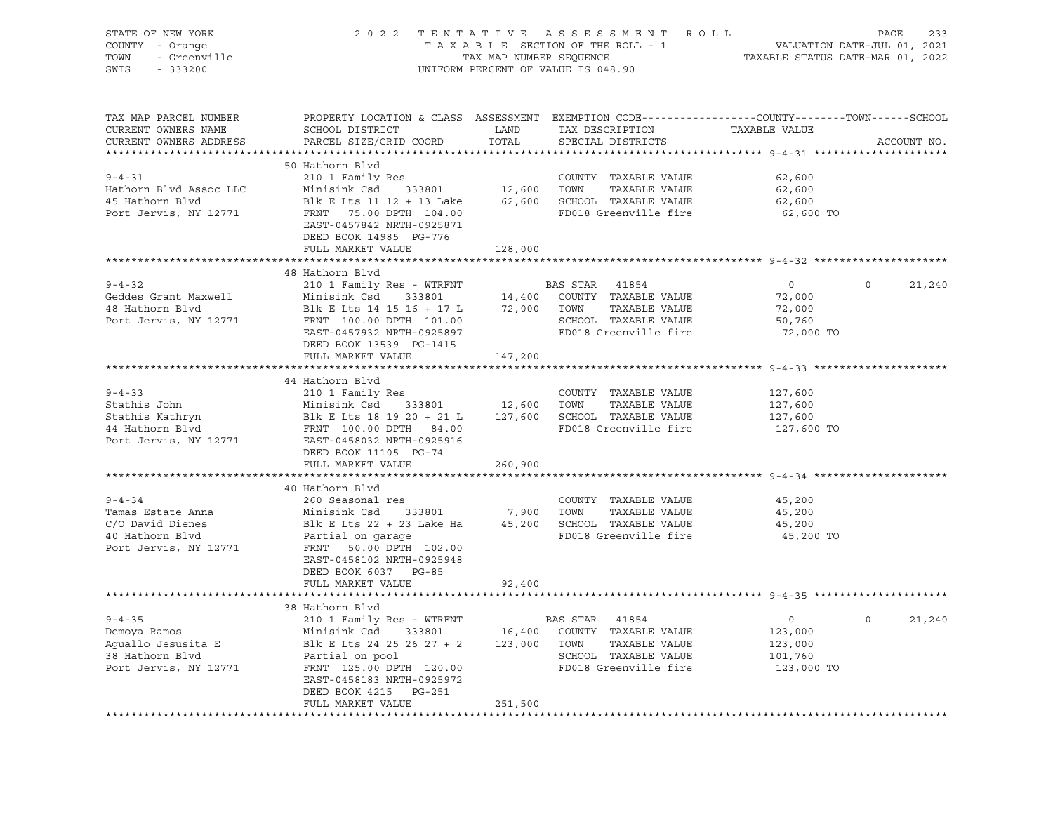| STATE OF NEW YORK<br>COUNTY - Orange<br>- Orange<br>- Greenville<br>- 222200<br>TOWN<br>SWIS<br>$-333200$ |                                                                                                  | TAX MAP NUMBER SEQUENCE | 2022 TENTATIVE ASSESSMENT ROLL<br>TAXABLE SECTION OF THE ROLL - 1<br>UNIFORM PERCENT OF VALUE IS 048.90 | VALUATION DATE-JUL 01, 2021<br>TAXABLE STATUS DATE-MAR 01, 2022 | PAGE<br>233            |
|-----------------------------------------------------------------------------------------------------------|--------------------------------------------------------------------------------------------------|-------------------------|---------------------------------------------------------------------------------------------------------|-----------------------------------------------------------------|------------------------|
|                                                                                                           |                                                                                                  |                         |                                                                                                         |                                                                 |                        |
| TAX MAP PARCEL NUMBER                                                                                     | PROPERTY LOCATION & CLASS ASSESSMENT EXEMPTION CODE----------------COUNTY-------TOWN------SCHOOL |                         |                                                                                                         |                                                                 |                        |
| CURRENT OWNERS NAME                                                                                       | SCHOOL DISTRICT                                                                                  | LAND                    | TAX DESCRIPTION                                                                                         | TAXABLE VALUE                                                   |                        |
| CURRENT OWNERS ADDRESS                                                                                    | PARCEL SIZE/GRID COORD                                                                           | TOTAL                   | SPECIAL DISTRICTS                                                                                       |                                                                 | ACCOUNT NO.            |
|                                                                                                           |                                                                                                  |                         |                                                                                                         |                                                                 |                        |
|                                                                                                           | 50 Hathorn Blvd                                                                                  |                         |                                                                                                         |                                                                 |                        |
| $9 - 4 - 31$<br>Hathorn Blvd Assoc LLC                                                                    | 210 1 Family Res                                                                                 |                         | COUNTY TAXABLE VALUE<br>12,600 TOWN<br>TAXABLE VALUE                                                    | 62,600                                                          |                        |
| 45 Hathorn Blvd                                                                                           | Minisink Csd 333801<br>Blk E Lts 11 12 + 13 Lake                                                 |                         | 62,600 SCHOOL TAXABLE VALUE                                                                             | 62,600<br>62,600                                                |                        |
| Port Jervis, NY 12771                                                                                     | FRNT 75.00 DPTH 104.00                                                                           |                         | FD018 Greenville fire                                                                                   | 62,600 TO                                                       |                        |
|                                                                                                           | EAST-0457842 NRTH-0925871                                                                        |                         |                                                                                                         |                                                                 |                        |
|                                                                                                           | DEED BOOK 14985 PG-776                                                                           |                         |                                                                                                         |                                                                 |                        |
|                                                                                                           | FULL MARKET VALUE                                                                                | 128,000                 |                                                                                                         |                                                                 |                        |
|                                                                                                           | **********************                                                                           | ***********             |                                                                                                         | ************************ 9-4-32 ******************              |                        |
|                                                                                                           | 48 Hathorn Blvd                                                                                  |                         |                                                                                                         |                                                                 |                        |
| $9 - 4 - 32$                                                                                              | 210 1 Family Res - WTRFNT                                                                        |                         | BAS STAR 41854                                                                                          | $\overline{0}$                                                  | $\mathsf{O}$<br>21,240 |
| Geddes Grant Maxwell                                                                                      | Minisink Csd 333801                                                                              |                         | 14,400 COUNTY TAXABLE VALUE                                                                             | 72,000                                                          |                        |
| 48 Hathorn Blvd                                                                                           | Blk E Lts 14 15 16 + 17 L                                                                        |                         | 72,000 TOWN<br>TAXABLE VALUE                                                                            | 72,000                                                          |                        |
| Port Jervis, NY 12771                                                                                     | FRNT 100.00 DPTH 101.00                                                                          |                         | SCHOOL TAXABLE VALUE                                                                                    | 50,760                                                          |                        |
|                                                                                                           | EAST-0457932 NRTH-0925897                                                                        |                         | FD018 Greenville fire                                                                                   | 72,000 TO                                                       |                        |
|                                                                                                           | DEED BOOK 13539 PG-1415                                                                          |                         |                                                                                                         |                                                                 |                        |
|                                                                                                           | FULL MARKET VALUE                                                                                | 147,200                 |                                                                                                         |                                                                 |                        |
|                                                                                                           | 44 Hathorn Blvd                                                                                  |                         |                                                                                                         |                                                                 |                        |
| $9 - 4 - 33$                                                                                              | 210 1 Family Res                                                                                 |                         | COUNTY TAXABLE VALUE                                                                                    | 127,600                                                         |                        |
| Stathis John                                                                                              | Minisink Csd 333801                                                                              | 12,600 TOWN             | TAXABLE VALUE                                                                                           | 127,600                                                         |                        |
| Stathis Kathryn                                                                                           | Blk E Lts 18 19 20 + 21 L $127,600$ SCHOOL TAXABLE VALUE                                         |                         |                                                                                                         | 127,600                                                         |                        |
| 44 Hathorn Blvd                                                                                           | FRNT 100.00 DPTH 84.00                                                                           |                         | FD018 Greenville fire                                                                                   | 127,600 TO                                                      |                        |
| Port Jervis, NY 12771                                                                                     | EAST-0458032 NRTH-0925916                                                                        |                         |                                                                                                         |                                                                 |                        |
|                                                                                                           | DEED BOOK 11105 PG-74                                                                            |                         |                                                                                                         |                                                                 |                        |
|                                                                                                           | FULL MARKET VALUE                                                                                | 260,900                 |                                                                                                         |                                                                 |                        |
|                                                                                                           |                                                                                                  |                         |                                                                                                         |                                                                 |                        |
|                                                                                                           | 40 Hathorn Blvd                                                                                  |                         |                                                                                                         |                                                                 |                        |
| $9 - 4 - 34$                                                                                              | 260 Seasonal res                                                                                 |                         | COUNTY TAXABLE VALUE                                                                                    | 45,200                                                          |                        |
| Tamas Estate Anna                                                                                         | 333801<br>Minisink Csd                                                                           | 7,900 TOWN              | TAXABLE VALUE                                                                                           | 45,200                                                          |                        |
| C/O David Dienes                                                                                          | Blk E Lts 22 + 23 Lake Ha                                                                        |                         | 45,200 SCHOOL TAXABLE VALUE                                                                             | 45,200                                                          |                        |
| 40 Hathorn Blvd                                                                                           | Partial on garage                                                                                |                         | FD018 Greenville fire                                                                                   | 45,200 TO                                                       |                        |
| Port Jervis, NY 12771                                                                                     | FRNT 50.00 DPTH 102.00                                                                           |                         |                                                                                                         |                                                                 |                        |
|                                                                                                           | EAST-0458102 NRTH-0925948                                                                        |                         |                                                                                                         |                                                                 |                        |
|                                                                                                           | DEED BOOK 6037 PG-85                                                                             |                         |                                                                                                         |                                                                 |                        |
|                                                                                                           | FULL MARKET VALUE<br>**********************************                                          | 92,400                  |                                                                                                         |                                                                 |                        |
|                                                                                                           | 38 Hathorn Blvd                                                                                  |                         |                                                                                                         |                                                                 |                        |
| $9 - 4 - 35$                                                                                              | 210 1 Family Res - WTRFNT                                                                        |                         | BAS STAR 41854                                                                                          | $\circ$                                                         | $\Omega$<br>21,240     |
| Demoya Ramos                                                                                              | Minisink Csd 333801 16,400 COUNTY TAXABLE VALUE                                                  |                         |                                                                                                         | 123,000                                                         |                        |
| Aguallo Jesusita E                                                                                        | Blk E Lts 24 25 26 27 + 2                                                                        |                         | 123,000 TOWN<br>TAXABLE VALUE                                                                           | 123,000                                                         |                        |
| 38 Hathorn Blvd                                                                                           | Partial on pool                                                                                  |                         | SCHOOL TAXABLE VALUE                                                                                    | 101,760                                                         |                        |
| Port Jervis, NY 12771                                                                                     | FRNT 125.00 DPTH 120.00                                                                          |                         | FD018 Greenville fire                                                                                   | 123,000 TO                                                      |                        |
|                                                                                                           | EAST-0458183 NRTH-0925972                                                                        |                         |                                                                                                         |                                                                 |                        |
|                                                                                                           | DEED BOOK 4215 PG-251                                                                            |                         |                                                                                                         |                                                                 |                        |
|                                                                                                           | FULL MARKET VALUE                                                                                | 251,500                 |                                                                                                         |                                                                 |                        |
|                                                                                                           |                                                                                                  |                         |                                                                                                         |                                                                 |                        |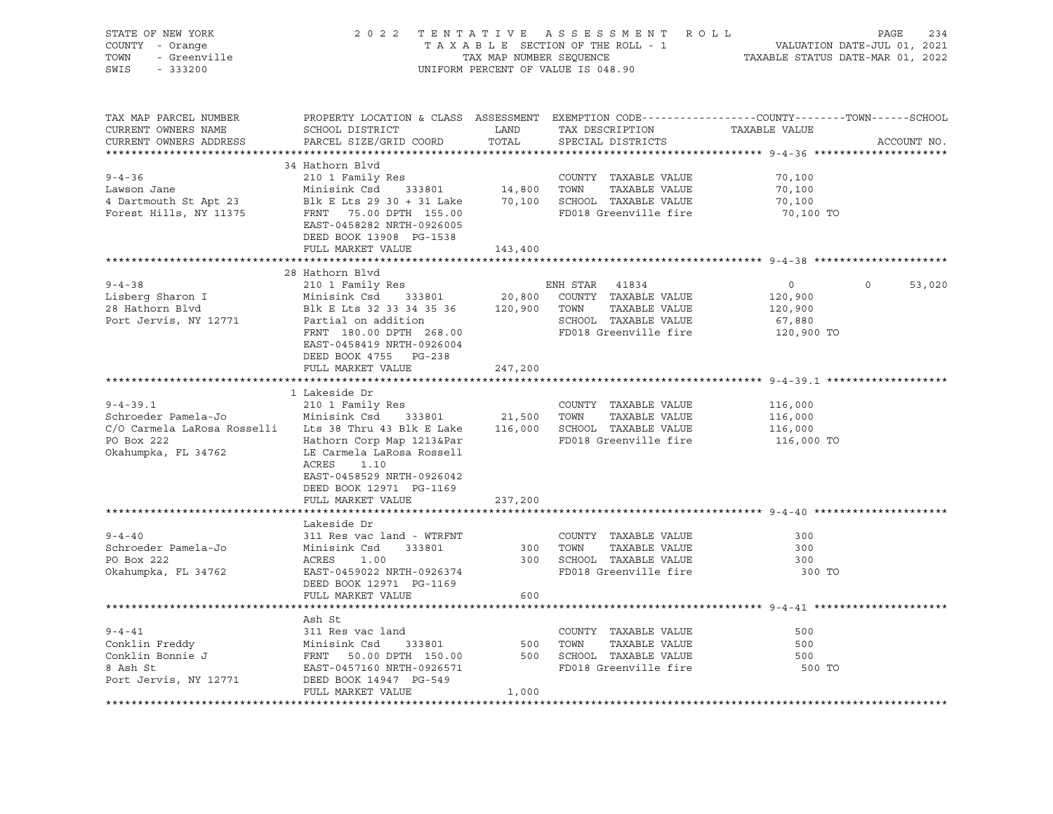| PROPERTY LOCATION & CLASS ASSESSMENT EXEMPTION CODE----------------COUNTY-------TOWN------SCHOOL<br>TAX MAP PARCEL NUMBER<br>TAX DESCRIPTION<br>CURRENT OWNERS NAME<br>LAND<br>SCHOOL DISTRICT<br>TAXABLE VALUE<br>CURRENT OWNERS ADDRESS<br>PARCEL SIZE/GRID COORD<br>TOTAL<br>SPECIAL DISTRICTS<br>ACCOUNT NO.<br>34 Hathorn Blvd<br>210 1 Family Res<br>$9 - 4 - 36$<br>COUNTY TAXABLE VALUE<br>70,100<br>Example and Minisink Csd 33801 14,800 TOWN TAXABLE VALUE<br>4 Dartmouth St Apt 23 Blk E Lts 29 30 + 31 Lake 70,100 SCHOOL TAXABLE VALUE<br>Forest Hills, NY 11375 FRNT 75.00 DPTH 155.00 FOR FD018 Greenville fire<br>70,100<br>70,100<br>FD018 Greenville fire<br>70,100 TO<br>EAST-0458282 NRTH-0926005<br>DEED BOOK 13908 PG-1538<br>FULL MARKET VALUE<br>143,400<br>28 Hathorn Blvd<br>210 1 Family Res<br>ENH STAR 41834<br>20,800 COUNTY TAXABLE VALUE<br>$9 - 4 - 38$<br>$\Omega$<br>53,020<br>$\overline{0}$<br>Minisink Csd 333801<br>Lisberg Sharon I<br>120,900<br>28 Hathorn Blvd<br>MINISING CSU CONSUMING THE MARGE OF THE PARABLE VALUE<br>Partial on addition and SCHOOL TAXABLE VALUE<br>Partial on addition and SCHOOL TAXABLE VALUE<br>120,900<br>Port Jervis, NY 12771<br>SCHOOL TAXABLE VALUE<br>FD018 Greenville fire<br>67,880<br>FRNT 180.00 DPTH 268.00<br>120,900 TO<br>EAST-0458419 NRTH-0926004<br>DEED BOOK 4755 PG-238<br>FULL MARKET VALUE<br>247,200 |
|---------------------------------------------------------------------------------------------------------------------------------------------------------------------------------------------------------------------------------------------------------------------------------------------------------------------------------------------------------------------------------------------------------------------------------------------------------------------------------------------------------------------------------------------------------------------------------------------------------------------------------------------------------------------------------------------------------------------------------------------------------------------------------------------------------------------------------------------------------------------------------------------------------------------------------------------------------------------------------------------------------------------------------------------------------------------------------------------------------------------------------------------------------------------------------------------------------------------------------------------------------------------------------------------------------------------------------------------------------------------------------------------------|
|                                                                                                                                                                                                                                                                                                                                                                                                                                                                                                                                                                                                                                                                                                                                                                                                                                                                                                                                                                                                                                                                                                                                                                                                                                                                                                                                                                                                   |
|                                                                                                                                                                                                                                                                                                                                                                                                                                                                                                                                                                                                                                                                                                                                                                                                                                                                                                                                                                                                                                                                                                                                                                                                                                                                                                                                                                                                   |
|                                                                                                                                                                                                                                                                                                                                                                                                                                                                                                                                                                                                                                                                                                                                                                                                                                                                                                                                                                                                                                                                                                                                                                                                                                                                                                                                                                                                   |
|                                                                                                                                                                                                                                                                                                                                                                                                                                                                                                                                                                                                                                                                                                                                                                                                                                                                                                                                                                                                                                                                                                                                                                                                                                                                                                                                                                                                   |
|                                                                                                                                                                                                                                                                                                                                                                                                                                                                                                                                                                                                                                                                                                                                                                                                                                                                                                                                                                                                                                                                                                                                                                                                                                                                                                                                                                                                   |
|                                                                                                                                                                                                                                                                                                                                                                                                                                                                                                                                                                                                                                                                                                                                                                                                                                                                                                                                                                                                                                                                                                                                                                                                                                                                                                                                                                                                   |
|                                                                                                                                                                                                                                                                                                                                                                                                                                                                                                                                                                                                                                                                                                                                                                                                                                                                                                                                                                                                                                                                                                                                                                                                                                                                                                                                                                                                   |
|                                                                                                                                                                                                                                                                                                                                                                                                                                                                                                                                                                                                                                                                                                                                                                                                                                                                                                                                                                                                                                                                                                                                                                                                                                                                                                                                                                                                   |
|                                                                                                                                                                                                                                                                                                                                                                                                                                                                                                                                                                                                                                                                                                                                                                                                                                                                                                                                                                                                                                                                                                                                                                                                                                                                                                                                                                                                   |
|                                                                                                                                                                                                                                                                                                                                                                                                                                                                                                                                                                                                                                                                                                                                                                                                                                                                                                                                                                                                                                                                                                                                                                                                                                                                                                                                                                                                   |
|                                                                                                                                                                                                                                                                                                                                                                                                                                                                                                                                                                                                                                                                                                                                                                                                                                                                                                                                                                                                                                                                                                                                                                                                                                                                                                                                                                                                   |
|                                                                                                                                                                                                                                                                                                                                                                                                                                                                                                                                                                                                                                                                                                                                                                                                                                                                                                                                                                                                                                                                                                                                                                                                                                                                                                                                                                                                   |
|                                                                                                                                                                                                                                                                                                                                                                                                                                                                                                                                                                                                                                                                                                                                                                                                                                                                                                                                                                                                                                                                                                                                                                                                                                                                                                                                                                                                   |
|                                                                                                                                                                                                                                                                                                                                                                                                                                                                                                                                                                                                                                                                                                                                                                                                                                                                                                                                                                                                                                                                                                                                                                                                                                                                                                                                                                                                   |
|                                                                                                                                                                                                                                                                                                                                                                                                                                                                                                                                                                                                                                                                                                                                                                                                                                                                                                                                                                                                                                                                                                                                                                                                                                                                                                                                                                                                   |
|                                                                                                                                                                                                                                                                                                                                                                                                                                                                                                                                                                                                                                                                                                                                                                                                                                                                                                                                                                                                                                                                                                                                                                                                                                                                                                                                                                                                   |
|                                                                                                                                                                                                                                                                                                                                                                                                                                                                                                                                                                                                                                                                                                                                                                                                                                                                                                                                                                                                                                                                                                                                                                                                                                                                                                                                                                                                   |
| 1 Lakeside Dr                                                                                                                                                                                                                                                                                                                                                                                                                                                                                                                                                                                                                                                                                                                                                                                                                                                                                                                                                                                                                                                                                                                                                                                                                                                                                                                                                                                     |
| $9 - 4 - 39.1$<br>210 1 Family Res<br>COUNTY TAXABLE VALUE<br>116,000                                                                                                                                                                                                                                                                                                                                                                                                                                                                                                                                                                                                                                                                                                                                                                                                                                                                                                                                                                                                                                                                                                                                                                                                                                                                                                                             |
| Minisink Csd 333801 21,500 TOWN<br>Schroeder Pamela-Jo<br>TAXABLE VALUE<br>116,000                                                                                                                                                                                                                                                                                                                                                                                                                                                                                                                                                                                                                                                                                                                                                                                                                                                                                                                                                                                                                                                                                                                                                                                                                                                                                                                |
| C/O Carmela LaRosa Rosselli Lts 38 Thru 43 Blk E Lake 116,000 SCHOOL TAXABLE VALUE<br>116,000                                                                                                                                                                                                                                                                                                                                                                                                                                                                                                                                                                                                                                                                                                                                                                                                                                                                                                                                                                                                                                                                                                                                                                                                                                                                                                     |
| FD018 Greenville fire<br>PO Box 222<br>Hathorn Corp Map 1213&Par<br>116,000 TO                                                                                                                                                                                                                                                                                                                                                                                                                                                                                                                                                                                                                                                                                                                                                                                                                                                                                                                                                                                                                                                                                                                                                                                                                                                                                                                    |
| LE Carmela LaRosa Rossell<br>Okahumpka, FL 34762                                                                                                                                                                                                                                                                                                                                                                                                                                                                                                                                                                                                                                                                                                                                                                                                                                                                                                                                                                                                                                                                                                                                                                                                                                                                                                                                                  |
| ACRES<br>1.10                                                                                                                                                                                                                                                                                                                                                                                                                                                                                                                                                                                                                                                                                                                                                                                                                                                                                                                                                                                                                                                                                                                                                                                                                                                                                                                                                                                     |
| EAST-0458529 NRTH-0926042<br>DEED BOOK 12971 PG-1169                                                                                                                                                                                                                                                                                                                                                                                                                                                                                                                                                                                                                                                                                                                                                                                                                                                                                                                                                                                                                                                                                                                                                                                                                                                                                                                                              |
|                                                                                                                                                                                                                                                                                                                                                                                                                                                                                                                                                                                                                                                                                                                                                                                                                                                                                                                                                                                                                                                                                                                                                                                                                                                                                                                                                                                                   |
|                                                                                                                                                                                                                                                                                                                                                                                                                                                                                                                                                                                                                                                                                                                                                                                                                                                                                                                                                                                                                                                                                                                                                                                                                                                                                                                                                                                                   |
| FULL MARKET VALUE<br>237,200                                                                                                                                                                                                                                                                                                                                                                                                                                                                                                                                                                                                                                                                                                                                                                                                                                                                                                                                                                                                                                                                                                                                                                                                                                                                                                                                                                      |
|                                                                                                                                                                                                                                                                                                                                                                                                                                                                                                                                                                                                                                                                                                                                                                                                                                                                                                                                                                                                                                                                                                                                                                                                                                                                                                                                                                                                   |
| Lakeside Dr<br>$9 - 4 - 40$<br>300                                                                                                                                                                                                                                                                                                                                                                                                                                                                                                                                                                                                                                                                                                                                                                                                                                                                                                                                                                                                                                                                                                                                                                                                                                                                                                                                                                |
| 311 Res vac land - WTRFNT<br>COUNTY TAXABLE VALUE<br>Schroeder Pamela-Jo<br>TAXABLE VALUE<br>300                                                                                                                                                                                                                                                                                                                                                                                                                                                                                                                                                                                                                                                                                                                                                                                                                                                                                                                                                                                                                                                                                                                                                                                                                                                                                                  |
| 300 TOWN<br>Minisink Csd 333801<br>PO Box 222<br>ACRES<br>1.00<br>300                                                                                                                                                                                                                                                                                                                                                                                                                                                                                                                                                                                                                                                                                                                                                                                                                                                                                                                                                                                                                                                                                                                                                                                                                                                                                                                             |
| 300 SCHOOL TAXABLE VALUE<br>FD018 Greenville fire<br>Okahumpka, FL 34762<br>EAST-0459022 NRTH-0926374<br>300 TO                                                                                                                                                                                                                                                                                                                                                                                                                                                                                                                                                                                                                                                                                                                                                                                                                                                                                                                                                                                                                                                                                                                                                                                                                                                                                   |
| DEED BOOK 12971 PG-1169                                                                                                                                                                                                                                                                                                                                                                                                                                                                                                                                                                                                                                                                                                                                                                                                                                                                                                                                                                                                                                                                                                                                                                                                                                                                                                                                                                           |
| FULL MARKET VALUE<br>600                                                                                                                                                                                                                                                                                                                                                                                                                                                                                                                                                                                                                                                                                                                                                                                                                                                                                                                                                                                                                                                                                                                                                                                                                                                                                                                                                                          |
|                                                                                                                                                                                                                                                                                                                                                                                                                                                                                                                                                                                                                                                                                                                                                                                                                                                                                                                                                                                                                                                                                                                                                                                                                                                                                                                                                                                                   |
| Ash St                                                                                                                                                                                                                                                                                                                                                                                                                                                                                                                                                                                                                                                                                                                                                                                                                                                                                                                                                                                                                                                                                                                                                                                                                                                                                                                                                                                            |
| 311 Res vac land<br>$9 - 4 - 41$<br>COUNTY TAXABLE VALUE<br>500                                                                                                                                                                                                                                                                                                                                                                                                                                                                                                                                                                                                                                                                                                                                                                                                                                                                                                                                                                                                                                                                                                                                                                                                                                                                                                                                   |
| Conklin Freddy<br>500 TOWN<br>TAXABLE VALUE<br>500                                                                                                                                                                                                                                                                                                                                                                                                                                                                                                                                                                                                                                                                                                                                                                                                                                                                                                                                                                                                                                                                                                                                                                                                                                                                                                                                                |
| Minisink Csd 333801<br>FRNT 50.00 DPTH 150.00<br>500 SCHOOL TAXABLE VALUE<br>500                                                                                                                                                                                                                                                                                                                                                                                                                                                                                                                                                                                                                                                                                                                                                                                                                                                                                                                                                                                                                                                                                                                                                                                                                                                                                                                  |
| Conklin Bonnie J<br>8 Ash St<br>FD018 Greenville fire<br>EAST-0457160 NRTH-0926571<br>500 TO                                                                                                                                                                                                                                                                                                                                                                                                                                                                                                                                                                                                                                                                                                                                                                                                                                                                                                                                                                                                                                                                                                                                                                                                                                                                                                      |
| Port Jervis, NY 12771<br>DEED BOOK 14947 PG-549<br>1,000<br>FULL MARKET VALUE                                                                                                                                                                                                                                                                                                                                                                                                                                                                                                                                                                                                                                                                                                                                                                                                                                                                                                                                                                                                                                                                                                                                                                                                                                                                                                                     |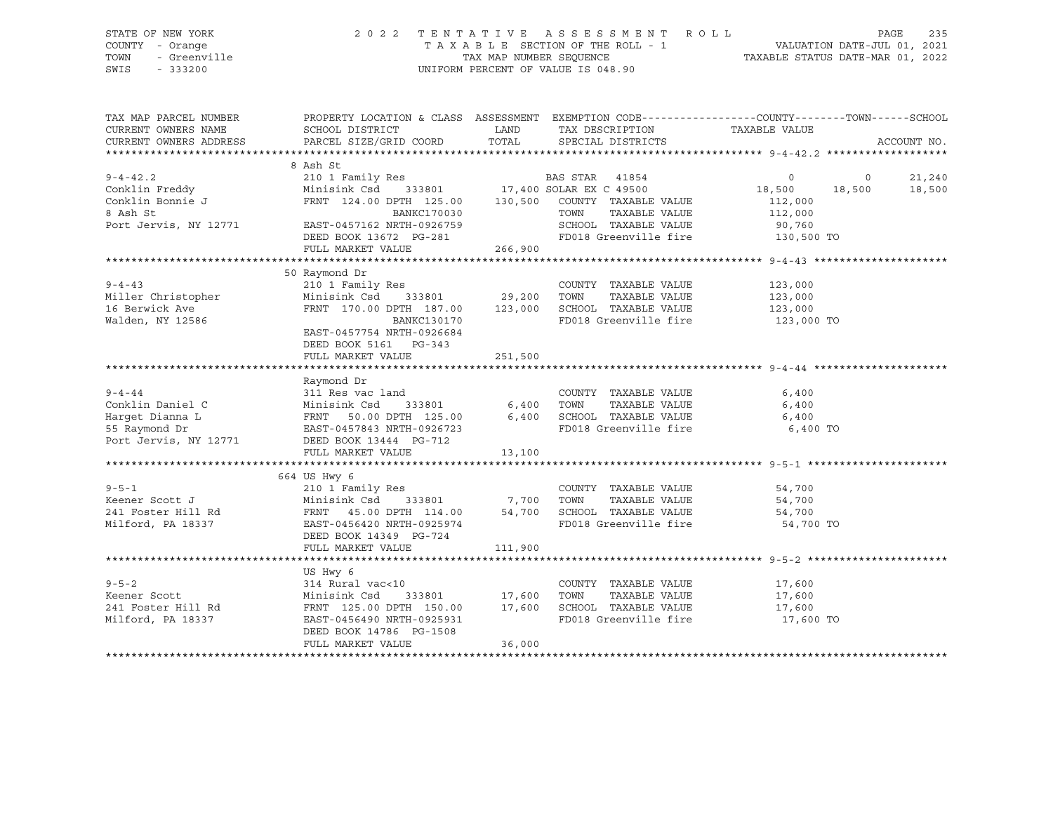STATE OF NEW YORK 2 0 2 2 T E N T A T I V E A S S E S S M E N T R O L L PAGE 235 SWIS - 333200 UNIFORM PERCENT OF VALUE IS 048.90

# COUNTY - Orange T A X A B L E SECTION OF THE ROLL - 1 VALUATION DATE-JUL 01, 2021 TOWN - Greenville TAX MAP NUMBER SEQUENCE TAXABLE STATUS DATE-MAR 01, 2022

| TAX MAP PARCEL NUMBER<br>CURRENT OWNERS NAME<br>CURRENT OWNERS ADDRESS                                                                                             | PROPERTY LOCATION & CLASS ASSESSMENT EXEMPTION CODE----------------COUNTY-------TOWN------SCHOOL<br>SCHOOL DISTRICT<br>PARCEL SIZE/GRID COORD                                                               | LAND<br>TOTAL | TAX DESCRIPTION TAXABLE VALUE<br>SPECIAL DISTRICTS                                                       |                                  |                          | ACCOUNT NO.      |
|--------------------------------------------------------------------------------------------------------------------------------------------------------------------|-------------------------------------------------------------------------------------------------------------------------------------------------------------------------------------------------------------|---------------|----------------------------------------------------------------------------------------------------------|----------------------------------|--------------------------|------------------|
|                                                                                                                                                                    |                                                                                                                                                                                                             |               |                                                                                                          |                                  |                          |                  |
| 9-4-42.2<br>Conklin Freddy (210 1 Family Res )<br>Conklin Bonnie J (24.00 DPTH 125.00 130,500 COUNTY TAXABLE VALUE (24.00 DPTH 125.00 130,500 COUNTY TAXABLE VALUE | 8 Ash St                                                                                                                                                                                                    |               |                                                                                                          | $\overline{0}$<br>18,500         | $\overline{0}$<br>18,500 | 21,240<br>18,500 |
| 8 Ash St<br>Port Jervis, NY 12771 EAST-0457162 NRTH-0926759<br>DEED BOOK 13672 PG-281                                                                              | FULL MARKET VALUE                                                                                                                                                                                           | 266,900       | SCHOOL TAXABLE VALUE 90,760<br>FD018 Greenville fire 130,500 TO                                          | 112,000<br>TAXABLE VALUE 112,000 |                          |                  |
|                                                                                                                                                                    |                                                                                                                                                                                                             |               |                                                                                                          |                                  |                          |                  |
| $9 - 4 - 43$<br>J-4-43<br>Miller Christopher<br>Malden NV 10506<br>Walden, NY 12586                                                                                | 50 Raymond Dr<br>210 1 Family Res<br>FRNT 170.00 DPTH 187.00 123,000<br>BANKC130170<br>EAST-0457754 NRTH-0926684<br>DEED BOOK 5161 PG-343<br>FULL MARKET VALUE                                              | 251,500       | COUNTY TAXABLE VALUE<br>TAXABLE VALUE<br>SCHOOL TAXABLE VALUE 123,000<br>FD018 Greenville fire           | 123,000<br>123,000<br>123,000 TO |                          |                  |
|                                                                                                                                                                    |                                                                                                                                                                                                             |               |                                                                                                          |                                  |                          |                  |
| $9 - 4 - 44$<br>Conklin Daniel C<br>Harget Dianna L<br>55 Raymond Dr<br>Port Jervis, NY 12771 DEED BOOK 13444 PG-712                                               | Raymond Dr<br>311 Res vac land<br>Minisink Csd 333801 6,400 TOWN TAXABLE VALUE<br>FRNT 50.00 DPTH 125.00 6,400 SCHOOL TAXABLE VALUE<br>EAST-0457843 NRTH-0926723 FD018 Greenville fire<br>FULL MARKET VALUE | 13,100        | COUNTY TAXABLE VALUE<br>TAXABLE VALUE<br>FD018 Greenville fire 6,400 TO                                  | 6,400<br>6,400<br>6,400          |                          |                  |
|                                                                                                                                                                    |                                                                                                                                                                                                             |               |                                                                                                          |                                  |                          |                  |
| $9 - 5 - 1$<br>Milford, PA 18337                                                                                                                                   | 664 US Hwy 6<br>210 1 Family Res<br>Minisink Csd 333801 7,700<br>EAST-0456420 NRTH-0925974<br>DEED BOOK 14349 PG-724                                                                                        | 54,700        | COUNTY TAXABLE VALUE<br>TAXABLE VALUE<br>TOWN<br>SCHOOL TAXABLE VALUE<br>FD018 Greenville fire 54,700 TO | 54,700<br>54,700<br>54,700       |                          |                  |
|                                                                                                                                                                    | FULL MARKET VALUE                                                                                                                                                                                           | 111,900       |                                                                                                          |                                  |                          |                  |
|                                                                                                                                                                    |                                                                                                                                                                                                             |               |                                                                                                          |                                  |                          |                  |
| $9 - 5 - 2$<br>Externer Scott<br>241 Foster Hill Rd<br>241 Foster Hill Rd<br>25.00 DPTH 150.00 17,600<br>Milford, PA 18337                                         | US Hwy 6<br>314 Rural vac<10<br>EAST-0456490 NRTH-0925931<br>DEED BOOK 14786 PG-1508<br>FULL MARKET VALUE                                                                                                   | 36,000        | COUNTY TAXABLE VALUE 17,600<br>FD018 Greenville fire 17,600 TO                                           |                                  |                          |                  |
|                                                                                                                                                                    |                                                                                                                                                                                                             |               |                                                                                                          |                                  |                          |                  |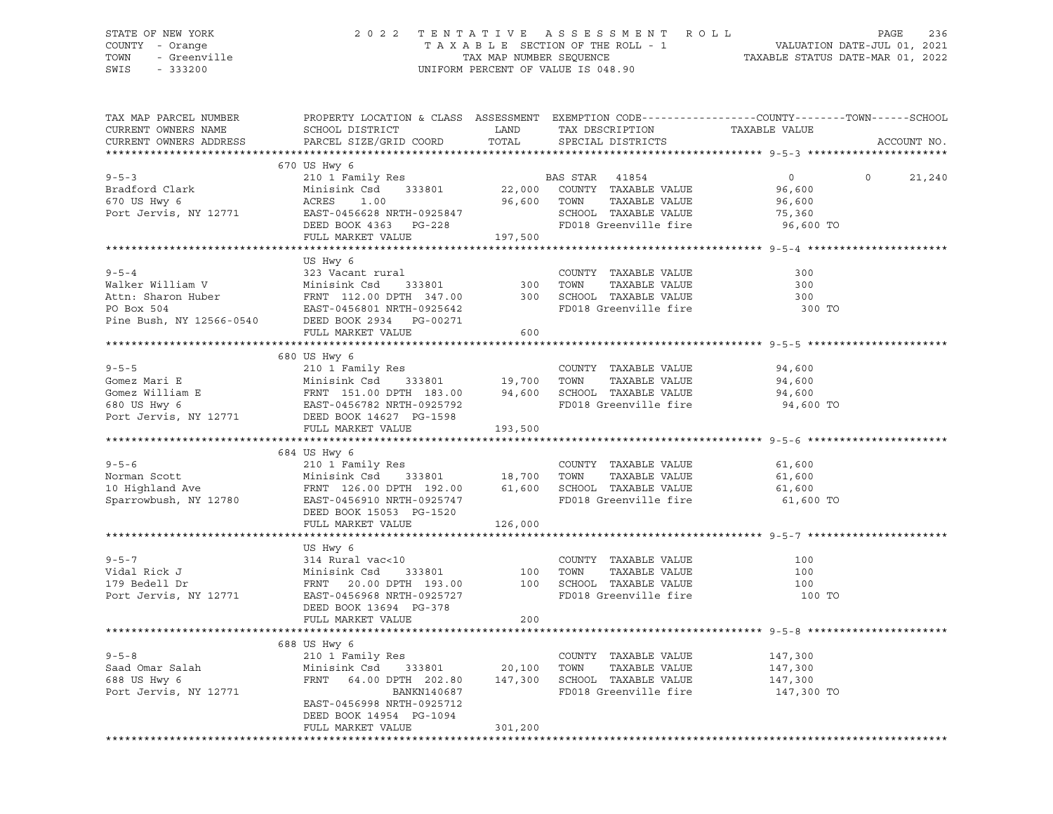### STATE OF NEW YORK 2 0 2 2 T E N T A T I V E A S S E S S M E N T R O L L PAGE 236 COUNTY - Orange T A X A B L E SECTION OF THE ROLL - 1 VALUATION DATE-JUL 01, 2021 TOWN - Greenville TAX MAP NUMBER SEQUENCE TAXABLE STATUS DATE-MAR 01, 2022 SWIS - 333200 UNIFORM PERCENT OF VALUE IS 048.90

| TAX MAP PARCEL NUMBER<br>CURRENT OWNERS NAME                                                                                                                                                                                                           | PROPERTY LOCATION & CLASS ASSESSMENT EXEMPTION CODE----------------COUNTY-------TOWN------SCHOOL<br>SCHOOL DISTRICT                                                                       | <b>Example 12 TEAMPLE 12 TEAMPLE</b> | TAX DESCRIPTION                 | TAXABLE VALUE      |          |             |
|--------------------------------------------------------------------------------------------------------------------------------------------------------------------------------------------------------------------------------------------------------|-------------------------------------------------------------------------------------------------------------------------------------------------------------------------------------------|--------------------------------------|---------------------------------|--------------------|----------|-------------|
| CURRENT OWNERS ADDRESS                                                                                                                                                                                                                                 | PARCEL SIZE/GRID COORD TOTAL SPECIAL DISTRICTS                                                                                                                                            |                                      |                                 |                    |          | ACCOUNT NO. |
|                                                                                                                                                                                                                                                        | 670 US Hwy 6                                                                                                                                                                              |                                      |                                 |                    |          |             |
| $9 - 5 - 3$                                                                                                                                                                                                                                            |                                                                                                                                                                                           |                                      |                                 |                    | $\Omega$ | 21,240      |
| Bradford Clark                                                                                                                                                                                                                                         |                                                                                                                                                                                           |                                      |                                 |                    |          |             |
| 670 US Hwy 6                                                                                                                                                                                                                                           | ACRES 1.00                                                                                                                                                                                | 96,600 TOWN                          | TAXABLE VALUE                   | 96,600             |          |             |
| Port Jervis, NY 12771                                                                                                                                                                                                                                  |                                                                                                                                                                                           |                                      | SCHOOL TAXABLE VALUE            | 75,360             |          |             |
|                                                                                                                                                                                                                                                        | EAST-0456628 NRTH-0925847<br>DEED BOOK 4363 PG-228                                                                                                                                        |                                      | FD018 Greenville fire           | 96,600 TO          |          |             |
|                                                                                                                                                                                                                                                        | FULL MARKET VALUE 197,500                                                                                                                                                                 |                                      |                                 |                    |          |             |
|                                                                                                                                                                                                                                                        |                                                                                                                                                                                           |                                      |                                 |                    |          |             |
|                                                                                                                                                                                                                                                        | US Hwy 6                                                                                                                                                                                  |                                      |                                 |                    |          |             |
|                                                                                                                                                                                                                                                        |                                                                                                                                                                                           |                                      |                                 | 300                |          |             |
|                                                                                                                                                                                                                                                        |                                                                                                                                                                                           |                                      |                                 | 300                |          |             |
|                                                                                                                                                                                                                                                        |                                                                                                                                                                                           |                                      |                                 | 300                |          |             |
|                                                                                                                                                                                                                                                        |                                                                                                                                                                                           |                                      |                                 | 300 TO             |          |             |
|                                                                                                                                                                                                                                                        |                                                                                                                                                                                           |                                      |                                 |                    |          |             |
| 9-0-4<br>Walker William V Minisink Csd 333801 300 TOWN TAXABLE VALUE<br>Attn: Sharon Huber FRNT 112.00 DPTH 347.00<br>PO Box 504<br>Pine Bush, NY 12566-0540 DEED BOOK 2934 PG-00271<br>FIILI. MADVET VALUE<br>FIILI. MADVET VALUE                     | FULL MARKET VALUE 600                                                                                                                                                                     |                                      |                                 |                    |          |             |
|                                                                                                                                                                                                                                                        |                                                                                                                                                                                           |                                      |                                 |                    |          |             |
|                                                                                                                                                                                                                                                        | 680 US Hwy 6                                                                                                                                                                              |                                      |                                 |                    |          |             |
|                                                                                                                                                                                                                                                        |                                                                                                                                                                                           |                                      |                                 | 94,600             |          |             |
|                                                                                                                                                                                                                                                        |                                                                                                                                                                                           |                                      |                                 |                    |          |             |
|                                                                                                                                                                                                                                                        |                                                                                                                                                                                           |                                      |                                 | 94,600<br>94,600   |          |             |
|                                                                                                                                                                                                                                                        |                                                                                                                                                                                           |                                      |                                 | 94,600 TO          |          |             |
|                                                                                                                                                                                                                                                        |                                                                                                                                                                                           |                                      |                                 |                    |          |             |
| 9-5-5<br>COUNTY TAXABLE VALUE<br>Gomez Mari $E$<br>Gomez William E<br>FRNT 151.00 DPTH 183.00<br>FRNT 151.00 DPTH 183.00<br>94,600<br>SCHOOL TAXABLE VALUE<br>FRNT 151.00 DPTH 183.00<br>94,600<br>SCHOOL TAXABLE VALUE<br>FRNT 151.00 DPTH 183.00<br> | FULL MARKET VALUE                                                                                                                                                                         | 193,500                              |                                 |                    |          |             |
|                                                                                                                                                                                                                                                        |                                                                                                                                                                                           |                                      |                                 |                    |          |             |
|                                                                                                                                                                                                                                                        | 684 US Hwy 6                                                                                                                                                                              |                                      |                                 |                    |          |             |
|                                                                                                                                                                                                                                                        |                                                                                                                                                                                           |                                      |                                 | 61,600             |          |             |
|                                                                                                                                                                                                                                                        |                                                                                                                                                                                           |                                      | TAXABLE VALUE                   | 61,600             |          |             |
|                                                                                                                                                                                                                                                        |                                                                                                                                                                                           |                                      |                                 | 61,600             |          |             |
| 9-5-6 210 1 Family Res<br>Norman Scott 210 1 Family Res<br>18,700 TOWN TAXABLE VALUE<br>192.00 5CHOOL TAXABLE VALUE<br>Sparrowbush, NY 12780 EAST-0456910 NRTH-0925747 FD018 Greenville fire<br>FRNT 126.00 DPTH 192.00 61,600 SCHOOL TA               |                                                                                                                                                                                           |                                      | FD018 Greenville fire 61,600 TO |                    |          |             |
|                                                                                                                                                                                                                                                        | DEED BOOK 15053 PG-1520                                                                                                                                                                   |                                      |                                 |                    |          |             |
|                                                                                                                                                                                                                                                        | FULL MARKET VALUE 126,000                                                                                                                                                                 |                                      |                                 |                    |          |             |
|                                                                                                                                                                                                                                                        |                                                                                                                                                                                           |                                      |                                 |                    |          |             |
|                                                                                                                                                                                                                                                        | US Hwy 6                                                                                                                                                                                  |                                      |                                 |                    |          |             |
| $9 - 5 - 7$                                                                                                                                                                                                                                            |                                                                                                                                                                                           |                                      |                                 | 100                |          |             |
| Vidal Rick J                                                                                                                                                                                                                                           |                                                                                                                                                                                           |                                      |                                 | 100                |          |             |
| 179 Bedell Dr<br>179 Bedell Dr<br>Port Jervis, NY 12771                                                                                                                                                                                                | 314 Rural vac<10 COUNTY TAXABLE VALUE<br>Minisink Csd 333801 100 TOWN TAXABLE VALUE<br>FRNT 20.00 DPTH 193.00 100 SCHOOL TAXABLE VALUE<br>EAST-0456968 NRTH-0925727 FD018 Greenville fire |                                      |                                 | 100                |          |             |
|                                                                                                                                                                                                                                                        |                                                                                                                                                                                           |                                      |                                 | 100 TO             |          |             |
|                                                                                                                                                                                                                                                        | DEED BOOK 13694 PG-378                                                                                                                                                                    |                                      |                                 |                    |          |             |
|                                                                                                                                                                                                                                                        | FULL MARKET VALUE                                                                                                                                                                         | 200                                  |                                 |                    |          |             |
|                                                                                                                                                                                                                                                        |                                                                                                                                                                                           |                                      |                                 |                    |          |             |
|                                                                                                                                                                                                                                                        | 688 US Hwy 6                                                                                                                                                                              |                                      |                                 |                    |          |             |
| $9 - 5 - 8$                                                                                                                                                                                                                                            | 210 1 Family Res                                                                                                                                                                          |                                      | COUNTY TAXABLE VALUE            | 147,300            |          |             |
|                                                                                                                                                                                                                                                        |                                                                                                                                                                                           |                                      | TAXABLE VALUE                   | 147,300<br>147,300 |          |             |
| Saad Omar Salah<br>688 US Hwy 6<br>Port Jervis, NY 12771                                                                                                                                                                                               |                                                                                                                                                                                           |                                      |                                 |                    |          |             |
|                                                                                                                                                                                                                                                        | BANKN140687                                                                                                                                                                               |                                      | FD018 Greenville fire           | 147,300 TO         |          |             |
|                                                                                                                                                                                                                                                        | EAST-0456998 NRTH-0925712                                                                                                                                                                 |                                      |                                 |                    |          |             |
|                                                                                                                                                                                                                                                        | DEED BOOK 14954 PG-1094                                                                                                                                                                   |                                      |                                 |                    |          |             |
|                                                                                                                                                                                                                                                        | FULL MARKET VALUE                                                                                                                                                                         | 301, 200                             |                                 |                    |          |             |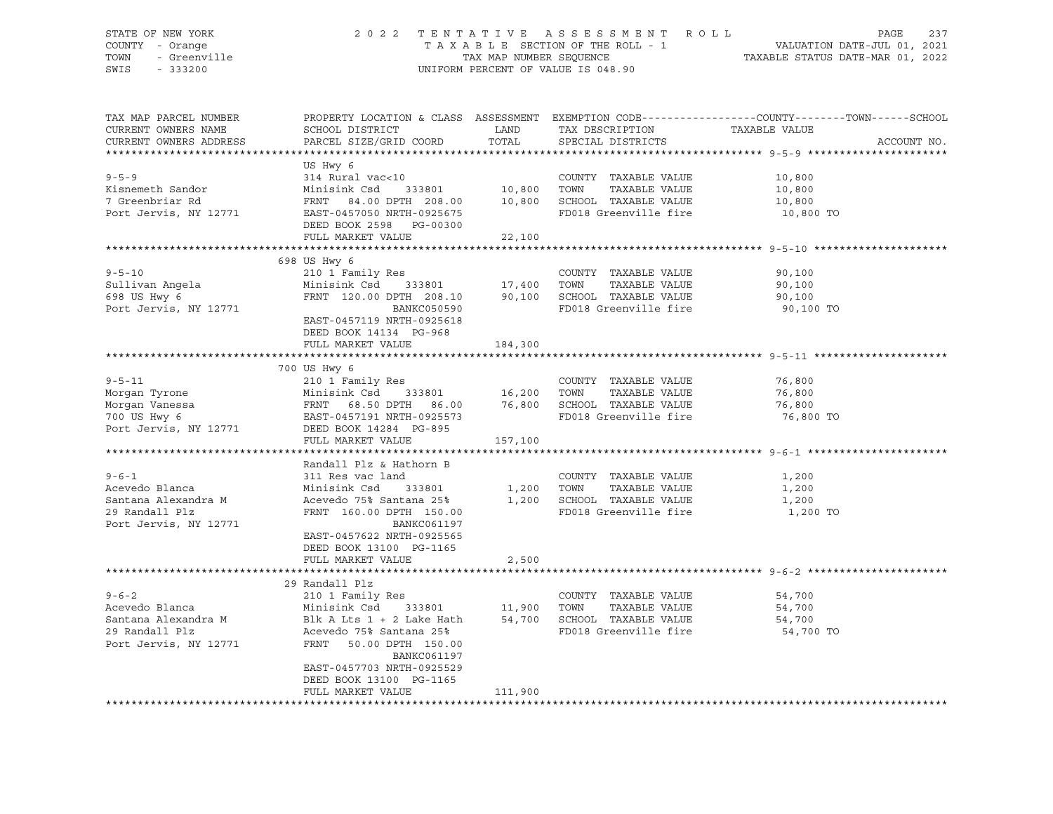### STATE OF NEW YORK 2 0 2 2 T E N T A T I V E A S S E S S M E N T R O L L PAGE 237 COUNTY - Orange T A X A B L E SECTION OF THE ROLL - 1 VALUATION DATE-JUL 01, 2021 TOWN - Greenville TAX MAP NUMBER SEQUENCE TAXABLE STATUS DATE-MAR 01, 2022 SWIS - 333200 UNIFORM PERCENT OF VALUE IS 048.90

| TAX MAP PARCEL NUMBER<br>CURRENT OWNERS NAME<br>CURRENT OWNERS ADDRESS                                     | SCHOOL DISTRICT<br>PARCEL SIZE/GRID COORD                                                                                                                                                                                | LAND<br>TOTAL  | TAX DESCRIPTION<br>SPECIAL DISTRICTS                                                                                       | PROPERTY LOCATION & CLASS ASSESSMENT EXEMPTION CODE----------------COUNTY-------TOWN------SCHOOL<br>TAXABLE VALUE<br>ACCOUNT NO. |  |
|------------------------------------------------------------------------------------------------------------|--------------------------------------------------------------------------------------------------------------------------------------------------------------------------------------------------------------------------|----------------|----------------------------------------------------------------------------------------------------------------------------|----------------------------------------------------------------------------------------------------------------------------------|--|
|                                                                                                            |                                                                                                                                                                                                                          |                |                                                                                                                            |                                                                                                                                  |  |
| $9 - 5 - 9$<br>Kisnemeth Sandor<br>7 Greenbriar Rd<br>Port Jervis, NY 12771                                | US Hwy 6<br>314 Rural vac<10<br>Minisink Csd 333801 10,800 TOWN<br>FRNT 84.00 DPTH 208.00 10,800 SCHOOL TAXABLE VALUE<br>EAST-0457050 NRTH-0925675<br>DEED BOOK 2598 PG-00300<br>FULL MARKET VALUE                       | 22,100         | COUNTY TAXABLE VALUE 10,800<br>TAXABLE VALUE<br>FD018 Greenville fire                                                      | 10,800<br>10,800<br>10,800 TO                                                                                                    |  |
|                                                                                                            |                                                                                                                                                                                                                          |                |                                                                                                                            |                                                                                                                                  |  |
|                                                                                                            | 698 US Hwy 6                                                                                                                                                                                                             |                |                                                                                                                            |                                                                                                                                  |  |
| $9 - 5 - 10$<br>Sullivan Angela<br>698 US Hwy 6<br>Port Jervis, NY 12771                                   | 210 1 Family Res<br>Minisink Csd 333801 17,400 TOWN<br>FRNT $120.00$ DPTH $208.10$ 90,100 SCHOOL TAXABLE VALUE<br>BANKC050590<br>EAST-0457119 NRTH-0925618<br>DEED BOOK 14134 PG-968                                     |                | COUNTY TAXABLE VALUE<br>TAXABLE VALUE<br>FD018 Greenville fire                                                             | 90,100<br>90,100<br>90,100<br>90,100 TO                                                                                          |  |
|                                                                                                            | FULL MARKET VALUE                                                                                                                                                                                                        | 184,300        |                                                                                                                            |                                                                                                                                  |  |
|                                                                                                            |                                                                                                                                                                                                                          |                |                                                                                                                            |                                                                                                                                  |  |
| $9 - 5 - 11$<br>Morgan Tyrone<br>Morgan Vanessa<br>$\overline{a}$<br>700 US Hwy 6<br>Port Jervis, NY 12771 | 700 US Hwy 6<br>210 1 Family Res<br>210 1 Family Res (COUNT)<br>Minisink Csd 333801 16,200 TOWN<br>FRNT 68.50 DPTH 86.00 76,800 SCHOO:<br>EAST-0457191 NRTH-0925573 FD018<br>DEED BOOK 14284 PG-895<br>FULL MARKET VALUE | 157,100        | COUNTY TAXABLE VALUE<br>TAXABLE VALUE<br>76,800 SCHOOL TAXABLE VALUE<br>FD018 Greenville fire                              | 76,800<br>76,800<br>76,800<br>76,800 TO                                                                                          |  |
|                                                                                                            |                                                                                                                                                                                                                          |                |                                                                                                                            |                                                                                                                                  |  |
| $9 - 6 - 1$<br>Acevedo Blanca<br>Santana Alexandra M<br>29 Randall Plz<br>Port Jervis, NY 12771            | Randall Plz & Hathorn B<br>311 Res vac land<br>Minisink Csd<br>333801<br>Acevedo 75% Santana 25%<br>FRNT 160.00 DPTH 150.00<br>BANKC061197<br>EAST-0457622 NRTH-0925565<br>DEED BOOK 13100 PG-1165                       | 1,200<br>1,200 | COUNTY TAXABLE VALUE<br>TOWN<br>TAXABLE VALUE<br>SCHOOL TAXABLE VALUE<br>FD018 Greenville fire                             | 1,200<br>1,200<br>1,200<br>1,200 TO                                                                                              |  |
|                                                                                                            | FULL MARKET VALUE                                                                                                                                                                                                        | 2,500          |                                                                                                                            |                                                                                                                                  |  |
|                                                                                                            |                                                                                                                                                                                                                          |                |                                                                                                                            |                                                                                                                                  |  |
| $9 - 6 - 2$<br>Acevedo Blanca<br>Santana Alexandra M<br>29 Randall Plz<br>Port Jervis, NY 12771            | 29 Randall Plz<br>210 1 Family Res<br>Minisink Csd<br>Blk A Lts $1 + 2$ Lake Hath<br>Acevedo 75% Santana 25%<br>FRNT<br>50.00 DPTH 150.00<br>BANKC061197<br>EAST-0457703 NRTH-0925529                                    |                | COUNTY TAXABLE VALUE<br>333801 11,900 TOWN TAXABLE VALUE<br>Lake Hath 54,700 SCHOOL TAXABLE VALUE<br>FD018 Greenville fire | 54,700<br>54,700<br>54,700<br>54,700 TO                                                                                          |  |
|                                                                                                            | DEED BOOK 13100 PG-1165<br>FULL MARKET VALUE                                                                                                                                                                             | 111,900        |                                                                                                                            |                                                                                                                                  |  |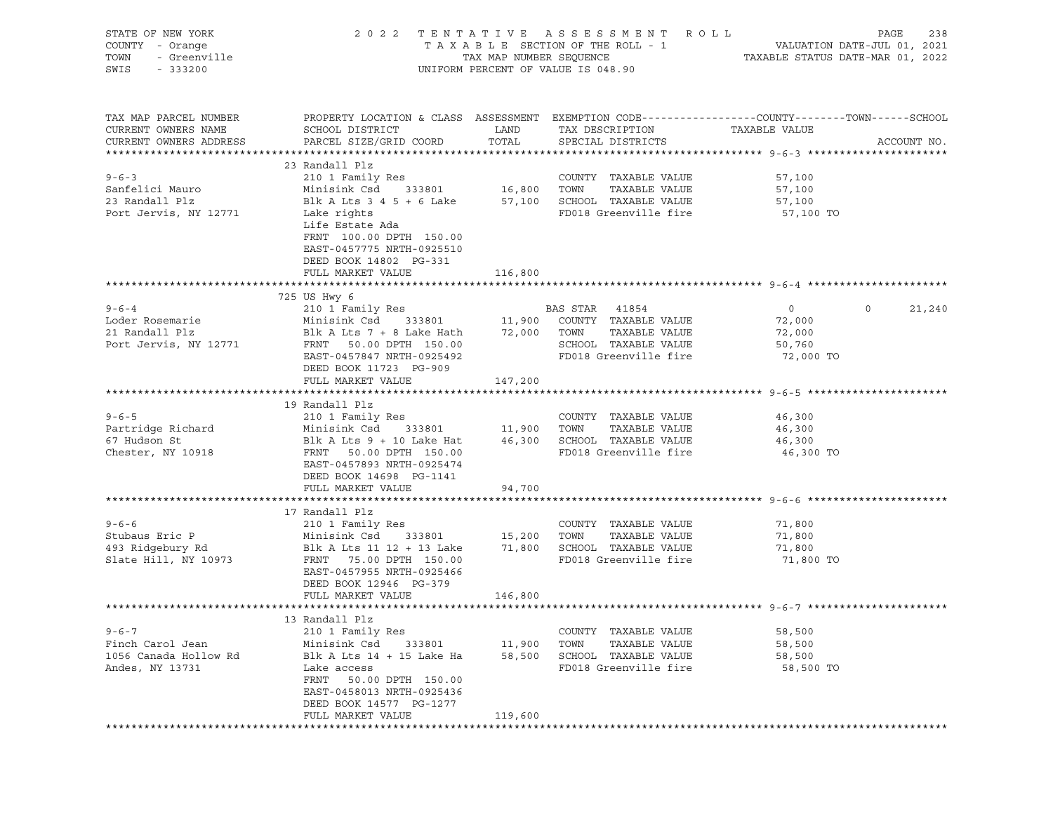| STATE OF NEW YORK<br>COUNTY - Orange<br>TOWN<br>- Greenville<br>SWIS<br>$-333200$ |                                                                                                                                                                                                                                                     | TAX MAP NUMBER SEQUENCE       | 2022 TENTATIVE ASSESSMENT ROLL<br>TAXABLE SECTION OF THE ROLL - 1<br>UNIFORM PERCENT OF VALUE IS 048.90         | TAXABLE STATUS DATE-MAR 01, 2022                          | PAGE<br>238<br>VALUATION DATE-JUL 01, 2021 |
|-----------------------------------------------------------------------------------|-----------------------------------------------------------------------------------------------------------------------------------------------------------------------------------------------------------------------------------------------------|-------------------------------|-----------------------------------------------------------------------------------------------------------------|-----------------------------------------------------------|--------------------------------------------|
| TAX MAP PARCEL NUMBER<br>CURRENT OWNERS NAME<br>CURRENT OWNERS ADDRESS            | PROPERTY LOCATION & CLASS ASSESSMENT EXEMPTION CODE----------------COUNTY-------TOWN------SCHOOL<br>SCHOOL DISTRICT<br>PARCEL SIZE/GRID COORD                                                                                                       | LAND<br>TOTAL                 | TAX DESCRIPTION<br>SPECIAL DISTRICTS                                                                            | TAXABLE VALUE                                             | ACCOUNT NO.                                |
| $9 - 6 - 3$<br>Sanfelici Mauro<br>23 Randall Plz<br>Port Jervis, NY 12771         | 23 Randall Plz<br>210 1 Family Res<br>Minisink Csd<br>Blk A Lts $3$ 4 5 + 6 Lake<br>Lake rights<br>Life Estate Ada<br>FRNT 100.00 DPTH 150.00<br>EAST-0457775 NRTH-0925510<br>DEED BOOK 14802 PG-331<br>FULL MARKET VALUE                           | 333801 16,800 TOWN<br>116,800 | COUNTY TAXABLE VALUE<br>TAXABLE VALUE<br>57,100 SCHOOL TAXABLE VALUE<br>FD018 Greenville fire                   | 57,100<br>57,100<br>57,100<br>57,100 TO                   |                                            |
|                                                                                   |                                                                                                                                                                                                                                                     |                               |                                                                                                                 |                                                           |                                            |
| $9 - 6 - 4$<br>Loder Rosemarie<br>21 Randall Plz<br>Port Jervis, NY 12771         | 725 US Hwy 6<br>210 1 Family Res<br>Minisink Csd<br>333801<br>Blk A Lts 7 + 8 Lake Hath<br>FRNT 50.00 DPTH 150.00<br>EAST-0457847 NRTH-0925492<br>DEED BOOK 11723 PG-909<br>FULL MARKET VALUE                                                       | 72,000 TOWN<br>147,200        | BAS STAR 41854<br>11,900 COUNTY TAXABLE VALUE<br>TAXABLE VALUE<br>SCHOOL TAXABLE VALUE<br>FD018 Greenville fire | $\overline{0}$<br>72,000<br>72,000<br>50,760<br>72,000 TO | $\circ$<br>21,240                          |
|                                                                                   |                                                                                                                                                                                                                                                     |                               |                                                                                                                 |                                                           |                                            |
| $9 - 6 - 5$<br>Partridge Richard<br>67 Hudson St<br>Chester, NY 10918             | 19 Randall Plz<br>210 1 Family Res<br>Minisink Csd 333801 11,900 TOWN TAXABLE VALUE<br>Blk A Lts 9 + 10 Lake Hat 46,300 SCHOOL TAXABLE VALUE<br>FRNT 50.00 DPTH 150.00<br>EAST-0457893 NRTH-0925474<br>DEED BOOK 14698 PG-1141<br>FULL MARKET VALUE | 94,700                        | COUNTY TAXABLE VALUE<br>FD018 Greenville fire                                                                   | 46,300<br>46,300<br>46,300<br>46,300 TO                   |                                            |
|                                                                                   |                                                                                                                                                                                                                                                     |                               |                                                                                                                 |                                                           |                                            |
| $9 - 6 - 6$<br>Stubaus Eric P<br>493 Ridgebury Rd<br>Slate Hill, NY 10973         | 17 Randall Plz<br>210 1 Family Res<br>Minisink Csd 333801<br>Blk A Lts 11 12 + 13 Lake<br>FRNT 75.00 DPTH 150.00<br>EAST-0457955 NRTH-0925466<br>DEED BOOK 12946 PG-379                                                                             |                               | COUNTY TAXABLE VALUE<br>15,200 TOWN<br>TAXABLE VALUE<br>71,800 SCHOOL TAXABLE VALUE<br>FD018 Greenville fire    | 71,800<br>71,800<br>71,800<br>71,800 TO                   |                                            |
|                                                                                   | FULL MARKET VALUE                                                                                                                                                                                                                                   | 146,800                       |                                                                                                                 |                                                           |                                            |
| $9 - 6 - 7$<br>Finch Carol Jean                                                   | 13 Randall Plz<br>210 1 Family Res<br>Minisink Csd<br>333801                                                                                                                                                                                        | 11,900                        | COUNTY TAXABLE VALUE<br>TOWN<br>TAXABLE VALUE                                                                   | 58,500<br>58,500                                          |                                            |
| 1056 Canada Hollow Rd<br>Andes, NY 13731                                          | Blk A Lts 14 + 15 Lake Ha<br>Lake access<br>FRNT<br>50.00 DPTH 150.00<br>EAST-0458013 NRTH-0925436<br>DEED BOOK 14577 PG-1277                                                                                                                       | 58,500                        | SCHOOL<br>TAXABLE VALUE<br>FD018 Greenville fire                                                                | 58,500<br>58,500 TO                                       |                                            |
|                                                                                   | FULL MARKET VALUE                                                                                                                                                                                                                                   | 119,600                       |                                                                                                                 |                                                           |                                            |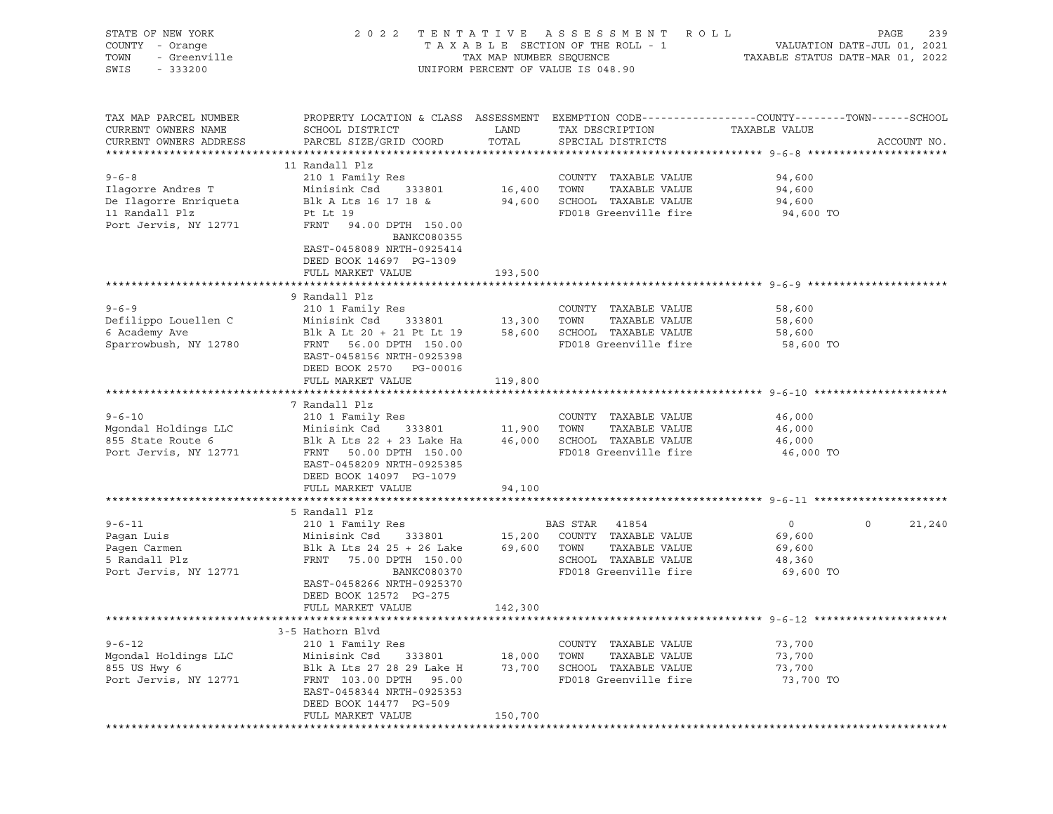| STATE OF NEW YORK<br>COUNTY - Orange<br>- Greenville<br>TOWN<br>SWIS<br>$-333200$ | 2 0 2 2                                                                                                             | TAX MAP NUMBER SEQUENCE | TENTATIVE ASSESSMENT<br>R O L L<br>TAXABLE SECTION OF THE ROLL - 1<br>UNIFORM PERCENT OF VALUE IS 048.90 | TAXABLE STATUS DATE-MAR 01, 2022 | PAGE<br>239<br>VALUATION DATE-JUL 01, 2021 |
|-----------------------------------------------------------------------------------|---------------------------------------------------------------------------------------------------------------------|-------------------------|----------------------------------------------------------------------------------------------------------|----------------------------------|--------------------------------------------|
|                                                                                   |                                                                                                                     |                         |                                                                                                          |                                  |                                            |
| TAX MAP PARCEL NUMBER<br>CURRENT OWNERS NAME                                      | PROPERTY LOCATION & CLASS ASSESSMENT EXEMPTION CODE----------------COUNTY-------TOWN------SCHOOL<br>SCHOOL DISTRICT | LAND                    | TAX DESCRIPTION                                                                                          | TAXABLE VALUE                    |                                            |
| CURRENT OWNERS ADDRESS                                                            | PARCEL SIZE/GRID COORD                                                                                              | TOTAL                   | SPECIAL DISTRICTS                                                                                        |                                  | ACCOUNT NO.                                |
|                                                                                   |                                                                                                                     |                         |                                                                                                          |                                  |                                            |
|                                                                                   | 11 Randall Plz                                                                                                      |                         |                                                                                                          |                                  |                                            |
| $9 - 6 - 8$                                                                       | 210 1 Family Res<br>Minisink Csd 333801                                                                             |                         | COUNTY TAXABLE VALUE<br>TOWN                                                                             | 94,600                           |                                            |
| Ilaqorre Andres T<br>De Ilagorre Enriqueta                                        | Blk A Lts 16 17 18 &                                                                                                | 16,400                  | TAXABLE VALUE<br>94,600 SCHOOL TAXABLE VALUE                                                             | 94,600<br>94,600                 |                                            |
| 11 Randall Plz                                                                    | Pt Lt 19                                                                                                            |                         | FD018 Greenville fire                                                                                    | 94,600 TO                        |                                            |
| Port Jervis, NY 12771                                                             | FRNT 94.00 DPTH 150.00<br>BANKC080355                                                                               |                         |                                                                                                          |                                  |                                            |
|                                                                                   | EAST-0458089 NRTH-0925414<br>DEED BOOK 14697 PG-1309                                                                |                         |                                                                                                          |                                  |                                            |
|                                                                                   | FULL MARKET VALUE                                                                                                   | 193,500                 |                                                                                                          |                                  |                                            |
|                                                                                   |                                                                                                                     |                         |                                                                                                          |                                  |                                            |
|                                                                                   | 9 Randall Plz                                                                                                       |                         |                                                                                                          |                                  |                                            |
| $9 - 6 - 9$                                                                       | 210 1 Family Res                                                                                                    |                         | COUNTY TAXABLE VALUE                                                                                     | 58,600                           |                                            |
| Defilippo Louellen C                                                              | Minisink Csd 333801                                                                                                 | 13,300 TOWN             | TAXABLE VALUE                                                                                            | 58,600                           |                                            |
| 6 Academy Ave                                                                     | Blk A Lt 20 + 21 Pt Lt 19                                                                                           |                         | 58,600 SCHOOL TAXABLE VALUE                                                                              | 58,600                           |                                            |
| Sparrowbush, NY 12780                                                             | FRNT 56.00 DPTH 150.00                                                                                              |                         | FD018 Greenville fire                                                                                    | 58,600 TO                        |                                            |
|                                                                                   | EAST-0458156 NRTH-0925398                                                                                           |                         |                                                                                                          |                                  |                                            |
|                                                                                   | DEED BOOK 2570 PG-00016                                                                                             |                         |                                                                                                          |                                  |                                            |
|                                                                                   | FULL MARKET VALUE                                                                                                   | 119,800                 |                                                                                                          |                                  |                                            |
|                                                                                   | 7 Randall Plz                                                                                                       |                         |                                                                                                          |                                  |                                            |
| $9 - 6 - 10$                                                                      | 210 1 Family Res                                                                                                    |                         | COUNTY TAXABLE VALUE                                                                                     | 46,000                           |                                            |
| Mgondal Holdings LLC                                                              | Minisink Csd 333801                                                                                                 |                         | TOWN<br>TAXABLE VALUE                                                                                    | 46,000                           |                                            |
| 855 State Route 6                                                                 | Blk A Lts 22 + 23 Lake Ha                                                                                           | $11,900$<br>$46,00$     | 46,000 SCHOOL TAXABLE VALUE                                                                              | 46,000                           |                                            |
| Port Jervis, NY 12771                                                             | FRNT 50.00 DPTH 150.00                                                                                              |                         | FD018 Greenville fire                                                                                    | 46,000 TO                        |                                            |
|                                                                                   | EAST-0458209 NRTH-0925385                                                                                           |                         |                                                                                                          |                                  |                                            |
|                                                                                   | DEED BOOK 14097 PG-1079                                                                                             |                         |                                                                                                          |                                  |                                            |
|                                                                                   | FULL MARKET VALUE                                                                                                   | 94,100                  |                                                                                                          |                                  |                                            |
|                                                                                   | 5 Randall Plz                                                                                                       |                         |                                                                                                          |                                  |                                            |
| $9 - 6 - 11$                                                                      | 210 1 Family Res                                                                                                    |                         | BAS STAR 41854                                                                                           | $\overline{0}$                   | 21,240<br>$\circ$                          |
| Pagan Luis                                                                        | Minisink Csd 333801                                                                                                 |                         | 15,200 COUNTY TAXABLE VALUE                                                                              | 69,600                           |                                            |
| Pagen Carmen                                                                      | Blk A Lts 24 25 + 26 Lake                                                                                           | 69,600 TOWN             | TAXABLE VALUE                                                                                            | 69,600                           |                                            |
| 5 Randall Plz                                                                     | FRNT 75.00 DPTH 150.00                                                                                              |                         | SCHOOL TAXABLE VALUE                                                                                     | 48,360                           |                                            |
| Port Jervis, NY 12771                                                             | BANKC080370                                                                                                         |                         | FD018 Greenville fire                                                                                    | 69,600 TO                        |                                            |
|                                                                                   | EAST-0458266 NRTH-0925370                                                                                           |                         |                                                                                                          |                                  |                                            |
|                                                                                   | DEED BOOK 12572 PG-275                                                                                              |                         |                                                                                                          |                                  |                                            |
|                                                                                   | FULL MARKET VALUE                                                                                                   | 142,300                 |                                                                                                          |                                  |                                            |
|                                                                                   |                                                                                                                     |                         |                                                                                                          |                                  |                                            |
| $9 - 6 - 12$                                                                      | 3-5 Hathorn Blvd                                                                                                    |                         |                                                                                                          | 73,700                           |                                            |
| Mgondal Holdings LLC                                                              | 210 1 Family Res<br>Minisink Csd<br>333801                                                                          | 18,000                  | COUNTY TAXABLE VALUE<br>TAXABLE VALUE<br>TOWN                                                            | 73,700                           |                                            |
| 855 US Hwy 6                                                                      | Blk A Lts 27 28 29 Lake H                                                                                           | 73,700                  | SCHOOL TAXABLE VALUE                                                                                     | 73,700                           |                                            |
| Port Jervis, NY 12771                                                             | FRNT 103.00 DPTH<br>95.00                                                                                           |                         | FD018 Greenville fire                                                                                    | 73,700 TO                        |                                            |
|                                                                                   | EAST-0458344 NRTH-0925353                                                                                           |                         |                                                                                                          |                                  |                                            |
|                                                                                   | DEED BOOK 14477 PG-509                                                                                              |                         |                                                                                                          |                                  |                                            |
|                                                                                   | FULL MARKET VALUE                                                                                                   | 150,700                 |                                                                                                          |                                  |                                            |
|                                                                                   |                                                                                                                     |                         |                                                                                                          |                                  |                                            |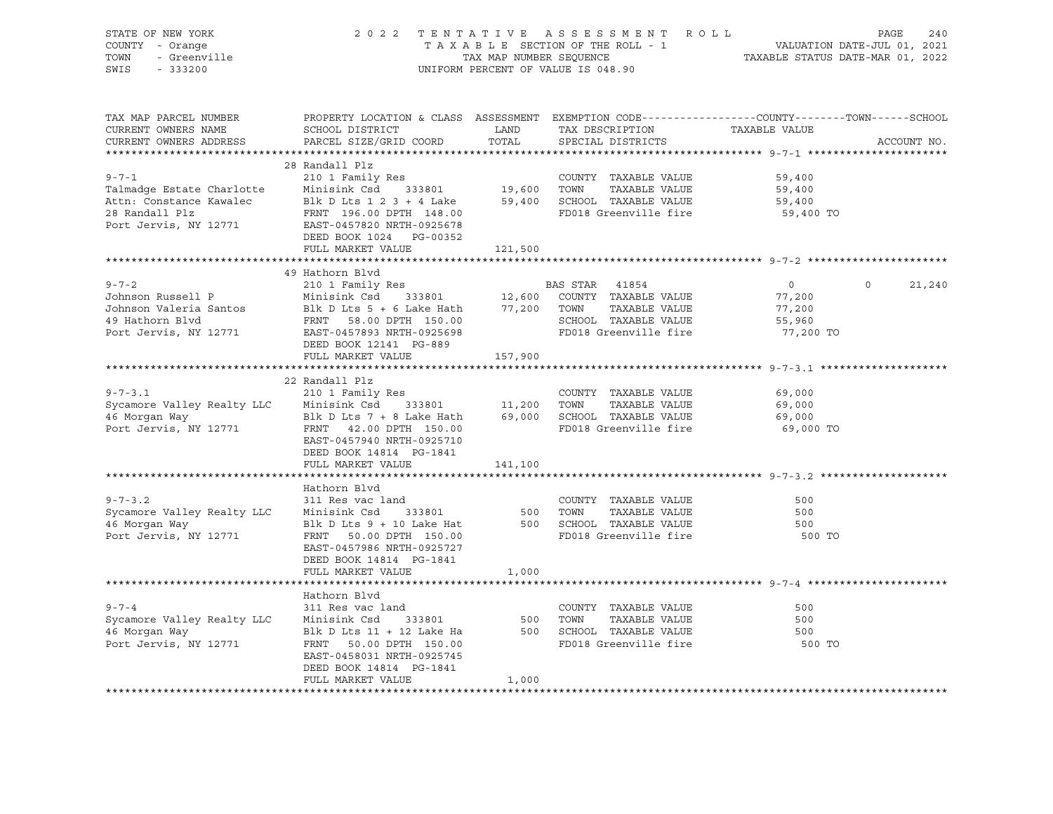| PROPERTY LOCATION & CLASS ASSESSMENT EXEMPTION CODE----------------COUNTY-------TOWN------SCHOOL<br>TAX MAP PARCEL NUMBER<br>TAX DESCRIPTION TAXABLE VALUE<br>CURRENT OWNERS NAME<br>LAND<br>SCHOOL DISTRICT<br>PARCEL SIZE/GRID COORD<br>TOTAL<br>CURRENT OWNERS ADDRESS<br>SPECIAL DISTRICTS<br>28 Randall Plz<br>210 1 Family Res<br>210 1 Family Res<br>Minisink Csd 333801 19,600 TOWN<br>$9 - 7 - 1$<br>COUNTY TAXABLE VALUE<br>59,400<br>Talmadge Estate Charlotte<br>TAXABLE VALUE<br>59,400<br>Attn: Constance Kawalec Blk D Lts 1 2 3 + 4 Lake 59,400 SCHOOL TAXABLE VALUE<br>59,400<br>28 Randall Plz<br>FD018 Greenville fire<br>FRNT 196.00 DPTH 148.00<br>59,400 TO<br>Port Jervis, NY 12771<br>EAST-0457820 NRTH-0925678<br>DEED BOOK 1024 PG-00352<br>FULL MARKET VALUE<br>121,500<br>49 Hathorn Blvd<br>210 1 Family Res<br>$9 - 7 - 2$<br>BAS STAR 41854<br>$\overline{0}$<br>$\Omega$<br>Johnson Russell P<br>Minisink Csd 333801 12,600 COUNTY TAXABLE VALUE<br>Johnson Valeria Santos Blk D Lts 5 + 6 Lake Hath 77,200 TOWN TAXABLE VALUE<br>77,200<br>TAXABLE VALUE<br>77,200<br>49 Hathorn Blvd<br>FRNT 58.00 DPTH 150.00<br>SCHOOL TAXABLE VALUE<br>FD018 Greenville fire<br>55,960<br>Port Jervis, NY 12771 EAST-0457893 NRTH-0925698<br>77,200 TO<br>DEED BOOK 12141 PG-889<br>157,900<br>FULL MARKET VALUE<br>22 Randall Plz<br>210 1 Family Res<br>$9 - 7 - 3.1$<br>COUNTY TAXABLE VALUE<br>69,000<br>Sycamore Valley Realty LLC Minisink Csd 333801 11,200 TOWN TAXABLE VALUE<br>46 Morgan Way Blk D Lts 7 + 8 Lake Hath 69,000 SCHOOL TAXABLE VALUE<br>Port Jervis, NY 12771 FRNT 42.00 DPTH 150.00 FD018 Greenville fire<br>69,000<br>69,000<br>69,000 TO<br>EAST-0457940 NRTH-0925710<br>DEED BOOK 14814 PG-1841<br>FULL MARKET VALUE<br>141,100<br>Hathorn Blvd<br>$9 - 7 - 3.2$<br>311 Res vac land<br>COUNTY TAXABLE VALUE<br>500<br>Minisink Csd 333801<br>Blk D Lts 9 + 10 Lake Hat<br>Sycamore Valley Realty LLC<br>500    TOWN      TAXABLE VALUE<br>500    SCHOOL   TAXABLE VALUE<br>500<br>500<br>46 Morgan Way<br>FD018 Greenville fire<br>Port Jervis, NY 12771<br>FRNT 50.00 DPTH 150.00<br>500 TO<br>EAST-0457986 NRTH-0925727<br>DEED BOOK 14814 PG-1841<br>FULL MARKET VALUE<br>1,000<br>Hathorn Blvd<br>$9 - 7 - 4$<br>311 Res vac land<br>COUNTY TAXABLE VALUE<br>500<br>Sycamore Valley Realty LLC<br>333801<br>500<br>TOWN<br>TAXABLE VALUE<br>500<br>Minisink Csd<br>46 Morgan Way<br>500 SCHOOL TAXABLE VALUE<br>500<br>Blk D Lts 11 + 12 Lake Ha<br>Port Jervis, NY 12771<br>FD018 Greenville fire<br>500 TO<br>FRNT 50.00 DPTH 150.00<br>EAST-0458031 NRTH-0925745<br>DEED BOOK 14814 PG-1841<br>FULL MARKET VALUE | STATE OF NEW YORK<br>COUNTY - Orange<br>- Orange<br>- Greenville<br>- 222000<br>TOWN<br>SWIS<br>$-333200$ | TAX MAP NUMBER SEQUENCE | 2022 TENTATIVE ASSESSMENT ROLL<br>TAXABLE SECTION OF THE ROLL - 1<br>UNIFORM PERCENT OF VALUE IS 048.90 | VALUATION DATE-JUL 01, 2021<br>TAXABLE STATUS DATE-MAR 01, 2022 | PAGE<br>240 |
|---------------------------------------------------------------------------------------------------------------------------------------------------------------------------------------------------------------------------------------------------------------------------------------------------------------------------------------------------------------------------------------------------------------------------------------------------------------------------------------------------------------------------------------------------------------------------------------------------------------------------------------------------------------------------------------------------------------------------------------------------------------------------------------------------------------------------------------------------------------------------------------------------------------------------------------------------------------------------------------------------------------------------------------------------------------------------------------------------------------------------------------------------------------------------------------------------------------------------------------------------------------------------------------------------------------------------------------------------------------------------------------------------------------------------------------------------------------------------------------------------------------------------------------------------------------------------------------------------------------------------------------------------------------------------------------------------------------------------------------------------------------------------------------------------------------------------------------------------------------------------------------------------------------------------------------------------------------------------------------------------------------------------------------------------------------------------------------------------------------------------------------------------------------------------------------------------------------------------------------------------------------------------------------------------------------------------------------------------------------------------------------------------------------------------------------------------------------------------------------------------------------------------------------------------------------------------------------------------------------------------------------------------------------------------|-----------------------------------------------------------------------------------------------------------|-------------------------|---------------------------------------------------------------------------------------------------------|-----------------------------------------------------------------|-------------|
|                                                                                                                                                                                                                                                                                                                                                                                                                                                                                                                                                                                                                                                                                                                                                                                                                                                                                                                                                                                                                                                                                                                                                                                                                                                                                                                                                                                                                                                                                                                                                                                                                                                                                                                                                                                                                                                                                                                                                                                                                                                                                                                                                                                                                                                                                                                                                                                                                                                                                                                                                                                                                                                                           |                                                                                                           |                         |                                                                                                         |                                                                 | ACCOUNT NO. |
|                                                                                                                                                                                                                                                                                                                                                                                                                                                                                                                                                                                                                                                                                                                                                                                                                                                                                                                                                                                                                                                                                                                                                                                                                                                                                                                                                                                                                                                                                                                                                                                                                                                                                                                                                                                                                                                                                                                                                                                                                                                                                                                                                                                                                                                                                                                                                                                                                                                                                                                                                                                                                                                                           |                                                                                                           |                         |                                                                                                         |                                                                 |             |
|                                                                                                                                                                                                                                                                                                                                                                                                                                                                                                                                                                                                                                                                                                                                                                                                                                                                                                                                                                                                                                                                                                                                                                                                                                                                                                                                                                                                                                                                                                                                                                                                                                                                                                                                                                                                                                                                                                                                                                                                                                                                                                                                                                                                                                                                                                                                                                                                                                                                                                                                                                                                                                                                           |                                                                                                           |                         |                                                                                                         |                                                                 |             |
|                                                                                                                                                                                                                                                                                                                                                                                                                                                                                                                                                                                                                                                                                                                                                                                                                                                                                                                                                                                                                                                                                                                                                                                                                                                                                                                                                                                                                                                                                                                                                                                                                                                                                                                                                                                                                                                                                                                                                                                                                                                                                                                                                                                                                                                                                                                                                                                                                                                                                                                                                                                                                                                                           |                                                                                                           |                         |                                                                                                         |                                                                 | 21,240      |
|                                                                                                                                                                                                                                                                                                                                                                                                                                                                                                                                                                                                                                                                                                                                                                                                                                                                                                                                                                                                                                                                                                                                                                                                                                                                                                                                                                                                                                                                                                                                                                                                                                                                                                                                                                                                                                                                                                                                                                                                                                                                                                                                                                                                                                                                                                                                                                                                                                                                                                                                                                                                                                                                           |                                                                                                           |                         |                                                                                                         |                                                                 |             |
|                                                                                                                                                                                                                                                                                                                                                                                                                                                                                                                                                                                                                                                                                                                                                                                                                                                                                                                                                                                                                                                                                                                                                                                                                                                                                                                                                                                                                                                                                                                                                                                                                                                                                                                                                                                                                                                                                                                                                                                                                                                                                                                                                                                                                                                                                                                                                                                                                                                                                                                                                                                                                                                                           |                                                                                                           |                         |                                                                                                         |                                                                 |             |
|                                                                                                                                                                                                                                                                                                                                                                                                                                                                                                                                                                                                                                                                                                                                                                                                                                                                                                                                                                                                                                                                                                                                                                                                                                                                                                                                                                                                                                                                                                                                                                                                                                                                                                                                                                                                                                                                                                                                                                                                                                                                                                                                                                                                                                                                                                                                                                                                                                                                                                                                                                                                                                                                           |                                                                                                           |                         |                                                                                                         |                                                                 |             |
|                                                                                                                                                                                                                                                                                                                                                                                                                                                                                                                                                                                                                                                                                                                                                                                                                                                                                                                                                                                                                                                                                                                                                                                                                                                                                                                                                                                                                                                                                                                                                                                                                                                                                                                                                                                                                                                                                                                                                                                                                                                                                                                                                                                                                                                                                                                                                                                                                                                                                                                                                                                                                                                                           |                                                                                                           |                         |                                                                                                         |                                                                 |             |
|                                                                                                                                                                                                                                                                                                                                                                                                                                                                                                                                                                                                                                                                                                                                                                                                                                                                                                                                                                                                                                                                                                                                                                                                                                                                                                                                                                                                                                                                                                                                                                                                                                                                                                                                                                                                                                                                                                                                                                                                                                                                                                                                                                                                                                                                                                                                                                                                                                                                                                                                                                                                                                                                           |                                                                                                           |                         |                                                                                                         |                                                                 |             |
|                                                                                                                                                                                                                                                                                                                                                                                                                                                                                                                                                                                                                                                                                                                                                                                                                                                                                                                                                                                                                                                                                                                                                                                                                                                                                                                                                                                                                                                                                                                                                                                                                                                                                                                                                                                                                                                                                                                                                                                                                                                                                                                                                                                                                                                                                                                                                                                                                                                                                                                                                                                                                                                                           |                                                                                                           | 1,000                   |                                                                                                         |                                                                 |             |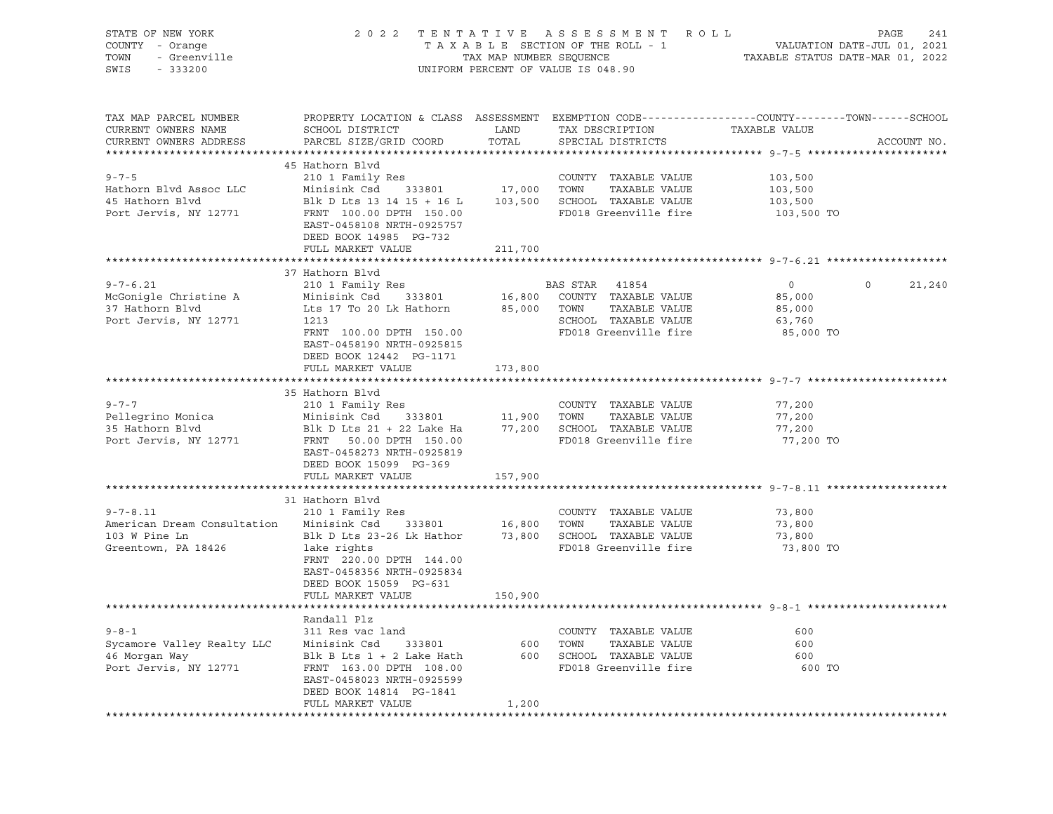| OF NEW YORK<br>Y - Orange<br>- Greenville<br>-------<br>STATE OF NEW YORK<br>COUNTY - Orange<br>TOWN<br>SWIS - 333200                                                                                            |                                                                                                                    |         | 2022 TENTATIVE ASSESSMENT ROLL PAGE 241<br>TAXABLE SECTION OF THE ROLL - 1 VALUATION DATE-JUL 01, 2021<br>TAX MAP NUMBER SEQUENCE TAXABLE STATUS DATE-MAR 01, 2022<br>UNIFORM PERCENT OF VALUE IS 048.90 |                |                   |
|------------------------------------------------------------------------------------------------------------------------------------------------------------------------------------------------------------------|--------------------------------------------------------------------------------------------------------------------|---------|----------------------------------------------------------------------------------------------------------------------------------------------------------------------------------------------------------|----------------|-------------------|
| TAX MAP PARCEL NUMBER<br>CURRENT OWNERS NAME<br>CURRENT OWNERS ADDRESS                                                                                                                                           | PROPERTY LOCATION & CLASS ASSESSMENT EXEMPTION CODE----------------COUNTY-------TOWN------SCHOOL                   |         |                                                                                                                                                                                                          | TAXABLE VALUE  | ACCOUNT NO.       |
|                                                                                                                                                                                                                  | 45 Hathorn Blvd                                                                                                    |         |                                                                                                                                                                                                          |                |                   |
| $9 - 7 - 5$                                                                                                                                                                                                      | 210 1 Family Res                                                                                                   |         |                                                                                                                                                                                                          |                |                   |
| Hathorn Blvd Assoc LLC                                                                                                                                                                                           | 210 I Family Res<br>Minisink Csd 333801 17,000 TOWN TAXABLE VALUE                                                  |         | COUNTY TAXABLE VALUE 103,500<br>TOWN TAXABLE VALUE 103,500<br>SCHOOL TAXABLE VALUE 103,500                                                                                                               |                |                   |
| 45 Hathorn Blvd                                                                                                                                                                                                  | Blk D Lts 13 14 15 + 16 L $103,500$ SCHOOL TAXABLE VALUE                                                           |         |                                                                                                                                                                                                          |                |                   |
| Port Jervis, NY 12771 FRNT 100.00 DPTH 150.00 FD018 Greenville fire 103,500 TO                                                                                                                                   | EAST-0458108 NRTH-0925757<br>DEED BOOK 14985 PG-732                                                                |         |                                                                                                                                                                                                          |                |                   |
|                                                                                                                                                                                                                  | FULL MARKET VALUE                                                                                                  | 211,700 |                                                                                                                                                                                                          |                |                   |
|                                                                                                                                                                                                                  | 37 Hathorn Blvd                                                                                                    |         |                                                                                                                                                                                                          |                |                   |
| $9 - 7 - 6.21$                                                                                                                                                                                                   | 210 1 Family Res                                                                                                   |         | <b>BAS STAR</b> 41854                                                                                                                                                                                    | $\overline{0}$ | $\circ$<br>21,240 |
| McGonigle Christine A                                                                                                                                                                                            | Minisink Csd 333801 16,800 COUNTY TAXABLE VALUE<br>Lts 17 To 20 Lk Hathorn 85,000 TOWN TAXABLE VALUE               |         |                                                                                                                                                                                                          | 85,000         |                   |
| 37 Hathorn Blvd                                                                                                                                                                                                  |                                                                                                                    |         |                                                                                                                                                                                                          | 85,000         |                   |
| Port Jervis, NY 12771                                                                                                                                                                                            | 1213                                                                                                               |         | SCHOOL TAXABLE VALUE                                                                                                                                                                                     | 63,760         |                   |
|                                                                                                                                                                                                                  | FRNT 100.00 DPTH 150.00                                                                                            |         | FD018 Greenville fire                                                                                                                                                                                    | 85,000 TO      |                   |
|                                                                                                                                                                                                                  | EAST-0458190 NRTH-0925815                                                                                          |         |                                                                                                                                                                                                          |                |                   |
|                                                                                                                                                                                                                  | DEED BOOK 12442 PG-1171                                                                                            |         |                                                                                                                                                                                                          |                |                   |
|                                                                                                                                                                                                                  | FULL MARKET VALUE                                                                                                  | 173,800 |                                                                                                                                                                                                          |                |                   |
|                                                                                                                                                                                                                  | 35 Hathorn Blvd                                                                                                    |         |                                                                                                                                                                                                          |                |                   |
| $9 - 7 - 7$                                                                                                                                                                                                      | 210 1 Family Res                                                                                                   |         | COUNTY TAXABLE VALUE                                                                                                                                                                                     | 77,200         |                   |
|                                                                                                                                                                                                                  |                                                                                                                    |         |                                                                                                                                                                                                          | 77,200         |                   |
|                                                                                                                                                                                                                  |                                                                                                                    |         |                                                                                                                                                                                                          | 77,200         |                   |
| Pellegrino Monica Minisink Csd 333801 11,900 TOWN TAXABLE VALUE<br>35 Hathorn Blvd Blk D Lts 21 + 22 Lake Ha 77,200 SCHOOL TAXABLE VALUE<br>Port Jervis, NY 12771 FRNT 50.00 DPTH 150.00 FD018 Greenville fire   |                                                                                                                    |         |                                                                                                                                                                                                          | 77,200 TO      |                   |
|                                                                                                                                                                                                                  | EAST-0458273 NRTH-0925819                                                                                          |         |                                                                                                                                                                                                          |                |                   |
|                                                                                                                                                                                                                  | DEED BOOK 15099 PG-369                                                                                             |         |                                                                                                                                                                                                          |                |                   |
|                                                                                                                                                                                                                  | FULL MARKET VALUE                                                                                                  | 157,900 |                                                                                                                                                                                                          |                |                   |
|                                                                                                                                                                                                                  | 31 Hathorn Blvd                                                                                                    |         |                                                                                                                                                                                                          |                |                   |
|                                                                                                                                                                                                                  |                                                                                                                    |         | COUNTY TAXABLE VALUE                                                                                                                                                                                     | 73,800         |                   |
|                                                                                                                                                                                                                  |                                                                                                                    |         |                                                                                                                                                                                                          | 73,800         |                   |
| 9-7-8.11 210 1 Family Res<br>American Dream Consultation Minisink Csd 333801 16,800 TOWN TAXABLE VALUE<br>103 W Pine Ln Blk D Lts 23-26 Lk Hathor 73,800 SCHOOL TAXABLE VALUE<br>Greentown, PA 18426 1ake rights |                                                                                                                    |         |                                                                                                                                                                                                          | 73,800         |                   |
|                                                                                                                                                                                                                  |                                                                                                                    |         | FD018 Greenville fire                                                                                                                                                                                    | 73,800 TO      |                   |
|                                                                                                                                                                                                                  | FRNT 220.00 DPTH 144.00                                                                                            |         |                                                                                                                                                                                                          |                |                   |
|                                                                                                                                                                                                                  | EAST-0458356 NRTH-0925834                                                                                          |         |                                                                                                                                                                                                          |                |                   |
|                                                                                                                                                                                                                  | DEED BOOK 15059 PG-631<br>FULL MARKET VALUE                                                                        | 150,900 |                                                                                                                                                                                                          |                |                   |
|                                                                                                                                                                                                                  |                                                                                                                    |         |                                                                                                                                                                                                          |                |                   |
|                                                                                                                                                                                                                  | Randall Plz                                                                                                        |         |                                                                                                                                                                                                          |                |                   |
| $9 - 8 - 1$                                                                                                                                                                                                      | 311 Res vac land                                                                                                   |         | COUNTY TAXABLE VALUE                                                                                                                                                                                     | 600            |                   |
| Sycamore Valley Realty LLC                                                                                                                                                                                       | Minisink Csd 333801 600 TOWN TAXABLE VALUE                                                                         |         |                                                                                                                                                                                                          | 600            |                   |
| 46 Morgan Way<br>Port Jervis, NY 12771                                                                                                                                                                           | Blk B Lts 1 + 2 Lake Hath 600 SCHOOL TAXABLE VALUE 600 600<br>FRNT 163.00 DPTH 108.00 FD018 Greenville fire 600 TO |         |                                                                                                                                                                                                          |                |                   |
|                                                                                                                                                                                                                  |                                                                                                                    |         |                                                                                                                                                                                                          |                |                   |
|                                                                                                                                                                                                                  | EAST-0458023 NRTH-0925599<br>DEED BOOK 14814 PG-1841                                                               |         |                                                                                                                                                                                                          |                |                   |
|                                                                                                                                                                                                                  | FULL MARKET VALUE                                                                                                  | 1,200   |                                                                                                                                                                                                          |                |                   |
|                                                                                                                                                                                                                  |                                                                                                                    |         |                                                                                                                                                                                                          |                |                   |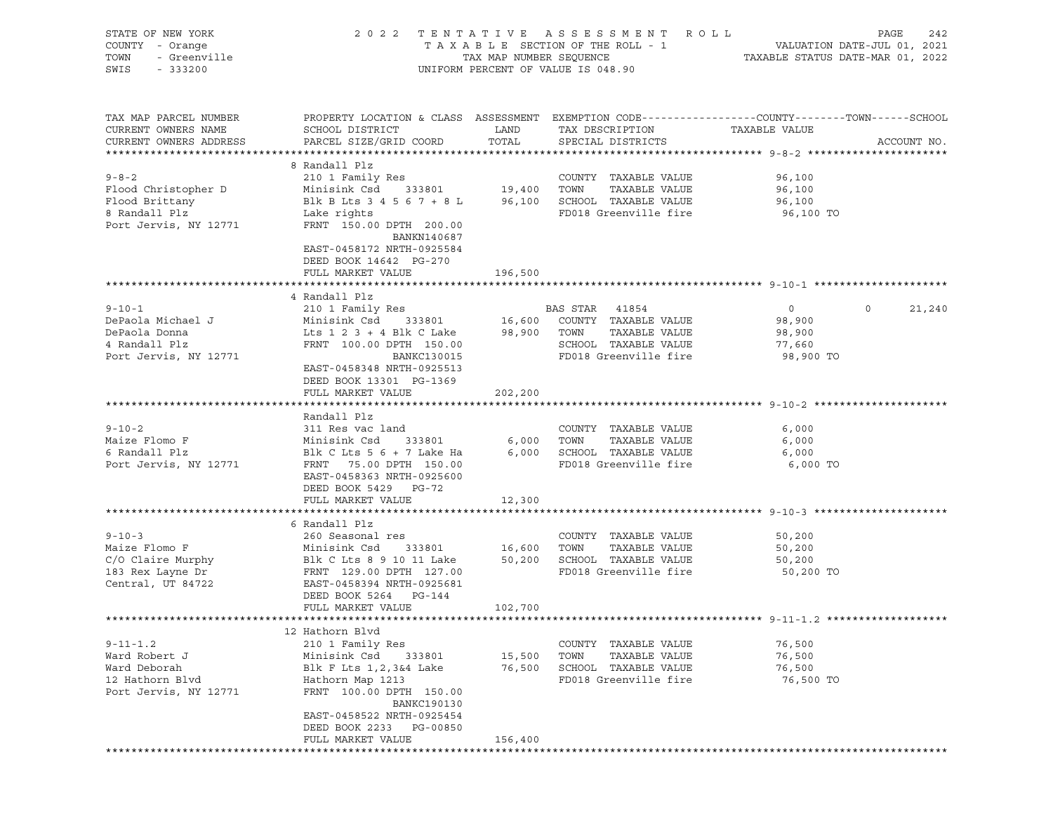| STATE OF NEW YORK<br>COUNTY - Orange                                                           | 2 0 2 2                                                                                                                                                                                                                       |                             | TENTATIVE ASSESSMENT<br>TAXABLE SECTION OF THE ROLL - 1                                                          | R O L L                                            | PAGE<br>242<br>VALUATION DATE-JUL 01, 2021 |
|------------------------------------------------------------------------------------------------|-------------------------------------------------------------------------------------------------------------------------------------------------------------------------------------------------------------------------------|-----------------------------|------------------------------------------------------------------------------------------------------------------|----------------------------------------------------|--------------------------------------------|
| - Greenville<br>TOWN<br>SWIS<br>$-333200$                                                      |                                                                                                                                                                                                                               | TAX MAP NUMBER SEQUENCE     | UNIFORM PERCENT OF VALUE IS 048.90                                                                               |                                                    | TAXABLE STATUS DATE-MAR 01, 2022           |
| TAX MAP PARCEL NUMBER<br>CURRENT OWNERS NAME<br>CURRENT OWNERS ADDRESS                         | PROPERTY LOCATION & CLASS ASSESSMENT EXEMPTION CODE----------------COUNTY-------TOWN------SCHOOL<br>SCHOOL DISTRICT<br>PARCEL SIZE/GRID COORD                                                                                 | LAND<br>TOTAL               | TAX DESCRIPTION<br>SPECIAL DISTRICTS                                                                             | TAXABLE VALUE                                      | ACCOUNT NO.                                |
| $9 - 8 - 2$<br>Flood Christopher D<br>Flood Brittany<br>8 Randall Plz<br>Port Jervis, NY 12771 | 8 Randall Plz<br>210 1 Family Res<br>Minisink Csd<br>333801<br>Blk B Lts 3 4 5 6 7 + 8 L<br>Lake rights<br>FRNT 150.00 DPTH 200.00<br>BANKN140687<br>EAST-0458172 NRTH-0925584<br>DEED BOOK 14642 PG-270<br>FULL MARKET VALUE | 19,400<br>196,500           | COUNTY TAXABLE VALUE<br>TOWN<br>TAXABLE VALUE<br>96,100 SCHOOL TAXABLE VALUE<br>FD018 Greenville fire            | 96,100<br>96,100<br>96,100<br>96,100 TO            |                                            |
|                                                                                                |                                                                                                                                                                                                                               |                             |                                                                                                                  |                                                    |                                            |
| $9 - 10 - 1$<br>DePaola Michael J<br>DePaola Donna<br>4 Randall Plz<br>Port Jervis, NY 12771   | 4 Randall Plz<br>210 1 Family Res<br>Minisink Csd<br>333801<br>Lts $1 \t2 \t3 + 4$ Blk C Lake<br>FRNT 100.00 DPTH 150.00<br>BANKC130015<br>EAST-0458348 NRTH-0925513<br>DEED BOOK 13301 PG-1369                               | 16,600<br>98,900            | BAS STAR 41854<br>COUNTY TAXABLE VALUE<br>TOWN<br>TAXABLE VALUE<br>SCHOOL TAXABLE VALUE<br>FD018 Greenville fire | $\circ$<br>98,900<br>98,900<br>77,660<br>98,900 TO | $\circ$<br>21,240                          |
|                                                                                                | FULL MARKET VALUE                                                                                                                                                                                                             | 202,200                     |                                                                                                                  |                                                    |                                            |
| $9 - 10 - 2$<br>Maize Flomo F<br>6 Randall Plz<br>Port Jervis, NY 12771                        | Randall Plz<br>311 Res vac land<br>Minisink Csd<br>333801<br>Blk C Lts 5 6 + 7 Lake Ha<br>FRNT 75.00 DPTH 150.00<br>EAST-0458363 NRTH-0925600<br>DEED BOOK 5429 PG-72                                                         | 6,000<br>6,000              | COUNTY TAXABLE VALUE<br>TOWN<br>TAXABLE VALUE<br>SCHOOL TAXABLE VALUE<br>FD018 Greenville fire                   | 6,000<br>6,000<br>6,000<br>6,000 TO                |                                            |
|                                                                                                | FULL MARKET VALUE                                                                                                                                                                                                             | 12,300                      |                                                                                                                  |                                                    |                                            |
| $9 - 10 - 3$<br>Maize Flomo F<br>C/O Claire Murphy<br>183 Rex Layne Dr<br>Central, UT 84722    | 6 Randall Plz<br>260 Seasonal res<br>Minisink Csd<br>333801<br>Blk C Lts 8 9 10 11 Lake<br>FRNT 129.00 DPTH 127.00<br>EAST-0458394 NRTH-0925681<br>DEED BOOK 5264 PG-144<br>FULL MARKET VALUE                                 | 16,600<br>50,200<br>102,700 | COUNTY TAXABLE VALUE<br>TOWN<br>TAXABLE VALUE<br>SCHOOL TAXABLE VALUE<br>FD018 Greenville fire                   | 50,200<br>50,200<br>50,200<br>50,200 TO            |                                            |
|                                                                                                |                                                                                                                                                                                                                               |                             |                                                                                                                  |                                                    |                                            |
| $9 - 11 - 1.2$<br>Ward Robert J<br>Ward Deborah<br>12 Hathorn Blvd<br>Port Jervis, NY 12771    | 12 Hathorn Blvd<br>210 1 Family Res<br>Minisink Csd<br>333801<br>Blk F Lts 1,2,3&4 Lake<br>Hathorn Map 1213<br>FRNT 100.00 DPTH 150.00<br>BANKC190130<br>EAST-0458522 NRTH-0925454<br>DEED BOOK 2233<br>PG-00850              | 15,500<br>76,500            | COUNTY TAXABLE VALUE<br>TOWN<br>TAXABLE VALUE<br>SCHOOL TAXABLE VALUE<br>FD018 Greenville fire                   | 76,500<br>76,500<br>76,500<br>76,500 TO            |                                            |
|                                                                                                | FULL MARKET VALUE                                                                                                                                                                                                             | 156,400                     |                                                                                                                  |                                                    |                                            |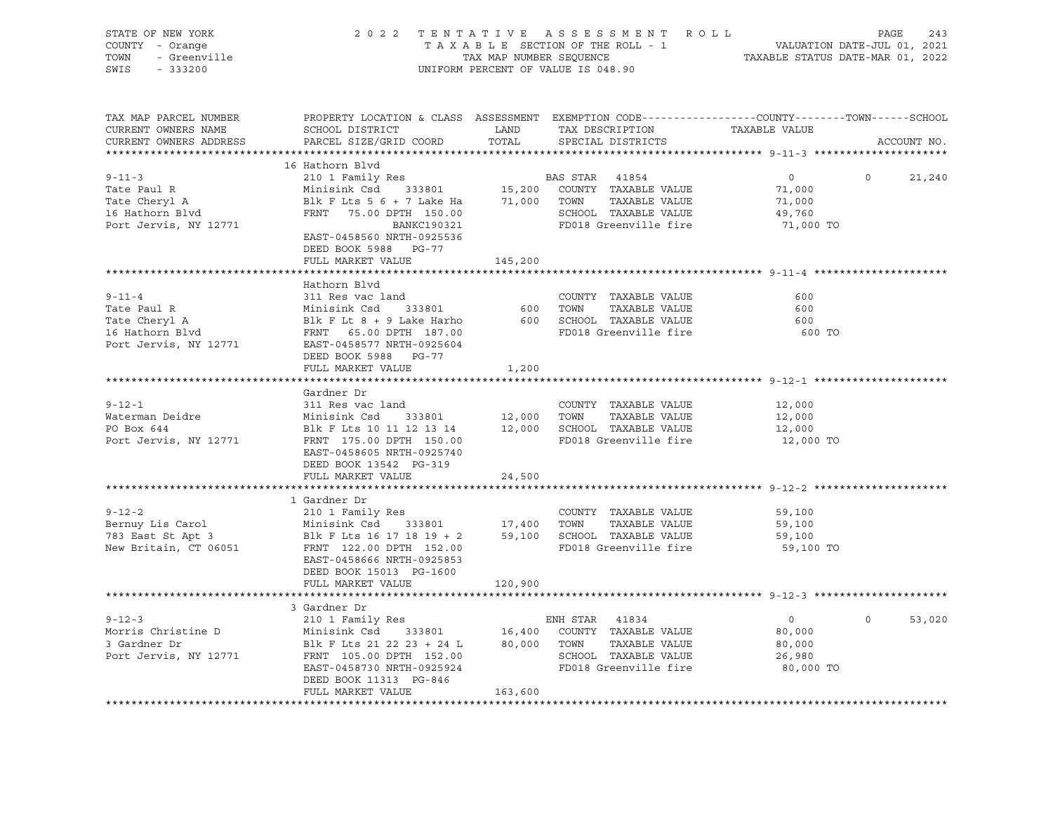| STATE OF NEW YORK<br>COUNTY - Orange<br>TOWN<br>- Greenville<br>SWIS<br>$-333200$ | 2 0 2 2                                     | TAX MAP NUMBER SEQUENCE | TENTATIVE ASSESSMENT ROLL<br>TAXABLE SECTION OF THE ROLL - 1<br>UNIFORM PERCENT OF VALUE IS 048.90                  | VALUATION DATE-JUL 01, 2021<br>TAXABLE STATUS DATE-MAR 01, 2022 | PAGE<br>243        |
|-----------------------------------------------------------------------------------|---------------------------------------------|-------------------------|---------------------------------------------------------------------------------------------------------------------|-----------------------------------------------------------------|--------------------|
|                                                                                   |                                             |                         |                                                                                                                     |                                                                 |                    |
| TAX MAP PARCEL NUMBER<br>CURRENT OWNERS NAME                                      | SCHOOL DISTRICT                             | LAND                    | PROPERTY LOCATION & CLASS ASSESSMENT EXEMPTION CODE----------------COUNTY-------TOWN------SCHOOL<br>TAX DESCRIPTION | TAXABLE VALUE                                                   |                    |
| CURRENT OWNERS ADDRESS                                                            | PARCEL SIZE/GRID COORD                      | TOTAL                   | SPECIAL DISTRICTS                                                                                                   |                                                                 | ACCOUNT NO.        |
|                                                                                   |                                             |                         |                                                                                                                     |                                                                 |                    |
|                                                                                   | 16 Hathorn Blvd                             |                         |                                                                                                                     |                                                                 |                    |
| $9 - 11 - 3$                                                                      | 210 1 Family Res                            |                         | BAS STAR 41854                                                                                                      | $\circ$                                                         | $\circ$<br>21,240  |
| Tate Paul R                                                                       | Minisink Csd 333801                         |                         | 15,200 COUNTY TAXABLE VALUE                                                                                         | 71,000                                                          |                    |
| Tate Cheryl A                                                                     | Blk F Lts $5$ $6$ + 7 Lake Ha $71,000$ TOWN |                         | TAXABLE VALUE                                                                                                       | 71,000                                                          |                    |
| 1dee eneryr A<br>16 Hathorn Blvd                                                  | FRNT 75.00 DPTH 150.00                      |                         | SCHOOL TAXABLE VALUE                                                                                                | 49,760                                                          |                    |
| Port Jervis, NY 12771                                                             | BANKC190321                                 |                         | FD018 Greenville fire                                                                                               | 71,000 TO                                                       |                    |
|                                                                                   | EAST-0458560 NRTH-0925536                   |                         |                                                                                                                     |                                                                 |                    |
|                                                                                   | DEED BOOK 5988 PG-77                        |                         |                                                                                                                     |                                                                 |                    |
|                                                                                   | FULL MARKET VALUE                           | 145,200                 |                                                                                                                     |                                                                 |                    |
|                                                                                   |                                             |                         |                                                                                                                     |                                                                 |                    |
|                                                                                   | Hathorn Blvd                                |                         |                                                                                                                     |                                                                 |                    |
| $9 - 11 - 4$                                                                      | 311 Res vac land                            |                         | COUNTY TAXABLE VALUE                                                                                                | 600                                                             |                    |
| Tate Paul R                                                                       | Minisink Csd 333801                         | 600                     | TAXABLE VALUE<br>TOWN                                                                                               | 600                                                             |                    |
| Tate Cheryl A                                                                     | Blk F Lt 8 + 9 Lake Harho                   |                         | 600 SCHOOL TAXABLE VALUE                                                                                            | 600                                                             |                    |
| 16 Hathorn Blvd                                                                   | FRNT 65.00 DPTH 187.00                      |                         | FD018 Greenville fire                                                                                               | 600 TO                                                          |                    |
| Port Jervis, NY 12771                                                             | EAST-0458577 NRTH-0925604                   |                         |                                                                                                                     |                                                                 |                    |
|                                                                                   | DEED BOOK 5988 PG-77                        |                         |                                                                                                                     |                                                                 |                    |
|                                                                                   | FULL MARKET VALUE                           | 1,200                   |                                                                                                                     |                                                                 |                    |
|                                                                                   | **************************                  |                         |                                                                                                                     |                                                                 |                    |
|                                                                                   | Gardner Dr                                  |                         |                                                                                                                     |                                                                 |                    |
| $9 - 12 - 1$                                                                      | 311 Res vac land                            |                         | COUNTY TAXABLE VALUE                                                                                                | 12,000                                                          |                    |
| Waterman Deidre                                                                   | Minisink Csd<br>333801                      | 12,000                  | TOWN<br>TAXABLE VALUE                                                                                               | 12,000                                                          |                    |
| PO Box 644                                                                        | Blk F Lts 10 11 12 13 14                    |                         | 12,000 SCHOOL TAXABLE VALUE                                                                                         | 12,000                                                          |                    |
| Port Jervis, NY 12771                                                             | FRNT 175.00 DPTH 150.00                     |                         | FD018 Greenville fire                                                                                               | 12,000 TO                                                       |                    |
|                                                                                   | EAST-0458605 NRTH-0925740                   |                         |                                                                                                                     |                                                                 |                    |
|                                                                                   | DEED BOOK 13542 PG-319                      |                         |                                                                                                                     |                                                                 |                    |
|                                                                                   | FULL MARKET VALUE                           | 24,500                  |                                                                                                                     |                                                                 |                    |
|                                                                                   |                                             |                         |                                                                                                                     |                                                                 |                    |
| $9 - 12 - 2$                                                                      | 1 Gardner Dr                                |                         | COUNTY TAXABLE VALUE                                                                                                | 59,100                                                          |                    |
|                                                                                   | 210 1 Family Res<br>Minisink Csd 333801     |                         | TAXABLE VALUE<br>TOWN                                                                                               |                                                                 |                    |
| Bernuy Lis Carol<br>783 East St Apt 3                                             | Blk F Lts 16 17 18 19 + 2                   | 17,400                  | 59,100 SCHOOL TAXABLE VALUE                                                                                         | 59,100<br>59,100                                                |                    |
| New Britain, CT 06051                                                             | FRNT 122.00 DPTH 152.00                     |                         | FD018 Greenville fire                                                                                               | 59,100 TO                                                       |                    |
|                                                                                   | EAST-0458666 NRTH-0925853                   |                         |                                                                                                                     |                                                                 |                    |
|                                                                                   | DEED BOOK 15013 PG-1600                     |                         |                                                                                                                     |                                                                 |                    |
|                                                                                   | FULL MARKET VALUE                           | 120,900                 |                                                                                                                     |                                                                 |                    |
|                                                                                   |                                             |                         |                                                                                                                     |                                                                 |                    |
|                                                                                   | 3 Gardner Dr                                |                         |                                                                                                                     |                                                                 |                    |
| $9 - 12 - 3$                                                                      | 210 1 Family Res                            |                         | ENH STAR 41834                                                                                                      | $\overline{0}$                                                  | $\Omega$<br>53,020 |
| Morris Christine D                                                                | 333801 16,400<br>Minisink Csd               |                         | COUNTY TAXABLE VALUE                                                                                                | 80,000                                                          |                    |
| 3 Gardner Dr                                                                      | Blk F Lts 21 22 23 + 24 L                   | 80,000 TOWN             | TAXABLE VALUE                                                                                                       | 80,000                                                          |                    |
| Port Jervis, NY 12771                                                             | FRNT 105.00 DPTH 152.00                     |                         | SCHOOL TAXABLE VALUE                                                                                                | 26,980                                                          |                    |
|                                                                                   | EAST-0458730 NRTH-0925924                   |                         | FD018 Greenville fire                                                                                               | 80,000 TO                                                       |                    |
|                                                                                   | DEED BOOK 11313 PG-846                      |                         |                                                                                                                     |                                                                 |                    |
|                                                                                   | FULL MARKET VALUE                           | 163,600                 |                                                                                                                     |                                                                 |                    |
|                                                                                   |                                             |                         |                                                                                                                     |                                                                 |                    |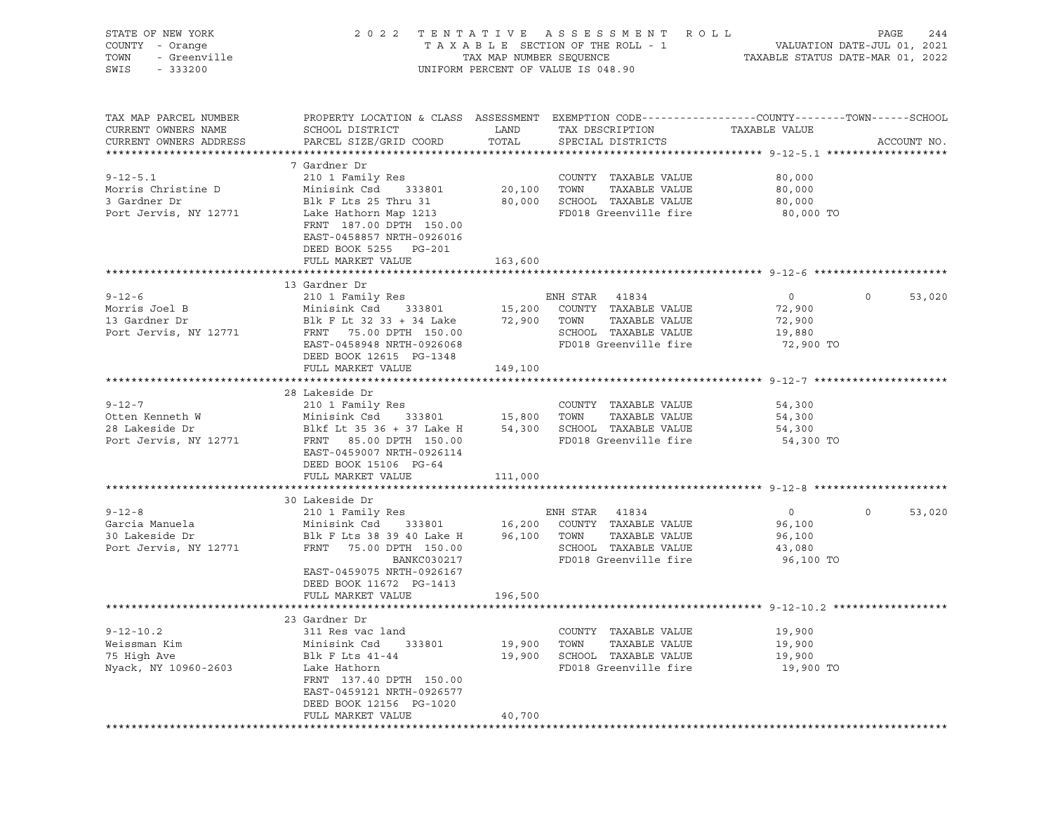| STATE OF NEW YORK<br>COUNTY - Orange<br>TOWN<br>- Greenville<br>SWIS<br>$-333200$ |                                                                                                                                                                     |                  | 2022 TENTATIVE ASSESSMENT ROLL<br>T A X A B L E SECTION OF THE ROLL - 1 VALUATION DATE-JUL 01, 2021<br>TAX MAP NUMBER SEQUENCE TAXABLE STATUS DATE-MAR 01, 2022<br>UNIFORM PERCENT OF VALUE IS 048.90 |                                                              | PAGE<br>244       |
|-----------------------------------------------------------------------------------|---------------------------------------------------------------------------------------------------------------------------------------------------------------------|------------------|-------------------------------------------------------------------------------------------------------------------------------------------------------------------------------------------------------|--------------------------------------------------------------|-------------------|
| TAX MAP PARCEL NUMBER<br>CURRENT OWNERS NAME<br>CURRENT OWNERS ADDRESS            | PROPERTY LOCATION & CLASS ASSESSMENT EXEMPTION CODE----------------COUNTY-------TOWN------SCHOOL<br>SCHOOL DISTRICT<br>PARCEL SIZE/GRID COORD                       | LAND<br>TOTAL    | TAX DESCRIPTION<br>SPECIAL DISTRICTS                                                                                                                                                                  | TAXABLE VALUE                                                | ACCOUNT NO.       |
| $9 - 12 - 5.1$<br>Morris Christine D<br>3 Gardner Dr<br>Port Jervis, NY 12771     | 7 Gardner Dr<br>210 1 Family Res<br>Minisink Csd<br>333801<br>Blk F Lts 25 Thru 31<br>Lake Hathorn Map 1213<br>FRNT 187.00 DPTH 150.00<br>EAST-0458857 NRTH-0926016 | 20,100 TOWN      | COUNTY TAXABLE VALUE<br>TAXABLE VALUE<br>80,000 SCHOOL TAXABLE VALUE<br>FD018 Greenville fire                                                                                                         | 80,000<br>80,000<br>80,000<br>80,000 TO                      |                   |
|                                                                                   | DEED BOOK 5255 PG-201<br>FULL MARKET VALUE                                                                                                                          | 163,600          |                                                                                                                                                                                                       |                                                              |                   |
|                                                                                   | 13 Gardner Dr                                                                                                                                                       |                  |                                                                                                                                                                                                       |                                                              |                   |
| $9 - 12 - 6$<br>Morris Joel B<br>13 Gardner Dr<br>Port Jervis, NY 12771           | 210 1 Family Res<br>Minisink Csd 333801<br>Blk F Lt 32 33 + 34 Lake 72,900<br>FRNT 75.00 DPTH 150.00<br>EAST-0458948 NRTH-0926068                                   |                  | ENH STAR 41834<br>15,200 COUNTY TAXABLE VALUE<br>TAXABLE VALUE<br>TOWN<br>SCHOOL TAXABLE VALUE<br>FD018 Greenville fire                                                                               | $0 \qquad \qquad$<br>72,900<br>72,900<br>19,880<br>72,900 TO | $\circ$<br>53,020 |
|                                                                                   | DEED BOOK 12615 PG-1348<br>FULL MARKET VALUE                                                                                                                        | 149,100          |                                                                                                                                                                                                       |                                                              |                   |
|                                                                                   | 28 Lakeside Dr                                                                                                                                                      |                  |                                                                                                                                                                                                       |                                                              |                   |
| $9 - 12 - 7$<br>Otten Kenneth W<br>28 Lakeside Dr<br>Port Jervis, NY 12771        | 210 1 Family Res<br>Minisink Csd 333801 15,800<br>Blkf Lt 35 36 + 37 Lake H<br>FRNT 85.00 DPTH 150.00<br>EAST-0459007 NRTH-0926114                                  |                  | COUNTY TAXABLE VALUE<br>TAXABLE VALUE<br>TOWN<br>54,300 SCHOOL TAXABLE VALUE<br>FD018 Greenville fire                                                                                                 | 54,300<br>54,300<br>54,300<br>54,300 TO                      |                   |
|                                                                                   | DEED BOOK 15106 PG-64<br>FULL MARKET VALUE                                                                                                                          | 111,000          |                                                                                                                                                                                                       |                                                              |                   |
|                                                                                   |                                                                                                                                                                     |                  |                                                                                                                                                                                                       |                                                              |                   |
| $9 - 12 - 8$<br>Garcia Manuela<br>30 Lakeside Dr<br>Port Jervis, NY 12771         | 30 Lakeside Dr<br>210 1 Family Res<br>Minisink Csd<br>Blk F Lts 38 39 40 Lake H 96,100 TOWN<br>FRNT 75.00 DPTH 150.00<br>BANKC030217<br>EAST-0459075 NRTH-0926167   |                  | ENH STAR 41834<br>333801 16,200 COUNTY TAXABLE VALUE<br>TAXABLE VALUE<br>SCHOOL TAXABLE VALUE<br>FD018 Greenville fire                                                                                | $\overline{0}$<br>96,100<br>96,100<br>43,080<br>96,100 TO    | $\circ$<br>53,020 |
|                                                                                   | DEED BOOK 11672 PG-1413<br>FULL MARKET VALUE                                                                                                                        | 196,500          |                                                                                                                                                                                                       |                                                              |                   |
|                                                                                   | 23 Gardner Dr                                                                                                                                                       |                  |                                                                                                                                                                                                       |                                                              |                   |
| $9 - 12 - 10.2$<br>Weissman Kim<br>75 High Ave<br>Nyack, NY 10960-2603            | 311 Res vac land<br>Minisink Csd<br>333801<br>Blk F Lts 41-44<br>Lake Hathorn<br>FRNT 137.40 DPTH 150.00<br>EAST-0459121 NRTH-0926577<br>DEED BOOK 12156 PG-1020    | 19,900<br>19,900 | COUNTY TAXABLE VALUE<br>TOWN<br>TAXABLE VALUE<br>SCHOOL TAXABLE VALUE<br>FD018 Greenville fire                                                                                                        | 19,900<br>19,900<br>19,900<br>19,900 TO                      |                   |
|                                                                                   | FULL MARKET VALUE                                                                                                                                                   | 40,700           |                                                                                                                                                                                                       |                                                              |                   |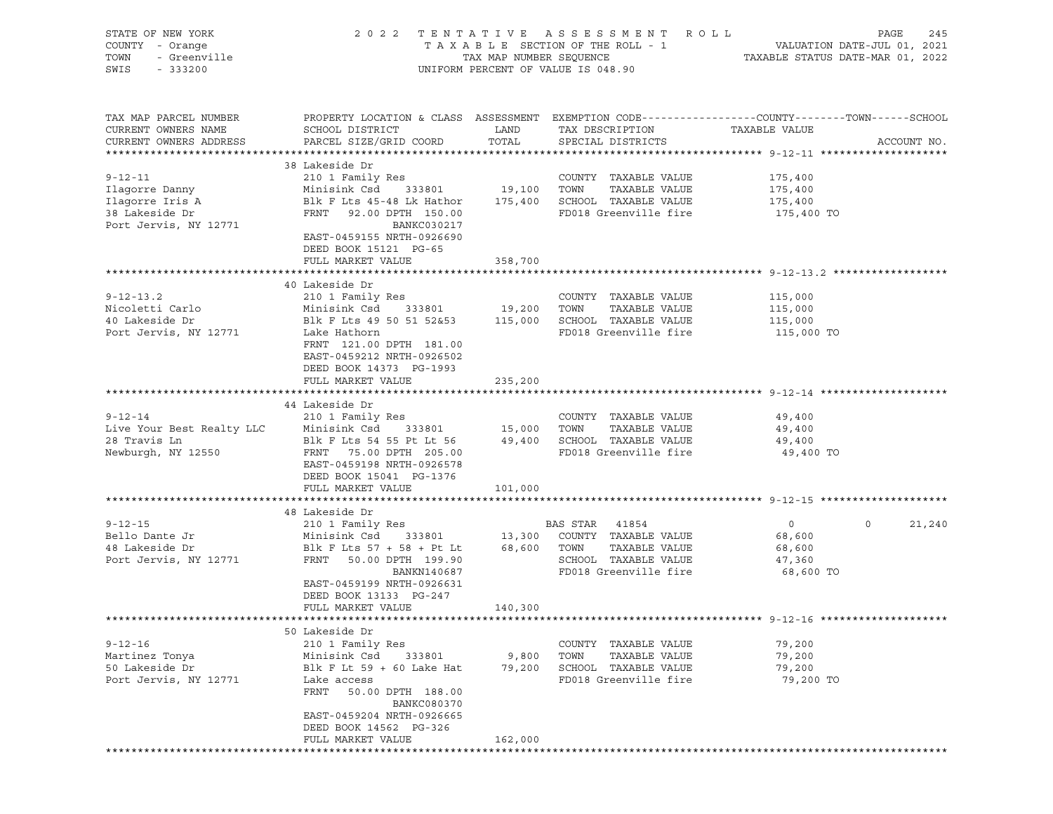| STATE OF NEW YORK<br>COUNTY - Orange<br>Y - Orange<br>- Greenville<br>- 333200<br>TOWN<br>SWIS<br>$-333200$ |                                                                                                                                                                                                                                                                                                                            |                 | 2022 TENTATIVE ASSESSMENT ROLL<br>TAXABLE SECTION OF THE ROLL - 1 VALUATION DATE-JUL 01, 2021<br>TAX MAP NUMBER SEQUENCE TAXABLE STATUS DATE-MAR 01, 2022<br>UNIFORM PERCENT OF VALUE IS 048.90 |                                         | PAGE<br>245                 |
|-------------------------------------------------------------------------------------------------------------|----------------------------------------------------------------------------------------------------------------------------------------------------------------------------------------------------------------------------------------------------------------------------------------------------------------------------|-----------------|-------------------------------------------------------------------------------------------------------------------------------------------------------------------------------------------------|-----------------------------------------|-----------------------------|
| TAX MAP PARCEL NUMBER<br>CURRENT OWNERS NAME<br>CURRENT OWNERS ADDRESS                                      | PROPERTY LOCATION & CLASS ASSESSMENT EXEMPTION CODE---------------COUNTY-------TOWN-----SCHOOL<br>SCHOOL DISTRICT<br>PARCEL SIZE/GRID COORD TOTAL                                                                                                                                                                          | LAND            | TAX DESCRIPTION TAXABLE VALUE<br>SPECIAL DISTRICTS                                                                                                                                              |                                         | ACCOUNT NO.                 |
|                                                                                                             | 38 Lakeside Dr                                                                                                                                                                                                                                                                                                             |                 |                                                                                                                                                                                                 |                                         |                             |
| $9 - 12 - 11$                                                                                               | EAST-0459155 NRTH-0926690<br>DEED BOOK 15121 PG-65                                                                                                                                                                                                                                                                         |                 |                                                                                                                                                                                                 | 175,400<br>175,400<br>175,400 TO        |                             |
|                                                                                                             | FULL MARKET VALUE                                                                                                                                                                                                                                                                                                          | 358,700         |                                                                                                                                                                                                 |                                         |                             |
|                                                                                                             |                                                                                                                                                                                                                                                                                                                            |                 |                                                                                                                                                                                                 |                                         |                             |
| $9 - 12 - 13.2$<br>Nicoletti Carlo<br>40 Lakeside Dr<br>Port Jervis, NY 12771                               | 40 Lakeside Dr<br>Blk F Lts 49 50 51 52&53 115,000 SCHOOL TAXABLE VALUE 115,000<br>Lake Hathorn<br>FRNT 121.00 DPTH 181.00<br>EAST-0459212 NRTH-0926502<br>DEED BOOK 14373 PG-1993                                                                                                                                         |                 | COUNTY TAXABLE VALUE 115,000<br>TOWN TAXABLE VALUE 115,000<br>FD018 Greenville fire                                                                                                             | 115,000 TO                              |                             |
|                                                                                                             | FULL MARKET VALUE                                                                                                                                                                                                                                                                                                          | 235,200         |                                                                                                                                                                                                 |                                         |                             |
|                                                                                                             |                                                                                                                                                                                                                                                                                                                            |                 |                                                                                                                                                                                                 |                                         |                             |
|                                                                                                             | 44 Lakeside Dr                                                                                                                                                                                                                                                                                                             |                 |                                                                                                                                                                                                 |                                         |                             |
|                                                                                                             |                                                                                                                                                                                                                                                                                                                            |                 |                                                                                                                                                                                                 |                                         |                             |
|                                                                                                             | 9-12-14 210 1 Family Res COUNTY TAXABLE VALUE 49,400<br>Live Your Best Realty LLC Minisink Csd 333801 15,000 TOWN TAXABLE VALUE 49,400<br>28 Travis Ln Blk F Lts 54 55 Pt Lt 56 49,400 SCHOOL TAXABLE VALUE 49,400<br>Newburgh, NY 1<br>EAST-0459198 NRTH-0926578<br>DEED BOOK 15041 PG-1376<br>FULL MARKET VALUE 101,000  |                 |                                                                                                                                                                                                 | 49,400 TO                               |                             |
|                                                                                                             |                                                                                                                                                                                                                                                                                                                            |                 |                                                                                                                                                                                                 |                                         |                             |
|                                                                                                             |                                                                                                                                                                                                                                                                                                                            |                 |                                                                                                                                                                                                 |                                         |                             |
|                                                                                                             | 9-12-15<br>9-12-15<br>Bello Dante Jr<br>210 1 Family Res<br>210 1 Family Res<br>210 1 Family Res<br>210 1 Family Res<br>210 1 Family Res<br>210 1 Family Res<br>210 1 Family Res<br>213,300 COUNTY TAXABLE VALUE<br>23,600<br>213,300 COUNTY TAXABLE<br>BANKN140687<br>EAST-0459199 NRTH-0926631<br>DEED BOOK 13133 PG-247 |                 | SCHOOL TAXABLE VALUE 47,360<br>FROM TAXABLE VALUE 47,360<br>FROM Greenville fire 68,600 TO                                                                                                      |                                         | $0 \qquad \qquad$<br>21,240 |
|                                                                                                             | FULL MARKET VALUE                                                                                                                                                                                                                                                                                                          | 140,300         |                                                                                                                                                                                                 |                                         |                             |
|                                                                                                             |                                                                                                                                                                                                                                                                                                                            |                 |                                                                                                                                                                                                 |                                         |                             |
| $9 - 12 - 16$<br>Martinez Tonya<br>50 Lakeside Dr<br>Port Jervis, NY 12771                                  | 50 Lakeside Dr<br>210 1 Family Res<br>Minisink Csd<br>333801<br>Blk F Lt 59 + 60 Lake Hat<br>Lake access<br>FRNT<br>50.00 DPTH 188.00<br><b>BANKC080370</b><br>EAST-0459204 NRTH-0926665<br>DEED BOOK 14562 PG-326                                                                                                         | 9,800<br>79,200 | COUNTY TAXABLE VALUE<br>TAXABLE VALUE<br>TOWN<br>SCHOOL TAXABLE VALUE<br>FD018 Greenville fire                                                                                                  | 79,200<br>79,200<br>79,200<br>79,200 TO |                             |
|                                                                                                             | FULL MARKET VALUE                                                                                                                                                                                                                                                                                                          | 162,000         |                                                                                                                                                                                                 |                                         |                             |
|                                                                                                             |                                                                                                                                                                                                                                                                                                                            |                 |                                                                                                                                                                                                 |                                         |                             |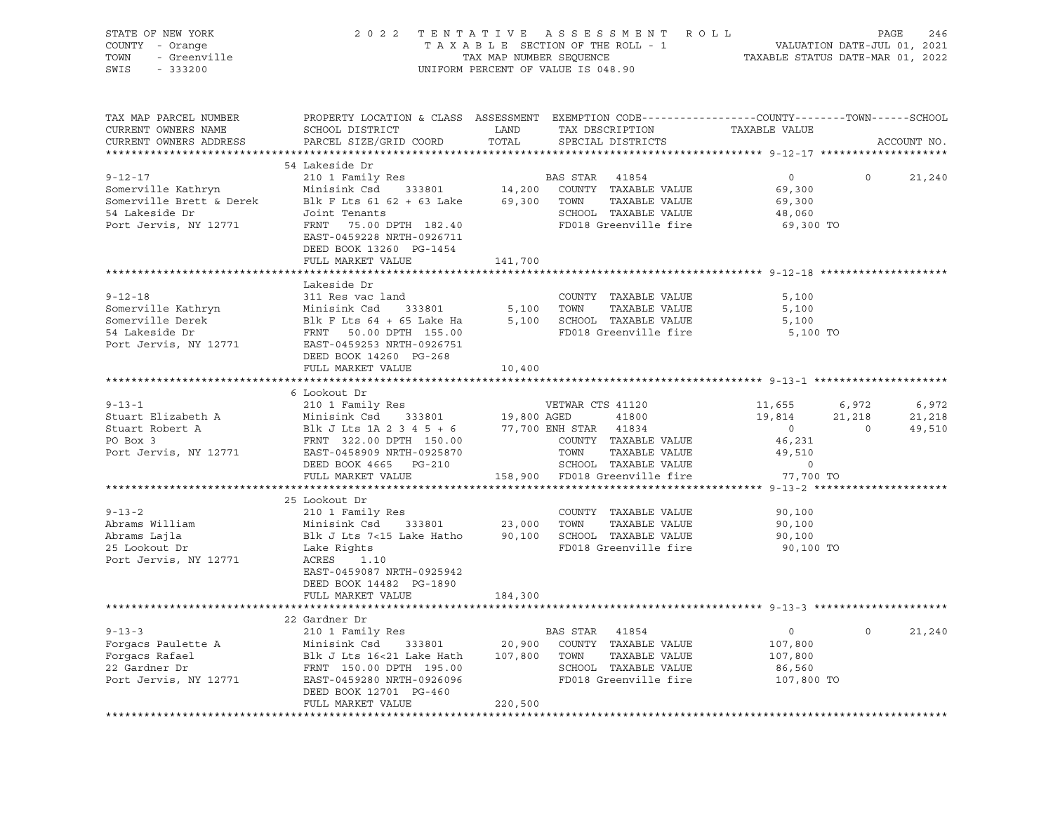| STATE OF NEW YORK<br>COUNTY - Orange<br>- Greenville<br>TOWN<br>SWIS<br>$-333200$                          | 2 0 2 2                                                                                                                                                                                                                                                                                       | TAX MAP NUMBER SEQUENCE | TENTATIVE ASSESSMENT ROLL<br>T A X A B L E SECTION OF THE ROLL - 1<br>UNIFORM PERCENT OF VALUE IS 048.90                | VALUATION DATE-JUL 01, 2021<br>TAXABLE STATUS DATE-MAR 01, 2022          | PAGE                              | 246                       |
|------------------------------------------------------------------------------------------------------------|-----------------------------------------------------------------------------------------------------------------------------------------------------------------------------------------------------------------------------------------------------------------------------------------------|-------------------------|-------------------------------------------------------------------------------------------------------------------------|--------------------------------------------------------------------------|-----------------------------------|---------------------------|
| TAX MAP PARCEL NUMBER<br>CURRENT OWNERS NAME<br>CURRENT OWNERS ADDRESS<br>************************         | PROPERTY LOCATION & CLASS ASSESSMENT EXEMPTION CODE---------------COUNTY-------TOWN-----SCHOOL<br>SCHOOL DISTRICT<br>PARCEL SIZE/GRID COORD                                                                                                                                                   | LAND<br>TOTAL           | TAX DESCRIPTION<br>SPECIAL DISTRICTS                                                                                    | TAXABLE VALUE                                                            |                                   | ACCOUNT NO.               |
| $9 - 12 - 17$<br>Somerville Kathryn<br>Somerville Brett & Derek<br>54 Lakeside Dr<br>Port Jervis, NY 12771 | 54 Lakeside Dr<br>210 1 Family Res<br>Minisink Csd 333801 14,200<br>Blk F Lts 61 62 + 63 Lake<br>Joint Tenants<br>FRNT 75.00 DPTH 182.40<br>EAST-0459228 NRTH-0926711<br>DEED BOOK 13260 PG-1454<br>FULL MARKET VALUE                                                                         | 141,700                 | BAS STAR 41854<br>COUNTY TAXABLE VALUE<br>69,300 TOWN<br>TAXABLE VALUE<br>SCHOOL TAXABLE VALUE<br>FD018 Greenville fire | $\overline{0}$<br>69,300<br>69,300<br>48,060<br>69,300 TO                | $\Omega$                          | 21,240                    |
|                                                                                                            |                                                                                                                                                                                                                                                                                               |                         |                                                                                                                         |                                                                          |                                   |                           |
| $9 - 12 - 18$<br>Port Jervis, NY 12771 EAST-0459253 NRTH-0926751                                           | Lakeside Dr<br>311 Res vac land<br>DEED BOOK 14260 PG-268                                                                                                                                                                                                                                     |                         | COUNTY TAXABLE VALUE<br>5,100 TOWN<br>TAXABLE VALUE<br>5,100 SCHOOL TAXABLE VALUE<br>FD018 Greenville fire              | 5,100<br>5,100<br>5,100<br>5,100 TO                                      |                                   |                           |
|                                                                                                            | FULL MARKET VALUE                                                                                                                                                                                                                                                                             | 10,400                  |                                                                                                                         |                                                                          |                                   |                           |
|                                                                                                            |                                                                                                                                                                                                                                                                                               |                         |                                                                                                                         |                                                                          |                                   |                           |
| $9 - 13 - 1$<br>Stuart Elizabeth A<br>Stuart Robert A<br>PO Box 3<br>Port Jervis, NY 12771                 | 6 Lookout Dr<br>210 1 Family Res<br>Minisink Csd 333801 19,800 AGEN 181834<br>Blk J Lts 1A 2 3 4 5 + 6 77,700 ENH STAR 41834<br>FRNT 322.00 DPTH 150.00 COUNTY TAXABLE VALUE<br>EAST-0458909 NRTH-0925870 TOWN TAXABLE VALUE<br>DRED BOOK 4665 PG-210 SCHOOL TAXABLE VALUE                    | 19,800 AGED             | VETWAR CTS 41120                                                                                                        | 11,655<br>19,814<br>$\overline{0}$<br>46,231<br>49,510<br>$\overline{0}$ | 6,972<br>21,218<br>$\overline{0}$ | 6,972<br>21,218<br>49,510 |
|                                                                                                            | FULL MARKET VALUE                                                                                                                                                                                                                                                                             |                         | 158,900 FD018 Greenville fire                                                                                           | 77,700 TO                                                                |                                   |                           |
| $9 - 13 - 2$<br>Abrams William<br>Abrams Lajla<br>25 Lookout Dr<br>Port Jervis, NY 12771                   | *****************************<br>25 Lookout Dr<br>Blk J Lts 7<15 Lake Hatho<br>Lake Rights<br>ACRES<br>1.10<br>EAST-0459087 NRTH-0925942<br>DEED BOOK 14482 PG-1890                                                                                                                           |                         | COUNTY TAXABLE VALUE<br>TAXABLE VALUE<br>90,100 SCHOOL TAXABLE VALUE<br>FD018 Greenville fire                           | 90,100<br>90,100<br>90,100<br>90,100 TO                                  |                                   |                           |
|                                                                                                            | FULL MARKET VALUE                                                                                                                                                                                                                                                                             | 184,300                 |                                                                                                                         |                                                                          |                                   |                           |
|                                                                                                            |                                                                                                                                                                                                                                                                                               |                         |                                                                                                                         |                                                                          |                                   |                           |
| $9 - 13 - 3$<br>Forgacs Paulette A<br>Forgacs Rafael<br>22 Gardner Dr<br>Port Jervis, NY 12771             | 22 Gardner Dr<br>210 1 Family Res<br>210 1 Family Res<br>Minisink Csd 333801 20,900 COUNTY TAXABLE VALUE<br>Blk J Lts 16<21 Lake Hath 107,800 TOWN TAXABLE VALUE<br>FRNT 150.00 DPTH 195.00 SCHOOL TAXABLE VALUE<br>EAST-0459280 NRTH-0926096 FD018 Greenville fire<br>DEED BOOK 12701 PG-460 |                         | BAS STAR 41854                                                                                                          | $0 \qquad \qquad$<br>107,800<br>107,800<br>86,560<br>107,800 TO          | $\circ$                           | 21,240                    |
|                                                                                                            | FULL MARKET VALUE                                                                                                                                                                                                                                                                             | 220,500                 |                                                                                                                         |                                                                          |                                   |                           |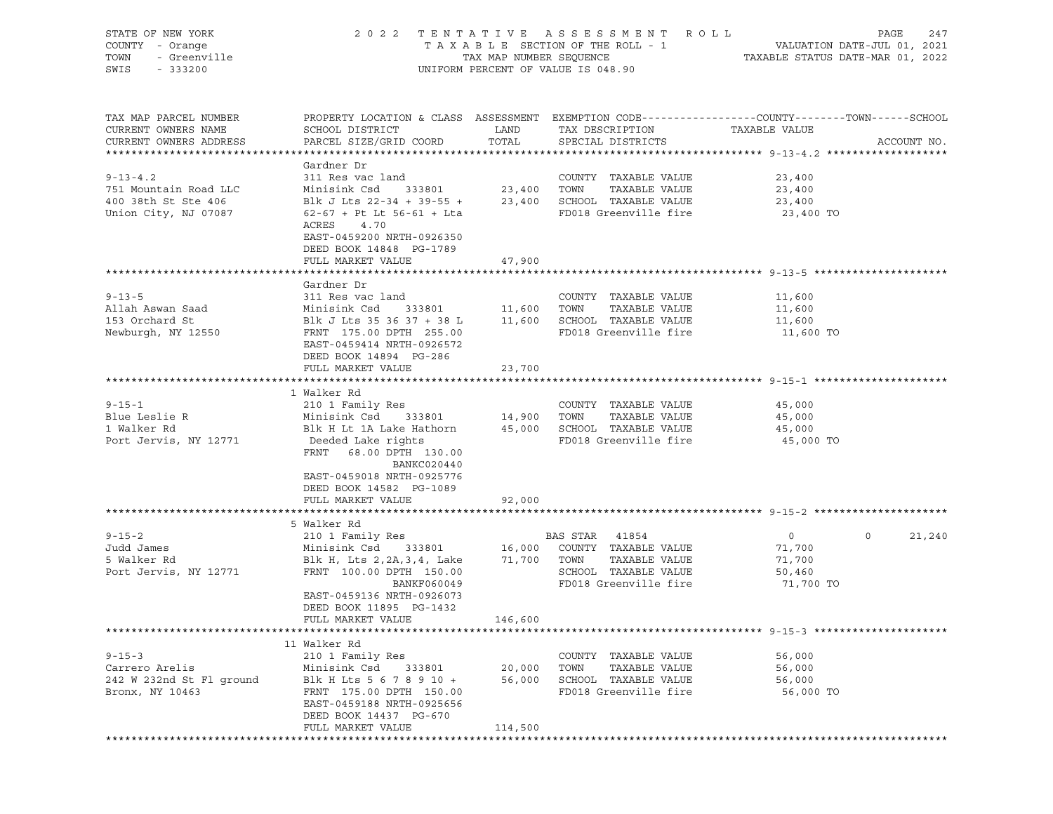| STATE OF NEW YORK<br>COUNTY - Orange<br>TOWN<br>- Greenville<br>SWIS<br>$-333200$ | 2 0 2 2                                                                                                                | TAX MAP NUMBER SEQUENCE | TENTATIVE ASSESSMENT<br>R O L L<br>TAXABLE SECTION OF THE ROLL - 1<br>UNIFORM PERCENT OF VALUE IS 048.90 | TAXABLE STATUS DATE-MAR 01, 2022 | PAGE<br>247<br>VALUATION DATE-JUL 01, 2021 |
|-----------------------------------------------------------------------------------|------------------------------------------------------------------------------------------------------------------------|-------------------------|----------------------------------------------------------------------------------------------------------|----------------------------------|--------------------------------------------|
| TAX MAP PARCEL NUMBER<br>CURRENT OWNERS NAME                                      | PROPERTY LOCATION & CLASS ASSESSMENT EXEMPTION CODE----------------COUNTY-------TOWN------SCHOOL<br>SCHOOL DISTRICT    | LAND                    | TAX DESCRIPTION                                                                                          | TAXABLE VALUE                    |                                            |
| CURRENT OWNERS ADDRESS                                                            | PARCEL SIZE/GRID COORD                                                                                                 | TOTAL                   | SPECIAL DISTRICTS                                                                                        |                                  | ACCOUNT NO.                                |
|                                                                                   | Gardner Dr                                                                                                             |                         |                                                                                                          |                                  |                                            |
| $9 - 13 - 4.2$                                                                    | 311 Res vac land                                                                                                       |                         | COUNTY TAXABLE VALUE                                                                                     | 23,400                           |                                            |
| 751 Mountain Road LLC                                                             | Minisink Csd<br>333801                                                                                                 | 23,400 TOWN             | TAXABLE VALUE                                                                                            | 23,400                           |                                            |
| 400 38th St Ste 406                                                               | Blk J Lts 22-34 + 39-55 +                                                                                              |                         | 23,400 SCHOOL TAXABLE VALUE                                                                              | 23,400                           |                                            |
| Union City, NJ 07087                                                              | $62-67$ + Pt Lt $56-61$ + Lta<br>ACRES<br>4.70<br>EAST-0459200 NRTH-0926350<br>DEED BOOK 14848 PG-1789                 |                         | FD018 Greenville fire                                                                                    | 23,400 TO                        |                                            |
|                                                                                   | FULL MARKET VALUE                                                                                                      | 47,900                  |                                                                                                          |                                  |                                            |
|                                                                                   |                                                                                                                        |                         |                                                                                                          |                                  |                                            |
|                                                                                   | Gardner Dr<br>311 Res vac land                                                                                         |                         |                                                                                                          |                                  |                                            |
| $9 - 13 - 5$<br>Allah Aswan Saad                                                  | Minisink Csd<br>333801                                                                                                 | 11,600                  | COUNTY TAXABLE VALUE<br>TOWN<br>TAXABLE VALUE                                                            | 11,600<br>11,600                 |                                            |
| 153 Orchard St                                                                    | Blk J Lts 35 36 37 + 38 L                                                                                              |                         | 11,600 SCHOOL TAXABLE VALUE                                                                              | 11,600                           |                                            |
| Newburgh, NY 12550                                                                | FRNT 175.00 DPTH 255.00<br>EAST-0459414 NRTH-0926572<br>DEED BOOK 14894 PG-286                                         |                         | FD018 Greenville fire                                                                                    | 11,600 TO                        |                                            |
|                                                                                   | FULL MARKET VALUE                                                                                                      | 23,700                  |                                                                                                          |                                  |                                            |
|                                                                                   | 1 Walker Rd                                                                                                            |                         |                                                                                                          |                                  |                                            |
| $9 - 15 - 1$                                                                      | 210 1 Family Res                                                                                                       |                         | COUNTY TAXABLE VALUE                                                                                     | 45,000                           |                                            |
| Blue Leslie R                                                                     | Minisink Csd<br>333801                                                                                                 | 14,900 TOWN             | TAXABLE VALUE                                                                                            | 45,000                           |                                            |
| 1 Walker Rd                                                                       | Blk H Lt 1A Lake Hathorn                                                                                               |                         | 45,000 SCHOOL TAXABLE VALUE                                                                              | 45,000                           |                                            |
| Port Jervis, NY 12771                                                             | Deeded Lake rights<br>FRNT<br>68.00 DPTH 130.00<br>BANKC020440<br>EAST-0459018 NRTH-0925776<br>DEED BOOK 14582 PG-1089 |                         | FD018 Greenville fire                                                                                    | 45,000 TO                        |                                            |
|                                                                                   | FULL MARKET VALUE                                                                                                      | 92,000                  |                                                                                                          |                                  |                                            |
|                                                                                   |                                                                                                                        |                         |                                                                                                          |                                  |                                            |
|                                                                                   | 5 Walker Rd                                                                                                            |                         |                                                                                                          |                                  |                                            |
| $9 - 15 - 2$<br>Judd James                                                        | 210 1 Family Res<br>Minisink Csd<br>333801                                                                             | 16,000                  | BAS STAR<br>41854<br>COUNTY TAXABLE VALUE                                                                | $\circ$<br>71,700                | $\circ$<br>21,240                          |
| 5 Walker Rd                                                                       | Blk H, Lts 2, 2A, 3, 4, Lake                                                                                           | 71,700                  | TOWN<br>TAXABLE VALUE                                                                                    | 71,700                           |                                            |
| Port Jervis, NY 12771                                                             | FRNT 100.00 DPTH 150.00                                                                                                |                         | SCHOOL TAXABLE VALUE                                                                                     | 50,460                           |                                            |
|                                                                                   | BANKF060049                                                                                                            |                         | FD018 Greenville fire                                                                                    | 71,700 TO                        |                                            |
|                                                                                   | EAST-0459136 NRTH-0926073<br>DEED BOOK 11895 PG-1432                                                                   |                         |                                                                                                          |                                  |                                            |
|                                                                                   | FULL MARKET VALUE                                                                                                      | 146,600                 |                                                                                                          |                                  |                                            |
|                                                                                   | 11 Walker Rd                                                                                                           |                         |                                                                                                          |                                  |                                            |
| $9 - 15 - 3$                                                                      | 210 1 Family Res                                                                                                       |                         | COUNTY TAXABLE VALUE                                                                                     | 56,000                           |                                            |
| Carrero Arelis                                                                    | Minisink Csd<br>333801                                                                                                 | 20,000                  | TOWN<br>TAXABLE VALUE                                                                                    | 56,000                           |                                            |
| 242 W 232nd St Fl ground                                                          | Blk H Lts 5 6 7 8 9 10 +                                                                                               | 56,000                  | SCHOOL TAXABLE VALUE                                                                                     | 56,000                           |                                            |
| Bronx, NY 10463                                                                   | FRNT 175.00 DPTH 150.00<br>EAST-0459188 NRTH-0925656<br>DEED BOOK 14437 PG-670                                         |                         | FD018 Greenville fire                                                                                    | 56,000 TO                        |                                            |
|                                                                                   | FULL MARKET VALUE                                                                                                      | 114,500                 |                                                                                                          |                                  |                                            |
|                                                                                   |                                                                                                                        |                         |                                                                                                          |                                  |                                            |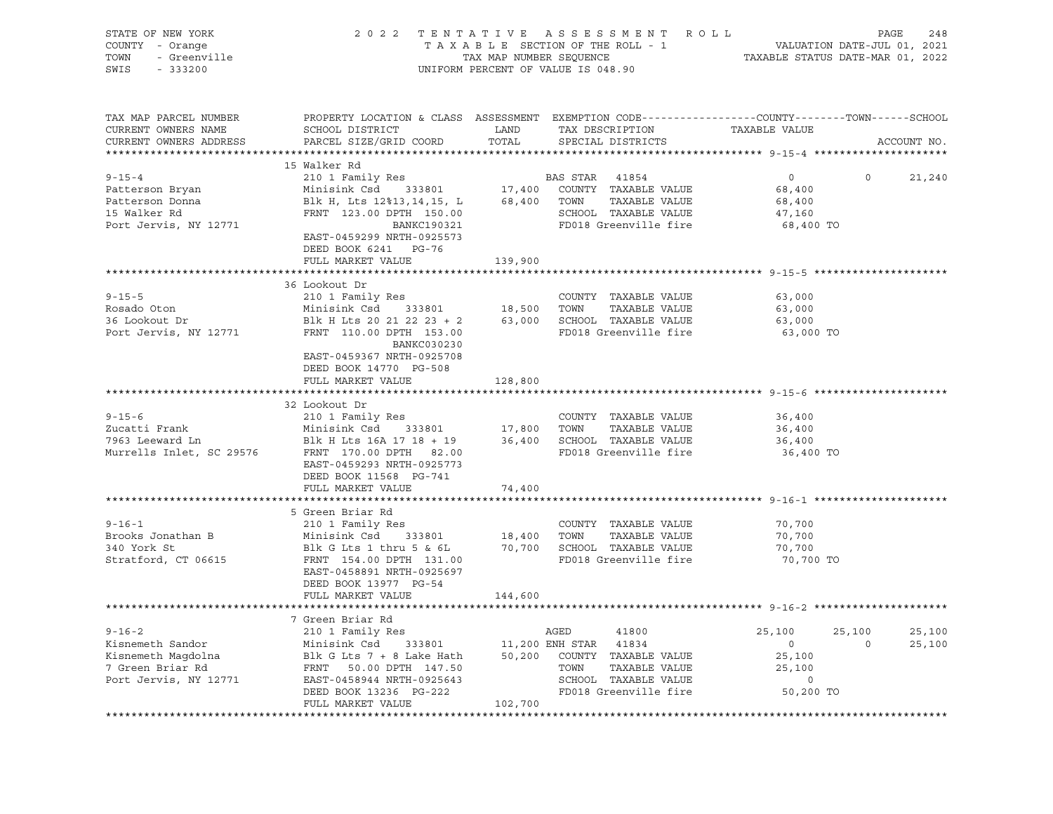| STATE OF NEW YORK<br><sup>7</sup> - Orange<br>- Greenville<br>COUNTY - Orange<br>TOWN<br>SWIS<br>$-333200$                                                                                                                                                                                                                                                       | 2022 TENTATIVE ASSESSMENT ROLL PAGE 248<br>TAXABLE SECTION OF THE ROLL - 1 VALUATION DATE-JUL 01, 2021<br>TAX MAP NUMBER SEQUENCE TAXABLE STATUS DATE-MAR 01, 2022                                              |         | UNIFORM PERCENT OF VALUE IS 048.90                                                                                                                   |                                            |             |
|------------------------------------------------------------------------------------------------------------------------------------------------------------------------------------------------------------------------------------------------------------------------------------------------------------------------------------------------------------------|-----------------------------------------------------------------------------------------------------------------------------------------------------------------------------------------------------------------|---------|------------------------------------------------------------------------------------------------------------------------------------------------------|--------------------------------------------|-------------|
| TAX MAP PARCEL NUMBER<br>CURRENT OWNERS NAME<br>CURRENT OWNERS ADDRESS                                                                                                                                                                                                                                                                                           | SCHOOL DISTRICT LAND<br>PARCEL SIZE/GRID COORD                                                                                                                                                                  | TOTAL   | PROPERTY LOCATION & CLASS ASSESSMENT EXEMPTION CODE---------------COUNTY-------TOWN-----SCHOOL<br>TAX DESCRIPTION TAXABLE VALUE<br>SPECIAL DISTRICTS |                                            | ACCOUNT NO. |
|                                                                                                                                                                                                                                                                                                                                                                  | 15 Walker Rd                                                                                                                                                                                                    |         |                                                                                                                                                      |                                            |             |
| $9 - 15 - 4$                                                                                                                                                                                                                                                                                                                                                     |                                                                                                                                                                                                                 |         |                                                                                                                                                      | $\overline{0}$<br>$\overline{0}$           | 21,240      |
| Patterson Bryan                                                                                                                                                                                                                                                                                                                                                  |                                                                                                                                                                                                                 |         |                                                                                                                                                      | 68,400                                     |             |
| Patterson Donna<br>15 Walker Rd                                                                                                                                                                                                                                                                                                                                  |                                                                                                                                                                                                                 |         |                                                                                                                                                      | 68,400                                     |             |
|                                                                                                                                                                                                                                                                                                                                                                  | 210 1 Family Res<br>Minisink Csd 333801 17,400 COUNTY TAXABLE VALUE<br>Blk H, Lts 12%13,14,15, L 68,400 TOWN TAXABLE VALUE<br>FRNT 123.00 DPTH 150.00 SCHOOL TAXABLE VALUE<br>BANKC190321 FD018 Greenville fire |         |                                                                                                                                                      | 47,160                                     |             |
| Port Jervis, NY 12771                                                                                                                                                                                                                                                                                                                                            | EAST-0459299 NRTH-0925573<br>DEED BOOK 6241 PG-76                                                                                                                                                               |         |                                                                                                                                                      | 68,400 TO                                  |             |
|                                                                                                                                                                                                                                                                                                                                                                  | FULL MARKET VALUE                                                                                                                                                                                               | 139,900 |                                                                                                                                                      |                                            |             |
|                                                                                                                                                                                                                                                                                                                                                                  | 36 Lookout Dr                                                                                                                                                                                                   |         |                                                                                                                                                      |                                            |             |
| $9 - 15 - 5$                                                                                                                                                                                                                                                                                                                                                     | 210 1 Family Res                                                                                                                                                                                                |         | COUNTY TAXABLE VALUE                                                                                                                                 | 63,000                                     |             |
| Rosado Oton                                                                                                                                                                                                                                                                                                                                                      |                                                                                                                                                                                                                 |         |                                                                                                                                                      | 63,000                                     |             |
| 36 Lookout Dr                                                                                                                                                                                                                                                                                                                                                    |                                                                                                                                                                                                                 |         |                                                                                                                                                      | 63,000                                     |             |
| Port Jervis, NY 12771                                                                                                                                                                                                                                                                                                                                            | COUNTY TAXABLE VALUE<br>Minisink Csd 333801 18,500 TOWN TAXABLE VALUE<br>Blk H Lts 20 21 22 23 + 2 63,000 SCHOOL TAXABLE VALUE<br>FRNT 110.00 DPTH 153.00 FD018 Greenville fire<br>BANKC030230                  |         | FD018 Greenville fire                                                                                                                                | 63,000 TO                                  |             |
|                                                                                                                                                                                                                                                                                                                                                                  | EAST-0459367 NRTH-0925708<br>DEED BOOK 14770 PG-508                                                                                                                                                             |         |                                                                                                                                                      |                                            |             |
|                                                                                                                                                                                                                                                                                                                                                                  | FULL MARKET VALUE                                                                                                                                                                                               | 128,800 |                                                                                                                                                      |                                            |             |
|                                                                                                                                                                                                                                                                                                                                                                  |                                                                                                                                                                                                                 |         |                                                                                                                                                      |                                            |             |
|                                                                                                                                                                                                                                                                                                                                                                  | 32 Lookout Dr                                                                                                                                                                                                   |         |                                                                                                                                                      |                                            |             |
| $9 - 15 - 6$                                                                                                                                                                                                                                                                                                                                                     | 210 1 Family Res                                                                                                                                                                                                |         | COUNTY TAXABLE VALUE                                                                                                                                 | 36,400                                     |             |
|                                                                                                                                                                                                                                                                                                                                                                  |                                                                                                                                                                                                                 |         |                                                                                                                                                      | 36,400                                     |             |
|                                                                                                                                                                                                                                                                                                                                                                  |                                                                                                                                                                                                                 |         | FD018 Greenville fire                                                                                                                                | 36,400                                     |             |
|                                                                                                                                                                                                                                                                                                                                                                  | EAST-0459293 NRTH-0925773                                                                                                                                                                                       |         |                                                                                                                                                      | 36,400 TO                                  |             |
|                                                                                                                                                                                                                                                                                                                                                                  | DEED BOOK 11568 PG-741                                                                                                                                                                                          |         |                                                                                                                                                      |                                            |             |
|                                                                                                                                                                                                                                                                                                                                                                  | FULL MARKET VALUE                                                                                                                                                                                               | 74,400  |                                                                                                                                                      |                                            |             |
|                                                                                                                                                                                                                                                                                                                                                                  |                                                                                                                                                                                                                 |         |                                                                                                                                                      |                                            |             |
|                                                                                                                                                                                                                                                                                                                                                                  | 5 Green Briar Rd                                                                                                                                                                                                |         |                                                                                                                                                      |                                            |             |
| $9 - 16 - 1$                                                                                                                                                                                                                                                                                                                                                     | 210 1 Family Res                                                                                                                                                                                                |         | COUNTY TAXABLE VALUE                                                                                                                                 | 70,700                                     |             |
| Brooks Jonathan B                                                                                                                                                                                                                                                                                                                                                |                                                                                                                                                                                                                 |         |                                                                                                                                                      | 70,700                                     |             |
| 340 York St                                                                                                                                                                                                                                                                                                                                                      |                                                                                                                                                                                                                 |         |                                                                                                                                                      | 70,700                                     |             |
| Stratford, CT 06615                                                                                                                                                                                                                                                                                                                                              | Minisink Csd 333801 18,400 TOWN TAXABLE VALUE<br>Blk G Lts 1 thru 5 & 6L 70,700 SCHOOL TAXABLE VALUE<br>FRNT 154.00 DPTH 131.00 FD018 Greenville fire                                                           |         |                                                                                                                                                      | 70,700 TO                                  |             |
|                                                                                                                                                                                                                                                                                                                                                                  | EAST-0458891 NRTH-0925697                                                                                                                                                                                       |         |                                                                                                                                                      |                                            |             |
|                                                                                                                                                                                                                                                                                                                                                                  | DEED BOOK 13977 PG-54                                                                                                                                                                                           |         |                                                                                                                                                      |                                            |             |
|                                                                                                                                                                                                                                                                                                                                                                  | FULL MARKET VALUE                                                                                                                                                                                               | 144,600 |                                                                                                                                                      |                                            |             |
|                                                                                                                                                                                                                                                                                                                                                                  |                                                                                                                                                                                                                 |         |                                                                                                                                                      |                                            |             |
|                                                                                                                                                                                                                                                                                                                                                                  | 7 Green Briar Rd                                                                                                                                                                                                |         |                                                                                                                                                      |                                            |             |
|                                                                                                                                                                                                                                                                                                                                                                  |                                                                                                                                                                                                                 |         |                                                                                                                                                      | 25,100<br>25,100                           | 25,100      |
| $\begin{tabular}{lllllllllllllllllllll} \hline 9-16-2 & 210 & 1 Family Res & AGED & 41000 \\ Kisnement\; Sandor & Minisink\;Csd & 333801 & 11,200\;ENH\;STAR & 41834 \\ Kisnement\; Magdolna & BL\;G\;Lts\;7 + 8\;Lake\;Hath & 50,200\;COUTY\; TAXABLE\;VALU E \\ 7\;Green\;Briar\;Rd & FRNT & 50.00\;DPTH & 147.50 & TOWN & TAXABLE\;VALU E \\ 8-16-16-16-16-1$ |                                                                                                                                                                                                                 |         |                                                                                                                                                      | $\overline{0}$<br>$\overline{0}$<br>25,100 | 25,100      |
|                                                                                                                                                                                                                                                                                                                                                                  |                                                                                                                                                                                                                 |         |                                                                                                                                                      | 25,100                                     |             |
|                                                                                                                                                                                                                                                                                                                                                                  |                                                                                                                                                                                                                 |         | TAXABLE VALUE                                                                                                                                        | $\overline{0}$                             |             |
|                                                                                                                                                                                                                                                                                                                                                                  |                                                                                                                                                                                                                 |         | FD018 Greenville fire                                                                                                                                | 50,200 TO                                  |             |
|                                                                                                                                                                                                                                                                                                                                                                  | FULL MARKET VALUE                                                                                                                                                                                               | 102,700 |                                                                                                                                                      |                                            |             |
|                                                                                                                                                                                                                                                                                                                                                                  |                                                                                                                                                                                                                 |         |                                                                                                                                                      |                                            |             |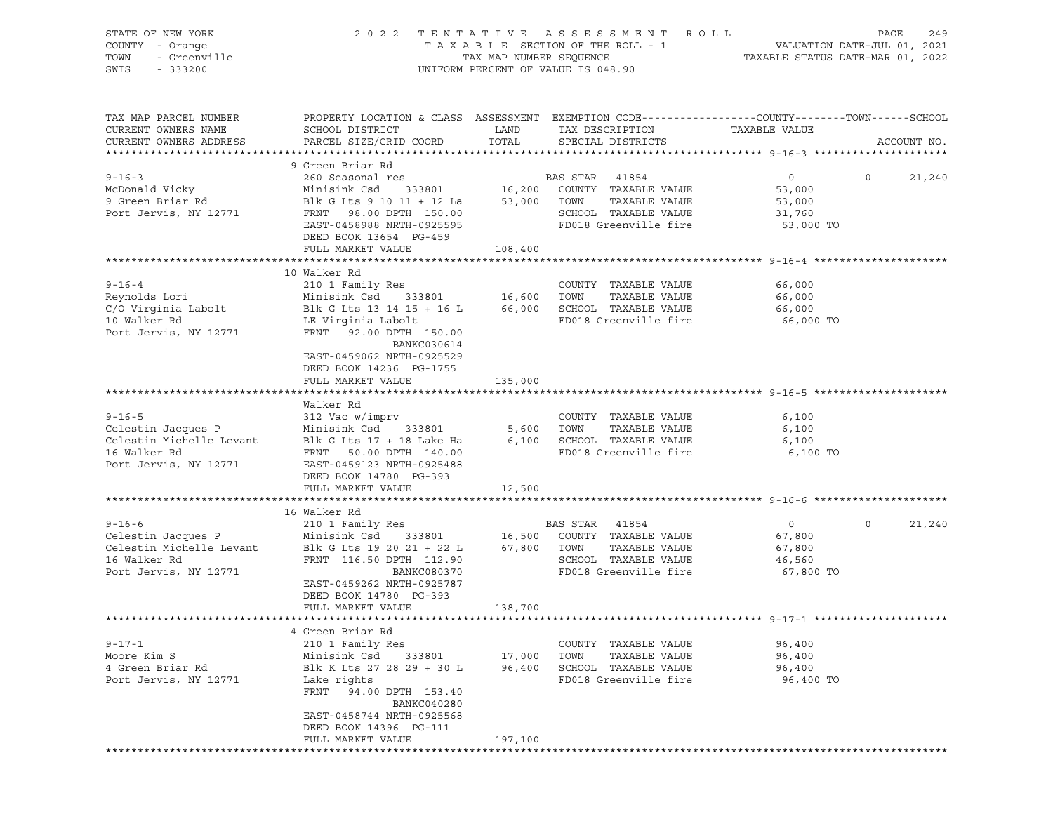| STATE OF NEW YORK        | 2 0 2 2                                                                                          | TENTATIVE               | A S S E S S M E N T<br>R O L L       |                                  | PAGE<br>249                 |
|--------------------------|--------------------------------------------------------------------------------------------------|-------------------------|--------------------------------------|----------------------------------|-----------------------------|
| COUNTY - Orange          |                                                                                                  |                         | TAXABLE SECTION OF THE ROLL - 1      |                                  | VALUATION DATE-JUL 01, 2021 |
| - Greenville<br>TOWN     |                                                                                                  | TAX MAP NUMBER SEQUENCE |                                      | TAXABLE STATUS DATE-MAR 01, 2022 |                             |
| SWIS<br>$-333200$        |                                                                                                  |                         | UNIFORM PERCENT OF VALUE IS 048.90   |                                  |                             |
|                          |                                                                                                  |                         |                                      |                                  |                             |
| TAX MAP PARCEL NUMBER    | PROPERTY LOCATION & CLASS ASSESSMENT EXEMPTION CODE----------------COUNTY-------TOWN------SCHOOL |                         |                                      |                                  |                             |
| CURRENT OWNERS NAME      | SCHOOL DISTRICT                                                                                  | LAND                    | TAX DESCRIPTION                      | TAXABLE VALUE                    |                             |
| CURRENT OWNERS ADDRESS   | PARCEL SIZE/GRID COORD                                                                           | TOTAL                   | SPECIAL DISTRICTS                    |                                  | ACCOUNT NO.                 |
|                          |                                                                                                  |                         |                                      |                                  |                             |
|                          | 9 Green Briar Rd                                                                                 |                         |                                      |                                  |                             |
| $9 - 16 - 3$             | 260 Seasonal res                                                                                 |                         | BAS STAR 41854                       | $\overline{0}$                   | $\Omega$<br>21,240          |
| McDonald Vicky           | Minisink Csd                                                                                     |                         | 333801 $16,200$ COUNTY TAXABLE VALUE | 53,000                           |                             |
| 9 Green Briar Rd         | Blk G Lts 9 10 11 + 12 La                                                                        |                         | 53,000 TOWN<br>TAXABLE VALUE         | 53,000                           |                             |
| Port Jervis, NY 12771    | FRNT 98.00 DPTH 150.00                                                                           |                         | SCHOOL TAXABLE VALUE                 | 31,760                           |                             |
|                          | EAST-0458988 NRTH-0925595                                                                        |                         | FD018 Greenville fire                | 53,000 TO                        |                             |
|                          | DEED BOOK 13654 PG-459                                                                           |                         |                                      |                                  |                             |
|                          | FULL MARKET VALUE                                                                                | 108,400                 |                                      |                                  |                             |
|                          |                                                                                                  |                         |                                      |                                  |                             |
|                          | 10 Walker Rd                                                                                     |                         |                                      |                                  |                             |
| $9 - 16 - 4$             | 210 1 Family Res                                                                                 |                         | COUNTY TAXABLE VALUE                 | 66,000                           |                             |
| Reynolds Lori            | Minisink Csd 333801                                                                              | 16,600                  | TAXABLE VALUE<br>TOWN                | 66,000                           |                             |
| C/O Virginia Labolt      | Blk G Lts 13 14 15 + 16 L                                                                        | 66,000                  | SCHOOL TAXABLE VALUE                 | 66,000                           |                             |
| 10 Walker Rd             | LE Virginia Labolt                                                                               |                         | FD018 Greenville fire                | 66,000 TO                        |                             |
| Port Jervis, NY 12771    | FRNT 92.00 DPTH 150.00<br>BANKC030614                                                            |                         |                                      |                                  |                             |
|                          | EAST-0459062 NRTH-0925529                                                                        |                         |                                      |                                  |                             |
|                          | DEED BOOK 14236 PG-1755                                                                          |                         |                                      |                                  |                             |
|                          | FULL MARKET VALUE                                                                                | 135,000                 |                                      |                                  |                             |
|                          |                                                                                                  |                         |                                      |                                  |                             |
|                          | Walker Rd                                                                                        |                         |                                      |                                  |                             |
| $9 - 16 - 5$             | 312 Vac w/imprv                                                                                  |                         | COUNTY TAXABLE VALUE                 | 6,100                            |                             |
| Celestin Jacques P       | Minisink Csd<br>333801                                                                           | 5,600                   | TOWN<br>TAXABLE VALUE                | 6,100                            |                             |
| Celestin Michelle Levant | Blk G Lts 17 + 18 Lake Ha                                                                        |                         | 6,100 SCHOOL TAXABLE VALUE           | 6,100                            |                             |
| 16 Walker Rd             | FRNT 50.00 DPTH 140.00                                                                           |                         | FD018 Greenville fire                | 6,100 TO                         |                             |
| Port Jervis, NY 12771    | EAST-0459123 NRTH-0925488                                                                        |                         |                                      |                                  |                             |
|                          | DEED BOOK 14780 PG-393                                                                           |                         |                                      |                                  |                             |
|                          | FULL MARKET VALUE                                                                                | 12,500                  |                                      |                                  |                             |
|                          |                                                                                                  |                         |                                      |                                  |                             |
| $9 - 16 - 6$             | 16 Walker Rd                                                                                     |                         |                                      |                                  | $\circ$                     |
|                          | 210 1 Family Res                                                                                 |                         | BAS STAR 41854                       | $0 \qquad \qquad$                | 21,240                      |
| Celestin Jacques P       | Minisink Csd 333801                                                                              |                         | 16,500 COUNTY TAXABLE VALUE          | 67,800                           |                             |
| Celestin Michelle Levant | Blk G Lts 19 20 21 + 22 L                                                                        | 67,800                  | TOWN<br>TAXABLE VALUE                | 67,800                           |                             |
| 16 Walker Rd             | FRNT 116.50 DPTH 112.90                                                                          |                         | SCHOOL TAXABLE VALUE                 | 46,560                           |                             |
| Port Jervis, NY 12771    | BANKC080370                                                                                      |                         | FD018 Greenville fire                | 67,800 TO                        |                             |
|                          | EAST-0459262 NRTH-0925787                                                                        |                         |                                      |                                  |                             |
|                          | DEED BOOK 14780 PG-393                                                                           |                         |                                      |                                  |                             |
|                          | FULL MARKET VALUE                                                                                | 138,700                 |                                      |                                  |                             |
|                          |                                                                                                  |                         |                                      |                                  |                             |
|                          | 4 Green Briar Rd                                                                                 |                         |                                      |                                  |                             |
| $9 - 17 - 1$             | 210 1 Family Res                                                                                 |                         | COUNTY TAXABLE VALUE                 | 96,400                           |                             |
| Moore Kim S              | Minisink Csd<br>333801                                                                           | 17,000                  | TAXABLE VALUE<br>TOWN                | 96,400                           |                             |
| 4 Green Briar Rd         | Blk K Lts 27 28 29 + 30 L                                                                        | 96,400                  | SCHOOL TAXABLE VALUE                 | 96,400                           |                             |
| Port Jervis, NY 12771    | Lake rights                                                                                      |                         | FD018 Greenville fire                | 96,400 TO                        |                             |
|                          | FRNT<br>94.00 DPTH 153.40                                                                        |                         |                                      |                                  |                             |
|                          | BANKC040280                                                                                      |                         |                                      |                                  |                             |
|                          | EAST-0458744 NRTH-0925568                                                                        |                         |                                      |                                  |                             |
|                          | DEED BOOK 14396 PG-111                                                                           |                         |                                      |                                  |                             |
|                          | FULL MARKET VALUE                                                                                | 197,100                 |                                      |                                  |                             |
|                          |                                                                                                  |                         |                                      |                                  |                             |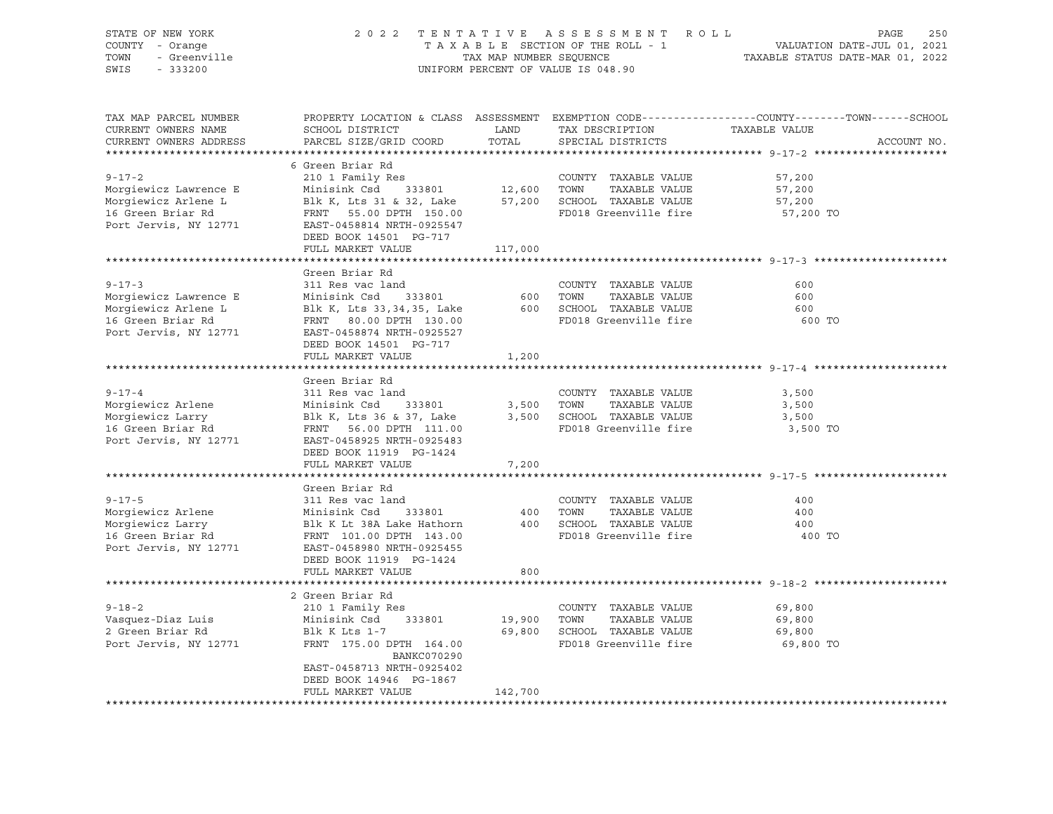| STATE OF NEW YORK      | 2 0 2 2                   | TENTATIVE               | ROLL<br>ASSESSMENT                 | 250<br>PAGE                                                                                     |
|------------------------|---------------------------|-------------------------|------------------------------------|-------------------------------------------------------------------------------------------------|
| COUNTY - Orange        |                           |                         | TAXABLE SECTION OF THE ROLL - 1    | VALUATION DATE-JUL 01, 2021                                                                     |
| - Greenville<br>TOWN   |                           | TAX MAP NUMBER SEQUENCE |                                    | TAXABLE STATUS DATE-MAR 01, 2022                                                                |
| SWIS<br>$-333200$      |                           |                         | UNIFORM PERCENT OF VALUE IS 048.90 |                                                                                                 |
|                        |                           |                         |                                    |                                                                                                 |
| TAX MAP PARCEL NUMBER  |                           |                         |                                    | PROPERTY LOCATION & CLASS ASSESSMENT EXEMPTION CODE----------------COUNTY-------TOWN-----SCHOOL |
| CURRENT OWNERS NAME    | SCHOOL DISTRICT           | LAND                    | TAX DESCRIPTION                    | TAXABLE VALUE                                                                                   |
| CURRENT OWNERS ADDRESS | PARCEL SIZE/GRID COORD    | TOTAL                   | SPECIAL DISTRICTS                  | ACCOUNT NO.                                                                                     |
|                        |                           |                         |                                    |                                                                                                 |
|                        | 6 Green Briar Rd          |                         |                                    |                                                                                                 |
| $9 - 17 - 2$           | 210 1 Family Res          |                         | COUNTY TAXABLE VALUE               | 57,200                                                                                          |
| Morgiewicz Lawrence E  | Minisink Csd<br>333801    | 12,600                  | TAXABLE VALUE<br>TOWN              | 57,200                                                                                          |
| Morgiewicz Arlene L    | Blk K, Lts 31 & 32, Lake  | 57,200                  | SCHOOL TAXABLE VALUE               | 57,200                                                                                          |
| 16 Green Briar Rd      | FRNT 55.00 DPTH 150.00    |                         | FD018 Greenville fire              | 57,200 TO                                                                                       |
| Port Jervis, NY 12771  | EAST-0458814 NRTH-0925547 |                         |                                    |                                                                                                 |
|                        | DEED BOOK 14501 PG-717    |                         |                                    |                                                                                                 |
|                        | FULL MARKET VALUE         | 117,000                 |                                    |                                                                                                 |
|                        |                           |                         |                                    | ********************************* 9-17-3 ********************                                   |
|                        | Green Briar Rd            |                         |                                    |                                                                                                 |
| $9 - 17 - 3$           | 311 Res vac land          |                         | COUNTY TAXABLE VALUE               | 600                                                                                             |
| Morgiewicz Lawrence E  | Minisink Csd<br>333801    | 600                     | TAXABLE VALUE<br>TOWN              | 600                                                                                             |
| Morgiewicz Arlene L    | Blk K, Lts 33,34,35, Lake | 600                     | SCHOOL TAXABLE VALUE               | 600                                                                                             |
| 16 Green Briar Rd      | FRNT 80.00 DPTH 130.00    |                         | FD018 Greenville fire              | 600 TO                                                                                          |
| Port Jervis, NY 12771  | EAST-0458874 NRTH-0925527 |                         |                                    |                                                                                                 |
|                        | DEED BOOK 14501 PG-717    |                         |                                    |                                                                                                 |
|                        | FULL MARKET VALUE         |                         |                                    |                                                                                                 |
|                        |                           | 1,200                   |                                    | ********************* 9-17-4 *******                                                            |
|                        |                           |                         |                                    |                                                                                                 |
|                        | Green Briar Rd            |                         |                                    |                                                                                                 |
| $9 - 17 - 4$           | 311 Res vac land          |                         | COUNTY TAXABLE VALUE               | 3,500                                                                                           |
| Morgiewicz Arlene      | Minisink Csd<br>333801    | 3,500                   | TOWN<br>TAXABLE VALUE              | 3,500                                                                                           |
| Morgiewicz Larry       | Blk K, Lts 36 & 37, Lake  | 3,500                   | SCHOOL TAXABLE VALUE               | 3,500                                                                                           |
| 16 Green Briar Rd      | FRNT 56.00 DPTH 111.00    |                         | FD018 Greenville fire              | 3,500 TO                                                                                        |
| Port Jervis, NY 12771  | EAST-0458925 NRTH-0925483 |                         |                                    |                                                                                                 |
|                        | DEED BOOK 11919 PG-1424   |                         |                                    |                                                                                                 |
|                        | FULL MARKET VALUE         | 7,200                   |                                    |                                                                                                 |
|                        |                           |                         |                                    |                                                                                                 |
|                        | Green Briar Rd            |                         |                                    |                                                                                                 |
| $9 - 17 - 5$           | 311 Res vac land          |                         | COUNTY TAXABLE VALUE               | 400                                                                                             |
| Morgiewicz Arlene      | Minisink Csd<br>333801    | 400                     | TOWN<br>TAXABLE VALUE              | 400                                                                                             |
| Morgiewicz Larry       | Blk K Lt 38A Lake Hathorn |                         | 400 SCHOOL TAXABLE VALUE           | 400                                                                                             |
| 16 Green Briar Rd      | FRNT 101.00 DPTH 143.00   |                         | FD018 Greenville fire              | 400 TO                                                                                          |
| Port Jervis, NY 12771  | EAST-0458980 NRTH-0925455 |                         |                                    |                                                                                                 |
|                        | DEED BOOK 11919 PG-1424   |                         |                                    |                                                                                                 |
|                        | FULL MARKET VALUE         | 800                     |                                    |                                                                                                 |
|                        |                           |                         |                                    |                                                                                                 |
|                        | 2 Green Briar Rd          |                         |                                    |                                                                                                 |
| $9 - 18 - 2$           | 210 1 Family Res          |                         | COUNTY TAXABLE VALUE               | 69,800                                                                                          |
| Vasquez-Diaz Luis      | Minisink Csd<br>333801    | 19,900                  | TOWN<br>TAXABLE VALUE              | 69,800                                                                                          |
| 2 Green Briar Rd       | Blk K Lts 1-7             |                         | 69,800 SCHOOL TAXABLE VALUE        | 69,800                                                                                          |
| Port Jervis, NY 12771  | FRNT 175.00 DPTH 164.00   |                         | FD018 Greenville fire              | 69,800 TO                                                                                       |
|                        | <b>BANKC070290</b>        |                         |                                    |                                                                                                 |
|                        | EAST-0458713 NRTH-0925402 |                         |                                    |                                                                                                 |
|                        | DEED BOOK 14946 PG-1867   |                         |                                    |                                                                                                 |
|                        | FULL MARKET VALUE         | 142,700                 |                                    |                                                                                                 |
|                        |                           |                         |                                    |                                                                                                 |
|                        |                           |                         |                                    |                                                                                                 |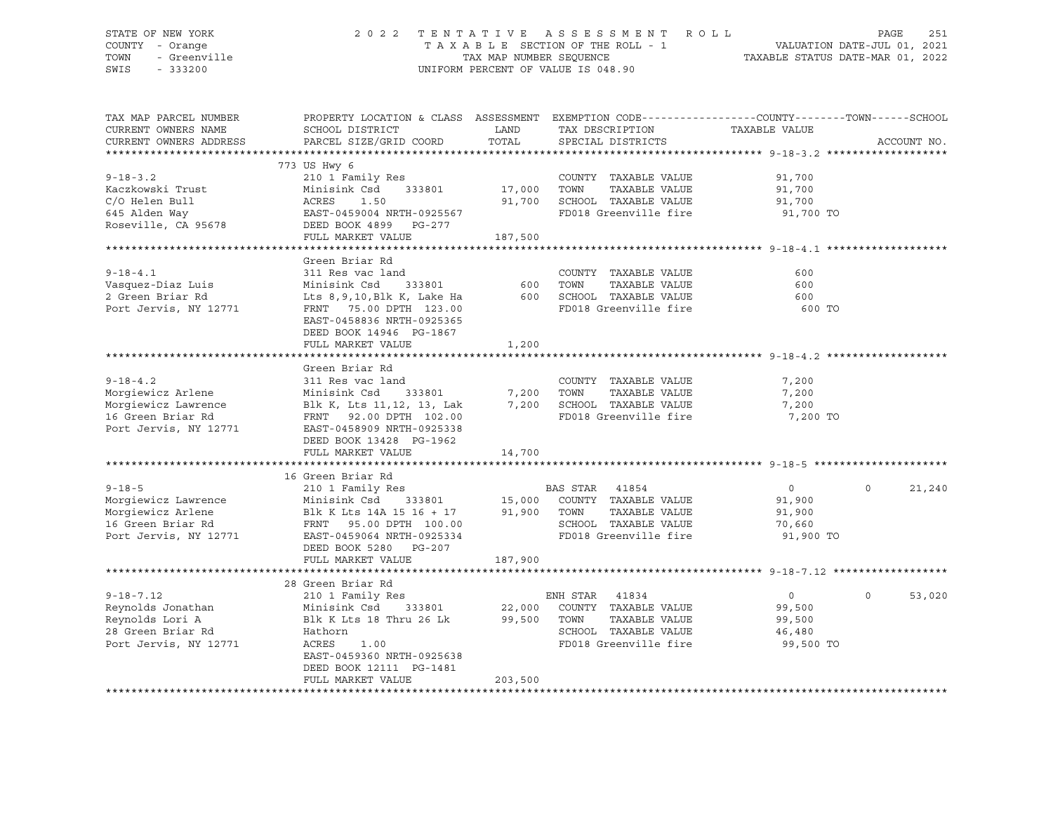### STATE OF NEW YORK 2 0 2 2 T E N T A T I V E A S S E S S M E N T R O L L PAGE 251 COUNTY - Orange T A X A B L E SECTION OF THE ROLL - 1 VALUATION DATE-JUL 01, 2021 TOWN - Greenville TAX MAP NUMBER SEQUENCE TAXABLE STATUS DATE-MAR 01, 2022 SWIS - 333200 UNIFORM PERCENT OF VALUE IS 048.90

| TAX MAP PARCEL NUMBER  |                            |         | PROPERTY LOCATION & CLASS ASSESSMENT EXEMPTION CODE----------------COUNTY-------TOWN------SCHOOL |                |                   |
|------------------------|----------------------------|---------|--------------------------------------------------------------------------------------------------|----------------|-------------------|
| CURRENT OWNERS NAME    | SCHOOL DISTRICT            | LAND    | TAX DESCRIPTION                                                                                  | TAXABLE VALUE  |                   |
| CURRENT OWNERS ADDRESS | PARCEL SIZE/GRID COORD     | TOTAL   | SPECIAL DISTRICTS                                                                                |                | ACCOUNT NO.       |
|                        |                            |         |                                                                                                  |                |                   |
|                        | 773 US Hwy 6               |         |                                                                                                  |                |                   |
| $9 - 18 - 3.2$         | 210 1 Family Res           |         | COUNTY TAXABLE VALUE                                                                             | 91,700         |                   |
| Kaczkowski Trust       | Minisink Csd<br>333801     | 17,000  | TOWN<br>TAXABLE VALUE                                                                            | 91,700         |                   |
| C/O Helen Bull         | ACRES<br>1.50              | 91,700  | SCHOOL TAXABLE VALUE                                                                             | 91,700         |                   |
| 645 Alden Way          | EAST-0459004 NRTH-0925567  |         | FD018 Greenville fire                                                                            | 91,700 TO      |                   |
| Roseville, CA 95678    | DEED BOOK 4899 PG-277      |         |                                                                                                  |                |                   |
|                        | FULL MARKET VALUE          | 187,500 |                                                                                                  |                |                   |
|                        |                            |         |                                                                                                  |                |                   |
|                        | Green Briar Rd             |         |                                                                                                  |                |                   |
| $9 - 18 - 4.1$         | 311 Res vac land           |         | COUNTY TAXABLE VALUE                                                                             | 600            |                   |
| Vasquez-Diaz Luis      | Minisink Csd<br>333801     | 600     | TOWN<br>TAXABLE VALUE                                                                            | 600            |                   |
| 2 Green Briar Rd       | Lts 8,9,10, Blk K, Lake Ha |         | 600 SCHOOL TAXABLE VALUE                                                                         | 600            |                   |
| Port Jervis, NY 12771  | FRNT 75.00 DPTH 123.00     |         | FD018 Greenville fire                                                                            | 600 TO         |                   |
|                        | EAST-0458836 NRTH-0925365  |         |                                                                                                  |                |                   |
|                        | DEED BOOK 14946 PG-1867    |         |                                                                                                  |                |                   |
|                        | FULL MARKET VALUE          | 1,200   |                                                                                                  |                |                   |
|                        |                            |         |                                                                                                  |                |                   |
|                        | Green Briar Rd             |         |                                                                                                  |                |                   |
| $9 - 18 - 4.2$         | 311 Res vac land           |         | COUNTY TAXABLE VALUE                                                                             | 7,200          |                   |
| Morgiewicz Arlene      | Minisink Csd<br>333801     | 7,200   | TOWN<br>TAXABLE VALUE                                                                            | 7,200          |                   |
| Morgiewicz Lawrence    | Blk K, Lts 11,12, 13, Lak  |         | 7,200 SCHOOL TAXABLE VALUE                                                                       | 7,200          |                   |
| 16 Green Briar Rd      | FRNT 92.00 DPTH 102.00     |         | FD018 Greenville fire                                                                            | 7,200 TO       |                   |
| Port Jervis, NY 12771  | EAST-0458909 NRTH-0925338  |         |                                                                                                  |                |                   |
|                        | DEED BOOK 13428 PG-1962    |         |                                                                                                  |                |                   |
|                        | FULL MARKET VALUE          | 14,700  |                                                                                                  |                |                   |
|                        |                            |         |                                                                                                  |                |                   |
|                        | 16 Green Briar Rd          |         |                                                                                                  |                |                   |
| $9 - 18 - 5$           | 210 1 Family Res           |         | BAS STAR<br>41854                                                                                | $\overline{0}$ | $\circ$<br>21,240 |
| Morgiewicz Lawrence    | Minisink Csd<br>333801     |         | 15,000 COUNTY TAXABLE VALUE                                                                      | 91,900         |                   |
| Morgiewicz Arlene      | Blk K Lts 14A 15 16 + 17   | 91,900  | TOWN<br>TAXABLE VALUE                                                                            | 91,900         |                   |
| 16 Green Briar Rd      | FRNT 95.00 DPTH 100.00     |         | SCHOOL TAXABLE VALUE                                                                             | 70,660         |                   |
| Port Jervis, NY 12771  | EAST-0459064 NRTH-0925334  |         | FD018 Greenville fire                                                                            | 91,900 TO      |                   |
|                        | DEED BOOK 5280 PG-207      |         |                                                                                                  |                |                   |
|                        | FULL MARKET VALUE          | 187,900 |                                                                                                  |                |                   |
|                        |                            |         |                                                                                                  |                |                   |
|                        | 28 Green Briar Rd          |         |                                                                                                  |                |                   |
| $9 - 18 - 7.12$        |                            |         |                                                                                                  |                | $\Omega$          |
|                        | 210 1 Family Res           |         | ENH STAR 41834                                                                                   | $\overline{0}$ | 53,020            |
| Reynolds Jonathan      | Minisink Csd<br>333801     | 22,000  | COUNTY TAXABLE VALUE                                                                             | 99,500         |                   |
| Reynolds Lori A        | Blk K Lts 18 Thru 26 Lk    | 99,500  | TOWN<br>TAXABLE VALUE                                                                            | 99,500         |                   |
| 28 Green Briar Rd      | Hathorn                    |         | SCHOOL TAXABLE VALUE                                                                             | 46,480         |                   |
| Port Jervis, NY 12771  | ACRES<br>1.00              |         | FD018 Greenville fire                                                                            | 99,500 TO      |                   |
|                        | EAST-0459360 NRTH-0925638  |         |                                                                                                  |                |                   |
|                        | DEED BOOK 12111 PG-1481    |         |                                                                                                  |                |                   |
|                        | FULL MARKET VALUE          | 203,500 |                                                                                                  |                |                   |
|                        |                            |         |                                                                                                  |                |                   |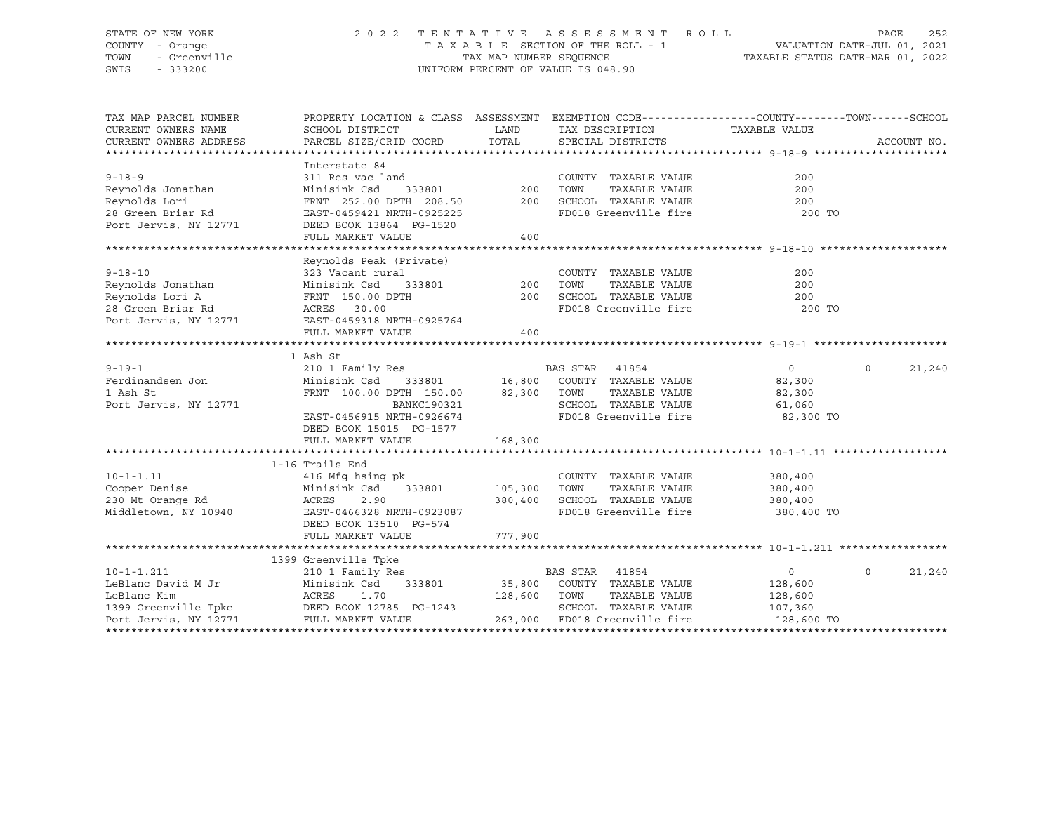### STATE OF NEW YORK 2 0 2 2 T E N T A T I V E A S S E S S M E N T R O L L PAGE 252 COUNTY - Orange T A X A B L E SECTION OF THE ROLL - 1 VALUATION DATE-JUL 01, 2021 TOWN - Greenville TAX MAP NUMBER SEQUENCE TAXABLE STATUS DATE-MAR 01, 2022 SWIS - 333200 UNIFORM PERCENT OF VALUE IS 048.90

| TAX DESCRIPTION TAXABLE VALUE<br>PARCEL SIZE/GRID COORD TOTAL SPECIAL DISTRICTS<br>CURRENT OWNERS ADDRESS                                                               | ACCOUNT NO. |
|-------------------------------------------------------------------------------------------------------------------------------------------------------------------------|-------------|
| Interstate 84                                                                                                                                                           |             |
| $9 - 18 - 9$<br>311 Res vac land<br>COUNTY TAXABLE VALUE<br>200                                                                                                         |             |
| 333801 200<br>Reynolds Jonathan<br>TAXABLE VALUE<br>TOWN<br>200<br>Minisink Csd                                                                                         |             |
| Reynolds Lori<br>SCHOOL TAXABLE VALUE<br>200                                                                                                                            |             |
| FRNT 252.00 DPTH 208.50 200<br>28 Green Briar Rd<br>FD018 Greenville fire<br>EAST-0459421 NRTH-0925225<br>200 TO                                                        |             |
| Port Jervis, NY 12771<br>DEED BOOK 13864 PG-1520                                                                                                                        |             |
| FULL MARKET VALUE<br>400                                                                                                                                                |             |
|                                                                                                                                                                         |             |
| Reynolds Peak (Private)                                                                                                                                                 |             |
| $9 - 18 - 10$<br>323 Vacant rural<br>COUNTY TAXABLE VALUE<br>200                                                                                                        |             |
| Minisink Csd<br>200                                                                                                                                                     |             |
| ral<br>333801 200<br>PTH 200<br>Reynolds Jonathan<br>Reynolds Lori A<br>TOWN       TAXABLE  VALUE<br>SCHOOL    TAXABLE  VALUE<br>FRNT 150.00 DPTH<br>200                |             |
| 28 Green Briar Rd<br>FD018 Greenville fire 200 TO<br>ACRES 30.00                                                                                                        |             |
| Port Jervis, NY 12771 EAST-0459318 NRTH-0925764                                                                                                                         |             |
| 400<br>FULL MARKET VALUE                                                                                                                                                |             |
|                                                                                                                                                                         |             |
| 1 Ash St                                                                                                                                                                |             |
| 210 1 Family Res<br>210 1 Family Res<br>Minisink Csd      333801                 16,800   COUNTY   TAXABLE VALUE<br>$\overline{0}$<br>$9 - 19 - 1$<br>$0 \qquad \qquad$ | 21,240      |
| Ferdinandsen Jon<br>82,300                                                                                                                                              |             |
| FRNT 100.00 DPTH 150.00 82,300 TOWN<br>TAXABLE VALUE<br>1 Ash St<br>82,300                                                                                              |             |
| SCHOOL TAXABLE VALUE 61,060<br>FD018 Greenville fire 62,300 TO<br>Port Jervis, NY 12771                                                                                 |             |
| BANKC190321<br>EAST-0456915 NRTH-0926674                                                                                                                                |             |
| DEED BOOK 15015 PG-1577                                                                                                                                                 |             |
|                                                                                                                                                                         |             |
|                                                                                                                                                                         |             |
| 1-16 Trails End                                                                                                                                                         |             |
| COUNTY TAXABLE VALUE<br>380,400                                                                                                                                         |             |
| TAXABLE VALUE<br>380,400                                                                                                                                                |             |
| SCHOOL TAXABLE VALUE 380,400                                                                                                                                            |             |
| Middletown, NY 10940 EAST-0466328 NRTH-0923087<br>FD018 Greenville fire 380,400 TO                                                                                      |             |
| DEED BOOK 13510 PG-574                                                                                                                                                  |             |
| 777,900<br>FULL MARKET VALUE                                                                                                                                            |             |
|                                                                                                                                                                         |             |
| 1399 Greenville Tpke                                                                                                                                                    |             |
| 210 1 Family Res<br>BAS STAR 41854<br>$10 - 1 - 1.211$<br>$\overline{0}$<br>$\circ$                                                                                     | 21,240      |
| LeBlanc David M Jr Minisink Csd 333801<br>LeBlanc Kim Minisink Csd 333801<br>1399 Greenville Tpke DEED BOOK 12785 PG-1243<br>333801 35,800 COUNTY TAXABLE VALUE 128,600 |             |
| 128,600 TOWN<br>TAXABLE VALUE<br>128,600                                                                                                                                |             |
| SCHOOL TAXABLE VALUE<br>107,360<br>Port Jervis, NY 12771<br>263,000 FD018 Greenville fire<br>FULL MARKET VALUE<br>128,600 TO                                            |             |
|                                                                                                                                                                         |             |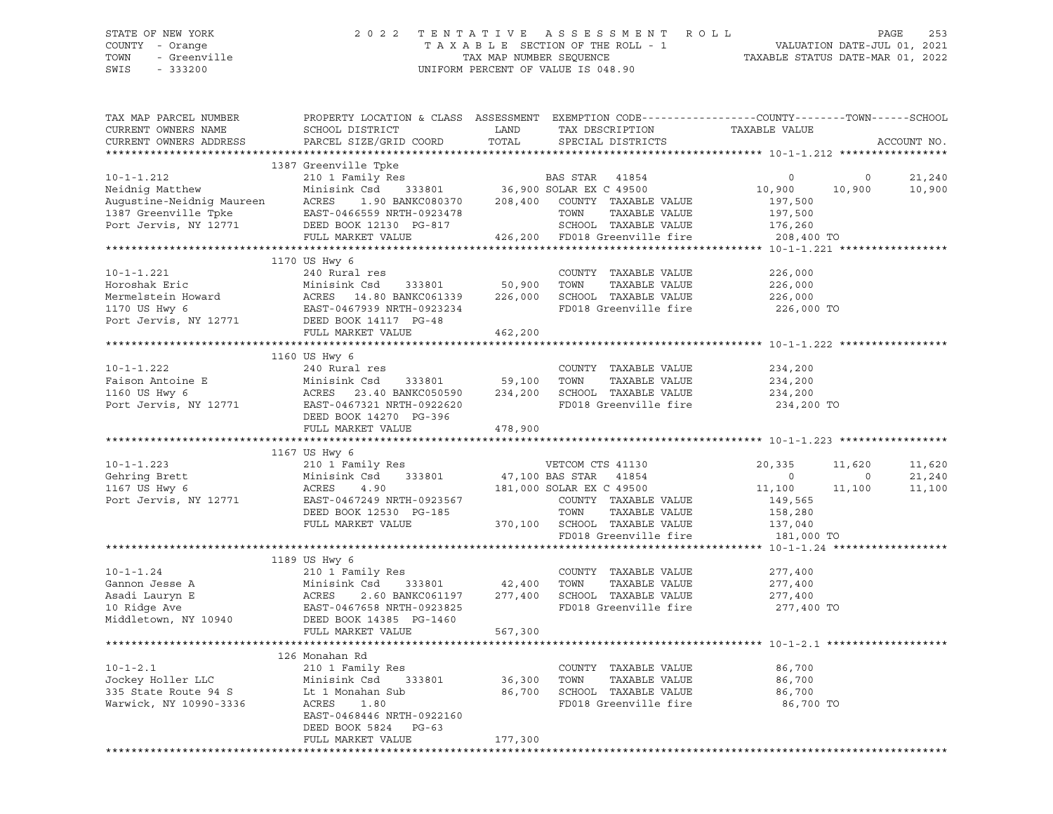### STATE OF NEW YORK 2 0 2 2 T E N T A T I V E A S S E S S M E N T R O L L PAGE 253 COUNTY - Orange T A X A B L E SECTION OF THE ROLL - 1 VALUATION DATE-JUL 01, 2021 TOWN - Greenville TAX MAP NUMBER SEQUENCE TAXABLE STATUS DATE-MAR 01, 2022 SWIS - 333200 UNIFORM PERCENT OF VALUE IS 048.90

| TAX MAP PARCEL NUMBER<br>CURRENT OWNERS NAME<br>CURRENT OWNERS ADDRESS                                        | PROPERTY LOCATION & CLASS ASSESSMENT EXEMPTION CODE----------------COUNTY-------TOWN------SCHOOL<br>SCHOOL DISTRICT<br>PARCEL SIZE/GRID COORD                                                                                                                             | LAND<br>TOTAL               | TAX DESCRIPTION<br>SPECIAL DISTRICTS                                                                                                                           | TAXABLE VALUE                                                    |             | ACCOUNT NO.      |
|---------------------------------------------------------------------------------------------------------------|---------------------------------------------------------------------------------------------------------------------------------------------------------------------------------------------------------------------------------------------------------------------------|-----------------------------|----------------------------------------------------------------------------------------------------------------------------------------------------------------|------------------------------------------------------------------|-------------|------------------|
|                                                                                                               |                                                                                                                                                                                                                                                                           |                             |                                                                                                                                                                |                                                                  |             |                  |
| $10 - 1 - 1.212$                                                                                              | 1387 Greenville Tpke<br>210 1 Family Res<br>Neidnig Matthew Minisink Csd 333801 36,900<br>Augustine-Neidnig Maureen ACRES 1.90 BANKC080370 208,400<br>1387 Greenville Tpke EAST-0466559 NRTH-0923478<br>Port Jervis, NY 12771 DEED BOOK 12130 PG-817<br>FULL MARKET VALUE | 208,400                     | Res BAS STAR 41854<br>333801 36,900 SOLAR EX C 49500<br>COUNTY TAXABLE VALUE<br>TOWN<br>TAXABLE VALUE<br>SCHOOL TAXABLE VALUE<br>426,200 FD018 Greenville fire | $\circ$<br>10,900<br>197,500<br>197,500<br>176,260<br>208,400 TO | 0<br>10,900 | 21,240<br>10,900 |
|                                                                                                               |                                                                                                                                                                                                                                                                           |                             |                                                                                                                                                                |                                                                  |             |                  |
| $10 - 1 - 1.221$<br>Horoshak Eric<br>Mermelstein Howard<br>1170 US Hwy 6<br>Port Jervis, NY 12771             | 1170 US Hwy 6<br>240 Rural res<br>Minisink Csd 333801<br>ACRES 14.80 BANKC061339<br>EAST-0467939 NRTH-0923234<br>DEED BOOK 14117 PG-48                                                                                                                                    | 50,900<br>226,000           | COUNTY TAXABLE VALUE<br>TAXABLE VALUE<br>TOWN<br>SCHOOL TAXABLE VALUE<br>FD018 Greenville fire                                                                 | 226,000<br>226,000<br>226,000<br>226,000 TO                      |             |                  |
|                                                                                                               | FULL MARKET VALUE                                                                                                                                                                                                                                                         | 462,200                     |                                                                                                                                                                |                                                                  |             |                  |
| $10 - 1 - 1.222$                                                                                              | 1160 US Hwy 6<br>240 Rural res                                                                                                                                                                                                                                            |                             | COUNTY TAXABLE VALUE                                                                                                                                           | 234,200                                                          |             |                  |
| Faison Antoine E<br>1160 US Hwy 6<br>Port Jervis, NY 12771                                                    | 210 Adrian 105<br>Minisink Csd 333801 59,100<br>ACRES 23.40 BANKC050590 234,200<br>EAST-0467321 NRTH-0922620<br>DEED BOOK 14270 PG-396                                                                                                                                    |                             | TOWN<br>TAXABLE VALUE<br>234,200 SCHOOL TAXABLE VALUE<br>FD018 Greenville fire                                                                                 | 234,200<br>234,200<br>234,200 TO                                 |             |                  |
|                                                                                                               | FULL MARKET VALUE                                                                                                                                                                                                                                                         | 478,900                     |                                                                                                                                                                |                                                                  |             |                  |
|                                                                                                               |                                                                                                                                                                                                                                                                           |                             |                                                                                                                                                                |                                                                  |             |                  |
| $10 - 1 - 1.223$                                                                                              | 1167 US Hwy 6<br>210 1 Family Res                                                                                                                                                                                                                                         |                             | VETCOM CTS 41130                                                                                                                                               | 20,335                                                           | 11,620      | 11,620           |
| Gehring Brett                                                                                                 | 333801<br>Minisink Csd                                                                                                                                                                                                                                                    |                             | 47,100 BAS STAR 41854                                                                                                                                          | $\overline{0}$                                                   | $\circ$     | 21,240           |
| 1167 US Hwy 6                                                                                                 | ACRES<br>4.90                                                                                                                                                                                                                                                             |                             | 181,000 SOLAR EX C 49500                                                                                                                                       | 11,100                                                           | 11,100      | 11,100           |
| Port Jervis, NY 12771                                                                                         | EAST-0467249 NRTH-0923567<br>DEED BOOK 12530 PG-185<br>FULL MARKET VALUE                                                                                                                                                                                                  |                             | COUNTY TAXABLE VALUE<br>TOWN<br>TAXABLE VALUE<br>370,100 SCHOOL TAXABLE VALUE<br>FD018 Greenville fire                                                         | 149,565<br>158,280<br>$\frac{137,040}{181,000}$<br>181,000 TO    |             |                  |
|                                                                                                               |                                                                                                                                                                                                                                                                           |                             |                                                                                                                                                                |                                                                  |             |                  |
|                                                                                                               | 1189 US Hwy 6                                                                                                                                                                                                                                                             |                             |                                                                                                                                                                |                                                                  |             |                  |
| $10 - 1 - 1.24$<br>Gannon Jesse A<br>Gannon Jesse A<br>Asadi Lauryn E<br>10 Ridge Ave<br>Middletown, NY 10940 | 210 1 Family Res<br>333801 42,400 TOWN<br>Minisium - 2000<br>ACRES 2.60 BANKCUPII 2.<br>EAST-0467658 NRTH-0923825<br>2000 BOOK 14385 PG-1460<br>2.60 BANKC061197 277,400<br>FULL MARKET VALUE                                                                             | 567,300                     | COUNTY TAXABLE VALUE<br>TAXABLE VALUE<br>SCHOOL TAXABLE VALUE<br>FD018 Greenville fire                                                                         | 277,400<br>277,400<br>277,400<br>277,400 TO                      |             |                  |
|                                                                                                               |                                                                                                                                                                                                                                                                           |                             |                                                                                                                                                                |                                                                  |             |                  |
| $10 - 1 - 2.1$<br>Jockey Holler LLC<br>335 State Route 94 S<br>Warwick, NY 10990-3336                         | 126 Monahan Rd<br>210 1 Family Res<br>333801<br>Minisink Csd<br>Lt 1 Monahan Sub<br>ACRES<br>1.80<br>EAST-0468446 NRTH-0922160<br>DEED BOOK 5824<br>$PG-63$<br>FULL MARKET VALUE                                                                                          | 36,300<br>86,700<br>177,300 | COUNTY TAXABLE VALUE<br>TOWN<br>TAXABLE VALUE<br>SCHOOL TAXABLE VALUE<br>FD018 Greenville fire                                                                 | 86,700<br>86,700<br>86,700<br>86,700 TO                          |             |                  |
|                                                                                                               |                                                                                                                                                                                                                                                                           |                             |                                                                                                                                                                |                                                                  |             |                  |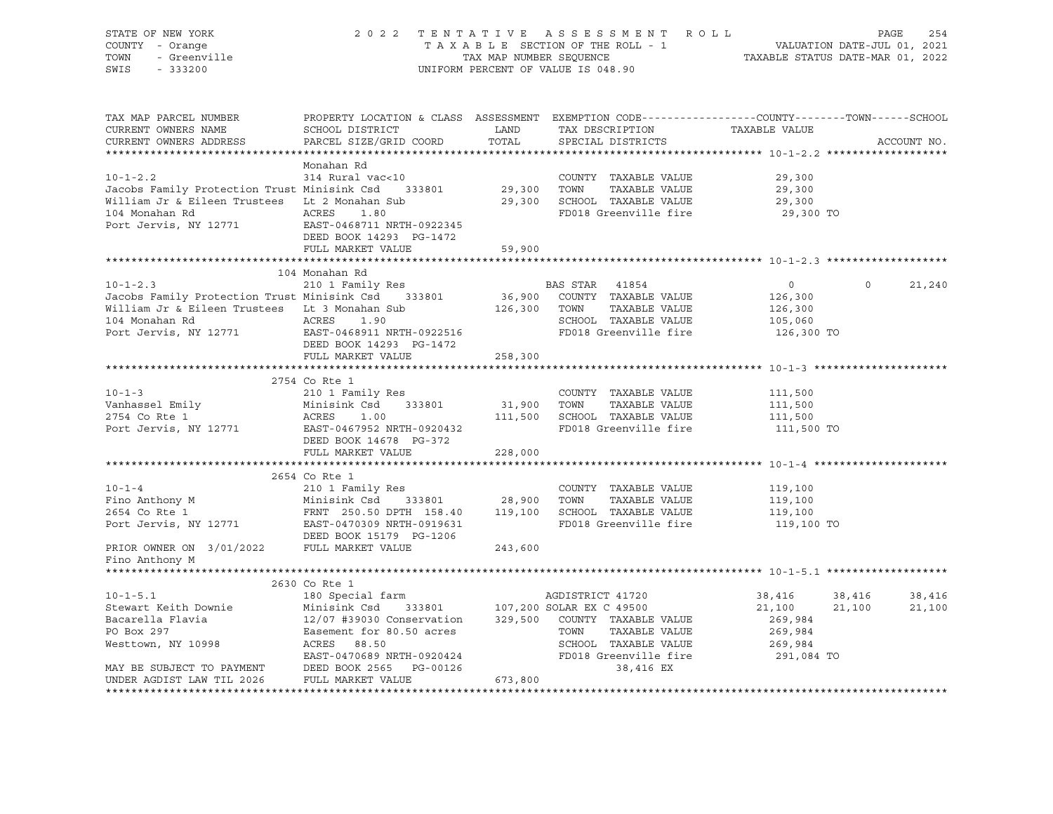| STATE OF NEW YORK                                                                                                                                                                                                                                              |                                                                                                |         | 2022 TENTATIVE ASSESSMENT ROLL                                                                                                 |                    | 254<br>PAGE        |
|----------------------------------------------------------------------------------------------------------------------------------------------------------------------------------------------------------------------------------------------------------------|------------------------------------------------------------------------------------------------|---------|--------------------------------------------------------------------------------------------------------------------------------|--------------------|--------------------|
| COUNTY - Orange<br>- Orange<br>- Greenville                                                                                                                                                                                                                    |                                                                                                |         | T A X A B L E SECTION OF THE ROLL - 1 VALUATION DATE-JUL 01, 2021<br>TAX MAP NUMBER SEQUENCE  TAXABLE STATUS DATE-MAR 01, 2022 |                    |                    |
| TOWN                                                                                                                                                                                                                                                           |                                                                                                |         |                                                                                                                                |                    |                    |
| SWIS                                                                                                                                                                                                                                                           |                                                                                                |         | UNIFORM PERCENT OF VALUE IS 048.90                                                                                             |                    |                    |
|                                                                                                                                                                                                                                                                |                                                                                                |         |                                                                                                                                |                    |                    |
|                                                                                                                                                                                                                                                                |                                                                                                |         |                                                                                                                                |                    |                    |
|                                                                                                                                                                                                                                                                |                                                                                                |         |                                                                                                                                |                    |                    |
| TAX MAP PARCEL NUMBER                                                                                                                                                                                                                                          | PROPERTY LOCATION & CLASS ASSESSMENT EXEMPTION CODE---------------COUNTY-------TOWN-----SCHOOL |         |                                                                                                                                |                    |                    |
| CURRENT OWNERS NAME                                                                                                                                                                                                                                            |                                                                                                |         |                                                                                                                                | TAXABLE VALUE      |                    |
| CURRENT OWNERS ADDRESS                                                                                                                                                                                                                                         |                                                                                                |         |                                                                                                                                |                    | ACCOUNT NO.        |
|                                                                                                                                                                                                                                                                |                                                                                                |         |                                                                                                                                |                    |                    |
|                                                                                                                                                                                                                                                                | Monahan Rd                                                                                     |         |                                                                                                                                |                    |                    |
|                                                                                                                                                                                                                                                                |                                                                                                |         | COUNTY TAXABLE VALUE                                                                                                           | 29,300             |                    |
| 10-1-2.2 314 Rural vac<10 COUNTY<br>Jacobs Family Protection Trust Minisink Csd 333801 29,300 TOWN                                                                                                                                                             |                                                                                                |         | TAXABLE VALUE                                                                                                                  | 29,300             |                    |
|                                                                                                                                                                                                                                                                |                                                                                                |         |                                                                                                                                | 29,300             |                    |
| William Jr & Eileen Trustees Lt 2 Monahan Sub 29,300 SCHOOL TAXABLE VALUE                                                                                                                                                                                      |                                                                                                |         |                                                                                                                                |                    |                    |
| 104 Monahan Rd<br>Port Jervis, NY 12771<br>EAST-0468711 NRTH-0922345                                                                                                                                                                                           |                                                                                                |         | FD018 Greenville fire                                                                                                          | 29,300 TO          |                    |
|                                                                                                                                                                                                                                                                |                                                                                                |         |                                                                                                                                |                    |                    |
|                                                                                                                                                                                                                                                                | DEED BOOK 14293 PG-1472                                                                        |         |                                                                                                                                |                    |                    |
|                                                                                                                                                                                                                                                                | FULL MARKET VALUE                                                                              | 59,900  |                                                                                                                                |                    |                    |
|                                                                                                                                                                                                                                                                |                                                                                                |         |                                                                                                                                |                    |                    |
|                                                                                                                                                                                                                                                                | 104 Monahan Rd                                                                                 |         |                                                                                                                                |                    |                    |
| $10 - 1 - 2.3$                                                                                                                                                                                                                                                 | 210 1 Family Res                                                                               |         | BAS STAR 41854                                                                                                                 | $\overline{0}$     | $\Omega$<br>21,240 |
|                                                                                                                                                                                                                                                                |                                                                                                |         |                                                                                                                                | 126,300            |                    |
| and DAD STAR 41854<br>William Jr & Eileen Trustees Lt 3 Monahan Sub 126,900 COUNTY TAXABLE VALUE<br>Nilliam Jr & Eileen Trustees Lt 3 Monahan Sub 126,300 TOWN TAXABLE VALUE<br>104 Monahan Rd 1 ACRES 1 90                                                    |                                                                                                |         |                                                                                                                                | 126,300            |                    |
|                                                                                                                                                                                                                                                                |                                                                                                |         |                                                                                                                                | 105,060            |                    |
| 104 Monahan Rd<br>Port Jervis, NY 12771 EAST-04                                                                                                                                                                                                                |                                                                                                |         | FD018 Greenville fire                                                                                                          | 126,300 TO         |                    |
|                                                                                                                                                                                                                                                                | EAST-0468911 NRTH-0922516                                                                      |         |                                                                                                                                |                    |                    |
|                                                                                                                                                                                                                                                                | DEED BOOK 14293 PG-1472                                                                        |         |                                                                                                                                |                    |                    |
|                                                                                                                                                                                                                                                                | FULL MARKET VALUE                                                                              | 258,300 |                                                                                                                                |                    |                    |
|                                                                                                                                                                                                                                                                |                                                                                                |         |                                                                                                                                |                    |                    |
|                                                                                                                                                                                                                                                                | 2754 Co Rte 1                                                                                  |         |                                                                                                                                |                    |                    |
| $10 - 1 - 3$                                                                                                                                                                                                                                                   | 210 1 Family Res                                                                               |         | COUNTY TAXABLE VALUE                                                                                                           | 111,500            |                    |
|                                                                                                                                                                                                                                                                | 333801                                                                                         |         |                                                                                                                                |                    |                    |
| Vanhassel Emily<br>2754 Co Rte 1 1 Minisink Csd<br>2754 Co Rte 1 2 ACRES 1.00                                                                                                                                                                                  | <b>ACRES</b>                                                                                   |         | 31,900 TOWN TAXABLE VALUE<br>111,500 SCHOOL TAXABLE VALUE                                                                      | 111,500<br>111,500 |                    |
| Port Jervis, NY 12771                                                                                                                                                                                                                                          | EAST-0467952 NRTH-0920432                                                                      |         | FD018 Greenville fire                                                                                                          | 111,500 TO         |                    |
|                                                                                                                                                                                                                                                                | DEED BOOK 14678 PG-372                                                                         |         |                                                                                                                                |                    |                    |
|                                                                                                                                                                                                                                                                | FULL MARKET VALUE                                                                              | 228,000 |                                                                                                                                |                    |                    |
|                                                                                                                                                                                                                                                                |                                                                                                |         |                                                                                                                                |                    |                    |
|                                                                                                                                                                                                                                                                | 2654 Co Rte 1                                                                                  |         |                                                                                                                                |                    |                    |
| 10-1-4<br>Fino Anthony M<br>210 1 Family Res<br>2654 Co Rte 1<br>2654 Co Rte 1<br>2654 Co Rte 1<br>2654 Co Rte 1<br>2654 Co Rte 1<br>2654 Co Rte 1<br>2654 Co Rte 1<br>2654 Co Rte 1<br>267-0470309 NRTH-0919631<br>28,900<br>28,900<br>28,900<br>28,900<br>28 |                                                                                                |         |                                                                                                                                | 119,100            |                    |
|                                                                                                                                                                                                                                                                |                                                                                                |         |                                                                                                                                |                    |                    |
|                                                                                                                                                                                                                                                                |                                                                                                |         |                                                                                                                                | 119,100            |                    |
|                                                                                                                                                                                                                                                                |                                                                                                |         |                                                                                                                                | 119,100            |                    |
|                                                                                                                                                                                                                                                                |                                                                                                |         |                                                                                                                                | 119,100 TO         |                    |
|                                                                                                                                                                                                                                                                | DEED BOOK 15179 PG-1206                                                                        |         |                                                                                                                                |                    |                    |
| PRIOR OWNER ON 3/01/2022 FULL MARKET VALUE                                                                                                                                                                                                                     |                                                                                                | 243,600 |                                                                                                                                |                    |                    |
| Fino Anthony M                                                                                                                                                                                                                                                 |                                                                                                |         |                                                                                                                                |                    |                    |
|                                                                                                                                                                                                                                                                |                                                                                                |         |                                                                                                                                |                    |                    |
|                                                                                                                                                                                                                                                                | 2630 Co Rte 1                                                                                  |         |                                                                                                                                |                    |                    |
| $10 - 1 - 5.1$                                                                                                                                                                                                                                                 | 180 Special farm                                                                               |         | AGDISTRICT 41720                                                                                                               | 38,416             | 38,416<br>38,416   |
|                                                                                                                                                                                                                                                                |                                                                                                |         |                                                                                                                                | 21,100             | 21,100<br>21,100   |
|                                                                                                                                                                                                                                                                |                                                                                                |         |                                                                                                                                | 269,984            |                    |
| Stewart Keith Downie Minisink Csd 333801 107,200 SOLAR EX C 49500<br>Bacarella Flavia 12/07 #39030 Conservation 329,500 COUNTY TAXABLE VALUE<br>PO Box 297 Easement for 80.50 acres TOWN TAXABLE VALUE<br>Westtown, NY 10998 ACRES 8                           |                                                                                                |         |                                                                                                                                | 269,984            |                    |
|                                                                                                                                                                                                                                                                |                                                                                                |         |                                                                                                                                |                    |                    |
|                                                                                                                                                                                                                                                                |                                                                                                |         |                                                                                                                                | 269,984            |                    |
|                                                                                                                                                                                                                                                                |                                                                                                |         | FD018 Greenville fire                                                                                                          | 291,084 TO         |                    |
|                                                                                                                                                                                                                                                                |                                                                                                |         |                                                                                                                                |                    |                    |
| UNDER AGDIST LAW TIL 2026                                                                                                                                                                                                                                      | FULL MARKET VALUE                                                                              | 673,800 |                                                                                                                                |                    |                    |
|                                                                                                                                                                                                                                                                |                                                                                                |         |                                                                                                                                |                    |                    |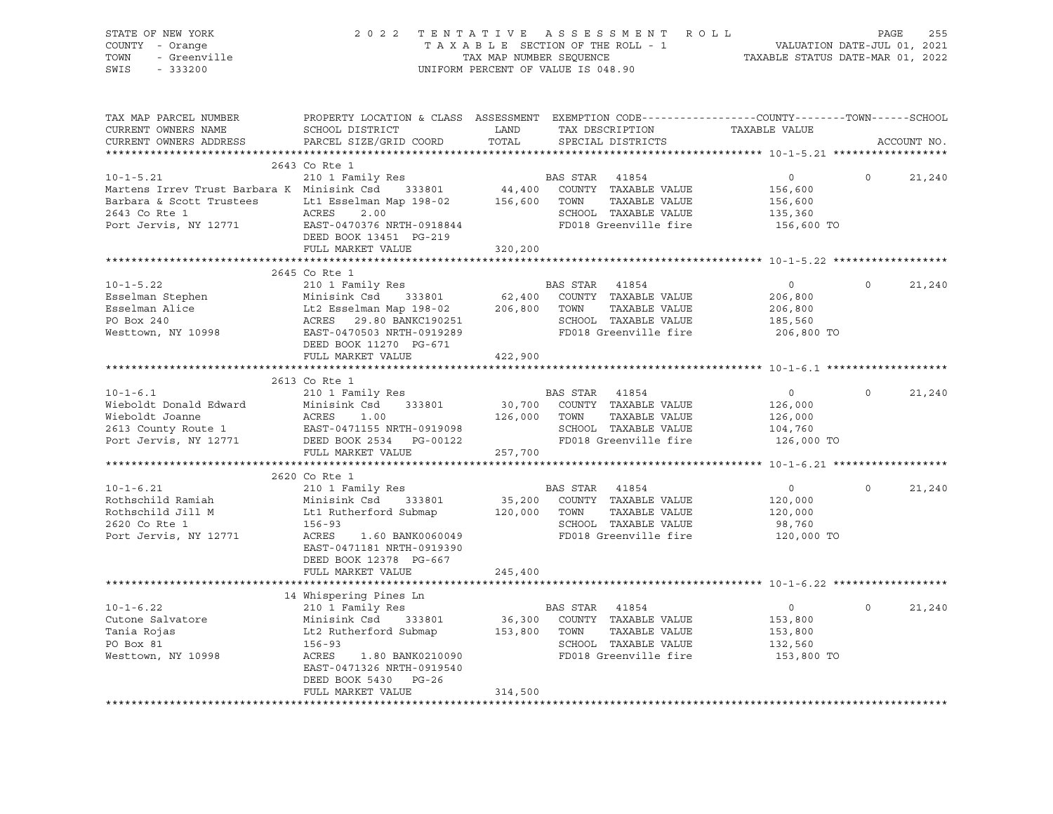| STATE OF NEW YORK<br>COUNTY - Orange<br>TOWN<br>- Greenville<br>$-333200$<br>SWIS                                       | 2 0 2 2                                                                                                                                                | TAX MAP NUMBER SEQUENCE | TENTATIVE ASSESSMENT ROLL<br>TAXABLE SECTION OF THE ROLL - 1<br>UNIFORM PERCENT OF VALUE IS 048.90               | VALUATION DATE-JUL 01, 2021<br>TAXABLE STATUS DATE-MAR 01, 2022 | PAGE     | 255         |
|-------------------------------------------------------------------------------------------------------------------------|--------------------------------------------------------------------------------------------------------------------------------------------------------|-------------------------|------------------------------------------------------------------------------------------------------------------|-----------------------------------------------------------------|----------|-------------|
| TAX MAP PARCEL NUMBER<br>CURRENT OWNERS NAME<br>CURRENT OWNERS ADDRESS                                                  | PROPERTY LOCATION & CLASS ASSESSMENT EXEMPTION CODE---------------COUNTY-------TOWN------SCHOOL<br>SCHOOL DISTRICT<br>PARCEL SIZE/GRID COORD           | LAND<br>TOTAL           | TAX DESCRIPTION TAXABLE VALUE<br>SPECIAL DISTRICTS                                                               |                                                                 |          | ACCOUNT NO. |
|                                                                                                                         | 2643 Co Rte 1                                                                                                                                          |                         |                                                                                                                  |                                                                 |          |             |
| $10 - 1 - 5.21$                                                                                                         | 210 1 Family Res                                                                                                                                       |                         | BAS STAR 41854                                                                                                   | $\overline{0}$                                                  | $\Omega$ | 21,240      |
| Martens Irrev Trust Barbara K Minisink Csd 333801<br>Barbara & Scott Trustees<br>2643 Co Rte 1<br>Port Jervis, NY 12771 | Lt1 Esselman Map 198-02<br>ACRES<br>2.00<br>EAST-0470376 NRTH-0918844<br>DEED BOOK 13451 PG-219                                                        | 44,400<br>156,600       | COUNTY TAXABLE VALUE<br>TAXABLE VALUE<br>TOWN<br>SCHOOL TAXABLE VALUE<br>FD018 Greenville fire                   | 156,600<br>156,600<br>135,360<br>156,600 TO                     |          |             |
|                                                                                                                         | FULL MARKET VALUE                                                                                                                                      | 320,200                 |                                                                                                                  |                                                                 |          |             |
|                                                                                                                         |                                                                                                                                                        |                         |                                                                                                                  |                                                                 |          |             |
|                                                                                                                         | 2645 Co Rte 1                                                                                                                                          |                         |                                                                                                                  |                                                                 |          |             |
| $10 - 1 - 5.22$<br>Esselman Stephen<br>Esselman Alice<br>PO Box 240<br>Westtown, NY 10998                               | 210 1 Family Res<br>Minisink Csd 333801<br>Lt2 Esselman Map 198-02<br>ACRES 29.80 BANKC190251<br>EAST-0470502 BANKC190251<br>EAST-0470503 NRTH-0919289 | 62,400<br>206,800       | BAS STAR 41854<br>COUNTY TAXABLE VALUE<br>TOWN<br>TAXABLE VALUE<br>SCHOOL TAXABLE VALUE<br>FD018 Greenville fire | $\overline{0}$<br>206,800<br>206,800<br>185,560<br>206,800 TO   | $\Omega$ | 21,240      |
|                                                                                                                         | DEED BOOK 11270 PG-671                                                                                                                                 |                         |                                                                                                                  |                                                                 |          |             |
|                                                                                                                         | FULL MARKET VALUE                                                                                                                                      | 422,900                 |                                                                                                                  |                                                                 |          |             |
|                                                                                                                         | 2613 Co Rte 1                                                                                                                                          |                         |                                                                                                                  |                                                                 |          |             |
| $10 - 1 - 6.1$                                                                                                          | 210 1 Family Res                                                                                                                                       |                         | BAS STAR 41854                                                                                                   | $\circ$                                                         | $\Omega$ | 21,240      |
| Wieboldt Donald Edward                                                                                                  | Minisink Csd 333801                                                                                                                                    | 30,700                  | COUNTY TAXABLE VALUE                                                                                             | 126,000                                                         |          |             |
| Wieboldt Joanne                                                                                                         | ACRES<br>1.00                                                                                                                                          | 126,000                 | TAXABLE VALUE<br>TOWN                                                                                            | 126,000                                                         |          |             |
| 2613 County Route 1                                                                                                     | EAST-0471155 NRTH-0919098                                                                                                                              |                         | SCHOOL TAXABLE VALUE                                                                                             | 104,760                                                         |          |             |
| Port Jervis, NY 12771                                                                                                   | DEED BOOK 2534 PG-00122                                                                                                                                |                         | FD018 Greenville fire                                                                                            | 126,000 TO                                                      |          |             |
|                                                                                                                         | FULL MARKET VALUE                                                                                                                                      | 257,700                 |                                                                                                                  |                                                                 |          |             |
|                                                                                                                         |                                                                                                                                                        |                         |                                                                                                                  |                                                                 |          |             |
|                                                                                                                         | 2620 Co Rte 1                                                                                                                                          |                         |                                                                                                                  |                                                                 |          |             |
| $10 - 1 - 6.21$                                                                                                         | 210 1 Family Res                                                                                                                                       |                         | BAS STAR 41854                                                                                                   | $\overline{0}$                                                  | $\circ$  | 21,240      |
| Rothschild Ramiah                                                                                                       | Minisink Csd 333801                                                                                                                                    | 35,200                  | COUNTY TAXABLE VALUE                                                                                             | 120,000                                                         |          |             |
| Rothschild Jill M                                                                                                       | Lt1 Rutherford Submap                                                                                                                                  | 120,000                 | TAXABLE VALUE<br>TOWN                                                                                            | 120,000                                                         |          |             |
| 2620 Co Rte 1                                                                                                           | $156 - 93$                                                                                                                                             |                         | SCHOOL TAXABLE VALUE                                                                                             | 98,760                                                          |          |             |
| Port Jervis, NY 12771                                                                                                   | ACRES<br>1.60 BANK0060049<br>EAST-0471181 NRTH-0919390<br>DEED BOOK 12378 PG-667<br>FULL MARKET VALUE                                                  |                         | FD018 Greenville fire                                                                                            | 120,000 TO                                                      |          |             |
|                                                                                                                         |                                                                                                                                                        | 245,400                 |                                                                                                                  |                                                                 |          |             |
|                                                                                                                         | 14 Whispering Pines Ln                                                                                                                                 |                         |                                                                                                                  |                                                                 |          |             |
| $10 - 1 - 6.22$                                                                                                         | 210 1 Family Res                                                                                                                                       |                         | BAS STAR 41854                                                                                                   | $\overline{0}$                                                  | $\circ$  | 21,240      |
| Cutone Salvatore                                                                                                        | Minisink Csd 333801                                                                                                                                    | 36,300                  | COUNTY TAXABLE VALUE                                                                                             | 153,800                                                         |          |             |
| Tania Rojas                                                                                                             | Lt2 Rutherford Submap                                                                                                                                  | 153,800                 | TOWN<br>TAXABLE VALUE                                                                                            | 153,800                                                         |          |             |
| PO Box 81                                                                                                               | 156-93                                                                                                                                                 |                         | SCHOOL TAXABLE VALUE                                                                                             | 132,560                                                         |          |             |
| Westtown, NY 10998                                                                                                      | ACRES<br>1.80 BANK0210090<br>EAST-0471326 NRTH-0919540<br>DEED BOOK 5430 PG-26                                                                         |                         | FD018 Greenville fire                                                                                            | 153,800 TO                                                      |          |             |
|                                                                                                                         | FULL MARKET VALUE                                                                                                                                      | 314,500                 |                                                                                                                  |                                                                 |          |             |
|                                                                                                                         |                                                                                                                                                        |                         |                                                                                                                  |                                                                 |          |             |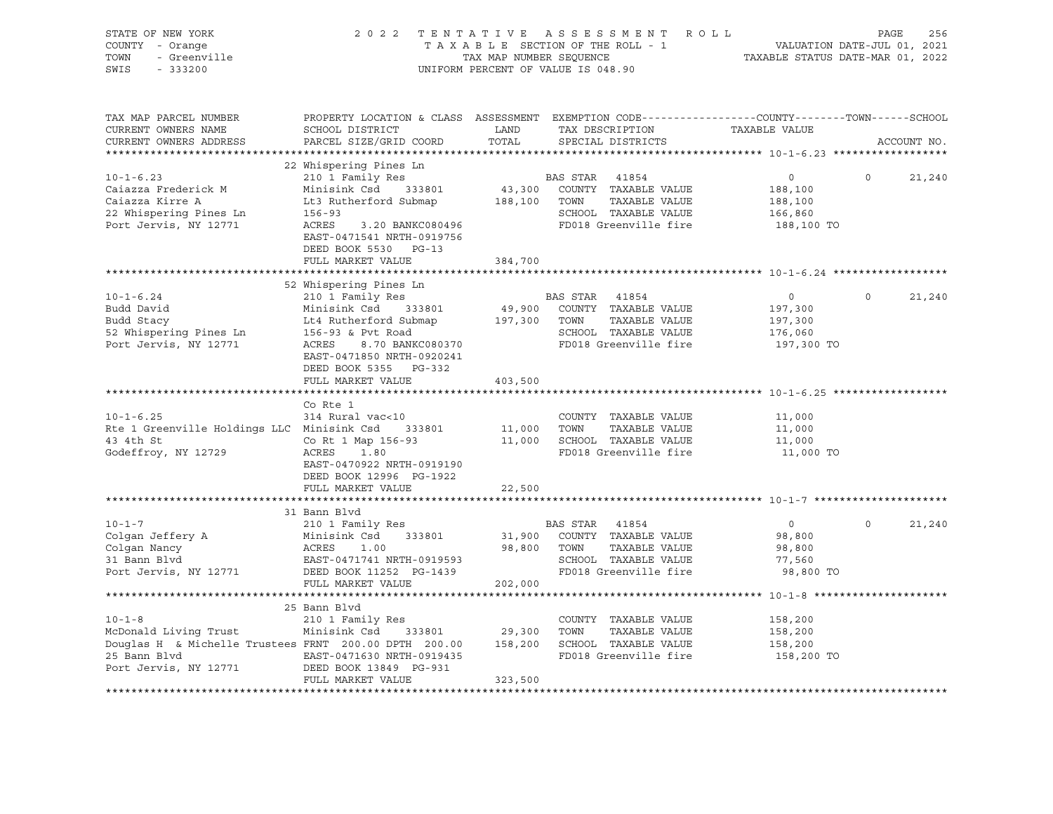| STATE OF NEW YORK<br>COUNTY - Orange<br>Y - Orange<br>- Greenville<br>TOWN<br>SWIS<br>$-333200$                                                                                                                                                            |                                                                                                                                                                                                                                                                                                                                                                                                                                                   |         | UNIFORM PERCENT OF VALUE IS 048.90                                                                                                 | $\begin{tabular}{lllllllllllll} \hline 2&0&2&2&\text{T} &\text{E} &\text{N} &\text{T} &\text{T} &\text{A} &\text{E} &\text{A} &\text{E} &\text{B} &\text{E} &\text{E} &\text{S} &\text{E} &\text{S} &\text{E} &\text{S} &\text{S} &\text{M} &\text{E} &\text{N} &\text{T} &\text{A} &\text{A} &\text{B} &\text{L} &\text{E} &\text{SECTION} &\text{O} &\text{T} &\text{E} &\text{R} &\text{O}$ |          |             |
|------------------------------------------------------------------------------------------------------------------------------------------------------------------------------------------------------------------------------------------------------------|---------------------------------------------------------------------------------------------------------------------------------------------------------------------------------------------------------------------------------------------------------------------------------------------------------------------------------------------------------------------------------------------------------------------------------------------------|---------|------------------------------------------------------------------------------------------------------------------------------------|------------------------------------------------------------------------------------------------------------------------------------------------------------------------------------------------------------------------------------------------------------------------------------------------------------------------------------------------------------------------------------------------|----------|-------------|
| TAX MAP PARCEL NUMBER<br>CURRENT OWNERS NAME<br>CURRENT OWNERS ADDRESS                                                                                                                                                                                     | PROPERTY LOCATION & CLASS ASSESSMENT EXEMPTION CODE---------------COUNTY-------TOWN-----SCHOOL<br>SCHOOL DISTRICT<br>PARCEL SIZE/GRID COORD                                                                                                                                                                                                                                                                                                       | TOTAL   | LAND TAX DESCRIPTION TAXABLE VALUE<br>SPECIAL DISTRICTS                                                                            |                                                                                                                                                                                                                                                                                                                                                                                                |          | ACCOUNT NO. |
| **********************                                                                                                                                                                                                                                     |                                                                                                                                                                                                                                                                                                                                                                                                                                                   |         |                                                                                                                                    |                                                                                                                                                                                                                                                                                                                                                                                                |          |             |
| 210 1 Family Res<br>Caiazza Frederick M<br>Caiazza Kirre A<br>22 Whispering Pines Ln<br>22 Whispering Pines Ln<br>22 Whispering Pines Ln<br>22 Whispering Pines Ln<br>22 Whispering Pines Ln<br>23 Nort Jervis, NY 12771<br>23 ACRES<br>23 BANKC08         | 22 Whispering Pines Ln<br>EAST-0471541 NRTH-0919756                                                                                                                                                                                                                                                                                                                                                                                               |         |                                                                                                                                    | $\overline{0}$<br>188,100<br>188,100<br>SCHOOL TAXABLE VALUE 166,860<br>FD018 Greenville fire 188,100 TO                                                                                                                                                                                                                                                                                       | $\Omega$ | 21,240      |
|                                                                                                                                                                                                                                                            | DEED BOOK 5530 PG-13                                                                                                                                                                                                                                                                                                                                                                                                                              |         |                                                                                                                                    |                                                                                                                                                                                                                                                                                                                                                                                                |          |             |
|                                                                                                                                                                                                                                                            | FULL MARKET VALUE                                                                                                                                                                                                                                                                                                                                                                                                                                 | 384,700 |                                                                                                                                    |                                                                                                                                                                                                                                                                                                                                                                                                |          |             |
|                                                                                                                                                                                                                                                            | 52 Whispering Pines Ln                                                                                                                                                                                                                                                                                                                                                                                                                            |         |                                                                                                                                    |                                                                                                                                                                                                                                                                                                                                                                                                |          |             |
| 10-1-6.24<br>BAS STAR 41854<br>BAS STAR 41854<br>BAS STAR 41854<br>BAS STAR 41854<br>BAS STAR 41854<br>BAS STAR 41854<br>BAS STAR 41854<br>BAS STAR 41854<br>BAS STAR 41854<br>BAS STAR 41854<br>BAS STAR 41854<br>BAS STAR 41854<br>BAS STAR 41854<br>BAS | EAST-0471850 NRTH-0920241<br>DEED BOOK 5355 PG-332                                                                                                                                                                                                                                                                                                                                                                                                |         |                                                                                                                                    | $\overline{0}$<br>197,300<br>197,300<br>176,060<br>197,300 TO                                                                                                                                                                                                                                                                                                                                  | $\circ$  | 21,240      |
|                                                                                                                                                                                                                                                            | FULL MARKET VALUE                                                                                                                                                                                                                                                                                                                                                                                                                                 | 403,500 |                                                                                                                                    |                                                                                                                                                                                                                                                                                                                                                                                                |          |             |
|                                                                                                                                                                                                                                                            |                                                                                                                                                                                                                                                                                                                                                                                                                                                   |         |                                                                                                                                    |                                                                                                                                                                                                                                                                                                                                                                                                |          |             |
| $10 - 1 - 6.25$<br>Rte 1 Greenville Holdings LLC Minisink Csd 333801<br>43 4th St<br>Godeffroy, NY 12729                                                                                                                                                   | Co Rte 1<br>314 Rural vac<10<br>$\begin{array}{ccccccccc}\n\text{5} & \text{Minisink} & \text{Csd} & 333801 & & 11,000 & \text{TOWN} & \text{TAAADLE} & \text{VAAIDE} \\ \text{Cokt 1 Map 156-93} & & & & 11,000 & \text{SCHOOL} & \text{TAXABLE VALUE} \\ \text{ACRES} & & 1.90 & & & & 11,000 & \text{SCHOOL} & \text{TAXABLE VALUE} \\ \end{array}$<br>ACRES 1.80<br>EAST-0470922 NRTH-0919190<br>DEED BOOK 12996 PG-1922<br>FULL MARKET VALUE | 22,500  | COUNTY TAXABLE VALUE<br>FD018 Greenville fire                                                                                      | 11,000<br>11,000<br>11,000<br>11,000 TO                                                                                                                                                                                                                                                                                                                                                        |          |             |
|                                                                                                                                                                                                                                                            |                                                                                                                                                                                                                                                                                                                                                                                                                                                   |         |                                                                                                                                    |                                                                                                                                                                                                                                                                                                                                                                                                |          |             |
| 10-1-7<br>Colgan Jeffery A<br>Colgan Nancy<br>31 Bann Blvd<br>Port Jervis, NY 12771<br>Port Jervis, NY 12771<br>Port Jervis, NY 12771<br>Port Sextern State Port International Professor<br>Port Jervis, NY 12771<br>Port State Port Internation           | 31 Bann Blvd<br>FULL MARKET VALUE                                                                                                                                                                                                                                                                                                                                                                                                                 | 202,000 | <b>BAS STAR</b> 41854<br>31,900 COUNTY TAXABLE VALUE<br>98,800 TOWN TAXABLE VALUE<br>SCHOOL TAXABLE VALUE<br>FD018 Greenville fire | $\overline{0}$<br>98,800<br>98,800<br>77,560<br>98,800 TO                                                                                                                                                                                                                                                                                                                                      | $\Omega$ | 21,240      |
|                                                                                                                                                                                                                                                            |                                                                                                                                                                                                                                                                                                                                                                                                                                                   |         |                                                                                                                                    |                                                                                                                                                                                                                                                                                                                                                                                                |          |             |
| Douglas H & Michelle Trustees FRNT 200.00 DPTH 200.00 158,200 SCHOOL TAXABLE VALUE<br>25 Bann Blvd EAST-0471630 NRTH-0919435<br>Port Jervis, NY 12771 DEED BOOK 13849 PG-931                                                                               | 25 Bann Blvd<br>FULL MARKET VALUE                                                                                                                                                                                                                                                                                                                                                                                                                 | 323,500 | FD018 Greenville fire                                                                                                              | 158,200<br>158,200<br>158,200<br>158,200 TO                                                                                                                                                                                                                                                                                                                                                    |          |             |
|                                                                                                                                                                                                                                                            |                                                                                                                                                                                                                                                                                                                                                                                                                                                   |         |                                                                                                                                    |                                                                                                                                                                                                                                                                                                                                                                                                |          |             |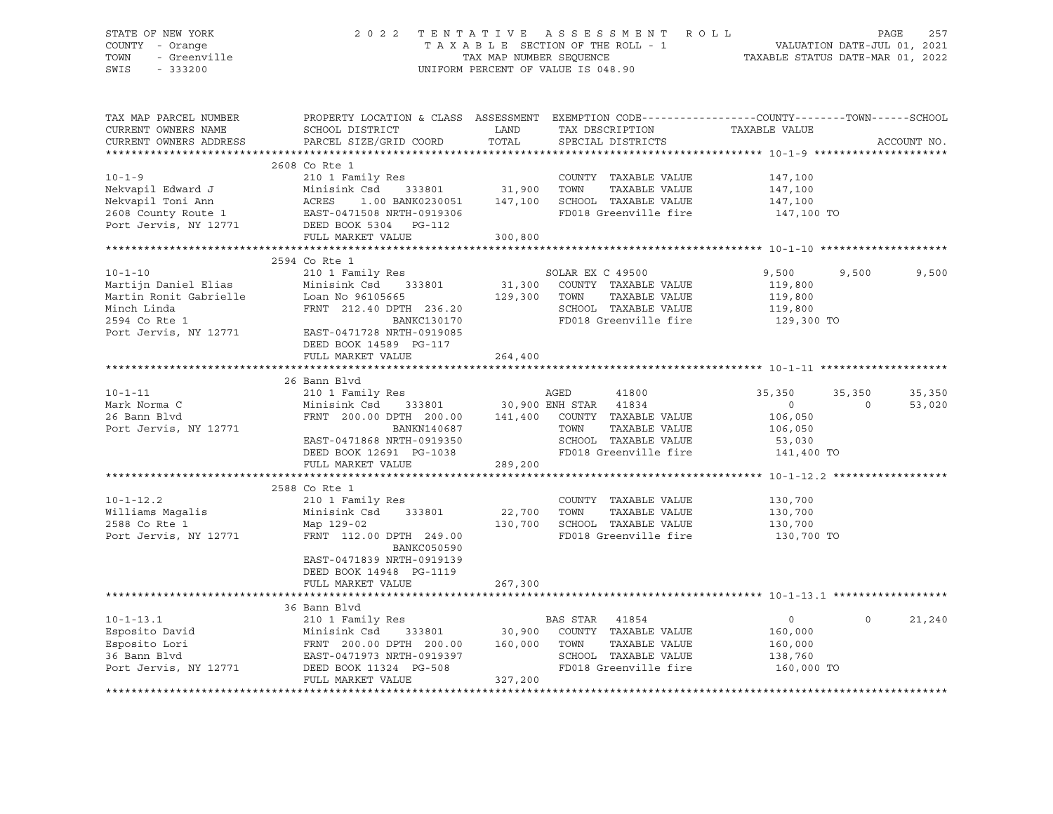| STATE OF NEW YORK<br>COUNTY - Orange<br>TOWN<br>- Greenville<br>SWIS<br>$-333200$ | 2 0 2 2                                                                                                                                                               | TAX MAP NUMBER SEQUENCE | TENTATIVE ASSESSMENT ROLL<br>TAXABLE SECTION OF THE ROLL - 1<br>UNIFORM PERCENT OF VALUE IS 048.90 | VALUATION DATE-JUL 01, 2021<br>TAXABLE STATUS DATE-MAR 01, 2022 |          | PAGE<br>257 |
|-----------------------------------------------------------------------------------|-----------------------------------------------------------------------------------------------------------------------------------------------------------------------|-------------------------|----------------------------------------------------------------------------------------------------|-----------------------------------------------------------------|----------|-------------|
| TAX MAP PARCEL NUMBER<br>CURRENT OWNERS NAME<br>CURRENT OWNERS ADDRESS            | PROPERTY LOCATION & CLASS ASSESSMENT EXEMPTION CODE----------------COUNTY-------TOWN------SCHOOL<br>SCHOOL DISTRICT<br>PARCEL SIZE/GRID COORD                         | LAND<br>TOTAL           | TAX DESCRIPTION<br>SPECIAL DISTRICTS                                                               | TAXABLE VALUE                                                   |          | ACCOUNT NO. |
|                                                                                   |                                                                                                                                                                       |                         |                                                                                                    |                                                                 |          |             |
|                                                                                   | 2608 Co Rte 1                                                                                                                                                         |                         |                                                                                                    |                                                                 |          |             |
| $10 - 1 - 9$                                                                      | 210 1 Family Res                                                                                                                                                      |                         | COUNTY TAXABLE VALUE                                                                               | 147,100                                                         |          |             |
|                                                                                   |                                                                                                                                                                       |                         | TOWN<br>TAXABLE VALUE                                                                              | 147,100                                                         |          |             |
|                                                                                   |                                                                                                                                                                       |                         | SCHOOL TAXABLE VALUE<br>FD018 Greenville fire                                                      | 147,100                                                         |          |             |
|                                                                                   | Nekvapil Edward J<br>Nekvapil Toni Ann (ACRES 1.00 BANK0230051 147,100<br>2608 County Route 1 (BAST-0471508 NRTH-0919306 Port Jervis, NY 12771 (BEED BOOK 5304 PG-112 |                         |                                                                                                    | 147,100 TO                                                      |          |             |
|                                                                                   | FULL MARKET VALUE                                                                                                                                                     | 300,800                 |                                                                                                    |                                                                 |          |             |
|                                                                                   |                                                                                                                                                                       |                         |                                                                                                    |                                                                 |          |             |
|                                                                                   | 2594 Co Rte 1                                                                                                                                                         |                         |                                                                                                    |                                                                 |          |             |
| $10 - 1 - 10$                                                                     | 210 1 Family Res                                                                                                                                                      |                         | SOLAR EX C 49500                                                                                   | 9,500                                                           | 9,500    | 9,500       |
| Martijn Daniel Elias                                                              | Minisink Csd 333801                                                                                                                                                   |                         | 31,300 COUNTY TAXABLE VALUE                                                                        | 119,800                                                         |          |             |
| Martin Ronit Gabrielle                                                            | Loan No 96105665                                                                                                                                                      | 129,300                 | TOWN<br>TAXABLE VALUE                                                                              | 119,800                                                         |          |             |
| Minch Linda                                                                       | FRNT 212.40 DPTH 236.20                                                                                                                                               |                         | SCHOOL TAXABLE VALUE                                                                               | 119,800                                                         |          |             |
| 2594 Co Rte 1                                                                     | BANKC130170                                                                                                                                                           |                         | FD018 Greenville fire                                                                              | 129,300 TO                                                      |          |             |
| Port Jervis, NY 12771 EAST-0471728 NRTH-0919085                                   |                                                                                                                                                                       |                         |                                                                                                    |                                                                 |          |             |
|                                                                                   | DEED BOOK 14589 PG-117<br>FULL MARKET VALUE                                                                                                                           | 264,400                 |                                                                                                    |                                                                 |          |             |
|                                                                                   |                                                                                                                                                                       |                         |                                                                                                    |                                                                 |          |             |
|                                                                                   | 26 Bann Blvd                                                                                                                                                          |                         |                                                                                                    |                                                                 |          |             |
| $10 - 1 - 11$                                                                     | 210 1 Family Res                                                                                                                                                      |                         | AGED<br>41800                                                                                      | 35,350                                                          | 35,350   | 35,350      |
| Mark Norma C                                                                      | Minisink Csd                                                                                                                                                          |                         | 333801 30,900 ENH STAR 41834                                                                       | $\circ$                                                         | $\Omega$ | 53,020      |
| 26 Bann Blvd                                                                      | FRNT 200.00 DPTH 200.00 141,400 COUNTY TAXABLE VALUE                                                                                                                  |                         |                                                                                                    | 106,050                                                         |          |             |
| Port Jervis, NY 12771                                                             | BANKN140687                                                                                                                                                           |                         | TOWN<br>TAXABLE VALUE                                                                              | 106,050                                                         |          |             |
|                                                                                   | EAST-0471868 NRTH-0919350                                                                                                                                             |                         | SCHOOL TAXABLE VALUE                                                                               | 53,030                                                          |          |             |
|                                                                                   | DEED BOOK 12691 PG-1038                                                                                                                                               |                         | FD018 Greenville fire                                                                              | 141,400 TO                                                      |          |             |
|                                                                                   | FULL MARKET VALUE                                                                                                                                                     | 289,200                 |                                                                                                    |                                                                 |          |             |
|                                                                                   |                                                                                                                                                                       |                         |                                                                                                    |                                                                 |          |             |
| $10 - 1 - 12.2$                                                                   | 2588 Co Rte 1<br>210 1 Family Res                                                                                                                                     |                         | COUNTY TAXABLE VALUE                                                                               | 130,700                                                         |          |             |
| Williams Magalis                                                                  | Minisink Csd 333801                                                                                                                                                   | 22,700                  | TOWN<br>TAXABLE VALUE                                                                              | 130,700                                                         |          |             |
| 2588 Co Rte 1                                                                     | Map 129-02                                                                                                                                                            | 130,700                 | SCHOOL TAXABLE VALUE                                                                               | 130,700                                                         |          |             |
| Port Jervis, NY 12771                                                             | FRNT 112.00 DPTH 249.00<br>BANKC050590                                                                                                                                |                         | FD018 Greenville fire                                                                              | 130,700 TO                                                      |          |             |
|                                                                                   | EAST-0471839 NRTH-0919139                                                                                                                                             |                         |                                                                                                    |                                                                 |          |             |
|                                                                                   | DEED BOOK 14948 PG-1119                                                                                                                                               |                         |                                                                                                    |                                                                 |          |             |
|                                                                                   | FULL MARKET VALUE                                                                                                                                                     | 267,300                 |                                                                                                    |                                                                 |          |             |
|                                                                                   |                                                                                                                                                                       |                         |                                                                                                    |                                                                 |          |             |
| $10 - 1 - 13.1$                                                                   | 36 Bann Blvd<br>210 1 Family Res                                                                                                                                      |                         | BAS STAR 41854                                                                                     | $\overline{0}$                                                  | $\circ$  | 21,240      |
|                                                                                   |                                                                                                                                                                       |                         | 30,900 COUNTY TAXABLE VALUE                                                                        | 160,000                                                         |          |             |
|                                                                                   |                                                                                                                                                                       |                         | TOWN<br>TAXABLE VALUE                                                                              | 160,000                                                         |          |             |
| Esposito David<br>Esposito Lori<br>36 Bann Blvd<br>36 Bann Blvd                   | Minisink Csd      333801            30,900<br>FRNT   200.00 DPTH   200.00       160,000<br>EAST-0471973 NRTH-0919397                                                  |                         | SCHOOL TAXABLE VALUE                                                                               | 138,760                                                         |          |             |
| Port Jervis, NY 12771                                                             | DEED BOOK 11324 PG-508                                                                                                                                                |                         | FD018 Greenville fire                                                                              | 160,000 TO                                                      |          |             |
|                                                                                   | FULL MARKET VALUE                                                                                                                                                     | 327,200                 |                                                                                                    |                                                                 |          |             |
|                                                                                   |                                                                                                                                                                       |                         |                                                                                                    |                                                                 |          |             |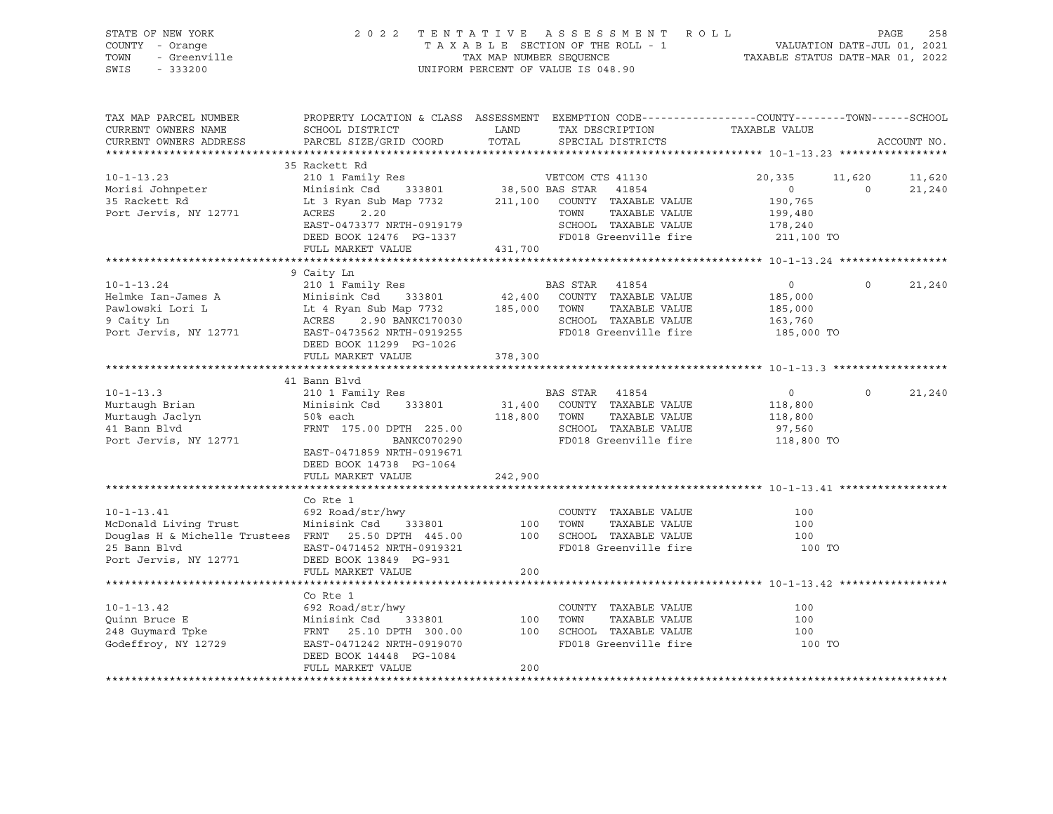| STATE OF NEW YORK<br>COUNTY - Orange<br>TOWN<br>- Greenville<br>SWIS<br>$-333200$ | 2022 TENTATIVE ASSESSMENT ROLL                                                                                                                                | TAX MAP NUMBER SEQUENCE<br>UNIFORM PERCENT OF VALUE IS 048.90 |                          | TAXABLE SECTION OF THE ROLL - 1                                | VALUATION DATE-JUL 01, 2021<br>TAXABLE STATUS DATE-MAR 01, 2022 |                    | PAGE<br>258      |
|-----------------------------------------------------------------------------------|---------------------------------------------------------------------------------------------------------------------------------------------------------------|---------------------------------------------------------------|--------------------------|----------------------------------------------------------------|-----------------------------------------------------------------|--------------------|------------------|
| TAX MAP PARCEL NUMBER<br>CURRENT OWNERS NAME<br>CURRENT OWNERS ADDRESS            | PROPERTY LOCATION & CLASS ASSESSMENT EXEMPTION CODE----------------COUNTY-------TOWN------SCHOOL<br>SCHOOL DISTRICT<br>PARCEL SIZE/GRID COORD                 | LAND<br>TOTAL                                                 |                          | SPECIAL DISTRICTS                                              | TAX DESCRIPTION TAXABLE VALUE                                   |                    | ACCOUNT NO.      |
|                                                                                   |                                                                                                                                                               |                                                               |                          |                                                                |                                                                 |                    |                  |
| $10 - 1 - 13.23$<br>Morisi Johnpeter<br>35 Rackett Rd<br>Port Jervis, NY 12771    | 35 Rackett Rd<br>210 1 Family Res<br>333801 38,500 BAS STAR<br>Minisink Csd<br>Lt 3 Ryan Sub Map 7732<br>ACRES 2.20                                           |                                                               | VETCOM CTS 41130<br>TOWN | 41854<br>211,100 COUNTY TAXABLE VALUE<br>TAXABLE VALUE         | 20,335<br>$\Omega$<br>190,765<br>199,480                        | 11,620<br>$\Omega$ | 11,620<br>21,240 |
|                                                                                   | EAST-0473377 NRTH-0919179<br>DEED BOOK 12476 PG-1337<br>FULL MARKET VALUE                                                                                     | 431,700                                                       |                          | SCHOOL TAXABLE VALUE<br>FD018 Greenville fire                  | 178,240<br>211,100 TO                                           |                    |                  |
|                                                                                   |                                                                                                                                                               |                                                               |                          |                                                                |                                                                 |                    |                  |
| $10 - 1 - 13.24$<br>Helmke Ian-James A                                            | 9 Caity Ln<br>210 1 Family Res                                                                                                                                |                                                               | BAS STAR 41854           | COUNTY TAXABLE VALUE                                           | $\overline{0}$<br>185,000                                       | $\mathsf{O}$       | 21,240           |
| Pawlowski Lori L<br>9 Caity Ln<br>Port Jervis, NY 12771                           | Minisink Csd 333801 42,400 COUNTY<br>Lt 4 Ryan Sub Map 7732 185,000 TOWN<br>2.90 BANKC170030<br>ACRES<br>EAST-0473562 NRTH-0919255<br>DEED BOOK 11299 PG-1026 |                                                               |                          | TAXABLE VALUE<br>SCHOOL TAXABLE VALUE<br>FD018 Greenville fire | 185,000<br>163,760<br>185,000 TO                                |                    |                  |
|                                                                                   | FULL MARKET VALUE                                                                                                                                             | 378,300                                                       |                          |                                                                |                                                                 |                    |                  |
|                                                                                   | 41 Bann Blyd                                                                                                                                                  |                                                               |                          |                                                                |                                                                 |                    |                  |
| $10 - 1 - 13.3$                                                                   | 210 1 Family Res                                                                                                                                              |                                                               | BAS STAR 41854           |                                                                | $\overline{0}$                                                  | $\mathbf 0$        | 21,240           |
| Murtaugh Brian<br>Murtaugh Jaclyn                                                 | Minisink Csd 333801<br>50% each                                                                                                                               | 118,800 TOWN                                                  |                          | 31,400 COUNTY TAXABLE VALUE<br>TAXABLE VALUE                   | 118,800<br>118,800                                              |                    |                  |
| 41 Bann Blvd                                                                      | FRNT 175.00 DPTH 225.00                                                                                                                                       |                                                               |                          | SCHOOL TAXABLE VALUE                                           | 97,560                                                          |                    |                  |
| Port Jervis, NY 12771                                                             | BANKC070290<br>EAST-0471859 NRTH-0919671                                                                                                                      |                                                               |                          | FD018 Greenville fire                                          | 118,800 TO                                                      |                    |                  |
|                                                                                   | DEED BOOK 14738 PG-1064<br>FULL MARKET VALUE                                                                                                                  | 242,900                                                       |                          |                                                                |                                                                 |                    |                  |
|                                                                                   |                                                                                                                                                               |                                                               |                          |                                                                |                                                                 |                    |                  |
|                                                                                   | Co Rte 1                                                                                                                                                      |                                                               |                          |                                                                |                                                                 |                    |                  |
| $10 - 1 - 13.41$                                                                  | 692 Road/str/hwy                                                                                                                                              |                                                               |                          | COUNTY TAXABLE VALUE                                           | 100                                                             |                    |                  |
| McDonald Living Trust                                                             | 333801<br>Minisink Csd                                                                                                                                        | 100                                                           | TOWN                     | TAXABLE VALUE                                                  | 100                                                             |                    |                  |
| Douglas H & Michelle Trustees FRNT 25.50 DPTH 445.00<br>25 Bann Blvd              | EAST-0471452 NRTH-0919321                                                                                                                                     |                                                               |                          | 100 SCHOOL TAXABLE VALUE<br>FD018 Greenville fire              | 100<br>100 TO                                                   |                    |                  |
| Port Jervis, NY 12771                                                             | DEED BOOK 13849 PG-931                                                                                                                                        |                                                               |                          |                                                                |                                                                 |                    |                  |
|                                                                                   | FULL MARKET VALUE                                                                                                                                             | 200                                                           |                          |                                                                |                                                                 |                    |                  |
|                                                                                   | Co Rte 1                                                                                                                                                      |                                                               |                          |                                                                |                                                                 |                    |                  |
| $10 - 1 - 13.42$                                                                  | 692 Road/str/hwy                                                                                                                                              |                                                               |                          | COUNTY TAXABLE VALUE                                           | 100                                                             |                    |                  |
| Quinn Bruce E                                                                     | Minisink Csd 333801                                                                                                                                           | 100                                                           | TOWN                     | TAXABLE VALUE                                                  | 100                                                             |                    |                  |
| Quinn Bruce E<br>248 Guymard Tpke                                                 | Minisink Csd      333801<br>FRNT    25.10 DPTH   300.00                                                                                                       | 100                                                           |                          | SCHOOL TAXABLE VALUE                                           | 100                                                             |                    |                  |
| Godeffroy, NY 12729                                                               | EAST-0471242 NRTH-0919070<br>DEED BOOK 14448 PG-1084                                                                                                          |                                                               |                          | FD018 Greenville fire                                          | 100 TO                                                          |                    |                  |
|                                                                                   | FULL MARKET VALUE                                                                                                                                             | 200                                                           |                          |                                                                |                                                                 |                    |                  |
|                                                                                   |                                                                                                                                                               |                                                               |                          |                                                                |                                                                 |                    |                  |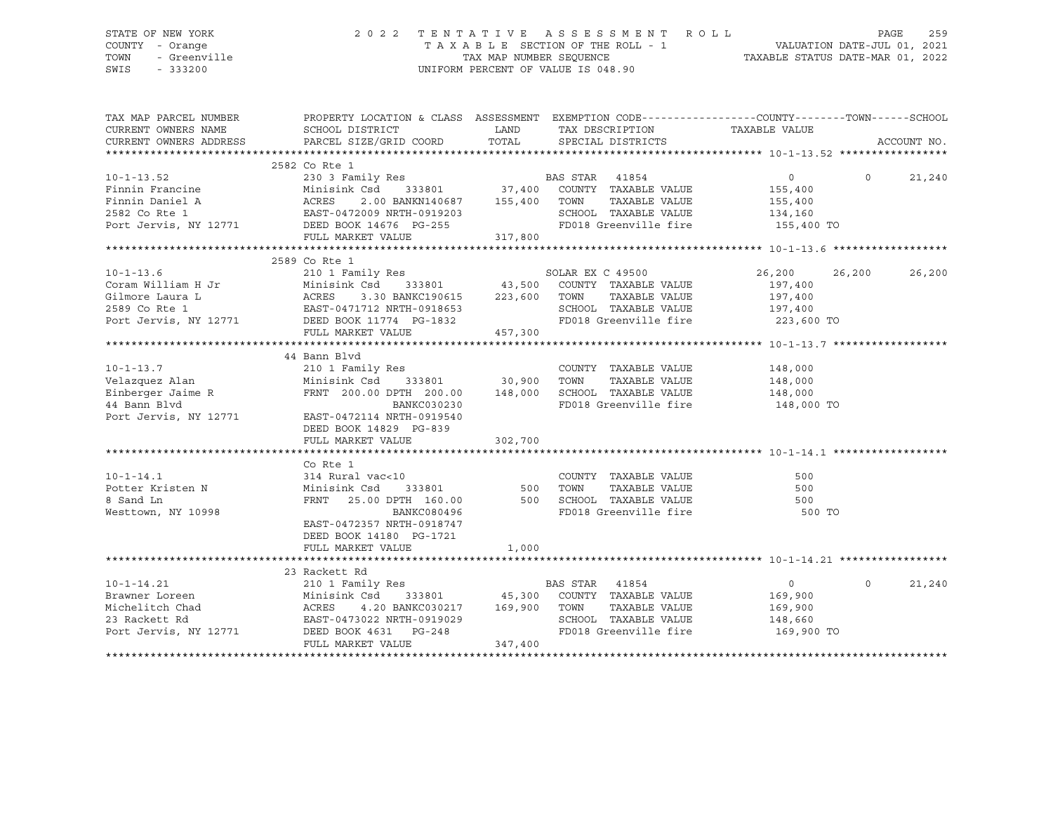### STATE OF NEW YORK 2 0 2 2 T E N T A T I V E A S S E S S M E N T R O L L PAGE 259 COUNTY - Orange T A X A B L E SECTION OF THE ROLL - 1 VALUATION DATE-JUL 01, 2021 TOWN - Greenville TAX MAP NUMBER SEQUENCE TAXABLE STATUS DATE-MAR 01, 2022 SWIS - 333200 UNIFORM PERCENT OF VALUE IS 048.90

| TAX MAP PARCEL NUMBER                               | PROPERTY LOCATION & CLASS ASSESSMENT EXEMPTION CODE---------------COUNTY-------TOWN-----SCHOOL                                                                                                                                        |         |                                                                  |                       |          |             |
|-----------------------------------------------------|---------------------------------------------------------------------------------------------------------------------------------------------------------------------------------------------------------------------------------------|---------|------------------------------------------------------------------|-----------------------|----------|-------------|
| CURRENT OWNERS NAME                                 | SCHOOL DISTRICT                                                                                                                                                                                                                       |         | LAND TAX DESCRIPTION                                             | TAXABLE VALUE         |          |             |
| CURRENT OWNERS ADDRESS                              | PARCEL SIZE/GRID COORD                                                                                                                                                                                                                |         | TOTAL SPECIAL DISTRICTS                                          |                       |          | ACCOUNT NO. |
|                                                     |                                                                                                                                                                                                                                       |         |                                                                  |                       |          |             |
|                                                     |                                                                                                                                                                                                                                       |         |                                                                  |                       |          |             |
|                                                     |                                                                                                                                                                                                                                       |         |                                                                  | $\overline{0}$        | $\Omega$ | 21,240      |
|                                                     |                                                                                                                                                                                                                                       |         |                                                                  | 155,400               |          |             |
|                                                     |                                                                                                                                                                                                                                       |         |                                                                  | TAXABLE VALUE 155,400 |          |             |
|                                                     |                                                                                                                                                                                                                                       |         | SCHOOL TAXABLE VALUE 134,160<br>FD018 Greenville fire 155,400 TO |                       |          |             |
|                                                     |                                                                                                                                                                                                                                       |         |                                                                  |                       |          |             |
|                                                     | FULL MARKET VALUE 317,800                                                                                                                                                                                                             |         |                                                                  |                       |          |             |
|                                                     |                                                                                                                                                                                                                                       |         |                                                                  |                       |          |             |
|                                                     | 2589 Co Rte 1                                                                                                                                                                                                                         |         |                                                                  |                       |          |             |
|                                                     |                                                                                                                                                                                                                                       |         |                                                                  | 26,200 26,200         |          | 26,200      |
|                                                     |                                                                                                                                                                                                                                       |         |                                                                  |                       |          |             |
|                                                     |                                                                                                                                                                                                                                       |         |                                                                  |                       |          |             |
|                                                     |                                                                                                                                                                                                                                       |         |                                                                  |                       |          |             |
|                                                     | 10-1-13.6 2599 2003<br>Coram William H Jr 210 1 Family Res 2003<br>Minisink Csd 333801 43,500 COUNTY TAXABLE VALUE 197,400<br>Gilmore Laura L ACRES 3.30 BANKC190615 223,600 TOWN TAXABLE VALUE 197,400<br>2589 Co Rte 1 EAST-0471712 |         |                                                                  |                       |          |             |
|                                                     | FULL MARKET VALUE                                                                                                                                                                                                                     | 457,300 |                                                                  |                       |          |             |
|                                                     |                                                                                                                                                                                                                                       |         |                                                                  |                       |          |             |
|                                                     | 44 Bann Blvd                                                                                                                                                                                                                          |         |                                                                  |                       |          |             |
| $10 - 1 - 13.7$<br>Velazquez Alan<br>Velazquez Alan |                                                                                                                                                                                                                                       |         | COUNTY TAXABLE VALUE                                             | 148,000               |          |             |
|                                                     |                                                                                                                                                                                                                                       |         | TAXABLE VALUE                                                    | 148,000               |          |             |
|                                                     |                                                                                                                                                                                                                                       |         |                                                                  |                       |          |             |
|                                                     | BANKC030230                                                                                                                                                                                                                           |         | FD018 Greenville fire                                            | 148,000 TO            |          |             |
|                                                     |                                                                                                                                                                                                                                       |         |                                                                  |                       |          |             |
|                                                     | DEED BOOK 14829 PG-839                                                                                                                                                                                                                |         |                                                                  |                       |          |             |
|                                                     | FULL MARKET VALUE                                                                                                                                                                                                                     | 302,700 |                                                                  |                       |          |             |
|                                                     |                                                                                                                                                                                                                                       |         |                                                                  |                       |          |             |
|                                                     | Co Rte 1                                                                                                                                                                                                                              |         |                                                                  |                       |          |             |
| $10 - 1 - 14.1$                                     | 314 Rural vac<10                                                                                                                                                                                                                      |         | COUNTY TAXABLE VALUE                                             | 500                   |          |             |
| Potter Kristen N                                    | 333801 500<br>Minisink Csd                                                                                                                                                                                                            |         | TOWN<br>TAXABLE VALUE                                            | 500                   |          |             |
| 8 Sand Ln                                           | FRNT 25.00 DPTH 160.00 500 SCHOOL TAXABLE VALUE<br>BANKC080496 FD018 Greenville fire                                                                                                                                                  |         |                                                                  | 500                   |          |             |
| Westtown, NY 10998                                  | BANKC080496                                                                                                                                                                                                                           |         | CONCORT THAABLE VALUE<br>FD018 Greenville fire                   | 500 TO                |          |             |
|                                                     | EAST-0472357 NRTH-0918747                                                                                                                                                                                                             |         |                                                                  |                       |          |             |
|                                                     | DEED BOOK 14180 PG-1721                                                                                                                                                                                                               |         |                                                                  |                       |          |             |
|                                                     | FULL MARKET VALUE                                                                                                                                                                                                                     | 1,000   |                                                                  |                       |          |             |
|                                                     |                                                                                                                                                                                                                                       |         |                                                                  |                       |          |             |
|                                                     | 23 Rackett Rd                                                                                                                                                                                                                         |         |                                                                  |                       |          |             |
| $10 - 1 - 14.21$                                    | 210 1 Family Res                                                                                                                                                                                                                      |         | BAS STAR 41854                                                   | $\overline{0}$        | $\Omega$ | 21,240      |
| Brawner Loreen                                      | Minisink Csd 333801 45,300 COUNTY TAXABLE VALUE<br>ACRES 4.20 BANKC030217 169,900 TOWN TAXABLE VALUE<br>EAST-0473022 NRTH-0919029 SCHOOL TAXABLE VALUE<br>DEED BOOK 4631 PG-248 FD018 Greenville fire                                 |         |                                                                  | 169,900               |          |             |
| Michelitch Chad                                     |                                                                                                                                                                                                                                       |         |                                                                  | 169,900               |          |             |
| 23 Rackett Rd                                       |                                                                                                                                                                                                                                       |         | SCHOOL TAXABLE VALUE 148,660                                     |                       |          |             |
|                                                     | Port Jervis, NY 12771 DEED BOOK 4631 PG-248                                                                                                                                                                                           |         | FD018 Greenville fire 169,900 TO                                 |                       |          |             |
|                                                     | FULL MARKET VALUE                                                                                                                                                                                                                     | 347,400 |                                                                  |                       |          |             |
|                                                     |                                                                                                                                                                                                                                       |         |                                                                  |                       |          |             |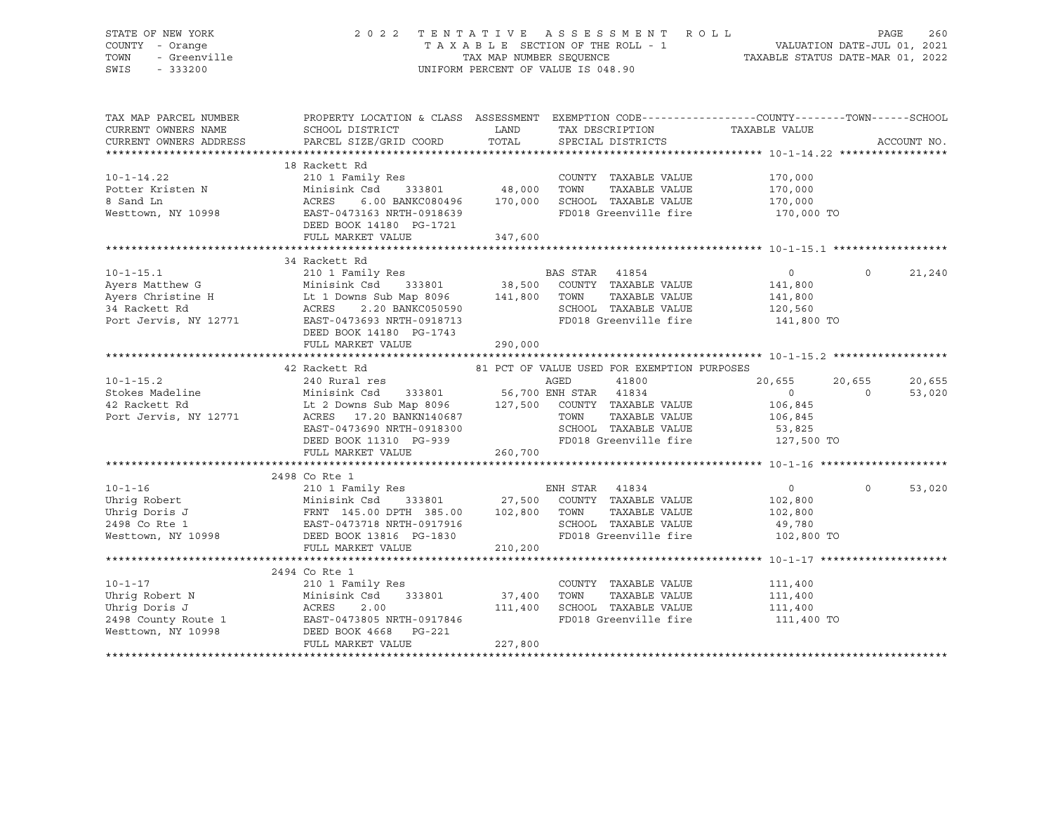### STATE OF NEW YORK 2 0 2 2 T E N T A T I V E A S S E S S M E N T R O L L PAGE 260 COUNTY - Orange T A X A B L E SECTION OF THE ROLL - 1 VALUATION DATE-JUL 01, 2021 TOWN - Greenville TAX MAP NUMBER SEQUENCE TAXABLE STATUS DATE-MAR 01, 2022 SWIS - 333200 UNIFORM PERCENT OF VALUE IS 048.90

| TAX MAP PARCEL NUMBER<br>CURRENT OWNERS NAME | SCHOOL DISTRICT                                                                                                                                                                                                                                             | LAND    | TAX DESCRIPTION                             | PROPERTY LOCATION & CLASS ASSESSMENT EXEMPTION CODE---------------COUNTY-------TOWN------SCHOOL<br>TAXABLE VALUE |             |
|----------------------------------------------|-------------------------------------------------------------------------------------------------------------------------------------------------------------------------------------------------------------------------------------------------------------|---------|---------------------------------------------|------------------------------------------------------------------------------------------------------------------|-------------|
| CURRENT OWNERS ADDRESS                       | PARCEL SIZE/GRID COORD                                                                                                                                                                                                                                      | TOTAL   | SPECIAL DISTRICTS                           |                                                                                                                  | ACCOUNT NO. |
|                                              |                                                                                                                                                                                                                                                             |         |                                             |                                                                                                                  |             |
|                                              | 18 Rackett Rd                                                                                                                                                                                                                                               |         |                                             |                                                                                                                  |             |
| $10 - 1 - 14.22$                             |                                                                                                                                                                                                                                                             |         | COUNTY TAXABLE VALUE                        | 170,000                                                                                                          |             |
| Potter Kristen N<br>8 Sand Ln                | Minisi<br>ACRES                                                                                                                                                                                                                                             |         | TAXABLE VALUE                               | 170,000                                                                                                          |             |
| 8 Sand Ln                                    | 6.00 BANKC080496 170,000                                                                                                                                                                                                                                    |         | SCHOOL TAXABLE VALUE 170,000                |                                                                                                                  |             |
| Westtown, NY 10998                           | EAST-0473163 NRTH-0918639                                                                                                                                                                                                                                   |         | FD018 Greenville fire 170,000 TO            |                                                                                                                  |             |
|                                              | DEED BOOK 14180 PG-1721                                                                                                                                                                                                                                     |         |                                             |                                                                                                                  |             |
|                                              | FULL MARKET VALUE                                                                                                                                                                                                                                           | 347,600 |                                             |                                                                                                                  |             |
|                                              |                                                                                                                                                                                                                                                             |         |                                             |                                                                                                                  |             |
|                                              | 34 Rackett Rd                                                                                                                                                                                                                                               |         |                                             |                                                                                                                  |             |
|                                              |                                                                                                                                                                                                                                                             |         |                                             | $\overline{0}$<br>$\circ$                                                                                        | 21,240      |
|                                              |                                                                                                                                                                                                                                                             |         |                                             | 141,800                                                                                                          |             |
|                                              |                                                                                                                                                                                                                                                             |         | TAXABLE VALUE                               | 141,800                                                                                                          |             |
|                                              |                                                                                                                                                                                                                                                             |         | SCHOOL TAXABLE VALUE                        | 120,560                                                                                                          |             |
|                                              |                                                                                                                                                                                                                                                             |         | FD018 Greenville fire                       | 141,800 TO                                                                                                       |             |
|                                              | DEED BOOK 14180 PG-1743                                                                                                                                                                                                                                     |         |                                             |                                                                                                                  |             |
|                                              | FULL MARKET VALUE                                                                                                                                                                                                                                           | 290,000 |                                             |                                                                                                                  |             |
|                                              |                                                                                                                                                                                                                                                             |         |                                             |                                                                                                                  |             |
|                                              | 42 Rackett Rd                                                                                                                                                                                                                                               |         | 81 PCT OF VALUE USED FOR EXEMPTION PURPOSES |                                                                                                                  |             |
| $10 - 1 - 15.2$                              | 240 Rural res                                                                                                                                                                                                                                               |         | AGED<br>41800                               | 20,655<br>20,655                                                                                                 | 20,655      |
| Stokes Madeline                              | Minisink Csd 333801 56,700 ENH STAR 41834                                                                                                                                                                                                                   |         |                                             | $\overline{0}$<br>$\Omega$                                                                                       | 53,020      |
|                                              | 42 Rackett Rd                     Lt 2 Downs Sub Map 8096       127,500   COUNTY TAXABLE VALUE<br>Port Jervis, NY 12771         ACRES   17.20 BANKN140687                 TOWN     TAXABLE VALUE                                                            |         |                                             | 106,845                                                                                                          |             |
|                                              |                                                                                                                                                                                                                                                             |         |                                             | 106,845                                                                                                          |             |
|                                              | EAST-0473690 NRTH-0918300                                                                                                                                                                                                                                   |         | SCHOOL TAXABLE VALUE 53,825                 |                                                                                                                  |             |
|                                              | DEED BOOK 11310 PG-939                                                                                                                                                                                                                                      |         | FD018 Greenville fire 127,500 TO            |                                                                                                                  |             |
|                                              | FULL MARKET VALUE                                                                                                                                                                                                                                           | 260,700 |                                             |                                                                                                                  |             |
|                                              |                                                                                                                                                                                                                                                             |         |                                             |                                                                                                                  |             |
|                                              | 2498 Co Rte 1                                                                                                                                                                                                                                               |         |                                             |                                                                                                                  |             |
| $10 - 1 - 16$                                | 210 1 Family Res                                                                                                                                                                                                                                            |         | ENH STAR 41834                              | $\overline{0}$<br>$\Omega$                                                                                       | 53,020      |
|                                              |                                                                                                                                                                                                                                                             |         |                                             | 102,800                                                                                                          |             |
|                                              |                                                                                                                                                                                                                                                             |         |                                             | 102,800                                                                                                          |             |
|                                              | Uhrig Robert<br>Uhrig Doris J<br>27,500 COUNTY TAXABLE VALUE<br>2498 Co Rte 1<br>2498 Co Rte 1<br>2498 Co Rte 1<br>2498 Co Rte 1<br>2498 Co Rte 1<br>2498 Co Rte 1<br>2498 Co Rte 1<br>2498 Co Rte 1<br>2498 Co Rte 1<br>2498 Co Rte 1<br>2498 Co Rte 1<br> |         | SCHOOL TAXABLE VALUE 49,780                 |                                                                                                                  |             |
|                                              |                                                                                                                                                                                                                                                             |         | FD018 Greenville fire 102,800 TO            |                                                                                                                  |             |
|                                              | FULL MARKET VALUE                                                                                                                                                                                                                                           | 210,200 |                                             |                                                                                                                  |             |
|                                              |                                                                                                                                                                                                                                                             |         |                                             |                                                                                                                  |             |
|                                              | 2494 Co Rte 1                                                                                                                                                                                                                                               |         |                                             |                                                                                                                  |             |
| $10 - 1 - 17$                                | 210 1 Family Res                                                                                                                                                                                                                                            |         | COUNTY TAXABLE VALUE 111,400                |                                                                                                                  |             |
|                                              |                                                                                                                                                                                                                                                             | 37,400  | TOWN<br>TAXABLE VALUE                       |                                                                                                                  |             |
|                                              |                                                                                                                                                                                                                                                             | 111,400 | SCHOOL TAXABLE VALUE                        | 111,400<br>111,400                                                                                               |             |
|                                              |                                                                                                                                                                                                                                                             |         | FD018 Greenville fire 111,400 TO            |                                                                                                                  |             |
|                                              |                                                                                                                                                                                                                                                             |         |                                             |                                                                                                                  |             |
|                                              | Uhrig Robert N<br>Uhrig Doris J<br>2498 County Route 1<br>Westtown, NY 10998<br>2498 Cunty Route 1<br>2498 Cunty Route 1<br>2498 Cunty Route 1<br>2498 DEED BOOK 4668<br>259 DEED BOOK 4668<br>279 PULL MARKET VALUE<br>FULL MARKET VALUE                   | 227,800 |                                             |                                                                                                                  |             |
|                                              |                                                                                                                                                                                                                                                             |         |                                             |                                                                                                                  |             |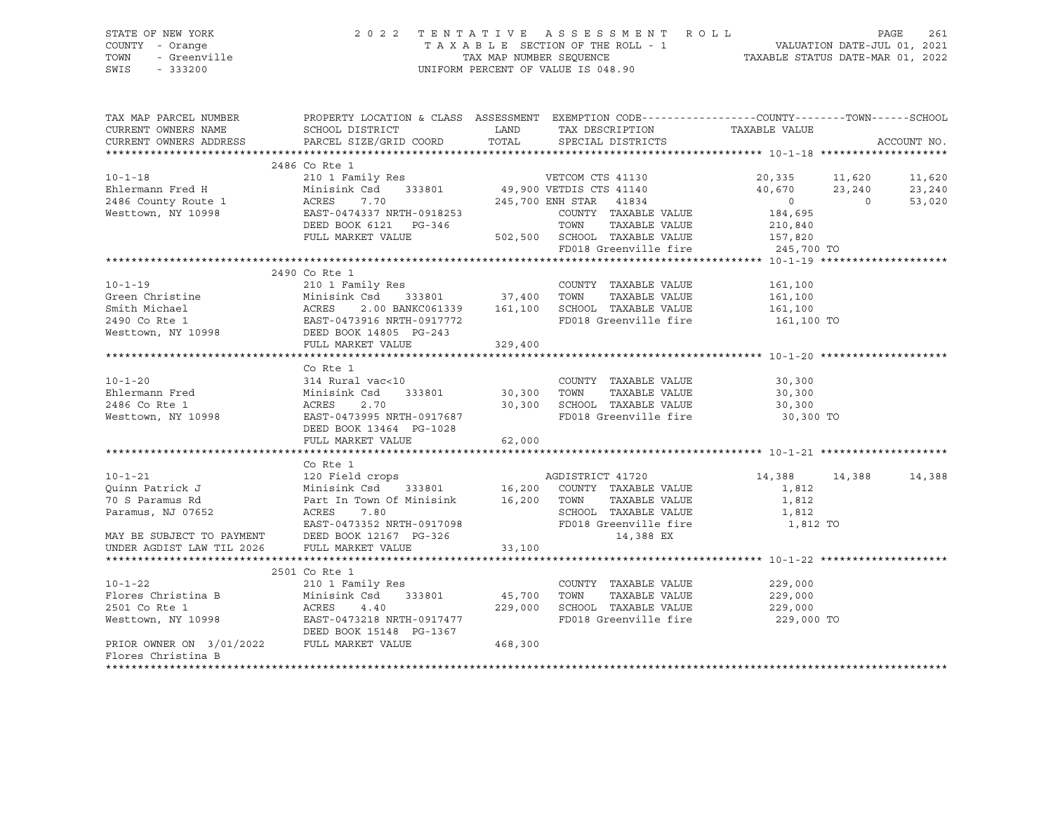### STATE OF NEW YORK 2 0 2 2 T E N T A T I V E A S S E S S M E N T R O L L PAGE 261 COUNTY - Orange T A X A B L E SECTION OF THE ROLL - 1 VALUATION DATE-JUL 01, 2021 TOWN - Greenville TAX MAP NUMBER SEQUENCE TAXABLE STATUS DATE-MAR 01, 2022 SWIS - 333200 UNIFORM PERCENT OF VALUE IS 048.90

| TAX MAP PARCEL NUMBER                                                                                                                                                                                                                                                                                                                                                                                                                                                               | PROPERTY LOCATION & CLASS ASSESSMENT EXEMPTION CODE---------------COUNTY-------TOWN------SCHOOL |        |                                  |                       |                                                          |
|-------------------------------------------------------------------------------------------------------------------------------------------------------------------------------------------------------------------------------------------------------------------------------------------------------------------------------------------------------------------------------------------------------------------------------------------------------------------------------------|-------------------------------------------------------------------------------------------------|--------|----------------------------------|-----------------------|----------------------------------------------------------|
| CURRENT OWNERS NAME                                                                                                                                                                                                                                                                                                                                                                                                                                                                 | SCHOOL DISTRICT                                                                                 |        | LAND TAX DESCRIPTION             | TAXABLE VALUE         |                                                          |
| CURRENT OWNERS ADDRESS                                                                                                                                                                                                                                                                                                                                                                                                                                                              | PARCEL SIZE/GRID COORD TOTAL SPECIAL DISTRICTS                                                  |        |                                  |                       | ACCOUNT NO.                                              |
|                                                                                                                                                                                                                                                                                                                                                                                                                                                                                     |                                                                                                 |        |                                  |                       |                                                          |
|                                                                                                                                                                                                                                                                                                                                                                                                                                                                                     | 2486 Co Rte 1                                                                                   |        |                                  |                       |                                                          |
|                                                                                                                                                                                                                                                                                                                                                                                                                                                                                     |                                                                                                 |        |                                  |                       | $20,335$ $11,620$ $11,620$<br>$40,670$ $23,240$ $23,240$ |
|                                                                                                                                                                                                                                                                                                                                                                                                                                                                                     |                                                                                                 |        |                                  |                       |                                                          |
| 2486 County Route 1 2486 County Route 1 2486 County Route 1 2486 County Route 1 2486 County Route 1 2486 County Route 1 2486 COUNTY TAXABLE VALUE                                                                                                                                                                                                                                                                                                                                   |                                                                                                 |        |                                  | $\overline{0}$        | $\overline{0}$<br>53,020                                 |
|                                                                                                                                                                                                                                                                                                                                                                                                                                                                                     |                                                                                                 |        |                                  | 184,695               |                                                          |
|                                                                                                                                                                                                                                                                                                                                                                                                                                                                                     |                                                                                                 |        |                                  | TAXABLE VALUE 210,840 |                                                          |
|                                                                                                                                                                                                                                                                                                                                                                                                                                                                                     | FULL MARKET VALUE 502,500 SCHOOL TAXABLE VALUE 157,820<br>FD018 Greenville fire 245,700 TO      |        |                                  |                       |                                                          |
|                                                                                                                                                                                                                                                                                                                                                                                                                                                                                     |                                                                                                 |        |                                  |                       |                                                          |
| $\begin{tabular}{lllllllllll} $\text{\sc l}=1$ & $\text{\sc l}=1$ & $\text{\sc l}=1$ & $\text{\sc l}=1$ & $\text{\sc l}=1$ & $\text{\sc l}=1$ & $\text{\sc l}=1$ & $\text{\sc l}=1$ & $\text{\sc l}=1$ & $\text{\sc l}=1$ & $\text{\sc l}=1$ & $\text{\sc l}=1$ & $\text{\sc l}=1$ & $\text{\sc l}=1$ & $\text{\sc l}=1$ & $\text{\sc l}=1$ & $\text{\sc l}=1$ & $\text{\sc l}=1$ & $\text{\sc l}=1$ & $\text{\sc l}=1$ & $\text{\sc l}=1$ & $\text{\sc l}=1$ & $\text{\sc l}=1$ &$ |                                                                                                 |        |                                  |                       |                                                          |
|                                                                                                                                                                                                                                                                                                                                                                                                                                                                                     |                                                                                                 |        |                                  |                       |                                                          |
|                                                                                                                                                                                                                                                                                                                                                                                                                                                                                     |                                                                                                 |        |                                  |                       |                                                          |
|                                                                                                                                                                                                                                                                                                                                                                                                                                                                                     |                                                                                                 |        |                                  |                       |                                                          |
|                                                                                                                                                                                                                                                                                                                                                                                                                                                                                     |                                                                                                 |        |                                  |                       |                                                          |
|                                                                                                                                                                                                                                                                                                                                                                                                                                                                                     |                                                                                                 |        | FD018 Greenville fire 161,100 TO |                       |                                                          |
|                                                                                                                                                                                                                                                                                                                                                                                                                                                                                     |                                                                                                 |        |                                  |                       |                                                          |
|                                                                                                                                                                                                                                                                                                                                                                                                                                                                                     |                                                                                                 |        |                                  |                       |                                                          |
|                                                                                                                                                                                                                                                                                                                                                                                                                                                                                     |                                                                                                 |        |                                  |                       |                                                          |
| 10-1-20<br>Ehlermann Fred Minisink Csd 333801 COUNTY TAXABLE VALUE<br>2486 Co Rte 1 ACRES 2.70 30,300 SCHOOL TAXABLE VALUE 30,300<br>Westtown, NY 10998 EAST-0473995 NRTH-0917687 FD018 Greenville fire 30,300 TO<br>DEED BOOK 13464 P                                                                                                                                                                                                                                              |                                                                                                 |        |                                  |                       |                                                          |
|                                                                                                                                                                                                                                                                                                                                                                                                                                                                                     |                                                                                                 |        |                                  |                       |                                                          |
|                                                                                                                                                                                                                                                                                                                                                                                                                                                                                     |                                                                                                 |        |                                  |                       |                                                          |
|                                                                                                                                                                                                                                                                                                                                                                                                                                                                                     |                                                                                                 |        |                                  |                       |                                                          |
|                                                                                                                                                                                                                                                                                                                                                                                                                                                                                     |                                                                                                 |        |                                  |                       |                                                          |
|                                                                                                                                                                                                                                                                                                                                                                                                                                                                                     |                                                                                                 |        |                                  |                       |                                                          |
|                                                                                                                                                                                                                                                                                                                                                                                                                                                                                     | FULL MARKET VALUE                                                                               | 62,000 |                                  |                       |                                                          |
|                                                                                                                                                                                                                                                                                                                                                                                                                                                                                     |                                                                                                 |        |                                  |                       |                                                          |
| 10-1-21<br>20 Field crops<br>20 Field crops<br>20 Field crops<br>20 Field crops<br>20 Minisink Csd<br>333801<br>20 Field 333801<br>20 Field Crops<br>20 16,200 COUNTY TAXABLE VALUE<br>20 TOWN TAXABLE VALUE<br>20 Paramus, NJ 07652<br>20 ACRES<br>2.80                                                                                                                                                                                                                            |                                                                                                 |        |                                  |                       |                                                          |
|                                                                                                                                                                                                                                                                                                                                                                                                                                                                                     |                                                                                                 |        |                                  | 14,388 14,388         | 14,388                                                   |
|                                                                                                                                                                                                                                                                                                                                                                                                                                                                                     |                                                                                                 |        |                                  | 1,812                 |                                                          |
|                                                                                                                                                                                                                                                                                                                                                                                                                                                                                     |                                                                                                 |        |                                  | 1,812                 |                                                          |
|                                                                                                                                                                                                                                                                                                                                                                                                                                                                                     |                                                                                                 |        | SCHOOL TAXABLE VALUE 1,812       |                       |                                                          |
|                                                                                                                                                                                                                                                                                                                                                                                                                                                                                     |                                                                                                 |        |                                  |                       |                                                          |
| MAY BE SUBJECT TO PAYMENT DEED BOOK 12167 PG-326                                                                                                                                                                                                                                                                                                                                                                                                                                    | EAST-0473352 NRTH-0917098 FD018 Greenville fire 1,812 TO<br>DEED BOOK 12167 PG-326 14,388 EX    |        |                                  |                       |                                                          |
| UNDER AGDIST LAW TIL 2026                                                                                                                                                                                                                                                                                                                                                                                                                                                           |                                                                                                 |        |                                  |                       |                                                          |
|                                                                                                                                                                                                                                                                                                                                                                                                                                                                                     | FULL MARKET VALUE 33,100                                                                        |        |                                  |                       |                                                          |
|                                                                                                                                                                                                                                                                                                                                                                                                                                                                                     |                                                                                                 |        |                                  |                       |                                                          |
|                                                                                                                                                                                                                                                                                                                                                                                                                                                                                     | 2501 Co Rte 1                                                                                   |        |                                  |                       |                                                          |
|                                                                                                                                                                                                                                                                                                                                                                                                                                                                                     |                                                                                                 |        | COUNTY TAXABLE VALUE             | 229,000<br>229,000    |                                                          |
| 10-1-22<br>Plores Christina B<br>2001 Commissink Csd 333801<br>2501 Commission and 229,000 SCHOOL<br>279,000 SCHOOL<br>229,000 SCHOOL<br>229,000 SCHOOL<br>229,000 SCHOOL<br>229,000 SCHOOL<br>229,000 SCHOOL<br>229,000 SCHOOL<br>229,000 SCHOOL<br>2                                                                                                                                                                                                                              |                                                                                                 |        | TAXABLE VALUE                    |                       |                                                          |
|                                                                                                                                                                                                                                                                                                                                                                                                                                                                                     |                                                                                                 |        |                                  |                       |                                                          |
|                                                                                                                                                                                                                                                                                                                                                                                                                                                                                     |                                                                                                 |        | FD018 Greenville fire            | 229,000 TO            |                                                          |
|                                                                                                                                                                                                                                                                                                                                                                                                                                                                                     |                                                                                                 |        |                                  |                       |                                                          |
| PRIOR OWNER ON $3/01/2022$ FULL MARKET VALUE 468,300                                                                                                                                                                                                                                                                                                                                                                                                                                |                                                                                                 |        |                                  |                       |                                                          |
| Flores Christina B                                                                                                                                                                                                                                                                                                                                                                                                                                                                  |                                                                                                 |        |                                  |                       |                                                          |
|                                                                                                                                                                                                                                                                                                                                                                                                                                                                                     |                                                                                                 |        |                                  |                       |                                                          |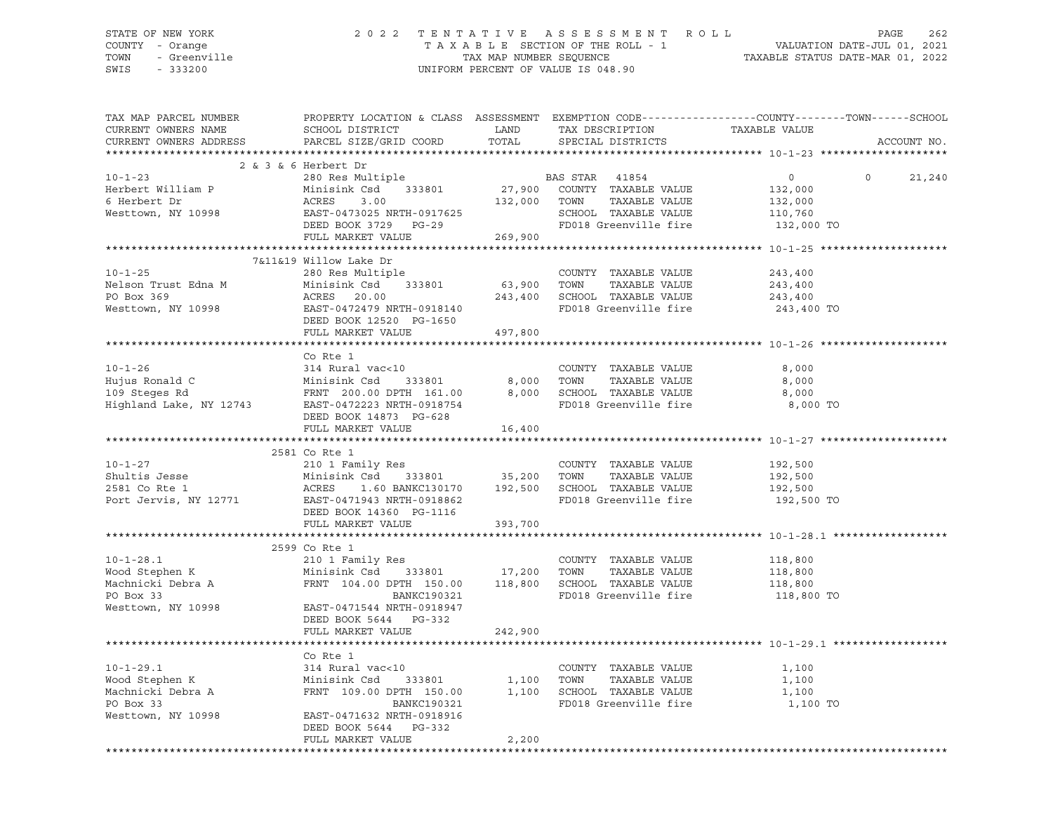#### STATE OF NEW YORK 2 0 2 2 T E N T A T I V E A S S E S S M E N T R O L L PAGE 262 COUNTY - Orange T A X A B L E SECTION OF THE ROLL - 1 VALUATION DATE-JUL 01, 2021 TOWN - Greenville TAX MAP NUMBER SEQUENCE TAX THE TAXABLE STATUS DATE-MAR 01, 2022<br>TOWN - Greenville TAX MAP NUMBER SEQUENCE TAXABLE STATUS DATE-MAR 01, 2022<br>SWIS - 333200 UNIFORM PERCENT OF VALUE IS 048.90

| TAX MAP PARCEL NUMBER<br>CURRENT OWNERS NAME | PROPERTY LOCATION & CLASS ASSESSMENT EXEMPTION CODE----------------COUNTY-------TOWN-----SCHOOL<br>SCHOOL DISTRICT                            | LAND         | TAX DESCRIPTION                                   | TAXABLE VALUE |                    |
|----------------------------------------------|-----------------------------------------------------------------------------------------------------------------------------------------------|--------------|---------------------------------------------------|---------------|--------------------|
| CURRENT OWNERS ADDRESS                       | PARCEL SIZE/GRID COORD                                                                                                                        | TOTAL        | SPECIAL DISTRICTS                                 |               | ACCOUNT NO.        |
|                                              |                                                                                                                                               |              |                                                   |               |                    |
|                                              | 2 & 3 & 6 Herbert Dr                                                                                                                          |              |                                                   |               |                    |
| $10 - 1 - 23$                                | 280 Res Multiple                                                                                                                              |              | BAS STAR 41854                                    | $\circ$       | $\Omega$<br>21,240 |
| Herbert William P                            | Minisink Csd 333801                                                                                                                           |              | 27,900 COUNTY TAXABLE VALUE                       | 132,000       |                    |
| 6 Herbert Dr                                 | ACRES<br>3.00                                                                                                                                 | 132,000 TOWN | TAXABLE VALUE                                     | 132,000       |                    |
| Westtown, NY 10998                           | EAST-0473025 NRTH-0917625                                                                                                                     |              | SCHOOL TAXABLE VALUE                              | 110,760       |                    |
|                                              | DEED BOOK 3729 PG-29                                                                                                                          |              | FD018 Greenville fire                             | 132,000 TO    |                    |
|                                              | FULL MARKET VALUE                                                                                                                             | 269,900      |                                                   |               |                    |
|                                              |                                                                                                                                               |              |                                                   |               |                    |
|                                              | 7&11&19 Willow Lake Dr                                                                                                                        |              |                                                   |               |                    |
| $10 - 1 - 25$                                | 280 Res Multiple                                                                                                                              |              | COUNTY TAXABLE VALUE                              | 243,400       |                    |
| Nelson Trust Edna M                          |                                                                                                                                               | 63,900 TOWN  | TAXABLE VALUE                                     | 243,400       |                    |
| PO Box 369                                   | Minisink Csd 333801<br>ACRES 20.00<br>EAST-0472479 NRTH-0918140                                                                               |              | 243,400 SCHOOL TAXABLE VALUE                      |               |                    |
|                                              |                                                                                                                                               |              | FD018 Greenville fire                             | 243,400       |                    |
| Westtown, NY 10998                           |                                                                                                                                               |              |                                                   | 243,400 TO    |                    |
|                                              | DEED BOOK 12520 PG-1650                                                                                                                       |              |                                                   |               |                    |
|                                              | FULL MARKET VALUE                                                                                                                             | 497,800      |                                                   |               |                    |
|                                              |                                                                                                                                               |              |                                                   |               |                    |
|                                              | Co Rte 1                                                                                                                                      |              |                                                   |               |                    |
|                                              |                                                                                                                                               |              | COUNTY TAXABLE VALUE                              | 8,000         |                    |
|                                              |                                                                                                                                               | 8,000        | TOWN<br>TAXABLE VALUE                             | 8,000         |                    |
|                                              |                                                                                                                                               | 8,000        | SCHOOL TAXABLE VALUE                              | 8,000         |                    |
|                                              |                                                                                                                                               |              | FD018 Greenville fire                             | 8,000 TO      |                    |
|                                              | DEED BOOK 14873 PG-628                                                                                                                        |              |                                                   |               |                    |
|                                              | FULL MARKET VALUE                                                                                                                             | 16,400       |                                                   |               |                    |
|                                              |                                                                                                                                               |              |                                                   |               |                    |
|                                              | 2581 Co Rte 1                                                                                                                                 |              |                                                   |               |                    |
| $10 - 1 - 27$                                | 210 1 Family Res                                                                                                                              |              | COUNTY TAXABLE VALUE                              | 192,500       |                    |
| Shultis Jesse                                | Minisink Csd 333801 35,200 TOWN                                                                                                               |              | TAXABLE VALUE                                     | 192,500       |                    |
| 2581 Co Rte 1<br>Port Jervis, NY 12771       | Minisink Csd 333801<br>ACRES 1.60 BANKC130170<br>EAST-0471943 NRTH-0918862                                                                    |              | 1.60 BANKC130170   192,500   SCHOOL TAXABLE VALUE | 192,500       |                    |
|                                              |                                                                                                                                               |              | FD018 Greenville fire                             | 192,500 TO    |                    |
|                                              | DEED BOOK 14360 PG-1116                                                                                                                       |              |                                                   |               |                    |
|                                              | FULL MARKET VALUE                                                                                                                             | 393,700      |                                                   |               |                    |
|                                              |                                                                                                                                               |              |                                                   |               |                    |
|                                              | 2599 Co Rte 1                                                                                                                                 |              |                                                   |               |                    |
| $10 - 1 - 28.1$                              | 210 1 Family Res                                                                                                                              |              | COUNTY TAXABLE VALUE                              | 118,800       |                    |
|                                              |                                                                                                                                               |              |                                                   | 118,800       |                    |
|                                              | Wood Stephen K Minisink Csa 333801 (118,800 SCHOOL TAXABLE VALUE Machnicki Debra A FRNT 104.00 DPTH 150.00 118,800 SCHOOL TAXABLE VALUE       |              |                                                   | 118,800       |                    |
|                                              |                                                                                                                                               |              |                                                   | 118,800 TO    |                    |
|                                              | Westtown, NY 10998 EAST-0471544 NRTH-0918947                                                                                                  |              |                                                   |               |                    |
|                                              | DEED BOOK 5644 PG-332                                                                                                                         |              |                                                   |               |                    |
|                                              | FULL MARKET VALUE                                                                                                                             | 242,900      |                                                   |               |                    |
|                                              |                                                                                                                                               |              |                                                   |               |                    |
|                                              | Co Rte 1                                                                                                                                      |              |                                                   |               |                    |
| $10 - 1 - 29.1$                              | 314 Rural vac<10                                                                                                                              |              | COUNTY TAXABLE VALUE                              | 1,100         |                    |
|                                              | Wood Stephen K Minisink Csd 333801<br>Machnicki Debra A FRNT 109.00 DPTH 150.00<br>PO Box 33 BANKC190321<br>333801 1,100<br>DPTH 150.00 1,100 |              | TAXABLE VALUE<br>TOWN                             | 1,100         |                    |
|                                              |                                                                                                                                               |              | SCHOOL TAXABLE VALUE                              | 1,100         |                    |
|                                              | BANKC190321                                                                                                                                   |              | FD018 Greenville fire                             | 1,100 TO      |                    |
| Westtown, NY 10998                           | EAST-0471632 NRTH-0918916                                                                                                                     |              |                                                   |               |                    |
|                                              | DEED BOOK 5644<br>PG-332                                                                                                                      |              |                                                   |               |                    |
|                                              | FULL MARKET VALUE                                                                                                                             | 2,200        |                                                   |               |                    |
|                                              |                                                                                                                                               |              |                                                   |               |                    |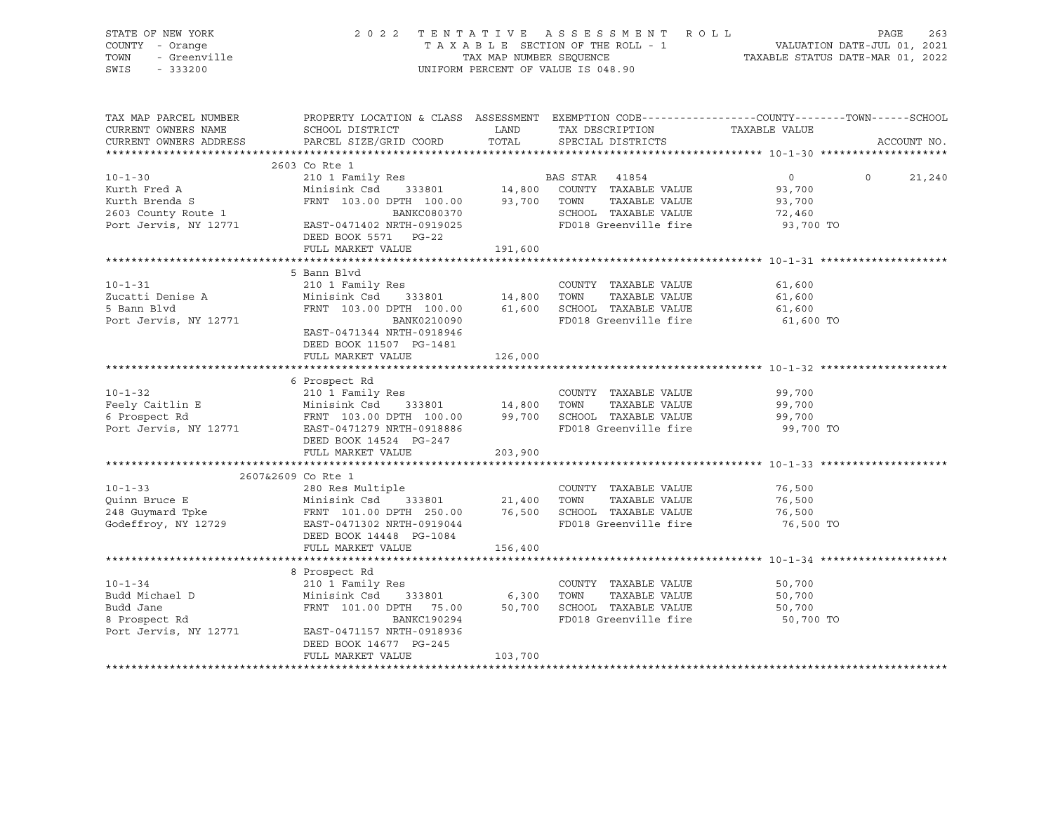| STATE OF NEW YORK<br>COUNTY - Orange<br>I - Orange<br>- Greenville<br>- יוחלי<br>TOWN<br>SWIS |                                                                                                                                                                                                                                                                                                                                                                                                                                                                                                                                                                                             |         | 2022 TENTATIVE ASSESSMENT ROLL<br>UNIFORM PERCENT OF VALUE IS 048.90 | T A X A B L E SECTION OF THE ROLL - 1 VALUATION DATE-JUL 01, 2021<br>TAX MAP NUMBER SEQUENCE TAXABLE STATUS DATE-MAR 01, 2022 | 263<br>PAGE                 |
|-----------------------------------------------------------------------------------------------|---------------------------------------------------------------------------------------------------------------------------------------------------------------------------------------------------------------------------------------------------------------------------------------------------------------------------------------------------------------------------------------------------------------------------------------------------------------------------------------------------------------------------------------------------------------------------------------------|---------|----------------------------------------------------------------------|-------------------------------------------------------------------------------------------------------------------------------|-----------------------------|
| TAX MAP PARCEL NUMBER<br>CURRENT OWNERS NAME                                                  | PROPERTY LOCATION & CLASS ASSESSMENT EXEMPTION CODE-----------------COUNTY-------TOWN------SCHOOL<br>SCHOOL DISTRICT                       LAND        TAX DESCRIPTION                  TAXABLE VALUE<br>$\verb CURRENT ~OWNERS ~\verb ADDRESS ~ \verb PARCEL ~\verb SIZE/GRID ~ \verb COORD ~ \verb TOTAL ~ \verb CORD ~ \verb CORD ~ \verb CORD ~ \verb CORD ~ \verb CORD ~ \verb CORD ~ \verb CARL ~ \verb CARL ~ \verb CARL ~ \verb CARL ~ \verb CARL ~ \verb CARL ~ \verb CARL ~ \verb CARL ~ \verb CARL ~ \verb CARL ~ \verb CARL ~ \verb CARL ~ \verb CARL ~ \verb CARL ~ \verb CAR$ |         | SPECIAL DISTRICTS                                                    |                                                                                                                               | ACCOUNT NO.                 |
|                                                                                               |                                                                                                                                                                                                                                                                                                                                                                                                                                                                                                                                                                                             |         |                                                                      |                                                                                                                               |                             |
| 10-1-30<br>Kurth Fred A<br>Kurth Brenda S<br>2603 County Route 1<br>Port Jervis, NY 12771     | 2603 Co Rte 1<br>310 1 Family Res<br>210 1 Family Res<br>Minisink Csd 333801<br>FRNT 103.00 DPTH 100.00 93,700 TOWN TAXABLE VALUE<br>21 PRNT 103.00 DANKC080370<br>22 2000 PARABLE VALUE<br>2000 PARABLE VALUE<br>2000 PARABLE VALUE<br>2000 PARABLE VALUE<br>0، دەھەلىسىم<br>25019025 - EAST-0471402<br>DEED BOOK 5571 PG-22                                                                                                                                                                                                                                                               |         | SCHOOL TAXABLE VALUE<br>FD018 Greenville fire                        | $\overline{0}$<br>93,700<br>93,700<br>72,460<br>93,700 TO                                                                     | $0 \qquad \qquad$<br>21,240 |
|                                                                                               | FULL MARKET VALUE                                                                                                                                                                                                                                                                                                                                                                                                                                                                                                                                                                           | 191,600 |                                                                      |                                                                                                                               |                             |
| $10 - 1 - 31$<br>Zucatti Denise A<br>5 Bann Blvd<br>5 Bann Blvd<br>Port Jervis, NY 12771      | 5 Bann Blvd<br>210 1 Family Res<br>BANK0210090<br>EAST-0471344 NRTH-0918946<br>DEED BOOK 11507 PG-1481<br>FULL MARKET VALUE                                                                                                                                                                                                                                                                                                                                                                                                                                                                 | 126,000 | COUNTY TAXABLE VALUE<br>FD018 Greenville fire                        | 61,600<br>61,600<br>61,600<br>61,600 TO                                                                                       |                             |
|                                                                                               |                                                                                                                                                                                                                                                                                                                                                                                                                                                                                                                                                                                             |         |                                                                      |                                                                                                                               |                             |
|                                                                                               | 6 Prospect Rd<br>10-1-32<br>Feely Caitlin E 210 1 Family Res<br>6 Prospect Rd FRNT 103.00 DPTH 100.00 99,700 SCHOOL TAXABLE VALUE<br>FOOT JETY OF THE 2018 STATE OF THE 2018 Greenville fire<br>Port Jervis, NY 12771 EAST-0471279 NRTH-09186 FD018 Gre<br>DEED BOOK 14524 PG-247                                                                                                                                                                                                                                                                                                           |         | COUNTY TAXABLE VALUE 99,700                                          | 99,700<br>99,700<br>99,700 TO                                                                                                 |                             |
|                                                                                               | FULL MARKET VALUE                                                                                                                                                                                                                                                                                                                                                                                                                                                                                                                                                                           | 203,900 |                                                                      |                                                                                                                               |                             |
|                                                                                               | 2607&2609 Co Rte 1<br>10-1-33<br>Quinn Bruce E<br>248 Guymard Tpke Minisink Csd 333801<br>248 Guymard Tpke FRNT 101.00 DPTH 250.00 76,500 SCHOOL TAXABLE VALUE<br>348 Guymard Tpke FRNT 101.00 DPTH 250.00 76,500 SCHOOL TAXABLE VALUE<br>35801 21,400 TOWN 25<br>DEED BOOK 14448 PG-1084<br>FULL MARKET VALUE                                                                                                                                                                                                                                                                              | 156,400 | COUNTY TAXABLE VALUE                                                 | 76,500<br>76,500<br>76,500<br>76,500 TO                                                                                       |                             |
|                                                                                               |                                                                                                                                                                                                                                                                                                                                                                                                                                                                                                                                                                                             |         |                                                                      |                                                                                                                               |                             |
|                                                                                               | 8 Prospect Rd<br>10-1-34 210 1 Family Res<br>Budd Michael D Minisink Csd 333801 6,300 TOWN TAXABLE VALUE<br>Budd Jane FRNT 101.00 DPTH 75.00 50,700 SCHOOL TAXABLE VALUE<br>8 Prospect Rd BANKC190294 ED018 CHOOL TAXABLE VALUE<br>Port Jervis, NY 12771 EAST-0471157 NRTH-0918936<br>DEED BOOK 14677 PG-245<br>FULL MARKET VALUE                                                                                                                                                                                                                                                           | 103,700 | COUNTY TAXABLE VALUE 50,700                                          | 50,700<br>50,700<br>50,700 TO                                                                                                 |                             |
|                                                                                               |                                                                                                                                                                                                                                                                                                                                                                                                                                                                                                                                                                                             |         |                                                                      |                                                                                                                               |                             |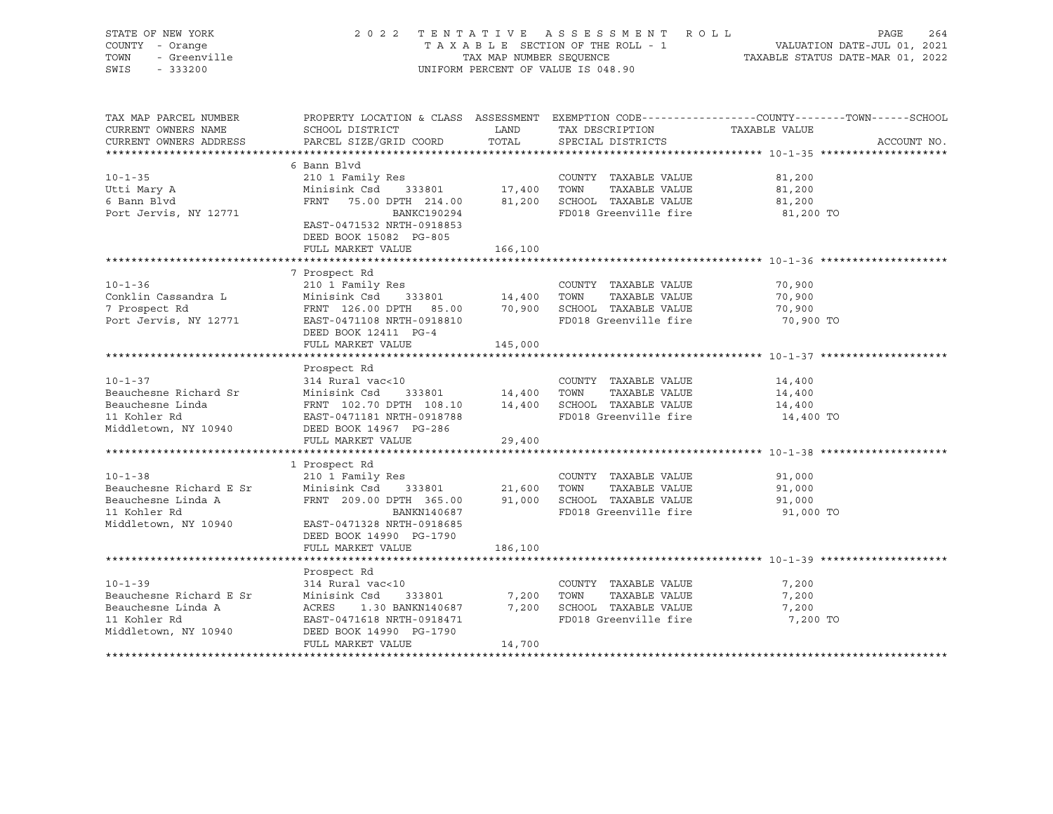| STATE OF NEW YORK<br>COUNTY - Orange<br>TOWN<br>- Greenville<br>SWIS<br>$-333200$                      |                                                                                                                                                                                                | TAX MAP NUMBER SEQUENCE          | 2022 TENTATIVE ASSESSMENT ROLL<br>TAXABLE SECTION OF THE ROLL - 1<br>UNIFORM PERCENT OF VALUE IS 048.90 | PAGE<br>1 VALUATION DATE-JUL 01, 2021<br>TAXABLE STATUS DATE-MAR 01, 2022                                       | 264         |
|--------------------------------------------------------------------------------------------------------|------------------------------------------------------------------------------------------------------------------------------------------------------------------------------------------------|----------------------------------|---------------------------------------------------------------------------------------------------------|-----------------------------------------------------------------------------------------------------------------|-------------|
| TAX MAP PARCEL NUMBER<br>CURRENT OWNERS NAME                                                           | SCHOOL DISTRICT                                                                                                                                                                                | LAND                             | TAX DESCRIPTION                                                                                         | PROPERTY LOCATION & CLASS ASSESSMENT EXEMPTION CODE---------------COUNTY-------TOWN-----SCHOOL<br>TAXABLE VALUE |             |
| CURRENT OWNERS ADDRESS                                                                                 | PARCEL SIZE/GRID COORD                                                                                                                                                                         | TOTAL                            | SPECIAL DISTRICTS                                                                                       |                                                                                                                 | ACCOUNT NO. |
|                                                                                                        | 6 Bann Blyd                                                                                                                                                                                    |                                  |                                                                                                         |                                                                                                                 |             |
| $10 - 1 - 35$<br>Utti Mary A<br>6 Bann Blvd<br>Port Jervis, NY 12771                                   | 210 1 Family Res<br>Minisink Csd 333801 17,400 TOWN<br>FRNT 75.00 DPTH 214.00 81,200 SCHOOL TAXABLE VALUE<br>BANKC190294                                                                       |                                  | COUNTY TAXABLE VALUE<br>TAXABLE VALUE<br>FD018 Greenville fire                                          | 81,200<br>81,200<br>81,200<br>81,200 TO                                                                         |             |
|                                                                                                        | EAST-0471532 NRTH-0918853<br>DEED BOOK 15082 PG-805<br>FULL MARKET VALUE                                                                                                                       | 166,100                          |                                                                                                         |                                                                                                                 |             |
|                                                                                                        |                                                                                                                                                                                                |                                  |                                                                                                         |                                                                                                                 |             |
| $10 - 1 - 36$<br>Conklin Cassandra L<br>7 Prospect Rd<br>Port Jervis, NY 12771                         | 7 Prospect Rd<br>210 1 Family Res<br>Minisink Csd 333801<br>FRNT 126.00 DPTH 85.00 70,900 SCHOOL TAXABLE VALUE<br>EAST-0471108 NRTH-0918810<br>DEED BOOK 12411 PG-4<br>FULL MARKET VALUE       | LUUNII<br>14,400 TOWN<br>145,000 | COUNTY TAXABLE VALUE<br>TAXABLE VALUE<br>FD018 Greenville fire                                          | 70,900<br>70,900<br>70,900<br>70,900 TO                                                                         |             |
|                                                                                                        |                                                                                                                                                                                                |                                  |                                                                                                         |                                                                                                                 |             |
| $10 - 1 - 37$<br>Beauchesne Richard Sr<br>Beauchesne Linda<br>11 Kohler Rd<br>Middletown, NY 10940     | Prospect Rd<br>314 Rural vac<10<br>Minisink Csd 333801 14,400 TOWN TAXABLE VALUE<br>FRNT 102.70 DPTH 108.10 14,400 SCHOOL TAXABLE VALUE<br>EAST-0471181 NRTH-0918788<br>DEED BOOK 14967 PG-286 |                                  | COUNTY TAXABLE VALUE<br>FD018 Greenville fire                                                           | 14,400<br>14,400<br>14,400<br>14,400 TO                                                                         |             |
|                                                                                                        | FULL MARKET VALUE                                                                                                                                                                              | 29,400                           |                                                                                                         |                                                                                                                 |             |
| $10 - 1 - 38$<br>Beauchesne Richard E Sr<br>Beauchesne Linda A<br>11 Kohler Rd<br>Middletown, NY 10940 | 1 Prospect Rd<br>210 1 Family Res<br>Minisink Csd<br>BANKN140687<br>EAST-0471328 NRTH-0918685<br>DEED BOOK 14990 PG-1790                                                                       |                                  | COUNTY TAXABLE VALUE<br>FD018 Greenville fire                                                           | 91,000<br>91,000<br>91,000<br>91,000 TO                                                                         |             |
|                                                                                                        | FULL MARKET VALUE                                                                                                                                                                              | 186,100                          |                                                                                                         |                                                                                                                 |             |
|                                                                                                        |                                                                                                                                                                                                |                                  |                                                                                                         |                                                                                                                 |             |
| 10-1-39<br>Beauchesne Richard E Sr<br>Beauchesne Linda A<br>11 Kohler Rd<br>Middletown, NY 10940       | Prospect Rd<br>314 Rural vac<10<br>Minisink Csd<br>333801<br>ACRES<br>1.30 BANKN140687<br>EAST-0471618 NRTH-0918471<br>DEED BOOK 14990 PG-1790<br>FULL MARKET VALUE                            | 14,700                           | COUNTY TAXABLE VALUE<br>7,200 TOWN TAXABLE VALUE<br>7,200 SCHOOL TAXABLE VALUE<br>FD018 Greenville fire | 7,200<br>7,200<br>7,200<br>7,200 TO                                                                             |             |
|                                                                                                        |                                                                                                                                                                                                |                                  |                                                                                                         |                                                                                                                 |             |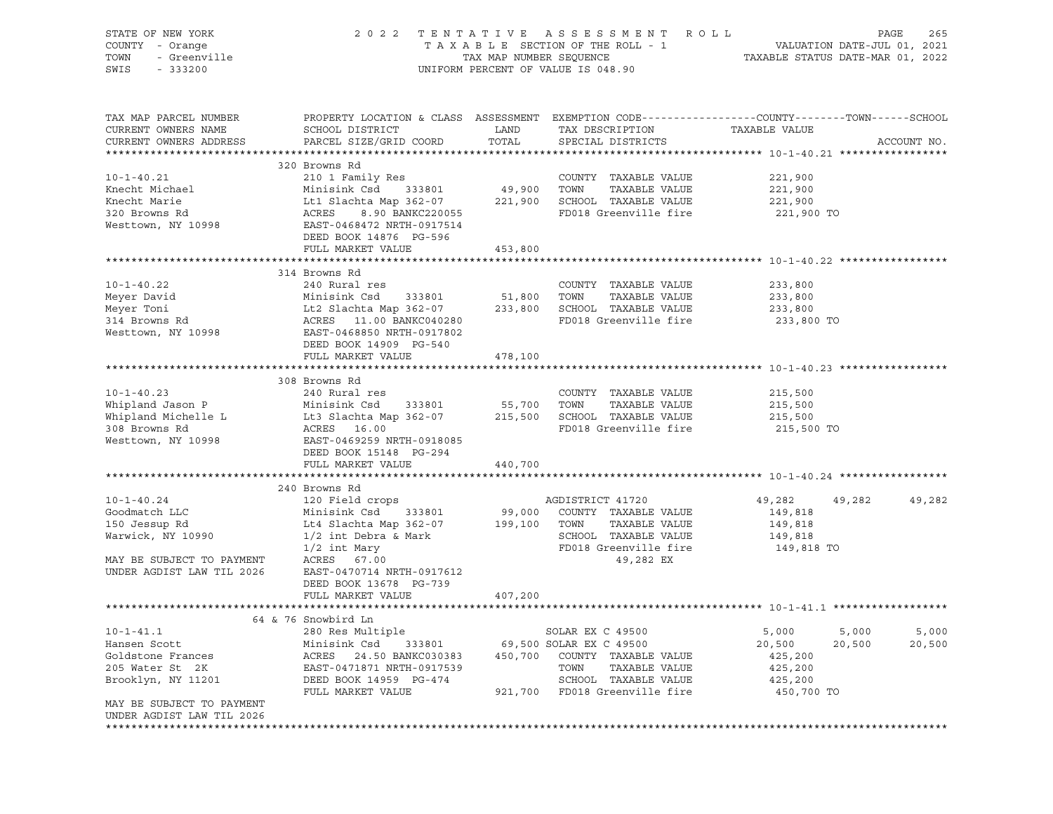| STATE OF NEW YORK<br>COUNTY - Orange<br>- Greenville<br>TOWN<br>SWIS<br>$-333200$ |                                                                                                                                               | TAX MAP NUMBER SEQUENCE | 2022 TENTATIVE ASSESSMENT ROLL<br>TAXABLE SECTION OF THE ROLL - 1<br>UNIFORM PERCENT OF VALUE IS 048.90 |                    | PAGE<br>265<br>VALUATION DATE-JUL 01, 2021<br>TAXABLE STATUS DATE-MAR 01, 2022 |
|-----------------------------------------------------------------------------------|-----------------------------------------------------------------------------------------------------------------------------------------------|-------------------------|---------------------------------------------------------------------------------------------------------|--------------------|--------------------------------------------------------------------------------|
| TAX MAP PARCEL NUMBER<br>CURRENT OWNERS NAME<br>CURRENT OWNERS ADDRESS            | PROPERTY LOCATION & CLASS ASSESSMENT EXEMPTION CODE----------------COUNTY-------TOWN------SCHOOL<br>SCHOOL DISTRICT<br>PARCEL SIZE/GRID COORD | LAND<br>TOTAL           | TAX DESCRIPTION<br>SPECIAL DISTRICTS                                                                    | TAXABLE VALUE      | ACCOUNT NO.                                                                    |
|                                                                                   | 320 Browns Rd                                                                                                                                 |                         |                                                                                                         |                    |                                                                                |
| $10 - 1 - 40.21$                                                                  | 210 1 Family Res                                                                                                                              |                         | COUNTY TAXABLE VALUE                                                                                    | 221,900            |                                                                                |
| Knecht Michael                                                                    | Minisink Csd<br>333801                                                                                                                        | 49,900                  | TOWN<br>TAXABLE VALUE                                                                                   | 221,900            |                                                                                |
| Knecht Marie                                                                      | Lt1 Slachta Map 362-07                                                                                                                        | 221,900                 | SCHOOL TAXABLE VALUE                                                                                    | 221,900            |                                                                                |
| 320 Browns Rd                                                                     | ACRES<br>8.90 BANKC220055                                                                                                                     |                         | FD018 Greenville fire                                                                                   | 221,900 TO         |                                                                                |
| Westtown, NY 10998                                                                | EAST-0468472 NRTH-0917514                                                                                                                     |                         |                                                                                                         |                    |                                                                                |
|                                                                                   | DEED BOOK 14876 PG-596<br>FULL MARKET VALUE                                                                                                   | 453,800                 |                                                                                                         |                    |                                                                                |
|                                                                                   |                                                                                                                                               |                         |                                                                                                         |                    |                                                                                |
|                                                                                   | 314 Browns Rd                                                                                                                                 |                         |                                                                                                         |                    |                                                                                |
| $10 - 1 - 40.22$                                                                  | 240 Rural res                                                                                                                                 |                         | COUNTY TAXABLE VALUE                                                                                    | 233,800            |                                                                                |
| Meyer David                                                                       | Minisink Csd<br>333801                                                                                                                        | 51,800                  | TOWN<br>TAXABLE VALUE                                                                                   | 233,800            |                                                                                |
| Meyer Toni                                                                        | Lt2 Slachta Map 362-07                                                                                                                        | 233,800                 | SCHOOL TAXABLE VALUE                                                                                    | 233,800            |                                                                                |
| 314 Browns Rd                                                                     | ACRES 11.00 BANKC040280                                                                                                                       |                         | FD018 Greenville fire                                                                                   | 233,800 TO         |                                                                                |
| Westtown, NY 10998                                                                | EAST-0468850 NRTH-0917802                                                                                                                     |                         |                                                                                                         |                    |                                                                                |
|                                                                                   | DEED BOOK 14909 PG-540                                                                                                                        |                         |                                                                                                         |                    |                                                                                |
|                                                                                   | FULL MARKET VALUE                                                                                                                             | 478,100                 |                                                                                                         |                    |                                                                                |
|                                                                                   |                                                                                                                                               |                         |                                                                                                         |                    |                                                                                |
| $10 - 1 - 40.23$                                                                  | 308 Browns Rd                                                                                                                                 |                         | COUNTY TAXABLE VALUE                                                                                    |                    |                                                                                |
| Whipland Jason P                                                                  | 240 Rural res<br>Minisink Csd<br>333801                                                                                                       | 55,700                  | TOWN<br>TAXABLE VALUE                                                                                   | 215,500<br>215,500 |                                                                                |
| Whipland Michelle L                                                               | Lt3 Slachta Map 362-07                                                                                                                        | 215,500                 | SCHOOL TAXABLE VALUE                                                                                    | 215,500            |                                                                                |
| 308 Browns Rd                                                                     | ACRES 16.00                                                                                                                                   |                         | FD018 Greenville fire                                                                                   | 215,500 TO         |                                                                                |
| Westtown, NY 10998                                                                | EAST-0469259 NRTH-0918085                                                                                                                     |                         |                                                                                                         |                    |                                                                                |
|                                                                                   | DEED BOOK 15148 PG-294                                                                                                                        |                         |                                                                                                         |                    |                                                                                |
|                                                                                   | FULL MARKET VALUE                                                                                                                             | 440,700                 |                                                                                                         |                    |                                                                                |
|                                                                                   |                                                                                                                                               |                         |                                                                                                         |                    |                                                                                |
|                                                                                   | 240 Browns Rd                                                                                                                                 |                         |                                                                                                         |                    |                                                                                |
| $10 - 1 - 40.24$                                                                  | 120 Field crops                                                                                                                               |                         | AGDISTRICT 41720                                                                                        | 49,282             | 49,282<br>49,282                                                               |
| Goodmatch LLC                                                                     | Minisink Csd<br>333801                                                                                                                        | 99,000                  | COUNTY TAXABLE VALUE                                                                                    | 149,818            |                                                                                |
| 150 Jessup Rd                                                                     | Lt4 Slachta Map 362-07                                                                                                                        | 199,100                 | TOWN<br>TAXABLE VALUE                                                                                   | 149,818            |                                                                                |
| Warwick, NY 10990                                                                 | 1/2 int Debra & Mark                                                                                                                          |                         | SCHOOL TAXABLE VALUE<br>FD018 Greenville fire                                                           | 149,818            |                                                                                |
| MAY BE SUBJECT TO PAYMENT                                                         | $1/2$ int Mary<br>ACRES 67.00                                                                                                                 |                         | 49,282 EX                                                                                               | 149,818 TO         |                                                                                |
| UNDER AGDIST LAW TIL 2026                                                         | EAST-0470714 NRTH-0917612                                                                                                                     |                         |                                                                                                         |                    |                                                                                |
|                                                                                   | DEED BOOK 13678 PG-739                                                                                                                        |                         |                                                                                                         |                    |                                                                                |
|                                                                                   | FULL MARKET VALUE                                                                                                                             | 407,200                 |                                                                                                         |                    |                                                                                |
|                                                                                   |                                                                                                                                               |                         |                                                                                                         |                    |                                                                                |
|                                                                                   | 64 & 76 Snowbird Ln                                                                                                                           |                         |                                                                                                         |                    |                                                                                |
| $10 - 1 - 41.1$                                                                   | 280 Res Multiple                                                                                                                              |                         | SOLAR EX C 49500                                                                                        | 5,000              | 5,000<br>5,000                                                                 |
| Hansen Scott                                                                      | Minisink Csd<br>333801                                                                                                                        |                         | 69,500 SOLAR EX C 49500                                                                                 | 20,500             | 20,500<br>20,500                                                               |
| Goldstone Frances                                                                 | ACRES<br>24.50 BANKC030383                                                                                                                    | 450,700                 | COUNTY TAXABLE VALUE                                                                                    | 425,200            |                                                                                |
| 205 Water St 2K                                                                   | EAST-0471871 NRTH-0917539                                                                                                                     |                         | TOWN<br>TAXABLE VALUE                                                                                   | 425,200            |                                                                                |
| Brooklyn, NY 11201                                                                | DEED BOOK 14959 PG-474                                                                                                                        |                         | SCHOOL TAXABLE VALUE                                                                                    | 425,200            |                                                                                |
|                                                                                   | FULL MARKET VALUE                                                                                                                             | 921,700                 | FD018 Greenville fire                                                                                   | 450,700 TO         |                                                                                |
| MAY BE SUBJECT TO PAYMENT<br>UNDER AGDIST LAW TIL 2026                            |                                                                                                                                               |                         |                                                                                                         |                    |                                                                                |
|                                                                                   |                                                                                                                                               |                         |                                                                                                         |                    |                                                                                |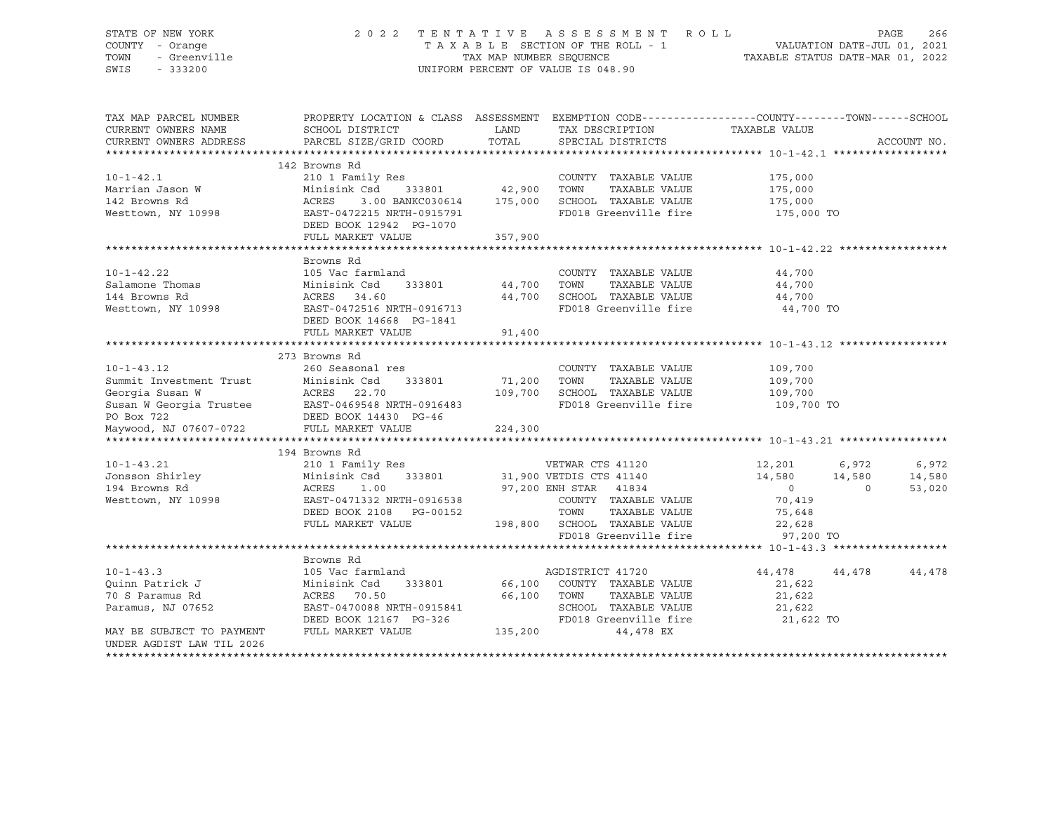## STATE OF NEW YORK 2 0 2 2 T E N T A T I V E A S S E S S M E N T R O L L PAGE 266 COUNTY - Orange T A X A B L E SECTION OF THE ROLL - 1 TOWN - Greenville TAX ON TAX MAP NUMBER SEQUENCE TAXABLE STATUS DATE-MAR 01, 2022<br>TAXABLE STATUS DATE-MAR 01, 2022 UNIFORM PERCENT OF VALUE IS 048.90

TAX MAP PARCEL NUMBER PROPERTY LOCATION & CLASS ASSESSMENT EXEMPTION CODE------------------COUNTY--------TOWN------SCHOOL CURRENT OWNERS NAME SCHOOL DISTRICT LAND TAX DESCRIPTION TAXABLE VALUE CURRENT OWNERS ADDRESS PARCEL SIZE/GRID COORD TOTAL SPECIAL DISTRICTS ACCOUNT NO. \*\*\*\*\*\*\*\*\*\*\*\*\*\*\*\*\*\*\*\*\*\*\*\*\*\*\*\*\*\*\*\*\*\*\*\*\*\*\*\*\*\*\*\*\*\*\*\*\*\*\*\*\*\*\*\*\*\*\*\*\*\*\*\*\*\*\*\*\*\*\*\*\*\*\*\*\*\*\*\*\*\*\*\*\*\*\*\*\*\*\*\*\*\*\*\*\*\*\*\*\*\*\* 10-1-42.1 \*\*\*\*\*\*\*\*\*\*\*\*\*\*\*\*\*\* 142 Browns Rd 10-1-42.1 210 1 Family Res COUNTY TAXABLE VALUE 175,000 Marrian Jason W Minisink Csd 333801 42,900 TOWN TAXABLE VALUE 175,000 142 Browns Rd ACRES 3.00 BANKC030614 175,000 SCHOOL TAXABLE VALUE 175,000 Westtown, NY 10998 **EAST-0472215 NRTH-0915791** FD018 Greenville fire 175,000 TO DEED BOOK 12942 PG-1070 FULL MARKET VALUE 357,900 \*\*\*\*\*\*\*\*\*\*\*\*\*\*\*\*\*\*\*\*\*\*\*\*\*\*\*\*\*\*\*\*\*\*\*\*\*\*\*\*\*\*\*\*\*\*\*\*\*\*\*\*\*\*\*\*\*\*\*\*\*\*\*\*\*\*\*\*\*\*\*\*\*\*\*\*\*\*\*\*\*\*\*\*\*\*\*\*\*\*\*\*\*\*\*\*\*\*\*\*\*\*\* 10-1-42.22 \*\*\*\*\*\*\*\*\*\*\*\*\*\*\*\*\* Browns Rd 10-1-42.22 105 Vac farmland COUNTY TAXABLE VALUE 44,700 Salamone Thomas Minisink Csd 333801 44,700 TOWN TAXABLE VALUE 44,700 144 Browns Rd ACRES 34.60 44,700 SCHOOL TAXABLE VALUE 44,700 Westtown, NY 10998 **EAST-0472516 NRTH-0916713** FD018 Greenville fire 44,700 TO DEED BOOK 14668 PG-1841 FULL MARKET VALUE 91,400 \*\*\*\*\*\*\*\*\*\*\*\*\*\*\*\*\*\*\*\*\*\*\*\*\*\*\*\*\*\*\*\*\*\*\*\*\*\*\*\*\*\*\*\*\*\*\*\*\*\*\*\*\*\*\*\*\*\*\*\*\*\*\*\*\*\*\*\*\*\*\*\*\*\*\*\*\*\*\*\*\*\*\*\*\*\*\*\*\*\*\*\*\*\*\*\*\*\*\*\*\*\*\* 10-1-43.12 \*\*\*\*\*\*\*\*\*\*\*\*\*\*\*\*\* 273 Browns Rd 10-1-43.12 260 Seasonal res COUNTY TAXABLE VALUE 109,700 Summit Investment Trust Minisink Csd 333801 71,200 TOWN TAXABLE VALUE 109,700 Georgia Susan W ACRES 22.70 109,700 SCHOOL TAXABLE VALUE 109,700 Susan W Georgia Trustee BAST-0469548 NRTH-0916483 FD018 Greenville fire 109,700 TO PO Box 722 DEED BOOK 14430 PG-46 Maywood, NJ 07607-0722 FULL MARKET VALUE 224,300 \*\*\*\*\*\*\*\*\*\*\*\*\*\*\*\*\*\*\*\*\*\*\*\*\*\*\*\*\*\*\*\*\*\*\*\*\*\*\*\*\*\*\*\*\*\*\*\*\*\*\*\*\*\*\*\*\*\*\*\*\*\*\*\*\*\*\*\*\*\*\*\*\*\*\*\*\*\*\*\*\*\*\*\*\*\*\*\*\*\*\*\*\*\*\*\*\*\*\*\*\*\*\* 10-1-43.21 \*\*\*\*\*\*\*\*\*\*\*\*\*\*\*\*\* 194 Browns Rd 10-1-43.21 210 1 Family Res VETWAR CTS 41120 12,201 6,972 6,972 Jonsson Shirley Minisink Csd 333801 31,900 VETDIS CTS 41140 14,580 14,580 14,580 194 Browns Rd ACRES 1.00 97,200 ENH STAR 41834 0 0 53,020 Westtown, NY 10998 EAST-0471332 NRTH-0916538 COUNTY TAXABLE VALUE 70,419 DEED BOOK 2108 PG-00152 TOWN TAXABLE VALUE 75,648 FULL MARKET VALUE 198,800 SCHOOL TAXABLE VALUE 22,628 FD018 Greenville fire 97,200 TO \*\*\*\*\*\*\*\*\*\*\*\*\*\*\*\*\*\*\*\*\*\*\*\*\*\*\*\*\*\*\*\*\*\*\*\*\*\*\*\*\*\*\*\*\*\*\*\*\*\*\*\*\*\*\*\*\*\*\*\*\*\*\*\*\*\*\*\*\*\*\*\*\*\*\*\*\*\*\*\*\*\*\*\*\*\*\*\*\*\*\*\*\*\*\*\*\*\*\*\*\*\*\* 10-1-43.3 \*\*\*\*\*\*\*\*\*\*\*\*\*\*\*\*\*\* Browns Rd 10-1-43.3 105 Vac farmland AGDISTRICT 41720 44,478 44,478 44,478 44,478<br>
105 Vac farmland AGDISTRICT 41720 44,478 44,478 44,478 44,478<br>
21,622 Quinn Patrick J Minisink Csd 333801 66,100 COUNTY TAXABLE VALUE 21,622 70 S Paramus Rd ACRES 70.50 66,100 TOWN TAXABLE VALUE 21,622 Paramus, NJ 07652 EAST-0470088 NRTH-0915841 SCHOOL TAXABLE VALUE 21,622<br>21,622 DEED BOOK 12167 PG-326 FD018 Greenville fire 21,623 DEED BOOK 12167 PG-326 FD018 Greenville fire 21,622 TO MAY BE SUBJECT TO PAYMENT FULL MARKET VALUE  $135.200$  44.478 EX UNDER AGDIST LAW TIL 2026 \*\*\*\*\*\*\*\*\*\*\*\*\*\*\*\*\*\*\*\*\*\*\*\*\*\*\*\*\*\*\*\*\*\*\*\*\*\*\*\*\*\*\*\*\*\*\*\*\*\*\*\*\*\*\*\*\*\*\*\*\*\*\*\*\*\*\*\*\*\*\*\*\*\*\*\*\*\*\*\*\*\*\*\*\*\*\*\*\*\*\*\*\*\*\*\*\*\*\*\*\*\*\*\*\*\*\*\*\*\*\*\*\*\*\*\*\*\*\*\*\*\*\*\*\*\*\*\*\*\*\*\*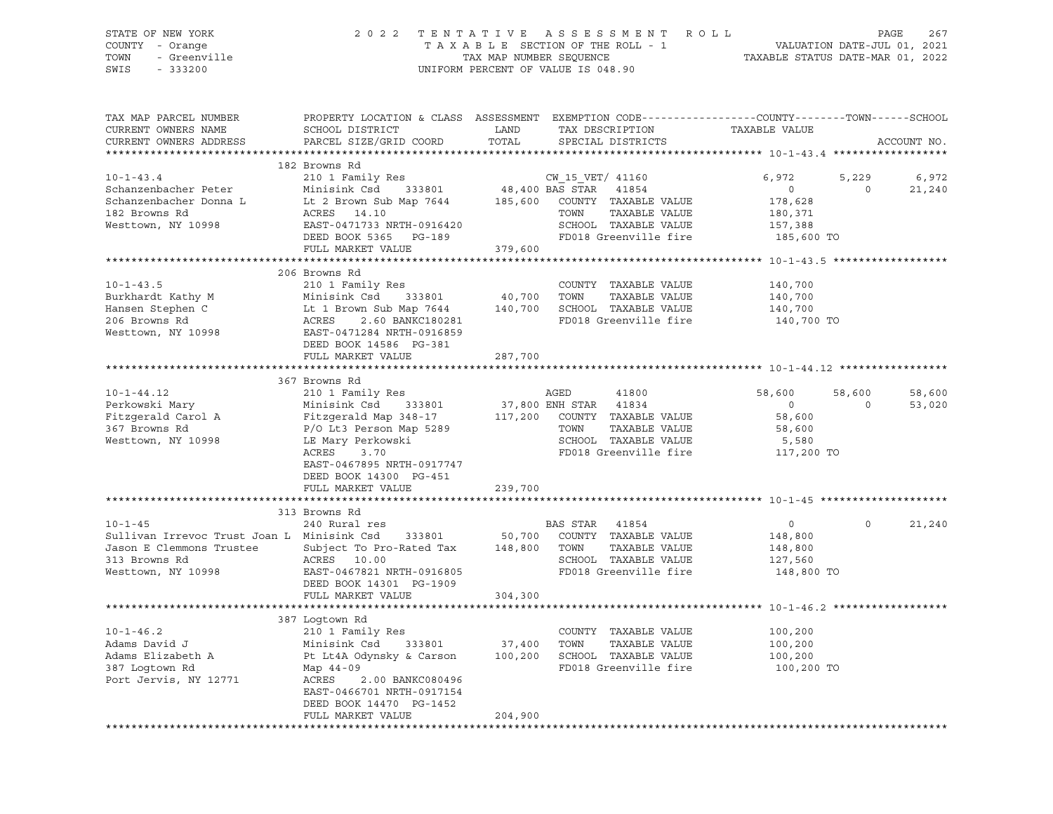STATE OF NEW YORK 2 0 2 2 T E N T A T I V E A S S E S S M E N T R O L L PAGE 267 COUNTY - Orange T A X A B L E SECTION OF THE ROLL - 1 VALUATION DATE-JUL 01, 2021 TOWN - Greenville TAX MAP NUMBER SEQUENCE TAXABLE STATUS DATE-MAR 01, 2022<br>TAXABLE STATUS DATE-MAR 01, 2022 UNIFORM PERCENT OF VALUE IS 048.90 TAX MAP PARCEL NUMBER PROPERTY LOCATION & CLASS ASSESSMENT EXEMPTION CODE-------------------COUNTY-------TOWN------SCHOOL<br>CURRENT OWNERS NAME SCHOOL DISTRICT LAND TAX DESCRIPTION CURRENT OWNERS NAME SCHOOL DISTRICT LAND TAX DESCRIPTION TAXABLE VALUE CURRENT OWNERS ADDRESS PARCEL SIZE/GRID COORD TOTAL SPECIAL DISTRICTS ACCOUNT NO. \*\*\*\*\*\*\*\*\*\*\*\*\*\*\*\*\*\*\*\*\*\*\*\*\*\*\*\*\*\*\*\*\*\*\*\*\*\*\*\*\*\*\*\*\*\*\*\*\*\*\*\*\*\*\*\*\*\*\*\*\*\*\*\*\*\*\*\*\*\*\*\*\*\*\*\*\*\*\*\*\*\*\*\*\*\*\*\*\*\*\*\*\*\*\*\*\*\*\*\*\*\*\* 10-1-43.4 \*\*\*\*\*\*\*\*\*\*\*\*\*\*\*\*\*\* 182 Browns Rd

|                                            | 182 Browns Rd                                        |         |                           |                              |                   |                    |        |
|--------------------------------------------|------------------------------------------------------|---------|---------------------------|------------------------------|-------------------|--------------------|--------|
| $10 - 1 - 43.4$                            | 210 1 Family Res                                     |         | CW 15 VET/ 41160          |                              | 6,972             | 5,229              | 6,972  |
| Schanzenbacher Peter                       | Minisink Csd<br>333801                               |         | $48,400$ BAS STAR $41854$ |                              | $\circ$           | $\Omega$           | 21,240 |
| Schanzenbacher Donna L                     | Lt 2 Brown Sub Map 7644 185,600 COUNTY TAXABLE VALUE |         |                           |                              | 178,628           |                    |        |
| 182 Browns Rd                              | ACRES 14.10                                          |         | TOWN                      | TAXABLE VALUE                | 180,371           |                    |        |
| Westtown, NY 10998                         | EAST-0471733 NRTH-0916420                            |         |                           | SCHOOL TAXABLE VALUE         | 157,388           |                    |        |
|                                            | DEED BOOK 5365 PG-189                                |         |                           | FD018 Greenville fire        | 185,600 TO        |                    |        |
|                                            | FULL MARKET VALUE                                    | 379,600 |                           |                              |                   |                    |        |
|                                            |                                                      |         |                           |                              |                   |                    |        |
|                                            | 206 Browns Rd                                        |         |                           |                              |                   |                    |        |
| $10 - 1 - 43.5$                            | 210 1 Family Res                                     |         |                           | COUNTY TAXABLE VALUE         | 140,700           |                    |        |
| Burkhardt Kathy M                          | Minisink Csd<br>333801                               | 40,700  | TOWN                      | TAXABLE VALUE                | 140,700           |                    |        |
| Hansen Stephen C                           | Lt 1 Brown Sub Map 7644 140,700                      |         |                           | SCHOOL TAXABLE VALUE         | 140,700           |                    |        |
| 206 Browns Rd                              | ACRES<br>2.60 BANKC180281                            |         |                           | FD018 Greenville fire        | 140,700 TO        |                    |        |
| Westtown, NY 10998                         | EAST-0471284 NRTH-0916859                            |         |                           |                              |                   |                    |        |
|                                            | DEED BOOK 14586 PG-381                               |         |                           |                              |                   |                    |        |
|                                            | FULL MARKET VALUE                                    | 287,700 |                           |                              |                   |                    |        |
|                                            | 367 Browns Rd                                        |         |                           |                              |                   |                    |        |
| $10 - 1 - 44.12$                           |                                                      |         | AGED                      |                              |                   |                    |        |
|                                            | 210 1 Family Res                                     |         |                           | 41800                        | 58,600<br>$\circ$ | 58,600<br>$\Omega$ | 58,600 |
| Perkowski Mary<br>Fitzgerald Carol A       | Minisink Csd<br>333801                               |         | 37,800 ENH STAR 41834     |                              |                   |                    | 53,020 |
|                                            | Fitzgerald Map 348-17                                |         | TOWN                      | 117,200 COUNTY TAXABLE VALUE | 58,600            |                    |        |
| 367 Browns Rd                              | P/O Lt3 Person Map 5289                              |         |                           | TAXABLE VALUE                | 58,600            |                    |        |
| Westtown, NY 10998                         | LE Mary Perkowski                                    |         |                           | SCHOOL TAXABLE VALUE         | 5,580             |                    |        |
|                                            | ACRES<br>3.70                                        |         |                           | FD018 Greenville fire        | 117,200 TO        |                    |        |
|                                            | EAST-0467895 NRTH-0917747                            |         |                           |                              |                   |                    |        |
|                                            | DEED BOOK 14300 PG-451                               |         |                           |                              |                   |                    |        |
|                                            | FULL MARKET VALUE                                    | 239,700 |                           |                              |                   |                    |        |
|                                            | 313 Browns Rd                                        |         |                           |                              |                   |                    |        |
| $10 - 1 - 45$                              | 240 Rural res                                        |         | BAS STAR 41854            |                              | $\circ$           | $\circ$            | 21,240 |
| Sullivan Irrevoc Trust Joan L Minisink Csd | 333801                                               | 50,700  |                           | COUNTY TAXABLE VALUE         | 148,800           |                    |        |
| Jason E Clemmons Trustee                   | Subject To Pro-Rated Tax                             | 148,800 | TOWN                      | TAXABLE VALUE                | 148,800           |                    |        |
| 313 Browns Rd                              | ACRES 10.00                                          |         |                           | SCHOOL TAXABLE VALUE         | 127,560           |                    |        |
| Westtown, NY 10998                         | EAST-0467821 NRTH-0916805                            |         |                           | FD018 Greenville fire        | 148,800 TO        |                    |        |
|                                            | DEED BOOK 14301 PG-1909                              |         |                           |                              |                   |                    |        |
|                                            | FULL MARKET VALUE                                    | 304,300 |                           |                              |                   |                    |        |
|                                            |                                                      |         |                           |                              |                   |                    |        |
|                                            | 387 Loqtown Rd                                       |         |                           |                              |                   |                    |        |
| $10 - 1 - 46.2$                            | 210 1 Family Res                                     |         |                           | COUNTY TAXABLE VALUE         | 100,200           |                    |        |
| Adams David J                              | Minisink Csd<br>333801                               | 37,400  | TOWN                      | TAXABLE VALUE                | 100,200           |                    |        |
| Adams Elizabeth A                          | Pt Lt4A Odynsky & Carson                             | 100,200 |                           | SCHOOL TAXABLE VALUE         | 100,200           |                    |        |
| 387 Loqtown Rd                             | Map 44-09                                            |         |                           | FD018 Greenville fire        | 100,200 TO        |                    |        |
| Port Jervis, NY 12771                      | 2.00 BANKC080496<br>ACRES                            |         |                           |                              |                   |                    |        |
|                                            | EAST-0466701 NRTH-0917154                            |         |                           |                              |                   |                    |        |
|                                            | DEED BOOK 14470 PG-1452                              |         |                           |                              |                   |                    |        |
|                                            | FULL MARKET VALUE                                    | 204,900 |                           |                              |                   |                    |        |
|                                            |                                                      |         |                           |                              |                   |                    |        |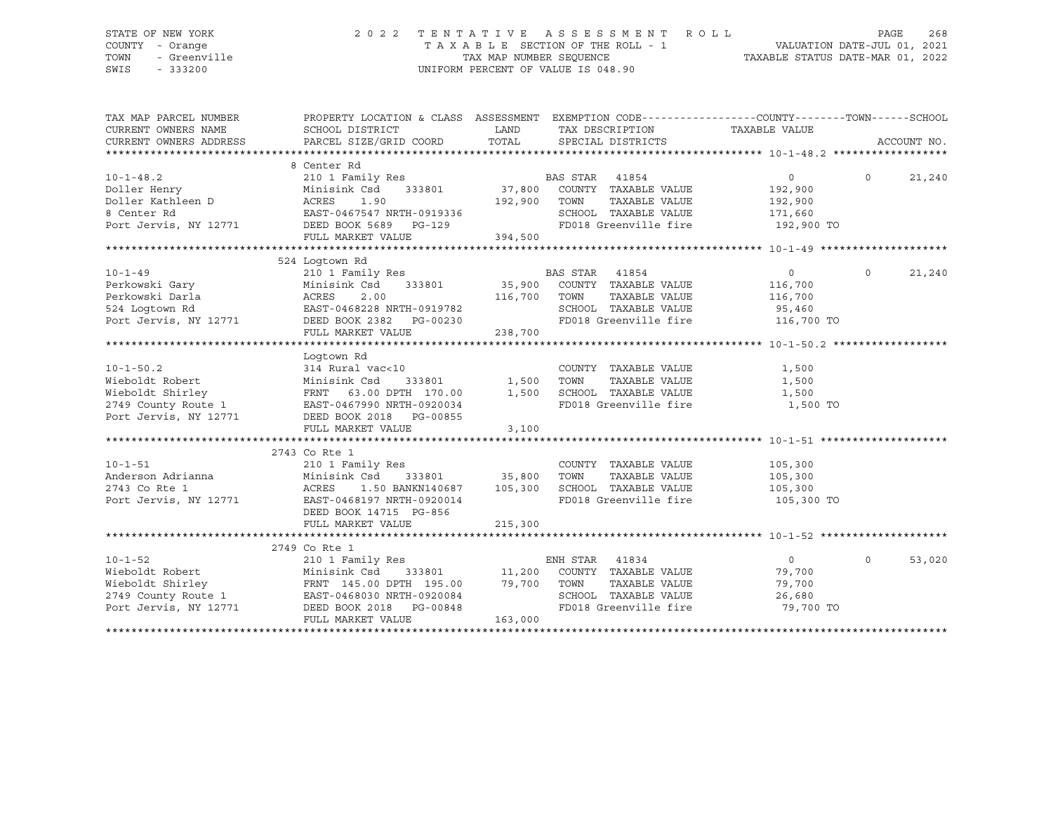### STATE OF NEW YORK 2 0 2 2 T E N T A T I V E A S S E S S M E N T R O L L PAGE 268 COUNTY - Orange T A X A B L E SECTION OF THE ROLL - 1 VALUATION DATE-JUL 01, 2021 TOWN - Greenville TAX MAP NUMBER SEQUENCE TAXABLE STATUS DATE-MAR 01, 2022 SWIS - 333200 UNIFORM PERCENT OF VALUE IS 048.90

| TAX MAP PARCEL NUMBER<br>CURRENT OWNERS NAME<br>CURRENT OWNERS ADDRESS                                                                                                     | PROPERTY LOCATION & CLASS ASSESSMENT EXEMPTION CODE---------------COUNTY-------TOWN------SCHOOL<br>SCHOOL DISTRICT<br>PARCEL SIZE/GRID COORD | LAND<br>TOTAL | TAX DESCRIPTION<br>SPECIAL DISTRICTS | TAXABLE VALUE      |          | ACCOUNT NO. |
|----------------------------------------------------------------------------------------------------------------------------------------------------------------------------|----------------------------------------------------------------------------------------------------------------------------------------------|---------------|--------------------------------------|--------------------|----------|-------------|
|                                                                                                                                                                            |                                                                                                                                              |               |                                      |                    |          |             |
|                                                                                                                                                                            | 8 Center Rd                                                                                                                                  |               |                                      |                    |          |             |
| $10 - 1 - 48.2$                                                                                                                                                            | 210 1 Family Res                                                                                                                             |               | BAS STAR 41854                       | $\Omega$           | $\Omega$ | 21,240      |
| Doller Henry                                                                                                                                                               | Minisink Csd                                                                                                                                 | 333801 37,800 | COUNTY TAXABLE VALUE                 | 192,900            |          |             |
|                                                                                                                                                                            |                                                                                                                                              | 192,900       | TAXABLE VALUE<br>TOWN                | 192,900            |          |             |
|                                                                                                                                                                            | EAST-0467547 NRTH-0919336<br>DEED BOOK 5689 PG-129                                                                                           |               | SCHOOL TAXABLE VALUE                 | 171,660            |          |             |
|                                                                                                                                                                            |                                                                                                                                              |               | FD018 Greenville fire 192,900 TO     |                    |          |             |
|                                                                                                                                                                            | FULL MARKET VALUE                                                                                                                            | 394,500       |                                      |                    |          |             |
|                                                                                                                                                                            |                                                                                                                                              |               |                                      |                    |          |             |
| $10 - 1 - 49$                                                                                                                                                              | 524 Loqtown Rd<br>210 1 Family Res                                                                                                           |               | BAS STAR 41854                       | $\overline{0}$     | $\Omega$ | 21,240      |
|                                                                                                                                                                            |                                                                                                                                              |               |                                      | 116,700            |          |             |
|                                                                                                                                                                            |                                                                                                                                              |               |                                      | 116,700            |          |             |
|                                                                                                                                                                            |                                                                                                                                              |               | SCHOOL TAXABLE VALUE                 | 95,460             |          |             |
|                                                                                                                                                                            |                                                                                                                                              |               | FD018 Greenville fire                | 116,700 TO         |          |             |
|                                                                                                                                                                            | FULL MARKET VALUE                                                                                                                            | 238,700       |                                      |                    |          |             |
|                                                                                                                                                                            |                                                                                                                                              |               |                                      |                    |          |             |
|                                                                                                                                                                            | Loqtown Rd                                                                                                                                   |               |                                      |                    |          |             |
| $10 - 1 - 50.2$                                                                                                                                                            | 314 Rural vac<10                                                                                                                             |               | COUNTY TAXABLE VALUE                 | 1,500              |          |             |
| Wieboldt Robert                                                                                                                                                            | 333801 1,500 TOWN<br>Minisink Csd                                                                                                            |               | TAXABLE VALUE                        | 1,500              |          |             |
|                                                                                                                                                                            |                                                                                                                                              |               | SCHOOL TAXABLE VALUE 1,500           |                    |          |             |
|                                                                                                                                                                            |                                                                                                                                              |               | FD018 Greenville fire                | 1,500 TO           |          |             |
|                                                                                                                                                                            |                                                                                                                                              |               |                                      |                    |          |             |
|                                                                                                                                                                            | FULL MARKET VALUE                                                                                                                            | 3,100         |                                      |                    |          |             |
|                                                                                                                                                                            |                                                                                                                                              |               |                                      |                    |          |             |
|                                                                                                                                                                            | 2743 Co Rte 1                                                                                                                                |               |                                      |                    |          |             |
| $10 - 1 - 51$                                                                                                                                                              | 210 1 Family Res                                                                                                                             |               | COUNTY TAXABLE VALUE                 | 105,300            |          |             |
|                                                                                                                                                                            |                                                                                                                                              |               | TOWN<br>TAXABLE VALUE                |                    |          |             |
|                                                                                                                                                                            |                                                                                                                                              |               | SCHOOL TAXABLE VALUE                 | 105,300<br>105,300 |          |             |
| Port Jervis, NY 12771 EAST-0468197 NRTH-0920014                                                                                                                            |                                                                                                                                              |               | FD018 Greenville fire 105,300 TO     |                    |          |             |
|                                                                                                                                                                            | DEED BOOK 14715 PG-856                                                                                                                       |               |                                      |                    |          |             |
|                                                                                                                                                                            | FULL MARKET VALUE                                                                                                                            | 215,300       |                                      |                    |          |             |
|                                                                                                                                                                            |                                                                                                                                              |               |                                      |                    |          |             |
|                                                                                                                                                                            | 2749 Co Rte 1                                                                                                                                |               |                                      |                    |          |             |
|                                                                                                                                                                            |                                                                                                                                              |               |                                      | $\overline{0}$     | $\Omega$ | 53,020      |
|                                                                                                                                                                            |                                                                                                                                              |               |                                      | 79,700             |          |             |
| Wieboldt Shirley<br>2749 County Route 1<br>PENT 145.00 DPTH 195.00<br>2749 County Route 1<br>BEST-0468030 NRTH-0920084<br>POTT Jervis, NY 12771<br>DEED BOOK 2018 PG-00848 |                                                                                                                                              |               | TOWN<br>TAXABLE VALUE                | 79,700             |          |             |
|                                                                                                                                                                            |                                                                                                                                              |               | SCHOOL TAXABLE VALUE                 | 26,680             |          |             |
|                                                                                                                                                                            |                                                                                                                                              |               | FD018 Greenville fire                | 79,700 TO          |          |             |
|                                                                                                                                                                            | FULL MARKET VALUE                                                                                                                            | 163,000       |                                      |                    |          |             |
|                                                                                                                                                                            |                                                                                                                                              |               |                                      |                    |          |             |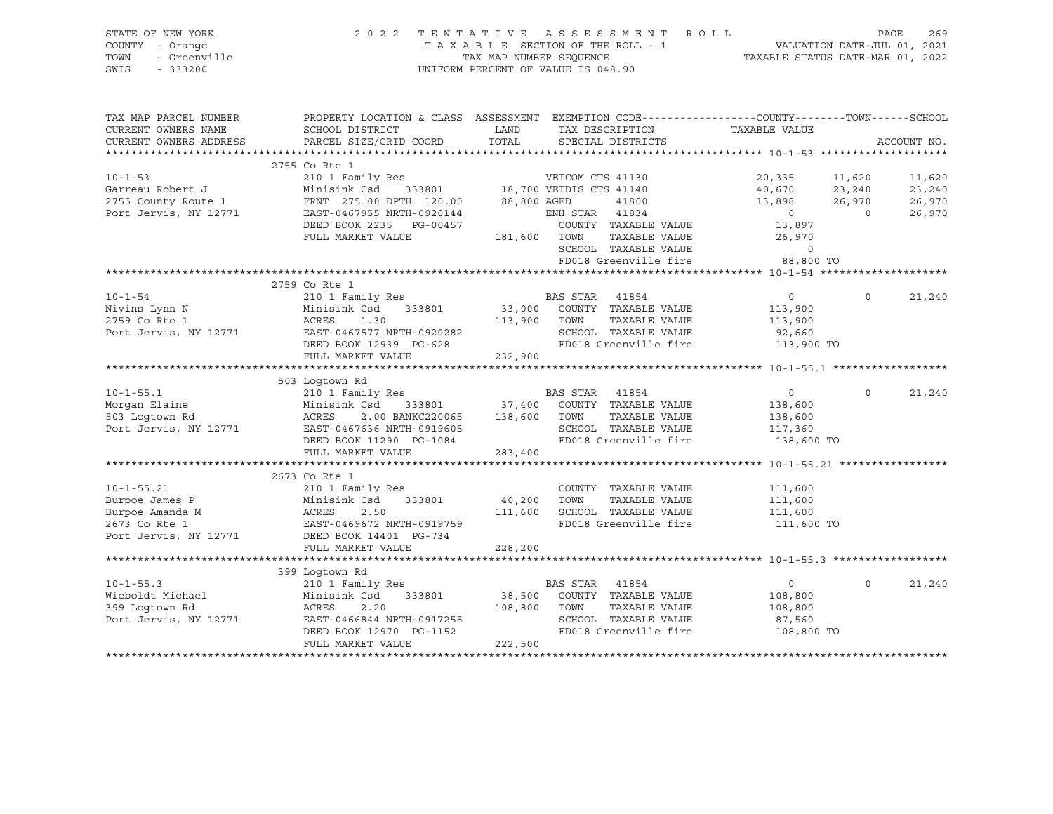|      | STATE OF NEW YORK | 2022 TENTATIVE ASSESSMENT ROLL                                 | PAGE | 269 |
|------|-------------------|----------------------------------------------------------------|------|-----|
|      | COUNTY - Orange   | VALUATION DATE-JUL 01, 2021<br>TAXABLE SECTION OF THE ROLL - 1 |      |     |
| TOWN | - Greenville      | TAXABLE STATUS DATE-MAR 01, 2022<br>TAX MAP NUMBER SEOUENCE    |      |     |
|      | SWIS - 333200     | UNIFORM PERCENT OF VALUE IS 048.90                             |      |     |

| TAX MAP PARCEL NUMBER | PROPERTY LOCATION & CLASS ASSESSMENT EXEMPTION CODE----------------COUNTY-------TOWN------SCHOOL                                                                                                                                       |             |                                                                  |                                             |                          |
|-----------------------|----------------------------------------------------------------------------------------------------------------------------------------------------------------------------------------------------------------------------------------|-------------|------------------------------------------------------------------|---------------------------------------------|--------------------------|
| CURRENT OWNERS NAME   | SCHOOL DISTRICT                                                                                                                                                                                                                        | <b>LAND</b> | TAX DESCRIPTION TAXABLE VALUE                                    |                                             |                          |
|                       | CURRENT OWNERS ADDRESS PARCEL SIZE/GRID COORD                                                                                                                                                                                          |             | TOTAL SPECIAL DISTRICTS                                          |                                             | ACCOUNT NO.              |
|                       |                                                                                                                                                                                                                                        |             |                                                                  |                                             |                          |
|                       | 2755 Co Rte 1                                                                                                                                                                                                                          |             |                                                                  |                                             |                          |
|                       |                                                                                                                                                                                                                                        |             |                                                                  | 20,335 11,620<br>40,670 23,240              | 11,620                   |
|                       |                                                                                                                                                                                                                                        |             |                                                                  |                                             | 23,240                   |
|                       |                                                                                                                                                                                                                                        |             | 41800                                                            | 13,898 26,970                               | 26,970                   |
|                       | 2755 County Route 1 FRNT 275.00 DPTH 120.00 88,800 AGED<br>Port Jervis, NY 12771 EAST-0467955 NRTH-0920144 ENH STAR                                                                                                                    |             | ENH STAR 41834                                                   | $\overline{0}$                              | $\overline{0}$<br>26,970 |
|                       | DEED BOOK 2235 PG-00457                                                                                                                                                                                                                |             | COUNTY TAXABLE VALUE 13,897                                      |                                             |                          |
|                       |                                                                                                                                                                                                                                        |             |                                                                  |                                             |                          |
|                       |                                                                                                                                                                                                                                        |             |                                                                  |                                             |                          |
|                       | FULL MARKET VALUE<br>FULL MARKET VALUE<br>0 5CHOOL TAXABLE VALUE<br>FD018 Greenville fire 38,800 TO                                                                                                                                    |             |                                                                  |                                             |                          |
|                       |                                                                                                                                                                                                                                        |             |                                                                  |                                             |                          |
|                       | 2759 Co Rte 1                                                                                                                                                                                                                          |             |                                                                  |                                             |                          |
|                       |                                                                                                                                                                                                                                        |             |                                                                  |                                             | 21,240<br>$\overline{0}$ |
|                       |                                                                                                                                                                                                                                        |             |                                                                  |                                             |                          |
|                       |                                                                                                                                                                                                                                        |             |                                                                  |                                             |                          |
|                       |                                                                                                                                                                                                                                        |             |                                                                  |                                             |                          |
|                       |                                                                                                                                                                                                                                        |             | SCHOOL TAXABLE VALUE 92,660<br>FD018 Greenville fire 113,900 TO  |                                             |                          |
|                       | FULL MARKET VALUE                                                                                                                                                                                                                      | 232,900     |                                                                  |                                             |                          |
|                       |                                                                                                                                                                                                                                        |             |                                                                  |                                             |                          |
|                       | 503 Loqtown Rd                                                                                                                                                                                                                         |             |                                                                  |                                             |                          |
|                       |                                                                                                                                                                                                                                        |             |                                                                  |                                             | 21,240<br>$\Omega$       |
|                       |                                                                                                                                                                                                                                        |             |                                                                  | $\begin{array}{c} 0 \\ 138,600 \end{array}$ |                          |
|                       |                                                                                                                                                                                                                                        |             |                                                                  | TAXABLE VALUE 138,600                       |                          |
|                       |                                                                                                                                                                                                                                        |             |                                                                  |                                             |                          |
|                       | 10-1-55.1<br>Morgan Elaine 210 1 Family Res<br>Morgan Elaine Minisink Csd 333801 37,400 COUNTY TAXABLE VALUE<br>503 Logtown Rd ACRES 2.00 BANKC220065 138,600 TOWN TAXABLE VALUE<br>Port Jervis, NY 12771 EAST-0467636 NRTH-0919605 SC |             | SCHOOL TAXABLE VALUE 117,360<br>FD018 Greenville fire 138,600 TO |                                             |                          |
|                       | FULL MARKET VALUE                                                                                                                                                                                                                      | 283,400     |                                                                  |                                             |                          |
|                       |                                                                                                                                                                                                                                        |             |                                                                  |                                             |                          |
|                       | 2673 Co Rte 1                                                                                                                                                                                                                          |             |                                                                  |                                             |                          |
|                       |                                                                                                                                                                                                                                        |             |                                                                  |                                             |                          |
|                       |                                                                                                                                                                                                                                        |             |                                                                  |                                             |                          |
|                       |                                                                                                                                                                                                                                        |             |                                                                  |                                             |                          |
|                       | 10-1-55.21<br>Burpoe James P Minisink Csd 333801<br>Burpoe Amanda M ACRES 2.50<br>2673 Co Rte 1 EAST-0469672 NRTH-0919759 Port Jervis, NY 12771 DEED BOOK 14401 PG-734<br>2679 Port Jervis, NY 12771 DEED BOOK 14401 PG-734            |             | FD018 Greenville fire 111,600 TO                                 |                                             |                          |
|                       |                                                                                                                                                                                                                                        |             |                                                                  |                                             |                          |
|                       | FULL MARKET VALUE                                                                                                                                                                                                                      | 228,200     |                                                                  |                                             |                          |
|                       |                                                                                                                                                                                                                                        |             |                                                                  |                                             |                          |
|                       | 399 Loqtown Rd                                                                                                                                                                                                                         |             |                                                                  |                                             |                          |
|                       |                                                                                                                                                                                                                                        |             |                                                                  | $\overline{0}$                              | $\Omega$<br>21,240       |
|                       |                                                                                                                                                                                                                                        |             |                                                                  | 108,800                                     |                          |
|                       |                                                                                                                                                                                                                                        |             | TAXABLE VALUE                                                    | 108,800                                     |                          |
|                       |                                                                                                                                                                                                                                        |             | SCHOOL TAXABLE VALUE                                             | 87,560                                      |                          |
|                       | 10-1-55.3 210 1 Family Res<br>Wieboldt Michael 210 1 Family Res<br>399 Logtown Rd ACRES 2.20 12571 2011 2017<br>2018 2020 2011 2017255 2.20 2011 2018 2019 2018 2019<br>2018 Greenville fire<br>2018 Greenville fire                   |             | FD018 Greenville fire                                            | 108,800 TO                                  |                          |
|                       | FULL MARKET VALUE                                                                                                                                                                                                                      | 222,500     |                                                                  |                                             |                          |
|                       |                                                                                                                                                                                                                                        |             |                                                                  |                                             |                          |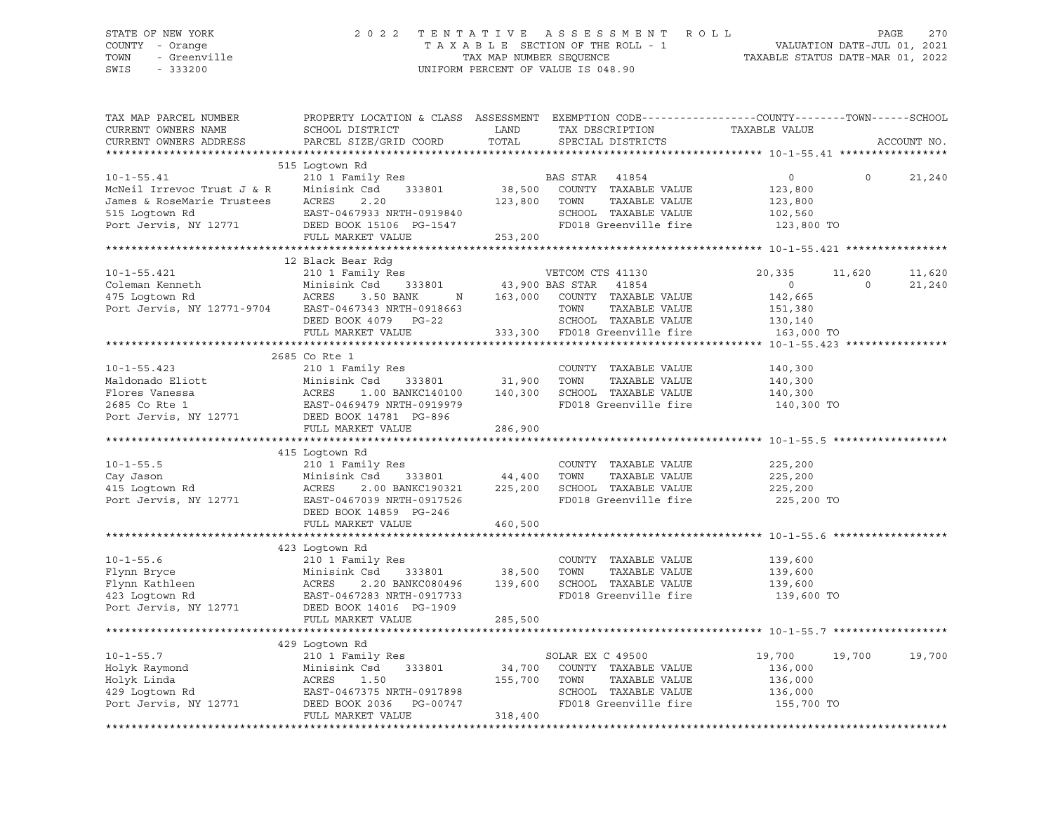SWIS - 333200 UNIFORM PERCENT OF VALUE IS 048.90

# STATE OF NEW YORK 2 0 2 2 T E N T A T I V E A S S E S S M E N T R O L L PAGE 270 COUNTY - Orange T A X A B L E SECTION OF THE ROLL - 1 VALUATION DATE-JUL 01, 2021 TOWN - Greenville TAX MAP NUMBER SEQUENCE TAXABLE STATUS DATE-MAR 01, 2022

| TAX MAP PARCEL NUMBER<br>CURRENT OWNERS NAME<br>CURRENT OWNERS ADDRESS                                                                                                                           | PROPERTY LOCATION & CLASS ASSESSMENT EXEMPTION CODE----------------COUNTY-------TOWN-----SCHOOL<br>SCHOOL DISTRICT<br>PARCEL SIZE/GRID COORD                                                           | LAND<br>TOTAL                | TAX DESCRIPTION<br>SPECIAL DISTRICTS                                                                                                                | TAXABLE VALUE                                                           | ACCOUNT NO.                           |
|--------------------------------------------------------------------------------------------------------------------------------------------------------------------------------------------------|--------------------------------------------------------------------------------------------------------------------------------------------------------------------------------------------------------|------------------------------|-----------------------------------------------------------------------------------------------------------------------------------------------------|-------------------------------------------------------------------------|---------------------------------------|
|                                                                                                                                                                                                  |                                                                                                                                                                                                        |                              |                                                                                                                                                     |                                                                         |                                       |
| $10 - 1 - 55.41$<br>McNeil Irrevoc Trust J & R<br>James & RoseMarie Trustees<br>515 Loqtown Rd<br>Port Jervis, NY 12771                                                                          | 515 Loqtown Rd<br>210 1 Family Res<br>Minisink Csd<br>333801<br>ACRES<br>2.20<br>EAST-0467933 NRTH-0919840<br>DEED BOOK 15106 PG-1547<br>FULL MARKET VALUE                                             | 123,800<br>253,200           | BAS STAR 41854<br>38,500 COUNTY TAXABLE VALUE<br>TOWN<br>TAXABLE VALUE<br>SCHOOL TAXABLE VALUE<br>FD018 Greenville fire                             | $\circ$<br>123,800<br>123,800<br>102,560<br>123,800 TO                  | $\Omega$<br>21,240                    |
|                                                                                                                                                                                                  |                                                                                                                                                                                                        |                              |                                                                                                                                                     |                                                                         |                                       |
| $10 - 1 - 55.421$<br>Coleman Kenneth<br>475 Logtown Rd<br>Port Jervis, NY 12771-9704 EAST-0467343 NRTH-0918663                                                                                   | 12 Black Bear Rdg<br>210 1 Family Res<br>Minisink Csd<br>ACRES 3.50<br>333801<br>3.50 BANK<br>N<br>DEED BOOK 4079 PG-22<br>FULL MARKET VALUE                                                           | 163,000                      | VETCOM CTS 41130<br>43,900 BAS STAR 41854<br>COUNTY TAXABLE VALUE<br>TOWN<br>TAXABLE VALUE<br>SCHOOL TAXABLE VALUE<br>333,300 FD018 Greenville fire | 20,335<br>$\overline{0}$<br>142,665<br>151,380<br>130,140<br>163,000 TO | 11,620<br>11,620<br>$\circ$<br>21,240 |
|                                                                                                                                                                                                  |                                                                                                                                                                                                        |                              |                                                                                                                                                     |                                                                         |                                       |
| $10 - 1 - 55.423$<br>Maldonado Eliott<br>Minisink Csd 333801<br>Plores Vanessa ACRES 1.00 BANKC140100<br>2685 Co Rte 1 EAST-0469479 NRTH-0919979<br>Port Jervis, NY 12771 DEED BOOK 14781 PG-896 | 2685 Co Rte 1<br>210 1 Family Res<br>FULL MARKET VALUE                                                                                                                                                 | 31,900<br>286,900            | COUNTY TAXABLE VALUE<br>TOWN<br>TAXABLE VALUE<br>1.00 BANKC140100   140,300   SCHOOL TAXABLE VALUE<br>FD018 Greenville fire                         | 140,300<br>140,300<br>140,300<br>140,300 TO                             |                                       |
|                                                                                                                                                                                                  |                                                                                                                                                                                                        |                              |                                                                                                                                                     |                                                                         |                                       |
| $10 - 1 - 55.5$<br>Cay Jason<br>415 Loqtown Rd<br>Port Jervis, NY 12771                                                                                                                          | 415 Logtown Rd<br>210 1 Family Res<br>Minisink Csd<br>2.00 BANKC190321<br>ACRES<br>EAST-0467039 NRTH-0917526<br>DEED BOOK 14859 PG-246                                                                 | 333801 44,400<br>225,200     | COUNTY TAXABLE VALUE<br>TOWN<br>TAXABLE VALUE<br>SCHOOL TAXABLE VALUE<br>FD018 Greenville fire                                                      | 225,200<br>225,200<br>225,200<br>225,200 TO                             |                                       |
|                                                                                                                                                                                                  | FULL MARKET VALUE                                                                                                                                                                                      | 460,500                      |                                                                                                                                                     |                                                                         |                                       |
| $10 - 1 - 55.6$<br>Flynn Bryce<br>Flynn Kathleen<br>423 Loqtown Rd<br>Port Jervis, NY 12771                                                                                                      | 423 Loqtown Rd<br>210 1 Family Res<br>Minisink Csd<br>333801<br>2.20 BANKC080496 139,600<br>ACRES<br>EAST-0467283 NRTH-0917733<br>DEED BOOK 14016 PG-1909<br>FULL MARKET VALUE                         | 38,500<br>285,500            | COUNTY TAXABLE VALUE<br>TOWN<br>TAXABLE VALUE<br>SCHOOL TAXABLE VALUE<br>FD018 Greenville fire                                                      | 139,600<br>139,600<br>139,600<br>139,600 TO                             |                                       |
|                                                                                                                                                                                                  | 429 Logtown Rd                                                                                                                                                                                         |                              |                                                                                                                                                     |                                                                         |                                       |
| $10 - 1 - 55.7$<br>Holyk Raymond<br>Holyk Linda<br>429 Logtown Rd<br>Port Jervis, NY 12771                                                                                                       | 210 1 Family Res<br>333801<br>∠⊥∪ 1<br>Minis.<br>ACRES<br>Minisink Csd<br>1.50<br>EAST-0467375 NRTH-0917898<br>---- ---- ---- ---- ---- ----- -----<br>DEED BOOK 2036    PG-00747<br>FULL MARKET VALUE | 34,700<br>155,700<br>318,400 | SOLAR EX C 49500<br>COUNTY TAXABLE VALUE<br>TOWN<br>TAXABLE VALUE<br>SCHOOL TAXABLE VALUE 136,000<br>FD018 Greenville fire 155,700 TO               | 19,700<br>136,000<br>136,000                                            | 19,700<br>19,700                      |
|                                                                                                                                                                                                  |                                                                                                                                                                                                        |                              |                                                                                                                                                     |                                                                         |                                       |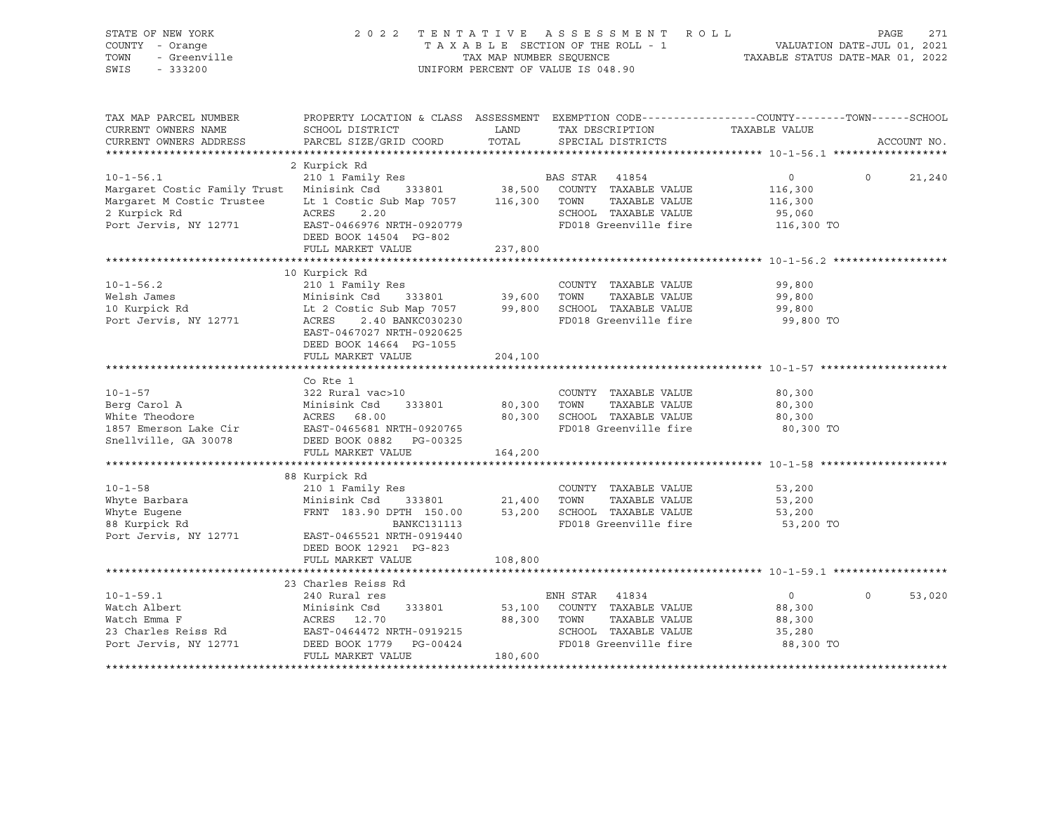| STATE OF NEW YORK<br>COUNTY - Orange<br>TOWN<br>- Greenville<br>SWIS<br>$-333200$ |                                                                                                                                             | TAX MAP NUMBER SEOUENCE | 2022 TENTATIVE ASSESSMENT ROLL<br>ו ו-1 VALUATION DATE-JUL 01, 2021<br>2021 - VALUATION DATE-JUL 01, 2021<br>2022 - 2021 הודי המוביר המשפח המצאת ה-1 התמשות TAX MAP NUMBER SEOUENCE<br>UNIFORM PERCENT OF VALUE IS 048.90 | TAXABLE STATUS DATE-MAR 01, 2022                         | PAGE     | 271         |
|-----------------------------------------------------------------------------------|---------------------------------------------------------------------------------------------------------------------------------------------|-------------------------|---------------------------------------------------------------------------------------------------------------------------------------------------------------------------------------------------------------------------|----------------------------------------------------------|----------|-------------|
| TAX MAP PARCEL NUMBER<br>CURRENT OWNERS NAME<br>CURRENT OWNERS ADDRESS            | PROPERTY LOCATION & CLASS ASSESSMENT EXEMPTION CODE---------------COUNTY-------TOWN-----SCHOOL<br>SCHOOL DISTRICT<br>PARCEL SIZE/GRID COORD | LAND<br>TOTAL           | TAX DESCRIPTION<br>SPECIAL DISTRICTS                                                                                                                                                                                      | TAXABLE VALUE                                            |          | ACCOUNT NO. |
|                                                                                   |                                                                                                                                             |                         |                                                                                                                                                                                                                           |                                                          |          |             |
|                                                                                   | 2 Kurpick Rd                                                                                                                                |                         |                                                                                                                                                                                                                           |                                                          |          |             |
| $10 - 1 - 56.1$                                                                   | 210 1 Family Res                                                                                                                            |                         | BAS STAR 41854                                                                                                                                                                                                            | $\circ$                                                  | $\Omega$ | 21,240      |
| Margaret Costic Family Trust Minisink Csd 333801                                  |                                                                                                                                             |                         | 38,500 COUNTY TAXABLE VALUE                                                                                                                                                                                               | 116,300                                                  |          |             |
| Margaret M Costic Trustee Lt 1 Costic Sub Map 7057 116,300 TOWN                   |                                                                                                                                             |                         | TAXABLE VALUE                                                                                                                                                                                                             | 116,300                                                  |          |             |
| 2 Kurpick Rd<br>Port Jervis, NY 12771                                             | ACRES<br>2.20<br>EAST-0466976 NRTH-0920779                                                                                                  |                         | SCHOOL TAXABLE VALUE<br>FD018 Greenville fire 116,300 TO                                                                                                                                                                  | 95,060                                                   |          |             |
|                                                                                   | DEED BOOK 14504 PG-802                                                                                                                      |                         |                                                                                                                                                                                                                           |                                                          |          |             |
|                                                                                   | FULL MARKET VALUE                                                                                                                           | 237,800                 |                                                                                                                                                                                                                           |                                                          |          |             |
|                                                                                   |                                                                                                                                             |                         |                                                                                                                                                                                                                           |                                                          |          |             |
|                                                                                   | 10 Kurpick Rd                                                                                                                               |                         |                                                                                                                                                                                                                           |                                                          |          |             |
| $10 - 1 - 56.2$                                                                   | 210 1 Family Res                                                                                                                            |                         | COUNTY TAXABLE VALUE                                                                                                                                                                                                      | 99,800                                                   |          |             |
| Welsh James<br>10 Kurpick Rd                                                      |                                                                                                                                             |                         | TAXABLE VALUE<br>99,800 SCHOOL TAXABLE VALUE                                                                                                                                                                              | 99,800<br>99,800                                         |          |             |
| Port Jervis, NY 12771                                                             | ACRES<br>2.40 BANKC030230                                                                                                                   |                         | FD018 Greenville fire                                                                                                                                                                                                     | 99,800 TO                                                |          |             |
|                                                                                   | EAST-0467027 NRTH-0920625                                                                                                                   |                         |                                                                                                                                                                                                                           |                                                          |          |             |
|                                                                                   | DEED BOOK 14664 PG-1055                                                                                                                     |                         |                                                                                                                                                                                                                           |                                                          |          |             |
|                                                                                   | FULL MARKET VALUE                                                                                                                           | 204,100                 |                                                                                                                                                                                                                           |                                                          |          |             |
|                                                                                   |                                                                                                                                             |                         |                                                                                                                                                                                                                           |                                                          |          |             |
| $10 - 1 - 57$                                                                     | Co Rte 1                                                                                                                                    |                         |                                                                                                                                                                                                                           |                                                          |          |             |
|                                                                                   | 322 Rural vac>10                                                                                                                            | 80,300 TOWN             | COUNTY TAXABLE VALUE<br>TAXABLE VALUE                                                                                                                                                                                     | 80,300<br>80,300                                         |          |             |
|                                                                                   |                                                                                                                                             |                         | 80,300 SCHOOL TAXABLE VALUE                                                                                                                                                                                               | 80,300                                                   |          |             |
|                                                                                   |                                                                                                                                             |                         | FD018 Greenville fire                                                                                                                                                                                                     | 80,300 TO                                                |          |             |
| Snellville, GA 30078                                                              |                                                                                                                                             |                         |                                                                                                                                                                                                                           |                                                          |          |             |
|                                                                                   | FULL MARKET VALUE                                                                                                                           | 164,200                 |                                                                                                                                                                                                                           |                                                          |          |             |
|                                                                                   |                                                                                                                                             |                         |                                                                                                                                                                                                                           |                                                          |          |             |
| $10 - 1 - 58$                                                                     | 88 Kurpick Rd<br>210 1 Family Res                                                                                                           |                         | COUNTY TAXABLE VALUE                                                                                                                                                                                                      | 53,200                                                   |          |             |
|                                                                                   | Minisink Csd 333801                                                                                                                         | 21,400 TOWN             | TAXABLE VALUE                                                                                                                                                                                                             | 53,200                                                   |          |             |
| Whyte Barbara<br>Whyte Eugene<br>88 Kurpick Rd                                    | FRNT 183.90 DPTH 150.00                                                                                                                     |                         | 53,200 SCHOOL TAXABLE VALUE                                                                                                                                                                                               | 53,200                                                   |          |             |
|                                                                                   | BANKC131113                                                                                                                                 |                         | FD018 Greenville fire                                                                                                                                                                                                     | 53,200 TO                                                |          |             |
| Port Jervis, NY 12771                                                             | EAST-0465521 NRTH-0919440                                                                                                                   |                         |                                                                                                                                                                                                                           |                                                          |          |             |
|                                                                                   | DEED BOOK 12921 PG-823                                                                                                                      |                         |                                                                                                                                                                                                                           |                                                          |          |             |
|                                                                                   | FULL MARKET VALUE<br>**********************                                                                                                 | 108,800                 |                                                                                                                                                                                                                           | ************************************ 10-1-59.1 ********* |          |             |
|                                                                                   | 23 Charles Reiss Rd                                                                                                                         |                         |                                                                                                                                                                                                                           |                                                          |          |             |
| $10 - 1 - 59.1$                                                                   | 240 Rural res                                                                                                                               |                         | ENH STAR<br>41834                                                                                                                                                                                                         | $\overline{0}$                                           | $\circ$  | 53,020      |
| Watch Albert                                                                      |                                                                                                                                             |                         | 333801 53,100 COUNTY TAXABLE VALUE                                                                                                                                                                                        | 88,300                                                   |          |             |
| Watch Emma F                                                                      | Minisink Csd<br>ACRES 12.70                                                                                                                 | 88,300                  | TOWN<br>TAXABLE VALUE                                                                                                                                                                                                     | 88,300                                                   |          |             |
|                                                                                   |                                                                                                                                             |                         | SCHOOL TAXABLE VALUE                                                                                                                                                                                                      | 35,280                                                   |          |             |
| Port Jervis, NY 12771                                                             | DEED BOOK 1779 PG-00424                                                                                                                     |                         | FD018 Greenville fire                                                                                                                                                                                                     | 88,300 TO                                                |          |             |
|                                                                                   | FULL MARKET VALUE                                                                                                                           | 180,600                 |                                                                                                                                                                                                                           |                                                          |          |             |
|                                                                                   |                                                                                                                                             |                         |                                                                                                                                                                                                                           |                                                          |          |             |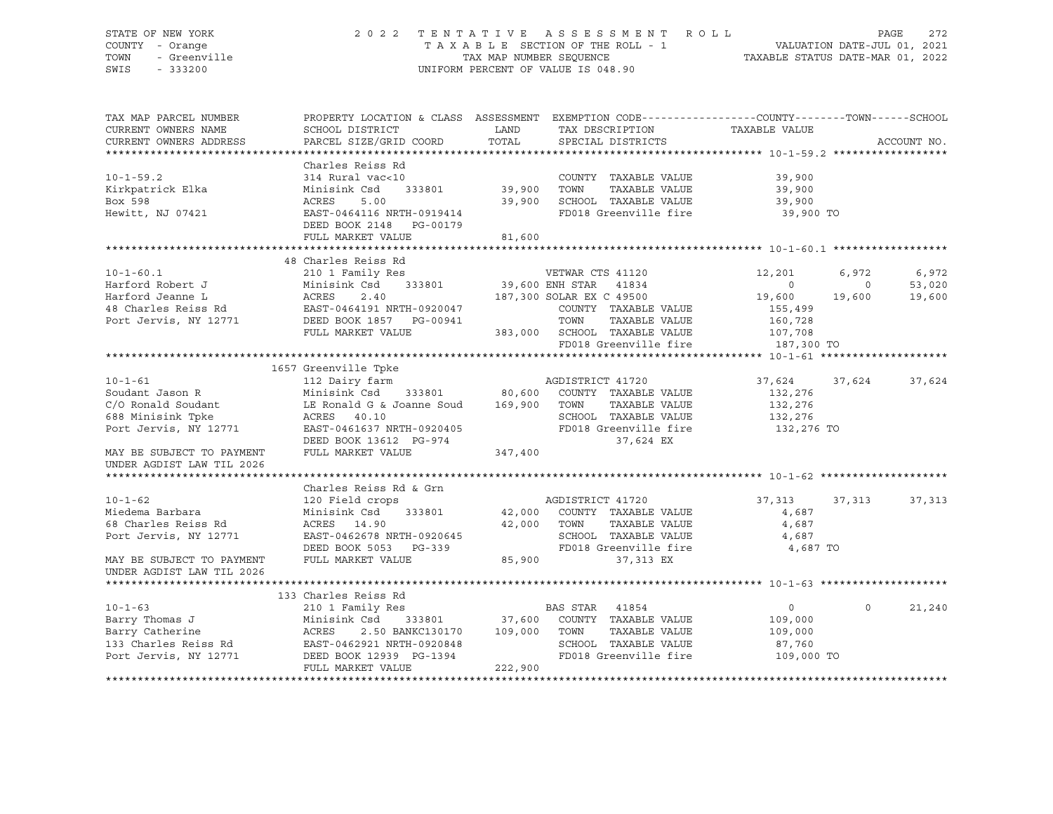### STATE OF NEW YORK 2 0 2 2 T E N T A T I V E A S S E S S M E N T R O L L PAGE 272 COUNTY - Orange T A X A B L E SECTION OF THE ROLL - 1 VALUATION DATE-JUL 01, 2021 TOWN - Greenville TAX MAP NUMBER SEQUENCE TAXABLE STATUS DATE-MAR 01, 2022 SWIS - 333200 UNIFORM PERCENT OF VALUE IS 048.90

| TAX MAP PARCEL NUMBER<br>CURRENT OWNERS NAME<br>CURRENT OWNERS ADDRESS                                                                                         | SCHOOL DISTRICT<br>PARCEL SIZE/GRID COORD                                                                                                                                                                                                | PROPERTY LOCATION & CLASS ASSESSMENT EXEMPTION CODE----------------COUNTY-------TOWN------SCHOOL<br>LAND<br>TAX DESCRIPTION<br>TOTAL<br>SPECIAL DISTRICTS                   | TAXABLE VALUE                                                                          | ACCOUNT NO.               |
|----------------------------------------------------------------------------------------------------------------------------------------------------------------|------------------------------------------------------------------------------------------------------------------------------------------------------------------------------------------------------------------------------------------|-----------------------------------------------------------------------------------------------------------------------------------------------------------------------------|----------------------------------------------------------------------------------------|---------------------------|
|                                                                                                                                                                |                                                                                                                                                                                                                                          |                                                                                                                                                                             |                                                                                        |                           |
| $10 - 1 - 59.2$<br>Kirkpatrick Elka<br>Box 598<br>Hewitt, NJ 07421                                                                                             | Charles Reiss Rd<br>314 Rural vac<10<br>Minisink Csd<br>ACRES<br>5.00<br>EAST-0464116 NRTH-0919414<br>DEED BOOK 2148 PG-00179<br>FULL MARKET VALUE                                                                                       | COUNTY TAXABLE VALUE 39,900<br>333801 39,900<br>TOWN<br>39,900 SCHOOL TAXABLE VALUE<br>FD018 Greenville fire 39,900 TO<br>81,600                                            | TAXABLE VALUE 39,900<br>39,900                                                         |                           |
|                                                                                                                                                                | 48 Charles Reiss Rd                                                                                                                                                                                                                      |                                                                                                                                                                             |                                                                                        |                           |
| $10 - 1 - 60.1$<br>Harford Robert J                                                                                                                            | 210 1 Family Res<br>Minisink Csd<br>Harford Jeanne L<br>48 Charles Reiss Rd<br>2.40 EAST-0464191 NRTH-0920047<br>2.40 EAST-0464191 NRTH-0920047<br>2.40 EAST-0464191 NRTH-0920047<br>2.40 EAST-0464191 NRTH-0920047<br>FULL MARKET VALUE | COUNTY TAXABLE VALUE<br>TOWN<br>TAXABLE VALUE<br>383,000 SCHOOL TAXABLE VALUE 107,708<br>FD018 Greenville fire 187,300 TO                                                   | 12,201<br>6,972<br>$\overline{0}$<br>$\circ$<br>19,600<br>19,600<br>155,499<br>160,728 | 6,972<br>53,020<br>19,600 |
|                                                                                                                                                                | 1657 Greenville Tpke                                                                                                                                                                                                                     |                                                                                                                                                                             |                                                                                        |                           |
| $10 - 1 - 61$<br>Soudant Jason R<br>C/O Ronald Soudant<br>688 Minisink Tpke<br>Port Jervis, NY 12771<br>MAY BE SUBJECT TO PAYMENT<br>UNDER AGDIST LAW TIL 2026 | 112 Dairy farm<br>LE Ronald G & Joanne Soud 169,900 TOWN<br>ACRES 40.10<br>EAST-0461637 NRTH-0920405<br>DEED BOOK 13612 PG-974<br>FULL MARKET VALUE                                                                                      | AGDISTRICT 41720<br>Minisink Csd 333801 80,600 COUNTY TAXABLE VALUE<br>TAXABLE VALUE<br>SCHOOL TAXABLE VALUE<br>FD018 Greenville fire 132,276 TO<br>37,624 EX<br>347,400    | 37,624 37,624<br>132,276<br>132,276<br>132,276                                         | 37,624                    |
|                                                                                                                                                                |                                                                                                                                                                                                                                          |                                                                                                                                                                             |                                                                                        |                           |
| $10 - 1 - 62$<br>Miedema Barbara<br>68 Charles Reiss Rd<br>Port Jervis, NY 12771<br>MAY BE SUBJECT TO PAYMENT<br>UNDER AGDIST LAW TIL 2026                     | Charles Reiss Rd & Grn<br>120 Field crops<br>Minisink Csd<br>ACRES 14.90<br>EAST-0462678 NRTH-0920645<br>DEED BOOK 5053 PG-339<br>FULL MARKET VALUE                                                                                      | AGDISTRICT 41720<br>333801 42,000 COUNTY TAXABLE VALUE<br>42,000 TOWN<br>TAXABLE VALUE<br>SCHOOL TAXABLE VALUE<br>FD018 Greenville fire<br>85,900<br>37,313 EX              | 37, 313 37, 313<br>4,687<br>4,687<br>4,687<br>4,687 TO                                 | 37,313                    |
|                                                                                                                                                                |                                                                                                                                                                                                                                          |                                                                                                                                                                             |                                                                                        |                           |
| $10 - 1 - 63$<br>Barry Thomas J<br>Port Jervis, NY 12771                                                                                                       | 133 Charles Reiss Rd<br>210 1 Family Res<br>Minisink Csd<br>DEED BOOK 12939 PG-1394<br>FULL MARKET VALUE                                                                                                                                 | BAS STAR 41854<br>333801 37,600<br>COUNTY TAXABLE VALUE<br>2.50 BANKC130170    109,000    TOWN<br>TAXABLE VALUE<br>SCHOOL TAXABLE VALUE<br>FD018 Greenville fire<br>222,900 | $0 \qquad \qquad$<br>$\Omega$<br>109,000<br>109,000<br>87,760<br>109,000 TO            | 21,240                    |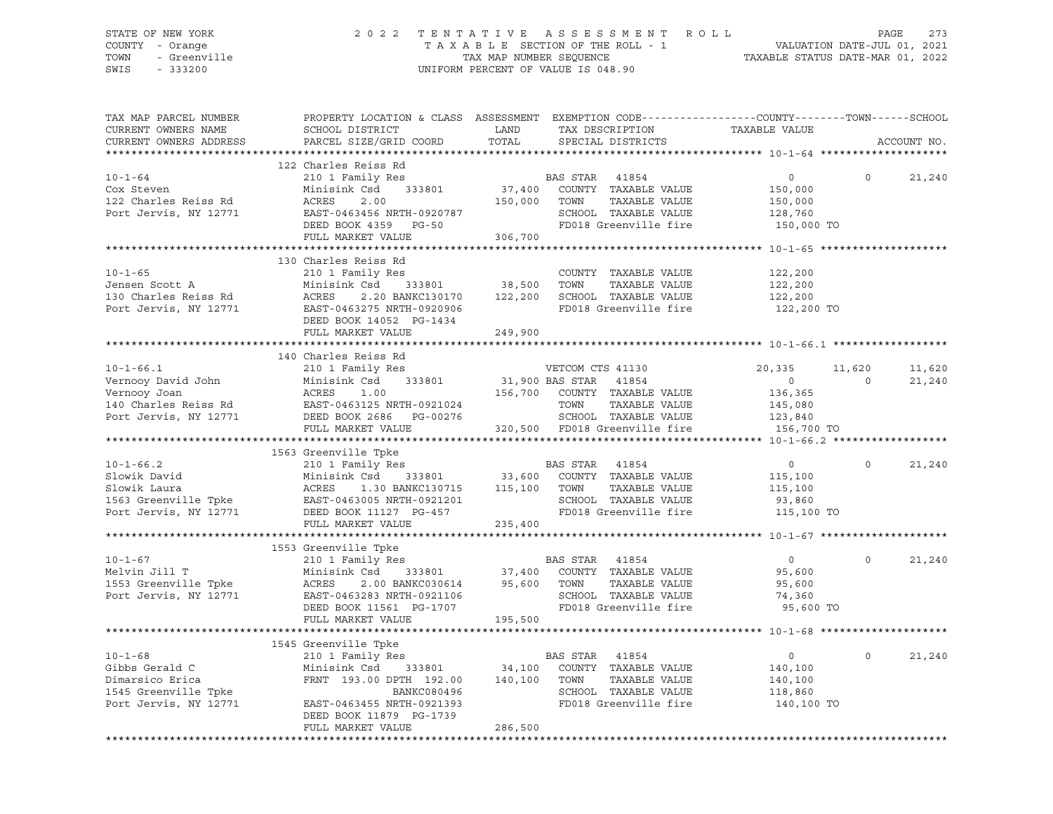### STATE OF NEW YORK 2 0 2 2 T E N T A T I V E A S S E S S M E N T R O L L PAGE 273 COUNTY - Orange T A X A B L E SECTION OF THE ROLL - 1 VALUATION DATE-JUL 01, 2021 TOWN - Greenville TAX MAP NUMBER SEQUENCE TAXABLE STATUS DATE-MAR 01, 2022 SWIS - 333200 UNIFORM PERCENT OF VALUE IS 048.90

| TAX MAP PARCEL NUMBER<br>CURRENT OWNERS NAME<br>CURRENT OWNERS ADDRESS                             | PROPERTY LOCATION & CLASS ASSESSMENT EXEMPTION CODE----------------COUNTY-------TOWN-----SCHOOL<br>SCHOOL DISTRICT<br>PARCEL SIZE/GRID COORD                                                                                                            | LAND<br>TOTAL      | TAX DESCRIPTION<br>SPECIAL DISTRICTS                                                                                                                                                                                                                    | TAXABLE VALUE                                                 |          | ACCOUNT NO. |
|----------------------------------------------------------------------------------------------------|---------------------------------------------------------------------------------------------------------------------------------------------------------------------------------------------------------------------------------------------------------|--------------------|---------------------------------------------------------------------------------------------------------------------------------------------------------------------------------------------------------------------------------------------------------|---------------------------------------------------------------|----------|-------------|
|                                                                                                    |                                                                                                                                                                                                                                                         |                    |                                                                                                                                                                                                                                                         |                                                               |          |             |
| $10 - 1 - 64$<br>Cox Steven<br>122 Charles Reiss Rd<br>Port Jervis, NY 12771                       | 122 Charles Reiss Rd<br>210 1 Family Res<br>Minisink Csd<br>333801<br>ACRES<br>2.00<br>EAST-0463456 NRTH-0920787<br>DEED BOOK 4359 PG-50<br>FULL MARKET VALUE                                                                                           | 150,000<br>306,700 | BAS STAR 41854<br>37,400 COUNTY TAXABLE VALUE<br>TOWN<br>TAXABLE VALUE<br>SCHOOL TAXABLE VALUE<br>FD018 Greenville fire                                                                                                                                 | $\overline{0}$<br>150,000<br>150,000<br>128,760<br>150,000 TO | $\Omega$ | 21,240      |
|                                                                                                    |                                                                                                                                                                                                                                                         |                    |                                                                                                                                                                                                                                                         |                                                               |          |             |
| $10 - 1 - 65$<br>Jensen Scott A<br>Jensen Scott A<br>130 Charles Reiss Rd<br>Port Jervis, NY 12771 | 130 Charles Reiss Rd<br>210 1 Family Res<br>Minisink Csd<br>ACRES<br>EAST-0463275 NRTH-0920906<br>DEED BOOK 14052 PG-1434                                                                                                                               |                    | COUNTY TAXABLE VALUE<br>$\begin{array}{cccccc} \texttt{csd} & & 333801 & & 38,500 & \texttt{TOWN} & & \texttt{TAXABLE VALUE} \\ 2.20 \texttt{ BANKC130170} & & 122,200 & \texttt{SCHOOL} & \texttt{TAXABLE VALUE} \end{array}$<br>FD018 Greenville fire | 122,200<br>122,200<br>122,200<br>122,200 TO                   |          |             |
|                                                                                                    | FULL MARKET VALUE                                                                                                                                                                                                                                       | 249,900            |                                                                                                                                                                                                                                                         |                                                               |          |             |
|                                                                                                    |                                                                                                                                                                                                                                                         |                    |                                                                                                                                                                                                                                                         |                                                               |          |             |
| $10 - 1 - 66.1$                                                                                    | 140 Charles Reiss Rd<br>210 1 Family Res                                                                                                                                                                                                                |                    | VETCOM CTS 41130                                                                                                                                                                                                                                        | 20,335                                                        | 11,620   | 11,620      |
|                                                                                                    |                                                                                                                                                                                                                                                         |                    |                                                                                                                                                                                                                                                         | $\overline{0}$                                                | $\Omega$ | 21,240      |
|                                                                                                    | Vernooy David John Minisink Csd 333801 31,900 BAS STAR 41854<br>Vernooy Joan ACRES 1.00 156,700 COUNTY TAXABLE VALUE<br>140 Charles Reiss Rd EAST-0463125 NRTH-0921024 TOWN TAXABLE VALUE<br>Port Jervis, NY 12771 DEED BOOK 2686 PG                    |                    |                                                                                                                                                                                                                                                         | 136,365                                                       |          |             |
|                                                                                                    |                                                                                                                                                                                                                                                         |                    |                                                                                                                                                                                                                                                         | 145,080                                                       |          |             |
|                                                                                                    |                                                                                                                                                                                                                                                         |                    | SCHOOL TAXABLE VALUE 123,840                                                                                                                                                                                                                            |                                                               |          |             |
|                                                                                                    | FULL MARKET VALUE                                                                                                                                                                                                                                       |                    | 320,500 FD018 Greenville fire                                                                                                                                                                                                                           | 156,700 TO                                                    |          |             |
|                                                                                                    |                                                                                                                                                                                                                                                         |                    |                                                                                                                                                                                                                                                         |                                                               |          |             |
|                                                                                                    | 1563 Greenville Tpke                                                                                                                                                                                                                                    |                    |                                                                                                                                                                                                                                                         |                                                               |          |             |
|                                                                                                    |                                                                                                                                                                                                                                                         |                    |                                                                                                                                                                                                                                                         | $\circ$                                                       | $\Omega$ | 21,240      |
|                                                                                                    |                                                                                                                                                                                                                                                         |                    |                                                                                                                                                                                                                                                         | 115,100                                                       |          |             |
|                                                                                                    |                                                                                                                                                                                                                                                         |                    | TAXABLE VALUE                                                                                                                                                                                                                                           | 115,100                                                       |          |             |
|                                                                                                    |                                                                                                                                                                                                                                                         |                    | SCHOOL TAXABLE VALUE                                                                                                                                                                                                                                    | 93,860                                                        |          |             |
|                                                                                                    |                                                                                                                                                                                                                                                         |                    | FD018 Greenville fire                                                                                                                                                                                                                                   | 115,100 TO                                                    |          |             |
|                                                                                                    | FULL MARKET VALUE 235,400                                                                                                                                                                                                                               |                    |                                                                                                                                                                                                                                                         |                                                               |          |             |
|                                                                                                    |                                                                                                                                                                                                                                                         |                    |                                                                                                                                                                                                                                                         |                                                               |          |             |
|                                                                                                    | 1553 Greenville Tpke                                                                                                                                                                                                                                    |                    |                                                                                                                                                                                                                                                         |                                                               |          |             |
| $10 - 1 - 67$                                                                                      |                                                                                                                                                                                                                                                         |                    |                                                                                                                                                                                                                                                         | $\overline{0}$                                                | $\Omega$ | 21,240      |
| Melvin Jill T                                                                                      |                                                                                                                                                                                                                                                         |                    |                                                                                                                                                                                                                                                         | 95,600                                                        |          |             |
|                                                                                                    |                                                                                                                                                                                                                                                         |                    |                                                                                                                                                                                                                                                         | 95,600                                                        |          |             |
|                                                                                                    |                                                                                                                                                                                                                                                         |                    |                                                                                                                                                                                                                                                         |                                                               |          |             |
| - ---- 1<br>1553 Greenville Tpke<br>Port Jervis, NY 12771                                          | 210 1 ram11y Res<br>Minisink Csd 333801 37,400 COUNTY TAXABLE VALUE<br>ACRES 2.00 BANKC030614 95,600 TOWN TAXABLE VALUE<br>EAST-0463283 NRTH-0921106<br>EAST-0463283 NRTH-0921106 SCHOOL TAXABLE VALUE<br>DEED BOOK 11561 PG-1707 FD018 Greenville fire |                    |                                                                                                                                                                                                                                                         | 74,360                                                        |          |             |
|                                                                                                    |                                                                                                                                                                                                                                                         | 195,500            | FD018 Greenville fire                                                                                                                                                                                                                                   | 95,600 TO                                                     |          |             |
|                                                                                                    | FULL MARKET VALUE                                                                                                                                                                                                                                       |                    |                                                                                                                                                                                                                                                         |                                                               |          |             |
|                                                                                                    |                                                                                                                                                                                                                                                         |                    |                                                                                                                                                                                                                                                         |                                                               |          |             |
|                                                                                                    | 1545 Greenville Tpke<br>210 1 Family Res                                                                                                                                                                                                                |                    |                                                                                                                                                                                                                                                         |                                                               |          |             |
| $10 - 1 - 68$                                                                                      |                                                                                                                                                                                                                                                         |                    | BAS STAR 41854                                                                                                                                                                                                                                          | $\overline{0}$                                                | $\Omega$ | 21,240      |
| Gibbs Gerald C                                                                                     | Minisink Csd 333801                                                                                                                                                                                                                                     |                    | 34,100 COUNTY TAXABLE VALUE                                                                                                                                                                                                                             | 140,100                                                       |          |             |
| Dimarsico Erica                                                                                    | FRNT 193.00 DPTH 192.00 140,100 TOWN                                                                                                                                                                                                                    |                    | TAXABLE VALUE                                                                                                                                                                                                                                           | 140,100                                                       |          |             |
| 1545 Greenville Tpke                                                                               | BANKC080496                                                                                                                                                                                                                                             |                    | SCHOOL TAXABLE VALUE                                                                                                                                                                                                                                    | 118,860                                                       |          |             |
| Port Jervis, NY 12771                                                                              | EAST-0463455 NRTH-0921393                                                                                                                                                                                                                               |                    | FD018 Greenville fire                                                                                                                                                                                                                                   | 140,100 TO                                                    |          |             |
|                                                                                                    | DEED BOOK 11879 PG-1739                                                                                                                                                                                                                                 |                    |                                                                                                                                                                                                                                                         |                                                               |          |             |
|                                                                                                    | FULL MARKET VALUE                                                                                                                                                                                                                                       | 286,500            |                                                                                                                                                                                                                                                         |                                                               |          |             |
|                                                                                                    |                                                                                                                                                                                                                                                         |                    |                                                                                                                                                                                                                                                         |                                                               |          |             |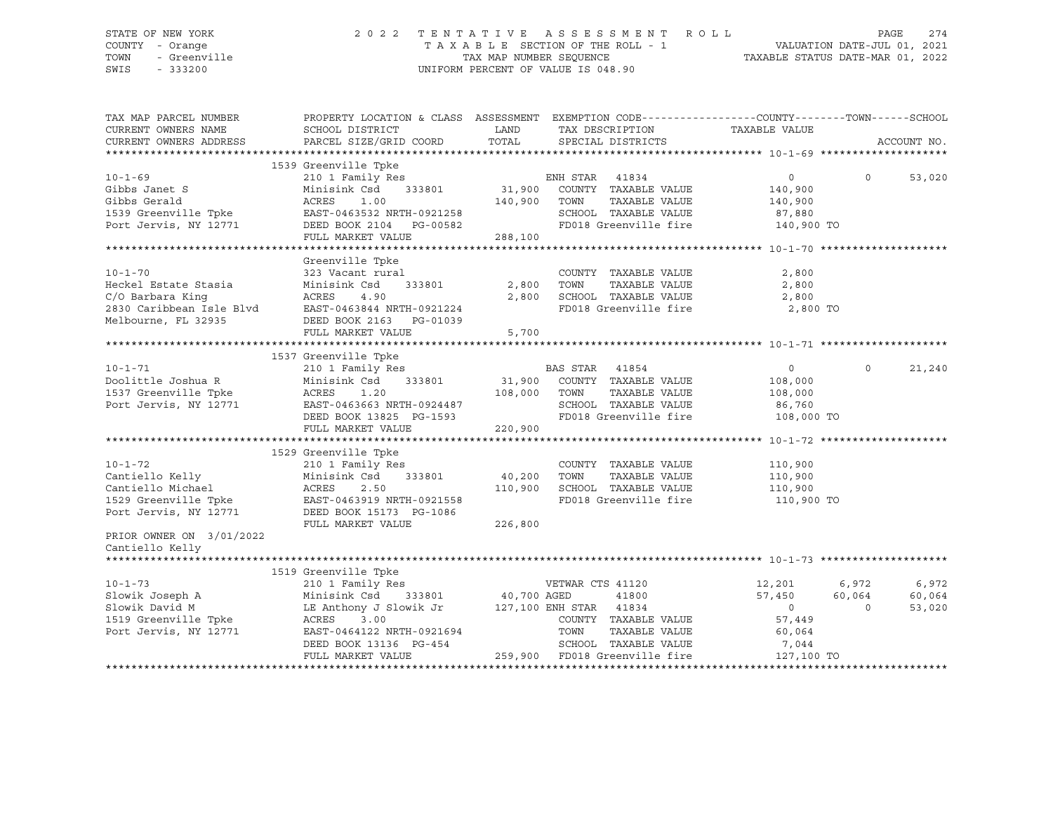### STATE OF NEW YORK 2 0 2 2 T E N T A T I V E A S S E S S M E N T R O L L PAGE 274 COUNTY - Orange T A X A B L E SECTION OF THE ROLL - 1 VALUATION DATE-JUL 01, 2021 TOWN - Greenville TAX MAP NUMBER SEQUENCE TAXABLE STATUS DATE-MAR 01, 2022 SWIS - 333200 UNIFORM PERCENT OF VALUE IS 048.90

| TAX MAP PARCEL NUMBER<br>CURRENT OWNERS NAME                                                                                                                                                                                         | PROPERTY LOCATION & CLASS ASSESSMENT EXEMPTION CODE----------------COUNTY-------TOWN------SCHOOL<br>SCHOOL DISTRICT                                            | LAND         | TAX DESCRIPTION                                                 | TAXABLE VALUE  |          |             |
|--------------------------------------------------------------------------------------------------------------------------------------------------------------------------------------------------------------------------------------|----------------------------------------------------------------------------------------------------------------------------------------------------------------|--------------|-----------------------------------------------------------------|----------------|----------|-------------|
| CURRENT OWNERS ADDRESS                                                                                                                                                                                                               | PARCEL SIZE/GRID COORD                                                                                                                                         | TOTAL        | SPECIAL DISTRICTS                                               |                |          | ACCOUNT NO. |
|                                                                                                                                                                                                                                      |                                                                                                                                                                |              |                                                                 |                |          |             |
|                                                                                                                                                                                                                                      | 1539 Greenville Tpke                                                                                                                                           |              |                                                                 |                |          |             |
| $10 - 1 - 69$                                                                                                                                                                                                                        |                                                                                                                                                                |              |                                                                 | $\overline{0}$ | $\Omega$ | 53,020      |
| Gibbs Janet S                                                                                                                                                                                                                        |                                                                                                                                                                |              |                                                                 | 140,900        |          |             |
|                                                                                                                                                                                                                                      |                                                                                                                                                                | 140,900 TOWN | TAXABLE VALUE                                                   | 140,900        |          |             |
|                                                                                                                                                                                                                                      |                                                                                                                                                                |              | SCHOOL TAXABLE VALUE 87,880<br>FD018 Greenville fire 140,900 TO |                |          |             |
| Gibbs Gerald<br>1539 Greenville Tpke<br>26. EAST-0463532 NRTH-0921258<br>26. Port Jervis, NY 12771<br>26. DEED BOOK 2104 PG-00582                                                                                                    | DEED BOOK 2104 PG-00582                                                                                                                                        |              |                                                                 |                |          |             |
|                                                                                                                                                                                                                                      | FULL MARKET VALUE                                                                                                                                              | 288,100      |                                                                 |                |          |             |
|                                                                                                                                                                                                                                      |                                                                                                                                                                |              |                                                                 |                |          |             |
|                                                                                                                                                                                                                                      | Greenville Tpke                                                                                                                                                |              |                                                                 |                |          |             |
| $10 - 1 - 70$                                                                                                                                                                                                                        | 323 Vacant rural                                                                                                                                               |              | COUNTY TAXABLE VALUE                                            | 2,800          |          |             |
| Heckel Estate Stasia                                                                                                                                                                                                                 | 333801 2,800 TOWN<br>Minisink Csd                                                                                                                              |              | TAXABLE VALUE                                                   | 2,800          |          |             |
| C/O Barbara King                                                                                                                                                                                                                     | ACRES<br>4.90                                                                                                                                                  | 2,800        | SCHOOL TAXABLE VALUE<br>FD018 Greenville fire                   | 2,800          |          |             |
|                                                                                                                                                                                                                                      |                                                                                                                                                                |              |                                                                 | 2,800 TO       |          |             |
|                                                                                                                                                                                                                                      |                                                                                                                                                                |              |                                                                 |                |          |             |
|                                                                                                                                                                                                                                      | FULL MARKET VALUE                                                                                                                                              | 5,700        |                                                                 |                |          |             |
|                                                                                                                                                                                                                                      |                                                                                                                                                                |              |                                                                 |                |          |             |
|                                                                                                                                                                                                                                      | 1537 Greenville Tpke                                                                                                                                           |              |                                                                 |                |          |             |
| $10 - 1 - 71$                                                                                                                                                                                                                        | 210 1 Family Res                                                                                                                                               |              | BAS STAR 41854                                                  | $\overline{0}$ | $\Omega$ | 21,240      |
|                                                                                                                                                                                                                                      | Minisink Csd 333801 31,900 COUNTY TAXABLE VALUE                                                                                                                |              |                                                                 | 108,000        |          |             |
|                                                                                                                                                                                                                                      | ACRES 1.20                                                                                                                                                     | 108,000 TOWN | TAXABLE VALUE                                                   | 108,000        |          |             |
| Doolittle Joshua R<br>1537 Greenville Tpke<br>Port Jervis, NY 12771                                                                                                                                                                  |                                                                                                                                                                |              | SCHOOL TAXABLE VALUE 86,760                                     |                |          |             |
|                                                                                                                                                                                                                                      | ACRES 1.2%<br>EAST-0463663 NRTH-0924487<br>DEED ROOK 13825 PG-1593                                                                                             |              | FD018 Greenville fire 108,000 TO                                |                |          |             |
|                                                                                                                                                                                                                                      | FULL MARKET VALUE                                                                                                                                              | 220,900      |                                                                 |                |          |             |
|                                                                                                                                                                                                                                      |                                                                                                                                                                |              |                                                                 |                |          |             |
|                                                                                                                                                                                                                                      | 1529 Greenville Tpke                                                                                                                                           |              |                                                                 |                |          |             |
| $10 - 1 - 72$                                                                                                                                                                                                                        | 210 1 Family Res                                                                                                                                               |              | COUNTY TAXABLE VALUE                                            | 110,900        |          |             |
| Cantiello Kelly<br>Cantiello Michael<br>1529 Greenville Toke                                                                                                                                                                         | Minisink Csd 333801 40,200 TOWN                                                                                                                                |              | TAXABLE VALUE                                                   | 110,900        |          |             |
|                                                                                                                                                                                                                                      | ACRES<br>2.50                                                                                                                                                  | 110,900      | SCHOOL TAXABLE VALUE 110,900                                    |                |          |             |
|                                                                                                                                                                                                                                      |                                                                                                                                                                |              | FD018 Greenville fire                                           | 110,900 TO     |          |             |
| 1529 Greenville Tpke EAST-0463919 NRTH-0921558<br>Port Jervis, NY 12771 DEED BOOK 15173 PG-1086                                                                                                                                      |                                                                                                                                                                |              |                                                                 |                |          |             |
|                                                                                                                                                                                                                                      | FULL MARKET VALUE                                                                                                                                              | 226,800      |                                                                 |                |          |             |
| PRIOR OWNER ON 3/01/2022                                                                                                                                                                                                             |                                                                                                                                                                |              |                                                                 |                |          |             |
| Cantiello Kelly                                                                                                                                                                                                                      |                                                                                                                                                                |              |                                                                 |                |          |             |
|                                                                                                                                                                                                                                      |                                                                                                                                                                |              |                                                                 |                |          |             |
|                                                                                                                                                                                                                                      |                                                                                                                                                                |              |                                                                 |                |          |             |
| $10 - 1 - 73$                                                                                                                                                                                                                        | 1519 Greenville Tpke                                                                                                                                           |              |                                                                 |                |          |             |
|                                                                                                                                                                                                                                      | 210 1 Family Res                                                                                                                                               |              | VETWAR CTS 41120                                                | 12,201         | 6,972    | 6,972       |
|                                                                                                                                                                                                                                      |                                                                                                                                                                |              |                                                                 | 57,450         | 60,064   | 60,064      |
|                                                                                                                                                                                                                                      |                                                                                                                                                                |              |                                                                 | $\overline{0}$ | $\circ$  | 53,020      |
| CONGRESS 2.00 Tenning Minisink Csd 333801 40,700 AGED 41800<br>Slowik David M LE Anthony J Slowik Jr 127,100 ENH STAR 41800<br>1819 Greenville Tpke ACRES 3.00 COUNTY TAXABLE<br>Port Jervis, NY 12771 EAST-0464122 NRTH-0921694 TOW |                                                                                                                                                                |              | COUNTY TAXABLE VALUE                                            | 57,449         |          |             |
|                                                                                                                                                                                                                                      |                                                                                                                                                                |              | TAXABLE VALUE                                                   | 60,064         |          |             |
|                                                                                                                                                                                                                                      |                                                                                                                                                                |              |                                                                 | 7,044          |          |             |
|                                                                                                                                                                                                                                      | EXAMPLE VALUE<br>RACRES 3.00<br>EAST-0464122 NRTH-0921694<br>DEED BOOK 13136 PG-454<br>FULL MARKET VALUE<br>FULL MARKET VALUE<br>259,900 FD018 Greenville fire |              |                                                                 | 127,100 TO     |          |             |
|                                                                                                                                                                                                                                      |                                                                                                                                                                |              |                                                                 |                |          |             |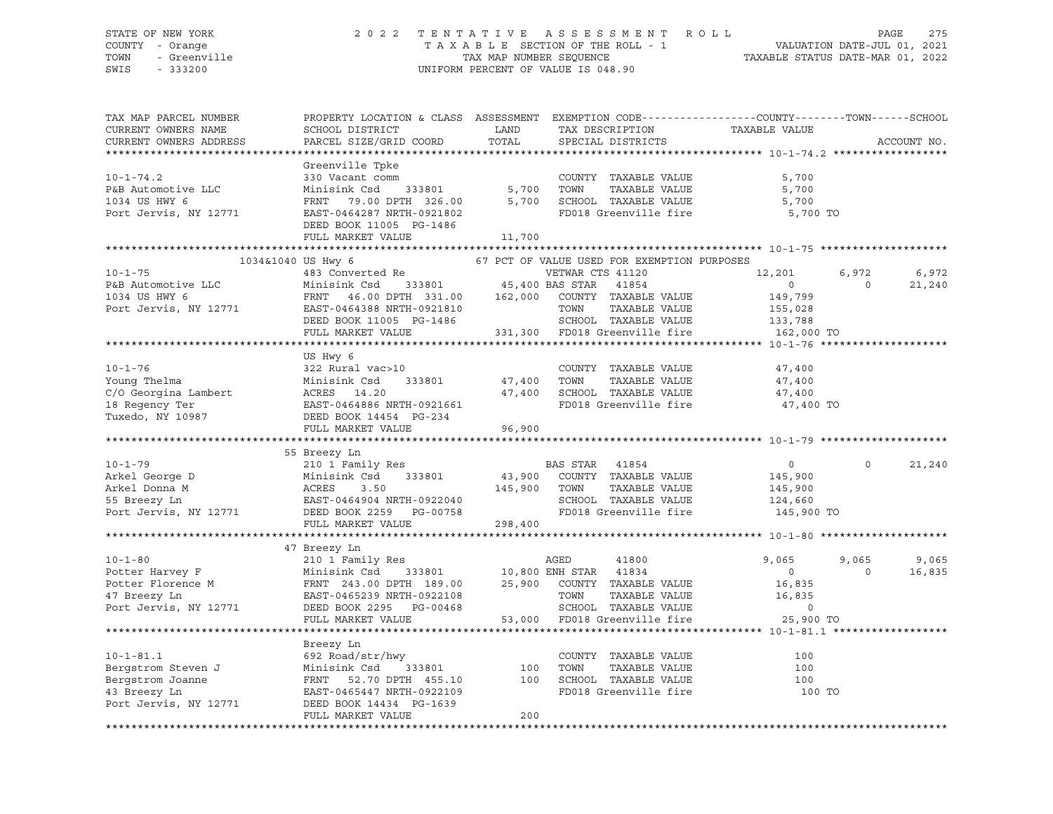### STATE OF NEW YORK 2 0 2 2 T E N T A T I V E A S S E S S M E N T R O L L PAGE 275 COUNTY - Orange T A X A B L E SECTION OF THE ROLL - 1 VALUATION DATE-JUL 01, 2021 TOWN - Greenville TAX MAP NUMBER SEQUENCE TAXABLE STATUS DATE-MAR 01, 2022 SWIS - 333200 UNIFORM PERCENT OF VALUE IS 048.90

| TAX MAP PARCEL NUMBER<br>CURRENT OWNERS NAME<br>CURRENT OWNERS ADDRESS                                                                                                                                                                     | PROPERTY LOCATION & CLASS ASSESSMENT EXEMPTION CODE---------------COUNTY-------TOWN------SCHOOL<br>SCHOOL DISTRICT<br>PARCEL SIZE/GRID COORD | LAND<br>TOTAL | TAX DESCRIPTION<br>SPECIAL DISTRICTS                                                           | TAXABLE VALUE  |                | ACCOUNT NO. |
|--------------------------------------------------------------------------------------------------------------------------------------------------------------------------------------------------------------------------------------------|----------------------------------------------------------------------------------------------------------------------------------------------|---------------|------------------------------------------------------------------------------------------------|----------------|----------------|-------------|
|                                                                                                                                                                                                                                            |                                                                                                                                              |               |                                                                                                |                |                |             |
|                                                                                                                                                                                                                                            | Greenville Tpke                                                                                                                              |               |                                                                                                |                |                |             |
| $10 - 1 - 74.2$                                                                                                                                                                                                                            | 330 Vacant comm<br>Minisink Csd 333801 5,700                                                                                                 |               | COUNTY TAXABLE VALUE                                                                           | 5,700          |                |             |
| P&B Automotive LLC                                                                                                                                                                                                                         |                                                                                                                                              |               | TOWN<br>TAXABLE VALUE                                                                          | 5,700          |                |             |
| 1034 US HWY 6                                                                                                                                                                                                                              | FRNT 79.00 DPTH 326.00                                                                                                                       |               | 5,700 SCHOOL TAXABLE VALUE                                                                     | 5,700          |                |             |
| Port Jervis, NY 12771                                                                                                                                                                                                                      | EAST-0464287 NRTH-0921802                                                                                                                    |               | FD018 Greenville fire                                                                          | 5,700 TO       |                |             |
|                                                                                                                                                                                                                                            | DEED BOOK 11005 PG-1486                                                                                                                      |               |                                                                                                |                |                |             |
|                                                                                                                                                                                                                                            | FULL MARKET VALUE                                                                                                                            | 11,700        |                                                                                                |                |                |             |
|                                                                                                                                                                                                                                            |                                                                                                                                              |               |                                                                                                |                |                |             |
| 1034&1040 US Hwy 6                                                                                                                                                                                                                         |                                                                                                                                              |               | 67 PCT OF VALUE USED FOR EXEMPTION PURPOSES                                                    |                |                |             |
| $10 - 1 - 75$                                                                                                                                                                                                                              | 483 Converted Re                                                                                                                             |               | VETWAR CTS 41120                                                                               | 12,201         | 6,972          | 6,972       |
|                                                                                                                                                                                                                                            |                                                                                                                                              |               |                                                                                                | $\overline{0}$ | $\overline{0}$ | 21,240      |
|                                                                                                                                                                                                                                            |                                                                                                                                              |               |                                                                                                | 149,799        |                |             |
|                                                                                                                                                                                                                                            |                                                                                                                                              |               |                                                                                                |                |                |             |
|                                                                                                                                                                                                                                            |                                                                                                                                              |               |                                                                                                |                |                |             |
|                                                                                                                                                                                                                                            |                                                                                                                                              |               |                                                                                                | 162,000 TO     |                |             |
|                                                                                                                                                                                                                                            |                                                                                                                                              |               |                                                                                                |                |                |             |
| P&B Automotive Luce Controller Controller Controller Controller Controller Controller Controller Controller Controller Controller Controller Controller Controller Controller Controller Controller Controller Controller Cont             | US Hwy 6                                                                                                                                     |               |                                                                                                |                |                |             |
|                                                                                                                                                                                                                                            |                                                                                                                                              |               | COUNTY TAXABLE VALUE                                                                           | 47,400         |                |             |
|                                                                                                                                                                                                                                            |                                                                                                                                              | $47,400$ TOWN | TAXABLE VALUE                                                                                  | 47,400         |                |             |
|                                                                                                                                                                                                                                            |                                                                                                                                              |               |                                                                                                | 47,400         |                |             |
|                                                                                                                                                                                                                                            |                                                                                                                                              |               | 47,400 SCHOOL TAXABLE VALUE<br>FD018 Greenville fire FD018 FD018 FD018 FD018 FD018 FD018 FD018 | 47,400 TO      |                |             |
|                                                                                                                                                                                                                                            |                                                                                                                                              |               |                                                                                                |                |                |             |
|                                                                                                                                                                                                                                            |                                                                                                                                              | 96,900        |                                                                                                |                |                |             |
|                                                                                                                                                                                                                                            |                                                                                                                                              |               |                                                                                                |                |                |             |
|                                                                                                                                                                                                                                            | 55 Breezy Ln                                                                                                                                 |               |                                                                                                |                |                |             |
| $10 - 1 - 79$                                                                                                                                                                                                                              | 210 1 Family Res                                                                                                                             |               | BAS STAR 41854                                                                                 | $\overline{0}$ | $\Omega$       | 21,240      |
|                                                                                                                                                                                                                                            | 333801                                                                                                                                       |               |                                                                                                | 145,900        |                |             |
|                                                                                                                                                                                                                                            |                                                                                                                                              |               | 43,900 COUNTY TAXABLE VALUE<br>145,900 TOWN TAXABLE VALUE                                      | 145,900        |                |             |
|                                                                                                                                                                                                                                            |                                                                                                                                              |               | SCHOOL TAXABLE VALUE<br>FD018 Greenville fire                                                  | 124,660        |                |             |
| Arkel George D Minisink Csd 333801 43,900<br>Arkel Donna M ACRES 3.50 145,900<br>55 Breezy Ln EAST-0464904 NRTH-0922040<br>Port Jervis, NY 12771 DEED BOOK 2259 PG-00758                                                                   |                                                                                                                                              |               |                                                                                                | 145,900 TO     |                |             |
|                                                                                                                                                                                                                                            | FULL MARKET VALUE                                                                                                                            | 298,400       |                                                                                                |                |                |             |
|                                                                                                                                                                                                                                            |                                                                                                                                              |               |                                                                                                |                |                |             |
| 47 Breezy Ln<br>10-1-80 210 1 Family Res<br>Potter Harvey F Minisink Csd 333801 10,800 ENH STAR 41834<br>Potter Florence M FRNT 243.00 DPTH 189.00 25,900 COUNTY TAXABLE<br>47 Breezy Ln<br>EAST-0465239 NRTH-0922108 TOWN TAXABLE<br>NERD |                                                                                                                                              |               |                                                                                                |                |                |             |
|                                                                                                                                                                                                                                            |                                                                                                                                              |               |                                                                                                | 9,065          | 9,065          | 9,065       |
|                                                                                                                                                                                                                                            |                                                                                                                                              |               |                                                                                                | $\overline{0}$ | $\Omega$       | 16,835      |
|                                                                                                                                                                                                                                            |                                                                                                                                              |               | 25,900 COUNTY TAXABLE VALUE                                                                    | 16,835         |                |             |
|                                                                                                                                                                                                                                            |                                                                                                                                              |               | TAXABLE VALUE                                                                                  | 16,835         |                |             |
|                                                                                                                                                                                                                                            |                                                                                                                                              |               | 00468 SCHOOL TAXABLE VALUE<br>53,000 FD018 Greenville fire                                     | $\circ$        |                |             |
|                                                                                                                                                                                                                                            | FULL MARKET VALUE                                                                                                                            |               |                                                                                                | 25,900 TO      |                |             |
|                                                                                                                                                                                                                                            |                                                                                                                                              |               |                                                                                                |                |                |             |
|                                                                                                                                                                                                                                            | Breezy Ln                                                                                                                                    |               |                                                                                                |                |                |             |
| Bergstrom Steven J<br>Bergstrom Joanne<br>43 Breezy Ln<br>Port Jervis. NY 19771                                                                                                                                                            | 692 Road/str/hwy                                                                                                                             |               | COUNTY TAXABLE VALUE                                                                           | 100            |                |             |
|                                                                                                                                                                                                                                            | Minisink Csd 333801                                                                                                                          | 100           | TOWN      TAXABLE VALUE<br>SCHOOL   TAXABLE VALUE                                              | 100            |                |             |
|                                                                                                                                                                                                                                            | FRNT 52.70 DPTH 455.10                                                                                                                       | 100           |                                                                                                | 100            |                |             |
|                                                                                                                                                                                                                                            | EAST-0465447 NRTH-0922109                                                                                                                    |               | FD018 Greenville fire                                                                          | 100 TO         |                |             |
| Port Jervis, NY 12771                                                                                                                                                                                                                      | DEED BOOK 14434 PG-1639                                                                                                                      |               |                                                                                                |                |                |             |
|                                                                                                                                                                                                                                            | FULL MARKET VALUE                                                                                                                            | 200           |                                                                                                |                |                |             |
|                                                                                                                                                                                                                                            |                                                                                                                                              |               |                                                                                                |                |                |             |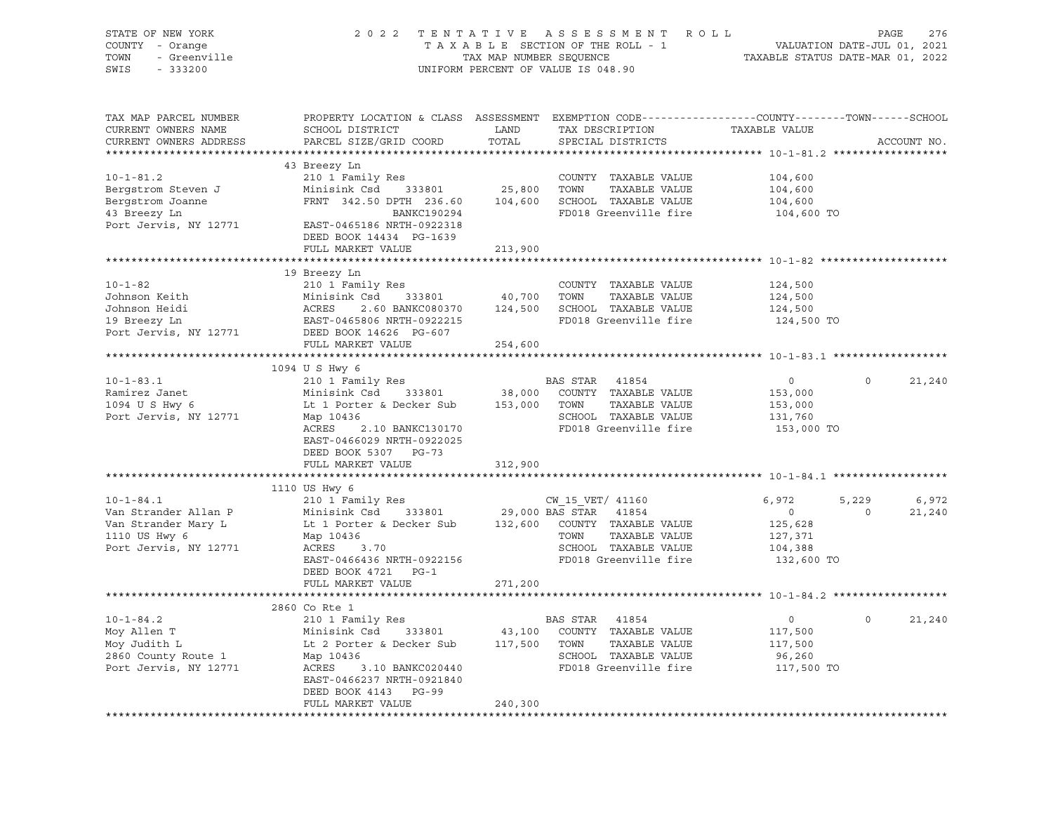| STATE OF NEW YORK<br>COUNTY - Orange<br>TOWN<br>- Greenville<br>SWIS<br>$-333200$ |                                                                                                                                                                                                                                           | TAX MAP NUMBER SEQUENCE | 2022 TENTATIVE ASSESSMENT ROLL<br>TAXABLE SECTION OF THE ROLL - 1<br>UNIFORM PERCENT OF VALUE IS 048.90 | VALUATION DATE-JUL 01, 2021<br>TAXABLE STATUS DATE-MAR 01, 2022 | PAGE<br>276           |
|-----------------------------------------------------------------------------------|-------------------------------------------------------------------------------------------------------------------------------------------------------------------------------------------------------------------------------------------|-------------------------|---------------------------------------------------------------------------------------------------------|-----------------------------------------------------------------|-----------------------|
| TAX MAP PARCEL NUMBER<br>CURRENT OWNERS NAME<br>CURRENT OWNERS ADDRESS            | PROPERTY LOCATION & CLASS ASSESSMENT EXEMPTION CODE----------------COUNTY-------TOWN------SCHOOL<br>SCHOOL DISTRICT<br>PARCEL SIZE/GRID COORD                                                                                             | LAND<br>TOTAL           | TAX DESCRIPTION<br>SPECIAL DISTRICTS                                                                    | TAXABLE VALUE                                                   | ACCOUNT NO.           |
|                                                                                   | 43 Breezy Ln                                                                                                                                                                                                                              |                         |                                                                                                         |                                                                 |                       |
| $10 - 1 - 81.2$                                                                   | 210 1 Family Res                                                                                                                                                                                                                          |                         | COUNTY TAXABLE VALUE                                                                                    | 104,600                                                         |                       |
| Bergstrom Steven J                                                                | Minisink Csd 333801                                                                                                                                                                                                                       | 25,800 TOWN             | TAXABLE VALUE                                                                                           | 104,600                                                         |                       |
| Bergstrom Joanne                                                                  | FRNT 342.50 DPTH 236.60                                                                                                                                                                                                                   |                         | 104,600 SCHOOL TAXABLE VALUE                                                                            | 104,600                                                         |                       |
| 43 Breezy Ln                                                                      | BANKC190294                                                                                                                                                                                                                               |                         | FD018 Greenville fire                                                                                   | 104,600 TO                                                      |                       |
| Port Jervis, NY 12771                                                             | EAST-0465186 NRTH-0922318                                                                                                                                                                                                                 |                         |                                                                                                         |                                                                 |                       |
|                                                                                   | DEED BOOK 14434 PG-1639                                                                                                                                                                                                                   |                         |                                                                                                         |                                                                 |                       |
|                                                                                   | FULL MARKET VALUE                                                                                                                                                                                                                         | 213,900                 |                                                                                                         |                                                                 |                       |
|                                                                                   |                                                                                                                                                                                                                                           |                         |                                                                                                         |                                                                 |                       |
|                                                                                   | 19 Breezy Ln                                                                                                                                                                                                                              |                         |                                                                                                         |                                                                 |                       |
| $10 - 1 - 82$                                                                     | 210 1 Family Res                                                                                                                                                                                                                          |                         | COUNTY TAXABLE VALUE                                                                                    | 124,500                                                         |                       |
| Johnson Keith                                                                     | $\begin{tabular}{lcccccc} \texttt{Minisink} & \texttt{Csd} & 333801 & 40,700 & \texttt{TONN} & \texttt{TAXABLE VALUE} \\ \texttt{ACRES} & 2.60 & \texttt{BANKC080370} & 124,500 & \texttt{SCHOOL} & \texttt{TAXABLE VALUE} \end{tabular}$ |                         |                                                                                                         | 124,500                                                         |                       |
| Johnson Heidi                                                                     |                                                                                                                                                                                                                                           |                         |                                                                                                         | 124,500                                                         |                       |
| 19 Breezy Ln                                                                      | EAST-0465806 NRTH-0922215                                                                                                                                                                                                                 |                         | FD018 Greenville fire                                                                                   | 124,500 TO                                                      |                       |
| Port Jervis, NY 12771                                                             | DEED BOOK 14626 PG-607                                                                                                                                                                                                                    |                         |                                                                                                         |                                                                 |                       |
|                                                                                   | FULL MARKET VALUE                                                                                                                                                                                                                         | 254,600                 |                                                                                                         |                                                                 |                       |
|                                                                                   |                                                                                                                                                                                                                                           |                         |                                                                                                         |                                                                 |                       |
|                                                                                   | 1094 U S Hwy 6                                                                                                                                                                                                                            |                         |                                                                                                         |                                                                 |                       |
| $10 - 1 - 83.1$                                                                   | 210 1 Family Res<br>Minisink Csd 333801 38,000 COUNTY TAXABLE VALUE                                                                                                                                                                       |                         | BAS STAR<br>41854                                                                                       | $\overline{0}$                                                  | $\circ$<br>21,240     |
| Ramirez Janet<br>1094 U S Hwy 6                                                   |                                                                                                                                                                                                                                           |                         | TOWN<br>TAXABLE VALUE                                                                                   | 153,000                                                         |                       |
| Port Jervis, NY 12771                                                             | Lt 1 Porter & Decker Sub 153,000<br>Map 10436                                                                                                                                                                                             |                         | SCHOOL TAXABLE VALUE                                                                                    | 153,000<br>131,760                                              |                       |
|                                                                                   | ACRES<br>2.10 BANKC130170                                                                                                                                                                                                                 |                         | FD018 Greenville fire                                                                                   | 153,000 TO                                                      |                       |
|                                                                                   | EAST-0466029 NRTH-0922025                                                                                                                                                                                                                 |                         |                                                                                                         |                                                                 |                       |
|                                                                                   | DEED BOOK 5307 PG-73                                                                                                                                                                                                                      |                         |                                                                                                         |                                                                 |                       |
|                                                                                   | FULL MARKET VALUE                                                                                                                                                                                                                         | 312,900                 |                                                                                                         |                                                                 |                       |
|                                                                                   |                                                                                                                                                                                                                                           |                         |                                                                                                         |                                                                 |                       |
|                                                                                   | 1110 US Hwy 6                                                                                                                                                                                                                             |                         |                                                                                                         |                                                                 |                       |
| $10 - 1 - 84.1$                                                                   | 210 1 Family Res                                                                                                                                                                                                                          |                         | CW 15 VET/ 41160                                                                                        | 6,972                                                           | 5,229<br>6,972        |
| Van Strander Allan P                                                              | Minisink Csd                                                                                                                                                                                                                              |                         | 333801 29,000 BAS STAR 41854                                                                            | $\overline{0}$                                                  | $\mathbf 0$<br>21,240 |
| Van Strander Mary L                                                               | Lt 1 Porter & Decker Sub 132,600 COUNTY TAXABLE VALUE                                                                                                                                                                                     |                         |                                                                                                         | 125,628                                                         |                       |
| 1110 US Hwy 6                                                                     | Map 10436                                                                                                                                                                                                                                 |                         | TOWN<br>TAXABLE VALUE                                                                                   | 127,371                                                         |                       |
| Port Jervis, NY 12771                                                             | ACRES 3.70                                                                                                                                                                                                                                |                         | SCHOOL TAXABLE VALUE                                                                                    | 104,388                                                         |                       |
|                                                                                   | EAST-0466436 NRTH-0922156                                                                                                                                                                                                                 |                         | FD018 Greenville fire                                                                                   | 132,600 TO                                                      |                       |
|                                                                                   | DEED BOOK 4721 PG-1                                                                                                                                                                                                                       |                         |                                                                                                         |                                                                 |                       |
|                                                                                   | FULL MARKET VALUE                                                                                                                                                                                                                         | 271,200                 |                                                                                                         |                                                                 |                       |
|                                                                                   | 2860 Co Rte 1                                                                                                                                                                                                                             |                         |                                                                                                         |                                                                 |                       |
| $10 - 1 - 84.2$                                                                   | 210 1 Family Res                                                                                                                                                                                                                          |                         | BAS STAR<br>41854                                                                                       | $\circ$                                                         | $\circ$<br>21,240     |
| Moy Allen T                                                                       |                                                                                                                                                                                                                                           | 43,100                  | COUNTY TAXABLE VALUE                                                                                    | 117,500                                                         |                       |
| Moy Judith L                                                                      | Minisink Csu<br>Lt 2 Porter & Decker Sub                                                                                                                                                                                                  | 117,500 TOWN            | TAXABLE VALUE                                                                                           | 117,500                                                         |                       |
| 2860 County Route 1                                                               | Map 10436                                                                                                                                                                                                                                 |                         | SCHOOL TAXABLE VALUE                                                                                    | 96,260                                                          |                       |
| Port Jervis, NY 12771                                                             | ACRES<br>3.10 BANKC020440                                                                                                                                                                                                                 |                         | FD018 Greenville fire                                                                                   | 117,500 TO                                                      |                       |
|                                                                                   | EAST-0466237 NRTH-0921840                                                                                                                                                                                                                 |                         |                                                                                                         |                                                                 |                       |
|                                                                                   | DEED BOOK 4143 PG-99                                                                                                                                                                                                                      |                         |                                                                                                         |                                                                 |                       |
|                                                                                   | FULL MARKET VALUE                                                                                                                                                                                                                         | 240,300                 |                                                                                                         |                                                                 |                       |
|                                                                                   |                                                                                                                                                                                                                                           |                         |                                                                                                         |                                                                 |                       |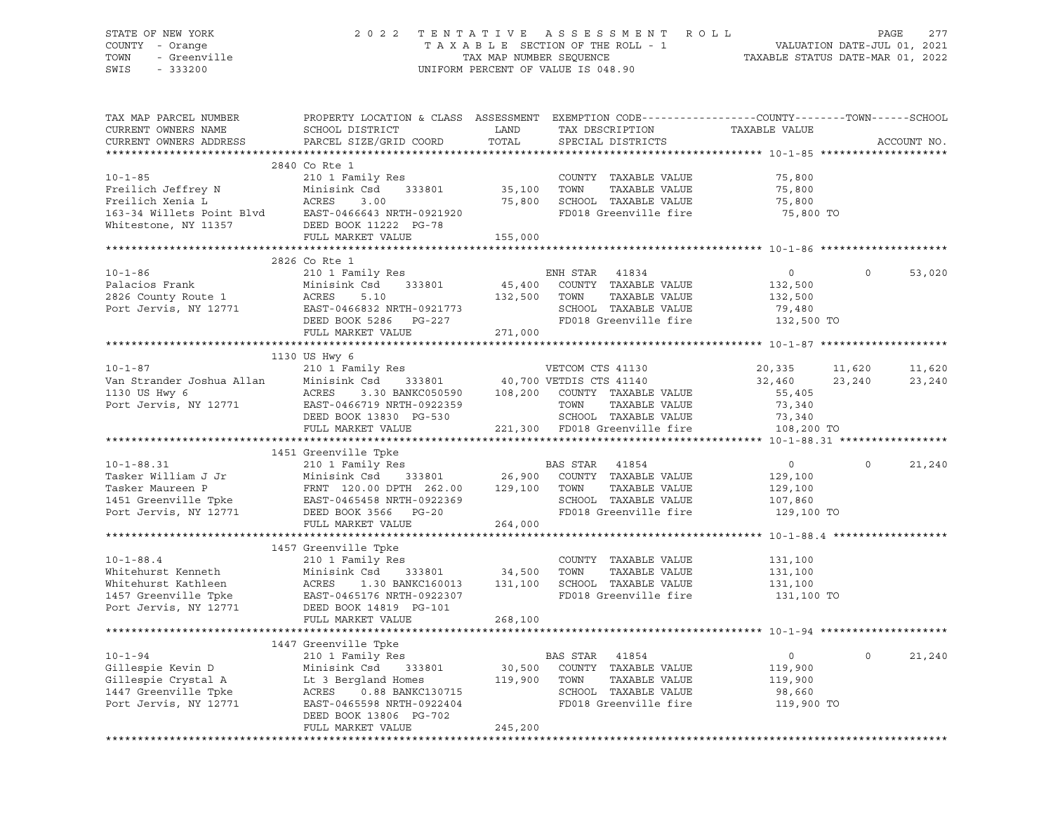### STATE OF NEW YORK 2 0 2 2 T E N T A T I V E A S S E S S M E N T R O L L PAGE 277 COUNTY - Orange T A X A B L E SECTION OF THE ROLL - 1 VALUATION DATE-JUL 01, 2021 TOWN - Greenville TAX MAP NUMBER SEQUENCE TAXABLE STATUS DATE-MAR 01, 2022 SWIS - 333200 UNIFORM PERCENT OF VALUE IS 048.90

| TAX MAP PARCEL NUMBER<br>CURRENT OWNERS NAME<br>CURRENT OWNERS ADDRESS                                                                                                                                                                                                               | PROPERTY LOCATION & CLASS ASSESSMENT EXEMPTION CODE----------------COUNTY-------TOWN------SCHOOL<br>SCHOOL DISTRICT<br>PARCEL SIZE/GRID COORD  | LAND<br>TOTAL                         | TAX DESCRIPTION<br>SPECIAL DISTRICTS                                                                                                                                                                                                                 | TAXABLE VALUE                                                | ACCOUNT NO.      |                  |
|--------------------------------------------------------------------------------------------------------------------------------------------------------------------------------------------------------------------------------------------------------------------------------------|------------------------------------------------------------------------------------------------------------------------------------------------|---------------------------------------|------------------------------------------------------------------------------------------------------------------------------------------------------------------------------------------------------------------------------------------------------|--------------------------------------------------------------|------------------|------------------|
|                                                                                                                                                                                                                                                                                      |                                                                                                                                                |                                       |                                                                                                                                                                                                                                                      |                                                              |                  |                  |
| $10 - 1 - 85$<br>Freilich Jeffrey N<br>Freilich Xenia L<br>163-34 Willets Point Blvd<br>Minisink Csd 333801<br>163-34 Willets Point Blvd<br>EAST-0466643 NRTH-0921920<br>Whitestone, NY 11357<br>PEED BOOK 11222 PG-78<br>FULL MARKET VALUE                                          | 2840 Co Rte 1<br>210 1 Family Res<br>Minisink Csd      333801<br>FULL MARKET VALUE                                                             | COUNTY<br>35,100      TOWN<br>155,000 | COUNTY TAXABLE VALUE<br>TAXABLE VALUE<br>75,800 SCHOOL TAXABLE VALUE<br>FD018 Greenville fire                                                                                                                                                        | 75,800<br>75,800<br>75,800<br>75,800 TO                      |                  |                  |
|                                                                                                                                                                                                                                                                                      |                                                                                                                                                |                                       |                                                                                                                                                                                                                                                      |                                                              |                  |                  |
| 10-1-86<br>Palacios Frank Minisink Csd 333801 45,400<br>2826 County Route 1 ACRES 5.10 132,500<br>Port Jervis, NY 12771 EAST-0466832 NRTH-0921773<br>DEED BOOK 5286 PG-227<br>WADKET VALUE 271,000                                                                                   | 2826 Co Rte 1                                                                                                                                  |                                       | ENH STAR 41834<br>$\begin{tabular}{lcccccc} 333801 & & 45,400 & \text{COUNTY} & \text{TAXABLE VALUE} \\ & & 132,500 & \text{TOWN} & \text{TAXABLE VALUE} \end{tabular}$<br>TAXABLE VALUE<br>SCHOOL TAXABLE VALUE<br>FD018 Greenville fire 132,500 TO | $\overline{0}$<br>132,500<br>132,500<br>79,480               | $\Omega$         | 53,020           |
|                                                                                                                                                                                                                                                                                      |                                                                                                                                                |                                       |                                                                                                                                                                                                                                                      |                                                              |                  |                  |
|                                                                                                                                                                                                                                                                                      |                                                                                                                                                |                                       |                                                                                                                                                                                                                                                      |                                                              |                  |                  |
| $10 - 1 - 87$                                                                                                                                                                                                                                                                        | 1130 US Hwy 6<br>210 1 Family Res                                                                                                              |                                       | VETCOM CTS 41130                                                                                                                                                                                                                                     | 20,335<br>32,460                                             | 11,620<br>23,240 | 11,620<br>23,240 |
| Van Strander Joshua Allan Minisink Csd 333801 40,700 VETDIS CTS 41140<br>1130 US Hwy 6 ACRES 3.30 BANKC050590 108,200 COUNTY TAXABLE VALUE<br>Port Jervis, NY 12771 EAST-0466719 NRTH-0922359 TOWN TAXABLE VALUE<br>DEED BOOK 13830 PG-                                              | FULL MARKET VALUE                                                                                                                              |                                       | TAXABLE VALUE<br>SCHOOL TAXABLE VALUE<br>221,300 FD018 Greenville fire 108,200 TO                                                                                                                                                                    | 55,405<br>73,340                                             |                  |                  |
|                                                                                                                                                                                                                                                                                      |                                                                                                                                                |                                       |                                                                                                                                                                                                                                                      |                                                              |                  |                  |
| 10-1-88.31 210 1 Family Res<br>Tasker William J Jr Minisink Csd 333801 26,900 COUNTY TAXABLE VALUE<br>Tasker Maureen P FRNT 120.00 DPTH 262.00 129,100 TOWN TAXABLE VALUE<br>1451 Greenville Tpke EAST-0465458 NRTH-0922369 SCHOOL T                                                 | 1451 Greenville Tpke                                                                                                                           |                                       | SCHOOL TAXABLE VALUE                                                                                                                                                                                                                                 | $\overline{0}$<br>129,100<br>129,100<br>107,860              | $\Omega$         | 21,240           |
|                                                                                                                                                                                                                                                                                      |                                                                                                                                                |                                       | FD018 Greenville fire                                                                                                                                                                                                                                | 129,100 TO                                                   |                  |                  |
|                                                                                                                                                                                                                                                                                      | FULL MARKET VALUE                                                                                                                              | 264,000                               |                                                                                                                                                                                                                                                      |                                                              |                  |                  |
| $10 - 1 - 88.4$<br>Whitehurst Kenneth<br>Minisink Csd 333801<br>Whitehurst Kathleen<br>1457 Greenville Tpke<br>Port Jervis, NY 12771<br>DEED BOOK 14819 PG-101                                                                                                                       | 1457 Greenville Tpke<br>210 1 Family Res<br>Minisink Csd 333801 34,500 TOWN<br>FULL MARKET VALUE                                               | 268,100                               | COUNTY TAXABLE VALUE<br>TAXABLE VALUE<br>1.30 BANKC160013 131,100 SCHOOL TAXABLE VALUE<br>FD018 Greenville fire                                                                                                                                      | 131,100<br>131,100<br>131,100<br>131,100 TO                  |                  |                  |
|                                                                                                                                                                                                                                                                                      |                                                                                                                                                |                                       |                                                                                                                                                                                                                                                      |                                                              |                  |                  |
| $10 - 1 - 94$<br>10-1-94<br>Gillespie Kevin D<br>Gillespie Crystal A<br>1447 Greenville Tpke<br>1447 Greenville Tpke<br>16 ACRES<br>16 ACRES<br>16 ACRES<br>16 ACRES<br>16 ACRES<br>16 ACRES<br>16 ACRES<br>16 ACRES<br>16 ACRES<br>16 ACRES<br>16 ACRES<br>16 ACRES<br>16 ACRES<br> | 1447 Greenville Tpke<br>Greenville Tpke<br>210 1 Family Res<br>ACRES   0.88 BANKC130715<br>EAST-0465598 NRTH-0922404<br>DEED BOOK 13806 PG-702 |                                       | BAS STAR 41854<br>30,500 COUNTY TAXABLE VALUE<br>119,900 TOWN TAXABLE VALUE<br>SCHOOL TAXABLE VALUE<br>FD018 Greenville fire                                                                                                                         | $\overline{0}$<br>119,900<br>119,900<br>98,660<br>119,900 TO | $\Omega$         | 21,240           |
|                                                                                                                                                                                                                                                                                      | FULL MARKET VALUE                                                                                                                              | 245,200                               |                                                                                                                                                                                                                                                      |                                                              |                  |                  |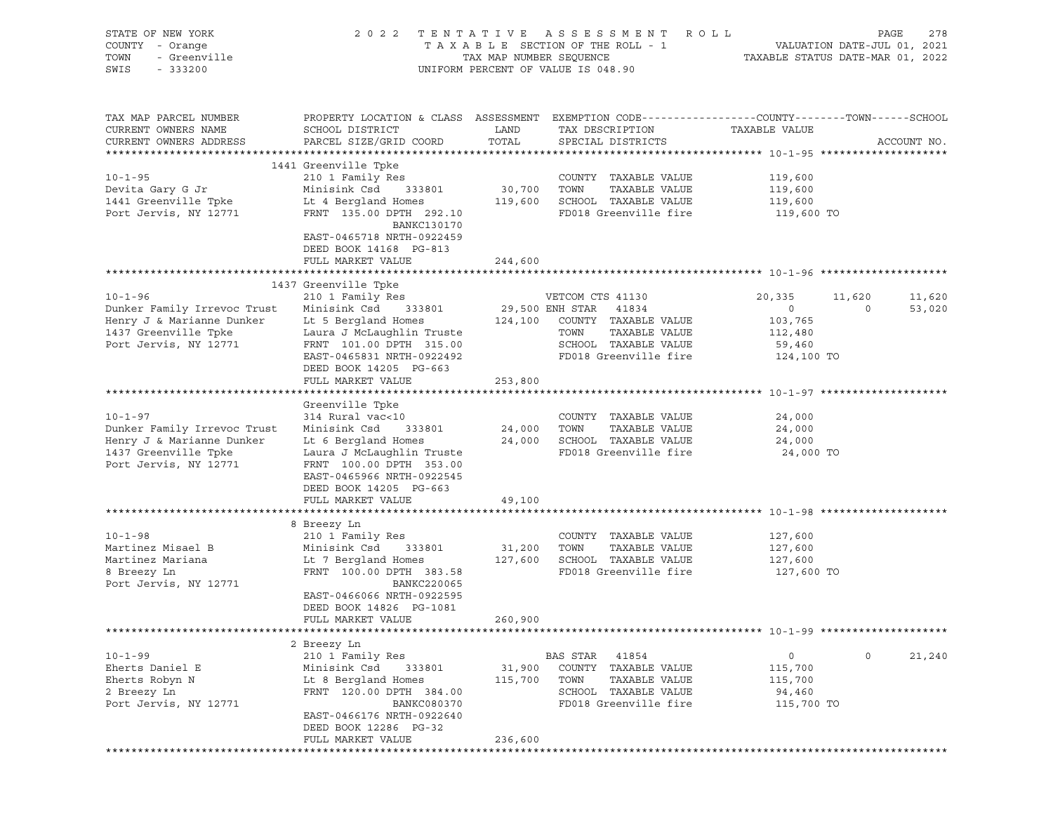| STATE OF NEW YORK<br>COUNTY - Orange<br><i>I -</i> Orange<br>- Greenville<br>- 333200<br>TOWN<br>SWIS                                                                                                                                |                                                                                                                                                                                                                                                                                 |                              | 2022 TENTATIVE ASSESSMENT ROLL<br>TAXABLE SECTION OF THE ROLL - 1 VALUATION DATE-JUL 01, 2021<br>TAX MAP NUMBER SEQUENCE TAXABLE STATUS DATE-MAR 01, 2022<br>UNIFORM PERCENT OF VALUE IS 048.90 |                                                                        | PAGE<br>278                                  |
|--------------------------------------------------------------------------------------------------------------------------------------------------------------------------------------------------------------------------------------|---------------------------------------------------------------------------------------------------------------------------------------------------------------------------------------------------------------------------------------------------------------------------------|------------------------------|-------------------------------------------------------------------------------------------------------------------------------------------------------------------------------------------------|------------------------------------------------------------------------|----------------------------------------------|
| TAX MAP PARCEL NUMBER<br>CURRENT OWNERS NAME<br>CURRENT OWNERS ADDRESS                                                                                                                                                               | PROPERTY LOCATION & CLASS ASSESSMENT EXEMPTION CODE----------------COUNTY-------TOWN------SCHOOL<br>SCHOOL DISTRICT<br>PARCEL SIZE/GRID COORD TOTAL                                                                                                                             | LAND                         | TAX DESCRIPTION TAXABLE VALUE<br>SPECIAL DISTRICTS                                                                                                                                              |                                                                        | ACCOUNT NO.                                  |
| 10-1-95 210 1 Family Res COUNTY TAXABLE VALUE 119,600<br>1441 Greenville Tpke Lt 4 Bergland Homes 119,600 SCHOOL TAXABLE VALUE 119,600<br>1441 Greenville Tpke Lt 4 Bergland Homes 119,600 SCHOOL TAXABLE VALUE 119,600<br>119,600 P | 1441 Greenville Tpke<br>BANKC130170<br>EAST-0465718 NRTH-0922459<br>DEED BOOK 14168 PG-813<br>FULL MARKET VALUE                                                                                                                                                                 | 244,600                      |                                                                                                                                                                                                 |                                                                        |                                              |
|                                                                                                                                                                                                                                      |                                                                                                                                                                                                                                                                                 |                              |                                                                                                                                                                                                 |                                                                        |                                              |
| $10 - 1 - 96$<br>Dunker Family Irrevoc Trust<br>Henry J & Marianne Dunker<br>1437 Greenville Tpke<br>1437 Greenville Tpke<br>Port Jervis, NY 12771                                                                                   | 1437 Greenville Tpke<br>210 1 Family Res<br>Minisink Csd 333801<br>Lt 5 Bergland Homes 124,100 COUNTY TAXABLE VALUE<br>Laura J McLaughlin Truste<br>FRNT 101.00 DPTH 315.00<br>EAST-0465831 NRTH-0922492                                                                        |                              | VETCOM CTS 41130<br>29,500 ENH STAR 41834<br>VETCOM CTS 41130<br>TOWN TAXABLE VALUE<br>SCHOOL TAXABLE VALUE<br>FD018 Greenville fire                                                            | 20,335<br>$\overline{0}$<br>103,765<br>112,480<br>59,460<br>124,100 TO | 11,620<br>11,620<br>$\overline{a}$<br>53,020 |
|                                                                                                                                                                                                                                      | DEED BOOK 14205 PG-663<br>FULL MARKET VALUE                                                                                                                                                                                                                                     | 253,800                      |                                                                                                                                                                                                 |                                                                        |                                              |
|                                                                                                                                                                                                                                      |                                                                                                                                                                                                                                                                                 |                              |                                                                                                                                                                                                 |                                                                        |                                              |
| $10 - 1 - 97$<br>Dunker Family Irrevoc Trust<br>Henry J & Marianne Dunker<br>1437 Greenville Tpke<br>Port Jervis, NY 12771                                                                                                           | Greenville Tpke<br>314 Rural vac<10<br>Minisink Csd 333801<br>Laura J McLaughlin Truste<br>FRNT 100.00 DPTH 353.00<br>EAST-0465966 NRTH-0922545<br>DEED BOOK 14205 PG-663                                                                                                       | 24,000 TOWN                  | COUNTY TAXABLE VALUE<br>TAXABLE VALUE<br>FD018 Greenville fire                                                                                                                                  | 24,000<br>24,000<br>24,000<br>24,000 TO                                |                                              |
|                                                                                                                                                                                                                                      | FULL MARKET VALUE                                                                                                                                                                                                                                                               | 49,100                       |                                                                                                                                                                                                 |                                                                        |                                              |
|                                                                                                                                                                                                                                      |                                                                                                                                                                                                                                                                                 |                              |                                                                                                                                                                                                 |                                                                        |                                              |
| $10 - 1 - 98$<br>Martinez Misael B<br>Martinez Mariana<br>8 Breezy Ln<br>Port Jervis, NY 12771                                                                                                                                       | 8 Breezy Ln<br>210 1 Family Res<br>Minisink Csd 333801<br>Lt 7 Bergland Homes 127,600 SCHOOL TAXABLE VALUE 127,600<br>FRNT 100.00 DPTH 383.58 FD018 Greenville fire 127,600<br>BANKC220065<br>EAST-0466066 NRTH-0922595<br>DEED BOOK 14826 PG-1081<br>FULL MARKET VALUE 260,900 | 31,200 TOWN                  | COUNTY TAXABLE VALUE<br>TAXABLE VALUE                                                                                                                                                           | 127,600<br>127,600<br>127,600 TO                                       |                                              |
|                                                                                                                                                                                                                                      |                                                                                                                                                                                                                                                                                 |                              |                                                                                                                                                                                                 |                                                                        |                                              |
|                                                                                                                                                                                                                                      | 2 Breezy Ln                                                                                                                                                                                                                                                                     |                              |                                                                                                                                                                                                 |                                                                        |                                              |
| $10 - 1 - 99$<br>Eherts Daniel E<br>Eherts Robyn N<br>2 Breezy Ln<br>Port Jervis, NY 12771                                                                                                                                           | 210 1 Family Res<br>Minisink Csd<br>333801<br>Lt 8 Bergland Homes<br>FRNT 120.00 DPTH 384.00<br><b>BANKC080370</b><br>EAST-0466176 NRTH-0922640<br>DEED BOOK 12286 PG-32<br>FULL MARKET VALUE                                                                                   | 31,900<br>115,700<br>236,600 | BAS STAR 41854<br>COUNTY TAXABLE VALUE<br>TOWN<br>TAXABLE VALUE<br>SCHOOL TAXABLE VALUE<br>FD018 Greenville fire                                                                                | 0<br>115,700<br>115,700<br>94,460<br>115,700 TO                        | $\circ$<br>21,240                            |
|                                                                                                                                                                                                                                      |                                                                                                                                                                                                                                                                                 |                              |                                                                                                                                                                                                 |                                                                        |                                              |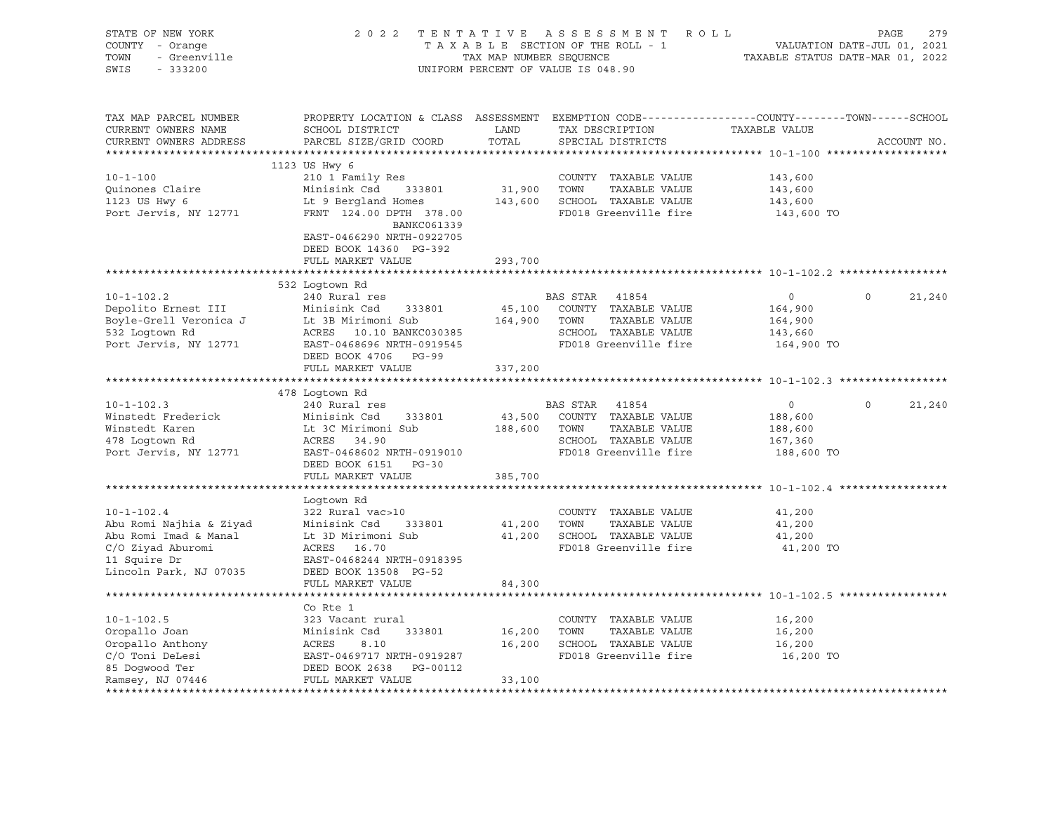| STATE OF NEW YORK<br>COUNTY - Orange<br>TOWN<br>- Greenville<br>SWIS<br>$-333200$                                                   |                                                                                                                                                                                     | TAX MAP NUMBER SEQUENCE      | 2022 TENTATIVE ASSESSMENT ROLL<br>TAXABLE SECTION OF THE ROLL - 1<br>UNIFORM PERCENT OF VALUE IS 048.90             | VALUATION DATE-JUL 01, 2021<br>TAXABLE STATUS DATE-MAR 01, 2022 | PAGE        | 279    |
|-------------------------------------------------------------------------------------------------------------------------------------|-------------------------------------------------------------------------------------------------------------------------------------------------------------------------------------|------------------------------|---------------------------------------------------------------------------------------------------------------------|-----------------------------------------------------------------|-------------|--------|
| TAX MAP PARCEL NUMBER<br>CURRENT OWNERS NAME<br>CURRENT OWNERS ADDRESS                                                              | PROPERTY LOCATION & CLASS ASSESSMENT EXEMPTION CODE----------------COUNTY-------TOWN------SCHOOL<br>SCHOOL DISTRICT<br>PARCEL SIZE/GRID COORD                                       | LAND<br>TOTAL                | TAX DESCRIPTION<br>SPECIAL DISTRICTS                                                                                | TAXABLE VALUE                                                   | ACCOUNT NO. |        |
| $10 - 1 - 100$<br>Quinones Claire<br>1123 US Hwy 6<br>Port Jervis, NY 12771                                                         | 1123 US Hwy 6<br>210 1 Family Res<br>Minisink Csd<br>333801<br>Lt 9 Bergland Homes<br>FRNT 124.00 DPTH 378.00<br>BANKC061339<br>EAST-0466290 NRTH-0922705<br>DEED BOOK 14360 PG-392 | 31,900                       | COUNTY TAXABLE VALUE<br>TOWN<br>TAXABLE VALUE<br>143,600 SCHOOL TAXABLE VALUE<br>FD018 Greenville fire              | 143,600<br>143,600<br>143,600<br>143,600 TO                     |             |        |
|                                                                                                                                     | FULL MARKET VALUE                                                                                                                                                                   | 293,700                      |                                                                                                                     |                                                                 |             |        |
| $10 - 1 - 102.2$                                                                                                                    | 532 Loqtown Rd<br>240 Rural res                                                                                                                                                     |                              | BAS STAR 41854                                                                                                      | $\overline{0}$                                                  | $\circ$     | 21,240 |
| Depolito Ernest III<br>Boyle-Grell Veronica J<br>532 Logtown Rd<br>Port Jervis, NY 12771                                            | Minisink Csd<br>333801<br>Lt 3B Mirimoni Sub<br>ACRES 10.10 BANKC030385<br>EAST-0468696 NRTH-0919545<br>DEED BOOK 4706 PG-99                                                        | 45,100<br>164,900<br>337,200 | COUNTY TAXABLE VALUE<br>TAXABLE VALUE<br>TOWN<br>SCHOOL TAXABLE VALUE<br>FD018 Greenville fire                      | 164,900<br>164,900<br>143,660<br>164,900 TO                     |             |        |
|                                                                                                                                     | FULL MARKET VALUE                                                                                                                                                                   |                              |                                                                                                                     |                                                                 |             |        |
| $10 - 1 - 102.3$<br>Winstedt Frederick<br>Winstedt Karen<br>478 Logtown Rd<br>Port Jervis, NY 12771                                 | 478 Loqtown Rd<br>240 Rural res<br>Minisink Csd<br>333801<br>Lt 3C Mirimoni Sub<br>ACRES 34.90<br>EAST-0468602 NRTH-0919010<br>DEED BOOK 6151 PG-30                                 | 43,500<br>188,600            | BAS STAR<br>41854<br>COUNTY TAXABLE VALUE<br>TOWN<br>TAXABLE VALUE<br>SCHOOL TAXABLE VALUE<br>FD018 Greenville fire | $\circ$<br>188,600<br>188,600<br>167,360<br>188,600 TO          | $\circ$     | 21,240 |
|                                                                                                                                     | FULL MARKET VALUE<br>******************************                                                                                                                                 | 385,700                      |                                                                                                                     |                                                                 |             |        |
| $10 - 1 - 102.4$<br>Abu Romi Najhia & Ziyad<br>Abu Romi Imad & Manal<br>C/O Ziyad Aburomi<br>11 Squire Dr<br>Lincoln Park, NJ 07035 | Loqtown Rd<br>322 Rural vac>10<br>Minisink Csd<br>333801<br>Lt 3D Mirimoni Sub<br>ACRES 16.70<br>EAST-0468244 NRTH-0918395<br>DEED BOOK 13508 PG-52                                 | 41,200                       | COUNTY TAXABLE VALUE<br>TOWN<br>TAXABLE VALUE<br>41,200 SCHOOL TAXABLE VALUE<br>FD018 Greenville fire               | 41,200<br>41,200<br>41,200<br>41,200 TO                         |             |        |
|                                                                                                                                     | FULL MARKET VALUE                                                                                                                                                                   | 84,300                       |                                                                                                                     |                                                                 |             |        |
|                                                                                                                                     | Co Rte 1                                                                                                                                                                            |                              | *********************************** 10-1-102.5                                                                      |                                                                 |             |        |
| $10 - 1 - 102.5$<br>Oropallo Joan<br>Oropallo Anthony<br>C/O Toni DeLesi<br>85 Dogwood Ter<br>Ramsey, NJ 07446                      | 323 Vacant rural<br>Minisink Csd<br>333801<br>ACRES<br>8.10<br>EAST-0469717 NRTH-0919287<br>DEED BOOK 2638<br>PG-00112<br>FULL MARKET VALUE                                         | 16,200<br>33,100             | COUNTY TAXABLE VALUE<br>TOWN<br>TAXABLE VALUE<br>16,200 SCHOOL TAXABLE VALUE<br>FD018 Greenville fire               | 16,200<br>16,200<br>16,200<br>16,200 TO                         |             |        |
|                                                                                                                                     |                                                                                                                                                                                     |                              |                                                                                                                     |                                                                 |             |        |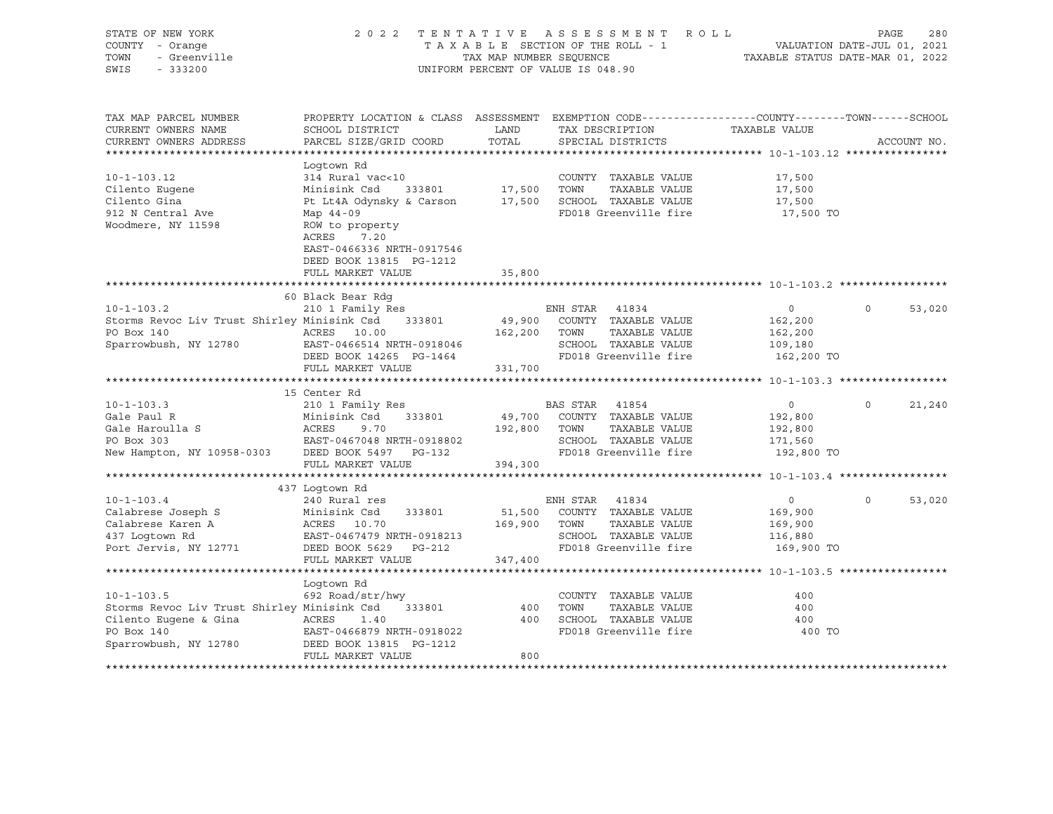| STATE OF NEW YORK                                  |                                                                                                 |                         | 2022 TENTATIVE ASSESSMENT ROLL     |                                  | PAGE<br>280                 |
|----------------------------------------------------|-------------------------------------------------------------------------------------------------|-------------------------|------------------------------------|----------------------------------|-----------------------------|
| COUNTY - Orange                                    |                                                                                                 |                         | TAXABLE SECTION OF THE ROLL - 1    |                                  | VALUATION DATE-JUL 01, 2021 |
| TOWN<br>- Greenville                               |                                                                                                 | TAX MAP NUMBER SEQUENCE |                                    | TAXABLE STATUS DATE-MAR 01, 2022 |                             |
| SWIS<br>$-333200$                                  |                                                                                                 |                         | UNIFORM PERCENT OF VALUE IS 048.90 |                                  |                             |
|                                                    |                                                                                                 |                         |                                    |                                  |                             |
|                                                    |                                                                                                 |                         |                                    |                                  |                             |
|                                                    |                                                                                                 |                         |                                    |                                  |                             |
| TAX MAP PARCEL NUMBER                              | PROPERTY LOCATION & CLASS ASSESSMENT EXEMPTION CODE----------------COUNTY-------TOWN-----SCHOOL |                         |                                    |                                  |                             |
| CURRENT OWNERS NAME                                | SCHOOL DISTRICT                                                                                 | LAND                    | TAX DESCRIPTION                    | TAXABLE VALUE                    |                             |
| CURRENT OWNERS ADDRESS                             | PARCEL SIZE/GRID COORD                                                                          | TOTAL                   | SPECIAL DISTRICTS                  |                                  | ACCOUNT NO.                 |
|                                                    |                                                                                                 |                         |                                    |                                  |                             |
|                                                    | Loqtown Rd                                                                                      |                         |                                    |                                  |                             |
| $10 - 1 - 103.12$                                  | 314 Rural vac<10                                                                                |                         | COUNTY TAXABLE VALUE               | 17,500                           |                             |
| Cilento Eugene                                     | 333801<br>Minisink Csd                                                                          | 17,500 TOWN             | TAXABLE VALUE                      | 17,500                           |                             |
| Cilento Gina                                       | Pt Lt4A Odynsky & Carson 17,500 SCHOOL TAXABLE VALUE                                            |                         |                                    | 17,500                           |                             |
|                                                    |                                                                                                 |                         |                                    |                                  |                             |
| 912 N Central Ave                                  | Map 44-09                                                                                       |                         | FD018 Greenville fire              | 17,500 TO                        |                             |
| Woodmere, NY 11598                                 | ROW to property                                                                                 |                         |                                    |                                  |                             |
|                                                    | ACRES<br>7.20                                                                                   |                         |                                    |                                  |                             |
|                                                    | EAST-0466336 NRTH-0917546                                                                       |                         |                                    |                                  |                             |
|                                                    | DEED BOOK 13815 PG-1212                                                                         |                         |                                    |                                  |                             |
|                                                    | FULL MARKET VALUE                                                                               | 35,800                  |                                    |                                  |                             |
|                                                    |                                                                                                 |                         |                                    |                                  |                             |
|                                                    | 60 Black Bear Rdq                                                                               |                         |                                    |                                  |                             |
| $10 - 1 - 103.2$                                   | 210 1 Family Res                                                                                |                         | ENH STAR 41834                     | $\overline{0}$                   | $\Omega$<br>53,020          |
| Storms Revoc Liv Trust Shirley Minisink Csd 333801 |                                                                                                 |                         | 49,900 COUNTY TAXABLE VALUE        | 162,200                          |                             |
| PO Box 140                                         | ACRES 10.00                                                                                     | 162,200 TOWN            | TAXABLE VALUE                      | 162,200                          |                             |
| Sparrowbush, NY 12780                              | EAST-0466514 NRTH-0918046                                                                       |                         | SCHOOL TAXABLE VALUE               | 109,180                          |                             |
|                                                    | DEED BOOK 14265 PG-1464                                                                         |                         | FD018 Greenville fire              | 162,200 TO                       |                             |
|                                                    | FULL MARKET VALUE                                                                               | 331,700                 |                                    |                                  |                             |
|                                                    |                                                                                                 |                         |                                    |                                  |                             |
|                                                    | 15 Center Rd                                                                                    |                         |                                    |                                  |                             |
| $10 - 1 - 103.3$                                   | 210 1 Family Res                                                                                |                         | BAS STAR 41854                     | $\overline{0}$                   | $\Omega$<br>21,240          |
| Gale Paul R                                        | Minisink Csd<br>333801                                                                          |                         | 49,700 COUNTY TAXABLE VALUE        | 192,800                          |                             |
| Gale Haroulla S                                    | ACRES                                                                                           | 192,800 TOWN            | TAXABLE VALUE                      | 192,800                          |                             |
| PO Box 303                                         |                                                                                                 |                         | SCHOOL TAXABLE VALUE               | 171,560                          |                             |
| New Hampton, NY 10958-0303 DEED BOOK 5497 PG-132   | ACRES 9.70<br>EAST-0467048 NRTH-0918802<br>Angle Dean Rook 5497 PG-132                          |                         | FD018 Greenville fire              | 192,800 TO                       |                             |
|                                                    | FULL MARKET VALUE                                                                               |                         |                                    |                                  |                             |
|                                                    |                                                                                                 | 394,300                 |                                    |                                  |                             |
|                                                    |                                                                                                 |                         |                                    |                                  |                             |
| $10 - 1 - 103.4$                                   | 437 Logtown Rd                                                                                  |                         | ENH STAR 41834                     | $\overline{0}$                   | $\Omega$<br>53,020          |
|                                                    | 240 Rural res                                                                                   |                         |                                    |                                  |                             |
| Calabrese Joseph S                                 | Minisink Csd<br>333801<br>Minisink Csd<br>ACRES    10.70                                        |                         | 51,500 COUNTY TAXABLE VALUE        | 169,900                          |                             |
| Calabrese Karen A                                  |                                                                                                 | 169,900 TOWN            | TAXABLE VALUE                      | 169,900                          |                             |
| 437 Loqtown Rd                                     | EAST-0467479 NRTH-0918213                                                                       |                         | SCHOOL TAXABLE VALUE               | 116,880                          |                             |
| Port Jervis, NY 12771                              | DEED BOOK 5629 PG-212                                                                           |                         | FD018 Greenville fire              | 169,900 TO                       |                             |
|                                                    | FULL MARKET VALUE                                                                               | 347,400                 |                                    |                                  |                             |
|                                                    |                                                                                                 |                         |                                    |                                  |                             |
|                                                    | Logtown Rd                                                                                      |                         |                                    |                                  |                             |
| $10 - 1 - 103.5$                                   | 692 Road/str/hwy                                                                                |                         | COUNTY TAXABLE VALUE               | 400                              |                             |
| Storms Revoc Liv Trust Shirley Minisink Csd 333801 |                                                                                                 | 400                     | TOWN<br>TAXABLE VALUE              | 400                              |                             |
| Cilento Eugene & Gina ACRES                        | 1.40                                                                                            |                         | 400 SCHOOL TAXABLE VALUE           | 400                              |                             |
| PO Box 140                                         | EAST-0466879 NRTH-0918022                                                                       |                         | FD018 Greenville fire              | 400 TO                           |                             |
| Sparrowbush, NY 12780                              | DEED BOOK 13815 PG-1212                                                                         |                         |                                    |                                  |                             |
|                                                    | FULL MARKET VALUE                                                                               | 800                     |                                    |                                  |                             |
|                                                    |                                                                                                 |                         |                                    |                                  |                             |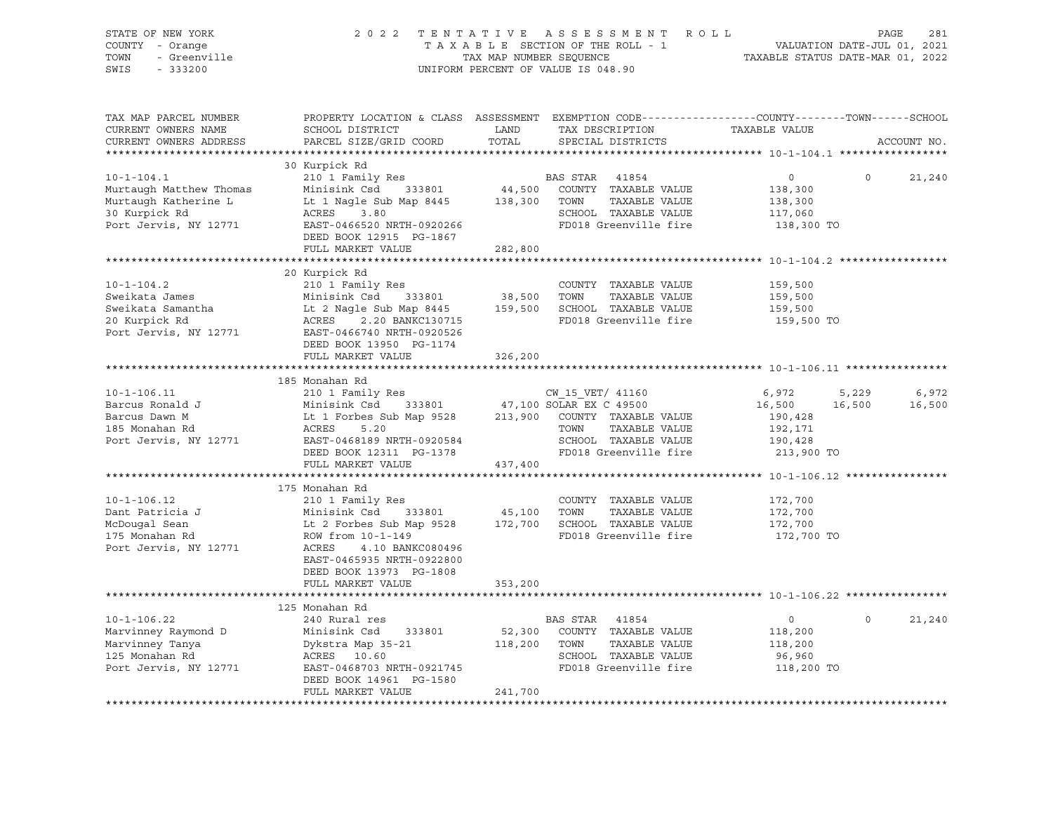| STATE OF NEW YORK<br>COUNTY - Orange<br>- Greenville<br>TOWN<br>SWIS<br>$-333200$ | 2 0 2 2<br>TENTATIVE<br>TAXABLE SECTION OF THE ROLL - 1<br>TAX MAP NUMBER SEQUENCE<br>UNIFORM PERCENT OF VALUE IS 048.90 | ROLL<br>PAGE<br>281<br>VALUATION DATE-JUL 01, 2021<br>TAXABLE STATUS DATE-MAR 01, 2022 |                                                                                                                                          |                                                                      |             |
|-----------------------------------------------------------------------------------|--------------------------------------------------------------------------------------------------------------------------|----------------------------------------------------------------------------------------|------------------------------------------------------------------------------------------------------------------------------------------|----------------------------------------------------------------------|-------------|
| TAX MAP PARCEL NUMBER<br>CURRENT OWNERS NAME<br>CURRENT OWNERS ADDRESS            | SCHOOL DISTRICT<br>PARCEL SIZE/GRID COORD                                                                                | LAND<br>TOTAL                                                                          | PROPERTY LOCATION & CLASS ASSESSMENT EXEMPTION CODE----------------COUNTY-------TOWN------SCHOOL<br>TAX DESCRIPTION<br>SPECIAL DISTRICTS | TAXABLE VALUE                                                        | ACCOUNT NO. |
|                                                                                   | 30 Kurpick Rd                                                                                                            |                                                                                        |                                                                                                                                          |                                                                      |             |
| $10 - 1 - 104.1$                                                                  | 210 1 Family Res                                                                                                         |                                                                                        | BAS STAR<br>41854                                                                                                                        | $\circ$<br>$\mathsf{O}$                                              | 21,240      |
| Murtaugh Matthew Thomas                                                           | Minisink Csd 333801                                                                                                      | 44,500                                                                                 | COUNTY TAXABLE VALUE                                                                                                                     | 138,300                                                              |             |
| Murtaugh Katherine L                                                              | Lt 1 Nagle Sub Map 8445                                                                                                  | 138,300                                                                                | TOWN<br>TAXABLE VALUE                                                                                                                    | 138,300                                                              |             |
| 30 Kurpick Rd                                                                     | ACRES<br>3.80                                                                                                            |                                                                                        | SCHOOL TAXABLE VALUE                                                                                                                     | 117,060                                                              |             |
| Port Jervis, NY 12771                                                             | EAST-0466520 NRTH-0920266                                                                                                |                                                                                        | FD018 Greenville fire                                                                                                                    | 138,300 TO                                                           |             |
|                                                                                   | DEED BOOK 12915 PG-1867                                                                                                  |                                                                                        |                                                                                                                                          |                                                                      |             |
|                                                                                   | FULL MARKET VALUE                                                                                                        | 282,800<br>**************                                                              |                                                                                                                                          | ********************************* 10-1-104.2 *****************       |             |
|                                                                                   | 20 Kurpick Rd                                                                                                            |                                                                                        |                                                                                                                                          |                                                                      |             |
| $10 - 1 - 104.2$                                                                  | 210 1 Family Res                                                                                                         |                                                                                        | COUNTY TAXABLE VALUE                                                                                                                     | 159,500                                                              |             |
| Sweikata James                                                                    | Minisink Csd<br>333801                                                                                                   | 38,500                                                                                 | TOWN<br>TAXABLE VALUE                                                                                                                    | 159,500                                                              |             |
| Sweikata Samantha                                                                 | Lt 2 Nagle Sub Map 8445                                                                                                  | 159,500                                                                                | SCHOOL TAXABLE VALUE                                                                                                                     | 159,500                                                              |             |
| 20 Kurpick Rd                                                                     | ACRES<br>2.20 BANKC130715                                                                                                |                                                                                        | FD018 Greenville fire                                                                                                                    | 159,500 TO                                                           |             |
| Port Jervis, NY 12771                                                             | EAST-0466740 NRTH-0920526                                                                                                |                                                                                        |                                                                                                                                          |                                                                      |             |
|                                                                                   | DEED BOOK 13950 PG-1174                                                                                                  |                                                                                        |                                                                                                                                          |                                                                      |             |
|                                                                                   | FULL MARKET VALUE                                                                                                        | 326,200                                                                                |                                                                                                                                          |                                                                      |             |
|                                                                                   |                                                                                                                          |                                                                                        |                                                                                                                                          | ********************** 10-1-106.11 *********                         |             |
|                                                                                   | 185 Monahan Rd                                                                                                           |                                                                                        |                                                                                                                                          |                                                                      |             |
| $10 - 1 - 106.11$                                                                 | 210 1 Family Res                                                                                                         |                                                                                        | CW 15 VET/ 41160                                                                                                                         | 6,972<br>5,229                                                       | 6,972       |
| Barcus Ronald J                                                                   | Minisink Csd<br>333801                                                                                                   |                                                                                        | 47,100 SOLAR EX C 49500                                                                                                                  | 16,500<br>16,500                                                     | 16,500      |
| Barcus Dawn M                                                                     | Lt 1 Forbes Sub Map 9528                                                                                                 | 213,900                                                                                | COUNTY TAXABLE VALUE                                                                                                                     | 190,428                                                              |             |
| 185 Monahan Rd<br>Port Jervis, NY 12771                                           | ACRES<br>5.20<br>EAST-0468189 NRTH-0920584                                                                               |                                                                                        | TOWN<br>TAXABLE VALUE<br>SCHOOL TAXABLE VALUE                                                                                            | 192,171<br>190,428                                                   |             |
|                                                                                   | DEED BOOK 12311 PG-1378                                                                                                  |                                                                                        | FD018 Greenville fire                                                                                                                    | 213,900 TO                                                           |             |
|                                                                                   | FULL MARKET VALUE                                                                                                        | 437,400                                                                                |                                                                                                                                          |                                                                      |             |
|                                                                                   |                                                                                                                          |                                                                                        |                                                                                                                                          |                                                                      |             |
|                                                                                   | 175 Monahan Rd                                                                                                           |                                                                                        |                                                                                                                                          |                                                                      |             |
| $10 - 1 - 106.12$                                                                 | 210 1 Family Res                                                                                                         |                                                                                        | COUNTY TAXABLE VALUE                                                                                                                     | 172,700                                                              |             |
| Dant Patricia J                                                                   | Minisink Csd<br>333801                                                                                                   | 45,100 TOWN                                                                            | TAXABLE VALUE                                                                                                                            | 172,700                                                              |             |
| McDougal Sean                                                                     | Lt 2 Forbes Sub Map 9528                                                                                                 |                                                                                        | 172,700 SCHOOL TAXABLE VALUE                                                                                                             | 172,700                                                              |             |
| 175 Monahan Rd                                                                    | ROW from 10-1-149                                                                                                        |                                                                                        | FD018 Greenville fire                                                                                                                    | 172,700 TO                                                           |             |
| Port Jervis, NY 12771                                                             | ACRES<br>4.10 BANKC080496                                                                                                |                                                                                        |                                                                                                                                          |                                                                      |             |
|                                                                                   | EAST-0465935 NRTH-0922800                                                                                                |                                                                                        |                                                                                                                                          |                                                                      |             |
|                                                                                   | DEED BOOK 13973 PG-1808                                                                                                  |                                                                                        |                                                                                                                                          |                                                                      |             |
|                                                                                   | FULL MARKET VALUE                                                                                                        | 353,200                                                                                |                                                                                                                                          | ************************************** 10-1-106.22 ***************** |             |
|                                                                                   | 125 Monahan Rd                                                                                                           |                                                                                        |                                                                                                                                          |                                                                      |             |
| $10 - 1 - 106.22$                                                                 | 240 Rural res                                                                                                            |                                                                                        | BAS STAR 41854                                                                                                                           | $\Omega$<br>$\circ$                                                  | 21,240      |
| Marvinney Raymond D                                                               | Minisink Csd<br>333801                                                                                                   | 52,300                                                                                 | COUNTY TAXABLE VALUE                                                                                                                     | 118,200                                                              |             |
| Marvinney Tanya                                                                   | Dykstra Map 35-21                                                                                                        | 118,200 TOWN                                                                           | TAXABLE VALUE                                                                                                                            | 118,200                                                              |             |
| 125 Monahan Rd                                                                    | ACRES 10.60                                                                                                              |                                                                                        | SCHOOL TAXABLE VALUE                                                                                                                     | 96,960                                                               |             |
| Port Jervis, NY 12771                                                             | EAST-0468703 NRTH-0921745                                                                                                |                                                                                        | FD018 Greenville fire                                                                                                                    | 118,200 TO                                                           |             |
|                                                                                   | DEED BOOK 14961 PG-1580                                                                                                  |                                                                                        |                                                                                                                                          |                                                                      |             |
|                                                                                   | FULL MARKET VALUE                                                                                                        | 241,700                                                                                |                                                                                                                                          |                                                                      |             |
|                                                                                   |                                                                                                                          |                                                                                        |                                                                                                                                          |                                                                      |             |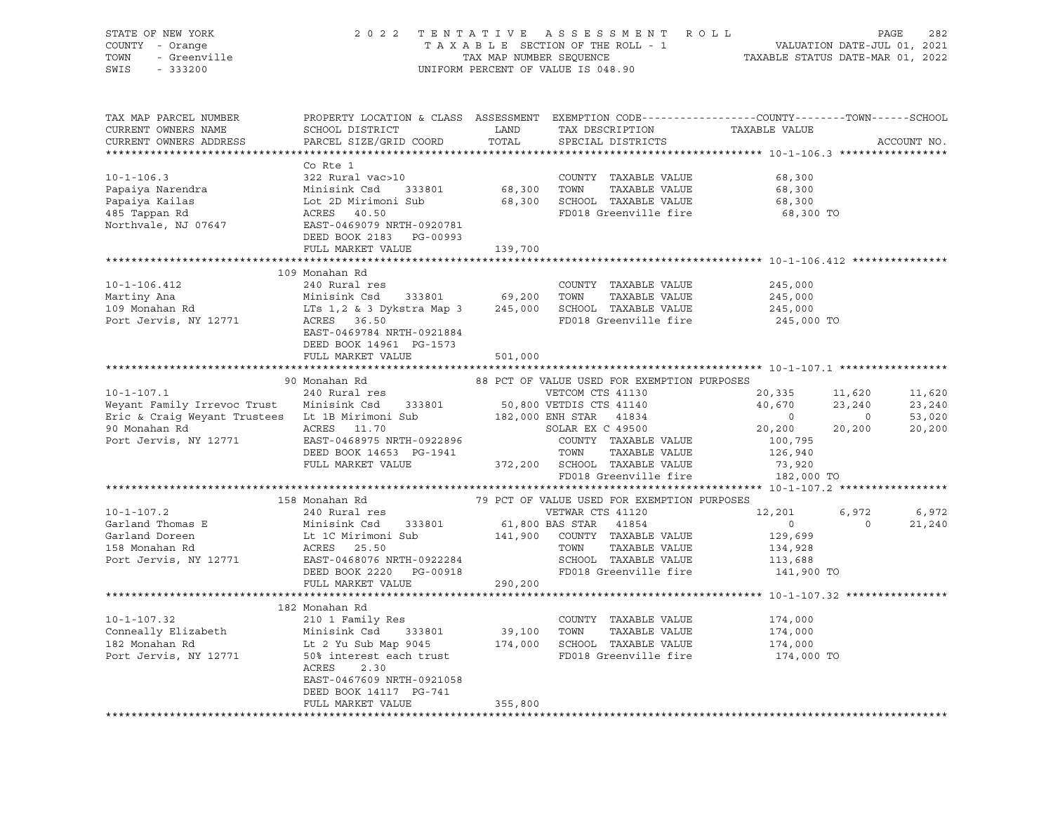| STATE OF NEW YORK<br>COUNTY - Orange<br>TOWN<br>- Greenville<br>SWIS<br>$-333200$ |                                                                                                                                              |               | 2022 TENTATIVE ASSESSMENT ROLL<br>TAXABLE SECTION OF THE ROLL - 1<br>TAXABLE SECTION OF THE ROLL - 1<br>TAXABLE STATUS DATE-MAR 01, 2022<br>UNIFORM PERCENT OF VALUE IS 048.90 |                |                | PAGE<br>282 |
|-----------------------------------------------------------------------------------|----------------------------------------------------------------------------------------------------------------------------------------------|---------------|--------------------------------------------------------------------------------------------------------------------------------------------------------------------------------|----------------|----------------|-------------|
| TAX MAP PARCEL NUMBER<br>CURRENT OWNERS NAME<br>CURRENT OWNERS ADDRESS            | PROPERTY LOCATION & CLASS ASSESSMENT EXEMPTION CODE----------------COUNTY-------TOWN-----SCHOOL<br>SCHOOL DISTRICT<br>PARCEL SIZE/GRID COORD | LAND<br>TOTAL | TAX DESCRIPTION<br>SPECIAL DISTRICTS                                                                                                                                           | TAXABLE VALUE  |                | ACCOUNT NO. |
|                                                                                   |                                                                                                                                              |               |                                                                                                                                                                                |                |                |             |
|                                                                                   | Co Rte 1                                                                                                                                     |               |                                                                                                                                                                                |                |                |             |
| $10 - 1 - 106.3$                                                                  | 322 Rural vac>10                                                                                                                             |               | COUNTY TAXABLE VALUE                                                                                                                                                           | 68,300         |                |             |
| Papaiya Narendra                                                                  | Minisink Csd 333801                                                                                                                          | 68,300        | TOWN<br>TAXABLE VALUE                                                                                                                                                          | 68,300         |                |             |
| Papaiya Kailas                                                                    | Lot 2D Mirimoni Sub                                                                                                                          |               | 68,300 SCHOOL TAXABLE VALUE                                                                                                                                                    | 68,300         |                |             |
| 485 Tappan Rd                                                                     | ACRES<br>40.50                                                                                                                               |               | FD018 Greenville fire                                                                                                                                                          | 68,300 TO      |                |             |
| Northvale, NJ 07647                                                               | EAST-0469079 NRTH-0920781                                                                                                                    |               |                                                                                                                                                                                |                |                |             |
|                                                                                   | DEED BOOK 2183 PG-00993                                                                                                                      |               |                                                                                                                                                                                |                |                |             |
|                                                                                   | FULL MARKET VALUE                                                                                                                            | 139,700       |                                                                                                                                                                                |                |                |             |
|                                                                                   | 109 Monahan Rd                                                                                                                               |               |                                                                                                                                                                                |                |                |             |
| $10 - 1 - 106.412$                                                                | 240 Rural res                                                                                                                                |               | COUNTY TAXABLE VALUE                                                                                                                                                           | 245,000        |                |             |
| Martiny Ana                                                                       | Minisink Csd 333801                                                                                                                          | 69,200        | TOWN<br>TAXABLE VALUE                                                                                                                                                          | 245,000        |                |             |
| 109 Monahan Rd                                                                    | LTs 1,2 & 3 Dykstra Map 3                                                                                                                    | 245,000       | SCHOOL TAXABLE VALUE                                                                                                                                                           | 245,000        |                |             |
| Port Jervis, NY 12771                                                             | ACRES 36.50                                                                                                                                  |               | FD018 Greenville fire                                                                                                                                                          | 245,000 TO     |                |             |
|                                                                                   | EAST-0469784 NRTH-0921884                                                                                                                    |               |                                                                                                                                                                                |                |                |             |
|                                                                                   | DEED BOOK 14961 PG-1573                                                                                                                      |               |                                                                                                                                                                                |                |                |             |
|                                                                                   | FULL MARKET VALUE                                                                                                                            | 501,000       |                                                                                                                                                                                |                |                |             |
|                                                                                   |                                                                                                                                              |               |                                                                                                                                                                                |                |                |             |
|                                                                                   | 90 Monahan Rd                                                                                                                                |               | 88 PCT OF VALUE USED FOR EXEMPTION PURPOSES                                                                                                                                    |                |                |             |
| $10 - 1 - 107.1$                                                                  | 240 Rural res                                                                                                                                |               | VETCOM CTS 41130                                                                                                                                                               | 20,335         | 11,620         | 11,620      |
| Weyant Family Irrevoc Trust                                                       | Minisink Csd 333801                                                                                                                          |               | 50,800 VETDIS CTS 41140                                                                                                                                                        | 40,670         | 23,240         | 23,240      |
| Eric & Craig Weyant Trustees Lt 1B Mirimoni Sub                                   |                                                                                                                                              |               | 182,000 ENH STAR 41834                                                                                                                                                         | $\circ$        | $\overline{0}$ | 53,020      |
| 90 Monahan Rd                                                                     | ACRES 11.70                                                                                                                                  |               | SOLAR EX C 49500                                                                                                                                                               | 20,200         | 20,200         | 20,200      |
| Port Jervis, NY 12771                                                             | EAST-0468975 NRTH-0922896                                                                                                                    |               | COUNTY TAXABLE VALUE                                                                                                                                                           | 100,795        |                |             |
|                                                                                   | DEED BOOK 14653 PG-1941                                                                                                                      |               | TOWN<br>TAXABLE VALUE                                                                                                                                                          | 126,940        |                |             |
|                                                                                   | FULL MARKET VALUE                                                                                                                            |               | 372,200 SCHOOL TAXABLE VALUE                                                                                                                                                   | 73,920         |                |             |
|                                                                                   |                                                                                                                                              |               | FD018 Greenville fire                                                                                                                                                          | 182,000 TO     |                |             |
|                                                                                   |                                                                                                                                              |               |                                                                                                                                                                                |                |                |             |
|                                                                                   | 158 Monahan Rd                                                                                                                               |               | 79 PCT OF VALUE USED FOR EXEMPTION PURPOSES                                                                                                                                    |                |                |             |
| $10 - 1 - 107.2$                                                                  | 240 Rural res                                                                                                                                |               | VETWAR CTS 41120                                                                                                                                                               | 12,201         | 6,972          | 6,972       |
| Garland Thomas E                                                                  | Minisink Csd 333801                                                                                                                          |               | 61,800 BAS STAR 41854                                                                                                                                                          | $\overline{0}$ | $\circ$        | 21,240      |
| Garland Doreen                                                                    | Lt 1C Mirimoni Sub                                                                                                                           | 141,900       | COUNTY TAXABLE VALUE                                                                                                                                                           | 129,699        |                |             |
| 158 Monahan Rd                                                                    | ACRES<br>25.50                                                                                                                               |               | TOWN<br>TAXABLE VALUE                                                                                                                                                          | 134,928        |                |             |
| Port Jervis, NY 12771                                                             | EAST-0468076 NRTH-0922284                                                                                                                    |               | SCHOOL TAXABLE VALUE                                                                                                                                                           | 113,688        |                |             |
|                                                                                   | DEED BOOK 2220 PG-00918                                                                                                                      |               | FD018 Greenville fire                                                                                                                                                          | 141,900 TO     |                |             |
|                                                                                   | FULL MARKET VALUE                                                                                                                            | 290,200       |                                                                                                                                                                                |                |                |             |
|                                                                                   |                                                                                                                                              |               | ******************************* 10-1-107.32 ****************                                                                                                                   |                |                |             |
|                                                                                   | 182 Monahan Rd                                                                                                                               |               |                                                                                                                                                                                |                |                |             |
| $10 - 1 - 107.32$                                                                 | 210 1 Family Res                                                                                                                             |               | COUNTY TAXABLE VALUE                                                                                                                                                           | 174,000        |                |             |
| Conneally Elizabeth                                                               | Minisink Csd 333801                                                                                                                          | 39,100        | TOWN<br>TAXABLE VALUE                                                                                                                                                          | 174,000        |                |             |
| 182 Monahan Rd                                                                    | Lt 2 Yu Sub Map 9045                                                                                                                         |               | 174,000 SCHOOL TAXABLE VALUE                                                                                                                                                   | 174,000        |                |             |
| Port Jervis, NY 12771                                                             | 50% interest each trust                                                                                                                      |               | FD018 Greenville fire                                                                                                                                                          | 174,000 TO     |                |             |
|                                                                                   | ACRES<br>2.30                                                                                                                                |               |                                                                                                                                                                                |                |                |             |
|                                                                                   | EAST-0467609 NRTH-0921058                                                                                                                    |               |                                                                                                                                                                                |                |                |             |
|                                                                                   | DEED BOOK 14117 PG-741                                                                                                                       |               |                                                                                                                                                                                |                |                |             |
|                                                                                   | FULL MARKET VALUE                                                                                                                            | 355,800       |                                                                                                                                                                                |                |                |             |
|                                                                                   |                                                                                                                                              |               |                                                                                                                                                                                |                |                |             |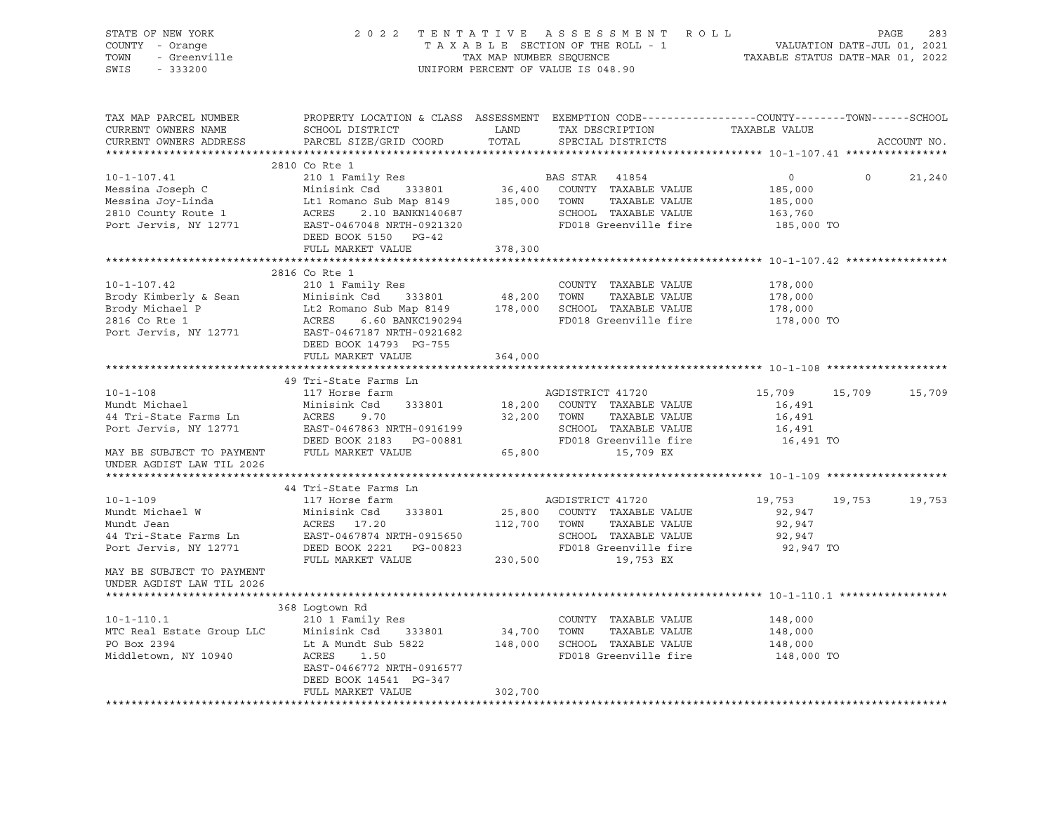| STATE OF NEW YORK<br>COUNTY - Orange<br>- Greenville<br>TOWN<br>SWIS<br>$-333200$                                                                                                                                                                 |                                                      | TAX MAP NUMBER SEOUENCE | 2022 TENTATIVE ASSESSMENT ROLL<br>TAXABLE SECTION OF THE ROLL - 1<br>UNIFORM PERCENT OF VALUE IS 048.90                                 | 1 VALUATION DATE-JUL 01, 2021<br>TAXABLE STATUS DATE-MAR 01, 2022 |         | 283<br>PAGE |
|---------------------------------------------------------------------------------------------------------------------------------------------------------------------------------------------------------------------------------------------------|------------------------------------------------------|-------------------------|-----------------------------------------------------------------------------------------------------------------------------------------|-------------------------------------------------------------------|---------|-------------|
| TAX MAP PARCEL NUMBER<br>CURRENT OWNERS NAME<br>CURRENT OWNERS ADDRESS                                                                                                                                                                            | SCHOOL DISTRICT<br>PARCEL SIZE/GRID COORD            | LAND<br>TOTAL           | PROPERTY LOCATION & CLASS ASSESSMENT EXEMPTION CODE---------------COUNTY-------TOWN------SCHOOL<br>TAX DESCRIPTION<br>SPECIAL DISTRICTS | TAXABLE VALUE                                                     |         | ACCOUNT NO. |
|                                                                                                                                                                                                                                                   | 2810 Co Rte 1                                        |                         |                                                                                                                                         |                                                                   |         |             |
| $10 - 1 - 107.41$                                                                                                                                                                                                                                 | 210 1 Family Res                                     |                         | BAS STAR 41854                                                                                                                          | $\overline{0}$                                                    | $\circ$ | 21,240      |
|                                                                                                                                                                                                                                                   | Minisink Csd 333801                                  |                         | 36,400 COUNTY TAXABLE VALUE                                                                                                             | 185,000                                                           |         |             |
|                                                                                                                                                                                                                                                   |                                                      |                         | TAXABLE VALUE                                                                                                                           | 185,000                                                           |         |             |
| Messina Joseph C<br>Messina Joy-Linda<br>2810 County Route 1 (1999) ACRES 2.10 BANKN140687 (185,000 TOWN<br>2810 County Route 1 (2018) ACRES 2.10 BANKN140687 (2018)<br>285T-0467048 NRTH-0921320 (2018) PD018                                    |                                                      |                         | SCHOOL TAXABLE VALUE                                                                                                                    | 163,760                                                           |         |             |
|                                                                                                                                                                                                                                                   |                                                      |                         | FD018 Greenville fire                                                                                                                   | 185,000 TO                                                        |         |             |
|                                                                                                                                                                                                                                                   | DEED BOOK 5150 PG-42                                 |                         |                                                                                                                                         |                                                                   |         |             |
|                                                                                                                                                                                                                                                   | FULL MARKET VALUE                                    | 378,300                 |                                                                                                                                         |                                                                   |         |             |
|                                                                                                                                                                                                                                                   |                                                      |                         |                                                                                                                                         |                                                                   |         |             |
|                                                                                                                                                                                                                                                   | 2816 Co Rte 1                                        |                         |                                                                                                                                         |                                                                   |         |             |
|                                                                                                                                                                                                                                                   |                                                      | 48,200 TOWN             | COUNTY TAXABLE VALUE                                                                                                                    | 178,000                                                           |         |             |
|                                                                                                                                                                                                                                                   | Lt2 Romano Sub Map 8149                              |                         | TAXABLE VALUE<br>178,000 SCHOOL TAXABLE VALUE                                                                                           | 178,000<br>178,000                                                |         |             |
|                                                                                                                                                                                                                                                   |                                                      |                         | FD018 Greenville fire                                                                                                                   | 178,000 TO                                                        |         |             |
|                                                                                                                                                                                                                                                   |                                                      |                         |                                                                                                                                         |                                                                   |         |             |
|                                                                                                                                                                                                                                                   |                                                      |                         |                                                                                                                                         |                                                                   |         |             |
| 10-1-107.42<br>Brody Kimberly & Sean<br>Brody Michael P<br>2 Lt2 Romano Sub Map<br>2 Lt2 Romano Sub Map<br>2 Lt2 Romano Sub Map<br>2 Lt2 Romano Sub Map<br>2 Lt2 Romano Sub Map<br>4 Lt2 Romano Sub Map<br>4 Lt2 Romano Sub Map<br>4 Lt2 Romano S |                                                      | 364,000                 |                                                                                                                                         |                                                                   |         |             |
|                                                                                                                                                                                                                                                   |                                                      |                         |                                                                                                                                         |                                                                   |         |             |
|                                                                                                                                                                                                                                                   | 49 Tri-State Farms Ln                                |                         |                                                                                                                                         |                                                                   |         |             |
| $10 - 1 - 108$                                                                                                                                                                                                                                    | 117 Horse farm                                       |                         | AGDISTRICT 41720                                                                                                                        | 15,709                                                            | 15,709  | 15,709      |
| Mundt Michael                                                                                                                                                                                                                                     | Minisink Csd<br>333801                               |                         | 18,200 COUNTY TAXABLE VALUE                                                                                                             | 16,491                                                            |         |             |
| 44 Tri-State Farms Ln                                                                                                                                                                                                                             | ACRES<br>9.70                                        | 32,200 TOWN             | TAXABLE VALUE                                                                                                                           | 16,491                                                            |         |             |
| Port Jervis, NY 12771                                                                                                                                                                                                                             | EAST-0467863 NRTH-0916199<br>DEED BOOK 2183 PG-00881 |                         | SCHOOL TAXABLE VALUE<br>FD018 Greenville fire                                                                                           | 16,491                                                            |         |             |
| MAY BE SUBJECT TO PAYMENT                                                                                                                                                                                                                         | FULL MARKET VALUE                                    | 65,800                  | 15,709 EX                                                                                                                               | 16,491 TO                                                         |         |             |
| UNDER AGDIST LAW TIL 2026                                                                                                                                                                                                                         |                                                      |                         |                                                                                                                                         |                                                                   |         |             |
|                                                                                                                                                                                                                                                   |                                                      |                         |                                                                                                                                         |                                                                   |         |             |
|                                                                                                                                                                                                                                                   | 44 Tri-State Farms Ln                                |                         |                                                                                                                                         |                                                                   |         |             |
| $10 - 1 - 109$                                                                                                                                                                                                                                    | 117 Horse farm                                       |                         | AGDISTRICT 41720                                                                                                                        | 19,753                                                            | 19,753  | 19,753      |
| Mundt Michael W                                                                                                                                                                                                                                   | Minisink Csd<br>333801                               | 25,800                  | COUNTY TAXABLE VALUE                                                                                                                    | 92,947                                                            |         |             |
| Mundt Jean                                                                                                                                                                                                                                        | ACRES 17.20                                          | 112,700                 | TOWN<br>TAXABLE VALUE                                                                                                                   | 92,947                                                            |         |             |
| 44 Tri-State Farms Ln                                                                                                                                                                                                                             | EAST-0467874 NRTH-0915650                            |                         | SCHOOL TAXABLE VALUE                                                                                                                    | 92,947                                                            |         |             |
| Port Jervis, NY 12771                                                                                                                                                                                                                             | DEED BOOK 2221 PG-00823                              |                         | FD018 Greenville fire                                                                                                                   | 92,947 TO                                                         |         |             |
|                                                                                                                                                                                                                                                   | FULL MARKET VALUE                                    | 230,500                 | 19,753 EX                                                                                                                               |                                                                   |         |             |
| MAY BE SUBJECT TO PAYMENT<br>UNDER AGDIST LAW TIL 2026                                                                                                                                                                                            |                                                      |                         |                                                                                                                                         |                                                                   |         |             |
|                                                                                                                                                                                                                                                   |                                                      |                         |                                                                                                                                         |                                                                   |         |             |
|                                                                                                                                                                                                                                                   | 368 Logtown Rd                                       |                         |                                                                                                                                         |                                                                   |         |             |
| $10 - 1 - 110.1$                                                                                                                                                                                                                                  | 210 1 Family Res                                     |                         | COUNTY TAXABLE VALUE                                                                                                                    | 148,000                                                           |         |             |
| MTC Real Estate Group LLC                                                                                                                                                                                                                         | Minisink Csd<br>333801                               | 34,700 TOWN             | TAXABLE VALUE                                                                                                                           | 148,000                                                           |         |             |
| PO Box 2394                                                                                                                                                                                                                                       | Lt A Mundt Sub 5822                                  |                         | 148,000 SCHOOL TAXABLE VALUE                                                                                                            | 148,000                                                           |         |             |
| Middletown, NY 10940                                                                                                                                                                                                                              | ACRES<br>1.50                                        |                         | FD018 Greenville fire                                                                                                                   | 148,000 TO                                                        |         |             |
|                                                                                                                                                                                                                                                   | EAST-0466772 NRTH-0916577                            |                         |                                                                                                                                         |                                                                   |         |             |
|                                                                                                                                                                                                                                                   | DEED BOOK 14541 PG-347                               |                         |                                                                                                                                         |                                                                   |         |             |
|                                                                                                                                                                                                                                                   | FULL MARKET VALUE                                    | 302,700                 |                                                                                                                                         |                                                                   |         |             |
|                                                                                                                                                                                                                                                   |                                                      |                         |                                                                                                                                         |                                                                   |         |             |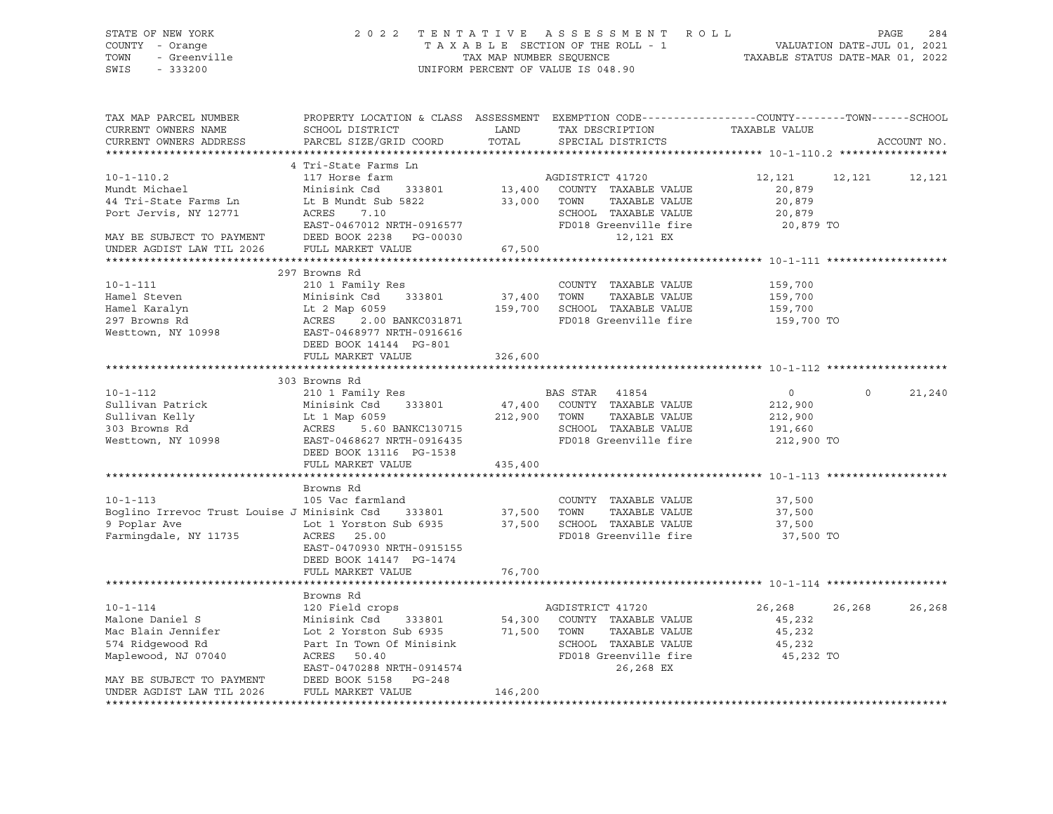| PROPERTY LOCATION & CLASS ASSESSMENT EXEMPTION CODE----------------COUNTY-------TOWN------SCHOOL<br>TAX MAP PARCEL NUMBER<br>TAX DESCRIPTION<br>CURRENT OWNERS NAME<br>SCHOOL DISTRICT<br>LAND<br>TAXABLE VALUE<br>CURRENT OWNERS ADDRESS<br>PARCEL SIZE/GRID COORD<br>TOTAL<br>SPECIAL DISTRICTS<br>ACCOUNT NO.<br>4 Tri-State Farms Ln<br>AGDISTRICT 41720<br>117 Horse farm<br>$10 - 1 - 110.2$<br>12,121 12,121 12,121<br>13,400 COUNTY TAXABLE VALUE<br>Mundt Michael<br>Minisink Csd 333801<br>20,879<br>A Tri-State Farms In The B Mundt Sub 5822 33,000 TOWN<br>Port Jervis, NY 12771 ACRES 7.10 SCHOOL<br>TAXABLE VALUE<br>20,879<br>SCHOOL TAXABLE VALUE<br>20,879<br>EAST-0467012 NRTH-0916577<br>FD018 Greenville fire<br>20,879 TO<br>MAY BE SUBJECT TO PAYMENT<br>UNDER AGDIST LAW TIL 2026<br>DEED BOOK 2238 PG-00030<br>12,121 EX<br>FULL MARKET VALUE<br>67,500<br>UNDER AGDIST LAW TIL 2026<br>297 Browns Rd<br>10-1-111<br>Hamel Steven<br>Hamel Karalyn<br>297 Browns Rd<br>Westtown, NY 10998<br>297 Browns Rd<br>297 Browns Rd<br>297 Browns Rd<br>298 BAST-0468977 NRTH-0916616<br>200 BANKC031871<br>200 BANKC031871<br>200 BANKC031871<br>200 PANKC031871<br>200<br>COUNTY TAXABLE VALUE 159,700<br>$37,400$ TOWN<br>TAXABLE VALUE<br>159,700<br>159,700 SCHOOL TAXABLE VALUE<br>159,700<br>FD018 Greenville fire 159,700 TO<br>DEED BOOK 14144 PG-801<br>FULL MARKET VALUE<br>326,600<br>303 Browns Rd<br>$10 - 1 - 112$<br>210 1 Family Res<br>BAS STAR 41854<br>$\overline{0}$<br>$\circ$<br>21,240<br>COLLECTER Minisink Csd 333801 47,400 COUNTY TAXABLE VALUE<br>Sullivan Kelly Lt 1 Map 6059 212,900 TOWN TAXABLE VALUE<br>303 Browns Rd ACRES 5.60 BANKC130715 SCHOOL TAXABLE VALUE<br>Mesttown, NY 10998 EAST-0468627 NRTH-0916435 FD<br>47,400 COUNTY TAXABLE VALUE<br>212,900<br>212,900<br>191,660<br>FD018 Greenville fire<br>212,900 TO<br>DEED BOOK 13116 PG-1538<br>FULL MARKET VALUE<br>435,400<br>****************************** 10-1-113 ********<br>Browns Rd<br>$10 - 1 - 113$<br>105 Vac farmland<br>COUNTY TAXABLE VALUE<br>37,500<br>11735 and The Market State of the State State State State State State State State State State State State State State State State State State State State State State State State State State State State State State State St<br>Boglino Irrevoc Trust Louise J Minisink Csd 333801<br>TOWN<br>TAXABLE VALUE<br>37,500<br>9 Poplar Ave<br>37,500 SCHOOL TAXABLE VALUE<br>37,500<br>Farmingdale, NY 11735<br>FD018 Greenville fire<br>37,500 TO<br>EAST-0470930 NRTH-0915155<br>DEED BOOK 14147 PG-1474<br>FULL MARKET VALUE<br>76,700<br>Browns Rd<br>$10 - 1 - 114$<br>120 Field crops<br>26,268<br>AGDISTRICT 41720<br>26,268<br>26,268<br>120 Field crops<br>Minisink Csd 333801 54,300 COUNTY<br>Lot 2 Yorston Sub 6935 71,500 TOWN<br>Part In Town Of Minisink SCHOOL<br>ACRES 50.40 FD018 G1<br>Malone Daniel S<br>54,300 COUNTY TAXABLE VALUE<br>45,232<br>Mac Blain Jennifer<br>TAXABLE VALUE<br>45,232<br>574 Ridgewood Rd<br>SCHOOL TAXABLE VALUE<br>45,232<br>FD018 Greenville fire<br>Maplewood, NJ 07040<br>45,232 TO<br>EAST-0470288 NRTH-0914574<br>26,268 EX<br>MAY BE SUBJECT TO PAYMENT DEED BOOK 5158 PG-248<br>UNDER AGDIST LAW TIL 2026<br>FULL MARKET VALUE<br>146,200 | STATE OF NEW YORK<br>7 - Orange<br>- Greenville<br>COUNTY - Orange<br>TOWN<br>SWIS<br>$-333200$ |  | 2022 TENTATIVE ASSESSMENT ROLL<br>TAXABLE SECTION OF THE ROLL - 1<br>TAXABLE SECTION OF THE ROLL - 1<br>TAXABLE STATUS DATE-MAR 01, 2022<br>UNIFORM PERCENT OF VALUE IS 048.90 | PAGE<br>284 |
|-------------------------------------------------------------------------------------------------------------------------------------------------------------------------------------------------------------------------------------------------------------------------------------------------------------------------------------------------------------------------------------------------------------------------------------------------------------------------------------------------------------------------------------------------------------------------------------------------------------------------------------------------------------------------------------------------------------------------------------------------------------------------------------------------------------------------------------------------------------------------------------------------------------------------------------------------------------------------------------------------------------------------------------------------------------------------------------------------------------------------------------------------------------------------------------------------------------------------------------------------------------------------------------------------------------------------------------------------------------------------------------------------------------------------------------------------------------------------------------------------------------------------------------------------------------------------------------------------------------------------------------------------------------------------------------------------------------------------------------------------------------------------------------------------------------------------------------------------------------------------------------------------------------------------------------------------------------------------------------------------------------------------------------------------------------------------------------------------------------------------------------------------------------------------------------------------------------------------------------------------------------------------------------------------------------------------------------------------------------------------------------------------------------------------------------------------------------------------------------------------------------------------------------------------------------------------------------------------------------------------------------------------------------------------------------------------------------------------------------------------------------------------------------------------------------------------------------------------------------------------------------------------------------------------------------------------------------------------------------------------------------------------------------------------------------------------------------------------------------------------------------------------------------------------------------------------------------------------------------------------------------------------------------|-------------------------------------------------------------------------------------------------|--|--------------------------------------------------------------------------------------------------------------------------------------------------------------------------------|-------------|
|                                                                                                                                                                                                                                                                                                                                                                                                                                                                                                                                                                                                                                                                                                                                                                                                                                                                                                                                                                                                                                                                                                                                                                                                                                                                                                                                                                                                                                                                                                                                                                                                                                                                                                                                                                                                                                                                                                                                                                                                                                                                                                                                                                                                                                                                                                                                                                                                                                                                                                                                                                                                                                                                                                                                                                                                                                                                                                                                                                                                                                                                                                                                                                                                                                                                                     |                                                                                                 |  |                                                                                                                                                                                |             |
|                                                                                                                                                                                                                                                                                                                                                                                                                                                                                                                                                                                                                                                                                                                                                                                                                                                                                                                                                                                                                                                                                                                                                                                                                                                                                                                                                                                                                                                                                                                                                                                                                                                                                                                                                                                                                                                                                                                                                                                                                                                                                                                                                                                                                                                                                                                                                                                                                                                                                                                                                                                                                                                                                                                                                                                                                                                                                                                                                                                                                                                                                                                                                                                                                                                                                     |                                                                                                 |  |                                                                                                                                                                                |             |
|                                                                                                                                                                                                                                                                                                                                                                                                                                                                                                                                                                                                                                                                                                                                                                                                                                                                                                                                                                                                                                                                                                                                                                                                                                                                                                                                                                                                                                                                                                                                                                                                                                                                                                                                                                                                                                                                                                                                                                                                                                                                                                                                                                                                                                                                                                                                                                                                                                                                                                                                                                                                                                                                                                                                                                                                                                                                                                                                                                                                                                                                                                                                                                                                                                                                                     |                                                                                                 |  |                                                                                                                                                                                |             |
|                                                                                                                                                                                                                                                                                                                                                                                                                                                                                                                                                                                                                                                                                                                                                                                                                                                                                                                                                                                                                                                                                                                                                                                                                                                                                                                                                                                                                                                                                                                                                                                                                                                                                                                                                                                                                                                                                                                                                                                                                                                                                                                                                                                                                                                                                                                                                                                                                                                                                                                                                                                                                                                                                                                                                                                                                                                                                                                                                                                                                                                                                                                                                                                                                                                                                     |                                                                                                 |  |                                                                                                                                                                                |             |
|                                                                                                                                                                                                                                                                                                                                                                                                                                                                                                                                                                                                                                                                                                                                                                                                                                                                                                                                                                                                                                                                                                                                                                                                                                                                                                                                                                                                                                                                                                                                                                                                                                                                                                                                                                                                                                                                                                                                                                                                                                                                                                                                                                                                                                                                                                                                                                                                                                                                                                                                                                                                                                                                                                                                                                                                                                                                                                                                                                                                                                                                                                                                                                                                                                                                                     |                                                                                                 |  |                                                                                                                                                                                |             |
|                                                                                                                                                                                                                                                                                                                                                                                                                                                                                                                                                                                                                                                                                                                                                                                                                                                                                                                                                                                                                                                                                                                                                                                                                                                                                                                                                                                                                                                                                                                                                                                                                                                                                                                                                                                                                                                                                                                                                                                                                                                                                                                                                                                                                                                                                                                                                                                                                                                                                                                                                                                                                                                                                                                                                                                                                                                                                                                                                                                                                                                                                                                                                                                                                                                                                     |                                                                                                 |  |                                                                                                                                                                                |             |
|                                                                                                                                                                                                                                                                                                                                                                                                                                                                                                                                                                                                                                                                                                                                                                                                                                                                                                                                                                                                                                                                                                                                                                                                                                                                                                                                                                                                                                                                                                                                                                                                                                                                                                                                                                                                                                                                                                                                                                                                                                                                                                                                                                                                                                                                                                                                                                                                                                                                                                                                                                                                                                                                                                                                                                                                                                                                                                                                                                                                                                                                                                                                                                                                                                                                                     |                                                                                                 |  |                                                                                                                                                                                |             |
|                                                                                                                                                                                                                                                                                                                                                                                                                                                                                                                                                                                                                                                                                                                                                                                                                                                                                                                                                                                                                                                                                                                                                                                                                                                                                                                                                                                                                                                                                                                                                                                                                                                                                                                                                                                                                                                                                                                                                                                                                                                                                                                                                                                                                                                                                                                                                                                                                                                                                                                                                                                                                                                                                                                                                                                                                                                                                                                                                                                                                                                                                                                                                                                                                                                                                     |                                                                                                 |  |                                                                                                                                                                                |             |
|                                                                                                                                                                                                                                                                                                                                                                                                                                                                                                                                                                                                                                                                                                                                                                                                                                                                                                                                                                                                                                                                                                                                                                                                                                                                                                                                                                                                                                                                                                                                                                                                                                                                                                                                                                                                                                                                                                                                                                                                                                                                                                                                                                                                                                                                                                                                                                                                                                                                                                                                                                                                                                                                                                                                                                                                                                                                                                                                                                                                                                                                                                                                                                                                                                                                                     |                                                                                                 |  |                                                                                                                                                                                |             |
|                                                                                                                                                                                                                                                                                                                                                                                                                                                                                                                                                                                                                                                                                                                                                                                                                                                                                                                                                                                                                                                                                                                                                                                                                                                                                                                                                                                                                                                                                                                                                                                                                                                                                                                                                                                                                                                                                                                                                                                                                                                                                                                                                                                                                                                                                                                                                                                                                                                                                                                                                                                                                                                                                                                                                                                                                                                                                                                                                                                                                                                                                                                                                                                                                                                                                     |                                                                                                 |  |                                                                                                                                                                                |             |
|                                                                                                                                                                                                                                                                                                                                                                                                                                                                                                                                                                                                                                                                                                                                                                                                                                                                                                                                                                                                                                                                                                                                                                                                                                                                                                                                                                                                                                                                                                                                                                                                                                                                                                                                                                                                                                                                                                                                                                                                                                                                                                                                                                                                                                                                                                                                                                                                                                                                                                                                                                                                                                                                                                                                                                                                                                                                                                                                                                                                                                                                                                                                                                                                                                                                                     |                                                                                                 |  |                                                                                                                                                                                |             |
|                                                                                                                                                                                                                                                                                                                                                                                                                                                                                                                                                                                                                                                                                                                                                                                                                                                                                                                                                                                                                                                                                                                                                                                                                                                                                                                                                                                                                                                                                                                                                                                                                                                                                                                                                                                                                                                                                                                                                                                                                                                                                                                                                                                                                                                                                                                                                                                                                                                                                                                                                                                                                                                                                                                                                                                                                                                                                                                                                                                                                                                                                                                                                                                                                                                                                     |                                                                                                 |  |                                                                                                                                                                                |             |
|                                                                                                                                                                                                                                                                                                                                                                                                                                                                                                                                                                                                                                                                                                                                                                                                                                                                                                                                                                                                                                                                                                                                                                                                                                                                                                                                                                                                                                                                                                                                                                                                                                                                                                                                                                                                                                                                                                                                                                                                                                                                                                                                                                                                                                                                                                                                                                                                                                                                                                                                                                                                                                                                                                                                                                                                                                                                                                                                                                                                                                                                                                                                                                                                                                                                                     |                                                                                                 |  |                                                                                                                                                                                |             |
|                                                                                                                                                                                                                                                                                                                                                                                                                                                                                                                                                                                                                                                                                                                                                                                                                                                                                                                                                                                                                                                                                                                                                                                                                                                                                                                                                                                                                                                                                                                                                                                                                                                                                                                                                                                                                                                                                                                                                                                                                                                                                                                                                                                                                                                                                                                                                                                                                                                                                                                                                                                                                                                                                                                                                                                                                                                                                                                                                                                                                                                                                                                                                                                                                                                                                     |                                                                                                 |  |                                                                                                                                                                                |             |
|                                                                                                                                                                                                                                                                                                                                                                                                                                                                                                                                                                                                                                                                                                                                                                                                                                                                                                                                                                                                                                                                                                                                                                                                                                                                                                                                                                                                                                                                                                                                                                                                                                                                                                                                                                                                                                                                                                                                                                                                                                                                                                                                                                                                                                                                                                                                                                                                                                                                                                                                                                                                                                                                                                                                                                                                                                                                                                                                                                                                                                                                                                                                                                                                                                                                                     |                                                                                                 |  |                                                                                                                                                                                |             |
|                                                                                                                                                                                                                                                                                                                                                                                                                                                                                                                                                                                                                                                                                                                                                                                                                                                                                                                                                                                                                                                                                                                                                                                                                                                                                                                                                                                                                                                                                                                                                                                                                                                                                                                                                                                                                                                                                                                                                                                                                                                                                                                                                                                                                                                                                                                                                                                                                                                                                                                                                                                                                                                                                                                                                                                                                                                                                                                                                                                                                                                                                                                                                                                                                                                                                     |                                                                                                 |  |                                                                                                                                                                                |             |
|                                                                                                                                                                                                                                                                                                                                                                                                                                                                                                                                                                                                                                                                                                                                                                                                                                                                                                                                                                                                                                                                                                                                                                                                                                                                                                                                                                                                                                                                                                                                                                                                                                                                                                                                                                                                                                                                                                                                                                                                                                                                                                                                                                                                                                                                                                                                                                                                                                                                                                                                                                                                                                                                                                                                                                                                                                                                                                                                                                                                                                                                                                                                                                                                                                                                                     |                                                                                                 |  |                                                                                                                                                                                |             |
|                                                                                                                                                                                                                                                                                                                                                                                                                                                                                                                                                                                                                                                                                                                                                                                                                                                                                                                                                                                                                                                                                                                                                                                                                                                                                                                                                                                                                                                                                                                                                                                                                                                                                                                                                                                                                                                                                                                                                                                                                                                                                                                                                                                                                                                                                                                                                                                                                                                                                                                                                                                                                                                                                                                                                                                                                                                                                                                                                                                                                                                                                                                                                                                                                                                                                     |                                                                                                 |  |                                                                                                                                                                                |             |
|                                                                                                                                                                                                                                                                                                                                                                                                                                                                                                                                                                                                                                                                                                                                                                                                                                                                                                                                                                                                                                                                                                                                                                                                                                                                                                                                                                                                                                                                                                                                                                                                                                                                                                                                                                                                                                                                                                                                                                                                                                                                                                                                                                                                                                                                                                                                                                                                                                                                                                                                                                                                                                                                                                                                                                                                                                                                                                                                                                                                                                                                                                                                                                                                                                                                                     |                                                                                                 |  |                                                                                                                                                                                |             |
|                                                                                                                                                                                                                                                                                                                                                                                                                                                                                                                                                                                                                                                                                                                                                                                                                                                                                                                                                                                                                                                                                                                                                                                                                                                                                                                                                                                                                                                                                                                                                                                                                                                                                                                                                                                                                                                                                                                                                                                                                                                                                                                                                                                                                                                                                                                                                                                                                                                                                                                                                                                                                                                                                                                                                                                                                                                                                                                                                                                                                                                                                                                                                                                                                                                                                     |                                                                                                 |  |                                                                                                                                                                                |             |
|                                                                                                                                                                                                                                                                                                                                                                                                                                                                                                                                                                                                                                                                                                                                                                                                                                                                                                                                                                                                                                                                                                                                                                                                                                                                                                                                                                                                                                                                                                                                                                                                                                                                                                                                                                                                                                                                                                                                                                                                                                                                                                                                                                                                                                                                                                                                                                                                                                                                                                                                                                                                                                                                                                                                                                                                                                                                                                                                                                                                                                                                                                                                                                                                                                                                                     |                                                                                                 |  |                                                                                                                                                                                |             |
|                                                                                                                                                                                                                                                                                                                                                                                                                                                                                                                                                                                                                                                                                                                                                                                                                                                                                                                                                                                                                                                                                                                                                                                                                                                                                                                                                                                                                                                                                                                                                                                                                                                                                                                                                                                                                                                                                                                                                                                                                                                                                                                                                                                                                                                                                                                                                                                                                                                                                                                                                                                                                                                                                                                                                                                                                                                                                                                                                                                                                                                                                                                                                                                                                                                                                     |                                                                                                 |  |                                                                                                                                                                                |             |
|                                                                                                                                                                                                                                                                                                                                                                                                                                                                                                                                                                                                                                                                                                                                                                                                                                                                                                                                                                                                                                                                                                                                                                                                                                                                                                                                                                                                                                                                                                                                                                                                                                                                                                                                                                                                                                                                                                                                                                                                                                                                                                                                                                                                                                                                                                                                                                                                                                                                                                                                                                                                                                                                                                                                                                                                                                                                                                                                                                                                                                                                                                                                                                                                                                                                                     |                                                                                                 |  |                                                                                                                                                                                |             |
|                                                                                                                                                                                                                                                                                                                                                                                                                                                                                                                                                                                                                                                                                                                                                                                                                                                                                                                                                                                                                                                                                                                                                                                                                                                                                                                                                                                                                                                                                                                                                                                                                                                                                                                                                                                                                                                                                                                                                                                                                                                                                                                                                                                                                                                                                                                                                                                                                                                                                                                                                                                                                                                                                                                                                                                                                                                                                                                                                                                                                                                                                                                                                                                                                                                                                     |                                                                                                 |  |                                                                                                                                                                                |             |
|                                                                                                                                                                                                                                                                                                                                                                                                                                                                                                                                                                                                                                                                                                                                                                                                                                                                                                                                                                                                                                                                                                                                                                                                                                                                                                                                                                                                                                                                                                                                                                                                                                                                                                                                                                                                                                                                                                                                                                                                                                                                                                                                                                                                                                                                                                                                                                                                                                                                                                                                                                                                                                                                                                                                                                                                                                                                                                                                                                                                                                                                                                                                                                                                                                                                                     |                                                                                                 |  |                                                                                                                                                                                |             |
|                                                                                                                                                                                                                                                                                                                                                                                                                                                                                                                                                                                                                                                                                                                                                                                                                                                                                                                                                                                                                                                                                                                                                                                                                                                                                                                                                                                                                                                                                                                                                                                                                                                                                                                                                                                                                                                                                                                                                                                                                                                                                                                                                                                                                                                                                                                                                                                                                                                                                                                                                                                                                                                                                                                                                                                                                                                                                                                                                                                                                                                                                                                                                                                                                                                                                     |                                                                                                 |  |                                                                                                                                                                                |             |
|                                                                                                                                                                                                                                                                                                                                                                                                                                                                                                                                                                                                                                                                                                                                                                                                                                                                                                                                                                                                                                                                                                                                                                                                                                                                                                                                                                                                                                                                                                                                                                                                                                                                                                                                                                                                                                                                                                                                                                                                                                                                                                                                                                                                                                                                                                                                                                                                                                                                                                                                                                                                                                                                                                                                                                                                                                                                                                                                                                                                                                                                                                                                                                                                                                                                                     |                                                                                                 |  |                                                                                                                                                                                |             |
|                                                                                                                                                                                                                                                                                                                                                                                                                                                                                                                                                                                                                                                                                                                                                                                                                                                                                                                                                                                                                                                                                                                                                                                                                                                                                                                                                                                                                                                                                                                                                                                                                                                                                                                                                                                                                                                                                                                                                                                                                                                                                                                                                                                                                                                                                                                                                                                                                                                                                                                                                                                                                                                                                                                                                                                                                                                                                                                                                                                                                                                                                                                                                                                                                                                                                     |                                                                                                 |  |                                                                                                                                                                                |             |
|                                                                                                                                                                                                                                                                                                                                                                                                                                                                                                                                                                                                                                                                                                                                                                                                                                                                                                                                                                                                                                                                                                                                                                                                                                                                                                                                                                                                                                                                                                                                                                                                                                                                                                                                                                                                                                                                                                                                                                                                                                                                                                                                                                                                                                                                                                                                                                                                                                                                                                                                                                                                                                                                                                                                                                                                                                                                                                                                                                                                                                                                                                                                                                                                                                                                                     |                                                                                                 |  |                                                                                                                                                                                |             |
|                                                                                                                                                                                                                                                                                                                                                                                                                                                                                                                                                                                                                                                                                                                                                                                                                                                                                                                                                                                                                                                                                                                                                                                                                                                                                                                                                                                                                                                                                                                                                                                                                                                                                                                                                                                                                                                                                                                                                                                                                                                                                                                                                                                                                                                                                                                                                                                                                                                                                                                                                                                                                                                                                                                                                                                                                                                                                                                                                                                                                                                                                                                                                                                                                                                                                     |                                                                                                 |  |                                                                                                                                                                                |             |
|                                                                                                                                                                                                                                                                                                                                                                                                                                                                                                                                                                                                                                                                                                                                                                                                                                                                                                                                                                                                                                                                                                                                                                                                                                                                                                                                                                                                                                                                                                                                                                                                                                                                                                                                                                                                                                                                                                                                                                                                                                                                                                                                                                                                                                                                                                                                                                                                                                                                                                                                                                                                                                                                                                                                                                                                                                                                                                                                                                                                                                                                                                                                                                                                                                                                                     |                                                                                                 |  |                                                                                                                                                                                |             |
|                                                                                                                                                                                                                                                                                                                                                                                                                                                                                                                                                                                                                                                                                                                                                                                                                                                                                                                                                                                                                                                                                                                                                                                                                                                                                                                                                                                                                                                                                                                                                                                                                                                                                                                                                                                                                                                                                                                                                                                                                                                                                                                                                                                                                                                                                                                                                                                                                                                                                                                                                                                                                                                                                                                                                                                                                                                                                                                                                                                                                                                                                                                                                                                                                                                                                     |                                                                                                 |  |                                                                                                                                                                                |             |
|                                                                                                                                                                                                                                                                                                                                                                                                                                                                                                                                                                                                                                                                                                                                                                                                                                                                                                                                                                                                                                                                                                                                                                                                                                                                                                                                                                                                                                                                                                                                                                                                                                                                                                                                                                                                                                                                                                                                                                                                                                                                                                                                                                                                                                                                                                                                                                                                                                                                                                                                                                                                                                                                                                                                                                                                                                                                                                                                                                                                                                                                                                                                                                                                                                                                                     |                                                                                                 |  |                                                                                                                                                                                |             |
|                                                                                                                                                                                                                                                                                                                                                                                                                                                                                                                                                                                                                                                                                                                                                                                                                                                                                                                                                                                                                                                                                                                                                                                                                                                                                                                                                                                                                                                                                                                                                                                                                                                                                                                                                                                                                                                                                                                                                                                                                                                                                                                                                                                                                                                                                                                                                                                                                                                                                                                                                                                                                                                                                                                                                                                                                                                                                                                                                                                                                                                                                                                                                                                                                                                                                     |                                                                                                 |  |                                                                                                                                                                                |             |
|                                                                                                                                                                                                                                                                                                                                                                                                                                                                                                                                                                                                                                                                                                                                                                                                                                                                                                                                                                                                                                                                                                                                                                                                                                                                                                                                                                                                                                                                                                                                                                                                                                                                                                                                                                                                                                                                                                                                                                                                                                                                                                                                                                                                                                                                                                                                                                                                                                                                                                                                                                                                                                                                                                                                                                                                                                                                                                                                                                                                                                                                                                                                                                                                                                                                                     |                                                                                                 |  |                                                                                                                                                                                |             |
|                                                                                                                                                                                                                                                                                                                                                                                                                                                                                                                                                                                                                                                                                                                                                                                                                                                                                                                                                                                                                                                                                                                                                                                                                                                                                                                                                                                                                                                                                                                                                                                                                                                                                                                                                                                                                                                                                                                                                                                                                                                                                                                                                                                                                                                                                                                                                                                                                                                                                                                                                                                                                                                                                                                                                                                                                                                                                                                                                                                                                                                                                                                                                                                                                                                                                     |                                                                                                 |  |                                                                                                                                                                                |             |
|                                                                                                                                                                                                                                                                                                                                                                                                                                                                                                                                                                                                                                                                                                                                                                                                                                                                                                                                                                                                                                                                                                                                                                                                                                                                                                                                                                                                                                                                                                                                                                                                                                                                                                                                                                                                                                                                                                                                                                                                                                                                                                                                                                                                                                                                                                                                                                                                                                                                                                                                                                                                                                                                                                                                                                                                                                                                                                                                                                                                                                                                                                                                                                                                                                                                                     |                                                                                                 |  |                                                                                                                                                                                |             |
|                                                                                                                                                                                                                                                                                                                                                                                                                                                                                                                                                                                                                                                                                                                                                                                                                                                                                                                                                                                                                                                                                                                                                                                                                                                                                                                                                                                                                                                                                                                                                                                                                                                                                                                                                                                                                                                                                                                                                                                                                                                                                                                                                                                                                                                                                                                                                                                                                                                                                                                                                                                                                                                                                                                                                                                                                                                                                                                                                                                                                                                                                                                                                                                                                                                                                     |                                                                                                 |  |                                                                                                                                                                                |             |
|                                                                                                                                                                                                                                                                                                                                                                                                                                                                                                                                                                                                                                                                                                                                                                                                                                                                                                                                                                                                                                                                                                                                                                                                                                                                                                                                                                                                                                                                                                                                                                                                                                                                                                                                                                                                                                                                                                                                                                                                                                                                                                                                                                                                                                                                                                                                                                                                                                                                                                                                                                                                                                                                                                                                                                                                                                                                                                                                                                                                                                                                                                                                                                                                                                                                                     |                                                                                                 |  |                                                                                                                                                                                |             |
|                                                                                                                                                                                                                                                                                                                                                                                                                                                                                                                                                                                                                                                                                                                                                                                                                                                                                                                                                                                                                                                                                                                                                                                                                                                                                                                                                                                                                                                                                                                                                                                                                                                                                                                                                                                                                                                                                                                                                                                                                                                                                                                                                                                                                                                                                                                                                                                                                                                                                                                                                                                                                                                                                                                                                                                                                                                                                                                                                                                                                                                                                                                                                                                                                                                                                     |                                                                                                 |  |                                                                                                                                                                                |             |
|                                                                                                                                                                                                                                                                                                                                                                                                                                                                                                                                                                                                                                                                                                                                                                                                                                                                                                                                                                                                                                                                                                                                                                                                                                                                                                                                                                                                                                                                                                                                                                                                                                                                                                                                                                                                                                                                                                                                                                                                                                                                                                                                                                                                                                                                                                                                                                                                                                                                                                                                                                                                                                                                                                                                                                                                                                                                                                                                                                                                                                                                                                                                                                                                                                                                                     |                                                                                                 |  |                                                                                                                                                                                |             |
|                                                                                                                                                                                                                                                                                                                                                                                                                                                                                                                                                                                                                                                                                                                                                                                                                                                                                                                                                                                                                                                                                                                                                                                                                                                                                                                                                                                                                                                                                                                                                                                                                                                                                                                                                                                                                                                                                                                                                                                                                                                                                                                                                                                                                                                                                                                                                                                                                                                                                                                                                                                                                                                                                                                                                                                                                                                                                                                                                                                                                                                                                                                                                                                                                                                                                     |                                                                                                 |  |                                                                                                                                                                                |             |
|                                                                                                                                                                                                                                                                                                                                                                                                                                                                                                                                                                                                                                                                                                                                                                                                                                                                                                                                                                                                                                                                                                                                                                                                                                                                                                                                                                                                                                                                                                                                                                                                                                                                                                                                                                                                                                                                                                                                                                                                                                                                                                                                                                                                                                                                                                                                                                                                                                                                                                                                                                                                                                                                                                                                                                                                                                                                                                                                                                                                                                                                                                                                                                                                                                                                                     |                                                                                                 |  |                                                                                                                                                                                |             |
|                                                                                                                                                                                                                                                                                                                                                                                                                                                                                                                                                                                                                                                                                                                                                                                                                                                                                                                                                                                                                                                                                                                                                                                                                                                                                                                                                                                                                                                                                                                                                                                                                                                                                                                                                                                                                                                                                                                                                                                                                                                                                                                                                                                                                                                                                                                                                                                                                                                                                                                                                                                                                                                                                                                                                                                                                                                                                                                                                                                                                                                                                                                                                                                                                                                                                     |                                                                                                 |  |                                                                                                                                                                                |             |
|                                                                                                                                                                                                                                                                                                                                                                                                                                                                                                                                                                                                                                                                                                                                                                                                                                                                                                                                                                                                                                                                                                                                                                                                                                                                                                                                                                                                                                                                                                                                                                                                                                                                                                                                                                                                                                                                                                                                                                                                                                                                                                                                                                                                                                                                                                                                                                                                                                                                                                                                                                                                                                                                                                                                                                                                                                                                                                                                                                                                                                                                                                                                                                                                                                                                                     |                                                                                                 |  |                                                                                                                                                                                |             |
|                                                                                                                                                                                                                                                                                                                                                                                                                                                                                                                                                                                                                                                                                                                                                                                                                                                                                                                                                                                                                                                                                                                                                                                                                                                                                                                                                                                                                                                                                                                                                                                                                                                                                                                                                                                                                                                                                                                                                                                                                                                                                                                                                                                                                                                                                                                                                                                                                                                                                                                                                                                                                                                                                                                                                                                                                                                                                                                                                                                                                                                                                                                                                                                                                                                                                     |                                                                                                 |  |                                                                                                                                                                                |             |
|                                                                                                                                                                                                                                                                                                                                                                                                                                                                                                                                                                                                                                                                                                                                                                                                                                                                                                                                                                                                                                                                                                                                                                                                                                                                                                                                                                                                                                                                                                                                                                                                                                                                                                                                                                                                                                                                                                                                                                                                                                                                                                                                                                                                                                                                                                                                                                                                                                                                                                                                                                                                                                                                                                                                                                                                                                                                                                                                                                                                                                                                                                                                                                                                                                                                                     |                                                                                                 |  |                                                                                                                                                                                |             |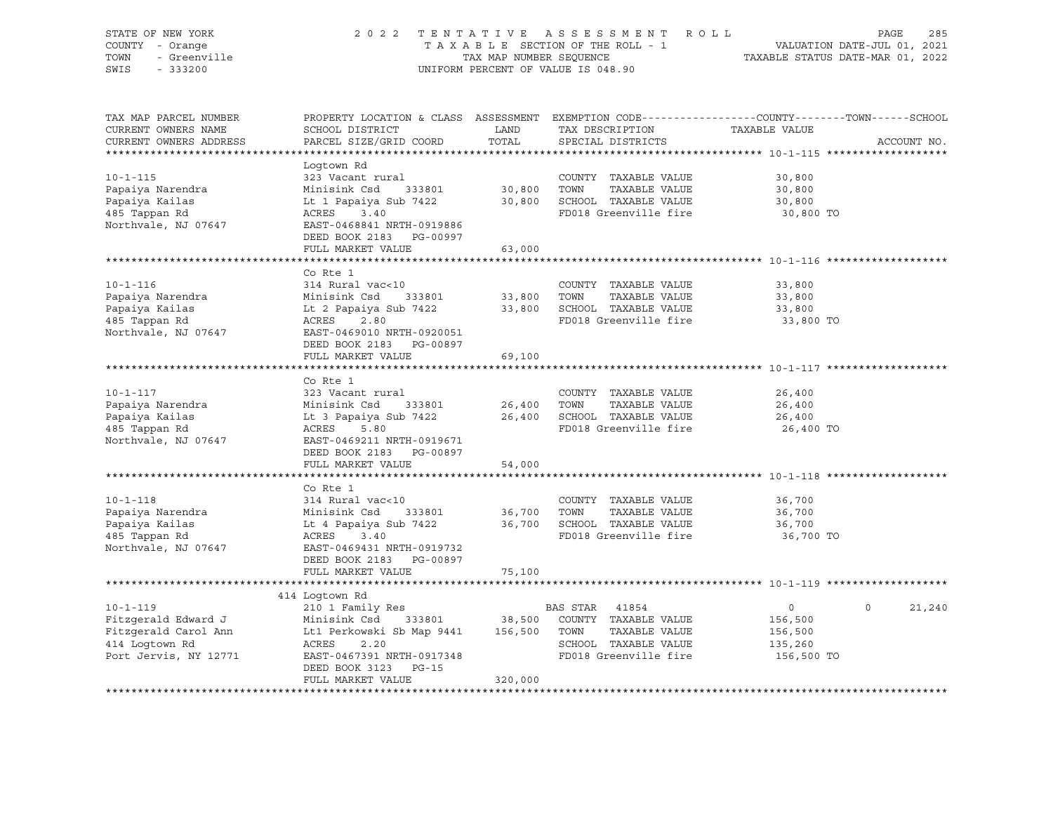| STATE OF NEW YORK<br>COUNTY - Orange<br>TOWN<br>- Greenville<br>SWIS<br>$-333200$                                                                                                 | 2 0 2 2                                                                                                                                                                    | TAX MAP NUMBER SEQUENCE | TENTATIVE ASSESSMENT ROLL<br>TAXABLE SECTION OF THE ROLL - 1<br>UNIFORM PERCENT OF VALUE IS 048.90                     | VALUATION DATE-JUL 01, 2021<br>TAXABLE STATUS DATE-MAR 01, 2022  | PAGE<br>285        |
|-----------------------------------------------------------------------------------------------------------------------------------------------------------------------------------|----------------------------------------------------------------------------------------------------------------------------------------------------------------------------|-------------------------|------------------------------------------------------------------------------------------------------------------------|------------------------------------------------------------------|--------------------|
| TAX MAP PARCEL NUMBER<br>CURRENT OWNERS NAME<br>CURRENT OWNERS ADDRESS                                                                                                            | PROPERTY LOCATION & CLASS ASSESSMENT EXEMPTION CODE---------------COUNTY-------TOWN-----SCHOOL<br>SCHOOL DISTRICT<br>PARCEL SIZE/GRID COORD                                | LAND<br>TOTAL           | TAX DESCRIPTION<br>SPECIAL DISTRICTS                                                                                   | TAXABLE VALUE                                                    | ACCOUNT NO.        |
| $10 - 1 - 115$<br>Papaiya Narendra<br>Papaiya Kailas<br>485 Tappan Rd<br>Northvale, NJ 07647                                                                                      | Logtown Rd<br>323 Vacant rural<br>Minisink Csd 333801<br>Lt 1 Papaiya Sub 7422<br>ACRES 3.40<br>EAST-0468841 NRTH-0919886<br>DEED BOOK 2183 PG-00997<br>FULL MARKET VALUE  | 63,000                  | COUNTY TAXABLE VALUE<br>30,800 TOWN TAXABLE VALUE<br>30,800 SCHOOL TAXABLE VALUE<br>FD018 Greenville fire              | 30,800<br>30,800<br>30,800<br>30,800 TO                          |                    |
|                                                                                                                                                                                   |                                                                                                                                                                            |                         |                                                                                                                        |                                                                  |                    |
| $10 - 1 - 116$<br>Papaiya Narendra<br>Papaiya Kailas<br>485 Tappan Rd<br>Northvale, NJ 07647                                                                                      | Co Rte 1<br>314 Rural vac<10<br>Minisink Csd 333801<br>Lt 2 Papaiya Sub 7422<br>ACRES 2.80<br>EAST-0469010 NRTH-0920051<br>DEED BOOK 2183 PG-00897                         | 33,800<br>33,800        | COUNTY TAXABLE VALUE<br>TOWN<br>TAXABLE VALUE<br>SCHOOL TAXABLE VALUE<br>FD018 Greenville fire                         | 33,800<br>33,800<br>33,800<br>33,800 TO                          |                    |
|                                                                                                                                                                                   | FULL MARKET VALUE                                                                                                                                                          | 69,100                  |                                                                                                                        |                                                                  |                    |
|                                                                                                                                                                                   |                                                                                                                                                                            |                         | ****************************** 10-1-117 *********                                                                      |                                                                  |                    |
| $10 - 1 - 117$<br>Papaiya Narendra<br>Papaiya Kailas<br>485 Tappan Rd<br>Northvale, NJ 07647                                                                                      | Co Rte 1<br>323 Vacant rural<br>Minisink Csd      333801<br>Lt 3 Papaiya Sub 7422<br>ACRES      5.80<br>333801<br>EAST-0469211 NRTH-0919671<br>DEED BOOK 2183 PG-00897     | 26,400<br>26,400        | COUNTY TAXABLE VALUE<br>TOWN<br>TAXABLE VALUE<br>26,400 SCHOOL TAXABLE VALUE<br>FD018 Greenville fire                  | 26,400<br>26,400<br>26,400<br>26,400 TO                          |                    |
|                                                                                                                                                                                   | FULL MARKET VALUE                                                                                                                                                          | 54,000                  |                                                                                                                        |                                                                  |                    |
| $10 - 1 - 118$<br>Papaiya Narendra<br>Papaiya Kailas<br>485 Tappan Rd<br>Northvale, NJ 07647                                                                                      | Co Rte 1<br>314 Rural vac<10<br>Minisink Csd 333801<br>Lt 4 Papaiya Sub 7422<br>ACRES 3.40<br>333801<br>ACRES 3.40<br>EAST-0469431 NRTH-0919732<br>DEED BOOK 2183 PG-00897 |                         | COUNTY TAXABLE VALUE<br>36,700    TOWN      TAXABLE VALUE<br>36,700    SCHOOL   TAXABLE VALUE<br>FD018 Greenville fire | 36,700<br>36,700<br>36,700<br>36,700 TO                          |                    |
|                                                                                                                                                                                   | FULL MARKET VALUE                                                                                                                                                          | 75,100                  |                                                                                                                        |                                                                  |                    |
|                                                                                                                                                                                   |                                                                                                                                                                            |                         |                                                                                                                        |                                                                  |                    |
| $10 - 1 - 119$<br>Fitzgerald Edward J Minisink Csd 333801 38,500 COUNTY<br>Fitzgerald Carol Ann Lt1 Perkowski Sb Map 9441 156,500 TOWN<br>414 Logtown Rd<br>Port Jervis, NY 12771 | 414 Logtown Rd<br>210 1 Family Res<br>ACRES 2.20<br>EAST-0467391 NRTH-0917348<br>DEED BOOK 3123 PG-15<br>FULL MARKET VALUE                                                 | 320,000                 | BAS STAR 41854<br>333801 38,500 COUNTY TAXABLE VALUE<br>TAXABLE VALUE<br>SCHOOL TAXABLE VALUE<br>FD018 Greenville fire | $0 \qquad \qquad$<br>156,500<br>156,500<br>135,260<br>156,500 TO | $\Omega$<br>21,240 |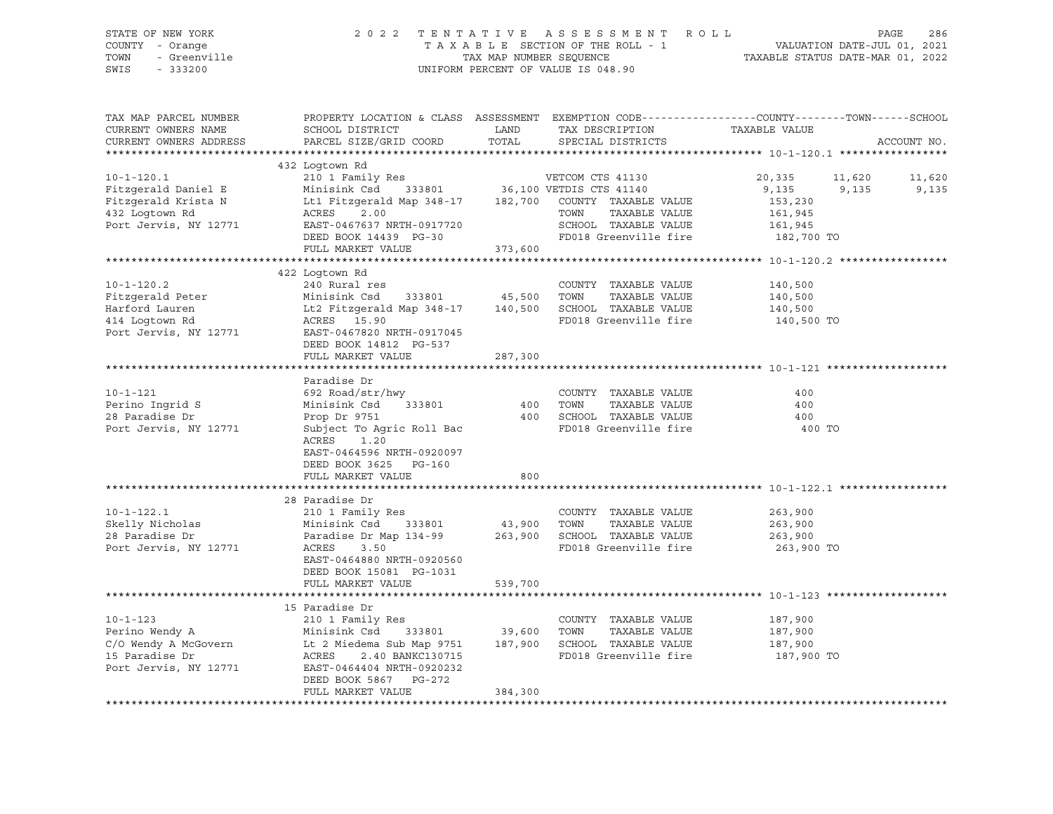| STATE OF NEW YORK | 2022 TENTATIVE ASSESSMENT ROLL     | PAGE                             | - 286 |
|-------------------|------------------------------------|----------------------------------|-------|
| COUNTY - Orange   | TAXABLE SECTION OF THE ROLL - 1    | VALUATION DATE-JUL 01, 2021      |       |
| TOWN - Greenville | TAX MAP NUMBER SEOUENCE            | TAXABLE STATUS DATE-MAR 01, 2022 |       |
| SWIS - 333200     | UNIFORM PERCENT OF VALUE IS 048.90 |                                  |       |
|                   |                                    |                                  |       |

| TAX MAP PARCEL NUMBER  |                           |         |                                       | PROPERTY LOCATION & CLASS ASSESSMENT EXEMPTION CODE----------------COUNTY-------TOWN------SCHOOL |             |
|------------------------|---------------------------|---------|---------------------------------------|--------------------------------------------------------------------------------------------------|-------------|
| CURRENT OWNERS NAME    | SCHOOL DISTRICT           | LAND    | TAX DESCRIPTION                       | TAXABLE VALUE                                                                                    |             |
| CURRENT OWNERS ADDRESS | PARCEL SIZE/GRID COORD    | TOTAL   | SPECIAL DISTRICTS                     |                                                                                                  | ACCOUNT NO. |
|                        |                           |         |                                       |                                                                                                  |             |
|                        | 432 Logtown Rd            |         |                                       |                                                                                                  |             |
| $10 - 1 - 120.1$       | 210 1 Family Res          |         | VETCOM CTS 41130                      | 20,335<br>11,620                                                                                 | 11,620      |
| Fitzgerald Daniel E    | Minisink Csd<br>333801    |         | 36,100 VETDIS CTS 41140               | 9,135<br>9,135                                                                                   | 9,135       |
| Fitzgerald Krista N    | Lt1 Fitzgerald Map 348-17 | 182,700 | COUNTY TAXABLE VALUE                  | 153,230                                                                                          |             |
| 432 Logtown Rd         | ACRES<br>2.00             |         | TOWN<br>TAXABLE VALUE                 | 161,945                                                                                          |             |
| Port Jervis, NY 12771  | EAST-0467637 NRTH-0917720 |         | SCHOOL TAXABLE VALUE                  | 161,945                                                                                          |             |
|                        | DEED BOOK 14439 PG-30     |         | FD018 Greenville fire                 | 182,700 TO                                                                                       |             |
|                        | FULL MARKET VALUE         | 373,600 |                                       |                                                                                                  |             |
|                        |                           |         |                                       |                                                                                                  |             |
|                        | 422 Logtown Rd            |         |                                       |                                                                                                  |             |
| $10 - 1 - 120.2$       | 240 Rural res             |         | COUNTY TAXABLE VALUE                  | 140,500                                                                                          |             |
| Fitzgerald Peter       | Minisink Csd<br>333801    | 45,500  | TAXABLE VALUE<br>TOWN                 | 140,500                                                                                          |             |
| Harford Lauren         | Lt2 Fitzgerald Map 348-17 | 140,500 | SCHOOL TAXABLE VALUE                  | 140,500                                                                                          |             |
| 414 Logtown Rd         | ACRES 15.90               |         | FD018 Greenville fire                 | 140,500 TO                                                                                       |             |
| Port Jervis, NY 12771  | EAST-0467820 NRTH-0917045 |         |                                       |                                                                                                  |             |
|                        | DEED BOOK 14812 PG-537    |         |                                       |                                                                                                  |             |
|                        | FULL MARKET VALUE         | 287,300 |                                       |                                                                                                  |             |
|                        |                           |         |                                       |                                                                                                  |             |
|                        | Paradise Dr               |         |                                       |                                                                                                  |             |
| $10 - 1 - 121$         | 692 Road/str/hwy          |         | COUNTY TAXABLE VALUE                  | 400                                                                                              |             |
| Perino Ingrid S        | 333801<br>Minisink Csd    | 400     | TAXABLE VALUE<br>TOWN                 | 400                                                                                              |             |
| 28 Paradise Dr         | Prop Dr 9751              | 400     | SCHOOL TAXABLE VALUE                  | 400                                                                                              |             |
| Port Jervis, NY 12771  | Subject To Agric Roll Bac |         | FD018 Greenville fire                 | 400 TO                                                                                           |             |
|                        | 1.20<br>ACRES             |         |                                       |                                                                                                  |             |
|                        | EAST-0464596 NRTH-0920097 |         |                                       |                                                                                                  |             |
|                        | DEED BOOK 3625 PG-160     |         |                                       |                                                                                                  |             |
|                        | FULL MARKET VALUE         | 800     |                                       |                                                                                                  |             |
|                        |                           |         |                                       |                                                                                                  |             |
|                        | 28 Paradise Dr            |         |                                       |                                                                                                  |             |
| $10 - 1 - 122.1$       |                           |         |                                       |                                                                                                  |             |
|                        | 210 1 Family Res          |         | COUNTY TAXABLE VALUE<br>TOWN          | 263,900                                                                                          |             |
| Skelly Nicholas        | Minisink Csd<br>333801    | 43,900  | TAXABLE VALUE<br>SCHOOL TAXABLE VALUE | 263,900                                                                                          |             |
| 28 Paradise Dr         | Paradise Dr Map 134-99    | 263,900 |                                       | 263,900                                                                                          |             |
| Port Jervis, NY 12771  | ACRES<br>3.50             |         | FD018 Greenville fire                 | 263,900 TO                                                                                       |             |
|                        | EAST-0464880 NRTH-0920560 |         |                                       |                                                                                                  |             |
|                        | DEED BOOK 15081 PG-1031   |         |                                       |                                                                                                  |             |
|                        | FULL MARKET VALUE         | 539,700 |                                       |                                                                                                  |             |
|                        |                           |         |                                       |                                                                                                  |             |
|                        | 15 Paradise Dr            |         |                                       |                                                                                                  |             |
| $10 - 1 - 123$         | 210 1 Family Res          |         | COUNTY TAXABLE VALUE                  | 187,900                                                                                          |             |
| Perino Wendy A         | Minisink Csd<br>333801    | 39,600  | TOWN<br>TAXABLE VALUE                 | 187,900                                                                                          |             |
| C/O Wendy A McGovern   | Lt 2 Miedema Sub Map 9751 | 187,900 | SCHOOL TAXABLE VALUE                  | 187,900                                                                                          |             |
| 15 Paradise Dr         | ACRES<br>2.40 BANKC130715 |         | FD018 Greenville fire                 | 187,900 TO                                                                                       |             |
| Port Jervis, NY 12771  | EAST-0464404 NRTH-0920232 |         |                                       |                                                                                                  |             |
|                        | DEED BOOK 5867 PG-272     |         |                                       |                                                                                                  |             |
|                        | FULL MARKET VALUE         | 384,300 |                                       |                                                                                                  |             |
|                        |                           |         |                                       |                                                                                                  |             |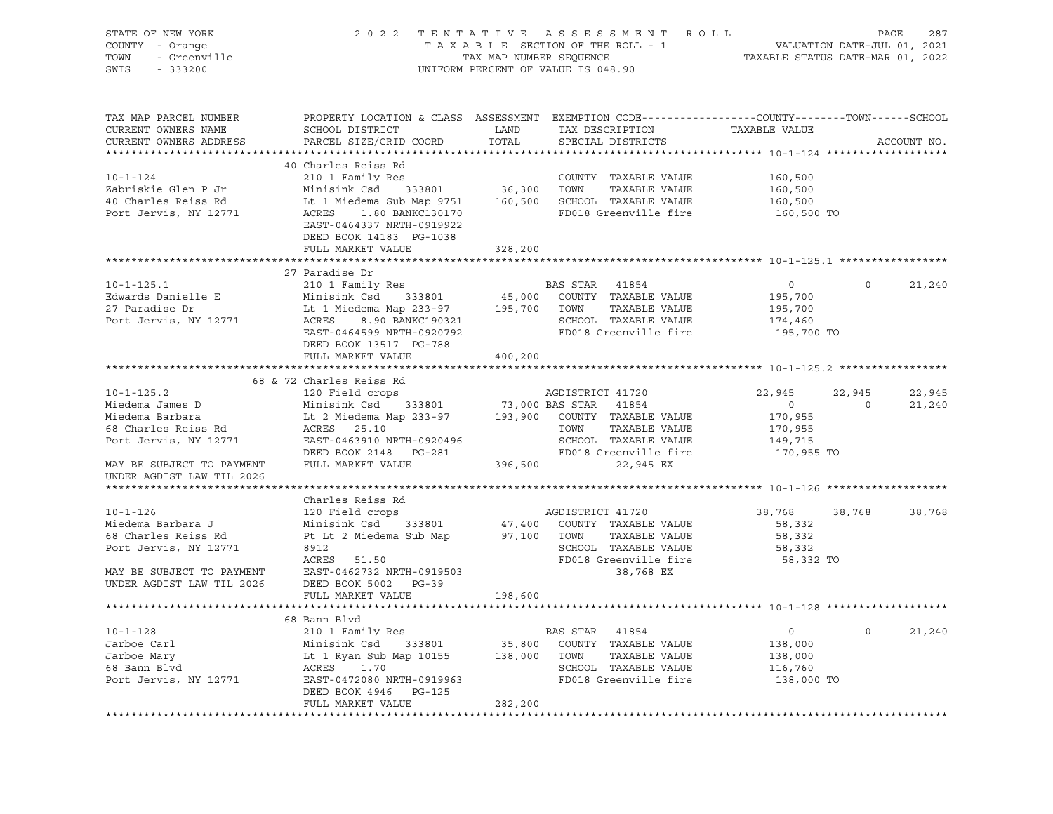| STATE OF NEW YORK<br>OF NEW YORK<br>I - Orange<br>- Greenville<br>- Conne<br>COUNTY - Orange<br>TOWN<br>SWIS - 333200                                                                                                                                  | 2022 TENTATIVE ASSESSMENT ROLL PAGE 287<br>TAXABLE SECTION OF THE ROLL - 1 VALUATION DATE-JUL 01, 2021<br>TAX MAP NUMBER SEQUENCE TAXABLE STATUS DATE-MAR 01, 2022                                                                                     |         | UNIFORM PERCENT OF VALUE IS 048.90                         |                      |                             |
|--------------------------------------------------------------------------------------------------------------------------------------------------------------------------------------------------------------------------------------------------------|--------------------------------------------------------------------------------------------------------------------------------------------------------------------------------------------------------------------------------------------------------|---------|------------------------------------------------------------|----------------------|-----------------------------|
| TAX MAP PARCEL NUMBER<br>CURRENT OWNERS NAME<br>CURRENT OWNERS ADDRESS                                                                                                                                                                                 | PROPERTY LOCATION & CLASS ASSESSMENT EXEMPTION CODE----------------COUNTY-------TOWN------SCHOOL                                                                                                                                                       |         |                                                            | TAXABLE VALUE        | ACCOUNT NO.                 |
|                                                                                                                                                                                                                                                        | 40 Charles Reiss Rd                                                                                                                                                                                                                                    |         |                                                            |                      |                             |
|                                                                                                                                                                                                                                                        |                                                                                                                                                                                                                                                        |         |                                                            |                      |                             |
|                                                                                                                                                                                                                                                        |                                                                                                                                                                                                                                                        |         |                                                            |                      |                             |
|                                                                                                                                                                                                                                                        |                                                                                                                                                                                                                                                        |         |                                                            |                      |                             |
| 10-1-124<br>210 1 Family Res<br>210 1 Family Res<br>210 1 Family Res<br>210 1 Family Res<br>210 1 Family Res<br>210 1 Family Res<br>210 1 Family Res<br>210 1 Family Res<br>210 1 Family Res<br>210 1 Family Res<br>210 210 1 Family Res<br>210 36,300 | EAST-0464337 NRTH-0919922<br>DEED BOOK 14183 PG-1038                                                                                                                                                                                                   |         |                                                            |                      |                             |
|                                                                                                                                                                                                                                                        | FULL MARKET VALUE                                                                                                                                                                                                                                      | 328,200 |                                                            |                      |                             |
|                                                                                                                                                                                                                                                        |                                                                                                                                                                                                                                                        |         |                                                            |                      |                             |
| $10 - 1 - 125.1$                                                                                                                                                                                                                                       | 27 Paradise Dr                                                                                                                                                                                                                                         |         |                                                            |                      | $\Omega$<br>21,240          |
| Edwards Danielle E                                                                                                                                                                                                                                     | 210 1 Family Res<br>210 1 Family Res<br>Minisiak Csd 333801 45,000 COUNTY TAXABLE VALUE<br>195,700<br>195,700<br>22 195,700<br>22 195,700<br>231 233801 45,000 COUNTY TAXABLE VALUE<br>295,700<br>22 195,700<br>22 195,700<br>22 195,700<br>22 195,700 |         |                                                            |                      |                             |
| 27 Paradise Dr                                                                                                                                                                                                                                         |                                                                                                                                                                                                                                                        |         |                                                            |                      |                             |
| Port Jervis, NY 12771                                                                                                                                                                                                                                  |                                                                                                                                                                                                                                                        |         |                                                            |                      |                             |
|                                                                                                                                                                                                                                                        |                                                                                                                                                                                                                                                        |         |                                                            |                      |                             |
|                                                                                                                                                                                                                                                        | DEED BOOK 13517 PG-788                                                                                                                                                                                                                                 |         |                                                            |                      |                             |
|                                                                                                                                                                                                                                                        | FULL MARKET VALUE                                                                                                                                                                                                                                      | 400,200 |                                                            |                      |                             |
|                                                                                                                                                                                                                                                        |                                                                                                                                                                                                                                                        |         |                                                            |                      |                             |
|                                                                                                                                                                                                                                                        | 68 & 72 Charles Reiss Rd                                                                                                                                                                                                                               |         |                                                            |                      |                             |
|                                                                                                                                                                                                                                                        |                                                                                                                                                                                                                                                        |         |                                                            | 22,945               | 22,945<br>22,945            |
|                                                                                                                                                                                                                                                        |                                                                                                                                                                                                                                                        |         |                                                            | $\overline{0}$       | $\overline{0}$<br>21,240    |
|                                                                                                                                                                                                                                                        |                                                                                                                                                                                                                                                        |         |                                                            | 170,955<br>170,955   |                             |
|                                                                                                                                                                                                                                                        |                                                                                                                                                                                                                                                        |         |                                                            | 149,715              |                             |
|                                                                                                                                                                                                                                                        |                                                                                                                                                                                                                                                        |         |                                                            | 170,955 TO           |                             |
| 10-1-125.2<br>Miedema James D<br>Minisink Csd 333801 73,000 BAS STAR 41854<br>Minisink Csd 333801 73,000 BAS STAR 41854<br>Minisink Csd 333801 73,000 BAS STAR 41854<br>Minisink Csd 333801 73,000 BAS STAR 41854<br>Minisink Csd 333801 7             |                                                                                                                                                                                                                                                        |         |                                                            |                      |                             |
| UNDER AGDIST LAW TIL 2026                                                                                                                                                                                                                              |                                                                                                                                                                                                                                                        |         |                                                            |                      |                             |
|                                                                                                                                                                                                                                                        |                                                                                                                                                                                                                                                        |         |                                                            |                      |                             |
|                                                                                                                                                                                                                                                        | Charles Reiss Rd                                                                                                                                                                                                                                       |         |                                                            |                      |                             |
| $10 - 1 - 126$                                                                                                                                                                                                                                         | 120 Field crops                                                                                                                                                                                                                                        |         | AGDISTRICT 41720<br>47,400 COUNTY TAXABLE VALUE            | 38,768 38,768 38,768 |                             |
| Miedema Barbara J                                                                                                                                                                                                                                      |                                                                                                                                                                                                                                                        |         |                                                            | 58,332               |                             |
| 68 Charles Reiss Rd                                                                                                                                                                                                                                    | 120 Field Crops<br>Minisink Csd 333801<br>Pt Lt 2 Miedema Sub Map<br>Pt Lt 2 Miedema Sub Map 97,100 TOWN TAXABLE VALUE                                                                                                                                 |         |                                                            | 58,332               |                             |
| Port Jervis, NY 12771                                                                                                                                                                                                                                  | 8912<br>ACRES 51.50                                                                                                                                                                                                                                    |         | SCHOOL TAXABLE VALUE<br>FD018 Greenville fire<br>38,768 EX | 58,332               |                             |
| MAY BE SUBJECT TO PAYMENT EAST-0462732 NRTH-0919503                                                                                                                                                                                                    |                                                                                                                                                                                                                                                        |         |                                                            | 58,332 TO            |                             |
| UNDER AGDIST LAW TIL 2026 DEED BOOK 5002 PG-39                                                                                                                                                                                                         |                                                                                                                                                                                                                                                        |         |                                                            |                      |                             |
|                                                                                                                                                                                                                                                        | FULL MARKET VALUE                                                                                                                                                                                                                                      | 198,600 |                                                            |                      |                             |
|                                                                                                                                                                                                                                                        |                                                                                                                                                                                                                                                        |         |                                                            |                      |                             |
|                                                                                                                                                                                                                                                        | 68 Bann Blvd                                                                                                                                                                                                                                           |         |                                                            |                      |                             |
|                                                                                                                                                                                                                                                        |                                                                                                                                                                                                                                                        |         |                                                            |                      | $0 \qquad \qquad$<br>21,240 |
| 10-1-128 <sup>210</sup> 210 1 Family Res BAS STAR 41854 0<br>Jarboe Carl Minisink Csd 333801 35,800 COUNTY TAXABLE VALUE 138,000<br>Jarboe Mary Lt 1 Ryan Sub Map 10155 138,000 TOWN TAXABLE VALUE 138,000<br>FOOL TAXABLE VALUE 138,000 1068          |                                                                                                                                                                                                                                                        |         |                                                            |                      |                             |
|                                                                                                                                                                                                                                                        |                                                                                                                                                                                                                                                        |         |                                                            |                      |                             |
|                                                                                                                                                                                                                                                        |                                                                                                                                                                                                                                                        |         |                                                            |                      |                             |
|                                                                                                                                                                                                                                                        |                                                                                                                                                                                                                                                        |         |                                                            |                      |                             |
|                                                                                                                                                                                                                                                        | DEED BOOK 4946 PG-125                                                                                                                                                                                                                                  |         |                                                            |                      |                             |
|                                                                                                                                                                                                                                                        | FULL MARKET VALUE                                                                                                                                                                                                                                      | 282,200 |                                                            |                      |                             |
|                                                                                                                                                                                                                                                        |                                                                                                                                                                                                                                                        |         |                                                            |                      |                             |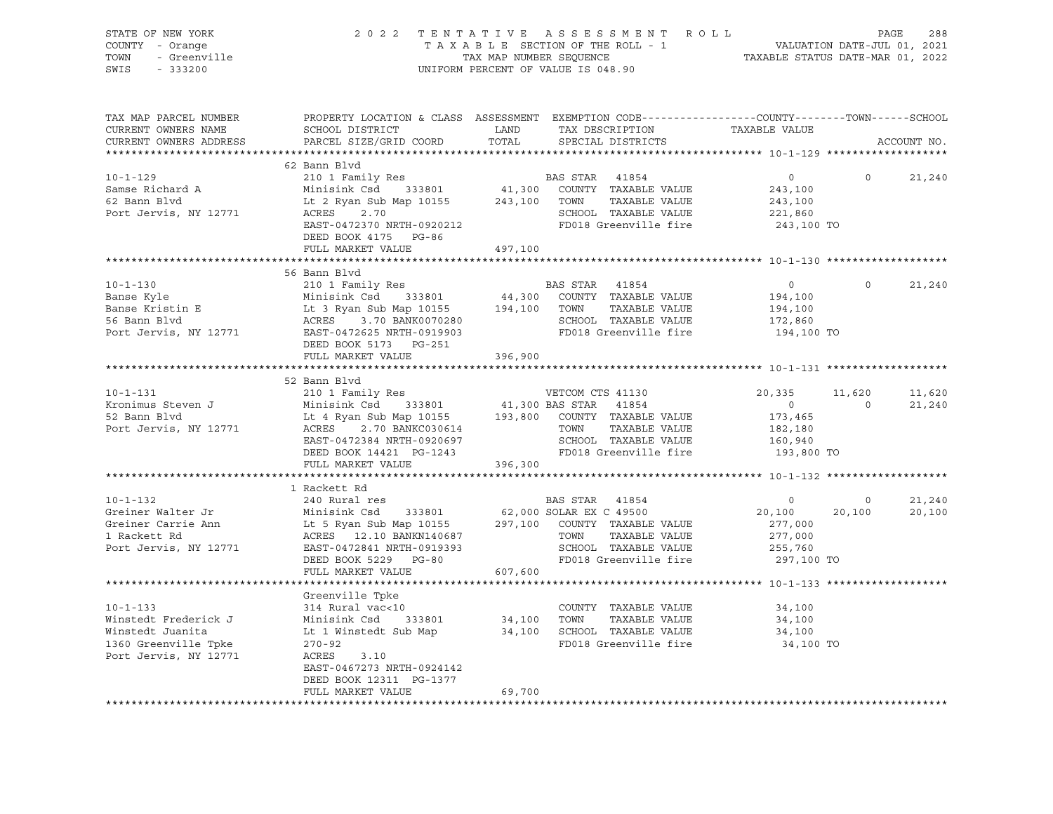| STATE OF NEW YORK<br>COUNTY - Orange          |                                                                                                                              |               | 2022 TENTATIVE ASSESSMENT ROLL<br>TAXABLE SECTION OF THE ROLL - 1 | VALUATION DATE-JUL 01, 2021         |                   | 288<br>PAGE |
|-----------------------------------------------|------------------------------------------------------------------------------------------------------------------------------|---------------|-------------------------------------------------------------------|-------------------------------------|-------------------|-------------|
| TOWN<br>- Greenville                          | TAX MAP NUMBER SEQUENCE                                                                                                      |               | TAXABLE STATUS DATE-MAR 01, 2022                                  |                                     |                   |             |
| SWIS<br>$-333200$                             |                                                                                                                              |               | UNIFORM PERCENT OF VALUE IS 048.90                                |                                     |                   |             |
| TAX MAP PARCEL NUMBER                         | PROPERTY LOCATION & CLASS ASSESSMENT EXEMPTION CODE---------------COUNTY-------TOWN-----SCHOOL                               |               |                                                                   |                                     |                   |             |
| CURRENT OWNERS NAME<br>CURRENT OWNERS ADDRESS | SCHOOL DISTRICT<br>PARCEL SIZE/GRID COORD                                                                                    | LAND<br>TOTAL | TAX DESCRIPTION<br>SPECIAL DISTRICTS                              | TAXABLE VALUE                       |                   | ACCOUNT NO. |
|                                               |                                                                                                                              |               |                                                                   |                                     |                   |             |
|                                               | 62 Bann Blvd                                                                                                                 |               |                                                                   |                                     |                   |             |
| $10 - 1 - 129$                                |                                                                                                                              |               |                                                                   | $\overline{0}$                      | $\circ$           | 21,240      |
| Samse Richard A                               | 210 1 Family Res<br>Minisink Csd      333801                                                                                 |               | BAS STAR 41854<br>41,300 COUNTY TAXABLE VALUE                     | 243,100                             |                   |             |
| 62 Bann Blvd                                  | Lt 2 Ryan Sub Map 10155                                                                                                      |               | TAXABLE VALUE<br>243,100 TOWN                                     | 243,100                             |                   |             |
| Port Jervis, NY 12771                         | 2.70<br>ACRES                                                                                                                |               | SCHOOL TAXABLE VALUE                                              | 221,860                             |                   |             |
|                                               | EAST-0472370 NRTH-0920212                                                                                                    |               | FD018 Greenville fire                                             | 243,100 TO                          |                   |             |
|                                               | DEED BOOK 4175 PG-86                                                                                                         |               |                                                                   |                                     |                   |             |
|                                               | FULL MARKET VALUE                                                                                                            | 497,100       |                                                                   |                                     |                   |             |
|                                               | 56 Bann Blyd                                                                                                                 |               |                                                                   |                                     |                   |             |
| $10 - 1 - 130$                                | 210 1 Family Res                                                                                                             |               | BAS STAR 41854                                                    | $\circ$                             | $\Omega$          | 21,240      |
| Banse Kyle                                    | Minisink Csd 333801                                                                                                          |               | 44,300 COUNTY TAXABLE VALUE                                       | 194,100                             |                   |             |
|                                               |                                                                                                                              | 194,100 TOWN  | TAXABLE VALUE                                                     | 194,100                             |                   |             |
| Banse Kristin E<br>56 Bann Blvd               |                                                                                                                              |               | SCHOOL TAXABLE VALUE                                              | 172,860                             |                   |             |
| Port Jervis, NY 12771                         | Ministra Code Corp. 194<br>Lt 3 Ryan Sub Map 10155<br>ACRES 3.70 BANK0070280<br>EAST-0472625 NRTH-0919903<br>110 110 110 121 |               | FD018 Greenville fire                                             | 194,100 TO                          |                   |             |
|                                               | DEED BOOK 5173 PG-251                                                                                                        |               |                                                                   |                                     |                   |             |
|                                               | FULL MARKET VALUE                                                                                                            | 396,900       |                                                                   |                                     |                   |             |
|                                               |                                                                                                                              |               |                                                                   |                                     |                   |             |
|                                               | 52 Bann Blvd                                                                                                                 |               |                                                                   |                                     |                   |             |
| $10 - 1 - 131$                                | 210 1 Family Res                                                                                                             |               | VETCOM CTS 41130<br>41,300 BAS STAR 41854                         | 20,335                              | 11,620<br>$\circ$ | 11,620      |
| Kronimus Steven J<br>52 Bann Blvd             | Minisink Csd 333801<br>Lt 4 Ryan Sub Map 10155                                                                               |               | 193,800 COUNTY TAXABLE VALUE                                      | $\overline{\phantom{0}}$<br>173,465 |                   | 21,240      |
| Port Jervis, NY 12771                         | ACRES<br>2.70 BANKC030614                                                                                                    |               | TOWN<br>TAXABLE VALUE                                             | 182,180                             |                   |             |
|                                               | EAST-0472384 NRTH-0920697                                                                                                    |               | SCHOOL TAXABLE VALUE                                              | 160,940                             |                   |             |
|                                               | DEED BOOK 14421 PG-1243                                                                                                      |               | FD018 Greenville fire                                             | 193,800 TO                          |                   |             |
|                                               | FULL MARKET VALUE                                                                                                            | 396,300       |                                                                   |                                     |                   |             |
|                                               |                                                                                                                              |               |                                                                   |                                     |                   |             |
|                                               | 1 Rackett Rd                                                                                                                 |               |                                                                   |                                     |                   |             |
| $10 - 1 - 132$                                | 240 Rural res                                                                                                                |               | BAS STAR 41854                                                    | $\mathbf{0}$                        | $\circ$           | 21,240      |
| Greiner Walter Jr                             |                                                                                                                              |               | 62,000 SOLAR EX C 49500                                           | 20,100                              | 20,100            | 20,100      |
| Greiner Carrie Ann<br>1 Rackett Rd            | Minisink Csd<br>Lt 5 Ryan Sub Map 10155<br>ACRES 12.10 BANIATI 10000<br>ACRES 12.10 BANKN140687                              |               | 297,100 COUNTY TAXABLE VALUE<br>TOWN<br>TAXABLE VALUE             | 277,000<br>277,000                  |                   |             |
| Port Jervis, NY 12771                         | EAST-0472841 NRTH-0919393                                                                                                    |               | SCHOOL TAXABLE VALUE                                              | 255,760                             |                   |             |
|                                               | DEED BOOK 5229 PG-80                                                                                                         |               | FD018 Greenville fire                                             | 297,100 TO                          |                   |             |
|                                               | FULL MARKET VALUE                                                                                                            | 607,600       |                                                                   |                                     |                   |             |
|                                               |                                                                                                                              |               |                                                                   |                                     |                   |             |
|                                               | Greenville Tpke                                                                                                              |               |                                                                   |                                     |                   |             |
| $10 - 1 - 133$                                | 314 Rural vac<10                                                                                                             |               | COUNTY TAXABLE VALUE                                              | 34,100                              |                   |             |
| Winstedt Frederick J                          | Minisink Csd 333801                                                                                                          | 34,100 TOWN   | TAXABLE VALUE                                                     | 34,100                              |                   |             |
| Winstedt Juanita                              | Lt 1 Winstedt Sub Map                                                                                                        |               | 34,100 SCHOOL TAXABLE VALUE                                       | 34,100                              |                   |             |
| 1360 Greenville Tpke                          | $270 - 92$                                                                                                                   |               | FD018 Greenville fire                                             | 34,100 TO                           |                   |             |
| Port Jervis, NY 12771                         | ACRES<br>3.10<br>EAST-0467273 NRTH-0924142                                                                                   |               |                                                                   |                                     |                   |             |
|                                               | DEED BOOK 12311 PG-1377                                                                                                      |               |                                                                   |                                     |                   |             |
|                                               | FULL MARKET VALUE                                                                                                            | 69,700        |                                                                   |                                     |                   |             |
|                                               |                                                                                                                              |               |                                                                   |                                     |                   |             |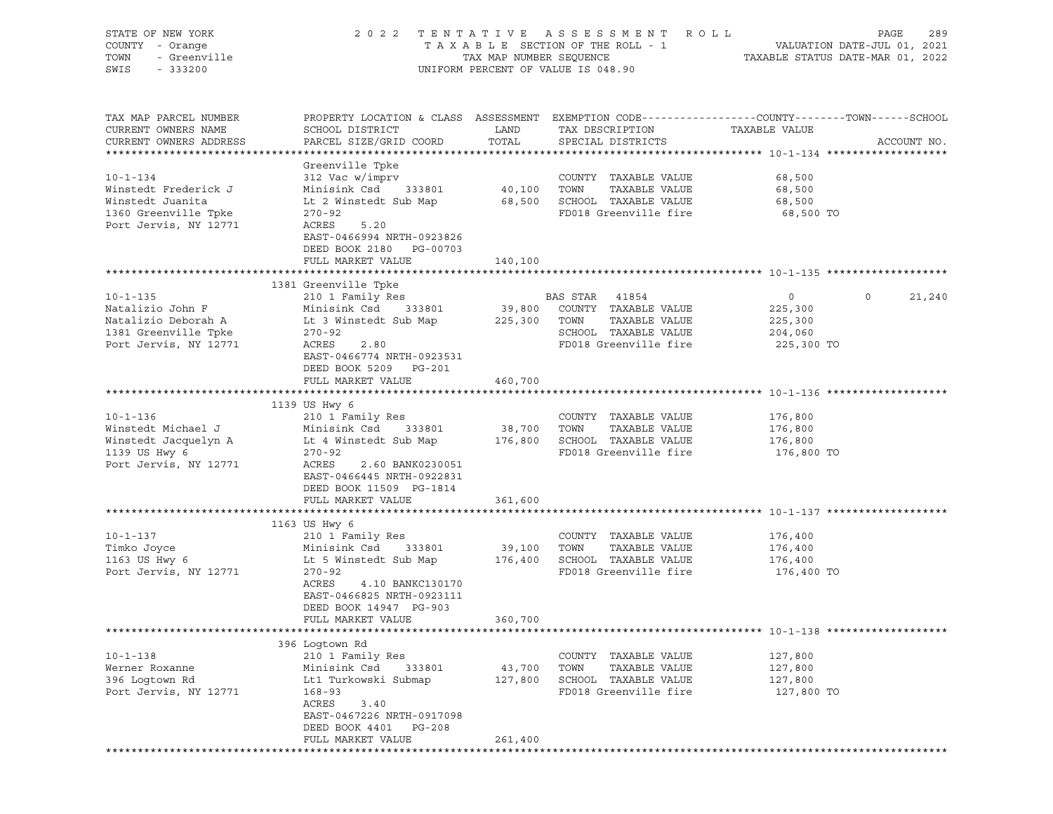| STATE OF NEW YORK<br>COUNTY - Orange<br>TOWN<br>- Urange<br>- Greenville<br>SWIS<br>$-333200$               |                                                                                                                                                                                                          |                              | 2022 TENTATIVE ASSESSMENT ROLL<br>UNIFORM PERCENT OF VALUE IS 048.90                                             | PAGE<br>289                                                                                                                     |
|-------------------------------------------------------------------------------------------------------------|----------------------------------------------------------------------------------------------------------------------------------------------------------------------------------------------------------|------------------------------|------------------------------------------------------------------------------------------------------------------|---------------------------------------------------------------------------------------------------------------------------------|
| TAX MAP PARCEL NUMBER<br>CURRENT OWNERS NAME<br>CURRENT OWNERS ADDRESS                                      | SCHOOL DISTRICT<br>PARCEL SIZE/GRID COORD                                                                                                                                                                | LAND<br>TOTAL                | TAX DESCRIPTION<br>SPECIAL DISTRICTS                                                                             | PROPERTY LOCATION & CLASS ASSESSMENT EXEMPTION CODE----------------COUNTY-------TOWN-----SCHOOL<br>TAXABLE VALUE<br>ACCOUNT NO. |
| $10 - 1 - 134$<br>Winstedt Frederick J<br>Winstedt Juanita<br>1360 Greenville Tpke<br>Port Jervis, NY 12771 | Greenville Tpke<br>312 Vac w/imprv<br>Minisink Csd<br>333801<br>Lt 2 Winstedt Sub Map<br>$270 - 92$<br>ACRES<br>5.20<br>EAST-0466994 NRTH-0923826<br>DEED BOOK 2180 PG-00703<br>FULL MARKET VALUE        | 40,100 TOWN<br>140,100       | COUNTY TAXABLE VALUE<br>TAXABLE VALUE<br>68,500 SCHOOL TAXABLE VALUE<br>FD018 Greenville fire                    | 68,500<br>68,500<br>68,500<br>68,500 TO                                                                                         |
|                                                                                                             |                                                                                                                                                                                                          |                              |                                                                                                                  |                                                                                                                                 |
| $10 - 1 - 135$<br>Natalizio John F<br>Natalizio Deborah A<br>1381 Greenville Tpke<br>Port Jervis, NY 12771  | 1381 Greenville Tpke<br>210 1 Family Res<br>Minisink Csd 333801<br>Lt 3 Winstedt Sub Map<br>$270 - 92$<br>ACRES<br>2.80<br>EAST-0466774 NRTH-0923531<br>DEED BOOK 5209 PG-201                            | 39,800<br>225,300            | BAS STAR 41854<br>COUNTY TAXABLE VALUE<br>TOWN<br>TAXABLE VALUE<br>SCHOOL TAXABLE VALUE<br>FD018 Greenville fire | $\circ$<br>$\circ$<br>21,240<br>225,300<br>225,300<br>204,060<br>225,300 TO                                                     |
|                                                                                                             | FULL MARKET VALUE                                                                                                                                                                                        | 460,700                      |                                                                                                                  |                                                                                                                                 |
| $10 - 1 - 136$<br>Winstedt Michael J<br>Winstedt Jacquelyn A<br>1139 US Hwy 6<br>Port Jervis, NY 12771      | 1139 US Hwy 6<br>210 1 Family Res<br>Minisink Csd 333801<br>Lt 4 Winstedt Sub Map<br>270-92<br>ACRES<br>2.60 BANK0230051<br>EAST-0466445 NRTH-0922831<br>DEED BOOK 11509 PG-1814                         | 38,700 TOWN                  | COUNTY TAXABLE VALUE<br>TAXABLE VALUE<br>176,800 SCHOOL TAXABLE VALUE<br>FD018 Greenville fire                   | 176,800<br>176,800<br>176,800<br>176,800 TO                                                                                     |
|                                                                                                             | FULL MARKET VALUE                                                                                                                                                                                        | 361,600                      |                                                                                                                  |                                                                                                                                 |
| $10 - 1 - 137$<br>Timko Joyce<br>1163 US Hwy 6<br>Port Jervis, NY 12771                                     | 1163 US Hwy 6<br>210 1 Family Res<br>Minisink Csd 333801<br>Lt 5 Winstedt Sub Map<br>$270 - 92$<br>ACRES<br>4.10 BANKC130170<br>EAST-0466825 NRTH-0923111<br>DEED BOOK 14947 PG-903<br>FULL MARKET VALUE | 39,100<br>176,400<br>360,700 | COUNTY TAXABLE VALUE<br>TOWN<br>TAXABLE VALUE<br>SCHOOL TAXABLE VALUE<br>FD018 Greenville fire                   | 176,400<br>176,400<br>176,400<br>176,400 TO                                                                                     |
|                                                                                                             |                                                                                                                                                                                                          |                              |                                                                                                                  |                                                                                                                                 |
| $10 - 1 - 138$<br>Werner Roxanne<br>396 Logtown Rd<br>Port Jervis, NY 12771                                 | 396 Loqtown Rd<br>210 1 Family Res<br>Minisink Csd<br>333801<br>Lt1 Turkowski Submap<br>$168 - 93$<br>ACRES<br>3.40<br>EAST-0467226 NRTH-0917098<br>DEED BOOK 4401 PG-208<br>FULL MARKET VALUE           | 43,700<br>127,800<br>261,400 | COUNTY TAXABLE VALUE<br>TOWN<br>TAXABLE VALUE<br>SCHOOL TAXABLE VALUE<br>FD018 Greenville fire                   | 127,800<br>127,800<br>127,800<br>127,800 TO                                                                                     |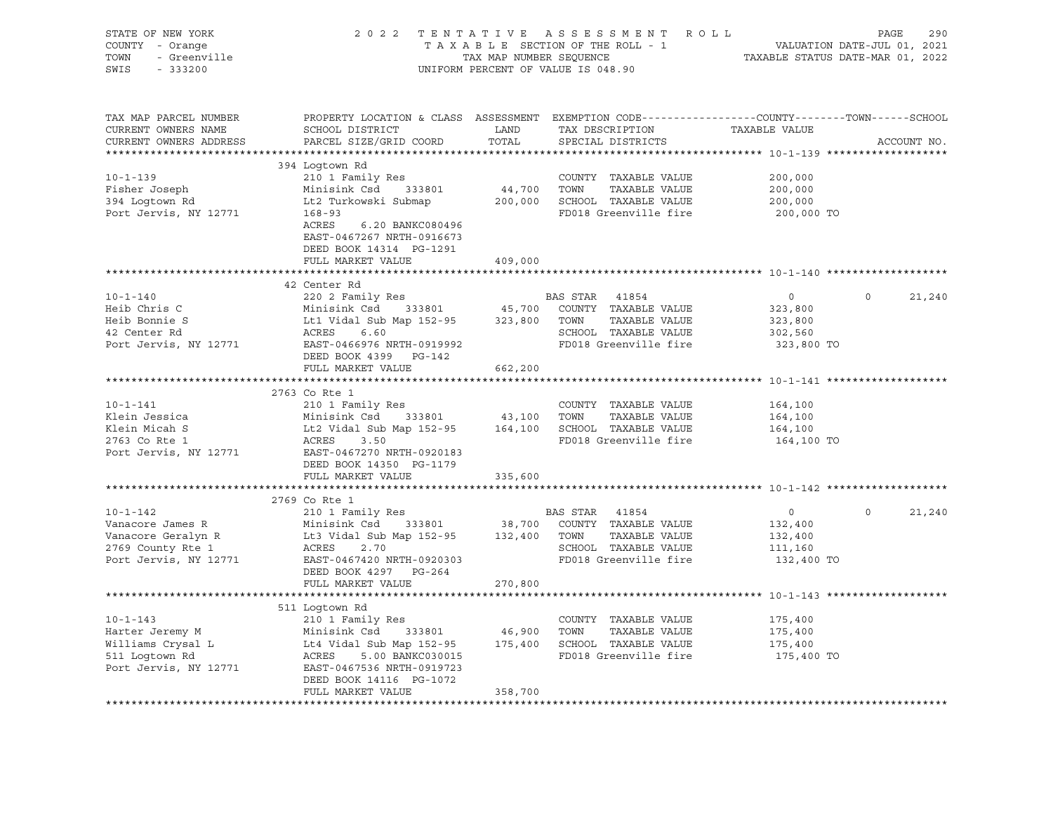| STATE OF NEW YORK 202<br>COUNTY - Orange<br>TOWN - Greenville                                                                                                                                                                                                  |                                                                                                                          |         | 2022 TENTATIVE ASSESSMENT ROLL PAGE 290<br>TAXABLE SECTION OF THE ROLL - 1 VALUATION DATE-JUL 01, 2021<br>TAX MAP NUMBER SEQUENCE TAXABLE STATUS DATE-MAR 01, 2022<br>UNIFORM PERCENT OF VALUE IS 048.90 |                |                             |
|----------------------------------------------------------------------------------------------------------------------------------------------------------------------------------------------------------------------------------------------------------------|--------------------------------------------------------------------------------------------------------------------------|---------|----------------------------------------------------------------------------------------------------------------------------------------------------------------------------------------------------------|----------------|-----------------------------|
| TAX MAP PARCEL NUMBER<br>CURRENT OWNERS NAME<br>CURRENT OWNERS ADDRESS                                                                                                                                                                                         | PROPERTY LOCATION & CLASS ASSESSMENT EXEMPTION CODE---------------COUNTY-------TOWN-----SCHOOL<br>PARCEL SIZE/GRID COORD |         |                                                                                                                                                                                                          |                | ACCOUNT NO.                 |
|                                                                                                                                                                                                                                                                | 394 Logtown Rd                                                                                                           |         |                                                                                                                                                                                                          |                |                             |
|                                                                                                                                                                                                                                                                |                                                                                                                          |         |                                                                                                                                                                                                          |                |                             |
|                                                                                                                                                                                                                                                                |                                                                                                                          |         |                                                                                                                                                                                                          |                |                             |
|                                                                                                                                                                                                                                                                |                                                                                                                          |         |                                                                                                                                                                                                          |                |                             |
| 10-1-139<br>Fisher Joseph 200,000<br>200,000 Minisink Csd 333801<br>200,000 394 Logtown Rd Lt2 Turkowski Submap<br>200,000 SCHOOL TAXABLE VALUE 200,000<br>200,000 SCHOOL TAXABLE VALUE 200,000<br>200,000 SCHOOL TAXABLE VALUE 200,000<br>2                   | ACRES 6.20 BANKC080496<br>EAST-0467267 NRTH-0916673<br>DEED BOOK 14314 PG-1291                                           |         |                                                                                                                                                                                                          | 200,000 TO     |                             |
|                                                                                                                                                                                                                                                                | FULL MARKET VALUE                                                                                                        | 409,000 |                                                                                                                                                                                                          |                |                             |
|                                                                                                                                                                                                                                                                |                                                                                                                          |         |                                                                                                                                                                                                          |                |                             |
| 10-1-140<br>Heib Chris C<br>Heib Chris C<br>Heib Bonnie S<br>12 Center Rd<br>12 Center Rd<br>12 Center Rd<br>12 Center Rd<br>12 Center Rd<br>12 Center Rd<br>12 Center Rd<br>12 Center Rd<br>12 Center Rd<br>12 Center Rd<br>12 Center Rd<br>12 Center Rd<br>1 | 42 Center Rd                                                                                                             |         |                                                                                                                                                                                                          |                | $\circ$<br>21,240           |
|                                                                                                                                                                                                                                                                |                                                                                                                          |         |                                                                                                                                                                                                          |                |                             |
|                                                                                                                                                                                                                                                                |                                                                                                                          |         |                                                                                                                                                                                                          |                |                             |
|                                                                                                                                                                                                                                                                |                                                                                                                          |         |                                                                                                                                                                                                          |                |                             |
|                                                                                                                                                                                                                                                                |                                                                                                                          |         |                                                                                                                                                                                                          |                |                             |
|                                                                                                                                                                                                                                                                | DEED BOOK 4399 PG-142                                                                                                    |         |                                                                                                                                                                                                          |                |                             |
|                                                                                                                                                                                                                                                                | FULL MARKET VALUE                                                                                                        | 662,200 |                                                                                                                                                                                                          |                |                             |
|                                                                                                                                                                                                                                                                |                                                                                                                          |         |                                                                                                                                                                                                          |                |                             |
|                                                                                                                                                                                                                                                                | 2763 Co Rte 1                                                                                                            |         |                                                                                                                                                                                                          |                |                             |
|                                                                                                                                                                                                                                                                |                                                                                                                          |         |                                                                                                                                                                                                          |                |                             |
|                                                                                                                                                                                                                                                                |                                                                                                                          |         |                                                                                                                                                                                                          |                |                             |
|                                                                                                                                                                                                                                                                |                                                                                                                          |         |                                                                                                                                                                                                          |                |                             |
| 10-1-141<br>210 1 Family Res<br>210 1 Family Res<br>210 1 Family Res<br>210 1 Family Res<br>216 164,100<br>2763 Co Rte 1<br>2763 Co Rte 1<br>2763 Co Rte 1<br>2763 Co Rte 1<br>2763 Co Rte 1<br>2763 Co Rte 1<br>2763 Co Rte 1<br>2763 Co Rte 1<br>2763 Co     |                                                                                                                          |         |                                                                                                                                                                                                          |                |                             |
|                                                                                                                                                                                                                                                                | DEED BOOK 14350 PG-1179                                                                                                  |         |                                                                                                                                                                                                          |                |                             |
|                                                                                                                                                                                                                                                                | FULL MARKET VALUE                                                                                                        | 335,600 |                                                                                                                                                                                                          |                |                             |
|                                                                                                                                                                                                                                                                |                                                                                                                          |         |                                                                                                                                                                                                          |                |                             |
|                                                                                                                                                                                                                                                                | 2769 Co Rte 1                                                                                                            |         |                                                                                                                                                                                                          |                |                             |
|                                                                                                                                                                                                                                                                |                                                                                                                          |         |                                                                                                                                                                                                          | $\overline{0}$ | $0 \qquad \qquad$<br>21,240 |
|                                                                                                                                                                                                                                                                |                                                                                                                          |         |                                                                                                                                                                                                          |                |                             |
|                                                                                                                                                                                                                                                                |                                                                                                                          |         |                                                                                                                                                                                                          |                |                             |
|                                                                                                                                                                                                                                                                |                                                                                                                          |         |                                                                                                                                                                                                          |                |                             |
| 10-1-142<br>10-1-142<br>210 1 Family Res<br>210 1 Family Res<br>210 1 Family Res<br>210 1 Family Res<br>210 1 Family Res<br>210 1 Family Res<br>2169 County Res<br>2769 County Res<br>2769 County Res<br>2769 County Res<br>2769 County Res<br>2769 Coun       |                                                                                                                          |         |                                                                                                                                                                                                          |                |                             |
|                                                                                                                                                                                                                                                                | DEED BOOK 4297 PG-264                                                                                                    |         |                                                                                                                                                                                                          |                |                             |
|                                                                                                                                                                                                                                                                | FULL MARKET VALUE 270,800                                                                                                |         |                                                                                                                                                                                                          |                |                             |
|                                                                                                                                                                                                                                                                | 511 Loqtown Rd                                                                                                           |         |                                                                                                                                                                                                          |                |                             |
|                                                                                                                                                                                                                                                                |                                                                                                                          |         |                                                                                                                                                                                                          |                |                             |
| 10-1-143<br>Harter Jeremy M<br>Minisink Csd 333801<br>Williams Crysal L<br>Minisink Csd 333801<br>Let Vidal Sub Map 152-95<br>175,400<br>Sil Logtown Rd<br>Port Jervis, NY 12771<br>EXABLE VALUE<br>210 1 Family Res<br>Minisink Csd 333801<br>175,400         |                                                                                                                          |         |                                                                                                                                                                                                          |                |                             |
|                                                                                                                                                                                                                                                                |                                                                                                                          |         |                                                                                                                                                                                                          |                |                             |
|                                                                                                                                                                                                                                                                |                                                                                                                          |         |                                                                                                                                                                                                          |                |                             |
|                                                                                                                                                                                                                                                                |                                                                                                                          |         |                                                                                                                                                                                                          |                |                             |
|                                                                                                                                                                                                                                                                | DEED BOOK 14116 PG-1072                                                                                                  |         |                                                                                                                                                                                                          |                |                             |
|                                                                                                                                                                                                                                                                | FULL MARKET VALUE                                                                                                        | 358,700 |                                                                                                                                                                                                          |                |                             |
|                                                                                                                                                                                                                                                                |                                                                                                                          |         |                                                                                                                                                                                                          |                |                             |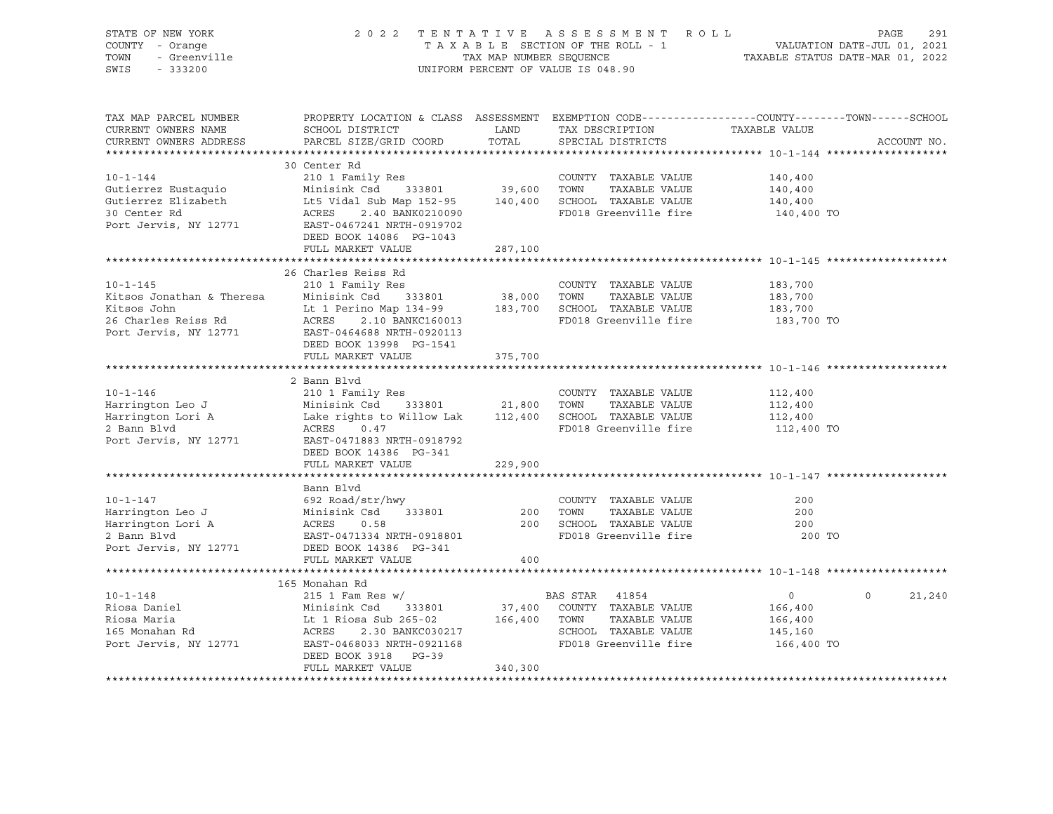| STATE OF NEW YORK<br>COUNTY - Orange<br>- Greenville<br>TOWN<br>SWIS<br>$-333200$                          |                                                                                                                                                                                                                                                                            | TAX MAP NUMBER SEQUENCE | 2022 TENTATIVE ASSESSMENT ROLL<br>TAXABLE SECTION OF THE ROLL - 1<br>UNIFORM PERCENT OF VALUE IS 048.90         | VALUATION DATE-JUL 01, 2021<br>TAXABLE STATUS DATE-MAR 01, 2022 | PAGE<br>291        |
|------------------------------------------------------------------------------------------------------------|----------------------------------------------------------------------------------------------------------------------------------------------------------------------------------------------------------------------------------------------------------------------------|-------------------------|-----------------------------------------------------------------------------------------------------------------|-----------------------------------------------------------------|--------------------|
| TAX MAP PARCEL NUMBER<br>CURRENT OWNERS NAME<br>CURRENT OWNERS ADDRESS                                     | PROPERTY LOCATION & CLASS ASSESSMENT EXEMPTION CODE---------------COUNTY-------TOWN------SCHOOL<br>SCHOOL DISTRICT<br>PARCEL SIZE/GRID COORD                                                                                                                               | LAND<br>TOTAL           | TAX DESCRIPTION<br>SPECIAL DISTRICTS                                                                            | TAXABLE VALUE                                                   | ACCOUNT NO.        |
|                                                                                                            | 30 Center Rd                                                                                                                                                                                                                                                               |                         |                                                                                                                 |                                                                 |                    |
| $10 - 1 - 144$<br>Gutierrez Eustaquio<br>Gutierrez Elizabeth<br>30 Center Rd<br>Port Jervis, NY 12771      | 210 1 Family Res<br>Minisink Csd 333801 39,600 TOWN TAXABLE VALUE<br>Lt5 Vidal Sub Map 152-95 140,400 SCHOOL TAXABLE VALUE<br>ACRES 2 40 PANFORMAGE<br>ACRES 2.40 BANK0210090<br>EAST-0467241 NRTH-0919702<br>DEED BOOK 14086 PG-1043                                      |                         | COUNTY TAXABLE VALUE<br>FD018 Greenville fire                                                                   | 140,400<br>140,400<br>140,400<br>140,400 TO                     |                    |
|                                                                                                            | FULL MARKET VALUE                                                                                                                                                                                                                                                          | 287,100                 |                                                                                                                 |                                                                 |                    |
| $10 - 1 - 145$<br>Kitsos Jonathan & Theresa<br>Kitsos John<br>26 Charles Reiss Rd<br>Port Jervis, NY 12771 | 26 Charles Reiss Rd<br>210 1 Family Res<br>Minisink Csd 333801 38,000 TOWN<br>Lt 1 Perino Map 134-99 183,700 SCHOOL TAXABLE VALUE<br>2.10 BANKC160013<br>ACRES<br>EAST-0464688 NRTH-0920113<br>DEED BOOK 13998 PG-1541                                                     |                         | COUNTY TAXABLE VALUE<br>TAXABLE VALUE<br>FD018 Greenville fire                                                  | 183,700<br>183,700<br>183,700<br>183,700 TO                     |                    |
|                                                                                                            | FULL MARKET VALUE                                                                                                                                                                                                                                                          | 375,700                 |                                                                                                                 |                                                                 |                    |
| $10 - 1 - 146$<br>Harrington Leo J<br>2 Bann Blvd<br>Port Jervis, NY 12771                                 | 2 Bann Blvd<br>210 1 Family Res<br>Minisink Csd     333801<br>Harrington Lori A (12,400 Lake rights to Willow Lak (12,400 LAXABLE VALUE)<br>2 Bann Blvd (2 ACRES 0.47) (12,400 EMOL TAXABLE VALUE)<br>ACRES<br>0.47<br>EAST-0471883 NRTH-0918792<br>DEED BOOK 14386 PG-341 | 21,800 TOWN             | COUNTY TAXABLE VALUE<br>TAXABLE VALUE<br>FD018 Greenville fire                                                  | 112,400<br>112,400<br>112,400<br>112,400 TO                     |                    |
|                                                                                                            | FULL MARKET VALUE                                                                                                                                                                                                                                                          | 229,900                 |                                                                                                                 |                                                                 |                    |
| $10 - 1 - 147$<br>Harrington Leo J<br>Harrington Lori A<br>2 Bann Blvd<br>Port Jervis, NY 12771            | Bann Blvd<br>692 Road/str/hwy<br>Minisink Csd 333801<br>ACRES<br>0.58<br>EAST-0471334 NRTH-0918801<br>DEED BOOK 14386 PG-341<br>FULL MARKET VALUE                                                                                                                          | 400                     | COUNTY TAXABLE VALUE<br>TAXABLE VALUE<br>200 TOWN<br>200 SCHOOL TAXABLE VALUE<br>FD018 Greenville fire          | 200<br>200<br>200<br>200 TO                                     |                    |
|                                                                                                            |                                                                                                                                                                                                                                                                            |                         |                                                                                                                 |                                                                 |                    |
| $10 - 1 - 148$<br>Riosa Daniel<br>Riosa Maria<br>165 Monahan Rd<br>Port Jervis, NY 12771                   | 165 Monahan Rd<br>$215$ 1 Fam Res w/<br>Minisink Csd 333801<br>Minisink Csa<br>Lt 1 Riosa Sub 265-02 166,400 TOWN<br>ACRES 2.30 BANKC030217 SCHOOL<br>CHOOL CONTROLL CONTROLS<br>EAST-0468033 NRTH-0921168<br>DEED BOOK 3918 PG-39<br>FULL MARKET VALUE                    | 340,300                 | BAS STAR 41854<br>37,400 COUNTY TAXABLE VALUE<br>TAXABLE VALUE<br>SCHOOL TAXABLE VALUE<br>FD018 Greenville fire | $\overline{0}$<br>166,400<br>166,400<br>145,160<br>166,400 TO   | $\Omega$<br>21,240 |
|                                                                                                            |                                                                                                                                                                                                                                                                            |                         |                                                                                                                 |                                                                 |                    |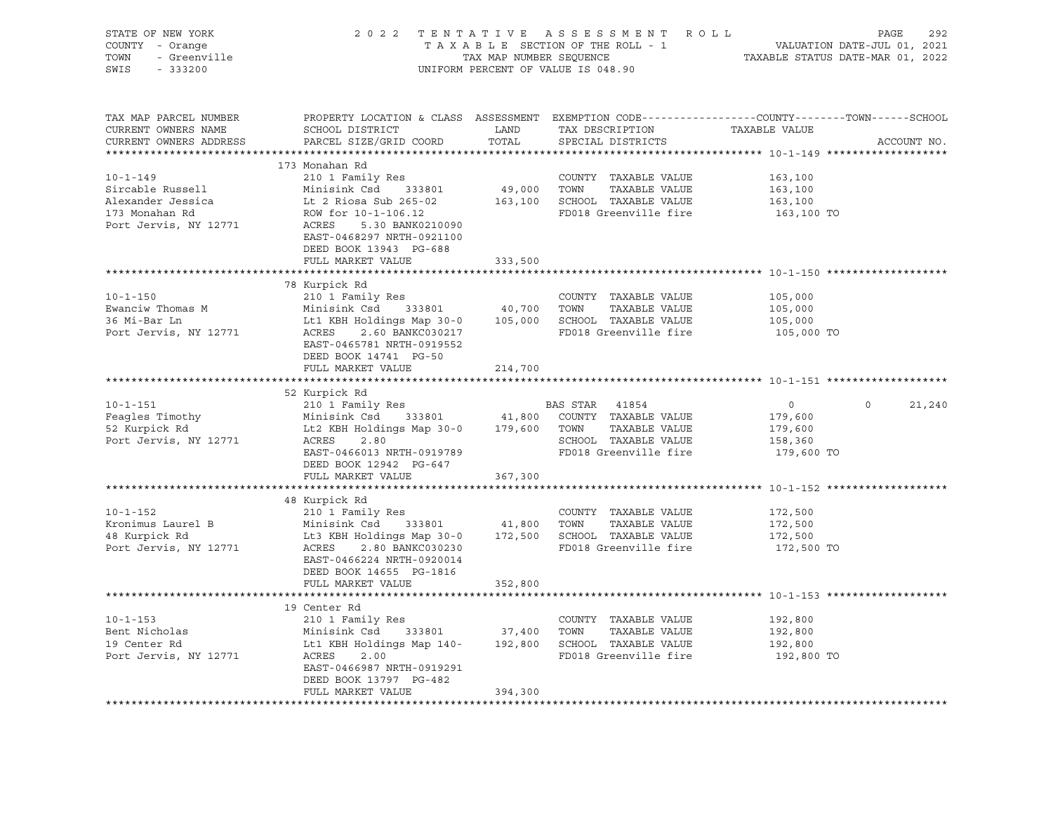| STATE OF NEW YORK<br>7 - Orange<br>- Greenville<br>COUNTY - Orange<br>TOWN<br>SWIS<br>$-333200$ |                                                                                                                                               |               | 2022 TENTATIVE ASSESSMENT ROLL<br>TAXABLE SECTION OF THE ROLL - 1<br>TAXABLE SECTION OF THE ROLL - 1<br>TAXABLE STATUS DATE-MAR 01, 2022<br>UNIFORM PERCENT OF VALUE IS 048.90 |                       | PAGE<br>292        |
|-------------------------------------------------------------------------------------------------|-----------------------------------------------------------------------------------------------------------------------------------------------|---------------|--------------------------------------------------------------------------------------------------------------------------------------------------------------------------------|-----------------------|--------------------|
| TAX MAP PARCEL NUMBER<br>CURRENT OWNERS NAME<br>CURRENT OWNERS ADDRESS                          | PROPERTY LOCATION & CLASS ASSESSMENT EXEMPTION CODE----------------COUNTY-------TOWN------SCHOOL<br>SCHOOL DISTRICT<br>PARCEL SIZE/GRID COORD | LAND<br>TOTAL | TAX DESCRIPTION<br>SPECIAL DISTRICTS                                                                                                                                           | TAXABLE VALUE         | ACCOUNT NO.        |
|                                                                                                 |                                                                                                                                               |               |                                                                                                                                                                                |                       |                    |
|                                                                                                 | 173 Monahan Rd                                                                                                                                |               |                                                                                                                                                                                |                       |                    |
| $10 - 1 - 149$                                                                                  | 210 1 Family Res                                                                                                                              |               | COUNTY TAXABLE VALUE                                                                                                                                                           | 163,100               |                    |
| Sircable Russell                                                                                | Minisink Csd 333801                                                                                                                           | 49,000 TOWN   | TAXABLE VALUE                                                                                                                                                                  | 163,100               |                    |
| Alexander Jessica<br>173 Monahan Rd                                                             | Lt 2 Riosa Sub 265-02 163,100 SCHOOL TAXABLE VALUE<br>ROW for 10-1-106.12                                                                     |               | FD018 Greenville fire                                                                                                                                                          | 163,100<br>163,100 TO |                    |
| Port Jervis, NY 12771                                                                           | ACRES 5.30 BANK0210090<br>EAST-0468297 NRTH-0921100<br>DEED BOOK 13943 PG-688                                                                 |               |                                                                                                                                                                                |                       |                    |
|                                                                                                 | FULL MARKET VALUE                                                                                                                             | 333,500       |                                                                                                                                                                                |                       |                    |
|                                                                                                 |                                                                                                                                               |               |                                                                                                                                                                                |                       |                    |
|                                                                                                 | 78 Kurpick Rd                                                                                                                                 |               |                                                                                                                                                                                |                       |                    |
| $10 - 1 - 150$                                                                                  | 210 1 Family Res                                                                                                                              |               | COUNTY TAXABLE VALUE                                                                                                                                                           | 105,000               |                    |
| Ewanciw Thomas M                                                                                | Minisink Csd 333801<br>Minisink Csd 333801 105,000 SCHOOL TAXABLE VALUE<br>Lt1 KBH Holdings Map 30-0 105,000 SCHOOL TAXABLE VALUE             |               | 40,700 TOWN TAXABLE VALUE                                                                                                                                                      | 105,000               |                    |
| 36 Mi-Bar Ln                                                                                    |                                                                                                                                               |               |                                                                                                                                                                                | 105,000               |                    |
| Port Jervis, NY 12771                                                                           | ACRES 2.60 BANKC030217<br>EAST-0465781 NRTH-0919552<br>DEED BOOK 14741 PG-50<br>FULL MARKET VALUE                                             |               | FD018 Greenville fire                                                                                                                                                          | 105,000 TO            |                    |
|                                                                                                 |                                                                                                                                               | 214,700       |                                                                                                                                                                                |                       |                    |
|                                                                                                 | 52 Kurpick Rd                                                                                                                                 |               |                                                                                                                                                                                |                       |                    |
| $10 - 1 - 151$                                                                                  | 210 1 Family Res<br>Minisink Csd 333801                                                                                                       |               | BAS STAR 41854                                                                                                                                                                 | $\overline{0}$        | $\Omega$<br>21,240 |
| Feagles Timothy                                                                                 |                                                                                                                                               |               | 41,800 COUNTY TAXABLE VALUE                                                                                                                                                    | 179,600               |                    |
| 52 Kurpick Rd                                                                                   | Lt2 KBH Holdings Map 30-0 179,600 TOWN TAXABLE VALUE                                                                                          |               |                                                                                                                                                                                | 179,600               |                    |
| Port Jervis, NY 12771                                                                           | <b>ACRES</b><br>2.80                                                                                                                          |               | SCHOOL TAXABLE VALUE                                                                                                                                                           | 158,360               |                    |
|                                                                                                 | EAST-0466013 NRTH-0919789                                                                                                                     |               | FD018 Greenville fire                                                                                                                                                          | 179,600 TO            |                    |
|                                                                                                 | DEED BOOK 12942 PG-647                                                                                                                        |               |                                                                                                                                                                                |                       |                    |
|                                                                                                 | FULL MARKET VALUE                                                                                                                             | 367,300       |                                                                                                                                                                                |                       |                    |
|                                                                                                 |                                                                                                                                               |               |                                                                                                                                                                                |                       |                    |
|                                                                                                 | 48 Kurpick Rd                                                                                                                                 |               |                                                                                                                                                                                |                       |                    |
| $10 - 1 - 152$                                                                                  | 210 1 Family Res                                                                                                                              |               | COUNTY TAXABLE VALUE                                                                                                                                                           | 172,500               |                    |
| Kronimus Laurel B                                                                               | Minisink Csd 333801                                                                                                                           |               | 41,800 TOWN TAXABLE VALUE                                                                                                                                                      | 172,500               |                    |
| 48 Kurpick Rd                                                                                   | Lt3 KBH Holdings Map 30-0 172,500 SCHOOL TAXABLE VALUE<br>ACRES 2.80 BANKC030230 FD018 Greenville fire                                        |               |                                                                                                                                                                                | 172,500               |                    |
| Port Jervis, NY 12771                                                                           | 2.80 BANKC030230<br>ACRES<br>EAST-0466224 NRTH-0920014<br>DEED BOOK 14655 PG-1816                                                             |               | FD018 Greenville fire                                                                                                                                                          | 172,500 TO            |                    |
|                                                                                                 | FULL MARKET VALUE                                                                                                                             | 352,800       |                                                                                                                                                                                |                       |                    |
|                                                                                                 |                                                                                                                                               |               |                                                                                                                                                                                |                       |                    |
|                                                                                                 | 19 Center Rd                                                                                                                                  |               | COUNTY TAXABLE VALUE                                                                                                                                                           |                       |                    |
| $10 - 1 - 153$                                                                                  | 210 1 Family Res                                                                                                                              |               |                                                                                                                                                                                | 192,800               |                    |
| Bent Nicholas<br>19 Center Rd                                                                   | Minisink Csd<br>Minisink Csd 333801 37,400 TOWN TAXABLE VALUE<br>Lt1 KBH Holdings Map 140- 192,800 SCHOOL TAXABLE VALUE                       |               |                                                                                                                                                                                | 192,800<br>192,800    |                    |
| Port Jervis, NY 12771                                                                           | ACRES 2.00                                                                                                                                    |               | FD018 Greenville fire                                                                                                                                                          | 192,800 TO            |                    |
|                                                                                                 | EAST-0466987 NRTH-0919291                                                                                                                     |               |                                                                                                                                                                                |                       |                    |
|                                                                                                 | DEED BOOK 13797 PG-482                                                                                                                        |               |                                                                                                                                                                                |                       |                    |
|                                                                                                 | FULL MARKET VALUE                                                                                                                             | 394,300       |                                                                                                                                                                                |                       |                    |
|                                                                                                 |                                                                                                                                               |               |                                                                                                                                                                                |                       |                    |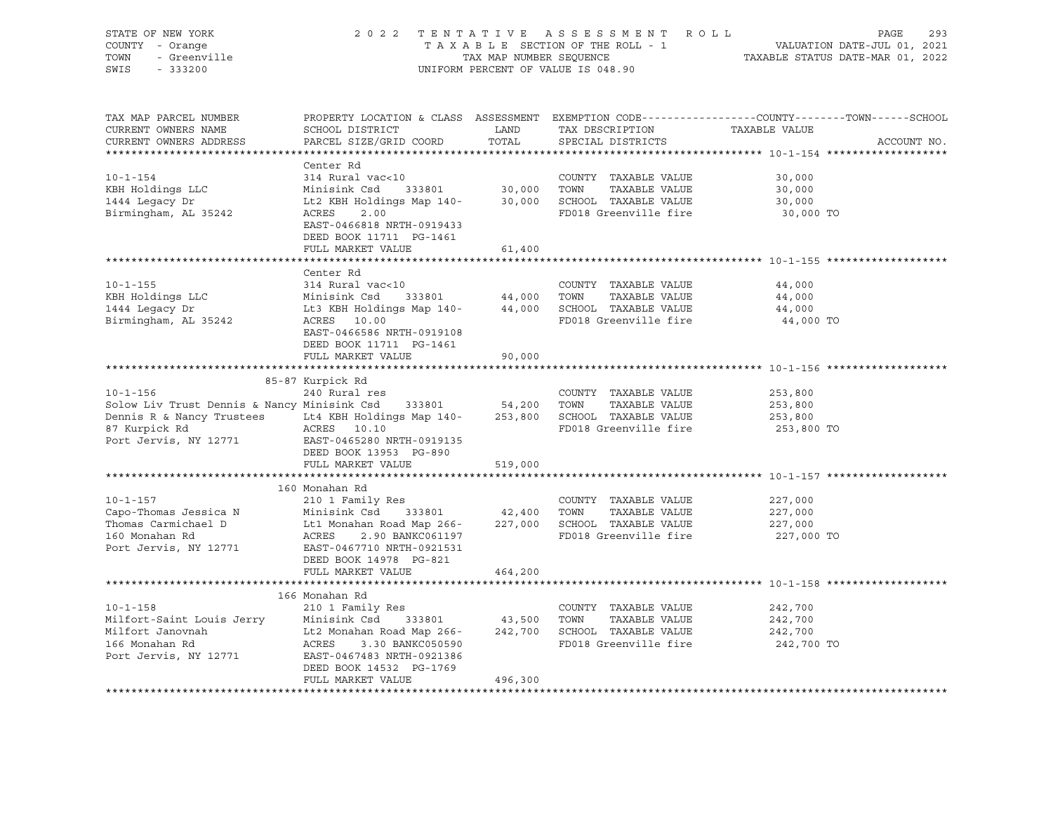| STATE OF NEW YORK<br>COUNTY - Orange<br>TOWN<br>- Greenville<br>SWIS<br>$-333200$                                                                                                                                                                                                                                     |                                                                                                                                                                                |                         | 2022 TENTATIVE ASSESSMENT ROLL<br>UNIFORM PERCENT OF VALUE IS 048.90                           | PAGE<br>293<br>T A X A B L E SECTION OF THE ROLL - 1<br>T A X A B L E SECTION OF THE ROLL - 1<br>TAXABLE STATUS DATE-MAR 01, 2022 |
|-----------------------------------------------------------------------------------------------------------------------------------------------------------------------------------------------------------------------------------------------------------------------------------------------------------------------|--------------------------------------------------------------------------------------------------------------------------------------------------------------------------------|-------------------------|------------------------------------------------------------------------------------------------|-----------------------------------------------------------------------------------------------------------------------------------|
| TAX MAP PARCEL NUMBER<br>CURRENT OWNERS NAME<br>CURRENT OWNERS ADDRESS                                                                                                                                                                                                                                                | SCHOOL DISTRICT<br>PARCEL SIZE/GRID COORD                                                                                                                                      | LAND<br>TOTAL           | TAX DESCRIPTION TAXABLE VALUE<br>SPECIAL DISTRICTS                                             | PROPERTY LOCATION & CLASS ASSESSMENT EXEMPTION CODE----------------COUNTY-------TOWN------SCHOOL<br>ACCOUNT NO.                   |
| $10 - 1 - 154$<br>KBH Holdings LLC<br>1444 Legacy Dr<br>Birmingham, AL 35242                                                                                                                                                                                                                                          | Center Rd<br>314 Rural vac<10<br>Minisink Csd<br>Lt2 KBH Holdings Map 140-30,000<br>ACRES<br>2.00<br>EAST-0466818 NRTH-0919433<br>DEED BOOK 11711 PG-1461<br>FULL MARKET VALUE | 333801 30,000<br>61,400 | COUNTY TAXABLE VALUE<br>TOWN<br>TAXABLE VALUE<br>SCHOOL TAXABLE VALUE<br>FD018 Greenville fire | 30,000<br>30,000<br>30,000<br>30,000 TO                                                                                           |
|                                                                                                                                                                                                                                                                                                                       |                                                                                                                                                                                |                         |                                                                                                |                                                                                                                                   |
| $10 - 1 - 155$<br>KBH Holdings LLC<br>1444 Legacy Dr<br>Birmingham, AL 35242                                                                                                                                                                                                                                          | Center Rd<br>314 Rural vac<10<br>Minisink Csd<br>Lt3 KBH Holdings Map 140- 44,000<br>ACRES 10.00<br>EAST-0466586 NRTH-0919108<br>DEED BOOK 11711 PG-1461                       | 333801 44,000           | COUNTY TAXABLE VALUE<br>TAXABLE VALUE<br>TOWN<br>SCHOOL TAXABLE VALUE<br>FD018 Greenville fire | 44,000<br>44,000<br>44,000<br>44,000 TO                                                                                           |
|                                                                                                                                                                                                                                                                                                                       | FULL MARKET VALUE                                                                                                                                                              | 90,000                  |                                                                                                |                                                                                                                                   |
|                                                                                                                                                                                                                                                                                                                       |                                                                                                                                                                                |                         |                                                                                                |                                                                                                                                   |
| $10 - 1 - 156$<br>Solow Liv Trust Dennis & Nancy Minisink Csd 333801 54,200<br>87 Kurpick Rd<br>Port Jervis, NY 12771                                                                                                                                                                                                 | 85-87 Kurpick Rd<br>240 Rural res<br>ACRES 10.10<br>EAST-0465280 NRTH-0919135<br>DEED BOOK 13953 PG-890                                                                        |                         | COUNTY TAXABLE VALUE<br>TOWN<br>TAXABLE VALUE<br>SCHOOL TAXABLE VALUE<br>FD018 Greenville fire | 253,800<br>253,800<br>253,800<br>253,800 TO                                                                                       |
|                                                                                                                                                                                                                                                                                                                       | FULL MARKET VALUE                                                                                                                                                              | 519,000                 |                                                                                                |                                                                                                                                   |
|                                                                                                                                                                                                                                                                                                                       |                                                                                                                                                                                |                         |                                                                                                |                                                                                                                                   |
| $10 - 1 - 157$<br>Capo-Thomas Jessica N<br>Capo-Thomas Carmichael D<br>Thomas Carmichael D<br>Capo Let Monahan Road Map 266-<br>227,000<br>160 Monahan Rd<br>ACRES<br>2.90 Capan Constant Capan 2001<br>2.90 Capan Constant Capan 2.90 Capan 2001<br>2.90 Capan 2.<br>Port Jervis, NY 12771 EAST-0467710 NRTH-0921531 | 160 Monahan Rd<br>210 1 Family Res<br>DEED BOOK 14978 PG-821<br>FULL MARKET VALUE                                                                                              | 464,200                 | COUNTY TAXABLE VALUE<br>TOWN<br>TAXABLE VALUE<br>SCHOOL TAXABLE VALUE<br>FD018 Greenville fire | 227,000<br>227,000<br>227,000<br>227,000 TO                                                                                       |
|                                                                                                                                                                                                                                                                                                                       |                                                                                                                                                                                |                         |                                                                                                |                                                                                                                                   |
| $10 - 1 - 158$<br>Milfort-Saint Louis Jerry Minisink Csd 333801 43,500<br>Milfort Janovnah Lt2 Monahan Road Map 266- 242,700<br>166 Monahan Rd ACRES 3.30 BANKC050590<br>Port Jervis, NY 12771                                                                                                                        | 166 Monahan Rd<br>210 1 Family Res<br>333801 43,500<br>ACRES 3.30 BANKC050590<br>EAST-0467483 NRTH-0921386<br>DEED BOOK 14532 PG-1769<br>FULL MARKET VALUE                     | 496,300                 | COUNTY TAXABLE VALUE<br>TAXABLE VALUE<br>TOWN<br>SCHOOL TAXABLE VALUE<br>FD018 Greenville fire | 242,700<br>242,700<br>242,700<br>242,700 TO                                                                                       |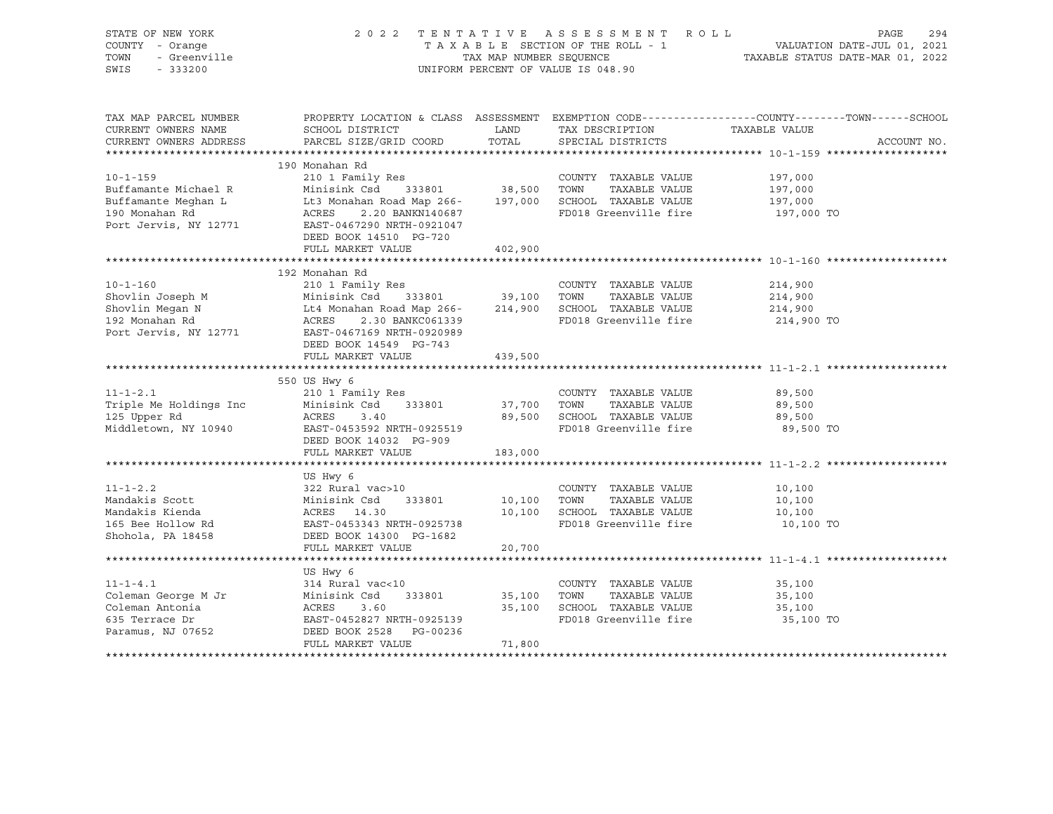| STATE OF NEW YORK<br>COUNTY - Orange<br>TOWN<br>- Greenville<br>SWIS<br>$-333200$ |                                                        | TAX MAP NUMBER SEQUENCE | 2022 TENTATIVE ASSESSMENT ROLL<br>TAXABLE SECTION OF THE ROLL - 1<br>UNIFORM PERCENT OF VALUE IS 048.90 | PAGE<br>VALUATION DATE-JUL 01, 2021<br>TAXABLE STATUS DATE-MAR 01, 2022                                          | 294 |
|-----------------------------------------------------------------------------------|--------------------------------------------------------|-------------------------|---------------------------------------------------------------------------------------------------------|------------------------------------------------------------------------------------------------------------------|-----|
| TAX MAP PARCEL NUMBER<br>CURRENT OWNERS NAME                                      | SCHOOL DISTRICT                                        | LAND                    | TAX DESCRIPTION                                                                                         | PROPERTY LOCATION & CLASS ASSESSMENT EXEMPTION CODE----------------COUNTY-------TOWN-----SCHOOL<br>TAXABLE VALUE |     |
| CURRENT OWNERS ADDRESS                                                            | PARCEL SIZE/GRID COORD                                 | TOTAL                   | SPECIAL DISTRICTS                                                                                       | ACCOUNT NO.                                                                                                      |     |
|                                                                                   |                                                        |                         |                                                                                                         |                                                                                                                  |     |
| $10 - 1 - 159$                                                                    | 190 Monahan Rd<br>210 1 Family Res                     |                         | COUNTY TAXABLE VALUE                                                                                    | 197,000                                                                                                          |     |
| Buffamante Michael R                                                              | Minisink Csd 333801                                    | 38,500 TOWN             | TAXABLE VALUE                                                                                           | 197,000                                                                                                          |     |
| Buffamante Meghan L                                                               | Lt3 Monahan Road Map 266-                              |                         | 197,000 SCHOOL TAXABLE VALUE                                                                            | 197,000                                                                                                          |     |
| 190 Monahan Rd                                                                    | ACRES<br>2.20 BANKN140687                              |                         | FD018 Greenville fire                                                                                   | 197,000 TO                                                                                                       |     |
| Port Jervis, NY 12771                                                             | EAST-0467290 NRTH-0921047                              |                         |                                                                                                         |                                                                                                                  |     |
|                                                                                   | DEED BOOK 14510 PG-720                                 |                         |                                                                                                         |                                                                                                                  |     |
|                                                                                   | FULL MARKET VALUE                                      | 402,900                 |                                                                                                         |                                                                                                                  |     |
|                                                                                   |                                                        |                         |                                                                                                         |                                                                                                                  |     |
|                                                                                   | 192 Monahan Rd                                         |                         |                                                                                                         |                                                                                                                  |     |
| $10 - 1 - 160$<br>Shovlin Joseph M                                                | 210 1 Family Res<br>Minisink Csd 333801                | 39,100 TOWN             | COUNTY TAXABLE VALUE<br>TAXABLE VALUE                                                                   | 214,900<br>214,900                                                                                               |     |
| Shovlin Megan N                                                                   | Lt4 Monahan Road Map 266- 214,900 SCHOOL TAXABLE VALUE |                         |                                                                                                         | 214,900                                                                                                          |     |
| 192 Monahan Rd                                                                    | ACRES<br>2.30 BANKC061339                              |                         | FD018 Greenville fire                                                                                   | 214,900 TO                                                                                                       |     |
| Port Jervis, NY 12771                                                             | EAST-0467169 NRTH-0920989                              |                         |                                                                                                         |                                                                                                                  |     |
|                                                                                   | DEED BOOK 14549 PG-743                                 |                         |                                                                                                         |                                                                                                                  |     |
|                                                                                   | FULL MARKET VALUE                                      | 439,500                 |                                                                                                         |                                                                                                                  |     |
|                                                                                   |                                                        |                         |                                                                                                         |                                                                                                                  |     |
|                                                                                   | 550 US Hwy 6                                           |                         |                                                                                                         |                                                                                                                  |     |
| $11 - 1 - 2.1$                                                                    | 210 1 Family Res                                       |                         | COUNTY TAXABLE VALUE                                                                                    | 89,500                                                                                                           |     |
| Triple Me Holdings Inc                                                            | Minisink Csd<br>333801                                 | 37,700 TOWN             | TAXABLE VALUE                                                                                           | 89,500                                                                                                           |     |
| 125 Upper Rd                                                                      | ACRES<br>3.40                                          |                         | 89,500 SCHOOL TAXABLE VALUE<br>FD018 Greenville fire                                                    | 89,500                                                                                                           |     |
| Middletown, NY 10940                                                              | EAST-0453592 NRTH-0925519<br>DEED BOOK 14032 PG-909    |                         |                                                                                                         | 89,500 TO                                                                                                        |     |
|                                                                                   | FULL MARKET VALUE                                      | 183,000                 |                                                                                                         |                                                                                                                  |     |
|                                                                                   |                                                        |                         |                                                                                                         |                                                                                                                  |     |
|                                                                                   | US Hwy 6                                               |                         |                                                                                                         |                                                                                                                  |     |
| $11 - 1 - 2.2$                                                                    | 322 Rural vac>10                                       |                         | COUNTY TAXABLE VALUE                                                                                    | 10,100                                                                                                           |     |
| Mandakis Scott                                                                    | Minisink Csd<br>333801                                 | 10,100                  | TOWN<br>TAXABLE VALUE                                                                                   | 10,100                                                                                                           |     |
| Mandakis Kienda                                                                   | ACRES 14.30                                            |                         | 10,100 SCHOOL TAXABLE VALUE                                                                             | 10,100                                                                                                           |     |
| 165 Bee Hollow Rd                                                                 | EAST-0453343 NRTH-0925738                              |                         | FD018 Greenville fire                                                                                   | 10,100 TO                                                                                                        |     |
| Shohola, PA 18458                                                                 | DEED BOOK 14300 PG-1682                                |                         |                                                                                                         |                                                                                                                  |     |
|                                                                                   | FULL MARKET VALUE                                      | 20,700                  |                                                                                                         |                                                                                                                  |     |
|                                                                                   |                                                        |                         |                                                                                                         |                                                                                                                  |     |
|                                                                                   | US Hwy 6                                               |                         |                                                                                                         |                                                                                                                  |     |
| $11 - 1 - 4.1$<br>Coleman George M Jr                                             | 314 Rural vac<10<br>Minisink Csd<br>333801             | 35,100                  | COUNTY TAXABLE VALUE<br>TOWN<br>TAXABLE VALUE                                                           | 35,100<br>35,100                                                                                                 |     |
| Coleman Antonia                                                                   | ACRES<br>3.60                                          | 35,100                  | SCHOOL TAXABLE VALUE                                                                                    | 35,100                                                                                                           |     |
| 635 Terrace Dr                                                                    | EAST-0452827 NRTH-0925139                              |                         | FD018 Greenville fire                                                                                   | 35,100 TO                                                                                                        |     |
| Paramus, NJ 07652                                                                 | DEED BOOK 2528 PG-00236                                |                         |                                                                                                         |                                                                                                                  |     |
|                                                                                   | FULL MARKET VALUE                                      | 71,800                  |                                                                                                         |                                                                                                                  |     |
|                                                                                   |                                                        |                         |                                                                                                         |                                                                                                                  |     |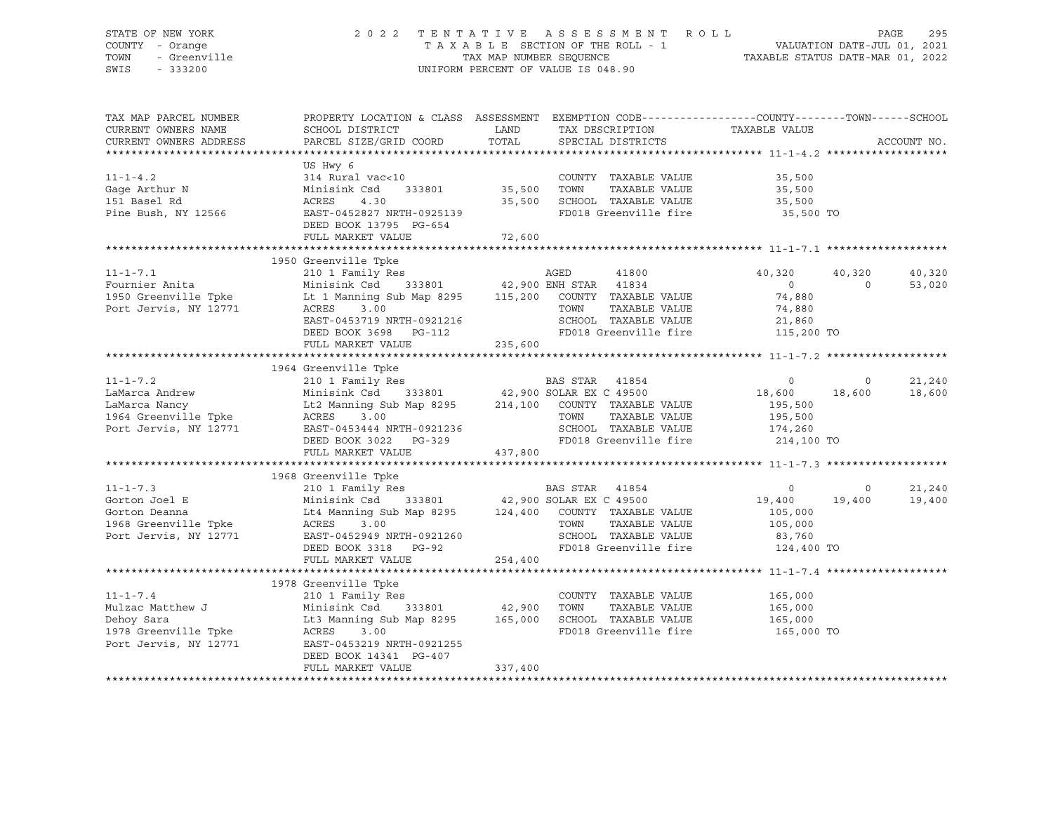### STATE OF NEW YORK 2 0 2 2 T E N T A T I V E A S S E S S M E N T R O L L PAGE 295 COUNTY - Orange T A X A B L E SECTION OF THE ROLL - 1 VALUATION DATE-JUL 01, 2021 TOWN - Greenville TAX MAP NUMBER SEQUENCE TAXABLE STATUS DATE-MAR 01, 2022 SWIS - 333200 UNIFORM PERCENT OF VALUE IS 048.90

| TAX MAP PARCEL NUMBER<br>CURRENT OWNERS NAME<br>CURRENT OWNERS ADDRESS                                                                                                                                                                                                            | PROPERTY LOCATION & CLASS ASSESSMENT EXEMPTION CODE----------------COUNTY-------TOWN------SCHOOL<br>SCHOOL DISTRICT LAND<br>PARCEL SIZE/GRID COORD                                                                                                                     | TOTAL   | TAX DESCRIPTION TAXABLE VALUE<br>SPECIAL DISTRICTS                        |                      |                          | ACCOUNT NO.      |
|-----------------------------------------------------------------------------------------------------------------------------------------------------------------------------------------------------------------------------------------------------------------------------------|------------------------------------------------------------------------------------------------------------------------------------------------------------------------------------------------------------------------------------------------------------------------|---------|---------------------------------------------------------------------------|----------------------|--------------------------|------------------|
| $11 - 1 - 4.2$<br>Gage Arthur N<br>151 Basel Rd<br>Pine Bush, NY 12566                                                                                                                                                                                                            | US Hwy 6<br>314 Rural vac<10<br>Minisink Csd 333801 35,500<br>ACRES 4.30 35,500 SCHOOL TAXABLE VALUE 35,500 5<br>EAST-0452827 NRTH-0925139 FD018 Greenville fire 35,500 TO<br>DEED BOOK 13795 PG-654                                                                   |         | COUNTY TAXABLE VALUE 35,500<br>TOWN                                       | TAXABLE VALUE 35,500 |                          |                  |
| 11-1-7.1 2223 2233101 210 1 Family Res<br>Fournier Anita Minisink Csd 333801 42,900 ENH STAR 41834 0 40,320<br>1950 Greenville Tpke Lt 1 Manning Sub Map 8295 115,200 COUNTY TAXABLE VALUE 74,880<br>Port Jervis, NY 12771 ACRES 3.0                                              | 1950 Greenville Tpke<br>Port Jervis, NY 12771<br>EAST-0453719 NRTH-0921216<br>DEED BOOK 3698 PG-112<br>FULL MARKET VALUE 235,600<br>PEED 235,600<br>PEED 235,600<br>PEER CHOOL 235,600<br>PEER CHOSE 235,600<br>PEER CHOSE 235,600<br>PEER CHOSE 235,600<br>PEER CHOSE |         |                                                                           | 40,320 40,320        |                          | 40,320<br>53,020 |
|                                                                                                                                                                                                                                                                                   |                                                                                                                                                                                                                                                                        |         |                                                                           |                      |                          | 21,240<br>18,600 |
| $11 - 1 - 7.3$<br>11-1-7.3<br>Gorton Joel E<br>Gorton Deanna<br>1968 Greenville Tpke<br>Port Jervis, NY 12771                                                                                                                                                                     | 1968 Greenville Tpke<br>ACRES 3.00 TOWN TAXABLE VALUE 105,000<br>EAST-0452949 NRTH-0921260 SCHOOL TAXABLE VALUE 83,760<br>DEED BOOK 3318 PG-92 FD018 Greenville fire 124,400<br>FULL MARKET VALUE 254,400                                                              |         | FD018 Greenville fire 124,400 TO                                          |                      | $\overline{0}$<br>19,400 | 21,240<br>19,400 |
| $11 - 1 - 7.4$<br>11-1-7.4 210 1 Family Res COUNTY<br>Mulzac Matthew J Minisink Csd 333801 42,900 TOWN<br>Dehoy Sara Lt3 Manning Sub Map 8295 165,000 SCHOOI<br>1978 Greenville Tpke ACRES 3.00 FD018<br>Port Jervis, NY 12771 EAST-0453219 NRTH-0921255<br>Port Jervis, NY 12771 | 1978 Greenville Tpke<br>210 1 Family Res<br>Lt3 Manning Sub Map 8295 165,000 SCHOOL TAXABLE VALUE 165,000<br>EAST-0453219 NRTH-0921255<br>DEED BOOK 14341 PG-407<br>FULL MARKET VALUE                                                                                  | 337,400 | COUNTY TAXABLE VALUE<br>TAXABLE VALUE<br>FD018 Greenville fire 165,000 TO | 165,000<br>165,000   |                          |                  |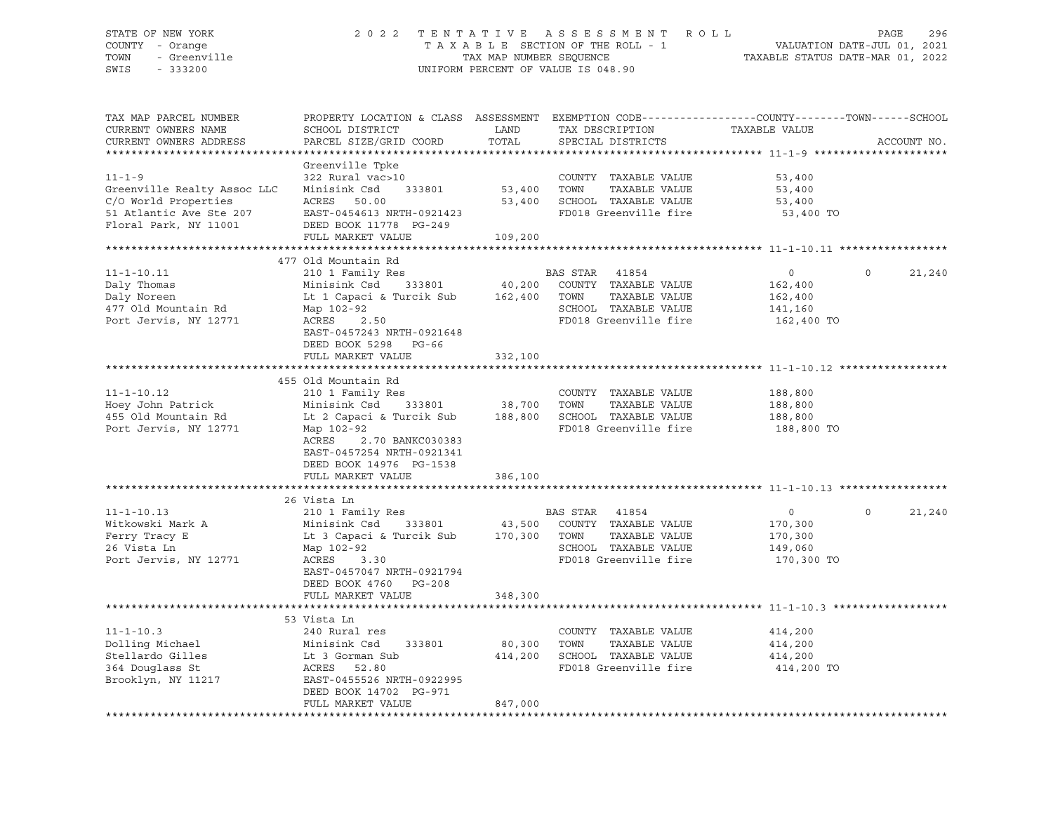#### STATE OF NEW YORK 2 0 2 2 T E N T A T I V E A S S E S S M E N T R O L L PAGE 296 COUNTY - Orange T A X A B L E SECTION OF THE ROLL - 1 VALUATION DATE-JUL 01, 2021 TOWN - Greenville TAX ON TAX MAP NUMBER SEQUENCE TAXABLE STATUS DATE-MAR 01, 2022<br>TAXABLE STATUS DATE-MAR 01, 2022 UNIFORM PERCENT OF VALUE IS 048.90

TAX MAP PARCEL NUMBER PROPERTY LOCATION & CLASS ASSESSMENT EXEMPTION CODE------------------COUNTY--------TOWN------SCHOOL CURRENT OWNERS NAME SCHOOL DISTRICT TAX DESCRIPTION TAXABLE VALUE CURRENT OWNERS ADDRESS THREE SIZE/GRID COORD TOTAL SPECIAL DISTRICTS THREE ACCOUNT NO. \*\*\*\*\*\*\*\*\*\*\*\*\*\*\*\*\*\*\*\*\*\*\*\*\*\*\*\*\*\*\*\*\*\*\*\*\*\*\*\*\*\*\*\*\*\*\*\*\*\*\*\*\*\*\*\*\*\*\*\*\*\*\*\*\*\*\*\*\*\*\*\*\*\*\*\*\*\*\*\*\*\*\*\*\*\*\*\*\*\*\*\*\*\*\*\*\*\*\*\*\*\*\* 11-1-9 \*\*\*\*\*\*\*\*\*\*\*\*\*\*\*\*\*\*\*\*\* Greenville Tpke<br>322 Rural vac>10 11-1-9 322 Rural vac>10 COUNTY TAXABLE VALUE 53,400 Greenville Realty Assoc LLC Minisink Csd 333801 53,400 TOWN TAXABLE VALUE 53,400 C/O World Properties ACRES 50.00 53,400 SCHOOL TAXABLE VALUE 53,400 51 Atlantic Ave Ste 207 EAST-0454613 NRTH-0921423 FD018 Greenville fire 53,400 TO Floral Park, NY 11001 DEED BOOK 11778 PG-249 FULL MARKET VALUE 109,200 \*\*\*\*\*\*\*\*\*\*\*\*\*\*\*\*\*\*\*\*\*\*\*\*\*\*\*\*\*\*\*\*\*\*\*\*\*\*\*\*\*\*\*\*\*\*\*\*\*\*\*\*\*\*\*\*\*\*\*\*\*\*\*\*\*\*\*\*\*\*\*\*\*\*\*\*\*\*\*\*\*\*\*\*\*\*\*\*\*\*\*\*\*\*\*\*\*\*\*\*\*\*\* 11-1-10.11 \*\*\*\*\*\*\*\*\*\*\*\*\*\*\*\*\* 477 Old Mountain Rd 11-1-10.11 210 1 Family Res BAS STAR 41854 0 0 21,240 Daly Thomas Minisink Csd 333801 40,200 COUNTY TAXABLE VALUE 162,400 Daly Noreen Lt 1 Capaci & Turcik Sub 162,400 TOWN TAXABLE VALUE 162,400<br>477 Old Mountain Rd Map 102-92 SCHOOL TAXABLE VALUE 162,400<br>141,160 477 Old Mountain Rd Map 102-92 SCHOOL TAXABLE VALUE 141,160 Port Jervis, NY 12771 ACRES 2.50 1880 POOLS Greenville fire EAST-0457243 NRTH-0921648 DEED BOOK 5298 PG-66 FULL MARKET VALUE 332,100 \*\*\*\*\*\*\*\*\*\*\*\*\*\*\*\*\*\*\*\*\*\*\*\*\*\*\*\*\*\*\*\*\*\*\*\*\*\*\*\*\*\*\*\*\*\*\*\*\*\*\*\*\*\*\*\*\*\*\*\*\*\*\*\*\*\*\*\*\*\*\*\*\*\*\*\*\*\*\*\*\*\*\*\*\*\*\*\*\*\*\*\*\*\*\*\*\*\*\*\*\*\*\* 11-1-10.12 \*\*\*\*\*\*\*\*\*\*\*\*\*\*\*\*\* 455 Old Mountain Rd 11-1-10.12 210 1 Family Res COUNTY TAXABLE VALUE 188,800 Hoey John Patrick Minisink Csd 333801 38,700 TOWN TAXABLE VALUE 188,800 455 Old Mountain Rd Lt 2 Capaci & Turcik Sub 188,800 SCHOOL TAXABLE VALUE 188,800 Port Jervis, NY 12771 Map 102-92 FD018 Greenville fire 188,800 TO ACRES 2.70 BANKC030383 EAST-0457254 NRTH-0921341 DEED BOOK 14976 PG-1538 FULL MARKET VALUE 386,100 \*\*\*\*\*\*\*\*\*\*\*\*\*\*\*\*\*\*\*\*\*\*\*\*\*\*\*\*\*\*\*\*\*\*\*\*\*\*\*\*\*\*\*\*\*\*\*\*\*\*\*\*\*\*\*\*\*\*\*\*\*\*\*\*\*\*\*\*\*\*\*\*\*\*\*\*\*\*\*\*\*\*\*\*\*\*\*\*\*\*\*\*\*\*\*\*\*\*\*\*\*\*\* 11-1-10.13 \*\*\*\*\*\*\*\*\*\*\*\*\*\*\*\*\* 26 Vista Ln 11-1-10.13 210 1 Family Res BAS STAR 41854 0 0 21,240 Witkowski Mark A Minisink Csd 333801 43,500 COUNTY TAXABLE VALUE 170,300 Ferry Tracy E Lt 3 Capaci & Turcik Sub 170,300 TOWN TAXABLE VALUE 170,300 26 Vista Ln Map 102-92 SCHOOL TAXABLE VALUE 149,060 PD018 Greenville fire 170,300 TO EAST-0457047 NRTH-0921794 DEED BOOK 4760 PG-208 FULL MARKET VALUE 348,300 \*\*\*\*\*\*\*\*\*\*\*\*\*\*\*\*\*\*\*\*\*\*\*\*\*\*\*\*\*\*\*\*\*\*\*\*\*\*\*\*\*\*\*\*\*\*\*\*\*\*\*\*\*\*\*\*\*\*\*\*\*\*\*\*\*\*\*\*\*\*\*\*\*\*\*\*\*\*\*\*\*\*\*\*\*\*\*\*\*\*\*\*\*\*\*\*\*\*\*\*\*\*\* 11-1-10.3 \*\*\*\*\*\*\*\*\*\*\*\*\*\*\*\*\*\* 53 Vista Ln 11-1-10.3 240 Rural res COUNTY TAXABLE VALUE 414,200 Dolling Michael Minisink Csd 333801 80,300 TOWN TAXABLE VALUE 414,200 Stellardo Gilles Lt 3 Gorman Sub 414,200 SCHOOL TAXABLE VALUE 414,200 364 Douglass St ACRES 52.80 FD018 Greenville fire 414,200 TO Brooklyn, NY 11217 EAST-0455526 NRTH-0922995 DEED BOOK 14702 PG-971 FULL MARKET VALUE 847,000 \*\*\*\*\*\*\*\*\*\*\*\*\*\*\*\*\*\*\*\*\*\*\*\*\*\*\*\*\*\*\*\*\*\*\*\*\*\*\*\*\*\*\*\*\*\*\*\*\*\*\*\*\*\*\*\*\*\*\*\*\*\*\*\*\*\*\*\*\*\*\*\*\*\*\*\*\*\*\*\*\*\*\*\*\*\*\*\*\*\*\*\*\*\*\*\*\*\*\*\*\*\*\*\*\*\*\*\*\*\*\*\*\*\*\*\*\*\*\*\*\*\*\*\*\*\*\*\*\*\*\*\*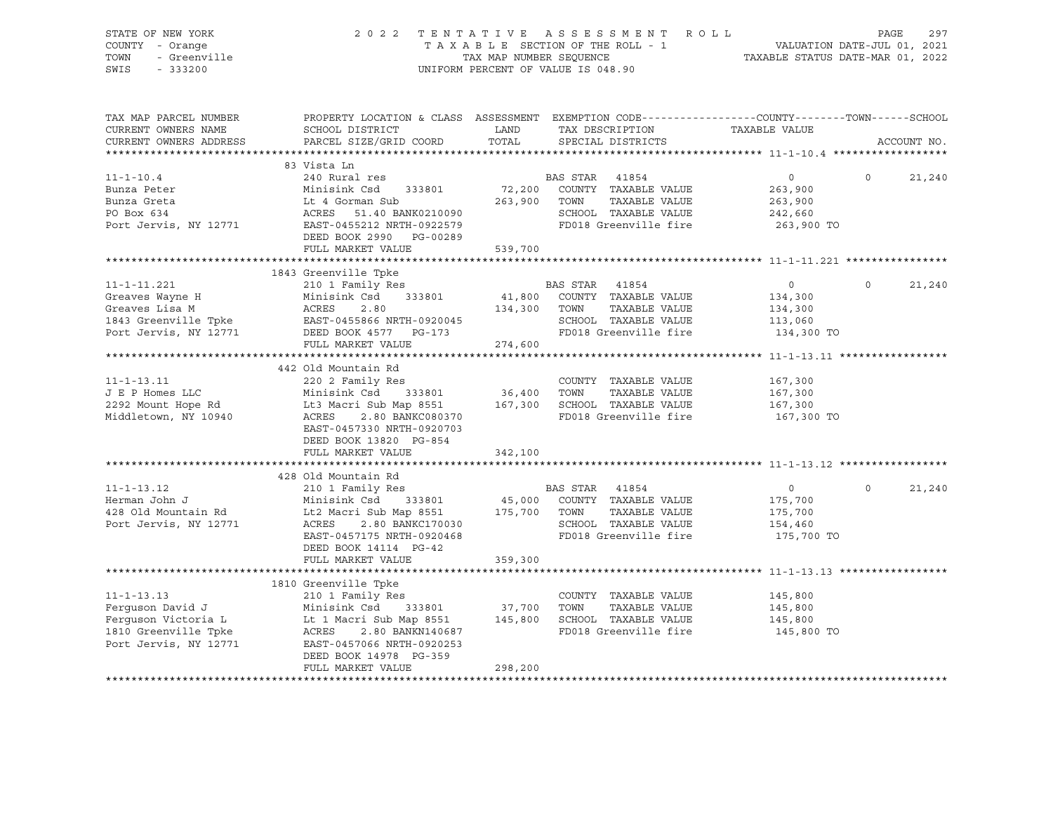| STATE OF NEW YORK<br>COUNTY - Orange<br>TOWN<br>- Greenville<br>SWIS<br>$-333200$                  |                                                                                                                                                                                                                                                                                                            |               | 2022 TENTATIVE ASSESSMENT ROLL<br>UNIFORM PERCENT OF VALUE IS 048.90                           | T A X A B L E SECTION OF THE ROLL - 1<br>T A X A B L E SECTION OF THE ROLL - 1<br>TAXABLE STATUS DATE-MAR 01, 2022 | PAGE        | 297    |
|----------------------------------------------------------------------------------------------------|------------------------------------------------------------------------------------------------------------------------------------------------------------------------------------------------------------------------------------------------------------------------------------------------------------|---------------|------------------------------------------------------------------------------------------------|--------------------------------------------------------------------------------------------------------------------|-------------|--------|
| TAX MAP PARCEL NUMBER<br>CURRENT OWNERS NAME<br>CURRENT OWNERS ADDRESS                             | PROPERTY LOCATION & CLASS ASSESSMENT EXEMPTION CODE---------------COUNTY-------TOWN-----SCHOOL<br>SCHOOL DISTRICT<br>PARCEL SIZE/GRID COORD                                                                                                                                                                | LAND<br>TOTAL | TAX DESCRIPTION<br>SPECIAL DISTRICTS                                                           | TAXABLE VALUE                                                                                                      | ACCOUNT NO. |        |
|                                                                                                    | 83 Vista Ln                                                                                                                                                                                                                                                                                                |               |                                                                                                |                                                                                                                    |             |        |
| $11 - 1 - 10.4$<br>Bunza Peter<br>Bunza Greta<br>PO Box 634<br>Port Jervis, NY 12771               | 240 Rural res<br>Minisink Csd 333801 72,200 COUNTY TAXABLE VALUE<br>Lt 4 Gorman Sub 263,900 TOWN TAXABLE VALUE<br>ACRES 51.40 BANK0210090 SCHOOL TAXABLE VALUE<br>EAST-0455212 NRTH-0922579 FD018 Greenville fire<br>DEED BOOK 2990 PG-00289                                                               |               | BAS STAR 41854<br>72,200 COUNTY TAXABLE VALUE<br>SCHOOL TAXABLE VALUE<br>FD018 Greenville fire | $0 \qquad \qquad$<br>263,900<br>263,900<br>242,660<br>263,900 TO                                                   | $\Omega$    | 21,240 |
|                                                                                                    | FULL MARKET VALUE                                                                                                                                                                                                                                                                                          | 539,700       |                                                                                                |                                                                                                                    |             |        |
|                                                                                                    | 1843 Greenville Tpke                                                                                                                                                                                                                                                                                       |               |                                                                                                |                                                                                                                    |             |        |
| 11-1-11.221                                                                                        | 210 1 Family Res<br>11-1-11.221<br>Creaves Wayne H Minisink Csd 333801 41,800 COUNTY TAXABLE VALUE<br>Creaves Lisa M ACRES 2.80 134,300 TOWN TAXABLE VALUE<br>1843 Greenville Tpke EAST-0455866 NRTH-0920045 SCHOOL TAXABLE VALUE<br>DEED BOOK 4577 PG-17                                                  |               | BAS STAR 41854                                                                                 | $\overline{0}$<br>134,300<br>134,300<br>113,060                                                                    | $\Omega$    | 21,240 |
|                                                                                                    |                                                                                                                                                                                                                                                                                                            |               |                                                                                                | 134,300 TO                                                                                                         |             |        |
|                                                                                                    | FULL MARKET VALUE                                                                                                                                                                                                                                                                                          | 274,600       |                                                                                                |                                                                                                                    |             |        |
|                                                                                                    | 442 Old Mountain Rd                                                                                                                                                                                                                                                                                        |               |                                                                                                |                                                                                                                    |             |        |
| $11 - 1 - 13.11$<br>J E P Homes LLC<br>2292 Mount Hope Rd<br>Middletown, NY 10940                  | 220 2 Family Res<br>Minisink Csd<br>Lt3 Macri Sub Map 8551<br>ACRES 2.80 BANKC000230<br>Lt3 Macri Sub Map 8551 167,300 SCHOOL TAXABLE VALUE<br>EAST-0457330 NRTH-0920703<br>DEED BOOK 13820 PG-854                                                                                                         | $36,400$ TOWN | COUNTY TAXABLE VALUE<br>TAXABLE VALUE<br>FD018 Greenville fire                                 | 167,300<br>167,300<br>167,300<br>167,300 TO                                                                        |             |        |
|                                                                                                    | FULL MARKET VALUE                                                                                                                                                                                                                                                                                          | 342,100       |                                                                                                |                                                                                                                    |             |        |
|                                                                                                    | 428 Old Mountain Rd                                                                                                                                                                                                                                                                                        |               |                                                                                                |                                                                                                                    |             |        |
| $11 - 1 - 13.12$<br>Herman John J<br>Herman John J<br>428 Old Mountain Rd<br>Port Jervis, NY 12771 | Minisink Csu (1990)<br>Lt2 Macri Sub Map 8551 (175,700 TOWN TAXABLE VALUE<br>ACRES (2.80 BANKC170030 (2000) SCHOOL TAXABLE VALUE<br>EAST-0457175 NRTH-0920468<br>DEED BOOK 14114 PG-42                                                                                                                     |               | SCHOOL TAXABLE VALUE<br>FD018 Greenville fire                                                  | $\overline{0}$<br>175,700<br>175,700<br>154,460<br>175,700 TO                                                      | $\Omega$    | 21,240 |
|                                                                                                    | FULL MARKET VALUE                                                                                                                                                                                                                                                                                          | 359,300       |                                                                                                |                                                                                                                    |             |        |
|                                                                                                    | 1810 Greenville Tpke                                                                                                                                                                                                                                                                                       |               |                                                                                                |                                                                                                                    |             |        |
| $11 - 1 - 13.13$                                                                                   | 210 1 Family Res<br>210 1 Family Res<br>Ferguson David J<br>Ferguson Victoria L<br>Ferguson Victoria L<br>Lt 1 Macri Sub Map 8551 145,800 SCHOOL TAXABLE VALUE<br>1810 Greenville Tpke ACRES 2.80 BANKN140687 FD018 Greenville fire<br>Port Jervis, NY 12771 EAST-0457066 NRTH-0<br>DEED BOOK 14978 PG-359 |               | COUNTY TAXABLE VALUE                                                                           | 145,800<br>145,800<br>145,800<br>145,800 TO                                                                        |             |        |
|                                                                                                    | FULL MARKET VALUE                                                                                                                                                                                                                                                                                          | 298,200       |                                                                                                |                                                                                                                    |             |        |
|                                                                                                    |                                                                                                                                                                                                                                                                                                            |               |                                                                                                |                                                                                                                    |             |        |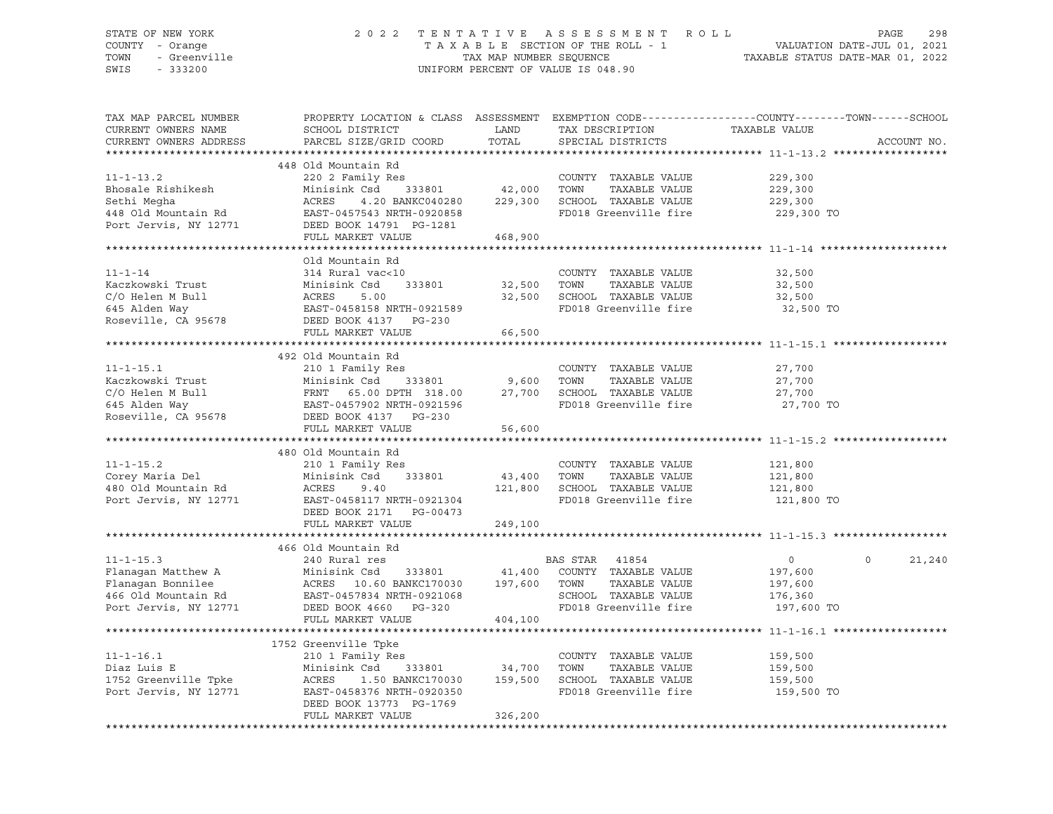### STATE OF NEW YORK 2 0 2 2 T E N T A T I V E A S S E S S M E N T R O L L PAGE 298 COUNTY - Orange T A X A B L E SECTION OF THE ROLL - 1 VALUATION DATE-JUL 01, 2021 TOWN - Greenville TAX MAP NUMBER SEQUENCE TAXABLE STATUS DATE-MAR 01, 2022 SWIS - 333200 UNIFORM PERCENT OF VALUE IS 048.90

| TAX MAP PARCEL NUMBER<br>CURRENT OWNERS NAME<br>CURRENT OWNERS ADDRESS                                     | PROPERTY LOCATION & CLASS ASSESSMENT<br>SCHOOL DISTRICT<br>PARCEL SIZE/GRID COORD                                                                                            | LAND<br>TOTAL                | EXEMPTION CODE-----------------COUNTY--------TOWN------SCHOOL<br>TAX DESCRIPTION<br>SPECIAL DISTRICTS               | TAXABLE VALUE                                                 | ACCOUNT NO.        |
|------------------------------------------------------------------------------------------------------------|------------------------------------------------------------------------------------------------------------------------------------------------------------------------------|------------------------------|---------------------------------------------------------------------------------------------------------------------|---------------------------------------------------------------|--------------------|
|                                                                                                            |                                                                                                                                                                              |                              |                                                                                                                     |                                                               |                    |
| $11 - 1 - 13.2$<br>Bhosale Rishikesh<br>Sethi Megha                                                        | 448 Old Mountain Rd<br>220 2 Family Res<br>Minisink Csd<br>333801<br>ACRES<br>4.20 BANKC040280                                                                               | 42,000<br>229,300            | COUNTY TAXABLE VALUE<br>TOWN<br>TAXABLE VALUE<br>SCHOOL TAXABLE VALUE                                               | 229,300<br>229,300<br>229,300                                 |                    |
| 448 Old Mountain Rd<br>Port Jervis, NY 12771                                                               | EAST-0457543 NRTH-0920858<br>DEED BOOK 14791 PG-1281<br>FULL MARKET VALUE                                                                                                    | 468,900                      | FD018 Greenville fire                                                                                               | 229,300 TO                                                    |                    |
|                                                                                                            |                                                                                                                                                                              |                              |                                                                                                                     |                                                               |                    |
| $11 - 1 - 14$<br>Kaczkowski Trust<br>C/O Helen M Bull<br>645 Alden Way                                     | Old Mountain Rd<br>314 Rural vac<10<br>Minisink Csd<br>333801<br>ACRES<br>5.00<br>EAST-0458158 NRTH-0921589                                                                  | 32,500<br>32,500             | COUNTY TAXABLE VALUE<br>TOWN<br>TAXABLE VALUE<br>SCHOOL TAXABLE VALUE<br>FD018 Greenville fire                      | 32,500<br>32,500<br>32,500<br>32,500 TO                       |                    |
| Roseville, CA 95678                                                                                        | DEED BOOK 4137 PG-230                                                                                                                                                        |                              |                                                                                                                     |                                                               |                    |
|                                                                                                            | FULL MARKET VALUE                                                                                                                                                            | 66,500                       |                                                                                                                     |                                                               |                    |
|                                                                                                            |                                                                                                                                                                              |                              |                                                                                                                     |                                                               |                    |
| $11 - 1 - 15.1$<br>Kaczkowski Trust<br>C/O Helen M Bull                                                    | 492 Old Mountain Rd<br>210 1 Family Res<br>Minisink Csd<br>333801<br>FRNT 65.00 DPTH 318.00 27,700 SCHOOL TAXABLE VALUE<br>EAST-0457902 NRTH-0921596 FD018 Greenville fire   | 9,600                        | COUNTY TAXABLE VALUE<br>TOWN<br>TAXABLE VALUE                                                                       | 27,700<br>27,700<br>27,700                                    |                    |
| 645 Alden Way<br>Roseville, CA 95678                                                                       | DEED BOOK 4137 PG-230<br>FULL MARKET VALUE                                                                                                                                   | 56,600                       |                                                                                                                     | 27,700 TO                                                     |                    |
|                                                                                                            |                                                                                                                                                                              |                              |                                                                                                                     |                                                               |                    |
|                                                                                                            | 480 Old Mountain Rd                                                                                                                                                          |                              |                                                                                                                     |                                                               |                    |
| $11 - 1 - 15.2$                                                                                            | 210 1 Family Res                                                                                                                                                             |                              | COUNTY TAXABLE VALUE                                                                                                | 121,800                                                       |                    |
| Corey Maria Del                                                                                            | Minisink Csd<br>333801                                                                                                                                                       | 43,400                       | TOWN<br>TAXABLE VALUE                                                                                               | 121,800                                                       |                    |
| 480 Old Mountain Rd<br>Port Jervis, NY 12771                                                               | ACRES<br>9.40<br>EAST-0458117 NRTH-0921304<br>DEED BOOK 2171 PG-00473<br>FULL MARKET VALUE                                                                                   | 121,800<br>249,100           | SCHOOL TAXABLE VALUE<br>FD018 Greenville fire                                                                       | 121,800<br>121,800 TO                                         |                    |
|                                                                                                            |                                                                                                                                                                              |                              |                                                                                                                     |                                                               |                    |
|                                                                                                            | 466 Old Mountain Rd                                                                                                                                                          |                              |                                                                                                                     |                                                               |                    |
| $11 - 1 - 15.3$<br>Flanagan Matthew A<br>Flanagan Bonnilee<br>466 Old Mountain Rd<br>Port Jervis, NY 12771 | 240 Rural res<br>Minisink Csd<br>333801<br>EAST-0457834 NRTH-0921068<br>DEED BOOK 4660 PG-320<br>FULL MARKET VALUE                                                           | 41,400<br>197,600<br>404,100 | BAS STAR<br>41854<br>COUNTY TAXABLE VALUE<br>TOWN<br>TAXABLE VALUE<br>SCHOOL TAXABLE VALUE<br>FD018 Greenville fire | $\overline{0}$<br>197,600<br>197,600<br>176,360<br>197,600 TO | $\Omega$<br>21,240 |
|                                                                                                            |                                                                                                                                                                              |                              |                                                                                                                     |                                                               |                    |
| $11 - 1 - 16.1$<br>Diaz Luis E<br>1752 Greenville Tpke<br>Port Jervis, NY 12771                            | 1752 Greenville Tpke<br>210 1 Family Res<br>Minisink Csd<br>333801<br>ACRES<br>1.50 BANKC170030<br>EAST-0458376 NRTH-0920350<br>DEED BOOK 13773 PG-1769<br>FULL MARKET VALUE | 34,700<br>159,500<br>326,200 | COUNTY TAXABLE VALUE<br>TOWN<br>TAXABLE VALUE<br>SCHOOL TAXABLE VALUE<br>FD018 Greenville fire                      | 159,500<br>159,500<br>159,500<br>159,500 TO                   |                    |
|                                                                                                            |                                                                                                                                                                              |                              |                                                                                                                     |                                                               |                    |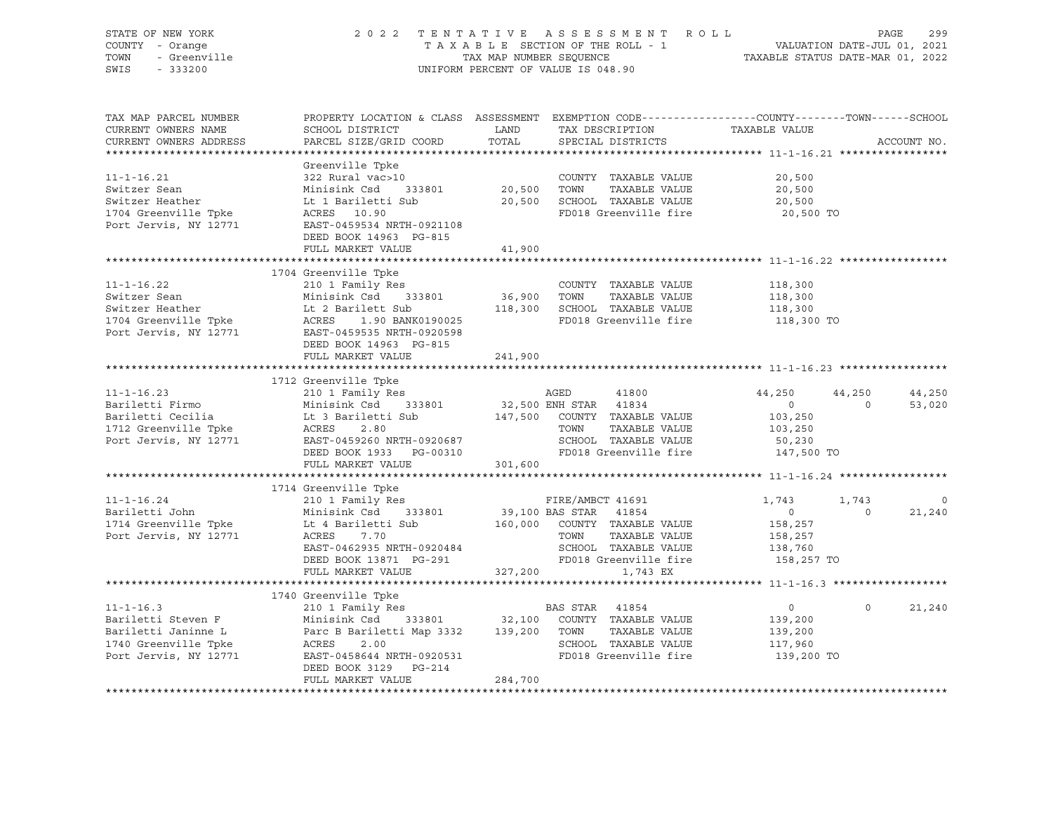| TAX MAP PARCEL NUMBER                                                                                                                                                                                                                                  | PROPERTY LOCATION & CLASS ASSESSMENT EXEMPTION CODE---------------COUNTY-------TOWN------SCHOOL |         |                | ACCOUNT NO.    |
|--------------------------------------------------------------------------------------------------------------------------------------------------------------------------------------------------------------------------------------------------------|-------------------------------------------------------------------------------------------------|---------|----------------|----------------|
|                                                                                                                                                                                                                                                        |                                                                                                 |         |                |                |
|                                                                                                                                                                                                                                                        |                                                                                                 |         |                |                |
|                                                                                                                                                                                                                                                        |                                                                                                 |         |                |                |
|                                                                                                                                                                                                                                                        |                                                                                                 |         |                |                |
|                                                                                                                                                                                                                                                        |                                                                                                 |         |                |                |
| 11-1-16.21 (a) Southern Sean Minisink Csd 333801 (a) 20,500 TOWNTY TAXABLE VALUE 20,500 Switzer Sean Minisink Csd 333801 (a) 20,500 TOWN TAXABLE VALUE 20,500 (a) 20,500 Minisink Csd 333801 (a) 20,500 TOWN TAXABLE VALUE 20,                         |                                                                                                 |         |                |                |
|                                                                                                                                                                                                                                                        |                                                                                                 |         |                |                |
|                                                                                                                                                                                                                                                        | FULL MARKET VALUE                                                                               | 41,900  |                |                |
| 11-1-16.22<br>1704 Greenville Tpke<br>210 1 Family Res<br>210 1 Family Res<br>210 1 Family Res<br>210 1 Family Res<br>210 1 Family Res<br>210 1 Family Res<br>210 1 Family Res<br>210 1 Family Res<br>210 1 Family Res<br>210 1 Family Res<br>210 1 Fa |                                                                                                 |         |                |                |
|                                                                                                                                                                                                                                                        |                                                                                                 |         |                |                |
|                                                                                                                                                                                                                                                        |                                                                                                 |         |                |                |
|                                                                                                                                                                                                                                                        |                                                                                                 |         |                |                |
|                                                                                                                                                                                                                                                        |                                                                                                 |         |                |                |
|                                                                                                                                                                                                                                                        |                                                                                                 |         |                |                |
|                                                                                                                                                                                                                                                        | DEED BOOK 14963 PG-815                                                                          |         |                |                |
|                                                                                                                                                                                                                                                        | FULL MARKET VALUE 241,900                                                                       |         |                |                |
| 11-1-16.23<br>1712 Greenville The Ministry Market (1992)<br>1712 Greenville The Market (1992)<br>1712 Greenville Type Market (1992)<br>1883T-0459260 NRTH-0920687<br>1897-0459260 NRTH-0920687<br>1897-0459260 NRTH-0920687<br>1897-0459260            |                                                                                                 |         |                |                |
|                                                                                                                                                                                                                                                        |                                                                                                 |         |                |                |
|                                                                                                                                                                                                                                                        |                                                                                                 |         |                |                |
|                                                                                                                                                                                                                                                        |                                                                                                 |         |                |                |
|                                                                                                                                                                                                                                                        |                                                                                                 |         |                |                |
|                                                                                                                                                                                                                                                        |                                                                                                 |         |                |                |
|                                                                                                                                                                                                                                                        |                                                                                                 |         |                |                |
|                                                                                                                                                                                                                                                        |                                                                                                 |         |                |                |
|                                                                                                                                                                                                                                                        |                                                                                                 |         |                |                |
|                                                                                                                                                                                                                                                        |                                                                                                 |         |                | $\overline{0}$ |
|                                                                                                                                                                                                                                                        |                                                                                                 |         |                | 21,240         |
| 11-1-16.24<br>1714 Greenville The EIRE/AMBCT 41691<br>1714 Greenville The Letting Sample 1,743<br>1743 1,743<br>1743 1,743<br>1743 1,743<br>1743 1,743<br>210 I Family Res FIRE/AMBCT 41691<br>18,257<br>1743 1,743<br>1743 1,743<br>210 I Family Re   |                                                                                                 |         |                |                |
|                                                                                                                                                                                                                                                        |                                                                                                 |         |                |                |
|                                                                                                                                                                                                                                                        |                                                                                                 |         |                |                |
|                                                                                                                                                                                                                                                        |                                                                                                 |         |                |                |
|                                                                                                                                                                                                                                                        |                                                                                                 |         |                |                |
|                                                                                                                                                                                                                                                        |                                                                                                 |         |                |                |
|                                                                                                                                                                                                                                                        |                                                                                                 |         | $\overline{0}$ | $0 \t 21,240$  |
|                                                                                                                                                                                                                                                        |                                                                                                 |         |                |                |
|                                                                                                                                                                                                                                                        |                                                                                                 |         |                |                |
|                                                                                                                                                                                                                                                        |                                                                                                 |         |                |                |
| 1740 Greenville Tpke<br>11-1-16.3 210 1 Family Res<br>210 1 Family Res<br>210 1 Family Res<br>210 1 Family Res<br>210 1 Family Res<br>210 1 Family Res<br>210 333801 32,100 COUNTY TAXABLE VALUE<br>21790 Greenville Tpke<br>2.00 20031 200 2005       |                                                                                                 |         |                |                |
|                                                                                                                                                                                                                                                        | DEED BOOK 3129 PG-214                                                                           |         |                |                |
|                                                                                                                                                                                                                                                        | FULL MARKET VALUE                                                                               | 284,700 |                |                |
|                                                                                                                                                                                                                                                        |                                                                                                 |         |                |                |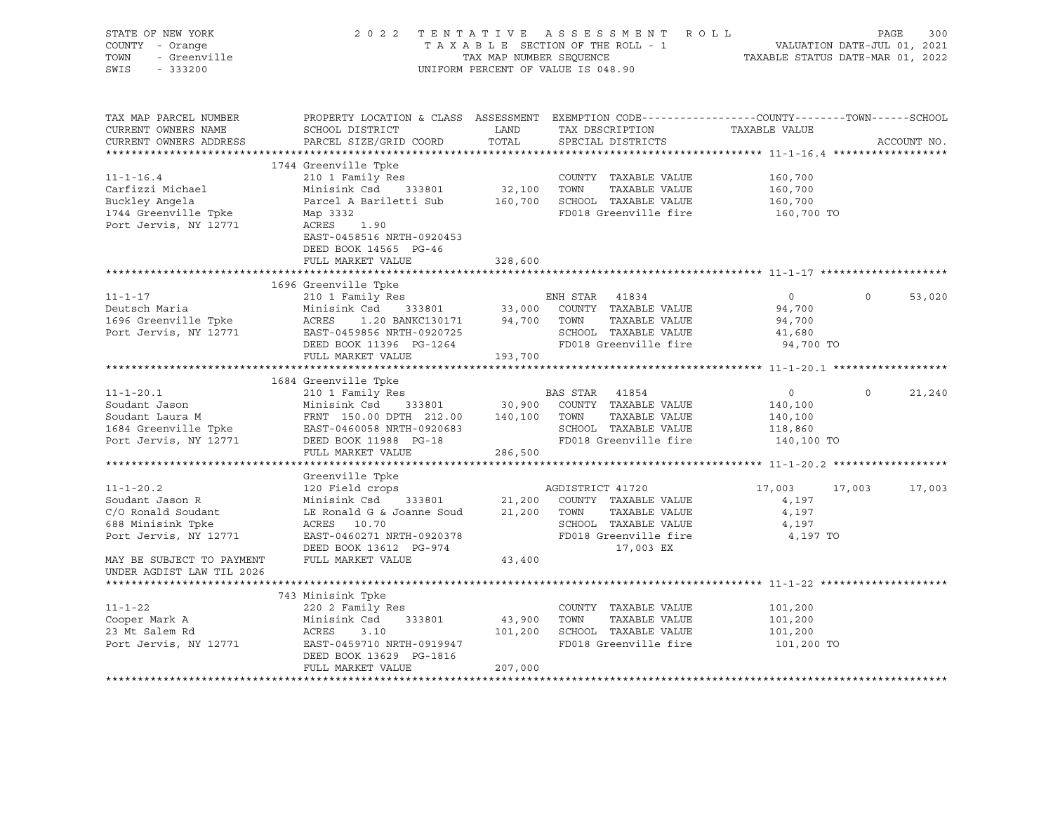| STATE OF NEW YORK<br>COUNTY - Orange<br>TOWN<br>- Greenville<br>SWIS<br>$-333200$                      |                                                                                                                                                                                 | TAX MAP NUMBER SEQUENCE | 2022 TENTATIVE ASSESSMENT ROLL<br>T A X A B L E SECTION OF THE ROLL - 1 VALUATION DATE-JUL 01, 2021<br>UNIFORM PERCENT OF VALUE IS 048.90 | TAXABLE STATUS DATE-MAR 01, 2022                              | PAGE        | 300         |
|--------------------------------------------------------------------------------------------------------|---------------------------------------------------------------------------------------------------------------------------------------------------------------------------------|-------------------------|-------------------------------------------------------------------------------------------------------------------------------------------|---------------------------------------------------------------|-------------|-------------|
| TAX MAP PARCEL NUMBER<br>CURRENT OWNERS NAME<br>CURRENT OWNERS ADDRESS                                 | PROPERTY LOCATION & CLASS ASSESSMENT EXEMPTION CODE---------------COUNTY-------TOWN-----SCHOOL<br>SCHOOL DISTRICT<br>PARCEL SIZE/GRID COORD                                     | LAND<br>TOTAL           | TAX DESCRIPTION<br>SPECIAL DISTRICTS                                                                                                      | TAXABLE VALUE                                                 |             | ACCOUNT NO. |
| $11 - 1 - 16.4$<br>Carfizzi Michael<br>Buckley Angela<br>1744 Greenville Tpke<br>Port Jervis, NY 12771 | 1744 Greenville Tpke<br>210 1 Family Res<br>Minisink Csd<br>333801<br>Parcel A Bariletti Sub<br>Map 3332<br>ACRES<br>1.90<br>EAST-0458516 NRTH-0920453<br>DEED BOOK 14565 PG-46 | 32,100                  | COUNTY TAXABLE VALUE<br>TOWN<br>TAXABLE VALUE<br>160,700 SCHOOL TAXABLE VALUE<br>FD018 Greenville fire                                    | 160,700<br>160,700<br>160,700<br>160,700 TO                   |             |             |
|                                                                                                        | FULL MARKET VALUE                                                                                                                                                               | 328,600                 |                                                                                                                                           |                                                               |             |             |
|                                                                                                        |                                                                                                                                                                                 |                         |                                                                                                                                           |                                                               |             |             |
| $11 - 1 - 17$                                                                                          | 1696 Greenville Tpke<br>210 1 Family Res                                                                                                                                        |                         | ENH STAR 41834                                                                                                                            | $\overline{0}$                                                | $\circ$     | 53,020      |
| Deutsch Maria<br>1696 Greenville Tpke<br>Port Jervis, NY 12771                                         | Minisink Csd<br>333801<br>ACRES<br>1.20 BANKC130171<br>EAST-0459856 NRTH-0920725<br>DEED BOOK 11396 PG-1264<br>FULL MARKET VALUE                                                | 94,700 TOWN<br>193,700  | 33,000 COUNTY TAXABLE VALUE<br>TAXABLE VALUE<br>SCHOOL TAXABLE VALUE<br>FD018 Greenville fire                                             | 94,700<br>94,700<br>41,680<br>94,700 TO                       |             |             |
|                                                                                                        |                                                                                                                                                                                 |                         |                                                                                                                                           |                                                               |             |             |
| $11 - 1 - 20.1$<br>Soudant Jason<br>Soudant Laura M<br>1684 Greenville Tpke<br>Port Jervis, NY 12771   | 1684 Greenville Tpke<br>210 1 Family Res<br>Minisink Csd 333801<br>FRNT 150.00 DPTH 212.00<br>EAST-0460058 NRTH-0920683<br>DEED BOOK 11988 PG-18                                | 140,100                 | BAS STAR 41854<br>30,900 COUNTY TAXABLE VALUE<br>TOWN<br>TAXABLE VALUE<br>SCHOOL TAXABLE VALUE<br>FD018 Greenville fire                   | $\overline{0}$<br>140,100<br>140,100<br>118,860<br>140,100 TO | $\mathbf 0$ | 21,240      |
|                                                                                                        | FULL MARKET VALUE                                                                                                                                                               | 286,500                 |                                                                                                                                           |                                                               |             |             |
| $11 - 1 - 20.2$                                                                                        | Greenville Tpke<br>120 Field crops                                                                                                                                              |                         | AGDISTRICT 41720                                                                                                                          | 17,003                                                        | 17,003      | 17,003      |
| Soudant Jason R<br>C/O Ronald Soudant<br>688 Minisink Tpke<br>Port Jervis, NY 12771                    | Minisink Csd<br>333801<br>LE Ronald G & Joanne Soud<br>ACRES<br>10.70<br>EAST-0460271 NRTH-0920378<br>DEED BOOK 13612 PG-974                                                    | 21,200<br>21,200        | COUNTY TAXABLE VALUE<br>TOWN<br>TAXABLE VALUE<br>SCHOOL TAXABLE VALUE<br>FD018 Greenville fire<br>17,003 EX                               | 4,197<br>4,197<br>4,197<br>4,197 TO                           |             |             |
| MAY BE SUBJECT TO PAYMENT<br>UNDER AGDIST LAW TIL 2026                                                 | FULL MARKET VALUE                                                                                                                                                               | 43,400                  |                                                                                                                                           |                                                               |             |             |
|                                                                                                        | 743 Minisink Tpke                                                                                                                                                               |                         |                                                                                                                                           |                                                               |             |             |
| 11-1-22<br>Cooper Mark A<br>23 Mt Salem Rd<br>Port Jervis, NY 12771                                    | 220 2 Family Res<br>Minisink Csd<br>333801<br>ACRES<br>3.10<br>EAST-0459710 NRTH-0919947<br>DEED BOOK 13629 PG-1816                                                             | 43,900<br>101,200       | COUNTY TAXABLE VALUE<br>TAXABLE VALUE<br>TOWN<br>SCHOOL TAXABLE VALUE<br>FD018 Greenville fire                                            | 101,200<br>101,200<br>101,200<br>101,200 TO                   |             |             |
|                                                                                                        | FULL MARKET VALUE                                                                                                                                                               | 207,000                 |                                                                                                                                           |                                                               |             |             |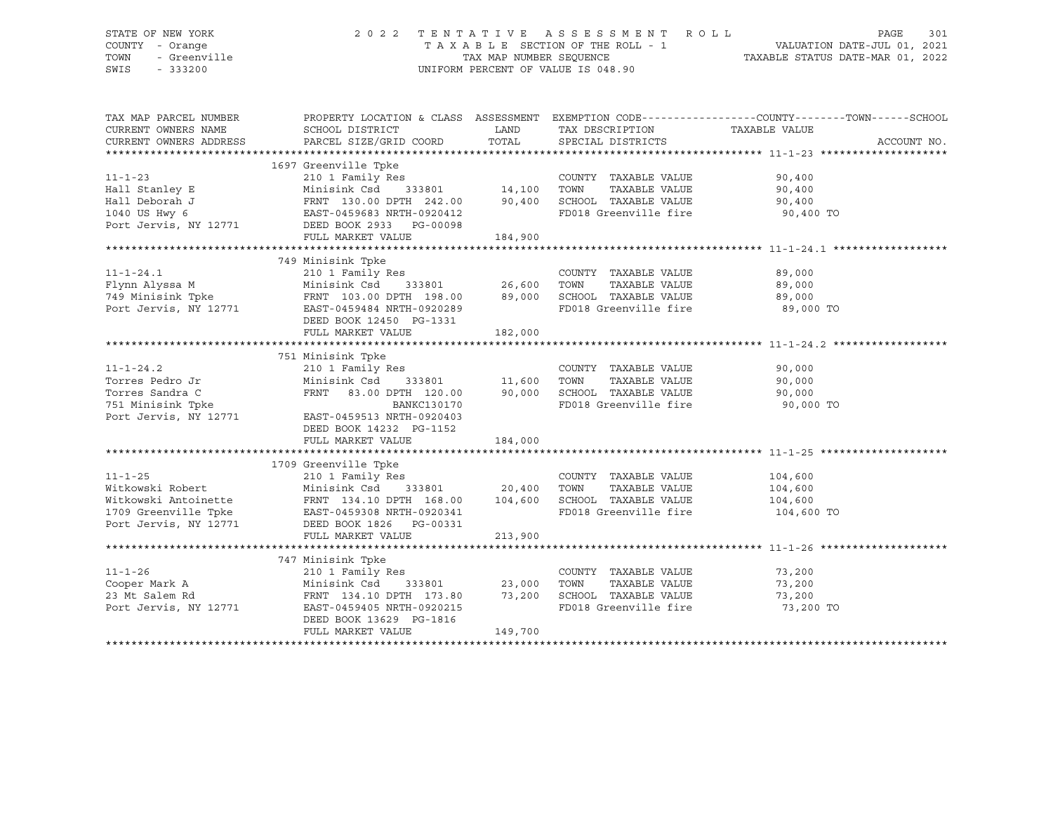| STATE OF NEW YORK<br>COUNTY - Orange<br>JF NEW YORK<br>- Orange<br>- Greenville<br>TOWN<br>SWIS |                                                                                                                                                                                                          |               | UNIFORM PERCENT OF VALUE IS 048.90                 | $\begin{tabular}{lllllllllllllll} \hline 2&0&2&2&\text{T} & \text{E} & \text{N} & \text{T} & \text{A} & \text{T} & \text{I} & \text{V} & \text{E} & \text{A} & \text{E} & \text{S} & \text{E} & \text{S} & \text{S} & \text{M} & \text{E} & \text{N} & \text{A} & \text{A} & \text{E} & \text{B} & \text{A} & \text{E} & \text{S} & \text{E} & \text{A} & \text{E} & \text{S} & \text{E} & \text{A} & \text{E} & \text{R$ |
|-------------------------------------------------------------------------------------------------|----------------------------------------------------------------------------------------------------------------------------------------------------------------------------------------------------------|---------------|----------------------------------------------------|---------------------------------------------------------------------------------------------------------------------------------------------------------------------------------------------------------------------------------------------------------------------------------------------------------------------------------------------------------------------------------------------------------------------------|
| TAX MAP PARCEL NUMBER<br>CURRENT OWNERS NAME<br>CURRENT OWNERS ADDRESS                          | SCHOOL DISTRICT<br>PARCEL SIZE/GRID COORD                                                                                                                                                                | LAND<br>TOTAL | TAX DESCRIPTION<br>SPECIAL DISTRICTS               | PROPERTY LOCATION & CLASS ASSESSMENT EXEMPTION CODE---------------COUNTY-------TOWN------SCHOOL<br>TAXABLE VALUE<br>ACCOUNT NO.                                                                                                                                                                                                                                                                                           |
|                                                                                                 | 1697 Greenville Tpke                                                                                                                                                                                     |               |                                                    |                                                                                                                                                                                                                                                                                                                                                                                                                           |
| $11 - 1 - 23$                                                                                   |                                                                                                                                                                                                          |               | COUNTY TAXABLE VALUE                               | 90,400                                                                                                                                                                                                                                                                                                                                                                                                                    |
|                                                                                                 | Hall Stanley E The Theory of TAXABLE VALUE<br>Hall Deborah J TAXABLE VALUE<br>1040 US Hwy 6 EAST-0459683 NRTH-0920412 FD018 Greenville fire                                                              |               |                                                    | 90,400                                                                                                                                                                                                                                                                                                                                                                                                                    |
|                                                                                                 |                                                                                                                                                                                                          |               |                                                    | 90,400                                                                                                                                                                                                                                                                                                                                                                                                                    |
| Port Jervis, NY 12771                                                                           | DEED BOOK 2933 PG-00098                                                                                                                                                                                  |               |                                                    | 90,400 TO                                                                                                                                                                                                                                                                                                                                                                                                                 |
|                                                                                                 | FULL MARKET VALUE                                                                                                                                                                                        | 184,900       |                                                    |                                                                                                                                                                                                                                                                                                                                                                                                                           |
|                                                                                                 |                                                                                                                                                                                                          |               |                                                    |                                                                                                                                                                                                                                                                                                                                                                                                                           |
|                                                                                                 |                                                                                                                                                                                                          |               |                                                    | 89,000                                                                                                                                                                                                                                                                                                                                                                                                                    |
|                                                                                                 |                                                                                                                                                                                                          |               | TAXABLE VALUE                                      | 89,000                                                                                                                                                                                                                                                                                                                                                                                                                    |
|                                                                                                 |                                                                                                                                                                                                          |               |                                                    | 89,000                                                                                                                                                                                                                                                                                                                                                                                                                    |
|                                                                                                 |                                                                                                                                                                                                          |               | FD018 Greenville fire                              | 89,000 TO                                                                                                                                                                                                                                                                                                                                                                                                                 |
|                                                                                                 | DEED BOOK 12450 PG-1331                                                                                                                                                                                  |               |                                                    |                                                                                                                                                                                                                                                                                                                                                                                                                           |
|                                                                                                 | FULL MARKET VALUE                                                                                                                                                                                        | 182,000       |                                                    |                                                                                                                                                                                                                                                                                                                                                                                                                           |
|                                                                                                 |                                                                                                                                                                                                          |               |                                                    |                                                                                                                                                                                                                                                                                                                                                                                                                           |
|                                                                                                 | 751 Minisink Tpke                                                                                                                                                                                        |               |                                                    |                                                                                                                                                                                                                                                                                                                                                                                                                           |
| $11 - 1 - 24.2$                                                                                 | 210 1 Family Res                                                                                                                                                                                         |               | COUNTY TAXABLE VALUE                               | 90,000                                                                                                                                                                                                                                                                                                                                                                                                                    |
| Torres Pedro Jr                                                                                 | 210 I Family Res<br>Minisink Csd 333801 11,600 TOWN                                                                                                                                                      |               | TAXABLE VALUE                                      | 90,000                                                                                                                                                                                                                                                                                                                                                                                                                    |
| Torres Sandra C                                                                                 |                                                                                                                                                                                                          |               | FRNT 83.00 DPTH 120.00 90,000 SCHOOL TAXABLE VALUE | 90,000                                                                                                                                                                                                                                                                                                                                                                                                                    |
| 751 Minisink Tpke                                                                               | BANKC130170                                                                                                                                                                                              |               | FD018 Greenville fire                              | 90,000 TO                                                                                                                                                                                                                                                                                                                                                                                                                 |
| Port Jervis, NY 12771                                                                           | EAST-0459513 NRTH-0920403                                                                                                                                                                                |               |                                                    |                                                                                                                                                                                                                                                                                                                                                                                                                           |
|                                                                                                 | DEED BOOK 14232 PG-1152                                                                                                                                                                                  |               |                                                    |                                                                                                                                                                                                                                                                                                                                                                                                                           |
|                                                                                                 | FULL MARKET VALUE                                                                                                                                                                                        | 184,000       |                                                    |                                                                                                                                                                                                                                                                                                                                                                                                                           |
|                                                                                                 |                                                                                                                                                                                                          |               |                                                    |                                                                                                                                                                                                                                                                                                                                                                                                                           |
|                                                                                                 | 1709 Greenville Tpke<br>210 1 Family Res                                                                                                                                                                 |               |                                                    |                                                                                                                                                                                                                                                                                                                                                                                                                           |
| $11 - 1 - 25$                                                                                   | $210$ 1 Family Res $\overline{C}$ COUNTY<br>Minisink Csd 333801 20,400 TOWN                                                                                                                              |               | COUNTY TAXABLE VALUE                               | 104,600                                                                                                                                                                                                                                                                                                                                                                                                                   |
| Witkowski Robert                                                                                |                                                                                                                                                                                                          |               | TAXABLE VALUE                                      | 104,600                                                                                                                                                                                                                                                                                                                                                                                                                   |
|                                                                                                 | Witkowski Antoinette<br>Witkowski Antoinette<br>TRNT 134.10 DPTH 168.00 104,600 SCHOOL TAXABLE VALUE<br>1709 Greenville Tpke<br>Port Jervis, NY 12771 DEED BOOK 1826 PG-00331<br>DEED BOOK 1826 PG-00331 |               |                                                    | 104,600<br>104,600 TO                                                                                                                                                                                                                                                                                                                                                                                                     |
|                                                                                                 |                                                                                                                                                                                                          |               |                                                    |                                                                                                                                                                                                                                                                                                                                                                                                                           |
|                                                                                                 | FULL MARKET VALUE                                                                                                                                                                                        | 213,900       |                                                    |                                                                                                                                                                                                                                                                                                                                                                                                                           |
|                                                                                                 |                                                                                                                                                                                                          |               |                                                    |                                                                                                                                                                                                                                                                                                                                                                                                                           |
|                                                                                                 | 747 Minisink Tpke                                                                                                                                                                                        |               |                                                    |                                                                                                                                                                                                                                                                                                                                                                                                                           |
| $11 - 1 - 26$                                                                                   | 210 1 Family Res                                                                                                                                                                                         |               | COUNTY TAXABLE VALUE                               | 73,200                                                                                                                                                                                                                                                                                                                                                                                                                    |
| Cooper Mark A<br>23 Mt Salem Rd                                                                 | 333801<br>Minisink Csd                                                                                                                                                                                   | 23,000        | TOWN<br>TAXABLE VALUE                              | 73,200                                                                                                                                                                                                                                                                                                                                                                                                                    |
| 23 Mt Salem Rd                                                                                  | FRNT 134.10 DPTH 173.80                                                                                                                                                                                  |               | 73,200 SCHOOL TAXABLE VALUE                        | 73,200                                                                                                                                                                                                                                                                                                                                                                                                                    |
| Port Jervis, NY 12771                                                                           | EAST-0459405 NRTH-0920215                                                                                                                                                                                |               | FD018 Greenville fire                              | 73,200 TO                                                                                                                                                                                                                                                                                                                                                                                                                 |
|                                                                                                 | DEED BOOK 13629 PG-1816                                                                                                                                                                                  |               |                                                    |                                                                                                                                                                                                                                                                                                                                                                                                                           |
|                                                                                                 | FULL MARKET VALUE                                                                                                                                                                                        | 149,700       |                                                    |                                                                                                                                                                                                                                                                                                                                                                                                                           |
|                                                                                                 |                                                                                                                                                                                                          |               |                                                    |                                                                                                                                                                                                                                                                                                                                                                                                                           |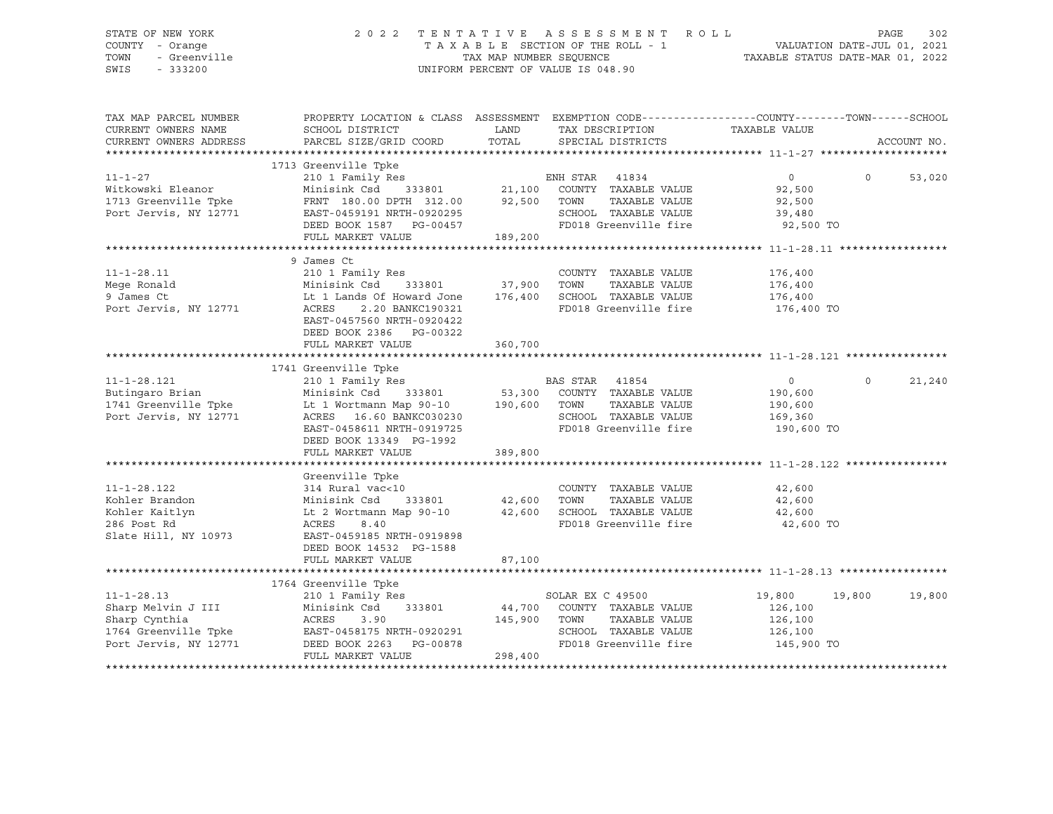### STATE OF NEW YORK 2 0 2 2 T E N T A T I V E A S S E S S M E N T R O L L PAGE 302 COUNTY - Orange T A X A B L E SECTION OF THE ROLL - 1 VALUATION DATE-JUL 01, 2021 TOWN - Greenville TAX MAP NUMBER SEQUENCE TAXABLE STATUS DATE-MAR 01, 2022 SWIS - 333200 UNIFORM PERCENT OF VALUE IS 048.90

| TAX MAP PARCEL NUMBER<br>CURRENT OWNERS NAME<br>CURRENT OWNERS ADDRESS | PROPERTY LOCATION & CLASS ASSESSMENT<br>SCHOOL DISTRICT<br>PARCEL SIZE/GRID COORD | LAND<br>TOTAL | EXEMPTION CODE-----------------COUNTY-------TOWN------SCHOOL<br>TAX DESCRIPTION<br>SPECIAL DISTRICTS | TAXABLE VALUE  | ACCOUNT NO.        |
|------------------------------------------------------------------------|-----------------------------------------------------------------------------------|---------------|------------------------------------------------------------------------------------------------------|----------------|--------------------|
|                                                                        |                                                                                   |               |                                                                                                      |                |                    |
|                                                                        | 1713 Greenville Tpke                                                              |               |                                                                                                      |                |                    |
| $11 - 1 - 27$                                                          | 210 1 Family Res                                                                  |               | ENH STAR<br>41834                                                                                    | 0              | $\Omega$<br>53,020 |
| Witkowski Eleanor                                                      | Minisink Csd                                                                      |               | 333801 21,100 COUNTY TAXABLE VALUE                                                                   | 92,500         |                    |
| 1713 Greenville Tpke                                                   | FRNT 180.00 DPTH 312.00 92,500                                                    |               | TAXABLE VALUE<br>TOWN                                                                                | 92,500         |                    |
| Port Jervis, NY 12771                                                  | EAST-0459191 NRTH-0920295                                                         |               | SCHOOL TAXABLE VALUE                                                                                 | 39,480         |                    |
|                                                                        | DEED BOOK 1587 PG-00457                                                           |               | FD018 Greenville fire                                                                                | 92,500 TO      |                    |
|                                                                        | FULL MARKET VALUE                                                                 | 189,200       |                                                                                                      |                |                    |
|                                                                        |                                                                                   |               |                                                                                                      |                |                    |
|                                                                        | 9 James Ct                                                                        |               |                                                                                                      |                |                    |
| $11 - 1 - 28.11$                                                       | 210 1 Family Res                                                                  |               | COUNTY TAXABLE VALUE                                                                                 | 176,400        |                    |
| Mege Ronald                                                            | Minisink Csd                                                                      | 333801 37,900 | TOWN<br>TAXABLE VALUE                                                                                | 176,400        |                    |
| 9 James Ct                                                             | Lt 1 Lands Of Howard Jone 176,400                                                 |               | SCHOOL TAXABLE VALUE                                                                                 | 176,400        |                    |
| Port Jervis, NY 12771                                                  | 2.20 BANKC190321<br>ACRES                                                         |               | FD018 Greenville fire                                                                                | 176,400 TO     |                    |
|                                                                        | EAST-0457560 NRTH-0920422                                                         |               |                                                                                                      |                |                    |
|                                                                        | DEED BOOK 2386 PG-00322                                                           |               |                                                                                                      |                |                    |
|                                                                        | FULL MARKET VALUE                                                                 | 360,700       |                                                                                                      |                |                    |
|                                                                        |                                                                                   |               |                                                                                                      |                |                    |
|                                                                        | 1741 Greenville Tpke                                                              |               |                                                                                                      |                |                    |
| $11 - 1 - 28.121$                                                      | 210 1 Family Res                                                                  |               | BAS STAR<br>41854                                                                                    | $\overline{0}$ | $\circ$<br>21,240  |
| Butingaro Brian                                                        | Minisink Csd 333801 53,300 COUNTY TAXABLE VALUE                                   |               |                                                                                                      | 190,600        |                    |
| 1741 Greenville Tpke                                                   | Lt 1 Wortmann Map 90-10 190,600                                                   |               | TAXABLE VALUE<br>TOWN                                                                                | 190,600        |                    |
| Port Jervis, NY 12771                                                  | ACRES 16.60 BANKC030230                                                           |               | SCHOOL TAXABLE VALUE                                                                                 | 169,360        |                    |
|                                                                        | EAST-0458611 NRTH-0919725                                                         |               | FD018 Greenville fire                                                                                | 190,600 TO     |                    |
|                                                                        | DEED BOOK 13349 PG-1992                                                           |               |                                                                                                      |                |                    |
|                                                                        | FULL MARKET VALUE                                                                 | 389,800       |                                                                                                      |                |                    |
|                                                                        |                                                                                   |               |                                                                                                      |                |                    |
|                                                                        | Greenville Tpke                                                                   |               |                                                                                                      |                |                    |
| $11 - 1 - 28.122$                                                      | 314 Rural vac<10                                                                  |               | COUNTY TAXABLE VALUE                                                                                 | 42,600         |                    |
| Kohler Brandon                                                         | Minisink Csd<br>333801                                                            | 42,600        | TAXABLE VALUE<br>TOWN                                                                                | 42,600         |                    |
| Kohler Kaitlyn                                                         | Lt 2 Wortmann Map 90-10                                                           | 42,600        | SCHOOL TAXABLE VALUE                                                                                 | 42,600         |                    |
| 286 Post Rd                                                            | ACRES<br>8.40                                                                     |               | FD018 Greenville fire                                                                                | 42,600 TO      |                    |
| Slate Hill, NY 10973                                                   | EAST-0459185 NRTH-0919898                                                         |               |                                                                                                      |                |                    |
|                                                                        | DEED BOOK 14532 PG-1588                                                           |               |                                                                                                      |                |                    |
|                                                                        | FULL MARKET VALUE                                                                 | 87,100        |                                                                                                      |                |                    |
|                                                                        |                                                                                   |               |                                                                                                      |                |                    |
|                                                                        | 1764 Greenville Tpke                                                              |               |                                                                                                      |                |                    |
| $11 - 1 - 28.13$                                                       | 210 1 Family Res                                                                  |               | SOLAR EX C 49500                                                                                     | 19,800         | 19,800<br>19,800   |
| Sharp Melvin J III                                                     | 333801<br>Minisink Csd                                                            | 44,700        | COUNTY TAXABLE VALUE                                                                                 | 126,100        |                    |
| Sharp Cynthia                                                          | ACRES<br>3.90                                                                     | 145,900       | TOWN<br>TAXABLE VALUE                                                                                | 126,100        |                    |
| 1764 Greenville Tpke                                                   | EAST-0458175 NRTH-0920291                                                         |               | SCHOOL TAXABLE VALUE                                                                                 | 126,100        |                    |
| Port Jervis, NY 12771                                                  | DEED BOOK 2263 PG-00878                                                           |               | FD018 Greenville fire                                                                                | 145,900 TO     |                    |
|                                                                        | FULL MARKET VALUE                                                                 | 298,400       |                                                                                                      |                |                    |
|                                                                        |                                                                                   |               |                                                                                                      |                |                    |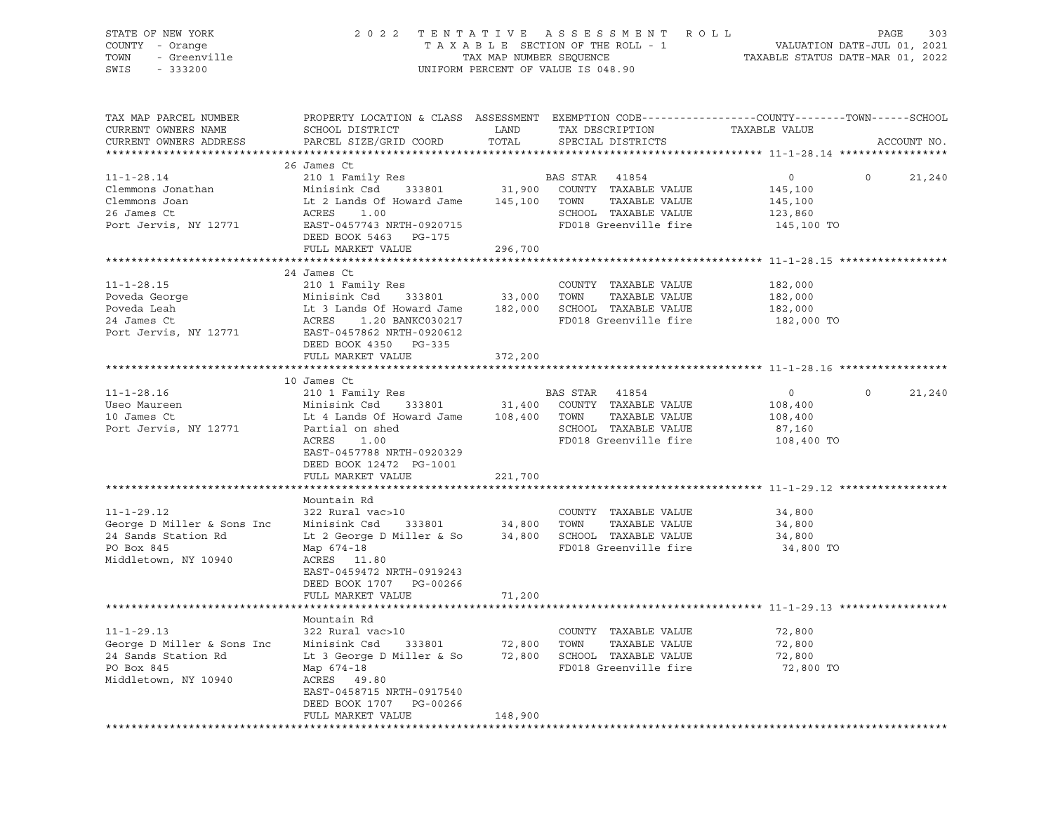| STATE OF NEW YORK<br>COUNTY - Orange<br>TOWN<br>- Greenville<br>SWIS<br>$-333200$                           | 2 0 2 2<br>TENTATIVE ASSESSMENT<br>TAXABLE SECTION OF THE ROLL - 1<br>TAX MAP NUMBER SEQUENCE<br>UNIFORM PERCENT OF VALUE IS 048.90                                                                     | R O L L<br>303<br>PAGE<br>VALUATION DATE-JUL 01, 2021<br>TAXABLE STATUS DATE-MAR 01, 2022 |                                                                                                                    |                                                        |                   |
|-------------------------------------------------------------------------------------------------------------|---------------------------------------------------------------------------------------------------------------------------------------------------------------------------------------------------------|-------------------------------------------------------------------------------------------|--------------------------------------------------------------------------------------------------------------------|--------------------------------------------------------|-------------------|
| TAX MAP PARCEL NUMBER<br>CURRENT OWNERS NAME<br>CURRENT OWNERS ADDRESS                                      | PROPERTY LOCATION & CLASS ASSESSMENT EXEMPTION CODE----------------COUNTY-------TOWN------SCHOOL<br>SCHOOL DISTRICT<br>PARCEL SIZE/GRID COORD                                                           | LAND<br>TOTAL                                                                             | TAX DESCRIPTION<br>SPECIAL DISTRICTS                                                                               | TAXABLE VALUE                                          | ACCOUNT NO.       |
| $11 - 1 - 28.14$<br>Clemmons Jonathan<br>Clemmons Joan<br>26 James Ct<br>Port Jervis, NY 12771              | 26 James Ct<br>210 1 Family Res<br>333801<br>Minisink Csd<br>Lt 2 Lands Of Howard Jame<br>ACRES<br>1.00<br>EAST-0457743 NRTH-0920715<br>DEED BOOK 5463 PG-175<br>FULL MARKET VALUE                      | 145,100 TOWN<br>296,700                                                                   | BAS STAR<br>41854<br>31,900 COUNTY TAXABLE VALUE<br>TAXABLE VALUE<br>SCHOOL TAXABLE VALUE<br>FD018 Greenville fire | $\circ$<br>145,100<br>145,100<br>123,860<br>145,100 TO | $\circ$<br>21,240 |
|                                                                                                             |                                                                                                                                                                                                         |                                                                                           |                                                                                                                    |                                                        |                   |
| $11 - 1 - 28.15$<br>Poveda George<br>Poveda Leah<br>24 James Ct<br>Port Jervis, NY 12771                    | 24 James Ct<br>210 1 Family Res<br>Minisink Csd<br>333801<br>Lt 3 Lands Of Howard Jame<br>ACRES<br>1.20 BANKC030217<br>EAST-0457862 NRTH-0920612<br>DEED BOOK 4350 PG-335<br>FULL MARKET VALUE          | 33,000<br>182,000<br>372,200                                                              | COUNTY TAXABLE VALUE<br>TOWN<br>TAXABLE VALUE<br>SCHOOL TAXABLE VALUE<br>FD018 Greenville fire                     | 182,000<br>182,000<br>182,000<br>182,000 TO            |                   |
|                                                                                                             |                                                                                                                                                                                                         |                                                                                           |                                                                                                                    |                                                        |                   |
| $11 - 1 - 28.16$<br>Useo Maureen<br>10 James Ct<br>Port Jervis, NY 12771                                    | 10 James Ct<br>210 1 Family Res<br>Minisink Csd<br>333801<br>Lt 4 Lands Of Howard Jame<br>Partial on shed<br>ACRES<br>1.00<br>EAST-0457788 NRTH-0920329<br>DEED BOOK 12472 PG-1001<br>FULL MARKET VALUE | 31,400<br>108,400 TOWN<br>221,700                                                         | BAS STAR<br>41854<br>COUNTY TAXABLE VALUE<br>TAXABLE VALUE<br>SCHOOL TAXABLE VALUE<br>FD018 Greenville fire        | 0<br>108,400<br>108,400<br>87,160<br>108,400 TO        | $\circ$<br>21,240 |
|                                                                                                             |                                                                                                                                                                                                         |                                                                                           |                                                                                                                    |                                                        |                   |
| $11 - 1 - 29.12$<br>George D Miller & Sons Inc<br>24 Sands Station Rd<br>PO Box 845<br>Middletown, NY 10940 | Mountain Rd<br>322 Rural vac>10<br>Minisink Csd<br>333801<br>Lt 2 George D Miller & So<br>Map 674-18<br>ACRES 11.80<br>EAST-0459472 NRTH-0919243<br>DEED BOOK 1707 PG-00266                             | 34,800 TOWN                                                                               | COUNTY TAXABLE VALUE<br>TAXABLE VALUE<br>34,800 SCHOOL TAXABLE VALUE<br>FD018 Greenville fire                      | 34,800<br>34,800<br>34,800<br>34,800 TO                |                   |
|                                                                                                             | FULL MARKET VALUE                                                                                                                                                                                       | 71,200                                                                                    |                                                                                                                    |                                                        |                   |
| $11 - 1 - 29.13$<br>George D Miller & Sons Inc<br>24 Sands Station Rd<br>PO Box 845<br>Middletown, NY 10940 | Mountain Rd<br>322 Rural vac>10<br>Minisink Csd<br>333801<br>Lt 3 George D Miller & So<br>Map 674-18<br>ACRES<br>49.80<br>EAST-0458715 NRTH-0917540<br>DEED BOOK 1707<br>PG-00266                       | 72,800<br>72,800                                                                          | COUNTY TAXABLE VALUE<br>TOWN<br>TAXABLE VALUE<br>SCHOOL TAXABLE VALUE<br>FD018 Greenville fire                     | 72,800<br>72,800<br>72,800<br>72,800 TO                |                   |
|                                                                                                             | FULL MARKET VALUE                                                                                                                                                                                       | 148,900                                                                                   |                                                                                                                    |                                                        |                   |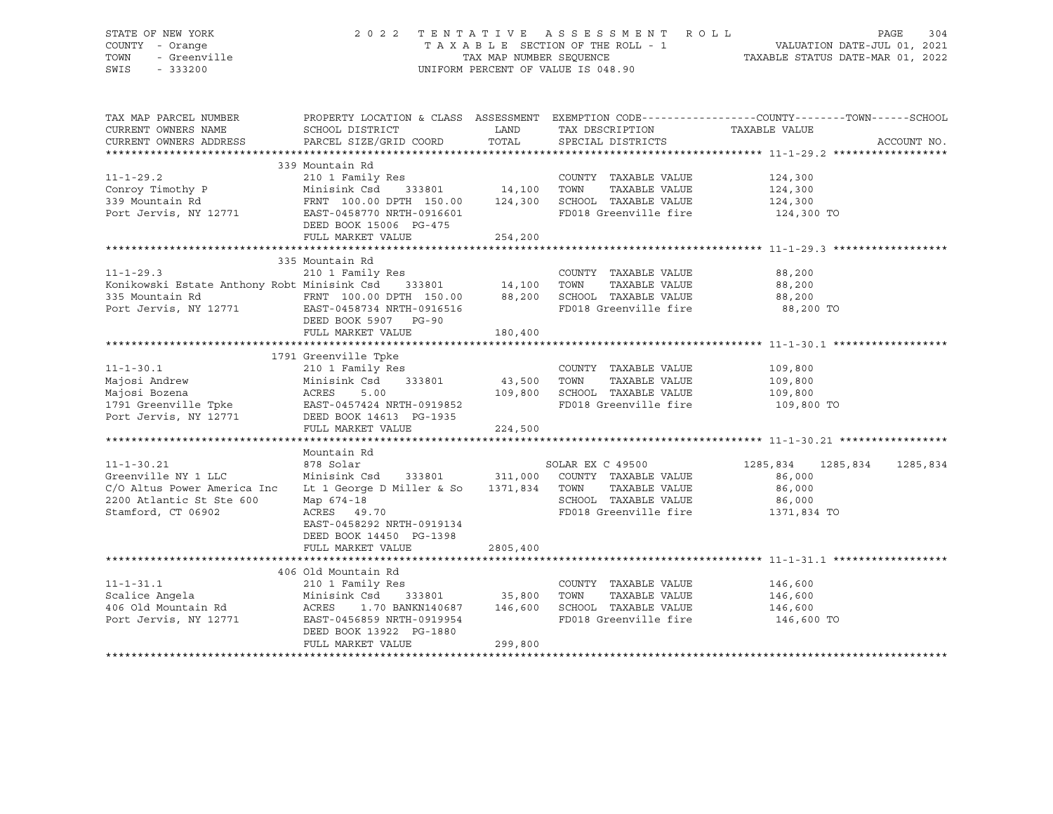| STATE OF NEW YORK<br>COUNTY - Orange<br>TOWN<br>- Greenville<br>SWIS<br>$-333200$                                        |                                                                                                                                                                                                |                                       | 2022 TENTATIVE ASSESSMENT ROLL<br>UNIFORM PERCENT OF VALUE IS 048.90                                    | PAGE<br>304<br>TENTATIVE ASSESSES PER INVIEW MALUATION DATE-JUL 01, 2021<br>TAXABLE SECTION OF THE ROLL - 1 VALUATION DATE-MAR 01, 2022 |
|--------------------------------------------------------------------------------------------------------------------------|------------------------------------------------------------------------------------------------------------------------------------------------------------------------------------------------|---------------------------------------|---------------------------------------------------------------------------------------------------------|-----------------------------------------------------------------------------------------------------------------------------------------|
| TAX MAP PARCEL NUMBER<br>CURRENT OWNERS NAME<br>CURRENT OWNERS ADDRESS                                                   | SCHOOL DISTRICT<br>PARCEL SIZE/GRID COORD                                                                                                                                                      | LAND<br>TOTAL                         | TAX DESCRIPTION<br>SPECIAL DISTRICTS                                                                    | PROPERTY LOCATION & CLASS ASSESSMENT EXEMPTION CODE---------------COUNTY-------TOWN-----SCHOOL<br>TAXABLE VALUE<br>ACCOUNT NO.          |
| $11 - 1 - 29.2$<br>Conroy Timothy P<br>339 Mountain Rd<br>Port Jervis, NY 12771                                          | 339 Mountain Rd<br>210 1 Family Res<br>Minisink Csd 333801 14,100 TOWN<br>FRNT 100.00 DPTH 150.00<br>EAST-0458770 NRTH-0916601<br>DEED BOOK 15006 PG-475<br>FULL MARKET VALUE                  | 254,200                               | COUNTY TAXABLE VALUE<br>TAXABLE VALUE<br>124,300 SCHOOL TAXABLE VALUE<br>FD018 Greenville fire          | 124,300<br>124,300<br>124,300<br>124,300 TO                                                                                             |
|                                                                                                                          |                                                                                                                                                                                                |                                       |                                                                                                         |                                                                                                                                         |
| $11 - 1 - 29.3$<br>Konikowski Estate Anthony Robt Minisink Csd 333801<br>$11 - 1 - 30.1$<br>Majosi Andrew                | 335 Mountain Rd<br>210 1 Family Res<br>DEED BOOK 5907 PG-90<br>FULL MARKET VALUE<br>1791 Greenville Tpke<br>210 1 Family Res<br>Minisink Csd<br>333801                                         | 14,100 TOWN<br>180,400<br>43,500 TOWN | COUNTY TAXABLE VALUE<br>TAXABLE VALUE<br>FD018 Greenville fire<br>COUNTY TAXABLE VALUE<br>TAXABLE VALUE | 88,200<br>88,200<br>88,200<br>88,200 TO<br>109,800<br>109,800                                                                           |
| Majosi Bozena<br>1791 Greenville Tpke<br>Port Jervis, NY 12771 DEED BOOK 14613 PG-1935                                   | ACRES<br>5.00<br>EAST-0457424 NRTH-0919852<br>FULL MARKET VALUE                                                                                                                                | 224,500                               | 109,800 SCHOOL TAXABLE VALUE<br>FD018 Greenville fire                                                   | 109,800<br>109,800 TO                                                                                                                   |
|                                                                                                                          |                                                                                                                                                                                                |                                       |                                                                                                         |                                                                                                                                         |
| $11 - 1 - 30.21$<br>Greenville NY 1 LLC<br>C/O Altus Power America Inc<br>2200 Atlantic St Ste 600<br>Stamford, CT 06902 | Mountain Rd<br>878 Solar<br>Minisink Csd 333801 311,000 COUNTY TAXABLE VALUE<br>Lt 1 George D Miller & So<br>Map 674-18<br>ACRES 49.70<br>EAST-0458292 NRTH-0919134<br>DEED BOOK 14450 PG-1398 | 1371,834 TOWN                         | SOLAR EX C 49500<br>TAXABLE VALUE<br>SCHOOL TAXABLE VALUE<br>FD018 Greenville fire                      | 1285,834<br>1285,834<br>1285,834<br>86,000<br>86,000<br>86,000<br>1371,834 TO                                                           |
|                                                                                                                          | FULL MARKET VALUE<br>406 Old Mountain Rd                                                                                                                                                       | 2805,400                              |                                                                                                         |                                                                                                                                         |
| $11 - 1 - 31.1$<br>Scalice Angela<br>406 Old Mountain Rd<br>Port Jervis, NY 12771                                        | 210 1 Family Res<br>333801 35,800 TOWN<br>Minisink Csd<br>ACRES 1.70 BANKN140687 146,600 SCHOOL TAXABLE VALUE<br>EAST-0456859 NRTH-0919954<br>DEED BOOK 13922 PG-1880<br>FULL MARKET VALUE     | 299,800                               | COUNTY TAXABLE VALUE<br>TAXABLE VALUE<br>FD018 Greenville fire                                          | 146,600<br>146,600<br>146,600<br>146,600 TO                                                                                             |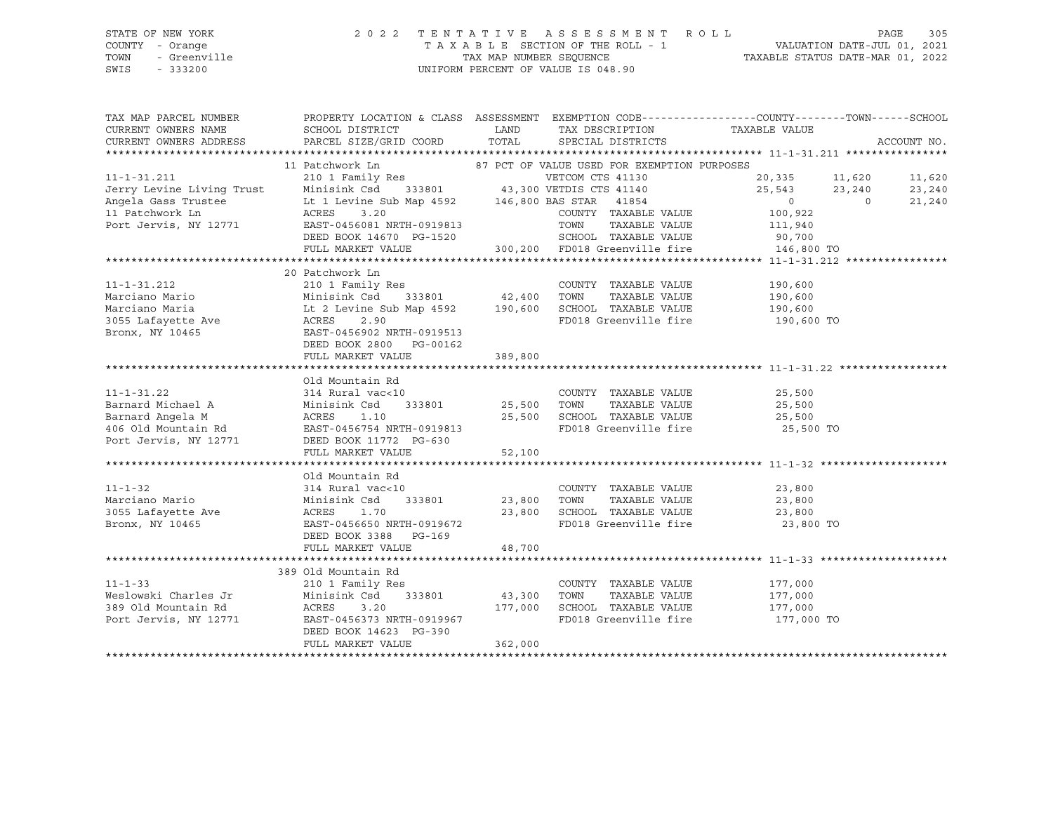### STATE OF NEW YORK 2 0 2 2 T E N T A T I V E A S S E S S M E N T R O L L PAGE 305 COUNTY - Orange T A X A B L E SECTION OF THE ROLL - 1 VALUATION DATE-JUL 01, 2021 TOWN - Greenville TAX MAP NUMBER SEQUENCE TAXABLE STATUS DATE-MAR 01, 2022 SWIS - 333200 UNIFORM PERCENT OF VALUE IS 048.90

| TAX MAP PARCEL NUMBER                       |                                                                                                                                                                                                                                      |         |                                                             | PROPERTY LOCATION & CLASS ASSESSMENT EXEMPTION CODE---------------COUNTY-------TOWN-----SCHOOL                         |             |
|---------------------------------------------|--------------------------------------------------------------------------------------------------------------------------------------------------------------------------------------------------------------------------------------|---------|-------------------------------------------------------------|------------------------------------------------------------------------------------------------------------------------|-------------|
| CURRENT OWNERS NAME                         | SCHOOL DISTRICT                                                                                                                                                                                                                      | LAND    | TAX DESCRIPTION TAXABLE VALUE                               |                                                                                                                        |             |
| CURRENT OWNERS ADDRESS                      | PARCEL SIZE/GRID COORD                                                                                                                                                                                                               | TOTAL   | SPECIAL DISTRICTS                                           |                                                                                                                        | ACCOUNT NO. |
|                                             |                                                                                                                                                                                                                                      |         |                                                             |                                                                                                                        |             |
|                                             | 11 Patchwork Ln 87 PCT OF VALUE USED FOR EXEMPTION PURPOSES                                                                                                                                                                          |         |                                                             |                                                                                                                        |             |
|                                             |                                                                                                                                                                                                                                      |         |                                                             | $\begin{array}{cccc} 20,335 & \quad & 11,620 & \quad & 11,620 \\ 25,543 & \quad & 23,240 & \quad & 23,240 \end{array}$ |             |
|                                             |                                                                                                                                                                                                                                      |         |                                                             |                                                                                                                        |             |
|                                             |                                                                                                                                                                                                                                      |         |                                                             | $\overline{0}$<br>$\overline{0}$                                                                                       | 21,240      |
|                                             |                                                                                                                                                                                                                                      |         |                                                             | 100,922                                                                                                                |             |
|                                             |                                                                                                                                                                                                                                      |         | TAXABLE VALUE                                               | 111,940                                                                                                                |             |
|                                             |                                                                                                                                                                                                                                      |         |                                                             |                                                                                                                        |             |
|                                             |                                                                                                                                                                                                                                      |         |                                                             |                                                                                                                        |             |
|                                             |                                                                                                                                                                                                                                      |         |                                                             |                                                                                                                        |             |
|                                             | 20 Patchwork Ln                                                                                                                                                                                                                      |         |                                                             |                                                                                                                        |             |
| 11-1-31.212                                 | 210 1 Family Res                                                                                                                                                                                                                     |         | COUNTY TAXABLE VALUE                                        | 190,600                                                                                                                |             |
|                                             | count)<br>333801 42,400 TOWN                                                                                                                                                                                                         |         | TAXABLE VALUE                                               | 190,600                                                                                                                |             |
|                                             |                                                                                                                                                                                                                                      |         | SCHOOL TAXABLE VALUE<br>FD018 Greenville fire               | 190,600<br>190,600 TO                                                                                                  |             |
|                                             |                                                                                                                                                                                                                                      |         |                                                             |                                                                                                                        |             |
|                                             | Marciano Mario (1992)<br>Marciano Maria (1993)<br>Minisink Csd (333801 (42,400 Marciano Maria (1994)<br>190,600 Marciano Maria (1995)<br>2.90 (1995)<br>Bronx, NY 10465 (1995)<br>EAST-0456902 NRTH-0919513                          |         |                                                             |                                                                                                                        |             |
|                                             | DEED BOOK 2800 PG-00162                                                                                                                                                                                                              |         |                                                             |                                                                                                                        |             |
|                                             | FULL MARKET VALUE                                                                                                                                                                                                                    | 389,800 |                                                             |                                                                                                                        |             |
|                                             |                                                                                                                                                                                                                                      |         |                                                             |                                                                                                                        |             |
|                                             | Old Mountain Rd                                                                                                                                                                                                                      |         |                                                             |                                                                                                                        |             |
| $11 - 1 - 31.22$                            | 314 Rural vac<10                                                                                                                                                                                                                     |         | COUNTY TAXABLE VALUE 25,500                                 |                                                                                                                        |             |
|                                             |                                                                                                                                                                                                                                      |         |                                                             |                                                                                                                        |             |
|                                             |                                                                                                                                                                                                                                      |         |                                                             |                                                                                                                        |             |
|                                             |                                                                                                                                                                                                                                      |         |                                                             | FD018 Greenville fire 25,500 TO                                                                                        |             |
|                                             | Barnard Michael A Minisink Csd 333801 25,500 TOWN TAXABLE VALUE 25,500<br>Barnard Angela M ACRES 1.10 25,500 SCHOOL TAXABLE VALUE 25,500<br>406 Old Mountain Rd EAST-0456754 NRTH-0919813 FD018 Greenville fire 25,500<br>Port Jervi |         |                                                             |                                                                                                                        |             |
|                                             | FULL MARKET VALUE                                                                                                                                                                                                                    | 52,100  |                                                             |                                                                                                                        |             |
|                                             |                                                                                                                                                                                                                                      |         |                                                             |                                                                                                                        |             |
|                                             | Old Mountain Rd                                                                                                                                                                                                                      |         |                                                             |                                                                                                                        |             |
| $11 - 1 - 32$                               | 314 Rural vac<10                                                                                                                                                                                                                     |         | COUNTY TAXABLE VALUE                                        | 23,800                                                                                                                 |             |
| Marciano Mario<br>3055 Lafayette Ave        | 333801 23,800<br>Minisink Csd                                                                                                                                                                                                        |         | TOWN<br>TOWN      TAXABLE  VALUE<br>SCHOOL   TAXABLE  VALUE | 23,800<br>23,800                                                                                                       |             |
|                                             | ACRES<br>1.70                                                                                                                                                                                                                        | 23,800  |                                                             |                                                                                                                        |             |
| Bronx, NY 10465                             | EAST-0456650 NRTH-0919672                                                                                                                                                                                                            |         |                                                             | FD018 Greenville fire 23,800 TO                                                                                        |             |
|                                             | DEED BOOK 3388 PG-169                                                                                                                                                                                                                |         |                                                             |                                                                                                                        |             |
|                                             | FULL MARKET VALUE                                                                                                                                                                                                                    | 48,700  |                                                             |                                                                                                                        |             |
|                                             |                                                                                                                                                                                                                                      |         |                                                             |                                                                                                                        |             |
|                                             | 389 Old Mountain Rd                                                                                                                                                                                                                  |         |                                                             |                                                                                                                        |             |
| $11 - 1 - 33$                               | 210 1 Family Res                                                                                                                                                                                                                     |         | COUNTY TAXABLE VALUE 177,000                                |                                                                                                                        |             |
| Weslowski Charles Jr<br>389 Old Mountain Rd | Minisink Csd 333801                                                                                                                                                                                                                  | 43,300  |                                                             |                                                                                                                        |             |
|                                             | ACRES<br>3.20<br>-------<br>EAST-0456373 NRTH-0919967                                                                                                                                                                                | 177,000 |                                                             |                                                                                                                        |             |
| Port Jervis, NY 12771                       |                                                                                                                                                                                                                                      |         |                                                             | FD018 Greenville fire 177,000 TO                                                                                       |             |
|                                             | DEED BOOK 14623 PG-390<br>FULL MARKET VALUE                                                                                                                                                                                          | 362,000 |                                                             |                                                                                                                        |             |
|                                             |                                                                                                                                                                                                                                      |         |                                                             |                                                                                                                        |             |
|                                             |                                                                                                                                                                                                                                      |         |                                                             |                                                                                                                        |             |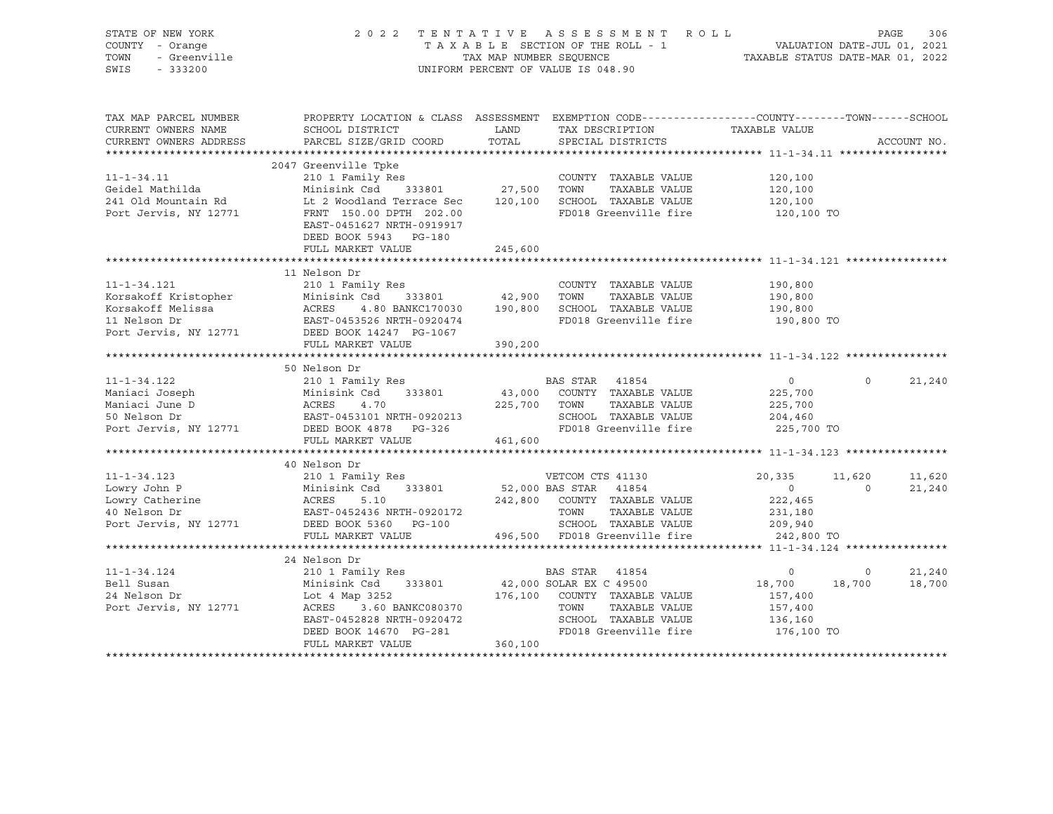| STATE OF NEW YORK<br>COUNTY - Orange<br>- Greenville<br>TOWN<br>SWIS<br>$-333200$ | 2022 TENTATIVE ASSESSMENT ROLL                                                                                                                                               | UNIFORM PERCENT OF VALUE IS 048.90 |                  |                                                                    | TAXABLE SECTION OF THE ROLL - 1<br>TAXABLE SECTION OF THE ROLL - 1<br>TAXABLE STATUS DATE-MAR 01, 2022 |                   | PAGE<br>306      |
|-----------------------------------------------------------------------------------|------------------------------------------------------------------------------------------------------------------------------------------------------------------------------|------------------------------------|------------------|--------------------------------------------------------------------|--------------------------------------------------------------------------------------------------------|-------------------|------------------|
| TAX MAP PARCEL NUMBER<br>CURRENT OWNERS NAME<br>CURRENT OWNERS ADDRESS            | PROPERTY LOCATION & CLASS ASSESSMENT EXEMPTION CODE---------------COUNTY-------TOWN-----SCHOOL<br>SCHOOL DISTRICT<br>PARCEL SIZE/GRID COORD                                  | LAND<br>TOTAL                      |                  | TAX DESCRIPTION<br>SPECIAL DISTRICTS                               | TAXABLE VALUE                                                                                          |                   | ACCOUNT NO.      |
|                                                                                   |                                                                                                                                                                              |                                    |                  |                                                                    |                                                                                                        |                   |                  |
|                                                                                   | 2047 Greenville Tpke                                                                                                                                                         |                                    |                  |                                                                    |                                                                                                        |                   |                  |
| $11 - 1 - 34.11$                                                                  | 210 1 Family Res                                                                                                                                                             |                                    |                  | COUNTY TAXABLE VALUE                                               | 120,100                                                                                                |                   |                  |
| Geidel Mathilda                                                                   | Minisink Csd 333801 27,500 TOWN                                                                                                                                              |                                    |                  | TAXABLE VALUE                                                      | 120,100<br>120,100                                                                                     |                   |                  |
| 241 Old Mountain Rd                                                               | Minisink Csa 333801 2.1.000 SCHOOL TAXABLE VALUE<br>Lt 2 Woodland Terrace Sec 120,100 SCHOOL TAXABLE VALUE                                                                   |                                    |                  |                                                                    |                                                                                                        |                   |                  |
| Port Jervis, NY 12771                                                             | FRNT 150.00 DPTH 202.00<br>EAST-0451627 NRTH-0919917<br>DEED BOOK 5943 PG-180                                                                                                |                                    |                  | FD018 Greenville fire                                              | 120,100 TO                                                                                             |                   |                  |
|                                                                                   | FULL MARKET VALUE                                                                                                                                                            | 245,600                            |                  |                                                                    |                                                                                                        |                   |                  |
|                                                                                   |                                                                                                                                                                              |                                    |                  |                                                                    |                                                                                                        |                   |                  |
|                                                                                   | 11 Nelson Dr                                                                                                                                                                 |                                    |                  |                                                                    |                                                                                                        |                   |                  |
| $11 - 1 - 34.121$                                                                 | 210 1 Family Res                                                                                                                                                             |                                    |                  | COUNTY TAXABLE VALUE                                               | 190,800                                                                                                |                   |                  |
|                                                                                   |                                                                                                                                                                              | 42,900 TOWN                        |                  | TAXABLE VALUE                                                      | 190,800                                                                                                |                   |                  |
|                                                                                   | 4.80 BANKC170030 190,800 SCHOOL TAXABLE VALUE                                                                                                                                |                                    |                  |                                                                    | 190,800                                                                                                |                   |                  |
|                                                                                   |                                                                                                                                                                              |                                    |                  | FD018 Greenville fire                                              | 190,800 TO                                                                                             |                   |                  |
| Port Jervis, NY 12771 DEED BOOK 14247 PG-1067                                     |                                                                                                                                                                              |                                    |                  |                                                                    |                                                                                                        |                   |                  |
|                                                                                   | FULL MARKET VALUE                                                                                                                                                            | 390,200                            |                  |                                                                    |                                                                                                        |                   |                  |
|                                                                                   | 50 Nelson Dr                                                                                                                                                                 |                                    |                  |                                                                    |                                                                                                        |                   |                  |
|                                                                                   |                                                                                                                                                                              |                                    | BAS STAR 41854   |                                                                    | $\overline{0}$                                                                                         | $\Omega$          | 21,240           |
|                                                                                   | 11-1-34.122<br>Maniaci Joseph 210 1 Family Res<br>Maniaci June D ACRES 4.70 225,700<br>50 Nelson Dr EAST-0453101 NRTH-0920213<br>Port Jervis, NY 12771 DEED BOOK 4878 PG-326 |                                    |                  | 43,000 COUNTY TAXABLE VALUE                                        | 225,700                                                                                                |                   |                  |
|                                                                                   |                                                                                                                                                                              | 225,700 TOWN                       |                  | TAXABLE VALUE                                                      | 225,700                                                                                                |                   |                  |
|                                                                                   |                                                                                                                                                                              |                                    |                  | SCHOOL TAXABLE VALUE                                               | 204,460                                                                                                |                   |                  |
|                                                                                   |                                                                                                                                                                              |                                    |                  | FD018 Greenville fire                                              | 225,700 TO                                                                                             |                   |                  |
|                                                                                   | FULL MARKET VALUE                                                                                                                                                            | 461,600                            |                  |                                                                    |                                                                                                        |                   |                  |
|                                                                                   |                                                                                                                                                                              |                                    |                  |                                                                    |                                                                                                        |                   |                  |
|                                                                                   | 40 Nelson Dr                                                                                                                                                                 |                                    |                  |                                                                    |                                                                                                        |                   |                  |
| $11 - 1 - 34.123$                                                                 | 210 1 Family Res                                                                                                                                                             |                                    | VETCOM CTS 41130 |                                                                    | 20,335                                                                                                 | 11,620            | 11,620           |
| Lowry John P                                                                      | Minisink Csd<br>ACRES 5.10<br>RACRES 5.10<br>333801                                                                                                                          | 52,000 BAS STAR 41854              |                  |                                                                    | $\overline{0}$                                                                                         | $\overline{0}$    | 21,240           |
| Lowry Catherine<br>40 Nelson Dr                                                   | 5.10                                                                                                                                                                         |                                    |                  | 242,800 COUNTY TAXABLE VALUE                                       | 222,465                                                                                                |                   |                  |
|                                                                                   | EAST-0452436 NRTH-0920172                                                                                                                                                    |                                    |                  | TOWN      TAXABLE VALUE<br>SCHOOL   TAXABLE VALUE<br>TAXABLE VALUE | 231,180                                                                                                |                   |                  |
| Port Jervis, NY 12771                                                             | DEED BOOK 5360 PG-100                                                                                                                                                        |                                    |                  |                                                                    | 209,940                                                                                                |                   |                  |
|                                                                                   | FULL MARKET VALUE                                                                                                                                                            |                                    |                  | 496,500 FD018 Greenville fire                                      | 242,800 TO                                                                                             |                   |                  |
|                                                                                   |                                                                                                                                                                              |                                    |                  |                                                                    |                                                                                                        |                   |                  |
|                                                                                   | 24 Nelson Dr                                                                                                                                                                 |                                    |                  |                                                                    |                                                                                                        |                   |                  |
| $11 - 1 - 34.124$<br>Bell Susan                                                   | 210 1 Family Res<br>Minisink Csd 333801                                                                                                                                      |                                    |                  | BAS STAR 41854<br>42,000 SOLAR EX C 49500                          | $\overline{0}$<br>18,700                                                                               | $\circ$<br>18,700 | 21,240<br>18,700 |
| 24 Nelson Dr                                                                      | Lot 4 Map 3252                                                                                                                                                               |                                    |                  |                                                                    | 157,400                                                                                                |                   |                  |
| Port Jervis, NY 12771                                                             |                                                                                                                                                                              |                                    |                  |                                                                    | 157,400                                                                                                |                   |                  |
|                                                                                   |                                                                                                                                                                              |                                    |                  | SCHOOL TAXABLE VALUE                                               | 136,160                                                                                                |                   |                  |
|                                                                                   | DEED BOOK 14670 PG-281                                                                                                                                                       |                                    |                  | FD018 Greenville fire                                              | 176,100 TO                                                                                             |                   |                  |
|                                                                                   | FULL MARKET VALUE                                                                                                                                                            | 360,100                            |                  |                                                                    |                                                                                                        |                   |                  |
|                                                                                   |                                                                                                                                                                              |                                    |                  |                                                                    |                                                                                                        |                   |                  |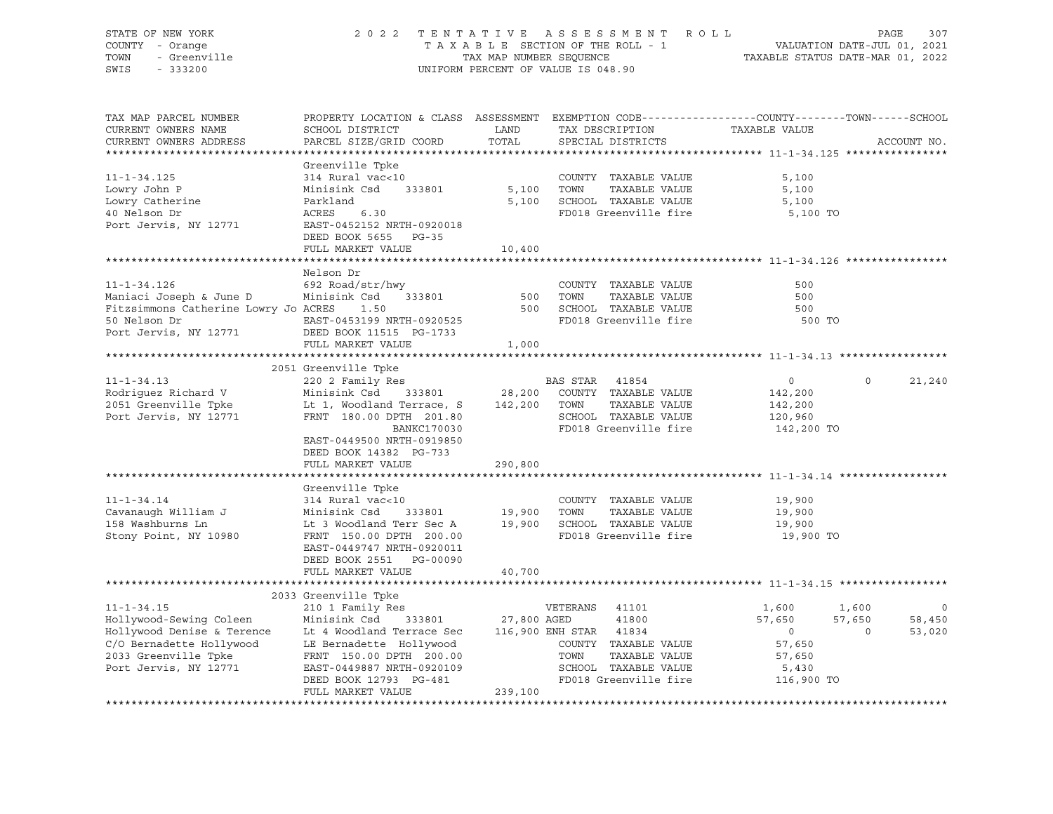| STATE OF NEW YORK<br>COUNTY - Orange<br>- Greenville<br>TOWN<br>SWIS<br>$-333200$ |                                                                                                                                              | TAX MAP NUMBER SEQUENCE | 2022 TENTATIVE ASSESSMENT ROLL<br>TAXABLE SECTION OF THE ROLL - 1<br>UNIFORM PERCENT OF VALUE IS 048.90 |                                                        | PAGE<br>307<br>VALUATION DATE-JUL 01, 2021<br>TAXABLE STATUS DATE-MAR 01, 2022 |
|-----------------------------------------------------------------------------------|----------------------------------------------------------------------------------------------------------------------------------------------|-------------------------|---------------------------------------------------------------------------------------------------------|--------------------------------------------------------|--------------------------------------------------------------------------------|
| TAX MAP PARCEL NUMBER<br>CURRENT OWNERS NAME<br>CURRENT OWNERS ADDRESS            | PROPERTY LOCATION & CLASS ASSESSMENT EXEMPTION CODE----------------COUNTY-------TOWN-----SCHOOL<br>SCHOOL DISTRICT<br>PARCEL SIZE/GRID COORD | LAND<br>TOTAL           | TAX DESCRIPTION<br>SPECIAL DISTRICTS                                                                    | TAXABLE VALUE                                          | ACCOUNT NO.                                                                    |
|                                                                                   |                                                                                                                                              |                         |                                                                                                         |                                                        |                                                                                |
|                                                                                   | Greenville Tpke                                                                                                                              |                         |                                                                                                         |                                                        |                                                                                |
| $11 - 1 - 34.125$                                                                 | 314 Rural vac<10                                                                                                                             |                         | COUNTY TAXABLE VALUE                                                                                    | 5,100                                                  |                                                                                |
| Lowry John P                                                                      | Minisink Csd<br>333801                                                                                                                       | 5,100                   | TOWN<br>TAXABLE VALUE                                                                                   | 5,100                                                  |                                                                                |
| Lowry Catherine                                                                   | Parkland                                                                                                                                     |                         | 5,100 SCHOOL TAXABLE VALUE                                                                              | 5,100                                                  |                                                                                |
| 40 Nelson Dr<br>Port Jervis, NY 12771                                             | 6.30<br>ACRES<br>EAST-0452152 NRTH-0920018                                                                                                   |                         | FD018 Greenville fire                                                                                   | 5,100 TO                                               |                                                                                |
|                                                                                   | DEED BOOK 5655 PG-35                                                                                                                         |                         |                                                                                                         |                                                        |                                                                                |
|                                                                                   | FULL MARKET VALUE                                                                                                                            | 10,400                  |                                                                                                         |                                                        |                                                                                |
|                                                                                   |                                                                                                                                              |                         |                                                                                                         |                                                        |                                                                                |
|                                                                                   | Nelson Dr                                                                                                                                    |                         |                                                                                                         |                                                        |                                                                                |
| $11 - 1 - 34.126$                                                                 | 692 Road/str/hwy                                                                                                                             |                         | COUNTY TAXABLE VALUE                                                                                    | 500                                                    |                                                                                |
| Maniaci Joseph & June D                                                           | Minisink Csd 333801                                                                                                                          | 500                     | TOWN<br>TAXABLE VALUE                                                                                   | 500                                                    |                                                                                |
| Fitzsimmons Catherine Lowry Jo ACRES                                              | 1.50                                                                                                                                         | 500                     | SCHOOL TAXABLE VALUE                                                                                    | 500                                                    |                                                                                |
| 50 Nelson Dr                                                                      | EAST-0453199 NRTH-0920525                                                                                                                    |                         | FD018 Greenville fire                                                                                   | 500 TO                                                 |                                                                                |
| Port Jervis, NY 12771                                                             | DEED BOOK 11515 PG-1733                                                                                                                      |                         |                                                                                                         |                                                        |                                                                                |
|                                                                                   | FULL MARKET VALUE                                                                                                                            | 1,000                   |                                                                                                         |                                                        |                                                                                |
|                                                                                   |                                                                                                                                              |                         |                                                                                                         |                                                        |                                                                                |
|                                                                                   | 2051 Greenville Tpke                                                                                                                         |                         |                                                                                                         |                                                        |                                                                                |
| $11 - 1 - 34.13$                                                                  | 220 2 Family Res                                                                                                                             |                         | BAS STAR 41854                                                                                          | $\circ$                                                | $\Omega$<br>21,240                                                             |
| Rodriquez Richard V<br>2051 Greenville Tpke                                       | Minisink Csd<br>333801<br>Lt 1, Woodland Terrace, S                                                                                          | 28,200<br>142,200 TOWN  | COUNTY TAXABLE VALUE<br>TAXABLE VALUE                                                                   | 142,200<br>142,200                                     |                                                                                |
| Port Jervis, NY 12771                                                             | FRNT 180.00 DPTH 201.80                                                                                                                      |                         | SCHOOL TAXABLE VALUE                                                                                    | 120,960                                                |                                                                                |
|                                                                                   | <b>BANKC170030</b>                                                                                                                           |                         | FD018 Greenville fire                                                                                   | 142,200 TO                                             |                                                                                |
|                                                                                   | EAST-0449500 NRTH-0919850                                                                                                                    |                         |                                                                                                         |                                                        |                                                                                |
|                                                                                   | DEED BOOK 14382 PG-733                                                                                                                       |                         |                                                                                                         |                                                        |                                                                                |
|                                                                                   | FULL MARKET VALUE                                                                                                                            | 290,800                 |                                                                                                         |                                                        |                                                                                |
|                                                                                   |                                                                                                                                              |                         |                                                                                                         |                                                        |                                                                                |
|                                                                                   | Greenville Tpke                                                                                                                              |                         |                                                                                                         |                                                        |                                                                                |
| $11 - 1 - 34.14$                                                                  | 314 Rural vac<10                                                                                                                             |                         | COUNTY TAXABLE VALUE                                                                                    | 19,900                                                 |                                                                                |
| Cavanaugh William J                                                               | Minisink Csd<br>333801                                                                                                                       | 19,900                  | TOWN<br>TAXABLE VALUE                                                                                   | 19,900                                                 |                                                                                |
| 158 Washburns Ln                                                                  | Lt 3 Woodland Terr Sec A                                                                                                                     | 19,900                  | SCHOOL TAXABLE VALUE                                                                                    | 19,900                                                 |                                                                                |
| Stony Point, NY 10980                                                             | FRNT 150.00 DPTH 200.00                                                                                                                      |                         | FD018 Greenville fire                                                                                   | 19,900 TO                                              |                                                                                |
|                                                                                   | EAST-0449747 NRTH-0920011                                                                                                                    |                         |                                                                                                         |                                                        |                                                                                |
|                                                                                   | DEED BOOK 2551 PG-00090                                                                                                                      |                         |                                                                                                         |                                                        |                                                                                |
|                                                                                   | FULL MARKET VALUE                                                                                                                            | 40,700                  |                                                                                                         | **************************** 11-1-34.15 ************** |                                                                                |
|                                                                                   | 2033 Greenville Tpke                                                                                                                         |                         |                                                                                                         |                                                        |                                                                                |
| $11 - 1 - 34.15$                                                                  | 210 1 Family Res                                                                                                                             |                         | VETERANS<br>41101                                                                                       | 1,600                                                  | 1,600<br>$\circ$                                                               |
| Hollywood-Sewing Coleen                                                           | Minisink Csd<br>333801                                                                                                                       | 27,800 AGED             | 41800                                                                                                   | 57,650                                                 | 57,650<br>58,450                                                               |
| Hollywood Denise & Terence                                                        | Lt 4 Woodland Terrace Sec                                                                                                                    |                         | 116,900 ENH STAR 41834                                                                                  | $\overline{0}$                                         | 53,020<br>$\Omega$                                                             |
| C/O Bernadette Hollywood                                                          | LE Bernadette Hollywood                                                                                                                      |                         | COUNTY TAXABLE VALUE                                                                                    | 57,650                                                 |                                                                                |
| 2033 Greenville Tpke                                                              | FRNT 150.00 DPTH 200.00                                                                                                                      |                         | TOWN<br>TAXABLE VALUE                                                                                   | 57,650                                                 |                                                                                |
| Port Jervis, NY 12771                                                             | EAST-0449887 NRTH-0920109                                                                                                                    |                         | SCHOOL TAXABLE VALUE                                                                                    | 5,430                                                  |                                                                                |
|                                                                                   | DEED BOOK 12793 PG-481                                                                                                                       |                         | FD018 Greenville fire                                                                                   | 116,900 TO                                             |                                                                                |
|                                                                                   | FULL MARKET VALUE                                                                                                                            | 239,100                 |                                                                                                         |                                                        |                                                                                |
|                                                                                   |                                                                                                                                              |                         |                                                                                                         |                                                        |                                                                                |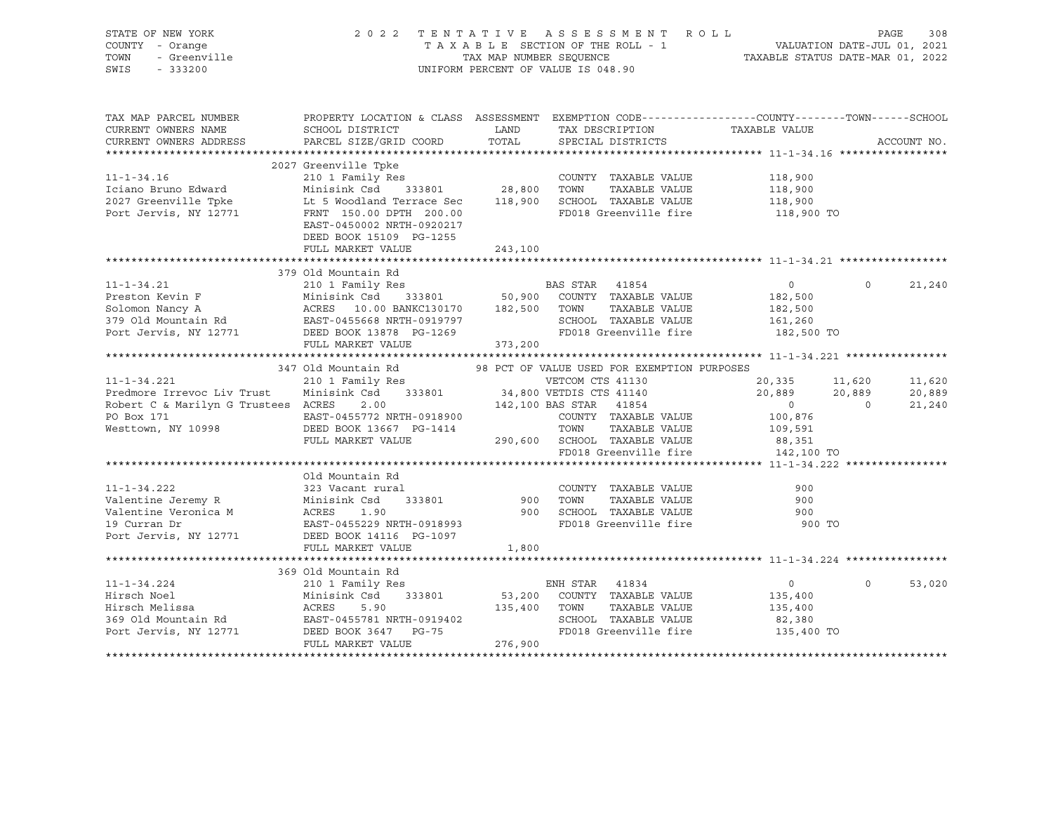| STATE OF NEW YORK<br><i>Y</i> - Orange<br>- Greenville<br>- 333200<br>COUNTY - Orange<br>TOWN<br>SWIS                                                                                                                                                    | 2022 TENTATIVE ASSESSMENT ROLL PAGE 308<br>TAXABLE SECTION OF THE ROLL - 1 VALUATION DATE-JUL 01, 2021<br>TAX MAP NUMBER SEQUENCE TAXABLE STATUS DATE-MAR 01, 2022 | UNIFORM PERCENT OF VALUE IS 048.90 |                |                                                                                                     |                                                                         |                   |             |
|----------------------------------------------------------------------------------------------------------------------------------------------------------------------------------------------------------------------------------------------------------|--------------------------------------------------------------------------------------------------------------------------------------------------------------------|------------------------------------|----------------|-----------------------------------------------------------------------------------------------------|-------------------------------------------------------------------------|-------------------|-------------|
| TAX MAP PARCEL NUMBER<br>CURRENT OWNERS NAME<br>CURRENT OWNERS ADDRESS                                                                                                                                                                                   | PROPERTY LOCATION & CLASS ASSESSMENT EXEMPTION CODE---------------COUNTY-------TOWN-----SCHOOL<br>SCHOOL DISTRICT<br>PARCEL SIZE/GRID COORD                        |                                    |                | LAND TAX DESCRIPTION<br>COORD TOTAL SPECIAL DISTRICTS                                               | TAXABLE VALUE                                                           |                   | ACCOUNT NO. |
|                                                                                                                                                                                                                                                          |                                                                                                                                                                    |                                    |                |                                                                                                     |                                                                         |                   |             |
|                                                                                                                                                                                                                                                          | 2027 Greenville Tpke                                                                                                                                               |                                    |                |                                                                                                     |                                                                         |                   |             |
| $11 - 1 - 34.16$                                                                                                                                                                                                                                         | 210 1 Family Res                                                                                                                                                   |                                    |                | COUNTY TAXABLE VALUE                                                                                | 118,900                                                                 |                   |             |
|                                                                                                                                                                                                                                                          |                                                                                                                                                                    |                                    |                |                                                                                                     | 118,900<br>118,900                                                      |                   |             |
|                                                                                                                                                                                                                                                          |                                                                                                                                                                    |                                    |                |                                                                                                     |                                                                         |                   |             |
| Iciano Bruno Edward<br>28,800 TOWN TAXABLE VALUE<br>28,7800 TOWN TAXABLE VALUE<br>28,800 TOWN TAXABLE VALUE<br>28,800 TOWN TAXABLE VALUE<br>2027 Greenville Tpke Lt 5 Woodland Terrace Sec 118,900 SCHOOL TAXABLE VALUE<br>2018 Greenville               | FRNT 150.00 DPTH 200.00                                                                                                                                            |                                    |                | FD018 Greenville fire                                                                               | 118,900 TO                                                              |                   |             |
|                                                                                                                                                                                                                                                          | EAST-0450002 NRTH-0920217                                                                                                                                          |                                    |                |                                                                                                     |                                                                         |                   |             |
|                                                                                                                                                                                                                                                          | DEED BOOK 15109 PG-1255                                                                                                                                            |                                    |                |                                                                                                     |                                                                         |                   |             |
|                                                                                                                                                                                                                                                          | FULL MARKET VALUE                                                                                                                                                  | 243,100                            |                |                                                                                                     |                                                                         |                   |             |
|                                                                                                                                                                                                                                                          |                                                                                                                                                                    |                                    |                |                                                                                                     |                                                                         |                   |             |
| 379 Old Mountain Rd 210 1 Family Res 210 1 Family Res 210 1 Family Res 210 1 Family Res 210 1 Family Res 210 1 Family Res 210 1 Family Res 210 1 Family Res 210 1 Family Res 210 1 Family Res 210 1 Family Res 210 1 Family Re                           | 379 Old Mountain Rd                                                                                                                                                |                                    |                |                                                                                                     |                                                                         |                   |             |
|                                                                                                                                                                                                                                                          |                                                                                                                                                                    |                                    |                |                                                                                                     | $\overline{0}$                                                          | $0 \qquad \qquad$ | 21,240      |
|                                                                                                                                                                                                                                                          |                                                                                                                                                                    |                                    |                |                                                                                                     |                                                                         |                   |             |
|                                                                                                                                                                                                                                                          |                                                                                                                                                                    |                                    |                |                                                                                                     |                                                                         |                   |             |
|                                                                                                                                                                                                                                                          |                                                                                                                                                                    |                                    |                |                                                                                                     |                                                                         |                   |             |
|                                                                                                                                                                                                                                                          |                                                                                                                                                                    | 373,200                            |                |                                                                                                     |                                                                         |                   |             |
|                                                                                                                                                                                                                                                          | FULL MARKET VALUE                                                                                                                                                  |                                    |                |                                                                                                     |                                                                         |                   |             |
|                                                                                                                                                                                                                                                          |                                                                                                                                                                    |                                    |                |                                                                                                     |                                                                         |                   |             |
|                                                                                                                                                                                                                                                          | 347 Old Mountain Rd                                                                                                                                                |                                    |                | 98 PCT OF VALUE USED FOR EXEMPTION PURPOSES                                                         |                                                                         |                   |             |
| $11 - 1 - 34.221$<br>Predmore Irrevoc Liv Trust                                                                                                                                                                                                          | 010 mountain Na<br>210 1 Family Res<br>Minisink Csd 333801 34,800 VETDIS CTS 41140 20,889 20,889<br>ACRES 2.00 142,100 BAS STAR 41854 0 100.876 0                  |                                    |                |                                                                                                     |                                                                         |                   | 11,620      |
| Robert C & Marilyn G Trustees ACRES                                                                                                                                                                                                                      |                                                                                                                                                                    |                                    |                |                                                                                                     |                                                                         |                   | 20,889      |
|                                                                                                                                                                                                                                                          |                                                                                                                                                                    |                                    |                |                                                                                                     |                                                                         |                   | 21,240      |
| PO Box 171<br>Mesttown, NY 10998<br>Mesttown, NY 10998<br>DEED BOOK 13667 PG-1414<br>PO PONN TAXABLE VALUE                                                                                                                                               |                                                                                                                                                                    |                                    |                | TAXABLE VALUE                                                                                       | 100,876                                                                 |                   |             |
|                                                                                                                                                                                                                                                          | FULL MARKET VALUE                                                                                                                                                  |                                    |                |                                                                                                     | 109,591                                                                 |                   |             |
|                                                                                                                                                                                                                                                          |                                                                                                                                                                    |                                    |                |                                                                                                     | 290,600 SCHOOL TAXABLE VALUE 88,351<br>FD018 Greenville fire 142,100 TO |                   |             |
|                                                                                                                                                                                                                                                          |                                                                                                                                                                    |                                    |                |                                                                                                     |                                                                         |                   |             |
|                                                                                                                                                                                                                                                          |                                                                                                                                                                    |                                    |                |                                                                                                     |                                                                         |                   |             |
|                                                                                                                                                                                                                                                          | 323 Vacant rural                                                                                                                                                   |                                    |                | COUNTY TAXABLE VALUE                                                                                | 900                                                                     |                   |             |
|                                                                                                                                                                                                                                                          |                                                                                                                                                                    |                                    | 900 TOWN       | TAXABLE VALUE                                                                                       | 900                                                                     |                   |             |
|                                                                                                                                                                                                                                                          |                                                                                                                                                                    |                                    |                | 900 SCHOOL TAXABLE VALUE                                                                            | 900                                                                     |                   |             |
| 11-1-34.222 323 Vacant rural<br>Valentine Jeremy R Minisink Csd 333801<br>Valentine Veronica M ACRES 1.90<br>The EAST-0455229 NRTH-0918993                                                                                                               |                                                                                                                                                                    |                                    |                | FD018 Greenville fire                                                                               | 900 TO                                                                  |                   |             |
| Port Jervis, NY 12771                                                                                                                                                                                                                                    |                                                                                                                                                                    |                                    |                |                                                                                                     |                                                                         |                   |             |
|                                                                                                                                                                                                                                                          | FULL MARKET VALUE                                                                                                                                                  | 1,800                              |                |                                                                                                     |                                                                         |                   |             |
|                                                                                                                                                                                                                                                          |                                                                                                                                                                    |                                    |                |                                                                                                     |                                                                         |                   |             |
|                                                                                                                                                                                                                                                          | 369 Old Mountain Rd                                                                                                                                                |                                    |                |                                                                                                     |                                                                         |                   |             |
|                                                                                                                                                                                                                                                          | 210 1 Family Res                                                                                                                                                   |                                    | ENH STAR 41834 |                                                                                                     | $\overline{0}$                                                          | $\circ$           | 53,020      |
| 11-1-34.224<br>Hirsch Noel<br>Hirsch Melissa<br>369 Old Mountain Rd<br>210 1 Family Res<br>Minisink Csd<br>210 1 Family Res<br>Minisink Csd<br>210 1 Family Res<br>210 1 Family Res<br>210 1 Family Res<br>210 1 Family Res<br>269 Old Mountain Rd<br>26 |                                                                                                                                                                    |                                    |                | $333801 \hspace{1.5cm} 53,200 \hspace{2.3cm} \textrm{COUNTY} \hspace{2.3cm} \textrm{TAXABLE VALUE}$ | 135,400                                                                 |                   |             |
|                                                                                                                                                                                                                                                          |                                                                                                                                                                    |                                    |                | TAXABLE VALUE                                                                                       | 135,400                                                                 |                   |             |
|                                                                                                                                                                                                                                                          | 135,400 COONI<br>EAST-0455781 NRTH-0919402 SCHOO.<br>DEED BOOK 3647 PG-75 FULL MARKET WATHER                                                                       |                                    |                | SCHOOL TAXABLE VALUE                                                                                | 82,380                                                                  |                   |             |
|                                                                                                                                                                                                                                                          |                                                                                                                                                                    |                                    |                |                                                                                                     | SCHOOL TAXABLE VALUE 82,380<br>FD018 Greenville fire 135,400 TO         |                   |             |
|                                                                                                                                                                                                                                                          | FULL MARKET VALUE                                                                                                                                                  | 276,900                            |                |                                                                                                     |                                                                         |                   |             |
|                                                                                                                                                                                                                                                          |                                                                                                                                                                    |                                    |                |                                                                                                     |                                                                         |                   |             |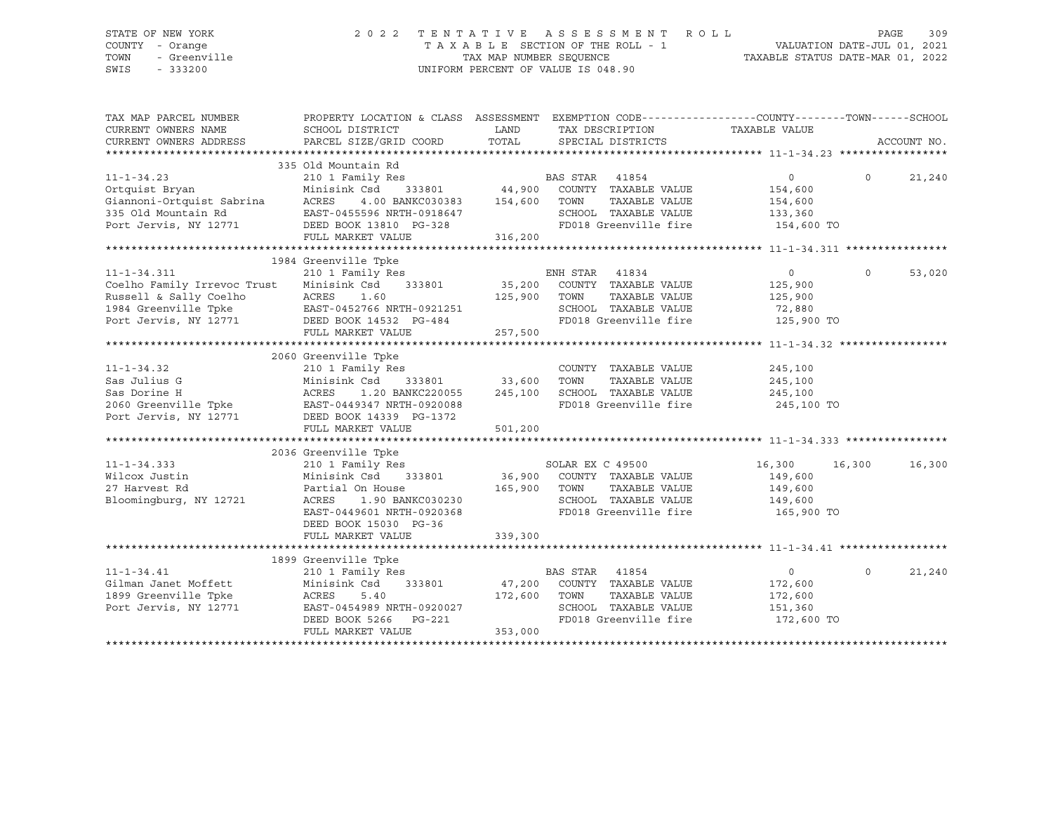### STATE OF NEW YORK 2 0 2 2 T E N T A T I V E A S S E S S M E N T R O L L PAGE 309 COUNTY - Orange T A X A B L E SECTION OF THE ROLL - 1 VALUATION DATE-JUL 01, 2021 TOWN - Greenville TAX MAP NUMBER SEQUENCE TAXABLE STATUS DATE-MAR 01, 2022 SWIS - 333200 UNIFORM PERCENT OF VALUE IS 048.90

| TAX MAP PARCEL NUMBER<br>CURRENT OWNERS NAME<br>CURRENT OWNERS ADDRESS                                                                                                                                                                 | PROPERTY LOCATION & CLASS ASSESSMENT EXEMPTION CODE----------------COUNTY-------TOWN-----SCHOOL<br>SCHOOL DISTRICT<br>PARCEL SIZE/GRID COORD | LAND<br>TOTAL         |                | SPECIAL DISTRICTS                          | TAX DESCRIPTION TAXABLE VALUE              |                | ACCOUNT NO. |
|----------------------------------------------------------------------------------------------------------------------------------------------------------------------------------------------------------------------------------------|----------------------------------------------------------------------------------------------------------------------------------------------|-----------------------|----------------|--------------------------------------------|--------------------------------------------|----------------|-------------|
|                                                                                                                                                                                                                                        | 335 Old Mountain Rd                                                                                                                          |                       |                |                                            |                                            |                |             |
|                                                                                                                                                                                                                                        |                                                                                                                                              |                       |                |                                            |                                            | $\Omega$       | 21,240      |
|                                                                                                                                                                                                                                        |                                                                                                                                              | <b>BAS STAR</b> 41854 |                |                                            |                                            |                |             |
|                                                                                                                                                                                                                                        |                                                                                                                                              |                       |                |                                            |                                            |                |             |
|                                                                                                                                                                                                                                        |                                                                                                                                              |                       |                |                                            |                                            |                |             |
|                                                                                                                                                                                                                                        |                                                                                                                                              |                       |                |                                            |                                            |                |             |
| 11-1-34.23 210 1 Family Res BAS STAK 41854<br>Ortquist Bryan Minisink Csd 333801 44,900 COUNTY TAXABLE VALUE 154,600<br>Giannoni-Ortquist Sabrina ACRES 4.00 BANKC030383 154,600 TOWN TAXABLE VALUE 154,600<br>335 Old Mountain Rd E   |                                                                                                                                              |                       |                |                                            | FD018 Greenville fire 154,600 TO           |                |             |
|                                                                                                                                                                                                                                        |                                                                                                                                              |                       |                |                                            |                                            |                |             |
|                                                                                                                                                                                                                                        | 1984 Greenville Tpke                                                                                                                         |                       |                |                                            |                                            |                |             |
|                                                                                                                                                                                                                                        |                                                                                                                                              |                       |                |                                            | $\overline{0}$                             | $\overline{0}$ |             |
|                                                                                                                                                                                                                                        |                                                                                                                                              |                       |                |                                            |                                            |                | 53,020      |
|                                                                                                                                                                                                                                        |                                                                                                                                              |                       |                |                                            | 125,900                                    |                |             |
|                                                                                                                                                                                                                                        |                                                                                                                                              |                       |                | TAXABLE VALUE                              | 125,900                                    |                |             |
|                                                                                                                                                                                                                                        |                                                                                                                                              |                       |                | SCHOOL TAXABLE VALUE                       | 72,880<br>FD018 Greenville fire 125,900 TO |                |             |
|                                                                                                                                                                                                                                        |                                                                                                                                              |                       |                |                                            |                                            |                |             |
|                                                                                                                                                                                                                                        |                                                                                                                                              |                       |                |                                            |                                            |                |             |
|                                                                                                                                                                                                                                        | 2060 Greenville Tpke                                                                                                                         |                       |                |                                            |                                            |                |             |
|                                                                                                                                                                                                                                        |                                                                                                                                              |                       |                |                                            |                                            |                |             |
| 11-1-34.32<br>$T \cdot 1 \text{ in g}$ G                                                                                                                                                                                               |                                                                                                                                              |                       |                | COUNTY TAXABLE VALUE<br>TOWN TAXABLE VALUE | 245,100<br>245,100                         |                |             |
| 11-1-34.32 210 1 Family Res<br>Sas Julius G Minisink Csd 333801 33,600 TOWN<br>Sas Dorine H ACRES 1.20 BANKC220055 245,100 SCHOOL<br>2060 Greenville Tpke EAST-0449347 NRTH-0920088 POrt Jervis, NY 12771 DEED BOOK 14339 PG-1372<br>T | 1.20 BANKC220055 245,100 SCHOOL TAXABLE VALUE 245,100                                                                                        |                       |                |                                            |                                            |                |             |
|                                                                                                                                                                                                                                        |                                                                                                                                              |                       |                |                                            | FD018 Greenville fire 245,100 TO           |                |             |
|                                                                                                                                                                                                                                        |                                                                                                                                              |                       |                |                                            |                                            |                |             |
|                                                                                                                                                                                                                                        | FULL MARKET VALUE                                                                                                                            | 501,200               |                |                                            |                                            |                |             |
|                                                                                                                                                                                                                                        |                                                                                                                                              |                       |                |                                            |                                            |                |             |
|                                                                                                                                                                                                                                        | 2036 Greenville Tpke                                                                                                                         |                       |                |                                            |                                            |                |             |
|                                                                                                                                                                                                                                        |                                                                                                                                              |                       |                |                                            | 16,300 16,300                              |                | 16,300      |
|                                                                                                                                                                                                                                        |                                                                                                                                              |                       |                |                                            | 149,600                                    |                |             |
|                                                                                                                                                                                                                                        |                                                                                                                                              |                       |                | TAXABLE VALUE                              | 149,600                                    |                |             |
| Bloomingburg, NY 12721                                                                                                                                                                                                                 | 1.90 BANKC030230                                                                                                                             |                       |                |                                            | SCHOOL TAXABLE VALUE 149,600               |                |             |
|                                                                                                                                                                                                                                        | EAST-0449601 NRTH-0920368                                                                                                                    |                       |                | FD018 Greenville fire                      | 165,900 TO                                 |                |             |
|                                                                                                                                                                                                                                        | DEED BOOK 15030 PG-36                                                                                                                        |                       |                |                                            |                                            |                |             |
|                                                                                                                                                                                                                                        | FULL MARKET VALUE                                                                                                                            | 339,300               |                |                                            |                                            |                |             |
|                                                                                                                                                                                                                                        |                                                                                                                                              |                       |                |                                            |                                            |                |             |
|                                                                                                                                                                                                                                        | 1899 Greenville Tpke                                                                                                                         |                       |                |                                            |                                            |                |             |
|                                                                                                                                                                                                                                        | 210 1 Family Res                                                                                                                             |                       | BAS STAR 41854 |                                            | $\overline{0}$                             | $\Omega$       | 21,240      |
|                                                                                                                                                                                                                                        |                                                                                                                                              |                       |                | 47,200 COUNTY TAXABLE VALUE                | 172,600                                    |                |             |
|                                                                                                                                                                                                                                        |                                                                                                                                              | 172,600 TOWN          |                | TAXABLE VALUE                              | 172,600                                    |                |             |
| Port Jervis, NY 12771                                                                                                                                                                                                                  |                                                                                                                                              |                       |                |                                            | SCHOOL TAXABLE VALUE 151,360               |                |             |
|                                                                                                                                                                                                                                        | EAST-0454989 NRTH-0920027<br>DEED BOOK 5266 PG-221                                                                                           |                       |                | FD018 Greenville fire                      | 172,600 TO                                 |                |             |
|                                                                                                                                                                                                                                        | FULL MARKET VALUE                                                                                                                            | 353,000               |                |                                            |                                            |                |             |
|                                                                                                                                                                                                                                        |                                                                                                                                              |                       |                |                                            |                                            |                |             |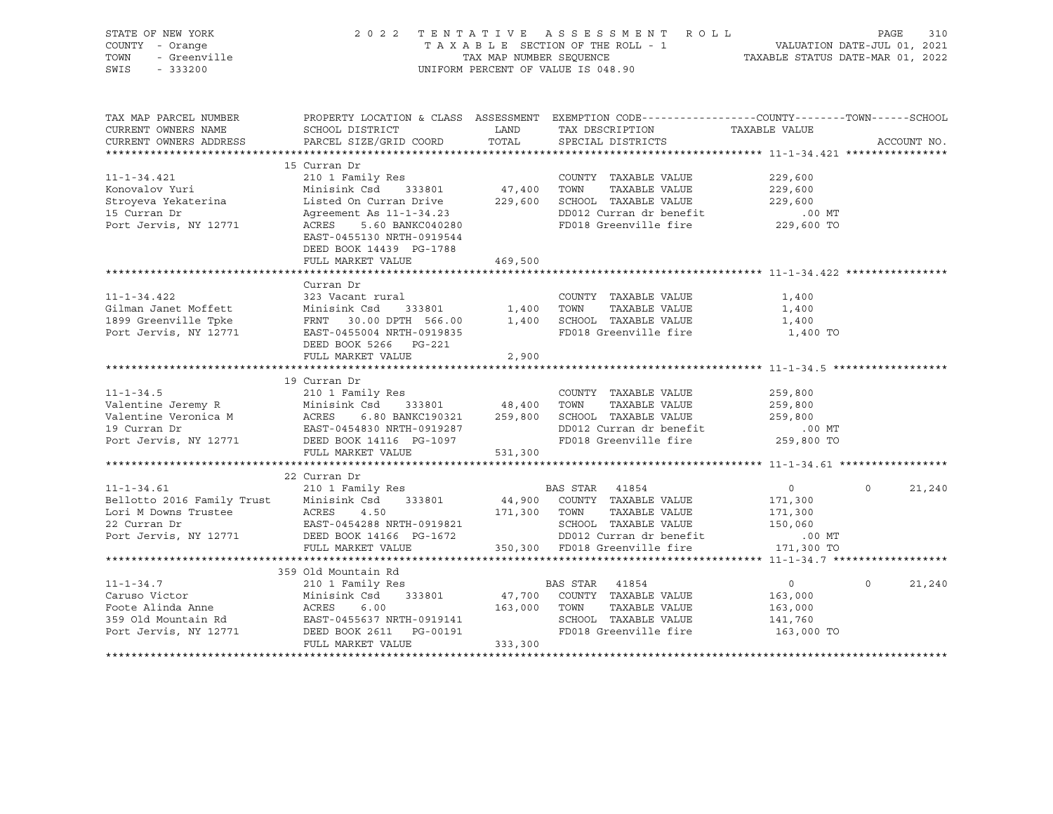| STATE OF NEW YORK<br>COUNTY - Orange<br>- Greenville<br>TOWN<br>SWIS<br>$-333200$                                                                                                                                                             | 2022 TENTATIVE ASSESSMENT ROLL<br>TAXABLE SECTION OF THE ROLL - 1<br>TAX MAP NUMBER SEQUENCE<br>UNIFORM PERCENT OF VALUE IS 048.90                   | 310<br>PAGE<br>1 VALUATION DATE-JUL 01, 2021<br>TAXABLE STATUS DATE-MAR 01, 2022 |                                                 |                |          |             |
|-----------------------------------------------------------------------------------------------------------------------------------------------------------------------------------------------------------------------------------------------|------------------------------------------------------------------------------------------------------------------------------------------------------|----------------------------------------------------------------------------------|-------------------------------------------------|----------------|----------|-------------|
| TAX MAP PARCEL NUMBER<br>CURRENT OWNERS NAME                                                                                                                                                                                                  | PROPERTY LOCATION & CLASS ASSESSMENT EXEMPTION CODE---------------COUNTY-------TOWN-----SCHOOL<br>SCHOOL DISTRICT                                    | <b>EXAMPLE TO A LAND</b>                                                         | TAX DESCRIPTION                                 | TAXABLE VALUE  |          |             |
| CURRENT OWNERS ADDRESS                                                                                                                                                                                                                        | PARCEL SIZE/GRID COORD                                                                                                                               | TOTAL                                                                            | SPECIAL DISTRICTS                               |                |          | ACCOUNT NO. |
|                                                                                                                                                                                                                                               |                                                                                                                                                      |                                                                                  |                                                 |                |          |             |
|                                                                                                                                                                                                                                               | 15 Curran Dr                                                                                                                                         |                                                                                  |                                                 |                |          |             |
| $11 - 1 - 34.421$                                                                                                                                                                                                                             | 210 1 Family Res                                                                                                                                     |                                                                                  | COUNTY TAXABLE VALUE                            | 229,600        |          |             |
| Konovalov Yuri                                                                                                                                                                                                                                | Minisink Csd 333801                                                                                                                                  | 47,400 TOWN                                                                      | TAXABLE VALUE                                   | 229,600        |          |             |
| Stroyeva Yekaterina                                                                                                                                                                                                                           | Listed On Curran Drive 229,600 SCHOOL TAXABLE VALUE                                                                                                  |                                                                                  |                                                 | 229,600        |          |             |
| 15 Curran Dr                                                                                                                                                                                                                                  | Agreement As 11-1-34.23                                                                                                                              |                                                                                  |                                                 |                |          |             |
| Port Jervis, NY 12771                                                                                                                                                                                                                         | : AS 11-1-34.23<br>5.60 BANKC040280<br>ACRES<br>EAST-0455130 NRTH-0919544<br>DEED BOOK 14439 PG-1788                                                 |                                                                                  |                                                 |                |          |             |
|                                                                                                                                                                                                                                               | FULL MARKET VALUE                                                                                                                                    | 469,500                                                                          |                                                 |                |          |             |
|                                                                                                                                                                                                                                               | Curran Dr                                                                                                                                            |                                                                                  |                                                 |                |          |             |
| $11 - 1 - 34.422$                                                                                                                                                                                                                             | 323 Vacant rural                                                                                                                                     |                                                                                  | COUNTY TAXABLE VALUE                            | 1,400          |          |             |
| Gilman Janet Moffett                                                                                                                                                                                                                          |                                                                                                                                                      |                                                                                  |                                                 | 1,400          |          |             |
| 1899 Greenville Tpke                                                                                                                                                                                                                          |                                                                                                                                                      |                                                                                  |                                                 | 1,400          |          |             |
| Port Jervis, NY 12771                                                                                                                                                                                                                         | Minisink Csd 333801 1,400 TOWN TAXABLE VALUE<br>FRNT 30.00 DPTH 566.00 1,400 SCHOOL TAXABLE VALUE<br>EAST-0455004 NRTH-0919835 FD018 Greenville fire |                                                                                  | FD018 Greenville fire                           | 1,400 TO       |          |             |
|                                                                                                                                                                                                                                               | DEED BOOK 5266 PG-221                                                                                                                                |                                                                                  |                                                 |                |          |             |
|                                                                                                                                                                                                                                               | FULL MARKET VALUE                                                                                                                                    | 2,900                                                                            |                                                 |                |          |             |
|                                                                                                                                                                                                                                               |                                                                                                                                                      |                                                                                  |                                                 |                |          |             |
|                                                                                                                                                                                                                                               | 19 Curran Dr                                                                                                                                         |                                                                                  |                                                 |                |          |             |
| $11 - 1 - 34.5$                                                                                                                                                                                                                               | 210 1 Family Res                                                                                                                                     |                                                                                  | COUNTY TAXABLE VALUE                            | 259,800        |          |             |
|                                                                                                                                                                                                                                               |                                                                                                                                                      |                                                                                  |                                                 | 259,800        |          |             |
|                                                                                                                                                                                                                                               |                                                                                                                                                      |                                                                                  |                                                 | 259,800        |          |             |
| Valentine Jeremy R<br>Valentine Veronica M<br>Valentine Veronica M<br>259,800 SCHOOL TAXABLE VALUE<br>259,800 SCHOOL TAXABLE VALUE<br>259,800 SCHOOL TAXABLE VALUE<br>259,800 SCHOOL TAXABLE VALUE<br>259,800 SCHOOL TAXABLE VALUE<br>259,800 |                                                                                                                                                      |                                                                                  |                                                 | $.00$ $MT$     |          |             |
|                                                                                                                                                                                                                                               |                                                                                                                                                      |                                                                                  | FD018 Greenville fire                           | 259,800 TO     |          |             |
|                                                                                                                                                                                                                                               | FULL MARKET VALUE                                                                                                                                    | 531,300                                                                          |                                                 |                |          |             |
|                                                                                                                                                                                                                                               | 22 Curran Dr                                                                                                                                         |                                                                                  |                                                 |                |          |             |
| $11 - 1 - 34.61$                                                                                                                                                                                                                              | 210 1 Family Res                                                                                                                                     |                                                                                  | BAS STAR 41854                                  | $\overline{0}$ | $\Omega$ | 21,240      |
|                                                                                                                                                                                                                                               | Minisink Csd 333801                                                                                                                                  |                                                                                  | 44,900 COUNTY TAXABLE VALUE                     | 171,300        |          |             |
| Bellotto 2016 Family Trust Minisi<br>Lori M Downs Trustee ACRES                                                                                                                                                                               | 4.50                                                                                                                                                 | 171,300 TOWN                                                                     | TAXABLE VALUE                                   | 171,300        |          |             |
| 22 Curran Dr                                                                                                                                                                                                                                  | EAST-0454288 NRTH-0919821                                                                                                                            |                                                                                  |                                                 | 150,060        |          |             |
| Port Jervis, NY 12771 DEED BOOK 14166 PG-1672                                                                                                                                                                                                 |                                                                                                                                                      |                                                                                  | SCHOOL TAXABLE VALUE<br>DD012 Curran dr benefit | .00 MT         |          |             |
|                                                                                                                                                                                                                                               | FULL MARKET VALUE                                                                                                                                    |                                                                                  | 350,300 FD018 Greenville fire                   | 171,300 TO     |          |             |
|                                                                                                                                                                                                                                               |                                                                                                                                                      |                                                                                  |                                                 |                |          |             |
|                                                                                                                                                                                                                                               | 359 Old Mountain Rd                                                                                                                                  |                                                                                  |                                                 |                |          |             |
| $11 - 1 - 34.7$                                                                                                                                                                                                                               | 210 1 Family Res                                                                                                                                     |                                                                                  | BAS STAR 41854                                  | $\overline{0}$ | $\Omega$ | 21,240      |
| Caruso victor<br>Foote Alinda Anne<br>250.011                                                                                                                                                                                                 | Minisink Csd 333801<br>Minisi<br>ACRES                                                                                                               |                                                                                  | 47,700 COUNTY TAXABLE VALUE                     | 163,000        |          |             |
|                                                                                                                                                                                                                                               |                                                                                                                                                      |                                                                                  | TAXABLE VALUE                                   | 163,000        |          |             |
|                                                                                                                                                                                                                                               |                                                                                                                                                      |                                                                                  | SCHOOL TAXABLE VALUE<br>FD018 Greenville fire   | 141,760        |          |             |
| Noote Alling Anne<br>359 Old Mountain Rd<br>Port Jervis, NY 12771                                                                                                                                                                             | EAST-0455637 NRTH-0919141<br>EAST-0455637 NRTH-0919141<br>DEED BOOK 2611 PG-00191<br>FULL MARKET VALUE                                               |                                                                                  |                                                 | 163,000 TO     |          |             |
|                                                                                                                                                                                                                                               | FULL MARKET VALUE                                                                                                                                    | 333,300                                                                          |                                                 |                |          |             |
|                                                                                                                                                                                                                                               |                                                                                                                                                      |                                                                                  |                                                 |                |          |             |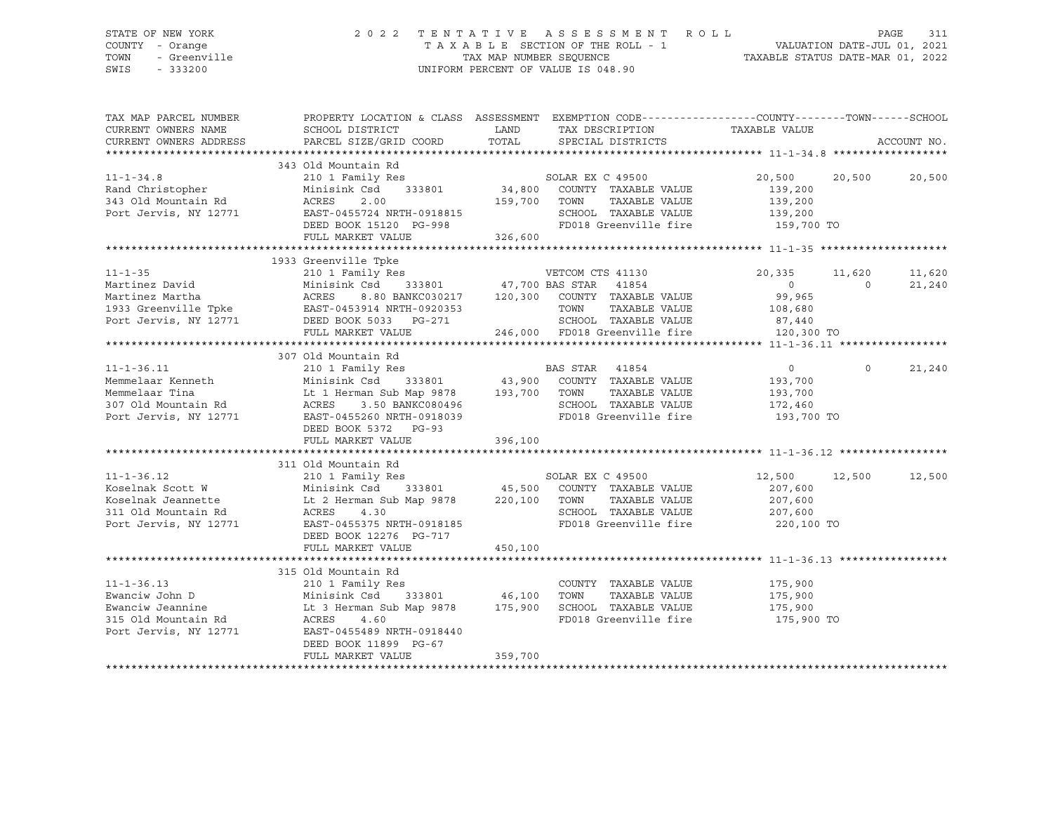SWIS - 333200 UNIFORM PERCENT OF VALUE IS 048.90

## STATE OF NEW YORK 2 0 2 2 T E N T A T I V E A S S E S S M E N T R O L L PAGE 311 COUNTY - Orange T A X A B L E SECTION OF THE ROLL - 1 VALUATION DATE-JUL 01, 2021 TOWN - Greenville TAX MAP NUMBER SEQUENCE TAXABLE STATUS DATE-MAR 01, 2022

| TAX MAP PARCEL NUMBER<br>CURRENT OWNERS NAME   | PROPERTY LOCATION & CLASS ASSESSMENT EXEMPTION CODE----------------COUNTY-------TOWN------SCHOOL<br>SCHOOL DISTRICT | LAND          | TAX DESCRIPTION                  | TAXABLE VALUE  |          |             |
|------------------------------------------------|---------------------------------------------------------------------------------------------------------------------|---------------|----------------------------------|----------------|----------|-------------|
| CURRENT OWNERS ADDRESS                         | PARCEL SIZE/GRID COORD                                                                                              | TOTAL         | SPECIAL DISTRICTS                |                |          | ACCOUNT NO. |
|                                                |                                                                                                                     |               |                                  |                |          |             |
|                                                | 343 Old Mountain Rd                                                                                                 |               |                                  |                |          |             |
| $11 - 1 - 34.8$                                | 210 1 Family Res                                                                                                    |               | SOLAR EX C 49500                 | 20,500 20,500  |          | 20,500      |
| Rand Christopher                               | Minisink Csd<br>333801                                                                                              | 34,800        | COUNTY TAXABLE VALUE             | 139,200        |          |             |
| 343 Old Mountain Rd                            | 2.00<br>ACRES                                                                                                       | 159,700 TOWN  | TAXABLE VALUE                    | 139,200        |          |             |
| Port Jervis, NY 12771                          | EAST-0455724 NRTH-0918815                                                                                           |               | SCHOOL TAXABLE VALUE             | 139,200        |          |             |
|                                                | DEED BOOK 15120 PG-998                                                                                              |               | FD018 Greenville fire 159,700 TO |                |          |             |
|                                                | FULL MARKET VALUE                                                                                                   | 326,600       |                                  |                |          |             |
|                                                |                                                                                                                     |               |                                  |                |          |             |
|                                                | 1933 Greenville Tpke                                                                                                |               |                                  |                |          |             |
| $11 - 1 - 35$                                  | 210 1 Family Res                                                                                                    |               | VETCOM CTS 41130                 | 20,335         | 11,620   | 11,620      |
| Martinez David                                 | Minisink Csd                                                                                                        |               | 333801 47,700 BAS STAR 41854     | $\overline{0}$ | $\Omega$ | 21,240      |
| Martinez Martha                                | ACRES<br>8.80 BANKC030217                                                                                           |               | 120,300 COUNTY TAXABLE VALUE     | 99,965         |          |             |
| 1933 Greenville Tpke EAST-0453914 NRTH-0920353 |                                                                                                                     |               | TOWN<br>TAXABLE VALUE            | 108,680        |          |             |
| Port Jervis, NY 12771                          | DEED BOOK 5033 PG-271                                                                                               |               | SCHOOL TAXABLE VALUE             | 87,440         |          |             |
|                                                | FULL MARKET VALUE                                                                                                   |               | 246,000 FD018 Greenville fire    | 120,300 TO     |          |             |
|                                                |                                                                                                                     |               |                                  |                |          |             |
|                                                | 307 Old Mountain Rd                                                                                                 |               |                                  |                |          |             |
| $11 - 1 - 36.11$                               | 210 1 Family Res                                                                                                    |               | BAS STAR 41854                   | $\overline{0}$ | $\Omega$ | 21,240      |
| Memmelaar Kenneth                              |                                                                                                                     |               |                                  | 193,700        |          |             |
| Memmelaar Tina                                 | Minisink Csd 333801 43,900 COUNTY TAXABLE VALUE<br>Lt 1 Herman Sub Map 9878 193,700 TOWN TAXABLE VALUE              |               | TAXABLE VALUE                    | 193,700        |          |             |
| 307 Old Mountain Rd                            | 3.50 BANKC080496<br>ACRES                                                                                           |               | SCHOOL TAXABLE VALUE             | 172,460        |          |             |
| Port Jervis, NY 12771                          | EAST-0455260 NRTH-0918039                                                                                           |               | FD018 Greenville fire            | 193,700 TO     |          |             |
|                                                | DEED BOOK 5372 PG-93                                                                                                |               |                                  |                |          |             |
|                                                | FULL MARKET VALUE                                                                                                   | 396,100       |                                  |                |          |             |
|                                                |                                                                                                                     |               |                                  |                |          |             |
|                                                | 311 Old Mountain Rd                                                                                                 |               |                                  |                |          |             |
| $11 - 1 - 36.12$                               | 210 1 Family Res                                                                                                    |               | SOLAR EX C 49500                 | 12,500         | 12,500   | 12,500      |
| Koselnak Scott W                               | Minisink Csd                                                                                                        | 333801 45,500 | COUNTY TAXABLE VALUE             | 207,600        |          |             |
| Koselnak Jeannette                             | Lt 2 Herman Sub Map 9878 220,100 TOWN                                                                               |               | TAXABLE VALUE                    | 207,600        |          |             |
| 311 Old Mountain Rd                            | ACRES<br>4.30                                                                                                       |               | SCHOOL TAXABLE VALUE             | 207,600        |          |             |
| Port Jervis, NY 12771                          | EAST-0455375 NRTH-0918185                                                                                           |               | FD018 Greenville fire 220,100 TO |                |          |             |
|                                                | DEED BOOK 12276 PG-717                                                                                              |               |                                  |                |          |             |
|                                                | FULL MARKET VALUE                                                                                                   | 450,100       |                                  |                |          |             |
|                                                |                                                                                                                     |               |                                  |                |          |             |
|                                                | 315 Old Mountain Rd                                                                                                 |               |                                  |                |          |             |
| $11 - 1 - 36.13$                               | 210 1 Family Res                                                                                                    |               | COUNTY TAXABLE VALUE             | 175,900        |          |             |
| Ewanciw John D                                 | Minisink Csd<br>333801                                                                                              | 46,100        | TOWN<br>TAXABLE VALUE            | 175,900        |          |             |
| Ewanciw Jeannine                               | Lt 3 Herman Sub Map 9878 175,900                                                                                    |               | SCHOOL TAXABLE VALUE             | 175,900        |          |             |
| 315 Old Mountain Rd                            | ACRES<br>4.60                                                                                                       |               | FD018 Greenville fire            | 175,900 TO     |          |             |
| Port Jervis, NY 12771                          | EAST-0455489 NRTH-0918440                                                                                           |               |                                  |                |          |             |
|                                                | DEED BOOK 11899 PG-67                                                                                               |               |                                  |                |          |             |
|                                                | FULL MARKET VALUE                                                                                                   | 359,700       |                                  |                |          |             |
|                                                |                                                                                                                     |               |                                  |                |          |             |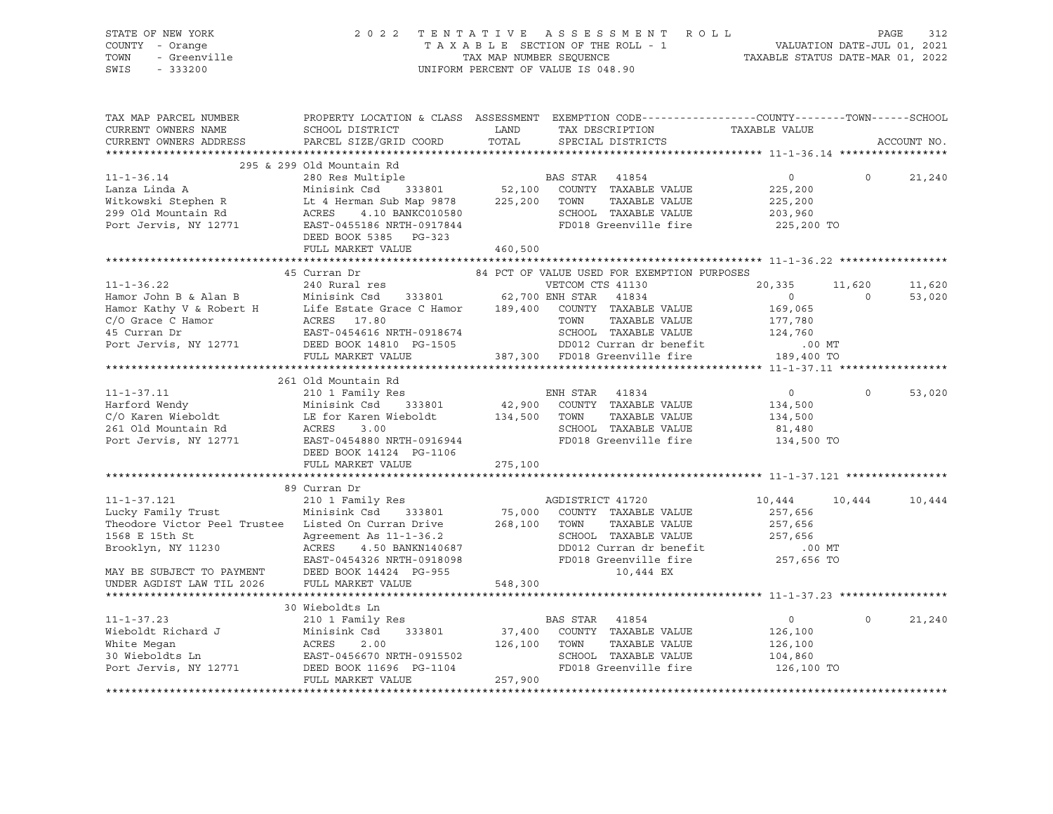| STATE OF NEW YORK<br>COUNTY - Orange<br>- Greenville<br>TOWN                                                                                                                                                                         | 2 0 2 2                                                                                                           | TAX MAP NUMBER SEQUENCE | TENTATIVE ASSESSMENT ROLL<br>TAXABLE SECTION OF THE ROLL - 1 | VALUATION DATE-JUL 01, 2021<br>TAXABLE STATUS DATE-MAR 01, 2022 |                   | 312<br>PAGE |
|--------------------------------------------------------------------------------------------------------------------------------------------------------------------------------------------------------------------------------------|-------------------------------------------------------------------------------------------------------------------|-------------------------|--------------------------------------------------------------|-----------------------------------------------------------------|-------------------|-------------|
| SWIS<br>$-333200$                                                                                                                                                                                                                    |                                                                                                                   |                         | UNIFORM PERCENT OF VALUE IS 048.90                           |                                                                 |                   |             |
| TAX MAP PARCEL NUMBER<br>CURRENT OWNERS NAME                                                                                                                                                                                         | PROPERTY LOCATION & CLASS ASSESSMENT EXEMPTION CODE---------------COUNTY-------TOWN-----SCHOOL<br>SCHOOL DISTRICT | LAND                    | TAX DESCRIPTION                                              | TAXABLE VALUE                                                   |                   |             |
| CURRENT OWNERS ADDRESS                                                                                                                                                                                                               | PARCEL SIZE/GRID COORD                                                                                            | TOTAL                   | SPECIAL DISTRICTS                                            |                                                                 |                   | ACCOUNT NO. |
|                                                                                                                                                                                                                                      | 295 & 299 Old Mountain Rd                                                                                         |                         |                                                              |                                                                 |                   |             |
| $11 - 1 - 36.14$                                                                                                                                                                                                                     | 280 Res Multiple                                                                                                  |                         | <b>BAS STAR</b> 41854                                        | $\overline{0}$                                                  | $\circ$           | 21,240      |
| Lanza Linda A                                                                                                                                                                                                                        | Minisink Csd 333801                                                                                               |                         | 52,100 COUNTY TAXABLE VALUE                                  | 225,200                                                         |                   |             |
|                                                                                                                                                                                                                                      |                                                                                                                   |                         | TAXABLE VALUE                                                | 225,200                                                         |                   |             |
| Minishik Csd 333601 32,100 COONI<br>Witkowski Stephen R Lt 4 Herman Sub Map 9878 225,200 TOWN<br>299 Old Mountain Rd ACRES 4.10 BANKC010580 SCHOO                                                                                    |                                                                                                                   |                         |                                                              | 203,960                                                         |                   |             |
| Port Jervis, NY 12771                                                                                                                                                                                                                | ACRES  4.10 BANKC010580   SCHOOL TAXABLE VALUE<br>EAST-0455186 NRTH-0917844   FD018 Greenville fire               |                         |                                                              | 225,200 TO                                                      |                   |             |
|                                                                                                                                                                                                                                      | DEED BOOK 5385 PG-323                                                                                             |                         |                                                              |                                                                 |                   |             |
|                                                                                                                                                                                                                                      | FULL MARKET VALUE                                                                                                 | 460,500                 |                                                              |                                                                 |                   |             |
|                                                                                                                                                                                                                                      |                                                                                                                   |                         |                                                              |                                                                 |                   |             |
|                                                                                                                                                                                                                                      | 45 Curran Dr                                                                                                      |                         | 84 PCT OF VALUE USED FOR EXEMPTION PURPOSES                  |                                                                 |                   |             |
| $11 - 1 - 36.22$                                                                                                                                                                                                                     | 240 Rural res                                                                                                     |                         | VETCOM CTS 41130                                             | 20,335                                                          | 11,620            | 11,620      |
|                                                                                                                                                                                                                                      |                                                                                                                   |                         |                                                              | $\overline{0}$                                                  | $\overline{0}$    | 53,020      |
|                                                                                                                                                                                                                                      |                                                                                                                   |                         | TAXABLE VALUE                                                | 169,065<br>177,780                                              |                   |             |
| Hamor John B & Alan B Minisink Csd 333801 62,700 ENN COUNTY TAXABLE VALUE<br>Hamor Kathy V & Robert H Life Estate Grace C Hamor 189,400 COUNTY TAXABLE VALUE<br>C/O Grace C Hamor MCRES 17.80 TOWN TAXABLE VALUE<br>PACTL-1454616 NR |                                                                                                                   |                         | SCHOOL TAXABLE VALUE                                         | 124,760                                                         |                   |             |
|                                                                                                                                                                                                                                      | EAST-0454616 NRTH-0918674<br>DEED BOOK 14916 55                                                                   |                         |                                                              | $.00$ MT                                                        |                   |             |
| Port Jervis, NY 12771 DEED BOOK 14810 PG-1505 287,300 FD012 Curran dr benefit<br>Port Jervis, NY 12771 DEED BOOK 14810 PG-1505 287,300 FD018 Greenville fire                                                                         |                                                                                                                   |                         |                                                              | 189,400 TO                                                      |                   |             |
|                                                                                                                                                                                                                                      |                                                                                                                   |                         |                                                              |                                                                 |                   |             |
|                                                                                                                                                                                                                                      | 261 Old Mountain Rd                                                                                               |                         |                                                              |                                                                 |                   |             |
| $11 - 1 - 37.11$                                                                                                                                                                                                                     | 210 1 Family Res                                                                                                  |                         | ENH STAR 41834                                               | $\overline{0}$                                                  | $0 \qquad \qquad$ | 53,020      |
|                                                                                                                                                                                                                                      |                                                                                                                   |                         | 42,900 COUNTY TAXABLE VALUE                                  | 134,500                                                         |                   |             |
|                                                                                                                                                                                                                                      |                                                                                                                   |                         | TAXABLE VALUE                                                | 134,500                                                         |                   |             |
| 11-1-37.11<br>Harford Wendy Minisink Csd 333801 12,000<br>C/O Karen Wieboldt LE for Karen Wieboldt 134,500 TOWN<br>2018 2019 134,500 SCHOO                                                                                           |                                                                                                                   |                         | SCHOOL TAXABLE VALUE                                         | 81,480                                                          |                   |             |
| Port Jervis, NY 12771 EAST-0454880 NRTH-0916944                                                                                                                                                                                      |                                                                                                                   |                         | FD018 Greenville fire                                        | 134,500 TO                                                      |                   |             |
|                                                                                                                                                                                                                                      | DEED BOOK 14124 PG-1106<br>FULL MARKET VALUE                                                                      | 275,100                 |                                                              |                                                                 |                   |             |
|                                                                                                                                                                                                                                      |                                                                                                                   |                         |                                                              |                                                                 |                   |             |
|                                                                                                                                                                                                                                      | 89 Curran Dr                                                                                                      |                         |                                                              |                                                                 |                   |             |
| $11 - 1 - 37.121$                                                                                                                                                                                                                    | 210 1 Family Res                                                                                                  |                         | AGDISTRICT 41720                                             | 10,444                                                          | 10,444            | 10,444      |
| Lucky Family Trust                                                                                                                                                                                                                   | Minisink Csd<br>333801                                                                                            |                         | 75,000 COUNTY TAXABLE VALUE                                  | 257,656                                                         |                   |             |
| Theodore Victor Peel Trustee Listed On Curran Drive                                                                                                                                                                                  |                                                                                                                   | 268,100 TOWN            | TAXABLE VALUE                                                | 257,656                                                         |                   |             |
| 1568 E 15th St                                                                                                                                                                                                                       | Agreement As 11-1-36.2                                                                                            |                         | SCHOOL TAXABLE VALUE                                         | 257,656                                                         |                   |             |
| Brooklyn, NY 11230                                                                                                                                                                                                                   | ACRES<br>4.50 BANKN140687                                                                                         |                         | DD012 Curran dr benefit                                      | 00 MT.<br>257,656 TO                                            |                   |             |
|                                                                                                                                                                                                                                      | EAST-0454326 NRTH-0918098                                                                                         |                         | FD018 Greenville fire                                        |                                                                 |                   |             |
| MAY BE SUBJECT TO PAYMENT                                                                                                                                                                                                            | DEED BOOK 14424 PG-955                                                                                            |                         | 10,444 EX                                                    |                                                                 |                   |             |
| UNDER AGDIST LAW TIL 2026                                                                                                                                                                                                            | FULL MARKET VALUE                                                                                                 | 548,300                 |                                                              |                                                                 |                   |             |
|                                                                                                                                                                                                                                      |                                                                                                                   |                         |                                                              |                                                                 |                   |             |
| $11 - 1 - 37.23$                                                                                                                                                                                                                     | 30 Wieboldts Ln<br>210 1 Family Res                                                                               |                         | BAS STAR<br>41854                                            | $\overline{0}$                                                  | $\circ$           | 21,240      |
| Wieboldt Richard J                                                                                                                                                                                                                   | 333801<br>Minisink Csd                                                                                            | 37,400                  | COUNTY TAXABLE VALUE                                         | 126,100                                                         |                   |             |
| White Megan                                                                                                                                                                                                                          | ACRES<br>2.00                                                                                                     | 126,100                 | TOWN<br>TAXABLE VALUE                                        | 126,100                                                         |                   |             |
| 30 Wieboldts Ln                                                                                                                                                                                                                      |                                                                                                                   |                         | SCHOOL TAXABLE VALUE                                         | 104,860                                                         |                   |             |
| Port Jervis, NY 12771                                                                                                                                                                                                                | ------<br>EAST-0456670 NRTH-0915502<br>DEED BOOK 11696 PG-1104                                                    |                         | FD018 Greenville fire                                        | 126,100 TO                                                      |                   |             |
|                                                                                                                                                                                                                                      | FULL MARKET VALUE                                                                                                 | 257,900                 |                                                              |                                                                 |                   |             |
|                                                                                                                                                                                                                                      |                                                                                                                   |                         |                                                              |                                                                 |                   |             |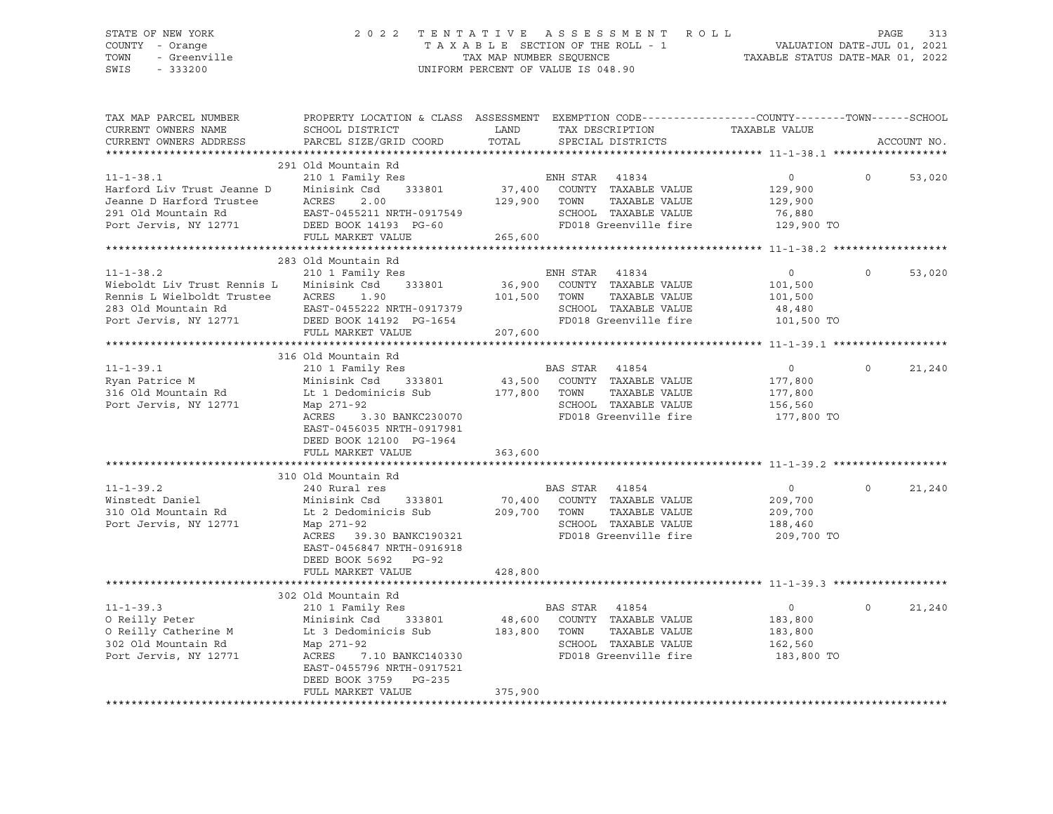### STATE OF NEW YORK 2 0 2 2 T E N T A T I V E A S S E S S M E N T R O L L PAGE 313 COUNTY - Orange T A X A B L E SECTION OF THE ROLL - 1 VALUATION DATE-JUL 01, 2021 TOWN - Greenville TAX MAP NUMBER SEQUENCE TAXABLE STATUS DATE-MAR 01, 2022 SWIS - 333200 UNIFORM PERCENT OF VALUE IS 048.90

| TAX MAP PARCEL NUMBER<br>CURRENT OWNERS NAME<br>CURRENT OWNERS ADDRESS                                                       | PROPERTY LOCATION & CLASS ASSESSMENT EXEMPTION CODE----------------COUNTY-------TOWN------SCHOOL<br>SCHOOL DISTRICT<br>PARCEL SIZE/GRID COORD                                                                     | LAND<br>TOTAL                | TAX DESCRIPTION<br>SPECIAL DISTRICTS                                                                                       | TAXABLE VALUE                                                 | ACCOUNT NO.        |
|------------------------------------------------------------------------------------------------------------------------------|-------------------------------------------------------------------------------------------------------------------------------------------------------------------------------------------------------------------|------------------------------|----------------------------------------------------------------------------------------------------------------------------|---------------------------------------------------------------|--------------------|
|                                                                                                                              |                                                                                                                                                                                                                   |                              |                                                                                                                            |                                                               |                    |
| $11 - 1 - 38.1$<br>Harford Liv Trust Jeanne D<br>Jeanne D Harford Trustee<br>291 Old Mountain Rd<br>Port Jervis, NY 12771    | 291 Old Mountain Rd<br>210 1 Family Res<br>333801<br>Minisink Csd<br>ACRES<br>2.00<br>EAST-0455211 NRTH-0917549<br>DEED BOOK 14193 PG-60<br>FULL MARKET VALUE                                                     | 37,400<br>129,900<br>265,600 | ENH STAR 41834<br>COUNTY TAXABLE VALUE<br>TOWN<br>TAXABLE VALUE<br>SCHOOL TAXABLE VALUE<br>FD018 Greenville fire           | $\circ$<br>129,900<br>129,900<br>76,880<br>129,900 TO         | $\Omega$<br>53,020 |
|                                                                                                                              |                                                                                                                                                                                                                   |                              |                                                                                                                            |                                                               |                    |
| $11 - 1 - 38.2$<br>Wieboldt Liv Trust Rennis L<br>Rennis L Wielboldt Trustee<br>283 Old Mountain Rd<br>Port Jervis, NY 12771 | 283 Old Mountain Rd<br>210 1 Family Res<br>Minisink Csd<br>333801<br>ACRES<br>1.90<br>EAST-0455222 NRTH-0917379<br>DEED BOOK 14192 PG-1654<br>FULL MARKET VALUE                                                   | 101,500<br>207,600           | ENH STAR 41834<br>36,900 COUNTY TAXABLE VALUE<br>TOWN<br>TAXABLE VALUE<br>SCHOOL TAXABLE VALUE<br>FD018 Greenville fire    | $\circ$<br>101,500<br>101,500<br>48,480<br>101,500 TO         | 53,020<br>$\Omega$ |
|                                                                                                                              |                                                                                                                                                                                                                   |                              |                                                                                                                            |                                                               |                    |
| $11 - 1 - 39.1$<br>Ryan Patrice M<br>316 Old Mountain Rd<br>Port Jervis, NY 12771                                            | 316 Old Mountain Rd<br>210 1 Family Res<br>Minisink Csd<br>333801<br>Lt 1 Dedominicis Sub<br>Map 271-92<br>ACRES<br>3.30 BANKC230070<br>EAST-0456035 NRTH-0917981<br>DEED BOOK 12100 PG-1964<br>FULL MARKET VALUE | 177,800 TOWN<br>363,600      | BAS STAR<br>41854<br>43,500 COUNTY TAXABLE VALUE<br>TAXABLE VALUE<br>SCHOOL TAXABLE VALUE<br>FD018 Greenville fire         | $\circ$<br>177,800<br>177,800<br>156,560<br>177,800 TO        | $\Omega$<br>21,240 |
|                                                                                                                              | 310 Old Mountain Rd                                                                                                                                                                                               |                              |                                                                                                                            |                                                               |                    |
| $11 - 1 - 39.2$<br>Winstedt Daniel<br>310 Old Mountain Rd<br>Port Jervis, NY 12771                                           | 240 Rural res<br>Minisink Csd<br>333801<br>Lt 2 Dedominicis Sub<br>Map 271-92<br>ACRES 39.30 BANKC190321<br>EAST-0456847 NRTH-0916918<br>DEED BOOK 5692 PG-92<br>FULL MARKET VALUE                                | 70,400<br>209,700<br>428,800 | BAS STAR<br>41854<br>COUNTY TAXABLE VALUE<br>TAXABLE VALUE<br>TOWN<br>SCHOOL TAXABLE VALUE<br>FD018 Greenville fire        | $\circ$<br>209,700<br>209,700<br>188,460<br>209,700 TO        | $\Omega$<br>21,240 |
|                                                                                                                              |                                                                                                                                                                                                                   |                              |                                                                                                                            |                                                               |                    |
| $11 - 1 - 39.3$<br>O Reilly Peter<br>O Reilly Catherine M<br>302 Old Mountain Rd<br>Port Jervis, NY 12771                    | 302 Old Mountain Rd<br>210 1 Family Res<br>Minisink Csd<br>333801<br>Lt 3 Dedominicis Sub<br>Map 271-92<br>7.10 BANKC140330<br>ACRES<br>EAST-0455796 NRTH-0917521<br>DEED BOOK 3759 PG-235<br>FULL MARKET VALUE   | 48,600<br>183,800<br>375,900 | <b>BAS STAR</b><br>41854<br>COUNTY TAXABLE VALUE<br>TOWN<br>TAXABLE VALUE<br>SCHOOL TAXABLE VALUE<br>FD018 Greenville fire | $\overline{0}$<br>183,800<br>183,800<br>162,560<br>183,800 TO | $\Omega$<br>21,240 |
|                                                                                                                              |                                                                                                                                                                                                                   |                              |                                                                                                                            |                                                               |                    |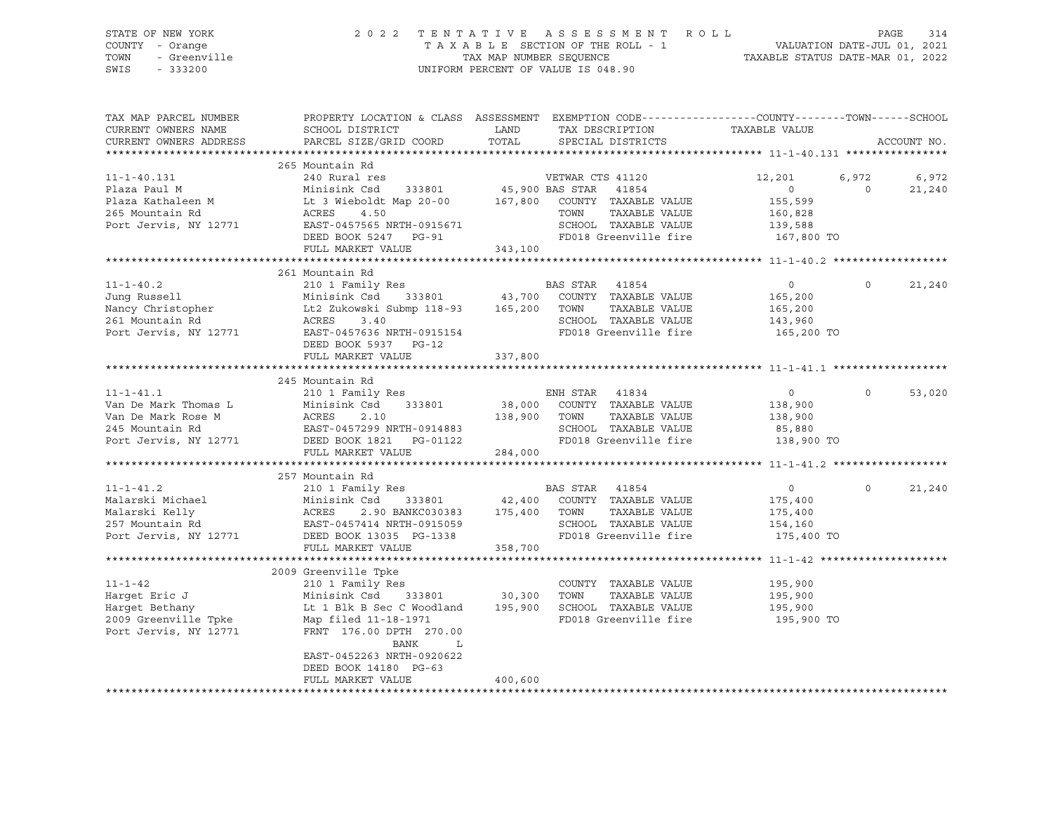| DINID OI NON IONN<br>COUNTY - Orange<br>TOWN<br>SWIS | TAXABLE SECTION OF THE ROLL - 1<br>TAX MAP NUMBER SEQUENCE TAXABLE STATUS DATE-JUL 01, 2021<br>TAXABLE STATUS DATE-MAR 01, 2022<br>- Sidnye<br>- Greenville<br>- 333200<br>UNIFORM PERCENT OF VALUE IS 048.90 |                                                                                                                                                                                                                                                       |                                                                         |               |  |
|------------------------------------------------------|---------------------------------------------------------------------------------------------------------------------------------------------------------------------------------------------------------------|-------------------------------------------------------------------------------------------------------------------------------------------------------------------------------------------------------------------------------------------------------|-------------------------------------------------------------------------|---------------|--|
| CURRENT OWNERS NAME<br>CURRENT OWNERS ADDRESS        | PARCEL SIZE/GRID COORD                                                                                                                                                                                        | TAX MAP PARCEL NUMBER THE PROPERTY LOCATION & CLASS ASSESSMENT EXEMPTION CODE--------------COUNTY--------TOWN------SCHOOL                                                                                                                             |                                                                         | ACCOUNT NO.   |  |
|                                                      | 265 Mountain Rd                                                                                                                                                                                               |                                                                                                                                                                                                                                                       |                                                                         |               |  |
|                                                      |                                                                                                                                                                                                               |                                                                                                                                                                                                                                                       | $6,972$ $6,972$<br>12,201                                               |               |  |
|                                                      |                                                                                                                                                                                                               |                                                                                                                                                                                                                                                       | $\overline{0}$<br>$\sim$ 0 $\sim$                                       | 21,240        |  |
|                                                      |                                                                                                                                                                                                               |                                                                                                                                                                                                                                                       | 155,599<br>160,828                                                      |               |  |
|                                                      |                                                                                                                                                                                                               | TOWN TAAABLE VALUE<br>SCHOOL TAXABLE VALUE 139,588<br>FD018 Greenville fire 167,800 TO                                                                                                                                                                |                                                                         |               |  |
|                                                      |                                                                                                                                                                                                               |                                                                                                                                                                                                                                                       |                                                                         |               |  |
|                                                      | FULL MARKET VALUE                                                                                                                                                                                             | 343,100                                                                                                                                                                                                                                               |                                                                         |               |  |
|                                                      |                                                                                                                                                                                                               |                                                                                                                                                                                                                                                       |                                                                         |               |  |
|                                                      | 261 Mountain Rd                                                                                                                                                                                               |                                                                                                                                                                                                                                                       |                                                                         |               |  |
|                                                      |                                                                                                                                                                                                               |                                                                                                                                                                                                                                                       |                                                                         | $0 \t 21,240$ |  |
|                                                      |                                                                                                                                                                                                               |                                                                                                                                                                                                                                                       |                                                                         |               |  |
|                                                      |                                                                                                                                                                                                               |                                                                                                                                                                                                                                                       |                                                                         |               |  |
|                                                      |                                                                                                                                                                                                               | 11-1-40.2<br>Jung Russell 210 1 Family Res<br>Minisink Csd 333801 43,700 COUNTY TAXABLE VALUE 165,200<br>261 Mountain Rd 2020 ACRES<br>261 Mountain Rd 2020 ACRES<br>261 Mountain Rd 2020 ACRES<br>261 Mountain Rd 2020 ACRES<br>261 Mountai          |                                                                         |               |  |
|                                                      | DEED BOOK 5937 PG-12                                                                                                                                                                                          |                                                                                                                                                                                                                                                       |                                                                         |               |  |
|                                                      | FULL MARKET VALUE                                                                                                                                                                                             | 337,800                                                                                                                                                                                                                                               |                                                                         |               |  |
|                                                      |                                                                                                                                                                                                               |                                                                                                                                                                                                                                                       |                                                                         |               |  |
|                                                      | 245 Mountain Rd                                                                                                                                                                                               |                                                                                                                                                                                                                                                       |                                                                         |               |  |
|                                                      |                                                                                                                                                                                                               |                                                                                                                                                                                                                                                       | $\overline{0}$                                                          | $0 \t 53,020$ |  |
|                                                      |                                                                                                                                                                                                               |                                                                                                                                                                                                                                                       | 138,900                                                                 |               |  |
|                                                      |                                                                                                                                                                                                               |                                                                                                                                                                                                                                                       | 138,900                                                                 |               |  |
|                                                      |                                                                                                                                                                                                               | 11-1-41.1<br>Van De Mark Thomas L<br>Van De Mark Rose M<br>Van De Mark Rose M<br>245 Mountain Rd<br>245 Mountain Rd<br>245 Mountain Rd<br>245 Mountain Rd<br>245 Mountain Rd<br>245 Mountain Rd<br>245 Mountain Rd<br>245 Mountain Rd<br>245 Mountain | 85,880<br>138,900 TO                                                    |               |  |
|                                                      |                                                                                                                                                                                                               |                                                                                                                                                                                                                                                       |                                                                         |               |  |
|                                                      | FULL MARKET VALUE 284,000                                                                                                                                                                                     |                                                                                                                                                                                                                                                       |                                                                         |               |  |
|                                                      | 257 Mountain Rd                                                                                                                                                                                               |                                                                                                                                                                                                                                                       |                                                                         |               |  |
|                                                      |                                                                                                                                                                                                               |                                                                                                                                                                                                                                                       | $\overline{0}$<br>$\circ$                                               | 21,240        |  |
|                                                      |                                                                                                                                                                                                               |                                                                                                                                                                                                                                                       | 175,400                                                                 |               |  |
|                                                      |                                                                                                                                                                                                               |                                                                                                                                                                                                                                                       | 175,400                                                                 |               |  |
|                                                      |                                                                                                                                                                                                               |                                                                                                                                                                                                                                                       | 154,160<br>175,400 TO                                                   |               |  |
|                                                      |                                                                                                                                                                                                               | 11-1-41.2<br>Malarski Michael 210 1 Family Res<br>Malarski Kelly ACRES 2.90 BANKC030383 175,400 COUNTY TAXABLE VALUE<br>257 Mountain Rd EAST-0457414 NRTH-0915059 5CHOOL TAXABLE VALUE<br>257 Mountain Rd EAST-0457414 NRTH-0915059 5C                |                                                                         |               |  |
|                                                      | FULL MARKET VALUE 358,700                                                                                                                                                                                     |                                                                                                                                                                                                                                                       |                                                                         |               |  |
|                                                      |                                                                                                                                                                                                               |                                                                                                                                                                                                                                                       |                                                                         |               |  |
|                                                      |                                                                                                                                                                                                               |                                                                                                                                                                                                                                                       |                                                                         |               |  |
|                                                      |                                                                                                                                                                                                               |                                                                                                                                                                                                                                                       |                                                                         |               |  |
|                                                      |                                                                                                                                                                                                               |                                                                                                                                                                                                                                                       | TAXABLE VALUE 195,900<br>TAXABLE VALUE 195,900<br>TAXABLE VALUE 195,900 |               |  |
|                                                      |                                                                                                                                                                                                               | FD018 Greenville fire 195,900 TO                                                                                                                                                                                                                      |                                                                         |               |  |
|                                                      |                                                                                                                                                                                                               | ---- COUNTY TAXABLE VALUE<br>Harget Eric J<br>Harget Eric J<br>Harget Bethany<br>2009 Greenville Tpke Map filed 11-18-1971<br>Port Jervis, NY 12771<br>FRNT 176.00 DPTH 270.00                                                                        |                                                                         |               |  |
|                                                      | EAST-0452263 NRTH-0920622                                                                                                                                                                                     |                                                                                                                                                                                                                                                       |                                                                         |               |  |
|                                                      | DEED BOOK 14180 PG-63                                                                                                                                                                                         |                                                                                                                                                                                                                                                       |                                                                         |               |  |
|                                                      | FULL MARKET VALUE                                                                                                                                                                                             | 400,600                                                                                                                                                                                                                                               |                                                                         |               |  |

\*\*\*\*\*\*\*\*\*\*\*\*\*\*\*\*\*\*\*\*\*\*\*\*\*\*\*\*\*\*\*\*\*\*\*\*\*\*\*\*\*\*\*\*\*\*\*\*\*\*\*\*\*\*\*\*\*\*\*\*\*\*\*\*\*\*\*\*\*\*\*\*\*\*\*\*\*\*\*\*\*\*\*\*\*\*\*\*\*\*\*\*\*\*\*\*\*\*\*\*\*\*\*\*\*\*\*\*\*\*\*\*\*\*\*\*\*\*\*\*\*\*\*\*\*\*\*\*\*\*\*\*

# STATE OF NEW YORK 2 0 2 2 T E N T A T I V E A S S E S S M E N T R O L L PAGE 314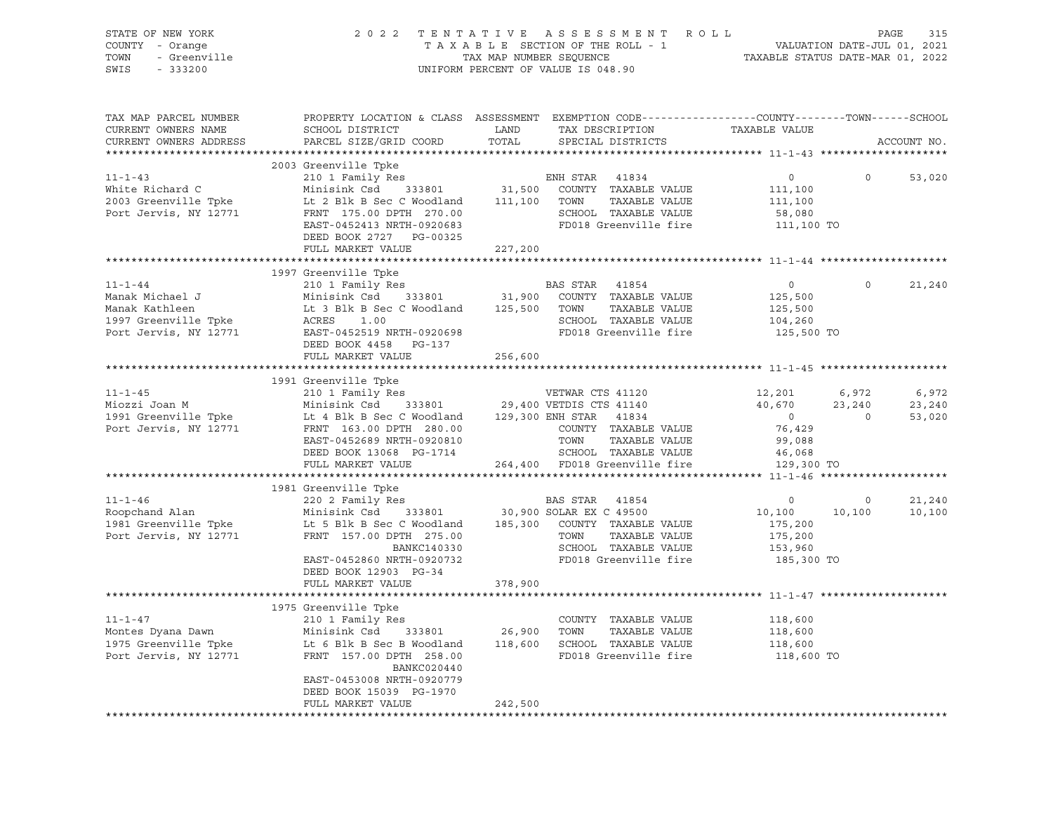|                                               | STATE OF NEW YORK 2022 TENTATIVE ASSESSMENT ROLL PAGE 315<br>COUNTY - Orange TAXABLE SECTION OF THE ROLL - 1 VALUATION DATE-JUL 01, 2021<br>TOWN - Greenville TAX MAP NUMBER SEQUENCE TAXABLE STATUS DATE-MAR 01, 2022<br>SWIS - 333                                                                                             |         |                                |                |                  |
|-----------------------------------------------|----------------------------------------------------------------------------------------------------------------------------------------------------------------------------------------------------------------------------------------------------------------------------------------------------------------------------------|---------|--------------------------------|----------------|------------------|
| CURRENT OWNERS NAME<br>CURRENT OWNERS ADDRESS | TAX MAP PARCEL NUMBER THE PROPERTY LOCATION & CLASS ASSESSMENT EXEMPTION CODE--------------COUNTY-------TOWN------SCHOOL                                                                                                                                                                                                         |         |                                |                | ACCOUNT NO.      |
|                                               | 2003 Greenville Tpke<br>2003 Greenville ipse and the same of the start of the start of the start of the start of the start of the start of the start of the start of the start of the start of the start of the start of the start of the start of the<br>DEED BOOK 2727 PG-00325<br>FULL MARKET VALUE                           | 227,200 |                                | $\Omega$       | 53,020           |
|                                               |                                                                                                                                                                                                                                                                                                                                  |         |                                |                |                  |
| $11 - 1 - 44$                                 | 1997 Greenville Tpke<br>11-1-44<br>Manak Michael J<br>Manak Kathleen<br>Manak Kathleen<br>125,500<br>Manak Kathleen<br>125,500<br>125,500<br>125,500<br>125,500<br>125,500<br>125,500<br>125,500<br>125,500<br>125,500<br>125,500<br>125,500<br>125,500<br>125,500<br>125,500<br>125,500<br>125,<br>DEED BOOK 4458 PG-137        |         |                                | $\circ$        | 21,240           |
|                                               | FULL MARKET VALUE                                                                                                                                                                                                                                                                                                                | 256,600 |                                |                |                  |
|                                               |                                                                                                                                                                                                                                                                                                                                  |         |                                |                |                  |
|                                               | 1991 Greenville Tpke<br>$[101-1-45$ 1991 Greenville Tpke<br>Miozzi Joan M<br>Minisink Csd 1 Pamily Res<br>Minisink Csd 1 29,400 VETDIS CTS 41140<br>29,400 VETDIS CTS 41140<br>29,400 VETDIS CTS 41140<br>40,670<br>40,670<br>23,240<br>23,240<br>23,240<br>23,240<br>2991 Gr                                                    |         |                                |                |                  |
|                                               |                                                                                                                                                                                                                                                                                                                                  |         |                                |                |                  |
|                                               |                                                                                                                                                                                                                                                                                                                                  |         |                                |                |                  |
|                                               | 1981 Greenville Tpke<br>1981 Greenville Tpke<br>220 2 Family Res<br>Minisink Csd 333801 30,900 SOLAR EX C 49500 10,100 10<br>1981 Greenville Tpke<br>1981 Greenville Tpke<br>1981 Greenville Tpke<br>1981 Greenville Tpke<br>1981 Greenville T<br>DEED BOOK 12903 PG-34                                                          |         | $10,100$ $10,100$<br>$175,200$ | $\overline{0}$ | 21,240<br>10,100 |
|                                               | FULL MARKET VALUE                                                                                                                                                                                                                                                                                                                | 378,900 |                                |                |                  |
|                                               | 1975 (11-1-47 210 1 Family Res COUNTY TAXABLE VALUE 118,600<br>Montes Dyana Dawn Minisink Csd 333801 26,900 TOWN TAXABLE VALUE 118,600<br>1975 Greenville Tpke Lt 6 Blk B Sec B Woodland 118,600 SCHOOL TAXABLE VALUE 118,600<br>Por<br>BANKC020440<br>EAST-0453008 NRTH-0920779<br>DEED BOOK 15039 PG-1970<br>FULL MARKET VALUE | 242,500 | 118,600 TO                     |                |                  |
|                                               |                                                                                                                                                                                                                                                                                                                                  |         |                                |                |                  |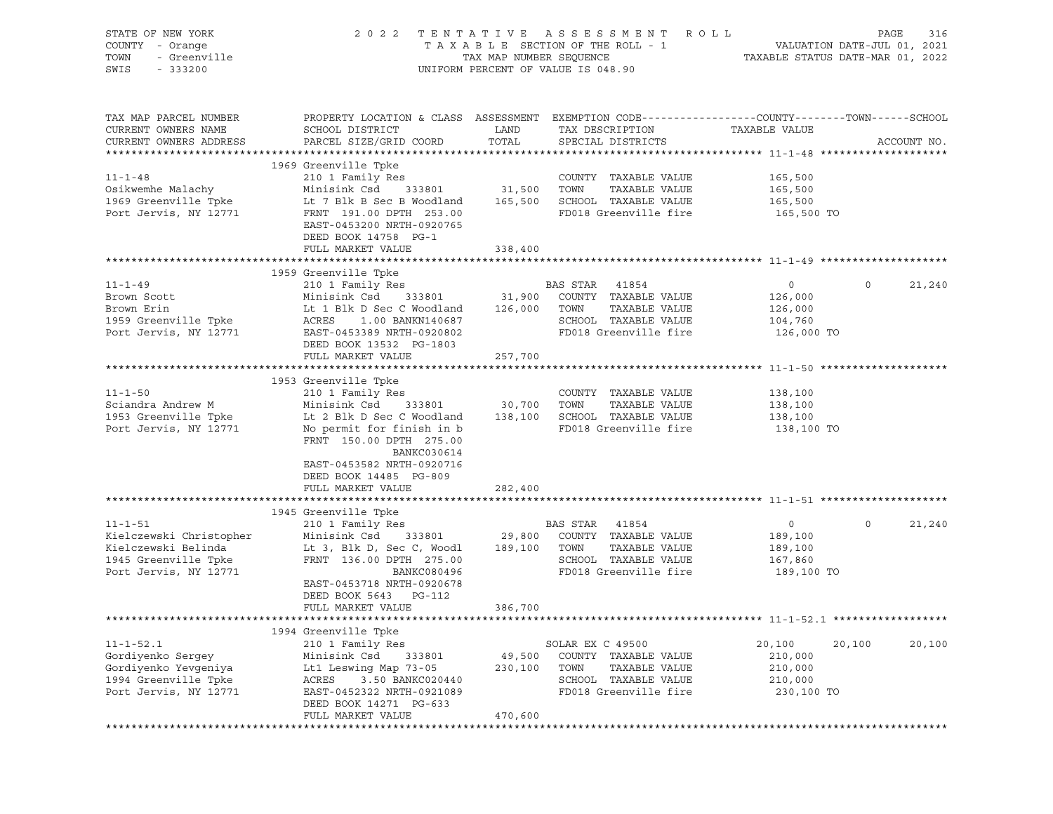| PROPERTY LOCATION & CLASS ASSESSMENT EXEMPTION CODE----------------COUNTY-------TOWN-----SCHOOL<br>TAX MAP PARCEL NUMBER<br>CURRENT OWNERS NAME<br>SCHOOL DISTRICT<br>LAND<br>TAXABLE VALUE<br>TAX DESCRIPTION<br>PARCEL SIZE/GRID COORD<br>TOTAL<br>CURRENT OWNERS ADDRESS<br>ACCOUNT NO.<br>SPECIAL DISTRICTS<br>1969 Greenville Tpke<br>$11 - 1 - 48$<br>210 1 Family Res<br>COUNTY TAXABLE VALUE<br>165,500<br>31,500 TOWN<br>Osikwemhe Malachy<br>Minisink Csd<br>333801<br>TAXABLE VALUE<br>165,500<br>1969 Greenville Tpke<br>Lt 7 Blk B Sec B Woodland 165,500 SCHOOL TAXABLE VALUE<br>165,500<br>Port Jervis, NY 12771<br>FD018 Greenville fire<br>FRNT 191.00 DPTH 253.00<br>165,500 TO<br>EAST-0453200 NRTH-0920765<br>DEED BOOK 14758 PG-1<br>FULL MARKET VALUE<br>338,400<br>1959 Greenville Tpke<br>$11 - 1 - 49$<br>210 1 Family Res<br>BAS STAR 41854<br>$\overline{0}$<br>$\circ$<br>21,240<br>31,900 COUNTY TAXABLE VALUE<br>Minisink Csd 333801<br>Brown Scott<br>126,000<br>126,000 TOWN<br>TAXABLE VALUE<br>126,000<br>Brown Erin<br>Lt 1 Blk D Sec C Woodland<br>SCHOOL TAXABLE VALUE<br>1959 Greenville Tpke<br>ACRES<br>1.00 BANKN140687<br>104,760<br>Port Jervis, NY 12771<br>FD018 Greenville fire<br>EAST-0453389 NRTH-0920802<br>126,000 TO<br>DEED BOOK 13532 PG-1803<br>FULL MARKET VALUE<br>257,700<br>1953 Greenville Tpke<br>$11 - 1 - 50$<br>210 1 Family Res<br>COUNTY TAXABLE VALUE<br>138,100<br>30,700<br>Sciandra Andrew M<br>Minisink Csd 333801<br>TOWN<br>TAXABLE VALUE<br>138,100<br>SCHOOL TAXABLE VALUE<br>1953 Greenville Tpke<br>Lt 2 Blk D Sec C Woodland<br>138,100<br>138,100<br>Port Jervis, NY 12771<br>FD018 Greenville fire<br>No permit for finish in b<br>138,100 TO<br>FRNT 150.00 DPTH 275.00<br>BANKC030614<br>EAST-0453582 NRTH-0920716<br>DEED BOOK 14485 PG-809<br>282,400<br>FULL MARKET VALUE<br>1945 Greenville Tpke<br>$11 - 1 - 51$<br>BAS STAR 41854<br>$\overline{0}$<br>$\circ$<br>21,240<br>210 1 Family Res<br>Kielczewski Christopher<br>189,100<br>Kielczewski Belinda<br>189,100<br>SCHOOL TAXABLE VALUE<br>1945 Greenville Tpke<br>FRNT 136.00 DPTH 275.00<br>167,860<br>FD018 Greenville fire<br>Port Jervis, NY 12771<br>BANKC080496<br>189,100 TO<br>EAST-0453718 NRTH-0920678<br>DEED BOOK 5643 PG-112<br>FULL MARKET VALUE<br>386,700<br>1994 Greenville Tpke<br>$11 - 1 - 52.1$<br>210 1 Family Res<br>SOLAR EX C 49500<br>20,100<br>20,100<br>20,100<br>Gordiyenko Sergey<br>Minisink Csd<br>333801<br>49,500<br>COUNTY TAXABLE VALUE<br>210,000<br>Gordiyenko Yevgeniya<br>Lt1 Leswing Map 73-05<br>230,100<br>TAXABLE VALUE<br>210,000<br>TOWN<br>1994 Greenville Tpke<br>ACRES<br>3.50 BANKC020440<br>SCHOOL TAXABLE VALUE<br>210,000<br>Port Jervis, NY 12771<br>FD018 Greenville fire<br>EAST-0452322 NRTH-0921089<br>230,100 TO<br>DEED BOOK 14271 PG-633 | STATE OF NEW YORK<br>COUNTY - Orange<br>- Greenville<br>TOWN<br>SWIS<br>$-333200$ |                   |         | 2022 TENTATIVE ASSESSMENT ROLL<br>UNIFORM PERCENT OF VALUE IS 048.90 | PAGE<br>316 |
|-----------------------------------------------------------------------------------------------------------------------------------------------------------------------------------------------------------------------------------------------------------------------------------------------------------------------------------------------------------------------------------------------------------------------------------------------------------------------------------------------------------------------------------------------------------------------------------------------------------------------------------------------------------------------------------------------------------------------------------------------------------------------------------------------------------------------------------------------------------------------------------------------------------------------------------------------------------------------------------------------------------------------------------------------------------------------------------------------------------------------------------------------------------------------------------------------------------------------------------------------------------------------------------------------------------------------------------------------------------------------------------------------------------------------------------------------------------------------------------------------------------------------------------------------------------------------------------------------------------------------------------------------------------------------------------------------------------------------------------------------------------------------------------------------------------------------------------------------------------------------------------------------------------------------------------------------------------------------------------------------------------------------------------------------------------------------------------------------------------------------------------------------------------------------------------------------------------------------------------------------------------------------------------------------------------------------------------------------------------------------------------------------------------------------------------------------------------------------------------------------------------------------------------------------------------------------------------------------------------------------------------------------------------------------------------------------------------------------------------------------------------------------------------------------------------------------------------------------------|-----------------------------------------------------------------------------------|-------------------|---------|----------------------------------------------------------------------|-------------|
|                                                                                                                                                                                                                                                                                                                                                                                                                                                                                                                                                                                                                                                                                                                                                                                                                                                                                                                                                                                                                                                                                                                                                                                                                                                                                                                                                                                                                                                                                                                                                                                                                                                                                                                                                                                                                                                                                                                                                                                                                                                                                                                                                                                                                                                                                                                                                                                                                                                                                                                                                                                                                                                                                                                                                                                                                                                     |                                                                                   |                   |         |                                                                      |             |
|                                                                                                                                                                                                                                                                                                                                                                                                                                                                                                                                                                                                                                                                                                                                                                                                                                                                                                                                                                                                                                                                                                                                                                                                                                                                                                                                                                                                                                                                                                                                                                                                                                                                                                                                                                                                                                                                                                                                                                                                                                                                                                                                                                                                                                                                                                                                                                                                                                                                                                                                                                                                                                                                                                                                                                                                                                                     |                                                                                   |                   |         |                                                                      |             |
|                                                                                                                                                                                                                                                                                                                                                                                                                                                                                                                                                                                                                                                                                                                                                                                                                                                                                                                                                                                                                                                                                                                                                                                                                                                                                                                                                                                                                                                                                                                                                                                                                                                                                                                                                                                                                                                                                                                                                                                                                                                                                                                                                                                                                                                                                                                                                                                                                                                                                                                                                                                                                                                                                                                                                                                                                                                     |                                                                                   |                   |         |                                                                      |             |
|                                                                                                                                                                                                                                                                                                                                                                                                                                                                                                                                                                                                                                                                                                                                                                                                                                                                                                                                                                                                                                                                                                                                                                                                                                                                                                                                                                                                                                                                                                                                                                                                                                                                                                                                                                                                                                                                                                                                                                                                                                                                                                                                                                                                                                                                                                                                                                                                                                                                                                                                                                                                                                                                                                                                                                                                                                                     |                                                                                   |                   |         |                                                                      |             |
|                                                                                                                                                                                                                                                                                                                                                                                                                                                                                                                                                                                                                                                                                                                                                                                                                                                                                                                                                                                                                                                                                                                                                                                                                                                                                                                                                                                                                                                                                                                                                                                                                                                                                                                                                                                                                                                                                                                                                                                                                                                                                                                                                                                                                                                                                                                                                                                                                                                                                                                                                                                                                                                                                                                                                                                                                                                     |                                                                                   |                   |         |                                                                      |             |
|                                                                                                                                                                                                                                                                                                                                                                                                                                                                                                                                                                                                                                                                                                                                                                                                                                                                                                                                                                                                                                                                                                                                                                                                                                                                                                                                                                                                                                                                                                                                                                                                                                                                                                                                                                                                                                                                                                                                                                                                                                                                                                                                                                                                                                                                                                                                                                                                                                                                                                                                                                                                                                                                                                                                                                                                                                                     |                                                                                   |                   |         |                                                                      |             |
|                                                                                                                                                                                                                                                                                                                                                                                                                                                                                                                                                                                                                                                                                                                                                                                                                                                                                                                                                                                                                                                                                                                                                                                                                                                                                                                                                                                                                                                                                                                                                                                                                                                                                                                                                                                                                                                                                                                                                                                                                                                                                                                                                                                                                                                                                                                                                                                                                                                                                                                                                                                                                                                                                                                                                                                                                                                     |                                                                                   |                   |         |                                                                      |             |
|                                                                                                                                                                                                                                                                                                                                                                                                                                                                                                                                                                                                                                                                                                                                                                                                                                                                                                                                                                                                                                                                                                                                                                                                                                                                                                                                                                                                                                                                                                                                                                                                                                                                                                                                                                                                                                                                                                                                                                                                                                                                                                                                                                                                                                                                                                                                                                                                                                                                                                                                                                                                                                                                                                                                                                                                                                                     |                                                                                   |                   |         |                                                                      |             |
|                                                                                                                                                                                                                                                                                                                                                                                                                                                                                                                                                                                                                                                                                                                                                                                                                                                                                                                                                                                                                                                                                                                                                                                                                                                                                                                                                                                                                                                                                                                                                                                                                                                                                                                                                                                                                                                                                                                                                                                                                                                                                                                                                                                                                                                                                                                                                                                                                                                                                                                                                                                                                                                                                                                                                                                                                                                     |                                                                                   |                   |         |                                                                      |             |
|                                                                                                                                                                                                                                                                                                                                                                                                                                                                                                                                                                                                                                                                                                                                                                                                                                                                                                                                                                                                                                                                                                                                                                                                                                                                                                                                                                                                                                                                                                                                                                                                                                                                                                                                                                                                                                                                                                                                                                                                                                                                                                                                                                                                                                                                                                                                                                                                                                                                                                                                                                                                                                                                                                                                                                                                                                                     |                                                                                   |                   |         |                                                                      |             |
|                                                                                                                                                                                                                                                                                                                                                                                                                                                                                                                                                                                                                                                                                                                                                                                                                                                                                                                                                                                                                                                                                                                                                                                                                                                                                                                                                                                                                                                                                                                                                                                                                                                                                                                                                                                                                                                                                                                                                                                                                                                                                                                                                                                                                                                                                                                                                                                                                                                                                                                                                                                                                                                                                                                                                                                                                                                     |                                                                                   |                   |         |                                                                      |             |
|                                                                                                                                                                                                                                                                                                                                                                                                                                                                                                                                                                                                                                                                                                                                                                                                                                                                                                                                                                                                                                                                                                                                                                                                                                                                                                                                                                                                                                                                                                                                                                                                                                                                                                                                                                                                                                                                                                                                                                                                                                                                                                                                                                                                                                                                                                                                                                                                                                                                                                                                                                                                                                                                                                                                                                                                                                                     |                                                                                   |                   |         |                                                                      |             |
|                                                                                                                                                                                                                                                                                                                                                                                                                                                                                                                                                                                                                                                                                                                                                                                                                                                                                                                                                                                                                                                                                                                                                                                                                                                                                                                                                                                                                                                                                                                                                                                                                                                                                                                                                                                                                                                                                                                                                                                                                                                                                                                                                                                                                                                                                                                                                                                                                                                                                                                                                                                                                                                                                                                                                                                                                                                     |                                                                                   |                   |         |                                                                      |             |
|                                                                                                                                                                                                                                                                                                                                                                                                                                                                                                                                                                                                                                                                                                                                                                                                                                                                                                                                                                                                                                                                                                                                                                                                                                                                                                                                                                                                                                                                                                                                                                                                                                                                                                                                                                                                                                                                                                                                                                                                                                                                                                                                                                                                                                                                                                                                                                                                                                                                                                                                                                                                                                                                                                                                                                                                                                                     |                                                                                   | FULL MARKET VALUE | 470,600 |                                                                      |             |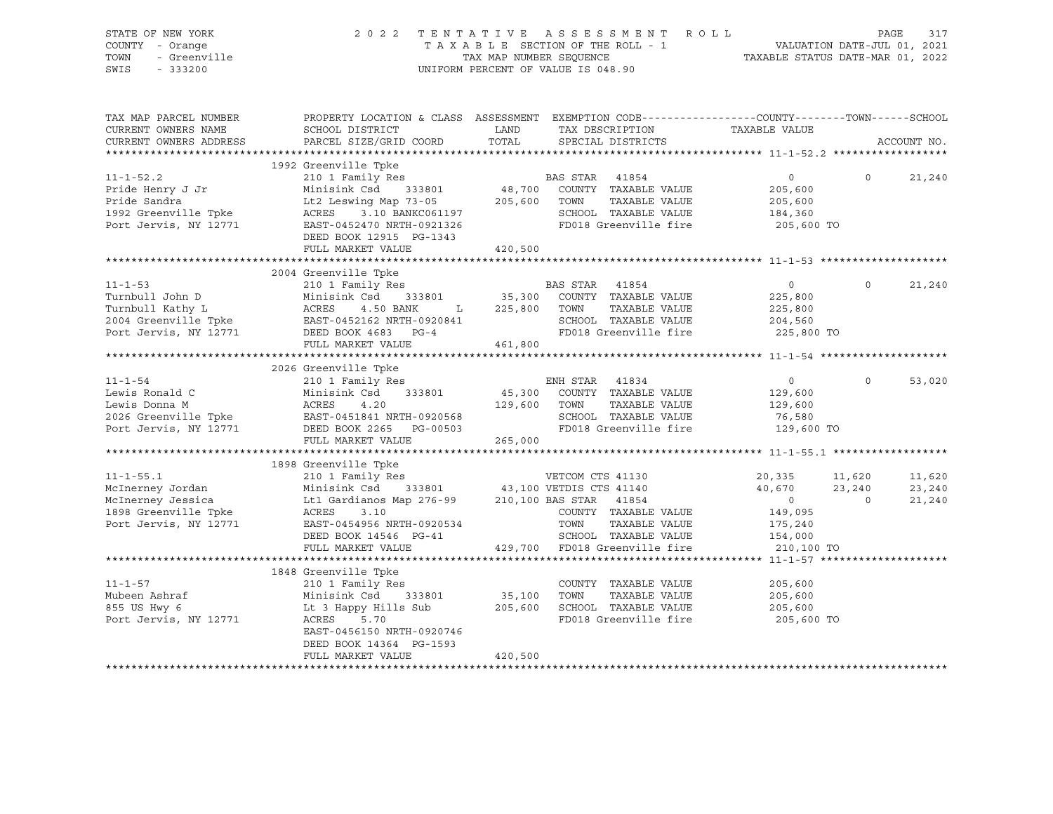| STATE OF NEW YORK<br>COUNTY - Orange<br>OF NEW YORK<br>7 - Orange<br>- Greenville<br>- Conno<br>TOWN<br>SWIS |                                                                           | 2022 TENTATIVE ASSESSMENT ROLL                                                                                                                                                                                                                               | PAGE<br>317<br>T A X A B L E SECTION OF THE ROLL - 1 VALUATION DATE-JUL 01, 2021<br>TAX MAP NUMBER SEQUENCE TAXABLE STATUS DATE-MAR 01, 2022<br>UNIFORM PERCENT OF VALUE IS 048.90 |
|--------------------------------------------------------------------------------------------------------------|---------------------------------------------------------------------------|--------------------------------------------------------------------------------------------------------------------------------------------------------------------------------------------------------------------------------------------------------------|------------------------------------------------------------------------------------------------------------------------------------------------------------------------------------|
| TAX MAP PARCEL NUMBER<br>CURRENT OWNERS NAME<br>CURRENT OWNERS ADDRESS                                       | PARCEL SIZE/GRID COORD TOTAL                                              | ${\tt SCHOOD\,\, \, {\tt DISTRTCT}} {\small\quad \, {\tt LAND}} {\small\quad \, {\tt TAX\,\, \, {\tt DESCRIPTION}} {\small\quad \, {\tt TAXABLE\,\, VALUE}}$<br>SPECIAL DISTRICTS                                                                            | PROPERTY LOCATION & CLASS ASSESSMENT EXEMPTION CODE---------------COUNTY-------TOWN-----SCHOOL<br>ACCOUNT NO.                                                                      |
|                                                                                                              |                                                                           |                                                                                                                                                                                                                                                              |                                                                                                                                                                                    |
|                                                                                                              | 1992 Greenville Tpke<br>DEED BOOK 12915 PG-1343<br>FULL MARKET VALUE      | 11-1-52.2<br>Pride Henry J Jr Minisink Csd 333801<br>Pride Sandra Lt2 Leswing Map 73-05<br>1992 Greenville Tpke ACRES 3.10 BANKC061197<br>Port Jervis, NY 12771 EASTER POPULATE DRIM COUNTY TAXABLE VALUE 205,600<br>Port Jervis, NY 127<br>420,500          | $\overline{0}$<br>$\overline{0}$<br>21,240<br>205,600 TO                                                                                                                           |
|                                                                                                              |                                                                           |                                                                                                                                                                                                                                                              |                                                                                                                                                                                    |
|                                                                                                              | 2004 Greenville Tpke                                                      | 11-1-53<br>Turnbull John D<br>2004 Greenville Tpke Minisink Csd 333801<br>2004 Greenville Tpke EAST-0452162 NRTH-0920841<br>2004 Greenville Tpke EAST-0452162 NRTH-0920841<br>2004 Greenville Tpke EAST-0452162 NRTH-0920841<br>2014 Green                   | $\circ$<br>21,240                                                                                                                                                                  |
|                                                                                                              |                                                                           |                                                                                                                                                                                                                                                              |                                                                                                                                                                                    |
|                                                                                                              | FULL MARKET VALUE                                                         | 2026 Greenville Tpke<br>2026 Greenville Tpke<br>210 1 Family Res<br>Lewis Ronald C<br>210 1 Family Res<br>2026 Greenville Tpke<br>2026 Greenville Tpke<br>2026 Greenville Tpke<br>2026 Greenville Tpke<br>2026 Greenville Tpke<br>2026 Greenville<br>265,000 | $\overline{0}$<br>53,020                                                                                                                                                           |
|                                                                                                              |                                                                           |                                                                                                                                                                                                                                                              |                                                                                                                                                                                    |
|                                                                                                              | 1898 Greenville Tpke                                                      | 11-1-55.1<br>McInerney Jordan 210 1 Family Res<br>McInerney Jordan Minishk Cale (1333801 43,100 VETDIS CTS 41130 20,335 11,620<br>McInerney Jessica Lt1 Gardianos Map 276-99 210,100 BAS STAR 41854 0<br>1898 Greenville Tpke ACRES 3.                       | 20,335 11,620<br>11,620<br>23,240<br>21,240                                                                                                                                        |
|                                                                                                              |                                                                           |                                                                                                                                                                                                                                                              |                                                                                                                                                                                    |
|                                                                                                              | 1848 Greenville Tpke<br>210 1 Family Res                                  | 11-1-57<br>Mubeen Ashraf Minisink Csd 333801 35,100 TOWN TAXABLE VALUE<br>855 US Hwy 6 Lt 3 Happy Hills Sub 205,600 SCHOOL TAXABLE VALUE<br>Port Jervis, NY 12771 ACRES 5.70 FD018 Greenville fire<br>COUNTY TAXABLE VALUE 205,600                           | 205,600<br>205,600<br>205,600 TO                                                                                                                                                   |
|                                                                                                              | EAST-0456150 NRTH-0920746<br>DEED BOOK 14364 PG-1593<br>FULL MARKET VALUE | 420,500                                                                                                                                                                                                                                                      |                                                                                                                                                                                    |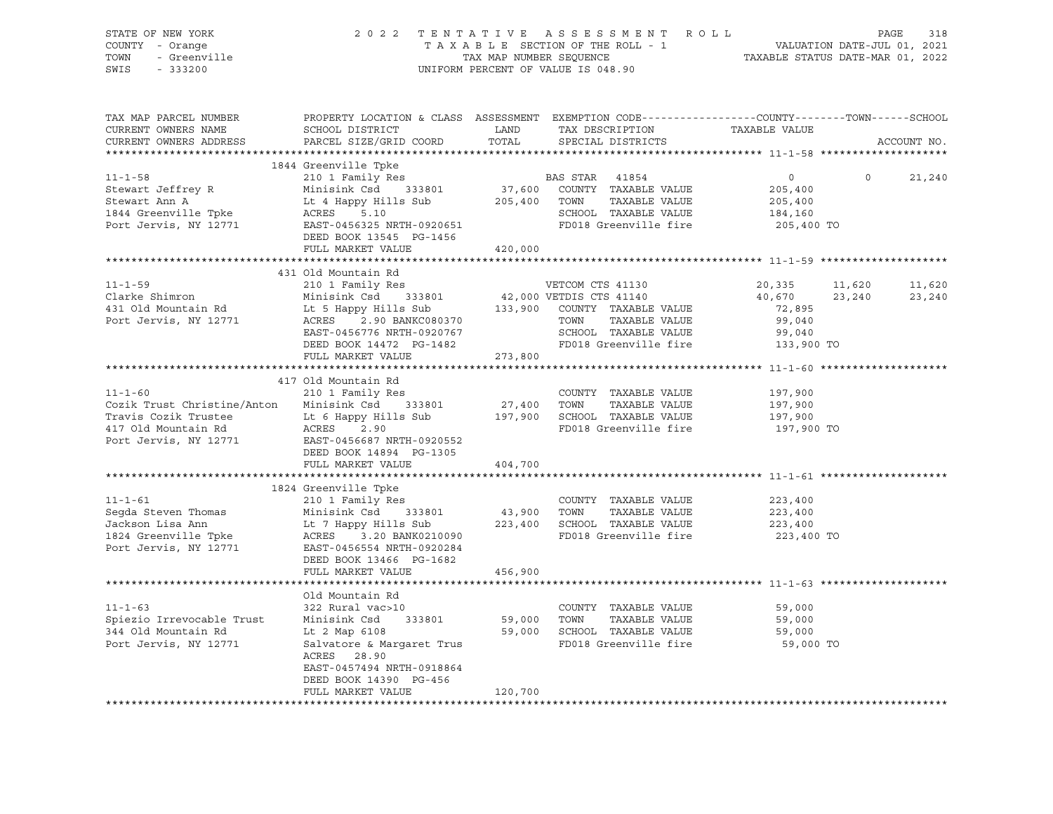| STATE OF NEW YORK<br>COUNTY - Orange<br>TOWN<br>SWIS - 333200                                                                                                                                                                                              | OF NEW YORK A SO 2 2 TENTATIVE ASSESSMENT ROLL PAGE 318<br>TAXABLE SECTION OF THE ROLL - 1 VALUATION DATE-JUL 01, 2021<br>TAXABLE SECTION OF THE ROLL - 1 VALUATION DATE-JUL 01, 2021<br>TAXABLE STATUS DATE-MAR 01, 2022<br>UNIFORM P |         | UNIFORM PERCENT OF VALUE IS 048.90                                                               |                      |         |             |
|------------------------------------------------------------------------------------------------------------------------------------------------------------------------------------------------------------------------------------------------------------|----------------------------------------------------------------------------------------------------------------------------------------------------------------------------------------------------------------------------------------|---------|--------------------------------------------------------------------------------------------------|----------------------|---------|-------------|
| TAX MAP PARCEL NUMBER<br>CURRENT OWNERS NAME<br>CURRENT OWNERS ADDRESS                                                                                                                                                                                     |                                                                                                                                                                                                                                        |         | PROPERTY LOCATION & CLASS ASSESSMENT EXEMPTION CODE----------------COUNTY-------TOWN------SCHOOL | TAXABLE VALUE        |         | ACCOUNT NO. |
|                                                                                                                                                                                                                                                            | 1844 Greenville Tpke                                                                                                                                                                                                                   |         |                                                                                                  |                      |         |             |
| $11 - 1 - 58$<br>EXERENT ALL AND MINISTRIC RAND MINISTRIC POLARIZED ACTES AND MINISTRIC SCHOOL TAXABLE VALUE UP ACTES ACTES 5.10<br>Fort Jervis, NY 12771 EAST-0456325 NRTH-0920651 DEED BOOK 13545 PG-1456 PORT ANALL POLARIZED ACTES DEED BOOK           | 210 1 Family Res                                                                                                                                                                                                                       |         | BAS STAR 41854<br>37,600 COUNTY TAXABLE VALUE                                                    | $\overline{0}$       | $\circ$ | 21,240      |
|                                                                                                                                                                                                                                                            |                                                                                                                                                                                                                                        |         |                                                                                                  | 205,400              |         |             |
|                                                                                                                                                                                                                                                            |                                                                                                                                                                                                                                        |         |                                                                                                  | 205,400              |         |             |
|                                                                                                                                                                                                                                                            |                                                                                                                                                                                                                                        |         |                                                                                                  | 184,160              |         |             |
|                                                                                                                                                                                                                                                            |                                                                                                                                                                                                                                        |         |                                                                                                  | 205,400 TO           |         |             |
|                                                                                                                                                                                                                                                            | FULL MARKET VALUE 420,000                                                                                                                                                                                                              |         |                                                                                                  |                      |         |             |
|                                                                                                                                                                                                                                                            |                                                                                                                                                                                                                                        |         |                                                                                                  |                      |         |             |
|                                                                                                                                                                                                                                                            | 431 Old Mountain Rd                                                                                                                                                                                                                    |         |                                                                                                  |                      |         |             |
|                                                                                                                                                                                                                                                            |                                                                                                                                                                                                                                        |         |                                                                                                  | 20,335 11,620        |         | 11,620      |
|                                                                                                                                                                                                                                                            |                                                                                                                                                                                                                                        |         |                                                                                                  | $40,670$ 23,240      |         | 23,240      |
|                                                                                                                                                                                                                                                            |                                                                                                                                                                                                                                        |         |                                                                                                  | 72,895               |         |             |
|                                                                                                                                                                                                                                                            |                                                                                                                                                                                                                                        |         |                                                                                                  | 99,040               |         |             |
|                                                                                                                                                                                                                                                            |                                                                                                                                                                                                                                        |         |                                                                                                  | 99,040<br>133,900 TO |         |             |
| 11-1-59<br>Clarke Shimron<br>210 10 Family Res<br>210 11 Family Res<br>210 11 Family Res<br>210 11 Family Res<br>210 11 Family Res<br>210 12 Fast<br>210 12 Fast<br>210 12 Fast<br>210 12 Fast<br>210 12 Fast<br>210 12 Fast<br>210 12 Fast<br>210 12 Fast |                                                                                                                                                                                                                                        |         |                                                                                                  |                      |         |             |
|                                                                                                                                                                                                                                                            | FULL MARKET VALUE                                                                                                                                                                                                                      | 273,800 |                                                                                                  |                      |         |             |
|                                                                                                                                                                                                                                                            | 417 Old Mountain Rd                                                                                                                                                                                                                    |         |                                                                                                  |                      |         |             |
| $11 - 1 - 60$                                                                                                                                                                                                                                              | 210 1 Family Res                                                                                                                                                                                                                       |         | COUNTY TAXABLE VALUE                                                                             | 197,900              |         |             |
|                                                                                                                                                                                                                                                            |                                                                                                                                                                                                                                        |         |                                                                                                  |                      |         |             |
|                                                                                                                                                                                                                                                            |                                                                                                                                                                                                                                        |         |                                                                                                  | 197,900<br>197,900   |         |             |
|                                                                                                                                                                                                                                                            |                                                                                                                                                                                                                                        |         | FD018 Greenville fire                                                                            | 197,900 TO           |         |             |
| Cozik Trust Christine/Anton Minisink Csd 333801 27,400 TOWN TAXABLE VALUE<br>Travis Cozik Trustee Lt 6 Happy Hills Sub 197,900 SCHOOL TAXABLE VALUE<br>417 Old Mountain Rd ACRES 2.90 PD018 Greenville fire<br>Port Jervis, NY 12771                       |                                                                                                                                                                                                                                        |         |                                                                                                  |                      |         |             |
|                                                                                                                                                                                                                                                            | DEED BOOK 14894 PG-1305                                                                                                                                                                                                                |         |                                                                                                  |                      |         |             |
|                                                                                                                                                                                                                                                            | FULL MARKET VALUE                                                                                                                                                                                                                      | 404,700 |                                                                                                  |                      |         |             |
|                                                                                                                                                                                                                                                            | 1824 Greenville Tpke                                                                                                                                                                                                                   |         |                                                                                                  |                      |         |             |
|                                                                                                                                                                                                                                                            |                                                                                                                                                                                                                                        |         |                                                                                                  |                      |         |             |
|                                                                                                                                                                                                                                                            |                                                                                                                                                                                                                                        |         |                                                                                                  |                      |         |             |
|                                                                                                                                                                                                                                                            |                                                                                                                                                                                                                                        |         |                                                                                                  |                      |         |             |
| 11-1-61<br>Segda Steven Thomas Minisink Csd 333801<br>Jackson Lisa Ann Lt 7 Happy Hills Sub 223,400<br>1824 Greenville Tpke ACRES 3.20 BANK0210090<br>Port Jervis, NY 12771 EAST-0456554 NRTH-0920284<br>TD018 Greenville fire 223,400<br>                 |                                                                                                                                                                                                                                        |         |                                                                                                  | 223,400 TO           |         |             |
|                                                                                                                                                                                                                                                            |                                                                                                                                                                                                                                        |         |                                                                                                  |                      |         |             |
|                                                                                                                                                                                                                                                            | DEED BOOK 13466 PG-1682                                                                                                                                                                                                                |         |                                                                                                  |                      |         |             |
|                                                                                                                                                                                                                                                            | FULL MARKET VALUE                                                                                                                                                                                                                      | 456,900 |                                                                                                  |                      |         |             |
|                                                                                                                                                                                                                                                            |                                                                                                                                                                                                                                        |         |                                                                                                  |                      |         |             |
| $11 - 1 - 63$                                                                                                                                                                                                                                              | Old Mountain Rd<br>322 Rural vac>10                                                                                                                                                                                                    |         | COUNTY TAXABLE VALUE                                                                             | 59,000               |         |             |
|                                                                                                                                                                                                                                                            |                                                                                                                                                                                                                                        |         |                                                                                                  |                      |         |             |
| Spiezio Irrevocable Trust<br>344 Old Mountain Rd<br>344 Old Mountain Rd                                                                                                                                                                                    |                                                                                                                                                                                                                                        |         |                                                                                                  |                      |         |             |
| Port Jervis, NY 12771                                                                                                                                                                                                                                      | 2.1 Atalie 1.1 Atas 1.1 Atas 1.1 Atas 1.1 Atas 1.1 Atas 1.1 Atas 1.1 Atas 1.1 Atas 1.1 Atas 1.1 Atas 1.1 Atas<br>1.1 Atas 1.1 Atas 1.1 Atas 1.1 Atas 1.1 Atas 1.1 Atas 1.1 Atas 1.1 Atas 1.1 Atas 1.1 Atas 1.1 Atas 1.1 Atas 1<br>     |         |                                                                                                  |                      |         |             |
|                                                                                                                                                                                                                                                            | ACRES 28.90                                                                                                                                                                                                                            |         |                                                                                                  |                      |         |             |
|                                                                                                                                                                                                                                                            | EAST-0457494 NRTH-0918864                                                                                                                                                                                                              |         |                                                                                                  |                      |         |             |
|                                                                                                                                                                                                                                                            | DEED BOOK 14390 PG-456                                                                                                                                                                                                                 |         |                                                                                                  |                      |         |             |
|                                                                                                                                                                                                                                                            | FULL MARKET VALUE                                                                                                                                                                                                                      | 120,700 |                                                                                                  |                      |         |             |
|                                                                                                                                                                                                                                                            |                                                                                                                                                                                                                                        |         |                                                                                                  |                      |         |             |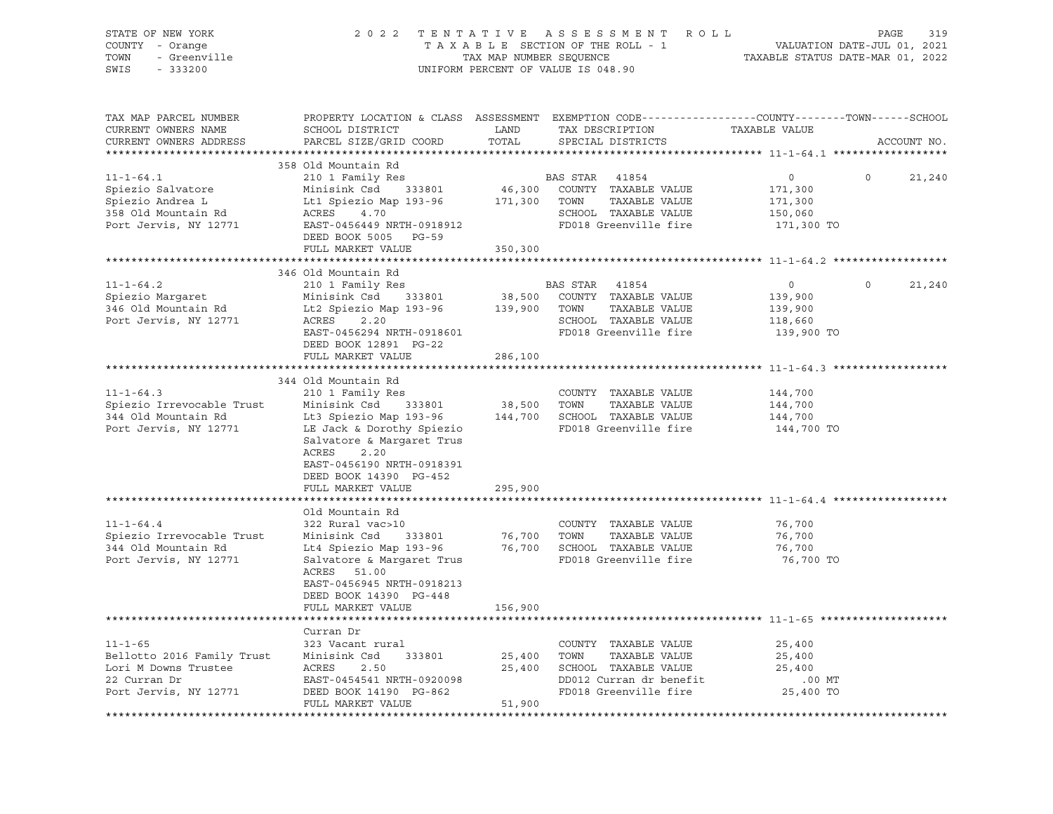| STATE OF NEW YORK<br>COUNTY - Orange<br>- - --------<br>- Greenville<br>- 333200<br>TOWN<br>SWIS<br>$-333200$ | 2 0 2 2<br>TENTATIVE ASSESSMENT ROLL<br>TAXABLE SECTION OF THE ROLL - 1<br>TAX MAP NUMBER SEQUENCE<br>UNIFORM PERCENT OF VALUE IS 048.90                                                                                                                |                       |                                                                                                                              | PAGE<br>319<br>VALUATION DATE-JUL 01, 2021<br>TAXABLE STATUS DATE-MAR 01, 2022 |                    |  |
|---------------------------------------------------------------------------------------------------------------|---------------------------------------------------------------------------------------------------------------------------------------------------------------------------------------------------------------------------------------------------------|-----------------------|------------------------------------------------------------------------------------------------------------------------------|--------------------------------------------------------------------------------|--------------------|--|
| TAX MAP PARCEL NUMBER<br>CURRENT OWNERS NAME<br>CURRENT OWNERS ADDRESS<br>***********************             | PROPERTY LOCATION & CLASS ASSESSMENT EXEMPTION CODE---------------COUNTY-------TOWN-----SCHOOL<br>SCHOOL DISTRICT<br>PARCEL SIZE/GRID COORD                                                                                                             | LAND<br>TOTAL         | TAX DESCRIPTION<br>SPECIAL DISTRICTS                                                                                         | TAXABLE VALUE                                                                  | ACCOUNT NO.        |  |
| $11 - 1 - 64.1$<br>Spiezio Salvatore<br>Spiezio Andrea L<br>358 Old Mountain Rd<br>Port Jervis, NY 12771      | 358 Old Mountain Rd<br>210 1 Family Res<br>Minisink Csd 333801<br>Minisim Com 193-96<br>Lt1 Spiezio Map 193-96<br>ACRES 4.70<br>EAST-0456449 NRTH-0918912<br>DEED BOOK 5005 PG-59<br>FULL MARKET VALUE                                                  | 350,300               | BAS STAR 41854<br>46,300 COUNTY TAXABLE VALUE<br>171,300 TOWN TAXABLE VALUE<br>SCHOOL TAXABLE VALUE<br>FD018 Greenville fire | $\circ$<br>171,300<br>171,300<br>150,060<br>171,300 TO                         | $\circ$<br>21,240  |  |
|                                                                                                               |                                                                                                                                                                                                                                                         |                       |                                                                                                                              |                                                                                |                    |  |
| $11 - 1 - 64.2$<br>Spiezio Margaret<br>346 Old Mountain Rd<br>Port Jervis, NY 12771                           | 346 Old Mountain Rd<br>210 1 Family Res<br>Minisink Csd 333801<br>Lt2 Spiezio Map 193-96 139,900 TOWN<br>ACRES 2.20<br>EAST-0456294 NRTH-0918601<br>DEED BOOK 12891 PG-22                                                                               |                       | BAS STAR 41854<br>38,500 COUNTY TAXABLE VALUE<br>TAXABLE VALUE<br>SCHOOL TAXABLE VALUE<br>FD018 Greenville fire              | $\circ$<br>139,900<br>139,900<br>118,660<br>139,900 TO                         | $\Omega$<br>21,240 |  |
|                                                                                                               | FULL MARKET VALUE                                                                                                                                                                                                                                       | 286,100               |                                                                                                                              |                                                                                |                    |  |
|                                                                                                               |                                                                                                                                                                                                                                                         |                       |                                                                                                                              |                                                                                |                    |  |
| $11 - 1 - 64.3$<br>Spiezio Irrevocable Trust<br>344 Old Mountain Rd<br>Port Jervis, NY 12771                  | 344 Old Mountain Rd<br>210 1 Family Res<br>Minisink Csd 333801<br>Lt3 Spiezio Map 193-96 144,700 SCHOOL TAXABLE VALUE<br>LE Jack & Dorothy Spiezio<br>Salvatore & Margaret Trus<br>ACRES<br>2.20<br>EAST-0456190 NRTH-0918391<br>DEED BOOK 14390 PG-452 |                       | COUNTY TAXABLE VALUE<br>38,500 TOWN TAXABLE VALUE<br>FD018 Greenville fire                                                   | 144,700<br>144,700<br>144,700<br>144,700 TO                                    |                    |  |
|                                                                                                               | FULL MARKET VALUE                                                                                                                                                                                                                                       | 295,900               |                                                                                                                              |                                                                                |                    |  |
| $11 - 1 - 64.4$<br>Spiezio Irrevocable Trust<br>344 Old Mountain Rd<br>Port Jervis, NY 12771                  | Old Mountain Rd<br>322 Rural vac>10<br>Minisink Csd 333801<br>Lt4 Spiezio Map 193-96 76,700 SCHOOL TAXABLE VALUE<br>Salvatore & Margaret Trus<br>ACRES 51.00<br>EAST-0456945 NRTH-0918213<br>DEED BOOK 14390 PG-448<br>FULL MARKET VALUE                | 156,900               | COUNTY TAXABLE VALUE<br>76,700 TOWN<br>TAXABLE VALUE<br>FD018 Greenville fire                                                | 76,700<br>76,700<br>76,700<br>76,700 TO                                        |                    |  |
|                                                                                                               |                                                                                                                                                                                                                                                         |                       |                                                                                                                              |                                                                                |                    |  |
| $11 - 1 - 65$<br>Bellotto 2016 Family Trust<br>Lori M Downs Trustee<br>22 Curran Dr<br>Port Jervis, NY 12771  | Curran Dr<br>323 Vacant rural<br>Minisink Csd 333801<br>ACRES 2.50 25,400 SCHOOL TAXABLE VALUE<br>EAST-0454541 NRTH-0920098 DD012 Curran dr benefit<br>DEED BOOK 14190 PG-862 FD018 Greenville fire<br>DEED BOOK 14190 PG-862<br>FULL MARKET VALUE      | 25,400 TOWN<br>51,900 | COUNTY TAXABLE VALUE<br>TAXABLE VALUE<br>FD018 Greenville fire                                                               | 25,400<br>25,400<br>25,400<br>.00 MT<br>25,400 TO                              |                    |  |
|                                                                                                               |                                                                                                                                                                                                                                                         |                       |                                                                                                                              |                                                                                |                    |  |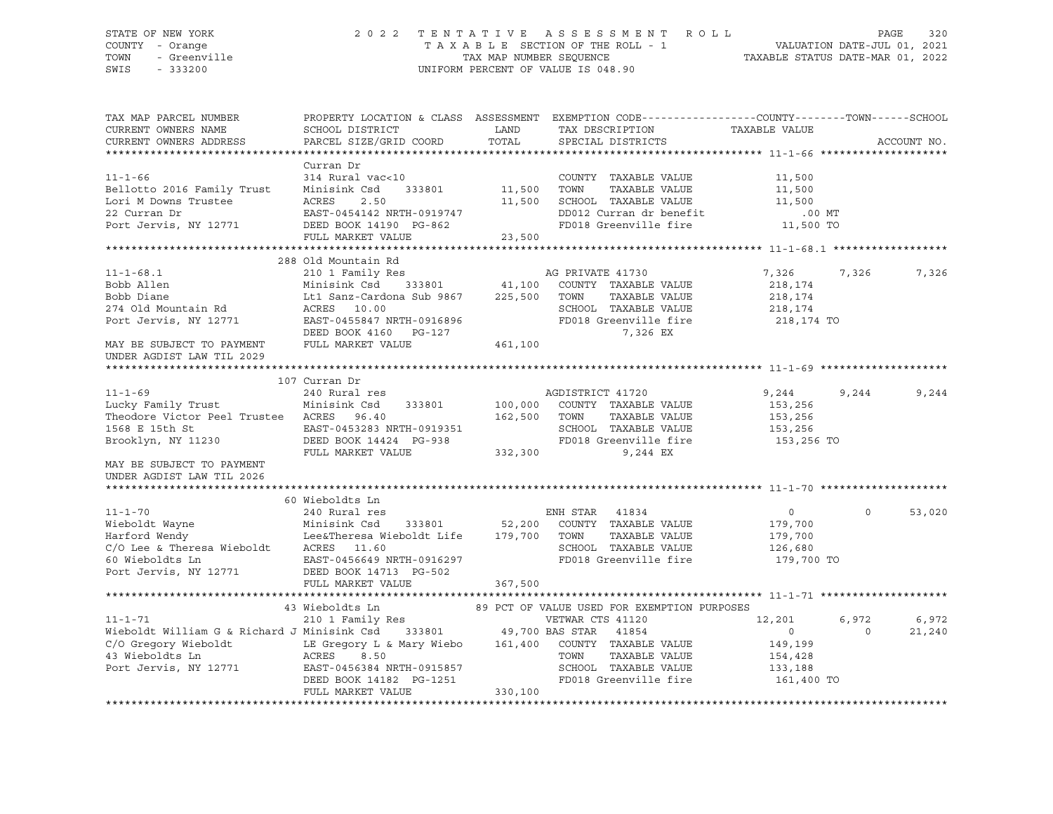### STATE OF NEW YORK 2 0 2 2 T E N T A T I V E A S S E S S M E N T R O L L PAGE 320 COUNTY - Orange T A X A B L E SECTION OF THE ROLL - 1 VALUATION DATE-JUL 01, 2021 TOWN - Greenville TAX MAP NUMBER SEQUENCE TAXABLE STATUS DATE-MAR 01, 2022 SWIS - 333200 UNIFORM PERCENT OF VALUE IS 048.90

| TAX MAP PARCEL NUMBER<br>CURRENT OWNERS NAME                                                                                                         | SCHOOL DISTRICT                                                                  | LAND          | PROPERTY LOCATION & CLASS ASSESSMENT EXEMPTION CODE----------------COUNTY-------TOWN------SCHOOL<br>TAX DESCRIPTION | TAXABLE VALUE    |                    |
|------------------------------------------------------------------------------------------------------------------------------------------------------|----------------------------------------------------------------------------------|---------------|---------------------------------------------------------------------------------------------------------------------|------------------|--------------------|
| CURRENT OWNERS ADDRESS                                                                                                                               | PARCEL SIZE/GRID COORD                                                           | TOTAL         | SPECIAL DISTRICTS                                                                                                   |                  | ACCOUNT NO.        |
|                                                                                                                                                      |                                                                                  |               |                                                                                                                     |                  |                    |
| $11 - 1 - 66$<br>Bellotto 2016 Family Trust                                                                                                          | Curran Dr<br>314 Rural vac<10<br>Minisink Csd<br>333801                          | 11,500 TOWN   | COUNTY TAXABLE VALUE<br>TAXABLE VALUE                                                                               | 11,500<br>11,500 |                    |
| Lori M Downs Trustee                                                                                                                                 | ACRES<br>2.50                                                                    |               | 11,500 SCHOOL TAXABLE VALUE                                                                                         | 11,500           |                    |
| 22 Curran Dr                                                                                                                                         | EAST-0454142 NRTH-0919747                                                        |               | DD012 Curran dr benefit                                                                                             | $.00$ MT         |                    |
| Port Jervis, NY 12771 DEED BOOK 14190 PG-862                                                                                                         |                                                                                  |               | FD018 Greenville fire 11,500 TO                                                                                     |                  |                    |
|                                                                                                                                                      | FULL MARKET VALUE                                                                | 23,500        |                                                                                                                     |                  |                    |
|                                                                                                                                                      |                                                                                  |               |                                                                                                                     |                  |                    |
|                                                                                                                                                      | 288 Old Mountain Rd                                                              |               |                                                                                                                     |                  |                    |
| $11 - 1 - 68.1$                                                                                                                                      |                                                                                  |               |                                                                                                                     | 7,326<br>7,326   | 7,326              |
| Bobb Allen                                                                                                                                           |                                                                                  |               |                                                                                                                     | 218,174          |                    |
| Bobb Diane                                                                                                                                           | Lt1 Sanz-Cardona Sub 9867 225,500 TOWN                                           |               | TAXABLE VALUE                                                                                                       | 218,174          |                    |
| 274 Old Mountain Rd                                                                                                                                  | ACRES 10.00                                                                      |               | SCHOOL TAXABLE VALUE                                                                                                | 218,174          |                    |
| Port Jervis, NY 12771 EAST-0455847 NRTH-0916896                                                                                                      |                                                                                  |               | FD018 Greenville fire                                                                                               | 218,174 TO       |                    |
|                                                                                                                                                      | DEED BOOK 4160    PG-127                                                         |               | 7,326 EX                                                                                                            |                  |                    |
| MAY BE SUBJECT TO PAYMENT<br>UNDER AGDIST LAW TIL 2029                                                                                               | FULL MARKET VALUE                                                                | 461,100       |                                                                                                                     |                  |                    |
|                                                                                                                                                      |                                                                                  |               |                                                                                                                     |                  |                    |
|                                                                                                                                                      | 107 Curran Dr                                                                    |               |                                                                                                                     |                  |                    |
| $11 - 1 - 69$                                                                                                                                        | 240 Rural res                                                                    |               | AGDISTRICT 41720                                                                                                    | 9,244<br>9,244   | 9,244              |
| Lucky Family Trust                                                                                                                                   | 333801<br>Minisink Csd                                                           | 100,000       | COUNTY TAXABLE VALUE                                                                                                | 153,256          |                    |
| Theodore Victor Peel Trustee ACRES 96.40                                                                                                             |                                                                                  | 162,500       | TOWN<br>TAXABLE VALUE                                                                                               | 153,256          |                    |
| 1568 E 15th St                                                                                                                                       |                                                                                  |               | SCHOOL TAXABLE VALUE                                                                                                | 153,256          |                    |
| Brooklyn, NY 11230                                                                                                                                   |                                                                                  |               | FD018 Greenville fire 153,256 TO                                                                                    |                  |                    |
|                                                                                                                                                      | EAST-0453283 NRTH-0919351<br>DEED BOOK 14424 PG-938<br>FULL MARKET VALUE 332,300 |               | 9,244 EX                                                                                                            |                  |                    |
| MAY BE SUBJECT TO PAYMENT<br>UNDER AGDIST LAW TIL 2026                                                                                               |                                                                                  |               |                                                                                                                     |                  |                    |
|                                                                                                                                                      |                                                                                  |               |                                                                                                                     |                  |                    |
|                                                                                                                                                      | 60 Wieboldts Ln                                                                  |               |                                                                                                                     |                  |                    |
| $11 - 1 - 70$                                                                                                                                        | 240 Rural res                                                                    |               | ENH STAR 41834                                                                                                      | $\overline{0}$   | $\Omega$<br>53,020 |
| Wieboldt Wayne Minisink Csd 333801 52,200 COUNT<br>Harford Wendy Lee&Theresa Wieboldt Life 179,700 TOWN C/O Lee & Theresa Wieboldt ACRES 11.60 SCHOC |                                                                                  |               | 333801 52,200 COUNTY TAXABLE VALUE                                                                                  | 179,700          |                    |
|                                                                                                                                                      |                                                                                  |               | TAXABLE VALUE                                                                                                       | 179,700          |                    |
|                                                                                                                                                      |                                                                                  |               | SCHOOL TAXABLE VALUE                                                                                                | 126,680          |                    |
| 60 Wieboldts Ln                                                                                                                                      |                                                                                  |               | FD018 Greenville fire                                                                                               | 179,700 TO       |                    |
| Port Jervis, NY 12771                                                                                                                                |                                                                                  |               |                                                                                                                     |                  |                    |
|                                                                                                                                                      | FULL MARKET VALUE                                                                | 367,500       |                                                                                                                     |                  |                    |
|                                                                                                                                                      |                                                                                  |               |                                                                                                                     |                  |                    |
|                                                                                                                                                      | 43 Wieboldts Ln                                                                  |               | 89 PCT OF VALUE USED FOR EXEMPTION PURPOSES                                                                         |                  |                    |
| $11 - 1 - 71$                                                                                                                                        | 210 1 Family Res                                                                 |               | VETWAR CTS 41120                                                                                                    | 12,201<br>6,972  | 6,972              |
| Wieboldt William G & Richard J Minisink Csd                                                                                                          |                                                                                  |               |                                                                                                                     | $\overline{0}$   | $\Omega$<br>21,240 |
|                                                                                                                                                      |                                                                                  |               |                                                                                                                     | 149,199          |                    |
|                                                                                                                                                      | ACRES     8.50<br>EAST-0456384 NRTH-0915857                                      |               | TAXABLE VALUE                                                                                                       | 154,428          |                    |
| Port Jervis, NY 12771                                                                                                                                |                                                                                  |               | SCHOOL TAXABLE VALUE                                                                                                | 133,188          |                    |
|                                                                                                                                                      | DEED BOOK 14182 PG-1251                                                          | 51<br>330,100 | FD018 Greenville fire 161,400 TO                                                                                    |                  |                    |
|                                                                                                                                                      | FULL MARKET VALUE                                                                |               |                                                                                                                     |                  |                    |
|                                                                                                                                                      |                                                                                  |               |                                                                                                                     |                  |                    |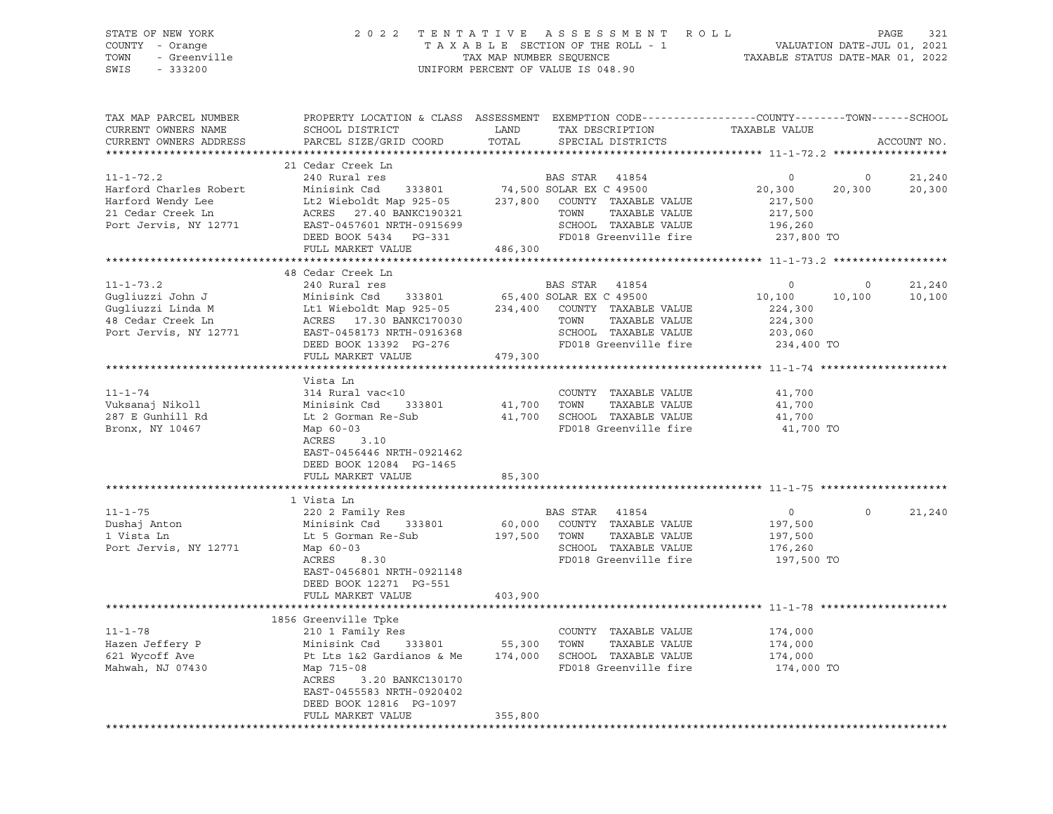| STATE OF NEW YORK<br>STATE OF NEW IONN<br>COUNTY - Orange<br>TOWN - Greenville<br>SWIS - 333200 |                                                                                         | UNIFORM PERCENT OF VALUE IS 048.90                                                                                                                                                                                                                                        | 2022 TENTATIVE ASSESSMENT ROLL PAGE 321<br>TAXABLE SECTION OF THE ROLL - 1 VALUATION DATE-JUL 01, 2021<br>TAX MAP NUMBER SEQUENCE TAXABLE STATUS DATE-MAR 01, 2022 |
|-------------------------------------------------------------------------------------------------|-----------------------------------------------------------------------------------------|---------------------------------------------------------------------------------------------------------------------------------------------------------------------------------------------------------------------------------------------------------------------------|--------------------------------------------------------------------------------------------------------------------------------------------------------------------|
| TAX MAP PARCEL NUMBER<br>CURRENT OWNERS NAME<br>CURRENT OWNERS ADDRESS                          | SCHOOL DISTRICT                                                                         | LAND TAX DESCRIPTION TAXABLE VALUE<br>PARCEL SIZE/GRID COORD TOTAL SPECIAL DISTRICTS                                                                                                                                                                                      | PROPERTY LOCATION & CLASS ASSESSMENT EXEMPTION CODE----------------COUNTY-------TOWN------SCHOOL<br>ACCOUNT NO.                                                    |
|                                                                                                 | 21 Cedar Creek Ln                                                                       |                                                                                                                                                                                                                                                                           |                                                                                                                                                                    |
|                                                                                                 |                                                                                         | 21 Cedar Creek Ln<br>24 Cedar Creek Ln<br>24 Cedar Creek Ln<br>26 Minisink Csd<br>233801 74,500 SOLAR EX C 49500 20,300 20<br>271,500 20<br>21 Cedar Creek Ln<br>217,500 Ln<br>217,500 EXES 27.40 BANKC190321 TOWN TAXABLE VALUE<br>217,500 20<br>                        | $\overline{0}$<br>21,240<br>$20,300$ $20,300$<br>$217,500$<br>20,300                                                                                               |
|                                                                                                 |                                                                                         |                                                                                                                                                                                                                                                                           |                                                                                                                                                                    |
|                                                                                                 | FULL MARKET VALUE 486,300                                                               |                                                                                                                                                                                                                                                                           |                                                                                                                                                                    |
|                                                                                                 |                                                                                         |                                                                                                                                                                                                                                                                           |                                                                                                                                                                    |
|                                                                                                 |                                                                                         |                                                                                                                                                                                                                                                                           |                                                                                                                                                                    |
|                                                                                                 |                                                                                         |                                                                                                                                                                                                                                                                           | 21,240<br>$\overline{0}$<br>$10, 100$ $10, 100$<br>$224, 300$<br>10,100                                                                                            |
|                                                                                                 |                                                                                         |                                                                                                                                                                                                                                                                           |                                                                                                                                                                    |
|                                                                                                 | FULL MARKET VALUE 479,300                                                               |                                                                                                                                                                                                                                                                           |                                                                                                                                                                    |
|                                                                                                 |                                                                                         |                                                                                                                                                                                                                                                                           |                                                                                                                                                                    |
|                                                                                                 | Vista Ln                                                                                |                                                                                                                                                                                                                                                                           |                                                                                                                                                                    |
| $11 - 1 - 74$                                                                                   | 314 Rural vac<10                                                                        | COUNTY TAXABLE VALUE                                                                                                                                                                                                                                                      | 41,700                                                                                                                                                             |
| Vuksanaj Nikoll                                                                                 |                                                                                         |                                                                                                                                                                                                                                                                           |                                                                                                                                                                    |
| 287 E Gunhill Rd<br>Bronx, NY 10467                                                             |                                                                                         | 314 Kural Vaccio<br>Minisink Csd 333801 41,700 TOWN TAXABLE VALUE 41,700<br>Lt 2 Gorman Re-Sub 41,700 SCHOOL TAXABLE VALUE 41,700<br>Map 60-03 FD018 Greenville fire 41,700 TO                                                                                            |                                                                                                                                                                    |
|                                                                                                 | ACRES 3.10<br>EAST-0456446 NRTH-0921462<br>DEED BOOK 12084 PG-1465<br>FULL MARKET VALUE | 85,300                                                                                                                                                                                                                                                                    |                                                                                                                                                                    |
|                                                                                                 |                                                                                         |                                                                                                                                                                                                                                                                           |                                                                                                                                                                    |
| $11 - 1 - 75$<br>Dushaj Anton<br>1 Vista Ln<br>Port Jervis, NY 12771 Map 60-03                  | 1 Vista Ln<br>Map 60-03<br>ACRES 8.30                                                   | 220 2 Family Res<br>Minisink Csd 333801 60,000 COUNTY TAXABLE VALUE<br>Lt 5 Gorman Re-Sub<br>Map 60-03 60,000 COUNTY TAXABLE VALUE<br>Map 60-03 6CHOOL TAXABLE VALUE<br>ACRES 8.30 FD018 Greenville fire<br>SCHOOL TAXABLE VALUE 176,260<br>FD018 Greenville fire 197,500 | 21,240<br>197,500<br>197,500                                                                                                                                       |
|                                                                                                 | EAST-0456801 NRTH-0921148<br>DEED BOOK 12271 PG-551<br>FULL MARKET VALUE                | 403,900                                                                                                                                                                                                                                                                   | 197,500 TO                                                                                                                                                         |
|                                                                                                 |                                                                                         |                                                                                                                                                                                                                                                                           |                                                                                                                                                                    |
|                                                                                                 | 1856 Greenville Tpke<br>ACRES 3.20 BANKC130170<br>EAST-0455583 NRTH-0920402             |                                                                                                                                                                                                                                                                           | 174,000 TO                                                                                                                                                         |

\*\*\*\*\*\*\*\*\*\*\*\*\*\*\*\*\*\*\*\*\*\*\*\*\*\*\*\*\*\*\*\*\*\*\*\*\*\*\*\*\*\*\*\*\*\*\*\*\*\*\*\*\*\*\*\*\*\*\*\*\*\*\*\*\*\*\*\*\*\*\*\*\*\*\*\*\*\*\*\*\*\*\*\*\*\*\*\*\*\*\*\*\*\*\*\*\*\*\*\*\*\*\*\*\*\*\*\*\*\*\*\*\*\*\*\*\*\*\*\*\*\*\*\*\*\*\*\*\*\*\*\*

DEED BOOK 12816 PG-1097

FULL MARKET VALUE 355,800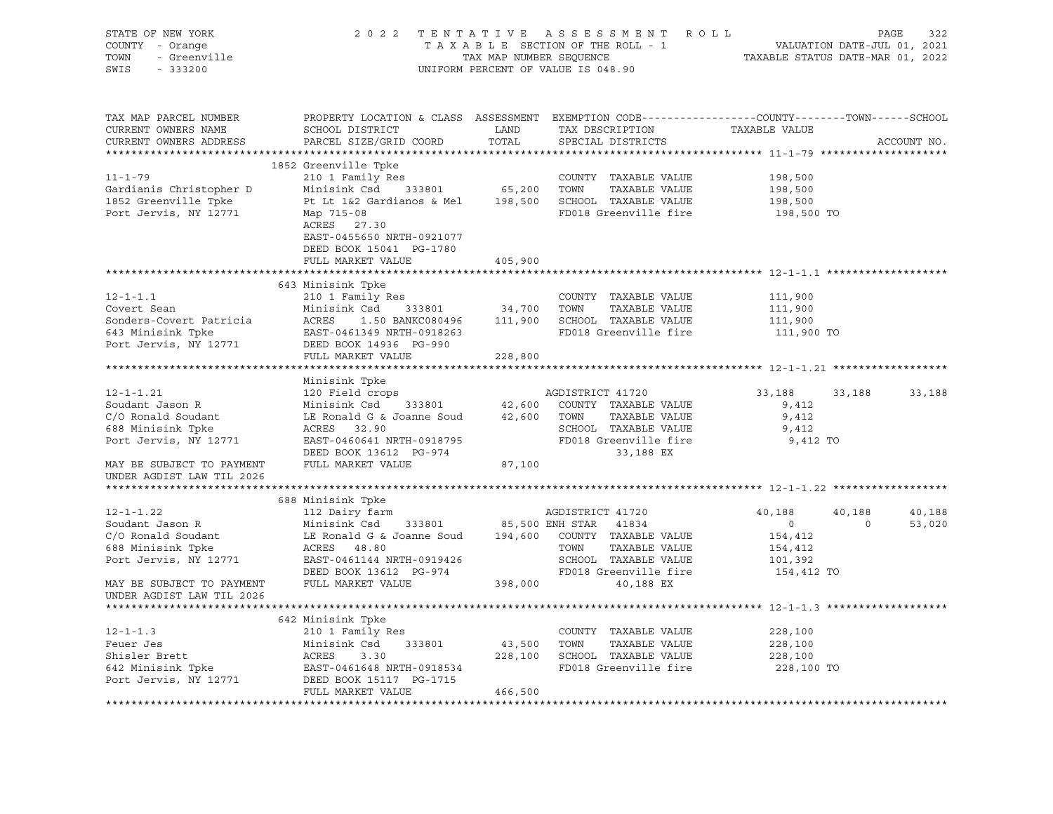| STATE OF NEW YORK<br>COUNTY - Orange<br>- Greenville<br>TOWN<br>SWIS<br>$-333200$ |                                                                                                                                               |               | 2022 TENTATIVE ASSESSMENT ROLL<br>TAXABLE SECTION OF THE ROLL - 1<br>TAXABLE SECTION OF THE ROLL - 1<br>TAXABLE STATUS DATE-MAR 01, 2022<br>UNIFORM PERCENT OF VALUE IS 048.90 |                | PAGE<br>322       |
|-----------------------------------------------------------------------------------|-----------------------------------------------------------------------------------------------------------------------------------------------|---------------|--------------------------------------------------------------------------------------------------------------------------------------------------------------------------------|----------------|-------------------|
| TAX MAP PARCEL NUMBER<br>CURRENT OWNERS NAME<br>CURRENT OWNERS ADDRESS            | PROPERTY LOCATION & CLASS ASSESSMENT EXEMPTION CODE----------------COUNTY-------TOWN------SCHOOL<br>SCHOOL DISTRICT<br>PARCEL SIZE/GRID COORD | LAND<br>TOTAL | TAX DESCRIPTION<br>SPECIAL DISTRICTS                                                                                                                                           | TAXABLE VALUE  | ACCOUNT NO.       |
|                                                                                   | 1852 Greenville Tpke                                                                                                                          |               |                                                                                                                                                                                |                |                   |
| $11 - 1 - 79$                                                                     | 210 1 Family Res                                                                                                                              |               | COUNTY TAXABLE VALUE                                                                                                                                                           | 198,500        |                   |
|                                                                                   | Minisink Csd 333801 65,200 TOWN                                                                                                               |               | TAXABLE VALUE                                                                                                                                                                  | 198,500        |                   |
| Gardianis Christopher D<br>1952 Creenville Toke<br>1852 Greenville Tpke           | Pt Lt 1&2 Gardianos & Mel                                                                                                                     |               | 198,500 SCHOOL TAXABLE VALUE                                                                                                                                                   | 198,500        |                   |
| Port Jervis, NY 12771                                                             | Map 715-08<br>ACRES 27.30<br>EAST-0455650 NRTH-0921077<br>DEED BOOK 15041 PG-1780                                                             |               | FD018 Greenville fire                                                                                                                                                          | 198,500 TO     |                   |
|                                                                                   | FULL MARKET VALUE                                                                                                                             | 405,900       |                                                                                                                                                                                |                |                   |
|                                                                                   |                                                                                                                                               | ************* |                                                                                                                                                                                |                |                   |
|                                                                                   | 643 Minisink Tpke                                                                                                                             |               |                                                                                                                                                                                |                |                   |
| $12 - 1 - 1.1$                                                                    | 210 1 Family Res                                                                                                                              |               | COUNTY TAXABLE VALUE                                                                                                                                                           | 111,900        |                   |
| Covert Sean                                                                       |                                                                                                                                               |               |                                                                                                                                                                                | 111,900        |                   |
| Sonders-Covert Patricia                                                           |                                                                                                                                               |               |                                                                                                                                                                                | 111,900        |                   |
| 643 Minisink Tpke                                                                 | EAST-0461349 NRTH-0918263                                                                                                                     |               | FD018 Greenville fire                                                                                                                                                          | 111,900 TO     |                   |
| Port Jervis, NY 12771                                                             | DEED BOOK 14936 PG-990                                                                                                                        |               |                                                                                                                                                                                |                |                   |
|                                                                                   | FULL MARKET VALUE                                                                                                                             | 228,800       |                                                                                                                                                                                |                |                   |
|                                                                                   | Minisink Tpke                                                                                                                                 |               |                                                                                                                                                                                |                |                   |
| $12 - 1 - 1.21$                                                                   | 120 Field crops                                                                                                                               |               |                                                                                                                                                                                | 33,188         | 33,188<br>33,188  |
|                                                                                   |                                                                                                                                               |               |                                                                                                                                                                                |                |                   |
|                                                                                   |                                                                                                                                               |               |                                                                                                                                                                                |                |                   |
| Soudant Jason R                                                                   | Minisink Csd 333801                                                                                                                           |               | AGDISTRICT 41720<br>42,600 COUNTY TAXABLE VALUE                                                                                                                                | 9,412          |                   |
| C/O Ronald Soudant                                                                | LE Ronald G & Joanne Soud 42,600 TOWN                                                                                                         |               | TAXABLE VALUE                                                                                                                                                                  | 9,412          |                   |
| 688 Minisink Tpke                                                                 | ACRES 32.90                                                                                                                                   |               | SCHOOL TAXABLE VALUE                                                                                                                                                           | 9,412          |                   |
| Port Jervis, NY 12771                                                             | EAST-0460641 NRTH-0918795                                                                                                                     |               | FD018 Greenville fire                                                                                                                                                          | 9,412 TO       |                   |
| MAY BE SUBJECT TO PAYMENT                                                         | DEED BOOK 13612 PG-974<br>FULL MARKET VALUE                                                                                                   | 87,100        | 33,188 EX                                                                                                                                                                      |                |                   |
| UNDER AGDIST LAW TIL 2026                                                         |                                                                                                                                               |               |                                                                                                                                                                                |                |                   |
|                                                                                   |                                                                                                                                               |               |                                                                                                                                                                                |                |                   |
|                                                                                   | 688 Minisink Tpke                                                                                                                             |               |                                                                                                                                                                                |                |                   |
| $12 - 1 - 1.22$                                                                   | 112 Dairy farm                                                                                                                                |               | AGDISTRICT 41720                                                                                                                                                               | 40,188         | 40,188<br>40,188  |
| Soudant Jason R                                                                   | Minisink Csd 333801                                                                                                                           |               | 85,500 ENH STAR 41834                                                                                                                                                          | $\overline{0}$ | 53,020<br>$\circ$ |
| C/O Ronald Soudant                                                                | LE Ronald G & Joanne Soud 194,600 COUNTY TAXABLE VALUE                                                                                        |               |                                                                                                                                                                                | 154,412        |                   |
| 688 Minisink Tpke                                                                 | ACRES 48.80                                                                                                                                   |               | TOWN<br>TAXABLE VALUE                                                                                                                                                          | 154,412        |                   |
| Port Jervis, NY 12771                                                             | EAST-0461144 NRTH-0919426                                                                                                                     |               | SCHOOL TAXABLE VALUE                                                                                                                                                           | 101,392        |                   |
|                                                                                   | DEED BOOK 13612 PG-974                                                                                                                        |               | FD018 Greenville fire                                                                                                                                                          | 154,412 TO     |                   |
| MAY BE SUBJECT TO PAYMENT                                                         | FULL MARKET VALUE 398,000                                                                                                                     |               | 40,188 EX                                                                                                                                                                      |                |                   |
| UNDER AGDIST LAW TIL 2026                                                         |                                                                                                                                               |               |                                                                                                                                                                                |                |                   |
|                                                                                   |                                                                                                                                               |               |                                                                                                                                                                                |                |                   |
|                                                                                   | 642 Minisink Tpke                                                                                                                             |               |                                                                                                                                                                                |                |                   |
| $12 - 1 - 1.3$                                                                    | 210 1 Family Res                                                                                                                              |               | COUNTY TAXABLE VALUE                                                                                                                                                           | 228,100        |                   |
| Feuer Jes                                                                         | Minisink Csd 333801                                                                                                                           | 43,500 TOWN   | TAXABLE VALUE                                                                                                                                                                  | 228,100        |                   |
|                                                                                   | ACRES<br>3.30                                                                                                                                 |               | 228,100 SCHOOL TAXABLE VALUE                                                                                                                                                   | 228,100        |                   |
| Shisler Brett<br>642 Minisink Tpke                                                | EAST-0461648 NRTH-0918534                                                                                                                     |               | FD018 Greenville fire                                                                                                                                                          | 228,100 TO     |                   |
| Port Jervis, NY 12771                                                             | DEED BOOK 15117 PG-1715<br>FULL MARKET VALUE                                                                                                  | 466,500       |                                                                                                                                                                                |                |                   |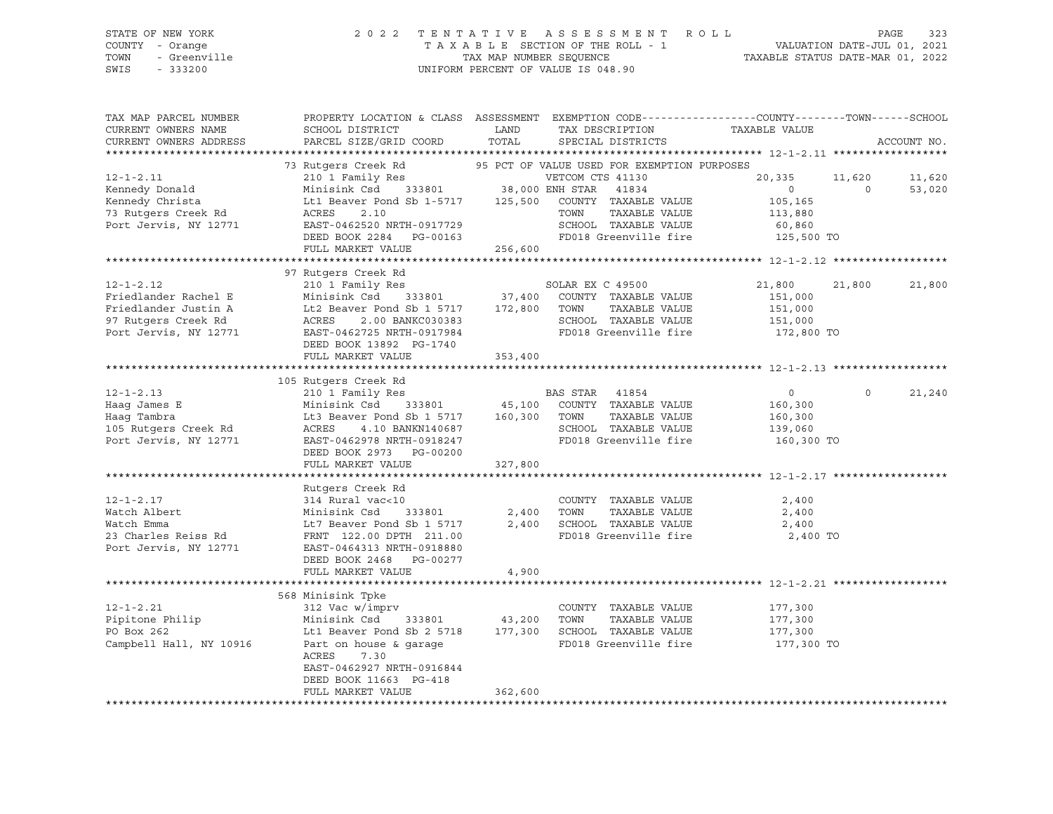| STATE OF NEW YORK<br>COUNTY - Orange<br>TOWN<br>- Greenville<br>SWIS<br>$-333200$ |                                                                                                                                              |                   | 2022 TENTATIVE ASSESSMENT ROLL<br>$\begin{tabular}{lllllll} T\ A\ X\ A\ B\ L\ E\ &\text{SECTION OF THE ROLL} \ -\ 1 \end{tabular} \label{tab:2}$<br>TAX MAP NUMBER SEQUENCE $\begin{tabular}{lllllll} \multicolumn{2}{l}{{\small\tt}}{\small\tt} & \multicolumn{2}{l}{\small\tt} & \multicolumn{2}{l}{\small\tt} & \multicolumn{2}{l}{\small\tt} & \multicolumn{2}{l}{\small\tt} & \multicolumn{2}{l}{\small\tt} & \multicolumn{2}{l}{\small\tt} & \multicolumn{2}{l}{\small\tt} & \$<br>UNIFORM PERCENT OF VALUE IS 048.90 | TAXABLE STATUS DATE-MAR 01, 2022 |          | PAGE<br>323<br>VALUATION DATE-JUL 01, 2021 |
|-----------------------------------------------------------------------------------|----------------------------------------------------------------------------------------------------------------------------------------------|-------------------|-----------------------------------------------------------------------------------------------------------------------------------------------------------------------------------------------------------------------------------------------------------------------------------------------------------------------------------------------------------------------------------------------------------------------------------------------------------------------------------------------------------------------------|----------------------------------|----------|--------------------------------------------|
| TAX MAP PARCEL NUMBER<br>CURRENT OWNERS NAME<br>CURRENT OWNERS ADDRESS            | PROPERTY LOCATION & CLASS ASSESSMENT EXEMPTION CODE---------------COUNTY-------TOWN------SCHOOL<br>SCHOOL DISTRICT<br>PARCEL SIZE/GRID COORD | LAND<br>TOTAL     | TAX DESCRIPTION<br>SPECIAL DISTRICTS                                                                                                                                                                                                                                                                                                                                                                                                                                                                                        | TAXABLE VALUE                    |          | ACCOUNT NO.                                |
|                                                                                   | 73 Rutgers Creek Rd                                                                                                                          |                   | 95 PCT OF VALUE USED FOR EXEMPTION PURPOSES                                                                                                                                                                                                                                                                                                                                                                                                                                                                                 |                                  |          |                                            |
| $12 - 1 - 2.11$                                                                   | 210 1 Family Res                                                                                                                             |                   | VETCOM CTS 41130                                                                                                                                                                                                                                                                                                                                                                                                                                                                                                            | 20,335                           | 11,620   | 11,620                                     |
| Kennedy Donald                                                                    | Minisink Csd<br>333801                                                                                                                       | 38,000 ENH STAR   | 41834                                                                                                                                                                                                                                                                                                                                                                                                                                                                                                                       | $\circ$                          | $\circ$  | 53,020                                     |
| Kennedy Christa                                                                   | Lt1 Beaver Pond Sb 1-5717 125,500                                                                                                            |                   | COUNTY TAXABLE VALUE                                                                                                                                                                                                                                                                                                                                                                                                                                                                                                        | 105,165                          |          |                                            |
| 73 Rutgers Creek Rd                                                               | ACRES<br>2.10                                                                                                                                |                   | TOWN<br>TAXABLE VALUE                                                                                                                                                                                                                                                                                                                                                                                                                                                                                                       | 113,880                          |          |                                            |
| Port Jervis, NY 12771                                                             | EAST-0462520 NRTH-0917729                                                                                                                    |                   | SCHOOL TAXABLE VALUE                                                                                                                                                                                                                                                                                                                                                                                                                                                                                                        | 60,860                           |          |                                            |
|                                                                                   | DEED BOOK 2284 PG-00163                                                                                                                      |                   | FD018 Greenville fire                                                                                                                                                                                                                                                                                                                                                                                                                                                                                                       | 125,500 TO                       |          |                                            |
|                                                                                   | FULL MARKET VALUE                                                                                                                            | 256,600           |                                                                                                                                                                                                                                                                                                                                                                                                                                                                                                                             |                                  |          |                                            |
|                                                                                   |                                                                                                                                              |                   |                                                                                                                                                                                                                                                                                                                                                                                                                                                                                                                             |                                  |          |                                            |
|                                                                                   | 97 Rutgers Creek Rd                                                                                                                          |                   |                                                                                                                                                                                                                                                                                                                                                                                                                                                                                                                             |                                  |          |                                            |
| $12 - 1 - 2.12$                                                                   | 210 1 Family Res                                                                                                                             |                   | SOLAR EX C 49500                                                                                                                                                                                                                                                                                                                                                                                                                                                                                                            | 21,800                           | 21,800   | 21,800                                     |
| Friedlander Rachel E                                                              | Minisink Csd<br>333801                                                                                                                       | 37,400            | COUNTY TAXABLE VALUE                                                                                                                                                                                                                                                                                                                                                                                                                                                                                                        | 151,000                          |          |                                            |
| Friedlander Justin A                                                              | Lt2 Beaver Pond Sb 1 5717                                                                                                                    | 172,800           | TAXABLE VALUE<br>TOWN                                                                                                                                                                                                                                                                                                                                                                                                                                                                                                       | 151,000                          |          |                                            |
| 97 Rutgers Creek Rd                                                               | ACRES<br>2.00 BANKC030383                                                                                                                    |                   | SCHOOL TAXABLE VALUE                                                                                                                                                                                                                                                                                                                                                                                                                                                                                                        | 151,000                          |          |                                            |
| Port Jervis, NY 12771                                                             | EAST-0462725 NRTH-0917984                                                                                                                    |                   | FD018 Greenville fire                                                                                                                                                                                                                                                                                                                                                                                                                                                                                                       | 172,800 TO                       |          |                                            |
|                                                                                   | DEED BOOK 13892 PG-1740                                                                                                                      |                   |                                                                                                                                                                                                                                                                                                                                                                                                                                                                                                                             |                                  |          |                                            |
|                                                                                   | FULL MARKET VALUE                                                                                                                            | 353,400           |                                                                                                                                                                                                                                                                                                                                                                                                                                                                                                                             |                                  |          |                                            |
|                                                                                   |                                                                                                                                              |                   |                                                                                                                                                                                                                                                                                                                                                                                                                                                                                                                             |                                  |          |                                            |
|                                                                                   | 105 Rutgers Creek Rd                                                                                                                         |                   |                                                                                                                                                                                                                                                                                                                                                                                                                                                                                                                             |                                  |          |                                            |
| $12 - 1 - 2.13$                                                                   | 210 1 Family Res                                                                                                                             |                   | BAS STAR<br>41854                                                                                                                                                                                                                                                                                                                                                                                                                                                                                                           | $\circ$                          | $\Omega$ | 21,240                                     |
| Haag James E<br>Haag Tambra                                                       | 333801<br>Minisink Csd                                                                                                                       | 45,100<br>160,300 | COUNTY TAXABLE VALUE<br>TAXABLE VALUE<br>TOWN                                                                                                                                                                                                                                                                                                                                                                                                                                                                               | 160,300                          |          |                                            |
| 105 Rutgers Creek Rd                                                              | Lt3 Beaver Pond Sb 1 5717<br>ACRES<br>4.10 BANKN140687                                                                                       |                   | SCHOOL TAXABLE VALUE                                                                                                                                                                                                                                                                                                                                                                                                                                                                                                        | 160,300<br>139,060               |          |                                            |
| Port Jervis, NY 12771                                                             | EAST-0462978 NRTH-0918247                                                                                                                    |                   | FD018 Greenville fire                                                                                                                                                                                                                                                                                                                                                                                                                                                                                                       | 160,300 TO                       |          |                                            |
|                                                                                   | DEED BOOK 2973 PG-00200                                                                                                                      |                   |                                                                                                                                                                                                                                                                                                                                                                                                                                                                                                                             |                                  |          |                                            |
|                                                                                   | FULL MARKET VALUE                                                                                                                            | 327,800           |                                                                                                                                                                                                                                                                                                                                                                                                                                                                                                                             |                                  |          |                                            |
|                                                                                   | *************************                                                                                                                    |                   |                                                                                                                                                                                                                                                                                                                                                                                                                                                                                                                             |                                  |          |                                            |
|                                                                                   | Rutgers Creek Rd                                                                                                                             |                   |                                                                                                                                                                                                                                                                                                                                                                                                                                                                                                                             |                                  |          |                                            |
| $12 - 1 - 2.17$                                                                   | 314 Rural vac<10                                                                                                                             |                   | COUNTY TAXABLE VALUE                                                                                                                                                                                                                                                                                                                                                                                                                                                                                                        | 2,400                            |          |                                            |
| Watch Albert                                                                      | Minisink Csd<br>333801                                                                                                                       | 2,400             | TOWN<br>TAXABLE VALUE                                                                                                                                                                                                                                                                                                                                                                                                                                                                                                       | 2,400                            |          |                                            |
| Watch Emma                                                                        | Lt7 Beaver Pond Sb 1 5717                                                                                                                    | 2,400             | SCHOOL TAXABLE VALUE                                                                                                                                                                                                                                                                                                                                                                                                                                                                                                        | 2,400                            |          |                                            |
| 23 Charles Reiss Rd                                                               | FRNT 122.00 DPTH 211.00                                                                                                                      |                   | FD018 Greenville fire                                                                                                                                                                                                                                                                                                                                                                                                                                                                                                       | 2,400 TO                         |          |                                            |
| Port Jervis, NY 12771                                                             | EAST-0464313 NRTH-0918880                                                                                                                    |                   |                                                                                                                                                                                                                                                                                                                                                                                                                                                                                                                             |                                  |          |                                            |
|                                                                                   | DEED BOOK 2468 PG-00277                                                                                                                      |                   |                                                                                                                                                                                                                                                                                                                                                                                                                                                                                                                             |                                  |          |                                            |
|                                                                                   | FULL MARKET VALUE                                                                                                                            | 4,900             |                                                                                                                                                                                                                                                                                                                                                                                                                                                                                                                             |                                  |          |                                            |
|                                                                                   |                                                                                                                                              |                   |                                                                                                                                                                                                                                                                                                                                                                                                                                                                                                                             |                                  |          |                                            |
|                                                                                   | 568 Minisink Tpke                                                                                                                            |                   |                                                                                                                                                                                                                                                                                                                                                                                                                                                                                                                             |                                  |          |                                            |
| $12 - 1 - 2.21$                                                                   | 312 Vac w/imprv                                                                                                                              |                   | COUNTY TAXABLE VALUE                                                                                                                                                                                                                                                                                                                                                                                                                                                                                                        | 177,300                          |          |                                            |
| Pipitone Philip                                                                   | Minisink Csd 333801                                                                                                                          | 43,200            | TOWN<br>TAXABLE VALUE                                                                                                                                                                                                                                                                                                                                                                                                                                                                                                       | 177,300                          |          |                                            |
| PO Box 262                                                                        | Lt1 Beaver Pond Sb 2 5718 177,300 SCHOOL TAXABLE VALUE                                                                                       |                   |                                                                                                                                                                                                                                                                                                                                                                                                                                                                                                                             | 177,300                          |          |                                            |
| Campbell Hall, NY 10916                                                           | Part on house & garage                                                                                                                       |                   | FD018 Greenville fire                                                                                                                                                                                                                                                                                                                                                                                                                                                                                                       | 177,300 TO                       |          |                                            |
|                                                                                   | ACRES<br>7.30                                                                                                                                |                   |                                                                                                                                                                                                                                                                                                                                                                                                                                                                                                                             |                                  |          |                                            |
|                                                                                   | EAST-0462927 NRTH-0916844<br>DEED BOOK 11663 PG-418                                                                                          |                   |                                                                                                                                                                                                                                                                                                                                                                                                                                                                                                                             |                                  |          |                                            |
|                                                                                   | FULL MARKET VALUE                                                                                                                            | 362,600           |                                                                                                                                                                                                                                                                                                                                                                                                                                                                                                                             |                                  |          |                                            |
|                                                                                   |                                                                                                                                              |                   |                                                                                                                                                                                                                                                                                                                                                                                                                                                                                                                             |                                  |          |                                            |
|                                                                                   |                                                                                                                                              |                   |                                                                                                                                                                                                                                                                                                                                                                                                                                                                                                                             |                                  |          |                                            |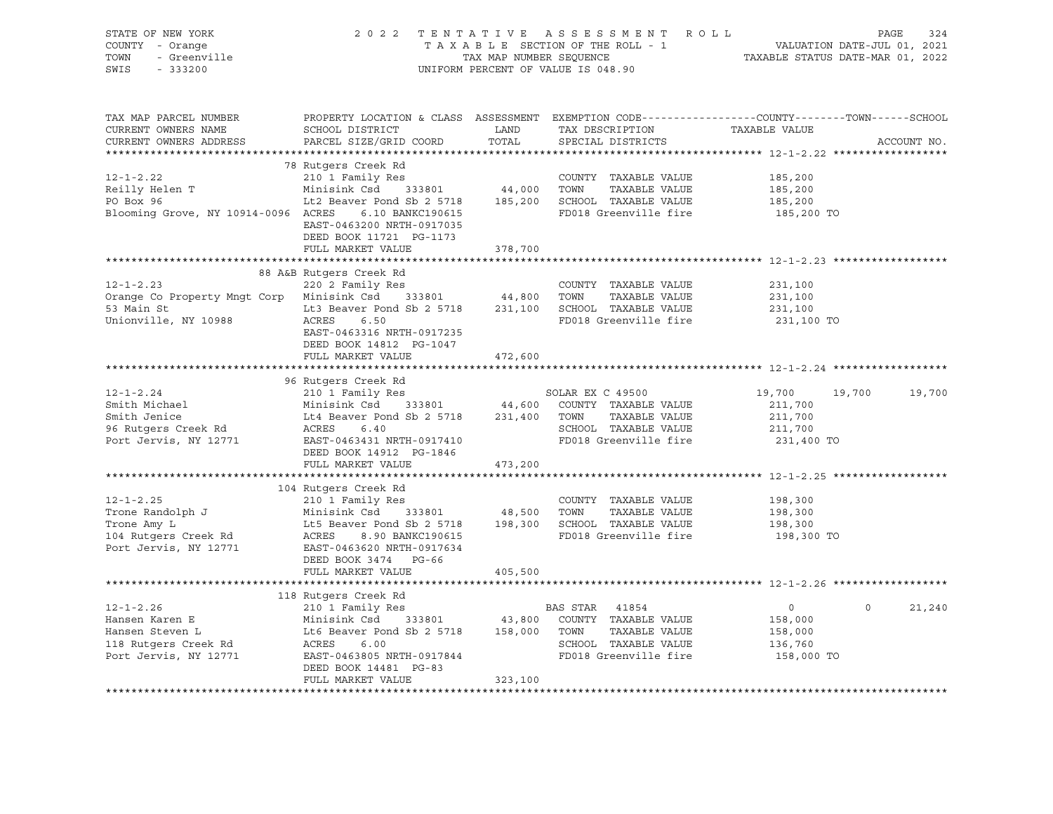| STATE OF NEW YORK<br>STATE OF NEW YORK<br>COUNTY - Orange<br>TOWN - Greenville                                                                                                                                                                                         | 2022 TENTATIVE ASSESSMENT ROLL PAGE 324<br>TAXABLE SECTION OF THE ROLL - 1 VALUATION DATE-JUL 01, 2021<br>TAXABLE STATUS DATE-MAR 01, 2022    |         | UNIFORM PERCENT OF VALUE IS 048.90                                                      |                      |                    |
|------------------------------------------------------------------------------------------------------------------------------------------------------------------------------------------------------------------------------------------------------------------------|-----------------------------------------------------------------------------------------------------------------------------------------------|---------|-----------------------------------------------------------------------------------------|----------------------|--------------------|
| TAX MAP PARCEL NUMBER<br>CURRENT OWNERS NAME<br>CURRENT OWNERS ADDRESS                                                                                                                                                                                                 | PROPERTY LOCATION & CLASS ASSESSMENT EXEMPTION CODE----------------COUNTY-------TOWN------SCHOOL<br>SCHOOL DISTRICT<br>PARCEL SIZE/GRID COORD | TOTAL   | LAND TAX DESCRIPTION TAXABLE VALUE<br>CORD TOTAL SPECIAL DISTRICTS<br>SPECIAL DISTRICTS |                      | ACCOUNT NO.        |
| 78 Rutgers Creek Rd<br>210 1 Family Res<br>Reilly Helen T<br>210 1 Family Res<br>210 1 Family Res<br>210 1 Family Res<br>210 1 Family Res<br>210 21 Family Res<br>210 21 233801<br>216 233801<br>216 25718<br>216 25718<br>2185,200<br>216 25718<br>2185,2             | 78 Rutgers Creek Rd<br>EAST-0463200 NRTH-0917035<br>DEED BOOK 11721 PG-1173<br>FULL MARKET VALUE                                              | 378,700 |                                                                                         |                      |                    |
|                                                                                                                                                                                                                                                                        |                                                                                                                                               |         |                                                                                         |                      |                    |
| 38 AAB RUIGETS CTEEK RG<br>220 2 Family Res<br>220 2 Family Res<br>231,100<br>53 Main St<br>231,100<br>53 Main St<br>231,100<br>231,100<br>231,100<br>231,100<br>231,100<br>231,100<br>231,100<br>231,100<br>231,100<br>231,100<br>231,100<br>231,100<br>231,100<br>23 | 88 A&B Rutgers Creek Rd<br>220 2 Family Res<br>EAST-0463316 NRTH-0917235                                                                      |         | FD018 Greenville fire 231,100 TO                                                        |                      |                    |
|                                                                                                                                                                                                                                                                        | DEED BOOK 14812 PG-1047                                                                                                                       |         |                                                                                         |                      |                    |
|                                                                                                                                                                                                                                                                        | FULL MARKET VALUE                                                                                                                             | 472,600 |                                                                                         |                      |                    |
|                                                                                                                                                                                                                                                                        |                                                                                                                                               |         |                                                                                         |                      |                    |
| 96 Rutgers Creek Rd<br>12-1-2.24 210 1 Family Res<br>Smith Michael Minisink Csd 333801 44,600 COUNTY TAXABLE VALUE<br>211,700 211,700<br>56 Rutgers Creek Rd<br>211,700 2011 Family Res<br>56 Rutgers Creek Rd<br>211,700 211,700 211,700<br>2                         | DEED BOOK 14912 PG-1846                                                                                                                       |         |                                                                                         | 19,700 19,700 19,700 |                    |
|                                                                                                                                                                                                                                                                        | FULL MARKET VALUE                                                                                                                             | 473,200 |                                                                                         |                      |                    |
|                                                                                                                                                                                                                                                                        |                                                                                                                                               |         |                                                                                         |                      |                    |
|                                                                                                                                                                                                                                                                        | DEED BOOK 3474 PG-66<br>FULL MARKET VALUE                                                                                                     |         | FD018 Greenville fire 198,300 TO                                                        |                      |                    |
|                                                                                                                                                                                                                                                                        |                                                                                                                                               | 405,500 |                                                                                         |                      |                    |
| 12-1-2.26 12-1-2.26 210 1 Family Res<br>Hansen Karen E Minisink Csd 333801 43,800 COUNTY TAXABLE VALUE<br>Hansen Steven L Lt6 Beaver Pond Sb 2 5718 158,000 TOWN TAXABLE VALUE 158,000<br>118 Rutgers Creek Rd ACRES 6.00 SCHOOL TAX                                   | 118 Rutgers Creek Rd<br>DEED BOOK 14481 PG-83<br>FULL MARKET VALUE                                                                            | 323,100 |                                                                                         | $\overline{0}$       | $\Omega$<br>21,240 |
|                                                                                                                                                                                                                                                                        |                                                                                                                                               |         |                                                                                         |                      |                    |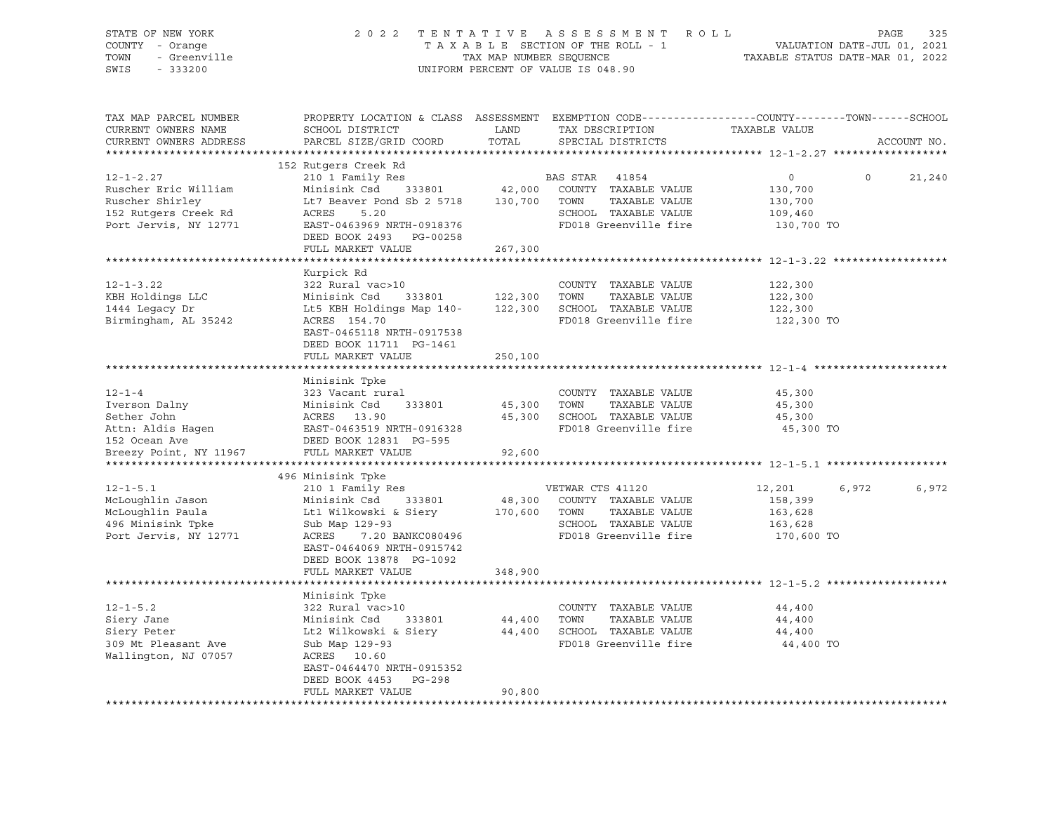| STATE OF NEW YORK<br>COUNTY - Orange<br>7 - Orange<br>- Greenville<br>TOWN<br>SWIS<br>$-333200$                                                                                                                                              |                                                                                                                                               |               | 2022 TENTATIVE ASSESSMENT ROLL<br>TAXABLE SECTION OF THE ROLL - 1<br>TAXABLE SECTION OF THE ROLL - 1<br>TAXABLE STATUS DATE-MAR 01, 2022<br>UNIFORM PERCENT OF VALUE IS 048.90 |                                                 | PAGE<br>325       |
|----------------------------------------------------------------------------------------------------------------------------------------------------------------------------------------------------------------------------------------------|-----------------------------------------------------------------------------------------------------------------------------------------------|---------------|--------------------------------------------------------------------------------------------------------------------------------------------------------------------------------|-------------------------------------------------|-------------------|
| TAX MAP PARCEL NUMBER<br>CURRENT OWNERS NAME<br>CURRENT OWNERS ADDRESS                                                                                                                                                                       | PROPERTY LOCATION & CLASS ASSESSMENT EXEMPTION CODE----------------COUNTY-------TOWN------SCHOOL<br>SCHOOL DISTRICT<br>PARCEL SIZE/GRID COORD | LAND<br>TOTAL | TAX DESCRIPTION TAXABLE VALUE<br>SPECIAL DISTRICTS                                                                                                                             |                                                 | ACCOUNT NO.       |
|                                                                                                                                                                                                                                              | 152 Rutgers Creek Rd                                                                                                                          |               |                                                                                                                                                                                |                                                 |                   |
| $12 - 1 - 2.27$                                                                                                                                                                                                                              | 210 1 Family Res                                                                                                                              |               | <b>BAS STAR 41854</b>                                                                                                                                                          | $\overline{0}$                                  | $\circ$<br>21,240 |
| Ruscher Eric William                                                                                                                                                                                                                         | Minisink Csd 333801                                                                                                                           |               | 42,000 COUNTY TAXABLE VALUE                                                                                                                                                    | 130,700                                         |                   |
| Ruscher Shirley                                                                                                                                                                                                                              | Lt7 Beaver Pond Sb 2 5718 130,700 TOWN                                                                                                        |               | TAXABLE VALUE                                                                                                                                                                  | 130,700                                         |                   |
| 152 Rutgers Creek Rd                                                                                                                                                                                                                         | ACRES<br>5.20                                                                                                                                 |               | SCHOOL TAXABLE VALUE                                                                                                                                                           | 109,460                                         |                   |
| Port Jervis, NY 12771                                                                                                                                                                                                                        | EAST-0463969 NRTH-0918376                                                                                                                     |               | FD018 Greenville fire                                                                                                                                                          | 130,700 TO                                      |                   |
|                                                                                                                                                                                                                                              | DEED BOOK 2493 PG-00258                                                                                                                       |               |                                                                                                                                                                                |                                                 |                   |
|                                                                                                                                                                                                                                              | FULL MARKET VALUE                                                                                                                             | 267,300       |                                                                                                                                                                                |                                                 |                   |
|                                                                                                                                                                                                                                              |                                                                                                                                               |               |                                                                                                                                                                                | ********************************* 12-1-3.22 *** |                   |
|                                                                                                                                                                                                                                              | Kurpick Rd                                                                                                                                    |               |                                                                                                                                                                                |                                                 |                   |
| $12 - 1 - 3.22$                                                                                                                                                                                                                              | 322 Rural vac>10                                                                                                                              |               | COUNTY TAXABLE VALUE                                                                                                                                                           | 122,300                                         |                   |
| KBH Holdings LLC                                                                                                                                                                                                                             | Minisink Csd 333801                                                                                                                           | 122,300 TOWN  | TAXABLE VALUE                                                                                                                                                                  | 122,300                                         |                   |
| 1444 Legacy Dr                                                                                                                                                                                                                               | Lt5 KBH Holdings Map 140- 122,300 SCHOOL TAXABLE VALUE                                                                                        |               |                                                                                                                                                                                | 122,300                                         |                   |
| Birmingham, AL 35242                                                                                                                                                                                                                         | ACRES 154.70                                                                                                                                  |               | FD018 Greenville fire                                                                                                                                                          | 122,300 TO                                      |                   |
|                                                                                                                                                                                                                                              | EAST-0465118 NRTH-0917538                                                                                                                     |               |                                                                                                                                                                                |                                                 |                   |
|                                                                                                                                                                                                                                              | DEED BOOK 11711 PG-1461                                                                                                                       |               |                                                                                                                                                                                |                                                 |                   |
|                                                                                                                                                                                                                                              | FULL MARKET VALUE                                                                                                                             | 250,100       |                                                                                                                                                                                |                                                 |                   |
|                                                                                                                                                                                                                                              | Minisink Tpke                                                                                                                                 |               |                                                                                                                                                                                |                                                 |                   |
| $12 - 1 - 4$                                                                                                                                                                                                                                 | 323 Vacant rural                                                                                                                              |               | COUNTY TAXABLE VALUE                                                                                                                                                           | 45,300                                          |                   |
|                                                                                                                                                                                                                                              |                                                                                                                                               | 45,300 TOWN   | TAXABLE VALUE                                                                                                                                                                  | 45,300                                          |                   |
|                                                                                                                                                                                                                                              |                                                                                                                                               |               | 45,300 SCHOOL TAXABLE VALUE                                                                                                                                                    | 45,300                                          |                   |
| 12-1-4<br>Iverson Dalny Minisink Csd 333801<br>Sether John Minisink Csd 333801<br>Acker John ACRES 13.90<br>Attn: Aldis Hagen EAST-0463519 NRTH-0916328<br>152 Ocean Ave DEED BOOK 12831 PG-595<br>Prophet Presty Point, NY 11967<br>PULL MA |                                                                                                                                               |               | FD018 Greenville fire                                                                                                                                                          | 45,300 TO                                       |                   |
|                                                                                                                                                                                                                                              |                                                                                                                                               |               |                                                                                                                                                                                |                                                 |                   |
|                                                                                                                                                                                                                                              |                                                                                                                                               | 92,600        |                                                                                                                                                                                |                                                 |                   |
|                                                                                                                                                                                                                                              |                                                                                                                                               |               |                                                                                                                                                                                |                                                 |                   |
|                                                                                                                                                                                                                                              | 496 Minisink Tpke                                                                                                                             |               |                                                                                                                                                                                |                                                 |                   |
| $12 - 1 - 5.1$                                                                                                                                                                                                                               | 210 1 Family Res                                                                                                                              |               | VETWAR CTS 41120                                                                                                                                                               | 12,201                                          | 6,972<br>6,972    |
| McLoughlin Jason                                                                                                                                                                                                                             | Minisink Csd 333801                                                                                                                           |               | 48,300 COUNTY TAXABLE VALUE                                                                                                                                                    | 158,399                                         |                   |
| McLoughlin Paula                                                                                                                                                                                                                             | Lt1 Wilkowski & Siery 170,600 TOWN                                                                                                            |               | TAXABLE VALUE                                                                                                                                                                  | 163,628                                         |                   |
| 496 Minisink Tpke                                                                                                                                                                                                                            | Sub Map 129-93                                                                                                                                |               | SCHOOL TAXABLE VALUE                                                                                                                                                           | 163,628                                         |                   |
| Port Jervis, NY 12771                                                                                                                                                                                                                        | ACRES 7.20 BANKC080496                                                                                                                        |               | SCHOOD IAAADDD<br>FD018 Greenville fire                                                                                                                                        | 170,600 TO                                      |                   |
|                                                                                                                                                                                                                                              | EAST-0464069 NRTH-0915742                                                                                                                     |               |                                                                                                                                                                                |                                                 |                   |
|                                                                                                                                                                                                                                              | DEED BOOK 13878 PG-1092                                                                                                                       |               |                                                                                                                                                                                |                                                 |                   |
|                                                                                                                                                                                                                                              | FULL MARKET VALUE                                                                                                                             | 348,900       |                                                                                                                                                                                |                                                 |                   |
|                                                                                                                                                                                                                                              |                                                                                                                                               |               |                                                                                                                                                                                |                                                 |                   |
|                                                                                                                                                                                                                                              | Minisink Tpke                                                                                                                                 |               |                                                                                                                                                                                |                                                 |                   |
| $12 - 1 - 5.2$                                                                                                                                                                                                                               | 322 Rural vac>10                                                                                                                              |               | COUNTY TAXABLE VALUE                                                                                                                                                           | 44,400                                          |                   |
| Siery Jane                                                                                                                                                                                                                                   | 333801<br>Minisink Csd                                                                                                                        | 44,400 TOWN   | TAXABLE VALUE                                                                                                                                                                  | 44,400                                          |                   |
| Siery Peter                                                                                                                                                                                                                                  | Lt2 Wilkowski & Siery                                                                                                                         |               | 44,400 SCHOOL TAXABLE VALUE                                                                                                                                                    | 44,400                                          |                   |
| 309 Mt Pleasant Ave                                                                                                                                                                                                                          | Sub Map 129-93                                                                                                                                |               | FD018 Greenville fire                                                                                                                                                          | 44,400 TO                                       |                   |
| Wallington, NJ 07057                                                                                                                                                                                                                         | ACRES 10.60<br>EAST-0464470 NRTH-0915352                                                                                                      |               |                                                                                                                                                                                |                                                 |                   |
|                                                                                                                                                                                                                                              | DEED BOOK 4453 PG-298                                                                                                                         |               |                                                                                                                                                                                |                                                 |                   |
|                                                                                                                                                                                                                                              | FULL MARKET VALUE                                                                                                                             | 90,800        |                                                                                                                                                                                |                                                 |                   |
| ******************                                                                                                                                                                                                                           |                                                                                                                                               |               |                                                                                                                                                                                |                                                 |                   |
|                                                                                                                                                                                                                                              |                                                                                                                                               |               |                                                                                                                                                                                |                                                 |                   |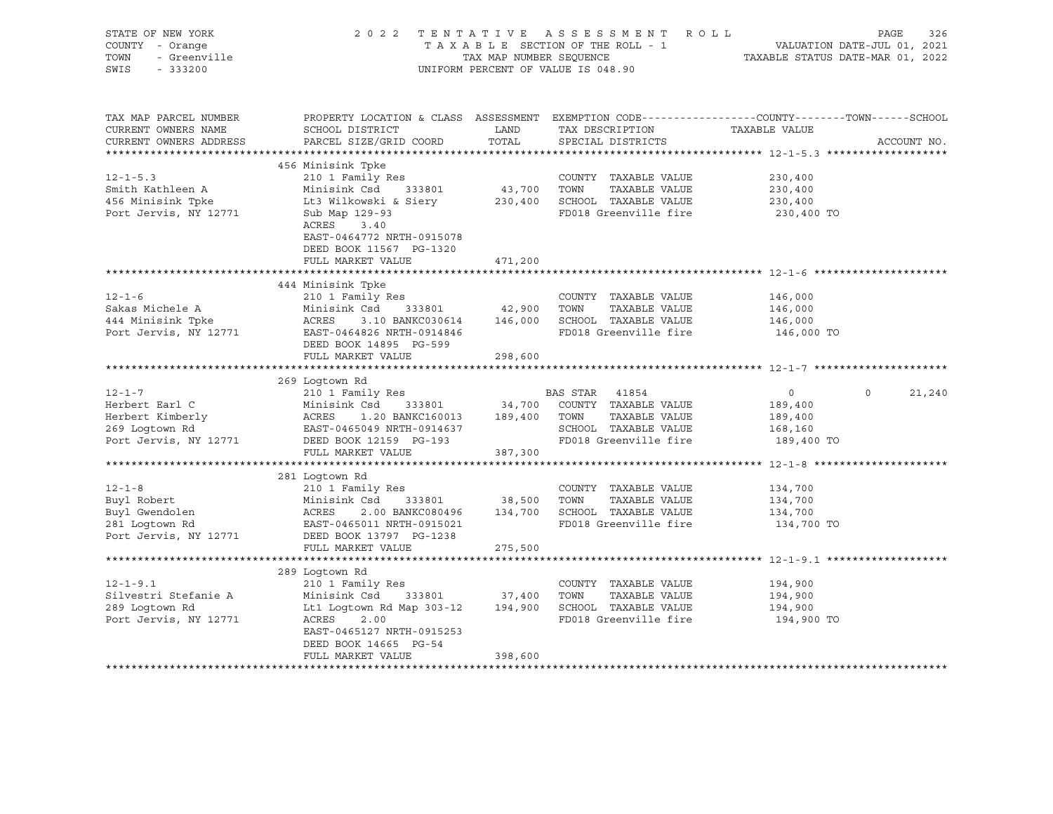| STATE OF NEW YORK<br>COUNTY - Orange<br>TOWN<br>- Greenville<br>SWIS<br>$-333200$ |                                                                                                            | TAX MAP NUMBER SEQUENCE | 2022 TENTATIVE ASSESSMENT ROLL<br>T A X A B L E SECTION OF THE ROLL - 1<br>UNIFORM PERCENT OF VALUE IS 048.90           | PAGE<br>326<br>VALUATION DATE-JUL 01, 2021<br>TAXABLE STATUS DATE-MAR 01, 2022                                                 |
|-----------------------------------------------------------------------------------|------------------------------------------------------------------------------------------------------------|-------------------------|-------------------------------------------------------------------------------------------------------------------------|--------------------------------------------------------------------------------------------------------------------------------|
| TAX MAP PARCEL NUMBER<br>CURRENT OWNERS NAME<br>CURRENT OWNERS ADDRESS            | SCHOOL DISTRICT<br>PARCEL SIZE/GRID COORD                                                                  | LAND<br>TOTAL           | TAX DESCRIPTION<br>SPECIAL DISTRICTS                                                                                    | PROPERTY LOCATION & CLASS ASSESSMENT EXEMPTION CODE---------------COUNTY-------TOWN-----SCHOOL<br>TAXABLE VALUE<br>ACCOUNT NO. |
|                                                                                   |                                                                                                            |                         |                                                                                                                         |                                                                                                                                |
|                                                                                   | 456 Minisink Tpke                                                                                          |                         |                                                                                                                         |                                                                                                                                |
| $12 - 1 - 5.3$<br>Smith Kathleen A<br>456 Minisink Tpke<br>Port Jervis, NY 12771  | 210 1 Family Res<br>Minisink Csd 333801<br>Lt3 Wilkowski & Siery<br>Sub Map 129-93<br>ACRES 3.40           | 43,700 TOWN             | COUNTY TAXABLE VALUE<br>TAXABLE VALUE<br>230,400 SCHOOL TAXABLE VALUE<br>FD018 Greenville fire                          | 230,400<br>230,400<br>230,400<br>230,400 TO                                                                                    |
|                                                                                   | EAST-0464772 NRTH-0915078<br>DEED BOOK 11567 PG-1320<br>FULL MARKET VALUE                                  | 471,200                 |                                                                                                                         |                                                                                                                                |
|                                                                                   | 444 Minisink Tpke                                                                                          |                         |                                                                                                                         |                                                                                                                                |
| $12 - 1 - 6$<br>Sakas Michele A<br>444 Minisink Tpke<br>Port Jervis, NY 12771     | 210 1 Family Res<br>Minisink Csd<br>333801<br>ACRES<br>EAST-0464826 NRTH-0914846<br>DEED BOOK 14895 PG-599 | 42,900                  | COUNTY TAXABLE VALUE<br>TOWN<br>TAXABLE VALUE<br>3.10 BANKC030614 146,000 SCHOOL TAXABLE VALUE<br>FD018 Greenville fire | 146,000<br>146,000<br>146,000<br>146,000 TO                                                                                    |
|                                                                                   | FULL MARKET VALUE                                                                                          | 298,600                 |                                                                                                                         |                                                                                                                                |
|                                                                                   |                                                                                                            |                         |                                                                                                                         |                                                                                                                                |
|                                                                                   | 269 Loqtown Rd                                                                                             |                         |                                                                                                                         |                                                                                                                                |
| $12 - 1 - 7$<br>Herbert Earl C                                                    | 210 1 Family Res<br>Minisink Csd 333801                                                                    |                         | BAS STAR 41854                                                                                                          | $\circ$<br>$\overline{0}$<br>21,240                                                                                            |
| Herbert Kimberly                                                                  | ACRES<br>1.20 BANKC160013 189,400 TOWN                                                                     |                         | 34,700 COUNTY TAXABLE VALUE<br>TAXABLE VALUE                                                                            | 189,400<br>189,400                                                                                                             |
| 269 Logtown Rd                                                                    | EAST-0465049 NRTH-0914637                                                                                  |                         | SCHOOL TAXABLE VALUE                                                                                                    | 168,160                                                                                                                        |
| Port Jervis, NY 12771                                                             | DEED BOOK 12159 PG-193                                                                                     |                         | FD018 Greenville fire                                                                                                   | 189,400 TO                                                                                                                     |
|                                                                                   | FULL MARKET VALUE                                                                                          | 387,300                 |                                                                                                                         |                                                                                                                                |
|                                                                                   |                                                                                                            |                         |                                                                                                                         |                                                                                                                                |
|                                                                                   | 281 Logtown Rd                                                                                             |                         |                                                                                                                         |                                                                                                                                |
| $12 - 1 - 8$                                                                      | 210 1 Family Res                                                                                           |                         | COUNTY TAXABLE VALUE                                                                                                    | 134,700                                                                                                                        |
| Buyl Robert                                                                       | Minisink Csd<br>333801<br>ACRES                                                                            | 38,500                  | TAXABLE VALUE<br>TOWN<br>2.00 BANKC080496   134,700   SCHOOL TAXABLE VALUE                                              | 134,700<br>134,700                                                                                                             |
| Buyl Gwendolen<br>201 Iortown Rd                                                  | EAST-0465011 NRTH-0915021                                                                                  |                         | FD018 Greenville fire                                                                                                   | 134,700 TO                                                                                                                     |
| Port Jervis, NY 12771                                                             | DEED BOOK 13797 PG-1238                                                                                    |                         |                                                                                                                         |                                                                                                                                |
|                                                                                   | FULL MARKET VALUE                                                                                          | 275,500                 |                                                                                                                         |                                                                                                                                |
|                                                                                   |                                                                                                            |                         |                                                                                                                         |                                                                                                                                |
|                                                                                   | 289 Loqtown Rd                                                                                             |                         |                                                                                                                         |                                                                                                                                |
| $12 - 1 - 9.1$<br>Silvestri Stefanie A                                            | 210 1 Family Res<br>Minisink Csd 333801                                                                    | 37,400                  | COUNTY TAXABLE VALUE<br>TOWN<br>TAXABLE VALUE                                                                           | 194,900<br>194,900                                                                                                             |
| 289 Loqtown Rd                                                                    | Lt1 Logtown Rd Map 303-12                                                                                  |                         | 194,900 SCHOOL TAXABLE VALUE                                                                                            | 194,900                                                                                                                        |
| Port Jervis, NY 12771                                                             | ACRES<br>2.00<br>EAST-0465127 NRTH-0915253<br>DEED BOOK 14665 PG-54                                        |                         | FD018 Greenville fire                                                                                                   | 194,900 TO                                                                                                                     |
|                                                                                   | FULL MARKET VALUE                                                                                          | 398,600                 |                                                                                                                         |                                                                                                                                |
|                                                                                   |                                                                                                            |                         |                                                                                                                         |                                                                                                                                |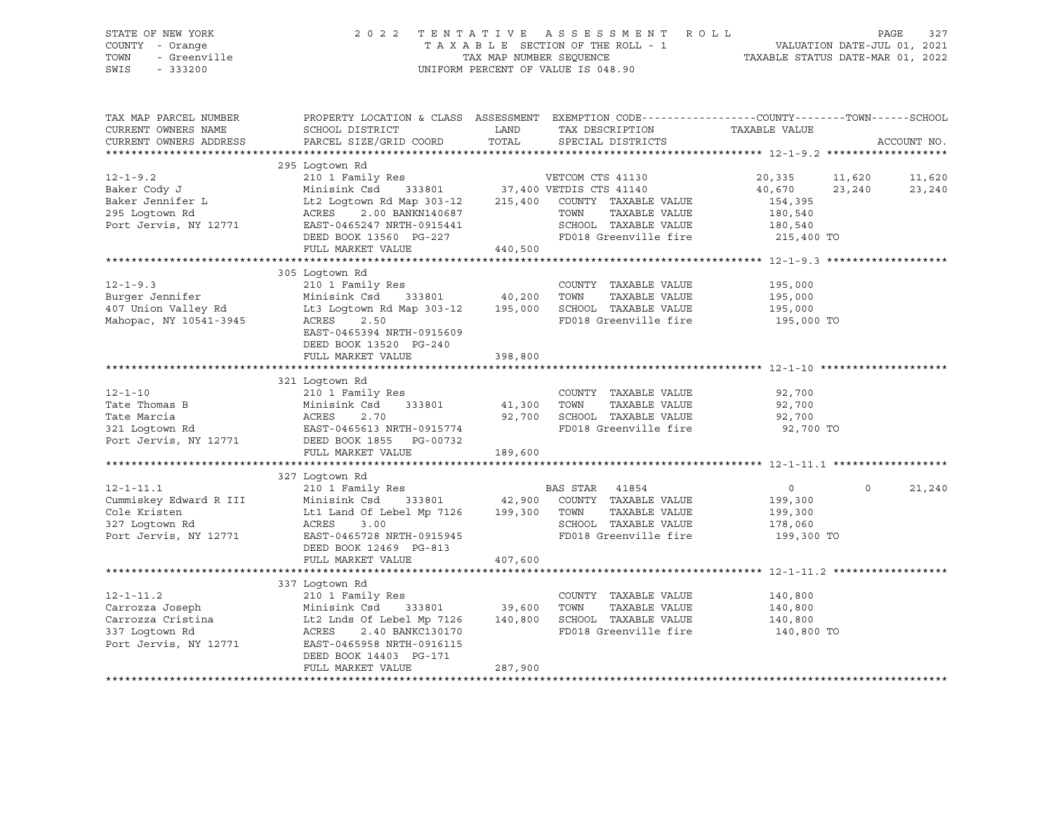SWIS - 333200 UNIFORM PERCENT OF VALUE IS 048.90

# STATE OF NEW YORK 2 0 2 2 T E N T A T I V E A S S E S S M E N T R O L L PAGE 327 COUNTY - Orange T A X A B L E SECTION OF THE ROLL - 1 VALUATION DATE-JUL 01, 2021 TOWN - Greenville TAX MAP NUMBER SEQUENCE TAXABLE STATUS DATE-MAR 01, 2022

| TAX MAP PARCEL NUMBER<br>CURRENT OWNERS NAME<br>CURRENT OWNERS ADDRESS                                                              | SCHOOL DISTRICT<br>PARCEL SIZE/GRID COORD                                                                                                                        | LAND<br>TAX DESCRIPTION<br>TOTAL<br>SPECIAL DISTRICTS                                                                                                                                                                                                            | PROPERTY LOCATION & CLASS ASSESSMENT EXEMPTION CODE----------------COUNTY-------TOWN------SCHOOL<br>TAXABLE VALUE<br>ACCOUNT NO.                |
|-------------------------------------------------------------------------------------------------------------------------------------|------------------------------------------------------------------------------------------------------------------------------------------------------------------|------------------------------------------------------------------------------------------------------------------------------------------------------------------------------------------------------------------------------------------------------------------|-------------------------------------------------------------------------------------------------------------------------------------------------|
|                                                                                                                                     |                                                                                                                                                                  |                                                                                                                                                                                                                                                                  |                                                                                                                                                 |
| $12 - 1 - 9.2$<br>Baker Cody J<br>Baker Jennifer L<br>295 Logtown Rd<br>Port Jervis, NY 12771                                       | 295 Logtown Rd<br>EAST-0465247 NRTH-0915441<br>LASI-046524/ NKTH-0915441<br>DEED BOOK 13560 PG-227<br>FULL MARKET VALUE                                          | Lt2 Logtown Rd Map 303-12 215,400 COUNTY TAXABLE VALUE<br>ACRES 2.00 BANKN140687 TOWN TAXABLE VALUE<br>440,500                                                                                                                                                   | 20,335 11,620<br>11,620<br>40,670<br>23,240<br>23,240<br>154,395<br>180,540<br>SCHOOL TAXABLE VALUE 180,540<br>FD018 Greenville fire 215,400 TO |
| $12 - 1 - 9.3$<br>Burger Jennifer<br>407 Union Valley Rd<br>Mahopac, NY 10541-3945                                                  | 305 Loqtown Rd<br>210 1 Family Res<br>Minisink Csd<br>EAST-0465394 NRTH-0915609<br>DEED BOOK 13520 PG-240<br>FULL MARKET VALUE                                   | COUNTY TAXABLE VALUE<br>333801 40,200<br>TOWN<br>Lt3 Logtown Rd Map 303-12 195,000 SCHOOL TAXABLE VALUE 195,000 195,000 TO<br>ACRES 2.50 RD018 Greenville fire 195,000 TO<br>398,800                                                                             | 195,000<br>TAXABLE VALUE 195,000                                                                                                                |
|                                                                                                                                     | 321 Logtown Rd<br>Port Jervis, NY 12771 DEED BOOK 1855 PG-00732                                                                                                  | 12-1-10<br>210 1 Family Res<br>210 1 Family Res<br>210 1 Family Res<br>210 1 Family Res<br>21 Logtown Rd<br>221 Logtown Rd<br>221 Logtown Rd<br>221 Logtown Rd<br>221 Logtown Rd<br>22,700<br>22,700<br>22,700<br>22,700<br>22,700<br>22,700<br>22,700<br>22,700 |                                                                                                                                                 |
| $12 - 1 - 11.1$<br>12-1-11.1<br>Cummiskey Edward R III<br>Cole Kristen<br>327 Logtown Rd<br>327 Loqtown Rd<br>Port Jervis, NY 12771 | 327 Loqtown Rd<br>Lt1 Land Of Lebel Mp 7126 199,300 TOWN<br>ACRES 3.00<br>EAST-0465728 NRTH-0915945<br>DEED BOOK 12469 PG-813<br>FULL MARKET VALUE               | TAXABLE VALUE<br>407,600                                                                                                                                                                                                                                         | 21,240<br>$\overline{0}$<br>$\Omega$<br>199,300<br>199,300<br>SCHOOL TAXABLE VALUE 178,060<br>FD018 Greenville fire 199,300 TO                  |
| $12 - 1 - 11.2$<br>12-1-11.2<br>Carrozza Joseph<br>Carrozza Cristina<br>337 Logtown Bd<br>337 Logtown Rd<br>Port Jervis, NY 12771   | 337 Logtown Rd<br>Lt2 Lnds Of Lebel Mp $7126$ $140,800$<br>ACRES<br>2.40 BANKC130170<br>EAST-0465958 NRTH-0916115<br>DEED BOOK 14403 PG-171<br>FULL MARKET VALUE | COUNTY TAXABLE VALUE<br>TAXABLE VALUE<br>SCHOOL TAXABLE VALUE 140,800<br>FD018 Greenville fire<br>287,900                                                                                                                                                        | 140,800<br>140,800<br>140,800 TO                                                                                                                |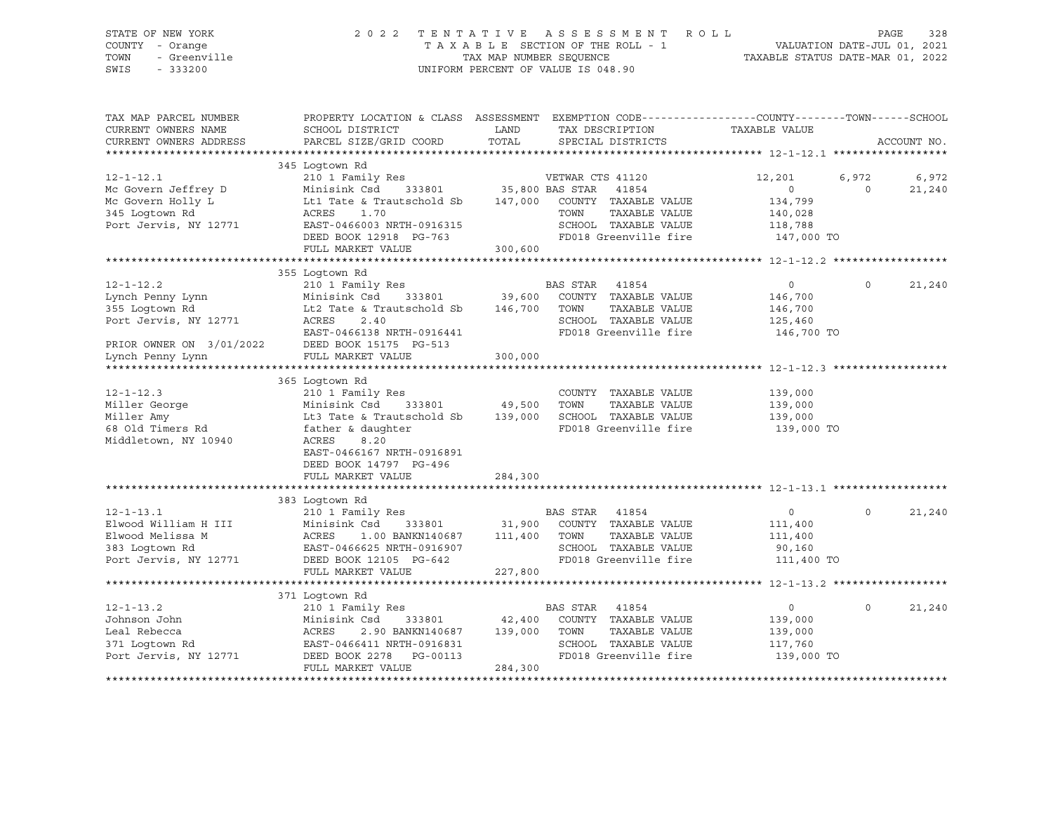STATE OF NEW YORK 2 0 2 2 T E N T A T I V E A S S E S S M E N T R O L L PAGE 328 COUNTY - Orange T A X A B L E SECTION OF THE ROLL - 1 VALUATION DATE-JUL 01, 2021 TOWN - Greenville TAX MAP NUMBER SEQUENCE TAXABLE STATUS DATE-MAR 01, 2022 SWIS - 333200 UNIFORM PERCENT OF VALUE IS 048.90

| TAX MAP PARCEL NUMBER<br>CURRENT OWNERS NAME<br>CURRENT OWNERS ADDRESS                                                         | PROPERTY LOCATION & CLASS ASSESSMENT EXEMPTION CODE----------------COUNTY-------TOWN------SCHOOL<br>SCHOOL DISTRICT<br>PARCEL SIZE/GRID COORD                                                     | LAND<br>TOTAL                       | TAX DESCRIPTION<br>SPECIAL DISTRICTS                                                                                                | TAXABLE VALUE                                                 |                   | ACCOUNT NO.     |
|--------------------------------------------------------------------------------------------------------------------------------|---------------------------------------------------------------------------------------------------------------------------------------------------------------------------------------------------|-------------------------------------|-------------------------------------------------------------------------------------------------------------------------------------|---------------------------------------------------------------|-------------------|-----------------|
| $12 - 1 - 12.1$<br>Mc Govern Jeffrey D<br>Mc Govern Holly L<br>345 Loqtown Rd<br>Port Jervis, NY 12771                         | 345 Loqtown Rd<br>210 1 Family Res<br>Minisink Csd<br>Lt1 Tate & Trautschold Sb<br>1.70<br>ACRES<br>EAST-0466003 NRTH-0916315<br>DEED BOOK 12918 PG-763<br>FULL MARKET VALUE                      | 333801 35,800 BAS STAR<br>300,600   | VETWAR CTS 41120<br>41854<br>147,000 COUNTY TAXABLE VALUE<br>TAXABLE VALUE<br>TOWN<br>SCHOOL TAXABLE VALUE<br>FD018 Greenville fire | 12,201<br>0<br>134,799<br>140,028<br>118,788<br>147,000 TO    | 6,972<br>$\Omega$ | 6,972<br>21,240 |
| $12 - 1 - 12.2$<br>Lynch Penny Lynn<br>355 Loqtown Rd<br>Port Jervis, NY 12771<br>PRIOR OWNER ON 3/01/2022<br>Lynch Penny Lynn | 355 Loqtown Rd<br>210 1 Family Res<br>Minisink Csd<br>Lt2 Tate & Trautschold Sb 146,700 TOWN<br>2.40<br>ACRES<br>EAST-0466138 NRTH-0916441<br>DEED BOOK 15175 PG-513<br>FULL MARKET VALUE         | 333801 39,600<br>300,000            | BAS STAR 41854<br>COUNTY TAXABLE VALUE<br>TAXABLE VALUE<br>SCHOOL TAXABLE VALUE<br>FD018 Greenville fire                            | $\overline{0}$<br>146,700<br>146,700<br>125,460<br>146,700 TO | $\Omega$          | 21,240          |
| $12 - 1 - 12.3$<br>Miller George<br>Miller Amy<br>68 Old Timers Rd<br>Middletown, NY 10940                                     | 365 Loqtown Rd<br>210 1 Family Res<br>Minisink Csd<br>Lt3 Tate & Trautschold Sb<br>father & daughter<br>ACRES<br>8.20<br>EAST-0466167 NRTH-0916891<br>DEED BOOK 14797 PG-496<br>FULL MARKET VALUE | 333801 49,500<br>139,000<br>284,300 | COUNTY TAXABLE VALUE<br>TOWN<br>TAXABLE VALUE<br>SCHOOL TAXABLE VALUE<br>FD018 Greenville fire                                      | 139,000<br>139,000<br>139,000<br>139,000 TO                   |                   |                 |
| $12 - 1 - 13.1$<br>Elwood William H III<br>Elwood Melissa M<br>383 Loqtown Rd<br>Port Jervis, NY 12771                         | 383 Loqtown Rd<br>210 1 Family Res<br>Minisink Csd<br>333801<br>ACRES<br>1.00 BANKN140687<br>EAST-0466625 NRTH-0916907<br>DEED BOOK 12105 PG-642<br>FULL MARKET VALUE                             | 111,400<br>227,800                  | BAS STAR<br>41854<br>31,900 COUNTY TAXABLE VALUE<br>TOWN<br>TAXABLE VALUE<br>SCHOOL TAXABLE VALUE<br>FD018 Greenville fire          | $\overline{0}$<br>111,400<br>111,400<br>90,160<br>111,400 TO  | $\Omega$          | 21,240          |
| $12 - 1 - 13.2$<br>Johnson John<br>Leal Rebecca<br>371 Loqtown Rd<br>Port Jervis, NY 12771                                     | 371 Logtown Rd<br>210 1 Family Res<br>Minisink Csd<br>333801<br>2.90 BANKN140687<br>ACRES<br>EAST-0466411 NRTH-0916831<br>DEED BOOK 2278<br>PG-00113<br>FULL MARKET VALUE                         | 42,400<br>139,000<br>284,300        | BAS STAR 41854<br>COUNTY TAXABLE VALUE<br>TOWN<br>TAXABLE VALUE<br>SCHOOL TAXABLE VALUE<br>FD018 Greenville fire                    | $\overline{0}$<br>139,000<br>139,000<br>117,760<br>139,000 TO | $\Omega$          | 21,240          |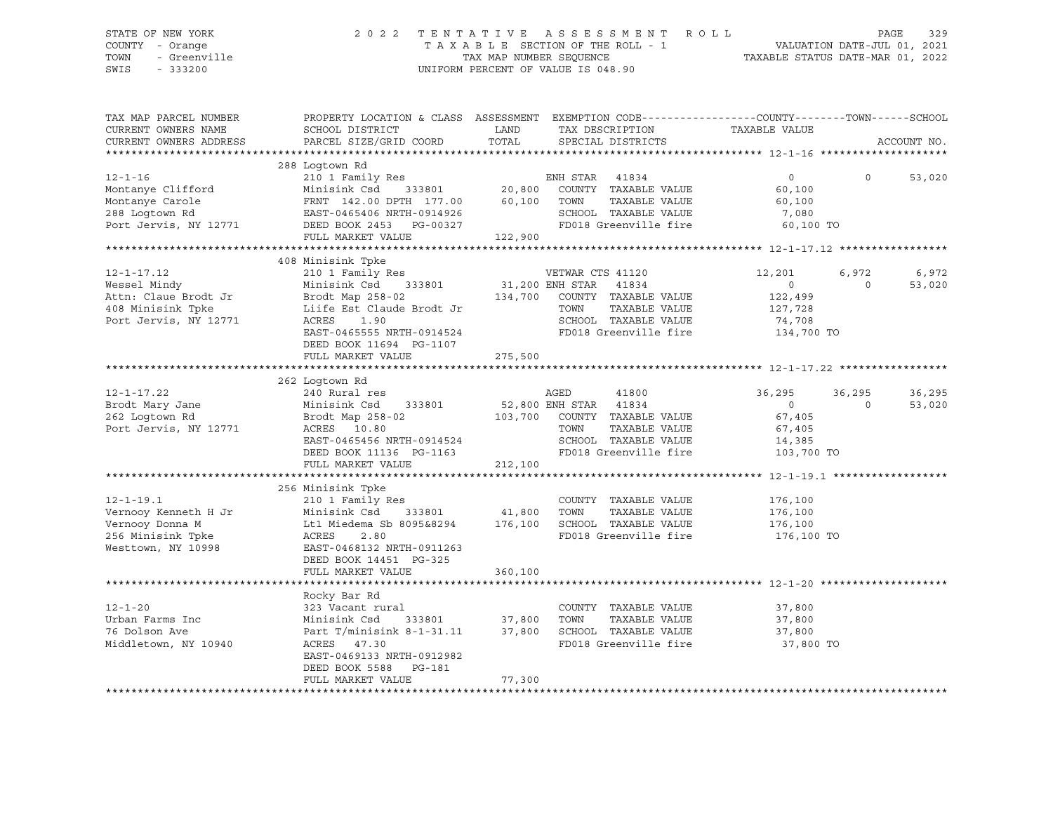#### STATE OF NEW YORK 2 0 2 2 T E N T A T I V E A S S E S S M E N T R O L L PAGE 329 COUNTY - Orange T A X A B L E SECTION OF THE ROLL - 1 VALUATION DATE-JUL 01, 2021 TOWN - Greenville TAX MAP NUMBER SEQUENCE TAXABLE STATUS DATE-MAR 01, 2022 SWIS - 333200 UNIFORM PERCENT OF VALUE IS 048.90

| TAX MAP PARCEL NUMBER  | PROPERTY LOCATION & CLASS ASSESSMENT EXEMPTION CODE----------------COUNTY-------TOWN------SCHOOL     |         |                                  |                |                |             |
|------------------------|------------------------------------------------------------------------------------------------------|---------|----------------------------------|----------------|----------------|-------------|
| CURRENT OWNERS NAME    | SCHOOL DISTRICT                                                                                      | LAND    | TAX DESCRIPTION                  | TAXABLE VALUE  |                |             |
| CURRENT OWNERS ADDRESS | PARCEL SIZE/GRID COORD                                                                               | TOTAL   | SPECIAL DISTRICTS                |                |                | ACCOUNT NO. |
|                        |                                                                                                      |         |                                  |                |                |             |
|                        | 288 Logtown Rd                                                                                       |         |                                  |                |                |             |
| $12 - 1 - 16$          | 210 1 Family Res                                                                                     |         | ENH STAR 41834                   | $\overline{0}$ | $\Omega$       | 53,020      |
| Montanye Clifford      | Minisink Csd 333801 20,800 COUNTY TAXABLE VALUE<br>FRNT 142.00 DPTH 177.00 60,100 TOWN TAXABLE VALUE |         |                                  | 60,100         |                |             |
| Montanye Carole        |                                                                                                      |         |                                  | 60,100         |                |             |
| 288 Logtown Rd         | EAST-0465406 NRTH-0914926 SCHOOL TAXABLE VALUE<br>DEED BOOK 2453 PG-00327 FD018 Greenville fire      |         | SCHOOL TAXABLE VALUE             | 7,080          |                |             |
| Port Jervis, NY 12771  |                                                                                                      |         |                                  | 60,100 TO      |                |             |
|                        | FULL MARKET VALUE                                                                                    | 122,900 |                                  |                |                |             |
|                        |                                                                                                      |         |                                  |                |                |             |
|                        | 408 Minisink Tpke                                                                                    |         |                                  |                |                |             |
| $12 - 1 - 17.12$       | 210 1 Family Res                                                                                     |         | VETWAR CTS 41120                 | 12,201         | 6,972          | 6,972       |
| Wessel Mindy           | 333801<br>Minisink Csd                                                                               |         | 31,200 ENH STAR 41834            | $\overline{0}$ | $\Omega$       | 53,020      |
| Attn: Claue Brodt Jr   | Brodt Map 258-02                                                                                     |         | 134,700 COUNTY TAXABLE VALUE     | 122,499        |                |             |
| 408 Minisink Tpke      | Liife Est Claude Brodt Jr                                                                            |         | TOWN<br>TAXABLE VALUE            | 127,728        |                |             |
| Port Jervis, NY 12771  | ACRES<br>1.90                                                                                        |         | SCHOOL TAXABLE VALUE             | 74,708         |                |             |
|                        | EAST-0465555 NRTH-0914524                                                                            |         | FD018 Greenville fire 134,700 TO |                |                |             |
|                        | DEED BOOK 11694 PG-1107                                                                              |         |                                  |                |                |             |
|                        | FULL MARKET VALUE                                                                                    | 275,500 |                                  |                |                |             |
|                        |                                                                                                      |         |                                  |                |                |             |
|                        | 262 Loqtown Rd                                                                                       |         |                                  |                |                |             |
| $12 - 1 - 17.22$       | 240 Rural res                                                                                        |         | AGED<br>41800                    | 36,295         | 36,295         | 36,295      |
| Brodt Mary Jane        | Minisink Csd 333801                                                                                  |         | 52,800 ENH STAR 41834            | $\overline{0}$ | $\overline{0}$ | 53,020      |
| 262 Loqtown Rd         | Brodt Map 258-02                                                                                     |         | 103,700 COUNTY TAXABLE VALUE     | 67,405         |                |             |
| Port Jervis, NY 12771  | ACRES 10.80                                                                                          |         | TOWN<br>TAXABLE VALUE            | 67,405         |                |             |
|                        | EAST-0465456 NRTH-0914524                                                                            |         | SCHOOL TAXABLE VALUE             | 14,385         |                |             |
|                        | DEED BOOK 11136 PG-1163                                                                              |         | FD018 Greenville fire            | 103,700 TO     |                |             |
|                        | FULL MARKET VALUE                                                                                    | 212,100 |                                  |                |                |             |
|                        |                                                                                                      |         |                                  |                |                |             |
|                        | 256 Minisink Tpke                                                                                    |         |                                  |                |                |             |
| $12 - 1 - 19.1$        | 210 1 Family Res                                                                                     |         | COUNTY TAXABLE VALUE             | 176,100        |                |             |
|                        |                                                                                                      |         |                                  | 176,100        |                |             |
|                        |                                                                                                      |         |                                  | 176,100        |                |             |
|                        |                                                                                                      |         | FD018 Greenville fire            | 176,100 TO     |                |             |
| Westtown, NY 10998     | EAST-0468132 NRTH-0911263                                                                            |         |                                  |                |                |             |
|                        | DEED BOOK 14451 PG-325                                                                               |         |                                  |                |                |             |
|                        | FULL MARKET VALUE                                                                                    | 360,100 |                                  |                |                |             |
|                        |                                                                                                      |         |                                  |                |                |             |
|                        | Rocky Bar Rd                                                                                         |         |                                  |                |                |             |
| $12 - 1 - 20$          | 323 Vacant rural                                                                                     |         | COUNTY TAXABLE VALUE             | 37,800         |                |             |
| Urban Farms Inc        | Minisink Csd 333801 37,800<br>Part T/minisink 8-1-31.11 37,800                                       |         | TOWN<br>TAXABLE VALUE            | 37,800         |                |             |
| 76 Dolson Ave          |                                                                                                      |         | 37,800 SCHOOL TAXABLE VALUE      | 37,800         |                |             |
| Middletown, NY 10940   | ACRES 47.30                                                                                          |         | FD018 Greenville fire            | 37,800 TO      |                |             |
|                        | EAST-0469133 NRTH-0912982                                                                            |         |                                  |                |                |             |
|                        | DEED BOOK 5588 PG-181                                                                                |         |                                  |                |                |             |
|                        | FULL MARKET VALUE                                                                                    | 77,300  |                                  |                |                |             |
|                        |                                                                                                      |         |                                  |                |                |             |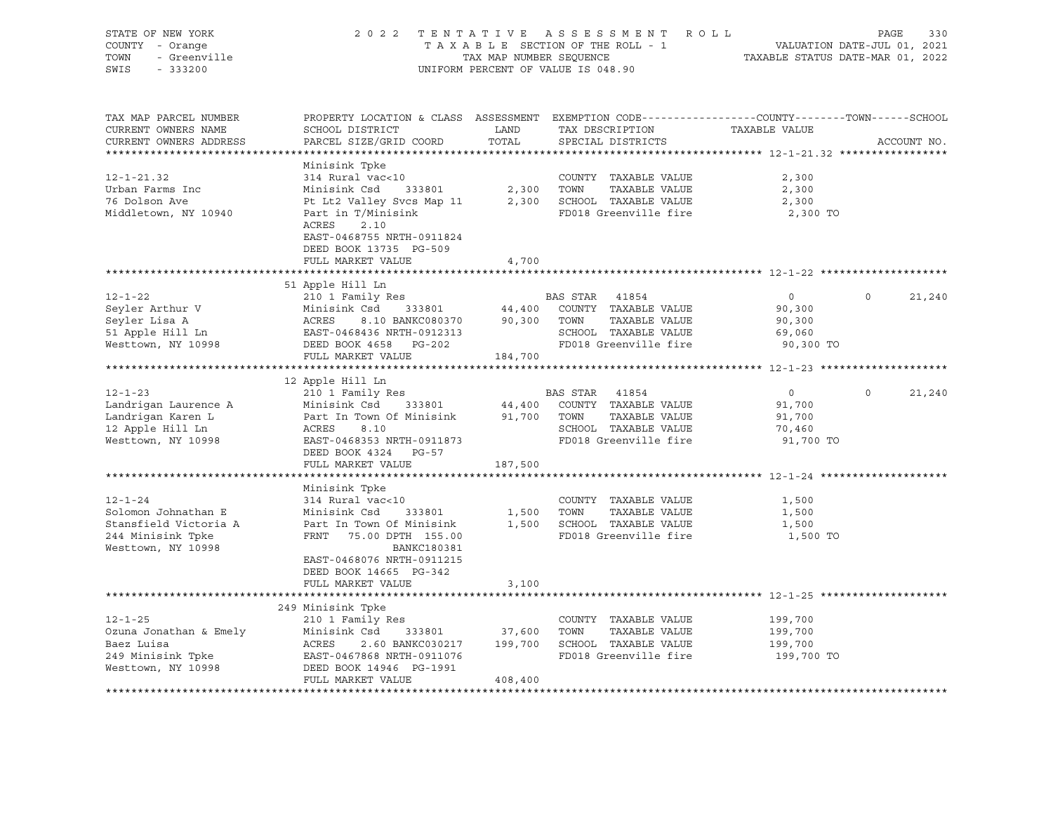| STATE OF NEW YORK<br>Y - Orange<br>- Greenville<br>COUNTY - Orange<br>TOWN<br>SWIS - 333200                                                                                                                                                        | 2022 TENTATIVE ASSESSMENT ROLL PAGE 330<br>TAXABLE SECTION OF THE ROLL - 1 VALUATION DATE-JUL 01, 2021<br>TAX MAP NUMBER SEQUENCE TAXABLE STATUS DATE-MAR 01, 2022                   |               | UNIFORM PERCENT OF VALUE IS 048.90                                                                                      |                                                           |                |               |
|----------------------------------------------------------------------------------------------------------------------------------------------------------------------------------------------------------------------------------------------------|--------------------------------------------------------------------------------------------------------------------------------------------------------------------------------------|---------------|-------------------------------------------------------------------------------------------------------------------------|-----------------------------------------------------------|----------------|---------------|
| TAX MAP PARCEL NUMBER<br>CURRENT OWNERS NAME<br>CURRENT OWNERS ADDRESS                                                                                                                                                                             | PROPERTY LOCATION & CLASS ASSESSMENT EXEMPTION CODE----------------COUNTY-------TOWN------SCHOOL<br>SCHOOL DISTRICT<br>PARCEL SIZE/GRID COORD                                        | LAND<br>TOTAL | TAX DESCRIPTION TAXABLE VALUE<br>SPECIAL DISTRICTS                                                                      |                                                           |                | ACCOUNT NO.   |
| $12 - 1 - 21.32$<br>Urban Farms Inc<br>76 Dolson Ave<br>Middletown, NY 10940                                                                                                                                                                       | Minisink Tpke<br>314 Rural vac<10<br>Part in T/Minisink<br>ACRES 2.10<br>ACRES<br>2.10<br>EAST-0468755 NRTH-0911824<br>DEED BOOK 13735 PG-509<br>FULL MARKET VALUE                   | 4,700         | COUNTY TAXABLE VALUE<br>FD018 Greenville fire                                                                           | 2,300<br>2,300<br>2,300<br>2,300 TO                       |                |               |
|                                                                                                                                                                                                                                                    |                                                                                                                                                                                      |               |                                                                                                                         |                                                           |                |               |
| 12-1-22<br>Subsequent that V<br>Subsequent that V<br>Subsequent that V<br>Minisink Csd 333801<br>Minisink Csd 333801<br>Minisink Csd 333801<br>44,400 COUNTY TAXABLE VALUE<br>TAXABLE VALUE<br>Subsequent to RASE PO,300 TOWN TAXABLE VALUE<br>Sub | 51 Apple Hill Ln                                                                                                                                                                     |               |                                                                                                                         | $\overline{0}$<br>90,300<br>90,300<br>69,060<br>90,300 TO | $\overline{0}$ | 21,240        |
|                                                                                                                                                                                                                                                    | FULL MARKET VALUE                                                                                                                                                                    | 184,700       |                                                                                                                         |                                                           |                |               |
| 12 1-23<br>Landrigan Laurence A Minisink Csd 333801 44,400 COUNTY TAXABLE VALUE<br>Landrigan Karen L Part In Town Of Minisink 91,700 TOWN TAXABLE VALUE<br>12 Apple Hill Ln ACRES 8.10 SCHOOL TAXABLE VALUE<br>Westtown, NY 10998 EAST             | 12 Apple Hill Ln<br>DEED BOOK 4324 PG-57<br>FULL MARKET VALUE                                                                                                                        | 187,500       | SCHOOL TAXABLE VALUE<br>FD018 Greenville fire                                                                           | $\overline{0}$<br>91,700<br>91,700<br>70,460<br>91,700 TO |                | $0 \t 21,240$ |
|                                                                                                                                                                                                                                                    |                                                                                                                                                                                      |               |                                                                                                                         |                                                           |                |               |
| $12 - 1 - 24$<br>Solomon Johnathan E<br>Stansfield Victoria A<br>244 Minisink Tpke<br>Westtown, NY 10998                                                                                                                                           | Minisink Tpke<br>314 Rural vac<10<br>Minisink Csd<br>Part In Town Of Minisink<br>FRNT 75.00 DPTH 155.00<br><b>BANKC180381</b><br>EAST-0468076 NRTH-0911215<br>DEED BOOK 14665 PG-342 |               | COUNTY TAXABLE VALUE<br>333801 1,500 TOWN TAXABLE VALUE<br>Minisink 1,500 SCHOOL TAXABLE VALUE<br>FD018 Greenville fire | 1,500<br>1,500<br>1,500<br>1,500 TO                       |                |               |
|                                                                                                                                                                                                                                                    | FULL MARKET VALUE                                                                                                                                                                    | 3,100         |                                                                                                                         |                                                           |                |               |
| 12-1-25<br>Ozuna Jonathan & Emely<br>Minisink Csd 333801 37,600 TOWN TAXABLE VALUE<br>Baez Luisa<br>249 Minisink Tpke<br>249 Minisink Tpke<br>249 Minisink Tpke<br>249 Minisink Tpke<br>249 Minisink Tpke<br>249 Minisink Tpke<br>249 Minisink Tpk | 249 Minisink Tpke<br>FULL MARKET VALUE                                                                                                                                               | 408,400       | FD018 Greenville fire 199,700 TO                                                                                        | 199,700<br>199,700<br>199,700                             |                |               |
|                                                                                                                                                                                                                                                    |                                                                                                                                                                                      |               |                                                                                                                         |                                                           |                |               |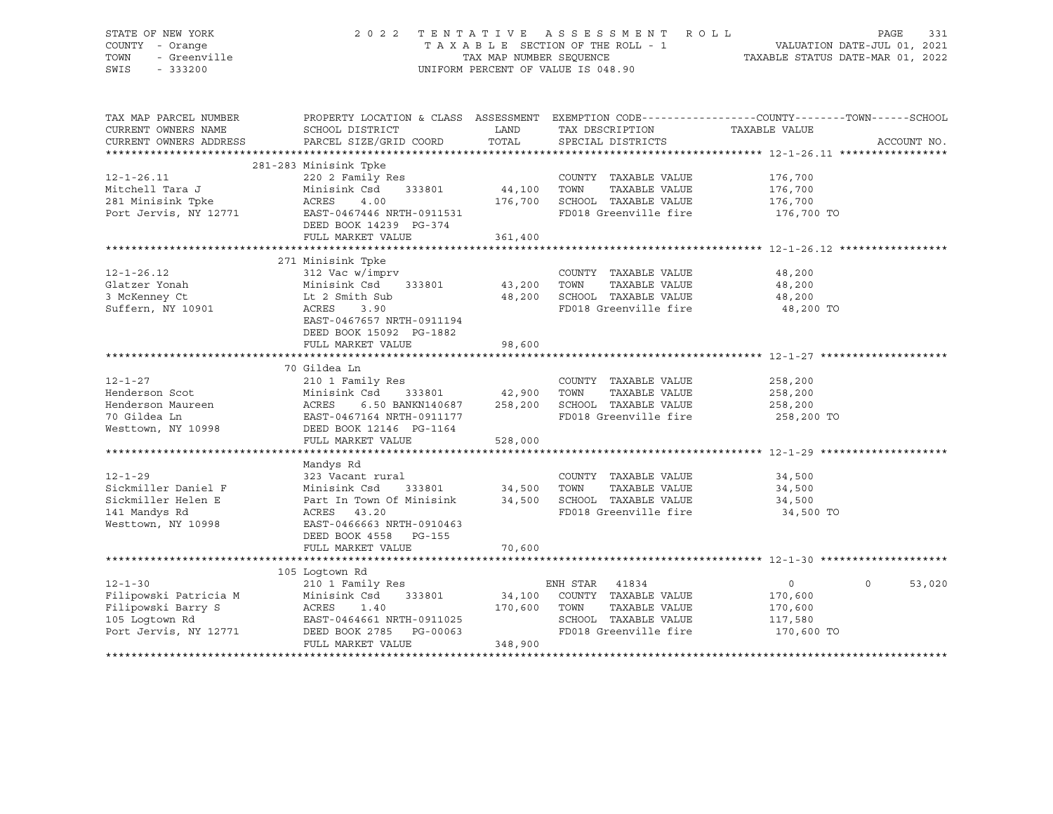| STATE OF NEW YORK<br>COUNTY - Orange<br>TOWN<br>- Greenville<br>SWIS<br>$-333200$                       |                                                                                                                                                                                      |                       | 2022 TENTATIVE ASSESSMENT ROLL<br>TAXABLE SECTION OF THE ROLL - 1<br>TAXABLE SECTION OF THE ROLL - 1<br>TAXABLE STATUS DATE-MAR 01, 2022<br>UNIFORM PERCENT OF VALUE IS 048.90 |                                                               | PAGE<br>331       |
|---------------------------------------------------------------------------------------------------------|--------------------------------------------------------------------------------------------------------------------------------------------------------------------------------------|-----------------------|--------------------------------------------------------------------------------------------------------------------------------------------------------------------------------|---------------------------------------------------------------|-------------------|
| TAX MAP PARCEL NUMBER<br>CURRENT OWNERS NAME<br>CURRENT OWNERS ADDRESS                                  | SCHOOL DISTRICT<br>PARCEL SIZE/GRID COORD                                                                                                                                            | LAND<br>TOTAL         | PROPERTY LOCATION & CLASS ASSESSMENT EXEMPTION CODE---------------COUNTY-------TOWN------SCHOOL<br>TAX DESCRIPTION<br>SPECIAL DISTRICTS                                        | TAXABLE VALUE                                                 | ACCOUNT NO.       |
| $12 - 1 - 26.11$<br>Mitchell Tara J<br>281 Minisink Tpke<br>281 Minisink Tpke<br>Port Jervis, NY 12771  | 281-283 Minisink Tpke<br>220 2 Family Res<br>Minisink Csd<br>333801 44,100<br>ACRES<br>4.00<br>EAST-0467446 NRTH-0911531<br>DEED BOOK 14239 PG-374                                   |                       | COUNTY TAXABLE VALUE<br>TOWN<br>TAXABLE VALUE<br>176,700 SCHOOL TAXABLE VALUE<br>FD018 Greenville fire                                                                         | 176,700<br>176,700<br>176,700<br>176,700 TO                   |                   |
|                                                                                                         | FULL MARKET VALUE                                                                                                                                                                    | 361,400               |                                                                                                                                                                                |                                                               |                   |
| $12 - 1 - 26.12$<br>Glatzer Yonah<br>3 McKenney Ct<br>Suffern, NY 10901                                 | 271 Minisink Tpke<br>312 Vac w/imprv<br>Minisink Csd<br>333801<br>Lt 2 Smith Sub<br>ACRES<br>3.90<br>EAST-0467657 NRTH-0911194<br>DEED BOOK 15092 PG-1882<br>FULL MARKET VALUE       | 43,200 TOWN<br>98,600 | COUNTY TAXABLE VALUE<br>TAXABLE VALUE<br>48,200 SCHOOL TAXABLE VALUE<br>FD018 Greenville fire                                                                                  | 48,200<br>48,200<br>48,200<br>48,200 TO                       |                   |
|                                                                                                         |                                                                                                                                                                                      |                       |                                                                                                                                                                                |                                                               |                   |
| $12 - 1 - 27$<br>Henderson Scot<br>Henderson Maureen<br>70 Gildea Ln<br>Westtown, NY 10998              | 70 Gildea Ln<br>210 1 Family Res<br>333801 42,900<br>Minisink Csu<br>ACRES 6.50 BANKN140687 --<br>EAST-0467164 NRTH-0911177<br>DEED BOOK 12146 PG-1164 528<br>THIT, MARKET VALUE 528 |                       | COUNTY TAXABLE VALUE<br>TOWN<br>TAXABLE VALUE<br>6.50 BANKN140687 258,200 SCHOOL TAXABLE VALUE<br>FD018 Greenville fire                                                        | 258,200<br>258,200<br>258,200<br>258,200 TO                   |                   |
|                                                                                                         |                                                                                                                                                                                      |                       |                                                                                                                                                                                |                                                               |                   |
|                                                                                                         |                                                                                                                                                                                      | 528,000               |                                                                                                                                                                                |                                                               |                   |
| $12 - 1 - 29$<br>Sickmiller Daniel F<br>Sickmiller Helen E<br>141 Mandys Rd<br>Westtown, NY 10998       | Mandys Rd<br>323 Vacant rural<br>Minisink Csd<br>333801<br>Part In Town Of Minisink<br>ACRES 43.20<br>EAST-0466663 NRTH-0910463<br>DEED BOOK 4558 PG-155                             | 34,500 TOWN           | COUNTY TAXABLE VALUE<br>TAXABLE VALUE<br>34,500 SCHOOL TAXABLE VALUE<br>FD018 Greenville fire                                                                                  | 34,500<br>34,500<br>34,500<br>34,500 TO                       |                   |
|                                                                                                         | FULL MARKET VALUE                                                                                                                                                                    | 70,600                |                                                                                                                                                                                |                                                               |                   |
|                                                                                                         |                                                                                                                                                                                      |                       |                                                                                                                                                                                |                                                               |                   |
| $12 - 1 - 30$<br>Filipowski Patricia M<br>Filipowski Barry S<br>105 Logtown Rd<br>Port Jervis, NY 12771 | 105 Loqtown Rd<br>210 1 Family Res<br>Minisink Csd<br>ACRES 1.40<br>EAST-0464661 N<br>DEED BOOK 2785<br>333801<br>ACKED 1.3<br>FULL MARKET VALUE                                     | 170,600<br>348,900    | ENH STAR 41834<br>34,100 COUNTY TAXABLE VALUE<br>TOWN<br>TAXABLE VALUE<br>SCHOOL TAXABLE VALUE<br>FD018 Greenville fire                                                        | $\overline{0}$<br>170,600<br>170,600<br>117,580<br>170,600 TO | $\circ$<br>53,020 |
|                                                                                                         |                                                                                                                                                                                      |                       |                                                                                                                                                                                |                                                               |                   |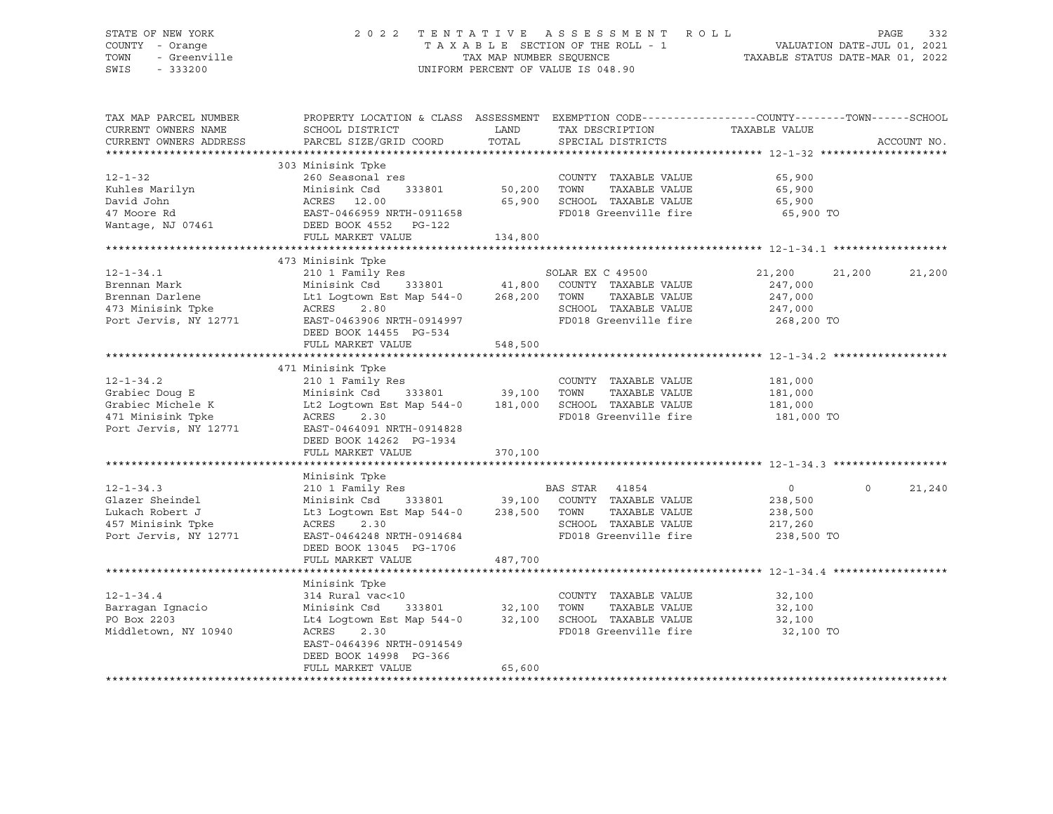#### STATE OF NEW YORK 2 0 2 2 T E N T A T I V E A S S E S S M E N T R O L L PAGE 332 COUNTY - Orange T A X A B L E SECTION OF THE ROLL - 1 VALUATION DATE-JUL 01, 2021 TOWN - Greenville TAX MAP NUMBER SEQUENCE TAXABLE STATUS DATE-MAR 01, 2022 SWIS - 333200 UNIFORM PERCENT OF VALUE IS 048.90

| TAX MAP PARCEL NUMBER<br>CURRENT OWNERS NAME<br>CURRENT OWNERS ADDRESS | PROPERTY LOCATION & CLASS ASSESSMENT EXEMPTION CODE----------------COUNTY-------TOWN------SCHOOL<br>SCHOOL DISTRICT<br>PARCEL SIZE/GRID COORD | LAND<br>TOTAL | TAX DESCRIPTION<br>SPECIAL DISTRICTS                                            | TAXABLE VALUE                   | ACCOUNT NO. |
|------------------------------------------------------------------------|-----------------------------------------------------------------------------------------------------------------------------------------------|---------------|---------------------------------------------------------------------------------|---------------------------------|-------------|
|                                                                        |                                                                                                                                               |               |                                                                                 |                                 |             |
| $12 - 1 - 32$                                                          | 303 Minisink Tpke<br>260 Seasonal res                                                                                                         |               | COUNTY TAXABLE VALUE                                                            | 65,900                          |             |
| Kuhles Marilyn                                                         | Minisink Csd                                                                                                                                  | 333801 50,200 | TAXABLE VALUE<br>TOWN                                                           | 65,900                          |             |
| David John                                                             | ACRES 12.00                                                                                                                                   | 65,900        | SCHOOL TAXABLE VALUE                                                            | 65, <sub>200</sub><br>65,900 TO |             |
| 47 Moore Rd                                                            | EAST-0466959 NRTH-0911658                                                                                                                     |               | FD018 Greenville fire                                                           |                                 |             |
| Wantage, NJ 07461                                                      | DEED BOOK 4552 PG-122                                                                                                                         |               |                                                                                 |                                 |             |
|                                                                        | FULL MARKET VALUE                                                                                                                             | 134,800       |                                                                                 |                                 |             |
|                                                                        |                                                                                                                                               |               |                                                                                 |                                 |             |
|                                                                        | 473 Minisink Tpke                                                                                                                             |               |                                                                                 |                                 |             |
| $12 - 1 - 34.1$                                                        | 210 1 Family Res                                                                                                                              |               | SOLAR EX C 49500                                                                | 21,200<br>21,200                | 21,200      |
| Brennan Mark                                                           | Minisink Csd 333801 41,800 COUNTY<br>Lt1 Logtown Est Map 544-0 268,200 TOWN                                                                   |               | COUNTY TAXABLE VALUE                                                            | 247,000                         |             |
| Brennan Darlene                                                        |                                                                                                                                               |               | TAXABLE VALUE                                                                   | 247,000                         |             |
|                                                                        | 2.80<br>ACRES                                                                                                                                 |               | SCHOOL TAXABLE VALUE<br>FRAME VALUE 247,000<br>FRAME Greenville fire 268,200 TO |                                 |             |
| 473 Minisink Tpke<br>Port Jervis, NY 12771                             | ACRES 2.80<br>EAST-0463906 NRTH-0914997                                                                                                       |               | FD018 Greenville fire                                                           |                                 |             |
|                                                                        | DEED BOOK 14455 PG-534                                                                                                                        |               |                                                                                 |                                 |             |
|                                                                        | FULL MARKET VALUE                                                                                                                             | 548,500       |                                                                                 |                                 |             |
|                                                                        |                                                                                                                                               |               |                                                                                 |                                 |             |
|                                                                        | 471 Minisink Tpke                                                                                                                             |               |                                                                                 |                                 |             |
| $12 - 1 - 34.2$                                                        | 210 1 Family Res                                                                                                                              |               | COUNTY TAXABLE VALUE                                                            | 181,000                         |             |
| Grabiec Doug E                                                         | 333801 39,100<br>Minisink Csd                                                                                                                 |               | TOWN<br>TAXABLE VALUE                                                           | 181,000                         |             |
| Grabiec Michele K                                                      | Lt2 Logtown Est Map 544-0 181,000                                                                                                             |               | SCHOOL TAXABLE VALUE                                                            | 181,000                         |             |
| 471 Minisink Tpke                                                      | ACRES<br>2.30                                                                                                                                 |               | FD018 Greenville fire 181,000 TO                                                |                                 |             |
|                                                                        |                                                                                                                                               |               |                                                                                 |                                 |             |
| Port Jervis, NY 12771                                                  | EAST-0464091 NRTH-0914828                                                                                                                     |               |                                                                                 |                                 |             |
|                                                                        | DEED BOOK 14262 PG-1934                                                                                                                       |               |                                                                                 |                                 |             |
|                                                                        | FULL MARKET VALUE                                                                                                                             | 370,100       |                                                                                 |                                 |             |
|                                                                        |                                                                                                                                               |               |                                                                                 |                                 |             |
|                                                                        | Minisink Tpke                                                                                                                                 |               |                                                                                 |                                 |             |
| $12 - 1 - 34.3$                                                        | 210 1 Family Res                                                                                                                              |               | BAS STAR 41854                                                                  | $\circ$<br>$\Omega$             | 21,240      |
| Glazer Sheindel                                                        | Minisink Csd                                                                                                                                  |               | 333801 39,100 COUNTY TAXABLE VALUE                                              | 238,500                         |             |
| Lukach Robert J                                                        | Lt3 Logtown Est Map 544-0 238,500 TOWN                                                                                                        |               | TAXABLE VALUE                                                                   | 238,500                         |             |
| 457 Minisink Tpke                                                      | ACRES<br>2.30                                                                                                                                 |               | SCHOOL TAXABLE VALUE                                                            | 217,260<br>238,500 TO           |             |
| Port Jervis, NY 12771                                                  | EAST-0464248 NRTH-0914684                                                                                                                     |               | FD018 Greenville fire                                                           |                                 |             |
|                                                                        | DEED BOOK 13045 PG-1706                                                                                                                       |               |                                                                                 |                                 |             |
|                                                                        | FULL MARKET VALUE                                                                                                                             | 487,700       |                                                                                 |                                 |             |
|                                                                        |                                                                                                                                               |               |                                                                                 |                                 |             |
|                                                                        | Minisink Tpke                                                                                                                                 |               |                                                                                 |                                 |             |
| $12 - 1 - 34.4$                                                        | 314 Rural vac<10                                                                                                                              |               | COUNTY TAXABLE VALUE                                                            | 32,100                          |             |
| Barragan Ignacio                                                       | Minisink Csd<br>333801 32,100                                                                                                                 |               | TOWN<br>TAXABLE VALUE                                                           | 32,100                          |             |
| PO Box 2203                                                            | Lt4 Logtown Est Map $544-0$ 32,100                                                                                                            |               | SCHOOL TAXABLE VALUE                                                            | 32,100                          |             |
| Middletown, NY 10940                                                   | ACRES<br>2.30                                                                                                                                 |               | FD018 Greenville fire                                                           | 32,100 TO                       |             |
|                                                                        | EAST-0464396 NRTH-0914549                                                                                                                     |               |                                                                                 |                                 |             |
|                                                                        | DEED BOOK 14998 PG-366                                                                                                                        |               |                                                                                 |                                 |             |
|                                                                        | FULL MARKET VALUE                                                                                                                             | 65,600        |                                                                                 |                                 |             |
|                                                                        |                                                                                                                                               |               |                                                                                 |                                 |             |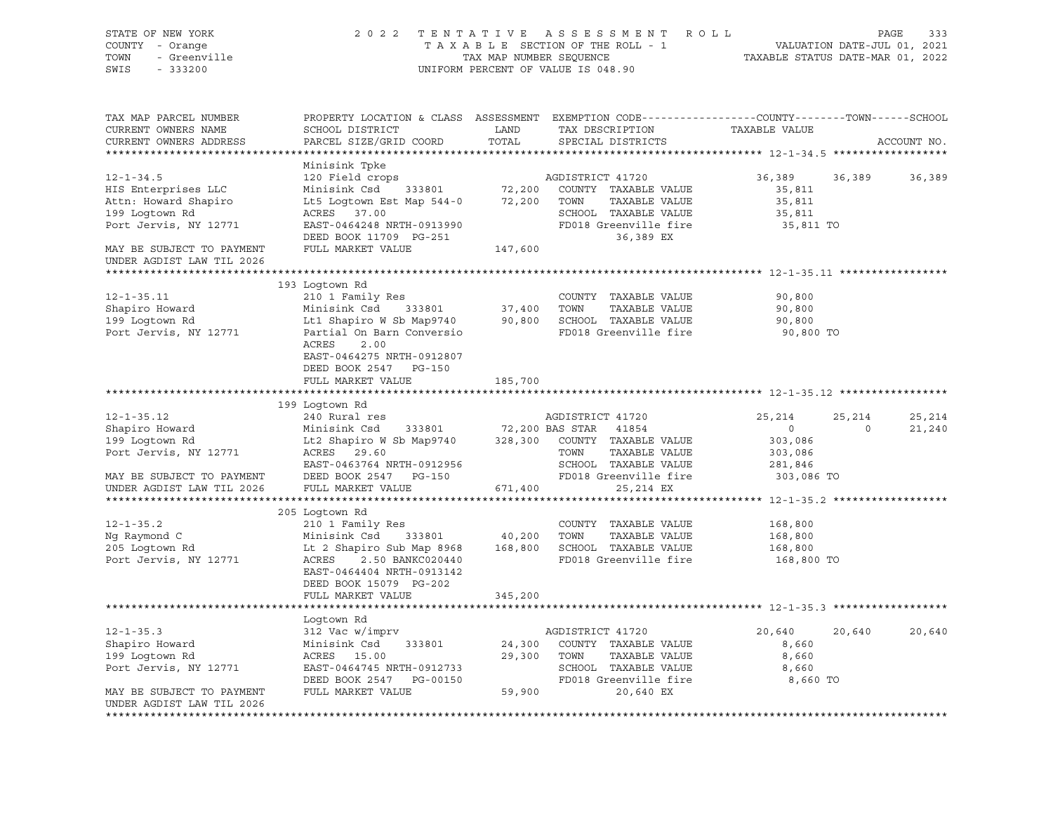| STATE OF NEW YORK<br>COUNTY - Orange<br>TOWN<br>- Greenville<br>SWIS<br>$-333200$ | 2 0 2 2                                                                                  | TAX MAP NUMBER SEQUENCE | TENTATIVE ASSESSMENT ROLL<br>TAXABLE SECTION OF THE ROLL - 1<br>UNIFORM PERCENT OF VALUE IS 048.90                                      |               | PAGE<br>333<br>VALUATION DATE-JUL 01, 2021<br>TAXABLE STATUS DATE-MAR 01, 2022 |
|-----------------------------------------------------------------------------------|------------------------------------------------------------------------------------------|-------------------------|-----------------------------------------------------------------------------------------------------------------------------------------|---------------|--------------------------------------------------------------------------------|
| TAX MAP PARCEL NUMBER<br>CURRENT OWNERS NAME<br>CURRENT OWNERS ADDRESS            | SCHOOL DISTRICT<br>PARCEL SIZE/GRID COORD                                                | LAND<br>TOTAL           | PROPERTY LOCATION & CLASS ASSESSMENT EXEMPTION CODE---------------COUNTY-------TOWN------SCHOOL<br>TAX DESCRIPTION<br>SPECIAL DISTRICTS | TAXABLE VALUE | ACCOUNT NO.                                                                    |
|                                                                                   | Minisink Tpke                                                                            |                         |                                                                                                                                         |               |                                                                                |
| $12 - 1 - 34.5$                                                                   | 120 Field crops                                                                          |                         | AGDISTRICT 41720                                                                                                                        | 36,389        | 36,389<br>36,389                                                               |
| HIS Enterprises LLC                                                               | Minisink Csd<br>333801                                                                   | 72,200                  | COUNTY TAXABLE VALUE                                                                                                                    | 35,811        |                                                                                |
| Attn: Howard Shapiro                                                              | Lt5 Logtown Est Map 544-0                                                                | 72,200                  | TOWN<br>TAXABLE VALUE                                                                                                                   | 35,811        |                                                                                |
| 199 Logtown Rd                                                                    | ACRES 37.00                                                                              |                         | SCHOOL TAXABLE VALUE                                                                                                                    | 35,811        |                                                                                |
| Port Jervis, NY 12771                                                             | EAST-0464248 NRTH-0913990                                                                |                         | FD018 Greenville fire                                                                                                                   | 35,811 TO     |                                                                                |
|                                                                                   | DEED BOOK 11709 PG-251                                                                   |                         | 36,389 EX                                                                                                                               |               |                                                                                |
| MAY BE SUBJECT TO PAYMENT                                                         | FULL MARKET VALUE                                                                        | 147,600                 |                                                                                                                                         |               |                                                                                |
| UNDER AGDIST LAW TIL 2026                                                         |                                                                                          |                         |                                                                                                                                         |               |                                                                                |
|                                                                                   | 193 Logtown Rd                                                                           |                         |                                                                                                                                         |               |                                                                                |
| $12 - 1 - 35.11$                                                                  | 210 1 Family Res                                                                         |                         | COUNTY TAXABLE VALUE                                                                                                                    | 90,800        |                                                                                |
| Shapiro Howard                                                                    | Minisink Csd<br>333801                                                                   | 37,400                  | TOWN<br>TAXABLE VALUE                                                                                                                   | 90,800        |                                                                                |
| 199 Logtown Rd                                                                    | Lt1 Shapiro W Sb Map9740                                                                 | 90,800                  | SCHOOL TAXABLE VALUE                                                                                                                    | 90,800        |                                                                                |
| Port Jervis, NY 12771                                                             | Partial On Barn Conversio                                                                |                         | FD018 Greenville fire                                                                                                                   | 90,800 TO     |                                                                                |
|                                                                                   | ACRES<br>2.00<br>EAST-0464275 NRTH-0912807<br>DEED BOOK 2547 PG-150<br>FULL MARKET VALUE | 185,700                 |                                                                                                                                         |               |                                                                                |
|                                                                                   |                                                                                          |                         |                                                                                                                                         |               |                                                                                |
|                                                                                   | 199 Logtown Rd                                                                           |                         |                                                                                                                                         |               |                                                                                |
| $12 - 1 - 35.12$                                                                  | 240 Rural res                                                                            |                         | AGDISTRICT 41720                                                                                                                        | 25,214        | 25,214<br>25,214                                                               |
| Shapiro Howard                                                                    | Minisink Csd<br>333801                                                                   | 72,200 BAS STAR         | 41854                                                                                                                                   | $\circ$       | 21,240<br>$\circ$                                                              |
| 199 Logtown Rd                                                                    | Lt2 Shapiro W Sb Map9740                                                                 |                         | 328,300 COUNTY TAXABLE VALUE                                                                                                            | 303,086       |                                                                                |
| Port Jervis, NY 12771                                                             | ACRES<br>29.60                                                                           |                         | TOWN<br>TAXABLE VALUE                                                                                                                   | 303,086       |                                                                                |
|                                                                                   | EAST-0463764 NRTH-0912956                                                                |                         | SCHOOL TAXABLE VALUE                                                                                                                    | 281,846       |                                                                                |
| MAY BE SUBJECT TO PAYMENT                                                         | DEED BOOK 2547 PG-150                                                                    |                         | FD018 Greenville fire                                                                                                                   | 303,086 TO    |                                                                                |
| UNDER AGDIST LAW TIL 2026                                                         | FULL MARKET VALUE                                                                        | 671,400                 | 25,214 EX                                                                                                                               |               |                                                                                |
|                                                                                   |                                                                                          |                         |                                                                                                                                         |               |                                                                                |
|                                                                                   | 205 Logtown Rd                                                                           |                         |                                                                                                                                         |               |                                                                                |
| $12 - 1 - 35.2$                                                                   | 210 1 Family Res                                                                         |                         | COUNTY TAXABLE VALUE                                                                                                                    | 168,800       |                                                                                |
| Ng Raymond C                                                                      | Minisink Csd<br>333801                                                                   | 40,200                  | TOWN<br>TAXABLE VALUE                                                                                                                   | 168,800       |                                                                                |
| 205 Logtown Rd<br>Port Jervis, NY 12771                                           | Lt 2 Shapiro Sub Map 8968<br>ACRES<br>2.50 BANKC020440                                   | 168,800                 | SCHOOL TAXABLE VALUE<br>FD018 Greenville fire                                                                                           | 168,800       |                                                                                |
|                                                                                   | EAST-0464404 NRTH-0913142<br>DEED BOOK 15079 PG-202                                      |                         |                                                                                                                                         | 168,800 TO    |                                                                                |
|                                                                                   | FULL MARKET VALUE                                                                        | 345,200                 |                                                                                                                                         |               |                                                                                |
|                                                                                   | Logtown Rd                                                                               |                         |                                                                                                                                         |               |                                                                                |
| $12 - 1 - 35.3$                                                                   | 312 Vac w/imprv                                                                          |                         | AGDISTRICT 41720                                                                                                                        | 20,640        | 20,640<br>20,640                                                               |
| Shapiro Howard                                                                    | Minisink Csd<br>333801                                                                   | 24,300                  | COUNTY<br>TAXABLE VALUE                                                                                                                 | 8,660         |                                                                                |
| 199 Logtown Rd                                                                    | ACRES<br>15.00                                                                           | 29,300                  | TOWN<br>TAXABLE VALUE                                                                                                                   | 8,660         |                                                                                |
| Port Jervis, NY 12771                                                             | EAST-0464745 NRTH-0912733                                                                |                         | SCHOOL<br>TAXABLE VALUE                                                                                                                 | 8,660         |                                                                                |
|                                                                                   | DEED BOOK 2547<br>PG-00150                                                               |                         | FD018 Greenville fire                                                                                                                   | 8,660 TO      |                                                                                |
| MAY BE SUBJECT TO PAYMENT<br>UNDER AGDIST LAW TIL 2026                            | FULL MARKET VALUE                                                                        | 59,900                  | 20,640 EX                                                                                                                               |               |                                                                                |
|                                                                                   |                                                                                          |                         |                                                                                                                                         |               |                                                                                |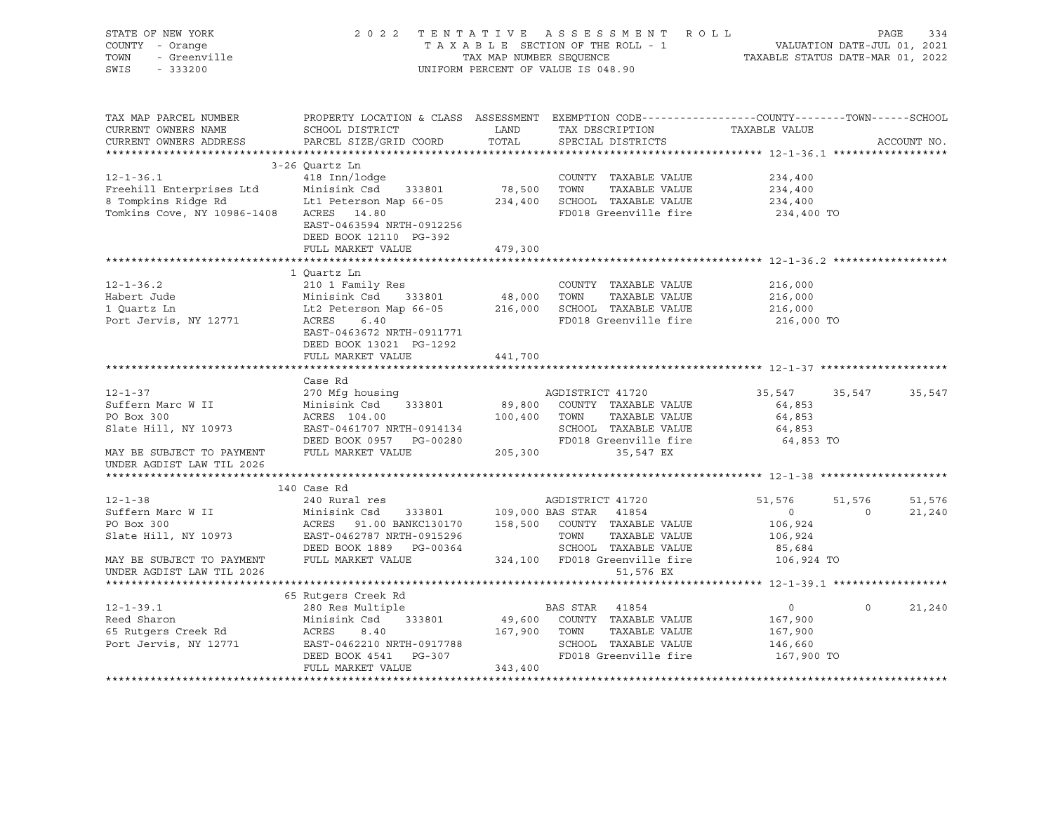| STATE OF NEW YORK<br>COUNTY - Orange<br>TOWN<br>- Greenville<br>SWIS - 333200                                                                     |                                                                                                              |         | 2022 TENTATIVE ASSESSMENT ROLL<br>TAXABLE SECTION OF THE ROLL - 1 VALUATION DATE-JUL 01, 2021<br>TAXABLE SECTION OF THE ROLL - 1 VALUATION DATE-JUL 01, 2021<br>UNIFORM PERCENT OF VALUE IS 048.90 |                      |                | PAGE<br>334 |
|---------------------------------------------------------------------------------------------------------------------------------------------------|--------------------------------------------------------------------------------------------------------------|---------|----------------------------------------------------------------------------------------------------------------------------------------------------------------------------------------------------|----------------------|----------------|-------------|
| TAX MAP PARCEL NUMBER                                                                                                                             | PROPERTY LOCATION & CLASS ASSESSMENT EXEMPTION CODE----------------COUNTY-------TOWN------SCHOOL             |         |                                                                                                                                                                                                    |                      |                |             |
| CURRENT OWNERS NAME<br>CURRENT OWNERS ADDRESS                                                                                                     | SCHOOL DISTRICT<br><b>EXAMPLE THE STATE OF STATE OF STATE</b><br>PARCEL SIZE/GRID COORD                      | TOTAL   | TAX DESCRIPTION<br>SPECIAL DISTRICTS                                                                                                                                                               | TAXABLE VALUE        |                | ACCOUNT NO. |
|                                                                                                                                                   |                                                                                                              |         |                                                                                                                                                                                                    |                      |                |             |
|                                                                                                                                                   | 3-26 Quartz Ln                                                                                               |         |                                                                                                                                                                                                    |                      |                |             |
| $12 - 1 - 36.1$                                                                                                                                   | 418 Inn/lodge                                                                                                |         | COUNTY TAXABLE VALUE                                                                                                                                                                               | 234,400              |                |             |
| Freehill Enterprises Ltd Minisink Csd 333801 78,500 TOWN TAXABLE VALUE<br>8 Tompkins Ridge Rd Ltl Peterson Map 66-05 234,400 SCHOOL TAXABLE VALUE |                                                                                                              |         |                                                                                                                                                                                                    | 234,400              |                |             |
|                                                                                                                                                   |                                                                                                              |         |                                                                                                                                                                                                    | 234,400              |                |             |
| Tomkins Cove, NY 10986-1408 ACRES 14.80                                                                                                           | EAST-0463594 NRTH-0912256<br>DEED BOOK 12110 PG-392                                                          |         | FD018 Greenville fire                                                                                                                                                                              | 234,400 TO           |                |             |
|                                                                                                                                                   | FULL MARKET VALUE                                                                                            | 479,300 |                                                                                                                                                                                                    |                      |                |             |
|                                                                                                                                                   |                                                                                                              |         |                                                                                                                                                                                                    |                      |                |             |
|                                                                                                                                                   | 1 Quartz Ln                                                                                                  |         |                                                                                                                                                                                                    |                      |                |             |
|                                                                                                                                                   |                                                                                                              |         |                                                                                                                                                                                                    | 216,000              |                |             |
|                                                                                                                                                   |                                                                                                              |         |                                                                                                                                                                                                    | 216,000<br>216,000   |                |             |
|                                                                                                                                                   |                                                                                                              |         |                                                                                                                                                                                                    | 216,000 TO           |                |             |
|                                                                                                                                                   | EAST-0463672 NRTH-0911771<br>DEED BOOK 13021 PG-1292                                                         |         |                                                                                                                                                                                                    |                      |                |             |
|                                                                                                                                                   | FULL MARKET VALUE                                                                                            | 441,700 |                                                                                                                                                                                                    |                      |                |             |
|                                                                                                                                                   | Case Rd                                                                                                      |         |                                                                                                                                                                                                    |                      |                |             |
| $12 - 1 - 37$                                                                                                                                     | 270 Mfg housing                                                                                              |         | AGDISTRICT 41720                                                                                                                                                                                   | 35,547               | 35,547         | 35,547      |
| Suffern Marc W II                                                                                                                                 | Minisink Csd 333801                                                                                          |         |                                                                                                                                                                                                    | 64,853               |                |             |
| PO Box 300                                                                                                                                        |                                                                                                              |         |                                                                                                                                                                                                    | 64,853               |                |             |
| Slate Hill, NY 10973                                                                                                                              |                                                                                                              |         |                                                                                                                                                                                                    | 64,853               |                |             |
|                                                                                                                                                   |                                                                                                              |         |                                                                                                                                                                                                    | 64,853 TO            |                |             |
| MAY BE SUBJECT TO PAYMENT                                                                                                                         | FULL MARKET VALUE 205,300 35,547 EX                                                                          |         |                                                                                                                                                                                                    |                      |                |             |
| UNDER AGDIST LAW TIL 2026                                                                                                                         |                                                                                                              |         |                                                                                                                                                                                                    |                      |                |             |
|                                                                                                                                                   |                                                                                                              |         |                                                                                                                                                                                                    |                      |                |             |
|                                                                                                                                                   | 140 Case Rd                                                                                                  |         |                                                                                                                                                                                                    |                      |                |             |
| $12 - 1 - 38$                                                                                                                                     | 240 Rural res                                                                                                |         | AGDISTRICT 41720                                                                                                                                                                                   | 51,576               | 51,576         | 51,576      |
| Suffern Marc W II                                                                                                                                 |                                                                                                              |         |                                                                                                                                                                                                    | $\overline{0}$       | $\overline{0}$ | 21,240      |
| PO Box 300                                                                                                                                        |                                                                                                              |         |                                                                                                                                                                                                    | 106,924              |                |             |
| Slate Hill, NY 10973                                                                                                                              |                                                                                                              |         |                                                                                                                                                                                                    | 106,924              |                |             |
|                                                                                                                                                   | FULL MARKET VALUE                                                                                            |         | SCHOOL TAXABLE VALUE                                                                                                                                                                               | 85,684<br>106,924 TO |                |             |
| MAY BE SUBJECT TO PAYMENT<br>UNDER AGDIST LAW TIL 2026                                                                                            |                                                                                                              |         | 324,100 FD018 Greenville fire<br>51,576 EX                                                                                                                                                         |                      |                |             |
|                                                                                                                                                   |                                                                                                              |         |                                                                                                                                                                                                    |                      |                |             |
|                                                                                                                                                   |                                                                                                              |         |                                                                                                                                                                                                    |                      |                |             |
| $12 - 1 - 39.1$                                                                                                                                   | 280 Res Multiple<br>Minisink Csd 333801 49,600 COUNTY TAXABLE VALUE<br>ACRES 8.40 167,900 TOWN TAXABLE VALUE |         |                                                                                                                                                                                                    | $\overline{0}$       | $\circ$        | 21,240      |
| Reed Sharon                                                                                                                                       |                                                                                                              |         |                                                                                                                                                                                                    | 167,900              |                |             |
|                                                                                                                                                   |                                                                                                              |         |                                                                                                                                                                                                    | 167,900              |                |             |
|                                                                                                                                                   |                                                                                                              |         | SCHOOL TAXABLE VALUE                                                                                                                                                                               | 146,660              |                |             |
|                                                                                                                                                   |                                                                                                              |         | FD018 Greenville fire                                                                                                                                                                              | 167,900 TO           |                |             |
|                                                                                                                                                   | FULL MARKET VALUE                                                                                            | 343,400 |                                                                                                                                                                                                    |                      |                |             |
|                                                                                                                                                   |                                                                                                              |         |                                                                                                                                                                                                    |                      |                |             |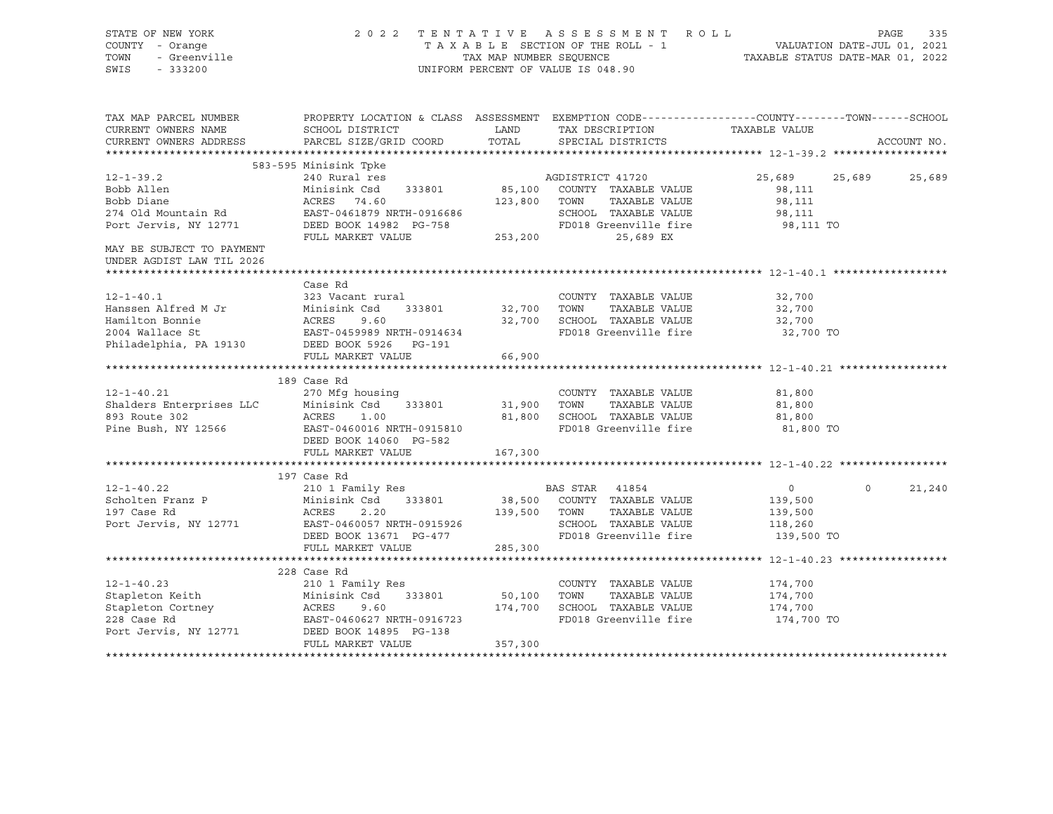| STATE OF NEW YORK<br>COUNTY - Orange<br>TOWN<br>- Greenville<br>SWIS<br>$-333200$ |                                                                                                                                                                                                                                       |              | 2022 TENTATIVE ASSESSMENT ROLL<br>UNIFORM PERCENT OF VALUE IS 048.90 |                    | PAGE<br>335        |
|-----------------------------------------------------------------------------------|---------------------------------------------------------------------------------------------------------------------------------------------------------------------------------------------------------------------------------------|--------------|----------------------------------------------------------------------|--------------------|--------------------|
| TAX MAP PARCEL NUMBER<br>CURRENT OWNERS NAME                                      | PROPERTY LOCATION & CLASS ASSESSMENT EXEMPTION CODE-----------------COUNTY-------TOWN------SCHOOL<br>SCHOOL DISTRICT                                                                                                                  | LAND         | TAX DESCRIPTION                                                      | TAXABLE VALUE      |                    |
| CURRENT OWNERS ADDRESS                                                            | PARCEL SIZE/GRID COORD                                                                                                                                                                                                                | TOTAL        | SPECIAL DISTRICTS                                                    |                    | ACCOUNT NO.        |
|                                                                                   |                                                                                                                                                                                                                                       |              |                                                                      |                    |                    |
|                                                                                   | 583-595 Minisink Tpke                                                                                                                                                                                                                 |              |                                                                      |                    |                    |
| $12 - 1 - 39.2$                                                                   | 240 Rural res                                                                                                                                                                                                                         |              | AGDISTRICT 41720                                                     | 25,689             | 25,689<br>25,689   |
|                                                                                   |                                                                                                                                                                                                                                       |              | 85,100 COUNTY TAXABLE VALUE                                          | 98,111             |                    |
|                                                                                   |                                                                                                                                                                                                                                       |              | TAXABLE VALUE                                                        | 98,111             |                    |
|                                                                                   |                                                                                                                                                                                                                                       |              | SCHOOL TAXABLE VALUE                                                 | 98,111             |                    |
|                                                                                   |                                                                                                                                                                                                                                       |              | FD018 Greenville fire                                                | 98,111 TO          |                    |
| MAY BE SUBJECT TO PAYMENT<br>UNDER AGDIST LAW TIL 2026                            | 12-1-39.2<br>Bobb Allen<br>Bobb Diane<br>274 Old Mountain Rd<br>Port Jervis, NY 12771<br>275 PORT PORT PULL MARKET VALUE<br>253,200<br>253,200<br>253,200                                                                             |              | 25,689 EX                                                            |                    |                    |
|                                                                                   | Case Rd                                                                                                                                                                                                                               |              |                                                                      |                    |                    |
| $12 - 1 - 40.1$                                                                   | 323 Vacant rural                                                                                                                                                                                                                      |              | COUNTY TAXABLE VALUE                                                 | 32,700             |                    |
|                                                                                   |                                                                                                                                                                                                                                       |              |                                                                      | 32,700             |                    |
|                                                                                   |                                                                                                                                                                                                                                       |              |                                                                      | 32,700             |                    |
|                                                                                   |                                                                                                                                                                                                                                       |              | FD018 Greenville fire                                                | 32,700 TO          |                    |
|                                                                                   | 12-1-40.1<br>Hanssen Alfred M Jr Minisink Csd 333801 32,700 TOWN TAXABLE VALUE<br>Hamilton Bonnie ACRES 9.60 32,700 SCHOOL TAXABLE VALUE<br>2004 Wallace St EAST-0459989 NRTH-0914634 FD018 Greenville fire<br>Philadelphia, PA 19130 |              |                                                                      |                    |                    |
|                                                                                   | FULL MARKET VALUE                                                                                                                                                                                                                     | 66,900       |                                                                      |                    |                    |
|                                                                                   |                                                                                                                                                                                                                                       |              |                                                                      |                    |                    |
|                                                                                   | 189 Case Rd                                                                                                                                                                                                                           |              |                                                                      |                    |                    |
| $12 - 1 - 40.21$                                                                  | 270 Mfg housing<br>333801                                                                                                                                                                                                             | 31,900 TOWN  | COUNTY TAXABLE VALUE<br>TAXABLE VALUE                                | 81,800             |                    |
|                                                                                   |                                                                                                                                                                                                                                       |              | 81,800 SCHOOL TAXABLE VALUE                                          | 81,800<br>81,800   |                    |
|                                                                                   | 270 Minisink Csd 333801<br>893 Route 302 ACRES 1.00<br>Pine Bush, NY 12566 BAST-0460016 NRTH-0915810                                                                                                                                  |              | FD018 Greenville fire                                                | 81,800 TO          |                    |
|                                                                                   | DEED BOOK 14060 PG-582                                                                                                                                                                                                                |              |                                                                      |                    |                    |
|                                                                                   | FULL MARKET VALUE                                                                                                                                                                                                                     | 167,300      |                                                                      |                    |                    |
|                                                                                   |                                                                                                                                                                                                                                       |              |                                                                      |                    |                    |
|                                                                                   | 197 Case Rd                                                                                                                                                                                                                           |              |                                                                      |                    |                    |
| $12 - 1 - 40.22$                                                                  | 210 1 Family Res                                                                                                                                                                                                                      |              | BAS STAR 41854                                                       | $\overline{0}$     | $\Omega$<br>21,240 |
| Scholten Franz P                                                                  | Minisink Csd 333801                                                                                                                                                                                                                   |              | 38,500 COUNTY TAXABLE VALUE                                          | 139,500            |                    |
| 197 Case Rd                                                                       | ACRES         2.20<br>EAST-0460057  NRTH-0915926                                                                                                                                                                                      | 139,500 TOWN | TAXABLE VALUE                                                        | 139,500            |                    |
| Port Jervis, NY 12771                                                             |                                                                                                                                                                                                                                       |              | SCHOOL TAXABLE VALUE                                                 | 118,260            |                    |
|                                                                                   | DEED BOOK 13671 PG-477                                                                                                                                                                                                                |              | FD018 Greenville fire                                                | 139,500 TO         |                    |
|                                                                                   | FULL MARKET VALUE                                                                                                                                                                                                                     | 285,300      |                                                                      |                    |                    |
|                                                                                   |                                                                                                                                                                                                                                       |              |                                                                      |                    |                    |
|                                                                                   | 228 Case Rd                                                                                                                                                                                                                           |              |                                                                      |                    |                    |
|                                                                                   | 12-1-40.23 210 1 Family Res<br>Stapleton Keith Minisink Csd 333801 50,100<br>Stapleton Cortney ACRES 9.60 174,700<br>228 Case Rd EAST-0460627 NRTH-0916723<br>Port Jervis, NY 12771 DEED BOOK 14895 PG-138                            | 50,100 TOWN  | COUNTY TAXABLE VALUE<br>TAXABLE VALUE                                | 174,700<br>174,700 |                    |
|                                                                                   |                                                                                                                                                                                                                                       |              | 174,700 SCHOOL TAXABLE VALUE                                         | 174,700            |                    |
|                                                                                   |                                                                                                                                                                                                                                       |              | FD018 Greenville fire                                                | 174,700 TO         |                    |
|                                                                                   |                                                                                                                                                                                                                                       |              |                                                                      |                    |                    |
|                                                                                   | FULL MARKET VALUE                                                                                                                                                                                                                     | 357,300      |                                                                      |                    |                    |
|                                                                                   |                                                                                                                                                                                                                                       |              |                                                                      |                    |                    |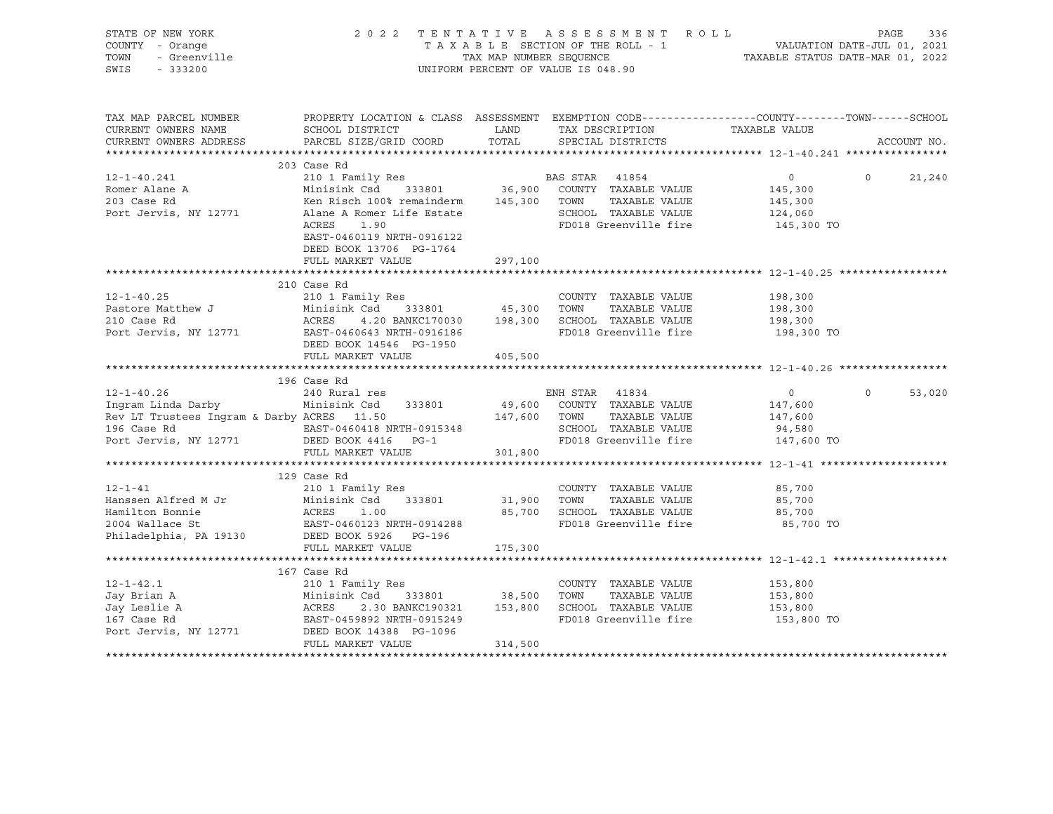| STATE OF NEW YORK<br>COUNTY - Orange<br>TOWN<br>- Greenville<br>SWIS<br>$-333200$ |                                                                                                                   | TAX MAP NUMBER SEQUENCE | 2022 TENTATIVE ASSESSMENT ROLL<br>TAXABLE SECTION OF THE ROLL - 1<br>UNIFORM PERCENT OF VALUE IS 048.90 | VALUATION DATE-JUL 01, 2021<br>TAXABLE STATUS DATE-MAR 01, 2022 | PAGE     | 336         |
|-----------------------------------------------------------------------------------|-------------------------------------------------------------------------------------------------------------------|-------------------------|---------------------------------------------------------------------------------------------------------|-----------------------------------------------------------------|----------|-------------|
| TAX MAP PARCEL NUMBER<br>CURRENT OWNERS NAME                                      | PROPERTY LOCATION & CLASS ASSESSMENT EXEMPTION CODE---------------COUNTY-------TOWN-----SCHOOL<br>SCHOOL DISTRICT | <b>LAND</b>             | TAX DESCRIPTION                                                                                         | TAXABLE VALUE                                                   |          |             |
| CURRENT OWNERS ADDRESS                                                            | PARCEL SIZE/GRID COORD                                                                                            | TOTAL                   | SPECIAL DISTRICTS                                                                                       |                                                                 |          | ACCOUNT NO. |
|                                                                                   | 203 Case Rd                                                                                                       |                         |                                                                                                         |                                                                 |          |             |
| $12 - 1 - 40.241$                                                                 | 210 1 Family Res                                                                                                  |                         | BAS STAR 41854                                                                                          | $\circ$                                                         | $\Omega$ | 21,240      |
| Romer Alane A                                                                     | Minisink Csd 333801 36,900 COUNTY TAXABLE VALUE                                                                   |                         |                                                                                                         | 145,300                                                         |          |             |
| 203 Case Rd                                                                       | Ken Risch 100% remainderm                                                                                         | 145,300 TOWN            | TAXABLE VALUE                                                                                           | 145,300                                                         |          |             |
| Port Jervis, NY 12771                                                             | Alane A Romer Life Estate                                                                                         |                         | SCHOOL TAXABLE VALUE                                                                                    | 124,060                                                         |          |             |
|                                                                                   | ACRES<br>1.90                                                                                                     |                         | FD018 Greenville fire                                                                                   | 145,300 TO                                                      |          |             |
|                                                                                   | EAST-0460119 NRTH-0916122                                                                                         |                         |                                                                                                         |                                                                 |          |             |
|                                                                                   | DEED BOOK 13706 PG-1764                                                                                           |                         |                                                                                                         |                                                                 |          |             |
|                                                                                   | FULL MARKET VALUE                                                                                                 | 297,100                 |                                                                                                         |                                                                 |          |             |
|                                                                                   |                                                                                                                   |                         |                                                                                                         |                                                                 |          |             |
|                                                                                   | 210 Case Rd                                                                                                       |                         |                                                                                                         |                                                                 |          |             |
| $12 - 1 - 40.25$                                                                  | 210 1 Family Res                                                                                                  |                         | COUNTY TAXABLE VALUE                                                                                    | 198,300                                                         |          |             |
| Pastore Matthew J<br>210 Case Rd                                                  | Minisink Csd<br>ACRES 4.20                                                                                        |                         | Csd 333801 45,300 TOWN TAXABLE VALUE<br>4.20 BANKC170030 198,300 SCHOOL TAXABLE VALUE                   | 198,300                                                         |          |             |
|                                                                                   |                                                                                                                   |                         |                                                                                                         | 198,300                                                         |          |             |
| Port Jervis, NY 12771 EAST-0460643 NRTH-0916186                                   |                                                                                                                   |                         | FD018 Greenville fire                                                                                   | 198,300 TO                                                      |          |             |
|                                                                                   | DEED BOOK 14546 PG-1950<br>FULL MARKET VALUE                                                                      | 405,500                 |                                                                                                         |                                                                 |          |             |
|                                                                                   |                                                                                                                   |                         |                                                                                                         |                                                                 |          |             |
|                                                                                   | 196 Case Rd                                                                                                       |                         |                                                                                                         |                                                                 |          |             |
| $12 - 1 - 40.26$                                                                  | 240 Rural res                                                                                                     |                         | ENH STAR 41834                                                                                          | 0                                                               | $\Omega$ | 53,020      |
| Ingram Linda Darby           Minisink Csd     333801                              |                                                                                                                   |                         | 49,600 COUNTY TAXABLE VALUE                                                                             | 147,600                                                         |          |             |
| Rev LT Trustees Ingram & Darby ACRES 11.50                                        |                                                                                                                   | 147,600 TOWN            | TAXABLE VALUE                                                                                           | 147,600                                                         |          |             |
| 196 Case Rd                                                                       | EAST-0460418 NRTH-0915348                                                                                         |                         | SCHOOL TAXABLE VALUE                                                                                    | 94,580                                                          |          |             |
| Port Jervis, NY 12771                                                             | DEED BOOK 4416 PG-1                                                                                               |                         | FD018 Greenville fire                                                                                   | 147,600 TO                                                      |          |             |
|                                                                                   | FULL MARKET VALUE                                                                                                 | 301,800                 |                                                                                                         |                                                                 |          |             |
|                                                                                   |                                                                                                                   |                         |                                                                                                         |                                                                 |          |             |
|                                                                                   | 129 Case Rd                                                                                                       |                         |                                                                                                         |                                                                 |          |             |
| $12 - 1 - 41$                                                                     | 210 1 Family Res                                                                                                  |                         | COUNTY TAXABLE VALUE                                                                                    | 85,700                                                          |          |             |
| Hanssen Alfred M Jr                                                               | Minisin<br>ACRES 1.00<br>EAST-0460123 NRTH-0914288<br>TID ROOK 5926 PG-196                                        | 31,900 TOWN             | TAXABLE VALUE                                                                                           | 85,700                                                          |          |             |
| Hamilton Bonnie                                                                   |                                                                                                                   |                         | 85,700 SCHOOL TAXABLE VALUE                                                                             | 85,700                                                          |          |             |
| 2004 Wallace St                                                                   |                                                                                                                   |                         | FD018 Greenville fire                                                                                   | 85,700 TO                                                       |          |             |
| Philadelphia, PA 19130 DEED BOOK 5926 PG-196                                      | FULL MARKET VALUE                                                                                                 |                         |                                                                                                         |                                                                 |          |             |
|                                                                                   |                                                                                                                   | 175,300                 |                                                                                                         |                                                                 |          |             |
|                                                                                   | 167 Case Rd                                                                                                       |                         |                                                                                                         |                                                                 |          |             |
| $12 - 1 - 42.1$                                                                   | 210 1 Family Res                                                                                                  |                         | COUNTY TAXABLE VALUE                                                                                    | 153,800                                                         |          |             |
| Jay Brian A                                                                       | Minisink Csd                                                                                                      |                         |                                                                                                         | 153,800                                                         |          |             |
| Jay Leslie A                                                                      |                                                                                                                   |                         |                                                                                                         | 153,800                                                         |          |             |
| 167 Case Rd                                                                       | Minisi<br>ACRES<br>EAST-0<br>EAST-0459892 NRTH-0915249                                                            |                         | FD018 Greenville fire                                                                                   | 153,800 TO                                                      |          |             |
| Port Jervis, NY 12771                                                             | DEED BOOK 14388 PG-1096                                                                                           |                         |                                                                                                         |                                                                 |          |             |
|                                                                                   | FULL MARKET VALUE                                                                                                 | 314,500                 |                                                                                                         |                                                                 |          |             |
|                                                                                   |                                                                                                                   |                         |                                                                                                         |                                                                 |          |             |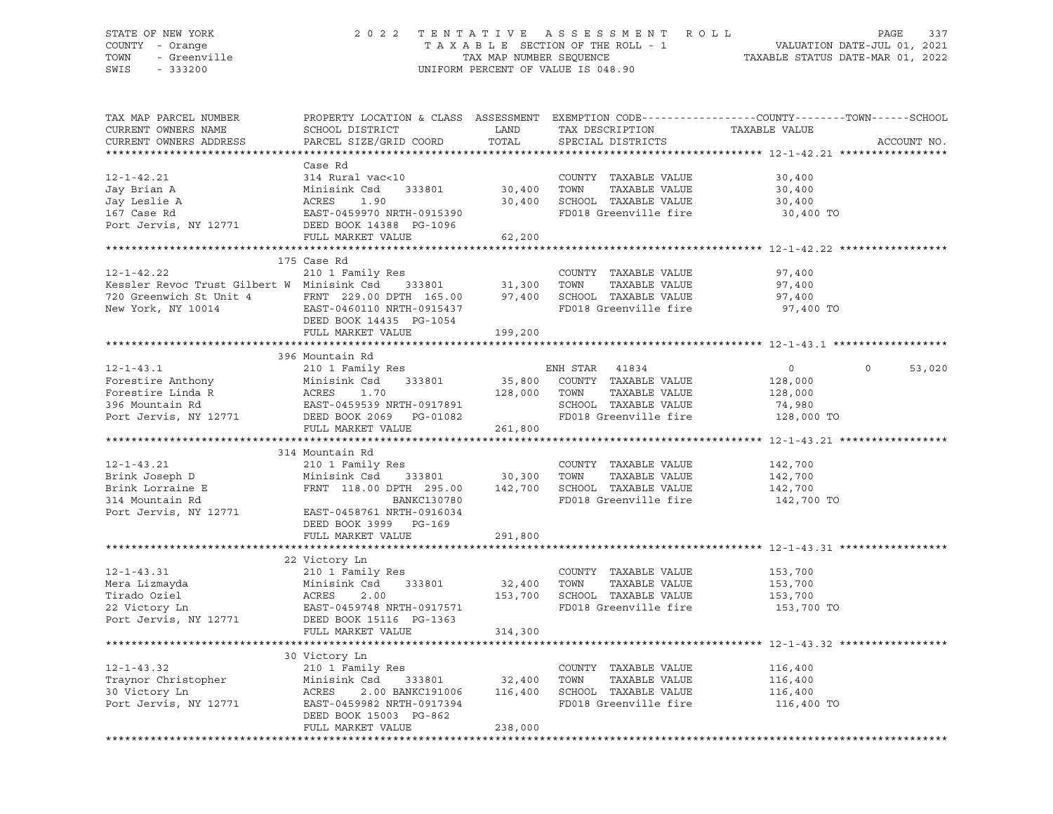#### STATE OF NEW YORK 2 0 2 2 T E N T A T I V E A S S E S S M E N T R O L L PAGE 337 COUNTY - Orange T A X A B L E SECTION OF THE ROLL - 1 VALUATION DATE-JUL 01, 2021 TOWN - Greenville TAX MAP NUMBER SEQUENCE TAXABLE STATUS DATE-MAR 01, 2022 SWIS - 333200 UNIFORM PERCENT OF VALUE IS 048.90

| TAX MAP PARCEL NUMBER<br>CURRENT OWNERS NAME<br>CURRENT OWNERS ADDRESS                                                                                                                                 | PROPERTY LOCATION & CLASS ASSESSMENT<br>SCHOOL DISTRICT<br>PARCEL SIZE/GRID COORD | LAND<br>TOTAL | TAX DESCRIPTION<br>SPECIAL DISTRICTS | EXEMPTION CODE-----------------COUNTY-------TOWN------SCHOOL<br>TAXABLE VALUE | ACCOUNT NO.       |
|--------------------------------------------------------------------------------------------------------------------------------------------------------------------------------------------------------|-----------------------------------------------------------------------------------|---------------|--------------------------------------|-------------------------------------------------------------------------------|-------------------|
|                                                                                                                                                                                                        | Case Rd                                                                           |               |                                      |                                                                               |                   |
| $12 - 1 - 42.21$                                                                                                                                                                                       | 314 Rural vac<10                                                                  |               | COUNTY TAXABLE VALUE                 | 30,400                                                                        |                   |
| Jay Brian A                                                                                                                                                                                            | Minisink Csd<br>333801                                                            | 30,400        | TOWN<br>TAXABLE VALUE                | 30,400                                                                        |                   |
| Jay Leslie A                                                                                                                                                                                           | ACRES<br>1.90                                                                     | 30,400        | SCHOOL TAXABLE VALUE                 | 30,400                                                                        |                   |
| 167 Case Rd                                                                                                                                                                                            |                                                                                   |               | FD018 Greenville fire                | 30,400 TO                                                                     |                   |
| Port Jervis, NY 12771                                                                                                                                                                                  | EAST-0459970 NRTH-0915390<br>DEED BOOK 14388 PG-1096                              |               |                                      |                                                                               |                   |
|                                                                                                                                                                                                        | FULL MARKET VALUE                                                                 | 62,200        |                                      |                                                                               |                   |
|                                                                                                                                                                                                        |                                                                                   |               |                                      |                                                                               |                   |
|                                                                                                                                                                                                        | 175 Case Rd                                                                       |               |                                      |                                                                               |                   |
| $12 - 1 - 42.22$                                                                                                                                                                                       | 210 1 Family Res                                                                  |               | COUNTY TAXABLE VALUE                 | 97,400                                                                        |                   |
| Kessler Revoc Trust Gilbert W Minisink Csd 333801                                                                                                                                                      |                                                                                   | 31,300        | TOWN<br>TAXABLE VALUE                | 97,400                                                                        |                   |
|                                                                                                                                                                                                        |                                                                                   |               |                                      | 97,400                                                                        |                   |
| 720 Greenwich St Unit 4 FRNT 229.00 DPTH 165.00 97,400 SCHOOL TAXABLE VALUE<br>New York, NY 10014 EAST-0460110 NRTH-0915437 FD018 Greenville fire                                                      |                                                                                   |               | FD018 Greenville fire                | 97,400 TO                                                                     |                   |
|                                                                                                                                                                                                        | DEED BOOK 14435 PG-1054                                                           |               |                                      |                                                                               |                   |
|                                                                                                                                                                                                        | FULL MARKET VALUE                                                                 | 199,200       |                                      |                                                                               |                   |
|                                                                                                                                                                                                        |                                                                                   |               |                                      |                                                                               |                   |
| $12 - 1 - 43.1$                                                                                                                                                                                        | 396 Mountain Rd<br>210 1 Family Res                                               |               | ENH STAR 41834                       | $\overline{0}$                                                                | $\circ$<br>53,020 |
| Forestire Anthony<br>Forestire Linda R<br>Porestire Linda R<br>Porestire Linda R<br>Porestire Linda R<br>Pores Read Port Company Read Property Profession Property<br>Profession Profession Profession |                                                                                   |               |                                      |                                                                               |                   |
|                                                                                                                                                                                                        |                                                                                   |               | 35,800 COUNTY TAXABLE VALUE          | 128,000                                                                       |                   |
|                                                                                                                                                                                                        |                                                                                   | 128,000 TOWN  | TAXABLE VALUE                        | 128,000                                                                       |                   |
|                                                                                                                                                                                                        |                                                                                   |               | SCHOOL TAXABLE VALUE                 | 74,980                                                                        |                   |
| 396 Mountain Rd<br>Port Jervis, NY 12771 DEED BOOK 2069 PG-01082                                                                                                                                       | FULL MARKET VALUE                                                                 | 261,800       | FD018 Greenville fire 128,000 TO     |                                                                               |                   |
|                                                                                                                                                                                                        |                                                                                   |               |                                      |                                                                               |                   |
|                                                                                                                                                                                                        | 314 Mountain Rd                                                                   |               |                                      |                                                                               |                   |
| $12 - 1 - 43.21$                                                                                                                                                                                       | 210 1 Family Res                                                                  |               | COUNTY TAXABLE VALUE                 | 142,700                                                                       |                   |
| Brink Joseph D                                                                                                                                                                                         | 333801 30,300<br>Minisink Csd                                                     |               | TOWN<br>TAXABLE VALUE                | 142,700                                                                       |                   |
| Brink Lorraine E                                                                                                                                                                                       | FRNT 118.00 DPTH 295.00                                                           | 142,700       | SCHOOL TAXABLE VALUE                 | 142,700                                                                       |                   |
| 314 Mountain Rd                                                                                                                                                                                        | BANKC130780                                                                       |               | FD018 Greenville fire                | 142,700 TO                                                                    |                   |
| Port Jervis, NY 12771                                                                                                                                                                                  | EAST-0458761 NRTH-0916034                                                         |               |                                      |                                                                               |                   |
|                                                                                                                                                                                                        | DEED BOOK 3999 PG-169                                                             |               |                                      |                                                                               |                   |
|                                                                                                                                                                                                        | FULL MARKET VALUE                                                                 | 291,800       |                                      |                                                                               |                   |
|                                                                                                                                                                                                        |                                                                                   |               |                                      |                                                                               |                   |
|                                                                                                                                                                                                        | 22 Victory Ln                                                                     |               |                                      |                                                                               |                   |
| $12 - 1 - 43.31$                                                                                                                                                                                       | 210 1 Family Res                                                                  |               | COUNTY TAXABLE VALUE                 | 153,700                                                                       |                   |
| Mera Lizmayda                                                                                                                                                                                          |                                                                                   | 32,400 TOWN   | TAXABLE VALUE                        | 153,700                                                                       |                   |
| Tirado Oziel                                                                                                                                                                                           |                                                                                   | 153,700       | SCHOOL TAXABLE VALUE                 | 153,700                                                                       |                   |
| 22 Victory Ln                                                                                                                                                                                          |                                                                                   |               | FD018 Greenville fire                | 153,700 TO                                                                    |                   |
| Port Jervis, NY 12771 DEED BOOK 15116 PG-1363                                                                                                                                                          | Minisink Csu<br>ACRES 2.00<br>EAST-0459748 NRTH-0917571<br>- 2007 15116 PG-1363   |               |                                      |                                                                               |                   |
|                                                                                                                                                                                                        | FULL MARKET VALUE                                                                 | 314,300       |                                      |                                                                               |                   |
|                                                                                                                                                                                                        |                                                                                   |               |                                      |                                                                               |                   |
|                                                                                                                                                                                                        | 30 Victory Ln                                                                     |               |                                      |                                                                               |                   |
| $12 - 1 - 43.32$                                                                                                                                                                                       | 210 1 Family Res                                                                  |               | COUNTY TAXABLE VALUE                 | 116,400                                                                       |                   |
| Traynor Christopher                                                                                                                                                                                    | Minisink Csd<br>333801 32,400                                                     |               | TOWN<br>TAXABLE VALUE                | 116,400                                                                       |                   |
| 30 Victory Ln                                                                                                                                                                                          | ACRES<br>2.00 BANKC191006                                                         | 116,400       | SCHOOL TAXABLE VALUE                 | 116,400                                                                       |                   |
| Port Jervis, NY 12771                                                                                                                                                                                  | EAST-0459982 NRTH-0917394                                                         |               | FD018 Greenville fire                | 116,400 TO                                                                    |                   |
|                                                                                                                                                                                                        | DEED BOOK 15003 PG-862                                                            |               |                                      |                                                                               |                   |
|                                                                                                                                                                                                        | FULL MARKET VALUE                                                                 | 238,000       |                                      |                                                                               |                   |
|                                                                                                                                                                                                        |                                                                                   |               |                                      |                                                                               |                   |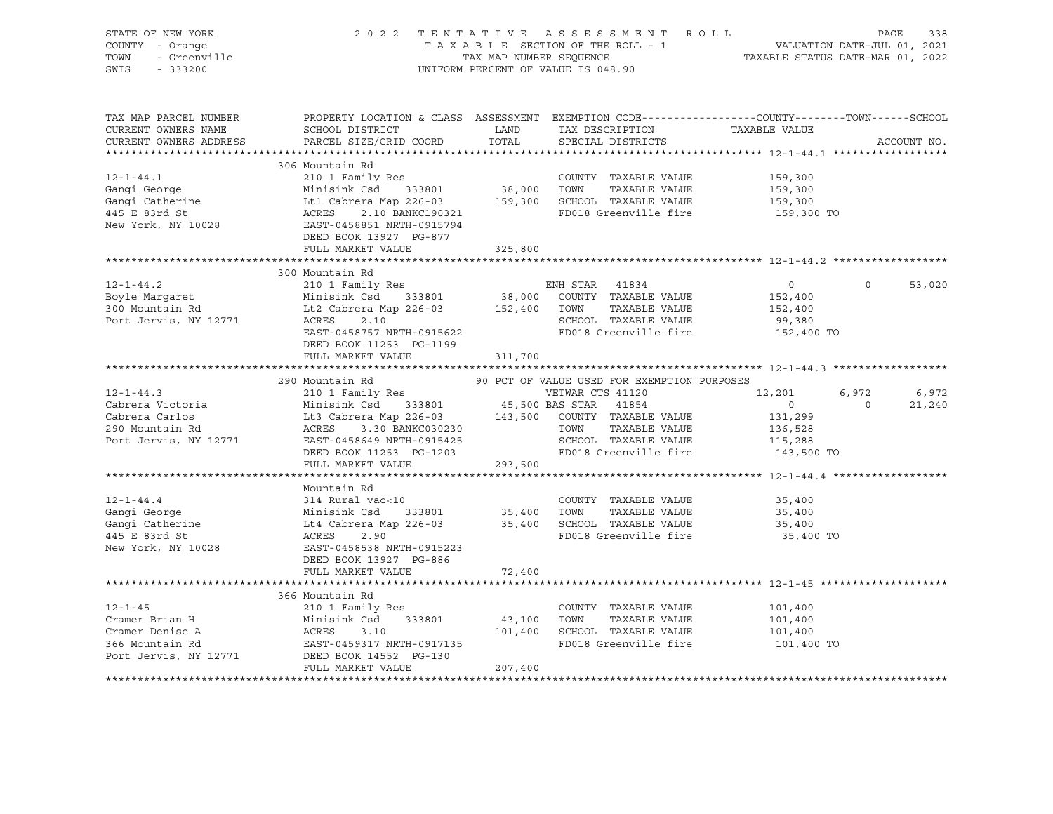| STATE OF NEW YORK<br>STATE OF NEW YORK<br>COUNTY - Orange<br>TOWN - Greenville                                                                                                                                                                                                                                                                                                                                                                                                                              |                                                                                                                                                 |         | 2022 TENTATIVE ASSESSMENT ROLL PAGE 338<br>TAXABLE SECTION OF THE ROLL - 1<br>TAXABLE SECTION OF THE ROLL - 1<br>TAXABLE STATUS DATE-MAR 01, 2022<br>UNIFORM PERCENT OF VALUE IS 048.90 |                                                              |                |             |
|-------------------------------------------------------------------------------------------------------------------------------------------------------------------------------------------------------------------------------------------------------------------------------------------------------------------------------------------------------------------------------------------------------------------------------------------------------------------------------------------------------------|-------------------------------------------------------------------------------------------------------------------------------------------------|---------|-----------------------------------------------------------------------------------------------------------------------------------------------------------------------------------------|--------------------------------------------------------------|----------------|-------------|
| TAX MAP PARCEL NUMBER<br>CURRENT OWNERS NAME<br>CURRENT OWNERS ADDRESS                                                                                                                                                                                                                                                                                                                                                                                                                                      | PROPERTY LOCATION & CLASS ASSESSMENT EXEMPTION CODE----------------COUNTY-------TOWN------SCHOOL<br>SCHOOL DISTRICT<br>PARCEL SIZE/GRID COORD   | TOTAL   | LAND TAX DESCRIPTION TAXABLE VALUE<br>SPECIAL DISTRICTS                                                                                                                                 |                                                              |                | ACCOUNT NO. |
|                                                                                                                                                                                                                                                                                                                                                                                                                                                                                                             | 306 Mountain Rd                                                                                                                                 |         |                                                                                                                                                                                         |                                                              |                |             |
| $12 - 1 - 44.1$<br>Gangi George<br>Gangi George Minisink Csd 333801 38,000 TOWN TAXABLE VALUE<br>Gangi Catherine Ltl Cabrera Map 226-03 159,300 SCHOOL TAXABLE VALUE<br>445 E 83rd St ACRES 2.10 BANKC190321 FD018 Greenville fire<br>New York, NY 10028                                                                                                                                                                                                                                                    | 210 1 Family Res<br>DEED BOOK 13927 PG-877                                                                                                      |         | COUNTY TAXABLE VALUE<br>FD018 Greenville fire 5159,300 TO                                                                                                                               | 159,300<br>159,300<br>159,300                                |                |             |
|                                                                                                                                                                                                                                                                                                                                                                                                                                                                                                             | FULL MARKET VALUE                                                                                                                               | 325,800 |                                                                                                                                                                                         |                                                              |                |             |
|                                                                                                                                                                                                                                                                                                                                                                                                                                                                                                             | 300 Mountain Rd                                                                                                                                 |         |                                                                                                                                                                                         |                                                              |                |             |
| $12 - 1 - 44.2$<br>210 1 Family Res ENH STAR 41834<br>Boyle Margaret Minisink Csd 333801 38,000 COUNTY TAXABLE VALUE<br>300 Mountain Rd Lt2 Cabrera Map 226-03 152,400 TOWN TAXABLE VALUE<br>Port Jervis, NY 12771 ACRES 2.10 SCHOOL TAXABLE VALUE                                                                                                                                                                                                                                                          | EAST-0458757 NRTH-0915622<br>DEED BOOK 11253 PG-1199                                                                                            |         | FD018 Greenville fire                                                                                                                                                                   | $\overline{0}$<br>152,400<br>152,400<br>99,380<br>152,400 TO | $\Omega$       | 53,020      |
|                                                                                                                                                                                                                                                                                                                                                                                                                                                                                                             | FULL MARKET VALUE                                                                                                                               | 311,700 |                                                                                                                                                                                         |                                                              |                |             |
|                                                                                                                                                                                                                                                                                                                                                                                                                                                                                                             |                                                                                                                                                 |         | 90 PCT OF VALUE USED FOR EXEMPTION PURPOSES                                                                                                                                             |                                                              |                |             |
|                                                                                                                                                                                                                                                                                                                                                                                                                                                                                                             |                                                                                                                                                 |         |                                                                                                                                                                                         | 12,201                                                       | 6,972          | 6,972       |
|                                                                                                                                                                                                                                                                                                                                                                                                                                                                                                             |                                                                                                                                                 |         |                                                                                                                                                                                         | $\sim$ 0                                                     | $\overline{0}$ | 21,240      |
| $\begin{tabular}{lllllllllllllll} \multicolumn{3}{c }{\begin{tabular}{l} \multicolumn{3}{c}{\begin{tabular}{l} \multicolumn{3}{c}{\begin{tabular}{l} \multicolumn{3}{c}{\begin{tabular}{l} \multicolumn{3}{c}{\begin{tabular}{l} \multicolumn{3}{c}{\begin{tabular}{l} \multicolumn{3}{c}{\begin{tabular}{l} \multicolumn{3}{c}{\begin{tabular}{l} \multicolumn{3}{c}{\begin{tabular}{c} \multicolumn{3}{c}{\begin{tabular}{c} \multicolumn{3}{c}{\begin{tabular}{c} \multicolumn{3}{c}{\begin{tabular}{c}$ | EAST-0458649 NRTH-0915425 SCHOOL TAXABLE VALUE<br>DEED BOOK 11253 PG-1203 FOD18 Greenville fire                                                 |         | FD018 Greenville fire 143,500 TO                                                                                                                                                        | 131,299<br>136,528<br>115,288                                |                |             |
|                                                                                                                                                                                                                                                                                                                                                                                                                                                                                                             | FULL MARKET VALUE                                                                                                                               | 293,500 |                                                                                                                                                                                         |                                                              |                |             |
| 12-1-44.4<br>Gangi George<br>Gangi Catherine<br>- Dard St<br>New York, NY 10028 EAST-0458538 NRTH-0915223                                                                                                                                                                                                                                                                                                                                                                                                   | Mountain Rd<br>314 Rural vac<10<br>Minisink Csd<br>Lt4 Cabrera Map 226-03<br>ACRES 2.90<br>2.90<br>DEED BOOK 13927 PG-886                       |         | COUNTY TAXABLE VALUE<br>35,400 TOWN TAXABLE VALUE<br>35,400 SCHOOL TAXABLE VALUE<br>FD018 Greenville fire                                                                               | 35,400<br>35,400<br>35,400<br>35,400 TO                      |                |             |
|                                                                                                                                                                                                                                                                                                                                                                                                                                                                                                             | FULL MARKET VALUE                                                                                                                               | 72,400  |                                                                                                                                                                                         |                                                              |                |             |
|                                                                                                                                                                                                                                                                                                                                                                                                                                                                                                             |                                                                                                                                                 |         |                                                                                                                                                                                         |                                                              |                |             |
|                                                                                                                                                                                                                                                                                                                                                                                                                                                                                                             | 366 Mountain Rd                                                                                                                                 |         |                                                                                                                                                                                         |                                                              |                |             |
| $12 - 1 - 45$<br>Cramer Brian H<br>Cramer Denise A<br>Cramer Denise A<br>366 Mountain Rd<br>Port Jervis, NY 12771                                                                                                                                                                                                                                                                                                                                                                                           | 210 1 Family Res<br>Minisink Csd 333801 43,100 TOWN<br>Minisink Csd 333801<br>ACRES 3.10<br>EAST-0459317 NRTH-0917135<br>DEED BOOK 14552 PG-130 |         | COUNTY TAXABLE VALUE<br>TAXABLE VALUE<br>101,400 SCHOOL TAXABLE VALUE<br>FD018 Greenville fire 101,400 TO                                                                               | 101,400<br>101,400<br>101,400<br>101,400                     |                |             |
|                                                                                                                                                                                                                                                                                                                                                                                                                                                                                                             | FULL MARKET VALUE                                                                                                                               | 207,400 |                                                                                                                                                                                         |                                                              |                |             |
|                                                                                                                                                                                                                                                                                                                                                                                                                                                                                                             |                                                                                                                                                 |         |                                                                                                                                                                                         |                                                              |                |             |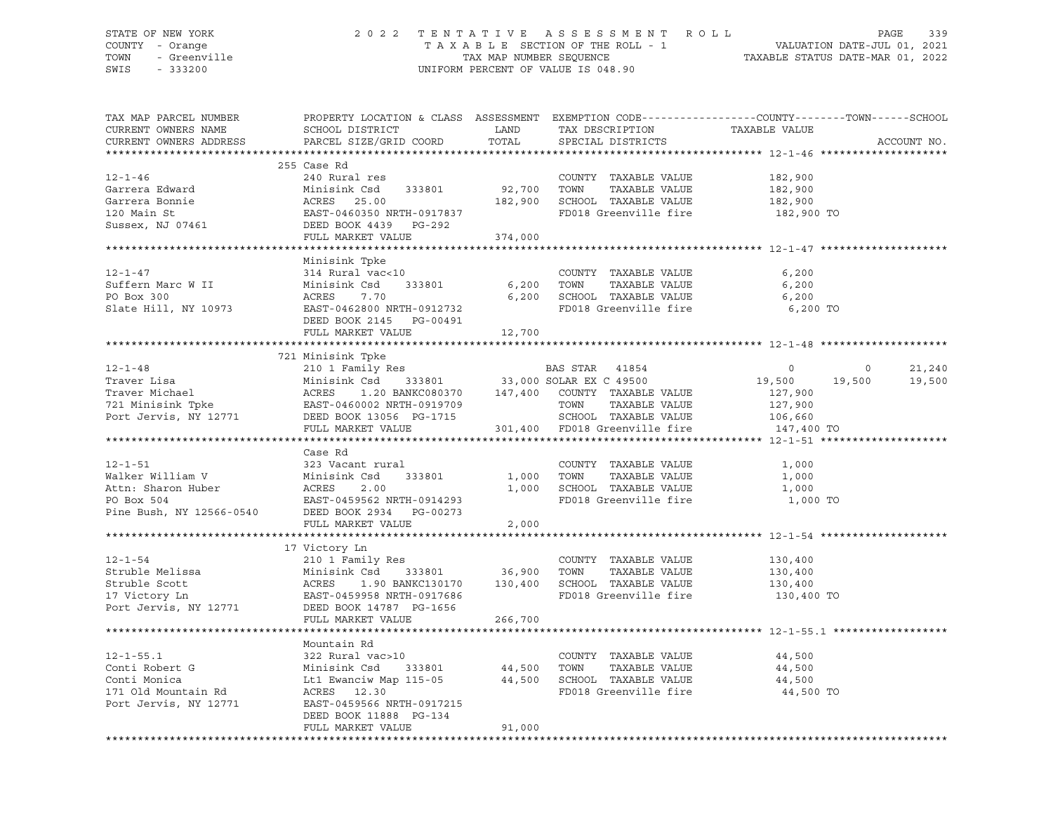#### STATE OF NEW YORK 2 0 2 2 T E N T A T I V E A S S E S S M E N T R O L L PAGE 339 COUNTY - Orange T A X A B L E SECTION OF THE ROLL - 1 VALUATION DATE-JUL 01, 2021 TOWN - Greenville TAX MAP NUMBER SEQUENCE TAXABLE STATUS DATE-MAR 01, 2022 SWIS - 333200 UNIFORM PERCENT OF VALUE IS 048.90

| TAX MAP PARCEL NUMBER<br>CURRENT OWNERS NAME<br>CURRENT OWNERS ADDRESS                                                                                                                                                                                                                                                                                                                                   | PROPERTY LOCATION & CLASS ASSESSMENT EXEMPTION CODE----------------COUNTY-------TOWN------SCHOOL<br>SCHOOL DISTRICT<br>PARCEL SIZE/GRID COORD                               | LAND<br>TOTAL | TAX DESCRIPTION<br>SPECIAL DISTRICTS                                                                   | TAXABLE VALUE                               |                | ACCOUNT NO. |
|----------------------------------------------------------------------------------------------------------------------------------------------------------------------------------------------------------------------------------------------------------------------------------------------------------------------------------------------------------------------------------------------------------|-----------------------------------------------------------------------------------------------------------------------------------------------------------------------------|---------------|--------------------------------------------------------------------------------------------------------|---------------------------------------------|----------------|-------------|
|                                                                                                                                                                                                                                                                                                                                                                                                          |                                                                                                                                                                             |               |                                                                                                        |                                             |                |             |
| $12 - 1 - 46$<br>Garrera Edward<br>Garrera Bonnie<br>100 Main St<br>Sussex, $NJ 07461$                                                                                                                                                                                                                                                                                                                   | 255 Case Rd<br>240 Rural res<br>Minisink Csd 333801 92,700<br>Minisink Csd 333801<br>ACRES 25.00<br>EAST-0460350 NRTH-0917837<br>DEED BOOK 4439 PG-292<br>FULL MARKET VALUE | 374,000       | COUNTY TAXABLE VALUE<br>TOWN<br>TAXABLE VALUE<br>182,900 SCHOOL TAXABLE VALUE<br>FD018 Greenville fire | 182,900<br>182,900<br>182,900<br>182,900 TO |                |             |
|                                                                                                                                                                                                                                                                                                                                                                                                          |                                                                                                                                                                             |               |                                                                                                        |                                             |                |             |
| $12 - 1 - 47$<br>Suffern Marc W II<br>PO Box 300<br>Slate Hill, NY 10973                                                                                                                                                                                                                                                                                                                                 | Minisink Tpke<br>314 Rural vac<10<br>914 Munisink Csd<br>Minisink Csd 333801<br>ACRES 7.70<br>EAST-0462800 NRTH-0912732<br>DEED BOOK 2145 PG-00491                          | 6,200 TOWN    | COUNTY TAXABLE VALUE<br>TAXABLE VALUE<br>6,200 SCHOOL TAXABLE VALUE<br>FD018 Greenville fire           | 6,200<br>6,200<br>6,200<br>6,200 TO         |                |             |
|                                                                                                                                                                                                                                                                                                                                                                                                          | FULL MARKET VALUE                                                                                                                                                           | 12,700        |                                                                                                        |                                             |                |             |
|                                                                                                                                                                                                                                                                                                                                                                                                          |                                                                                                                                                                             |               |                                                                                                        |                                             |                |             |
| $\begin{tabular}{lcccc} \bf 12-1-48 & \tt 721 Minisink The & \tt BAS STAR & 41854 \\ \bf{Traver Lisa} & \tt 721 Minisink Csd & 333801 & 33,000 SOLAR EX C 49500 \\ \bf{Traver Michael} & \tt ACRES & 1.20 BANKC080370 & 147,400 COUNTY TAXABLE VALUE \\ \bf 721 Minisink The & \tt EAST-0460002 NRTH-0919709 & \tt 70WN & TAXABLE VALUE \\ \bf Port Jervis, NY 12771 & DEED BOK 13056 PG-1715 & 1.201 1$ | 721 Minisink Tpke                                                                                                                                                           |               |                                                                                                        | $\overline{0}$                              | $\overline{0}$ | 21,240      |
|                                                                                                                                                                                                                                                                                                                                                                                                          |                                                                                                                                                                             |               |                                                                                                        | 19,500 19,500                               |                | 19,500      |
|                                                                                                                                                                                                                                                                                                                                                                                                          |                                                                                                                                                                             |               |                                                                                                        | 127,900                                     |                |             |
|                                                                                                                                                                                                                                                                                                                                                                                                          |                                                                                                                                                                             |               |                                                                                                        | 127,900                                     |                |             |
|                                                                                                                                                                                                                                                                                                                                                                                                          |                                                                                                                                                                             |               | SCHOOL TAXABLE VALUE                                                                                   | $127,900$<br>$106,660$                      |                |             |
|                                                                                                                                                                                                                                                                                                                                                                                                          | FULL MARKET VALUE                                                                                                                                                           |               | 301,400 FD018 Greenville fire                                                                          | 147,400 TO                                  |                |             |
|                                                                                                                                                                                                                                                                                                                                                                                                          |                                                                                                                                                                             |               |                                                                                                        |                                             |                |             |
|                                                                                                                                                                                                                                                                                                                                                                                                          | Case Rd                                                                                                                                                                     |               |                                                                                                        |                                             |                |             |
| 12-1-51 323 Vacant rural<br>Walker William V Minisink Csd 333801<br>Attn: Sharon Huber ACRES 2.00<br>PO Box 504 EAST-0459562 NRTH-0914293<br>Pine Bush, NY 12566-0540 DEED BOOK 2934 PG-00273                                                                                                                                                                                                            |                                                                                                                                                                             |               | COUNTY TAXABLE VALUE                                                                                   | 1,000                                       |                |             |
|                                                                                                                                                                                                                                                                                                                                                                                                          |                                                                                                                                                                             | 1,000 TOWN    | TAXABLE VALUE                                                                                          | 1,000                                       |                |             |
|                                                                                                                                                                                                                                                                                                                                                                                                          |                                                                                                                                                                             |               | 1,000 SCHOOL TAXABLE VALUE                                                                             | 1,000                                       |                |             |
|                                                                                                                                                                                                                                                                                                                                                                                                          |                                                                                                                                                                             |               | FD018 Greenville fire                                                                                  | 1,000 TO                                    |                |             |
|                                                                                                                                                                                                                                                                                                                                                                                                          |                                                                                                                                                                             |               |                                                                                                        |                                             |                |             |
|                                                                                                                                                                                                                                                                                                                                                                                                          | FULL MARKET VALUE                                                                                                                                                           | 2,000         |                                                                                                        |                                             |                |             |
|                                                                                                                                                                                                                                                                                                                                                                                                          |                                                                                                                                                                             |               |                                                                                                        |                                             |                |             |
|                                                                                                                                                                                                                                                                                                                                                                                                          | 17 Victory Ln                                                                                                                                                               |               |                                                                                                        |                                             |                |             |
| $12 - 1 - 54$                                                                                                                                                                                                                                                                                                                                                                                            |                                                                                                                                                                             |               | COUNTY TAXABLE VALUE                                                                                   | 130,400                                     |                |             |
| Struble Melissa                                                                                                                                                                                                                                                                                                                                                                                          | Minisink Csd 333801 36,900 TOWN                                                                                                                                             |               | TAXABLE VALUE                                                                                          | 130,400                                     |                |             |
| Struble Scott                                                                                                                                                                                                                                                                                                                                                                                            |                                                                                                                                                                             |               | 1.90 BANKC130170   130,400   SCHOOL TAXABLE VALUE                                                      | 130,400                                     |                |             |
| 17 Victory Ln                                                                                                                                                                                                                                                                                                                                                                                            | 210 1 Family Res<br>Minisink Csd 333801<br>ACRES 1.90 BANKC130170<br>EAST-0459958 NRTH-0917686                                                                              |               | FD018 Greenville fire                                                                                  | 130,400 TO                                  |                |             |
| 17 Victory Ln<br>Port Jervis, NY 12771                                                                                                                                                                                                                                                                                                                                                                   | DEED BOOK 14787 PG-1656                                                                                                                                                     |               |                                                                                                        |                                             |                |             |
|                                                                                                                                                                                                                                                                                                                                                                                                          | FULL MARKET VALUE                                                                                                                                                           | 266,700       |                                                                                                        |                                             |                |             |
|                                                                                                                                                                                                                                                                                                                                                                                                          |                                                                                                                                                                             |               |                                                                                                        |                                             |                |             |
|                                                                                                                                                                                                                                                                                                                                                                                                          | Mountain Rd                                                                                                                                                                 |               |                                                                                                        |                                             |                |             |
| $12 - 1 - 55.1$                                                                                                                                                                                                                                                                                                                                                                                          | 322 Rural vac>10                                                                                                                                                            |               | COUNTY TAXABLE VALUE                                                                                   | 44,500                                      |                |             |
| Conti Robert G<br>Conti Monica                                                                                                                                                                                                                                                                                                                                                                           | 333801<br>Minisink Csd                                                                                                                                                      |               | TAXABLE VALUE                                                                                          | 44,500                                      |                |             |
| Conti Monica                                                                                                                                                                                                                                                                                                                                                                                             | Lt1 Ewanciw Map 115-05                                                                                                                                                      |               | 44,500 TOWN TAXABLE VALUE<br>44,500 SCHOOL TAXABLE VALUE                                               | 44,500                                      |                |             |
| 171 Old Mountain Rd                                                                                                                                                                                                                                                                                                                                                                                      | ACRES 12.30                                                                                                                                                                 |               | FD018 Greenville fire                                                                                  | 44,500 TO                                   |                |             |
| Port Jervis, NY 12771                                                                                                                                                                                                                                                                                                                                                                                    | EAST-0459566 NRTH-0917215                                                                                                                                                   |               |                                                                                                        |                                             |                |             |
|                                                                                                                                                                                                                                                                                                                                                                                                          | DEED BOOK 11888 PG-134                                                                                                                                                      |               |                                                                                                        |                                             |                |             |
|                                                                                                                                                                                                                                                                                                                                                                                                          | FULL MARKET VALUE                                                                                                                                                           | 91,000        |                                                                                                        |                                             |                |             |
|                                                                                                                                                                                                                                                                                                                                                                                                          |                                                                                                                                                                             |               |                                                                                                        |                                             |                |             |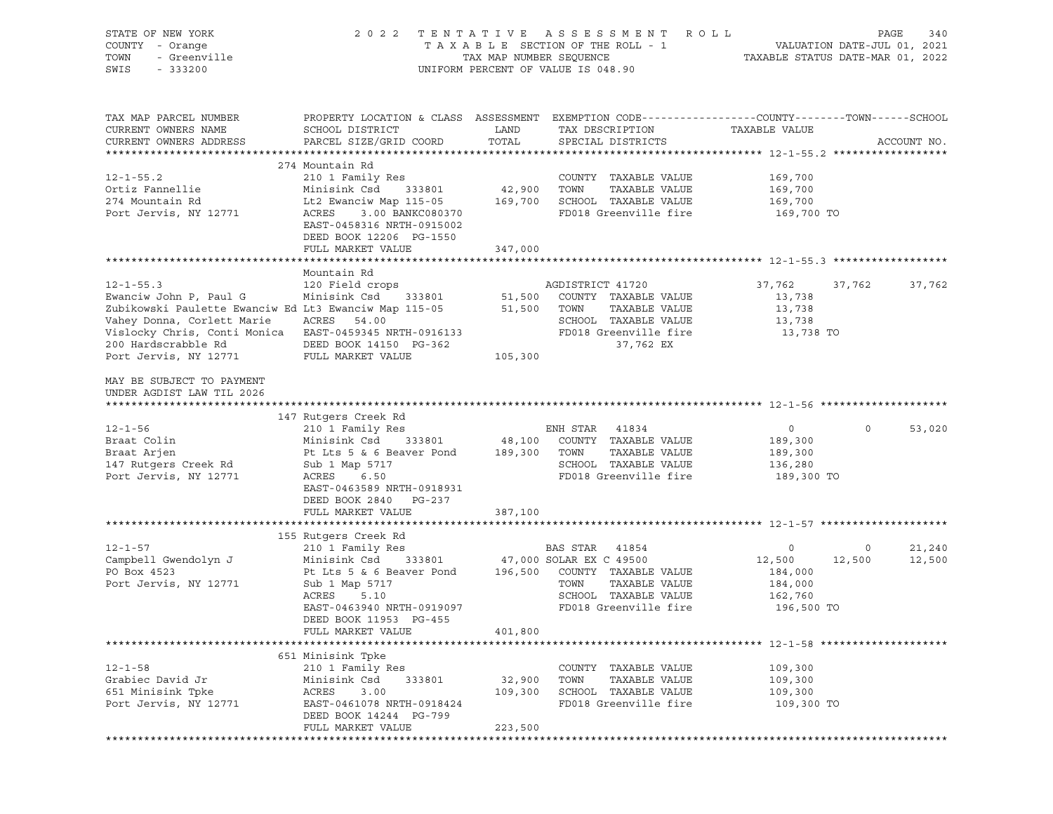| STATE OF NEW YORK<br>COUNTY - Orange<br>TOWN<br>- Greenville<br>SWIS<br>$-333200$                                                                                                                                                          | 2 0 2 2                                                                                                                                                                                                       | TAX MAP NUMBER SEQUENCE            | TENTATIVE ASSESSMENT ROLL<br>TAXABLE SECTION OF THE ROLL - 1<br>UNIFORM PERCENT OF VALUE IS 048.90                                                  | TAXABLE STATUS DATE-MAR 01, 2022                                 |                   | PAGE<br>340<br>VALUATION DATE-JUL 01, 2021 |
|--------------------------------------------------------------------------------------------------------------------------------------------------------------------------------------------------------------------------------------------|---------------------------------------------------------------------------------------------------------------------------------------------------------------------------------------------------------------|------------------------------------|-----------------------------------------------------------------------------------------------------------------------------------------------------|------------------------------------------------------------------|-------------------|--------------------------------------------|
| TAX MAP PARCEL NUMBER<br>CURRENT OWNERS NAME<br>CURRENT OWNERS ADDRESS                                                                                                                                                                     | PROPERTY LOCATION & CLASS ASSESSMENT EXEMPTION CODE----------------COUNTY-------TOWN------SCHOOL<br>SCHOOL DISTRICT<br>PARCEL SIZE/GRID COORD                                                                 | LAND<br>TOTAL                      | TAX DESCRIPTION<br>SPECIAL DISTRICTS                                                                                                                | TAXABLE VALUE                                                    |                   | ACCOUNT NO.                                |
| $12 - 1 - 55.2$<br>Ortiz Fannellie<br>274 Mountain Rd<br>Port Jervis, NY 12771                                                                                                                                                             | 274 Mountain Rd<br>210 1 Family Res<br>Minisink Csd<br>333801<br>Lt2 Ewanciw Map 115-05 169,700<br>ACRES<br>3.00 BANKC080370<br>EAST-0458316 NRTH-0915002<br>DEED BOOK 12206 PG-1550<br>FULL MARKET VALUE     | 42,900 TOWN<br>347,000             | COUNTY TAXABLE VALUE<br>TAXABLE VALUE<br>SCHOOL TAXABLE VALUE<br>FD018 Greenville fire                                                              | 169,700<br>169,700<br>169,700<br>169,700 TO                      |                   |                                            |
|                                                                                                                                                                                                                                            |                                                                                                                                                                                                               |                                    |                                                                                                                                                     |                                                                  |                   |                                            |
| $12 - 1 - 55.3$<br>Ewanciw John P, Paul G<br>Zubikowski Paulette Ewanciw Ed Lt3 Ewanciw Map 115-05<br>Vahey Donna, Corlett Marie<br>Vislocky Chris, Conti Monica EAST-0459345 NRTH-0916133<br>200 Hardscrabble Rd<br>Port Jervis, NY 12771 | Mountain Rd<br>120 Field crops<br>Minisink Csd<br>ACRES 54.00<br>DEED BOOK 14150 PG-362<br>FULL MARKET VALUE                                                                                                  | 333801 51,500<br>51,500<br>105,300 | AGDISTRICT 41720<br>COUNTY TAXABLE VALUE<br>TOWN<br>TAXABLE VALUE<br>SCHOOL TAXABLE VALUE<br>FD018 Greenville fire<br>37,762 EX                     | 37,762<br>13,738<br>13,738<br>13,738<br>13,738 TO                | 37,762            | 37,762                                     |
| MAY BE SUBJECT TO PAYMENT<br>UNDER AGDIST LAW TIL 2026                                                                                                                                                                                     |                                                                                                                                                                                                               |                                    |                                                                                                                                                     |                                                                  |                   |                                            |
| $12 - 1 - 56$<br>Braat Colin<br>Braat Arjen<br>147 Rutgers Creek Rd<br>Port Jervis, NY 12771                                                                                                                                               | 147 Rutgers Creek Rd<br>210 1 Family Res<br>Minisink Csd<br>Pt Lts 5 & 6 Beaver Pond 189,300<br>Sub 1 Map 5717<br>ACRES 6.50<br>EAST-0463589 NRTH-0918931<br>DEED BOOK 2840 PG-237                            | 333801 48,100                      | ENH STAR 41834<br>COUNTY TAXABLE VALUE<br>TOWN<br>TAXABLE VALUE<br>SCHOOL TAXABLE VALUE<br>FD018 Greenville fire                                    | $\overline{0}$<br>189,300<br>189,300<br>136,280<br>189,300 TO    | $\circ$           | 53,020                                     |
|                                                                                                                                                                                                                                            | FULL MARKET VALUE                                                                                                                                                                                             | 387,100                            |                                                                                                                                                     |                                                                  |                   |                                            |
|                                                                                                                                                                                                                                            |                                                                                                                                                                                                               |                                    |                                                                                                                                                     |                                                                  |                   |                                            |
| $12 - 1 - 57$<br>Campbell Gwendolyn J<br>PO Box 4523<br>Port Jervis, NY 12771                                                                                                                                                              | 155 Rutgers Creek Rd<br>210 1 Family Res<br>Minisink Csd<br>333801<br>Pt Lts 5 & 6 Beaver Pond<br>Sub 1 Map 5717<br>ACRES<br>5.10<br>EAST-0463940 NRTH-0919097<br>DEED BOOK 11953 PG-455<br>FULL MARKET VALUE | 401,800                            | BAS STAR 41854<br>47,000 SOLAR EX C 49500<br>196,500 COUNTY TAXABLE VALUE<br>TOWN<br>TAXABLE VALUE<br>SCHOOL TAXABLE VALUE<br>FD018 Greenville fire | $\circ$<br>12,500<br>184,000<br>184,000<br>162,760<br>196,500 TO | $\circ$<br>12,500 | 21,240<br>12,500                           |
|                                                                                                                                                                                                                                            |                                                                                                                                                                                                               |                                    |                                                                                                                                                     |                                                                  |                   |                                            |
| $12 - 1 - 58$<br>Grabiec David Jr<br>651 Minisink Tpke<br>Port Jervis, NY 12771                                                                                                                                                            | 651 Minisink Tpke<br>210 1 Family Res<br>Minisink Csd<br>333801<br>ACRES<br>3.00<br>EAST-0461078 NRTH-0918424<br>DEED BOOK 14244 PG-799<br>FULL MARKET VALUE                                                  | 32,900<br>109,300<br>223,500       | COUNTY<br>TAXABLE VALUE<br>TOWN<br>TAXABLE VALUE<br>SCHOOL TAXABLE VALUE<br>FD018 Greenville fire                                                   | 109,300<br>109,300<br>109,300<br>109,300 TO                      |                   |                                            |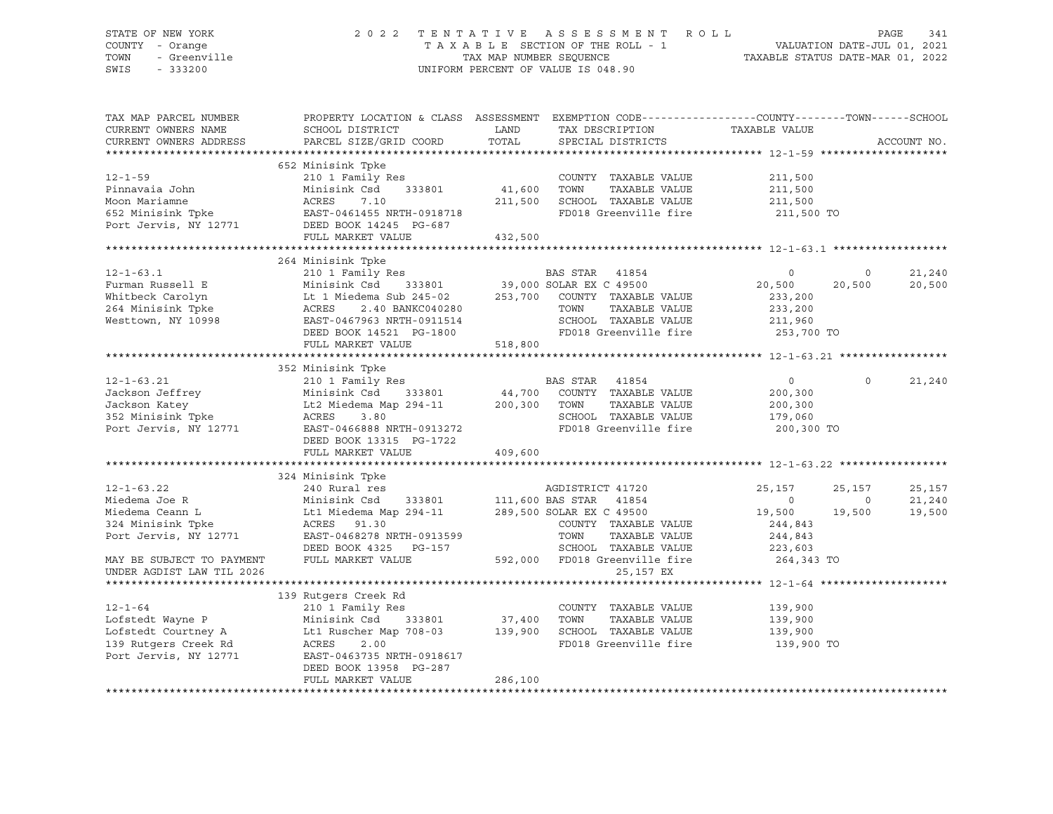| STATE OF NEW YORK<br>COUNTY - Orange<br>TOWN<br>- Greenville<br>SWIS<br>$-333200$ |                                                                                                                                                                                                                                                                                                                                  |                                                     | 2022 TENTATIVE ASSESSMENT ROLL<br>UNIFORM PERCENT OF VALUE IS 048.90                                                          |                                                               |                          | PAGE<br>341      |
|-----------------------------------------------------------------------------------|----------------------------------------------------------------------------------------------------------------------------------------------------------------------------------------------------------------------------------------------------------------------------------------------------------------------------------|-----------------------------------------------------|-------------------------------------------------------------------------------------------------------------------------------|---------------------------------------------------------------|--------------------------|------------------|
| TAX MAP PARCEL NUMBER<br>CURRENT OWNERS NAME<br>CURRENT OWNERS ADDRESS            | PROPERTY LOCATION & CLASS ASSESSMENT EXEMPTION CODE----------------COUNTY-------TOWN-----SCHOOL<br>SCHOOL DISTRICT<br>PARCEL SIZE/GRID COORD                                                                                                                                                                                     | <b>EXAMPLE THE STATE OF STATE OF STATE</b><br>TOTAL | TAX DESCRIPTION<br>SPECIAL DISTRICTS                                                                                          | TAXABLE VALUE                                                 |                          | ACCOUNT NO.      |
| $12 - 1 - 59$                                                                     | 652 Minisink Tpke<br>210 1 Family Res<br>Pinnavaia John Minisink Csd 333801 41,600<br>Moon Mariamne ACRES 7.10 211,500<br>652 Minisink Tpke EAST-0461455 NRTH-0918718<br>Port Jervis, NY 12771 DEED BOOK 14245 PG-687<br>FULL MARKET VALUE 432.500<br>FULL MARKET VALUE                                                          | 41,600 TOWN<br>432,500                              | COUNTY TAXABLE VALUE<br>TAXABLE VALUE<br>7.10 211,500 SCHOOL TAXABLE VALUE<br>FD018 Greenville fire                           | 211,500<br>211,500<br>211,500<br>211,500 TO                   |                          |                  |
|                                                                                   |                                                                                                                                                                                                                                                                                                                                  |                                                     |                                                                                                                               |                                                               |                          |                  |
|                                                                                   | 264 Minisink Tpke<br>204 Minisink Ipke<br>204 Minisink Ipke<br>210 1 Family Res<br>Minisink Csd 333801 39,000 SOLAR EX C 49500 20,500 20<br>210 1 Minisink Csd 333801 39,000 SOLAR EX C 49500 20,500 20<br>233,200 20<br>233,200 253,700 COUNTY TAXABLE VALUE 2                                                                  |                                                     |                                                                                                                               |                                                               | $\overline{0}$<br>20,500 | 21,240<br>20,500 |
|                                                                                   | FULL MARKET VALUE 518,800                                                                                                                                                                                                                                                                                                        |                                                     |                                                                                                                               |                                                               |                          |                  |
|                                                                                   |                                                                                                                                                                                                                                                                                                                                  |                                                     |                                                                                                                               |                                                               |                          |                  |
| $12 - 1 - 63.21$                                                                  | 352 Minisink Tpke<br>210 1 Family Res<br>Jackson Jeffrey<br>Jackson Katey<br>Jackson Katey<br>352 Minisink Tpke<br>200,300 TOWN<br>200,300 TOWN<br>200,300 TOWN<br>200,300 TOWN<br>200,300 TOWN<br>200,300 TOWN<br>200,300 TOWN<br>200,300 TOWN<br>200,300 TOWN<br>200,300 TOWN<br>200,300 TOWN<br>20<br>DEED BOOK 13315 PG-1722 |                                                     | BAS STAR 41854<br>NED<br>333801 44,700 COUNTY TAXABLE VALUE<br>TAXABLE VALUE<br>SCHOOL TAXABLE VALUE<br>FD018 Greenville fire | $\overline{0}$<br>200,300<br>200,300<br>179,060<br>200,300 TO | $\Omega$                 | 21,240           |
|                                                                                   | FULL MARKET VALUE                                                                                                                                                                                                                                                                                                                | 409,600                                             |                                                                                                                               |                                                               |                          |                  |
| $12 - 1 - 63.22$                                                                  | 324 Minisink Tpke<br>240 Rural res                                                                                                                                                                                                                                                                                               |                                                     | AGDISTRICT 41720                                                                                                              | 25,157                                                        | 25,157                   | 25,157           |
|                                                                                   |                                                                                                                                                                                                                                                                                                                                  |                                                     |                                                                                                                               | 19,500 19,500                                                 | $\overline{0}$           | 21,240<br>19,500 |
|                                                                                   |                                                                                                                                                                                                                                                                                                                                  |                                                     |                                                                                                                               |                                                               |                          |                  |
|                                                                                   | 139 Rutgers Creek Rd                                                                                                                                                                                                                                                                                                             |                                                     |                                                                                                                               |                                                               |                          |                  |
| Port Jervis, NY 12771                                                             | 12-1-64 210 1 Family Res<br>Lofstedt Wayne P Minisink Csd 333801 37,400 TOWN TAXABLE VALUE<br>Lofstedt Courtney A Lt1 Ruscher Map 708-03 139,900 SCHOOL TAXABLE VALUE<br>139 Rutgers Creek Rd ACRES 2.00 FD018 Greenville fire<br>EAST-0463735 NRTH-0918617<br>DEED BOOK 13958 PG-287                                            |                                                     | COUNTY TAXABLE VALUE                                                                                                          | 139,900<br>139,900<br>139,900<br>139,900 TO                   |                          |                  |

FULL MARKET VALUE 286,100 \*\*\*\*\*\*\*\*\*\*\*\*\*\*\*\*\*\*\*\*\*\*\*\*\*\*\*\*\*\*\*\*\*\*\*\*\*\*\*\*\*\*\*\*\*\*\*\*\*\*\*\*\*\*\*\*\*\*\*\*\*\*\*\*\*\*\*\*\*\*\*\*\*\*\*\*\*\*\*\*\*\*\*\*\*\*\*\*\*\*\*\*\*\*\*\*\*\*\*\*\*\*\*\*\*\*\*\*\*\*\*\*\*\*\*\*\*\*\*\*\*\*\*\*\*\*\*\*\*\*\*\*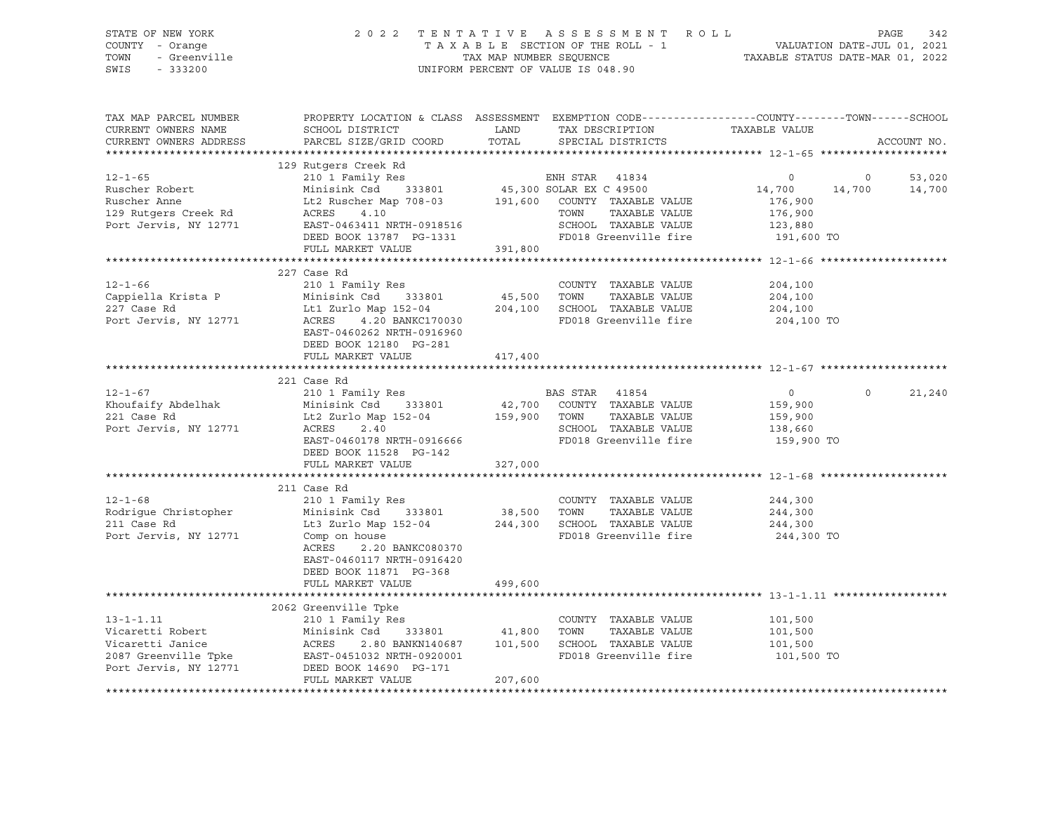| STATE OF NEW YORK<br>7 - Orange<br>7 - Orange<br>- Greenville<br>COUNTY - Orange<br>TOWN<br>SWIS<br>$-333200$                                                                                                                                      | 2 0 2 2                                                                                                                                 |         | TENTATIVE ASSESSMENT ROLL PAGE 342<br>TAXABLE SECTION OF THE ROLL - 1 VALUATION DATE-JUL 01, 2021<br>TAX MAP NUMBER SEQUENCE TAXABLE STATUS DATE-MAR 01, 2022<br>UNIFORM PERCENT OF VALUE IS 048.90                                                 |                                                                                               |                         |
|----------------------------------------------------------------------------------------------------------------------------------------------------------------------------------------------------------------------------------------------------|-----------------------------------------------------------------------------------------------------------------------------------------|---------|-----------------------------------------------------------------------------------------------------------------------------------------------------------------------------------------------------------------------------------------------------|-----------------------------------------------------------------------------------------------|-------------------------|
| TAX MAP PARCEL NUMBER<br>CURRENT OWNERS NAME<br>CURRENT OWNERS ADDRESS                                                                                                                                                                             | PARCEL SIZE/GRID COORD TOTAL                                                                                                            |         | PROPERTY LOCATION & CLASS ASSESSMENT EXEMPTION CODE----------------COUNTY-------TOWN------SCHOOL<br>${\tt SCH OOL\ DISTRICT} \hspace{20mm} {\tt LAND} \hspace{20mm} {\tt TAX\ DESCRIPTION} \hspace{20mm} {\tt TAXABLE\ VAULE}$<br>SPECIAL DISTRICTS |                                                                                               | ACCOUNT NO.             |
| Ruscher Robert<br>Ruscher Robert<br>Minisink Csd 333801 45,300 SOLAR EX C 49500<br>Ruscher Anne Lt2 Ruscher Map 708-03 191,600 COUNTY TAXABLE VALUE<br>Port Jervis, NY 12771 EAST-0463411 NRTH-0918516<br>Minisipale Map 708-03 191,600            | EAST-0463411 NRTH-0918516<br>EAST-0463411 NRTH-0918516<br>DEED BOOK 13787 PG-1331<br>FD018 Greenville fire<br>FULL MARKET VALUE 391,800 |         |                                                                                                                                                                                                                                                     | $\overline{0}$<br>$\overline{0}$<br>14,700<br>176,900<br>176,900<br>$123,880$<br>$191,600$ TO | 53,020<br>14,700 14,700 |
|                                                                                                                                                                                                                                                    |                                                                                                                                         |         |                                                                                                                                                                                                                                                     |                                                                                               |                         |
| $12 - 1 - 66$<br>COUNT TAXABLE VALUE<br>Country TAXABLE VALUE<br>227 Case Rd Ltd Zurlo Map 152-04<br>204,100 SCHOOL TAXABLE VALUE<br>201 Family Res 2033801<br>204,100 SCHOOL TAXABLE VALUE<br>2018 Greenville fire                                | 227 Case Rd<br>210 1 Family Res<br>EAST-0460262 NRTH-0916960<br>DEED BOOK 12180 PG-281                                                  |         | COUNTY TAXABLE VALUE<br>FD018 Greenville fire                                                                                                                                                                                                       | 204,100<br>204,100<br>204,100<br>204,100 TO                                                   |                         |
|                                                                                                                                                                                                                                                    | FULL MARKET VALUE                                                                                                                       | 417,400 |                                                                                                                                                                                                                                                     |                                                                                               |                         |
|                                                                                                                                                                                                                                                    |                                                                                                                                         |         |                                                                                                                                                                                                                                                     |                                                                                               |                         |
| $12 - 1 - 67$<br>Examples and the main of the state of the state of the state of the state of the state of the state of the state of the state of the state of the state of the state of the state of the state of the state of the state of th    | 221 Case Rd<br>210 1 Family Res<br>DEED BOOK 11528 PG-142                                                                               |         | <b>BAS STAR 41854</b>                                                                                                                                                                                                                               | $\overline{0}$<br>$\circ$<br>159,900<br>159,900<br>138,660<br>159,900 TO                      | 21,240                  |
|                                                                                                                                                                                                                                                    | FULL MARKET VALUE 327,000                                                                                                               |         |                                                                                                                                                                                                                                                     |                                                                                               |                         |
| $12 - 1 - 68$<br>Port Jervis, NY 12771                                                                                                                                                                                                             | 211 Case Rd<br>210 1 Family Res<br>Comp on house<br>2.20 BANKC080370<br>ACRES<br>EAST-0460117 NRTH-0916420<br>DEED BOOK 11871 PG-368    |         | COUNTY TAXABLE VALUE<br>FD018 Greenville fire                                                                                                                                                                                                       | 244,300<br>244,300<br>244,300<br>244,300 TO                                                   |                         |
|                                                                                                                                                                                                                                                    | FULL MARKET VALUE                                                                                                                       | 499,600 |                                                                                                                                                                                                                                                     |                                                                                               |                         |
| 2062 Greenville Tpke<br>2062 Greenville Tpke<br>210 1 Family Res<br>210 1 Family Res<br>210 1 Family Res<br>210 1 Family Res<br>2087 Greenville Tpke<br>2087 Greenville Tpke<br>2087 Greenville Tpke<br>2087 Greenville Tpke<br>2087 Greenville Tp | FULL MARKET VALUE                                                                                                                       | 207,600 | FD018 Greenville fire 101,500 TO                                                                                                                                                                                                                    | 101,500<br>101,500<br>101,500                                                                 |                         |
|                                                                                                                                                                                                                                                    |                                                                                                                                         |         |                                                                                                                                                                                                                                                     |                                                                                               |                         |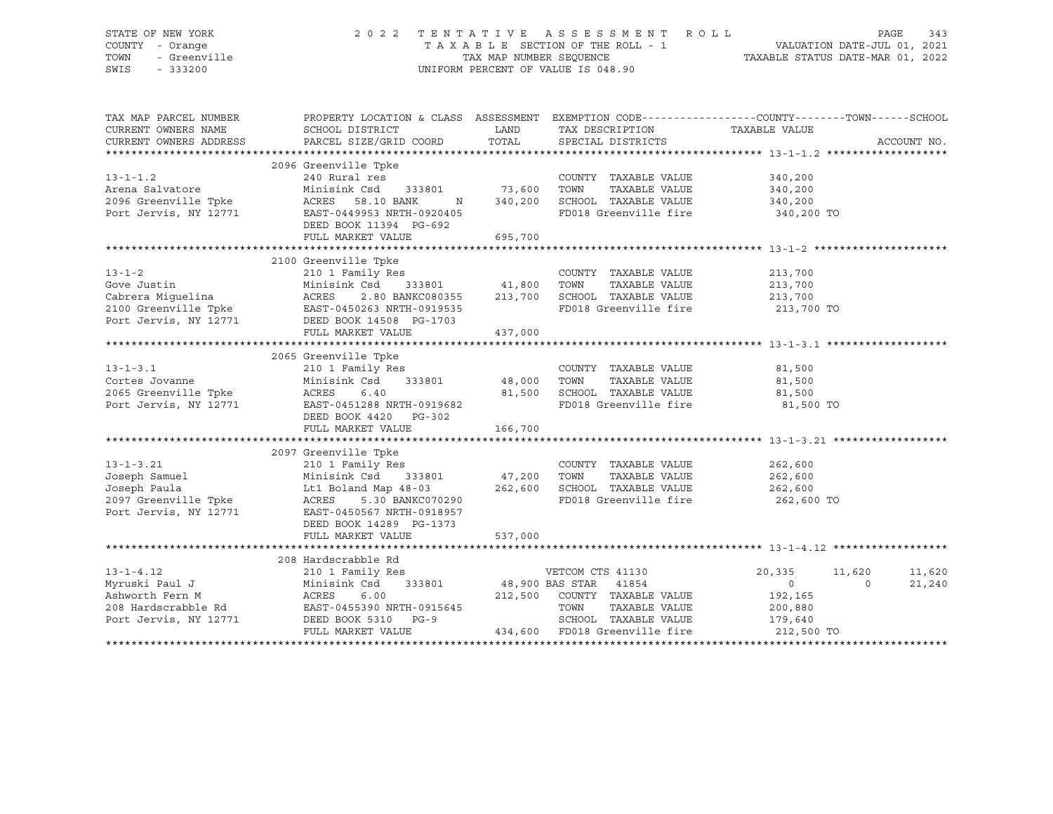| STATE OF NEW YORK<br>COUNTY - Orange<br>TOWN<br>- Greenville<br>SWIS<br>$-333200$ | 2 0 2 2                                                                                                                                                                                                                                          |                        | TENTATIVE ASSESSMENT ROLL<br>TAXABLE SECTION OF THE ROLL - 1<br>TAXABLE STATUS DATE-JUL 01, 2021<br>TAXABLE STATUS DATE-MAR 01, 2022<br>UNIFORM PERCENT OF VALUE IS 048.90 |                    | PAGE<br>343 |
|-----------------------------------------------------------------------------------|--------------------------------------------------------------------------------------------------------------------------------------------------------------------------------------------------------------------------------------------------|------------------------|----------------------------------------------------------------------------------------------------------------------------------------------------------------------------|--------------------|-------------|
| TAX MAP PARCEL NUMBER<br>CURRENT OWNERS NAME                                      | PROPERTY LOCATION & CLASS ASSESSMENT EXEMPTION CODE-----------------COUNTY-------TOWN------SCHOOL<br>SCHOOL DISTRICT                                                                                                                             | LAND                   | TAX DESCRIPTION                                                                                                                                                            | TAXABLE VALUE      |             |
| CURRENT OWNERS ADDRESS                                                            | PARCEL SIZE/GRID COORD                                                                                                                                                                                                                           | TOTAL                  | SPECIAL DISTRICTS                                                                                                                                                          |                    | ACCOUNT NO. |
|                                                                                   |                                                                                                                                                                                                                                                  |                        |                                                                                                                                                                            |                    |             |
|                                                                                   | 2096 Greenville Tpke                                                                                                                                                                                                                             |                        |                                                                                                                                                                            |                    |             |
| $13 - 1 - 1.2$                                                                    | 240 Rural res                                                                                                                                                                                                                                    |                        | COUNTY TAXABLE VALUE                                                                                                                                                       | 340,200            |             |
| Arena Salvatore                                                                   | Minisink Csd 333801                                                                                                                                                                                                                              | 73,600 TOWN            | TAXABLE VALUE                                                                                                                                                              | 340,200            |             |
|                                                                                   | $\mathbb N$                                                                                                                                                                                                                                      | 340,200                | SCHOOL TAXABLE VALUE                                                                                                                                                       | 340,200            |             |
|                                                                                   | EAST-0449953 NRTH-0920405<br>DEED BOOK 11394 PG-692                                                                                                                                                                                              |                        | FD018 Greenville fire                                                                                                                                                      | 340,200 TO         |             |
|                                                                                   | FULL MARKET VALUE                                                                                                                                                                                                                                | 695,700                |                                                                                                                                                                            |                    |             |
|                                                                                   |                                                                                                                                                                                                                                                  |                        |                                                                                                                                                                            |                    |             |
|                                                                                   | 2100 Greenville Tpke                                                                                                                                                                                                                             |                        |                                                                                                                                                                            |                    |             |
| $13 - 1 - 2$                                                                      | 210 1 Family Res<br>Minisink Csd 333801                                                                                                                                                                                                          |                        | COUNTY TAXABLE VALUE                                                                                                                                                       | 213,700            |             |
|                                                                                   | 2.80 BANKC080355                                                                                                                                                                                                                                 |                        | TAXABLE VALUE<br>213,700 SCHOOL TAXABLE VALUE                                                                                                                              | 213,700<br>213,700 |             |
|                                                                                   | Gove Justin and Minisink Csd 333801<br>Cabrera Miguelina (ACRES 2.80 BANKC080355<br>2100 Greenville The EAST-0450263 NRTH-0919535                                                                                                                |                        | FD018 Greenville fire                                                                                                                                                      | 213,700 TO         |             |
| Port Jervis, NY 12771                                                             | DEED BOOK 14508 PG-1703                                                                                                                                                                                                                          |                        |                                                                                                                                                                            |                    |             |
|                                                                                   | FULL MARKET VALUE                                                                                                                                                                                                                                | 437,000                |                                                                                                                                                                            |                    |             |
|                                                                                   |                                                                                                                                                                                                                                                  |                        |                                                                                                                                                                            |                    |             |
|                                                                                   | 2065 Greenville Tpke                                                                                                                                                                                                                             |                        |                                                                                                                                                                            |                    |             |
| $13 - 1 - 3.1$                                                                    | 210 1 Family Res                                                                                                                                                                                                                                 |                        | COUNTY TAXABLE VALUE                                                                                                                                                       | 81,500             |             |
|                                                                                   |                                                                                                                                                                                                                                                  |                        | TOWN<br>TAXABLE VALUE                                                                                                                                                      | 81,500             |             |
|                                                                                   | Cortes Jovanne<br>2065 Greenville Tpke<br>2065 Greenville Tpke<br>2065 Greenville Tpke<br>2067 ACRES<br>2068 ACRES<br>2068 ACRES<br>2068 ACRES<br>2068 ACRES<br>2068 ACRES<br>2068 ACRES<br>2069 ACRES<br>2069 ACRES<br>2069 ACRES<br>2069 ACRES |                        | SCHOOL TAXABLE VALUE                                                                                                                                                       | 81,500             |             |
|                                                                                   |                                                                                                                                                                                                                                                  |                        | FD018 Greenville fire                                                                                                                                                      | 81,500 TO          |             |
|                                                                                   | DEED BOOK 4420 PG-302                                                                                                                                                                                                                            |                        |                                                                                                                                                                            |                    |             |
|                                                                                   | FULL MARKET VALUE                                                                                                                                                                                                                                | 166,700                |                                                                                                                                                                            |                    |             |
|                                                                                   |                                                                                                                                                                                                                                                  |                        |                                                                                                                                                                            |                    |             |
| $13 - 1 - 3.21$                                                                   | 2097 Greenville Tpke                                                                                                                                                                                                                             |                        | COUNTY TAXABLE VALUE                                                                                                                                                       | 262,600            |             |
| Joseph Samuel                                                                     | 210 1 Family Res<br>Minisink Csd 333801                                                                                                                                                                                                          |                        | TOWN<br>TAXABLE VALUE                                                                                                                                                      | 262,600            |             |
| Joseph Paula                                                                      | Minisink Csa 333001<br>Lt1 Boland Map 48-03<br>- 22 BANYCA70290                                                                                                                                                                                  | $\frac{47}{262}$ , 200 | SCHOOL TAXABLE VALUE                                                                                                                                                       | 262,600            |             |
|                                                                                   | ACRES 5.30 BANKC070290                                                                                                                                                                                                                           |                        | FD018 Greenville fire                                                                                                                                                      | 262,600 TO         |             |
| 2097 Greenville Tpke<br>Port Jervis NY 12771<br>Port Jervis, NY 12771             | EAST-0450567 NRTH-0918957                                                                                                                                                                                                                        |                        |                                                                                                                                                                            |                    |             |
|                                                                                   | DEED BOOK 14289 PG-1373                                                                                                                                                                                                                          |                        |                                                                                                                                                                            |                    |             |
|                                                                                   | FULL MARKET VALUE                                                                                                                                                                                                                                | 537,000                |                                                                                                                                                                            |                    |             |
|                                                                                   |                                                                                                                                                                                                                                                  |                        |                                                                                                                                                                            |                    |             |
|                                                                                   | 208 Hardscrabble Rd                                                                                                                                                                                                                              |                        |                                                                                                                                                                            |                    |             |
| $13 - 1 - 4.12$                                                                   | 210 1 Family Res                                                                                                                                                                                                                                 |                        | VETCOM CTS 41130                                                                                                                                                           | 20,335<br>11,620   | 11,620      |
| Myruski Paul J                                                                    | Minisink Csd                                                                                                                                                                                                                                     | 333801 48,900 BAS STAR | 41854                                                                                                                                                                      | 0<br>$\Omega$      | 21,240      |
| Ashworth Fern M                                                                   | ACRES<br>6.00                                                                                                                                                                                                                                    |                        | 212,500 COUNTY TAXABLE VALUE                                                                                                                                               | 192,165            |             |
| 208 Hardscrabble Rd                                                               | EAST-0455390 NRTH-0915645                                                                                                                                                                                                                        |                        | TOWN<br>TAXABLE VALUE                                                                                                                                                      | 200,880            |             |
| Port Jervis, NY 12771                                                             | DEED BOOK 5310 PG-9                                                                                                                                                                                                                              |                        | SCHOOL TAXABLE VALUE                                                                                                                                                       | 179,640            |             |
|                                                                                   | FULL MARKET VALUE                                                                                                                                                                                                                                | 434,600                | FD018 Greenville fire                                                                                                                                                      | 212,500 TO         |             |

\*\*\*\*\*\*\*\*\*\*\*\*\*\*\*\*\*\*\*\*\*\*\*\*\*\*\*\*\*\*\*\*\*\*\*\*\*\*\*\*\*\*\*\*\*\*\*\*\*\*\*\*\*\*\*\*\*\*\*\*\*\*\*\*\*\*\*\*\*\*\*\*\*\*\*\*\*\*\*\*\*\*\*\*\*\*\*\*\*\*\*\*\*\*\*\*\*\*\*\*\*\*\*\*\*\*\*\*\*\*\*\*\*\*\*\*\*\*\*\*\*\*\*\*\*\*\*\*\*\*\*\*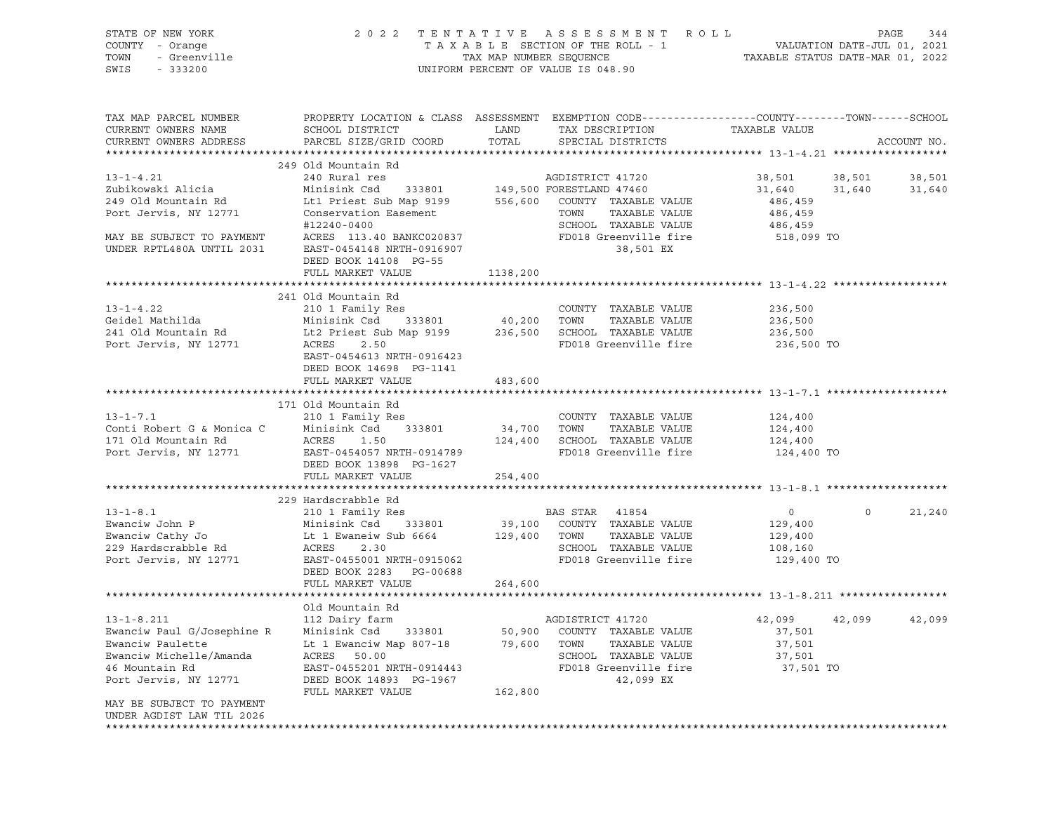|      | STATE OF NEW YORK | 2022 TENTATIVE ASSESSMENT ROLL     | 344<br>PAGE                      |
|------|-------------------|------------------------------------|----------------------------------|
|      | COUNTY - Orange   | TAXABLE SECTION OF THE ROLL - 1    | VALUATION DATE-JUL 01, 2021      |
| TOWN | - Greenville      | TAX MAP NUMBER SEOUENCE            | TAXABLE STATUS DATE-MAR 01, 2022 |
| SWIS | - 333200          | UNIFORM PERCENT OF VALUE IS 048.90 |                                  |

| TAX MAP PARCEL NUMBER<br>CURRENT OWNERS NAME           | SCHOOL DISTRICT           | LAND         | TAX DESCRIPTION                 | PROPERTY LOCATION & CLASS ASSESSMENT EXEMPTION CODE---------------COUNTY-------TOWN------SCHOOL<br>TAXABLE VALUE |             |
|--------------------------------------------------------|---------------------------|--------------|---------------------------------|------------------------------------------------------------------------------------------------------------------|-------------|
| CURRENT OWNERS ADDRESS                                 | PARCEL SIZE/GRID COORD    | TOTAL        | SPECIAL DISTRICTS               |                                                                                                                  | ACCOUNT NO. |
|                                                        |                           |              |                                 |                                                                                                                  |             |
|                                                        | 249 Old Mountain Rd       |              |                                 |                                                                                                                  |             |
| $13 - 1 - 4.21$                                        | 240 Rural res             |              | AGDISTRICT 41720                | 38,501<br>38,501                                                                                                 | 38,501      |
| Zubikowski Alicia                                      | Minisink Csd              |              | 333801 149,500 FORESTLAND 47460 | 31,640<br>31,640                                                                                                 | 31,640      |
| 249 Old Mountain Rd                                    | Lt1 Priest Sub Map 9199   |              | 556,600 COUNTY TAXABLE VALUE    | 486,459                                                                                                          |             |
| Port Jervis, NY 12771                                  | Conservation Easement     |              | TOWN<br>TAXABLE VALUE           | 486,459                                                                                                          |             |
|                                                        | #12240-0400               |              | SCHOOL TAXABLE VALUE            | 486,459                                                                                                          |             |
| MAY BE SUBJECT TO PAYMENT                              | ACRES 113.40 BANKC020837  |              | FD018 Greenville fire           | 518,099 TO                                                                                                       |             |
| UNDER RPTL480A UNTIL 2031                              | EAST-0454148 NRTH-0916907 |              | 38,501 EX                       |                                                                                                                  |             |
|                                                        | DEED BOOK 14108 PG-55     |              |                                 |                                                                                                                  |             |
|                                                        | FULL MARKET VALUE         | 1138,200     |                                 |                                                                                                                  |             |
|                                                        |                           |              |                                 |                                                                                                                  |             |
|                                                        | 241 Old Mountain Rd       |              |                                 |                                                                                                                  |             |
| $13 - 1 - 4.22$                                        | 210 1 Family Res          |              | COUNTY TAXABLE VALUE            | 236,500                                                                                                          |             |
| Geidel Mathilda                                        | Minisink Csd 333801       | 40,200       | TOWN<br>TAXABLE VALUE           | 236,500                                                                                                          |             |
| 241 Old Mountain Rd                                    | Lt2 Priest Sub Map 9199   | 236,500      | SCHOOL TAXABLE VALUE            | 236,500                                                                                                          |             |
| Port Jervis, NY 12771                                  | ACRES<br>2.50             |              | FD018 Greenville fire           | 236,500 TO                                                                                                       |             |
|                                                        | EAST-0454613 NRTH-0916423 |              |                                 |                                                                                                                  |             |
|                                                        | DEED BOOK 14698 PG-1141   |              |                                 |                                                                                                                  |             |
|                                                        | FULL MARKET VALUE         | 483,600      |                                 |                                                                                                                  |             |
|                                                        |                           |              |                                 |                                                                                                                  |             |
|                                                        | 171 Old Mountain Rd       |              |                                 |                                                                                                                  |             |
| $13 - 1 - 7.1$                                         | 210 1 Family Res          |              | COUNTY TAXABLE VALUE            | 124,400                                                                                                          |             |
| Conti Robert G & Monica C Minisink Csd                 | 333801                    | 34,700 TOWN  | TAXABLE VALUE                   | 124,400                                                                                                          |             |
| 171 Old Mountain Rd                                    | ACRES 1.50                | 124,400      | SCHOOL TAXABLE VALUE            | 124,400                                                                                                          |             |
| Port Jervis, NY 12771                                  | EAST-0454057 NRTH-0914789 |              | FD018 Greenville fire           | 124,400 TO                                                                                                       |             |
|                                                        | DEED BOOK 13898 PG-1627   |              |                                 |                                                                                                                  |             |
|                                                        | FULL MARKET VALUE         | 254,400      |                                 |                                                                                                                  |             |
|                                                        |                           |              |                                 |                                                                                                                  |             |
|                                                        | 229 Hardscrabble Rd       |              |                                 |                                                                                                                  |             |
| $13 - 1 - 8.1$                                         | 210 1 Family Res          |              | BAS STAR 41854                  | $\overline{0}$<br>$\circ$                                                                                        | 21,240      |
| Ewanciw John P                                         | Minisink Csd<br>333801    | 39,100       | COUNTY TAXABLE VALUE            | 129,400                                                                                                          |             |
| Ewanciw Cathy Jo                                       | Lt 1 Ewaneiw Sub 6664     | 129,400 TOWN | TAXABLE VALUE                   | 129,400                                                                                                          |             |
| 229 Hardscrabble Rd                                    | 2.30<br>ACRES             |              | SCHOOL TAXABLE VALUE            | 108,160                                                                                                          |             |
| Port Jervis, NY 12771                                  | EAST-0455001 NRTH-0915062 |              | FD018 Greenville fire           | 129,400 TO                                                                                                       |             |
|                                                        | DEED BOOK 2283 PG-00688   |              |                                 |                                                                                                                  |             |
|                                                        | FULL MARKET VALUE         | 264,600      |                                 |                                                                                                                  |             |
|                                                        |                           |              |                                 |                                                                                                                  |             |
|                                                        | Old Mountain Rd           |              |                                 |                                                                                                                  |             |
| $13 - 1 - 8.211$                                       | 112 Dairy farm            |              | AGDISTRICT 41720                | 42,099<br>42,099                                                                                                 | 42,099      |
| Ewanciw Paul G/Josephine R                             | Minisink Csd<br>333801    | 50,900       | COUNTY TAXABLE VALUE            | 37,501                                                                                                           |             |
| Ewanciw Paulette                                       | Lt 1 Ewanciw Map 807-18   |              | 79,600 TOWN<br>TAXABLE VALUE    | 37,501                                                                                                           |             |
| Ewanciw Michelle/Amanda                                | ACRES 50.00               |              | SCHOOL TAXABLE VALUE            | 37,501                                                                                                           |             |
| 46 Mountain Rd                                         | EAST-0455201 NRTH-0914443 |              | FD018 Greenville fire           | 37,501 TO                                                                                                        |             |
| Port Jervis, NY 12771                                  | DEED BOOK 14893 PG-1967   |              | 42,099 EX                       |                                                                                                                  |             |
|                                                        | FULL MARKET VALUE         | 162,800      |                                 |                                                                                                                  |             |
| MAY BE SUBJECT TO PAYMENT<br>UNDER AGDIST LAW TIL 2026 |                           |              |                                 |                                                                                                                  |             |
|                                                        |                           |              |                                 |                                                                                                                  |             |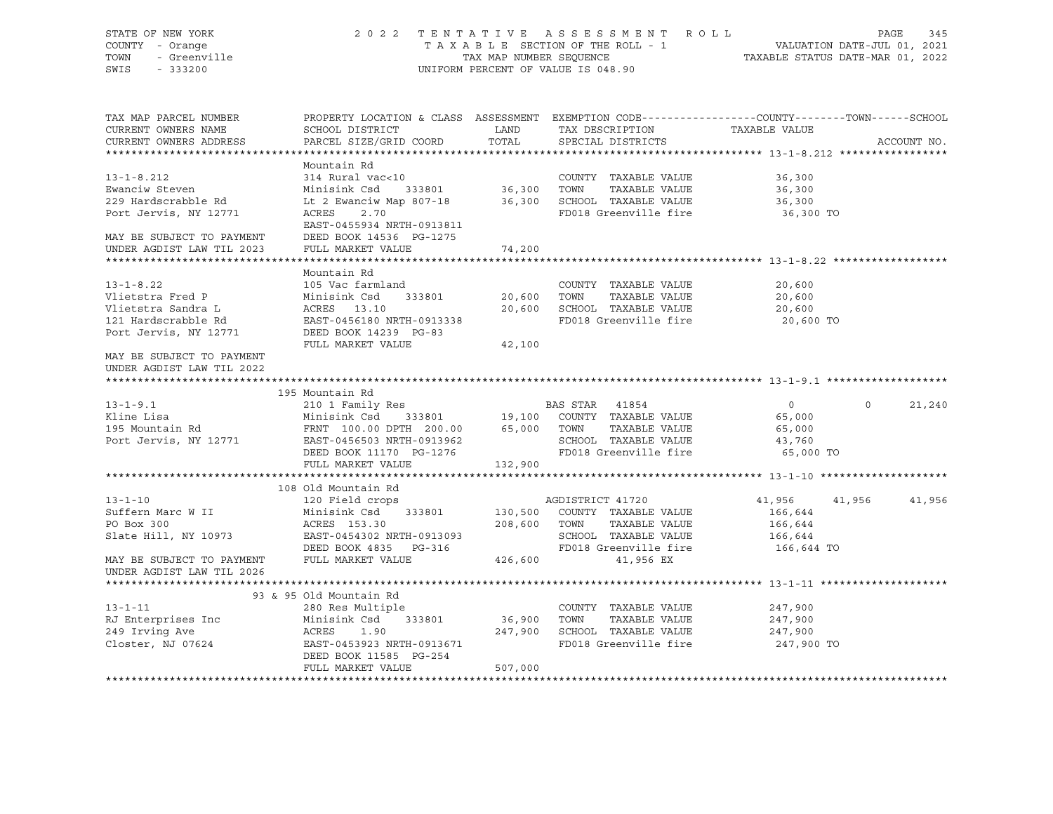| STATE OF NEW YORK<br>COUNTY - Orange<br>TOWN<br>- Greenville<br>SWIS<br>$-333200$ | 2 0 2 2                                                                                                            | TAX MAP NUMBER SEQUENCE | TENTATIVE ASSESSMENT ROLL<br>TAXABLE SECTION OF THE ROLL - 1<br>UNIFORM PERCENT OF VALUE IS 048.90 | VALUATION DATE-JUL 01, 2021<br>TAXABLE STATUS DATE-MAR 01, 2022 | PAGE     | 345         |
|-----------------------------------------------------------------------------------|--------------------------------------------------------------------------------------------------------------------|-------------------------|----------------------------------------------------------------------------------------------------|-----------------------------------------------------------------|----------|-------------|
| TAX MAP PARCEL NUMBER<br>CURRENT OWNERS NAME                                      | PROPERTY LOCATION & CLASS ASSESSMENT EXEMPTION CODE----------------COUNTY-------TOWN-----SCHOOL<br>SCHOOL DISTRICT | LAND                    | TAX DESCRIPTION                                                                                    | TAXABLE VALUE                                                   |          |             |
| CURRENT OWNERS ADDRESS                                                            | PARCEL SIZE/GRID COORD                                                                                             | TOTAL                   | SPECIAL DISTRICTS                                                                                  |                                                                 |          | ACCOUNT NO. |
| **********************                                                            |                                                                                                                    |                         |                                                                                                    |                                                                 |          |             |
|                                                                                   | Mountain Rd                                                                                                        |                         |                                                                                                    |                                                                 |          |             |
| $13 - 1 - 8.212$                                                                  | 314 Rural vac<10                                                                                                   |                         | COUNTY TAXABLE VALUE                                                                               | 36,300                                                          |          |             |
| Ewanciw Steven                                                                    | Minisink Csd<br>333801                                                                                             | 36,300                  | TOWN<br>TAXABLE VALUE                                                                              | 36,300                                                          |          |             |
| 229 Hardscrabble Rd                                                               | Lt 2 Ewanciw Map 807-18                                                                                            |                         | 36,300 SCHOOL TAXABLE VALUE                                                                        | 36,300                                                          |          |             |
| Port Jervis, NY 12771                                                             | ACRES 2.70<br>EAST-0455934 NRTH-0913811                                                                            |                         | FD018 Greenville fire                                                                              | 36,300 TO                                                       |          |             |
| MAY BE SUBJECT TO PAYMENT                                                         | DEED BOOK 14536 PG-1275                                                                                            |                         |                                                                                                    |                                                                 |          |             |
| UNDER AGDIST LAW TIL 2023                                                         | FULL MARKET VALUE                                                                                                  | 74,200                  |                                                                                                    |                                                                 |          |             |
|                                                                                   |                                                                                                                    |                         |                                                                                                    |                                                                 |          |             |
|                                                                                   | Mountain Rd                                                                                                        |                         |                                                                                                    |                                                                 |          |             |
| $13 - 1 - 8.22$                                                                   | 105 Vac farmland                                                                                                   |                         | COUNTY TAXABLE VALUE                                                                               | 20,600                                                          |          |             |
| Vlietstra Fred P                                                                  | 333801<br>Minisink Csd                                                                                             | 20,600                  | TAXABLE VALUE<br>TOWN                                                                              | 20,600                                                          |          |             |
| Vlietstra Sandra L                                                                | ACRES 13.10                                                                                                        | 20,600                  | SCHOOL TAXABLE VALUE                                                                               | 20,600                                                          |          |             |
| 121 Hardscrabble Rd                                                               | EAST-0456180 NRTH-0913338                                                                                          |                         | FD018 Greenville fire                                                                              | 20,600 TO                                                       |          |             |
| Port Jervis, NY 12771                                                             | DEED BOOK 14239 PG-83<br>FULL MARKET VALUE                                                                         | 42,100                  |                                                                                                    |                                                                 |          |             |
| MAY BE SUBJECT TO PAYMENT<br>UNDER AGDIST LAW TIL 2022                            |                                                                                                                    |                         |                                                                                                    |                                                                 |          |             |
|                                                                                   |                                                                                                                    |                         |                                                                                                    |                                                                 |          |             |
|                                                                                   | 195 Mountain Rd                                                                                                    |                         |                                                                                                    |                                                                 |          |             |
| $13 - 1 - 9.1$                                                                    | 210 1 Family Res                                                                                                   |                         | BAS STAR 41854                                                                                     | $\overline{0}$                                                  | $\Omega$ | 21,240      |
| Kline Lisa                                                                        | Minisink Csd                                                                                                       |                         | 333801 19,100 COUNTY TAXABLE VALUE                                                                 | 65,000                                                          |          |             |
| 195 Mountain Rd                                                                   | FRNT 100.00 DPTH 200.00                                                                                            |                         | 65,000 TOWN<br>TAXABLE VALUE                                                                       | 65,000                                                          |          |             |
| Port Jervis, NY 12771                                                             | EAST-0456503 NRTH-0913962                                                                                          |                         | SCHOOL TAXABLE VALUE                                                                               | 43,760                                                          |          |             |
|                                                                                   | DEED BOOK 11170 PG-1276                                                                                            |                         | FD018 Greenville fire                                                                              | 65,000 TO                                                       |          |             |
|                                                                                   | FULL MARKET VALUE                                                                                                  | 132,900                 |                                                                                                    |                                                                 |          |             |
|                                                                                   |                                                                                                                    |                         |                                                                                                    |                                                                 |          |             |
|                                                                                   | 108 Old Mountain Rd                                                                                                |                         |                                                                                                    |                                                                 |          |             |
| $13 - 1 - 10$                                                                     | 120 Field crops                                                                                                    |                         | AGDISTRICT 41720                                                                                   | 41,956                                                          | 41,956   | 41,956      |
| Suffern Marc W II<br>PO Box 300                                                   | Minisink Csd<br>333801<br>ACRES 153.30                                                                             | 130,500<br>208,600 TOWN | COUNTY TAXABLE VALUE<br>TAXABLE VALUE                                                              | 166,644<br>166,644                                              |          |             |
| Slate Hill, NY 10973                                                              | EAST-0454302 NRTH-0913093                                                                                          |                         | SCHOOL TAXABLE VALUE                                                                               | 166,644                                                         |          |             |
|                                                                                   | DEED BOOK 4835 PG-316                                                                                              |                         | FD018 Greenville fire                                                                              | 166,644 TO                                                      |          |             |
| MAY BE SUBJECT TO PAYMENT<br>UNDER AGDIST LAW TIL 2026                            | FULL MARKET VALUE                                                                                                  | 426,600                 | 41,956 EX                                                                                          |                                                                 |          |             |
|                                                                                   |                                                                                                                    |                         |                                                                                                    |                                                                 |          |             |
|                                                                                   | 93 & 95 Old Mountain Rd                                                                                            |                         |                                                                                                    |                                                                 |          |             |
| $13 - 1 - 11$                                                                     | 280 Res Multiple                                                                                                   |                         | COUNTY TAXABLE VALUE                                                                               | 247,900                                                         |          |             |
| RJ Enterprises Inc                                                                | Minisink Csd<br>333801                                                                                             | 36,900                  | TOWN<br>TAXABLE VALUE                                                                              | 247,900                                                         |          |             |
| 249 Irving Ave                                                                    | ACRES<br>1.90                                                                                                      | 247,900                 | SCHOOL TAXABLE VALUE                                                                               | 247,900                                                         |          |             |
| Closter, NJ 07624                                                                 | EAST-0453923 NRTH-0913671<br>DEED BOOK 11585 PG-254                                                                |                         | FD018 Greenville fire                                                                              | 247,900 TO                                                      |          |             |
|                                                                                   | FULL MARKET VALUE                                                                                                  | 507,000                 |                                                                                                    |                                                                 |          |             |
|                                                                                   |                                                                                                                    |                         |                                                                                                    |                                                                 |          |             |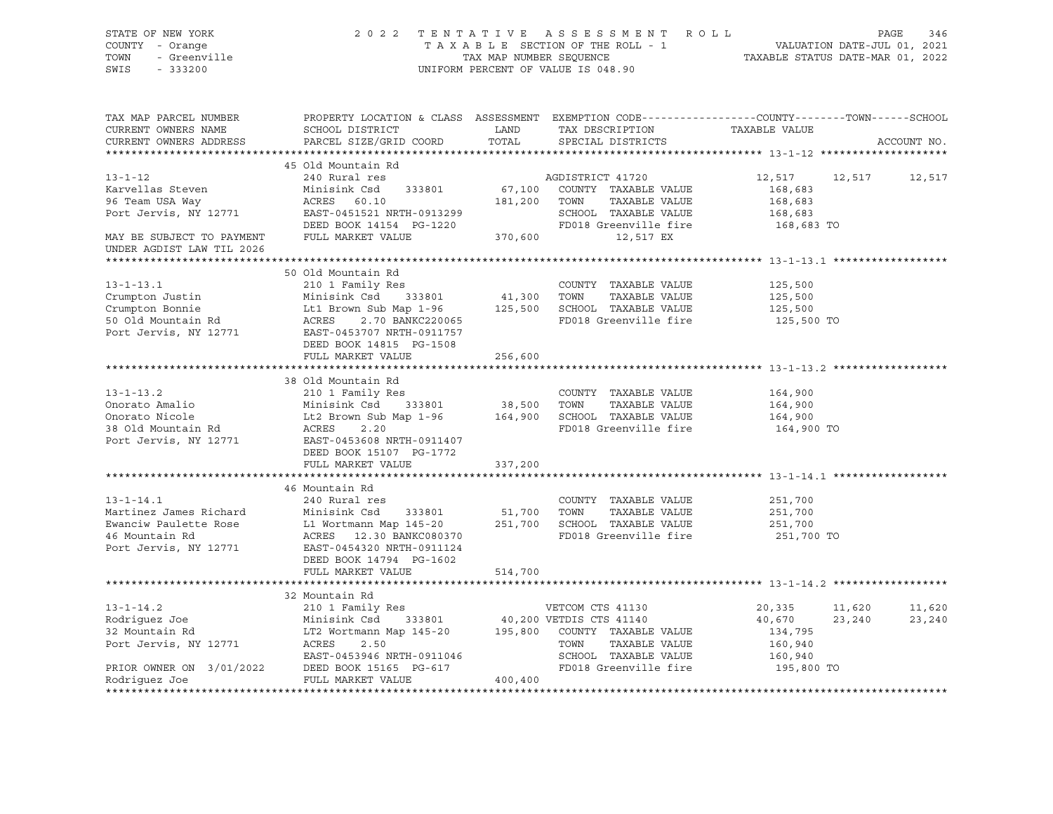| STATE OF NEW YORK<br><i>l</i> - Orange<br>- Greenville<br>COUNTY - Orange<br>TOWN<br>SWIS<br>$-333200$ |                                                                                                                                                                                                                                                                                                                                                                 |         | 2022 TENTATIVE ASSESSMENT ROLL<br>TENTATIVE ASSESSMENI ROLL - 1<br>TAXABLE SECTION OF THE ROLL - 1 VALUATION DATE-JUL 01, 2021<br>TAX MAP NUMBER SEQUENCE TAXABLE STATUS DATE-MAR 01, 2022<br>UNIFORM PERCENT OF VALUE IS 048.90 |                                             | PAGE<br>346          |
|--------------------------------------------------------------------------------------------------------|-----------------------------------------------------------------------------------------------------------------------------------------------------------------------------------------------------------------------------------------------------------------------------------------------------------------------------------------------------------------|---------|----------------------------------------------------------------------------------------------------------------------------------------------------------------------------------------------------------------------------------|---------------------------------------------|----------------------|
| TAX MAP PARCEL NUMBER<br>CURRENT OWNERS NAME<br>CURRENT OWNERS ADDRESS                                 | SCHOOL DISTRICT<br>PARCEL SIZE/GRID COORD                                                                                                                                                                                                                                                                                                                       | TOTAL   | PROPERTY LOCATION & CLASS ASSESSMENT EXEMPTION CODE----------------COUNTY-------TOWN------SCHOOL<br>LAND TAX DESCRIPTION TAXABLE VALUE<br>SPECIAL DISTRICTS                                                                      |                                             | ACCOUNT NO.          |
|                                                                                                        |                                                                                                                                                                                                                                                                                                                                                                 |         |                                                                                                                                                                                                                                  |                                             |                      |
| $13 - 1 - 12$<br>Karvellas Steven                                                                      | 45 Old Mountain Rd<br>240 Rural res<br>Minisink Csd                                                                                                                                                                                                                                                                                                             |         | AGDISTRICT 41720<br>333801 67,100 COUNTY TAXABLE VALUE                                                                                                                                                                           | 168,683<br>168,683                          | 12,517 12,517 12,517 |
|                                                                                                        | 96 Team USA Way ACRES 60.10 181,200 TOWN TAXABLE VALUE<br>Port Jervis, NY 12771 EAST-0451521 NRTH-0913299 SCHOOL TAXABLE VALUE<br>DEED BOOK 14154 PG-1220 FD018 Greenville fire<br>MAY BE SUBJECT TO PAYMENT FULL MARKET VALUE<br>FD01                                                                                                                          |         |                                                                                                                                                                                                                                  | 168,683<br>168,683 TO                       |                      |
| UNDER AGDIST LAW TIL 2026                                                                              |                                                                                                                                                                                                                                                                                                                                                                 |         |                                                                                                                                                                                                                                  |                                             |                      |
|                                                                                                        | 50 Old Mountain Rd<br>313-1-13.1<br>Crumpton Justin Minisink Csd 333801<br>Crumpton Bonnie Lt1 Brown Sub Map 1-96<br>50 Old Mountain Rd ACRES 2.70 BANKC220065<br>Port Jervis, NY 12771 EAST 0453707 NRTH-0911757<br>ACRES 2.70 BANKC220065<br>Port Jervis, NY 1<br>DEED BOOK 14815 PG-1508                                                                     |         | FD018 Greenville fire                                                                                                                                                                                                            | 125,500<br>125,500<br>125,500<br>125,500 TO |                      |
|                                                                                                        | FULL MARKET VALUE                                                                                                                                                                                                                                                                                                                                               | 256,600 |                                                                                                                                                                                                                                  |                                             |                      |
|                                                                                                        |                                                                                                                                                                                                                                                                                                                                                                 |         |                                                                                                                                                                                                                                  |                                             |                      |
| $13 - 1 - 13.2$                                                                                        | 38 Old Mountain Rd<br>210 1 Family Res<br>Onorato Amalio<br>Onorato Nicole Minisink Csd 333801 38,500 TOWN TAXABLE VALUE<br>Onorato Nicole Lt2 Brown Sub Map 1-96 164,900 SCHOOL TAXABLE VALUE<br>38 Old Mountain Rd ACRES 2.20 PD018 Greenville fire<br>Port Jervis, NY 12771 E                                                                                |         | COUNTY TAXABLE VALUE<br>FD018 Greenville fire                                                                                                                                                                                    | 164,900<br>164,900<br>164,900<br>164,900 TO |                      |
|                                                                                                        | DEED BOOK 15107 PG-1772<br>FULL MARKET VALUE 337,200                                                                                                                                                                                                                                                                                                            |         |                                                                                                                                                                                                                                  |                                             |                      |
|                                                                                                        |                                                                                                                                                                                                                                                                                                                                                                 |         |                                                                                                                                                                                                                                  |                                             |                      |
|                                                                                                        | 46 Mountain Rd<br>13-1-14.1 240 Rural res<br>13-1-14.1 240 Rural res<br>251,700 TOWN TAXABLE VALUE<br>251,700 SCHOOL TAXABLE VALUE<br>26 Mountain Rd 251,700 SCHOOL TAXABLE VALUE<br>26 Mountain Rd 251,700 SCHOOL TAXABLE VALUE<br>251,700 SCHOOL TAXABLE V<br>Port Jervis, NY 12771 EAST-0454320 NRTH-0911124<br>DEED BOOK 14794 PG-1602<br>FULL MARKET VALUE | 514,700 | FD018 Greenville fire                                                                                                                                                                                                            | 251,700<br>251,700<br>251,700<br>251,700 TO |                      |
|                                                                                                        |                                                                                                                                                                                                                                                                                                                                                                 |         |                                                                                                                                                                                                                                  |                                             |                      |
|                                                                                                        |                                                                                                                                                                                                                                                                                                                                                                 |         |                                                                                                                                                                                                                                  | 20,335                                      | 11,620 11,620        |
|                                                                                                        |                                                                                                                                                                                                                                                                                                                                                                 |         | TAXABLE VALUE<br>SCHOOL TAXABLE VALUE                                                                                                                                                                                            | 40,670<br>134,795<br>160,940                | 23,240<br>23,240     |
|                                                                                                        |                                                                                                                                                                                                                                                                                                                                                                 |         | FD018 Greenville fire                                                                                                                                                                                                            | 160,940<br>195,800 TO                       |                      |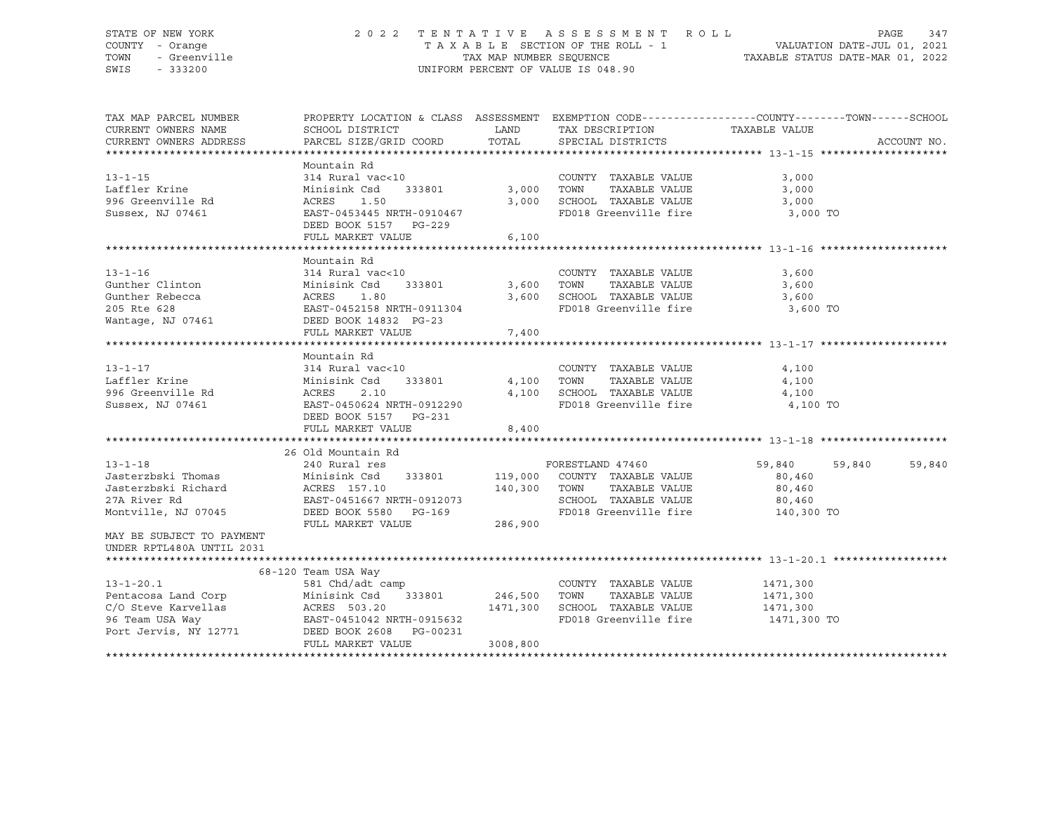#### STATE OF NEW YORK 2 0 2 2 T E N T A T I V E A S S E S S M E N T R O L L PAGE 347 COUNTY - Orange T A X A B L E SECTION OF THE ROLL - 1 VALUATION DATE-JUL 01, 2021 TOWN - Greenville TAX MAP NUMBER SEQUENCE TAXABLE STATUS DATE-MAR 01, 2022 SWIS - 333200 UNIFORM PERCENT OF VALUE IS 048.90

| TAX MAP PARCEL NUMBER                                                                                                                                                                                                                            | PROPERTY LOCATION & CLASS ASSESSMENT EXEMPTION CODE---------------COUNTY-------TOWN-----SCHOOL |          |                                  |                    |             |
|--------------------------------------------------------------------------------------------------------------------------------------------------------------------------------------------------------------------------------------------------|------------------------------------------------------------------------------------------------|----------|----------------------------------|--------------------|-------------|
| CURRENT OWNERS NAME                                                                                                                                                                                                                              | SCHOOL DISTRICT                                                                                | LAND     | TAX DESCRIPTION                  | TAXABLE VALUE      |             |
| CURRENT OWNERS ADDRESS                                                                                                                                                                                                                           | PARCEL SIZE/GRID COORD TOTAL                                                                   |          | SPECIAL DISTRICTS                |                    | ACCOUNT NO. |
|                                                                                                                                                                                                                                                  |                                                                                                |          |                                  |                    |             |
|                                                                                                                                                                                                                                                  | Mountain Rd                                                                                    |          |                                  |                    |             |
| $13 - 1 - 15$                                                                                                                                                                                                                                    | $314 \text{ Rural vac} < 10$ COUNTY<br>Minisink Csd 333801 3,000 TOWN                          |          | COUNTY TAXABLE VALUE             | 3,000              |             |
| Laffler Krine                                                                                                                                                                                                                                    |                                                                                                |          | TAXABLE VALUE                    | 3,000              |             |
| 1996 Greenville Rd                                                                                                                                                                                                                               | 1.50<br>ACRES                                                                                  |          | 3,000 SCHOOL TAXABLE VALUE       | 3,000              |             |
| Sussex, NJ 07461                                                                                                                                                                                                                                 | EAST-0453445 NRTH-0910467                                                                      |          | FD018 Greenville fire 3,000 TO   |                    |             |
|                                                                                                                                                                                                                                                  | DEED BOOK 5157 PG-229                                                                          |          |                                  |                    |             |
|                                                                                                                                                                                                                                                  | FULL MARKET VALUE                                                                              | 6,100    |                                  |                    |             |
|                                                                                                                                                                                                                                                  |                                                                                                |          |                                  |                    |             |
|                                                                                                                                                                                                                                                  | Mountain Rd                                                                                    |          |                                  |                    |             |
|                                                                                                                                                                                                                                                  |                                                                                                |          |                                  |                    |             |
|                                                                                                                                                                                                                                                  |                                                                                                |          |                                  |                    |             |
|                                                                                                                                                                                                                                                  |                                                                                                |          |                                  |                    |             |
|                                                                                                                                                                                                                                                  |                                                                                                |          | FD018 Greenville fire 3,600 TO   |                    |             |
| 13-1-16<br>314 Rural vac<10<br>314 Rural vac<10<br>314 Rural vac<10<br>2010 13,600 TOWN TAXABLE VALUE<br>3,600 TOWN TAXABLE VALUE<br>3,600 SCHOOL TAXABLE VALUE<br>3,600 SCHOOL TAXABLE VALUE<br>3,600 SCHOOL TAXABLE VALUE<br>3,600 SCHOOL TAXA |                                                                                                |          |                                  |                    |             |
|                                                                                                                                                                                                                                                  | FULL MARKET VALUE                                                                              | 7,400    |                                  |                    |             |
|                                                                                                                                                                                                                                                  |                                                                                                |          |                                  |                    |             |
|                                                                                                                                                                                                                                                  | Mountain Rd                                                                                    |          |                                  |                    |             |
| $13 - 1 - 17$                                                                                                                                                                                                                                    | 314 Rural vac<10                                                                               |          | COUNTY TAXABLE VALUE             | 4,100              |             |
|                                                                                                                                                                                                                                                  | Minisink Csd<br>333801 4,100 TOWN                                                              |          | --<br>TAXABLE VALUE              | 4,100              |             |
|                                                                                                                                                                                                                                                  | 2.10                                                                                           | 4,100    | SCHOOL TAXABLE VALUE             | 4,100              |             |
| Sussex, NJ 07461                                                                                                                                                                                                                                 | EAST-0450624 NRTH-0912290                                                                      |          | FD018 Greenville fire 4,100 TO   |                    |             |
|                                                                                                                                                                                                                                                  | DEED BOOK 5157 PG-231                                                                          |          |                                  |                    |             |
|                                                                                                                                                                                                                                                  | FULL MARKET VALUE                                                                              | 8,400    |                                  |                    |             |
|                                                                                                                                                                                                                                                  |                                                                                                |          |                                  |                    |             |
|                                                                                                                                                                                                                                                  | 26 Old Mountain Rd                                                                             |          |                                  |                    |             |
| $13 - 1 - 18$                                                                                                                                                                                                                                    | 240 Rural res                                                                                  |          | FORESTLAND 47460 59,840 59,840   |                    | 59,840      |
|                                                                                                                                                                                                                                                  | Minisink Csd 333801 119,000 COUNTY TAXABLE VALUE                                               |          |                                  | $\bf80$ , $\bf460$ |             |
|                                                                                                                                                                                                                                                  |                                                                                                |          | 140,300 TOWN<br>TAXABLE VALUE    | 80,460             |             |
| Jasterzbski Thomas<br>Jasterzbski Richard<br>27A River Rd<br>27A River Rd<br>27A River Rd<br>27A River Rd<br>27A River Rd<br>27A River Rd<br>27A River Rd<br>27A River Rd<br>27A River Rd<br>27A River Rd<br>27A River Rd                        |                                                                                                |          | SCHOOL TAXABLE VALUE 80,460      |                    |             |
| Montville, NJ 07045                                                                                                                                                                                                                              | DEED BOOK 5580 PG-169                                                                          |          | FD018 Greenville fire 140,300 TO |                    |             |
|                                                                                                                                                                                                                                                  | FULL MARKET VALUE                                                                              | 286,900  |                                  |                    |             |
| MAY BE SUBJECT TO PAYMENT                                                                                                                                                                                                                        |                                                                                                |          |                                  |                    |             |
| UNDER RPTL480A UNTIL 2031                                                                                                                                                                                                                        |                                                                                                |          |                                  |                    |             |
|                                                                                                                                                                                                                                                  |                                                                                                |          |                                  |                    |             |
|                                                                                                                                                                                                                                                  | 68-120 Team USA Way                                                                            |          |                                  |                    |             |
| $13 - 1 - 20.1$                                                                                                                                                                                                                                  | 581 Chd/adt camp                                                                               |          | COUNTY TAXABLE VALUE             | 1471,300           |             |
| Pentacosa Land Corp                                                                                                                                                                                                                              | Minisink Csd 333801 246,500 TOWN                                                               |          | TAXABLE VALUE                    | 1471,300           |             |
|                                                                                                                                                                                                                                                  |                                                                                                |          |                                  |                    |             |
|                                                                                                                                                                                                                                                  |                                                                                                |          |                                  | 1471,300 TO        |             |
| C/O Steve Karvellas (ACRES 503.20 1471,300 SCHOOL TAXABLE VALUE 1471,300 96 Team USA Way (EAST-0451042 NRTH-0915632 FD018 Greenville fire 1471,300 1471,300 1471,300 ECHOOL TAXABLE VALUE 1471,300                                               |                                                                                                |          |                                  |                    |             |
|                                                                                                                                                                                                                                                  | FULL MARKET VALUE                                                                              | 3008,800 |                                  |                    |             |
|                                                                                                                                                                                                                                                  |                                                                                                |          |                                  |                    |             |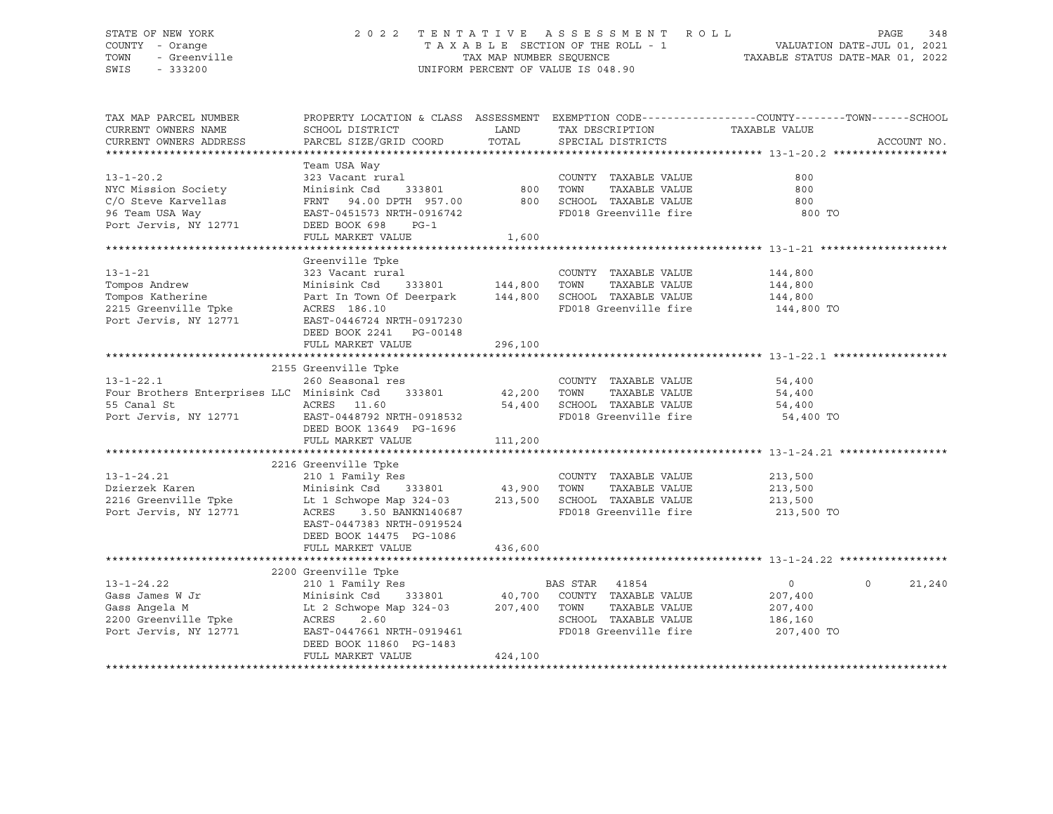#### STATE OF NEW YORK 2 0 2 2 T E N T A T I V E A S S E S S M E N T R O L L PAGE 348 COUNTY - Orange T A X A B L E SECTION OF THE ROLL - 1 VALUATION DATE-JUL 01, 2021 TOWN - Greenville TAX MAP NUMBER SEQUENCE TAXABLE STATUS DATE-MAR 01, 2022 SWIS - 333200 UNIFORM PERCENT OF VALUE IS 048.90

| TAX MAP PARCEL NUMBER                                                                            |                                                                                                                                                                                                                                                                                                                                                                                                                                                               |         |                                       | PROPERTY LOCATION & CLASS ASSESSMENT EXEMPTION CODE----------------COUNTY-------TOWN------SCHOOL |
|--------------------------------------------------------------------------------------------------|---------------------------------------------------------------------------------------------------------------------------------------------------------------------------------------------------------------------------------------------------------------------------------------------------------------------------------------------------------------------------------------------------------------------------------------------------------------|---------|---------------------------------------|--------------------------------------------------------------------------------------------------|
| CURRENT OWNERS NAME                                                                              | SCHOOL DISTRICT                                                                                                                                                                                                                                                                                                                                                                                                                                               | LAND    | TAX DESCRIPTION                       | TAXABLE VALUE                                                                                    |
| CURRENT OWNERS ADDRESS                                                                           | PARCEL SIZE/GRID COORD                                                                                                                                                                                                                                                                                                                                                                                                                                        | TOTAL   | SPECIAL DISTRICTS                     | ACCOUNT NO.                                                                                      |
|                                                                                                  |                                                                                                                                                                                                                                                                                                                                                                                                                                                               |         |                                       |                                                                                                  |
|                                                                                                  | Team USA Way                                                                                                                                                                                                                                                                                                                                                                                                                                                  |         |                                       |                                                                                                  |
| $13 - 1 - 20.2$                                                                                  |                                                                                                                                                                                                                                                                                                                                                                                                                                                               |         | COUNTY TAXABLE VALUE<br>TAXABLE VALUE | 800                                                                                              |
| NYC Mission Society                                                                              |                                                                                                                                                                                                                                                                                                                                                                                                                                                               |         |                                       | 800                                                                                              |
| C/O Steve Karvellas                                                                              | $\begin{tabular}{lllllllll} \multicolumn{2}{c}{\textbf{FRNT}} & 94.00 & \textbf{DPTH} & 957.00 & & & 800 & \textbf{SCHOOL} & \textbf{TAXABLE VALUE} \\ \multicolumn{2}{c}{\textbf{AA}} & \multicolumn{2}{c}{\textbf{SUT}} & \multicolumn{2}{c}{\textbf{SUT}} & \multicolumn{2}{c}{\textbf{SUT}} & \multicolumn{2}{c}{\textbf{SUT}} & \multicolumn{2}{c}{\textbf{SUT}} & \multicolumn{2}{c}{\textbf{SUT}} & \multicolumn{2}{c}{\textbf{SUT}} & \multicolumn{2$ |         |                                       | 800                                                                                              |
| 96 Team USA Way                                                                                  | EAST-0451573 NRTH-0916742                                                                                                                                                                                                                                                                                                                                                                                                                                     |         | FD018 Greenville fire                 | 800 TO                                                                                           |
| Port Jervis, NY 12771                                                                            | DEED BOOK 698<br>$PG-1$                                                                                                                                                                                                                                                                                                                                                                                                                                       |         |                                       |                                                                                                  |
|                                                                                                  | FULL MARKET VALUE                                                                                                                                                                                                                                                                                                                                                                                                                                             | 1,600   |                                       |                                                                                                  |
|                                                                                                  |                                                                                                                                                                                                                                                                                                                                                                                                                                                               |         |                                       |                                                                                                  |
|                                                                                                  | Greenville Tpke                                                                                                                                                                                                                                                                                                                                                                                                                                               |         |                                       |                                                                                                  |
| $13 - 1 - 21$                                                                                    | 323 Vacant rural                                                                                                                                                                                                                                                                                                                                                                                                                                              |         | COUNTY TAXABLE VALUE                  | 144,800                                                                                          |
| Tompos Andrew                                                                                    | 333801 144,800<br>Minisink Csd                                                                                                                                                                                                                                                                                                                                                                                                                                |         | TOWN<br>TAXABLE VALUE                 | 144,800                                                                                          |
| Tompos Katherine                                                                                 | Part In Town Of Deerpark 144,800 SCHOOL TAXABLE VALUE                                                                                                                                                                                                                                                                                                                                                                                                         |         |                                       | 144,800                                                                                          |
| 2215 Greenville Tpke ACRES 186.10                                                                |                                                                                                                                                                                                                                                                                                                                                                                                                                                               |         | FD018 Greenville fire 144,800 TO      |                                                                                                  |
| Port Jervis, NY 12771                                                                            | EAST-0446724 NRTH-0917230                                                                                                                                                                                                                                                                                                                                                                                                                                     |         |                                       |                                                                                                  |
|                                                                                                  | DEED BOOK 2241 PG-00148                                                                                                                                                                                                                                                                                                                                                                                                                                       |         |                                       |                                                                                                  |
|                                                                                                  | FULL MARKET VALUE                                                                                                                                                                                                                                                                                                                                                                                                                                             | 296,100 |                                       |                                                                                                  |
|                                                                                                  |                                                                                                                                                                                                                                                                                                                                                                                                                                                               |         |                                       |                                                                                                  |
|                                                                                                  | 2155 Greenville Tpke                                                                                                                                                                                                                                                                                                                                                                                                                                          |         |                                       |                                                                                                  |
| 260 Seasonal res COUNI COUNT Every Four Brothers Enterprises LLC Minisink Csd 333801 42,200 TOWN |                                                                                                                                                                                                                                                                                                                                                                                                                                                               |         | COUNTY TAXABLE VALUE                  | 54,400                                                                                           |
|                                                                                                  |                                                                                                                                                                                                                                                                                                                                                                                                                                                               |         | TAXABLE VALUE                         | 54,400                                                                                           |
|                                                                                                  |                                                                                                                                                                                                                                                                                                                                                                                                                                                               |         | 54,400 SCHOOL TAXABLE VALUE 54,400    |                                                                                                  |
|                                                                                                  |                                                                                                                                                                                                                                                                                                                                                                                                                                                               |         | FD018 Greenville fire                 | 54,400 TO                                                                                        |
|                                                                                                  | DEED BOOK 13649 PG-1696                                                                                                                                                                                                                                                                                                                                                                                                                                       |         |                                       |                                                                                                  |
|                                                                                                  | FULL MARKET VALUE                                                                                                                                                                                                                                                                                                                                                                                                                                             | 111,200 |                                       |                                                                                                  |
|                                                                                                  |                                                                                                                                                                                                                                                                                                                                                                                                                                                               |         |                                       |                                                                                                  |
|                                                                                                  | 2216 Greenville Tpke<br>Greenville Tpke<br>210 1 Family Res                                                                                                                                                                                                                                                                                                                                                                                                   |         |                                       |                                                                                                  |
| $13 - 1 - 24.21$                                                                                 |                                                                                                                                                                                                                                                                                                                                                                                                                                                               |         | COUNTY TAXABLE VALUE                  | 213,500                                                                                          |
|                                                                                                  |                                                                                                                                                                                                                                                                                                                                                                                                                                                               |         |                                       |                                                                                                  |
|                                                                                                  |                                                                                                                                                                                                                                                                                                                                                                                                                                                               |         |                                       |                                                                                                  |
|                                                                                                  |                                                                                                                                                                                                                                                                                                                                                                                                                                                               |         |                                       |                                                                                                  |
|                                                                                                  | EAST-0447383 NRTH-0919524                                                                                                                                                                                                                                                                                                                                                                                                                                     |         |                                       |                                                                                                  |
|                                                                                                  | DEED BOOK 14475 PG-1086                                                                                                                                                                                                                                                                                                                                                                                                                                       |         |                                       |                                                                                                  |
|                                                                                                  | FULL MARKET VALUE                                                                                                                                                                                                                                                                                                                                                                                                                                             | 436,600 |                                       |                                                                                                  |
|                                                                                                  |                                                                                                                                                                                                                                                                                                                                                                                                                                                               |         |                                       |                                                                                                  |
|                                                                                                  | 2200 Greenville Tpke                                                                                                                                                                                                                                                                                                                                                                                                                                          |         |                                       |                                                                                                  |
| $13 - 1 - 24.22$                                                                                 | 210 1 Family Res                                                                                                                                                                                                                                                                                                                                                                                                                                              |         |                                       | $\overline{0}$<br>$\circ$<br>21,240                                                              |
| Gass James W Jr                                                                                  | Minisink Csd                                                                                                                                                                                                                                                                                                                                                                                                                                                  |         |                                       | 207,400                                                                                          |
|                                                                                                  |                                                                                                                                                                                                                                                                                                                                                                                                                                                               |         | TAXABLE VALUE                         | 207,400                                                                                          |
|                                                                                                  |                                                                                                                                                                                                                                                                                                                                                                                                                                                               |         | SCHOOL TAXABLE VALUE                  | 186,160                                                                                          |
|                                                                                                  |                                                                                                                                                                                                                                                                                                                                                                                                                                                               |         | FD018 Greenville fire 207,400 TO      |                                                                                                  |
|                                                                                                  | DEED BOOK 11860 PG-1483                                                                                                                                                                                                                                                                                                                                                                                                                                       |         |                                       |                                                                                                  |
|                                                                                                  | FULL MARKET VALUE                                                                                                                                                                                                                                                                                                                                                                                                                                             | 424,100 |                                       |                                                                                                  |
|                                                                                                  |                                                                                                                                                                                                                                                                                                                                                                                                                                                               |         |                                       |                                                                                                  |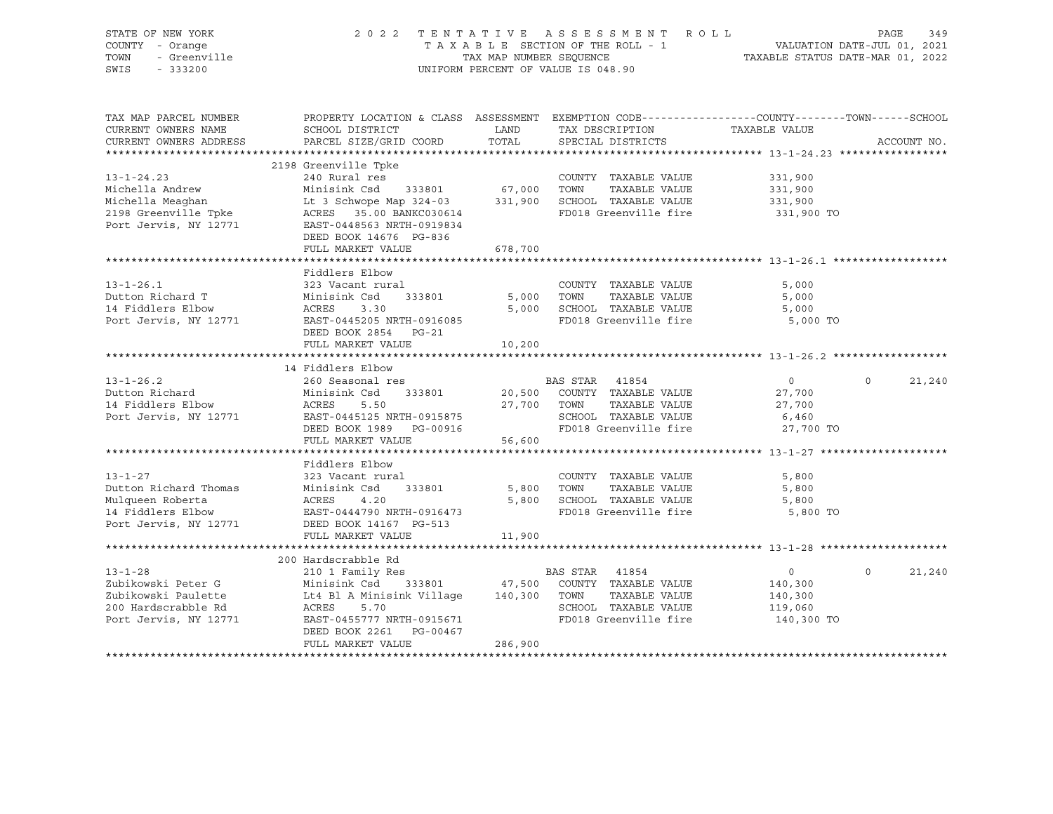| STATE OF NEW YORK<br>COUNTY - Orange<br>TOWN<br>- Greenville<br>SWIS<br>$-333200$                          | 2022 TENTATIVE ASSESSMENT ROLL<br>TAXABLE SECTION OF THE ROLL - 1<br>TAX MAP NUMBER SEQUENCE<br>UNIFORM PERCENT OF VALUE IS 048.90                                                                        | PAGE<br>349<br>VALUATION DATE-JUL 01, 2021<br>TAXABLE STATUS DATE-MAR 01, 2022 |                                                                                                                                |                                                               |                    |
|------------------------------------------------------------------------------------------------------------|-----------------------------------------------------------------------------------------------------------------------------------------------------------------------------------------------------------|--------------------------------------------------------------------------------|--------------------------------------------------------------------------------------------------------------------------------|---------------------------------------------------------------|--------------------|
| TAX MAP PARCEL NUMBER<br>CURRENT OWNERS NAME<br>CURRENT OWNERS ADDRESS                                     | PROPERTY LOCATION & CLASS ASSESSMENT EXEMPTION CODE---------------COUNTY-------TOWN-----SCHOOL<br>SCHOOL DISTRICT<br>PARCEL SIZE/GRID COORD                                                               | LAND<br>TOTAL                                                                  | TAX DESCRIPTION<br>SPECIAL DISTRICTS                                                                                           | TAXABLE VALUE                                                 | ACCOUNT NO.        |
|                                                                                                            |                                                                                                                                                                                                           |                                                                                |                                                                                                                                |                                                               |                    |
|                                                                                                            | 2198 Greenville Tpke                                                                                                                                                                                      |                                                                                |                                                                                                                                |                                                               |                    |
| $13 - 1 - 24.23$<br>Michella Andrew<br>Michella Meaghan<br>2198 Greenville Tpke<br>Port Jervis, NY 12771   | 240 Rural res<br>Minisink Csd 333801<br>Lt 3 Schwope Map 324-03<br>ACRES 35.00 BANKC030614<br>EAST-0448563 NRTH-0919834<br>DEED BOOK 14676 PG-836                                                         | 67,000 TOWN                                                                    | COUNTY TAXABLE VALUE<br>TAXABLE VALUE<br>331,900 SCHOOL TAXABLE VALUE<br>FD018 Greenville fire                                 | 331,900<br>331,900<br>331,900<br>331,900 TO                   |                    |
|                                                                                                            | FULL MARKET VALUE                                                                                                                                                                                         | 678,700                                                                        |                                                                                                                                |                                                               |                    |
|                                                                                                            |                                                                                                                                                                                                           |                                                                                |                                                                                                                                |                                                               |                    |
| $13 - 1 - 26.1$<br>Dutton Richard T<br>14 Fiddlers Elbow<br>Port Jervis, NY 12771                          | Fiddlers Elbow<br>323 Vacant rural<br>Minisink Csd 333801<br>ACRES<br>3.30<br>EAST-0445205 NRTH-0916085<br>DEED BOOK 2854 PG-21                                                                           | 5,000                                                                          | COUNTY TAXABLE VALUE<br>TOWN<br>TAXABLE VALUE<br>5,000 SCHOOL TAXABLE VALUE<br>FD018 Greenville fire                           | 5,000<br>5,000<br>5,000<br>5,000 TO                           |                    |
|                                                                                                            | FULL MARKET VALUE                                                                                                                                                                                         | 10,200                                                                         |                                                                                                                                |                                                               |                    |
|                                                                                                            |                                                                                                                                                                                                           |                                                                                |                                                                                                                                |                                                               |                    |
|                                                                                                            | 14 Fiddlers Elbow                                                                                                                                                                                         |                                                                                |                                                                                                                                |                                                               |                    |
| $13 - 1 - 26.2$<br>Dutton Richard<br>14 Fiddlers Elbow<br>Port Jervis, NY 12771                            | 260 Seasonal res<br>Minisink Csd<br>333801<br>ACRES<br>5.50<br>EAST-0445125 NRTH-0915875<br>DEED BOOK 1989 PG-00916<br>FULL MARKET VALUE                                                                  | 56,600                                                                         | BAS STAR 41854<br>20,500 COUNTY TAXABLE VALUE<br>27,700 TOWN<br>TAXABLE VALUE<br>SCHOOL TAXABLE VALUE<br>FD018 Greenville fire | $\overline{0}$<br>27,700<br>27,700<br>6,460<br>27,700 TO      | 21,240<br>$\Omega$ |
|                                                                                                            |                                                                                                                                                                                                           |                                                                                |                                                                                                                                |                                                               |                    |
| $13 - 1 - 27$<br>Dutton Richard Thomas<br>Mulqueen Roberta<br>14 Fiddlers Elbow<br>Port Jervis, NY 12771   | Fiddlers Elbow<br>323 Vacant rural<br>Minisink Csd<br>333801<br>ACRES<br>4.20<br>EAST-0444790 NRTH-0916473<br>DEED BOOK 14167 PG-513<br>FULL MARKET VALUE                                                 | 11,900                                                                         | COUNTY TAXABLE VALUE<br>5,800 TOWN<br>TAXABLE VALUE<br>5,800 SCHOOL TAXABLE VALUE<br>FD018 Greenville fire                     | 5,800<br>5,800<br>5,800<br>5,800 TO                           |                    |
|                                                                                                            |                                                                                                                                                                                                           |                                                                                |                                                                                                                                |                                                               |                    |
| $13 - 1 - 28$<br>Zubikowski Peter G<br>Zubikowski Paulette<br>200 Hardscrabble Rd<br>Port Jervis, NY 12771 | 200 Hardscrabble Rd<br>210 1 Family Res<br>Minisink Csd 333801<br>Lt4 Bl A Minisink Village 140,300 TOWN<br>ACRES<br>5.70<br>EAST-0455777 NRTH-0915671<br>DEED BOOK 2261<br>PG-00467<br>FULL MARKET VALUE | 286,900                                                                        | BAS STAR 41854<br>47,500 COUNTY TAXABLE VALUE<br>TAXABLE VALUE<br>SCHOOL TAXABLE VALUE<br>FD018 Greenville fire                | $\overline{0}$<br>140,300<br>140,300<br>119,060<br>140,300 TO | $\Omega$<br>21,240 |
|                                                                                                            |                                                                                                                                                                                                           |                                                                                |                                                                                                                                |                                                               |                    |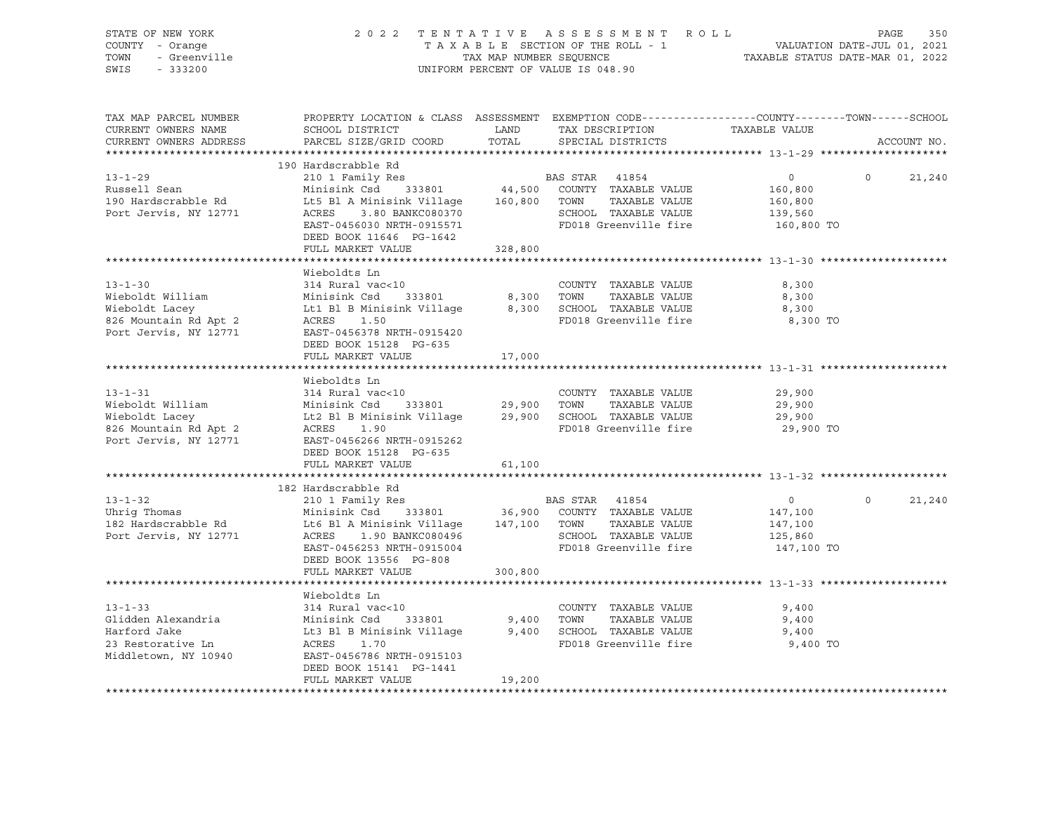| STATE OF NEW YORK<br>UF NEW ION<br>7 - Orange<br>- Greenville<br>COUNTY - Orange<br>TOWN<br>SWIS - 333200                                                                                                                                                                   |                                                                                                                                                                                                                                                         |         | 2022 TENTATIVE ASSESSMENT ROLL<br>TAXABLE SECTION OF THE ROLL - 1<br>TAXABLE SECTION OF THE ROLL - 1<br>TAXABLE STATUS DATE-MAR 01, 2022<br>UNIFORM PERCENT OF VALUE IS 048.90 |                                                               | PAGE<br>350   |
|-----------------------------------------------------------------------------------------------------------------------------------------------------------------------------------------------------------------------------------------------------------------------------|---------------------------------------------------------------------------------------------------------------------------------------------------------------------------------------------------------------------------------------------------------|---------|--------------------------------------------------------------------------------------------------------------------------------------------------------------------------------|---------------------------------------------------------------|---------------|
| TAX MAP PARCEL NUMBER<br>CURRENT OWNERS NAME<br>CURRENT OWNERS ADDRESS<br>**********************                                                                                                                                                                            | PROPERTY LOCATION & CLASS ASSESSMENT EXEMPTION CODE----------------COUNTY-------TOWN------SCHOOL<br>SCHOOL DISTRICT LAND<br>PARCEL SIZE/GRID COORD                                                                                                      | TOTAL   | TAX DESCRIPTION TAXABLE VALUE<br>SPECIAL DISTRICTS                                                                                                                             |                                                               | ACCOUNT NO.   |
|                                                                                                                                                                                                                                                                             | 190 Hardscrabble Rd                                                                                                                                                                                                                                     |         |                                                                                                                                                                                | $\overline{0}$<br>$\overline{0}$                              | 21,240        |
| Port Jervis, NY 12771                                                                                                                                                                                                                                                       | ACRES 3.80 BANKC080370<br>EAST-0456030 NRTH-0915571<br>DEED BOOK 11646 PG-1642                                                                                                                                                                          |         | SCHOOL TAXABLE VALUE<br>FD018 Greenville fire                                                                                                                                  | 160,800<br>160,800<br>139,560<br>160,800 TO                   |               |
|                                                                                                                                                                                                                                                                             | FULL MARKET VALUE                                                                                                                                                                                                                                       | 328,800 |                                                                                                                                                                                |                                                               |               |
| COUNTY TAXABLE VALUE<br>Wieboldt William Minisink Csd 333801 8,300 TOWN TAXABLE VALUE<br>Wieboldt Lacey Lt1 Bl B Minisink Village 8,300 SCHOOL TAXABLE VALUE<br>826 Mountain Rd Apt 2 ACRES 1.50 FD018 Greenville fire<br>Port Jervis,                                      | Wieboldts Ln                                                                                                                                                                                                                                            |         | FD018 Greenville fire                                                                                                                                                          | 8,300<br>8,300<br>8,300<br>8,300 TO                           |               |
|                                                                                                                                                                                                                                                                             | DEED BOOK 15128 PG-635<br>FULL MARKET VALUE                                                                                                                                                                                                             | 17,000  |                                                                                                                                                                                |                                                               |               |
|                                                                                                                                                                                                                                                                             |                                                                                                                                                                                                                                                         |         |                                                                                                                                                                                |                                                               |               |
| COUNTY TAXABLE VALUE<br>Wieboldt William Minisink Csd 333801 29,900 TOWN TAXABLE VALUE<br>Wieboldt Lacey Lt2 Bl B Minisink Village 29,900 SCHOOL TAXABLE VALUE<br>826 Mountain Rd Apt 2 ACRES 1.90 FD018 Greenville fire<br>Port Jervi                                      | Wieboldts Ln<br>DEED BOOK 15128 PG-635                                                                                                                                                                                                                  |         |                                                                                                                                                                                | 29,900<br>29,900<br>29,900<br>29,900 TO                       |               |
|                                                                                                                                                                                                                                                                             | FULL MARKET VALUE                                                                                                                                                                                                                                       | 61,100  |                                                                                                                                                                                |                                                               |               |
|                                                                                                                                                                                                                                                                             |                                                                                                                                                                                                                                                         |         |                                                                                                                                                                                |                                                               |               |
| 13-1-32<br>182 Hardscrabble Rd<br>210 1 Family Res<br>210 1 Family Res<br>210 1 Family Res<br>216 BAS STAR<br>216 BAS STAR<br>26,900 COUNTY TAXABLE VALUE<br>26,900 COUNTY TAXABLE VALUE<br>26,900 COUNTY TAXABLE VALUE<br>2011 AMILY RANABLE VALU<br>Port Jervis, NY 12771 | DEED BOOK 13556 PG-808<br>FULL MARKET VALUE                                                                                                                                                                                                             | 300,800 |                                                                                                                                                                                | $\overline{0}$<br>147,100<br>147,100<br>125,860<br>147,100 TO | $0 \t 21,240$ |
|                                                                                                                                                                                                                                                                             |                                                                                                                                                                                                                                                         |         |                                                                                                                                                                                |                                                               |               |
| $13 - 1 - 33$<br>13-1-33<br>Glidden Alexandria<br>Harford Jake<br>23 Restorative Ln<br>Middletown, NY 10940                                                                                                                                                                 | Wieboldts Ln<br>314 Rural vac<10 (COUNTY TAXABLE VALUE Minisink Csd 333801 9,400 TOWN TAXABLE VALUE<br>Lt3 Bl B Minisink Village 9,400 SCHOOL TAXABLE VALUE<br>ACRES 1.70 FD018 Greenville fire<br>EAST-0456786 NRTH-0915103<br>DEED BOOK 15141 PG-1441 |         |                                                                                                                                                                                | 9,400<br>9,400<br>9,400<br>9,400 TO                           |               |
|                                                                                                                                                                                                                                                                             | FULL MARKET VALUE                                                                                                                                                                                                                                       | 19,200  |                                                                                                                                                                                |                                                               |               |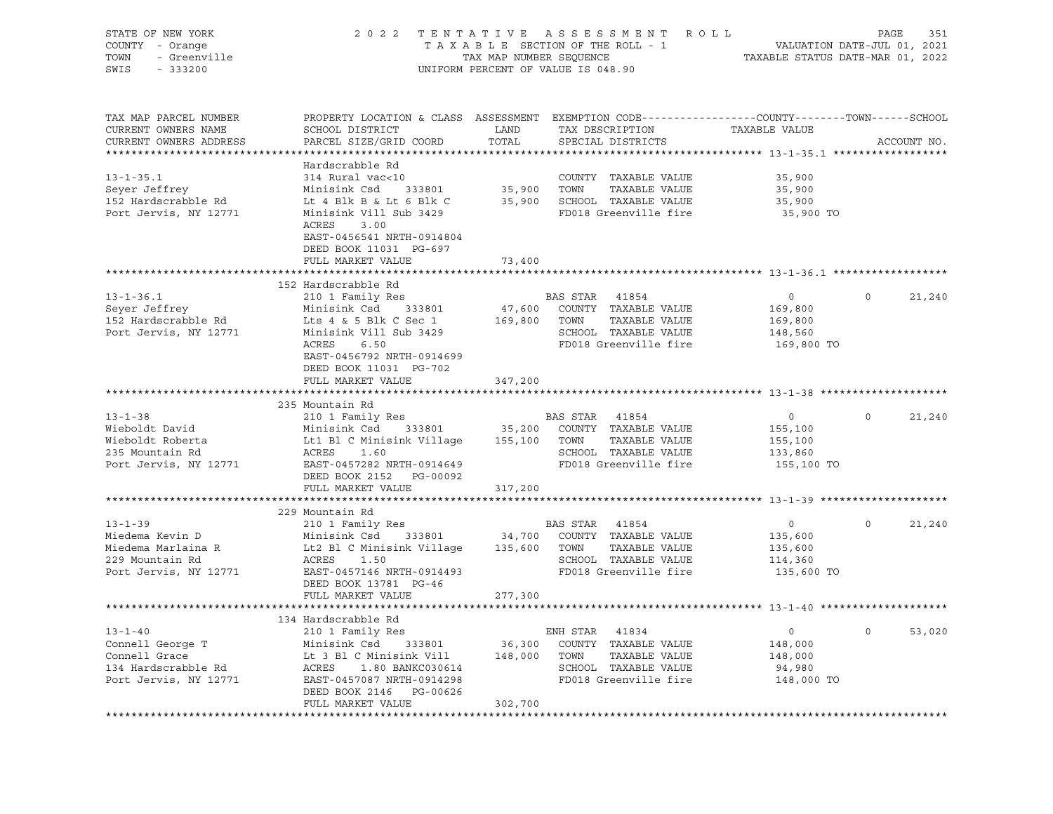| STATE OF NEW YORK<br>Y - Orange<br>- Greenville<br>COUNTY - Orange<br>TOWN<br>SWIS - 333200                                                                                                                                                                |                                                                                                                                                                                                                   |         | 2022 TENTATIVE ASSESSMENT ROLL<br>UNIFORM PERCENT OF VALUE IS 048.90      |                |          |             |
|------------------------------------------------------------------------------------------------------------------------------------------------------------------------------------------------------------------------------------------------------------|-------------------------------------------------------------------------------------------------------------------------------------------------------------------------------------------------------------------|---------|---------------------------------------------------------------------------|----------------|----------|-------------|
| TAX MAP PARCEL NUMBER<br>CURRENT OWNERS NAME<br>CURRENT OWNERS ADDRESS                                                                                                                                                                                     | PROPERTY LOCATION & CLASS ASSESSMENT EXEMPTION CODE---------------COUNTY-------TOWN-----SCHOOL                                                                                                                    | TOTAL   |                                                                           | TAXABLE VALUE  |          | ACCOUNT NO. |
|                                                                                                                                                                                                                                                            |                                                                                                                                                                                                                   |         |                                                                           |                |          |             |
|                                                                                                                                                                                                                                                            | Hardscrabble Rd                                                                                                                                                                                                   |         |                                                                           |                |          |             |
| $13 - 1 - 35.1$                                                                                                                                                                                                                                            | 314 Rural vac<10                                                                                                                                                                                                  |         | COUNTY TAXABLE VALUE<br>35,900 TOWN TAXABLE VALUE<br>COUNTY TAXABLE VALUE | 35,900         |          |             |
| Seyer Jeffrey                                                                                                                                                                                                                                              | Minisink Csd 333801                                                                                                                                                                                               |         |                                                                           | 35,900         |          |             |
| 152 Hardscrabble Rd                                                                                                                                                                                                                                        | Lt 4 Blk B & Lt 6 Blk C 35,900 SCHOOL TAXABLE VALUE                                                                                                                                                               |         | FD018 Greenville fire                                                     | 35,900         |          |             |
| Port Jervis, NY 12771                                                                                                                                                                                                                                      | Minisink Vill Sub 3429<br>ACRES<br>3.00<br>EAST-0456541 NRTH-0914804<br>DEED BOOK 11031 PG-697                                                                                                                    |         |                                                                           | 35,900 TO      |          |             |
|                                                                                                                                                                                                                                                            | FULL MARKET VALUE                                                                                                                                                                                                 | 73,400  |                                                                           |                |          |             |
|                                                                                                                                                                                                                                                            |                                                                                                                                                                                                                   |         |                                                                           |                |          |             |
|                                                                                                                                                                                                                                                            | 152 Hardscrabble Rd                                                                                                                                                                                               |         |                                                                           |                |          |             |
|                                                                                                                                                                                                                                                            |                                                                                                                                                                                                                   |         |                                                                           | $\overline{0}$ | $\Omega$ | 21,240      |
|                                                                                                                                                                                                                                                            |                                                                                                                                                                                                                   |         |                                                                           | 169,800        |          |             |
|                                                                                                                                                                                                                                                            |                                                                                                                                                                                                                   |         |                                                                           | 169,800        |          |             |
|                                                                                                                                                                                                                                                            |                                                                                                                                                                                                                   |         |                                                                           | 148,560        |          |             |
| 13-1-36.1 210 1 ramily Res<br>Seyer Jeffrey Minisink Csd 333801 47,600 COUNTY TAXABLE VALUE<br>152 Hardscrabble Rd Lts 4 & 5 Blk C Sec 1 169,800 TOWN TAXABLE VALUE<br>Port Jervis, NY 12771 Minisink Vill Sub 3429 SCHOOL TAXABLE V                       |                                                                                                                                                                                                                   |         |                                                                           | 169,800 TO     |          |             |
|                                                                                                                                                                                                                                                            | EAST-0456792 NRTH-0914699<br>DEED BOOK 11031 PG-702                                                                                                                                                               |         |                                                                           |                |          |             |
|                                                                                                                                                                                                                                                            | FULL MARKET VALUE                                                                                                                                                                                                 | 347,200 |                                                                           |                |          |             |
|                                                                                                                                                                                                                                                            |                                                                                                                                                                                                                   |         |                                                                           |                |          |             |
|                                                                                                                                                                                                                                                            | 235 Mountain Rd                                                                                                                                                                                                   |         |                                                                           |                |          |             |
| $13 - 1 - 38$                                                                                                                                                                                                                                              |                                                                                                                                                                                                                   |         |                                                                           | $\overline{0}$ | $\circ$  | 21,240      |
| Wieboldt David                                                                                                                                                                                                                                             |                                                                                                                                                                                                                   |         |                                                                           | 155,100        |          |             |
|                                                                                                                                                                                                                                                            |                                                                                                                                                                                                                   |         |                                                                           | 155,100        |          |             |
| Wieboldt Roberta<br>235 Mountain Rd                                                                                                                                                                                                                        |                                                                                                                                                                                                                   |         |                                                                           | 133,860        |          |             |
| Port Jervis, NY 12771 EAST-0457282 NRTH-0914649                                                                                                                                                                                                            |                                                                                                                                                                                                                   |         |                                                                           | 155,100 TO     |          |             |
|                                                                                                                                                                                                                                                            | 210 1 Family Res<br>Minisink Csd 333801 35,200 COUNTY TAXABLE VALUE<br>Lt1 Bl C Minisink Village 155,100 TOWN TAXABLE VALUE<br>ACRES 1.60 SCHOOL TAXABLE VALUE<br>EAST-0457282 NRTH-0914649 FD018 Greenville fire |         |                                                                           |                |          |             |
|                                                                                                                                                                                                                                                            | FULL MARKET VALUE                                                                                                                                                                                                 | 317,200 |                                                                           |                |          |             |
|                                                                                                                                                                                                                                                            |                                                                                                                                                                                                                   |         |                                                                           |                |          |             |
|                                                                                                                                                                                                                                                            | 229 Mountain Rd                                                                                                                                                                                                   |         |                                                                           |                |          |             |
| $13 - 1 - 39$                                                                                                                                                                                                                                              | 210 1 Family Res                                                                                                                                                                                                  |         | <b>BAS STAR</b> 41854                                                     | $\overline{0}$ | $\circ$  | 21,240      |
|                                                                                                                                                                                                                                                            |                                                                                                                                                                                                                   |         |                                                                           | 135,600        |          |             |
|                                                                                                                                                                                                                                                            |                                                                                                                                                                                                                   |         |                                                                           | 135,600        |          |             |
|                                                                                                                                                                                                                                                            |                                                                                                                                                                                                                   |         |                                                                           | 114,360        |          |             |
| Port Jervis, NY 12771                                                                                                                                                                                                                                      | EAST-0457146 NRTH-0914493                                                                                                                                                                                         |         | FD018 Greenville fire                                                     | 135,600 TO     |          |             |
|                                                                                                                                                                                                                                                            | DEED BOOK 13781 PG-46                                                                                                                                                                                             |         |                                                                           |                |          |             |
|                                                                                                                                                                                                                                                            | FULL MARKET VALUE                                                                                                                                                                                                 | 277,300 |                                                                           |                |          |             |
|                                                                                                                                                                                                                                                            |                                                                                                                                                                                                                   |         |                                                                           |                |          |             |
|                                                                                                                                                                                                                                                            | 134 Hardscrabble Rd                                                                                                                                                                                               |         |                                                                           |                |          |             |
|                                                                                                                                                                                                                                                            |                                                                                                                                                                                                                   |         |                                                                           | $\overline{0}$ | $\circ$  | 53,020      |
|                                                                                                                                                                                                                                                            |                                                                                                                                                                                                                   |         |                                                                           | 148,000        |          |             |
|                                                                                                                                                                                                                                                            |                                                                                                                                                                                                                   |         |                                                                           | 148,000        |          |             |
|                                                                                                                                                                                                                                                            |                                                                                                                                                                                                                   |         |                                                                           | 94,980         |          |             |
| 13-1-40<br>Connell George T<br>Connell George T<br>Connell Grace<br>Connell Grace<br>Connell Grace<br>Connell Grace<br>Connell Grace<br>Connell Grace<br>Connell Grace<br>Connell Grace<br>Connell Grace<br>Connell Grace<br>Connell Grace<br>Connell Grac |                                                                                                                                                                                                                   |         |                                                                           | 148,000 TO     |          |             |
|                                                                                                                                                                                                                                                            | DEED BOOK 2146 PG-00626                                                                                                                                                                                           |         |                                                                           |                |          |             |
|                                                                                                                                                                                                                                                            | FULL MARKET VALUE                                                                                                                                                                                                 | 302,700 |                                                                           |                |          |             |
|                                                                                                                                                                                                                                                            |                                                                                                                                                                                                                   |         |                                                                           |                |          |             |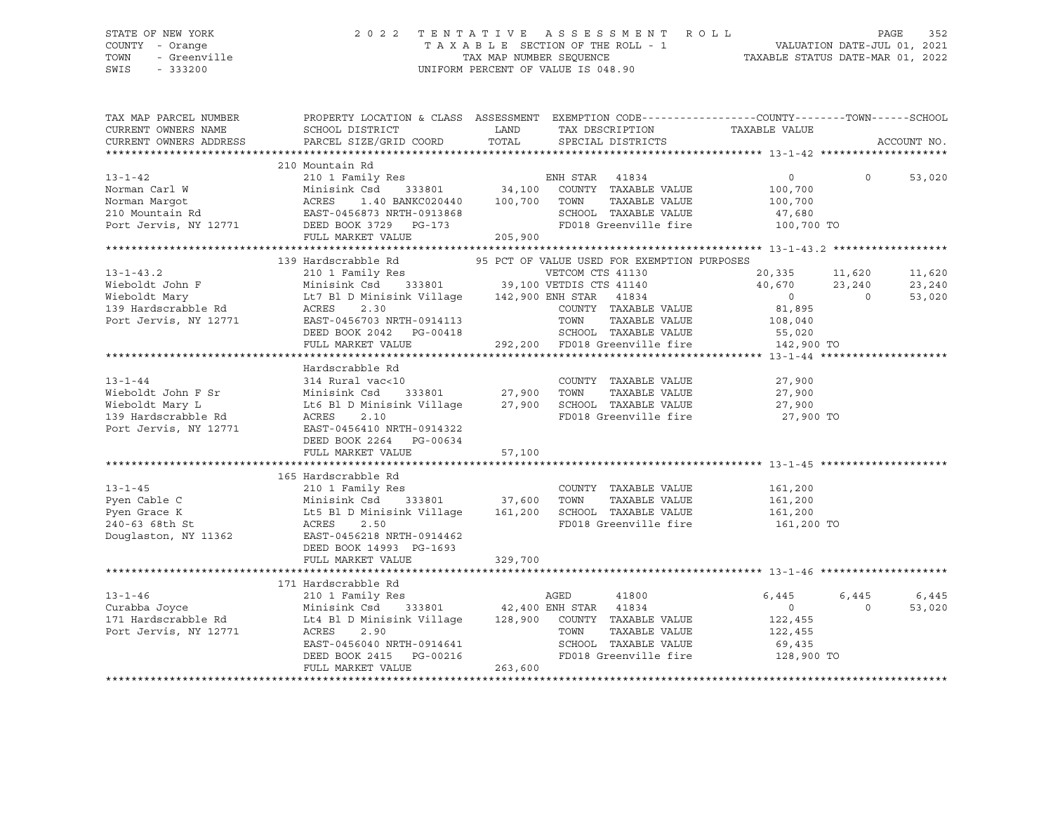SWIS - 333200 UNIFORM PERCENT OF VALUE IS 048.90

### STATE OF NEW YORK 2 0 2 2 T E N T A T I V E A S S E S S M E N T R O L L PAGE 352 COUNTY - Orange T A X A B L E SECTION OF THE ROLL - 1 VALUATION DATE-JUL 01, 2021 TOWN - Greenville TAX MAP NUMBER SEQUENCE TAXABLE STATUS DATE-MAR 01, 2022

| TAX MAP PARCEL NUMBER<br>CURRENT OWNERS NAME<br>CURRENT OWNERS ADDRESS                                                                                                                                                                                         | PROPERTY LOCATION & CLASS ASSESSMENT EXEMPTION CODE----------------COUNTY-------TOWN-----SCHOOL<br>SCHOOL DISTRICT<br>PARCEL SIZE/GRID COORD                                                                                                                | <b>LAND</b><br>TOTAL | TAX DESCRIPTION TAXABLE VALUE SPECIAL DISTRICTS                                               |         |                                                         | ACCOUNT NO. |
|----------------------------------------------------------------------------------------------------------------------------------------------------------------------------------------------------------------------------------------------------------------|-------------------------------------------------------------------------------------------------------------------------------------------------------------------------------------------------------------------------------------------------------------|----------------------|-----------------------------------------------------------------------------------------------|---------|---------------------------------------------------------|-------------|
|                                                                                                                                                                                                                                                                |                                                                                                                                                                                                                                                             |                      |                                                                                               |         |                                                         |             |
| 210 Mountain Rd<br>210 Mountain Rd<br>210 Tamily Res<br>210 Tamily Res<br>210 Tamily Res<br>210 Morman Margot<br>210 Mountain Rd<br>210 Mountain Rd<br>210 Mountain Rd<br>210 Mountain Rd<br>210 Mountain Rd<br>210 Mountain Rd<br>220 Mountain Rd<br>22       | 210 Mountain Rd                                                                                                                                                                                                                                             |                      |                                                                                               |         |                                                         |             |
|                                                                                                                                                                                                                                                                |                                                                                                                                                                                                                                                             |                      |                                                                                               |         | $\begin{array}{ccc} 0 & \hspace{1.5cm} & 0 \end{array}$ | 53,020      |
|                                                                                                                                                                                                                                                                |                                                                                                                                                                                                                                                             |                      |                                                                                               | 100,700 |                                                         |             |
|                                                                                                                                                                                                                                                                |                                                                                                                                                                                                                                                             |                      |                                                                                               |         |                                                         |             |
|                                                                                                                                                                                                                                                                |                                                                                                                                                                                                                                                             |                      |                                                                                               |         |                                                         |             |
|                                                                                                                                                                                                                                                                |                                                                                                                                                                                                                                                             |                      | TOWN TAXABLE VALUE 100,700<br>SCHOOL TAXABLE VALUE 47,680<br>FD018 Greenville fire 100,700 TO |         |                                                         |             |
|                                                                                                                                                                                                                                                                |                                                                                                                                                                                                                                                             |                      |                                                                                               |         |                                                         |             |
|                                                                                                                                                                                                                                                                |                                                                                                                                                                                                                                                             |                      |                                                                                               |         |                                                         |             |
|                                                                                                                                                                                                                                                                | 139 Hardscrabble Rd 95 PCT OF VALUE USED FOR EXEMPTION PURPOSES                                                                                                                                                                                             |                      |                                                                                               |         |                                                         |             |
| 13-1-43.2<br>13-1-43.2<br>Wieboldt John F<br>Minisink Csd 333801<br>Wieboldt Mary<br>11,620<br>Wieboldt Mary<br>139 Hardscrabble Rd<br>147 Bl D Minisink Village<br>142,900 ENH STAR<br>142,900 ENH STAR<br>14834<br>20,335<br>11,620<br>23,240<br>23,240<br>2 |                                                                                                                                                                                                                                                             |                      |                                                                                               |         |                                                         | 11,620      |
|                                                                                                                                                                                                                                                                |                                                                                                                                                                                                                                                             |                      |                                                                                               |         |                                                         | 23,240      |
|                                                                                                                                                                                                                                                                |                                                                                                                                                                                                                                                             |                      |                                                                                               |         |                                                         | 53,020      |
|                                                                                                                                                                                                                                                                |                                                                                                                                                                                                                                                             |                      |                                                                                               |         |                                                         |             |
|                                                                                                                                                                                                                                                                |                                                                                                                                                                                                                                                             |                      |                                                                                               |         |                                                         |             |
|                                                                                                                                                                                                                                                                |                                                                                                                                                                                                                                                             |                      |                                                                                               |         |                                                         |             |
|                                                                                                                                                                                                                                                                | DEED BOOK 2042 PG-00418<br>FULL MARKET VALUE 292,200 FD018 Greenville fire 142,900 TO                                                                                                                                                                       |                      |                                                                                               |         |                                                         |             |
|                                                                                                                                                                                                                                                                |                                                                                                                                                                                                                                                             |                      |                                                                                               |         |                                                         |             |
|                                                                                                                                                                                                                                                                | Hardscrabble Rd                                                                                                                                                                                                                                             |                      |                                                                                               |         |                                                         |             |
|                                                                                                                                                                                                                                                                |                                                                                                                                                                                                                                                             |                      |                                                                                               |         |                                                         |             |
|                                                                                                                                                                                                                                                                |                                                                                                                                                                                                                                                             |                      |                                                                                               |         |                                                         |             |
|                                                                                                                                                                                                                                                                |                                                                                                                                                                                                                                                             |                      |                                                                                               |         |                                                         |             |
| 13-1-44<br>314 Rural vac<10<br>314 Rural vac<10<br>314 Rural vac<10<br>314 Rural vac<10<br>27,900 TOWN TAXABLE VALUE<br>27,900 TOWN TAXABLE VALUE<br>27,900 TOWN TAXABLE VALUE<br>27,900<br>39 Hardscrabble Rd<br>39 Hardscrabble Rd<br>39 Hardscrab           |                                                                                                                                                                                                                                                             |                      |                                                                                               |         |                                                         |             |
|                                                                                                                                                                                                                                                                |                                                                                                                                                                                                                                                             |                      | FD018 Greenville fire 27,900 TO                                                               |         |                                                         |             |
|                                                                                                                                                                                                                                                                |                                                                                                                                                                                                                                                             |                      |                                                                                               |         |                                                         |             |
|                                                                                                                                                                                                                                                                | DEED BOOK 2264 PG-00634                                                                                                                                                                                                                                     |                      |                                                                                               |         |                                                         |             |
|                                                                                                                                                                                                                                                                |                                                                                                                                                                                                                                                             |                      |                                                                                               |         |                                                         |             |
|                                                                                                                                                                                                                                                                |                                                                                                                                                                                                                                                             |                      |                                                                                               |         |                                                         |             |
|                                                                                                                                                                                                                                                                | 165 Hardscrabble Rd                                                                                                                                                                                                                                         |                      |                                                                                               |         |                                                         |             |
|                                                                                                                                                                                                                                                                |                                                                                                                                                                                                                                                             |                      | COUNTY TAXABLE VALUE                                                                          |         |                                                         |             |
|                                                                                                                                                                                                                                                                |                                                                                                                                                                                                                                                             |                      |                                                                                               |         |                                                         |             |
|                                                                                                                                                                                                                                                                |                                                                                                                                                                                                                                                             |                      |                                                                                               |         |                                                         |             |
| 13-1-45<br>Pyen Cable C Minisink Csd 333801<br>Pyen Grace K Lt5 Bl D Minisink Village 161,200<br>240-63 68th St ACRES 2.50<br>Douglaston, NY 11362<br>EAST-0456218 NRTH-0914462<br>EAST-0456218 NRTH-0914462                                                   |                                                                                                                                                                                                                                                             |                      | FD018 Greenville fire 161,200 TO                                                              |         |                                                         |             |
|                                                                                                                                                                                                                                                                |                                                                                                                                                                                                                                                             |                      |                                                                                               |         |                                                         |             |
|                                                                                                                                                                                                                                                                | DEED BOOK 14993 PG-1693                                                                                                                                                                                                                                     |                      |                                                                                               |         |                                                         |             |
|                                                                                                                                                                                                                                                                |                                                                                                                                                                                                                                                             |                      |                                                                                               |         |                                                         |             |
|                                                                                                                                                                                                                                                                |                                                                                                                                                                                                                                                             |                      |                                                                                               |         |                                                         |             |
|                                                                                                                                                                                                                                                                | 171 Hardscrabble Rd                                                                                                                                                                                                                                         |                      |                                                                                               |         |                                                         |             |
|                                                                                                                                                                                                                                                                |                                                                                                                                                                                                                                                             |                      |                                                                                               |         | 6,445                                                   | 6,445       |
| 13-1-46<br>Curabba Joyce<br>171 Hardscrabble Rd                                                                                                                                                                                                                |                                                                                                                                                                                                                                                             |                      |                                                                                               |         | $\overline{0}$                                          | 53,020      |
|                                                                                                                                                                                                                                                                |                                                                                                                                                                                                                                                             |                      |                                                                                               |         |                                                         |             |
| Port Jervis, NY 12771                                                                                                                                                                                                                                          |                                                                                                                                                                                                                                                             |                      |                                                                                               |         |                                                         |             |
|                                                                                                                                                                                                                                                                | $\begin{array}{cccccccccc} \texttt{ACRES} & 2.90 & & & & & & & & \texttt{TOWN} & & \texttt{TAXABLE VALUE} & & & & & 122,455 \\ \texttt{EAST-0456040 NRTH-0914641} & & & & & & & \texttt{SCHOOL} & \texttt{TAXABLE VALUE} & & & & & & 69,435 \\ \end{array}$ |                      |                                                                                               |         |                                                         |             |
|                                                                                                                                                                                                                                                                |                                                                                                                                                                                                                                                             |                      |                                                                                               |         |                                                         |             |
|                                                                                                                                                                                                                                                                | DEED BOOK 2415 PG-00216                                                                                                                                                                                                                                     | 263,600              | FD018 Greenville fire 128,900 TO                                                              |         |                                                         |             |
|                                                                                                                                                                                                                                                                | FULL MARKET VALUE                                                                                                                                                                                                                                           |                      |                                                                                               |         |                                                         |             |
|                                                                                                                                                                                                                                                                |                                                                                                                                                                                                                                                             |                      |                                                                                               |         |                                                         |             |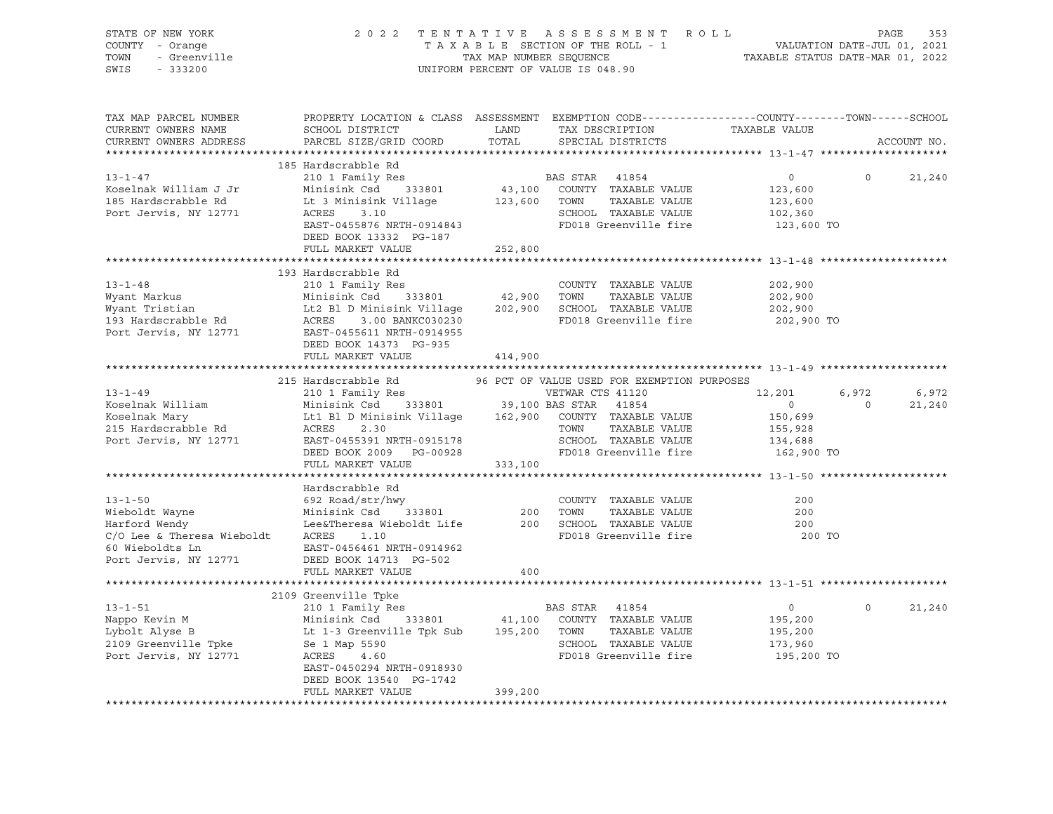| STATE OF NEW YORK<br>COUNTY - Orange<br>TOWN<br>- Greenville<br>SWIS<br>$-333200$                                                                                                                                                            | 2 0 2 2<br>TENTATIVE ASSESSMENT ROLL<br>TAX MAP NUMBER SEQUENCE<br>UNIFORM PERCENT OF VALUE IS 048.90                                          |               |                                                                          |                | PAGE<br>353    |             |  |
|----------------------------------------------------------------------------------------------------------------------------------------------------------------------------------------------------------------------------------------------|------------------------------------------------------------------------------------------------------------------------------------------------|---------------|--------------------------------------------------------------------------|----------------|----------------|-------------|--|
| TAX MAP PARCEL NUMBER<br>CURRENT OWNERS NAME<br>CURRENT OWNERS ADDRESS                                                                                                                                                                       | PROPERTY LOCATION & CLASS ASSESSMENT EXEMPTION CODE-----------------COUNTY-------TOWN------SCHOOL<br>SCHOOL DISTRICT<br>PARCEL SIZE/GRID COORD | LAND<br>TOTAL | TAX DESCRIPTION<br>SPECIAL DISTRICTS                                     | TAXABLE VALUE  |                | ACCOUNT NO. |  |
|                                                                                                                                                                                                                                              | 185 Hardscrabble Rd                                                                                                                            |               |                                                                          |                |                |             |  |
| $13 - 1 - 47$                                                                                                                                                                                                                                | 210 1 Family Res                                                                                                                               |               | BAS STAR 41854                                                           | $\overline{0}$ | $\Omega$       | 21,240      |  |
| Koselnak William J Jr                                                                                                                                                                                                                        | Minisink Csd 333801 43,100 COUNTY TAXABLE VALUE                                                                                                |               |                                                                          | 123,600        |                |             |  |
| 185 Hardscrabble Rd                                                                                                                                                                                                                          | Lt 3 Minisink Village<br>ACRES       3.10                                                                                                      | 123,600 TOWN  | TAXABLE VALUE                                                            | 123,600        |                |             |  |
| Port Jervis, NY 12771                                                                                                                                                                                                                        | ACRES 3.10<br>EAST-0455876 NRTH-0914843<br>FD018 Greenville fire<br>ACRES                                                                      |               |                                                                          | 102,360        |                |             |  |
|                                                                                                                                                                                                                                              |                                                                                                                                                |               |                                                                          | 123,600 TO     |                |             |  |
|                                                                                                                                                                                                                                              | DEED BOOK 13332 PG-187                                                                                                                         |               |                                                                          |                |                |             |  |
|                                                                                                                                                                                                                                              | FULL MARKET VALUE                                                                                                                              | 252,800       |                                                                          |                |                |             |  |
|                                                                                                                                                                                                                                              | 193 Hardscrabble Rd                                                                                                                            |               |                                                                          |                |                |             |  |
| $13 - 1 - 48$                                                                                                                                                                                                                                | 210 1 Family Res                                                                                                                               |               | COUNTY TAXABLE VALUE                                                     | 202,900        |                |             |  |
|                                                                                                                                                                                                                                              |                                                                                                                                                |               |                                                                          | 202,900        |                |             |  |
|                                                                                                                                                                                                                                              |                                                                                                                                                |               |                                                                          | 202,900        |                |             |  |
|                                                                                                                                                                                                                                              |                                                                                                                                                |               | FD018 Greenville fire                                                    | 202,900 TO     |                |             |  |
| Wyant Markus<br>Wyant Tristian Minisink Csd 333801 42,900 TOWN TAXABLE VALUE<br>Wyant Tristian Lt2 Bl D Minisink Village 202,900 SCHOOL TAXABLE VALUE<br>193 Hardscrabble Rd ACRES 3.00 BANKC030230 FD018 Greenville fire<br>Port Jerv       |                                                                                                                                                |               |                                                                          |                |                |             |  |
|                                                                                                                                                                                                                                              | DEED BOOK 14373 PG-935                                                                                                                         |               |                                                                          |                |                |             |  |
|                                                                                                                                                                                                                                              | FULL MARKET VALUE                                                                                                                              | 414,900       |                                                                          |                |                |             |  |
|                                                                                                                                                                                                                                              |                                                                                                                                                |               |                                                                          |                |                |             |  |
|                                                                                                                                                                                                                                              | 215 Hardscrabble Rd                                                                                                                            |               | 96 PCT OF VALUE USED FOR EXEMPTION PURPOSES                              |                |                |             |  |
|                                                                                                                                                                                                                                              |                                                                                                                                                |               |                                                                          | 12,201         | 6,972          | 6,972       |  |
|                                                                                                                                                                                                                                              |                                                                                                                                                |               |                                                                          | $\overline{0}$ | $\overline{0}$ | 21,240      |  |
|                                                                                                                                                                                                                                              |                                                                                                                                                |               |                                                                          | 150,699        |                |             |  |
|                                                                                                                                                                                                                                              |                                                                                                                                                |               |                                                                          | 155,928        |                |             |  |
| 13-1-49<br>Xoselnak William 210 1 Family Res<br>Xoselnak Mary 16:1 B1 D Minisink Csd 333801<br>215 Hardscrabble Rd ACRES 2.30<br>215 Hardscrabble Rd ACRES 2.30<br>215 Hardscrabble Rd ACRES 2.30<br>215 Hardscrabble Rd ACRES 2.30<br>215 H |                                                                                                                                                |               | TOWN     TAXABLE VALUE<br>SCHOOL  TAXABLE VALUE<br>FD018 Greenville fire | 134,688        |                |             |  |
|                                                                                                                                                                                                                                              | DEED BOOK 2009 PG-00928                                                                                                                        |               |                                                                          | 162,900 TO     |                |             |  |
|                                                                                                                                                                                                                                              | FULL MARKET VALUE                                                                                                                              | 333,100       |                                                                          |                |                |             |  |
|                                                                                                                                                                                                                                              | Hardscrabble Rd                                                                                                                                |               |                                                                          |                |                |             |  |
|                                                                                                                                                                                                                                              |                                                                                                                                                |               |                                                                          | 200            |                |             |  |
|                                                                                                                                                                                                                                              |                                                                                                                                                |               |                                                                          | 200            |                |             |  |
|                                                                                                                                                                                                                                              |                                                                                                                                                |               |                                                                          | 200            |                |             |  |
| COUNTY TAXABLE VALUE<br>Wieboldt Wayne Minisink Csd 333801 200 TOWN TAXABLE VALUE<br>Harford Wendy Lee&Theresa Wieboldt Life 200 SCHOOL TAXABLE VALUE<br>C/O Lee & Theresa Wieboldt ACRES 1.10<br>FD018 Greenville five<br>FD018 Greenvi     |                                                                                                                                                |               |                                                                          | 200 TO         |                |             |  |
| 60 Wieboldts Ln                                                                                                                                                                                                                              | EAST-0456461 NRTH-0914962                                                                                                                      |               |                                                                          |                |                |             |  |
| Port Jervis, NY 12771                                                                                                                                                                                                                        | DEED BOOK 14713 PG-502                                                                                                                         |               |                                                                          |                |                |             |  |
|                                                                                                                                                                                                                                              | FULL MARKET VALUE                                                                                                                              | 400           |                                                                          |                |                |             |  |
|                                                                                                                                                                                                                                              |                                                                                                                                                |               |                                                                          |                |                |             |  |
|                                                                                                                                                                                                                                              | 2109 Greenville Tpke                                                                                                                           |               |                                                                          |                |                |             |  |
| $13 - 1 - 51$                                                                                                                                                                                                                                | 210 1 Family Res                                                                                                                               |               | BAS STAR 41854                                                           | $\overline{0}$ | $\circ$        | 21,240      |  |
| Nappo Kevin M<br>Lybolt Alyse B                                                                                                                                                                                                              | Minisink Csd 333801 41,100 COUNTY TAXABLE VALUE                                                                                                |               |                                                                          | 195,200        |                |             |  |
|                                                                                                                                                                                                                                              | Lt 1-3 Greenville Tpk Sub 195,200 TOWN                                                                                                         |               | TAXABLE VALUE                                                            | 195,200        |                |             |  |
| Lybolt Alyse B<br>2109 Greenville Tpke Bell Map 5590                                                                                                                                                                                         |                                                                                                                                                |               | SCHOOL TAXABLE VALUE<br>FD018 Greenville fire                            | 173,960        |                |             |  |
| Port Jervis, NY 12771                                                                                                                                                                                                                        | ACRES 4.60                                                                                                                                     |               |                                                                          | 195,200 TO     |                |             |  |
|                                                                                                                                                                                                                                              | EAST-0450294 NRTH-0918930                                                                                                                      |               |                                                                          |                |                |             |  |
|                                                                                                                                                                                                                                              | DEED BOOK 13540 PG-1742                                                                                                                        |               |                                                                          |                |                |             |  |
|                                                                                                                                                                                                                                              | FULL MARKET VALUE                                                                                                                              | 399,200       |                                                                          |                |                |             |  |
|                                                                                                                                                                                                                                              |                                                                                                                                                |               |                                                                          |                |                |             |  |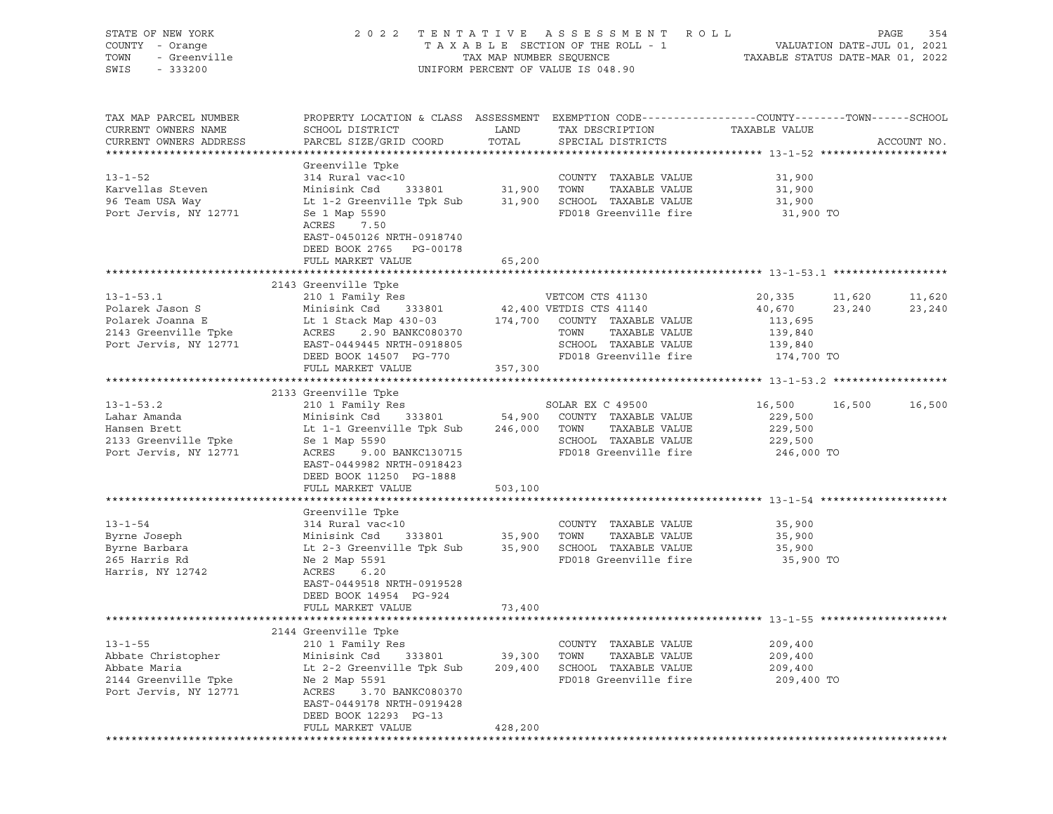| STATE OF NEW YORK<br>COUNTY - Orange<br>TOWN - Greenville<br>233200                                  |                                                                                                                                                                                                                                                                                                              |                              | 2022 TENTATIVE ASSESSMENT ROLL PAGE 354<br>TAXABLE SECTION OF THE ROLL - 1 VALUATION DATE-JUL 01, 2021<br>TAX MAP NUMBER SEQUENCE TAXABLE STATUS DATE-MAR 01, 2022<br>UNIFORM PERCENT OF VALUE IS 048.90 |                                             |                  |
|------------------------------------------------------------------------------------------------------|--------------------------------------------------------------------------------------------------------------------------------------------------------------------------------------------------------------------------------------------------------------------------------------------------------------|------------------------------|----------------------------------------------------------------------------------------------------------------------------------------------------------------------------------------------------------|---------------------------------------------|------------------|
| TAX MAP PARCEL NUMBER<br>CURRENT OWNERS NAME<br>CURRENT OWNERS ADDRESS                               | SCHOOL DISTRICT<br>PARCEL SIZE/GRID COORD                                                                                                                                                                                                                                                                    | LAND<br>TOTAL                | PROPERTY LOCATION & CLASS ASSESSMENT EXEMPTION CODE----------------COUNTY-------TOWN------SCHOOL<br>TAX DESCRIPTION TAXABLE VALUE<br>SERCIAL DISTRICTS<br>SPECIAL DISTRICTS                              |                                             | ACCOUNT NO.      |
|                                                                                                      | Greenville Tpke<br>314 Rural vac<10 COUNTY TAXABLE VALUE 31,900<br>21,900 Karvellas Steven Minisink Csd 333801 31,900 TOWN TAXABLE VALUE 31,900<br>26 Team USA Way Lt 1-2 Greenville Tpk Sub 31,900 SCHOOL TAXABLE VALUE 31,900<br>21,<br>ACRES 7.50<br>EAST-0450126 NRTH-0918740<br>DEED BOOK 2765 PG-00178 |                              |                                                                                                                                                                                                          |                                             |                  |
|                                                                                                      | FULL MARKET VALUE                                                                                                                                                                                                                                                                                            | 65,200                       |                                                                                                                                                                                                          |                                             |                  |
|                                                                                                      | 2143 Greenville Tpke<br>13-1-53.1<br>Polarek Jason S<br>Polarek Jason S<br>Polarek Joanna E Lt 1 Stack Map 430-03<br>2143 Greenville Tpke ACRES<br>2.90 BANKC080370<br>Port Jervis, NY 12771<br>EAST-0449445 NRTH-0918805<br>EXT-0449445 NRTH-0918805<br>POI18 Greenvill                                     |                              |                                                                                                                                                                                                          | 20,335 11,620<br>40,670 23,240              | 11,620<br>23,240 |
|                                                                                                      | FULL MARKET VALUE 357,300                                                                                                                                                                                                                                                                                    |                              |                                                                                                                                                                                                          |                                             |                  |
|                                                                                                      |                                                                                                                                                                                                                                                                                                              |                              |                                                                                                                                                                                                          |                                             |                  |
|                                                                                                      | And the set of the set of the set of the set of the set of the set of the set of the set of the set of the set of the set of the set of the set of the set of the set of the set of the set of the set of the set of the set o<br>DEED BOOK 11250 PG-1888<br>FULL MARKET VALUE                               | 503,100                      |                                                                                                                                                                                                          | 16,500 16,500<br>229,500<br>229,500         | 16,500           |
|                                                                                                      |                                                                                                                                                                                                                                                                                                              |                              |                                                                                                                                                                                                          |                                             |                  |
|                                                                                                      | Greenville Tpke<br>314 Rural vac<10<br>EAST-0449518 NRTH-0919528<br>DEED BOOK 14954 PG-924<br>FULL MARKET VALUE                                                                                                                                                                                              | 73,400                       |                                                                                                                                                                                                          | 35,900 TO                                   |                  |
|                                                                                                      |                                                                                                                                                                                                                                                                                                              |                              |                                                                                                                                                                                                          |                                             |                  |
| $13 - 1 - 55$<br>Abbate Christopher<br>Abbate Maria<br>2144 Greenville Tpke<br>Port Jervis, NY 12771 | 2144 Greenville Tpke<br>210 1 Family Res<br>Minisink Csd<br>333801<br>Lt 2-2 Greenville Tpk Sub<br>Ne 2 Map 5591<br>3.70 BANKC080370<br>ACRES<br>EAST-0449178 NRTH-0919428<br>DEED BOOK 12293 PG-13<br>FULL MARKET VALUE                                                                                     | 39,300<br>209,400<br>428,200 | COUNTY TAXABLE VALUE<br>TOWN<br>TAXABLE VALUE<br>SCHOOL TAXABLE VALUE<br>FD018 Greenville fire                                                                                                           | 209,400<br>209,400<br>209,400<br>209,400 TO |                  |
|                                                                                                      |                                                                                                                                                                                                                                                                                                              |                              |                                                                                                                                                                                                          |                                             |                  |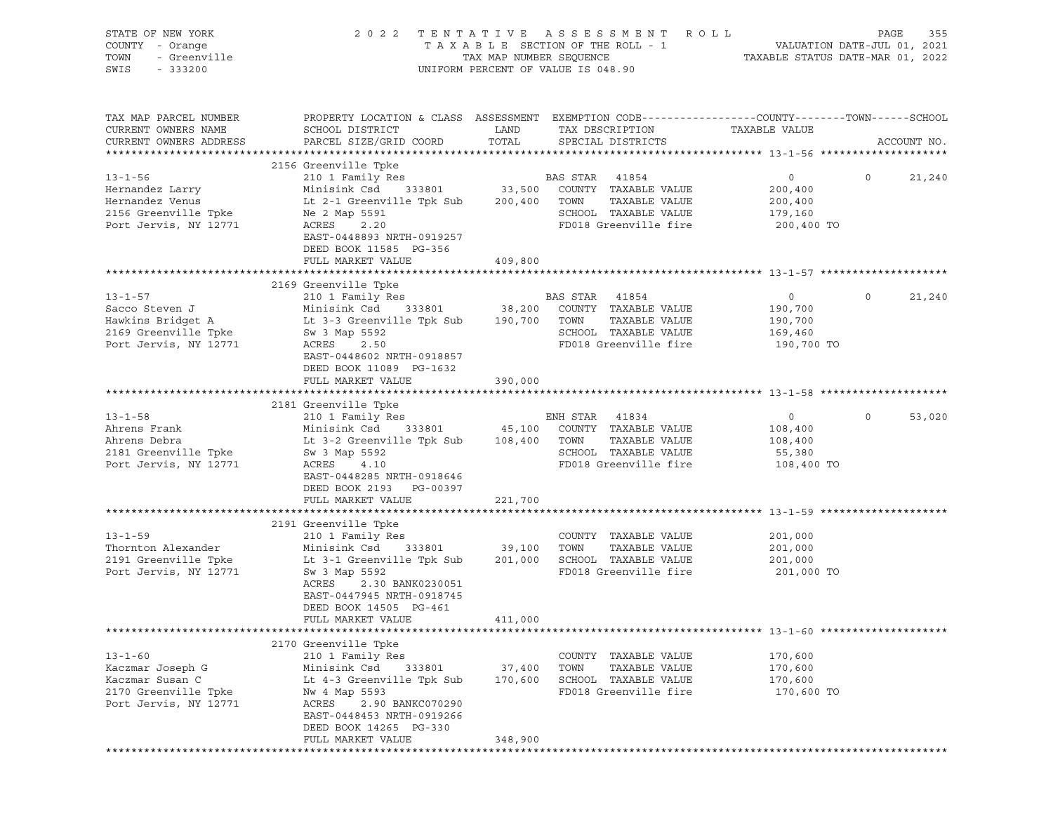| STATE OF NEW YORK<br>COUNTY - Orange<br>- Greenville<br>TOWN<br>SWIS<br>$-333200$                     |                                                                                                                                                                                                                           | TAX MAP NUMBER SEQUENCE      | 2022 TENTATIVE ASSESSMENT ROLL<br>TAXABLE SECTION OF THE ROLL - 1<br>UNIFORM PERCENT OF VALUE IS 048.90                | TAXABLE STATUS DATE-MAR 01, 2022                              | PAGE<br>355<br>VALUATION DATE-JUL 01, 2021 |
|-------------------------------------------------------------------------------------------------------|---------------------------------------------------------------------------------------------------------------------------------------------------------------------------------------------------------------------------|------------------------------|------------------------------------------------------------------------------------------------------------------------|---------------------------------------------------------------|--------------------------------------------|
| TAX MAP PARCEL NUMBER<br>CURRENT OWNERS NAME<br>CURRENT OWNERS ADDRESS                                | PROPERTY LOCATION & CLASS ASSESSMENT EXEMPTION CODE----------------COUNTY-------TOWN------SCHOOL<br>SCHOOL DISTRICT<br>PARCEL SIZE/GRID COORD                                                                             | LAND<br>TOTAL                | TAX DESCRIPTION<br>SPECIAL DISTRICTS                                                                                   | TAXABLE VALUE                                                 | ACCOUNT NO.                                |
|                                                                                                       | 2156 Greenville Tpke                                                                                                                                                                                                      |                              |                                                                                                                        |                                                               |                                            |
| $13 - 1 - 56$<br>Hernandez Larry<br>Hernandez Venus<br>2156 Greenville Tpke<br>Port Jervis, NY 12771  | 210 1 Family Res<br>Minisink Csd<br>Lt 2-1 Greenville Tpk Sub 200,400 TOWN<br>Ne 2 Map 5591<br>ACRES 2.20<br>EAST-0448893 NRTH-0919257<br>DEED BOOK 11585 PG-356                                                          |                              | BAS STAR 41854<br>333801 33,500 COUNTY TAXABLE VALUE<br>TAXABLE VALUE<br>SCHOOL TAXABLE VALUE<br>FD018 Greenville fire | $\overline{0}$<br>200,400<br>200,400<br>179,160<br>200,400 TO | $\circ$<br>21,240                          |
|                                                                                                       | FULL MARKET VALUE                                                                                                                                                                                                         | 409,800                      |                                                                                                                        |                                                               |                                            |
|                                                                                                       |                                                                                                                                                                                                                           |                              |                                                                                                                        |                                                               |                                            |
| $13 - 1 - 57$<br>Sacco Steven J<br>Hawkins Bridget A<br>2169 Greenville Tpke<br>Port Jervis, NY 12771 | 2169 Greenville Tpke<br>210 1 Family Res<br>Minisink Csd 333801<br>Lt 3-3 Greenville Tpk Sub<br>Sw 3 Map 5592<br>ACRES<br>2.50<br>EAST-0448602 NRTH-0918857<br>DEED BOOK 11089 PG-1632                                    | 38,200<br>190,700            | BAS STAR 41854<br>COUNTY TAXABLE VALUE<br>TOWN<br>TAXABLE VALUE<br>SCHOOL TAXABLE VALUE<br>FD018 Greenville fire       | $\circ$<br>190,700<br>190,700<br>169,460<br>190,700 TO        | $\circ$<br>21,240                          |
|                                                                                                       | FULL MARKET VALUE                                                                                                                                                                                                         | 390,000                      |                                                                                                                        |                                                               |                                            |
|                                                                                                       |                                                                                                                                                                                                                           |                              |                                                                                                                        |                                                               |                                            |
|                                                                                                       | 2181 Greenville Tpke                                                                                                                                                                                                      |                              |                                                                                                                        |                                                               |                                            |
| $13 - 1 - 58$                                                                                         | 210 1 Family Res                                                                                                                                                                                                          |                              | ENH STAR 41834                                                                                                         | $\overline{0}$                                                | 53,020<br>$\circ$                          |
| Ahrens Frank<br>Ahrens Debra<br>2181 Greenville Tpke<br>Port Jervis, NY 12771                         | Minisink Csd<br>Lt 3-2 Greenville Tpk Sub 108,400 TOWN<br>Sw 3 Map 5592<br>ACRES 4.10<br>EAST-0448285 NRTH-0918646<br>DEED BOOK 2193 PG-00397                                                                             |                              | 333801 45,100 COUNTY TAXABLE VALUE<br>TAXABLE VALUE<br>SCHOOL TAXABLE VALUE<br>FD018 Greenville fire                   | 108,400<br>108,400<br>55,380<br>108,400 TO                    |                                            |
|                                                                                                       | FULL MARKET VALUE                                                                                                                                                                                                         | 221,700                      |                                                                                                                        |                                                               |                                            |
|                                                                                                       |                                                                                                                                                                                                                           |                              |                                                                                                                        |                                                               |                                            |
| $13 - 1 - 59$<br>Thornton Alexander<br>2191 Greenville Tpke<br>Port Jervis, NY 12771                  | 2191 Greenville Tpke<br>210 1 Family Res<br>Minisink Csd<br>333801<br>Lt 3-1 Greenville Tpk Sub<br>Sw 3 Map 5592<br>ACRES<br>2.30 BANK0230051<br>EAST-0447945 NRTH-0918745<br>DEED BOOK 14505 PG-461<br>FULL MARKET VALUE | 39,100<br>201,000<br>411,000 | COUNTY TAXABLE VALUE<br>TOWN<br>TAXABLE VALUE<br>SCHOOL TAXABLE VALUE<br>FD018 Greenville fire                         | 201,000<br>201,000<br>201,000<br>201,000 TO                   |                                            |
|                                                                                                       |                                                                                                                                                                                                                           |                              |                                                                                                                        |                                                               |                                            |
|                                                                                                       | 2170 Greenville Tpke                                                                                                                                                                                                      |                              |                                                                                                                        |                                                               |                                            |
| $13 - 1 - 60$<br>Kaczmar Joseph G<br>Kaczmar Susan C<br>2170 Greenville Tpke<br>Port Jervis, NY 12771 | 210 1 Family Res<br>Minisink Csd<br>333801<br>Lt 4-3 Greenville Tpk Sub<br>Nw 4 Map 5593<br>ACRES<br>2.90 BANKC070290<br>EAST-0448453 NRTH-0919266<br>DEED BOOK 14265 PG-330<br>FULL MARKET VALUE                         | 37,400<br>170,600<br>348,900 | COUNTY TAXABLE VALUE<br>TOWN<br>TAXABLE VALUE<br>SCHOOL TAXABLE VALUE<br>FD018 Greenville fire                         | 170,600<br>170,600<br>170,600<br>170,600 TO                   |                                            |
|                                                                                                       |                                                                                                                                                                                                                           |                              |                                                                                                                        |                                                               |                                            |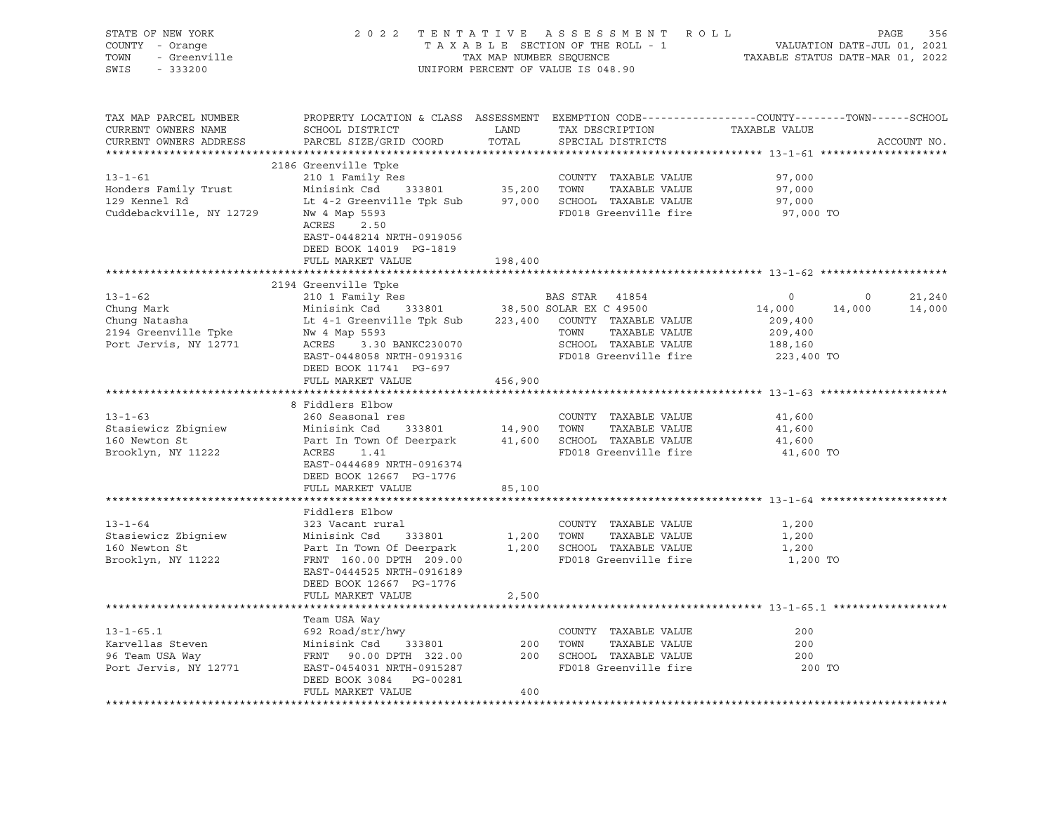| STATE OF NEW YORK<br>OF NEW YORK<br>Y - Orange<br>- Greenville<br>Contract of the Contract of the Contract of the Contract of the Contract of the Contract of the Contract of the Contract of the Contract of the Contract of the Contract of the Contrac<br>COUNTY - Orange<br>TOWN<br>SWIS - 333200 |                                                                                                                                                                                                                                                          |         | UNIFORM PERCENT OF VALUE IS 048.90 | 2022 TENTATIVE ASSESSMENT ROLL PAGE 356<br>TAXABLE SECTION OF THE ROLL - 1 VALUATION DATE-JUL 01, 2021<br>TAX MAP NUMBER SEQUENCE TAXABLE STATUS DATE-MAR 01, 2022 |                                              |
|-------------------------------------------------------------------------------------------------------------------------------------------------------------------------------------------------------------------------------------------------------------------------------------------------------|----------------------------------------------------------------------------------------------------------------------------------------------------------------------------------------------------------------------------------------------------------|---------|------------------------------------|--------------------------------------------------------------------------------------------------------------------------------------------------------------------|----------------------------------------------|
| TAX MAP PARCEL NUMBER<br>CURRENT OWNERS NAME<br>CURRENT OWNERS ADDRESS                                                                                                                                                                                                                                | PROPERTY LOCATION & CLASS ASSESSMENT EXEMPTION CODE-----------------COUNTY-------TOWN------SCHOOL<br>PROPERTY DOCATION & CHASE ADDEDUCTION TAX DESCRIPTION TAXABLE VALUE<br>SCHOOL DISTRICT LAND TAX DESCRIPTION TAXABLE VALUE<br>PARCEL SIZE/GRID COORD | TOTAL   | SPECIAL DISTRICTS                  |                                                                                                                                                                    | ACCOUNT NO.                                  |
|                                                                                                                                                                                                                                                                                                       | 2186 Greenville Tpke<br>EAST-0448214 NRTH-0919056<br>DEED BOOK 14019 PG-1819                                                                                                                                                                             |         |                                    | 97,000<br>97,000<br>97,000<br>97,000 TO                                                                                                                            |                                              |
|                                                                                                                                                                                                                                                                                                       | FULL MARKET VALUE                                                                                                                                                                                                                                        | 198,400 |                                    |                                                                                                                                                                    |                                              |
|                                                                                                                                                                                                                                                                                                       | 2194 Greenville Tpke                                                                                                                                                                                                                                     |         |                                    |                                                                                                                                                                    |                                              |
| 213-1-62<br>Chung Mark 210 1 Family Res<br>Chung Mark Minisink Csd 333801<br>2194 Greenville Tpke Mw 4 Map 5593<br>2194 Greenville Tpke Mw 4 Map 5593<br>209,400<br>209,400<br>209,400<br>209,400<br>209,400<br>209,400<br>209,400<br>209,400<br>209,400                                              | DEED BOOK 11741 PG-697                                                                                                                                                                                                                                   |         |                                    |                                                                                                                                                                    | 21,240<br>$\overline{0}$<br>14,000<br>14,000 |
|                                                                                                                                                                                                                                                                                                       | FULL MARKET VALUE 456,900                                                                                                                                                                                                                                |         |                                    |                                                                                                                                                                    |                                              |
|                                                                                                                                                                                                                                                                                                       |                                                                                                                                                                                                                                                          |         |                                    |                                                                                                                                                                    |                                              |
| 1992 - 260 Seasonal res<br>Stasiewicz Zbigniew Minisink Csd 333801 14,900 TOWN TAXABLE VALUE<br>160 Newton St Part In Town Of Deerpark 41,600 SCHOOL TAXABLE VALUE<br>Brooklyn, NY 11222 ACRES 1.41 FD018 Graphy:11- 51                                                                               | ANALAS BIDOW<br>260 Seasonal res<br>Minisink Cod<br>EAST-0444689 NRTH-0916374<br>DEED BOOK 12667 PG-1776                                                                                                                                                 |         |                                    | 41,600<br>41,600<br>41,600<br>41,600 TO                                                                                                                            |                                              |
|                                                                                                                                                                                                                                                                                                       | FULL MARKET VALUE                                                                                                                                                                                                                                        | 85,100  |                                    |                                                                                                                                                                    |                                              |
| $13 - 1 - 64$<br>SES VICENT LIEL<br>STRINGER 1,200 TOWN TAXABLE VALUE<br>160 Newton St<br>Brooklyn, NY 11222 FRNT 160.00 DPTH 209.00 FOO18 Greenville fire                                                                                                                                            | Fiddlers Elbow<br>323 Vacant rural<br>EAST-0444525 NRTH-0916189<br>DEED BOOK 12667 PG-1776<br>FULL MARKET VALUE                                                                                                                                          | 2,500   | COUNTY TAXABLE VALUE               | 1,200<br>1,200<br>1,200<br>1,200 TO                                                                                                                                |                                              |
|                                                                                                                                                                                                                                                                                                       |                                                                                                                                                                                                                                                          |         |                                    |                                                                                                                                                                    |                                              |
| Team USA Way<br>Team USA Way<br>692 Road/str/hwy<br>Minisink Csd 333801 200 TOWN TAXABLE VALUE<br>96 Team USA Way<br>Port Jervis, NY 12771 EAST-0454031 NRTH-0915287<br>FRIT 90.00 DPTH 322.00 200 SCHOOL TAXABLE VALUE<br>FD018 Greenville                                                           | Team USA Way<br>DEED BOOK 3084 PG-00281<br>FULL MARKET VALUE                                                                                                                                                                                             | 400     |                                    | 200<br>200<br>200<br>200 TO                                                                                                                                        |                                              |
|                                                                                                                                                                                                                                                                                                       |                                                                                                                                                                                                                                                          |         |                                    |                                                                                                                                                                    |                                              |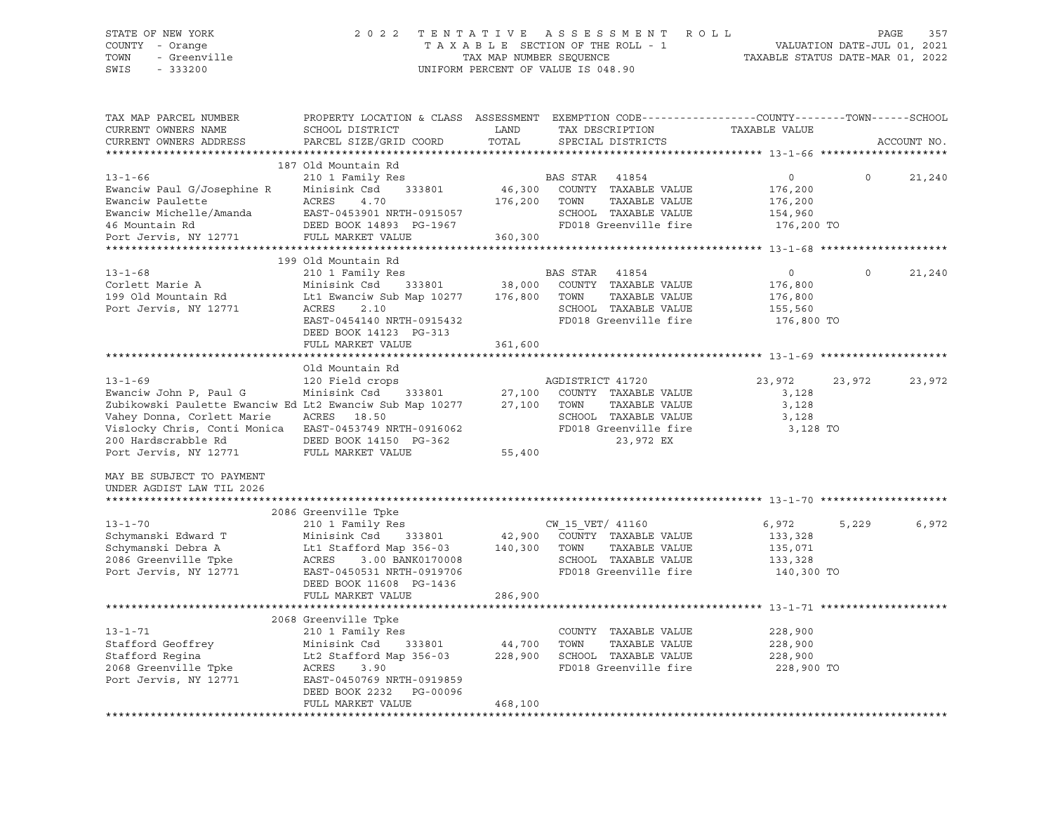#### STATE OF NEW YORK 2 0 2 2 T E N T A T I V E A S S E S S M E N T R O L L PAGE 357 COUNTY - Orange T A X A B L E SECTION OF THE ROLL - 1 VALUATION DATE-JUL 01, 2021 TOWN - Greenville TAX MAP NUMBER SEQUENCE TAXABLE STATUS DATE-MAR 01, 2022 SWIS - 333200 UNIFORM PERCENT OF VALUE IS 048.90

| TAX MAP PARCEL NUMBER<br>CURRENT OWNERS NAME<br>CURRENT OWNERS ADDRESS                                                                                                                                            | PROPERTY LOCATION & CLASS ASSESSMENT<br>SCHOOL DISTRICT<br>PARCEL SIZE/GRID COORD                                                                                                              | LAND<br>TOTAL                |                          | TAX DESCRIPTION<br>SPECIAL DISTRICTS                                                                | EXEMPTION CODE-----------------COUNTY-------TOWN------SCHOOL<br>TAXABLE VALUE |          | ACCOUNT NO. |
|-------------------------------------------------------------------------------------------------------------------------------------------------------------------------------------------------------------------|------------------------------------------------------------------------------------------------------------------------------------------------------------------------------------------------|------------------------------|--------------------------|-----------------------------------------------------------------------------------------------------|-------------------------------------------------------------------------------|----------|-------------|
| *************************                                                                                                                                                                                         |                                                                                                                                                                                                |                              |                          |                                                                                                     |                                                                               |          |             |
| $13 - 1 - 66$<br>Ewanciw Paul G/Josephine R<br>Ewanciw Paulette<br>Ewanciw Michelle/Amanda<br>46 Mountain Rd                                                                                                      | 187 Old Mountain Rd<br>210 1 Family Res<br>Minisink Csd<br>333801<br>ACRES<br>4.70<br>EAST-0453901 NRTH-0915057<br>DEED BOOK 14893 PG-1967                                                     | 46,300<br>176,200            | BAS STAR<br>TOWN         | 41854<br>COUNTY TAXABLE VALUE<br>TAXABLE VALUE<br>SCHOOL TAXABLE VALUE<br>FD018 Greenville fire     | $\circ$<br>176,200<br>176,200<br>154,960<br>176,200 TO                        | $\Omega$ | 21,240      |
| Port Jervis, NY 12771                                                                                                                                                                                             | FULL MARKET VALUE                                                                                                                                                                              | 360,300                      |                          |                                                                                                     |                                                                               |          |             |
|                                                                                                                                                                                                                   |                                                                                                                                                                                                |                              |                          |                                                                                                     |                                                                               |          |             |
| $13 - 1 - 68$<br>Corlett Marie A<br>199 Old Mountain Rd<br>Port Jervis, NY 12771                                                                                                                                  | 199 Old Mountain Rd<br>210 1 Family Res<br>Minisink Csd<br>333801<br>Lt1 Ewanciw Sub Map 10277<br>ACRES<br>2.10<br>EAST-0454140 NRTH-0915432<br>DEED BOOK 14123 PG-313                         | 38,000<br>176,800            | <b>BAS STAR</b><br>TOWN  | 41854<br>COUNTY TAXABLE VALUE<br>TAXABLE VALUE<br>SCHOOL TAXABLE VALUE<br>FD018 Greenville fire     | $\circ$<br>176,800<br>176,800<br>155,560<br>176,800 TO                        | $\circ$  | 21,240      |
|                                                                                                                                                                                                                   | FULL MARKET VALUE                                                                                                                                                                              | 361,600                      |                          |                                                                                                     |                                                                               |          |             |
|                                                                                                                                                                                                                   |                                                                                                                                                                                                |                              |                          |                                                                                                     |                                                                               |          |             |
| $13 - 1 - 69$<br>Ewanciw John P, Paul G<br>Zubikowski Paulette Ewanciw Ed Lt2 Ewanciw Sub Map 10277<br>Vahey Donna, Corlett Marie<br>Vislocky Chris, Conti Monica<br>200 Hardscrabble Rd<br>Port Jervis, NY 12771 | Old Mountain Rd<br>120 Field crops<br>Minisink Csd<br>333801<br>ACRES<br>18.50<br>EAST-0453749 NRTH-0916062<br>DEED BOOK 14150 PG-362<br>FULL MARKET VALUE                                     | 27,100<br>27,100<br>55,400   | AGDISTRICT 41720<br>TOWN | COUNTY TAXABLE VALUE<br>TAXABLE VALUE<br>SCHOOL TAXABLE VALUE<br>FD018 Greenville fire<br>23,972 EX | 23,972<br>3,128<br>3,128<br>3,128<br>3,128 TO                                 | 23,972   | 23,972      |
| MAY BE SUBJECT TO PAYMENT<br>UNDER AGDIST LAW TIL 2026                                                                                                                                                            |                                                                                                                                                                                                |                              |                          |                                                                                                     |                                                                               |          |             |
|                                                                                                                                                                                                                   | 2086 Greenville Tpke                                                                                                                                                                           |                              |                          |                                                                                                     |                                                                               |          |             |
| $13 - 1 - 70$<br>Schymanski Edward T<br>Schymanski Debra A<br>2086 Greenville Tpke<br>Port Jervis, NY 12771                                                                                                       | 210 1 Family Res<br>Minisink Csd<br>333801<br>Lt1 Stafford Map 356-03<br>3.00 BANK0170008<br>ACRES<br>EAST-0450531 NRTH-0919706<br>DEED BOOK 11608 PG-1436                                     | 42,900<br>140,300            | CW 15 VET/ 41160<br>TOWN | COUNTY TAXABLE VALUE<br>TAXABLE VALUE<br>SCHOOL TAXABLE VALUE<br>FD018 Greenville fire              | 6,972<br>133,328<br>135,071<br>133,328<br>140,300 TO                          | 5,229    | 6,972       |
|                                                                                                                                                                                                                   | FULL MARKET VALUE                                                                                                                                                                              | 286,900                      |                          |                                                                                                     |                                                                               |          |             |
|                                                                                                                                                                                                                   |                                                                                                                                                                                                |                              |                          |                                                                                                     |                                                                               |          |             |
| $13 - 1 - 71$<br>Stafford Geoffrey<br>Stafford Regina<br>2068 Greenville Tpke<br>Port Jervis, NY 12771                                                                                                            | 2068 Greenville Tpke<br>210 1 Family Res<br>Minisink Csd<br>333801<br>Lt2 Stafford Map 356-03<br>ACRES<br>3.90<br>EAST-0450769 NRTH-0919859<br>DEED BOOK 2232<br>PG-00096<br>FULL MARKET VALUE | 44,700<br>228,900<br>468,100 | TOWN                     | COUNTY TAXABLE VALUE<br>TAXABLE VALUE<br>SCHOOL TAXABLE VALUE<br>FD018 Greenville fire              | 228,900<br>228,900<br>228,900<br>228,900 TO                                   |          |             |
|                                                                                                                                                                                                                   |                                                                                                                                                                                                |                              |                          |                                                                                                     |                                                                               |          |             |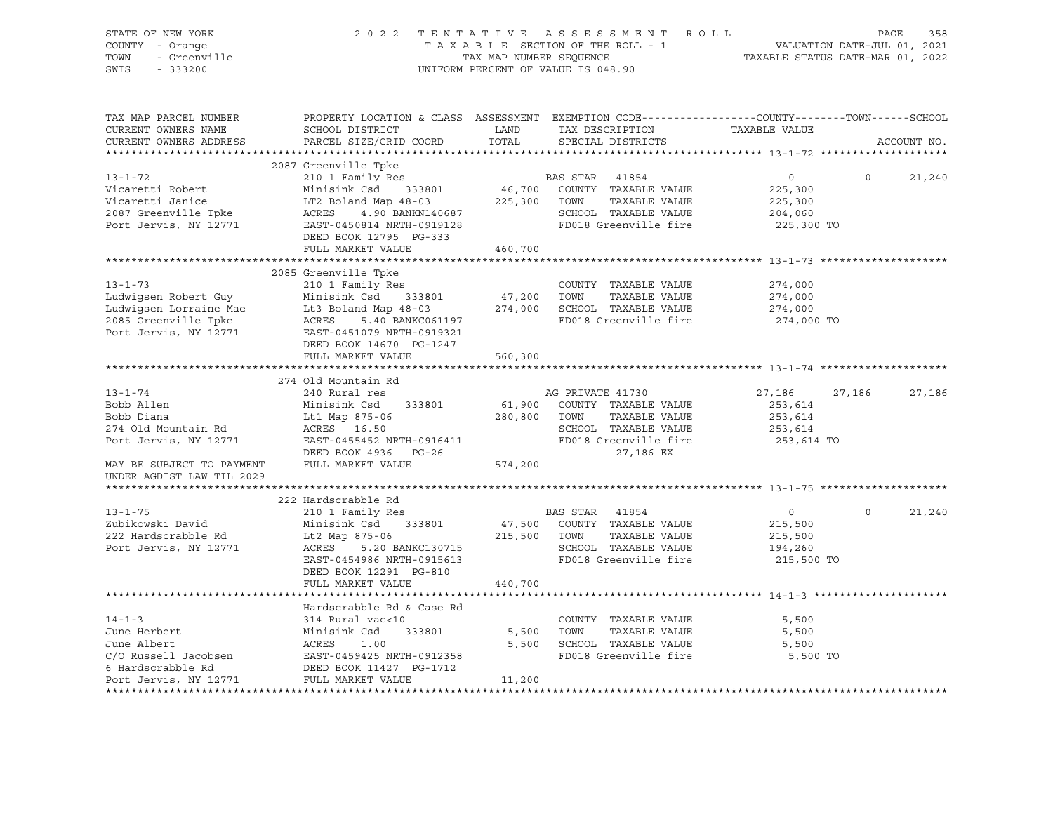|                                                                                                                                            |                                                                                                                                                                                                                                                                                                                              |                                                                   |                                                                                                             |                                                                                                                                                                                                                                                                                                                                                                                                                                                                                                                                                                                                                                                                                                                                                                         | PAGE                                                                                               | 358                                                                                                                                                                                                                                                                    |
|--------------------------------------------------------------------------------------------------------------------------------------------|------------------------------------------------------------------------------------------------------------------------------------------------------------------------------------------------------------------------------------------------------------------------------------------------------------------------------|-------------------------------------------------------------------|-------------------------------------------------------------------------------------------------------------|-------------------------------------------------------------------------------------------------------------------------------------------------------------------------------------------------------------------------------------------------------------------------------------------------------------------------------------------------------------------------------------------------------------------------------------------------------------------------------------------------------------------------------------------------------------------------------------------------------------------------------------------------------------------------------------------------------------------------------------------------------------------------|----------------------------------------------------------------------------------------------------|------------------------------------------------------------------------------------------------------------------------------------------------------------------------------------------------------------------------------------------------------------------------|
| SCHOOL DISTRICT<br>PARCEL SIZE/GRID COORD                                                                                                  | LAND<br>TOTAL                                                                                                                                                                                                                                                                                                                |                                                                   |                                                                                                             | TAXABLE VALUE                                                                                                                                                                                                                                                                                                                                                                                                                                                                                                                                                                                                                                                                                                                                                           |                                                                                                    | ACCOUNT NO.                                                                                                                                                                                                                                                            |
|                                                                                                                                            |                                                                                                                                                                                                                                                                                                                              |                                                                   |                                                                                                             |                                                                                                                                                                                                                                                                                                                                                                                                                                                                                                                                                                                                                                                                                                                                                                         |                                                                                                    |                                                                                                                                                                                                                                                                        |
|                                                                                                                                            |                                                                                                                                                                                                                                                                                                                              |                                                                   |                                                                                                             |                                                                                                                                                                                                                                                                                                                                                                                                                                                                                                                                                                                                                                                                                                                                                                         |                                                                                                    |                                                                                                                                                                                                                                                                        |
| Minisink Csd 333801                                                                                                                        |                                                                                                                                                                                                                                                                                                                              |                                                                   | TAXABLE VALUE                                                                                               | 225,300<br>225,300<br>204,060                                                                                                                                                                                                                                                                                                                                                                                                                                                                                                                                                                                                                                                                                                                                           |                                                                                                    | 21,240                                                                                                                                                                                                                                                                 |
|                                                                                                                                            |                                                                                                                                                                                                                                                                                                                              |                                                                   |                                                                                                             |                                                                                                                                                                                                                                                                                                                                                                                                                                                                                                                                                                                                                                                                                                                                                                         |                                                                                                    |                                                                                                                                                                                                                                                                        |
|                                                                                                                                            |                                                                                                                                                                                                                                                                                                                              |                                                                   |                                                                                                             |                                                                                                                                                                                                                                                                                                                                                                                                                                                                                                                                                                                                                                                                                                                                                                         |                                                                                                    |                                                                                                                                                                                                                                                                        |
| 210 1 Family Res<br>DEED BOOK 14670 PG-1247<br>FULL MARKET VALUE                                                                           | 560,300                                                                                                                                                                                                                                                                                                                      |                                                                   |                                                                                                             | 274,000<br>274,000<br>274,000                                                                                                                                                                                                                                                                                                                                                                                                                                                                                                                                                                                                                                                                                                                                           |                                                                                                    |                                                                                                                                                                                                                                                                        |
| 240 Rural res<br>Minisink Csd 333801<br>Lt1 Map 875-06<br>ACRES 16.50<br>DEED BOOK 4936 PG-26<br>FULL MARKET VALUE                         | 574,200                                                                                                                                                                                                                                                                                                                      |                                                                   | TAXABLE VALUE<br>27,186 EX                                                                                  | 253,614<br>253,614<br>253,614                                                                                                                                                                                                                                                                                                                                                                                                                                                                                                                                                                                                                                                                                                                                           |                                                                                                    | 27,186                                                                                                                                                                                                                                                                 |
|                                                                                                                                            |                                                                                                                                                                                                                                                                                                                              |                                                                   |                                                                                                             |                                                                                                                                                                                                                                                                                                                                                                                                                                                                                                                                                                                                                                                                                                                                                                         |                                                                                                    |                                                                                                                                                                                                                                                                        |
| 210 1 Family Res<br>Minisink Csd 333801<br>Lt2 Map 875-06<br>ACRES 5.20 BANKC130715<br>EAST-0454986 NRTH-0915613<br>DEED BOOK 12291 PG-810 |                                                                                                                                                                                                                                                                                                                              |                                                                   | TAXABLE VALUE                                                                                               | $\overline{0}$<br>215,500<br>215,500<br>194,260                                                                                                                                                                                                                                                                                                                                                                                                                                                                                                                                                                                                                                                                                                                         | $\circ$                                                                                            | 21,240                                                                                                                                                                                                                                                                 |
| FULL MARKET VALUE                                                                                                                          | 440,700                                                                                                                                                                                                                                                                                                                      |                                                                   |                                                                                                             |                                                                                                                                                                                                                                                                                                                                                                                                                                                                                                                                                                                                                                                                                                                                                                         |                                                                                                    |                                                                                                                                                                                                                                                                        |
| Hardscrabble Rd & Case Rd<br>314 Rural vac<10<br>FULL MARKET VALUE                                                                         | 11,200                                                                                                                                                                                                                                                                                                                       |                                                                   | TAXABLE VALUE                                                                                               | 5,500<br>5,500<br>5,500                                                                                                                                                                                                                                                                                                                                                                                                                                                                                                                                                                                                                                                                                                                                                 |                                                                                                    |                                                                                                                                                                                                                                                                        |
|                                                                                                                                            | 2087 Greenville Tpke<br>210 1 Family Res<br>DEED BOOK 12795 PG-333<br>FULL MARKET VALUE<br>2085 Greenville Tpke<br>274 Old Mountain Rd<br>222 Hardscrabble Rd<br>June Herbert Minisink Csd 333801<br>June Albert ACRES 1.00<br>C/ Russell Jacobsen BAST-0459425 NRTH-0912358<br>C/ Unidensible B4<br>DEED BOOK 11427 PG-1712 | EAST-0450814 NRTH-0919128<br>460,700<br>EAST-0455452 NRTH-0916411 | LT2 Boland Map 48-03<br>LT2 Boland Map 48-03<br>ACRES 4.90 BANKN140687 SCHOOL<br>280,800 TOWN<br>5,500 TOWN | TAXABLE SECTION OF THE ROLL - 1<br>TAX MAP NUMBER SEQUENCE<br>UNIFORM PERCENT OF VALUE IS 048.90<br>SPECIAL DISTRICTS<br>BAS STAR 41854<br>SCHOOL TAXABLE VALUE<br>FD018 Greenville fire<br>COUNTY TAXABLE VALUE<br>Eudwigsen Robert Guy<br>Ludwigsen Lorraine Mae<br>2008 School TAXABLE VALUE<br>2008 School TAXABLE VALUE<br>2008 School TAXABLE VALUE<br>2009 SCHOOL TAXABLE VALUE<br>2009 SCHOOL TAXABLE VALUE<br>2009 SCHOOL TAXABLE VALUE<br>2009 SCHOOL TA<br>AG PRIVATE 41730<br>61,900 COUNTY TAXABLE VALUE<br>SCHOOL TAXABLE VALUE<br>FD018 Greenville fire<br>BAS STAR 41854<br>47,500 COUNTY TAXABLE VALUE<br>215,500 TOWN<br>SCHOOL TAXABLE VALUE<br>FD018 Greenville fire<br>COUNTY TAXABLE VALUE<br>5,500 SCHOOL TAXABLE VALUE<br>FD018 Greenville fire | 2022 TENTATIVE ASSESSMENT ROLL<br>TAX DESCRIPTION<br>$\overline{0}$<br>46,700 COUNTY TAXABLE VALUE | VALUATION DATE-JUL 01, 2021<br>TAXABLE STATUS DATE-MAR 01, 2022<br>PROPERTY LOCATION & CLASS ASSESSMENT EXEMPTION CODE----------------COUNTY-------TOWN------SCHOOL<br>$\circ$<br>225,300 TO<br>274,000 TO<br>27,186<br>27,186<br>253,614 TO<br>215,500 TO<br>5,500 TO |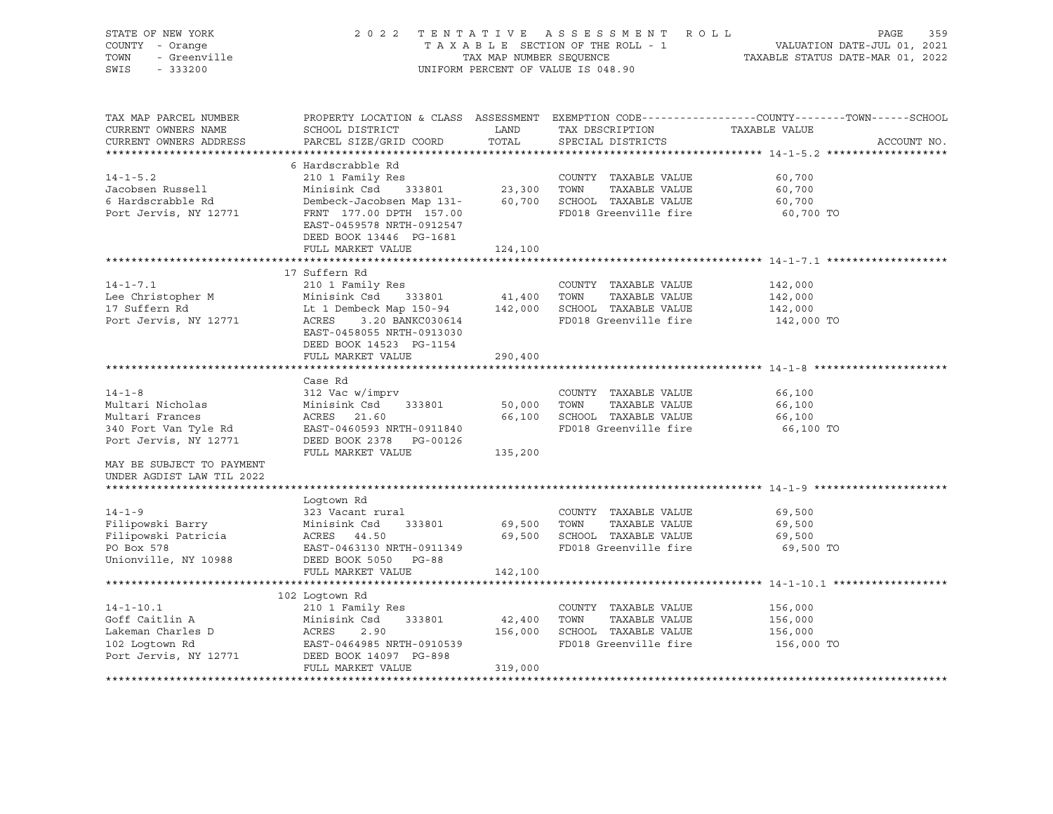| STATE OF NEW YORK<br>COUNTY - Orange<br>TOWN<br>- Greenville<br>SWIS<br>$-333200$                 |                                                                                                                                                                                                                                             | TAX MAP NUMBER SEQUENCE | 2022 TENTATIVE ASSESSMENT ROLL<br>TAXABLE SECTION OF THE ROLL - 1<br>UNIFORM PERCENT OF VALUE IS 048.90      | PAGE<br>359<br>VALUATION DATE-JUL 01, 2021<br>TAXABLE STATUS DATE-MAR 01, 2022                                                   |
|---------------------------------------------------------------------------------------------------|---------------------------------------------------------------------------------------------------------------------------------------------------------------------------------------------------------------------------------------------|-------------------------|--------------------------------------------------------------------------------------------------------------|----------------------------------------------------------------------------------------------------------------------------------|
| TAX MAP PARCEL NUMBER<br>CURRENT OWNERS NAME<br>CURRENT OWNERS ADDRESS                            | SCHOOL DISTRICT<br>PARCEL SIZE/GRID COORD                                                                                                                                                                                                   | LAND<br>TOTAL           | TAX DESCRIPTION<br>SPECIAL DISTRICTS                                                                         | PROPERTY LOCATION & CLASS ASSESSMENT EXEMPTION CODE----------------COUNTY-------TOWN------SCHOOL<br>TAXABLE VALUE<br>ACCOUNT NO. |
| $14 - 1 - 5.2$<br>Jacobsen Russell<br>6 Hardscrabble Rd<br>Port Jervis, NY 12771                  | 6 Hardscrabble Rd<br>210 1 Family Res<br>333801 23,300 TOWN<br>Minisink Csd<br>Dembeck-Jacobsen Map 131-<br>FRNT 177.00 DPTH 157.00<br>FRNT 177.00 DPTH 157.00<br>EAST-0459578 NRTH-0912547<br>DEED BOOK 13446 PG-1681<br>FULL MARKET VALUE | 124,100                 | COUNTY TAXABLE VALUE<br>TAXABLE VALUE<br>60,700 SCHOOL TAXABLE VALUE<br>FD018 Greenville fire                | 60,700<br>60,700<br>60,700<br>60,700 TO                                                                                          |
|                                                                                                   |                                                                                                                                                                                                                                             |                         |                                                                                                              |                                                                                                                                  |
| $14 - 1 - 7.1$<br>Lee Christopher M<br>17 Suffern Rd<br>Port Jervis, NY 12771                     | 17 Suffern Rd<br>210 1 Family Res<br>Minisink Csd 333801<br>Lt 1 Dembeck Map 150-94 142,000 SCHOOL TAXABLE VALUE<br>ACRES 3.20 BANKC030614 FD018 Greenville fire<br>EAST-0458055 NRTH-0913030<br>DEED BOOK 14523 PG-1154                    | 41,400 TOWN             | COUNTY TAXABLE VALUE<br>TAXABLE VALUE                                                                        | 142,000<br>142,000<br>142,000<br>142,000 TO                                                                                      |
|                                                                                                   | FULL MARKET VALUE                                                                                                                                                                                                                           | 290,400                 |                                                                                                              |                                                                                                                                  |
| $14 - 1 - 8$<br>Multari Nicholas<br>Multari Frances<br>340 Fort Van Tyle Rd                       | Case Rd<br>312 Vac w/imprv<br>Minisink Csd 333801<br>ACRES 21.60<br>EAST-0460593 NRTH-0911840                                                                                                                                               |                         | COUNTY TAXABLE VALUE<br>50,000 TOWN<br>TAXABLE VALUE<br>66,100 SCHOOL TAXABLE VALUE<br>FD018 Greenville fire | 66,100<br>66,100<br>66,100<br>66,100 TO                                                                                          |
| Port Jervis, NY 12771<br>MAY BE SUBJECT TO PAYMENT<br>UNDER AGDIST LAW TIL 2022                   | DEED BOOK 2378 PG-00126<br>FULL MARKET VALUE                                                                                                                                                                                                | 135,200                 |                                                                                                              |                                                                                                                                  |
|                                                                                                   |                                                                                                                                                                                                                                             |                         |                                                                                                              |                                                                                                                                  |
| $14 - 1 - 9$<br>Filipowski Barry<br>Filipowski Patricia<br>PO Box 578<br>Unionville, NY 10988     | Logtown Rd<br>323 Vacant rural<br>Minisink Csd 333801<br>ACRES 44.50<br>EAST-0463130 NRTH-0911349<br>DEED BOOK 5050 PG-88                                                                                                                   | 69,500 TOWN             | COUNTY TAXABLE VALUE<br>TAXABLE VALUE<br>69,500 SCHOOL TAXABLE VALUE<br>FD018 Greenville fire                | 69,500<br>69,500<br>69,500<br>69,500 TO                                                                                          |
|                                                                                                   | FULL MARKET VALUE                                                                                                                                                                                                                           | 142,100                 |                                                                                                              |                                                                                                                                  |
|                                                                                                   |                                                                                                                                                                                                                                             |                         |                                                                                                              |                                                                                                                                  |
|                                                                                                   | 102 Loqtown Rd                                                                                                                                                                                                                              |                         |                                                                                                              |                                                                                                                                  |
| $14 - 1 - 10.1$<br>Goff Caitlin A<br>Lakeman Charles D<br>102 Logtown Rd<br>Port Jervis, NY 12771 | 210 1 Family Res<br>Minisink Csd 333801<br>ACRES<br>2.90<br>EAST-0464985 NRTH-0910539<br>DEED BOOK 14097 PG-898                                                                                                                             | 42,400 TOWN             | COUNTY TAXABLE VALUE<br>TAXABLE VALUE<br>156,000 SCHOOL TAXABLE VALUE<br>FD018 Greenville fire               | 156,000<br>156,000<br>156,000<br>156,000 TO                                                                                      |
|                                                                                                   | FULL MARKET VALUE                                                                                                                                                                                                                           | 319,000                 |                                                                                                              |                                                                                                                                  |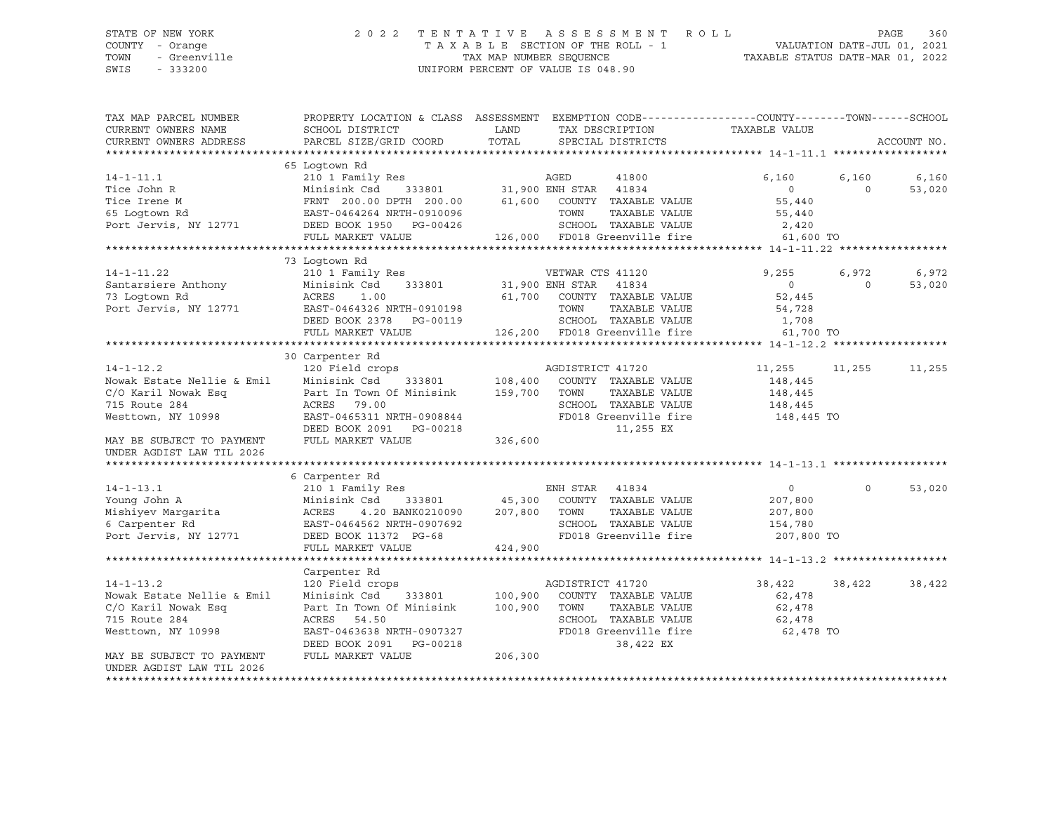## STATE OF NEW YORK 2 0 2 2 T E N T A T I V E A S S E S S M E N T R O L L PAGE 360 COUNTY - Orange T A X A B L E SECTION OF THE ROLL - 1 TOWN - Greenville TAX ON TAX MAP NUMBER SEQUENCE TAXABLE STATUS DATE-MAR 01, 2022<br>TAXABLE STATUS DATE-MAR 01, 2022 UNIFORM PERCENT OF VALUE IS 048.90

TAX MAP PARCEL NUMBER PROPERTY LOCATION & CLASS ASSESSMENT EXEMPTION CODE------------------COUNTY--------TOWN------SCHOOL CURRENT OWNERS NAME SCHOOL DISTRICT LAND TAX DESCRIPTION TAXABLE VALUE CURRENT OWNERS ADDRESS PARCEL SIZE/GRID COORD TOTAL SPECIAL DISTRICTS ACCOUNT NO. \*\*\*\*\*\*\*\*\*\*\*\*\*\*\*\*\*\*\*\*\*\*\*\*\*\*\*\*\*\*\*\*\*\*\*\*\*\*\*\*\*\*\*\*\*\*\*\*\*\*\*\*\*\*\*\*\*\*\*\*\*\*\*\*\*\*\*\*\*\*\*\*\*\*\*\*\*\*\*\*\*\*\*\*\*\*\*\*\*\*\*\*\*\*\*\*\*\*\*\*\*\*\* 14-1-11.1 \*\*\*\*\*\*\*\*\*\*\*\*\*\*\*\*\*\* 65 Logtown Rd 14-1-11.1 210 1 Family Res AGED 41800 6,160 6,160 6,160 Tice John R Minisink Csd 333801 31,900 ENH STAR 41834 0 0 53,020 Tice Irene M FRNT 200.00 DPTH 200.00 61,600 COUNTY TAXABLE VALUE 55,440 A CONTROLLER CONSERVED OF THE CONSERVATION CONTRAGED WAS CONSERVED ON SUBSTANDING SUPPORT OF STRAINING STRAINING STRAINING STRAINING STRAINING STRAINING STRAINING STRAINING STRAINING STRAINING STRAINING STRAINING STRAINING Port Jervis, NY 12771 DEED BOOK 1950 PG-00426 SCHOOL TAXABLE VALUE 2,420 FULL MARKET VALUE 126,000 FD018 Greenville fire 61,600 TO \*\*\*\*\*\*\*\*\*\*\*\*\*\*\*\*\*\*\*\*\*\*\*\*\*\*\*\*\*\*\*\*\*\*\*\*\*\*\*\*\*\*\*\*\*\*\*\*\*\*\*\*\*\*\*\*\*\*\*\*\*\*\*\*\*\*\*\*\*\*\*\*\*\*\*\*\*\*\*\*\*\*\*\*\*\*\*\*\*\*\*\*\*\*\*\*\*\*\*\*\*\*\* 14-1-11.22 \*\*\*\*\*\*\*\*\*\*\*\*\*\*\*\*\* 73 Logtown Rd 14-1-11.22 210 1 Family Res VETWAR CTS 41120 9,255 6,972 6,972 Santarsiere Anthony Minisink Csd 333801 31,900 ENH STAR 41834 0 0 53,020 73 Logtown Rd ACRES 1.00 61,700 COUNTY TAXABLE VALUE 52,445 الله بين المسابق المسابق المسابق المسابق المسابق المسابق المسابق المسابق المسابق المسابق المسابق المسابق المسا<br>Port Jervis, NY 12771 1885 EAST-0464326 NRTH-0910198 1.708 1.708 1.708 1.708 1.708 DEED BOOK 2378 PG-00119 SCHOOL TAXABLE VALUE FULL MARKET VALUE 126,200 FD018 Greenville fire 61,700 TO \*\*\*\*\*\*\*\*\*\*\*\*\*\*\*\*\*\*\*\*\*\*\*\*\*\*\*\*\*\*\*\*\*\*\*\*\*\*\*\*\*\*\*\*\*\*\*\*\*\*\*\*\*\*\*\*\*\*\*\*\*\*\*\*\*\*\*\*\*\*\*\*\*\*\*\*\*\*\*\*\*\*\*\*\*\*\*\*\*\*\*\*\*\*\*\*\*\*\*\*\*\*\* 14-1-12.2 \*\*\*\*\*\*\*\*\*\*\*\*\*\*\*\*\*\* 30 Carpenter Rd 14-1-12.2 120 Field crops AGDISTRICT 41720 11,255 11,255 11,255 Nowak Estate Nellie & Emil Minisink Csd 333801 108,400 COUNTY TAXABLE VALUE 148,445 C/O Karil Nowak Esq Part In Town Of Minisink 159,700 TOWN TAXABLE VALUE 148,445 715 Route 284 ACRES 79.00 SCHOOL TAXABLE VALUE 148,445 EAST-0465311 NRTH-0908844 FD018 Greenville fire 148,445 TO DEED BOOK 2091 PG-00218 11,255 EX MAY BE SUBJECT TO PAYMENT FULL MARKET VALUE 326,600 UNDER AGDIST LAW TIL 2026 \*\*\*\*\*\*\*\*\*\*\*\*\*\*\*\*\*\*\*\*\*\*\*\*\*\*\*\*\*\*\*\*\*\*\*\*\*\*\*\*\*\*\*\*\*\*\*\*\*\*\*\*\*\*\*\*\*\*\*\*\*\*\*\*\*\*\*\*\*\*\*\*\*\*\*\*\*\*\*\*\*\*\*\*\*\*\*\*\*\*\*\*\*\*\*\*\*\*\*\*\*\*\* 14-1-13.1 \*\*\*\*\*\*\*\*\*\*\*\*\*\*\*\*\*\* 6 Carpenter Rd 14-1-13.1 210 1 Family Res ENH STAR 41834 0 0 53,020 Young John A Minisink Csd 333801 45,300 COUNTY TAXABLE VALUE 207,800 Mishiyev Margarita ACRES 4.20 BANK0210090 207,800 TOWN TAXABLE VALUE 207,800 6 Carpenter Rd EAST-0464562 NRTH-0907692 SCHOOL TAXABLE VALUE 154,780 Port Jervis, NY 12771 DEED BOOK 11372 PG-68 FD018 Greenville fire 207,800 TO FULL MARKET VALUE 424,900 \*\*\*\*\*\*\*\*\*\*\*\*\*\*\*\*\*\*\*\*\*\*\*\*\*\*\*\*\*\*\*\*\*\*\*\*\*\*\*\*\*\*\*\*\*\*\*\*\*\*\*\*\*\*\*\*\*\*\*\*\*\*\*\*\*\*\*\*\*\*\*\*\*\*\*\*\*\*\*\*\*\*\*\*\*\*\*\*\*\*\*\*\*\*\*\*\*\*\*\*\*\*\* 14-1-13.2 \*\*\*\*\*\*\*\*\*\*\*\*\*\*\*\*\*\* Carpenter Rd 14-1-13.2 120 Field crops AGDISTRICT 41720 38,422 38,422 38,422 Nowak Estate Nellie & Emil Minisink Csd 333801 100,900 COUNTY TAXABLE VALUE 62,478 C/O Karil Nowak Esq **Part In Town Of Minisink** 100,900 TOWN TAXABLE VALUE 62,478 715 Route 284 ACRES 54.50 SCHOOL TAXABLE VALUE 62,478 Westtown, NY 10998 EAST-0463638 NRTH-0907327 FD018 Greenville fire 62,478 TO DEED BOOK 2091 PG-00218 38,422 EX MAY BE SUBJECT TO PAYMENT FULL MARKET VALUE 206,300 UNDER AGDIST LAW TIL 2026 \*\*\*\*\*\*\*\*\*\*\*\*\*\*\*\*\*\*\*\*\*\*\*\*\*\*\*\*\*\*\*\*\*\*\*\*\*\*\*\*\*\*\*\*\*\*\*\*\*\*\*\*\*\*\*\*\*\*\*\*\*\*\*\*\*\*\*\*\*\*\*\*\*\*\*\*\*\*\*\*\*\*\*\*\*\*\*\*\*\*\*\*\*\*\*\*\*\*\*\*\*\*\*\*\*\*\*\*\*\*\*\*\*\*\*\*\*\*\*\*\*\*\*\*\*\*\*\*\*\*\*\*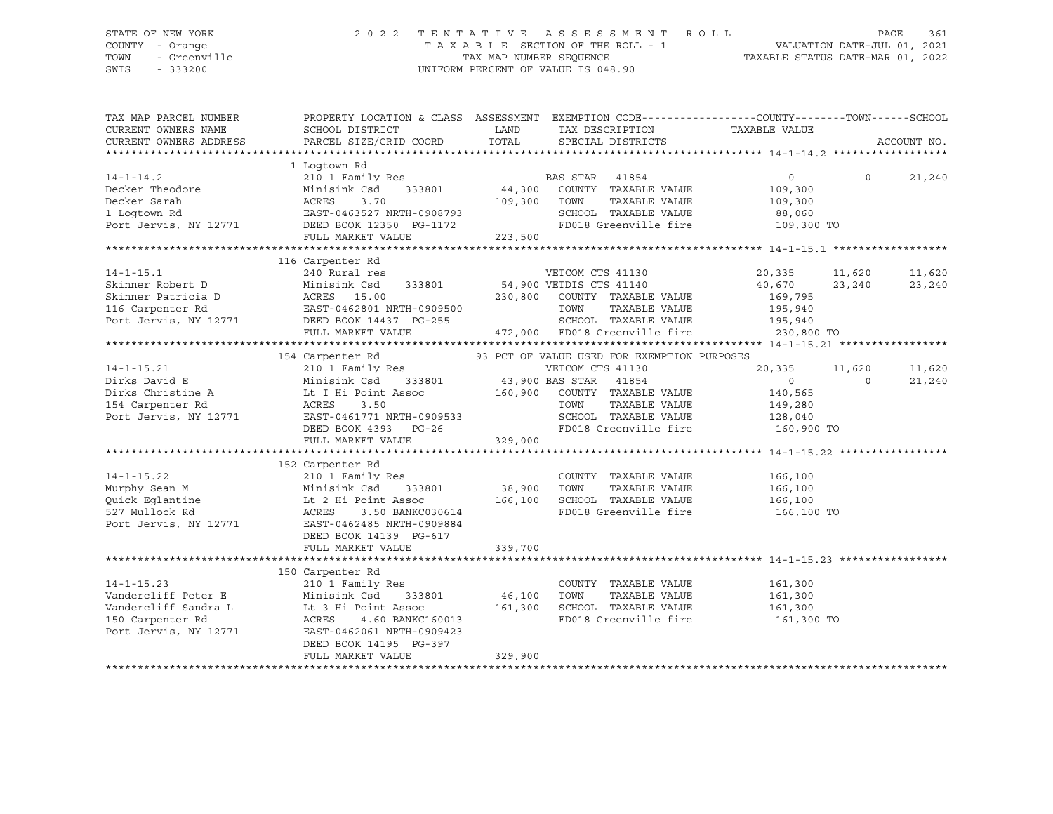## STATE OF NEW YORK 2 0 2 2 T E N T A T I V E A S S E S S M E N T R O L L PAGE 361 COUNTY - Orange T A X A B L E SECTION OF THE ROLL - 1 VALUATION DATE-JUL 01, 2021 TOWN - Greenville TAX MAP NUMBER SEQUENCE TAXABLE STATUS DATE-MAR 01, 2022 SWIS - 333200 UNIFORM PERCENT OF VALUE IS 048.90

| TAX MAP PARCEL NUMBER                                                      | PROPERTY LOCATION & CLASS ASSESSMENT EXEMPTION CODE----------------COUNTY-------TOWN------SCHOOL |               |                                                                 |                |          |             |
|----------------------------------------------------------------------------|--------------------------------------------------------------------------------------------------|---------------|-----------------------------------------------------------------|----------------|----------|-------------|
| CURRENT OWNERS NAME                                                        | SCHOOL DISTRICT                                                                                  | LAND          | TAX DESCRIPTION                                                 | TAXABLE VALUE  |          |             |
| CURRENT OWNERS ADDRESS                                                     | PARCEL SIZE/GRID COORD                                                                           | TOTAL         | SPECIAL DISTRICTS                                               |                |          | ACCOUNT NO. |
|                                                                            |                                                                                                  |               |                                                                 |                |          |             |
|                                                                            | 1 Logtown Rd                                                                                     |               |                                                                 |                |          |             |
| $14 - 1 - 14.2$                                                            | 210 1 Family Res<br>Minisink Csd 333801 44,300 COUNTY TAXABLE VALUE                              |               |                                                                 | $\overline{0}$ | $\Omega$ | 21,240      |
| Decker Theodore                                                            | Minisink Csd                                                                                     |               |                                                                 | 109,300        |          |             |
| Decker Sarah                                                               |                                                                                                  | 109,300 TOWN  | TAXABLE VALUE                                                   | 109,300        |          |             |
| 1 Loqtown Rd                                                               |                                                                                                  |               | SCHOOL TAXABLE VALUE                                            | 88,060         |          |             |
|                                                                            | ACRES 3.70<br>EAST-0463527 NRTH-0908793<br>EAST-0463527 NRTH-0908793                             |               | FD018 Greenville fire 109,300 TO                                |                |          |             |
| Port Jervis, NY 12771 DEED BOOK 12350 PG-1172<br>FULL MARKET VALUE 223,500 |                                                                                                  |               |                                                                 |                |          |             |
|                                                                            |                                                                                                  |               |                                                                 |                |          |             |
|                                                                            | 116 Carpenter Rd                                                                                 |               |                                                                 |                |          |             |
| $14 - 1 - 15.1$                                                            | 240 Rural res                                                                                    |               | VETCOM CTS 41130                                                | 20,335         | 11,620   | 11,620      |
| Skinner Robert D                                                           |                                                                                                  |               | 333801 54,900 VETDIS CTS 41140                                  | 40,670 23,240  |          | 23,240      |
| Skinner Patricia D                                                         | Minisink Csd 333801 54<br>D ACRES 15.00 230<br>EAST-0462801 NRTH-0909500                         |               | 230,800 COUNTY TAXABLE VALUE                                    | 169,795        |          |             |
| 116 Carpenter Rd                                                           |                                                                                                  |               | TOWN<br>TAXABLE VALUE                                           | 195,940        |          |             |
| Port Jervis, NY 12771                                                      | DEED BOOK 14437 PG-255                                                                           |               |                                                                 | 195,940        |          |             |
|                                                                            | FULL MARKET VALUE                                                                                |               | TOWN<br>SCHOOL TAXABLE VALUE<br>$472,000$ FD018 Greenville fire | 230,800 TO     |          |             |
|                                                                            |                                                                                                  |               |                                                                 |                |          |             |
|                                                                            | 154 Carpenter Rd                                                                                 |               | 93 PCT OF VALUE USED FOR EXEMPTION PURPOSES                     |                |          |             |
| $14 - 1 - 15.21$                                                           | 210 1 Family Res                                                                                 |               | VETCOM CTS 41130                                                | 20,335         | 11,620   | 11,620      |
|                                                                            | Minisink Csd 333801 43,900 BAS STAR 41854                                                        |               |                                                                 | $\overline{0}$ | $\Omega$ | 21,240      |
| Dirks David E<br>Dirks Christine A                                         | Le I Hi Point Assoc 160,900 COUNTY TAXABLE VALUE                                                 |               |                                                                 | 140,565        |          |             |
|                                                                            | ACRES<br>3.50                                                                                    |               | TOWN<br>TAXABLE VALUE                                           | 149,280        |          |             |
| 154 Carpenter Rd<br>Port Jervis, NY 12771                                  | EAST-0461771 NRTH-0909533                                                                        |               | SCHOOL TAXABLE VALUE                                            | 128,040        |          |             |
|                                                                            | DEED BOOK 4393<br>$PG-26$                                                                        |               | FD018 Greenville fire                                           | 160,900 TO     |          |             |
|                                                                            | FULL MARKET VALUE                                                                                | 329,000       |                                                                 |                |          |             |
|                                                                            |                                                                                                  |               |                                                                 |                |          |             |
|                                                                            | 152 Carpenter Rd                                                                                 |               |                                                                 |                |          |             |
| $14 - 1 - 15.22$                                                           | 210 <sup>1</sup> Family Res                                                                      |               | COUNTY TAXABLE VALUE 166,100                                    |                |          |             |
| Murphy Sean M                                                              | Minisink Csd                                                                                     | 333801 38,900 | TOWN<br>TAXABLE VALUE                                           | 166,100        |          |             |
| Quick Eqlantine                                                            | Lt 2 Hi Point Assoc                 166,100   SCHOOL   TAXABLE VALUE                             |               |                                                                 | 166,100        |          |             |
| 527 Mullock Rd                                                             | ACRES<br>3.50 BANKC030614                                                                        |               | FD018 Greenville fire                                           | 166,100 TO     |          |             |
| Port Jervis, NY 12771                                                      | EAST-0462485 NRTH-0909884                                                                        |               |                                                                 |                |          |             |
|                                                                            | DEED BOOK 14139 PG-617                                                                           |               |                                                                 |                |          |             |
|                                                                            | FULL MARKET VALUE                                                                                | 339,700       |                                                                 |                |          |             |
|                                                                            |                                                                                                  |               |                                                                 |                |          |             |
|                                                                            | 150 Carpenter Rd                                                                                 |               |                                                                 |                |          |             |
| $14 - 1 - 15.23$                                                           | 210 1 Family Res                                                                                 |               | COUNTY TAXABLE VALUE                                            | 161,300        |          |             |
| Vandercliff Peter E                                                        | 333801<br>Minisink Csd                                                                           | 46,100        | TOWN<br>TAXABLE VALUE                                           | 161,300        |          |             |
| Vandercliff Sandra L                                                       | Lt 3 Hi Point Assoc                                                                              | 161,300       | SCHOOL TAXABLE VALUE 161,300                                    |                |          |             |
| 150 Carpenter Rd                                                           | ACRES<br>4.60 BANKC160013                                                                        |               | FD018 Greenville fire                                           | 161,300 TO     |          |             |
| Port Jervis, NY 12771                                                      | EAST-0462061 NRTH-0909423                                                                        |               |                                                                 |                |          |             |
|                                                                            | DEED BOOK 14195 PG-397                                                                           |               |                                                                 |                |          |             |
|                                                                            | FULL MARKET VALUE                                                                                | 329,900       |                                                                 |                |          |             |
|                                                                            |                                                                                                  |               |                                                                 |                |          |             |
|                                                                            |                                                                                                  |               |                                                                 |                |          |             |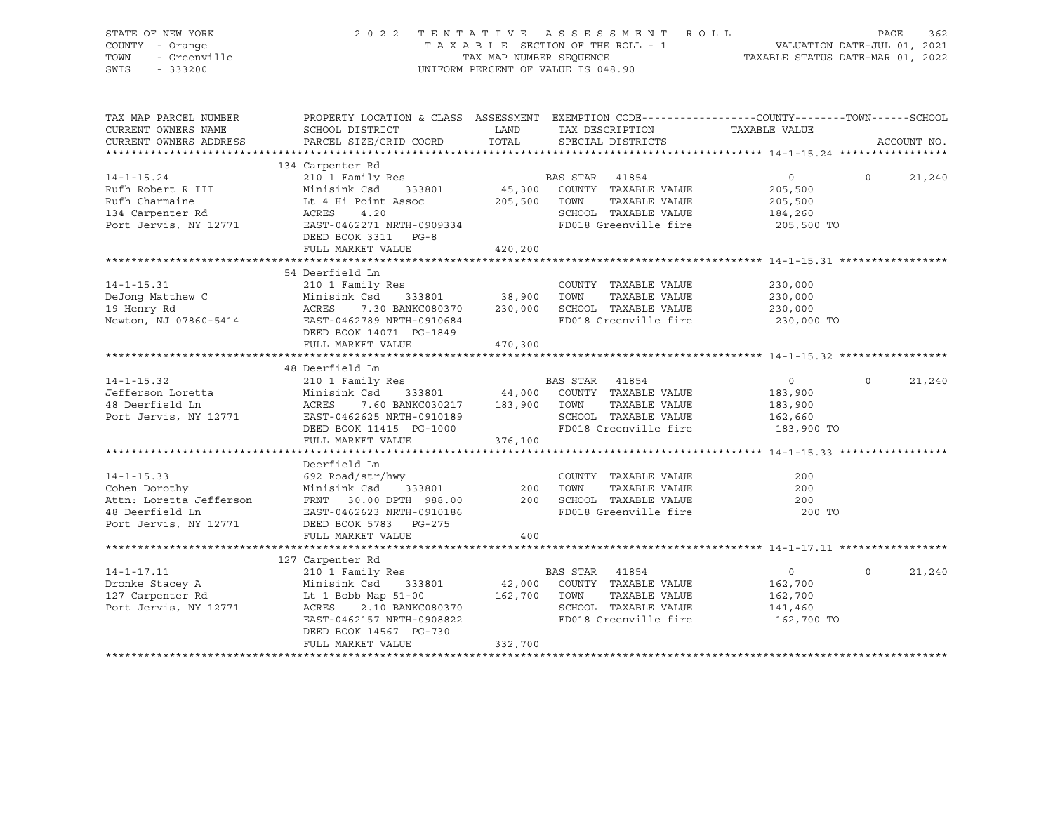| STATE OF NEW YORK<br>COUNTY - Orange<br>TOWN<br>- Greenville<br>SWIS<br>$-333200$                        | 2022                                                                                                                                                                                         |                              | TENTATIVE ASSESSMENT ROLL<br>T A X A B L E SECTION OF THE ROLL - 1<br>T A X A B L E SECTION OF THE ROLL - 1<br>TAXABLE STATUS DATE-MAR 01, 2022<br>UNIFORM PERCENT OF VALUE IS 048.90 |                                                                  | PAGE     | 362         |
|----------------------------------------------------------------------------------------------------------|----------------------------------------------------------------------------------------------------------------------------------------------------------------------------------------------|------------------------------|---------------------------------------------------------------------------------------------------------------------------------------------------------------------------------------|------------------------------------------------------------------|----------|-------------|
| TAX MAP PARCEL NUMBER<br>CURRENT OWNERS NAME<br>CURRENT OWNERS ADDRESS<br>**********************         | PROPERTY LOCATION & CLASS ASSESSMENT EXEMPTION CODE---------------COUNTY-------TOWN------SCHOOL<br>SCHOOL DISTRICT<br>PARCEL SIZE/GRID COORD<br>*****************************                | LAND<br>TOTAL                | TAX DESCRIPTION<br>SPECIAL DISTRICTS                                                                                                                                                  | TAXABLE VALUE                                                    |          | ACCOUNT NO. |
|                                                                                                          | 134 Carpenter Rd                                                                                                                                                                             |                              |                                                                                                                                                                                       |                                                                  |          |             |
| $14 - 1 - 15.24$<br>Rufh Robert R III<br>Rufh Charmaine<br>134 Carpenter Rd<br>Port Jervis, NY 12771     | 210 1 Family Res<br>Minisink Csd<br>333801<br>Lt 4 Hi Point Assoc<br>ACRES<br>4.20<br>EAST-0462271 NRTH-0909334<br>DEED BOOK 3311 PG-8                                                       | 45,300<br>205,500            | BAS STAR 41854<br>COUNTY TAXABLE VALUE<br>TAXABLE VALUE<br>TOWN<br>SCHOOL TAXABLE VALUE<br>FD018 Greenville fire                                                                      | $\overline{0}$<br>205,500<br>205,500<br>184,260<br>205,500 TO    | $\Omega$ | 21,240      |
|                                                                                                          | FULL MARKET VALUE                                                                                                                                                                            | 420,200                      |                                                                                                                                                                                       |                                                                  |          |             |
| $14 - 1 - 15.31$<br>DeJong Matthew C<br>19 Henry Rd<br>Newton, NJ 07860-5414                             | 54 Deerfield Ln<br>210 1 Family Res<br>Minisink Csd<br>333801<br>7.30 BANKC080370<br>ACRES<br>EAST-0462789 NRTH-0910684<br>DEED BOOK 14071 PG-1849<br>FULL MARKET VALUE                      | 38,900<br>230,000<br>470,300 | COUNTY TAXABLE VALUE<br>TOWN<br>TAXABLE VALUE<br>SCHOOL TAXABLE VALUE<br>FD018 Greenville fire                                                                                        | 230,000<br>230,000<br>230,000<br>230,000 TO                      |          |             |
|                                                                                                          |                                                                                                                                                                                              |                              |                                                                                                                                                                                       |                                                                  |          |             |
| $14 - 1 - 15.32$<br>Jefferson Loretta<br>48 Deerfield Ln<br>Port Jervis, NY 12771                        | 48 Deerfield Ln<br>210 1 Family Res<br>Minisink Csd<br>333801<br>ACRES 7.60 BANKC030217 183,900<br>EAST-0462625 NRTH-0910189<br>DEED BOOK 11415 PG-1000<br>FULL MARKET VALUE                 | 44,000<br>376,100            | BAS STAR 41854<br>COUNTY TAXABLE VALUE<br>TOWN<br>TAXABLE VALUE<br>SCHOOL TAXABLE VALUE<br>FD018 Greenville fire                                                                      | $\circ$<br>183,900<br>183,900<br>162,660<br>183,900 TO           | $\Omega$ | 21,240      |
|                                                                                                          |                                                                                                                                                                                              |                              |                                                                                                                                                                                       |                                                                  |          |             |
| $14 - 1 - 15.33$<br>Cohen Dorothy<br>Attn: Loretta Jefferson<br>48 Deerfield Ln<br>Port Jervis, NY 12771 | Deerfield Ln<br>692 Road/str/hwy<br>333801<br>Minisink Csd<br>FRNT 30.00 DPTH 988.00<br>EAST-0462623 NRTH-0910186<br>DEED BOOK 5783 PG-275<br>FULL MARKET VALUE                              | 200<br>200<br>400            | COUNTY TAXABLE VALUE<br>TAXABLE VALUE<br>TOWN<br>SCHOOL TAXABLE VALUE<br>FD018 Greenville fire                                                                                        | 200<br>200<br>200<br>200 TO                                      |          |             |
|                                                                                                          |                                                                                                                                                                                              |                              |                                                                                                                                                                                       |                                                                  |          |             |
| $14 - 1 - 17.11$<br>Dronke Stacey A<br>127 Carpenter Rd<br>Port Jervis, NY 12771                         | 127 Carpenter Rd<br>210 1 Family Res<br>Minisink Csd 333801<br>Lt $1$ Bobb Map $51-00$<br>ACRES 2.10 BANKC080370<br>EAST-0462157 NRTH-0908822<br>DEED BOOK 14567 PG-730<br>FULL MARKET VALUE | 42,000<br>162,700<br>332,700 | BAS STAR 41854<br>COUNTY TAXABLE VALUE<br>TAXABLE VALUE<br>TOWN<br>SCHOOL TAXABLE VALUE<br>FD018 Greenville fire                                                                      | $0 \qquad \qquad$<br>162,700<br>162,700<br>141,460<br>162,700 TO | $\Omega$ | 21,240      |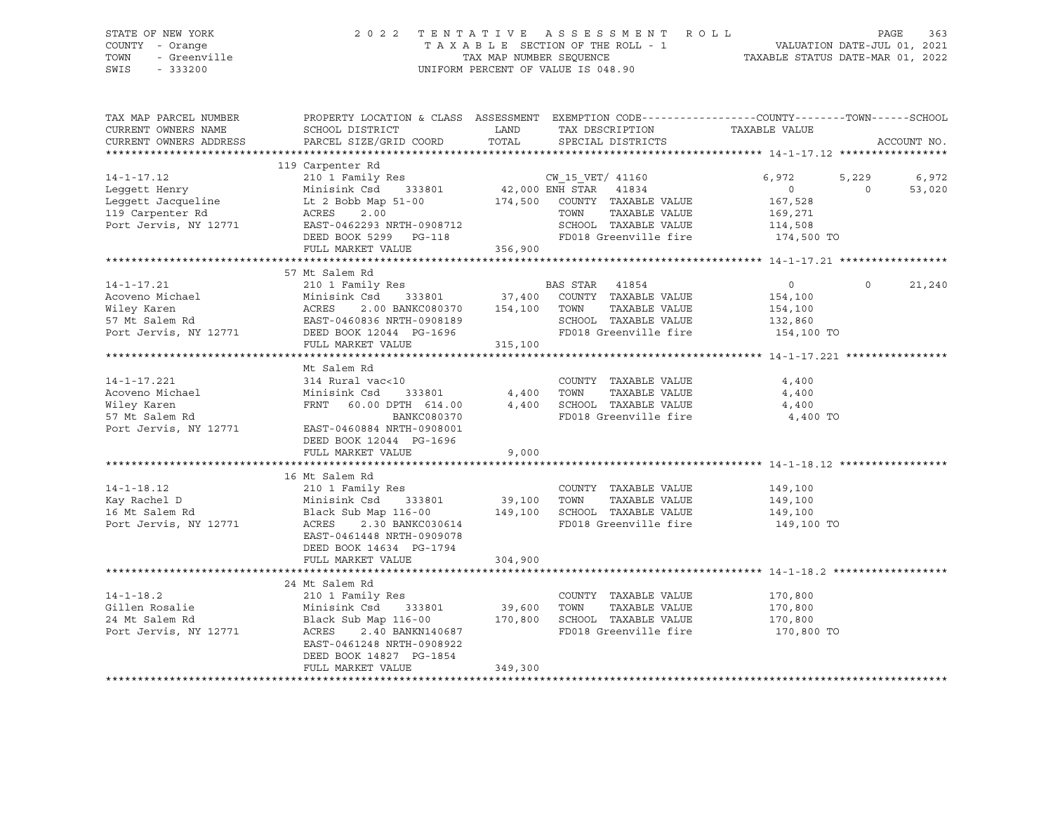SWIS - 333200 UNIFORM PERCENT OF VALUE IS 048.90

# STATE OF NEW YORK 2 0 2 2 T E N T A T I V E A S S E S S M E N T R O L L PAGE 363 COUNTY - Orange T A X A B L E SECTION OF THE ROLL - 1 VALUATION DATE-JUL 01, 2021 TOWN - Greenville TAX MAP NUMBER SEQUENCE TAXABLE STATUS DATE-MAR 01, 2022

| TAX MAP PARCEL NUMBER                                                                                                                                                                                                                                                               | PROPERTY LOCATION & CLASS ASSESSMENT EXEMPTION CODE---------------COUNTY-------TOWN------SCHOOL                 |                              |                                  |                    |                    |
|-------------------------------------------------------------------------------------------------------------------------------------------------------------------------------------------------------------------------------------------------------------------------------------|-----------------------------------------------------------------------------------------------------------------|------------------------------|----------------------------------|--------------------|--------------------|
| CURRENT OWNERS NAME                                                                                                                                                                                                                                                                 | SCHOOL DISTRICT                                                                                                 | LAND                         | TAX DESCRIPTION TAXABLE VALUE    |                    |                    |
| CURRENT OWNERS ADDRESS                                                                                                                                                                                                                                                              | PARCEL SIZE/GRID COORD                                                                                          | TOTAL                        | SPECIAL DISTRICTS                |                    | ACCOUNT NO.        |
|                                                                                                                                                                                                                                                                                     |                                                                                                                 |                              |                                  |                    |                    |
|                                                                                                                                                                                                                                                                                     |                                                                                                                 |                              |                                  |                    |                    |
|                                                                                                                                                                                                                                                                                     |                                                                                                                 |                              |                                  | 6,972              | 5,229<br>6,972     |
|                                                                                                                                                                                                                                                                                     |                                                                                                                 |                              |                                  | $\circ$            | 53,020<br>$\Omega$ |
|                                                                                                                                                                                                                                                                                     |                                                                                                                 |                              |                                  | 167,528            |                    |
|                                                                                                                                                                                                                                                                                     |                                                                                                                 |                              | TAXABLE VALUE                    | 169,271            |                    |
| 14-1-17.12 210 1 Family Res<br>Leggett Henry Minisink Csd 333801 42,000 ENH STAR 41834<br>Leggett Jacqueline Lt 2 Bobb Map 51-00 174,500 COUNTY TAXABLE VALUE<br>119 Carpenter Rd ACRES 2.00 TOUNT TAXABLE NALUE<br>Port Jervis NY 197<br>119 Carpenter Rd<br>Port Jervis, NY 12771 | ACRES 2.00<br>EAST-0462293 NRTH-0908712                                                                         |                              | SCHOOL TAXABLE VALUE 114,508     |                    |                    |
|                                                                                                                                                                                                                                                                                     | DEED BOOK 5299 PG-118                                                                                           |                              |                                  |                    |                    |
|                                                                                                                                                                                                                                                                                     | FULL MARKET VALUE                                                                                               | 356,900                      | FD018 Greenville fire 174,500 TO |                    |                    |
|                                                                                                                                                                                                                                                                                     |                                                                                                                 |                              |                                  |                    |                    |
|                                                                                                                                                                                                                                                                                     | 57 Mt Salem Rd                                                                                                  |                              |                                  |                    |                    |
| 14-1-17.21                                                                                                                                                                                                                                                                          | 210 1 Family Res<br>210 1 Family Res<br>210 1 Family Res<br>237,400 COUNTY TAXABLE VALUE                        |                              |                                  | $\overline{0}$     | $\Omega$<br>21,240 |
| Acoveno Michael                                                                                                                                                                                                                                                                     |                                                                                                                 |                              |                                  | 154,100            |                    |
| Wiley Karen                                                                                                                                                                                                                                                                         | 2.00 BANKC080370 154,100 TOWN<br>ACRES                                                                          |                              | TAXABLE VALUE                    | 154,100            |                    |
|                                                                                                                                                                                                                                                                                     |                                                                                                                 |                              | SCHOOL TAXABLE VALUE             |                    |                    |
|                                                                                                                                                                                                                                                                                     |                                                                                                                 |                              | FD018 Greenville fire 154,100 TO | 132,860            |                    |
|                                                                                                                                                                                                                                                                                     |                                                                                                                 |                              |                                  |                    |                    |
|                                                                                                                                                                                                                                                                                     | FULL MARKET VALUE                                                                                               | 315,100                      |                                  |                    |                    |
|                                                                                                                                                                                                                                                                                     | Mt Salem Rd                                                                                                     |                              |                                  |                    |                    |
| $14 - 1 - 17.221$                                                                                                                                                                                                                                                                   | 314 Rural vac<10                                                                                                |                              | COUNTY TAXABLE VALUE             |                    |                    |
| Acoveno Michael                                                                                                                                                                                                                                                                     | Minisink Csd                                                                                                    |                              | TOWN                             | 4,400<br>4,400     |                    |
|                                                                                                                                                                                                                                                                                     | $333801$ $4,400$<br>$2$ PTH $614.00$ $4,400$                                                                    | 4,400                        | TAXABLE VALUE                    |                    |                    |
| Wiley Karen                                                                                                                                                                                                                                                                         | FRNT 60.00 DPTH 614.00                                                                                          |                              | SCHOOL TAXABLE VALUE             | 4,400              |                    |
| 57 Mt Salem Rd<br>Port Jervis, NY 12771                                                                                                                                                                                                                                             | BANKC080370                                                                                                     |                              | FD018 Greenville fire 4,400 TO   |                    |                    |
|                                                                                                                                                                                                                                                                                     | EAST-0460884 NRTH-0908001                                                                                       |                              |                                  |                    |                    |
|                                                                                                                                                                                                                                                                                     | DEED BOOK 12044 PG-1696                                                                                         |                              |                                  |                    |                    |
|                                                                                                                                                                                                                                                                                     | FULL MARKET VALUE                                                                                               | 9,000                        |                                  |                    |                    |
|                                                                                                                                                                                                                                                                                     | 16 Mt Salem Rd                                                                                                  |                              |                                  |                    |                    |
| $14 - 1 - 18.12$                                                                                                                                                                                                                                                                    | 210 1 Family Res                                                                                                |                              | COUNTY TAXABLE VALUE             | 149,100            |                    |
|                                                                                                                                                                                                                                                                                     |                                                                                                                 |                              | TAXABLE VALUE                    |                    |                    |
| Kay Rachel D<br>16 Mt Salem Rd                                                                                                                                                                                                                                                      |                                                                                                                 | 39,100 TOWN<br>149,100 SCHOO | SCHOOL TAXABLE VALUE             | 149,100<br>149,100 |                    |
|                                                                                                                                                                                                                                                                                     | Minisink Csd 333801<br>Black Sub Map 116-00                                                                     |                              |                                  |                    |                    |
| Port Jervis, NY 12771                                                                                                                                                                                                                                                               | ACRES 2.30 BANKC030614                                                                                          |                              | FD018 Greenville fire 149,100 TO |                    |                    |
|                                                                                                                                                                                                                                                                                     | EAST-0461448 NRTH-0909078                                                                                       |                              |                                  |                    |                    |
|                                                                                                                                                                                                                                                                                     | DEED BOOK 14634 PG-1794                                                                                         |                              |                                  |                    |                    |
|                                                                                                                                                                                                                                                                                     | FULL MARKET VALUE                                                                                               | 304,900                      |                                  |                    |                    |
|                                                                                                                                                                                                                                                                                     | 24 Mt Salem Rd                                                                                                  |                              |                                  |                    |                    |
| $14 - 1 - 18.2$                                                                                                                                                                                                                                                                     | 210 1 Family Res                                                                                                |                              | COUNTY TAXABLE VALUE             | 170,800            |                    |
| Gillen Rosalie                                                                                                                                                                                                                                                                      |                                                                                                                 | 39,600 TOWN                  | TAXABLE VALUE                    | 170,800            |                    |
| 24 Mt Salem Rd                                                                                                                                                                                                                                                                      | 210 1 Family Res<br>Minisink Csd      333801               39,600<br>Black Sub Map 116-00               170,800 |                              | SCHOOL TAXABLE VALUE 170,800     |                    |                    |
| Port Jervis, NY 12771                                                                                                                                                                                                                                                               | ACRES<br>2.40 BANKN140687                                                                                       |                              | FD018 Greenville fire 170,800 TO |                    |                    |
|                                                                                                                                                                                                                                                                                     | EAST-0461248 NRTH-0908922                                                                                       |                              |                                  |                    |                    |
|                                                                                                                                                                                                                                                                                     | DEED BOOK 14827 PG-1854                                                                                         |                              |                                  |                    |                    |
|                                                                                                                                                                                                                                                                                     | FULL MARKET VALUE                                                                                               | 349,300                      |                                  |                    |                    |
|                                                                                                                                                                                                                                                                                     |                                                                                                                 |                              |                                  |                    |                    |
|                                                                                                                                                                                                                                                                                     |                                                                                                                 |                              |                                  |                    |                    |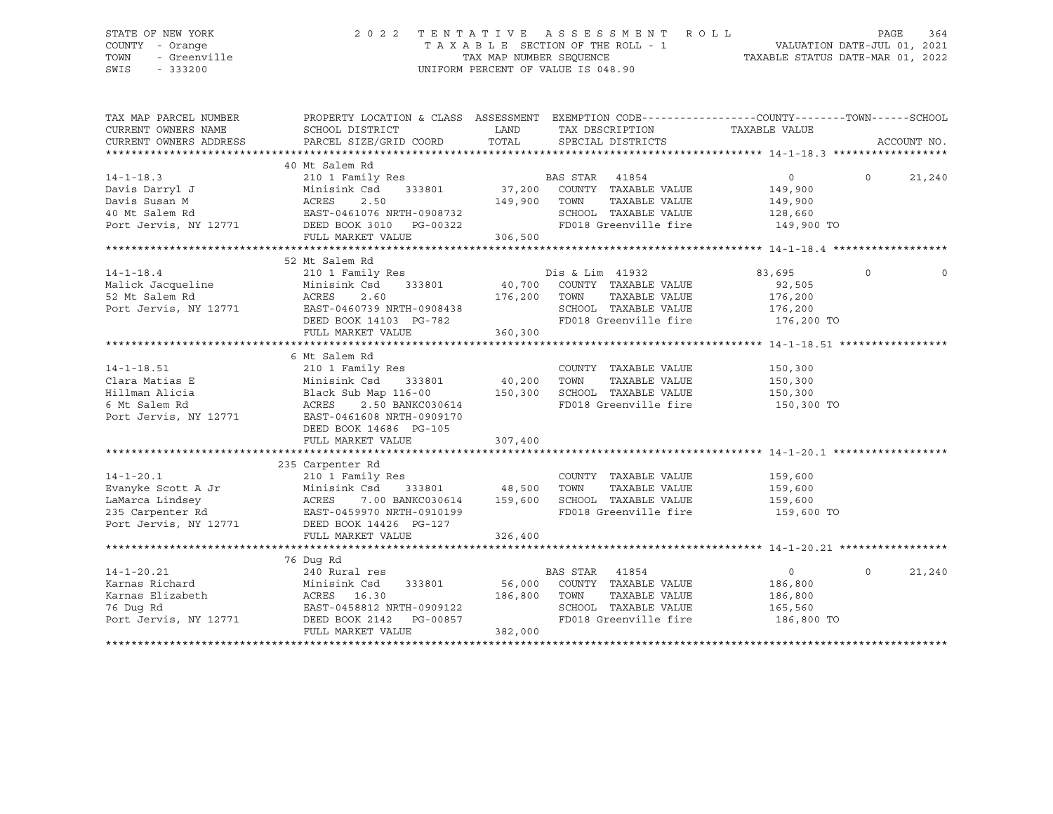## STATE OF NEW YORK 2 0 2 2 T E N T A T I V E A S S E S S M E N T R O L L PAGE 364 COUNTY - Orange T A X A B L E SECTION OF THE ROLL - 1 VALUATION DATE-JUL 01, 2021 TOWN - Greenville TAX MAP NUMBER SEQUENCE TAXABLE STATUS DATE-MAR 01, 2022 SWIS - 333200 UNIFORM PERCENT OF VALUE IS 048.90

| TAX MAP PARCEL NUMBER<br>CURRENT OWNERS NAME                                                                                                                                                                                                           | PROPERTY LOCATION & CLASS ASSESSMENT EXEMPTION CODE---------------COUNTY-------TOWN-----SCHOOL<br>SCHOOL DISTRICT | LAND     | TAX DESCRIPTION                    | TAXABLE VALUE         |                    |
|--------------------------------------------------------------------------------------------------------------------------------------------------------------------------------------------------------------------------------------------------------|-------------------------------------------------------------------------------------------------------------------|----------|------------------------------------|-----------------------|--------------------|
| CURRENT OWNERS ADDRESS                                                                                                                                                                                                                                 | PARCEL SIZE/GRID COORD                                                                                            | TOTAL    | SPECIAL DISTRICTS                  |                       | ACCOUNT NO.        |
|                                                                                                                                                                                                                                                        | 40 Mt Salem Rd                                                                                                    |          |                                    |                       |                    |
| $14 - 1 - 18.3$<br>14-1-18.5<br>Davis Darryl J<br>There M                                                                                                                                                                                              | 210 1 Family Res                                                                                                  |          | BAS STAR<br>41854                  | $\overline{0}$        | $\Omega$<br>21,240 |
|                                                                                                                                                                                                                                                        | Minisink Csd<br>333801                                                                                            | 37,200   | COUNTY TAXABLE VALUE               | 149,900               |                    |
|                                                                                                                                                                                                                                                        | ACRES<br>2.50                                                                                                     | 149,900  | TOWN<br>TAXABLE VALUE              | 149,900               |                    |
| 40 Mt Salem Rd                                                                                                                                                                                                                                         | EAST-0461076 NRTH-0908732                                                                                         |          | SCHOOL TAXABLE VALUE               | 128,660               |                    |
| Port Jervis, NY 12771 DEED BOOK 3010 PG-00322                                                                                                                                                                                                          | FULL MARKET VALUE                                                                                                 | 306,500  | FD018 Greenville fire              | 149,900 TO            |                    |
|                                                                                                                                                                                                                                                        |                                                                                                                   |          |                                    |                       |                    |
|                                                                                                                                                                                                                                                        | 52 Mt Salem Rd                                                                                                    |          |                                    |                       |                    |
| $14 - 1 - 18.4$                                                                                                                                                                                                                                        | 210 1 Family Res                                                                                                  |          | Dis & Lim 41932                    | 83,695                | $\circ$            |
| Malick Jacqueline                                                                                                                                                                                                                                      | Minisink Csd                                                                                                      |          | 333801 40,700 COUNTY TAXABLE VALUE | 92,505                |                    |
| 52 Mt Salem Rd                                                                                                                                                                                                                                         | ACRES<br>2.60                                                                                                     |          | 176,200 TOWN TAXABLE VALUE         | 176,200               |                    |
| Port Jervis, NY 12771                                                                                                                                                                                                                                  | EAST-0460739 NRTH-0908438                                                                                         |          | SCHOOL TAXABLE VALUE               | $\frac{1}{176}$ , 200 |                    |
|                                                                                                                                                                                                                                                        | DEED BOOK 14103 PG-782                                                                                            |          | FD018 Greenville fire 176,200 TO   |                       |                    |
|                                                                                                                                                                                                                                                        | FULL MARKET VALUE                                                                                                 | 360, 300 |                                    |                       |                    |
|                                                                                                                                                                                                                                                        |                                                                                                                   |          |                                    |                       |                    |
|                                                                                                                                                                                                                                                        | 6 Mt Salem Rd                                                                                                     |          |                                    |                       |                    |
| $14 - 1 - 18.51$                                                                                                                                                                                                                                       | 210 1 Family Res                                                                                                  |          | COUNTY TAXABLE VALUE               | 150,300               |                    |
| Clara Matias E                                                                                                                                                                                                                                         | 210 1 Family Res<br>Minisink Csd      333801               40,200                                                 |          | TOWN<br>TAXABLE VALUE              | 150,300               |                    |
| Hillman Alicia                                                                                                                                                                                                                                         | Black Sub Map 116-00                                                                                              | 150,300  | SCHOOL TAXABLE VALUE               | 150,300               |                    |
| 6 Mt Salem Rd                                                                                                                                                                                                                                          | ACRES<br>2.50 BANKC030614                                                                                         |          | FD018 Greenville fire              | 150,300 TO            |                    |
| Port Jervis, NY 12771                                                                                                                                                                                                                                  | EAST-0461608 NRTH-0909170                                                                                         |          |                                    |                       |                    |
|                                                                                                                                                                                                                                                        | DEED BOOK 14686 PG-105                                                                                            |          |                                    |                       |                    |
|                                                                                                                                                                                                                                                        | FULL MARKET VALUE                                                                                                 | 307,400  |                                    |                       |                    |
|                                                                                                                                                                                                                                                        |                                                                                                                   |          |                                    |                       |                    |
|                                                                                                                                                                                                                                                        | 235 Carpenter Rd                                                                                                  |          |                                    |                       |                    |
| $14 - 1 - 20.1$                                                                                                                                                                                                                                        | 210 1 Family Res                                                                                                  |          | COUNTY TAXABLE VALUE               | 159,600               |                    |
| Evanyke Scott A Jr                                                                                                                                                                                                                                     | 333801 48,500<br>Minisink Csd                                                                                     |          | TOWN<br>TAXABLE VALUE              | 159,600               |                    |
| LaMarca Lindsey<br>235 Carpenter Rd<br>235 Carpenter Rd<br>235 Carpenter Rd<br>235 Carpenter Rd<br>235 Carpenter Rd<br>235 Carpenter Rd<br>235 Carpenter Rd<br>235 Carpenter Rd<br>235 Carpenter Rd<br>235 Carpenter Rd<br>235 Carpenter Rd<br>235 Car | 7.00 BANKC030614 159,600                                                                                          |          | SCHOOL TAXABLE VALUE               | 159,600               |                    |
|                                                                                                                                                                                                                                                        |                                                                                                                   |          | FD018 Greenville fire              | 159,600 TO            |                    |
|                                                                                                                                                                                                                                                        |                                                                                                                   |          |                                    |                       |                    |
|                                                                                                                                                                                                                                                        | FULL MARKET VALUE                                                                                                 | 326,400  |                                    |                       |                    |
|                                                                                                                                                                                                                                                        |                                                                                                                   |          |                                    |                       |                    |
|                                                                                                                                                                                                                                                        | 76 Dug Rd                                                                                                         |          |                                    |                       |                    |
| $14 - 1 - 20.21$                                                                                                                                                                                                                                       | 240 Rural res                                                                                                     |          | BAS STAR<br>41854                  | $\overline{0}$        | $\Omega$<br>21,240 |
| Karnas Richard                                                                                                                                                                                                                                         | 240 Rural res<br>Minisink Csd<br>ACRES    16.30<br>333801                                                         |          | 56,000 COUNTY TAXABLE VALUE        | 186,800               |                    |
| Karnas Elizabeth                                                                                                                                                                                                                                       |                                                                                                                   | 186,800  | TOWN<br>TAXABLE VALUE              | 186,800               |                    |
| 76 Dug Rd                                                                                                                                                                                                                                              | EAST-0458812 NRTH-0909122                                                                                         |          | SCHOOL TAXABLE VALUE               | 165,560               |                    |
| Port Jervis, NY 12771                                                                                                                                                                                                                                  | DEED BOOK 2142 PG-00857                                                                                           |          | FD018 Greenville fire              | 186,800 TO            |                    |
|                                                                                                                                                                                                                                                        | FULL MARKET VALUE                                                                                                 | 382,000  |                                    |                       |                    |
|                                                                                                                                                                                                                                                        |                                                                                                                   |          |                                    |                       |                    |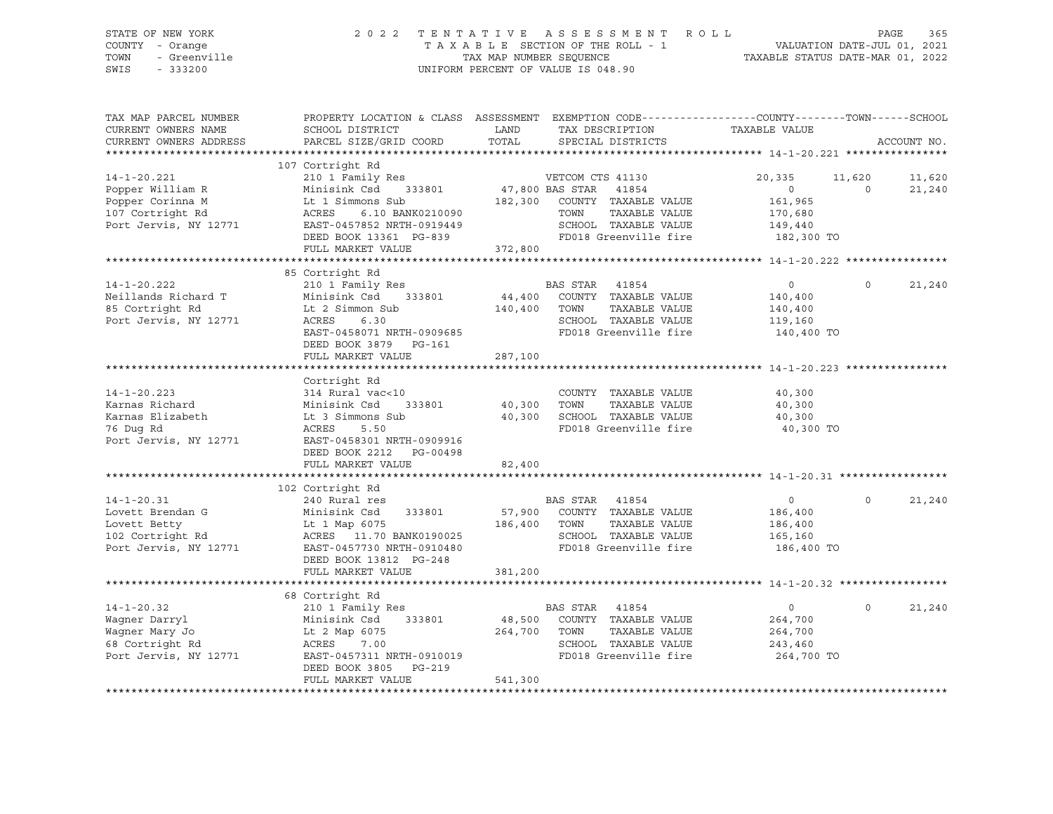| STATE OF NEW YORK<br>COUNTY - Orange<br>TOWN - Greenville<br>SWIS - 333200                                                                                                                                                                                                                                                                                                                                                        |                                                                |         | 2022 TENTATIVE ASSESSMENT ROLL PAGE 365<br>TAXABLE SECTION OF THE ROLL - 1 VALUATION DATE-JUL 01, 2021<br>TAX MAP NUMBER SEQUENCE TAXABLE STATUS DATE-MAR 01, 2022<br>UNIFORM PERCENT OF VALUE IS 048.90 |                                         |                   |               |
|-----------------------------------------------------------------------------------------------------------------------------------------------------------------------------------------------------------------------------------------------------------------------------------------------------------------------------------------------------------------------------------------------------------------------------------|----------------------------------------------------------------|---------|----------------------------------------------------------------------------------------------------------------------------------------------------------------------------------------------------------|-----------------------------------------|-------------------|---------------|
| TAX MAP PARCEL NUMBER<br>CURRENT OWNERS NAME<br>CURRENT OWNERS ADDRESS                                                                                                                                                                                                                                                                                                                                                            | SCHOOL DISTRICT<br>PARCEL SIZE/GRID COORD                      | LAND    | PROPERTY LOCATION & CLASS ASSESSMENT EXEMPTION CODE---------------COUNTY-------TOWN-----SCHOOL<br>TAX DESCRIPTION<br>TOTAL SPECIAL DISTRICTS                                                             | TAXABLE VALUE                           |                   | ACCOUNT NO.   |
|                                                                                                                                                                                                                                                                                                                                                                                                                                   | 107 Cortright Rd                                               |         |                                                                                                                                                                                                          |                                         |                   |               |
| 14-1-20.221<br>Popper William R<br>Popper Corinna M<br>Popper Corinna M<br>161,965<br>161,965<br>161,965<br>161,965<br>161,965<br>161,965<br>161,965<br>161,965<br>161,965<br>161,965<br>161,965<br>161,965<br>20,335<br>11<br>20,335<br>20,335<br>20,335<br>20,335<br>20,                                                                                                                                                        |                                                                |         |                                                                                                                                                                                                          | 20,335 11,620 11,620                    | $\overline{0}$    | 21,240        |
|                                                                                                                                                                                                                                                                                                                                                                                                                                   | FULL MARKET VALUE 372,800                                      |         |                                                                                                                                                                                                          |                                         |                   |               |
|                                                                                                                                                                                                                                                                                                                                                                                                                                   | 85 Cortright Rd                                                |         |                                                                                                                                                                                                          |                                         |                   |               |
| 14-1-20.222<br>Neillands Richard T<br>85 Cortright Rd<br>185 Cortright Rd<br>186 Lt 2 Simmon Sub<br>186 Lt 2 Simmon Sub<br>186 Cort Jervis, NY 12771<br>186 ACRES<br>186 6.30                                                                                                                                                                                                                                                     | 210 1 Family Res 6 210 BAS STAR 41854<br>DEED BOOK 3879 PG-161 |         | 44,400 COUNTY TAXABLE VALUE<br>140,400 TOWN TAXABLE VALUE<br>ACRES 6.30 SCHOOL TAXABLE VALUE 119,160<br>EAST-0458071 NRTH-0909685 FD018 Greenville fire 140,400 TO                                       | $\overline{0}$<br>140,400<br>140,400    |                   | $0 \t 21,240$ |
|                                                                                                                                                                                                                                                                                                                                                                                                                                   | FULL MARKET VALUE                                              | 287,100 |                                                                                                                                                                                                          |                                         |                   |               |
| Port Jervis, NY 12771 EAST-0458301 NRTH-0909916                                                                                                                                                                                                                                                                                                                                                                                   | Cortright Rd<br>DEED BOOK 2212 PG-00498<br>FULL MARKET VALUE   | 82,400  | ************************************ 14-1-20.223 ******************<br>TAXABLE VALUE<br>FD018 Greenville fire                                                                                            | 40,300<br>40,300<br>40,300<br>40,300 TO |                   |               |
|                                                                                                                                                                                                                                                                                                                                                                                                                                   |                                                                |         |                                                                                                                                                                                                          |                                         |                   |               |
| $14 - 1 - 20.31$<br>14-1-20.31<br>Lovett Brendan G Minisink Csd 333801 57,900 COUNTY TAXABLE VALUE 186,400<br>Lovett Betty Lt 1 Map 6075 186,400 TOWN TAXABLE VALUE 186,400<br>102 Cortright Rd ACRES 11.70 BANK0190025 SCHOOL TAXABLE VALUE 165,160<br>Po                                                                                                                                                                        | 102 Cortright Rd<br>240 Rural res<br>DEED BOOK 13812 PG-248    |         | BAS STAR 41854                                                                                                                                                                                           | $\overline{0}$                          | $\Omega$          | 21,240        |
|                                                                                                                                                                                                                                                                                                                                                                                                                                   | FULL MARKET VALUE                                              | 381,200 |                                                                                                                                                                                                          |                                         |                   |               |
| $14 - 1 - 20.32$<br>Wagner Darryl and Minisink Csd and S1801 and S1AK 41004<br>Magner Mary Jo Lt 2 Map 6075 264,700 TOWN TAXABLE VALUE<br>68 Cortright Rd ACRES 7.00 264,700 TOWN TAXABLE VALUE<br>68 Cortright Rd 243,460 243,460 268 Cortright Rd 243,460 268 Cortright Rd 264,700 TO 264,700 TO 264,700 TO 264,700 TO 264,700 TO 264,700 TO 264,700 TO 264,700 TO 264,700 TO 264,700 TO 264,700 TO 264,700 TO 264,700 TO 264,7 | 68 Cortright Rd<br>210 1 Family Res                            |         | <b>BAS STAR 41854</b>                                                                                                                                                                                    | $\overline{0}$<br>264,700<br>264,700    | $0 \qquad \qquad$ | 21,240        |
|                                                                                                                                                                                                                                                                                                                                                                                                                                   | DEED BOOK 3805 PG-219<br>FULL MARKET VALUE                     | 541,300 |                                                                                                                                                                                                          |                                         |                   |               |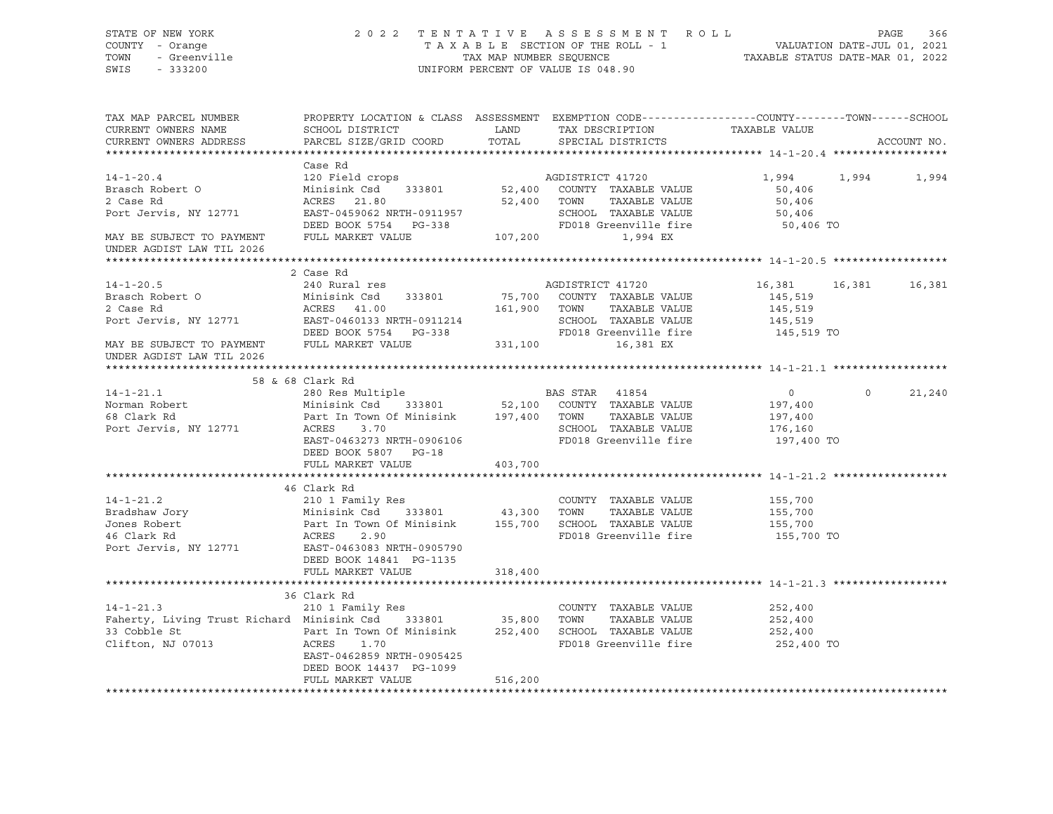| STATE OF NEW YORK<br>COUNTY - Orange<br>TOWN<br>- Greenville<br>SWIS - 333200                                                                                                                                                            |                                                                                                                                     |         | 2022 TENTATIVE ASSESSMENT ROLL<br>TAXABLE SECTION OF THE ROLL - 1<br>TAXABLE SECTION OF THE ROLL - 1<br>TAXABLE STATUS DATE-MAR 01, 2022<br>UNIFORM PERCENT OF VALUE IS 048.90 |                   |            | PAGE<br>366   |
|------------------------------------------------------------------------------------------------------------------------------------------------------------------------------------------------------------------------------------------|-------------------------------------------------------------------------------------------------------------------------------------|---------|--------------------------------------------------------------------------------------------------------------------------------------------------------------------------------|-------------------|------------|---------------|
| TAX MAP PARCEL NUMBER THE PROPERTY LOCATION & CLASS ASSESSMENT EXEMPTION CODE---------------COUNTY--------TOWN------SCHOOL<br>CURRENT OWNERS NAME<br>CURRENT OWNERS ADDRESS                                                              | PARCEL SIZE/GRID COORD TOTAL                                                                                                        |         | SPECIAL DISTRICTS                                                                                                                                                              |                   |            | ACCOUNT NO.   |
|                                                                                                                                                                                                                                          | Case Rd                                                                                                                             |         |                                                                                                                                                                                |                   |            |               |
| $14 - 1 - 20.4$                                                                                                                                                                                                                          | 120 Field crops                                                                                                                     |         | AGDISTRICT 41720                                                                                                                                                               | 1,994 1,994 1,994 |            |               |
| Brasch Robert O                                                                                                                                                                                                                          | Minisink Csd 333801 52,400 COUNTY TAXABLE VALUE                                                                                     |         |                                                                                                                                                                                | 50,406            |            |               |
| 2 Case Rd                                                                                                                                                                                                                                | ACRES 21.80                                                                                                                         |         | 52,400 TOWN TAXABLE VALUE                                                                                                                                                      | 50,406            |            |               |
| Port Jervis, NY 12771                                                                                                                                                                                                                    |                                                                                                                                     |         |                                                                                                                                                                                | 50,406            |            |               |
|                                                                                                                                                                                                                                          |                                                                                                                                     |         |                                                                                                                                                                                | 50,406 TO         |            |               |
| MAY BE SUBJECT TO PAYMENT FULL MARKET VALUE                                                                                                                                                                                              | EAST-0459062 NRTH-0911957 SCHOOL TAXABLE VALUE<br>DEED BOOK 5754 PG-338 FD018 Greenville fire<br>FULL MARKET VALUE 107,200 1,994 EX |         |                                                                                                                                                                                |                   |            |               |
| UNDER AGDIST LAW TIL 2026                                                                                                                                                                                                                |                                                                                                                                     |         |                                                                                                                                                                                |                   |            |               |
|                                                                                                                                                                                                                                          |                                                                                                                                     |         |                                                                                                                                                                                |                   |            |               |
| $14 - 1 - 20.5$                                                                                                                                                                                                                          | 2 Case Rd                                                                                                                           |         | AGDISTRICT 41720                                                                                                                                                               |                   |            |               |
|                                                                                                                                                                                                                                          | 240 Rural res<br>Minisink Csd 333801 75,700 COUNTY TAXABLE VALUE                                                                    |         |                                                                                                                                                                                | 16,381<br>145,519 |            | 16,381 16,381 |
| Brasch Robert O                                                                                                                                                                                                                          |                                                                                                                                     |         |                                                                                                                                                                                | 145,519           |            |               |
|                                                                                                                                                                                                                                          |                                                                                                                                     |         |                                                                                                                                                                                | 145,519           |            |               |
|                                                                                                                                                                                                                                          |                                                                                                                                     |         |                                                                                                                                                                                | 145,519 TO        |            |               |
| 2 Case Rd<br>Port Jervis, NY 12771 EAST-0460133 NRTH-0911214 SCHOOL TAXABLE VALUE<br>DEED BOOK 5754 PG-338 FD018 Greenville fire<br>FILL MARKET VALUE 331,100 16,381 EX<br>UNDER AGDIST LAW TIL 2026                                     |                                                                                                                                     |         |                                                                                                                                                                                |                   |            |               |
|                                                                                                                                                                                                                                          |                                                                                                                                     |         |                                                                                                                                                                                |                   |            |               |
| 14-1-21.1<br>Norman Robert 280 Res Multiple<br>Morman Robert Minisink Csd 333801 52,100 COUNTY TAXABLE VALUE<br>Fort Jervis, NY 12771 ACRES 3.70<br>Port Jervis, NY 12771 ACRES 3.70<br>Port Carrier Carrier County County SCHOOL TAXABL | 58 & 68 Clark Rd                                                                                                                    |         |                                                                                                                                                                                | $\overline{0}$    | $\bigcirc$ | 21,240        |
|                                                                                                                                                                                                                                          |                                                                                                                                     |         |                                                                                                                                                                                | 197,400           |            |               |
|                                                                                                                                                                                                                                          |                                                                                                                                     |         |                                                                                                                                                                                | 197,400           |            |               |
|                                                                                                                                                                                                                                          |                                                                                                                                     |         |                                                                                                                                                                                | 176,160           |            |               |
|                                                                                                                                                                                                                                          | EAST-0463273 NRTH-0906106                                                                                                           |         | FD018 Greenville fire                                                                                                                                                          | 197,400 TO        |            |               |
|                                                                                                                                                                                                                                          | DEED BOOK 5807 PG-18                                                                                                                |         |                                                                                                                                                                                |                   |            |               |
|                                                                                                                                                                                                                                          | FULL MARKET VALUE                                                                                                                   | 403,700 |                                                                                                                                                                                |                   |            |               |
|                                                                                                                                                                                                                                          |                                                                                                                                     |         |                                                                                                                                                                                |                   |            |               |
|                                                                                                                                                                                                                                          | 46 Clark Rd                                                                                                                         |         |                                                                                                                                                                                |                   |            |               |
|                                                                                                                                                                                                                                          |                                                                                                                                     |         |                                                                                                                                                                                | 155,700           |            |               |
|                                                                                                                                                                                                                                          |                                                                                                                                     |         |                                                                                                                                                                                | 155,700           |            |               |
|                                                                                                                                                                                                                                          |                                                                                                                                     |         |                                                                                                                                                                                | 155,700           |            |               |
| 14-1-21.2<br>14-1-21.2<br>Bradshaw Jory Minisink Csd 333801 43,300 TOWN TAXABLE VALUE<br>Jones Robert Part In Town Of Minisink 155,700 SCHOOL TAXABLE VALUE<br>46 Clark Rd ACRES 2.90<br>Port Jervis, NY 12771 EAST-0463083 NRTH-0905790 |                                                                                                                                     |         | FD018 Greenville fire 155,700 TO                                                                                                                                               |                   |            |               |
|                                                                                                                                                                                                                                          | DEED BOOK 14841 PG-1135                                                                                                             |         |                                                                                                                                                                                |                   |            |               |
|                                                                                                                                                                                                                                          | FULL MARKET VALUE                                                                                                                   | 318,400 |                                                                                                                                                                                |                   |            |               |
|                                                                                                                                                                                                                                          |                                                                                                                                     |         |                                                                                                                                                                                |                   |            |               |
|                                                                                                                                                                                                                                          | 36 Clark Rd                                                                                                                         |         |                                                                                                                                                                                |                   |            |               |
| $14 - 1 - 21.3$                                                                                                                                                                                                                          | 210 1 Family Res                                                                                                                    |         | COUNTY TAXABLE VALUE                                                                                                                                                           | 252,400           |            |               |
| Faherty, Living Trust Richard Minisink Csd 333801 35,800 TOWN                                                                                                                                                                            |                                                                                                                                     |         | TAXABLE VALUE                                                                                                                                                                  | 252,400           |            |               |
|                                                                                                                                                                                                                                          |                                                                                                                                     |         |                                                                                                                                                                                | 252,400           |            |               |
| 33 Cobble St<br>Clifton, NJ 07013<br>252,400 SCHOOL TAXABLE VALUE<br>252,400 SCHOOL TAXABLE VALUE<br>252,400 SCHOOL TAXABLE VALUE<br>252,400 SCHOOL TAXABLE VALUE                                                                        |                                                                                                                                     |         | FD018 Greenville fire 252,400 TO                                                                                                                                               |                   |            |               |
|                                                                                                                                                                                                                                          | EAST-0462859 NRTH-0905425                                                                                                           |         |                                                                                                                                                                                |                   |            |               |
|                                                                                                                                                                                                                                          | DEED BOOK 14437 PG-1099                                                                                                             |         |                                                                                                                                                                                |                   |            |               |
|                                                                                                                                                                                                                                          | FULL MARKET VALUE                                                                                                                   | 516,200 |                                                                                                                                                                                |                   |            |               |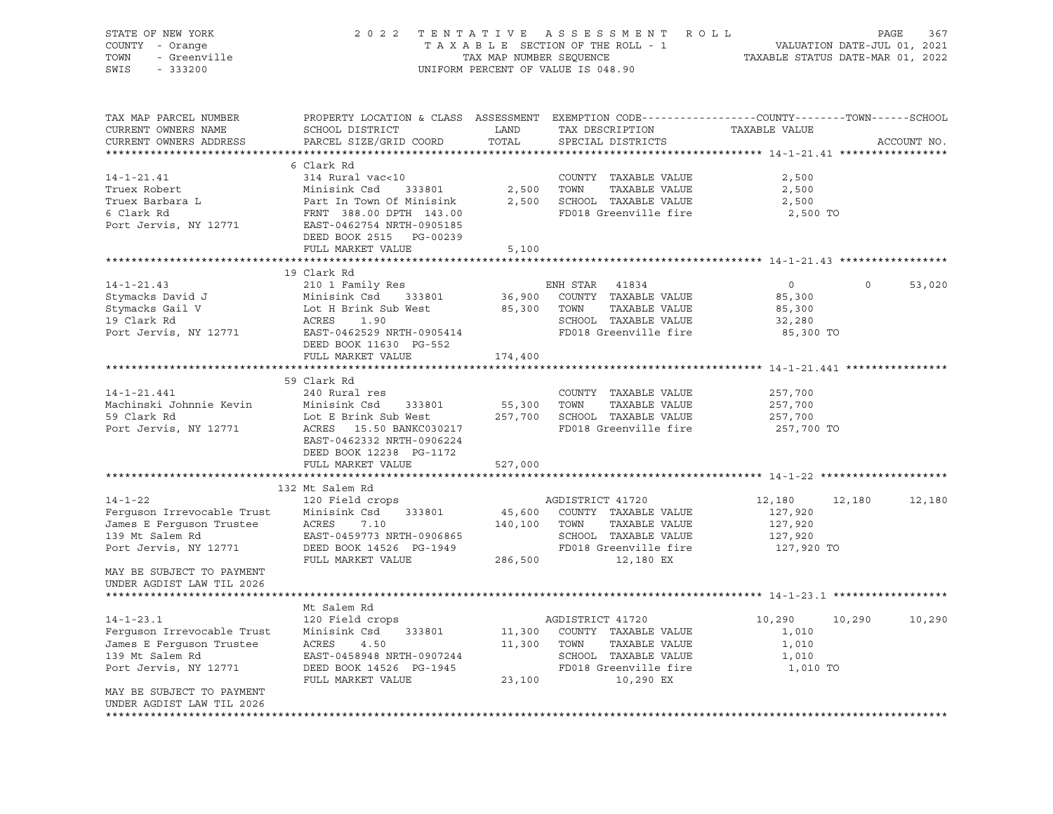| STATE OF NEW YORK<br>COUNTY - Orange<br>- Greenville<br>TOWN<br>SWIS<br>$-333200$                                                                | 2 0 2 2                                                                                                                                                                                      | TAX MAP NUMBER SEQUENCE      | TENTATIVE ASSESSMENT<br>R O L L<br>TAXABLE SECTION OF THE ROLL - 1<br>UNIFORM PERCENT OF VALUE IS 048.90                        | VALUATION DATE-JUL 01, 2021<br>TAXABLE STATUS DATE-MAR 01, 2022 | PAGE    | 367         |
|--------------------------------------------------------------------------------------------------------------------------------------------------|----------------------------------------------------------------------------------------------------------------------------------------------------------------------------------------------|------------------------------|---------------------------------------------------------------------------------------------------------------------------------|-----------------------------------------------------------------|---------|-------------|
| TAX MAP PARCEL NUMBER<br>CURRENT OWNERS NAME<br>CURRENT OWNERS ADDRESS                                                                           | PROPERTY LOCATION & CLASS ASSESSMENT EXEMPTION CODE----------------COUNTY-------TOWN------SCHOOL<br>SCHOOL DISTRICT<br>PARCEL SIZE/GRID COORD                                                | LAND<br>TOTAL                | TAX DESCRIPTION<br>SPECIAL DISTRICTS                                                                                            | TAXABLE VALUE                                                   |         | ACCOUNT NO. |
| $14 - 1 - 21.41$<br>Truex Robert<br>Truex Barbara L<br>6 Clark Rd<br>Port Jervis, NY 12771                                                       | 6 Clark Rd<br>314 Rural vac<10<br>Minisink Csd<br>333801<br>Part In Town Of Minisink<br>FRNT 388.00 DPTH 143.00<br>EAST-0462754 NRTH-0905185<br>DEED BOOK 2515 PG-00239<br>FULL MARKET VALUE | 2,500<br>2,500<br>5,100      | COUNTY TAXABLE VALUE<br>TOWN<br>TAXABLE VALUE<br>SCHOOL TAXABLE VALUE<br>FD018 Greenville fire                                  | 2,500<br>2,500<br>2,500<br>2,500 TO                             |         |             |
|                                                                                                                                                  |                                                                                                                                                                                              |                              |                                                                                                                                 |                                                                 |         |             |
| $14 - 1 - 21.43$<br>Stymacks David J<br>Stymacks Gail V<br>19 Clark Rd<br>Port Jervis, NY 12771                                                  | 19 Clark Rd<br>210 1 Family Res<br>Minisink Csd<br>333801<br>Lot H Brink Sub West<br>ACRES<br>1.90<br>EAST-0462529 NRTH-0905414<br>DEED BOOK 11630 PG-552<br>FULL MARKET VALUE               | 36,900<br>85,300<br>174,400  | ENH STAR<br>41834<br>COUNTY TAXABLE VALUE<br>TOWN<br>TAXABLE VALUE<br>SCHOOL TAXABLE VALUE<br>FD018 Greenville fire             | $\circ$<br>85,300<br>85,300<br>32,280<br>85,300 TO              | $\circ$ | 53,020      |
|                                                                                                                                                  |                                                                                                                                                                                              |                              |                                                                                                                                 |                                                                 |         |             |
| $14 - 1 - 21.441$<br>Machinski Johnnie Kevin<br>59 Clark Rd<br>Port Jervis, NY 12771                                                             | 59 Clark Rd<br>240 Rural res<br>333801<br>Minisink Csd<br>Lot E Brink Sub West<br>ACRES 15.50 BANKC030217<br>EAST-0462332 NRTH-0906224<br>DEED BOOK 12238 PG-1172<br>FULL MARKET VALUE       | 55,300<br>257,700<br>527,000 | COUNTY TAXABLE VALUE<br>TOWN<br>TAXABLE VALUE<br>SCHOOL TAXABLE VALUE<br>FD018 Greenville fire                                  | 257,700<br>257,700<br>257,700<br>257,700 TO                     |         |             |
|                                                                                                                                                  |                                                                                                                                                                                              |                              |                                                                                                                                 |                                                                 |         |             |
| $14 - 1 - 22$<br>Ferquson Irrevocable Trust<br>James E Ferquson Trustee<br>139 Mt Salem Rd<br>Port Jervis, NY 12771<br>MAY BE SUBJECT TO PAYMENT | 132 Mt Salem Rd<br>120 Field crops<br>Minisink Csd<br>333801<br>ACRES<br>7.10<br>EAST-0459773 NRTH-0906865<br>DEED BOOK 14526 PG-1949<br>FULL MARKET VALUE                                   | 45,600<br>140,100<br>286,500 | AGDISTRICT 41720<br>COUNTY TAXABLE VALUE<br>TOWN<br>TAXABLE VALUE<br>SCHOOL TAXABLE VALUE<br>FD018 Greenville fire<br>12,180 EX | 12,180<br>127,920<br>127,920<br>127,920<br>127,920 TO           | 12,180  | 12,180      |
| UNDER AGDIST LAW TIL 2026                                                                                                                        |                                                                                                                                                                                              |                              |                                                                                                                                 |                                                                 |         |             |
| $14 - 1 - 23.1$<br>Ferguson Irrevocable Trust<br>James E Ferquson Trustee<br>139 Mt Salem Rd                                                     | Mt Salem Rd<br>120 Field crops<br>Minisink Csd<br>333801<br>ACRES<br>4.50<br>EAST-0458948 NRTH-0907244                                                                                       | 11,300<br>11,300             | AGDISTRICT 41720<br>COUNTY<br>TAXABLE VALUE<br>TOWN<br>TAXABLE VALUE<br>SCHOOL TAXABLE VALUE                                    | 10,290<br>1,010<br>1,010<br>1,010                               | 10,290  | 10,290      |
| Port Jervis, NY 12771                                                                                                                            | DEED BOOK 14526 PG-1945                                                                                                                                                                      |                              | FD018 Greenville fire                                                                                                           | 1,010 TO                                                        |         |             |
| MAY BE SUBJECT TO PAYMENT<br>UNDER AGDIST LAW TIL 2026                                                                                           | FULL MARKET VALUE                                                                                                                                                                            | 23,100                       | 10,290 EX                                                                                                                       |                                                                 |         |             |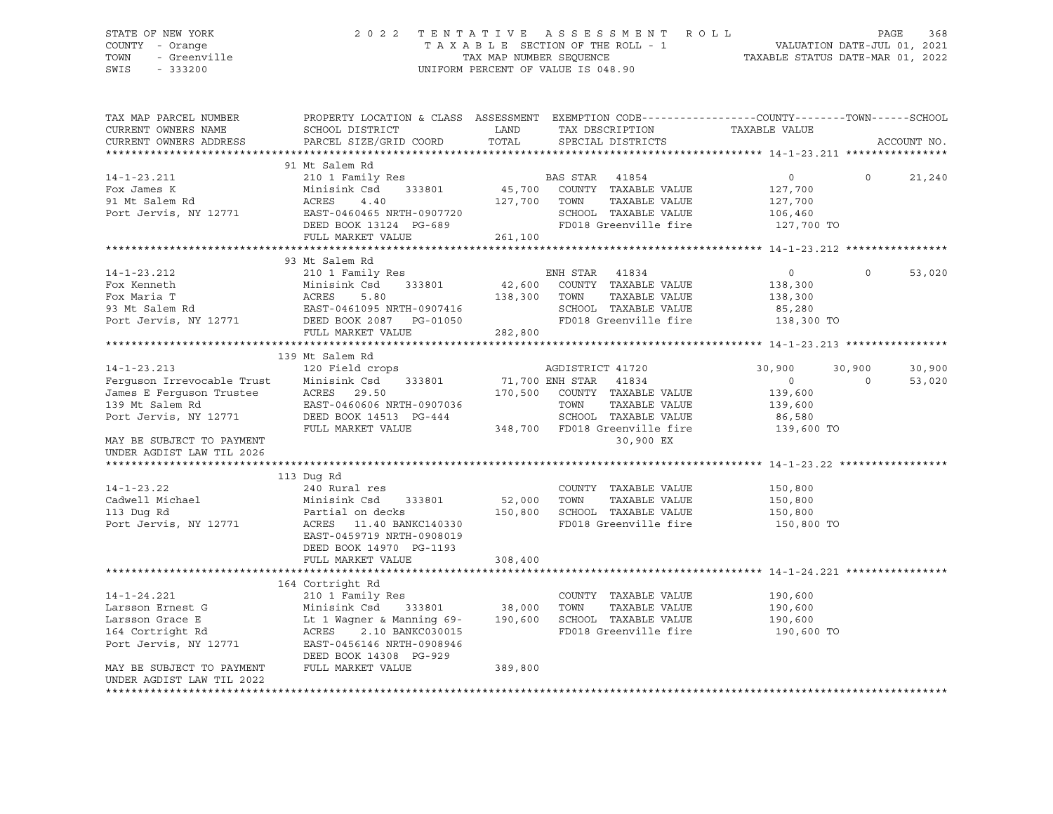#### STATE OF NEW YORK 2 0 2 2 T E N T A T I V E A S S E S S M E N T R O L L PAGE 368 COUNTY - Orange T A X A B L E SECTION OF THE ROLL - 1 VALUATION DATE-JUL 01, 2021 TOWN - Greenville TAX MAP NUMBER SEQUENCE TAXABLE STATUS DATE-MAR 01, 2022<br>TAXABLE STATUS DATE-MAR 01, 2022 UNIFORM PERCENT OF VALUE IS 048.90

TAX MAP PARCEL NUMBER PROPERTY LOCATION & CLASS ASSESSMENT EXEMPTION CODE------------------COUNTY--------TOWN------SCHOOL CURRENT OWNERS NAME SCHOOL DISTRICT LAND TAX DESCRIPTION TAXABLE VALUE CURRENT OWNERS ADDRESS PARCEL SIZE/GRID COORD TOTAL SPECIAL DISTRICTS ACCOUNT NO. \*\*\*\*\*\*\*\*\*\*\*\*\*\*\*\*\*\*\*\*\*\*\*\*\*\*\*\*\*\*\*\*\*\*\*\*\*\*\*\*\*\*\*\*\*\*\*\*\*\*\*\*\*\*\*\*\*\*\*\*\*\*\*\*\*\*\*\*\*\*\*\*\*\*\*\*\*\*\*\*\*\*\*\*\*\*\*\*\*\*\*\*\*\*\*\*\*\*\*\*\*\*\* 14-1-23.211 \*\*\*\*\*\*\*\*\*\*\*\*\*\*\*\* 91 Mt Salem Rd 14-1-23.211 210 1 Family Res BAS STAR 41854 0 0 21,240 Fox James K Minisink Csd 333801 45,700 COUNTY TAXABLE VALUE 127,700 91 Mt Salem Rd ACRES 4.40 127,700 TOWN TAXABLE VALUE 127,700 Port Jervis, NY 12771 EAST-0460465 NRTH-0907720 SCHOOL TAXABLE VALUE 106,460 DEED BOOK 13124 PG-689 FD018 Greenville fire 127,700 TO FULL MARKET VALUE 261,100 \*\*\*\*\*\*\*\*\*\*\*\*\*\*\*\*\*\*\*\*\*\*\*\*\*\*\*\*\*\*\*\*\*\*\*\*\*\*\*\*\*\*\*\*\*\*\*\*\*\*\*\*\*\*\*\*\*\*\*\*\*\*\*\*\*\*\*\*\*\*\*\*\*\*\*\*\*\*\*\*\*\*\*\*\*\*\*\*\*\*\*\*\*\*\*\*\*\*\*\*\*\*\* 14-1-23.212 \*\*\*\*\*\*\*\*\*\*\*\*\*\*\*\* 93 Mt Salem Rd 14-1-23.212 210 1 Family Res ENH STAR 41834 0 0 53,020 Fox Kenneth Minisink Csd 333801 42,600 COUNTY TAXABLE VALUE 138,300 Fox Maria T ACRES 5.80 138,300 TOWN TAXABLE VALUE 138,300 93 Mt Salem Rd EAST-0461095 NRTH-0907416 SCHOOL TAXABLE VALUE 85,280 Port Jervis, NY 12771 DEED BOOK 2087 PG-01050 FD018 Greenville fire 138,300 TO Port Jervis, NY 12771 DEED BOOK 2087 PG-01050<br>FULL MARKET VALUE 282,800 \*\*\*\*\*\*\*\*\*\*\*\*\*\*\*\*\*\*\*\*\*\*\*\*\*\*\*\*\*\*\*\*\*\*\*\*\*\*\*\*\*\*\*\*\*\*\*\*\*\*\*\*\*\*\*\*\*\*\*\*\*\*\*\*\*\*\*\*\*\*\*\*\*\*\*\*\*\*\*\*\*\*\*\*\*\*\*\*\*\*\*\*\*\*\*\*\*\*\*\*\*\*\* 14-1-23.213 \*\*\*\*\*\*\*\*\*\*\*\*\*\*\*\* 139 Mt Salem Rd 14-1-23.213 120 Field crops AGDISTRICT 41720 30,900 30,900 30,900 Ferguson Irrevocable Trust Minisink Csd 333801 71,700 ENH STAR 41834 0 0 53,020 James E Ferguson Trustee ACRES 29.50 170,500 COUNTY TAXABLE VALUE 139,600 139 Mt Salem Rd EAST-0460606 NRTH-0907036 TOWN TAXABLE VALUE 139,600 Port Jervis, NY 12771 DEED BOOK 14513 PG-444 SCHOOL TAXABLE VALUE 86,580 FULL MARKET VALUE 348,700 FD018 Greenville fire 139,600 TO MAY BE SUBJECT TO PAYMENT AND SUBSECTED ASSESSED. THE SERVICE OF SAMPLE SERVICE SO , 900 EX UNDER AGDIST LAW TIL 2026 \*\*\*\*\*\*\*\*\*\*\*\*\*\*\*\*\*\*\*\*\*\*\*\*\*\*\*\*\*\*\*\*\*\*\*\*\*\*\*\*\*\*\*\*\*\*\*\*\*\*\*\*\*\*\*\*\*\*\*\*\*\*\*\*\*\*\*\*\*\*\*\*\*\*\*\*\*\*\*\*\*\*\*\*\*\*\*\*\*\*\*\*\*\*\*\*\*\*\*\*\*\*\* 14-1-23.22 \*\*\*\*\*\*\*\*\*\*\*\*\*\*\*\*\* 113 Dug Rd 14-1-23.22 240 Rural res COUNTY TAXABLE VALUE 150,800 Cadwell Michael Minisink Csd 333801 52,000 TOWN TAXABLE VALUE 150,800 113 Dug Rd Partial on decks 150,800 SCHOOL TAXABLE VALUE 150,800 Port Jervis, NY 12771 ACRES 11.40 BANKC140330 FD018 Greenville fire 150,800 TO EAST-0459719 NRTH-0908019 DEED BOOK 14970 PG-1193 FULL MARKET VALUE 308,400 \*\*\*\*\*\*\*\*\*\*\*\*\*\*\*\*\*\*\*\*\*\*\*\*\*\*\*\*\*\*\*\*\*\*\*\*\*\*\*\*\*\*\*\*\*\*\*\*\*\*\*\*\*\*\*\*\*\*\*\*\*\*\*\*\*\*\*\*\*\*\*\*\*\*\*\*\*\*\*\*\*\*\*\*\*\*\*\*\*\*\*\*\*\*\*\*\*\*\*\*\*\*\* 14-1-24.221 \*\*\*\*\*\*\*\*\*\*\*\*\*\*\*\* 164 Cortright Rd 14-1-24.221 210 1 Family Res COUNTY TAXABLE VALUE 190,600 Larsson Ernest G Minisink Csd 333801 38,000 TOWN TAXABLE VALUE 190,600 Larsson Grace E Lt 1 Wagner & Manning 69- 190,600 SCHOOL TAXABLE VALUE 190,600 164 Cortright Rd ACRES 2.10 BANKC030015 FD018 Greenville fire 190,600 TO Port Jervis, NY 12771 EAST-0456146 NRTH-0908946 DEED BOOK 14308 PG-929 MAY BE SUBJECT TO PAYMENT FULL MARKET VALUE 389,800 UNDER AGDIST LAW TIL 2022 \*\*\*\*\*\*\*\*\*\*\*\*\*\*\*\*\*\*\*\*\*\*\*\*\*\*\*\*\*\*\*\*\*\*\*\*\*\*\*\*\*\*\*\*\*\*\*\*\*\*\*\*\*\*\*\*\*\*\*\*\*\*\*\*\*\*\*\*\*\*\*\*\*\*\*\*\*\*\*\*\*\*\*\*\*\*\*\*\*\*\*\*\*\*\*\*\*\*\*\*\*\*\*\*\*\*\*\*\*\*\*\*\*\*\*\*\*\*\*\*\*\*\*\*\*\*\*\*\*\*\*\*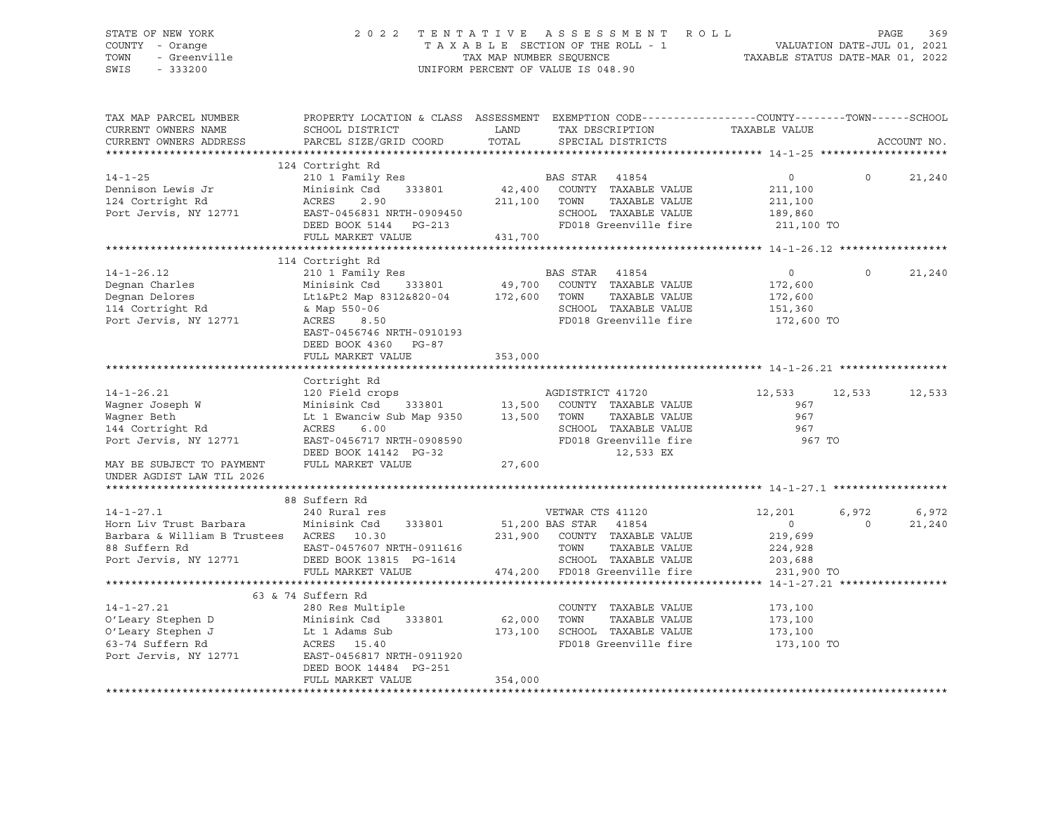### STATE OF NEW YORK 2 0 2 2 T E N T A T I V E A S S E S S M E N T R O L L PAGE 369 COUNTY - Orange T A X A B L E SECTION OF THE ROLL - 1 VALUATION DATE-JUL 01, 2021 TOWN - Greenville TAX MAP NUMBER SEQUENCE TAXABLE STATUS DATE-MAR 01, 2022<br>TAXABLE STATUS DATE-MAR 01, 2022<br>SWIS - 333200 UNIFORM PERCENT OF VALUE IS 048.90

TAX MAP PARCEL NUMBER PROPERTY LOCATION & CLASS ASSESSMENT EXEMPTION CODE------------------COUNTY--------TOWN------SCHOOL CURRENT OWNERS NAME SCHOOL DISTRICT LAND TAX DESCRIPTION TAXABLE VALUE CURRENT OWNERS ADDRESS PARCEL SIZE/GRID COORD TOTAL SPECIAL DISTRICTS ACCOUNT NO. \*\*\*\*\*\*\*\*\*\*\*\*\*\*\*\*\*\*\*\*\*\*\*\*\*\*\*\*\*\*\*\*\*\*\*\*\*\*\*\*\*\*\*\*\*\*\*\*\*\*\*\*\*\*\*\*\*\*\*\*\*\*\*\*\*\*\*\*\*\*\*\*\*\*\*\*\*\*\*\*\*\*\*\*\*\*\*\*\*\*\*\*\*\*\*\*\*\*\*\*\*\*\* 14-1-25 \*\*\*\*\*\*\*\*\*\*\*\*\*\*\*\*\*\*\*\* 124 Cortright Rd 14-1-25 210 1 Family Res BAS STAR 41854 0 0 21,240 Dennison Lewis Jr Minisink Csd 333801 42,400 COUNTY TAXABLE VALUE 211,100 124 Cortright Rd ACRES 2.90 211,100 TOWN TAXABLE VALUE 211,100 Port Jervis, NY 12771 EAST-0456831 NRTH-0909450 SCHOOL TAXABLE VALUE 189,860 DEED BOOK 5144 PG-213 FD018 Greenville fire 211,100 TO FULL MARKET VALUE 431,700 \*\*\*\*\*\*\*\*\*\*\*\*\*\*\*\*\*\*\*\*\*\*\*\*\*\*\*\*\*\*\*\*\*\*\*\*\*\*\*\*\*\*\*\*\*\*\*\*\*\*\*\*\*\*\*\*\*\*\*\*\*\*\*\*\*\*\*\*\*\*\*\*\*\*\*\*\*\*\*\*\*\*\*\*\*\*\*\*\*\*\*\*\*\*\*\*\*\*\*\*\*\*\* 14-1-26.12 \*\*\*\*\*\*\*\*\*\*\*\*\*\*\*\*\* 114 Cortright Rd 14-1-26.12 210 1 Family Res BAS STAR 41854 0 0 21,240 Degnan Charles Minisink Csd 333801 49,700 COUNTY TAXABLE VALUE 172,600 Degnan Delores Lt1&Pt2 Map 8312&820-04 172,600 TOWN TAXABLE VALUE 172,600 114 Cortright Rd & Map 550-06 SCHOOL TAXABLE VALUE 151,360 Port Jervis, NY 12771 ACRES 8.50 FD018 Greenville fire 172,600 TO EAST-0456746 NRTH-0910193 DEED BOOK 4360 PG-87 FULL MARKET VALUE 353,000 \*\*\*\*\*\*\*\*\*\*\*\*\*\*\*\*\*\*\*\*\*\*\*\*\*\*\*\*\*\*\*\*\*\*\*\*\*\*\*\*\*\*\*\*\*\*\*\*\*\*\*\*\*\*\*\*\*\*\*\*\*\*\*\*\*\*\*\*\*\*\*\*\*\*\*\*\*\*\*\*\*\*\*\*\*\*\*\*\*\*\*\*\*\*\*\*\*\*\*\*\*\*\* 14-1-26.21 \*\*\*\*\*\*\*\*\*\*\*\*\*\*\*\*\* Cortright Rd 14-1-26.21 120 Field crops AGDISTRICT 41720 12,533 12,533 12,533 Wagner Joseph W Minisink Csd 333801 13,500 COUNTY TAXABLE VALUE 967 Wagner Beth Lt 1 Ewanciw Sub Map 9350 13,500 TOWN TAXABLE VALUE 967 144 Cortright Rd ACRES 6.00 SCHOOL TAXABLE VALUE 967 Port Jervis, NY 12771 EAST-0456717 NRTH-0908590 FD018 Greenville fire 967 TO DEED BOOK 14142 PG-32 12,533 EX Port Jervis, NY 12771<br>
DEED BOOK 14142 PG-32<br>
MAY BE SUBJECT TO PAYMENT FULL MARKET VALUE 27,600 UNDER AGDIST LAW TIL 2026 \*\*\*\*\*\*\*\*\*\*\*\*\*\*\*\*\*\*\*\*\*\*\*\*\*\*\*\*\*\*\*\*\*\*\*\*\*\*\*\*\*\*\*\*\*\*\*\*\*\*\*\*\*\*\*\*\*\*\*\*\*\*\*\*\*\*\*\*\*\*\*\*\*\*\*\*\*\*\*\*\*\*\*\*\*\*\*\*\*\*\*\*\*\*\*\*\*\*\*\*\*\*\* 14-1-27.1 \*\*\*\*\*\*\*\*\*\*\*\*\*\*\*\*\*\* 88 Suffern Rd 14-1-27.1 240 Rural res VETWAR CTS 41120 12,201 6,972 6,972 Horn Liv Trust Barbara Minisink Csd 333801 51,200 BAS STAR 41854 0 0 21,240 Barbara & William B Trustees ACRES 10.30 231,900 COUNTY TAXABLE VALUE 219,699 88 Suffern Rd EAST-0457607 NRTH-0911616 TOWN TAXABLE VALUE 224,928 Port Jervis, NY 12771 DEED BOOK 13815 PG-1614 SCHOOL TAXABLE VALUE 203,688 FULL MARKET VALUE 474,200 FD018 Greenville fire 231,900 TO \*\*\*\*\*\*\*\*\*\*\*\*\*\*\*\*\*\*\*\*\*\*\*\*\*\*\*\*\*\*\*\*\*\*\*\*\*\*\*\*\*\*\*\*\*\*\*\*\*\*\*\*\*\*\*\*\*\*\*\*\*\*\*\*\*\*\*\*\*\*\*\*\*\*\*\*\*\*\*\*\*\*\*\*\*\*\*\*\*\*\*\*\*\*\*\*\*\*\*\*\*\*\* 14-1-27.21 \*\*\*\*\*\*\*\*\*\*\*\*\*\*\*\*\* 63 & 74 Suffern Rd 14-1-27.21 280 Res Multiple COUNTY TAXABLE VALUE 173,100 O'Leary Stephen D Minisink Csd 333801 62,000 TOWN TAXABLE VALUE 173,100 O'Leary Stephen J Lt 1 Adams Sub 173,100 SCHOOL TAXABLE VALUE 173,100 63-74 Suffern Rd ACRES 15.40 FD018 Greenville fire 173,100 TO Port Jervis, NY 12771 EAST-0456817 NRTH-0911920 DEED BOOK 14484 PG-251 FULL MARKET VALUE 354,000 \*\*\*\*\*\*\*\*\*\*\*\*\*\*\*\*\*\*\*\*\*\*\*\*\*\*\*\*\*\*\*\*\*\*\*\*\*\*\*\*\*\*\*\*\*\*\*\*\*\*\*\*\*\*\*\*\*\*\*\*\*\*\*\*\*\*\*\*\*\*\*\*\*\*\*\*\*\*\*\*\*\*\*\*\*\*\*\*\*\*\*\*\*\*\*\*\*\*\*\*\*\*\*\*\*\*\*\*\*\*\*\*\*\*\*\*\*\*\*\*\*\*\*\*\*\*\*\*\*\*\*\*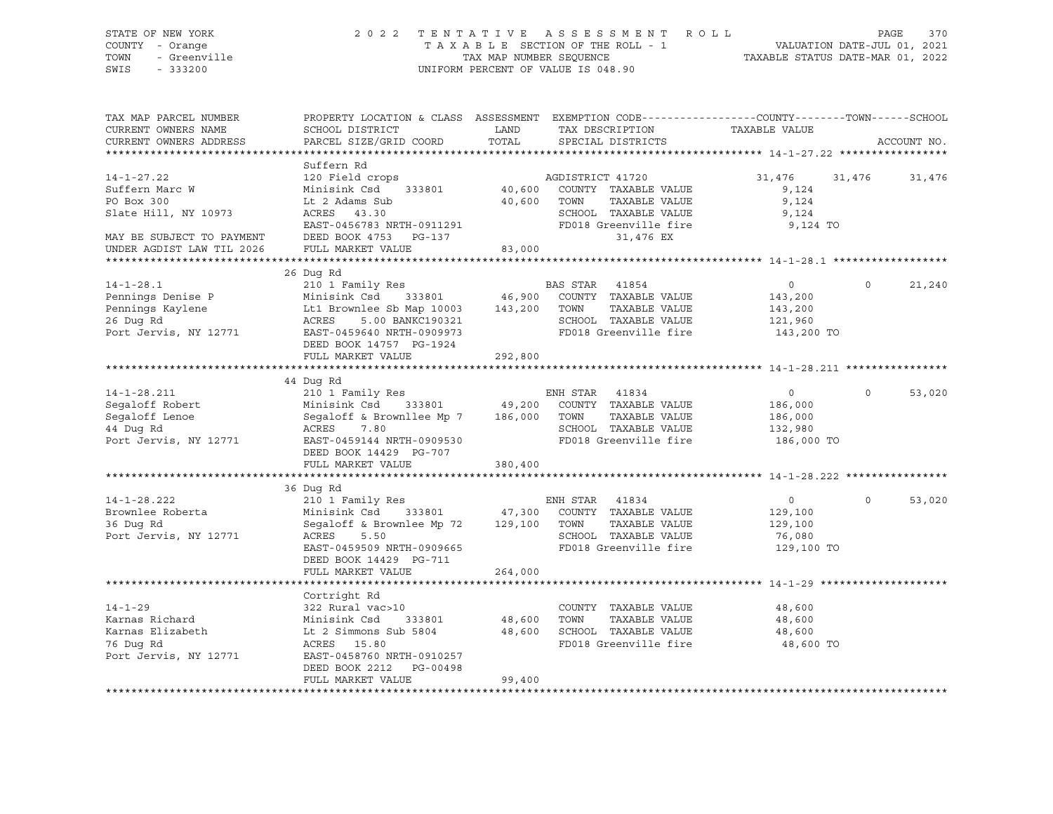| STATE OF NEW YORK<br>COUNTY - Orange<br>TOWN<br>- Greenville<br>SWIS<br>$-333200$              | 2 0 2 2                                                                                                                                                                         | TAX MAP NUMBER SEQUENCE | TENTATIVE ASSESSMENT ROLL<br>TAXABLE SECTION OF THE ROLL - 1<br>UNIFORM PERCENT OF VALUE IS 048.90                      | VALUATION DATE-JUL 01, 2021<br>TAXABLE STATUS DATE-MAR 01, 2022 |          | 370<br>PAGE |
|------------------------------------------------------------------------------------------------|---------------------------------------------------------------------------------------------------------------------------------------------------------------------------------|-------------------------|-------------------------------------------------------------------------------------------------------------------------|-----------------------------------------------------------------|----------|-------------|
| TAX MAP PARCEL NUMBER<br>CURRENT OWNERS NAME<br>CURRENT OWNERS ADDRESS                         | PROPERTY LOCATION & CLASS ASSESSMENT EXEMPTION CODE---------------COUNTY-------TOWN-----SCHOOL<br>SCHOOL DISTRICT<br>PARCEL SIZE/GRID COORD                                     | LAND<br>TOTAL           | TAX DESCRIPTION<br>SPECIAL DISTRICTS                                                                                    | TAXABLE VALUE                                                   |          | ACCOUNT NO. |
|                                                                                                |                                                                                                                                                                                 |                         |                                                                                                                         |                                                                 |          |             |
| $14 - 1 - 27.22$<br>Suffern Marc W<br>PO Box 300<br>Slate Hill, NY 10973                       | Suffern Rd<br>120 Field crops<br>Minisink Csd<br>333801<br>Lt 2 Adams Sub<br>ACRES 43.30                                                                                        | 40,600<br>40,600        | AGDISTRICT 41720<br>COUNTY TAXABLE VALUE<br>TAXABLE VALUE<br>TOWN<br>SCHOOL TAXABLE VALUE                               | 31,476<br>9,124<br>9,124<br>9,124                               | 31,476   | 31,476      |
| MAY BE SUBJECT TO PAYMENT<br>UNDER AGDIST LAW TIL 2026                                         | EAST-0456783 NRTH-0911291<br>DEED BOOK 4753 PG-137<br>FULL MARKET VALUE                                                                                                         | 83,000                  | FD018 Greenville fire<br>31,476 EX                                                                                      | 9,124 TO                                                        |          |             |
|                                                                                                |                                                                                                                                                                                 |                         |                                                                                                                         |                                                                 |          |             |
| $14 - 1 - 28.1$<br>Pennings Denise P<br>Pennings Kaylene<br>26 Dug Rd<br>Port Jervis, NY 12771 | 26 Dug Rd<br>210 1 Family Res<br>Minisink Csd 333801<br>Lt1 Brownlee Sb Map 10003 143,200<br>5.00 BANKC190321<br>ACRES<br>EAST-0459640 NRTH-0909973<br>DEED BOOK 14757 PG-1924  |                         | BAS STAR 41854<br>46,900 COUNTY TAXABLE VALUE<br>TAXABLE VALUE<br>TOWN<br>SCHOOL TAXABLE VALUE<br>FD018 Greenville fire | $\overline{0}$<br>143,200<br>143,200<br>121,960<br>143,200 TO   | $\circ$  | 21,240      |
|                                                                                                | FULL MARKET VALUE                                                                                                                                                               | 292,800                 |                                                                                                                         |                                                                 |          |             |
|                                                                                                |                                                                                                                                                                                 |                         |                                                                                                                         |                                                                 |          |             |
| $14 - 1 - 28.211$<br>Segaloff Robert<br>Segaloff Lenoe<br>44 Dug Rd<br>Port Jervis, NY 12771   | 44 Dug Rd<br>210 1 Family Res<br>Minisink Csd 333801<br>Segaloff & Brownllee Mp 7 186,000<br>ACRES<br>7.80<br>EAST-0459144 NRTH-0909530<br>DEED BOOK 14429 PG-707               | 49,200                  | ENH STAR 41834<br>COUNTY TAXABLE VALUE<br>TAXABLE VALUE<br>TOWN<br>SCHOOL TAXABLE VALUE<br>FD018 Greenville fire        | $\overline{0}$<br>186,000<br>186,000<br>132,980<br>186,000 TO   | $\Omega$ | 53,020      |
|                                                                                                | FULL MARKET VALUE                                                                                                                                                               | 380,400                 |                                                                                                                         |                                                                 |          |             |
|                                                                                                |                                                                                                                                                                                 |                         |                                                                                                                         |                                                                 |          |             |
| $14 - 1 - 28.222$<br>Brownlee Roberta<br>36 Duq Rd<br>Port Jervis, NY 12771                    | 36 Dug Rd<br>210 1 Family Res<br>Minisink Csd<br>333801<br>Segaloff & Brownlee Mp 72<br>ACRES<br>5.50<br>EAST-0459509 NRTH-0909665<br>DEED BOOK 14429 PG-711                    | 47,300<br>129,100 TOWN  | ENH STAR 41834<br>COUNTY TAXABLE VALUE<br>TAXABLE VALUE<br>SCHOOL TAXABLE VALUE<br>FD018 Greenville fire                | $\overline{0}$<br>129,100<br>129,100<br>76,080<br>129,100 TO    | $\circ$  | 53,020      |
|                                                                                                | FULL MARKET VALUE                                                                                                                                                               | 264,000                 |                                                                                                                         |                                                                 |          |             |
| $14 - 1 - 29$<br>Karnas Richard<br>Karnas Elizabeth<br>76 Dug Rd<br>Port Jervis, NY 12771      | Cortright Rd<br>322 Rural vac>10<br>Minisink Csd<br>333801<br>Lt 2 Simmons Sub 5804<br>ACRES 15.80<br>EAST-0458760 NRTH-0910257<br>DEED BOOK 2212 PG-00498<br>FULL MARKET VALUE | 48,600<br>99,400        | COUNTY TAXABLE VALUE<br>TOWN<br>TAXABLE VALUE<br>48,600 SCHOOL TAXABLE VALUE<br>FD018 Greenville fire                   | 48,600<br>48,600<br>48,600<br>48,600 TO                         |          |             |
|                                                                                                |                                                                                                                                                                                 |                         |                                                                                                                         |                                                                 |          |             |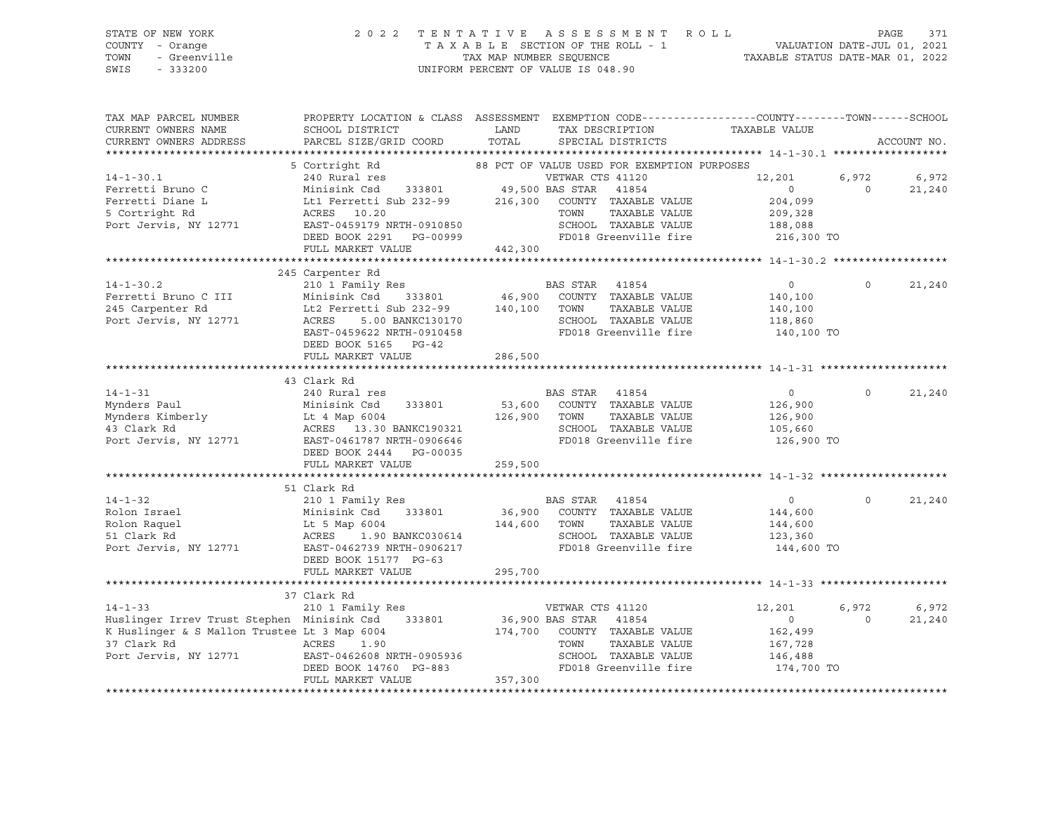| STATE OF NEW YORK<br>COUNTY - Orange<br>TOWN<br>- Greenville<br>SWIS<br>$-333200$                                                                                                                                                                         |                                                                                                                                                                                                                                                                                               |               | 2022 TENTATIVE ASSESSMENT ROLL<br>UNIFORM PERCENT OF VALUE IS 048.90 | TAXABLE SECTION OF THE ROLL - 1<br>TAXABLE SECTION OF THE ROLL - 1<br>TAXABLE STATUS DATE-MAR 01, 2022 | PAGE             | 371             |
|-----------------------------------------------------------------------------------------------------------------------------------------------------------------------------------------------------------------------------------------------------------|-----------------------------------------------------------------------------------------------------------------------------------------------------------------------------------------------------------------------------------------------------------------------------------------------|---------------|----------------------------------------------------------------------|--------------------------------------------------------------------------------------------------------|------------------|-----------------|
| TAX MAP PARCEL NUMBER<br>CURRENT OWNERS NAME<br>CURRENT OWNERS ADDRESS                                                                                                                                                                                    | PROPERTY LOCATION & CLASS ASSESSMENT EXEMPTION CODE----------------COUNTY-------TOWN------SCHOOL<br>SCHOOL DISTRICT<br>PARCEL SIZE/GRID COORD                                                                                                                                                 | LAND<br>TOTAL | SPECIAL DISTRICTS                                                    | TAX DESCRIPTION TAXABLE VALUE                                                                          |                  | ACCOUNT NO.     |
|                                                                                                                                                                                                                                                           |                                                                                                                                                                                                                                                                                               |               |                                                                      |                                                                                                        |                  |                 |
| $14 - 1 - 30.1$<br>14-1-30.1<br>Ferretti Bruno C Minisink Cad 333801 49,500 BAS STAR 41854<br>Ferretti Diane L Lt1 Ferretti Sub 232-99 216,300 COUNTY TAXABLE VALUE<br>5 Cortright Rd ACRES 10.20 TOWN TAXABLE VALUE<br>Port Jervis, NY 12771 EAST-045917 | 5 Cortright Rd<br>240 Rural res                                                                                                                                                                                                                                                               |               | 88 PCT OF VALUE USED FOR EXEMPTION PURPOSES<br>VETWAR CTS 41120      | 12,201<br>$\overline{0}$<br>204,099<br>209,328                                                         | 6,972<br>$\circ$ | 6,972<br>21,240 |
|                                                                                                                                                                                                                                                           |                                                                                                                                                                                                                                                                                               |               |                                                                      | 188,088                                                                                                |                  |                 |
|                                                                                                                                                                                                                                                           |                                                                                                                                                                                                                                                                                               |               |                                                                      | 216,300 TO                                                                                             |                  |                 |
|                                                                                                                                                                                                                                                           | FULL MARKET VALUE 442,300                                                                                                                                                                                                                                                                     |               |                                                                      |                                                                                                        |                  |                 |
|                                                                                                                                                                                                                                                           | 245 Carpenter Rd                                                                                                                                                                                                                                                                              |               |                                                                      |                                                                                                        |                  |                 |
| $14 - 1 - 30.2$<br>Ferretti Bruno C III<br>245 Carpenter Rd<br>Port Jervis, NY 12771                                                                                                                                                                      | 210 1 Family Res<br>210 1 Family Res BAS STAR 41854 0<br>Minisink Csd 333801 46,900 COUNTY TAXABLE VALUE 140,100<br>Lt2 Ferretti Sub 232-99 140,100 TOWN TAXABLE VALUE 140,100<br>ACRES 5.00 BANKC130170 SCHOOL TAXABLE VALUE 118,860<br>EAST-0459622 NRTH                                    |               |                                                                      |                                                                                                        | $\Omega$         | 21,240          |
|                                                                                                                                                                                                                                                           | DEED BOOK 5165 PG-42                                                                                                                                                                                                                                                                          |               |                                                                      |                                                                                                        |                  |                 |
|                                                                                                                                                                                                                                                           | FULL MARKET VALUE                                                                                                                                                                                                                                                                             | 286,500       |                                                                      |                                                                                                        |                  |                 |
|                                                                                                                                                                                                                                                           | 43 Clark Rd                                                                                                                                                                                                                                                                                   |               |                                                                      |                                                                                                        |                  |                 |
| $14 - 1 - 31$<br>Mynders Paul Minisink Csd 333801 53,600 COUNTY TAXABLE VALUE<br>Mynders Rimberly Lt 4 Map 6004 126,900 TOWN TAXABLE VALUE<br>43 Clark Rd ACRES 13.30 BANKC190321 SCHOOL TAXABLE VALUE<br>Port Jervis, NY 12771 EAST-0461787 NRTH-090     | 240 Rural res<br>DEED BOOK 2444    PG-00035                                                                                                                                                                                                                                                   |               | BAS STAR 41854<br>$53,600$ COUNTY TAXABLE VALUE                      | $\overline{0}$<br>126,900<br>126,900<br>105,660<br>126,900 TO                                          | $\Omega$         | 21,240          |
|                                                                                                                                                                                                                                                           | FULL MARKET VALUE                                                                                                                                                                                                                                                                             | 259,500       |                                                                      |                                                                                                        |                  |                 |
|                                                                                                                                                                                                                                                           |                                                                                                                                                                                                                                                                                               |               |                                                                      |                                                                                                        |                  |                 |
| $14 - 1 - 32$<br>Rolon Israel<br>Rolon Raquel<br>51 Clark Rd<br>Port Jervis, NY 12771                                                                                                                                                                     | 51 Clark Rd<br>210 1 Family Res<br>Minisink Csd 333801<br>Lt 5 Map 6004<br>ACRES 1.90 BANKC030614<br>Lt 5 Map 6004 144,600 TOWN TAXABLE VALUE<br>ACRES 1.90 BANKC030614 SCHOOL TAXABLE VALUE<br>EAST-0462739 NRTH-0906217 FD018 Greenville fire<br>DEED BOOK 15177 PG-63<br>FULL MARKET VALUE | 295,700       | BAS STAR 41854<br>36,900 COUNTY TAXABLE VALUE                        | $\overline{0}$<br>144,600<br>144,600<br>123,360<br>144,600 TO                                          | $\Omega$         | 21,240          |
|                                                                                                                                                                                                                                                           |                                                                                                                                                                                                                                                                                               |               |                                                                      |                                                                                                        |                  |                 |
| $14 - 1 - 33$<br>Port Jervis, NY 12771<br>Port Jervis, NY 12771<br>EAST-0462608 NRTH-0905936<br>DEED BOOK 14760 PG-883<br>PERD BOOK 14760 PG-883<br>PERD BOOK 14760 PG-883 PD018 Greenville fire                                                          | 37 Clark Rd<br>210 1 Family Res                                                                                                                                                                                                                                                               |               | VETWAR CTS 41120<br>FD018 Greenville fire                            | 12,201<br>$\overline{0}$<br>162,499<br>167,728<br>146,488<br>174,700 TO                                | 6,972<br>$\circ$ | 6,972<br>21,240 |
|                                                                                                                                                                                                                                                           | FULL MARKET VALUE                                                                                                                                                                                                                                                                             | 357,300       |                                                                      |                                                                                                        |                  |                 |
|                                                                                                                                                                                                                                                           |                                                                                                                                                                                                                                                                                               |               |                                                                      |                                                                                                        |                  |                 |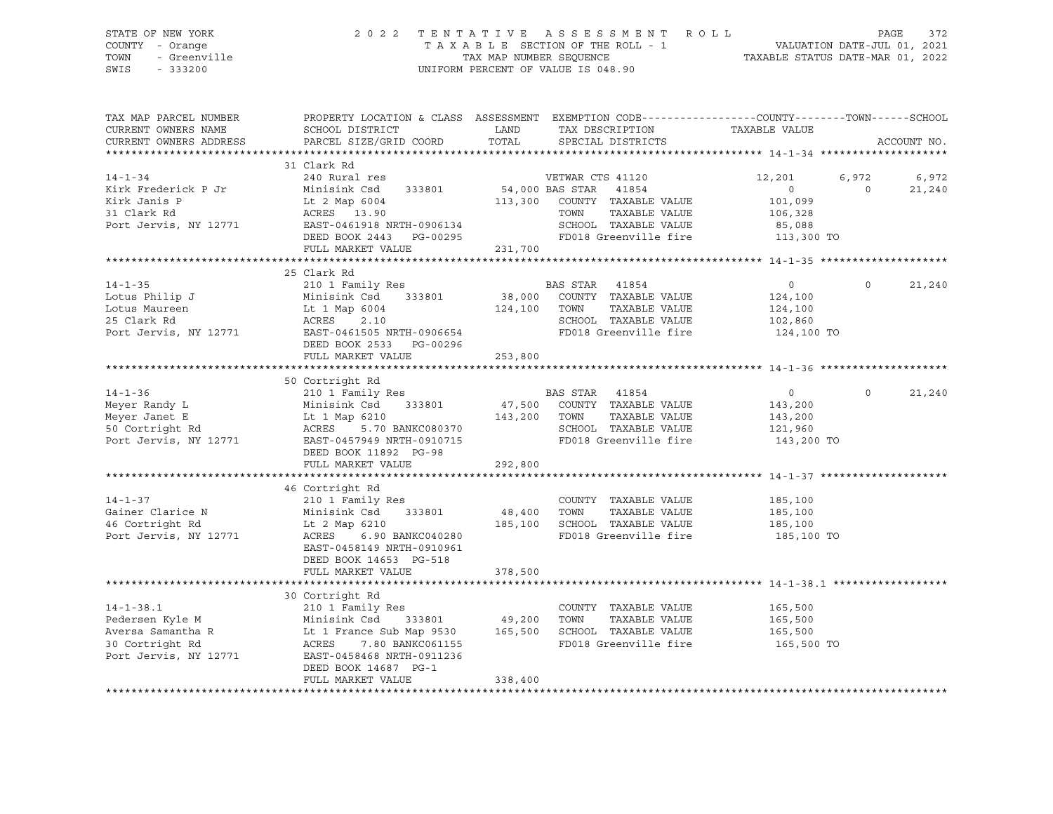SWIS - 333200 UNIFORM PERCENT OF VALUE IS 048.90

# STATE OF NEW YORK 2 0 2 2 T E N T A T I V E A S S E S S M E N T R O L L PAGE 372 COUNTY - Orange T A X A B L E SECTION OF THE ROLL - 1 VALUATION DATE-JUL 01, 2021 TOWN - Greenville TAX MAP NUMBER SEQUENCE TAXABLE STATUS DATE-MAR 01, 2022

| TAX MAP PARCEL NUMBER<br>CURRENT OWNERS NAME<br>CURRENT OWNERS ADDRESS | PROPERTY LOCATION & CLASS ASSESSMENT EXEMPTION CODE----------------COUNTY-------TOWN------SCHOOL<br>SCHOOL DISTRICT<br>PARCEL SIZE/GRID COORD                                                                                                                                          |              | LAND TAX DESCRIPTION<br>TOTAL SPECIAL DISTRICTS          | TAXABLE VALUE                  | ACCOUNT NO.                |  |
|------------------------------------------------------------------------|----------------------------------------------------------------------------------------------------------------------------------------------------------------------------------------------------------------------------------------------------------------------------------------|--------------|----------------------------------------------------------|--------------------------------|----------------------------|--|
|                                                                        |                                                                                                                                                                                                                                                                                        |              |                                                          |                                |                            |  |
|                                                                        | 31 Clark Rd                                                                                                                                                                                                                                                                            |              |                                                          |                                |                            |  |
| $14 - 1 - 34$<br>Kirk Frederick P Jr                                   | 240 Rural res<br>Minisink Csd 333801                                                                                                                                                                                                                                                   |              | VETWAR CTS 41120<br>54,000 BAS STAR 41854                | 12,201 6,972<br>$\overline{0}$ | 6,972<br>$\circ$<br>21,240 |  |
| Kirk Janis P<br>31 Clark Rd                                            | Lt 2 Map 6004<br>ACRES 13.90<br>EAST-0461918 NRTH-0906134                                                                                                                                                                                                                              |              | 113,300 COUNTY TAXABLE VALUE<br>TAXABLE VALUE<br>TOWN    | 101,099<br>106,328             |                            |  |
| Port Jervis, NY 12771                                                  | DEED BOOK 2443 PG-00295<br>FULL MARKET VALUE                                                                                                                                                                                                                                           | 231,700      | SCHOOL TAXABLE VALUE<br>FD018 Greenville fire 113,300 TO | 85,088                         |                            |  |
|                                                                        |                                                                                                                                                                                                                                                                                        |              |                                                          |                                |                            |  |
|                                                                        | 25 Clark Rd                                                                                                                                                                                                                                                                            |              |                                                          |                                |                            |  |
| $14 - 1 - 35$                                                          |                                                                                                                                                                                                                                                                                        |              |                                                          | $\overline{0}$<br>124,100      | $\Omega$<br>21,240         |  |
|                                                                        |                                                                                                                                                                                                                                                                                        | 124,100 TOWN | TAXABLE VALUE                                            | 124,100                        |                            |  |
|                                                                        | Lotus Philip J<br>Lotus Maureen<br>25 Clark Rd<br>25 Clark Rd<br>26 Clark Rd<br>26 2.10                                                                                                                                                                                                |              | SCHOOL TAXABLE VALUE                                     | 102,860                        |                            |  |
|                                                                        | Port Jervis, NY 12771 EAST-0461505 NRTH-0906654<br>DEED BOOK 2533 PG-00296                                                                                                                                                                                                             |              | FD018 Greenville fire 124,100 TO                         |                                |                            |  |
|                                                                        | FULL MARKET VALUE                                                                                                                                                                                                                                                                      | 253,800      |                                                          |                                |                            |  |
|                                                                        | 50 Cortright Rd                                                                                                                                                                                                                                                                        |              |                                                          |                                |                            |  |
|                                                                        |                                                                                                                                                                                                                                                                                        |              | BAS STAR 41854<br>47,500 COUNTY TAXABLE VALUE            | $\overline{0}$                 | $\circ$<br>21,240          |  |
|                                                                        |                                                                                                                                                                                                                                                                                        |              |                                                          | 143,200                        |                            |  |
|                                                                        | 143,200 TOWN                                                                                                                                                                                                                                                                           |              | TAXABLE VALUE<br>SCHOOL TAXABLE VALUE                    | 143,200<br>121,960             |                            |  |
|                                                                        | 14-1-36 210 1 Family Res<br>Meyer Randy L Minisink Csd 333801 47,500<br>Meyer Janet E Lt 1 Map 6210 143,200<br>50 Cortright Rd ACRES 5.70 BANKC080370<br>Port Jervis, NY 12771 EAST-0457949 NRTH-0910715<br>DEED BOOK 11892 PG-98                                                      |              | FD018 Greenville fire 143,200 TO                         |                                |                            |  |
|                                                                        | FULL MARKET VALUE                                                                                                                                                                                                                                                                      | 292,800      |                                                          |                                |                            |  |
|                                                                        |                                                                                                                                                                                                                                                                                        |              |                                                          |                                |                            |  |
|                                                                        | Cainer Clarice N<br>Gainer Clarice N<br>48,400<br>48,400<br>210 1 Family Res<br>Minisink Csd<br>333801<br>2010<br>2010<br>2010<br>2010<br>2010<br>2010<br>2010<br>2010<br>2010<br>2010<br>2010<br>2010<br>2010<br>2010<br>2010<br>2010<br>2010<br>2010<br>2010<br>2010<br>2010<br>2010 |              | COUNTY TAXABLE VALUE                                     | 185,100                        |                            |  |
|                                                                        |                                                                                                                                                                                                                                                                                        |              | TOWN<br>TAXABLE VALUE                                    | 185,100                        |                            |  |
|                                                                        |                                                                                                                                                                                                                                                                                        |              | SCHOOL TAXABLE VALUE                                     | 185,100                        |                            |  |
| Port Jervis, NY 12771                                                  | 6.90 BANKC040280<br>ACRES<br>EAST-0458149 NRTH-0910961<br>DEED BOOK 14653 PG-518                                                                                                                                                                                                       |              | FD018 Greenville fire                                    | 185,100 TO                     |                            |  |
|                                                                        | FULL MARKET VALUE                                                                                                                                                                                                                                                                      | 378,500      |                                                          |                                |                            |  |
|                                                                        |                                                                                                                                                                                                                                                                                        |              |                                                          |                                |                            |  |
|                                                                        |                                                                                                                                                                                                                                                                                        |              |                                                          |                                |                            |  |
|                                                                        |                                                                                                                                                                                                                                                                                        |              |                                                          | 165,500                        |                            |  |
|                                                                        |                                                                                                                                                                                                                                                                                        |              |                                                          | 165,500<br>165,500             |                            |  |
|                                                                        |                                                                                                                                                                                                                                                                                        |              | FD018 Greenville fire 165,500 TO                         |                                |                            |  |
|                                                                        | EXECUTIVE RANGER PERIODE SAMPLE VALUE AND RESERVED AND MINISTRY OF MANUSCRIPT AND MINISTRY OF MANUSCRIPT AND MINISTRY OF MANUSCRIPT AND MINISTRY OF MANUSCRIPT AND MANUSCRIPT OF MANUSCRIPT AND ARREST AND REAST-0458468 NRTH-<br>DEED BOOK 14687 PG-1                                 |              |                                                          |                                |                            |  |
|                                                                        | FULL MARKET VALUE                                                                                                                                                                                                                                                                      | 338,400      |                                                          |                                |                            |  |
|                                                                        |                                                                                                                                                                                                                                                                                        |              |                                                          |                                |                            |  |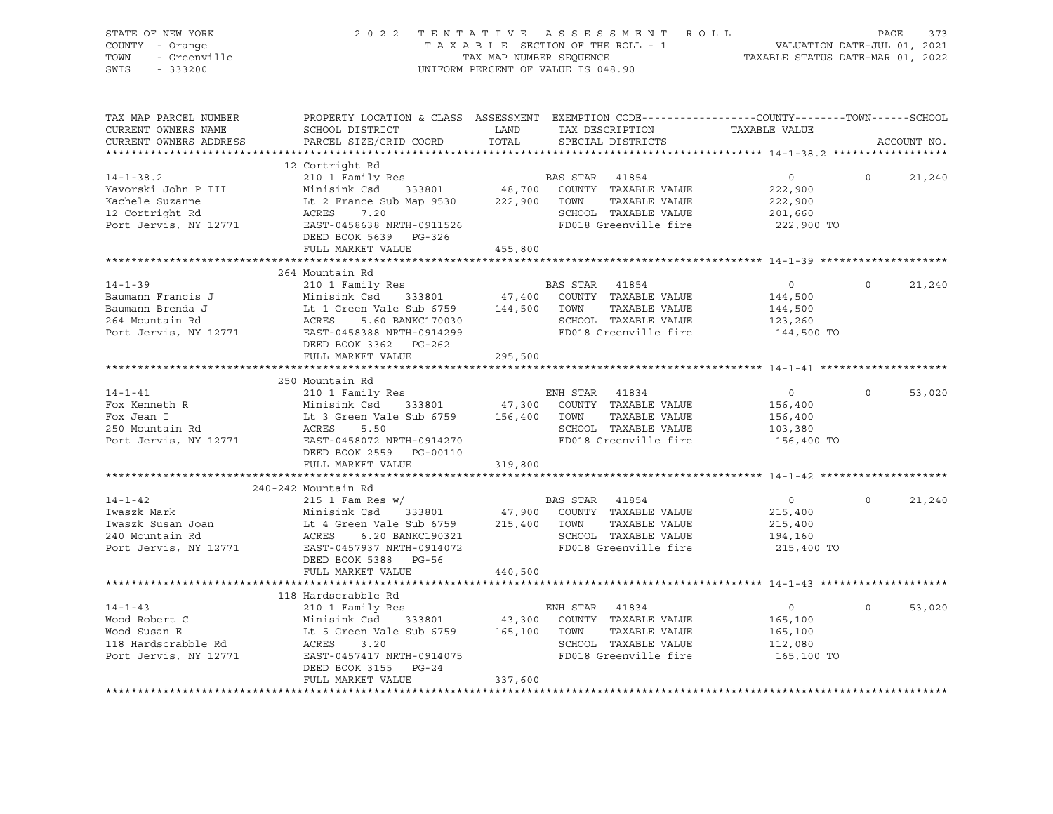| STATE OF NEW YORK<br>COUNTY - Orange<br>TOWN<br>- Greenville<br>SWIS<br>$-333200$                     |                                                                                                                                                                                                   | 2022 TENTATIVE ASSESSMENT ROLL<br>TAXABLE SECTION OF THE ROLL - 1<br>TAX MAP NUMBER SEQUENCE<br>UNIFORM PERCENT OF VALUE IS 048.90                                                   | 373<br>PAGE<br>VALUATION DATE-JUL 01, 2021<br>TAXABLE STATUS DATE-MAR 01, 2022               |
|-------------------------------------------------------------------------------------------------------|---------------------------------------------------------------------------------------------------------------------------------------------------------------------------------------------------|--------------------------------------------------------------------------------------------------------------------------------------------------------------------------------------|----------------------------------------------------------------------------------------------|
| TAX MAP PARCEL NUMBER<br>CURRENT OWNERS NAME<br>CURRENT OWNERS ADDRESS                                | SCHOOL DISTRICT<br>PARCEL SIZE/GRID COORD                                                                                                                                                         | PROPERTY LOCATION & CLASS ASSESSMENT EXEMPTION CODE----------------COUNTY-------TOWN------SCHOOL<br>TAX DESCRIPTION<br>LAND<br>TOTAL<br>SPECIAL DISTRICTS                            | TAXABLE VALUE<br>ACCOUNT NO.                                                                 |
|                                                                                                       | 12 Cortright Rd                                                                                                                                                                                   |                                                                                                                                                                                      |                                                                                              |
| $14 - 1 - 38.2$<br>Yavorski John P III<br>Kachele Suzanne<br>12 Cortright Rd<br>Port Jervis, NY 12771 | 210 1 Family Res<br>Minisink Csd 333801 48,700<br>Lt 2 France Sub Map 9530 222,900<br>ACRES<br>7.20<br>EAST-0458638 NRTH-0911526<br>DEED BOOK 5639 PG-326                                         | BAS STAR 41854<br>COUNTY TAXABLE VALUE<br>TAXABLE VALUE<br>TOWN<br>SCHOOL TAXABLE VALUE<br>FD018 Greenville fire                                                                     | $\circ$<br>$\overline{0}$<br>21,240<br>222,900<br>222,900<br>201,660<br>222,900 TO           |
|                                                                                                       | FULL MARKET VALUE                                                                                                                                                                                 | 455,800                                                                                                                                                                              |                                                                                              |
| $14 - 1 - 39$<br>Baumann Francis J<br>Baumann Brenda J<br>264 Mountain Rd<br>Port Jervis, NY 12771    | 264 Mountain Rd<br>210 1 Family Res<br>Minisink Csd 333801<br>Lt 1 Green Vale Sub 6759 144,500 TOWN<br>ACRES 5.60 BANKC170030 SCHOO<br>EAST-0458388 NRTH-0914299<br>DEED BOOK 3362 PG-262         | BAS STAR 41854<br>47,400 COUNTY TAXABLE VALUE<br>TAXABLE VALUE<br>SCHOOL TAXABLE VALUE<br>FD018 Greenville fire                                                                      | $\overline{0}$<br>21,240<br>$\overline{0}$<br>144,500<br>144,500<br>123,260<br>144,500 TO    |
|                                                                                                       | FULL MARKET VALUE                                                                                                                                                                                 | 295,500                                                                                                                                                                              |                                                                                              |
| $14 - 1 - 41$<br>Fox Kenneth R<br>Fox Jean I<br>250 Mountain Rd<br>Port<br>Port Jervis, NY 12771      | 250 Mountain Rd<br>210 1 Family Res<br>Minisink Csd 333801<br>Lt 3 Green Vale Sub 6759 156,400 TOWN<br>ACRES<br>5.50<br>EAST-0458072 NRTH-0914270<br>DEED BOOK 2559 PG-00110<br>FULL MARKET VALUE | ENH STAR 41834<br>47,300<br>COUNTY TAXABLE VALUE<br>TAXABLE VALUE<br>SCHOOL TAXABLE VALUE<br>FD018 Greenville fire<br>319,800                                                        | $\overline{0}$<br>53,020<br>$\overline{0}$<br>156,400<br>156,400<br>103,380<br>156,400 TO    |
|                                                                                                       |                                                                                                                                                                                                   |                                                                                                                                                                                      |                                                                                              |
| $14 - 1 - 42$<br>Iwaszk Mark<br>Iwaszk Susan Joan<br>240 Mountain Rd<br>Port Jervis, NY 12771         | 240-242 Mountain Rd<br>$215$ 1 Fam Res w/<br>Minisink Csd<br>333801<br>Lt 4 Green Vale Sub 6759<br>ACRES<br>6.20 BANKC190321<br>EAST-0457937 NRTH-0914072<br>DEED BOOK 5388 PG-56                 | BAS STAR 41854<br>47,900 COUNTY TAXABLE VALUE<br>215,400 TOWN<br>TAXABLE VALUE<br>SCHOOL TAXABLE VALUE<br>FD018 Greenville fire                                                      | $\overline{0}$<br>21,240<br>$\overline{0}$<br>215,400<br>215,400<br>194,160<br>215,400 TO    |
|                                                                                                       | FULL MARKET VALUE                                                                                                                                                                                 | 440,500                                                                                                                                                                              |                                                                                              |
| $14 - 1 - 43$<br>Nood Robert C<br>Wood Susan E<br>118 Hardscrabble Rd<br>Port Jervis, NY 12771        | 118 Hardscrabble Rd<br>210 1 Family Res<br>ACRES<br>3.20<br>EAST-0457417 NRTH-0914075<br>DEED BOOK 3155 PG-24<br>FULL MARKET VALUE                                                                | ENH STAR 41834<br>Minisink Csd 333801 43,300 COUNTY TAXABLE VALUE<br>Lt 5 Green Vale Sub 6759 165,100 TOWN TAXABLE VALUE<br>SCHOOL TAXABLE VALUE<br>FD018 Greenville fire<br>337,600 | $0 \qquad \qquad$<br>$\overline{0}$<br>53,020<br>165,100<br>165,100<br>112,080<br>165,100 TO |
|                                                                                                       |                                                                                                                                                                                                   |                                                                                                                                                                                      |                                                                                              |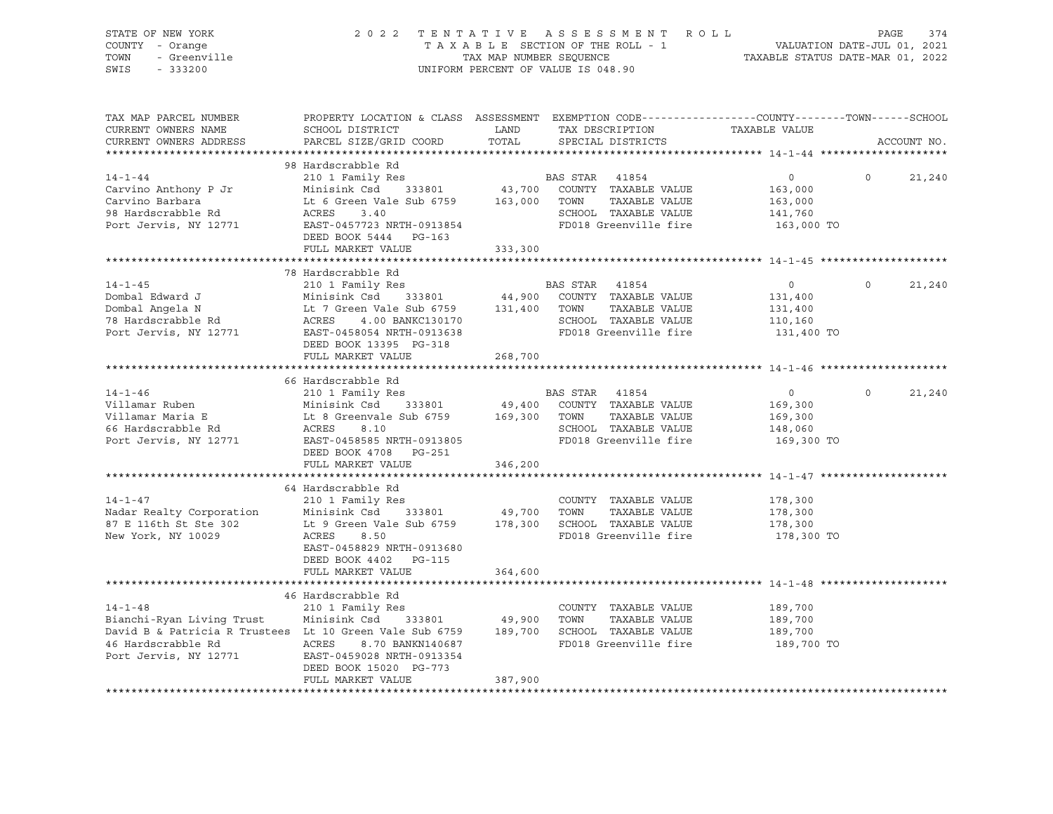| STATE OF NEW YORK<br>COUNTY - Orange<br>- Greenville<br>TOWN<br>SWIS<br>$-333200$                                                                                                                                                                                         |                                                                                                                                               |         | 2022 TENTATIVE ASSESSMENT ROLL<br>TAXABLE SECTION OF THE ROLL - 1<br>TAXABLE SECTION OF THE ROLL - 1<br>TAXABLE STATUS DATE-MAR 01, 2022<br>UNIFORM PERCENT OF VALUE IS 048.90 |                                             | PAGE     | 374         |
|---------------------------------------------------------------------------------------------------------------------------------------------------------------------------------------------------------------------------------------------------------------------------|-----------------------------------------------------------------------------------------------------------------------------------------------|---------|--------------------------------------------------------------------------------------------------------------------------------------------------------------------------------|---------------------------------------------|----------|-------------|
| TAX MAP PARCEL NUMBER<br>CURRENT OWNERS NAME<br>CURRENT OWNERS ADDRESS                                                                                                                                                                                                    | PROPERTY LOCATION & CLASS ASSESSMENT EXEMPTION CODE----------------COUNTY-------TOWN------SCHOOL<br>SCHOOL DISTRICT<br>PARCEL SIZE/GRID COORD | TOTAL   | LAND TAX DESCRIPTION TAXABLE VALUE<br>SPECIAL DISTRICTS                                                                                                                        |                                             |          | ACCOUNT NO. |
| 14-1-44<br>Carvino Anthony P Jr<br>Carvino Barbara<br>Carvino Barbara<br>210 1 Family Res<br>Minisink Csd 333801<br>210 1 Family Res<br>333801<br>43,700 COUNTY TAXABLE VALUE<br>43,700 COUNTY TAXABLE VALUE<br>763,000<br>26 ACRES<br>26 ACRES<br>26 AC                  | 98 Hardscrabble Rd<br>DEED BOOK 5444 PG-163                                                                                                   |         |                                                                                                                                                                                |                                             | $\Omega$ | 21,240      |
|                                                                                                                                                                                                                                                                           | FULL MARKET VALUE                                                                                                                             | 333,300 |                                                                                                                                                                                |                                             |          |             |
| 14-1-45<br>14-1-45<br>210 1 Family Res<br>210 1 Family Res<br>210 1 Family Res<br>210 1 Family Res<br>210 1 Family Res<br>210 1 Family Res<br>210 1 Family Res<br>210 1 Family Res<br>210 1 Family Res<br>210 1 Family Res<br>210 131,400<br>2131,400<br>2                | 78 Hardscrabble Rd<br>DEED BOOK 13395 PG-318                                                                                                  |         |                                                                                                                                                                                |                                             | $\Omega$ | 21,240      |
|                                                                                                                                                                                                                                                                           | FULL MARKET VALUE                                                                                                                             | 268,700 |                                                                                                                                                                                |                                             |          |             |
|                                                                                                                                                                                                                                                                           |                                                                                                                                               |         | SCHOOL TAXABLE VALUE 148,060<br>FD018 Greenville fire 169,300 TO                                                                                                               | $\overline{0}$<br>169,300<br>169,300        | $\Omega$ | 21,240      |
|                                                                                                                                                                                                                                                                           | DEED BOOK 4708 PG-251<br>FULL MARKET VALUE                                                                                                    | 346,200 |                                                                                                                                                                                |                                             |          |             |
| $14 - 1 - 47$<br>Nadar Realty Corporation Minisink Csd 333801 49,700 TOWN TAXABLE VALUE<br>87 E 116th St Ste 302 Lt 9 Green Vale Sub 6759 178,300 SCHOOL TAXABLE VALUE<br>New York, NY 10029                                                                              | 64 Hardscrabble Rd<br>210 1 Family Res<br>ACRES 8.50<br>EAST-0458829 NRTH-0913680<br>DEED BOOK 4402    PG-115<br>FULL MARKET VALUE            | 364,600 | COUNTY TAXABLE VALUE<br>FD018 Greenville fire                                                                                                                                  | 178,300<br>178,300<br>178,300<br>178,300 TO |          |             |
|                                                                                                                                                                                                                                                                           |                                                                                                                                               |         |                                                                                                                                                                                |                                             |          |             |
| $14 - 1 - 48$<br>Bianchi-Ryan Living Trust Minisink Csd 333801 49,900 TOWN TAXABLE VALUE 189,700<br>David B & Patricia R Trustees Lt 10 Green Vale Sub 6759 189,700 SCHOOL TAXABLE VALUE 189,700<br>46 Hardscrabble Rd<br>Port Jervis, NY 12771 EAST-0459028 NRTH-0913354 | 46 Hardscrabble Rd<br>210 1 Family Res<br>DEED BOOK 15020 PG-773<br>FULL MARKET VALUE                                                         | 387,900 | COUNTY TAXABLE VALUE<br>FD018 Greenville fire                                                                                                                                  | 189,700<br>189,700 TO                       |          |             |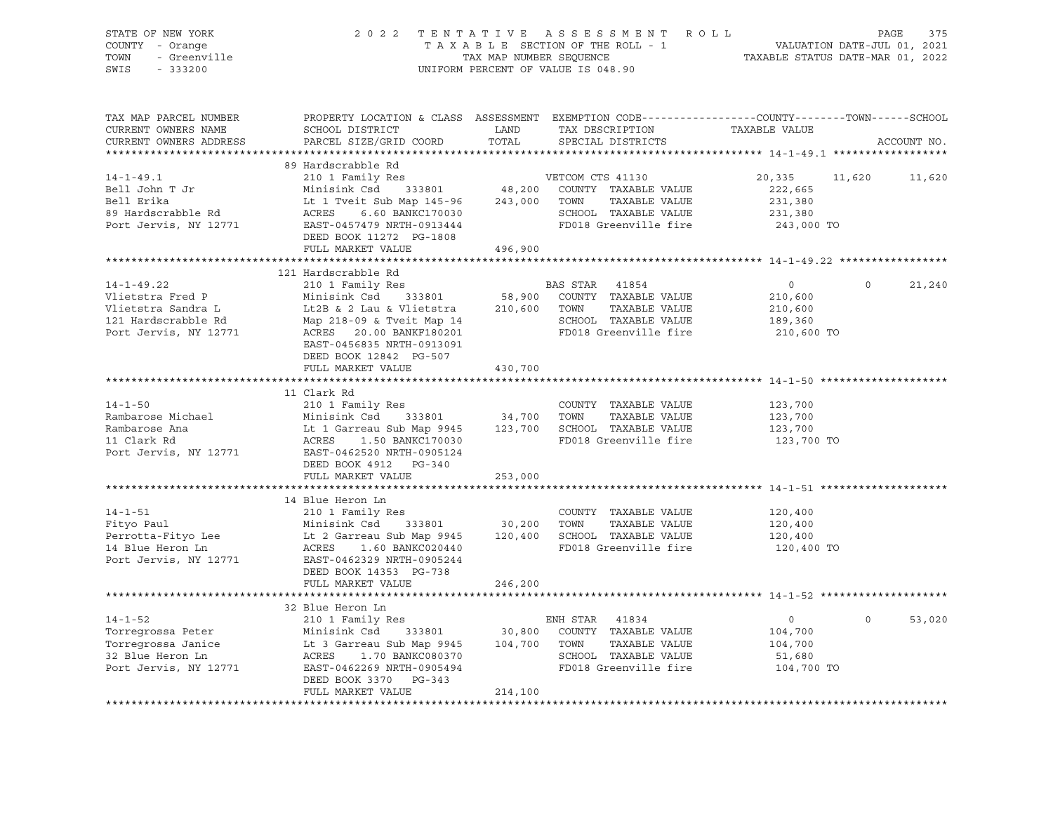| STATE OF NEW YORK<br>COUNTY - Orange<br>- Greenville<br>TOWN | TENTATIVE ASSESSMENT ROLL<br>TAXABLE STATUS DATE-MAR 01, 2022                                   | PAGE<br>375<br>VALUATION DATE-JUL 01, 2021 |                                               |                      |                   |
|--------------------------------------------------------------|-------------------------------------------------------------------------------------------------|--------------------------------------------|-----------------------------------------------|----------------------|-------------------|
| SWIS<br>$-333200$                                            | TAX MAP NUMBER SEQUENCE<br>UNIFORM PERCENT OF VALUE IS 048.90                                   |                                            |                                               |                      |                   |
| TAX MAP PARCEL NUMBER                                        | PROPERTY LOCATION & CLASS ASSESSMENT EXEMPTION CODE---------------COUNTY-------TOWN------SCHOOL |                                            |                                               |                      |                   |
| CURRENT OWNERS NAME<br>CURRENT OWNERS ADDRESS                | SCHOOL DISTRICT<br>PARCEL SIZE/GRID COORD                                                       | LAND<br>TOTAL                              | TAX DESCRIPTION<br>SPECIAL DISTRICTS          | TAXABLE VALUE        | ACCOUNT NO.       |
|                                                              |                                                                                                 |                                            |                                               |                      |                   |
|                                                              | 89 Hardscrabble Rd                                                                              |                                            |                                               |                      |                   |
| $14 - 1 - 49.1$                                              | 210 1 Family Res                                                                                |                                            | VETCOM CTS 41130                              | 20,335               | 11,620<br>11,620  |
| Bell John T Jr                                               | Minisink Csd<br>333801                                                                          | 48,200                                     | COUNTY TAXABLE VALUE                          | 222,665              |                   |
| Bell Erika                                                   | Lt 1 Tveit Sub Map 145-96                                                                       | 243,000                                    | TAXABLE VALUE<br>TOWN                         | 231,380              |                   |
| 89 Hardscrabble Rd                                           | 6.60 BANKC170030<br>ACRES                                                                       |                                            | SCHOOL TAXABLE VALUE                          | 231,380              |                   |
| Port Jervis, NY 12771                                        | EAST-0457479 NRTH-0913444                                                                       |                                            | FD018 Greenville fire                         | 243,000 TO           |                   |
|                                                              | DEED BOOK 11272 PG-1808                                                                         |                                            |                                               |                      |                   |
|                                                              | FULL MARKET VALUE                                                                               | 496,900                                    |                                               |                      |                   |
|                                                              | 121 Hardscrabble Rd                                                                             |                                            |                                               |                      |                   |
| $14 - 1 - 49.22$                                             | 210 1 Family Res                                                                                |                                            | <b>BAS STAR</b><br>41854                      | $\circ$              | $\circ$<br>21,240 |
| Vlietstra Fred P                                             | Minisink Csd 333801                                                                             | 58,900                                     | COUNTY TAXABLE VALUE                          | 210,600              |                   |
| Vlietstra Sandra L                                           | Lt2B & 2 Lau & Vlietstra                                                                        | 210,600                                    | TOWN<br>TAXABLE VALUE                         | 210,600              |                   |
| 121 Hardscrabble Rd                                          | Map 218-09 & Tveit Map 14                                                                       |                                            | SCHOOL TAXABLE VALUE                          | 189,360              |                   |
| Port Jervis, NY 12771                                        | ACRES 20.00 BANKF180201                                                                         |                                            | FD018 Greenville fire                         | 210,600 TO           |                   |
|                                                              | EAST-0456835 NRTH-0913091                                                                       |                                            |                                               |                      |                   |
|                                                              | DEED BOOK 12842 PG-507                                                                          |                                            |                                               |                      |                   |
|                                                              | FULL MARKET VALUE                                                                               | 430,700                                    |                                               |                      |                   |
|                                                              |                                                                                                 |                                            |                                               |                      |                   |
| $14 - 1 - 50$                                                | 11 Clark Rd<br>210 1 Family Res                                                                 |                                            | COUNTY TAXABLE VALUE                          | 123,700              |                   |
| Rambarose Michael                                            | Minisink Csd<br>333801                                                                          | 34,700 TOWN                                | TAXABLE VALUE                                 | 123,700              |                   |
| Rambarose Ana                                                | Lt 1 Garreau Sub Map 9945                                                                       |                                            | 123,700 SCHOOL TAXABLE VALUE                  | 123,700              |                   |
| 11 Clark Rd                                                  | ACRES<br>1.50 BANKC170030                                                                       |                                            | FD018 Greenville fire                         | 123,700 TO           |                   |
| Port Jervis, NY 12771                                        | EAST-0462520 NRTH-0905124                                                                       |                                            |                                               |                      |                   |
|                                                              | DEED BOOK 4912 PG-340                                                                           |                                            |                                               |                      |                   |
|                                                              | FULL MARKET VALUE                                                                               | 253,000                                    |                                               |                      |                   |
|                                                              |                                                                                                 |                                            |                                               |                      |                   |
|                                                              | 14 Blue Heron Ln                                                                                |                                            |                                               |                      |                   |
| $14 - 1 - 51$<br>Fityo Paul                                  | 210 1 Family Res<br>Minisink Csd<br>333801                                                      | 30,200                                     | COUNTY TAXABLE VALUE<br>TOWN<br>TAXABLE VALUE | 120,400<br>120,400   |                   |
| Perrotta-Fityo Lee                                           | Lt 2 Garreau Sub Map 9945                                                                       |                                            | 120,400 SCHOOL TAXABLE VALUE                  | 120,400              |                   |
| 14 Blue Heron Ln                                             | ACRES 1.60 BANKC020440                                                                          |                                            | FD018 Greenville fire                         | 120,400 TO           |                   |
| Port Jervis, NY 12771                                        | EAST-0462329 NRTH-0905244                                                                       |                                            |                                               |                      |                   |
|                                                              | DEED BOOK 14353 PG-738                                                                          |                                            |                                               |                      |                   |
|                                                              | FULL MARKET VALUE                                                                               | 246,200                                    |                                               |                      |                   |
|                                                              |                                                                                                 |                                            |                                               |                      |                   |
|                                                              | 32 Blue Heron Ln                                                                                |                                            |                                               |                      |                   |
| $14 - 1 - 52$                                                | 210 1 Family Res                                                                                |                                            | ENH STAR 41834                                | $\circ$              | $\circ$<br>53,020 |
| Torregrossa Peter                                            | Minisink Csd<br>333801                                                                          | 30,800                                     | COUNTY TAXABLE VALUE                          | 104,700              |                   |
| Torregrossa Janice                                           | Lt 3 Garreau Sub Map 9945                                                                       | 104,700 TOWN                               | TAXABLE VALUE                                 | 104,700              |                   |
| 32 Blue Heron Ln<br>Port Jervis, NY 12771                    | ACRES<br>1.70 BANKC080370<br>EAST-0462269 NRTH-0905494                                          |                                            | SCHOOL TAXABLE VALUE<br>FD018 Greenville fire | 51,680<br>104,700 TO |                   |
|                                                              | DEED BOOK 3370 PG-343                                                                           |                                            |                                               |                      |                   |
|                                                              | FULL MARKET VALUE                                                                               | 214,100                                    |                                               |                      |                   |
|                                                              |                                                                                                 |                                            |                                               |                      |                   |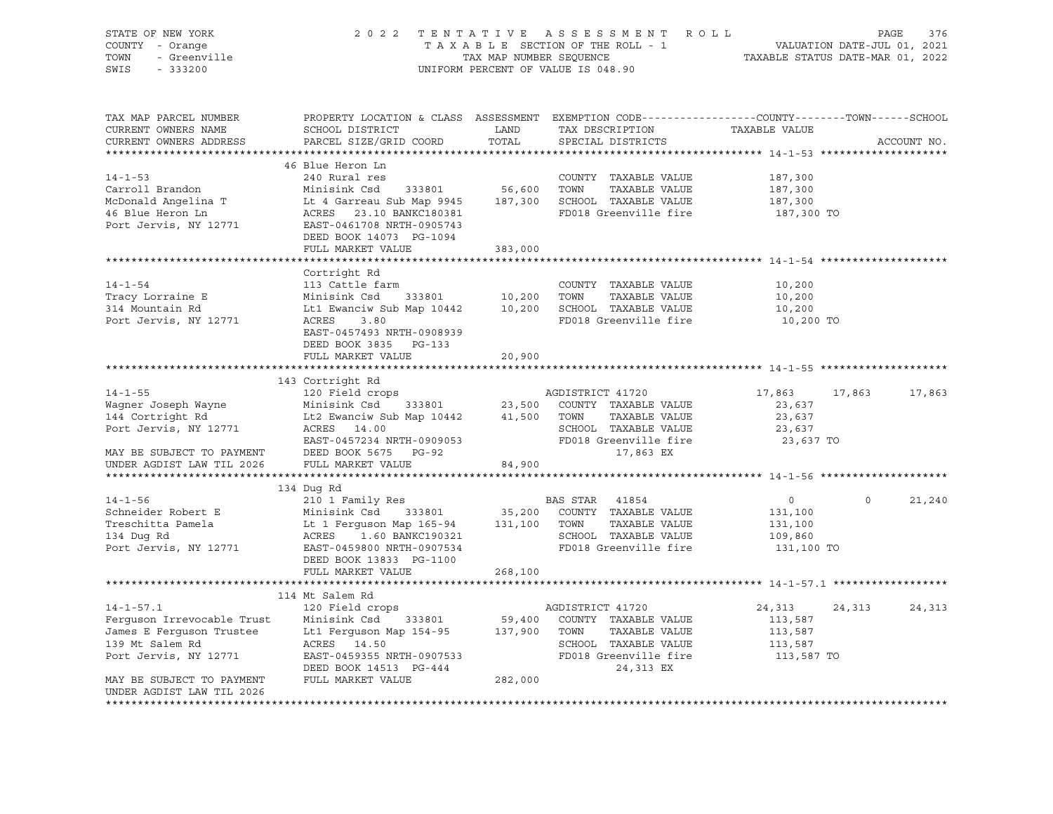| STATE OF NEW YORK                         | 2 0 2 2                                                                                         | TENTATIVE               | R O L L<br>A S S E S S M E N T     |                                                   | PAGE                        | 376         |
|-------------------------------------------|-------------------------------------------------------------------------------------------------|-------------------------|------------------------------------|---------------------------------------------------|-----------------------------|-------------|
| COUNTY - Orange                           |                                                                                                 |                         | TAXABLE SECTION OF THE ROLL - 1    |                                                   | VALUATION DATE-JUL 01, 2021 |             |
| - Greenville<br>TOWN<br>SWIS<br>$-333200$ |                                                                                                 | TAX MAP NUMBER SEQUENCE | UNIFORM PERCENT OF VALUE IS 048.90 | TAXABLE STATUS DATE-MAR 01, 2022                  |                             |             |
|                                           |                                                                                                 |                         |                                    |                                                   |                             |             |
|                                           |                                                                                                 |                         |                                    |                                                   |                             |             |
|                                           |                                                                                                 |                         |                                    |                                                   |                             |             |
| TAX MAP PARCEL NUMBER                     | PROPERTY LOCATION & CLASS ASSESSMENT EXEMPTION CODE----------------COUNTY-------TOWN-----SCHOOL |                         |                                    |                                                   |                             |             |
| CURRENT OWNERS NAME                       | SCHOOL DISTRICT                                                                                 | LAND                    | TAX DESCRIPTION                    | TAXABLE VALUE                                     |                             |             |
| CURRENT OWNERS ADDRESS                    | PARCEL SIZE/GRID COORD                                                                          | TOTAL                   | SPECIAL DISTRICTS                  |                                                   |                             | ACCOUNT NO. |
|                                           |                                                                                                 |                         |                                    |                                                   |                             |             |
|                                           | 46 Blue Heron Ln                                                                                |                         |                                    |                                                   |                             |             |
| $14 - 1 - 53$                             | 240 Rural res                                                                                   |                         | COUNTY TAXABLE VALUE               | 187,300                                           |                             |             |
| Carroll Brandon                           | Minisink Csd<br>333801                                                                          | 56,600                  | TOWN<br>TAXABLE VALUE              | 187,300                                           |                             |             |
| McDonald Angelina T                       | Lt 4 Garreau Sub Map 9945                                                                       |                         | 187,300 SCHOOL TAXABLE VALUE       | 187,300                                           |                             |             |
| 46 Blue Heron Ln                          | ACRES 23.10 BANKC180381                                                                         |                         | FD018 Greenville fire              | 187,300 TO                                        |                             |             |
| Port Jervis, NY 12771                     | EAST-0461708 NRTH-0905743                                                                       |                         |                                    |                                                   |                             |             |
|                                           | DEED BOOK 14073 PG-1094                                                                         |                         |                                    |                                                   |                             |             |
|                                           | FULL MARKET VALUE                                                                               | 383,000                 |                                    |                                                   |                             |             |
|                                           |                                                                                                 |                         |                                    |                                                   |                             |             |
|                                           | Cortright Rd                                                                                    |                         |                                    |                                                   |                             |             |
| $14 - 1 - 54$                             | 113 Cattle farm                                                                                 |                         | COUNTY TAXABLE VALUE               | 10,200                                            |                             |             |
| Tracy Lorraine E                          | Minisink Csd<br>333801                                                                          | 10,200 TOWN             | TAXABLE VALUE                      | 10,200                                            |                             |             |
| 314 Mountain Rd                           | Lt1 Ewanciw Sub Map 10442                                                                       |                         | 10,200 SCHOOL TAXABLE VALUE        | 10,200                                            |                             |             |
| Port Jervis, NY 12771                     | ACRES<br>3.80                                                                                   |                         | FD018 Greenville fire              | 10,200 TO                                         |                             |             |
|                                           | EAST-0457493 NRTH-0908939                                                                       |                         |                                    |                                                   |                             |             |
|                                           | DEED BOOK 3835 PG-133                                                                           |                         |                                    |                                                   |                             |             |
|                                           | FULL MARKET VALUE                                                                               | 20,900                  |                                    |                                                   |                             |             |
|                                           |                                                                                                 |                         |                                    |                                                   |                             |             |
|                                           | 143 Cortright Rd                                                                                |                         |                                    |                                                   |                             |             |
| $14 - 1 - 55$                             | 120 Field crops                                                                                 |                         | AGDISTRICT 41720                   | 17,863                                            | 17,863                      | 17,863      |
| Waqner Joseph Wayne                       | 333801<br>Minisink Csd                                                                          | 23,500                  | COUNTY TAXABLE VALUE               | 23,637                                            |                             |             |
| 144 Cortright Rd                          | Lt2 Ewanciw Sub Map 10442                                                                       | 41,500                  | TOWN<br>TAXABLE VALUE              | 23,637                                            |                             |             |
| Port Jervis, NY 12771                     | ACRES 14.00                                                                                     |                         | SCHOOL TAXABLE VALUE               | 23,637                                            |                             |             |
|                                           | EAST-0457234 NRTH-0909053                                                                       |                         | FD018 Greenville fire              | 23,637 TO                                         |                             |             |
| MAY BE SUBJECT TO PAYMENT                 | DEED BOOK 5675 PG-92                                                                            |                         | 17,863 EX                          |                                                   |                             |             |
| UNDER AGDIST LAW TIL 2026                 | FULL MARKET VALUE                                                                               | 84,900                  |                                    |                                                   |                             |             |
|                                           |                                                                                                 | **********              |                                    | ********************** 14-1-56 ****************** |                             |             |
|                                           | 134 Dug Rd                                                                                      |                         |                                    |                                                   |                             |             |
| $14 - 1 - 56$                             | 210 1 Family Res                                                                                |                         | BAS STAR 41854                     | $\circ$                                           | $\Omega$                    | 21,240      |
| Schneider Robert E                        | Minisink Csd 333801                                                                             | 35,200                  | COUNTY TAXABLE VALUE               | 131,100                                           |                             |             |
| Treschitta Pamela                         | Lt 1 Ferguson Map 165-94                                                                        | 131,100 TOWN            | TAXABLE VALUE                      | 131,100                                           |                             |             |
| 134 Dug Rd                                | ACRES<br>1.60 BANKC190321                                                                       |                         | SCHOOL TAXABLE VALUE               | 109,860                                           |                             |             |
| Port Jervis, NY 12771                     | EAST-0459800 NRTH-0907534                                                                       |                         | FD018 Greenville fire              | 131,100 TO                                        |                             |             |
|                                           | DEED BOOK 13833 PG-1100                                                                         |                         |                                    |                                                   |                             |             |
|                                           | FULL MARKET VALUE                                                                               | 268,100                 |                                    |                                                   |                             |             |
|                                           |                                                                                                 |                         |                                    |                                                   |                             |             |
|                                           | 114 Mt Salem Rd                                                                                 |                         |                                    |                                                   |                             |             |
| $14 - 1 - 57.1$                           | 120 Field crops                                                                                 |                         | AGDISTRICT 41720                   | 24,313                                            | 24,313                      | 24,313      |
| Ferguson Irrevocable Trust                | Minisink Csd 333801                                                                             | 59,400                  | COUNTY TAXABLE VALUE               | 113,587                                           |                             |             |
| James E Ferguson Trustee                  | Lt1 Ferguson Map 154-95                                                                         | 137,900                 | TOWN<br>TAXABLE VALUE              | 113,587                                           |                             |             |
| 139 Mt Salem Rd                           | ACRES<br>14.50                                                                                  |                         | SCHOOL TAXABLE VALUE               | 113,587                                           |                             |             |
| Port Jervis, NY 12771                     | EAST-0459355 NRTH-0907533                                                                       |                         | FD018 Greenville fire              | 113,587 TO                                        |                             |             |
|                                           | DEED BOOK 14513 PG-444                                                                          |                         | 24,313 EX                          |                                                   |                             |             |
| MAY BE SUBJECT TO PAYMENT                 | FULL MARKET VALUE                                                                               | 282,000                 |                                    |                                                   |                             |             |
| UNDER AGDIST LAW TIL 2026                 |                                                                                                 |                         |                                    |                                                   |                             |             |
|                                           |                                                                                                 |                         |                                    |                                                   |                             |             |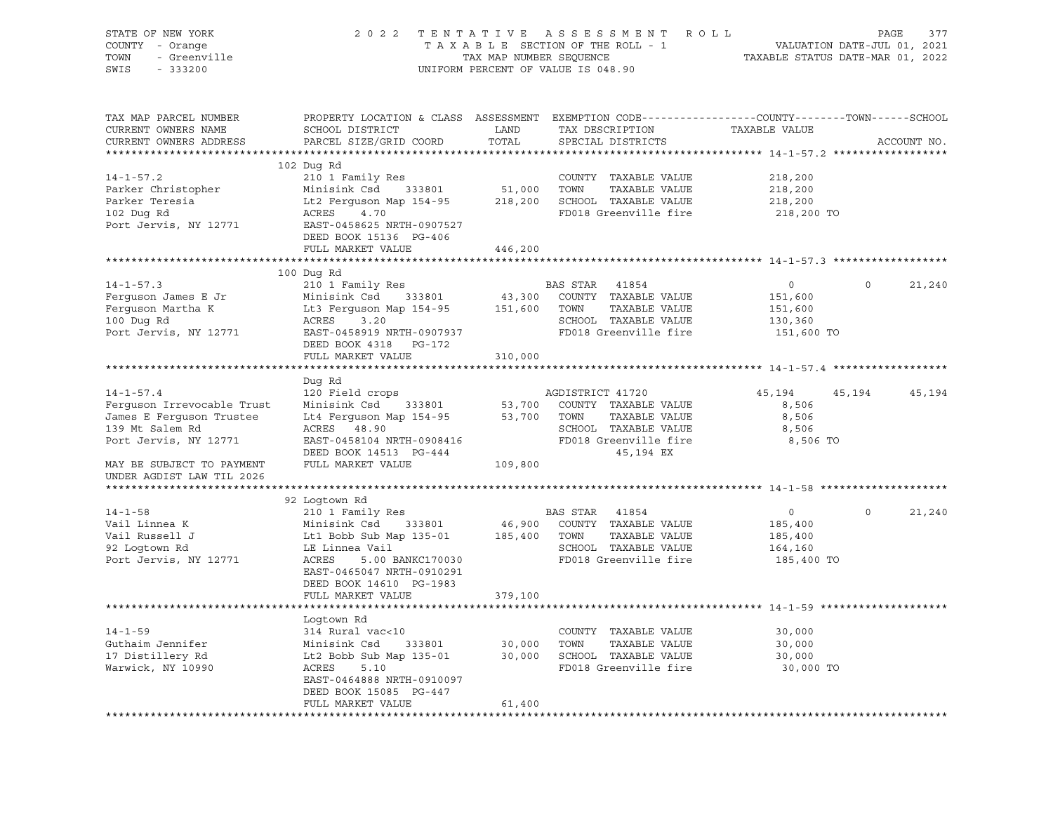| STATE OF NEW YORK<br>COUNTY - Orange<br>- Greenville<br>TOWN<br>SWIS<br>$-333200$                               |                                                                                                                                                                                                                                                           |         | 2022 TENTATIVE ASSESSMENT ROLL<br>TAXABLE SECTION OF THE ROLL - 1<br>TAX MAP NUMBER SEQUENCE<br>UNIFORM PERCENT OF VALUE IS 048.90 | VALUATION DATE-JUL 01, 2021<br>TAXABLE STATUS DATE-MAR 01, 2022 |          | PAGE<br>377 |
|-----------------------------------------------------------------------------------------------------------------|-----------------------------------------------------------------------------------------------------------------------------------------------------------------------------------------------------------------------------------------------------------|---------|------------------------------------------------------------------------------------------------------------------------------------|-----------------------------------------------------------------|----------|-------------|
|                                                                                                                 |                                                                                                                                                                                                                                                           |         |                                                                                                                                    |                                                                 |          |             |
| TAX MAP PARCEL NUMBER                                                                                           | PROPERTY LOCATION & CLASS ASSESSMENT EXEMPTION CODE---------------COUNTY-------TOWN-----SCHOOL                                                                                                                                                            |         |                                                                                                                                    |                                                                 |          |             |
| CURRENT OWNERS NAME<br>CURRENT OWNERS ADDRESS                                                                   | SCHOOL DISTRICT LAND<br>PARCEL SIZE/GRID COORD                                                                                                                                                                                                            | TOTAL   | TAX DESCRIPTION<br>SPECIAL DISTRICTS                                                                                               | TAXABLE VALUE                                                   |          | ACCOUNT NO. |
|                                                                                                                 |                                                                                                                                                                                                                                                           |         |                                                                                                                                    |                                                                 |          |             |
|                                                                                                                 | 102 Dug Rd                                                                                                                                                                                                                                                |         |                                                                                                                                    |                                                                 |          |             |
| $14 - 1 - 57.2$                                                                                                 | 210 1 Family Res<br>Minisink Csd 333801 51,000 TOWN TAXABLE VALUE<br>The Farguson Map 154-95 218,200 SCHOOL TAXABLE VALUE                                                                                                                                 |         |                                                                                                                                    | 218,200                                                         |          |             |
| Parker Christopher                                                                                              | Minisink Csd 333801<br>Lt2 Ferguson Map 154-95<br>ACRES 4 70                                                                                                                                                                                              |         | TAXABLE VALUE                                                                                                                      | 218,200                                                         |          |             |
| Parker Teresia<br>102 Duq Rd                                                                                    | ACRES 4.70                                                                                                                                                                                                                                                |         | FD018 Greenville fire                                                                                                              | 218,200<br>218,200 TO                                           |          |             |
| Port Jervis, NY 12771                                                                                           | EAST-0458625 NRTH-0907527                                                                                                                                                                                                                                 |         |                                                                                                                                    |                                                                 |          |             |
|                                                                                                                 | DEED BOOK 15136 PG-406                                                                                                                                                                                                                                    |         |                                                                                                                                    |                                                                 |          |             |
|                                                                                                                 | FULL MARKET VALUE                                                                                                                                                                                                                                         | 446,200 |                                                                                                                                    |                                                                 |          |             |
|                                                                                                                 |                                                                                                                                                                                                                                                           |         |                                                                                                                                    |                                                                 |          |             |
|                                                                                                                 | 100 Dug Rd                                                                                                                                                                                                                                                |         |                                                                                                                                    |                                                                 |          |             |
| $14 - 1 - 57.3$                                                                                                 | 210 1 Family Res                                                                                                                                                                                                                                          |         | BAS STAR 41854                                                                                                                     | $\overline{0}$                                                  | $\Omega$ | 21,240      |
| Ferguson James E Jr Minisink Csd 333801 43,300 COUNTY<br>Ferguson Martha K Lt3 Ferguson Map 154-95 151,600 TOWN |                                                                                                                                                                                                                                                           |         | 43,300 COUNTY TAXABLE VALUE<br>TAXABLE VALUE                                                                                       | 151,600<br>151,600                                              |          |             |
| 100 Dug Rd                                                                                                      | ACRES<br>3.20                                                                                                                                                                                                                                             |         | SCHOOL TAXABLE VALUE                                                                                                               | 130,360                                                         |          |             |
| Port Jervis, NY 12771                                                                                           | EAST-0458919 NRTH-0907937                                                                                                                                                                                                                                 |         | FD018 Greenville fire                                                                                                              | 151,600 TO                                                      |          |             |
|                                                                                                                 | DEED BOOK 4318 PG-172                                                                                                                                                                                                                                     |         |                                                                                                                                    |                                                                 |          |             |
|                                                                                                                 | FULL MARKET VALUE                                                                                                                                                                                                                                         | 310,000 |                                                                                                                                    |                                                                 |          |             |
|                                                                                                                 |                                                                                                                                                                                                                                                           |         |                                                                                                                                    |                                                                 |          |             |
|                                                                                                                 | Dug Rd                                                                                                                                                                                                                                                    |         |                                                                                                                                    |                                                                 |          |             |
| $14 - 1 - 57.4$                                                                                                 |                                                                                                                                                                                                                                                           |         |                                                                                                                                    | 45,194                                                          | 45,194   | 45,194      |
| Ferquson Irrevocable Trust<br>James E Ferguson Trustee                                                          |                                                                                                                                                                                                                                                           |         |                                                                                                                                    | 8,506<br>8,506                                                  |          |             |
| 139 Mt Salem Rd                                                                                                 | AGDISTRICT 41720<br>Minisink Csd 333801 53,700 COUNTY TAXABLE VALUE<br>Lt4 Ferguson Map 154-95 53,700 TOWN TAXABLE VALUE<br>ACRES 48.90                                                                                                                   |         |                                                                                                                                    | 8,506                                                           |          |             |
| Port Jervis, NY 12771                                                                                           | EAST-0458104 NRTH-0908416                                                                                                                                                                                                                                 |         | SCHOOL TAXABLE VALUE<br>FD018 Greenville fire                                                                                      | 8,506 TO                                                        |          |             |
|                                                                                                                 | DEED BOOK 14513 PG-444                                                                                                                                                                                                                                    |         | 45,194 EX                                                                                                                          |                                                                 |          |             |
| MAY BE SUBJECT TO PAYMENT                                                                                       | FULL MARKET VALUE                                                                                                                                                                                                                                         | 109,800 |                                                                                                                                    |                                                                 |          |             |
| UNDER AGDIST LAW TIL 2026                                                                                       |                                                                                                                                                                                                                                                           |         |                                                                                                                                    |                                                                 |          |             |
|                                                                                                                 |                                                                                                                                                                                                                                                           |         |                                                                                                                                    |                                                                 |          |             |
|                                                                                                                 |                                                                                                                                                                                                                                                           |         |                                                                                                                                    |                                                                 | $\circ$  |             |
| $14 - 1 - 58$<br>Vail Linnea K                                                                                  |                                                                                                                                                                                                                                                           |         |                                                                                                                                    | $\overline{0}$<br>185,400                                       |          | 21,240      |
|                                                                                                                 |                                                                                                                                                                                                                                                           |         |                                                                                                                                    | 185,400                                                         |          |             |
| Vail Russell J<br>92 Logtown Rd                                                                                 |                                                                                                                                                                                                                                                           |         |                                                                                                                                    | 164,160                                                         |          |             |
| Port Jervis, NY 12771                                                                                           | AND 1 Family Res and BAS STAR 41854<br>Minisink Csd 333801 46,900 COUNTY TAXABLE VALUE<br>Lt1 Bobb Sub Map 135-01 185,400 TOWN TAXABLE VALUE<br>LE Linnea Vail (COUNTY TAXABLE VALUE<br>ACRES 5.00 DOWN COUNTY TAXABLE VALUE<br>ACRES<br>5.00 BANKC170030 |         | SCHOOL TAXABLE VALUE<br>FD018 Greenville fire                                                                                      | 185,400 TO                                                      |          |             |
|                                                                                                                 | EAST-0465047 NRTH-0910291                                                                                                                                                                                                                                 |         |                                                                                                                                    |                                                                 |          |             |
|                                                                                                                 | DEED BOOK 14610 PG-1983                                                                                                                                                                                                                                   |         |                                                                                                                                    |                                                                 |          |             |
|                                                                                                                 | FULL MARKET VALUE                                                                                                                                                                                                                                         | 379,100 |                                                                                                                                    |                                                                 |          |             |
|                                                                                                                 |                                                                                                                                                                                                                                                           |         |                                                                                                                                    |                                                                 |          |             |
| $14 - 1 - 59$                                                                                                   | Logtown Rd<br>314 Rural vac<10                                                                                                                                                                                                                            |         | COUNTY TAXABLE VALUE                                                                                                               | 30,000                                                          |          |             |
| Guthaim Jennifer                                                                                                | 333801 30,000 TOWN                                                                                                                                                                                                                                        |         | TAXABLE VALUE                                                                                                                      | 30,000                                                          |          |             |
| 17 Distillery Rd                                                                                                | Minisink Csd<br>Minisink Csd 333801<br>Lt2 Bobb Sub Map 135-01<br>ACPES 5 10                                                                                                                                                                              |         | 30,000 SCHOOL TAXABLE VALUE                                                                                                        | 30,000                                                          |          |             |
| Warwick, NY 10990                                                                                               | ACRES<br>5.10                                                                                                                                                                                                                                             |         | FD018 Greenville fire                                                                                                              | 30,000 TO                                                       |          |             |
|                                                                                                                 | EAST-0464888 NRTH-0910097                                                                                                                                                                                                                                 |         |                                                                                                                                    |                                                                 |          |             |
|                                                                                                                 | DEED BOOK 15085 PG-447                                                                                                                                                                                                                                    |         |                                                                                                                                    |                                                                 |          |             |
|                                                                                                                 | FULL MARKET VALUE                                                                                                                                                                                                                                         | 61,400  |                                                                                                                                    |                                                                 |          |             |
|                                                                                                                 |                                                                                                                                                                                                                                                           |         |                                                                                                                                    |                                                                 |          |             |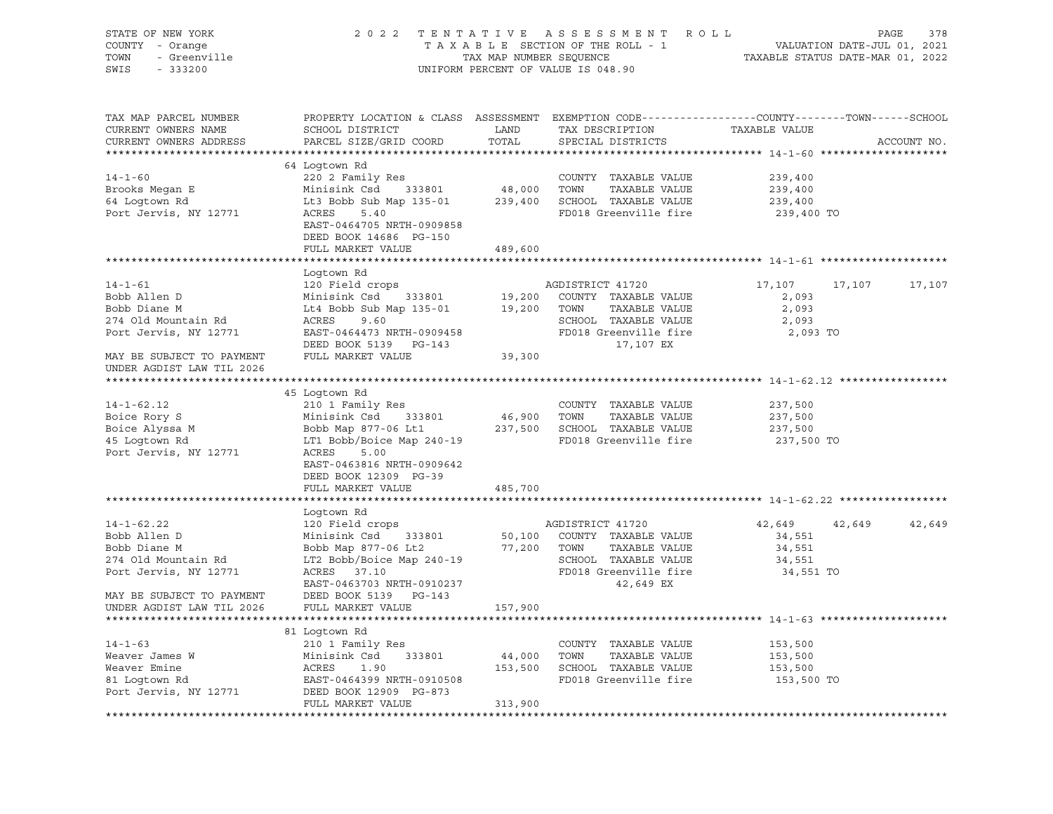| STATE OF NEW YORK<br>COUNTY - Orange<br>r - orange<br>- Greenville<br>TOWN<br>SWIS<br>$-333200$ |                                                                                                                                              |                                                     | 2022 TENTATIVE ASSESSMENT ROLL<br>TAXABLE SECTION OF THE ROLL - 1<br>TAXABLE SECTION OF THE ROLL - 1<br>TAXABLE STATUS DATE-MAR 01, 2022<br>UNIFORM PERCENT OF VALUE IS 048.90 |                    |        | PAGE<br>378 |
|-------------------------------------------------------------------------------------------------|----------------------------------------------------------------------------------------------------------------------------------------------|-----------------------------------------------------|--------------------------------------------------------------------------------------------------------------------------------------------------------------------------------|--------------------|--------|-------------|
| TAX MAP PARCEL NUMBER<br>CURRENT OWNERS NAME<br>CURRENT OWNERS ADDRESS                          | PROPERTY LOCATION & CLASS ASSESSMENT EXEMPTION CODE---------------COUNTY-------TOWN------SCHOOL<br>SCHOOL DISTRICT<br>PARCEL SIZE/GRID COORD | <b>EXAMPLE THE STATE OF STATE OF STATE</b><br>TOTAL | TAX DESCRIPTION<br>SPECIAL DISTRICTS                                                                                                                                           | TAXABLE VALUE      |        | ACCOUNT NO. |
|                                                                                                 | 64 Logtown Rd                                                                                                                                |                                                     |                                                                                                                                                                                |                    |        |             |
| $14 - 1 - 60$                                                                                   | 220 2 Family Res<br>Minisink Csd 333801 48,000 TOWN TAXABLE VALUE<br>Lt3 Bobb Sub Map 135-01 239,400 SCHOOL TAXABLE VALUE<br>ACRES 5.40 5.40 |                                                     |                                                                                                                                                                                | 239,400            |        |             |
|                                                                                                 |                                                                                                                                              |                                                     |                                                                                                                                                                                | 239,400            |        |             |
| Brooks Megan E<br>64 Logtown Rd                                                                 |                                                                                                                                              |                                                     |                                                                                                                                                                                | 239,400            |        |             |
| Port Jervis, NY 12771                                                                           | <b>ACRES</b><br>5.40<br>EAST-0464705 NRTH-0909858<br>DEED BOOK 14686 PG-150                                                                  |                                                     | FD018 Greenville fire                                                                                                                                                          | 239,400 TO         |        |             |
|                                                                                                 | FULL MARKET VALUE                                                                                                                            | 489,600                                             |                                                                                                                                                                                |                    |        |             |
|                                                                                                 | Logtown Rd                                                                                                                                   |                                                     |                                                                                                                                                                                |                    |        |             |
| $14 - 1 - 61$                                                                                   | 120 Field crops                                                                                                                              |                                                     | AGDISTRICT 41720                                                                                                                                                               | 17,107             | 17,107 | 17,107      |
| Bobb Allen D                                                                                    |                                                                                                                                              |                                                     | COUNTY TAXABLE VALUE                                                                                                                                                           | 2,093              |        |             |
| Bobb Diane M                                                                                    | Minisink Csd 333801 19,200 COUNTY<br>Lt4 Bobb Sub Map 135-01 19,200 TOWN                                                                     |                                                     | TAXABLE VALUE                                                                                                                                                                  | 2,093              |        |             |
| 274 Old Mountain Rd                                                                             | ACRES<br>9.60                                                                                                                                |                                                     | SCHOOL TAXABLE VALUE                                                                                                                                                           | 2,093              |        |             |
| Port Jervis, NY 12771                                                                           | EAST-0464473 NRTH-0909458                                                                                                                    |                                                     | FD018 Greenville fire                                                                                                                                                          | 2,093 TO           |        |             |
|                                                                                                 | DEED BOOK 5139 PG-143                                                                                                                        |                                                     | 17,107 EX                                                                                                                                                                      |                    |        |             |
| MAY BE SUBJECT TO PAYMENT                                                                       | FULL MARKET VALUE                                                                                                                            | 39,300                                              |                                                                                                                                                                                |                    |        |             |
| UNDER AGDIST LAW TIL 2026                                                                       |                                                                                                                                              |                                                     |                                                                                                                                                                                |                    |        |             |
|                                                                                                 |                                                                                                                                              |                                                     |                                                                                                                                                                                |                    |        |             |
|                                                                                                 | 45 Loqtown Rd                                                                                                                                |                                                     |                                                                                                                                                                                |                    |        |             |
| $14 - 1 - 62.12$                                                                                | 210 1 Family Res                                                                                                                             |                                                     | COUNTY TAXABLE VALUE                                                                                                                                                           | 237,500            |        |             |
| Boice Rory S                                                                                    | Minisink Csd 333801                                                                                                                          | 46,900 TOWN                                         | TAXABLE VALUE                                                                                                                                                                  | 237,500            |        |             |
| Boice Alyssa M<br>45 Logtown Rd                                                                 | Bobb Map 877-06 Lt1 237,500 SCHOOL TAXABLE VALUE                                                                                             |                                                     |                                                                                                                                                                                | 237,500            |        |             |
| 45 Logtown Rd                                                                                   | LT1 Bobb/Boice Map 240-19                                                                                                                    |                                                     | FD018 Greenville fire                                                                                                                                                          | 237,500 TO         |        |             |
| Port Jervis, NY 12771                                                                           | ACRES<br>5.00<br>EAST-0463816 NRTH-0909642<br>DEED BOOK 12309 PG-39                                                                          |                                                     |                                                                                                                                                                                |                    |        |             |
|                                                                                                 | FULL MARKET VALUE                                                                                                                            | 485,700                                             |                                                                                                                                                                                |                    |        |             |
|                                                                                                 |                                                                                                                                              |                                                     |                                                                                                                                                                                |                    |        |             |
|                                                                                                 | Logtown Rd                                                                                                                                   |                                                     |                                                                                                                                                                                |                    |        |             |
| $14 - 1 - 62.22$                                                                                | 120 Field crops                                                                                                                              |                                                     | AGDISTRICT 41720                                                                                                                                                               | 42,649             | 42,649 | 42,649      |
| Bobb Allen D                                                                                    | Minisink Csd 333801                                                                                                                          |                                                     | 50,100 COUNTY TAXABLE VALUE                                                                                                                                                    | 34,551             |        |             |
| Bobb Diane M                                                                                    | Bobb Map 877-06 Lt2 77,200 TOWN                                                                                                              |                                                     | TAXABLE VALUE                                                                                                                                                                  | 34,551             |        |             |
| 274 Old Mountain Rd                                                                             | LT2 Bobb/Boice Map 240-19                                                                                                                    |                                                     | SCHOOL TAXABLE VALUE                                                                                                                                                           | 34,551             |        |             |
| Port Jervis, NY 12771                                                                           | ACRES 37.10                                                                                                                                  |                                                     | FD018 Greenville fire                                                                                                                                                          | 34,551 TO          |        |             |
|                                                                                                 | EAST-0463703 NRTH-0910237                                                                                                                    |                                                     | $42,649$ EX                                                                                                                                                                    |                    |        |             |
| MAY BE SUBJECT TO PAYMENT DEED BOOK 5139 PG-143                                                 |                                                                                                                                              |                                                     |                                                                                                                                                                                |                    |        |             |
| UNDER AGDIST LAW TIL 2026                                                                       | FULL MARKET VALUE                                                                                                                            | 157,900                                             |                                                                                                                                                                                |                    |        |             |
|                                                                                                 |                                                                                                                                              |                                                     |                                                                                                                                                                                |                    |        |             |
|                                                                                                 | 81 Logtown Rd                                                                                                                                |                                                     |                                                                                                                                                                                |                    |        |             |
| $14 - 1 - 63$                                                                                   | 210 1 Family Res                                                                                                                             |                                                     | COUNTY TAXABLE VALUE                                                                                                                                                           | 153,500            |        |             |
| Weaver James W<br>Weaver Emine                                                                  | Minisink Csd 333801<br>Minis.<br>ACRES                                                                                                       | 44,000 TOWN                                         | TAXABLE VALUE<br>153,500 SCHOOL TAXABLE VALUE                                                                                                                                  | 153,500<br>153,500 |        |             |
| S1 Logtown Rd<br>81 Logtown Rd                                                                  | 1.90<br>EAST-0464399 NRTH-0910508                                                                                                            |                                                     | FD018 Greenville fire                                                                                                                                                          | 153,500 TO         |        |             |
| Port Jervis, NY 12771                                                                           | DEED BOOK 12909 PG-873                                                                                                                       |                                                     |                                                                                                                                                                                |                    |        |             |
|                                                                                                 | FULL MARKET VALUE                                                                                                                            | 313,900                                             |                                                                                                                                                                                |                    |        |             |
|                                                                                                 |                                                                                                                                              |                                                     |                                                                                                                                                                                |                    |        |             |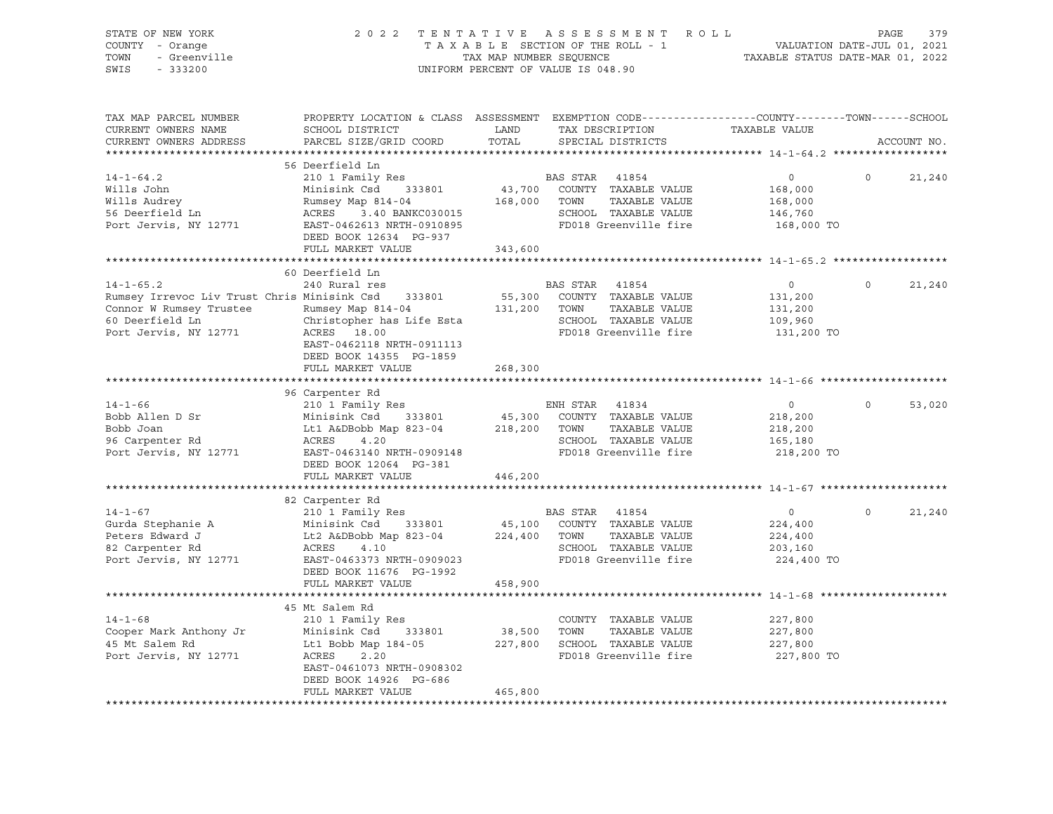| STATE OF NEW YORK<br>COUNTY - Orange<br>TOWN<br>- Greenville<br>SWIS<br>$-333200$                 |                                                                                                                                                                                         | TAX MAP NUMBER SEQUENCE | 2022 TENTATIVE ASSESSMENT ROLL<br>TAXABLE SECTION OF THE ROLL - 1<br>UNIFORM PERCENT OF VALUE IS 048.90                                  | VALUATION DATE-JUL 01, 2021<br>TAXABLE STATUS DATE-MAR 01, 2022 | 379<br>PAGE        |
|---------------------------------------------------------------------------------------------------|-----------------------------------------------------------------------------------------------------------------------------------------------------------------------------------------|-------------------------|------------------------------------------------------------------------------------------------------------------------------------------|-----------------------------------------------------------------|--------------------|
| TAX MAP PARCEL NUMBER<br>CURRENT OWNERS NAME<br>CURRENT OWNERS ADDRESS                            | SCHOOL DISTRICT<br>PARCEL SIZE/GRID COORD                                                                                                                                               | LAND<br>TOTAL           | PROPERTY LOCATION & CLASS ASSESSMENT EXEMPTION CODE----------------COUNTY-------TOWN------SCHOOL<br>TAX DESCRIPTION<br>SPECIAL DISTRICTS | TAXABLE VALUE                                                   | ACCOUNT NO.        |
|                                                                                                   | 56 Deerfield Ln                                                                                                                                                                         |                         |                                                                                                                                          |                                                                 |                    |
| $14 - 1 - 64.2$<br>Wills John<br>Wills Audrey<br>56 Deerfield Ln<br>Port Jervis, NY 12771         | 210 1 Family Res<br>Minisink Csd 333801<br>Rumsey Map 814-04 168,000 TOWN<br>Rumsey Map 814-04<br>ACRES 3.40 BANKC030015<br>EAST-0462613 NRTH-0910895<br>DEED BOOK 12634 PG-937         |                         | BAS STAR 41854<br>43,700 COUNTY TAXABLE VALUE<br>TAXABLE VALUE<br>SCHOOL TAXABLE VALUE<br>SCHOOD IRAAL-<br>FD018 Greenville fire         | $\overline{0}$<br>168,000<br>168,000<br>146,760<br>168,000 TO   | $\Omega$<br>21,240 |
|                                                                                                   | FULL MARKET VALUE                                                                                                                                                                       | 343,600                 |                                                                                                                                          |                                                                 |                    |
| $14 - 1 - 65.2$<br>Rumsey Irrevoc Liv Trust Chris Minisink Csd 333801<br>Connor W Rumsey Trustee  | 60 Deerfield Ln<br>240 Rural res<br>Rumsey Map 814-04 131,200 TOWN<br>EAST-0462118 NRTH-0911113<br>DEED BOOK 14355 PG-1859<br>FULL MARKET VALUE                                         | 268,300                 | BAS STAR 41854<br>55,300 COUNTY TAXABLE VALUE<br>TAXABLE VALUE<br>SCHOOL TAXABLE VALUE<br>FD018 Greenville fire                          | $\overline{0}$<br>131,200<br>131,200<br>109,960<br>131,200 TO   | $\Omega$<br>21,240 |
|                                                                                                   |                                                                                                                                                                                         |                         |                                                                                                                                          |                                                                 |                    |
| $14 - 1 - 66$<br>Bobb Allen D Sr<br>Bobb Joan<br>96 Carpenter Rd<br>Port Jervis, NY 12771         | 96 Carpenter Rd<br>210 1 Family Res<br>Minisink Csd 333801 45,300 COUNTY<br>Lt1 A&DBobb Map 823-04 218,200 TOWN<br>ACRES<br>4.20<br>EAST-0463140 NRTH-0909148<br>DEED BOOK 12064 PG-381 |                         | ENH STAR 41834<br>45,300 COUNTY TAXABLE VALUE<br>TAXABLE VALUE<br>SCHOOL TAXABLE VALUE<br>FD018 Greenville fire                          | $\circ$<br>218,200<br>218,200<br>165,180<br>218,200 TO          | 53,020             |
|                                                                                                   | FULL MARKET VALUE                                                                                                                                                                       | 446,200                 |                                                                                                                                          |                                                                 |                    |
|                                                                                                   |                                                                                                                                                                                         |                         |                                                                                                                                          |                                                                 |                    |
| $14 - 1 - 67$<br>Gurda Stephanie A<br>Peters Edward J<br>82 Carpenter Rd<br>Port Jervis, NY 12771 | 82 Carpenter Rd<br>210 1 Family Res<br>Minisink Csd 333801<br>Lt2 A&DBobb Map 823-04<br>ACRES<br>4.10<br>EAST-0463373 NRTH-0909023<br>DEED BOOK 11676 PG-1992                           | 224,400 TOWN            | BAS STAR 41854<br>45,100 COUNTY TAXABLE VALUE<br>TAXABLE VALUE<br>SCHOOL TAXABLE VALUE<br>FD018 Greenville fire                          | $\circ$<br>224,400<br>224,400<br>203,160<br>224,400 TO          | $\Omega$<br>21,240 |
|                                                                                                   | FULL MARKET VALUE                                                                                                                                                                       | 458,900                 |                                                                                                                                          |                                                                 |                    |
| $14 - 1 - 68$<br>Cooper Mark Anthony Jr<br>45 Mt Salem Rd<br>Port Jervis, NY 12771                | 45 Mt Salem Rd<br>210 1 Family Res<br>Minisink Csd<br>333801<br>Lt1 Bobb Map 184-05<br>ACRES<br>2.20<br>EAST-0461073 NRTH-0908302<br>DEED BOOK 14926 PG-686<br>FULL MARKET VALUE        | 38,500 TOWN<br>465,800  | COUNTY TAXABLE VALUE<br>TAXABLE VALUE<br>227,800 SCHOOL TAXABLE VALUE<br>FD018 Greenville fire                                           | 227,800<br>227,800<br>227,800<br>227,800 TO                     |                    |
|                                                                                                   |                                                                                                                                                                                         |                         |                                                                                                                                          |                                                                 |                    |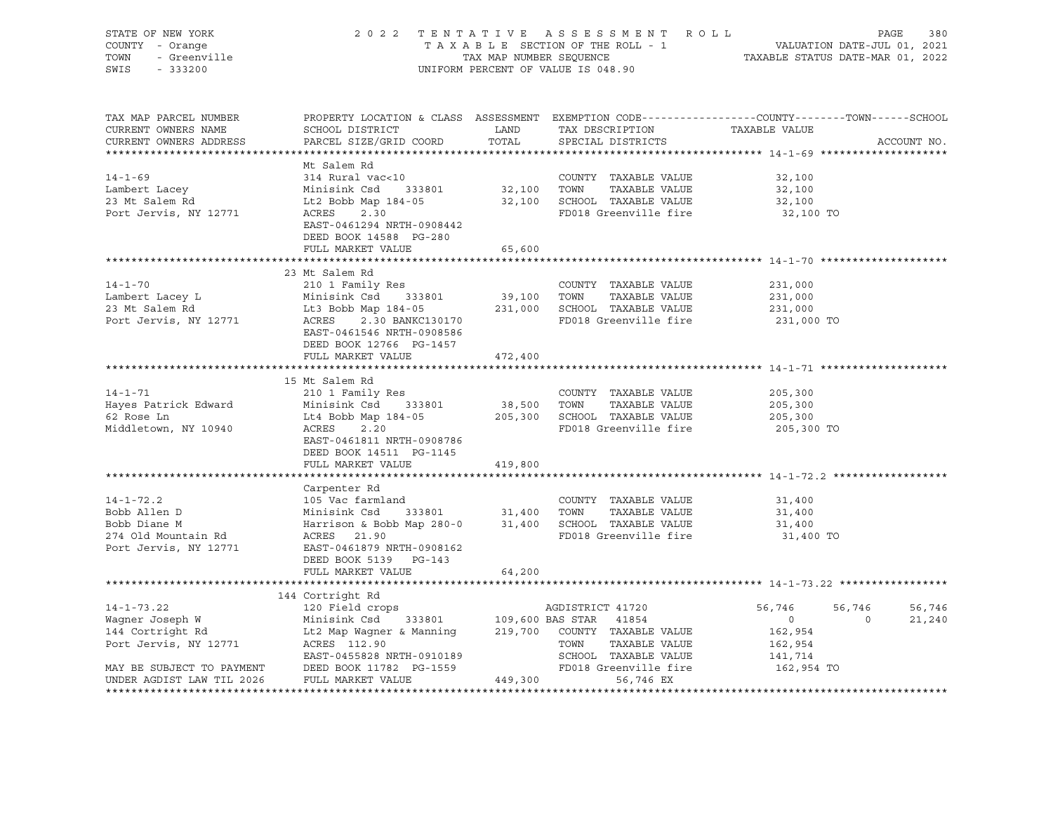| STATE OF NEW YORK<br>COUNTY - Orange<br>OF NEW TORE<br>- Orange<br>- Greenville<br>TOWN<br>SWIS |                                                                                                                                                                                                                                                                                                                            | 2022 TENTATIVE ASSESSMENT ROLL PAGE 380<br>TAXABLE SECTION OF THE ROLL - 1 VALUATION DATE-JUL 01, 2021<br>TAX MAP NUMBER SEQUENCE TAXABLE STATUS DATE-MAR 01, 2022<br>UNIFORM PERCENT OF VALUE IS 048.90 |                       |                       |             |
|-------------------------------------------------------------------------------------------------|----------------------------------------------------------------------------------------------------------------------------------------------------------------------------------------------------------------------------------------------------------------------------------------------------------------------------|----------------------------------------------------------------------------------------------------------------------------------------------------------------------------------------------------------|-----------------------|-----------------------|-------------|
| TAX MAP PARCEL NUMBER<br>CURRENT OWNERS NAME<br>CURRENT OWNERS ADDRESS                          | PROPERTY LOCATION & CLASS ASSESSMENT EXEMPTION CODE---------------COUNTY-------TOWN-----SCHOOL                                                                                                                                                                                                                             |                                                                                                                                                                                                          |                       | TAXABLE VALUE         | ACCOUNT NO. |
|                                                                                                 |                                                                                                                                                                                                                                                                                                                            |                                                                                                                                                                                                          |                       |                       |             |
|                                                                                                 | Mt Salem Rd                                                                                                                                                                                                                                                                                                                |                                                                                                                                                                                                          |                       |                       |             |
| $14 - 1 - 69$                                                                                   | 314 Rural vac<10<br>Minisink Csd 333801 32,100 TOWN TAXABLE VALUE<br>Lt2 Bobb Map 184-05 32,100 SCHOOL TAXABLE VALUE<br>ACRES 2.30                                                                                                                                                                                         |                                                                                                                                                                                                          |                       | 32,100                |             |
| Lambert Lacey<br>23 Mt Salem Rd                                                                 |                                                                                                                                                                                                                                                                                                                            |                                                                                                                                                                                                          |                       | 32,100                |             |
|                                                                                                 | ACRES 2.30                                                                                                                                                                                                                                                                                                                 |                                                                                                                                                                                                          | FD018 Greenville fire | 32,100<br>32,100 TO   |             |
| Port Jervis, NY 12771                                                                           | EAST-0461294 NRTH-0908442<br>DEED BOOK 14588 PG-280<br>FULL MARKET VALUE                                                                                                                                                                                                                                                   | 65,600                                                                                                                                                                                                   |                       |                       |             |
|                                                                                                 |                                                                                                                                                                                                                                                                                                                            |                                                                                                                                                                                                          |                       |                       |             |
|                                                                                                 | 23 Mt Salem Rd                                                                                                                                                                                                                                                                                                             |                                                                                                                                                                                                          |                       |                       |             |
| $14 - 1 - 70$                                                                                   | 210 1 Family Res                                                                                                                                                                                                                                                                                                           |                                                                                                                                                                                                          | COUNTY TAXABLE VALUE  | 231,000               |             |
|                                                                                                 |                                                                                                                                                                                                                                                                                                                            |                                                                                                                                                                                                          |                       | 231,000<br>231,000    |             |
|                                                                                                 |                                                                                                                                                                                                                                                                                                                            |                                                                                                                                                                                                          |                       |                       |             |
|                                                                                                 | 14-1-70<br>Lambert Lacey L<br>23 Mt Salem Rd<br>23 Mt Salem Rd<br>23 Mt Salem Rd<br>2.30 BANKC130170<br>2.30 BANKC130170<br>2.31,000<br>2.31,000<br>2.31,000<br>2.31,000<br>2.31,000<br>2.31,000<br>2.31,000<br>2.31,000<br>2.31,000<br>2.31,000<br>2.31,000<br>2.<br>EAST-0461546 NRTH-0908586<br>DEED BOOK 12766 PG-1457 |                                                                                                                                                                                                          |                       | 231,000 TO            |             |
|                                                                                                 | FULL MARKET VALUE                                                                                                                                                                                                                                                                                                          | 472,400                                                                                                                                                                                                  |                       |                       |             |
|                                                                                                 |                                                                                                                                                                                                                                                                                                                            |                                                                                                                                                                                                          |                       |                       |             |
|                                                                                                 | 15 Mt Salem Rd                                                                                                                                                                                                                                                                                                             |                                                                                                                                                                                                          |                       |                       |             |
| $14 - 1 - 71$                                                                                   | 210 1 Family Res                                                                                                                                                                                                                                                                                                           |                                                                                                                                                                                                          | COUNTY TAXABLE VALUE  | 205,300               |             |
|                                                                                                 | Hayes Patrick Edward Minisink Csd 333801                                                                                                                                                                                                                                                                                   |                                                                                                                                                                                                          |                       | 205,300<br>205,300    |             |
| 62 Rose Ln<br>Middletown, NY 10940                                                              | Minisink Csd 333801 38,500 TOWN TAXABLE VALUE<br>Lt4 Bobb Map 184-05 205,300 SCHOOL TAXABLE VALUE<br>ACRES 2.20 205,300 SCHOOL TAXABLE VALUE                                                                                                                                                                               |                                                                                                                                                                                                          |                       | 205,300 TO            |             |
|                                                                                                 | EAST-0461811 NRTH-0908786<br>DEED BOOK 14511 PG-1145                                                                                                                                                                                                                                                                       |                                                                                                                                                                                                          |                       |                       |             |
|                                                                                                 | FULL MARKET VALUE                                                                                                                                                                                                                                                                                                          | 419,800                                                                                                                                                                                                  |                       |                       |             |
|                                                                                                 |                                                                                                                                                                                                                                                                                                                            |                                                                                                                                                                                                          |                       |                       |             |
|                                                                                                 | Carpenter Rd                                                                                                                                                                                                                                                                                                               |                                                                                                                                                                                                          |                       |                       |             |
| $14 - 1 - 72.2$                                                                                 | 105 Vac farmland                                                                                                                                                                                                                                                                                                           |                                                                                                                                                                                                          | COUNTY TAXABLE VALUE  | 31,400                |             |
|                                                                                                 |                                                                                                                                                                                                                                                                                                                            |                                                                                                                                                                                                          |                       | 31,400<br>31,400      |             |
|                                                                                                 |                                                                                                                                                                                                                                                                                                                            |                                                                                                                                                                                                          |                       | 31,400 TO             |             |
|                                                                                                 | 14-1-72.2<br>Bobb Allen D<br>Bobb Allen D<br>Minisink Csd<br>Minisink Csd<br>31,400<br>31,400<br>SCHOOL TAXABLE VALUE<br>274 Old Mountain Rd<br>274 Old Mountain Rd<br>274 Ort Jervis, NY 12771<br>275 CROSES<br>279 Ort Jervis, NY 12771<br>275 CROSES<br><br>DEED BOOK 5139 PG-143                                       |                                                                                                                                                                                                          |                       |                       |             |
|                                                                                                 | FULL MARKET VALUE                                                                                                                                                                                                                                                                                                          | 64,200                                                                                                                                                                                                   |                       |                       |             |
|                                                                                                 | 144 Cortright Rd                                                                                                                                                                                                                                                                                                           |                                                                                                                                                                                                          |                       |                       |             |
|                                                                                                 |                                                                                                                                                                                                                                                                                                                            |                                                                                                                                                                                                          |                       | 56,746                | 56,746      |
|                                                                                                 |                                                                                                                                                                                                                                                                                                                            |                                                                                                                                                                                                          |                       | 56,746<br>0           | 21,240      |
|                                                                                                 | 14-1-73.22<br>Wagner Joseph W<br>120 Field crops<br>120 Field crops<br>120 Field crops<br>109,600 BAS STAR<br>109,600 BAS STAR<br>114 Cortright Rd<br>144 Cortright Rd<br>144 Cortright Rd<br>12.90<br>219,700 COUNTY TAXABLE VALUE<br>TOWN TAXABLE VA                                                                     |                                                                                                                                                                                                          |                       | 0<br>162,954          |             |
|                                                                                                 |                                                                                                                                                                                                                                                                                                                            |                                                                                                                                                                                                          |                       | 162,954               |             |
|                                                                                                 |                                                                                                                                                                                                                                                                                                                            |                                                                                                                                                                                                          |                       |                       |             |
|                                                                                                 |                                                                                                                                                                                                                                                                                                                            |                                                                                                                                                                                                          |                       | 141,714<br>162,954 TO |             |
| UNDER AGDIST LAW TIL 2026                                                                       | FULL MARKET VALUE                                                                                                                                                                                                                                                                                                          | 449,300                                                                                                                                                                                                  | 56,746 EX             |                       |             |
|                                                                                                 |                                                                                                                                                                                                                                                                                                                            |                                                                                                                                                                                                          |                       |                       |             |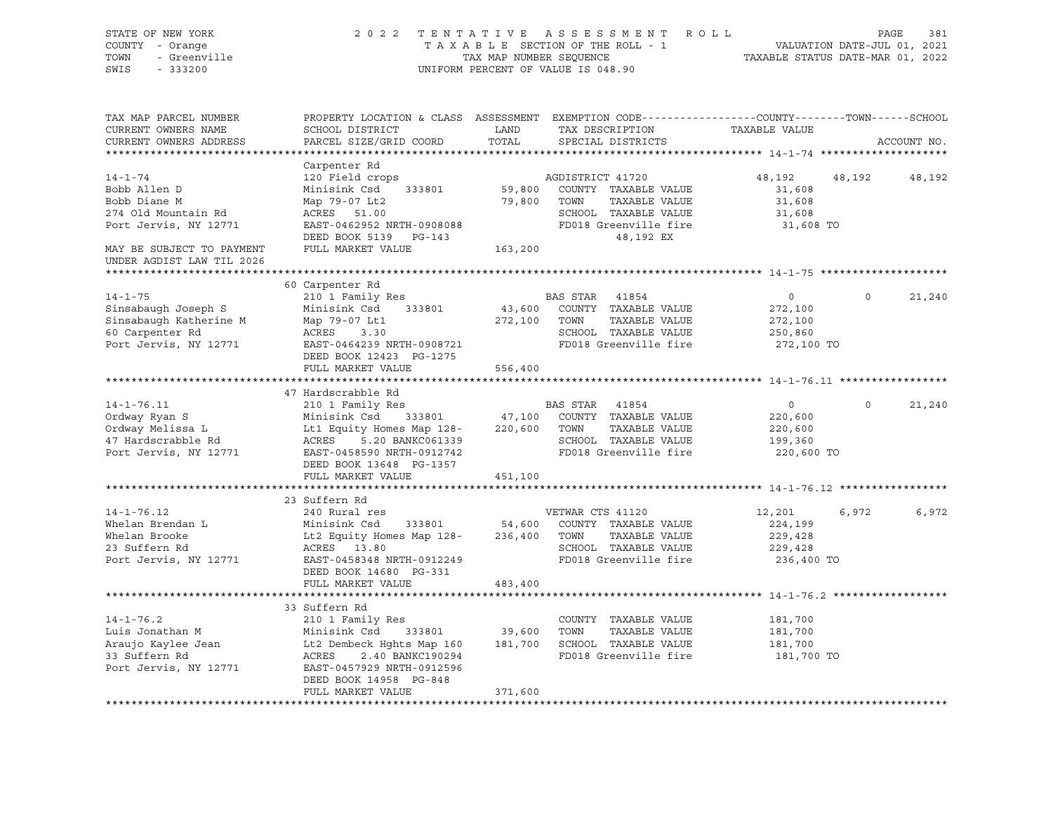| STATE OF NEW YORK<br>COUNTY - Orange<br>TOWN<br>- Greenville<br>SWIS<br>$-333200$                          |                                                                                                                                                                                                                                                                                              | 2022 TENTATIVE ASSESSMENT ROLL<br>VALUATION DATE-JUL 01, 2021<br>TAXABLE STATUS DATE-MAR 01, 2022<br>TAXABLE SECTION OF THE ROLL - 1<br>TAX MAP NUMBER SEQUENCE<br>UNIFORM PERCENT OF VALUE IS 048.90 |                                                                                                                                         |                                                               |          |             |
|------------------------------------------------------------------------------------------------------------|----------------------------------------------------------------------------------------------------------------------------------------------------------------------------------------------------------------------------------------------------------------------------------------------|-------------------------------------------------------------------------------------------------------------------------------------------------------------------------------------------------------|-----------------------------------------------------------------------------------------------------------------------------------------|---------------------------------------------------------------|----------|-------------|
| TAX MAP PARCEL NUMBER<br>CURRENT OWNERS NAME<br>CURRENT OWNERS ADDRESS                                     | <b>EXAMPLE THE STATE OF STATE OF STATE</b><br>SCHOOL DISTRICT<br>PARCEL SIZE/GRID COORD                                                                                                                                                                                                      | TOTAL                                                                                                                                                                                                 | PROPERTY LOCATION & CLASS ASSESSMENT EXEMPTION CODE----------------COUNTY-------TOWN-----SCHOOL<br>TAX DESCRIPTION<br>SPECIAL DISTRICTS | TAXABLE VALUE                                                 |          | ACCOUNT NO. |
|                                                                                                            | Carpenter Rd                                                                                                                                                                                                                                                                                 |                                                                                                                                                                                                       |                                                                                                                                         |                                                               |          |             |
| $14 - 1 - 74$<br>Bobb Allen D<br>Bobb Diane M<br>274 Old Mountain Rd<br>Port Jervis, NY 12771              | 120 Field crops<br>Minisink Csd 333801<br>Map 79-07 Lt2<br>ACRES 51.00<br>EAST-0462952 NRTH-0908088<br>DEED BOOK 5139 PG-143                                                                                                                                                                 | 79,800 TOWN                                                                                                                                                                                           | AGDISTRICT 41720<br>59,800 COUNTY TAXABLE VALUE<br>TAXABLE VALUE<br>SCHOOL TAXABLE VALUE<br>FD018 Greenville fire<br>48,192 EX          | 48,192<br>31,608<br>31,608<br>31,608<br>31,608 TO             | 48,192   | 48,192      |
| MAY BE SUBJECT TO PAYMENT<br>UNDER AGDIST LAW TIL 2026                                                     | FULL MARKET VALUE                                                                                                                                                                                                                                                                            | 163,200                                                                                                                                                                                               |                                                                                                                                         |                                                               |          |             |
|                                                                                                            |                                                                                                                                                                                                                                                                                              |                                                                                                                                                                                                       |                                                                                                                                         |                                                               |          |             |
| $14 - 1 - 75$<br>Sinsabaugh Joseph S<br>Sinsabaugh Katherine M<br>60 Carpenter Rd<br>Port Jervis, NY 12771 | 60 Carpenter Rd<br>210 1 Family Res<br>Minisink Csd 333801<br>Map 79-07 Lt1<br>ACRES 3.30<br>EAST-0464239 NRTH-0908721<br>DEED BOOK 12423 PG-1275                                                                                                                                            |                                                                                                                                                                                                       | BAS STAR 41854<br>43,600 COUNTY TAXABLE VALUE<br>272,100 TOWN TAXABLE VALUE<br>SCHOOL TAXABLE VALUE<br>FD018 Greenville fire            | $\overline{0}$<br>272,100<br>272,100<br>250,860<br>272,100 TO | $\Omega$ | 21,240      |
|                                                                                                            | FULL MARKET VALUE                                                                                                                                                                                                                                                                            | 556,400                                                                                                                                                                                               |                                                                                                                                         |                                                               |          |             |
| $14 - 1 - 76.11$<br>Ordway Ryan S<br>Ordway Melissa L<br>47 Hardscrabble Rd<br>Port Jervis, NY 12771       | 47 Hardscrabble Rd<br>210 1 Family Res<br>Minisink Csd 333801<br>Lt1 Equity Homes Map 128-220,600 TOWN TAXABLE VALUE<br>ACRES<br>5.20 BANKC061339<br>EAST-0458590 NRTH-0912742<br>DEED BOOK 13648 PG-1357                                                                                    |                                                                                                                                                                                                       | BAS STAR 41854<br>47,100 COUNTY TAXABLE VALUE<br>SCHOOL TAXABLE VALUE<br>FD018 Greenville fire                                          | $\circ$<br>220,600<br>220,600<br>199,360<br>220,600 TO        |          | 21,240      |
|                                                                                                            | FULL MARKET VALUE                                                                                                                                                                                                                                                                            | 451,100                                                                                                                                                                                               |                                                                                                                                         |                                                               |          |             |
|                                                                                                            | 23 Suffern Rd                                                                                                                                                                                                                                                                                |                                                                                                                                                                                                       |                                                                                                                                         |                                                               |          |             |
| $14 - 1 - 76.12$<br>Whelan Brendan L<br>Whelan Brooke<br>23 Suffern Rd<br>Port Jervis, NY 12771            | 240 Rural res<br>Minisink Csd<br>Lt2 Equity Homes Map 128- 236,400 TOWN TAXABLE VALUE<br>ACRES 13.80<br>EAST-0458348 NRTH-0912249<br>DEED BOOK 14680 PG-331<br>FULL MARKET VALUE                                                                                                             | 483,400                                                                                                                                                                                               | VETWAR CTS 41120<br>333801 54,600 COUNTY TAXABLE VALUE<br>SCHOOL TAXABLE VALUE<br>FD018 Greenville fire                                 | 12,201<br>224,199<br>229,428<br>229,428<br>236,400 TO         | 6,972    | 6,972       |
|                                                                                                            |                                                                                                                                                                                                                                                                                              |                                                                                                                                                                                                       |                                                                                                                                         |                                                               |          |             |
| $14 - 1 - 76.2$<br>Luis Jonathan M<br>Araujo Kaylee Jean<br>33 Suffern Rd<br>Port Jervis, NY 12771         | 33 Suffern Rd<br>210 1 Family Res<br>Minisink Csd 333801 39,600 TOWN TAXABLE VALUE<br>Lt2 Dembeck Hghts Map 160 181,700 SCHOOL TAXABLE VALUE<br>ACRES 2.40 BANKC190294 FD018 Greenville fire<br>$333801$ $39,600$ TOWN<br>the Mar 100<br>EAST-0457929 NRTH-0912596<br>DEED BOOK 14958 PG-848 |                                                                                                                                                                                                       | COUNTY TAXABLE VALUE<br>FD018 Greenville fire                                                                                           | 181,700<br>181,700<br>181,700<br>181,700 TO                   |          |             |
|                                                                                                            | FULL MARKET VALUE                                                                                                                                                                                                                                                                            | 371,600                                                                                                                                                                                               |                                                                                                                                         |                                                               |          |             |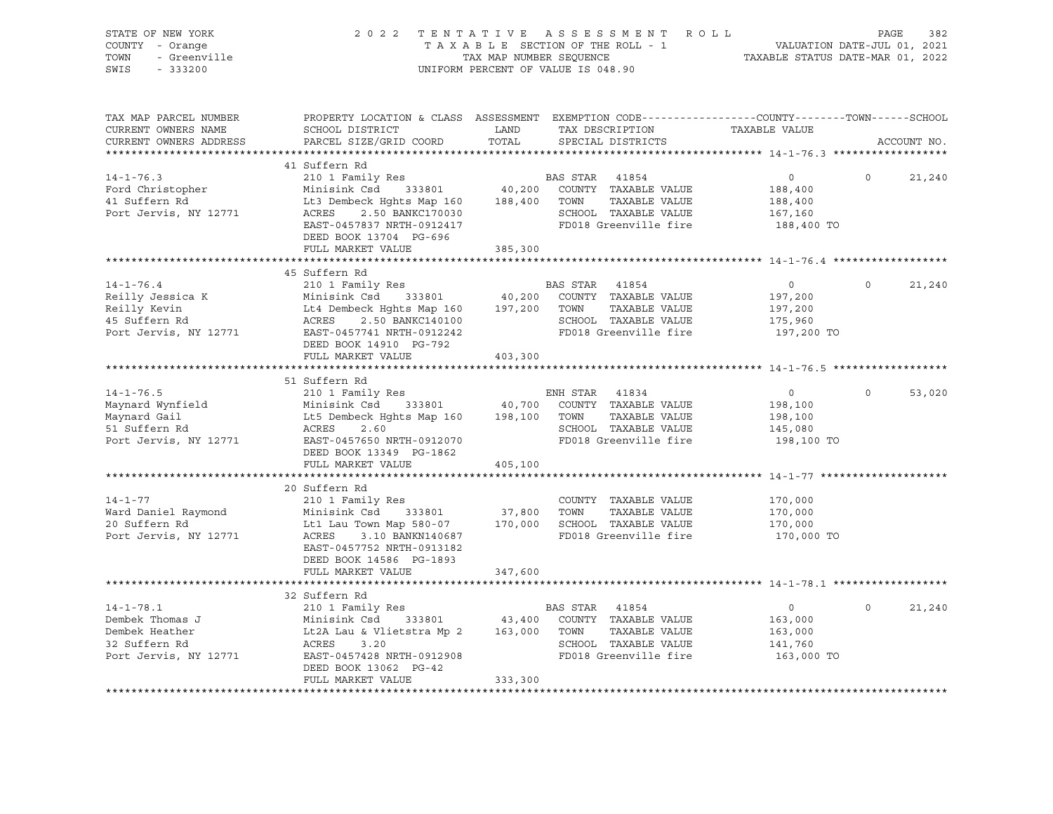| STATE OF NEW YORK<br>COUNTY - Orange<br>- Greenville<br>TOWN<br>SWIS<br>$-333200$              | 2022 TENTATIVE ASSESSMENT ROLL<br>TAXABLE SECTION OF THE ROLL - 1<br>TAX MAP NUMBER SEQUENCE<br>UNIFORM PERCENT OF VALUE IS 048.90         | VALUATION DATE-JUL 01, 2021<br>TAXABLE STATUS DATE-MAR 01, 2022                                                                                                                                                                                                                                            | 382<br>PAGE                                                   |                          |
|------------------------------------------------------------------------------------------------|--------------------------------------------------------------------------------------------------------------------------------------------|------------------------------------------------------------------------------------------------------------------------------------------------------------------------------------------------------------------------------------------------------------------------------------------------------------|---------------------------------------------------------------|--------------------------|
| TAX MAP PARCEL NUMBER<br>CURRENT OWNERS NAME<br>CURRENT OWNERS ADDRESS                         | SCHOOL DISTRICT<br>PARCEL SIZE/GRID COORD                                                                                                  | PROPERTY LOCATION & CLASS ASSESSMENT EXEMPTION CODE---------------COUNTY-------TOWN-----SCHOOL<br>TAX DESCRIPTION<br>LAND<br>TOTAL<br>SPECIAL DISTRICTS                                                                                                                                                    | TAXABLE VALUE                                                 | ACCOUNT NO.              |
|                                                                                                | 41 Suffern Rd                                                                                                                              |                                                                                                                                                                                                                                                                                                            |                                                               |                          |
| $14 - 1 - 76.3$<br>Ford Christopher<br>Port Jervis, NY 12771                                   | Lt3 Dembeck Hghts Map 160 188,400 TOWN<br>ACRES<br>2.50 BANKC170030<br>EAST-0457837 NRTH-0912417<br>DEED BOOK 13704 PG-696                 | TAXABLE VALUE<br>SCHOOL TAXABLE VALUE<br>FD018 Greenville fire                                                                                                                                                                                                                                             | $\overline{0}$<br>188,400<br>188,400<br>167,160<br>188,400 TO | $\circ$<br>21,240        |
|                                                                                                | FULL MARKET VALUE                                                                                                                          | 385,300                                                                                                                                                                                                                                                                                                    |                                                               |                          |
|                                                                                                | 45 Suffern Rd                                                                                                                              |                                                                                                                                                                                                                                                                                                            |                                                               |                          |
| $14 - 1 - 76.4$<br>Reilly Jessica K<br>Reilly Kevin<br>45 Suffern Rd<br>Port Jervis, NY 12771  |                                                                                                                                            | 210 1 Family Res<br>Minisink Csd 333801 40,200 COUNTY TAXABLE VALUE<br>Minisink Csd 333801<br>Lt4 Dembeck Hghts Map 160 197,200 TOWN TAXABLE VALUE<br>ACRES 2.50 BANKC140100 SCHOOL TAXABLE VALUE<br>FD018 Greenville fire                                                                                 | $\overline{0}$<br>197,200<br>197,200<br>175,960<br>197,200 TO | 21,240<br>$\overline{0}$ |
|                                                                                                | DEED BOOK 14910 PG-792<br>FULL MARKET VALUE                                                                                                | 403,300                                                                                                                                                                                                                                                                                                    |                                                               |                          |
|                                                                                                |                                                                                                                                            |                                                                                                                                                                                                                                                                                                            |                                                               |                          |
|                                                                                                | 51 Suffern Rd                                                                                                                              |                                                                                                                                                                                                                                                                                                            |                                                               |                          |
| $14 - 1 - 76.5$<br>Maynard Wynfield<br>Maynard Gail<br>51 Suffern Rd<br>Port Jervis, NY 12771  | 210 1 Family Res<br>ACRES<br>2.60<br>EAST-0457650 NRTH-0912070<br>DEED BOOK 13349 PG-1862                                                  | ENH STAR 41834<br>Minisink Csd 333801 40,700 COUNTY TAXABLE VALUE<br>Lt5 Dembeck Hghts Map 160 198,100 TOWN TAXABLE VALUE<br>SCHOOL TAXABLE VALUE<br>FD018 Greenville fire                                                                                                                                 | $\overline{0}$<br>198,100<br>198,100<br>145,080<br>198,100 TO | 53,020<br>$\Omega$       |
|                                                                                                | FULL MARKET VALUE                                                                                                                          | 405,100                                                                                                                                                                                                                                                                                                    |                                                               |                          |
|                                                                                                |                                                                                                                                            |                                                                                                                                                                                                                                                                                                            |                                                               |                          |
| $14 - 1 - 77$<br>Ward Daniel Raymond<br>20 Suffern Rd<br>Port Jervis, NY 12771                 | 20 Suffern Rd<br>210 1 Family Res<br>Minisink Csd 333801<br>ACRES 3.10 BANKN140687<br>EAST-0457752 NRTH-0913182<br>DEED BOOK 14586 PG-1893 | COUNTY TAXABLE VALUE<br>$\begin{tabular}{lcccccc} \texttt{Minisink Cs} & \texttt{0} & \texttt{333801} & \texttt{37,800} & \texttt{TOWN} & \texttt{TAXABLE VALUE} \\ \texttt{Ltl Lau Town Map 580-07} & \texttt{170,000} & \texttt{SCHOOL} & \texttt{TAXABLE VALUE} \end{tabular}$<br>FD018 Greenville fire | 170,000<br>170,000<br>170,000<br>170,000 TO                   |                          |
|                                                                                                | FULL MARKET VALUE                                                                                                                          | 347,600                                                                                                                                                                                                                                                                                                    |                                                               |                          |
|                                                                                                | 32 Suffern Rd                                                                                                                              |                                                                                                                                                                                                                                                                                                            |                                                               |                          |
| $14 - 1 - 78.1$<br>Dembek Thomas J<br>Dembek Heather<br>32 Suffern Rd<br>Port Jervis, NY 12771 | 210 1 Family Res<br>ACRES<br>3.20<br>EAST-0457428 NRTH-0912908<br>DEED BOOK 13062 PG-42                                                    | BAS STAR 41854<br>SCHOOL TAXABLE VALUE<br>FD018 Greenville fire                                                                                                                                                                                                                                            | $\overline{0}$<br>163,000<br>163,000<br>141,760<br>163,000 TO | $\Omega$<br>21,240       |
|                                                                                                | FULL MARKET VALUE                                                                                                                          | 333,300                                                                                                                                                                                                                                                                                                    |                                                               |                          |
|                                                                                                |                                                                                                                                            |                                                                                                                                                                                                                                                                                                            |                                                               |                          |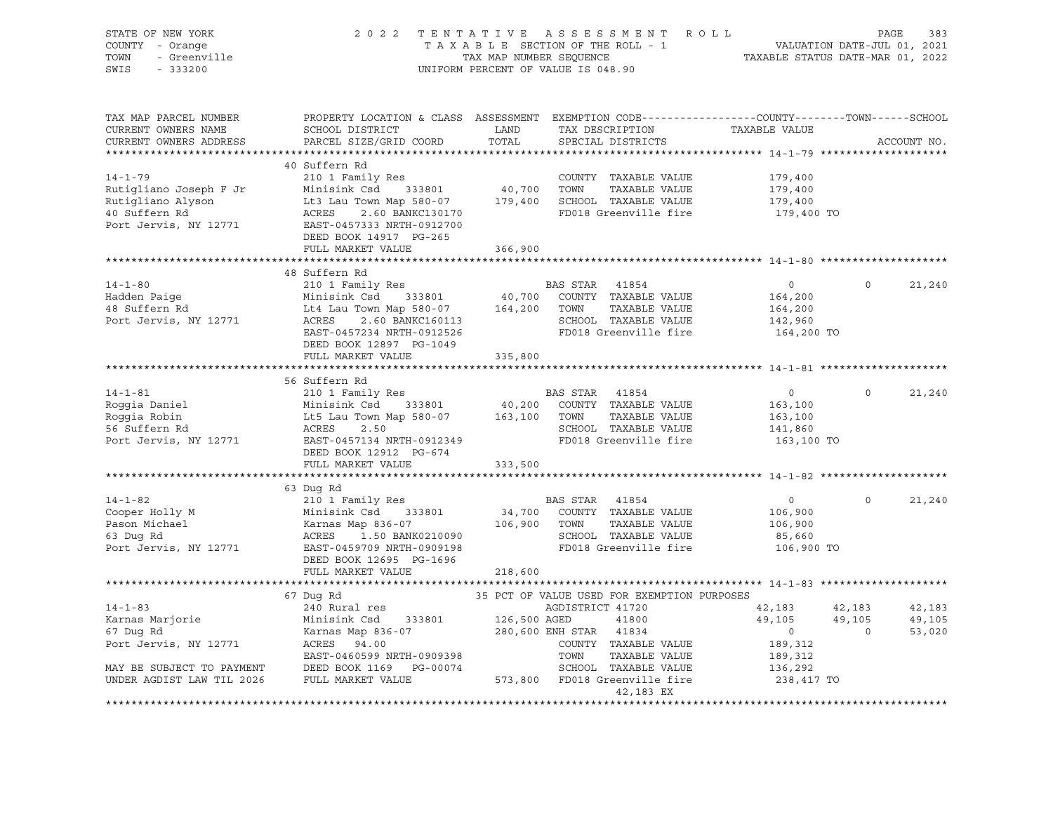| VALUATION DATE-JUL 01, 2021<br>TAXABLE STATUS DATE-MAR 01, 2022<br>TOWN<br>- Greenville<br>TAX MAP NUMBER SEQUENCE<br>SWIS<br>$-333200$<br>UNIFORM PERCENT OF VALUE IS 048.90<br>TAX MAP PARCEL NUMBER<br>PROPERTY LOCATION & CLASS ASSESSMENT EXEMPTION CODE----------------COUNTY-------TOWN------SCHOOL<br>CURRENT OWNERS NAME<br>LAND<br>TAXABLE VALUE<br>SCHOOL DISTRICT<br>TAX DESCRIPTION<br>TOTAL<br>PARCEL SIZE/GRID COORD<br>CURRENT OWNERS ADDRESS<br>SPECIAL DISTRICTS<br>ACCOUNT NO.<br>40 Suffern Rd<br>210 1 Family Res<br>$14 - 1 - 79$<br>COUNTY TAXABLE VALUE<br>179,400<br>40,700 TOWN<br>Rutigliano Joseph F Jr<br>Minisink Csd 333801<br>TAXABLE VALUE<br>179,400<br>179,400 SCHOOL TAXABLE VALUE<br>Rutigliano Alyson<br>Lt3 Lau Town Map 580-07<br>179,400<br>Lt3 Lau Town Map 580-07<br>ACRES 2.60 BANKC130170<br>EAST-0457333 NRTH-0912700<br>40 Suffern Rd<br>FD018 Greenville fire<br>179,400 TO<br>Port Jervis, NY 12771<br>DEED BOOK 14917 PG-265<br>FULL MARKET VALUE<br>366,900<br>48 Suffern Rd<br>$14 - 1 - 80$<br>210 1 Family Res<br>BAS STAR<br>$\overline{0}$<br>$\circ$<br>21,240<br>41854<br>40,700 COUNTY TAXABLE VALUE<br>Hadden Paige<br>48 Suffern Rd<br>Minisink Csd 333801<br>164,200<br>Lt4 Lau Town Map 580-07<br>164,200<br>TOWN<br>TAXABLE VALUE<br>164,200<br>Port Jervis, NY 12771<br>SCHOOL TAXABLE VALUE<br>ACRES<br><br>2.60 BANKC160113<br>"234 NRTH-0912526<br>142,960<br>FD018 Greenville fire<br>EAST-0457234 NRTH-0912526<br>164,200 TO<br>DEED BOOK 12897 PG-1049<br>FULL MARKET VALUE<br>335,800<br>56 Suffern Rd<br>$14 - 1 - 81$<br>210 1 Family Res<br>BAS STAR<br>$\overline{0}$<br>$\Omega$<br>41854<br>21,240<br>40,200<br>Roggia Daniel<br>Minisink Csd 333801<br>COUNTY TAXABLE VALUE<br>163,100<br>Minisink Csd - 333801<br>Lt5 Lau Town Map 580-07<br>ACPES - 2 50<br>Roggia Robin<br>163,100<br>TOWN<br>TAXABLE VALUE<br>163,100<br>56 Suffern Rd<br>ACRES<br>SCHOOL TAXABLE VALUE<br>2.50<br>141,860<br>EAST-0457134 NRTH-0912349<br>Port Jervis, NY 12771<br>FD018 Greenville fire<br>163,100 TO<br>DEED BOOK 12912 PG-674<br>FULL MARKET VALUE<br>333,500<br>*************<br>******************************* 14-1-82 ******************<br>63 Dug Rd<br>$14 - 1 - 82$<br>210 1 Family Res<br>BAS STAR 41854<br>$\overline{0}$<br>$\Omega$<br>21,240<br>34,700<br>Cooper Holly M<br>COUNTY TAXABLE VALUE<br>106,900<br>Pason Michael<br>106,900 TOWN<br>TAXABLE VALUE<br>106,900<br>63 Duq Rd<br>1.50 BANK0210090<br>SCHOOL TAXABLE VALUE<br>85,660<br>Port Jervis, NY 12771<br>FD018 Greenville fire<br>106,900 TO<br>EAST-0459709 NRTH-0909198<br>DEED BOOK 12695 PG-1696<br>FULL MARKET VALUE<br>218,600<br>67 Dug Rd<br>35 PCT OF VALUE USED FOR EXEMPTION PURPOSES<br>$14 - 1 - 83$<br>240 Rural res<br>AGDISTRICT 41720<br>42,183<br>42,183<br>42,183<br>Karnas Marjorie<br>Minisink Csd 333801<br>126,500 AGED<br>41800<br>49,105<br>49,105<br>49,105<br>67 Dug Rd<br>Karnas Map 836-07<br>280,600 ENH STAR<br>$\overline{0}$<br>$\Omega$<br>53,020<br>41834<br>Port Jervis, NY 12771<br>ACRES<br>94.00<br>COUNTY TAXABLE VALUE<br>189,312<br>EAST-0460599 NRTH-0909398<br>TOWN<br>TAXABLE VALUE<br>189,312<br>MAY BE SUBJECT TO PAYMENT<br>DEED BOOK 1169    PG-00074<br>SCHOOL TAXABLE VALUE<br>136,292<br>573,800 FD018 Greenville fire<br>FULL MARKET VALUE<br>238,417 TO<br>UNDER AGDIST LAW TIL 2026<br>42,183 EX | STATE OF NEW YORK<br>COUNTY - Orange | 2 0 2 2<br>A S S E S S M E N T<br>R O L L<br>TENTATIVE<br>PAGE<br>TAXABLE SECTION OF THE ROLL - 1 |  |  |  |  |
|-----------------------------------------------------------------------------------------------------------------------------------------------------------------------------------------------------------------------------------------------------------------------------------------------------------------------------------------------------------------------------------------------------------------------------------------------------------------------------------------------------------------------------------------------------------------------------------------------------------------------------------------------------------------------------------------------------------------------------------------------------------------------------------------------------------------------------------------------------------------------------------------------------------------------------------------------------------------------------------------------------------------------------------------------------------------------------------------------------------------------------------------------------------------------------------------------------------------------------------------------------------------------------------------------------------------------------------------------------------------------------------------------------------------------------------------------------------------------------------------------------------------------------------------------------------------------------------------------------------------------------------------------------------------------------------------------------------------------------------------------------------------------------------------------------------------------------------------------------------------------------------------------------------------------------------------------------------------------------------------------------------------------------------------------------------------------------------------------------------------------------------------------------------------------------------------------------------------------------------------------------------------------------------------------------------------------------------------------------------------------------------------------------------------------------------------------------------------------------------------------------------------------------------------------------------------------------------------------------------------------------------------------------------------------------------------------------------------------------------------------------------------------------------------------------------------------------------------------------------------------------------------------------------------------------------------------------------------------------------------------------------------------------------------------------------------------------------------------------------------------------------------------------------------------------------------------------------------------------------------------------------------------------------------------------------------------------------------------------------------------------------------------------------|--------------------------------------|---------------------------------------------------------------------------------------------------|--|--|--|--|
|                                                                                                                                                                                                                                                                                                                                                                                                                                                                                                                                                                                                                                                                                                                                                                                                                                                                                                                                                                                                                                                                                                                                                                                                                                                                                                                                                                                                                                                                                                                                                                                                                                                                                                                                                                                                                                                                                                                                                                                                                                                                                                                                                                                                                                                                                                                                                                                                                                                                                                                                                                                                                                                                                                                                                                                                                                                                                                                                                                                                                                                                                                                                                                                                                                                                                                                                                                                                           |                                      |                                                                                                   |  |  |  |  |
|                                                                                                                                                                                                                                                                                                                                                                                                                                                                                                                                                                                                                                                                                                                                                                                                                                                                                                                                                                                                                                                                                                                                                                                                                                                                                                                                                                                                                                                                                                                                                                                                                                                                                                                                                                                                                                                                                                                                                                                                                                                                                                                                                                                                                                                                                                                                                                                                                                                                                                                                                                                                                                                                                                                                                                                                                                                                                                                                                                                                                                                                                                                                                                                                                                                                                                                                                                                                           |                                      |                                                                                                   |  |  |  |  |
|                                                                                                                                                                                                                                                                                                                                                                                                                                                                                                                                                                                                                                                                                                                                                                                                                                                                                                                                                                                                                                                                                                                                                                                                                                                                                                                                                                                                                                                                                                                                                                                                                                                                                                                                                                                                                                                                                                                                                                                                                                                                                                                                                                                                                                                                                                                                                                                                                                                                                                                                                                                                                                                                                                                                                                                                                                                                                                                                                                                                                                                                                                                                                                                                                                                                                                                                                                                                           |                                      |                                                                                                   |  |  |  |  |
|                                                                                                                                                                                                                                                                                                                                                                                                                                                                                                                                                                                                                                                                                                                                                                                                                                                                                                                                                                                                                                                                                                                                                                                                                                                                                                                                                                                                                                                                                                                                                                                                                                                                                                                                                                                                                                                                                                                                                                                                                                                                                                                                                                                                                                                                                                                                                                                                                                                                                                                                                                                                                                                                                                                                                                                                                                                                                                                                                                                                                                                                                                                                                                                                                                                                                                                                                                                                           |                                      |                                                                                                   |  |  |  |  |
|                                                                                                                                                                                                                                                                                                                                                                                                                                                                                                                                                                                                                                                                                                                                                                                                                                                                                                                                                                                                                                                                                                                                                                                                                                                                                                                                                                                                                                                                                                                                                                                                                                                                                                                                                                                                                                                                                                                                                                                                                                                                                                                                                                                                                                                                                                                                                                                                                                                                                                                                                                                                                                                                                                                                                                                                                                                                                                                                                                                                                                                                                                                                                                                                                                                                                                                                                                                                           |                                      |                                                                                                   |  |  |  |  |
|                                                                                                                                                                                                                                                                                                                                                                                                                                                                                                                                                                                                                                                                                                                                                                                                                                                                                                                                                                                                                                                                                                                                                                                                                                                                                                                                                                                                                                                                                                                                                                                                                                                                                                                                                                                                                                                                                                                                                                                                                                                                                                                                                                                                                                                                                                                                                                                                                                                                                                                                                                                                                                                                                                                                                                                                                                                                                                                                                                                                                                                                                                                                                                                                                                                                                                                                                                                                           |                                      |                                                                                                   |  |  |  |  |
|                                                                                                                                                                                                                                                                                                                                                                                                                                                                                                                                                                                                                                                                                                                                                                                                                                                                                                                                                                                                                                                                                                                                                                                                                                                                                                                                                                                                                                                                                                                                                                                                                                                                                                                                                                                                                                                                                                                                                                                                                                                                                                                                                                                                                                                                                                                                                                                                                                                                                                                                                                                                                                                                                                                                                                                                                                                                                                                                                                                                                                                                                                                                                                                                                                                                                                                                                                                                           |                                      |                                                                                                   |  |  |  |  |
|                                                                                                                                                                                                                                                                                                                                                                                                                                                                                                                                                                                                                                                                                                                                                                                                                                                                                                                                                                                                                                                                                                                                                                                                                                                                                                                                                                                                                                                                                                                                                                                                                                                                                                                                                                                                                                                                                                                                                                                                                                                                                                                                                                                                                                                                                                                                                                                                                                                                                                                                                                                                                                                                                                                                                                                                                                                                                                                                                                                                                                                                                                                                                                                                                                                                                                                                                                                                           |                                      |                                                                                                   |  |  |  |  |
|                                                                                                                                                                                                                                                                                                                                                                                                                                                                                                                                                                                                                                                                                                                                                                                                                                                                                                                                                                                                                                                                                                                                                                                                                                                                                                                                                                                                                                                                                                                                                                                                                                                                                                                                                                                                                                                                                                                                                                                                                                                                                                                                                                                                                                                                                                                                                                                                                                                                                                                                                                                                                                                                                                                                                                                                                                                                                                                                                                                                                                                                                                                                                                                                                                                                                                                                                                                                           |                                      |                                                                                                   |  |  |  |  |
|                                                                                                                                                                                                                                                                                                                                                                                                                                                                                                                                                                                                                                                                                                                                                                                                                                                                                                                                                                                                                                                                                                                                                                                                                                                                                                                                                                                                                                                                                                                                                                                                                                                                                                                                                                                                                                                                                                                                                                                                                                                                                                                                                                                                                                                                                                                                                                                                                                                                                                                                                                                                                                                                                                                                                                                                                                                                                                                                                                                                                                                                                                                                                                                                                                                                                                                                                                                                           |                                      |                                                                                                   |  |  |  |  |
|                                                                                                                                                                                                                                                                                                                                                                                                                                                                                                                                                                                                                                                                                                                                                                                                                                                                                                                                                                                                                                                                                                                                                                                                                                                                                                                                                                                                                                                                                                                                                                                                                                                                                                                                                                                                                                                                                                                                                                                                                                                                                                                                                                                                                                                                                                                                                                                                                                                                                                                                                                                                                                                                                                                                                                                                                                                                                                                                                                                                                                                                                                                                                                                                                                                                                                                                                                                                           |                                      |                                                                                                   |  |  |  |  |
|                                                                                                                                                                                                                                                                                                                                                                                                                                                                                                                                                                                                                                                                                                                                                                                                                                                                                                                                                                                                                                                                                                                                                                                                                                                                                                                                                                                                                                                                                                                                                                                                                                                                                                                                                                                                                                                                                                                                                                                                                                                                                                                                                                                                                                                                                                                                                                                                                                                                                                                                                                                                                                                                                                                                                                                                                                                                                                                                                                                                                                                                                                                                                                                                                                                                                                                                                                                                           |                                      |                                                                                                   |  |  |  |  |
|                                                                                                                                                                                                                                                                                                                                                                                                                                                                                                                                                                                                                                                                                                                                                                                                                                                                                                                                                                                                                                                                                                                                                                                                                                                                                                                                                                                                                                                                                                                                                                                                                                                                                                                                                                                                                                                                                                                                                                                                                                                                                                                                                                                                                                                                                                                                                                                                                                                                                                                                                                                                                                                                                                                                                                                                                                                                                                                                                                                                                                                                                                                                                                                                                                                                                                                                                                                                           |                                      |                                                                                                   |  |  |  |  |
|                                                                                                                                                                                                                                                                                                                                                                                                                                                                                                                                                                                                                                                                                                                                                                                                                                                                                                                                                                                                                                                                                                                                                                                                                                                                                                                                                                                                                                                                                                                                                                                                                                                                                                                                                                                                                                                                                                                                                                                                                                                                                                                                                                                                                                                                                                                                                                                                                                                                                                                                                                                                                                                                                                                                                                                                                                                                                                                                                                                                                                                                                                                                                                                                                                                                                                                                                                                                           |                                      |                                                                                                   |  |  |  |  |
|                                                                                                                                                                                                                                                                                                                                                                                                                                                                                                                                                                                                                                                                                                                                                                                                                                                                                                                                                                                                                                                                                                                                                                                                                                                                                                                                                                                                                                                                                                                                                                                                                                                                                                                                                                                                                                                                                                                                                                                                                                                                                                                                                                                                                                                                                                                                                                                                                                                                                                                                                                                                                                                                                                                                                                                                                                                                                                                                                                                                                                                                                                                                                                                                                                                                                                                                                                                                           |                                      |                                                                                                   |  |  |  |  |
|                                                                                                                                                                                                                                                                                                                                                                                                                                                                                                                                                                                                                                                                                                                                                                                                                                                                                                                                                                                                                                                                                                                                                                                                                                                                                                                                                                                                                                                                                                                                                                                                                                                                                                                                                                                                                                                                                                                                                                                                                                                                                                                                                                                                                                                                                                                                                                                                                                                                                                                                                                                                                                                                                                                                                                                                                                                                                                                                                                                                                                                                                                                                                                                                                                                                                                                                                                                                           |                                      |                                                                                                   |  |  |  |  |
|                                                                                                                                                                                                                                                                                                                                                                                                                                                                                                                                                                                                                                                                                                                                                                                                                                                                                                                                                                                                                                                                                                                                                                                                                                                                                                                                                                                                                                                                                                                                                                                                                                                                                                                                                                                                                                                                                                                                                                                                                                                                                                                                                                                                                                                                                                                                                                                                                                                                                                                                                                                                                                                                                                                                                                                                                                                                                                                                                                                                                                                                                                                                                                                                                                                                                                                                                                                                           |                                      |                                                                                                   |  |  |  |  |
|                                                                                                                                                                                                                                                                                                                                                                                                                                                                                                                                                                                                                                                                                                                                                                                                                                                                                                                                                                                                                                                                                                                                                                                                                                                                                                                                                                                                                                                                                                                                                                                                                                                                                                                                                                                                                                                                                                                                                                                                                                                                                                                                                                                                                                                                                                                                                                                                                                                                                                                                                                                                                                                                                                                                                                                                                                                                                                                                                                                                                                                                                                                                                                                                                                                                                                                                                                                                           |                                      |                                                                                                   |  |  |  |  |
|                                                                                                                                                                                                                                                                                                                                                                                                                                                                                                                                                                                                                                                                                                                                                                                                                                                                                                                                                                                                                                                                                                                                                                                                                                                                                                                                                                                                                                                                                                                                                                                                                                                                                                                                                                                                                                                                                                                                                                                                                                                                                                                                                                                                                                                                                                                                                                                                                                                                                                                                                                                                                                                                                                                                                                                                                                                                                                                                                                                                                                                                                                                                                                                                                                                                                                                                                                                                           |                                      |                                                                                                   |  |  |  |  |
|                                                                                                                                                                                                                                                                                                                                                                                                                                                                                                                                                                                                                                                                                                                                                                                                                                                                                                                                                                                                                                                                                                                                                                                                                                                                                                                                                                                                                                                                                                                                                                                                                                                                                                                                                                                                                                                                                                                                                                                                                                                                                                                                                                                                                                                                                                                                                                                                                                                                                                                                                                                                                                                                                                                                                                                                                                                                                                                                                                                                                                                                                                                                                                                                                                                                                                                                                                                                           |                                      |                                                                                                   |  |  |  |  |
|                                                                                                                                                                                                                                                                                                                                                                                                                                                                                                                                                                                                                                                                                                                                                                                                                                                                                                                                                                                                                                                                                                                                                                                                                                                                                                                                                                                                                                                                                                                                                                                                                                                                                                                                                                                                                                                                                                                                                                                                                                                                                                                                                                                                                                                                                                                                                                                                                                                                                                                                                                                                                                                                                                                                                                                                                                                                                                                                                                                                                                                                                                                                                                                                                                                                                                                                                                                                           |                                      |                                                                                                   |  |  |  |  |
|                                                                                                                                                                                                                                                                                                                                                                                                                                                                                                                                                                                                                                                                                                                                                                                                                                                                                                                                                                                                                                                                                                                                                                                                                                                                                                                                                                                                                                                                                                                                                                                                                                                                                                                                                                                                                                                                                                                                                                                                                                                                                                                                                                                                                                                                                                                                                                                                                                                                                                                                                                                                                                                                                                                                                                                                                                                                                                                                                                                                                                                                                                                                                                                                                                                                                                                                                                                                           |                                      |                                                                                                   |  |  |  |  |
|                                                                                                                                                                                                                                                                                                                                                                                                                                                                                                                                                                                                                                                                                                                                                                                                                                                                                                                                                                                                                                                                                                                                                                                                                                                                                                                                                                                                                                                                                                                                                                                                                                                                                                                                                                                                                                                                                                                                                                                                                                                                                                                                                                                                                                                                                                                                                                                                                                                                                                                                                                                                                                                                                                                                                                                                                                                                                                                                                                                                                                                                                                                                                                                                                                                                                                                                                                                                           |                                      |                                                                                                   |  |  |  |  |
|                                                                                                                                                                                                                                                                                                                                                                                                                                                                                                                                                                                                                                                                                                                                                                                                                                                                                                                                                                                                                                                                                                                                                                                                                                                                                                                                                                                                                                                                                                                                                                                                                                                                                                                                                                                                                                                                                                                                                                                                                                                                                                                                                                                                                                                                                                                                                                                                                                                                                                                                                                                                                                                                                                                                                                                                                                                                                                                                                                                                                                                                                                                                                                                                                                                                                                                                                                                                           |                                      |                                                                                                   |  |  |  |  |
|                                                                                                                                                                                                                                                                                                                                                                                                                                                                                                                                                                                                                                                                                                                                                                                                                                                                                                                                                                                                                                                                                                                                                                                                                                                                                                                                                                                                                                                                                                                                                                                                                                                                                                                                                                                                                                                                                                                                                                                                                                                                                                                                                                                                                                                                                                                                                                                                                                                                                                                                                                                                                                                                                                                                                                                                                                                                                                                                                                                                                                                                                                                                                                                                                                                                                                                                                                                                           |                                      |                                                                                                   |  |  |  |  |
|                                                                                                                                                                                                                                                                                                                                                                                                                                                                                                                                                                                                                                                                                                                                                                                                                                                                                                                                                                                                                                                                                                                                                                                                                                                                                                                                                                                                                                                                                                                                                                                                                                                                                                                                                                                                                                                                                                                                                                                                                                                                                                                                                                                                                                                                                                                                                                                                                                                                                                                                                                                                                                                                                                                                                                                                                                                                                                                                                                                                                                                                                                                                                                                                                                                                                                                                                                                                           |                                      |                                                                                                   |  |  |  |  |
|                                                                                                                                                                                                                                                                                                                                                                                                                                                                                                                                                                                                                                                                                                                                                                                                                                                                                                                                                                                                                                                                                                                                                                                                                                                                                                                                                                                                                                                                                                                                                                                                                                                                                                                                                                                                                                                                                                                                                                                                                                                                                                                                                                                                                                                                                                                                                                                                                                                                                                                                                                                                                                                                                                                                                                                                                                                                                                                                                                                                                                                                                                                                                                                                                                                                                                                                                                                                           |                                      |                                                                                                   |  |  |  |  |
|                                                                                                                                                                                                                                                                                                                                                                                                                                                                                                                                                                                                                                                                                                                                                                                                                                                                                                                                                                                                                                                                                                                                                                                                                                                                                                                                                                                                                                                                                                                                                                                                                                                                                                                                                                                                                                                                                                                                                                                                                                                                                                                                                                                                                                                                                                                                                                                                                                                                                                                                                                                                                                                                                                                                                                                                                                                                                                                                                                                                                                                                                                                                                                                                                                                                                                                                                                                                           |                                      |                                                                                                   |  |  |  |  |
|                                                                                                                                                                                                                                                                                                                                                                                                                                                                                                                                                                                                                                                                                                                                                                                                                                                                                                                                                                                                                                                                                                                                                                                                                                                                                                                                                                                                                                                                                                                                                                                                                                                                                                                                                                                                                                                                                                                                                                                                                                                                                                                                                                                                                                                                                                                                                                                                                                                                                                                                                                                                                                                                                                                                                                                                                                                                                                                                                                                                                                                                                                                                                                                                                                                                                                                                                                                                           |                                      |                                                                                                   |  |  |  |  |
|                                                                                                                                                                                                                                                                                                                                                                                                                                                                                                                                                                                                                                                                                                                                                                                                                                                                                                                                                                                                                                                                                                                                                                                                                                                                                                                                                                                                                                                                                                                                                                                                                                                                                                                                                                                                                                                                                                                                                                                                                                                                                                                                                                                                                                                                                                                                                                                                                                                                                                                                                                                                                                                                                                                                                                                                                                                                                                                                                                                                                                                                                                                                                                                                                                                                                                                                                                                                           |                                      |                                                                                                   |  |  |  |  |
|                                                                                                                                                                                                                                                                                                                                                                                                                                                                                                                                                                                                                                                                                                                                                                                                                                                                                                                                                                                                                                                                                                                                                                                                                                                                                                                                                                                                                                                                                                                                                                                                                                                                                                                                                                                                                                                                                                                                                                                                                                                                                                                                                                                                                                                                                                                                                                                                                                                                                                                                                                                                                                                                                                                                                                                                                                                                                                                                                                                                                                                                                                                                                                                                                                                                                                                                                                                                           |                                      |                                                                                                   |  |  |  |  |
|                                                                                                                                                                                                                                                                                                                                                                                                                                                                                                                                                                                                                                                                                                                                                                                                                                                                                                                                                                                                                                                                                                                                                                                                                                                                                                                                                                                                                                                                                                                                                                                                                                                                                                                                                                                                                                                                                                                                                                                                                                                                                                                                                                                                                                                                                                                                                                                                                                                                                                                                                                                                                                                                                                                                                                                                                                                                                                                                                                                                                                                                                                                                                                                                                                                                                                                                                                                                           |                                      |                                                                                                   |  |  |  |  |
|                                                                                                                                                                                                                                                                                                                                                                                                                                                                                                                                                                                                                                                                                                                                                                                                                                                                                                                                                                                                                                                                                                                                                                                                                                                                                                                                                                                                                                                                                                                                                                                                                                                                                                                                                                                                                                                                                                                                                                                                                                                                                                                                                                                                                                                                                                                                                                                                                                                                                                                                                                                                                                                                                                                                                                                                                                                                                                                                                                                                                                                                                                                                                                                                                                                                                                                                                                                                           |                                      |                                                                                                   |  |  |  |  |
|                                                                                                                                                                                                                                                                                                                                                                                                                                                                                                                                                                                                                                                                                                                                                                                                                                                                                                                                                                                                                                                                                                                                                                                                                                                                                                                                                                                                                                                                                                                                                                                                                                                                                                                                                                                                                                                                                                                                                                                                                                                                                                                                                                                                                                                                                                                                                                                                                                                                                                                                                                                                                                                                                                                                                                                                                                                                                                                                                                                                                                                                                                                                                                                                                                                                                                                                                                                                           |                                      |                                                                                                   |  |  |  |  |
|                                                                                                                                                                                                                                                                                                                                                                                                                                                                                                                                                                                                                                                                                                                                                                                                                                                                                                                                                                                                                                                                                                                                                                                                                                                                                                                                                                                                                                                                                                                                                                                                                                                                                                                                                                                                                                                                                                                                                                                                                                                                                                                                                                                                                                                                                                                                                                                                                                                                                                                                                                                                                                                                                                                                                                                                                                                                                                                                                                                                                                                                                                                                                                                                                                                                                                                                                                                                           |                                      |                                                                                                   |  |  |  |  |
|                                                                                                                                                                                                                                                                                                                                                                                                                                                                                                                                                                                                                                                                                                                                                                                                                                                                                                                                                                                                                                                                                                                                                                                                                                                                                                                                                                                                                                                                                                                                                                                                                                                                                                                                                                                                                                                                                                                                                                                                                                                                                                                                                                                                                                                                                                                                                                                                                                                                                                                                                                                                                                                                                                                                                                                                                                                                                                                                                                                                                                                                                                                                                                                                                                                                                                                                                                                                           |                                      |                                                                                                   |  |  |  |  |
|                                                                                                                                                                                                                                                                                                                                                                                                                                                                                                                                                                                                                                                                                                                                                                                                                                                                                                                                                                                                                                                                                                                                                                                                                                                                                                                                                                                                                                                                                                                                                                                                                                                                                                                                                                                                                                                                                                                                                                                                                                                                                                                                                                                                                                                                                                                                                                                                                                                                                                                                                                                                                                                                                                                                                                                                                                                                                                                                                                                                                                                                                                                                                                                                                                                                                                                                                                                                           |                                      |                                                                                                   |  |  |  |  |
|                                                                                                                                                                                                                                                                                                                                                                                                                                                                                                                                                                                                                                                                                                                                                                                                                                                                                                                                                                                                                                                                                                                                                                                                                                                                                                                                                                                                                                                                                                                                                                                                                                                                                                                                                                                                                                                                                                                                                                                                                                                                                                                                                                                                                                                                                                                                                                                                                                                                                                                                                                                                                                                                                                                                                                                                                                                                                                                                                                                                                                                                                                                                                                                                                                                                                                                                                                                                           |                                      |                                                                                                   |  |  |  |  |
|                                                                                                                                                                                                                                                                                                                                                                                                                                                                                                                                                                                                                                                                                                                                                                                                                                                                                                                                                                                                                                                                                                                                                                                                                                                                                                                                                                                                                                                                                                                                                                                                                                                                                                                                                                                                                                                                                                                                                                                                                                                                                                                                                                                                                                                                                                                                                                                                                                                                                                                                                                                                                                                                                                                                                                                                                                                                                                                                                                                                                                                                                                                                                                                                                                                                                                                                                                                                           |                                      |                                                                                                   |  |  |  |  |
|                                                                                                                                                                                                                                                                                                                                                                                                                                                                                                                                                                                                                                                                                                                                                                                                                                                                                                                                                                                                                                                                                                                                                                                                                                                                                                                                                                                                                                                                                                                                                                                                                                                                                                                                                                                                                                                                                                                                                                                                                                                                                                                                                                                                                                                                                                                                                                                                                                                                                                                                                                                                                                                                                                                                                                                                                                                                                                                                                                                                                                                                                                                                                                                                                                                                                                                                                                                                           |                                      |                                                                                                   |  |  |  |  |
|                                                                                                                                                                                                                                                                                                                                                                                                                                                                                                                                                                                                                                                                                                                                                                                                                                                                                                                                                                                                                                                                                                                                                                                                                                                                                                                                                                                                                                                                                                                                                                                                                                                                                                                                                                                                                                                                                                                                                                                                                                                                                                                                                                                                                                                                                                                                                                                                                                                                                                                                                                                                                                                                                                                                                                                                                                                                                                                                                                                                                                                                                                                                                                                                                                                                                                                                                                                                           |                                      |                                                                                                   |  |  |  |  |
|                                                                                                                                                                                                                                                                                                                                                                                                                                                                                                                                                                                                                                                                                                                                                                                                                                                                                                                                                                                                                                                                                                                                                                                                                                                                                                                                                                                                                                                                                                                                                                                                                                                                                                                                                                                                                                                                                                                                                                                                                                                                                                                                                                                                                                                                                                                                                                                                                                                                                                                                                                                                                                                                                                                                                                                                                                                                                                                                                                                                                                                                                                                                                                                                                                                                                                                                                                                                           |                                      |                                                                                                   |  |  |  |  |
|                                                                                                                                                                                                                                                                                                                                                                                                                                                                                                                                                                                                                                                                                                                                                                                                                                                                                                                                                                                                                                                                                                                                                                                                                                                                                                                                                                                                                                                                                                                                                                                                                                                                                                                                                                                                                                                                                                                                                                                                                                                                                                                                                                                                                                                                                                                                                                                                                                                                                                                                                                                                                                                                                                                                                                                                                                                                                                                                                                                                                                                                                                                                                                                                                                                                                                                                                                                                           |                                      |                                                                                                   |  |  |  |  |
|                                                                                                                                                                                                                                                                                                                                                                                                                                                                                                                                                                                                                                                                                                                                                                                                                                                                                                                                                                                                                                                                                                                                                                                                                                                                                                                                                                                                                                                                                                                                                                                                                                                                                                                                                                                                                                                                                                                                                                                                                                                                                                                                                                                                                                                                                                                                                                                                                                                                                                                                                                                                                                                                                                                                                                                                                                                                                                                                                                                                                                                                                                                                                                                                                                                                                                                                                                                                           |                                      |                                                                                                   |  |  |  |  |
|                                                                                                                                                                                                                                                                                                                                                                                                                                                                                                                                                                                                                                                                                                                                                                                                                                                                                                                                                                                                                                                                                                                                                                                                                                                                                                                                                                                                                                                                                                                                                                                                                                                                                                                                                                                                                                                                                                                                                                                                                                                                                                                                                                                                                                                                                                                                                                                                                                                                                                                                                                                                                                                                                                                                                                                                                                                                                                                                                                                                                                                                                                                                                                                                                                                                                                                                                                                                           |                                      |                                                                                                   |  |  |  |  |
|                                                                                                                                                                                                                                                                                                                                                                                                                                                                                                                                                                                                                                                                                                                                                                                                                                                                                                                                                                                                                                                                                                                                                                                                                                                                                                                                                                                                                                                                                                                                                                                                                                                                                                                                                                                                                                                                                                                                                                                                                                                                                                                                                                                                                                                                                                                                                                                                                                                                                                                                                                                                                                                                                                                                                                                                                                                                                                                                                                                                                                                                                                                                                                                                                                                                                                                                                                                                           |                                      |                                                                                                   |  |  |  |  |
|                                                                                                                                                                                                                                                                                                                                                                                                                                                                                                                                                                                                                                                                                                                                                                                                                                                                                                                                                                                                                                                                                                                                                                                                                                                                                                                                                                                                                                                                                                                                                                                                                                                                                                                                                                                                                                                                                                                                                                                                                                                                                                                                                                                                                                                                                                                                                                                                                                                                                                                                                                                                                                                                                                                                                                                                                                                                                                                                                                                                                                                                                                                                                                                                                                                                                                                                                                                                           |                                      |                                                                                                   |  |  |  |  |
|                                                                                                                                                                                                                                                                                                                                                                                                                                                                                                                                                                                                                                                                                                                                                                                                                                                                                                                                                                                                                                                                                                                                                                                                                                                                                                                                                                                                                                                                                                                                                                                                                                                                                                                                                                                                                                                                                                                                                                                                                                                                                                                                                                                                                                                                                                                                                                                                                                                                                                                                                                                                                                                                                                                                                                                                                                                                                                                                                                                                                                                                                                                                                                                                                                                                                                                                                                                                           |                                      |                                                                                                   |  |  |  |  |
|                                                                                                                                                                                                                                                                                                                                                                                                                                                                                                                                                                                                                                                                                                                                                                                                                                                                                                                                                                                                                                                                                                                                                                                                                                                                                                                                                                                                                                                                                                                                                                                                                                                                                                                                                                                                                                                                                                                                                                                                                                                                                                                                                                                                                                                                                                                                                                                                                                                                                                                                                                                                                                                                                                                                                                                                                                                                                                                                                                                                                                                                                                                                                                                                                                                                                                                                                                                                           |                                      |                                                                                                   |  |  |  |  |
|                                                                                                                                                                                                                                                                                                                                                                                                                                                                                                                                                                                                                                                                                                                                                                                                                                                                                                                                                                                                                                                                                                                                                                                                                                                                                                                                                                                                                                                                                                                                                                                                                                                                                                                                                                                                                                                                                                                                                                                                                                                                                                                                                                                                                                                                                                                                                                                                                                                                                                                                                                                                                                                                                                                                                                                                                                                                                                                                                                                                                                                                                                                                                                                                                                                                                                                                                                                                           |                                      |                                                                                                   |  |  |  |  |
|                                                                                                                                                                                                                                                                                                                                                                                                                                                                                                                                                                                                                                                                                                                                                                                                                                                                                                                                                                                                                                                                                                                                                                                                                                                                                                                                                                                                                                                                                                                                                                                                                                                                                                                                                                                                                                                                                                                                                                                                                                                                                                                                                                                                                                                                                                                                                                                                                                                                                                                                                                                                                                                                                                                                                                                                                                                                                                                                                                                                                                                                                                                                                                                                                                                                                                                                                                                                           |                                      |                                                                                                   |  |  |  |  |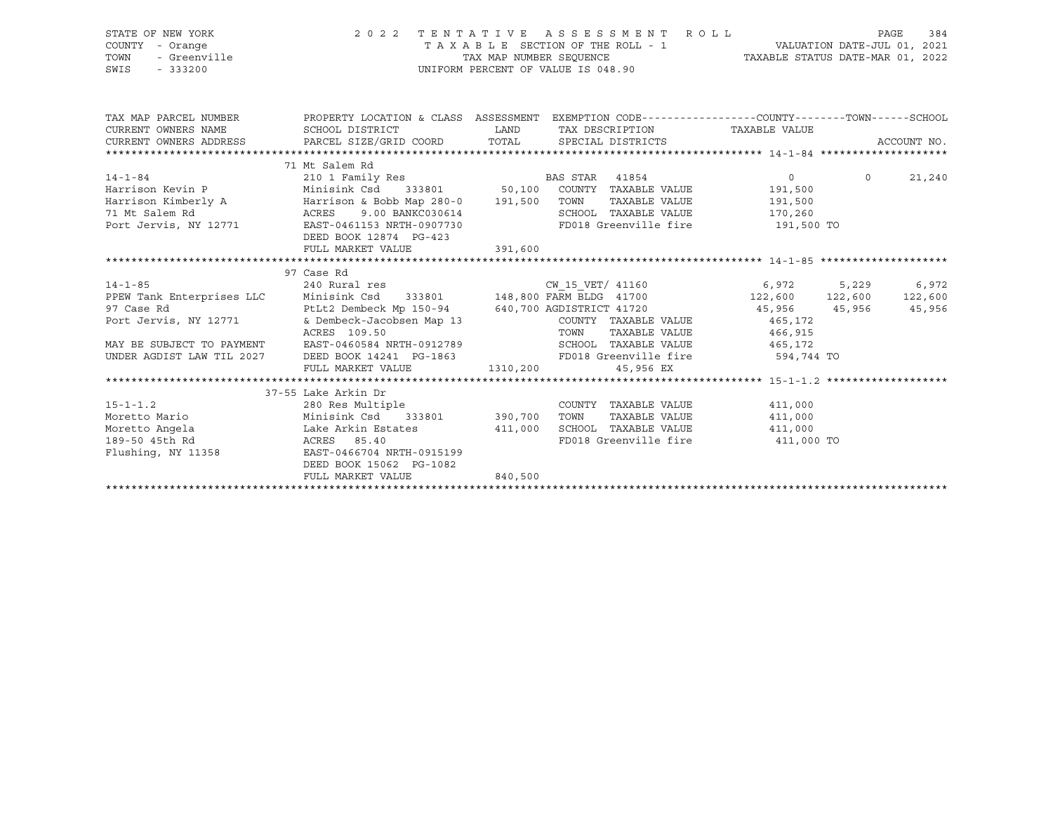| STATE OF NEW YORK                                                                                                                                                                                                                      |                                                                                                                                                                                         |                                                                                                                                   | 2022 TENTATIVE ASSESSMENT ROLL                                                                                                                                                                                                                               |         |                | PAGE<br>384 |
|----------------------------------------------------------------------------------------------------------------------------------------------------------------------------------------------------------------------------------------|-----------------------------------------------------------------------------------------------------------------------------------------------------------------------------------------|-----------------------------------------------------------------------------------------------------------------------------------|--------------------------------------------------------------------------------------------------------------------------------------------------------------------------------------------------------------------------------------------------------------|---------|----------------|-------------|
| COUNTY - Orange                                                                                                                                                                                                                        |                                                                                                                                                                                         |                                                                                                                                   |                                                                                                                                                                                                                                                              |         |                |             |
| - Greenville<br>TOWN                                                                                                                                                                                                                   |                                                                                                                                                                                         |                                                                                                                                   |                                                                                                                                                                                                                                                              |         |                |             |
| SWIS<br>$-333200$                                                                                                                                                                                                                      |                                                                                                                                                                                         | TAXABLE SECTION OF THE ROLL - 1<br>TAX MAP NUMBER SEQUENCE TAXABLE STATUS DATE-MAR 01, 2022<br>UNIFORM PERCENT OF VALUE IS 048.90 |                                                                                                                                                                                                                                                              |         |                |             |
|                                                                                                                                                                                                                                        |                                                                                                                                                                                         |                                                                                                                                   |                                                                                                                                                                                                                                                              |         |                |             |
|                                                                                                                                                                                                                                        |                                                                                                                                                                                         |                                                                                                                                   |                                                                                                                                                                                                                                                              |         |                |             |
|                                                                                                                                                                                                                                        | TAX MAP PARCEL NUMBER THE PROPERTY LOCATION & CLASS ASSESSMENT EXEMPTION CODE--------------COUNTY--------TOWN------SCHOOL                                                               |                                                                                                                                   |                                                                                                                                                                                                                                                              |         |                |             |
|                                                                                                                                                                                                                                        | CURRENT OWNERS NAME SCHOOL DISTRICT WE LAND TAX DESCRIPTION TAXABLE VALUE                                                                                                               |                                                                                                                                   |                                                                                                                                                                                                                                                              |         |                |             |
|                                                                                                                                                                                                                                        | CURRENT OWNERS ADDRESS PARCEL SIZE/GRID COORD TOTAL SPECIAL DISTRICTS                                                                                                                   |                                                                                                                                   |                                                                                                                                                                                                                                                              |         |                | ACCOUNT NO. |
|                                                                                                                                                                                                                                        |                                                                                                                                                                                         |                                                                                                                                   |                                                                                                                                                                                                                                                              |         |                |             |
|                                                                                                                                                                                                                                        | 71 Mt Salem Rd                                                                                                                                                                          |                                                                                                                                   |                                                                                                                                                                                                                                                              |         |                |             |
| 14-1-84 0<br>Harrison Kevin P 210 1 Family Res BAS STAR 41854 0<br>Harrison Kimberly A Harrison & Bobb Map 280-0 191,500 TOWN TAXABLE VALUE 191,500<br>71 Mt Salem Rd ACRES 9.00 BANKC030614 SCHOOL TAXABLE VALUE 170,260<br>Port Jerv |                                                                                                                                                                                         |                                                                                                                                   |                                                                                                                                                                                                                                                              |         | $\overline{0}$ | 21,240      |
|                                                                                                                                                                                                                                        |                                                                                                                                                                                         |                                                                                                                                   |                                                                                                                                                                                                                                                              |         |                |             |
|                                                                                                                                                                                                                                        |                                                                                                                                                                                         |                                                                                                                                   |                                                                                                                                                                                                                                                              |         |                |             |
|                                                                                                                                                                                                                                        |                                                                                                                                                                                         |                                                                                                                                   |                                                                                                                                                                                                                                                              |         |                |             |
|                                                                                                                                                                                                                                        |                                                                                                                                                                                         |                                                                                                                                   |                                                                                                                                                                                                                                                              |         |                |             |
|                                                                                                                                                                                                                                        | DEED BOOK 12874 PG-423                                                                                                                                                                  |                                                                                                                                   |                                                                                                                                                                                                                                                              |         |                |             |
|                                                                                                                                                                                                                                        | FULL MARKET VALUE                                                                                                                                                                       | 391,600                                                                                                                           |                                                                                                                                                                                                                                                              |         |                |             |
|                                                                                                                                                                                                                                        |                                                                                                                                                                                         |                                                                                                                                   |                                                                                                                                                                                                                                                              |         |                |             |
|                                                                                                                                                                                                                                        | 97 Case Rd                                                                                                                                                                              |                                                                                                                                   |                                                                                                                                                                                                                                                              |         |                |             |
|                                                                                                                                                                                                                                        | 14-1-85 240 Rural res (1990)<br>240 Rural res (1992) CW_15_VET/ 41160 6,972 5,229 6,972<br>22,600 122,600 122,600 PDEW Tank Enterprises LLC Minisink Csd 333801 148,800 FARM BLDG 41700 |                                                                                                                                   |                                                                                                                                                                                                                                                              |         |                |             |
|                                                                                                                                                                                                                                        |                                                                                                                                                                                         |                                                                                                                                   |                                                                                                                                                                                                                                                              |         |                |             |
| 97 Case Rd                                                                                                                                                                                                                             | PtLt2 Dembeck Mp 150-94 640,700 AGDISTRICT 41720 45,956 45,956 45,956 45,956                                                                                                            |                                                                                                                                   |                                                                                                                                                                                                                                                              |         |                |             |
| Port Jervis, NY 12771                                                                                                                                                                                                                  | & Dembeck-Jacobsen Map 13                                                                                                                                                               |                                                                                                                                   | COUNTY TAXABLE VALUE 465,172                                                                                                                                                                                                                                 |         |                |             |
|                                                                                                                                                                                                                                        |                                                                                                                                                                                         |                                                                                                                                   |                                                                                                                                                                                                                                                              |         |                |             |
| MAY BE SUBJECT TO PAYMENT                                                                                                                                                                                                              |                                                                                                                                                                                         |                                                                                                                                   | $\begin{array}{cccccccccc} \texttt{ACRES} & 109.50 & & & & & & & \texttt{TOWN} & & \texttt{TAXABLE VALUE} & & & & & 466,915 \\ \texttt{EAST-0460584 NRTH-0912789} & & & & & & & \texttt{SCHOOL} & \texttt{TAXABLE VALUE} & & & & & & 465,172 \\ \end{array}$ |         |                |             |
| UNDER AGDIST LAW TIL 2027                                                                                                                                                                                                              |                                                                                                                                                                                         |                                                                                                                                   | DEED BOOK 14241 PG-1863 FD018 Greenville fire 594,744 TO                                                                                                                                                                                                     |         |                |             |
|                                                                                                                                                                                                                                        | FULL MARKET VALUE 1310,200                                                                                                                                                              |                                                                                                                                   | 45,956 EX                                                                                                                                                                                                                                                    |         |                |             |
|                                                                                                                                                                                                                                        |                                                                                                                                                                                         |                                                                                                                                   |                                                                                                                                                                                                                                                              |         |                |             |
|                                                                                                                                                                                                                                        | 37-55 Lake Arkin Dr                                                                                                                                                                     |                                                                                                                                   |                                                                                                                                                                                                                                                              |         |                |             |
|                                                                                                                                                                                                                                        |                                                                                                                                                                                         |                                                                                                                                   | COUNTY TAXABLE VALUE 411,000                                                                                                                                                                                                                                 |         |                |             |
|                                                                                                                                                                                                                                        |                                                                                                                                                                                         |                                                                                                                                   | TAXABLE VALUE<br>TOWN                                                                                                                                                                                                                                        | 411,000 |                |             |
|                                                                                                                                                                                                                                        |                                                                                                                                                                                         |                                                                                                                                   | SCHOOL TAXABLE VALUE 411,000                                                                                                                                                                                                                                 |         |                |             |
|                                                                                                                                                                                                                                        |                                                                                                                                                                                         |                                                                                                                                   | FD018 Greenville fire 411,000 TO                                                                                                                                                                                                                             |         |                |             |
| Flushing, NY 11358                                                                                                                                                                                                                     | EAST-0466704 NRTH-0915199                                                                                                                                                               |                                                                                                                                   |                                                                                                                                                                                                                                                              |         |                |             |
|                                                                                                                                                                                                                                        | DEED BOOK 15062 PG-1082                                                                                                                                                                 |                                                                                                                                   |                                                                                                                                                                                                                                                              |         |                |             |
|                                                                                                                                                                                                                                        | FULL MARKET VALUE                                                                                                                                                                       | 840,500                                                                                                                           |                                                                                                                                                                                                                                                              |         |                |             |
|                                                                                                                                                                                                                                        |                                                                                                                                                                                         |                                                                                                                                   |                                                                                                                                                                                                                                                              |         |                |             |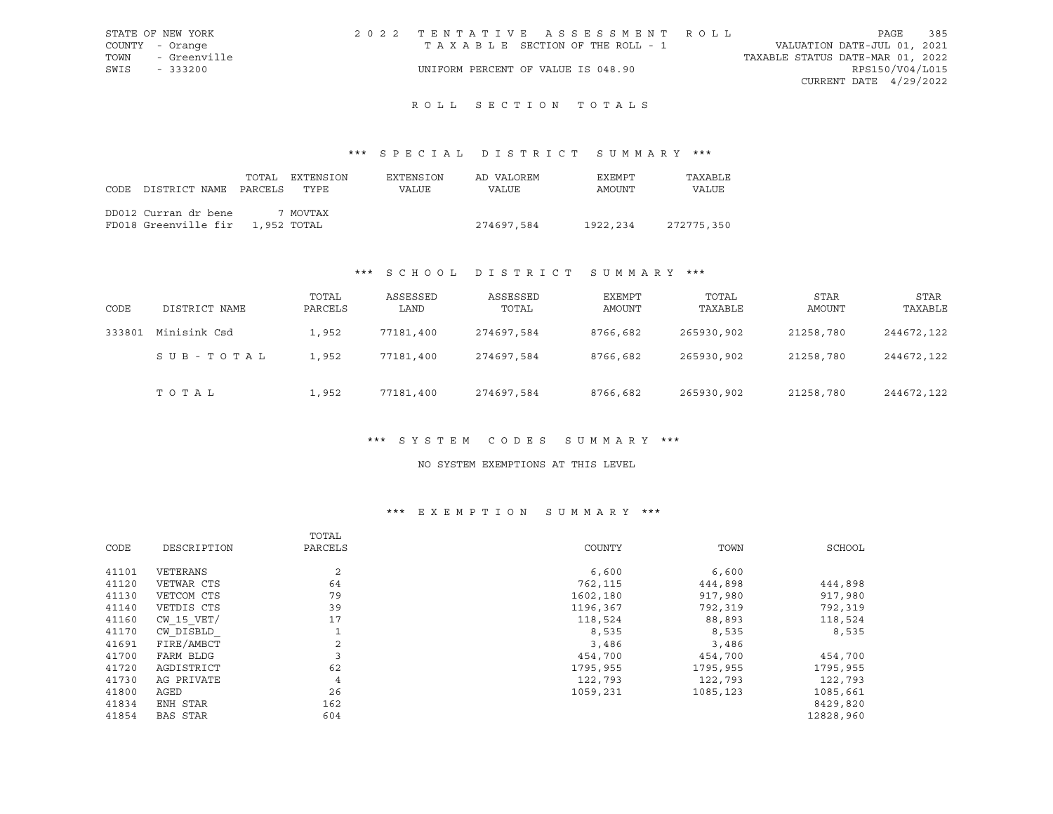| STATE OF NEW YORK | 2022 TENTATIVE ASSESSMENT ROLL     |  |                                  | PAGE                     | 385 |
|-------------------|------------------------------------|--|----------------------------------|--------------------------|-----|
| COUNTY - Orange   | TAXABLE SECTION OF THE ROLL - 1    |  | VALUATION DATE-JUL 01, 2021      |                          |     |
| TOWN - Greenville |                                    |  | TAXABLE STATUS DATE-MAR 01, 2022 |                          |     |
| SWIS - 333200     | UNIFORM PERCENT OF VALUE IS 048.90 |  |                                  | RPS150/V04/L015          |     |
|                   |                                    |  |                                  | CURRENT DATE $4/29/2022$ |     |

# R O L L S E C T I O N T O T A L S

## \*\*\* S P E C I A L D I S T R I C T S U M M A R Y \*\*\*

| CODE DISTRICT NAME PARCELS TYPE                          | TOTAL | EXTENSION | EXTENSION<br>VALUE | AD VALOREM<br>VALUE | EXEMPT<br>AMOUNT | TAXABLE<br>VALUE |
|----------------------------------------------------------|-------|-----------|--------------------|---------------------|------------------|------------------|
| DD012 Curran dr bene<br>FD018 Greenville fir 1,952 TOTAL |       | 7 MOVTAX  |                    | 274697,584          | 1922,234         | 272775,350       |

## \*\*\* S C H O O L D I S T R I C T S U M M A R Y \*\*\*

| CODE   | DISTRICT NAME | TOTAL<br>PARCELS | ASSESSED<br>LAND | ASSESSED<br>TOTAL | EXEMPT<br>AMOUNT | TOTAL<br>TAXABLE | <b>STAR</b><br>AMOUNT | STAR<br>TAXABLE |
|--------|---------------|------------------|------------------|-------------------|------------------|------------------|-----------------------|-----------------|
| 333801 | Minisink Csd  | 1,952            | 77181,400        | 274697,584        | 8766,682         | 265930,902       | 21258,780             | 244672,122      |
|        | SUB-TOTAL     | 1,952            | 77181,400        | 274697.584        | 8766,682         | 265930,902       | 21258,780             | 244672,122      |
|        | TOTAL         | 1,952            | 77181,400        | 274697,584        | 8766,682         | 265930,902       | 21258,780             | 244672,122      |

### \*\*\* S Y S T E M C O D E S S U M M A R Y \*\*\*

#### NO SYSTEM EXEMPTIONS AT THIS LEVEL

# \*\*\* E X E M P T I O N S U M M A R Y \*\*\*

|       |                 | TOTAL          |          |          |           |
|-------|-----------------|----------------|----------|----------|-----------|
| CODE  | DESCRIPTION     | PARCELS        | COUNTY   | TOWN     | SCHOOL    |
| 41101 | VETERANS        | 2              | 6,600    | 6,600    |           |
| 41120 | VETWAR CTS      | 64             | 762,115  | 444,898  | 444,898   |
| 41130 | VETCOM CTS      | 79             | 1602,180 | 917,980  | 917,980   |
| 41140 | VETDIS CTS      | 39             | 1196,367 | 792,319  | 792,319   |
| 41160 | $CW$ 15 $VET/$  | 17             | 118,524  | 88,893   | 118,524   |
| 41170 | CW DISBLD       |                | 8,535    | 8,535    | 8,535     |
| 41691 | FIRE/AMBCT      | 2              | 3,486    | 3,486    |           |
| 41700 | FARM BLDG       | 3              | 454,700  | 454,700  | 454,700   |
| 41720 | AGDISTRICT      | 62             | 1795,955 | 1795,955 | 1795,955  |
| 41730 | AG PRIVATE      | $\overline{4}$ | 122,793  | 122,793  | 122,793   |
| 41800 | AGED            | 26             | 1059,231 | 1085,123 | 1085,661  |
| 41834 | ENH STAR        | 162            |          |          | 8429,820  |
| 41854 | <b>BAS STAR</b> | 604            |          |          | 12828,960 |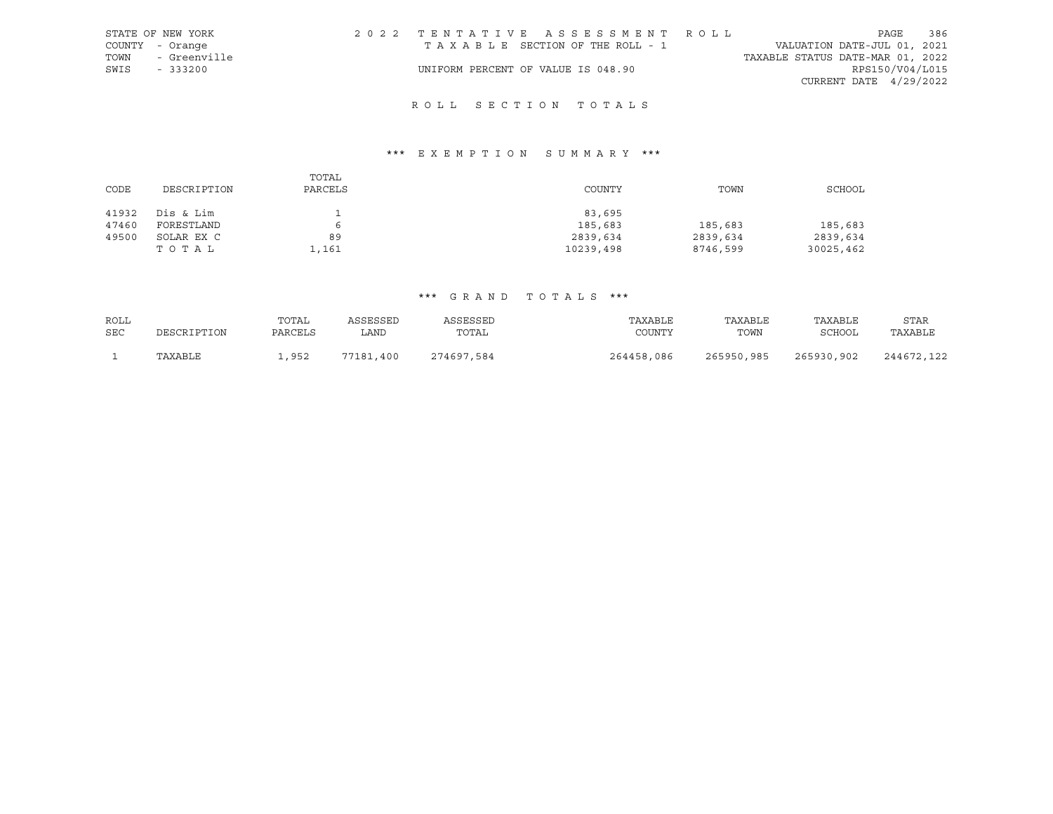|      | STATE OF NEW YORK | 2022 TENTATIVE ASSESSMENT ROLL     |  |  |                                  |                          | PAGE | 386 |
|------|-------------------|------------------------------------|--|--|----------------------------------|--------------------------|------|-----|
|      | COUNTY - Orange   | TAXABLE SECTION OF THE ROLL - 1    |  |  | VALUATION DATE-JUL 01, 2021      |                          |      |     |
| TOWN | - Greenville      |                                    |  |  | TAXABLE STATUS DATE-MAR 01, 2022 |                          |      |     |
| SWIS | $-333200$         | UNIFORM PERCENT OF VALUE IS 048.90 |  |  |                                  | RPS150/V04/L015          |      |     |
|      |                   |                                    |  |  |                                  | CURRENT DATE $4/29/2022$ |      |     |

# R O L L S E C T I O N T O T A L S

# \*\*\* E X E M P T I O N S U M M A R Y \*\*\*

|       |             | TOTAL   |           |          |           |
|-------|-------------|---------|-----------|----------|-----------|
| CODE  | DESCRIPTION | PARCELS | COUNTY    | TOWN     | SCHOOL    |
|       |             |         |           |          |           |
| 41932 | Dis & Lim   |         | 83,695    |          |           |
| 47460 | FORESTLAND  | 6       | 185,683   | 185,683  | 185,683   |
| 49500 | SOLAR EX C  | 89      | 2839,634  | 2839,634 | 2839,634  |
|       | тотаь       | 1,161   | 10239,498 | 8746,599 | 30025,462 |

| ROLL | DESCRIPTION | TOTAL   | ASSESSED  | ASSESSED   | TAXABLE    | TAXABLE    | TAXABLE    | STAR       |
|------|-------------|---------|-----------|------------|------------|------------|------------|------------|
| SEC  |             | PARCELS | LAND      | TOTAL      | COUNTY     | TOWN       | SCHOOL     | TAXABLE    |
|      | TAXABLE     | ,952    | 77181,400 | 274697,584 | 264458,086 | 265950,985 | 265930,902 | 244672,122 |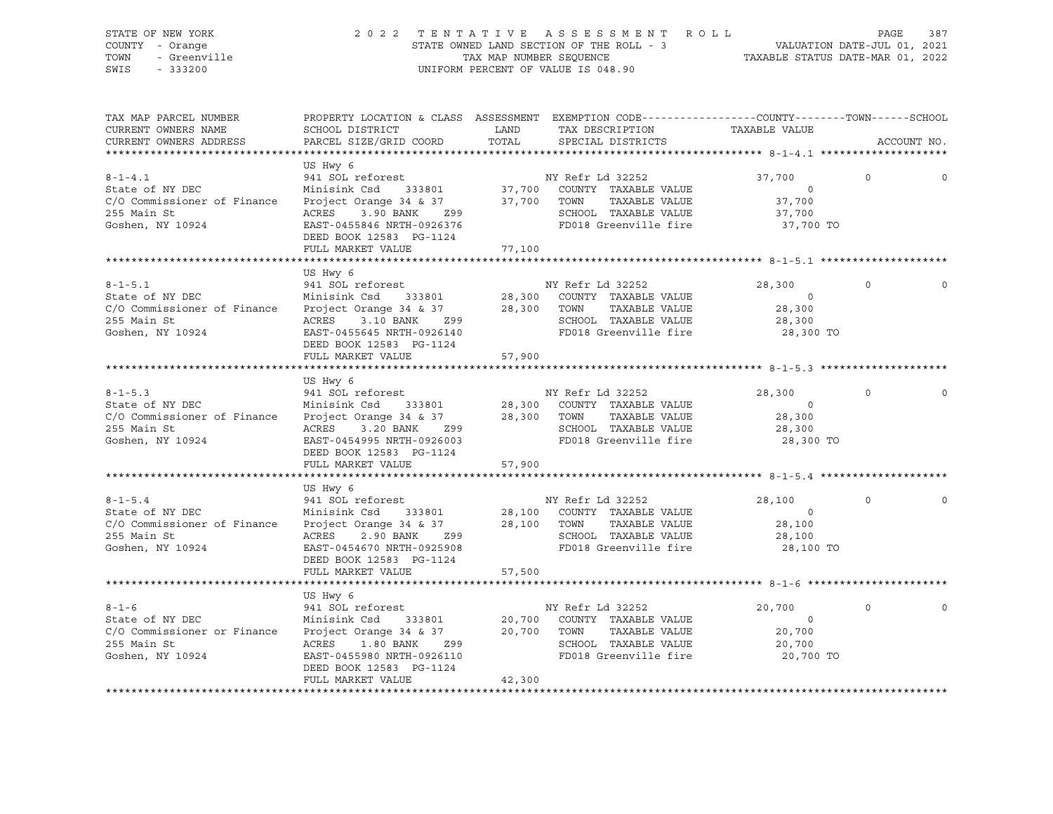## STATE OF NEW YORK 2 0 2 2 T E N T A T I V E A S S E S S M E N T R O L L PAGE 387 COUNTY - Orange STATE OWNED LAND SECTION OF THE ROLL - 3 VALUATION DATE-JUL 01, 2021 TOWN - Greenville TAX MAP NUMBER SEQUENCE TAXABLE STATUS DATE-MAR 01, 2022 SWIS - 333200 UNIFORM PERCENT OF VALUE IS 048.90

| TAX MAP PARCEL NUMBER<br>CURRENT OWNERS NAME<br>CURRENT OWNERS ADDRESS                                                                  | PROPERTY LOCATION & CLASS ASSESSMENT EXEMPTION CODE----------------COUNTY-------TOWN------SCHOOL<br>SCHOOL DISTRICT<br>PARCEL SIZE/GRID COORD                                 | LAND<br>TOTAL         | TAX DESCRIPTION<br>SPECIAL DISTRICTS                                                                                                           | TAXABLE VALUE                                             |          | ACCOUNT NO. |
|-----------------------------------------------------------------------------------------------------------------------------------------|-------------------------------------------------------------------------------------------------------------------------------------------------------------------------------|-----------------------|------------------------------------------------------------------------------------------------------------------------------------------------|-----------------------------------------------------------|----------|-------------|
|                                                                                                                                         |                                                                                                                                                                               |                       |                                                                                                                                                |                                                           |          |             |
| $8 - 1 - 4.1$<br>State of NY DEC<br>C/O Commissioner of Finance<br>255 Main St<br>Goshen, NY 10924                                      | US Hwy 6<br>941 SOL reforest<br>3.90 BANK Z99<br>ACRES<br>EAST-0455846 NRTH-0926376<br>DEED BOOK 12583 PG-1124<br>FULL MARKET VALUE                                           | 77,100                | NY Refr Ld 32252<br>TAXABLE VALUE<br>SCHOOL TAXABLE VALUE<br>FD018 Greenville fire                                                             | 37,700<br>$\circ$<br>37,700<br>37,700<br>37,700 TO        | $\Omega$ | $\circ$     |
|                                                                                                                                         | US Hwy 6                                                                                                                                                                      |                       |                                                                                                                                                |                                                           |          |             |
| $8 - 1 - 5.1$<br>State of NY DEC<br>$C/O$ Commissioner of Finance Project Orange 34 & 37 28,300 TOWN<br>255 Main St<br>Goshen, NY 10924 | 941 SOL reforest<br>Minisink Csd 333801<br>ACRES 3.10 BANK Z99<br>EAST-0455645 NRTH-0926140<br>DEED BOOK 12583 PG-1124<br>FULL MARKET VALUE                                   | 57,900                | NY Refr Ld 32252<br>28,300 COUNTY TAXABLE VALUE<br>TAXABLE VALUE<br>SCHOOL TAXABLE VALUE<br>FD018 Greenville fire                              | 28,300<br>$\bigcirc$<br>28,300<br>28,300<br>28,300 TO     | $\Omega$ |             |
|                                                                                                                                         |                                                                                                                                                                               |                       |                                                                                                                                                |                                                           |          |             |
| $8 - 1 - 5.3$<br>State of NY DEC<br>C/O Commissioner of Finance Project Orange 34 & 37<br>255 Main St<br>Goshen, NY 10924               | US Hwy 6<br>941 SOL reforest<br>Minisink Csd 333801<br>ACRES 3.20 BANK Z99<br>EAST-0454995 NRTH-0926003<br>DEED BOOK 12583 PG-1124<br>FULL MARKET VALUE                       | 28,300 TOWN<br>57,900 | NY Refr Ld 32252<br>28,300 COUNTY TAXABLE VALUE<br>TAXABLE VALUE<br>SCHOOL TAXABLE VALUE<br>FD018 Greenville fire                              | 28,300<br>$\overline{0}$<br>28,300<br>28,300<br>28,300 TO | $\circ$  |             |
|                                                                                                                                         |                                                                                                                                                                               |                       |                                                                                                                                                |                                                           |          |             |
| $8 - 1 - 5.4$<br>State of NY DEC<br>Goshen, NY 10924                                                                                    | US Hwy 6<br>941 SOL reforest<br>Minisink Csd<br>EAST-0454670 NRTH-0925908<br>DEED BOOK 12583 PG-1124                                                                          |                       | NY Refr Ld 32252<br>333801 28,100 COUNTY TAXABLE VALUE<br>28,100 TOWN<br>TAXABLE VALUE<br>SCHOOL TAXABLE VALUE<br>FD018 Greenville fire        | 28,100<br>$\overline{0}$<br>28,100<br>28,100<br>28,100 TO | $\Omega$ |             |
|                                                                                                                                         | FULL MARKET VALUE                                                                                                                                                             | 57,500                |                                                                                                                                                |                                                           |          |             |
|                                                                                                                                         |                                                                                                                                                                               |                       |                                                                                                                                                |                                                           |          |             |
| $8 - 1 - 6$<br>State of NY DEC<br>C/O Commissioner or Finance<br>255 Main St<br>Goshen, NY 10924                                        | US Hwy 6<br>941 SOL reforest<br>Minisink Csd 333801<br>Project Orange 34 & 37<br>ACRES 1.80 BANK<br>EAST-0455980 NRTH-0926110<br>DEED BOOK 12583 PG-1124<br>FULL MARKET VALUE | Z99<br>42,300         | NY Refr Ld 32252<br>20,700 COUNTY TAXABLE VALUE<br>20,700 TOWN TAXABLE VALUE<br>TAXABLE VALUE<br>SCHOOL TAXABLE VALUE<br>FD018 Greenville fire | 20,700<br>$\circ$<br>20,700<br>20,700<br>20,700 TO        | $\Omega$ | $\Omega$    |
|                                                                                                                                         |                                                                                                                                                                               |                       |                                                                                                                                                |                                                           |          |             |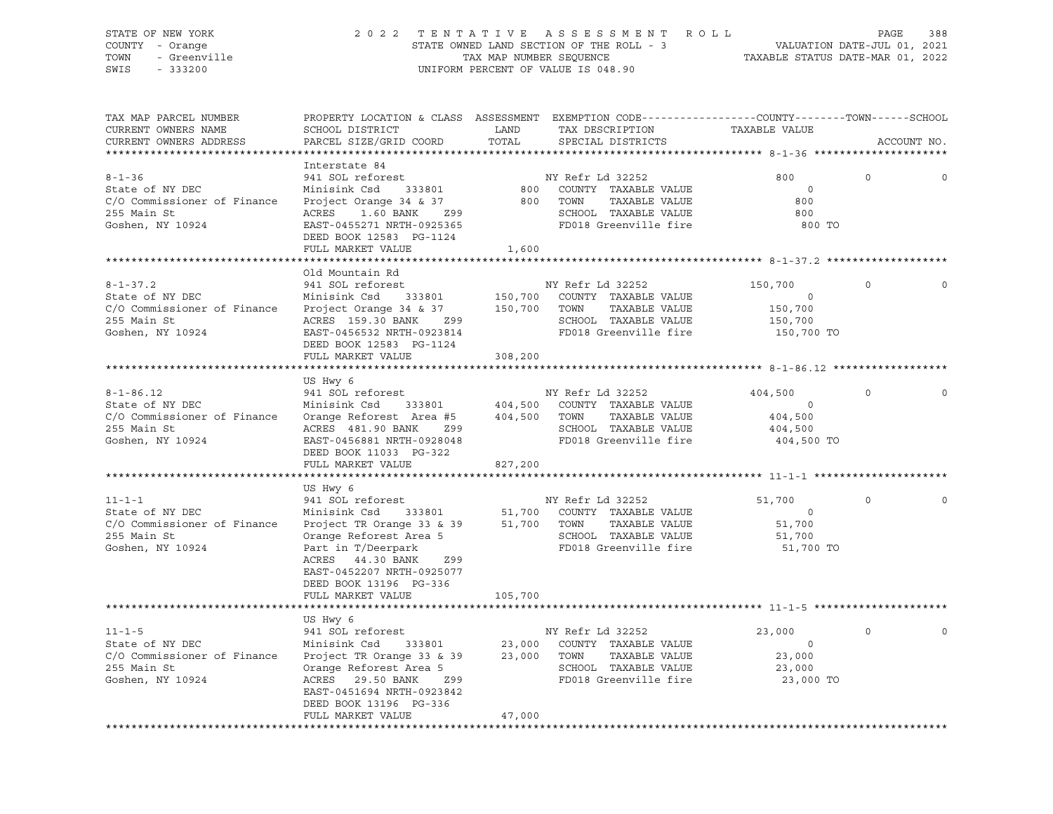## STATE OF NEW YORK 2 0 2 2 T E N T A T I V E A S S E S S M E N T R O L L PAGE 388 COUNTY - Orange STATE OWNED LAND SECTION OF THE ROLL - 3 VALUATION DATE-JUL 01, 2021 TOWN - Greenville TAX MAP NUMBER SEQUENCE TAXABLE STATUS DATE-MAR 01, 2022 SWIS - 333200 UNIFORM PERCENT OF VALUE IS 048.90

| TAX MAP PARCEL NUMBER<br>CURRENT OWNERS NAME                                                        | PROPERTY LOCATION & CLASS ASSESSMENT EXEMPTION CODE----------------COUNTY-------TOWN------SCHOOL<br>SCHOOL DISTRICT                                | LAND                                                                                                           | TAX DESCRIPTION                                                                                   | TAXABLE VALUE                                                 |             |             |
|-----------------------------------------------------------------------------------------------------|----------------------------------------------------------------------------------------------------------------------------------------------------|----------------------------------------------------------------------------------------------------------------|---------------------------------------------------------------------------------------------------|---------------------------------------------------------------|-------------|-------------|
| CURRENT OWNERS ADDRESS                                                                              | PARCEL SIZE/GRID COORD                                                                                                                             | TOTAL                                                                                                          | SPECIAL DISTRICTS                                                                                 |                                                               | ACCOUNT NO. |             |
|                                                                                                     | Interstate 84                                                                                                                                      |                                                                                                                |                                                                                                   |                                                               |             |             |
| $8 - 1 - 36$<br>State of NY DEC<br>C/O Commissioner of Finance                                      | 941 SOL reforest<br>Minisink Csd 333801<br>Project Orange 34 & 37                                                                                  | 800                                                                                                            | NY Refr Ld 32252<br>800   COUNTY  TAXABLE VALUE<br>TOWN<br>TAXABLE VALUE                          | 800<br>$\Omega$<br>800                                        | $\circ$     | $\Omega$    |
| 255 Main St<br>Goshen, NY 10924                                                                     | ACRES 1.60 BANK<br>Z99<br>EAST-0455271 NRTH-0925365<br>DEED BOOK 12583 PG-1124                                                                     |                                                                                                                | SCHOOL TAXABLE VALUE<br>FD018 Greenville fire                                                     | 800<br>800 TO                                                 |             |             |
|                                                                                                     | FULL MARKET VALUE                                                                                                                                  | 1,600                                                                                                          |                                                                                                   |                                                               |             |             |
|                                                                                                     | Old Mountain Rd                                                                                                                                    |                                                                                                                |                                                                                                   |                                                               |             |             |
| $8 - 1 - 37.2$<br>State of NY DEC<br>C/O Commissioner of Finance<br>255 Main St<br>Goshen, NY 10924 | 941 SOL reforest<br>Minisink Csd 333801<br>Project Orange 34 & 37 150,700 TOWN TAXABLE VALUE<br>ACRES 159.30 BANK 299<br>EAST-0456532 NRTH-0923814 |                                                                                                                | NY Refr Ld 32252<br>150,700 COUNTY TAXABLE VALUE<br>SCHOOL TAXABLE VALUE<br>FD018 Greenville fire | 150,700<br>$\overline{0}$<br>150,700<br>150,700<br>150,700 TO | $\circ$     | $\mathbf 0$ |
|                                                                                                     | DEED BOOK 12583 PG-1124                                                                                                                            |                                                                                                                |                                                                                                   |                                                               |             |             |
|                                                                                                     | FULL MARKET VALUE                                                                                                                                  | 308,200                                                                                                        |                                                                                                   |                                                               |             |             |
|                                                                                                     |                                                                                                                                                    |                                                                                                                |                                                                                                   |                                                               |             |             |
| $8 - 1 - 86.12$                                                                                     | US Hwy 6<br>941 SOL reforest                                                                                                                       |                                                                                                                | NY Refr Ld 32252                                                                                  | 404,500                                                       | $\Omega$    | $\circ$     |
| State of NY DEC                                                                                     | Minisink Csd 333801                                                                                                                                |                                                                                                                | 404,500 COUNTY TAXABLE VALUE                                                                      | $\overline{0}$                                                |             |             |
| C/O Commissioner of Finance                                                                         | Orange Reforest Area #5 404,500 TOWN TAXABLE VALUE                                                                                                 |                                                                                                                |                                                                                                   | 404,500                                                       |             |             |
| 255 Main St                                                                                         | ACRES 481.90 BANK                                                                                                                                  | Z99 and the state of the state of the state of the state of the state of the state of the state of the state o | SCHOOL TAXABLE VALUE                                                                              | 404,500                                                       |             |             |
| Goshen, NY 10924                                                                                    | EAST-0456881 NRTH-0928048<br>DEED BOOK 11033 PG-322                                                                                                |                                                                                                                | FD018 Greenville fire                                                                             | 404,500 TO                                                    |             |             |
|                                                                                                     | FULL MARKET VALUE                                                                                                                                  | 827,200                                                                                                        |                                                                                                   |                                                               |             |             |
|                                                                                                     |                                                                                                                                                    |                                                                                                                |                                                                                                   |                                                               |             |             |
|                                                                                                     | US Hwy 6                                                                                                                                           |                                                                                                                |                                                                                                   |                                                               |             |             |
| $11 - 1 - 1$<br>State of NY DEC                                                                     | 941 SOL reforest<br>Minisink Csd                                                                                                                   |                                                                                                                | NY Refr Ld 32252<br>333801 51,700 COUNTY TAXABLE VALUE                                            | 51,700<br>$\circ$                                             | $\Omega$    | $\circ$     |
| C/O Commissioner of Finance                                                                         | Project TR Orange 33 & 39 51,700 TOWN TAXABLE VALUE                                                                                                |                                                                                                                |                                                                                                   | 51,700                                                        |             |             |
| 255 Main St                                                                                         | Orange Reforest Area 5                                                                                                                             |                                                                                                                | SCHOOL TAXABLE VALUE                                                                              | 51,700                                                        |             |             |
| Goshen, NY 10924                                                                                    | Part in T/Deerpark                                                                                                                                 |                                                                                                                | FD018 Greenville fire                                                                             | 51,700 TO                                                     |             |             |
|                                                                                                     | ACRES 44.30 BANK<br>Z99<br>EAST-0452207 NRTH-0925077<br>DEED BOOK 13196 PG-336                                                                     | 105,700                                                                                                        |                                                                                                   |                                                               |             |             |
|                                                                                                     | FULL MARKET VALUE                                                                                                                                  |                                                                                                                |                                                                                                   |                                                               |             |             |
|                                                                                                     | US Hwy 6                                                                                                                                           |                                                                                                                |                                                                                                   |                                                               |             |             |
| $11 - 1 - 5$                                                                                        | 941 SOL reforest                                                                                                                                   |                                                                                                                | NY Refr Ld 32252                                                                                  | 23,000                                                        | $\circ$     | $\circ$     |
| State of NY DEC                                                                                     | Minisink Csd 333801                                                                                                                                |                                                                                                                | 23,000 COUNTY TAXABLE VALUE                                                                       | $\circ$                                                       |             |             |
| C/O Commissioner of Finance                                                                         | Project TR Orange 33 & 39                                                                                                                          |                                                                                                                | 23,000 TOWN TAXABLE VALUE                                                                         | 23,000                                                        |             |             |
| 255 Main St                                                                                         | Orange Reforest Area 5                                                                                                                             |                                                                                                                | SCHOOL TAXABLE VALUE                                                                              | 23,000                                                        |             |             |
| Goshen, NY 10924                                                                                    | ACRES 29.50 BANK<br>Z99                                                                                                                            |                                                                                                                | FD018 Greenville fire                                                                             | 23,000 TO                                                     |             |             |
|                                                                                                     | EAST-0451694 NRTH-0923842                                                                                                                          |                                                                                                                |                                                                                                   |                                                               |             |             |
|                                                                                                     | DEED BOOK 13196 PG-336                                                                                                                             |                                                                                                                |                                                                                                   |                                                               |             |             |
|                                                                                                     | FULL MARKET VALUE                                                                                                                                  | 47,000                                                                                                         |                                                                                                   |                                                               |             |             |
|                                                                                                     |                                                                                                                                                    |                                                                                                                |                                                                                                   |                                                               |             |             |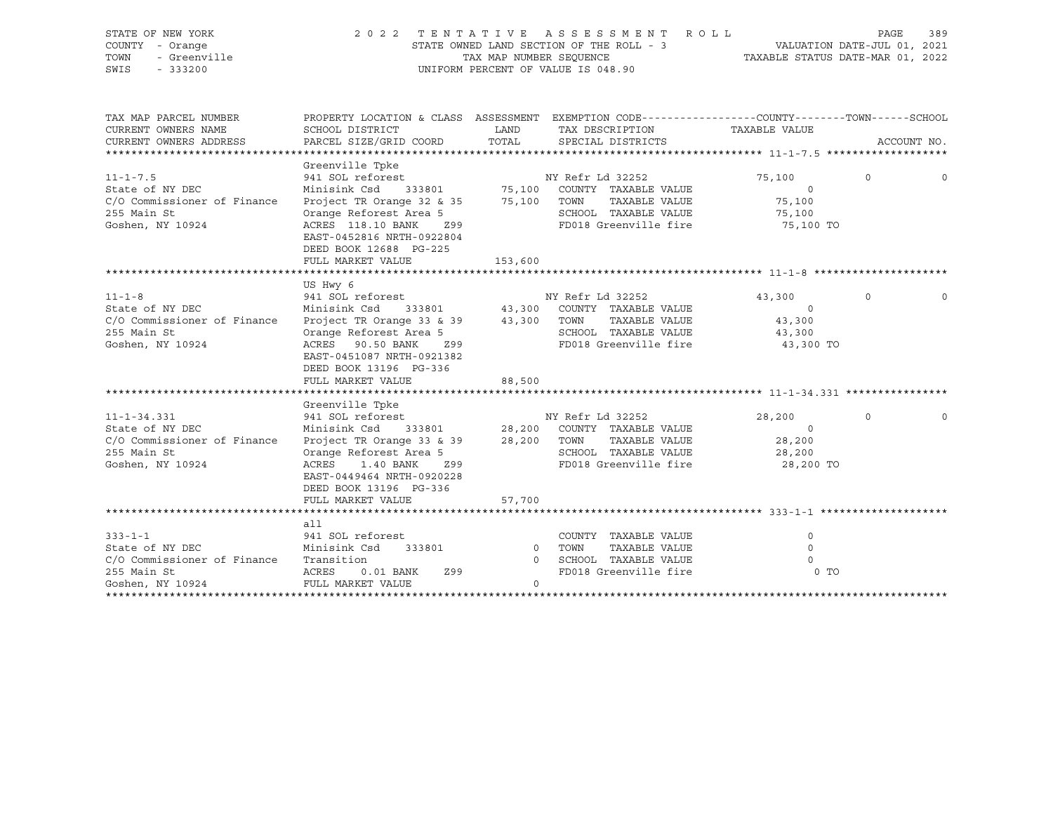| STATE OF NEW YORK<br>COUNTY - Orange<br>TOWN<br>- Greenville<br>SWIS<br>$-333200$ |                                                                                               |                            | 2022 TENTATIVE ASSESSMENT ROLL<br>UNIFORM PERCENT OF VALUE IS 048.90                            |                     | PAGE     | 389         |
|-----------------------------------------------------------------------------------|-----------------------------------------------------------------------------------------------|----------------------------|-------------------------------------------------------------------------------------------------|---------------------|----------|-------------|
| TAX MAP PARCEL NUMBER                                                             |                                                                                               |                            | PROPERTY LOCATION & CLASS ASSESSMENT EXEMPTION CODE----------------COUNTY-------TOWN-----SCHOOL |                     |          |             |
| CURRENT OWNERS NAME                                                               | SCHOOL DISTRICT                                                                               | LAND                       | TAX DESCRIPTION                                                                                 | TAXABLE VALUE       |          |             |
| CURRENT OWNERS ADDRESS                                                            | PARCEL SIZE/GRID COORD                                                                        | TOTAL                      | SPECIAL DISTRICTS                                                                               |                     |          | ACCOUNT NO. |
|                                                                                   |                                                                                               |                            |                                                                                                 |                     |          |             |
|                                                                                   | Greenville Tpke                                                                               |                            | NY Refr Ld 32252                                                                                |                     | $\Omega$ | $\mathbf 0$ |
| $11 - 1 - 7.5$<br>State of NY DEC                                                 | 941 SOL reforest<br>Minisink Csd                                                              |                            |                                                                                                 | 75,100<br>$\circ$   |          |             |
| C/O Commissioner of Finance                                                       | Project TR Orange 32 & 35                                                                     |                            | 333801 75,100 COUNTY TAXABLE VALUE                                                              |                     |          |             |
| 255 Main St                                                                       | Orange Reforest Area 5                                                                        |                            | 75,100 TOWN TAXABLE VALUE<br>SCHOOL TAXABLE VALUE                                               | 75,100              |          |             |
| Goshen, NY 10924                                                                  | Z99                                                                                           |                            | FD018 Greenville fire 75,100 TO                                                                 | 75,100              |          |             |
|                                                                                   | ACRES 118.10 BANK<br>EAST-0452816 NRTH-0922804<br>DEED BOOK 12688 PG-225<br>FULL MARKET VALUE | 153,600                    |                                                                                                 |                     |          |             |
|                                                                                   |                                                                                               |                            |                                                                                                 |                     |          |             |
|                                                                                   | US Hwy 6                                                                                      |                            |                                                                                                 |                     |          |             |
| $11 - 1 - 8$                                                                      | 941 SOL reforest                                                                              |                            | NY Refr Ld 32252                                                                                | 43,300              | $\circ$  | $\circ$     |
| State of NY DEC                                                                   | Minisink Csd                                                                                  |                            | 333801 43,300 COUNTY TAXABLE VALUE                                                              | $\circ$             |          |             |
| C/O Commissioner of Finance                                                       | Project TR Orange 33 & 39 43,300 TOWN TAXABLE VALUE                                           |                            |                                                                                                 | 43,300              |          |             |
| 255 Main St                                                                       | Orange Reforest Area 5                                                                        |                            | SCHOOL TAXABLE VALUE                                                                            | 43,300              |          |             |
| Goshen, NY 10924                                                                  | ACRES 90.50 BANK<br>Z99<br>EAST-0451087 NRTH-0921382<br>DEED BOOK 13196 PG-336                |                            | FD018 Greenville fire                                                                           | 43,300 TO           |          |             |
|                                                                                   | FULL MARKET VALUE                                                                             | 88,500                     |                                                                                                 |                     |          |             |
|                                                                                   |                                                                                               |                            |                                                                                                 |                     |          |             |
|                                                                                   | Greenville Tpke                                                                               |                            |                                                                                                 |                     |          |             |
| $11 - 1 - 34.331$                                                                 | 941 SOL reforest                                                                              |                            | NY Refr Ld 32252                                                                                | 28,200              | $\circ$  | $\Omega$    |
| State of NY DEC                                                                   | Minisink Csd 333801                                                                           |                            | 28,200 COUNTY TAXABLE VALUE                                                                     | $\overline{0}$      |          |             |
| C/O Commissioner of Finance                                                       | Project TR Orange 33 & 39                                                                     |                            | 28,200 TOWN<br>TAXABLE VALUE                                                                    | 28,200              |          |             |
| 255 Main St                                                                       | Orange Reforest Area 5                                                                        |                            | SCHOOL TAXABLE VALUE                                                                            | 28,200              |          |             |
| Goshen, NY 10924                                                                  | ACRES<br>1.40 BANK<br>Z99<br>EAST-0449464 NRTH-0920228<br>DEED BOOK 13196 PG-336              |                            | FD018 Greenville fire                                                                           | 28,200 TO           |          |             |
|                                                                                   | FULL MARKET VALUE                                                                             | 57,700                     |                                                                                                 |                     |          |             |
|                                                                                   |                                                                                               |                            |                                                                                                 |                     |          |             |
|                                                                                   | all                                                                                           |                            |                                                                                                 |                     |          |             |
| $333 - 1 - 1$<br>State of NY DEC                                                  | 941 SOL reforest<br>Minisink Csd                                                              |                            | COUNTY TAXABLE VALUE                                                                            | 0                   |          |             |
| C/O Commissioner of Finance                                                       | 333801<br>Transition                                                                          | $\overline{0}$<br>$\Omega$ | TOWN<br>TAXABLE VALUE<br>SCHOOL TAXABLE VALUE                                                   | $\circ$<br>$\Omega$ |          |             |
| 255 Main St                                                                       | <b>ACRES</b><br>$0.01$ BANK<br>Z99                                                            |                            | FD018 Greenville fire                                                                           | 0 <sub>0</sub>      |          |             |
|                                                                                   |                                                                                               |                            |                                                                                                 |                     |          |             |

\*\*\*\*\*\*\*\*\*\*\*\*\*\*\*\*\*\*\*\*\*\*\*\*\*\*\*\*\*\*\*\*\*\*\*\*\*\*\*\*\*\*\*\*\*\*\*\*\*\*\*\*\*\*\*\*\*\*\*\*\*\*\*\*\*\*\*\*\*\*\*\*\*\*\*\*\*\*\*\*\*\*\*\*\*\*\*\*\*\*\*\*\*\*\*\*\*\*\*\*\*\*\*\*\*\*\*\*\*\*\*\*\*\*\*\*\*\*\*\*\*\*\*\*\*\*\*\*\*\*\*\*

Goshen, NY 10924 FULL MARKET VALUE 0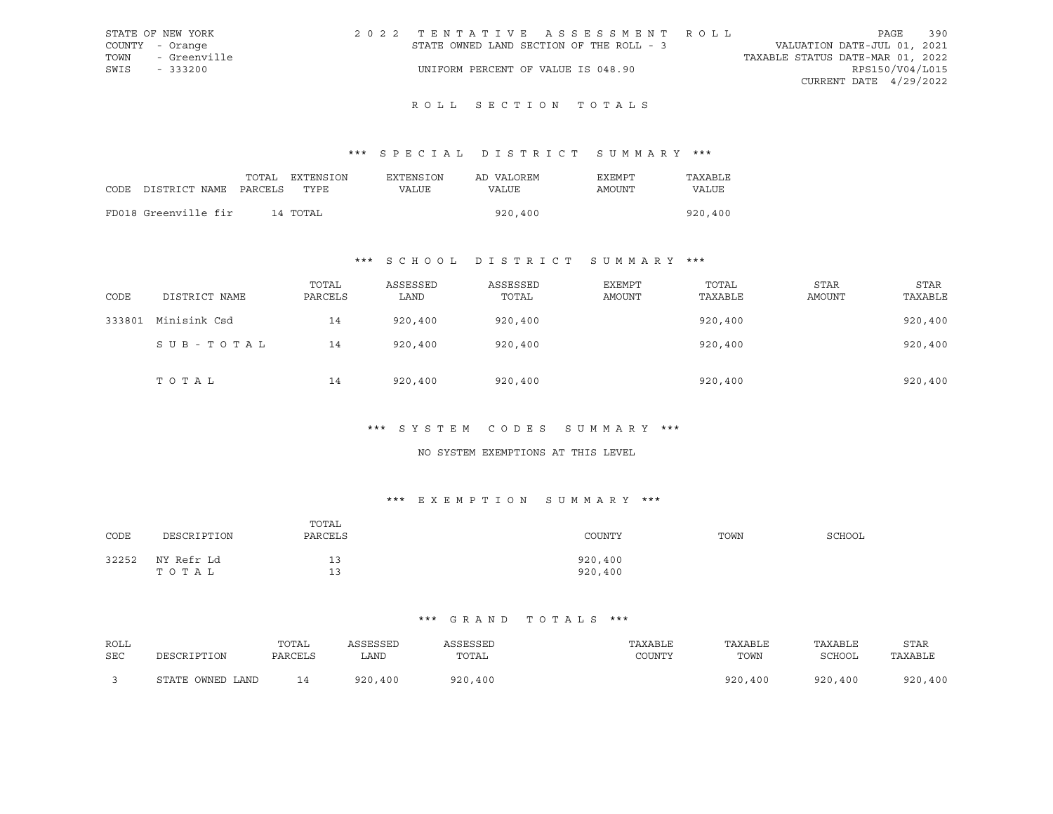| STATE OF NEW YORK |              |  | 2022 TENTATIVE ASSESSMENT ROLL           |  |  |  |  |                                  |                        | PAGE | 390 |
|-------------------|--------------|--|------------------------------------------|--|--|--|--|----------------------------------|------------------------|------|-----|
| COUNTY - Orange   |              |  | STATE OWNED LAND SECTION OF THE ROLL - 3 |  |  |  |  | VALUATION DATE-JUL 01, 2021      |                        |      |     |
| TOWN              | - Greenville |  |                                          |  |  |  |  | TAXABLE STATUS DATE-MAR 01, 2022 |                        |      |     |
| SWIS              | $-333200$    |  | UNIFORM PERCENT OF VALUE IS 048.90       |  |  |  |  |                                  | RPS150/V04/L015        |      |     |
|                   |              |  |                                          |  |  |  |  |                                  | CURRENT DATE 4/29/2022 |      |     |

# ROLL SECTION TOTALS

## \*\*\* S P E C I A L D I S T R I C T S U M M A R Y \*\*\*

|      |                       | TOTAL | EXTENSION | EXTENSION | AD VALOREM | EXEMPT | TAXABLE |
|------|-----------------------|-------|-----------|-----------|------------|--------|---------|
| CODE | DISTRICT NAME PARCELS |       | TYPE.     | VALUE     | VALUE      | AMOUNT | VALUE   |
|      |                       |       |           |           |            |        |         |
|      | FD018 Greenville fir  |       | 14 TOTAL  |           | 920,400    |        | 920,400 |

## \*\*\* S C H O O L D I S T R I C T S U M M A R Y \*\*\*

| CODE   | DISTRICT NAME | TOTAL<br>PARCELS | ASSESSED<br>LAND | ASSESSED<br>TOTAL | <b>EXEMPT</b><br>AMOUNT | TOTAL<br>TAXABLE | <b>STAR</b><br>AMOUNT | <b>STAR</b><br>TAXABLE |
|--------|---------------|------------------|------------------|-------------------|-------------------------|------------------|-----------------------|------------------------|
| 333801 | Minisink Csd  | 14               | 920,400          | 920,400           |                         | 920,400          |                       | 920,400                |
|        | SUB-TOTAL     | 14               | 920,400          | 920,400           |                         | 920,400          |                       | 920,400                |
|        | TOTAL         | 14               | 920,400          | 920,400           |                         | 920,400          |                       | 920,400                |

## \*\*\* S Y S T E M C O D E S S U M M A R Y \*\*\*

#### NO SYSTEM EXEMPTIONS AT THIS LEVEL

## \*\*\* E X E M P T I O N S U M M A R Y \*\*\*

| CODE  | DESCRIPTION         | TOTAL<br>PARCELS | COUNTY             | TOWN | SCHOOL |
|-------|---------------------|------------------|--------------------|------|--------|
| 32252 | NY Refr Ld<br>TOTAL | 13<br>1 3<br>∸ ~ | 920,400<br>920,400 |      |        |

| ROLL       |                  | TOTAL   | ASSESSED    | ASSESSED | TAXABLE | TAXABLE | TAXABLE | STAR    |
|------------|------------------|---------|-------------|----------|---------|---------|---------|---------|
| <b>SEC</b> | DESCRIPTION      | PARCELS | LAND        | TOTAL    | COUNTY  | TOWN    | SCHOOL  | TAXABLE |
|            | STATE OWNED LAND | 14      | 920<br>,400 | 920,400  |         | 920,400 | 920,400 | 920,400 |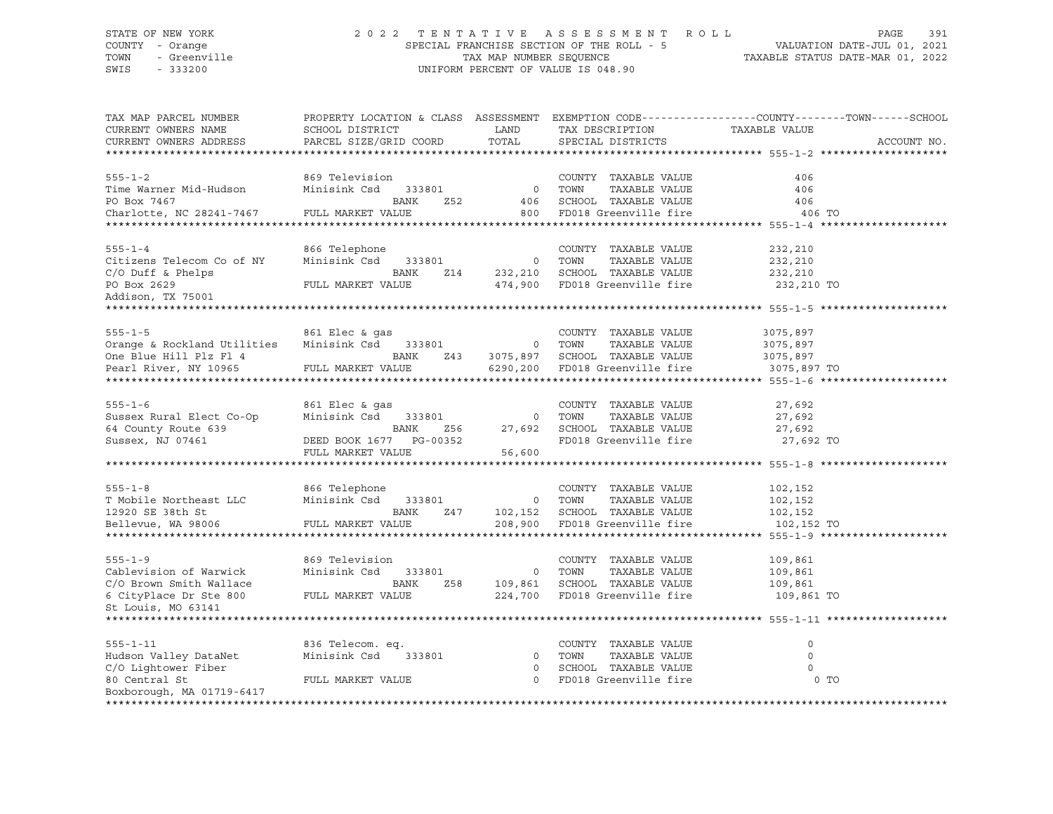## STATE OF NEW YORK 2 0 2 2 T E N T A T I V E A S S E S S M E N T R O L L PAGE 391 COUNTY - Orange SPECIAL FRANCHISE SECTION OF THE ROLL - 5 VALUATION DATE-JUL 01, 2021 TOWN - Greenville TAX MAP NUMBER SEQUENCE TAXABLE STATUS DATE-MAR 01, 2022 SWIS - 333200 UNIFORM PERCENT OF VALUE IS 048.90

| TAX MAP PARCEL NUMBER<br>CURRENT OWNERS NAME<br>CURRENT OWNERS ADDRESS                                                                                                                                                         | SCHOOL DISTRICT<br>PARCEL SIZE/GRID COORD TOTAL                                                                                                                                               | <b>LAND</b> | TAX DESCRIPTION<br>SPECIAL DISTRICTS                                    | PROPERTY LOCATION & CLASS ASSESSMENT EXEMPTION CODE---------------COUNTY-------TOWN-----SCHOOL<br>TAXABLE VALUE<br>ACCOUNT NO. |
|--------------------------------------------------------------------------------------------------------------------------------------------------------------------------------------------------------------------------------|-----------------------------------------------------------------------------------------------------------------------------------------------------------------------------------------------|-------------|-------------------------------------------------------------------------|--------------------------------------------------------------------------------------------------------------------------------|
|                                                                                                                                                                                                                                |                                                                                                                                                                                               |             |                                                                         |                                                                                                                                |
|                                                                                                                                                                                                                                |                                                                                                                                                                                               |             |                                                                         |                                                                                                                                |
| $555 - 1 - 2$                                                                                                                                                                                                                  | 869 Television                                                                                                                                                                                |             | COUNTY TAXABLE VALUE                                                    | 406                                                                                                                            |
| Time Warner Mid-Hudson                                                                                                                                                                                                         | Minisink Csd 333801 0 TOWN                                                                                                                                                                    |             | TAXABLE VALUE                                                           | 406                                                                                                                            |
| PO Box 7467                                                                                                                                                                                                                    | BANK<br>Z52                                                                                                                                                                                   |             | 406 SCHOOL TAXABLE VALUE                                                | 406                                                                                                                            |
| Charlotte, NC 28241-7467 FULL MARKET VALUE                                                                                                                                                                                     |                                                                                                                                                                                               |             | 800 FD018 Greenville fire 306 TO                                        |                                                                                                                                |
|                                                                                                                                                                                                                                |                                                                                                                                                                                               |             |                                                                         |                                                                                                                                |
|                                                                                                                                                                                                                                |                                                                                                                                                                                               |             |                                                                         |                                                                                                                                |
| $555 - 1 - 4$                                                                                                                                                                                                                  | 866 Telephone                                                                                                                                                                                 |             | COUNTY TAXABLE VALUE                                                    | 232,210                                                                                                                        |
| COUNTER THE CONFORTING CONTRACT CONTRACT CONTRACT OF THE COUNTER SERVICE CONTRACT CONTRACT CONTRACT CONTRACT CONTRACT CONTRACT CONTRACT CONTRACT CONTRACT CONTRACT CONTRACT CONTRACT CONTRACT CONTRACT CONTRACT CONTRACT CONTR |                                                                                                                                                                                               |             | TAXABLE VALUE                                                           | 232,210                                                                                                                        |
| $\rm C/O$ Duff & Phelps<br>$\rm FULL$ MARKET V.                                                                                                                                                                                |                                                                                                                                                                                               |             |                                                                         | 232,210                                                                                                                        |
|                                                                                                                                                                                                                                | FULL MARKET VALUE                                                                                                                                                                             |             | 474,900 FD018 Greenville fire 232,210 TO                                |                                                                                                                                |
| Addison, TX 75001                                                                                                                                                                                                              |                                                                                                                                                                                               |             |                                                                         |                                                                                                                                |
|                                                                                                                                                                                                                                |                                                                                                                                                                                               |             |                                                                         |                                                                                                                                |
|                                                                                                                                                                                                                                |                                                                                                                                                                                               |             | COUNTY TAXABLE VALUE                                                    | 3075,897                                                                                                                       |
|                                                                                                                                                                                                                                |                                                                                                                                                                                               |             |                                                                         |                                                                                                                                |
|                                                                                                                                                                                                                                | BANK                                                                                                                                                                                          |             |                                                                         |                                                                                                                                |
| One Blue Hill Plz Fl 4<br>Pearl River, NY 10965 FULL MARKET V.                                                                                                                                                                 | FULL MARKET VALUE                                                                                                                                                                             |             | C 0 TOWN TAXABLE VALUE<br>243 3075,897 SCHOOL TAXABLE VALUE 3075,897 TO |                                                                                                                                |
|                                                                                                                                                                                                                                |                                                                                                                                                                                               |             |                                                                         |                                                                                                                                |
|                                                                                                                                                                                                                                |                                                                                                                                                                                               |             |                                                                         |                                                                                                                                |
| $555 - 1 - 6$                                                                                                                                                                                                                  | 861 Elec & qas                                                                                                                                                                                |             | COUNTY TAXABLE VALUE                                                    | 27,692<br>27,692                                                                                                               |
| Sussex Rural Elect Co-Op                                                                                                                                                                                                       |                                                                                                                                                                                               |             |                                                                         |                                                                                                                                |
| 64 County Route 639                                                                                                                                                                                                            |                                                                                                                                                                                               |             |                                                                         | 27,692                                                                                                                         |
| Sussex, NJ 07461                                                                                                                                                                                                               |                                                                                                                                                                                               |             |                                                                         | 27,692 TO                                                                                                                      |
|                                                                                                                                                                                                                                | 861 Elec & gas<br>Minisink Csd 333801 0 TOWN TAXABLE VALUE<br>BANK 256 27,692 SCHOOL TAXABLE VALUE<br>DEED BOOK 1677 PG-00352 FD018 Greenville fire<br>FULL MARKET VALUE<br>FULL MARKET VALUE |             |                                                                         |                                                                                                                                |
|                                                                                                                                                                                                                                |                                                                                                                                                                                               |             |                                                                         |                                                                                                                                |
|                                                                                                                                                                                                                                |                                                                                                                                                                                               |             |                                                                         | 102,152                                                                                                                        |
|                                                                                                                                                                                                                                |                                                                                                                                                                                               |             |                                                                         | TAXABLE VALUE 102,152                                                                                                          |
|                                                                                                                                                                                                                                |                                                                                                                                                                                               |             |                                                                         | 102,152                                                                                                                        |
| Bellevue, WA 98006                                                                                                                                                                                                             | FULL MARKET VALUE                                                                                                                                                                             |             | 208,900 FD018 Greenville fire 102,152 TO                                |                                                                                                                                |
|                                                                                                                                                                                                                                |                                                                                                                                                                                               |             |                                                                         |                                                                                                                                |
|                                                                                                                                                                                                                                |                                                                                                                                                                                               |             |                                                                         |                                                                                                                                |
| $555 - 1 - 9$                                                                                                                                                                                                                  | 869 Television                                                                                                                                                                                |             | COUNTY TAXABLE VALUE                                                    | 109,861                                                                                                                        |
| Cablevision of Warwick                                                                                                                                                                                                         |                                                                                                                                                                                               |             |                                                                         |                                                                                                                                |
|                                                                                                                                                                                                                                |                                                                                                                                                                                               |             |                                                                         | TAXABLE VALUE 109,861<br>TAXABLE VALUE 109,861                                                                                 |
| $\rm C/O$ Brown Smith Wallace $\rm S$ BANK $\rm G$ CityPlace Dr Ste 800 $\rm FULL$ MARKET VALUE                                                                                                                                |                                                                                                                                                                                               |             | 224,700 FD018 Greenville fire 109,861 TO                                |                                                                                                                                |
| St Louis, MO 63141                                                                                                                                                                                                             |                                                                                                                                                                                               |             |                                                                         |                                                                                                                                |
|                                                                                                                                                                                                                                |                                                                                                                                                                                               |             |                                                                         |                                                                                                                                |
|                                                                                                                                                                                                                                |                                                                                                                                                                                               |             |                                                                         |                                                                                                                                |
| $555 - 1 - 11$                                                                                                                                                                                                                 | 836 Telecom. eq.                                                                                                                                                                              |             | COUNTY TAXABLE VALUE                                                    | $\circ$                                                                                                                        |
| Hudson Valley DataNet                                                                                                                                                                                                          | Minisink Csd 333801                                                                                                                                                                           |             | 0 TOWN<br>TAXABLE VALUE                                                 | $\circ$                                                                                                                        |
| C/O Lightower Fiber                                                                                                                                                                                                            |                                                                                                                                                                                               | $\circ$     | SCHOOL TAXABLE VALUE                                                    | $\Omega$                                                                                                                       |
| 80 Central St                                                                                                                                                                                                                  | FULL MARKET VALUE                                                                                                                                                                             |             | 0 FD018 Greenville fire                                                 | 0 <sub>T</sub>                                                                                                                 |
| Boxborough, MA 01719-6417                                                                                                                                                                                                      |                                                                                                                                                                                               |             |                                                                         |                                                                                                                                |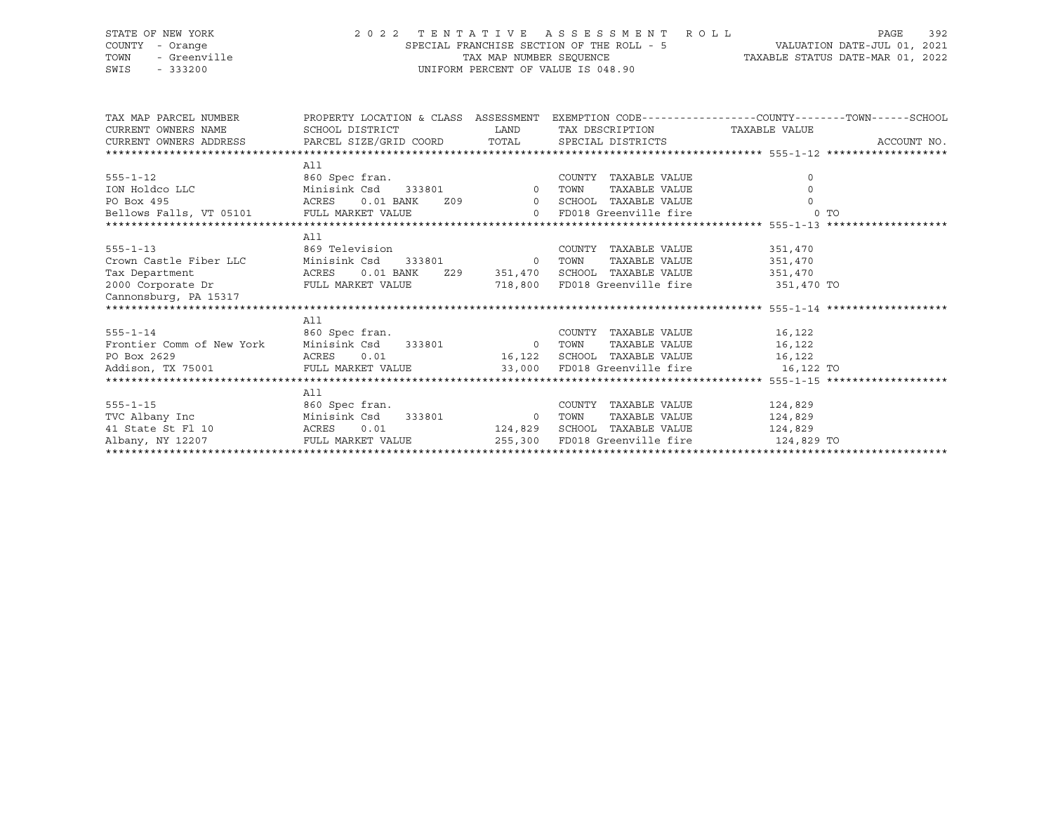## STATE OF NEW YORK 2 0 2 2 T E N T A T I V E A S S E S S M E N T R O L L PAGE 392 COUNTY - Orange SPECIAL FRANCHISE SECTION OF THE ROLL - 5 VALUATION DATE-JUL 01, 2021 TOWN - Greenville TAX MAP NUMBER SEQUENCE TAXABLE STATUS DATE-MAR 01, 2022 SWIS - 333200 UNIFORM PERCENT OF VALUE IS 048.90

| TAX MAP PARCEL NUMBER THE PROPERTY LOCATION & CLASS ASSESSMENT EXEMPTION CODE--------------COUNTY--------TOWN------SCHOOL                                                                                                             |                                                 |                                      |                       |             |
|---------------------------------------------------------------------------------------------------------------------------------------------------------------------------------------------------------------------------------------|-------------------------------------------------|--------------------------------------|-----------------------|-------------|
|                                                                                                                                                                                                                                       |                                                 |                                      |                       |             |
|                                                                                                                                                                                                                                       |                                                 |                                      |                       | ACCOUNT NO. |
|                                                                                                                                                                                                                                       |                                                 |                                      |                       |             |
|                                                                                                                                                                                                                                       | All                                             |                                      |                       |             |
|                                                                                                                                                                                                                                       |                                                 | COUNTY TAXABLE VALUE                 | $\circ$               |             |
|                                                                                                                                                                                                                                       |                                                 | TAXABLE VALUE                        |                       |             |
|                                                                                                                                                                                                                                       |                                                 | 0.01 BANK Z09 0 SCHOOL TAXABLE VALUE |                       |             |
|                                                                                                                                                                                                                                       |                                                 |                                      |                       |             |
|                                                                                                                                                                                                                                       |                                                 |                                      |                       |             |
|                                                                                                                                                                                                                                       | All                                             |                                      |                       |             |
|                                                                                                                                                                                                                                       |                                                 |                                      |                       |             |
|                                                                                                                                                                                                                                       |                                                 |                                      |                       |             |
|                                                                                                                                                                                                                                       |                                                 |                                      |                       |             |
| 555-1-13<br>COUNTY TAXABLE VALUE 351,470<br>Crown Castle Fiber LLC Minisink Csd 333801 0 TOWN TAXABLE VALUE 351,470<br>Tax Department ACRES 0.01 BANK 229 351,470 SCHOOL TAXABLE VALUE 351,470<br>2000 Corporate Dr FULL MARKET VALUE |                                                 |                                      |                       |             |
|                                                                                                                                                                                                                                       |                                                 |                                      |                       |             |
|                                                                                                                                                                                                                                       |                                                 |                                      |                       |             |
|                                                                                                                                                                                                                                       | All                                             |                                      |                       |             |
|                                                                                                                                                                                                                                       |                                                 | COUNTY TAXABLE VALUE 16,122          |                       |             |
| 555-1-14 660 Spec fran. COUNT Frontier Comm of New York Minisink Csd 333801 60 TOWN                                                                                                                                                   |                                                 |                                      | TAXABLE VALUE 16,122  |             |
| PO Box 2629                                                                                                                                                                                                                           | ACRES $0.01$ 16,122 SCHOOL TAXABLE VALUE 16,122 |                                      |                       |             |
| Addison, TX 75001 CULL MARKET VALUE 33,000 FD018 Greenville fire 16,122 TO                                                                                                                                                            |                                                 |                                      |                       |             |
|                                                                                                                                                                                                                                       |                                                 |                                      |                       |             |
|                                                                                                                                                                                                                                       | All                                             |                                      |                       |             |
| $555 - 1 - 15$                                                                                                                                                                                                                        | 860 Spec fran.                                  | COUNTY TAXABLE VALUE 124,829         |                       |             |
|                                                                                                                                                                                                                                       |                                                 |                                      | TAXABLE VALUE 124,829 |             |
|                                                                                                                                                                                                                                       |                                                 | 124,829 SCHOOL TAXABLE VALUE 124,829 |                       |             |
| Albany, NY 12207 TULL MARKET VALUE 255,300 FD018 Greenville fire 124,829 TO                                                                                                                                                           |                                                 |                                      |                       |             |
|                                                                                                                                                                                                                                       |                                                 |                                      |                       |             |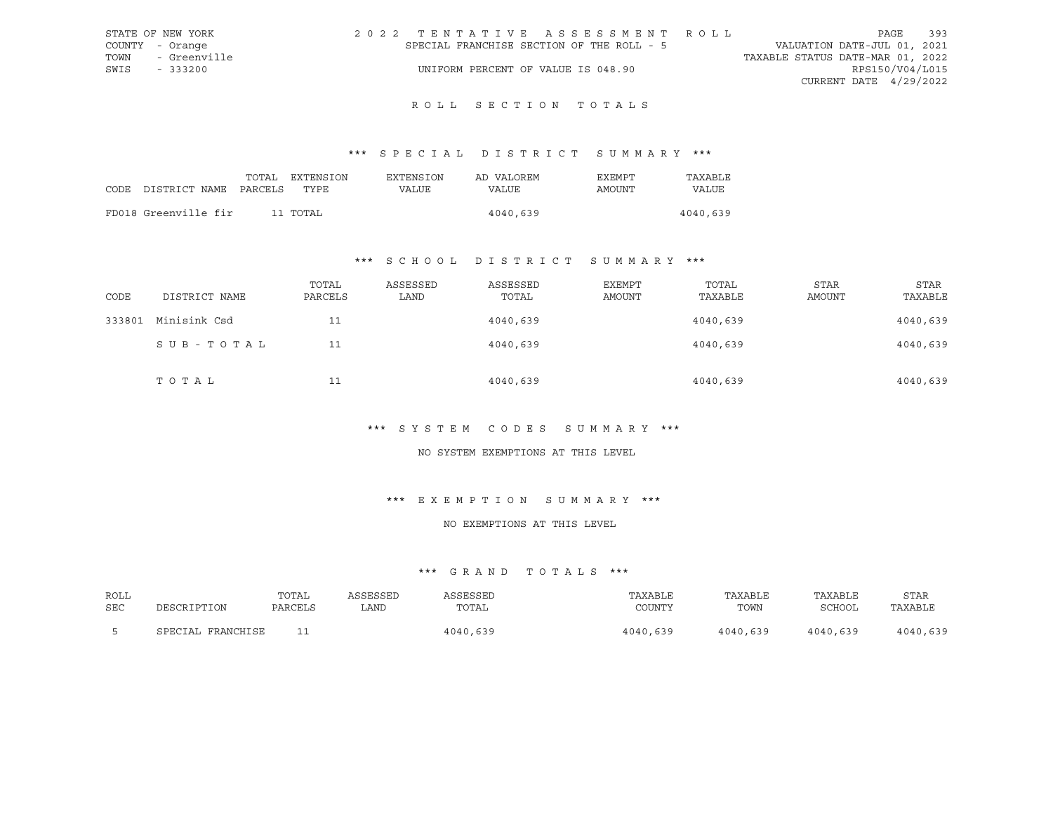| STATE OF NEW YORK    | 2022 TENTATIVE ASSESSMENT ROLL            | 393<br>PAGE                      |
|----------------------|-------------------------------------------|----------------------------------|
| COUNTY - Orange      | SPECIAL FRANCHISE SECTION OF THE ROLL - 5 | VALUATION DATE-JUL 01, 2021      |
| TOWN<br>- Greenville |                                           | TAXABLE STATUS DATE-MAR 01, 2022 |
| SWIS<br>- 333200     | UNIFORM PERCENT OF VALUE IS 048.90        | RPS150/V04/L015                  |
|                      |                                           | CURRENT DATE 4/29/2022           |
|                      |                                           |                                  |

# ROLL SECTION TOTALS

## \*\*\* S P E C I A L D I S T R I C T S U M M A R Y \*\*\*

|                            | TOTAL | EXTENSION | EXTENSION | AD VALOREM | EXEMPT | TAXABLE  |
|----------------------------|-------|-----------|-----------|------------|--------|----------|
| CODE DISTRICT NAME PARCELS |       | . ТҮРЕ    | VALUE     | VALUE      | AMOUNT | VALUE    |
|                            |       |           |           |            |        |          |
| FD018 Greenville fir       |       | 11 TOTAL  |           | 4040,639   |        | 4040,639 |

## \*\*\* S C H O O L D I S T R I C T S U M M A R Y \*\*\*

| CODE   | DISTRICT NAME | TOTAL<br>PARCELS | ASSESSED<br>LAND | ASSESSED<br>TOTAL | <b>EXEMPT</b><br><b>AMOUNT</b> | TOTAL<br>TAXABLE | STAR<br>AMOUNT | STAR<br>TAXABLE |
|--------|---------------|------------------|------------------|-------------------|--------------------------------|------------------|----------------|-----------------|
| 333801 | Minisink Csd  | 11               |                  | 4040,639          |                                | 4040,639         |                | 4040,639        |
|        | SUB-TOTAL     | 11               |                  | 4040,639          |                                | 4040,639         |                | 4040,639        |
|        | TOTAL         | 11               |                  | 4040,639          |                                | 4040,639         |                | 4040,639        |

#### \*\*\* S Y S T E M C O D E S S U M M A R Y \*\*\*

#### NO SYSTEM EXEMPTIONS AT THIS LEVEL

## \*\*\* E X E M P T I O N S U M M A R Y \*\*\*

#### NO EXEMPTIONS AT THIS LEVEL

| ROLL       |                   | TOTAL   | ASSESSED | ASSESSED | TAXABLE  | TAXABLE  | TAXABLE  | <b>STAR</b> |
|------------|-------------------|---------|----------|----------|----------|----------|----------|-------------|
| <b>SEC</b> | DESCRIPTION       | PARCELS | ' AND    | TOTAL    | COUNTY   | TOWN     | SCHOOL   | TAXABLE     |
|            | SPECIAL FRANCHISE |         |          | 4040,639 | 4040,639 | 4040,639 | 4040,639 | 4040,639    |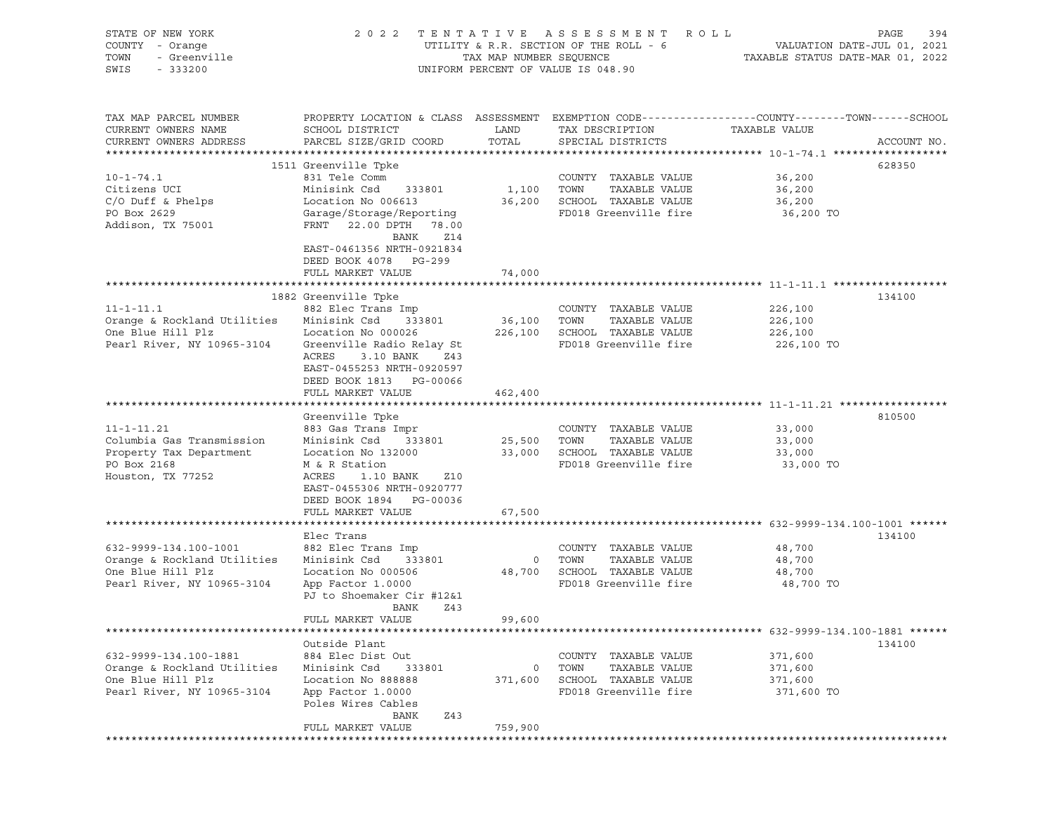| STATE OF NEW YORK           | 2 0 2 2                                                                                         | TENTATIVE               | A S S E S S M E N T<br>ROLL ROLL       |                                  | PAGE<br>394 |
|-----------------------------|-------------------------------------------------------------------------------------------------|-------------------------|----------------------------------------|----------------------------------|-------------|
| COUNTY - Orange             |                                                                                                 |                         | UTILITY & R.R. SECTION OF THE ROLL - 6 | VALUATION DATE-JUL 01, 2021      |             |
| TOWN<br>- Greenville        |                                                                                                 | TAX MAP NUMBER SEQUENCE |                                        | TAXABLE STATUS DATE-MAR 01, 2022 |             |
| SWIS<br>$-333200$           |                                                                                                 |                         | UNIFORM PERCENT OF VALUE IS 048.90     |                                  |             |
|                             |                                                                                                 |                         |                                        |                                  |             |
|                             |                                                                                                 |                         |                                        |                                  |             |
| TAX MAP PARCEL NUMBER       | PROPERTY LOCATION & CLASS ASSESSMENT EXEMPTION CODE---------------COUNTY-------TOWN------SCHOOL |                         |                                        |                                  |             |
|                             |                                                                                                 | LAND                    |                                        | TAXABLE VALUE                    |             |
| CURRENT OWNERS NAME         | SCHOOL DISTRICT                                                                                 |                         | TAX DESCRIPTION                        |                                  |             |
| CURRENT OWNERS ADDRESS      | PARCEL SIZE/GRID COORD                                                                          | TOTAL                   | SPECIAL DISTRICTS                      |                                  | ACCOUNT NO. |
|                             |                                                                                                 |                         |                                        |                                  |             |
|                             | 1511 Greenville Tpke                                                                            |                         |                                        |                                  | 628350      |
| $10 - 1 - 74.1$             | 831 Tele Comm                                                                                   |                         | COUNTY TAXABLE VALUE                   | 36,200                           |             |
| Citizens UCI                | Minisink Csd<br>333801                                                                          | 1,100                   | TOWN<br>TAXABLE VALUE                  | 36,200                           |             |
| $C/O$ Duff & Phelps         | Location No 006613                                                                              | 36,200                  | SCHOOL TAXABLE VALUE                   | 36,200                           |             |
| PO Box 2629                 | Garage/Storage/Reporting                                                                        |                         | FD018 Greenville fire                  | 36,200 TO                        |             |
| Addison, TX 75001           | FRNT 22.00 DPTH 78.00                                                                           |                         |                                        |                                  |             |
|                             | Z14<br>BANK                                                                                     |                         |                                        |                                  |             |
|                             | EAST-0461356 NRTH-0921834                                                                       |                         |                                        |                                  |             |
|                             | DEED BOOK 4078 PG-299                                                                           |                         |                                        |                                  |             |
|                             | FULL MARKET VALUE                                                                               | 74,000                  |                                        |                                  |             |
|                             |                                                                                                 |                         |                                        |                                  |             |
|                             | 1882 Greenville Tpke                                                                            |                         |                                        |                                  | 134100      |
| $11 - 1 - 11.1$             | 882 Elec Trans Imp                                                                              |                         | COUNTY TAXABLE VALUE                   | 226,100                          |             |
| Orange & Rockland Utilities | Minisink Csd<br>333801                                                                          | 36,100                  | TAXABLE VALUE<br>TOWN                  | 226,100                          |             |
|                             |                                                                                                 |                         |                                        |                                  |             |
| One Blue Hill Plz           | Location No 000026                                                                              | 226,100                 | SCHOOL TAXABLE VALUE                   | 226,100                          |             |
| Pearl River, NY 10965-3104  | Greenville Radio Relay St                                                                       |                         | FD018 Greenville fire                  | 226,100 TO                       |             |
|                             | ACRES<br>3.10 BANK<br>Z43                                                                       |                         |                                        |                                  |             |
|                             | EAST-0455253 NRTH-0920597                                                                       |                         |                                        |                                  |             |
|                             | DEED BOOK 1813 PG-00066                                                                         |                         |                                        |                                  |             |
|                             | FULL MARKET VALUE                                                                               | 462,400                 |                                        |                                  |             |
|                             |                                                                                                 |                         |                                        |                                  |             |
|                             | Greenville Tpke                                                                                 |                         |                                        |                                  | 810500      |
| $11 - 1 - 11.21$            | 883 Gas Trans Impr                                                                              |                         | COUNTY TAXABLE VALUE                   | 33,000                           |             |
| Columbia Gas Transmission   | Minisink Csd<br>333801                                                                          | 25,500                  | TOWN<br>TAXABLE VALUE                  | 33,000                           |             |
| Property Tax Department     | Location No 132000                                                                              | 33,000                  | SCHOOL TAXABLE VALUE                   | 33,000                           |             |
| PO Box 2168                 | M & R Station                                                                                   |                         | FD018 Greenville fire                  | 33,000 TO                        |             |
| Houston, TX 77252           | ACRES<br>1.10 BANK<br>Z10                                                                       |                         |                                        |                                  |             |
|                             | EAST-0455306 NRTH-0920777                                                                       |                         |                                        |                                  |             |
|                             | DEED BOOK 1894 PG-00036                                                                         |                         |                                        |                                  |             |
|                             |                                                                                                 |                         |                                        |                                  |             |
|                             | FULL MARKET VALUE                                                                               | 67,500                  |                                        |                                  |             |
|                             |                                                                                                 |                         |                                        |                                  |             |
|                             | Elec Trans                                                                                      |                         |                                        |                                  | 134100      |
| 632-9999-134.100-1001       | 882 Elec Trans Imp                                                                              |                         | COUNTY TAXABLE VALUE                   | 48,700                           |             |
| Orange & Rockland Utilities | Minisink Csd<br>333801                                                                          | $\circ$                 | TOWN<br>TAXABLE VALUE                  | 48,700                           |             |
| One Blue Hill Plz           | Location No 000506                                                                              | 48,700                  | SCHOOL TAXABLE VALUE                   | 48,700                           |             |
| Pearl River, NY 10965-3104  | App Factor 1.0000                                                                               |                         | FD018 Greenville fire                  | 48,700 TO                        |             |
|                             | PJ to Shoemaker Cir #12&1                                                                       |                         |                                        |                                  |             |
|                             | <b>BANK</b><br>Z43                                                                              |                         |                                        |                                  |             |
|                             | FULL MARKET VALUE                                                                               | 99,600                  |                                        |                                  |             |
|                             |                                                                                                 |                         |                                        |                                  |             |
|                             | Outside Plant                                                                                   |                         |                                        |                                  | 134100      |
| 632-9999-134.100-1881       | 884 Elec Dist Out                                                                               |                         | COUNTY TAXABLE VALUE                   | 371,600                          |             |
| Orange & Rockland Utilities | Minisink Csd<br>333801                                                                          | 0                       | TOWN<br>TAXABLE VALUE                  | 371,600                          |             |
| One Blue Hill Plz           | Location No 888888                                                                              | 371,600                 | SCHOOL TAXABLE VALUE                   | 371,600                          |             |
| Pearl River, NY 10965-3104  |                                                                                                 |                         | FD018 Greenville fire                  |                                  |             |
|                             | App Factor 1.0000                                                                               |                         |                                        | 371,600 TO                       |             |
|                             | Poles Wires Cables                                                                              |                         |                                        |                                  |             |
|                             | BANK<br>Z43                                                                                     |                         |                                        |                                  |             |
|                             | FULL MARKET VALUE                                                                               | 759,900                 |                                        |                                  |             |
|                             |                                                                                                 |                         |                                        |                                  |             |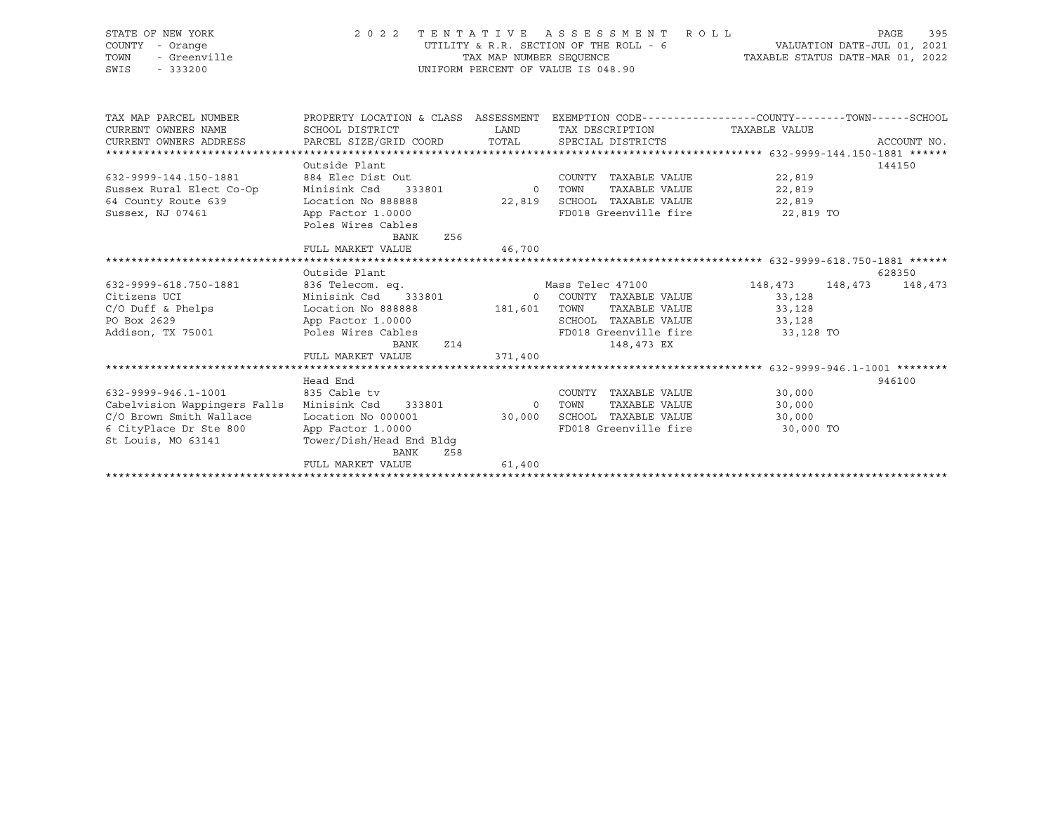| STATE OF NEW YORK                                | 2 0 2 2                                                                                          |                         | TENTATIVE ASSESSMENT ROLL                  |                   | 395<br>PAGE |
|--------------------------------------------------|--------------------------------------------------------------------------------------------------|-------------------------|--------------------------------------------|-------------------|-------------|
| COUNTY - Orange<br>- Greenville<br>TOWN          |                                                                                                  | TAX MAP NUMBER SEOUENCE | UTILITY & R.R. SECTION OF THE ROLL - 6     |                   |             |
| SWIS<br>$-333200$                                | UNIFORM PERCENT OF VALUE IS 048.90                                                               |                         |                                            |                   |             |
|                                                  |                                                                                                  |                         |                                            |                   |             |
| TAX MAP PARCEL NUMBER                            | PROPERTY LOCATION & CLASS ASSESSMENT EXEMPTION CODE----------------COUNTY-------TOWN------SCHOOL |                         |                                            |                   |             |
| CURRENT OWNERS NAME                              | SCHOOL DISTRICT                                                                                  | LAND                    | TAX DESCRIPTION TAXABLE VALUE              |                   |             |
| CURRENT OWNERS ADDRESS                           | PARCEL SIZE/GRID COORD                                                                           | TOTAL                   | SPECIAL DISTRICTS                          |                   | ACCOUNT NO. |
|                                                  |                                                                                                  |                         |                                            |                   |             |
|                                                  | Outside Plant                                                                                    |                         |                                            |                   | 144150      |
| 632-9999-144.150-1881                            | 884 Elec Dist Out                                                                                |                         | COUNTY TAXABLE VALUE 22,819                |                   |             |
| Sussex Rural Elect Co-Op                         | Minisink Csd                                                                                     | 333801 0 TOWN           | TAXABLE VALUE 22,819                       |                   |             |
| 64 County Route 639                              | Location No 888888                                                                               |                         | 22,819 SCHOOL TAXABLE VALUE 22,819         |                   |             |
| Sussex, NJ 07461                                 | App Factor 1.0000                                                                                |                         | FD018 Greenville fire 22,819 TO            |                   |             |
|                                                  | Poles Wires Cables                                                                               |                         |                                            |                   |             |
|                                                  | <b>BANK</b><br>Z56                                                                               |                         |                                            |                   |             |
|                                                  | FULL MARKET VALUE                                                                                | 46,700                  |                                            |                   |             |
|                                                  | Outside Plant                                                                                    |                         |                                            |                   | 628350      |
| 632-9999-618.750-1881                            | 836 Telecom. eq.                                                                                 |                         | Mass Telec 47100                           | 148, 473 148, 473 | 148,473     |
| Citizens UCI                                     |                                                                                                  |                         | Minisink Csd 333801 0 COUNTY TAXABLE VALUE | 33,128            |             |
| $C/O$ Duff & Phelps                              | Location No 888888 181,601 TOWN                                                                  |                         | TAXABLE VALUE 33,128                       |                   |             |
| PO Box 2629                                      | App Factor 1.0000                                                                                |                         | SCHOOL TAXABLE VALUE 33,128                |                   |             |
| Addison, TX 75001                                | Poles Wires Cables                                                                               |                         | FD018 Greenville fire 33,128 TO            |                   |             |
|                                                  | BANK                                                                                             | Z14                     | 148,473 EX                                 |                   |             |
|                                                  | FULL MARKET VALUE                                                                                | 371,400                 |                                            |                   |             |
|                                                  |                                                                                                  |                         |                                            |                   |             |
|                                                  | Head End                                                                                         |                         |                                            |                   | 946100      |
| 632-9999-946.1-1001                              | 835 Cable tv                                                                                     |                         | COUNTY TAXABLE VALUE                       | 30,000            |             |
| Cabelvision Wappingers Falls Minisink Csd 333801 |                                                                                                  | 0 TOWN                  | TAXABLE VALUE                              | 30,000            |             |
| C/O Brown Smith Wallace                          | Location No 000001                                                                               | 30,000                  | SCHOOL TAXABLE VALUE                       | 30,000            |             |
| 6 CityPlace Dr Ste 800                           | App Factor 1.0000                                                                                |                         | FD018 Greenville fire                      | 30,000 TO         |             |
| St Louis, MO 63141                               | Tower/Dish/Head End Bldq                                                                         |                         |                                            |                   |             |
|                                                  | BANK<br>Z58                                                                                      |                         |                                            |                   |             |
|                                                  | FULL MARKET VALUE                                                                                | 61,400                  |                                            |                   |             |

\*\*\*\*\*\*\*\*\*\*\*\*\*\*\*\*\*\*\*\*\*\*\*\*\*\*\*\*\*\*\*\*\*\*\*\*\*\*\*\*\*\*\*\*\*\*\*\*\*\*\*\*\*\*\*\*\*\*\*\*\*\*\*\*\*\*\*\*\*\*\*\*\*\*\*\*\*\*\*\*\*\*\*\*\*\*\*\*\*\*\*\*\*\*\*\*\*\*\*\*\*\*\*\*\*\*\*\*\*\*\*\*\*\*\*\*\*\*\*\*\*\*\*\*\*\*\*\*\*\*\*\*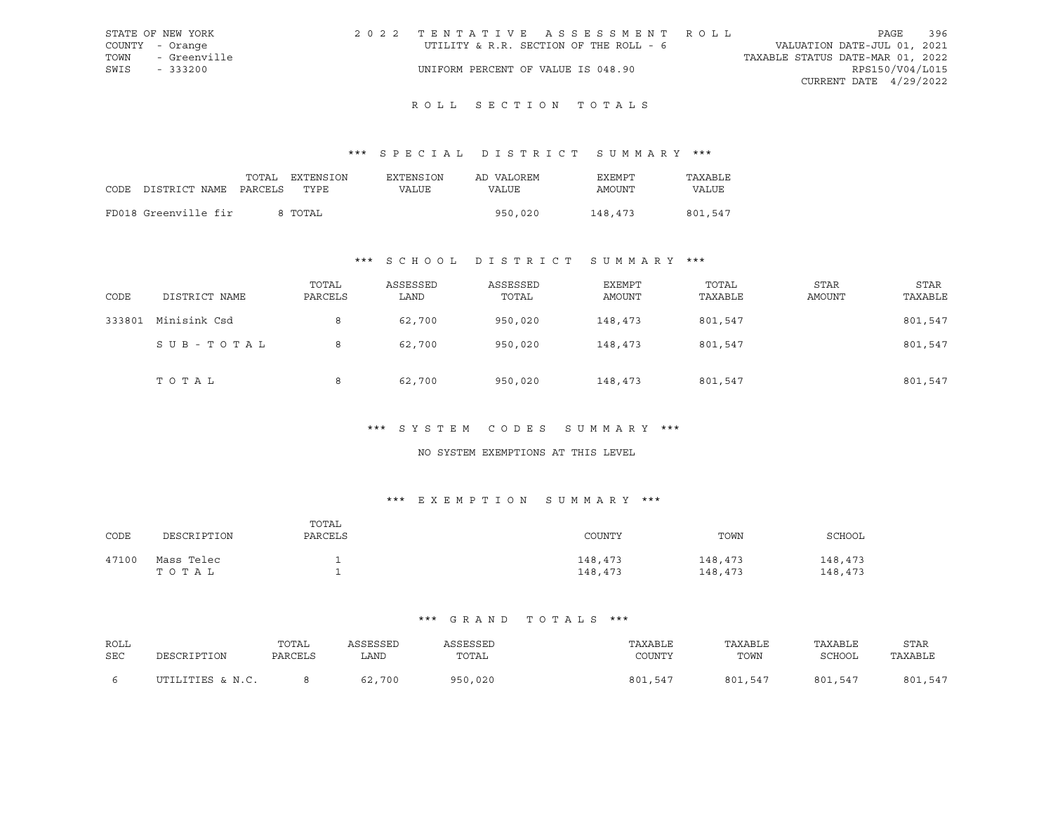|      | STATE OF NEW YORK | 2022 TENTATIVE ASSESSMENT ROLL         |  |                                  | PAGE                   | 396 |
|------|-------------------|----------------------------------------|--|----------------------------------|------------------------|-----|
|      | COUNTY - Orange   | UTILITY & R.R. SECTION OF THE ROLL - 6 |  | VALUATION DATE-JUL 01, 2021      |                        |     |
| TOWN | - Greenville      |                                        |  | TAXABLE STATUS DATE-MAR 01, 2022 |                        |     |
| SWIS | $-333200$         | UNIFORM PERCENT OF VALUE IS 048.90     |  |                                  | RPS150/V04/L015        |     |
|      |                   |                                        |  |                                  | CURRENT DATE 4/29/2022 |     |

# ROLL SECTION TOTALS

## \*\*\* S P E C I A L D I S T R I C T S U M M A R Y \*\*\*

|                            | TOTAL | EXTENSION | EXTENSION | AD VALOREM | EXEMPT  | TAXABLE |
|----------------------------|-------|-----------|-----------|------------|---------|---------|
| CODE DISTRICT NAME PARCELS |       | TYPE.     | VALUE     | VALUE      | AMOUNT  | VALUE   |
| FD018 Greenville fir       |       | 8 TOTAL   |           | 950,020    | 148,473 | 801,547 |
|                            |       |           |           |            |         |         |

## \*\*\* S C H O O L D I S T R I C T S U M M A R Y \*\*\*

| CODE   | DISTRICT NAME | TOTAL<br>PARCELS | ASSESSED<br>LAND | ASSESSED<br>TOTAL | <b>EXEMPT</b><br>AMOUNT | TOTAL<br>TAXABLE | <b>STAR</b><br>AMOUNT | <b>STAR</b><br>TAXABLE |
|--------|---------------|------------------|------------------|-------------------|-------------------------|------------------|-----------------------|------------------------|
| 333801 | Minisink Csd  | 8                | 62,700           | 950,020           | 148,473                 | 801,547          |                       | 801,547                |
|        | SUB-TOTAL     | 8                | 62,700           | 950,020           | 148,473                 | 801,547          |                       | 801,547                |
|        | TOTAL         | 8                | 62,700           | 950,020           | 148,473                 | 801,547          |                       | 801,547                |

## \*\*\* S Y S T E M C O D E S S U M M A R Y \*\*\*

#### NO SYSTEM EXEMPTIONS AT THIS LEVEL

## \*\*\* E X E M P T I O N S U M M A R Y \*\*\*

| CODE  | DESCRIPTION         | TOTAL<br>PARCELS | COUNTY             | TOWN               | SCHOOL             |
|-------|---------------------|------------------|--------------------|--------------------|--------------------|
| 47100 | Mass Telec<br>TOTAL |                  | 148,473<br>148,473 | 148,473<br>148,473 | 148,473<br>148,473 |

| ROLL | DESCRIPTION      | TOTAL   | ASSESSED | ASSESSED | TAXABLE | TAXABLE | TAXABLE | STAR    |
|------|------------------|---------|----------|----------|---------|---------|---------|---------|
| SEC  |                  | PARCELS | LAND     | TOTAL    | COUNTY  | TOWN    | SCHOOL  | TAXABLE |
|      | UTILITIES & N.C. |         | 62,700   | 950,020  | 801,547 | 801,547 | 801,547 | 801,547 |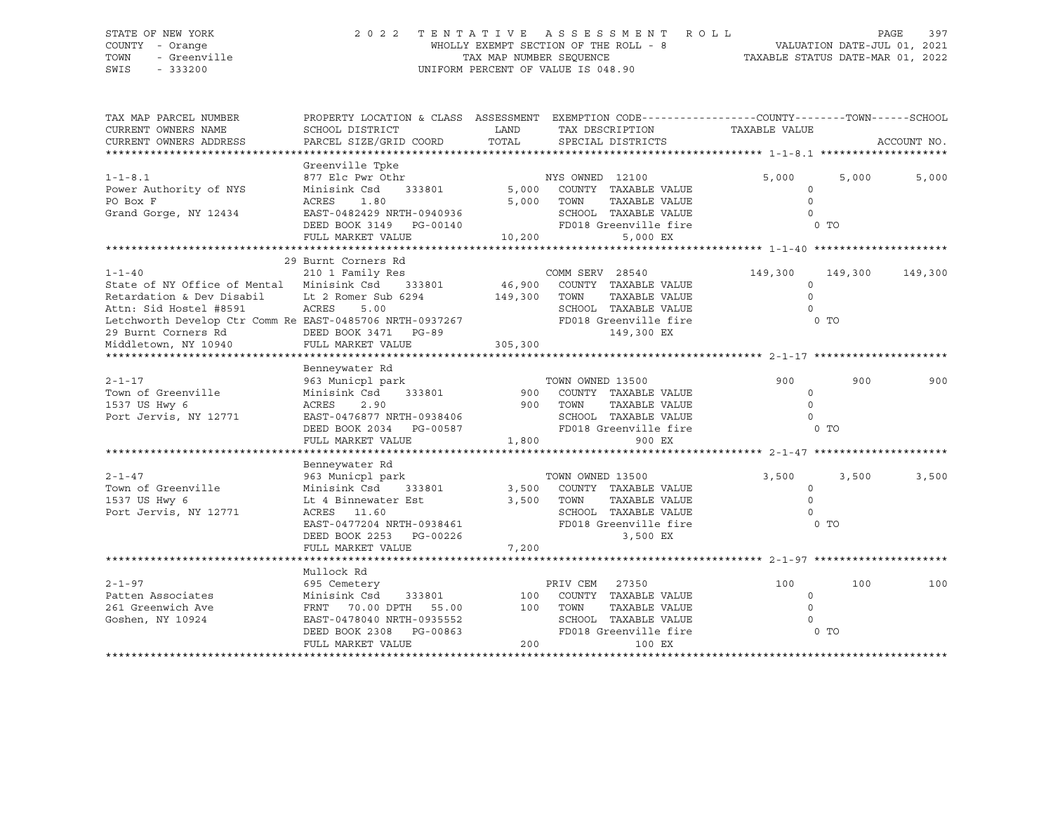### STATE OF NEW YORK 2 0 2 2 T E N T A T I V E A S S E S S M E N T R O L L PAGE 397 COUNTY - Orange WHOLLY EXEMPT SECTION OF THE ROLL - 8 VALUATION DATE-JUL 01, 2021 TOWN - Greenville TAX MAP NUMBER SEQUENCE TAXABLE STATUS DATE-MAR 01, 2022 SWIS - 333200 UNIFORM PERCENT OF VALUE IS 048.90

| TAX MAP PARCEL NUMBER                                    | PROPERTY LOCATION & CLASS ASSESSMENT EXEMPTION CODE---------------COUNTY-------TOWN-----SCHOOL |         |                                          |                     |                |             |
|----------------------------------------------------------|------------------------------------------------------------------------------------------------|---------|------------------------------------------|---------------------|----------------|-------------|
| CURRENT OWNERS NAME                                      | SCHOOL DISTRICT                                                                                | LAND    | TAX DESCRIPTION                          | TAXABLE VALUE       |                |             |
| CURRENT OWNERS ADDRESS                                   | PARCEL SIZE/GRID COORD                                                                         | TOTAL   | SPECIAL DISTRICTS                        |                     |                | ACCOUNT NO. |
|                                                          |                                                                                                |         |                                          |                     |                |             |
|                                                          | Greenville Tpke                                                                                |         |                                          |                     |                |             |
| $1 - 1 - 8.1$                                            | 877 Elc Pwr Othr                                                                               |         | NYS OWNED 12100                          | 5,000               | 5,000          | 5,000       |
| Power Authority of NYS                                   | Minisink Csd<br>333801                                                                         |         | 5,000 COUNTY TAXABLE VALUE               | $\circ$<br>$\Omega$ |                |             |
| PO Box F                                                 | ACRES<br>1.80                                                                                  |         | 5,000 TOWN<br>TAXABLE VALUE              | $\Omega$            |                |             |
| Grand Gorge, NY 12434                                    | EAST-0482429 NRTH-0940936                                                                      |         | SCHOOL TAXABLE VALUE                     |                     |                |             |
|                                                          | DEED BOOK 3149 PG-00140                                                                        |         | FD018 Greenville fire                    |                     | $0$ TO         |             |
|                                                          | FULL MARKET VALUE                                                                              | 10,200  | 5,000 EX                                 |                     |                |             |
|                                                          | 29 Burnt Corners Rd                                                                            |         |                                          |                     |                |             |
| $1 - 1 - 40$                                             | 210 1 Family Res                                                                               |         | COMM SERV 28540                          |                     |                |             |
| State of NY Office of Mental Minisink Csd                | 333801                                                                                         |         |                                          | 149,300<br>$\circ$  | 149,300        | 149,300     |
|                                                          |                                                                                                |         | 46,900 COUNTY TAXABLE VALUE<br>TOWN      | $\Omega$            |                |             |
| Retardation & Dev Disabil                                | Lt 2 Romer Sub 6294                                                                            | 149,300 | TAXABLE VALUE                            |                     |                |             |
| Attn: Sid Hostel #8591                                   | ACRES<br>5.00                                                                                  |         | SCHOOL TAXABLE VALUE                     | $\Omega$            |                |             |
| Letchworth Develop Ctr Comm Re EAST-0485706 NRTH-0937267 |                                                                                                |         | FD018 Greenville fire                    |                     | $0$ TO         |             |
| 29 Burnt Corners Rd                                      | DEED BOOK 3471 PG-89<br>FULL MARKET VALUE                                                      |         | 149,300 EX                               |                     |                |             |
| Middletown, NY 10940                                     |                                                                                                | 305,300 |                                          |                     |                |             |
|                                                          |                                                                                                |         |                                          |                     |                |             |
|                                                          | Benneywater Rd                                                                                 |         |                                          |                     |                |             |
| $2 - 1 - 17$<br>Town of Greenville                       | 963 Municpl park                                                                               |         | TOWN OWNED 13500                         | 900                 | 900            | 900         |
|                                                          | Minisink Csd<br>333801                                                                         | 900     | COUNTY TAXABLE VALUE                     | $\circ$             |                |             |
| 1537 US Hwy 6                                            | ACRES<br>2.90                                                                                  | 900     | TOWN<br>TAXABLE VALUE                    | $\circ$<br>$\Omega$ |                |             |
| Port Jervis, NY 12771                                    | EAST-0476877 NRTH-0938406                                                                      |         | SCHOOL TAXABLE VALUE                     |                     | 0 TO           |             |
|                                                          | DEED BOOK 2034 PG-00587                                                                        |         | FD018 Greenville fire<br>1,800           |                     |                |             |
|                                                          | FULL MARKET VALUE                                                                              |         | 900 EX                                   |                     |                |             |
|                                                          |                                                                                                |         |                                          |                     |                |             |
| $2 - 1 - 47$                                             | Benneywater Rd                                                                                 |         |                                          |                     |                |             |
| Town of Greenville                                       | 963 Municpl park<br>333801                                                                     | 3,500   | TOWN OWNED 13500<br>COUNTY TAXABLE VALUE | 3,500               | 3,500          | 3,500       |
| 1537 US Hwy 6                                            | Minisink Csd                                                                                   |         | TAXABLE VALUE<br>TOWN                    | $\Omega$<br>$\circ$ |                |             |
|                                                          | Lt 4 Binnewater Est                                                                            | 3,500   | SCHOOL TAXABLE VALUE                     | $\Omega$            |                |             |
| Port Jervis, NY 12771                                    | ACRES 11.60                                                                                    |         | FD018 Greenville fire                    |                     | 0 <sub>T</sub> |             |
|                                                          | EAST-0477204 NRTH-0938461                                                                      |         |                                          |                     |                |             |
|                                                          | DEED BOOK 2253 PG-00226                                                                        |         | 3,500 EX                                 |                     |                |             |
|                                                          | FULL MARKET VALUE                                                                              | 7,200   |                                          |                     |                |             |
|                                                          |                                                                                                |         |                                          |                     |                |             |
|                                                          | Mullock Rd                                                                                     |         |                                          |                     |                |             |
| $2 - 1 - 97$                                             | 695 Cemetery                                                                                   |         | PRIV CEM<br>27350                        | 100                 | 100            | 100         |
| Patten Associates                                        | Minisink Csd<br>333801                                                                         | 100     | COUNTY TAXABLE VALUE                     | $\circ$             |                |             |
| 261 Greenwich Ave                                        | FRNT 70.00 DPTH<br>55.00                                                                       | 100     | TOWN<br>TAXABLE VALUE                    | $\circ$             |                |             |
| Goshen, NY 10924                                         | EAST-0478040 NRTH-0935552                                                                      |         | SCHOOL TAXABLE VALUE                     | $\Omega$            |                |             |
|                                                          | DEED BOOK 2308 PG-00863                                                                        |         | FD018 Greenville fire                    |                     | 0 TO           |             |
|                                                          | FULL MARKET VALUE                                                                              | 200     | 100 EX                                   |                     |                |             |
|                                                          |                                                                                                |         |                                          |                     |                |             |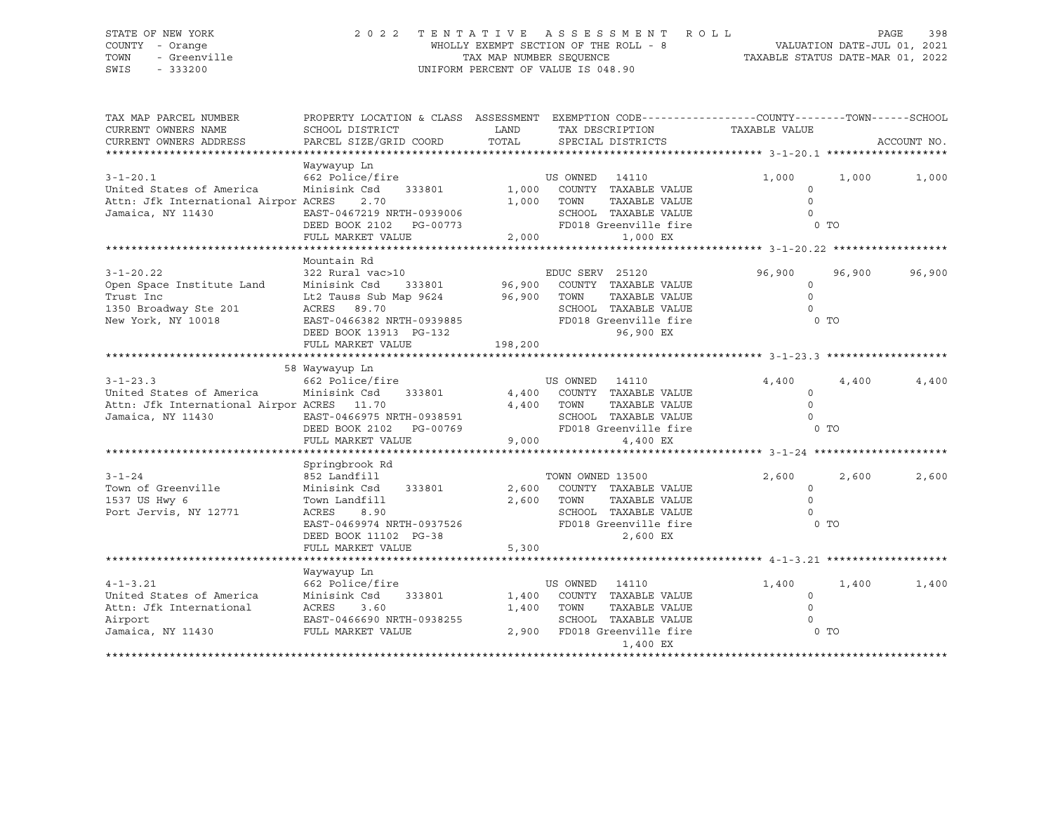### STATE OF NEW YORK 2 0 2 2 T E N T A T I V E A S S E S S M E N T R O L L PAGE 398 COUNTY - Orange WHOLLY EXEMPT SECTION OF THE ROLL - 8 VALUATION DATE-JUL 01, 2021 TOWN - Greenville TAX MAP NUMBER SEQUENCE TAXABLE STATUS DATE-MAR 01, 2022 SWIS - 333200 UNIFORM PERCENT OF VALUE IS 048.90

| TAX MAP PARCEL NUMBER                                                                                         |                                                                                                                                                                                |                   | PROPERTY LOCATION & CLASS ASSESSMENT EXEMPTION CODE----------------COUNTY-------TOWN-----SCHOOL                                          |                                                      |                         |             |
|---------------------------------------------------------------------------------------------------------------|--------------------------------------------------------------------------------------------------------------------------------------------------------------------------------|-------------------|------------------------------------------------------------------------------------------------------------------------------------------|------------------------------------------------------|-------------------------|-------------|
| CURRENT OWNERS NAME<br>CURRENT OWNERS ADDRESS                                                                 | SCHOOL DISTRICT<br>PARCEL SIZE/GRID COORD                                                                                                                                      | LAND<br>TOTAL     | TAX DESCRIPTION<br>SPECIAL DISTRICTS                                                                                                     | TAXABLE VALUE                                        |                         | ACCOUNT NO. |
|                                                                                                               |                                                                                                                                                                                |                   |                                                                                                                                          |                                                      |                         |             |
| $3 - 1 - 20.1$<br>United States of America<br>Attn: Jfk International Airpor ACRES<br>Jamaica, NY 11430       | Waywayup Ln<br>662 Police/fire<br>Minisink Csd<br>333801<br>2.70<br>EAST-0467219 NRTH-0939006<br>DEED BOOK 2102 PG-00773<br>FULL MARKET VALUE                                  | 1,000<br>2,000    | US OWNED<br>14110<br>1,000 COUNTY TAXABLE VALUE<br>TAXABLE VALUE<br>TOWN<br>SCHOOL TAXABLE VALUE<br>FD018 Greenville fire<br>1,000 EX    | 1,000<br>$\Omega$<br>$\Omega$<br>$\Omega$<br>0 TO    | 1,000                   | 1,000       |
|                                                                                                               |                                                                                                                                                                                |                   |                                                                                                                                          |                                                      |                         |             |
| $3 - 1 - 20.22$<br>Open Space Institute Land<br>Trust Inc<br>1350 Broadway Ste 201<br>New York, NY 10018      | Mountain Rd<br>322 Rural vac>10<br>333801<br>Minisink Csd<br>Lt2 Tauss Sub Map 9624<br>ACRES 89.70<br>EAST-0466382 NRTH-0939885<br>DEED BOOK 13913 PG-132<br>FULL MARKET VALUE | 96,900<br>198,200 | EDUC SERV 25120<br>96,900 COUNTY TAXABLE VALUE<br>TOWN<br>TAXABLE VALUE<br>SCHOOL TAXABLE VALUE<br>FD018 Greenville fire<br>96,900 EX    | 96,900<br>$\circ$<br>$\Omega$<br>$\Omega$<br>$0$ TO  | 96,900                  | 96,900      |
|                                                                                                               | 58 Waywayup Ln                                                                                                                                                                 |                   |                                                                                                                                          |                                                      |                         |             |
| $3 - 1 - 23.3$<br>United States of America<br>Attn: Jfk International Airpor ACRES 11.70<br>Jamaica, NY 11430 | 662 Police/fire<br>333801<br>Minisink Csd<br>EAST-0466975 NRTH-0938591<br>DEED BOOK 2102 PG-00769<br>FULL MARKET VALUE                                                         | 9,000             | US OWNED 14110<br>4,400 COUNTY TAXABLE VALUE<br>TAXABLE VALUE<br>4,400 TOWN<br>SCHOOL TAXABLE VALUE<br>FD018 Greenville fire<br>4,400 EX | 4,400<br>$\circ$<br>$\circ$<br>$\Omega$              | 4,400<br>0 <sub>T</sub> | 4,400       |
|                                                                                                               | Springbrook Rd                                                                                                                                                                 |                   |                                                                                                                                          |                                                      |                         |             |
| $3 - 1 - 24$<br>Town of Greenville<br>1537 US Hwy 6<br>Port Jervis, NY 12771                                  | 852 Landfill<br>Minisink Csd<br>333801<br>Town Landfill<br>ACRES<br>8.90<br>EAST-0469974 NRTH-0937526<br>DEED BOOK 11102 PG-38                                                 | 2,600<br>2,600    | TOWN OWNED 13500<br>COUNTY TAXABLE VALUE<br>TAXABLE VALUE<br>TOWN<br>SCHOOL TAXABLE VALUE<br>FD018 Greenville fire<br>2,600 EX           | 2,600<br>$\Omega$<br>$\circ$<br>$\Omega$<br>0 TO     | 2,600                   | 2,600       |
|                                                                                                               | FULL MARKET VALUE                                                                                                                                                              | 5,300             |                                                                                                                                          |                                                      |                         |             |
|                                                                                                               |                                                                                                                                                                                |                   |                                                                                                                                          |                                                      |                         |             |
| $4 - 1 - 3$ . 21<br>United States of America<br>Attn: Jfk International<br>Airport<br>Jamaica, NY 11430       | Waywayup Ln<br>662 Police/fire<br>333801<br>Minisink Csd<br>ACRES<br>3.60<br>EAST-0466690 NRTH-0938255<br>FULL MARKET VALUE                                                    | 1,400<br>1,400    | US OWNED<br>14110<br>COUNTY TAXABLE VALUE<br>TOWN<br>TAXABLE VALUE<br>SCHOOL TAXABLE VALUE<br>2,900 FD018 Greenville fire<br>1,400 EX    | 1,400<br>$\circ$<br>$\mathbf{0}$<br>$\Omega$<br>0 TO | 1,400                   | 1,400       |
|                                                                                                               |                                                                                                                                                                                |                   |                                                                                                                                          |                                                      |                         |             |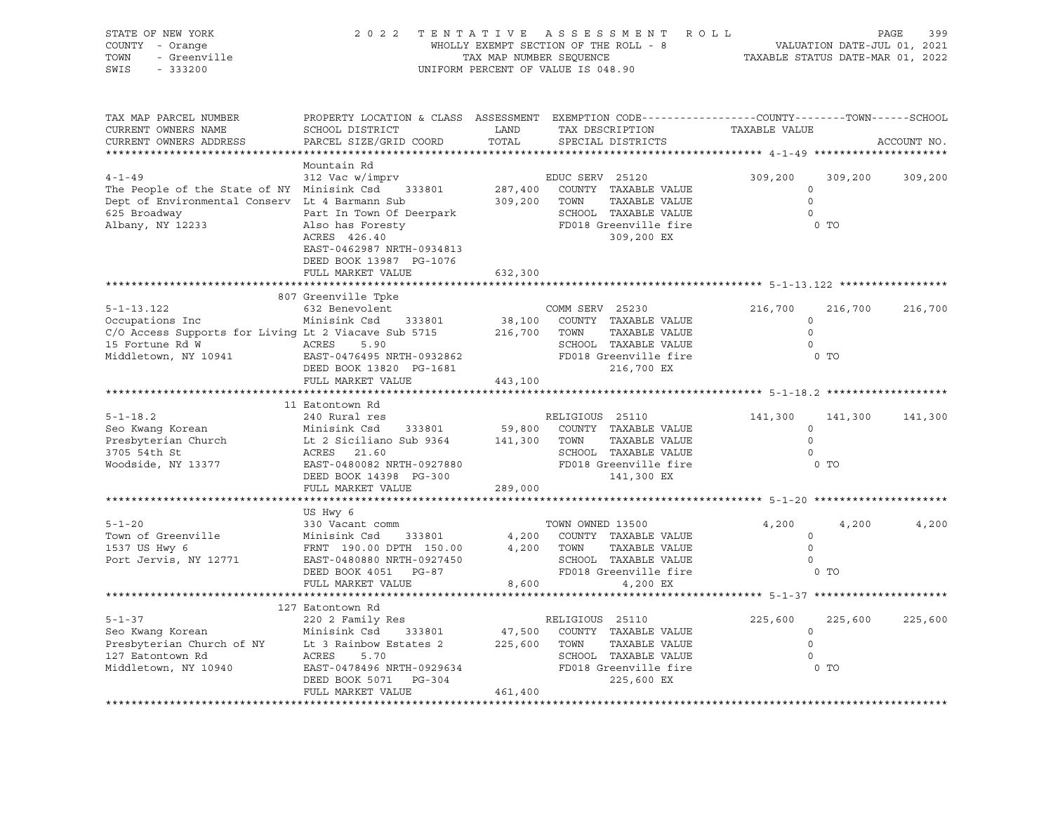| STATE OF NEW YORK                                                                       | 2 0 2 2                                                                                                            | TENTATIVE               | R O L L<br>A S S E S S M E N T                                            |                                  |                | PAGE<br>399 |  |
|-----------------------------------------------------------------------------------------|--------------------------------------------------------------------------------------------------------------------|-------------------------|---------------------------------------------------------------------------|----------------------------------|----------------|-------------|--|
| COUNTY - Orange                                                                         | WHOLLY EXEMPT SECTION OF THE ROLL - 8<br>VALUATION DATE-JUL 01, 2021                                               |                         |                                                                           |                                  |                |             |  |
| TOWN<br>- Greenville                                                                    |                                                                                                                    | TAX MAP NUMBER SEQUENCE |                                                                           | TAXABLE STATUS DATE-MAR 01, 2022 |                |             |  |
| SWIS<br>$-333200$                                                                       |                                                                                                                    |                         | UNIFORM PERCENT OF VALUE IS 048.90                                        |                                  |                |             |  |
|                                                                                         |                                                                                                                    |                         |                                                                           |                                  |                |             |  |
|                                                                                         |                                                                                                                    |                         |                                                                           |                                  |                |             |  |
| TAX MAP PARCEL NUMBER<br>CURRENT OWNERS NAME                                            | PROPERTY LOCATION & CLASS ASSESSMENT EXEMPTION CODE---------------COUNTY-------TOWN------SCHOOL<br>SCHOOL DISTRICT | LAND                    | TAX DESCRIPTION                                                           | TAXABLE VALUE                    |                |             |  |
| CURRENT OWNERS ADDRESS                                                                  | PARCEL SIZE/GRID COORD                                                                                             | TOTAL                   | SPECIAL DISTRICTS                                                         |                                  |                | ACCOUNT NO. |  |
|                                                                                         |                                                                                                                    |                         |                                                                           |                                  |                |             |  |
|                                                                                         | Mountain Rd                                                                                                        |                         |                                                                           |                                  |                |             |  |
| $4 - 1 - 49$                                                                            | 312 Vac w/imprv                                                                                                    |                         | EDUC SERV 25120                                                           | 309,200                          | 309,200        | 309,200     |  |
| The People of the State of NY Minisink Csd                                              | 333801                                                                                                             | 287,400                 | COUNTY TAXABLE VALUE                                                      | $\circ$                          |                |             |  |
| Dept of Environmental Conserv Lt 4 Barmann Sub                                          |                                                                                                                    | 309,200                 | TOWN<br>TAXABLE VALUE                                                     | $\Omega$                         |                |             |  |
| 625 Broadway                                                                            | Part In Town Of Deerpark<br>Part in iown of -<br>Also has Foresty                                                  |                         | SCHOOL TAXABLE VALUE                                                      | $\mathbf 0$                      |                |             |  |
| Albany, NY 12233                                                                        |                                                                                                                    |                         | FD018 Greenville fire                                                     |                                  | $0$ TO         |             |  |
|                                                                                         | ACRES 426.40                                                                                                       |                         | 309,200 EX                                                                |                                  |                |             |  |
|                                                                                         | EAST-0462987 NRTH-0934813                                                                                          |                         |                                                                           |                                  |                |             |  |
|                                                                                         | DEED BOOK 13987 PG-1076                                                                                            |                         |                                                                           |                                  |                |             |  |
|                                                                                         | FULL MARKET VALUE                                                                                                  | 632,300                 |                                                                           |                                  |                |             |  |
|                                                                                         |                                                                                                                    |                         | ******************************* 5-1-13.122 *****************              |                                  |                |             |  |
|                                                                                         | 807 Greenville Tpke                                                                                                |                         |                                                                           |                                  |                |             |  |
| $5 - 1 - 13.122$                                                                        | 632 Benevolent                                                                                                     |                         | COMM SERV 25230                                                           | 216,700                          | 216,700        | 216,700     |  |
| Occupations Inc                                                                         | Minisink Csd<br>333801                                                                                             | 38,100<br>216,700       | COUNTY TAXABLE VALUE<br>TOWN<br>TAXABLE VALUE                             | $\mathbf 0$<br>$\Omega$          |                |             |  |
| C/O Access Supports for Living Lt 2 Viacave Sub 5715<br>15 Fortune Rd W<br><b>ACRES</b> |                                                                                                                    |                         | SCHOOL TAXABLE VALUE                                                      | $\circ$                          |                |             |  |
| Middletown, NY 10941                                                                    | 5.90<br>EAST-0476495 NRTH-0932862                                                                                  |                         | FD018 Greenville fire                                                     |                                  | $0$ TO         |             |  |
|                                                                                         | DEED BOOK 13820 PG-1681                                                                                            |                         | 216,700 EX                                                                |                                  |                |             |  |
|                                                                                         | FULL MARKET VALUE                                                                                                  | 443,100                 |                                                                           |                                  |                |             |  |
|                                                                                         |                                                                                                                    |                         |                                                                           |                                  |                |             |  |
|                                                                                         | 11 Eatontown Rd                                                                                                    |                         |                                                                           |                                  |                |             |  |
| $5 - 1 - 18.2$                                                                          | 240 Rural res                                                                                                      |                         | RELIGIOUS 25110                                                           | 141,300                          | 141,300        | 141,300     |  |
| Seo Kwang Korean                                                                        | Minisink Csd<br>333801                                                                                             | 59,800                  | COUNTY TAXABLE VALUE                                                      | $\Omega$                         |                |             |  |
| Presbyterian Church                                                                     | Lt 2 Siciliano Sub 9364                                                                                            | 141,300                 | TAXABLE VALUE<br>TOWN                                                     | $\circ$                          |                |             |  |
| 3705 54th St                                                                            | ACRES<br>21.60                                                                                                     |                         | SCHOOL TAXABLE VALUE                                                      | $\Omega$                         |                |             |  |
| Woodside, NY 13377                                                                      | EAST-0480082 NRTH-0927880                                                                                          |                         | FD018 Greenville fire                                                     |                                  | $0$ TO         |             |  |
|                                                                                         | DEED BOOK 14398 PG-300                                                                                             |                         | 141,300 EX                                                                |                                  |                |             |  |
|                                                                                         | FULL MARKET VALUE                                                                                                  | 289,000                 |                                                                           |                                  |                |             |  |
|                                                                                         |                                                                                                                    |                         |                                                                           |                                  |                |             |  |
|                                                                                         | US Hwy 6                                                                                                           |                         |                                                                           |                                  |                |             |  |
| $5 - 1 - 20$                                                                            | 330 Vacant comm                                                                                                    |                         | TOWN OWNED 13500                                                          | 4,200                            | 4,200          | 4,200       |  |
| Town of Greenville                                                                      | Minisink Csd<br>333801                                                                                             | 4,200                   | COUNTY TAXABLE VALUE                                                      | $\Omega$                         |                |             |  |
| 1537 US Hwy 6                                                                           | FRNT 190.00 DPTH 150.00                                                                                            | 4,200                   | TOWN<br>TAXABLE VALUE                                                     | $\Omega$                         |                |             |  |
| Port Jervis, NY 12771                                                                   | EAST-0480880 NRTH-0927450                                                                                          |                         | SCHOOL TAXABLE VALUE                                                      | $\Omega$                         |                |             |  |
|                                                                                         | DEED BOOK 4051 PG-87                                                                                               |                         | FD018 Greenville fire                                                     |                                  | $0$ TO         |             |  |
|                                                                                         | FULL MARKET VALUE                                                                                                  | 8,600                   | 4,200 EX<br>******************************* 5-1-37 ********************** |                                  |                |             |  |
|                                                                                         |                                                                                                                    |                         |                                                                           |                                  |                |             |  |
| $5 - 1 - 37$                                                                            | 127 Eatontown Rd<br>220 2 Family Res                                                                               |                         | RELIGIOUS 25110                                                           | 225,600                          | 225,600        | 225,600     |  |
| Seo Kwang Korean                                                                        | Minisink Csd<br>333801                                                                                             | 47,500                  | COUNTY TAXABLE VALUE                                                      | $\circ$                          |                |             |  |
| Presbyterian Church of NY                                                               | Lt 3 Rainbow Estates 2                                                                                             | 225,600                 | TOWN<br>TAXABLE VALUE                                                     | $\circ$                          |                |             |  |
| 127 Eatontown Rd                                                                        | ACRES<br>5.70                                                                                                      |                         | SCHOOL TAXABLE VALUE                                                      | $\Omega$                         |                |             |  |
| Middletown, NY 10940                                                                    | EAST-0478496 NRTH-0929634                                                                                          |                         | FD018 Greenville fire                                                     |                                  | 0 <sub>T</sub> |             |  |
|                                                                                         | DEED BOOK 5071<br>PG-304                                                                                           |                         | 225,600 EX                                                                |                                  |                |             |  |
|                                                                                         | FULL MARKET VALUE                                                                                                  | 461,400                 |                                                                           |                                  |                |             |  |
|                                                                                         |                                                                                                                    |                         |                                                                           |                                  |                |             |  |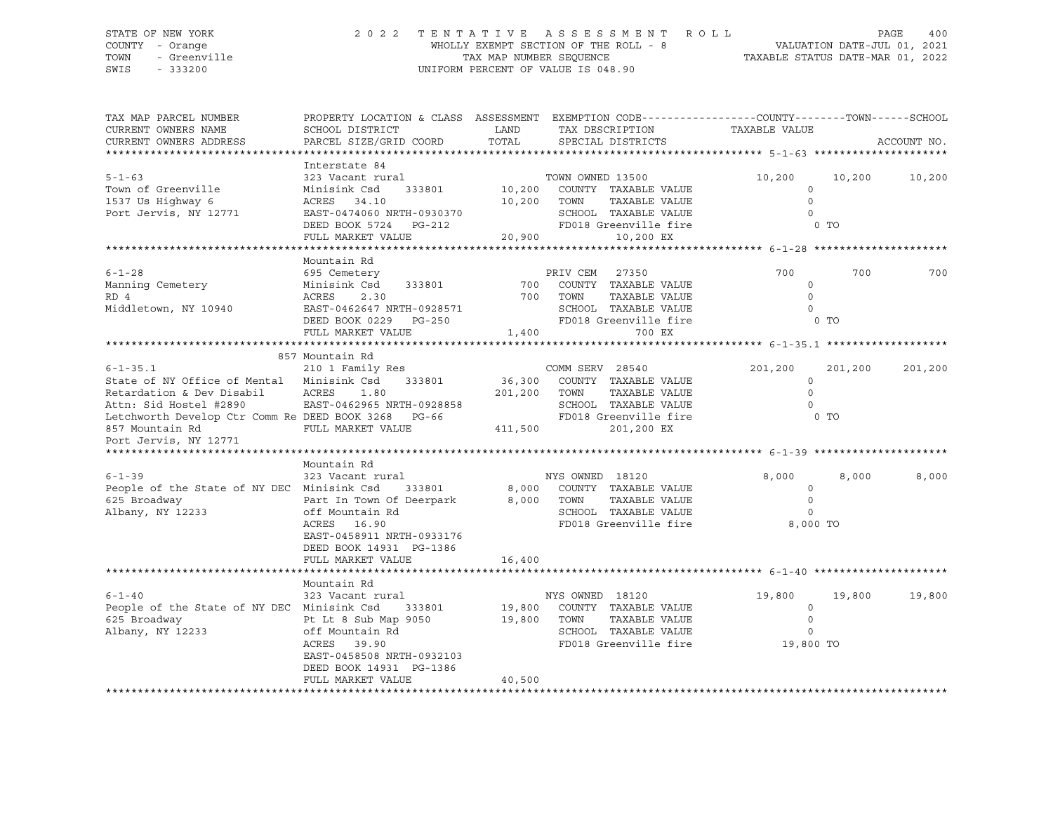### STATE OF NEW YORK 2 0 2 2 T E N T A T I V E A S S E S S M E N T R O L L PAGE 400 COUNTY - Orange WHOLLY EXEMPT SECTION OF THE ROLL - 8 VALUATION DATE-JUL 01, 2021 TOWN - Greenville TAX MAP NUMBER SEQUENCE TAXABLE STATUS DATE-MAR 01, 2022 SWIS - 333200 UNIFORM PERCENT OF VALUE IS 048.90

| TAX MAP PARCEL NUMBER<br>CURRENT OWNERS NAME<br>CURRENT OWNERS ADDRESS                                                                                                                                                                                                                                                  | PROPERTY LOCATION & CLASS ASSESSMENT EXEMPTION CODE----------------COUNTY-------TOWN------SCHOOL<br>SCHOOL DISTRICT<br>PARCEL SIZE/GRID COORD                                                                                                                                                            | LAND<br>TOTAL                               | TAX DESCRIPTION<br>SPECIAL DISTRICTS                                                                                                                                                                                                                     | TAXABLE VALUE                                                                                             | ACCOUNT NO.                          |
|-------------------------------------------------------------------------------------------------------------------------------------------------------------------------------------------------------------------------------------------------------------------------------------------------------------------------|----------------------------------------------------------------------------------------------------------------------------------------------------------------------------------------------------------------------------------------------------------------------------------------------------------|---------------------------------------------|----------------------------------------------------------------------------------------------------------------------------------------------------------------------------------------------------------------------------------------------------------|-----------------------------------------------------------------------------------------------------------|--------------------------------------|
|                                                                                                                                                                                                                                                                                                                         |                                                                                                                                                                                                                                                                                                          |                                             |                                                                                                                                                                                                                                                          |                                                                                                           |                                      |
| $5 - 1 - 63$<br>Town of Greenville<br>1537 Us Highway 6<br>Port Jervis, NY 12771                                                                                                                                                                                                                                        | Interstate 84<br>323 Vacant rural<br>Minisink Csd<br>333801<br>ACRES<br>34.10<br>EAST-0474060 NRTH-0930370<br>DEED BOOK 5724 PG-212<br>FULL MARKET VALUE                                                                                                                                                 | 10,200 TOWN<br>20,900                       | TOWN OWNED 13500<br>10,200 COUNTY TAXABLE VALUE<br>TAXABLE VALUE<br>SCHOOL TAXABLE VALUE<br>FD018 Greenville fire<br>10,200 EX                                                                                                                           | 10,200<br>$\circ$<br>$\Omega$<br>$\Omega$<br>$0$ TO                                                       | 10,200<br>10,200                     |
|                                                                                                                                                                                                                                                                                                                         | Mountain Rd                                                                                                                                                                                                                                                                                              |                                             |                                                                                                                                                                                                                                                          |                                                                                                           |                                      |
| $6 - 1 - 28$<br>Manning Cemetery<br>RD 4<br>Middletown, NY 10940                                                                                                                                                                                                                                                        | 695 Cemetery<br>333801<br>Minisink Csd<br>ACRES<br>2.30<br>EAST-0462647 NRTH-0928571<br>DEED BOOK 0229 PG-250<br>FULL MARKET VALUE                                                                                                                                                                       | 700<br>1,400                                | PRIV CEM 27350<br>COUNTY TAXABLE VALUE<br>700 TOWN<br>TAXABLE VALUE<br>SCHOOL TAXABLE VALUE<br>FD018 Greenville fire<br>700 EX                                                                                                                           | 700<br>$\Omega$<br>$\Omega$<br>$\Omega$<br>0 <sub>T</sub>                                                 | 700<br>700                           |
|                                                                                                                                                                                                                                                                                                                         |                                                                                                                                                                                                                                                                                                          |                                             |                                                                                                                                                                                                                                                          |                                                                                                           |                                      |
| $6 - 1 - 35.1$<br>State of NY Office of Mental Minisink Csd<br>Retardation & Dev Disabil<br>Attn: Sid Hostel #2890<br>Letchworth Develop Ctr Comm Re DEED BOOK 3268 PG-66<br>857 Mountain Rd<br>Port Jervis, NY 12771<br>$6 - 1 - 39$<br>People of the State of NY DEC Minisink Csd<br>625 Broadway<br>Albany, NY 12233 | 857 Mountain Rd<br>210 1 Family Res<br>333801<br>ACRES<br>1.80<br>EAST-0462965 NRTH-0928858<br>FULL MARKET VALUE<br>Mountain Rd<br>323 Vacant rural<br>333801<br>Part In Town Of Deerpark<br>off Mountain Rd<br>ACRES 16.90<br>EAST-0458911 NRTH-0933176<br>DEED BOOK 14931 PG-1386<br>FULL MARKET VALUE | 36,300<br>201,200 TOWN<br>411,500<br>16,400 | COMM SERV 28540<br>COUNTY TAXABLE VALUE<br>TAXABLE VALUE<br>SCHOOL TAXABLE VALUE<br>FD018 Greenville fire<br>201,200 EX<br>NYS OWNED 18120<br>8,000 COUNTY TAXABLE VALUE<br>8,000 TOWN<br>TAXABLE VALUE<br>SCHOOL TAXABLE VALUE<br>FD018 Greenville fire | 201,200<br>$\circ$<br>$\circ$<br>$\Omega$<br>$0$ TO<br>8,000<br>$\circ$<br>$\circ$<br>$\circ$<br>8,000 TO | 201,200<br>201,200<br>8,000<br>8,000 |
|                                                                                                                                                                                                                                                                                                                         |                                                                                                                                                                                                                                                                                                          |                                             |                                                                                                                                                                                                                                                          |                                                                                                           |                                      |
| $6 - 1 - 40$<br>People of the State of NY DEC Minisink Csd<br>625 Broadway<br>Albany, NY 12233                                                                                                                                                                                                                          | Mountain Rd<br>323 Vacant rural<br>333801<br>Pt Lt 8 Sub Map 9050<br>off Mountain Rd<br>ACRES 39.90<br>EAST-0458508 NRTH-0932103<br>DEED BOOK 14931 PG-1386<br>FULL MARKET VALUE                                                                                                                         | 19,800<br>19,800<br>40,500                  | NYS OWNED 18120<br>COUNTY TAXABLE VALUE<br>TAXABLE VALUE<br>TOWN<br>SCHOOL TAXABLE VALUE<br>FD018 Greenville fire                                                                                                                                        | 19,800<br>$\circ$<br>$\circ$<br>$\circ$<br>19,800 TO                                                      | 19,800<br>19,800                     |
|                                                                                                                                                                                                                                                                                                                         |                                                                                                                                                                                                                                                                                                          |                                             |                                                                                                                                                                                                                                                          |                                                                                                           |                                      |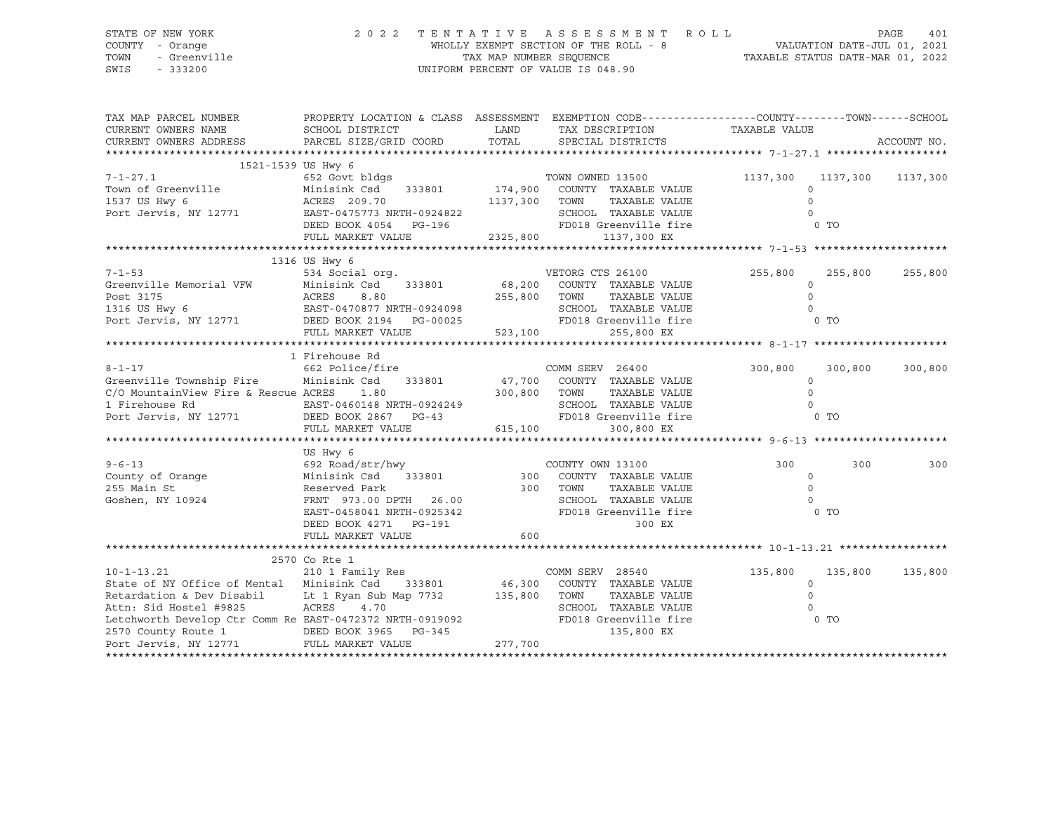#### STATE OF NEW YORK 2 0 2 2 T E N T A T I V E A S S E S S M E N T R O L L PAGE 401 COUNTY - Orange WHOLLY EXEMPT SECTION OF THE ROLL - 8 VALUATION DATE-JUL 01, 2021 TOWN - Greenville TAX MAP NUMBER SEQUENCE TAXABLE STATUS DATE-MAR 01, 2022<br>TAXABLE STATUS DATE-MAR 01, 2022 UNIFORM PERCENT OF VALUE IS 048.90

TAX MAP PARCEL NUMBER PROPERTY LOCATION & CLASS ASSESSMENT EXEMPTION CODE------------------COUNTY--------TOWN------SCHOOL CURRENT OWNERS NAME SCHOOL DISTRICT LAND TAX DESCRIPTION TAXABLE VALUE CURRENT OWNERS ADDRESS PARCEL SIZE/GRID COORD TOTAL SPECIAL DISTRICTS ACCOUNT NO. \*\*\*\*\*\*\*\*\*\*\*\*\*\*\*\*\*\*\*\*\*\*\*\*\*\*\*\*\*\*\*\*\*\*\*\*\*\*\*\*\*\*\*\*\*\*\*\*\*\*\*\*\*\*\*\*\*\*\*\*\*\*\*\*\*\*\*\*\*\*\*\*\*\*\*\*\*\*\*\*\*\*\*\*\*\*\*\*\*\*\*\*\*\*\*\*\*\*\*\*\*\*\* 7-1-27.1 \*\*\*\*\*\*\*\*\*\*\*\*\*\*\*\*\*\*\* 1521-1539 US Hwy 6 7-1-27.1 652 Govt bldgs TOWN OWNED 13500 1137,300 1137,300 1137,300 Town of Greenville Minisink Csd 333801 174,900 COUNTY TAXABLE VALUE 0 1537 US Hwy 6 ACRES 209.70 1137,300 TOWN TAXABLE VALUE 0 Port Jervis, NY 12771 EAST-0475773 NRTH-0924822 SCHOOL TAXABLE VALUE 0 DEED BOOK 4054 PG-196 FD018 Greenville fire 6 O TO FULL MARKET VALUE 2325,800 1137,300 EX \*\*\*\*\*\*\*\*\*\*\*\*\*\*\*\*\*\*\*\*\*\*\*\*\*\*\*\*\*\*\*\*\*\*\*\*\*\*\*\*\*\*\*\*\*\*\*\*\*\*\*\*\*\*\*\*\*\*\*\*\*\*\*\*\*\*\*\*\*\*\*\*\*\*\*\*\*\*\*\*\*\*\*\*\*\*\*\*\*\*\*\*\*\*\*\*\*\*\*\*\*\*\* 7-1-53 \*\*\*\*\*\*\*\*\*\*\*\*\*\*\*\*\*\*\*\*\* 1316 US Hwy 6 7-1-53 534 Social org. VETORG CTS 26100 255,800 255,800 255,800 Greenville Memorial VFW Minisink Csd 333801 68,200 COUNTY TAXABLE VALUE 0 Post 3175 ACRES 8.80 255,800 TOWN TAXABLE VALUE 0 1316 US Hwy 6 EAST-0470877 NRTH-0924098 SCHOOL TAXABLE VALUE 0 Port Jervis, NY 12771 DEED BOOK 2194 PG-00025 FD018 Greenville fire 0 TO FULL MARKET VALUE 523,100 255,800 EX \*\*\*\*\*\*\*\*\*\*\*\*\*\*\*\*\*\*\*\*\*\*\*\*\*\*\*\*\*\*\*\*\*\*\*\*\*\*\*\*\*\*\*\*\*\*\*\*\*\*\*\*\*\*\*\*\*\*\*\*\*\*\*\*\*\*\*\*\*\*\*\*\*\*\*\*\*\*\*\*\*\*\*\*\*\*\*\*\*\*\*\*\*\*\*\*\*\*\*\*\*\*\* 8-1-17 \*\*\*\*\*\*\*\*\*\*\*\*\*\*\*\*\*\*\*\*\* 1 Firehouse Rd 8-1-17 662 Police/fire COMM SERV 26400 300,800 300,800 300,800 300,800 Greenville Township Fire Minisink Csd 333801 47,700 COUNTY TAXABLE VALUE 0 C/O MountainView Fire & Rescue ACRES 1.80 300,800 TOWN TAXABLE VALUE 0 1 Firehouse Rd EAST-0460148 NRTH-0924249 SCHOOL TAXABLE VALUE 0 Port Jervis, NY 12771 DEED BOOK 2867 PG-43 FD018 Greenville fire 0 TO FULL MARKET VALUE 615,100 300,800 EX \*\*\*\*\*\*\*\*\*\*\*\*\*\*\*\*\*\*\*\*\*\*\*\*\*\*\*\*\*\*\*\*\*\*\*\*\*\*\*\*\*\*\*\*\*\*\*\*\*\*\*\*\*\*\*\*\*\*\*\*\*\*\*\*\*\*\*\*\*\*\*\*\*\*\*\*\*\*\*\*\*\*\*\*\*\*\*\*\*\*\*\*\*\*\*\*\*\*\*\*\*\*\* 9-6-13 \*\*\*\*\*\*\*\*\*\*\*\*\*\*\*\*\*\*\*\*\* US Hwy 6 9-6-13 692 Road/str/hwy COUNTY OWN 13100 300 300 300 County of Orange Minisink Csd 333801 300 COUNTY TAXABLE VALUE 0 255 Main St Reserved Park 300 TOWN TAXABLE VALUE 0 Goshen, NY 10924 FRNT 973.00 DPTH 26.00 SCHOOL TAXABLE VALUE 0 EAST-0458041 NRTH-0925342 FD018 Greenville fire 6 O TO DEED BOOK 4271 PG-191 300 EX FULL MARKET VALUE 600 \*\*\*\*\*\*\*\*\*\*\*\*\*\*\*\*\*\*\*\*\*\*\*\*\*\*\*\*\*\*\*\*\*\*\*\*\*\*\*\*\*\*\*\*\*\*\*\*\*\*\*\*\*\*\*\*\*\*\*\*\*\*\*\*\*\*\*\*\*\*\*\*\*\*\*\*\*\*\*\*\*\*\*\*\*\*\*\*\*\*\*\*\*\*\*\*\*\*\*\*\*\*\* 10-1-13.21 \*\*\*\*\*\*\*\*\*\*\*\*\*\*\*\*\* 2570 Co Rte 1 10-1-13.21 210 1 Family Res COMM SERV 28540 135,800 135,800 135,800 State of NY Office of Mental Minisink Csd 333801 46,300 COUNTY TAXABLE VALUE 0 Retardation & Dev Disabil Lt 1 Ryan Sub Map 7732 135,800 TOWN TAXABLE VALUE 0 Attn: Sid Hostel #9825 ACRES 4.70 SCHOOL TAXABLE VALUE 0 Attn: Sid Hostel #9825 Aures 1.70<br>
Letchworth Develop Ctr Comm Re EAST-0472372 NRTH-0919092 FD018 Greenville fire 0 O TO 2570 County Route 1 DEED BOOK 3965 PG-345 135,800 EX Port Jervis, NY 12771 FULL MARKET VALUE 277,700 \*\*\*\*\*\*\*\*\*\*\*\*\*\*\*\*\*\*\*\*\*\*\*\*\*\*\*\*\*\*\*\*\*\*\*\*\*\*\*\*\*\*\*\*\*\*\*\*\*\*\*\*\*\*\*\*\*\*\*\*\*\*\*\*\*\*\*\*\*\*\*\*\*\*\*\*\*\*\*\*\*\*\*\*\*\*\*\*\*\*\*\*\*\*\*\*\*\*\*\*\*\*\*\*\*\*\*\*\*\*\*\*\*\*\*\*\*\*\*\*\*\*\*\*\*\*\*\*\*\*\*\*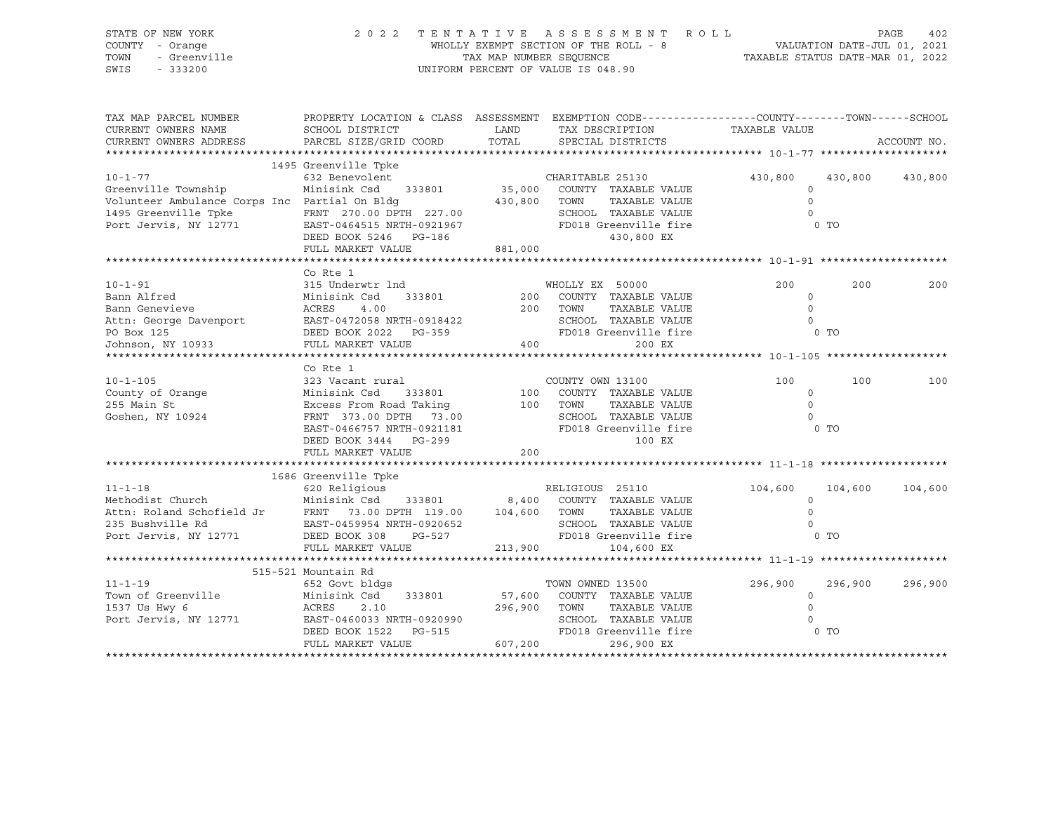| STATE OF NEW YORK<br>COUNTY - Orange<br>TOWN<br>- Greenville<br>SWIS<br>$-333200$                                                                                                                                                                                              | 2022 TENTATIVE ASSESSMENT ROLL<br>WHOLLY EXEMPT SECTION OF THE ROLL - 8<br>TAX MAP NUMBER SEQUENCE THE ROLL - 8<br>TAX MAP NUMBER SEQUENCE TAXABLE STATUS DATE-MAR 01, 2022<br>UNIFORM PERCENT OF VALUE IS 048.90 |                                     |                                                                                                                                                              |                                                         | PAGE               | 402 |
|--------------------------------------------------------------------------------------------------------------------------------------------------------------------------------------------------------------------------------------------------------------------------------|-------------------------------------------------------------------------------------------------------------------------------------------------------------------------------------------------------------------|-------------------------------------|--------------------------------------------------------------------------------------------------------------------------------------------------------------|---------------------------------------------------------|--------------------|-----|
| TAX MAP PARCEL NUMBER<br>CURRENT OWNERS NAME<br>CURRENT OWNERS ADDRESS                                                                                                                                                                                                         | PROPERTY LOCATION & CLASS ASSESSMENT EXEMPTION CODE----------------COUNTY-------TOWN------SCHOOL<br>SCHOOL DISTRICT<br>PARCEL SIZE/GRID COORD                                                                     | LAND<br>TOTAL                       | TAX DESCRIPTION<br>SPECIAL DISTRICTS                                                                                                                         | TAXABLE VALUE                                           | ACCOUNT NO.        |     |
|                                                                                                                                                                                                                                                                                | 1495 Greenville Tpke                                                                                                                                                                                              |                                     |                                                                                                                                                              |                                                         |                    |     |
| $10 - 1 - 77$<br>Greenville Township<br>Volunteer Ambulance Corps Inc Partial On Bldg<br>Volunteer Ambulance Corps Inc Fartial On Diver<br>1495 Greenville Tpke FRNT 270.00 DPTH 227.00<br>Port Jervis, NY 12771 EAST-0464515 NRTH-0921967 FD018 Greenville fire<br>130,800 EX | 632 Benevolent<br>Minisink Csd 333801 35,000 COUNTY TAXABLE VALUE                                                                                                                                                 | 430,800 TOWN                        | CHARITABLE 25130<br>TAXABLE VALUE                                                                                                                            | 430,800<br>$\circ$<br>$\circ$<br>$\Omega$<br>$0$ TO     | 430,800<br>430,800 |     |
|                                                                                                                                                                                                                                                                                | FULL MARKET VALUE                                                                                                                                                                                                 | 881,000                             |                                                                                                                                                              |                                                         |                    |     |
|                                                                                                                                                                                                                                                                                |                                                                                                                                                                                                                   |                                     |                                                                                                                                                              |                                                         |                    |     |
| $10 - 1 - 91$<br>From Alfred<br>Minisink Csd<br>333801<br>Bann Genevieve<br>ACRES 4.00<br>Attn: George Davenport<br>EAST-0472058 NRTH-0918422<br>PO Box 125<br>Johnson, NY 10933<br>FULL MARKET VALUE                                                                          | Co Rte 1<br>315 Underwtr 1nd                                                                                                                                                                                      |                                     | WHOLLY EX 50000<br>200 COUNTY TAXABLE VALUE<br>TAXABLE VALUE<br>200 TOWN<br>SCHOOL TAXABLE VALUE<br>FD018 Greenville fire 0 TO                               | 200<br>$\circ$<br>$\Omega$<br>$\Omega$                  | 200<br>200         |     |
|                                                                                                                                                                                                                                                                                |                                                                                                                                                                                                                   | 400                                 | 200 EX                                                                                                                                                       |                                                         |                    |     |
|                                                                                                                                                                                                                                                                                | Co Rte 1                                                                                                                                                                                                          |                                     |                                                                                                                                                              |                                                         |                    |     |
| $10 - 1 - 105$<br>County of Orange<br>255 Main St<br>Goshen, NY 10924                                                                                                                                                                                                          | 323 Vacant rural<br>Minisink Csd 333801<br>Excess From Road Taking<br>333801<br>FRNT 373.00 DPTH 73.00<br>EAST-0466757 NRTH-0921181<br>DEED BOOK 3444 PG-299<br>FULL MARKET VALUE                                 | 200                                 | COUNTY OWN 13100<br>100 COUNTY TAXABLE VALUE<br>100 TOWN<br>TAXABLE VALUE<br>SCHOOL TAXABLE VALUE<br>SCHOOL TAXABLE VALUE<br>FD018 Greenville fire<br>100 EX | 100<br>$\circ$<br>$\Omega$<br>$\circ$<br>0 <sub>T</sub> | 100<br>100         |     |
|                                                                                                                                                                                                                                                                                |                                                                                                                                                                                                                   |                                     |                                                                                                                                                              |                                                         |                    |     |
| $11 - 1 - 18$<br>Methodist Church<br>Attn: Roland Schofield Jr FRNT 73.00 DPTH 119.00<br>235 Bushville Rd EAST-0459954 NRTH-0920652<br>Port Jervis, NY 12771 DEED BOOK 308                                                                                                     | 1686 Greenville Tpke<br>620 Religious<br>Minisink Csd 333801<br>PG-527                                                                                                                                            | 104,600 TOWN                        | RELIGIOUS 25110<br>8,400 COUNTY TAXABLE VALUE<br>TAXABLE VALUE<br>SCHOOL TAXABLE VALUE<br>FD018 Greenville fire                                              | 104,600<br>$\Omega$<br>$\circ$<br>$\Omega$<br>$0$ TO    | 104,600 104,600    |     |
|                                                                                                                                                                                                                                                                                | FULL MARKET VALUE                                                                                                                                                                                                 | 213,900                             | 104,600 EX                                                                                                                                                   |                                                         |                    |     |
|                                                                                                                                                                                                                                                                                |                                                                                                                                                                                                                   |                                     |                                                                                                                                                              |                                                         |                    |     |
| $11 - 1 - 19$                                                                                                                                                                                                                                                                  | 515-521 Mountain Rd<br>652 Govt bldgs                                                                                                                                                                             |                                     | TOWN OWNED 13500                                                                                                                                             | 296,900                                                 | 296,900            |     |
| Town of Greenville<br>1537 Us Hwy 6<br>Port Jervis, NY 12771                                                                                                                                                                                                                   | Minisink Csd<br>ACRES<br>2.10<br>EAST-0460033 NRTH-0920990<br>DEED BOOK 1522 PG-515<br>FULL MARKET VALUE                                                                                                          | 333801 57,600<br>296,900<br>607,200 | COUNTY TAXABLE VALUE<br>TOWN<br>TAXABLE VALUE<br>SCHOOL TAXABLE VALUE<br>FD018 Greenville fire<br>296,900 EX                                                 | $\circ$<br>$\Omega$<br>$\circ$<br>0 <sub>T</sub>        | 296,900            |     |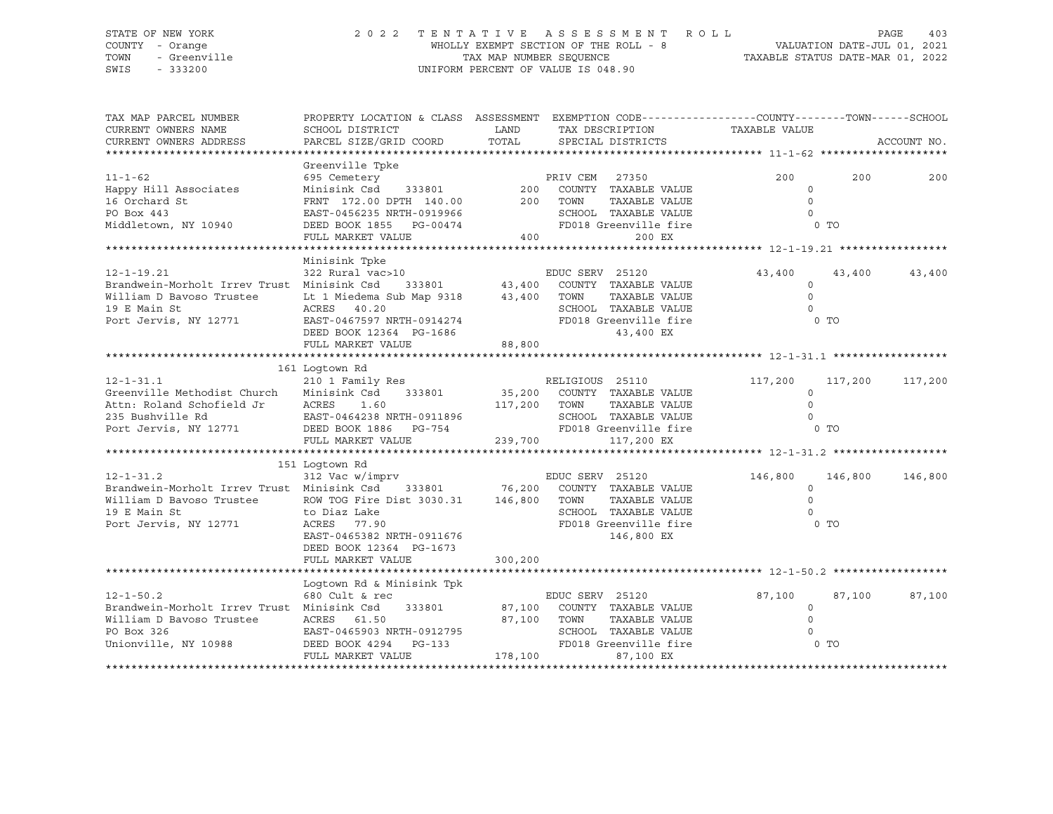### STATE OF NEW YORK 2 0 2 2 T E N T A T I V E A S S E S S M E N T R O L L PAGE 403 COUNTY - Orange WHOLLY EXEMPT SECTION OF THE ROLL - 8 VALUATION DATE-JUL 01, 2021 TOWN - Greenville TAX MAP NUMBER SEQUENCE TAXABLE STATUS DATE-MAR 01, 2022 SWIS - 333200 UNIFORM PERCENT OF VALUE IS 048.90

| TAX MAP PARCEL NUMBER<br>CURRENT OWNERS NAME                                     | SCHOOL DISTRICT                                                                                      | PROPERTY LOCATION & CLASS ASSESSMENT EXEMPTION CODE----------------COUNTY-------TOWN------SCHOOL<br>LAND<br>TAX DESCRIPTION |                                                                         | TAXABLE VALUE       |                    |
|----------------------------------------------------------------------------------|------------------------------------------------------------------------------------------------------|-----------------------------------------------------------------------------------------------------------------------------|-------------------------------------------------------------------------|---------------------|--------------------|
| CURRENT OWNERS ADDRESS                                                           | PARCEL SIZE/GRID COORD                                                                               | TOTAL                                                                                                                       | SPECIAL DISTRICTS                                                       |                     | ACCOUNT NO.        |
|                                                                                  |                                                                                                      |                                                                                                                             |                                                                         |                     |                    |
| $11 - 1 - 62$                                                                    | Greenville Tpke<br>695 Cemetery                                                                      |                                                                                                                             | e<br>PRIV CEM 27350<br>333801 200 COUNTY TAXABLE VALUE                  | 200                 | 200<br>200         |
| Happy Hill Associates                                                            | Minisink Csd                                                                                         |                                                                                                                             |                                                                         | $\Omega$            |                    |
| 16 Orchard St                                                                    | FRNT 172.00 DPTH 140.00 200 TOWN                                                                     |                                                                                                                             | TAXABLE VALUE                                                           | $\Omega$            |                    |
| PO Box 443                                                                       | FRNT 1/4.00 222.<br>EAST-0456235 NRTH-0919966                                                        |                                                                                                                             | SCHOOL TAXABLE VALUE                                                    | $\Omega$            |                    |
| Middletown, NY 10940 DEED BOOK 1855 PG-00474                                     |                                                                                                      |                                                                                                                             | FD018 Greenville fire                                                   |                     | 0 TO               |
|                                                                                  | FULL MARKET VALUE                                                                                    |                                                                                                                             | 400 000<br>200 EX                                                       |                     |                    |
|                                                                                  |                                                                                                      |                                                                                                                             |                                                                         |                     |                    |
|                                                                                  | Minisink Tpke                                                                                        |                                                                                                                             |                                                                         |                     |                    |
| $12 - 1 - 19.21$                                                                 | 322 Rural vac>10                                                                                     |                                                                                                                             | 10<br>333801 43,400 COUNTY TAXABLE VALUE                                | 43,400              | 43,400<br>43,400   |
| Brandwein-Morholt Irrev Trust Minisink Csd                                       |                                                                                                      |                                                                                                                             | TAXABLE VALUE                                                           | $\circ$<br>$\Omega$ |                    |
| William D Bavoso Trustee Lt 1 Miedema Sub Map 9318 43,400 TOWN 19 E Main St CHOC |                                                                                                      |                                                                                                                             | SCHOOL TAXABLE VALUE                                                    | $\Omega$            |                    |
|                                                                                  |                                                                                                      |                                                                                                                             |                                                                         | 0 <sub>T</sub>      |                    |
| Port Jervis, NY 12771                                                            |                                                                                                      |                                                                                                                             |                                                                         |                     |                    |
|                                                                                  | EAST-0467597 NRTH-0914274<br>DEED BOOK 12364 PG-1686<br>FULL MARKET VALUE 88,800<br>88,800<br>28,800 |                                                                                                                             |                                                                         |                     |                    |
|                                                                                  |                                                                                                      |                                                                                                                             |                                                                         |                     |                    |
|                                                                                  | 161 Loqtown Rd                                                                                       |                                                                                                                             |                                                                         |                     |                    |
| $12 - 1 - 31.1$                                                                  | 210 1 Family Res                                                                                     |                                                                                                                             | RELIGIOUS 25110<br>35,200 COUNTY TAXABLE VALUE<br>25 TIME TAYABLE VALUE | 117,200             | 117,200<br>117,200 |
| Greenville Methodist Church                                                      | Minisink Csd 333801                                                                                  |                                                                                                                             |                                                                         | $\Omega$            |                    |
| Attn: Roland Schofield Jr                                                        |                                                                                                      | 117,200 TOWN                                                                                                                | TAXABLE VALUE                                                           | $\Omega$            |                    |
| 235 Bushville Rd                                                                 | eld Jr       ACRES     1.60<br>EAST-0464238 NRTH-0911896                                             |                                                                                                                             | SCHOOL TAXABLE VALUE                                                    | $\Omega$            |                    |
| Port Jervis, NY 12771 DEED BOOK 1886 PG-754                                      |                                                                                                      |                                                                                                                             | FD018 Greenville fire                                                   |                     | 0 TO               |
|                                                                                  | FULL MARKET VALUE                                                                                    | 239,700                                                                                                                     | 117,200 EX                                                              |                     |                    |
|                                                                                  |                                                                                                      |                                                                                                                             |                                                                         |                     |                    |
|                                                                                  | 151 Loqtown Rd                                                                                       |                                                                                                                             |                                                                         |                     |                    |
| $12 - 1 - 31.2$                                                                  |                                                                                                      |                                                                                                                             |                                                                         | 146,800 146,800     | 146,800            |
| Brandwein-Morholt Irrev Trust Minisink Csd                                       |                                                                                                      |                                                                                                                             | 333801 76,200 COUNTY TAXABLE VALUE                                      | $\circ$             |                    |
|                                                                                  |                                                                                                      |                                                                                                                             | TAXABLE VALUE                                                           | $\Omega$            |                    |
|                                                                                  |                                                                                                      |                                                                                                                             | SCHOOL TAXABLE VALUE                                                    | $\Omega$            |                    |
| Port Jervis, NY 12771                                                            | ACRES 77.90                                                                                          |                                                                                                                             | FD018 Greenville fire                                                   | $0$ TO              |                    |
|                                                                                  | EAST-0465382 NRTH-0911676                                                                            |                                                                                                                             | 146,800 EX                                                              |                     |                    |
|                                                                                  | DEED BOOK 12364 PG-1673                                                                              |                                                                                                                             |                                                                         |                     |                    |
|                                                                                  | FULL MARKET VALUE                                                                                    | 300,200                                                                                                                     |                                                                         |                     |                    |
|                                                                                  | Logtown Rd & Minisink Tpk                                                                            |                                                                                                                             |                                                                         |                     |                    |
| $12 - 1 - 50.2$                                                                  | 680 Cult & rec                                                                                       |                                                                                                                             | EDUC SERV 25120                                                         | 87,100              | 87,100<br>87,100   |
| Brandwein-Morholt Irrev Trust Minisink Csd                                       | 333801                                                                                               |                                                                                                                             | 87,100 COUNTY TAXABLE VALUE                                             | $\circ$             |                    |
|                                                                                  | ACRES 61.50                                                                                          |                                                                                                                             | 87,100 TOWN<br>TAXABLE VALUE                                            | $\circ$             |                    |
| William D Bavoso Trustee<br>PO Box 326                                           | EAST-0465903 NRTH-0912795                                                                            |                                                                                                                             | SCHOOL TAXABLE VALUE                                                    |                     |                    |
| Unionville, NY 10988                                                             | DEED BOOK 4294 PG-133                                                                                |                                                                                                                             | FD018 Greenville fire                                                   | 0 TO                |                    |
|                                                                                  | FULL MARKET VALUE                                                                                    | 178,100                                                                                                                     | 87,100 EX                                                               |                     |                    |
|                                                                                  |                                                                                                      |                                                                                                                             |                                                                         |                     |                    |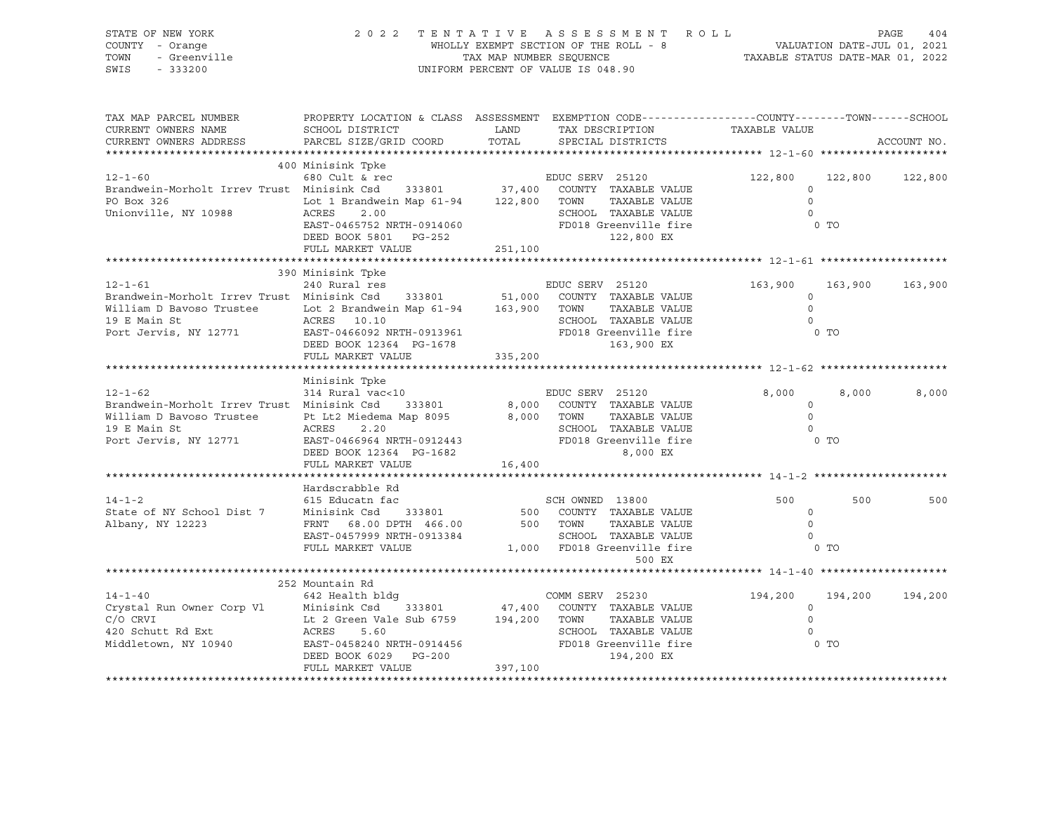| STATE OF NEW YORK<br>COUNTY - Orange<br>$-222$<br>- Greenville<br>- 333200<br>TOWN<br>SWIS - 333200                                                                                                                                                                                                         | 2022 TENTATIVE ASSESSMENT ROLL<br>WHOLLY EXEMPT SECTION OF THE ROLL - 8<br>TAX MAP NUMBER SEQUENCE TAXABLE STATUS DATE-MAR 01, 2022<br>UNIFORM PERCENT OF VALUE IS 048.90                            |         |                           |                                                                                                                                                                                            |                 |             |
|-------------------------------------------------------------------------------------------------------------------------------------------------------------------------------------------------------------------------------------------------------------------------------------------------------------|------------------------------------------------------------------------------------------------------------------------------------------------------------------------------------------------------|---------|---------------------------|--------------------------------------------------------------------------------------------------------------------------------------------------------------------------------------------|-----------------|-------------|
| TAX MAP PARCEL NUMBER THE PROPERTY LOCATION & CLASS ASSESSMENT EXEMPTION CODE--------------COUNTY-------TOWN------SCHOOL<br>CURRENT OWNERS NAME<br>CURRENT OWNERS ADDRESS                                                                                                                                   |                                                                                                                                                                                                      |         |                           |                                                                                                                                                                                            |                 | ACCOUNT NO. |
|                                                                                                                                                                                                                                                                                                             | 400 Minisink Tpke                                                                                                                                                                                    |         |                           | 122,800 122,800 122,800                                                                                                                                                                    |                 |             |
| $\begin{tabular}{lcccc} \bf 12-1-60 & \bf 400 \; Minisink \; Tpke & \tt EDUC \; SERV & 25120 & \tt 122,800 & 122 \; \tt 122,800 & 122 \; \tt 123,800 & 123 \; \tt 124,800 & 125 \; \tt 125,800 & 126 \; \tt 126,800 & 127 \; \tt 127,800 & 128 \; \tt 128,800 & 128 \; \tt 129,800 & 128 \; \tt 129,800 & $ |                                                                                                                                                                                                      |         |                           |                                                                                                                                                                                            |                 |             |
|                                                                                                                                                                                                                                                                                                             |                                                                                                                                                                                                      |         |                           |                                                                                                                                                                                            |                 |             |
| $12 - 1 - 61$<br>240 Rural res<br>Brandwein-Morholt Irrev Trust Minisink Csd 333801 51,000 COUNTY TAXABLE VALUE<br>William D Bavoso Trustee Lot 2 Brandwein Map 61-94 163,900 TOWN TAXABLE VALUE<br>19 E Main St ACRES 10.10 SCHOOL TAXABLE VALUE<br>Po                                                     | 390 Minisink Tpke<br>240 Rural res                                                                                                                                                                   |         | EDUC SERV 25120           | 163,900<br>ALUE 163,900<br>ALUE 0<br>ALUE 0                                                                                                                                                | 163,900 163,900 |             |
|                                                                                                                                                                                                                                                                                                             | FULL MARKET VALUE 335,200                                                                                                                                                                            |         |                           |                                                                                                                                                                                            |                 |             |
|                                                                                                                                                                                                                                                                                                             |                                                                                                                                                                                                      |         |                           |                                                                                                                                                                                            |                 |             |
| $12 - 1 - 62$<br>EDUC SERV 25120<br>Brandwein-Morholt Irrev Trust Minisink Csd 333801 8,000 COUNTY TAXABLE VALUE<br>William D Bavoso Trustee Pt Lt2 Middlema Map 8095 8,000 TOWN TAXABLE VALUE<br>19 E Main St ACRES 2.20 SCHOOL TAXABLE VALUE<br>POIL                                                      | Minisink Tpke<br>314 Rural vac<10                                                                                                                                                                    |         | EDUC SERV 25120           | $\begin{tabular}{cc} \texttt{VALUE} & \texttt{8,000} \\ \texttt{VALUE} & \texttt{0} \\ \texttt{VALUE} & \texttt{0} \\ \texttt{VALUE} & \texttt{0} \end{tabular}$<br>$\overline{0}$<br>0 TO | 8,000           | 8,000       |
|                                                                                                                                                                                                                                                                                                             |                                                                                                                                                                                                      |         |                           |                                                                                                                                                                                            |                 |             |
|                                                                                                                                                                                                                                                                                                             | Hardscrabble Rd                                                                                                                                                                                      |         |                           |                                                                                                                                                                                            |                 |             |
| 14-1-2<br>500 SCH OWNED 13800<br>500 COUNTY TAXABLE VALUE<br>Albany, NY 12223 FRNT 68.00 DPTH 466.00<br>500 TOWN TAXABLE VALUE<br>500 TOWN TAXABLE VALUE<br>TAXABLE VALUE                                                                                                                                   | EAST-0457999 NRTH-0913384<br>EAST-0457999 NRTH-0913384<br>FULL MARKET VALUE 1,000 FD018 Greenville fire the contract of the contract of the contract of the contract of<br>EAST-0457999 NRTH-0913384 |         | SCH OWNED 13800<br>500 EX | 500<br>$\overline{a}$<br>$\overline{0}$                                                                                                                                                    | 500             | 500         |
|                                                                                                                                                                                                                                                                                                             |                                                                                                                                                                                                      |         |                           |                                                                                                                                                                                            |                 |             |
|                                                                                                                                                                                                                                                                                                             |                                                                                                                                                                                                      |         |                           |                                                                                                                                                                                            |                 |             |
| 252 Mountain Rd<br>252 Mountain Rd<br>262 Health bldg<br>262 Health bldg<br>27.400 COMM SERV 25230<br>27.400 COMM SERV 25230<br>27.400 COMM SERV 25230<br>27.400 COMM TAXABLE VALUE<br>27.400 COMM TAXABLE VALUE<br>282 Health bldg<br>27.400 COMM                                                          |                                                                                                                                                                                                      |         |                           |                                                                                                                                                                                            |                 |             |
|                                                                                                                                                                                                                                                                                                             | FULL MARKET VALUE                                                                                                                                                                                    | 397,100 |                           |                                                                                                                                                                                            |                 |             |
|                                                                                                                                                                                                                                                                                                             |                                                                                                                                                                                                      |         |                           |                                                                                                                                                                                            |                 |             |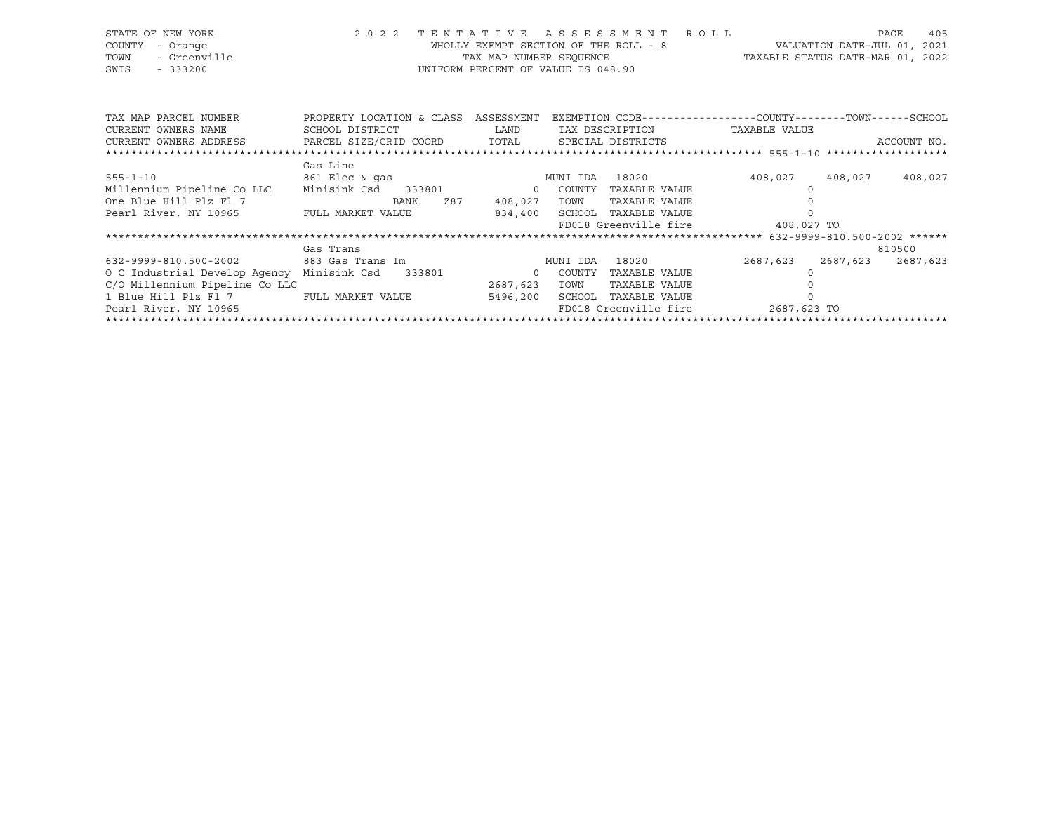| STATE OF NEW YORK<br>COUNTY<br>- Orange   | 2 0 2 2                   | TENTATIVE                                                     | A S S E S S M E N T<br>WHOLLY EXEMPT SECTION OF THE ROLL - 8 | ROLL |               | PAGE<br>VALUATION DATE-JUL 01, 2021 | 405                              |
|-------------------------------------------|---------------------------|---------------------------------------------------------------|--------------------------------------------------------------|------|---------------|-------------------------------------|----------------------------------|
| - Greenville<br>TOWN<br>SWIS<br>$-333200$ |                           | TAX MAP NUMBER SEOUENCE<br>UNIFORM PERCENT OF VALUE IS 048.90 |                                                              |      |               |                                     | TAXABLE STATUS DATE-MAR 01, 2022 |
| TAX MAP PARCEL NUMBER                     | PROPERTY LOCATION & CLASS | ASSESSMENT                                                    | EXEMPTION CODE-----------------COUNTY-------TOWN------SCHOOL |      |               |                                     |                                  |
| CURRENT OWNERS NAME                       | SCHOOL DISTRICT           | LAND                                                          | TAX DESCRIPTION                                              |      | TAXABLE VALUE |                                     |                                  |
| CURRENT OWNERS ADDRESS                    | PARCEL SIZE/GRID COORD    | TOTAL                                                         | SPECIAL DISTRICTS                                            |      |               |                                     | ACCOUNT NO.                      |
|                                           | Gas Line                  |                                                               |                                                              |      |               |                                     |                                  |
| $555 - 1 - 10$                            | 861 Elec & qas            |                                                               | MUNI IDA<br>18020                                            |      | 408,027       | 408,027                             | 408,027                          |
| Millennium Pipeline Co LLC                | Minisink Csd<br>333801    | $\Omega$                                                      | COUNTY<br>TAXABLE VALUE                                      |      |               |                                     |                                  |
| One Blue Hill Plz Fl 7                    | BANK<br>Z87               | 408,027                                                       | TOWN<br>TAXABLE VALUE                                        |      |               |                                     |                                  |
| Pearl River, NY 10965                     | FULL MARKET VALUE         | 834,400                                                       | SCHOOL<br>TAXABLE VALUE                                      |      |               |                                     |                                  |
|                                           |                           |                                                               | FD018 Greenville fire                                        |      | 408,027 TO    |                                     |                                  |
|                                           |                           |                                                               |                                                              |      |               |                                     |                                  |

|                                            | Gas Trans         |          |          |                       |             |          | 810500   |
|--------------------------------------------|-------------------|----------|----------|-----------------------|-------------|----------|----------|
| 632-9999-810.500-2002                      | 883 Gas Trans Im  |          | MUNI IDA | 18020                 | 2687,623    | 2687,623 | 2687,623 |
| O C Industrial Develop Agency Minisink Csd | 333801            |          | COUNTY   | TAXABLE VALUE         |             |          |          |
| C/O Millennium Pipeline Co LLC             |                   | 2687,623 | TOWN     | TAXABLE VALUE         |             |          |          |
| 1 Blue Hill Plz Fl 7                       | FULL MARKET VALUE | 5496,200 | SCHOOL   | TAXABLE VALUE         |             |          |          |
| Pearl River, NY 10965                      |                   |          |          | FD018 Greenville fire | 2687,623 TO |          |          |
|                                            |                   |          |          |                       |             |          |          |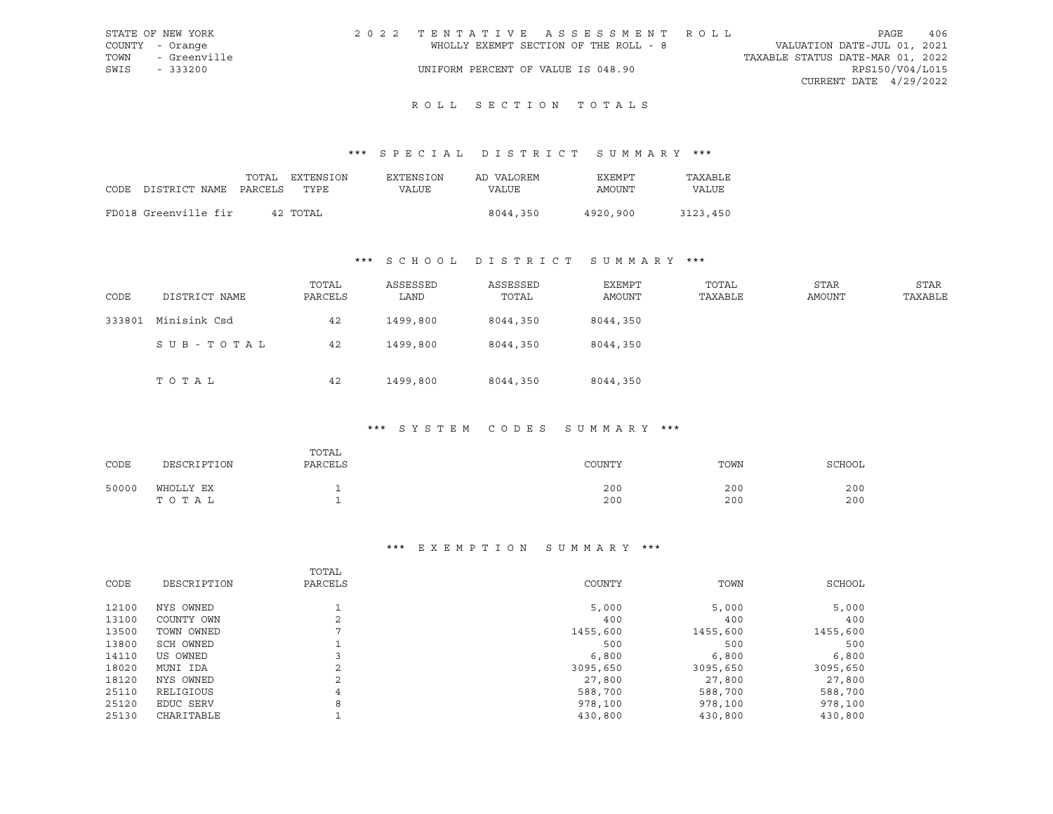| STATE OF NEW YORK |              | 2022 TENTATIVE ASSESSMENT ROLL |                                       |                                  | PAGE                   | 406 |
|-------------------|--------------|--------------------------------|---------------------------------------|----------------------------------|------------------------|-----|
| COUNTY - Orange   |              |                                | WHOLLY EXEMPT SECTION OF THE ROLL - 8 | VALUATION DATE-JUL 01, 2021      |                        |     |
| TOWN              | - Greenville |                                |                                       | TAXABLE STATUS DATE-MAR 01, 2022 |                        |     |
| SWIS<br>$-333200$ |              |                                | UNIFORM PERCENT OF VALUE IS 048.90    |                                  | RPS150/V04/L015        |     |
|                   |              |                                |                                       |                                  | CURRENT DATE 4/29/2022 |     |

## ROLL SECTION TOTALS

## \*\*\* S P E C I A L D I S T R I C T S U M M A R Y \*\*\*

| CODE DISTRICT NAME PARCELS | TOTAL | EXTENSION<br>TYPE. | EXTENSION<br>VALUE | AD VALOREM<br>VALUE | EXEMPT<br>AMOUNT | TAXABLE<br>VALUE |
|----------------------------|-------|--------------------|--------------------|---------------------|------------------|------------------|
| FD018 Greenville fir       |       | 42 TOTAL           |                    | 8044,350            | 4920,900         | 3123,450         |

# \*\*\* S C H O O L D I S T R I C T S U M M A R Y \*\*\*

| CODE   | DISTRICT NAME | TOTAL<br>PARCELS | ASSESSED<br>LAND | ASSESSED<br>TOTAL | EXEMPT<br>AMOUNT | TOTAL<br>TAXABLE | <b>STAR</b><br>AMOUNT | <b>STAR</b><br>TAXABLE |
|--------|---------------|------------------|------------------|-------------------|------------------|------------------|-----------------------|------------------------|
| 333801 | Minisink Csd  | 42               | 1499,800         | 8044,350          | 8044,350         |                  |                       |                        |
|        | SUB-TOTAL     | 42               | 1499,800         | 8044,350          | 8044,350         |                  |                       |                        |
|        | TOTAL         | 42               | 1499,800         | 8044,350          | 8044,350         |                  |                       |                        |

### \*\*\* S Y S T E M C O D E S S U M M A R Y \*\*\*

| CODE  | DESCRIPTION        | TOTAL<br>PARCELS | COUNTY                      | TOWN                        | SCHOOL     |
|-------|--------------------|------------------|-----------------------------|-----------------------------|------------|
| 50000 | WHOLLY EX<br>TOTAL |                  | 200<br>$\sim$ $\sim$<br>200 | 200<br>$\sim$ $\sim$<br>200 | 200<br>200 |

#### \*\*\* E X E M P T I O N S U M M A R Y \*\*\*

|       |             | TOTAL       |          |          |          |
|-------|-------------|-------------|----------|----------|----------|
| CODE  | DESCRIPTION | PARCELS     | COUNTY   | TOWN     | SCHOOL   |
| 12100 | NYS OWNED   |             | 5,000    | 5,000    | 5,000    |
| 13100 | COUNTY OWN  | $\sim$<br>∠ | 400      | 400      | 400      |
| 13500 | TOWN OWNED  | ⇁           | 1455,600 | 1455,600 | 1455,600 |
| 13800 | SCH OWNED   |             | 500      | 500      | 500      |
| 14110 | US OWNED    |             | 6,800    | 6,800    | 6,800    |
| 18020 | MUNI IDA    |             | 3095,650 | 3095,650 | 3095,650 |
| 18120 | NYS OWNED   | C.<br>∠     | 27,800   | 27,800   | 27,800   |
| 25110 | RELIGIOUS   | 4           | 588,700  | 588,700  | 588,700  |
| 25120 | EDUC SERV   | 8           | 978,100  | 978,100  | 978,100  |
| 25130 | CHARITABLE  |             | 430,800  | 430,800  | 430,800  |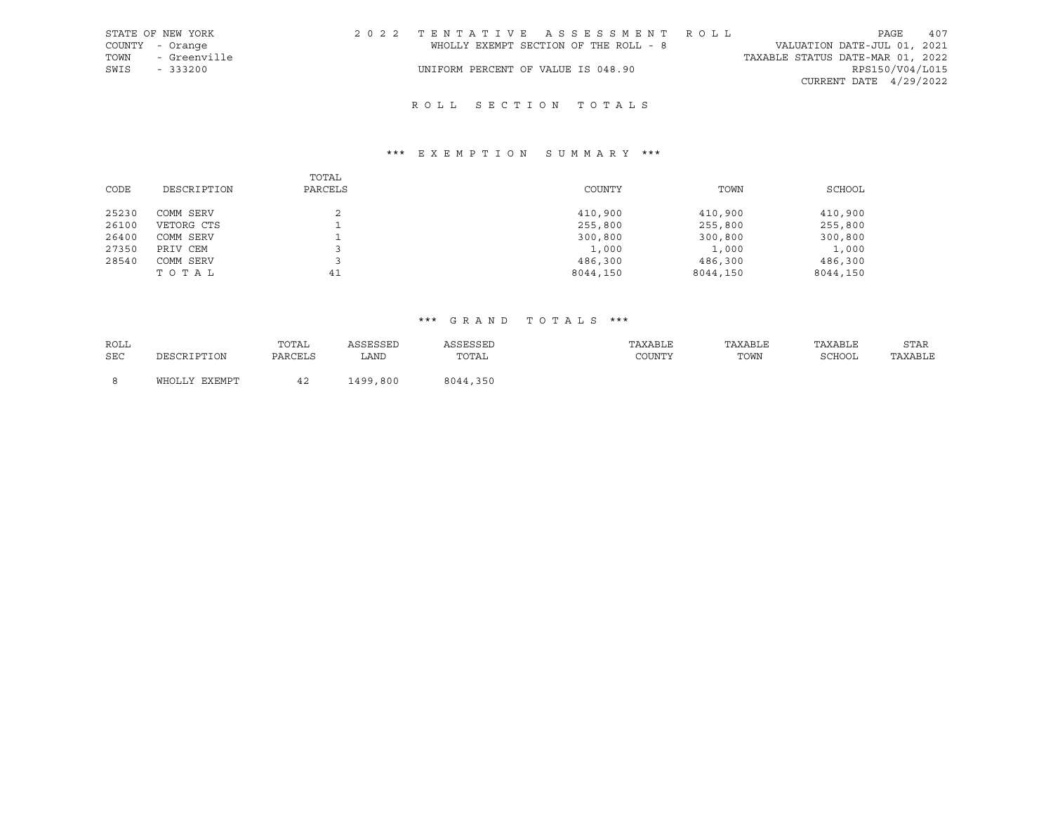|      | STATE OF NEW YORK | 2022 TENTATIVE ASSESSMENT ROLL        |  |  |                                  |                          | PAGE | 407 |
|------|-------------------|---------------------------------------|--|--|----------------------------------|--------------------------|------|-----|
|      | COUNTY - Orange   | WHOLLY EXEMPT SECTION OF THE ROLL - 8 |  |  | VALUATION DATE-JUL 01, 2021      |                          |      |     |
| TOWN | - Greenville      |                                       |  |  | TAXABLE STATUS DATE-MAR 01, 2022 |                          |      |     |
| SWIS | $-333200$         | UNIFORM PERCENT OF VALUE IS 048.90    |  |  |                                  | RPS150/V04/L015          |      |     |
|      |                   |                                       |  |  |                                  | CURRENT DATE $4/29/2022$ |      |     |

## R O L L S E C T I O N T O T A L S

## \*\*\* E X E M P T I O N S U M M A R Y \*\*\*

|       |             | TOTAL   |          |          |          |
|-------|-------------|---------|----------|----------|----------|
| CODE  | DESCRIPTION | PARCELS | COUNTY   | TOWN     | SCHOOL   |
|       |             |         |          |          |          |
| 25230 | COMM SERV   |         | 410,900  | 410,900  | 410,900  |
| 26100 | VETORG CTS  |         | 255,800  | 255,800  | 255,800  |
| 26400 | COMM SERV   |         | 300,800  | 300,800  | 300,800  |
| 27350 | PRIV CEM    |         | 1,000    | 1,000    | 1,000    |
| 28540 | COMM SERV   |         | 486,300  | 486,300  | 486,300  |
|       | TOTAL       | 41      | 8044,150 | 8044,150 | 8044,150 |

| ROLL |                      | TOTAL   | ASSESSED | ASSESSED | TAXABLE | TAXABLE | TAXABLE | <b>STAR</b> |
|------|----------------------|---------|----------|----------|---------|---------|---------|-------------|
| SEC  | DESCRIPTION          | PARCELS | ∟AND     | TOTAL    | COUNTY  | TOWN    | SCHOOL  | TAXABLE     |
|      |                      |         |          |          |         |         |         |             |
|      | EXEMPT<br>Y J J TOHW |         | 1499,800 | 8044,350 |         |         |         |             |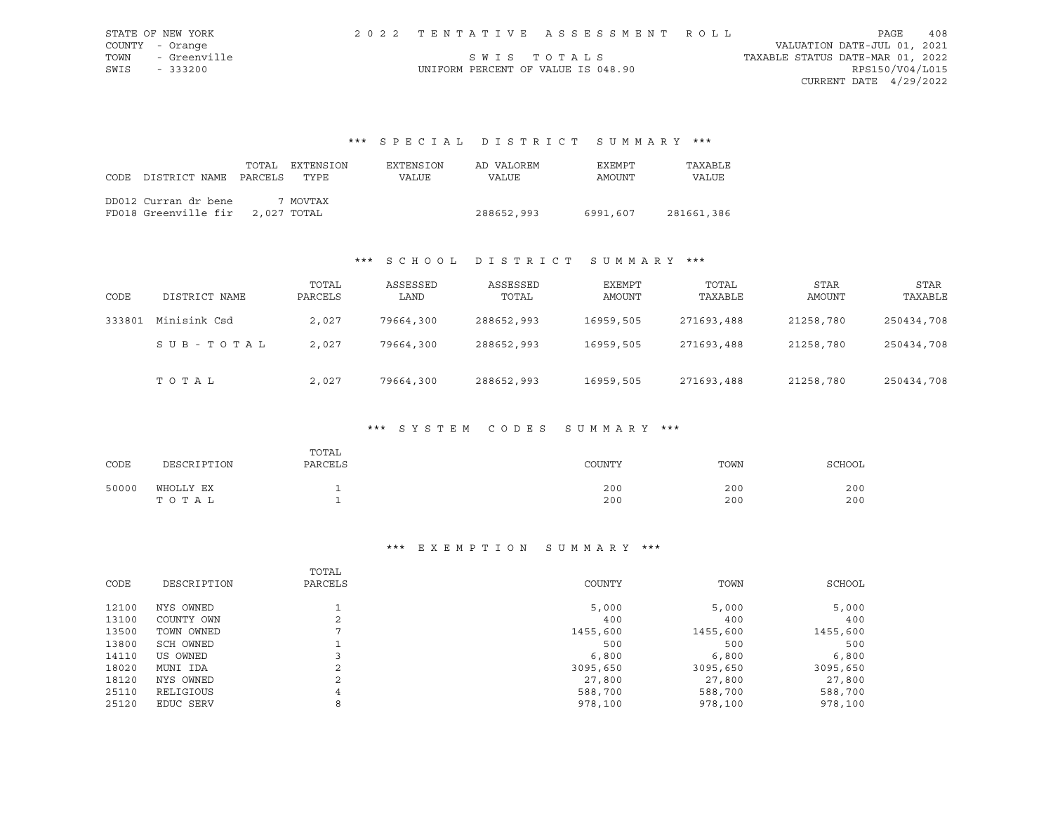| STATE OF NEW YORK    |                                    | 2022 TENTATIVE ASSESSMENT ROLL |                                  | PAGE                        | 408 |
|----------------------|------------------------------------|--------------------------------|----------------------------------|-----------------------------|-----|
| COUNTY - Orange      |                                    |                                |                                  | VALUATION DATE-JUL 01, 2021 |     |
| TOWN<br>- Greenville |                                    | SWIS TOTALS                    | TAXABLE STATUS DATE-MAR 01, 2022 |                             |     |
| SWIS<br>$-333200$    | UNIFORM PERCENT OF VALUE IS 048.90 |                                |                                  | RPS150/V04/L015             |     |
|                      |                                    |                                |                                  | CURRENT DATE $4/29/2022$    |     |

\*\*\* S P E C I A L D I S T R I C T S U M M A R Y \*\*\*

| CODE | DISTRICT NAME PARCELS                                    | TOTAL | EXTENSION<br>TYPE | EXTENSION<br><b>VALUE</b> | AD VALOREM<br><b>VALUE</b> | EXEMPT<br>AMOUNT | TAXABLE<br>VALUE |
|------|----------------------------------------------------------|-------|-------------------|---------------------------|----------------------------|------------------|------------------|
|      | DD012 Curran dr bene<br>FD018 Greenville fir 2,027 TOTAL |       | 7 MOVTAX          |                           | 288652,993                 | 6991,607         | 281661,386       |

# \*\*\* S C H O O L D I S T R I C T S U M M A R Y \*\*\*

| CODE   | DISTRICT NAME | TOTAL<br>PARCELS | ASSESSED<br>LAND | ASSESSED<br>TOTAL | EXEMPT<br>AMOUNT | TOTAL<br>TAXABLE | <b>STAR</b><br>AMOUNT | STAR<br>TAXABLE |
|--------|---------------|------------------|------------------|-------------------|------------------|------------------|-----------------------|-----------------|
| 333801 | Minisink Csd  | 2,027            | 79664,300        | 288652,993        | 16959,505        | 271693,488       | 21258,780             | 250434,708      |
|        | SUB-TOTAL     | 2,027            | 79664,300        | 288652,993        | 16959,505        | 271693,488       | 21258,780             | 250434,708      |
|        | TOTAL         | 2,027            | 79664,300        | 288652,993        | 16959,505        | 271693,488       | 21258,780             | 250434,708      |

### \*\*\* S Y S T E M C O D E S S U M M A R Y \*\*\*

| CODE  | DESCRIPTION        | TOTAL<br>PARCELS | COUNTY     | TOWN       | <b>SCHOOL</b> |
|-------|--------------------|------------------|------------|------------|---------------|
| 50000 | WHOLLY EX<br>TOTAL |                  | 200<br>200 | 200<br>200 | 200<br>200    |

#### \*\*\* E X E M P T I O N S U M M A R Y \*\*\*

|       |             | TOTAL        |          |          |          |
|-------|-------------|--------------|----------|----------|----------|
| CODE  | DESCRIPTION | PARCELS      | COUNTY   | TOWN     | SCHOOL   |
| 12100 | NYS OWNED   |              | 5,000    | 5,000    | 5,000    |
| 13100 | COUNTY OWN  | $\sim$<br>∠  | 400      | 400      | 400      |
| 13500 | TOWN OWNED  | ⇁            | 1455,600 | 1455,600 | 1455,600 |
| 13800 | SCH OWNED   |              | 500      | 500      | 500      |
| 14110 | US OWNED    |              | 6,800    | 6,800    | 6,800    |
| 18020 | MUNI IDA    | $\sim$<br>z. | 3095,650 | 3095,650 | 3095,650 |
| 18120 | NYS OWNED   | $\sim$<br>∠  | 27,800   | 27,800   | 27,800   |
| 25110 | RELIGIOUS   | 4            | 588,700  | 588,700  | 588,700  |
| 25120 | EDUC SERV   | 8            | 978,100  | 978,100  | 978,100  |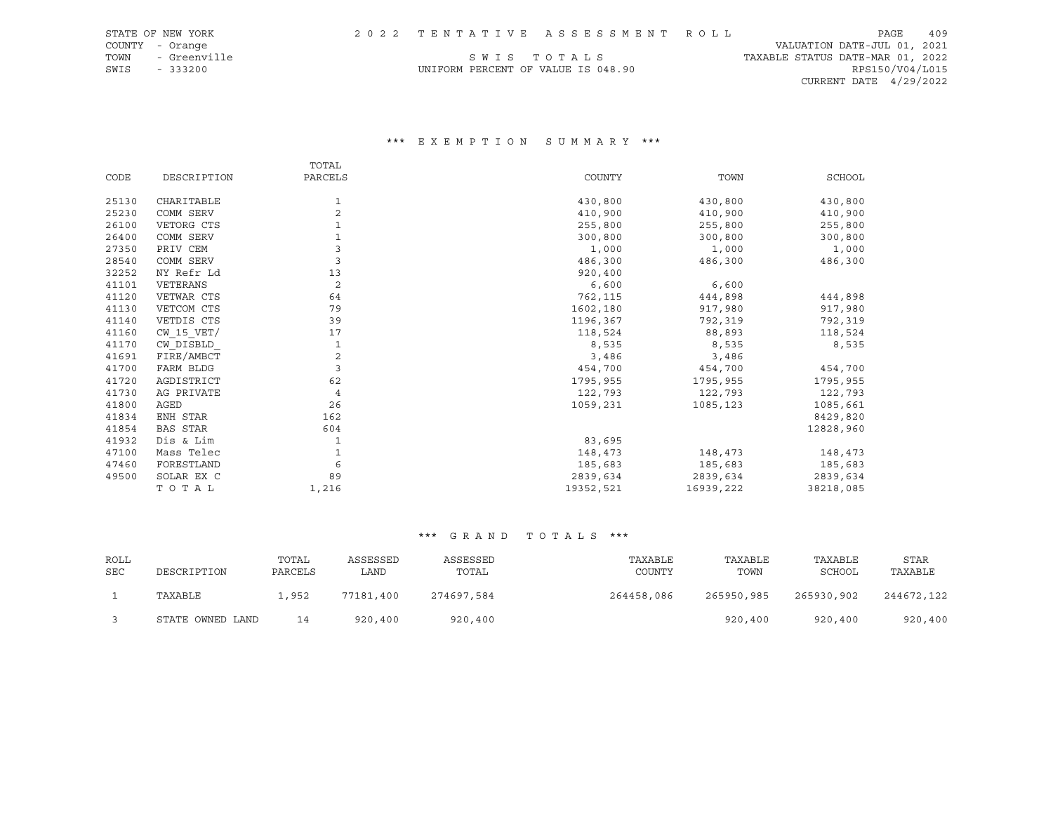| STATE OF NEW YORK    |  | 2022 TENTATIVE ASSESSMENT ROLL     |                                  | PAGE            | - 409 |
|----------------------|--|------------------------------------|----------------------------------|-----------------|-------|
| COUNTY - Orange      |  |                                    | VALUATION DATE-JUL 01, 2021      |                 |       |
| TOWN<br>- Greenville |  | SWIS TOTALS                        | TAXABLE STATUS DATE-MAR 01, 2022 |                 |       |
| SWIS<br>$-333200$    |  | UNIFORM PERCENT OF VALUE IS 048.90 |                                  | RPS150/V04/L015 |       |
|                      |  |                                    | CURRENT DATE $4/29/2022$         |                 |       |

### \*\*\* E X E M P T I O N S U M M A R Y \*\*\*

|       |                 | TOTAL          |           |           |           |
|-------|-----------------|----------------|-----------|-----------|-----------|
| CODE  | DESCRIPTION     | PARCELS        | COUNTY    | TOWN      | SCHOOL    |
| 25130 | CHARITABLE      | 1              | 430,800   | 430,800   | 430,800   |
| 25230 | COMM SERV       | $\overline{2}$ | 410,900   | 410,900   | 410,900   |
| 26100 | VETORG CTS      |                | 255,800   | 255,800   | 255,800   |
| 26400 | COMM SERV       |                | 300,800   | 300,800   | 300,800   |
| 27350 | PRIV CEM        |                | 1,000     |           | 1,000     |
|       |                 |                |           | 1,000     |           |
| 28540 | COMM SERV       | 3              | 486,300   | 486,300   | 486,300   |
| 32252 | NY Refr Ld      | 13             | 920,400   |           |           |
| 41101 | VETERANS        | $\overline{c}$ | 6,600     | 6,600     |           |
| 41120 | VETWAR CTS      | 64             | 762,115   | 444,898   | 444,898   |
| 41130 | VETCOM CTS      | 79             | 1602,180  | 917,980   | 917,980   |
| 41140 | VETDIS CTS      | 39             | 1196,367  | 792,319   | 792,319   |
| 41160 | $CW$ 15 $VET/$  | 17             | 118,524   | 88,893    | 118,524   |
| 41170 | CW DISBLD       | 1              | 8,535     | 8,535     | 8,535     |
| 41691 | FIRE/AMBCT      | 2              | 3,486     | 3,486     |           |
| 41700 | FARM BLDG       | 3              | 454,700   | 454,700   | 454,700   |
| 41720 | AGDISTRICT      | 62             | 1795,955  | 1795,955  | 1795,955  |
| 41730 | AG PRIVATE      | $\overline{4}$ | 122,793   | 122,793   | 122,793   |
| 41800 | AGED            | 26             | 1059,231  | 1085,123  | 1085,661  |
| 41834 | ENH STAR        | 162            |           |           | 8429,820  |
| 41854 | <b>BAS STAR</b> | 604            |           |           | 12828,960 |
| 41932 | Dis & Lim       | 1              | 83,695    |           |           |
| 47100 | Mass Telec      | 1              | 148,473   | 148,473   | 148,473   |
| 47460 | FORESTLAND      | 6              | 185,683   | 185,683   | 185,683   |
| 49500 | SOLAR EX C      | 89             | 2839,634  | 2839,634  | 2839,634  |
|       | TOTAL           | 1,216          | 19352,521 | 16939,222 | 38218,085 |

| ROLL<br><b>SEC</b> | DESCRIPTION      | TOTAL<br>PARCELS | ASSESSED<br>LAND | ASSESSED<br>TOTAL | TAXABLE<br>COUNTY | TAXABLE<br>TOWN | TAXABLE<br>SCHOOL | <b>STAR</b><br>TAXABLE |
|--------------------|------------------|------------------|------------------|-------------------|-------------------|-----------------|-------------------|------------------------|
|                    | TAXABLE          | .,952            | 77181,400        | 274697,584        | 264458,086        | 265950,985      | 265930,902        | 244672,122             |
|                    | STATE OWNED LAND | 14               | 920,400          | 920,400           |                   | 920,400         | 920,400           | 920,400                |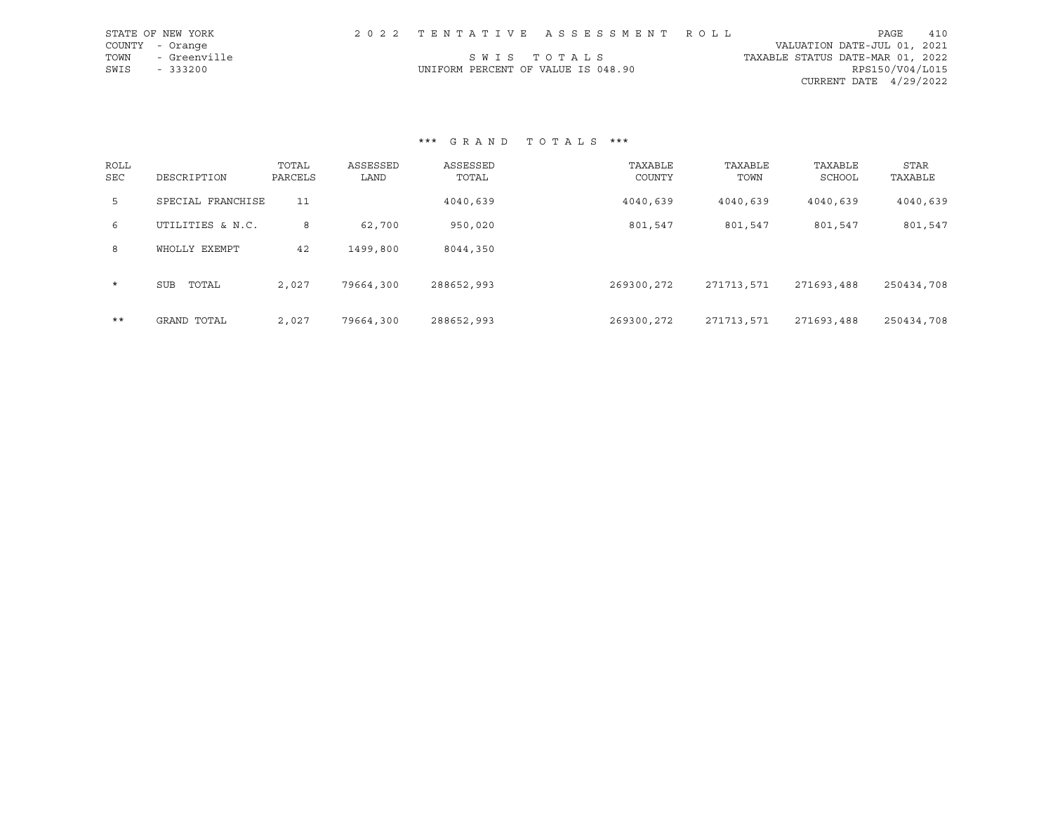|      | STATE OF NEW YORK |                                    | 2022 TENTATIVE ASSESSMENT ROLL |                                  | PAGE                     | 410 |
|------|-------------------|------------------------------------|--------------------------------|----------------------------------|--------------------------|-----|
|      | COUNTY - Orange   |                                    |                                | VALUATION DATE-JUL 01, 2021      |                          |     |
| TOWN | - Greenville      | SWIS TOTALS                        |                                | TAXABLE STATUS DATE-MAR 01, 2022 |                          |     |
| SWIS | - 333200          | UNIFORM PERCENT OF VALUE IS 048.90 |                                |                                  | RPS150/V04/L015          |     |
|      |                   |                                    |                                |                                  | CURRENT DATE $4/29/2022$ |     |

| ROLL<br><b>SEC</b> | DESCRIPTION       | TOTAL<br>PARCELS | ASSESSED<br>LAND | ASSESSED<br>TOTAL | TAXABLE<br>COUNTY | TAXABLE<br>TOWN | TAXABLE<br>SCHOOL | <b>STAR</b><br>TAXABLE |
|--------------------|-------------------|------------------|------------------|-------------------|-------------------|-----------------|-------------------|------------------------|
| 5                  | SPECIAL FRANCHISE | 11               |                  | 4040,639          | 4040,639          | 4040,639        | 4040,639          | 4040,639               |
| 6                  | UTILITIES & N.C.  | 8                | 62,700           | 950,020           | 801,547           | 801,547         | 801,547           | 801,547                |
| 8                  | WHOLLY EXEMPT     | 42               | 1499,800         | 8044,350          |                   |                 |                   |                        |
| $\star$            | TOTAL<br>SUB      | 2,027            | 79664,300        | 288652,993        | 269300,272        | 271713,571      | 271693,488        | 250434,708             |
| $***$              | GRAND TOTAL       | 2,027            | 79664,300        | 288652,993        | 269300,272        | 271713,571      | 271693,488        | 250434,708             |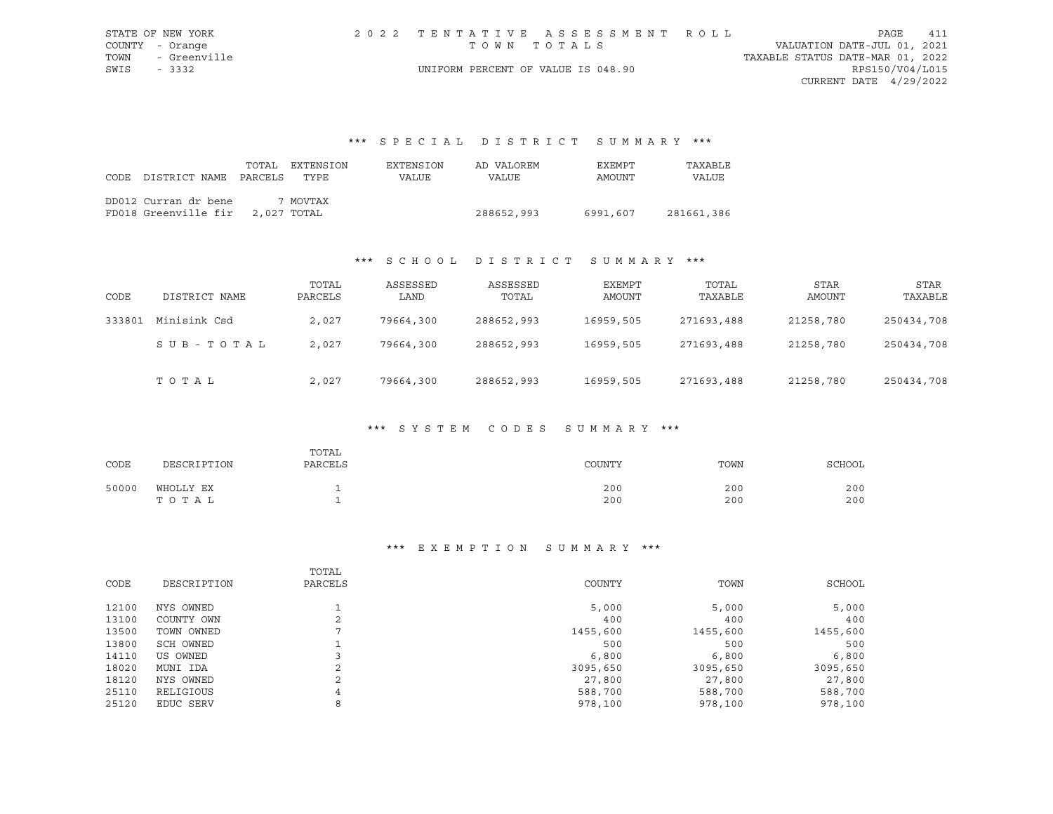|             | STATE OF NEW YORK |                                    | 2022 TENTATIVE ASSESSMENT ROLL |                                  |                        | PAGE | 411 |
|-------------|-------------------|------------------------------------|--------------------------------|----------------------------------|------------------------|------|-----|
|             | COUNTY - Orange   |                                    | TOWN TOTALS                    | VALUATION DATE-JUL 01, 2021      |                        |      |     |
|             | TOWN - Greenville |                                    |                                | TAXABLE STATUS DATE-MAR 01, 2022 |                        |      |     |
| SWIS - 3332 |                   | UNIFORM PERCENT OF VALUE IS 048.90 |                                |                                  | RPS150/V04/L015        |      |     |
|             |                   |                                    |                                |                                  | CURRENT DATE 4/29/2022 |      |     |

# \*\*\* S P E C I A L D I S T R I C T S U M M A R Y \*\*\*

|      |                                  | TOTAL | EXTENSION | EXTENSION | AD VALOREM | EXEMPT   | TAXABLE      |
|------|----------------------------------|-------|-----------|-----------|------------|----------|--------------|
| CODE | DISTRICT NAME PARCELS            |       | TYPF.     | VALUE     | VALUE      | AMOUNT   | <b>VALUE</b> |
|      | DD012 Curran dr bene             |       | 7 MOVTAX  |           |            |          |              |
|      | FD018 Greenville fir 2,027 TOTAL |       |           |           | 288652,993 | 6991,607 | 281661,386   |

## \*\*\* S C H O O L D I S T R I C T S U M M A R Y \*\*\*

| CODE   | DISTRICT NAME | TOTAL<br>PARCELS | ASSESSED<br>LAND | ASSESSED<br>TOTAL | EXEMPT<br>AMOUNT | TOTAL<br>TAXABLE | STAR<br>AMOUNT | STAR<br>TAXABLE |
|--------|---------------|------------------|------------------|-------------------|------------------|------------------|----------------|-----------------|
| 333801 | Minisink Csd  | 2,027            | 79664,300        | 288652,993        | 16959,505        | 271693,488       | 21258,780      | 250434,708      |
|        | SUB-TOTAL     | 2,027            | 79664,300        | 288652,993        | 16959,505        | 271693,488       | 21258,780      | 250434,708      |
|        | TOTAL         | 2,027            | 79664,300        | 288652,993        | 16959,505        | 271693,488       | 21258,780      | 250434,708      |

### \*\*\* S Y S T E M C O D E S S U M M A R Y \*\*\*

| CODE  | DESCRIPTION        | TOTAL<br>PARCELS | COUNTY     | TOWN       | <b>SCHOOL</b> |
|-------|--------------------|------------------|------------|------------|---------------|
| 50000 | WHOLLY EX<br>TOTAL |                  | 200<br>200 | 200<br>200 | 200<br>200    |

### \*\*\* E X E M P T I O N S U M M A R Y \*\*\*

|       |             | TOTAL        |          |          |          |
|-------|-------------|--------------|----------|----------|----------|
| CODE  | DESCRIPTION | PARCELS      | COUNTY   | TOWN     | SCHOOL   |
| 12100 | NYS OWNED   |              | 5,000    | 5,000    | 5,000    |
| 13100 | COUNTY OWN  | $\sim$<br>∠  | 400      | 400      | 400      |
| 13500 | TOWN OWNED  | ⇁            | 1455,600 | 1455,600 | 1455,600 |
| 13800 | SCH OWNED   |              | 500      | 500      | 500      |
| 14110 | US OWNED    |              | 6,800    | 6,800    | 6,800    |
| 18020 | MUNI IDA    | $\sim$<br>z. | 3095,650 | 3095,650 | 3095,650 |
| 18120 | NYS OWNED   | $\sim$<br>∠  | 27,800   | 27,800   | 27,800   |
| 25110 | RELIGIOUS   | 4            | 588,700  | 588,700  | 588,700  |
| 25120 | EDUC SERV   | 8            | 978,100  | 978,100  | 978,100  |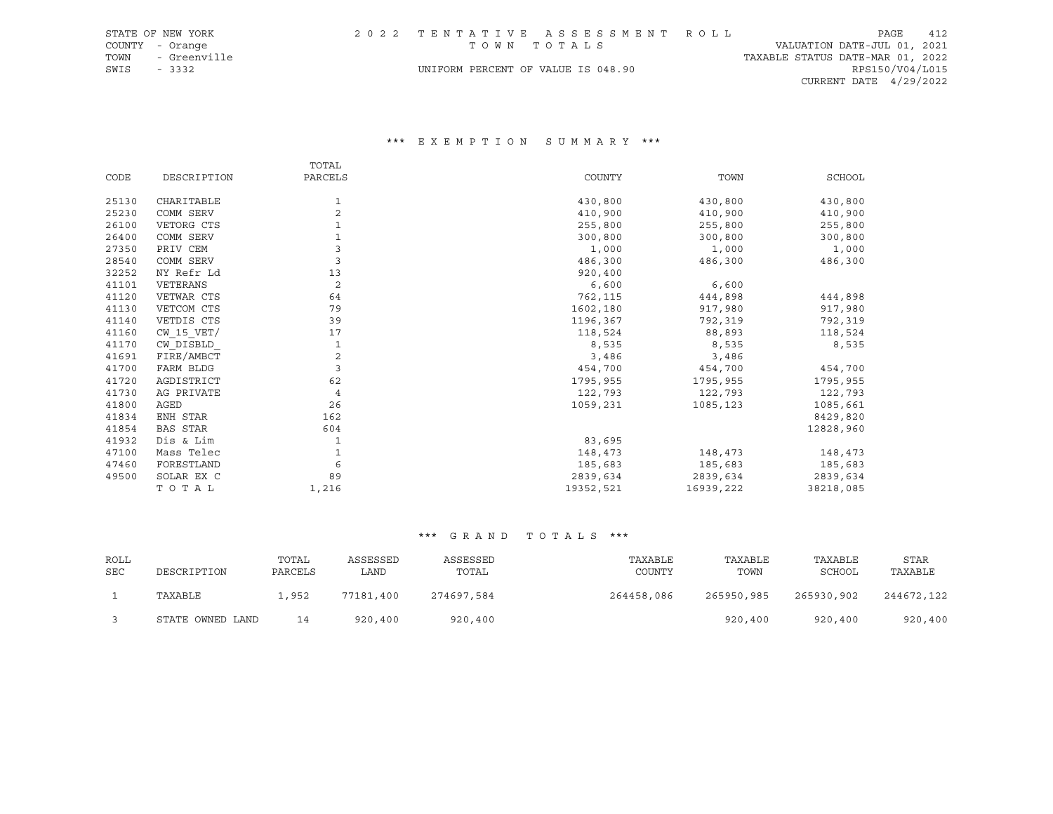|      | STATE OF NEW YORK |                                    | 2022 TENTATIVE ASSESSMENT ROLL |                                  | PAGE            | 412 |
|------|-------------------|------------------------------------|--------------------------------|----------------------------------|-----------------|-----|
|      | COUNTY - Orange   | TOWN TOTALS                        |                                | VALUATION DATE-JUL 01, 2021      |                 |     |
| TOWN | - Greenville      |                                    |                                | TAXABLE STATUS DATE-MAR 01, 2022 |                 |     |
| SWIS | - 3332            | UNIFORM PERCENT OF VALUE IS 048.90 |                                |                                  | RPS150/V04/L015 |     |
|      |                   |                                    |                                | CURRENT DATE $4/29/2022$         |                 |     |

### \*\*\* E X E M P T I O N S U M M A R Y \*\*\*

|       |                 | TOTAL          |           |           |           |
|-------|-----------------|----------------|-----------|-----------|-----------|
| CODE  | DESCRIPTION     | PARCELS        | COUNTY    | TOWN      | SCHOOL    |
|       |                 |                |           |           |           |
| 25130 | CHARITABLE      | 1              | 430,800   | 430,800   | 430,800   |
| 25230 | COMM SERV       | $\overline{2}$ | 410,900   | 410,900   | 410,900   |
| 26100 | VETORG CTS      |                | 255,800   | 255,800   | 255,800   |
| 26400 | COMM SERV       |                | 300,800   | 300,800   | 300,800   |
| 27350 | PRIV CEM        |                | 1,000     | 1,000     | 1,000     |
| 28540 | COMM SERV       | 3              | 486,300   | 486,300   | 486,300   |
| 32252 | NY Refr Ld      | 13             | 920,400   |           |           |
| 41101 | VETERANS        | $\overline{2}$ | 6,600     | 6,600     |           |
| 41120 | VETWAR CTS      | 64             | 762,115   | 444,898   | 444,898   |
| 41130 | VETCOM CTS      | 79             | 1602,180  | 917,980   | 917,980   |
| 41140 | VETDIS CTS      | 39             | 1196,367  | 792,319   | 792,319   |
| 41160 | $CW$ 15 $VET/$  | 17             | 118,524   | 88,893    | 118,524   |
| 41170 | CW DISBLD       | 1              | 8,535     | 8,535     | 8,535     |
| 41691 | FIRE/AMBCT      | 2              | 3,486     | 3,486     |           |
| 41700 | FARM BLDG       | $\overline{3}$ | 454,700   | 454,700   | 454,700   |
| 41720 | AGDISTRICT      | 62             | 1795,955  | 1795,955  | 1795,955  |
| 41730 | AG PRIVATE      | $\overline{4}$ | 122,793   | 122,793   | 122,793   |
| 41800 | AGED            | 26             | 1059,231  | 1085,123  | 1085,661  |
| 41834 | ENH STAR        | 162            |           |           | 8429,820  |
| 41854 | <b>BAS STAR</b> | 604            |           |           | 12828,960 |
| 41932 | Dis & Lim       | 1              | 83,695    |           |           |
| 47100 | Mass Telec      | 1              | 148,473   | 148,473   | 148,473   |
| 47460 | FORESTLAND      | 6              | 185,683   | 185,683   | 185,683   |
| 49500 | SOLAR EX C      | 89             | 2839,634  | 2839,634  | 2839,634  |
|       | TOTAL           | 1,216          | 19352,521 | 16939,222 | 38218,085 |

| ROLL<br><b>SEC</b> | DESCRIPTION      | TOTAL<br>PARCELS | ASSESSED<br>LAND | ASSESSED<br>TOTAL | TAXABLE<br>COUNTY | TAXABLE<br>TOWN | TAXABLE<br>SCHOOL | STAR<br>TAXABLE |
|--------------------|------------------|------------------|------------------|-------------------|-------------------|-----------------|-------------------|-----------------|
|                    | TAXABLE          | . , 952          | 77181,400        | 274697.584        | 264458,086        | 265950,985      | 265930,902        | 244672,122      |
|                    | STATE OWNED LAND | 14               | 920,400          | 920,400           |                   | 920,400         | 920,400           | 920,400         |